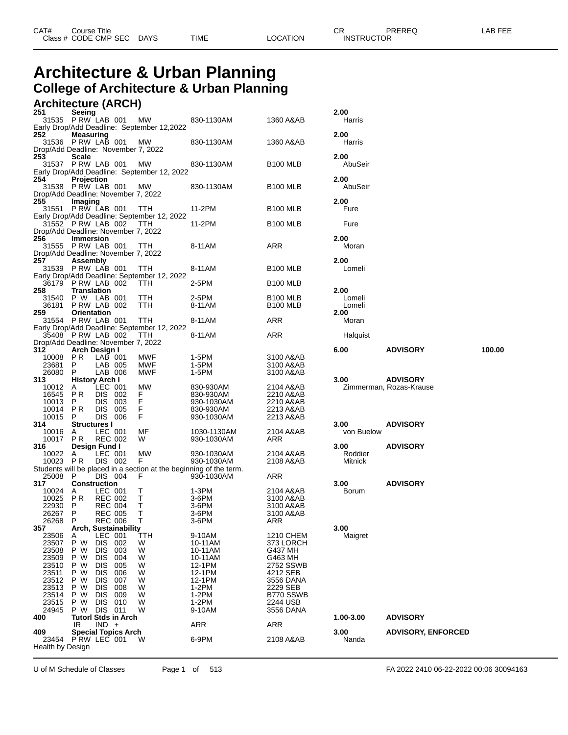## **Architecture & Urban Planning College of Architecture & Urban Planning**

#### **Architecture (ARCH)**

| 251 |                     | Seeing<br>31535 PRW LAB 001 MW                        |                                  |                             |                                                  |                                                                    |                                         | 2.00                     |                                            |        |
|-----|---------------------|-------------------------------------------------------|----------------------------------|-----------------------------|--------------------------------------------------|--------------------------------------------------------------------|-----------------------------------------|--------------------------|--------------------------------------------|--------|
|     |                     |                                                       |                                  |                             | Early Drop/Add Deadline: September 12,2022       | 830-1130AM                                                         | 1360 A&AB                               | Harris                   |                                            |        |
| 252 |                     | <b>Measuring</b><br>31536 PRW LAB 001                 |                                  |                             | MW<br>Drop/Add Deadline: November 7, 2022        | 830-1130AM                                                         | 1360 A&AB                               | 2.00<br>Harris           |                                            |        |
| 253 |                     | <b>Scale</b><br>31537 PRW LAB 001 MW                  |                                  |                             | Early Drop/Add Deadline: September 12, 2022      | 830-1130AM                                                         | <b>B100 MLB</b>                         | 2.00<br>AbuSeir          |                                            |        |
| 254 |                     | Projection<br>31538 PRW LAB 001                       |                                  |                             | <b>MW</b><br>Drop/Add Deadline: November 7, 2022 | 830-1130AM                                                         | B <sub>100</sub> MLB                    | 2.00<br>AbuSeir          |                                            |        |
| 255 |                     | Imaging<br>31551 PRW LAB 001 TTH                      |                                  |                             | Early Drop/Add Deadline: September 12, 2022      | 11-2PM                                                             | B <sub>100</sub> MLB                    | 2.00<br>Fure             |                                            |        |
|     |                     | 31552 PRW LAB 002 TTH                                 |                                  |                             | Drop/Add Deadline: November 7, 2022              | 11-2PM                                                             | B <sub>100</sub> MLB                    | Fure                     |                                            |        |
| 256 |                     | <b>Immersion</b><br>31555 PRW LAB 001 TTH             |                                  |                             | Drop/Add Deadline: November 7, 2022              | 8-11AM                                                             | ARR                                     | 2.00<br>Moran            |                                            |        |
| 257 |                     | Assembly<br>31539 PRW LAB 001 TTH                     |                                  |                             | Early Drop/Add Deadline: September 12, 2022      | 8-11AM                                                             | <b>B100 MLB</b>                         | 2.00<br>Lomeli           |                                            |        |
|     |                     | 36179 PRW LAB 002                                     |                                  |                             | TTH                                              | 2-5PM                                                              | <b>B100 MLB</b>                         |                          |                                            |        |
| 258 |                     | Translation<br>31540 P W LAB 001<br>36181 PRW LAB 002 |                                  |                             | TTH.<br>TTH                                      | 2-5PM<br>8-11AM                                                    | B <sub>100</sub> MLB<br><b>B100 MLB</b> | 2.00<br>Lomeli<br>Lomeli |                                            |        |
| 259 |                     | <b>Orientation</b><br>31554 P RW LAB 001              |                                  |                             | TTH                                              | 8-11AM                                                             | ARR                                     | 2.00<br>Moran            |                                            |        |
|     |                     |                                                       |                                  |                             | Early Drop/Add Deadline: September 12, 2022      |                                                                    |                                         |                          |                                            |        |
|     |                     | 35408 P RW LAB 002                                    |                                  |                             | TTH<br>Drop/Add Deadline: November 7, 2022       | 8-11AM                                                             | ARR                                     | Halquist                 |                                            |        |
| 312 |                     | Arch Design I<br>10008 PR LAB 001                     |                                  |                             |                                                  | 1-5PM                                                              |                                         | 6.00                     | <b>ADVISORY</b>                            | 100.00 |
|     | 23681 P             |                                                       | LAB 005                          |                             | MWF<br>MWF                                       | 1-5PM                                                              | 3100 A&AB<br>3100 A&AB                  |                          |                                            |        |
|     | 26080 P             |                                                       | LAB 006                          |                             | MWF                                              | 1-5PM                                                              | 3100 A&AB                               |                          |                                            |        |
| 313 | 10012 A             | <b>History Arch I</b>                                 | LEC 001                          |                             | MW                                               | 830-930AM                                                          | 2104 A&AB                               | 3.00                     | <b>ADVISORY</b><br>Zimmerman, Rozas-Krause |        |
|     | 16545 PR            |                                                       | DIS 002                          |                             | F.                                               | 830-930AM                                                          | 2210 A&AB                               |                          |                                            |        |
|     | 10013<br>10014      | P.<br>PR                                              | DIS 003<br>DIS 005               |                             | F.<br>F.                                         | 930-1030AM<br>830-930AM                                            | 2210 A&AB<br>2213 A&AB                  |                          |                                            |        |
|     | 10015 P             |                                                       | DIS 006                          |                             | F.                                               | 930-1030AM                                                         | 2213 A&AB                               |                          |                                            |        |
| 314 | 10016 A             | <b>Structures I</b>                                   | LEC 001                          |                             |                                                  |                                                                    |                                         | 3.00                     | <b>ADVISORY</b>                            |        |
|     |                     | 10017 PR                                              | REC 002                          |                             | MF<br>W                                          | 1030-1130AM<br>930-1030AM                                          | 2104 A&AB<br>ARR                        | von Buelow               |                                            |        |
| 316 |                     | Design Fund I                                         |                                  |                             |                                                  |                                                                    |                                         | 3.00                     | <b>ADVISORY</b>                            |        |
|     | 10022 A<br>10023 PR |                                                       | LEC 001<br>DIS 002               |                             | MW<br>F.                                         | 930-1030AM<br>930-1030AM                                           | 2104 A&AB<br>2108 A&AB                  | Roddier<br>Mitnick       |                                            |        |
|     |                     |                                                       |                                  |                             |                                                  | Students will be placed in a section at the beginning of the term. |                                         |                          |                                            |        |
| 317 | 25008 P             | <b>Construction</b>                                   | DIS 004                          |                             | F.                                               | 930-1030AM                                                         | ARR                                     | 3.00                     | <b>ADVISORY</b>                            |        |
|     | 10024 A             |                                                       | LEC 001                          |                             | T.                                               | 1-3PM                                                              | 2104 A&AB                               | Borum                    |                                            |        |
|     | 10025 PR            |                                                       | REC 002                          |                             | T.                                               | 3-6PM                                                              | 3100 A&AB                               |                          |                                            |        |
|     | 22930<br>26267 P    | - P                                                   | <b>REC 004</b><br><b>REC 005</b> |                             | T.<br>T.                                         | 3-6PM<br>3-6PM                                                     | 3100 A&AB<br>3100 A&AB                  |                          |                                            |        |
|     | 26268 P             |                                                       | <b>REC 006</b>                   |                             | T.                                               | $3-6$ PM                                                           | ARR                                     |                          |                                            |        |
| 357 | 23506               | A                                                     | LEC 001                          | <b>Arch, Sustainability</b> | TTH                                              | 9-10AM                                                             | 1210 CHEM                               | 3.00<br>Maigret          |                                            |        |
|     | 23507               | P W                                                   | <b>DIS</b>                       | 002                         | W                                                | 10-11AM                                                            | 373 LORCH                               |                          |                                            |        |
|     | 23508               | P W                                                   | <b>DIS</b>                       | 003                         | W                                                | 10-11AM                                                            | G437 MH                                 |                          |                                            |        |
|     | 23509<br>23510      | P W<br>P W                                            | <b>DIS</b><br><b>DIS</b>         | 004<br>005                  | W<br>W                                           | 10-11AM<br>12-1PM                                                  | G463 MH<br>2752 SSWB                    |                          |                                            |        |
|     | 23511               | P W                                                   | <b>DIS</b>                       | 006                         | W                                                | 12-1PM                                                             | 4212 SEB                                |                          |                                            |        |
|     | 23512<br>23513      | P W<br>P W                                            | <b>DIS</b><br><b>DIS</b>         | 007<br>008                  | W<br>W                                           | 12-1PM<br>$1-2PM$                                                  | 3556 DANA<br>2229 SEB                   |                          |                                            |        |
|     | 23514               | P W                                                   | DIS.                             | 009                         | W                                                | $1-2PM$                                                            | B770 SSWB                               |                          |                                            |        |
|     | 23515<br>24945      | P W<br>P W                                            | <b>DIS</b><br><b>DIS 011</b>     | 010                         | W<br>W                                           | $1-2PM$<br>9-10AM                                                  | 2244 USB<br>3556 DANA                   |                          |                                            |        |
| 400 |                     | <b>Tutorl Stds in Arch</b>                            |                                  |                             |                                                  |                                                                    |                                         | 1.00-3.00                | <b>ADVISORY</b>                            |        |
|     |                     | IR.                                                   | $IND +$                          |                             |                                                  | <b>ARR</b>                                                         | <b>ARR</b>                              | 3.00                     | <b>ADVISORY, ENFORCED</b>                  |        |
| 409 | Health by Design    | 23454 PRW LEC 001                                     |                                  | Special Topics Arch         | W                                                | 6-9PM                                                              | 2108 A&AB                               | Nanda                    |                                            |        |
|     |                     |                                                       |                                  |                             |                                                  |                                                                    |                                         |                          |                                            |        |

U of M Schedule of Classes Page 1 of 513 FA 2022 2410 06-22-2022 00:06 30094163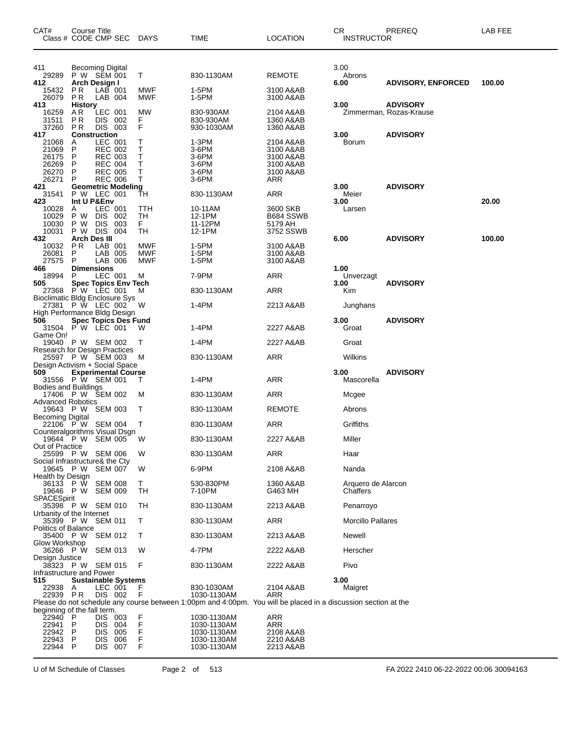| CAT#<br>Class # CODE CMP SEC DAYS                                                    | <b>Course Title</b>                              |                                                                                                   |                             |                            | TIME                                                                                                           | <b>LOCATION</b>                                                      | CR<br><b>INSTRUCTOR</b>        | PREREQ                                     | LAB FEE |
|--------------------------------------------------------------------------------------|--------------------------------------------------|---------------------------------------------------------------------------------------------------|-----------------------------|----------------------------|----------------------------------------------------------------------------------------------------------------|----------------------------------------------------------------------|--------------------------------|--------------------------------------------|---------|
| 411<br>29289<br>412                                                                  | Becoming Digital<br>P W SEM 001<br>Arch Design I |                                                                                                   |                             | Т                          | 830-1130AM                                                                                                     | REMOTE                                                               | 3.00<br>Abrons<br>6.00         | <b>ADVISORY, ENFORCED</b>                  | 100.00  |
| 15432<br>26079                                                                       | <b>PR</b><br>P R                                 | LAB 001<br>LAB 004                                                                                |                             | <b>MWF</b><br>MWF          | 1-5PM<br>1-5PM                                                                                                 | 3100 A&AB<br>3100 A&AB                                               |                                |                                            |         |
| 413<br>16259<br>31511<br>37260                                                       | <b>History</b><br>AR.<br>P R<br>PR               | LEC 001<br>DIS 002<br>DIS 003                                                                     |                             | <b>MW</b><br>F<br>F        | 830-930AM<br>830-930AM<br>930-1030AM                                                                           | 2104 A&AB<br>1360 A&AB<br>1360 A&AB                                  | 3.00                           | <b>ADVISORY</b><br>Zimmerman, Rozas-Krause |         |
| 417<br>21068<br>21069<br>26175<br>26269<br>26270<br>26271                            | Construction<br>A<br>P<br>P<br>P<br>P<br>P       | LEC 001<br><b>REC 002</b><br><b>REC 003</b><br><b>REC 004</b><br><b>REC 005</b><br><b>REC 006</b> |                             | Т<br>Τ<br>Т<br>Т<br>T<br>т | 1-3PM<br>3-6PM<br>3-6PM<br>3-6PM<br>3-6PM<br>3-6PM                                                             | 2104 A&AB<br>3100 A&AB<br>3100 A&AB<br>3100 A&AB<br>3100 A&AB<br>ARR | 3.00<br>Borum                  | <b>ADVISORY</b>                            |         |
| 421<br>31541                                                                         | P W LEC 001                                      |                                                                                                   | <b>Geometric Modeling</b>   | ŤН                         | 830-1130AM                                                                                                     | ARR                                                                  | 3.00<br>Meier                  | <b>ADVISORY</b>                            |         |
| 423<br>10028<br>10029<br>10030<br>10031                                              | Int U P&Env<br>A<br>P W<br>P W<br>P W DIS 004    | LEC 001<br>DIS 002<br><b>DIS</b>                                                                  | 003                         | TTH<br>TH<br>F.<br>TН      | 10-11AM<br>12-1PM<br>11-12PM<br>12-1PM                                                                         | 3600 SKB<br>B684 SSWB<br>5179 AH<br>3752 SSWB                        | 3.00<br>Larsen                 |                                            | 20.00   |
| 432<br>10032<br>26081<br>27575                                                       | <b>Arch Des III</b><br>PR.<br>P<br>P             | LAB 001<br>LAB 005<br>LAB 006                                                                     |                             | MWF<br>MWF<br><b>MWF</b>   | 1-5PM<br>1-5PM<br>1-5PM                                                                                        | 3100 A&AB<br>3100 A&AB<br>3100 A&AB                                  | 6.00                           | <b>ADVISORY</b>                            | 100.00  |
| 466<br>18994                                                                         | <b>Dimensions</b><br>P                           | LEC 001                                                                                           |                             | м                          | 7-9PM                                                                                                          | ARR                                                                  | 1.00<br>Unverzagt              |                                            |         |
| 505<br>27368 PW LEC 001<br><b>Bioclimatic Bldg Enclosure Sys</b>                     |                                                  |                                                                                                   | <b>Spec Topics Env Tech</b> | м                          | 830-1130AM                                                                                                     | ARR                                                                  | 3.00<br>Kim                    | <b>ADVISORY</b>                            |         |
| 27381 P W LEC 002<br>High Performance Bldg Design                                    |                                                  |                                                                                                   |                             | - W                        | 1-4PM                                                                                                          | 2213 A&AB                                                            | Junghans                       |                                            |         |
| 506<br>31504 PW LEC 001                                                              |                                                  |                                                                                                   | <b>Spec Topics Des Fund</b> | W                          | 1-4PM                                                                                                          | 2227 A&AB                                                            | 3.00<br>Groat                  | <b>ADVISORY</b>                            |         |
| Game On!<br>19040 P W SEM 002                                                        |                                                  |                                                                                                   |                             | T                          | 1-4PM                                                                                                          | 2227 A&AB                                                            | Groat                          |                                            |         |
| Research for Design Practices<br>25597 P W SEM 003<br>Design Activism + Social Space |                                                  |                                                                                                   |                             | M                          | 830-1130AM                                                                                                     | <b>ARR</b>                                                           | Wilkins                        |                                            |         |
| 509<br>31556 P W SEM 001                                                             |                                                  |                                                                                                   | <b>Experimental Course</b>  | т                          | 1-4PM                                                                                                          | ARR                                                                  | 3.00<br>Mascorella             | <b>ADVISORY</b>                            |         |
| <b>Bodies and Buildings</b><br>17406 P W SEM 002                                     |                                                  |                                                                                                   |                             | м                          | 830-1130AM                                                                                                     | ARR                                                                  | Mcgee                          |                                            |         |
| Advanced Robotics<br>19643 P W SEM 003<br><b>Becoming Digital</b>                    |                                                  |                                                                                                   |                             | Т                          | 830-1130AM                                                                                                     | <b>REMOTE</b>                                                        | Abrons                         |                                            |         |
| 22106 P W SEM 004<br>Counteralgorithms Visual Dsgn                                   |                                                  |                                                                                                   |                             | Т                          | 830-1130AM                                                                                                     | ARR                                                                  | Griffiths                      |                                            |         |
| 19644 P W SEM 005<br>Out of Practice                                                 |                                                  |                                                                                                   |                             | W                          | 830-1130AM                                                                                                     | 2227 A&AB                                                            | Miller                         |                                            |         |
| 25599 P W SEM 006<br>Social Infrastructure& the Cty                                  |                                                  |                                                                                                   |                             | W                          | 830-1130AM                                                                                                     | ARR                                                                  | Haar                           |                                            |         |
| 19645 P W<br>Health by Design                                                        |                                                  | <b>SEM 007</b>                                                                                    |                             | W                          | 6-9PM                                                                                                          | 2108 A&AB                                                            | Nanda                          |                                            |         |
| 36133 P W<br>19646 P W<br>SPACESpirit                                                |                                                  | <b>SEM 008</b><br><b>SEM 009</b>                                                                  |                             | Τ<br>TH                    | 530-830PM<br>7-10PM                                                                                            | 1360 A&AB<br>G463 MH                                                 | Arquero de Alarcon<br>Chaffers |                                            |         |
| 35398 P W SEM 010<br>Urbanity of the Internet                                        |                                                  |                                                                                                   |                             | TH                         | 830-1130AM                                                                                                     | 2213 A&AB                                                            | Penarroyo                      |                                            |         |
| 35399 P W SEM 011<br><b>Politics of Balance</b>                                      |                                                  |                                                                                                   |                             | Т                          | 830-1130AM                                                                                                     | ARR                                                                  | <b>Morcillo Pallares</b>       |                                            |         |
| 35400 P W SEM 012<br>Glow Workshop                                                   |                                                  |                                                                                                   |                             | Т                          | 830-1130AM                                                                                                     | 2213 A&AB                                                            | Newell                         |                                            |         |
| 36266 P W SEM 013<br>Design Justice                                                  |                                                  |                                                                                                   |                             | W                          | 4-7PM                                                                                                          | 2222 A&AB                                                            | Herscher                       |                                            |         |
| 38323 PW SEM 015<br>Infrastructure and Power                                         |                                                  |                                                                                                   |                             | F                          | 830-1130AM                                                                                                     | 2222 A&AB                                                            | Pivo                           |                                            |         |
| 515<br>22938<br>22939 PR                                                             | A                                                | LEC 001<br>DIS 002                                                                                | <b>Sustainable Systems</b>  | F<br>F                     | 830-1030AM<br>1030-1130AM                                                                                      | 2104 A&AB<br>ARR                                                     | 3.00<br>Maigret                |                                            |         |
| beginning of the fall term.                                                          |                                                  |                                                                                                   |                             |                            | Please do not schedule any course between 1:00pm and 4:00pm. You will be placed in a discussion section at the |                                                                      |                                |                                            |         |
| 22940<br>22941                                                                       | P<br>P                                           | DIS 003<br>DIS 004                                                                                |                             | F<br>F<br>F                | 1030-1130AM<br>1030-1130AM                                                                                     | ARR<br>ARR                                                           |                                |                                            |         |
| 22942<br>22943<br>22944                                                              | P<br>P<br>P                                      | <b>DIS</b><br><b>DIS</b><br>DIS 007                                                               | 005<br>006                  | F<br>F                     | 1030-1130AM<br>1030-1130AM<br>1030-1130AM                                                                      | 2108 A&AB<br>2210 A&AB<br>2213 A&AB                                  |                                |                                            |         |

U of M Schedule of Classes Page 2 of 513 FA 2022 2410 06-22-2022 00:06 30094163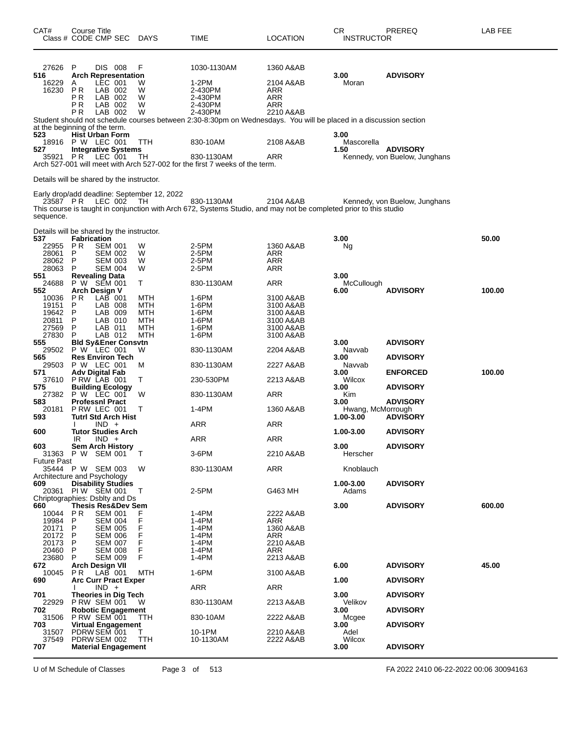| CAT#                                                               | <b>Course Title</b><br>Class # CODE CMP SEC DAYS                                                                                                                                        |                                        | TIME                                                                                                                                                                                                                       | LOCATION                                                                   | CR<br><b>INSTRUCTOR</b>                                     | PREREQ                                                                   | LAB FEE |
|--------------------------------------------------------------------|-----------------------------------------------------------------------------------------------------------------------------------------------------------------------------------------|----------------------------------------|----------------------------------------------------------------------------------------------------------------------------------------------------------------------------------------------------------------------------|----------------------------------------------------------------------------|-------------------------------------------------------------|--------------------------------------------------------------------------|---------|
| 27626<br>516<br>16229<br>16230                                     | P<br>DIS 008<br><b>Arch Representation</b><br>LEC 001<br>A<br>PR<br>LAB 002<br>РR<br>LAB 002<br>РR<br>LAB 002<br>LAB 002<br>P R                                                         | F<br>W<br>W<br>W<br>W<br>W             | 1030-1130AM<br>1-2PM<br>2-430PM<br>2-430PM<br>2-430PM<br>2-430PM                                                                                                                                                           | 1360 A&AB<br>2104 A&AB<br>ARR<br>ARR<br>ARR<br>2210 A&AB                   | 3.00<br>Moran                                               | <b>ADVISORY</b>                                                          |         |
| 523<br>18916<br>527                                                | at the beginning of the term.<br><b>Hist Urban Form</b><br>P W LEC 001<br><b>Integrative Systems</b><br>35921 PR LEC 001                                                                | TTH<br>TH                              | Student should not schedule courses between 2:30-8:30pm on Wednesdays. You will be placed in a discussion section<br>830-10AM<br>830-1130AM<br>Arch 527-001 will meet with Arch 527-002 for the first 7 weeks of the term. | 2108 A&AB<br>ARR                                                           | 3.00<br>Mascorella<br>1.50                                  | <b>ADVISORY</b><br>Kennedy, von Buelow, Junghans                         |         |
| sequence.                                                          | Details will be shared by the instructor.<br>Early drop/add deadline: September 12, 2022<br>23587 PR LEC 002 TH                                                                         |                                        | 830-1130AM<br>This course is taught in conjunction with Arch 672, Systems Studio, and may not be completed prior to this studio                                                                                            | 2104 A&AB                                                                  |                                                             | Kennedy, von Buelow, Junghans                                            |         |
| 537<br>22955<br>28061<br>28062<br>28063<br>551<br>24688            | Details will be shared by the instructor.<br><b>Fabrication</b><br>P R<br><b>SEM 001</b><br>P<br>SEM 002<br>P<br>SEM 003<br>P<br><b>SEM 004</b><br><b>Revealing Data</b><br>P W SEM 001 | W<br>W<br>W<br>W<br>т                  | 2-5PM<br>2-5PM<br>2-5PM<br>2-5PM<br>830-1130AM                                                                                                                                                                             | 1360 A&AB<br>ARR<br>ARR<br>ARR<br>ARR                                      | 3.00<br>Ng<br>3.00                                          |                                                                          | 50.00   |
| 552<br>10036<br>19151<br>19642<br>20811<br>27569<br>27830<br>555   | <b>Arch Design V</b><br>$LAB$ 001<br>P R<br>P<br>LAB 008<br>P<br>LAB 009<br>P<br>LAB 010<br>LAB 011<br>P<br>LAB 012<br>P<br><b>Bld Sy&amp;Ener Consvtn</b>                              | MTH<br>MTH<br>MTH<br>MTH<br>MTH<br>MTH | 1-6PM<br>1-6PM<br>1-6PM<br>1-6PM<br>1-6PM<br>1-6PM                                                                                                                                                                         | 3100 A&AB<br>3100 A&AB<br>3100 A&AB<br>3100 A&AB<br>3100 A&AB<br>3100 A&AB | McCullough<br>6.00<br>3.00                                  | <b>ADVISORY</b><br><b>ADVISORY</b>                                       | 100.00  |
| 565<br>29503<br>571<br>37610<br>575                                | 29502 P W LEC 001<br><b>Res Environ Tech</b><br>P W LEC 001<br>Adv Digital Fab<br>PRW LAB 001<br><b>Building Ecology</b><br>27382 P W LEC 001                                           | W<br>M<br>т<br>W                       | 830-1130AM<br>830-1130AM<br>230-530PM<br>830-1130AM                                                                                                                                                                        | 2204 A&AB<br>2227 A&AB<br>2213 A&AB<br>ARR                                 | Navvab<br>3.00<br>Navvab<br>3.00<br>Wilcox<br>3.00<br>Kim   | <b>ADVISORY</b><br><b>ENFORCED</b><br><b>ADVISORY</b>                    | 100.00  |
| 583<br>20181<br>593<br>600<br>603                                  | <b>Professni Pract</b><br>PRW LEC 001<br>Tutrl Std Arch Hist<br>$IND +$<br>Tutor Studies Arch<br>IR<br>$IND +$<br><b>Sem Arch History</b>                                               | Т                                      | 1-4PM<br>ARR<br>ARR                                                                                                                                                                                                        | 1360 A&AB<br>ARR<br>ARR                                                    | 3.00<br>Hwang, McMorrough<br>1.00-3.00<br>1.00-3.00<br>3.00 | <b>ADVISORY</b><br><b>ADVISORY</b><br><b>ADVISORY</b><br><b>ADVISORY</b> |         |
| <b>Future Past</b><br>609                                          | 31363 P W SEM 001<br>35444 P W SEM 003<br>Architecture and Psychology<br><b>Disability Studies</b><br>20361 PIW SEM 001<br>Chriptographies: Dsblty and Ds                               | $\top$<br>W<br>Т                       | 3-6PM<br>830-1130AM<br>2-5PM                                                                                                                                                                                               | 2210 A&AB<br>ARR<br>G463 MH                                                | Herscher<br>Knoblauch<br>1.00-3.00<br>Adams                 | <b>ADVISORY</b>                                                          |         |
| 660<br>10044<br>19984<br>20171<br>20172<br>20173<br>20460<br>23680 | <b>Thesis Res&amp;Dev Sem</b><br><b>PR</b><br><b>SEM 001</b><br>P<br>SEM 004<br>P<br>SEM 005<br>P<br><b>SEM 006</b><br>P<br>SEM 007<br>P<br><b>SEM 008</b><br>$\mathsf{P}$<br>SEM 009   | F<br>F<br>F<br>F<br>F<br>F<br>F        | 1-4PM<br>1-4PM<br>1-4PM<br>1-4PM<br>1-4PM<br>1-4PM<br>1-4PM                                                                                                                                                                | 2222 A&AB<br>ARR<br>1360 A&AB<br>ARR<br>2210 A&AB<br>ARR<br>2213 A&AB      | 3.00                                                        | <b>ADVISORY</b>                                                          | 600.00  |
| 672<br>10045<br>690<br>701<br>22929<br>702                         | Arch Design VII<br>$LAB$ 001<br>P R<br><b>Arc Curr Pract Exper</b><br>$IND +$<br>Theories in Dig Tech<br>P RW SEM 001<br><b>Robotic Engagement</b>                                      | MTH<br>W                               | 1-6PM<br>ARR<br>830-1130AM                                                                                                                                                                                                 | 3100 A&AB<br>ARR<br>2213 A&AB                                              | 6.00<br>1.00<br>3.00<br>Velikov<br>3.00                     | <b>ADVISORY</b><br><b>ADVISORY</b><br><b>ADVISORY</b><br><b>ADVISORY</b> | 45.00   |
| 703<br>31507<br>37549<br>707                                       | 31506 P RW SEM 001<br><b>Virtual Engagement</b><br>PDRW SEM 001<br>PDRW SEM 002<br><b>Material Engagement</b>                                                                           | TTH<br>Т<br>TTH                        | 830-10AM<br>10-1PM<br>10-1130AM                                                                                                                                                                                            | 2222 A&AB<br>2210 A&AB<br>2222 A&AB                                        | Mcgee<br>3.00<br>Adel<br>Wilcox<br>3.00                     | <b>ADVISORY</b><br><b>ADVISORY</b>                                       |         |

U of M Schedule of Classes Page 3 of 513 FA 2022 2410 06-22-2022 00:06 30094163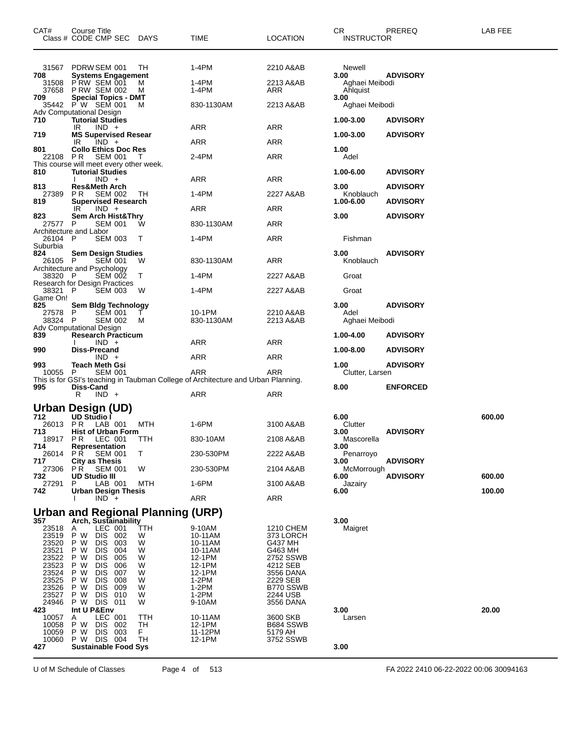| CAT#            | Course Title<br>Class # CODE CMP SEC DAYS                          |          | <b>TIME</b>                                                                              | <b>LOCATION</b>       | CR.<br><b>INSTRUCTOR</b>   | PREREQ          | LAB FEE |
|-----------------|--------------------------------------------------------------------|----------|------------------------------------------------------------------------------------------|-----------------------|----------------------------|-----------------|---------|
|                 |                                                                    |          |                                                                                          |                       |                            |                 |         |
|                 | 31567 PDRW SEM 001                                                 | ТH       | 1-4PM                                                                                    | 2210 A&AB             | Newell                     |                 |         |
| 708             | <b>Systems Engagement</b>                                          |          |                                                                                          |                       | 3.00                       | <b>ADVISORY</b> |         |
| 37658           | 31508 PRW SEM 001<br><b>PRW SEM 002</b>                            | м<br>м   | 1-4PM<br>1-4PM                                                                           | 2213 A&AB<br>ARR      | Aghaei Meibodi<br>Ahlquist |                 |         |
| 709             | <b>Special Topics - DMT</b><br>35442 PW SEM 001                    | м        | 830-1130AM                                                                               | 2213 A&AB             | 3.00<br>Aghaei Meibodi     |                 |         |
| 710             | Adv Computational Design<br><b>Tutorial Studies</b>                |          |                                                                                          |                       | 1.00-3.00                  | <b>ADVISORY</b> |         |
|                 | $IND +$<br>IR                                                      |          | ARR                                                                                      | ARR                   |                            |                 |         |
| 719             | <b>MS Supervised Resear</b><br>IR<br>$IND +$                       |          | ARR                                                                                      | ARR                   | 1.00-3.00                  | <b>ADVISORY</b> |         |
| 801<br>22108 PR | <b>Collo Ethics Doc Res</b><br>SEM 001                             | $\top$   | 2-4PM                                                                                    | ARR                   | 1.00<br>Adel               |                 |         |
| 810             | This course will meet every other week.<br><b>Tutorial Studies</b> |          |                                                                                          |                       | 1.00-6.00                  | <b>ADVISORY</b> |         |
| 813             | $IND +$<br><b>Res&amp;Meth Arch</b>                                |          | ARR                                                                                      | ARR                   | 3.00                       | <b>ADVISORY</b> |         |
| 27389 PR        | <b>SEM 002</b>                                                     | TH       | $1-4PM$                                                                                  | 2227 A&AB             | Knoblauch                  |                 |         |
| 819             | <b>Supervised Research</b><br>IR<br>$IND +$                        |          | ARR                                                                                      | ARR                   | 1.00-6.00                  | <b>ADVISORY</b> |         |
| 823<br>27577    | <b>Sem Arch Hist&amp;Thry</b><br><b>SEM 001</b><br>P.              | W        | 830-1130AM                                                                               | ARR                   | 3.00                       | <b>ADVISORY</b> |         |
| 26104 P         | Architecture and Labor<br><b>SEM 003</b>                           | т        | 1-4PM                                                                                    | ARR                   | Fishman                    |                 |         |
| Suburbia        |                                                                    |          |                                                                                          |                       |                            |                 |         |
| 824<br>26105 P  | <b>Sem Design Studies</b><br><b>SEM 001</b>                        | W        | 830-1130AM                                                                               | ARR                   | 3.00<br>Knoblauch          | <b>ADVISORY</b> |         |
| 38320 P         | Architecture and Psychology<br><b>SEM 002</b>                      | T        | 1-4PM                                                                                    | 2227 A&AB             | Groat                      |                 |         |
| 38321           | Research for Design Practices<br><b>SEM 003</b><br>$\mathsf{P}$    | W        | 1-4PM                                                                                    | 2227 A&AB             | Groat                      |                 |         |
| Game On!<br>825 | Sem Bldg Technology                                                |          |                                                                                          |                       | 3.00                       | <b>ADVISORY</b> |         |
| 27578           | <b>SEM 001</b><br>P                                                | T.       | 10-1PM                                                                                   | 2210 A&AB             | Adel                       |                 |         |
| 38324 P         | <b>SEM 002</b><br>Adv Computational Design                         | м        | 830-1130AM                                                                               | 2213 A&AB             | Aghaei Meibodi             |                 |         |
| 839             | <b>Research Practicum</b><br>$IND +$                               |          | ARR                                                                                      | ARR                   | 1.00-4.00                  | <b>ADVISORY</b> |         |
| 990             | Diss-Precand<br>$IND +$                                            |          | ARR                                                                                      | ARR                   | 1.00-8.00                  | <b>ADVISORY</b> |         |
| 993             | <b>Teach Meth Gsi</b>                                              |          |                                                                                          |                       | 1.00                       | <b>ADVISORY</b> |         |
| 10055 P         | <b>SEM 001</b>                                                     |          | ARR<br>This is for GSI's teaching in Taubman College of Architecture and Urban Planning. | ARR                   | Clutter, Larsen            |                 |         |
| 995             | Diss-Cand<br>R<br>$IND +$                                          |          | ARR                                                                                      | ARR                   | 8.00                       | <b>ENFORCED</b> |         |
|                 | Urban Design (UD)                                                  |          |                                                                                          |                       |                            |                 |         |
| 712<br>26013 PR | UD Studio<br>LAB 001                                               | MTH      | 1-6PM                                                                                    | 3100 A&AB             | 6.00<br>Clutter            |                 | 600.00  |
| 713<br>18917    | <b>Hist of Urban Form</b>                                          |          |                                                                                          |                       | 3.00                       | <b>ADVISORY</b> |         |
| 714             | PR LEC 001 TTH<br>Representation                                   |          | 830-10AM                                                                                 | 2108 A&AB             | Mascorella<br>3.00         |                 |         |
| 26014 PR<br>717 | <b>SEM 001</b><br><b>City as Thesis</b>                            | T.       | 230-530PM                                                                                | 2222 A&AB             | Penarroyo<br>3.00          | <b>ADVISORY</b> |         |
| 27306<br>732    | PR.<br><b>SEM 001</b><br><b>UD Studio III</b>                      | W        | 230-530PM                                                                                | 2104 A&AB             | McMorrough<br>6.00         | <b>ADVISORY</b> | 600.00  |
| 27291           | P.<br>LAB 001                                                      | MTH      | 1-6PM                                                                                    | 3100 A&AB             | Jazairy                    |                 |         |
| 742             | <b>Urban Design Thesis</b><br>$IND +$                              |          | ARR                                                                                      | ARR                   | 6.00                       |                 | 100.00  |
|                 | <b>Urban and Regional Planning (URP)</b>                           |          |                                                                                          |                       |                            |                 |         |
| 357<br>23518    | Arch, Sustainability<br>LEC 001<br>A                               | TTH      | 9-10AM                                                                                   | 1210 CHEM             | 3.00<br>Maigret            |                 |         |
| 23519<br>23520  | P W<br>DIS 002<br>P W<br>DIS 003                                   | W<br>W   | 10-11AM<br>10-11AM                                                                       | 373 LORCH<br>G437 MH  |                            |                 |         |
| 23521           | P W<br><b>DIS</b><br>004                                           | W        | 10-11AM                                                                                  | G463 MH               |                            |                 |         |
| 23522<br>23523  | DIS.<br>005<br>P W<br>P W<br>DIS.<br>006                           | W<br>W   | 12-1PM<br>12-1PM                                                                         | 2752 SSWB<br>4212 SEB |                            |                 |         |
| 23524<br>23525  | P W<br><b>DIS</b><br>007<br>DIS.<br>008<br>P W                     | W<br>W   | 12-1PM<br>$1-2PM$                                                                        | 3556 DANA<br>2229 SEB |                            |                 |         |
| 23526<br>23527  | P W<br>DIS 009<br>P W<br>DIS 010                                   | W<br>W   | 1-2PM<br>$1-2PM$                                                                         | B770 SSWB<br>2244 USB |                            |                 |         |
| 24946           | P W DIS 011                                                        | w        | 9-10AM                                                                                   | 3556 DANA             |                            |                 |         |
| 423<br>10057    | Int U P&Env<br>LEC 001<br>A                                        | TTH      | 10-11AM                                                                                  | 3600 SKB              | 3.00<br>Larsen             |                 | 20.00   |
| 10058<br>10059  | DIS 002<br>P W<br>P W<br>DIS 003                                   | TH<br>F. | 12-1PM<br>11-12PM                                                                        | B684 SSWB<br>5179 AH  |                            |                 |         |
| 10060<br>427    | P W DIS 004<br><b>Sustainable Food Sys</b>                         | TH       | 12-1PM                                                                                   | 3752 SSWB             | 3.00                       |                 |         |
|                 |                                                                    |          |                                                                                          |                       |                            |                 |         |

U of M Schedule of Classes Page 4 of 513 FA 2022 2410 06-22-2022 00:06 30094163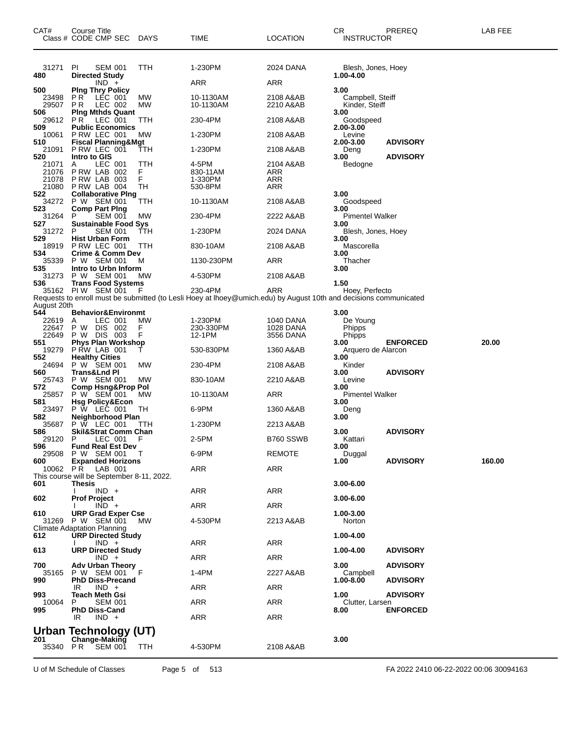| CAT#                           | Course Title<br>Class # CODE CMP SEC DAYS                   |                 | TIME                                                                                                              | <b>LOCATION</b>         | СR<br><b>INSTRUCTOR</b>                    | PREREQ          | LAB FEE |
|--------------------------------|-------------------------------------------------------------|-----------------|-------------------------------------------------------------------------------------------------------------------|-------------------------|--------------------------------------------|-----------------|---------|
| 31271                          | PL<br><b>SEM 001</b>                                        | TTH             | 1-230PM                                                                                                           | 2024 DANA               | Blesh, Jones, Hoey                         |                 |         |
| 480                            | <b>Directed Study</b><br>$IND +$                            |                 | ARR                                                                                                               | ARR                     | 1.00-4.00                                  |                 |         |
| 500<br>23498<br>29507          | <b>Ping Thry Policy</b><br>PR.<br>LEC 001<br>P R<br>LEC 002 | МW<br>MW        | 10-1130AM<br>10-1130AM                                                                                            | 2108 A&AB<br>2210 A&AB  | 3.00<br>Campbell, Steiff<br>Kinder, Steiff |                 |         |
| 506                            | <b>Ping Mthds Quant</b>                                     |                 |                                                                                                                   |                         | 3.00                                       |                 |         |
| 29612<br>509                   | PR.<br>LEC 001<br><b>Public Economics</b>                   | ттн             | 230-4PM                                                                                                           | 2108 A&AB               | Goodspeed<br>2.00-3.00                     |                 |         |
| 10061<br>510                   | PRW LEC 001<br><b>Fiscal Planning&amp;Mgt</b>               | МW              | 1-230PM                                                                                                           | 2108 A&AB               | Levine<br>2.00-3.00                        | <b>ADVISORY</b> |         |
| 21091                          | P RW LEC 001                                                | ттн             | 1-230PM                                                                                                           | 2108 A&AB               | Deng                                       |                 |         |
| 520<br>21071<br>21076<br>21078 | Intro to GIS<br>LEC 001<br>A<br>PRW LAB 002<br>PRW LAB 003  | TTH<br>F.<br>F. | 4-5PM<br>830-11AM<br>1-330PM                                                                                      | 2104 A&AB<br>ARR<br>ARR | 3.00<br>Bedogne                            | <b>ADVISORY</b> |         |
| 21080<br>522                   | P RW LAB 004<br><b>Collaborative Ping</b>                   | TН              | 530-8PM                                                                                                           | ARR                     | 3.00                                       |                 |         |
| 34272                          | P W SEM 001                                                 | TTH             | 10-1130AM                                                                                                         | 2108 A&AB               | Goodspeed                                  |                 |         |
| 523<br>31264                   | <b>Comp Part Ping</b><br><b>SEM 001</b><br>P                | <b>MW</b>       | 230-4PM                                                                                                           | 2222 A&AB               | 3.00<br><b>Pimentel Walker</b>             |                 |         |
| 527<br>31272                   | <b>Sustainable Food Sys</b><br><b>SEM 001</b><br>P          | ттн             | 1-230PM                                                                                                           | 2024 DANA               | 3.00<br>Blesh, Jones, Hoey                 |                 |         |
| 529<br>18919                   | <b>Hist Urban Form</b><br>PRW LEC 001                       | TTH             | 830-10AM                                                                                                          | 2108 A&AB               | 3.00<br>Mascorella                         |                 |         |
| 534                            | <b>Crime &amp; Comm Dev</b>                                 |                 |                                                                                                                   |                         | 3.00                                       |                 |         |
| 35339<br>535                   | P W SEM 001<br>Intro to Urbn Inform                         | м               | 1130-230PM                                                                                                        | ARR                     | Thacher<br>3.00                            |                 |         |
| 31273                          | P W SEM 001                                                 | МW              | 4-530PM                                                                                                           | 2108 A&AB               |                                            |                 |         |
| 536                            | <b>Trans Food Systems</b><br>35162 PIW SEM 001              | F               | 230-4PM                                                                                                           | ARR                     | 1.50<br>Hoey, Perfecto                     |                 |         |
|                                |                                                             |                 | Requests to enroll must be submitted (to Lesli Hoey at Ihoey@umich.edu) by August 10th and decisions communicated |                         |                                            |                 |         |
| August 20th<br>544             | <b>Behavior&amp;Environmt</b>                               |                 |                                                                                                                   |                         | 3.00                                       |                 |         |
| 22619<br>22647                 | LEC 001<br>A<br>P W DIS 002                                 | МW<br>F         | 1-230PM<br>230-330PM                                                                                              | 1040 DANA<br>1028 DANA  | De Young<br>Phipps                         |                 |         |
| 22649                          | P W DIS 003                                                 | F               | 12-1PM                                                                                                            | 3556 DANA               | Phipps                                     |                 |         |
| 551<br>19279                   | <b>Phys Plan Workshop</b><br>P RW LAB 001                   |                 | 530-830PM                                                                                                         | 1360 A&AB               | 3.00<br>Arquero de Alarcon                 | <b>ENFORCED</b> | 20.00   |
| 552<br>24694                   | <b>Healthy Cities</b><br>P W SEM 001                        | МW              | 230-4PM                                                                                                           | 2108 A&AB               | 3.00<br>Kinder                             |                 |         |
| 560<br>25743                   | Trans&Lnd Pl<br>P W SEM 001                                 | MW              | 830-10AM                                                                                                          | 2210 A&AB               | 3.00<br>Levine                             | <b>ADVISORY</b> |         |
| 572                            | <b>Comp Hsng&amp;Prop Pol</b>                               |                 |                                                                                                                   |                         | 3.00                                       |                 |         |
| 25857<br>581                   | P W SEM 001<br><b>Hsg Policy&amp;Econ</b>                   | МW              | 10-1130AM                                                                                                         | ARR                     | <b>Pimentel Walker</b><br>3.00             |                 |         |
| 23497<br>582                   | P W LEC 001<br>Neighborhood Plan                            | ТH              | 6-9PM                                                                                                             | 1360 A&AB               | Deng<br>3.00                               |                 |         |
| 35687                          | P W LEC 001                                                 | TТH             | 1-230PM                                                                                                           | 2213 A&AB               |                                            |                 |         |
| 586<br>29120 P                 | <b>Skil&amp;Strat Comm Chan</b><br>LEC 001 F                |                 | 2-5PM                                                                                                             | B760 SSWB               | 3.00<br>Kattari                            | <b>ADVISORY</b> |         |
| 596                            | <b>Fund Real Est Dev</b><br>29508 P W SEM 001               | $\top$          | 6-9PM                                                                                                             | REMOTE                  | 3.00<br>Duggal                             |                 |         |
| 600<br>10062                   | <b>Expanded Horizons</b><br><b>PR</b> LAB 001               |                 | ARR                                                                                                               | ARR                     | 1.00                                       | <b>ADVISORY</b> | 160.00  |
|                                | This course will be September 8-11, 2022.                   |                 |                                                                                                                   |                         |                                            |                 |         |
| 601                            | Thesis<br>$IND +$                                           |                 | ARR                                                                                                               | ARR                     | 3.00-6.00                                  |                 |         |
| 602                            | <b>Prof Project</b><br>$IND +$                              |                 | ARR                                                                                                               | ARR                     | 3.00-6.00                                  |                 |         |
| 610                            | <b>URP Grad Exper Cse</b>                                   |                 |                                                                                                                   |                         | 1.00-3.00                                  |                 |         |
| 31269                          | P W SEM 001<br><b>Climate Adaptation Planning</b>           | MW.             | 4-530PM                                                                                                           | 2213 A&AB               | Norton                                     |                 |         |
| 612                            | <b>URP Directed Study</b><br>$IND +$                        |                 | ARR                                                                                                               | ARR                     | 1.00-4.00                                  |                 |         |
| 613                            | <b>URP Directed Study</b>                                   |                 | <b>ARR</b>                                                                                                        |                         | 1.00-4.00                                  | <b>ADVISORY</b> |         |
| 700                            | $IND +$<br><b>Adv Urban Theory</b>                          |                 |                                                                                                                   | ARR                     | 3.00                                       | <b>ADVISORY</b> |         |
| 35165<br>990                   | P W SEM 001<br><b>PhD Diss-Precand</b>                      |                 | 1-4PM                                                                                                             | 2227 A&AB               | Campbell<br>1.00-8.00                      | <b>ADVISORY</b> |         |
| 993                            | $IND +$<br>IR<br><b>Teach Meth Gsi</b>                      |                 | ARR                                                                                                               | ARR                     | 1.00                                       | <b>ADVISORY</b> |         |
| 10064<br>995                   | <b>SEM 001</b><br>P<br><b>PhD Diss-Cand</b>                 |                 | ARR                                                                                                               | ARR                     | Clutter, Larsen<br>8.00                    | <b>ENFORCED</b> |         |
|                                | $IND +$<br>IR                                               |                 | ARR                                                                                                               | ARR                     |                                            |                 |         |
|                                | <b>Urban Technology (UT)</b>                                |                 |                                                                                                                   |                         |                                            |                 |         |
| 201<br>35340 PR                | Change-Making<br><b>SEM 001</b>                             | TTH             | 4-530PM                                                                                                           | 2108 A&AB               | 3.00                                       |                 |         |

U of M Schedule of Classes Page 5 of 513 FA 2022 2410 06-22-2022 00:06 30094163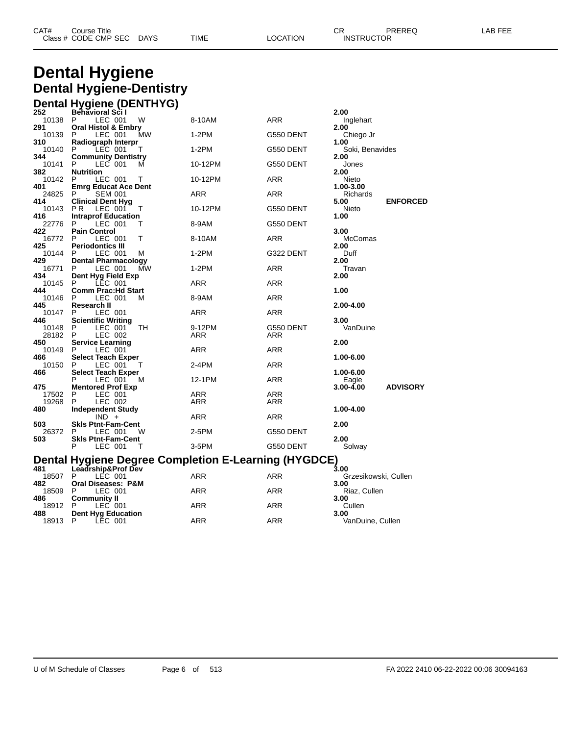| CAT# | Title<br>Course      |             |      |          | ◠г<br>◡⊓ | PREREQ            | AR FFF |
|------|----------------------|-------------|------|----------|----------|-------------------|--------|
|      | Class # CODE CMP SEC | <b>DAYS</b> | TIME | LOCATION |          | <b>INSTRUCTOR</b> |        |

## **Dental Hygiene Dental Hygiene-Dentistry Dental Hygiene (DENTHYG)**

| 252          | .<br><br><b>Behavioral Scil</b>                 |    |                                                      |            | 2.00                 |                 |
|--------------|-------------------------------------------------|----|------------------------------------------------------|------------|----------------------|-----------------|
| 10138 P      | LEC 001<br>W                                    |    | 8-10AM                                               | ARR        | Inglehart            |                 |
| 291          | <b>Oral Histol &amp; Embry</b>                  |    |                                                      |            | 2.00                 |                 |
| 10139        | LEC 001<br>P                                    | МW | 1-2PM                                                | G550 DENT  | Chiego Jr            |                 |
| 310          | Radiograph Interpr                              |    |                                                      |            | 1.00                 |                 |
| 10140        | P.<br>LEC 001<br>Τ                              |    | 1-2PM                                                | G550 DENT  | Soki, Benavides      |                 |
| 344          | <b>Community Dentistry</b>                      |    |                                                      |            | 2.00                 |                 |
| 10141        | P<br>LEC 001<br>м                               |    | 10-12PM                                              | G550 DENT  | Jones                |                 |
| 382          | <b>Nutrition</b>                                |    |                                                      |            | 2.00                 |                 |
| 10142        | P<br>LEC 001<br>Т                               |    | 10-12PM                                              | ARR        | Nieto                |                 |
| 401          | <b>Emrg Educat Ace Dent</b>                     |    |                                                      |            | 1.00-3.00            |                 |
| 24825        | P.<br><b>SEM 001</b>                            |    | <b>ARR</b>                                           | <b>ARR</b> | Richards             |                 |
| 414<br>10143 | <b>Clinical Dent Hyg</b><br>LEC 001<br>P R<br>т |    | 10-12PM                                              | G550 DENT  | 5.00<br>Nieto        | <b>ENFORCED</b> |
| 416          | <b>Intraprof Education</b>                      |    |                                                      |            | 1.00                 |                 |
| 22776        | P.<br>LEC 001<br>Т                              |    | 8-9AM                                                | G550 DENT  |                      |                 |
| 422          | <b>Pain Control</b>                             |    |                                                      |            | 3.00                 |                 |
| 16772        | P<br>LEC 001<br>т                               |    | 8-10AM                                               | ARR        | McComas              |                 |
| 425          | <b>Periodontics III</b>                         |    |                                                      |            | 2.00                 |                 |
| 10144        | LEC 001<br>P<br>М                               |    | 1-2PM                                                | G322 DENT  | Duff                 |                 |
| 429          | <b>Dental Pharmacology</b>                      |    |                                                      |            | 2.00                 |                 |
| 16771        | LEC 001<br>P                                    | МW | 1-2PM                                                | ARR        | Travan               |                 |
| 434          | Dent Hyg Field Exp                              |    |                                                      |            | 2.00                 |                 |
| 10145        | P.<br>LEC 001                                   |    | ARR                                                  | ARR        |                      |                 |
| 444          | <b>Comm Prac:Hd Start</b>                       |    |                                                      |            | 1.00                 |                 |
| 10146        | P<br>LEC 001<br>М                               |    | 8-9AM                                                | ARR        |                      |                 |
| 445          | Research II                                     |    |                                                      |            | 2.00-4.00            |                 |
| 10147        | LEC 001<br>P                                    |    | ARR                                                  | <b>ARR</b> |                      |                 |
| 446          | <b>Scientific Writing</b>                       |    |                                                      |            | 3.00                 |                 |
| 10148        | P<br>LEC 001<br>ТH                              |    | 9-12PM                                               | G550 DENT  | VanDuine             |                 |
| 28182        | P.<br>LEC 002                                   |    | ARR                                                  | ARR        |                      |                 |
| 450          | <b>Service Learning</b>                         |    |                                                      |            | 2.00                 |                 |
| 10149        | P<br>LEC 001                                    |    | ARR                                                  | ARR        |                      |                 |
| 466<br>10150 | <b>Select Teach Exper</b><br>P<br>LEC 001       |    | 2-4PM                                                | ARR        | 1.00-6.00            |                 |
| 466          | Т<br><b>Select Teach Exper</b>                  |    |                                                      |            | 1.00-6.00            |                 |
|              | P<br>LEC 001<br>м                               |    | 12-1PM                                               | ARR        | Eagle                |                 |
| 475          | <b>Mentored Prof Exp</b>                        |    |                                                      |            | 3.00-4.00            | <b>ADVISORY</b> |
| 17502        | P<br>LEC 001                                    |    | ARR                                                  | ARR        |                      |                 |
| 19268        | P<br>LEC 002                                    |    | ARR                                                  | <b>ARR</b> |                      |                 |
| 480          | <b>Independent Study</b>                        |    |                                                      |            | 1.00-4.00            |                 |
|              | $IND +$                                         |    | ARR                                                  | ARR        |                      |                 |
| 503          | <b>Skis Ptnt-Fam-Cent</b>                       |    |                                                      |            | 2.00                 |                 |
| 26372        | P.<br>LEC 001<br>W                              |    | 2-5PM                                                | G550 DENT  |                      |                 |
| 503          | <b>Skis Ptnt-Fam-Cent</b>                       |    |                                                      |            | 2.00                 |                 |
|              | P<br>LEC 001<br>Т                               |    | 3-5PM                                                | G550 DENT  | Solway               |                 |
|              |                                                 |    |                                                      |            |                      |                 |
|              |                                                 |    | Dental Hygiene Degree Completion E-Learning (HYGDCE) |            |                      |                 |
|              |                                                 |    |                                                      |            | 3.00                 |                 |
| 18507        | LEC 001<br>P.                                   |    | ARR                                                  | ARR        | Grzesikowski, Cullen |                 |
| 482          | Oral Diseases: P&M                              |    |                                                      |            | 3.00                 |                 |
| 18509        | P<br>LEC 001                                    |    | ARR                                                  | ARR        | Riaz, Cullen         |                 |
| 486          | <b>Community II</b>                             |    |                                                      |            | 3.00                 |                 |
| 18912        | P<br>LEC 001                                    |    | ARR                                                  | ARR        | Cullen               |                 |
| 488          | <b>Dent Hyg Education</b>                       |    |                                                      |            | 3.00                 |                 |
| 18913        | P<br>LEC 001                                    |    | <b>ARR</b>                                           | <b>ARR</b> | VanDuine, Cullen     |                 |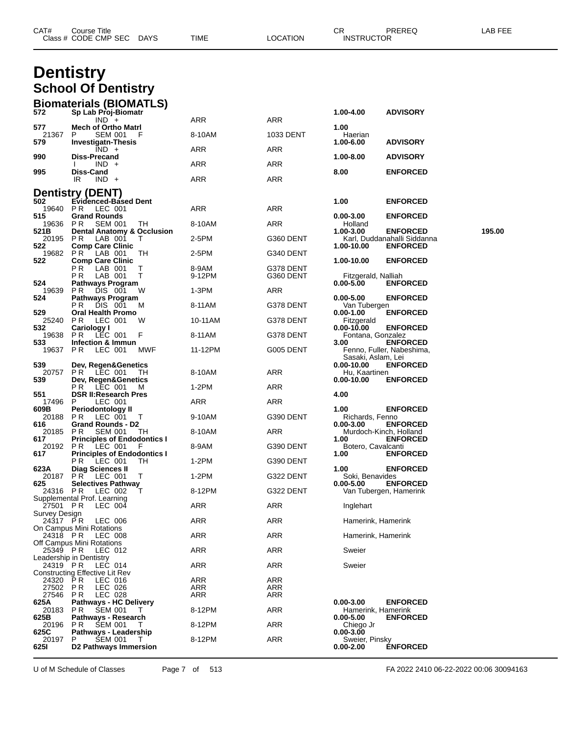|                           | Class # CODE CMP SEC<br><b>DAYS</b>                                | TIME       | LOCATION   | <b>INSTRUCTOR</b>                   |                                                |        |
|---------------------------|--------------------------------------------------------------------|------------|------------|-------------------------------------|------------------------------------------------|--------|
|                           |                                                                    |            |            |                                     |                                                |        |
|                           | <b>Dentistry</b><br><b>School Of Dentistry</b>                     |            |            |                                     |                                                |        |
| 572                       | <b>Biomaterials (BIOMATLS)</b><br>Sp Lab Proj-Biomatr              |            |            | 1.00-4.00                           | <b>ADVISORY</b>                                |        |
|                           | $IND +$                                                            | ARR        | <b>ARR</b> |                                     |                                                |        |
| 577<br>21367              | <b>Mech of Ortho Matri</b><br>P<br><b>SEM 001</b>                  | 8-10AM     | 1033 DENT  | 1.00<br>Haerian                     |                                                |        |
| 579                       | <b>Investigatn-Thesis</b><br>$IND +$                               | ARR        | ARR        | 1.00-6.00                           | <b>ADVISORY</b>                                |        |
| 990                       | Diss-Precand<br>$IND +$                                            | ARR        | ARR        | 1.00-8.00                           | <b>ADVISORY</b>                                |        |
| 995                       | Diss-Cand                                                          |            |            | 8.00                                | <b>ENFORCED</b>                                |        |
|                           | $IND +$<br>IR                                                      | ARR        | ARR        |                                     |                                                |        |
| 502                       | <b>Dentistry (DENT)</b><br><b>Evidenced-Based Dent</b>             |            |            | 1.00                                | <b>ENFORCED</b>                                |        |
| 19640<br>515              | P R<br>LEC 001<br><b>Grand Rounds</b>                              | <b>ARR</b> | <b>ARR</b> | 0.00-3.00                           | <b>ENFORCED</b>                                |        |
| 19636                     | PR.<br><b>SEM 001</b><br>TH                                        | 8-10AM     | ARR        | Holland                             |                                                |        |
| 521B<br>20195             | <b>Dental Anatomy &amp; Occlusion</b><br>P R<br>LAB 001<br>т       | 2-5PM      | G360 DENT  | 1.00-3.00                           | <b>ENFORCED</b><br>Karl, Duddanahalli Siddanna | 195.00 |
| 522<br>19682              | <b>Comp Care Clinic</b><br>P R<br>LAB 001<br>ТH                    | 2-5PM      | G340 DENT  | 1.00-10.00                          | <b>ENFORCED</b>                                |        |
| 522                       | <b>Comp Care Clinic</b><br>P R<br>LAB 001<br>Т                     | 8-9AM      | G378 DENT  | 1.00-10.00                          | <b>ENFORCED</b>                                |        |
|                           | т<br>P R<br>LAB 001                                                | 9-12PM     | G360 DENT  | Fitzgerald, Nalliah                 |                                                |        |
| 524<br>19639              | <b>Pathways Program</b><br>DIS 001<br>P R<br>W                     | 1-3PM      | ARR        | $0.00 - 5.00$                       | <b>ENFORCED</b>                                |        |
| 524                       | Pathways Program<br>P R<br>DIS 001<br>M                            | 8-11AM     | G378 DENT  | 0.00-5.00<br>Van Tubergen           | <b>ENFORCED</b>                                |        |
| 529<br>25240              | <b>Oral Health Promo</b><br>P R<br>LEC 001<br>W                    | 10-11AM    | G378 DENT  | 0.00-1.00<br>Fitzgerald             | <b>ENFORCED</b>                                |        |
| 532                       | <b>Cariology I</b>                                                 |            |            | 0.00-10.00                          | <b>ENFORCED</b>                                |        |
| 19638<br>533              | PR.<br>LEC 001<br>F<br>Infection & Immun                           | 8-11AM     | G378 DENT  | Fontana, Gonzalez<br>3.00           | <b>ENFORCED</b>                                |        |
| 19637                     | P R<br>LEC 001<br><b>MWF</b>                                       | 11-12PM    | G005 DENT  | Sasaki, Aslam, Lei                  | Fenno, Fuller, Nabeshima,                      |        |
| 539<br>20757              | Dev, Regen&Genetics<br><b>PR LEC 001</b><br>TH                     | 8-10AM     | ARR        | 0.00-10.00<br>Hu, Kaartinen         | <b>ENFORCED</b>                                |        |
| 539                       | Dev, Regen&Genetics<br>P R                                         | $1-2PM$    | ARR        | 0.00-10.00                          | <b>ENFORCED</b>                                |        |
| 551                       | LEC 001<br>м<br><b>DSR II:Research Pres</b>                        |            |            | 4.00                                |                                                |        |
| 17496<br>609B             | P<br>LEC 001<br>Periodontology II                                  | ARR        | ARR        | 1.00                                | <b>ENFORCED</b>                                |        |
| 20188<br>616              | P R<br>LEC 001<br>T<br><b>Grand Rounds - D2</b>                    | 9-10AM     | G390 DENT  | Richards, Fenno<br>0.00-3.00        | <b>ENFORCED</b>                                |        |
| 20185<br>617              | <b>SEM 001</b><br>P R<br>TH.<br><b>Principles of Endodontics I</b> | 8-10AM     | ARR        | 1.00                                | Murdoch-Kinch, Holland<br><b>ENFORCED</b>      |        |
| 20192                     | PR<br>LEC 001<br>F                                                 | 8-9AM      | G390 DENT  | Botero, Cavalcanti                  |                                                |        |
| 617                       | <b>Principles of Endodontics I</b><br>PR.<br>LEC 001<br>TН         | $1-2PM$    | G390 DENT  | 1.00                                | <b>ENFORCED</b>                                |        |
| 623A<br>20187             | <b>Diag Sciences II</b><br><b>PR LEC 001</b><br>Τ                  | $1-2PM$    | G322 DENT  | 1.00<br>Soki, Benavides             | <b>ENFORCED</b>                                |        |
| 625<br>24316 PR           | <b>Selectives Pathway</b><br>LEC 002<br>т                          | 8-12PM     | G322 DENT  | 0.00-5.00                           | <b>ENFORCED</b><br>Van Tubergen, Hamerink      |        |
|                           | Supplemental Prof. Learning                                        | ARR        |            |                                     |                                                |        |
| 27501 PR<br>Survey Design | LEC 004                                                            |            | ARR        | Inglehart                           |                                                |        |
| 24317 PR                  | LEC 006<br>On Campus Mini Rotations                                | ARR        | ARR        | Hamerink, Hamerink                  |                                                |        |
| 24318 PR                  | LEC 008<br>Off Campus Mini Rotations                               | ARR        | ARR        | Hamerink, Hamerink                  |                                                |        |
| 25349 PR                  | LEC 012                                                            | ARR        | ARR        | Sweier                              |                                                |        |
| 24319 PR                  | Leadership in Dentistry<br>LEC 014                                 | ARR        | ARR        | Sweier                              |                                                |        |
| 24320                     | Constructing Effective Lit Rev<br>PR<br>LEC 016                    | ARR        | ARR        |                                     |                                                |        |
| 27502 PR<br>27546         | LEC 026<br>P R<br>LEC 028                                          | ARR<br>ARR | ARR<br>ARR |                                     |                                                |        |
| 625A                      | <b>Pathways - HC Delivery</b>                                      |            |            | $0.00 - 3.00$                       | <b>ENFORCED</b>                                |        |
| 20183<br>625B             | P R<br><b>SEM 001</b><br>$\top$<br>Pathways - Research             | 8-12PM     | ARR        | Hamerink, Hamerink<br>$0.00 - 5.00$ | <b>ENFORCED</b>                                |        |
| 20196<br>625C             | <b>SEM 001</b><br>PR.<br>T.<br>Pathways - Leadership               | 8-12PM     | ARR        | Chiego Jr<br>0.00-3.00              |                                                |        |
| 20197<br>6251             | <b>SEM 001</b><br>P<br>T<br>D2 Pathways Immersion                  | 8-12PM     | ARR        | Sweier, Pinsky<br>0.00-2.00         | <b>ENFORCED</b>                                |        |
|                           |                                                                    |            |            |                                     |                                                |        |

CAT# Course Title Case CR PREREQ LAB FEE

U of M Schedule of Classes Page 7 of 513 FA 2022 2410 06-22-2022 00:06 30094163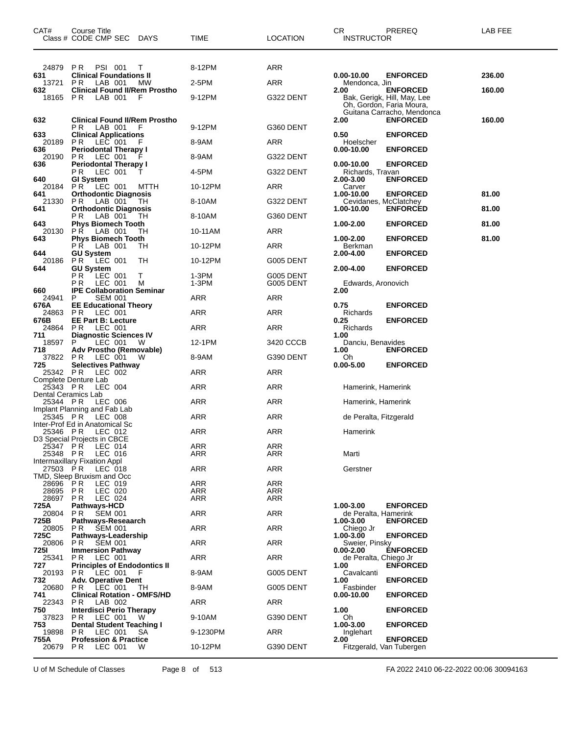| CAT#                            | Course Title<br>Class # CODE CMP SEC<br>DAYS                       | TIME                     | LOCATION               | CR<br>PREREQ<br><b>INSTRUCTOR</b>                                                 | LAB FEE |
|---------------------------------|--------------------------------------------------------------------|--------------------------|------------------------|-----------------------------------------------------------------------------------|---------|
|                                 |                                                                    |                          |                        |                                                                                   |         |
| 24879                           | P R<br><b>PSI 001</b><br>T                                         | 8-12PM                   | ARR                    |                                                                                   |         |
| 631<br>13721                    | <b>Clinical Foundations II</b><br>P R<br>LAB 001<br>МW             | 2-5PM                    | ARR                    | $0.00 - 10.00$<br><b>ENFORCED</b><br>Mendonca, Jin                                | 236.00  |
| 632                             | <b>Clinical Found II/Rem Prostho</b>                               |                          |                        | <b>ENFORCED</b><br>2.00                                                           | 160.00  |
| 18165                           | LAB 001<br>P R<br>F                                                | 9-12PM                   | G322 DENT              | Bak, Gerigk, Hill, May, Lee<br>Oh, Gordon, Faria Moura,                           |         |
| 632                             | <b>Clinical Found II/Rem Prostho</b>                               |                          |                        | Guitana Carracho, Mendonca<br>2.00<br><b>ENFORCED</b>                             | 160.00  |
| 633                             | LAB 001<br>P R<br>F<br><b>Clinical Applications</b>                | 9-12PM                   | G360 DENT              | <b>ENFORCED</b><br>0.50                                                           |         |
| 20189<br>636                    | P R<br>LEC 001<br><b>Periodontal Therapy I</b>                     | 8-9AM                    | ARR                    | Hoelscher<br>$0.00 - 10.00$<br><b>ENFORCED</b>                                    |         |
| 20190                           | P R<br>LEC 001                                                     | 8-9AM                    | G322 DENT              |                                                                                   |         |
| 636<br>640                      | <b>Periodontal Therapy I</b><br>LEC 001<br>P R<br><b>GI System</b> | 4-5PM                    | G322 DENT              | <b>ENFORCED</b><br>0.00-10.00<br>Richards, Travan<br>2.00-3.00<br><b>ENFORCED</b> |         |
| 20184                           | P R<br>LEC 001<br>MTTH                                             | 10-12PM                  | ARR                    | Carver                                                                            |         |
| 641<br>21330                    | <b>Orthodontic Diagnosis</b><br>P R<br>LAB 001<br>ТH               | 8-10AM                   | G322 DENT              | 1.00-10.00<br><b>ENFORCED</b><br>Cevidanes, McClatchey                            | 81.00   |
| 641                             | <b>Orthodontic Diagnosis</b>                                       |                          |                        | 1.00-10.00<br><b>ENFORCED</b>                                                     | 81.00   |
| 643                             | LAB 001<br>P R<br>ТH<br><b>Phys Biomech Tooth</b>                  | 8-10AM                   | G360 DENT              | 1.00-2.00<br><b>ENFORCED</b>                                                      | 81.00   |
| 20130                           | P R<br>LAB 001<br>TН<br><b>Phys Biomech Tooth</b>                  | 10-11AM                  | ARR                    | <b>ENFORCED</b><br>1.00-2.00                                                      | 81.00   |
| 643                             | LAB 001<br>P R<br>TН                                               | 10-12PM                  | <b>ARR</b>             | Berkman                                                                           |         |
| 644<br>20186                    | <b>GU System</b><br>PR.<br>$LEC$ 001<br>ТH                         | 10-12PM                  | G005 DENT              | 2.00-4.00<br><b>ENFORCED</b>                                                      |         |
| 644                             | <b>GU System</b>                                                   |                          |                        | <b>ENFORCED</b><br>2.00-4.00                                                      |         |
|                                 | РR<br>LEC 001<br>Т<br>LEC 001<br>P R<br>м                          | 1-3PM<br>$1-3PM$         | G005 DENT<br>G005 DENT | Edwards, Aronovich                                                                |         |
| 660                             | <b>IPE Collaboration Seminar</b>                                   |                          |                        | 2.00                                                                              |         |
| 24941<br>676A                   | P<br><b>SEM 001</b><br><b>EE Educational Theory</b>                | ARR                      | ARR                    | 0.75<br><b>ENFORCED</b>                                                           |         |
| 24863<br>676B                   | PR.<br>LEC 001<br><b>EE Part B: Lecture</b>                        | ARR                      | ARR                    | Richards<br><b>ENFORCED</b><br>0.25                                               |         |
| 24864                           | LEC 001<br>P R                                                     | ARR                      | <b>ARR</b>             | Richards                                                                          |         |
| 711<br>18597                    | <b>Diagnostic Sciences IV</b><br>P<br>LEC 001<br>W                 | 12-1PM                   | 3420 CCCB              | 1.00<br>Danciu, Benavides                                                         |         |
| 718<br>37822                    | Adv Prostho (Removable)<br>LEC 001<br>P R<br>w                     | 8-9AM                    | G390 DENT              | <b>ENFORCED</b><br>1.00<br>Oh                                                     |         |
| 725<br>25342 PR                 | <b>Selectives Pathway</b><br>LEC 002                               | ARR                      | ARR                    | <b>ENFORCED</b><br>$0.00 - 5.00$                                                  |         |
|                                 | Complete Denture Lab                                               |                          |                        |                                                                                   |         |
| 25343 PR<br>Dental Ceramics Lab | LEC 004                                                            | ARR                      | ARR                    | Hamerink, Hamerink                                                                |         |
| 25344 PR                        | LEC 006<br>Implant Planning and Fab Lab                            | ARR                      | <b>ARR</b>             | Hamerink, Hamerink                                                                |         |
| 25345 PR                        | LEC 008                                                            | ARR                      | ARR                    | de Peralta, Fitzgerald                                                            |         |
| 25346 PR                        | Inter-Prof Ed in Anatomical Sc<br>LEC 012                          | ARR                      | ARR                    | Hamerink                                                                          |         |
| 25347 PR                        | D3 Special Projects in CBCE<br>LEC 014                             | <b>ARR</b>               | ARR                    |                                                                                   |         |
| 25348 PR                        | LEC 016                                                            | ARR                      | ARR                    | Marti                                                                             |         |
| 27503 PR                        | Intermaxillary Fixation Appl<br>LEC 018                            | <b>ARR</b>               | <b>ARR</b>             | Gerstner                                                                          |         |
|                                 | TMD, Sleep Bruxism and Occ                                         |                          |                        |                                                                                   |         |
| 28696<br>28695                  | P R<br>LEC 019<br><b>PR</b><br>LEC 020                             | <b>ARR</b><br><b>ARR</b> | ARR<br>ARR             |                                                                                   |         |
| 28697                           | <b>PR</b><br>LEC 024                                               | ARR                      | ARR                    |                                                                                   |         |
| 725A<br>20804                   | Pathways-HCD<br><b>SEM 001</b><br>P R                              | ARR                      | ARR                    | 1.00-3.00<br><b>ENFORCED</b><br>de Peralta. Hamerink                              |         |
| 725B                            | Pathways-Reseaarch                                                 |                          |                        | <b>ENFORCED</b><br>1.00-3.00                                                      |         |
| 20805<br>725C                   | <b>SEM 001</b><br>P R<br>Pathways-Leadership                       | ARR                      | ARR                    | Chiego Jr<br><b>ENFORCED</b><br>1.00-3.00                                         |         |
| 20806<br>7251                   | <b>SEM 001</b><br>P R<br><b>Immersion Pathway</b>                  | <b>ARR</b>               | ARR                    | Sweier, Pinsky<br>0.00-2.00<br><b>ENFORCED</b>                                    |         |
| 25341                           | LEC 001<br>PR.                                                     | ARR                      | ARR                    | de Peralta, Chiego Jr                                                             |         |
| 727<br>20193                    | <b>Principles of Endodontics II</b><br>LEC 001<br>P R<br>F         | 8-9AM                    | G005 DENT              | <b>ENFORCED</b><br>1.00<br>Cavalcanti                                             |         |
| 732<br>20680                    | <b>Adv. Operative Dent</b><br><b>PR LEC 001</b><br>ТH              | 8-9AM                    | G005 DENT              | 1.00<br><b>ENFORCED</b><br>Fasbinder                                              |         |
| 741<br>22343                    | <b>Clinical Rotation - OMFS/HD</b><br>LAB 002<br>PR.               | ARR                      | ARR                    | $0.00 - 10.00$<br><b>ENFORCED</b>                                                 |         |
| 750<br>37823                    | <b>Interdisci Perio Therapy</b><br>P R<br>LEC 001<br>W             | 9-10AM                   | G390 DENT              | 1.00<br><b>ENFORCED</b><br>Oh                                                     |         |
| 753                             | <b>Dental Student Teaching I</b>                                   | 9-1230PM                 |                        | <b>ENFORCED</b><br>1.00-3.00                                                      |         |
| 19898<br>755A                   | LEC 001<br>PR.<br>SA.<br><b>Profession &amp; Practice</b>          |                          | ARR                    | Inglehart<br>2.00<br><b>ENFORCED</b>                                              |         |
| 20679                           | P R<br>LEC 001<br>W                                                | 10-12PM                  | G390 DENT              | Fitzgerald, Van Tubergen                                                          |         |

U of M Schedule of Classes Page 8 of 513 FA 2022 2410 06-22-2022 00:06 30094163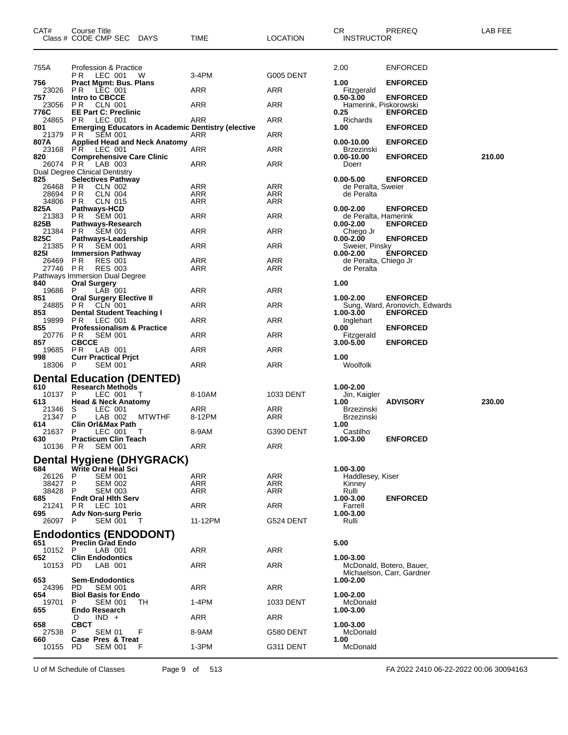| CAT#              | Course Title<br>Class # CODE CMP SEC<br>DAYS                                | TIME          | LOCATION          | CR.<br><b>PREREQ</b><br><b>INSTRUCTOR</b>                          | LAB FEE |
|-------------------|-----------------------------------------------------------------------------|---------------|-------------------|--------------------------------------------------------------------|---------|
| 755A              | Profession & Practice                                                       |               |                   | 2.00<br><b>ENFORCED</b>                                            |         |
|                   | <b>PR LEC 001</b><br>- W                                                    | 3-4PM         | <b>G005 DENT</b>  |                                                                    |         |
| 756<br>23026      | <b>Pract Mgmt: Bus. Plans</b><br>LEC 001<br>P R                             | ARR           | ARR               | <b>ENFORCED</b><br>1.00<br>Fitzgerald                              |         |
| 757<br>23056      | Intro to CBCCE<br><b>CLN 001</b><br>P R                                     | ARR           | ARR               | 0.50-3.00<br><b>ENFORCED</b><br>Hamerink, Piskorowski              |         |
| 776C              | <b>EE Part C: Preclinic</b>                                                 |               |                   | 0.25<br><b>ENFORCED</b>                                            |         |
| 24865<br>801      | P R<br>LEC 001<br><b>Emerging Educators in Academic Dentistry (elective</b> | ARR           | ARR               | Richards<br>1.00<br><b>ENFORCED</b>                                |         |
| 21379             | P R<br><b>SEM 001</b>                                                       | ARR           | ARR               |                                                                    |         |
| 807A<br>23168     | <b>Applied Head and Neck Anatomy</b><br><b>PR LEC 001</b>                   | ARR           | ARR               | <b>ENFORCED</b><br>0.00-10.00<br><b>Brzezinski</b>                 |         |
| 820               | <b>Comprehensive Care Clinic</b>                                            |               |                   | $0.00 - 10.00$<br><b>ENFORCED</b>                                  | 210.00  |
| 26074 PR          | LAB 003<br>Dual Degree Clinical Dentistry                                   | ARR           | ARR               | Doerr                                                              |         |
| 825               | <b>Selectives Pathway</b>                                                   |               |                   | $0.00 - 5.00$<br><b>ENFORCED</b>                                   |         |
| 26468<br>28694 PR | P R<br>CLN 002<br><b>CLN 004</b>                                            | ARR<br>ARR    | ARR<br>ARR        | de Peralta, Sweier<br>de Peralta                                   |         |
| 34806 PR          | <b>CLN 015</b>                                                              | <b>ARR</b>    | ARR               |                                                                    |         |
| 825A              | Pathways-HCD                                                                |               |                   | <b>ENFORCED</b><br>$0.00 - 2.00$                                   |         |
| 21383             | P R<br><b>SEM 001</b>                                                       | ARR           | ARR               | de Peralta, Hamerink                                               |         |
| 825B<br>21384     | Pathways-Research<br>PR.<br><b>SEM 001</b>                                  | ARR           | ARR               | <b>ENFORCED</b><br>$0.00 - 2.00$<br>Chiego Jr                      |         |
| 825C              | Pathways-Leadership                                                         |               |                   | $0.00 - 2.00$<br><b>ENFORCED</b>                                   |         |
| 21385             | P R<br><b>SEM 001</b>                                                       | ARR           | ARR               | Sweier, Pinsky                                                     |         |
| 825I              | <b>Immersion Pathway</b>                                                    |               |                   | <b>ENFORCED</b><br>$0.00 - 2.00$                                   |         |
| 26469<br>27746 PR | P R<br><b>RES 001</b><br><b>RES 003</b>                                     | ARR<br>ARR    | ARR<br>ARR        | de Peralta, Chiego Jr<br>de Peralta                                |         |
|                   | Pathways Immersion Dual Degree                                              |               |                   |                                                                    |         |
| 840               | <b>Oral Surgery</b>                                                         |               |                   | 1.00                                                               |         |
| 19686             | LAB 001<br>P                                                                | ARR           | ARR               |                                                                    |         |
| 851<br>24885      | <b>Oral Surgery Elective II</b><br>P R<br>CLN 001                           | ARR           | ARR               | $1.00 - 2.00$<br><b>ENFORCED</b><br>Sung, Ward, Aronovich, Edwards |         |
| 853               | <b>Dental Student Teaching I</b>                                            |               |                   | 1.00-3.00<br><b>ENFORCED</b>                                       |         |
| 19899             | PR.<br>LEC 001                                                              | ARR           | ARR               | Inglehart                                                          |         |
| 855<br>20776      | <b>Professionalism &amp; Practice</b><br>PR -<br><b>SEM 001</b>             | ARR           | ARR               | <b>ENFORCED</b><br>0.00<br>Fitzgerald                              |         |
| 857               | <b>CBCCE</b>                                                                |               |                   | <b>ENFORCED</b><br>3.00-5.00                                       |         |
| 19685<br>998      | PR.<br>LAB 001<br><b>Curr Practical Prict</b>                               | ARR           | ARR               | 1.00                                                               |         |
| 18306 P           | <b>SEM 001</b>                                                              | ARR           | ARR               | Woolfolk                                                           |         |
|                   | <b>Dental Education (DENTED)</b>                                            |               |                   |                                                                    |         |
| 610               | <b>Research Methods</b>                                                     |               |                   | 1.00-2.00                                                          |         |
| 10137             | P<br>LEC 001<br>Т                                                           | 8-10AM        | 1033 DENT         | Jin, Kaigler                                                       |         |
| 613               | <b>Head &amp; Neck Anatomy</b>                                              |               |                   | <b>ADVISORY</b><br>1.00                                            | 230.00  |
| 21346<br>21347    | S<br>LEC 001<br>P<br>LAB 002<br><b>MTWTHF</b>                               | ARR<br>8-12PM | ARR<br>ARR        | <b>Brzezinski</b><br><b>Brzezinski</b>                             |         |
| 614               | <b>Clin Orl&amp;Max Path</b>                                                |               |                   | 1.00                                                               |         |
| 21637             | P<br>LEC 001<br>T                                                           | 8-9AM         | G390 DENT         | Castilho                                                           |         |
| 630<br>10136 PR   | <b>Practicum Clin Teach</b><br>SEM 001                                      | ARR           | <b>ARR</b>        | <b>ENFORCED</b><br>1.00-3.00                                       |         |
|                   |                                                                             |               |                   |                                                                    |         |
|                   | <b>Dental Hygiene (DHYGRACK)</b>                                            |               |                   |                                                                    |         |
| 684               | Write Oral Heal Sci                                                         |               |                   | 1.00-3.00                                                          |         |
| 26126<br>38427    | P<br><b>SEM 001</b><br>P<br><b>SEM 002</b>                                  | ARR<br>ARR    | <b>ARR</b><br>ARR | Haddlesey, Kiser<br>Kinney                                         |         |
| 38428             | P<br><b>SEM 003</b>                                                         | <b>ARR</b>    | ARR               | Rulli                                                              |         |
| 685               | <b>Fndt Oral Hith Serv</b>                                                  |               |                   | <b>ENFORCED</b><br>1.00-3.00                                       |         |
| 21241<br>695      | PR.<br>LEC 101                                                              | ARR           | ARR               | Farrell<br>1.00-3.00                                               |         |
| 26097             | <b>Adv Non-surg Perio</b><br>P<br><b>SEM 001</b><br>- T                     | 11-12PM       | G524 DENT         | Rulli                                                              |         |
|                   |                                                                             |               |                   |                                                                    |         |
| 651               | <b>Endodontics (ENDODONT)</b><br><b>Preclin Grad Endo</b>                   |               |                   | 5.00                                                               |         |
| 10152             | - P<br>LAB 001                                                              | ARR           | ARR               |                                                                    |         |
| 652               | <b>Clin Endodontics</b>                                                     |               |                   | 1.00-3.00                                                          |         |
| 10153             | PD.<br>LAB 001                                                              | ARR           | ARR               | McDonald, Botero, Bauer,                                           |         |
| 653               | <b>Sem-Endodontics</b>                                                      |               |                   | Michaelson, Carr, Gardner<br>1.00-2.00                             |         |
| 24396             | PD.<br><b>SEM 001</b>                                                       | ARR           | <b>ARR</b>        |                                                                    |         |
| 654               | <b>Biol Basis for Endo</b>                                                  |               |                   | 1.00-2.00                                                          |         |
| 19701             | P<br><b>SEM 001</b><br>ТH                                                   | 1-4PM         | 1033 DENT         | McDonald                                                           |         |
| 655               | Endo Research<br>$IND +$<br>D                                               | ARR           | ARR               | 1.00-3.00                                                          |         |
| 658               | CBCT                                                                        |               |                   | 1.00-3.00                                                          |         |
| 27538             | F<br>SEM 01<br>P                                                            | 8-9AM         | G580 DENT         | McDonald                                                           |         |
| 660<br>10155      | Case Pres & Treat<br>PD<br><b>SEM 001</b><br>F                              | $1-3PM$       | G311 DENT         | 1.00<br>McDonald                                                   |         |
|                   |                                                                             |               |                   |                                                                    |         |

U of M Schedule of Classes Page 9 of 513 FA 2022 2410 06-22-2022 00:06 30094163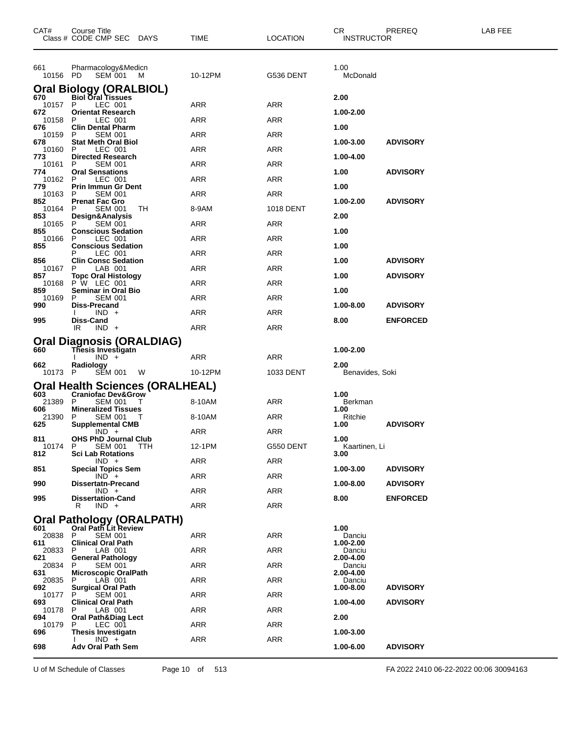| CAT#            | <b>Course Title</b><br>Class # CODE CMP SEC DAYS                 |                | <b>TIME</b> | <b>LOCATION</b> | CR.<br><b>INSTRUCTOR</b> | PREREQ          | LAB FEE |
|-----------------|------------------------------------------------------------------|----------------|-------------|-----------------|--------------------------|-----------------|---------|
| 661<br>10156 PD | Pharmacology&Medicn<br><b>SEM 001</b>                            | M              | 10-12PM     | G536 DENT       | 1.00<br>McDonald         |                 |         |
|                 | Oral Biology (ORALBIOL)                                          |                |             |                 |                          |                 |         |
| 670<br>10157 P  | <b>Biol Oral Tissues</b><br>LEC 001                              |                | ARR         | ARR             | 2.00                     |                 |         |
| 672<br>10158    | <b>Orientat Research</b><br>LEC 001<br>P                         |                | ARR         | ARR             | 1.00-2.00                |                 |         |
| 676             | <b>Clin Dental Pharm</b>                                         |                |             |                 | 1.00                     |                 |         |
| 10159<br>678    | P<br><b>SEM 001</b><br><b>Stat Meth Oral Biol</b>                |                | ARR         | ARR             | 1.00-3.00                | <b>ADVISORY</b> |         |
| 10160 P<br>773  | LEC 001<br><b>Directed Research</b>                              |                | ARR         | <b>ARR</b>      | 1.00-4.00                |                 |         |
| 10161           | <b>SEM 001</b><br>P                                              |                | ARR         | ARR             |                          |                 |         |
| 774<br>10162    | <b>Oral Sensations</b><br>P<br>LEC 001                           |                | ARR         | ARR             | 1.00                     | <b>ADVISORY</b> |         |
| 779<br>10163 P  | <b>Prin Immun Gr Dent</b><br><b>SEM 001</b>                      |                | ARR         | <b>ARR</b>      | 1.00                     |                 |         |
| 852             | <b>Prenat Fac Gro</b>                                            |                |             |                 | 1.00-2.00                | <b>ADVISORY</b> |         |
| 10164<br>853    | <b>SEM 001</b><br>P<br>Design&Analysis                           | TН             | 8-9AM       | 1018 DENT       | 2.00                     |                 |         |
| 10165<br>855    | P<br><b>SEM 001</b><br><b>Conscious Sedation</b>                 |                | ARR         | ARR             | 1.00                     |                 |         |
| 10166           | LEC 001<br>P                                                     |                | ARR         | <b>ARR</b>      |                          |                 |         |
| 855             | <b>Conscious Sedation</b><br>LEC 001                             |                | ARR         | ARR             | 1.00                     |                 |         |
| 856<br>10167    | <b>Clin Consc Sedation</b><br>LAB 001<br>P.                      |                | ARR         | ARR             | 1.00                     | <b>ADVISORY</b> |         |
| 857             | <b>Topc Oral Histology</b>                                       |                |             |                 | 1.00                     | <b>ADVISORY</b> |         |
| 859             | 10168 P W LEC 001<br><b>Seminar in Oral Bio</b>                  |                | ARR         | <b>ARR</b>      | 1.00                     |                 |         |
| 10169<br>990    | <b>SEM 001</b><br>P.<br>Diss-Precand                             |                | ARR         | ARR             | 1.00-8.00                | <b>ADVISORY</b> |         |
|                 | $IND +$                                                          |                | ARR         | ARR             |                          |                 |         |
| 995             | Diss-Cand<br>IR<br>$IND +$                                       |                | ARR         | <b>ARR</b>      | 8.00                     | <b>ENFORCED</b> |         |
|                 | Oral Diagnosis (ORALDIAG)                                        |                |             |                 |                          |                 |         |
| 660             | Thesis Investigatn                                               |                |             |                 | 1.00-2.00                |                 |         |
| 662             | $IND +$<br>Radiology                                             |                | ARR         | ARR             | 2.00                     |                 |         |
| 10173 P         | SEM 001                                                          | <b>W</b>       | 10-12PM     | 1033 DENT       | Benavides, Soki          |                 |         |
| 603             | Oral Health Sciences (ORALHEAL)<br><b>Craniofac Dev&amp;Grow</b> |                |             |                 | 1.00                     |                 |         |
| 21389           | P<br>SEM 001                                                     | T              | 8-10AM      | ARR             | Berkman                  |                 |         |
| 606<br>21390    | <b>Mineralized Tissues</b><br><b>SEM 001</b><br>P                | $\blacksquare$ | 8-10AM      | ARR             | 1.00<br>Ritchie          |                 |         |
| 625             | <b>Supplemental CMB</b><br>$IND +$                               |                | ARR         | <b>ARR</b>      | 1.00                     | <b>ADVISORY</b> |         |
| 811             | <b>OHS PhD Journal Club</b>                                      |                |             |                 | 1.00                     |                 |         |
| 10174 P<br>812  | SEM 001<br><b>Sci Lab Rotations</b>                              | TTH            | 12-1PM      | G550 DENT       | Kaartinen, Li<br>3.00    |                 |         |
| 851             | $IND +$<br><b>Special Topics Sem</b>                             |                | ARR         | <b>ARR</b>      | 1.00-3.00                | <b>ADVISORY</b> |         |
|                 | $IND +$                                                          |                | ARR         | <b>ARR</b>      |                          |                 |         |
| 990             | <b>Dissertatn-Precand</b><br>$IND +$                             |                | ARR         | ARR             | 1.00-8.00                | <b>ADVISORY</b> |         |
| 995             | <b>Dissertation-Cand</b><br>R<br>$IND +$                         |                | <b>ARR</b>  | <b>ARR</b>      | 8.00                     | <b>ENFORCED</b> |         |
|                 |                                                                  |                |             |                 |                          |                 |         |
| 601             | Oral Pathology (ORALPATH)<br>Oral Path Lit Review                |                |             |                 | 1.00                     |                 |         |
| 20838<br>611    | P<br><b>SEM 001</b><br><b>Clinical Oral Path</b>                 |                | ARR         | ARR             | Danciu<br>1.00-2.00      |                 |         |
| 20833           | P<br>LAB 001                                                     |                | <b>ARR</b>  | <b>ARR</b>      | Danciu                   |                 |         |
| 621<br>20834    | <b>General Pathology</b><br><b>SEM 001</b><br>P.                 |                | ARR         | <b>ARR</b>      | 2.00-4.00<br>Danciu      |                 |         |
| 631<br>20835    | <b>Microscopic OralPath</b><br>P<br>LAB 001                      |                | ARR         | ARR             | 2.00-4.00<br>Danciu      |                 |         |
| 692.            | <b>Surgical Oral Path</b>                                        |                |             |                 | 1.00-8.00                | <b>ADVISORY</b> |         |
| 10177<br>693    | P.<br><b>SEM 001</b><br><b>Clinical Oral Path</b>                |                | <b>ARR</b>  | <b>ARR</b>      | 1.00-4.00                | <b>ADVISORY</b> |         |
| 10178<br>694    | P.<br>LAB 001<br>Oral Path&Diag Lect                             |                | ARR         | <b>ARR</b>      | 2.00                     |                 |         |
| 10179           | LEC 001<br>P.                                                    |                | ARR         | <b>ARR</b>      |                          |                 |         |
| 696             | Thesis Investigatn<br>$IND +$                                    |                | <b>ARR</b>  | <b>ARR</b>      | 1.00-3.00                |                 |         |
| 698             | <b>Adv Oral Path Sem</b>                                         |                |             |                 | 1.00-6.00                | <b>ADVISORY</b> |         |
|                 |                                                                  |                |             |                 |                          |                 |         |

U of M Schedule of Classes Page 10 of 513 FA 2022 2410 06-22-2022 00:06 30094163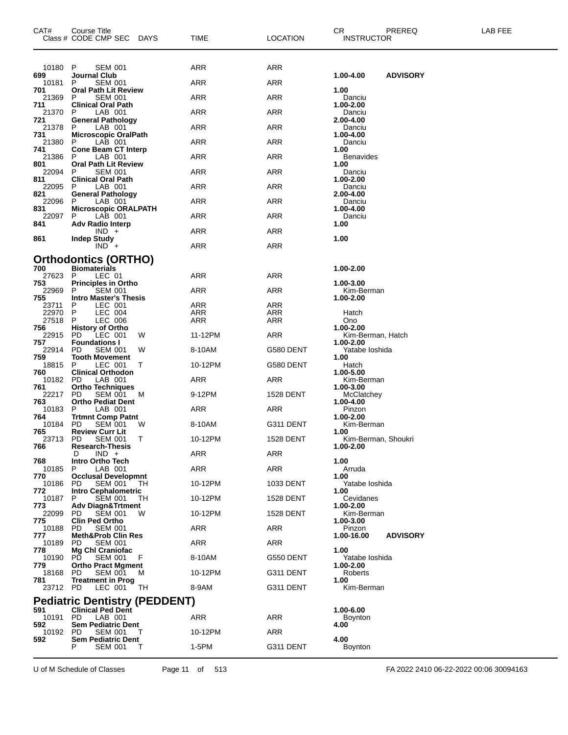| CAT#                | <b>Course Title</b><br>Class # CODE CMP SEC<br><b>DAYS</b>                         | TIME       | <b>LOCATION</b>          | CR.<br>PREREQ<br><b>INSTRUCTOR</b>   | LAB FEE |
|---------------------|------------------------------------------------------------------------------------|------------|--------------------------|--------------------------------------|---------|
| 10180               | P<br><b>SEM 001</b>                                                                | <b>ARR</b> | ARR                      |                                      |         |
| 699<br>10181        | Journal Club<br>P<br><b>SEM 001</b>                                                | <b>ARR</b> | <b>ARR</b>               | 1.00-4.00<br><b>ADVISORY</b>         |         |
| 701<br>21369        | <b>Oral Path Lit Review</b><br><b>SEM 001</b><br>P                                 | <b>ARR</b> | ARR                      | 1.00<br>Danciu                       |         |
| 711                 | <b>Clinical Oral Path</b>                                                          |            |                          | 1.00-2.00                            |         |
| 21370<br>721        | P<br>LAB 001<br><b>General Pathology</b>                                           | ARR        | ARR                      | Danciu<br>2.00-4.00                  |         |
| 21378               | P<br>LAB 001                                                                       | ARR        | <b>ARR</b>               | Danciu                               |         |
| 731<br>21380<br>741 | <b>Microscopic OralPath</b><br>LAB 001<br>P                                        | ARR        | ARR                      | 1.00-4.00<br>Danciu                  |         |
| 21386<br>801        | <b>Cone Beam CT Interp</b><br>P<br>LAB 001<br><b>Oral Path Lit Review</b>          | ARR        | ARR                      | 1.00<br>Benavides<br>1.00            |         |
| 22094<br>811        | P<br><b>SEM 001</b><br><b>Clinical Oral Path</b>                                   | ARR        | <b>ARR</b>               | Danciu<br>1.00-2.00                  |         |
| 22095               | LAB 001<br>P                                                                       | <b>ARR</b> | ARR                      | Danciu                               |         |
| 821<br>22096        | General Pathology<br>P<br>LAB 001                                                  | ARR        | ARR                      | 2.00-4.00<br>Danciu                  |         |
| 831<br>22097        | <b>Microscopic ORALPATH</b><br>LAB 001<br>P                                        | ARR        | <b>ARR</b>               | 1.00-4.00<br>Danciu                  |         |
| 841                 | <b>Adv Radio Interp</b>                                                            |            |                          | 1.00                                 |         |
| 861                 | $IND +$<br><b>Indep Study</b>                                                      | <b>ARR</b> | ARR                      | 1.00                                 |         |
|                     | $IND +$                                                                            | ARR        | <b>ARR</b>               |                                      |         |
|                     | <b>Orthodontics (ORTHO)</b>                                                        |            |                          |                                      |         |
| 700<br>27623        | <b>Biomaterials</b><br>LEC 01<br>P                                                 | <b>ARR</b> | ARR                      | 1.00-2.00                            |         |
| 753<br>22969        | <b>Principles in Ortho</b><br>Р<br><b>SEM 001</b>                                  | ARR        | ARR                      | 1.00-3.00<br>Kim-Berman              |         |
| 755                 | <b>Intro Master's Thesis</b>                                                       |            |                          | 1.00-2.00                            |         |
| 23711<br>22970      | P<br>LEC 001<br>P<br>LEC 004                                                       | ARR<br>ARR | <b>ARR</b><br><b>ARR</b> | Hatch                                |         |
| 27518<br>756        | LEC 006<br>P<br><b>History of Ortho</b>                                            | ARR        | <b>ARR</b>               | Ono<br>1.00-2.00                     |         |
| 22915               | <b>PD</b><br>LEC 001<br>W                                                          | 11-12PM    | <b>ARR</b>               | Kim-Berman, Hatch                    |         |
| 757<br>22914        | <b>Foundations I</b><br><b>SEM 001</b><br><b>PD</b><br>W                           | 8-10AM     | G580 DENT                | 1.00-2.00<br>Yatabe loshida          |         |
| 759<br>18815        | <b>Tooth Movement</b><br>LEC 001<br>P<br>Т                                         | 10-12PM    | G580 DENT                | 1.00<br>Hatch                        |         |
| 760<br>10182        | <b>Clinical Orthodon</b><br>PD<br>LAB 001                                          | ARR        | ARR                      | 1.00-5.00<br>Kim-Berman              |         |
| 761<br>22217        | <b>Ortho Techniques</b><br><b>SEM 001</b><br><b>PD</b><br>M                        | 9-12PM     | <b>1528 DENT</b>         | 1.00-3.00<br>McClatchey<br>1.00-4.00 |         |
| 763<br>10183        | <b>Ortho Pediat Dent</b><br>P<br>LAB 001                                           | ARR        | ARR                      | Pinzon                               |         |
| 764<br>10184        | <b>Trtmnt Comp Patnt</b><br><b>SEM 001</b><br><b>PD</b><br>W                       | 8-10AM     | G311 DENT                | 1.00-2.00<br>Kim-Berman              |         |
| 765<br>23713        | <b>Review Curr Lit</b><br>т<br>PD.<br><b>SEM 001</b>                               | 10-12PM    | <b>1528 DENT</b>         | 1.00<br>Kim-Berman, Shoukri          |         |
| 766                 | <b>Research-Thesis</b><br>$IND +$<br>D                                             | <b>ARR</b> | <b>ARR</b>               | 1.00-2.00                            |         |
| 768                 | Intro Ortho Tech                                                                   |            |                          | 1.00                                 |         |
| 10185<br>770        | P<br>LAB 001<br><b>Occlusal Developmnt</b>                                         | ARR        | <b>ARR</b>               | Arruda<br>1.00                       |         |
| 10186<br>772        | <b>PD</b><br>SEM 001<br>TН<br><b>Intro Cephalometric</b>                           | 10-12PM    | 1033 DENT                | Yatabe loshida<br>1.00               |         |
| 10187<br>773        | <b>SEM 001</b><br>P<br>TH.                                                         | 10-12PM    | 1528 DENT                | Cevidanes                            |         |
| 22099<br>775        | <b>Adv Diagn&amp;Trtment</b><br><b>SEM 001</b><br>PD<br>w<br><b>Clin Ped Ortho</b> | 10-12PM    | <b>1528 DENT</b>         | 1.00-2.00<br>Kim-Berman<br>1.00-3.00 |         |
| 10188               | <b>SEM 001</b><br><b>PD</b>                                                        | ARR        | ARR                      | Pinzon                               |         |
| 777<br>10189        | <b>Meth&amp;Prob Clin Res</b><br><b>SEM 001</b><br>PD.                             | ARR        | ARR                      | 1.00-16.00<br><b>ADVISORY</b>        |         |
| 778<br>10190        | Mg Chl Craniofac<br>PD.<br><b>SEM 001</b><br>F                                     | 8-10AM     | G550 DENT                | 1.00<br>Yatabe Ioshida               |         |
| 779<br>18168        | <b>Ortho Pract Mgment</b><br><b>PD</b><br><b>SEM 001</b><br>M                      | 10-12PM    | G311 DENT                | 1.00-2.00<br>Roberts                 |         |
| 781<br>23712 PD     | <b>Treatment in Prog</b><br>LEC 001<br>TH                                          | 8-9AM      | G311 DENT                | 1.00<br>Kim-Berman                   |         |
|                     | <b>Pediatric Dentistry (PEDDENT)</b>                                               |            |                          |                                      |         |
| 591<br>10191        | <b>Clinical Ped Dent</b><br>LAB 001<br>PD.                                         | ARR        | ARR                      | 1.00-6.00<br><b>Boynton</b>          |         |
| 592<br>10192        | <b>Sem Pediatric Dent</b><br><b>SEM 001</b><br>PD.<br>Т                            | 10-12PM    | ARR                      | 4.00                                 |         |
| 592                 | <b>Sem Pediatric Dent</b>                                                          |            |                          | 4.00                                 |         |
|                     | P<br>SEM 001<br>T                                                                  | 1-5PM      | G311 DENT                | Boynton                              |         |

U of M Schedule of Classes Page 11 of 513 FA 2022 2410 06-22-2022 00:06 30094163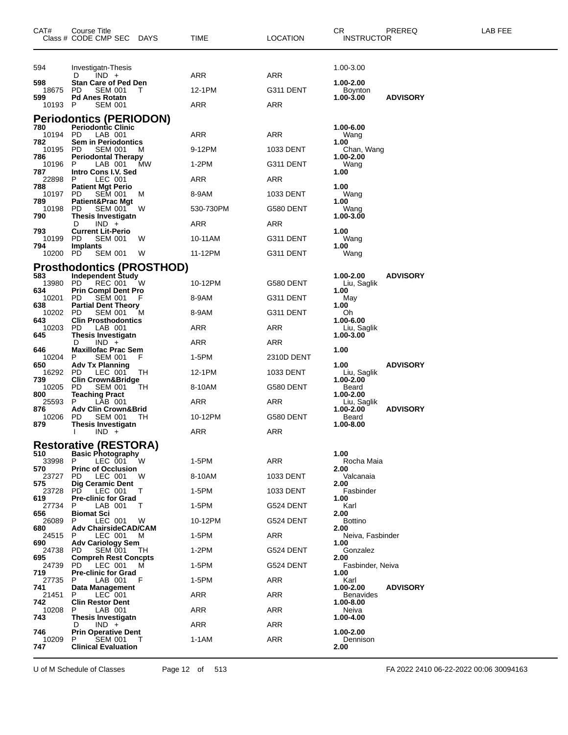| CAT#             | Course Title<br>Class # CODE CMP SEC DAYS                |    | TIME       | <b>LOCATION</b> | CR<br><b>INSTRUCTOR</b>       | PREREQ          | LAB FEE |
|------------------|----------------------------------------------------------|----|------------|-----------------|-------------------------------|-----------------|---------|
| 594              | Investigatn-Thesis                                       |    |            |                 | 1.00-3.00                     |                 |         |
| 598              | $IND +$<br>D                                             |    | ARR        | ARR             | 1.00-2.00                     |                 |         |
| 18675            | Stan Care of Ped Den<br>PD<br><b>SEM 001</b>             | T  | 12-1PM     | G311 DENT       | Boynton                       |                 |         |
| 599<br>10193 P   | <b>Pd Anes Rotatn</b><br><b>SEM 001</b>                  |    | ARR        | ARR             | 1.00-3.00                     | <b>ADVISORY</b> |         |
|                  | Periodontics (PERIODON)                                  |    |            |                 |                               |                 |         |
| 780<br>10194     | <b>Periodontic Clinic</b><br>PD<br>LAB 001               |    | ARR        | ARR             | 1.00-6.00<br>Wang             |                 |         |
| 782<br>10195     | <b>Sem in Periodontics</b><br>PD.<br><b>SEM 001</b>      | M  | 9-12PM     | 1033 DENT       | 1.00<br>Chan, Wang            |                 |         |
| 786<br>10196     | <b>Periodontal Therapy</b><br>LAB 001<br>P               | MW | 1-2PM      | G311 DENT       | 1.00-2.00<br>Wang             |                 |         |
| 787<br>22898     | Intro Cons I.V. Sed<br>LEC 001<br>P.                     |    | ARR        | ARR             | 1.00                          |                 |         |
| 788<br>10197     | <b>Patient Mgt Perio</b><br>PD.<br>SEM 001               | M  | 8-9AM      | 1033 DENT       | 1.00<br>Wang                  |                 |         |
| 789<br>10198     | <b>Patient&amp;Prac Mgt</b><br>PD<br><b>SEM 001</b>      | w  | 530-730PM  | G580 DENT       | 1.00<br>Wang                  |                 |         |
| 790              | <b>Thesis Investigatn</b><br>$IND +$<br>D                |    | ARR        | ARR             | 1.00-3.00                     |                 |         |
| 793              | <b>Current Lit-Perio</b>                                 |    |            |                 | 1.00                          |                 |         |
| 10199<br>794     | PD.<br><b>SEM 001</b><br><b>Implants</b>                 | W  | 10-11AM    | G311 DENT       | Wang<br>1.00                  |                 |         |
| 10200 PD         | <b>SEM 001</b>                                           | W  | 11-12PM    | G311 DENT       | Wang                          |                 |         |
|                  | Prosthodontics (PROSTHOD)                                |    |            |                 |                               |                 |         |
| 583.<br>13980 PD | <b>Independent Study</b><br>REC 001                      | W  | 10-12PM    | G580 DENT       | 1.00-2.00<br>Liu, Saglik      | <b>ADVISORY</b> |         |
| 634<br>10201     | <b>Prin Compl Dent Pro</b><br>PD<br><b>SEM 001</b>       |    | 8-9AM      | G311 DENT       | 1.00<br>May                   |                 |         |
| 638<br>10202     | <b>Partial Dent Theory</b><br>PD<br><b>SEM 001</b>       | M  | 8-9AM      | G311 DENT       | 1.00<br>Oh                    |                 |         |
| 643<br>10203     | <b>Clin Prosthodontics</b><br>PD<br>LAB 001              |    | ARR        | ARR             | 1.00-6.00<br>Liu, Saglik      |                 |         |
| 645              | Thesis Investigatn<br>$IND +$<br>D                       |    | ARR        | ARR             | 1.00-3.00                     |                 |         |
| 646<br>10204     | <b>Maxillofac Prac Sem</b><br><b>SEM 001</b><br>P.       | F  | 1-5PM      | 2310D DENT      | 1.00                          |                 |         |
| 650<br>16292     | <b>Adv Tx Planning</b><br>PD<br>LEC 001                  | ТH | 12-1PM     | 1033 DENT       | 1.00<br>Liu, Saglik           | <b>ADVISORY</b> |         |
| 739<br>10205     | <b>Clin Crown&amp;Bridge</b><br>PD<br><b>SEM 001</b>     | ТH | 8-10AM     | G580 DENT       | 1.00-2.00<br>Beard            |                 |         |
| 800<br>25593     | <b>Teaching Pract</b><br>LAB 001<br>P                    |    | ARR        | ARR             | 1.00-2.00<br>Liu, Saglik      |                 |         |
| 876<br>10206     | <b>Adv Clin Crown&amp;Brid</b><br>PD.<br><b>SEM 001</b>  | TН | 10-12PM    | G580 DENT       | 1.00-2.00<br>Beard            | <b>ADVISORY</b> |         |
| 879              | Thesis Investigatn                                       |    |            |                 | 1.00-8.00                     |                 |         |
|                  | $IND +$                                                  |    | ARR        | ARR             |                               |                 |         |
| 510              | <b>Restorative (RESTORA)</b><br><b>Basic Photography</b> |    |            |                 | 1.00                          |                 |         |
| 33998<br>570     | P<br>LEC 001<br><b>Princ of Occlusion</b>                | W  | 1-5PM      | ARR             | Rocha Maia<br>2.00            |                 |         |
| 23727            | PD.<br>LEC 001<br><b>Dig Ceramic Dent</b>                | W  | 8-10AM     | 1033 DENT       | Valcanaia                     |                 |         |
| 575<br>23728     | <b>PD</b><br>LEC 001                                     | T  | 1-5PM      | 1033 DENT       | 2.00<br>Fasbinder             |                 |         |
| 619<br>27734     | <b>Pre-clinic for Grad</b><br>P<br>LAB 001               | T  | 1-5PM      | G524 DENT       | 1.00<br>Karl                  |                 |         |
| 656<br>26089     | Biomat Sci<br>LEC 001<br>P                               | W  | 10-12PM    | G524 DENT       | 2.00<br><b>Bottino</b>        |                 |         |
| 680<br>24515     | <b>Adv ChairsideCAD/CAM</b><br>LEC 001<br>P              | M  | 1-5PM      | <b>ARR</b>      | 2.00<br>Neiva, Fasbinder      |                 |         |
| 690<br>24738     | <b>Adv Cariology Sem</b><br>PD.<br>SEM 001               | TН | 1-2PM      | G524 DENT       | 1.00<br>Gonzalez              |                 |         |
| 695<br>24739     | <b>Compreh Rest Concpts</b><br>LEC 001<br>PD.            | M  | 1-5PM      | G524 DENT       | 2.00<br>Fasbinder, Neiva      |                 |         |
| 719<br>27735     | <b>Pre-clinic for Grad</b><br>LAB 001<br>P               | F  | 1-5PM      | <b>ARR</b>      | 1.00<br>Karl                  |                 |         |
| 741<br>21451     | Data Management<br>LEC 001<br>P                          |    | ARR        | ARR             | 1.00-2.00<br><b>Benavides</b> | <b>ADVISORY</b> |         |
| 742<br>10208     | <b>Clin Restor Dent</b><br>LAB 001<br>P.                 |    | ARR        | <b>ARR</b>      | 1.00-8.00<br>Neiva            |                 |         |
| 743              | Thesis Investigatn                                       |    |            |                 | 1.00-4.00                     |                 |         |
| 746              | $IND +$<br>D<br><b>Prin Operative Dent</b>               |    | <b>ARR</b> | <b>ARR</b>      | 1.00-2.00                     |                 |         |
| 10209<br>747     | SEM 001<br>P<br><b>Clinical Evaluation</b>               | T  | 1-1AM      | <b>ARR</b>      | Dennison<br>2.00              |                 |         |
|                  |                                                          |    |            |                 |                               |                 |         |

U of M Schedule of Classes Page 12 of 513 FA 2022 2410 06-22-2022 00:06 30094163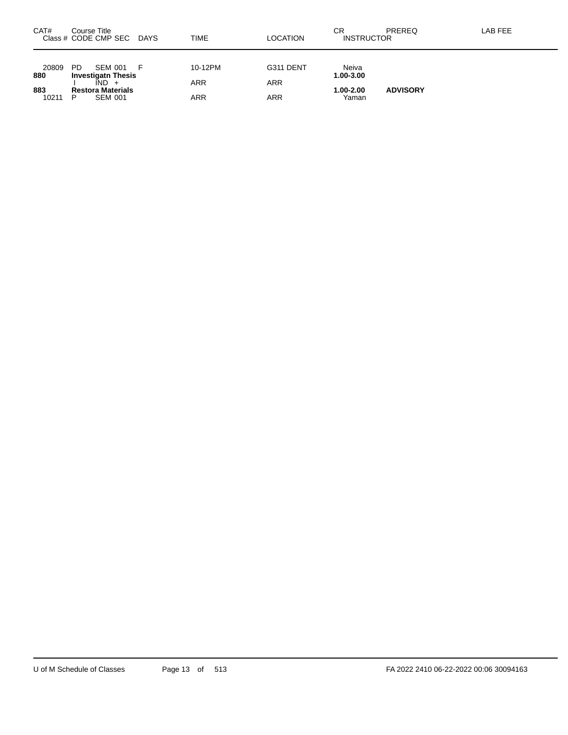| CAT#         | Course Title<br>Class # CODE CMP SEC            | DAYS | <b>TIME</b> | <b>LOCATION</b> | СR<br><b>INSTRUCTOR</b> | PREREQ          | LAB FEE |
|--------------|-------------------------------------------------|------|-------------|-----------------|-------------------------|-----------------|---------|
| 20809        | <b>PD</b><br><b>SEM 001</b>                     | - F  | 10-12PM     | G311 DENT       | Neiva                   |                 |         |
| 880          | <b>Investigath Thesis</b><br>$\overline{IND}$ + |      | <b>ARR</b>  | <b>ARR</b>      | 1.00-3.00               |                 |         |
| 883<br>10211 | <b>Restora Materials</b><br><b>SEM 001</b><br>P |      | ARR         | ARR             | $1.00 - 2.00$<br>Yaman  | <b>ADVISORY</b> |         |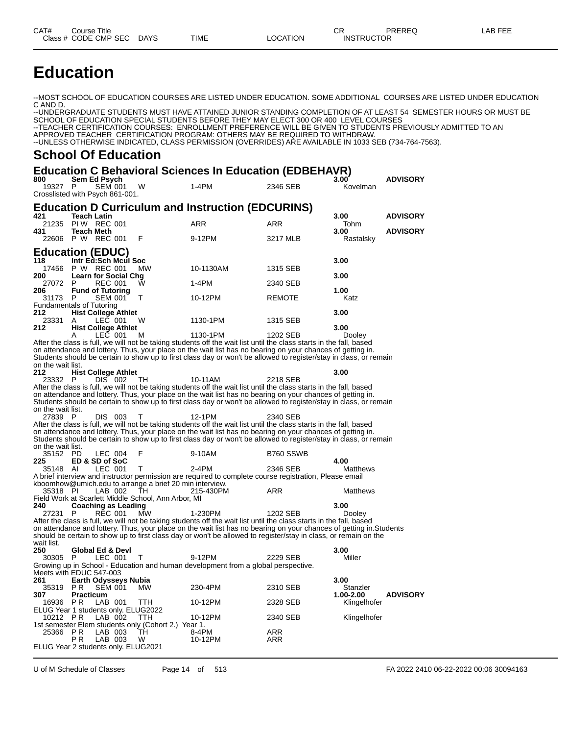# **Education**

--MOST SCHOOL OF EDUCATION COURSES ARE LISTED UNDER EDUCATION. SOME ADDITIONAL COURSES ARE LISTED UNDER EDUCATION C AND D.

--UNDERGRADUATE STUDENTS MUST HAVE ATTAINED JUNIOR STANDING COMPLETION OF AT LEAST 54 SEMESTER HOURS OR MUST BE SCHOOL OF EDUCATION SPECIAL STUDENTS BEFORE THEY MAY ELECT 300 OR 400 LEVEL COURSES --TEACHER CERTIFICATION COURSES: ENROLLMENT PREFERENCE WILL BE GIVEN TO STUDENTS PREVIOUSLY ADMITTED TO AN APPROVED TEACHER CERTIFICATION PROGRAM: OTHERS MAY BE REQUIRED TO WITHDRAW. --UNLESS OTHERWISE INDICATED, CLASS PERMISSION (OVERRIDES) ARE AVAILABLE IN 1033 SEB (734-764-7563).

#### **School Of Education**

#### **Education C Behavioral Sciences In Education (EDBEHAVR)**

|                                                 |                                        |                             |                                                         | Equeation C Benavioral Sciences in Equeation (EDBEHAVR)                                                                                                                                                                           |               |                   |                 |
|-------------------------------------------------|----------------------------------------|-----------------------------|---------------------------------------------------------|-----------------------------------------------------------------------------------------------------------------------------------------------------------------------------------------------------------------------------------|---------------|-------------------|-----------------|
| 800<br>19327<br>Crosslisted with Psych 861-001. | Sem Ed Psych<br>P                      | <b>SEM 001</b>              | W                                                       | $1-4PM$                                                                                                                                                                                                                           | 2346 SEB      | 3.00<br>Kovelman  | ADVISORY        |
|                                                 |                                        |                             |                                                         | <b>Education D Curriculum and Instruction (EDCURINS)</b>                                                                                                                                                                          |               |                   |                 |
| 421                                             | <b>Teach Latin</b>                     |                             |                                                         |                                                                                                                                                                                                                                   |               | 3.00              | <b>ADVISORY</b> |
| 21235                                           | PIW REC 001                            |                             |                                                         | ARR                                                                                                                                                                                                                               | ARR           | Tohm              |                 |
| 431                                             | <b>Teach Meth</b><br>22606 P W REC 001 |                             | F                                                       | 9-12PM                                                                                                                                                                                                                            | 3217 MLB      | 3.00<br>Rastalsky | <b>ADVISORY</b> |
| <b>Education (EDUC)</b>                         |                                        |                             |                                                         |                                                                                                                                                                                                                                   |               |                   |                 |
| 118                                             |                                        | Intr Ed:Sch Mcul Soc        |                                                         |                                                                                                                                                                                                                                   |               | 3.00              |                 |
| 17456                                           | P W REC 001                            |                             | MW.                                                     | 10-1130AM                                                                                                                                                                                                                         | 1315 SEB      |                   |                 |
| 200                                             |                                        | <b>Learn for Social Chg</b> |                                                         |                                                                                                                                                                                                                                   |               | 3.00              |                 |
| 27072 P                                         |                                        | <b>REC 001</b>              | W                                                       | $1-4PM$                                                                                                                                                                                                                           | 2340 SEB      |                   |                 |
| 206<br>31173                                    |                                        | <b>Fund of Tutoring</b>     | т                                                       | 10-12PM                                                                                                                                                                                                                           | <b>REMOTE</b> | 1.00<br>Katz      |                 |
| <b>Fundamentals of Tutoring</b>                 | $\mathsf{P}$                           | SEM 001                     |                                                         |                                                                                                                                                                                                                                   |               |                   |                 |
| 212.                                            |                                        | <b>Hist College Athlet</b>  |                                                         |                                                                                                                                                                                                                                   |               | 3.00              |                 |
| 23331                                           | A                                      | LEC 001                     | W                                                       | 1130-1PM                                                                                                                                                                                                                          | 1315 SEB      |                   |                 |
| 212                                             |                                        | <b>Hist College Athlet</b>  |                                                         |                                                                                                                                                                                                                                   |               | 3.00              |                 |
|                                                 | A                                      | LEC 001                     | м                                                       | 1130-1PM                                                                                                                                                                                                                          | 1202 SEB      | <b>Dooley</b>     |                 |
|                                                 |                                        |                             |                                                         | After the class is full, we will not be taking students off the wait list until the class starts in the fall, based<br>on attendance and lottery. Thus, your place on the wait list has no bearing on your chances of getting in. |               |                   |                 |
|                                                 |                                        |                             |                                                         | Students should be certain to show up to first class day or won't be allowed to register/stay in class, or remain                                                                                                                 |               |                   |                 |
| on the wait list.                               |                                        |                             |                                                         |                                                                                                                                                                                                                                   |               |                   |                 |
| 212                                             |                                        | <b>Hist College Athlet</b>  |                                                         |                                                                                                                                                                                                                                   |               | 3.00              |                 |
| 23332 P                                         |                                        | DIS 002                     | TH.                                                     | 10-11AM                                                                                                                                                                                                                           | 2218 SEB      |                   |                 |
|                                                 |                                        |                             |                                                         | After the class is full, we will not be taking students off the wait list until the class starts in the fall, based                                                                                                               |               |                   |                 |
|                                                 |                                        |                             |                                                         | on attendance and lottery. Thus, your place on the wait list has no bearing on your chances of getting in.                                                                                                                        |               |                   |                 |
| on the wait list.                               |                                        |                             |                                                         | Students should be certain to show up to first class day or won't be allowed to register/stay in class, or remain                                                                                                                 |               |                   |                 |
| 27839 P                                         |                                        | DIS 003                     | т                                                       | 12-1PM                                                                                                                                                                                                                            | 2340 SEB      |                   |                 |
|                                                 |                                        |                             |                                                         | After the class is full, we will not be taking students off the wait list until the class starts in the fall, based                                                                                                               |               |                   |                 |
|                                                 |                                        |                             |                                                         | on attendance and lottery. Thus, your place on the wait list has no bearing on your chances of getting in.                                                                                                                        |               |                   |                 |
|                                                 |                                        |                             |                                                         | Students should be certain to show up to first class day or won't be allowed to register/stay in class, or remain                                                                                                                 |               |                   |                 |
| on the wait list.<br>35152 PD                   |                                        | LEC 004                     | F                                                       | 9-10AM                                                                                                                                                                                                                            | B760 SSWB     |                   |                 |
| 225                                             | ED & SD of SoC                         |                             |                                                         |                                                                                                                                                                                                                                   |               | 4.00              |                 |
| 35148 AI                                        |                                        | LEC 001                     | т                                                       | 2-4PM                                                                                                                                                                                                                             | 2346 SEB      | Matthews          |                 |
|                                                 |                                        |                             |                                                         | A brief interview and instructor permission are required to complete course registration, Please email                                                                                                                            |               |                   |                 |
|                                                 |                                        |                             | kboomhow@umich.edu to arrange a brief 20 min interview. |                                                                                                                                                                                                                                   |               |                   |                 |
| 35318 PI                                        |                                        | LAB 002                     | TH.                                                     | 215-430PM                                                                                                                                                                                                                         | ARR           | Matthews          |                 |
| 240                                             |                                        | Coaching as Leading         | Field Work at Scarlett Middle School, Ann Arbor, MI     |                                                                                                                                                                                                                                   |               | 3.00              |                 |
| 27231                                           | P                                      | <b>REC 001</b>              | MW                                                      | 1-230PM                                                                                                                                                                                                                           | 1202 SEB      | <b>Dooley</b>     |                 |
|                                                 |                                        |                             |                                                         | After the class is full, we will not be taking students off the wait list until the class starts in the fall, based                                                                                                               |               |                   |                 |
|                                                 |                                        |                             |                                                         | on attendance and lottery. Thus, your place on the wait list has no bearing on your chances of getting in. Students                                                                                                               |               |                   |                 |
|                                                 |                                        |                             |                                                         | should be certain to show up to first class day or won't be allowed to register/stay in class, or remain on the                                                                                                                   |               |                   |                 |
| wait list.<br>250                               |                                        |                             |                                                         |                                                                                                                                                                                                                                   |               | 3.00              |                 |
| 30305 P                                         |                                        | Global Ed & Devi<br>LEC 001 | Τ                                                       | 9-12PM                                                                                                                                                                                                                            | 2229 SEB      | Miller            |                 |
|                                                 |                                        |                             |                                                         | Growing up in School - Education and human development from a global perspective.                                                                                                                                                 |               |                   |                 |
| Meets with EDUC 547-003                         |                                        |                             |                                                         |                                                                                                                                                                                                                                   |               |                   |                 |
| 261                                             |                                        | <b>Earth Odysseys Nubia</b> |                                                         |                                                                                                                                                                                                                                   |               | 3.00              |                 |
|                                                 | 35319 PR SEM 001                       |                             | <b>MVV</b>                                              | 230-4PM                                                                                                                                                                                                                           | 2310 SEB      | Stanzler          |                 |
| 307                                             | <b>Practicum</b><br>P R                | LAB 001                     | TTH.                                                    | 10-12PM                                                                                                                                                                                                                           |               | 1.00-2.00         | <b>ADVISORY</b> |
| 16936<br>ELUG Year 1 students only. ELUG2022    |                                        |                             |                                                         |                                                                                                                                                                                                                                   | 2328 SEB      | Klingelhofer      |                 |
| 10212 PR                                        |                                        | LAB 002                     | ттн                                                     | 10-12PM                                                                                                                                                                                                                           | 2340 SEB      | Klingelhofer      |                 |
|                                                 |                                        |                             | 1st semester Elem students only (Cohort 2.) Year 1.     |                                                                                                                                                                                                                                   |               |                   |                 |
| 25366                                           | P R                                    | LAB 003                     | TH.                                                     | 8-4PM                                                                                                                                                                                                                             | ARR           |                   |                 |
|                                                 | P R                                    | LAB 003                     | W                                                       | 10-12PM                                                                                                                                                                                                                           | ARR           |                   |                 |
| ELUG Year 2 students only. ELUG2021             |                                        |                             |                                                         |                                                                                                                                                                                                                                   |               |                   |                 |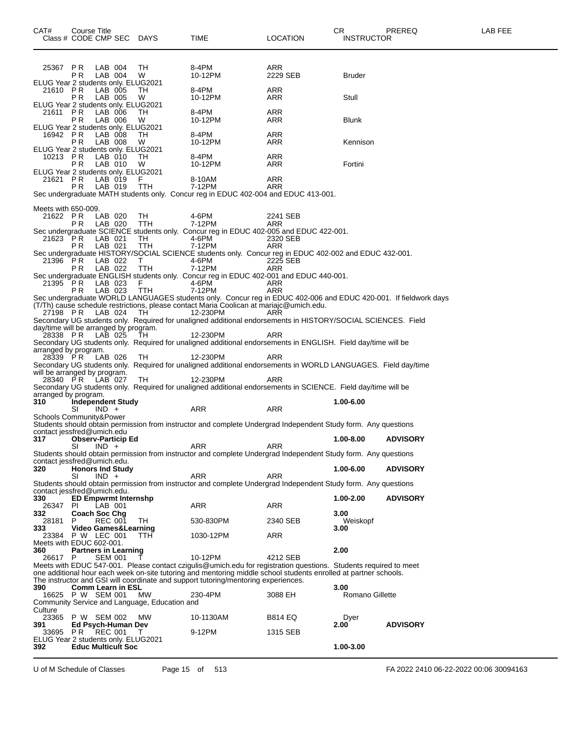| 25367 PR                                   |                            |                |                             |                                               |                                                                                                                  |                                                                                                                |                 |                 |
|--------------------------------------------|----------------------------|----------------|-----------------------------|-----------------------------------------------|------------------------------------------------------------------------------------------------------------------|----------------------------------------------------------------------------------------------------------------|-----------------|-----------------|
|                                            |                            | LAB 004        |                             | TH                                            | 8-4PM                                                                                                            | ARR                                                                                                            |                 |                 |
|                                            | РR                         | LAB 004        |                             | W                                             | 10-12PM                                                                                                          | 2229 SEB                                                                                                       | <b>Bruder</b>   |                 |
| ELUG Year 2 students only. ELUG2021        |                            |                |                             |                                               |                                                                                                                  |                                                                                                                |                 |                 |
| 21610 PR                                   |                            | LAB 005        |                             | TH                                            | 8-4PM                                                                                                            | ARR                                                                                                            |                 |                 |
|                                            |                            | LAB 005        |                             | W                                             |                                                                                                                  | ARR                                                                                                            |                 |                 |
|                                            | P R                        |                |                             |                                               | 10-12PM                                                                                                          |                                                                                                                | Stull           |                 |
| ELUG Year 2 students only. ELUG2021        |                            |                |                             |                                               |                                                                                                                  |                                                                                                                |                 |                 |
| 21611                                      | P R                        | LAB 006        |                             | TН                                            | 8-4PM                                                                                                            | ARR                                                                                                            |                 |                 |
|                                            | РR                         | LAB 006        |                             | W                                             | 10-12PM                                                                                                          | ARR                                                                                                            | Blunk           |                 |
| ELUG Year 2 students only. ELUG2021        |                            |                |                             |                                               |                                                                                                                  |                                                                                                                |                 |                 |
| 16942 PR                                   |                            | LAB 008        |                             | TH                                            | 8-4PM                                                                                                            | ARR                                                                                                            |                 |                 |
|                                            | РR                         | LAB 008        |                             | W                                             | 10-12PM                                                                                                          | ARR                                                                                                            | Kennison        |                 |
| ELUG Year 2 students only. ELUG2021        |                            |                |                             |                                               |                                                                                                                  |                                                                                                                |                 |                 |
| 10213 PR                                   |                            | LAB 010        |                             | TH                                            | 8-4PM                                                                                                            | ARR                                                                                                            |                 |                 |
|                                            | РR                         | LAB 010        |                             | W                                             | 10-12PM                                                                                                          | ARR                                                                                                            | Fortini         |                 |
|                                            |                            |                |                             |                                               |                                                                                                                  |                                                                                                                |                 |                 |
| ELUG Year 2 students only. ELUG2021        |                            |                |                             |                                               |                                                                                                                  |                                                                                                                |                 |                 |
| 21621                                      | P R                        | LAB 019        |                             | F.                                            | 8-10AM                                                                                                           | ARR                                                                                                            |                 |                 |
|                                            | P R                        | LAB 019        |                             | TTH                                           | 7-12PM                                                                                                           | ARR                                                                                                            |                 |                 |
|                                            |                            |                |                             |                                               | Sec undergraduate MATH students only. Concur reg in EDUC 402-004 and EDUC 413-001.                               |                                                                                                                |                 |                 |
|                                            |                            |                |                             |                                               |                                                                                                                  |                                                                                                                |                 |                 |
| Meets with 650-009.                        |                            |                |                             |                                               |                                                                                                                  |                                                                                                                |                 |                 |
| 21622 PR                                   |                            | LAB 020        |                             | TH                                            | 4-6PM                                                                                                            | 2241 SEB                                                                                                       |                 |                 |
|                                            | P R                        | LAB 020        |                             | TTH                                           | 7-12PM                                                                                                           | ARR                                                                                                            |                 |                 |
|                                            |                            |                |                             |                                               | Sec undergraduate SCIENCE students only. Concur reg in EDUC 402-005 and EDUC 422-001.                            |                                                                                                                |                 |                 |
| 21623                                      | P R                        | LAB 021        |                             | TH.                                           | 4-6PM                                                                                                            | 2320 SEB                                                                                                       |                 |                 |
|                                            | P R                        | LAB 021        |                             | TTH                                           | 7-12PM                                                                                                           | ARR                                                                                                            |                 |                 |
|                                            |                            |                |                             |                                               | Sec undergraduate HISTORY/SOCIAL SCIENCE students only. Concur reg in EDUC 402-002 and EDUC 432-001.             |                                                                                                                |                 |                 |
|                                            |                            | LAB 022        |                             |                                               |                                                                                                                  |                                                                                                                |                 |                 |
| 21396 PR                                   |                            |                |                             | T.                                            | 4-6PM                                                                                                            | 2225 SEB                                                                                                       |                 |                 |
|                                            | P R                        | LAB 022        |                             | TTH                                           | 7-12PM                                                                                                           | ARR                                                                                                            |                 |                 |
|                                            |                            |                |                             |                                               | Sec undergraduate ENGLISH students only. Concur reg in EDUC 402-001 and EDUC 440-001.                            |                                                                                                                |                 |                 |
| 21395 PR                                   |                            | LAB 023        |                             | F.                                            | 4-6PM                                                                                                            | ARR                                                                                                            |                 |                 |
|                                            | P R                        | LAB 023        |                             | <b>TTH</b>                                    | 7-12PM                                                                                                           | ARR                                                                                                            |                 |                 |
|                                            |                            |                |                             |                                               | Sec undergraduate WORLD LANGUAGES students only. Concur reg in EDUC 402-006 and EDUC 420-001. If fieldwork days  |                                                                                                                |                 |                 |
|                                            |                            |                |                             |                                               | (T/Th) cause schedule restrictions, please contact Maria Coolican at mariajc@umich.edu.                          |                                                                                                                |                 |                 |
| 27198 PR                                   |                            | LAB 024        |                             | TH.                                           | 12-230PM                                                                                                         | ARR                                                                                                            |                 |                 |
|                                            |                            |                |                             |                                               | Secondary UG students only. Required for unaligned additional endorsements in HISTORY/SOCIAL SCIENCES. Field     |                                                                                                                |                 |                 |
| day/time will be arranged by program.      |                            |                |                             |                                               |                                                                                                                  |                                                                                                                |                 |                 |
|                                            |                            |                |                             |                                               |                                                                                                                  |                                                                                                                |                 |                 |
| 28338 PR                                   |                            | LAB 025        |                             | TH                                            | 12-230PM                                                                                                         | ARR                                                                                                            |                 |                 |
|                                            |                            |                |                             |                                               | Secondary UG students only. Required for unaligned additional endorsements in ENGLISH. Field day/time will be    |                                                                                                                |                 |                 |
| arranged by program.                       |                            |                |                             |                                               |                                                                                                                  |                                                                                                                |                 |                 |
| 28339 PR                                   |                            | LAB 026        |                             | TH                                            | 12-230PM                                                                                                         | ARR                                                                                                            |                 |                 |
|                                            |                            |                |                             |                                               | Secondary UG students only. Required for unaligned additional endorsements in WORLD LANGUAGES. Field day/time    |                                                                                                                |                 |                 |
| will be arranged by program.               |                            |                |                             |                                               |                                                                                                                  |                                                                                                                |                 |                 |
| 28340 PR                                   |                            | LAB 027        |                             | TH                                            | 12-230PM                                                                                                         | ARR                                                                                                            |                 |                 |
|                                            |                            |                |                             |                                               | Secondary UG students only. Required for unaligned additional endorsements in SCIENCE. Field day/time will be    |                                                                                                                |                 |                 |
| arranged by program.                       |                            |                |                             |                                               |                                                                                                                  |                                                                                                                |                 |                 |
| 310                                        |                            |                | Independent Study           |                                               |                                                                                                                  |                                                                                                                | 1.00-6.00       |                 |
|                                            | SI                         | IND +          |                             |                                               | ARR                                                                                                              | ARR                                                                                                            |                 |                 |
|                                            |                            |                |                             |                                               |                                                                                                                  |                                                                                                                |                 |                 |
| Schools Community&Power                    |                            |                |                             |                                               |                                                                                                                  |                                                                                                                |                 |                 |
|                                            |                            |                |                             |                                               |                                                                                                                  |                                                                                                                |                 |                 |
|                                            |                            |                |                             |                                               |                                                                                                                  | Students should obtain permission from instructor and complete Undergrad Independent Study form. Any questions |                 |                 |
|                                            | contact jessfred@umich.edu |                |                             |                                               |                                                                                                                  |                                                                                                                |                 |                 |
| 317                                        |                            |                | <b>Observ-Particip Ed</b>   |                                               |                                                                                                                  |                                                                                                                | 1.00-8.00       | <b>ADVISORY</b> |
|                                            | SI                         | $IND +$        |                             |                                               | ARR                                                                                                              | ARR                                                                                                            |                 |                 |
|                                            |                            |                |                             |                                               | Students should obtain permission from instructor and complete Undergrad Independent Study form. Any questions   |                                                                                                                |                 |                 |
| contact jessfred@umich.edu.                |                            |                |                             |                                               |                                                                                                                  |                                                                                                                |                 |                 |
| 320                                        |                            |                | <b>Honors Ind Study</b>     |                                               |                                                                                                                  |                                                                                                                | 1.00-6.00       | <b>ADVISORY</b> |
|                                            | SI                         | $IND +$        |                             |                                               | ARR                                                                                                              | ARR                                                                                                            |                 |                 |
|                                            |                            |                |                             |                                               |                                                                                                                  |                                                                                                                |                 |                 |
|                                            |                            |                |                             |                                               | Students should obtain permission from instructor and complete Undergrad Independent Study form. Any questions   |                                                                                                                |                 |                 |
| contact iessfred@umich.edu.                |                            |                |                             |                                               |                                                                                                                  |                                                                                                                |                 |                 |
| 330                                        |                            |                |                             | <b>ED Empwrmt Internshp</b>                   |                                                                                                                  |                                                                                                                | 1.00-2.00       | <b>ADVISORY</b> |
| 26347                                      | PI.                        | LAB 001        |                             |                                               | ARR                                                                                                              | ARR                                                                                                            |                 |                 |
| 332                                        | <b>Coach Soc Chg</b>       |                |                             |                                               |                                                                                                                  |                                                                                                                | 3.00            |                 |
| 28181                                      | P                          | <b>REC 001</b> |                             | TH                                            | 530-830PM                                                                                                        | 2340 SEB                                                                                                       | Weiskopf        |                 |
| 333                                        |                            |                |                             | <b>Video Games&amp;Learning</b>               |                                                                                                                  |                                                                                                                | 3.00            |                 |
| 23384                                      | P W LEC 001                |                |                             | ттн                                           | 1030-12PM                                                                                                        | ARR                                                                                                            |                 |                 |
| Meets with EDUC 602-001.                   |                            |                |                             |                                               |                                                                                                                  |                                                                                                                |                 |                 |
| 360                                        |                            |                | <b>Partners in Learning</b> |                                               |                                                                                                                  |                                                                                                                | 2.00            |                 |
| 26617                                      | P                          | <b>SEM 001</b> |                             |                                               | 10-12PM                                                                                                          | 4212 SEB                                                                                                       |                 |                 |
|                                            |                            |                |                             |                                               | Meets with EDUC 547-001. Please contact czigulis@umich.edu for registration questions. Students required to meet |                                                                                                                |                 |                 |
|                                            |                            |                |                             |                                               |                                                                                                                  |                                                                                                                |                 |                 |
|                                            |                            |                |                             |                                               | one additional hour each week on-site tutoring and mentoring middle school students enrolled at partner schools. |                                                                                                                |                 |                 |
|                                            |                            |                |                             |                                               | The instructor and GSI will coordinate and support tutoring/mentoring experiences.                               |                                                                                                                |                 |                 |
| 390                                        |                            |                | Comm Learn in ESL           |                                               |                                                                                                                  |                                                                                                                | 3.00            |                 |
| 16625 P W SEM 001                          |                            |                |                             | MW                                            | 230-4PM                                                                                                          | 3088 EH                                                                                                        | Romano Gillette |                 |
|                                            |                            |                |                             | Community Service and Language, Education and |                                                                                                                  |                                                                                                                |                 |                 |
| Culture                                    |                            |                |                             |                                               |                                                                                                                  |                                                                                                                |                 |                 |
| 23365                                      | P W SEM 002                |                |                             | MW                                            | 10-1130AM                                                                                                        | <b>B814 EQ</b>                                                                                                 | Dyer            |                 |
| 391                                        |                            |                | Ed Psych-Human Dev          |                                               |                                                                                                                  |                                                                                                                | 2.00            | <b>ADVISORY</b> |
| 33695                                      | P R                        | <b>REC 001</b> |                             | Т                                             | 9-12PM                                                                                                           | 1315 SEB                                                                                                       |                 |                 |
| ELUG Year 2 students only. ELUG2021<br>392 |                            |                | <b>Educ Multicult Soc</b>   |                                               |                                                                                                                  |                                                                                                                | 1.00-3.00       |                 |

U of M Schedule of Classes Page 15 of 513 FA 2022 2410 06-22-2022 00:06 30094163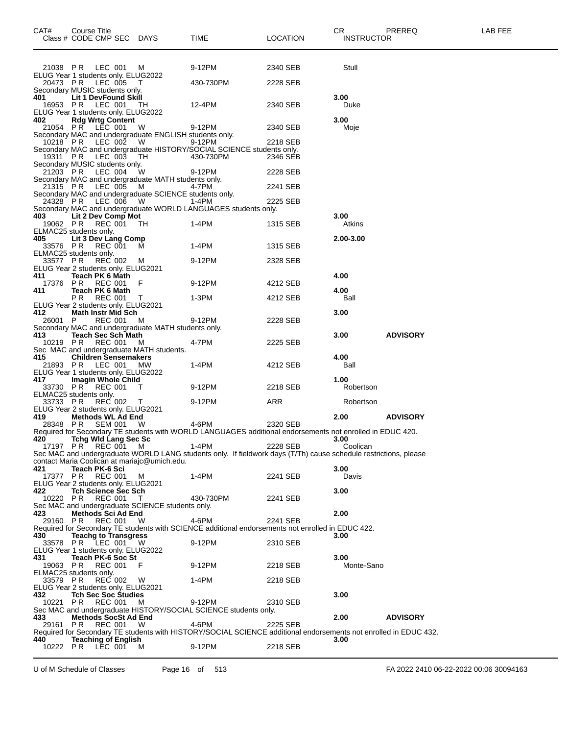| CAT#             | Course Title<br>Class # CODE CMP SEC DAYS                                        |           | TIME                                                                                                             | <b>LOCATION</b> | CR<br><b>INSTRUCTOR</b> | PREREQ          | LAB FEE |
|------------------|----------------------------------------------------------------------------------|-----------|------------------------------------------------------------------------------------------------------------------|-----------------|-------------------------|-----------------|---------|
| 21038 PR         | LEC 001                                                                          | M         | 9-12PM                                                                                                           | 2340 SEB        | Stull                   |                 |         |
| 20473 PR         | ELUG Year 1 students only. ELUG2022<br>LEC 005                                   | Т         | 430-730PM                                                                                                        | 2228 SEB        |                         |                 |         |
|                  | Secondary MUSIC students only.                                                   |           |                                                                                                                  |                 |                         |                 |         |
| 401              | <b>Lit 1 DevFound Skill</b><br>LEC 001                                           |           | 12-4PM                                                                                                           | 2340 SEB        | 3.00                    |                 |         |
| 16953 PR         | ELUG Year 1 students only. ELUG2022                                              | - TH      |                                                                                                                  |                 | Duke                    |                 |         |
| 402              | <b>Rdg Wrtg Content</b>                                                          |           |                                                                                                                  |                 | 3.00                    |                 |         |
|                  | 21054 PR LEC 001 W<br>Secondary MAC and undergraduate ENGLISH students only.     |           | 9-12PM                                                                                                           | 2340 SEB        | Moje                    |                 |         |
| 10218 PR         | LEC 002                                                                          | - W       | 9-12PM                                                                                                           | 2218 SEB        |                         |                 |         |
| 19311 PR         | LEC 003                                                                          | TH        | Secondary MAC and undergraduate HISTORY/SOCIAL SCIENCE students only.<br>430-730PM                               | 2346 SEB        |                         |                 |         |
|                  | Secondary MUSIC students only.                                                   |           |                                                                                                                  |                 |                         |                 |         |
| 21203 PR         | LEC 004                                                                          | W         | 9-12PM                                                                                                           | 2228 SEB        |                         |                 |         |
| 21315 PR         | Secondary MAC and undergraduate MATH students only.<br>LEC 005                   | M         | 4-7PM                                                                                                            | 2241 SEB        |                         |                 |         |
|                  | Secondary MAC and undergraduate SCIENCE students only.                           |           |                                                                                                                  |                 |                         |                 |         |
| 24328 PR         | LEC 006                                                                          | - W       | 1-4PM<br>Secondary MAC and undergraduate WORLD LANGUAGES students only.                                          | 2225 SEB        |                         |                 |         |
| 403              | Lit 2 Dev Comp Mot                                                               |           |                                                                                                                  |                 | 3.00                    |                 |         |
| 19062 PR         | REC 001                                                                          | TH        | 1-4PM                                                                                                            | 1315 SEB        | Atkins                  |                 |         |
| 405              | ELMAC25 students only.<br>Lit 3 Dev Lang Comp                                    |           |                                                                                                                  |                 | 2.00-3.00               |                 |         |
| 33576 PR         | <b>REC 001</b>                                                                   | M         | 1-4PM                                                                                                            | 1315 SEB        |                         |                 |         |
| 33577 PR         | ELMAC25 students only.<br><b>REC 002</b>                                         | M         | 9-12PM                                                                                                           | 2328 SEB        |                         |                 |         |
|                  | ELUG Year 2 students only. ELUG2021                                              |           |                                                                                                                  |                 |                         |                 |         |
| 411              | Teach PK 6 Math                                                                  | - F       |                                                                                                                  | 4212 SEB        | 4.00                    |                 |         |
| 17376 PR<br>411  | REC 001<br>Teach PK 6 Math                                                       |           | 9-12PM                                                                                                           |                 | 4.00                    |                 |         |
|                  | P R<br>REC 001                                                                   | $\top$    | 1-3PM                                                                                                            | 4212 SEB        | Ball                    |                 |         |
| 412.             | ELUG Year 2 students only. ELUG2021<br><b>Math Instr Mid Sch</b>                 |           |                                                                                                                  |                 | 3.00                    |                 |         |
| 26001 P          | REC 001                                                                          | M         | 9-12PM                                                                                                           | 2228 SEB        |                         |                 |         |
| 413              | Secondary MAC and undergraduate MATH students only.<br><b>Teach Sec Sch Math</b> |           |                                                                                                                  |                 | 3.00                    | <b>ADVISORY</b> |         |
| 10219 PR         | REC 001                                                                          | M         | 4-7PM                                                                                                            | 2225 SEB        |                         |                 |         |
|                  | Sec MAC and undergraduate MATH students.                                         |           |                                                                                                                  |                 |                         |                 |         |
| 415<br>21893 PR  | <b>Children Sensemakers</b><br>LEC 001                                           | <b>MW</b> | 1-4PM                                                                                                            | 4212 SEB        | 4.00<br>Ball            |                 |         |
|                  | ELUG Year 1 students only. ELUG2022                                              |           |                                                                                                                  |                 |                         |                 |         |
| 417.<br>33730 PR | Imagin Whole Child<br>REC 001                                                    | т         | 9-12PM                                                                                                           | 2218 SEB        | 1.00<br>Robertson       |                 |         |
|                  | ELMAC25 students only.                                                           |           |                                                                                                                  |                 |                         |                 |         |
| 33733 PR         | REC 002<br>ELUG Year 2 students only. ELUG2021                                   | $\top$    | 9-12PM                                                                                                           | ARR             | Robertson               |                 |         |
| 419              | <b>Methods WL Ad End</b>                                                         |           |                                                                                                                  |                 | 2.00                    | <b>ADVISORY</b> |         |
| 28348 PR         | SEM 001                                                                          | <b>W</b>  | 4-6PM                                                                                                            | 2320 SEB        |                         |                 |         |
| 420              |                                                                                  |           | Required for Secondary TE students with WORLD LANGUAGES additional endorsements not enrolled in EDUC 420.        |                 | 3.00                    |                 |         |
|                  | 0 Tchg Wid Lang Sec Sc<br>17197 PR REC 001 M                                     |           | 1-4PM                                                                                                            | 2228 SEB        | Coolican                |                 |         |
|                  | contact Maria Coolican at mariajc@umich.edu.                                     |           | Sec MAC and undergraduate WORLD LANG students only. If fieldwork days (T/Th) cause schedule restrictions, please |                 |                         |                 |         |
| 421              | Teach PK-6 Sci                                                                   |           |                                                                                                                  |                 | 3.00                    |                 |         |
| 17377 PR         | REC 001<br>ELUG Year 2 students only. ELUG2021                                   | M         | 1-4PM                                                                                                            | 2241 SEB        | Davis                   |                 |         |
| 422              | <b>Tch Science Sec Sch</b>                                                       |           |                                                                                                                  |                 | 3.00                    |                 |         |
|                  | 10220 PR REC 001                                                                 | $\top$    | 430-730PM                                                                                                        | 2241 SEB        |                         |                 |         |
| 423              | Sec MAC and undergraduate SCIENCE students only.<br>Methods Sci Ad End           |           |                                                                                                                  |                 | 2.00                    |                 |         |
| 29160 PR         | REC 001                                                                          | - W       | 4-6PM                                                                                                            | 2241 SEB        |                         |                 |         |
| 430              | <b>Teachg to Transgress</b>                                                      |           | Required for Secondary TE students with SCIENCE additional endorsements not enrolled in EDUC 422.                |                 | 3.00                    |                 |         |
|                  | 33578 PR LEC 001 W                                                               |           | 9-12PM                                                                                                           | 2310 SEB        |                         |                 |         |
|                  | ELUG Year 1 students only. ELUG2022                                              |           |                                                                                                                  |                 |                         |                 |         |
| 431<br>19063 PR  | Teach PK-6 Soc St<br>REC 001 F                                                   |           | 9-12PM                                                                                                           | 2218 SEB        | 3.00<br>Monte-Sano      |                 |         |
|                  | ELMAC25 students only.                                                           |           |                                                                                                                  |                 |                         |                 |         |
| 33579 PR         | REC 002 W<br>ELUG Year 2 students only. ELUG2021                                 |           | 1-4PM                                                                                                            | 2218 SEB        |                         |                 |         |
| 432              | <b>Tch Sec Soc Studies</b>                                                       |           |                                                                                                                  |                 | 3.00                    |                 |         |
| 10221 PR         | REC 001 M                                                                        |           | 9-12PM<br>Sec MAC and undergraduate HISTORY/SOCIAL SCIENCE students only.                                        | 2310 SEB        |                         |                 |         |
| 433              | Methods SocSt Ad End                                                             |           |                                                                                                                  |                 | 2.00                    | <b>ADVISORY</b> |         |
| 29161 PR         | REC 001 W                                                                        |           | 4-6PM                                                                                                            | 2225 SEB        |                         |                 |         |
| 440              | <b>Teaching of English</b>                                                       |           | Required for Secondary TE students with HISTORY/SOCIAL SCIENCE additional endorsements not enrolled in EDUC 432. |                 | 3.00                    |                 |         |
| 10222 PR         | LEC 001                                                                          | M         | 9-12PM                                                                                                           | 2218 SEB        |                         |                 |         |

U of M Schedule of Classes Page 16 of 513 FA 2022 2410 06-22-2022 00:06 30094163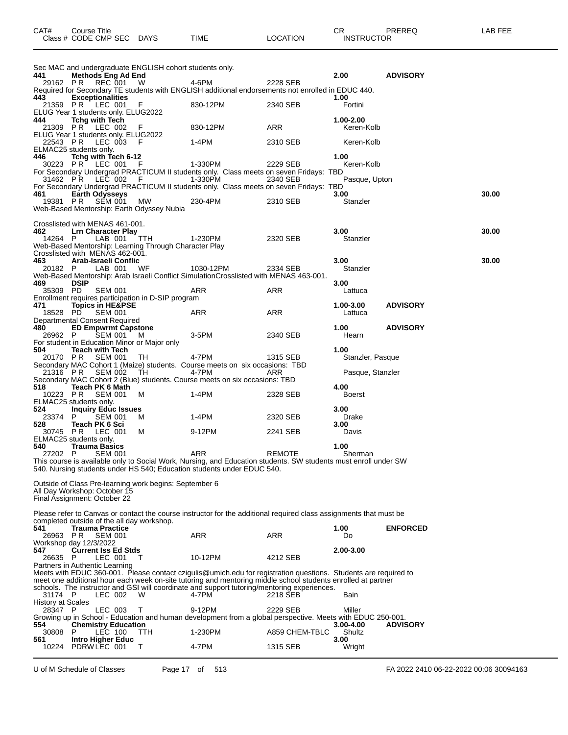|                                     |                                                             | Sec MAC and undergraduate ENGLISH cohort students only.      |                                                                                                                                                                                                             |                |                     |                 |
|-------------------------------------|-------------------------------------------------------------|--------------------------------------------------------------|-------------------------------------------------------------------------------------------------------------------------------------------------------------------------------------------------------------|----------------|---------------------|-----------------|
| 441<br>29162 PR                     | <b>Methods Eng Ad End</b><br>REC 001                        | W                                                            | 4-6PM                                                                                                                                                                                                       | 2228 SEB       | 2.00                | <b>ADVISORY</b> |
| 443.                                | <b>Exceptionalities</b>                                     |                                                              | Required for Secondary TE students with ENGLISH additional endorsements not enrolled in EDUC 440.                                                                                                           |                | 1.00                |                 |
|                                     | 21359 PR LEC 001                                            | F                                                            | 830-12PM                                                                                                                                                                                                    | 2340 SEB       | Fortini             |                 |
| 444                                 | <b>Tchg with Tech</b>                                       | ELUG Year 1 students only. ELUG2022                          |                                                                                                                                                                                                             |                | 1.00-2.00           |                 |
|                                     | 21309 PR LEC 002                                            | - F                                                          | 830-12PM                                                                                                                                                                                                    | ARR            | Keren-Kolb          |                 |
| 22543 PR                            | LEC 003                                                     | ELUG Year 1 students only. ELUG2022<br>- F                   | 1-4PM                                                                                                                                                                                                       | 2310 SEB       | Keren-Kolb          |                 |
|                                     | ELMAC25 students only.                                      |                                                              |                                                                                                                                                                                                             |                |                     |                 |
| 446                                 | Tchg with Tech 6-12<br>30223 PR LEC 001                     |                                                              | 1-330PM                                                                                                                                                                                                     | 2229 SEB       | 1.00<br>Keren-Kolb  |                 |
|                                     | 31462 PR LEC 002                                            | - F                                                          | For Secondary Undergrad PRACTICUM II students only. Class meets on seven Fridays: TBD<br>1-330PM                                                                                                            | 2340 SEB       | Pasque, Upton       |                 |
|                                     |                                                             |                                                              | For Secondary Undergrad PRACTICUM II students only. Class meets on seven Fridays: TBD                                                                                                                       |                |                     |                 |
| 461                                 | <b>Earth Odysseys</b><br>19381 PR SEM 001                   | МW                                                           | 230-4PM                                                                                                                                                                                                     | 2310 SEB       | 3.00<br>Stanzler    | 30.00           |
|                                     |                                                             | Web-Based Mentorship: Earth Odyssey Nubia                    |                                                                                                                                                                                                             |                |                     |                 |
|                                     | Crosslisted with MENAS 461-001.                             |                                                              |                                                                                                                                                                                                             |                |                     |                 |
| 462                                 | <b>Lrn Character Play</b>                                   |                                                              |                                                                                                                                                                                                             |                | 3.00                | 30.00           |
| 14264 P                             | LAB 001                                                     | TTH<br>Web-Based Mentorship: Learning Through Character Play | 1-230PM                                                                                                                                                                                                     | 2320 SEB       | Stanzler            |                 |
| 463                                 | Crosslisted with MENAS 462-001.<br>Arab-Israeli Conflic     |                                                              |                                                                                                                                                                                                             |                | 3.00                | 30.00           |
| 20182 P                             | LAB 001                                                     | WF                                                           | 1030-12PM                                                                                                                                                                                                   | 2334 SEB       | Stanzler            |                 |
| 469                                 | <b>DSIP</b>                                                 |                                                              | Web-Based Mentorship: Arab Israeli Conflict SimulationCrosslisted with MENAS 463-001.                                                                                                                       |                | 3.00                |                 |
| 35309 PD                            | <b>SEM 001</b>                                              |                                                              | ARR                                                                                                                                                                                                         | ARR            | Lattuca             |                 |
| 471                                 | <b>Topics in HE&amp;PSE</b>                                 | Enrollment requires participation in D-SIP program           |                                                                                                                                                                                                             |                | 1.00-3.00           | <b>ADVISORY</b> |
| 18528 PD                            | <b>SEM 001</b>                                              |                                                              | ARR                                                                                                                                                                                                         | ARR            | Lattuca             |                 |
| 480                                 | Departmental Consent Required<br><b>ED Empwrmt Capstone</b> |                                                              |                                                                                                                                                                                                             |                | 1.00                | <b>ADVISORY</b> |
| 26962 P                             | SEM 001                                                     | M                                                            | 3-5PM                                                                                                                                                                                                       | 2340 SEB       | Hearn               |                 |
| 504                                 | <b>Teach with Tech</b>                                      | For student in Education Minor or Major only                 |                                                                                                                                                                                                             |                | 1.00                |                 |
|                                     | 20170 PR SEM 001                                            | TH                                                           | 4-7PM<br>Secondary MAC Cohort 1 (Maize) students. Course meets on six occasions: TBD                                                                                                                        | 1315 SEB       | Stanzler, Pasque    |                 |
| 21316 PR                            | SEM 002                                                     | TH                                                           | 4-7PM                                                                                                                                                                                                       | ARR            | Pasque, Stanzler    |                 |
| 518                                 | Teach PK 6 Math                                             |                                                              | Secondary MAC Cohort 2 (Blue) students. Course meets on six occasions: TBD                                                                                                                                  |                | 4.00                |                 |
| 10223 PR                            | <b>SEM 001</b>                                              | м                                                            | 1-4PM                                                                                                                                                                                                       | 2328 SEB       | <b>Boerst</b>       |                 |
| 524                                 | ELMAC25 students only.<br><b>Inquiry Educ Issues</b>        |                                                              |                                                                                                                                                                                                             |                | 3.00                |                 |
| 23374<br>528                        | P.<br><b>SEM 001</b><br>Teach PK 6 Sci                      | M                                                            | 1-4PM                                                                                                                                                                                                       | 2320 SEB       | Drake<br>3.00       |                 |
|                                     | 30745 PR LEC 001                                            | м                                                            | 9-12PM                                                                                                                                                                                                      | 2241 SEB       | Davis               |                 |
| 540                                 | ELMAC25 students only.<br><b>Trauma Basics</b>              |                                                              |                                                                                                                                                                                                             |                | 1.00                |                 |
| 27202 P                             | <b>SEM 001</b>                                              |                                                              | <b>ARR</b>                                                                                                                                                                                                  | <b>REMOTE</b>  | Sherman             |                 |
|                                     |                                                             |                                                              | This course is available only to Social Work, Nursing, and Education students. SW students must enroll under SW<br>540. Nursing students under HS 540; Education students under EDUC 540.                   |                |                     |                 |
|                                     |                                                             | Outside of Class Pre-learning work begins: September 6       |                                                                                                                                                                                                             |                |                     |                 |
|                                     | All Day Workshop: October 15                                |                                                              |                                                                                                                                                                                                             |                |                     |                 |
|                                     | Final Assignment: October 22                                |                                                              |                                                                                                                                                                                                             |                |                     |                 |
|                                     |                                                             |                                                              | Please refer to Canvas or contact the course instructor for the additional required class assignments that must be                                                                                          |                |                     |                 |
| 541                                 | <b>Trauma Practice</b>                                      | completed outside of the all day workshop.                   |                                                                                                                                                                                                             |                | 1.00                | <b>ENFORCED</b> |
| 26963                               | P <sub>R</sub><br><b>SEM 001</b>                            |                                                              | ARR                                                                                                                                                                                                         | ARR            | Do                  |                 |
| 547.                                | Workshop day 12/3/2022<br><b>Current Iss Ed Stds</b>        |                                                              |                                                                                                                                                                                                             |                | 2.00-3.00           |                 |
| 26635                               | LEC 001<br>P                                                | $\top$                                                       | 10-12PM                                                                                                                                                                                                     | 4212 SEB       |                     |                 |
|                                     | Partners in Authentic Learning                              |                                                              | Meets with EDUC 360-001. Please contact czigulis@umich.edu for registration questions. Students are required to                                                                                             |                |                     |                 |
|                                     |                                                             |                                                              | meet one additional hour each week on-site tutoring and mentoring middle school students enrolled at partner<br>schools. The instructor and GSI will coordinate and support tutoring/mentoring experiences. |                |                     |                 |
| 31174 P                             | LEC 002                                                     | W                                                            | 4-7PM                                                                                                                                                                                                       | 2218 SEB       | Bain                |                 |
| <b>History at Scales</b><br>28347 P | LEC 003                                                     | т                                                            | 9-12PM                                                                                                                                                                                                      | 2229 SEB       | Miller              |                 |
|                                     |                                                             |                                                              | Growing up in School - Education and human development from a global perspective. Meets with EDUC 250-001.                                                                                                  |                |                     |                 |
| 554<br>30808                        | <b>Chemistry Education</b><br><b>LEC 100</b><br>P           | TTH                                                          | 1-230PM                                                                                                                                                                                                     | A859 CHEM-TBLC | 3.00-4.00<br>Shultz | <b>ADVISORY</b> |
| 561<br>10224                        | <b>Intro Higher Educ</b><br>PDRWLEC 001                     | т                                                            | 4-7PM                                                                                                                                                                                                       | 1315 SEB       | 3.00<br>Wright      |                 |
|                                     |                                                             |                                                              |                                                                                                                                                                                                             |                |                     |                 |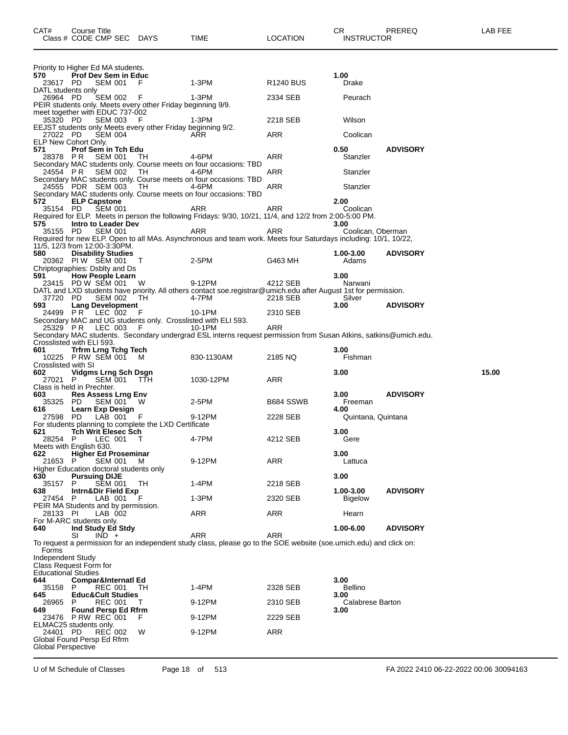| CAT#                                                 | Course Title         | Class # CODE CMP SEC DAYS                                 |                                                                    | TIME                                                                                                                       | <b>LOCATION</b>  | CR.<br><b>INSTRUCTOR</b> | PREREQ          | LAB FEE |
|------------------------------------------------------|----------------------|-----------------------------------------------------------|--------------------------------------------------------------------|----------------------------------------------------------------------------------------------------------------------------|------------------|--------------------------|-----------------|---------|
|                                                      |                      | Priority to Higher Ed MA students.                        |                                                                    |                                                                                                                            |                  |                          |                 |         |
| 570 -<br>23617 PD                                    |                      | <b>Prof Dev Sem in Educ</b><br><b>SEM 001</b>             | F                                                                  | 1-3PM                                                                                                                      | <b>R1240 BUS</b> | 1.00<br>Drake            |                 |         |
| DATL students only                                   |                      |                                                           |                                                                    |                                                                                                                            |                  |                          |                 |         |
| 26964 PD                                             |                      | SEM 002                                                   | - F<br>PEIR students only. Meets every other Friday beginning 9/9. | 1-3PM                                                                                                                      | 2334 SEB         | Peurach                  |                 |         |
|                                                      |                      | meet together with EDUC 737-002                           |                                                                    |                                                                                                                            |                  |                          |                 |         |
| 35320 PD                                             |                      | <b>SEM 003</b>                                            | -F<br>EEJST students only Meets every other Friday beginning 9/2.  | 1-3PM                                                                                                                      | 2218 SEB         | Wilson                   |                 |         |
| 27022 PD<br>ELP New Cohort Only.                     |                      | <b>SEM 004</b>                                            |                                                                    | ARR                                                                                                                        | ARR              | Coolican                 |                 |         |
| 571                                                  |                      | Prof Sem in Tch Edu                                       |                                                                    |                                                                                                                            |                  | 0.50                     | <b>ADVISORY</b> |         |
| 28378 PR                                             |                      | <b>SEM 001</b>                                            | TH                                                                 | 4-6PM<br>Secondary MAC students only. Course meets on four occasions: TBD                                                  | ARR              | Stanzler                 |                 |         |
|                                                      | 24554 PR SEM 002     |                                                           | TH                                                                 | 4-6PM                                                                                                                      | ARR              | Stanzler                 |                 |         |
|                                                      | 24555 PDR SEM 003    |                                                           | TH.                                                                | Secondary MAC students only. Course meets on four occasions: TBD<br>4-6PM                                                  | ARR              | Stanzler                 |                 |         |
|                                                      |                      |                                                           |                                                                    | Secondary MAC students only. Course meets on four occasions: TBD                                                           |                  | 2.00                     |                 |         |
| 572<br>35154 PD                                      | <b>ELP Capstone</b>  | <b>SEM 001</b>                                            |                                                                    | ARR                                                                                                                        | ARR              | Coolican                 |                 |         |
| 575                                                  |                      | Intro to Leader Dev                                       |                                                                    | Required for ELP. Meets in person the following Fridays: 9/30, 10/21, 11/4, and 12/2 from 2:00-5:00 PM.                    |                  | 3.00                     |                 |         |
| 35155 PD                                             |                      | <b>SEM 001</b>                                            |                                                                    | ARR                                                                                                                        | ARR              | Coolican, Oberman        |                 |         |
| 11/5, 12/3 from 12:00-3:30PM.                        |                      |                                                           |                                                                    | Required for new ELP. Open to all MAs. Asynchronous and team work. Meets four Saturdays including: 10/1, 10/22,            |                  |                          |                 |         |
| 580                                                  |                      | <b>Disability Studies</b>                                 |                                                                    |                                                                                                                            |                  | 1.00-3.00                | <b>ADVISORY</b> |         |
|                                                      | 20362 PIW SEM 001    | Chriptographies: Dsblty and Ds                            | $\top$                                                             | 2-5PM                                                                                                                      | G463 MH          | Adams                    |                 |         |
| 591                                                  |                      | <b>How People Learn</b>                                   |                                                                    |                                                                                                                            |                  | 3.00                     |                 |         |
|                                                      |                      | 23415 PD W SEM 001 W                                      |                                                                    | 9-12PM<br>DATL and LXD students have priority. All others contact soe.registrar@umich.edu after August 1st for permission. | 4212 SEB         | Narwani                  |                 |         |
| 37720 PD<br>593                                      |                      | <b>SEM 002</b><br><b>Lang Development</b>                 | TH                                                                 | 4-7PM                                                                                                                      | 2218 SEB         | Silver<br>3.00           | <b>ADVISORY</b> |         |
|                                                      | 24499 PR LEC 002     |                                                           | F                                                                  | 10-1PM                                                                                                                     | 2310 SEB         |                          |                 |         |
|                                                      | 25329 PR LEC 003     |                                                           | - F                                                                | Secondary MAC and UG students only. Crosslisted with ELI 593.<br>10-1PM                                                    | ARR              |                          |                 |         |
|                                                      |                      |                                                           |                                                                    | Secondary MAC students. Secondary undergrad ESL interns request permission from Susan Atkins, satkins@umich.edu.           |                  |                          |                 |         |
| Crosslisted with ELI 593.<br>601                     |                      | <b>Trfrm Lrng Tchg Tech</b>                               |                                                                    |                                                                                                                            |                  | 3.00                     |                 |         |
|                                                      | 10225 P RW SEM 001   |                                                           | M                                                                  | 830-1130AM                                                                                                                 | 2185 NQ          | Fishman                  |                 |         |
| Crosslisted with SI<br>602                           |                      | <b>Vidgms Lrng Sch Dsgn</b>                               |                                                                    |                                                                                                                            |                  | 3.00                     |                 | 15.00   |
| 27021 P<br>Class is held in Prechter.                |                      | SEM 001                                                   | - ттн                                                              | 1030-12PM                                                                                                                  | ARR              |                          |                 |         |
| 603                                                  |                      | Res Assess Lrng Env                                       |                                                                    |                                                                                                                            |                  | 3.00                     | <b>ADVISORY</b> |         |
| 35325 PD<br>616                                      |                      | SEM 001<br>Learn Exp Design                               | w                                                                  | 2-5PM                                                                                                                      | B684 SSWB        | Freeman<br>4.00          |                 |         |
| 27598 PD                                             |                      | LAB 001                                                   | F                                                                  | 9-12PM                                                                                                                     | 2228 SEB         | Quintana, Quintana       |                 |         |
| 621                                                  |                      | <b>Tch Writ Elesec Sch</b>                                | For students planning to complete the LXD Certificate              |                                                                                                                            |                  | 3.00                     |                 |         |
| 28254 P<br>Meets with English 630.                   |                      | LEC 001                                                   | - T                                                                | 4-7PM                                                                                                                      | 4212 SEB         | Gere                     |                 |         |
| 622                                                  |                      | <b>Higher Ed Proseminar</b>                               |                                                                    |                                                                                                                            |                  | 3.00                     |                 |         |
| 21653                                                | P                    | <b>SEM 001</b><br>Higher Education doctoral students only | м                                                                  | 9-12PM                                                                                                                     | <b>ARR</b>       | Lattuca                  |                 |         |
| 630                                                  | <b>Pursuing DIJE</b> |                                                           |                                                                    |                                                                                                                            |                  | 3.00                     |                 |         |
| 35157<br>638                                         | P.                   | <b>SEM 001</b><br>Intrn&Dir Field Exp                     | TH                                                                 | $1-4PM$                                                                                                                    | 2218 SEB         | 1.00-3.00                | <b>ADVISORY</b> |         |
| 27454 P                                              |                      | LAB 001                                                   |                                                                    | $1-3PM$                                                                                                                    | 2320 SEB         | <b>Bigelow</b>           |                 |         |
| 28133 PI                                             |                      | PEIR MA Students and by permission.<br>LAB 002            |                                                                    | ARR                                                                                                                        | ARR              | Hearn                    |                 |         |
| For M-ARC students only.<br>640                      |                      | Ind Study Ed Stdy                                         |                                                                    |                                                                                                                            |                  | 1.00-6.00                | <b>ADVISORY</b> |         |
|                                                      | SI                   | $IND +$                                                   |                                                                    | ARR                                                                                                                        | <b>ARR</b>       |                          |                 |         |
| Forms                                                |                      |                                                           |                                                                    | To request a permission for an independent study class, please go to the SOE website (soe.umich.edu) and click on:         |                  |                          |                 |         |
| <b>Independent Study</b>                             |                      |                                                           |                                                                    |                                                                                                                            |                  |                          |                 |         |
| Class Request Form for<br><b>Educational Studies</b> |                      |                                                           |                                                                    |                                                                                                                            |                  |                          |                 |         |
| 644<br>35158                                         | P                    | <b>Compar&amp;Internatl Ed</b><br><b>REC 001</b>          | TН                                                                 | 1-4PM                                                                                                                      | 2328 SEB         | 3.00<br>Bellino          |                 |         |
| 645                                                  |                      | <b>Educ&amp;Cult Studies</b>                              |                                                                    |                                                                                                                            |                  | 3.00                     |                 |         |
| 26965<br>649                                         | P                    | <b>REC 001</b><br><b>Found Persp Ed Rfrm</b>              | T.                                                                 | 9-12PM                                                                                                                     | 2310 SEB         | Calabrese Barton<br>3.00 |                 |         |
|                                                      | 23476 PRW REC 001    |                                                           | F                                                                  | 9-12PM                                                                                                                     | 2229 SEB         |                          |                 |         |
| ELMAC25 students only.<br>24401 PD                   |                      | <b>REC 002</b>                                            | W                                                                  | 9-12PM                                                                                                                     | ARR              |                          |                 |         |
| Global Found Persp Ed Rfrm                           |                      |                                                           |                                                                    |                                                                                                                            |                  |                          |                 |         |
| Global Perspective                                   |                      |                                                           |                                                                    |                                                                                                                            |                  |                          |                 |         |
|                                                      |                      |                                                           |                                                                    |                                                                                                                            |                  |                          |                 |         |

U of M Schedule of Classes Page 18 of 513 FA 2022 2410 06-22-2022 00:06 30094163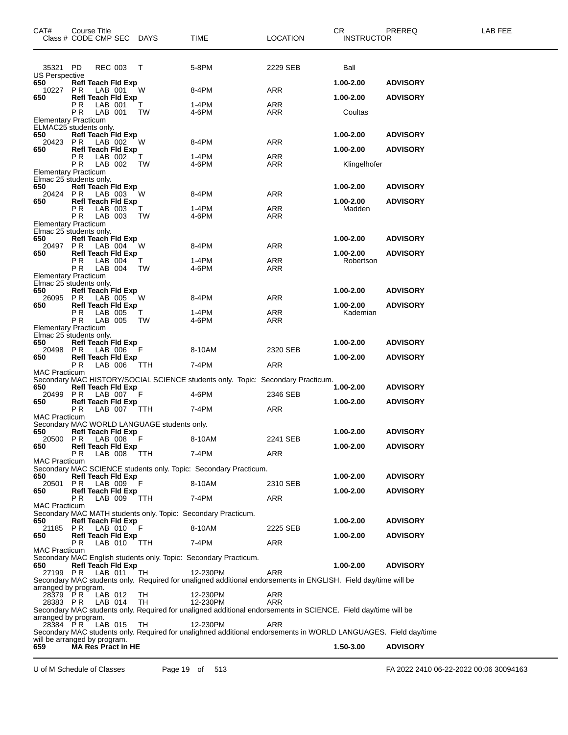| CAT#<br>Class # CODE CMP SEC DAYS                                  | Course Title          |                                        |                                             | TIME                                                                                                                        | <b>LOCATION</b> | CR<br><b>INSTRUCTOR</b> | PREREQ          | LAB FEE |
|--------------------------------------------------------------------|-----------------------|----------------------------------------|---------------------------------------------|-----------------------------------------------------------------------------------------------------------------------------|-----------------|-------------------------|-----------------|---------|
| 35321 PD                                                           |                       | <b>REC 003</b>                         | $\top$                                      | 5-8PM                                                                                                                       | 2229 SEB        | Ball                    |                 |         |
| US Perspective                                                     |                       |                                        |                                             |                                                                                                                             |                 |                         |                 |         |
| 650<br>10227                                                       | P R                   | Refl Teach Fld Exp<br>LAB 001          | W                                           | 8-4PM                                                                                                                       | <b>ARR</b>      | 1.00-2.00               | <b>ADVISORY</b> |         |
| 650                                                                | РR                    | <b>Refl Teach Fld Exp</b><br>LAB 001   | T.                                          | 1-4PM                                                                                                                       | <b>ARR</b>      | 1.00-2.00               | <b>ADVISORY</b> |         |
|                                                                    | P R                   | LAB 001                                | TW                                          | 4-6PM                                                                                                                       | ARR             | Coultas                 |                 |         |
| <b>Elementary Practicum</b><br>ELMAC25 <sup>'</sup> students only. |                       |                                        |                                             |                                                                                                                             |                 |                         |                 |         |
| 650                                                                |                       | <b>Refl Teach Fld Exp</b>              |                                             |                                                                                                                             |                 | 1.00-2.00               | <b>ADVISORY</b> |         |
| 20423<br>650                                                       | P R                   | LAB 002<br><b>Refl Teach Fld Exp</b>   | W                                           | 8-4PM                                                                                                                       | ARR             | 1.00-2.00               | <b>ADVISORY</b> |         |
|                                                                    | P R                   | LAB 002                                | Т                                           | 1-4PM                                                                                                                       | ARR             |                         |                 |         |
| <b>Elementary Practicum</b>                                        | P <sub>R</sub>        | LAB 002                                | TW                                          | 4-6PM                                                                                                                       | ARR             | Klingelhofer            |                 |         |
| Elmac 25 students only.<br>650                                     |                       | <b>Refl Teach Fld Exp</b>              |                                             |                                                                                                                             |                 | $1.00 - 2.00$           | <b>ADVISORY</b> |         |
| 20424 PR                                                           |                       | LAB 003                                | W                                           | 8-4PM                                                                                                                       | <b>ARR</b>      |                         |                 |         |
| 650                                                                | P R                   | <b>Refl Teach Fld Exp</b><br>LAB 003   | Т                                           | 1-4PM                                                                                                                       | <b>ARR</b>      | 1.00-2.00<br>Madden     | <b>ADVISORY</b> |         |
|                                                                    | PR.                   | LAB 003                                | TW                                          | 4-6PM                                                                                                                       | ARR             |                         |                 |         |
| Elementary Practicum<br>Elmac 25 students only.                    |                       |                                        |                                             |                                                                                                                             |                 |                         |                 |         |
| 650                                                                |                       | <b>Refl Teach Fld Exp</b>              |                                             |                                                                                                                             |                 | 1.00-2.00               | <b>ADVISORY</b> |         |
| 20497<br>650                                                       | P R                   | LAB 004<br><b>Refl Teach Fld Exp</b>   | - W                                         | 8-4PM                                                                                                                       | <b>ARR</b>      | $1.00 - 2.00$           | <b>ADVISORY</b> |         |
|                                                                    | ΡR                    | LAB 004                                | T.                                          | 1-4PM                                                                                                                       | <b>ARR</b>      | Robertson               |                 |         |
| <b>Elementary Practicum</b>                                        | P R                   | LAB 004                                | TW                                          | 4-6PM                                                                                                                       | ARR             |                         |                 |         |
| Elmac 25 students only.                                            |                       |                                        |                                             |                                                                                                                             |                 |                         |                 |         |
| 650<br>26095                                                       | P R                   | Refl Teach Fld Exp<br>LAB 005          | W                                           | 8-4PM                                                                                                                       | ARR             | 1.00-2.00               | <b>ADVISORY</b> |         |
| 650                                                                |                       | <b>Refl Teach Fld Exp</b>              |                                             |                                                                                                                             |                 | 1.00-2.00               | <b>ADVISORY</b> |         |
|                                                                    | P R<br>P <sub>R</sub> | LAB 005<br>LAB 005                     | T.<br><b>TW</b>                             | 1-4PM<br>4-6PM                                                                                                              | ARR<br>ARR      | Kademian                |                 |         |
| <b>Elementary Practicum</b>                                        |                       |                                        |                                             |                                                                                                                             |                 |                         |                 |         |
| Elmac 25 students only.<br>650                                     |                       | <b>Refl Teach Fld Exp</b>              |                                             |                                                                                                                             |                 | 1.00-2.00               | <b>ADVISORY</b> |         |
| 20498 PR<br>650                                                    |                       | LAB 006                                | F                                           | 8-10AM                                                                                                                      | 2320 SEB        |                         |                 |         |
|                                                                    | P <sub>R</sub>        | <b>Refl Teach Fld Exp</b><br>LAB 006   | TTH                                         | 7-4PM                                                                                                                       | ARR             | 1.00-2.00               | <b>ADVISORY</b> |         |
| <b>MAC Practicum</b>                                               |                       |                                        |                                             | Secondary MAC HISTORY/SOCIAL SCIENCE students only. Topic: Secondary Practicum.                                             |                 |                         |                 |         |
| 650                                                                |                       | <b>Refl Teach Fld Exp</b>              |                                             |                                                                                                                             |                 | 1.00-2.00               | <b>ADVISORY</b> |         |
| 20499 PR<br>650                                                    |                       | LAB 007 F<br><b>Refl Teach Fld Exp</b> |                                             | 4-6PM                                                                                                                       | 2346 SEB        | 1.00-2.00               | <b>ADVISORY</b> |         |
|                                                                    | P R                   | LAB 007 TTH                            |                                             | 7-4PM                                                                                                                       | ARR             |                         |                 |         |
| <b>MAC Practicum</b>                                               |                       |                                        | Secondary MAC WORLD LANGUAGE students only. |                                                                                                                             |                 |                         |                 |         |
| 650                                                                |                       | <b>Refl Teach Fld Exp</b>              |                                             |                                                                                                                             |                 | 1.00-2.00               | <b>ADVISORY</b> |         |
| 20500 PR<br>650                                                    |                       | LAB 008 F<br>Refl Teach Fld Exp        |                                             | 8-10AM                                                                                                                      | 2241 SEB        | 1.00-2.00               | <b>ADVISORY</b> |         |
|                                                                    | P R                   | LAB 008                                | TTH                                         | 7-4PM                                                                                                                       | <b>ARR</b>      |                         |                 |         |
| <b>MAC Practicum</b>                                               |                       |                                        |                                             | Secondary MAC SCIENCE students only. Topic: Secondary Practicum.                                                            |                 |                         |                 |         |
| 650<br>20501                                                       | P R                   | <b>Refl Teach Fld Exp</b><br>LAB 009   | -F                                          | 8-10AM                                                                                                                      | 2310 SEB        | 1.00-2.00               | <b>ADVISORY</b> |         |
| 650                                                                |                       | <b>Refl Teach Fld Exp</b>              |                                             |                                                                                                                             |                 | 1.00-2.00               | <b>ADVISORY</b> |         |
| <b>MAC Practicum</b>                                               | P R                   | LAB 009                                | <b>TTH</b>                                  | 7-4PM                                                                                                                       | ARR             |                         |                 |         |
|                                                                    |                       |                                        |                                             | Secondary MAC MATH students only. Topic: Secondary Practicum.                                                               |                 |                         |                 |         |
| 650<br>21185                                                       | P R                   | <b>Refl Teach Fld Exp</b><br>LAB 010   |                                             | 8-10AM                                                                                                                      | 2225 SEB        | 1.00-2.00               | <b>ADVISORY</b> |         |
| 650                                                                |                       | <b>Refl Teach Fld Exp</b>              |                                             |                                                                                                                             |                 | 1.00-2.00               | <b>ADVISORY</b> |         |
| <b>MAC Practicum</b>                                               | P R                   | LAB 010                                | TTH                                         | 7-4PM                                                                                                                       | <b>ARR</b>      |                         |                 |         |
|                                                                    |                       |                                        |                                             | Secondary MAC English students only. Topic: Secondary Practicum.                                                            |                 |                         |                 |         |
| 650<br>27199 PR                                                    |                       | <b>Refl Teach Fld Exp</b><br>LAB 011   | TH                                          | 12-230PM                                                                                                                    | <b>ARR</b>      | 1.00-2.00               | <b>ADVISORY</b> |         |
|                                                                    |                       |                                        |                                             | Secondary MAC students only. Required for unaligned additional endorsements in ENGLISH. Field day/time will be              |                 |                         |                 |         |
| arranged by program.<br>28379 PR                                   |                       | LAB 012                                | TH                                          | 12-230PM                                                                                                                    | ARR             |                         |                 |         |
| 28383 PR                                                           |                       | LAB 014                                | TH                                          | 12-230PM                                                                                                                    | <b>ARR</b>      |                         |                 |         |
| arranged by program.                                               |                       |                                        |                                             | Secondary MAC students only. Required for unaligned additional endorsements in SCIENCE. Field day/time will be              |                 |                         |                 |         |
| 28384 PR                                                           |                       | LAB 015                                | TH                                          | 12-230PM<br>Secondary MAC students only. Required for unalighned additional endorsements in WORLD LANGUAGES. Field day/time | <b>ARR</b>      |                         |                 |         |
| will be arranged by program.                                       |                       |                                        |                                             |                                                                                                                             |                 |                         |                 |         |
| 659                                                                |                       | <b>MA Res Pract in HE</b>              |                                             |                                                                                                                             |                 | 1.50-3.00               | <b>ADVISORY</b> |         |

U of M Schedule of Classes Page 19 of 513 FA 2022 2410 06-22-2022 00:06 30094163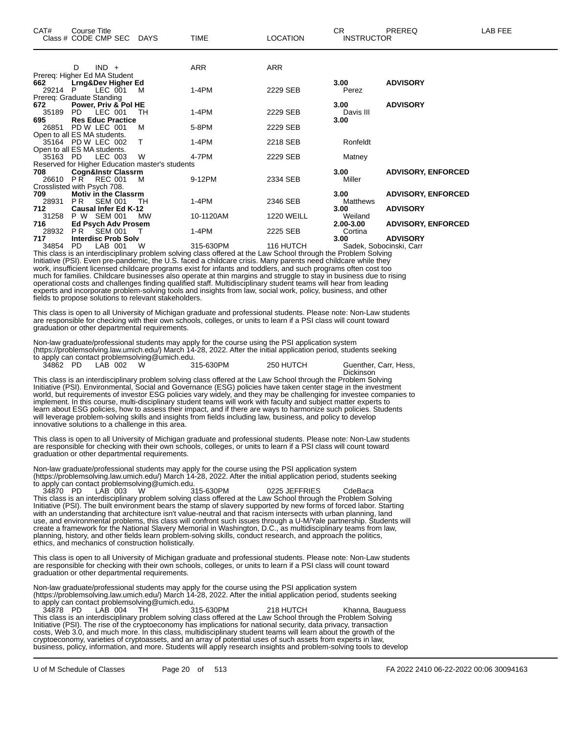| $IND +$<br>D                                    | <b>ARR</b>     | <b>ARR</b>                                                  |                   |                           |
|-------------------------------------------------|----------------|-------------------------------------------------------------|-------------------|---------------------------|
| Prereq: Higher Ed MA Student                    |                |                                                             |                   |                           |
| Lrng&Dev Higher Ed<br>662                       |                |                                                             | 3.00              | <b>ADVISORY</b>           |
| LEC 001<br>29214<br>P.<br>м                     | $1-4PM$        | 2229 SEB                                                    | Perez             |                           |
| Prereg: Graduate Standing                       |                |                                                             |                   |                           |
| Power, Priv & Pol HE<br>672                     |                |                                                             | 3.00 <sub>1</sub> | <b>ADVISORY</b>           |
| LEC 001<br>35189<br>PD.<br>TH                   | 1-4PM          | 2229 SEB                                                    | Davis III         |                           |
| 695<br><b>Res Educ Practice</b>                 |                |                                                             | 3.00              |                           |
| PD W LEC 001<br>26851<br>м                      | 5-8PM          | 2229 SEB                                                    |                   |                           |
| Open to all ES MA students.                     |                |                                                             |                   |                           |
| T<br>35164 PD W LEC 002                         | $1-4PM$        | 2218 SEB                                                    | Ronfeldt          |                           |
| Open to all ES MA students.                     |                |                                                             |                   |                           |
| LEC 003<br>W<br>35163 PD                        | 4-7PM          | 2229 SEB                                                    | Matney            |                           |
| Reserved for Higher Education master's students |                |                                                             |                   |                           |
| <b>Cogn&amp;Instr Classrm</b><br>708            |                |                                                             | 3.00              | <b>ADVISORY, ENFORCED</b> |
| REC 001<br>PR.<br>26610<br>м                    | 9-12PM         | 2334 SEB                                                    | Miller            |                           |
| Crosslisted with Psych 708.                     |                |                                                             |                   |                           |
| <b>Motiv in the Classrm</b><br>709              |                |                                                             | 3.00 <sub>1</sub> | <b>ADVISORY, ENFORCED</b> |
| <b>SEM 001</b><br>28931<br>PR.<br>TН            | 1-4PM          | 2346 SEB                                                    | Matthews          |                           |
| 712<br><b>Causal Infer Ed K-12</b>              |                |                                                             | 3.00              | <b>ADVISORY</b>           |
| 31258<br>P W SEM 001<br><b>MW</b>               | 10-1120AM      | <b>1220 WEILL</b>                                           | Weiland           |                           |
| 716<br><b>Ed Psych Adv Prosem</b>               |                |                                                             | 2.00-3.00         | <b>ADVISORY, ENFORCED</b> |
| 28932<br><b>PR SEM 001</b><br>$\top$            | $1-4PM$        | 2225 SEB                                                    | Cortina           |                           |
| <b>Interdisc Prob Solv</b><br>717               |                |                                                             | 3.00              | <b>ADVISORY</b>           |
| LAB 001<br>W<br>34854<br>PD.<br>$- \cdot$ .     | 315-630PM<br>. | 116 HUTCH<br>$\mathbf{r}$ and $\mathbf{r}$ and $\mathbf{r}$ | .                 | Sadek, Sobocinski, Carr   |

This class is an interdisciplinary problem solving class offered at the Law School through the Problem Solving Initiative (PSI). Even pre-pandemic, the U.S. faced a childcare crisis. Many parents need childcare while they work, insufficient licensed childcare programs exist for infants and toddlers, and such programs often cost too much for families. Childcare businesses also operate at thin margins and struggle to stay in business due to rising operational costs and challenges finding qualified staff. Multidisciplinary student teams will hear from leading experts and incorporate problem-solving tools and insights from law, social work, policy, business, and other fields to propose solutions to relevant stakeholders.

This class is open to all University of Michigan graduate and professional students. Please note: Non-Law students are responsible for checking with their own schools, colleges, or units to learn if a PSI class will count toward graduation or other departmental requirements.

Non-law graduate/professional students may apply for the course using the PSI application system (https://problemsolving.law.umich.edu/) March 14-28, 2022. After the initial application period, students seeking to apply can contact problemsolving@umich.edu. Guenther, Carr, Hess,

|--|

**Dickinson** This class is an interdisciplinary problem solving class offered at the Law School through the Problem Solving Initiative (PSI). Environmental, Social and Governance (ESG) policies have taken center stage in the investment world, but requirements of investor ESG policies vary widely, and they may be challenging for investee companies to implement. In this course, multi-disciplinary student teams will work with faculty and subject matter experts to learn about ESG policies, how to assess their impact, and if there are ways to harmonize such policies. Students will leverage problem-solving skills and insights from fields including law, business, and policy to develop innovative solutions to a challenge in this area.

This class is open to all University of Michigan graduate and professional students. Please note: Non-Law students are responsible for checking with their own schools, colleges, or units to learn if a PSI class will count toward graduation or other departmental requirements.

Non-law graduate/professional students may apply for the course using the PSI application system (https://problemsolving.law.umich.edu/) March 14-28, 2022. After the initial application period, students seeking to apply can contact problemsolving@umich.edu.

34870 PD LAB 003 W 315-630PM 0225 JEFFRIES CdeBaca This class is an interdisciplinary problem solving class offered at the Law School through the Problem Solving Initiative (PSI). The built environment bears the stamp of slavery supported by new forms of forced labor. Starting with an understanding that architecture isn't value-neutral and that racism intersects with urban planning, land use, and environmental problems, this class will confront such issues through a U-M/Yale partnership. Students will create a framework for the National Slavery Memorial in Washington, D.C., as multidisciplinary teams from law, planning, history, and other fields learn problem-solving skills, conduct research, and approach the politics, ethics, and mechanics of construction holistically.

This class is open to all University of Michigan graduate and professional students. Please note: Non-Law students are responsible for checking with their own schools, colleges, or units to learn if a PSI class will count toward graduation or other departmental requirements.

Non-law graduate/professional students may apply for the course using the PSI application system (https://problemsolving.law.umich.edu/) March 14-28, 2022. After the initial application period, students seeking to apply can contact problemsolving@umich.edu.<br>34878 PD LAB 004 TH 315-630PM

34878 PD LAB 004 TH 315-630PM 218 HUTCH Khanna, Bauguess This class is an interdisciplinary problem solving class offered at the Law School through the Problem Solving Initiative (PSI). The rise of the cryptoeconomy has implications for national security, data privacy, transaction costs, Web 3.0, and much more. In this class, multidisciplinary student teams will learn about the growth of the cryptoeconomy, varieties of cryptoassets, and an array of potential uses of such assets from experts in law, business, policy, information, and more. Students will apply research insights and problem-solving tools to develop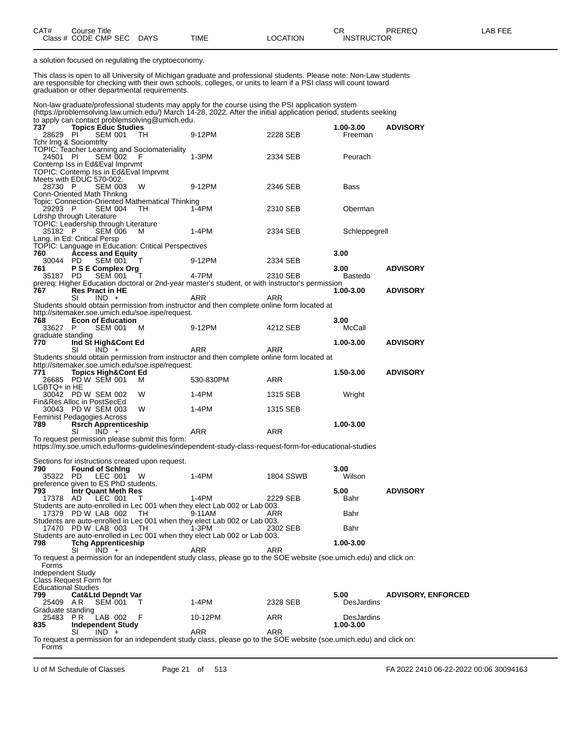| CAT# | Title<br>Course      |             |      |          | ⌒冖<br>◡           | <b>PREREQ</b> | _AB FEF |
|------|----------------------|-------------|------|----------|-------------------|---------------|---------|
|      | Class # CODE CMP SEC | <b>DAYS</b> | TIME | _OCATION | <b>INSTRUCTOR</b> |               |         |

a solution focused on regulating the cryptoeconomy.

This class is open to all University of Michigan graduate and professional students. Please note: Non-Law students are responsible for checking with their own schools, colleges, or units to learn if a PSI class will count toward graduation or other departmental requirements.

Non-law graduate/professional students may apply for the course using the PSI application system (https://problemsolving.law.umich.edu/) March 14-28, 2022. After the initial application period, students seeking to apply can contact problemsolving  $@$  umich.edu.

|                            | <b>Topics Educ Studies</b>              |                |                                                     |                                                                                                                    |            | 1.00-3.00     | <b>ADVISORY</b>           |
|----------------------------|-----------------------------------------|----------------|-----------------------------------------------------|--------------------------------------------------------------------------------------------------------------------|------------|---------------|---------------------------|
| 28629 PI                   |                                         | SEM 001        | TH.                                                 | 9-12PM                                                                                                             | 2228 SEB   | Freeman       |                           |
|                            | Tchr Irng & Sociomtrity                 |                |                                                     |                                                                                                                    |            |               |                           |
|                            |                                         |                | <b>TOPIC: Teacher Learning and Sociomateriality</b> |                                                                                                                    |            |               |                           |
| 24501 PI                   |                                         | <b>SEM 002</b> | - F                                                 | $1-3PM$                                                                                                            | 2334 SEB   | Peurach       |                           |
|                            | Contemp Iss in Ed&Eval Imprvmt          |                |                                                     |                                                                                                                    |            |               |                           |
|                            | TOPIC: Contemp Iss in Ed&Eval Imprvmt   |                |                                                     |                                                                                                                    |            |               |                           |
|                            | Meets with EDUC 570-002.                |                |                                                     |                                                                                                                    |            |               |                           |
| 28730 P                    |                                         | <b>SEM 003</b> | W                                                   | 9-12PM                                                                                                             | 2346 SEB   | <b>Bass</b>   |                           |
|                            | Conn-Oriented Math Thnkng               |                |                                                     |                                                                                                                    |            |               |                           |
|                            |                                         |                | Topic: Connection-Oriented Mathematical Thinking    |                                                                                                                    |            |               |                           |
| 29293 P                    |                                         | SEM 004        | TH.                                                 | 1-4PM                                                                                                              | 2310 SEB   | Oberman       |                           |
|                            | Ldrshp through Literature               |                |                                                     |                                                                                                                    |            |               |                           |
|                            | TOPIC: Leadership through Literature    |                |                                                     |                                                                                                                    |            |               |                           |
| 35182 P                    |                                         | <b>SEM 006</b> | M                                                   | 1-4PM                                                                                                              | 2334 SEB   | Schleppegrell |                           |
|                            | Lang. in Ed: Critical Persp             |                |                                                     |                                                                                                                    |            |               |                           |
|                            |                                         |                | TOPIC: Language in Education: Critical Perspectives |                                                                                                                    |            |               |                           |
| 760                        | <b>Access and Equity</b>                |                |                                                     |                                                                                                                    |            | 3.00          |                           |
| 30044 PD                   |                                         | SEM 001        | T                                                   | 9-12PM                                                                                                             | 2334 SEB   |               |                           |
| 761                        | P S E Complex Org                       |                | T                                                   | 4-7PM                                                                                                              |            | 3.00          | <b>ADVISORY</b>           |
| 35187 PD                   |                                         | SEM 001        |                                                     |                                                                                                                    | 2310 SEB   | Bastedo       |                           |
|                            |                                         |                |                                                     | prereq: Higher Education doctoral or 2nd-year master's student, or with instructor's permission                    |            |               |                           |
| 767                        | <b>Res Pract in HE</b><br>SI<br>$IND +$ |                |                                                     | ARR                                                                                                                | ARR        | 1.00-3.00     | <b>ADVISORY</b>           |
|                            |                                         |                |                                                     |                                                                                                                    |            |               |                           |
|                            |                                         |                | http://sitemaker.soe.umich.edu/soe.ispe/request.    | Students should obtain permission from instructor and then complete online form located at                         |            |               |                           |
| 768                        | <b>Econ of Education</b>                |                |                                                     |                                                                                                                    |            | 3.00          |                           |
| 33627 P                    |                                         | <b>SEM 001</b> | M                                                   | 9-12PM                                                                                                             | 4212 SEB   | McCall        |                           |
| graduate standing          |                                         |                |                                                     |                                                                                                                    |            |               |                           |
| 770                        | Ind St High&Cont Ed                     |                |                                                     |                                                                                                                    |            | 1.00-3.00     | <b>ADVISORY</b>           |
|                            | $IND +$<br>SI                           |                |                                                     | ARR                                                                                                                | ARR        |               |                           |
|                            |                                         |                |                                                     | Students should obtain permission from instructor and then complete online form located at                         |            |               |                           |
|                            |                                         |                | http://sitemaker.soe.umich.edu/soe.ispe/request.    |                                                                                                                    |            |               |                           |
| 771                        | <b>Topics High&amp;Cont Ed</b>          |                |                                                     |                                                                                                                    |            | 1.50-3.00     | <b>ADVISORY</b>           |
|                            | 26685 PD W SEM 001                      |                | м                                                   | 530-830PM                                                                                                          | ARR        |               |                           |
| LGBTQ+ in HE               |                                         |                |                                                     |                                                                                                                    |            |               |                           |
|                            | 30042 PD W SEM 002                      |                | W                                                   | 1-4PM                                                                                                              | 1315 SEB   | Wright        |                           |
|                            |                                         |                |                                                     |                                                                                                                    |            |               |                           |
|                            |                                         |                |                                                     |                                                                                                                    |            |               |                           |
|                            | Fin&Res Alloc in PostSecEd              |                |                                                     |                                                                                                                    |            |               |                           |
|                            | 30043 PD W SEM 003                      |                | W                                                   | 1-4PM                                                                                                              | 1315 SEB   |               |                           |
|                            | Feminist Pedagogies Across              |                |                                                     |                                                                                                                    |            |               |                           |
| 789                        | <b>Rsrch Apprenticeship</b>             |                |                                                     |                                                                                                                    |            | 1.00-3.00     |                           |
|                            | SI<br>$IND +$                           |                |                                                     | ARR                                                                                                                | <b>ARR</b> |               |                           |
|                            |                                         |                | To request permission please submit this form:      |                                                                                                                    |            |               |                           |
|                            |                                         |                |                                                     | https://my.soe.umich.edu/forms-guidelines/independent-study-class-request-form-for-educational-studies             |            |               |                           |
|                            |                                         |                |                                                     |                                                                                                                    |            |               |                           |
|                            |                                         |                | Sections for instructions created upon request.     |                                                                                                                    |            |               |                           |
| 790                        | <b>Found of Sching</b>                  |                |                                                     |                                                                                                                    |            | 3.00          |                           |
| 35322 PD                   | LEC 001                                 |                | W                                                   | $1-4PM$                                                                                                            | 1804 SSWB  | Wilson        |                           |
|                            | preference given to ES PhD students.    |                |                                                     |                                                                                                                    |            |               |                           |
| 793                        | Intr Quant Meth Res                     |                |                                                     |                                                                                                                    |            | 5.00          | <b>ADVISORY</b>           |
| 17378 AD                   |                                         | LEC 001        | т                                                   | 1-4PM                                                                                                              | 2229 SEB   | Bahr          |                           |
|                            |                                         |                |                                                     | Students are auto-enrolled in Lec 001 when they elect Lab 002 or Lab 003.                                          |            |               |                           |
|                            | 17379 PD W LAB 002                      |                | TH                                                  | 9-11AM                                                                                                             | ARR        | Bahr          |                           |
|                            |                                         |                |                                                     | Students are auto-enrolled in Lec 001 when they elect Lab 002 or Lab 003.                                          |            |               |                           |
|                            | 17470 PD W LAB 003                      |                | TH.                                                 | 1-3PM                                                                                                              | 2302 SEB   | Bahr          |                           |
|                            |                                         |                |                                                     | Students are auto-enrolled in Lec 001 when they elect Lab 002 or Lab 003.                                          |            |               |                           |
| 798                        | <b>Tchg Apprenticeship</b>              |                |                                                     |                                                                                                                    |            | 1.00-3.00     |                           |
|                            | SI<br>$IND +$                           |                |                                                     | ARR                                                                                                                | ARR        |               |                           |
|                            |                                         |                |                                                     | To request a permission for an independent study class, please go to the SOE website (soe umich edu) and click on: |            |               |                           |
| Forms                      |                                         |                |                                                     |                                                                                                                    |            |               |                           |
| Independent Study          |                                         |                |                                                     |                                                                                                                    |            |               |                           |
| <b>Educational Studies</b> | Class Request Form for                  |                |                                                     |                                                                                                                    |            |               |                           |
| 799                        | <b>Cat&amp;Ltd Depndt Var</b>           |                |                                                     |                                                                                                                    |            | 5.00          |                           |
| 25409                      | AR.                                     | <b>SEM 001</b> | т                                                   | $1-4PM$                                                                                                            | 2328 SEB   | DesJardins    | <b>ADVISORY, ENFORCED</b> |
| Graduate standing          |                                         |                |                                                     |                                                                                                                    |            |               |                           |
| 25483                      | P R                                     | LAB 002        | F                                                   | 10-12PM                                                                                                            | ARR        | DesJardins    |                           |
| 835                        |                                         |                |                                                     |                                                                                                                    |            | 1.00-3.00     |                           |
|                            | <b>Independent Study</b><br>SI<br>IND + |                |                                                     | ARR                                                                                                                | <b>ARR</b> |               |                           |
|                            |                                         |                |                                                     | To request a permission for an independent study class, please go to the SOE website (soe umich edu) and click on: |            |               |                           |
| Forms                      |                                         |                |                                                     |                                                                                                                    |            |               |                           |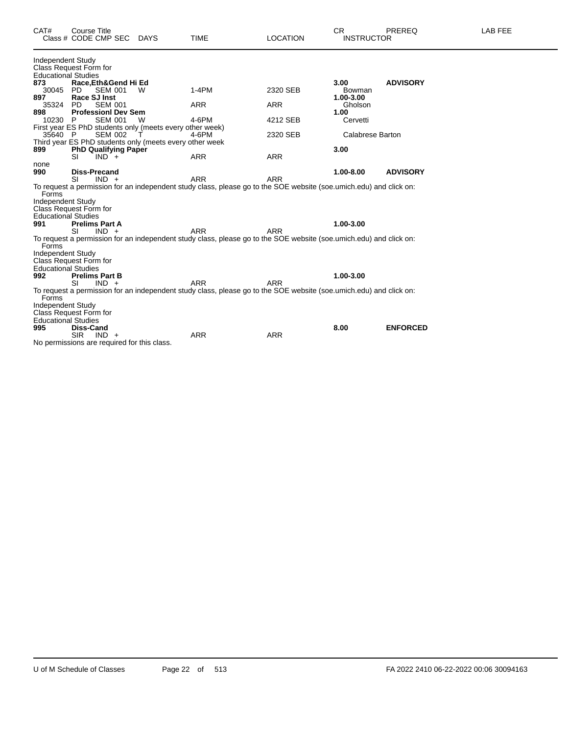| CAT#                       | <b>Course Title</b><br>Class # CODE CMP SEC              | DAYS | <b>TIME</b> | <b>LOCATION</b>                                                                                                    | <b>CR</b><br><b>INSTRUCTOR</b> | <b>PREREQ</b>   | LAB FEE |
|----------------------------|----------------------------------------------------------|------|-------------|--------------------------------------------------------------------------------------------------------------------|--------------------------------|-----------------|---------|
| <b>Independent Study</b>   |                                                          |      |             |                                                                                                                    |                                |                 |         |
| <b>Educational Studies</b> | Class Request Form for                                   |      |             |                                                                                                                    |                                |                 |         |
| 873                        | Race, Eth& Gend Hi Ed                                    |      |             |                                                                                                                    | 3.00                           | <b>ADVISORY</b> |         |
| 30045                      | <b>SEM 001</b><br>PD.                                    | W    | $1-4PM$     | 2320 SEB                                                                                                           | Bowman                         |                 |         |
| 897                        | Race SJ Inst                                             |      |             |                                                                                                                    | $1.00 - 3.00$                  |                 |         |
| 35324                      | <b>SEM 001</b><br><b>PD</b>                              |      | ARR         | <b>ARR</b>                                                                                                         | Gholson                        |                 |         |
| 898                        | <b>ProfessionI Dev Sem</b>                               |      |             |                                                                                                                    | 1.00                           |                 |         |
| 10230                      | <b>SEM 001</b><br>-P                                     | W    | 4-6PM       | 4212 SEB                                                                                                           | Cervetti                       |                 |         |
|                            | First year ES PhD students only (meets every other week) |      |             |                                                                                                                    |                                |                 |         |
| 35640 P                    | <b>SEM 002</b>                                           |      | 4-6PM       | 2320 SEB                                                                                                           | <b>Calabrese Barton</b>        |                 |         |
|                            | Third year ES PhD students only (meets every other week  |      |             |                                                                                                                    |                                |                 |         |
| 899                        | <b>PhD Qualifying Paper</b><br>$IND +$<br>SI             |      | <b>ARR</b>  | <b>ARR</b>                                                                                                         | 3.00                           |                 |         |
| none                       |                                                          |      |             |                                                                                                                    |                                |                 |         |
| 990                        | <b>Diss-Precand</b>                                      |      |             |                                                                                                                    | 1.00-8.00                      | <b>ADVISORY</b> |         |
|                            | $IND +$<br>SI                                            |      | <b>ARR</b>  | <b>ARR</b>                                                                                                         |                                |                 |         |
| Forms                      |                                                          |      |             | To request a permission for an independent study class, please go to the SOE website (soe.umich.edu) and click on: |                                |                 |         |
| Independent Study          |                                                          |      |             |                                                                                                                    |                                |                 |         |
|                            | Class Request Form for                                   |      |             |                                                                                                                    |                                |                 |         |
| <b>Educational Studies</b> |                                                          |      |             |                                                                                                                    |                                |                 |         |
| 991                        | <b>Prelims Part A</b>                                    |      |             |                                                                                                                    | 1.00-3.00                      |                 |         |
|                            | SI<br>$IND +$                                            |      | <b>ARR</b>  | <b>ARR</b>                                                                                                         |                                |                 |         |
| Forms                      |                                                          |      |             | To request a permission for an independent study class, please go to the SOE website (soe.umich.edu) and click on: |                                |                 |         |
| Independent Study          |                                                          |      |             |                                                                                                                    |                                |                 |         |
|                            | Class Request Form for                                   |      |             |                                                                                                                    |                                |                 |         |
| <b>Educational Studies</b> |                                                          |      |             |                                                                                                                    |                                |                 |         |
| 992                        | <b>Prelims Part B</b>                                    |      |             |                                                                                                                    | 1.00-3.00                      |                 |         |
|                            | SI<br>$IND +$                                            |      | <b>ARR</b>  | <b>ARR</b>                                                                                                         |                                |                 |         |
| Forms                      |                                                          |      |             | To request a permission for an independent study class, please go to the SOE website (soe umich edu) and click on: |                                |                 |         |
| Independent Study          |                                                          |      |             |                                                                                                                    |                                |                 |         |
|                            | Class Request Form for                                   |      |             |                                                                                                                    |                                |                 |         |
| <b>Educational Studies</b> |                                                          |      |             |                                                                                                                    |                                |                 |         |
| 995                        | Diss-Cand                                                |      |             |                                                                                                                    | 8.00                           | <b>ENFORCED</b> |         |
|                            | <b>SIR</b><br>$IND +$                                    |      | <b>ARR</b>  | <b>ARR</b>                                                                                                         |                                |                 |         |
|                            | No permissions are required for this class.              |      |             |                                                                                                                    |                                |                 |         |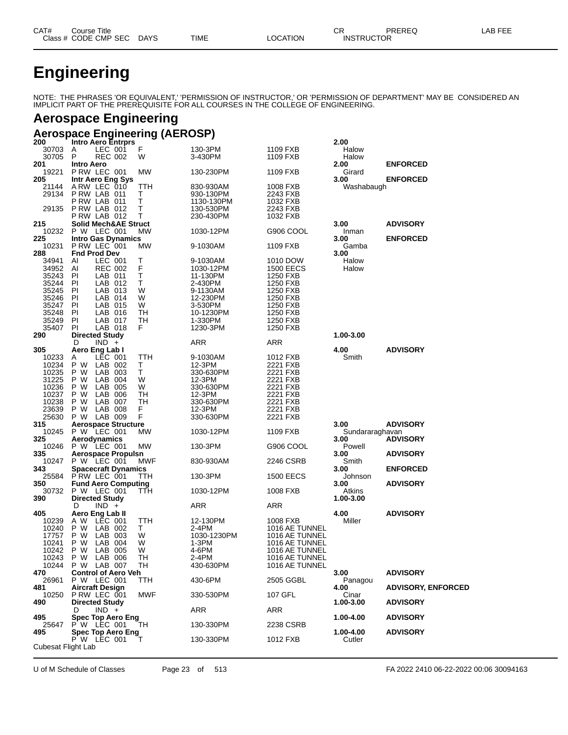| CAT# | ourse Titleٽ              |      |          | ∩⊓<br>◡๙          | PREREQ | LAB FEE |
|------|---------------------------|------|----------|-------------------|--------|---------|
|      | Class # CODE CMP SEC DAYS | TIME | LOCATION | <b>INSTRUCTOR</b> |        |         |

# **Engineering**

NOTE: THE PHRASES 'OR EQUIVALENT,' 'PERMISSION OF INSTRUCTOR,' OR 'PERMISSION OF DEPARTMENT' MAY BE CONSIDERED AN IMPLICIT PART OF THE PREREQUISITE FOR ALL COURSES IN THE COLLEGE OF ENGINEERING.

## **Aerospace Engineering**

## **Aerospace Engineering (AEROSP)**

| 200                | <b>Intro Aero Entrprs</b>       |            |             |                  | 2.00            |                           |
|--------------------|---------------------------------|------------|-------------|------------------|-----------------|---------------------------|
| 30703              | LEC 001<br>A                    | F          | 130-3PM     | 1109 FXB         | Halow           |                           |
| 30705              | P<br><b>REC 002</b>             | W          | 3-430PM     | 1109 FXB         | Halow           |                           |
| 201                | <b>Intro Aero</b>               |            |             |                  | 2.00            | <b>ENFORCED</b>           |
| 19221              | P RW LEC 001                    | MW         | 130-230PM   | 1109 FXB         | Girard          |                           |
| 205                | Intr Aero Eng Sys               |            |             |                  | 3.00            | <b>ENFORCED</b>           |
| 21144              | ARW LEC 010                     | TTH        | 830-930AM   | 1008 FXB         | Washabaugh      |                           |
| 29134              | PRW LAB 011                     | т          | 930-130PM   | 2243 FXB         |                 |                           |
|                    |                                 | T          | 1130-130PM  |                  |                 |                           |
|                    | PRW LAB 011                     |            |             | 1032 FXB         |                 |                           |
| 29135              | PRW LAB 012                     | Т          | 130-530PM   | 2243 FXB         |                 |                           |
|                    | PRW LAB 012                     | Т          | 230-430PM   | 1032 FXB         |                 |                           |
| 215                | <b>Solid Mech&amp;AE Struct</b> |            |             |                  | 3.00            | <b>ADVISORY</b>           |
| 10232              | P W LEC 001                     | MW         | 1030-12PM   | G906 COOL        | Inman           |                           |
| 225                | <b>Intro Gas Dynamics</b>       |            |             |                  | 3.00            | <b>ENFORCED</b>           |
| 10231              | PRW LEC 001                     | MW         | 9-1030AM    | 1109 FXB         | Gamba           |                           |
| 288                | <b>Fnd Prod Dev</b>             |            |             |                  | 3.00            |                           |
| 34941              | AI<br>LEC 001                   | Т          | 9-1030AM    | 1010 DOW         | Halow           |                           |
|                    |                                 |            |             |                  |                 |                           |
| 34952              | Al<br><b>REC 002</b>            | F          | 1030-12PM   | <b>1500 EECS</b> | Halow           |                           |
| 35243              | PI<br>LAB 011                   | T          | 11-130PM    | 1250 FXB         |                 |                           |
| 35244              | <b>PI</b><br>LAB 012            | т          | 2-430PM     | 1250 FXB         |                 |                           |
| 35245              | ΡI<br>LAB 013                   | W          | 9-1130AM    | 1250 FXB         |                 |                           |
| 35246              | LAB 014<br>PI                   | W          | 12-230PM    | 1250 FXB         |                 |                           |
| 35247              | LAB 015<br>PI                   | W          | 3-530PM     | 1250 FXB         |                 |                           |
| 35248              | PI<br>LAB 016                   | TН         | 10-1230PM   | 1250 FXB         |                 |                           |
|                    |                                 |            |             |                  |                 |                           |
| 35249              | PI<br>LAB 017                   | TН         | 1-330PM     | 1250 FXB         |                 |                           |
| 35407              | LAB 018<br>PI                   | F          | 1230-3PM    | 1250 FXB         |                 |                           |
| 290                | <b>Directed Study</b>           |            |             |                  | 1.00-3.00       |                           |
|                    | $IND +$<br>D                    |            | ARR         | ARR              |                 |                           |
| 305                | Aero Eng Lab I                  |            |             |                  | 4.00            | <b>ADVISORY</b>           |
| 10233              | LEC 001<br>Α                    | TTH        | 9-1030AM    | 1012 FXB         | Smith           |                           |
| 10234              | P W<br>LAB 002                  | Т          | 12-3PM      | 2221 FXB         |                 |                           |
| 10235              | P W<br>LAB 003                  | Τ          | 330-630PM   | 2221 FXB         |                 |                           |
|                    |                                 |            |             |                  |                 |                           |
| 31225              | P W<br>LAB 004                  | W          | 12-3PM      | 2221 FXB         |                 |                           |
| 10236              | LAB 005<br>P W                  | W          | 330-630PM   | 2221 FXB         |                 |                           |
| 10237              | LAB 006<br>P W                  | TН         | 12-3PM      | 2221 FXB         |                 |                           |
| 10238              | LAB 007<br>P W                  | TН         | 330-630PM   | 2221 FXB         |                 |                           |
| 23639              | P W<br>LAB 008                  | F.         | 12-3PM      | 2221 FXB         |                 |                           |
| 25630              | LAB 009<br>P W                  | F          | 330-630PM   | 2221 FXB         |                 |                           |
| 315                | <b>Aerospace Structure</b>      |            |             |                  | 3.00            | <b>ADVISORY</b>           |
| 10245              | P W LEC 001                     | MW         |             | 1109 FXB         |                 |                           |
|                    |                                 |            | 1030-12PM   |                  | Sundararaghavan |                           |
| 325                | Aerodynamics                    |            |             |                  | 3.00            | <b>ADVISORY</b>           |
| 10246              | P W LEC 001                     | MW         | 130-3PM     | G906 COOL        | Powell          |                           |
| 335                | <b>Aerospace Propulsn</b>       |            |             |                  | 3.00            | <b>ADVISORY</b>           |
| 10247              | P W LEC 001                     | <b>MWF</b> | 830-930AM   | 2246 CSRB        | Smith           |                           |
| 343                | <b>Spacecraft Dynamics</b>      |            |             |                  | 3.00            | <b>ENFORCED</b>           |
|                    | 25584 PRW LEC 001               | TTH        | 130-3PM     | <b>1500 EECS</b> | Johnson         |                           |
| 350                | <b>Fund Aero Computing</b>      |            |             |                  | 3.00            | <b>ADVISORY</b>           |
|                    |                                 |            |             |                  |                 |                           |
| 30732              | P W LEC 001                     | ттн        | 1030-12PM   | 1008 FXB         | Atkins          |                           |
| 390                | <b>Directed Study</b>           |            |             |                  | 1.00-3.00       |                           |
|                    | $IND +$<br>D                    |            | ARR         | ARR              |                 |                           |
| 405                | Aero Eng Lab II                 |            |             |                  | 4.00            | <b>ADVISORY</b>           |
| 10239              | A W<br>LEC 001                  | TTH        | 12-130PM    | 1008 FXB         | Miller          |                           |
| 10240              | P W<br>LAB 002                  | Т          | 2-4PM       | 1016 AE TUNNEL   |                 |                           |
| 17757              | P W<br>LAB 003                  | W          | 1030-1230PM | 1016 AE TUNNEL   |                 |                           |
| 10241              | LAB 004<br>P W                  | W          | 1-3PM       | 1016 AE TUNNEL   |                 |                           |
|                    |                                 |            |             |                  |                 |                           |
| 10242              | P W<br>LAB 005                  | W          | 4-6PM       | 1016 AE TUNNEL   |                 |                           |
| 10243              | P W LAB 006                     | TН         | 2-4PM       | 1016 AE TUNNEL   |                 |                           |
|                    | 10244 P W LAB 007               | TН         | 430-630PM   | 1016 AE TUNNEL   |                 |                           |
| 470                | <b>Control of Aero Veh</b>      |            |             |                  | 3.00            | <b>ADVISORY</b>           |
| 26961              | P W LEC 001                     | TTH        | 430-6PM     | 2505 GGBL        | Panagou         |                           |
| 481                | <b>Aircraft Design</b>          |            |             |                  | 4.00            | <b>ADVISORY, ENFORCED</b> |
| 10250              | PRW LEC 001                     | <b>MWF</b> | 330-530PM   | 107 GFL          | Cinar           |                           |
|                    |                                 |            |             |                  |                 |                           |
| 490                | <b>Directed Study</b>           |            |             |                  | 1.00-3.00       | <b>ADVISORY</b>           |
|                    | $IND +$<br>D                    |            | ARR         | ARR              |                 |                           |
| 495                | Spec Top Aero Eng               |            |             |                  | 1.00-4.00       | <b>ADVISORY</b>           |
| 25647              | $P W$ LEC 001                   | TH         | 130-330PM   | 2238 CSRB        |                 |                           |
| 495                | Spec Top Aero Eng               |            |             |                  | 1.00-4.00       | <b>ADVISORY</b>           |
|                    | P W LEC 001                     | т          | 130-330PM   | 1012 FXB         | Cutler          |                           |
| Cubesat Flight Lab |                                 |            |             |                  |                 |                           |
|                    |                                 |            |             |                  |                 |                           |

U of M Schedule of Classes Page 23 of 513 FA 2022 2410 06-22-2022 00:06 30094163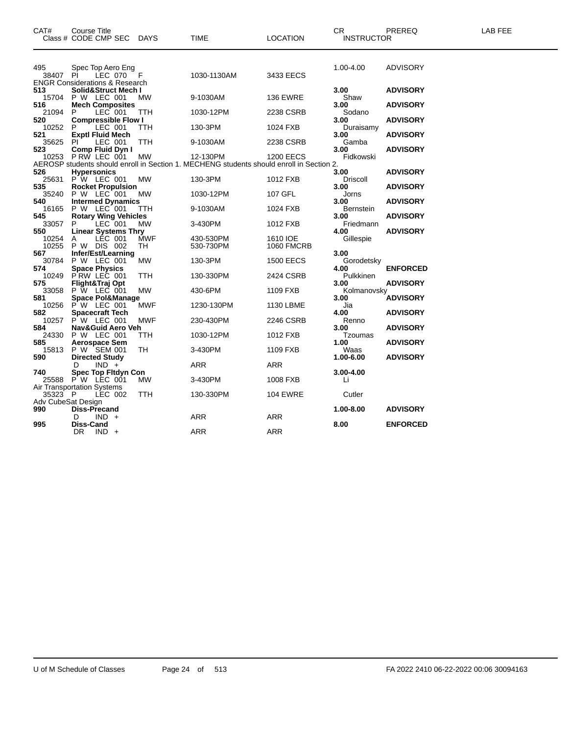| CAT#                      | Course Title<br>Class # CODE CMP SEC                                      | DAYS                     | TIME                                                                                                 | <b>LOCATION</b>               | CR<br><b>INSTRUCTOR</b>           | PREREQ                             | LAB FEE |
|---------------------------|---------------------------------------------------------------------------|--------------------------|------------------------------------------------------------------------------------------------------|-------------------------------|-----------------------------------|------------------------------------|---------|
| 495<br>38407 PI           | Spec Top Aero Eng<br>LEC 070<br><b>ENGR Considerations &amp; Research</b> | - F                      | 1030-1130AM                                                                                          | 3433 EECS                     | 1.00-4.00                         | <b>ADVISORY</b>                    |         |
| 513<br>15704              | Solid&Struct Mech I<br>P W LEC 001                                        | MW                       | 9-1030AM                                                                                             | <b>136 EWRE</b>               | 3.00<br>Shaw                      | <b>ADVISORY</b>                    |         |
| 516<br>21094<br>520       | <b>Mech Composites</b><br>LEC 001<br>P<br><b>Compressible Flow I</b>      | TTH                      | 1030-12PM                                                                                            | 2238 CSRB                     | 3.00<br>Sodano<br>3.00            | <b>ADVISORY</b><br><b>ADVISORY</b> |         |
| 10252<br>521              | LEC 001<br>P.<br><b>Exptl Fluid Mech</b>                                  | TTH                      | 130-3PM                                                                                              | 1024 FXB                      | Duraisamy<br>3.00                 | <b>ADVISORY</b>                    |         |
| 35625<br>523              | LEC 001<br>PI<br><b>Comp Fluid Dyn I</b>                                  | TTH                      | 9-1030AM                                                                                             | 2238 CSRB                     | Gamba<br>3.00                     | <b>ADVISORY</b>                    |         |
| 10253<br>526              | P RW LEC 001<br><b>Hypersonics</b>                                        | <b>MW</b>                | 12-130PM<br>AEROSP students should enroll in Section 1. MECHENG students should enroll in Section 2. | <b>1200 EECS</b>              | Fidkowski<br>3.00                 | <b>ADVISORY</b>                    |         |
| 25631<br>535              | P W LEC 001<br><b>Rocket Propulsion</b>                                   | <b>MW</b>                | 130-3PM                                                                                              | 1012 FXB                      | Driscoll<br>3.00                  | <b>ADVISORY</b>                    |         |
| 35240<br>540<br>16165     | P W LEC 001<br><b>Intermed Dynamics</b><br>P W LEC 001                    | MW<br>TTH                | 1030-12PM<br>9-1030AM                                                                                | 107 GFL<br>1024 FXB           | Jorns<br>3.00<br><b>Bernstein</b> | <b>ADVISORY</b>                    |         |
| 545<br>33057              | <b>Rotary Wing Vehicles</b><br>LEC 001<br>P.                              | <b>MW</b>                | 3-430PM                                                                                              | 1012 FXB                      | 3.00<br>Friedmann                 | <b>ADVISORY</b>                    |         |
| 550<br>10254<br>10255     | <b>Linear Systems Thry</b><br>LÈC 001<br>A<br>P W DIS 002                 | <b>MWF</b><br>TH         | 430-530PM<br>530-730PM                                                                               | 1610 IOE<br><b>1060 FMCRB</b> | 4.00<br>Gillespie                 | <b>ADVISORY</b>                    |         |
| 567<br>30784              | Infer/Est/Learning<br>P W LEC 001                                         | MW.                      | 130-3PM                                                                                              | <b>1500 EECS</b>              | 3.00<br>Gorodetsky                |                                    |         |
| 574<br>10249<br>575       | <b>Space Physics</b><br>PRW LEC 001<br>Flight&Traj Opt                    | TTH                      | 130-330PM                                                                                            | 2424 CSRB                     | 4.00<br>Pulkkinen<br>3.00         | <b>ENFORCED</b><br><b>ADVISORY</b> |         |
| 33058<br>581              | P W LEC 001<br><b>Space Pol&amp;Manage</b>                                | MW                       | 430-6PM                                                                                              | 1109 FXB                      | Kolmanovsky<br>3.00               | <b>ADVISORY</b>                    |         |
| 10256<br>582<br>10257     | P W LEC 001<br><b>Spacecraft Tech</b><br>P W LEC 001                      | <b>MWF</b><br><b>MWF</b> | 1230-130PM<br>230-430PM                                                                              | 1130 LBME<br>2246 CSRB        | Jia<br>4.00<br>Renno              | <b>ADVISORY</b>                    |         |
| 584<br>24330              | Nav&Guid Aero Veh<br>P W LEC 001                                          | TTH                      | 1030-12PM                                                                                            | 1012 FXB                      | 3.00<br>Tzoumas                   | <b>ADVISORY</b>                    |         |
| 585<br>15813<br>590       | <b>Aerospace Sem</b><br>P W SEM 001<br><b>Directed Study</b>              | TH                       | 3-430PM                                                                                              | 1109 FXB                      | 1.00<br>Waas<br>1.00-6.00         | <b>ADVISORY</b><br><b>ADVISORY</b> |         |
| 740                       | $IND +$<br>D.<br><b>Spec Top Fitdyn Con</b>                               |                          | ARR                                                                                                  | ARR                           | 3.00-4.00                         |                                    |         |
| 35323 P                   | 25588 PW LEC 001<br><b>Air Transportation Systems</b><br>LEC 002          | МW<br>TTH                | 3-430PM<br>130-330PM                                                                                 | 1008 FXB<br><b>104 EWRE</b>   | Li<br>Cutler                      |                                    |         |
| Adv CubeSat Design<br>990 | <b>Diss-Precand</b>                                                       |                          |                                                                                                      |                               | 1.00-8.00                         | <b>ADVISORY</b>                    |         |
| 995                       | $IND +$<br>D<br>Diss-Cand<br>DR.<br>$IND +$                               |                          | <b>ARR</b><br>ARR                                                                                    | <b>ARR</b><br><b>ARR</b>      | 8.00                              | <b>ENFORCED</b>                    |         |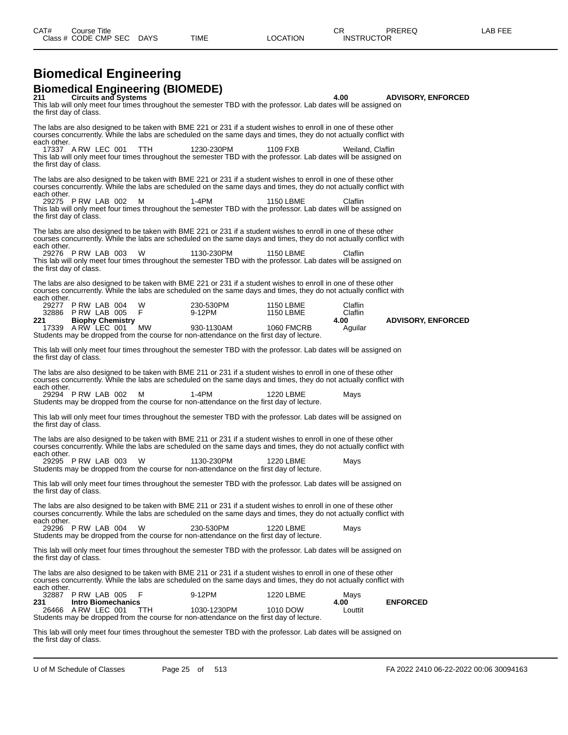#### **Biomedical Engineering Biomedical Engineering (BIOMEDE)**

**211 Circuits and Systems 4.00 ADVISORY, ENFORCED** This lab will only meet four times throughout the semester TBD with the professor. Lab dates will be assigned on the first day of class. The labs are also designed to be taken with BME 221 or 231 if a student wishes to enroll in one of these other courses concurrently. While the labs are scheduled on the same days and times, they do not actually conflict with each other.<br>17337 ARW LEC 001 17337 A RW LEC 001 TTH 1230-230PM 1109 FXB Weiland, Claflin This lab will only meet four times throughout the semester TBD with the professor. Lab dates will be assigned on the first day of class. The labs are also designed to be taken with BME 221 or 231 if a student wishes to enroll in one of these other courses concurrently. While the labs are scheduled on the same days and times, they do not actually conflict with each other.<br>29275 PRW LAB 002 M 29275 P RW LAB 002 M 1-4PM 1150 LBME Claflin This lab will only meet four times throughout the semester TBD with the professor. Lab dates will be assigned on the first day of class. The labs are also designed to be taken with BME 221 or 231 if a student wishes to enroll in one of these other courses concurrently. While the labs are scheduled on the same days and times, they do not actually conflict with each other. 29276 P RW LAB 003 W 1130-230PM 1150 LBME Claflin This lab will only meet four times throughout the semester TBD with the professor. Lab dates will be assigned on the first day of class. The labs are also designed to be taken with BME 221 or 231 if a student wishes to enroll in one of these other courses concurrently. While the labs are scheduled on the same days and times, they do not actually conflict with each other.<br>29277 29277 P RW LAB 004 W 230-530PM 1150 LBME Claflin 32886 P RW LAB 005 F 9-12PM 1150 LBME Claflin **221 Biophy Chemistry 4.00 ADVISORY, ENFORCED** 17339 A RW LEC 001 MW 930-1130AM 1060 FMCRB Aguilar Students may be dropped from the course for non-attendance on the first day of lecture. This lab will only meet four times throughout the semester TBD with the professor. Lab dates will be assigned on the first day of class. The labs are also designed to be taken with BME 211 or 231 if a student wishes to enroll in one of these other courses concurrently. While the labs are scheduled on the same days and times, they do not actually conflict with each other. 29294 P RW LAB 002 M 1-4PM 1220 LBME Mays Students may be dropped from the course for non-attendance on the first day of lecture. This lab will only meet four times throughout the semester TBD with the professor. Lab dates will be assigned on the first day of class. The labs are also designed to be taken with BME 211 or 231 if a student wishes to enroll in one of these other courses concurrently. While the labs are scheduled on the same days and times, they do not actually conflict with each other. 29295 P RW LAB 003 W 1130-230PM 1220 LBME Mays Students may be dropped from the course for non-attendance on the first day of lecture. This lab will only meet four times throughout the semester TBD with the professor. Lab dates will be assigned on the first day of class. The labs are also designed to be taken with BME 211 or 231 if a student wishes to enroll in one of these other courses concurrently. While the labs are scheduled on the same days and times, they do not actually conflict with each other. 29296 P RW LAB 004 W 230-530PM 1220 LBME Mays Students may be dropped from the course for non-attendance on the first day of lecture. This lab will only meet four times throughout the semester TBD with the professor. Lab dates will be assigned on the first day of class. The labs are also designed to be taken with BME 211 or 231 if a student wishes to enroll in one of these other courses concurrently. While the labs are scheduled on the same days and times, they do not actually conflict with each other.<br>32887 32887 P RW LAB 005 F 9-12PM 1220 LBME Mays<br>
231 Intro Biomechanics 4.00 **231 Intro Biomechanics 4.00 ENFORCED** A RW LEC 001 Students may be dropped from the course for non-attendance on the first day of lecture. This lab will only meet four times throughout the semester TBD with the professor. Lab dates will be assigned on

the first day of class.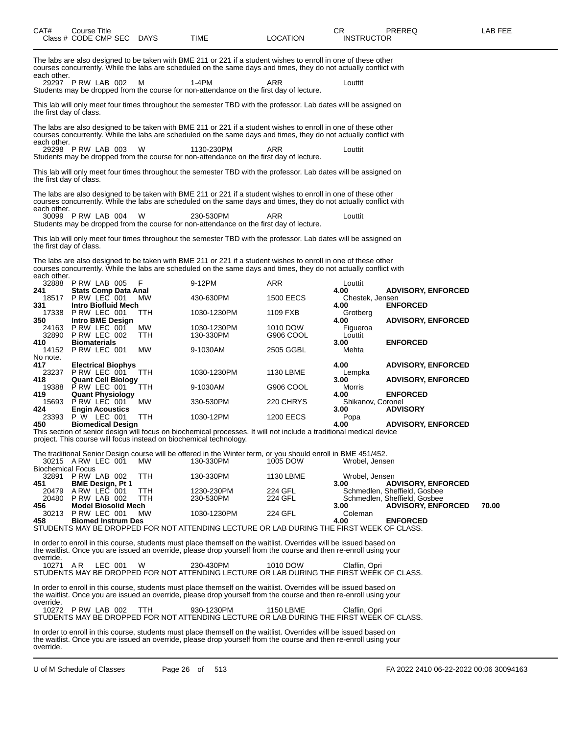| CAT#                     | <b>Course Title</b> | Class # CODE CMP SEC DAYS                                |            | <b>TIME</b>                                                                                                                                                                                                                                    | <b>LOCATION</b>    | CR.<br><b>INSTRUCTOR</b>  | PREREQ                                                                                    | <b>LAB FEE</b> |
|--------------------------|---------------------|----------------------------------------------------------|------------|------------------------------------------------------------------------------------------------------------------------------------------------------------------------------------------------------------------------------------------------|--------------------|---------------------------|-------------------------------------------------------------------------------------------|----------------|
| each other.              |                     | 29297 P RW LAB 002                                       | м          | The labs are also designed to be taken with BME 211 or 221 if a student wishes to enroll in one of these other<br>courses concurrently. While the labs are scheduled on the same days and times, they do not actually conflict with<br>$1-4PM$ | ARR                | Louttit                   |                                                                                           |                |
| the first day of class.  |                     |                                                          |            | Students may be dropped from the course for non-attendance on the first day of lecture.<br>This lab will only meet four times throughout the semester TBD with the professor. Lab dates will be assigned on                                    |                    |                           |                                                                                           |                |
| each other.              |                     |                                                          |            | The labs are also designed to be taken with BME 211 or 221 if a student wishes to enroll in one of these other<br>courses concurrently. While the labs are scheduled on the same days and times, they do not actually conflict with            |                    |                           |                                                                                           |                |
|                          |                     | 29298 P RW LAB 003                                       | w          | 1130-230PM<br>Students may be dropped from the course for non-attendance on the first day of lecture.                                                                                                                                          | ARR                | Louttit                   |                                                                                           |                |
| the first day of class.  |                     |                                                          |            | This lab will only meet four times throughout the semester TBD with the professor. Lab dates will be assigned on                                                                                                                               |                    |                           |                                                                                           |                |
| each other.              |                     |                                                          |            | The labs are also designed to be taken with BME 211 or 221 if a student wishes to enroll in one of these other<br>courses concurrently. While the labs are scheduled on the same days and times, they do not actually conflict with            |                    |                           |                                                                                           |                |
|                          |                     | 30099 P RW LAB 004                                       | W          | 230-530PM<br>Students may be dropped from the course for non-attendance on the first day of lecture.                                                                                                                                           | ARR                | Louttit                   |                                                                                           |                |
| the first day of class.  |                     |                                                          |            | This lab will only meet four times throughout the semester TBD with the professor. Lab dates will be assigned on                                                                                                                               |                    |                           |                                                                                           |                |
| each other.              |                     |                                                          |            | The labs are also designed to be taken with BME 211 or 221 if a student wishes to enroll in one of these other<br>courses concurrently. While the labs are scheduled on the same days and times, they do not actually conflict with            |                    |                           |                                                                                           |                |
| 241                      |                     | 32888 P RW LAB 005<br><b>Stats Comp Data Anal</b>        | F          | 9-12PM                                                                                                                                                                                                                                         | ARR                | Louttit<br>4.00           | <b>ADVISORY, ENFORCED</b>                                                                 |                |
| 331                      |                     | 18517 P RW LEC 001<br><b>Intro Biofluid Mech</b>         | MW         | 430-630PM                                                                                                                                                                                                                                      | <b>1500 EECS</b>   | Chestek, Jensen<br>4.00   | <b>ENFORCED</b>                                                                           |                |
|                          |                     | 17338 P RW LEC 001                                       | ттн        | 1030-1230PM                                                                                                                                                                                                                                    | 1109 FXB           | Grotberg                  |                                                                                           |                |
| 350<br>24163             |                     | Intro BME Design<br>PRW LEC 001                          | МW         | 1030-1230PM                                                                                                                                                                                                                                    | 1010 DOW           | 4.00<br>Figueroa          | <b>ADVISORY, ENFORCED</b>                                                                 |                |
| 32890<br>410             |                     | PRW LEC 002<br><b>Biomaterials</b>                       | TTH        | 130-330PM                                                                                                                                                                                                                                      | G906 COOL          | Louttit<br>3.00           | <b>ENFORCED</b>                                                                           |                |
| 14152<br>No note.        |                     | PRW LEC 001                                              | MW         | 9-1030AM                                                                                                                                                                                                                                       | 2505 GGBL          | Mehta                     |                                                                                           |                |
| 417<br>23237             |                     | <b>Electrical Biophys</b><br>PRW LEC 001                 | ттн        | 1030-1230PM                                                                                                                                                                                                                                    | 1130 LBME          | 4.00<br>Lempka            | <b>ADVISORY, ENFORCED</b>                                                                 |                |
| 418                      |                     | <b>Quant Cell Biology</b><br>19388 P RW LEC 001          | TTH        | 9-1030AM                                                                                                                                                                                                                                       | G906 COOL          | 3.00<br>Morris            | <b>ADVISORY, ENFORCED</b>                                                                 |                |
| 419.                     |                     | <b>Quant Physiology</b><br>15693 P RW LEC 001            | МW         | 330-530PM                                                                                                                                                                                                                                      | 220 CHRYS          | 4.00<br>Shikanov, Coronel | <b>ENFORCED</b>                                                                           |                |
| 424                      |                     | <b>Engin Acoustics</b><br>23393 P W LEC 001              | TTH        | 1030-12PM                                                                                                                                                                                                                                      | <b>1200 EECS</b>   | 3.00<br>Popa              | <b>ADVISORY</b>                                                                           |                |
| 450                      |                     | <b>Biomedical Design</b>                                 |            | This section of senior design will focus on biochemical processes. It will not include a traditional medical device<br>project. This course will focus instead on biochemical technology.                                                      |                    | 4.00                      | <b>ADVISORY, ENFORCED</b>                                                                 |                |
|                          |                     |                                                          |            | The traditional Senior Design course will be offered in the Winter term, or you should enroll in BME 451/452.                                                                                                                                  |                    |                           |                                                                                           |                |
| <b>Biochemical Focus</b> |                     | 30215 ARW LEC 001                                        | MW.        | 130-330PM                                                                                                                                                                                                                                      | 1005 DOW           | Wrobel, Jensen            |                                                                                           |                |
| 32891<br>451             |                     | PRW LAB 002<br><b>BME Design, Pt 1</b>                   | TTH        | 130-330PM                                                                                                                                                                                                                                      | 1130 LBME          | Wrobel, Jensen<br>3.00    | <b>ADVISORY, ENFORCED</b>                                                                 |                |
| 20479<br>20480<br>456    |                     | ARW LEC 001<br>PRW LAB 002<br><b>Model Biosolid Mech</b> | ттн<br>TTH | 1230-230PM<br>230-530PM                                                                                                                                                                                                                        | 224 GFL<br>224 GFL | 3.00                      | Schmedlen, Sheffield, Gosbee<br>Schmedlen, Sheffield, Gosbee<br><b>ADVISORY, ENFORCED</b> | 70.00          |
| 30213<br>458             |                     | PRW LEC 001<br><b>Biomed Instrum Des</b>                 | MW.        | 1030-1230PM                                                                                                                                                                                                                                    | 224 GFL            | Coleman<br>4.00           | <b>ENFORCED</b>                                                                           |                |
|                          |                     |                                                          |            | STUDENTS MAY BE DROPPED FOR NOT ATTENDING LECTURE OR LAB DURING THE FIRST WEEK OF CLASS.                                                                                                                                                       |                    |                           |                                                                                           |                |
| override.                |                     |                                                          |            | In order to enroll in this course, students must place themself on the waitlist. Overrides will be issued based on<br>the waitlist. Once you are issued an override, please drop yourself from the course and then re-enroll using your        |                    |                           |                                                                                           |                |
| 10271 AR                 |                     | LEC 001                                                  | W          | 230-430PM<br>STUDENTS MAY BE DROPPED FOR NOT ATTENDING LECTURE OR LAB DURING THE FIRST WEEK OF CLASS.                                                                                                                                          | 1010 DOW           | Claflin, Opri             |                                                                                           |                |
| override.                |                     |                                                          |            | In order to enroll in this course, students must place themself on the waitlist. Overrides will be issued based on<br>the waitlist. Once you are issued an override, please drop yourself from the course and then re-enroll using your        |                    |                           |                                                                                           |                |
|                          |                     | 10272 P RW LAB 002                                       | TTH        | 930-1230PM<br>STUDENTS MAY BE DROPPED FOR NOT ATTENDING LECTURE OR LAB DURING THE FIRST WEEK OF CLASS.                                                                                                                                         | <b>1150 LBME</b>   | Claflin, Opri             |                                                                                           |                |
|                          |                     |                                                          |            | In order to enroll in this course, students must place themself on the waitlist. Overrides will be issued based on                                                                                                                             |                    |                           |                                                                                           |                |

In order to enroll in this course, students must place themself on the waitlist. Overrides will be issued based on the waitlist. Once you are issued an override, please drop yourself from the course and then re-enroll using your override.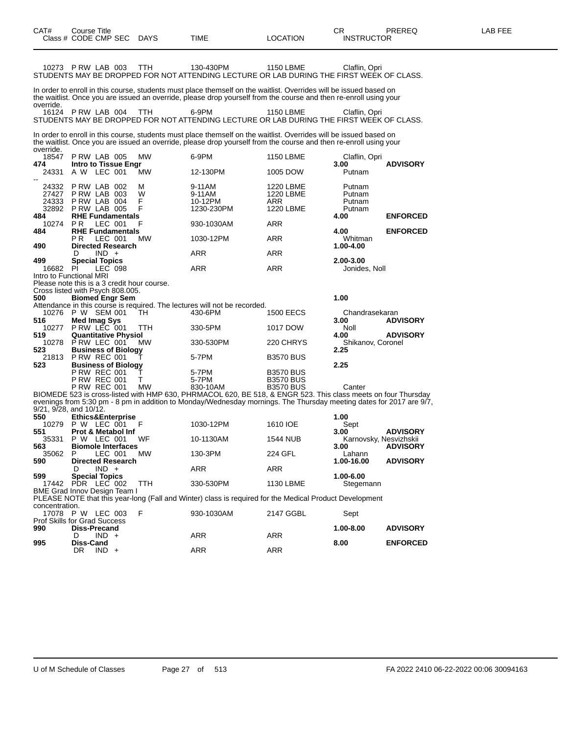| 10273 P RW LAB 003                                                         |                                                          |         |                               | ттн              | 130-430PM<br>STUDENTS MAY BE DROPPED FOR NOT ATTENDING LECTURE OR LAB DURING THE FIRST WEEK OF CLASS.                                                                                                                                   | 1150 LBME                                         | Claflin, Opri                        |                 |
|----------------------------------------------------------------------------|----------------------------------------------------------|---------|-------------------------------|------------------|-----------------------------------------------------------------------------------------------------------------------------------------------------------------------------------------------------------------------------------------|---------------------------------------------------|--------------------------------------|-----------------|
| override.                                                                  |                                                          |         |                               |                  | In order to enroll in this course, students must place themself on the waitlist. Overrides will be issued based on<br>the waitlist. Once you are issued an override, please drop yourself from the course and then re-enroll using your |                                                   |                                      |                 |
| 16124 P RW LAB 004                                                         |                                                          |         |                               | ттн              | 6-9PM<br>STUDENTS MAY BE DROPPED FOR NOT ATTENDING LECTURE OR LAB DURING THE FIRST WEEK OF CLASS.                                                                                                                                       | <b>1150 LBME</b>                                  | Claflin, Opri                        |                 |
| override.                                                                  |                                                          |         |                               |                  | In order to enroll in this course, students must place themself on the waitlist. Overrides will be issued based on<br>the waitlist. Once you are issued an override, please drop yourself from the course and then re-enroll using your |                                                   |                                      |                 |
| 18547                                                                      | PRW LAB 005                                              |         |                               | MW               | 6-9PM                                                                                                                                                                                                                                   | <b>1150 LBME</b>                                  | Claflin, Opri                        |                 |
| 474<br>24331                                                               | A W LEC 001                                              |         | Intro to Tissue Engr          | <b>MW</b>        | 12-130PM                                                                                                                                                                                                                                | 1005 DOW                                          | 3.00<br>Putnam                       | <b>ADVISORY</b> |
| 24332<br>27427<br>24333<br>32892                                           | PRW LAB 002<br>PRW LAB 003<br>PRW LAB 004<br>PRW LAB 005 |         |                               | м<br>w<br>F<br>F | 9-11AM<br>9-11AM<br>10-12PM<br>1230-230PM                                                                                                                                                                                               | 1220 LBME<br>1220 LBME<br><b>ARR</b><br>1220 LBME | Putnam<br>Putnam<br>Putnam<br>Putnam |                 |
| 484<br>10274                                                               | P R                                                      | LEC 001 | <b>RHE Fundamentals</b>       | F                | 930-1030AM                                                                                                                                                                                                                              | ARR                                               | 4.00                                 | <b>ENFORCED</b> |
| 484                                                                        | P R                                                      | LEC 001 | <b>RHE Fundamentals</b>       | <b>MW</b>        | 1030-12PM                                                                                                                                                                                                                               | ARR                                               | 4.00<br>Whitman                      | <b>ENFORCED</b> |
| 490                                                                        | D                                                        | $IND +$ | <b>Directed Research</b>      |                  | ARR                                                                                                                                                                                                                                     | ARR                                               | 1.00-4.00                            |                 |
| 499<br>16682                                                               | <b>Special Topics</b><br>PI                              | LEC 098 |                               |                  | ARR                                                                                                                                                                                                                                     | ARR                                               | 2.00-3.00<br>Jonides, Noll           |                 |
| Intro to Functional MRI<br>Please note this is a 3 credit hour course.     |                                                          |         |                               |                  |                                                                                                                                                                                                                                         |                                                   |                                      |                 |
| Cross listed with Psych 808.005.<br>500                                    |                                                          |         | <b>Biomed Engr Sem</b>        |                  |                                                                                                                                                                                                                                         |                                                   | 1.00                                 |                 |
| 10276                                                                      | P W SEM 001                                              |         |                               | TН               | Attendance in this course is required. The lectures will not be recorded.<br>430-6PM                                                                                                                                                    | <b>1500 EECS</b>                                  | Chandrasekaran                       |                 |
| 516<br>10277                                                               | Med Imag Sys<br>PRW LEC 001                              |         |                               | TTH              | 330-5PM                                                                                                                                                                                                                                 | 1017 DOW                                          | 3.00<br>Noll                         | <b>ADVISORY</b> |
| 519<br>10278 PRW LEC 001                                                   |                                                          |         | <b>Quantitative Physiol</b>   | МW               | 330-530PM                                                                                                                                                                                                                               | 220 CHRYS                                         | 4.00<br>Shikanov, Coronel            | <b>ADVISORY</b> |
| 523                                                                        |                                                          |         | <b>Business of Biology</b>    |                  |                                                                                                                                                                                                                                         |                                                   | 2.25                                 |                 |
| 21813<br>523                                                               | <b>P RW REC 001</b>                                      |         | <b>Business of Biology</b>    |                  | 5-7PM                                                                                                                                                                                                                                   | <b>B3570 BUS</b>                                  | 2.25                                 |                 |
|                                                                            | <b>P RW REC 001</b>                                      |         |                               | Т                | 5-7PM                                                                                                                                                                                                                                   | <b>B3570 BUS</b>                                  |                                      |                 |
|                                                                            | <b>P RW REC 001</b><br><b>P RW REC 001</b>               |         |                               | т<br>MW          | 5-7PM                                                                                                                                                                                                                                   | <b>B3570 BUS</b><br><b>B3570 BUS</b>              | Canter                               |                 |
|                                                                            |                                                          |         |                               |                  | 830-10AM<br>BIOMEDE 523 is cross-listed with HMP 630, PHRMACOL 620, BE 518, & ENGR 523. This class meets on four Thursday                                                                                                               |                                                   |                                      |                 |
| 9/21, 9/28, and 10/12.                                                     |                                                          |         |                               |                  | evenings from 5:30 pm - 8 pm in addition to Monday/Wednesday mornings. The Thursday meeting dates for 2017 are 9/7,                                                                                                                     |                                                   |                                      |                 |
| 550<br>10279                                                               | P W LEC 001                                              |         | <b>Ethics&amp;Enterprise</b>  | F                | 1030-12PM                                                                                                                                                                                                                               | 1610 IOE                                          | 1.00<br>Sept                         |                 |
| 551                                                                        |                                                          |         | <b>Prot &amp; Metabol Inf</b> |                  |                                                                                                                                                                                                                                         |                                                   | 3.00                                 | <b>ADVISORY</b> |
| 35331<br>563                                                               | P W LEC 001                                              |         | <b>Biomole Interfaces</b>     | WF               | 10-1130AM                                                                                                                                                                                                                               | <b>1544 NUB</b>                                   | Karnovsky, Nesvizhskii<br>3.00       | <b>ADVISORY</b> |
| 35062<br>590                                                               | P                                                        | LEC 001 | <b>Directed Research</b>      | MW               | 130-3PM                                                                                                                                                                                                                                 | 224 GFL                                           | Lahann<br>1.00-16.00                 | <b>ADVISORY</b> |
|                                                                            | D                                                        | $IND +$ |                               |                  | ARR                                                                                                                                                                                                                                     | ARR                                               |                                      |                 |
| 599<br>17442 PDR LEC 002<br>BME Grad Innov Design Team I                   | <b>Special Topics</b>                                    |         |                               | TTH              | 330-530PM                                                                                                                                                                                                                               | 1130 LBME                                         | 1.00-6.00<br>Stegemann               |                 |
|                                                                            |                                                          |         |                               |                  | PLEASE NOTE that this year-long (Fall and Winter) class is required for the Medical Product Development                                                                                                                                 |                                                   |                                      |                 |
| concentration.<br>17078 P W LEC 003<br><b>Prof Skills for Grad Success</b> |                                                          |         |                               | F                | 930-1030AM                                                                                                                                                                                                                              | 2147 GGBL                                         | Sept                                 |                 |
| 990                                                                        | Diss-Precand<br>D                                        | $IND +$ |                               |                  | <b>ARR</b>                                                                                                                                                                                                                              | ARR                                               | 1.00-8.00                            | <b>ADVISORY</b> |
| 995                                                                        | Diss-Cand<br>DR                                          | $IND +$ |                               |                  | <b>ARR</b>                                                                                                                                                                                                                              | ARR                                               | 8.00                                 | <b>ENFORCED</b> |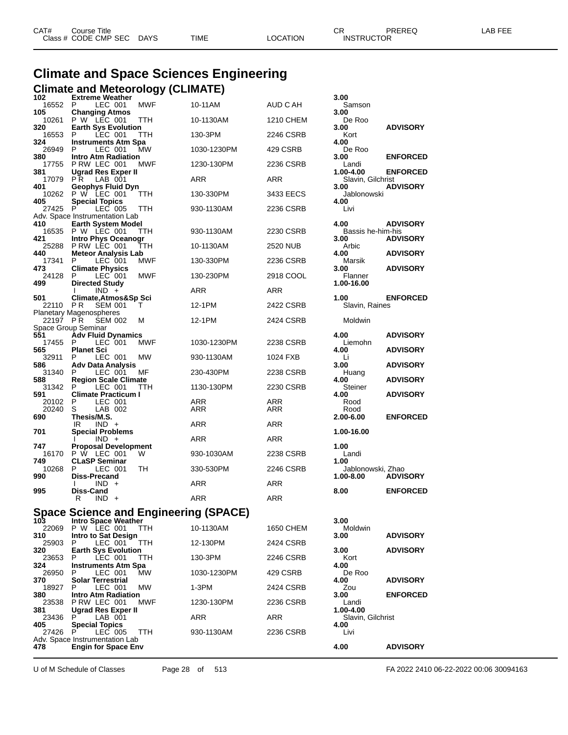| CAT# | Course Title         |             |             |          | ⌒冖<br>◡⊓          | PREREQ | _AB FEE |
|------|----------------------|-------------|-------------|----------|-------------------|--------|---------|
|      | Class # CODE CMP SEC | <b>DAYS</b> | <b>TIME</b> | LOCATION | <b>INSTRUCTOR</b> |        |         |

# **Climate and Space Sciences Engineering Climate and Meteorology (CLIMATE) 102 Extreme Weather 3.00**

| 1 V 4<br>16552 P | <b>EXIGHIIG MEALLIGHT</b><br>LEC 001                                | MWF        | 10-11AM     | AUD C AH          | ง.บบ<br>Samson                 |                 |
|------------------|---------------------------------------------------------------------|------------|-------------|-------------------|--------------------------------|-----------------|
| 105<br>10261     | <b>Changing Atmos</b><br>$P W$ LEC 001                              | <b>TTH</b> | 10-1130AM   | 1210 CHEM         | 3.00<br>De Roo                 |                 |
| 320<br>16553     | <b>Earth Sys Evolution</b><br>P<br>LEC 001                          | TTH        | 130-3PM     | 2246 CSRB         | 3.00<br>Kort                   | <b>ADVISORY</b> |
| 324<br>26949     | <b>Instruments Atm Spa</b><br>P<br>LEC 001                          | MW         | 1030-1230PM | 429 CSRB          | 4.00<br>De Roo                 |                 |
| 380<br>17755     | <b>Intro Atm Radiation</b><br>PRW LEC 001                           | MWF        | 1230-130PM  | 2236 CSRB         | 3.00<br>Landi                  | <b>ENFORCED</b> |
| 381<br>17079     | Ugrad Res Exper II<br>PR.<br>LAB 001                                |            | ARR         | <b>ARR</b>        | 1.00-4.00<br>Slavin, Gilchrist | <b>ENFORCED</b> |
| 401<br>10262     | Geophys Fluid Dyn<br>P W LEC 001                                    | TTH.       | 130-330PM   | 3433 EECS         | 3.00<br>Jablonowski            | <b>ADVISORY</b> |
| 405<br>27425 P   | <b>Special Topics</b><br>LEC 005                                    | <b>TTH</b> | 930-1130AM  | 2236 CSRB         | 4.00<br>Livi                   |                 |
| 410              | Adv. Space Instrumentation Lab<br><b>Earth System Model</b>         |            |             |                   | 4.00                           | <b>ADVISORY</b> |
| 421              | 16535 P W LEC 001<br><b>Intro Phys Oceanogr</b>                     | TTH.       | 930-1130AM  | 2230 CSRB         | Bassis he-him-his<br>3.00      | <b>ADVISORY</b> |
| 25288<br>440     | P RW LEC 001                                                        | TTH        | 10-1130AM   | 2520 NUB          | Arbic<br>4.00                  | <b>ADVISORY</b> |
| 17341            | <b>Meteor Analysis Lab</b><br>P<br>LEC 001                          | <b>MWF</b> | 130-330PM   | 2236 CSRB         | Marsik                         |                 |
| 473<br>24128     | <b>Climate Physics</b><br>- P<br>LEC 001                            | <b>MWF</b> | 130-230PM   | 2918 COOL         | 3.00<br>Flanner                | <b>ADVISORY</b> |
| 499              | <b>Directed Study</b><br>$IND +$                                    |            | ARR         | <b>ARR</b>        | 1.00-16.00                     |                 |
| 501<br>22110 PR  | Climate, Atmos&Sp Sci<br><b>SEM 001</b>                             | т          | 12-1PM      | 2422 CSRB         | 1.00<br>Slavin, Raines         | <b>ENFORCED</b> |
| 22197 PR         | <b>Planetary Magenospheres</b><br><b>SEM 002</b>                    | М          | 12-1PM      | 2424 CSRB         | Moldwin                        |                 |
| 551              | Space Group Seminar<br><b>Adv Fluid Dynamics</b>                    |            |             |                   | 4.00                           | <b>ADVISORY</b> |
| 17455 P<br>565   | LEC 001<br><b>Planet Sci</b>                                        | <b>MWF</b> | 1030-1230PM | 2238 CSRB         | Liemohn<br>4.00                | <b>ADVISORY</b> |
| 32911<br>586     | P<br>LEC 001<br><b>Adv Data Analysis</b>                            | <b>MW</b>  | 930-1130AM  | 1024 FXB          | Li<br>3.00                     | <b>ADVISORY</b> |
| 31340<br>588     | LEC 001<br>P<br><b>Region Scale Climate</b>                         | МF         | 230-430PM   | 2238 CSRB         | Huang<br>4.00                  | <b>ADVISORY</b> |
| 31342 P<br>591   | LEC 001<br><b>Climate Practicum I</b>                               | TTH.       | 1130-130PM  | 2230 CSRB         | Steiner<br>4.00                | <b>ADVISORY</b> |
| 20102<br>20240   | P<br>LEC 001<br>S<br>LAB 002                                        |            | ARR<br>ARR  | <b>ARR</b><br>ARR | Rood<br>Rood                   |                 |
| 690              | Thesis/M.S.<br>IR<br>$IND +$                                        |            | <b>ARR</b>  | <b>ARR</b>        | 2.00-6.00                      | <b>ENFORCED</b> |
| 701              | <b>Special Problems</b>                                             |            |             |                   | 1.00-16.00                     |                 |
| 747              | $IND +$<br><b>Proposal Development</b>                              |            | ARR         | ARR               | 1.00                           |                 |
| 16170<br>749     | P W LEC 001<br><b>CLaSP Seminar</b>                                 | W          | 930-1030AM  | 2238 CSRB         | Landi<br>1.00                  |                 |
| 10268<br>990     | P<br>LEC 001<br>Diss-Precand                                        | TH         | 330-530PM   | 2246 CSRB         | Jablonowski, Zhao<br>1.00-8.00 | <b>ADVISORY</b> |
| 995              | $IND +$<br>Diss-Cand                                                |            | ARR         | ARR               | 8.00                           | <b>ENFORCED</b> |
|                  | R<br>$IND +$                                                        |            | ARR         | <b>ARR</b>        |                                |                 |
| 103              | <b>Space Science and Engineering (SPACE)</b><br>Intro Space Weather |            |             |                   | 3.00                           |                 |
| 310              | 22069 P W LEC 001<br>Intro to Sat Design                            | TTH.       | 10-1130AM   | 1650 CHEM         | Moldwin<br>3.00                | <b>ADVISORY</b> |
| 25903            | P<br>LEC 001                                                        | TTH        | 12-130PM    | 2424 CSRB         |                                |                 |
| 320<br>23653     | <b>Earth Sys Evolution</b><br>P<br>LEC 001                          | ттн        | 130-3PM     | 2246 CSRB         | 3.00<br>Kort                   | <b>ADVISORY</b> |
| 324<br>26950     | Instruments Atm Spa<br>P<br>LEC 001                                 | МW         | 1030-1230PM | 429 CSRB          | 4.00<br>De Roo                 |                 |
| 370<br>18927     | <b>Solar Terrestrial</b><br>LEC 001<br>P                            | <b>MW</b>  | 1-3PM       | 2424 CSRB         | 4.00<br>Zou                    | <b>ADVISORY</b> |
| 380<br>23538     | <b>Intro Atm Radiation</b><br>PRW LEC 001                           | <b>MWF</b> | 1230-130PM  | 2236 CSRB         | 3.00<br>Landi                  | <b>ENFORCED</b> |
| 381<br>23436     | <b>Ugrad Res Exper II</b><br>P.<br>LAB 001                          |            | ARR         | ARR               | 1.00-4.00<br>Slavin, Gilchrist |                 |
| 405<br>27426     | <b>Special Topics</b><br>LEC 005<br>P                               | TTH        | 930-1130AM  | 2236 CSRB         | 4.00<br>Livi                   |                 |
| 478              | Adv. Space Instrumentation Lab<br><b>Engin for Space Env</b>        |            |             |                   | 4.00                           | <b>ADVISORY</b> |

U of M Schedule of Classes Page 28 of 513 FA 2022 2410 06-22-2022 00:06 30094163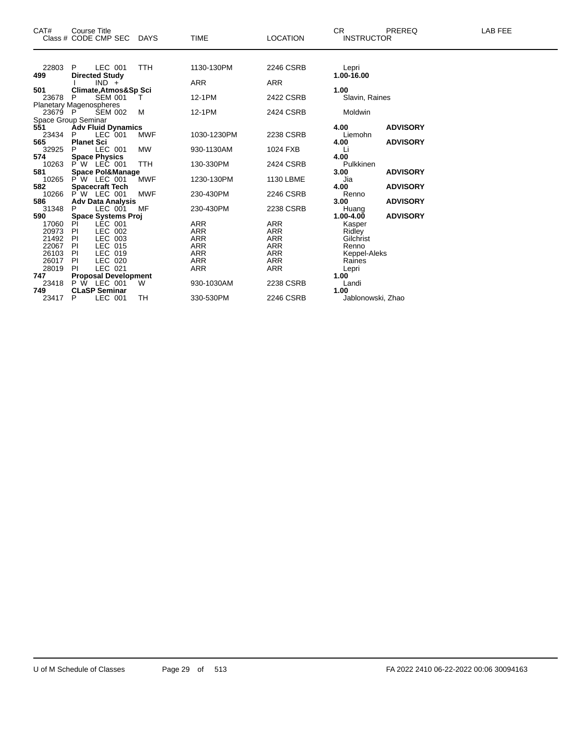| CAT#                    |           | <b>Course Title</b><br>Class # CODE CMP SEC DAYS |            | <b>TIME</b> | <b>LOCATION</b> | <b>CR</b><br><b>INSTRUCTOR</b> | <b>PREREQ</b>   | <b>LAB FEE</b> |
|-------------------------|-----------|--------------------------------------------------|------------|-------------|-----------------|--------------------------------|-----------------|----------------|
|                         |           |                                                  |            |             |                 |                                |                 |                |
| 22803                   | P.        | LEC 001                                          | <b>TTH</b> | 1130-130PM  | 2246 CSRB       | Lepri                          |                 |                |
| 499                     |           | <b>Directed Study</b><br>$IND +$                 |            | ARR         | <b>ARR</b>      | 1.00-16.00                     |                 |                |
| 501                     |           | Climate, Atmos&Sp Sci                            |            |             |                 | 1.00                           |                 |                |
| 23678                   | P         | <b>SEM 001</b>                                   |            | 12-1PM      | 2422 CSRB       | Slavin, Raines                 |                 |                |
| Planetary Magenospheres |           |                                                  |            |             |                 |                                |                 |                |
| 23679 P                 |           | <b>SEM 002</b>                                   | M          | 12-1PM      | 2424 CSRB       | Moldwin                        |                 |                |
| Space Group Seminar     |           |                                                  |            |             |                 |                                |                 |                |
| 551                     |           | <b>Adv Fluid Dynamics</b>                        |            |             |                 | 4.00                           | <b>ADVISORY</b> |                |
| 23434                   | P.        | LEC 001                                          | MWF        | 1030-1230PM | 2238 CSRB       | Liemohn                        |                 |                |
| 565                     |           | <b>Planet Sci</b>                                |            |             |                 | 4.00                           | <b>ADVISORY</b> |                |
| 32925                   |           | LEC 001                                          | <b>MW</b>  | 930-1130AM  | 1024 FXB        | Li                             |                 |                |
| 574                     |           | <b>Space Physics</b>                             |            |             |                 | 4.00                           |                 |                |
| 10263<br>581            |           | P W LEC 001<br><b>Space Pol&amp;Manage</b>       | <b>TTH</b> | 130-330PM   | 2424 CSRB       | Pulkkinen<br>3.00              | <b>ADVISORY</b> |                |
| 10265                   |           | <b>P W LEC 001</b>                               | <b>MWF</b> | 1230-130PM  | 1130 LBME       | Jia                            |                 |                |
| 582                     |           | <b>Spacecraft Tech</b>                           |            |             |                 | 4.00                           | <b>ADVISORY</b> |                |
| 10266                   |           | P W LEC 001                                      | <b>MWF</b> | 230-430PM   | 2246 CSRB       | Renno                          |                 |                |
| 586                     |           | <b>Adv Data Analysis</b>                         |            |             |                 | 3.00                           | <b>ADVISORY</b> |                |
| 31348                   |           | LEC 001                                          | MF         | 230-430PM   | 2238 CSRB       | Huang                          |                 |                |
| 590                     |           | <b>Space Systems Proj</b>                        |            |             |                 | $1.00 - 4.00$                  | <b>ADVISORY</b> |                |
| 17060                   | PI        | <b>LEC 001</b>                                   |            | <b>ARR</b>  | <b>ARR</b>      | Kasper                         |                 |                |
| 20973                   | - PI      | LEC 002                                          |            | <b>ARR</b>  | <b>ARR</b>      | Ridley                         |                 |                |
| 21492                   | PI        | LEC 003                                          |            | <b>ARR</b>  | <b>ARR</b>      | Gilchrist                      |                 |                |
| 22067                   | <b>PI</b> | LEC 015                                          |            | <b>ARR</b>  | <b>ARR</b>      | Renno                          |                 |                |
| 26103                   | - PI      | LEC 019                                          |            | <b>ARR</b>  | ARR             | Keppel-Aleks                   |                 |                |
| 26017 PI                |           | LEC 020                                          |            | <b>ARR</b>  | <b>ARR</b>      | Raines                         |                 |                |
| 28019                   | - PI      | LEC 021                                          |            | <b>ARR</b>  | <b>ARR</b>      | Lepri                          |                 |                |
| 747<br>23418            |           | <b>Proposal Development</b><br>P W LEC 001       | W          | 930-1030AM  | 2238 CSRB       | 1.00<br>Landi                  |                 |                |
| 749                     |           | <b>CLaSP Seminar</b>                             |            |             |                 | 1.00                           |                 |                |
| 23417                   | P         | LEC 001                                          | TН         | 330-530PM   | 2246 CSRB       | Jablonowski, Zhao              |                 |                |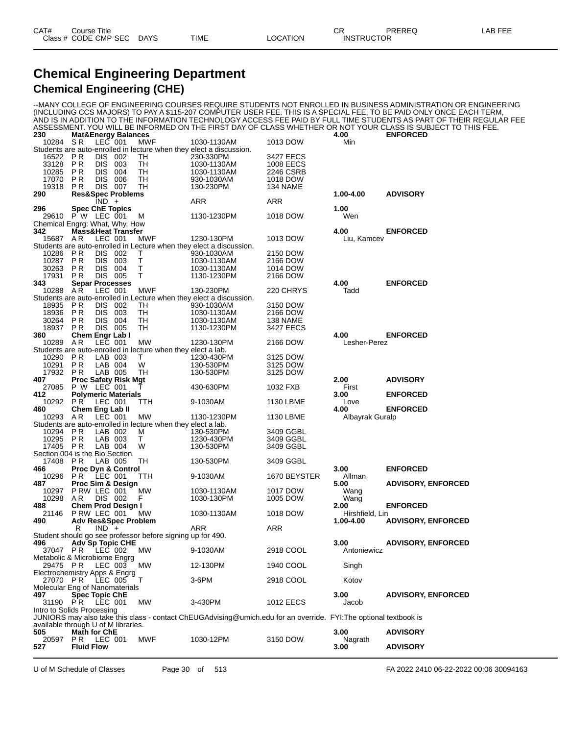#### **Chemical Engineering Department Chemical Engineering (CHE)**

Students are auto-enrolled in lecture when they elect a lab.

10295 P.R. LAB 003 T 1230-430PM<br>17405 P.R. LAB 004 W 130-530PM

--MANY COLLEGE OF ENGINEERING COURSES REQUIRE STUDENTS NOT ENROLLED IN BUSINESS ADMINISTRATION OR ENGINEERING (INCLUDING CCS MAJORS) TO PAY A \$115-207 COMPUTER USER FEE. THIS IS A SPECIAL FEE, TO BE PAID ONLY ONCE EACH TERM, AND IS IN ADDITION TO THE INFORMATION TECHNOLOGY ACCESS FEE PAID BY FULL TIME STUDENTS AS PART OF THEIR REGULAR FEE ASSESSMENT. YOU WILL BE INFORMED ON THE FIRST DAY OF CLASS WHETHER OR NOT YOUR CLASS IS SUBJECT TO THIS FEE. **230 Mat&Energy Balances 4.00 ENFORCED** 10284 S R LEC 001 MWF 1030-1130AM 1013 DOW Min Students are auto-enrolled in lecture when they elect a discussion. 16522 P R DIS 002 TH 230-330PM 3427 EECS 33128 P R DIS 003 TH 1030-1130AM 1008 EECS 10285 P R DIS 004 TH 1030-1130AM 2246 CSRB 17070 P R DIS 006 TH 930-1030AM 1018 DOW 19318 PR DIS 007 TH 130-230PM 134 NAME **290 Res&Spec Problems 1.00-4.00 ADVISORY**  $IND + ARR$  ARR ARR **296 Spec ChE Topics 1.00** 29610 P W LEC 001 M 1130-1230PM 1018 DOW Wen Chemical Engrg: What, Why, How **342 Mass&Heat Transfer 4.00 ENFORCED** Liu, Kamcev Students are auto-enrolled in Lecture when they elect a discussion.<br>10286 PR DIS 002 T 930-1030AM 10286 P R DIS 002 T 930-1030AM 2150 DOW 10287 P R DIS 003 T 1030-1130AM 2166 DOW 30263 P R DIS 004 T 1030-1130AM 1014 DOW 17931 P.R DIS 005 T 1130-1230PM<br>**343 Separ Processes 343 Separ Processes 4.00 ENFORCED** 10288 A R LEC 001 MWF 130-230PM 220 CHRYS<br>Students are auto-enrolled in Lecture when they elect a discussion. dents are auto-enrolled in Lecture when they elect a discussion.<br>18935 PR DIS 002 TH 930-1030AM<br>18936 PR DIS 003 TH 1030-1130AM 18935 P.R DIS 002 TH <sup>´</sup>930-1030AM 3150 DOW<br>18936 P.R DIS 003 TH 1030-1130AM 2166 DOW 18936 P R DIS 003 TH 1030-1130AM 2166 DOW 30264 P R DIS 004 TH 1030-1130AM 138 NAME 18937 PR DIS 005 TH 1130-1230PM **360 Chem Engr Lab I 4.00 ENFORCED** Lesher-Perez Students are auto-enrolled in lecture when they elect a lab.<br>1230-430P = 1230-430P 10290 P R LAB 003 T 1230-430PM 3125 DOW 10291 P R LAB 004 W 130-530PM 3125 DOW 17932 P R LAB 005 TH 130-530PM<br>**407 Proc Safety Risk Mgt 407 Proc Safety Risk Mgt 2.00 ADVISORY** 27085 P W LEC 001 T 430-630PM 1032 FXB First **412 Polymeric Materials 3.00 ENFORCED**

 P R LEC 001 TTH 9-1030AM 1130 LBME Love **Chem Eng Lab II 4.00 ENFORCED** A R LEC 001 MW 1130-1230PM 1130 LBME Albayrak Guralp P R LAB 002 M 130-530PM 3409 GGBL 3409 GGBL

| 17408                               | PR.                             | LAB 005 |                               | TH.                                                        | 130-530PM                                                                                                        | 3409 GGBL        |                   |                           |
|-------------------------------------|---------------------------------|---------|-------------------------------|------------------------------------------------------------|------------------------------------------------------------------------------------------------------------------|------------------|-------------------|---------------------------|
| 466                                 |                                 |         | <b>Proc Dyn &amp; Control</b> |                                                            |                                                                                                                  |                  | 3.00 <sub>1</sub> | <b>ENFORCED</b>           |
| 10296                               | PR LEC 001                      |         |                               | TTH.                                                       | 9-1030AM                                                                                                         | 1670 BEYSTER     | Allman            |                           |
| 487                                 |                                 |         | Proc Sim & Design             |                                                            |                                                                                                                  |                  | 5.00              | <b>ADVISORY, ENFORCED</b> |
| 10297                               | P RW LEC 001                    |         |                               | MW                                                         | 1030-1130AM                                                                                                      | 1017 DOW         | Wang              |                           |
| 10298                               | AR                              | DIS 002 |                               | F                                                          | 1030-130PM                                                                                                       | 1005 DOW         | Wang              |                           |
| 488                                 | <b>Chem Prod Design I</b>       |         |                               |                                                            |                                                                                                                  |                  | 2.00              | <b>ENFORCED</b>           |
| 21146 P RW LEC 001                  |                                 |         |                               | <b>MW</b>                                                  | 1030-1130AM                                                                                                      | 1018 DOW         | Hirshfield, Lin   |                           |
| 490                                 | <b>Adv Res&amp;Spec Problem</b> |         |                               |                                                            |                                                                                                                  |                  | 1.00-4.00         | <b>ADVISORY, ENFORCED</b> |
|                                     | R                               | $IND +$ |                               |                                                            | <b>ARR</b>                                                                                                       | ARR              |                   |                           |
|                                     |                                 |         |                               | Student should go see professor before signing up for 490. |                                                                                                                  |                  |                   |                           |
| 496                                 | <b>Adv Sp Topic CHE</b>         |         |                               |                                                            |                                                                                                                  |                  | 3.00 <sub>1</sub> | <b>ADVISORY, ENFORCED</b> |
|                                     | 37047 PR LEC 002                |         |                               | МW                                                         | 9-1030AM                                                                                                         | 2918 COOL        | Antoniewicz       |                           |
| Metabolic & Microbiome Engrg        |                                 |         |                               |                                                            |                                                                                                                  |                  |                   |                           |
| 29475 PR LEC 003                    |                                 |         |                               | MW                                                         | 12-130PM                                                                                                         | 1940 COOL        | Singh             |                           |
| Electrochemistry Apps & Engrg       |                                 |         |                               |                                                            |                                                                                                                  |                  |                   |                           |
| 27070 PR LEC 005 T                  |                                 |         |                               |                                                            | 3-6PM                                                                                                            | 2918 COOL        | Kotov             |                           |
| Molecular Eng of Nanomaterials      |                                 |         |                               |                                                            |                                                                                                                  |                  |                   |                           |
| 497                                 | <b>Spec Topic ChE</b>           |         |                               |                                                            |                                                                                                                  |                  | 3.00 <sub>1</sub> | <b>ADVISORY, ENFORCED</b> |
|                                     | 31190 PR LEC 001                |         |                               | <b>MW</b>                                                  | 3-430PM                                                                                                          | <b>1012 EECS</b> | Jacob             |                           |
| Intro to Solids Processing          |                                 |         |                               |                                                            |                                                                                                                  |                  |                   |                           |
|                                     |                                 |         |                               |                                                            | JUNIORS may also take this class - contact ChEUGAdvising@umich.edu for an override. FYI:The optional textbook is |                  |                   |                           |
| available through U of M libraries. |                                 |         |                               |                                                            |                                                                                                                  |                  |                   |                           |
| 505                                 | <b>Math for ChE</b>             |         |                               |                                                            |                                                                                                                  |                  | 3.00              | <b>ADVISORY</b>           |
| 20597                               | <b>PR LEC 001</b>               |         |                               | <b>MWF</b>                                                 | 1030-12PM                                                                                                        | 3150 DOW         | Nagrath           |                           |
| 527                                 | <b>Fluid Flow</b>               |         |                               |                                                            |                                                                                                                  |                  | 3.00              | <b>ADVISORY</b>           |
|                                     |                                 |         |                               |                                                            |                                                                                                                  |                  |                   |                           |

Section 004 is the Bio Section.

U of M Schedule of Classes Page 30 of 513 FA 2022 2410 06-22-2022 00:06 30094163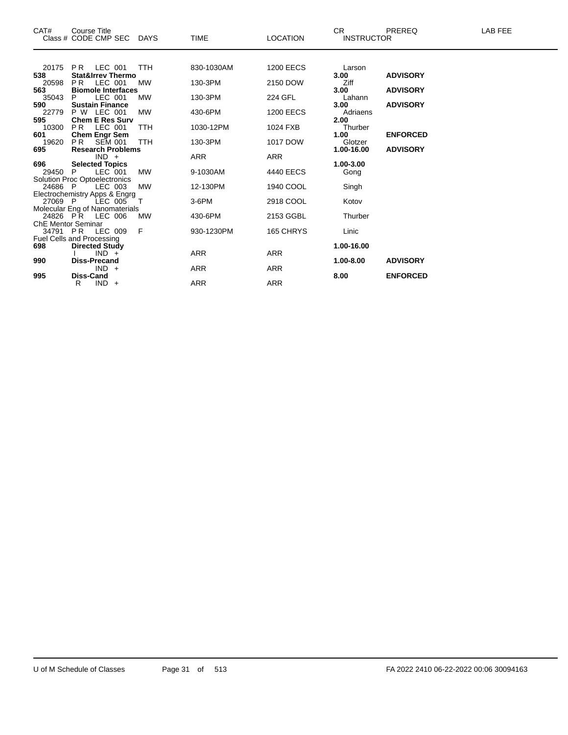| CAT#                      | Course Title<br>Class # CODE CMP SEC DAYS          |            | <b>TIME</b> | <b>LOCATION</b>  | CR.<br><b>INSTRUCTOR</b> | <b>PREREQ</b>   | <b>LAB FEE</b> |
|---------------------------|----------------------------------------------------|------------|-------------|------------------|--------------------------|-----------------|----------------|
|                           |                                                    |            |             |                  |                          |                 |                |
| 20175                     | LEC 001<br>P R                                     | <b>TTH</b> | 830-1030AM  | <b>1200 EECS</b> | Larson                   |                 |                |
| 538                       | <b>Stat&amp;Irrev Thermo</b>                       |            |             |                  | 3.00                     | <b>ADVISORY</b> |                |
| 20598                     | <b>PR</b><br>LEC 001                               | <b>MW</b>  | 130-3PM     | 2150 DOW         | Ziff                     |                 |                |
| 563<br>35043              | <b>Biomole Interfaces</b><br>LEC 001<br>P          | <b>MW</b>  | 130-3PM     | 224 GFL          | 3.00<br>Lahann           | <b>ADVISORY</b> |                |
| 590                       | <b>Sustain Finance</b>                             |            |             |                  | 3.00                     | <b>ADVISORY</b> |                |
| 22779                     | P W LEC 001                                        | <b>MW</b>  | 430-6PM     | <b>1200 EECS</b> | Adriaens                 |                 |                |
| 595                       | <b>Chem E Res Surv</b>                             |            |             |                  | 2.00                     |                 |                |
| 10300                     | LEC 001<br>PR.                                     | <b>TTH</b> | 1030-12PM   | 1024 FXB         | Thurber                  |                 |                |
| 601                       | <b>Chem Engr Sem</b>                               |            |             |                  | 1.00                     | <b>ENFORCED</b> |                |
| 19620                     | PR.<br><b>SEM 001</b>                              | <b>TTH</b> | 130-3PM     | 1017 DOW         | Glotzer                  |                 |                |
| 695                       | <b>Research Problems</b>                           |            |             |                  | 1.00-16.00               | <b>ADVISORY</b> |                |
|                           | $IND +$                                            |            | ARR         | ARR              |                          |                 |                |
| 696                       | <b>Selected Topics</b>                             |            |             |                  | 1.00-3.00                |                 |                |
| 29450 P                   | LEC 001                                            | <b>MW</b>  | 9-1030AM    | 4440 EECS        | Gong                     |                 |                |
|                           | <b>Solution Proc Optoelectronics</b>               |            |             |                  |                          |                 |                |
| 24686 P                   | LEC 003                                            | <b>MW</b>  | 12-130PM    | 1940 COOL        | Singh                    |                 |                |
|                           | Electrochemistry Apps & Engrg                      |            |             |                  |                          |                 |                |
| 27069 P                   | LEC 005                                            | $\top$     | 3-6PM       | 2918 COOL        | Kotov                    |                 |                |
|                           | Molecular Eng of Nanomaterials<br>24826 PR LEC 006 | <b>MW</b>  | 430-6PM     | 2153 GGBL        | Thurber                  |                 |                |
| <b>ChE Mentor Seminar</b> |                                                    |            |             |                  |                          |                 |                |
|                           | 34791 PR LEC 009                                   | F          | 930-1230PM  | 165 CHRYS        | Linic                    |                 |                |
|                           | Fuel Cells and Processing                          |            |             |                  |                          |                 |                |
| 698                       | <b>Directed Study</b>                              |            |             |                  | 1.00-16.00               |                 |                |
|                           | $IND +$                                            |            | <b>ARR</b>  | <b>ARR</b>       |                          |                 |                |
| 990                       | <b>Diss-Precand</b>                                |            |             |                  | 1.00-8.00                | <b>ADVISORY</b> |                |
|                           | $IND +$                                            |            | ARR         | <b>ARR</b>       |                          |                 |                |
| 995                       | <b>Diss-Cand</b>                                   |            |             |                  | 8.00                     | <b>ENFORCED</b> |                |
|                           | $IND +$<br>R.                                      |            | ARR         | <b>ARR</b>       |                          |                 |                |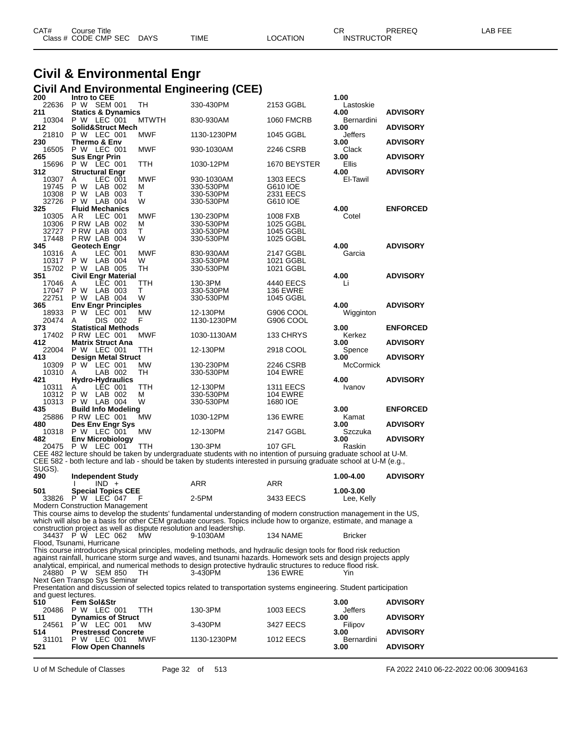| CAT# | Course Title              |      |                 | $\cap$<br>◡ጙ      | <b>PREREQ</b> | LAB FEE |
|------|---------------------------|------|-----------------|-------------------|---------------|---------|
|      | Class # CODE CMP SEC DAYS | TIME | <b>LOCATION</b> | <b>INSTRUCTOR</b> |               |         |

### **Civil & Environmental Engr Civil And Environmental Engineering (CEE)**

| 200<br>22636        | Intro to CEE<br>P W SEM 001                                        | TН              | 330-430PM                                                                                                                                                                                                                             | 2153 GGBL              | 1.00<br>Lastoskie       |                                    |
|---------------------|--------------------------------------------------------------------|-----------------|---------------------------------------------------------------------------------------------------------------------------------------------------------------------------------------------------------------------------------------|------------------------|-------------------------|------------------------------------|
| 211                 | <b>Statics &amp; Dynamics</b>                                      |                 |                                                                                                                                                                                                                                       |                        | 4.00                    | <b>ADVISORY</b>                    |
| 10304               | P W LEC 001<br>Solid&Struct Mech                                   | <b>MTWTH</b>    | 830-930AM                                                                                                                                                                                                                             | <b>1060 FMCRB</b>      | Bernardini              |                                    |
| 212<br>21810<br>230 | P W LEC 001<br>Thermo & Env                                        | MWF             | 1130-1230PM                                                                                                                                                                                                                           | 1045 GGBL              | 3.00<br>Jeffers<br>3.00 | <b>ADVISORY</b><br><b>ADVISORY</b> |
| 16505<br>265        | P W LEC 001<br><b>Sus Engr Prin</b>                                | <b>MWF</b>      | 930-1030AM                                                                                                                                                                                                                            | 2246 CSRB              | Clack<br>3.00           | <b>ADVISORY</b>                    |
| 15696<br>312        | P W LEC 001<br><b>Structural Engr</b>                              | TTH             | 1030-12PM                                                                                                                                                                                                                             | 1670 BEYSTER           | Ellis<br>4.00           | <b>ADVISORY</b>                    |
| 10307<br>19745      | LEC 001<br>A<br>P W<br>LAB 002                                     | <b>MWF</b><br>м | 930-1030AM<br>330-530PM                                                                                                                                                                                                               | 1303 EECS<br>G610 IOE  | El-Tawil                |                                    |
| 10308               | P W LAB 003                                                        | Т               | 330-530PM                                                                                                                                                                                                                             | 2331 EECS              |                         |                                    |
| 32726<br>325        | P W LAB 004<br><b>Fluid Mechanics</b>                              | W               | 330-530PM                                                                                                                                                                                                                             | G610 IOE               | 4.00                    | <b>ENFORCED</b>                    |
| 10305               | AR.<br>LEC 001                                                     | <b>MWF</b>      | 130-230PM                                                                                                                                                                                                                             | 1008 FXB               | Cotel                   |                                    |
| 10306               | PRW LAB 002                                                        | м               | 330-530PM                                                                                                                                                                                                                             | 1025 GGBL              |                         |                                    |
| 32727<br>17448      | PRW LAB 003<br>PRW LAB 004                                         | Τ<br>W          | 330-530PM<br>330-530PM                                                                                                                                                                                                                | 1045 GGBL<br>1025 GGBL |                         |                                    |
| 345                 | Geotech Engr                                                       |                 |                                                                                                                                                                                                                                       |                        | 4.00                    | <b>ADVISORY</b>                    |
| 10316               | LEC 001<br>A                                                       | <b>MWF</b>      | 830-930AM                                                                                                                                                                                                                             | 2147 GGBL              | Garcia                  |                                    |
| 10317               | P W<br>LAB 004                                                     | W               | 330-530PM                                                                                                                                                                                                                             | 1021 GGBL              |                         |                                    |
| 15702<br>351        | P W LAB 005<br><b>Civil Engr Material</b>                          | TH              | 330-530PM                                                                                                                                                                                                                             | 1021 GGBL              | 4.00                    | <b>ADVISORY</b>                    |
| 17046               | LEC 001<br>A                                                       | TTH             | 130-3PM                                                                                                                                                                                                                               | 4440 EECS              | Li                      |                                    |
| 17047               | P W LAB 003                                                        | т               | 330-530PM                                                                                                                                                                                                                             | 136 EWRE               |                         |                                    |
| 22751               | P W LAB 004                                                        | W               | 330-530PM                                                                                                                                                                                                                             | 1045 GGBL              |                         |                                    |
| 365                 | <b>Env Engr Principles</b>                                         |                 |                                                                                                                                                                                                                                       |                        | 4.00                    | <b>ADVISORY</b>                    |
| 18933<br>20474      | P W LEC 001<br>DIS 002<br>A                                        | MW<br>F         | 12-130PM<br>1130-1230PM                                                                                                                                                                                                               | G906 COOL<br>G906 COOL | Wigginton               |                                    |
| 373                 | <b>Statistical Methods</b>                                         |                 |                                                                                                                                                                                                                                       |                        | 3.00                    | <b>ENFORCED</b>                    |
| 17402               | P RW LEC 001                                                       | <b>MWF</b>      | 1030-1130AM                                                                                                                                                                                                                           | 133 CHRYS              | Kerkez                  |                                    |
| 412                 | <b>Matrix Struct Ana</b>                                           |                 |                                                                                                                                                                                                                                       |                        | 3.00                    | <b>ADVISORY</b>                    |
| 22004               | P W LEC 001                                                        | TTH             | 12-130PM                                                                                                                                                                                                                              | 2918 COOL              | Spence                  |                                    |
| 413                 | <b>Design Metal Struct</b>                                         |                 |                                                                                                                                                                                                                                       |                        | 3.00                    | <b>ADVISORY</b>                    |
| 10309<br>10310      | P W LEC 001<br>LAB 002<br>A                                        | MW<br>TH        | 130-230PM<br>330-530PM                                                                                                                                                                                                                | 2246 CSRB<br>104 EWRE  | <b>McCormick</b>        |                                    |
|                     | <b>Hydro-Hydraulics</b>                                            |                 |                                                                                                                                                                                                                                       |                        | 4.00                    | <b>ADVISORY</b>                    |
|                     |                                                                    |                 |                                                                                                                                                                                                                                       |                        |                         |                                    |
| 421<br>10311        | LEC 001<br>A                                                       | <b>TTH</b>      | 12-130PM                                                                                                                                                                                                                              | <b>1311 EECS</b>       | Ivanov                  |                                    |
| 10312               | P W<br>LAB 002                                                     | м               | 330-530PM                                                                                                                                                                                                                             | 104 EWRE               |                         |                                    |
| 10313               | P W LAB 004                                                        | W               | 330-530PM                                                                                                                                                                                                                             | 1680 IOE               |                         |                                    |
| 435                 | <b>Build Info Modeling</b>                                         |                 |                                                                                                                                                                                                                                       |                        | 3.00                    | <b>ENFORCED</b>                    |
|                     | 25886 P RW LEC 001                                                 | MW              | 1030-12PM                                                                                                                                                                                                                             | <b>136 EWRE</b>        | Kamat                   |                                    |
| 480<br>10318        | Des Env Engr Sys<br>P W LEC 001                                    | МW              | 12-130PM                                                                                                                                                                                                                              | 2147 GGBL              | 3.00<br>Szczuka         | <b>ADVISORY</b>                    |
| 482                 | <b>Env Microbiology</b>                                            |                 |                                                                                                                                                                                                                                       |                        | 3.00                    | <b>ADVISORY</b>                    |
| 20475               | P W LEC 001                                                        | TTH             | 130-3PM                                                                                                                                                                                                                               | 107 GFL                | Raskin                  |                                    |
|                     |                                                                    |                 | CEE 482 lecture should be taken by undergraduate students with no intention of pursuing graduate school at U-M.                                                                                                                       |                        |                         |                                    |
|                     |                                                                    |                 | CEE 582 - both lecture and lab - should be taken by students interested in pursuing graduate school at U-M (e.g.,                                                                                                                     |                        |                         |                                    |
| SUGS).<br>490       | <b>Independent Study</b>                                           |                 |                                                                                                                                                                                                                                       |                        | 1.00-4.00               | <b>ADVISORY</b>                    |
|                     | $IND +$                                                            |                 | ARR                                                                                                                                                                                                                                   | ARR                    |                         |                                    |
| 501                 | <b>Special Topics CEE</b>                                          |                 |                                                                                                                                                                                                                                       |                        | 1.00-3.00               |                                    |
|                     | 33826 P W LEC 047                                                  | F               | 2-5PM                                                                                                                                                                                                                                 | 3433 EECS              | Lee, Kelly              |                                    |
|                     | <b>Modern Construction Management</b>                              |                 |                                                                                                                                                                                                                                       |                        |                         |                                    |
|                     |                                                                    |                 | This course aims to develop the students' fundamental understanding of modern construction management in the US,<br>which will also be a basis for other CEM graduate courses. Topics include how to organize, estimate, and manage a |                        |                         |                                    |
|                     | construction project as well as dispute resolution and leadership. |                 |                                                                                                                                                                                                                                       |                        |                         |                                    |
|                     | 34437 P W LEC 062                                                  | <b>MW</b>       | 9-1030AM                                                                                                                                                                                                                              | 134 NAME               | <b>Bricker</b>          |                                    |
|                     | Flood. Tsunami. Hurricane                                          |                 |                                                                                                                                                                                                                                       |                        |                         |                                    |
|                     |                                                                    |                 | This course introduces physical principles, modeling methods, and hydraulic design tools for flood risk reduction                                                                                                                     |                        |                         |                                    |
|                     |                                                                    |                 | against rainfall, hurricane storm surge and waves, and tsunami hazards. Homework sets and design projects apply<br>analytical, empirical, and numerical methods to design protective hydraulic structures to reduce flood risk.       |                        |                         |                                    |
|                     | 24880 P W SEM 850                                                  | TH.             | 3-430PM                                                                                                                                                                                                                               | 136 EWRE               | Yin                     |                                    |
|                     | Next Gen Transpo Sys Seminar                                       |                 |                                                                                                                                                                                                                                       |                        |                         |                                    |
|                     |                                                                    |                 | Presentation and discussion of selected topics related to transportation systems engineering. Student participation                                                                                                                   |                        |                         |                                    |
| and guest lectures. |                                                                    |                 |                                                                                                                                                                                                                                       |                        |                         |                                    |
| 510                 | Fem Sol&Str                                                        | <b>TTH</b>      | 130-3PM                                                                                                                                                                                                                               |                        | 3.00                    | <b>ADVISORY</b>                    |
| 20486<br>511        | P W LEC 001<br><b>Dynamics of Struct</b>                           |                 |                                                                                                                                                                                                                                       | 1003 EECS              | Jeffers<br>3.00         | <b>ADVISORY</b>                    |
| 24561               | P W LEC 001                                                        | MW.             | 3-430PM                                                                                                                                                                                                                               | 3427 EECS              | Filipov                 |                                    |
| 514                 | <b>Prestressd Concrete</b>                                         |                 |                                                                                                                                                                                                                                       |                        | 3.00                    | <b>ADVISORY</b>                    |
| 31101<br>521        | P W LEC 001<br><b>Flow Open Channels</b>                           | MWF             | 1130-1230PM                                                                                                                                                                                                                           | 1012 EECS              | Bernardini<br>3.00      | <b>ADVISORY</b>                    |

U of M Schedule of Classes Page 32 of 513 FA 2022 2410 06-22-2022 00:06 30094163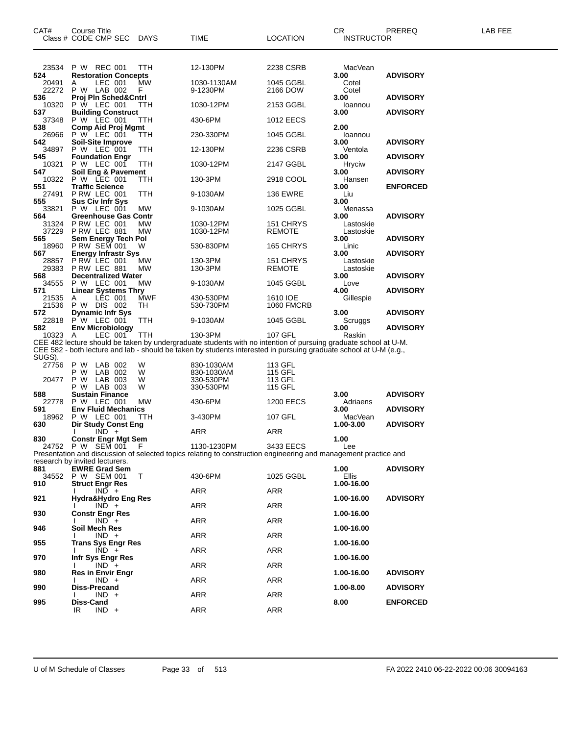| CAT#            | Course Title<br>Class # CODE CMP SEC DAYS        |            | TIME                                                                                                                                                                                                                                 | <b>LOCATION</b>            | CR<br><b>INSTRUCTOR</b> | PREREQ          | LAB FEE |
|-----------------|--------------------------------------------------|------------|--------------------------------------------------------------------------------------------------------------------------------------------------------------------------------------------------------------------------------------|----------------------------|-------------------------|-----------------|---------|
| 524             | 23534 P W REC 001<br><b>Restoration Concepts</b> | TTH        | 12-130PM                                                                                                                                                                                                                             | 2238 CSRB                  | MacVean<br>3.00         | <b>ADVISORY</b> |         |
| 20491<br>22272  | LEC 001<br>A<br>P W LAB 002                      | MW<br>F.   | 1030-1130AM<br>9-1230PM                                                                                                                                                                                                              | 1045 GGBL<br>2166 DOW      | Cotel<br>Cotel          |                 |         |
| 536<br>10320    | Proj Pln Sched&Cntrl<br>P W LEC 001              | TTH        | 1030-12PM                                                                                                                                                                                                                            | 2153 GGBL                  | 3.00<br>loannou         | <b>ADVISORY</b> |         |
| 537<br>37348    | <b>Building Construct</b><br>P W LEC 001         | TTH        | 430-6PM                                                                                                                                                                                                                              | <b>1012 EECS</b>           | 3.00                    | <b>ADVISORY</b> |         |
| 538<br>26966    | <b>Comp Aid Proj Mgmt</b><br>P W LEC 001         | TTH        | 230-330PM                                                                                                                                                                                                                            | 1045 GGBL                  | 2.00<br>loannou         |                 |         |
| 542<br>34897    | <b>Soil-Site Improve</b><br>P W LEC 001          | TTH        | 12-130PM                                                                                                                                                                                                                             | 2236 CSRB                  | 3.00<br>Ventola         | <b>ADVISORY</b> |         |
| 545             | <b>Foundation Engr</b><br>P W LEC 001            |            |                                                                                                                                                                                                                                      |                            | 3.00                    | <b>ADVISORY</b> |         |
| 10321<br>547    | Soil Eng & Pavement                              | TTH        | 1030-12PM                                                                                                                                                                                                                            | 2147 GGBL                  | Hryciw<br>3.00          | <b>ADVISORY</b> |         |
| 10322<br>551    | P W LEC 001<br><b>Traffic Science</b>            | ттн        | 130-3PM                                                                                                                                                                                                                              | 2918 COOL                  | Hansen<br>3.00          | <b>ENFORCED</b> |         |
| 27491<br>555    | P RW LEC 001<br><b>Sus Civ Infr Sys</b>          | TTH        | 9-1030AM                                                                                                                                                                                                                             | <b>136 EWRE</b>            | Liu<br>3.00             |                 |         |
| 33821<br>564    | P W LEC 001<br><b>Greenhouse Gas Contr</b>       | MW         | 9-1030AM                                                                                                                                                                                                                             | 1025 GGBL                  | Menassa<br>3.00         | <b>ADVISORY</b> |         |
| 31324           | P RW LEC 001<br>PRW LEC 881                      | <b>MW</b>  | 1030-12PM                                                                                                                                                                                                                            | 151 CHRYS                  | Lastoskie               |                 |         |
| 37229<br>565    | Sem Energy Tech Pol<br>P RW SEM 001 W            | MW         | 1030-12PM                                                                                                                                                                                                                            | <b>REMOTE</b>              | Lastoskie<br>3.00       | <b>ADVISORY</b> |         |
| 18960<br>567    | <b>Energy Infrastr Sys</b>                       |            | 530-830PM                                                                                                                                                                                                                            | 165 CHRYS                  | Linic<br>3.00           | <b>ADVISORY</b> |         |
| 28857<br>29383  | P RW LEC 001<br>PRW LEC 881                      | МW<br>MW   | 130-3PM<br>130-3PM                                                                                                                                                                                                                   | 151 CHRYS<br><b>REMOTE</b> | Lastoskie<br>Lastoskie  |                 |         |
| 568<br>34555    | <b>Decentralized Water</b><br>P W LEC 001        | <b>MW</b>  | 9-1030AM                                                                                                                                                                                                                             | 1045 GGBL                  | 3.00<br>Love            | <b>ADVISORY</b> |         |
| 571<br>21535    | <b>Linear Systems Thry</b><br>LÉC 001<br>A       | <b>MWF</b> | 430-530PM                                                                                                                                                                                                                            | 1610 IOE                   | 4.00                    | <b>ADVISORY</b> |         |
| 21536           | P W DIS 002                                      | TH         | 530-730PM                                                                                                                                                                                                                            | <b>1060 FMCRB</b>          | Gillespie               |                 |         |
| 572             | <b>Dynamic Infr Sys</b><br>22818 PW LEC 001      | TTH        | 9-1030AM                                                                                                                                                                                                                             | 1045 GGBL                  | 3.00<br>Scruggs         | <b>ADVISORY</b> |         |
| 582<br>10323    | <b>Env Microbiology</b><br>LEC 001<br>A          | TTH        | 130-3PM                                                                                                                                                                                                                              | 107 GFL                    | 3.00<br>Raskin          | <b>ADVISORY</b> |         |
|                 |                                                  |            | CEE 482 lecture should be taken by undergraduate students with no intention of pursuing graduate school at U-M.<br>CEE 582 - both lecture and lab - should be taken by students interested in pursuing graduate school at U-M (e.g., |                            |                         |                 |         |
| SUGS).<br>27756 | P W LAB 002                                      | W          | 830-1030AM                                                                                                                                                                                                                           | 113 GFL                    |                         |                 |         |
|                 | LAB 002<br>P W                                   | W          | 830-1030AM                                                                                                                                                                                                                           | 115 GFL                    |                         |                 |         |
| 20477           | P W LAB 003<br>P W LAB 003                       | W<br>W     | 330-530PM<br>330-530PM                                                                                                                                                                                                               | 113 GFL<br>115 GFL         |                         |                 |         |
| 588<br>22778    | <b>Sustain Finance</b><br>P W LEC 001            | <b>MW</b>  | 430-6PM                                                                                                                                                                                                                              | <b>1200 EECS</b>           | 3.00<br>Adriaens        | <b>ADVISORY</b> |         |
| 591             | <b>Env Fluid Mechanics</b>                       |            |                                                                                                                                                                                                                                      |                            | 3.00                    | <b>ADVISORY</b> |         |
| 18962<br>630    | P W LEC 001<br>Dir Study Const Eng               | <b>TTH</b> | 3-430PM                                                                                                                                                                                                                              | <b>107 GFL</b>             | MacVean<br>1.00-3.00    | <b>ADVISORY</b> |         |
| 830             | $IND +$<br><b>Constr Engr Mgt Sem</b>            |            | ARR                                                                                                                                                                                                                                  | <b>ARR</b>                 | 1.00                    |                 |         |
|                 | 24752 PW SEM 001 F                               |            | 1130-1230PM<br>Presentation and discussion of selected topics relating to construction engineering and management practice and                                                                                                       | 3433 EECS                  | Lee                     |                 |         |
|                 | research by invited lecturers.                   |            |                                                                                                                                                                                                                                      |                            |                         |                 |         |
| 881             | <b>EWRE Grad Sem</b><br>34552 P W SEM 001        | T          | 430-6PM                                                                                                                                                                                                                              | 1025 GGBL                  | 1.00<br>Ellis           | <b>ADVISORY</b> |         |
| 910             | <b>Struct Engr Res</b><br>$IND +$                |            | ARR                                                                                                                                                                                                                                  | ARR                        | 1.00-16.00              |                 |         |
| 921             | <b>Hydra&amp;Hydro Eng Res</b><br>$IND +$        |            | ARR                                                                                                                                                                                                                                  | ARR                        | 1.00-16.00              | <b>ADVISORY</b> |         |
| 930             | <b>Constr Engr Res</b><br>$IND +$                |            | ARR                                                                                                                                                                                                                                  | ARR                        | 1.00-16.00              |                 |         |
| 946             | Soil Mech Res                                    |            |                                                                                                                                                                                                                                      |                            | 1.00-16.00              |                 |         |
| 955             | $IND +$<br><b>Trans Sys Engr Res</b>             |            | ARR                                                                                                                                                                                                                                  | ARR                        | 1.00-16.00              |                 |         |
| 970             | $IND +$<br>Infr Sys Engr Res                     |            | ARR                                                                                                                                                                                                                                  | ARR                        | 1.00-16.00              |                 |         |
| 980             | $IND +$<br><b>Res in Envir Engr</b>              |            | ARR                                                                                                                                                                                                                                  | ARR                        | 1.00-16.00              | <b>ADVISORY</b> |         |
| 990             | $IND +$<br><b>Diss-Precand</b>                   |            | ARR                                                                                                                                                                                                                                  | ARR                        | 1.00-8.00               |                 |         |
|                 | $IND +$                                          |            | ARR                                                                                                                                                                                                                                  | ARR                        |                         | <b>ADVISORY</b> |         |
| 995             | Diss-Cand<br>IR<br>$IND +$                       |            | ARR                                                                                                                                                                                                                                  | ARR                        | 8.00                    | <b>ENFORCED</b> |         |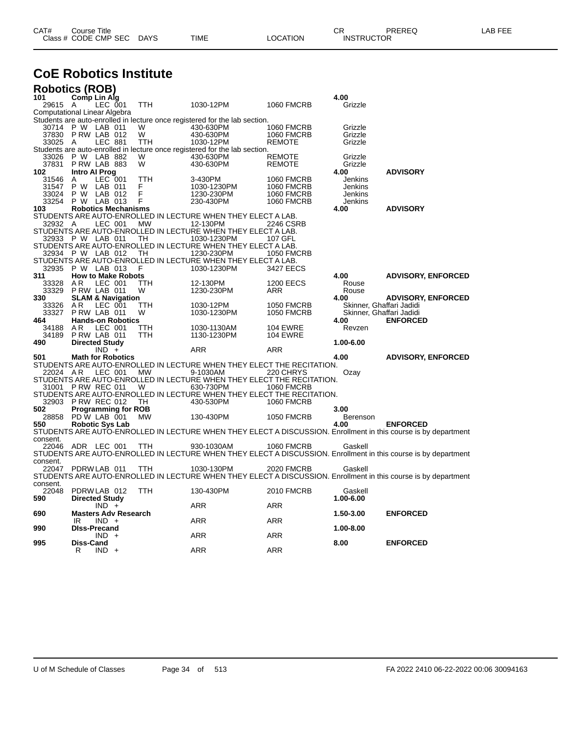| CAT# | ourse Titleٽ<br>Class # CODE CMP SEC | <b>DAYS</b> | TIME | LOCATION | ⌒冖<br>◡⊓<br><b>INSTRUCTOR</b> | PREREQ | : FFF<br>AR. |
|------|--------------------------------------|-------------|------|----------|-------------------------------|--------|--------------|
|      |                                      |             |      |          |                               |        |              |

## **CoE Robotics Institute**

| <b>Robotics (ROB)</b>        |                          |                    |                              |            |                                                                            |                   |                          |                                                                                                                |
|------------------------------|--------------------------|--------------------|------------------------------|------------|----------------------------------------------------------------------------|-------------------|--------------------------|----------------------------------------------------------------------------------------------------------------|
| 101                          | Comp Lin Alg             |                    |                              |            |                                                                            |                   | 4.00                     |                                                                                                                |
| 29615 A                      |                          | LEC 001            |                              | <b>TTH</b> | 1030-12PM                                                                  | <b>1060 FMCRB</b> | Grizzle                  |                                                                                                                |
| Computational Linear Algebra |                          |                    |                              |            |                                                                            |                   |                          |                                                                                                                |
|                              |                          |                    |                              |            | Students are auto-enrolled in lecture once registered for the lab section. |                   |                          |                                                                                                                |
| 30714                        | P W LAB 011              |                    |                              | W          | 430-630PM                                                                  | <b>1060 FMCRB</b> | Grizzle                  |                                                                                                                |
| 37830                        | PRW LAB 012              |                    |                              | W          | 430-630PM                                                                  | <b>1060 FMCRB</b> | Grizzle                  |                                                                                                                |
| 33025                        | A                        | <b>LEC 881</b>     |                              | TTH        | 1030-12PM                                                                  | <b>REMOTE</b>     | Grizzle                  |                                                                                                                |
|                              |                          |                    |                              |            | Students are auto-enrolled in lecture once registered for the lab section. |                   |                          |                                                                                                                |
| 33026                        | P W LAB 882              |                    |                              | W          | 430-630PM                                                                  | <b>REMOTE</b>     | Grizzle                  |                                                                                                                |
| 37831                        | PRW LAB 883              |                    |                              | W          | 430-630PM                                                                  | <b>REMOTE</b>     | Grizzle                  |                                                                                                                |
| 102                          | <b>Intro Al Prog</b>     |                    |                              |            |                                                                            |                   | 4.00                     | <b>ADVISORY</b>                                                                                                |
| 31546                        | Α                        | LEC 001            |                              | TTH        | 3-430PM                                                                    | <b>1060 FMCRB</b> | Jenkins                  |                                                                                                                |
| 31547                        | РW<br>P W                | LAB 011<br>LAB 012 |                              | F<br>Ë     | 1030-1230PM                                                                | <b>1060 FMCRB</b> | Jenkins                  |                                                                                                                |
| 33024<br>33254               | P W                      |                    |                              | F          | 1230-230PM                                                                 | <b>1060 FMCRB</b> | Jenkins                  |                                                                                                                |
| 103                          |                          | LAB 013            |                              |            | 230-430PM                                                                  | <b>1060 FMCRB</b> | Jenkins                  |                                                                                                                |
|                              |                          |                    | <b>Robotics Mechanisms</b>   |            | STUDENTS ARE AUTO-ENROLLED IN LECTURE WHEN THEY ELECT A LAB.               |                   | 4.00                     | <b>ADVISORY</b>                                                                                                |
| 32932 A                      |                          | LEC 001            |                              | <b>MW</b>  | 12-130PM                                                                   | 2246 CSRB         |                          |                                                                                                                |
|                              |                          |                    |                              |            | STUDENTS ARE AUTO-ENROLLED IN LECTURE WHEN THEY ELECT A LAB.               |                   |                          |                                                                                                                |
| 32933                        | P W LAB 011              |                    |                              | <b>TH</b>  | 1030-1230PM                                                                | 107 GFL           |                          |                                                                                                                |
|                              |                          |                    |                              |            | STUDENTS ARE AUTO-ENROLLED IN LECTURE WHEN THEY ELECT A LAB.               |                   |                          |                                                                                                                |
|                              | 32934 P W LAB 012        |                    |                              | TH         | 1230-230PM                                                                 | <b>1050 FMCRB</b> |                          |                                                                                                                |
|                              |                          |                    |                              |            | STUDENTS ARE AUTO-ENROLLED IN LECTURE WHEN THEY ELECT A LAB.               |                   |                          |                                                                                                                |
| 32935                        | P W LAB 013              |                    |                              | F          | 1030-1230PM                                                                | 3427 EECS         |                          |                                                                                                                |
| 311                          |                          |                    | <b>How to Make Robots</b>    |            |                                                                            |                   | 4.00                     | <b>ADVISORY, ENFORCED</b>                                                                                      |
| 33328                        | A R                      | LEC 001            |                              | TTH        | 12-130PM                                                                   | <b>1200 EECS</b>  | Rouse                    |                                                                                                                |
| 33329                        | PRW LAB 011              |                    |                              | W          | 1230-230PM                                                                 | ARR               | Rouse                    |                                                                                                                |
| 330                          |                          |                    | <b>SLAM &amp; Navigation</b> |            |                                                                            |                   | 4.00                     | <b>ADVISORY, ENFORCED</b>                                                                                      |
| 33326                        | AR                       | LEC 001            |                              | TTH        | 1030-12PM                                                                  | <b>1050 FMCRB</b> | Skinner, Ghaffari Jadidi |                                                                                                                |
| 33327                        | PRW LAB 011              |                    |                              | W          | 1030-1230PM                                                                | <b>1050 FMCRB</b> | Skinner, Ghaffari Jadidi |                                                                                                                |
| 464                          |                          |                    | <b>Hands-on Robotics</b>     |            |                                                                            |                   | 4.00                     | <b>ENFORCED</b>                                                                                                |
| 34188                        | A <sub>R</sub>           | LEC 001            |                              | TTH        | 1030-1130AM                                                                | <b>104 EWRE</b>   | Revzen                   |                                                                                                                |
| 34189                        | PRW LAB 011              |                    |                              | <b>TTH</b> | 1130-1230PM                                                                | <b>104 EWRE</b>   |                          |                                                                                                                |
| 490                          | <b>Directed Study</b>    |                    |                              |            |                                                                            |                   | 1.00-6.00                |                                                                                                                |
|                              |                          | $IND +$            |                              |            | <b>ARR</b>                                                                 | <b>ARR</b>        |                          |                                                                                                                |
| 501                          | <b>Math for Robotics</b> |                    |                              |            |                                                                            |                   | 4.00                     | <b>ADVISORY, ENFORCED</b>                                                                                      |
|                              |                          |                    |                              |            | STUDENTS ARE AUTO-ENROLLED IN LECTURE WHEN THEY ELECT THE RECITATION.      |                   |                          |                                                                                                                |
| 22024 AR                     |                          | LEC 001            |                              | МW         | 9-1030AM                                                                   | 220 CHRYS         | Ozay                     |                                                                                                                |
|                              |                          |                    |                              |            | STUDENTS ARE AUTO-ENROLLED IN LECTURE WHEN THEY ELECT THE RECITATION.      |                   |                          |                                                                                                                |
| 31001                        | PRW REC 011              |                    |                              | W          | 630-730PM                                                                  | <b>1060 FMCRB</b> |                          |                                                                                                                |
|                              |                          |                    |                              |            | STUDENTS ARE AUTO-ENROLLED IN LECTURE WHEN THEY ELECT THE RECITATION.      |                   |                          |                                                                                                                |
| 32903                        | PRW REC 012              |                    |                              | TH         | 430-530PM                                                                  | <b>1060 FMCRB</b> |                          |                                                                                                                |
| 502                          |                          |                    | <b>Programming for ROB</b>   |            |                                                                            |                   | 3.00                     |                                                                                                                |
| 28858                        | PD W LAB 001             |                    |                              | <b>MW</b>  | 130-430PM                                                                  | <b>1050 FMCRB</b> | Berenson                 |                                                                                                                |
| 550                          | <b>Robotic Sys Lab</b>   |                    |                              |            |                                                                            |                   | 4.00                     | <b>ENFORCED</b>                                                                                                |
|                              |                          |                    |                              |            |                                                                            |                   |                          | STUDENTS ARE AUTO-ENROLLED IN LECTURE WHEN THEY ELECT A DISCUSSION. Enrollment in this course is by department |
| consent.                     |                          |                    |                              |            |                                                                            |                   |                          |                                                                                                                |
| 22046                        | ADR LEC 001              |                    |                              | TTH        | 930-1030AM                                                                 | <b>1060 FMCRB</b> | Gaskell                  |                                                                                                                |
|                              |                          |                    |                              |            |                                                                            |                   |                          | STUDENTS ARE AUTO-ENROLLED IN LECTURE WHEN THEY ELECT A DISCUSSION. Enrollment in this course is by department |
| consent.                     |                          |                    |                              |            |                                                                            |                   |                          |                                                                                                                |
| 22047                        | PDRW LAB 011             |                    |                              | TTH        | 1030-130PM                                                                 | <b>2020 FMCRB</b> | Gaskell                  |                                                                                                                |
| consent.                     |                          |                    |                              |            |                                                                            |                   |                          | STUDENTS ARE AUTO-ENROLLED IN LECTURE WHEN THEY ELECT A DISCUSSION. Enrollment in this course is by department |
| 22048                        | PDRW LAB 012             |                    |                              | <b>TTH</b> | 130-430PM                                                                  | <b>2010 FMCRB</b> | Gaskell                  |                                                                                                                |
| 590                          |                          |                    |                              |            |                                                                            |                   | 1.00-6.00                |                                                                                                                |
|                              | <b>Directed Study</b>    | $IND +$            |                              |            | ARR                                                                        | ARR               |                          |                                                                                                                |
| 690                          |                          |                    | <b>Masters Adv Research</b>  |            |                                                                            |                   | 1.50-3.00                | <b>ENFORCED</b>                                                                                                |
|                              | IR                       | $IND +$            |                              |            | ARR                                                                        | ARR               |                          |                                                                                                                |
| 990                          | <b>DIss-Precand</b>      |                    |                              |            |                                                                            |                   | 1.00-8.00                |                                                                                                                |
|                              |                          | IND.               | $\ddot{}$                    |            | ARR                                                                        | ARR               |                          |                                                                                                                |
| 995                          | Diss-Cand                |                    |                              |            |                                                                            |                   | 8.00                     | <b>ENFORCED</b>                                                                                                |
|                              | R                        | $IND +$            |                              |            | ARR                                                                        | ARR               |                          |                                                                                                                |
|                              |                          |                    |                              |            |                                                                            |                   |                          |                                                                                                                |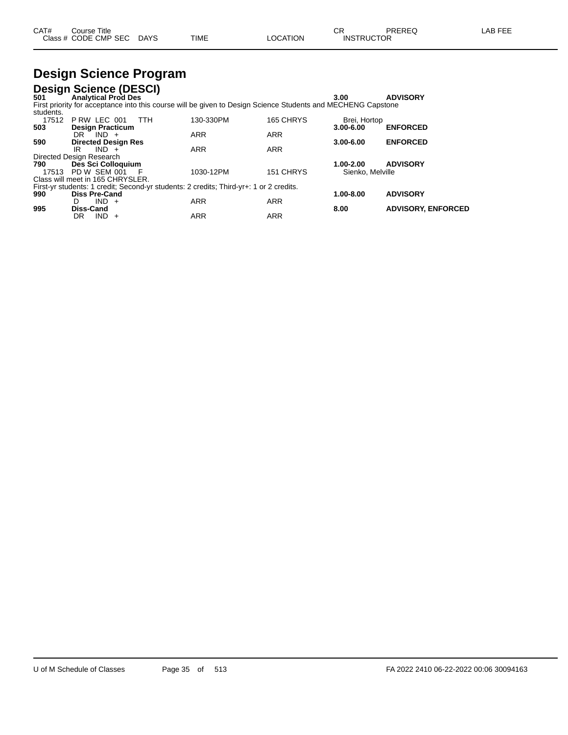| CAT# | ourse Titleٽ         |             |      |          | ⌒冖<br>ັບເ         | PREREQ | AR FFF |
|------|----------------------|-------------|------|----------|-------------------|--------|--------|
|      | Class # CODE CMP SEC | <b>DAYS</b> | TIME | LOCATION | <b>INSTRUCTOR</b> |        |        |

# **Design Science Program**

**Design Science (DESCI) 501 Analytical Prod Des 3.00 ADVISORY** First priority for acceptance into this course will be given to Design Science Students and MECHENG Capstone students. 17512 P RW LEC 001 TTH 130-330PM 165 CHRYS Brei, Hortop

| 11 J I 4 | I IWY LLV VVI<br>.                                                                     | ועו וטטט־טטו | ט ו הווע טטו | <b>DIGI, I IVIIVP</b> |                           |
|----------|----------------------------------------------------------------------------------------|--------------|--------------|-----------------------|---------------------------|
| 503      | <b>Design Practicum</b>                                                                |              |              | $3.00 - 6.00$         | <b>ENFORCED</b>           |
|          | DR<br>$IND +$                                                                          | <b>ARR</b>   | <b>ARR</b>   |                       |                           |
| 590      | <b>Directed Design Res</b>                                                             |              |              | $3.00 - 6.00$         | <b>ENFORCED</b>           |
|          | $IND +$<br>IR                                                                          | <b>ARR</b>   | <b>ARR</b>   |                       |                           |
|          | Directed Design Research                                                               |              |              |                       |                           |
| 790      | Des Sci Colloquium                                                                     |              |              | 1.00-2.00             | <b>ADVISORY</b>           |
| 17513    | PD W SEM 001<br>- F                                                                    | 1030-12PM    | 151 CHRYS    | Sienko, Melville      |                           |
|          | Class will meet in 165 CHRYSLER.                                                       |              |              |                       |                           |
|          | First-yr students: 1 credit; Second-yr students: 2 credits; Third-yr+: 1 or 2 credits. |              |              |                       |                           |
| 990      | <b>Diss Pre-Cand</b>                                                                   |              |              | 1.00-8.00             | <b>ADVISORY</b>           |
|          | $IND +$<br>D                                                                           | <b>ARR</b>   | <b>ARR</b>   |                       |                           |
| 995      | Diss-Cand                                                                              |              |              | 8.00                  | <b>ADVISORY, ENFORCED</b> |
|          | IND.<br>DR.<br>$+$                                                                     | <b>ARR</b>   | ARR          |                       |                           |
|          |                                                                                        |              |              |                       |                           |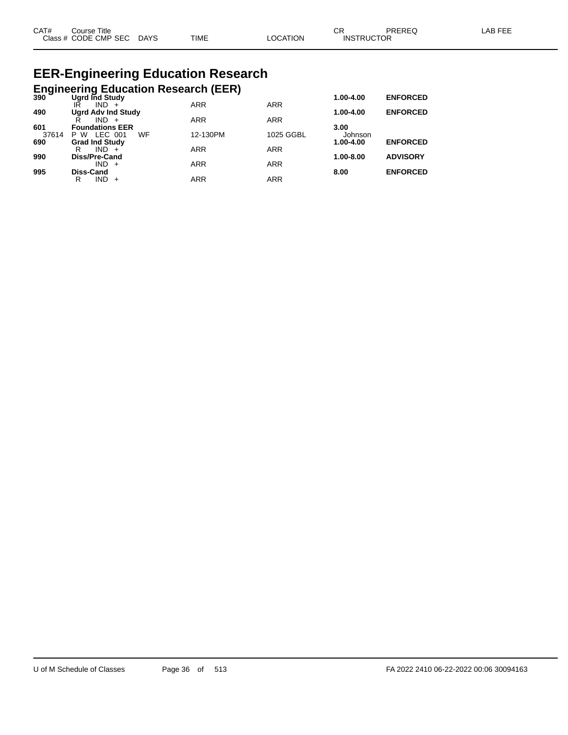| CAT# | ourse Titleٽ              |      |          | ⌒冖<br>◡ド          | PREREQ | LAB FEE |
|------|---------------------------|------|----------|-------------------|--------|---------|
|      | Class # CODE CMP SEC DAYS | TIME | LOCATION | <b>INSTRUCTOR</b> |        |         |

# **EER-Engineering Education Research**

# **Engineering Education Research (EER) 390 Ugrd Ind Study 1.00-4.00 ENFORCED**

| ຈອບ   | <b>UGIU IIIU SLUUV</b>    |            |            | 1.VV-4.VV     | ENFURUED        |
|-------|---------------------------|------------|------------|---------------|-----------------|
|       | $IND +$<br>IR             | <b>ARR</b> | <b>ARR</b> |               |                 |
| 490   | <b>Ugrd Adv Ind Study</b> |            |            | $1.00 - 4.00$ | <b>ENFORCED</b> |
|       | IND.                      | <b>ARR</b> | <b>ARR</b> |               |                 |
| 601   | <b>Foundations EER</b>    |            |            | 3.00          |                 |
| 37614 | WF<br>LEC 001<br>P W      | 12-130PM   | 1025 GGBL  | Johnson       |                 |
| 690   | <b>Grad Ind Study</b>     |            |            | 1.00-4.00     | <b>ENFORCED</b> |
|       | R<br>$IND +$              | <b>ARR</b> | <b>ARR</b> |               |                 |
| 990   | Diss/Pre-Cand             |            |            | $1.00 - 8.00$ | <b>ADVISORY</b> |
|       | $IND +$                   | ARR        | <b>ARR</b> |               |                 |
| 995   | <b>Diss-Cand</b>          |            |            | 8.00          | <b>ENFORCED</b> |
|       | IND<br>R                  | ARR        | <b>ARR</b> |               |                 |
|       |                           |            |            |               |                 |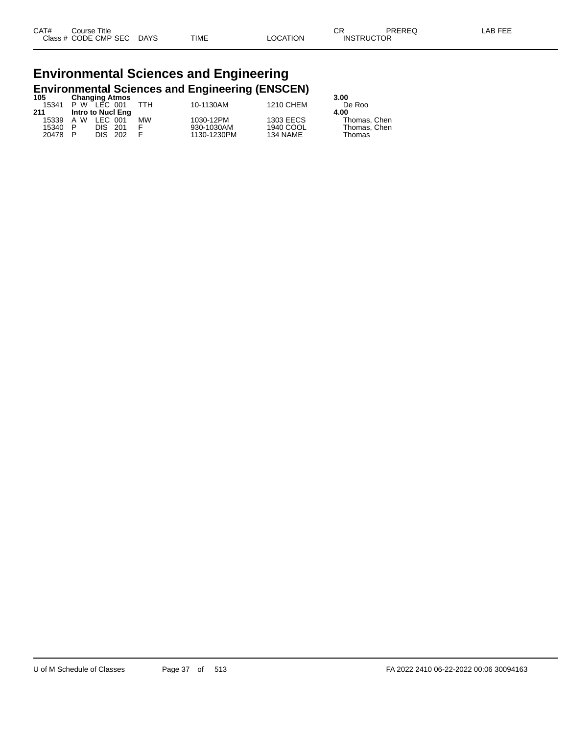## **Environmental Sciences and Engineering Environmental Sciences and Engineering (ENSCEN) 105 Changing Atmos 3.00**

| าบว   |   | <b>Changing Atmos</b> |           |             |           | .s.uu        |
|-------|---|-----------------------|-----------|-------------|-----------|--------------|
| 15341 |   | $P W$ LEC 001         | ттн       | 10-1130AM   | 1210 CHEM | De Roo       |
| 211   |   | Intro to Nucl Eng     |           |             |           | 4.00         |
| 15339 |   | A W LEC 001           | <b>MW</b> | 1030-12PM   | 1303 EECS | Thomas. Chen |
| 15340 | P | DIS 201               |           | 930-1030AM  | 1940 COOL | Thomas, Chen |
| 20478 | P | DIS 202               |           | 1130-1230PM | 134 NAME  | Thomas       |
|       |   |                       |           |             |           |              |

| 3.00         |
|--------------|
| De Roo       |
| 4.00         |
| Thomas, Chen |
| Thomas, Chen |
| Thomac       |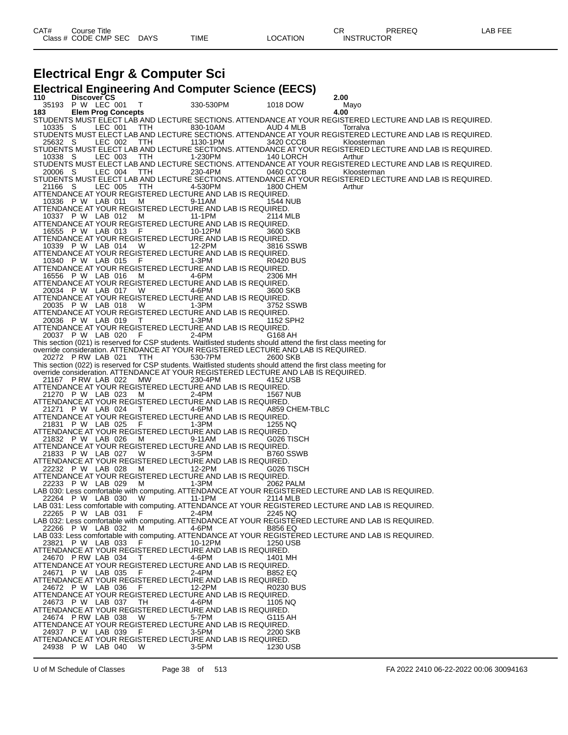### **Electrical Engr & Computer Sci**

**Electrical Engineering And Computer Science (EECS) 110 Discover CS 2.00** 35193 P W LEC 001 T 330-530PM 1018 DOW M<br>1**83 Elem Prog Concepts** 330-530PM 1018 DOW **4.00 183 Elem Prog Concepts 4.00** STUDENTS MUST ELECT LAB AND LECTURE SECTIONS. ATTENDANCE AT YOUR REGISTERED LECTURE AND LAB IS REQUIRED. 10335 S LEC 001 TTH 830-10AM AUD 4 MLB Torralva STUDENTS MUST ELECT LAB AND LECTURE SECTIONS. ATTENDANCE AT YOUR REGISTERED LECTURE AND LAB IS REQUIRED. 25632 S LEC 002 TTH 1130-1PM 3420 CCCB Kloosterman STUDENTS MUST ELECT LAB AND LECTURE SECTIONS. ATTENDANCE AT YOUR REGISTERED LECTURE AND LAB IS REQUIRED. 10338 S LEC 003 TTH 1-230PM 140 LORCH Arthur STUDENTS MUST ELECT LAB AND LECTURE SECTIONS. ATTENDANCE AT YOUR REGISTERED LECTURE AND LAB IS REQUIRED. 20006 S LEC 004 TTH 230-4PM 0460 CCCB Kloosterman STUDENTS MUST ELECT LAB AND LECTURE SECTIONS. ATTENDANCE AT YOUR REGISTERED LECTURE AND LAB IS REQUIRED. 21166 S LEC 005 TTH 4-530PM 1800 CHEM Arthur ATTENDANCE AT YOUR REGISTERED LECTURE AND LAB IS REQUIRED. 10336 P W LAB 011 M 9-11AM 1544 NUB ATTENDANCE AT YOUR REGISTERED LECTURE AND LAB IS REQUIRED. 10337 P W LAB 012 M 11-1PM 2114 MLB ATTENDANCE AT YOUR REGISTERED LECTURE AND LAB IS REQUIRED. 16555 P W LAB 013 F 10-12PM 3600 SKB ATTENDANCE AT YOUR REGISTERED LECTURE AND LAB IS REQUIRED. 10339 P W LAB 014 W 12-2PM 3816 SSWB ATTENDANCE AT YOUR REGISTERED LECTURE AND LAB IS REQUIRED.<br>10340 P W LAB 015 F 1-3PM R0420 BUS 10340 P W LAB 015 F 1-3PM R0420 BUS ATTENDANCE AT YOUR REGISTERED LECTURE AND LAB IS REQUIRED. 16556 P W LAB 016 M 4-6PM 2306 MH ATTENDANCE AT YOUR REGISTERED LECTURE AND LAB IS REQUIRED. 20034 P W LAB 017 W 4-6PM 3600 SKB ATTENDANCE AT YOUR REGISTERED LECTURE AND LAB IS REQUIRED. 20035 P W LAB 018 W 1-3PM 3752 SSWB ATTENDANCE AT YOUR REGISTERED LECTURE AND LAB IS REQUIRED. 20036 P W LAB 019 T 1-3PM 1152 SPH2 ATTENDANCE AT YOUR REGISTERED LECTURE AND LAB IS REQUIRED.<br>20037 P W LAB 020 F 2-4PM 6168 AH 20037 P W LAB 020 This section (021) is reserved for CSP students. Waitlisted students should attend the first class meeting for override consideration. ATTENDANCE AT YOUR REGISTERED LECTURE AND LAB IS REQUIRED.<br>20272 P RW LAB 021 TTH 530-7PM 2600 SKB 20272 P RW LAB 021 This section (022) is reserved for CSP students. Waitlisted students should attend the first class meeting for override consideration. ATTENDANCE AT YOUR REGISTERED LECTURE AND LAB IS REQUIRED. 21167 P RW LAB 022 MW 230-4PM 4152 USB ATTENDANCE AT YOUR REGISTERED LECTURE AND LAB IS REQUIRED.<br>21270 P W LAB 023 M 2-4PM 1567 NUB 21270 P W LAB 023 M ATTENDANCE AT YOUR REGISTERED LECTURE AND LAB IS REQUIRED.<br>21271 P W LAB 024 T 4-6PM 4859 CHEM-TBLC 21271 P W LAB 024 ATTENDANCE AT YOUR REGISTERED LECTURE AND LAB IS REQUIRED.<br>21831 P W LAB 025 F 1-3PM 1255 NQ 21831 P W LAB 025 F 1-3PM 1255 NQ ATTENDANCE AT YOUR REGISTERED LECTURE AND LAB IS REQUIRED. 21832 P W LAB 026 M 9-11AM G026 TISCH ATTENDANCE AT YOUR REGISTERED LECTURE AND LAB IS REQUIRED. 21833 P W LAB 027 W 3-5PM B760 SSWB ATTENDANCE AT YOUR REGISTERED LECTURE AND LAB IS REQUIRED.<br>22232 P W LAB 028 M 12-2PM G026 TISCH 22232 P W LAB 028 M 12-2PM G026 TISCH ATTENDANCE AT YOUR REGISTERED LECTURE AND LAB IS REQUIRED. 22233 P W LAB 029 M 1-3PM 2062 PALM LAB 030: Less comfortable with computing. ATTENDANCE AT YOUR REGISTERED LECTURE AND LAB IS REQUIRED. 22264 P W LAB 0.30 W  $\frac{3}{2}$  11-1PM 2114 MIB LAB 031: Less comfortable with computing. ATTENDANCE AT YOUR REGISTERED LECTURE AND LAB IS REQUIRED.<br>2245 NO 2245 NO 22265 P W LAB 031 F 2-4PM 2245 NQ LAB 032: Less comfortable with computing. ATTENDANCE AT YOUR REGISTERED LECTURE AND LAB IS REQUIRED. 22266 P W LAB 032 M 4-6PM B856 EQ LAB 033: Less comfortable with computing. ATTENDANCE AT YOUR REGISTERED LECTURE AND LAB IS REQUIRED. 23821 P W LAB 033 F 10-12PM 1250 USB ATTENDANCE AT YOUR REGISTERED LECTURE AND LAB IS REQUIRED. 24670 P RW LAB 034 T 4-6PM 1401 MH ATTENDANCE AT YOUR REGISTERED LECTURE AND LAB IS REQUIRED. 24671 P W LAB 035 F 2-4PM B852 EQ ATTENDANCE AT YOUR REGISTERED LECTURE AND LAB IS REQUIRED. 24672 P W LAB 036 F 12-2PM R0230 BUS ATTENDANCE AT YOUR REGISTERED LECTURE AND LAB IS REQUIRED.<br>24673 P W LAB 037 TH 4-6PM 1105 NG 24673 P W LAB 037 TH 4-6PM 1105 NQ ATTENDANCE AT YOUR REGISTERED LECTURE AND LAB IS REQUIRED. 24674 P RW LAB 038 W 5-7PM G115 AH ATTENDANCE AT YOUR REGISTERED LECTURE AND LAB IS REQUIRED. 24937 P W LAB 039 ATTENDANCE AT YOUR REGISTERED LECTURE AND LAB IS REQUIRED.<br>24938 P W LAB 040 W 3-5PM 1230 USB 24938 P W LAB 040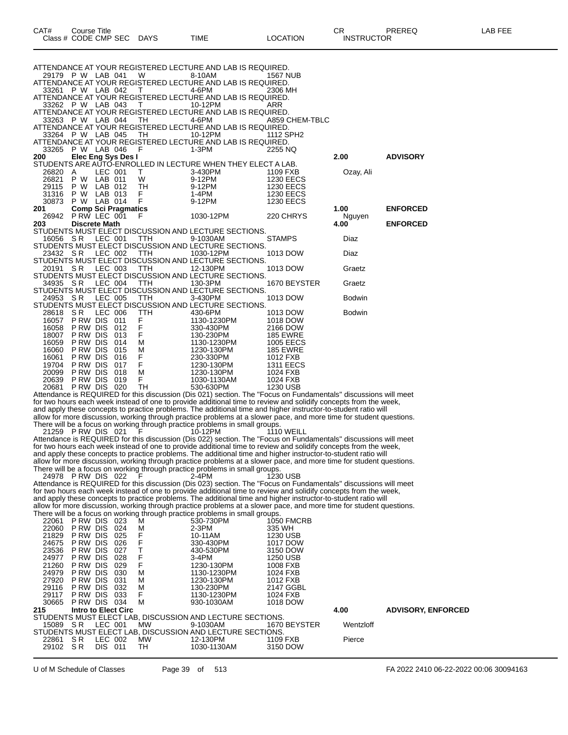| CAT#<br>Course Title |             |      |          | ∩⊓<br>◡           | PREREQ | _AB FEE |
|----------------------|-------------|------|----------|-------------------|--------|---------|
| Class # CODE CMP SEC | <b>DAYS</b> | TIME | LOCATION | <b>INSTRUCTOR</b> |        |         |

ATTENDANCE AT YOUR REGISTERED LECTURE AND LAB IS REQUIRED.<br>33261 P W LAB 042 T 4-6PM 2306 MH 33261 P W LAB 042 ATTENDANCE AT YOUR REGISTERED LECTURE AND LAB IS REQUIRED. 33262 P W LAB 043 T 10-12PM ARR ATTENDANCE AT YOUR REGISTERED LECTURE AND LAB IS REQUIRED. 33263 P W LAB 044 TH 4-6PM A859 CHEM-TBLC ATTENDANCE AT YOUR REGISTERED LECTURE AND LAB IS REQUIRED.<br>33264 P W LAB 045 TH 10-12PM 1112 SPH2 33264 P W LAB 045 ATTENDANCE AT YOUR REGISTERED LECTURE AND LAB IS REQUIRED.<br>33265 P W LAB 046 F 1-3PM 2255 NQ 33265 P W LAB 046 F 1-3PM 2255 NQ **200 Elec Eng Sys Des I 2.00 ADVISORY** STUDENTS ARE AUTO-ENROLLED IN LECTURE WHEN THEY ELECT A LAB. 26820 A LEC 001 T 3-430PM 1109 FXB Ozay, Ali 26821 P W LAB 011 W 9-12PM 1230 EECS 29115 P W LAB 012 TH 9-12PM 1230 EECS 31316 P W LAB 013 F 1-4PM<br>30873 P W LAB 014 F 9-12PM 30873 P W LAB 014 F 9-12PM 1230 EECS<br>
201 Comp Sci Pragmatics **2013 2014 220 Comp Sci Pragmatics**<br> **220 CHRYS 2014 ENFORCED**<br> **220 CHRYS Nguyen** 26942 P RW LEC 001 F 1030-12PM 220 CHRYS Nguyen

**203 Discrete Math 4.00 ENFORCED**

STUDENTS MUST ELECT DISCUSSION AND LECTURE SECTIONS.

16056 S R LEC 001 TTH 9-1030AM STAMPS Diaz STUDENTS MUST ELECT DISCUSSION AND LECTURE SECTIONS.

ATTENDANCE AT YOUR REGISTERED LECTURE AND LAB IS REQUIRED.<br>29179 P W LAB 041 W 8-10AM 1567 NUB

29179 P W LAB 041

23432 S R LEC 002 TTH 1030-12PM 1013 DOW Diaz STUDENTS MUST ELECT DISCUSSION AND LECTURE SECTIONS. 20191 S R LEC 003 TTH 12-130PM 1013 DOW Graetz

STUDENTS MUST ELECT DISCUSSION AND LECTURE SECTIONS.<br>34935 SR LEC 004 TTH 130-3PM 1670 BEYSTER

34935 S R LEC 004 TTH 130-3PM 1670 BEYSTER Graetz STUDENTS MUST ELECT DISCUSSION AND LECTURE SECTIONS. 24953 SR LEC 005 TTH 3-430PM 1013 DOW Bodwin

|       |          |         |     |     | STUDENTS MUST ELECT DISCUSSION AND LECTURE SECTIONS. |                  |               |
|-------|----------|---------|-----|-----|------------------------------------------------------|------------------|---------------|
| 28618 | S R      | LEC 006 |     | TTH | 430-6PM                                              | 1013 DOW         | <b>Bodwin</b> |
| 16057 | P RW DIS |         | 011 | F   | 1130-1230PM                                          | 1018 DOW         |               |
| 16058 | PRW DIS  |         | 012 | F   | 330-430PM                                            | 2166 DOW         |               |
| 18007 | P RW DIS |         | 013 | F   | 130-230PM                                            | <b>185 EWRE</b>  |               |
| 16059 | P RW DIS |         | 014 | М   | 1130-1230PM                                          | 1005 EECS        |               |
| 16060 | P RW DIS |         | 015 | м   | 1230-130PM                                           | <b>185 EWRE</b>  |               |
| 16061 | P RW DIS |         | 016 |     | 230-330PM                                            | 1012 FXB         |               |
| 19704 | P RW DIS |         | 017 | F   | 1230-130PM                                           | <b>1311 EECS</b> |               |
| 20099 | P RW DIS |         | 018 | М   | 1230-130PM                                           | 1024 FXB         |               |
| 20639 | P RW DIS |         | 019 | F   | 1030-1130AM                                          | 1024 FXB         |               |

20681 P RW DIS 020 TH 530-630PM 1230 USB Attendance is REQUIRED for this discussion (Dis 021) section. The "Focus on Fundamentals'' discussions will meet for two hours each week instead of one to provide additional time to review and solidify concepts from the week, and apply these concepts to practice problems. The additional time and higher instructor-to-student ratio will allow for more discussion, working through practice problems at a slower pace, and more time for student questions.

There will be a focus on working through practice problems in small groups.

21259 P RW DIS 021 F 10-12PM 1110 WEILL Attendance is REQUIRED for this discussion (Dis 022) section. The "Focus on Fundamentals'' discussions will meet for two hours each week instead of one to provide additional time to review and solidify concepts from the week, and apply these concepts to practice problems. The additional time and higher instructor-to-student ratio will allow for more discussion, working through practice problems at a slower pace, and more time for student questions. There will be a focus on working through practice problems in small groups.

24978 P RW DIS 022 F 2-4PM 1230 USB Attendance is REQUIRED for this discussion (Dis 023) section. The "Focus on Fundamentals'' discussions will meet for two hours each week instead of one to provide additional time to review and solidify concepts from the week, and apply these concepts to practice problems. The additional time and higher instructor-to-student ratio will

allow for more discussion, working through practice problems at a slower pace, and more time for student questions. There will be a focus on working through practice problems in small groups.

| 22061    | P RW                | <b>DIS</b> | 023  | ັ<br>M | ີ | 530-730PM                                                 | <b>1050 FMCRB</b> |           |                           |
|----------|---------------------|------------|------|--------|---|-----------------------------------------------------------|-------------------|-----------|---------------------------|
| 22060    | P RW                | <b>DIS</b> | 024  | M      |   | $2-3PM$                                                   | 335 WH            |           |                           |
| 21829    | P RW                | <b>DIS</b> | 025  |        |   | 10-11AM                                                   | 1230 USB          |           |                           |
| 24675    | P RW                | <b>DIS</b> | 026  |        |   | 330-430PM                                                 | 1017 DOW          |           |                           |
| 23536    | P RW                | <b>DIS</b> | 027  |        |   | 430-530PM                                                 | 3150 DOW          |           |                           |
| 24977    | P RW                | <b>DIS</b> | 028  |        |   | $3-4PM$                                                   | 1250 USB          |           |                           |
| 21260    | P RW                | <b>DIS</b> | 029  | F      |   | 1230-130PM                                                | 1008 FXB          |           |                           |
| 24979    | P RW                | <b>DIS</b> | 030  | М      |   | 1130-1230PM                                               | 1024 FXB          |           |                           |
| 27920    | P RW                | <b>DIS</b> | 031  | M      |   | 1230-130PM                                                | 1012 FXB          |           |                           |
| 29116    | P RW                | <b>DIS</b> | 032  | M      |   | 130-230PM                                                 | 2147 GGBL         |           |                           |
| 29117    | P RW                | <b>DIS</b> | 033  | F      |   | 1130-1230PM                                               | 1024 FXB          |           |                           |
| 30665    | P RW DIS            |            | 034  | м      |   | 930-1030AM                                                | 1018 DOW          |           |                           |
| 215      | Intro to Elect Circ |            |      |        |   |                                                           |                   | 4.00      | <b>ADVISORY, ENFORCED</b> |
|          |                     |            |      |        |   | STUDENTS MUST ELECT LAB. DISCUSSION AND LECTURE SECTIONS. |                   |           |                           |
| 15089 SR |                     | LEC 001    |      | MW     |   | 9-1030AM                                                  | 1670 BEYSTER      | Wentzloff |                           |
|          |                     |            |      |        |   | STUDENTS MUST ELECT LAB, DISCUSSION AND LECTURE SECTIONS. |                   |           |                           |
| 22861    | S R                 | LEC 002    |      | MW     |   | 12-130PM                                                  | 1109 FXB          | Pierce    |                           |
| 29102    | S R                 | <b>DIS</b> | -011 | TН     |   | 1030-1130AM                                               | 3150 DOW          |           |                           |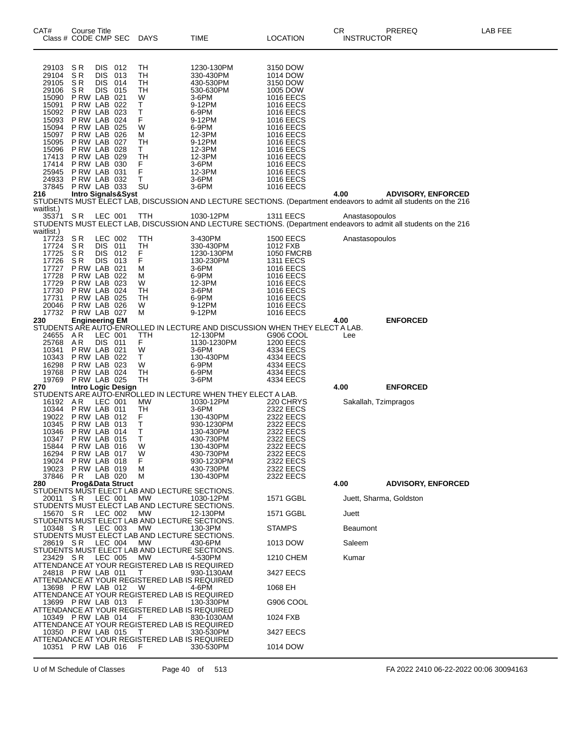| CAT#                                                                                                                                                         | Course Title<br>Class # CODE CMP SEC                                                                                                                                                                                                                                           |                                                |                          | <b>DAYS</b>                                                                              | TIME                                                                                                                                                                                                      | LOCATION                                                                                                                                                                                                                                                                                                         | CR<br><b>INSTRUCTOR</b>   | <b>PREREQ</b>                                                                                                    | LAB FEE |
|--------------------------------------------------------------------------------------------------------------------------------------------------------------|--------------------------------------------------------------------------------------------------------------------------------------------------------------------------------------------------------------------------------------------------------------------------------|------------------------------------------------|--------------------------|------------------------------------------------------------------------------------------|-----------------------------------------------------------------------------------------------------------------------------------------------------------------------------------------------------------|------------------------------------------------------------------------------------------------------------------------------------------------------------------------------------------------------------------------------------------------------------------------------------------------------------------|---------------------------|------------------------------------------------------------------------------------------------------------------|---------|
| 29103<br>29104<br>29105<br>29106<br>15090<br>15091<br>15092<br>15093<br>15094<br>15097<br>15095<br>15096<br>17413<br>17414<br>25945<br>24933<br>37845<br>216 | SR<br>$\overline{S}$ R<br>SR.<br>SR.<br>PRW LAB 021<br>P RW LAB 022<br>P RW LAB 023<br>PRW LAB 024<br>PRW LAB 025<br>P RW LAB 026<br>P RW LAB 027<br>PRW LAB 028<br>PRW LAB 029<br>P RW LAB 030<br>PRW LAB 031<br>P RW LAB 032<br>PRW LAB 033<br><b>Intro Signals&amp;Syst</b> | <b>DIS</b><br><b>DIS</b><br><b>DIS</b><br>DIS. | 012<br>013<br>014<br>015 | TH<br>TН<br>TН<br>TН<br>W<br>т<br>Т<br>F<br>W<br>М<br>TН<br>Τ<br>TH<br>F<br>F<br>T<br>SU | 1230-130PM<br>330-430PM<br>430-530PM<br>530-630PM<br>3-6PM<br>9-12PM<br>6-9PM<br>9-12PM<br>6-9PM<br>12-3PM<br>9-12PM<br>12-3PM<br>12-3PM<br>3-6PM<br>12-3PM<br>3-6PM<br>3-6PM                             | 3150 DOW<br>1014 DOW<br>3150 DOW<br>1005 DOW<br><b>1016 EECS</b><br><b>1016 EECS</b><br><b>1016 EECS</b><br><b>1016 EECS</b><br><b>1016 EECS</b><br><b>1016 EECS</b><br><b>1016 EECS</b><br><b>1016 EECS</b><br><b>1016 EECS</b><br><b>1016 EECS</b><br><b>1016 EECS</b><br><b>1016 EECS</b><br><b>1016 EECS</b> | 4.00                      | <b>ADVISORY, ENFORCED</b>                                                                                        |         |
| waitlist.)                                                                                                                                                   |                                                                                                                                                                                                                                                                                |                                                |                          |                                                                                          |                                                                                                                                                                                                           |                                                                                                                                                                                                                                                                                                                  |                           | STUDENTS MUST ELECT LAB, DISCUSSION AND LECTURE SECTIONS. (Department endeavors to admit all students on the 216 |         |
| 35371<br>waitlist.)                                                                                                                                          | SR.                                                                                                                                                                                                                                                                            | LEC 001                                        |                          | TTH                                                                                      | 1030-12PM                                                                                                                                                                                                 | <b>1311 EECS</b>                                                                                                                                                                                                                                                                                                 | Anastasopoulos            | STUDENTS MUST ELECT LAB, DISCUSSION AND LECTURE SECTIONS. (Department endeavors to admit all students on the 216 |         |
| 17723<br>17724<br>17725<br>17726<br>17727<br>17728<br>17729<br>17730<br>17731<br>20046<br>17732                                                              | SR<br>SR<br>SR<br>SR.<br>PRW LAB 021<br>P RW LAB 022<br>P RW LAB 023<br>PRW LAB 024<br><b>P RW LAB 025</b><br>PRW LAB 026<br>PRW LAB 027                                                                                                                                       | LEC 002<br>DIS 011<br><b>DIS</b><br>DIS.       | 012<br>013               | TTH<br>TH<br>F<br>F<br>М<br>М<br>W<br>TН<br>TН<br>W<br>М                                 | 3-430PM<br>330-430PM<br>1230-130PM<br>130-230PM<br>3-6PM<br>6-9PM<br>12-3PM<br>3-6PM<br>6-9PM<br>9-12PM<br>9-12PM                                                                                         | <b>1500 EECS</b><br>1012 FXB<br>1050 FMCRB<br><b>1311 EECS</b><br><b>1016 EECS</b><br><b>1016 EECS</b><br><b>1016 EECS</b><br><b>1016 EECS</b><br><b>1016 EECS</b><br><b>1016 EECS</b><br><b>1016 EECS</b>                                                                                                       | Anastasopoulos            |                                                                                                                  |         |
| 230                                                                                                                                                          | <b>Engineering EM</b>                                                                                                                                                                                                                                                          |                                                |                          |                                                                                          |                                                                                                                                                                                                           |                                                                                                                                                                                                                                                                                                                  | 4.00                      | <b>ENFORCED</b>                                                                                                  |         |
| 24655<br>25768<br>10341<br>10343<br>16298<br>19768<br>19769                                                                                                  | A R<br>AR.<br>PRW LAB 021<br>PRW LAB 022<br>P RW LAB 023<br>PRW LAB 024<br>PRW LAB 025                                                                                                                                                                                         | LEC 001<br>DIS 011                             |                          | TTH<br>F.<br>W<br>T<br>W<br>TН<br>TН                                                     | STUDENTS ARE AUTO-ENROLLED IN LECTURE AND DISCUSSION WHEN THEY ELECT A LAB.<br>12-130PM<br>1130-1230PM<br>3-6PM<br>130-430PM<br>6-9PM<br>6-9PM<br>3-6PM                                                   | G906 COOL<br><b>1200 EECS</b><br>4334 EECS<br>4334 EECS<br>4334 EECS<br>4334 EECS<br>4334 EECS                                                                                                                                                                                                                   | Lee                       |                                                                                                                  |         |
| 270                                                                                                                                                          | <b>Intro Logic Design</b>                                                                                                                                                                                                                                                      |                                                |                          |                                                                                          |                                                                                                                                                                                                           |                                                                                                                                                                                                                                                                                                                  | 4.00                      | <b>ENFORCED</b>                                                                                                  |         |
| 16192 AR<br>10344<br>19022<br>10345<br>10346<br>10347<br>15844<br>16294<br>19024<br>19023<br>37846<br>280                                                    | PRW LAB 011<br>PRW LAB 012<br>PRW LAB 013<br>PRW LAB 014<br>PRW LAB 015<br>PRW LAB 016<br>PRW LAB 017<br>PRW LAB 018<br>PRW LAB 019<br>PR.<br>Prog&Data Struct                                                                                                                 | LEC 001<br>LAB 020                             |                          | MW<br>TН<br>F<br>Т<br>Τ<br>Τ<br>w<br>W<br>F<br>м<br>м                                    | STUDENTS ARE AUTO-ENROLLED IN LECTURE WHEN THEY ELECT A LAB.<br>1030-12PM<br>3-6PM<br>130-430PM<br>930-1230PM<br>130-430PM<br>430-730PM<br>130-430PM<br>430-730PM<br>930-1230PM<br>430-730PM<br>130-430PM | 220 CHRYS<br>2322 EECS<br>2322 EECS<br>2322 EECS<br>2322 EECS<br>2322 EECS<br>2322 EECS<br>2322 EECS<br>2322 EECS<br>2322 EECS<br>2322 EECS                                                                                                                                                                      | 4.00                      | Sakallah, Tzimpragos<br><b>ADVISORY, ENFORCED</b>                                                                |         |
|                                                                                                                                                              |                                                                                                                                                                                                                                                                                |                                                |                          | STUDENTS MUST ELECT LAB AND LECTURE SECTIONS.                                            |                                                                                                                                                                                                           |                                                                                                                                                                                                                                                                                                                  |                           |                                                                                                                  |         |
| 20011 SR<br>15670 SR                                                                                                                                         |                                                                                                                                                                                                                                                                                | LEC 001<br>LEC 002                             |                          | МW<br>STUDENTS MUST ELECT LAB AND LECTURE SECTIONS.<br><b>MW</b>                         | 1030-12PM<br>12-130PM                                                                                                                                                                                     | 1571 GGBL<br>1571 GGBL                                                                                                                                                                                                                                                                                           | Juett                     | Juett, Sharma, Goldston                                                                                          |         |
|                                                                                                                                                              |                                                                                                                                                                                                                                                                                |                                                |                          | STUDENTS MUST ELECT LAB AND LECTURE SECTIONS.                                            |                                                                                                                                                                                                           |                                                                                                                                                                                                                                                                                                                  |                           |                                                                                                                  |         |
| 10348 SR<br>28619 SR                                                                                                                                         |                                                                                                                                                                                                                                                                                | LEC 003<br>LEC 004                             |                          | MW<br>STUDENTS MUST ELECT LAB AND LECTURE SECTIONS.<br>MW                                | 130-3PM<br>430-6PM                                                                                                                                                                                        | <b>STAMPS</b><br>1013 DOW                                                                                                                                                                                                                                                                                        | <b>Beaumont</b><br>Saleem |                                                                                                                  |         |
|                                                                                                                                                              |                                                                                                                                                                                                                                                                                |                                                |                          | STUDENTS MUST ELECT LAB AND LECTURE SECTIONS.                                            |                                                                                                                                                                                                           |                                                                                                                                                                                                                                                                                                                  |                           |                                                                                                                  |         |
| 23429 SR                                                                                                                                                     | 24818 P RW LAB 011                                                                                                                                                                                                                                                             | LEC 005                                        |                          | <b>MW</b><br>ATTENDANCE AT YOUR REGISTERED LAB IS REQUIRED<br>т                          | 4-530PM<br>930-1130AM                                                                                                                                                                                     | 1210 CHEM<br>3427 EECS                                                                                                                                                                                                                                                                                           | Kumar                     |                                                                                                                  |         |
|                                                                                                                                                              | 13698 P RW LAB 012                                                                                                                                                                                                                                                             |                                                |                          | ATTENDANCE AT YOUR REGISTERED LAB IS REQUIRED<br>W                                       | 4-6PM                                                                                                                                                                                                     | 1068 EH                                                                                                                                                                                                                                                                                                          |                           |                                                                                                                  |         |
|                                                                                                                                                              | 13699 P RW LAB 013                                                                                                                                                                                                                                                             |                                                |                          | ATTENDANCE AT YOUR REGISTERED LAB IS REQUIRED<br>F                                       | 130-330PM                                                                                                                                                                                                 | G906 COOL                                                                                                                                                                                                                                                                                                        |                           |                                                                                                                  |         |
|                                                                                                                                                              | 10349 P RW LAB 014                                                                                                                                                                                                                                                             |                                                |                          | ATTENDANCE AT YOUR REGISTERED LAB IS REQUIRED<br>- F                                     | 830-1030AM                                                                                                                                                                                                | 1024 FXB                                                                                                                                                                                                                                                                                                         |                           |                                                                                                                  |         |
|                                                                                                                                                              | 10350 P RW LAB 015                                                                                                                                                                                                                                                             |                                                |                          | ATTENDANCE AT YOUR REGISTERED LAB IS REQUIRED<br>Τ                                       | 330-530PM                                                                                                                                                                                                 | 3427 EECS                                                                                                                                                                                                                                                                                                        |                           |                                                                                                                  |         |
|                                                                                                                                                              | 10351 P RW LAB 016                                                                                                                                                                                                                                                             |                                                |                          | ATTENDANCE AT YOUR REGISTERED LAB IS REQUIRED<br>F                                       | 330-530PM                                                                                                                                                                                                 | 1014 DOW                                                                                                                                                                                                                                                                                                         |                           |                                                                                                                  |         |

U of M Schedule of Classes Page 40 of 513 FA 2022 2410 06-22-2022 00:06 30094163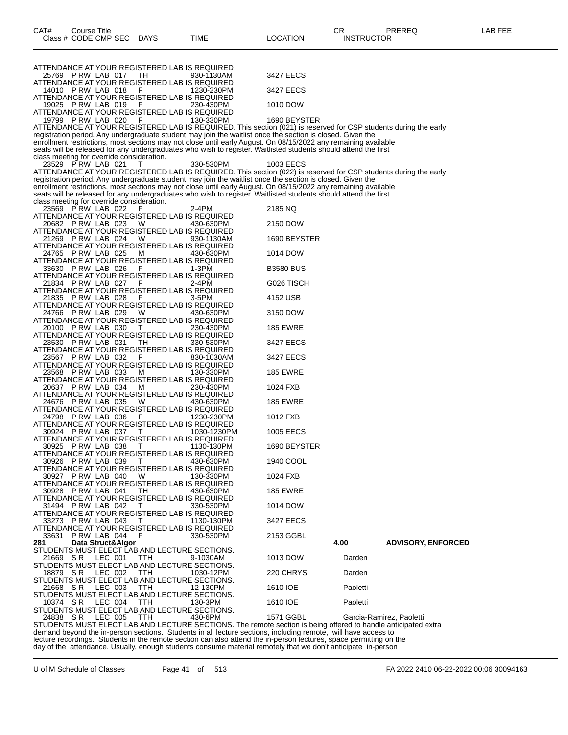| Class # CODE CMP SEC<br>DAYS<br>TIME                                                                                                                                                                                          | LOCATION         | <b>INSTRUCTOR</b> |                           |
|-------------------------------------------------------------------------------------------------------------------------------------------------------------------------------------------------------------------------------|------------------|-------------------|---------------------------|
|                                                                                                                                                                                                                               |                  |                   |                           |
| ATTENDANCE AT YOUR REGISTERED LAB IS REQUIRED<br>25769 PRW LAB 017<br>TH<br>930-1130AM                                                                                                                                        | 3427 EECS        |                   |                           |
| ATTENDANCE AT YOUR REGISTERED LAB IS REQUIRED                                                                                                                                                                                 |                  |                   |                           |
| 14010 P RW LAB 018<br>- F<br>1230-230PM<br>ATTENDANCE AT YOUR REGISTERED LAB IS REQUIRED                                                                                                                                      | 3427 EECS        |                   |                           |
| 19025 P RW LAB 019<br>F<br>230-430PM                                                                                                                                                                                          | 1010 DOW         |                   |                           |
| ATTENDANCE AT YOUR REGISTERED LAB IS REQUIRED<br>19799 PRW LAB 020<br>130-330PM                                                                                                                                               | 1690 BEYSTER     |                   |                           |
| ATTENDANCE AT YOUR REGISTERED LAB IS REQUIRED. This section (021) is reserved for CSP students during the early                                                                                                               |                  |                   |                           |
| registration period. Any undergraduate student may join the waitlist once the section is closed. Given the<br>enrollment restrictions, most sections may not close until early August. On 08/15/2022 any remaining available  |                  |                   |                           |
| seats will be released for any undergraduates who wish to register. Waitlisted students should attend the first                                                                                                               |                  |                   |                           |
| class meeting for override consideration.<br>23529 PRW LAB 021<br>330-530PM                                                                                                                                                   | 1003 EECS        |                   |                           |
| ATTENDANCE AT YOUR REGISTERED LAB IS REQUIRED. This section (022) is reserved for CSP students during the early<br>registration period. Any undergraduate student may join the waitlist once the section is closed. Given the |                  |                   |                           |
| enrollment restrictions, most sections may not close until early August. On 08/15/2022 any remaining available                                                                                                                |                  |                   |                           |
| seats will be released for any undergraduates who wish to register. Waitlisted students should attend the first<br>class meeting for override consideration.                                                                  |                  |                   |                           |
| 23569 P RW LAB 022<br>2-4PM                                                                                                                                                                                                   | 2185 NQ          |                   |                           |
| ATTENDANCE AT YOUR REGISTERED LAB IS REQUIRED<br>20682 PRW LAB 023<br>W<br>430-630PM                                                                                                                                          | 2150 DOW         |                   |                           |
| ATTENDANCE AT YOUR REGISTERED LAB IS REQUIRED                                                                                                                                                                                 |                  |                   |                           |
| 21269 PRW LAB 024<br>W<br>930-1130AM<br>ATTENDANCE AT YOUR REGISTERED LAB IS REQUIRED                                                                                                                                         | 1690 BEYSTER     |                   |                           |
| 24765 PRW LAB 025<br>м<br>430-630PM                                                                                                                                                                                           | 1014 DOW         |                   |                           |
| ATTENDANCE AT YOUR REGISTERED LAB IS REQUIRED<br>33630 PRW LAB 026<br>F<br>1-3PM                                                                                                                                              | <b>B3580 BUS</b> |                   |                           |
| ATTENDANCE AT YOUR REGISTERED LAB IS REQUIRED<br>21834 PRW LAB 027<br>2-4PM<br>F                                                                                                                                              | G026 TISCH       |                   |                           |
| ATTENDANCE AT YOUR REGISTERED LAB IS REQUIRED                                                                                                                                                                                 |                  |                   |                           |
| 21835 P RW LAB 028<br>3-5PM<br>ATTENDANCE AT YOUR REGISTERED LAB IS REQUIRED                                                                                                                                                  | 4152 USB         |                   |                           |
| 24766 PRW LAB 029<br>W<br>430-630PM                                                                                                                                                                                           | 3150 DOW         |                   |                           |
| ATTENDANCE AT YOUR REGISTERED LAB IS REQUIRED<br>20100 PRW LAB 030<br>230-430PM<br>T                                                                                                                                          | <b>185 EWRE</b>  |                   |                           |
| ATTENDANCE AT YOUR REGISTERED LAB IS REQUIRED                                                                                                                                                                                 |                  |                   |                           |
| 23530 PRW LAB 031<br>TH.<br>330-530PM<br>ATTENDANCE AT YOUR REGISTERED LAB IS REQUIRED                                                                                                                                        | 3427 EECS        |                   |                           |
| 23567 P RW LAB 032<br>- F<br>830-1030AM                                                                                                                                                                                       | 3427 EECS        |                   |                           |
| ATTENDANCE AT YOUR REGISTERED LAB IS REQUIRED<br>23568 P RW LAB 033<br>130-330PM<br>м                                                                                                                                         | <b>185 EWRE</b>  |                   |                           |
| ATTENDANCE AT YOUR REGISTERED LAB IS REQUIRED                                                                                                                                                                                 |                  |                   |                           |
| 20637 P RW LAB 034<br>м<br>230-430PM<br>ATTENDANCE AT YOUR REGISTERED LAB IS REQUIRED                                                                                                                                         | 1024 FXB         |                   |                           |
| 24676 PRW LAB 035<br>W<br>430-630PM<br>ATTENDANCE AT YOUR REGISTERED LAB IS REQUIRED                                                                                                                                          | <b>185 EWRE</b>  |                   |                           |
| 24798 PRW LAB 036<br>F<br>1230-230PM                                                                                                                                                                                          | 1012 FXB         |                   |                           |
| ATTENDANCE AT YOUR REGISTERED LAB IS REQUIRED<br>30924 P RW LAB 037<br>1030-1230PM                                                                                                                                            | 1005 EECS        |                   |                           |
| ATTENDANCE AT YOUR REGISTERED LAB IS REQUIRED                                                                                                                                                                                 |                  |                   |                           |
| 30925 PRW LAB 038<br>$\top$<br>1130-130PM<br>ATTENDANCE AT YOUR REGISTERED LAB IS REQUIRED                                                                                                                                    | 1690 BEYSTER     |                   |                           |
| 30926 PRW LAB 039<br>T<br>430-630PM                                                                                                                                                                                           | 1940 COOL        |                   |                           |
| ATTENDANCE AT YOUR REGISTERED LAB IS REQUIRED<br>30927 P RW LAB 040<br>W<br>130-330PM                                                                                                                                         | 1024 FXB         |                   |                           |
| ATTENDANCE AT YOUR REGISTERED LAB IS REQUIRED<br>30928 P RW LAB 041<br>TH.<br>430-630PM                                                                                                                                       | <b>185 EWRE</b>  |                   |                           |
| ATTENDANCE AT YOUR REGISTERED LAB IS REQUIRED                                                                                                                                                                                 |                  |                   |                           |
| 31494 P RW LAB 042<br>330-530PM<br>T<br>ATTENDANCE AT YOUR REGISTERED LAB IS REQUIRED                                                                                                                                         | 1014 DOW         |                   |                           |
| 33273 PRW LAB 043<br>1130-130PM<br>T                                                                                                                                                                                          | 3427 EECS        |                   |                           |
| ATTENDANCE AT YOUR REGISTERED LAB IS REQUIRED<br>33631 P RW LAB 044<br>- F<br>330-530PM                                                                                                                                       | 2153 GGBL        |                   |                           |
| Data Struct&Algor<br>281                                                                                                                                                                                                      |                  | 4.00              | <b>ADVISORY, ENFORCED</b> |
| STUDENTS MUST ELECT LAB AND LECTURE SECTIONS.<br>21669 SR<br>LEC 001<br>TTH<br>9-1030AM                                                                                                                                       | 1013 DOW         | Darden            |                           |
| STUDENTS MUST ELECT LAB AND LECTURE SECTIONS.                                                                                                                                                                                 | 220 CHRYS        | Darden            |                           |
| LEC 002<br>18879 SR<br>TTH<br>1030-12PM<br>STUDENTS MUST ELECT LAB AND LECTURE SECTIONS.                                                                                                                                      |                  |                   |                           |
| LEC 003<br>21668 SR<br>ттн<br>12-130PM<br>STUDENTS MUST ELECT LAB AND LECTURE SECTIONS.                                                                                                                                       | 1610 IOE         | Paoletti          |                           |
| 10374 SR<br>LEC 004<br>TTH<br>130-3PM                                                                                                                                                                                         | 1610 IOE         | Paoletti          |                           |
| STUDENTS MUST ELECT LAB AND LECTURE SECTIONS.<br>24838 SR<br>LEC 005<br><b>TTH</b><br>430-6PM                                                                                                                                 | 1571 GGBL        |                   | Garcia-Ramirez, Paoletti  |
| STUDENTS MUST ELECT LAB AND LECTURE SECTIONS. The remote section is being offered to handle anticipated extra                                                                                                                 |                  |                   |                           |

CAT# Course Title Case CR PREREQ LAB FEE

demand beyond the in-person sections. Students in all lecture sections, including remote, will have access to lecture recordings. Students in the remote section can also attend the in-person lectures, space permitting on the day of the attendance. Usually, enough students consume material remotely that we don't anticipate in-person

U of M Schedule of Classes Page 41 of 513 FA 2022 2410 06-22-2022 00:06 30094163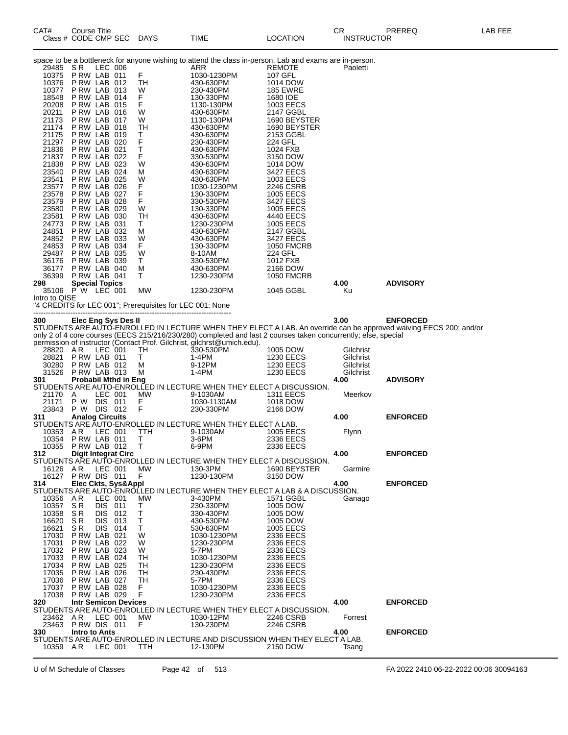|               |                      |                                           |                    | Class # CODE CMP SEC        | <b>DAYS</b>                                              | TIME                                                                                                           | <b>LOCATION</b>                | <b>INSTRUCTOR</b> |                                                                                                                                      |
|---------------|----------------------|-------------------------------------------|--------------------|-----------------------------|----------------------------------------------------------|----------------------------------------------------------------------------------------------------------------|--------------------------------|-------------------|--------------------------------------------------------------------------------------------------------------------------------------|
|               |                      |                                           |                    |                             |                                                          | space to be a bottleneck for anyone wishing to attend the class in-person. Lab and exams are in-person.        |                                |                   |                                                                                                                                      |
|               | 29485                | S R                                       | LEC 006            |                             |                                                          | ARR                                                                                                            | <b>REMOTE</b>                  | Paoletti          |                                                                                                                                      |
|               | 10375<br>10376       | PRW LAB 011<br>PRW LAB 012                |                    |                             | F<br>TН                                                  | 1030-1230PM<br>430-630PM                                                                                       | 107 GFL<br>1014 DOW            |                   |                                                                                                                                      |
|               | 10377                | PRW LAB 013                               |                    |                             | W                                                        | 230-430PM                                                                                                      | <b>185 EWRE</b>                |                   |                                                                                                                                      |
|               | 18548<br>20208       | PRW LAB 014<br>PRW LAB 015                |                    |                             | F<br>F                                                   | 130-330PM                                                                                                      | 1680 IOE                       |                   |                                                                                                                                      |
|               | 20211                | PRW LAB 016                               |                    |                             | W                                                        | 1130-130PM<br>430-630PM                                                                                        | 1003 EECS<br>2147 GGBL         |                   |                                                                                                                                      |
|               | 21173                | PRW LAB 017                               |                    |                             | W                                                        | 1130-130PM                                                                                                     | 1690 BEYSTER                   |                   |                                                                                                                                      |
|               | 21174<br>21175       | PRW LAB 018<br>PRW LAB 019                |                    |                             | TН<br>т                                                  | 430-630PM<br>430-630PM                                                                                         | 1690 BEYSTER<br>2153 GGBL      |                   |                                                                                                                                      |
|               | 21297                | PRW LAB 020                               |                    |                             | F                                                        | 230-430PM                                                                                                      | 224 GFL                        |                   |                                                                                                                                      |
|               | 21836<br>21837       | PRW LAB 021<br>P RW LAB 022               |                    |                             | Т<br>F                                                   | 430-630PM<br>330-530PM                                                                                         | 1024 FXB<br>3150 DOW           |                   |                                                                                                                                      |
|               | 21838                | PRW LAB 023                               |                    |                             | W                                                        | 430-630PM                                                                                                      | 1014 DOW                       |                   |                                                                                                                                      |
|               | 23540<br>23541       | PRW LAB 024<br>P RW LAB 025               |                    |                             | м<br>W                                                   | 430-630PM<br>430-630PM                                                                                         | 3427 EECS<br>1003 EECS         |                   |                                                                                                                                      |
|               | 23577                | P RW LAB 026                              |                    |                             | F                                                        | 1030-1230PM                                                                                                    | 2246 CSRB                      |                   |                                                                                                                                      |
|               | 23578<br>23579       | PRW LAB 027<br>PRW LAB 028                |                    |                             | F<br>F                                                   | 130-330PM<br>330-530PM                                                                                         | 1005 EECS<br>3427 EECS         |                   |                                                                                                                                      |
|               | 23580                | PRW LAB 029                               |                    |                             | W                                                        | 130-330PM                                                                                                      | <b>1005 EECS</b>               |                   |                                                                                                                                      |
|               | 23581<br>24773       | P RW LAB 030<br>PRW LAB 031               |                    |                             | TН<br>Τ                                                  | 430-630PM<br>1230-230PM                                                                                        | 4440 EECS<br><b>1005 EECS</b>  |                   |                                                                                                                                      |
|               | 24851                | P RW LAB 032                              |                    |                             | м                                                        | 430-630PM                                                                                                      | 2147 GGBL                      |                   |                                                                                                                                      |
|               | 24852<br>24853       | PRW LAB 033<br>P RW LAB 034               |                    |                             | W<br>F.                                                  | 430-630PM<br>130-330PM                                                                                         | 3427 EECS<br><b>1050 FMCRB</b> |                   |                                                                                                                                      |
|               | 29487                | P RW LAB 035                              |                    |                             | W                                                        | 8-10AM                                                                                                         | 224 GFL                        |                   |                                                                                                                                      |
|               | 36176<br>36177       | PRW LAB 039<br>P RW LAB 040               |                    |                             | Τ<br>м                                                   | 330-530PM<br>430-630PM                                                                                         | 1012 FXB<br>2166 DOW           |                   |                                                                                                                                      |
|               | 36399                | PRW LAB 041                               |                    |                             | Τ                                                        | 1230-230PM                                                                                                     | <b>1050 FMCRB</b>              |                   | <b>ADVISORY</b>                                                                                                                      |
| 298           |                      | <b>Special Topics</b><br>35106 PW LEC 001 |                    |                             | MW                                                       | 1230-230PM                                                                                                     | 1045 GGBL                      | 4.00<br>Ku        |                                                                                                                                      |
| Intro to QISE |                      |                                           |                    |                             | "4 CREDITS for LEC 001"; Prerequisites for LEC 001: None |                                                                                                                |                                |                   |                                                                                                                                      |
|               |                      |                                           |                    |                             |                                                          |                                                                                                                |                                |                   |                                                                                                                                      |
| 300           |                      |                                           |                    | Elec Eng Sys Des II         |                                                          |                                                                                                                |                                | 3.00              | <b>ENFORCED</b><br>STUDENTS ARE AUTO-ENROLLED IN LECTURE WHEN THEY ELECT A LAB. An override can be approved waiving EECS 200; and/or |
|               |                      |                                           |                    |                             |                                                          | only 2 of 4 core courses (EECS 215/216/230/280) completed and last 2 courses taken concurrently; else, special |                                |                   |                                                                                                                                      |
|               | 28820 AR             |                                           | LEC 001            |                             | TН                                                       | permission of instructor (Contact Prof. Gilchrist, gilchrst@umich.edu).<br>330-530PM                           | 1005 DOW                       | Gilchrist         |                                                                                                                                      |
|               | 28821                | PRW LAB 011                               |                    |                             | Τ                                                        | 1-4PM                                                                                                          | 1230 EECS                      | Gilchrist         |                                                                                                                                      |
|               | 30280                | PRW LAB 012<br>31526 PRW LAB 013          |                    |                             | м<br>м                                                   | 9-12PM                                                                                                         | <b>1230 EECS</b>               | Gilchrist         |                                                                                                                                      |
| 301           |                      |                                           |                    |                             |                                                          |                                                                                                                |                                |                   |                                                                                                                                      |
| 21170         |                      |                                           |                    | <b>Probabil Mthd in Eng</b> |                                                          | 1-4PM                                                                                                          | <b>1230 EECS</b>               | Gilchrist<br>4.00 | <b>ADVISORY</b>                                                                                                                      |
|               |                      |                                           |                    |                             |                                                          | STUDENTS ARE AUTO-ENROLLED IN LECTURE WHEN THEY ELECT A DISCUSSION.                                            |                                |                   |                                                                                                                                      |
|               | 21171                | A<br>P W DIS 011                          | LEC 001            |                             | МW                                                       | 9-1030AM<br>1030-1130AM                                                                                        | <b>1311 EECS</b><br>1018 DOW   | Meerkov           |                                                                                                                                      |
| 311           |                      | 23843 P W DIS 012                         |                    |                             | $_{\rm F}^{\rm F}$                                       | 230-330PM                                                                                                      | 2166 DOW                       | 4.00              | <b>ENFORCED</b>                                                                                                                      |
|               |                      | <b>Analog Circuits</b>                    |                    |                             |                                                          | STUDENTS ARE AUTO-ENROLLED IN LECTURE WHEN THEY ELECT A LAB.                                                   |                                |                   |                                                                                                                                      |
|               | 10353 AR             | 10354 P RW LAB 011                        | LEC 001            |                             | TTH<br>Τ                                                 | 9-1030AM                                                                                                       | 1005 EECS                      | Flynn             |                                                                                                                                      |
|               | 10355                | PRW LAB 012                               |                    |                             | Т                                                        | 3-6PM<br>6-9PM                                                                                                 | 2336 EECS<br>2336 EECS         |                   |                                                                                                                                      |
| 312           |                      |                                           |                    | <b>Digit Integrat Circ</b>  |                                                          | STUDENTS ARE AUTO-ENROLLED IN LECTURE WHEN THEY ELECT A DISCUSSION.                                            |                                | 4.00              | <b>ENFORCED</b>                                                                                                                      |
|               | 16126 AR             |                                           | LEC 001            |                             | MW                                                       | 130-3PM                                                                                                        | 1690 BEYSTER                   | Garmire           |                                                                                                                                      |
| 314           |                      | 16127 PRW DIS 011                         |                    |                             | F.                                                       | 1230-130PM                                                                                                     | 3150 DOW                       | 4.00              | <b>ENFORCED</b>                                                                                                                      |
|               |                      |                                           |                    | Elec Ckts, Sys&Appl         |                                                          | STUDENTS ARE AUTO-ENROLLED IN LECTURE WHEN THEY ELECT A LAB & A DISCUSSION.                                    |                                |                   |                                                                                                                                      |
|               | 10356 AR<br>10357 SR |                                           | LEC 001<br>DIS 011 |                             | <b>MW</b><br>Т                                           | 3-430PM<br>230-330PM                                                                                           | 1571 GGBL<br>1005 DOW          | Ganago            |                                                                                                                                      |
|               | 10358                | SR.                                       | <b>DIS 012</b>     |                             | т                                                        | 330-430PM                                                                                                      | 1005 DOW                       |                   |                                                                                                                                      |
|               | 16620<br>16621       | SR.<br>SR                                 | DIS.<br>DIS 014    | 013                         | Τ<br>т                                                   | 430-530PM<br>530-630PM                                                                                         | 1005 DOW<br><b>1005 EECS</b>   |                   |                                                                                                                                      |
|               | 17030                | PRW LAB 021                               |                    |                             | W                                                        | 1030-1230PM                                                                                                    | 2336 EECS                      |                   |                                                                                                                                      |
|               | 17031<br>17032       | P RW LAB 022<br>PRW LAB 023               |                    |                             | W<br>W                                                   | 1230-230PM<br>5-7PM                                                                                            | 2336 EECS<br>2336 EECS         |                   |                                                                                                                                      |
|               | 17033                | PRW LAB 024                               |                    |                             | TН                                                       | 1030-1230PM                                                                                                    | 2336 EECS                      |                   |                                                                                                                                      |
|               | 17034<br>17035       | PRW LAB 025<br>PRW LAB 026                |                    |                             | TН<br>TН                                                 | 1230-230PM<br>230-430PM                                                                                        | 2336 EECS<br>2336 EECS         |                   |                                                                                                                                      |
|               | 17036                | PRW LAB 027                               |                    |                             | TH                                                       | 5-7PM                                                                                                          | 2336 EECS                      |                   |                                                                                                                                      |
|               | 17037<br>17038       | PRW LAB 028<br>PRW LAB 029                |                    |                             | F.<br>F                                                  | 1030-1230PM<br>1230-230PM                                                                                      | 2336 EECS<br>2336 EECS         |                   |                                                                                                                                      |
| 320           |                      |                                           |                    | <b>Intr Semicon Devices</b> |                                                          |                                                                                                                |                                | 4.00              | <b>ENFORCED</b>                                                                                                                      |
|               | 23462 AR             |                                           | LEC 001            |                             | MW                                                       | STUDENTS ARE AUTO-ENROLLED IN LECTURE WHEN THEY ELECT A DISCUSSION.<br>1030-12PM                               | 2246 CSRB                      | Forrest           |                                                                                                                                      |
|               |                      | 23463 PRW DIS 011                         |                    |                             | F                                                        | 130-230PM                                                                                                      | 2246 CSRB                      |                   |                                                                                                                                      |
| 330           | 10359 A R            | <b>Intro to Ants</b>                      | LEC 001            |                             | TTH                                                      | STUDENTS ARE AUTO-ENROLLED IN LECTURE AND DISCUSSION WHEN THEY ELECT A LAB.<br>12-130PM                        | 2150 DOW                       | 4.00<br>Tsang     | <b>ENFORCED</b>                                                                                                                      |

CAT# Course Title Case CR PREREQ LAB FEE

U of M Schedule of Classes Page 42 of 513 FA 2022 2410 06-22-2022 00:06 30094163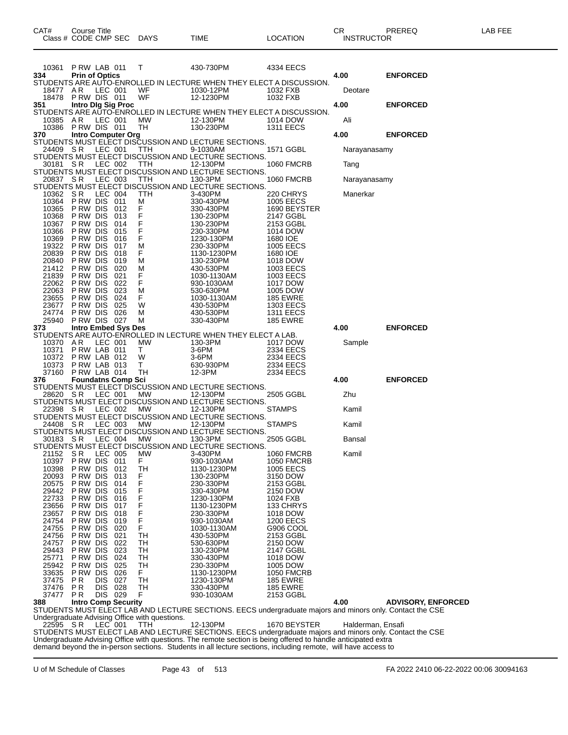| CAT#              | Course Title<br>Class # CODE CMP SEC                 | <b>DAYS</b> | TIME                                                                                                                 | <b>LOCATION</b>                    | CR.<br><b>INSTRUCTOR</b> | PREREQ                    | LAB FEE |
|-------------------|------------------------------------------------------|-------------|----------------------------------------------------------------------------------------------------------------------|------------------------------------|--------------------------|---------------------------|---------|
| 10361             | PRW LAB 011                                          | T.          | 430-730PM                                                                                                            | 4334 EECS                          |                          |                           |         |
| 334               | <b>Prin of Optics</b>                                |             | STUDENTS ARE AUTO-ENROLLED IN LECTURE WHEN THEY ELECT A DISCUSSION.                                                  |                                    | 4.00                     | <b>ENFORCED</b>           |         |
| 18477             | AR<br>LEC 001                                        | WF          | 1030-12PM                                                                                                            | 1032 FXB                           | Deotare                  |                           |         |
| 351               | 18478 PRW DIS 011<br>Intro Dig Sig Proc              | WF          | 12-1230PM                                                                                                            | 1032 FXB                           | 4.00                     | <b>ENFORCED</b>           |         |
| 10385             | A R<br>LEC 001                                       | МW          | STUDENTS ARE AUTO-ENROLLED IN LECTURE WHEN THEY ELECT A DISCUSSION.<br>12-130PM                                      | 1014 DOW                           | Ali                      |                           |         |
|                   | 10386 PRW DIS 011                                    | TH          | 130-230PM                                                                                                            | <b>1311 EECS</b>                   |                          |                           |         |
|                   |                                                      |             | 370 Intro Computer Org<br>STUDENTS MUST ELECT DISCUSSION AND LECTURE SECTIONS.                                       |                                    | 4.00                     | <b>ENFORCED</b>           |         |
| 24409 SR          | LEC 001                                              | <b>TTH</b>  | 9-1030AM<br>STUDENTS MUST ELECT DISCUSSION AND LECTURE SECTIONS.                                                     | 1571 GGBL                          | Narayanasamy             |                           |         |
| 30181 SR          | LEC 002                                              | TTH         | 12-130PM                                                                                                             | <b>1060 FMCRB</b>                  | Tang                     |                           |         |
| 20837 SR          | LEC 003                                              | TTH         | STUDENTS MUST ELECT DISCUSSION AND LECTURE SECTIONS.<br>130-3PM                                                      | 1060 FMCRB                         | Narayanasamy             |                           |         |
|                   |                                                      |             | STUDENTS MUST ELECT DISCUSSION AND LECTURE SECTIONS.                                                                 |                                    |                          |                           |         |
| 10362 SR<br>10364 | LEC 004<br>PRW DIS 011                               | TTH<br>M    | 3-430PM<br>330-430PM                                                                                                 | 220 CHRYS<br><b>1005 EECS</b>      | Manerkar                 |                           |         |
| 10365<br>10368    | P RW DIS<br>012<br>P RW DIS<br>013                   | $_{F}^{F}$  | 330-430PM<br>130-230PM                                                                                               | 1690 BEYSTER<br>2147 GGBL          |                          |                           |         |
| 10367             | P RW DIS<br>014                                      | F           | 130-230PM                                                                                                            | 2153 GGBL                          |                          |                           |         |
| 10366             | P RW DIS<br>015                                      | F           | 230-330PM                                                                                                            | 1014 DOW                           |                          |                           |         |
| 10369<br>19322    | P RW DIS<br>016<br>P RW DIS<br>017                   | F<br>м      | 1230-130PM<br>230-330PM                                                                                              | 1680 IOE<br>1005 EECS              |                          |                           |         |
| 20839             | P RW DIS<br>018                                      | F           | 1130-1230PM                                                                                                          | 1680 IOE                           |                          |                           |         |
| 20840<br>21412    | P RW DIS<br>019<br>P RW DIS<br>020                   | м<br>M      | 130-230PM<br>430-530PM                                                                                               | 1018 DOW<br>1003 EECS              |                          |                           |         |
| 21839             | P RW DIS<br>021                                      | F           | 1030-1130AM                                                                                                          | 1003 EECS                          |                          |                           |         |
| 22062<br>22063    | P RW DIS<br>022<br>P RW DIS<br>023                   | F<br>м      | 930-1030AM<br>530-630PM                                                                                              | 1017 DOW<br>1005 DOW               |                          |                           |         |
| 23655             | P RW DIS<br>024                                      | F.          | 1030-1130AM                                                                                                          | <b>185 EWRE</b>                    |                          |                           |         |
| 23677<br>24774    | P RW DIS<br>025<br>026<br>P RW DIS                   | W<br>м      | 430-530PM<br>430-530PM                                                                                               | 1303 EECS<br><b>1311 EECS</b>      |                          |                           |         |
| 25940             | PRW DIS 027                                          | м           | 330-430PM                                                                                                            | <b>185 EWRE</b>                    |                          |                           |         |
| 373               | <b>Intro Embed Sys Des</b>                           |             | STUDENTS ARE AUTO-ENROLLED IN LECTURE WHEN THEY ELECT A LAB.                                                         |                                    | 4.00                     | <b>ENFORCED</b>           |         |
| 10370             | AR<br>LEC 001                                        | МW          | 130-3PM                                                                                                              | 1017 DOW                           | Sample                   |                           |         |
| 10371             | PRW LAB 011<br>10372 P RW LAB 012                    | T.<br>W     | 3-6PM<br>3-6PM                                                                                                       | 2334 EECS<br>2334 EECS             |                          |                           |         |
| 10373             | PRW LAB 013                                          | T.          | 630-930PM                                                                                                            | 2334 EECS                          |                          |                           |         |
| 37160<br>376      | PRW LAB 014<br><b>Foundatns Comp Sci</b>             | TH          | 12-3PM                                                                                                               | 2334 EECS                          | 4.00                     | <b>ENFORCED</b>           |         |
|                   |                                                      |             | STUDENTS MUST ELECT DISCUSSION AND LECTURE SECTIONS.                                                                 |                                    |                          |                           |         |
| 28620 SR          | LEC 001                                              | МW          | 12-130PM<br>STUDENTS MUST ELECT DISCUSSION AND LECTURE SECTIONS.                                                     | 2505 GGBL                          | Zhu                      |                           |         |
| 22398 SR          | LEC 002                                              | MW          | 12-130PM                                                                                                             | <b>STAMPS</b>                      | Kamil                    |                           |         |
| 24408             | -S R<br>LEC 003                                      | МW          | STUDENTS MUST ELECT DISCUSSION AND LECTURE SECTIONS.<br>12-130PM                                                     | <b>STAMPS</b>                      | Kamil                    |                           |         |
|                   |                                                      |             | STUDENTS MUST ELECT DISCUSSION AND LECTURE SECTIONS.                                                                 |                                    |                          |                           |         |
| 30183 SR          | LEC 004                                              | MW          | 130-3PM<br>STUDENTS MUST ELECT DISCUSSION AND LECTURE SECTIONS.                                                      | 2505 GGBL                          | Bansal                   |                           |         |
| 21152             | S R<br>LEC 005                                       | <b>MW</b>   | 3-430PM                                                                                                              | <b>1060 FMCRB</b>                  | Kamil                    |                           |         |
| 10397<br>10398    | P RW DIS<br>011<br>P RW DIS<br>012                   | F<br>TH     | 930-1030AM<br>1130-1230PM                                                                                            | <b>1050 FMCRB</b><br>1005 EECS     |                          |                           |         |
| 20093             | P RW DIS<br>013                                      | F           | 130-230PM                                                                                                            | 3150 DOW                           |                          |                           |         |
| 20575<br>29442    | P RW DIS<br>014<br>P RW DIS<br>015                   | F<br>F      | 230-330PM<br>330-430PM                                                                                               | 2153 GGBL<br>2150 DOW              |                          |                           |         |
| 22733             | P RW DIS<br>016                                      | F<br>F      | 1230-130PM                                                                                                           | 1024 FXB                           |                          |                           |         |
| 23656<br>23657    | P RW DIS<br>017<br>P RW DIS<br>018                   | F           | 1130-1230PM<br>230-330PM                                                                                             | 133 CHRYS<br>1018 DOW              |                          |                           |         |
| 24754             | P RW DIS<br>019                                      | F<br>F      | 930-1030AM                                                                                                           | <b>1200 EECS</b>                   |                          |                           |         |
| 24755<br>24756    | P RW DIS<br>020<br>P RW DIS<br>021                   | TH          | 1030-1130AM<br>430-530PM                                                                                             | G906 COOL<br>2153 GGBL             |                          |                           |         |
| 24757             | P RW DIS<br>022                                      | TН          | 530-630PM                                                                                                            | 2150 DOW                           |                          |                           |         |
| 29443<br>25771    | P RW DIS<br>023<br>P RW DIS<br>024                   | TН<br>TН    | 130-230PM<br>330-430PM                                                                                               | 2147 GGBL<br>1018 DOW              |                          |                           |         |
| 25942             | P RW DIS<br>025                                      | TН          | 230-330PM                                                                                                            | 1005 DOW                           |                          |                           |         |
| 33635             | P RW DIS<br>026                                      | F.          | 1130-1230PM                                                                                                          | <b>1050 FMCRB</b>                  |                          |                           |         |
| 37475<br>37476    | P R<br>027<br><b>DIS</b><br><b>DIS</b><br>028<br>P R | TН<br>TН    | 1230-130PM<br>330-430PM                                                                                              | <b>185 EWRE</b><br><b>185 EWRE</b> |                          |                           |         |
| 37477             | DIS 029<br>P R                                       | F           | 930-1030AM                                                                                                           | 2153 GGBL                          |                          |                           |         |
| 388               | <b>Intro Comp Security</b>                           |             | STUDENTS MUST ELECT LAB AND LECTURE SECTIONS. EECS undergraduate majors and minors only. Contact the CSE             |                                    | 4.00                     | <b>ADVISORY, ENFORCED</b> |         |
|                   | Undergraduate Advising Office with questions.        |             |                                                                                                                      |                                    |                          |                           |         |
| 22595 SR          | LEC 001                                              | TTH         | 12-130PM<br>STUDENTS MUST ELECT LAB AND LECTURE SECTIONS. EECS undergraduate majors and minors only. Contact the CSE | 1670 BEYSTER                       | Halderman, Ensafi        |                           |         |
|                   |                                                      |             | Undergraduate Advising Office with questions. The remote section is being offered to handle anticipated extra        |                                    |                          |                           |         |

demand beyond the in-person sections. Students in all lecture sections, including remote, will have access to

U of M Schedule of Classes Page 43 of 513 FA 2022 2410 06-22-2022 00:06 30094163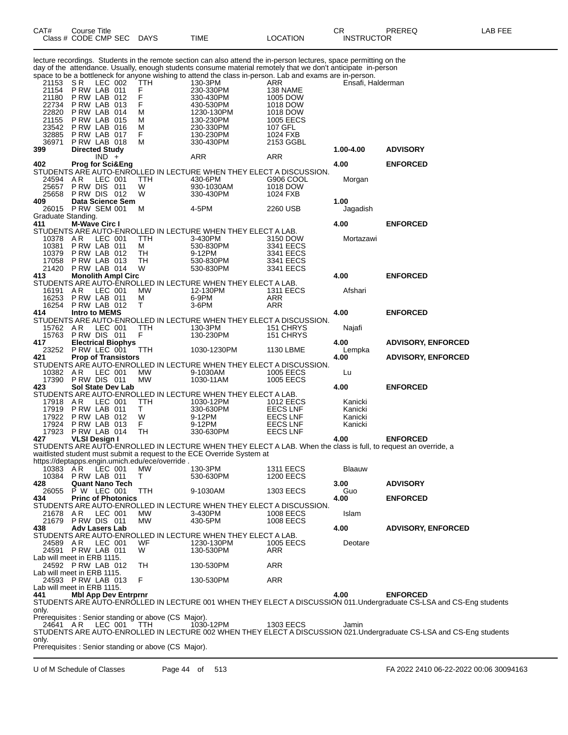| CAT#                       | Course Title<br>Class # CODE CMP SEC |         |                             | <b>DAYS</b>                                          | TIME                                                                                                                                                                                                                               | LOCATION                             | СR<br><b>INSTRUCTOR</b> | PREREQ                                                                                                                                 | LAB FEE |
|----------------------------|--------------------------------------|---------|-----------------------------|------------------------------------------------------|------------------------------------------------------------------------------------------------------------------------------------------------------------------------------------------------------------------------------------|--------------------------------------|-------------------------|----------------------------------------------------------------------------------------------------------------------------------------|---------|
|                            |                                      |         |                             |                                                      | lecture recordings. Students in the remote section can also attend the in-person lectures, space permitting on the<br>day of the attendance. Usually, enough students consume material remotely that we don't anticipate in-person |                                      |                         |                                                                                                                                        |         |
|                            |                                      |         |                             |                                                      | space to be a bottleneck for anyone wishing to attend the class in-person. Lab and exams are in-person.                                                                                                                            |                                      |                         |                                                                                                                                        |         |
| 21153                      | SR.<br>PRW LAB 011                   | LEC 002 |                             | TTH                                                  | 130-3PM                                                                                                                                                                                                                            | ARR                                  | Ensafi, Halderman       |                                                                                                                                        |         |
| 21154<br>21180             | PRW LAB 012                          |         |                             | F<br>F                                               | 230-330PM<br>330-430PM                                                                                                                                                                                                             | 138 NAME<br>1005 DOW                 |                         |                                                                                                                                        |         |
| 22734                      | PRW LAB 013                          |         |                             | F                                                    | 430-530PM                                                                                                                                                                                                                          | 1018 DOW                             |                         |                                                                                                                                        |         |
| 22820                      | PRW LAB 014                          |         |                             | м                                                    | 1230-130PM                                                                                                                                                                                                                         | 1018 DOW                             |                         |                                                                                                                                        |         |
| 21155<br>23542             | PRW LAB 015<br>PRW LAB 016           |         |                             | м<br>м                                               | 130-230PM<br>230-330PM                                                                                                                                                                                                             | <b>1005 EECS</b><br>107 GFL          |                         |                                                                                                                                        |         |
| 32885                      | PRW LAB 017                          |         |                             | F                                                    | 130-230PM                                                                                                                                                                                                                          | 1024 FXB                             |                         |                                                                                                                                        |         |
| 36971                      | PRW LAB 018                          |         |                             | м                                                    | 330-430PM                                                                                                                                                                                                                          | 2153 GGBL                            |                         |                                                                                                                                        |         |
| 399                        | <b>Directed Study</b>                | $IND +$ |                             |                                                      | ARR                                                                                                                                                                                                                                | ARR                                  | 1.00-4.00               | <b>ADVISORY</b>                                                                                                                        |         |
| 402                        | <b>Prog for Sci&amp;Eng</b>          |         |                             |                                                      |                                                                                                                                                                                                                                    |                                      | 4.00                    | <b>ENFORCED</b>                                                                                                                        |         |
|                            |                                      |         |                             |                                                      | STUDENTS ARE AUTO-ENROLLED IN LECTURE WHEN THEY ELECT A DISCUSSION.                                                                                                                                                                |                                      |                         |                                                                                                                                        |         |
| 24594<br>25657             | AR.<br>PRW DIS 011                   | LEC 001 |                             | TTH<br>W                                             | 430-6PM                                                                                                                                                                                                                            | G906 COOL                            | Morgan                  |                                                                                                                                        |         |
| 25658                      | PRW DIS 012                          |         |                             | W                                                    | 930-1030AM<br>330-430PM                                                                                                                                                                                                            | 1018 DOW<br>1024 FXB                 |                         |                                                                                                                                        |         |
| 409                        |                                      |         | Data Science Sem            |                                                      |                                                                                                                                                                                                                                    |                                      | 1.00                    |                                                                                                                                        |         |
| 26015                      | PRW SEM 001                          |         |                             | М                                                    | 4-5PM                                                                                                                                                                                                                              | 2260 USB                             | Jagadish                |                                                                                                                                        |         |
| Graduate Standing.<br>411  | <b>M-Wave Circ I</b>                 |         |                             |                                                      |                                                                                                                                                                                                                                    |                                      | 4.00                    | <b>ENFORCED</b>                                                                                                                        |         |
|                            |                                      |         |                             |                                                      | STUDENTS ARE AUTO-ENROLLED IN LECTURE WHEN THEY ELECT A LAB.                                                                                                                                                                       |                                      |                         |                                                                                                                                        |         |
| 10378 AR                   |                                      | LEC 001 |                             | <b>TTH</b>                                           | 3-430PM                                                                                                                                                                                                                            | 3150 DOW                             | Mortazawi               |                                                                                                                                        |         |
| 10381<br>10379             | PRW LAB 011<br>PRW LAB 012           |         |                             | м<br>TН                                              | 530-830PM<br>9-12PM                                                                                                                                                                                                                | 3341 EECS<br>3341 EECS               |                         |                                                                                                                                        |         |
| 17058                      | PRW LAB 013                          |         |                             | TН                                                   | 530-830PM                                                                                                                                                                                                                          | 3341 EECS                            |                         |                                                                                                                                        |         |
| 21420                      | PRW LAB 014                          |         |                             | W                                                    | 530-830PM                                                                                                                                                                                                                          | 3341 EECS                            |                         |                                                                                                                                        |         |
| 413                        |                                      |         | <b>Monolith Ampl Circ</b>   |                                                      |                                                                                                                                                                                                                                    |                                      | 4.00                    | <b>ENFORCED</b>                                                                                                                        |         |
| 16191                      | AR.                                  | LEC 001 |                             | <b>MW</b>                                            | STUDENTS ARE AUTO-ENROLLED IN LECTURE WHEN THEY ELECT A LAB.<br>12-130PM                                                                                                                                                           | <b>1311 EECS</b>                     | Afshari                 |                                                                                                                                        |         |
| 16253                      | PRW LAB 011                          |         |                             | Μ                                                    | 6-9PM                                                                                                                                                                                                                              | ARR                                  |                         |                                                                                                                                        |         |
| 16254                      | PRW LAB 012                          |         |                             | т                                                    | 3-6PM                                                                                                                                                                                                                              | ARR                                  |                         |                                                                                                                                        |         |
| 414                        | <b>Intro to MEMS</b>                 |         |                             |                                                      | STUDENTS ARE AUTO-ENROLLED IN LECTURE WHEN THEY ELECT A DISCUSSION.                                                                                                                                                                |                                      | 4.00                    | <b>ENFORCED</b>                                                                                                                        |         |
| 15762 AR                   |                                      | LEC 001 |                             | TTH                                                  | 130-3PM                                                                                                                                                                                                                            | 151 CHRYS                            | Najafi                  |                                                                                                                                        |         |
| 15763                      | PRW DIS 011                          |         |                             | F                                                    | 130-230PM                                                                                                                                                                                                                          | 151 CHRYS                            |                         |                                                                                                                                        |         |
| 417                        | 23252 PRW LEC 001                    |         | <b>Electrical Biophys</b>   | <b>TTH</b>                                           | 1030-1230PM                                                                                                                                                                                                                        | 1130 LBME                            | 4.00<br>Lempka          | <b>ADVISORY, ENFORCED</b>                                                                                                              |         |
| 421                        |                                      |         | <b>Prop of Transistors</b>  |                                                      |                                                                                                                                                                                                                                    |                                      | 4.00                    | <b>ADVISORY, ENFORCED</b>                                                                                                              |         |
|                            |                                      |         |                             |                                                      | STUDENTS ARE AUTO-ENROLLED IN LECTURE WHEN THEY ELECT A DISCUSSION.                                                                                                                                                                |                                      |                         |                                                                                                                                        |         |
| 10382 AR                   |                                      | LEC 001 |                             | MW                                                   | 9-1030AM                                                                                                                                                                                                                           | 1005 EECS                            | Lu                      |                                                                                                                                        |         |
| 423                        | 17390 PRW DIS 011                    |         | <b>Sol State Dev Lab</b>    | MW                                                   | 1030-11AM                                                                                                                                                                                                                          | 1005 EECS                            | 4.00                    | <b>ENFORCED</b>                                                                                                                        |         |
|                            |                                      |         |                             |                                                      | STUDENTS ARE AUTO-ENROLLED IN LECTURE WHEN THEY ELECT A LAB.                                                                                                                                                                       |                                      |                         |                                                                                                                                        |         |
| 17918 AR                   |                                      | LEC 001 |                             | ттн                                                  | 1030-12PM                                                                                                                                                                                                                          | 1012 EECS                            | Kanicki                 |                                                                                                                                        |         |
| 17919<br>17922             | PRW LAB 011<br>PRW LAB 012           |         |                             | Τ<br>W                                               | 330-630PM<br>9-12PM                                                                                                                                                                                                                | <b>EECS LNF</b><br><b>EECS LNF</b>   | Kanicki<br>Kanicki      |                                                                                                                                        |         |
| 17924                      | PRW LAB 013                          |         |                             | F.                                                   | 9-12PM                                                                                                                                                                                                                             | <b>EECS LNF</b>                      | Kanicki                 |                                                                                                                                        |         |
| 17923                      | PRW LAB 014                          |         |                             | TН                                                   | 330-630PM                                                                                                                                                                                                                          | <b>EECS LNF</b>                      |                         |                                                                                                                                        |         |
| 427                        | <b>VLSI Design I</b>                 |         |                             |                                                      | STUDENTS ARE AUTO-ENROLLED IN LECTURE WHEN THEY ELECT A LAB. When the class is full, to request an override, a                                                                                                                     |                                      | 4.00                    | <b>ENFORCED</b>                                                                                                                        |         |
|                            |                                      |         |                             |                                                      | waitlisted student must submit a request to the ECE Override System at                                                                                                                                                             |                                      |                         |                                                                                                                                        |         |
|                            |                                      |         |                             | https://deptapps.engin.umich.edu/ece/override.       |                                                                                                                                                                                                                                    |                                      |                         |                                                                                                                                        |         |
| 10383<br>10384             | AR.<br>PRW LAB 011                   | LEC 001 |                             | МW<br>T.                                             | 130-3PM<br>530-630PM                                                                                                                                                                                                               | <b>1311 EECS</b><br><b>1200 EECS</b> | Blaauw                  |                                                                                                                                        |         |
| 428                        | <b>Quant Nano Tech</b>               |         |                             |                                                      |                                                                                                                                                                                                                                    |                                      | 3.00                    | <b>ADVISORY</b>                                                                                                                        |         |
| 26055                      | P W LEC 001                          |         |                             | TTH                                                  | 9-1030AM                                                                                                                                                                                                                           | 1303 EECS                            | Guo                     |                                                                                                                                        |         |
| 434                        |                                      |         | <b>Princ of Photonics</b>   |                                                      | STUDENTS ARE AUTO-ENROLLED IN LECTURE WHEN THEY ELECT A DISCUSSION.                                                                                                                                                                |                                      | 4.00                    | <b>ENFORCED</b>                                                                                                                        |         |
| 21678 AR                   |                                      | LEC 001 |                             | MW.                                                  | 3-430PM                                                                                                                                                                                                                            | <b>1008 EECS</b>                     | Islam                   |                                                                                                                                        |         |
|                            | 21679 PRW DIS 011                    |         |                             | МW                                                   | 430-5PM                                                                                                                                                                                                                            | 1008 EECS                            |                         |                                                                                                                                        |         |
| 438                        | <b>Adv Lasers Lab</b>                |         |                             |                                                      |                                                                                                                                                                                                                                    |                                      | 4.00                    | <b>ADVISORY, ENFORCED</b>                                                                                                              |         |
| 24589                      | AR                                   | LEC 001 |                             | WF                                                   | STUDENTS ARE AUTO-ENROLLED IN LECTURE WHEN THEY ELECT A LAB.<br>1230-130PM                                                                                                                                                         | 1005 EECS                            | Deotare                 |                                                                                                                                        |         |
|                            | 24591 PRW LAB 011                    |         |                             | W                                                    | 130-530PM                                                                                                                                                                                                                          | ARR                                  |                         |                                                                                                                                        |         |
| Lab will meet in ERB 1115. |                                      |         |                             |                                                      |                                                                                                                                                                                                                                    |                                      |                         |                                                                                                                                        |         |
| Lab will meet in ERB 1115. | 24592 PRW LAB 012                    |         |                             | TH                                                   | 130-530PM                                                                                                                                                                                                                          | <b>ARR</b>                           |                         |                                                                                                                                        |         |
|                            | 24593 PRW LAB 013                    |         |                             | F                                                    | 130-530PM                                                                                                                                                                                                                          | <b>ARR</b>                           |                         |                                                                                                                                        |         |
| Lab will meet in ERB 1115. |                                      |         |                             |                                                      |                                                                                                                                                                                                                                    |                                      |                         |                                                                                                                                        |         |
| 441                        |                                      |         | <b>Mbl App Dev Entrprnr</b> |                                                      |                                                                                                                                                                                                                                    |                                      | 4.00                    | <b>ENFORCED</b><br>STUDENTS ARE AUTO-ENROLLED IN LECTURE 001 WHEN THEY ELECT A DISCUSSION 011.Undergraduate CS-LSA and CS-Eng students |         |
| only.                      |                                      |         |                             |                                                      |                                                                                                                                                                                                                                    |                                      |                         |                                                                                                                                        |         |
|                            |                                      |         |                             | Prerequisites : Senior standing or above (CS Major). |                                                                                                                                                                                                                                    |                                      |                         |                                                                                                                                        |         |
| 24641 AR                   |                                      | LEC 001 |                             | TTH                                                  | 1030-12PM                                                                                                                                                                                                                          | 1303 EECS                            | Jamin                   |                                                                                                                                        |         |
| only.                      |                                      |         |                             |                                                      |                                                                                                                                                                                                                                    |                                      |                         | STUDENTS ARE AUTO-ENROLLED IN LECTURE 002 WHEN THEY ELECT A DISCUSSION 021. Undergraduate CS-LSA and CS-Eng students                   |         |
|                            |                                      |         |                             | Prerequisites: Senior standing or above (CS Major).  |                                                                                                                                                                                                                                    |                                      |                         |                                                                                                                                        |         |
|                            |                                      |         |                             |                                                      |                                                                                                                                                                                                                                    |                                      |                         |                                                                                                                                        |         |

U of M Schedule of Classes Page 44 of 513 FA 2022 2410 06-22-2022 00:06 30094163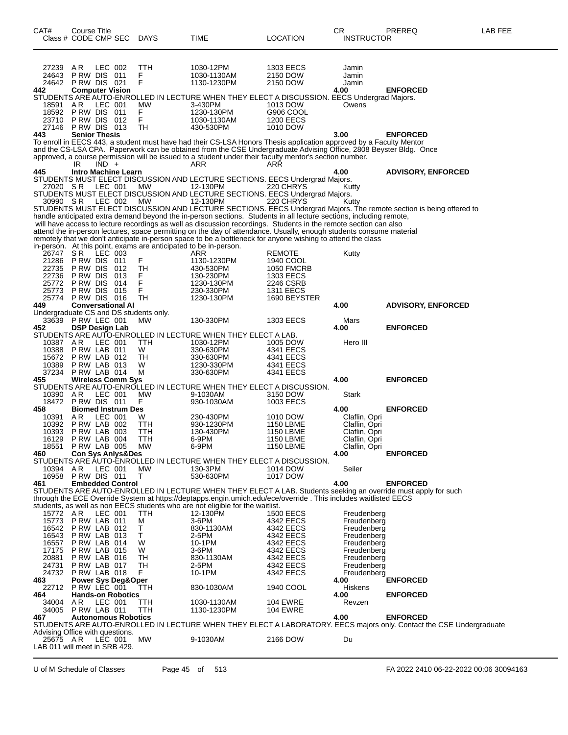| CAT#                            | <b>Course Title</b><br>Class # CODE CMP SEC |         |                               | DAYS                                   | <b>TIME</b>                                                                                                                                                                                                                        | LOCATION                           | CR.<br><b>INSTRUCTOR</b>       | PREREQ                                                                                                                           | LAB FEE |
|---------------------------------|---------------------------------------------|---------|-------------------------------|----------------------------------------|------------------------------------------------------------------------------------------------------------------------------------------------------------------------------------------------------------------------------------|------------------------------------|--------------------------------|----------------------------------------------------------------------------------------------------------------------------------|---------|
|                                 |                                             |         |                               |                                        |                                                                                                                                                                                                                                    |                                    |                                |                                                                                                                                  |         |
|                                 |                                             |         |                               |                                        |                                                                                                                                                                                                                                    |                                    |                                |                                                                                                                                  |         |
| 27239<br>24643                  | AR<br>PRW DIS 011                           | LEC 002 |                               | TTH<br>F                               | 1030-12PM<br>1030-1130AM                                                                                                                                                                                                           | 1303 EECS<br>2150 DOW              | Jamin<br>Jamin                 |                                                                                                                                  |         |
|                                 | 24642 PRW DIS 021                           |         |                               | F                                      | 1130-1230PM                                                                                                                                                                                                                        | 2150 DOW                           | Jamin                          |                                                                                                                                  |         |
| 442                             | <b>Computer Vision</b>                      |         |                               |                                        | STUDENTS ARE AUTO-ENROLLED IN LECTURE WHEN THEY ELECT A DISCUSSION. EECS Undergrad Majors.                                                                                                                                         |                                    | 4.00                           | <b>ENFORCED</b>                                                                                                                  |         |
| 18591                           | AR                                          | LEC 001 |                               | MW                                     | 3-430PM                                                                                                                                                                                                                            | 1013 DOW                           | Owens                          |                                                                                                                                  |         |
| 23710                           | 18592 PRW DIS 011<br>PRW DIS 012            |         |                               | F.<br>F                                | 1230-130PM<br>1030-1130AM                                                                                                                                                                                                          | G906 COOL<br><b>1200 EECS</b>      |                                |                                                                                                                                  |         |
| 27146                           | PRW DIS 013                                 |         |                               | TН                                     | 430-530PM                                                                                                                                                                                                                          | 1010 DOW                           |                                |                                                                                                                                  |         |
| 443                             | <b>Senior Thesis</b>                        |         |                               |                                        | To enroll in EECS 443, a student must have had their CS-LSA Honors Thesis application approved by a Faculty Mentor                                                                                                                 |                                    | 3.00                           | <b>ENFORCED</b>                                                                                                                  |         |
|                                 |                                             |         |                               |                                        | and the CS-LSA CPA. Paperwork can be obtained from the CSE Undergraduate Advising Office, 2808 Beyster Bldg. Once                                                                                                                  |                                    |                                |                                                                                                                                  |         |
|                                 | IR                                          | $IND +$ |                               |                                        | approved, a course permission will be issued to a student under their faculty mentor's section number.<br>ARR                                                                                                                      | ARR                                |                                |                                                                                                                                  |         |
| 445                             |                                             |         | Intro Machine Learn           |                                        |                                                                                                                                                                                                                                    |                                    | 4.00                           | <b>ADVISORY, ENFORCED</b>                                                                                                        |         |
|                                 |                                             |         | LEC 001                       | МW                                     | STUDENTS MUST ELECT DISCUSSION AND LECTURE SECTIONS. EECS Undergrad Majors.                                                                                                                                                        | 220 CHRYS                          |                                |                                                                                                                                  |         |
| 27020 SR                        |                                             |         |                               |                                        | 12-130PM<br>STUDENTS MUST ELECT DISCUSSION AND LECTURE SECTIONS. EECS Undergrad Majors.                                                                                                                                            |                                    | Kutty                          |                                                                                                                                  |         |
| 30990 SR                        |                                             |         | LEC 002                       | MW                                     | 12-130PM                                                                                                                                                                                                                           | 220 CHRYS                          | Kutty                          |                                                                                                                                  |         |
|                                 |                                             |         |                               |                                        | handle anticipated extra demand beyond the in-person sections. Students in all lecture sections, including remote,                                                                                                                 |                                    |                                | STUDENTS MUST ELECT DISCUSSION AND LECTURE SECTIONS. EECS Undergrad Majors. The remote section is being offered to               |         |
|                                 |                                             |         |                               |                                        | will have access to lecture recordings as well as discussion recordings. Students in the remote section can also                                                                                                                   |                                    |                                |                                                                                                                                  |         |
|                                 |                                             |         |                               |                                        | attend the in-person lectures, space permitting on the day of attendance. Usually, enough students consume material<br>remotely that we don't anticipate in-person space to be a bottleneck for anyone wishing to attend the class |                                    |                                |                                                                                                                                  |         |
|                                 |                                             |         |                               |                                        | in-person. At this point, exams are anticipated to be in-person.                                                                                                                                                                   |                                    |                                |                                                                                                                                  |         |
| 26747<br>21286                  | S R<br>PRW DIS 011                          | LEC 003 |                               | F                                      | ARR<br>1130-1230PM                                                                                                                                                                                                                 | REMOTE<br>1940 COOL                | Kutty                          |                                                                                                                                  |         |
| 22735                           | P RW DIS                                    |         | 012                           | TН                                     | 430-530PM                                                                                                                                                                                                                          | <b>1050 FMCRB</b>                  |                                |                                                                                                                                  |         |
| 22736<br>25772                  | PRW DIS 013<br>PRW DIS                      |         | 014                           | F<br>F                                 | 130-230PM<br>1230-130PM                                                                                                                                                                                                            | 1303 EECS<br>2246 CSRB             |                                |                                                                                                                                  |         |
| 25773                           | PRW DIS 015                                 |         |                               | F                                      | 230-330PM                                                                                                                                                                                                                          | <b>1311 EECS</b>                   |                                |                                                                                                                                  |         |
| 449                             | 25774 PRW DIS 016                           |         | <b>Conversational AI</b>      | TН                                     | 1230-130PM                                                                                                                                                                                                                         | 1690 BEYSTER                       | 4.00                           | <b>ADVISORY, ENFORCED</b>                                                                                                        |         |
|                                 |                                             |         |                               | Undergraduate CS and DS students only. |                                                                                                                                                                                                                                    |                                    |                                |                                                                                                                                  |         |
| 452                             | 33639 P RW LEC 001<br><b>DSP Design Lab</b> |         |                               | МW                                     | 130-330PM                                                                                                                                                                                                                          | <b>1303 EECS</b>                   | Mars<br>4.00                   | <b>ENFORCED</b>                                                                                                                  |         |
|                                 |                                             |         |                               |                                        | STUDENTS ARE AUTO-ENROLLED IN LECTURE WHEN THEY ELECT A LAB.                                                                                                                                                                       |                                    |                                |                                                                                                                                  |         |
| 10387<br>10388                  | A R<br>PRW LAB 011                          | LEC 001 |                               | TTH<br>W                               | 1030-12PM<br>330-630PM                                                                                                                                                                                                             | 1005 DOW<br>4341 EECS              | Hero III                       |                                                                                                                                  |         |
| 15672                           | PRW LAB 012                                 |         |                               | TН                                     | 330-630PM                                                                                                                                                                                                                          | 4341 EECS                          |                                |                                                                                                                                  |         |
| 10389                           | PRW LAB 013                                 |         |                               | W                                      | 1230-330PM                                                                                                                                                                                                                         | 4341 EECS                          |                                |                                                                                                                                  |         |
| 37234<br>455                    | PRW LAB 014                                 |         | <b>Wireless Comm Sys</b>      | м                                      | 330-630PM                                                                                                                                                                                                                          | 4341 EECS                          | 4.00                           | <b>ENFORCED</b>                                                                                                                  |         |
|                                 |                                             |         |                               |                                        | STUDENTS ARE AUTO-ENROLLED IN LECTURE WHEN THEY ELECT A DISCUSSION.                                                                                                                                                                |                                    |                                |                                                                                                                                  |         |
| 10390 AR                        | 18472 PRW DIS 011                           | LEC 001 |                               | МW<br>F                                | 9-1030AM<br>930-1030AM                                                                                                                                                                                                             | 3150 DOW<br>1003 EECS              | Stark                          |                                                                                                                                  |         |
| 458                             |                                             |         | <b>Biomed Instrum Des</b>     |                                        |                                                                                                                                                                                                                                    |                                    | 4.00                           | <b>ENFORCED</b>                                                                                                                  |         |
| 10391<br>10392                  | AR.<br>PRW LAB 002                          | LEC 001 |                               | W<br>TTH                               | 230-430PM<br>930-1230PM                                                                                                                                                                                                            | 1010 DOW<br><b>1150 LBME</b>       | Claflin, Opri<br>Claflin, Opri |                                                                                                                                  |         |
| 10393                           | PRW LAB 003                                 |         |                               | ттн                                    | 130-430PM                                                                                                                                                                                                                          | <b>1150 LBME</b>                   | Claflin, Opri                  |                                                                                                                                  |         |
| 16129                           | PRW LAB 004<br>18551 PRW LAB 005            |         |                               | TTH<br><b>MW</b>                       | 6-9PM<br>6-9PM                                                                                                                                                                                                                     | <b>1150 LBME</b><br>1150 LBME      | Claflin, Opri<br>Claflin, Opri |                                                                                                                                  |         |
| 460                             |                                             |         | <b>Con Sys Anlys&amp;Des</b>  |                                        |                                                                                                                                                                                                                                    |                                    | 4.00                           | <b>ENFORCED</b>                                                                                                                  |         |
| 10394 AR                        |                                             | LEC 001 |                               | <b>MW</b>                              | STUDENTS ARE AUTO-ENROLLED IN LECTURE WHEN THEY ELECT A DISCUSSION.<br>130-3PM                                                                                                                                                     | 1014 DOW                           | Seiler                         |                                                                                                                                  |         |
| 16958                           | PRW DIS 011                                 |         |                               | т                                      | 530-630PM                                                                                                                                                                                                                          | 1017 DOW                           |                                |                                                                                                                                  |         |
| 461                             |                                             |         | <b>Embedded Control</b>       |                                        |                                                                                                                                                                                                                                    |                                    | 4.00                           | <b>ENFORCED</b><br>STUDENTS ARE AUTO-ENROLLED IN LECTURE WHEN THEY ELECT A LAB. Students seeking an override must apply for such |         |
|                                 |                                             |         |                               |                                        | through the ECE Override System at https://deptapps.engin.umich.edu/ece/override . This includes waitlisted EECS                                                                                                                   |                                    |                                |                                                                                                                                  |         |
| 15772 AR                        |                                             | LEC 001 |                               | TTH                                    | students, as well as non EECS students who are not eligible for the waitlist.<br>12-130PM                                                                                                                                          | <b>1500 EECS</b>                   | Freudenberg                    |                                                                                                                                  |         |
|                                 | 15773 P RW LAB 011                          |         |                               | М                                      | 3-6PM                                                                                                                                                                                                                              | 4342 EECS                          | Freudenberg                    |                                                                                                                                  |         |
| 16542<br>16543                  | PRW LAB 012<br>PRW LAB 013                  |         |                               | Τ<br>т                                 | 830-1130AM<br>2-5PM                                                                                                                                                                                                                | 4342 EECS<br>4342 EECS             | Freudenberg<br>Freudenberg     |                                                                                                                                  |         |
| 16557                           | PRW LAB 014                                 |         |                               | W                                      | 10-1PM                                                                                                                                                                                                                             | 4342 EECS                          | Freudenberg                    |                                                                                                                                  |         |
| 17175                           | PRW LAB 015<br>PRW LAB 016                  |         |                               | W                                      | 3-6PM                                                                                                                                                                                                                              | 4342 EECS                          | Freudenberg                    |                                                                                                                                  |         |
| 20881<br>24731                  | PRW LAB 017                                 |         |                               | TН<br>TН                               | 830-1130AM<br>2-5PM                                                                                                                                                                                                                | 4342 EECS<br>4342 EECS             | Freudenberg<br>Freudenberg     |                                                                                                                                  |         |
| 24732                           | PRW LAB 018                                 |         |                               | F.                                     | 10-1PM                                                                                                                                                                                                                             | 4342 EECS                          | Freudenberg                    |                                                                                                                                  |         |
| 463<br>22712                    | PRW LÉC 001                                 |         | <b>Power Sys Deg&amp;Oper</b> | <b>TTH</b>                             | 830-1030AM                                                                                                                                                                                                                         | 1940 COOL                          | 4.00<br>Hiskens                | <b>ENFORCED</b>                                                                                                                  |         |
| 464                             |                                             |         | <b>Hands-on Robotics</b>      |                                        |                                                                                                                                                                                                                                    |                                    | 4.00                           | <b>ENFORCED</b>                                                                                                                  |         |
| 34004 AR<br>34005               | PRW LAB 011                                 | LEC 001 |                               | ттн<br><b>TTH</b>                      | 1030-1130AM<br>1130-1230PM                                                                                                                                                                                                         | <b>104 EWRE</b><br><b>104 EWRE</b> | Revzen                         |                                                                                                                                  |         |
| 467                             |                                             |         | <b>Autonomous Robotics</b>    |                                        |                                                                                                                                                                                                                                    |                                    | 4.00                           | <b>ENFORCED</b>                                                                                                                  |         |
| Advising Office with questions. |                                             |         |                               |                                        |                                                                                                                                                                                                                                    |                                    |                                | STUDENTS ARE AUTO-ENROLLED IN LECTURE WHEN THEY ELECT A LABORATORY. EECS majors only. Contact the CSE Undergraduate              |         |
| 25675 AR                        |                                             | LEC 001 |                               | МW                                     | 9-1030AM                                                                                                                                                                                                                           | 2166 DOW                           | Du                             |                                                                                                                                  |         |
| LAB 011 will meet in SRB 429.   |                                             |         |                               |                                        |                                                                                                                                                                                                                                    |                                    |                                |                                                                                                                                  |         |

U of M Schedule of Classes Page 45 of 513 FA 2022 2410 06-22-2022 00:06 30094163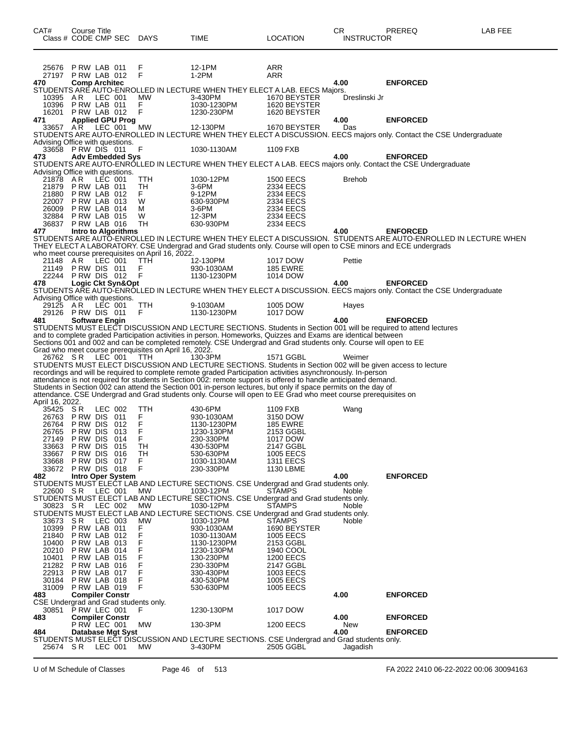| CAT#                                        |                                          | Course Title            |                            |                                                       |                                                                                                                                                                                                                                   |                               | CR                | PREREQ                                                                                                                          | LAB FEE |
|---------------------------------------------|------------------------------------------|-------------------------|----------------------------|-------------------------------------------------------|-----------------------------------------------------------------------------------------------------------------------------------------------------------------------------------------------------------------------------------|-------------------------------|-------------------|---------------------------------------------------------------------------------------------------------------------------------|---------|
|                                             | Class # CODE CMP SEC                     |                         |                            | <b>DAYS</b>                                           | <b>TIME</b>                                                                                                                                                                                                                       | <b>LOCATION</b>               | <b>INSTRUCTOR</b> |                                                                                                                                 |         |
|                                             |                                          |                         |                            |                                                       |                                                                                                                                                                                                                                   |                               |                   |                                                                                                                                 |         |
| 25676                                       |                                          | PRW LAB 011             |                            | F                                                     | 12-1PM                                                                                                                                                                                                                            | ARR                           |                   |                                                                                                                                 |         |
| 470                                         | 27197 PRW LAB 012                        | <b>Comp Architec</b>    |                            | F                                                     | $1-2PM$                                                                                                                                                                                                                           | ARR                           | 4.00              | <b>ENFORCED</b>                                                                                                                 |         |
| 10395 AR                                    |                                          |                         | LEC 001                    | <b>MW</b>                                             | STUDENTS ARE AUTO-ENROLLED IN LECTURE WHEN THEY ELECT A LAB. EECS Majors.<br>3-430PM                                                                                                                                              | 1670 BEYSTER                  | Dreslinski Jr     |                                                                                                                                 |         |
|                                             | 10396 PRW LAB 011                        |                         |                            | F                                                     | 1030-1230PM                                                                                                                                                                                                                       | 1620 BEYSTER                  |                   |                                                                                                                                 |         |
| 471                                         | 16201 P RW LAB 012                       |                         | <b>Applied GPU Prog</b>    | F                                                     | 1230-230PM                                                                                                                                                                                                                        | 1620 BEYSTER                  | 4.00              | <b>ENFORCED</b>                                                                                                                 |         |
| 33657 AR                                    |                                          |                         | LEC 001                    | MW                                                    | 12-130PM                                                                                                                                                                                                                          | 1670 BEYSTER                  | Das               |                                                                                                                                 |         |
| Advising Office with questions.             |                                          |                         |                            |                                                       |                                                                                                                                                                                                                                   |                               |                   | STUDENTS ARE AUTO-ENROLLED IN LECTURE WHEN THEY ELECT A DISCUSSION. EECS majors only. Contact the CSE Undergraduate             |         |
|                                             | 33658 PRW DIS 011                        |                         |                            | F                                                     | 1030-1130AM                                                                                                                                                                                                                       | 1109 FXB                      |                   |                                                                                                                                 |         |
| 473                                         |                                          |                         | <b>Adv Embedded Sys</b>    |                                                       |                                                                                                                                                                                                                                   |                               | 4.00              | <b>ENFORCED</b><br>STUDENTS ARE AUTO-ENRÓLLED IN LECTURE WHEN THEY ELECT A LAB. EECS majors only. Contact the CSE Undergraduate |         |
| Advising Office with questions.             |                                          |                         | LEC 001                    | TTH                                                   | 1030-12PM                                                                                                                                                                                                                         | <b>1500 EECS</b>              | <b>Brehob</b>     |                                                                                                                                 |         |
| 21878 AR                                    | 21879 P RW LAB 011                       |                         |                            | TH                                                    | 3-6PM                                                                                                                                                                                                                             | 2334 EECS                     |                   |                                                                                                                                 |         |
| 22007                                       | 21880 P RW LAB 012<br>PRW LAB 013        |                         |                            | F.<br>W                                               | 9-12PM<br>630-930PM                                                                                                                                                                                                               | 2334 EECS<br>2334 EECS        |                   |                                                                                                                                 |         |
|                                             | 26009 PRW LAB 014                        |                         |                            | м                                                     | $3-6$ PM                                                                                                                                                                                                                          | 2334 EECS                     |                   |                                                                                                                                 |         |
|                                             | 32884 PRW LAB 015<br>36837 PRW LAB 016   |                         |                            | W<br>TH                                               | 12-3PM<br>630-930PM                                                                                                                                                                                                               | 2334 EECS<br>2334 EECS        |                   |                                                                                                                                 |         |
| 477                                         |                                          |                         | <b>Intro to Algorithms</b> |                                                       |                                                                                                                                                                                                                                   |                               | 4.00              | <b>ENFORCED</b>                                                                                                                 |         |
|                                             |                                          |                         |                            |                                                       | THEY ELECT A LABORATORY. CSE Undergrad and Grad students only. Course will open to CSE minors and ECE undergrads                                                                                                                  |                               |                   | STUDENTS ARE AUTO-ENROLLED IN LECTURE WHEN THEY ELECT A DISCUSSION. STUDENTS ARE AUTO-ENROLLED IN LECTURE WHEN                  |         |
|                                             |                                          |                         |                            | who meet course prerequisites on April 16, 2022.      |                                                                                                                                                                                                                                   |                               |                   |                                                                                                                                 |         |
| 21148 AR<br>21149                           | PRW DIS 011                              |                         | LEC 001                    | TTH<br>F                                              | 12-130PM<br>930-1030AM                                                                                                                                                                                                            | 1017 DOW<br><b>185 EWRE</b>   | Pettie            |                                                                                                                                 |         |
| 478                                         | 22244 PRW DIS 012                        |                         | Logic Ckt Syn&Opt          | F                                                     | 1130-1230PM                                                                                                                                                                                                                       | 1014 DOW                      | 4.00              | <b>ENFORCED</b>                                                                                                                 |         |
|                                             |                                          |                         |                            |                                                       |                                                                                                                                                                                                                                   |                               |                   | STUDENTS ARE AUTO-ENROLLED IN LECTURE WHEN THEY ELECT A DISCUSSION. EECS majors only. Contact the CSE Undergraduate             |         |
| Advising Office with questions.<br>29125 AR |                                          |                         | LEC 001                    | TTH                                                   | 9-1030AM                                                                                                                                                                                                                          | 1005 DOW                      | Hayes             |                                                                                                                                 |         |
|                                             | 29126 PRWDIS 011                         |                         |                            | F                                                     | 1130-1230PM                                                                                                                                                                                                                       | 1017 DOW                      |                   |                                                                                                                                 |         |
| 481                                         |                                          | <b>Software Engin</b>   |                            |                                                       | STUDENTS MUST ELECT DISCUSSION AND LECTURE SECTIONS. Students in Section 001 will be required to attend lectures                                                                                                                  |                               | 4.00              | <b>ENFORCED</b>                                                                                                                 |         |
|                                             |                                          |                         |                            |                                                       | and to complete graded Participation activities in person. Homeworks, Quizzes and Exams are identical between                                                                                                                     |                               |                   |                                                                                                                                 |         |
|                                             |                                          |                         |                            | Grad who meet course prerequisites on April 16, 2022. | Sections 001 and 002 and can be completed remotely. CSE Undergrad and Grad students only. Course will open to EE                                                                                                                  |                               |                   |                                                                                                                                 |         |
|                                             | 26762 SR LEC 001                         |                         |                            | <b>TTH</b>                                            | 130-3PM<br>STUDENTS MUST ELECT DISCUSSION AND LECTURE SECTIONS. Students in Section 002 will be given access to lecture                                                                                                           | 1571 GGBL                     | Weimer            |                                                                                                                                 |         |
|                                             |                                          |                         |                            |                                                       | recordings and will be required to complete remote graded Participation activities asynchronously. In-person                                                                                                                      |                               |                   |                                                                                                                                 |         |
|                                             |                                          |                         |                            |                                                       | attendance is not required for students in Section 002: remote support is offered to handle anticipated demand.<br>Students in Section 002 can attend the Section 001 in-person lectures, but only if space permits on the day of |                               |                   |                                                                                                                                 |         |
|                                             |                                          |                         |                            |                                                       | attendance. CSE Undergrad and Grad students only. Course will open to EE Grad who meet course prerequisites on                                                                                                                    |                               |                   |                                                                                                                                 |         |
| April 16, 2022.<br>35425 SR                 |                                          |                         | LEC 002                    | TTH                                                   | 430-6PM                                                                                                                                                                                                                           | 1109 FXB                      | Wang              |                                                                                                                                 |         |
|                                             | 26763 PRW DIS 011                        |                         |                            | F                                                     | 930-1030AM                                                                                                                                                                                                                        | 3150 DOW                      |                   |                                                                                                                                 |         |
| 26764                                       | PRW DIS 012<br>26765 PRW DIS 013         |                         |                            | F<br>F                                                | 1130-1230PM<br>1230-130PM                                                                                                                                                                                                         | <b>185 EWRE</b><br>2153 GGBL  |                   |                                                                                                                                 |         |
|                                             | 27149 PRW DIS 014                        |                         |                            | F                                                     | 230-330PM                                                                                                                                                                                                                         | 1017 DOW                      |                   |                                                                                                                                 |         |
| 33663<br>33667                              |                                          | P RW DIS<br>PRW DIS 016 | 015                        | TН<br>TH                                              | 430-530PM<br>530-630PM                                                                                                                                                                                                            | 2147 GGBL<br>1005 EECS        |                   |                                                                                                                                 |         |
| 33668                                       | PRW DIS 017<br>33672 PRW DIS 018         |                         |                            | F.<br>F                                               | 1030-1130AM<br>230-330PM                                                                                                                                                                                                          | <b>1311 EECS</b>              |                   |                                                                                                                                 |         |
| 482                                         |                                          |                         | <b>Intro Oper System</b>   |                                                       |                                                                                                                                                                                                                                   | 1130 LBME                     | 4.00              | <b>ENFORCED</b>                                                                                                                 |         |
| 22600 SR                                    |                                          | LEC 001                 |                            | MW                                                    | STUDENTS MUST ELECT LAB AND LECTURE SECTIONS. CSE Undergrad and Grad students only.<br>1030-12PM                                                                                                                                  | <b>STAMPS</b>                 | Noble             |                                                                                                                                 |         |
|                                             |                                          |                         |                            |                                                       | STUDENTS MUST ELECT LAB AND LECTURE SECTIONS, CSE Undergrad and Grad students only.                                                                                                                                               |                               |                   |                                                                                                                                 |         |
| 30823 SR                                    |                                          |                         | LEC 002                    | MW                                                    | 1030-12PM<br>STUDENTS MUST ELECT LAB AND LECTURE SECTIONS. CSE Undergrad and Grad students only.                                                                                                                                  | <b>STAMPS</b>                 | Noble             |                                                                                                                                 |         |
| 33673 SR                                    |                                          |                         | LEC 003                    | <b>MW</b>                                             | 1030-12PM                                                                                                                                                                                                                         | <b>STAMPS</b>                 | Noble             |                                                                                                                                 |         |
|                                             | 10399 P RW LAB 011<br>21840 P RW LAB 012 |                         |                            | F<br>F                                                | 930-1030AM<br>1030-1130AM                                                                                                                                                                                                         | 1690 BEYSTER<br>1005 EECS     |                   |                                                                                                                                 |         |
|                                             | 10400 P RW LAB 013                       |                         |                            | F                                                     | 1130-1230PM                                                                                                                                                                                                                       | 2153 GGBL                     |                   |                                                                                                                                 |         |
| 10401                                       | 20210 P RW LAB 014                       | PRW LAB 015             |                            | F<br>F                                                | 1230-130PM<br>130-230PM                                                                                                                                                                                                           | 1940 COOL<br><b>1200 EECS</b> |                   |                                                                                                                                 |         |
|                                             | 21282 P RW LAB 016                       |                         |                            | F<br>F                                                | 230-330PM                                                                                                                                                                                                                         | 2147 GGBL                     |                   |                                                                                                                                 |         |
|                                             | 22913 P RW LAB 017<br>30184 PRW LAB 018  |                         |                            | F                                                     | 330-430PM<br>430-530PM                                                                                                                                                                                                            | 1003 EECS<br>1005 EECS        |                   |                                                                                                                                 |         |
| 31009<br>483                                | PRW LAB 019                              |                         | <b>Compiler Constr</b>     | F                                                     | 530-630PM                                                                                                                                                                                                                         | 1005 EECS                     | 4.00              | <b>ENFORCED</b>                                                                                                                 |         |
|                                             |                                          |                         |                            | CSE Undergrad and Grad students only.                 |                                                                                                                                                                                                                                   |                               |                   |                                                                                                                                 |         |
| 483                                         | 30851 P RW LEC 001                       |                         | <b>Compiler Constr</b>     | F                                                     | 1230-130PM                                                                                                                                                                                                                        | 1017 DOW                      | 4.00              | <b>ENFORCED</b>                                                                                                                 |         |
|                                             |                                          | <b>P RW LEC 001</b>     |                            | MW                                                    | 130-3PM                                                                                                                                                                                                                           | <b>1200 EECS</b>              | New               |                                                                                                                                 |         |
| 484                                         |                                          |                         | Database Mgt Syst          |                                                       | STUDENTS MUST ELECT DISCUSSION AND LECTURE SECTIONS. CSE Undergrad and Grad students only.                                                                                                                                        |                               | 4.00              | <b>ENFORCED</b>                                                                                                                 |         |
| 25674 SR                                    |                                          | LEC 001                 |                            | MW                                                    | 3-430PM                                                                                                                                                                                                                           | 2505 GGBL                     | Jagadish          |                                                                                                                                 |         |

U of M Schedule of Classes Page 46 of 513 FA 2022 2410 06-22-2022 00:06 30094163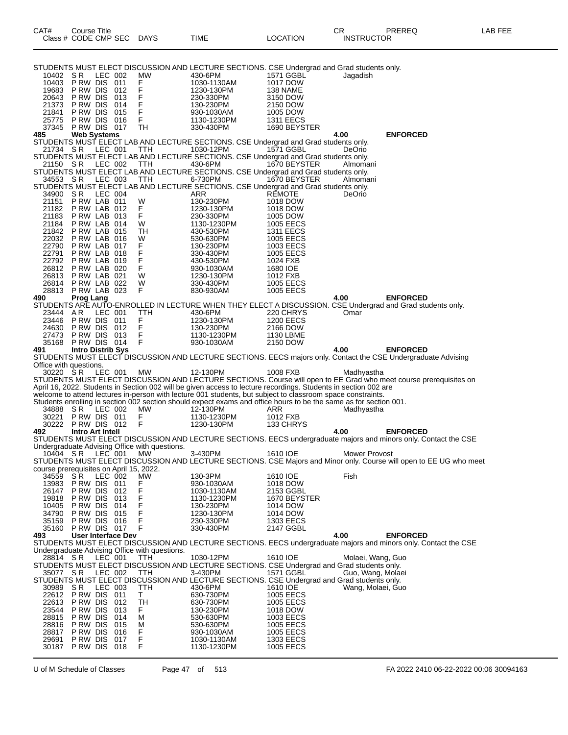| STUDENTS MUST ELECT DISCUSSION AND LECTURE SECTIONS. CSE Undergrad and Grad students only.                                                                     |                                                                                                                                                 |
|----------------------------------------------------------------------------------------------------------------------------------------------------------------|-------------------------------------------------------------------------------------------------------------------------------------------------|
| <b>MW</b><br>10402 SR<br>LEC 002<br>430-6PM<br>PRW DIS 011<br>F<br>10403<br>1030-1130AM                                                                        | 1571 GGBL<br>Jagadish<br>1017 DOW                                                                                                               |
| F<br>P RW DIS<br>-012<br>19683<br>1230-130PM                                                                                                                   | 138 NAME                                                                                                                                        |
| F<br>F<br>P RW DIS<br>20643<br>013<br>230-330PM                                                                                                                | 3150 DOW                                                                                                                                        |
| 21373<br>P RW DIS<br>014<br>130-230PM<br>F<br>21841<br>P RW DIS<br>015<br>930-1030AM                                                                           | 2150 DOW<br>1005 DOW                                                                                                                            |
| F<br>P RW DIS<br>25775<br>016<br>1130-1230PM                                                                                                                   | <b>1311 EECS</b>                                                                                                                                |
| 37345<br>PRW DIS 017<br>TН<br>330-430PM                                                                                                                        | 1690 BEYSTER                                                                                                                                    |
| <b>Web Systems</b><br>485<br>STUDENTS MUST ELECT LAB AND LECTURE SECTIONS. CSE Undergrad and Grad students only.                                               | <b>ENFORCED</b><br>4.00                                                                                                                         |
| 21734 SR<br>LEC 001<br><b>TTH</b><br>1030-12PM                                                                                                                 | 1571 GGBL<br>DeOrio                                                                                                                             |
| STUDENTS MUST ELECT LAB AND LECTURE SECTIONS. CSE Undergrad and Grad students only.<br>21150 SR<br>LEC 002<br>430-6PM<br>TTH                                   | 1670 BEYSTER<br>Almomani                                                                                                                        |
| STUDENTS MUST ELECT LAB AND LECTURE SECTIONS. CSE Undergrad and Grad students only.                                                                            |                                                                                                                                                 |
| LEC 003<br>6-730PM<br>34553 SR<br>ттн                                                                                                                          | 1670 BEYSTER<br>Almomani                                                                                                                        |
| STUDENTS MUST ELECT LAB AND LECTURE SECTIONS. CSE Undergrad and Grad students only.<br>S R<br>LEC 004<br>ARR<br>34900                                          | <b>REMOTE</b><br>DeOrio                                                                                                                         |
| PRW LAB 011<br>W<br>130-230PM<br>21151                                                                                                                         | 1018 DOW                                                                                                                                        |
| PRW LAB 012<br>F<br>21182<br>1230-130PM<br>F<br>21183<br>PRW LAB 013<br>230-330PM                                                                              | 1018 DOW<br>1005 DOW                                                                                                                            |
| PRW LAB 014<br>W<br>21184<br>1130-1230PM                                                                                                                       | 1005 EECS                                                                                                                                       |
| PRW LAB 015<br>21842<br>TН<br>430-530PM                                                                                                                        | <b>1311 EECS</b>                                                                                                                                |
| 22032<br>PRW LAB 016<br>W<br>530-630PM<br>F<br>PRW LAB 017<br>22790<br>130-230PM                                                                               | <b>1005 EECS</b><br>1003 EECS                                                                                                                   |
| PRW LAB 018<br>F<br>22791<br>330-430PM                                                                                                                         | <b>1005 EECS</b>                                                                                                                                |
| F<br>22792<br>PRW LAB 019<br>430-530PM                                                                                                                         | 1024 FXB                                                                                                                                        |
| F<br>PRW LAB 020<br>26812<br>930-1030AM<br>PRW LAB 021<br>26813<br>W<br>1230-130PM                                                                             | 1680 IOE<br>1012 FXB                                                                                                                            |
| 26814<br>PRW LAB 022<br>W<br>330-430PM                                                                                                                         | 1005 EECS                                                                                                                                       |
| F<br>PRW LAB 023<br>28813<br>830-930AM<br>490<br><b>Prog Lang</b>                                                                                              | <b>1005 EECS</b><br>4.00<br><b>ENFORCED</b>                                                                                                     |
| STUDENTS ARE AUTO-ENROLLED IN LECTURE WHEN THEY ELECT A DISCUSSION. CSE Undergrad and Grad students only.                                                      |                                                                                                                                                 |
| AR.<br>LEC 001<br>430-6PM<br>23444<br>TTH                                                                                                                      | 220 CHRYS<br>Omar                                                                                                                               |
| F<br>23446<br>PRW DIS 011<br>1230-130PM<br>F<br>24630<br>PRW DIS 012<br>130-230PM                                                                              | <b>1200 EECS</b><br>2166 DOW                                                                                                                    |
| F<br>PRW DIS 013<br>27473<br>1130-1230PM                                                                                                                       | 1130 LBME                                                                                                                                       |
| PRW DIS 014<br>F<br>35168<br>930-1030AM                                                                                                                        | 2150 DOW                                                                                                                                        |
| <b>Intro Distrib Sys</b><br>491<br>STUDENTS MUST ELECT DISCUSSION AND LECTURE SECTIONS. EECS majors only. Contact the CSE Undergraduate Advising               | 4.00<br><b>ENFORCED</b>                                                                                                                         |
| Office with questions.                                                                                                                                         |                                                                                                                                                 |
| 30220 SR<br>LEC 001<br>МW<br>12-130PM<br>STUDENTS MUST ELECT DISCUSSION AND LECTURE SECTIONS. Course will open to EE Grad who meet course prerequisites on     | 1008 FXB<br>Madhyastha                                                                                                                          |
| April 16, 2022. Students in Section 002 will be given access to lecture recordings. Students in section 002 are                                                |                                                                                                                                                 |
| welcome to attend lectures in-person with lecture 001 students, but subject to classroom space constraints.                                                    |                                                                                                                                                 |
| Students enrolling in section 002 section should expect exams and office hours to be the same as for section 001.<br>LEC 002<br>МW<br>12-130PM<br>34888<br>S R | ARR<br>Madhyastha                                                                                                                               |
| 30221<br>PRW DIS 011<br>F<br>1130-1230PM                                                                                                                       | 1012 FXB                                                                                                                                        |
| F<br>30222 PRW DIS 012<br>1230-130PM<br><b>Intro Art Intell</b><br>492                                                                                         | 133 CHRYS<br>4.00<br><b>ENFORCED</b>                                                                                                            |
| STUDENTS MUST ELECT DISCUSSION AND LECTURE SECTIONS. EECS undergraduate majors and minors only. Contact the CSE                                                |                                                                                                                                                 |
| Undergraduate Advising Office with questions.                                                                                                                  |                                                                                                                                                 |
| 10404 SR<br>LEC 001<br>МW<br>3-430PM                                                                                                                           | Mower Provost<br>1610 IOE<br>STUDENTS MUST ELECT DISCUSSION AND LECTURE SECTIONS. CSE Majors and Minor only. Course will open to EE UG who meet |
| course prerequisites on April 15, 2022.                                                                                                                        |                                                                                                                                                 |
| S R<br>MW<br>130-3PM<br>34559<br>LEC 002<br>13983<br>P RW DIS<br>011<br>F<br>930-1030AM                                                                        | 1610 IOE<br>Fish<br>1018 DOW                                                                                                                    |
| F<br>26147<br>P RW DIS<br>012<br>1030-1130AM                                                                                                                   | 2153 GGBL                                                                                                                                       |
| F<br>P RW DIS<br>19818<br>013<br>1130-1230PM                                                                                                                   | 1670 BEYSTER                                                                                                                                    |
| F<br>10405<br>P RW DIS<br>014<br>130-230PM<br>F<br>34790<br>P RW DIS<br>015<br>1230-130PM                                                                      | 1014 DOW<br>1014 DOW                                                                                                                            |
| P RW DIS<br>F<br>35159<br>016<br>230-330PM                                                                                                                     | 1303 EECS                                                                                                                                       |
| F<br>35160<br>PRW DIS 017<br>330-430PM                                                                                                                         | 2147 GGBL                                                                                                                                       |
| User Interface Dev<br>493<br>STUDENTS MUST ELECT DISCUSSION AND LECTURE SECTIONS. EECS undergraduate majors and minors only. Contact the CSE                   | 4.00<br><b>ENFORCED</b>                                                                                                                         |
| Undergraduate Advising Office with questions.                                                                                                                  |                                                                                                                                                 |
| LEC 001<br>1030-12PM<br>28814 SR<br>TTH<br>STUDENTS MUST ELECT DISCUSSION AND LECTURE SECTIONS. CSE Undergrad and Grad students only.                          | 1610 IOE<br>Molaei, Wang, Guo                                                                                                                   |
| 35077 SR<br>LEC 002<br>TTH<br>3-430PM                                                                                                                          | 1571 GGBL<br>Guo, Wang, Molaei                                                                                                                  |
| STUDENTS MUST ELECT DISCUSSION AND LECTURE SECTIONS. CSE Undergrad and Grad students only.                                                                     |                                                                                                                                                 |
| 30989<br>S R<br>LEC 003<br>TTH<br>430-6PM<br>Τ<br>22612<br>PRW DIS 011<br>630-730PM                                                                            | 1610 IOE<br>Wang, Molaei, Guo<br><b>1005 EECS</b>                                                                                               |
| <b>TH</b><br>P RW DIS<br>22613<br>012<br>630-730PM                                                                                                             | 1005 EECS                                                                                                                                       |
| P RW DIS<br>23544<br>013<br>F.<br>130-230PM                                                                                                                    | 1018 DOW                                                                                                                                        |
| 28815<br>P RW DIS<br>014<br>М<br>530-630PM<br>28816<br>P RW DIS<br>015<br>М<br>530-630PM                                                                       | 1003 EECS<br>1005 EECS                                                                                                                          |
| P RW DIS<br>28817<br>016<br>F<br>930-1030AM                                                                                                                    | 1005 EECS                                                                                                                                       |
| F<br>29691<br>P RW DIS<br>017<br>1030-1130AM<br>F<br>30187<br>PRW DIS 018<br>1130-1230PM                                                                       | 1303 EECS<br>1005 EECS                                                                                                                          |
|                                                                                                                                                                |                                                                                                                                                 |

Class # CODE CMP SEC DAYS TIME LOCATION INSTRUCTOR

U of M Schedule of Classes Page 47 of 513 FA 2022 2410 06-22-2022 00:06 30094163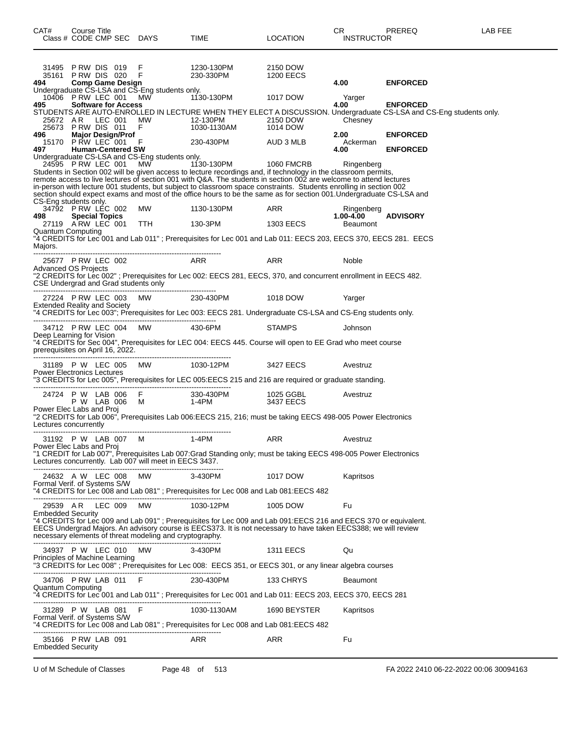| CAT#                                                | Course Title |                            | Class # CODE CMP SEC DAYS                                        | TIME                                                                                                                                                                                                                                                                                                                                                                                                                                                                                                                               | <b>LOCATION</b>       | CR.<br><b>INSTRUCTOR</b>  | PREREQ          | LAB FEE |
|-----------------------------------------------------|--------------|----------------------------|------------------------------------------------------------------|------------------------------------------------------------------------------------------------------------------------------------------------------------------------------------------------------------------------------------------------------------------------------------------------------------------------------------------------------------------------------------------------------------------------------------------------------------------------------------------------------------------------------------|-----------------------|---------------------------|-----------------|---------|
| 494                                                 |              | <b>Comp Game Design</b>    |                                                                  |                                                                                                                                                                                                                                                                                                                                                                                                                                                                                                                                    | 2150 DOW<br>1200 EECS | 4.00                      | <b>ENFORCED</b> |         |
| 10406 PRW LEC 001 MW                                |              |                            | Undergraduate CS-LSA and CS-Eng students only.                   | 1130-130PM                                                                                                                                                                                                                                                                                                                                                                                                                                                                                                                         | 1017 DOW              | Yarger                    |                 |         |
| 495                                                 |              | <b>Software for Access</b> |                                                                  | STUDENTS ARE AUTO-ENROLLED IN LECTURE WHEN THEY ELECT A DISCUSSION. Undergraduate CS-LSA and CS-Eng students only.                                                                                                                                                                                                                                                                                                                                                                                                                 |                       | 4.00<br>Chesney           | <b>ENFORCED</b> |         |
| 496                                                 |              | <b>Major Design/Prof</b>   |                                                                  |                                                                                                                                                                                                                                                                                                                                                                                                                                                                                                                                    |                       | 2.00<br>Ackerman          | <b>ENFORCED</b> |         |
| 497 -                                               |              | <b>Human-Centered SW</b>   | Undergraduate CS-LSA and CS-Eng students only.                   |                                                                                                                                                                                                                                                                                                                                                                                                                                                                                                                                    |                       | 4.00                      | <b>ENFORCED</b> |         |
| CS-Eng students only.                               |              |                            |                                                                  | 24595 P RW LEC 001 MW 1130-130PM 1060 FMCRB<br>Students in Section 002 will be given access to lecture recordings and, if technology in the classroom permits,<br>remote access to live lectures of section 001 with Q&A. The students in section 002 are welcome to attend lectures<br>in-person with lecture 001 students, but subject to classroom space constraints. Students enrolling in section 002<br>section should expect exams and most of the office hours to be the same as for section 001. Undergraduate CS-LSA and |                       | Ringenberg                |                 |         |
|                                                     |              |                            | 34792 PRW LÉC 002 MW                                             | 1130-130PM ARR                                                                                                                                                                                                                                                                                                                                                                                                                                                                                                                     |                       | Ringenberg                |                 |         |
| 498                                                 |              | <b>Special Topics</b>      |                                                                  | 27119 A RW LEC 001 TTH 130-3PM 1303 EECS                                                                                                                                                                                                                                                                                                                                                                                                                                                                                           |                       | $1.00 - 4.00$<br>Beaumont | <b>ADVISORY</b> |         |
| <b>Quantum Computing</b><br>Majors.                 |              |                            |                                                                  | "4 CREDITS for Lec 001 and Lab 011" ; Prerequisites for Lec 001 and Lab 011: EECS 203, EECS 370, EECS 281. EECS                                                                                                                                                                                                                                                                                                                                                                                                                    |                       |                           |                 |         |
|                                                     |              |                            | 25677 PRW LEC 002 ARR                                            |                                                                                                                                                                                                                                                                                                                                                                                                                                                                                                                                    | ARR                   | Noble                     |                 |         |
| <b>Advanced OS Projects</b>                         |              |                            | CSE Undergrad and Grad students only                             | "2 CREDITS for Lec 002"; Prerequisites for Lec 002: EECS 281, EECS, 370, and concurrent enrollment in EECS 482.                                                                                                                                                                                                                                                                                                                                                                                                                    |                       |                           |                 |         |
| <b>Extended Reality and Society</b>                 |              |                            |                                                                  | 27224 PRW LEC 003 MW 230-430PM 1018 DOW                                                                                                                                                                                                                                                                                                                                                                                                                                                                                            |                       | Yarger                    |                 |         |
|                                                     |              |                            |                                                                  | "4 CREDITS for Lec 003"; Prerequisites for Lec 003: EECS 281. Undergraduate CS-LSA and CS-Eng students only.                                                                                                                                                                                                                                                                                                                                                                                                                       |                       |                           |                 |         |
| Deep Learning for Vision                            |              |                            | 34712 PRW LEC 004 MW 430-6PM<br>prerequisites on April 16, 2022. | "4 CREDITS for Sec 004", Prerequisites for LEC 004: EECS 445. Course will open to EE Grad who meet course                                                                                                                                                                                                                                                                                                                                                                                                                          | <b>STAMPS</b>         | Johnson                   |                 |         |
|                                                     |              |                            |                                                                  | 31189 P W LEC 005 MW 1030-12PM                                                                                                                                                                                                                                                                                                                                                                                                                                                                                                     | 3427 EECS             | Avestruz                  |                 |         |
| Power Electronics Lectures                          |              |                            |                                                                  | "3 CREDITS for Lec 005", Prerequisites for LEC 005:EECS 215 and 216 are required or graduate standing.                                                                                                                                                                                                                                                                                                                                                                                                                             |                       |                           |                 |         |
|                                                     |              |                            |                                                                  | 24724 P W LAB 006 F 330-430PM<br>P W LAB 006 M 1-4PM                                                                                                                                                                                                                                                                                                                                                                                                                                                                               | 1025 GGBL             | Avestruz                  |                 |         |
| Power Elec Labs and Proj<br>Lectures concurrently   |              |                            |                                                                  | "2 CREDITS for Lab 006", Prerequisites Lab 006:EECS 215, 216; must be taking EECS 498-005 Power Electronics                                                                                                                                                                                                                                                                                                                                                                                                                        | 3437 EECS             |                           |                 |         |
|                                                     |              |                            | 31192 P W LAB 007 M 1-4PM                                        |                                                                                                                                                                                                                                                                                                                                                                                                                                                                                                                                    | ARR                   | Avestruz                  |                 |         |
| Power Elec Labs and Proj                            |              |                            | Lectures concurrently. Lab 007 will meet in EECS 3437.           | "1 CREDIT for Lab 007", Prerequisites Lab 007:Grad Standing only; must be taking EECS 498-005 Power Electronics                                                                                                                                                                                                                                                                                                                                                                                                                    |                       |                           |                 |         |
| Formal Verif. of Systems S/W                        |              |                            | 24632 A W LEC 008 MW                                             | 3-430PM<br>"4 CREDITS for Lec 008 and Lab 081"; Prerequisites for Lec 008 and Lab 081:EECS 482                                                                                                                                                                                                                                                                                                                                                                                                                                     | 1017 DOW              | Kapritsos                 |                 |         |
|                                                     |              |                            | 29539 AR LEC 009 MW                                              | 1030-12PM                                                                                                                                                                                                                                                                                                                                                                                                                                                                                                                          | 1005 DOW              | Fu                        |                 |         |
| <b>Embedded Security</b>                            |              |                            | necessary elements of threat modeling and cryptography.          | "4 CREDITS for Lec 009 and Lab 091"; Prerequisites for Lec 009 and Lab 091:EECS 216 and EECS 370 or equivalent.<br>EECS Undergrad Majors. An advisory course is EECS373. It is not necessary to have taken EECS388; we will review                                                                                                                                                                                                                                                                                                 |                       |                           |                 |         |
| Principles of Machine Learning                      |              |                            | 34937 P W LEC 010 MW                                             | 3-430PM<br>"3 CREDITS for Lec 008"; Prerequisites for Lec 008: EECS 351, or EECS 301, or any linear algebra courses                                                                                                                                                                                                                                                                                                                                                                                                                | <b>1311 EECS</b>      | Qu                        |                 |         |
|                                                     |              |                            | -------------------------------                                  | 230-430PM                                                                                                                                                                                                                                                                                                                                                                                                                                                                                                                          | 133 CHRYS             |                           |                 |         |
| <b>Quantum Computing</b>                            |              |                            | 34706 PRW LAB 011 F<br>--------------------------------------    | "4 CREDITS for Lec 001 and Lab 011"; Prerequisites for Lec 001 and Lab 011: EECS 203, EECS 370, EECS 281                                                                                                                                                                                                                                                                                                                                                                                                                           |                       | <b>Beaumont</b>           |                 |         |
| 31289 P W LAB 081 F<br>Formal Verif. of Systems S/W |              |                            |                                                                  | 1030-1130AM<br>"4 CREDITS for Lec 008 and Lab 081"; Prerequisites for Lec 008 and Lab 081:EECS 482                                                                                                                                                                                                                                                                                                                                                                                                                                 | 1690 BEYSTER          | Kapritsos                 |                 |         |
| 35166 PRW LAB 091<br><b>Embedded Security</b>       |              |                            |                                                                  | ARR                                                                                                                                                                                                                                                                                                                                                                                                                                                                                                                                | ARR                   | Fu                        |                 |         |
|                                                     |              |                            |                                                                  |                                                                                                                                                                                                                                                                                                                                                                                                                                                                                                                                    |                       |                           |                 |         |

U of M Schedule of Classes Page 48 of 513 FA 2022 2410 06-22-2022 00:06 30094163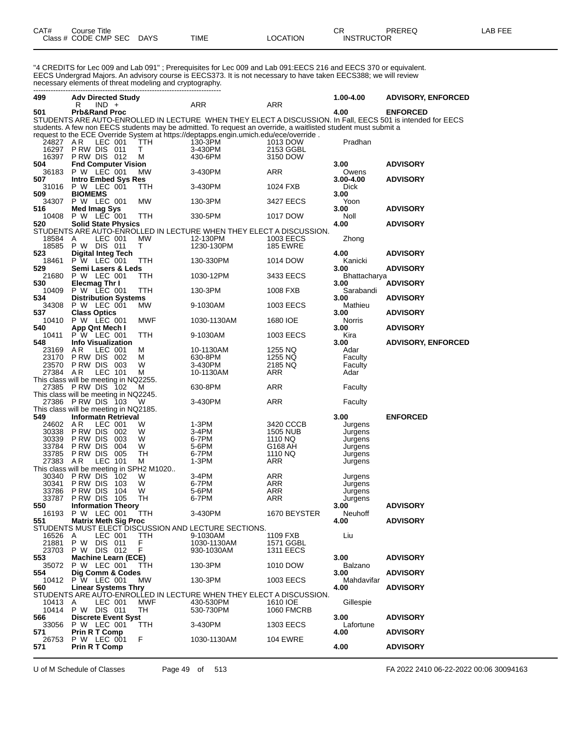| CAT# | Course Title              |      |          | ~~<br>◡⊓          | PREREQ | LAB FEE |
|------|---------------------------|------|----------|-------------------|--------|---------|
|      | Class # CODE CMP SEC DAYS | TIME | LOCATION | <b>INSTRUCTOR</b> |        |         |

"4 CREDITS for Lec 009 and Lab 091" ; Prerequisites for Lec 009 and Lab 091:EECS 216 and EECS 370 or equivalent. EECS Undergrad Majors. An advisory course is EECS373. It is not necessary to have taken EECS388; we will review necessary elements of threat modeling and cryptography. ----------------------------------------------------------------------------

| 499            | <b>Adv Directed Study</b>                                                                                     |                           |                               | 1.00-4.00            | <b>ADVISORY, ENFORCED</b> |
|----------------|---------------------------------------------------------------------------------------------------------------|---------------------------|-------------------------------|----------------------|---------------------------|
| 501            | $IND +$<br>R<br><b>Prb&amp;Rand Proc</b>                                                                      | ARR                       | ARR                           | 4.00                 | <b>ENFORCED</b>           |
|                | STUDENTS ARE AUTO-ENROLLED IN LECTURE WHEN THEY ELECT A DISCUSSION. In Fall, EECS 501 is intended for EECS    |                           |                               |                      |                           |
|                | students. A few non EECS students may be admitted. To request an override, a waitlisted student must submit a |                           |                               |                      |                           |
|                | request to the ECE Override System at https://deptapps.engin.umich.edu/ece/override.                          |                           |                               |                      |                           |
| 24827          | LEC 001<br>AR.<br>TTH                                                                                         | 130-3PM                   | 1013 DOW                      | Pradhan              |                           |
| 16297          | PRW DIS 011<br>т                                                                                              | 3-430PM                   | 2153 GGBL                     |                      |                           |
| 504            | 16397 P RW DIS 012<br>м                                                                                       | 430-6PM                   | 3150 DOW                      | 3.00                 |                           |
| 36183          | <b>Fnd Computer Vision</b><br><b>P W LEC 001</b><br>MW                                                        | 3-430PM                   | ARR                           | Owens                | <b>ADVISORY</b>           |
| 507            | <b>Intro Embed Sys Res</b>                                                                                    |                           |                               | 3.00-4.00            | <b>ADVISORY</b>           |
| 31016          | P W LEC 001<br>ттн                                                                                            | 3-430PM                   | 1024 FXB                      | <b>Dick</b>          |                           |
| 509            | <b>BIOMEMS</b>                                                                                                |                           |                               | 3.00                 |                           |
| 34307          | P W LEC 001<br>MW                                                                                             | 130-3PM                   | 3427 EECS                     | Yoon                 |                           |
| 516            | <b>Med Imag Sys</b>                                                                                           |                           |                               | 3.00                 | <b>ADVISORY</b>           |
| 10408<br>520   | P W LEC 001<br>TTH<br><b>Solid State Physics</b>                                                              | 330-5PM                   | 1017 DOW                      | Noll<br>4.00         | <b>ADVISORY</b>           |
|                | STUDENTS ARE AUTO-ENROLLED IN LECTURE WHEN THEY ELECT A DISCUSSION.                                           |                           |                               |                      |                           |
| 18584          | LEC 001<br>MW<br>A                                                                                            | 12-130PM                  | 1003 EECS                     | Zhong                |                           |
|                | 18585 P W DIS 011<br>т                                                                                        | 1230-130PM                | <b>185 EWRE</b>               |                      |                           |
| 523            | <b>Digital Integ Tech</b>                                                                                     |                           |                               | 4.00                 | <b>ADVISORY</b>           |
| 18461          | P W LEC 001<br>ттн                                                                                            | 130-330PM                 | 1014 DOW                      | Kanicki              |                           |
| 529            | Semi Lasers & Leds                                                                                            |                           |                               | 3.00                 | <b>ADVISORY</b>           |
| 21680<br>530   | P W LEC 001<br>ттн<br>Elecmag Thr I                                                                           | 1030-12PM                 | 3433 EECS                     | Bhattacharya<br>3.00 | <b>ADVISORY</b>           |
| 10409          | P W LEC 001<br>ттн                                                                                            | 130-3PM                   | 1008 FXB                      | Sarabandi            |                           |
| 534            | <b>Distribution Systems</b>                                                                                   |                           |                               | 3.00                 | <b>ADVISORY</b>           |
| 34308          | P W LEC 001<br>МW                                                                                             | 9-1030AM                  | 1003 EECS                     | Mathieu              |                           |
| 537            | <b>Class Optics</b>                                                                                           |                           |                               | 3.00                 | <b>ADVISORY</b>           |
| 10410          | P W LEC 001<br>MWF                                                                                            | 1030-1130AM               | 1680 IOE                      | Norris               |                           |
| 540            | App Qnt Mech I                                                                                                |                           |                               | 3.00                 | <b>ADVISORY</b>           |
| 10411<br>548   | P W LEC 001<br>TTH<br><b>Info Visualization</b>                                                               | 9-1030AM                  | 1003 EECS                     | Kira<br>3.00         | <b>ADVISORY, ENFORCED</b> |
| 23169          | AR.<br>LEC 001<br>м                                                                                           | 10-1130AM                 | 1255 NQ                       | Adar                 |                           |
| 23170          | PRW DIS 002<br>М                                                                                              | 630-8PM                   | 1255 NQ                       | Faculty              |                           |
| 23570          | PRW DIS 003<br>W                                                                                              | 3-430PM                   | 2185 NQ                       | Faculty              |                           |
| 27384 AR       | LEC 101<br>М                                                                                                  | 10-1130AM                 | ARR                           | Adar                 |                           |
|                | This class will be meeting in NQ2255.                                                                         |                           |                               |                      |                           |
|                | 27385 PRW DIS 102<br>M<br>This class will be meeting in NQ2245.                                               | 630-8PM                   | ARR                           | Faculty              |                           |
|                | 27386 PRW DIS 103<br>W                                                                                        | 3-430PM                   | <b>ARR</b>                    | Faculty              |                           |
|                | This class will be meeting in NQ2185.                                                                         |                           |                               |                      |                           |
| 549            | <b>Informatn Retrieval</b>                                                                                    |                           |                               | 3.00                 | <b>ENFORCED</b>           |
| 24602          | AR<br>LEC 001<br>W                                                                                            | 1-3PM                     | 3420 CCCB                     | Jurgens              |                           |
| 30338          | PRW DIS<br>W<br>002                                                                                           | 3-4PM                     | <b>1505 NUB</b>               | Jurgens              |                           |
| 30339<br>33784 | P RW DIS<br>003<br>W<br>P RW DIS<br>004<br>W                                                                  | 6-7PM<br>5-6PM            | 1110 NQ<br>G168 AH            | Jurgens<br>Jurgens   |                           |
| 33785          | P RW DIS<br>005<br>TН                                                                                         | 6-7PM                     | 1110 NQ                       | Jurgens              |                           |
| 27383          | LEC 101<br>A R<br>М                                                                                           | $1-3PM$                   | ARR                           | Jurgens              |                           |
|                | This class will be meeting in SPH2 M1020                                                                      |                           |                               |                      |                           |
| 30340          | P RW DIS<br>102<br>W                                                                                          | 3-4PM                     | ARR                           | Jurgens              |                           |
| 30341          | P RW DIS<br>103<br>W                                                                                          | 6-7PM                     | ARR                           | Jurgens              |                           |
| 33786<br>33787 | P RW DIS<br>104<br>W<br>PRW DIS 105<br>TН                                                                     | 5-6PM<br>6-7PM            | ARR<br>ARR                    | Jurgens<br>Jurgens   |                           |
| 550            | <b>Information Theory</b>                                                                                     |                           |                               | 3.00                 | <b>ADVISORY</b>           |
|                | 16193 P W LEC 001<br><b>TTH</b>                                                                               | 3-430PM                   | 1670 BEYSTER                  | Neuhoff              |                           |
| 551            | <b>Matrix Meth Sig Proc</b>                                                                                   |                           |                               | 4.00                 | <b>ADVISORY</b>           |
|                | STUDENTS MUST ELECT DISCUSSION AND LECTURE SECTIONS.                                                          |                           |                               |                      |                           |
| 16526 A        | LEC 001<br>TTH.                                                                                               | 9-1030AM                  | 1109 FXB                      | Liu                  |                           |
| 21881<br>23703 | P W DIS 011<br>F.<br>P W DIS 012<br>F                                                                         | 1030-1130AM<br>930-1030AM | 1571 GGBL<br><b>1311 EECS</b> |                      |                           |
| 553            | <b>Machine Learn (ECE)</b>                                                                                    |                           |                               | 3.00                 | <b>ADVISORY</b>           |
| 35072          | P W LEC 001<br><b>TTH</b>                                                                                     | 130-3PM                   | 1010 DOW                      | Balzano              |                           |
| 554            | Dia Comm & Codes                                                                                              |                           |                               | 3.00                 | <b>ADVISORY</b>           |
|                | 10412 P W LEC 001<br>MW                                                                                       | 130-3PM                   | 1003 EECS                     | Mahdavifar           |                           |
| 560            | <b>Linear Systems Thry</b>                                                                                    |                           |                               | 4.00                 | <b>ADVISORY</b>           |
| 10413 A        | STUDENTS ARE AUTO-ENROLLED IN LECTURE WHEN THEY ELECT A DISCUSSION.<br>LEC 001<br>MWF                         |                           | 1610 IOE                      |                      |                           |
| 10414          | P W DIS 011<br>TH                                                                                             | 430-530PM<br>530-730PM    | <b>1060 FMCRB</b>             | Gillespie            |                           |
| 566            | <b>Discrete Event Syst</b>                                                                                    |                           |                               | 3.00                 | <b>ADVISORY</b>           |
| 33056          | P W LEC 001<br>TTH                                                                                            | 3-430PM                   | <b>1303 EECS</b>              | Lafortune            |                           |
| 571            | <b>Prin R T Comp</b>                                                                                          |                           |                               | 4.00                 | <b>ADVISORY</b>           |
| 26753          | P W LEC 001<br>F                                                                                              | 1030-1130AM               | <b>104 EWRE</b>               |                      |                           |
| 571            | <b>Prin R T Comp</b>                                                                                          |                           |                               | 4.00                 | <b>ADVISORY</b>           |

U of M Schedule of Classes Page 49 of 513 FA 2022 2410 06-22-2022 00:06 30094163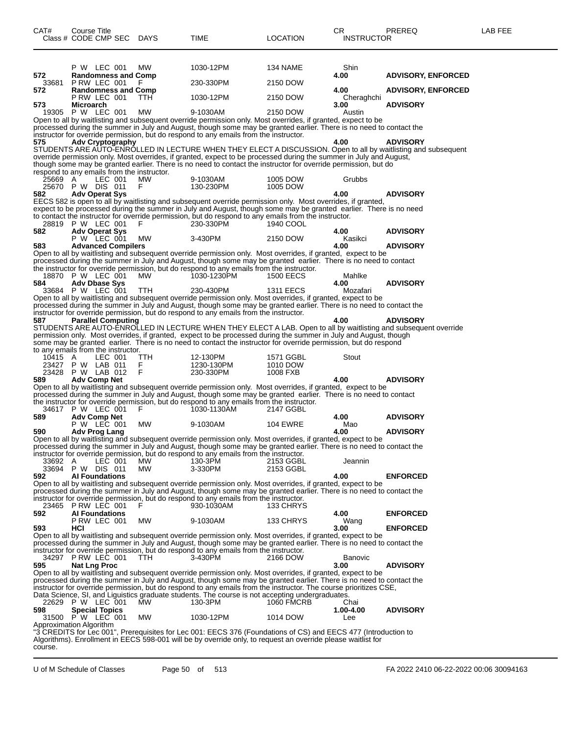| CAT#    | <b>Course Title</b>                        |            |                                                                                                     |                                                                                                                                                                                                                                     | CR.               | PREREQ                                                                                                          | LAB FEE |
|---------|--------------------------------------------|------------|-----------------------------------------------------------------------------------------------------|-------------------------------------------------------------------------------------------------------------------------------------------------------------------------------------------------------------------------------------|-------------------|-----------------------------------------------------------------------------------------------------------------|---------|
|         | Class # CODE CMP SEC DAYS                  |            | TIME                                                                                                | <b>LOCATION</b>                                                                                                                                                                                                                     | <b>INSTRUCTOR</b> |                                                                                                                 |         |
|         |                                            |            |                                                                                                     |                                                                                                                                                                                                                                     |                   |                                                                                                                 |         |
|         |                                            |            |                                                                                                     |                                                                                                                                                                                                                                     |                   |                                                                                                                 |         |
| 572     | P W LEC 001<br><b>Randomness and Comp</b>  | МW         | 1030-12PM                                                                                           | 134 NAME                                                                                                                                                                                                                            | Shin<br>4.00      |                                                                                                                 |         |
| 33681   | P RW LEC 001                               |            | 230-330PM                                                                                           | 2150 DOW                                                                                                                                                                                                                            |                   | <b>ADVISORY, ENFORCED</b>                                                                                       |         |
| 572     | <b>Randomness and Comp</b>                 |            |                                                                                                     |                                                                                                                                                                                                                                     | 4.00              | <b>ADVISORY, ENFORCED</b>                                                                                       |         |
|         | PRW LEC 001                                | TTH.       | 1030-12PM                                                                                           | 2150 DOW                                                                                                                                                                                                                            | Cheraghchi        |                                                                                                                 |         |
| 573.    | <b>Microarch</b><br>19305 P W LEC 001      | <b>MW</b>  | 9-1030AM                                                                                            | 2150 DOW                                                                                                                                                                                                                            | 3.00<br>Austin    | <b>ADVISORY</b>                                                                                                 |         |
|         |                                            |            |                                                                                                     | Open to all by waitlisting and subsequent override permission only. Most overrides, if granted, expect to be                                                                                                                        |                   |                                                                                                                 |         |
|         |                                            |            | instructor for override permission, but do respond to any emails from the instructor.               | processed during the summer in July and August, though some may be granted earlier. There is no need to contact the                                                                                                                 |                   |                                                                                                                 |         |
| 575     | <b>Adv Cryptography</b>                    |            |                                                                                                     |                                                                                                                                                                                                                                     | 4.00              | <b>ADVISORY</b>                                                                                                 |         |
|         |                                            |            |                                                                                                     |                                                                                                                                                                                                                                     |                   | STUDENTS ARE AUTO-ENROLLED IN LECTURE WHEN THEY ELECT A DISCUSSION. Open to all by waitlisting and subsequent   |         |
|         |                                            |            |                                                                                                     | override permission only. Most overrides, if granted, expect to be processed during the summer in July and August,                                                                                                                  |                   |                                                                                                                 |         |
|         | respond to any emails from the instructor. |            |                                                                                                     | though some may be granted earlier. There is no need to contact the instructor for override permission, but do                                                                                                                      |                   |                                                                                                                 |         |
| 25669 A | LEC 001                                    | МW         | 9-1030AM                                                                                            | 1005 DOW                                                                                                                                                                                                                            | Grubbs            |                                                                                                                 |         |
|         | 25670 P W DIS 011                          | F.         | 130-230PM                                                                                           | 1005 DOW                                                                                                                                                                                                                            | 4.00              | <b>ADVISORY</b>                                                                                                 |         |
| 582     | <b>Adv Operat Sys</b>                      |            |                                                                                                     | EECS 582 is open to all by waitlisting and subsequent override permission only. Most overrides, if granted,                                                                                                                         |                   |                                                                                                                 |         |
|         |                                            |            |                                                                                                     | expect to be processed during the summer in July and August, though some may be granted earlier. There is no need                                                                                                                   |                   |                                                                                                                 |         |
|         |                                            |            |                                                                                                     | to contact the instructor for override permission, but do respond to any emails from the instructor.                                                                                                                                |                   |                                                                                                                 |         |
| 582     | 28819 P W LEC 001<br><b>Adv Operat Sys</b> | F          | 230-330PM                                                                                           | 1940 COOL                                                                                                                                                                                                                           | 4.00              | <b>ADVISORY</b>                                                                                                 |         |
|         | P W LEC 001                                | МW         | 3-430PM                                                                                             | 2150 DOW                                                                                                                                                                                                                            | Kasikci           |                                                                                                                 |         |
| 583     | <b>Advanced Compilers</b>                  |            |                                                                                                     |                                                                                                                                                                                                                                     | 4.00              | <b>ADVISORY</b>                                                                                                 |         |
|         |                                            |            |                                                                                                     | Open to all by waitlisting and subsequent override permission only. Most overrides, if granted, expect to be<br>processed during the summer in July and August, though some may be granted earlier. There is no need to contact     |                   |                                                                                                                 |         |
|         |                                            |            |                                                                                                     | the instructor for override permission, but do respond to any emails from the instructor.                                                                                                                                           |                   |                                                                                                                 |         |
|         | 18870 P W LEC 001                          | MW.        | 1030-1230PM                                                                                         | <b>1500 EECS</b>                                                                                                                                                                                                                    | Mahlke            |                                                                                                                 |         |
| 584     | <b>Adv Dbase Sys</b><br>33684 P W LEC 001  | TTH        | 230-430PM                                                                                           | <b>1311 EECS</b>                                                                                                                                                                                                                    | 4.00<br>Mozafari  | <b>ADVISORY</b>                                                                                                 |         |
|         |                                            |            |                                                                                                     | Open to all by waitlisting and subsequent override permission only. Most overrides, if granted, expect to be                                                                                                                        |                   |                                                                                                                 |         |
|         |                                            |            |                                                                                                     | processed during the summer in July and August, though some may be granted earlier. There is no need to contact the                                                                                                                 |                   |                                                                                                                 |         |
| 587     | <b>Parallel Computing</b>                  |            | instructor for override permission, but do respond to any emails from the instructor.               |                                                                                                                                                                                                                                     | 4.00              | <b>ADVISORY</b>                                                                                                 |         |
|         |                                            |            |                                                                                                     |                                                                                                                                                                                                                                     |                   | STUDENTS ARE AUTO-ENROLLED IN LECTURE WHEN THEY ELECT A LAB. Open to all by waitlisting and subsequent override |         |
|         |                                            |            |                                                                                                     | permission only. Most overrides, if granted, expect to be processed during the summer in July and August, though                                                                                                                    |                   |                                                                                                                 |         |
|         | to any emails from the instructor.         |            |                                                                                                     | some may be granted earlier. There is no need to contact the instructor for override permission, but do respond                                                                                                                     |                   |                                                                                                                 |         |
| 10415 A | LEC 001                                    | <b>TTH</b> | 12-130PM                                                                                            | 1571 GGBL                                                                                                                                                                                                                           | Stout             |                                                                                                                 |         |
|         | 23427 P W LAB 011                          | F.         | 1230-130PM                                                                                          | 1010 DOW                                                                                                                                                                                                                            |                   |                                                                                                                 |         |
|         | 23428 P W LAB 012                          | F          | 230-330PM                                                                                           | 1008 FXB                                                                                                                                                                                                                            |                   |                                                                                                                 |         |
| 589     | <b>Adv Comp Net</b>                        |            |                                                                                                     | Open to all by waitlisting and subsequent override permission only. Most overrides, if granted, expect to be                                                                                                                        | 4.00              | <b>ADVISORY</b>                                                                                                 |         |
|         |                                            |            |                                                                                                     | processed during the summer in July and August, though some may be granted earlier. There is no need to contact                                                                                                                     |                   |                                                                                                                 |         |
|         | 34617 P W LEC 001                          |            | 1030-1130AM                                                                                         | the instructor for override permission, but do respond to any emails from the instructor.                                                                                                                                           |                   |                                                                                                                 |         |
| 589     | <b>Adv Comp Net</b>                        | F.         |                                                                                                     | 2147 GGBL                                                                                                                                                                                                                           | 4.00              | <b>ADVISORY</b>                                                                                                 |         |
|         | P W LEC 001                                | МW         | 9-1030AM                                                                                            | <b>104 EWRE</b>                                                                                                                                                                                                                     | Mao               |                                                                                                                 |         |
| 590     | Adv Prog Lang                              |            |                                                                                                     |                                                                                                                                                                                                                                     | 4.00              | <b>ADVISORY</b>                                                                                                 |         |
|         |                                            |            |                                                                                                     | Open to all by waitlisting and subsequent override permission only. Most overrides, if granted, expect to be<br>processed during the summer in July and August, though some may be granted earlier. There is no need to contact the |                   |                                                                                                                 |         |
|         |                                            |            | instructor for override permission, but do respond to any emails from the instructor.               |                                                                                                                                                                                                                                     |                   |                                                                                                                 |         |
| 33692 A | LEC 001                                    | <b>MW</b>  | 130-3PM                                                                                             | 2153 GGBL                                                                                                                                                                                                                           | Jeannin           |                                                                                                                 |         |
| 592.    | 33694 P W DIS 011<br><b>Al Foundations</b> | MW         | 3-330PM                                                                                             | 2153 GGBL                                                                                                                                                                                                                           | 4.00              | <b>ENFORCED</b>                                                                                                 |         |
|         |                                            |            |                                                                                                     | Open to all by waitlisting and subsequent override permission only. Most overrides, if granted, expect to be                                                                                                                        |                   |                                                                                                                 |         |
|         |                                            |            |                                                                                                     | processed during the summer in July and August, though some may be granted earlier. There is no need to contact the                                                                                                                 |                   |                                                                                                                 |         |
|         | 23465 P RW LEC 001                         | F          | instructor for override permission, but do respond to any emails from the instructor.<br>930-1030AM | 133 CHRYS                                                                                                                                                                                                                           |                   |                                                                                                                 |         |
| 592     | <b>Al Foundations</b>                      |            |                                                                                                     |                                                                                                                                                                                                                                     | 4.00              | <b>ENFORCED</b>                                                                                                 |         |
|         | PRW LEC 001                                | <b>MW</b>  | 9-1030AM                                                                                            | 133 CHRYS                                                                                                                                                                                                                           | Wang              |                                                                                                                 |         |
| 593     | HCI                                        |            |                                                                                                     | Open to all by waitlisting and subsequent override permission only. Most overrides, if granted, expect to be                                                                                                                        | 3.00              | <b>ENFORCED</b>                                                                                                 |         |
|         |                                            |            |                                                                                                     | processed during the summer in July and August, though some may be granted earlier. There is no need to contact the                                                                                                                 |                   |                                                                                                                 |         |
|         |                                            |            | instructor for override permission, but do respond to any emails from the instructor.               |                                                                                                                                                                                                                                     |                   |                                                                                                                 |         |
| 595     | 34297 P RW LEC 001<br><b>Nat Lng Proc</b>  | <b>TTH</b> | 3-430PM                                                                                             | 2166 DOW                                                                                                                                                                                                                            | Banovic<br>3.00   | <b>ADVISORY</b>                                                                                                 |         |
|         |                                            |            |                                                                                                     | Open to all by waitlisting and subsequent override permission only. Most overrides, if granted, expect to be                                                                                                                        |                   |                                                                                                                 |         |
|         |                                            |            |                                                                                                     | processed during the summer in July and August, though some may be granted earlier. There is no need to contact the                                                                                                                 |                   |                                                                                                                 |         |
|         |                                            |            |                                                                                                     | instructor for override permission, but do respond to any emails from the instructor. The course prioritizes CSE,                                                                                                                   |                   |                                                                                                                 |         |
|         | 22629 P W LEC 001                          | MW         | 130-3PM                                                                                             | Data Science, SI, and Liguistics graduate students. The course is not accepting undergraduates.<br><b>1060 FMCRB</b>                                                                                                                | Chai              |                                                                                                                 |         |
| 598     | <b>Special Topics</b>                      |            |                                                                                                     |                                                                                                                                                                                                                                     | 1.00-4.00         | <b>ADVISORY</b>                                                                                                 |         |
| 31500   | P W LEC 001                                | MW         | 1030-12PM                                                                                           | 1014 DOW                                                                                                                                                                                                                            | Lee               |                                                                                                                 |         |
|         | Approximation Algorithm                    |            |                                                                                                     | "3 CREDITS for Lec 001", Prerequisites for Lec 001: EECS 376 (Foundations of CS) and EECS 477 (Introduction to                                                                                                                      |                   |                                                                                                                 |         |
|         |                                            |            |                                                                                                     | Algorithms). Enrollment in EECS 598-001 will be by override only, to request an override please waitlist for                                                                                                                        |                   |                                                                                                                 |         |
| course. |                                            |            |                                                                                                     |                                                                                                                                                                                                                                     |                   |                                                                                                                 |         |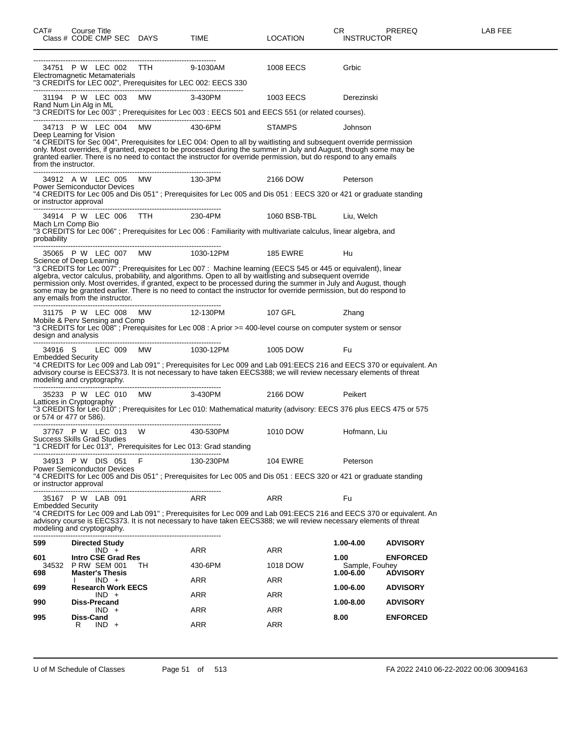| CAT#                                                         |   | Course Title                                               | Class # CODE CMP SEC DAYS    | TIME                                                                                           | <b>LOCATION</b>                                                                                                                                                                                                                                                                                                                                                                                                                                                     | CR<br><b>INSTRUCTOR</b> | <b>PREREQ</b>   | LAB FEE |
|--------------------------------------------------------------|---|------------------------------------------------------------|------------------------------|------------------------------------------------------------------------------------------------|---------------------------------------------------------------------------------------------------------------------------------------------------------------------------------------------------------------------------------------------------------------------------------------------------------------------------------------------------------------------------------------------------------------------------------------------------------------------|-------------------------|-----------------|---------|
| Electromagnetic Metamaterials                                |   |                                                            |                              | 34751 P W LEC 002 TTH 9-1030AM<br>"3 CREDITS for LEC 002", Prerequisites for LEC 002: EECS 330 | 1008 EECS                                                                                                                                                                                                                                                                                                                                                                                                                                                           | Grbic                   |                 |         |
|                                                              |   |                                                            |                              | 31194 P W LEC 003 MW 3-430PM                                                                   | 1003 EECS                                                                                                                                                                                                                                                                                                                                                                                                                                                           | Derezinski              |                 |         |
| Rand Num Lin Alg in ML                                       |   |                                                            |                              |                                                                                                | "3 CREDITS for Lec 003"; Prerequisites for Lec 003 : EECS 501 and EECS 551 (or related courses).                                                                                                                                                                                                                                                                                                                                                                    |                         |                 |         |
|                                                              |   |                                                            | 34713 P W LEC 004 MW 430-6PM |                                                                                                | <b>STAMPS</b>                                                                                                                                                                                                                                                                                                                                                                                                                                                       | Johnson                 |                 |         |
| Deep Learning for Vision<br>from the instructor.             |   |                                                            |                              |                                                                                                | "4 CREDITS for Sec 004", Prerequisites for LEC 004: Open to all by waitlisting and subsequent override permission<br>only. Most overrides, if granted, expect to be processed during the summer in July and August, though some may be<br>granted earlier. There is no need to contact the instructor for override permission, but do respond to any emails                                                                                                         |                         |                 |         |
| <b>Power Semiconductor Devices</b><br>or instructor approval |   |                                                            |                              | 34912 A W LEC 005 MW 130-3PM                                                                   | 2166 DOW<br>"4 CREDITS for Lec 005 and Dis 051"; Prerequisites for Lec 005 and Dis 051: EECS 320 or 421 or graduate standing                                                                                                                                                                                                                                                                                                                                        | Peterson                |                 |         |
|                                                              |   |                                                            |                              |                                                                                                | 34914 P W LEC 006 TTH 230-4PM 1060 BSB-TBL Liu, Welch                                                                                                                                                                                                                                                                                                                                                                                                               |                         |                 |         |
| Mach Lrn Comp Bio<br>probability                             |   |                                                            |                              |                                                                                                | "3 CREDITS for Lec 006"; Prerequisites for Lec 006 : Familiarity with multivariate calculus, linear algebra, and                                                                                                                                                                                                                                                                                                                                                    |                         |                 |         |
|                                                              |   |                                                            |                              |                                                                                                | 35065 P W LEC 007 MW 1030-12PM 185 EWRE                                                                                                                                                                                                                                                                                                                                                                                                                             | Hu                      |                 |         |
| Science of Deep Learning<br>any emails from the instructor.  |   |                                                            |                              |                                                                                                | "3 CREDITS for Lec 007"; Prerequisites for Lec 007: Machine learning (EECS 545 or 445 or equivalent), linear<br>algebra, vector calculus, probability, and algorithms. Open to all by waitlisting and subsequent override<br>permission only. Most overrides, if granted, expect to be processed during the summer in July and August, though<br>some may be granted earlier. There is no need to contact the instructor for override permission, but do respond to |                         |                 |         |
|                                                              |   |                                                            |                              |                                                                                                | 31175 P W LEC 008 MW 12-130PM 107 GFL                                                                                                                                                                                                                                                                                                                                                                                                                               | Zhang                   |                 |         |
|                                                              |   |                                                            |                              |                                                                                                | Mobile & Perv Sensing and Comp<br>"3 CREDITS for Lec 008" ; Prerequisites for Lec 008 : A prior >= 400-level course on computer system or sensor                                                                                                                                                                                                                                                                                                                    |                         |                 |         |
|                                                              |   |                                                            |                              |                                                                                                | 34916 S LEC 009 MW 1030-12PM 1005 DOW                                                                                                                                                                                                                                                                                                                                                                                                                               | Fu                      |                 |         |
| <b>Embedded Security</b>                                     |   |                                                            |                              |                                                                                                | "4 CREDITS for Lec 009 and Lab 091"; Prerequisites for Lec 009 and Lab 091:EECS 216 and EECS 370 or equivalent. An<br>advisory course is EECS373. It is not necessary to have taken EECS388; we will review necessary elements of threat                                                                                                                                                                                                                            |                         |                 |         |
|                                                              |   |                                                            |                              |                                                                                                | 35233 P W LEC 010 MW 3-430PM 2166 DOW                                                                                                                                                                                                                                                                                                                                                                                                                               | Peikert                 |                 |         |
| or 574 or 477 or 586).                                       |   |                                                            |                              |                                                                                                | Lattices in Cryptography<br>"3 CREDITS for Lec 010" ; Prerequisites for Lec 010: Mathematical maturity (advisory: EECS 376 plus EECS 475 or 575                                                                                                                                                                                                                                                                                                                     |                         |                 |         |
|                                                              |   |                                                            |                              |                                                                                                | 37767 P W LEC 013 W 430-530PM 1010 DOW                                                                                                                                                                                                                                                                                                                                                                                                                              | Hofmann, Liu            |                 |         |
| <b>Success Skills Grad Studies</b>                           |   |                                                            |                              | "1 CREDIT for Lec 013", Prerequisites for Lec 013: Grad standing                               |                                                                                                                                                                                                                                                                                                                                                                                                                                                                     |                         |                 |         |
|                                                              |   | 34913 P W DIS 051 F                                        |                              | 130-230PM                                                                                      | 104 EWRE                                                                                                                                                                                                                                                                                                                                                                                                                                                            | Peterson                |                 |         |
| <b>Power Semiconductor Devices</b><br>or instructor approval |   |                                                            |                              |                                                                                                | "4 CREDITS for Lec 005 and Dis 051": Prerequisites for Lec 005 and Dis 051: EECS 320 or 421 or graduate standing                                                                                                                                                                                                                                                                                                                                                    |                         |                 |         |
|                                                              |   | 35167 P W LAB 091                                          |                              | ARR                                                                                            | <b>ARR</b>                                                                                                                                                                                                                                                                                                                                                                                                                                                          | Fu                      |                 |         |
| <b>Embedded Security</b><br>modeling and cryptography.       |   |                                                            |                              |                                                                                                | "4 CREDITS for Lec 009 and Lab 091"; Prerequisites for Lec 009 and Lab 091:EECS 216 and EECS 370 or equivalent. An<br>advisory course is EECS373. It is not necessary to have taken EECS388; we will review necessary elements of threat                                                                                                                                                                                                                            |                         |                 |         |
| 599                                                          |   | <b>Directed Study</b>                                      |                              |                                                                                                |                                                                                                                                                                                                                                                                                                                                                                                                                                                                     | 1.00-4.00               | <b>ADVISORY</b> |         |
| 601<br>34532                                                 |   | $IND +$<br><b>Intro CSE Grad Res</b><br><b>PRW SEM 001</b> | TH.                          | ARR<br>430-6PM                                                                                 | ARR<br>1018 DOW                                                                                                                                                                                                                                                                                                                                                                                                                                                     | 1.00<br>Sample, Fouhey  | <b>ENFORCED</b> |         |
| 698                                                          |   | <b>Master's Thesis</b><br>$IND +$                          |                              | ARR                                                                                            | ARR                                                                                                                                                                                                                                                                                                                                                                                                                                                                 | 1.00-6.00               | <b>ADVISORY</b> |         |
| 699                                                          |   | <b>Research Work EECS</b><br>$IND +$                       |                              | ARR                                                                                            | ARR                                                                                                                                                                                                                                                                                                                                                                                                                                                                 | 1.00-6.00               | <b>ADVISORY</b> |         |
| 990                                                          |   | <b>Diss-Precand</b><br>$IND +$                             |                              | ARR                                                                                            | <b>ARR</b>                                                                                                                                                                                                                                                                                                                                                                                                                                                          | 1.00-8.00               | <b>ADVISORY</b> |         |
| 995                                                          | R | Diss-Cand<br>$IND +$                                       |                              | ARR                                                                                            | <b>ARR</b>                                                                                                                                                                                                                                                                                                                                                                                                                                                          | 8.00                    | <b>ENFORCED</b> |         |
|                                                              |   |                                                            |                              |                                                                                                |                                                                                                                                                                                                                                                                                                                                                                                                                                                                     |                         |                 |         |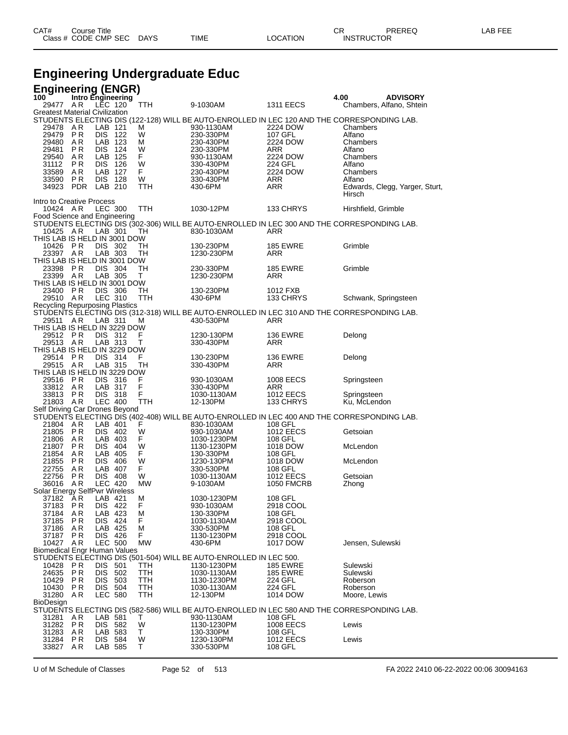| CAT# | Course Title              |      |          | CR                | PREREQ | LAB FEE |
|------|---------------------------|------|----------|-------------------|--------|---------|
|      | Class # CODE CMP SEC DAYS | TIME | LOCATION | <b>INSTRUCTOR</b> |        |         |

# **Engineering Undergraduate Educ**

## **Engineering (ENGR)**

| 100                                   | Intro Engineering |                           |                    |           |                                                                                                                               |                      | 4.00                        | <b>ADVISORY</b>                |
|---------------------------------------|-------------------|---------------------------|--------------------|-----------|-------------------------------------------------------------------------------------------------------------------------------|----------------------|-----------------------------|--------------------------------|
| 29477 AR                              |                   |                           | LEC 120            | TTH       | 9-1030AM                                                                                                                      | <b>1311 EECS</b>     |                             | Chambers, Alfano, Shtein       |
| <b>Greatest Material Civilization</b> |                   |                           |                    |           |                                                                                                                               |                      |                             |                                |
|                                       |                   |                           |                    |           | STUDENTS ELECTING DIS (122-128) WILL BE AUTO-ENROLLED IN LEC 120 AND THE CORRESPONDING LAB.                                   |                      |                             |                                |
| 29478                                 | AR                | LAB 121                   |                    | м         | 930-1130AM                                                                                                                    | 2224 DOW             | Chambers                    |                                |
| 29479                                 | P R               | DIS 122                   |                    | W         | 230-330PM                                                                                                                     | 107 GFL              | Alfano                      |                                |
| 29480                                 | AR                |                           | LAB 123            | м         | 230-430PM                                                                                                                     | 2224 DOW             | Chambers                    |                                |
| 29481                                 | P R               |                           | DIS 124            | W         | 230-330PM                                                                                                                     | ARR                  | Alfano                      |                                |
| 29540                                 | AR                |                           | LAB 125            | F         | 930-1130AM                                                                                                                    | 2224 DOW             | Chambers                    |                                |
| 31112<br>33589                        | P R<br>AR         | DIS 126                   | LAB 127            | W<br>F    | 330-430PM<br>230-430PM                                                                                                        | 224 GFL              | Alfano<br>Chambers          |                                |
| 33590                                 | P R               | DIS 128                   |                    | W         |                                                                                                                               | 2224 DOW<br>ARR      | Alfano                      |                                |
| 34923                                 | <b>PDR</b>        | LAB 210                   |                    | TTH       | 330-430PM<br>430-6PM                                                                                                          | ARR                  |                             | Edwards, Clegg, Yarger, Sturt, |
|                                       |                   |                           |                    |           |                                                                                                                               |                      | Hirsch                      |                                |
| Intro to Creative Process             |                   |                           |                    |           |                                                                                                                               |                      |                             |                                |
| 10424 AR                              |                   | <b>LEC 300</b>            |                    | TTH       | 1030-12PM                                                                                                                     | 133 CHRYS            | Hirshfield, Grimble         |                                |
| Food Science and Engineering          |                   |                           |                    |           |                                                                                                                               |                      |                             |                                |
|                                       |                   |                           |                    |           | STUDENTS ELECTING DIS (302-306) WILL BE AUTO-ENROLLED IN LEC 300 AND THE CORRESPONDING LAB.                                   |                      |                             |                                |
| 10425 A R                             |                   | LAB 301                   |                    | TН        | 830-1030AM                                                                                                                    | ARR                  |                             |                                |
| THIS LAB IS HELD IN 3001 DOW          |                   |                           |                    |           |                                                                                                                               |                      |                             |                                |
| 10426 PR                              |                   |                           | DIS 302            | TH        | 130-230PM                                                                                                                     | <b>185 EWRE</b>      | Grimble                     |                                |
| 23397 AR                              |                   |                           | LAB 303            | TH        | 1230-230PM                                                                                                                    | ARR                  |                             |                                |
| THIS LAB IS HELD IN 3001 DOW          |                   |                           |                    |           |                                                                                                                               |                      |                             |                                |
| 23398 PR                              |                   | DIS 304                   |                    | TН        | 230-330PM                                                                                                                     | <b>185 EWRE</b>      | Grimble                     |                                |
| 23399 AR                              |                   | LAB 305                   |                    | т         | 1230-230PM                                                                                                                    | ARR                  |                             |                                |
| THIS LAB IS HELD IN 3001 DOW          |                   |                           |                    |           |                                                                                                                               |                      |                             |                                |
| 23400 PR                              |                   | <b>DIS 306</b>            |                    | TН        | 130-230PM                                                                                                                     | 1012 FXB             |                             |                                |
| 29510 AR                              |                   |                           | LEC 310            | TTH       | 430-6PM                                                                                                                       | 133 CHRYS            | Schwank, Springsteen        |                                |
|                                       |                   |                           |                    |           | Recycling Repurposing Plastics<br>STUDENTS ELECTING DIS (312-318) WILL BE AUTO-ENROLLED IN LEC 310 AND THE CORRESPONDING LAB. |                      |                             |                                |
|                                       |                   |                           |                    |           |                                                                                                                               |                      |                             |                                |
| 29511                                 | AR                | LAB 311                   |                    | M         | 430-530PM                                                                                                                     | <b>ARR</b>           |                             |                                |
| THIS LAB IS HELD IN 3229 DOW          |                   |                           |                    |           |                                                                                                                               |                      |                             |                                |
| 29512 PR                              |                   |                           | DIS 312            | F         | 1230-130PM                                                                                                                    | <b>136 EWRE</b>      | Delong                      |                                |
| 29513 AR                              |                   | LAB 313                   |                    | т         | 330-430PM                                                                                                                     | ARR                  |                             |                                |
| THIS LAB IS HELD IN 3229 DOW          |                   |                           |                    |           |                                                                                                                               |                      |                             |                                |
| 29514 PR                              |                   | DIS 314                   |                    | F         | 130-230PM                                                                                                                     | <b>136 EWRE</b>      | Delong                      |                                |
| 29515 AR                              |                   | LAB 315                   |                    | TН        | 330-430PM                                                                                                                     | ARR                  |                             |                                |
| THIS LAB IS HELD IN 3229 DOW          |                   |                           |                    |           |                                                                                                                               |                      |                             |                                |
| 29516 PR                              |                   | DIS 316                   |                    | F<br>F    | 930-1030AM                                                                                                                    | 1008 EECS            | Springsteen                 |                                |
| 33812 AR<br>33813 PR                  |                   | LAB 317<br><b>DIS 318</b> |                    | F         | 330-430PM<br>1030-1130AM                                                                                                      | ARR<br>1012 EECS     |                             |                                |
| 21803 AR                              |                   |                           | LEC 400            | TTH       | 12-130PM                                                                                                                      | 133 CHRYS            | Springsteen<br>Ku, McLendon |                                |
| Self Driving Car Drones Beyond        |                   |                           |                    |           |                                                                                                                               |                      |                             |                                |
|                                       |                   |                           |                    |           | STUDENTS ELECTING DIS (402-408) WILL BE AUTO-ENROLLED IN LEC 400 AND THE CORRESPONDING LAB.                                   |                      |                             |                                |
| 21804 AR                              |                   | LAB 401                   |                    | F         | 830-1030AM                                                                                                                    | 108 GFL              |                             |                                |
| 21805 PR                              |                   |                           | DIS 402            | W         | 930-1030AM                                                                                                                    | 1012 EECS            | Getsoian                    |                                |
| 21806 AR                              |                   | LAB 403                   |                    | F         | 1030-1230PM                                                                                                                   | 108 GFL              |                             |                                |
| 21807 PR                              |                   | DIS 404                   |                    | W         | 1130-1230PM                                                                                                                   | 1018 DOW             | McLendon                    |                                |
| 21854 AR                              |                   | LAB 405                   |                    | F         | 130-330PM                                                                                                                     | 108 GFL              |                             |                                |
| 21855                                 | P R               |                           | DIS 406            | W         | 1230-130PM                                                                                                                    | 1018 DOW             | McLendon                    |                                |
| 22755                                 | AR                | LAB 407                   |                    | F         | 330-530PM                                                                                                                     | 108 GFL              |                             |                                |
| 22756                                 | P R               | DIS 408                   |                    | W         | 1030-1130AM                                                                                                                   | 1012 EECS            | Getsoian                    |                                |
| 36016                                 | AR.               |                           | <b>LEC 420</b>     | MW        | 9-1030AM                                                                                                                      | <b>1050 FMCRB</b>    | Zhong                       |                                |
| Solar Energy SelfPwr Wireless         |                   |                           |                    |           |                                                                                                                               |                      |                             |                                |
| 37182                                 | AR                | LAB 421                   |                    | м         | 1030-1230PM                                                                                                                   | 108 GFL              |                             |                                |
| 37183                                 | P R               | DIS 422                   |                    | F         | 930-1030AM                                                                                                                    | 2918 COOL            |                             |                                |
| 37184                                 | A R               | LAB 423                   |                    | M         | 130-330PM                                                                                                                     | 108 GFL              |                             |                                |
| 37185                                 | P R               | DIS 424                   |                    | F.        | 1030-1130AM                                                                                                                   | 2918 COOL            |                             |                                |
| 37186                                 | AR.               |                           | LAB 425            | м         | 330-530PM                                                                                                                     | 108 GFL              |                             |                                |
| 37187                                 | P R               |                           | DIS 426            | F         | 1130-1230PM                                                                                                                   | 2918 COOL            |                             |                                |
| 10427                                 | A R               | <b>LEC 500</b>            |                    | <b>MW</b> | 430-6PM                                                                                                                       | 1017 DOW             | Jensen, Sulewski            |                                |
| <b>Biomedical Engr Human Values</b>   |                   |                           |                    |           |                                                                                                                               |                      |                             |                                |
|                                       |                   |                           |                    |           | STUDENTS ELECTING DIS (501-504) WILL BE AUTO-ENROLLED IN LEC 500.                                                             |                      |                             |                                |
| 10428                                 | P R               | DIS 501                   |                    | TTH       | 1130-1230PM                                                                                                                   | <b>185 EWRE</b>      | Sulewski                    |                                |
| 24635                                 | P R               | DIS                       | 502                | TTH       | 1030-1130AM                                                                                                                   | <b>185 EWRE</b>      | Sulewski                    |                                |
| 10429                                 | P R               | DIS                       | 503                | TTH       | 1130-1230PM                                                                                                                   | 224 GFL              | Roberson                    |                                |
| 10430                                 | P R               | DIS                       | 504                | TTH       | 1030-1130AM                                                                                                                   | 224 GFL              | Roberson                    |                                |
| 31280                                 | A R               |                           | <b>LEC 580</b>     | TTH       | 12-130PM                                                                                                                      | 1014 DOW             | Moore, Lewis                |                                |
| <b>BioDesign</b>                      |                   |                           |                    |           |                                                                                                                               |                      |                             |                                |
| 31281                                 |                   |                           |                    |           | STUDENTS ELECTING DIS (582-586) WILL BE AUTO-ENROLLED IN LEC 580 AND THE CORRESPONDING LAB.                                   | 108 GFL              |                             |                                |
|                                       | A R               | LAB 581                   |                    | Т<br>W    | 930-1130AM                                                                                                                    |                      |                             |                                |
| 31282<br>31283                        | P R<br>A R        |                           | DIS 582<br>LAB 583 | т         | 1130-1230PM<br>130-330PM                                                                                                      | 1008 EECS<br>108 GFL | Lewis                       |                                |
| 31284                                 | P R               |                           | DIS 584            | W         | 1230-130PM                                                                                                                    | <b>1012 EECS</b>     | Lewis                       |                                |
| 33827                                 | AR.               |                           | LAB 585            | т         | 330-530PM                                                                                                                     | 108 GFL              |                             |                                |
|                                       |                   |                           |                    |           |                                                                                                                               |                      |                             |                                |

U of M Schedule of Classes Page 52 of 513 FA 2022 2410 06-22-2022 00:06 30094163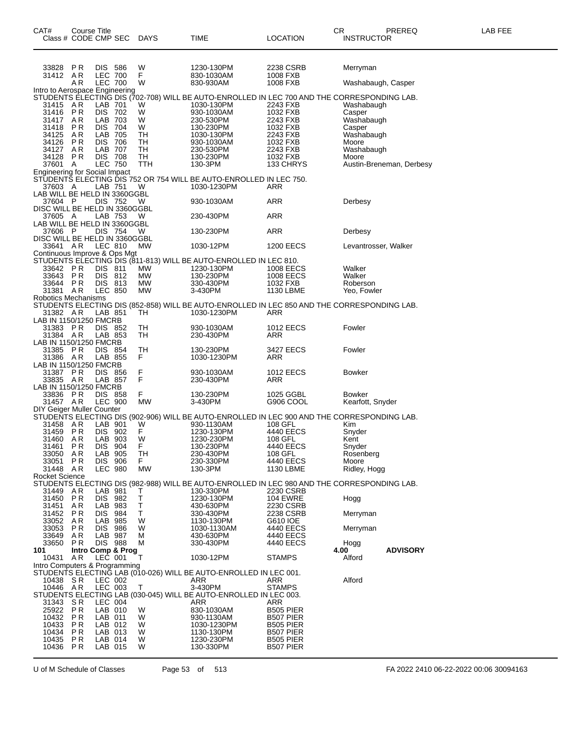| CAT#<br>Class # CODE CMP SEC                  |            | Course Title                 |     | <b>DAYS</b>     | TIME                                                                                                       | <b>LOCATION</b>               | CR<br><b>INSTRUCTOR</b> | PREREQ                   | LAB FEE |
|-----------------------------------------------|------------|------------------------------|-----|-----------------|------------------------------------------------------------------------------------------------------------|-------------------------------|-------------------------|--------------------------|---------|
| 33828<br>31412                                | P R<br>AR  | DIS 586<br><b>LEC 700</b>    |     | W<br>F          | 1230-130PM<br>830-1030AM                                                                                   | 2238 CSRB<br>1008 FXB         | Merryman                |                          |         |
|                                               | A R        | <b>LEC 700</b>               |     | W               | 830-930AM                                                                                                  | 1008 FXB                      | Washabaugh, Casper      |                          |         |
| Intro to Aerospace Engineering                |            |                              |     |                 | STUDENTS ELECTING DIS (702-708) WILL BE AUTO-ENROLLED IN LEC 700 AND THE CORRESPONDING LAB.                |                               |                         |                          |         |
| 31415                                         | AR         | LAB 701                      |     | W               | 1030-130PM                                                                                                 | 2243 FXB                      | Washabaugh              |                          |         |
| 31416<br>31417                                | PR<br>A R  | DIS 702<br>LAB 703           |     | W<br>W          | 930-1030AM<br>230-530PM                                                                                    | 1032 FXB<br>2243 FXB          | Casper<br>Washabaugh    |                          |         |
| 31418                                         | PR         | <b>DIS 704</b>               |     | W               | 130-230PM                                                                                                  | 1032 FXB                      | Casper                  |                          |         |
| 34125                                         | A R        | LAB 705                      |     | TН              | 1030-130PM                                                                                                 | 2243 FXB                      | Washabaugh              |                          |         |
| 34126<br>34127                                | P R<br>A R | DIS 706<br>LAB 707           |     | TH<br>TH        | 930-1030AM<br>230-530PM                                                                                    | 1032 FXB<br>2243 FXB          | Moore<br>Washabaugh     |                          |         |
| 34128                                         | P R        | <b>DIS 708</b>               |     | TН              | 130-230PM                                                                                                  | 1032 FXB                      | Moore                   |                          |         |
| 37601<br><b>Engineering for Social Impact</b> | A          | <b>LEC 750</b>               |     | TTH             | 130-3PM                                                                                                    | 133 CHRYS                     |                         | Austin-Breneman, Derbesy |         |
|                                               |            |                              |     |                 | STUDENTS ELECTING DIS 752 OR 754 WILL BE AUTO-ENROLLED IN LEC 750.                                         |                               |                         |                          |         |
| 37603 A<br>LAB WILL BE HELD IN 3360GGBL       |            | LAB 751                      |     | W               | 1030-1230PM                                                                                                | ARR                           |                         |                          |         |
| 37604 P                                       |            | <b>DIS 752</b>               |     | W               | 930-1030AM                                                                                                 | ARR                           | Derbesy                 |                          |         |
| DISC WILL BE HELD IN 3360GGBL<br>37605 A      |            | LAB 753                      |     | W               | 230-430PM                                                                                                  | ARR                           |                         |                          |         |
| LAB WILL BE HELD IN 3360GGBL                  |            |                              |     |                 |                                                                                                            |                               |                         |                          |         |
| 37606 P                                       |            | DIS 754                      |     | W               | 130-230PM                                                                                                  | ARR                           | Derbesy                 |                          |         |
| DISC WILL BE HELD IN 3360GGBL<br>33641 AR     |            | LEC 810                      |     | MW              | 1030-12PM                                                                                                  | <b>1200 EECS</b>              | Levantrosser, Walker    |                          |         |
| Continuous Improve & Ops Mgt                  |            |                              |     |                 |                                                                                                            |                               |                         |                          |         |
| 33642 PR                                      |            | <b>DIS 811</b>               |     | МW              | STUDENTS ELECTING DIS (811-813) WILL BE AUTO-ENROLLED IN LEC 810.<br>1230-130PM                            | 1008 EECS                     | Walker                  |                          |         |
| 33643                                         | PR         | DIS 812                      |     | МW              | 130-230PM                                                                                                  | 1008 EECS                     | Walker                  |                          |         |
| 33644<br>31381                                | P R<br>AR  | DIS 813<br><b>LEC 850</b>    |     | <b>MW</b><br>МW | 330-430PM<br>3-430PM                                                                                       | 1032 FXB<br>1130 LBME         | Roberson<br>Yeo, Fowler |                          |         |
| Robotics Mechanisms                           |            |                              |     |                 |                                                                                                            |                               |                         |                          |         |
| 31382 AR                                      |            | LAB 851                      |     | TН              | STUDENTS ELECTING DIS (852-858) WILL BE AUTO-ENROLLED IN LEC 850 AND THE CORRESPONDING LAB.<br>1030-1230PM | ARR                           |                         |                          |         |
| LAB IN 1150/1250 FMCRB                        |            |                              |     |                 |                                                                                                            |                               |                         |                          |         |
| 31383 PR                                      |            | DIS 852                      |     | TН              | 930-1030AM                                                                                                 | <b>1012 EECS</b>              | Fowler                  |                          |         |
| 31384 AR<br>LAB IN 1150/1250 FMCRB            |            | LAB 853                      |     | TН              | 230-430PM                                                                                                  | <b>ARR</b>                    |                         |                          |         |
| 31385                                         | P R        | DIS 854                      |     | TН              | 130-230PM                                                                                                  | 3427 EECS                     | Fowler                  |                          |         |
| 31386 AR<br>LAB IN 1150/1250 FMCRB            |            | LAB 855                      |     | F.              | 1030-1230PM                                                                                                | ARR                           |                         |                          |         |
| 31387 PR                                      |            | <b>DIS 856</b>               |     | F               | 930-1030AM                                                                                                 | <b>1012 EECS</b>              | <b>Bowker</b>           |                          |         |
| 33835 AR<br>LAB IN 1150/1250 FMCRB            |            | LAB 857                      |     | F               | 230-430PM                                                                                                  | ARR                           |                         |                          |         |
| 33836                                         | P R        | DIS 858                      |     | F.              | 130-230PM                                                                                                  | 1025 GGBL                     | <b>Bowker</b>           |                          |         |
| 31457 AR<br>DIY Geiger Muller Counter         |            | <b>LEC 900</b>               |     | МW              | 3-430PM                                                                                                    | G906 COOL                     | Kearfott, Snyder        |                          |         |
|                                               |            |                              |     |                 | STUDENTS ELECTING DIS (902-906) WILL BE AUTO-ENROLLED IN LEC 900 AND THE CORRESPONDING LAB.                |                               |                         |                          |         |
| 31458                                         | AR         | LAB 901                      |     | W<br>Ë          | 930-1130AM                                                                                                 | 108 GFL                       | Kim                     |                          |         |
| 31459<br>31460                                | PR<br>A R  | DIS 902<br>LAB 903           |     | W               | 1230-130PM<br>1230-230PM                                                                                   | 4440 EECS<br>108 GFL          | Snyder<br>Kent          |                          |         |
| 31461                                         | PR         | DIS 904                      |     | F               | 130-230PM                                                                                                  | 4440 EECS                     | Snyder                  |                          |         |
| 33050<br>33051                                | AR<br>P R  | LAB 905<br>DIS -             | 906 | TH<br>F.        | 230-430PM<br>230-330PM                                                                                     | 108 GFL<br>4440 EECS          | Rosenberg<br>Moore      |                          |         |
| 31448                                         | AR         | <b>LEC 980</b>               |     | <b>MW</b>       | 130-3PM                                                                                                    | 1130 LBME                     | Ridley, Hogg            |                          |         |
| Rocket Science                                |            |                              |     |                 | STUDENTS ELECTING DIS (982-988) WILL BE AUTO-ENROLLED IN LEC 980 AND THE CORRESPONDING LAB.                |                               |                         |                          |         |
| 31449                                         | A R        | LAB 981                      |     | Т               | 130-330PM                                                                                                  | 2230 CSRB                     |                         |                          |         |
| 31450<br>31451                                | P R<br>AR. | DIS 982<br>LAB 983           |     | Ť<br>T          | 1230-130PM<br>430-630PM                                                                                    | <b>104 EWRE</b><br>2230 CSRB  | Hogg                    |                          |         |
| 31452                                         | P R        | DIS 984                      |     | T.              | 330-430PM                                                                                                  | 2238 CSRB                     | Merryman                |                          |         |
| 33052<br>33053                                | A R        | LAB 985                      | 986 | W               | 1130-130PM<br>1030-1130AM                                                                                  | G610 IOE                      |                         |                          |         |
| 33649                                         | P R<br>AR. | DIS -<br>LAB 987             |     | W<br>м          | 430-630PM                                                                                                  | 4440 EECS<br>4440 EECS        | Merryman                |                          |         |
| 33650                                         | P R        | DIS 988                      |     | м               | 330-430PM                                                                                                  | 4440 EECS                     | Hogg                    |                          |         |
| 101<br>10431                                  | AR.        | Intro Comp & Prog<br>LEC 001 |     | T               | 1030-12PM                                                                                                  | <b>STAMPS</b>                 | 4.00<br>Alford          | <b>ADVISORY</b>          |         |
| Intro Computers & Programming                 |            |                              |     |                 |                                                                                                            |                               |                         |                          |         |
| 10438 SR                                      |            | LEC 002                      |     |                 | STUDENTS ELECTING LAB (010-026) WILL BE AUTO-ENROLLED IN LEC 001.<br>ARR                                   | ARR                           | Alford                  |                          |         |
| 10446 AR                                      |            | LEC 003                      |     | T               | 3-430PM                                                                                                    | <b>STAMPS</b>                 |                         |                          |         |
| 31343                                         | SR         | LEC 004                      |     |                 | STUDENTS ELECTING LAB (030-045) WILL BE AUTO-ENROLLED IN LEC 003.<br>ARR                                   | ARR                           |                         |                          |         |
| 25922                                         | P R        | LAB 010                      |     | W               | 830-1030AM                                                                                                 | <b>B505 PIER</b>              |                         |                          |         |
| 10432                                         | PR         | LAB 011                      |     | W               | 930-1130AM                                                                                                 | B507 PIER                     |                         |                          |         |
| 10433<br>10434                                | P R<br>P R | LAB 012<br>LAB 013           |     | W<br>W          | 1030-1230PM<br>1130-130PM                                                                                  | <b>B505 PIER</b><br>B507 PIER |                         |                          |         |
| 10435                                         | P R        | LAB 014                      |     | W               | 1230-230PM                                                                                                 | <b>B505 PIER</b>              |                         |                          |         |
| 10436                                         | P R        | LAB 015                      |     | W               | 130-330PM                                                                                                  | B507 PIER                     |                         |                          |         |

U of M Schedule of Classes Page 53 of 513 FA 2022 2410 06-22-2022 00:06 30094163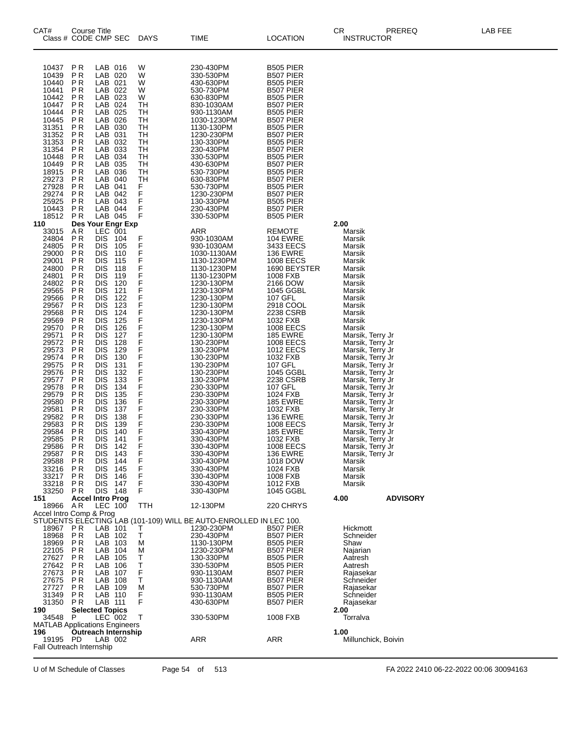| CAT#                                                                                                                                                                                                                                                                                                                           | Course Title<br>Class # CODE CMP SEC                                                                                                                                                                                                                                                                      |                                                                                                                                                                                                                                                                                                                                                                                                                        |                                                                                                                                                                                                                                            | <b>DAYS</b>                                                                                                                                                            | TIME                                                                                                                                                                                                                                                                                                                                                                                                                                                                            | <b>LOCATION</b>                                                                                                                                                                                                                                                                                                                                                                                                                                                                                                                 | СR<br><b>INSTRUCTOR</b>                                                                                                                                                                                                                                                                                                                                                                                                                                                                                                                      | PREREQ              | LAB FEE |
|--------------------------------------------------------------------------------------------------------------------------------------------------------------------------------------------------------------------------------------------------------------------------------------------------------------------------------|-----------------------------------------------------------------------------------------------------------------------------------------------------------------------------------------------------------------------------------------------------------------------------------------------------------|------------------------------------------------------------------------------------------------------------------------------------------------------------------------------------------------------------------------------------------------------------------------------------------------------------------------------------------------------------------------------------------------------------------------|--------------------------------------------------------------------------------------------------------------------------------------------------------------------------------------------------------------------------------------------|------------------------------------------------------------------------------------------------------------------------------------------------------------------------|---------------------------------------------------------------------------------------------------------------------------------------------------------------------------------------------------------------------------------------------------------------------------------------------------------------------------------------------------------------------------------------------------------------------------------------------------------------------------------|---------------------------------------------------------------------------------------------------------------------------------------------------------------------------------------------------------------------------------------------------------------------------------------------------------------------------------------------------------------------------------------------------------------------------------------------------------------------------------------------------------------------------------|----------------------------------------------------------------------------------------------------------------------------------------------------------------------------------------------------------------------------------------------------------------------------------------------------------------------------------------------------------------------------------------------------------------------------------------------------------------------------------------------------------------------------------------------|---------------------|---------|
| 10437<br>10439<br>10440<br>10441<br>10442<br>10447<br>10444<br>10445<br>31351<br>31352<br>31353<br>31354<br>10448<br>10449<br>18915<br>29273<br>27928<br>29274<br>25925<br>10443<br>18512                                                                                                                                      | ΡR<br>P R<br>P <sub>R</sub><br>P R<br>P R<br>ΡR<br>P <sub>R</sub><br>P R<br>ΡR<br>P <sub>R</sub><br>P R<br>P <sub>R</sub><br>P R<br>P R<br><b>PR</b><br>ΡR<br>P R<br><b>PR</b><br>P R<br>P R<br><b>PR</b>                                                                                                 | LAB 016<br>LAB 020<br>LAB 021<br>LAB 022<br>LAB 023<br>LAB 024<br>LAB 025<br>LAB 026<br>LAB 030<br>LAB 031<br>LAB 032<br>LAB 033<br>LAB 034<br>LAB 035<br>LAB 036<br>LAB 040<br>LAB 041<br>LAB 042<br>LAB 043<br>LAB 044<br>LAB 045                                                                                                                                                                                    |                                                                                                                                                                                                                                            | W<br>W<br>W<br>W<br>W<br>TH<br>TН<br>TН<br>TН<br>TН<br>TН<br>TН<br>TН<br>TН<br>TН<br>TН<br>F<br>F<br>F<br>F<br>F                                                       | 230-430PM<br>330-530PM<br>430-630PM<br>530-730PM<br>630-830PM<br>830-1030AM<br>930-1130AM<br>1030-1230PM<br>1130-130PM<br>1230-230PM<br>130-330PM<br>230-430PM<br>330-530PM<br>430-630PM<br>530-730PM<br>630-830PM<br>530-730PM<br>1230-230PM<br>130-330PM<br>230-430PM<br>330-530PM                                                                                                                                                                                            | <b>B505 PIER</b><br>B507 PIER<br><b>B505 PIER</b><br>B507 PIER<br>B505 PIER<br>B507 PIER<br><b>B505 PIER</b><br>B507 PIER<br><b>B505 PIER</b><br>B507 PIER<br>B505 PIER<br>B507 PIER<br><b>B505 PIER</b><br>B507 PIER<br>B505 PIER<br>B507 PIER<br>B505 PIER<br>B507 PIER<br><b>B505 PIER</b><br>B507 PIER<br><b>B505 PIER</b>                                                                                                                                                                                                  |                                                                                                                                                                                                                                                                                                                                                                                                                                                                                                                                              |                     |         |
| 110<br>33015<br>24804<br>24805<br>29000<br>29001<br>24800<br>24801<br>24802<br>29565<br>29566<br>29567<br>29568<br>29569<br>29570<br>29571<br>29572<br>29573<br>29574<br>29575<br>29576<br>29577<br>29578<br>29579<br>29580<br>29581<br>29582<br>29583<br>29584<br>29585<br>29586<br>29587<br>29588<br>33216<br>33217<br>33218 | Des Your Engr Exp<br>AR.<br><b>PR</b><br>ΡR<br>P R<br>P R<br>ΡR<br>P R<br>P R<br>ΡR<br>P R<br>P R<br>ΡR<br>P R<br><b>PR</b><br>ΡR<br>ΡR<br>ΡR<br>ΡR<br>P R<br>ΡR<br>ΡR<br>P R<br><b>PR</b><br>ΡR<br>P R<br><b>PR</b><br>P <sub>R</sub><br>P R<br>P R<br>P R<br>P R<br>P <sub>R</sub><br>P R<br>P R<br>P R | LEC 001<br><b>DIS</b><br><b>DIS</b><br><b>DIS</b><br><b>DIS</b><br>DIS<br><b>DIS</b><br><b>DIS</b><br>DIS<br><b>DIS</b><br><b>DIS</b><br><b>DIS</b><br><b>DIS</b><br><b>DIS</b><br>DIS<br><b>DIS</b><br><b>DIS</b><br>DIS<br><b>DIS</b><br><b>DIS</b><br>DIS<br><b>DIS</b><br><b>DIS</b><br>DIS<br><b>DIS</b><br><b>DIS</b><br>DIS<br><b>DIS</b><br>DIS<br>DIS<br>DIS<br><b>DIS</b><br><b>DIS</b><br>DIS<br><b>DIS</b> | 104<br>105<br>110<br>115<br>118<br>119<br>120<br>121<br>122<br>123<br>124<br>125<br>126<br>127<br>128<br>129<br>130<br>131<br>132<br>133<br>134<br>135<br>136<br>137<br>138<br>139<br>140<br>141<br>142<br>143<br>144<br>145<br>146<br>147 | F<br>F<br>F<br>F<br>F<br>F<br>F<br>F<br>F<br>F<br>F<br>F<br>F<br>F<br>F<br>F<br>F<br>F<br>F<br>F<br>F<br>F<br>F<br>F<br>F<br>F<br>F<br>F<br>F<br>F<br>F<br>F<br>F<br>F | ARR<br>930-1030AM<br>930-1030AM<br>1030-1130AM<br>1130-1230PM<br>1130-1230PM<br>1130-1230PM<br>1230-130PM<br>1230-130PM<br>1230-130PM<br>1230-130PM<br>1230-130PM<br>1230-130PM<br>1230-130PM<br>1230-130PM<br>130-230PM<br>130-230PM<br>130-230PM<br>130-230PM<br>130-230PM<br>130-230PM<br>230-330PM<br>230-330PM<br>230-330PM<br>230-330PM<br>230-330PM<br>230-330PM<br>330-430PM<br>330-430PM<br>330-430PM<br>330-430PM<br>330-430PM<br>330-430PM<br>330-430PM<br>330-430PM | <b>REMOTE</b><br><b>104 EWRE</b><br>3433 EECS<br><b>136 EWRE</b><br><b>1008 EECS</b><br>1690 BEYSTER<br>1008 FXB<br>2166 DOW<br>1045 GGBL<br>107 GFL<br>2918 COOL<br>2238 CSRB<br>1032 FXB<br>1008 EECS<br><b>185 EWRE</b><br><b>1008 EECS</b><br><b>1012 EECS</b><br>1032 FXB<br>107 GFL<br>1045 GGBL<br>2238 CSRB<br>107 GFL<br>1024 FXB<br><b>185 EWRE</b><br>1032 FXB<br><b>136 EWRE</b><br><b>1008 EECS</b><br><b>185 EWRE</b><br>1032 FXB<br>1008 EECS<br><b>136 EWRE</b><br>1018 DOW<br>1024 FXB<br>1008 FXB<br>1012 FXB | 2.00<br>Marsik<br>Marsik<br>Marsik<br>Marsik<br>Marsik<br>Marsik<br>Marsik<br>Marsik<br>Marsik<br>Marsik<br>Marsik<br>Marsik<br>Marsik<br>Marsik<br>Marsik, Terry Jr<br>Marsik, Terry Jr<br>Marsik, Terry Jr<br>Marsik, Terry Jr<br>Marsik, Terry Jr<br>Marsik, Terry Jr<br>Marsik, Terry Jr<br>Marsik, Terry Jr<br>Marsik, Terry Jr<br>Marsik, Terry Jr<br>Marsik, Terry Jr<br>Marsik, Terry Jr<br>Marsik, Terry Jr<br>Marsik, Terry Jr<br>Marsik, Terry Jr<br>Marsik, Terry Jr<br>Marsik, Terry Jr<br>Marsik<br>Marsik<br>Marsik<br>Marsik |                     |         |
| 33250<br>151<br>18966                                                                                                                                                                                                                                                                                                          | P R<br><b>Accel Intro Prog</b><br>AR                                                                                                                                                                                                                                                                      | DIS 148<br>$LEC$ 100                                                                                                                                                                                                                                                                                                                                                                                                   |                                                                                                                                                                                                                                            | F<br>TTH                                                                                                                                                               | 330-430PM<br>12-130PM                                                                                                                                                                                                                                                                                                                                                                                                                                                           | 1045 GGBL<br>220 CHRYS                                                                                                                                                                                                                                                                                                                                                                                                                                                                                                          | 4.00                                                                                                                                                                                                                                                                                                                                                                                                                                                                                                                                         | <b>ADVISORY</b>     |         |
| Accel Intro Comp & Prog<br>18967 PR<br>18968<br>18969<br>22105<br>27627<br>27642<br>27673<br>27675<br>27727<br>31349<br>31350<br>190<br>34548<br><b>MATLAB Applications Engineers</b>                                                                                                                                          | P R<br>P R<br>P R<br>P R<br>P R<br>P R<br>P R<br>P R<br>P R<br>P R<br><b>Selected Topics</b><br>P                                                                                                                                                                                                         | LAB 101<br>LAB 102<br>LAB 103<br>LAB 104<br>LAB 105<br>LAB 106<br>LAB 107<br>LAB 108<br>LAB 109<br>LAB 110<br>LAB 111<br>LEC 002                                                                                                                                                                                                                                                                                       |                                                                                                                                                                                                                                            | Т<br>т<br>M<br>M<br>т<br>Τ<br>F<br>т<br>M<br>F<br>F<br>т                                                                                                               | STUDENTS ELECTING LAB (101-109) WILL BE AUTO-ENROLLED IN LEC 100.<br>1230-230PM<br>230-430PM<br>1130-130PM<br>1230-230PM<br>130-330PM<br>330-530PM<br>930-1130AM<br>930-1130AM<br>530-730PM<br>930-1130AM<br>430-630PM<br>330-530PM                                                                                                                                                                                                                                             | <b>B507 PIER</b><br>B507 PIER<br><b>B505 PIER</b><br>B507 PIER<br><b>B505 PIER</b><br><b>B505 PIER</b><br>B507 PIER<br>B507 PIER<br>B507 PIER<br><b>B505 PIER</b><br>B507 PIER<br>1008 FXB                                                                                                                                                                                                                                                                                                                                      | Hickmott<br>Schneider<br>Shaw<br>Najarian<br>Aatresh<br>Aatresh<br>Rajasekar<br>Schneider<br>Rajasekar<br>Schneider<br>Rajasekar<br>2.00<br>Torralva                                                                                                                                                                                                                                                                                                                                                                                         |                     |         |
| 196<br>19195<br>Fall Outreach Internship                                                                                                                                                                                                                                                                                       | <b>Outreach Internship</b><br>PD                                                                                                                                                                                                                                                                          | LAB 002                                                                                                                                                                                                                                                                                                                                                                                                                |                                                                                                                                                                                                                                            |                                                                                                                                                                        | <b>ARR</b>                                                                                                                                                                                                                                                                                                                                                                                                                                                                      | ARR                                                                                                                                                                                                                                                                                                                                                                                                                                                                                                                             | 1.00                                                                                                                                                                                                                                                                                                                                                                                                                                                                                                                                         | Millunchick, Boivin |         |

U of M Schedule of Classes Page 54 of 513 FA 2022 2410 06-22-2022 00:06 30094163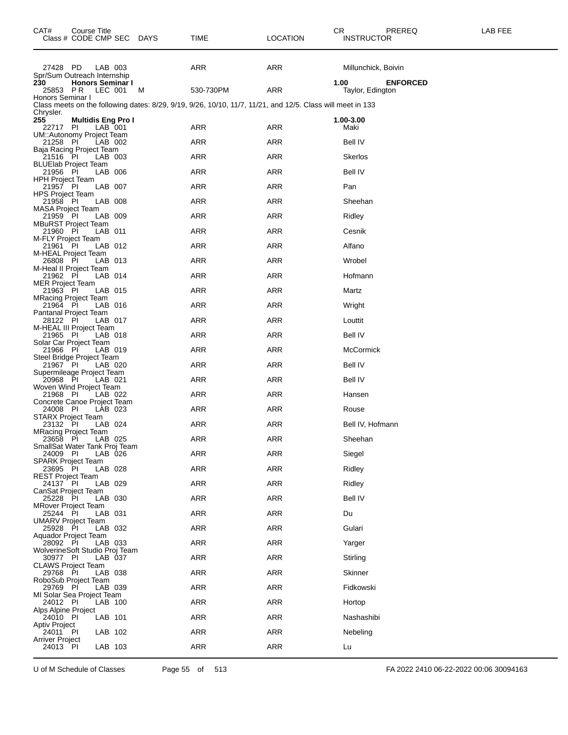| CAT#                                 | Course Title<br>Class # CODE CMP SEC DAYS   |         |   | TIME                                                                                                       | LOCATION   | PREREQ<br>CR.<br><b>INSTRUCTOR</b>          | LAB FEE |
|--------------------------------------|---------------------------------------------|---------|---|------------------------------------------------------------------------------------------------------------|------------|---------------------------------------------|---------|
| 27428 PD                             | Spr/Sum Outreach Internship                 | LAB 003 |   | ARR                                                                                                        | ARR        | Millunchick, Boivin                         |         |
| 230                                  | <b>Honors Seminar I</b><br>25853 PR LEC 001 |         | M | 530-730PM                                                                                                  | ARR        | 1.00<br><b>ENFORCED</b><br>Taylor, Edington |         |
| Honors Seminar I                     |                                             |         |   | Class meets on the following dates: 8/29, 9/19, 9/26, 10/10, 11/7, 11/21, and 12/5. Class will meet in 133 |            |                                             |         |
| Chrysler.<br>255<br>22717 PI         | <b>Multidis Eng Pro I</b>                   | LAB 001 |   | ARR                                                                                                        | ARR        | 1.00-3.00<br>Maki                           |         |
| 21258 PI                             | UM::Autonomy Project Team                   | LAB 002 |   | <b>ARR</b>                                                                                                 | ARR        | <b>Bell IV</b>                              |         |
| 21516 PI                             | Baja Racing Project Team                    | LAB 003 |   | ARR                                                                                                        | ARR        | <b>Skerlos</b>                              |         |
| 21956 PI                             | <b>BLUElab Project Team</b>                 | LAB 006 |   | ARR                                                                                                        | ARR        | <b>Bell IV</b>                              |         |
| <b>HPH Project Team</b><br>21957 PI  |                                             | LAB 007 |   | <b>ARR</b>                                                                                                 | ARR        | Pan                                         |         |
| <b>HPS Project Team</b><br>21958 PI  |                                             | LAB 008 |   | ARR                                                                                                        | ARR        | Sheehan                                     |         |
| <b>MASA Project Team</b><br>21959 PI |                                             | LAB 009 |   | ARR                                                                                                        | ARR        | Ridley                                      |         |
| 21960 PI                             | <b>MBuRST Project Team</b>                  | LAB 011 |   | <b>ARR</b>                                                                                                 | ARR        | Cesnik                                      |         |
| M-FLY Project Team<br>21961 PI       |                                             | LAB 012 |   | ARR                                                                                                        | ARR        | Alfano                                      |         |
| 26808 PI                             | M-HEAL Project Team                         | LAB 013 |   | ARR                                                                                                        | ARR        | Wrobel                                      |         |
| 21962 PI                             | M-Heal II Project Team                      | LAB 014 |   | <b>ARR</b>                                                                                                 | ARR        | Hofmann                                     |         |
| <b>MER Project Team</b><br>21963 PI  |                                             | LAB 015 |   | ARR                                                                                                        | ARR        | Martz                                       |         |
| 21964 PI                             | <b>MRacing Project Team</b>                 | LAB 016 |   | ARR                                                                                                        | ARR        | Wright                                      |         |
| 28122 PI                             | Pantanal Project Team                       | LAB 017 |   | <b>ARR</b>                                                                                                 | ARR        | Louttit                                     |         |
| 21965 PI                             | M-HEAL III Project Team                     | LAB 018 |   | ARR                                                                                                        | ARR        | <b>Bell IV</b>                              |         |
| 21966 PI                             | Solar Car Project Team                      | LAB 019 |   | ARR                                                                                                        | ARR        | McCormick                                   |         |
| 21967 PI                             | Steel Bridge Project Team                   | LAB 020 |   | <b>ARR</b>                                                                                                 | ARR        | <b>Bell IV</b>                              |         |
| 20968 PI                             | Supermileage Project Team                   | LAB 021 |   | ARR                                                                                                        | ARR        | <b>Bell IV</b>                              |         |
| 21968 PI                             | Woven Wind Project Team                     | LAB 022 |   | ARR                                                                                                        | ARR        | Hansen                                      |         |
| 24008 PI                             | Concrete Canoe Project Team                 | LAB 023 |   | <b>ARR</b>                                                                                                 | ARR        | Rouse                                       |         |
| 23132 PI                             | STARX Project Team                          | LAB 024 |   | ARR                                                                                                        | ARR        | Bell IV, Hofmann                            |         |
| 23658 PI                             | <b>MRacing Project Team</b>                 | LAB 025 |   | ARR                                                                                                        | ARR        | Sheehan                                     |         |
| 24009 PI                             | SmallSat Water Tank Proj Team               | LAB 026 |   | <b>ARR</b>                                                                                                 | <b>ARR</b> | Siegel                                      |         |
| 23695 PI                             | <b>SPARK Project Team</b>                   | LAB 028 |   | ARR                                                                                                        | ARR        | Ridley                                      |         |
| <b>REST Project Team</b><br>24137 PI |                                             | LAB 029 |   | ARR                                                                                                        | ARR        | Ridley                                      |         |
| 25228 PI                             | CanSat Project Team                         | LAB 030 |   | <b>ARR</b>                                                                                                 | ARR        | <b>Bell IV</b>                              |         |
| 25244 PI                             | <b>MRover Project Team</b>                  | LAB 031 |   | ARR                                                                                                        | ARR        | Du                                          |         |
| 25928 PI                             | <b>UMARV Project Team</b>                   | LAB 032 |   | ARR                                                                                                        | ARR        | Gulari                                      |         |
| 28092 PI                             | Aquador Project Team                        | LAB 033 |   | <b>ARR</b>                                                                                                 | ARR        | Yarger                                      |         |
| 30977 PI                             | WolverineSoft Studio Proj Team              | LAB 037 |   | ARR                                                                                                        | ARR        | Stirling                                    |         |
| 29768 PI                             | <b>CLAWS Project Team</b>                   | LAB 038 |   | ARR                                                                                                        | ARR        | Skinner                                     |         |
| 29769 PI                             | RoboSub Project Team                        | LAB 039 |   | <b>ARR</b>                                                                                                 | <b>ARR</b> | Fidkowski                                   |         |
| 24012 PI                             | MI Solar Sea Project Team                   | LAB 100 |   | ARR                                                                                                        | <b>ARR</b> | Hortop                                      |         |
| Alps Alpine Project<br>24010 PI      |                                             | LAB 101 |   | ARR                                                                                                        | ARR        | Nashashibi                                  |         |
| <b>Aptiv Project</b><br>24011 PI     |                                             | LAB 102 |   | <b>ARR</b>                                                                                                 | <b>ARR</b> | Nebeling                                    |         |
| Arriver Project<br>24013 PI          |                                             | LAB 103 |   | ARR                                                                                                        | ARR        | Lu                                          |         |

U of M Schedule of Classes Page 55 of 513 FA 2022 2410 06-22-2022 00:06 30094163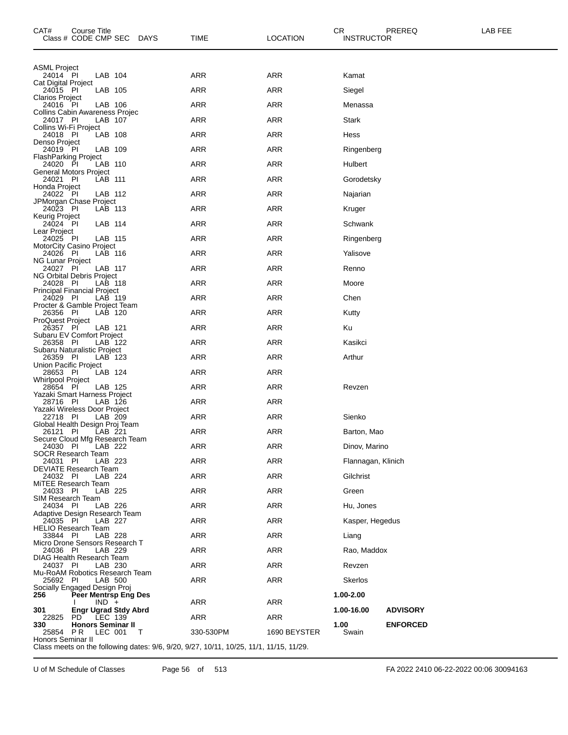| CAT#<br>Class # CODE CMP SEC                   | Course Title |         |                             | <b>DAYS</b> | <b>TIME</b>                                                                            | <b>LOCATION</b> | CR             | PREREQ<br><b>INSTRUCTOR</b> | LAB FEE |
|------------------------------------------------|--------------|---------|-----------------------------|-------------|----------------------------------------------------------------------------------------|-----------------|----------------|-----------------------------|---------|
| <b>ASML Project</b>                            |              |         |                             |             |                                                                                        |                 |                |                             |         |
| 24014 PI<br>Cat Digital Project                |              | LAB 104 |                             |             | ARR                                                                                    | ARR             | Kamat          |                             |         |
| 24015 PI                                       |              | LAB 105 |                             |             | ARR                                                                                    | <b>ARR</b>      | Siegel         |                             |         |
| Clarios Project<br>24016 PI                    |              | LAB 106 |                             |             | <b>ARR</b>                                                                             | ARR             | Menassa        |                             |         |
| Collins Cabin Awareness Projec<br>24017 PI     |              | LAB 107 |                             |             | ARR                                                                                    | ARR             | Stark          |                             |         |
| Collins Wi-Fi Project<br>24018 PI              |              | LAB 108 |                             |             | ARR                                                                                    | <b>ARR</b>      | Hess           |                             |         |
| Denso Project<br>24019 PI                      |              | LAB 109 |                             |             | <b>ARR</b>                                                                             | ARR             | Ringenberg     |                             |         |
| <b>FlashParking Project</b><br>24020 PI        |              | LAB 110 |                             |             | ARR                                                                                    | ARR             | Hulbert        |                             |         |
| <b>General Motors Project</b><br>24021 PI      |              | LAB 111 |                             |             | <b>ARR</b>                                                                             | <b>ARR</b>      | Gorodetsky     |                             |         |
| Honda Project<br>24022 PI                      |              | LAB 112 |                             |             | <b>ARR</b>                                                                             | ARR             | Najarian       |                             |         |
| JPMorgan Chase Project                         |              |         |                             |             |                                                                                        |                 |                |                             |         |
| 24023 PI<br>Keurig Project                     |              | LAB 113 |                             |             | ARR                                                                                    | ARR             | Kruger         |                             |         |
| 24024 PI<br>Lear Project                       |              | LAB 114 |                             |             | <b>ARR</b>                                                                             | <b>ARR</b>      | Schwank        |                             |         |
| 24025 PI<br><b>MotorCity Casino Project</b>    |              | LAB 115 |                             |             | <b>ARR</b>                                                                             | ARR             | Ringenberg     |                             |         |
| 24026 PI<br>NG Lunar Project                   |              | LAB 116 |                             |             | ARR                                                                                    | ARR             | Yalisove       |                             |         |
| 24027 PI<br>NG Orbital Debris Project          |              | LAB 117 |                             |             | <b>ARR</b>                                                                             | <b>ARR</b>      | Renno          |                             |         |
| 24028 PI                                       |              | LAB 118 |                             |             | <b>ARR</b>                                                                             | ARR             | Moore          |                             |         |
| <b>Principal Financial Project</b><br>24029 PI |              | LAB 119 |                             |             | ARR                                                                                    | ARR             | Chen           |                             |         |
| Procter & Gamble Project Team<br>26356 PI      |              | LAB 120 |                             |             | <b>ARR</b>                                                                             | <b>ARR</b>      | Kutty          |                             |         |
| ProQuest Project<br>26357 PI                   |              | LAB 121 |                             |             | <b>ARR</b>                                                                             | ARR             | Ku             |                             |         |
| Subaru EV Comfort Project<br>26358 PI          |              | LAB 122 |                             |             | ARR                                                                                    | ARR             | Kasikci        |                             |         |
| Subaru Naturalistic Project<br>26359 PI        |              | LAB 123 |                             |             | ARR                                                                                    | ARR             | Arthur         |                             |         |
| Union Pacific Project<br>28653 PI              |              | LAB 124 |                             |             | <b>ARR</b>                                                                             | ARR             |                |                             |         |
| Whirlpool Project                              |              |         |                             |             | <b>ARR</b>                                                                             | ARR             |                |                             |         |
| 28654 PI<br>Yazaki Smart Harness Project       |              | LAB 125 |                             |             |                                                                                        |                 | Revzen         |                             |         |
| 28716 PI<br>Yazaki Wireless Door Project       |              | LAB 126 |                             |             | <b>ARR</b>                                                                             | ARR             |                |                             |         |
| 22718 PI<br>Global Health Design Proj Team     |              | LAB 209 |                             |             | <b>ARR</b>                                                                             | ARR             | Sienko         |                             |         |
| 26121 PI<br>Secure Cloud Mfg Research Team     |              | LAB 221 |                             |             | <b>ARR</b>                                                                             | <b>ARR</b>      | Barton, Mao    |                             |         |
| 24030 PI<br>SOCR Research Team                 |              | LAB 222 |                             |             | ARR                                                                                    | <b>ARR</b>      |                | Dinov, Marino               |         |
| 24031 PI<br>DEVIATE Research Team              |              | LAB 223 |                             |             | ARR                                                                                    | ARR             |                | Flannagan, Klinich          |         |
| 24032 PI                                       |              | LAB 224 |                             |             | ARR                                                                                    | ARR             | Gilchrist      |                             |         |
| MiTEE Research Team<br>24033 PI                |              | LAB 225 |                             |             | ARR                                                                                    | ARR             | Green          |                             |         |
| SIM Research Team<br>24034 PI                  |              | LAB 226 |                             |             | ARR                                                                                    | ARR             | Hu, Jones      |                             |         |
| Adaptive Design Research Team<br>24035 PI      |              | LAB 227 |                             |             | ARR                                                                                    | ARR             |                | Kasper, Hegedus             |         |
| <b>HELIO Research Team</b><br>33844 PI         |              | LAB 228 |                             |             | ARR                                                                                    | <b>ARR</b>      | Liang          |                             |         |
| Micro Drone Sensors Research T<br>24036 PI     |              | LAB 229 |                             |             | <b>ARR</b>                                                                             | ARR             |                | Rao, Maddox                 |         |
| DIAG Health Research Team                      |              |         |                             |             | ARR                                                                                    | ARR             |                |                             |         |
| 24037 PI<br>Mu-RoAM Robotics Research Team     |              | LAB 230 |                             |             |                                                                                        |                 | Revzen         |                             |         |
| 25692 PI<br>Socially Engaged Design Proj       |              |         | LAB 500                     |             | <b>ARR</b>                                                                             | <b>ARR</b>      | <b>Skerlos</b> |                             |         |
| 256                                            |              | $IND +$ | Peer Mentrsp Eng Des        |             | ARR                                                                                    | <b>ARR</b>      | 1.00-2.00      |                             |         |
| 301<br>22825                                   | PD.          | LEC 139 | <b>Engr Ugrad Stdy Abrd</b> |             | ARR                                                                                    | ARR             | 1.00-16.00     | <b>ADVISORY</b>             |         |
| 330<br>25854                                   | PR.          | LEC 001 | <b>Honors Seminar II</b>    | T           | 330-530PM                                                                              | 1690 BEYSTER    | 1.00<br>Swain  | <b>ENFORCED</b>             |         |
| Honors Seminar II                              |              |         |                             |             | Class meets on the following dates: 9/6, 9/20, 9/27, 10/11, 10/25, 11/1, 11/15, 11/29. |                 |                |                             |         |

U of M Schedule of Classes Page 56 of 513 FA 2022 2410 06-22-2022 00:06 30094163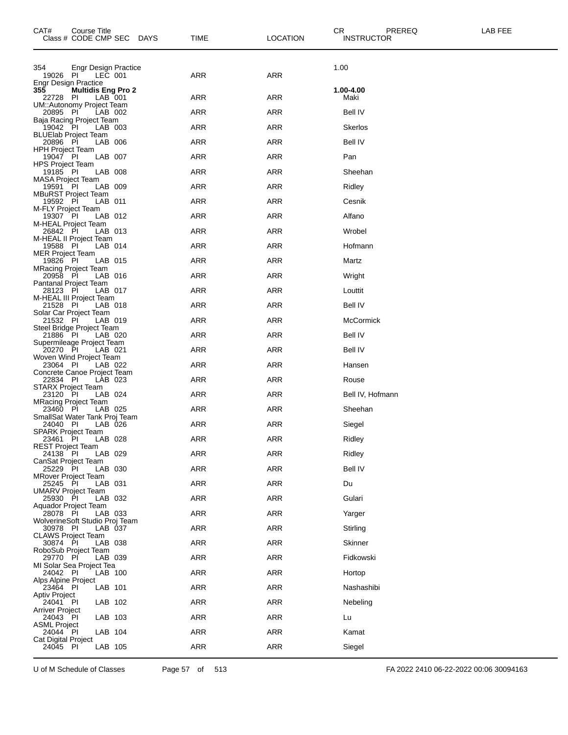| CAT#<br>Course Title<br>Class # CODE CMP SEC DAYS          | TIME       | <b>LOCATION</b> | CR<br>PREREQ<br><b>INSTRUCTOR</b> | LAB FEE |
|------------------------------------------------------------|------------|-----------------|-----------------------------------|---------|
| 354<br>Engr Design Practice                                |            |                 | 1.00                              |         |
| 19026 PI<br>LEC 001<br><b>Engr Design Practice</b>         | ARR        | <b>ARR</b>      |                                   |         |
| 355<br><b>Multidis Eng Pro 2</b><br>PI<br>LAB 001<br>22728 | ARR        | ARR             | 1.00-4.00<br>Maki                 |         |
| UM::Autonomy Project Team<br>20895 PI<br>LAB 002           | ARR        | <b>ARR</b>      | <b>Bell IV</b>                    |         |
| Baja Racing Project Team<br>19042 PI<br>LAB 003            | ARR        | <b>ARR</b>      | Skerlos                           |         |
| <b>BLUElab Project Team</b>                                |            |                 |                                   |         |
| 20896 PI<br>LAB 006<br><b>HPH Project Team</b>             | ARR        | <b>ARR</b>      | Bell IV                           |         |
| LAB 007<br>19047 PI<br><b>HPS Project Team</b>             | ARR        | <b>ARR</b>      | Pan                               |         |
| 19185 PI<br>LAB 008<br><b>MASA Project Team</b>            | ARR        | <b>ARR</b>      | Sheehan                           |         |
| 19591<br>- PI<br>LAB 009<br><b>MBuRST Project Team</b>     | ARR        | ARR             | Ridley                            |         |
| 19592 PI<br>LAB 011<br>M-FLY Project Team                  | ARR        | <b>ARR</b>      | Cesnik                            |         |
| 19307 PI<br>LAB 012<br>M-HEAL Project Team                 | ARR        | <b>ARR</b>      | Alfano                            |         |
| 26842 PI<br>LAB 013<br>M-HEAL II Project Team              | ARR        | ARR             | Wrobel                            |         |
| 19588 PI<br>LAB 014                                        | <b>ARR</b> | <b>ARR</b>      | Hofmann                           |         |
| <b>MER Project Team</b><br>19826 PI<br>LAB 015             | ARR        | <b>ARR</b>      | Martz                             |         |
| <b>MRacing Project Team</b><br>20958 PI<br>LAB 016         | ARR        | ARR             | Wright                            |         |
| Pantanal Project Team<br>28123 PI<br>LAB 017               | ARR        | <b>ARR</b>      | Louttit                           |         |
| M-HEAL III Project Team<br>21528 PI<br>LAB 018             | ARR        | <b>ARR</b>      | Bell IV                           |         |
| Solar Car Project Team<br>21532 PI<br>LAB 019              | ARR        | ARR             | McCormick                         |         |
| Steel Bridge Project Team<br>21886 PI<br>LAB 020           | <b>ARR</b> | <b>ARR</b>      | <b>Bell IV</b>                    |         |
| Supermileage Project Team<br>20270 PI<br>LAB 021           | ARR        | <b>ARR</b>      | Bell IV                           |         |
| Woven Wind Project Team<br>23064 PI<br>LAB 022             | ARR        | ARR             | Hansen                            |         |
| Concrete Canoe Project Team<br>22834 PI<br>LAB 023         | <b>ARR</b> | <b>ARR</b>      | Rouse                             |         |
| <b>STARX Project Team</b><br>23120 PI<br>LAB 024           | ARR        | ARR             | Bell IV, Hofmann                  |         |
| <b>MRacing Project Team</b>                                |            |                 |                                   |         |
| 23460 PI<br>LAB 025<br>SmallSat Water Tank Proj Team       | ARR        | ARR             | Sheehan                           |         |
| 24040 PI<br>LAB 026<br>SPARK Project Team                  | ARR        | ARR             | Siegel                            |         |
| 23461 PI<br>LAB 028<br><b>REST Project Team</b>            | ARR        | ARR             | Ridley                            |         |
| 24138 PI<br>LAB 029<br>CanSat Project Team                 | <b>ARR</b> | <b>ARR</b>      | Ridley                            |         |
| 25229 PI<br>LAB 030<br><b>MRover Project Team</b>          | <b>ARR</b> | <b>ARR</b>      | <b>Bell IV</b>                    |         |
| 25245 PI<br>LAB 031<br><b>UMARV Project Team</b>           | ARR        | <b>ARR</b>      | Du                                |         |
| 25930 PI<br>LAB 032<br>Aquador Project Team                | <b>ARR</b> | <b>ARR</b>      | Gulari                            |         |
| 28078 PI<br>LAB 033<br>WolverineSoft Studio Proj Team      | <b>ARR</b> | <b>ARR</b>      | Yarger                            |         |
| 30978 PI<br>LAB 037                                        | <b>ARR</b> | <b>ARR</b>      | Stirling                          |         |
| <b>CLAWS Project Team</b><br>30874 PI<br>LAB 038           | <b>ARR</b> | <b>ARR</b>      | Skinner                           |         |
| RoboSub Project Team<br>29770 PI<br>LAB 039                | <b>ARR</b> | <b>ARR</b>      | Fidkowski                         |         |
| MI Solar Sea Project Tea<br>24042 PI<br>LAB 100            | <b>ARR</b> | <b>ARR</b>      | Hortop                            |         |
| Alps Alpine Project<br>23464 PI<br>LAB 101                 | <b>ARR</b> | <b>ARR</b>      | Nashashibi                        |         |
| <b>Aptiv Project</b><br>24041 PI<br>LAB 102                | <b>ARR</b> | <b>ARR</b>      | Nebeling                          |         |
| <b>Arriver Project</b><br>LAB 103<br>24043 PI              | <b>ARR</b> | <b>ARR</b>      | Lu                                |         |
| <b>ASML Project</b><br>LAB 104<br>24044 PI                 | ARR        | <b>ARR</b>      | Kamat                             |         |
| <b>Cat Digital Project</b>                                 | <b>ARR</b> |                 |                                   |         |
| 24045 PI<br>LAB 105                                        |            | <b>ARR</b>      | Siegel                            |         |

U of M Schedule of Classes Page 57 of 513 FA 2022 2410 06-22-2022 00:06 30094163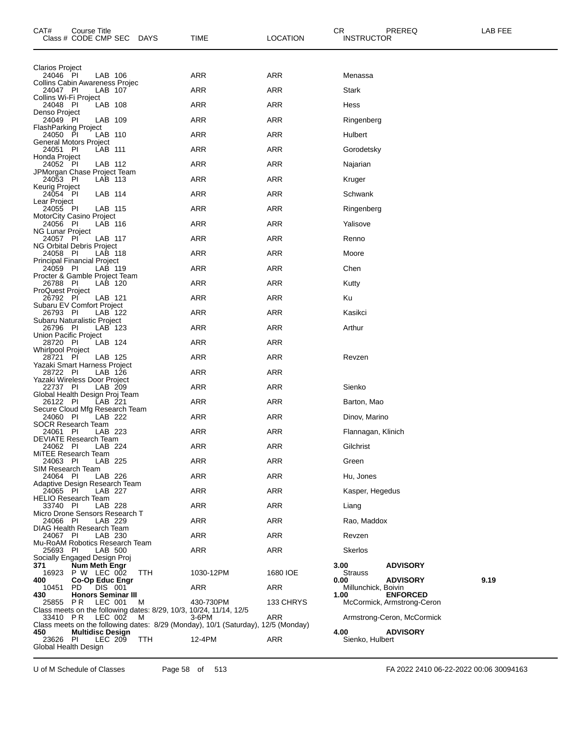| CAT#                                       | Course Title<br>Class # CODE CMP SEC |         | <b>DAYS</b> | TIME                                                                                       | <b>LOCATION</b> | CR<br><b>INSTRUCTOR</b>     | PREREQ                     | LAB FEE |
|--------------------------------------------|--------------------------------------|---------|-------------|--------------------------------------------------------------------------------------------|-----------------|-----------------------------|----------------------------|---------|
| Clarios Project                            |                                      |         |             |                                                                                            |                 |                             |                            |         |
| 24046 PI<br>Collins Cabin Awareness Projec |                                      | LAB 106 |             | ARR                                                                                        | <b>ARR</b>      | Menassa                     |                            |         |
| 24047 PI<br>Collins Wi-Fi Project          |                                      | LAB 107 |             | ARR                                                                                        | <b>ARR</b>      | Stark                       |                            |         |
| 24048 PI                                   |                                      | LAB 108 |             | ARR                                                                                        | <b>ARR</b>      | Hess                        |                            |         |
| Denso Project<br>24049 PI                  |                                      | LAB 109 |             | <b>ARR</b>                                                                                 | <b>ARR</b>      | Ringenberg                  |                            |         |
| FlashParking Project<br>24050 PI           |                                      | LAB 110 |             | <b>ARR</b>                                                                                 | <b>ARR</b>      | Hulbert                     |                            |         |
| General Motors Project<br>24051 PI         |                                      | LAB 111 |             | ARR                                                                                        | ARR             | Gorodetsky                  |                            |         |
| Honda Project<br>24052 PI                  |                                      | LAB 112 |             | <b>ARR</b>                                                                                 | <b>ARR</b>      | Najarian                    |                            |         |
| JPMorgan Chase Project Team<br>24053 PI    |                                      | LAB 113 |             | <b>ARR</b>                                                                                 | <b>ARR</b>      | Kruger                      |                            |         |
| Keurig Project<br>24054 PI                 |                                      | LAB 114 |             | ARR                                                                                        | <b>ARR</b>      | Schwank                     |                            |         |
| Lear Project<br>24055 PI                   |                                      | LAB 115 |             | <b>ARR</b>                                                                                 | <b>ARR</b>      | Ringenberg                  |                            |         |
| MotorCity Casino Project<br>24056 PI       |                                      | LAB 116 |             | <b>ARR</b>                                                                                 | <b>ARR</b>      | Yalisove                    |                            |         |
| <b>NG Lunar Project</b>                    |                                      |         |             |                                                                                            |                 |                             |                            |         |
| 24057 PI<br>NG Orbital Debris Project      |                                      | LAB 117 |             | ARR                                                                                        | ARR             | Renno                       |                            |         |
| 24058 PI<br>Principal Financial Project    |                                      | LAB 118 |             | <b>ARR</b>                                                                                 | <b>ARR</b>      | Moore                       |                            |         |
| 24059 PI<br>Procter & Gamble Project Team  |                                      | LAB 119 |             | <b>ARR</b>                                                                                 | <b>ARR</b>      | Chen                        |                            |         |
| 26788 PI<br><b>ProQuest Project</b>        |                                      | LAB 120 |             | ARR                                                                                        | ARR             | Kutty                       |                            |         |
| 26792 PI<br>Subaru EV Comfort Project      |                                      | LAB 121 |             | ARR                                                                                        | <b>ARR</b>      | Ku                          |                            |         |
| 26793 PI<br>Subaru Naturalistic Project    |                                      | LAB 122 |             | <b>ARR</b>                                                                                 | <b>ARR</b>      | Kasikci                     |                            |         |
| 26796 PI<br>Union Pacific Project          |                                      | LAB 123 |             | ARR                                                                                        | ARR             | Arthur                      |                            |         |
| 28720 PI                                   |                                      | LAB 124 |             | <b>ARR</b>                                                                                 | <b>ARR</b>      |                             |                            |         |
| <b>Whirlpool Project</b><br>28721 PI       |                                      | LAB 125 |             | <b>ARR</b>                                                                                 | <b>ARR</b>      | Revzen                      |                            |         |
| Yazaki Smart Harness Project<br>28722 PI   |                                      | LAB 126 |             | ARR                                                                                        | <b>ARR</b>      |                             |                            |         |
| Yazaki Wireless Door Project<br>22737 PI   |                                      | LAB 209 |             | <b>ARR</b>                                                                                 | <b>ARR</b>      | Sienko                      |                            |         |
| Global Health Design Proj Team<br>26122 PI |                                      | LAB 221 |             | <b>ARR</b>                                                                                 | <b>ARR</b>      | Barton, Mao                 |                            |         |
| Secure Cloud Mfg Research Team<br>24060 PI |                                      | LAB 222 |             | ARR                                                                                        | ARR             | Dinov, Marino               |                            |         |
| SOCR Research Team<br>24061 PI             |                                      | LAB 223 |             | <b>ARR</b>                                                                                 | <b>ARR</b>      | Flannagan, Klinich          |                            |         |
| DEVIATE Research Team<br>24062 PI          |                                      | LAB 224 |             | <b>ARR</b>                                                                                 | <b>ARR</b>      | Gilchrist                   |                            |         |
| MiTEE Research Team                        |                                      |         |             | ARR                                                                                        | <b>ARR</b>      |                             |                            |         |
| 24063 PI<br>SIM Research Team              |                                      | LAB 225 |             |                                                                                            |                 | Green                       |                            |         |
| 24064 PI<br>Adaptive Design Research Team  |                                      | LAB 226 |             | ARR                                                                                        | ARR             | Hu, Jones                   |                            |         |
| 24065 PI<br><b>HELIO Research Team</b>     |                                      | LAB 227 |             | ARR                                                                                        | <b>ARR</b>      | Kasper, Hegedus             |                            |         |
| 33740 PI<br>Micro Drone Sensors Research T |                                      | LAB 228 |             | ARR                                                                                        | ARR             | Liang                       |                            |         |
| 24066 PI<br>DIAG Health Research Team      |                                      | LAB 229 |             | ARR                                                                                        | ARR             | Rao, Maddox                 |                            |         |
| 24067 PI<br>Mu-RoAM Robotics Research Team |                                      | LAB 230 |             | <b>ARR</b>                                                                                 | <b>ARR</b>      | Revzen                      |                            |         |
| 25693 PI<br>Socially Engaged Design Proj   |                                      | LAB 500 |             | ARR                                                                                        | <b>ARR</b>      | <b>Skerlos</b>              |                            |         |
| 371                                        | Num Meth Engr<br>16923 P W LEC 002   |         | TTH         | 1030-12PM                                                                                  | 1680 IOE        | 3.00<br><b>Strauss</b>      | <b>ADVISORY</b>            |         |
| 400                                        | Co-Op Educ Engr                      |         |             |                                                                                            |                 | 0.00                        | <b>ADVISORY</b>            | 9.19    |
| 10451<br>430                               | PD.<br><b>Honors Seminar III</b>     | DIS 001 |             | ARR                                                                                        | ARR             | Millunchick, Boivin<br>1.00 | <b>ENFORCED</b>            |         |
| 25855 PR                                   |                                      | LEC 001 | M           | 430-730PM<br>Class meets on the following dates: 8/29, 10/3, 10/24, 11/14, 12/5            | 133 CHRYS       |                             | McCormick, Armstrong-Ceron |         |
| 33410 PR                                   |                                      | LEC 002 | M           | 3-6PM<br>Class meets on the following dates: 8/29 (Monday), 10/1 (Saturday), 12/5 (Monday) | ARR             |                             | Armstrong-Ceron, McCormick |         |
| 450<br>23626 PI                            | <b>Multidisc Design</b>              | LEC 209 | TTH         | 12-4PM                                                                                     | ARR             | 4.00<br>Sienko, Hulbert     | <b>ADVISORY</b>            |         |
| Global Health Design                       |                                      |         |             |                                                                                            |                 |                             |                            |         |

U of M Schedule of Classes Page 58 of 513 FA 2022 2410 06-22-2022 00:06 30094163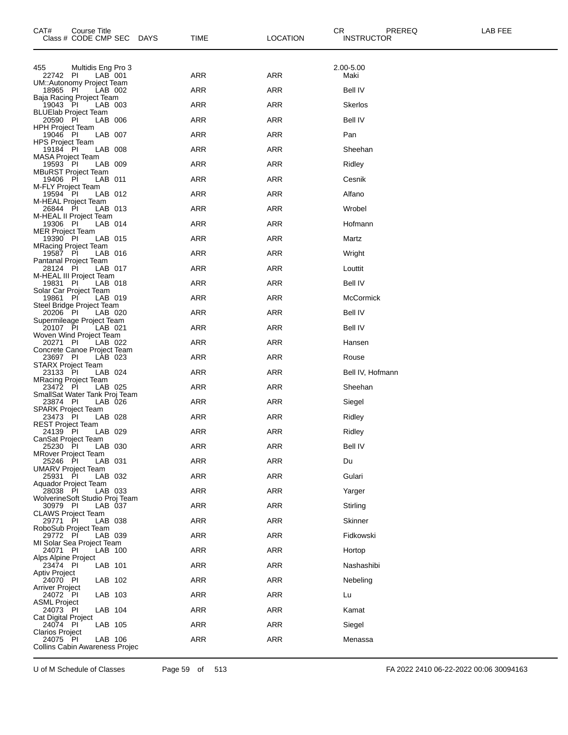| CAT#<br>Course Title<br>Class # CODE CMP SEC<br><b>DAYS</b> | TIME       | <b>LOCATION</b> | CR.<br>PREREQ<br><b>INSTRUCTOR</b> | LAB FEE |
|-------------------------------------------------------------|------------|-----------------|------------------------------------|---------|
| Multidis Eng Pro 3<br>455                                   |            |                 | 2.00-5.00                          |         |
| $LAB$ 001<br>22742 PI<br>UM::Autonomy Project Team          | <b>ARR</b> | <b>ARR</b>      | Maki                               |         |
| 18965 PI<br>LAB 002<br>Baja Racing Project Team             | ARR        | ARR             | <b>Bell IV</b>                     |         |
| 19043 PI<br>LAB 003<br><b>BLUElab Project Team</b>          | <b>ARR</b> | <b>ARR</b>      | <b>Skerlos</b>                     |         |
| 20590 PI<br>LAB 006                                         | <b>ARR</b> | <b>ARR</b>      | <b>Bell IV</b>                     |         |
| <b>HPH Project Team</b><br>19046 PI<br>LAB 007              | ARR        | <b>ARR</b>      | Pan                                |         |
| <b>HPS Project Team</b><br>19184 PI<br>LAB 008              | <b>ARR</b> | <b>ARR</b>      | Sheehan                            |         |
| <b>MASA Project Team</b><br>19593 PI<br>LAB 009             | <b>ARR</b> | <b>ARR</b>      | Ridley                             |         |
| <b>MBuRST Project Team</b><br>19406 PI<br>LAB 011           | ARR        | <b>ARR</b>      | Cesnik                             |         |
| M-FLY Project Team<br>19594 PI<br>LAB 012                   | <b>ARR</b> | <b>ARR</b>      | Alfano                             |         |
| M-HEAL Project Team<br>26844 PI<br>LAB 013                  | <b>ARR</b> | <b>ARR</b>      | Wrobel                             |         |
| M-HEAL II Project Team<br>19306 PI<br>LAB 014               | ARR        | <b>ARR</b>      | Hofmann                            |         |
| <b>MER Project Team</b><br>19390 PI<br>LAB 015              | <b>ARR</b> | <b>ARR</b>      | Martz                              |         |
| <b>MRacing Project Team</b><br>19587 PI<br>LAB 016          | <b>ARR</b> | <b>ARR</b>      | Wright                             |         |
| Pantanal Project Team<br>28124 PI<br>LAB 017                | ARR        | <b>ARR</b>      | Louttit                            |         |
| M-HEAL III Project Team<br>19831 PI<br>LAB 018              | <b>ARR</b> | <b>ARR</b>      | <b>Bell IV</b>                     |         |
| Solar Car Project Team<br>19861 PI<br>LAB 019               | <b>ARR</b> | <b>ARR</b>      | <b>McCormick</b>                   |         |
| Steel Bridge Project Team<br>20206 PI<br>LAB 020            | ARR        | <b>ARR</b>      | <b>Bell IV</b>                     |         |
| Supermileage Project Team<br>20107 PI<br>LAB 021            | ARR        | <b>ARR</b>      | <b>Bell IV</b>                     |         |
| Woven Wind Project Team<br>20271 PI<br>LAB 022              | <b>ARR</b> | <b>ARR</b>      | Hansen                             |         |
| Concrete Canoe Project Team<br>23697 PI<br>LAB 023          | ARR        | <b>ARR</b>      | Rouse                              |         |
| <b>STARX Project Team</b><br>23133 PI<br>LAB 024            | ARR        | ARR             | Bell IV, Hofmann                   |         |
| <b>MRacing Project Team</b><br>23472 PI<br>LAB 025          | <b>ARR</b> | <b>ARR</b>      | Sheehan                            |         |
| SmallSat Water Tank Proj Team<br>23874 PI<br>LAB 026        | ARR        | <b>ARR</b>      | Siegel                             |         |
| <b>SPARK Project Team</b><br>23473 PI<br>LAB 028            | <b>ARR</b> | ARR             |                                    |         |
| <b>REST Project Team</b><br>24139 PI                        | <b>ARR</b> | <b>ARR</b>      | Ridley                             |         |
| LAB 029<br>CanSat Project Team                              |            |                 | Ridley                             |         |
| 25230 PI<br>LAB 030<br><b>MRover Project Team</b>           | <b>ARR</b> | <b>ARR</b>      | <b>Bell IV</b>                     |         |
| 25246 PI<br>LAB 031<br>UMARV Project Team                   | <b>ARR</b> | <b>ARR</b>      | Du                                 |         |
| 25931 PI<br>LAB 032<br>Aquador Project Team                 | <b>ARR</b> | ARR             | Gulari                             |         |
| 28038 PI<br>LAB 033<br>WolverineSoft Studio Proj Team       | ARR        | <b>ARR</b>      | Yarger                             |         |
| 30979 PI<br>LAB 037<br><b>CLAWS Project Team</b>            | <b>ARR</b> | <b>ARR</b>      | Stirling                           |         |
| 29771 PI<br>LAB 038<br>RoboSub Project Team                 | <b>ARR</b> | <b>ARR</b>      | Skinner                            |         |
| 29772 PI<br>LAB 039<br>MI Solar Sea Project Team            | ARR        | <b>ARR</b>      | Fidkowski                          |         |
| 24071 PI<br>LAB 100<br>Alps Alpine Project                  | <b>ARR</b> | <b>ARR</b>      | Hortop                             |         |
| 23474 PI<br>LAB 101<br>Aptiv Project                        | <b>ARR</b> | <b>ARR</b>      | Nashashibi                         |         |
| 24070 PI<br>LAB 102<br>Arriver Project                      | <b>ARR</b> | <b>ARR</b>      | Nebeling                           |         |
| LAB 103<br>24072 PI<br><b>ASML Project</b>                  | <b>ARR</b> | <b>ARR</b>      | Lu                                 |         |
| 24073 PI<br>LAB 104<br>Cat Digital Project                  | <b>ARR</b> | ARR             | Kamat                              |         |
| 24074 PI<br>LAB 105<br><b>Clarios Project</b>               | <b>ARR</b> | <b>ARR</b>      | Siegel                             |         |
| LAB 106<br>24075 PI                                         | ARR        | ARR             | Menassa                            |         |
| Collins Cabin Awareness Projec                              |            |                 |                                    |         |

U of M Schedule of Classes Page 59 of 513 FA 2022 2410 06-22-2022 00:06 30094163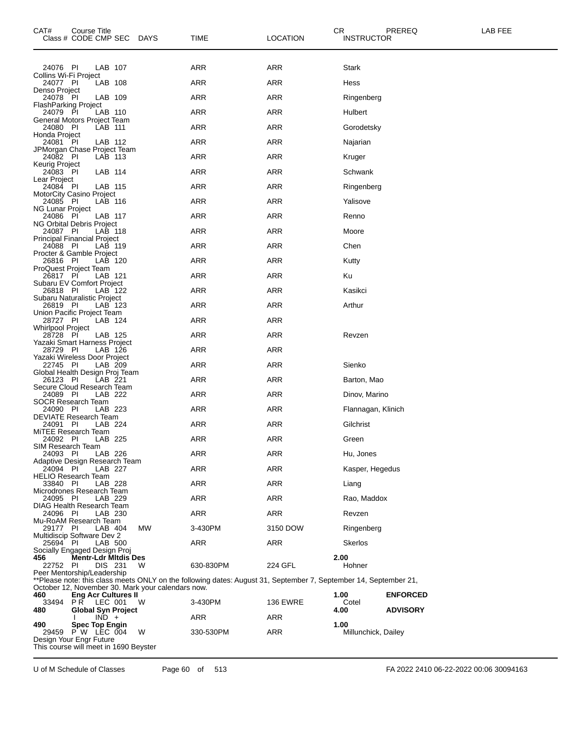| CAT#<br>Course Title<br>Class # CODE CMP SEC DAYS                                      |         |     | TIME                                                                                                             | CR<br><b>LOCATION</b> | <b>INSTRUCTOR</b>           | PREREQ          | LAB FEE |
|----------------------------------------------------------------------------------------|---------|-----|------------------------------------------------------------------------------------------------------------------|-----------------------|-----------------------------|-----------------|---------|
| 24076 PI                                                                               | LAB 107 |     | ARR                                                                                                              | <b>ARR</b>            | <b>Stark</b>                |                 |         |
| Collins Wi-Fi Project<br>24077 PI                                                      | LAB 108 |     | <b>ARR</b>                                                                                                       | <b>ARR</b>            | Hess                        |                 |         |
| Denso Project<br>24078 PI                                                              | LAB 109 |     | <b>ARR</b>                                                                                                       | <b>ARR</b>            | Ringenberg                  |                 |         |
| <b>FlashParking Project</b><br>24079 PI                                                | LAB 110 |     | <b>ARR</b>                                                                                                       | <b>ARR</b>            | Hulbert                     |                 |         |
| General Motors Project Team                                                            |         |     | <b>ARR</b>                                                                                                       | <b>ARR</b>            |                             |                 |         |
| 24080 PI<br>Honda Project                                                              | LAB 111 |     |                                                                                                                  |                       | Gorodetsky                  |                 |         |
| 24081 PI<br>JPMorgan Chase Project Team                                                | LAB 112 |     | <b>ARR</b>                                                                                                       | <b>ARR</b>            | Najarian                    |                 |         |
| 24082 PI<br>Keurig Project                                                             | LAB 113 |     | <b>ARR</b>                                                                                                       | <b>ARR</b>            | Kruger                      |                 |         |
| 24083 PI<br>Lear Project                                                               | LAB 114 |     | <b>ARR</b>                                                                                                       | <b>ARR</b>            | Schwank                     |                 |         |
| 24084 PI<br>MotorCity Casino Project                                                   | LAB 115 |     | ARR                                                                                                              | <b>ARR</b>            | Ringenberg                  |                 |         |
| 24085 PI<br>NG Lunar Project                                                           | LAB 116 |     | <b>ARR</b>                                                                                                       | <b>ARR</b>            | Yalisove                    |                 |         |
| 24086 PI                                                                               | LAB 117 |     | <b>ARR</b>                                                                                                       | ARR                   | Renno                       |                 |         |
| <b>NG Orbital Debris Project</b><br>24087 PI                                           | LAB 118 |     | <b>ARR</b>                                                                                                       | <b>ARR</b>            | Moore                       |                 |         |
| Principal Financial Project<br>24088 PI                                                | LAB 119 |     | <b>ARR</b>                                                                                                       | <b>ARR</b>            | Chen                        |                 |         |
| Procter & Gamble Project<br>26816 PI                                                   | LAB 120 |     | <b>ARR</b>                                                                                                       | <b>ARR</b>            | Kutty                       |                 |         |
| <b>ProQuest Project Team</b><br>26817 PI                                               | LAB 121 |     | <b>ARR</b>                                                                                                       | <b>ARR</b>            | Κu                          |                 |         |
| Subaru EV Comfort Project<br>26818 PI                                                  | LAB 122 |     | <b>ARR</b>                                                                                                       | <b>ARR</b>            | Kasikci                     |                 |         |
| Subaru Naturalistic Project<br>26819 PI                                                | LAB 123 |     | <b>ARR</b>                                                                                                       | <b>ARR</b>            | Arthur                      |                 |         |
| Union Pacific Project Team                                                             |         |     |                                                                                                                  |                       |                             |                 |         |
| 28727 PI<br>Whirlpool Project                                                          | LAB 124 |     | <b>ARR</b>                                                                                                       | <b>ARR</b>            |                             |                 |         |
| 28728 PI<br>Yazaki Smart Harness Project                                               | LAB 125 |     | <b>ARR</b>                                                                                                       | <b>ARR</b>            | Revzen                      |                 |         |
| 28729 PI<br>Yazaki Wireless Door Project                                               | LAB 126 |     | <b>ARR</b>                                                                                                       | <b>ARR</b>            |                             |                 |         |
| 22745 PI<br>Global Health Design Proj Team                                             | LAB 209 |     | <b>ARR</b>                                                                                                       | <b>ARR</b>            | Sienko                      |                 |         |
| 26123 PI<br>Secure Cloud Research Team                                                 | LAB 221 |     | <b>ARR</b>                                                                                                       | <b>ARR</b>            | Barton, Mao                 |                 |         |
| 24089 PI<br><b>SOCR Research Team</b>                                                  | LAB 222 |     | <b>ARR</b>                                                                                                       | <b>ARR</b>            | Dinov, Marino               |                 |         |
| 24090 PI<br>DEVIATE Research Team                                                      | LAB 223 |     | ARR                                                                                                              | ARR                   | Flannagan, Klinich          |                 |         |
| 24091 PI                                                                               | LAB 224 |     | <b>ARR</b>                                                                                                       | <b>ARR</b>            | Gilchrist                   |                 |         |
| MITEE Research Team<br>24092 PI<br>LAB 225                                             |         |     | ARR                                                                                                              | ARR                   | Green                       |                 |         |
| SIM Research Team<br>24093 PI                                                          | LAB 226 |     | ARR                                                                                                              | ARR                   | Hu, Jones                   |                 |         |
| Adaptive Design Research Team<br>24094 PI                                              | LAB 227 |     | ARR                                                                                                              | <b>ARR</b>            | Kasper, Hegedus             |                 |         |
| <b>HELIO Research Team</b><br>33840 PI                                                 | LAB 228 |     | <b>ARR</b>                                                                                                       | <b>ARR</b>            | Liang                       |                 |         |
| Microdrones Research Team<br>24095 PI                                                  | LAB 229 |     | ARR                                                                                                              | <b>ARR</b>            | Rao, Maddox                 |                 |         |
| <b>DIAG Health Research Team</b><br>24096 PI                                           | LAB 230 |     | ARR                                                                                                              | <b>ARR</b>            | Revzen                      |                 |         |
| Mu-RoAM Research Team                                                                  |         |     |                                                                                                                  |                       |                             |                 |         |
| 29177 PI<br>Multidiscip Software Dev 2                                                 | LAB 404 | MW  | 3-430PM                                                                                                          | 3150 DOW              | Ringenberg                  |                 |         |
| 25694 PI<br>Socially Engaged Design Proj                                               | LAB 500 |     | ARR                                                                                                              | ARR                   | <b>Skerlos</b>              |                 |         |
| <b>Mentr-Ldr Mitdis Des</b><br>456<br>22752 PI                                         | DIS 231 | W   | 630-830PM                                                                                                        | 224 GFL               | 2.00<br>Hohner              |                 |         |
| Peer Mentorship/Leadership                                                             |         |     | **Please note: this class meets ONLY on the following dates: August 31, September 7, September 14, September 21, |                       |                             |                 |         |
| October 12, November 30. Mark your calendars now.<br><b>Eng Acr Cultures II</b><br>460 |         |     |                                                                                                                  |                       | 1.00                        | <b>ENFORCED</b> |         |
| 33494<br>PR LEC 001<br><b>Global Syn Project</b><br>480                                |         | - W | 3-430PM                                                                                                          | <b>136 EWRE</b>       | Cotel<br>4.00               | <b>ADVISORY</b> |         |
| $IND +$                                                                                |         |     | ARR                                                                                                              | ARR                   |                             |                 |         |
| 490<br><b>Spec Top Engin</b><br>$P' W$ LEC 004<br>29459                                |         | W   | 330-530PM                                                                                                        | <b>ARR</b>            | 1.00<br>Millunchick, Dailey |                 |         |
| Design Your Engr Future<br>This course will meet in 1690 Beyster                       |         |     |                                                                                                                  |                       |                             |                 |         |

U of M Schedule of Classes Page 60 of 513 FA 2022 2410 06-22-2022 00:06 30094163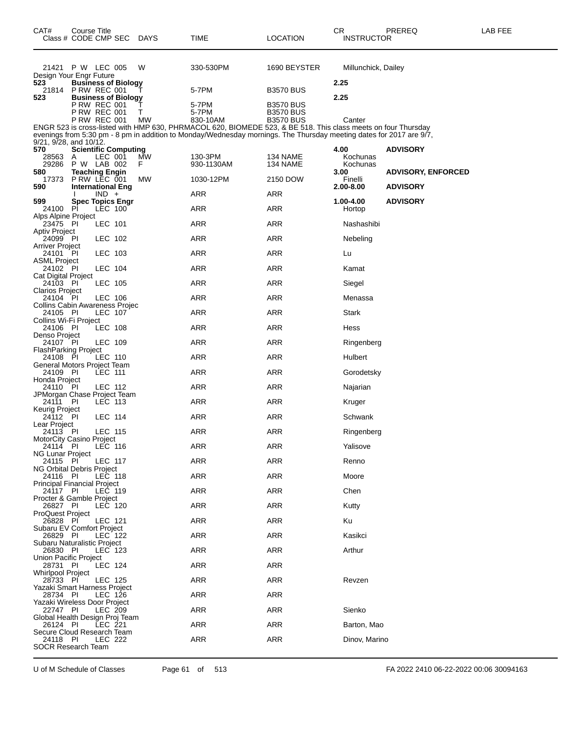| CAT#<br>Class # CODE CMP SEC                   | Course Title                          |                |                             | DAYS      | <b>TIME</b>                                                                                                               | <b>LOCATION</b>                      | CR<br><b>INSTRUCTOR</b> | PREREQ                    | LAB FEE |
|------------------------------------------------|---------------------------------------|----------------|-----------------------------|-----------|---------------------------------------------------------------------------------------------------------------------------|--------------------------------------|-------------------------|---------------------------|---------|
| 21421 P W LEC 005                              |                                       |                |                             | W         | 330-530PM                                                                                                                 | 1690 BEYSTER                         | Millunchick, Dailey     |                           |         |
| Design Your Engr Future<br>523                 |                                       |                | <b>Business of Biology</b>  |           |                                                                                                                           |                                      | 2.25                    |                           |         |
| 21814<br>523                                   | <b>P RW REC 001</b>                   |                | <b>Business of Biology</b>  |           | 5-7PM                                                                                                                     | <b>B3570 BUS</b>                     | 2.25                    |                           |         |
|                                                | <b>P RW REC 001</b><br>P RW REC 001   |                |                             | Τ<br>т    | 5-7PM<br>5-7PM                                                                                                            | <b>B3570 BUS</b><br><b>B3570 BUS</b> |                         |                           |         |
|                                                | <b>P RW REC 001</b>                   |                |                             | <b>MW</b> | 830-10AM<br>ENGR 523 is cross-listed with HMP 630, PHRMACOL 620, BIOMEDE 523, & BE 518. This class meets on four Thursday | <b>B3570 BUS</b>                     | Canter                  |                           |         |
| $9/21$ , $9/28$ , and $10/12$ .                |                                       |                |                             |           | evenings from 5:30 pm - 8 pm in addition to Monday/Wednesday mornings. The Thursday meeting dates for 2017 are 9/7,       |                                      |                         |                           |         |
| 570                                            |                                       |                | <b>Scientific Computing</b> |           |                                                                                                                           |                                      | 4.00                    | <b>ADVISORY</b>           |         |
| 28563<br>29286                                 | A<br>P W LAB 002                      | LEC 001        |                             | МW<br>F.  | 130-3PM<br>930-1130AM                                                                                                     | 134 NAME<br>134 NAME                 | Kochunas<br>Kochunas    |                           |         |
| 580<br>17373                                   | <b>Teaching Engin</b><br>P RW LEC 001 |                |                             | МW        | 1030-12PM                                                                                                                 | 2150 DOW                             | 3.00<br>Finelli         | <b>ADVISORY, ENFORCED</b> |         |
| 590                                            | <b>International Eng</b>              | $IND +$        |                             |           | ARR                                                                                                                       | ARR                                  | 2.00-8.00               | <b>ADVISORY</b>           |         |
| 599<br>24100 PI<br>Alps Alpine Project         |                                       | LEC 100        | <b>Spec Topics Engr</b>     |           | ARR                                                                                                                       | <b>ARR</b>                           | 1.00-4.00<br>Hortop     | <b>ADVISORY</b>           |         |
| 23475 PI                                       |                                       | LEC 101        |                             |           | ARR                                                                                                                       | ARR                                  | Nashashibi              |                           |         |
| <b>Aptiv Project</b><br>24099 PI               |                                       | LEC 102        |                             |           | ARR                                                                                                                       | ARR                                  | Nebeling                |                           |         |
| <b>Arriver Project</b><br>24101 PI             |                                       | LEC 103        |                             |           | ARR                                                                                                                       | <b>ARR</b>                           | Lu                      |                           |         |
| <b>ASML Project</b><br>24102 PI                |                                       | LEC 104        |                             |           | ARR                                                                                                                       | ARR                                  | Kamat                   |                           |         |
| <b>Cat Digital Project</b><br>24103 PI         |                                       | LEC 105        |                             |           | ARR                                                                                                                       | ARR                                  | Siegel                  |                           |         |
| <b>Clarios Project</b><br>24104 PI             |                                       | LEC 106        |                             |           | ARR                                                                                                                       | <b>ARR</b>                           | Menassa                 |                           |         |
| Collins Cabin Awareness Projec<br>24105 PI     |                                       | LEC 107        |                             |           | ARR                                                                                                                       | ARR                                  | Stark                   |                           |         |
| Collins Wi-Fi Project<br>24106 PI              |                                       | LEC 108        |                             |           | <b>ARR</b>                                                                                                                | ARR                                  | Hess                    |                           |         |
| Denso Project<br>24107 PI                      |                                       | LEC 109        |                             |           | ARR                                                                                                                       | <b>ARR</b>                           | Ringenberg              |                           |         |
| <b>FlashParking Project</b><br>24108 PI        |                                       | LEC 110        |                             |           | ARR                                                                                                                       | <b>ARR</b>                           | Hulbert                 |                           |         |
| General Motors Project Team<br>24109 PI        |                                       | LEC 111        |                             |           | <b>ARR</b>                                                                                                                | ARR                                  | Gorodetsky              |                           |         |
| Honda Project<br>24110 PI                      |                                       | LEC 112        |                             |           | ARR                                                                                                                       | <b>ARR</b>                           | Najarian                |                           |         |
| JPMorgan Chase Project Team<br>24111           |                                       |                |                             |           |                                                                                                                           |                                      |                         |                           |         |
| Keurig Project                                 | PI                                    | LEC 113        |                             |           | ARR                                                                                                                       | <b>ARR</b>                           | Kruger                  |                           |         |
| $24\overline{1}12$ PI<br>Lear Project          |                                       | LEC 114        |                             |           | <b>ARR</b>                                                                                                                | ARR                                  | Schwank                 |                           |         |
| 24113 PI<br>MotorCity Casino Project           |                                       | LEC 115        |                             |           | ARR                                                                                                                       | ARR                                  | Ringenberg              |                           |         |
| 24114 PI<br><b>NG Lunar Project</b>            |                                       | LEC 116        |                             |           | ARR                                                                                                                       | ARR                                  | Yalisove                |                           |         |
| 24115 PI<br>NG Orbital Debris Project          |                                       | <b>LEC 117</b> |                             |           | ARR                                                                                                                       | <b>ARR</b>                           | Renno                   |                           |         |
| 24116 PI<br><b>Principal Financial Project</b> |                                       | LEC 118        |                             |           | ARR                                                                                                                       | <b>ARR</b>                           | Moore                   |                           |         |
| 24117 PI<br>Procter & Gamble Project           |                                       | LEC 119        |                             |           | ARR                                                                                                                       | <b>ARR</b>                           | Chen                    |                           |         |
| 26827 PI<br><b>ProQuest Project</b>            |                                       | LEC 120        |                             |           | ARR                                                                                                                       | <b>ARR</b>                           | Kutty                   |                           |         |
| 26828 PI<br>Subaru EV Comfort Project          |                                       | LEC 121        |                             |           | ARR                                                                                                                       | <b>ARR</b>                           | Ku                      |                           |         |
| 26829 PI                                       |                                       | LEC 122        |                             |           | <b>ARR</b>                                                                                                                | <b>ARR</b>                           | Kasikci                 |                           |         |
| Subaru Naturalistic Project<br>26830 PI        |                                       | LEC 123        |                             |           | <b>ARR</b>                                                                                                                | <b>ARR</b>                           | Arthur                  |                           |         |
| Union Pacific Project<br>28731 PI              |                                       | LEC 124        |                             |           | ARR                                                                                                                       | <b>ARR</b>                           |                         |                           |         |
| <b>Whirlpool Project</b><br>28733 PI           |                                       | LEC 125        |                             |           | <b>ARR</b>                                                                                                                | ARR                                  | Revzen                  |                           |         |
| Yazaki Smart Harness Project<br>28734 PI       |                                       | LEC 126        |                             |           | <b>ARR</b>                                                                                                                | <b>ARR</b>                           |                         |                           |         |
| Yazaki Wireless Door Project<br>22747 PI       |                                       | LEC 209        |                             |           | ARR                                                                                                                       | <b>ARR</b>                           | Sienko                  |                           |         |
| Global Health Design Proj Team<br>26124 PI     |                                       | LEC 221        |                             |           | <b>ARR</b>                                                                                                                | <b>ARR</b>                           | Barton, Mao             |                           |         |
| Secure Cloud Research Team<br>24118 PI         |                                       | LEC 222        |                             |           | <b>ARR</b>                                                                                                                | <b>ARR</b>                           | Dinov, Marino           |                           |         |
| <b>SOCR Research Team</b>                      |                                       |                |                             |           |                                                                                                                           |                                      |                         |                           |         |

U of M Schedule of Classes Page 61 of 513 FA 2022 2410 06-22-2022 00:06 30094163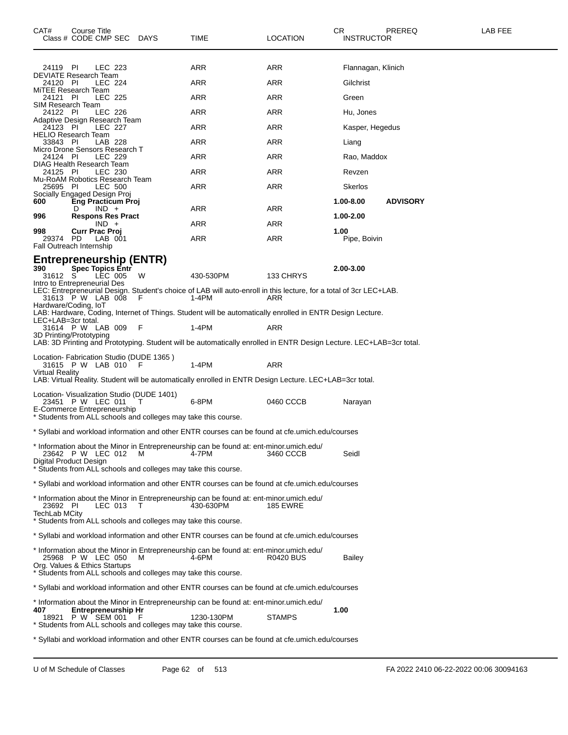| CAT#                                           | Course Title<br>Class # CODE CMP SEC DAYS       |         |                                                                     | TIME                                                                                                                        | LOCATION         | CR<br><b>INSTRUCTOR</b> | PREREQ          | LAB FEE |
|------------------------------------------------|-------------------------------------------------|---------|---------------------------------------------------------------------|-----------------------------------------------------------------------------------------------------------------------------|------------------|-------------------------|-----------------|---------|
| 24119 PI                                       |                                                 | LEC 223 |                                                                     | ARR                                                                                                                         | ARR              | Flannagan, Klinich      |                 |         |
| <b>DEVIATE Research Team</b><br>24120 PI       |                                                 | LEC 224 |                                                                     | ARR                                                                                                                         | ARR              | Gilchrist               |                 |         |
| MiTEE Research Team<br>24121 PI                |                                                 | LEC 225 |                                                                     | <b>ARR</b>                                                                                                                  | ARR              | Green                   |                 |         |
| SIM Research Team<br>24122 PI                  |                                                 | LEC 226 |                                                                     | ARR                                                                                                                         | ARR              | Hu, Jones               |                 |         |
| Adaptive Design Research Team<br>24123 PI      |                                                 | LEC 227 |                                                                     | ARR                                                                                                                         | ARR              | Kasper, Hegedus         |                 |         |
| <b>HELIO Research Team</b><br>33843 PI         |                                                 | LAB 228 |                                                                     | ARR                                                                                                                         | ARR              | Liang                   |                 |         |
| Micro Drone Sensors Research T                 |                                                 |         |                                                                     |                                                                                                                             |                  |                         |                 |         |
| 24124 PI<br>DIAG Health Research Team          |                                                 | LEC 229 |                                                                     | ARR                                                                                                                         | ARR              | Rao, Maddox             |                 |         |
| 24125 PI<br>Mu-RoAM Robotics Research Team     |                                                 | LEC 230 |                                                                     | ARR                                                                                                                         | ARR              | Revzen                  |                 |         |
| 25695 PI<br>Socially Engaged Design Proj       |                                                 | LEC 500 |                                                                     | <b>ARR</b>                                                                                                                  | ARR              | Skerlos                 |                 |         |
| 600                                            | <b>Eng Practicum Proj</b><br>D                  | $IND +$ |                                                                     | ARR                                                                                                                         | ARR              | 1.00-8.00               | <b>ADVISORY</b> |         |
| 996                                            | <b>Respons Res Pract</b>                        | $IND +$ |                                                                     | ARR                                                                                                                         | ARR              | 1.00-2.00               |                 |         |
| 998<br>29374 PD                                | Curr Prac Proj                                  | LAB 001 |                                                                     | ARR                                                                                                                         | ARR              | 1.00<br>Pipe, Boivin    |                 |         |
| Fall Outreach Internship                       |                                                 |         |                                                                     |                                                                                                                             |                  |                         |                 |         |
| 390<br>31612 S<br>Intro to Entrepreneurial Des | <b>Spec Topics Entr</b>                         | LEC 005 | Entrepreneurship (ENTR)<br>W                                        | 430-530PM                                                                                                                   | 133 CHRYS        | 2.00-3.00               |                 |         |
|                                                |                                                 |         | - F                                                                 | LEC: Entrepreneurial Design. Student's choice of LAB will auto-enroll in this lecture, for a total of 3cr LEC+LAB.<br>1-4PM |                  |                         |                 |         |
| Hardware/Coding, IoT                           | 31613 P W LAB 008                               |         |                                                                     |                                                                                                                             | ARR              |                         |                 |         |
| LEC+LAB=3cr total.                             |                                                 |         |                                                                     | LAB: Hardware, Coding, Internet of Things. Student will be automatically enrolled in ENTR Design Lecture.                   |                  |                         |                 |         |
| 3D Printing/Prototyping                        | 31614 P W LAB 009                               |         | F                                                                   | $1-4PM$                                                                                                                     | ARR              |                         |                 |         |
|                                                |                                                 |         |                                                                     | LAB: 3D Printing and Prototyping. Student will be automatically enrolled in ENTR Design Lecture. LEC+LAB=3cr total.         |                  |                         |                 |         |
| <b>Virtual Reality</b>                         | 31615 PW LAB 010                                |         | Location- Fabrication Studio (DUDE 1365)<br>F                       | 1-4PM                                                                                                                       | <b>ARR</b>       |                         |                 |         |
|                                                |                                                 |         |                                                                     | LAB: Virtual Reality. Student will be automatically enrolled in ENTR Design Lecture. LEC+LAB=3cr total.                     |                  |                         |                 |         |
| E-Commerce Entrepreneurship                    | 23451 P W LEC 011                               |         | Location- Visualization Studio (DUDE 1401)<br>т                     | 6-8PM                                                                                                                       | 0460 CCCB        | Narayan                 |                 |         |
|                                                |                                                 |         | * Students from ALL schools and colleges may take this course.      |                                                                                                                             |                  |                         |                 |         |
|                                                |                                                 |         |                                                                     | * Syllabi and workload information and other ENTR courses can be found at cfe.umich.edu/courses                             |                  |                         |                 |         |
| Digital Product Design                         | 23642 P W LEC 012                               |         | M<br>* Students from ALL schools and colleges may take this course. | * Information about the Minor in Entrepreneurship can be found at: ent-minor.umich.edu/<br>4-7PM                            | 3460 CCCB        | Seidl                   |                 |         |
|                                                |                                                 |         |                                                                     |                                                                                                                             |                  |                         |                 |         |
|                                                |                                                 |         |                                                                     | * Syllabi and workload information and other ENTR courses can be found at cfe.umich.edu/courses                             |                  |                         |                 |         |
| 23692 PI<br><b>TechLab MCity</b>               |                                                 | LEC 013 | т                                                                   | * Information about the Minor in Entrepreneurship can be found at: ent-minor.umich.edu/<br>430-630PM                        | <b>185 EWRE</b>  |                         |                 |         |
|                                                |                                                 |         | * Students from ALL schools and colleges may take this course.      |                                                                                                                             |                  |                         |                 |         |
|                                                |                                                 |         |                                                                     | * Syllabi and workload information and other ENTR courses can be found at cfe.umich.edu/courses                             |                  |                         |                 |         |
| Org. Values & Ethics Startups                  | 25968 P W LEC 050                               |         | м<br>* Students from ALL schools and colleges may take this course. | * Information about the Minor in Entrepreneurship can be found at: ent-minor.umich.edu/<br>4-6PM                            | <b>R0420 BUS</b> | <b>Bailey</b>           |                 |         |
|                                                |                                                 |         |                                                                     | * Syllabi and workload information and other ENTR courses can be found at cfe.umich.edu/courses                             |                  |                         |                 |         |
|                                                |                                                 |         |                                                                     | * Information about the Minor in Entrepreneurship can be found at: ent-minor.umich.edu/                                     |                  |                         |                 |         |
| 407                                            | <b>Entrepreneurship Hr</b><br>18921 P W SEM 001 |         | * Students from ALL schools and colleges may take this course.      | 1230-130PM                                                                                                                  | <b>STAMPS</b>    | 1.00                    |                 |         |

\* Syllabi and workload information and other ENTR courses can be found at cfe.umich.edu/courses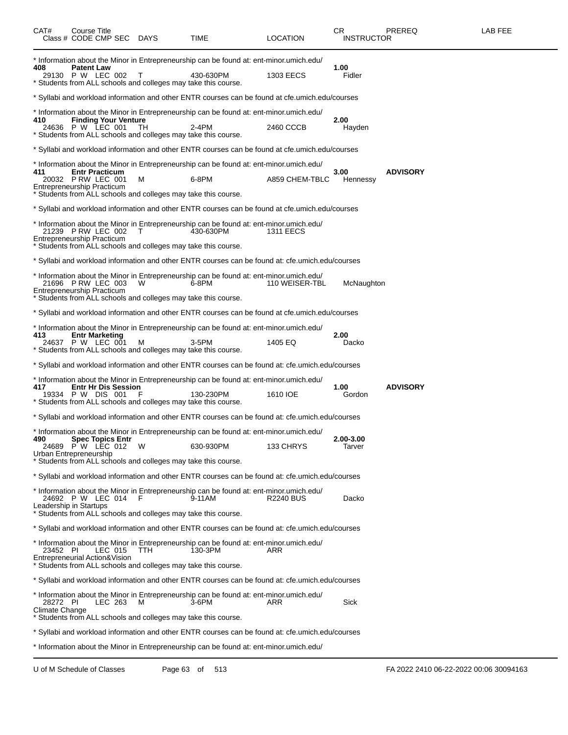| CAT#                                      | Course Title<br>Class # CODE CMP SEC DAYS   |                             |      | TIME                                                                                                                                                                   | <b>LOCATION</b>  | CR<br><b>INSTRUCTOR</b> | PREREQ          | LAB FEE |
|-------------------------------------------|---------------------------------------------|-----------------------------|------|------------------------------------------------------------------------------------------------------------------------------------------------------------------------|------------------|-------------------------|-----------------|---------|
| 408                                       | <b>Patent Law</b><br>29130 P W LEC 002      |                             | Т    | * Information about the Minor in Entrepreneurship can be found at: ent-minor.umich.edu/<br>430-630PM<br>* Students from ALL schools and colleges may take this course. | <b>1303 EECS</b> | 1.00<br>Fidler          |                 |         |
|                                           |                                             |                             |      | * Syllabi and workload information and other ENTR courses can be found at cfe.umich.edu/courses                                                                        |                  |                         |                 |         |
| 410                                       | 24636 P W LEC 001                           | <b>Finding Your Venture</b> | ТH   | * Information about the Minor in Entrepreneurship can be found at: ent-minor.umich.edu/<br>2-4PM<br>* Students from ALL schools and colleges may take this course.     | 2460 CCCB        | 2.00<br>Hayden          |                 |         |
|                                           |                                             |                             |      | * Syllabi and workload information and other ENTR courses can be found at cfe.umich.edu/courses                                                                        |                  |                         |                 |         |
| 411<br><b>Entrepreneurship Practicum</b>  | <b>Entr Practicum</b><br>20032 P RW LEC 001 |                             | м    | * Information about the Minor in Entrepreneurship can be found at: ent-minor.umich.edu/<br>6-8PM<br>* Students from ALL schools and colleges may take this course.     | A859 CHEM-TBLC   | 3.00<br>Hennessy        | <b>ADVISORY</b> |         |
|                                           |                                             |                             |      | * Syllabi and workload information and other ENTR courses can be found at cfe.umich.edu/courses                                                                        |                  |                         |                 |         |
| Entrepreneurship Practicum                | 21239 PRW LEC 002                           |                             |      | * Information about the Minor in Entrepreneurship can be found at: ent-minor.umich.edu/<br>430-630PM<br>* Students from ALL schools and colleges may take this course. | 1311 EECS        |                         |                 |         |
|                                           |                                             |                             |      | Syllabi and workload information and other ENTR courses can be found at: cfe.umich.edu/courses * *                                                                     |                  |                         |                 |         |
| <b>Entrepreneurship Practicum</b>         | 21696 PRW LEC 003                           |                             | W    | * Information about the Minor in Entrepreneurship can be found at: ent-minor.umich.edu/<br>6-8PM<br>Students from ALL schools and colleges may take this course.       | 110 WEISER-TBL   | McNaughton              |                 |         |
|                                           |                                             |                             |      | * Syllabi and workload information and other ENTR courses can be found at cfe.umich.edu/courses                                                                        |                  |                         |                 |         |
| 413                                       | <b>Entr Marketing</b><br>24637 P W LEC 001  |                             | M    | * Information about the Minor in Entrepreneurship can be found at: ent-minor.umich.edu/<br>$3-5$ PM<br>Students from ALL schools and colleges may take this course.    | 1405 EQ          | 2.00<br>Dacko           |                 |         |
|                                           |                                             |                             |      | Syllabi and workload information and other ENTR courses can be found at: cfe.umich.edu/courses * *                                                                     |                  |                         |                 |         |
| 417                                       | 19334 P W DIS 001                           | <b>Entr Hr Dis Session</b>  |      | * Information about the Minor in Entrepreneurship can be found at: ent-minor.umich.edu/<br>130-230PM<br>* Students from ALL schools and colleges may take this course. | 1610 IOE         | 1.00<br>Gordon          | <b>ADVISORY</b> |         |
|                                           |                                             |                             |      | Syllabi and workload information and other ENTR courses can be found at: cfe.umich.edu/courses * *                                                                     |                  |                         |                 |         |
| 490<br>Urban Entrepreneurship             | <b>Spec Topics Entr</b><br>24689 PW LEC 012 |                             | W    | * Information about the Minor in Entrepreneurship can be found at: ent-minor.umich.edu/<br>630-930PM<br>* Students from ALL schools and colleges may take this course. | 133 CHRYS        | 2.00-3.00<br>Tarver     |                 |         |
|                                           |                                             |                             |      | Syllabi and workload information and other ENTR courses can be found at: cfe.umich.edu/courses ***                                                                     |                  |                         |                 |         |
| Leadership in Startups                    | 24692 P W LEC 014                           |                             | - F  | * Information about the Minor in Entrepreneurship can be found at: ent-minor.umich.edu/<br>9-11AM<br>* Students from ALL schools and colleges may take this course.    | <b>R2240 BUS</b> | Dacko                   |                 |         |
|                                           |                                             |                             |      | Syllabi and workload information and other ENTR courses can be found at: cfe.umich.edu/courses * *                                                                     |                  |                         |                 |         |
| 23452 PI<br>Entrepreneurial Action&Vision |                                             | LEC 015                     | TTH. | * Information about the Minor in Entrepreneurship can be found at: ent-minor.umich.edu/<br>130-3PM<br>Students from ALL schools and colleges may take this course.     | ARR              |                         |                 |         |
|                                           |                                             |                             |      | * Syllabi and workload information and other ENTR courses can be found at: cfe.umich.edu/courses                                                                       |                  |                         |                 |         |
| 28272 PI<br>Climate Change                |                                             | LEC 263                     | м    | * Information about the Minor in Entrepreneurship can be found at: ent-minor.umich.edu/<br>3-6PM<br>Students from ALL schools and colleges may take this course.       | ARR              | Sick                    |                 |         |
|                                           |                                             |                             |      | Syllabi and workload information and other ENTR courses can be found at: cfe.umich.edu/courses * *                                                                     |                  |                         |                 |         |
|                                           |                                             |                             |      | * Information about the Minor in Entrepreneurship can be found at: ent-minor.umich.edu/                                                                                |                  |                         |                 |         |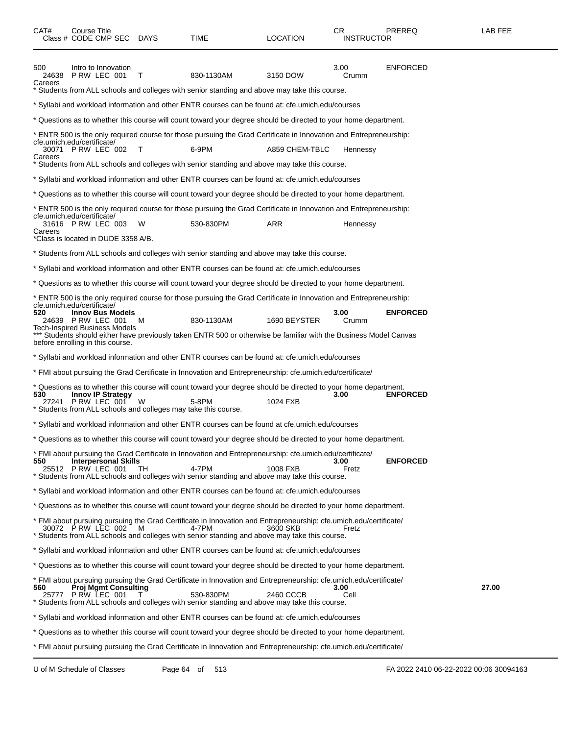| CAT#                             | Course Title       | Class # CODE CMP SEC                          | DAYS | TIME                                                                                                                                                                                                                    | <b>LOCATION</b> | CR<br><b>INSTRUCTOR</b> | PREREQ          | LAB FEE |
|----------------------------------|--------------------|-----------------------------------------------|------|-------------------------------------------------------------------------------------------------------------------------------------------------------------------------------------------------------------------------|-----------------|-------------------------|-----------------|---------|
| 500<br>24638<br>Careers          |                    | Intro to Innovation<br>PRW LEC 001            | T    | 830-1130AM                                                                                                                                                                                                              | 3150 DOW        | 3.00<br>Crumm           | ENFORCED        |         |
|                                  |                    |                                               |      | Students from ALL schools and colleges with senior standing and above may take this course.                                                                                                                             |                 |                         |                 |         |
|                                  |                    |                                               |      | Syllabi and workload information and other ENTR courses can be found at: cfe.umich.edu/courses ***                                                                                                                      |                 |                         |                 |         |
|                                  |                    |                                               |      | * Questions as to whether this course will count toward your degree should be directed to your home department.                                                                                                         |                 |                         |                 |         |
|                                  |                    |                                               |      | * ENTR 500 is the only required course for those pursuing the Grad Certificate in Innovation and Entrepreneurship:                                                                                                      |                 |                         |                 |         |
| cfe.umich.edu/certificate/       | 30071 P RW LEC 002 |                                               | Т    | 6-9PM                                                                                                                                                                                                                   | A859 CHEM-TBLC  | Hennessy                |                 |         |
| Careers                          |                    |                                               |      | * Students from ALL schools and colleges with senior standing and above may take this course.                                                                                                                           |                 |                         |                 |         |
|                                  |                    |                                               |      | * Syllabi and workload information and other ENTR courses can be found at: cfe.umich.edu/courses                                                                                                                        |                 |                         |                 |         |
|                                  |                    |                                               |      | * Questions as to whether this course will count toward your degree should be directed to your home department.                                                                                                         |                 |                         |                 |         |
|                                  |                    |                                               |      | ENTR 500 is the only required course for those pursuing the Grad Certificate in Innovation and Entrepreneurship:                                                                                                        |                 |                         |                 |         |
| cfe.umich.edu/certificate/       |                    | 31616 PRW LEC 003                             | W    |                                                                                                                                                                                                                         |                 |                         |                 |         |
| Careers                          |                    |                                               |      | 530-830PM                                                                                                                                                                                                               | ARR             | Hennessy                |                 |         |
|                                  |                    | *Class is located in DUDE 3358 A/B.           |      |                                                                                                                                                                                                                         |                 |                         |                 |         |
|                                  |                    |                                               |      | * Students from ALL schools and colleges with senior standing and above may take this course.                                                                                                                           |                 |                         |                 |         |
|                                  |                    |                                               |      | Syllabi and workload information and other ENTR courses can be found at: cfe.umich.edu/courses                                                                                                                          |                 |                         |                 |         |
|                                  |                    |                                               |      | * Questions as to whether this course will count toward your degree should be directed to your home department.                                                                                                         |                 |                         |                 |         |
| cfe.umich.edu/certificate/       |                    |                                               |      | ENTR 500 is the only required course for those pursuing the Grad Certificate in Innovation and Entrepreneurship:                                                                                                        |                 |                         |                 |         |
| 520                              |                    | <b>Innov Bus Models</b><br>24639 P RW LEC 001 | M    | 830-1130AM                                                                                                                                                                                                              | 1690 BEYSTER    | 3.00<br>Crumm           | <b>ENFORCED</b> |         |
| before enrolling in this course. |                    | <b>Tech-Inspired Business Models</b>          |      | *** Students should either have previously taken ENTR 500 or otherwise be familiar with the Business Model Canvas                                                                                                       |                 |                         |                 |         |
|                                  |                    |                                               |      | Syllabi and workload information and other ENTR courses can be found at: cfe.umich.edu/courses                                                                                                                          |                 |                         |                 |         |
|                                  |                    |                                               |      | * FMI about pursuing the Grad Certificate in Innovation and Entrepreneurship: cfe.umich.edu/certificate/                                                                                                                |                 |                         |                 |         |
|                                  |                    |                                               |      | * Questions as to whether this course will count toward your degree should be directed to your home department.                                                                                                         |                 |                         |                 |         |
| 530                              |                    | <b>Innov IP Strategy</b><br>27241 PRW LEC 001 |      | 5-8PM<br>* Students from ALL schools and colleges may take this course.                                                                                                                                                 | 1024 FXB        | 3.00                    | <b>ENFORCED</b> |         |
|                                  |                    |                                               |      | * Syllabi and workload information and other ENTR courses can be found at cfe.umich.edu/courses                                                                                                                         |                 |                         |                 |         |
|                                  |                    |                                               |      | * Questions as to whether this course will count toward your degree should be directed to your home department.                                                                                                         |                 |                         |                 |         |
| 550                              | 25512 P RW LEC 001 | <b>Interpersonal Skills</b>                   | TH.  | FMI about pursuing the Grad Certificate in Innovation and Entrepreneurship: cfe.umich.edu/certificate/<br>4-7PM<br>Students from ALL schools and colleges with senior standing and above may take this course.          | 1008 FXB        | 3.00<br>Fretz           | <b>ENFORCED</b> |         |
|                                  |                    |                                               |      | Syllabi and workload information and other ENTR courses can be found at: cfe.umich.edu/courses ***                                                                                                                      |                 |                         |                 |         |
|                                  |                    |                                               |      | * Questions as to whether this course will count toward your degree should be directed to your home department.                                                                                                         |                 |                         |                 |         |
|                                  | 30072 PRW LEC 002  |                                               |      | FMI about pursuing pursuing the Grad Certificate in Innovation and Entrepreneurship: cfe.umich.edu/certificate/<br>4-7PM<br>Students from ALL schools and colleges with senior standing and above may take this course. | 3600 SKB        | Fretz                   |                 |         |
|                                  |                    |                                               |      | Syllabi and workload information and other ENTR courses can be found at: cfe.umich.edu/courses ***                                                                                                                      |                 |                         |                 |         |
|                                  |                    |                                               |      | * Questions as to whether this course will count toward your degree should be directed to your home department.                                                                                                         |                 |                         |                 |         |
|                                  |                    |                                               |      | * FMI about pursuing pursuing the Grad Certificate in Innovation and Entrepreneurship: cfe.umich.edu/certificate/                                                                                                       |                 |                         |                 |         |
| 560<br>25777                     |                    | Proj Mgmt Consulting<br>P RW LEC 001          |      | 530-830PM<br>Students from ALL schools and colleges with senior standing and above may take this course.                                                                                                                | 2460 CCCB       | 3.00<br>Cell            |                 | 27.00   |
|                                  |                    |                                               |      | Syllabi and workload information and other ENTR courses can be found at: cfe.umich.edu/courses ***                                                                                                                      |                 |                         |                 |         |
|                                  |                    |                                               |      | * Questions as to whether this course will count toward your degree should be directed to your home department.                                                                                                         |                 |                         |                 |         |
|                                  |                    |                                               |      |                                                                                                                                                                                                                         |                 |                         |                 |         |

\* FMI about pursuing pursuing the Grad Certificate in Innovation and Entrepreneurship: cfe.umich.edu/certificate/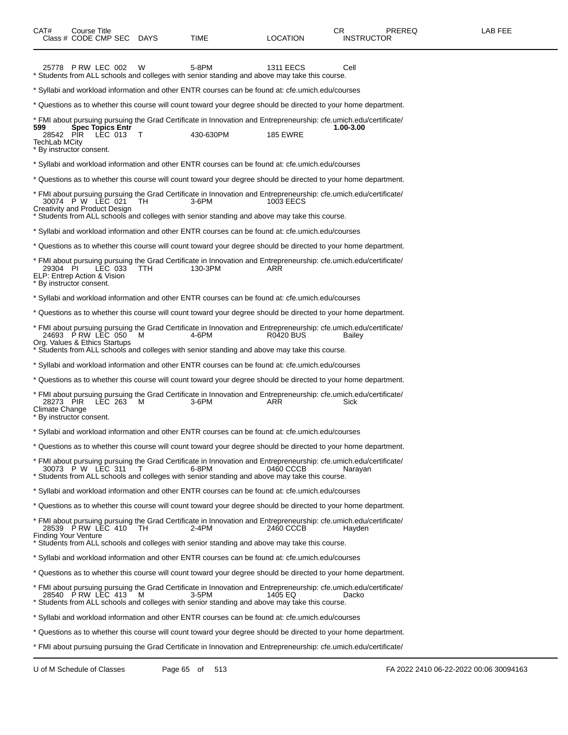| CAT#<br>Course Title<br>Class # CODE CMP SEC DAYS                                                                                                                                                                                                                              | <b>TIME</b> | LOCATION         | PREREQ<br>CR.<br><b>INSTRUCTOR</b> | LAB FEE |
|--------------------------------------------------------------------------------------------------------------------------------------------------------------------------------------------------------------------------------------------------------------------------------|-------------|------------------|------------------------------------|---------|
| 25778 PRW LEC 002<br>W<br>* Students from ALL schools and colleges with senior standing and above may take this course.                                                                                                                                                        | 5-8PM       | <b>1311 EECS</b> | Cell                               |         |
| * Syllabi and workload information and other ENTR courses can be found at: cfe.umich.edu/courses                                                                                                                                                                               |             |                  |                                    |         |
| * Questions as to whether this course will count toward your degree should be directed to your home department.                                                                                                                                                                |             |                  |                                    |         |
| * FMI about pursuing pursuing the Grad Certificate in Innovation and Entrepreneurship: cfe.umich.edu/certificate/<br><b>Spec Topics Entr</b><br>599<br>28542 PIR<br>LEC 013 T<br><b>TechLab MCitv</b><br>* By instructor consent.                                              | 430-630PM   | <b>185 EWRE</b>  | 1.00-3.00                          |         |
| * Syllabi and workload information and other ENTR courses can be found at: cfe.umich.edu/courses                                                                                                                                                                               |             |                  |                                    |         |
| * Questions as to whether this course will count toward your degree should be directed to your home department.                                                                                                                                                                |             |                  |                                    |         |
| * FMI about pursuing pursuing the Grad Certificate in Innovation and Entrepreneurship: cfe.umich.edu/certificate/<br>30074 P W LEC 021<br>TH<br>Creativity and Product Design<br>* Students from ALL schools and colleges with senior standing and above may take this course. | 3-6PM       | 1003 EECS        |                                    |         |
| * Syllabi and workload information and other ENTR courses can be found at: cfe.umich.edu/courses                                                                                                                                                                               |             |                  |                                    |         |
| * Questions as to whether this course will count toward your degree should be directed to your home department.                                                                                                                                                                |             |                  |                                    |         |
| * FMI about pursuing pursuing the Grad Certificate in Innovation and Entrepreneurship: cfe.umich.edu/certificate/<br>LEC 033<br>29304 PI<br>TTH.<br>ELP: Entrep Action & Vision<br>* By instructor consent.                                                                    | 130-3PM     | ARR              |                                    |         |
| * Syllabi and workload information and other ENTR courses can be found at: cfe.umich.edu/courses                                                                                                                                                                               |             |                  |                                    |         |
| * Questions as to whether this course will count toward your degree should be directed to your home department.                                                                                                                                                                |             |                  |                                    |         |
| * FMI about pursuing pursuing the Grad Certificate in Innovation and Entrepreneurship: cfe.umich.edu/certificate/<br>24693 PRW LEC 050<br>M<br>Org. Values & Ethics Startups<br>* Students from ALL schools and colleges with senior standing and above may take this course.  | 4-6PM       | R0420 BUS        | Bailey                             |         |
| * Syllabi and workload information and other ENTR courses can be found at: cfe.umich.edu/courses                                                                                                                                                                               |             |                  |                                    |         |
| * Questions as to whether this course will count toward your degree should be directed to your home department.                                                                                                                                                                |             |                  |                                    |         |
| * FMI about pursuing pursuing the Grad Certificate in Innovation and Entrepreneurship: cfe.umich.edu/certificate/<br>LEC 263<br>28273 PIR<br>м<br>Climate Change<br>* By instructor consent.                                                                                   | $3-6$ PM    | ARR              | Sick                               |         |
| * Syllabi and workload information and other ENTR courses can be found at: cfe.umich.edu/courses                                                                                                                                                                               |             |                  |                                    |         |
| Questions as to whether this course will count toward your degree should be directed to your home department.                                                                                                                                                                  |             |                  |                                    |         |
| * FMI about pursuing pursuing the Grad Certificate in Innovation and Entrepreneurship: cfe.umich.edu/certificate/<br>30073 P W LEC 311<br>* Students from ALL schools and colleges with senior standing and above may take this course.                                        | 6-8PM       | 0460 CCCB        | Naravan                            |         |
| * Syllabi and workload information and other ENTR courses can be found at: cfe.umich.edu/courses                                                                                                                                                                               |             |                  |                                    |         |
| * Questions as to whether this course will count toward your degree should be directed to your home department.                                                                                                                                                                |             |                  |                                    |         |
| * FMI about pursuing pursuing the Grad Certificate in Innovation and Entrepreneurship: cfe.umich.edu/certificate/<br>28539 PRW LEC 410<br>TH<br><b>Finding Your Venture</b><br>* Students from ALL schools and colleges with senior standing and above may take this course.   | 2-4PM       | 2460 CCCB        | Hayden                             |         |
| * Syllabi and workload information and other ENTR courses can be found at: cfe.umich.edu/courses                                                                                                                                                                               |             |                  |                                    |         |
| * Questions as to whether this course will count toward your degree should be directed to your home department.                                                                                                                                                                |             |                  |                                    |         |
| * FMI about pursuing pursuing the Grad Certificate in Innovation and Entrepreneurship: cfe.umich.edu/certificate/<br>28540 PRW LEC 413<br>M<br>* Students from ALL schools and colleges with senior standing and above may take this course.                                   | 3-5PM       | 1405 EQ          | Dacko                              |         |
| Syllabi and workload information and other ENTR courses can be found at: cfe.umich.edu/courses ***                                                                                                                                                                             |             |                  |                                    |         |
| * Questions as to whether this course will count toward your degree should be directed to your home department.                                                                                                                                                                |             |                  |                                    |         |
| * FMI about pursuing pursuing the Grad Certificate in Innovation and Entrepreneurship: cfe.umich.edu/certificate/                                                                                                                                                              |             |                  |                                    |         |

U of M Schedule of Classes Page 65 of 513 FA 2022 2410 06-22-2022 00:06 30094163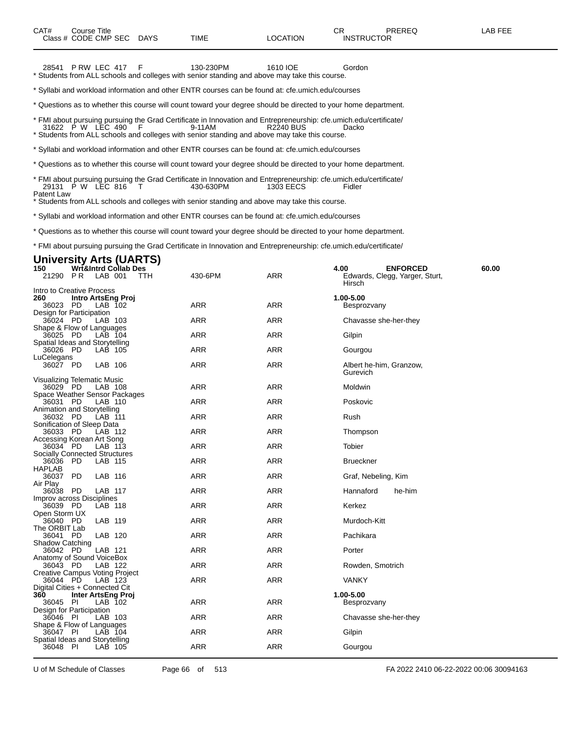28541 P RW LEC 417 F 130-230PM 1610 IOE Gordon \* Students from ALL schools and colleges with senior standing and above may take this course.

\* Syllabi and workload information and other ENTR courses can be found at: cfe.umich.edu/courses

\* Questions as to whether this course will count toward your degree should be directed to your home department.

\* FMI about pursuing pursuing the Grad Certificate in Innovation and Entrepreneurship: cfe.umich.edu/certificate/ 31622 P W LEC 490 F 9-11AM R2240 BUS Dacko \* Students from ALL schools and colleges with senior standing and above may take this course.

\* Syllabi and workload information and other ENTR courses can be found at: cfe.umich.edu/courses

\* Questions as to whether this course will count toward your degree should be directed to your home department.

\* FMI about pursuing pursuing the Grad Certificate in Innovation and Entrepreneurship: cfe.umich.edu/certificate/ 29131 P W LEC 816 T 430-630PM 1303 EECS Fidler Patent Law

Students from ALL schools and colleges with senior standing and above may take this course.

\* Syllabi and workload information and other ENTR courses can be found at: cfe.umich.edu/courses

\* Questions as to whether this course will count toward your degree should be directed to your home department.

\* FMI about pursuing pursuing the Grad Certificate in Innovation and Entrepreneurship: cfe.umich.edu/certificate/

### **University Arts (UARTS)**

| 150                         |      | <b>Wrt&amp;Intrd Collab Des</b>          |     |            |            | 60.00<br>4.00<br><b>ENFORCED</b>         |
|-----------------------------|------|------------------------------------------|-----|------------|------------|------------------------------------------|
| 21290                       | P R  | LAB 001                                  | TTH | 430-6PM    | <b>ARR</b> | Edwards, Clegg, Yarger, Sturt,<br>Hirsch |
| Intro to Creative Process   |      |                                          |     |            |            |                                          |
| 260                         |      | Intro ArtsEng Proj                       |     |            |            | 1.00-5.00                                |
| 36023                       | - PD | LAB 102                                  |     | <b>ARR</b> | <b>ARR</b> | Besprozvany                              |
| Design for Participation    |      |                                          |     |            |            |                                          |
| 36024 PD                    |      | LAB 103                                  |     | <b>ARR</b> | <b>ARR</b> | Chavasse she-her-they                    |
|                             |      | Shape & Flow of Languages                |     |            |            |                                          |
| 36025 PD                    |      | LAB 104                                  |     | <b>ARR</b> | <b>ARR</b> | Gilpin                                   |
|                             |      | Spatial Ideas and Storytelling           |     |            |            |                                          |
| 36026 PD                    |      | LAB 105                                  |     | <b>ARR</b> | <b>ARR</b> | Gourgou                                  |
| LuCelegans                  |      |                                          |     |            |            |                                          |
| 36027 PD                    |      | LAB 106                                  |     | <b>ARR</b> | <b>ARR</b> | Albert he-him, Granzow,                  |
|                             |      |                                          |     |            |            | Gurevich                                 |
| Visualizing Telematic Music |      |                                          |     | <b>ARR</b> | <b>ARR</b> |                                          |
| 36029 PD                    |      | LAB 108                                  |     |            |            | Moldwin                                  |
| 36031                       | PD   | Space Weather Sensor Packages<br>LAB 110 |     | <b>ARR</b> | <b>ARR</b> | Poskovic                                 |
| Animation and Storytelling  |      |                                          |     |            |            |                                          |
| 36032 PD                    |      | LAB 111                                  |     | <b>ARR</b> | <b>ARR</b> | Rush                                     |
| Sonification of Sleep Data  |      |                                          |     |            |            |                                          |
| 36033 PD                    |      | LAB 112                                  |     | <b>ARR</b> | <b>ARR</b> | Thompson                                 |
| Accessing Korean Art Song   |      |                                          |     |            |            |                                          |
| 36034 PD                    |      | LAB 113                                  |     | <b>ARR</b> | <b>ARR</b> | Tobier                                   |
|                             |      | <b>Socially Connected Structures</b>     |     |            |            |                                          |
| 36036 PD                    |      | LAB 115                                  |     | <b>ARR</b> | <b>ARR</b> | <b>Brueckner</b>                         |
| <b>HAPLAB</b>               |      |                                          |     |            |            |                                          |
| 36037 PD                    |      | LAB 116                                  |     | <b>ARR</b> | <b>ARR</b> | Graf, Nebeling, Kim                      |
| Air Play                    |      |                                          |     |            |            |                                          |
| 36038 PD                    |      | LAB 117                                  |     | <b>ARR</b> | <b>ARR</b> | Hannaford<br>he-him                      |
| Improv across Disciplines   |      |                                          |     |            |            |                                          |
| 36039 PD                    |      | LAB 118                                  |     | <b>ARR</b> | <b>ARR</b> | Kerkez                                   |
| Open Storm UX               |      |                                          |     |            |            |                                          |
| 36040 PD                    |      | LAB 119                                  |     | <b>ARR</b> | <b>ARR</b> | Murdoch-Kitt                             |
| The ORBIT Lab               |      |                                          |     |            |            |                                          |
| 36041 PD                    |      | LAB 120                                  |     | <b>ARR</b> | <b>ARR</b> | Pachikara                                |
| Shadow Catching             |      |                                          |     | <b>ARR</b> | <b>ARR</b> | Porter                                   |
| 36042 PD                    |      | LAB 121<br>Anatomy of Sound VoiceBox     |     |            |            |                                          |
| 36043 PD                    |      | LAB 122                                  |     | <b>ARR</b> | <b>ARR</b> | Rowden, Smotrich                         |
|                             |      | Creative Campus Voting Project           |     |            |            |                                          |
| 36044 PD                    |      | LAB 123                                  |     | <b>ARR</b> | <b>ARR</b> | <b>VANKY</b>                             |
|                             |      | Digital Cities + Connected Cit           |     |            |            |                                          |
| 360                         |      | Inter ArtsEng Proj                       |     |            |            | 1.00-5.00                                |
| 36045 PI                    |      | LAB 102                                  |     | <b>ARR</b> | <b>ARR</b> | Besprozvany                              |
| Design for Participation    |      |                                          |     |            |            |                                          |
| 36046 PI                    |      | LAB 103                                  |     | <b>ARR</b> | <b>ARR</b> | Chavasse she-her-they                    |
|                             |      | Shape & Flow of Languages                |     |            |            |                                          |
| 36047 PI                    |      | LAB 104                                  |     | <b>ARR</b> | <b>ARR</b> | Gilpin                                   |
|                             |      | Spatial Ideas and Storytelling           |     |            |            |                                          |
| 36048 PI                    |      | LAB 105                                  |     | <b>ARR</b> | ARR        | Gourgou                                  |
|                             |      |                                          |     |            |            |                                          |

U of M Schedule of Classes Page 66 of 513 FA 2022 2410 06-22-2022 00:06 30094163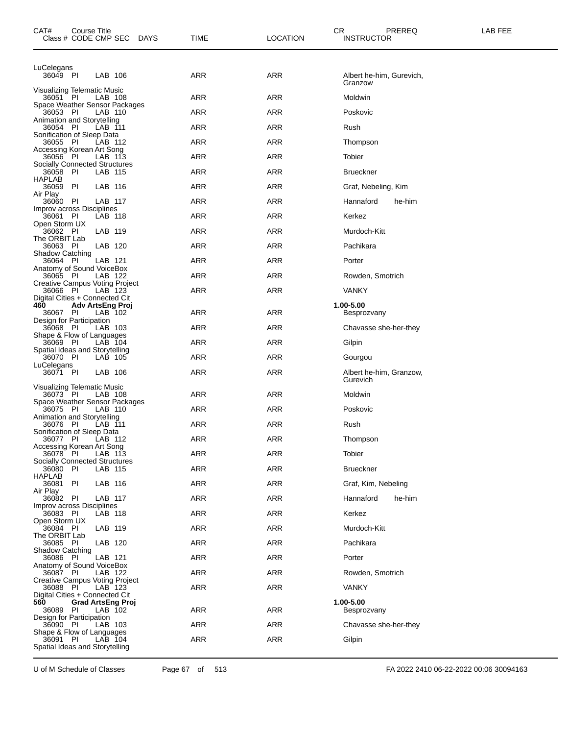| CAT#<br>Class # CODE CMP SEC                      | Course Title             |                    | DAYS | TIME       | CR.<br><b>LOCATION</b> | PREREQ<br><b>INSTRUCTOR</b>         | LAB FEE |
|---------------------------------------------------|--------------------------|--------------------|------|------------|------------------------|-------------------------------------|---------|
| LuCelegans                                        |                          |                    |      | <b>ARR</b> | <b>ARR</b>             |                                     |         |
| 36049 PI                                          |                          | LAB 106            |      |            |                        | Albert he-him, Gurevich,<br>Granzow |         |
| Visualizing Telematic Music<br>36051 PI           |                          | LAB 108            |      | <b>ARR</b> | <b>ARR</b>             | Moldwin                             |         |
| Space Weather Sensor Packages<br>36053 PI         |                          | LAB 110            |      | ARR        | <b>ARR</b>             | Poskovic                            |         |
| Animation and Storytelling<br>36054 PI            |                          | LAB 111            |      | ARR        | ARR                    | Rush                                |         |
| Sonification of Sleep Data<br>36055 PI            |                          | LAB 112            |      | <b>ARR</b> | <b>ARR</b>             | Thompson                            |         |
| Accessing Korean Art Song<br>36056 PI             |                          | LAB 113            |      | <b>ARR</b> | <b>ARR</b>             | Tobier                              |         |
| <b>Socially Connected Structures</b><br>36058 PI  |                          | LAB 115            |      | ARR        | ARR                    | <b>Brueckner</b>                    |         |
| HAPLAB<br>36059                                   | -PI                      | LAB 116            |      | <b>ARR</b> | <b>ARR</b>             | Graf, Nebeling, Kim                 |         |
| Air Play<br>36060                                 | - PI                     | LAB 117            |      | <b>ARR</b> | <b>ARR</b>             | Hannaford<br>he-him                 |         |
| Improv across Disciplines<br>36061 PI             |                          | LAB 118            |      | ARR        | ARR                    | Kerkez                              |         |
| Open Storm UX<br>36062 PI                         |                          | LAB 119            |      | <b>ARR</b> | <b>ARR</b>             | Murdoch-Kitt                        |         |
| The ORBIT Lab<br>36063 PI                         |                          | LAB 120            |      | <b>ARR</b> | <b>ARR</b>             | Pachikara                           |         |
| <b>Shadow Catching</b><br>36064 PI                |                          | LAB 121            |      | ARR        | ARR                    | Porter                              |         |
| Anatomy of Sound VoiceBox<br>36065 PI             |                          | LAB 122            |      | <b>ARR</b> | ARR                    | Rowden, Smotrich                    |         |
| Creative Campus Voting Project<br>36066 PI        |                          | LAB 123            |      | ARR        | <b>ARR</b>             | <b>VANKY</b>                        |         |
| Digital Cities + Connected Cit<br>460<br>36067 PI | <b>Adv ArtsEng Proj</b>  |                    |      | <b>ARR</b> | <b>ARR</b>             | 1.00-5.00                           |         |
| Design for Participation<br>36068 PI              |                          | LAB 102<br>LAB 103 |      | ARR        | ARR                    | Besprozvany                         |         |
| Shape & Flow of Languages<br>36069 PI             |                          | $LAB$ 104          |      | <b>ARR</b> | <b>ARR</b>             | Chavasse she-her-they               |         |
| Spatial Ideas and Storytelling                    |                          |                    |      | <b>ARR</b> | <b>ARR</b>             | Gilpin                              |         |
| 36070 PI<br>LuCelegans<br>36071 PI                |                          | LAB 105            |      | ARR        | <b>ARR</b>             | Gourgou                             |         |
|                                                   |                          | LAB 106            |      |            |                        | Albert he-him, Granzow,<br>Gurevich |         |
| Visualizing Telematic Music<br>36073 PI           |                          | LAB 108            |      | <b>ARR</b> | ARR                    | Moldwin                             |         |
| Space Weather Sensor Packages<br>36075 PI         |                          | LAB 110            |      | ARR        | ARR                    | Poskovic                            |         |
| Animation and Storytelling<br>36076 PI            |                          | LAB 111            |      | ARR        | <b>ARR</b>             | Rush                                |         |
| Sonification of Sleep Data<br>36077 PI            |                          | LAB 112            |      | ARR        | ARR                    | Thompson                            |         |
| Accessing Korean Art Song<br>36078 PI             |                          | LAB 113            |      | ARR        | ARR                    | Tobier                              |         |
| <b>Socially Connected Structures</b><br>36080 PI  |                          | LAB 115            |      | ARR        | <b>ARR</b>             | <b>Brueckner</b>                    |         |
| HAPLAB<br>36081                                   | -PI                      | LAB 116            |      | <b>ARR</b> | ARR                    | Graf, Kim, Nebeling                 |         |
| Air Play<br>36082 PI                              |                          | LAB 117            |      | ARR        | ARR                    | Hannaford<br>he-him                 |         |
| Improv across Disciplines<br>36083 PI             |                          | LAB 118            |      | ARR        | ARR                    | Kerkez                              |         |
| Open Storm UX<br>36084 PI                         |                          | LAB 119            |      | <b>ARR</b> | ARR                    | Murdoch-Kitt                        |         |
| The ORBIT Lab<br>36085 PI                         |                          | LAB 120            |      | ARR        | ARR                    | Pachikara                           |         |
| Shadow Catching<br>36086 PI                       |                          | LAB 121            |      | ARR        | ARR                    | Porter                              |         |
| Anatomy of Sound VoiceBox<br>36087 PI             |                          | LAB 122            |      | <b>ARR</b> | ARR                    | Rowden, Smotrich                    |         |
| <b>Creative Campus Voting Project</b><br>36088 PI |                          | LAB 123            |      | ARR        | ARR                    | <b>VANKY</b>                        |         |
| Digital Cities + Connected Cit<br>560             | <b>Grad ArtsEng Proj</b> |                    |      |            |                        | 1.00-5.00                           |         |
| 36089 PI<br>Design for Participation              |                          | LAB 102            |      | ARR        | ARR                    | Besprozvany                         |         |
| 36090 PI<br>Shape & Flow of Languages             |                          | LAB 103            |      | ARR        | ARR                    | Chavasse she-her-they               |         |
| 36091 PI<br>Spatial Ideas and Storytelling        |                          | LAB 104            |      | <b>ARR</b> | ARR                    | Gilpin                              |         |

U of M Schedule of Classes Page 67 of 513 FA 2022 2410 06-22-2022 00:06 30094163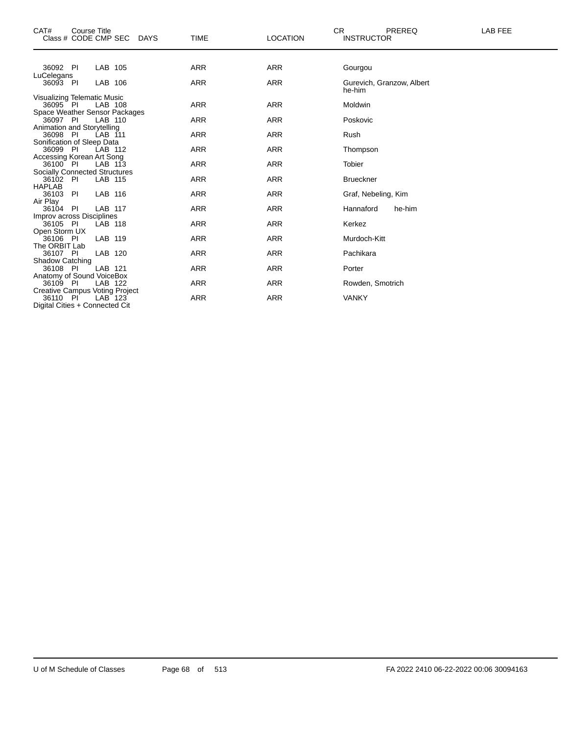| CAT#<br><b>Course Title</b><br>Class # CODE CMP SEC<br><b>DAYS</b> | <b>TIME</b> | <b>LOCATION</b> | <b>CR</b><br>PREREQ<br><b>INSTRUCTOR</b> | <b>LAB FEE</b> |
|--------------------------------------------------------------------|-------------|-----------------|------------------------------------------|----------------|
| LAB 105<br>36092 PI                                                | <b>ARR</b>  | <b>ARR</b>      | Gourgou                                  |                |
| LuCelegans                                                         |             |                 |                                          |                |
| LAB 106<br>36093 PI                                                | <b>ARR</b>  | <b>ARR</b>      | Gurevich, Granzow, Albert<br>he-him      |                |
| Visualizing Telematic Music                                        |             |                 |                                          |                |
| 36095 PI<br>LAB 108                                                | <b>ARR</b>  | <b>ARR</b>      | Moldwin                                  |                |
| Space Weather Sensor Packages                                      |             |                 |                                          |                |
| 36097 PI<br>LAB 110                                                | <b>ARR</b>  | <b>ARR</b>      | Poskovic                                 |                |
| Animation and Storytelling<br>36098<br>- PI<br>LAB 111             | <b>ARR</b>  | <b>ARR</b>      | Rush                                     |                |
| Sonification of Sleep Data                                         |             |                 |                                          |                |
| 36099 PI<br>LAB 112                                                | <b>ARR</b>  | <b>ARR</b>      | Thompson                                 |                |
| Accessing Korean Art Song                                          |             |                 |                                          |                |
| 36100 PI<br>LAB 113                                                | <b>ARR</b>  | <b>ARR</b>      | <b>Tobier</b>                            |                |
| <b>Socially Connected Structures</b>                               |             |                 |                                          |                |
| 36102 PI<br>LAB 115                                                | <b>ARR</b>  | <b>ARR</b>      | <b>Brueckner</b>                         |                |
| <b>HAPLAB</b>                                                      |             |                 |                                          |                |
| LAB 116<br>PI<br>36103                                             | <b>ARR</b>  | <b>ARR</b>      | Graf, Nebeling, Kim                      |                |
| Air Play                                                           |             |                 |                                          |                |
| LAB 117<br>PI<br>36104                                             | <b>ARR</b>  | <b>ARR</b>      | Hannaford<br>he-him                      |                |
| Improv across Disciplines                                          |             |                 |                                          |                |
| 36105 PI<br>LAB 118                                                | <b>ARR</b>  | <b>ARR</b>      | Kerkez                                   |                |
| Open Storm UX                                                      |             |                 |                                          |                |
| LAB 119<br>36106 PI                                                | <b>ARR</b>  | <b>ARR</b>      | Murdoch-Kitt                             |                |
| The ORBIT Lab                                                      |             |                 |                                          |                |
| LAB 120<br>36107 PI                                                | <b>ARR</b>  | <b>ARR</b>      | Pachikara                                |                |
| <b>Shadow Catching</b>                                             |             |                 |                                          |                |
| LAB 121<br>36108 PI                                                | <b>ARR</b>  | <b>ARR</b>      | Porter                                   |                |
| Anatomy of Sound VoiceBox                                          |             |                 |                                          |                |
| LAB 122<br>36109 PI                                                | <b>ARR</b>  | <b>ARR</b>      | Rowden, Smotrich                         |                |
| <b>Creative Campus Voting Project</b>                              |             |                 |                                          |                |
| LAB 123<br>36110 PI                                                | <b>ARR</b>  | <b>ARR</b>      | <b>VANKY</b>                             |                |
| Digital Cities + Connected Cit                                     |             |                 |                                          |                |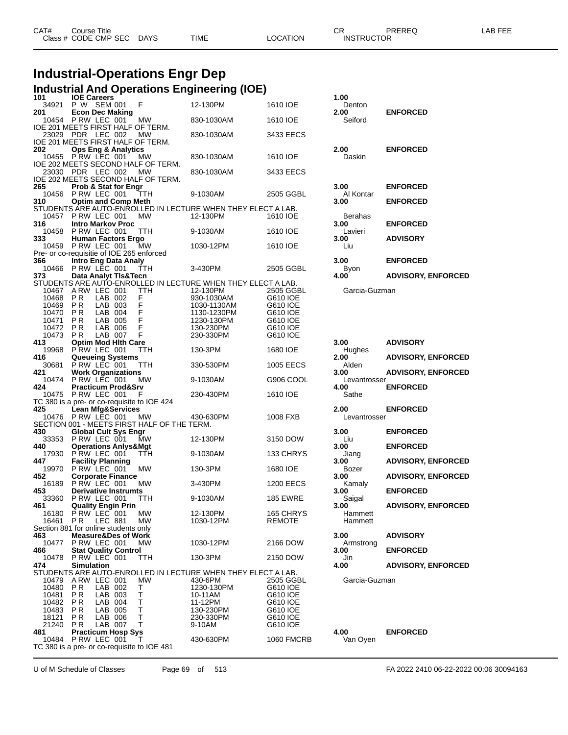| CAT# | ourse Titleٽ         |             |             |          | ⌒冖<br>◡⊓          | PREREQ | AR FFF |
|------|----------------------|-------------|-------------|----------|-------------------|--------|--------|
|      | Class # CODE CMP SEC | <b>DAYS</b> | <b>TIME</b> | LOCATION | <b>INSTRUCTOR</b> |        |        |
|      |                      |             |             |          |                   |        |        |

## **Industrial-Operations Engr Dep**

|                | Industrial And Operations Engineering (IOE)                                |                            |                       |                   |                           |
|----------------|----------------------------------------------------------------------------|----------------------------|-----------------------|-------------------|---------------------------|
| 101            | <b>IOE Careers</b>                                                         |                            |                       | 1.00              |                           |
| 34921<br>201   | P W SEM 001<br>F<br><b>Econ Dec Making</b>                                 | 12-130PM                   | 1610 IOE              | Denton<br>2.00    | <b>ENFORCED</b>           |
|                | 10454 PRW LEC 001<br>МW                                                    | 830-1030AM                 | 1610 IOE              | Seiford           |                           |
|                | IOE 201 MEETS FIRST HALF OF TERM.                                          |                            |                       |                   |                           |
|                | 23029 PDR LEC 002<br>MW                                                    | 830-1030AM                 | 3433 EECS             |                   |                           |
| 202            | IOE 201 MEETS FIRST HALF OF TERM.<br><b>Ops Eng &amp; Analytics</b>        |                            |                       | 2.00              | <b>ENFORCED</b>           |
|                | 10455 P RW LEC 001<br>МW                                                   | 830-1030AM                 | 1610 IOE              | Daskin            |                           |
|                | IOE 202 MEETS SECOND HALF OF TERM.                                         |                            |                       |                   |                           |
| 23030 PDR      | LEC 002<br>МW                                                              | 830-1030AM                 | 3433 EECS             |                   |                           |
| 265            | IOE 202 MEETS SECOND HALF OF TERM.<br><b>Prob &amp; Stat for Engr</b>      |                            |                       | 3.00              | <b>ENFORCED</b>           |
|                | 10456 P RW LEC 001<br>ттн                                                  | 9-1030AM                   | 2505 GGBL             | Al Kontar         |                           |
| 310            | <b>Optim and Comp Meth</b>                                                 |                            |                       | 3.00              | <b>ENFORCED</b>           |
|                | STUDENTS ARE AUTO-ENROLLED IN LECTURE WHEN THEY ELECT A LAB.               |                            |                       |                   |                           |
| 10457          | PRW LEC 001<br><b>MW</b>                                                   | 12-130PM                   | 1610 IOE              | Berahas           |                           |
| 316            | <b>Intro Markov Proc</b><br>10458 PRW LEC 001<br>ттн                       | 9-1030AM                   | 1610 IOE              | 3.00<br>Lavieri   | <b>ENFORCED</b>           |
| 333            | Human Factors Ergo                                                         |                            |                       | 3.00              | <b>ADVISORY</b>           |
|                | 10459 P RW LEC 001<br>МW                                                   | 1030-12PM                  | 1610 IOE              | Liu               |                           |
|                | Pre- or co-requisitie of IOE 265 enforced                                  |                            |                       |                   |                           |
| 366<br>10466   | <b>Intro Eng Data Analy</b><br>PRW LEC 001<br>ттн                          | 3-430PM                    | 2505 GGBL             | 3.00              | <b>ENFORCED</b>           |
| 373            | Data Analyt TIs&Tecn                                                       |                            |                       | Byon<br>4.00      | <b>ADVISORY, ENFORCED</b> |
|                | STUDENTS ARE AUTO-ENROLLED IN LECTURE WHEN THEY ELECT A LAB.               |                            |                       |                   |                           |
| 10467          | A RW LEC 001<br>TTH                                                        | 12-130PM                   | 2505 GGBL             | Garcia-Guzman     |                           |
| 10468          | P <sub>R</sub><br>LAB 002<br>F<br>F                                        | 930-1030AM                 | G610 IOE              |                   |                           |
| 10469<br>10470 | <b>PR</b><br>LAB 003<br>F<br>LAB 004<br>P R                                | 1030-1130AM<br>1130-1230PM | G610 IOE<br>G610 IOE  |                   |                           |
| 10471          | $\mathsf F$<br>P <sub>R</sub><br>LAB 005                                   | 1230-130PM                 | G610 IOE              |                   |                           |
| 10472          | F<br>P <sub>R</sub><br>LAB 006                                             | 130-230PM                  | G610 IOE              |                   |                           |
| 10473          | F<br>LAB 007<br>P <sub>R</sub>                                             | 230-330PM                  | G610 IOE              |                   |                           |
| 413<br>19968   | <b>Optim Mod Hith Care</b><br>PRW LEC 001<br>TTH                           | 130-3PM                    | 1680 IOE              | 3.00<br>Hughes    | <b>ADVISORY</b>           |
| 416            | <b>Queueing Systems</b>                                                    |                            |                       | 2.00              | <b>ADVISORY, ENFORCED</b> |
| 30681          | PRW LEC 001<br>TTH                                                         | 330-530PM                  | <b>1005 EECS</b>      | Alden             |                           |
| 421            | <b>Work Organizations</b>                                                  |                            |                       | 3.00              | <b>ADVISORY, ENFORCED</b> |
| 10474          | PRW LEC 001<br><b>MW</b>                                                   | 9-1030AM                   | G906 COOL             | Levantrosser      |                           |
| 424            | <b>Practicum Prod&amp;Srv</b><br>10475 P RW LEC 001<br>F                   | 230-430PM                  | 1610 IOE              | 4.00<br>Sathe     | <b>ENFORCED</b>           |
|                | TC 380 is a pre- or co-requisite to IOE 424                                |                            |                       |                   |                           |
| 425            | <b>Lean Mfg&amp;Services</b>                                               |                            |                       | 2.00              | <b>ENFORCED</b>           |
| 10476          | PRW LEC 001<br>MW.                                                         | 430-630PM                  | 1008 FXB              | Levantrosser      |                           |
| 430            | SECTION 001 - MEETS FIRST HALF OF THE TERM.<br><b>Global Cult Sys Engr</b> |                            |                       | 3.00              | <b>ENFORCED</b>           |
| 33353          | PRW LEC 001<br><b>MW</b>                                                   | 12-130PM                   | 3150 DOW              | Liu               |                           |
| 440            | <b>Operations Anlys&amp;Mgt</b>                                            |                            |                       | 3.00              | <b>ENFORCED</b>           |
| 17930          | PRW LEC 001<br>TTH                                                         | 9-1030AM                   | 133 CHRYS             | Jiang             |                           |
| 447<br>19970   | <b>Facility Planning</b><br>PRW LEC 001<br>MW                              | 130-3PM                    | 1680 IOE              | 3.00<br>Bozer     | <b>ADVISORY, ENFORCED</b> |
| 452            | <b>Corporate Finance</b>                                                   |                            |                       | 3.00              | <b>ADVISORY, ENFORCED</b> |
| 16189          | P RW LEC 001<br>МW                                                         | 3-430PM                    | <b>1200 EECS</b>      | Kamaly            |                           |
| 453            | <b>Derivative Instrumts</b>                                                |                            |                       | 3.00              | <b>ENFORCED</b>           |
| 33360          | P RW LEC 001<br>ттн                                                        | 9-1030AM                   | <b>185 EWRE</b>       | Saigal            |                           |
| 461<br>16180   | <b>Quality Engin Prin</b><br>P RW LEC 001<br>МW                            | 12-130PM                   | 165 CHRYS             | 3.00<br>Hammett   | <b>ADVISORY, ENFORCED</b> |
| 16461          | P R<br><b>LEC 881</b><br><b>MW</b>                                         | 1030-12PM                  | <b>REMOTE</b>         | Hammett           |                           |
|                | Section 881 for online students only                                       |                            |                       |                   |                           |
| 463            | <b>Measure&amp;Des of Work</b>                                             |                            |                       | 3.00              | <b>ADVISORY</b>           |
| 10477<br>466   | P RW LEC 001<br>MW<br><b>Stat Quality Control</b>                          | 1030-12PM                  | 2166 DOW              | Armstrong<br>3.00 | <b>ENFORCED</b>           |
|                | 10478 P RW LEC 001<br>ттн                                                  | 130-3PM                    | 2150 DOW              | Jin               |                           |
| 474.           | <b>Simulation</b>                                                          |                            |                       | 4.00              | <b>ADVISORY, ENFORCED</b> |
|                | STUDENTS ARE AUTO-ENROLLED IN LECTURE WHEN THEY ELECT A LAB.               |                            |                       |                   |                           |
| 10479          | A RW LEC 001<br>МW<br>P <sub>R</sub><br>LAB 002<br>Τ                       | 430-6PM                    | 2505 GGBL<br>G610 IOE | Garcia-Guzman     |                           |
| 10480<br>10481 | PR<br>LAB 003<br>Τ                                                         | 1230-130PM<br>10-11AM      | G610 IOE              |                   |                           |
| 10482          | т<br>P R<br>LAB 004                                                        | 11-12PM                    | G610 IOE              |                   |                           |
| 10483          | P <sub>R</sub><br>LAB 005<br>т                                             | 130-230PM                  | G610 IOE              |                   |                           |
| 18121          | LAB 006<br>т<br>P R                                                        | 230-330PM                  | G610 IOE              |                   |                           |
| 21240<br>481   | LAB 007<br>$\top$<br>P R<br><b>Practicum Hosp Sys</b>                      | 9-10AM                     | G610 IOE              | 4.00              | <b>ENFORCED</b>           |
|                | 10484 PRW LEC 001<br>T                                                     | 430-630PM                  | <b>1060 FMCRB</b>     | Van Oyen          |                           |
|                |                                                                            |                            |                       |                   |                           |

| 1.00<br>Denton<br>2.00<br>Seiford                                                      | <b>ENFORCED</b>                                                                             |  |  |  |
|----------------------------------------------------------------------------------------|---------------------------------------------------------------------------------------------|--|--|--|
| 2.00<br>Daskin                                                                         | <b>ENFORCED</b>                                                                             |  |  |  |
| 3.00<br>Al Kontar<br>3.00<br>Berahas<br>3.00<br>Lavieri<br>3.00<br>Liu<br>3.00<br>Byon | <b>ENFORCED</b><br><b>ENFORCED</b><br><b>ENFORCED</b><br><b>ADVISORY</b><br><b>ENFORCED</b> |  |  |  |
| 4.00<br>Garcia-Guzman                                                                  | <b>ADVISORY, ENFORCED</b>                                                                   |  |  |  |
|                                                                                        |                                                                                             |  |  |  |
| 3.00<br>Hughes                                                                         | <b>ADVISORY</b>                                                                             |  |  |  |
| 2.00<br>Alden                                                                          | <b>ADVISORY, ENFORCED</b>                                                                   |  |  |  |
| 3.00<br>Levantrosser                                                                   | <b>ADVISORY, ENFORCED</b>                                                                   |  |  |  |
| 4.00<br>Sathe                                                                          | <b>ENFORCED</b>                                                                             |  |  |  |
| 2.00<br>Levantrosser                                                                   | <b>ENFORCED</b>                                                                             |  |  |  |
| 3.00                                                                                   | <b>ENFORCED</b>                                                                             |  |  |  |
| Liu<br>3.00                                                                            | <b>ENFORCED</b>                                                                             |  |  |  |
| Jiang<br>3.00                                                                          | <b>ADVISORY, ENFORCED</b>                                                                   |  |  |  |
| Bozer<br>3.00<br>Kamaly                                                                | <b>ADVISORY, ENFORCED</b>                                                                   |  |  |  |
| 3.00<br>Saigal                                                                         | <b>ENFORCED</b>                                                                             |  |  |  |
| 3.00<br>Hammett                                                                        | <b>ADVISORY, ENFORCED</b>                                                                   |  |  |  |
| Hammett                                                                                |                                                                                             |  |  |  |
| 3.00<br>Armstrong                                                                      | <b>ADVISORY</b>                                                                             |  |  |  |
| 3.00<br>Jin<br>4.00                                                                    | <b>ENFORCED</b>                                                                             |  |  |  |
| Garcia-Guzman                                                                          | <b>ADVISORY, ENFORCED</b>                                                                   |  |  |  |
|                                                                                        |                                                                                             |  |  |  |
| 4.00<br>Van Oyen                                                                       | <b>ENFORCED</b>                                                                             |  |  |  |

U of M Schedule of Classes Page 69 of 513 FA 2022 2410 06-22-2022 00:06 30094163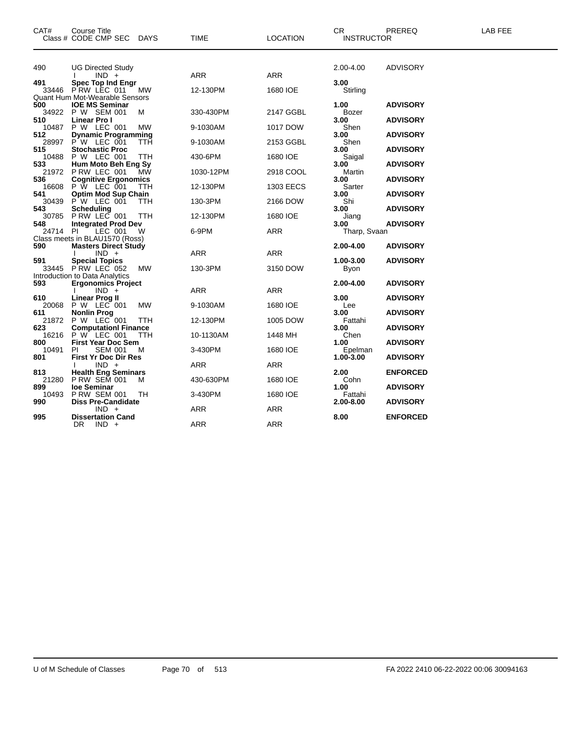| Class # CODE CMP SEC<br><b>INSTRUCTOR</b><br>490<br>2.00-4.00<br><b>ADVISORY</b><br><b>UG Directed Study</b><br>ARR<br><b>ARR</b><br>$IND +$<br>491<br><b>Spec Top Ind Engr</b><br>3.00<br>33446<br>PRW LEC 011<br>12-130PM<br>1680 IOE<br>МW<br>Stirling<br>Quant Hum Mot-Wearable Sensors<br>500<br><b>IOE MS Seminar</b><br>1.00<br><b>ADVISORY</b><br>P W SEM 001<br>34922<br>330-430PM<br>2147 GGBL<br>M<br>Bozer<br>510<br>Linear Pro I<br>3.00<br><b>ADVISORY</b><br>P W LEC 001<br>10487<br><b>MW</b><br>1017 DOW<br>Shen<br>9-1030AM<br>512<br><b>Dynamic Programming</b><br>3.00<br><b>ADVISORY</b><br>28997<br>P W LEC 001<br>2153 GGBL<br>TTH<br>9-1030AM<br>Shen<br><b>Stochastic Proc</b><br>515<br>3.00<br><b>ADVISORY</b><br>10488<br>P W LEC 001<br>1680 IOE<br>TTH<br>430-6PM<br>Saigal<br>Hum Moto Beh Eng Sy<br>533<br><b>ADVISORY</b><br>3.00<br>P RW LEC 001<br>21972<br>МW<br>2918 COOL<br>1030-12PM<br>Martin<br>536<br><b>Cognitive Ergonomics</b><br>3.00<br><b>ADVISORY</b><br>16608<br>$P \bar{W}$ LEC 001<br><b>TTH</b><br>12-130PM<br>1303 EECS<br>Sarter<br>541<br><b>Optim Mod Sup Chain</b><br>3.00<br><b>ADVISORY</b><br>P W LEC 001<br>30439<br><b>TTH</b><br>130-3PM<br>2166 DOW<br>Shi<br>543<br>Scheduling<br>3.00<br><b>ADVISORY</b><br>30785<br>PRW LEC 001<br>12-130PM<br>1680 IOE<br>Jiang<br>TTH<br><b>Integrated Prod Dev</b><br><b>ADVISORY</b><br>548<br>3.00<br>24714 PI<br>LEC 001<br>6-9PM<br><b>ARR</b><br>W<br>Tharp, Svaan<br>Class meets in BLAU1570 (Ross)<br>590<br><b>Masters Direct Study</b><br>2.00-4.00<br><b>ADVISORY</b><br>$IND +$<br>ARR<br>ARR<br>591<br><b>Special Topics</b><br>1.00-3.00<br><b>ADVISORY</b><br>33445 PRW LEC 052<br>130-3PM<br>3150 DOW<br>МW<br>Byon<br>Introduction to Data Analytics<br>593<br><b>Ergonomics Project</b><br>2.00-4.00<br><b>ADVISORY</b><br>ARR<br>ARR<br>$IND +$<br>610<br><b>Linear Prog II</b><br>3.00<br><b>ADVISORY</b><br>P W LEC 001<br>20068<br>MW<br>9-1030AM<br>1680 IOE<br>Lee<br><b>Nonlin Prog</b><br>3.00<br><b>ADVISORY</b><br>611<br>P W LEC 001<br>21872<br>1005 DOW<br>TTH<br>12-130PM<br>Fattahi<br><b>ComputationI Finance</b><br>623<br>3.00<br><b>ADVISORY</b><br>16216<br>P W LEC 001<br><b>TTH</b><br>Chen<br>10-1130AM<br>1448 MH<br>800<br><b>First Year Doc Sem</b><br>1.00<br><b>ADVISORY</b><br>10491<br><b>SEM 001</b><br>3-430PM<br>м<br>1680 IOE<br>PI.<br>Epelman<br><b>First Yr Doc Dir Res</b><br>801<br>1.00-3.00<br><b>ADVISORY</b><br>$IND +$<br>ARR<br>ARR<br>813<br><b>Health Eng Seminars</b><br>2.00<br><b>ENFORCED</b><br>21280<br><b>P RW SEM 001</b><br>1680 IOE<br>Cohn<br>430-630PM<br>M<br>loe Seminar<br>1.00<br>899<br><b>ADVISORY</b><br><b>P RW SEM 001</b><br>10493<br>3-430PM<br>1680 IOE<br>Fattahi<br>TH.<br><b>Diss Pre-Candidate</b><br>990<br>2.00-8.00<br><b>ADVISORY</b> | CAT# | <b>Course Title</b> |      |                 | <b>CR</b> | PREREQ | LAB FEE |
|----------------------------------------------------------------------------------------------------------------------------------------------------------------------------------------------------------------------------------------------------------------------------------------------------------------------------------------------------------------------------------------------------------------------------------------------------------------------------------------------------------------------------------------------------------------------------------------------------------------------------------------------------------------------------------------------------------------------------------------------------------------------------------------------------------------------------------------------------------------------------------------------------------------------------------------------------------------------------------------------------------------------------------------------------------------------------------------------------------------------------------------------------------------------------------------------------------------------------------------------------------------------------------------------------------------------------------------------------------------------------------------------------------------------------------------------------------------------------------------------------------------------------------------------------------------------------------------------------------------------------------------------------------------------------------------------------------------------------------------------------------------------------------------------------------------------------------------------------------------------------------------------------------------------------------------------------------------------------------------------------------------------------------------------------------------------------------------------------------------------------------------------------------------------------------------------------------------------------------------------------------------------------------------------------------------------------------------------------------------------------------------------------------------------------------------------------------------------------------------------------------------------------------------------------------------------------------------------------------------------------------------------------------------------------------------------------------------------------------------------------------------------------------------------------------------------------------------------|------|---------------------|------|-----------------|-----------|--------|---------|
|                                                                                                                                                                                                                                                                                                                                                                                                                                                                                                                                                                                                                                                                                                                                                                                                                                                                                                                                                                                                                                                                                                                                                                                                                                                                                                                                                                                                                                                                                                                                                                                                                                                                                                                                                                                                                                                                                                                                                                                                                                                                                                                                                                                                                                                                                                                                                                                                                                                                                                                                                                                                                                                                                                                                                                                                                                              |      | DAYS                | TIME | <b>LOCATION</b> |           |        |         |
|                                                                                                                                                                                                                                                                                                                                                                                                                                                                                                                                                                                                                                                                                                                                                                                                                                                                                                                                                                                                                                                                                                                                                                                                                                                                                                                                                                                                                                                                                                                                                                                                                                                                                                                                                                                                                                                                                                                                                                                                                                                                                                                                                                                                                                                                                                                                                                                                                                                                                                                                                                                                                                                                                                                                                                                                                                              |      |                     |      |                 |           |        |         |
|                                                                                                                                                                                                                                                                                                                                                                                                                                                                                                                                                                                                                                                                                                                                                                                                                                                                                                                                                                                                                                                                                                                                                                                                                                                                                                                                                                                                                                                                                                                                                                                                                                                                                                                                                                                                                                                                                                                                                                                                                                                                                                                                                                                                                                                                                                                                                                                                                                                                                                                                                                                                                                                                                                                                                                                                                                              |      |                     |      |                 |           |        |         |
|                                                                                                                                                                                                                                                                                                                                                                                                                                                                                                                                                                                                                                                                                                                                                                                                                                                                                                                                                                                                                                                                                                                                                                                                                                                                                                                                                                                                                                                                                                                                                                                                                                                                                                                                                                                                                                                                                                                                                                                                                                                                                                                                                                                                                                                                                                                                                                                                                                                                                                                                                                                                                                                                                                                                                                                                                                              |      |                     |      |                 |           |        |         |
|                                                                                                                                                                                                                                                                                                                                                                                                                                                                                                                                                                                                                                                                                                                                                                                                                                                                                                                                                                                                                                                                                                                                                                                                                                                                                                                                                                                                                                                                                                                                                                                                                                                                                                                                                                                                                                                                                                                                                                                                                                                                                                                                                                                                                                                                                                                                                                                                                                                                                                                                                                                                                                                                                                                                                                                                                                              |      |                     |      |                 |           |        |         |
|                                                                                                                                                                                                                                                                                                                                                                                                                                                                                                                                                                                                                                                                                                                                                                                                                                                                                                                                                                                                                                                                                                                                                                                                                                                                                                                                                                                                                                                                                                                                                                                                                                                                                                                                                                                                                                                                                                                                                                                                                                                                                                                                                                                                                                                                                                                                                                                                                                                                                                                                                                                                                                                                                                                                                                                                                                              |      |                     |      |                 |           |        |         |
|                                                                                                                                                                                                                                                                                                                                                                                                                                                                                                                                                                                                                                                                                                                                                                                                                                                                                                                                                                                                                                                                                                                                                                                                                                                                                                                                                                                                                                                                                                                                                                                                                                                                                                                                                                                                                                                                                                                                                                                                                                                                                                                                                                                                                                                                                                                                                                                                                                                                                                                                                                                                                                                                                                                                                                                                                                              |      |                     |      |                 |           |        |         |
|                                                                                                                                                                                                                                                                                                                                                                                                                                                                                                                                                                                                                                                                                                                                                                                                                                                                                                                                                                                                                                                                                                                                                                                                                                                                                                                                                                                                                                                                                                                                                                                                                                                                                                                                                                                                                                                                                                                                                                                                                                                                                                                                                                                                                                                                                                                                                                                                                                                                                                                                                                                                                                                                                                                                                                                                                                              |      |                     |      |                 |           |        |         |
|                                                                                                                                                                                                                                                                                                                                                                                                                                                                                                                                                                                                                                                                                                                                                                                                                                                                                                                                                                                                                                                                                                                                                                                                                                                                                                                                                                                                                                                                                                                                                                                                                                                                                                                                                                                                                                                                                                                                                                                                                                                                                                                                                                                                                                                                                                                                                                                                                                                                                                                                                                                                                                                                                                                                                                                                                                              |      |                     |      |                 |           |        |         |
|                                                                                                                                                                                                                                                                                                                                                                                                                                                                                                                                                                                                                                                                                                                                                                                                                                                                                                                                                                                                                                                                                                                                                                                                                                                                                                                                                                                                                                                                                                                                                                                                                                                                                                                                                                                                                                                                                                                                                                                                                                                                                                                                                                                                                                                                                                                                                                                                                                                                                                                                                                                                                                                                                                                                                                                                                                              |      |                     |      |                 |           |        |         |
|                                                                                                                                                                                                                                                                                                                                                                                                                                                                                                                                                                                                                                                                                                                                                                                                                                                                                                                                                                                                                                                                                                                                                                                                                                                                                                                                                                                                                                                                                                                                                                                                                                                                                                                                                                                                                                                                                                                                                                                                                                                                                                                                                                                                                                                                                                                                                                                                                                                                                                                                                                                                                                                                                                                                                                                                                                              |      |                     |      |                 |           |        |         |
|                                                                                                                                                                                                                                                                                                                                                                                                                                                                                                                                                                                                                                                                                                                                                                                                                                                                                                                                                                                                                                                                                                                                                                                                                                                                                                                                                                                                                                                                                                                                                                                                                                                                                                                                                                                                                                                                                                                                                                                                                                                                                                                                                                                                                                                                                                                                                                                                                                                                                                                                                                                                                                                                                                                                                                                                                                              |      |                     |      |                 |           |        |         |
|                                                                                                                                                                                                                                                                                                                                                                                                                                                                                                                                                                                                                                                                                                                                                                                                                                                                                                                                                                                                                                                                                                                                                                                                                                                                                                                                                                                                                                                                                                                                                                                                                                                                                                                                                                                                                                                                                                                                                                                                                                                                                                                                                                                                                                                                                                                                                                                                                                                                                                                                                                                                                                                                                                                                                                                                                                              |      |                     |      |                 |           |        |         |
|                                                                                                                                                                                                                                                                                                                                                                                                                                                                                                                                                                                                                                                                                                                                                                                                                                                                                                                                                                                                                                                                                                                                                                                                                                                                                                                                                                                                                                                                                                                                                                                                                                                                                                                                                                                                                                                                                                                                                                                                                                                                                                                                                                                                                                                                                                                                                                                                                                                                                                                                                                                                                                                                                                                                                                                                                                              |      |                     |      |                 |           |        |         |
|                                                                                                                                                                                                                                                                                                                                                                                                                                                                                                                                                                                                                                                                                                                                                                                                                                                                                                                                                                                                                                                                                                                                                                                                                                                                                                                                                                                                                                                                                                                                                                                                                                                                                                                                                                                                                                                                                                                                                                                                                                                                                                                                                                                                                                                                                                                                                                                                                                                                                                                                                                                                                                                                                                                                                                                                                                              |      |                     |      |                 |           |        |         |
|                                                                                                                                                                                                                                                                                                                                                                                                                                                                                                                                                                                                                                                                                                                                                                                                                                                                                                                                                                                                                                                                                                                                                                                                                                                                                                                                                                                                                                                                                                                                                                                                                                                                                                                                                                                                                                                                                                                                                                                                                                                                                                                                                                                                                                                                                                                                                                                                                                                                                                                                                                                                                                                                                                                                                                                                                                              |      |                     |      |                 |           |        |         |
|                                                                                                                                                                                                                                                                                                                                                                                                                                                                                                                                                                                                                                                                                                                                                                                                                                                                                                                                                                                                                                                                                                                                                                                                                                                                                                                                                                                                                                                                                                                                                                                                                                                                                                                                                                                                                                                                                                                                                                                                                                                                                                                                                                                                                                                                                                                                                                                                                                                                                                                                                                                                                                                                                                                                                                                                                                              |      |                     |      |                 |           |        |         |
|                                                                                                                                                                                                                                                                                                                                                                                                                                                                                                                                                                                                                                                                                                                                                                                                                                                                                                                                                                                                                                                                                                                                                                                                                                                                                                                                                                                                                                                                                                                                                                                                                                                                                                                                                                                                                                                                                                                                                                                                                                                                                                                                                                                                                                                                                                                                                                                                                                                                                                                                                                                                                                                                                                                                                                                                                                              |      |                     |      |                 |           |        |         |
|                                                                                                                                                                                                                                                                                                                                                                                                                                                                                                                                                                                                                                                                                                                                                                                                                                                                                                                                                                                                                                                                                                                                                                                                                                                                                                                                                                                                                                                                                                                                                                                                                                                                                                                                                                                                                                                                                                                                                                                                                                                                                                                                                                                                                                                                                                                                                                                                                                                                                                                                                                                                                                                                                                                                                                                                                                              |      |                     |      |                 |           |        |         |
|                                                                                                                                                                                                                                                                                                                                                                                                                                                                                                                                                                                                                                                                                                                                                                                                                                                                                                                                                                                                                                                                                                                                                                                                                                                                                                                                                                                                                                                                                                                                                                                                                                                                                                                                                                                                                                                                                                                                                                                                                                                                                                                                                                                                                                                                                                                                                                                                                                                                                                                                                                                                                                                                                                                                                                                                                                              |      |                     |      |                 |           |        |         |
|                                                                                                                                                                                                                                                                                                                                                                                                                                                                                                                                                                                                                                                                                                                                                                                                                                                                                                                                                                                                                                                                                                                                                                                                                                                                                                                                                                                                                                                                                                                                                                                                                                                                                                                                                                                                                                                                                                                                                                                                                                                                                                                                                                                                                                                                                                                                                                                                                                                                                                                                                                                                                                                                                                                                                                                                                                              |      |                     |      |                 |           |        |         |
|                                                                                                                                                                                                                                                                                                                                                                                                                                                                                                                                                                                                                                                                                                                                                                                                                                                                                                                                                                                                                                                                                                                                                                                                                                                                                                                                                                                                                                                                                                                                                                                                                                                                                                                                                                                                                                                                                                                                                                                                                                                                                                                                                                                                                                                                                                                                                                                                                                                                                                                                                                                                                                                                                                                                                                                                                                              |      |                     |      |                 |           |        |         |
|                                                                                                                                                                                                                                                                                                                                                                                                                                                                                                                                                                                                                                                                                                                                                                                                                                                                                                                                                                                                                                                                                                                                                                                                                                                                                                                                                                                                                                                                                                                                                                                                                                                                                                                                                                                                                                                                                                                                                                                                                                                                                                                                                                                                                                                                                                                                                                                                                                                                                                                                                                                                                                                                                                                                                                                                                                              |      |                     |      |                 |           |        |         |
|                                                                                                                                                                                                                                                                                                                                                                                                                                                                                                                                                                                                                                                                                                                                                                                                                                                                                                                                                                                                                                                                                                                                                                                                                                                                                                                                                                                                                                                                                                                                                                                                                                                                                                                                                                                                                                                                                                                                                                                                                                                                                                                                                                                                                                                                                                                                                                                                                                                                                                                                                                                                                                                                                                                                                                                                                                              |      |                     |      |                 |           |        |         |
|                                                                                                                                                                                                                                                                                                                                                                                                                                                                                                                                                                                                                                                                                                                                                                                                                                                                                                                                                                                                                                                                                                                                                                                                                                                                                                                                                                                                                                                                                                                                                                                                                                                                                                                                                                                                                                                                                                                                                                                                                                                                                                                                                                                                                                                                                                                                                                                                                                                                                                                                                                                                                                                                                                                                                                                                                                              |      |                     |      |                 |           |        |         |
|                                                                                                                                                                                                                                                                                                                                                                                                                                                                                                                                                                                                                                                                                                                                                                                                                                                                                                                                                                                                                                                                                                                                                                                                                                                                                                                                                                                                                                                                                                                                                                                                                                                                                                                                                                                                                                                                                                                                                                                                                                                                                                                                                                                                                                                                                                                                                                                                                                                                                                                                                                                                                                                                                                                                                                                                                                              |      |                     |      |                 |           |        |         |
|                                                                                                                                                                                                                                                                                                                                                                                                                                                                                                                                                                                                                                                                                                                                                                                                                                                                                                                                                                                                                                                                                                                                                                                                                                                                                                                                                                                                                                                                                                                                                                                                                                                                                                                                                                                                                                                                                                                                                                                                                                                                                                                                                                                                                                                                                                                                                                                                                                                                                                                                                                                                                                                                                                                                                                                                                                              |      |                     |      |                 |           |        |         |
|                                                                                                                                                                                                                                                                                                                                                                                                                                                                                                                                                                                                                                                                                                                                                                                                                                                                                                                                                                                                                                                                                                                                                                                                                                                                                                                                                                                                                                                                                                                                                                                                                                                                                                                                                                                                                                                                                                                                                                                                                                                                                                                                                                                                                                                                                                                                                                                                                                                                                                                                                                                                                                                                                                                                                                                                                                              |      |                     |      |                 |           |        |         |
|                                                                                                                                                                                                                                                                                                                                                                                                                                                                                                                                                                                                                                                                                                                                                                                                                                                                                                                                                                                                                                                                                                                                                                                                                                                                                                                                                                                                                                                                                                                                                                                                                                                                                                                                                                                                                                                                                                                                                                                                                                                                                                                                                                                                                                                                                                                                                                                                                                                                                                                                                                                                                                                                                                                                                                                                                                              |      |                     |      |                 |           |        |         |
|                                                                                                                                                                                                                                                                                                                                                                                                                                                                                                                                                                                                                                                                                                                                                                                                                                                                                                                                                                                                                                                                                                                                                                                                                                                                                                                                                                                                                                                                                                                                                                                                                                                                                                                                                                                                                                                                                                                                                                                                                                                                                                                                                                                                                                                                                                                                                                                                                                                                                                                                                                                                                                                                                                                                                                                                                                              |      |                     |      |                 |           |        |         |
|                                                                                                                                                                                                                                                                                                                                                                                                                                                                                                                                                                                                                                                                                                                                                                                                                                                                                                                                                                                                                                                                                                                                                                                                                                                                                                                                                                                                                                                                                                                                                                                                                                                                                                                                                                                                                                                                                                                                                                                                                                                                                                                                                                                                                                                                                                                                                                                                                                                                                                                                                                                                                                                                                                                                                                                                                                              |      |                     |      |                 |           |        |         |
|                                                                                                                                                                                                                                                                                                                                                                                                                                                                                                                                                                                                                                                                                                                                                                                                                                                                                                                                                                                                                                                                                                                                                                                                                                                                                                                                                                                                                                                                                                                                                                                                                                                                                                                                                                                                                                                                                                                                                                                                                                                                                                                                                                                                                                                                                                                                                                                                                                                                                                                                                                                                                                                                                                                                                                                                                                              |      |                     |      |                 |           |        |         |
|                                                                                                                                                                                                                                                                                                                                                                                                                                                                                                                                                                                                                                                                                                                                                                                                                                                                                                                                                                                                                                                                                                                                                                                                                                                                                                                                                                                                                                                                                                                                                                                                                                                                                                                                                                                                                                                                                                                                                                                                                                                                                                                                                                                                                                                                                                                                                                                                                                                                                                                                                                                                                                                                                                                                                                                                                                              |      |                     |      |                 |           |        |         |
|                                                                                                                                                                                                                                                                                                                                                                                                                                                                                                                                                                                                                                                                                                                                                                                                                                                                                                                                                                                                                                                                                                                                                                                                                                                                                                                                                                                                                                                                                                                                                                                                                                                                                                                                                                                                                                                                                                                                                                                                                                                                                                                                                                                                                                                                                                                                                                                                                                                                                                                                                                                                                                                                                                                                                                                                                                              |      |                     |      |                 |           |        |         |
|                                                                                                                                                                                                                                                                                                                                                                                                                                                                                                                                                                                                                                                                                                                                                                                                                                                                                                                                                                                                                                                                                                                                                                                                                                                                                                                                                                                                                                                                                                                                                                                                                                                                                                                                                                                                                                                                                                                                                                                                                                                                                                                                                                                                                                                                                                                                                                                                                                                                                                                                                                                                                                                                                                                                                                                                                                              |      |                     |      |                 |           |        |         |
|                                                                                                                                                                                                                                                                                                                                                                                                                                                                                                                                                                                                                                                                                                                                                                                                                                                                                                                                                                                                                                                                                                                                                                                                                                                                                                                                                                                                                                                                                                                                                                                                                                                                                                                                                                                                                                                                                                                                                                                                                                                                                                                                                                                                                                                                                                                                                                                                                                                                                                                                                                                                                                                                                                                                                                                                                                              |      |                     |      |                 |           |        |         |
|                                                                                                                                                                                                                                                                                                                                                                                                                                                                                                                                                                                                                                                                                                                                                                                                                                                                                                                                                                                                                                                                                                                                                                                                                                                                                                                                                                                                                                                                                                                                                                                                                                                                                                                                                                                                                                                                                                                                                                                                                                                                                                                                                                                                                                                                                                                                                                                                                                                                                                                                                                                                                                                                                                                                                                                                                                              |      |                     |      |                 |           |        |         |
|                                                                                                                                                                                                                                                                                                                                                                                                                                                                                                                                                                                                                                                                                                                                                                                                                                                                                                                                                                                                                                                                                                                                                                                                                                                                                                                                                                                                                                                                                                                                                                                                                                                                                                                                                                                                                                                                                                                                                                                                                                                                                                                                                                                                                                                                                                                                                                                                                                                                                                                                                                                                                                                                                                                                                                                                                                              |      |                     |      |                 |           |        |         |
|                                                                                                                                                                                                                                                                                                                                                                                                                                                                                                                                                                                                                                                                                                                                                                                                                                                                                                                                                                                                                                                                                                                                                                                                                                                                                                                                                                                                                                                                                                                                                                                                                                                                                                                                                                                                                                                                                                                                                                                                                                                                                                                                                                                                                                                                                                                                                                                                                                                                                                                                                                                                                                                                                                                                                                                                                                              |      |                     |      |                 |           |        |         |
|                                                                                                                                                                                                                                                                                                                                                                                                                                                                                                                                                                                                                                                                                                                                                                                                                                                                                                                                                                                                                                                                                                                                                                                                                                                                                                                                                                                                                                                                                                                                                                                                                                                                                                                                                                                                                                                                                                                                                                                                                                                                                                                                                                                                                                                                                                                                                                                                                                                                                                                                                                                                                                                                                                                                                                                                                                              |      |                     |      |                 |           |        |         |
|                                                                                                                                                                                                                                                                                                                                                                                                                                                                                                                                                                                                                                                                                                                                                                                                                                                                                                                                                                                                                                                                                                                                                                                                                                                                                                                                                                                                                                                                                                                                                                                                                                                                                                                                                                                                                                                                                                                                                                                                                                                                                                                                                                                                                                                                                                                                                                                                                                                                                                                                                                                                                                                                                                                                                                                                                                              |      |                     |      |                 |           |        |         |
|                                                                                                                                                                                                                                                                                                                                                                                                                                                                                                                                                                                                                                                                                                                                                                                                                                                                                                                                                                                                                                                                                                                                                                                                                                                                                                                                                                                                                                                                                                                                                                                                                                                                                                                                                                                                                                                                                                                                                                                                                                                                                                                                                                                                                                                                                                                                                                                                                                                                                                                                                                                                                                                                                                                                                                                                                                              |      |                     |      |                 |           |        |         |
|                                                                                                                                                                                                                                                                                                                                                                                                                                                                                                                                                                                                                                                                                                                                                                                                                                                                                                                                                                                                                                                                                                                                                                                                                                                                                                                                                                                                                                                                                                                                                                                                                                                                                                                                                                                                                                                                                                                                                                                                                                                                                                                                                                                                                                                                                                                                                                                                                                                                                                                                                                                                                                                                                                                                                                                                                                              |      |                     |      |                 |           |        |         |
| $IND +$<br><b>ARR</b><br>ARR                                                                                                                                                                                                                                                                                                                                                                                                                                                                                                                                                                                                                                                                                                                                                                                                                                                                                                                                                                                                                                                                                                                                                                                                                                                                                                                                                                                                                                                                                                                                                                                                                                                                                                                                                                                                                                                                                                                                                                                                                                                                                                                                                                                                                                                                                                                                                                                                                                                                                                                                                                                                                                                                                                                                                                                                                 |      |                     |      |                 |           |        |         |
| 995<br><b>Dissertation Cand</b><br><b>ENFORCED</b><br>8.00                                                                                                                                                                                                                                                                                                                                                                                                                                                                                                                                                                                                                                                                                                                                                                                                                                                                                                                                                                                                                                                                                                                                                                                                                                                                                                                                                                                                                                                                                                                                                                                                                                                                                                                                                                                                                                                                                                                                                                                                                                                                                                                                                                                                                                                                                                                                                                                                                                                                                                                                                                                                                                                                                                                                                                                   |      |                     |      |                 |           |        |         |
| <b>ARR</b><br>DR.<br>$IND +$<br>ARR                                                                                                                                                                                                                                                                                                                                                                                                                                                                                                                                                                                                                                                                                                                                                                                                                                                                                                                                                                                                                                                                                                                                                                                                                                                                                                                                                                                                                                                                                                                                                                                                                                                                                                                                                                                                                                                                                                                                                                                                                                                                                                                                                                                                                                                                                                                                                                                                                                                                                                                                                                                                                                                                                                                                                                                                          |      |                     |      |                 |           |        |         |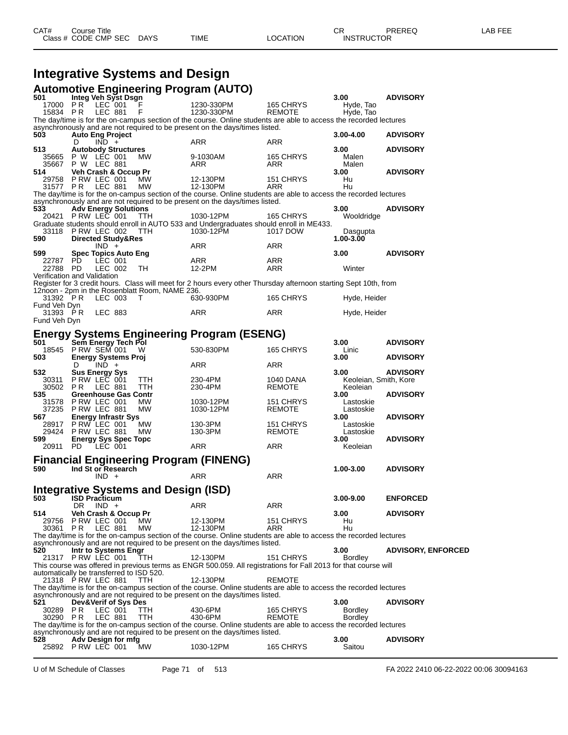#### **Integrative Systems and Design Automotive Engineering Program (AUTO)**

| 501                                                                                                                                                                                              | Gurninging Findings und Lindiam (Anto)<br>Integ Veh Syst Dsgn                                                                                                      |                        |                     | 3.00                   | <b>ADVISORY</b>           |  |  |  |
|--------------------------------------------------------------------------------------------------------------------------------------------------------------------------------------------------|--------------------------------------------------------------------------------------------------------------------------------------------------------------------|------------------------|---------------------|------------------------|---------------------------|--|--|--|
| 17000 PR                                                                                                                                                                                         | LEC 001                                                                                                                                                            | 1230-330PM             | 165 CHRYS           | Hyde, Tao              |                           |  |  |  |
| 15834 PR                                                                                                                                                                                         | <b>LEC 881</b><br>F                                                                                                                                                | 1230-330PM             | <b>REMOTE</b>       | Hyde, Tao              |                           |  |  |  |
| The day/time is for the on-campus section of the course. Online students are able to access the recorded lectures<br>asynchronously and are not required to be present on the days/times listed. |                                                                                                                                                                    |                        |                     |                        |                           |  |  |  |
| 503                                                                                                                                                                                              | <b>Auto Eng Project</b>                                                                                                                                            |                        |                     | 3.00-4.00              | <b>ADVISORY</b>           |  |  |  |
|                                                                                                                                                                                                  | $IND +$<br>D                                                                                                                                                       | ARR                    | ARR                 |                        |                           |  |  |  |
| 513                                                                                                                                                                                              | <b>Autobody Structures</b>                                                                                                                                         |                        |                     | 3.00                   | <b>ADVISORY</b>           |  |  |  |
| 35665                                                                                                                                                                                            | P W LEC 001<br>MW                                                                                                                                                  | 9-1030AM               | 165 CHRYS           | Malen                  |                           |  |  |  |
| 35667<br>514                                                                                                                                                                                     | P W LEC 881<br>Veh Crash & Occup Pr                                                                                                                                | ARR                    | ARR                 | Malen<br>3.00          | <b>ADVISORY</b>           |  |  |  |
| 29758                                                                                                                                                                                            | PRW LEC 001<br>MW                                                                                                                                                  | 12-130PM               | 151 CHRYS           | Hu                     |                           |  |  |  |
| 31577 PR                                                                                                                                                                                         | LEC 881<br>МW                                                                                                                                                      | 12-130PM               | ARR                 | Hu                     |                           |  |  |  |
|                                                                                                                                                                                                  | The day/time is for the on-campus section of the course. Online students are able to access the recorded lectures                                                  |                        |                     |                        |                           |  |  |  |
| 533                                                                                                                                                                                              | asynchronously and are not required to be present on the days/times listed.<br><b>Adv Energy Solutions</b>                                                         |                        |                     | 3.00                   | <b>ADVISORY</b>           |  |  |  |
|                                                                                                                                                                                                  | 20421 PRW LEC 001<br>ттн                                                                                                                                           | 1030-12PM              | 165 CHRYS           | Wooldridge             |                           |  |  |  |
|                                                                                                                                                                                                  | Graduate students should enroll in AUTO 533 and Undergraduates should enroll in ME433.                                                                             |                        |                     |                        |                           |  |  |  |
| 33118                                                                                                                                                                                            | PRW LEC 002<br>TTH                                                                                                                                                 | 1030-12PM              | 1017 DOW            | Dasgupta               |                           |  |  |  |
| 590                                                                                                                                                                                              | <b>Directed Study&amp;Res</b>                                                                                                                                      |                        |                     | 1.00-3.00              |                           |  |  |  |
| 599                                                                                                                                                                                              | $IND +$<br><b>Spec Topics Auto Eng</b>                                                                                                                             | ARR                    | ARR                 | 3.00                   | <b>ADVISORY</b>           |  |  |  |
| 22787 PD                                                                                                                                                                                         | LEC 001                                                                                                                                                            | ARR                    | ARR                 |                        |                           |  |  |  |
| 22788 PD                                                                                                                                                                                         | LEC 002<br>TН                                                                                                                                                      | 12-2PM                 | ARR                 | Winter                 |                           |  |  |  |
|                                                                                                                                                                                                  | Verification and Validation                                                                                                                                        |                        |                     |                        |                           |  |  |  |
|                                                                                                                                                                                                  | Register for 3 credit hours. Class will meet for 2 hours every other Thursday afternoon starting Sept 10th, from<br>12noon - 2pm in the Rosenblatt Room, NAME 236. |                        |                     |                        |                           |  |  |  |
| 31392 PR                                                                                                                                                                                         | LEC 003<br>T                                                                                                                                                       | 630-930PM              | 165 CHRYS           | Hyde, Heider           |                           |  |  |  |
| Fund Veh Dyn                                                                                                                                                                                     |                                                                                                                                                                    |                        |                     |                        |                           |  |  |  |
| 31393 PR                                                                                                                                                                                         | LEC 883                                                                                                                                                            | ARR                    | ARR                 | Hyde, Heider           |                           |  |  |  |
| Fund Veh Dyn                                                                                                                                                                                     |                                                                                                                                                                    |                        |                     |                        |                           |  |  |  |
|                                                                                                                                                                                                  | <b>Energy Systems Engineering Program (ESENG)</b>                                                                                                                  |                        |                     |                        |                           |  |  |  |
| 501                                                                                                                                                                                              | Sem Energy Tech Pol                                                                                                                                                |                        |                     | 3.00                   | <b>ADVISORY</b>           |  |  |  |
|                                                                                                                                                                                                  | 18545 P RW SEM 001<br>W                                                                                                                                            | 530-830PM              | 165 CHRYS           | Linic                  |                           |  |  |  |
| 503                                                                                                                                                                                              | <b>Energy Systems Proj</b>                                                                                                                                         | ARR                    |                     | 3.00                   | <b>ADVISORY</b>           |  |  |  |
| 532                                                                                                                                                                                              | $IND +$<br>D<br><b>Sus Energy Sys</b>                                                                                                                              |                        | ARR                 | 3.00                   | <b>ADVISORY</b>           |  |  |  |
| 30311                                                                                                                                                                                            | PRW LEC 001<br>TTH                                                                                                                                                 | 230-4PM                | 1040 DANA           | Keoleian, Smith, Kore  |                           |  |  |  |
| 30502 PR                                                                                                                                                                                         | LEC 881<br>ттн                                                                                                                                                     | 230-4PM                | REMOTE              | Keoleian               |                           |  |  |  |
| 535                                                                                                                                                                                              | <b>Greenhouse Gas Contr</b>                                                                                                                                        |                        |                     | 3.00                   | <b>ADVISORY</b>           |  |  |  |
| 31578<br>37235                                                                                                                                                                                   | PRW LEC 001<br>MW<br>PRW LEC 881<br>MW                                                                                                                             | 1030-12PM<br>1030-12PM | 151 CHRYS<br>REMOTE | Lastoskie<br>Lastoskie |                           |  |  |  |
| 567                                                                                                                                                                                              | <b>Energy Infrastr Sys</b>                                                                                                                                         |                        |                     | 3.00                   | <b>ADVISORY</b>           |  |  |  |
| 28917                                                                                                                                                                                            | PRW LEC 001<br>МW                                                                                                                                                  | 130-3PM                | 151 CHRYS           | Lastoskie              |                           |  |  |  |
| 29424                                                                                                                                                                                            | PRW LEC 881<br>МW                                                                                                                                                  | 130-3PM                | REMOTE              | Lastoskie              |                           |  |  |  |
| 599<br>20911                                                                                                                                                                                     | <b>Energy Sys Spec Topc</b><br>LEC 001<br>PD.                                                                                                                      | ARR                    | ARR                 | 3.00<br>Keoleian       | <b>ADVISORY</b>           |  |  |  |
|                                                                                                                                                                                                  |                                                                                                                                                                    |                        |                     |                        |                           |  |  |  |
|                                                                                                                                                                                                  | <b>Financial Engineering Program (FINENG)</b>                                                                                                                      |                        |                     |                        |                           |  |  |  |
| 590                                                                                                                                                                                              | Ind St or Research                                                                                                                                                 |                        |                     | 1.00-3.00              | <b>ADVISORY</b>           |  |  |  |
|                                                                                                                                                                                                  | $IND +$                                                                                                                                                            | ARR                    | <b>ARR</b>          |                        |                           |  |  |  |
|                                                                                                                                                                                                  | <b>Integrative Systems and Design (ISD)</b>                                                                                                                        |                        |                     |                        |                           |  |  |  |
| 503                                                                                                                                                                                              | <b>ISD Practicum</b>                                                                                                                                               |                        |                     | 3.00-9.00              | <b>ENFORCED</b>           |  |  |  |
|                                                                                                                                                                                                  | DR IND +                                                                                                                                                           | ARR                    | <b>ARR</b>          |                        |                           |  |  |  |
| 514                                                                                                                                                                                              | Veh Crash & Occup Pr                                                                                                                                               |                        |                     | 3.00                   | <b>ADVISORY</b>           |  |  |  |
| 29756<br>30361                                                                                                                                                                                   | PRW LEC 001<br>МW<br>LEC 881<br>МW<br>PR.                                                                                                                          | 12-130PM<br>12-130PM   | 151 CHRYS<br>ARR    | Hu<br>Hu               |                           |  |  |  |
|                                                                                                                                                                                                  | The day/time is for the on-campus section of the course. Online students are able to access the recorded lectures                                                  |                        |                     |                        |                           |  |  |  |
|                                                                                                                                                                                                  | asynchronously and are not required to be present on the days/times listed.                                                                                        |                        |                     |                        |                           |  |  |  |
| 520                                                                                                                                                                                              | Intr to Systems Engr                                                                                                                                               |                        |                     | 3.00                   | <b>ADVISORY, ENFORCED</b> |  |  |  |
|                                                                                                                                                                                                  | 21317 PRW LEC 001<br>ттн<br>This course was offered in previous terms as ENGR 500.059. All registrations for Fall 2013 for that course will                        | 12-130PM               | 151 CHRYS           | <b>Bordley</b>         |                           |  |  |  |
|                                                                                                                                                                                                  | automatically be transferred to ISD 520.                                                                                                                           |                        |                     |                        |                           |  |  |  |
|                                                                                                                                                                                                  | 21318 P RW LEC 881<br>TTH                                                                                                                                          | 12-130PM               | <b>REMOTE</b>       |                        |                           |  |  |  |
|                                                                                                                                                                                                  | The day/time is for the on-campus section of the course. Online students are able to access the recorded lectures                                                  |                        |                     |                        |                           |  |  |  |
|                                                                                                                                                                                                  | asynchronously and are not required to be present on the days/times listed.                                                                                        |                        |                     |                        |                           |  |  |  |
| 521<br>30289 PR                                                                                                                                                                                  | Dev&Verif of Sys Des<br>LEC 001<br>ттн                                                                                                                             | 430-6PM                | 165 CHRYS           | 3.00<br><b>Bordlev</b> | <b>ADVISORY</b>           |  |  |  |
| 30290 PR                                                                                                                                                                                         | LEC 881<br>TTH.                                                                                                                                                    | 430-6PM                | <b>REMOTE</b>       | <b>Bordlev</b>         |                           |  |  |  |
|                                                                                                                                                                                                  | The day/time is for the on-campus section of the course. Online students are able to access the recorded lectures                                                  |                        |                     |                        |                           |  |  |  |
|                                                                                                                                                                                                  | asynchronously and are not required to be present on the days/times listed.                                                                                        |                        |                     |                        |                           |  |  |  |
| 528                                                                                                                                                                                              | Adv Design for mfg<br>25892 P RW LEC 001<br>MW.                                                                                                                    | 1030-12PM              | 165 CHRYS           | 3.00<br>Saitou         | <b>ADVISORY</b>           |  |  |  |
|                                                                                                                                                                                                  |                                                                                                                                                                    |                        |                     |                        |                           |  |  |  |

U of M Schedule of Classes Page 71 of 513 FA 2022 2410 06-22-2022 00:06 30094163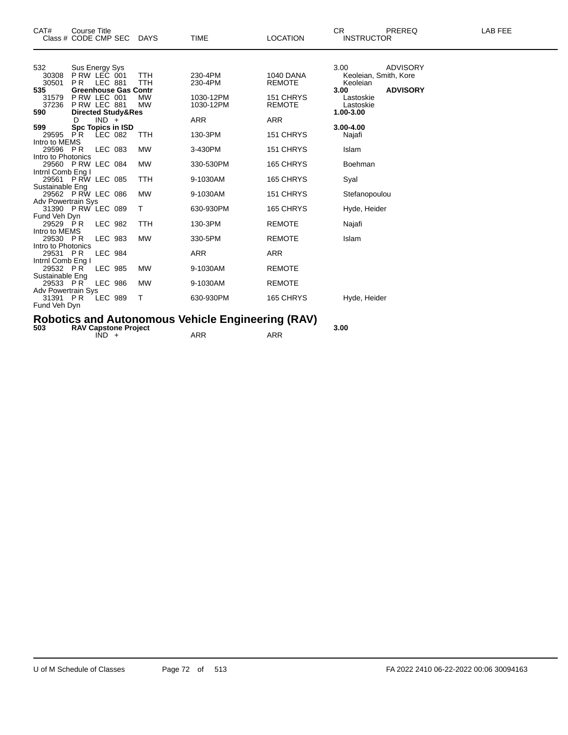| CAT#<br>Class # CODE CMP SEC DAYS                          | Course Title                                                                                    |                |                               |                        | <b>TIME</b>            | <b>LOCATION</b>            | <b>CR</b><br><b>INSTRUCTOR</b> | PREREQ          | LAB FEE |
|------------------------------------------------------------|-------------------------------------------------------------------------------------------------|----------------|-------------------------------|------------------------|------------------------|----------------------------|--------------------------------|-----------------|---------|
| 532<br>30308                                               | Sus Energy Sys<br>P RW LEC 001                                                                  |                |                               | TTH                    | 230-4PM                | <b>1040 DANA</b>           | 3.00<br>Keoleian, Smith, Kore  | <b>ADVISORY</b> |         |
| 30501                                                      | P <sub>R</sub>                                                                                  | <b>LEC 881</b> |                               | TTH                    | 230-4PM                | <b>REMOTE</b>              | Keoleian                       |                 |         |
| 535<br>31579<br>37236                                      | PRW LEC 001<br>PRW LEC 881                                                                      |                | <b>Greenhouse Gas Contr</b>   | <b>MW</b><br><b>MW</b> | 1030-12PM<br>1030-12PM | 151 CHRYS<br><b>REMOTE</b> | 3.00<br>Lastoskie<br>Lastoskie | <b>ADVISORY</b> |         |
| 590                                                        |                                                                                                 |                | <b>Directed Study&amp;Res</b> |                        |                        |                            | 1.00-3.00                      |                 |         |
| 599                                                        |                                                                                                 | $IND +$        | <b>Spc Topics in ISD</b>      |                        | <b>ARR</b>             | <b>ARR</b>                 | 3.00-4.00                      |                 |         |
| 29595 PR                                                   |                                                                                                 | LEC 082        |                               | TTH                    | 130-3PM                | 151 CHRYS                  | Najafi                         |                 |         |
| Intro to MEMS<br>29596 PR                                  |                                                                                                 | LEC 083        |                               | <b>MW</b>              | 3-430PM                | 151 CHRYS                  | Islam                          |                 |         |
| Intro to Photonics<br>29560 P RW LEC 084                   |                                                                                                 |                |                               | <b>MW</b>              | 330-530PM              | 165 CHRYS                  | Boehman                        |                 |         |
| Intrnl Comb Eng I<br>29561 P RW LEC 085<br>Sustainable Eng |                                                                                                 |                |                               | TTH                    | 9-1030AM               | 165 CHRYS                  | Syal                           |                 |         |
| 29562 P RW LEC 086                                         |                                                                                                 |                |                               | <b>MW</b>              | 9-1030AM               | 151 CHRYS                  | Stefanopoulou                  |                 |         |
| <b>Adv Powertrain Sys</b><br>31390 P RW LEC 089            |                                                                                                 |                |                               | Т                      | 630-930PM              | 165 CHRYS                  | Hyde, Heider                   |                 |         |
| Fund Veh Dyn<br>29529 PR                                   |                                                                                                 | <b>LEC 982</b> |                               | TTH                    | 130-3PM                | <b>REMOTE</b>              | Najafi                         |                 |         |
| Intro to MEMS<br>29530 PR                                  |                                                                                                 | LEC 983        |                               | <b>MW</b>              | 330-5PM                | <b>REMOTE</b>              | Islam                          |                 |         |
| Intro to Photonics<br>29531 PR                             |                                                                                                 | <b>LEC 984</b> |                               |                        | <b>ARR</b>             | <b>ARR</b>                 |                                |                 |         |
| Intrnl Comb Eng I<br>29532 PR                              |                                                                                                 | <b>LEC 985</b> |                               | <b>MW</b>              | 9-1030AM               | <b>REMOTE</b>              |                                |                 |         |
| Sustainable Eng<br>29533 PR                                |                                                                                                 | <b>LEC 986</b> |                               | <b>MW</b>              | 9-1030AM               | <b>REMOTE</b>              |                                |                 |         |
| Adv Powertrain Sys<br>31391 PR<br>Fund Veh Dyn             |                                                                                                 | <b>LEC 989</b> |                               | Т                      | 630-930PM              | 165 CHRYS                  | Hyde, Heider                   |                 |         |
| 503                                                        | <b>Robotics and Autonomous Vehicle Engineering (RAV)</b><br>3.00<br><b>RAV Capstone Project</b> |                |                               |                        |                        |                            |                                |                 |         |

 $IND + ARR$  ARR ARR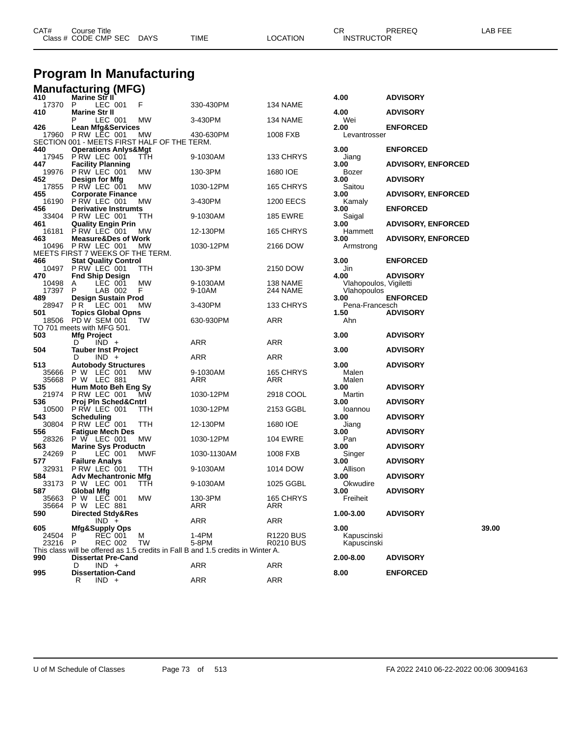| CAT# | Course Title<br>Class # CODE CMP SEC | <b>DAYS</b> | <b>TIME</b> | LOCATION | CR<br><b>INSTRUCTOR</b> | PREREQ | LAB FEE |
|------|--------------------------------------|-------------|-------------|----------|-------------------------|--------|---------|
|      |                                      |             |             |          |                         |        |         |

## **Program In Manufacturing**

| Manufacturing (MFG) |  |
|---------------------|--|
|                     |  |

| 410 |                | Marine Str II                              |                        |                                             |                                                                                  |                      | 4.00                                  | <b>ADVISORY</b>           |       |
|-----|----------------|--------------------------------------------|------------------------|---------------------------------------------|----------------------------------------------------------------------------------|----------------------|---------------------------------------|---------------------------|-------|
| 410 | 17370          | P<br><b>Marine Str II</b>                  | LEC 001                | F                                           | 330-430PM                                                                        | 134 NAME             | 4.00                                  | <b>ADVISORY</b>           |       |
|     |                | Р                                          | LEC 001                | MW                                          | 3-430PM                                                                          | 134 NAME             | Wei                                   |                           |       |
| 426 |                | <b>Lean Mfg&amp;Services</b>               |                        |                                             |                                                                                  |                      | 2.00                                  | <b>ENFORCED</b>           |       |
|     | 17960          | PRW LEC 001                                |                        | МW                                          | 430-630PM                                                                        | 1008 FXB             | Levantrosser                          |                           |       |
| 440 |                | <b>Operations Anlys&amp;Mgt</b>            |                        | SECTION 001 - MEETS FIRST HALF OF THE TERM. |                                                                                  |                      | 3.00                                  | <b>ENFORCED</b>           |       |
|     | 17945          | PRW LEC 001                                |                        | ттн                                         | 9-1030AM                                                                         | 133 CHRYS            | Jiang                                 |                           |       |
| 447 |                | <b>Facility Planning</b>                   |                        |                                             |                                                                                  |                      | 3.00                                  | <b>ADVISORY, ENFORCED</b> |       |
|     | 19976          | PRW LEC 001                                |                        | MW                                          | 130-3PM                                                                          | 1680 IOE             | Bozer                                 |                           |       |
| 452 | 17855          | Design for Mfg<br>PRW LEC 001              |                        | МW                                          | 1030-12PM                                                                        | 165 CHRYS            | 3.00<br>Saitou                        | <b>ADVISORY</b>           |       |
| 455 |                | <b>Corporate Finance</b>                   |                        |                                             |                                                                                  |                      | 3.00                                  | <b>ADVISORY, ENFORCED</b> |       |
|     | 16190          | PRW LEC 001                                |                        | МW                                          | 3-430PM                                                                          | 1200 EECS            | Kamaly                                |                           |       |
| 456 | 33404          | <b>Derivative Instrumts</b><br>PRW LEC 001 |                        | TTH                                         |                                                                                  | <b>185 EWRE</b>      | 3.00                                  | <b>ENFORCED</b>           |       |
| 461 |                | <b>Quality Engin Prin</b>                  |                        |                                             | 9-1030AM                                                                         |                      | Saigal<br>3.00                        | <b>ADVISORY, ENFORCED</b> |       |
|     | 16181          | PRW LEC 001                                |                        | МW                                          | 12-130PM                                                                         | 165 CHRYS            | Hammett                               |                           |       |
| 463 |                | <b>Measure&amp;Des of Work</b>             |                        |                                             |                                                                                  |                      | 3.00                                  | <b>ADVISORY, ENFORCED</b> |       |
|     | 10496          | PRW LEC 001                                |                        | МW<br>MEETS FIRST 7 WEEKS OF THE TERM.      | 1030-12PM                                                                        | 2166 DOW             | Armstrong                             |                           |       |
| 466 |                | <b>Stat Quality Control</b>                |                        |                                             |                                                                                  |                      | 3.00                                  | <b>ENFORCED</b>           |       |
|     | 10497          | PRW LEC 001                                |                        | TTH                                         | 130-3PM                                                                          | 2150 DOW             | Jin                                   |                           |       |
| 470 |                | <b>Fnd Ship Design</b>                     |                        |                                             |                                                                                  |                      | 4.00                                  | <b>ADVISORY</b>           |       |
|     | 10498<br>17397 | A<br>P                                     | LEC 001<br>LAB 002     | MW<br>F.                                    | 9-1030AM<br>9-10AM                                                               | 138 NAME<br>244 NAME | Vlahopoulos, Vigiletti<br>Vlahopoulos |                           |       |
| 489 |                | Design Sustain Prod                        |                        |                                             |                                                                                  |                      | 3.00                                  | <b>ENFORCED</b>           |       |
|     | 28947          | P R                                        | $\overline{C}$ LEC 001 | МW                                          | 3-430PM                                                                          | 133 CHRYS            | Pena-Francesch                        |                           |       |
| 501 | 18506          | <b>Topics Global Opns</b><br>PD W SEM 001  |                        | TW                                          | 630-930PM                                                                        | ARR                  | 1.50<br>Ahn                           | <b>ADVISORY</b>           |       |
|     |                | TO 701 meets with MFG 501.                 |                        |                                             |                                                                                  |                      |                                       |                           |       |
| 503 |                | Mfg Project                                |                        |                                             |                                                                                  |                      | 3.00                                  | <b>ADVISORY</b>           |       |
|     |                | D                                          | $IND +$                |                                             | ARR                                                                              | ARR                  |                                       |                           |       |
| 504 |                | <b>Tauber Inst Project</b><br>D            | $IND +$                |                                             | ARR                                                                              | ARR                  | 3.00                                  | <b>ADVISORY</b>           |       |
| 513 |                | <b>Autobody Structures</b>                 |                        |                                             |                                                                                  |                      | 3.00                                  | <b>ADVISORY</b>           |       |
|     | 35666          | P W LEC 001                                |                        | МW                                          | 9-1030AM                                                                         | 165 CHRYS            | Malen                                 |                           |       |
| 535 | 35668          | P W LEC 881<br>Hum Moto Beh Eng Sy         |                        |                                             | ARR                                                                              | ARR                  | Malen<br>3.00                         | <b>ADVISORY</b>           |       |
|     | 21974          | PRW LEC 001                                |                        | МW                                          | 1030-12PM                                                                        | 2918 COOL            | Martin                                |                           |       |
| 536 |                | Proj Pln Sched&Cntrl                       |                        |                                             |                                                                                  |                      | 3.00                                  | <b>ADVISORY</b>           |       |
| 543 | 10500          | PRW LEC 001<br><b>Scheduling</b>           |                        | ттн                                         | 1030-12PM                                                                        | 2153 GGBL            | loannou                               |                           |       |
|     | 30804          | PRW LEC 001                                |                        | TTH                                         | 12-130PM                                                                         | 1680 IOE             | 3.00<br>Jiang                         | <b>ADVISORY</b>           |       |
| 556 |                | <b>Fatigue Mech Des</b>                    |                        |                                             |                                                                                  |                      | 3.00                                  | <b>ADVISORY</b>           |       |
|     | 28326          | P W LEC 001                                |                        | МW                                          | 1030-12PM                                                                        | <b>104 EWRE</b>      | Pan                                   |                           |       |
| 563 | 24269          | <b>Marine Sys Productn</b><br>P            | LEC 001                | MWF                                         | 1030-1130AM                                                                      | 1008 FXB             | 3.00<br>Singer                        | <b>ADVISORY</b>           |       |
| 577 |                | <b>Failure Analys</b>                      |                        |                                             |                                                                                  |                      | 3.00                                  | <b>ADVISORY</b>           |       |
|     | 32931          | PRW LEC 001                                |                        | ттн                                         | 9-1030AM                                                                         | 1014 DOW             | Allison                               |                           |       |
| 584 |                | <b>Adv Mechantronic Mfg</b><br>P W LEC 001 |                        |                                             |                                                                                  |                      | 3.00<br>Okwudire                      | <b>ADVISORY</b>           |       |
| 587 | 33173          | <b>Global Mfg</b>                          |                        | TTH                                         | 9-1030AM                                                                         | 1025 GGBL            | 3.00                                  | <b>ADVISORY</b>           |       |
|     | 35663          | P W LEC 001                                |                        | МW                                          | 130-3PM                                                                          | 165 CHRYS            | Freiheit                              |                           |       |
|     | 35664          | P W LEC 881                                |                        |                                             | ARR                                                                              | ARR                  |                                       |                           |       |
| 590 |                | Directed Stdy&Res                          | $IND +$                |                                             | ARR                                                                              | ARR                  | 1.00-3.00                             | <b>ADVISORY</b>           |       |
| 605 |                | Mfg&Supply Ops                             |                        |                                             |                                                                                  |                      | 3.00                                  |                           | 39.00 |
|     | 24504          | P                                          | <b>REC 001</b>         | М                                           | 1-4PM                                                                            | R1220 BUS            | Kapuscinski                           |                           |       |
|     | 23216          | P                                          | <b>REC 002</b>         | TW                                          | 5-8PM                                                                            | R0210 BUS            | Kapuscinski                           |                           |       |
| 990 |                | <b>Dissertat Pre-Cand</b>                  |                        |                                             | This class will be offered as 1.5 credits in Fall B and 1.5 credits in Winter A. |                      | 2.00-8.00                             | <b>ADVISORY</b>           |       |
|     |                | D                                          | $IND +$                |                                             | ARR                                                                              | ARR                  |                                       |                           |       |
| 995 |                | <b>Dissertation-Cand</b>                   |                        |                                             |                                                                                  |                      | 8.00                                  | <b>ENFORCED</b>           |       |
|     |                | R                                          | $IND +$                |                                             | <b>ARR</b>                                                                       | <b>ARR</b>           |                                       |                           |       |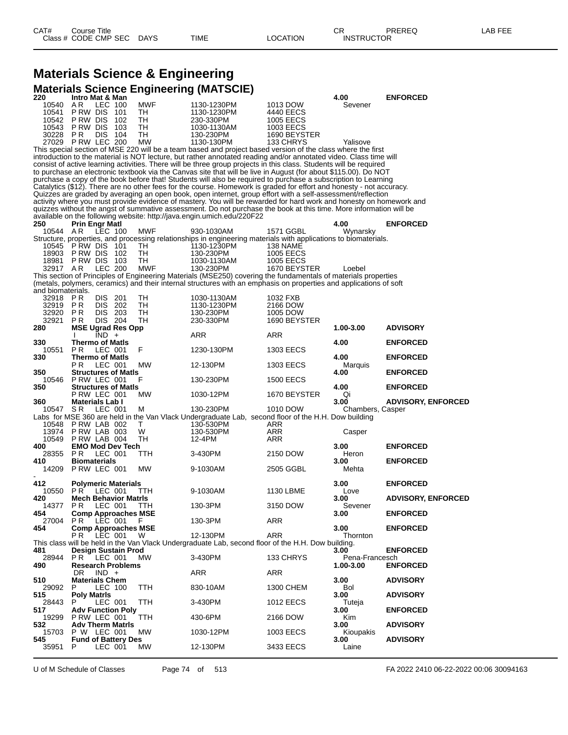#### **Materials Science & Engineering Materials Science Engineering (MATSCIE)**

| 220               | Intro Mat & Man                           | :ש         |                                                                                                                                                                                                                                  |                  | 4.00              | <b>ENFORCED</b>           |
|-------------------|-------------------------------------------|------------|----------------------------------------------------------------------------------------------------------------------------------------------------------------------------------------------------------------------------------|------------------|-------------------|---------------------------|
| 10540             | LEC 100<br>AR.                            | MWF        | 1130-1230PM                                                                                                                                                                                                                      | 1013 DOW         | Sevener           |                           |
| 10541             | P RW DIS<br>101                           | TН         | 1130-1230PM                                                                                                                                                                                                                      | 4440 EECS        |                   |                           |
| 10542             | P RW DIS<br>102                           | TН         | 230-330PM                                                                                                                                                                                                                        | 1005 EECS        |                   |                           |
| 10543             | <b>PRW DIS</b><br>103                     | TH         | 1030-1130AM                                                                                                                                                                                                                      | 1003 EECS        |                   |                           |
| 30228             | <b>PR</b><br>DIS.<br>104                  | TН         | 130-230PM                                                                                                                                                                                                                        | 1690 BEYSTER     |                   |                           |
|                   | 27029 P RW LEC 200                        | <b>MW</b>  | 1130-130PM                                                                                                                                                                                                                       | 133 CHRYS        | Yalisove          |                           |
|                   |                                           |            | This special section of MSE 220 will be a team based and project based version of the class where the first<br>introduction to the material is NOT lecture, but rather annotated reading and/or annotated video. Class time will |                  |                   |                           |
|                   |                                           |            | consist of active learning activities. There will be three group projects in this class. Students will be required                                                                                                               |                  |                   |                           |
|                   |                                           |            | to purchase an electronic textbook via the Canvas site that will be live in August (for about \$115.00). Do NOT                                                                                                                  |                  |                   |                           |
|                   |                                           |            | purchase a copy of the book before that! Students will also be required to purchase a subscription to Learning                                                                                                                   |                  |                   |                           |
|                   |                                           |            | Catalytics (\$12). There are no other fees for the course. Homework is graded for effort and honesty - not accuracy.                                                                                                             |                  |                   |                           |
|                   |                                           |            | Quizzes are graded by averaging an open book, open internet, group effort with a self-assessment/reflection                                                                                                                      |                  |                   |                           |
|                   |                                           |            | activity where you must provide evidence of mastery. You will be rewarded for hard work and honesty on homework and                                                                                                              |                  |                   |                           |
|                   |                                           |            | quizzes without the angst of summative assessment. Do not purchase the book at this time. More information will be                                                                                                               |                  |                   |                           |
|                   |                                           |            | available on the following website: http://java.engin.umich.edu/220F22                                                                                                                                                           |                  |                   |                           |
| 250               | Prin Engr Matl                            |            |                                                                                                                                                                                                                                  |                  | 4.00              | <b>ENFORCED</b>           |
| 10544             | A R<br>LEC 100                            | MWF        | 930-1030AM                                                                                                                                                                                                                       | 1571 GGBL        | Wynarsky          |                           |
| 10545             | PRW DIS 101                               | TН         | Structure, properties, and processing relationships in engineering materials with applications to biomaterials.<br>1130-1230PM                                                                                                   | 138 NAME         |                   |                           |
| 18903             | P RW DIS<br>102                           | TH         | 130-230PM                                                                                                                                                                                                                        | <b>1005 EECS</b> |                   |                           |
|                   | 18981 P RW DIS 103                        | TH         | 1030-1130AM                                                                                                                                                                                                                      | <b>1005 EECS</b> |                   |                           |
| 32917 AR          | <b>LEC 200</b>                            | <b>MWF</b> | 130-230PM                                                                                                                                                                                                                        | 1670 BEYSTER     | Loebel            |                           |
|                   |                                           |            | This section of Principles of Engineering Materials (MSE250) covering the fundamentals of materials properties                                                                                                                   |                  |                   |                           |
|                   |                                           |            | (metals, polymers, ceramics) and their internal structures with an emphasis on properties and applications of soft                                                                                                               |                  |                   |                           |
| and biomaterials. |                                           |            |                                                                                                                                                                                                                                  |                  |                   |                           |
| 32918             | P R<br><b>DIS</b><br>201                  | TН         | 1030-1130AM                                                                                                                                                                                                                      | 1032 FXB         |                   |                           |
| 32919             | P R<br>DIS 202                            | TН         | 1130-1230PM                                                                                                                                                                                                                      | 2166 DOW         |                   |                           |
| 32920             | <b>PR</b><br>DIS 203                      | TН         | 130-230PM                                                                                                                                                                                                                        | 1005 DOW         |                   |                           |
| 32921             | <b>DIS 204</b><br>P R                     | TН         | 230-330PM                                                                                                                                                                                                                        | 1690 BEYSTER     |                   |                           |
| 280               | <b>MSE Ugrad Res Opp</b><br>$IND +$       |            | ARR                                                                                                                                                                                                                              | ARR              | 1.00-3.00         | <b>ADVISORY</b>           |
| 330               | <b>Thermo of Matis</b>                    |            |                                                                                                                                                                                                                                  |                  | 4.00              | <b>ENFORCED</b>           |
| 10551             | P R<br>LEC 001                            | F          | 1230-130PM                                                                                                                                                                                                                       | 1303 EECS        |                   |                           |
| 330               | <b>Thermo of Matis</b>                    |            |                                                                                                                                                                                                                                  |                  | 4.00              | <b>ENFORCED</b>           |
|                   | P R<br>LEC 001                            | МW         | 12-130PM                                                                                                                                                                                                                         | 1303 EECS        | Marquis           |                           |
| 350               | <b>Structures of Matls</b>                |            |                                                                                                                                                                                                                                  |                  | 4.00              | <b>ENFORCED</b>           |
| 10546             | PRW LEC 001                               | F          | 130-230PM                                                                                                                                                                                                                        | <b>1500 EECS</b> |                   |                           |
| 350               | <b>Structures of Matls</b>                |            |                                                                                                                                                                                                                                  |                  | 4.00              | <b>ENFORCED</b>           |
|                   | PRW LEC 001                               | MW         | 1030-12PM                                                                                                                                                                                                                        | 1670 BEYSTER     | Qi<br>3.00        | <b>ADVISORY, ENFORCED</b> |
| 360<br>10547      | <b>Materials Lab I</b><br>S R<br>LEC 001  | м          | 130-230PM                                                                                                                                                                                                                        | 1010 DOW         | Chambers, Casper  |                           |
|                   |                                           |            | Labs for MSE 360 are held in the Van Vlack Undergraduate Lab, second floor of the H.H. Dow building                                                                                                                              |                  |                   |                           |
| 10548             | PRW LAB 002                               | T.         | 130-530PM                                                                                                                                                                                                                        | ARR              |                   |                           |
| 13974             | PRW LAB 003                               | W          | 130-530PM                                                                                                                                                                                                                        | ARR              | Casper            |                           |
| 10549             | PRW LAB 004                               | TH         | 12-4PM                                                                                                                                                                                                                           | ARR              |                   |                           |
| 400               | <b>EMO Mod Dev Tech</b>                   |            |                                                                                                                                                                                                                                  |                  | 3.00              | <b>ENFORCED</b>           |
| 28355             | PR.<br>LEC 001                            | TTH        | 3-430PM                                                                                                                                                                                                                          | 2150 DOW         | Heron             |                           |
| 410               | <b>Biomaterials</b>                       |            |                                                                                                                                                                                                                                  |                  | 3.00              | <b>ENFORCED</b>           |
|                   | 14209 P RW LEC 001                        | MW         | 9-1030AM                                                                                                                                                                                                                         | 2505 GGBL        | Mehta             |                           |
| 412               |                                           |            |                                                                                                                                                                                                                                  |                  | 3.00              | <b>ENFORCED</b>           |
| 10550             | Polymeric Materials<br>PR.<br>LEC 001     | ттн        | 9-1030AM                                                                                                                                                                                                                         | 1130 LBME        | Love              |                           |
| 420               | <b>Mech Behavior Matris</b>               |            |                                                                                                                                                                                                                                  |                  | 3.00              | <b>ADVISORY, ENFORCED</b> |
| 14377             | P R<br>LEC 001                            | TTH        | 130-3PM                                                                                                                                                                                                                          | 3150 DOW         | Sevener           |                           |
| 454               | <b>Comp Approaches MSE</b>                |            |                                                                                                                                                                                                                                  |                  | 3.00              | <b>ENFORCED</b>           |
| 27004             | LEC 001<br>P R                            | - F        | 130-3PM                                                                                                                                                                                                                          | ARR              |                   |                           |
| 454               | <b>Comp Approaches MSE</b>                |            |                                                                                                                                                                                                                                  |                  | 3.00              | <b>ENFORCED</b>           |
|                   | P R<br>LEC 001                            | W          | 12-130PM                                                                                                                                                                                                                         | ARR              | Thornton          |                           |
|                   |                                           |            | This class will be held in the Van Vlack Undergraduate Lab, second floor of the H.H. Dow building.                                                                                                                               |                  |                   |                           |
| 481               | Design Sustain Prod                       |            |                                                                                                                                                                                                                                  |                  | 3.00              | <b>ENFORCED</b>           |
| 28944             | LEC 001<br>PR.                            | MW         | 3-430PM                                                                                                                                                                                                                          | 133 CHRYS        | Pena-Francesch    |                           |
| 490               | <b>Research Problems</b><br>DR<br>$IND +$ |            | ARR                                                                                                                                                                                                                              | ARR              | 1.00-3.00         | <b>ENFORCED</b>           |
| 510               | <b>Materials Chem</b>                     |            |                                                                                                                                                                                                                                  |                  | 3.00              | <b>ADVISORY</b>           |
| 29092             | LEC 100<br>P                              | TTH        | 830-10AM                                                                                                                                                                                                                         | 1300 CHEM        | Bol               |                           |
| 515               | <b>Poly Matris</b>                        |            |                                                                                                                                                                                                                                  |                  | 3.00              | <b>ADVISORY</b>           |
| 28443             | LEC 001<br>P                              | TTH        | 3-430PM                                                                                                                                                                                                                          | <b>1012 EECS</b> | Tuteja            |                           |
| 517               | <b>Adv Function Poly</b>                  |            |                                                                                                                                                                                                                                  |                  | 3.00              | <b>ENFORCED</b>           |
| 19299             | PRW LEC 001                               | ттн        | 430-6PM                                                                                                                                                                                                                          | 2166 DOW         | Kim               |                           |
| 532<br>15703      | <b>Adv Therm Matris</b><br>P W LEC 001    | МW         | 1030-12PM                                                                                                                                                                                                                        | 1003 EECS        | 3.00<br>Kioupakis | <b>ADVISORY</b>           |
| 545               | <b>Fund of Battery Des</b>                |            |                                                                                                                                                                                                                                  |                  | 3.00              | <b>ADVISORY</b>           |
| 35951             | LEC 001<br>P.                             | МW         | 12-130PM                                                                                                                                                                                                                         | 3433 EECS        | Laine             |                           |

U of M Schedule of Classes Page 74 of 513 FA 2022 2410 06-22-2022 00:06 30094163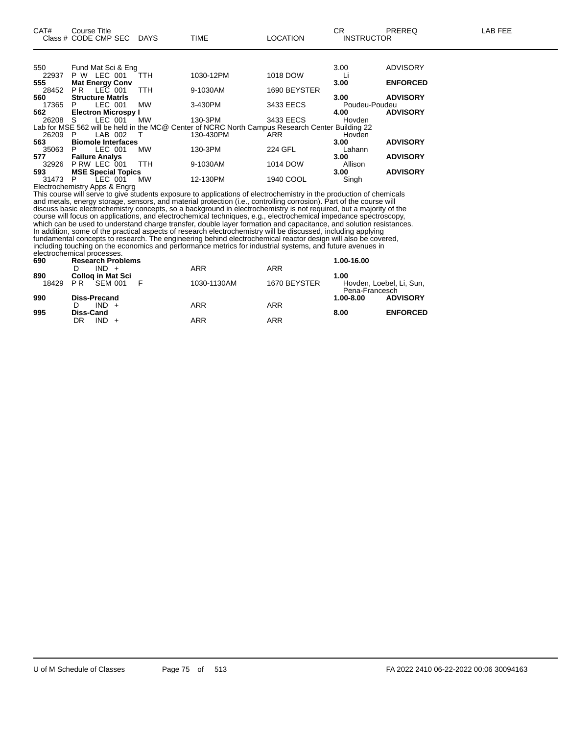| 550     | Fund Mat Sci & Eng         |            |                                                                                                 |              | 3.00          | <b>ADVISORY</b> |
|---------|----------------------------|------------|-------------------------------------------------------------------------------------------------|--------------|---------------|-----------------|
| 22937   | LEC 001<br>P W             | <b>TTH</b> | 1030-12PM                                                                                       | 1018 DOW     |               |                 |
| 555     | <b>Mat Energy Conv</b>     |            |                                                                                                 |              | 3.00          | <b>ENFORCED</b> |
| 28452   | LEC 001<br>P R             | <b>TTH</b> | 9-1030AM                                                                                        | 1690 BEYSTER |               |                 |
| 560     | <b>Structure Matris</b>    |            |                                                                                                 |              | 3.00          | <b>ADVISORY</b> |
| 17365   | LEC 001<br>P.              | <b>MW</b>  | 3-430PM                                                                                         | 3433 EECS    | Poudeu-Poudeu |                 |
| 562     | <b>Electron Microspy I</b> |            |                                                                                                 |              | 4.00          | <b>ADVISORY</b> |
| 26208 S | LEC 001                    | <b>MW</b>  | 130-3PM                                                                                         | 3433 EECS    | Hovden        |                 |
|         |                            |            | Lab for MSE 562 will be held in the MC@ Center of NCRC North Campus Research Center Building 22 |              |               |                 |
| 26209   | LAB 002<br>P               | ா          | 130-430PM                                                                                       | <b>ARR</b>   | Hovden        |                 |
| 563     | <b>Biomole Interfaces</b>  |            |                                                                                                 |              | 3.00          | <b>ADVISORY</b> |
| 35063   | LEC 001<br>P.              | МW         | 130-3PM                                                                                         | 224 GFL      | Lahann        |                 |
| 577     | <b>Failure Analys</b>      |            |                                                                                                 |              | 3.00          | <b>ADVISORY</b> |
| 32926   | P RW LEC 001               | <b>TTH</b> | 9-1030AM                                                                                        | 1014 DOW     | Allison       |                 |
| 593     | <b>MSE Special Topics</b>  |            |                                                                                                 |              | 3.00          | <b>ADVISORY</b> |
| 31473   | LEC 001<br>P               | <b>MW</b>  | 12-130PM                                                                                        | 1940 COOL    | Singh         |                 |

Electrochemistry Apps & Engrg

This course will serve to give students exposure to applications of electrochemistry in the production of chemicals and metals, energy storage, sensors, and material protection (i.e., controlling corrosion). Part of the course will discuss basic electrochemistry concepts, so a background in electrochemistry is not required, but a majority of the course will focus on applications, and electrochemical techniques, e.g., electrochemical impedance spectroscopy, which can be used to understand charge transfer, double layer formation and capacitance, and solution resistances. In addition, some of the practical aspects of research electrochemistry will be discussed, including applying fundamental concepts to research. The engineering behind electrochemical reactor design will also be covered, including touching on the economics and performance metrics for industrial systems, and future avenues in electrochemical processes.

| 690   | <b>Research Problems</b> |             |              | 1.00-16.00                                 |
|-------|--------------------------|-------------|--------------|--------------------------------------------|
|       | $IND +$                  | <b>ARR</b>  | <b>ARR</b>   |                                            |
| 890   | <b>Collog in Mat Sci</b> |             |              | 1.00                                       |
| 18429 | PR<br>SEM 001            | 1030-1130AM | 1670 BEYSTER | Hovden, Loebel, Li, Sun,<br>Pena-Francesch |
| 990   | <b>Diss-Precand</b>      |             |              | <b>ADVISORY</b><br>$1.00 - 8.00$           |
|       | $IND +$                  | <b>ARR</b>  | ARR          |                                            |
| 995   | Diss-Cand                |             |              | <b>ENFORCED</b><br>8.00                    |
|       | $IND +$<br>DR            | ARR         | <b>ARR</b>   |                                            |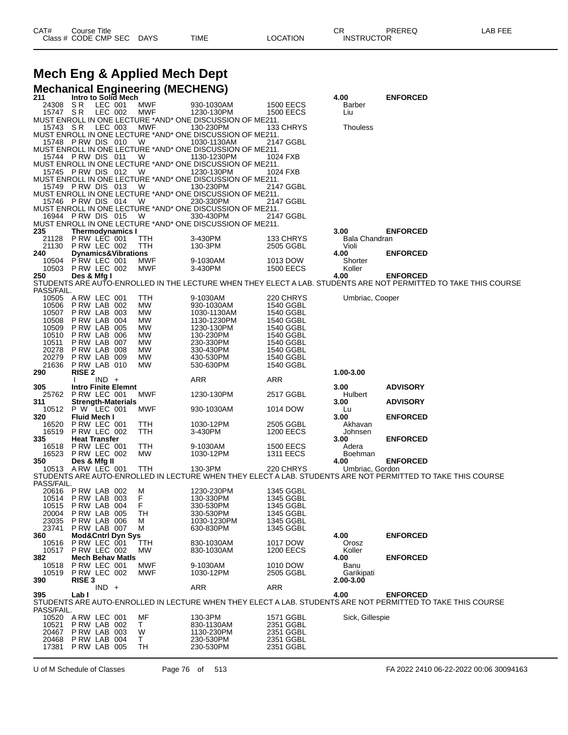# **Mech Eng & Applied Mech Dept**

|     |                                        |                                            |                    |                                | <b>Mechanical Engineering (MECHENG)</b> |                                                                          |                                      |                    |                                                                                                                                |
|-----|----------------------------------------|--------------------------------------------|--------------------|--------------------------------|-----------------------------------------|--------------------------------------------------------------------------|--------------------------------------|--------------------|--------------------------------------------------------------------------------------------------------------------------------|
| 211 |                                        |                                            |                    | Intro to Solid Mech            |                                         |                                                                          |                                      | 4.00               | <b>ENFORCED</b>                                                                                                                |
|     | 24308 SR<br>15747 SR                   |                                            | LEC 001<br>LEC 002 |                                | MWF<br>MWF                              | 930-1030AM<br>1230-130PM                                                 | <b>1500 EECS</b><br><b>1500 EECS</b> | Barber<br>Liu      |                                                                                                                                |
|     |                                        |                                            |                    |                                |                                         | MUST ENROLL IN ONE LECTURE *AND* ONE DISCUSSION OF ME211.                |                                      |                    |                                                                                                                                |
|     | 15743 SR                               |                                            | LEC 003            |                                | <b>MWF</b>                              | 130-230PM                                                                | 133 CHRYS                            | <b>Thouless</b>    |                                                                                                                                |
|     | 15748 PRW DIS 010                      |                                            |                    |                                | W                                       | MUST ENROLL IN ONE LECTURE *AND* ONE DISCUSSION OF ME211.<br>1030-1130AM | 2147 GGBL                            |                    |                                                                                                                                |
|     |                                        |                                            |                    |                                |                                         | MUST ENROLL IN ONE LECTURE *AND* ONE DISCUSSION OF ME211.                |                                      |                    |                                                                                                                                |
|     | 15744 P RW DIS 011                     |                                            |                    |                                | - W                                     | 1130-1230PM                                                              | 1024 FXB                             |                    |                                                                                                                                |
|     |                                        |                                            |                    |                                |                                         | MUST ENROLL IN ONE LECTURE *AND* ONE DISCUSSION OF ME211.                |                                      |                    |                                                                                                                                |
|     | 15745 PRW DIS 012                      |                                            |                    |                                | W                                       | 1230-130PM<br>MUST ENROLL IN ONE LECTURE *AND* ONE DISCUSSION OF ME211.  | 1024 FXB                             |                    |                                                                                                                                |
|     | 15749 PRW DIS 013                      |                                            |                    |                                | W                                       | 130-230PM                                                                | 2147 GGBL                            |                    |                                                                                                                                |
|     |                                        |                                            |                    |                                |                                         | MUST ENROLL IN ONE LECTURE *AND* ONE DISCUSSION OF ME211.                |                                      |                    |                                                                                                                                |
|     | 15746 PRW DIS 014                      |                                            |                    |                                | - W                                     | 230-330PM                                                                | 2147 GGBL                            |                    |                                                                                                                                |
|     | 16944 PRW DIS 015                      |                                            |                    |                                | - W                                     | MUST ENROLL IN ONE LECTURE *AND* ONE DISCUSSION OF ME211.<br>330-430PM   | 2147 GGBL                            |                    |                                                                                                                                |
|     |                                        |                                            |                    |                                |                                         | MUST ENROLL IN ONE LECTURE *AND* ONE DISCUSSION OF ME211.                |                                      |                    |                                                                                                                                |
| 235 |                                        |                                            |                    | <b>Thermodynamics I</b>        |                                         |                                                                          |                                      | 3.00               | <b>ENFORCED</b>                                                                                                                |
|     | 21128                                  | P RW LEC 001                               |                    |                                | TTH                                     | 3-430PM                                                                  | 133 CHRYS                            | Bala Chandran      |                                                                                                                                |
| 240 | 21130                                  | PRW LEC 002                                |                    | <b>Dynamics&amp;Vibrations</b> | TTH                                     | 130-3PM                                                                  | 2505 GGBL                            | Violi<br>4.00      | <b>ENFORCED</b>                                                                                                                |
|     | 10504 PRW LEC 001                      |                                            |                    |                                | MWF                                     | 9-1030AM                                                                 | 1013 DOW                             | Shorter            |                                                                                                                                |
|     | 10503                                  | PRW LEC 002                                |                    |                                | MWF                                     | 3-430PM                                                                  | <b>1500 EECS</b>                     | Koller             |                                                                                                                                |
| 250 |                                        | Des & Mfg I                                |                    |                                |                                         |                                                                          |                                      | 4.00               | <b>ENFORCED</b>                                                                                                                |
|     | PASS/FAIL.                             |                                            |                    |                                |                                         |                                                                          |                                      |                    | STUDENTS ARE AUTO-ENROLLED IN THE LECTURE WHEN THEY ELECT A LAB. STUDENTS ARE NOT PERMITTED TO TAKE THIS COURSE                |
|     | 10505 A RW LEC 001                     |                                            |                    |                                | TTH                                     | 9-1030AM                                                                 | 220 CHRYS                            | Umbriac, Cooper    |                                                                                                                                |
|     | 10506 P RW LAB 002                     |                                            |                    |                                | МW                                      | 930-1030AM                                                               | 1540 GGBL                            |                    |                                                                                                                                |
|     | 10507                                  | PRW LAB 003                                |                    |                                | MW                                      | 1030-1130AM                                                              | 1540 GGBL                            |                    |                                                                                                                                |
|     | 10508<br>10509                         | PRW LAB 004<br>PRW LAB 005                 |                    |                                | МW<br>МW                                | 1130-1230PM<br>1230-130PM                                                | 1540 GGBL<br>1540 GGBL               |                    |                                                                                                                                |
|     | 10510                                  | PRW LAB 006                                |                    |                                | МW                                      | 130-230PM                                                                | 1540 GGBL                            |                    |                                                                                                                                |
|     | 10511                                  | P RW LAB 007                               |                    |                                | МW                                      | 230-330PM                                                                | 1540 GGBL                            |                    |                                                                                                                                |
|     | 20278<br>20279                         | <b>P RW LAB 008</b><br>P RW LAB 009        |                    |                                | МW                                      | 330-430PM                                                                | 1540 GGBL                            |                    |                                                                                                                                |
|     | 21636                                  | PRW LAB 010                                |                    |                                | МW<br>МW                                | 430-530PM<br>530-630PM                                                   | 1540 GGBL<br>1540 GGBL               |                    |                                                                                                                                |
|     |                                        |                                            |                    |                                |                                         |                                                                          |                                      |                    |                                                                                                                                |
| 290 |                                        | <b>RISE 2</b>                              |                    |                                |                                         |                                                                          |                                      | 1.00-3.00          |                                                                                                                                |
|     |                                        |                                            | $IND +$            |                                |                                         | ARR                                                                      | ARR                                  |                    |                                                                                                                                |
| 305 | 25762                                  |                                            |                    | <b>Intro Finite Elemnt</b>     | MWF                                     | 1230-130PM                                                               | 2517 GGBL                            | 3.00<br>Hulbert    | <b>ADVISORY</b>                                                                                                                |
| 311 |                                        | PRW LEC 001                                |                    | <b>Strength-Materials</b>      |                                         |                                                                          |                                      | 3.00               | <b>ADVISORY</b>                                                                                                                |
|     | 10512 P W LEC 001                      |                                            |                    |                                | MWF                                     | 930-1030AM                                                               | 1014 DOW                             | Lu                 |                                                                                                                                |
| 320 |                                        | Fluid Mech I                               |                    |                                |                                         |                                                                          |                                      | 3.00               | <b>ENFORCED</b>                                                                                                                |
|     | 16520<br>16519                         | P RW LEC 001<br><b>P RW LEC 002</b>        |                    |                                | TTH<br>TTH                              | 1030-12PM<br>3-430PM                                                     | 2505 GGBL<br><b>1200 EECS</b>        | Akhavan<br>Johnsen |                                                                                                                                |
| 335 |                                        | <b>Heat Transfer</b>                       |                    |                                |                                         |                                                                          |                                      | 3.00               | <b>ENFORCED</b>                                                                                                                |
|     | 16518                                  | P RW LEC 001                               |                    |                                | TTH                                     | 9-1030AM                                                                 | <b>1500 EECS</b>                     | Adera              |                                                                                                                                |
| 350 | 16523                                  | <b>P RW LEC 002</b>                        |                    |                                | <b>MW</b>                               | 1030-12PM                                                                | <b>1311 EECS</b>                     | Boehman<br>4.00    | <b>ENFORCED</b>                                                                                                                |
|     | 10513 A RW LEC 001                     | Des & Mfg II                               |                    |                                | TTH                                     | 130-3PM                                                                  | 220 CHRYS                            | Umbriac, Gordon    |                                                                                                                                |
|     |                                        |                                            |                    |                                |                                         |                                                                          |                                      |                    | STUDENTS ARE AUTO-ENROLLED IN LECTURE WHEN THEY ELECT A LAB. STUDENTS ARE NOT PERMITTED TO TAKE THIS COURSE                    |
|     | PASS/FAIL.                             |                                            |                    |                                |                                         |                                                                          |                                      |                    |                                                                                                                                |
|     | 20616 PRW LAB 002<br>10514 PRW LAB 003 |                                            |                    |                                | M<br>F                                  | 1230-230PM<br>130-330PM                                                  | 1345 GGBL<br>1345 GGBL               |                    |                                                                                                                                |
|     | 10515 P RW LAB 004                     |                                            |                    |                                | F                                       | 330-530PM                                                                | 1345 GGBL                            |                    |                                                                                                                                |
|     | 20004                                  | PRW LAB 005                                |                    |                                | TН                                      | 330-530PM                                                                | 1345 GGBL                            |                    |                                                                                                                                |
|     | 23035<br>23741                         | P RW LAB 006                               |                    |                                | м                                       | 1030-1230PM                                                              | 1345 GGBL                            |                    |                                                                                                                                |
| 360 |                                        | P RW LAB 007                               |                    | <b>Mod&amp;Cntrl Dyn Sys</b>   | M                                       | 630-830PM                                                                | 1345 GGBL                            | 4.00               | <b>ENFORCED</b>                                                                                                                |
|     | 10516                                  | P RW LEC 001                               |                    |                                | TTH                                     | 830-1030AM                                                               | 1017 DOW                             | Orosz              |                                                                                                                                |
|     | 10517                                  | <b>P RW LEC 002</b>                        |                    |                                | МW                                      | 830-1030AM                                                               | <b>1200 EECS</b>                     | Koller             |                                                                                                                                |
| 382 |                                        |                                            |                    | <b>Mech Behav Matis</b>        |                                         |                                                                          |                                      | 4.00               | <b>ENFORCED</b>                                                                                                                |
|     | 10518<br>10519                         | P RW LEC 001<br>P RW LEC 002               |                    |                                | MWF<br>MWF                              | 9-1030AM<br>1030-12PM                                                    | 1010 DOW<br>2505 GGBL                | Banu<br>Garikipati |                                                                                                                                |
| 390 |                                        | <b>RISE 3</b>                              |                    |                                |                                         |                                                                          |                                      | 2.00-3.00          |                                                                                                                                |
|     |                                        |                                            | $IND +$            |                                |                                         | ARR                                                                      | ARR                                  |                    |                                                                                                                                |
| 395 |                                        | Lab I                                      |                    |                                |                                         |                                                                          |                                      | 4.00               | <b>ENFORCED</b><br>STUDENTS ARE AUTO-ENROLLED IN LECTURE WHEN THEY ELECT A LAB. STUDENTS ARE NOT PERMITTED TO TAKE THIS COURSE |
|     | PASS/FAIL.                             |                                            |                    |                                |                                         |                                                                          |                                      |                    |                                                                                                                                |
|     | 10520 A RW LEC 001                     |                                            |                    |                                | MF                                      | 130-3PM                                                                  | 1571 GGBL                            | Sick, Gillespie    |                                                                                                                                |
|     | 10521                                  | PRW LAB 002                                |                    |                                | Τ                                       | 830-1130AM                                                               | 2351 GGBL                            |                    |                                                                                                                                |
|     | 20467<br>20468                         | PRW LAB 003<br>PRW LAB 004<br>P RW LAB 005 |                    |                                | W<br>T.                                 | 1130-230PM<br>230-530PM<br>230-530PM                                     | 2351 GGBL<br>2351 GGBL<br>2351 GGBL  |                    |                                                                                                                                |

U of M Schedule of Classes Page 76 of 513 FA 2022 2410 06-22-2022 00:06 30094163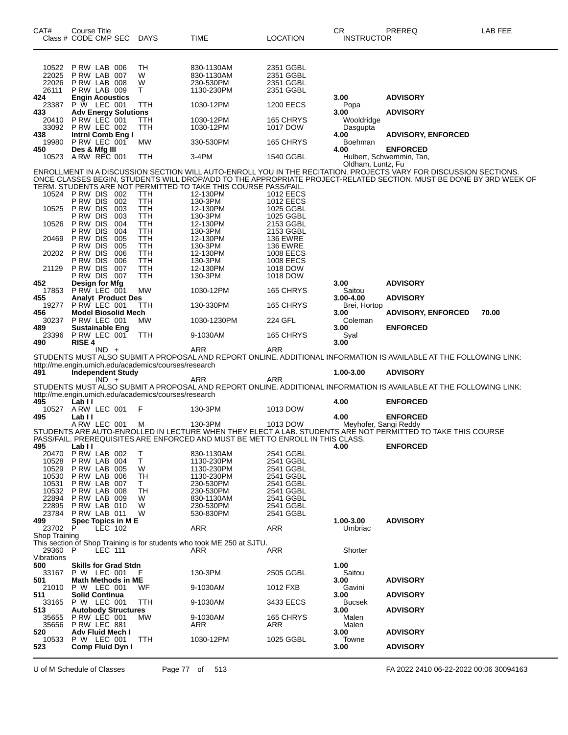| CAT#                             | Course Title                                              | Class # CODE CMP SEC        | <b>DAYS</b>                                          | <b>TIME</b>                                                                    | LOCATION                                         | CR.<br><b>INSTRUCTOR</b>       | PREREQ                                                                                                                                                                                  | LAB FEE |
|----------------------------------|-----------------------------------------------------------|-----------------------------|------------------------------------------------------|--------------------------------------------------------------------------------|--------------------------------------------------|--------------------------------|-----------------------------------------------------------------------------------------------------------------------------------------------------------------------------------------|---------|
| 10522<br>22025<br>22026<br>26111 | PRW LAB 006<br>P RW LAB 007<br>PRW LAB 008<br>PRW LAB 009 |                             | TН<br>W<br>W<br>Τ                                    | 830-1130AM<br>830-1130AM<br>230-530PM<br>1130-230PM                            | 2351 GGBL<br>2351 GGBL<br>2351 GGBL<br>2351 GGBL |                                |                                                                                                                                                                                         |         |
| 424<br>23387                     | <b>P W LEC 001</b>                                        | <b>Engin Acoustics</b>      | TTH                                                  | 1030-12PM                                                                      | <b>1200 EECS</b>                                 | 3.00<br>Popa                   | <b>ADVISORY</b>                                                                                                                                                                         |         |
| 433<br>20410<br>33092            | PRW LEC 001<br>PRW LEC 002                                | <b>Adv Energy Solutions</b> | ттн<br>ттн                                           | 1030-12PM<br>1030-12PM                                                         | 165 CHRYS<br>1017 DOW                            | 3.00<br>Wooldridge<br>Dasgupta | <b>ADVISORY</b>                                                                                                                                                                         |         |
| 438<br>19980                     | P RW LEC 001                                              | Intrnl Comb Eng I           | МW                                                   | 330-530PM                                                                      | 165 CHRYS                                        | 4.00<br>Boehman                | <b>ADVISORY, ENFORCED</b>                                                                                                                                                               |         |
| 450<br>10523                     | Des & Mfg III<br>ARW REC 001                              |                             | TTH                                                  | 3-4PM                                                                          | 1540 GGBL                                        | 4.00                           | <b>ENFORCED</b><br>Hulbert, Schwemmin, Tan,                                                                                                                                             |         |
|                                  |                                                           |                             |                                                      |                                                                                |                                                  | Oldham, Luntz, Fu              | ENROLLMENT IN A DISCUSSION SECTION WILL AUTO-ENROLL YOU IN THE RECITATION. PROJECTS VARY FOR DISCUSSION SECTIONS.                                                                       |         |
|                                  |                                                           |                             |                                                      | TERM. STUDENTS ARE NOT PERMITTED TO TAKE THIS COURSE PASS/FAIL.                |                                                  |                                | ONCE CLASSES BEGIN, STUDENTS WILL DROP/ADD TO THE APPROPRIATE PROJECT-RELATED SECTION. MUST BE DONE BY 3RD WEEK OF                                                                      |         |
|                                  | 10524 P RW DIS 002<br>P RW DIS                            | 002                         | TTH<br>TTH                                           | 12-130PM<br>130-3PM                                                            | 1012 EECS<br><b>1012 EECS</b>                    |                                |                                                                                                                                                                                         |         |
| 10525                            | P RW DIS<br>P RW DIS                                      | 003<br>003                  | TTH<br>TTH                                           | 12-130PM<br>130-3PM                                                            | 1025 GGBL<br>1025 GGBL                           |                                |                                                                                                                                                                                         |         |
| 10526                            | P RW DIS                                                  | 004                         | TTH                                                  | 12-130PM                                                                       | 2153 GGBL                                        |                                |                                                                                                                                                                                         |         |
| 20469                            | P RW DIS<br>P RW DIS                                      | 004<br>005                  | TTH<br>TTH                                           | 130-3PM<br>12-130PM                                                            | 2153 GGBL<br><b>136 EWRE</b>                     |                                |                                                                                                                                                                                         |         |
|                                  | P RW DIS                                                  | 005                         | TTH                                                  | 130-3PM                                                                        | <b>136 EWRE</b>                                  |                                |                                                                                                                                                                                         |         |
| 20202                            | P RW DIS<br>P RW DIS                                      | 006<br>006                  | TTH<br>TTH                                           | 12-130PM<br>130-3PM                                                            | 1008 EECS<br><b>1008 EECS</b>                    |                                |                                                                                                                                                                                         |         |
| 21129                            | P RW DIS<br>P RW DIS                                      | 007<br>007                  | TTH<br>TTH                                           | 12-130PM<br>130-3PM                                                            | 1018 DOW<br>1018 DOW                             |                                |                                                                                                                                                                                         |         |
| 452                              | Design for Mfg                                            |                             |                                                      |                                                                                |                                                  | 3.00                           | <b>ADVISORY</b>                                                                                                                                                                         |         |
| 17853<br>455                     | P RW LEC 001                                              | <b>Analyt Product Des</b>   | MW                                                   | 1030-12PM                                                                      | 165 CHRYS                                        | Saitou<br>3.00-4.00            | <b>ADVISORY</b>                                                                                                                                                                         |         |
| 19277<br>456                     | PRW LEC 001                                               | <b>Model Biosolid Mech</b>  | TTH                                                  | 130-330PM                                                                      | 165 CHRYS                                        | Brei, Hortop<br>3.00           | <b>ADVISORY, ENFORCED</b>                                                                                                                                                               | 70.00   |
| 30237                            | P RW LEC 001                                              |                             | <b>MW</b>                                            | 1030-1230PM                                                                    | 224 GFL                                          | Coleman<br>3.00                | <b>ENFORCED</b>                                                                                                                                                                         |         |
| 489<br>23396                     | PRW LEC 001                                               | <b>Sustainable Eng</b>      | TTH                                                  | 9-1030AM                                                                       | 165 CHRYS                                        | Syal                           |                                                                                                                                                                                         |         |
| 490                              | <b>RISE 4</b>                                             | $IND +$                     |                                                      | ARR                                                                            | ARR                                              | 3.00                           |                                                                                                                                                                                         |         |
|                                  |                                                           |                             | http://me.engin.umich.edu/academics/courses/research |                                                                                |                                                  |                                | STUDENTS MUST ALSO SUBMIT A PROPOSAL AND REPORT ONLINE. ADDITIONAL INFORMATION IS AVAILABLE AT THE FOLLOWING LINK:                                                                      |         |
| 491                              |                                                           | <b>Independent Study</b>    |                                                      |                                                                                |                                                  | 1.00-3.00                      | <b>ADVISORY</b>                                                                                                                                                                         |         |
|                                  |                                                           | IND +                       |                                                      | ARR                                                                            | ARR                                              |                                | STUDENTS MUST ALSO SUBMIT A PROPOSAL AND REPORT ONLINE. ADDITIONAL INFORMATION IS AVAILABLE AT THE FOLLOWING LINK:                                                                      |         |
| 495                              | Lab II                                                    |                             | http://me.engin.umich.edu/academics/courses/research |                                                                                |                                                  | 4.00                           | <b>ENFORCED</b>                                                                                                                                                                         |         |
| 10527                            | ARW LEC 001                                               |                             | F                                                    | 130-3PM                                                                        | 1013 DOW                                         |                                |                                                                                                                                                                                         |         |
| 495                              | Lab II                                                    |                             |                                                      |                                                                                |                                                  | 4.00                           | <b>ENFORCED</b><br>A RW LEC 001 M 130-3PM 1013 DOW Meyhofer, Sangi Reddy<br>STUDENTS ARE AUTO-ENROLLED IN LECTURE WHEN THEY ELECT A LAB. STUDENTS ARE NOT PERMITTED TO TAKE THIS COURSE |         |
|                                  |                                                           |                             |                                                      | PASS/FAIL. PREREQUISITES ARE ENFORCED AND MUST BE MET TO ENROLL IN THIS CLASS. |                                                  |                                |                                                                                                                                                                                         |         |
| 495                              | Lab I I                                                   |                             |                                                      |                                                                                |                                                  | 4.00                           | <b>ENFORCED</b>                                                                                                                                                                         |         |
| 20470<br>10528                   | PRW LAB 002<br>PRW LAB 004                                |                             | Т<br>Т                                               | 830-1130AM<br>1130-230PM                                                       | 2541 GGBL<br>2541 GGBL                           |                                |                                                                                                                                                                                         |         |
| 10529<br>10530                   | <b>P RW LAB 005</b><br>P RW LAB                           | 006                         | W<br>TН                                              | 1130-230PM<br>1130-230PM                                                       | 2541 GGBL<br>2541 GGBL                           |                                |                                                                                                                                                                                         |         |
| 10531                            | P RW LAB 007                                              |                             | T.                                                   | 230-530PM                                                                      | 2541 GGBL                                        |                                |                                                                                                                                                                                         |         |
| 10532<br>22894                   | P RW LAB 008<br>P RW LAB 009                              |                             | TН<br>W                                              | 230-530PM<br>830-1130AM                                                        | 2541 GGBL<br>2541 GGBL                           |                                |                                                                                                                                                                                         |         |
| 22895                            | PRW LAB 010                                               |                             | W                                                    | 230-530PM                                                                      | 2541 GGBL                                        |                                |                                                                                                                                                                                         |         |
| 499                              | 23784 P RW LAB 011                                        | Spec Topics in ME           | W                                                    | 530-830PM                                                                      | 2541 GGBL                                        | 1.00-3.00                      | <b>ADVISORY</b>                                                                                                                                                                         |         |
| 23702<br>Shop Training           | P                                                         | LEC 102                     |                                                      | ARR                                                                            | ARR                                              | Umbriac                        |                                                                                                                                                                                         |         |
| 29360<br>Vibrations              | -P                                                        | LEC 111                     |                                                      | This section of Shop Training is for students who took ME 250 at SJTU.<br>ARR  | ARR                                              | Shorter                        |                                                                                                                                                                                         |         |
| 500                              |                                                           | <b>Skills for Grad Stdn</b> |                                                      |                                                                                |                                                  | 1.00                           |                                                                                                                                                                                         |         |
| 33167<br>501                     | P W LEC 001                                               | <b>Math Methods in ME</b>   |                                                      | 130-3PM                                                                        | 2505 GGBL                                        | Saitou<br>3.00                 | <b>ADVISORY</b>                                                                                                                                                                         |         |
| 21010<br>511                     | P W LEC 001<br><b>Solid Continua</b>                      |                             | WF                                                   | 9-1030AM                                                                       | 1012 FXB                                         | Gavini<br>3.00                 | <b>ADVISORY</b>                                                                                                                                                                         |         |
| 33165                            | P W LEC 001                                               |                             | TTH                                                  | 9-1030AM                                                                       | 3433 EECS                                        | <b>Bucsek</b>                  |                                                                                                                                                                                         |         |
| 513<br>35655                     | P RW LEC 001                                              | <b>Autobody Structures</b>  | МW                                                   | 9-1030AM                                                                       | 165 CHRYS                                        | 3.00<br>Malen                  | <b>ADVISORY</b>                                                                                                                                                                         |         |
| 35656                            | PRW LEC 881                                               |                             |                                                      | ARR                                                                            | ARR                                              | Malen                          |                                                                                                                                                                                         |         |
| 520<br>10533                     | P W LEC 001                                               | Adv Fluid Mech I            | TTH                                                  | 1030-12PM                                                                      | 1025 GGBL                                        | 3.00<br>Towne                  | <b>ADVISORY</b>                                                                                                                                                                         |         |
| 523                              |                                                           | Comp Fluid Dyn I            |                                                      |                                                                                |                                                  | 3.00                           | <b>ADVISORY</b>                                                                                                                                                                         |         |
|                                  |                                                           |                             |                                                      |                                                                                |                                                  |                                |                                                                                                                                                                                         |         |

U of M Schedule of Classes Page 77 of 513 FA 2022 2410 06-22-2022 00:06 30094163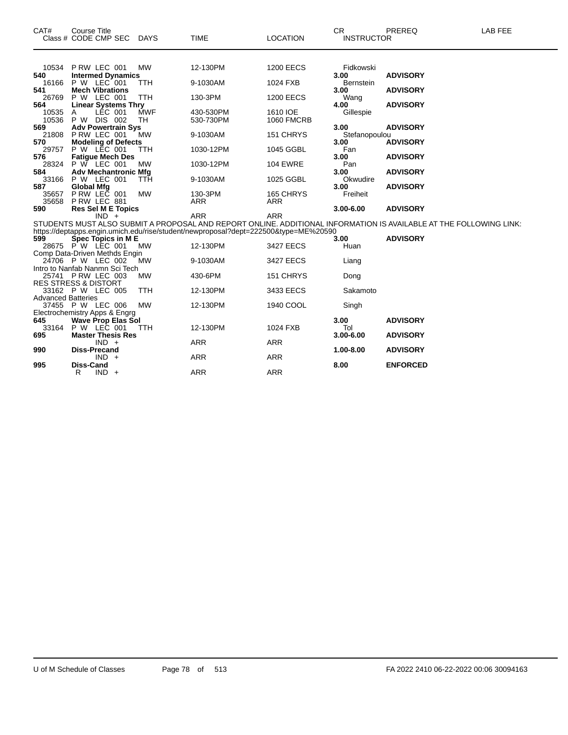| CAT#                      | <b>Course Title</b><br>Class # CODE CMP SEC          | <b>DAYS</b> | <b>TIME</b>                                                                                                                                                                                               | <b>LOCATION</b>   | <b>CR</b><br><b>INSTRUCTOR</b> | PREREQ          | LAB FEE |
|---------------------------|------------------------------------------------------|-------------|-----------------------------------------------------------------------------------------------------------------------------------------------------------------------------------------------------------|-------------------|--------------------------------|-----------------|---------|
|                           |                                                      |             |                                                                                                                                                                                                           |                   |                                |                 |         |
|                           | 10534 P RW LEC 001                                   | <b>MW</b>   | 12-130PM                                                                                                                                                                                                  | <b>1200 EECS</b>  | Fidkowski                      |                 |         |
| 540                       | <b>Intermed Dynamics</b>                             |             |                                                                                                                                                                                                           |                   | 3.00                           | <b>ADVISORY</b> |         |
| 16166                     | P W LEC 001                                          | TTH         | 9-1030AM                                                                                                                                                                                                  | 1024 FXB          | <b>Bernstein</b>               |                 |         |
| 541<br>26769              | <b>Mech Vibrations</b><br>P W LEC 001                | <b>TTH</b>  | 130-3PM                                                                                                                                                                                                   | <b>1200 EECS</b>  | 3.00                           | <b>ADVISORY</b> |         |
| 564                       | <b>Linear Systems Thry</b>                           |             |                                                                                                                                                                                                           |                   | Wang<br>4.00                   | <b>ADVISORY</b> |         |
| 10535                     | LÉC 001<br>A                                         | <b>MWF</b>  | 430-530PM                                                                                                                                                                                                 | 1610 IOE          | Gillespie                      |                 |         |
| 10536                     | P W DIS 002                                          | TH          | 530-730PM                                                                                                                                                                                                 | <b>1060 FMCRB</b> |                                |                 |         |
| 569                       | <b>Adv Powertrain Sys</b>                            |             |                                                                                                                                                                                                           |                   | 3.00                           | <b>ADVISORY</b> |         |
| 21808                     | PRW LEC 001                                          | <b>MW</b>   | 9-1030AM                                                                                                                                                                                                  | 151 CHRYS         | Stefanopoulou                  |                 |         |
| 570                       | <b>Modeling of Defects</b>                           |             |                                                                                                                                                                                                           |                   | 3.00                           | <b>ADVISORY</b> |         |
| 29757                     | P W LEC 001                                          | <b>TTH</b>  | 1030-12PM                                                                                                                                                                                                 | 1045 GGBL         | Fan                            |                 |         |
| 576<br>28324              | <b>Fatique Mech Des</b><br>P W LEC 001               | MW          | 1030-12PM                                                                                                                                                                                                 | <b>104 EWRE</b>   | 3.00<br>Pan                    | <b>ADVISORY</b> |         |
| 584                       | <b>Adv Mechantronic Mfg</b>                          |             |                                                                                                                                                                                                           |                   | 3.00                           | <b>ADVISORY</b> |         |
|                           | 33166 P W LEC 001                                    | TTH         | 9-1030AM                                                                                                                                                                                                  | 1025 GGBL         | Okwudire                       |                 |         |
| 587                       | <b>Global Mfg</b>                                    |             |                                                                                                                                                                                                           |                   | 3.00                           | <b>ADVISORY</b> |         |
| 35657                     | PRW LEC 001                                          | <b>MW</b>   | 130-3PM                                                                                                                                                                                                   | 165 CHRYS         | Freiheit                       |                 |         |
| 35658                     | PRW LEC 881                                          |             | <b>ARR</b>                                                                                                                                                                                                | <b>ARR</b>        |                                |                 |         |
| 590                       | <b>Res Sel M E Topics</b>                            |             |                                                                                                                                                                                                           |                   | $3.00 - 6.00$                  | <b>ADVISORY</b> |         |
|                           | $IND +$                                              |             | <b>ARR</b>                                                                                                                                                                                                | <b>ARR</b>        |                                |                 |         |
|                           |                                                      |             | STUDENTS MUST ALSO SUBMIT A PROPOSAL AND REPORT ONLINE. ADDITIONAL INFORMATION IS AVAILABLE AT THE FOLLOWING LINK:<br>https://deptapps.engin.umich.edu/rise/student/newproposal?dept=222500&type=ME%20590 |                   |                                |                 |         |
| 599                       | Spec Topics in ME                                    |             |                                                                                                                                                                                                           |                   | 3.00                           | <b>ADVISORY</b> |         |
|                           | 28675 PW LEC 001                                     | <b>MW</b>   | 12-130PM                                                                                                                                                                                                  | 3427 EECS         | Huan                           |                 |         |
|                           | Comp Data-Driven Methds Engin                        |             |                                                                                                                                                                                                           |                   |                                |                 |         |
|                           | 24706 P W LEC 002                                    | <b>MW</b>   | 9-1030AM                                                                                                                                                                                                  | 3427 EECS         | Liang                          |                 |         |
|                           | Intro to Nanfab Nanmn Sci Tech                       |             |                                                                                                                                                                                                           |                   |                                |                 |         |
|                           | 25741 P RW LEC 003                                   | <b>MW</b>   | 430-6PM                                                                                                                                                                                                   | 151 CHRYS         | Dong                           |                 |         |
|                           | <b>RES STRESS &amp; DISTORT</b><br>33162 P W LEC 005 | <b>TTH</b>  | 12-130PM                                                                                                                                                                                                  |                   | Sakamoto                       |                 |         |
| <b>Advanced Batteries</b> |                                                      |             |                                                                                                                                                                                                           | 3433 EECS         |                                |                 |         |
|                           | 37455 P W LEC 006                                    | <b>MW</b>   | 12-130PM                                                                                                                                                                                                  | 1940 COOL         | Singh                          |                 |         |
|                           | Electrochemistry Apps & Engrg                        |             |                                                                                                                                                                                                           |                   |                                |                 |         |
| 645                       | <b>Wave Prop Elas Sol</b>                            |             |                                                                                                                                                                                                           |                   | 3.00                           | <b>ADVISORY</b> |         |
|                           | 33164 P W LEC 001                                    | <b>TTH</b>  | 12-130PM                                                                                                                                                                                                  | 1024 FXB          | Tol                            |                 |         |
| 695                       | <b>Master Thesis Res</b>                             |             |                                                                                                                                                                                                           |                   | 3.00-6.00                      | <b>ADVISORY</b> |         |
|                           | $IND +$                                              |             | <b>ARR</b>                                                                                                                                                                                                | <b>ARR</b>        |                                |                 |         |
| 990                       | <b>Diss-Precand</b><br>$IND +$                       |             | <b>ARR</b>                                                                                                                                                                                                | <b>ARR</b>        | 1.00-8.00                      | <b>ADVISORY</b> |         |
| 995                       | <b>Diss-Cand</b>                                     |             |                                                                                                                                                                                                           |                   | 8.00                           | <b>ENFORCED</b> |         |
|                           | $IND +$<br>R                                         |             | <b>ARR</b>                                                                                                                                                                                                | <b>ARR</b>        |                                |                 |         |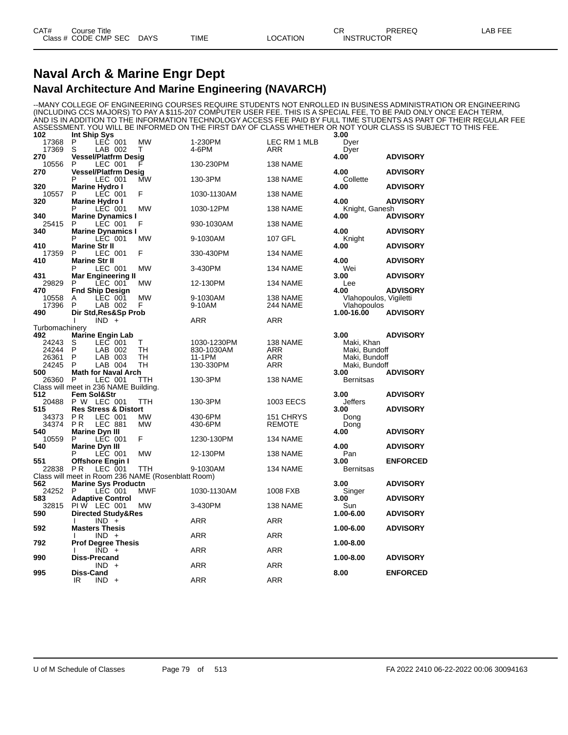#### **Naval Arch & Marine Engr Dept Naval Architecture And Marine Engineering (NAVARCH)**

--MANY COLLEGE OF ENGINEERING COURSES REQUIRE STUDENTS NOT ENROLLED IN BUSINESS ADMINISTRATION OR ENGINEERING (INCLUDING CCS MAJORS) TO PAY A \$115-207 COMPUTER USER FEE. THIS IS A SPECIAL FEE, TO BE PAID ONLY ONCE EACH TERM, AND IS IN ADDITION TO THE INFORMATION TECHNOLOGY ACCESS FEE PAID BY FULL TIME STUDENTS AS PART OF THEIR REGULAR FEE ASSESSMENT. YOU WILL BE INFORMED ON THE FIRST DAY OF CLASS WHETHER OR NOT YOUR CLASS IS SUBJECT TO THIS FEE.

| 102            | Int Ship Sys                                                 |                        |                    |                            | 3.00                   |                 |
|----------------|--------------------------------------------------------------|------------------------|--------------------|----------------------------|------------------------|-----------------|
| 17368          | P<br>LEC 001                                                 | <b>MW</b>              | 1-230PM            | LEC RM 1 MLB               | Dyer                   |                 |
| 17369          | S<br>LAB 002                                                 | т                      | 4-6PM              | ARR                        | Dyer                   |                 |
| 270<br>10556   | <b>Vessel/Platfrm Desig</b><br>P<br>LEC 001                  |                        | 130-230PM          | 138 NAME                   | 4.00                   | <b>ADVISORY</b> |
| 270            | <b>Vessel/Platfrm Desig</b>                                  |                        |                    |                            | 4.00                   | <b>ADVISORY</b> |
|                | P<br>LEC 001                                                 | МW                     | 130-3PM            | 138 NAME                   | Collette               |                 |
| 320            | <b>Marine Hydro I</b>                                        |                        |                    |                            | 4.00                   | <b>ADVISORY</b> |
| 10557          | P<br>LEC 001                                                 | F                      | 1030-1130AM        | 138 NAME                   |                        |                 |
| 320            | <b>Marine Hydro I</b>                                        |                        |                    |                            | 4.00                   | <b>ADVISORY</b> |
|                | P<br>LEC 001                                                 | <b>MW</b>              | 1030-12PM          | 138 NAME                   | Knight, Ganesh         |                 |
| 340            | <b>Marine Dynamics I</b>                                     |                        |                    |                            | 4.00                   | <b>ADVISORY</b> |
| 25415          | P<br>LEC 001                                                 | F                      | 930-1030AM         | 138 NAME                   |                        |                 |
| 340            | <b>Marine Dynamics I</b>                                     |                        |                    |                            | 4.00                   | <b>ADVISORY</b> |
|                | P<br>LEC 001                                                 | MW                     | 9-1030AM           | 107 GFL                    | Knight                 |                 |
| 410            | <b>Marine Str II</b>                                         |                        |                    |                            | 4.00                   | <b>ADVISORY</b> |
| 17359          | P<br>LEC 001                                                 | F                      | 330-430PM          | 134 NAME                   |                        |                 |
| 410            | <b>Marine Str II</b><br>P                                    |                        |                    |                            | 4.00                   | <b>ADVISORY</b> |
| 431            | LEC 001                                                      | <b>MW</b>              | 3-430PM            | 134 NAME                   | Wei<br>3.00            | <b>ADVISORY</b> |
| 29829          | <b>Mar Engineering II</b><br>P<br>LEC 001                    | MW                     | 12-130PM           | 134 NAME                   |                        |                 |
| 470            | <b>Fnd Ship Design</b>                                       |                        |                    |                            | Lee<br>4.00            | <b>ADVISORY</b> |
| 10558          | LEC 001<br>Α                                                 | <b>MW</b>              | 9-1030AM           | 138 NAME                   | Vlahopoulos, Vigiletti |                 |
| 17396          | P<br>LAB 002                                                 | F                      | 9-10AM             | <b>244 NAME</b>            | Vlahopoulos            |                 |
| 490            | Dir Std, Res&Sp Prob                                         |                        |                    |                            | 1.00-16.00             | <b>ADVISORY</b> |
|                | $IND +$                                                      |                        | ARR                | ARR                        |                        |                 |
| Turbomachinery |                                                              |                        |                    |                            |                        |                 |
| 492            | <b>Marine Engin Lab</b>                                      |                        |                    |                            | 3.00                   | <b>ADVISORY</b> |
| 24243          | $LEC$ 001<br>S                                               | T                      | 1030-1230PM        | 138 NAME                   | Maki, Khan             |                 |
| 24244          | P<br>LAB 002                                                 | TH                     | 830-1030AM         | ARR                        | Maki, Bundoff          |                 |
| 26361          | P<br>LAB 003                                                 | <b>TH</b>              | 11-1PM             | <b>ARR</b>                 | Maki, Bundoff          |                 |
| 24245          | P<br>LAB 004                                                 | TН                     | 130-330PM          | <b>ARR</b>                 | Maki, Bundoff          |                 |
| 500            | <b>Math for Naval Arch</b>                                   |                        |                    |                            | 3.00                   | <b>ADVISORY</b> |
| 26360          | P<br>LEC 001                                                 | TTH                    | 130-3PM            | 138 NAME                   | <b>Bernitsas</b>       |                 |
|                | Class will meet in 236 NAME Building.                        |                        |                    |                            |                        |                 |
| 512            | <b>Fem Sol&amp;Str</b>                                       |                        |                    |                            | 3.00                   | <b>ADVISORY</b> |
| 20488          | P W LEC 001                                                  | TTH                    | 130-3PM            | 1003 EECS                  | Jeffers                |                 |
| 515            | <b>Res Stress &amp; Distort</b><br>P <sub>R</sub><br>LEC 001 |                        |                    |                            | 3.00                   | <b>ADVISORY</b> |
| 34373<br>34374 | <b>PR</b><br><b>LEC 881</b>                                  | <b>MW</b><br><b>MW</b> | 430-6PM<br>430-6PM | 151 CHRYS<br><b>REMOTE</b> | Dong                   |                 |
| 540            | <b>Marine Dyn III</b>                                        |                        |                    |                            | Dong<br>4.00           | <b>ADVISORY</b> |
| 10559          | P<br>LEC 001                                                 | F                      | 1230-130PM         | 134 NAME                   |                        |                 |
| 540            | <b>Marine Dvn III</b>                                        |                        |                    |                            | 4.00                   | <b>ADVISORY</b> |
|                | P<br>LEC 001                                                 | <b>MW</b>              | 12-130PM           | 138 NAME                   | Pan                    |                 |
| 551            | <b>Offshore Engin I</b>                                      |                        |                    |                            | 3.00                   | <b>ENFORCED</b> |
| 22838          | P <sub>R</sub><br>LEC 001                                    | TTH                    | 9-1030AM           | 134 NAME                   | Bernitsas              |                 |
|                | Class will meet in Room 236 NAME (Rosenblatt Room)           |                        |                    |                            |                        |                 |
| 562            | <b>Marine Sys Productn</b>                                   |                        |                    |                            | 3.00                   | <b>ADVISORY</b> |
| 24252          | P<br>LEC 001                                                 | <b>MWF</b>             | 1030-1130AM        | 1008 FXB                   | Singer                 |                 |
| 583            | <b>Adaptive Control</b>                                      |                        |                    |                            | 3.00                   | <b>ADVISORY</b> |
| 32815          | PIW LEC 001                                                  | МW                     | 3-430PM            | 138 NAME                   | Sun                    |                 |
| 590            | Directed Study&Res                                           |                        |                    |                            | 1.00-6.00              | <b>ADVISORY</b> |
|                | $IND +$<br>I.                                                |                        | <b>ARR</b>         | ARR                        |                        |                 |
| 592            | <b>Masters Thesis</b>                                        |                        |                    |                            | 1.00-6.00              | <b>ADVISORY</b> |
| 792            | $IND +$<br><b>Prof Degree Thesis</b>                         |                        | <b>ARR</b>         | ARR                        | 1.00-8.00              |                 |
|                | $\overline{IND}$ +                                           |                        | <b>ARR</b>         | <b>ARR</b>                 |                        |                 |
| 990            | <b>Diss-Precand</b>                                          |                        |                    |                            | 1.00-8.00              | <b>ADVISORY</b> |
|                | <b>IND</b>                                                   |                        | <b>ARR</b>         | <b>ARR</b>                 |                        |                 |
| 995            | <b>Diss-Cand</b>                                             |                        |                    |                            | 8.00                   | <b>ENFORCED</b> |
|                | $IND +$<br>IR                                                |                        | ARR                | <b>ARR</b>                 |                        |                 |
|                |                                                              |                        |                    |                            |                        |                 |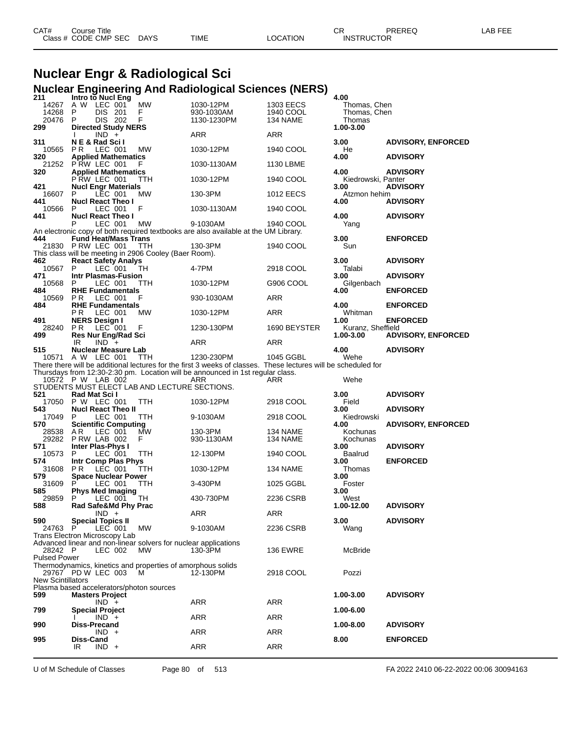| CAT# | Course Title              |             |          | חי<br>◡⊓          | PREREQ | LAB FEE |
|------|---------------------------|-------------|----------|-------------------|--------|---------|
|      | Class # CODE CMP SEC DAYS | <b>TIME</b> | LOCATION | <b>INSTRUCTOR</b> |        |         |

# **Nuclear Engr & Radiological Sci Nuclear Engineering And Radiological Sciences (NERS) 211 Intro to Nucl Eng 4.00**

| 211                           | <b>Intro to Nucl Eng</b>    |         |       |                                                                 |                                                                                                                |                 | 4.00               |                           |
|-------------------------------|-----------------------------|---------|-------|-----------------------------------------------------------------|----------------------------------------------------------------------------------------------------------------|-----------------|--------------------|---------------------------|
| 14267                         | A W                         | LEC 001 |       | <b>MW</b>                                                       | 1030-12PM                                                                                                      | 1303 EECS       | Thomas, Chen       |                           |
| 14268                         | P                           | DIS.    | - 201 | F                                                               | 930-1030AM                                                                                                     | 1940 COOL       | Thomas, Chen       |                           |
| 20476                         | P                           | DIS 202 |       | F                                                               | 1130-1230PM                                                                                                    | 134 NAME        | Thomas             |                           |
| 299                           | <b>Directed Study NERS</b>  |         |       |                                                                 |                                                                                                                |                 | 1.00-3.00          |                           |
|                               |                             | $IND +$ |       |                                                                 | ARR                                                                                                            | ARR             |                    |                           |
|                               |                             |         |       |                                                                 |                                                                                                                |                 |                    |                           |
| 311                           | N E & Rad Scil              |         |       |                                                                 |                                                                                                                |                 | 3.00               | <b>ADVISORY, ENFORCED</b> |
| 10565                         | P <sub>R</sub>              | LEC 001 |       | МW                                                              | 1030-12PM                                                                                                      | 1940 COOL       | He                 |                           |
| 320                           | <b>Applied Mathematics</b>  |         |       |                                                                 |                                                                                                                |                 | 4.00               | <b>ADVISORY</b>           |
| 21252                         | PRW LEC 001                 |         |       | F.                                                              | 1030-1130AM                                                                                                    | 1130 LBME       |                    |                           |
| 320                           | <b>Applied Mathematics</b>  |         |       |                                                                 |                                                                                                                |                 | 4.00               | <b>ADVISORY</b>           |
|                               | PRW LEC 001                 |         |       | TTH                                                             | 1030-12PM                                                                                                      | 1940 COOL       | Kiedrowski, Panter |                           |
|                               |                             |         |       |                                                                 |                                                                                                                |                 |                    |                           |
| 421                           | <b>Nucl Engr Materials</b>  |         |       |                                                                 |                                                                                                                |                 | 3.00               | <b>ADVISORY</b>           |
| 16607                         | P                           | LEC 001 |       | МW                                                              | 130-3PM                                                                                                        | 1012 EECS       | Atzmon hehim       |                           |
| 441                           | <b>Nucl React Theo I</b>    |         |       |                                                                 |                                                                                                                |                 | 4.00               | <b>ADVISORY</b>           |
| 10566                         | P                           | LEC 001 |       | F                                                               | 1030-1130AM                                                                                                    | 1940 COOL       |                    |                           |
| 441                           | <b>Nucl React Theo I</b>    |         |       |                                                                 |                                                                                                                |                 | 4.00               | <b>ADVISORY</b>           |
|                               | P                           | LEC 001 |       | МW                                                              | 9-1030AM                                                                                                       | 1940 COOL       | Yang               |                           |
|                               |                             |         |       |                                                                 | An electronic copy of both required textbooks are also available at the UM Library.                            |                 |                    |                           |
|                               |                             |         |       |                                                                 |                                                                                                                |                 |                    |                           |
| 444                           | <b>Fund Heat/Mass Trans</b> |         |       |                                                                 |                                                                                                                |                 | 3.00               | <b>ENFORCED</b>           |
| 21830                         | PRW LEC 001                 |         |       | TTH                                                             | 130-3PM                                                                                                        | 1940 COOL       | Sun                |                           |
|                               |                             |         |       | This class will be meeting in 2906 Cooley (Baer Room).          |                                                                                                                |                 |                    |                           |
| 462                           | <b>React Safety Analys</b>  |         |       |                                                                 |                                                                                                                |                 | 3.00               | <b>ADVISORY</b>           |
| 10567                         | P                           | LEC 001 |       | TН                                                              | 4-7PM                                                                                                          | 2918 COOL       | Talabi             |                           |
| 471                           | <b>Intr Plasmas-Fusion</b>  |         |       |                                                                 |                                                                                                                |                 | 3.00               | <b>ADVISORY</b>           |
| 10568                         | P                           | LEC 001 |       | TTH                                                             | 1030-12PM                                                                                                      | G906 COOL       |                    |                           |
|                               |                             |         |       |                                                                 |                                                                                                                |                 | Gilgenbach         |                           |
| 484                           | <b>RHE Fundamentals</b>     |         |       |                                                                 |                                                                                                                |                 | 4.00               | <b>ENFORCED</b>           |
| 10569                         | P R                         | LEC 001 |       | F                                                               | 930-1030AM                                                                                                     | ARR             |                    |                           |
| 484                           | <b>RHE Fundamentals</b>     |         |       |                                                                 |                                                                                                                |                 | 4.00               | <b>ENFORCED</b>           |
|                               | P R                         | LEC 001 |       | MW                                                              | 1030-12PM                                                                                                      | ARR             | Whitman            |                           |
| 491                           | <b>NERS Design I</b>        |         |       |                                                                 |                                                                                                                |                 | 1.00               | <b>ENFORCED</b>           |
| 28240                         | P R                         |         |       | F                                                               | 1230-130PM                                                                                                     |                 |                    |                           |
|                               |                             | LEC 001 |       |                                                                 |                                                                                                                | 1690 BEYSTER    | Kuranz, Sheffield  |                           |
| 499                           | Res Nur Eng/Rad Sci         |         |       |                                                                 |                                                                                                                |                 | 1.00-3.00          | <b>ADVISORY, ENFORCED</b> |
|                               | IR                          | $IND +$ |       |                                                                 | ARR                                                                                                            | ARR             |                    |                           |
| 515                           | <b>Nuclear Measure Lab</b>  |         |       |                                                                 |                                                                                                                |                 | 4.00               | <b>ADVISORY</b>           |
| 10571                         | A W LEC 001                 |         |       | TTH                                                             | 1230-230PM                                                                                                     | 1045 GGBL       | Wehe               |                           |
|                               |                             |         |       |                                                                 | There there will be additional lectures for the first 3 weeks of classes. These lectures will be scheduled for |                 |                    |                           |
|                               |                             |         |       |                                                                 |                                                                                                                |                 |                    |                           |
|                               |                             |         |       |                                                                 |                                                                                                                |                 |                    |                           |
|                               |                             |         |       |                                                                 | Thursdays from 12:30-2:30 pm. Location will be announced in 1st regular class.                                 |                 |                    |                           |
| 10572 P W LAB 002             |                             |         |       |                                                                 | ARR                                                                                                            | ARR             | Wehe               |                           |
|                               |                             |         |       | STUDENTS MUST ELECT LAB AND LECTURE SECTIONS.                   |                                                                                                                |                 |                    |                           |
| 521                           | Rad Mat Scil                |         |       |                                                                 |                                                                                                                |                 | 3.00               | <b>ADVISORY</b>           |
| 17050                         | P W LEC 001                 |         |       | ттн                                                             | 1030-12PM                                                                                                      | 2918 COOL       | Field              |                           |
| 543                           | <b>Nucl React Theo II</b>   |         |       |                                                                 |                                                                                                                |                 | 3.00               | <b>ADVISORY</b>           |
|                               | P                           |         |       |                                                                 |                                                                                                                |                 |                    |                           |
| 17049                         |                             | LEC 001 |       | ттн                                                             | 9-1030AM                                                                                                       | 2918 COOL       | Kiedrowski         |                           |
| 570                           | <b>Scientific Computing</b> |         |       |                                                                 |                                                                                                                |                 | 4.00               | <b>ADVISORY, ENFORCED</b> |
| 28538                         | A R                         | LEC 001 |       | MW                                                              | 130-3PM                                                                                                        | 134 NAME        | Kochunas           |                           |
| 29282                         | PRW LAB 002                 |         |       | F                                                               | 930-1130AM                                                                                                     | 134 NAME        | Kochunas           |                           |
| 571                           | <b>Inter Plas-Phys I</b>    |         |       |                                                                 |                                                                                                                |                 | 3.00               | <b>ADVISORY</b>           |
| 10573                         | P                           | LEC 001 |       | TTH                                                             | 12-130PM                                                                                                       | 1940 COOL       | Baalrud            |                           |
| 574                           | Intr Comp Plas Phys         |         |       |                                                                 |                                                                                                                |                 | 3.00               | <b>ENFORCED</b>           |
| 31608                         | P R                         | LEC 001 |       | ттн                                                             | 1030-12PM                                                                                                      | 134 NAME        | Thomas             |                           |
|                               |                             |         |       |                                                                 |                                                                                                                |                 |                    |                           |
| 579                           | <b>Space Nuclear Power</b>  |         |       |                                                                 |                                                                                                                |                 | 3.00               |                           |
| 31609                         | P                           | LEC 001 |       | ттн                                                             | 3-430PM                                                                                                        | 1025 GGBL       | Foster             |                           |
| 585                           | <b>Phys Med Imaging</b>     |         |       |                                                                 |                                                                                                                |                 | 3.00               |                           |
| 29859                         | P                           | LEC 001 |       | TH                                                              | 430-730PM                                                                                                      | 2236 CSRB       | West               |                           |
| 588                           | Rad Safe&Md Phy Prac        |         |       |                                                                 |                                                                                                                |                 | 1.00-12.00         | <b>ADVISORY</b>           |
|                               |                             | $IND +$ |       |                                                                 | ARR                                                                                                            | ARR             |                    |                           |
| 590                           | <b>Special Topics II</b>    |         |       |                                                                 |                                                                                                                |                 | 3.00               | <b>ADVISORY</b>           |
|                               |                             |         |       |                                                                 |                                                                                                                |                 |                    |                           |
| 24763 P                       |                             | LEC 001 |       | MW                                                              | 9-1030AM                                                                                                       | 2236 CSRB       | Wang               |                           |
| Trans Electron Microscopy Lab |                             |         |       |                                                                 |                                                                                                                |                 |                    |                           |
|                               |                             |         |       | Advanced linear and non-linear solvers for nuclear applications |                                                                                                                |                 |                    |                           |
| 28242 P                       |                             | LEC 002 |       | <b>MW</b>                                                       | 130-3PM                                                                                                        | <b>136 EWRE</b> | McBride            |                           |
| <b>Pulsed Power</b>           |                             |         |       |                                                                 |                                                                                                                |                 |                    |                           |
|                               |                             |         |       | Thermodynamics, kinetics and properties of amorphous solids     |                                                                                                                |                 |                    |                           |
| 29767 PD W LEC 003            |                             |         |       | M                                                               | 12-130PM                                                                                                       | 2918 COOL       | Pozzi              |                           |
| <b>New Scintillators</b>      |                             |         |       |                                                                 |                                                                                                                |                 |                    |                           |
|                               |                             |         |       |                                                                 |                                                                                                                |                 |                    |                           |
|                               |                             |         |       | Plasma based accelerators/photon sources                        |                                                                                                                |                 |                    |                           |
| 599                           | <b>Masters Project</b>      |         |       |                                                                 |                                                                                                                |                 | 1.00-3.00          | <b>ADVISORY</b>           |
|                               |                             | $IND +$ |       |                                                                 | ARR                                                                                                            | ARR             |                    |                           |
| 799                           | <b>Special Project</b>      |         |       |                                                                 |                                                                                                                |                 | 1.00-6.00          |                           |
|                               |                             | $IND +$ |       |                                                                 | ARR                                                                                                            | ARR             |                    |                           |
| 990                           | <b>Diss-Precand</b>         |         |       |                                                                 |                                                                                                                |                 | 1.00-8.00          | <b>ADVISORY</b>           |
|                               |                             | $IND +$ |       |                                                                 | ARR                                                                                                            | ARR             |                    |                           |
| 995                           | Diss-Cand                   |         |       |                                                                 |                                                                                                                |                 | 8.00               | <b>ENFORCED</b>           |
|                               | IR                          | $IND +$ |       |                                                                 | ARR                                                                                                            | ARR             |                    |                           |

U of M Schedule of Classes Page 80 of 513 FA 2022 2410 06-22-2022 00:06 30094163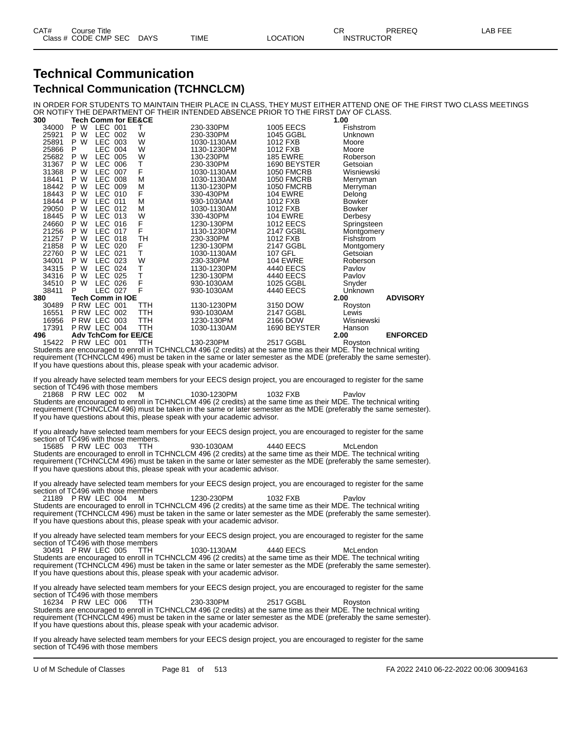#### **Technical Communication Technical Communication (TCHNCLCM)**

IN ORDER FOR STUDENTS TO MAINTAIN THEIR PLACE IN CLASS, THEY MUST EITHER ATTEND ONE OF THE FIRST TWO CLASS MEETINGS OR NOTIFY THE DEPARTMENT OF THEIR INTENDED ABSENCE PRIOR TO THE FIRST DAY OF CLASS.

| 300   | <b>Tech Comm for EE&amp;CE</b> |     |             |                   | 1.00          |                 |
|-------|--------------------------------|-----|-------------|-------------------|---------------|-----------------|
| 34000 | LEC 001<br>P W                 |     | 230-330PM   | 1005 EECS         | Fishstrom     |                 |
| 25921 | LEC 002<br>W<br>P              | W   | 230-330PM   | 1045 GGBL         | Unknown       |                 |
| 25891 | P<br>W<br>LEC 003              | W   | 1030-1130AM | 1012 FXB          | Moore         |                 |
| 25866 | P<br><b>LEC 004</b>            | W   | 1130-1230PM | 1012 FXB          | Moore         |                 |
| 25682 | P<br>W<br>LEC.<br>005          | W   | 130-230PM   | <b>185 EWRE</b>   | Roberson      |                 |
| 31367 | P<br>W<br>LEC 006              | Т   | 230-330PM   | 1690 BEYSTER      | Getsoian      |                 |
| 31368 | <b>LEC 007</b><br>W<br>P       | F   | 1030-1130AM | <b>1050 FMCRB</b> | Wisniewski    |                 |
| 18441 | W<br>LEC 008<br>P              | М   | 1030-1130AM | <b>1050 FMCRB</b> | Merryman      |                 |
| 18442 | W<br>P<br>LEC 009              | M   | 1130-1230PM | <b>1050 FMCRB</b> | Merryman      |                 |
| 18443 | P<br>W<br>LEC 010              | F   | 330-430PM   | 104 EWRE          | Delong        |                 |
| 18444 | W<br>LEC 011<br>P              | М   | 930-1030AM  | 1012 FXB          | <b>Bowker</b> |                 |
| 29050 | W<br>LEC 012<br>P              | М   | 1030-1130AM | 1012 FXB          | <b>Bowker</b> |                 |
| 18445 | P<br>W<br>LEC 013              | W   | 330-430PM   | <b>104 EWRE</b>   | Derbesy       |                 |
| 24660 | W<br>LEC 016<br>P.             | F   | 1230-130PM  | <b>1012 EECS</b>  | Springsteen   |                 |
| 21256 | W<br>LEC 017<br>P              | F   | 1130-1230PM | 2147 GGBL         | Montgomery    |                 |
| 21257 | P<br>W<br>LEC 018              | TH  | 230-330PM   | 1012 FXB          | Fishstrom     |                 |
| 21858 | W<br>LEC 020<br>P              | F   | 1230-130PM  | 2147 GGBL         | Montgomery    |                 |
| 22760 | W<br>LEC 021<br>P              | T   | 1030-1130AM | 107 GFL           | Getsoian      |                 |
| 34001 | LEC 023<br>W<br>P              | W   | 230-330PM   | <b>104 EWRE</b>   | Roberson      |                 |
| 34315 | LEC 024<br>P<br>W              | Т   | 1130-1230PM | 4440 EECS         | Pavlov        |                 |
| 34316 | W<br>LEC 025<br>P              | Т   | 1230-130PM  | 4440 EECS         | Pavlov        |                 |
| 34510 | W<br>LEC.<br>P<br>026          | F   | 930-1030AM  | 1025 GGBL         | Snyder        |                 |
| 38411 | LEC 027<br>P                   | F   | 930-1030AM  | 4440 EECS         | Unknown       |                 |
| 380   | Tech Comm in IOE               |     |             |                   | 2.00          | <b>ADVISORY</b> |
| 30489 | P RW LEC 001                   | TTH | 1130-1230PM | 3150 DOW          | Royston       |                 |
| 16551 | PRW LEC 002                    | TTH | 930-1030AM  | 2147 GGBL         | Lewis         |                 |
| 16956 | P RW LEC 003                   | TTH | 1230-130PM  | 2166 DOW          | Wisniewski    |                 |
| 17391 | P RW LEC 004                   | TTH | 1030-1130AM | 1690 BEYSTER      | Hanson        |                 |
| 496   | <b>Adv TchCom for EE/CE</b>    |     |             |                   | 2.00          | <b>ENFORCED</b> |
| 15422 | PRW LEC 001                    | TTH | 130-230PM   | 2517 GGBL         | Royston       |                 |

Students are encouraged to enroll in TCHNCLCM 496 (2 credits) at the same time as their MDE. The technical writing requirement (TCHNCLCM 496) must be taken in the same or later semester as the MDE (preferably the same semester). If you have questions about this, please speak with your academic advisor.

If you already have selected team members for your EECS design project, you are encouraged to register for the same section of TC496 with those members

21868 P RW LEC 002 M 1030-1230PM 1032 FXB Pavlov Students are encouraged to enroll in TCHNCLCM 496 (2 credits) at the same time as their MDE. The technical writing requirement (TCHNCLCM 496) must be taken in the same or later semester as the MDE (preferably the same semester). If you have questions about this, please speak with your academic advisor.

If you already have selected team members for your EECS design project, you are encouraged to register for the same section of TC496 with those members.

15685 P RW LEC 003 TTH 930-1030AM 4440 EECS McLendon Students are encouraged to enroll in TCHNCLCM 496 (2 credits) at the same time as their MDE. The technical writing requirement (TCHNCLCM 496) must be taken in the same or later semester as the MDE (preferably the same semester). If you have questions about this, please speak with your academic advisor.

If you already have selected team members for your EECS design project, you are encouraged to register for the same section of TC496 with those members 21189 P RW LEC 004 M 1230-230PM 1032 FXB Pavlov

Students are encouraged to enroll in TCHNCLCM 496 (2 credits) at the same time as their MDE. The technical writing requirement (TCHNCLCM 496) must be taken in the same or later semester as the MDE (preferably the same semester). If you have questions about this, please speak with your academic advisor.

If you already have selected team members for your EECS design project, you are encouraged to register for the same section of TC496 with those members

30491 P RW LEC 005 TTH 1030-1130AM 4440 EECS McLendon Students are encouraged to enroll in TCHNCLCM 496 (2 credits) at the same time as their MDE. The technical writing requirement (TCHNCLCM 496) must be taken in the same or later semester as the MDE (preferably the same semester). If you have questions about this, please speak with your academic advisor.

If you already have selected team members for your EECS design project, you are encouraged to register for the same section of TC496 with those members

16234 P RW LEC 006 TTH 230-330PM 2517 GGBL Royston Students are encouraged to enroll in TCHNCLCM 496 (2 credits) at the same time as their MDE. The technical writing requirement (TCHNCLCM 496) must be taken in the same or later semester as the MDE (preferably the same semester). If you have questions about this, please speak with your academic advisor.

If you already have selected team members for your EECS design project, you are encouraged to register for the same section of TC496 with those members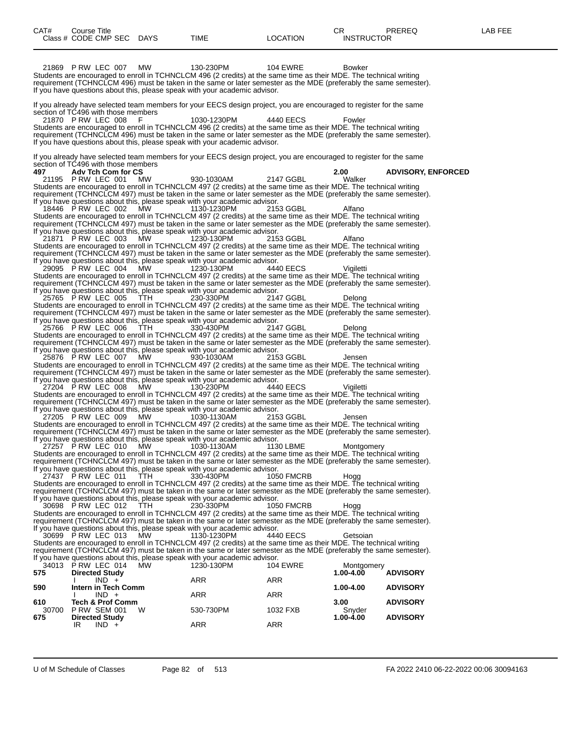| CAT#         | Course Title<br>Class # CODE CMP SEC DAYS                 |            | TIME                                                                                                                                                                                                                                    | <b>LOCATION</b>   | CR.<br><b>INSTRUCTOR</b> | PREREQ                    | LAB FEE |
|--------------|-----------------------------------------------------------|------------|-----------------------------------------------------------------------------------------------------------------------------------------------------------------------------------------------------------------------------------------|-------------------|--------------------------|---------------------------|---------|
|              |                                                           |            |                                                                                                                                                                                                                                         |                   |                          |                           |         |
|              | 21869 P RW LEC 007                                        | <b>MW</b>  | 130-230PM<br>Students are encouraged to enroll in TCHNCLCM 496 (2 credits) at the same time as their MDE. The technical writing                                                                                                         | <b>104 EWRE</b>   | Bowker                   |                           |         |
|              |                                                           |            | requirement (TCHNCLCM 496) must be taken in the same or later semester as the MDE (preferably the same semester).<br>If you have questions about this, please speak with your academic advisor.                                         |                   |                          |                           |         |
|              |                                                           |            | If you already have selected team members for your EECS design project, you are encouraged to register for the same                                                                                                                     |                   |                          |                           |         |
|              | section of TC496 with those members                       |            |                                                                                                                                                                                                                                         |                   |                          |                           |         |
|              | 21870 P RW LEC 008                                        |            | 1030-1230PM<br>Students are encouraged to enroll in TCHNCLCM 496 (2 credits) at the same time as their MDE. The technical writing                                                                                                       | 4440 EECS         | Fowler                   |                           |         |
|              |                                                           |            | requirement (TCHNCLCM 496) must be taken in the same or later semester as the MDE (preferably the same semester).<br>If you have questions about this, please speak with your academic advisor.                                         |                   |                          |                           |         |
|              |                                                           |            | If you already have selected team members for your EECS design project, you are encouraged to register for the same                                                                                                                     |                   |                          |                           |         |
| 497.         | section of TC496 with those members<br>Adv Tch Com for CS |            |                                                                                                                                                                                                                                         |                   | 2.00                     | <b>ADVISORY, ENFORCED</b> |         |
|              | 21195 P RW LEC 001                                        | MW         | 930-1030AM<br>Students are encouraged to enroll in TCHNCLCM 497 (2 credits) at the same time as their MDE. The technical writing                                                                                                        | 2147 GGBL         | Walker                   |                           |         |
|              |                                                           |            | requirement (TCHNCLCM 497) must be taken in the same or later semester as the MDE (preferably the same semester).<br>If you have questions about this, please speak with your academic advisor.                                         |                   |                          |                           |         |
|              | 18446 PRW LEC 002                                         | МW         | 1130-1230PM<br>Students are encouraged to enroll in TCHNCLCM 497 (2 credits) at the same time as their MDE. The technical writing                                                                                                       | 2153 GGBL         | Alfano                   |                           |         |
|              |                                                           |            | requirement (TCHNCLCM 497) must be taken in the same or later semester as the MDE (preferably the same semester).                                                                                                                       |                   |                          |                           |         |
|              | 21871 PRW LEC 003                                         | MW         | If you have questions about this, please speak with your academic advisor.<br>1230-130PM                                                                                                                                                | 2153 GGBL         | Alfano                   |                           |         |
|              |                                                           |            | Students are encouraged to enroll in TCHNCLCM 497 (2 credits) at the same time as their MDE. The technical writing<br>requirement (TCHNCLCM 497) must be taken in the same or later semester as the MDE (preferably the same semester). |                   |                          |                           |         |
|              |                                                           |            | If you have questions about this, please speak with your academic advisor.                                                                                                                                                              |                   |                          |                           |         |
|              | 29095 PRW LEC 004                                         | MW         | 1230-130PM<br>Students are encouraged to enroll in TCHNCLCM 497 (2 credits) at the same time as their MDE. The technical writing                                                                                                        | 4440 EECS         | Vigiletti                |                           |         |
|              |                                                           |            | requirement (TCHNCLCM 497) must be taken in the same or later semester as the MDE (preferably the same semester).<br>If you have questions about this, please speak with your academic advisor.                                         |                   |                          |                           |         |
|              | 25765 PRW LEC 005                                         | TTH.       | 230-330PM<br>Students are encouraged to enroll in TCHNCLCM 497 (2 credits) at the same time as their MDE. The technical writing                                                                                                         | 2147 GGBL         | Delong                   |                           |         |
|              |                                                           |            | requirement (TCHNCLCM 497) must be taken in the same or later semester as the MDE (preferably the same semester).                                                                                                                       |                   |                          |                           |         |
|              | 25766 P RW LEC 006                                        | <b>TTH</b> | If you have questions about this, please speak with your academic advisor.<br>330-430PM                                                                                                                                                 | 2147 GGBL         | Delong                   |                           |         |
|              |                                                           |            | Students are encouraged to enroll in TCHNCLCM 497 (2 credits) at the same time as their MDE. The technical writing<br>requirement (TCHNCLCM 497) must be taken in the same or later semester as the MDE (preferably the same semester). |                   |                          |                           |         |
|              | 25876 PRW LEC 007                                         | MW         | If you have questions about this, please speak with your academic advisor.<br>930-1030AM                                                                                                                                                | 2153 GGBL         | Jensen                   |                           |         |
|              |                                                           |            | Students are encouraged to enroll in TCHNCLCM 497 (2 credits) at the same time as their MDE. The technical writing                                                                                                                      |                   |                          |                           |         |
|              |                                                           |            | requirement (TCHNCLCM 497) must be taken in the same or later semester as the MDE (preferably the same semester).<br>If you have questions about this, please speak with your academic advisor.                                         |                   |                          |                           |         |
|              | 27204 PRW LEC 008                                         | MW.        | 130-230PM<br>Students are encouraged to enroll in TCHNCLCM 497 (2 credits) at the same time as their MDE. The technical writing                                                                                                         | 4440 EECS         | Vigiletti                |                           |         |
|              |                                                           |            | requirement (TCHNCLCM 497) must be taken in the same or later semester as the MDE (preferably the same semester).<br>If you have questions about this, please speak with your academic advisor.                                         |                   |                          |                           |         |
|              | 27205 P RW LEC 009                                        | MW         | 1030-1130AM                                                                                                                                                                                                                             | 2153 GGBL         | Jensen                   |                           |         |
|              |                                                           |            | Students are encouraged to enroll in TCHNCLCM 497 (2 credits) at the same time as their MDE. The technical writing<br>requirement (TCHNCLCM 497) must be taken in the same or later semester as the MDE (preferably the same semester). |                   |                          |                           |         |
|              | 27257 PRW LEC 010 MW                                      |            | If you have questions about this, please speak with your academic advisor.<br>1030-1130AM                                                                                                                                               | 1130 LBME         | Montgomery               |                           |         |
|              |                                                           |            | Students are encouraged to enroll in TCHNCLCM 497 (2 credits) at the same time as their MDE. The technical writing<br>requirement (TCHNCLCM 497) must be taken in the same or later semester as the MDE (preferably the same semester). |                   |                          |                           |         |
|              | 27437 PRW LEC 011                                         | TTH        | If you have questions about this, please speak with your academic advisor.<br>330-430PM                                                                                                                                                 | <b>1050 FMCRB</b> | Hogg                     |                           |         |
|              |                                                           |            | Students are encouraged to enroll in TCHNCLCM 497 (2 credits) at the same time as their MDE. The technical writing                                                                                                                      |                   |                          |                           |         |
|              |                                                           |            | requirement (TCHNCLCM 497) must be taken in the same or later semester as the MDE (preferably the same semester).<br>If you have questions about this, please speak with your academic advisor.                                         |                   |                          |                           |         |
|              | 30698 P RW LEC 012                                        | TTH        | 230-330PM<br>Students are encouraged to enroll in TCHNCLCM 497 (2 credits) at the same time as their MDE. The technical writing                                                                                                         | <b>1050 FMCRB</b> | Hogg                     |                           |         |
|              |                                                           |            | requirement (TCHNCLCM 497) must be taken in the same or later semester as the MDE (preferably the same semester).<br>If you have questions about this, please speak with your academic advisor.                                         |                   |                          |                           |         |
|              | 30699 P RW LEC 013                                        | MW.        | 1130-1230PM                                                                                                                                                                                                                             | 4440 EECS         | Getsoian                 |                           |         |
|              |                                                           |            | Students are encouraged to enroll in TCHNCLCM 497 (2 credits) at the same time as their MDE. The technical writing<br>requirement (TCHNCLCM 497) must be taken in the same or later semester as the MDE (preferably the same semester). |                   |                          |                           |         |
|              | 34013 PRW LEC 014                                         | MW.        | If you have questions about this, please speak with your academic advisor.<br>1230-130PM                                                                                                                                                | <b>104 EWRE</b>   | Montgomery               |                           |         |
| 575          | <b>Directed Study</b><br>$IND +$                          |            | ARR                                                                                                                                                                                                                                     | ARR               | 1.00-4.00                | <b>ADVISORY</b>           |         |
| 590          | Intern in Tech Comm                                       |            |                                                                                                                                                                                                                                         |                   | 1.00-4.00                | <b>ADVISORY</b>           |         |
| 610          | $IND +$<br><b>Tech &amp; Prof Comm</b>                    |            | ARR                                                                                                                                                                                                                                     | ARR               | 3.00                     | <b>ADVISORY</b>           |         |
| 30700<br>675 | <b>P RW SEM 001</b><br><b>Directed Study</b>              | w          | 530-730PM                                                                                                                                                                                                                               | 1032 FXB          | Snyder<br>1.00-4.00      | <b>ADVISORY</b>           |         |
|              | $IND +$<br>IR                                             |            | ARR                                                                                                                                                                                                                                     | ARR               |                          |                           |         |
|              |                                                           |            |                                                                                                                                                                                                                                         |                   |                          |                           |         |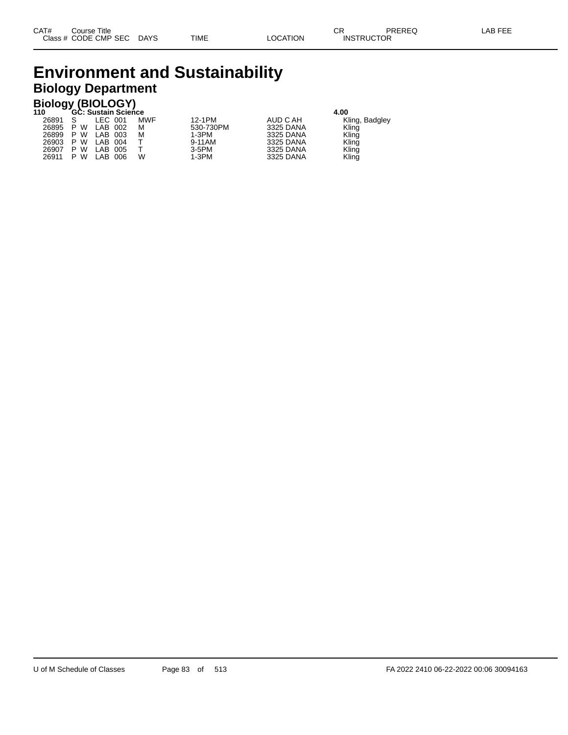### **Environment and Sustainability Biology Department**

| <b>Biology (BIOLOGY)</b>           |     |         |     |           |           |                |  |  |  |  |  |
|------------------------------------|-----|---------|-----|-----------|-----------|----------------|--|--|--|--|--|
| 110<br>GC: Sustain Science<br>4.00 |     |         |     |           |           |                |  |  |  |  |  |
| 26891 S                            |     | LEC 001 | MWF | 12-1PM    | AUD C AH  | Kling, Badgley |  |  |  |  |  |
| 26895                              | P W | LAB 002 | М   | 530-730PM | 3325 DANA | Kling          |  |  |  |  |  |
| 26899                              | P W | LAB 003 | м   | $1-3PM$   | 3325 DANA | Kling          |  |  |  |  |  |
| 26903                              | P W | LAB 004 |     | 9-11AM    | 3325 DANA | Kling          |  |  |  |  |  |
| 26907                              | P W | LAB 005 |     | $3-5$ PM  | 3325 DANA | Kling          |  |  |  |  |  |
| 26911                              | P W | LAB 006 | w   | $1-3PM$   | 3325 DANA | Kling          |  |  |  |  |  |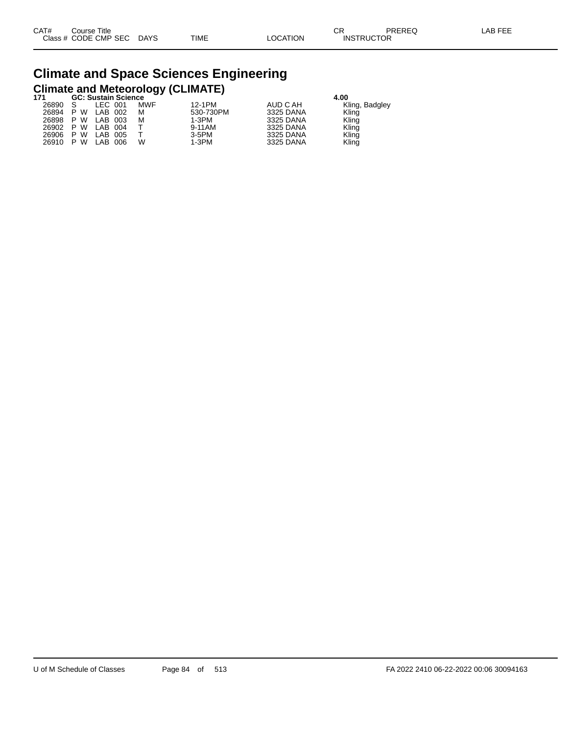# **Climate and Space Sciences Engineering Climate and Meteorology (CLIMATE) 171 GC: Sustain Science 4.00**

|     |             |            |                      | -         |                |  |
|-----|-------------|------------|----------------------|-----------|----------------|--|
|     | LEC 001     | <b>MWF</b> | 12-1PM               | AUD C AH  | Kling, Badgley |  |
| P W | LAB 002     | М          | 530-730PM            | 3325 DANA | Kling          |  |
| P W | LAB 003     | М          | 1-3PM                | 3325 DANA | Kling          |  |
| P W | LAB 004     |            | 9-11AM               | 3325 DANA | Kling          |  |
| P W | LAB<br>005  |            | $3-5$ PM             | 3325 DANA | Kling          |  |
| P W | LAB.<br>006 | W          | $1-3PM$              | 3325 DANA | Kling          |  |
|     |             |            | oo. oustani ocicrice |           |                |  |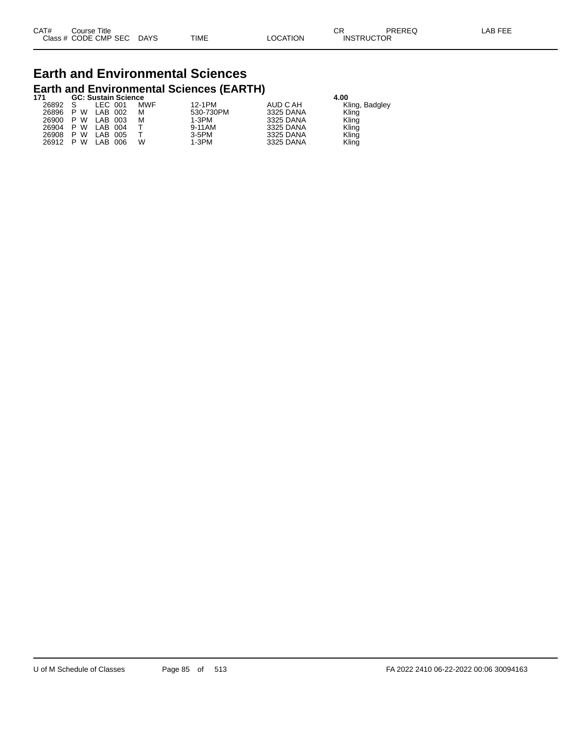## **Earth and Environmental Sciences Earth and Environmental Sciences (EARTH) 171 GC: Sustain Science 4.00**

| m     |              | GC: Sustain Science |            |           | 4.UU      |                |  |  |
|-------|--------------|---------------------|------------|-----------|-----------|----------------|--|--|
| 26892 | <sub>S</sub> | LEC 001             | <b>MWF</b> | 12-1PM    | AUD C AH  | Kling, Badgley |  |  |
| 26896 | P W          | LAB 002             | м          | 530-730PM | 3325 DANA | Kling          |  |  |
| 26900 | P W          | LAB 003             | м          | 1-3PM     | 3325 DANA | Kling          |  |  |
| 26904 | P W          | LAB 004             |            | 9-11AM    | 3325 DANA | Kling          |  |  |
| 26908 | P W          | LAB 005             |            | 3-5PM     | 3325 DANA | Kling          |  |  |
| 26912 | P W          | LAB 006             | w          | 1-3PM     | 3325 DANA | Kling          |  |  |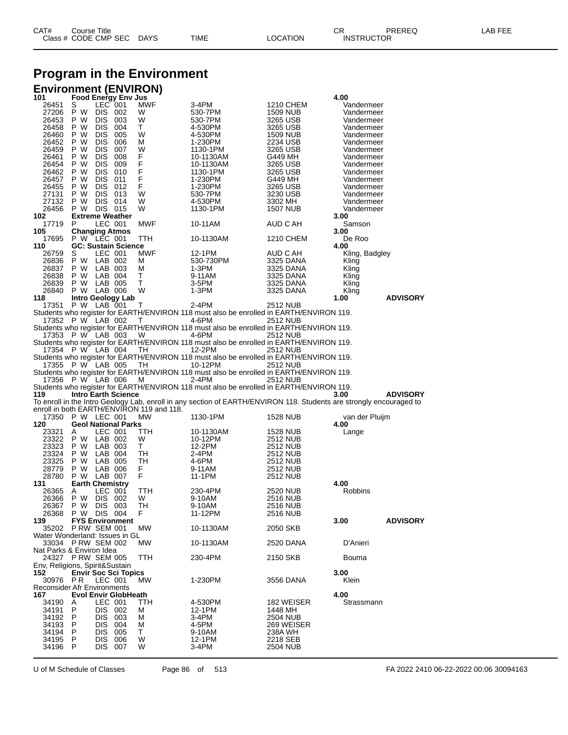## **Program in the Environment**

#### **Environment (ENVIRON)**

| 101                                   |                                      |                    | <b>Food Energy Env Jus</b>  |                                           |                                                                                                                     |                      | 4.00                     |                 |
|---------------------------------------|--------------------------------------|--------------------|-----------------------------|-------------------------------------------|---------------------------------------------------------------------------------------------------------------------|----------------------|--------------------------|-----------------|
| 26451                                 | S                                    | LEC 001            |                             | MWF                                       | 3-4PM                                                                                                               | 1210 CHEM            | Vandermeer               |                 |
| 27206                                 | P W<br>P W                           | <b>DIS 002</b>     |                             | W<br>W                                    | 530-7PM                                                                                                             | 1509 NUB             | Vandermeer               |                 |
| 26453<br>26458                        | P W                                  | DIS 003<br>DIS 004 |                             | т                                         | 530-7PM<br>4-530PM                                                                                                  | 3265 USB<br>3265 USB | Vandermeer<br>Vandermeer |                 |
| 26460                                 | P W                                  | DIS 005            |                             | W                                         | 4-530PM                                                                                                             | 1509 NUB             | Vandermeer               |                 |
| 26452                                 | P W                                  | DIS 006            |                             | м                                         | 1-230PM                                                                                                             | 2234 USB             | Vandermeer               |                 |
| 26459                                 | P W                                  | DIS 007            |                             | W                                         | 1130-1PM                                                                                                            | 3265 USB             | Vandermeer               |                 |
| 26461                                 | P W                                  | DIS 008            |                             | F                                         | 10-1130AM                                                                                                           | G449 MH              | Vandermeer               |                 |
| 26454                                 | P W                                  | DIS 009            |                             | F                                         | 10-1130AM                                                                                                           | 3265 USB             | Vandermeer               |                 |
| 26462                                 | P W                                  | DIS 010            |                             | F                                         | 1130-1PM                                                                                                            | 3265 USB             | Vandermeer               |                 |
| 26457                                 | P W                                  | DIS 011            |                             | F                                         | 1-230PM                                                                                                             | G449 MH              | Vandermeer               |                 |
| 26455                                 | P W                                  | DIS 012            |                             | F                                         | 1-230PM                                                                                                             | 3265 USB             | Vandermeer               |                 |
| 27131                                 | P W                                  | DIS 013            |                             | W                                         | 530-7PM                                                                                                             | 3230 USB             | Vandermeer               |                 |
| 27132                                 | P W                                  | DIS 014            |                             | W                                         | 4-530PM                                                                                                             | 3302 MH              | Vandermeer               |                 |
| 26456                                 | P W                                  | <b>DIS 015</b>     |                             | W                                         | 1130-1PM                                                                                                            | <b>1507 NUB</b>      | Vandermeer               |                 |
| 102                                   |                                      |                    | <b>Extreme Weather</b>      |                                           |                                                                                                                     |                      | 3.00                     |                 |
| 17719                                 | P                                    | LEC 001            |                             | MWF                                       | 10-11AM                                                                                                             | AUD C AH             | Samson<br>3.00           |                 |
| 105<br>17695                          | <b>Changing Atmos</b><br>P W LEC 001 |                    |                             | TTH                                       | 10-1130AM                                                                                                           | 1210 CHEM            | De Roo                   |                 |
| 110                                   |                                      |                    | <b>GC: Sustain Science</b>  |                                           |                                                                                                                     |                      | 4.00                     |                 |
| 26759                                 | S                                    | LEC 001            |                             | MWF                                       | 12-1PM                                                                                                              | AUD C AH             | Kling, Badgley           |                 |
| 26836                                 | P W                                  | LAB 002            |                             | м                                         | 530-730PM                                                                                                           | 3325 DANA            | Kling                    |                 |
| 26837                                 | P W LAB 003                          |                    |                             | М                                         | 1-3PM                                                                                                               | 3325 DANA            | Kling                    |                 |
| 26838                                 | P W LAB 004                          |                    |                             | т                                         | 9-11AM                                                                                                              | 3325 DANA            | Kling                    |                 |
| 26839                                 | P W LAB 005                          |                    |                             | т                                         | 3-5PM                                                                                                               | 3325 DANA            | Kling                    |                 |
| 26840                                 | P W LAB 006                          |                    |                             | W                                         | 1-3PM                                                                                                               | 3325 DANA            | Kling                    |                 |
| 118                                   |                                      |                    | Intro Geology Lab           |                                           |                                                                                                                     |                      | 1.00                     | <b>ADVISORY</b> |
| 17351                                 | P W LAB 001                          |                    |                             | Т                                         | 2-4PM                                                                                                               | 2512 NUB             |                          |                 |
|                                       |                                      |                    |                             |                                           | Students who register for EARTH/ENVIRON 118 must also be enrolled in EARTH/ENVIRON 119.                             |                      |                          |                 |
| 17352 P W LAB 002                     |                                      |                    |                             | Т                                         | 4-6PM                                                                                                               | 2512 NUB             |                          |                 |
|                                       |                                      |                    |                             |                                           | Students who register for EARTH/ENVIRON 118 must also be enrolled in EARTH/ENVIRON 119.                             |                      |                          |                 |
| 17353 P W LAB 003                     |                                      |                    |                             | W                                         | 4-6PM                                                                                                               | 2512 NUB             |                          |                 |
|                                       |                                      |                    |                             |                                           | Students who register for EARTH/ENVIRON 118 must also be enrolled in EARTH/ENVIRON 119.                             |                      |                          |                 |
| 17354 P W LAB 004                     |                                      |                    |                             | TH                                        | 12-2PM                                                                                                              | 2512 NUB             |                          |                 |
|                                       |                                      |                    |                             |                                           | Students who register for EARTH/ENVIRON 118 must also be enrolled in EARTH/ENVIRON 119.                             |                      |                          |                 |
| 17355 P W LAB 005                     |                                      |                    |                             | TH                                        | 10-12PM<br>Students who register for EARTH/ENVIRON 118 must also be enrolled in EARTH/ENVIRON 119.                  | 2512 NUB             |                          |                 |
|                                       |                                      |                    |                             |                                           |                                                                                                                     |                      |                          |                 |
|                                       |                                      |                    |                             |                                           |                                                                                                                     |                      |                          |                 |
| 17356 P W LAB 006                     |                                      |                    |                             | м                                         | 2-4PM                                                                                                               | 2512 NUB             |                          |                 |
|                                       |                                      |                    |                             |                                           | Students who register for EARTH/ENVIRON 118 must also be enrolled in EARTH/ENVIRON 119.                             |                      |                          |                 |
| 119                                   |                                      |                    | <b>Intro Earth Science</b>  |                                           |                                                                                                                     |                      | 3.00                     | <b>ADVISORY</b> |
|                                       |                                      |                    |                             |                                           | To enroll in the Intro Geology Lab, enroll in any section of EARTH/ENVIRON 118. Students are strongly encouraged to |                      |                          |                 |
|                                       |                                      |                    |                             | enroll in both EARTH/ENVIRON 119 and 118. |                                                                                                                     |                      |                          |                 |
| 17350 P W LEC 001                     |                                      |                    |                             | MW                                        | 1130-1PM                                                                                                            | <b>1528 NUB</b>      | van der Pluijm<br>4.00   |                 |
| 120<br>23321                          | A                                    | LEC 001            | <b>Geol National Parks</b>  | ттн                                       | 10-1130AM                                                                                                           | 1528 NUB             |                          |                 |
| 23322                                 | P W LAB 002                          |                    |                             | W                                         | 10-12PM                                                                                                             | 2512 NUB             | Lange                    |                 |
| 23323                                 | P W LAB 003                          |                    |                             | T.                                        | 12-2PM                                                                                                              | 2512 NUB             |                          |                 |
| 23324                                 | P W                                  | LAB 004            |                             | TН                                        | 2-4PM                                                                                                               | 2512 NUB             |                          |                 |
| 23325                                 | P W                                  | LAB 005            |                             | TH                                        | 4-6PM                                                                                                               | 2512 NUB             |                          |                 |
| 28779                                 | P W                                  | LAB 006            |                             | F                                         | 9-11AM                                                                                                              | 2512 NUB             |                          |                 |
| 28780                                 | P W LAB 007                          |                    |                             | F                                         | 11-1PM                                                                                                              | 2512 NUB             |                          |                 |
| 131                                   | <b>Earth Chemistry</b>               |                    |                             |                                           |                                                                                                                     |                      | 4.00                     |                 |
| 26365                                 | A                                    | LEC 001            |                             | TTH                                       | 230-4PM                                                                                                             | 2520 NUB             | Robbins                  |                 |
| 26366                                 | P W                                  | DIS 002            |                             | W                                         | 9-10AM                                                                                                              | 2516 NUB             |                          |                 |
| 26367                                 | P W                                  | DIS                | 003                         | TН                                        | 9-10AM                                                                                                              | 2516 NUB             |                          |                 |
| 26368                                 | P W DIS 004                          |                    |                             | F                                         | 11-12PM                                                                                                             | 2516 NUB             |                          |                 |
| 139                                   |                                      |                    | <b>FYS Environment</b>      |                                           |                                                                                                                     |                      | 3.00                     | <b>ADVISORY</b> |
| 35202                                 | <b>P RW SEM 001</b>                  |                    |                             | <b>MW</b>                                 | 10-1130AM                                                                                                           | 2050 SKB             |                          |                 |
| Water Wonderland: Issues in GL        |                                      |                    |                             |                                           |                                                                                                                     |                      |                          |                 |
| 33034 P RW SEM 002                    |                                      |                    |                             | МW                                        | 10-1130AM                                                                                                           | 2520 DANA            | D'Anieri                 |                 |
| Nat Parks & Environ Idea              |                                      |                    |                             |                                           |                                                                                                                     |                      |                          |                 |
| 24327 P RW SEM 005                    |                                      |                    |                             | TTH                                       | 230-4PM                                                                                                             | 2150 SKB             | Bouma                    |                 |
| Env, Religions, Spirit&Sustain<br>152 |                                      |                    | <b>Envir Soc Sci Topics</b> |                                           |                                                                                                                     |                      | 3.00                     |                 |
| 30976 PR                              |                                      | LEC 001            |                             | MW                                        | 1-230PM                                                                                                             | 3556 DANA            | Klein                    |                 |
| <b>Reconsider Afr Environments</b>    |                                      |                    |                             |                                           |                                                                                                                     |                      |                          |                 |
| 167                                   |                                      |                    | <b>Evol Envir GlobHeath</b> |                                           |                                                                                                                     |                      | 4.00                     |                 |
| 34190                                 | A                                    | LEC 001            |                             | ттн                                       | 4-530PM                                                                                                             | 182 WEISER           | Strassmann               |                 |
| 34191                                 | P                                    | DIS 002            |                             | м                                         | 12-1PM                                                                                                              | 1448 MH              |                          |                 |
| 34192                                 | P                                    | <b>DIS</b>         | 003                         | м                                         | 3-4PM                                                                                                               | 2504 NUB             |                          |                 |
| 34193                                 | P                                    | DIS.               | 004                         | М                                         | 4-5PM                                                                                                               | 269 WEISER           |                          |                 |
| 34194                                 | P                                    | DIS                | 005                         | т                                         | 9-10AM                                                                                                              | 238A WH              |                          |                 |
| 34195<br>34196                        | P<br>Ρ                               | <b>DIS</b><br>DIS. | 006<br>007                  | W<br>W                                    | 12-1PM<br>3-4PM                                                                                                     | 2218 SEB<br>2504 NUB |                          |                 |

U of M Schedule of Classes Page 86 of 513 FA 2022 2410 06-22-2022 00:06 30094163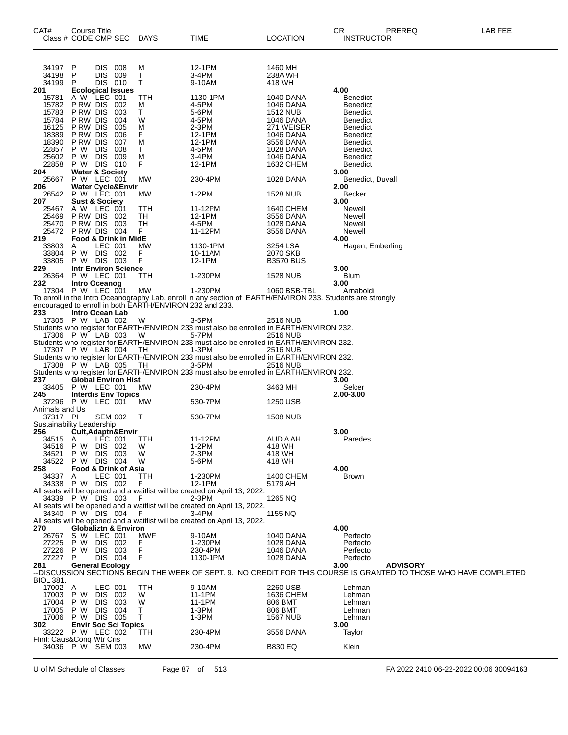| CAT#                             | Course Title         | Class # CODE CMP SEC                        | DAYS      | TIME                                                                                                                  | <b>LOCATION</b>         | PREREQ<br>CR<br><b>INSTRUCTOR</b>                                                                                 | LAB FEE |
|----------------------------------|----------------------|---------------------------------------------|-----------|-----------------------------------------------------------------------------------------------------------------------|-------------------------|-------------------------------------------------------------------------------------------------------------------|---------|
| 34197 P<br>34198                 | P                    | DIS.<br>008<br><b>DIS</b><br>009            | M<br>т    | 12-1PM<br>3-4PM                                                                                                       | 1460 MH<br>238A WH      |                                                                                                                   |         |
| 34199                            | P                    | DIS 010                                     | т         | 9-10AM                                                                                                                | 418 WH                  |                                                                                                                   |         |
| 201                              |                      | <b>Ecological Issues</b>                    |           |                                                                                                                       |                         | 4.00                                                                                                              |         |
| 15781<br>15782                   | P RW DIS             | A W LEC 001<br>002                          | TTH<br>м  | 1130-1PM<br>4-5PM                                                                                                     | 1040 DANA<br>1046 DANA  | <b>Benedict</b><br><b>Benedict</b>                                                                                |         |
| 15783                            | P RW DIS             | 003                                         | т         | 5-6PM                                                                                                                 | 1512 NUB                | <b>Benedict</b>                                                                                                   |         |
| 15784                            | P RW DIS             | 004                                         | W         | 4-5PM                                                                                                                 | 1046 DANA               | Benedict                                                                                                          |         |
| 16125<br>18389                   | P RW DIS<br>P RW DIS | 005<br>006                                  | М<br>F    | 2-3PM<br>12-1PM                                                                                                       | 271 WEISER<br>1046 DANA | Benedict<br>Benedict                                                                                              |         |
| 18390                            | P RW DIS             | 007                                         | М         | 12-1PM                                                                                                                | 3556 DANA               | Benedict                                                                                                          |         |
| 22857                            | P W                  | <b>DIS</b><br>008                           | т<br>M    | 4-5PM<br>$3-4PM$                                                                                                      | 1028 DANA               | Benedict                                                                                                          |         |
| 25602<br>22858                   | P W                  | DIS.<br>009<br>P W DIS 010                  | F         | 12-1PM                                                                                                                | 1046 DANA<br>1632 CHEM  | <b>Benedict</b><br>Benedict                                                                                       |         |
| 204                              |                      | <b>Water &amp; Society</b>                  |           |                                                                                                                       |                         | 3.00                                                                                                              |         |
| 25667<br>206                     |                      | P W LEC 001<br><b>Water Cycle&amp;Envir</b> | MW        | 230-4PM                                                                                                               | 1028 DANA               | Benedict, Duvall<br>2.00                                                                                          |         |
| 26542                            |                      | P W LEC 001                                 | МW        | 1-2PM                                                                                                                 | 1528 NUB                | Becker                                                                                                            |         |
| 207                              |                      | <b>Sust &amp; Society</b>                   |           |                                                                                                                       |                         | 3.00                                                                                                              |         |
| 25467<br>25469                   |                      | A W LEC 001<br>PRW DIS 002                  | TTH<br>TH | 11-12PM<br>12-1PM                                                                                                     | 1640 CHEM<br>3556 DANA  | Newell<br>Newell                                                                                                  |         |
| 25470                            | P RW DIS             | 003                                         | TН        | 4-5PM                                                                                                                 | 1028 DANA               | Newell                                                                                                            |         |
| 25472                            |                      | PRW DIS 004                                 | F         | 11-12PM                                                                                                               | 3556 DANA               | Newell                                                                                                            |         |
| 219<br>33803                     | A                    | <b>Food &amp; Drink in MidE</b><br>LEC 001  | MW        | 1130-1PM                                                                                                              | 3254 LSA                | 4.00<br>Hagen, Emberling                                                                                          |         |
| 33804                            | P W                  | DIS 002                                     | F         | 10-11AM                                                                                                               | 2070 SKB                |                                                                                                                   |         |
| 33805<br>229                     |                      | P W DIS 003<br><b>Intr Environ Science</b>  | F         | 12-1PM                                                                                                                | <b>B3570 BUS</b>        | 3.00                                                                                                              |         |
| 26364                            |                      | P W LEC 001                                 | TTH       | 1-230PM                                                                                                               | 1528 NUB                | Blum                                                                                                              |         |
| 232                              |                      | Intro Oceanog                               |           |                                                                                                                       |                         | 3.00                                                                                                              |         |
|                                  |                      | 17304 P W LEC 001                           | МW        | 1-230PM<br>To enroll in the Intro Oceanography Lab, enroll in any section of EARTH/ENVIRON 233. Students are strongly | 1060 BSB-TBL            | Arnaboldi                                                                                                         |         |
|                                  |                      |                                             |           | encouraged to enroll in both EARTH/ENVIRON 232 and 233.                                                               |                         |                                                                                                                   |         |
| 233                              |                      | Intro Ocean Lab                             |           |                                                                                                                       |                         | 1.00                                                                                                              |         |
|                                  |                      | 17305 P W LAB 002                           | W         | 3-5PM<br>Students who register for EARTH/ENVIRON 233 must also be enrolled in EARTH/ENVIRON 232.                      | 2516 NUB                |                                                                                                                   |         |
|                                  |                      | 17306 P W LAB 003                           | W         | 5-7PM                                                                                                                 | 2516 NUB                |                                                                                                                   |         |
|                                  |                      | 17307 P W LAB 004                           | TH        | Students who register for EARTH/ENVIRON 233 must also be enrolled in EARTH/ENVIRON 232.<br>1-3PM                      | <b>2516 NUB</b>         |                                                                                                                   |         |
|                                  |                      |                                             |           | Students who register for EARTH/ENVIRON 233 must also be enrolled in EARTH/ENVIRON 232.                               |                         |                                                                                                                   |         |
|                                  |                      | 17308 P W LAB 005                           | TH        | 3-5PM                                                                                                                 | <b>2516 NUB</b>         |                                                                                                                   |         |
| 237                              |                      | <b>Global Environ Hist</b>                  |           | Students who register for EARTH/ENVIRON 233 must also be enrolled in EARTH/ENVIRON 232.                               |                         | 3.00                                                                                                              |         |
| 33405                            |                      | P W LEC 001                                 | МW        | 230-4PM                                                                                                               | 3463 MH                 | Selcer                                                                                                            |         |
| 245                              |                      | <b>Interdis Env Topics</b>                  |           |                                                                                                                       |                         | 2.00-3.00                                                                                                         |         |
| Animals and Us                   |                      | 37296 P W LEC 001                           | МW        | 530-7PM                                                                                                               | 1250 USB                |                                                                                                                   |         |
| 37317 PI                         |                      | <b>SEM 002</b>                              | Т         | 530-7PM                                                                                                               | 1508 NUB                |                                                                                                                   |         |
| Sustainability Leadership<br>256 |                      | Cult, Adaptn&Envir                          |           |                                                                                                                       |                         | 3.00                                                                                                              |         |
| 34515 A                          |                      | LEC 001                                     | TTH       | 11-12PM                                                                                                               | AUD A AH                | Paredes                                                                                                           |         |
| 34516                            | P<br>w               | DIS 002                                     | w         | 1-2PM                                                                                                                 | 418 WH                  |                                                                                                                   |         |
| 34521<br>34522                   | P W<br>P W           | DIS<br>- 003<br>DIS 004                     | W<br>W    | 2-3PM<br>5-6PM                                                                                                        | 418 WH<br>418 WH        |                                                                                                                   |         |
| 258                              |                      | Food & Drink of Asia                        |           |                                                                                                                       |                         | 4.00                                                                                                              |         |
| 34337                            | A                    | LEC 001<br>34338 P W DIS 002                | TTH<br>F  | 1-230PM<br>12-1PM                                                                                                     | 1400 CHEM<br>5179 AH    | <b>Brown</b>                                                                                                      |         |
|                                  |                      |                                             |           | All seats will be opened and a waitlist will be created on April 13, 2022.                                            |                         |                                                                                                                   |         |
|                                  |                      | 34339 P W DIS 003                           | F         | 2-3PM                                                                                                                 | 1265 NQ                 |                                                                                                                   |         |
|                                  |                      | 34340 P W DIS 004                           | F         | All seats will be opened and a waitlist will be created on April 13, 2022.<br>3-4PM                                   | 1155 NQ                 |                                                                                                                   |         |
|                                  |                      |                                             |           | All seats will be opened and a waitlist will be created on April 13, 2022.                                            |                         |                                                                                                                   |         |
| 270                              |                      | <b>Globaliztn &amp; Environ</b>             |           |                                                                                                                       |                         | 4.00                                                                                                              |         |
| 26767<br>27225                   | P W                  | S W LEC 001<br>DIS 002                      | MWF<br>F  | 9-10AM<br>1-230PM                                                                                                     | 1040 DANA<br>1028 DANA  | Perfecto<br>Perfecto                                                                                              |         |
| 27226                            | P W                  | <b>DIS</b><br>003                           | F         | 230-4PM                                                                                                               | 1046 DANA               | Perfecto                                                                                                          |         |
| 27227 P<br>281                   |                      | DIS 004<br><b>General Ecology</b>           | F         | 1130-1PM                                                                                                              | 1028 DANA               | Perfecto<br>3.00<br><b>ADVISORY</b>                                                                               |         |
|                                  |                      |                                             |           |                                                                                                                       |                         | --DISCUSSION SECTIONS BEGIN THE WEEK OF SEPT. 9. NO CREDIT FOR THIS COURSE IS GRANTED TO THOSE WHO HAVE COMPLETED |         |
| <b>BIOL 381.</b>                 |                      |                                             |           |                                                                                                                       |                         |                                                                                                                   |         |
| 17002 A<br>17003                 | P W                  | LEC 001<br>DIS 002                          | TTH<br>W  | 9-10AM<br>11-1PM                                                                                                      | 2260 USB<br>1636 CHEM   | Lehman<br>Lehman                                                                                                  |         |
| 17004                            | P W                  | DIS.<br>003                                 | W         | 11-1PM                                                                                                                | 806 BMT                 | Lehman                                                                                                            |         |
| 17005<br>17006                   | P W                  | <b>DIS</b><br>004<br>P W DIS 005            | т<br>т    | 1-3PM<br>1-3PM                                                                                                        | 806 BMT                 | Lehman                                                                                                            |         |
| 302                              |                      | <b>Envir Soc Sci Topics</b>                 |           |                                                                                                                       | <b>1567 NUB</b>         | Lehman<br>3.00                                                                                                    |         |
|                                  |                      | 33222 P W LEC 002                           | ттн       | 230-4PM                                                                                                               | 3556 DANA               | Taylor                                                                                                            |         |
| Flint: Caus&Conq Wtr Cris        |                      | 34036 P W SEM 003                           | MW        | 230-4PM                                                                                                               | <b>B830 EQ</b>          | Klein                                                                                                             |         |
|                                  |                      |                                             |           |                                                                                                                       |                         |                                                                                                                   |         |

U of M Schedule of Classes Page 87 of 513 FA 2022 2410 06-22-2022 00:06 30094163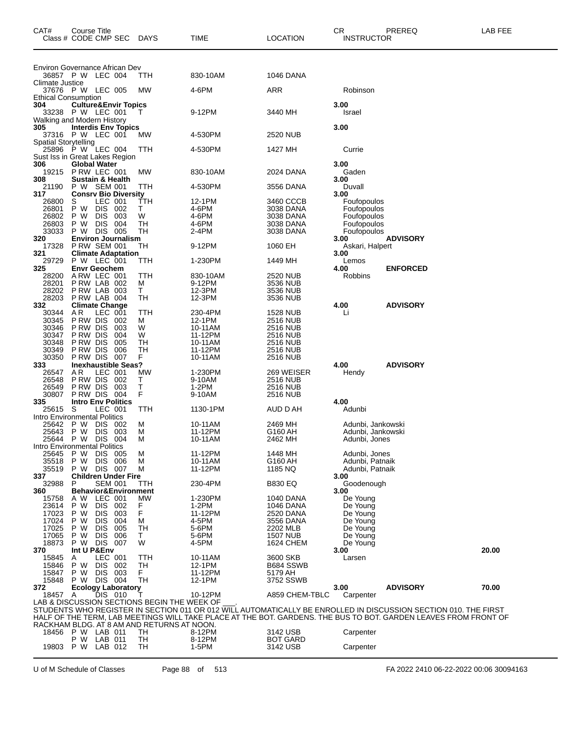| CAT#                              | <b>Course Title</b><br>Class # CODE CMP SEC          |                          |            | <b>DAYS</b>                                      | TIME               | LOCATION                           | CR   | <b>INSTRUCTOR</b>                      | PREREQ                                                                                                          | LAB FEE |
|-----------------------------------|------------------------------------------------------|--------------------------|------------|--------------------------------------------------|--------------------|------------------------------------|------|----------------------------------------|-----------------------------------------------------------------------------------------------------------------|---------|
| Environ Governance African Dev    |                                                      |                          |            |                                                  |                    |                                    |      |                                        |                                                                                                                 |         |
|                                   | 36857 P W LEC 004                                    |                          |            | ттн                                              | 830-10AM           | <b>1046 DANA</b>                   |      |                                        |                                                                                                                 |         |
| Climate Justice                   | 37676 PW LEC 005                                     |                          |            | МW                                               | 4-6PM              | ARR                                |      | Robinson                               |                                                                                                                 |         |
| <b>Ethical Consumption</b><br>304 |                                                      |                          |            |                                                  |                    |                                    | 3.00 |                                        |                                                                                                                 |         |
|                                   | <b>Culture&amp;Envir Topics</b><br>33238 P W LEC 001 |                          |            |                                                  | 9-12PM             | 3440 MH                            |      | Israel                                 |                                                                                                                 |         |
| Walking and Modern History<br>305 | <b>Interdis Env Topics</b>                           |                          |            |                                                  |                    |                                    | 3.00 |                                        |                                                                                                                 |         |
|                                   | 37316 P W LEC 001                                    |                          |            | МW                                               | 4-530PM            | 2520 NUB                           |      |                                        |                                                                                                                 |         |
| <b>Spatial Storytelling</b>       | 25896 P W LEC 004                                    |                          |            | TTH                                              | 4-530PM            | 1427 MH                            |      | Currie                                 |                                                                                                                 |         |
| Sust Iss in Great Lakes Region    |                                                      |                          |            |                                                  |                    |                                    |      |                                        |                                                                                                                 |         |
| 306<br>19215                      | <b>Global Water</b><br>PRW LEC 001                   |                          |            | МW                                               | 830-10AM           | 2024 DANA                          | 3.00 | Gaden                                  |                                                                                                                 |         |
| 308                               | <b>Sustain &amp; Health</b>                          |                          |            |                                                  |                    |                                    | 3.00 |                                        |                                                                                                                 |         |
| 21190<br>317                      | P W SEM 001<br><b>Consry Bio Diversity</b>           |                          |            | TTH                                              | 4-530PM            | 3556 DANA                          | 3.00 | Duvall                                 |                                                                                                                 |         |
| 26800                             | S<br>P W                                             | LEC 001<br><b>DIS</b>    |            | TTH<br>Τ                                         | 12-1PM             | 3460 CCCB                          |      | Foufopoulos                            |                                                                                                                 |         |
| 26801<br>26802                    | P W                                                  | <b>DIS</b>               | 002<br>003 | W                                                | 4-6PM<br>4-6PM     | 3038 DANA<br>3038 DANA             |      | Foufopoulos<br>Foufopoulos             |                                                                                                                 |         |
| 26803                             | P W                                                  | <b>DIS</b>               | 004        | <b>TH</b>                                        | 4-6PM              | 3038 DANA                          |      | Foufopoulos                            |                                                                                                                 |         |
| 33033<br>320                      | P W<br><b>Environ Journalism</b>                     | DIS 005                  |            | TН                                               | 2-4PM              | 3038 DANA                          | 3.00 | Foufopoulos                            | <b>ADVISORY</b>                                                                                                 |         |
| 17328                             | <b>P RW SEM 001</b>                                  |                          |            | TH                                               | 9-12PM             | 1060 EH                            |      | Askari, Halpert                        |                                                                                                                 |         |
| 321<br>29729                      | <b>Climate Adaptation</b><br><b>P W LEC 001</b>      |                          |            | ттн                                              | 1-230PM            | 1449 MH                            | 3.00 | Lemos                                  |                                                                                                                 |         |
| 325                               | <b>Envr Geochem</b>                                  |                          |            |                                                  |                    |                                    | 4.00 |                                        | <b>ENFORCED</b>                                                                                                 |         |
| 28200<br>28201                    | ARW LEC 001<br>PRW LAB 002                           |                          |            | TTH<br>м                                         | 830-10AM<br>9-12PM | 2520 NUB<br>3536 NUB               |      | Robbins                                |                                                                                                                 |         |
| 28202                             | P RW LAB 003                                         |                          |            | Τ                                                | 12-3PM             | 3536 NUB                           |      |                                        |                                                                                                                 |         |
| 28203<br>332                      | PRW LAB 004<br><b>Climate Change</b>                 |                          |            | TН                                               | 12-3PM             | 3536 NUB                           | 4.00 |                                        | <b>ADVISORY</b>                                                                                                 |         |
| 30344                             | A R                                                  | LEC 001                  |            | TTH                                              | 230-4PM            | <b>1528 NUB</b>                    |      | Li                                     |                                                                                                                 |         |
| 30345<br>30346                    | P RW DIS<br>P RW DIS                                 |                          | 002        | м                                                | 12-1PM             | <b>2516 NUB</b>                    |      |                                        |                                                                                                                 |         |
| 30347                             | P RW DIS                                             |                          | 003<br>004 | W<br>W                                           | 10-11AM<br>11-12PM | <b>2516 NUB</b><br>2516 NUB        |      |                                        |                                                                                                                 |         |
| 30348                             | P RW DIS                                             |                          | 005        | TН                                               | 10-11AM            | <b>2516 NUB</b>                    |      |                                        |                                                                                                                 |         |
| 30349<br>30350                    | P RW DIS<br>P RW DIS                                 |                          | 006<br>007 | TН<br>F                                          | 11-12PM            | <b>2516 NUB</b>                    |      |                                        |                                                                                                                 |         |
| 333                               | <b>Inexhaustible Seas?</b>                           |                          |            |                                                  | 10-11AM            | 2516 NUB                           | 4.00 |                                        | <b>ADVISORY</b>                                                                                                 |         |
| 26547                             | AR.                                                  | LEC 001                  |            | MW                                               | 1-230PM            | 269 WEISER                         |      | Hendy                                  |                                                                                                                 |         |
| 26548<br>26549                    | P RW DIS<br>P RW DIS                                 |                          | 002<br>003 | т<br>Τ                                           | 9-10AM<br>$1-2PM$  | <b>2516 NUB</b><br><b>2516 NUB</b> |      |                                        |                                                                                                                 |         |
| 30807                             | P RW DIS                                             |                          | 004        | F                                                | 9-10AM             | <b>2516 NUB</b>                    |      |                                        |                                                                                                                 |         |
| 335<br>25615                      | <b>Intro Env Politics</b><br>-S                      | LEC 001                  |            | TTH                                              | 1130-1PM           | AUD D AH                           | 4.00 | Adunbi                                 |                                                                                                                 |         |
| Intro Environmental Politics      |                                                      |                          |            |                                                  |                    |                                    |      |                                        |                                                                                                                 |         |
| 25642<br>25643                    | P W<br>P W                                           | <b>DIS</b><br><b>DIS</b> | 002<br>003 | м<br>М                                           | 10-11AM<br>11-12PM | 2469 MH<br>G160 AH                 |      | Adunbi, Jankowski<br>Adunbi, Jankowski |                                                                                                                 |         |
| 25644                             | P W                                                  | <b>DIS</b>               | 004        | м                                                | 10-11AM            | 2462 MH                            |      | Adunbi, Jones                          |                                                                                                                 |         |
| Intro Environmental Politics      |                                                      |                          |            |                                                  |                    |                                    |      |                                        |                                                                                                                 |         |
| 25645<br>35518                    | P W<br>P W                                           | DIS.<br><b>DIS</b>       | 005<br>006 | м<br>м                                           | 11-12PM<br>10-11AM | 1448 MH<br>G160 AH                 |      | Adunbi, Jones<br>Adunbi, Patnaik       |                                                                                                                 |         |
| 35519                             | P W DIS 007                                          |                          |            | м                                                | 11-12PM            | 1185 NQ                            |      | Adunbi, Patnaik                        |                                                                                                                 |         |
| 337<br>32988                      | <b>Children Under Fire</b><br>P                      | <b>SEM 001</b>           |            | ттн                                              | 230-4PM            | <b>B830 EQ</b>                     | 3.00 | Goodenough                             |                                                                                                                 |         |
| 360                               | <b>Behavior&amp;Environment</b>                      |                          |            |                                                  |                    |                                    | 3.00 |                                        |                                                                                                                 |         |
| 15758<br>23614                    | A W<br>P W                                           | LEC 001<br><b>DIS</b>    | 002        | MW<br>F                                          | 1-230PM<br>$1-2PM$ | 1040 DANA<br>1046 DANA             |      | De Young<br>De Young                   |                                                                                                                 |         |
| 17023                             | P W                                                  | <b>DIS</b>               | 003        | F                                                | 11-12PM            | 2520 DANA                          |      | De Young                               |                                                                                                                 |         |
| 17024                             | P W                                                  | <b>DIS</b>               | 004        | м                                                | 4-5PM              | 3556 DANA                          |      | De Young                               |                                                                                                                 |         |
| 17025<br>17065                    | P W<br>P W                                           | <b>DIS</b><br><b>DIS</b> | 005<br>006 | TН<br>T.                                         | 5-6PM<br>5-6PM     | 2202 MLB<br><b>1507 NUB</b>        |      | De Young<br>De Young                   |                                                                                                                 |         |
| 18873                             | P W                                                  | DIS 007                  |            | W                                                | 4-5PM              | <b>1624 CHEM</b>                   |      | De Young                               |                                                                                                                 |         |
| 370<br>15845                      | Int U P&Env<br>A                                     | LEC 001                  |            | TTH                                              | 10-11AM            | 3600 SKB                           | 3.00 | Larsen                                 |                                                                                                                 | 20.00   |
| 15846                             | P W                                                  | <b>DIS</b>               | - 002      | TН                                               | 12-1PM             | B684 SSWB                          |      |                                        |                                                                                                                 |         |
| 15847                             | P W                                                  | <b>DIS</b>               | 003        | F.                                               | 11-12PM            | 5179 AH                            |      |                                        |                                                                                                                 |         |
| 15848<br>372                      | P W DIS 004<br><b>Ecology Laboratory</b>             |                          |            | <b>TH</b>                                        | 12-1PM             | 3752 SSWB                          | 3.00 |                                        | <b>ADVISORY</b>                                                                                                 | 70.00   |
| 18457                             | $\mathsf{A}$                                         | DIS 010                  |            |                                                  | 10-12PM            | A859 CHEM-TBLC                     |      | Carpenter                              |                                                                                                                 |         |
|                                   |                                                      |                          |            | LAB & DISCUSSION SECTIONS BEGIN THE WEEK OF      |                    |                                    |      |                                        | STUDENTS WHO REGISTER IN SECTION 011 OR 012 WILL AUTOMATICALLY BE ENROLLED IN DISCUSSION SECTION 010. THE FIRST |         |
|                                   |                                                      |                          |            |                                                  |                    |                                    |      |                                        | HALF OF THE TERM, LAB MEETINGS WILL TAKE PLACE AT THE BOT. GARDENS. THE BUS TO BOT. GARDEN LEAVES FROM FRONT OF |         |
|                                   |                                                      |                          |            | RACKHAM BLDG. AT 8 AM AND RETURNS AT NOON.<br>TН | 8-12PM             | 3142 USB                           |      |                                        |                                                                                                                 |         |
|                                   | 18456 P W LAB 011<br>P W                             | LAB 011                  |            | TH                                               | 8-12PM             | <b>BOT GARD</b>                    |      | Carpenter                              |                                                                                                                 |         |
| 19803 P W                         |                                                      | LAB 012                  |            | TН                                               | 1-5PM              | 3142 USB                           |      | Carpenter                              |                                                                                                                 |         |

U of M Schedule of Classes Page 88 of 513 FA 2022 2410 06-22-2022 00:06 30094163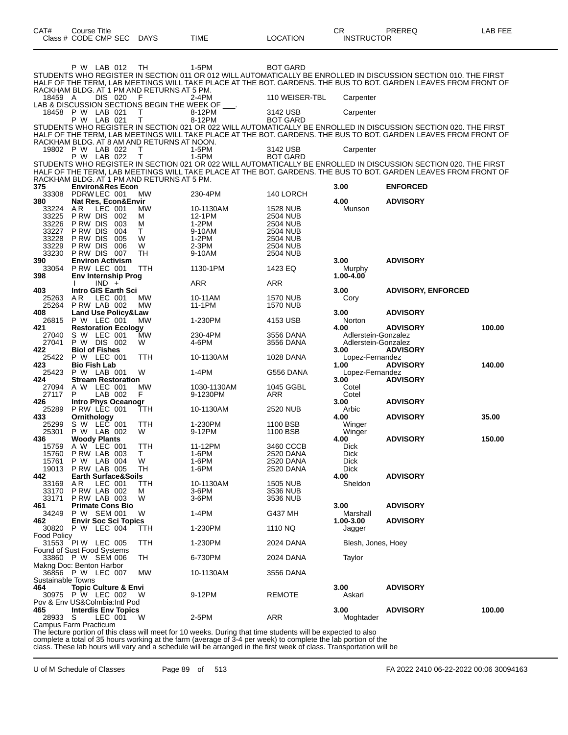|                                 | Class # CODE CMP SEC                                         |            | <b>DAYS</b>                                      | TIME                    | LOCATION                           | <b>INSTRUCTOR</b>                          |                                                                                                                                                                                                                                    |        |
|---------------------------------|--------------------------------------------------------------|------------|--------------------------------------------------|-------------------------|------------------------------------|--------------------------------------------|------------------------------------------------------------------------------------------------------------------------------------------------------------------------------------------------------------------------------------|--------|
|                                 | P W LAB 012                                                  |            | TН                                               | 1-5PM                   | <b>BOT GARD</b>                    |                                            |                                                                                                                                                                                                                                    |        |
|                                 |                                                              |            |                                                  |                         |                                    |                                            | STUDENTS WHO REGISTER IN SECTION 011 OR 012 WILL AUTOMATICALLY BE ENROLLED IN DISCUSSION SECTION 010. THE FIRST                                                                                                                    |        |
|                                 |                                                              |            | RACKHAM BLDG. AT 1 PM AND RETURNS AT 5 PM.       |                         |                                    |                                            | HALF OF THE TERM, LAB MEETINGS WILL TAKE PLACE AT THE BOT. GARDENS. THE BUS TO BOT. GARDEN LEAVES FROM FRONT OF                                                                                                                    |        |
| 18459 A                         | DIS 020                                                      |            | F<br>LAB & DISCUSSION SECTIONS BEGIN THE WEEK OF | $2-4PM$                 | 110 WEISER-TBL                     | Carpenter                                  |                                                                                                                                                                                                                                    |        |
| 18458                           | P W LAB 021                                                  |            | Т<br>T                                           | 8-12PM                  | 3142 USB                           | Carpenter                                  |                                                                                                                                                                                                                                    |        |
|                                 | P W LAB 021                                                  |            |                                                  | 8-12PM                  | <b>BOT GARD</b>                    |                                            | STUDENTS WHO REGISTER IN SECTION 021 OR 022 WILL AUTOMATICALLY BE ENROLLED IN DISCUSSION SECTION 020. THE FIRST                                                                                                                    |        |
|                                 |                                                              |            | RACKHAM BLDG. AT 8 AM AND RETURNS AT NOON.       |                         |                                    |                                            | HALF OF THE TERM, LAB MEETINGS WILL TAKE PLACE AT THE BOT. GARDENS. THE BUS TO BOT. GARDEN LEAVES FROM FRONT OF                                                                                                                    |        |
|                                 | 19802 P W LAB 022<br>P W LAB 022                             |            | Т<br>Τ                                           | 1-5PM<br>$1-5PM$        | 3142 USB<br><b>BOT GARD</b>        | Carpenter                                  |                                                                                                                                                                                                                                    |        |
|                                 |                                                              |            |                                                  |                         |                                    |                                            | STUDENTS WHO REGISTER IN SECTION 021 OR 022 WILL AUTOMATICALLY BE ENROLLED IN DISCUSSION SECTION 020. THE FIRST<br>HALF OF THE TERM, LAB MEETINGS WILL TAKE PLACE AT THE BOT. GARDENS. THE BUS TO BOT. GARDEN LEAVES FROM FRONT OF |        |
|                                 |                                                              |            | RACKHAM BLDG. AT 1 PM AND RETURNS AT 5 PM.       |                         |                                    |                                            |                                                                                                                                                                                                                                    |        |
| 375<br>33308                    | <b>Environ&amp;Res Econ</b><br>PDRW LEC 001                  |            | <b>MW</b>                                        | 230-4PM                 | 140 LORCH                          | 3.00                                       | <b>ENFORCED</b>                                                                                                                                                                                                                    |        |
| 380<br>33224                    | Nat Res, Econ&Envir<br>ΑR<br>LEC 001                         |            | МW                                               | 10-1130AM               | <b>1528 NUB</b>                    | 4.00<br>Munson                             | <b>ADVISORY</b>                                                                                                                                                                                                                    |        |
| 33225                           | P RW DIS                                                     | 002        | М                                                | 12-1PM                  | <b>2504 NUB</b>                    |                                            |                                                                                                                                                                                                                                    |        |
| 33226<br>33227                  | P RW DIS<br>P RW DIS                                         | 003<br>004 | м<br>T.                                          | 1-2PM<br>9-10AM         | 2504 NUB<br><b>2504 NUB</b>        |                                            |                                                                                                                                                                                                                                    |        |
| 33228<br>33229                  | P RW DIS<br>P RW DIS                                         | 005<br>006 | W<br>W                                           | $1-2PM$<br>$2-3PM$      | 2504 NUB<br>2504 NUB               |                                            |                                                                                                                                                                                                                                    |        |
| 33230                           | P RW DIS                                                     | 007        | TН                                               | 9-10AM                  | <b>2504 NUB</b>                    |                                            |                                                                                                                                                                                                                                    |        |
| 390<br>33054                    | <b>Environ Activism</b><br>P RW LEC 001                      |            | TTH                                              | 1130-1PM                | 1423 EQ                            | 3.00<br>Murphy                             | <b>ADVISORY</b>                                                                                                                                                                                                                    |        |
| 398                             | Env Internship Prog<br>$IND +$                               |            |                                                  | ARR                     | ARR                                | 1.00-4.00                                  |                                                                                                                                                                                                                                    |        |
| 403                             | Intro GIS Earth Sci                                          |            |                                                  |                         |                                    | 3.00                                       | <b>ADVISORY, ENFORCED</b>                                                                                                                                                                                                          |        |
| 25263<br>25264                  | LEC 001<br>A R<br>P RW LAB 002                               |            | МW<br>МW                                         | 10-11AM<br>11-1PM       | <b>1570 NUB</b><br><b>1570 NUB</b> | Cory                                       |                                                                                                                                                                                                                                    |        |
| 408<br>26815                    | <b>Land Use Policy&amp;Law</b><br>P W LEC 001                |            | MW                                               | 1-230PM                 | 4153 USB                           | 3.00<br>Norton                             | <b>ADVISORY</b>                                                                                                                                                                                                                    |        |
| 421                             | <b>Restoration Ecology</b>                                   |            | <b>MW</b>                                        |                         |                                    | 4.00                                       | <b>ADVISORY</b>                                                                                                                                                                                                                    | 100.00 |
| 27040<br>27041                  | S W LEC 001<br>P W DIS 002                                   |            | W                                                | 230-4PM<br>4-6PM        | 3556 DANA<br>3556 DANA             | Adlerstein-Gonzalez<br>Adlerstein-Gonzalez |                                                                                                                                                                                                                                    |        |
| 422<br>25422                    | <b>Biol of Fishes</b><br>P W LEC 001                         |            | <b>TTH</b>                                       | 10-1130AM               | 1028 DANA                          | 3.00<br>Lopez-Fernandez                    | <b>ADVISORY</b>                                                                                                                                                                                                                    |        |
| 423<br>25423                    | <b>Bio Fish Lab</b><br>P W LAB 001                           |            | W                                                | 1-4PM                   | G556 DANA                          | 1.00<br>Lopez-Fernandez                    | <b>ADVISORY</b>                                                                                                                                                                                                                    | 140.00 |
| 424                             | <b>Stream Restoration</b>                                    |            |                                                  |                         |                                    | 3.00                                       | <b>ADVISORY</b>                                                                                                                                                                                                                    |        |
| 27094<br>27117                  | A W LEC 001<br>P<br>LAB 002                                  |            | МW<br>F                                          | 1030-1130AM<br>9-1230PM | 1045 GGBL<br>ARR                   | Cotel<br>Cotel                             |                                                                                                                                                                                                                                    |        |
| 426<br>25289                    | <b>Intro Phys Oceanogr</b><br>PRW LEC 001                    |            | ттн                                              | 10-1130AM               | <b>2520 NUB</b>                    | 3.00<br>Arbic                              | <b>ADVISORY</b>                                                                                                                                                                                                                    |        |
| 433                             | Ornithology                                                  |            |                                                  | 1-230PM                 |                                    | 4.00                                       | <b>ADVISORY</b>                                                                                                                                                                                                                    | 35.00  |
| 25299<br>25301                  | s w<br>LEC 001<br>P W LAB 002                                |            | TTH<br>W                                         | 9-12PM                  | 1100 BSB<br>1100 BSB               | Winger<br>Winger                           |                                                                                                                                                                                                                                    |        |
| 436<br>15759                    | <b>Woody Plants</b><br>A W LEC 001                           |            | TTH                                              | 11-12PM                 | 3460 CCCB                          | 4.00<br><b>Dick</b>                        | <b>ADVISORY</b>                                                                                                                                                                                                                    | 150.00 |
| 15760<br>15761                  | PRW LAB 003<br>P W LAB 004                                   |            | $\perp$<br>W                                     | 1-6PM<br>1-6PM          | 2520 Dana<br>2520 DANA             | <b>Dick</b><br>Dick                        |                                                                                                                                                                                                                                    |        |
| 19013                           | P RW LAB 005                                                 |            | TН                                               | 1-6PM                   | 2520 DANA                          | <b>Dick</b>                                |                                                                                                                                                                                                                                    |        |
| 442<br>33169                    | <b>Earth Surface&amp;Soils</b><br>LEC 001<br>AR.             |            | TTH                                              | 10-1130AM               | <b>1505 NUB</b>                    | 4.00<br>Sheldon                            | <b>ADVISORY</b>                                                                                                                                                                                                                    |        |
| 33170<br>33171                  | PRW LAB 002<br>PRW LAB 003                                   |            | м<br>W                                           | $3-6$ PM<br>3-6PM       | 3536 NUB<br>3536 NUB               |                                            |                                                                                                                                                                                                                                    |        |
| 461                             | <b>Primate Cons Bio</b>                                      |            |                                                  |                         |                                    | 3.00                                       | <b>ADVISORY</b>                                                                                                                                                                                                                    |        |
| 34249<br>462                    | P W SEM 001<br><b>Envir Soc Sci Topics</b>                   |            | W                                                | 1-4PM                   | G437 MH                            | Marshall<br>1.00-3.00                      | <b>ADVISORY</b>                                                                                                                                                                                                                    |        |
| Food Policy                     | 30820 P W LEC 004                                            |            | ттн                                              | 1-230PM                 | 1110 NQ                            | Jagger                                     |                                                                                                                                                                                                                                    |        |
|                                 | 31553 PIW LEC 005                                            |            | TTH                                              | 1-230PM                 | 2024 DANA                          | Blesh, Jones, Hoey                         |                                                                                                                                                                                                                                    |        |
|                                 | Found of Sust Food Systems<br>33860 P W SEM 006              |            | TH.                                              | 6-730PM                 | 2024 DANA                          | Taylor                                     |                                                                                                                                                                                                                                    |        |
|                                 | Makng Doc: Benton Harbor<br>36856 P W LEC 007                |            | МW                                               | 10-1130AM               | 3556 DANA                          |                                            |                                                                                                                                                                                                                                    |        |
| <b>Sustainable Towns</b><br>464 | <b>Topic Culture &amp; Envi</b>                              |            |                                                  |                         |                                    | 3.00                                       | <b>ADVISORY</b>                                                                                                                                                                                                                    |        |
|                                 | 30975 P W LEC 002                                            |            | w                                                | 9-12PM                  | REMOTE                             | Askari                                     |                                                                                                                                                                                                                                    |        |
| 465                             | Pov & Env US&Colmbia: Intl Pod<br><b>Interdis Env Topics</b> |            |                                                  |                         |                                    | 3.00                                       | <b>ADVISORY</b>                                                                                                                                                                                                                    | 100.00 |
| 28933 S                         | LEC 001<br>Campus Farm Practicum                             |            | W                                                | 2-5PM                   | ARR                                | Moghtader                                  |                                                                                                                                                                                                                                    |        |
|                                 |                                                              |            |                                                  |                         |                                    |                                            |                                                                                                                                                                                                                                    |        |

CAT# Course Title Case CR PREREQ LAB FEE

The lecture portion of this class will meet for 10 weeks. During that time students will be expected to also complete a total of 35 hours working at the farm (average of 3-4 per week) to complete the lab portion of the class. These lab hours will vary and a schedule will be arranged in the first week of class. Transportation will be

U of M Schedule of Classes Page 89 of 513 FA 2022 2410 06-22-2022 00:06 30094163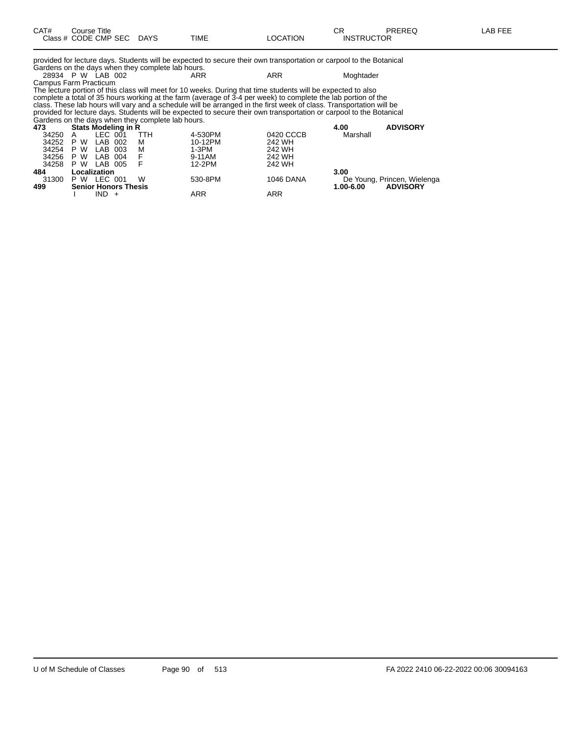| CAT# | Title<br>Course i    |             |             |          | rπ<br>- UN        | <b>PREREQ</b> | AR FFF |
|------|----------------------|-------------|-------------|----------|-------------------|---------------|--------|
|      | Class # CODE CMP SEC | <b>DAYS</b> | <b>TIME</b> | ∟OCATION | <b>INSTRUCTOR</b> |               |        |

provided for lecture days. Students will be expected to secure their own transportation or carpool to the Botanical

| Gardens on the days when they complete lab hours. |  |  |                                                                                                                     |     |           |  |  |  |  |  |
|---------------------------------------------------|--|--|---------------------------------------------------------------------------------------------------------------------|-----|-----------|--|--|--|--|--|
| 28934 P W LAB 002                                 |  |  | ARR                                                                                                                 | ARR | Moghtader |  |  |  |  |  |
| Campus Farm Practicum                             |  |  |                                                                                                                     |     |           |  |  |  |  |  |
|                                                   |  |  | The lecture portion of this class will meet for 10 weeks. During that time students will be expected to also        |     |           |  |  |  |  |  |
|                                                   |  |  | complete a total of 35 hours working at the farm (average of 3-4 per week) to complete the lab portion of the       |     |           |  |  |  |  |  |
|                                                   |  |  | class. These lab hours will vary and a schedule will be arranged in the first week of class. Transportation will be |     |           |  |  |  |  |  |

provided for lecture days. Students will be expected to secure their own transportation or carpool to the Botanical Gardens on the days when they complete lab hours.

| 473   | Stats Modeling in R         |         |      |     |         | 4.00      | <b>ADVISORY</b> |                             |
|-------|-----------------------------|---------|------|-----|---------|-----------|-----------------|-----------------------------|
| 34250 | A                           | LEC 001 |      | TTH | 4-530PM | 0420 CCCB | Marshall        |                             |
| 34252 | P W                         | LAB     | 002  | м   | 10-12PM | 242 WH    |                 |                             |
| 34254 | P W                         | LAB     | -003 | М   | 1-3PM   | 242 WH    |                 |                             |
| 34256 | P W                         | LAB 004 |      | F.  | 9-11AM  | 242 WH    |                 |                             |
| 34258 | P W                         | LAB 005 |      |     | 12-2PM  | 242 WH    |                 |                             |
| 484   | Localization                |         |      |     |         |           | 3.00            |                             |
| 31300 | P W                         | LEC 001 |      | W   | 530-8PM | 1046 DANA |                 | De Young, Princen, Wielenga |
| 499   | <b>Senior Honors Thesis</b> |         |      |     |         |           | $1.00 - 6.00$   | <b>ADVISORY</b>             |
|       |                             | IND -   |      |     | ARR     | ARR       |                 |                             |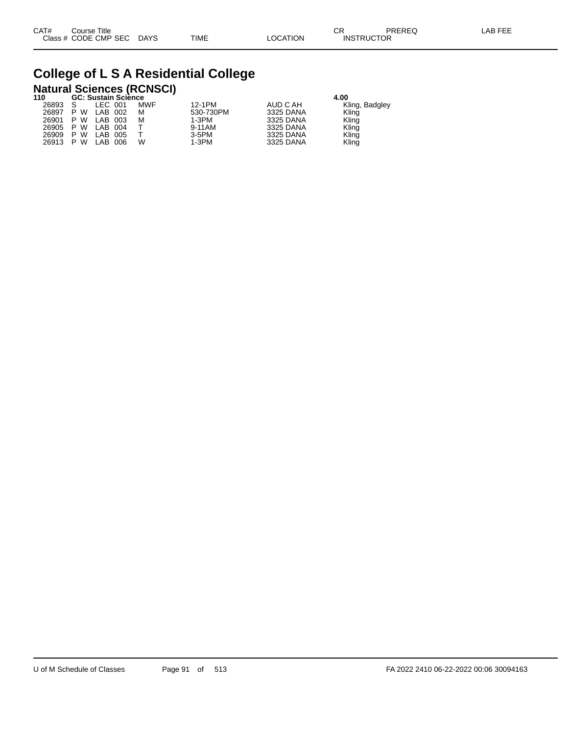## **College of L S A Residential College**

# **Natural Sciences (RCNSCI) 110 GC: Sustain Science 4.00**

| 11 U  |         | GC: Sustain Science |            |           |           | 4.UU           |  |
|-------|---------|---------------------|------------|-----------|-----------|----------------|--|
| 26893 |         | LEC 001             | <b>MWF</b> | 12-1PM    | AUD C AH  | Kling, Badgley |  |
| 26897 | P W     | LAB 002             | м          | 530-730PM | 3325 DANA | Kling          |  |
| 26901 | W<br>P  | LAB 003             | м          | 1-3PM     | 3325 DANA | Kling          |  |
| 26905 | P W     | LAB 004             |            | 9-11AM    | 3325 DANA | Kling          |  |
| 26909 | W<br>P. | LAB<br>005          |            | 3-5PM     | 3325 DANA | Kling          |  |
| 26913 | W<br>P. | LAB<br>006          | W          | $1-3PM$   | 3325 DANA | Kling          |  |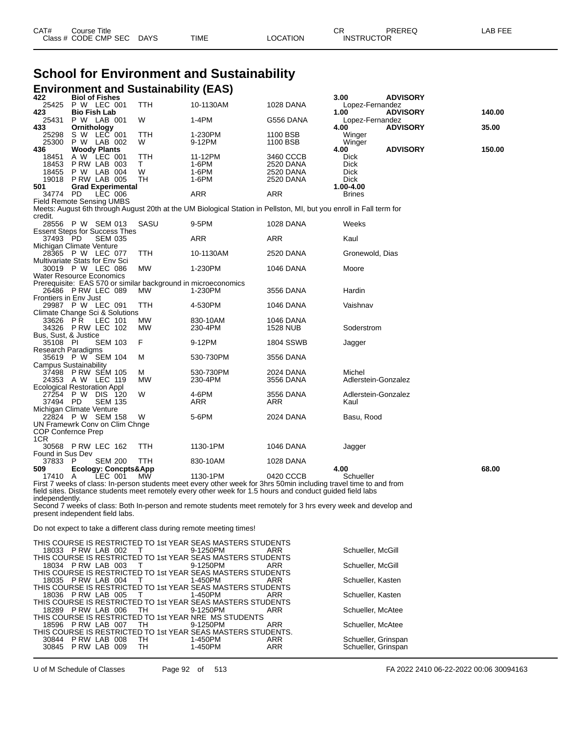| CAT# | Title<br>Course      |      |      |          | ◠г<br>◡           | PREREQ | . AB FFF |
|------|----------------------|------|------|----------|-------------------|--------|----------|
|      | Class # CODE CMP SEC | DAYS | TIME | ∟OCATION | <b>INSTRUCTOR</b> |        |          |

#### **School for Environment and Sustainability Environment and Sustainability (EAS)**

| 422                                  | <b>Biol of Fishes</b>          |                                            | $\sim$     |                                                                                                                     |                        | 3.00                       | <b>ADVISORY</b> |        |
|--------------------------------------|--------------------------------|--------------------------------------------|------------|---------------------------------------------------------------------------------------------------------------------|------------------------|----------------------------|-----------------|--------|
|                                      | 25425 P W LEC 001              |                                            | TTH        | 10-1130AM                                                                                                           | 1028 DANA              | Lopez-Fernandez            |                 |        |
| 423                                  | <b>Bio Fish Lab</b>            |                                            |            |                                                                                                                     |                        | 1.00                       | <b>ADVISORY</b> | 140.00 |
| 25431<br>433                         | P W LAB 001<br>Ornithology     |                                            | W          | $1-4PM$                                                                                                             | G556 DANA              | Lopez-Fernandez<br>4.00    | <b>ADVISORY</b> | 35.00  |
| 25298                                | S W LEC 001                    |                                            | TTH        | 1-230PM                                                                                                             | 1100 BSB               | Winger                     |                 |        |
| 25300                                | P W LAB 002                    |                                            | W          | 9-12PM                                                                                                              | 1100 BSB               | Winger                     |                 |        |
| 436                                  | <b>Woody Plants</b>            |                                            |            |                                                                                                                     |                        | 4.00                       | <b>ADVISORY</b> | 150.00 |
| 18451                                | A W LEC 001                    |                                            | TTH        | 11-12PM                                                                                                             | 3460 CCCB              | <b>Dick</b>                |                 |        |
| 18453<br>18455                       | PRW LAB 003<br>P W LAB 004     |                                            | T.<br>W    | 1-6PM<br>1-6PM                                                                                                      | 2520 DANA<br>2520 DANA | <b>Dick</b><br><b>Dick</b> |                 |        |
| 19018                                | PRW LAB 005                    |                                            | TH         | 1-6PM                                                                                                               | 2520 DANA              | <b>Dick</b>                |                 |        |
| 501                                  |                                | <b>Grad Experimental</b>                   |            |                                                                                                                     |                        | 1.00-4.00                  |                 |        |
| 34774 PD                             |                                | LEC 006                                    |            | ARR                                                                                                                 | <b>ARR</b>             | <b>Brines</b>              |                 |        |
| <b>Field Remote Sensing UMBS</b>     |                                |                                            |            |                                                                                                                     |                        |                            |                 |        |
| credit.                              |                                |                                            |            | Meets: August 6th through August 20th at the UM Biological Station in Pellston, MI, but you enroll in Fall term for |                        |                            |                 |        |
|                                      | 28556 P W SEM 013              |                                            | SASU       | 9-5PM                                                                                                               | <b>1028 DANA</b>       | Weeks                      |                 |        |
| <b>Essent Steps for Success Thes</b> |                                |                                            |            |                                                                                                                     |                        |                            |                 |        |
| 37493 PD                             |                                | <b>SEM 035</b>                             |            | ARR                                                                                                                 | <b>ARR</b>             | Kaul                       |                 |        |
| Michigan Climate Venture             | 28365 PW LEC 077               |                                            | <b>TTH</b> | 10-1130AM                                                                                                           |                        |                            |                 |        |
| Multivariate Stats for Env Sci       |                                |                                            |            |                                                                                                                     | 2520 DANA              | Gronewold, Dias            |                 |        |
|                                      | 30019 P W LEC 086              |                                            | <b>MW</b>  | 1-230PM                                                                                                             | 1046 DANA              | Moore                      |                 |        |
| Water Resource Economics             |                                |                                            |            |                                                                                                                     |                        |                            |                 |        |
|                                      |                                |                                            |            | Prerequisite: EAS 570 or similar background in microeconomics                                                       |                        |                            |                 |        |
|                                      | 26486 PRW LEC 089              |                                            | MW         | 1-230PM                                                                                                             | 3556 DANA              | Hardin                     |                 |        |
| Frontiers in Env Just                | 29987 P W LEC 091              |                                            | <b>TTH</b> | 4-530PM                                                                                                             | 1046 DANA              | Vaishnav                   |                 |        |
| Climate Change Sci & Solutions       |                                |                                            |            |                                                                                                                     |                        |                            |                 |        |
| 33626 PŘ                             |                                | LEC 101                                    | MW         | 830-10AM                                                                                                            | 1046 DANA              |                            |                 |        |
|                                      | 34326 PRW LEC 102              |                                            | МW         | 230-4PM                                                                                                             | 1528 NUB               | Soderstrom                 |                 |        |
| Bus, Sust, & Justice<br>35108 PI     |                                | <b>SEM 103</b>                             | F          | 9-12PM                                                                                                              | <b>1804 SSWB</b>       |                            |                 |        |
| <b>Research Paradigms</b>            |                                |                                            |            |                                                                                                                     |                        | Jagger                     |                 |        |
|                                      | 35619 P W SEM 104              |                                            | м          | 530-730PM                                                                                                           | 3556 DANA              |                            |                 |        |
| <b>Campus Sustainability</b>         |                                |                                            |            |                                                                                                                     |                        |                            |                 |        |
|                                      | 37498 PRW SEM 105              |                                            | м          | 530-730PM                                                                                                           | 2024 DANA              | Michel                     |                 |        |
| Ecological Restoration Appl          | 24353 A W LEC 119              |                                            | <b>MW</b>  | 230-4PM                                                                                                             | 3556 DANA              | Adlerstein-Gonzalez        |                 |        |
|                                      | 27254 P W DIS 120              |                                            | W          | 4-6PM                                                                                                               | 3556 DANA              | Adlerstein-Gonzalez        |                 |        |
| 37494                                | PD                             | <b>SEM 135</b>                             |            | ARR                                                                                                                 | ARR                    | Kaul                       |                 |        |
| Michigan Climate Venture             |                                |                                            |            |                                                                                                                     |                        |                            |                 |        |
|                                      | 22824 P W SEM 158              |                                            | W          | 5-6PM                                                                                                               | 2024 DANA              | Basu, Rood                 |                 |        |
| COP Confernce Prep                   | UN Framewrk Conv on Clim Chnge |                                            |            |                                                                                                                     |                        |                            |                 |        |
| 1CR                                  |                                |                                            |            |                                                                                                                     |                        |                            |                 |        |
|                                      | 30568 P RW LEC 162             |                                            | <b>TTH</b> | 1130-1PM                                                                                                            | <b>1046 DANA</b>       | Jagger                     |                 |        |
| Found in Sus Dev                     |                                |                                            |            |                                                                                                                     |                        |                            |                 |        |
| 37833 P<br>509                       |                                | <b>SEM 200</b>                             | TTH        | 830-10AM                                                                                                            | 1028 DANA              | 4.00                       |                 | 68.00  |
| 17410 A                              |                                | <b>Ecology: Concpts&amp;App</b><br>LEC 001 | MŴ         | 1130-1PM                                                                                                            | 0420 CCCB              | Schueller                  |                 |        |
|                                      |                                |                                            |            | First 7 weeks of class: In-person students meet every other week for 3hrs 50min including travel time to and from   |                        |                            |                 |        |
|                                      |                                |                                            |            | field sites. Distance students meet remotely every other week for 1.5 hours and conduct guided field labs           |                        |                            |                 |        |
| independently.                       |                                |                                            |            |                                                                                                                     |                        |                            |                 |        |
| present independent field labs.      |                                |                                            |            | Second 7 weeks of class: Both In-person and remote students meet remotely for 3 hrs every week and develop and      |                        |                            |                 |        |
|                                      |                                |                                            |            |                                                                                                                     |                        |                            |                 |        |
|                                      |                                |                                            |            | Do not expect to take a different class during remote meeting times!                                                |                        |                            |                 |        |
|                                      |                                |                                            |            | THIS COURSE IS RESTRICTED TO 1st YEAR SEAS MASTERS STUDENTS                                                         |                        |                            |                 |        |
|                                      | 18033 PRW LAB 002              |                                            | $\top$     | 9-1250PM                                                                                                            | ARR                    | Schueller, McGill          |                 |        |
|                                      |                                |                                            |            | THIS COURSE IS RESTRICTED TO 1st YEAR SEAS MASTERS STUDENTS                                                         |                        |                            |                 |        |
|                                      | 18034 P RW LAB 003             |                                            | $\top$     | 9-1250PM                                                                                                            | ARR                    | Schueller, McGill          |                 |        |

THIS COURSE IS RESTRICTED TO 1st YEAR SEAS MASTERS STUDENTS 18035 P RW LAB 004 T 1-450PM ARR Schueller, Kasten THIS COURSE IS RESTRICTED TO 1st YEAR SEAS MASTERS STUDENTS 18036 P RW LAB 005 T 1-450PM ARR Schueller, Kasten THIS COURSE IS RESTRICTED TO 1st YEAR SEAS MASTERS STUDENTS 18289 P RW LAB 006 TH 9-1250PM ARR Schueller, McAtee THIS COURSE IS RESTRICTED TO 1st YEAR NRE MS STUDENTS 18596 P RW LAB 007 TH 9-1250PM ARR Schueller, McAtee THIS COURSE IS RESTRICTED TO 1st YEAR SEAS MASTERS STUDENTS.<br>30844 P RW LAB 008 TH 1-450PM ARR 30845 P RW LAB 009 TH 1-450PM ARR 30844 P RW LAB 008 TH 1-450PM ARR Schueller, Grinspan 30845 P RW LAB 009 TH 1-450PM ARR Schueller, Grinspan

U of M Schedule of Classes Page 92 of 513 FA 2022 2410 06-22-2022 00:06 30094163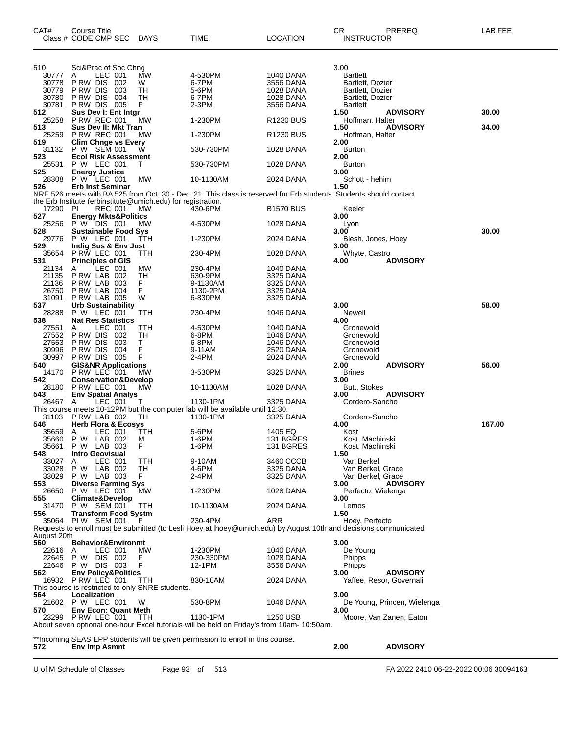| CAT#           | Course Title<br>Class # CODE CMP SEC                         | <b>DAYS</b> | TIME                                                                                                               | LOCATION                      | CR.<br><b>INSTRUCTOR</b>             | PREREQ                      | LAB FEE |
|----------------|--------------------------------------------------------------|-------------|--------------------------------------------------------------------------------------------------------------------|-------------------------------|--------------------------------------|-----------------------------|---------|
| 510            | Sci&Prac of Soc Chng                                         |             |                                                                                                                    |                               | 3.00                                 |                             |         |
| 30777          | LEC 001<br>A                                                 | MW          | 4-530PM                                                                                                            | <b>1040 DANA</b>              | <b>Bartlett</b>                      |                             |         |
| 30778          | P RW DIS<br>002                                              | W           | 6-7PM                                                                                                              | 3556 DANA                     | Bartlett, Dozier                     |                             |         |
| 30779<br>30780 | P RW DIS<br>003<br>P RW DIS<br>004                           | TН<br>TН    | 5-6PM<br>6-7PM                                                                                                     | 1028 DANA<br><b>1028 DANA</b> | Bartlett, Dozier<br>Bartlett, Dozier |                             |         |
| 30781          | PRW DIS 005                                                  | F.          | 2-3PM                                                                                                              | 3556 DANA                     | <b>Bartlett</b>                      |                             |         |
| 512            | Sus Dev I: Ent Intgr                                         |             |                                                                                                                    |                               | 1.50                                 | <b>ADVISORY</b>             | 30.00   |
| 25258          | <b>P RW REC 001</b>                                          | МW          | 1-230PM                                                                                                            | R1230 BUS                     | Hoffman, Halter                      |                             |         |
| 513            | Sus Dev II: Mkt Tran                                         |             |                                                                                                                    |                               | 1.50                                 | <b>ADVISORY</b>             | 34.00   |
| 25259          | <b>P RW REC 001</b>                                          | <b>MW</b>   | 1-230PM                                                                                                            | R <sub>1230</sub> BUS         | Hoffman, Halter                      |                             |         |
| 519            | <b>Clim Chnge vs Every</b>                                   |             |                                                                                                                    |                               | 2.00                                 |                             |         |
| 31132<br>523   | P W SEM 001<br><b>Ecol Risk Assessment</b>                   | W           | 530-730PM                                                                                                          | 1028 DANA                     | <b>Burton</b><br>2.00                |                             |         |
| 25531          | P W LEC 001                                                  | Т           | 530-730PM                                                                                                          | 1028 DANA                     | <b>Burton</b>                        |                             |         |
| 525            | <b>Energy Justice</b>                                        |             |                                                                                                                    |                               | 3.00                                 |                             |         |
| 28308          | P W LEC 001                                                  | MW          | 10-1130AM                                                                                                          | 2024 DANA                     | Schott - hehim                       |                             |         |
| 526            | <b>Erb Inst Seminar</b>                                      |             |                                                                                                                    |                               | 1.50                                 |                             |         |
|                |                                                              |             | NRE 526 meets with BA 525 from Oct. 30 - Dec. 21. This class is reserved for Erb students. Students should contact |                               |                                      |                             |         |
|                | the Erb Institute (erbinstitute@umich.edu) for registration. |             |                                                                                                                    |                               |                                      |                             |         |
| 17290          | PI<br><b>REC 001</b>                                         | <b>MW</b>   | 430-6PM                                                                                                            | <b>B1570 BUS</b>              | Keeler                               |                             |         |
| 527            | <b>Energy Mkts&amp;Politics</b>                              |             |                                                                                                                    |                               | 3.00                                 |                             |         |
| 25256<br>528   | P W DIS 001<br><b>Sustainable Food Sys</b>                   | МW          | 4-530PM                                                                                                            | 1028 DANA                     | Lyon<br>3.00                         |                             | 30.00   |
| 29776          | P W LEC 001                                                  | TTH         | 1-230PM                                                                                                            | 2024 DANA                     | Blesh, Jones, Hoey                   |                             |         |
| 529            | Indig Sus & Env Just                                         |             |                                                                                                                    |                               | 3.00                                 |                             |         |
| 35654          | PRW LEC 001                                                  | ттн         | 230-4PM                                                                                                            | 1028 DANA                     | Whyte, Castro                        |                             |         |
| 531            | <b>Principles of GIS</b>                                     |             |                                                                                                                    |                               | 4.00                                 | <b>ADVISORY</b>             |         |
| 21134          | LEC 001<br>A                                                 | MW          | 230-4PM                                                                                                            | 1040 DANA                     |                                      |                             |         |
| 21135          | PRW LAB 002                                                  | TН          | 630-9PM                                                                                                            | 3325 DANA                     |                                      |                             |         |
| 21136          | PRW LAB 003                                                  | F.          | 9-1130AM                                                                                                           | 3325 DANA                     |                                      |                             |         |
| 26750          | PRW LAB 004                                                  | F           | 1130-2PM                                                                                                           | 3325 DANA                     |                                      |                             |         |
| 31091<br>537   | PRW LAB 005<br><b>Urb Sustainability</b>                     | W           | 6-830PM                                                                                                            | 3325 DANA                     | 3.00                                 |                             | 58.00   |
| 28288          | P W LEC 001                                                  | ттн         | 230-4PM                                                                                                            | 1046 DANA                     | Newell                               |                             |         |
| 538            | <b>Nat Res Statistics</b>                                    |             |                                                                                                                    |                               | 4.00                                 |                             |         |
| 27551          | LEC 001<br>A                                                 | ттн         | 4-530PM                                                                                                            | 1040 DANA                     | Gronewold                            |                             |         |
| 27552          | P RW DIS<br>002                                              | TН          | 6-8PM                                                                                                              | <b>1046 DANA</b>              | Gronewold                            |                             |         |
| 27553          | P RW DIS<br>003                                              | т           | 6-8PM                                                                                                              | 1046 DANA                     | Gronewold                            |                             |         |
| 30996          | P RW DIS<br>004                                              | F           | 9-11AM                                                                                                             | 2520 DANA                     | Gronewold                            |                             |         |
| 30997          | P RW DIS<br>005                                              | F           | 2-4PM                                                                                                              | 2024 DANA                     | Gronewold                            |                             |         |
| 540            | <b>GIS&amp;NR Applications</b>                               |             |                                                                                                                    |                               | 2.00                                 | <b>ADVISORY</b>             | 56.00   |
| 14170<br>542   | P RW LEC 001<br><b>Conservation&amp;Develop</b>              | МW          | 3-530PM                                                                                                            | 3325 DANA                     | <b>Brines</b><br>3.00                |                             |         |
| 28180          | PRW LEC 001                                                  | МW          | 10-1130AM                                                                                                          | 1028 DANA                     | Butt, Stokes                         |                             |         |
| 543            | <b>Env Spatial Analys</b>                                    |             |                                                                                                                    |                               | 3.00                                 | <b>ADVISORY</b>             |         |
| 26467 A        | LEC 001                                                      | T           | 1130-1PM                                                                                                           | 3325 DANA                     | Cordero-Sancho                       |                             |         |
|                |                                                              |             | This course meets 10-12PM but the computer lab will be available until 12:30.                                      |                               |                                      |                             |         |
| 31103          | PRW LAB 002                                                  | TН          | 1130-1PM                                                                                                           | 3325 DANA                     | Cordero-Sancho                       |                             |         |
| 546            | <b>Herb Flora &amp; Ecosys</b>                               |             |                                                                                                                    |                               | 4.00                                 |                             | 167.00  |
| 35659          | LEC 001<br>A                                                 | TTH         | 5-6PM                                                                                                              | 1405 EQ                       | Kost                                 |                             |         |
| 35660          | P W LAB 002                                                  | M           | 1-6PM                                                                                                              | 131 BGRES                     | Kost, Machinski                      |                             |         |
| 35661<br>548   | P W LAB 003<br><b>Intro Geovisual</b>                        | F           | 1-6PM                                                                                                              | 131 BGRES                     | Kost, Machinski<br>1.50              |                             |         |
| 33027          | LEC 001<br>A                                                 | TTH         | 9-10AM                                                                                                             | 3460 CCCB                     | Van Berkel                           |                             |         |
| 33028          | P W LAB 002                                                  | TН          | 4-6PM                                                                                                              | 3325 DANA                     | Van Berkel, Grace                    |                             |         |
| 33029          | P W LAB 003                                                  | F.          | 2-4PM                                                                                                              | 3325 DANA                     | Van Berkel, Grace                    |                             |         |
| 553            | <b>Diverse Farming Sys</b>                                   |             |                                                                                                                    |                               | 3.00                                 | <b>ADVISORY</b>             |         |
| 26650          | P W LEC 001                                                  | MW          | 1-230PM                                                                                                            | 1028 DANA                     | Perfecto, Wielenga                   |                             |         |
| 555            | <b>Climate&amp;Develop</b>                                   |             |                                                                                                                    |                               | 3.00                                 |                             |         |
| 31470          | P W SEM 001                                                  | TTH         | 10-1130AM                                                                                                          | 2024 DANA                     | Lemos                                |                             |         |
| 556            | <b>Transform Food Systm</b><br>35064 PIW SEM 001             | F           | 230-4PM                                                                                                            | ARR                           | 1.50<br>Hoey, Perfecto               |                             |         |
|                |                                                              |             | Requests to enroll must be submitted (to Lesli Hoey at Ihoey@umich.edu) by August 10th and decisions communicated  |                               |                                      |                             |         |
| August 20th    |                                                              |             |                                                                                                                    |                               |                                      |                             |         |
| 560            | <b>Behavior&amp;Environmt</b>                                |             |                                                                                                                    |                               | 3.00                                 |                             |         |
| 22616          | LEC 001<br>A                                                 | MW.         | 1-230PM                                                                                                            | 1040 DANA                     | De Young                             |                             |         |
| 22645          | DIS 002<br>P W                                               | F           | 230-330PM                                                                                                          | 1028 DANA                     | Phipps                               |                             |         |
| 22646          | P W DIS 003                                                  | F           | 12-1PM                                                                                                             | 3556 DANA                     | Phipps                               |                             |         |
| 562            | <b>Env Policy&amp;Politics</b>                               |             |                                                                                                                    |                               | 3.00                                 | <b>ADVISORY</b>             |         |
|                | 16932 PRW LEC 001                                            | TTH         | 830-10AM                                                                                                           | 2024 DANA                     |                                      | Yaffee, Resor, Governali    |         |
|                | This course is restricted to only SNRE students.             |             |                                                                                                                    |                               |                                      |                             |         |
| 564            | Localization<br>21602 P W LEC 001                            | W           | 530-8PM                                                                                                            | 1046 DANA                     | 3.00                                 | De Young, Princen, Wielenga |         |
| 570            | <b>Env Econ: Quant Meth</b>                                  |             |                                                                                                                    |                               | 3.00                                 |                             |         |
|                | 23299 PRW LEC 001                                            | TTH         | 1130-1PM                                                                                                           | 1250 USB                      |                                      | Moore, Van Zanen, Eaton     |         |
|                |                                                              |             | About seven optional one-hour Excel tutorials will be held on Friday's from 10am- 10:50am.                         |                               |                                      |                             |         |
|                |                                                              |             |                                                                                                                    |                               |                                      |                             |         |
|                |                                                              |             | **Incoming SEAS EPP students will be given permission to enroll in this course.                                    |                               |                                      |                             |         |
| 572            | Env Imp Asmnt                                                |             |                                                                                                                    |                               | 2.00                                 | <b>ADVISORY</b>             |         |

U of M Schedule of Classes Page 93 of 513 FA 2022 2410 06-22-2022 00:06 30094163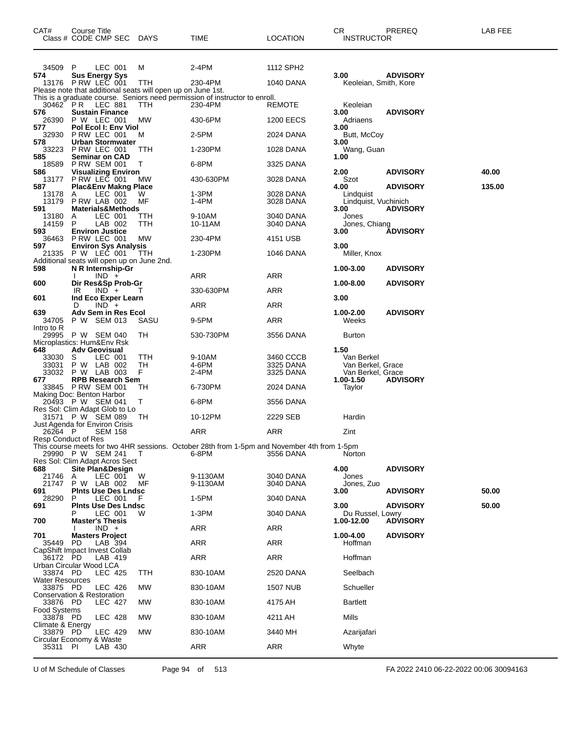|                                    | Course Title<br>Class # CODE CMP SEC                          | <b>DAYS</b> | TIME                                                                                        | LOCATION               | CR<br><b>INSTRUCTOR</b>                | PREREQ          | LAB FEE |
|------------------------------------|---------------------------------------------------------------|-------------|---------------------------------------------------------------------------------------------|------------------------|----------------------------------------|-----------------|---------|
| 34509                              | P<br>LEC 001                                                  | м           | 2-4PM                                                                                       | 1112 SPH2              |                                        |                 |         |
| 574                                | <b>Sus Energy Sys</b><br>13176 P RW LEC 001                   | <b>TTH</b>  | 230-4PM                                                                                     | 1040 DANA              | 3.00<br>Keoleian, Smith, Kore          | <b>ADVISORY</b> |         |
|                                    | Please note that additional seats will open up on June 1st.   |             |                                                                                             |                        |                                        |                 |         |
| 30462 PR                           | LEC 881                                                       | TTH         | This is a graduate course. Seniors need permission of instructor to enroll.<br>230-4PM      | REMOTE                 | Keoleian                               |                 |         |
| 576<br>26390                       | <b>Sustain Finance</b><br>P W LEC 001                         | MW          | 430-6PM                                                                                     | <b>1200 EECS</b>       | 3.00<br>Adriaens                       | <b>ADVISORY</b> |         |
| 577                                | Pol Ecol I: Env Viol                                          |             |                                                                                             |                        | 3.00                                   |                 |         |
| 32930<br>578                       | P RW LEC 001<br><b>Urban Stormwater</b>                       | м           | 2-5PM                                                                                       | 2024 DANA              | Butt, McCoy<br>3.00                    |                 |         |
| 33223<br>585                       | PRW LEC 001<br><b>Seminar on CAD</b>                          | TTH         | 1-230PM                                                                                     | 1028 DANA              | Wang, Guan<br>1.00                     |                 |         |
| 18589                              | <b>P RW SEM 001</b>                                           | Т           | 6-8PM                                                                                       | 3325 DANA              |                                        |                 |         |
| 586<br>13177                       | <b>Visualizing Environ</b><br>P RW LEC 001                    | МW          | 430-630PM                                                                                   | 3028 DANA              | 2.00<br>Szot                           | <b>ADVISORY</b> | 40.00   |
| 587<br>13178                       | <b>Plac&amp;Env Makng Place</b><br>LEC 001<br>A               | W           | 1-3PM                                                                                       | 3028 DANA              | 4.00<br>Lindquist                      | <b>ADVISORY</b> | 135.00  |
| 13179                              | PRW LAB 002                                                   | МF          | 1-4PM                                                                                       | 3028 DANA              | Lindquist, Vuchinich                   |                 |         |
| 591<br>13180                       | <b>Materials&amp;Methods</b><br>LEC 001<br>A                  | ттн         | 9-10AM                                                                                      | 3040 DANA              | 3.00<br>Jones                          | <b>ADVISORY</b> |         |
| 14159                              | P<br>LAB 002                                                  | TTH         | 10-11AM                                                                                     | 3040 DANA              | Jones, Chiang                          |                 |         |
| 593<br>36463                       | <b>Environ Justice</b><br>P RW LEC 001                        | МW          | 230-4PM                                                                                     | 4151 USB               | 3.00                                   | <b>ADVISORY</b> |         |
| 597<br>21335                       | <b>Environ Sys Analysis</b><br>P W LEC 001                    | TTH         | 1-230PM                                                                                     | 1046 DANA              | 3.00<br>Miller, Knox                   |                 |         |
|                                    | Additional seats will open up on June 2nd.                    |             |                                                                                             |                        |                                        |                 |         |
| 598                                | N R Internship-Gr<br>$IND +$                                  |             | ARR                                                                                         | <b>ARR</b>             | 1.00-3.00                              | <b>ADVISORY</b> |         |
| 600                                | Dir Res&Sp Prob-Gr                                            |             |                                                                                             |                        | 1.00-8.00                              | <b>ADVISORY</b> |         |
| 601                                | $IND +$<br>IR<br>Ind Eco Exper Learn                          |             | 330-630PM                                                                                   | ARR                    | 3.00                                   |                 |         |
| 639                                | $IND +$<br>D<br>Adv Sem in Res Ecol                           |             | ARR                                                                                         | ARR                    | 1.00-2.00                              | <b>ADVISORY</b> |         |
| 34705                              | P W SEM 013                                                   | SASU        | 9-5PM                                                                                       | ARR                    | Weeks                                  |                 |         |
| Intro to R<br>29995                | P W SEM 040                                                   | TН          | 530-730PM                                                                                   | 3556 DANA              | <b>Burton</b>                          |                 |         |
| 648                                | Microplastics: Hum&Env Rsk<br><b>Adv Geovisual</b>            |             |                                                                                             |                        | 1.50                                   |                 |         |
| 33030                              | S<br>LEC 001                                                  | TTH         | 9-10AM                                                                                      | 3460 CCCB              | Van Berkel                             |                 |         |
| 33031<br>33032                     | P W LAB 002<br>P W LAB 003                                    | TН<br>F     | 4-6PM<br>2-4PM                                                                              | 3325 DANA<br>3325 DANA | Van Berkel, Grace<br>Van Berkel, Grace |                 |         |
| 677                                | <b>RPB Research Sem</b><br>33845 PRW SEM 001                  | TН          | 6-730PM                                                                                     | 2024 DANA              | 1.00-1.50                              | <b>ADVISORY</b> |         |
|                                    | Making Doc: Benton Harbor                                     |             |                                                                                             |                        | Taylor                                 |                 |         |
|                                    | 20493 P W SEM 041<br>Res Sol: Clim Adapt Glob to Lo           | т           | 6-8PM                                                                                       | 3556 DANA              |                                        |                 |         |
|                                    | 31571 P W SEM 089                                             | ТH          | 10-12PM                                                                                     | 2229 SEB               | Hardin                                 |                 |         |
| 26264 P                            | Just Agenda for Environ Crisis<br><b>SEM 158</b>              |             | ARR                                                                                         | ARR                    | Zint                                   |                 |         |
|                                    | <b>Resp Conduct of Res</b>                                    |             | This course meets for two 4HR sessions. October 28th from 1-5pm and November 4th from 1-5pm |                        |                                        |                 |         |
|                                    | 29990 P W SEM 241                                             | $-\top$     | 6-8PM                                                                                       | 3556 DANA              | Norton                                 |                 |         |
| 688                                | Res Sol: Clim Adapt Acros Sect<br><b>Site Plan&amp;Design</b> |             |                                                                                             |                        | 4.00                                   | <b>ADVISORY</b> |         |
| 21746<br>21747                     | LEC 001<br>A<br>P W LAB 002                                   | W<br>МF     | 9-1130AM<br>9-1130AM                                                                        | 3040 DANA<br>3040 DANA | Jones<br>Jones, Zuo                    |                 |         |
| 691                                | <b>Pints Use Des Lndsc</b>                                    |             |                                                                                             |                        | 3.00                                   | <b>ADVISORY</b> | 50.00   |
| 28290<br>691                       | P<br>LEC 001<br><b>Pints Use Des Lndsc</b>                    |             | 1-5PM                                                                                       | 3040 DANA              | 3.00                                   | <b>ADVISORY</b> | 50.00   |
|                                    | LEC 001<br><b>Master's Thesis</b>                             | W           | $1-3PM$                                                                                     | 3040 DANA              | Du Russel, Lowry                       | <b>ADVISORY</b> |         |
| 700                                | $IND +$                                                       |             | ARR                                                                                         | ARR                    | 1.00-12.00                             |                 |         |
| 701<br>35449                       | <b>Masters Project</b><br>PD.<br>LAB 394                      |             | ARR                                                                                         | <b>ARR</b>             | 1.00-4.00<br>Hoffman                   | <b>ADVISORY</b> |         |
|                                    | CapShift Impact Invest Collab                                 |             |                                                                                             |                        |                                        |                 |         |
| 36172 PD                           | LAB 419<br>Urban Circular Wood LCA                            |             | ARR                                                                                         | ARR                    | Hoffman                                |                 |         |
| 33874 PD<br><b>Water Resources</b> | LEC 425                                                       | TTH         | 830-10AM                                                                                    | 2520 DANA              | Seelbach                               |                 |         |
| 33875 PD                           | LEC 426                                                       | <b>MW</b>   | 830-10AM                                                                                    | <b>1507 NUB</b>        | Schueller                              |                 |         |
| 33876 PD                           | Conservation & Restoration<br>LEC 427                         | MW          | 830-10AM                                                                                    | 4175 AH                | <b>Bartlett</b>                        |                 |         |
| Food Systems<br>33878 PD           | LEC 428                                                       | <b>MW</b>   | 830-10AM                                                                                    | 4211 AH                | Mills                                  |                 |         |
| Climate & Energy                   |                                                               |             |                                                                                             |                        |                                        |                 |         |
| 33879 PD                           | <b>LEC 429</b><br>Circular Economy & Waste                    | MW          | 830-10AM                                                                                    | 3440 MH                | Azarijafari                            |                 |         |
| 35311 PI                           | LAB 430                                                       |             | ARR                                                                                         | ARR                    | Whyte                                  |                 |         |

U of M Schedule of Classes Page 94 of 513 FA 2022 2410 06-22-2022 00:06 30094163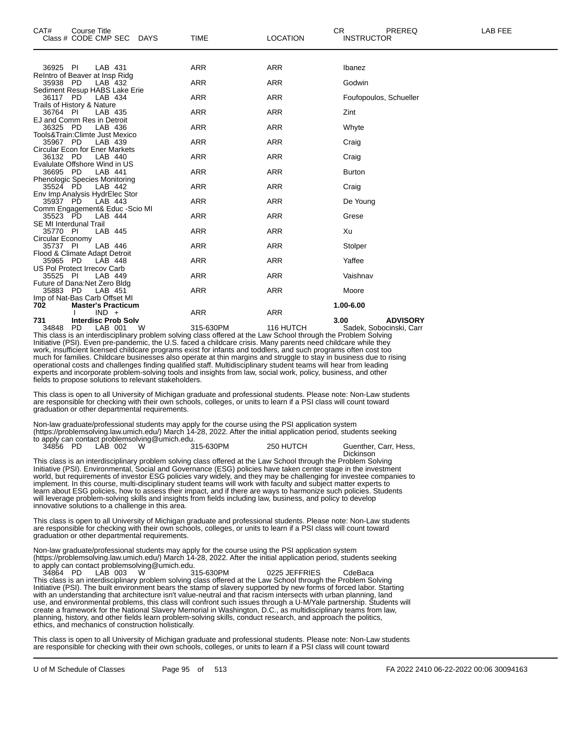| CAT#<br><b>Course Title</b>                           |             |                 | CR.<br>PREREQ           | LAB FEE |
|-------------------------------------------------------|-------------|-----------------|-------------------------|---------|
| Class # CODE CMP SEC DAYS                             | <b>TIME</b> | <b>LOCATION</b> | <b>INSTRUCTOR</b>       |         |
|                                                       |             |                 |                         |         |
| LAB 431<br>36925 PI<br>ReIntro of Beaver at Insp Ridg | <b>ARR</b>  | ARR             | Ibanez                  |         |
| 35938 PD<br>LAB 432                                   | <b>ARR</b>  | <b>ARR</b>      | Godwin                  |         |
| Sediment Resup HABS Lake Erie<br>36117 PD<br>LAB 434  | <b>ARR</b>  | <b>ARR</b>      | Foufopoulos, Schueller  |         |
| Trails of History & Nature                            |             |                 |                         |         |
| 36764 PI<br>LAB 435                                   | <b>ARR</b>  | <b>ARR</b>      | Zint                    |         |
| EJ and Comm Res in Detroit                            |             |                 |                         |         |
| LAB 436<br>36325 PD                                   | <b>ARR</b>  | <b>ARR</b>      | Whyte                   |         |
| Tools&Train:Climte Just Mexico<br>35967 PD<br>LAB 439 | <b>ARR</b>  | <b>ARR</b>      |                         |         |
| <b>Circular Econ for Ener Markets</b>                 |             |                 | Craig                   |         |
| 36132 PD<br>LAB 440                                   | <b>ARR</b>  | <b>ARR</b>      | Craig                   |         |
| Evalulate Offshore Wind in US                         |             |                 |                         |         |
| 36695 PD<br>LAB 441                                   | <b>ARR</b>  | <b>ARR</b>      | <b>Burton</b>           |         |
| <b>Phenologic Species Monitoring</b>                  |             |                 |                         |         |
| 35524 PD<br>LAB 442                                   | <b>ARR</b>  | <b>ARR</b>      | Craig                   |         |
| Env Imp Analysis HydrElec Stor                        |             |                 |                         |         |
| LAB 443<br>35937 PD                                   | <b>ARR</b>  | <b>ARR</b>      | De Young                |         |
| Comm Engagement& Educ -Scio MI                        |             |                 |                         |         |
| 35523 PD<br>LAB 444                                   | <b>ARR</b>  | <b>ARR</b>      | Grese                   |         |
| <b>SE MI Interdunal Trail</b>                         |             |                 |                         |         |
| LAB 445<br>35770 PI                                   | <b>ARR</b>  | <b>ARR</b>      | Xu                      |         |
| Circular Economy                                      |             |                 |                         |         |
| 35737 PI<br>LAB 446                                   | <b>ARR</b>  | <b>ARR</b>      | Stolper                 |         |
| Flood & Climate Adapt Detroit                         | <b>ARR</b>  | <b>ARR</b>      | Yaffee                  |         |
| 35965 PD<br>LAB 448<br>US Pol Protect Irrecov Carb    |             |                 |                         |         |
| 35525 PI<br>LAB 449                                   | <b>ARR</b>  | <b>ARR</b>      | Vaishnav                |         |
| Future of Dana: Net Zero Bldg                         |             |                 |                         |         |
| 35883 PD<br>LAB 451                                   | <b>ARR</b>  | <b>ARR</b>      | Moore                   |         |
| Imp of Nat-Bas Carb Offset MI                         |             |                 |                         |         |
| 702<br><b>Master's Practicum</b>                      |             |                 | 1.00-6.00               |         |
| $IND +$                                               | <b>ARR</b>  | <b>ARR</b>      |                         |         |
| 731<br><b>Interdisc Prob Solv</b>                     |             |                 | 3.00<br><b>ADVISORY</b> |         |

34848 PD LAB 001 W 315-630PM 116 HUTCH Sadek, Sobocinski, Carr This class is an interdisciplinary problem solving class offered at the Law School through the Problem Solving Initiative (PSI). Even pre-pandemic, the U.S. faced a childcare crisis. Many parents need childcare while they work, insufficient licensed childcare programs exist for infants and toddlers, and such programs often cost too much for families. Childcare businesses also operate at thin margins and struggle to stay in business due to rising operational costs and challenges finding qualified staff. Multidisciplinary student teams will hear from leading experts and incorporate problem-solving tools and insights from law, social work, policy, business, and other fields to propose solutions to relevant stakeholders.

This class is open to all University of Michigan graduate and professional students. Please note: Non-Law students are responsible for checking with their own schools, colleges, or units to learn if a PSI class will count toward graduation or other departmental requirements.

Non-law graduate/professional students may apply for the course using the PSI application system (https://problemsolving.law.umich.edu/) March 14-28, 2022. After the initial application period, students seeking to apply can contact problemsolving@umich.edu.

34856 PD LAB 002 W 315-630PM 250 HUTCH Guenther, Carr, Hess, Dickinson This class is an interdisciplinary problem solving class offered at the Law School through the Problem Solving Initiative (PSI). Environmental, Social and Governance (ESG) policies have taken center stage in the investment

world, but requirements of investor ESG policies vary widely, and they may be challenging for investee companies to implement. In this course, multi-disciplinary student teams will work with faculty and subject matter experts to learn about ESG policies, how to assess their impact, and if there are ways to harmonize such policies. Students will leverage problem-solving skills and insights from fields including law, business, and policy to develop innovative solutions to a challenge in this area.

This class is open to all University of Michigan graduate and professional students. Please note: Non-Law students are responsible for checking with their own schools, colleges, or units to learn if a PSI class will count toward graduation or other departmental requirements.

Non-law graduate/professional students may apply for the course using the PSI application system (https://problemsolving.law.umich.edu/) March 14-28, 2022. After the initial application period, students seeking to apply can contact problemsolving@umich.edu.

34864 PD LAB 003 W 315-630PM 0225 JEFFRIES CdeBaca This class is an interdisciplinary problem solving class offered at the Law School through the Problem Solving Initiative (PSI). The built environment bears the stamp of slavery supported by new forms of forced labor. Starting with an understanding that architecture isn't value-neutral and that racism intersects with urban planning, land use, and environmental problems, this class will confront such issues through a U-M/Yale partnership. Students will create a framework for the National Slavery Memorial in Washington, D.C., as multidisciplinary teams from law, planning, history, and other fields learn problem-solving skills, conduct research, and approach the politics, ethics, and mechanics of construction holistically.

This class is open to all University of Michigan graduate and professional students. Please note: Non-Law students are responsible for checking with their own schools, colleges, or units to learn if a PSI class will count toward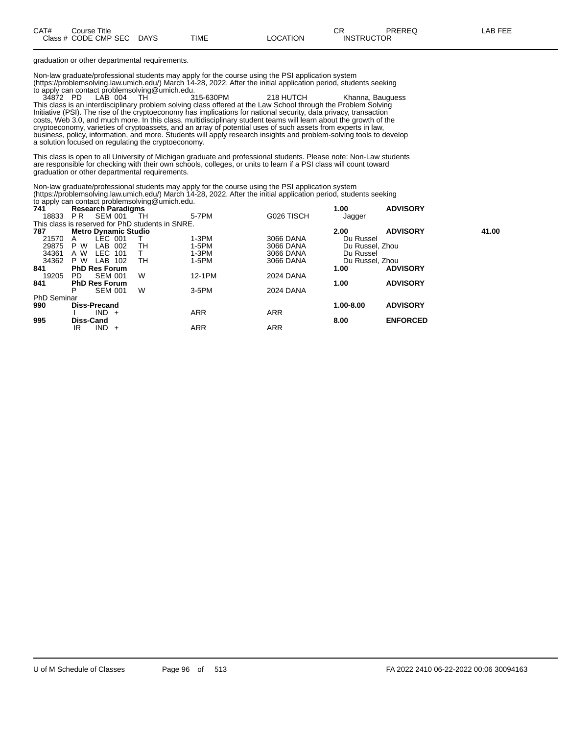| CAT# | Title<br>∴ourse      |             |             |          | Ωn<br>- UN        | PREREQ | t EEE<br>AR. |
|------|----------------------|-------------|-------------|----------|-------------------|--------|--------------|
|      | Class # CODE CMP SEC | <b>DAYS</b> | <b>TIME</b> | ∟OCATION | <b>INSTRUCTOR</b> |        |              |

graduation or other departmental requirements.

Non-law graduate/professional students may apply for the course using the PSI application system (https://problemsolving.law.umich.edu/) March 14-28, 2022. After the initial application period, students seeking to apply can contact problemsolving@umich.edu.

218 HUTCH Khanna, Bauguess This class is an interdisciplinary problem solving class offered at the Law School through the Problem Solving Initiative (PSI). The rise of the cryptoeconomy has implications for national security, data privacy, transaction costs, Web 3.0, and much more. In this class, multidisciplinary student teams will learn about the growth of the cryptoeconomy, varieties of cryptoassets, and an array of potential uses of such assets from experts in law, business, policy, information, and more. Students will apply research insights and problem-solving tools to develop a solution focused on regulating the cryptoeconomy.

This class is open to all University of Michigan graduate and professional students. Please note: Non-Law students are responsible for checking with their own schools, colleges, or units to learn if a PSI class will count toward graduation or other departmental requirements.

Non-law graduate/professional students may apply for the course using the PSI application system (https://problemsolving.law.umich.edu/) March 14-28, 2022. After the initial application period, students seeking to apply can contact problemsolving@umich.edu.

| 741                                              |           | <b>Research Paradigms</b>   |     |     |            |            | 1.00            | <b>ADVISORY</b> |       |
|--------------------------------------------------|-----------|-----------------------------|-----|-----|------------|------------|-----------------|-----------------|-------|
| 18833                                            | PR        | SEM 001                     |     | -TH | 5-7PM      | G026 TISCH | Jagger          |                 |       |
| This class is reserved for PhD students in SNRE. |           |                             |     |     |            |            |                 |                 |       |
| 787                                              |           | <b>Metro Dynamic Studio</b> |     |     |            |            | 2.00            | <b>ADVISORY</b> | 41.00 |
| 21570                                            | A         | LEC 001                     |     |     | $1-3PM$    | 3066 DANA  | Du Russel       |                 |       |
| 29875                                            | P W       | LAB 002                     |     | TН  | 1-5PM      | 3066 DANA  | Du Russel, Zhou |                 |       |
| 34361                                            | A W       | LEC 101                     |     |     | $1-3PM$    | 3066 DANA  | Du Russel       |                 |       |
| 34362                                            | P W       | LAB 102                     |     | TН  | 1-5PM      | 3066 DANA  | Du Russel, Zhou |                 |       |
| 841                                              |           | <b>PhD Res Forum</b>        |     |     |            |            | 1.00            | <b>ADVISORY</b> |       |
| 19205                                            | PD.       | SEM 001                     |     | W   | 12-1PM     | 2024 DANA  |                 |                 |       |
| 841                                              |           | <b>PhD Res Forum</b>        |     |     |            |            | 1.00            | <b>ADVISORY</b> |       |
|                                                  | P         | <b>SEM 001</b>              |     | W   | $3-5$ PM   | 2024 DANA  |                 |                 |       |
| <b>PhD Seminar</b>                               |           |                             |     |     |            |            |                 |                 |       |
| 990                                              |           | Diss-Precand                |     |     |            |            | 1.00-8.00       | <b>ADVISORY</b> |       |
|                                                  |           | $IND +$                     |     |     | <b>ARR</b> | <b>ARR</b> |                 |                 |       |
| 995                                              | Diss-Cand |                             |     |     |            |            | 8.00            | <b>ENFORCED</b> |       |
|                                                  | IR        | IND.                        | $+$ |     | <b>ARR</b> | <b>ARR</b> |                 |                 |       |
|                                                  |           |                             |     |     |            |            |                 |                 |       |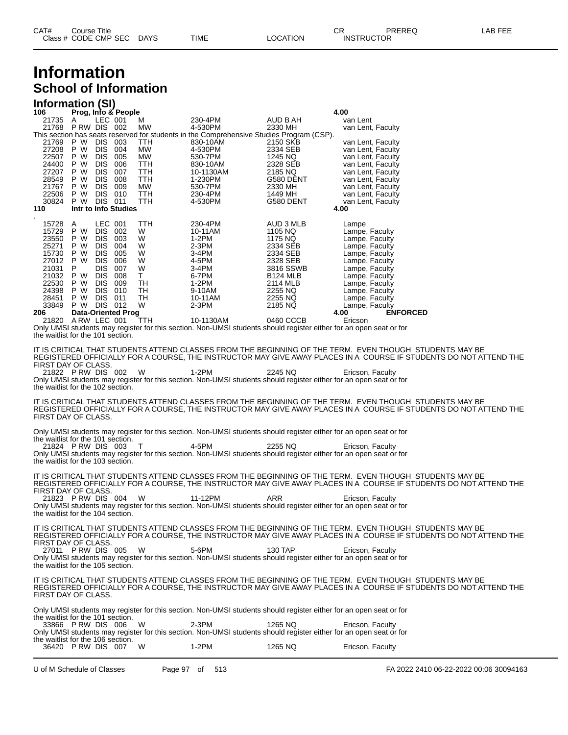### **Information School of Information**

#### **Information (SI)**

| 106                                                                                                                                                                                                    |                                                                                    |                                                                          | Prog, Info & People                                                 |                                                                              |                                                                                                                                |                                                                                                                                                               | 4.00                                                                                                                                                                                                                                                                                                                                                                      |
|--------------------------------------------------------------------------------------------------------------------------------------------------------------------------------------------------------|------------------------------------------------------------------------------------|--------------------------------------------------------------------------|---------------------------------------------------------------------|------------------------------------------------------------------------------|--------------------------------------------------------------------------------------------------------------------------------|---------------------------------------------------------------------------------------------------------------------------------------------------------------|---------------------------------------------------------------------------------------------------------------------------------------------------------------------------------------------------------------------------------------------------------------------------------------------------------------------------------------------------------------------------|
| 21735 A<br>21768 PRW DIS 002                                                                                                                                                                           |                                                                                    | LEC 001                                                                  |                                                                     | м<br>МW                                                                      | 230-4PM<br>4-530PM<br>This section has seats reserved for students in the Comprehensive Studies Program (CSP).                 | AUD B AH<br>2330 MH                                                                                                                                           | van Lent<br>van Lent, Faculty                                                                                                                                                                                                                                                                                                                                             |
| 21769<br>27208<br>22507<br>24400<br>27207<br>28549<br>21767 P W DIS 009<br>22506<br>30824<br>110                                                                                                       | P W DIS 003<br>P W<br>P W<br>P W<br>P W<br>P W<br>P W DIS 010<br>P W DIS 011       | DIS 004<br>DIS 005<br>DIS 006<br><b>DIS</b><br>DIS.                      | 007<br>008<br>Intr to Info Studies                                  | <b>TTH</b><br>МW<br>МW<br>TTH<br>TTH<br>TTH<br>МW<br>TTH<br><b>TTH</b>       | 830-10AM<br>4-530PM<br>530-7PM<br>830-10AM<br>10-1130AM<br>1-230PM<br>530-7PM<br>230-4PM<br>4-530PM                            | 2150 SKB<br>2334 SEB<br>1245 NQ<br>2328 SEB<br>2185 NQ<br>G580 DENT<br>2330 MH<br>1449 MH<br>G580 DENT                                                        | van Lent, Faculty<br>van Lent, Faculty<br>van Lent, Faculty<br>van Lent, Faculty<br>van Lent, Faculty<br>van Lent, Faculty<br>van Lent, Faculty<br>van Lent, Faculty<br>van Lent, Faculty<br>4.00                                                                                                                                                                         |
| 15728<br>15729<br>23550<br>25271<br>15730<br>27012 P W<br>21031<br>21032 P W DIS 008<br>22530<br>24398<br>28451<br>33849 P W DIS 012<br>206<br>21820 A RW LEC 001<br>the waitlist for the 101 section. | A<br>P W<br>P W<br>P W<br>P W<br>$\mathsf{P}$<br>P W DIS<br>P W DIS<br>P W DIS 011 | LEC 001<br>DIS 002<br>DIS<br>DIS.<br>DIS 005<br><b>DIS</b><br><b>DIS</b> | 003<br>004<br>006<br>007<br>009<br>010<br><b>Data-Oriented Prog</b> | TTH<br>W<br>W<br>W<br>W<br>W<br>W<br>T.<br>TH<br>TH<br>TН<br>W<br><b>TTH</b> | 230-4PM<br>10-11AM<br>1-2PM<br>$2-3PM$<br>3-4PM<br>4-5PM<br>3-4PM<br>6-7PM<br>1-2PM<br>9-10AM<br>10-11AM<br>2-3PM<br>10-1130AM | AUD 3 MLB<br>1105 NQ<br>1175 NQ<br>2334 SEB<br>2334 SEB<br>2328 SEB<br>3816 SSWB<br><b>B124 MLB</b><br>2114 MLB<br>2255 NQ<br>2255 NQ<br>2185 NQ<br>0460 CCCB | Lampe<br>Lampe, Faculty<br>Lampe, Faculty<br>Lampe, Faculty<br>Lampe, Faculty<br>Lampe, Faculty<br>Lampe, Faculty<br>Lampe, Faculty<br>Lampe, Faculty<br>Lampe, Faculty<br>Lampe, Faculty<br>Lampe, Faculty<br><b>ENFORCED</b><br>4.00<br>Ericson<br>Only UMSI students may register for this section. Non-UMSI students should register either for an open seat or for   |
| FIRST DAY OF CLASS.<br>21822 PRW DIS 002<br>the waitlist for the 102 section.                                                                                                                          |                                                                                    |                                                                          |                                                                     | - W                                                                          | 1-2PM                                                                                                                          | 2245 NQ                                                                                                                                                       | IT IS CRITICAL THAT STUDENTS ATTEND CLASSES FROM THE BEGINNING OF THE TERM.  EVEN THOUGH  STUDENTS MAY BE<br>REGISTERED OFFICIALLY FOR A COURSE, THE INSTRUCTOR MAY GIVE AWAY PLACES IN A  COURSE IF STUDENTS DO NOT ATTEND THE<br>Ericson, Faculty<br>Only UMSI students may register for this section. Non-UMSI students should register either for an open seat or for |
| FIRST DAY OF CLASS.                                                                                                                                                                                    |                                                                                    |                                                                          |                                                                     |                                                                              |                                                                                                                                |                                                                                                                                                               | IT IS CRITICAL THAT STUDENTS ATTEND CLASSES FROM THE BEGINNING OF THE TERM.  EVEN THOUGH  STUDENTS MAY BE<br>REGISTERED OFFICIALLY FOR A COURSE, THE INSTRUCTOR MAY GIVE AWAY PLACES IN A  COURSE IF STUDENTS DO NOT ATTEND THE                                                                                                                                           |
| the waitlist for the 101 section.<br>21824 PRW DIS 003<br>the waitlist for the 103 section.                                                                                                            |                                                                                    |                                                                          |                                                                     | $\top$                                                                       | 4-5PM                                                                                                                          | 2255 NQ                                                                                                                                                       | Only UMSI students may register for this section. Non-UMSI students should register either for an open seat or for<br>Ericson, Faculty<br>Only UMSI students may register for this section. Non-UMSI students should register either for an open seat or for                                                                                                              |
| FIRST DAY OF CLASS.<br>21823 PRW DIS 004<br>the waitlist for the 104 section.                                                                                                                          |                                                                                    |                                                                          |                                                                     | - W                                                                          | 11-12PM                                                                                                                        | ARR                                                                                                                                                           | IT IS CRITICAL THAT STUDENTS ATTEND CLASSES FROM THE BEGINNING OF THE TERM.  EVEN THOUGH  STUDENTS MAY BE<br>REGISTERED OFFICIALLY FOR A COURSE, THE INSTRUCTOR MAY GIVE AWAY PLACES IN A  COURSE IF STUDENTS DO NOT ATTEND THE<br>Ericson, Faculty<br>Only UMSI students may register for this section. Non-UMSI students should register either for an open seat or for |
| FIRST DAY OF CLASS.<br>27011 PRW DIS 005<br>the waitlist for the 105 section.                                                                                                                          |                                                                                    |                                                                          |                                                                     | W                                                                            | 5-6PM                                                                                                                          | 130 TAP                                                                                                                                                       | IT IS CRITICAL THAT STUDENTS ATTEND CLASSES FROM THE BEGINNING OF THE TERM. EVEN THOUGH  STUDENTS MAY BE<br>REGISTERED OFFICIALLY FOR A COURSE, THE INSTRUCTOR MAY GIVE AWAY PLACES IN A  COURSE IF STUDENTS DO NOT ATTEND THE<br>Ericson, Faculty<br>Only UMSI students may register for this section. Non-UMSI students should register either for an open seat or for  |
| FIRST DAY OF CLASS.                                                                                                                                                                                    |                                                                                    |                                                                          |                                                                     |                                                                              |                                                                                                                                |                                                                                                                                                               | IT IS CRITICAL THAT STUDENTS ATTEND CLASSES FROM THE BEGINNING OF THE TERM.  EVEN THOUGH  STUDENTS MAY BE<br>REGISTERED OFFICIALLY FOR A COURSE. THE INSTRUCTOR MAY GIVE AWAY PLACES IN A  COURSE IF STUDENTS DO NOT ATTEND THE                                                                                                                                           |
| the waitlist for the 101 section.<br>33866 PRW DIS 006<br>the waitlist for the 106 section.<br>36420 PRW DIS 007                                                                                       |                                                                                    |                                                                          |                                                                     | W<br>W                                                                       | 2-3PM<br>$1-2PM$                                                                                                               | 1265 NQ<br>1265 NQ                                                                                                                                            | Only UMSI students may register for this section. Non-UMSI students should register either for an open seat or for<br>Ericson, Faculty<br>Only UMSI students may register for this section. Non-UMSI students should register either for an open seat or for<br>Ericson, Faculty                                                                                          |
|                                                                                                                                                                                                        |                                                                                    |                                                                          |                                                                     |                                                                              |                                                                                                                                |                                                                                                                                                               |                                                                                                                                                                                                                                                                                                                                                                           |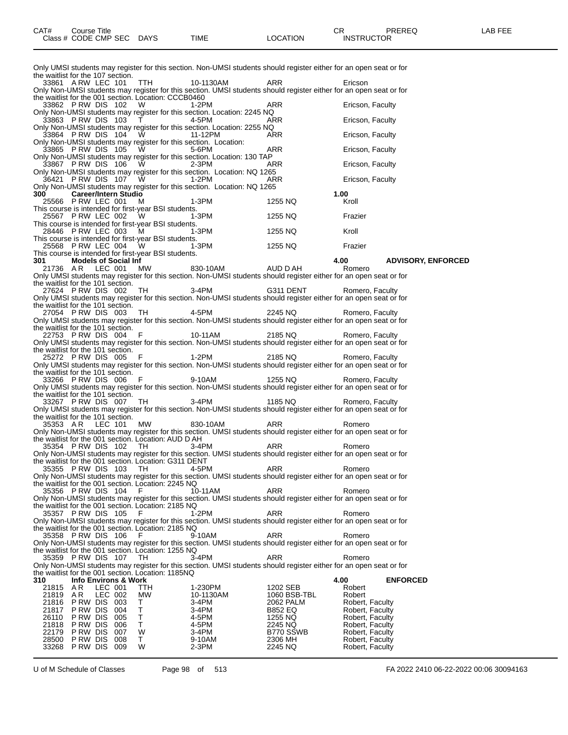| Only UMSI students may register for this section. Non-UMSI students should register either for an open seat or for                                                                                                                                                                                                                                                                                                                                                            |                          |                                    |
|-------------------------------------------------------------------------------------------------------------------------------------------------------------------------------------------------------------------------------------------------------------------------------------------------------------------------------------------------------------------------------------------------------------------------------------------------------------------------------|--------------------------|------------------------------------|
|                                                                                                                                                                                                                                                                                                                                                                                                                                                                               |                          |                                    |
| the waitlist for the 107 section.                                                                                                                                                                                                                                                                                                                                                                                                                                             |                          |                                    |
|                                                                                                                                                                                                                                                                                                                                                                                                                                                                               |                          |                                    |
| 33861 ARW LEC 101 TTH 10-1130AM ARR Ericson<br>Only Non-UMSI students may register for this section. UMSI students should register either for an open seat or for<br>the waitlist for the 001 section. Location: CCCB0460<br>Univ Non-UMSI students may register for this section. Location: 2245 M2<br>255 NQ<br>25566 PRW DIS 102 W<br>23862 PRW DIS 102 W<br>33862 PRW DIS 102 W<br>33862 PRW DIS 102 W<br>33862 PRW DIS 102 W<br>33862 PRW DIS 103 T<br>24-5PM<br>23865 P |                          |                                    |
|                                                                                                                                                                                                                                                                                                                                                                                                                                                                               |                          |                                    |
|                                                                                                                                                                                                                                                                                                                                                                                                                                                                               |                          |                                    |
|                                                                                                                                                                                                                                                                                                                                                                                                                                                                               |                          |                                    |
|                                                                                                                                                                                                                                                                                                                                                                                                                                                                               |                          |                                    |
|                                                                                                                                                                                                                                                                                                                                                                                                                                                                               |                          |                                    |
|                                                                                                                                                                                                                                                                                                                                                                                                                                                                               |                          |                                    |
|                                                                                                                                                                                                                                                                                                                                                                                                                                                                               |                          |                                    |
|                                                                                                                                                                                                                                                                                                                                                                                                                                                                               |                          |                                    |
|                                                                                                                                                                                                                                                                                                                                                                                                                                                                               |                          |                                    |
|                                                                                                                                                                                                                                                                                                                                                                                                                                                                               |                          |                                    |
|                                                                                                                                                                                                                                                                                                                                                                                                                                                                               |                          |                                    |
|                                                                                                                                                                                                                                                                                                                                                                                                                                                                               |                          |                                    |
| This course is intended for first-year BSI students.                                                                                                                                                                                                                                                                                                                                                                                                                          |                          |                                    |
| This course is intended for first-year BSI students.<br>28446 P RW LEC 003 M 1-3PM 1255 NQ Kroll<br>This course is intended for first-year BSI students.<br>25568 P RW LEC 004 W 1-3PM 1255 NQ Frazier<br>This course is intended for                                                                                                                                                                                                                                         |                          |                                    |
|                                                                                                                                                                                                                                                                                                                                                                                                                                                                               |                          |                                    |
|                                                                                                                                                                                                                                                                                                                                                                                                                                                                               |                          |                                    |
|                                                                                                                                                                                                                                                                                                                                                                                                                                                                               |                          |                                    |
|                                                                                                                                                                                                                                                                                                                                                                                                                                                                               |                          |                                    |
| Only UMSI students may register for this section. Non-UMSI students should register either for an open seat or for                                                                                                                                                                                                                                                                                                                                                            |                          |                                    |
| the waitlist for the 101 section.<br>27624 PRW DIS 002 TH 3-4PM G311 DENT Romero, Faculty                                                                                                                                                                                                                                                                                                                                                                                     |                          |                                    |
| Only UMSI students may register for this section. Non-UMSI students should register either for an open seat or for                                                                                                                                                                                                                                                                                                                                                            |                          |                                    |
| the waitlist for the 101 section.                                                                                                                                                                                                                                                                                                                                                                                                                                             |                          |                                    |
| the watulist for the TUT section.<br>27054 P RW DIS 003 TH 4-5PM 2245 NQ Romero, Faculty<br>Only UMSI students may register for this section. Non-UMSI students should register either for an open seat or for                                                                                                                                                                                                                                                                |                          |                                    |
|                                                                                                                                                                                                                                                                                                                                                                                                                                                                               |                          |                                    |
| the waitlist for the 101 section.<br>2753 P RW DIS 004 F<br>2185 NQ Romero, Faculty<br>2185 NQ Romero, Faculty<br>2185 NQ Romero, Faculty<br>2185 NQ Romero, Faculty<br>2185 NQ Romero, Faculty                                                                                                                                                                                                                                                                               |                          |                                    |
|                                                                                                                                                                                                                                                                                                                                                                                                                                                                               |                          |                                    |
| the waitlist for the 101 section.                                                                                                                                                                                                                                                                                                                                                                                                                                             |                          |                                    |
| the waitlist for the 101 section.<br>25272 P RW DIS 005 F 1-2PM 2185 NQ Romero, Faculty<br>25272 P RW DIS 005 F 1-2PM 2185 NQ PUMSI students should register either for an open seat or for                                                                                                                                                                                                                                                                                   |                          |                                    |
| the waitlist for the 101 section.<br>33266 P RW DIS 006 F 9-10AM 1255 NQ Romero, Faculty<br>Only UMSI students may register for this section. Non-UMSI students should register either for an open seat or for                                                                                                                                                                                                                                                                |                          |                                    |
|                                                                                                                                                                                                                                                                                                                                                                                                                                                                               |                          |                                    |
| the waitlist for the 101 section.                                                                                                                                                                                                                                                                                                                                                                                                                                             |                          |                                    |
| the watulist for the TOT section.<br>33267 P RW DIS 007 TH 3-4PM<br>Only UMSI students may register for this section. Non-UMSI students should register either for an open seat or for                                                                                                                                                                                                                                                                                        |                          |                                    |
|                                                                                                                                                                                                                                                                                                                                                                                                                                                                               |                          |                                    |
| the waitlist for the 101 section.                                                                                                                                                                                                                                                                                                                                                                                                                                             |                          |                                    |
|                                                                                                                                                                                                                                                                                                                                                                                                                                                                               |                          |                                    |
|                                                                                                                                                                                                                                                                                                                                                                                                                                                                               |                          |                                    |
| 35353 AR LEC 101 MW 830-10AM ARR Romero<br>Only Non-UMSI students may register for this section. UMSI students should register either for an open seat or for<br>the waitlist for the 001 section. Location: AUD D AH                                                                                                                                                                                                                                                         |                          |                                    |
|                                                                                                                                                                                                                                                                                                                                                                                                                                                                               |                          |                                    |
| and water of the out-section. Location. AUD D ATT ARR RESALE PRW DIS 102 TH ROMEON ARR ROMEON NON-UMSI students may register for this section. UMSI students should register either for an open seat or for                                                                                                                                                                                                                                                                   |                          |                                    |
| the waitlist for the 001 section. Location: G311 DENT<br>$35355$ PRW DIS 103 TH 4-5PM                                                                                                                                                                                                                                                                                                                                                                                         |                          |                                    |
| 35355 P RW DIS 103 TH 4-5PM ARR Romero<br>Only Non-UMSI students may register for this section. UMSI students should register either for an open seat or for                                                                                                                                                                                                                                                                                                                  |                          |                                    |
| the waitlist for the 001 section. Location: 2245 NQ                                                                                                                                                                                                                                                                                                                                                                                                                           |                          |                                    |
| 35356 PRW DIS 104<br>F<br>10-11AM                                                                                                                                                                                                                                                                                                                                                                                                                                             | <b>ARR</b>               | Romero                             |
| Only Non-UMSI students may register for this section. UMSI students should register either for an open seat or for<br>the waitlist for the 001 section. Location: 2185 NQ                                                                                                                                                                                                                                                                                                     |                          |                                    |
| 35357 PRW DIS 105<br>F<br>$1-2PM$                                                                                                                                                                                                                                                                                                                                                                                                                                             | ARR                      | Romero                             |
| Only Non-UMSI students may register for this section. UMSI students should register either for an open seat or for                                                                                                                                                                                                                                                                                                                                                            |                          |                                    |
| the waitlist for the 001 section. Location: 2185 NQ<br>35358 PRW DIS 106<br>9-10AM<br>F                                                                                                                                                                                                                                                                                                                                                                                       | ARR                      | Romero                             |
| Only Non-UMSI students may register for this section. UMSI students should register either for an open seat or for                                                                                                                                                                                                                                                                                                                                                            |                          |                                    |
| the waitlist for the 001 section. Location: 1255 NQ                                                                                                                                                                                                                                                                                                                                                                                                                           |                          |                                    |
| 35359 PRW DIS 107<br>3-4PM<br>TH.<br>Only Non-UMSI students may register for this section. UMSI students should register either for an open seat or for                                                                                                                                                                                                                                                                                                                       | ARR                      | Romero                             |
| the waitlist for the 001 section. Location: 1185NQ                                                                                                                                                                                                                                                                                                                                                                                                                            |                          |                                    |
| <b>Info Environs &amp; Work</b><br>310                                                                                                                                                                                                                                                                                                                                                                                                                                        |                          | 4.00<br><b>ENFORCED</b>            |
| AR<br>LEC 001<br>1-230PM<br>21815<br>ттн<br>21819<br>A R<br>МW<br>10-1130AM                                                                                                                                                                                                                                                                                                                                                                                                   | 1202 SEB<br>1060 BSB-TBL | Robert<br>Robert                   |
| LEC 002<br>P RW DIS<br>21816<br>003<br>3-4PM<br>Τ                                                                                                                                                                                                                                                                                                                                                                                                                             | 2062 PALM                | Robert, Faculty                    |
| P RW DIS<br>Τ<br>21817<br>004<br>3-4PM                                                                                                                                                                                                                                                                                                                                                                                                                                        | B852 EQ                  | Robert, Faculty                    |
| P RW DIS<br>Τ<br>26110<br>005<br>4-5PM                                                                                                                                                                                                                                                                                                                                                                                                                                        | 1255 NQ                  | Robert, Faculty                    |
| 21818<br>P RW DIS<br>006<br>Т<br>4-5PM<br>22179<br>P RW DIS<br>007<br>W<br>3-4PM                                                                                                                                                                                                                                                                                                                                                                                              | 2245 NQ<br>B770 SSWB     | Robert, Faculty<br>Robert, Faculty |
| 28500<br>PRW DIS<br>008<br>T.<br>9-10AM<br>33268<br><b>PRW DIS 009</b><br>W<br>2-3PM                                                                                                                                                                                                                                                                                                                                                                                          | 2306 MH<br>2245 NQ       | Robert, Faculty<br>Robert, Faculty |

U of M Schedule of Classes Page 98 of 513 FA 2022 2410 06-22-2022 00:06 30094163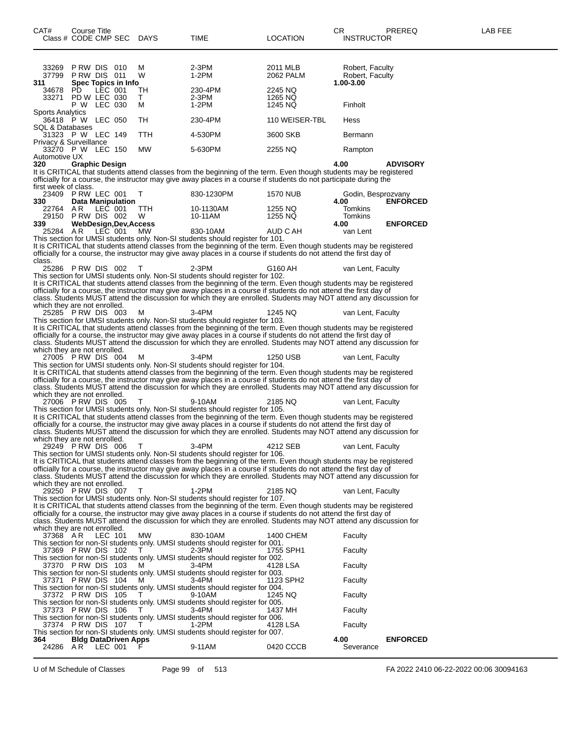| CAT#                                              | Course Title<br>Class # CODE CMP SEC DAYS |         |                             |               | TIME                                                                                                                                                                                                                                                                                                                                                            | LOCATION                      | СR<br><b>INSTRUCTOR</b>                         | PREREQ          | LAB FEE |
|---------------------------------------------------|-------------------------------------------|---------|-----------------------------|---------------|-----------------------------------------------------------------------------------------------------------------------------------------------------------------------------------------------------------------------------------------------------------------------------------------------------------------------------------------------------------------|-------------------------------|-------------------------------------------------|-----------------|---------|
| 33269<br>37799<br>311                             | PRW DIS 010<br>PRW DIS 011                |         | Spec Topics in Info         | м<br>W        | 2-3PM<br>$1-2PM$                                                                                                                                                                                                                                                                                                                                                | 2011 MLB<br>2062 PALM         | Robert, Faculty<br>Robert, Faculty<br>1.00-3.00 |                 |         |
| 34678<br>33271                                    | PD.<br>PD W LEC 030<br>P W LEC 030        | LEC 001 |                             | TH<br>T.<br>м | 230-4PM<br>2-3PM<br>1-2PM                                                                                                                                                                                                                                                                                                                                       | 2245 NQ<br>1265 NQ<br>1245 NQ | Finholt                                         |                 |         |
| Sports Analytics<br>SQL & Databases               | 36418 P W LEC 050                         |         |                             | TН            | 230-4PM                                                                                                                                                                                                                                                                                                                                                         | 110 WEISER-TBL                | Hess                                            |                 |         |
|                                                   | 31323 P W LEC 149                         |         |                             | TTH           | 4-530PM                                                                                                                                                                                                                                                                                                                                                         | 3600 SKB                      | Bermann                                         |                 |         |
| Privacy & Surveillance                            | 33270 P W LEC 150                         |         |                             | МW            | 5-630PM                                                                                                                                                                                                                                                                                                                                                         | 2255 NQ                       | Rampton                                         |                 |         |
| Automotive UX<br>320<br>first week of class.      | <b>Graphic Design</b>                     |         |                             |               | It is CRITICAL that students attend classes from the beginning of the term. Even though students may be registered<br>officially for a course, the instructor may give away places in a course if students do not participate during the                                                                                                                        |                               | 4.00                                            | <b>ADVISORY</b> |         |
| 330                                               | 23409 PRW LEC 001                         |         | Data Manipulation           | Τ             | 830-1230PM                                                                                                                                                                                                                                                                                                                                                      | 1570 NUB                      | Godin, Besprozvany<br>4.00                      | <b>ENFORCED</b> |         |
| 22764                                             | AR.<br>PRW DIS 002                        | LEC 001 |                             | TTH           | 10-1130AM                                                                                                                                                                                                                                                                                                                                                       | 1255 NQ                       | Tomkins                                         |                 |         |
| 29150<br>339                                      |                                           |         | <b>WebDesign,Dev,Access</b> | w             | 10-11AM                                                                                                                                                                                                                                                                                                                                                         | 1255 NQ                       | Tomkins<br>4.00                                 | <b>ENFORCED</b> |         |
| 25284 AR                                          |                                           | LEC 001 |                             | MW.           | 830-10AM<br>This section for UMSI students only. Non-SI students should register for 101.                                                                                                                                                                                                                                                                       | AUD C AH                      | van Lent                                        |                 |         |
| class.                                            |                                           |         |                             |               | It is CRITICAL that students attend classes from the beginning of the term. Even though students may be registered<br>officially for a course, the instructor may give away places in a course if students do not attend the first day of                                                                                                                       |                               |                                                 |                 |         |
|                                                   | 25286 PRW DIS 002                         |         |                             | Τ             | 2-3PM<br>This section for UMSI students only. Non-SI students should register for 102.                                                                                                                                                                                                                                                                          | G160 AH                       | van Lent, Faculty                               |                 |         |
|                                                   |                                           |         |                             |               | It is CRITICAL that students attend classes from the beginning of the term. Even though students may be registered<br>officially for a course, the instructor may give away places in a course if students do not attend the first day of                                                                                                                       |                               |                                                 |                 |         |
|                                                   |                                           |         |                             |               | class. Students MUST attend the discussion for which they are enrolled. Students may NOT attend any discussion for                                                                                                                                                                                                                                              |                               |                                                 |                 |         |
| which they are not enrolled.                      | 25285 PRW DIS 003                         |         |                             | M             | 3-4PM                                                                                                                                                                                                                                                                                                                                                           | 1245 NQ                       | van Lent, Faculty                               |                 |         |
|                                                   |                                           |         |                             |               | This section for UMSI students only. Non-SI students should register for 103.<br>It is CRITICAL that students attend classes from the beginning of the term. Even though students may be registered                                                                                                                                                             |                               |                                                 |                 |         |
|                                                   |                                           |         |                             |               | officially for a course, the instructor may give away places in a course if students do not attend the first day of                                                                                                                                                                                                                                             |                               |                                                 |                 |         |
| which they are not enrolled.                      |                                           |         |                             |               | class. Students MUST attend the discussion for which they are enrolled. Students may NOT attend any discussion for                                                                                                                                                                                                                                              |                               |                                                 |                 |         |
|                                                   | 27005 PRW DIS 004                         |         |                             | M             | 3-4PM<br>This section for UMSI students only. Non-SI students should register for 104.                                                                                                                                                                                                                                                                          | 1250 USB                      | van Lent, Faculty                               |                 |         |
|                                                   |                                           |         |                             |               | It is CRITICAL that students attend classes from the beginning of the term. Even though students may be registered<br>officially for a course, the instructor may give away places in a course if students do not attend the first day of<br>class. Students MUST attend the discussion for which they are enrolled. Students may NOT attend any discussion for |                               |                                                 |                 |         |
| which they are not enrolled.                      | 27006 PRW DIS 005                         |         |                             | Τ             | 9-10AM                                                                                                                                                                                                                                                                                                                                                          | 2185 NQ                       | van Lent, Faculty                               |                 |         |
|                                                   |                                           |         |                             |               | This section for UMSI students only. Non-SI students should register for 105.<br>It is CRITICAL that students attend classes from the beginning of the term. Even though students may be registered                                                                                                                                                             |                               |                                                 |                 |         |
| which they are not enrolled.                      |                                           |         |                             |               | officially for a course, the instructor may give away places in a course if students do not attend the first day of<br>class. Students MUST attend the discussion for which they are enrolled. Students may NOT attend any discussion for                                                                                                                       |                               |                                                 |                 |         |
| 29249 PRW DIS 006 T                               |                                           |         |                             |               | 3-4PM<br>This section for UMSI students only. Non-SI students should register for 106.                                                                                                                                                                                                                                                                          | 4212 SEB                      | van Lent, Faculty                               |                 |         |
|                                                   |                                           |         |                             |               | It is CRITICAL that students attend classes from the beginning of the term. Even though students may be registered<br>officially for a course, the instructor may give away places in a course if students do not attend the first day of<br>class. Students MUST attend the discussion for which they are enrolled. Students may NOT attend any discussion for |                               |                                                 |                 |         |
| which they are not enrolled.<br>29250 PRW DIS 007 |                                           |         |                             | Т             | 1-2PM                                                                                                                                                                                                                                                                                                                                                           | 2185 NQ                       | van Lent, Faculty                               |                 |         |
|                                                   |                                           |         |                             |               | This section for UMSI students only. Non-SI students should register for 107.<br>It is CRITICAL that students attend classes from the beginning of the term. Even though students may be registered                                                                                                                                                             |                               |                                                 |                 |         |
|                                                   |                                           |         |                             |               | officially for a course, the instructor may give away places in a course if students do not attend the first day of                                                                                                                                                                                                                                             |                               |                                                 |                 |         |
| which they are not enrolled.                      |                                           |         |                             |               | class. Students MUST attend the discussion for which they are enrolled. Students may NOT attend any discussion for                                                                                                                                                                                                                                              |                               |                                                 |                 |         |
| 37368 AR                                          |                                           | LEC 101 |                             | MW.           | 830-10AM<br>This section for non-SI students only. UMSI students should register for 001.                                                                                                                                                                                                                                                                       | 1400 CHEM                     | Faculty                                         |                 |         |
|                                                   | 37369 PRW DIS 102                         |         |                             | $\mathbf{L}$  | 2-3PM<br>This section for non-SI students only. UMSI students should register for 002.                                                                                                                                                                                                                                                                          | 1755 SPH1                     | Faculty                                         |                 |         |
|                                                   | 37370 PRW DIS 103                         |         |                             | M             | 3-4PM<br>This section for non-SI students only. UMSI students should register for 003.                                                                                                                                                                                                                                                                          | 4128 LSA                      | Faculty                                         |                 |         |
|                                                   | 37371 PRW DIS 104                         |         |                             | M             | 3-4PM                                                                                                                                                                                                                                                                                                                                                           | 1123 SPH2                     | Faculty                                         |                 |         |
|                                                   | 37372 PRW DIS 105                         |         |                             | $\mathbf{I}$  | This section for non-SI students only. UMSI students should register for 004.<br>9-10AM                                                                                                                                                                                                                                                                         | 1245 NQ                       | Faculty                                         |                 |         |
|                                                   | 37373 PRW DIS 106                         |         |                             | $\perp$       | This section for non-SI students only. UMSI students should register for 005.<br>3-4PM                                                                                                                                                                                                                                                                          | 1437 MH                       | Faculty                                         |                 |         |
|                                                   | 37374 PRW DIS 107                         |         |                             | $\top$        | This section for non-SI students only. UMSI students should register for 006.<br>1-2PM                                                                                                                                                                                                                                                                          | 4128 LSA                      | Faculty                                         |                 |         |
| 364                                               |                                           |         | <b>Bldg DataDriven Apps</b> |               | This section for non-SI students only. UMSI students should register for 007.                                                                                                                                                                                                                                                                                   |                               | 4.00                                            | <b>ENFORCED</b> |         |
| 24286                                             | AR                                        | LEC 001 |                             |               | 9-11AM                                                                                                                                                                                                                                                                                                                                                          | 0420 CCCB                     | Severance                                       |                 |         |

U of M Schedule of Classes Page 99 of 513 FA 2022 2410 06-22-2022 00:06 30094163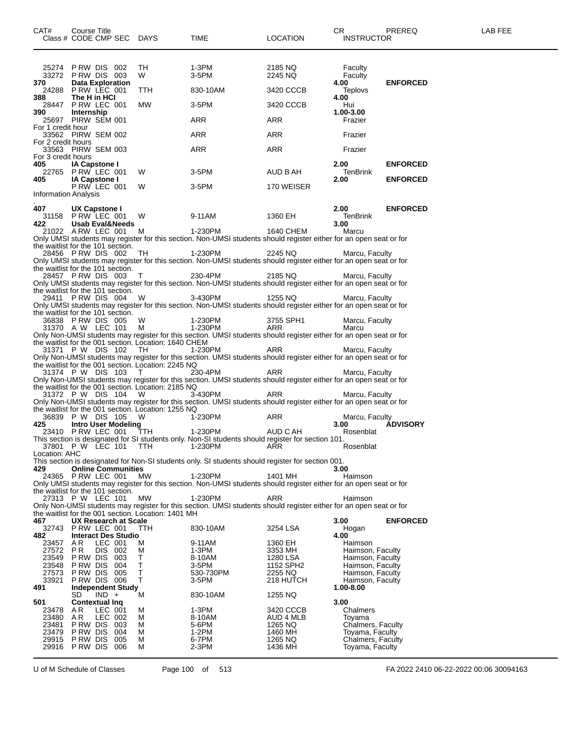| CAT#                        | Course Title<br>Class # CODE CMP SEC DAYS              |            |                                                             | TIME                                                                                                                          | <b>LOCATION</b>      | CR.<br><b>INSTRUCTOR</b>             | PREREQ          | LAB FEE |
|-----------------------------|--------------------------------------------------------|------------|-------------------------------------------------------------|-------------------------------------------------------------------------------------------------------------------------------|----------------------|--------------------------------------|-----------------|---------|
|                             | 25274 PRW DIS 002<br>33272 PRW DIS 003                 |            | TH<br>W                                                     | 1-3PM<br>3-5PM                                                                                                                | 2185 NQ<br>2245 NQ   | Faculty<br>Faculty                   |                 |         |
| 370<br>24288                | <b>Data Exploration</b><br>PRW LEC 001                 |            | TTH                                                         | 830-10AM                                                                                                                      | 3420 CCCB            | 4.00<br>Teplovs                      | <b>ENFORCED</b> |         |
| 388.                        | The H in HCI<br>28447 P RW LEC 001                     |            | MW                                                          | 3-5PM                                                                                                                         | 3420 CCCB            | 4.00<br>Hui                          |                 |         |
| 390                         | Internship<br>25697 PIRW SEM 001                       |            |                                                             | ARR                                                                                                                           | ARR                  | 1.00-3.00<br>Frazier                 |                 |         |
| For 1 credit hour           |                                                        |            |                                                             |                                                                                                                               |                      |                                      |                 |         |
| For 2 credit hours          | 33562 PIRW SEM 002                                     |            |                                                             | ARR                                                                                                                           | ARR                  | Frazier                              |                 |         |
| For 3 credit hours          | 33563 PIRW SEM 003                                     |            |                                                             | ARR                                                                                                                           | ARR                  | Frazier                              |                 |         |
| 405                         | <b>IA Capstone I</b><br>22765 P RW LEC 001             |            | W                                                           | 3-5PM                                                                                                                         | AUD B AH             | 2.00 <sub>1</sub><br>TenBrink        | <b>ENFORCED</b> |         |
| 405                         | <b>IA Capstone I</b><br>P RW LEC 001                   |            | W                                                           | 3-5PM                                                                                                                         | 170 WEISER           | 2.00                                 | <b>ENFORCED</b> |         |
| <b>Information Analysis</b> |                                                        |            |                                                             |                                                                                                                               |                      |                                      |                 |         |
| 407                         | UX Capstone I<br>31158 P RW LEC 001                    |            | W                                                           | 9-11AM                                                                                                                        | 1360 EH              | 2.00<br>TenBrink                     | <b>ENFORCED</b> |         |
| 422.                        | Usab Eval&Needs<br>21022 ARW LEC 001                   |            | M                                                           | 1-230PM                                                                                                                       | 1640 CHEM            | 3.00<br>Marcu                        |                 |         |
|                             | the waitlist for the 101 section.                      |            |                                                             | Only UMSI students may register for this section. Non-UMSI students should register either for an open seat or for            |                      |                                      |                 |         |
|                             | 28456 PRW DIS 002<br>the waitlist for the 101 section. |            | TH                                                          | 1-230PM<br>Only UMSI students may register for this section. Non-UMSI students should register either for an open seat or for | 2245 NQ              | Marcu, Faculty                       |                 |         |
|                             | 28457 PRW DIS 003                                      |            | Т                                                           | 230-4PM                                                                                                                       | 2185 NQ              | Marcu, Faculty                       |                 |         |
|                             | the waitlist for the 101 section.                      |            |                                                             | Only UMSI students may register for this section. Non-UMSI students should register either for an open seat or for            |                      |                                      |                 |         |
| 29411                       | PRW DIS 004                                            |            | W                                                           | 3-430PM<br>Only UMSI students may register for this section. Non-UMSI students should register either for an open seat or for | 1255 NQ              | Marcu, Faculty                       |                 |         |
|                             | the waitlist for the 101 section.<br>36838 PRW DIS 005 |            | W                                                           | 1-230PM                                                                                                                       | 3755 SPH1            | Marcu, Faculty                       |                 |         |
|                             | 31370 A W LEC 101                                      |            | м                                                           | 1-230PM<br>Only Non-UMSI students may register for this section. UMSI students should register either for an open seat or for | ARR                  | Marcu                                |                 |         |
|                             | 31371 P W DIS 102                                      |            | the waitlist for the 001 section. Location: 1640 CHEM<br>TH | 1-230PM                                                                                                                       | ARR                  | Marcu, Faculty                       |                 |         |
|                             |                                                        |            | the waitlist for the 001 section. Location: 2245 NQ         | Only Non-UMSI students may register for this section. UMSI students should register either for an open seat or for            |                      |                                      |                 |         |
|                             | 31374 P W DIS 103                                      |            | $\top$                                                      | 230-4PM<br>Only Non-UMSI students may register for this section. UMSI students should register either for an open seat or for | ARR                  | Marcu, Faculty                       |                 |         |
|                             | 31372 P W DIS 104                                      |            | the waitlist for the 001 section. Location: 2185 NQ<br>W    | 3-430PM                                                                                                                       | ARR                  |                                      |                 |         |
|                             |                                                        |            |                                                             | Only Non-UMSI students may register for this section. UMSI students should register either for an open seat or for            |                      | Marcu, Faculty                       |                 |         |
|                             | 36839 P W DIS 105                                      |            | the waitlist for the 001 section. Location: 1255 NQ<br>W    | 1-230PM                                                                                                                       | ARR                  | Marcu, Faculty                       |                 |         |
| 425                         | <b>Intro User Modeling</b><br>23410 PRW LEC 001        |            | TTH                                                         | 1-230PM                                                                                                                       | AUD C AH             | 3.00<br>Rosenblat                    | <b>ADVISORY</b> |         |
|                             | 37801 P W LEC 101                                      |            | <b>TTH</b>                                                  | This section is designated for SI students only. Non-SI students should register for section 101.<br>1-230PM                  | ARR                  | Rosenblat                            |                 |         |
| Location: AHC               |                                                        |            |                                                             | This section is designated for Non-SI students only. SI students should register for section 001.                             |                      |                                      |                 |         |
| 429                         | <b>Online Communities</b><br>24365 P RW LEC 001        |            | МW                                                          | 1-230PM                                                                                                                       | 1401 MH              | 3.00<br>Haimson                      |                 |         |
|                             | the waitlist for the 101 section.                      |            |                                                             | Only UMSI students may register for this section. Non-UMSI students should register either for an open seat or for            |                      |                                      |                 |         |
|                             | 27313 P W LEC 101                                      |            | МW                                                          | 1-230PM<br>Only Non-UMSI students may register for this section. UMSI students should register either for an open seat or for | ARR                  | Haimson                              |                 |         |
|                             |                                                        |            | the waitlist for the 001 section. Location: 1401 MH         |                                                                                                                               |                      |                                      |                 |         |
| 467                         | UX Research at Scale<br>32743 PRW LEC 001              |            | ттн                                                         | 830-10AM                                                                                                                      | 3254 LSA             | 3.00<br>Hogan                        | <b>ENFORCED</b> |         |
| 482<br>23457                | <b>Interact Des Studio</b><br>AR.<br>LEC 001           |            | M                                                           | 9-11AM                                                                                                                        | 1360 EH              | 4.00<br>Haimson                      |                 |         |
| 27572<br>23549              | PR<br>DIS 002<br>PRW DIS 003                           |            | М<br>Т                                                      | 1-3PM<br>8-10AM                                                                                                               | 3353 MH<br>1280 LSA  | Haimson, Faculty<br>Haimson, Faculty |                 |         |
| 23548<br>27573              | P RW DIS<br>PRW DIS 005                                | 004        | T<br>T                                                      | 3-5PM<br>530-730PM                                                                                                            | 1152 SPH2<br>2255 NQ | Haimson, Faculty<br>Haimson, Faculty |                 |         |
| 33921<br>491                | PRW DIS 006<br><b>Independent Study</b>                |            | T                                                           | 3-5PM                                                                                                                         | 218 HUTCH            | Haimson, Faculty<br>1.00-8.00        |                 |         |
| 501                         | $IND +$<br>SD                                          |            | М                                                           | 830-10AM                                                                                                                      | 1255 NQ              | 3.00                                 |                 |         |
| 23478                       | <b>Contextual Ing</b><br>LEC 001<br>AR.                |            | м                                                           | 1-3PM                                                                                                                         | 3420 CCCB            | Chalmers                             |                 |         |
| 23480<br>23481              | AR<br>LEC 002<br>PRW DIS 003                           |            | М<br>м                                                      | 8-10AM<br>5-6PM                                                                                                               | AUD 4 MLB<br>1265 NQ | Toyama<br>Chalmers, Faculty          |                 |         |
| 23479<br>29915              | P RW DIS<br>P RW DIS                                   | 004<br>005 | М<br>М                                                      | 1-2PM<br>6-7PM                                                                                                                | 1460 MH<br>1265 NQ   | Toyama, Faculty<br>Chalmers, Faculty |                 |         |
| 29916                       | PRW DIS 006                                            |            | М                                                           | $2-3PM$                                                                                                                       | 1436 MH              | Toyama, Faculty                      |                 |         |

U of M Schedule of Classes Page 100 of 513 FA 2022 2410 06-22-2022 00:06 30094163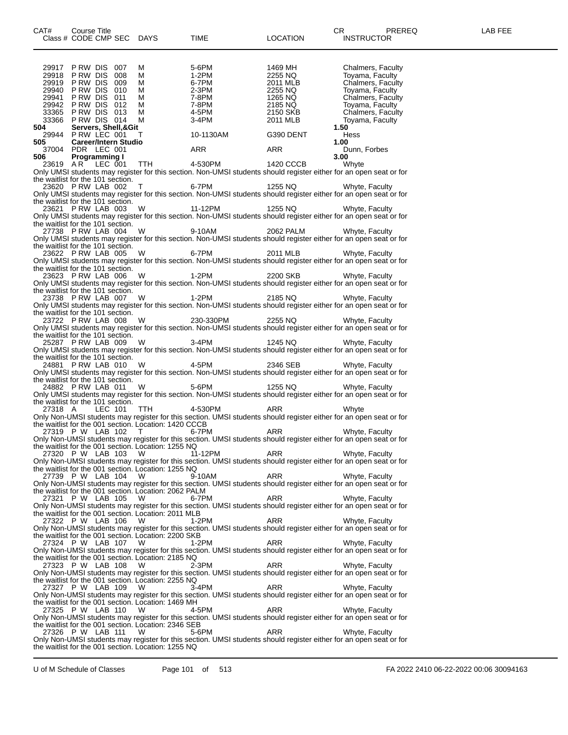| 29917                                                  | PRW DIS 007                 |         |                     | М      | 5-6PM          | 1469 MH             |                      |      | Chalmers, Faculty                                                                                                                    |  |
|--------------------------------------------------------|-----------------------------|---------|---------------------|--------|----------------|---------------------|----------------------|------|--------------------------------------------------------------------------------------------------------------------------------------|--|
| 29918 PRW DIS 008<br>29919 PRW DIS 009                 |                             |         |                     | м<br>м | 1-2PM<br>6-7PM | 2255 NQ<br>2011 MLB |                      |      | Toyama, Faculty                                                                                                                      |  |
| 29940 PRW DIS 010                                      |                             |         |                     | м      | 2-3PM          | 2255 NQ             |                      |      | Chalmers, Faculty<br>Toyama, Faculty                                                                                                 |  |
| 29941 PRW DIS 011                                      |                             |         |                     | м      | 7-8PM          | 1265 NQ             |                      |      | Chalmers, Faculty                                                                                                                    |  |
| 29942 PRW DIS 012                                      |                             |         |                     | м      |                | 2185 NQ             |                      |      | Toyama, Faculty                                                                                                                      |  |
| 33365                                                  | PRW DIS 013                 |         |                     | м      | 7-8PM<br>4-5PM |                     | 2150 SKB<br>2011 MLB |      | Chalmers, Faculty                                                                                                                    |  |
| 33366 PRW DIS 014                                      |                             |         |                     | м      | 3-4PM          |                     |                      |      | Toyama, Faculty                                                                                                                      |  |
| 504<br>29944 P RW LEC 001                              |                             |         | Servers, Shell,&Git | T      | 10-1130AM      |                     | G390 DENT            | 1.50 | Hess                                                                                                                                 |  |
| 505 —                                                  | <b>Career/Intern Studio</b> |         |                     |        |                |                     |                      | 1.00 |                                                                                                                                      |  |
| 37004 PDR LEC 001                                      |                             |         |                     |        | ARR            | ARR                 |                      |      | Dunn, Forbes                                                                                                                         |  |
| 506                                                    | Programming I               |         |                     |        |                |                     |                      | 3.00 |                                                                                                                                      |  |
| 23619 AR                                               |                             | LEC 001 |                     | TTH T  | 4-530PM        |                     | 1420 CCCB            |      | Whyte                                                                                                                                |  |
|                                                        |                             |         |                     |        |                |                     |                      |      | Only UMSI students may register for this section. Non-UMSI students should register either for an open seat or for                   |  |
| the waitlist for the 101 section.                      |                             |         |                     |        |                |                     |                      |      |                                                                                                                                      |  |
| 23620 PRW LAB 002                                      |                             |         |                     | Т      | 6-7PM          | 1255 NQ             |                      |      | Whyte, Faculty<br>Only UMSI students may register for this section. Non-UMSI students should register either for an open seat or for |  |
| the waitlist for the 101 section.                      |                             |         |                     |        |                |                     |                      |      |                                                                                                                                      |  |
| 23621 PRW LAB 003                                      |                             |         |                     | W      | 11-12PM        | 1255 NQ             |                      |      | Whyte, Faculty                                                                                                                       |  |
|                                                        |                             |         |                     |        |                |                     |                      |      | Only UMSI students may register for this section. Non-UMSI students should register either for an open seat or for                   |  |
| the waitlist for the 101 section.                      |                             |         |                     |        |                |                     |                      |      |                                                                                                                                      |  |
| 27738 PRW LAB 004                                      |                             |         |                     | W      | 9-10AM         |                     | 2062 PALM            |      | Whyte, Faculty                                                                                                                       |  |
|                                                        |                             |         |                     |        |                |                     |                      |      | Only UMSI students may register for this section. Non-UMSI students should register either for an open seat or for                   |  |
| the waitlist for the 101 section.<br>23622 PRW LAB 005 |                             |         |                     | W      | 6-7PM          | 2011 MLB            |                      |      | Whyte, Faculty                                                                                                                       |  |
|                                                        |                             |         |                     |        |                |                     |                      |      | Only UMSI students may register for this section. Non-UMSI students should register either for an open seat or for                   |  |
| the waitlist for the 101 section.                      |                             |         |                     |        |                |                     |                      |      |                                                                                                                                      |  |
| 23623 PRW LAB 006                                      |                             |         |                     | W      | 1-2PM          | 2200 SKB            |                      |      | Whyte, Faculty                                                                                                                       |  |
|                                                        |                             |         |                     |        |                |                     |                      |      | Only UMSI students may register for this section. Non-UMSI students should register either for an open seat or for                   |  |
| the waitlist for the 101 section.                      |                             |         |                     |        |                |                     |                      |      |                                                                                                                                      |  |
| 23738 PRW LAB 007                                      |                             |         |                     | W      | 1-2PM          | 2185 NQ             |                      |      | Whyte, Faculty                                                                                                                       |  |
| the waitlist for the 101 section.                      |                             |         |                     |        |                |                     |                      |      | Only UMSI students may register for this section. Non-UMSI students should register either for an open seat or for                   |  |
| 23722 PRW LAB 008                                      |                             |         |                     | W      | 230-330PM      | 2255 NQ             |                      |      | Whyte, Faculty                                                                                                                       |  |
|                                                        |                             |         |                     |        |                |                     |                      |      | Only UMSI students may register for this section. Non-UMSI students should register either for an open seat or for                   |  |
| the waitlist for the 101 section.                      |                             |         |                     |        |                |                     |                      |      |                                                                                                                                      |  |
| 25287 PRW LAB 009                                      |                             |         |                     | W      | 3-4PM          | 1245 NQ             |                      |      | Whyte, Faculty                                                                                                                       |  |
|                                                        |                             |         |                     |        |                |                     |                      |      | Only UMSI students may register for this section. Non-UMSI students should register either for an open seat or for                   |  |
| the waitlist for the 101 section.                      |                             |         |                     |        |                |                     |                      |      |                                                                                                                                      |  |
| 24881 PRW LAB 010                                      |                             |         |                     | W      | 4-5PM          | 2346 SEB            |                      |      | Whyte, Faculty<br>Only UMSI students may register for this section. Non-UMSI students should register either for an open seat or for |  |
| the waitlist for the 101 section.                      |                             |         |                     |        |                |                     |                      |      |                                                                                                                                      |  |
| 24882 PRW LAB 011                                      |                             |         |                     | W      | 5-6PM          | 1255 NQ             |                      |      | Whyte, Faculty                                                                                                                       |  |
|                                                        |                             |         |                     |        |                |                     |                      |      | Only UMSI students may register for this section. Non-UMSI students should register either for an open seat or for                   |  |
| the waitlist for the 101 section.                      |                             |         |                     |        |                |                     |                      |      |                                                                                                                                      |  |
| 27318 A                                                |                             | LEC 101 |                     | TTH    | 4-530PM        | ARR                 |                      |      | Whyte                                                                                                                                |  |
| the waitlist for the 001 section. Location: 1420 CCCB  |                             |         |                     |        |                |                     |                      |      | Only Non-UMSI students may register for this section. UMSI students should register either for an open seat or for                   |  |
| 27319 P W LAB 102                                      |                             |         |                     | T      | 6-7PM          | ARR                 |                      |      | Whyte, Faculty                                                                                                                       |  |
|                                                        |                             |         |                     |        |                |                     |                      |      | Only Non-UMSI students may register for this section. UMSI students should register either for an open seat or for                   |  |
| the waitlist for the 001 section. Location: 1255 NQ    |                             |         |                     |        |                |                     |                      |      |                                                                                                                                      |  |
| 27320 P W LAB 103                                      |                             |         |                     | W      | 11-12PM        | ARR                 |                      |      | Whyte, Faculty                                                                                                                       |  |
|                                                        |                             |         |                     |        |                |                     |                      |      | Only Non-UMSI students may register for this section. UMSI students should register either for an open seat or for                   |  |
| the waitlist for the 001 section. Location: 1255 NQ    |                             |         |                     |        |                |                     |                      |      |                                                                                                                                      |  |
| 27739 P W LAB 104 W                                    |                             |         |                     |        | 9-10AM         | ARR                 |                      |      | Whyte, Faculty<br>Only Non-UMSI students may register for this section. UMSI students should register either for an open seat or for |  |
| the waitlist for the 001 section. Location: 2062 PALM  |                             |         |                     |        |                |                     |                      |      |                                                                                                                                      |  |
| 27321 P W LAB 105                                      |                             |         |                     | W      | 6-7PM          | ARR                 |                      |      | Whyte, Faculty                                                                                                                       |  |
|                                                        |                             |         |                     |        |                |                     |                      |      | Only Non-UMSI students may register for this section. UMSI students should register either for an open seat or for                   |  |
| the waitlist for the 001 section. Location: 2011 MLB   |                             |         |                     |        |                |                     |                      |      |                                                                                                                                      |  |
| 27322 P W LAB 106                                      |                             |         |                     | - W    | 1-2PM          | ARR                 |                      |      | Whyte, Faculty                                                                                                                       |  |
| the waitlist for the 001 section. Location: 2200 SKB   |                             |         |                     |        |                |                     |                      |      | Only Non-UMSI students may register for this section. UMSI students should register either for an open seat or for                   |  |
| 27324 P W LAB 107                                      |                             |         |                     | - W    | 1-2PM          | ARR                 |                      |      | Whyte, Faculty                                                                                                                       |  |
|                                                        |                             |         |                     |        |                |                     |                      |      | Only Non-UMSI students may register for this section. UMSI students should register either for an open seat or for                   |  |
| the waitlist for the 001 section. Location: 2185 NQ    |                             |         |                     |        |                |                     |                      |      |                                                                                                                                      |  |
| 27323 P W LAB 108                                      |                             |         |                     | W      | 2-3PM          | ARR                 |                      |      | Whyte, Faculty                                                                                                                       |  |
|                                                        |                             |         |                     |        |                |                     |                      |      | Only Non-UMSI students may register for this section. UMSI students should register either for an open seat or for                   |  |
| the waitlist for the 001 section. Location: 2255 NQ    |                             |         |                     |        |                |                     |                      |      |                                                                                                                                      |  |
| 27327 P W LAB 109                                      |                             |         |                     | W      | 3-4PM          | ARR                 |                      |      | Whyte, Faculty<br>Only Non-UMSI students may register for this section. UMSI students should register either for an open seat or for |  |
| the waitlist for the 001 section. Location: 1469 MH    |                             |         |                     |        |                |                     |                      |      |                                                                                                                                      |  |
| 27325 P W LAB 110                                      |                             |         |                     | W      | 4-5PM          | ARR                 |                      |      | Whyte, Faculty                                                                                                                       |  |
|                                                        |                             |         |                     |        |                |                     |                      |      | Only Non-UMSI students may register for this section. UMSI students should register either for an open seat or for                   |  |
| the waitlist for the 001 section. Location: 2346 SEB   |                             |         |                     |        |                |                     |                      |      |                                                                                                                                      |  |
| 27326 P W LAB 111                                      |                             |         |                     | W      | 5-6PM          | ARR                 |                      |      | Whyte, Faculty                                                                                                                       |  |
| the waitlist for the 001 section. Location: 1255 NQ    |                             |         |                     |        |                |                     |                      |      | Only Non-UMSI students may register for this section. UMSI students should register either for an open seat or for                   |  |
|                                                        |                             |         |                     |        |                |                     |                      |      |                                                                                                                                      |  |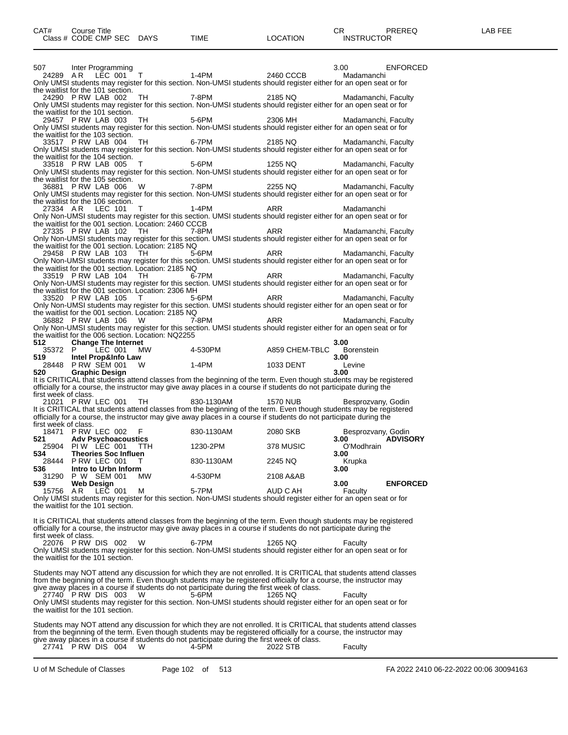| 507                  | Inter Programming                                                                |           |                                                                                                                                                                                                                                           |                 | 3.00                | <b>ENFORCED</b> |
|----------------------|----------------------------------------------------------------------------------|-----------|-------------------------------------------------------------------------------------------------------------------------------------------------------------------------------------------------------------------------------------------|-----------------|---------------------|-----------------|
| 24289 AR             | LEC 001                                                                          | T.        | 1-4PM                                                                                                                                                                                                                                     | 2460 CCCB       | Madamanchi          |                 |
|                      | the waitlist for the 101 section.                                                |           | Only UMSI students may register for this section. Non-UMSI students should register either for an open seat or for                                                                                                                        |                 |                     |                 |
|                      | 24290 P RW LAB 002                                                               | TН        | 7-8PM                                                                                                                                                                                                                                     | 2185 NQ         | Madamanchi, Faculty |                 |
|                      |                                                                                  |           | Only UMSI students may register for this section. Non-UMSI students should register either for an open seat or for                                                                                                                        |                 |                     |                 |
|                      | the waitlist for the 101 section.<br>29457 P RW LAB 003                          | TН        | 5-6PM                                                                                                                                                                                                                                     | 2306 MH         | Madamanchi, Faculty |                 |
|                      |                                                                                  |           | Only UMSI students may register for this section. Non-UMSI students should register either for an open seat or for                                                                                                                        |                 |                     |                 |
|                      | the waitlist for the 103 section.                                                |           |                                                                                                                                                                                                                                           |                 |                     |                 |
|                      | 33517 PRW LAB 004                                                                | TН        | 6-7PM<br>Only UMSI students may register for this section. Non-UMSI students should register either for an open seat or for                                                                                                               | 2185 NQ         | Madamanchi, Faculty |                 |
|                      | the waitlist for the 104 section.                                                |           |                                                                                                                                                                                                                                           |                 |                     |                 |
|                      | 33518 PRW LAB 005                                                                | т         | 5-6PM                                                                                                                                                                                                                                     | 1255 NQ         | Madamanchi, Faculty |                 |
|                      |                                                                                  |           | Only UMSI students may register for this section. Non-UMSI students should register either for an open seat or for                                                                                                                        |                 |                     |                 |
|                      | the waitlist for the 105 section.<br>36881 PRW LAB 006                           | W         | 7-8PM                                                                                                                                                                                                                                     | 2255 NQ         | Madamanchi, Faculty |                 |
|                      |                                                                                  |           | Only UMSI students may register for this section. Non-UMSI students should register either for an open seat or for                                                                                                                        |                 |                     |                 |
| 27334 AR             | the waitlist for the 106 section.<br>LEC 101                                     | т         | 1-4PM                                                                                                                                                                                                                                     | ARR             |                     |                 |
|                      |                                                                                  |           | Only Non-UMSI students may register for this section. UMSI students should register either for an open seat or for                                                                                                                        |                 | Madamanchi          |                 |
|                      | the waitlist for the 001 section. Location: 2460 CCCB                            |           |                                                                                                                                                                                                                                           |                 |                     |                 |
|                      | 27335 PRW LAB 102                                                                | TH        | 7-8PM                                                                                                                                                                                                                                     | ARR             | Madamanchi, Faculty |                 |
|                      | the waitlist for the 001 section. Location: 2185 NQ                              |           | Only Non-UMSI students may register for this section. UMSI students should register either for an open seat or for                                                                                                                        |                 |                     |                 |
|                      | 29458 P RW LAB 103                                                               | TH        | 5-6PM                                                                                                                                                                                                                                     | ARR             | Madamanchi, Faculty |                 |
|                      |                                                                                  |           | Only Non-UMSI students may register for this section. UMSI students should register either for an open seat or for                                                                                                                        |                 |                     |                 |
|                      | the waitlist for the 001 section. Location: 2185 NQ<br>33519 PRW LAB 104         | TH        | 6-7PM                                                                                                                                                                                                                                     | ARR             | Madamanchi, Faculty |                 |
|                      |                                                                                  |           | Only Non-UMSI students may register for this section. UMSI students should register either for an open seat or for                                                                                                                        |                 |                     |                 |
|                      | the waitlist for the 001 section. Location: 2306 MH                              |           |                                                                                                                                                                                                                                           |                 |                     |                 |
|                      | 33520 PRW LAB 105                                                                | т         | 5-6PM                                                                                                                                                                                                                                     | ARR             | Madamanchi, Faculty |                 |
|                      | the waitlist for the 001 section. Location: 2185 NQ                              |           | Only Non-UMSI students may register for this section. UMSI students should register either for an open seat or for                                                                                                                        |                 |                     |                 |
|                      | 36882 PRW LAB 106                                                                | W         | 7-8PM                                                                                                                                                                                                                                     | ARR             | Madamanchi, Faculty |                 |
|                      |                                                                                  |           | Only Non-UMSI students may register for this section. UMSI students should register either for an open seat or for                                                                                                                        |                 |                     |                 |
| 512                  | the waitlist for the 006 section. Location: NQ2255<br><b>Change The Internet</b> |           |                                                                                                                                                                                                                                           |                 | 3.00                |                 |
| 35372 P              | LEC 001                                                                          | <b>MW</b> | 4-530PM                                                                                                                                                                                                                                   | A859 CHEM-TBLC  | <b>Borenstein</b>   |                 |
| 519.                 | Intel Prop&Info Law                                                              |           |                                                                                                                                                                                                                                           |                 | 3.00                |                 |
| 520                  | 28448 P RW SEM 001<br><b>Graphic Design</b>                                      | W         | $1-4PM$                                                                                                                                                                                                                                   | 1033 DENT       | Levine<br>3.00      |                 |
|                      |                                                                                  |           | It is CRITICAL that students attend classes from the beginning of the term. Even though students may be registered                                                                                                                        |                 |                     |                 |
|                      |                                                                                  |           | officially for a course, the instructor may give away places in a course if students do not participate during the                                                                                                                        |                 |                     |                 |
| first week of class. |                                                                                  |           |                                                                                                                                                                                                                                           |                 |                     |                 |
|                      |                                                                                  |           |                                                                                                                                                                                                                                           |                 |                     |                 |
|                      | 21021 PRW LEC 001                                                                | TH        | 830-1130AM                                                                                                                                                                                                                                | <b>1570 NUB</b> | Besprozvany, Godin  |                 |
|                      |                                                                                  |           | It is CRITICAL that students attend classes from the beginning of the term. Even though students may be registered<br>officially for a course, the instructor may give away places in a course if students do not participate during the  |                 |                     |                 |
| first week of class. |                                                                                  |           |                                                                                                                                                                                                                                           |                 |                     |                 |
| 521                  | 18471 P RW LEC 002                                                               | F         | 830-1130AM                                                                                                                                                                                                                                | 2080 SKB        | Besprozvany, Godin  |                 |
|                      | <b>Adv Psychoacoustics</b><br>25904 PIW LEC 001                                  | TTH.      | 1230-2PM                                                                                                                                                                                                                                  | 378 MUSIC       | 3.00<br>O'Modhrain  | <b>ADVISORY</b> |
| 534                  | <b>Theories Soc Influen</b>                                                      |           |                                                                                                                                                                                                                                           |                 | 3.00                |                 |
|                      | 28444 P RW LEC 001                                                               | T         | 830-1130AM                                                                                                                                                                                                                                | 2245 NQ         | Krupka              |                 |
| 536<br>31290         | Intro to Urbn Inform<br>P W SEM 001                                              | МW        | 4-530PM                                                                                                                                                                                                                                   | 2108 A&AB       | 3.00                |                 |
| 539                  | <b>Web Design</b>                                                                |           |                                                                                                                                                                                                                                           |                 | 3.00                | <b>ENFORCED</b> |
| 15756                | AR.<br>LEC 001                                                                   | м         | 5-7PM                                                                                                                                                                                                                                     | AUD C AH        | Faculty             |                 |
|                      | the waitlist for the 101 section.                                                |           | Only UMSI students may register for this section. Non-UMSI students should register either for an open seat or for                                                                                                                        |                 |                     |                 |
|                      |                                                                                  |           |                                                                                                                                                                                                                                           |                 |                     |                 |
|                      |                                                                                  |           | It is CRITICAL that students attend classes from the beginning of the term. Even though students may be registered                                                                                                                        |                 |                     |                 |
|                      |                                                                                  |           | officially for a course, the instructor may give away places in a course if students do not participate during the                                                                                                                        |                 |                     |                 |
| first week of class. | 22076 PRW DIS 002                                                                | W         | 6-7PM                                                                                                                                                                                                                                     | 1265 NQ         | Faculty             |                 |
|                      |                                                                                  |           | Only UMSI students may register for this section. Non-UMSI students should register either for an open seat or for                                                                                                                        |                 |                     |                 |
|                      | the waitlist for the 101 section.                                                |           |                                                                                                                                                                                                                                           |                 |                     |                 |
|                      |                                                                                  |           |                                                                                                                                                                                                                                           |                 |                     |                 |
|                      |                                                                                  |           | Students may NOT attend any discussion for which they are not enrolled. It is CRITICAL that students attend classes<br>from the beginning of the term. Even though students may be registered officially for a course, the instructor may |                 |                     |                 |
|                      |                                                                                  |           | give away places in a course if students do not participate during the first week of class.                                                                                                                                               |                 |                     |                 |
|                      | 27740 PRW DIS 003                                                                | W         | 5-6PM                                                                                                                                                                                                                                     | 1265 NQ         | Faculty             |                 |
|                      | the waitlist for the 101 section.                                                |           | Only UMSI students may register for this section. Non-UMSI students should register either for an open seat or for                                                                                                                        |                 |                     |                 |
|                      |                                                                                  |           |                                                                                                                                                                                                                                           |                 |                     |                 |
|                      |                                                                                  |           | Students may NOT attend any discussion for which they are not enrolled. It is CRITICAL that students attend classes<br>from the beginning of the term. Even though students may be registered officially for a course, the instructor may |                 |                     |                 |

|                     |  | give away places in a course if students do not participate during the mot week of class. |          |         |
|---------------------|--|-------------------------------------------------------------------------------------------|----------|---------|
| 27741 PRW DIS 004 W |  | 4-5PM                                                                                     | 2022 STB | Faculty |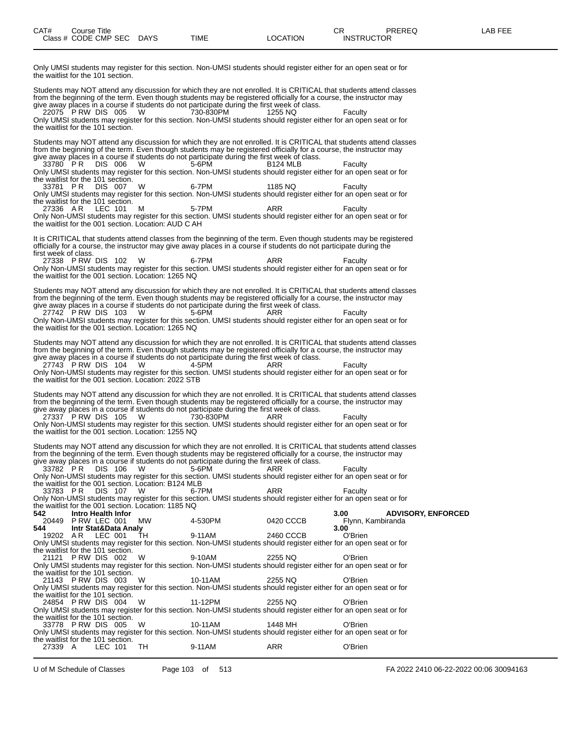Only UMSI students may register for this section. Non-UMSI students should register either for an open seat or for the waitlist for the 101 section.

Students may NOT attend any discussion for which they are not enrolled. It is CRITICAL that students attend classes from the beginning of the term. Even though students may be registered officially for a course, the instructor may give away places in a course if students do not participate during the first week of class. 22075 P RW DIS 005 W 730-830PM 1255 NQ Faculty

Only UMSI students may register for this section. Non-UMSI students should register either for an open seat or for the waitlist for the 101 section.

Students may NOT attend any discussion for which they are not enrolled. It is CRITICAL that students attend classes from the beginning of the term. Even though students may be registered officially for a course, the instructor may give away places in a course if students do not participate during the first week of class.

33780 P R DIS 006 W 5-6PM B124 MLB Faculty Only UMSI students may register for this section. Non-UMSI students should register either for an open seat or for the waitlist for the 101 section.<br>33781 PR DIS 007

33781 P.R DIS 007 W 6-7PM 1185 NQ Faculty Only UMSI students may register for this section. Non-UMSI students should register either for an open seat or for the waitlist for the 101 section.

27336 A.R LEC 101 M 5-7PM ARR Faculty Only Non-UMSI students may register for this section. UMSI students should register either for an open seat or for the waitlist for the 001 section. Location: AUD C AH

It is CRITICAL that students attend classes from the beginning of the term. Even though students may be registered officially for a course, the instructor may give away places in a course if students do not participate during the first week of class.

27338 P RW DIS 102 W 6-7PM ARR Faculty Only Non-UMSI students may register for this section. UMSI students should register either for an open seat or for the waitlist for the 001 section. Location: 1265 NQ

Students may NOT attend any discussion for which they are not enrolled. It is CRITICAL that students attend classes from the beginning of the term. Even though students may be registered officially for a course, the instructor may give away places in a course if students do not participate during the first week of class. 27742 P RW DIS 103 W 5-6PM ARR Faculty Only Non-UMSI students may register for this section. UMSI students should register either for an open seat or for the waitlist for the 001 section. Location: 1265 NQ

Students may NOT attend any discussion for which they are not enrolled. It is CRITICAL that students attend classes from the beginning of the term. Even though students may be registered officially for a course, the instructor may

give away places in a course if students do not participate during the first week of class. 27743 P RW DIS 104 W 4-5PM ARR Faculty Only Non-UMSI students may register for this section. UMSI students should register either for an open seat or for

the waitlist for the 001 section. Location: 2022 STB Students may NOT attend any discussion for which they are not enrolled. It is CRITICAL that students attend classes

from the beginning of the term. Even though students may be registered officially for a course, the instructor may give away places in a course if students do not participate during the first week of class.

27337 P RW DIS 105 W 730-830PM ARR Faculty Only Non-UMSI students may register for this section. UMSI students should register either for an open seat or for the waitlist for the 001 section. Location: 1255 NQ

Students may NOT attend any discussion for which they are not enrolled. It is CRITICAL that students attend classes from the beginning of the term. Even though students may be registered officially for a course, the instructor may give away places in a course if students do not participate during the first week of class.

33782 P R DIS 106 W 5-6PM ARR Faculty Only Non-UMSI students may register for this section. UMSI students should register either for an open seat or for the waitlist for the 001 section. Location: B124 MLB

33783 P R DIS 107 W 6-7PM ARR Faculty Only Non-UMSI students may register for this section. UMSI students should register either for an open seat or for the waitlist for the 001 section. Location: 1185 NQ

| 542     | Intro Health Infor                |         |                             |                                                                                                                    |            |                   | 3.00 ADVISORY, ENFORCED |
|---------|-----------------------------------|---------|-----------------------------|--------------------------------------------------------------------------------------------------------------------|------------|-------------------|-------------------------|
|         | 20449 P RW LEC 001 MW             |         |                             | 4-530PM                                                                                                            | 0420 CCCB  | Flynn, Kambiranda |                         |
|         | 544 Intr Stat&Data Analy          |         |                             |                                                                                                                    |            | 3.00              |                         |
|         | 19202 AR LEC 001 TH               |         |                             | 9-11AM                                                                                                             | 2460 CCCB  | O'Brien           |                         |
|         |                                   |         |                             | Only UMSI students may register for this section. Non-UMSI students should register either for an open seat or for |            |                   |                         |
|         | the waitlist for the 101 section. |         |                             |                                                                                                                    |            |                   |                         |
|         |                                   |         | 21121 PRW DIS 002 W 9-10AM  |                                                                                                                    | 2255 NQ    | O'Brien           |                         |
|         |                                   |         |                             | Only UMSI students may register for this section. Non-UMSI students should register either for an open seat or for |            |                   |                         |
|         | the waitlist for the 101 section. |         |                             |                                                                                                                    |            |                   |                         |
|         |                                   |         |                             | 21143 PRW DIS 003 W 10-11AM 2255 NQ                                                                                |            | O'Brien           |                         |
|         |                                   |         |                             | Only UMSI students may register for this section. Non-UMSI students should register either for an open seat or for |            |                   |                         |
|         | the waitlist for the 101 section. |         |                             |                                                                                                                    |            |                   |                         |
|         |                                   |         | 24854 PRW DIS 004 W 11-12PM |                                                                                                                    | 2255 NO    | O'Brien           |                         |
|         |                                   |         |                             | Only UMSI students may register for this section. Non-UMSI students should register either for an open seat or for |            |                   |                         |
|         | the waitlist for the 101 section. |         |                             |                                                                                                                    |            |                   |                         |
|         |                                   |         |                             | 33778 PRW DIS 005 W 10-11AM 1448 MH                                                                                |            | O'Brien           |                         |
|         |                                   |         |                             | Only UMSI students may register for this section. Non-UMSI students should register either for an open seat or for |            |                   |                         |
|         | the waitlist for the 101 section. |         |                             |                                                                                                                    |            |                   |                         |
| 27339 A |                                   | LEC 101 | TH T                        | 9-11AM                                                                                                             | <b>ARR</b> | O'Brien           |                         |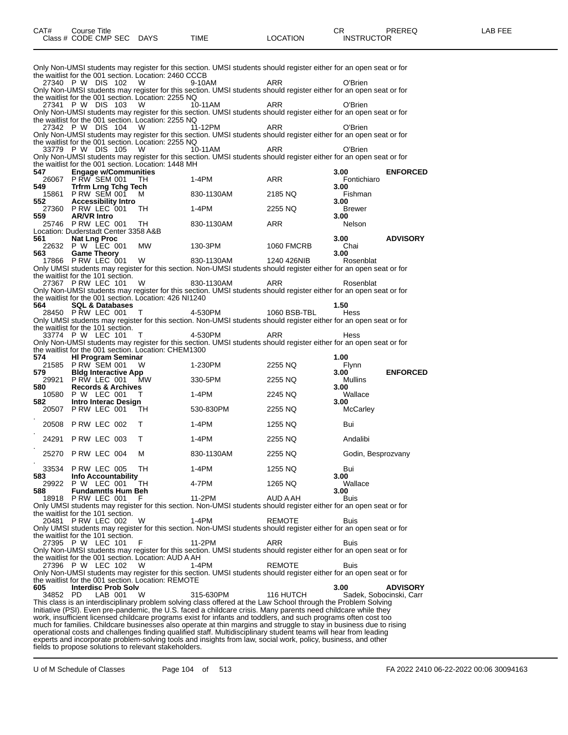| CAT# | ourse Titleٽ                         |             |      |          | חי<br>- UN        | PREREQ | -AB FEE |
|------|--------------------------------------|-------------|------|----------|-------------------|--------|---------|
|      | Class # $CODE$ CMP SEC $\rightarrow$ | <b>DAYS</b> | TIME | LOCATION | <b>INSTRUCTOR</b> |        |         |

|          |                                      |                                                        | Only Non-UMSI students may register for this section. UMSI students should register either for an open seat or for                                                                                                                |                   |                    |                         |
|----------|--------------------------------------|--------------------------------------------------------|-----------------------------------------------------------------------------------------------------------------------------------------------------------------------------------------------------------------------------------|-------------------|--------------------|-------------------------|
|          |                                      | the waitlist for the 001 section. Location: 2460 CCCB  |                                                                                                                                                                                                                                   |                   |                    |                         |
|          | 27340 PW DIS 102                     | W                                                      | 9-10AM                                                                                                                                                                                                                            | ARR               | O'Brien            |                         |
|          |                                      |                                                        | Only Non-UMSI students may register for this section. UMSI students should register either for an open seat or for                                                                                                                |                   |                    |                         |
|          |                                      | the waitlist for the 001 section. Location: 2255 NQ    |                                                                                                                                                                                                                                   |                   |                    |                         |
|          | 27341 PW DIS 103                     | W                                                      | 10-11AM                                                                                                                                                                                                                           | ARR               | O'Brien            |                         |
|          |                                      |                                                        | Only Non-UMSI students may register for this section. UMSI students should register either for an open seat or for                                                                                                                |                   |                    |                         |
|          |                                      | the waitlist for the 001 section. Location: 2255 NQ    |                                                                                                                                                                                                                                   |                   |                    |                         |
|          | 27342 PW DIS 104                     | W                                                      | 11-12PM                                                                                                                                                                                                                           | ARR               | O'Brien            |                         |
|          |                                      |                                                        | Only Non-UMSI students may register for this section. UMSI students should register either for an open seat or for                                                                                                                |                   |                    |                         |
|          |                                      | the waitlist for the 001 section. Location: 2255 NQ    |                                                                                                                                                                                                                                   |                   |                    |                         |
|          | 33779 PW DIS 105                     | W                                                      | 10-11AM                                                                                                                                                                                                                           | ARR               | O'Brien            |                         |
|          |                                      |                                                        | Only Non-UMSI students may register for this section. UMSI students should register either for an open seat or for                                                                                                                |                   |                    |                         |
|          |                                      | the waitlist for the 001 section. Location: 1448 MH    |                                                                                                                                                                                                                                   |                   |                    |                         |
| 547      | <b>Engage w/Communities</b>          |                                                        |                                                                                                                                                                                                                                   |                   | 3.00               | <b>ENFORCED</b>         |
|          | 26067 P RW SEM 001                   | TН                                                     | $1-4PM$                                                                                                                                                                                                                           | ARR               | Fontichiaro        |                         |
| 549      | <b>Trfrm Lrng Tchg Tech</b>          |                                                        |                                                                                                                                                                                                                                   |                   | 3.00               |                         |
|          | 15861 P RW SEM 001                   | м                                                      | 830-1130AM                                                                                                                                                                                                                        | 2185 NQ           | Fishman            |                         |
| 552      | <b>Accessibility Intro</b>           |                                                        |                                                                                                                                                                                                                                   |                   | 3.00               |                         |
|          | 27360 P RW LEC 001                   | TH.                                                    | 1-4PM                                                                                                                                                                                                                             | 2255 NQ           | <b>Brewer</b>      |                         |
| 559      | <b>AR/VR Intro</b>                   |                                                        |                                                                                                                                                                                                                                   |                   | 3.00               |                         |
|          | 25746 PRW LEC 001                    | TН                                                     | 830-1130AM                                                                                                                                                                                                                        | ARR               | Nelson             |                         |
|          | Location: Duderstadt Center 3358 A&B |                                                        |                                                                                                                                                                                                                                   |                   |                    |                         |
| 561      | <b>Nat Lng Proc</b>                  |                                                        |                                                                                                                                                                                                                                   |                   | 3.00               | <b>ADVISORY</b>         |
| 22632    | P W LEC 001                          | MW                                                     | 130-3PM                                                                                                                                                                                                                           | <b>1060 FMCRB</b> | Chai               |                         |
| 563      | <b>Game Theory</b>                   |                                                        |                                                                                                                                                                                                                                   |                   | 3.00               |                         |
|          | 17866 P RW LEC 001                   | W                                                      | 830-1130AM                                                                                                                                                                                                                        | 1240 426NIB       | Rosenblat          |                         |
|          |                                      |                                                        | Only UMSI students may register for this section. Non-UMSI students should register either for an open seat or for                                                                                                                |                   |                    |                         |
|          | the waitlist for the 101 section.    |                                                        |                                                                                                                                                                                                                                   |                   |                    |                         |
|          | 27367 PRW LEC 101                    | W                                                      | 830-1130AM                                                                                                                                                                                                                        | ARR               | Rosenblat          |                         |
|          |                                      |                                                        | Only Non-UMSI students may register for this section. UMSI students should register either for an open seat or for                                                                                                                |                   |                    |                         |
|          |                                      | the waitlist for the 001 section. Location: 426 NI1240 |                                                                                                                                                                                                                                   |                   |                    |                         |
| 564      | <b>SQL &amp; Databases</b>           |                                                        |                                                                                                                                                                                                                                   |                   | 1.50               |                         |
|          | 28450 PRW LEC 001                    | Т                                                      | 4-530PM                                                                                                                                                                                                                           | 1060 BSB-TBL      | Hess               |                         |
|          |                                      |                                                        | Only UMSI students may register for this section. Non-UMSI students should register either for an open seat or for                                                                                                                |                   |                    |                         |
|          | the waitlist for the 101 section.    |                                                        |                                                                                                                                                                                                                                   |                   |                    |                         |
|          | 33774 P W LEC 101                    | т                                                      | 4-530PM                                                                                                                                                                                                                           | ARR               | Hess               |                         |
|          |                                      |                                                        | Only Non-UMSI students may register for this section. UMSI students should register either for an open seat or for                                                                                                                |                   |                    |                         |
|          |                                      | the waitlist for the 001 section. Location: CHEM1300   |                                                                                                                                                                                                                                   |                   |                    |                         |
|          | <b>HI Program Seminar</b>            |                                                        |                                                                                                                                                                                                                                   |                   |                    |                         |
|          |                                      |                                                        |                                                                                                                                                                                                                                   |                   |                    |                         |
| 574      |                                      |                                                        |                                                                                                                                                                                                                                   |                   | 1.00               |                         |
|          | 21585 P RW SEM 001                   | w                                                      | 1-230PM                                                                                                                                                                                                                           | 2255 NQ           | Flynn              |                         |
| 579      | <b>Bidg Interactive App</b>          |                                                        |                                                                                                                                                                                                                                   |                   | 3.00               | <b>ENFORCED</b>         |
|          | 29921 PRW LEC 001                    | <b>MW</b>                                              | 330-5PM                                                                                                                                                                                                                           | 2255 NQ           | Mullins            |                         |
| 580      | <b>Records &amp; Archives</b>        |                                                        |                                                                                                                                                                                                                                   |                   | 3.00               |                         |
|          | 10580 P W LEC 001                    | Т                                                      | $1-4PM$                                                                                                                                                                                                                           | 2245 NQ           | Wallace            |                         |
| 582      | Intro Interac Design                 |                                                        |                                                                                                                                                                                                                                   |                   | 3.00               |                         |
|          | 20507 PRW LEC 001                    | TH                                                     | 530-830PM                                                                                                                                                                                                                         | 2255 NQ           | McCarley           |                         |
|          |                                      |                                                        |                                                                                                                                                                                                                                   |                   |                    |                         |
| 20508    | PRW LEC 002                          | т                                                      | $1-4PM$                                                                                                                                                                                                                           | 1255 NQ           | Bui                |                         |
|          |                                      |                                                        |                                                                                                                                                                                                                                   |                   |                    |                         |
| 24291    | PRW LEC 003                          | т                                                      | 1-4PM                                                                                                                                                                                                                             | 2255 NQ           | Andalibi           |                         |
|          |                                      |                                                        |                                                                                                                                                                                                                                   |                   |                    |                         |
| 25270    | PRW LEC 004                          | м                                                      | 830-1130AM                                                                                                                                                                                                                        | 2255 NQ           | Godin, Besprozvany |                         |
|          |                                      |                                                        |                                                                                                                                                                                                                                   |                   |                    |                         |
| 33534    | P RW LEC 005                         | TН                                                     | $1-4PM$                                                                                                                                                                                                                           | 1255 NQ           | Bui                |                         |
| 583      | <b>Info Accountability</b>           |                                                        |                                                                                                                                                                                                                                   |                   | 3.00               |                         |
|          | 29922 P W LEC 001                    | TH                                                     | 4-7PM                                                                                                                                                                                                                             | 1265 NQ           | Wallace            |                         |
| 588      | <b>Fundamntis Hum Beh</b>            |                                                        |                                                                                                                                                                                                                                   |                   | 3.00               |                         |
|          | 18918 P RW LEC 001                   | F.                                                     | 11-2PM                                                                                                                                                                                                                            | AUD A AH          | <b>Buis</b>        |                         |
|          |                                      |                                                        | Only UMSI students may register for this section. Non-UMSI students should register either for an open seat or for                                                                                                                |                   |                    |                         |
|          | the waitlist for the 101 section.    |                                                        |                                                                                                                                                                                                                                   |                   |                    |                         |
|          | 20481 PRW LEC 002                    | W                                                      | 1-4PM                                                                                                                                                                                                                             | <b>REMOTE</b>     | Buis               |                         |
|          |                                      |                                                        | Only UMSI students may register for this section. Non-UMSI students should register either for an open seat or for                                                                                                                |                   |                    |                         |
|          | the waitlist for the 101 section.    |                                                        |                                                                                                                                                                                                                                   |                   |                    |                         |
|          | 27395 P W LEC 101                    | F                                                      | 11-2PM                                                                                                                                                                                                                            | ARR               | Buis               |                         |
|          |                                      |                                                        | Only Non-UMSI students may register for this section. UMSI students should register either for an open seat or for                                                                                                                |                   |                    |                         |
|          |                                      | the waitlist for the 001 section. Location: AUD A AH   |                                                                                                                                                                                                                                   |                   |                    |                         |
|          | 27396 P W LEC 102                    | W                                                      | 1-4PM                                                                                                                                                                                                                             | <b>REMOTE</b>     | Buis               |                         |
|          |                                      |                                                        | Only Non-UMSI students may register for this section. UMSI students should register either for an open seat or for                                                                                                                |                   |                    |                         |
|          |                                      | the waitlist for the 001 section. Location: REMOTE     |                                                                                                                                                                                                                                   |                   |                    |                         |
| 605      | <b>Interdisc Prob Solv</b>           |                                                        |                                                                                                                                                                                                                                   |                   | 3.00               | <b>ADVISORY</b>         |
| 34852 PD | LAB 001                              | W                                                      | 315-630PM                                                                                                                                                                                                                         | 116 HUTCH         |                    | Sadek, Sobocinski, Carr |
|          |                                      |                                                        | This class is an interdisciplinary problem solving class offered at the Law School through the Problem Solving                                                                                                                    |                   |                    |                         |
|          |                                      |                                                        |                                                                                                                                                                                                                                   |                   |                    |                         |
|          |                                      |                                                        | Initiative (PSI). Even pre-pandemic, the U.S. faced a childcare crisis. Many parents need childcare while they                                                                                                                    |                   |                    |                         |
|          |                                      |                                                        | work, insufficient licensed childcare programs exist for infants and toddlers, and such programs often cost too                                                                                                                   |                   |                    |                         |
|          |                                      |                                                        | much for families. Childcare businesses also operate at thin margins and struggle to stay in business due to rising                                                                                                               |                   |                    |                         |
|          |                                      |                                                        | operational costs and challenges finding qualified staff. Multidisciplinary student teams will hear from leading<br>experts and incorporate problem-solving tools and insights from law, social work, policy, business, and other |                   |                    |                         |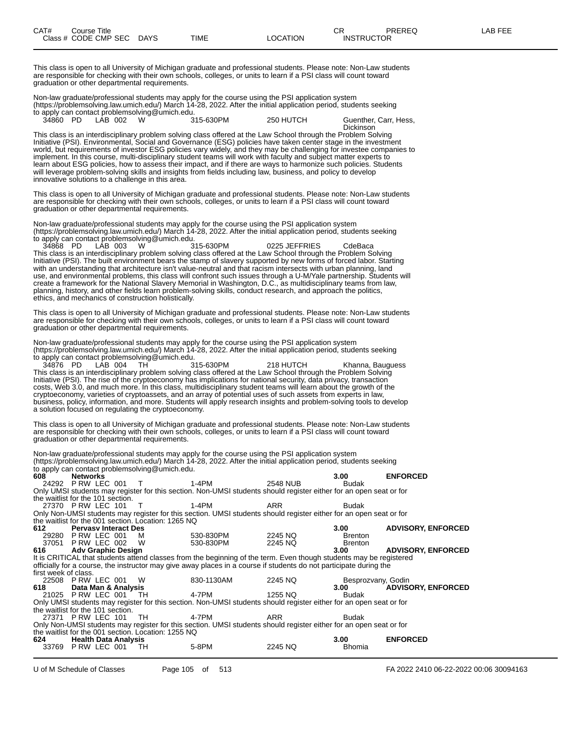This class is open to all University of Michigan graduate and professional students. Please note: Non-Law students are responsible for checking with their own schools, colleges, or units to learn if a PSI class will count toward graduation or other departmental requirements.

Non-law graduate/professional students may apply for the course using the PSI application system (https://problemsolving.law.umich.edu/) March 14-28, 2022. After the initial application period, students seeking to apply can contact problemsolving@umich.edu.<br>34860 PD LAB 002 W 315-630PM

250 HUTCH Guenther, Carr, Hess,

**Dickinson** This class is an interdisciplinary problem solving class offered at the Law School through the Problem Solving Initiative (PSI). Environmental, Social and Governance (ESG) policies have taken center stage in the investment world, but requirements of investor ESG policies vary widely, and they may be challenging for investee companies to implement. In this course, multi-disciplinary student teams will work with faculty and subject matter experts to learn about ESG policies, how to assess their impact, and if there are ways to harmonize such policies. Students will leverage problem-solving skills and insights from fields including law, business, and policy to develop innovative solutions to a challenge in this area.

This class is open to all University of Michigan graduate and professional students. Please note: Non-Law students are responsible for checking with their own schools, colleges, or units to learn if a PSI class will count toward graduation or other departmental requirements.

Non-law graduate/professional students may apply for the course using the PSI application system (https://problemsolving.law.umich.edu/) March 14-28, 2022. After the initial application period, students seeking to apply can contact problemsolving@umich.edu.

34868 PD LAB 003 W 315-630PM 0225 JEFFRIES CdeBaca This class is an interdisciplinary problem solving class offered at the Law School through the Problem Solving Initiative (PSI). The built environment bears the stamp of slavery supported by new forms of forced labor. Starting with an understanding that architecture isn't value-neutral and that racism intersects with urban planning, land use, and environmental problems, this class will confront such issues through a U-M/Yale partnership. Students will create a framework for the National Slavery Memorial in Washington, D.C., as multidisciplinary teams from law, planning, history, and other fields learn problem-solving skills, conduct research, and approach the politics, ethics, and mechanics of construction holistically.

This class is open to all University of Michigan graduate and professional students. Please note: Non-Law students are responsible for checking with their own schools, colleges, or units to learn if a PSI class will count toward graduation or other departmental requirements.

Non-law graduate/professional students may apply for the course using the PSI application system (https://problemsolving.law.umich.edu/) March 14-28, 2022. After the initial application period, students seeking to apply can contact problemsolving@umich.edu.<br>34876 PD LAB 004 TH 315-630PM

34876 PD LAB 004 TH 315-630PM 218 HUTCH Khanna, Bauguess This class is an interdisciplinary problem solving class offered at the Law School through the Problem Solving Initiative (PSI). The rise of the cryptoeconomy has implications for national security, data privacy, transaction costs, Web 3.0, and much more. In this class, multidisciplinary student teams will learn about the growth of the cryptoeconomy, varieties of cryptoassets, and an array of potential uses of such assets from experts in law, business, policy, information, and more. Students will apply research insights and problem-solving tools to develop a solution focused on regulating the cryptoeconomy.

This class is open to all University of Michigan graduate and professional students. Please note: Non-Law students are responsible for checking with their own schools, colleges, or units to learn if a PSI class will count toward graduation or other departmental requirements.

Non-law graduate/professional students may apply for the course using the PSI application system (https://problemsolving.law.umich.edu/) March 14-28, 2022. After the initial application period, students seeking to apply can contact problemsolving@umich.edu.

| 608                  | <b>Networks</b>                   |                                                     |                                                                                                                    |          | 3.00               | <b>ENFORCED</b>           |
|----------------------|-----------------------------------|-----------------------------------------------------|--------------------------------------------------------------------------------------------------------------------|----------|--------------------|---------------------------|
|                      | 24292 PRW LEC 001 T               |                                                     | 1-4PM                                                                                                              | 2548 NUB | <b>Budak</b>       |                           |
|                      |                                   |                                                     | Only UMSI students may register for this section. Non-UMSI students should register either for an open seat or for |          |                    |                           |
|                      | the waitlist for the 101 section. |                                                     |                                                                                                                    |          |                    |                           |
|                      | 27370 PRW LEC 101 T               |                                                     | 1-4PM                                                                                                              | ARR      | <b>Budak</b>       |                           |
|                      |                                   |                                                     | Only Non-UMSI students may register for this section. UMSI students should register either for an open seat or for |          |                    |                           |
|                      |                                   | the waitlist for the 001 section. Location: 1265 NQ |                                                                                                                    |          |                    |                           |
| 612                  | <b>Pervasy Interact Des</b>       |                                                     |                                                                                                                    |          | 3.00               | <b>ADVISORY, ENFORCED</b> |
|                      | 29280 P RW LEC 001 M              |                                                     | 530-830PM                                                                                                          | 2245 NQ  | <b>Brenton</b>     |                           |
|                      | 37051 PRW LEC 002 W               |                                                     | 530-830PM                                                                                                          | 2245 NQ  | <b>Brenton</b>     |                           |
|                      | 616 Adv Graphic Design            |                                                     |                                                                                                                    |          | 3.00               | <b>ADVISORY, ENFORCED</b> |
|                      |                                   |                                                     | It is CRITICAL that students attend classes from the beginning of the term. Even though students may be registered |          |                    |                           |
|                      |                                   |                                                     | officially for a course, the instructor may give away places in a course if students do not participate during the |          |                    |                           |
| first week of class. |                                   |                                                     |                                                                                                                    |          |                    |                           |
|                      | 22508 PRW LEC 001 W               |                                                     | 830-1130AM                                                                                                         | 2245 NQ  | Besprozvany, Godin |                           |
| 618 —                | Data Man & Analysis               |                                                     |                                                                                                                    |          | 3.00               | <b>ADVISORY, ENFORCED</b> |
|                      | 21025 P RW LEC 001 TH             |                                                     | 4-7PM                                                                                                              | 1255 NQ  | <b>Budak</b>       |                           |
|                      |                                   |                                                     | Only UMSI students may register for this section. Non-UMSI students should register either for an open seat or for |          |                    |                           |
|                      | the waitlist for the 101 section. |                                                     |                                                                                                                    |          |                    |                           |
|                      | 27371 P RW LEC 101 TH             |                                                     | 4-7PM                                                                                                              | ARR      | Budak              |                           |
|                      |                                   |                                                     | Only Non-UMSI students may register for this section. UMSI students should register either for an open seat or for |          |                    |                           |
|                      |                                   | the waitlist for the 001 section. Location: 1255 NQ |                                                                                                                    |          |                    |                           |
| 624 —                | <b>Health Data Analysis</b>       |                                                     |                                                                                                                    |          | 3.00               | <b>ENFORCED</b>           |
|                      | 33769 P RW LEC 001                | TH.                                                 | 5-8PM                                                                                                              | 2245 NQ  | Bhomia             |                           |
|                      |                                   |                                                     |                                                                                                                    |          |                    |                           |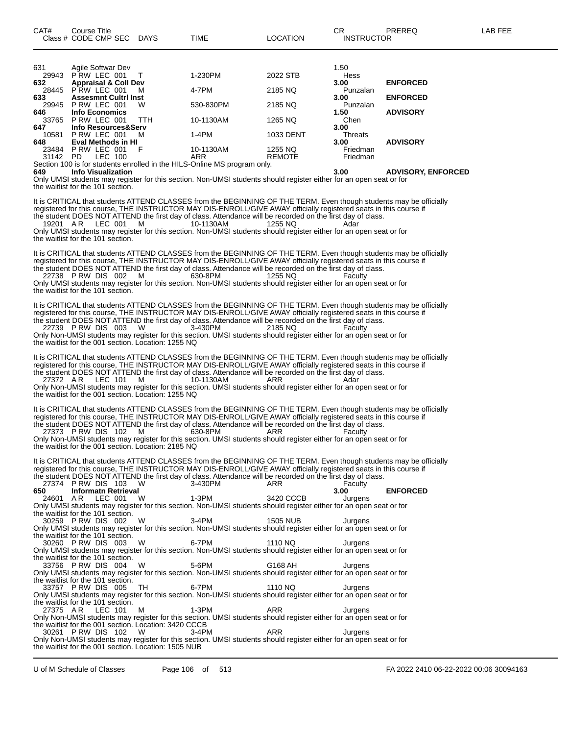| 649      | <b>Info Visualization</b>       | Ostatik IOI stadio to see as a static footh to security. Also TIMPOL at all categories and so with so for a security of |               | 3.00        | <b>ADVISORY, ENFORCED</b> |
|----------|---------------------------------|-------------------------------------------------------------------------------------------------------------------------|---------------|-------------|---------------------------|
|          |                                 | Section 100 is for students enrolled in the HILS-Online MS program only.                                                |               |             |                           |
| 31142 PD | LEC 100                         | ARR                                                                                                                     | <b>REMOTE</b> | Friedman    |                           |
| 23484    | PRW LEC 001<br>F                | 10-1130AM                                                                                                               | 1255 NQ       | Friedman    |                           |
| 648      | <b>Eval Methods in HI</b>       |                                                                                                                         |               | 3.00        | <b>ADVISORY</b>           |
| 10581    | PRW LEC 001<br>M                | $1-4PM$                                                                                                                 | 1033 DENT     | Threats     |                           |
| 647      | Info Resources&Serv             |                                                                                                                         |               | 3.00        |                           |
| 33765    | PRW LEC 001<br><b>TTH</b>       | 10-1130AM                                                                                                               | 1265 NQ       | Chen        |                           |
| 646      | <b>Info Economics</b>           |                                                                                                                         |               | 1.50        | <b>ADVISORY</b>           |
| 29945    | PRW LEC 001<br>W                | 530-830PM                                                                                                               | 2185 NQ       | Punzalan    |                           |
| 633      | <b>Assesmnt Cultri Inst</b>     |                                                                                                                         |               | 3.00        | <b>ENFORCED</b>           |
| 28445    | PRW LEC 001<br>M                | 4-7PM                                                                                                                   | 2185 NQ       | Punzalan    |                           |
| 632      | <b>Appraisal &amp; Coll Dev</b> |                                                                                                                         |               | 3.00        | <b>ENFORCED</b>           |
| 29943    | PRW LEC 001                     | 1-230PM                                                                                                                 | 2022 STB      | <b>Hess</b> |                           |
| 631      | Agile Softwar Dev               |                                                                                                                         |               | 1.50        |                           |
|          |                                 |                                                                                                                         |               |             |                           |

Only UMSI students may register for this section. Non-UMSI students should register either for an open seat or for the waitlist for the 101 section.

It is CRITICAL that students ATTEND CLASSES from the BEGINNING OF THE TERM. Even though students may be officially registered for this course, THE INSTRUCTOR MAY DIS-ENROLL/GIVE AWAY officially registered seats in this course if the student DOES NOT ATTEND the first day of class. Attendance will be recorded on the first day of class. 19201 A R LEC 001 M 10-1130AM 1255 NQ Adar

Only UMSI students may register for this section. Non-UMSI students should register either for an open seat or for the waitlist for the 101 section.

It is CRITICAL that students ATTEND CLASSES from the BEGINNING OF THE TERM. Even though students may be officially registered for this course, THE INSTRUCTOR MAY DIS-ENROLL/GIVE AWAY officially registered seats in this course if the student DOES NOT ATTEND the first day of class. Attendance will be recorded on the first day of class. 22738 P RW DIS 002 M 630-8PM 1255 NQ Faculty

Only UMSI students may register for this section. Non-UMSI students should register either for an open seat or for the waitlist for the 101 section.

It is CRITICAL that students ATTEND CLASSES from the BEGINNING OF THE TERM. Even though students may be officially registered for this course, THE INSTRUCTOR MAY DIS-ENROLL/GIVE AWAY officially registered seats in this course if the student DOES NOT ATTEND the first day of class. Attendance will be recorded on the first day of class.<br>22739 P RW DIS 003 W 3-430PM 2185 NQ Faculty 22739 P RW DIS 003 Only Non-UMSI students may register for this section. UMSI students should register either for an open seat or for the waitlist for the 001 section. Location: 1255 NQ

It is CRITICAL that students ATTEND CLASSES from the BEGINNING OF THE TERM. Even though students may be officially registered for this course, THE INSTRUCTOR MAY DIS-ENROLL/GIVE AWAY officially registered seats in this course if the student DOES NOT ATTEND the first day of class. Attendance will be recorded on the first day of class.

27372 A.R LEC 101 M 10-1130AM ARR Adar Only Non-UMSI students may register for this section. UMSI students should register either for an open seat or for the waitlist for the 001 section. Location: 1255 NQ

It is CRITICAL that students ATTEND CLASSES from the BEGINNING OF THE TERM. Even though students may be officially registered for this course, THE INSTRUCTOR MAY DIS-ENROLL/GIVE AWAY officially registered seats in this course if the student DOES NOT ATTEND the first day of class. Attendance will be recorded on the first day of class. 27373 P RW DIS 102 M 630-8PM ARR Faculty

Only Non-UMSI students may register for this section. UMSI students should register either for an open seat or for the waitlist for the 001 section. Location: 2185 NQ

It is CRITICAL that students ATTEND CLASSES from the BEGINNING OF THE TERM. Even though students may be officially registered for this course, THE INSTRUCTOR MAY DIS-ENROLL/GIVE AWAY officially registered seats in this course if the student DOES NOT ATTEND the first day of class. Attendance will be recorded on the first day of class. 27374 P RW DIS 103 W 3-430PM ARR Faculty **650 Informatn Retrieval 1.3PM 1.3PM 5420 CCCB 3.00 ENFORCED 24601** AR LEC 001 W **1.3PM 3420 CCCB** Jurgens 24601 A R LEC 001 W 1-3PM 3420 CCCB Jurgens Only UMSI students may register for this section. Non-UMSI students should register either for an open seat or for the waitlist for the 101 section. 30259 P RW DIS 002 W 3-4PM 1505 NUB Jurgens Only UMSI students may register for this section. Non-UMSI students should register either for an open seat or for the waitlist for the 101 section. 30260 P RW DIS 003 W 6-7PM 1110 NQ Jurgens Only UMSI students may register for this section. Non-UMSI students should register either for an open seat or for the waitlist for the 101 section. 33756 P RW DIS 004 W 5-6PM G168 AH Jurgens Only UMSI students may register for this section. Non-UMSI students should register either for an open seat or for the waitlist for the 101 section. 33757 P RW DIS 005 TH 6-7PM 1110 NQ Jurgens Only UMSI students may register for this section. Non-UMSI students should register either for an open seat or for the waitlist for the 101 section. 27375 AR LEC 101 M 1-3PM ARR Jurgens Only Non-UMSI students may register for this section. UMSI students should register either for an open seat or for the waitlist for the 001 section. Location: 3420 CCCB<br>30261 PRW DIS 102 W 3-4PM 30261 P RW DIS 102 W 3-4PM ARR Jurgens Only Non-UMSI students may register for this section. UMSI students should register either for an open seat or for the waitlist for the 001 section. Location: 1505 NUB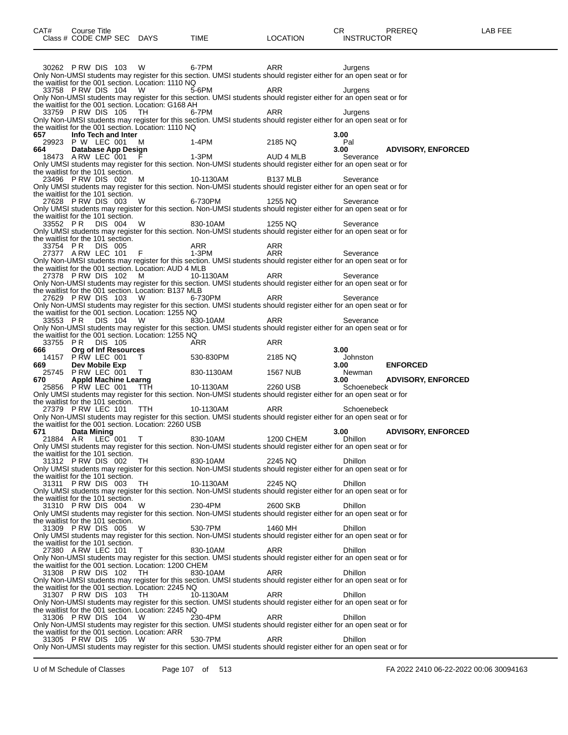30262 P RW DIS 103 W 6-7PM ARR Jurgens Only Non-UMSI students may register for this section. UMSI students should register either for an open seat or for the waitlist for the 001 section. Location: 1110 NQ<br>33758 P RW DIS 104 W 5-6PM 33758 P RW DIS 104 W 5-6PM ARR ARR Jurgens Only Non-UMSI students may register for this section. UMSI students should register either for an open seat or for the waitlist for the 001 section. Location: G168 AH 33759 P RW DIS 105 TH 6-7PM ARR Jurgens Only Non-UMSI students may register for this section. UMSI students should register either for an open seat or for the waitlist for the 001 section. Location: 1110 NQ<br>657 **Info Tech and Inter 657 Info Tech and Inter 3.00** 29923 P W LEC 001 M 1-4PM 2185 NQ Particles 20923 P W LEC 001 M<br>664 Database App Design 3.00 **664 Database App Design 3.00 ADVISORY, ENFORCED** 18473 A RW LEC 001 F 1-3PM AUD 4 MLB Severance Only UMSI students may register for this section. Non-UMSI students should register either for an open seat or for the waitlist for the 101 section.<br>23496 PRW DIS 002 23496 P RW DIS 002 M 10-1130AM B137 MLB Severance Only UMSI students may register for this section. Non-UMSI students should register either for an open seat or for the waitlist for the 101 section. 27628 P RW DIS 003 W 6-730PM 1255 NQ Severance Only UMSI students may register for this section. Non-UMSI students should register either for an open seat or for the waitlist for the 101 section. 33552 P R DIS 004 W 830-10AM 1255 NQ Severance Only UMSI students may register for this section. Non-UMSI students should register either for an open seat or for the waitlist for the 101 section. 33754 P R DIS 005 ARR ARR 27377 A RW LEC 101 F 1-3PM ARR Severance Only Non-UMSI students may register for this section. UMSI students should register either for an open seat or for the waitlist for the 001 section. Location: AUD 4 MLB 27378 P RW DIS 102 M 10-1130AM ARR Severance Only Non-UMSI students may register for this section. UMSI students should register either for an open seat or for the waitlist for the 001 section. Location: B137 MLB 27629 P RW DIS 103 W 6-730PM ARR Severance Only Non-UMSI students may register for this section. UMSI students should register either for an open seat or for the waitlist for the 001 section. Location: 1255 NQ 33553 PR DIS 104 W 830-10AM ARR Severance Only Non-UMSI students may register for this section. UMSI students should register either for an open seat or for the waitlist for the 001 section. Location: 1255 NQ 33755 P R DIS 105 ARR ARR **666 Org of Inf Resources 3.00** 14157 P RW LEC 001 T 530-830PM 2185 NQ Johnston **669 Dev Mobile Exp 3.00 ENFORCED** لا أن 25745 P RW LEC 001 T و 830-1130AM 1567 NUB المستحدثة بن المستحدثة بن المستحدثة بن المستحدثة بن المستخدم<br>1.00 S70 مستحدثة بن المستحدثة بن المستخدمة بن المستخدمة بن المستخدمة بن المستخدمة بن المستخدمة بن المستخدمة بن **670 Appld Machine Learng 3.00 ADVISORY, ENFORCED** 25856 P RW LEC 001 TTH 10-1130AM 2260 USB Schoenebeck Only UMSI students may register for this section. Non-UMSI students should register either for an open seat or for the waitlist for the 101 section.<br>27379 PRW LEC 101 TTH 27379 P RW LEC 101 TTH 10-1130AM ARR Schoenebeck Only Non-UMSI students may register for this section. UMSI students should register either for an open seat or for the waitlist for the 001 section. Location: 2260 USB **671 Data Mining 3.00 ADVISORY, ENFORCED** 21884 A.R LEC 001 T 830-10AM 1200 CHEM Dhillon Only UMSI students may register for this section. Non-UMSI students should register either for an open seat or for the waitlist for the 101 section. 31312 P RW DIS 002 TH 830-10AM 2245 NQ Dhillon Only UMSI students may register for this section. Non-UMSI students should register either for an open seat or for the waitlist for the 101 section. 31311 P RW DIS 003 TH 10-1130AM 2245 NQ Dhillon Only UMSI students may register for this section. Non-UMSI students should register either for an open seat or for the waitlist for the 101 section. 31310 P RW DIS 004 W 230-4PM 2600 SKB Dhillon Only UMSI students may register for this section. Non-UMSI students should register either for an open seat or for Only UMSI Students they reserve the waitlist for the 101 section.<br>31309 P RW DIS 005 W 31309 P RW DIS 005 W 530-7PM 1460 MH Dhillon Only UMSI students may register for this section. Non-UMSI students should register either for an open seat or for the waitlist for the 101 section. 27380 A RW LEC 101 T 830-10AM ARR Dhillon Only Non-UMSI students may register for this section. UMSI students should register either for an open seat or for the waitlist for the 001 section. Location: 1200 CHEM 31308 P.RW DIS 102 TH 830-10AM ARR Dhillon Only Non-UMSI students may register for this section. UMSI students should register either for an open seat or for the waitlist for the 001 section. Location: 2245 NQ<br>31307 P RW DIS 103 TH 10-1130AM 31307 P RW DIS 103 TH 10-1130AM ARR Dhillon Only Non-UMSI students may register for this section. UMSI students should register either for an open seat or for the waitlist for the 001 section. Location: 2245 NQ<br>31306 PRW DIS 104 W 230-4PM 31306 P RW DIS 104 W 230-4PM ARR Dhillon Only Non-UMSI students may register for this section. UMSI students should register either for an open seat or for the waitlist for the 001 section. Location: ARR 31305 P RW DIS 105 W 530-7PM ARR Dhillon

Only Non-UMSI students may register for this section. UMSI students should register either for an open seat or for

U of M Schedule of Classes Page 107 of 513 FA 2022 2410 06-22-2022 00:06 30094163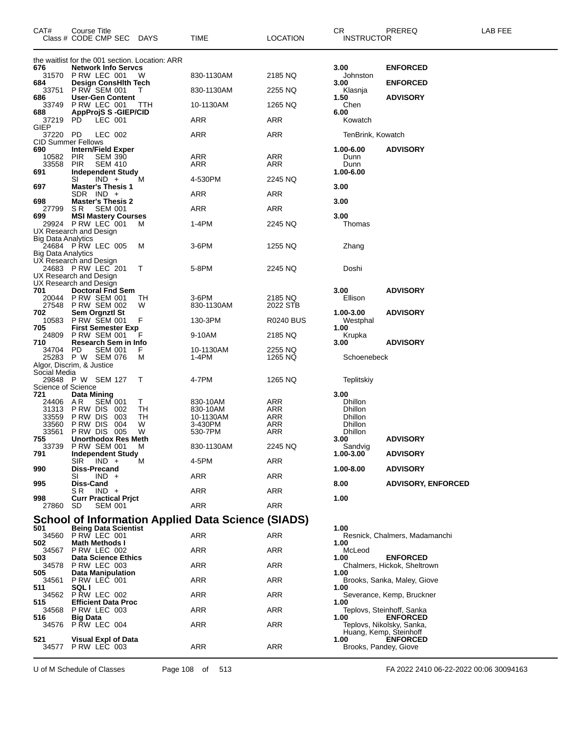| CAT#                               | Course Title             | Class # CODE CMP SEC DAYS                         |                                                 | TIME                                                      | <b>LOCATION</b>     | CR.<br><b>INSTRUCTOR</b>       | PREREQ                                         | LAB FEE |
|------------------------------------|--------------------------|---------------------------------------------------|-------------------------------------------------|-----------------------------------------------------------|---------------------|--------------------------------|------------------------------------------------|---------|
|                                    |                          |                                                   | the waitlist for the 001 section. Location: ARR |                                                           |                     |                                |                                                |         |
| 676<br>31570                       |                          | <b>Network Info Servcs</b><br>PRW LEC 001         | W                                               | 830-1130AM                                                | 2185 NQ             | 3.00<br>Johnston               | <b>ENFORCED</b>                                |         |
| 684<br>33751                       |                          | <b>Design ConsHith Tech</b><br>PRW SEM 001        | T                                               | 830-1130AM                                                | 2255 NQ             | 3.00<br>Klasnja                | <b>ENFORCED</b>                                |         |
| 686<br>33749                       |                          | <b>User-Gen Content</b><br>PRW LEC 001            | TTH                                             | 10-1130AM                                                 | 1265 NQ             | 1.50<br>Chen                   | <b>ADVISORY</b>                                |         |
| 688                                |                          | <b>AppProjS S-GIEP/CID</b>                        |                                                 |                                                           |                     | 6.00                           |                                                |         |
| 37219<br>GIEP                      | PD.                      | LEC 001                                           |                                                 | ARR                                                       | ARR                 | Kowatch                        |                                                |         |
| 37220<br><b>CID Summer Fellows</b> | PD.                      | LEC 002                                           |                                                 | ARR                                                       | ARR                 | TenBrink, Kowatch              |                                                |         |
| 690                                |                          | <b>Intern/Field Exper</b>                         |                                                 |                                                           |                     | 1.00-6.00                      | <b>ADVISORY</b>                                |         |
| 10582<br>33558                     | <b>PIR</b><br><b>PIR</b> | <b>SEM 390</b><br><b>SEM 410</b>                  |                                                 | ARR<br>ARR                                                | ARR<br>ARR          | Dunn<br>Dunn                   |                                                |         |
| 691                                | SI                       | Independent Study<br>$IND +$                      | M                                               | 4-530PM                                                   | 2245 NQ             | 1.00-6.00                      |                                                |         |
| 697                                |                          | <b>Master's Thesis 1</b><br>SDR IND +             |                                                 | ARR                                                       | ARR                 | 3.00                           |                                                |         |
| 698                                |                          | <b>Master's Thesis 2</b>                          |                                                 |                                                           |                     | 3.00                           |                                                |         |
| 27799<br>699                       | S R                      | <b>SEM 001</b><br><b>MSI Mastery Courses</b>      |                                                 | ARR                                                       | ARR                 | 3.00                           |                                                |         |
| UX Research and Design             |                          | 29924 PRW LEC 001                                 | м                                               | 1-4PM                                                     | 2245 NQ             | Thomas                         |                                                |         |
| Big Data Analytics                 |                          |                                                   |                                                 |                                                           |                     |                                |                                                |         |
| <b>Big Data Analytics</b>          |                          | 24684 PRW LEC 005                                 | м                                               | 3-6PM                                                     | 1255 NQ             | Zhang                          |                                                |         |
| UX Research and Design             |                          | 24683 PRW LEC 201                                 | Т                                               | 5-8PM                                                     | 2245 NQ             | Doshi                          |                                                |         |
| UX Research and Design             |                          |                                                   |                                                 |                                                           |                     |                                |                                                |         |
| UX Research and Design<br>701      |                          | <b>Doctoral Fnd Sem</b>                           |                                                 |                                                           |                     | 3.00                           | <b>ADVISORY</b>                                |         |
| 20044<br>27548                     |                          | <b>P RW SEM 001</b><br><b>P RW SEM 002</b>        | TН<br>W                                         | 3-6PM<br>830-1130AM                                       | 2185 NQ<br>2022 STB | Ellison                        |                                                |         |
| 702                                |                          | Sem Orgnztl St<br>P RW SEM 001                    |                                                 |                                                           |                     | 1.00-3.00                      | <b>ADVISORY</b>                                |         |
| 10583<br>705                       |                          | <b>First Semester Exp</b>                         | F                                               | 130-3PM                                                   | R0240 BUS           | Westphal<br>1.00               |                                                |         |
| 24809<br>710                       |                          | <b>PRW SEM 001</b><br>Research Sem in Info        | F                                               | 9-10AM                                                    | 2185 NQ             | Krupka<br>3.00                 | <b>ADVISORY</b>                                |         |
| 34704 PD<br>25283                  |                          | <b>SEM 001</b><br>P W SEM 076                     | F.<br>М                                         | 10-1130AM<br>1-4PM                                        | 2255 NQ<br>1265 NQ  | Schoenebeck                    |                                                |         |
| Algor, Discrim, & Justice          |                          |                                                   |                                                 |                                                           |                     |                                |                                                |         |
| Social Media                       |                          | 29848 PW SEM 127                                  | Т                                               | 4-7PM                                                     | 1265 NQ             | Teplitskiy                     |                                                |         |
| Science of Science<br>721          | Data Mining              |                                                   |                                                 |                                                           |                     | 3.00                           |                                                |         |
| 24406                              | AR.                      | <b>SEM 001</b>                                    | Τ                                               | 830-10AM                                                  | ARR                 | <b>Dhillon</b>                 |                                                |         |
| 31313<br>33559                     | P RW DIS                 | PRW DIS 002<br>003                                | <b>TH</b><br>TН                                 | 830-10AM<br>10-1130AM                                     | ARR<br>ARR          | Dhillon<br>Dhillon             |                                                |         |
| 33560                              | P RW DIS                 | 004                                               | W                                               | 3-430PM                                                   | ARR                 | <b>Dhillon</b>                 |                                                |         |
| 33561<br>755                       |                          | <b>P RW DIS 005</b><br><b>Unorthodox Res Meth</b> | W                                               | 530-7PM                                                   | <b>ARR</b>          | Dhillon<br>3.00                | <b>ADVISORY</b>                                |         |
| 33739                              |                          | <b>PRW SEM 001</b>                                | м                                               | 830-1130AM                                                | 2245 NQ             | Sandvig                        |                                                |         |
| 791                                | SIR.                     | <b>Independent Study</b><br>$IND +$               | м                                               | 4-5PM                                                     | ARR                 | 1.00-3.00                      | <b>ADVISORY</b>                                |         |
| 990                                | SI                       | <b>Diss-Precand</b><br>$IND +$                    |                                                 | ARR                                                       | ARR                 | 1.00-8.00                      | <b>ADVISORY</b>                                |         |
| 995                                | Diss-Cand<br>S R         | $IND +$                                           |                                                 | ARR                                                       | ARR                 | 8.00                           | <b>ADVISORY, ENFORCED</b>                      |         |
| 998                                |                          | <b>Curr Practical Prict</b>                       |                                                 |                                                           |                     | 1.00                           |                                                |         |
| 27860                              | SD.                      | <b>SEM 001</b>                                    |                                                 | ARR                                                       | ARR                 |                                |                                                |         |
| 501                                |                          | <b>Being Data Scientist</b>                       |                                                 | <b>School of Information Applied Data Science (SIADS)</b> |                     | 1.00                           |                                                |         |
| 34560                              |                          | PRW LEC 001                                       |                                                 | ARR                                                       | ARR                 |                                | Resnick, Chalmers, Madamanchi                  |         |
| 502<br>34567                       |                          | <b>Math Methods I</b><br>PRW LEC 002              |                                                 | ARR                                                       | ARR                 | 1.00<br>McLeod                 |                                                |         |
| 503<br>34578                       |                          | <b>Data Science Ethics</b><br>PRW LEC 003         |                                                 | ARR                                                       | ARR                 | 1.00                           | <b>ENFORCED</b><br>Chalmers, Hickok, Sheltrown |         |
| 505                                |                          | Data Manipulation                                 |                                                 |                                                           |                     | 1.00                           |                                                |         |
| 34561<br>511                       | SQL I                    | PRW LEC 001                                       |                                                 | ARR                                                       | ARR                 | 1.00                           | Brooks, Sanka, Maley, Giove                    |         |
| 34562<br>515                       |                          | PRW LEC 002<br><b>Efficient Data Proc</b>         |                                                 | ARR                                                       | ARR                 | 1.00                           | Severance, Kemp, Bruckner                      |         |
| 34568<br>516                       | <b>Big Data</b>          | PRW LEC 003                                       |                                                 | ARR                                                       | ARR                 | 1.00                           | Teplovs, Steinhoff, Sanka<br><b>ENFORCED</b>   |         |
| 34576                              |                          | P RW LEC 004                                      |                                                 | ARR                                                       | ARR                 |                                | Teplovs, Nikolsky, Sanka,                      |         |
| 521                                |                          | Visual Expl of Data                               |                                                 |                                                           |                     | Huang, Kemp, Steinhoff<br>1.00 | <b>ENFORCED</b>                                |         |
|                                    |                          | 34577 PRW LEC 003                                 |                                                 | ARR                                                       | <b>ARR</b>          | Brooks, Pandey, Giove          |                                                |         |

U of M Schedule of Classes Page 108 of 513 FA 2022 2410 06-22-2022 00:06 30094163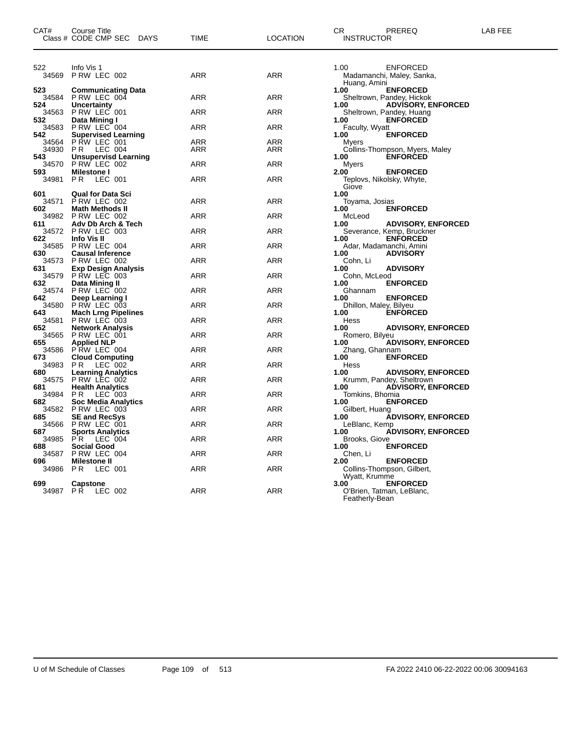| CAT#          | Course Title<br>Class # CODE CMP SEC DAYS         | <b>TIME</b> | <b>LOCATION</b> | CR<br>LAB FEE<br>PREREQ<br><b>INSTRUCTOR</b>                           |
|---------------|---------------------------------------------------|-------------|-----------------|------------------------------------------------------------------------|
| 522<br>34569  | Info Vis 1<br>PRW LEC 002                         | ARR         | ARR             | 1.00<br><b>ENFORCED</b><br>Madamanchi, Maley, Sanka,                   |
| 523           | <b>Communicating Data</b>                         |             |                 | Huang, Amini<br><b>ENFORCED</b><br>1.00                                |
| 34584<br>524. | PRW LEC 004<br><b>Uncertainty</b>                 | ARR         | <b>ARR</b>      | Sheltrown, Pandey, Hickok<br><b>ADVISORY, ENFORCED</b><br>1.00         |
| 34563<br>532  | P RW LEC 001<br>Data Mining I                     | <b>ARR</b>  | <b>ARR</b>      | Sheltrown, Pandey, Huang<br><b>ENFORCED</b><br>1.00                    |
| 34583         | PRW LEC 004                                       | ARR         | ARR             | Faculty, Wyatt                                                         |
| 542<br>34564  | <b>Supervised Learning</b><br>P RW LEC 001        | ARR         | ARR             | <b>ENFORCED</b><br>1.00<br>Myers                                       |
| 34930         | P R<br>LEC 004                                    | ARR         | ARR             | Collins-Thompson, Myers, Maley                                         |
| 543<br>34570  | <b>Unsupervisd Learning</b><br>PRW LEC 002        | ARR         | <b>ARR</b>      | <b>ENFORCED</b><br>1.00<br>Myers                                       |
| 593<br>34981  | <b>Milestone I</b><br>PR.<br>LEC 001              | ARR         | ARR             | <b>ENFORCED</b><br>2.00<br>Teplovs, Nikolsky, Whyte,                   |
|               |                                                   |             |                 | Giove                                                                  |
| 601<br>34571  | <b>Qual for Data Sci</b><br>PRW LEC 002           | ARR         | ARR             | 1.00<br>Toyama, Josias                                                 |
| 602<br>34982  | <b>Math Methods II</b><br>P RW LEC 002            | ARR         | ARR             | <b>ENFORCED</b><br>1.00<br>McLeod                                      |
| 611           | Adv Db Arch & Tech                                |             |                 | <b>ADVISORY, ENFORCED</b><br>1.00                                      |
| 34572<br>622  | P RW LEC 003<br>Info Vis II                       | ARR         | ARR             | Severance, Kemp, Bruckner<br><b>ENFORCED</b><br>1.00                   |
| 34585         | P RW LEC 004                                      | ARR         | <b>ARR</b>      | Adar, Madamanchi, Amini                                                |
| 630<br>34573  | <b>Causal Inference</b><br>PRW LEC 002            | ARR         | <b>ARR</b>      | <b>ADVISORY</b><br>1.00<br>Cohn, Li                                    |
| 631<br>34579  | <b>Exp Design Analysis</b><br><b>P RW LEC 003</b> | ARR         | ARR             | <b>ADVISORY</b><br>1.00<br>Cohn, McLeod                                |
| 632           | Data Mining II                                    |             |                 | 1.00<br><b>ENFORCED</b>                                                |
| 34574<br>642  | P RW LEC 002<br>Deep Learning I                   | ARR         | <b>ARR</b>      | Ghannam<br>1.00<br><b>ENFORCED</b>                                     |
| 34580<br>643  | PRW LEC 003<br><b>Mach Lrng Pipelines</b>         | ARR         | ARR             | Dhillon, Maley, Bilyeu<br>1.00<br><b>ENFORCED</b>                      |
| 34581         | <b>P RW LEC 003</b>                               | ARR         | <b>ARR</b>      | Hess                                                                   |
| 652<br>34565  | <b>Network Analysis</b><br>P RW LEC 001           | ARR         | <b>ARR</b>      | 1.00<br><b>ADVISORY, ENFORCED</b><br>Romero, Bilyeu                    |
| 655           | <b>Applied NLP</b>                                |             |                 | <b>ADVISORY, ENFORCED</b><br>1.00                                      |
| 34586<br>673  | PRW LEC 004<br><b>Cloud Computing</b>             | ARR         | ARR             | Zhang, Ghannam<br>1.00<br><b>ENFORCED</b>                              |
| 34983<br>680  | PR.<br>LEC 002<br><b>Learning Analytics</b>       | ARR         | <b>ARR</b>      | Hess<br>1.00<br><b>ADVISORY, ENFORCED</b>                              |
| 34575         | PRW LEC 002                                       | ARR         | <b>ARR</b>      | Krumm, Pandey, Sheltrown                                               |
| 681<br>34984  | <b>Health Analytics</b><br>LEC 003<br>P R         | ARR         | ARR             | <b>ADVISORY, ENFORCED</b><br>1.00<br>Tomkins, Bhomia                   |
| 682<br>34582  | <b>Soc Media Analytics</b><br><b>P RW LEC 003</b> | ARR         | <b>ARR</b>      | <b>ENFORCED</b><br>1.00<br>Gilbert, Huang                              |
| 685           | <b>SE and RecSys</b>                              |             |                 | <b>ÁDVISORY, ENFORCED</b><br>1.00                                      |
| 34566<br>687  | PRW LEC 001<br><b>Sports Analytics</b>            | ARR         | <b>ARR</b>      | LeBlanc, Kemp<br><b>ADVISORY, ENFORCED</b><br>1.00                     |
| 34985         | P R<br>LEC 004                                    | ARR         | ARR             | Brooks, Giove                                                          |
| 688<br>34587  | <b>Social Good</b><br>PRW LEC 004                 | ARR         | ARR             | <b>ENFORCED</b><br>1.00<br>Chen, Li                                    |
| 696<br>34986  | <b>Milestone II</b><br>LEC 001<br>P R             | ARR         | <b>ARR</b>      | <b>ENFORCED</b><br>2.00<br>Collins-Thompson, Gilbert,                  |
|               |                                                   |             |                 | Wyatt, Krumme                                                          |
| 699<br>34987  | <b>Capstone</b><br>PR.<br>LEC 002                 | ARR         | <b>ARR</b>      | 3.00<br><b>ENFORCED</b><br>O'Brien, Tatman, LeBlanc,<br>Featherly-Bean |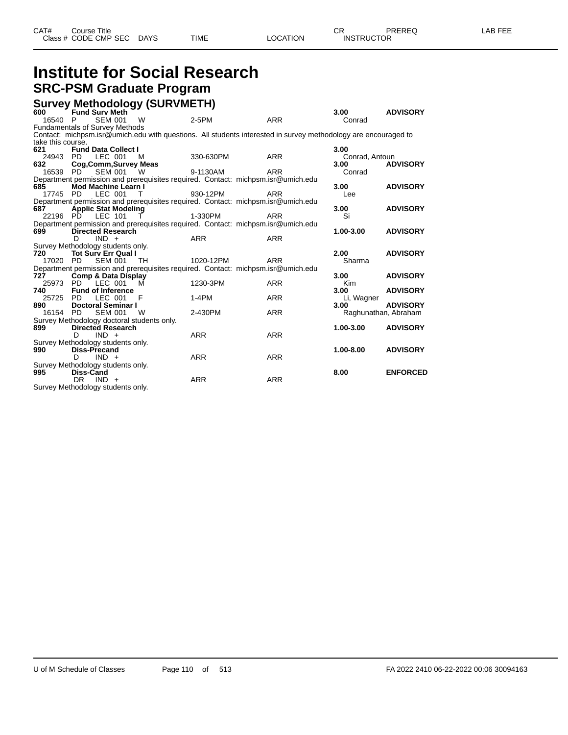## **Institute for Social Research SRC-PSM Graduate Program**

### **Survey Methodology (SURVMETH)**

| 600               | <b>Fund Surv Meth</b>                                           | ັ້                                         |                                                                                                                |            | 3.00                 | <b>ADVISORY</b> |
|-------------------|-----------------------------------------------------------------|--------------------------------------------|----------------------------------------------------------------------------------------------------------------|------------|----------------------|-----------------|
| 16540 P           | <b>SEM 001</b>                                                  | <b>W</b>                                   | 2-5PM                                                                                                          | <b>ARR</b> | Conrad               |                 |
|                   | <b>Fundamentals of Survey Methods</b>                           |                                            |                                                                                                                |            |                      |                 |
|                   |                                                                 |                                            | Contact: michpsm.isr@umich.edu with questions. All students interested in survey methodology are encouraged to |            |                      |                 |
| take this course. |                                                                 |                                            |                                                                                                                |            |                      |                 |
| 621               | <b>Fund Data Collect I</b>                                      |                                            |                                                                                                                |            | 3.00                 |                 |
|                   | 24943 PD LEC 001 M                                              |                                            | 330-630PM                                                                                                      | <b>ARR</b> | Conrad, Antoun       |                 |
| 632               | Cog, Comm, Survey Meas                                          |                                            |                                                                                                                |            | 3.00                 | <b>ADVISORY</b> |
|                   | 16539 PD SEM 001 W                                              |                                            | 9-1130AM                                                                                                       | <b>ARR</b> | Conrad               |                 |
|                   |                                                                 |                                            | Department permission and prerequisites required. Contact: michpsm.isr@umich.edu                               |            |                      |                 |
| 685               | Mod Machine Learn I                                             |                                            |                                                                                                                |            | 3.00                 | <b>ADVISORY</b> |
|                   | 17745 PD LEC 001 T                                              |                                            | 930-12PM                                                                                                       | <b>ARR</b> | Lee                  |                 |
|                   |                                                                 |                                            | Department permission and prerequisites required. Contact: michpsm.isr@umich.edu                               |            |                      |                 |
| 687               | <b>Applic Stat Modeling</b>                                     |                                            |                                                                                                                |            | 3.00                 | <b>ADVISORY</b> |
|                   | 22196 PD LEC 101 T                                              |                                            | 1-330PM                                                                                                        | ARR        | Si                   |                 |
|                   |                                                                 |                                            | Department permission and prerequisites required. Contact: michpsm.isr@umich.edu                               |            | 1.00-3.00            |                 |
| 699               | <b>Directed Research</b><br>$IND +$<br>D.                       |                                            | <b>ARR</b>                                                                                                     | <b>ARR</b> |                      | <b>ADVISORY</b> |
|                   |                                                                 |                                            |                                                                                                                |            |                      |                 |
| 720 —             | Survey Methodology students only.<br><b>Tot Sury Err Qual I</b> |                                            |                                                                                                                |            | 2.00                 | <b>ADVISORY</b> |
| 17020 PD          | <b>SEM 001</b>                                                  | TH.                                        | 1020-12PM                                                                                                      | <b>ARR</b> | Sharma               |                 |
|                   |                                                                 |                                            | Department permission and prerequisites required. Contact: michpsm.isr@umich.edu                               |            |                      |                 |
| 727               | <b>Comp &amp; Data Display</b>                                  |                                            |                                                                                                                |            | 3.00                 | <b>ADVISORY</b> |
| 25973 PD          | $\cdot$ LEC 001                                                 | M                                          | 1230-3PM                                                                                                       | <b>ARR</b> | <b>Kim</b>           |                 |
| 740               | <b>Fund of Inference</b>                                        |                                            |                                                                                                                |            | 3.00                 | <b>ADVISORY</b> |
| 25725 PD          |                                                                 | LEC 001 F                                  | $1-4PM$                                                                                                        | <b>ARR</b> | Li, Wagner           |                 |
| 890               | <b>Doctoral Seminar I</b>                                       |                                            |                                                                                                                |            | 3.00                 | <b>ADVISORY</b> |
| 16154 PD          | <b>SEM 001</b>                                                  | <b>W</b>                                   | 2-430PM                                                                                                        | <b>ARR</b> | Raghunathan, Abraham |                 |
|                   |                                                                 | Survey Methodology doctoral students only. |                                                                                                                |            |                      |                 |
| 899               | <b>Directed Research</b>                                        |                                            |                                                                                                                |            | 1.00-3.00            | <b>ADVISORY</b> |
|                   | $IND +$<br>D.                                                   |                                            | <b>ARR</b>                                                                                                     | <b>ARR</b> |                      |                 |
|                   | Survey Methodology students only.                               |                                            |                                                                                                                |            |                      |                 |
| 990               | <b>Diss-Precand</b>                                             |                                            |                                                                                                                |            | $1.00 - 8.00$        | <b>ADVISORY</b> |
|                   | D.<br>$IND +$                                                   |                                            | <b>ARR</b>                                                                                                     | <b>ARR</b> |                      |                 |
|                   | Survey Methodology students only.                               |                                            |                                                                                                                |            |                      |                 |
| 995               | Diss-Cand                                                       |                                            |                                                                                                                |            | 8.00                 | <b>ENFORCED</b> |
|                   | DR.<br>$IND +$                                                  |                                            | <b>ARR</b>                                                                                                     | <b>ARR</b> |                      |                 |
|                   | Survey Methodology students only.                               |                                            |                                                                                                                |            |                      |                 |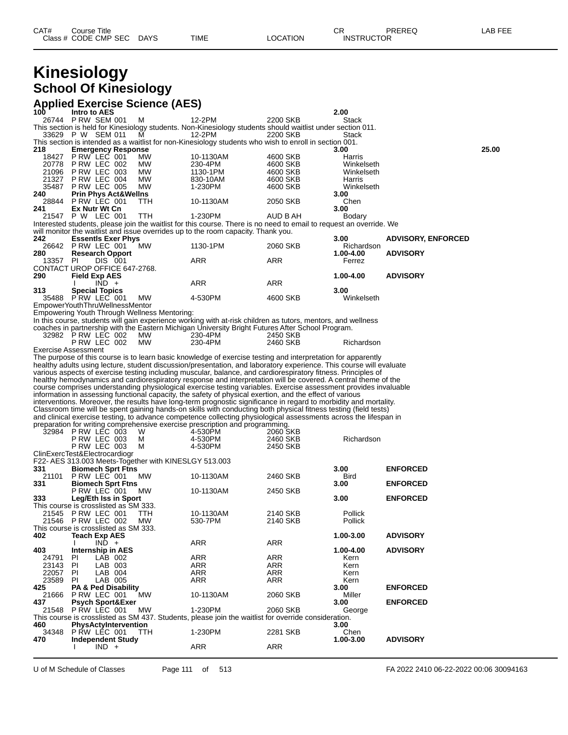## **Kinesiology School Of Kinesiology**

#### **Applied Exercise Science (AES)**

| . .<br>100   | u =^v.orov<br>Intro to AES                                    | $\sim$     |                                                                                                                                                                                                                                     |          | 2.00                    |                           |       |
|--------------|---------------------------------------------------------------|------------|-------------------------------------------------------------------------------------------------------------------------------------------------------------------------------------------------------------------------------------|----------|-------------------------|---------------------------|-------|
|              | 26744 PRW SEM 001                                             | M          | 12-2PM                                                                                                                                                                                                                              | 2200 SKB | Stack                   |                           |       |
|              |                                                               |            | This section is held for Kinesiology students. Non-Kinesiology students should waitlist under section 011.                                                                                                                          |          |                         |                           |       |
|              | 33629 P W SEM 011                                             | м          | 12-2PM                                                                                                                                                                                                                              | 2200 SKB | Stack                   |                           |       |
| 218          | <b>Emergency Response</b>                                     |            | This section is intended as a waitlist for non-Kinesiology students who wish to enroll in section 001.                                                                                                                              |          | 3.00                    |                           | 25.00 |
| 18427        | P RW LEC 001                                                  | <b>MW</b>  | 10-1130AM                                                                                                                                                                                                                           | 4600 SKB | Harris                  |                           |       |
| 20778        | P RW LEC 002                                                  | МW         | 230-4PM                                                                                                                                                                                                                             | 4600 SKB | Winkelseth              |                           |       |
| 21096        | PRW LEC 003                                                   | МW         | 1130-1PM                                                                                                                                                                                                                            | 4600 SKB | Winkelseth              |                           |       |
| 21327        | PRW LEC 004                                                   | <b>MW</b>  | 830-10AM                                                                                                                                                                                                                            | 4600 SKB | Harris                  |                           |       |
| 35487<br>240 | PRW LEC 005<br><b>Prin Phys Act&amp;Wellns</b>                | MW         | 1-230PM                                                                                                                                                                                                                             | 4600 SKB | Winkelseth<br>3.00      |                           |       |
|              | 28844 P RW LEC 001                                            | TTH        | 10-1130AM                                                                                                                                                                                                                           | 2050 SKB | Chen                    |                           |       |
| 241          | Ex Nutr Wt Cn                                                 |            |                                                                                                                                                                                                                                     |          | 3.00                    |                           |       |
|              | 21547 P W LEC 001                                             | <b>TTH</b> | 1-230PM                                                                                                                                                                                                                             | AUD B AH | Bodary                  |                           |       |
|              |                                                               |            | Interested students, please join the waitlist for this course. There is no need to email to request an override. We                                                                                                                 |          |                         |                           |       |
|              |                                                               |            | will monitor the waitlist and issue overrides up to the room capacity. Thank you.                                                                                                                                                   |          |                         |                           |       |
| 242          | <b>Essentls Exer Phys</b><br>26642 P RW LEC 001               | <b>MW</b>  | 1130-1PM                                                                                                                                                                                                                            | 2060 SKB | 3.00                    | <b>ADVISORY, ENFORCED</b> |       |
| 280          | <b>Research Opport</b>                                        |            |                                                                                                                                                                                                                                     |          | Richardson<br>1.00-4.00 | <b>ADVISORY</b>           |       |
| 13357 PI     | DIS 001                                                       |            | ARR                                                                                                                                                                                                                                 | ARR      | Ferrez                  |                           |       |
|              | CONTACT UROP OFFICE 647-2768.                                 |            |                                                                                                                                                                                                                                     |          |                         |                           |       |
| 290          | <b>Field Exp AES</b>                                          |            |                                                                                                                                                                                                                                     |          | 1.00-4.00               | <b>ADVISORY</b>           |       |
|              | $IND +$                                                       |            | ARR                                                                                                                                                                                                                                 | ARR      |                         |                           |       |
| 313          | <b>Special Topics</b>                                         |            |                                                                                                                                                                                                                                     |          | 3.00                    |                           |       |
|              | 35488 PRW LEC 001<br>EmpowerYouthThruWellnessMentor           | <b>MW</b>  | 4-530PM                                                                                                                                                                                                                             | 4600 SKB | Winkelseth              |                           |       |
|              | Empowering Youth Through Wellness Mentoring:                  |            |                                                                                                                                                                                                                                     |          |                         |                           |       |
|              |                                                               |            | In this course, students will gain experience working with at-risk children as tutors, mentors, and wellness                                                                                                                        |          |                         |                           |       |
|              |                                                               |            | coaches in partnership with the Eastern Michigan University Bright Futures After School Program.                                                                                                                                    |          |                         |                           |       |
|              | 32982 P RW LEC 002                                            | MW.        | 230-4PM                                                                                                                                                                                                                             | 2450 SKB |                         |                           |       |
|              | P RW LEC 002                                                  | МW         | 230-4PM                                                                                                                                                                                                                             | 2460 SKB | Richardson              |                           |       |
|              | Exercise Assessment                                           |            |                                                                                                                                                                                                                                     |          |                         |                           |       |
|              |                                                               |            | The purpose of this course is to learn basic knowledge of exercise testing and interpretation for apparently<br>healthy adults using lecture, student discussion/presentation, and laboratory experience. This course will evaluate |          |                         |                           |       |
|              |                                                               |            | various aspects of exercise testing including muscular, balance, and cardiorespiratory fitness. Principles of                                                                                                                       |          |                         |                           |       |
|              |                                                               |            | healthy hemodynamics and cardiorespiratory response and interpretation will be covered. A central theme of the                                                                                                                      |          |                         |                           |       |
|              |                                                               |            | course comprises understanding physiological exercise testing variables. Exercise assessment provides invaluable                                                                                                                    |          |                         |                           |       |
|              |                                                               |            | information in assessing functional capacity, the safety of physical exertion, and the effect of various                                                                                                                            |          |                         |                           |       |
|              |                                                               |            | interventions. Moreover, the results have long-term prognostic significance in regard to morbidity and mortality.                                                                                                                   |          |                         |                           |       |
|              |                                                               |            | Classroom time will be spent gaining hands-on skills with conducting both physical fitness testing (field tests)                                                                                                                    |          |                         |                           |       |
|              |                                                               |            | and clinical exercise testing, to advance competence collecting physiological assessments across the lifespan in<br>preparation for writing comprehensive exercise prescription and programming.                                    |          |                         |                           |       |
|              | 32984 P RW LEC 003                                            | W          | 4-530PM                                                                                                                                                                                                                             | 2060 SKB |                         |                           |       |
|              | PRW LEC 003                                                   | м          | 4-530PM                                                                                                                                                                                                                             | 2460 SKB | Richardson              |                           |       |
|              | P RW LEC 003                                                  | M          | 4-530PM                                                                                                                                                                                                                             | 2450 SKB |                         |                           |       |
|              | ClinExercTest&Electrocardiogr                                 |            |                                                                                                                                                                                                                                     |          |                         |                           |       |
|              | F22- AES 313.003 Meets-Together with KINESLGY 513.003         |            |                                                                                                                                                                                                                                     |          |                         |                           |       |
| 331<br>21101 | <b>Biomech Sprt Ftns</b><br>P RW LEC 001                      | MW.        | 10-1130AM                                                                                                                                                                                                                           | 2460 SKB | 3.00<br>Bird            | <b>ENFORCED</b>           |       |
| 331          | <b>Biomech Sprt Ftns</b>                                      |            |                                                                                                                                                                                                                                     |          | 3.00                    | <b>ENFORCED</b>           |       |
|              | PRW LEC 001                                                   | МW         | 10-1130AM                                                                                                                                                                                                                           | 2450 SKB |                         |                           |       |
| 333          | Leg/Eth Iss in Sport                                          |            |                                                                                                                                                                                                                                     |          | 3.00                    | <b>ENFORCED</b>           |       |
|              | This course is crosslisted as SM 333.                         |            |                                                                                                                                                                                                                                     |          |                         |                           |       |
| 21545        | PRW LEC 001                                                   | TTH        | 10-1130AM                                                                                                                                                                                                                           | 2140 SKB | Pollick                 |                           |       |
|              | 21546 P RW LEC 002                                            | MW         | 530-7PM                                                                                                                                                                                                                             | 2140 SKB | Pollick                 |                           |       |
| 402          | This course is crosslisted as SM 333.<br><b>Teach Exp AES</b> |            |                                                                                                                                                                                                                                     |          | 1.00-3.00               | <b>ADVISORY</b>           |       |
|              | $IND +$                                                       |            | ARR                                                                                                                                                                                                                                 | ARR      |                         |                           |       |
| 403          | Internship in AES                                             |            |                                                                                                                                                                                                                                     |          | 1.00-4.00               | <b>ADVISORY</b>           |       |
| 24791        | LAB 002<br>PI.                                                |            | ARR                                                                                                                                                                                                                                 | ARR      | Kern                    |                           |       |
| 23143        | PI<br>LAB 003                                                 |            | ARR                                                                                                                                                                                                                                 | ARR      | Kern                    |                           |       |
| 22057        | PL<br>LAB 004                                                 |            | ARR                                                                                                                                                                                                                                 | ARR      | Kern                    |                           |       |
| 23589<br>425 | LAB 005<br>PI.<br><b>PA &amp; Ped Disability</b>              |            | ARR                                                                                                                                                                                                                                 | ARR      | Kern<br>3.00            | <b>ENFORCED</b>           |       |
| 21666        | PRW LEC 001                                                   | <b>MW</b>  | 10-1130AM                                                                                                                                                                                                                           | 2060 SKB | Miller                  |                           |       |
| 437          | <b>Psych Sport&amp;Exer</b>                                   |            |                                                                                                                                                                                                                                     |          | 3.00                    | <b>ENFORCED</b>           |       |
| 21548        | P RW LEC 001                                                  | МW         | 1-230PM                                                                                                                                                                                                                             | 2060 SKB | George                  |                           |       |
|              |                                                               |            | This course is crosslisted as SM 437. Students, please join the waitlist for override consideration.                                                                                                                                |          |                         |                           |       |
| 460          | <b>PhysActyIntervention</b>                                   |            |                                                                                                                                                                                                                                     |          | 3.00                    |                           |       |
| 34348<br>470 | PŘW LĚC 001<br><b>Independent Study</b>                       | TTH.       | 1-230PM                                                                                                                                                                                                                             | 2281 SKB | Chen<br>1.00-3.00       | <b>ADVISORY</b>           |       |
|              | $IND +$                                                       |            | ARR                                                                                                                                                                                                                                 | ARR      |                         |                           |       |
|              |                                                               |            |                                                                                                                                                                                                                                     |          |                         |                           |       |

U of M Schedule of Classes Page 111 of 513 FA 2022 2410 06-22-2022 00:06 30094163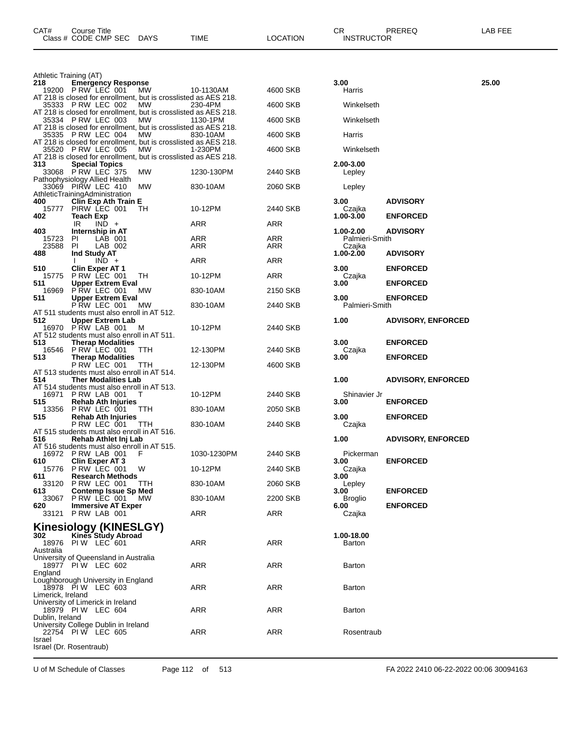| Athletic Training (AT)<br>218 | <b>Emergency Response</b>                                                                   |             |            | 3.00                     |                           | 25.00 |
|-------------------------------|---------------------------------------------------------------------------------------------|-------------|------------|--------------------------|---------------------------|-------|
| 19200                         | PRW LEC 001<br>MW.                                                                          | 10-1130AM   | 4600 SKB   | Harris                   |                           |       |
|                               | AT 218 is closed for enrollment, but is crosslisted as AES 218.<br>35333 PRW LEC 002<br>MW  | 230-4PM     | 4600 SKB   | Winkelseth               |                           |       |
|                               | AT 218 is closed for enrollment, but is crosslisted as AES 218.<br>35334 PRW LEC 003<br>MW  | 1130-1PM    | 4600 SKB   | Winkelseth               |                           |       |
|                               | AT 218 is closed for enrollment, but is crosslisted as AES 218.<br>35335 PRW LEC 004<br>MW  |             |            |                          |                           |       |
|                               | AT 218 is closed for enrollment, but is crosslisted as AES 218.                             | 830-10AM    | 4600 SKB   | Harris                   |                           |       |
|                               | 35520 P RW LEC 005<br>МW<br>AT 218 is closed for enrollment, but is crosslisted as AES 218. | 1-230PM     | 4600 SKB   | Winkelseth               |                           |       |
| 313                           | <b>Special Topics</b><br>33068 PRW LEC 375<br>МW                                            | 1230-130PM  | 2440 SKB   | 2.00-3.00<br>Lepley      |                           |       |
|                               | Pathophysiology Allied Health                                                               |             |            |                          |                           |       |
|                               | 33069 PIRW LEC 410<br><b>MW</b><br>AthleticTrainingAdministration                           | 830-10AM    | 2060 SKB   | Lepley                   |                           |       |
| 400<br>15777                  | Clin Exp Ath Train E<br>PIRW LEC 001<br>TH                                                  | 10-12PM     | 2440 SKB   | 3.00<br>Czajka           | <b>ADVISORY</b>           |       |
| 402                           | Teach Exp<br>IR.<br>$IND +$                                                                 | ARR         | ARR        | 1.00-3.00                | <b>ENFORCED</b>           |       |
| 403                           | Internship in AT                                                                            |             |            | 1.00-2.00                | <b>ADVISORY</b>           |       |
| 15723<br>23588                | PI<br>LAB 001<br><b>PI</b><br>LAB 002                                                       | ARR<br>ARR  | ARR<br>ARR | Palmieri-Smith<br>Czajka |                           |       |
| 488                           | Ind Study AT<br>$IND +$                                                                     | ARR         | ARR        | 1.00-2.00                | <b>ADVISORY</b>           |       |
| 510<br>15775                  | <b>Clin Exper AT 1</b><br>PRW LEC 001<br>TH                                                 | 10-12PM     | ARR        | 3.00                     | <b>ENFORCED</b>           |       |
| 511                           | <b>Upper Extrem Eval</b>                                                                    |             |            | Czajka<br>3.00           | <b>ENFORCED</b>           |       |
| 16969<br>511                  | PRW LEC 001<br>МW<br><b>Upper Extrem Eval</b>                                               | 830-10AM    | 2150 SKB   | 3.00                     | <b>ENFORCED</b>           |       |
|                               | PRW LEC 001<br>МW<br>AT 511 students must also enroll in AT 512.                            | 830-10AM    | 2440 SKB   | Palmieri-Smith           |                           |       |
| 512                           | <b>Upper Extrem Lab</b>                                                                     |             |            | 1.00                     | <b>ADVISORY, ENFORCED</b> |       |
|                               | 16970 PRW LAB 001<br>M<br>AT 512 students must also enroll in AT 511.                       | 10-12PM     | 2440 SKB   |                          |                           |       |
| 513                           | <b>Therap Modalities</b><br>16546 P RW LEC 001<br>TTH                                       | 12-130PM    | 2440 SKB   | 3.00<br>Czajka           | <b>ENFORCED</b>           |       |
| 513                           | <b>Therap Modalities</b><br>PRW LEC 001<br>TTH                                              | 12-130PM    | 4600 SKB   | 3.00                     | <b>ENFORCED</b>           |       |
|                               | AT 513 students must also enroll in AT 514.                                                 |             |            |                          |                           |       |
| 514                           | <b>Ther Modalities Lab</b><br>AT 514 students must also enroll in AT 513.                   |             |            | 1.00                     | <b>ADVISORY, ENFORCED</b> |       |
| 16971<br>515                  | PRW LAB 001<br>Т<br><b>Rehab Ath Injuries</b>                                               | 10-12PM     | 2440 SKB   | Shinavier Jr<br>3.00     | <b>ENFORCED</b>           |       |
| 13356<br>515                  | PRW LEC 001<br>TТH<br><b>Rehab Ath Injuries</b>                                             | 830-10AM    | 2050 SKB   | 3.00                     | <b>ENFORCED</b>           |       |
|                               | PRW LEC 001<br>TTH                                                                          | 830-10AM    | 2440 SKB   | Czajka                   |                           |       |
| 516                           | AT 515 students must also enroll in AT 516.<br>Rehab Athlet Inj Lab                         |             |            | 1.00                     | <b>ADVISORY, ENFORCED</b> |       |
| 16972                         | AT 516 students must also enroll in AT 515.<br>PRW LAB 001<br>F                             | 1030-1230PM | 2440 SKB   | Pickerman                |                           |       |
| 610<br>15776                  | <b>Clin Exper AT 3</b><br>W                                                                 | 10-12PM     | 2440 SKB   | 3.00                     | <b>ENFORCED</b>           |       |
| 611                           | PRW LEC 001<br><b>Research Methods</b>                                                      |             |            | Czajka<br>3.00           |                           |       |
| 33120<br>613                  | PRW LEC 001<br>TTH<br><b>Contemp Issue Sp Med</b>                                           | 830-10AM    | 2060 SKB   | Lepley<br>3.00           | <b>ENFORCED</b>           |       |
| 33067<br>620                  | PRW LEC 001<br>MW.<br><b>Immersive AT Exper</b>                                             | 830-10AM    | 2200 SKB   | <b>Broglio</b><br>6.00   | <b>ENFORCED</b>           |       |
|                               | 33121 P RW LAB 001                                                                          | ARR         | ARR        | Czajka                   |                           |       |
|                               | Kinesiology (KINESLGY)                                                                      |             |            |                          |                           |       |
| 302<br>18976                  | <b>Kines Study Abroad</b><br>PIW LEC 601                                                    | ARR         | ARR        | 1.00-18.00<br>Barton     |                           |       |
| Australia                     | University of Queensland in Australia                                                       |             |            |                          |                           |       |
| England                       | 18977 PIW LEC 602                                                                           | ARR         | ARR        | Barton                   |                           |       |
|                               | Loughborough University in England                                                          |             |            |                          |                           |       |
| Limerick, Ireland             | 18978 PIW LEC 603                                                                           | ARR         | ARR        | Barton                   |                           |       |
|                               | University of Limerick in Ireland<br>18979 PIW LEC 604                                      | ARR         | ARR        | Barton                   |                           |       |
| Dublin, Ireland               |                                                                                             |             |            |                          |                           |       |
|                               | University College Dublin in Ireland<br>22754 PIW LEC 605                                   | ARR         | ARR        | Rosentraub               |                           |       |
| Israel                        | Israel (Dr. Rosentraub)                                                                     |             |            |                          |                           |       |
|                               |                                                                                             |             |            |                          |                           |       |

CAT# Course Title Case CR PREREQ LAB FEE

Class # CODE CMP SEC DAYS TIME LOCATION INSTRUCTOR

U of M Schedule of Classes Page 112 of 513 FA 2022 2410 06-22-2022 00:06 30094163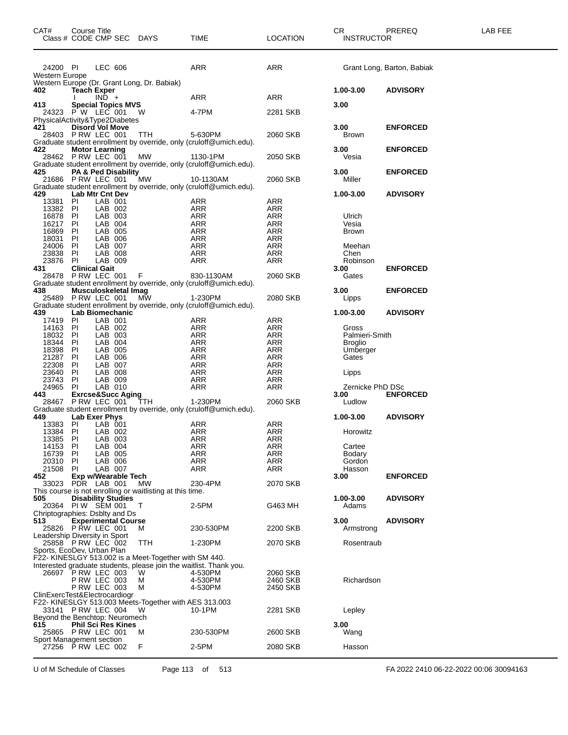| CAT#                     | <b>Course Title</b> | Class # CODE CMP SEC DAYS                            |                                                                 | TIME                                                                            | <b>LOCATION</b>   | CR<br><b>INSTRUCTOR</b> | <b>PREREQ</b>              | LAB FEE |
|--------------------------|---------------------|------------------------------------------------------|-----------------------------------------------------------------|---------------------------------------------------------------------------------|-------------------|-------------------------|----------------------------|---------|
| 24200 PI                 |                     | LEC 606                                              |                                                                 | <b>ARR</b>                                                                      | ARR               |                         | Grant Long, Barton, Babiak |         |
| Western Europe           |                     |                                                      | Western Europe (Dr. Grant Long, Dr. Babiak)                     |                                                                                 |                   |                         |                            |         |
| 402                      |                     | <b>Teach Exper</b><br>$IND +$                        |                                                                 | ARR                                                                             | ARR               | 1.00-3.00               | <b>ADVISORY</b>            |         |
| 413                      |                     | <b>Special Topics MVS</b>                            |                                                                 |                                                                                 |                   | 3.00                    |                            |         |
|                          |                     | 24323 PW LEC 001<br>PhysicalActivity&Type2Diabetes   | W.                                                              | 4-7PM                                                                           | 2281 SKB          |                         |                            |         |
| 421                      |                     | <b>Disord Vol Move</b>                               |                                                                 |                                                                                 |                   | 3.00                    | <b>ENFORCED</b>            |         |
|                          |                     | 28403 P RW LEC 001                                   | TTH                                                             | 5-630PM<br>Graduate student enrollment by override, only (cruloff@umich.edu).   | 2060 SKB          | <b>Brown</b>            |                            |         |
| 422                      |                     | <b>Motor Learning</b>                                |                                                                 |                                                                                 |                   | 3.00                    | <b>ENFORCED</b>            |         |
|                          |                     | 28462 PRW LEC 001                                    | <b>MW</b>                                                       | 1130-1PM<br>Graduate student enrollment by override, only (cruloff@umich.edu).  | 2050 SKB          | Vesia                   |                            |         |
| 425                      |                     | PA & Ped Disability                                  |                                                                 |                                                                                 |                   | 3.00                    | <b>ENFORCED</b>            |         |
|                          |                     | 21686 P RW LEC 001                                   | MW                                                              | 10-1130AM<br>Graduate student enrollment by override, only (cruloff@umich.edu). | 2060 SKB          | Miller                  |                            |         |
| 429                      |                     | Lab Mtr Cnt Dev<br>LAB 001                           |                                                                 | <b>ARR</b>                                                                      | ARR               | 1.00-3.00               | <b>ADVISORY</b>            |         |
| 13381 PI<br>13382 PI     |                     | LAB 002                                              |                                                                 | ARR                                                                             | <b>ARR</b>        |                         |                            |         |
| 16878<br>16217 PI        | PI                  | LAB 003<br>LAB 004                                   |                                                                 | ARR<br>ARR                                                                      | ARR<br><b>ARR</b> | Ulrich<br>Vesia         |                            |         |
| 16869                    | PI                  | LAB 005                                              |                                                                 | ARR                                                                             | <b>ARR</b>        | <b>Brown</b>            |                            |         |
| 18031                    | - PI                | LAB 006                                              |                                                                 | ARR                                                                             | ARR               |                         |                            |         |
| 24006<br>23838           | PI<br>PI            | LAB 007<br>LAB 008                                   |                                                                 | ARR<br>ARR                                                                      | ARR<br>ARR        | Meehan<br>Chen          |                            |         |
| 23876                    | PI                  | LAB 009                                              |                                                                 | ARR                                                                             | ARR               | Robinson                |                            |         |
| 431                      |                     | <b>Clinical Gait</b><br>28478 PRW LEC 001            | F.                                                              | 830-1130AM                                                                      | 2060 SKB          | 3.00<br>Gates           | <b>ENFORCED</b>            |         |
| 438                      |                     | Musculoskeletal Imag                                 |                                                                 | Graduate student enrollment by override, only (cruloff@umich.edu).              |                   | 3.00                    | <b>ENFORCED</b>            |         |
|                          |                     | 25489 PRW LEC 001                                    | МŴ                                                              | 1-230PM                                                                         | 2080 SKB          | Lipps                   |                            |         |
| 439                      |                     | Lab Biomechanic                                      |                                                                 | Graduate student enrollment by override, only (cruloff@umich.edu).              |                   | 1.00-3.00               | <b>ADVISORY</b>            |         |
| 17419 PI                 |                     | LAB 001                                              |                                                                 | ARR                                                                             | ARR               |                         |                            |         |
| 14163 PI<br>18032 PI     |                     | LAB 002<br>LAB 003                                   |                                                                 | ARR<br>ARR                                                                      | ARR<br>ARR        | Gross<br>Palmieri-Smith |                            |         |
| 18344                    | PI                  | LAB 004                                              |                                                                 | <b>ARR</b>                                                                      | ARR               | <b>Broglio</b>          |                            |         |
| 18398<br>21287           | PI<br>PI            | LAB 005<br>LAB 006                                   |                                                                 | ARR<br>ARR                                                                      | ARR<br><b>ARR</b> | Umberger<br>Gates       |                            |         |
| 22308                    | PI                  | LAB 007                                              |                                                                 | <b>ARR</b>                                                                      | ARR               |                         |                            |         |
| 23640 PI<br>23743        | P1                  | LAB 008<br>LAB 009                                   |                                                                 | ARR<br>ARR                                                                      | ARR<br>ARR        | Lipps                   |                            |         |
| 24965                    | -PI                 | LAB 010                                              |                                                                 | ARR                                                                             | ARR               | Zernicke PhD DSc        |                            |         |
| 443                      |                     | <b>Exrcse&amp;Succ Aging</b><br>28467 P RW LEC 001   | <b>TTH</b>                                                      | 1-230PM                                                                         | 2060 SKB          | 3.00<br>Ludlow          | <b>ENFORCED</b>            |         |
|                          |                     |                                                      |                                                                 | Graduate student enrollment by override, only (cruloff@umich.edu).              |                   |                         |                            |         |
| 449<br>13383             | PI                  | Lab Exer Phys<br>LAB 001                             |                                                                 | ARR                                                                             | ARR               | 1.00-3.00               | <b>ADVISORY</b>            |         |
| 13384                    | PI                  | LAB 002                                              |                                                                 | ARR                                                                             | ARR               | Horowitz                |                            |         |
| 13385<br>14153 PI        | PI                  | LAB 003<br>LAB 004                                   |                                                                 | <b>ARR</b><br>ARR                                                               | ARR<br>ARR        | Cartee                  |                            |         |
| 16739 PI                 |                     | LAB 005                                              |                                                                 | ARR                                                                             | ARR               | Bodary                  |                            |         |
| 20310<br>21508           | PI<br><b>PI</b>     | LAB 006<br>LAB 007                                   |                                                                 | ARR<br>ARR                                                                      | ARR<br>ARR        | Gordon<br>Hasson        |                            |         |
| 452                      |                     | Exp w/Wearable Tech                                  |                                                                 |                                                                                 |                   | 3.00                    | <b>ENFORCED</b>            |         |
| 33023                    |                     | PDR LAB 001                                          | МW<br>This course is not enrolling or waitlisting at this time. | 230-4PM                                                                         | 2070 SKB          |                         |                            |         |
| 505                      |                     | <b>Disability Studies</b>                            |                                                                 |                                                                                 |                   | 1.00-3.00               | <b>ADVISORY</b>            |         |
| 20364                    |                     | PIW SEM 001<br>Chriptographies: Dsblty and Ds        | Т                                                               | 2-5PM                                                                           | G463 MH           | Adams                   |                            |         |
| 513                      |                     | <b>Experimental Course</b>                           |                                                                 |                                                                                 | 2200 SKB          | 3.00                    | <b>ADVISORY</b>            |         |
|                          |                     | 25826 PRW LEC 001<br>Leadership Diversity in Sport   | м                                                               | 230-530PM                                                                       |                   | Armstrong               |                            |         |
|                          |                     | 25858 PRW LEC 002<br>Sports, EcoDev, Urban Plan      | TTH                                                             | 1-230PM                                                                         | 2070 SKB          | Rosentraub              |                            |         |
|                          |                     |                                                      | F22- KINESLGY 513.002 is a Meet-Together with SM 440.           |                                                                                 |                   |                         |                            |         |
|                          |                     | 26697 PRW LEC 003                                    | W                                                               | Interested graduate students, please join the waitlist. Thank you.<br>4-530PM   | 2060 SKB          |                         |                            |         |
|                          |                     | PRW LEC 003                                          | м                                                               | 4-530PM                                                                         | 2460 SKB          | Richardson              |                            |         |
|                          |                     | <b>P RW LEC 003</b><br>ClinExercTest&Electrocardiogr | м                                                               | 4-530PM                                                                         | 2450 SKB          |                         |                            |         |
|                          |                     |                                                      | F22- KINESLGY 513.003 Meets-Together with AES 313.003           |                                                                                 |                   |                         |                            |         |
|                          |                     | 33141 P RW LEC 004<br>Beyond the Benchtop: Neuromech | W                                                               | 10-1PM                                                                          | 2281 SKB          | Lepley                  |                            |         |
| 615                      |                     | <b>Phil Sci Res Kines</b>                            |                                                                 |                                                                                 |                   | 3.00                    |                            |         |
| Sport Management section |                     | 25865 PRW LEC 001                                    | M                                                               | 230-530PM                                                                       | 2600 SKB          | Wang                    |                            |         |
|                          |                     | 27256 P RW LEC 002                                   | F                                                               | 2-5PM                                                                           | 2080 SKB          | Hasson                  |                            |         |
|                          |                     |                                                      |                                                                 |                                                                                 |                   |                         |                            |         |

U of M Schedule of Classes Page 113 of 513 FA 2022 2410 06-22-2022 00:06 30094163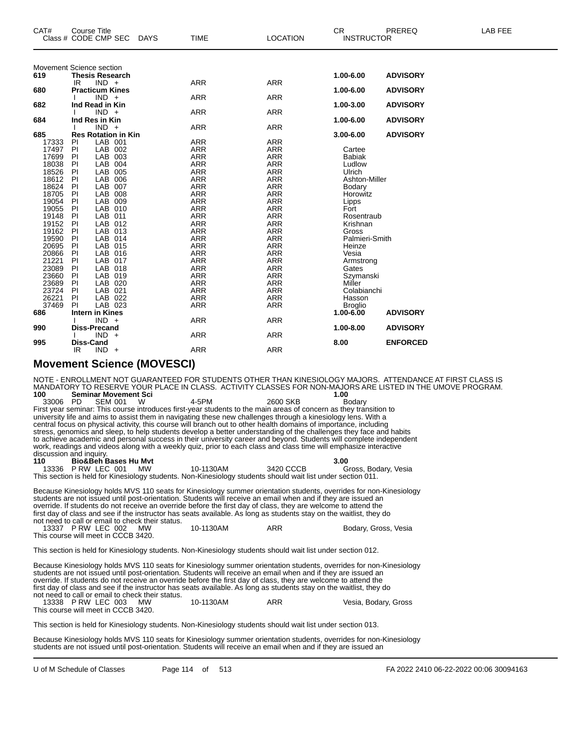| <b>LAB FEE</b> | PREREQ                                                | <b>CR</b>                                                                                                                                                                                                                                              |                                                                                                                                                                                                                                                                                                    |                                                                                                                                                                                                                                                                                      |             | <b>Course Title</b>                                                                                                                                                                                                                                                                              |                                                                                                                 | CAT#                                                                                                                                                                                |
|----------------|-------------------------------------------------------|--------------------------------------------------------------------------------------------------------------------------------------------------------------------------------------------------------------------------------------------------------|----------------------------------------------------------------------------------------------------------------------------------------------------------------------------------------------------------------------------------------------------------------------------------------------------|--------------------------------------------------------------------------------------------------------------------------------------------------------------------------------------------------------------------------------------------------------------------------------------|-------------|--------------------------------------------------------------------------------------------------------------------------------------------------------------------------------------------------------------------------------------------------------------------------------------------------|-----------------------------------------------------------------------------------------------------------------|-------------------------------------------------------------------------------------------------------------------------------------------------------------------------------------|
|                |                                                       | <b>INSTRUCTOR</b>                                                                                                                                                                                                                                      | <b>LOCATION</b>                                                                                                                                                                                                                                                                                    | <b>TIME</b>                                                                                                                                                                                                                                                                          | <b>DAYS</b> | Class # CODE CMP SEC                                                                                                                                                                                                                                                                             |                                                                                                                 |                                                                                                                                                                                     |
|                |                                                       |                                                                                                                                                                                                                                                        |                                                                                                                                                                                                                                                                                                    |                                                                                                                                                                                                                                                                                      |             |                                                                                                                                                                                                                                                                                                  |                                                                                                                 |                                                                                                                                                                                     |
|                | <b>ADVISORY</b>                                       |                                                                                                                                                                                                                                                        |                                                                                                                                                                                                                                                                                                    |                                                                                                                                                                                                                                                                                      |             | Movement Science section                                                                                                                                                                                                                                                                         |                                                                                                                 | 619                                                                                                                                                                                 |
|                |                                                       | 1.00-6.00                                                                                                                                                                                                                                              | <b>ARR</b>                                                                                                                                                                                                                                                                                         | <b>ARR</b>                                                                                                                                                                                                                                                                           |             | <b>Thesis Research</b><br>$IND +$                                                                                                                                                                                                                                                                | IR                                                                                                              |                                                                                                                                                                                     |
|                | <b>ADVISORY</b>                                       | 1.00-6.00                                                                                                                                                                                                                                              |                                                                                                                                                                                                                                                                                                    |                                                                                                                                                                                                                                                                                      |             | <b>Practicum Kines</b>                                                                                                                                                                                                                                                                           |                                                                                                                 | 680                                                                                                                                                                                 |
|                |                                                       |                                                                                                                                                                                                                                                        | <b>ARR</b>                                                                                                                                                                                                                                                                                         | <b>ARR</b>                                                                                                                                                                                                                                                                           |             | $IND +$                                                                                                                                                                                                                                                                                          |                                                                                                                 |                                                                                                                                                                                     |
|                | <b>ADVISORY</b>                                       | 1.00-3.00                                                                                                                                                                                                                                              |                                                                                                                                                                                                                                                                                                    |                                                                                                                                                                                                                                                                                      |             | Ind Read in Kin                                                                                                                                                                                                                                                                                  |                                                                                                                 | 682                                                                                                                                                                                 |
|                |                                                       |                                                                                                                                                                                                                                                        | <b>ARR</b>                                                                                                                                                                                                                                                                                         | <b>ARR</b>                                                                                                                                                                                                                                                                           |             | $IND +$                                                                                                                                                                                                                                                                                          |                                                                                                                 |                                                                                                                                                                                     |
|                | <b>ADVISORY</b>                                       | 1.00-6.00                                                                                                                                                                                                                                              |                                                                                                                                                                                                                                                                                                    |                                                                                                                                                                                                                                                                                      |             | Ind Res in Kin                                                                                                                                                                                                                                                                                   |                                                                                                                 | 684                                                                                                                                                                                 |
|                |                                                       |                                                                                                                                                                                                                                                        | <b>ARR</b>                                                                                                                                                                                                                                                                                         | <b>ARR</b>                                                                                                                                                                                                                                                                           |             | $IND +$                                                                                                                                                                                                                                                                                          |                                                                                                                 |                                                                                                                                                                                     |
|                | <b>ADVISORY</b>                                       | $3.00 - 6.00$                                                                                                                                                                                                                                          |                                                                                                                                                                                                                                                                                                    |                                                                                                                                                                                                                                                                                      |             | <b>Res Rotation in Kin</b>                                                                                                                                                                                                                                                                       |                                                                                                                 | 685                                                                                                                                                                                 |
|                |                                                       |                                                                                                                                                                                                                                                        | <b>ARR</b>                                                                                                                                                                                                                                                                                         | <b>ARR</b>                                                                                                                                                                                                                                                                           |             | LAB 001                                                                                                                                                                                                                                                                                          | <b>PI</b>                                                                                                       | 17333                                                                                                                                                                               |
|                |                                                       | Cartee                                                                                                                                                                                                                                                 | <b>ARR</b>                                                                                                                                                                                                                                                                                         | <b>ARR</b>                                                                                                                                                                                                                                                                           |             | LAB 002                                                                                                                                                                                                                                                                                          | PI                                                                                                              | 17497                                                                                                                                                                               |
|                |                                                       | <b>Babiak</b>                                                                                                                                                                                                                                          | <b>ARR</b>                                                                                                                                                                                                                                                                                         | <b>ARR</b>                                                                                                                                                                                                                                                                           |             | LAB<br>003                                                                                                                                                                                                                                                                                       | PI                                                                                                              | 17699                                                                                                                                                                               |
|                |                                                       | Ludlow                                                                                                                                                                                                                                                 | <b>ARR</b>                                                                                                                                                                                                                                                                                         | <b>ARR</b>                                                                                                                                                                                                                                                                           |             | LAB 004                                                                                                                                                                                                                                                                                          | PI                                                                                                              | 18038                                                                                                                                                                               |
|                |                                                       | Ulrich                                                                                                                                                                                                                                                 | <b>ARR</b>                                                                                                                                                                                                                                                                                         | <b>ARR</b>                                                                                                                                                                                                                                                                           |             | LAB 005                                                                                                                                                                                                                                                                                          | PI                                                                                                              | 18526                                                                                                                                                                               |
|                |                                                       |                                                                                                                                                                                                                                                        |                                                                                                                                                                                                                                                                                                    |                                                                                                                                                                                                                                                                                      |             |                                                                                                                                                                                                                                                                                                  |                                                                                                                 |                                                                                                                                                                                     |
|                |                                                       |                                                                                                                                                                                                                                                        |                                                                                                                                                                                                                                                                                                    |                                                                                                                                                                                                                                                                                      |             |                                                                                                                                                                                                                                                                                                  |                                                                                                                 |                                                                                                                                                                                     |
|                |                                                       |                                                                                                                                                                                                                                                        |                                                                                                                                                                                                                                                                                                    |                                                                                                                                                                                                                                                                                      |             |                                                                                                                                                                                                                                                                                                  |                                                                                                                 |                                                                                                                                                                                     |
|                |                                                       |                                                                                                                                                                                                                                                        |                                                                                                                                                                                                                                                                                                    |                                                                                                                                                                                                                                                                                      |             |                                                                                                                                                                                                                                                                                                  |                                                                                                                 |                                                                                                                                                                                     |
|                |                                                       |                                                                                                                                                                                                                                                        |                                                                                                                                                                                                                                                                                                    |                                                                                                                                                                                                                                                                                      |             |                                                                                                                                                                                                                                                                                                  |                                                                                                                 |                                                                                                                                                                                     |
|                |                                                       |                                                                                                                                                                                                                                                        |                                                                                                                                                                                                                                                                                                    |                                                                                                                                                                                                                                                                                      |             |                                                                                                                                                                                                                                                                                                  |                                                                                                                 |                                                                                                                                                                                     |
|                |                                                       |                                                                                                                                                                                                                                                        |                                                                                                                                                                                                                                                                                                    |                                                                                                                                                                                                                                                                                      |             |                                                                                                                                                                                                                                                                                                  |                                                                                                                 |                                                                                                                                                                                     |
|                |                                                       |                                                                                                                                                                                                                                                        |                                                                                                                                                                                                                                                                                                    |                                                                                                                                                                                                                                                                                      |             |                                                                                                                                                                                                                                                                                                  |                                                                                                                 |                                                                                                                                                                                     |
|                |                                                       |                                                                                                                                                                                                                                                        |                                                                                                                                                                                                                                                                                                    |                                                                                                                                                                                                                                                                                      |             |                                                                                                                                                                                                                                                                                                  |                                                                                                                 |                                                                                                                                                                                     |
|                |                                                       |                                                                                                                                                                                                                                                        |                                                                                                                                                                                                                                                                                                    |                                                                                                                                                                                                                                                                                      |             |                                                                                                                                                                                                                                                                                                  |                                                                                                                 |                                                                                                                                                                                     |
|                |                                                       |                                                                                                                                                                                                                                                        |                                                                                                                                                                                                                                                                                                    |                                                                                                                                                                                                                                                                                      |             |                                                                                                                                                                                                                                                                                                  |                                                                                                                 |                                                                                                                                                                                     |
|                |                                                       |                                                                                                                                                                                                                                                        |                                                                                                                                                                                                                                                                                                    |                                                                                                                                                                                                                                                                                      |             |                                                                                                                                                                                                                                                                                                  |                                                                                                                 |                                                                                                                                                                                     |
|                |                                                       |                                                                                                                                                                                                                                                        |                                                                                                                                                                                                                                                                                                    |                                                                                                                                                                                                                                                                                      |             |                                                                                                                                                                                                                                                                                                  |                                                                                                                 |                                                                                                                                                                                     |
|                |                                                       |                                                                                                                                                                                                                                                        |                                                                                                                                                                                                                                                                                                    |                                                                                                                                                                                                                                                                                      |             |                                                                                                                                                                                                                                                                                                  |                                                                                                                 |                                                                                                                                                                                     |
|                |                                                       |                                                                                                                                                                                                                                                        |                                                                                                                                                                                                                                                                                                    |                                                                                                                                                                                                                                                                                      |             |                                                                                                                                                                                                                                                                                                  |                                                                                                                 |                                                                                                                                                                                     |
|                |                                                       |                                                                                                                                                                                                                                                        |                                                                                                                                                                                                                                                                                                    |                                                                                                                                                                                                                                                                                      |             |                                                                                                                                                                                                                                                                                                  |                                                                                                                 |                                                                                                                                                                                     |
|                |                                                       |                                                                                                                                                                                                                                                        |                                                                                                                                                                                                                                                                                                    |                                                                                                                                                                                                                                                                                      |             |                                                                                                                                                                                                                                                                                                  |                                                                                                                 |                                                                                                                                                                                     |
|                |                                                       |                                                                                                                                                                                                                                                        |                                                                                                                                                                                                                                                                                                    |                                                                                                                                                                                                                                                                                      |             |                                                                                                                                                                                                                                                                                                  |                                                                                                                 |                                                                                                                                                                                     |
|                |                                                       |                                                                                                                                                                                                                                                        |                                                                                                                                                                                                                                                                                                    |                                                                                                                                                                                                                                                                                      |             |                                                                                                                                                                                                                                                                                                  |                                                                                                                 |                                                                                                                                                                                     |
|                |                                                       |                                                                                                                                                                                                                                                        |                                                                                                                                                                                                                                                                                                    |                                                                                                                                                                                                                                                                                      |             |                                                                                                                                                                                                                                                                                                  |                                                                                                                 |                                                                                                                                                                                     |
|                |                                                       |                                                                                                                                                                                                                                                        |                                                                                                                                                                                                                                                                                                    |                                                                                                                                                                                                                                                                                      |             |                                                                                                                                                                                                                                                                                                  |                                                                                                                 |                                                                                                                                                                                     |
|                |                                                       |                                                                                                                                                                                                                                                        |                                                                                                                                                                                                                                                                                                    |                                                                                                                                                                                                                                                                                      |             |                                                                                                                                                                                                                                                                                                  |                                                                                                                 |                                                                                                                                                                                     |
|                |                                                       |                                                                                                                                                                                                                                                        |                                                                                                                                                                                                                                                                                                    |                                                                                                                                                                                                                                                                                      |             |                                                                                                                                                                                                                                                                                                  |                                                                                                                 |                                                                                                                                                                                     |
|                |                                                       |                                                                                                                                                                                                                                                        |                                                                                                                                                                                                                                                                                                    |                                                                                                                                                                                                                                                                                      |             | $IND +$                                                                                                                                                                                                                                                                                          | IR                                                                                                              |                                                                                                                                                                                     |
|                | <b>ADVISORY</b><br><b>ADVISORY</b><br><b>ENFORCED</b> | Ashton-Miller<br>Bodary<br>Horowitz<br>Lipps<br>Fort<br>Rosentraub<br>Krishnan<br>Gross<br>Palmieri-Smith<br>Heinze<br>Vesia<br>Armstrong<br>Gates<br>Szymanski<br>Miller<br>Colabianchi<br>Hasson<br><b>Broglio</b><br>1.00-6.00<br>1.00-8.00<br>8.00 | <b>ARR</b><br><b>ARR</b><br><b>ARR</b><br><b>ARR</b><br><b>ARR</b><br><b>ARR</b><br><b>ARR</b><br><b>ARR</b><br><b>ARR</b><br><b>ARR</b><br><b>ARR</b><br><b>ARR</b><br><b>ARR</b><br><b>ARR</b><br><b>ARR</b><br><b>ARR</b><br><b>ARR</b><br><b>ARR</b><br><b>ARR</b><br><b>ARR</b><br><b>ARR</b> | <b>ARR</b><br><b>ARR</b><br>ARR<br><b>ARR</b><br><b>ARR</b><br><b>ARR</b><br><b>ARR</b><br><b>ARR</b><br><b>ARR</b><br><b>ARR</b><br><b>ARR</b><br>ARR<br><b>ARR</b><br><b>ARR</b><br><b>ARR</b><br><b>ARR</b><br><b>ARR</b><br><b>ARR</b><br><b>ARR</b><br><b>ARR</b><br><b>ARR</b> |             | LAB 006<br>LAB 007<br>LAB<br>008<br>LAB 009<br>LAB 010<br>LAB 011<br>LAB 012<br>LAB 013<br>LAB 014<br>LAB 015<br>LAB 016<br>LAB 017<br>LAB 018<br>LAB 019<br>LAB 020<br>LAB 021<br>LAB 022<br>LAB 023<br><b>Intern in Kines</b><br>$IND +$<br><b>Diss-Precand</b><br>$IND +$<br><b>Diss-Cand</b> | PI<br>PI<br>PI<br>PI<br>PI<br>PI<br>PI<br>PI<br>PI<br>PI<br>PI<br>PI<br>PI<br>PI<br>PI<br>PI<br><b>PI</b><br>PI | 18612<br>18624<br>18705<br>19054<br>19055<br>19148<br>19152<br>19162<br>19590<br>20695<br>20866<br>21221<br>23089<br>23660<br>23689<br>23724<br>26221<br>37469<br>686<br>990<br>995 |

#### **Movement Science (MOVESCI)**

NOTE - ENROLLMENT NOT GUARANTEED FOR STUDENTS OTHER THAN KINESIOLOGY MAJORS. ATTENDANCE AT FIRST CLASS IS MANDATORY TO RESERVE YOUR PLACE IN CLASS. ACTIVITY CLASSES FOR NON-MAJORS ARE LISTED IN THE UMOVE PROGRAM.<br>100 Seminar Movement Sci

**1.00 Seminar Movement Sci 1.00 1.00 Seminar Movement Sci 1.00 1.00 1.00 1.00 1.00 1.00 1.00 1.00 1.00 1.00 1.00 1.00 1.00 1.00 1.00 1.00 1.00 1.00 1.00 1.00 1.00 1.00** 33006 PD SEM 001 W 4-5PM 2600 SKB Bodary First year seminar: This course introduces first-year students to the main areas of concern as they transition to university life and aims to assist them in navigating these new challenges through a kinesiology lens. With a central focus on physical activity, this course will branch out to other health domains of importance, including stress, genomics and sleep, to help students develop a better understanding of the challenges they face and habits to achieve academic and personal success in their university career and beyond. Students will complete independent work, readings and videos along with a weekly quiz, prior to each class and class time will emphasize interactive discussion and inquiry.

**110 Bio&Beh Bases Hu Mvt 3.00** 13336 P RW LEC 001 MW 10-1130AM 3420 CCCB Gross, Bodary, Vesia This section is held for Kinesiology students. Non-Kinesiology students should wait list under section 011.

Because Kinesiology holds MVS 110 seats for Kinesiology summer orientation students, overrides for non-Kinesiology students are not issued until post-orientation. Students will receive an email when and if they are issued an override. If students do not receive an override before the first day of class, they are welcome to attend the first day of class and see if the instructor has seats available. As long as students stay on the waitlist, they do not need to call or email to check their status. 13337 P RW LEC 002 MW 10-1130AM ARR Bodary, Gross, Vesia

This section is held for Kinesiology students. Non-Kinesiology students should wait list under section 012.

Because Kinesiology holds MVS 110 seats for Kinesiology summer orientation students, overrides for non-Kinesiology students are not issued until post-orientation. Students will receive an email when and if they are issued an override. If students do not receive an override before the first day of class, they are welcome to attend the first day of class and see if the instructor has seats available. As long as students stay on the waitlist, they do not need to call or email to check their status. 13338 P RW LEC 003 MW 10-1130AM ARR Vesia, Bodary, Gross This course will meet in CCCB 3420.

This section is held for Kinesiology students. Non-Kinesiology students should wait list under section 013.

Because Kinesiology holds MVS 110 seats for Kinesiology summer orientation students, overrides for non-Kinesiology students are not issued until post-orientation. Students will receive an email when and if they are issued an

This course will meet in CCCB 3420.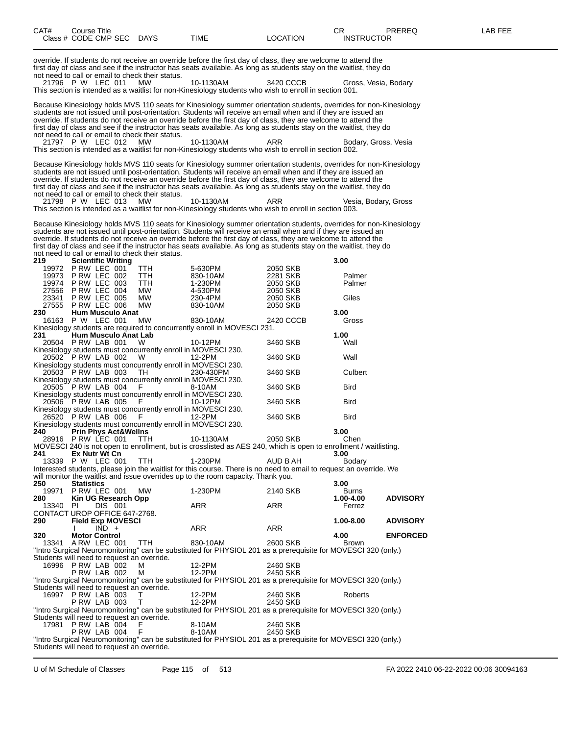| CAT#<br>Class # CODE CMP SEC DAYS      |                            | Course Title         |                                 |                                                                    | TIME                                                                                                                                                                                                                                                                                                                                                                                                                                                                         | <b>LOCATION</b>      | CR.<br><b>INSTRUCTOR</b> | PREREQ          | LAB FEE |
|----------------------------------------|----------------------------|----------------------|---------------------------------|--------------------------------------------------------------------|------------------------------------------------------------------------------------------------------------------------------------------------------------------------------------------------------------------------------------------------------------------------------------------------------------------------------------------------------------------------------------------------------------------------------------------------------------------------------|----------------------|--------------------------|-----------------|---------|
|                                        |                            |                      |                                 | not need to call or email to check their status.                   | override. If students do not receive an override before the first day of class, they are welcome to attend the<br>first day of class and see if the instructor has seats available. As long as students stay on the waitlist, they do                                                                                                                                                                                                                                        |                      |                          |                 |         |
| 21796 P W LEC 011                      |                            |                      |                                 | <b>MW</b>                                                          | 10-1130AM<br>This section is intended as a waitlist for non-Kinesiology students who wish to enroll in section 001.                                                                                                                                                                                                                                                                                                                                                          | 3420 CCCB            | Gross, Vesia, Bodary     |                 |         |
|                                        |                            |                      |                                 | not need to call or email to check their status.                   | Because Kinesiology holds MVS 110 seats for Kinesiology summer orientation students, overrides for non-Kinesiology<br>students are not issued until post-orientation. Students will receive an email when and if they are issued an<br>override. If students do not receive an override before the first day of class, they are welcome to attend the<br>first day of class and see if the instructor has seats available. As long as students stay on the waitlist, they do |                      |                          |                 |         |
| 21797 P W LEC 012                      |                            |                      |                                 | <b>MW</b>                                                          | 10-1130AM<br>This section is intended as a waitlist for non-Kinesiology students who wish to enroll in section 002.                                                                                                                                                                                                                                                                                                                                                          | ARR                  | Bodary, Gross, Vesia     |                 |         |
|                                        |                            |                      |                                 | not need to call or email to check their status.                   | Because Kinesiology holds MVS 110 seats for Kinesiology summer orientation students, overrides for non-Kinesiology<br>students are not issued until post-orientation. Students will receive an email when and if they are issued an<br>override. If students do not receive an override before the first day of class, they are welcome to attend the<br>first day of class and see if the instructor has seats available. As long as students stay on the waitlist, they do |                      |                          |                 |         |
| 21798 P W LEC 013                      |                            |                      |                                 | MW.                                                                | 10-1130AM<br>This section is intended as a waitlist for non-Kinesiology students who wish to enroll in section 003.                                                                                                                                                                                                                                                                                                                                                          | ARR                  | Vesia, Bodary, Gross     |                 |         |
| 219                                    |                            |                      | <b>Scientific Writing</b>       | not need to call or email to check their status.                   | Because Kinesiology holds MVS 110 seats for Kinesiology summer orientation students, overrides for non-Kinesiology<br>students are not issued until post-orientation. Students will receive an email when and if they are issued an<br>override. If students do not receive an override before the first day of class, they are welcome to attend the<br>first day of class and see if the instructor has seats available. As long as students stay on the waitlist, they do |                      | 3.00                     |                 |         |
| 19972 P RW LEC 001                     |                            |                      |                                 | TTH                                                                | 5-630PM                                                                                                                                                                                                                                                                                                                                                                                                                                                                      | 2050 SKB             |                          |                 |         |
| 19973<br>19974                         | PRW LEC 002<br>PRW LEC 003 |                      |                                 | TTH<br><b>TTH</b>                                                  | 830-10AM<br>1-230PM                                                                                                                                                                                                                                                                                                                                                                                                                                                          | 2281 SKB<br>2050 SKB | Palmer<br>Palmer         |                 |         |
| 27556                                  | P RW LEC 004               |                      |                                 | МW                                                                 | 4-530PM                                                                                                                                                                                                                                                                                                                                                                                                                                                                      | 2050 SKB             |                          |                 |         |
| 23341                                  | <b>P RW LEC 005</b>        |                      |                                 | МW                                                                 | 230-4PM                                                                                                                                                                                                                                                                                                                                                                                                                                                                      | 2050 SKB             | Giles                    |                 |         |
| 27555 PRW LEC 006<br>230               |                            |                      | <b>Hum Musculo Anat</b>         | МW                                                                 | 830-10AM                                                                                                                                                                                                                                                                                                                                                                                                                                                                     | 2050 SKB             | 3.00                     |                 |         |
| 16163 P W LEC 001                      |                            |                      |                                 | MW                                                                 | 830-10AM                                                                                                                                                                                                                                                                                                                                                                                                                                                                     | 2420 CCCB            | Gross                    |                 |         |
|                                        |                            |                      |                                 |                                                                    | Kinesiology students are required to concurrently enroll in MOVESCI 231.                                                                                                                                                                                                                                                                                                                                                                                                     |                      |                          |                 |         |
| 231                                    |                            |                      | <b>Hum Musculo Anat Lab</b>     |                                                                    |                                                                                                                                                                                                                                                                                                                                                                                                                                                                              |                      | 1.00                     |                 |         |
| 20504 PRW LAB 001                      |                            |                      |                                 | W<br>Kinesiology students must concurrently enroll in MOVESCI 230. | 10-12PM                                                                                                                                                                                                                                                                                                                                                                                                                                                                      | 3460 SKB             | Wall                     |                 |         |
| 20502 PRW LAB 002                      |                            |                      |                                 | W                                                                  | 12-2PM                                                                                                                                                                                                                                                                                                                                                                                                                                                                       | 3460 SKB             | Wall                     |                 |         |
|                                        |                            |                      |                                 | Kinesiology students must concurrently enroll in MOVESCI 230.      |                                                                                                                                                                                                                                                                                                                                                                                                                                                                              |                      |                          |                 |         |
| 20503 PRW LAB 003                      |                            |                      |                                 | TH.                                                                | 230-430PM                                                                                                                                                                                                                                                                                                                                                                                                                                                                    | 3460 SKB             | Culbert                  |                 |         |
| 20505 PRW LAB 004                      |                            |                      |                                 | Kinesiology students must concurrently enroll in MOVESCI 230.<br>F | 8-10AM                                                                                                                                                                                                                                                                                                                                                                                                                                                                       | 3460 SKB             | Bird                     |                 |         |
|                                        |                            |                      |                                 | Kinesiology students must concurrently enroll in MOVESCI 230.      |                                                                                                                                                                                                                                                                                                                                                                                                                                                                              |                      |                          |                 |         |
| 20506 PRW LAB 005                      |                            |                      |                                 | - F                                                                | 10-12PM                                                                                                                                                                                                                                                                                                                                                                                                                                                                      | 3460 SKB             | Bird                     |                 |         |
| 26520 P RW LAB 006                     |                            |                      |                                 | Kinesiology students must concurrently enroll in MOVESCI 230.<br>F | 12-2PM                                                                                                                                                                                                                                                                                                                                                                                                                                                                       | 3460 SKB             | Bird                     |                 |         |
|                                        |                            |                      |                                 | Kinesiology students must concurrently enroll in MOVESCI 230.      |                                                                                                                                                                                                                                                                                                                                                                                                                                                                              |                      |                          |                 |         |
| 240                                    |                            |                      | <b>Prin Phys Act&amp;Wellns</b> |                                                                    |                                                                                                                                                                                                                                                                                                                                                                                                                                                                              |                      | 3.00                     |                 |         |
| 28916 PRW LEC 001 TTH                  |                            |                      |                                 |                                                                    | 10-1130AM<br>MOVESCI 240 is not open to enrollment, but is crosslisted as AES 240, which is open to enrollment / waitlisting.                                                                                                                                                                                                                                                                                                                                                | 2050 SKB             | Chen                     |                 |         |
| 241                                    |                            | Ex Nutr Wt Cn        |                                 |                                                                    |                                                                                                                                                                                                                                                                                                                                                                                                                                                                              |                      | 3.00                     |                 |         |
| 13339 P W LEC 001                      |                            |                      |                                 | TTH                                                                | 1-230PM                                                                                                                                                                                                                                                                                                                                                                                                                                                                      | AUD B AH             | Bodary                   |                 |         |
|                                        |                            |                      |                                 |                                                                    | Interested students, please join the waitlist for this course. There is no need to email to request an override. We                                                                                                                                                                                                                                                                                                                                                          |                      |                          |                 |         |
| 250                                    | <b>Statistics</b>          |                      |                                 |                                                                    | will monitor the waitlist and issue overrides up to the room capacity. Thank you.                                                                                                                                                                                                                                                                                                                                                                                            |                      | 3.00                     |                 |         |
| 19971                                  | PRW LEC 001                |                      |                                 | МW                                                                 | 1-230PM                                                                                                                                                                                                                                                                                                                                                                                                                                                                      | 2140 SKB             | Burns                    |                 |         |
| 280                                    |                            |                      | Kin UG Research Opp             |                                                                    |                                                                                                                                                                                                                                                                                                                                                                                                                                                                              |                      | 1.00-4.00                | <b>ADVISORY</b> |         |
| 13340<br>CONTACT UROP OFFICE 647-2768. | PL                         |                      | <b>DIS 001</b>                  |                                                                    | ARR                                                                                                                                                                                                                                                                                                                                                                                                                                                                          | ARR                  | Ferrez                   |                 |         |
| 290                                    |                            |                      | <b>Field Exp MOVESCI</b>        |                                                                    |                                                                                                                                                                                                                                                                                                                                                                                                                                                                              |                      | 1.00-8.00                | <b>ADVISORY</b> |         |
|                                        |                            | $IND +$              |                                 |                                                                    | ARR                                                                                                                                                                                                                                                                                                                                                                                                                                                                          | ARR                  |                          |                 |         |
| 320<br>13341 A RW LEC 001              |                            | <b>Motor Control</b> |                                 |                                                                    | 830-10AM                                                                                                                                                                                                                                                                                                                                                                                                                                                                     | 2600 SKB             | 4.00                     | <b>ENFORCED</b> |         |
|                                        |                            |                      |                                 | <b>TTH</b>                                                         | "Intro Surgical Neuromonitoring" can be substituted for PHYSIOL 201 as a prerequisite for MOVESCI 320 (only.)                                                                                                                                                                                                                                                                                                                                                                |                      | Brown                    |                 |         |
|                                        |                            |                      |                                 | Students will need to request an override.                         |                                                                                                                                                                                                                                                                                                                                                                                                                                                                              |                      |                          |                 |         |
| 16996 P RW LAB 002                     |                            |                      |                                 | м                                                                  | 12-2PM                                                                                                                                                                                                                                                                                                                                                                                                                                                                       | 2460 SKB             |                          |                 |         |
|                                        |                            | PRW LAB 002          |                                 | м                                                                  | 12-2PM<br>"Intro Surgical Neuromonitoring" can be substituted for PHYSIOL 201 as a prerequisite for MOVESCI 320 (only.)                                                                                                                                                                                                                                                                                                                                                      | 2450 SKB             |                          |                 |         |
|                                        |                            |                      |                                 | Students will need to request an override.                         |                                                                                                                                                                                                                                                                                                                                                                                                                                                                              |                      |                          |                 |         |
| 16997 P RW LAB 003                     |                            |                      |                                 | T                                                                  | 12-2PM                                                                                                                                                                                                                                                                                                                                                                                                                                                                       | 2460 SKB             | Roberts                  |                 |         |
|                                        |                            | PRW LAB 003          |                                 | $\top$                                                             | 12-2PM                                                                                                                                                                                                                                                                                                                                                                                                                                                                       | 2450 SKB             |                          |                 |         |
|                                        |                            |                      |                                 | Students will need to request an override.                         | "Intro Surgical Neuromonitoring" can be substituted for PHYSIOL 201 as a prerequisite for MOVESCI 320 (only.)                                                                                                                                                                                                                                                                                                                                                                |                      |                          |                 |         |
| 17981 PRW LAB 004                      |                            |                      |                                 |                                                                    | 8-10AM                                                                                                                                                                                                                                                                                                                                                                                                                                                                       | 2460 SKB             |                          |                 |         |
|                                        |                            | PRW LAB 004          |                                 | F                                                                  | 8-10AM                                                                                                                                                                                                                                                                                                                                                                                                                                                                       | 2450 SKB             |                          |                 |         |
|                                        |                            |                      |                                 | Students will need to request an override.                         | "Intro Surgical Neuromonitoring" can be substituted for PHYSIOL 201 as a prerequisite for MOVESCI 320 (only.)                                                                                                                                                                                                                                                                                                                                                                |                      |                          |                 |         |

U of M Schedule of Classes Page 115 of 513 FA 2022 2410 06-22-2022 00:06 30094163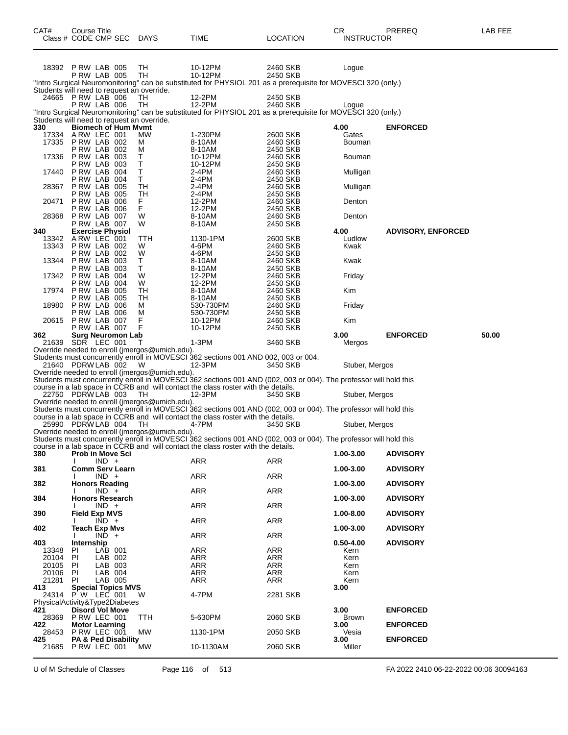| CAT#                                  | Course Title<br>Class # CODE CMP SEC      |                    |                            | <b>DAYS</b>                                          | TIME                                                                                                                                                                                                   | <b>LOCATION</b>      | CR<br><b>INSTRUCTOR</b> | PREREQ                    | LAB FEE |
|---------------------------------------|-------------------------------------------|--------------------|----------------------------|------------------------------------------------------|--------------------------------------------------------------------------------------------------------------------------------------------------------------------------------------------------------|----------------------|-------------------------|---------------------------|---------|
|                                       | 18392 P RW LAB 005<br><b>P RW LAB 005</b> |                    |                            | TН<br>TН                                             | 10-12PM<br>10-12PM                                                                                                                                                                                     | 2460 SKB<br>2450 SKB | Logue                   |                           |         |
|                                       |                                           |                    |                            |                                                      | "Intro Surgical Neuromonitoring" can be substituted for PHYSIOL 201 as a prerequisite for MOVESCI 320 (only.)                                                                                          |                      |                         |                           |         |
|                                       | 24665 P RW LAB 006                        |                    |                            | Students will need to request an override.<br>TН     | 12-2PM                                                                                                                                                                                                 | 2450 SKB             |                         |                           |         |
|                                       | PRW LAB 006                               |                    |                            | TН                                                   | 12-2PM                                                                                                                                                                                                 | 2460 SKB             | Loque                   |                           |         |
|                                       |                                           |                    |                            | Students will need to request an override.           | "Intro Surgical Neuromonitoring" can be substituted for PHYSIOL 201 as a prerequisite for MOVESCI 320 (only.)                                                                                          |                      |                         |                           |         |
| 330                                   |                                           |                    | <b>Biomech of Hum Mymt</b> |                                                      |                                                                                                                                                                                                        |                      | 4.00                    | <b>ENFORCED</b>           |         |
| 17334<br>17335                        | ARW LEC 001<br>PRW LAB 002                |                    |                            | MW.<br>м                                             | 1-230PM<br>8-10AM                                                                                                                                                                                      | 2600 SKB<br>2460 SKB | Gates<br>Bouman         |                           |         |
|                                       | <b>P RW LAB 002</b>                       |                    |                            | м                                                    | 8-10AM                                                                                                                                                                                                 | 2450 SKB             |                         |                           |         |
|                                       | 17336 P RW LAB 003<br>P RW LAB            |                    | 003                        | т<br>т                                               | 10-12PM<br>10-12PM                                                                                                                                                                                     | 2460 SKB<br>2450 SKB | Bouman                  |                           |         |
|                                       | 17440 PRW LAB                             |                    | 004                        | Т                                                    | 2-4PM                                                                                                                                                                                                  | 2460 SKB             | Mulligan                |                           |         |
|                                       | P RW LAB<br>28367 PRW LAB                 |                    | 004<br>005                 | T<br>TН                                              | 2-4PM<br>2-4PM                                                                                                                                                                                         | 2450 SKB<br>2460 SKB | Mulligan                |                           |         |
|                                       | P RW LAB                                  |                    | 005                        | TН                                                   | 2-4PM                                                                                                                                                                                                  | 2450 SKB             |                         |                           |         |
| 20471                                 | PRW LAB 006<br>PRW LAB 006                |                    |                            | F.<br>F.                                             | 12-2PM<br>12-2PM                                                                                                                                                                                       | 2460 SKB<br>2450 SKB | Denton                  |                           |         |
|                                       | 28368 P RW LAB 007                        |                    |                            | W                                                    | 8-10AM                                                                                                                                                                                                 | 2460 SKB             | Denton                  |                           |         |
| 340                                   | PRW LAB 007<br><b>Exercise Physiol</b>    |                    |                            | W                                                    | 8-10AM                                                                                                                                                                                                 | 2450 SKB             | 4.00                    | <b>ADVISORY, ENFORCED</b> |         |
|                                       | 13342 A RW LEC 001                        |                    |                            | TTH                                                  | 1130-1PM                                                                                                                                                                                               | 2600 SKB             | Ludlow                  |                           |         |
| 13343                                 | PRW LAB 002<br><b>P RW LAB 002</b>        |                    |                            | W<br>W                                               | 4-6PM<br>4-6PM                                                                                                                                                                                         | 2460 SKB<br>2450 SKB | Kwak                    |                           |         |
|                                       | 13344 P RW LAB 003                        |                    |                            | Τ                                                    | 8-10AM                                                                                                                                                                                                 | 2460 SKB             | Kwak                    |                           |         |
|                                       | PRW LAB 003<br>17342 PRW LAB              |                    | 004                        | T.<br>W                                              | 8-10AM<br>12-2PM                                                                                                                                                                                       | 2450 SKB<br>2460 SKB | Friday                  |                           |         |
|                                       | PRW LAB 004                               |                    |                            | W                                                    | 12-2PM                                                                                                                                                                                                 | 2450 SKB             |                         |                           |         |
|                                       | 17974 P RW LAB 005<br>P RW LAB            |                    | 005                        | TН<br>TН                                             | 8-10AM<br>8-10AM                                                                                                                                                                                       | 2460 SKB<br>2450 SKB | Kim                     |                           |         |
| 18980                                 | PRW LAB 006                               |                    |                            | м                                                    | 530-730PM                                                                                                                                                                                              | 2460 SKB             | Friday                  |                           |         |
|                                       | PRW LAB 006<br>20615 P RW LAB 007         |                    |                            | М<br>F                                               | 530-730PM<br>10-12PM                                                                                                                                                                                   | 2450 SKB<br>2460 SKB | Kim                     |                           |         |
|                                       | PRW LAB 007                               |                    |                            | F                                                    | 10-12PM                                                                                                                                                                                                | 2450 SKB             |                         |                           |         |
| 362                                   | 21639 SDR LEC 001                         |                    | <b>Surg Neuromon Lab</b>   | т                                                    | 1-3PM                                                                                                                                                                                                  | 3460 SKB             | 3.00<br>Mergos          | <b>ENFORCED</b>           | 50.00   |
|                                       |                                           |                    |                            | Override needed to enroll (jmergos@umich.edu).       |                                                                                                                                                                                                        |                      |                         |                           |         |
|                                       | 21640 PDRW LAB 002                        |                    |                            | W                                                    | Students must concurrently enroll in MOVESCI 362 sections 001 AND 002, 003 or 004.<br>12-3PM                                                                                                           | 3450 SKB             | Stuber, Mergos          |                           |         |
|                                       |                                           |                    |                            | Override needed to enroll (jmergos@umich.edu).       |                                                                                                                                                                                                        |                      |                         |                           |         |
|                                       |                                           |                    |                            |                                                      | Students must concurrently enroll in MOVESCI 362 sections 001 AND (002, 003 or 004). The professor will hold this<br>course in a lab space in CCRB and will contact the class roster with the details. |                      |                         |                           |         |
|                                       | 22750 PDRW LAB 003                        |                    |                            | TH                                                   | 12-3PM                                                                                                                                                                                                 | 3450 SKB             | Stuber, Mergos          |                           |         |
|                                       |                                           |                    |                            | Override needed to enroll (jmergos@umich.edu).       | Students must concurrently enroll in MOVESCI 362 sections 001 AND (002, 003 or 004). The professor will hold this                                                                                      |                      |                         |                           |         |
|                                       |                                           |                    |                            |                                                      | course in a lab space in CCRB and will contact the class roster with the details.                                                                                                                      |                      |                         |                           |         |
|                                       | 25990 PDRW LAB 004                        |                    |                            | TH<br>Override needed to enroll (jmergos@umich.edu). | 4-7PM                                                                                                                                                                                                  | 3450 SKB             | Stuber, Mergos          |                           |         |
|                                       |                                           |                    |                            |                                                      | Students must concurrently enroll in MOVESCI 362 sections 001 AND (002, 003 or 004). The professor will hold this                                                                                      |                      |                         |                           |         |
| 380                                   | <b>Prob in Move Sci</b>                   |                    |                            |                                                      | course in a lab space in CCRB and will contact the class roster with the details.                                                                                                                      |                      | 1.00-3.00               | <b>ADVISORY</b>           |         |
|                                       |                                           | $IND +$            |                            |                                                      | <b>ARR</b>                                                                                                                                                                                             | ARR                  |                         |                           |         |
| 381                                   |                                           | $IND +$            | <b>Comm Serv Learn</b>     |                                                      | <b>ARR</b>                                                                                                                                                                                             | ARR                  | 1.00-3.00               | <b>ADVISORY</b>           |         |
| 382                                   | <b>Honors Reading</b>                     |                    |                            |                                                      |                                                                                                                                                                                                        |                      | 1.00-3.00               | <b>ADVISORY</b>           |         |
| 384                                   | <b>Honors Research</b>                    | $IND +$            |                            |                                                      | <b>ARR</b>                                                                                                                                                                                             | <b>ARR</b>           | 1.00-3.00               | <b>ADVISORY</b>           |         |
|                                       |                                           | $IND +$            |                            |                                                      | ARR                                                                                                                                                                                                    | ARR                  |                         |                           |         |
| 390                                   | <b>Field Exp MVS</b>                      | $IND +$            |                            |                                                      | ARR                                                                                                                                                                                                    | ARR                  | 1.00-8.00               | <b>ADVISORY</b>           |         |
| 402                                   | <b>Teach Exp Mvs</b>                      |                    |                            |                                                      |                                                                                                                                                                                                        |                      | 1.00-3.00               | <b>ADVISORY</b>           |         |
| 403                                   | Internship                                | $IND +$            |                            |                                                      | <b>ARR</b>                                                                                                                                                                                             | <b>ARR</b>           | $0.50 - 4.00$           | <b>ADVISORY</b>           |         |
| 13348                                 | ΡI                                        | LAB 001            |                            |                                                      | ARR                                                                                                                                                                                                    | <b>ARR</b>           | Kern                    |                           |         |
| 20104<br>20105                        | PI<br>PI                                  | LAB 002<br>LAB 003 |                            |                                                      | ARR<br>ARR                                                                                                                                                                                             | ARR<br>ARR           | Kern<br>Kern            |                           |         |
| 20106                                 | PI                                        | LAB 004            |                            |                                                      | ARR                                                                                                                                                                                                    | ARR                  | Kern                    |                           |         |
| 21281<br>413                          | PI                                        | LAB 005            | <b>Special Topics MVS</b>  |                                                      | ARR                                                                                                                                                                                                    | ARR                  | Kern<br>3.00            |                           |         |
|                                       | 24314 P W LEC 001                         |                    |                            | W                                                    | 4-7PM                                                                                                                                                                                                  | 2281 SKB             |                         |                           |         |
| PhysicalActivity&Type2Diabetes<br>421 | <b>Disord Vol Move</b>                    |                    |                            |                                                      |                                                                                                                                                                                                        |                      | 3.00                    | <b>ENFORCED</b>           |         |
| 28369                                 | PRW LEC 001                               |                    |                            | ттн                                                  | 5-630PM                                                                                                                                                                                                | 2060 SKB             | <b>Brown</b>            |                           |         |
| 422<br>28453                          | <b>Motor Learning</b><br>PRW LEC 001      |                    |                            | MW                                                   | 1130-1PM                                                                                                                                                                                               | 2050 SKB             | 3.00<br>Vesia           | <b>ENFORCED</b>           |         |
| 425                                   |                                           |                    | PA & Ped Disability        |                                                      |                                                                                                                                                                                                        |                      | 3.00                    | <b>ENFORCED</b>           |         |
|                                       | 21685 PRW LEC 001                         |                    |                            | MW.                                                  | 10-1130AM                                                                                                                                                                                              | 2060 SKB             | Miller                  |                           |         |

U of M Schedule of Classes Page 116 of 513 FA 2022 2410 06-22-2022 00:06 30094163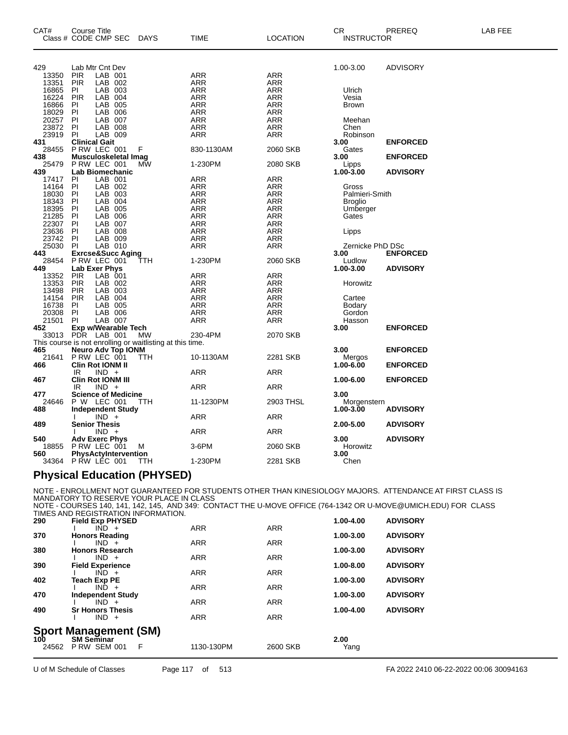| CAT#  | <b>Course Title</b>                                       |            |             |                 | СR                | PREREQ          | LAB FEE |
|-------|-----------------------------------------------------------|------------|-------------|-----------------|-------------------|-----------------|---------|
|       | Class # CODE CMP SEC                                      | DAYS       | <b>TIME</b> | <b>LOCATION</b> | <b>INSTRUCTOR</b> |                 |         |
|       |                                                           |            |             |                 |                   |                 |         |
| 429   | Lab Mtr Cnt Dev                                           |            |             |                 | 1.00-3.00         | <b>ADVISORY</b> |         |
| 13350 | LAB 001<br><b>PIR</b>                                     |            | ARR         | ARR             |                   |                 |         |
| 13351 | <b>PIR</b><br>LAB 002                                     |            | ARR         | ARR             |                   |                 |         |
| 16865 | LAB 003<br>PI                                             |            | ARR         | <b>ARR</b>      | Ulrich            |                 |         |
| 16224 | LAB 004<br><b>PIR</b>                                     |            | <b>ARR</b>  | <b>ARR</b>      | Vesia             |                 |         |
| 16866 | LAB 005<br>PI.                                            |            | <b>ARR</b>  | <b>ARR</b>      | <b>Brown</b>      |                 |         |
| 18029 | PI<br>LAB 006                                             |            | <b>ARR</b>  | <b>ARR</b>      |                   |                 |         |
| 20257 | LAB 007<br><b>PI</b>                                      |            | <b>ARR</b>  | <b>ARR</b>      | Meehan            |                 |         |
| 23872 | PI<br>LAB 008                                             |            | <b>ARR</b>  | ARR             | Chen              |                 |         |
| 23919 | <b>PI</b><br>LAB 009                                      |            | ARR         | ARR             | Robinson          |                 |         |
| 431   | <b>Clinical Gait</b>                                      |            |             |                 | 3.00              | <b>ENFORCED</b> |         |
| 28455 | P RW LEC 001                                              | F          | 830-1130AM  | 2060 SKB        | Gates             |                 |         |
| 438   | Musculoskeletal Imag                                      |            |             |                 | 3.00              | <b>ENFORCED</b> |         |
| 25479 | P RW LEC 001                                              | МW         | 1-230PM     | 2080 SKB        | Lipps             |                 |         |
| 439   | <b>Lab Biomechanic</b>                                    |            |             |                 | $1.00 - 3.00$     | <b>ADVISORY</b> |         |
|       |                                                           |            |             |                 |                   |                 |         |
| 17417 | LAB 001<br><b>PI</b>                                      |            | ARR         | ARR             |                   |                 |         |
| 14164 | LAB 002<br><b>PI</b>                                      |            | <b>ARR</b>  | ARR             | Gross             |                 |         |
| 18030 | PI<br>LAB 003                                             |            | <b>ARR</b>  | <b>ARR</b>      | Palmieri-Smith    |                 |         |
| 18343 | LAB 004<br>PI                                             |            | ARR         | ARR             | <b>Broglio</b>    |                 |         |
| 18395 | LAB 005<br>PI                                             |            | ARR         | <b>ARR</b>      | Umberger          |                 |         |
| 21285 | PI<br>LAB 006                                             |            | ARR         | <b>ARR</b>      | Gates             |                 |         |
| 22307 | PI<br>LAB 007                                             |            | <b>ARR</b>  | ARR             |                   |                 |         |
| 23636 | <b>PI</b><br>LAB 008                                      |            | <b>ARR</b>  | <b>ARR</b>      | Lipps             |                 |         |
| 23742 | LAB 009<br>-PI                                            |            | <b>ARR</b>  | ARR             |                   |                 |         |
| 25030 | LAB 010<br>PI.                                            |            | <b>ARR</b>  | <b>ARR</b>      | Zernicke PhD DSc  |                 |         |
| 443   | Exrcse&Succ Aging<br>P RW LEC 001                         |            |             |                 | 3.00              | <b>ENFORCED</b> |         |
| 28454 |                                                           | TTH        | 1-230PM     | 2060 SKB        | Ludlow            |                 |         |
| 449   | <b>Lab Exer Phys</b>                                      |            |             |                 | 1.00-3.00         | <b>ADVISORY</b> |         |
| 13352 | <b>PIR</b><br>LAB 001                                     |            | ARR         | ARR             |                   |                 |         |
| 13353 | <b>PIR</b><br>LAB 002                                     |            | ARR         | ARR             | Horowitz          |                 |         |
| 13498 | <b>PIR</b><br>LAB 003                                     |            | <b>ARR</b>  | <b>ARR</b>      |                   |                 |         |
| 14154 | LAB 004<br><b>PIR</b>                                     |            | <b>ARR</b>  | ARR             | Cartee            |                 |         |
| 16738 | PI                                                        |            | ARR         |                 |                   |                 |         |
|       | LAB 005                                                   |            |             | ARR             | <b>Bodary</b>     |                 |         |
| 20308 | <b>PI</b><br>LAB 006                                      |            | <b>ARR</b>  | <b>ARR</b>      | Gordon            |                 |         |
| 21501 | <b>PI</b><br>LAB 007                                      |            | <b>ARR</b>  | <b>ARR</b>      | Hasson            |                 |         |
| 452   | Exp w/Wearable Tech                                       |            |             |                 | 3.00              | <b>ENFORCED</b> |         |
| 33013 | PDR LAB 001                                               | MW         | 230-4PM     | 2070 SKB        |                   |                 |         |
|       | This course is not enrolling or waitlisting at this time. |            |             |                 |                   |                 |         |
| 465   | Neuro Adv Top IONM                                        |            |             |                 | 3.00              | <b>ENFORCED</b> |         |
| 21641 | P RW LEC 001                                              | <b>TTH</b> | 10-1130AM   | 2281 SKB        | Mergos            |                 |         |
| 466   | Clin Rot IONM II                                          |            |             |                 | 1.00-6.00         | <b>ENFORCED</b> |         |
|       | $IND +$<br>IR.                                            |            | <b>ARR</b>  | ARR             |                   |                 |         |
| 467   | Clin Rot IONM III                                         |            |             |                 | 1.00-6.00         | <b>ENFORCED</b> |         |
|       | $IND +$<br>IR.                                            |            | <b>ARR</b>  | ARR             |                   |                 |         |
| 477   | <b>Science of Medicine</b>                                |            |             |                 | 3.00              |                 |         |
| 24646 | P W LEC 001                                               | TTH        | 11-1230PM   | 2903 THSL       | Morgenstern       |                 |         |
| 488   | <b>Independent Study</b>                                  |            |             |                 | $1.00 - 3.00$     | <b>ADVISORY</b> |         |
|       | $IND +$                                                   |            | <b>ARR</b>  | ARR             |                   |                 |         |
| 489   | <b>Senior Thesis</b>                                      |            |             |                 | 2.00-5.00         | <b>ADVISORY</b> |         |
|       | $IND +$                                                   |            | ARR         | ARR             |                   |                 |         |
| 540   | <b>Adv Exerc Phys</b>                                     |            |             |                 | 3.00              | <b>ADVISORY</b> |         |
|       |                                                           |            |             |                 |                   |                 |         |
| 18855 | P RW LEC 001                                              | м          | 3-6PM       | 2060 SKB        | Horowitz          |                 |         |
| 560   | PhysActyIntervention                                      |            |             |                 | 3.00              |                 |         |
| 34364 | P RW LEC 001                                              | <b>TTH</b> | 1-230PM     | 2281 SKB        | Chen              |                 |         |
|       |                                                           |            |             |                 |                   |                 |         |

#### **Physical Education (PHYSED)**

NOTE - ENROLLMENT NOT GUARANTEED FOR STUDENTS OTHER THAN KINESIOLOGY MAJORS. ATTENDANCE AT FIRST CLASS IS<br>MANDATORY TO RESERVE YOUR PLACE IN CLASS<br>NOTE - COURSES 140, 141, 142, 145, AND 349: CONTACT THE U-MOVE OFFICE (7 TIMES AND REGISTRATION INFORMATION.

| 290          | <b>Field Exp PHYSED</b>                  |   |            |            | 1.00-4.00    | <b>ADVISORY</b> |
|--------------|------------------------------------------|---|------------|------------|--------------|-----------------|
|              | $IND +$                                  |   | <b>ARR</b> | <b>ARR</b> |              |                 |
| 370          | <b>Honors Reading</b>                    |   |            |            | 1.00-3.00    | <b>ADVISORY</b> |
|              | $IND +$                                  |   | <b>ARR</b> | <b>ARR</b> |              |                 |
| 380          | <b>Honors Research</b>                   |   |            |            | 1.00-3.00    | <b>ADVISORY</b> |
| 390          | $IND +$<br><b>Field Experience</b>       |   | <b>ARR</b> | <b>ARR</b> | 1.00-8.00    | <b>ADVISORY</b> |
|              | $IND +$                                  |   | <b>ARR</b> | <b>ARR</b> |              |                 |
| 402          | Teach Exp PE                             |   |            |            | 1.00-3.00    | <b>ADVISORY</b> |
|              | $IND +$                                  |   | <b>ARR</b> | <b>ARR</b> |              |                 |
| 470          | <b>Independent Study</b>                 |   |            |            | 1.00-3.00    | <b>ADVISORY</b> |
|              | $IND +$                                  |   | <b>ARR</b> | <b>ARR</b> |              |                 |
| 490          | <b>Sr Honors Thesis</b>                  |   |            |            | 1.00-4.00    | <b>ADVISORY</b> |
|              | $IND +$                                  |   | <b>ARR</b> | <b>ARR</b> |              |                 |
|              |                                          |   |            |            |              |                 |
|              | <b>Sport Management (SM)</b>             |   |            |            |              |                 |
| 100<br>24562 | <b>SM Seminar</b><br><b>P RW SEM 001</b> | F | 1130-130PM | 2600 SKB   | 2.00<br>Yang |                 |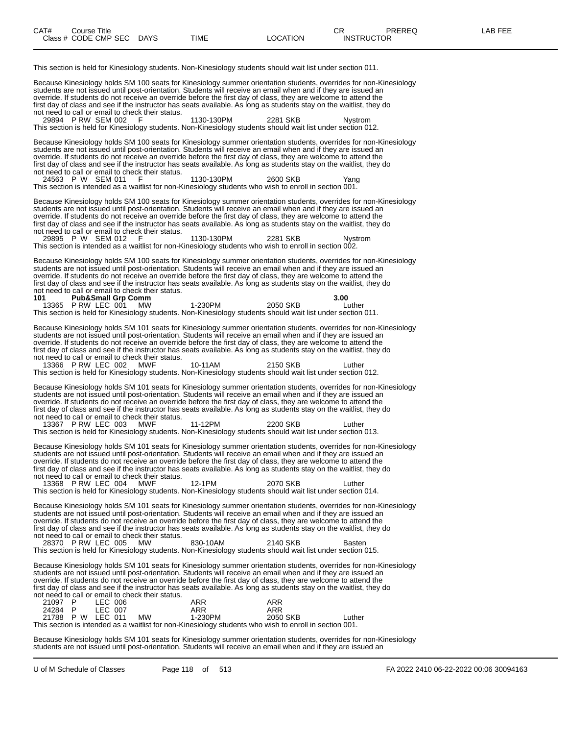This section is held for Kinesiology students. Non-Kinesiology students should wait list under section 011.

Because Kinesiology holds SM 100 seats for Kinesiology summer orientation students, overrides for non-Kinesiology students are not issued until post-orientation. Students will receive an email when and if they are issued an override. If students do not receive an override before the first day of class, they are welcome to attend the first day of class and see if the instructor has seats available. As long as students stay on the waitlist, they do not need to call or email to check their status.<br>29894 P RW SEM 002 F 29894 P RW SEM 002 F 1130-130PM 2281 SKB Nystrom This section is held for Kinesiology students. Non-Kinesiology students should wait list under section 012. Because Kinesiology holds SM 100 seats for Kinesiology summer orientation students, overrides for non-Kinesiology students are not issued until post-orientation. Students will receive an email when and if they are issued an override. If students do not receive an override before the first day of class, they are welcome to attend the first day of class and see if the instructor has seats available. As long as students stay on the waitlist, they do not need to call or email to check their status. 24563 P W SEM 011 F 1130-130PM 2600 SKB Yang This section is intended as a waitlist for non-Kinesiology students who wish to enroll in section 001. Because Kinesiology holds SM 100 seats for Kinesiology summer orientation students, overrides for non-Kinesiology students are not issued until post-orientation. Students will receive an email when and if they are issued an override. If students do not receive an override before the first day of class, they are welcome to attend the first day of class and see if the instructor has seats available. As long as students stay on the waitlist, they do not need to call or email to check their status. 29895 P W SEM 012 F 1130-130PM 2281 SKB Nystrom This section is intended as a waitlist for non-Kinesiology students who wish to enroll in section 002. Because Kinesiology holds SM 100 seats for Kinesiology summer orientation students, overrides for non-Kinesiology students are not issued until post-orientation. Students will receive an email when and if they are issued an override. If students do not receive an override before the first day of class, they are welcome to attend the first day of class and see if the instructor has seats available. As long as students stay on the waitlist, they do not need to call or email to check their status.<br>101 Pub&Small Grp Comm **1010 Pub&Small Grp Comm**<br> **1-230PM** 2050 SKB Luther<br> **11-230PM** 2050 SKB Luther 13365 P RW LEC 001 This section is held for Kinesiology students. Non-Kinesiology students should wait list under section 011. Because Kinesiology holds SM 101 seats for Kinesiology summer orientation students, overrides for non-Kinesiology students are not issued until post-orientation. Students will receive an email when and if they are issued an override. If students do not receive an override before the first day of class, they are welcome to attend the first day of class and see if the instructor has seats available. As long as students stay on the waitlist, they do not need to call or email to check their status. 13366 P RW LEC 002 MWF 10-11AM 2150 SKB Luther This section is held for Kinesiology students. Non-Kinesiology students should wait list under section 012. Because Kinesiology holds SM 101 seats for Kinesiology summer orientation students, overrides for non-Kinesiology students are not issued until post-orientation. Students will receive an email when and if they are issued an override. If students do not receive an override before the first day of class, they are welcome to attend the first day of class and see if the instructor has seats available. As long as students stay on the waitlist, they do not need to call or email to check their status. 13367 P RW LEC 003 MWF 11-12PM 2200 SKB Luther This section is held for Kinesiology students. Non-Kinesiology students should wait list under section 013. Because Kinesiology holds SM 101 seats for Kinesiology summer orientation students, overrides for non-Kinesiology students are not issued until post-orientation. Students will receive an email when and if they are issued an override. If students do not receive an override before the first day of class, they are welcome to attend the first day of class and see if the instructor has seats available. As long as students stay on the waitlist, they do not need to call or email to check their status. 13368 P RW LEC 004 MWF 12-1PM 2070 SKB Luther This section is held for Kinesiology students. Non-Kinesiology students should wait list under section 014. Because Kinesiology holds SM 101 seats for Kinesiology summer orientation students, overrides for non-Kinesiology students are not issued until post-orientation. Students will receive an email when and if they are issued an override. If students do not receive an override before the first day of class, they are welcome to attend the first day of class and see if the instructor has seats available. As long as students stay on the waitlist, they do not need to call or email to check their status.<br>28370 PRW LEC 005 MW 28370 P RW LEC 005 MW 830-10AM 2140 SKB Basten This section is held for Kinesiology students. Non-Kinesiology students should wait list under section 015. Because Kinesiology holds SM 101 seats for Kinesiology summer orientation students, overrides for non-Kinesiology students are not issued until post-orientation. Students will receive an email when and if they are issued an override. If students do not receive an override before the first day of class, they are welcome to attend the first day of class and see if the instructor has seats available. As long as students stay on the waitlist, they do not need to call or email to check their status. 21097 P LEC 006 ARR ARR 24284 P LEC 007 ARR ARR 21788 P W LEC 011 MW 1-230PM 2050 SKB Luther This section is intended as a waitlist for non-Kinesiology students who wish to enroll in section 001. Because Kinesiology holds SM 101 seats for Kinesiology summer orientation students, overrides for non-Kinesiology students are not issued until post-orientation. Students will receive an email when and if they are issued an

U of M Schedule of Classes Page 118 of 513 FA 2022 2410 06-22-2022 00:06 30094163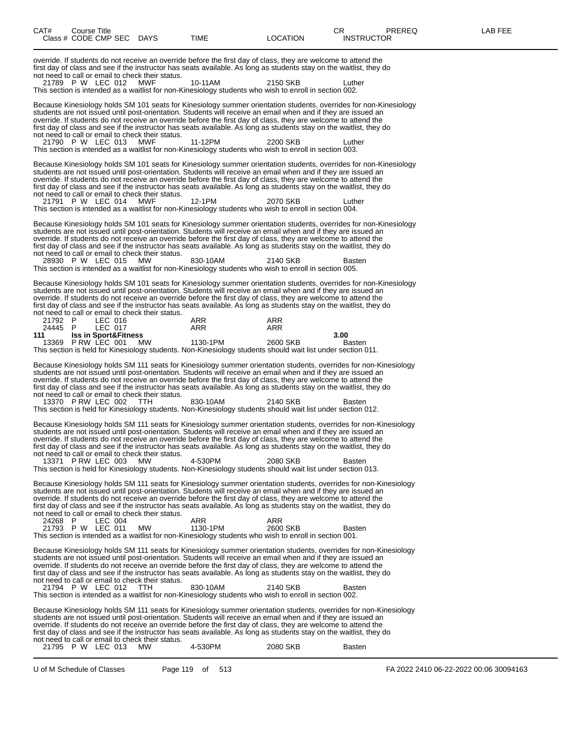| CAT#               | Course Title<br>Class # CODE CMP SEC DAYS             |                                                               | TIME                                                                                                                                                                                                                                                                                                                                                                                                                                                                                                                                                                                              | <b>LOCATION</b> | CR<br><b>INSTRUCTOR</b> | <b>PREREQ</b> | LAB FEE |  |
|--------------------|-------------------------------------------------------|---------------------------------------------------------------|---------------------------------------------------------------------------------------------------------------------------------------------------------------------------------------------------------------------------------------------------------------------------------------------------------------------------------------------------------------------------------------------------------------------------------------------------------------------------------------------------------------------------------------------------------------------------------------------------|-----------------|-------------------------|---------------|---------|--|
|                    | 21789 P W LEC 012                                     | not need to call or email to check their status.<br>MWF       | override. If students do not receive an override before the first day of class, they are welcome to attend the<br>first day of class and see if the instructor has seats available. As long as students stay on the waitlist, they do<br>10-11AM                                                                                                                                                                                                                                                                                                                                                  | 2150 SKB        | Luther                  |               |         |  |
|                    |                                                       |                                                               | This section is intended as a waitlist for non-Kinesiology students who wish to enroll in section 002.                                                                                                                                                                                                                                                                                                                                                                                                                                                                                            |                 |                         |               |         |  |
|                    | 21790 P W LEC 013                                     | not need to call or email to check their status.<br>MWF       | Because Kinesiology holds SM 101 seats for Kinesiology summer orientation students, overrides for non-Kinesiology<br>students are not issued until post-orientation. Students will receive an email when and if they are issued an<br>override. If students do not receive an override before the first day of class, they are welcome to attend the<br>first day of class and see if the instructor has seats available. As long as students stay on the waitlist, they do<br>11-12PM                                                                                                            | 2200 SKB        | Luther                  |               |         |  |
|                    |                                                       |                                                               | This section is intended as a waitlist for non-Kinesiology students who wish to enroll in section 003.                                                                                                                                                                                                                                                                                                                                                                                                                                                                                            |                 |                         |               |         |  |
|                    |                                                       | not need to call or email to check their status.              | Because Kinesiology holds SM 101 seats for Kinesiology summer orientation students, overrides for non-Kinesiology<br>students are not issued until post-orientation. Students will receive an email when and if they are issued an<br>override. If students do not receive an override before the first day of class, they are welcome to attend the<br>first day of class and see if the instructor has seats available. As long as students stay on the waitlist, they do                                                                                                                       |                 |                         |               |         |  |
|                    | 21791 P W LEC 014                                     | MWF                                                           | 12-1PM<br>This section is intended as a waitlist for non-Kinesiology students who wish to enroll in section 004.                                                                                                                                                                                                                                                                                                                                                                                                                                                                                  | 2070 SKB        | Luther                  |               |         |  |
|                    | 28930 P W LEC 015                                     | not need to call or email to check their status.<br><b>MW</b> | Because Kinesiology holds SM 101 seats for Kinesiology summer orientation students, overrides for non-Kinesiology<br>students are not issued until post-orientation. Students will receive an email when and if they are issued an<br>override. If students do not receive an override before the first day of class, they are welcome to attend the<br>first day of class and see if the instructor has seats available. As long as students stay on the waitlist, they do<br>830-10AM                                                                                                           | 2140 SKB        | <b>Basten</b>           |               |         |  |
|                    |                                                       |                                                               | This section is intended as a waitlist for non-Kinesiology students who wish to enroll in section 005.                                                                                                                                                                                                                                                                                                                                                                                                                                                                                            |                 |                         |               |         |  |
|                    |                                                       | not need to call or email to check their status.              | Because Kinesiology holds SM 101 seats for Kinesiology summer orientation students, overrides for non-Kinesiology<br>students are not issued until post-orientation. Students will receive an email when and if they are issued an<br>override. If students do not receive an override before the first day of class, they are welcome to attend the<br>first day of class and see if the instructor has seats available. As long as students stay on the waitlist, they do                                                                                                                       |                 |                         |               |         |  |
| 21792 P<br>24445 P | LEC 016<br>LEC 017                                    |                                                               | ARR<br>ARR                                                                                                                                                                                                                                                                                                                                                                                                                                                                                                                                                                                        | ARR<br>ARR      |                         |               |         |  |
| 111                | <b>Iss in Sport&amp;Fitness</b><br>13369 P RW LEC 001 | MW                                                            | 1130-1PM<br>This section is held for Kinesiology students. Non-Kinesiology students should wait list under section 011.                                                                                                                                                                                                                                                                                                                                                                                                                                                                           | 2600 SKB        | 3.00<br><b>Basten</b>   |               |         |  |
|                    |                                                       | not need to call or email to check their status.              | Because Kinesiology holds SM 111 seats for Kinesiology summer orientation students, overrides for non-Kinesiology<br>students are not issued until post-orientation. Students will receive an email when and if they are issued an<br>override. If students do not receive an override before the first day of class, they are welcome to attend the<br>first day of class and see if the instructor has seats available. As long as students stay on the waitlist, they do                                                                                                                       |                 |                         |               |         |  |
|                    | 13370 PRW LEC 002                                     | TTH                                                           | 830-10AM<br>This section is held for Kinesiology students. Non-Kinesiology students should wait list under section 012.                                                                                                                                                                                                                                                                                                                                                                                                                                                                           | 2140 SKB        | <b>Basten</b>           |               |         |  |
|                    |                                                       | not need to call or email to check their status.              | Because Kinesiology holds SM 111 seats for Kinesiology summer orientation students, overrides for non-Kinesiology<br>students are not issued until post-orientation. Students will receive an email when and if they are issued an<br>override. If students do not receive an override before the first day of class, they are welcome to attend the<br>first day of class and see if the instructor has seats available. As long as students stay on the waitlist, they do                                                                                                                       |                 |                         |               |         |  |
|                    | 13371 P RW LEC 003                                    | MW                                                            | 4-530PM<br>This section is held for Kinesiology students. Non-Kinesiology students should wait list under section 013.                                                                                                                                                                                                                                                                                                                                                                                                                                                                            | 2080 SKB        | <b>Basten</b>           |               |         |  |
|                    |                                                       | not need to call or email to check their status.              | Because Kinesiology holds SM 111 seats for Kinesiology summer orientation students, overrides for non-Kinesiology<br>students are not issued until post-orientation. Students will receive an email when and if they are issued an<br>override. If students do not receive an override before the first day of class, they are welcome to attend the<br>first day of class and see if the instructor has seats available. As long as students stay on the waitlist, they do                                                                                                                       |                 |                         |               |         |  |
| 24268 P            | LEC 004<br>21793 P W LEC 011                          | МW                                                            | ARR<br>1130-1PM<br>This section is intended as a waitlist for non-Kinesiology students who wish to enroll in section 001.                                                                                                                                                                                                                                                                                                                                                                                                                                                                         | ARR<br>2600 SKB | <b>Basten</b>           |               |         |  |
|                    | 21794 P W LEC 012                                     | not need to call or email to check their status.<br>TTH.      | Because Kinesiology holds SM 111 seats for Kinesiology summer orientation students, overrides for non-Kinesiology<br>students are not issued until post-orientation. Students will receive an email when and if they are issued an<br>override. If students do not receive an override before the first day of class, they are welcome to attend the<br>first day of class and see if the instructor has seats available. As long as students stay on the waitlist, they do<br>830-10AM<br>This section is intended as a waitlist for non-Kinesiology students who wish to enroll in section 002. | 2140 SKB        | <b>Basten</b>           |               |         |  |
|                    |                                                       |                                                               | Because Kinesiology holds SM 111 seats for Kinesiology summer orientation students, overrides for non-Kinesiology<br>students are not issued until post-orientation. Students will receive an email when and if they are issued an<br>override. If students do not receive an override before the first day of class, they are welcome to attend the<br>first day of class and see if the instructor has seats available. As long as students stay on the waitlist, they do                                                                                                                       |                 |                         |               |         |  |
|                    | 21795 P W LEC 013                                     | not need to call or email to check their status.<br>MW        | 4-530PM                                                                                                                                                                                                                                                                                                                                                                                                                                                                                                                                                                                           | 2080 SKB        | Basten                  |               |         |  |

U of M Schedule of Classes Page 119 of 513 FA 2022 2410 06-22-2022 00:06 30094163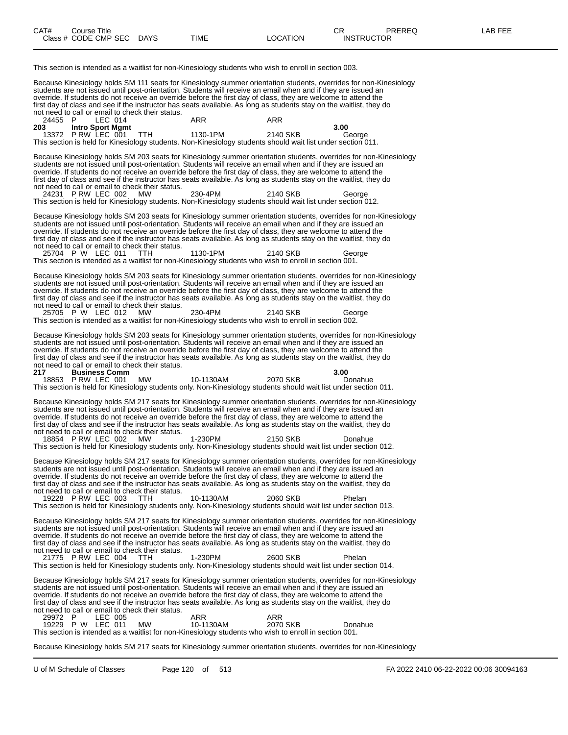This section is intended as a waitlist for non-Kinesiology students who wish to enroll in section 003. Because Kinesiology holds SM 111 seats for Kinesiology summer orientation students, overrides for non-Kinesiology students are not issued until post-orientation. Students will receive an email when and if they are issued an override. If students do not receive an override before the first day of class, they are welcome to attend the first day of class and see if the instructor has seats available. As long as students stay on the waitlist, they do not need to call or email to check their status.<br>24455 P LEC 014 24455 P LEC 014 ARR ARR **203 Intro Sport Mgmt 3.00** 13372 P RW LEC 001 TTH 1130-1PM 2140 SKB George This section is held for Kinesiology students. Non-Kinesiology students should wait list under section 011. Because Kinesiology holds SM 203 seats for Kinesiology summer orientation students, overrides for non-Kinesiology students are not issued until post-orientation. Students will receive an email when and if they are issued an override. If students do not receive an override before the first day of class, they are welcome to attend the first day of class and see if the instructor has seats available. As long as students stay on the waitlist, they do not need to call or email to check their status. 24231 P RW LEC 002 MW 230-4PM 2140 SKB George This section is held for Kinesiology students. Non-Kinesiology students should wait list under section 012. Because Kinesiology holds SM 203 seats for Kinesiology summer orientation students, overrides for non-Kinesiology students are not issued until post-orientation. Students will receive an email when and if they are issued an override. If students do not receive an override before the first day of class, they are welcome to attend the first day of class and see if the instructor has seats available. As long as students stay on the waitlist, they do not need to call or email to check their status. 25704 P W LEC 011 TTH 1130-1PM 2140 SKB George This section is intended as a waitlist for non-Kinesiology students who wish to enroll in section 001. Because Kinesiology holds SM 203 seats for Kinesiology summer orientation students, overrides for non-Kinesiology students are not issued until post-orientation. Students will receive an email when and if they are issued an override. If students do not receive an override before the first day of class, they are welcome to attend the first day of class and see if the instructor has seats available. As long as students stay on the waitlist, they do not need to call or email to check their status. 25705 P W LEC 012 MW 230-4PM 2140 SKB George This section is intended as a waitlist for non-Kinesiology students who wish to enroll in section 002. Because Kinesiology holds SM 203 seats for Kinesiology summer orientation students, overrides for non-Kinesiology students are not issued until post-orientation. Students will receive an email when and if they are issued an override. If students do not receive an override before the first day of class, they are welcome to attend the first day of class and see if the instructor has seats available. As long as students stay on the waitlist, they do not need to call or email to check their status.<br>217 **Business Comm 217 Business Comm 3.00** 18853 P RW LEC 001 MW 10-1130AM 2070 SKB Donahue This section is held for Kinesiology students only. Non-Kinesiology students should wait list under section 011. Because Kinesiology holds SM 217 seats for Kinesiology summer orientation students, overrides for non-Kinesiology students are not issued until post-orientation. Students will receive an email when and if they are issued an override. If students do not receive an override before the first day of class, they are welcome to attend the first day of class and see if the instructor has seats available. As long as students stay on the waitlist, they do not need to call or email to check their status. 18854 P RW LEC 002 MW 1-230PM 2150 SKB Donahue This section is held for Kinesiology students only. Non-Kinesiology students should wait list under section 012. Because Kinesiology holds SM 217 seats for Kinesiology summer orientation students, overrides for non-Kinesiology students are not issued until post-orientation. Students will receive an email when and if they are issued an override. If students do not receive an override before the first day of class, they are welcome to attend the first day of class and see if the instructor has seats available. As long as students stay on the waitlist, they do not need to call or email to check their status. 19228 P RW LEC 003 TTH 10-1130AM 2060 SKB Phelan This section is held for Kinesiology students only. Non-Kinesiology students should wait list under section 013. Because Kinesiology holds SM 217 seats for Kinesiology summer orientation students, overrides for non-Kinesiology students are not issued until post-orientation. Students will receive an email when and if they are issued an override. If students do not receive an override before the first day of class, they are welcome to attend the first day of class and see if the instructor has seats available. As long as students stay on the waitlist, they do not need to call or email to check their status. 21775 P RW LEC 004 TTH 1-230PM 2600 SKB Phelan This section is held for Kinesiology students only. Non-Kinesiology students should wait list under section 014. Because Kinesiology holds SM 217 seats for Kinesiology summer orientation students, overrides for non-Kinesiology students are not issued until post-orientation. Students will receive an email when and if they are issued an override. If students do not receive an override before the first day of class, they are welcome to attend the first day of class and see if the instructor has seats available. As long as students stay on the waitlist, they do not need to call or email to check their status. 29972 P LEC 005 ARR ARR 19229 P W LEC 011 MW 10-1130AM 2070 SKB Donahue This section is intended as a waitlist for non-Kinesiology students who wish to enroll in section 001.

Because Kinesiology holds SM 217 seats for Kinesiology summer orientation students, overrides for non-Kinesiology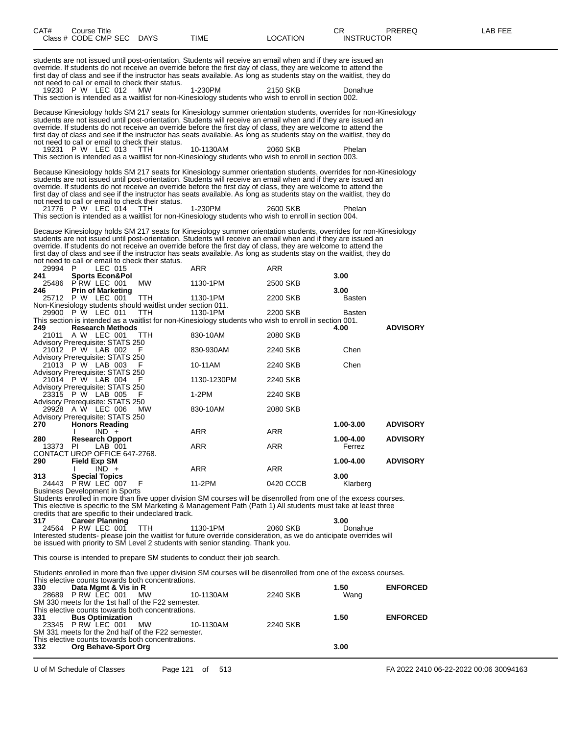| CAT#                                                         | Course Title                            |         | Class # CODE CMP SEC DAYS                                                        |          | <b>TIME</b>          |                                                                                 | LOCATION                                                                                                                                                                                                                                                                                                                                                                                                                                                                                | CR<br><b>INSTRUCTOR</b> | PREREQ          | LAB FEE                                |
|--------------------------------------------------------------|-----------------------------------------|---------|----------------------------------------------------------------------------------|----------|----------------------|---------------------------------------------------------------------------------|-----------------------------------------------------------------------------------------------------------------------------------------------------------------------------------------------------------------------------------------------------------------------------------------------------------------------------------------------------------------------------------------------------------------------------------------------------------------------------------------|-------------------------|-----------------|----------------------------------------|
|                                                              |                                         |         | not need to call or email to check their status.                                 |          |                      |                                                                                 | students are not issued until post-orientation. Students will receive an email when and if they are issued an<br>override. If students do not receive an override before the first day of class, they are welcome to attend the<br>first day of class and see if the instructor has seats available. As long as students stay on the waitlist, they do                                                                                                                                  |                         |                 |                                        |
| 19230 P W LEC 012                                            |                                         |         | MW.                                                                              |          | 1-230PM              |                                                                                 | 2150 SKB<br>This section is intended as a waitlist for non-Kinesiology students who wish to enroll in section 002.                                                                                                                                                                                                                                                                                                                                                                      | Donahue                 |                 |                                        |
| 19231 P W LEC 013                                            |                                         |         | not need to call or email to check their status.<br>- TTH                        |          |                      | 10-1130AM                                                                       | Because Kinesiology holds SM 217 seats for Kinesiology summer orientation students, overrides for non-Kinesiology<br>students are not issued until post-orientation. Students will receive an email when and if they are issued an<br>override. If students do not receive an override before the first day of class, they are welcome to attend the<br>first day of class and see if the instructor has seats available. As long as students stay on the waitlist, they do<br>2060 SKB | Phelan                  |                 |                                        |
|                                                              |                                         |         |                                                                                  |          |                      |                                                                                 | This section is intended as a waitlist for non-Kinesiology students who wish to enroll in section 003.                                                                                                                                                                                                                                                                                                                                                                                  |                         |                 |                                        |
|                                                              |                                         |         | not need to call or email to check their status.                                 |          |                      |                                                                                 | Because Kinesiology holds SM 217 seats for Kinesiology summer orientation students, overrides for non-Kinesiology<br>students are not issued until post-orientation. Students will receive an email when and if they are issued an<br>override. If students do not receive an override before the first day of class, they are welcome to attend the<br>first day of class and see if the instructor has seats available. As long as students stay on the waitlist, they do             |                         |                 |                                        |
| 21776 P W LEC 014                                            |                                         |         | -TTH                                                                             |          | 1-230PM              |                                                                                 | 2600 SKB<br>This section is intended as a waitlist for non-Kinesiology students who wish to enroll in section 004.                                                                                                                                                                                                                                                                                                                                                                      | Phelan                  |                 |                                        |
|                                                              |                                         |         | not need to call or email to check their status.                                 |          |                      |                                                                                 | Because Kinesiology holds SM 217 seats for Kinesiology summer orientation students, overrides for non-Kinesiology<br>students are not issued until post-orientation. Students will receive an email when and if they are issued an<br>override. If students do not receive an override before the first day of class, they are welcome to attend the<br>first day of class and see if the instructor has seats available. As long as students stay on the waitlist, they do             |                         |                 |                                        |
| 29994 P<br>241                                               | <b>Sports Econ&amp;Pol</b>              | LEC 015 |                                                                                  |          | ARR                  |                                                                                 | ARR                                                                                                                                                                                                                                                                                                                                                                                                                                                                                     | 3.00                    |                 |                                        |
| 25486<br>246                                                 | PRW LEC 001<br><b>Prin of Marketing</b> |         | <b>MW</b>                                                                        |          | 1130-1PM             |                                                                                 | 2500 SKB                                                                                                                                                                                                                                                                                                                                                                                                                                                                                | 3.00                    |                 |                                        |
| 25712 P W LEC 001<br>29900 P W LEC 011                       |                                         |         | TTH<br>Non-Kinesiology students should waitlist under section 011.<br><b>TTH</b> |          | 1130-1PM<br>1130-1PM |                                                                                 | 2200 SKB<br>2200 SKB                                                                                                                                                                                                                                                                                                                                                                                                                                                                    | <b>Basten</b><br>Basten |                 |                                        |
| 249                                                          | <b>Research Methods</b>                 |         |                                                                                  |          |                      |                                                                                 | This section is intended as a waitlist for non-Kinesiology students who wish to enroll in section 001.                                                                                                                                                                                                                                                                                                                                                                                  | 4.00                    | <b>ADVISORY</b> |                                        |
| 21011 A W LEC 001<br><b>Advisory Prerequisite: STATS 250</b> |                                         |         | TTH.                                                                             |          | 830-10AM             |                                                                                 | 2080 SKB                                                                                                                                                                                                                                                                                                                                                                                                                                                                                |                         |                 |                                        |
| 21012 P W LAB 002<br>Advisory Prerequisite: STATS 250        |                                         |         |                                                                                  |          |                      | 830-930AM                                                                       | 2240 SKB                                                                                                                                                                                                                                                                                                                                                                                                                                                                                | Chen                    |                 |                                        |
| 21013 P W LAB 003<br><b>Advisory Prerequisite: STATS 250</b> |                                         |         |                                                                                  |          | 10-11AM              |                                                                                 | 2240 SKB                                                                                                                                                                                                                                                                                                                                                                                                                                                                                | Chen                    |                 |                                        |
| 21014 P W LAB 004<br>Advisory Prerequisite: STATS 250        |                                         |         |                                                                                  |          |                      | 1130-1230PM                                                                     | 2240 SKB                                                                                                                                                                                                                                                                                                                                                                                                                                                                                |                         |                 |                                        |
| 23315 P W LAB 005<br>Advisory Prerequisite: STATS 250        |                                         |         | F                                                                                |          | $1-2PM$              |                                                                                 | 2240 SKB                                                                                                                                                                                                                                                                                                                                                                                                                                                                                |                         |                 |                                        |
| 29928 A W LEC 006<br><b>Advisory Prerequisite: STATS 250</b> |                                         |         | MW.                                                                              |          | 830-10AM             |                                                                                 | 2080 SKB                                                                                                                                                                                                                                                                                                                                                                                                                                                                                |                         |                 |                                        |
| 270                                                          | <b>Honors Reading</b>                   | $IND +$ |                                                                                  |          | <b>ARR</b>           |                                                                                 | ARR                                                                                                                                                                                                                                                                                                                                                                                                                                                                                     | 1.00-3.00               | <b>ADVISORY</b> |                                        |
| 280<br>13373 PI<br>CONTACT UROP OFFICE 647-2768.             | <b>Research Opport</b>                  | LAB 001 |                                                                                  |          | ARR                  |                                                                                 | ARR                                                                                                                                                                                                                                                                                                                                                                                                                                                                                     | 1.00-4.00<br>Ferrez     | <b>ADVISORY</b> |                                        |
| 290                                                          | Field Exp SM                            | $IND +$ |                                                                                  |          | ARR                  |                                                                                 | <b>ARR</b>                                                                                                                                                                                                                                                                                                                                                                                                                                                                              | 1.00-4.00               | <b>ADVISORY</b> |                                        |
| 313<br>24443 PRW LEC 007                                     | <b>Special Topics</b>                   |         | F                                                                                |          | 11-2PM               |                                                                                 | 0420 CCCB                                                                                                                                                                                                                                                                                                                                                                                                                                                                               | 3.00<br>Klarberg        |                 |                                        |
| <b>Business Development in Sports</b>                        |                                         |         |                                                                                  |          |                      |                                                                                 | Students enrolled in more than five upper division SM courses will be disenrolled from one of the excess courses.<br>This elective is specific to the SM Marketing & Management Path (Path 1) All students must take at least three                                                                                                                                                                                                                                                     |                         |                 |                                        |
| 317                                                          | <b>Career Planning</b>                  |         | credits that are specific to their undeclared track.                             |          |                      |                                                                                 |                                                                                                                                                                                                                                                                                                                                                                                                                                                                                         | 3.00                    |                 |                                        |
| 24564 PRW LEC 001                                            |                                         |         | ттн                                                                              |          | 1130-1PM             | be issued with priority to SM Level 2 students with senior standing. Thank you. | 2060 SKB<br>Interested students- please join the waitlist for future override consideration, as we do anticipate overrides will                                                                                                                                                                                                                                                                                                                                                         | Donahue                 |                 |                                        |
|                                                              |                                         |         |                                                                                  |          |                      | This course is intended to prepare SM students to conduct their job search.     |                                                                                                                                                                                                                                                                                                                                                                                                                                                                                         |                         |                 |                                        |
|                                                              |                                         |         |                                                                                  |          |                      |                                                                                 | Students enrolled in more than five upper division SM courses will be disenrolled from one of the excess courses.                                                                                                                                                                                                                                                                                                                                                                       |                         |                 |                                        |
| 330                                                          | Data Mgmt & Vis in R                    |         | This elective counts towards both concentrations.                                |          |                      |                                                                                 |                                                                                                                                                                                                                                                                                                                                                                                                                                                                                         | 1.50                    | <b>ENFORCED</b> |                                        |
| 28689 PRW LEC 001                                            |                                         |         | <b>MW</b><br>SM 330 meets for the 1st half of the F22 semester.                  |          |                      | 10-1130AM                                                                       | 2240 SKB                                                                                                                                                                                                                                                                                                                                                                                                                                                                                | Wang                    |                 |                                        |
| 331                                                          | <b>Bus Optimization</b>                 |         | This elective counts towards both concentrations.                                |          |                      |                                                                                 |                                                                                                                                                                                                                                                                                                                                                                                                                                                                                         | 1.50                    | <b>ENFORCED</b> |                                        |
| 23345 P RW LEC 001                                           |                                         |         | <b>MW</b><br>SM 331 meets for the 2nd half of the F22 semester.                  |          |                      | 10-1130AM                                                                       | 2240 SKB                                                                                                                                                                                                                                                                                                                                                                                                                                                                                |                         |                 |                                        |
| 332                                                          | Org Behave-Sport Org                    |         | This elective counts towards both concentrations.                                |          |                      |                                                                                 |                                                                                                                                                                                                                                                                                                                                                                                                                                                                                         | 3.00                    |                 |                                        |
|                                                              |                                         |         |                                                                                  |          |                      |                                                                                 |                                                                                                                                                                                                                                                                                                                                                                                                                                                                                         |                         |                 |                                        |
| U of M Schedule of Classes                                   |                                         |         |                                                                                  | Page 121 | of                   | 513                                                                             |                                                                                                                                                                                                                                                                                                                                                                                                                                                                                         |                         |                 | FA 2022 2410 06-22-2022 00:06 30094163 |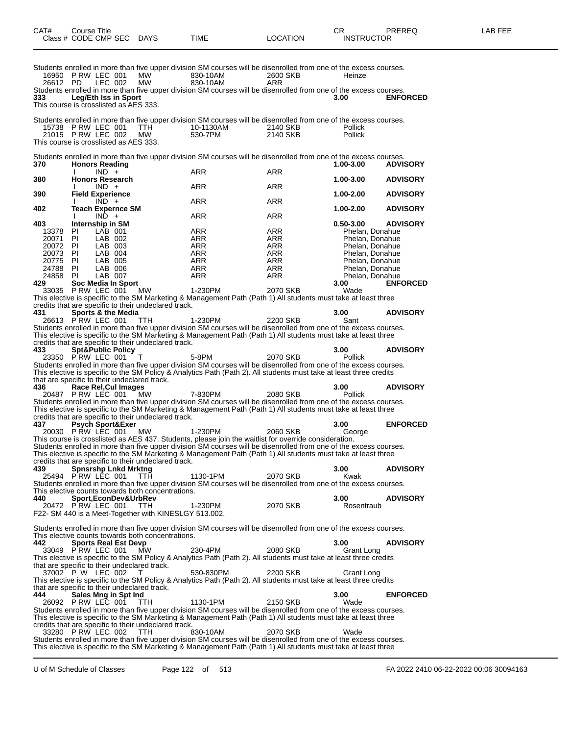| CAT#              | Course Title |                                                  | Class # CODE CMP SEC DAYS                            | <b>TIME</b>                                                                                                                                                                                                                         | <b>LOCATION</b> | CR<br><b>INSTRUCTOR</b>            | PREREQ          | LAB FEE |
|-------------------|--------------|--------------------------------------------------|------------------------------------------------------|-------------------------------------------------------------------------------------------------------------------------------------------------------------------------------------------------------------------------------------|-----------------|------------------------------------|-----------------|---------|
|                   |              | 16950 P RW LEC 001                               | MW                                                   | Students enrolled in more than five upper division SM courses will be disenrolled from one of the excess courses.<br>830-10AM                                                                                                       | 2600 SKB        | Heinze                             |                 |         |
| 26612 PD          |              | LEC 002                                          | MW                                                   | 830-10AM<br>Students enrolled in more than five upper division SM courses will be disenrolled from one of the excess courses.                                                                                                       | ARR             |                                    |                 |         |
| 333.              |              | <b>Leg/Eth Iss in Sport</b>                      | This course is crosslisted as AES 333.               |                                                                                                                                                                                                                                     |                 | 3.00                               | <b>ENFORCED</b> |         |
|                   |              |                                                  |                                                      | Students enrolled in more than five upper division SM courses will be disenrolled from one of the excess courses.                                                                                                                   |                 |                                    |                 |         |
|                   |              | 15738 P RW LEC 001                               | TTH                                                  | 10-1130AM                                                                                                                                                                                                                           | 2140 SKB        | <b>Pollick</b>                     |                 |         |
|                   |              | 21015 P RW LEC 002                               | MW<br>This course is crosslisted as AES 333.         | 530-7PM                                                                                                                                                                                                                             | 2140 SKB        | Pollick                            |                 |         |
|                   |              |                                                  |                                                      |                                                                                                                                                                                                                                     |                 |                                    |                 |         |
| 370               |              | <b>Honors Reading</b>                            |                                                      | Students enrolled in more than five upper division SM courses will be disenrolled from one of the excess courses.                                                                                                                   |                 | 1.00-3.00                          | <b>ADVISORY</b> |         |
|                   |              | $IND +$                                          |                                                      | ARR                                                                                                                                                                                                                                 | ARR             |                                    |                 |         |
| 380               |              | <b>Honors Research</b><br>$IND +$                |                                                      | ARR                                                                                                                                                                                                                                 | ARR             | 1.00-3.00                          | <b>ADVISORY</b> |         |
| 390               |              | <b>Field Experience</b>                          |                                                      |                                                                                                                                                                                                                                     |                 | $1.00 - 2.00$                      | <b>ADVISORY</b> |         |
| 402               |              | $IND +$<br><b>Teach Expernce SM</b>              |                                                      | ARR                                                                                                                                                                                                                                 | ARR             | 1.00-2.00                          | <b>ADVISORY</b> |         |
|                   |              | $IND +$                                          |                                                      | ARR                                                                                                                                                                                                                                 | ARR             |                                    |                 |         |
| 403               |              | Internship in SM                                 |                                                      |                                                                                                                                                                                                                                     |                 | $0.50 - 3.00$                      | <b>ADVISORY</b> |         |
| 13378<br>20071    | PI<br>PI     | LAB 001<br>LAB 002                               |                                                      | ARR<br>ARR                                                                                                                                                                                                                          | ARR<br>ARR      | Phelan, Donahue<br>Phelan, Donahue |                 |         |
| 20072 PI          |              | LAB 003                                          |                                                      | ARR                                                                                                                                                                                                                                 | ARR             | Phelan, Donahue                    |                 |         |
| 20073             | PI           | LAB 004                                          |                                                      | ARR                                                                                                                                                                                                                                 | ARR             | Phelan, Donahue                    |                 |         |
| 20775 PI<br>24788 | PI           | LAB 005<br>LAB 006                               |                                                      | ARR<br>ARR                                                                                                                                                                                                                          | ARR<br>ARR      | Phelan, Donahue<br>Phelan, Donahue |                 |         |
| 24858             | -PI          | LAB 007                                          |                                                      | ARR                                                                                                                                                                                                                                 | ARR             | Phelan, Donahue                    |                 |         |
| 429               |              | Soc Media In Sport                               |                                                      |                                                                                                                                                                                                                                     |                 | 3.00                               | <b>ENFORCED</b> |         |
|                   |              | 33035 PRW LEC 001                                | МW                                                   | 1-230PM<br>This elective is specific to the SM Marketing & Management Path (Path 1) All students must take at least three                                                                                                           | 2070 SKB        | Wade                               |                 |         |
|                   |              |                                                  | credits that are specific to their undeclared track. |                                                                                                                                                                                                                                     |                 |                                    |                 |         |
| 431               |              | Sports & the Media<br>26613 PRW LEC 001          | <b>TTH</b>                                           | 1-230PM                                                                                                                                                                                                                             | 2200 SKB        | 3.00<br>Sant                       | <b>ADVISORY</b> |         |
|                   |              |                                                  |                                                      | Students enrolled in more than five upper division SM courses will be disenrolled from one of the excess courses.                                                                                                                   |                 |                                    |                 |         |
|                   |              |                                                  |                                                      | This elective is specific to the SM Marketing & Management Path (Path 1) All students must take at least three                                                                                                                      |                 |                                    |                 |         |
| 433               |              | <b>Spt&amp;Public Policy</b>                     | credits that are specific to their undeclared track. |                                                                                                                                                                                                                                     |                 | 3.00                               | <b>ADVISORY</b> |         |
|                   |              | 23350 PRW LEC 001 T                              |                                                      | 5-8PM                                                                                                                                                                                                                               | 2070 SKB        | Pollick                            |                 |         |
|                   |              |                                                  |                                                      | Students enrolled in more than five upper division SM courses will be disenrolled from one of the excess courses.                                                                                                                   |                 |                                    |                 |         |
|                   |              |                                                  | that are specific to their undeclared track.         | This elective is specific to the SM Policy & Analytics Path (Path 2). All students must take at least three credits                                                                                                                 |                 |                                    |                 |         |
| 436               |              | Race Rel, Cul Images                             |                                                      |                                                                                                                                                                                                                                     |                 | 3.00                               | <b>ADVISORY</b> |         |
|                   |              | 20487 PRW LEC 001                                | <b>MW</b>                                            | 7-830PM                                                                                                                                                                                                                             | 2080 SKB        | <b>Pollick</b>                     |                 |         |
|                   |              |                                                  |                                                      | Students enrolled in more than five upper division SM courses will be disenrolled from one of the excess courses.<br>This elective is specific to the SM Marketing & Management Path (Path 1) All students must take at least three |                 |                                    |                 |         |
|                   |              |                                                  | credits that are specific to their undeclared track. |                                                                                                                                                                                                                                     |                 |                                    |                 |         |
| 437               |              | <b>Psych Sport&amp;Exer</b><br>20030 PRW LEC 001 | МW                                                   | 1-230PM                                                                                                                                                                                                                             |                 | 3.00                               | <b>ENFORCED</b> |         |
|                   |              |                                                  |                                                      | This course is crosslisted as AES 437. Students, please join the waitlist for override consideration.                                                                                                                               | 2060 SKB        | George                             |                 |         |
|                   |              |                                                  |                                                      | Students enrolled in more than five upper division SM courses will be disenrolled from one of the excess courses.                                                                                                                   |                 |                                    |                 |         |
|                   |              |                                                  | credits that are specific to their undeclared track. | This elective is specific to the SM Marketing & Management Path (Path 1) All students must take at least three                                                                                                                      |                 |                                    |                 |         |
| 439               |              |                                                  | <b>Spnsrshp Lnkd Mrktng</b>                          |                                                                                                                                                                                                                                     |                 | 3.00                               | <b>ADVISORY</b> |         |
|                   |              | 25494 PRW LEC 001                                | - ттн                                                | 1130-1PM                                                                                                                                                                                                                            | 2070 SKB        | Kwak                               |                 |         |
|                   |              |                                                  | This elective counts towards both concentrations.    | Students enrolled in more than five upper division SM courses will be disenrolled from one of the excess courses.                                                                                                                   |                 |                                    |                 |         |
| 440               |              |                                                  | Sport,EconDev&UrbRev                                 |                                                                                                                                                                                                                                     |                 | 3.00                               | <b>ADVISORY</b> |         |
|                   |              | 20472 PRW LEC 001                                | TTH                                                  | 1-230PM                                                                                                                                                                                                                             | 2070 SKB        | Rosentraub                         |                 |         |
|                   |              |                                                  |                                                      | F22- SM 440 is a Meet-Together with KINESLGY 513.002.                                                                                                                                                                               |                 |                                    |                 |         |
|                   |              |                                                  |                                                      | Students enrolled in more than five upper division SM courses will be disenrolled from one of the excess courses.                                                                                                                   |                 |                                    |                 |         |
|                   |              |                                                  | This elective counts towards both concentrations.    |                                                                                                                                                                                                                                     |                 |                                    |                 |         |
| 442.              |              | <b>Sports Real Est Devp</b><br>33049 PRW LEC 001 | MW                                                   | 230-4PM                                                                                                                                                                                                                             | 2080 SKB        | 3.00<br>Grant Long                 | <b>ADVISORY</b> |         |
|                   |              |                                                  |                                                      | This elective is specific to the SM Policy & Analytics Path (Path 2). All students must take at least three credits                                                                                                                 |                 |                                    |                 |         |
|                   |              |                                                  | that are specific to their undeclared track.         |                                                                                                                                                                                                                                     |                 |                                    |                 |         |
|                   |              | 37002 P W LEC 002                                | $\top$                                               | 530-830PM<br>This elective is specific to the SM Policy & Analytics Path (Path 2). All students must take at least three credits                                                                                                    | 2200 SKB        | Grant Long                         |                 |         |
|                   |              |                                                  | that are specific to their undeclared track.         |                                                                                                                                                                                                                                     |                 |                                    |                 |         |
| 444               |              | Sales Mng in Spt Ind                             |                                                      |                                                                                                                                                                                                                                     |                 | 3.00                               | <b>ENFORCED</b> |         |
|                   |              | 26092 P RW LEC 001                               | TTH                                                  | 1130-1PM<br>Students enrolled in more than five upper division SM courses will be disenrolled from one of the excess courses.                                                                                                       | 2150 SKB        | Wade                               |                 |         |
|                   |              |                                                  |                                                      | This elective is specific to the SM Marketing & Management Path (Path 1) All students must take at least three                                                                                                                      |                 |                                    |                 |         |
|                   |              |                                                  | credits that are specific to their undeclared track. |                                                                                                                                                                                                                                     |                 |                                    |                 |         |
|                   |              | 33280 P RW LEC 002                               | <b>TTH</b>                                           | 830-10AM<br>Students enrolled in more than five upper division SM courses will be disenrolled from one of the excess courses.                                                                                                       | 2070 SKB        | Wade                               |                 |         |
|                   |              |                                                  |                                                      | This elective is specific to the SM Marketing & Management Path (Path 1) All students must take at least three                                                                                                                      |                 |                                    |                 |         |

U of M Schedule of Classes Page 122 of 513 FA 2022 2410 06-22-2022 00:06 30094163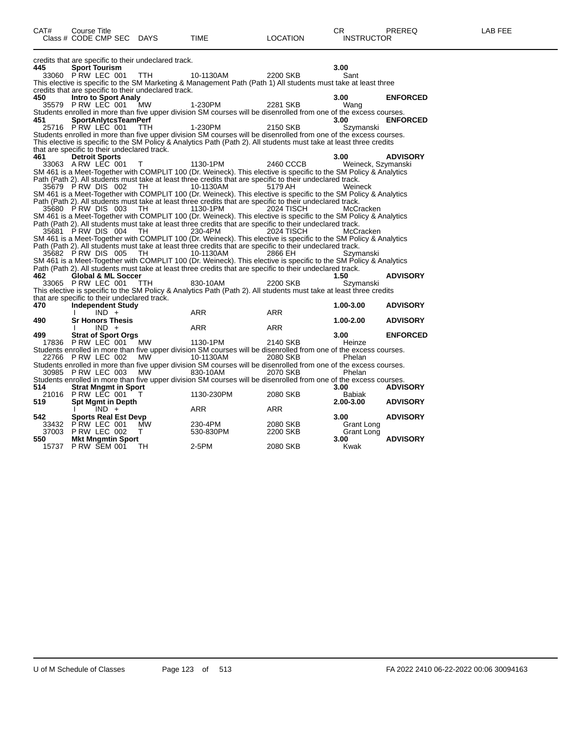| CAT# | Course Title<br>Class # CODE CMP SEC DAYS            |           | <b>TIME</b>                                                                                                                                                                                                                   | <b>LOCATION</b>   | CR.<br><b>INSTRUCTOR</b> | PREREQ          | LAB FEE |
|------|------------------------------------------------------|-----------|-------------------------------------------------------------------------------------------------------------------------------------------------------------------------------------------------------------------------------|-------------------|--------------------------|-----------------|---------|
|      | credits that are specific to their undeclared track. |           |                                                                                                                                                                                                                               |                   |                          |                 |         |
| 445  | <b>Sport Tourism</b>                                 |           |                                                                                                                                                                                                                               |                   | 3.00                     |                 |         |
|      | 33060 PRW LEC 001 TTH                                |           | 10-1130AM                                                                                                                                                                                                                     | 2200 SKB          | Sant                     |                 |         |
|      | credits that are specific to their undeclared track. |           | This elective is specific to the SM Marketing & Management Path (Path 1) All students must take at least three                                                                                                                |                   |                          |                 |         |
| 450  | Intro to Sport Analy                                 |           |                                                                                                                                                                                                                               |                   | 3.00                     | <b>ENFORCED</b> |         |
|      | 35579 P RW LEC 001                                   | MW        | 1-230PM                                                                                                                                                                                                                       | 2281 SKB          | Wang                     |                 |         |
|      |                                                      |           | Students enrolled in more than five upper division SM courses will be disenrolled from one of the excess courses.                                                                                                             |                   |                          |                 |         |
| 451  | <b>SportAnlytcsTeamPerf</b>                          |           |                                                                                                                                                                                                                               |                   | 3.00                     | <b>ENFORCED</b> |         |
|      | 25716 PRW LEC 001                                    | TTH.      | 1-230PM                                                                                                                                                                                                                       | 2150 SKB          | Szymanski                |                 |         |
|      |                                                      |           | Students enrolled in more than five upper division SM courses will be disenrolled from one of the excess courses.                                                                                                             |                   |                          |                 |         |
|      |                                                      |           | This elective is specific to the SM Policy & Analytics Path (Path 2). All students must take at least three credits                                                                                                           |                   |                          |                 |         |
|      | that are specific to their undeclared track.         |           |                                                                                                                                                                                                                               |                   |                          |                 |         |
| 461  | <b>Detroit Sports</b>                                |           |                                                                                                                                                                                                                               |                   | 3.00                     | <b>ADVISORY</b> |         |
|      | 33063 A RW LEC 001                                   | $\top$    | 1130-1PM<br>SM 461 is a Meet-Together with COMPLIT 100 (Dr. Weineck). This elective is specific to the SM Policy & Analytics                                                                                                  | 2460 CCCB         | Weineck, Szymanski       |                 |         |
|      |                                                      |           | Path (Path 2). All students must take at least three credits that are specific to their undeclared track.                                                                                                                     |                   |                          |                 |         |
|      | 35679 PRWDIS 002 TH                                  |           | 10-1130AM                                                                                                                                                                                                                     | 5179 AH           | Weineck                  |                 |         |
|      |                                                      |           | SM 461 is a Meet-Together with COMPLIT 100 (Dr. Weineck). This elective is specific to the SM Policy & Analytics                                                                                                              |                   |                          |                 |         |
|      |                                                      |           | Path (Path 2). All students must take at least three credits that are specific to their undeclared track.                                                                                                                     |                   |                          |                 |         |
|      | 35680 PRW DIS 003                                    | TH        | 1130-1PM                                                                                                                                                                                                                      | <b>2024 TISCH</b> | McCracken                |                 |         |
|      |                                                      |           | SM 461 is a Meet-Together with COMPLIT 100 (Dr. Weineck). This elective is specific to the SM Policy & Analytics                                                                                                              |                   |                          |                 |         |
|      |                                                      |           | Path (Path 2). All students must take at least three credits that are specific to their undeclared track.                                                                                                                     |                   |                          |                 |         |
|      | 35681 PRW DIS 004                                    | TH        | 230-4PM                                                                                                                                                                                                                       | <b>2024 TISCH</b> | McCracken                |                 |         |
|      |                                                      |           | SM 461 is a Meet-Together with COMPLIT 100 (Dr. Weineck). This elective is specific to the SM Policy & Analytics<br>Path (Path 2). All students must take at least three credits that are specific to their undeclared track. |                   |                          |                 |         |
|      | 35682 PRW DIS 005                                    | - TH      | 10-1130AM                                                                                                                                                                                                                     | 2866 EH           | Szymanski                |                 |         |
|      |                                                      |           | SM 461 is a Meet-Together with COMPLIT 100 (Dr. Weineck). This elective is specific to the SM Policy & Analytics                                                                                                              |                   |                          |                 |         |
|      |                                                      |           | Path (Path 2). All students must take at least three credits that are specific to their undeclared track.                                                                                                                     |                   |                          |                 |         |
| 462  | <b>Global &amp; ML Soccer</b>                        |           |                                                                                                                                                                                                                               |                   | 1.50                     | <b>ADVISORY</b> |         |
|      | 33065 PRW LEC 001                                    | TTH       | 830-10AM                                                                                                                                                                                                                      | 2200 SKB          | Szymanski                |                 |         |
|      |                                                      |           | This elective is specific to the SM Policy & Analytics Path (Path 2). All students must take at least three credits                                                                                                           |                   |                          |                 |         |
|      | that are specific to their undeclared track.         |           |                                                                                                                                                                                                                               |                   |                          |                 |         |
| 470  | <b>Independent Study</b>                             |           |                                                                                                                                                                                                                               |                   | 1.00-3.00                | <b>ADVISORY</b> |         |
|      | $IND +$                                              |           | ARR                                                                                                                                                                                                                           | ARR               |                          |                 |         |
| 490  | <b>Sr Honors Thesis</b><br>$IND +$                   |           | ARR                                                                                                                                                                                                                           | ARR               | $1.00 - 2.00$            | <b>ADVISORY</b> |         |
| 499  | <b>Strat of Sport Orgs</b>                           |           |                                                                                                                                                                                                                               |                   | 3.00                     | <b>ENFORCED</b> |         |
|      | 17836 P RW LEC 001                                   | <b>MW</b> | 1130-1PM                                                                                                                                                                                                                      | 2140 SKB          | Heinze                   |                 |         |
|      |                                                      |           | Students enrolled in more than five upper division SM courses will be disenrolled from one of the excess courses.                                                                                                             |                   |                          |                 |         |
|      | 22766 P RW LEC 002                                   | MW        | 10-1130AM                                                                                                                                                                                                                     | 2080 SKB          | Phelan                   |                 |         |
|      |                                                      |           | Students enrolled in more than five upper division SM courses will be disenrolled from one of the excess courses.                                                                                                             |                   |                          |                 |         |
|      | 30985 PRW LEC 003                                    | MW        | 830-10AM                                                                                                                                                                                                                      | 2070 SKB          | Phelan                   |                 |         |
|      |                                                      |           | Students enrolled in more than five upper division SM courses will be disenrolled from one of the excess courses.                                                                                                             |                   |                          |                 |         |
| 514  | <b>Strat Mngmt in Sport</b><br>21016 PRW LEC 001     |           |                                                                                                                                                                                                                               |                   | 3.00                     | <b>ADVISORY</b> |         |
| 519  | <b>Spt Mgmt in Depth</b>                             | $\top$    | 1130-230PM                                                                                                                                                                                                                    | 2080 SKB          | Babiak<br>$2.00 - 3.00$  | <b>ADVISORY</b> |         |
|      | IND +                                                |           | <b>ARR</b>                                                                                                                                                                                                                    | ARR               |                          |                 |         |
| 542  | <b>Sports Real Est Devp</b>                          |           |                                                                                                                                                                                                                               |                   | 3.00                     | <b>ADVISORY</b> |         |
|      | 33432 PRW LEC 001                                    | <b>MW</b> | 230-4PM                                                                                                                                                                                                                       | 2080 SKB          | Grant Long               |                 |         |
|      | 37003 PRW LEC 002                                    | T.        | 530-830PM                                                                                                                                                                                                                     | 2200 SKB          | Grant Long               |                 |         |
| 550  | <b>Mkt Mngmtin Sport</b>                             |           |                                                                                                                                                                                                                               |                   | 3.00                     | <b>ADVISORY</b> |         |
|      | 15737 P RW SEM 001                                   | TH.       | 2-5PM                                                                                                                                                                                                                         | 2080 SKB          | Kwak                     |                 |         |
|      |                                                      |           |                                                                                                                                                                                                                               |                   |                          |                 |         |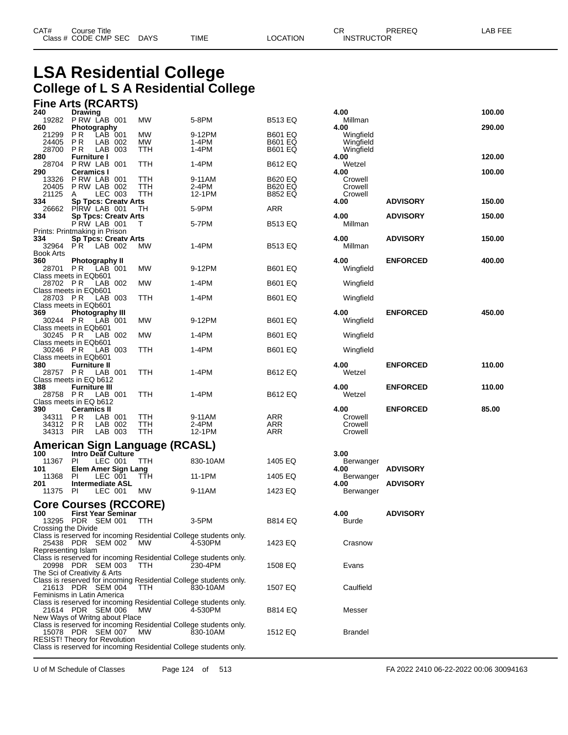## **LSA Residential College College of L S A Residential College**

## **Fine Arts (RCARTS)**

| 240                     | Drawing                                                                                                   |                  |                |                                  | 4.00                   |                 | 100.00 |
|-------------------------|-----------------------------------------------------------------------------------------------------------|------------------|----------------|----------------------------------|------------------------|-----------------|--------|
| 19282<br>260            | PRW LAB 001<br><b>Photography</b>                                                                         | MW               | 5-8PM          | <b>B513 EQ</b>                   | Millman<br>4.00        |                 | 290.00 |
| 21299                   | P R<br>LAB 001                                                                                            | MW               | 9-12PM         | <b>B601 EQ</b>                   | Wingfield              |                 |        |
| 24405<br>28700          | P R<br>LAB 002<br>P R<br>LAB 003                                                                          | <b>MW</b><br>TTH | 1-4PM<br>1-4PM | <b>B601 EQ</b><br><b>B601 EQ</b> | Wingfield<br>Wingfield |                 |        |
| 280                     | <b>Furniture I</b>                                                                                        |                  |                |                                  | 4.00                   |                 | 120.00 |
| 28704                   | P RW LAB 001                                                                                              | TTH              | 1-4PM          | <b>B612 EQ</b>                   | Wetzel                 |                 |        |
| 290<br>13326            | <b>Ceramics I</b><br>PRW LAB 001                                                                          | TTH              | 9-11AM         | <b>B620 EQ</b>                   | 4.00<br>Crowell        |                 | 100.00 |
| 20405                   | PRW LAB 002                                                                                               | TTH              | 2-4PM          | <b>B620 EQ</b>                   | Crowell                |                 |        |
| 21125                   | LEC 003<br>A                                                                                              | <b>TTH</b>       | 12-1PM         | <b>B852 EQ</b>                   | Crowell                |                 |        |
| 334<br>26662            | <b>Sp Tpcs: Creatv Arts</b><br>PIRW LAB 001                                                               | TН               | 5-9PM          | ARR                              | 4.00                   | <b>ADVISORY</b> | 150.00 |
| 334                     | <b>Sp Tpcs: Creaty Arts</b>                                                                               |                  |                |                                  | 4.00                   | <b>ADVISORY</b> | 150.00 |
|                         | PRW LAB 001                                                                                               | т                | 5-7PM          | <b>B513 EQ</b>                   | Millman                |                 |        |
| 334                     | Prints: Printmaking in Prison<br><b>Sp Tpcs: Creaty Arts</b>                                              |                  |                |                                  | 4.00                   | <b>ADVISORY</b> | 150.00 |
| 32964                   | PR.<br>LAB 002                                                                                            | МW               | 1-4PM          | <b>B513 EQ</b>                   | Millman                |                 |        |
| <b>Book Arts</b><br>360 | Photography II                                                                                            |                  |                |                                  | 4.00                   | <b>ENFORCED</b> | 400.00 |
| 28701 PR                | LAB 001                                                                                                   | MW               | 9-12PM         | <b>B601 EQ</b>                   | Wingfield              |                 |        |
|                         | Class meets in EQb601                                                                                     |                  |                |                                  |                        |                 |        |
| 28702 PR                | LAB 002<br>Class meets in EQb601                                                                          | MW               | 1-4PM          | <b>B601 EQ</b>                   | Wingfield              |                 |        |
| 28703 PR                | LAB 003                                                                                                   | TTH              | 1-4PM          | <b>B601 EQ</b>                   | Wingfield              |                 |        |
|                         | Class meets in EQb601                                                                                     |                  |                |                                  |                        |                 |        |
| 369<br>30244 PR         | Photography III<br>LAB 001                                                                                | <b>MW</b>        | 9-12PM         | <b>B601 EQ</b>                   | 4.00<br>Wingfield      | <b>ENFORCED</b> | 450.00 |
|                         | Class meets in EQb601                                                                                     |                  |                |                                  |                        |                 |        |
| 30245 PR                | LAB 002                                                                                                   | MW               | 1-4PM          | <b>B601 EQ</b>                   | Wingfield              |                 |        |
| 30246 PR                | Class meets in EQb601<br>LAB 003                                                                          | TTH              | 1-4PM          | <b>B601 EQ</b>                   | Wingfield              |                 |        |
|                         | Class meets in EQb601                                                                                     |                  |                |                                  |                        |                 |        |
| 380<br>28757 PR         | <b>Furniture II</b><br>LAB 001                                                                            | TTH              | 1-4PM          | <b>B612 EQ</b>                   | 4.00<br>Wetzel         | <b>ENFORCED</b> | 110.00 |
|                         |                                                                                                           |                  |                |                                  |                        |                 |        |
| Class meets in EQ b612  |                                                                                                           |                  |                |                                  |                        |                 |        |
| 388                     | <b>Furniture III</b>                                                                                      |                  |                |                                  | 4.00                   | <b>ENFORCED</b> | 110.00 |
| 28758 PR                | LAB 001                                                                                                   | TTH              | 1-4PM          | <b>B612 EQ</b>                   | Wetzel                 |                 |        |
| 390                     | Class meets in EQ b612<br><b>Ceramics II</b>                                                              |                  |                |                                  | 4.00                   | <b>ENFORCED</b> | 85.00  |
| 34311                   | P R<br>LAB 001                                                                                            | TTH              | 9-11AM         | <b>ARR</b>                       | Crowell                |                 |        |
| 34312                   | P R<br>LAB 002                                                                                            | TTH              | 2-4PM          | ARR                              | Crowell                |                 |        |
| 34313 PIR               | LAB 003                                                                                                   | TTH              | 12-1PM         | ARR                              | Crowell                |                 |        |
|                         | American Sign Language (RCASL)                                                                            |                  |                |                                  |                        |                 |        |
| 100<br>11367            | Intro Deaf Culture<br>PI<br>LEC 001                                                                       | TTH              | 830-10AM       | 1405 EQ                          | 3.00                   |                 |        |
| 101                     | Elem Amer Sign Lang                                                                                       |                  |                |                                  | Berwanger<br>4.00      | <b>ADVISORY</b> |        |
| 11368                   | PI<br>LEC 001                                                                                             | ттн              | 11-1PM         | 1405 EQ                          | Berwanger              |                 |        |
| 201<br>11375            | <b>Intermediate ASL</b><br>PI<br>LEC 001                                                                  | MW               | 9-11AM         | 1423 EQ                          | 4.00<br>Berwanger      | <b>ADVISORY</b> |        |
|                         |                                                                                                           |                  |                |                                  |                        |                 |        |
|                         | <b>Core Courses (RCCORE)</b>                                                                              |                  |                |                                  |                        |                 |        |
| 100                     | <b>First Year Seminar</b><br>13295 PDR SEM 001                                                            | TTH              | 3-5PM          | <b>B814 EQ</b>                   | 4.00<br>Burde          | <b>ADVISORY</b> |        |
| Crossing the Divide     |                                                                                                           |                  |                |                                  |                        |                 |        |
|                         | Class is reserved for incoming Residential College students only.<br>25438 PDR SEM 002                    | MW               | 4-530PM        | 1423 EQ                          | Crasnow                |                 |        |
| Representing Islam      |                                                                                                           |                  |                |                                  |                        |                 |        |
|                         | Class is reserved for incoming Residential College students only.                                         |                  |                |                                  |                        |                 |        |
|                         | 20998 PDR SEM 003<br>The Sci of Creativity & Arts                                                         | <b>TTH</b>       | 230-4PM        | 1508 EQ                          | Evans                  |                 |        |
|                         | Class is reserved for incoming Residential College students only.                                         |                  |                |                                  |                        |                 |        |
|                         | 21613 PDR SEM 004                                                                                         | <b>TTH</b>       | 830-10AM       | 1507 EQ                          | Caulfield              |                 |        |
|                         | Feminisms in Latin America<br>Class is reserved for incoming Residential College students only.           |                  |                |                                  |                        |                 |        |
|                         | 21614 PDR SEM 006                                                                                         | MW               | 4-530PM        | <b>B814 EQ</b>                   | Messer                 |                 |        |
|                         | New Ways of Writng about Place<br>Class is reserved for incoming Residential College students only.       |                  |                |                                  |                        |                 |        |
|                         | 15078 PDR SEM 007                                                                                         | МW               | 830-10AM       | 1512 EQ                          | <b>Brandel</b>         |                 |        |
|                         | <b>RESIST! Theory for Revolution</b><br>Class is reserved for incoming Residential College students only. |                  |                |                                  |                        |                 |        |

| 4.00                                  |                 | 100.00 |
|---------------------------------------|-----------------|--------|
| Millman<br>4.00                       |                 | 290.00 |
| Wingfield<br>Wingfield                |                 |        |
| Wingfield<br>4.00                     |                 | 120.00 |
| Wetzel<br>4.00                        |                 | 100.00 |
| Crowell<br>Crowell                    |                 |        |
| Crowell                               |                 |        |
| 4.00                                  | <b>ADVISORY</b> | 150.00 |
| 4.00<br>Millman                       | <b>ADVISORY</b> | 150.00 |
| 4.00<br>Millman                       | <b>ADVISORY</b> | 150.00 |
| 4.00<br>Wingfield                     | <b>ENFORCED</b> | 400.00 |
| Wingfield                             |                 |        |
| Wingfield                             |                 |        |
| 4.00<br>Wingfield                     | <b>ENFORCED</b> | 450.00 |
| Wingfield                             |                 |        |
| Wingfield                             |                 |        |
| 4.00<br>Wetzel                        | <b>ENFORCED</b> | 110.00 |
| 4.00<br>Wetzel                        | <b>ENFORCED</b> | 110.00 |
| 4.00<br>Crowell<br>Crowell<br>Crowell | <b>ENFORCED</b> | 85.00  |
| 3.00                                  |                 |        |
| Berwanger<br>4.00                     | <b>ADVISORY</b> |        |
| Berwanger                             |                 |        |
| 4.00<br>Berwanger                     | <b>ADVISORY</b> |        |
| 4.00<br>Burde                         | <b>ADVISORY</b> |        |
| Crasnow                               |                 |        |
| Evans                                 |                 |        |
|                                       |                 |        |
| Caulfield                             |                 |        |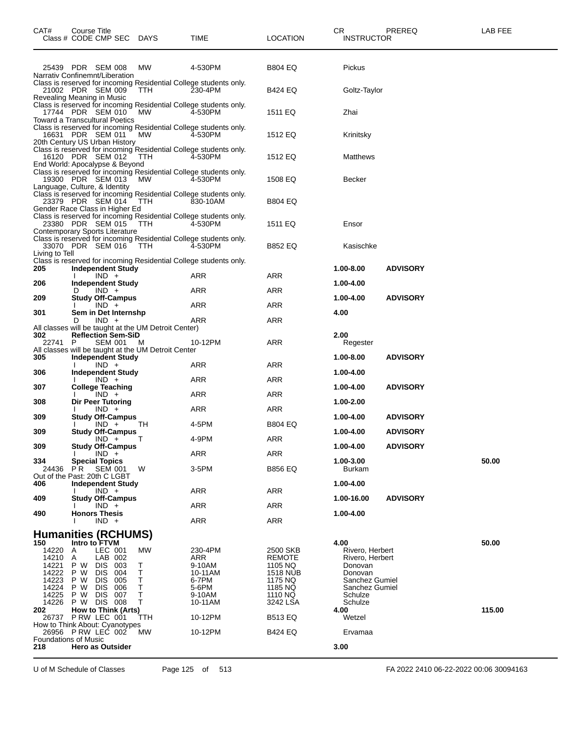| CAT#                                                               | Course Title                                                            | Class # CODE CMP SEC DAYS                                                                                              |                                                          | TIME                                                                          | <b>LOCATION</b>                                                                          | CR<br><b>INSTRUCTOR</b>                                                                                         | PREREQ          | LAB FEE |
|--------------------------------------------------------------------|-------------------------------------------------------------------------|------------------------------------------------------------------------------------------------------------------------|----------------------------------------------------------|-------------------------------------------------------------------------------|------------------------------------------------------------------------------------------|-----------------------------------------------------------------------------------------------------------------|-----------------|---------|
|                                                                    |                                                                         | 25439 PDR SEM 008                                                                                                      | МW                                                       | 4-530PM                                                                       | <b>B804 EQ</b>                                                                           | Pickus                                                                                                          |                 |         |
|                                                                    |                                                                         | Narrativ Confinemnt/Liberation<br>21002 PDR SEM 009                                                                    | <b>TTH</b>                                               | Class is reserved for incoming Residential College students only.<br>230-4PM  | B424 EQ                                                                                  | Goltz-Taylor                                                                                                    |                 |         |
| Revealing Meaning in Music                                         |                                                                         | 17744 PDR SEM 010                                                                                                      | <b>MW</b>                                                | Class is reserved for incoming Residential College students only.<br>4-530PM  | 1511 EQ                                                                                  | Zhai                                                                                                            |                 |         |
|                                                                    |                                                                         | <b>Toward a Transcultural Poetics</b><br>16631 PDR SEM 011                                                             | МW                                                       | Class is reserved for incoming Residential College students only.<br>4-530PM  | 1512 EQ                                                                                  | Krinitsky                                                                                                       |                 |         |
|                                                                    |                                                                         | 20th Century US Urban History<br>16120 PDR SEM 012                                                                     | TTH                                                      | Class is reserved for incoming Residential College students only.<br>4-530PM  | 1512 EQ                                                                                  | Matthews                                                                                                        |                 |         |
|                                                                    |                                                                         | End World: Apocalypse & Beyond<br>19300 PDR SEM 013                                                                    | <b>MW</b>                                                | Class is reserved for incoming Residential College students only.<br>4-530PM  | 1508 EQ                                                                                  | Becker                                                                                                          |                 |         |
| Language, Culture, & Identity                                      |                                                                         | 23379 PDR SEM 014                                                                                                      | TTH                                                      | Class is reserved for incoming Residential College students only.<br>830-10AM | <b>B804 EQ</b>                                                                           |                                                                                                                 |                 |         |
|                                                                    |                                                                         | Gender Race Class in Higher Ed<br>23380 PDR SEM 015                                                                    | <b>TTH</b>                                               | Class is reserved for incoming Residential College students only.<br>4-530PM  | 1511 EQ                                                                                  | Ensor                                                                                                           |                 |         |
|                                                                    |                                                                         | Contemporary Sports Literature<br>33070 PDR SEM 016                                                                    | TTH                                                      | Class is reserved for incoming Residential College students only.<br>4-530PM  | <b>B852 EQ</b>                                                                           | Kasischke                                                                                                       |                 |         |
| Living to Tell                                                     |                                                                         |                                                                                                                        |                                                          | Class is reserved for incoming Residential College students only.             |                                                                                          |                                                                                                                 |                 |         |
| 205                                                                |                                                                         | <b>Independent Study</b><br>$IND +$                                                                                    |                                                          | ARR                                                                           | ARR                                                                                      | 1.00-8.00                                                                                                       | <b>ADVISORY</b> |         |
| 206                                                                | D                                                                       | <b>Independent Study</b><br>$IND +$                                                                                    |                                                          | ARR                                                                           | ARR                                                                                      | 1.00-4.00                                                                                                       |                 |         |
| 209                                                                |                                                                         | <b>Study Off-Campus</b><br>$IND +$                                                                                     |                                                          | ARR                                                                           | <b>ARR</b>                                                                               | 1.00-4.00                                                                                                       | <b>ADVISORY</b> |         |
| 301                                                                |                                                                         | Sem in Det Internshp                                                                                                   |                                                          |                                                                               |                                                                                          | 4.00                                                                                                            |                 |         |
|                                                                    | D                                                                       | $IND +$                                                                                                                | All classes will be taught at the UM Detroit Center)     | ARR                                                                           | <b>ARR</b>                                                                               |                                                                                                                 |                 |         |
| 302<br>22741                                                       | P                                                                       | <b>Reflection Sem-SiD</b><br>SEM 001                                                                                   | M<br>All classes will be taught at the UM Detroit Center | 10-12PM                                                                       | <b>ARR</b>                                                                               | 2.00<br>Regester                                                                                                |                 |         |
| 305                                                                |                                                                         | <b>Independent Study</b><br>$IND +$                                                                                    |                                                          | ARR                                                                           | <b>ARR</b>                                                                               | 1.00-8.00                                                                                                       | <b>ADVISORY</b> |         |
| 306                                                                |                                                                         | <b>Independent Study</b><br>$IND +$                                                                                    |                                                          | ARR                                                                           | ARR                                                                                      | 1.00-4.00                                                                                                       |                 |         |
| 307                                                                |                                                                         | <b>College Teaching</b>                                                                                                |                                                          |                                                                               |                                                                                          | 1.00-4.00                                                                                                       | <b>ADVISORY</b> |         |
| 308                                                                |                                                                         | $IND +$<br>Dir Peer Tutoring                                                                                           |                                                          | ARR                                                                           | <b>ARR</b>                                                                               | 1.00-2.00                                                                                                       |                 |         |
| 309                                                                |                                                                         | $IND +$<br><b>Study Off-Campus</b>                                                                                     |                                                          | ARR                                                                           | <b>ARR</b>                                                                               | 1.00-4.00                                                                                                       | <b>ADVISORY</b> |         |
| 309                                                                |                                                                         | IND +<br><b>Study Off-Campus</b>                                                                                       | ТH                                                       | 4-5PM                                                                         | <b>B804 EQ</b>                                                                           | 1.00-4.00                                                                                                       | <b>ADVISORY</b> |         |
| 309                                                                |                                                                         | $IND + T$<br><b>Study Off-Campus</b>                                                                                   |                                                          | 4-9PM                                                                         | <b>ARR</b>                                                                               | 1.00-4.00                                                                                                       | <b>ADVISORY</b> |         |
|                                                                    |                                                                         | $IND +$                                                                                                                |                                                          | ARR                                                                           | ARR                                                                                      |                                                                                                                 |                 |         |
| 334<br>24436<br>Out of the Past: 20th C LGBT                       | P <sub>R</sub>                                                          | <b>Special Topics</b><br>SEM 001                                                                                       | W                                                        | 3-5PM                                                                         | <b>B856 EQ</b>                                                                           | 1.00-3.00<br><b>Burkam</b>                                                                                      |                 | 50.00   |
| 406                                                                |                                                                         | <b>Independent Study</b><br>$IND +$                                                                                    |                                                          | ARR                                                                           | ARR                                                                                      | 1.00-4.00                                                                                                       |                 |         |
| 409                                                                |                                                                         | <b>Study Off-Campus</b><br>$IND +$                                                                                     |                                                          | ARR                                                                           | ARR                                                                                      | 1.00-16.00                                                                                                      | <b>ADVISORY</b> |         |
| 490                                                                | <b>Honors Thesis</b>                                                    | $IND +$                                                                                                                |                                                          | <b>ARR</b>                                                                    | ARR                                                                                      | 1.00-4.00                                                                                                       |                 |         |
|                                                                    |                                                                         | <b>Humanities (RCHUMS)</b>                                                                                             |                                                          |                                                                               |                                                                                          |                                                                                                                 |                 |         |
| 150<br>14220<br>14210<br>14221<br>14222<br>14223<br>14224<br>14225 | Intro to FTVM<br>A<br>$\overline{A}$<br>P W<br>P W<br>P W<br>P W<br>P W | LEC 001<br>LAB 002<br>DIS.<br>-003<br><b>DIS</b><br>004<br><b>DIS</b><br>005<br><b>DIS</b><br>006<br><b>DIS</b><br>007 | MW<br>Τ<br>Т<br>Т<br>Τ<br>т                              | 230-4PM<br>ARR<br>9-10AM<br>10-11AM<br>6-7PM<br>5-6PM<br>9-10AM               | 2500 SKB<br><b>REMOTE</b><br>1105 NQ<br><b>1518 NUB</b><br>1175 NQ<br>1185 NQ<br>1110 NQ | 4.00<br>Rivero, Herbert<br>Rivero, Herbert<br>Donovan<br>Donovan<br>Sanchez Gumiel<br>Sanchez Gumiel<br>Schulze |                 | 50.00   |
| 14226<br>202                                                       |                                                                         | P W DIS 008<br>How to Think (Arts)                                                                                     | Т                                                        | 10-11AM                                                                       | 3242 LSA                                                                                 | Schulze<br>4.00                                                                                                 |                 | 115.00  |
|                                                                    |                                                                         | 26737 PRW LEC 001                                                                                                      | ттн                                                      | 10-12PM                                                                       | <b>B513 EQ</b>                                                                           | Wetzel                                                                                                          |                 |         |
|                                                                    |                                                                         | How to Think About: Cyanotypes<br>26956 PRW LEC 002                                                                    | МW                                                       | 10-12PM                                                                       | B424 EQ                                                                                  | Ervamaa                                                                                                         |                 |         |
| <b>Foundations of Music</b><br>218                                 |                                                                         | <b>Hero as Outsider</b>                                                                                                |                                                          |                                                                               |                                                                                          | 3.00                                                                                                            |                 |         |

U of M Schedule of Classes Page 125 of 513 FA 2022 2410 06-22-2022 00:06 30094163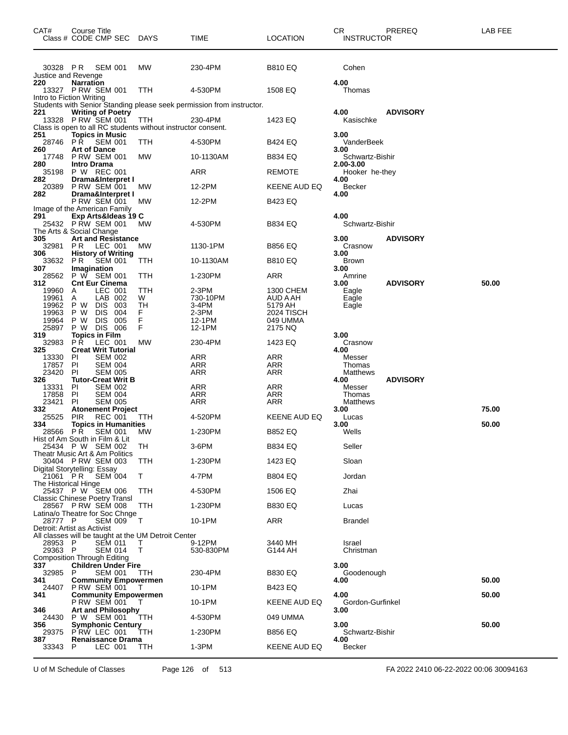| CAT#                            | Course Title<br>Class # CODE CMP SEC                                               | DAYS      | TIME                                                                  | <b>LOCATION</b>       | <b>CR</b><br>PREREQ<br><b>INSTRUCTOR</b> | LAB FEE |
|---------------------------------|------------------------------------------------------------------------------------|-----------|-----------------------------------------------------------------------|-----------------------|------------------------------------------|---------|
| 30328 PR<br>Justice and Revenge | <b>SEM 001</b>                                                                     | <b>MW</b> | 230-4PM                                                               | <b>B810 EQ</b>        | Cohen                                    |         |
| 220                             | <b>Narration</b><br>13327 P RW SEM 001<br>Intro to Fiction Writing                 | TTH       | 4-530PM                                                               | 1508 EQ               | 4.00<br>Thomas                           |         |
|                                 |                                                                                    |           | Students with Senior Standing please seek permission from instructor. |                       |                                          |         |
| 221<br>13328                    | <b>Writing of Poetry</b><br>P RW SEM 001                                           | TTH       | 230-4PM                                                               | 1423 EQ               | <b>ADVISORY</b><br>4.00<br>Kasischke     |         |
|                                 | Class is open to all RC students without instructor consent.                       |           |                                                                       |                       |                                          |         |
| 251<br>28746<br>260             | <b>Topics in Music</b><br><b>SEM 001</b><br>P R<br><b>Art of Dance</b>             | TTH       | 4-530PM                                                               | B424 EQ               | 3.00<br>VanderBeek<br>3.00               |         |
| 17748                           | <b>P RW SEM 001</b>                                                                | МW        | 10-1130AM                                                             | B834 EQ               | Schwartz-Bishir                          |         |
| 280<br>35198                    | <b>Intro Drama</b><br>P W REC 001                                                  |           | ARR                                                                   | REMOTE                | 2.00-3.00<br>Hooker he-they              |         |
| 282                             | Drama&Interpret I                                                                  |           |                                                                       |                       | 4.00                                     |         |
| 20389<br>282                    | <b>P RW SEM 001</b><br>Drama&Interpret I                                           | МW        | 12-2PM                                                                | KEENE AUD EQ          | <b>Becker</b><br>4.00                    |         |
|                                 | <b>P RW SEM 001</b>                                                                | МW        | 12-2PM                                                                | B423 EQ               |                                          |         |
| 291                             | Image of the American Family<br>Exp Arts&Ideas 19 C<br>25432 PRW SEM 001           | МW        | 4-530PM                                                               | <b>B834 EQ</b>        | 4.00<br>Schwartz-Bishir                  |         |
| 305                             | The Arts & Social Change<br><b>Art and Resistance</b>                              |           |                                                                       |                       | 3.00<br><b>ADVISORY</b>                  |         |
| 32981                           | PR.<br>LEC 001                                                                     | МW        | 1130-1PM                                                              | <b>B856 EQ</b>        | Crasnow                                  |         |
| 306<br>33632                    | <b>History of Writing</b><br>PR.<br>SEM 001                                        | TTH       | 10-1130AM                                                             | <b>B810 EQ</b>        | 3.00<br><b>Brown</b>                     |         |
| 307                             | Imagination<br>P W SEM 001                                                         |           |                                                                       |                       | 3.00                                     |         |
| 28562<br>312                    | <b>Cnt Eur Cinema</b>                                                              | ттн       | 1-230PM                                                               | ARR                   | Amrine<br><b>ADVISORY</b><br>3.00        | 50.00   |
| 19960<br>19961                  | LEC 001<br>A<br>LAB 002<br>A                                                       | TTH<br>W  | 2-3PM<br>730-10PM                                                     | 1300 CHEM<br>AUD A AH | Eagle<br>Eagle                           |         |
| 19962                           | P W<br>DIS.<br>003                                                                 | TН        | 3-4PM                                                                 | 5179 AH               | Eagle                                    |         |
| 19963                           | <b>DIS</b><br>004<br>P W<br><b>DIS</b><br>005                                      | F<br>F    | 2-3PM                                                                 | 2024 TISCH            |                                          |         |
| 19964<br>25897                  | P W<br>DIS 006<br>P W                                                              | F         | 12-1PM<br>12-1PM                                                      | 049 UMMA<br>2175 NQ   |                                          |         |
| 319<br>32983<br>325             | <b>Topics in Film</b><br>LEC 001<br>P Ř<br><b>Creat Writ Tutorial</b>              | MW        | 230-4PM                                                               | 1423 EQ               | 3.00<br>Crasnow<br>4.00                  |         |
| 13330                           | <b>SEM 002</b><br>ΡI                                                               |           | ARR                                                                   | ARR                   | Messer                                   |         |
| 17857<br>23420                  | ΡI<br>SEM 004<br>PI<br><b>SEM 005</b>                                              |           | ARR<br>ARR                                                            | ARR<br>ARR            | Thomas<br>Matthews                       |         |
| 326                             | <b>Tutor-Creat Writ B</b>                                                          |           |                                                                       |                       | <b>ADVISORY</b><br>4.00                  |         |
| 13331<br>17858                  | <b>SEM 002</b><br>PI<br>PI<br><b>SEM 004</b>                                       |           | ARR<br>ARR                                                            | ARR<br>ARR            | Messer<br>Thomas                         |         |
| 23421                           | PI<br><b>SEM 005</b>                                                               |           | <b>ARR</b>                                                            | ARR                   | Matthews                                 |         |
| 332<br>25525                    | <b>Atonement Project</b><br><b>PIR</b><br><b>REC 001</b>                           | ттн       | 4-520PM                                                               | KEENE AUD EQ          | 3.00<br>Lucas                            | 75.00   |
| 334<br>28566                    | <b>Topics in Humanities</b><br>P R<br><b>SEM 001</b>                               | МW        | 1-230PM                                                               | <b>B852 EQ</b>        | 3.00<br>Wells                            | 50.00   |
|                                 | Hist of Am South in Film & Lit<br>25434 P W SEM 002                                | TН        | 3-6PM                                                                 | B834 EQ               | Seller                                   |         |
|                                 | Theatr Music Art & Am Politics                                                     |           |                                                                       |                       |                                          |         |
|                                 | 30404 P RW SEM 003<br>Digital Storytelling: Essay                                  | TTH       | 1-230PM                                                               | 1423 EQ               | Sloan                                    |         |
| 21061 PR                        | $SEM$ 004                                                                          | т         | 4-7PM                                                                 | B804 EQ               | Jordan                                   |         |
| The Historical Hinge            | 25437 P W SEM 006                                                                  | TTH       | 4-530PM                                                               | 1506 EQ               | Zhai                                     |         |
|                                 | <b>Classic Chinese Poetry Transl</b>                                               |           |                                                                       |                       |                                          |         |
|                                 | 28567 P RW SEM 008<br>Latina/o Theatre for Soc Chnge                               | ттн       | 1-230PM                                                               | <b>B830 EQ</b>        | Lucas                                    |         |
| 28777 P                         | <b>SEM 009</b>                                                                     | $\top$    | 10-1PM                                                                | ARR                   | <b>Brandel</b>                           |         |
|                                 | Detroit: Artist as Activist<br>All classes will be taught at the UM Detroit Center |           |                                                                       |                       |                                          |         |
| 28953 P<br>29363 P              | <b>SEM 011</b><br><b>SEM 014</b>                                                   | Τ<br>Т    | 9-12PM<br>530-830PM                                                   | 3440 MH<br>G144 AH    | Israel<br>Christman                      |         |
|                                 | <b>Composition Through Editing</b>                                                 |           |                                                                       |                       |                                          |         |
| 337<br>32985                    | <b>Children Under Fire</b><br>P<br><b>SEM 001</b>                                  | TTH       | 230-4PM                                                               | <b>B830 EQ</b>        | 3.00<br>Goodenough                       |         |
| 341                             | <b>Community Empowermen</b>                                                        |           |                                                                       |                       | 4.00                                     | 50.00   |
| 24407<br>341                    | <b>P RW SEM 001</b><br><b>Community Empowermen</b>                                 | T         | 10-1PM                                                                | B423 EQ               | 4.00                                     | 50.00   |
|                                 | PRW SEM 001                                                                        | T         | 10-1PM                                                                | KEENE AUD EQ          | Gordon-Gurfinkel                         |         |
| 346<br>24430                    | <b>Art and Philosophy</b><br>P W SEM 001                                           | ттн       | 4-530PM                                                               | 049 UMMA              | 3.00                                     |         |
| 356                             | <b>Symphonic Century</b>                                                           |           |                                                                       |                       | 3.00                                     | 50.00   |
| 29375<br>387                    | PRW LEC 001<br><b>Renaissance Drama</b>                                            | TTH       | 1-230PM                                                               | B856 EQ               | Schwartz-Bishir<br>4.00                  |         |
| 33343                           | LEC 001<br>P                                                                       | TTH       | 1-3PM                                                                 | <b>KEENE AUD EQ</b>   | Becker                                   |         |

U of M Schedule of Classes Page 126 of 513 FA 2022 2410 06-22-2022 00:06 30094163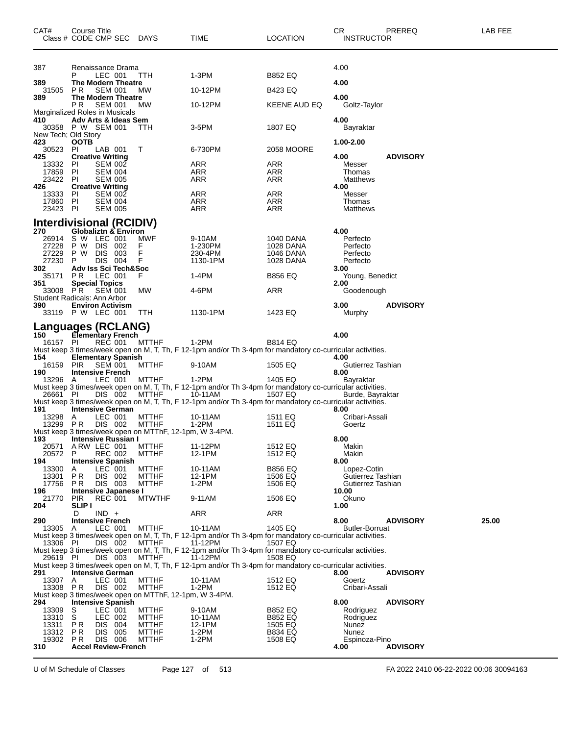| CAT#                       | Course Title<br>Class # CODE CMP SEC DAYS                                          |                              | TIME              | <b>LOCATION</b>                                                                                                      | CR.<br><b>INSTRUCTOR</b>         | PREREQ          | LAB FEE |
|----------------------------|------------------------------------------------------------------------------------|------------------------------|-------------------|----------------------------------------------------------------------------------------------------------------------|----------------------------------|-----------------|---------|
|                            |                                                                                    |                              |                   |                                                                                                                      |                                  |                 |         |
| 387                        | Renaissance Drama                                                                  |                              |                   |                                                                                                                      | 4.00                             |                 |         |
| 389                        | LEC 001<br><b>The Modern Theatre</b>                                               | TTH                          | $1-3PM$           | B852 EQ                                                                                                              | 4.00                             |                 |         |
| 31505<br>389               | <b>SEM 001</b><br>PR.<br><b>The Modern Theatre</b>                                 | МW                           | 10-12PM           | B423 EQ                                                                                                              | 4.00                             |                 |         |
|                            | P R<br><b>SEM 001</b><br>Marginalized Roles in Musicals                            | МW                           | 10-12PM           | KEENE AUD EQ                                                                                                         | Goltz-Taylor                     |                 |         |
| 410                        | Adv Arts & Ideas Sem<br>30358 P W SEM 001                                          | TТH                          | 3-5PM             | 1807 EQ                                                                                                              | 4.00<br>Bayraktar                |                 |         |
| New Tech; Old Story<br>423 | <b>OOTB</b>                                                                        |                              |                   |                                                                                                                      | 1.00-2.00                        |                 |         |
| 30523<br>425               | PI<br>LAB 001<br><b>Creative Writing</b>                                           | Τ                            | 6-730PM           | 2058 MOORE                                                                                                           | 4.00                             | <b>ADVISORY</b> |         |
| 13332<br>17859             | <b>SEM 002</b><br>-PI<br>- PI<br><b>SEM 004</b>                                    |                              | ARR<br>ARR        | ARR<br>ARR                                                                                                           | Messer<br>Thomas                 |                 |         |
| 23422<br>426               | - PI<br><b>SEM 005</b><br><b>Creative Writing</b>                                  |                              | ARR               | ARR                                                                                                                  | Matthews<br>4.00                 |                 |         |
| 13333 PI<br>17860 PI       | <b>SEM 002</b><br><b>SEM 004</b>                                                   |                              | ARR<br>ARR        | ARR<br>ARR                                                                                                           | Messer<br>Thomas                 |                 |         |
| 23423 PI                   | <b>SEM 005</b>                                                                     |                              | ARR               | ARR                                                                                                                  | Matthews                         |                 |         |
| 270                        | Interdivisional (RCIDIV)<br>Globaliztn & Environ                                   |                              |                   |                                                                                                                      | 4.00                             |                 |         |
| 26914<br>27228             | S W LEC 001<br>P W<br>DIS 002                                                      | MWF<br>F                     | 9-10AM<br>1-230PM | 1040 DANA<br><b>1028 DANA</b>                                                                                        | Perfecto<br>Perfecto             |                 |         |
| 27229                      | DIS 003<br>P W                                                                     | F<br>F                       | 230-4PM           | <b>1046 DANA</b>                                                                                                     | Perfecto                         |                 |         |
| 27230<br>302               | DIS 004<br>P<br>Adv Iss Sci Tech&Soc                                               |                              | 1130-1PM          | 1028 DANA                                                                                                            | Perfecto<br>3.00                 |                 |         |
| 35171<br>351               | LEC 001<br>PR.<br><b>Special Topics</b>                                            | F                            | 1-4PM             | B856 EQ                                                                                                              | Young, Benedict<br>2.00          |                 |         |
| 33008 PR                   | <b>SEM 001</b><br>Student Radicals: Ann Arbor                                      | МW                           | 4-6PM             | ARR                                                                                                                  | Goodenough                       |                 |         |
| 390                        | <b>Environ Activism</b><br>33119 P W LEC 001                                       | TTH                          | 1130-1PM          | 1423 EQ                                                                                                              | 3.00<br>Murphy                   | <b>ADVISORY</b> |         |
|                            | <b>Languages (RCLANG)</b>                                                          |                              |                   |                                                                                                                      |                                  |                 |         |
| 150<br>16157 PI            | Elementary French<br>REC 001                                                       | <b>MTTHF</b>                 | $1-2PM$           | <b>B814 EQ</b>                                                                                                       | 4.00                             |                 |         |
| 154                        | <b>Elementary Spanish</b>                                                          |                              |                   | Must keep 3 times/week open on M, T, Th, F 12-1pm and/or Th 3-4pm for mandatory co-curricular activities.            | 4.00                             |                 |         |
| 16159<br>190               | <b>PIR</b><br>SEM 001<br><b>Intensive French</b>                                   | <b>MTTHF</b>                 | 9-10AM            | 1505 EQ                                                                                                              | Gutierrez Tashian<br>8.00        |                 |         |
| 13296 A                    | LEC 001                                                                            | <b>MTTHF</b>                 | 1-2PM             | 1405 EQ<br>Must keep 3 times/week open on M, T, Th, F 12-1pm and/or Th 3-4pm for mandatory co-curricular activities. | Bayraktar                        |                 |         |
| 26661 PI                   | DIS 002                                                                            | MTTHF                        | 10-11AM           | 1507 EQ<br>Must keep 3 times/week open on M, T, Th, F 12-1pm and/or Th 3-4pm for mandatory co-curricular activities. | Burde, Bayraktar                 |                 |         |
| 191<br>13298               | <b>Intensive German</b><br>LEC 001<br>A                                            | <b>MTTHF</b>                 | 10-11AM           | 1511 EQ                                                                                                              | 8.00<br>Cribari-Assali           |                 |         |
| 13299                      | P R<br>DIS 002<br>Must keep 3 times/week open on MTThF, 12-1pm, W 3-4PM.           | <b>MTTHF</b>                 | 1-2PM             | 1511 EQ                                                                                                              | Goertz                           |                 |         |
| 193<br>20571               | <b>Intensive Russian I</b><br>ARW LEC 001                                          | <b>MTTHF</b>                 | 11-12PM           | 1512 EQ                                                                                                              | 8.00<br>Makin                    |                 |         |
| 20572<br>194               | <b>REC 002</b><br>P<br>Intensive Spanish                                           | <b>MTTHF</b>                 | 12-1PM            | 1512 EQ                                                                                                              | Makin<br>8.00                    |                 |         |
| 13300<br>13301             | LEC 001<br>A<br>PR<br>DIS 002                                                      | <b>MTTHF</b><br><b>MTTHF</b> | 10-11AM<br>12-1PM | <b>B856 EQ</b><br>1506 EQ                                                                                            | Lopez-Cotin<br>Gutierrez Tashian |                 |         |
| 17756<br>196               | DIS 003<br>PR<br>Intensive Japanese I                                              | MTTHF                        | 1-2PM             | 1506 EQ                                                                                                              | Gutierrez Tashian<br>10.00       |                 |         |
| 21770<br>204               | <b>PIR</b><br><b>REC 001</b><br><b>SLIP</b> I                                      | <b>MTWTHF</b>                | 9-11AM            | 1506 EQ                                                                                                              | Okuno<br>1.00                    |                 |         |
| 290                        | $IND +$<br>D<br><b>Intensive French</b>                                            |                              | ARR               | ARR                                                                                                                  | 8.00                             | <b>ADVISORY</b> | 25.00   |
| 13305 A                    | LEC 001                                                                            | <b>MTTHF</b>                 | 10-11AM           | 1405 EQ<br>Must keep 3 times/week open on M, T, Th, F 12-1pm and/or Th 3-4pm for mandatory co-curricular activities. | <b>Butler-Borruat</b>            |                 |         |
| 13306 PI                   | DIS 002                                                                            | MTTHF                        | 11-12PM           | 1507 EQ<br>Must keep 3 times/week open on M, T, Th, F 12-1pm and/or Th 3-4pm for mandatory co-curricular activities. |                                  |                 |         |
| 29619 PI                   | DIS 003                                                                            | <b>MTTHF</b>                 | 11-12PM           | 1508 EQ                                                                                                              |                                  |                 |         |
| 291                        | <b>Intensive German</b>                                                            |                              |                   | Must keep 3 times/week open on M, T, Th, F 12-1pm and/or Th 3-4pm for mandatory co-curricular activities.            | 8.00                             | <b>ADVISORY</b> |         |
| 13307<br>13308 PR          | LEC 001<br>A<br>DIS 002                                                            | <b>MTTHF</b><br><b>MTTHF</b> | 10-11AM<br>1-2PM  | 1512 EQ<br>1512 EQ                                                                                                   | Goertz<br>Cribari-Assali         |                 |         |
| 294                        | Must keep 3 times/week open on MTThF, 12-1pm, W 3-4PM.<br><b>Intensive Spanish</b> |                              |                   |                                                                                                                      | 8.00                             | <b>ADVISORY</b> |         |
| 13309<br>13310             | LEC 001<br>S<br>S<br>LEC 002                                                       | <b>MTTHF</b><br><b>MTTHF</b> | 9-10AM<br>10-11AM | <b>B852 EQ</b><br><b>B852 EQ</b>                                                                                     | Rodriguez<br>Rodriguez           |                 |         |
| 13311<br>13312             | PR<br>DIS 004<br>DIS 005<br>P R                                                    | <b>MTTHF</b><br>MTTHF        | 12-1PM<br>$1-2PM$ | 1505 EQ<br><b>B834 EQ</b>                                                                                            | Nunez<br>Nunez                   |                 |         |
| 19302<br>310               | DIS 006<br>PR.<br><b>Accel Review-French</b>                                       | <b>MTTHF</b>                 | 1-2PM             | 1508 EQ                                                                                                              | Espinoza-Pino<br>4.00            | <b>ADVISORY</b> |         |

U of M Schedule of Classes Page 127 of 513 FA 2022 2410 06-22-2022 00:06 30094163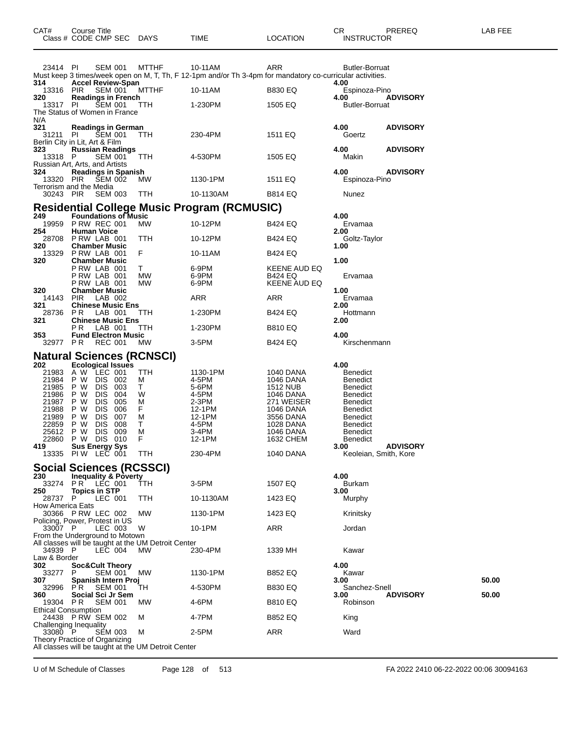| 23414 PI                               | SEM 001                                                                               | MTTHF        | 10-11AM                                                                                                   | ARR                     | <b>Butler-Borruat</b>                            |       |
|----------------------------------------|---------------------------------------------------------------------------------------|--------------|-----------------------------------------------------------------------------------------------------------|-------------------------|--------------------------------------------------|-------|
| 314.                                   | <b>Accel Review-Span</b>                                                              |              | Must keep 3 times/week open on M, T, Th, F 12-1pm and/or Th 3-4pm for mandatory co-curricular activities. |                         | 4.00                                             |       |
| 13316 PIR                              | <b>SEM 001</b>                                                                        | <b>MTTHF</b> | 10-11AM                                                                                                   | <b>B830 EQ</b>          | Espinoza-Pino                                    |       |
| 320<br>13317 PI                        | <b>Readings in French</b><br><b>ŠEM 001</b>                                           | <b>TTH</b>   | 1-230PM                                                                                                   | 1505 EQ                 | 4.00<br><b>ADVISORY</b><br><b>Butler-Borruat</b> |       |
|                                        | The Status of Women in France                                                         |              |                                                                                                           |                         |                                                  |       |
| N/A<br>321                             | <b>Readings in German</b>                                                             |              |                                                                                                           |                         | 4.00<br><b>ADVISORY</b>                          |       |
| 31211                                  | SEM 001<br>PL<br>Berlin City in Lit, Art & Film                                       | TTH          | 230-4PM                                                                                                   | 1511 EQ                 | Goertz                                           |       |
| 323                                    | <b>Russian Readings</b>                                                               |              |                                                                                                           |                         | 4.00<br><b>ADVISORY</b>                          |       |
| 13318 P                                | SEM 001<br>Russian Art, Arts, and Artists                                             | TTH          | 4-530PM                                                                                                   | 1505 EQ                 | Makin                                            |       |
| 324                                    | <b>Readings in Spanish</b>                                                            |              |                                                                                                           |                         | 4.00<br><b>ADVISORY</b>                          |       |
| 13320 PIR                              | SEM 002<br>Terrorism and the Media                                                    | MW.          | 1130-1PM                                                                                                  | 1511 EQ                 | Espinoza-Pino                                    |       |
| 30243 PIR                              | SEM 003                                                                               | TTH          | 10-1130AM                                                                                                 | <b>B814 EQ</b>          | Nunez                                            |       |
|                                        |                                                                                       |              | <b>Residential College Music Program (RCMUSIC)</b>                                                        |                         |                                                  |       |
| 249                                    | <b>Foundations of Music</b>                                                           |              |                                                                                                           |                         | 4.00                                             |       |
| 254                                    | 19959 P RW REC 001<br><b>Human Voice</b>                                              | <b>MW</b>    | 10-12PM                                                                                                   | <b>B424 EQ</b>          | Ervamaa<br>2.00                                  |       |
|                                        | 28708 PRW LAB 001                                                                     | TTH          | 10-12PM                                                                                                   | <b>B424 EQ</b>          | Goltz-Taylor                                     |       |
| 320                                    | <b>Chamber Music</b><br>13329 PRW LAB 001                                             | F.           | 10-11AM                                                                                                   | B424 EQ                 | 1.00                                             |       |
| 320                                    | <b>Chamber Music</b><br>PRW LAB 001                                                   | T.           | 6-9PM                                                                                                     | KEENE AUD EQ            | 1.00                                             |       |
|                                        | PRW LAB 001                                                                           | МW           | 6-9PM                                                                                                     | <b>B424 EQ</b>          | Ervamaa                                          |       |
| 320                                    | PRW LAB 001<br><b>Chamber Music</b>                                                   | МW           | 6-9PM                                                                                                     | KEENE AUD EQ            | 1.00                                             |       |
| 14143 PIR                              | LAB 002                                                                               |              | ARR                                                                                                       | ARR                     | Ervamaa                                          |       |
| 321<br>28736                           | <b>Chinese Music Ens</b><br>P R<br>LAB 001                                            | TTH          | 1-230PM                                                                                                   | <b>B424 EQ</b>          | 2.00<br>Hottmann                                 |       |
| 321                                    | <b>Chinese Music Ens</b>                                                              |              |                                                                                                           |                         | 2.00                                             |       |
| 353                                    | РR<br>LAB 001<br><b>Fund Electron Music</b>                                           | <b>TTH</b>   | 1-230PM                                                                                                   | <b>B810 EQ</b>          | 4.00                                             |       |
| 32977 PR                               | REC 001                                                                               | <b>MW</b>    | 3-5PM                                                                                                     | <b>B424 EQ</b>          | Kirschenmann                                     |       |
|                                        | <b>Natural Sciences (RCNSCI)</b>                                                      |              |                                                                                                           |                         |                                                  |       |
|                                        |                                                                                       |              |                                                                                                           |                         |                                                  |       |
| 202                                    | <b>Ecological Issues</b>                                                              |              |                                                                                                           |                         | 4.00                                             |       |
| 21983<br>21984                         | A W LEC 001<br>P W<br>DIS 002                                                         | TTH<br>м     | 1130-1PM<br>4-5PM                                                                                         | 1040 DANA<br>1046 DANA  | <b>Benedict</b><br><b>Benedict</b>               |       |
| 21985                                  | DIS 003<br>P W                                                                        | T.           | 5-6PM                                                                                                     | <b>1512 NUB</b>         | <b>Benedict</b>                                  |       |
| 21986<br>21987                         | P W<br>DIS 004<br>P W<br>DIS 005                                                      | W<br>М       | 4-5PM<br>$2-3PM$                                                                                          | 1046 DANA<br>271 WEISER | <b>Benedict</b><br><b>Benedict</b>               |       |
| 21988<br>21989                         | P W<br>DIS.<br>006<br>P W<br>DIS 007                                                  | F.<br>м      | 12-1PM<br>12-1PM                                                                                          | 1046 DANA<br>3556 DANA  | <b>Benedict</b><br><b>Benedict</b>               |       |
| 22859                                  | P W<br>DIS.<br>008                                                                    | T.           | 4-5PM                                                                                                     | 1028 DANA               | <b>Benedict</b>                                  |       |
| 25612<br>22860                         | <b>DIS</b><br>009<br>P W<br>P W<br>DIS 010                                            | м<br>F       | $3-4PM$<br>12-1PM                                                                                         | 1046 DANA<br>1632 CHEM  | <b>Benedict</b><br><b>Benedict</b>               |       |
| 419                                    | <b>Sus Energy Sys</b>                                                                 |              |                                                                                                           |                         | 3.00<br><b>ADVISORY</b>                          |       |
|                                        | 13335 PIW LEC 001                                                                     | TTH          | 230-4PM                                                                                                   | 1040 DANA               | Keoleian, Smith, Kore                            |       |
|                                        | <b>Social Sciences (RCSSCI)</b>                                                       |              |                                                                                                           |                         |                                                  |       |
| 230                                    | <b>Inequality &amp; Poverty</b><br>33274 PR LEC 001                                   | TTH          | 3-5PM                                                                                                     | 1507 EQ                 | 4.00<br><b>Burkam</b>                            |       |
| 250                                    | <b>Topics in STP</b>                                                                  |              |                                                                                                           |                         | 3.00                                             |       |
| 28737 P<br>How America Eats            | LEC 001                                                                               | TTH          | 10-1130AM                                                                                                 | 1423 EQ                 | Murphy                                           |       |
|                                        | 30366 P RW LEC 002<br>Policing, Power, Protest in US                                  | MW           | 1130-1PM                                                                                                  | 1423 EQ                 | Krinitsky                                        |       |
| 33007 P                                | LEC 003                                                                               | W            | 10-1PM                                                                                                    | ARR                     | Jordan                                           |       |
|                                        | From the Underground to Motown<br>All classes will be taught at the UM Detroit Center |              |                                                                                                           |                         |                                                  |       |
| 34939 P                                | LEC 004                                                                               | <b>MW</b>    | 230-4PM                                                                                                   | 1339 MH                 | Kawar                                            |       |
| Law & Border<br>302                    | <b>Soc&amp;Cult Theory</b>                                                            |              |                                                                                                           |                         | 4.00                                             |       |
| 33277                                  | <b>SEM 001</b><br>P                                                                   | MW           | 1130-1PM                                                                                                  | <b>B852 EQ</b>          | Kawar                                            |       |
| 307<br>32996                           | Spanish Intern Proj<br>P R<br><b>SEM 001</b>                                          | TH           | 4-530PM                                                                                                   | <b>B830 EQ</b>          | 3.00<br>Sanchez-Snell                            | 50.00 |
| 360                                    | Social Sci Jr Sem                                                                     |              |                                                                                                           |                         | <b>ADVISORY</b><br>3.00                          | 50.00 |
| 19304 PR<br><b>Ethical Consumption</b> | <b>SEM 001</b>                                                                        | МW           | 4-6PM                                                                                                     | <b>B810 EQ</b>          | Robinson                                         |       |
|                                        | 24438 P RW SEM 002                                                                    | м            | 4-7PM                                                                                                     | <b>B852 EQ</b>          | King                                             |       |
| 33080 P                                | Challenging Inequality<br><b>SEM 003</b><br>Theory Practice of Organizing             | м            | 2-5PM                                                                                                     | ARR                     | Ward                                             |       |

Class # CODE CMP SEC DAYS TIME LOCATION INSTRUCTOR

U of M Schedule of Classes Page 128 of 513 FA 2022 2410 06-22-2022 00:06 30094163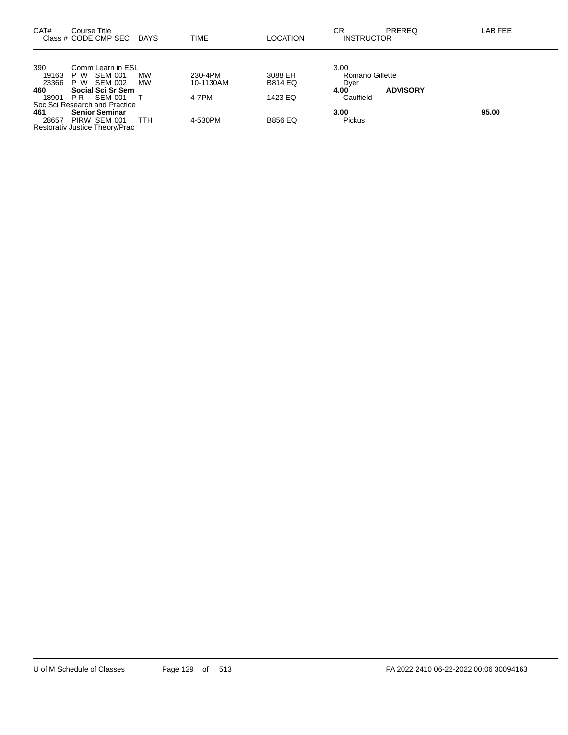| CAT#         | Course Title<br>Class # CODE CMP SEC DAYS                               |     | TIME      | LOCATION       | СR<br><b>INSTRUCTOR</b> | PREREQ          | LAB FEE |
|--------------|-------------------------------------------------------------------------|-----|-----------|----------------|-------------------------|-----------------|---------|
| 390<br>19163 | Comm Learn in ESL<br>SEM 001<br>P W                                     | МW  | 230-4PM   | 3088 EH        | 3.00<br>Romano Gillette |                 |         |
| 23366<br>460 | P W SEM 002<br>Social Sci Sr Sem                                        | MW  | 10-1130AM | <b>B814 EQ</b> | Dyer<br>4.00            | <b>ADVISORY</b> |         |
| 18901        | SEM 001<br>PR<br>Soc Sci Research and Practice                          |     | 4-7PM     | 1423 EQ        | Caulfield               |                 |         |
| 461<br>28657 | <b>Senior Seminar</b><br>PIRW SEM 001<br>Restorativ Justice Theory/Prac | TTH | 4-530PM   | <b>B856 EQ</b> | 3.00<br>Pickus          |                 | 95.00   |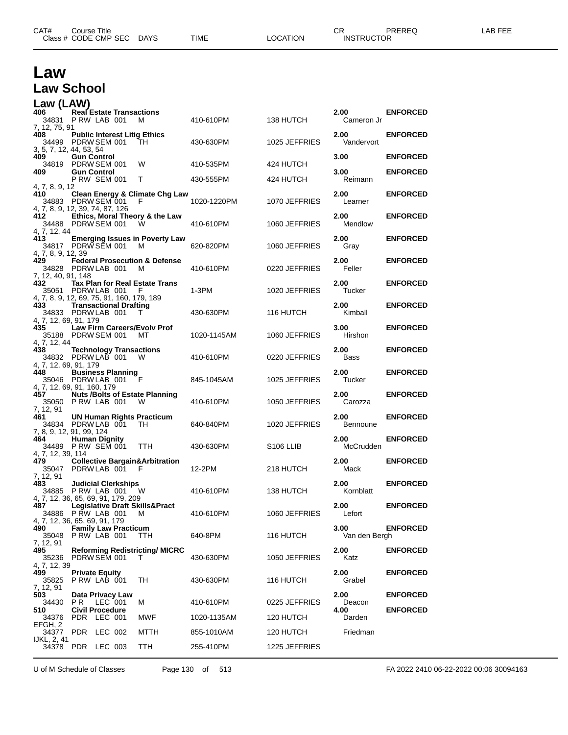| Law                                                                            |                                           |  |                                                |             |                       |                       |                 |
|--------------------------------------------------------------------------------|-------------------------------------------|--|------------------------------------------------|-------------|-----------------------|-----------------------|-----------------|
| <b>Law School</b>                                                              |                                           |  |                                                |             |                       |                       |                 |
| Law (LAW)                                                                      |                                           |  |                                                |             |                       |                       |                 |
| 406<br>34831 P RW LAB 001<br>7, 12, 75, 91                                     | <b>Real Estate Transactions</b>           |  | M                                              | 410-610PM   | 138 HUTCH             | 2.00<br>Cameron Jr    | <b>ENFORCED</b> |
| 408.<br>34499 PDRW SEM 001<br>3, 5, 7, 12, 44, 53, 54                          |                                           |  | <b>Public Interest Litig Ethics</b><br>TH      | 430-630PM   | 1025 JEFFRIES         | 2.00<br>Vandervort    | <b>ENFORCED</b> |
| 409.<br>34819 PDRW SEM 001                                                     | <b>Gun Control</b>                        |  | W                                              | 410-535PM   | 424 HUTCH             | 3.00                  | <b>ENFORCED</b> |
| 409                                                                            | <b>Gun Control</b><br><b>P RW SEM 001</b> |  | Т                                              | 430-555PM   | 424 HUTCH             | 3.00<br>Reimann       | <b>ENFORCED</b> |
| 4, 7, 8, 9, 12<br>410<br>34883 PDRW SEM 001<br>4, 7, 8, 9, 12, 39, 74, 87, 126 |                                           |  | <b>Clean Energy &amp; Climate Chg Law</b><br>F | 1020-1220PM | 1070 JEFFRIES         | 2.00<br>Learner       | <b>ENFORCED</b> |
| 412<br>34488 PDRW SEM 001                                                      |                                           |  | Ethics, Moral Theory & the Law<br>W            | 410-610PM   | 1060 JEFFRIES         | 2.00<br>Mendlow       | <b>ENFORCED</b> |
| 4, 7, 12, 44<br>413<br>34817 PDRW SEM 001<br>4, 7, 8, 9, 12, 39                |                                           |  | <b>Emerging Issues in Poverty Law</b><br>м     | 620-820PM   | 1060 JEFFRIES         | 2.00<br>Gray          | <b>ENFORCED</b> |
| 429<br>34828 PDRW LAB 001                                                      |                                           |  | <b>Federal Prosecution &amp; Defense</b><br>м  | 410-610PM   | 0220 JEFFRIES         | 2.00<br>Feller        | <b>ENFORCED</b> |
| 7, 12, 40, 91, 148<br>432<br>35051 PDRW LAB 001                                |                                           |  | Tax Plan for Real Estate Trans<br>F            | 1-3PM       | 1020 JEFFRIES         | 2.00<br>Tucker        | <b>ENFORCED</b> |
| 4, 7, 8, 9, 12, 69, 75, 91, 160, 179, 189<br>433.<br>34833 PDRW LAB 001        | <b>Transactional Drafting</b>             |  | т                                              | 430-630PM   | 116 HUTCH             | 2.00<br>Kimball       | <b>ENFORCED</b> |
| 4, 7, 12, 69, 91, 179<br>435<br>35188 PDRW SEM 001                             |                                           |  | Law Firm Careers/Evolv Prof<br>мт              | 1020-1145AM | 1060 JEFFRIES         | 3.00<br>Hirshon       | <b>ENFORCED</b> |
| 4, 7, 12, 44<br>438<br>34832 PDRW LAB 001                                      |                                           |  | <b>Technology Transactions</b><br>W            | 410-610PM   | 0220 JEFFRIES         | 2.00<br>Bass          | <b>ENFORCED</b> |
| 4, 7, 12, 69, 91, 179<br>448<br>35046 PDRWLAB 001                              | <b>Business Planning</b>                  |  | F                                              | 845-1045AM  | 1025 JEFFRIES         | 2.00<br>Tucker        | <b>ENFORCED</b> |
| 4, 7, 12, 69, 91, 160, 179<br>457<br>35050 PRW LAB 001                         |                                           |  | <b>Nuts /Bolts of Estate Planning</b><br>W     | 410-610PM   | 1050 JEFFRIES         | 2.00<br>Carozza       | <b>ENFORCED</b> |
| 7, 12, 91<br>461<br>34834 PDRW LAB 001<br>7, 8, 9, 12, 91, 99, 124             |                                           |  | UN Human Rights Practicum<br>TH                | 640-840PM   | 1020 JEFFRIES         | 2.00<br>Bennoune      | <b>ENFORCED</b> |
| 464<br>34489 P RW SEM 001<br>4, 7, 12, 39, 114                                 | <b>Human Dignity</b>                      |  | <b>TTH</b>                                     | 430-630PM   | S <sub>106</sub> LLIB | 2.00<br>McCrudden     | <b>ENFORCED</b> |
| 479<br>35047 PDRW LAB 001 F<br>7, 12, 91                                       |                                           |  | <b>Collective Bargain&amp;Arbitration</b>      | 12-2PM      | 218 HUTCH             | 2.00<br>Mack          | <b>ENFORCED</b> |
| 483<br>34885 PRW LAB 001 W<br>4, 7, 12, 36, 65, 69, 91, 179, 209               | <b>Judicial Clerkships</b>                |  |                                                | 410-610PM   | 138 HUTCH             | 2.00<br>Kornblatt     | <b>ENFORCED</b> |
| 487<br>34886 P RW LAB 001<br>4, 7, 12, 36, 65, 69, 91, 179                     |                                           |  | <b>Legislative Draft Skills&amp;Pract</b><br>м | 410-610PM   | 1060 JEFFRIES         | 2.00<br>Lefort        | <b>ENFORCED</b> |
| 490<br>35048 P RW LAB 001                                                      | <b>Family Law Practicum</b>               |  | TTH                                            | 640-8PM     | 116 HUTCH             | 3.00<br>Van den Bergh | <b>ENFORCED</b> |
| 7, 12, 91<br>495<br>35236 PDRW SEM 001                                         |                                           |  | <b>Reforming Redistricting/ MICRC</b><br>T.    | 430-630PM   | 1050 JEFFRIES         | 2.00<br>Katz          | <b>ENFORCED</b> |
| 4, 7, 12, 39<br>499<br>35825                                                   | <b>Private Equity</b><br>PRW LAB 001      |  | TH                                             | 430-630PM   | 116 HUTCH             | 2.00<br>Grabel        | <b>ENFORCED</b> |
| 7, 12, 91<br>503<br>34430                                                      | Data Privacy Law<br><b>PR LEC 001</b>     |  | М                                              | 410-610PM   | 0225 JEFFRIES         | 2.00<br>Deacon        | <b>ENFORCED</b> |
| 510<br>34376                                                                   | <b>Civil Procedure</b><br>PDR LEC 001     |  | MWF                                            | 1020-1135AM | 120 HUTCH             | 4.00<br>Darden        | <b>ENFORCED</b> |
| EFGH, 2<br>34377 PDR LEC 002<br>IJKL, 2, 41                                    |                                           |  | MTTH                                           | 855-1010AM  | 120 HUTCH             | Friedman              |                 |
| 34378 PDR LEC 003                                                              |                                           |  | TTH                                            | 255-410PM   | 1225 JEFFRIES         |                       |                 |

U of M Schedule of Classes Page 130 of 513 FA 2022 2410 06-22-2022 00:06 30094163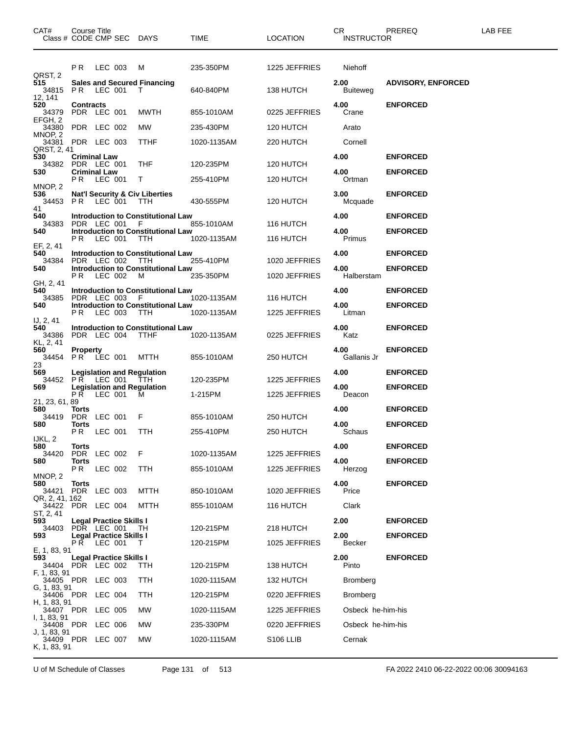| CAT#<br>Class # CODE CMP SEC DAYS        | Course Title                                  |         |                         |                                                         | TIME        | <b>LOCATION</b>       | CR<br><b>INSTRUCTOR</b> | PREREQ                    | LAB FEE |
|------------------------------------------|-----------------------------------------------|---------|-------------------------|---------------------------------------------------------|-------------|-----------------------|-------------------------|---------------------------|---------|
|                                          | P R                                           | LEC 003 |                         | M                                                       | 235-350PM   | 1225 JEFFRIES         | Niehoff                 |                           |         |
| QRST, 2<br>515<br>34815 PR LEC 001       |                                               |         |                         | <b>Sales and Secured Financing</b><br>T                 | 640-840PM   | 138 HUTCH             | 2.00<br><b>Buiteweg</b> | <b>ADVISORY, ENFORCED</b> |         |
| 12, 141<br>520<br>34379<br>EFGH, 2       | <b>Contracts</b><br>PDR LEC 001               |         |                         | MWTH                                                    | 855-1010AM  | 0225 JEFFRIES         | 4.00<br>Crane           | <b>ENFORCED</b>           |         |
| 34380                                    | PDR LEC 002                                   |         |                         | MW                                                      | 235-430PM   | 120 HUTCH             | Arato                   |                           |         |
| MNOP, 2<br>34381<br>QRST, 2, 41          | PDR LEC 003                                   |         |                         | TTHF                                                    | 1020-1135AM | 220 HUTCH             | Cornell                 |                           |         |
| 530<br>34382                             | <b>Criminal Law</b><br>PDR LEC 001            |         |                         | THF                                                     | 120-235PM   | 120 HUTCH             | 4.00                    | <b>ENFORCED</b>           |         |
| 530                                      | <b>Criminal Law</b><br><b>PR LEC 001</b>      |         |                         | Т                                                       | 255-410PM   | 120 HUTCH             | 4.00<br>Ortman          | <b>ENFORCED</b>           |         |
| MNOP, 2<br>536<br>34453                  | <b>PR LEC 001</b>                             |         |                         | <b>Nat'l Security &amp; Civ Liberties</b><br>TTH        | 430-555PM   | 120 HUTCH             | 3.00<br>Mcquade         | <b>ENFORCED</b>           |         |
| 41<br>540                                |                                               |         |                         | <b>Introduction to Constitutional Law</b>               |             |                       | 4.00                    | <b>ENFORCED</b>           |         |
| 34383                                    | PDR LEC 001 F                                 |         |                         |                                                         | 855-1010AM  | 116 HUTCH             |                         |                           |         |
| 540                                      | PR.                                           | LEC 001 |                         | <b>Introduction to Constitutional Law</b><br>TTH        | 1020-1135AM | 116 HUTCH             | 4.00<br>Primus          | <b>ENFORCED</b>           |         |
| EF, 2, 41<br>540<br>34384                | PDR LEC 002                                   |         |                         | <b>Introduction to Constitutional Law</b><br>TTH        | 255-410PM   | 1020 JEFFRIES         | 4.00                    | <b>ENFORCED</b>           |         |
| 540                                      | PR.                                           | LEC 002 |                         | <b>Introduction to Constitutional Law</b><br>M          | 235-350PM   | 1020 JEFFRIES         | 4.00<br>Halberstam      | <b>ENFORCED</b>           |         |
| GH, 2, 41                                |                                               |         |                         |                                                         |             |                       |                         |                           |         |
| 540<br>34385                             | PDR LEC 003                                   |         |                         | Introduction to Constitutional Law<br>F                 | 1020-1135AM | 116 HUTCH             | 4.00                    | <b>ENFORCED</b>           |         |
| 540                                      | <b>PR LEC 003</b>                             |         |                         | <b>Introduction to Constitutional Law</b><br><b>TTH</b> | 1020-1135AM | 1225 JEFFRIES         | 4.00<br>Litman          | <b>ENFORCED</b>           |         |
| IJ, 2, 41<br>540<br>34386                | PDR LEC 004                                   |         |                         | <b>Introduction to Constitutional Law</b><br>TTHF       | 1020-1135AM | 0225 JEFFRIES         | 4.00<br>Katz            | <b>ENFORCED</b>           |         |
| KL, 2, 41<br>560<br>34454                | <b>Property</b><br>PR LEC 001                 |         |                         | MTTH                                                    | 855-1010AM  | 250 HUTCH             | 4.00<br>Gallanis Jr     | <b>ENFORCED</b>           |         |
| 23<br>569                                |                                               |         |                         | <b>Legislation and Regulation</b>                       |             |                       | 4.00                    | <b>ENFORCED</b>           |         |
| 34452                                    | PR LEC 001                                    |         |                         | TTH                                                     | 120-235PM   | 1225 JEFFRIES         |                         |                           |         |
| 569                                      | <b>PR LEC 001</b>                             |         |                         | <b>Legislation and Regulation</b><br>м                  | 1-215PM     | 1225 JEFFRIES         | 4.00<br>Deacon          | <b>ENFORCED</b>           |         |
| 21, 23, 61, 89<br>580                    | Torts                                         |         |                         |                                                         |             |                       | 4.00                    | <b>ENFORCED</b>           |         |
| 34419<br>580                             | PDR LEC 001<br>Torts                          |         |                         | F                                                       | 855-1010AM  | 250 HUTCH             | 4.00                    | <b>ENFORCED</b>           |         |
| IJKL. 2                                  | PR.                                           | LEC 001 |                         | TTH                                                     | 255-410PM   | 250 HUTCH             | Schaus                  |                           |         |
| 580<br>34420                             | Torts<br>PDR LEC 002                          |         |                         | F                                                       | 1020-1135AM | 1225 JEFFRIES         | 4.00                    | <b>ENFORCED</b>           |         |
| 580                                      | Torts<br>PR.                                  | LEC 002 |                         | <b>TTH</b>                                              | 855-1010AM  | 1225 JEFFRIES         | 4.00<br>Herzog          | <b>ENFORCED</b>           |         |
| MNOP, 2                                  |                                               |         |                         |                                                         |             |                       |                         |                           |         |
| 580<br>34421                             | Torts<br>PDR LEC 003                          |         |                         | MTTH                                                    | 850-1010AM  | 1020 JEFFRIES         | 4.00<br>Price           | <b>ENFORCED</b>           |         |
| QR, 2, 41, 162<br>34422                  | PDR LEC 004                                   |         |                         | MTTH                                                    | 855-1010AM  | 116 HUTCH             | Clark                   |                           |         |
| ST, 2, 41<br>593                         |                                               |         | Legal Practice Skills I |                                                         |             |                       | 2.00                    | <b>ENFORCED</b>           |         |
| 34403                                    | PDR LEC 001<br><b>Legal Practice Skills I</b> |         |                         | TН                                                      | 120-215PM   | 218 HUTCH             |                         |                           |         |
| 593                                      | PR.                                           | LEC 001 |                         | Τ                                                       | 120-215PM   | 1025 JEFFRIES         | 2.00<br>Becker          | <b>ENFORCED</b>           |         |
| E, 1, 83, 91<br>593<br>34404 PDR LEC 002 | <b>Legal Practice Skills I</b>                |         |                         | TTH                                                     | 120-215PM   | 138 HUTCH             | 2.00<br>Pinto           | <b>ENFORCED</b>           |         |
| F, 1, 83, 91<br>34405 PDR LEC 003        |                                               |         |                         | TTH                                                     | 1020-1115AM | 132 HUTCH             | <b>Bromberg</b>         |                           |         |
| G, 1, 83, 91<br>34406 PDR LEC 004        |                                               |         |                         | TTH                                                     | 120-215PM   | 0220 JEFFRIES         | Bromberg                |                           |         |
| H, 1, 83, 91                             |                                               |         |                         |                                                         |             |                       |                         |                           |         |
| 34407 PDR LEC 005<br>I, 1, 83, 91        |                                               |         |                         | МW                                                      | 1020-1115AM | 1225 JEFFRIES         | Osbeck he-him-his       |                           |         |
| 34408 PDR LEC 006<br>J, 1, 83, 91        |                                               |         |                         | МW                                                      | 235-330PM   | 0220 JEFFRIES         | Osbeck he-him-his       |                           |         |
| 34409 PDR LEC 007<br>K, 1, 83, 91        |                                               |         |                         | МW                                                      | 1020-1115AM | S <sub>106</sub> LLIB | Cernak                  |                           |         |

U of M Schedule of Classes Page 131 of 513 FA 2022 2410 06-22-2022 00:06 30094163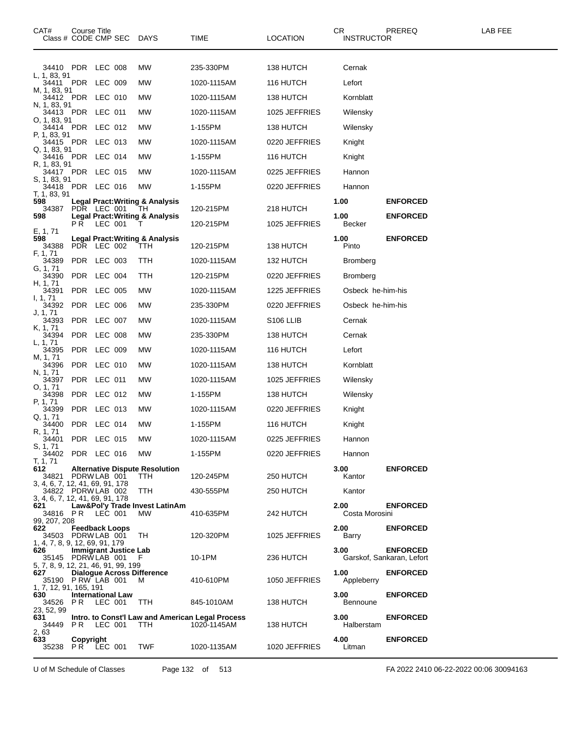| CAT#                                       | Course Title<br>Class # CODE CMP SEC DAYS |         |                              |                                             | TIME                                                            | <b>LOCATION</b>       | CR<br><b>INSTRUCTOR</b> | PREREQ                                       | LAB FEE |
|--------------------------------------------|-------------------------------------------|---------|------------------------------|---------------------------------------------|-----------------------------------------------------------------|-----------------------|-------------------------|----------------------------------------------|---------|
|                                            |                                           |         |                              |                                             |                                                                 |                       |                         |                                              |         |
| L, 1, 83, 91                               | 34410 PDR LEC 008                         |         |                              | MW                                          | 235-330PM                                                       | 138 HUTCH             | Cernak                  |                                              |         |
| M, 1, 83, 91                               | 34411 PDR LEC 009                         |         |                              | MW                                          | 1020-1115AM                                                     | 116 HUTCH             | Lefort                  |                                              |         |
| N, 1, 83, 91                               | 34412 PDR LEC 010                         |         |                              | MW                                          | 1020-1115AM                                                     | 138 HUTCH             | Kornblatt               |                                              |         |
| O. 1. 83. 91                               | 34413 PDR LEC 011                         |         |                              | MW                                          | 1020-1115AM                                                     | 1025 JEFFRIES         | Wilensky                |                                              |         |
| P, 1, 83, 91                               | 34414 PDR LEC 012                         |         |                              | MW                                          | 1-155PM                                                         | 138 HUTCH             | Wilensky                |                                              |         |
| Q. 1. 83. 91                               | 34415 PDR LEC 013                         |         |                              | MW                                          | 1020-1115AM                                                     | 0220 JEFFRIES         | Knight                  |                                              |         |
|                                            | 34416 PDR LEC 014                         |         |                              | MW                                          | 1-155PM                                                         | 116 HUTCH             | Knight                  |                                              |         |
| R, 1, 83, 91                               | 34417 PDR LEC 015                         |         |                              | MW                                          | 1020-1115AM                                                     | 0225 JEFFRIES         | Hannon                  |                                              |         |
| S, 1, 83, 91                               | 34418 PDR LEC 016                         |         |                              | МW                                          | 1-155PM                                                         | 0220 JEFFRIES         | Hannon                  |                                              |         |
| T, 1, 83, 91<br>598                        |                                           |         |                              | <b>Legal Pract: Writing &amp; Analysis</b>  |                                                                 |                       | 1.00                    | <b>ENFORCED</b>                              |         |
| 34387<br>598                               | PDR LEC 001                               |         |                              | TH.<br>Legal Pract: Writing & Analysis      | 120-215PM                                                       | 218 HUTCH             | 1.00                    | <b>ENFORCED</b>                              |         |
| E, 1, 71                                   | PR.                                       | LEC 001 |                              | т                                           | 120-215PM                                                       | 1025 JEFFRIES         | <b>Becker</b>           |                                              |         |
| 598<br>34388                               | PDR LEC 002                               |         |                              | Legal Pract: Writing & Analysis<br>TTH.     | 120-215PM                                                       | 138 HUTCH             | 1.00<br>Pinto           | <b>ENFORCED</b>                              |         |
| F, 1, 71<br>34389                          | PDR LEC 003                               |         |                              | TTH                                         | 1020-1115AM                                                     | 132 HUTCH             | Bromberg                |                                              |         |
| G, 1, 71<br>34390                          | PDR LEC 004                               |         |                              | TTH                                         | 120-215PM                                                       | 0220 JEFFRIES         | <b>Bromberg</b>         |                                              |         |
| H, 1, 71<br>34391                          | PDR LEC 005                               |         |                              | МW                                          | 1020-1115AM                                                     | 1225 JEFFRIES         | Osbeck he-him-his       |                                              |         |
| I, 1, 71<br>34392                          | PDR LEC 006                               |         |                              | MW                                          | 235-330PM                                                       | 0220 JEFFRIES         | Osbeck he-him-his       |                                              |         |
| J, 1, 71<br>34393                          | PDR LEC 007                               |         |                              | MW                                          | 1020-1115AM                                                     | S <sub>106</sub> LLIB | Cernak                  |                                              |         |
| K, 1, 71<br>34394                          | PDR LEC 008                               |         |                              | MW                                          | 235-330PM                                                       | 138 HUTCH             | Cernak                  |                                              |         |
| L, 1, 71<br>34395                          | PDR LEC 009                               |         |                              | MW                                          | 1020-1115AM                                                     | 116 HUTCH             | Lefort                  |                                              |         |
| M, 1, 71<br>34396                          | PDR LEC 010                               |         |                              | MW                                          | 1020-1115AM                                                     | 138 HUTCH             | Kornblatt               |                                              |         |
| N, 1, 71<br>34397                          | PDR LEC 011                               |         |                              | MW                                          | 1020-1115AM                                                     | 1025 JEFFRIES         | Wilensky                |                                              |         |
| O, 1, 71<br>34398                          | PDR LEC 012                               |         |                              | MW                                          | 1-155PM                                                         | 138 HUTCH             | Wilensky                |                                              |         |
| P, 1, 71<br>34399                          | PDR LEC 013                               |         |                              | MW                                          | 1020-1115AM                                                     | 0220 JEFFRIES         | Knight                  |                                              |         |
| Q, 1, 71<br>34400                          | PDR LEC 014                               |         |                              | MW                                          | 1-155PM                                                         | 116 HUTCH             | Knight                  |                                              |         |
| R, 1, 71<br>34401                          | PDR LEC 015                               |         |                              | MW                                          | 1020-1115AM                                                     | 0225 JEFFRIES         | Hannon                  |                                              |         |
| S, 1, 71                                   | 34402 PDR LEC 016 MW                      |         |                              |                                             | 1-155PM                                                         | 0220 JEFFRIES         | Hannon                  |                                              |         |
| T, 1, 71<br>612                            |                                           |         |                              | <b>Alternative Dispute Resolution</b>       |                                                                 |                       | 3.00                    | <b>ENFORCED</b>                              |         |
| 3, 4, 6, 7, 12, 41, 69, 91, 178            | 34821 PDRW LAB 001                        |         |                              | TTH.                                        | 120-245PM                                                       | 250 HUTCH             | Kantor                  |                                              |         |
| 3, 4, 6, 7, 12, 41, 69, 91, 178            | 34822 PDRWLAB 002                         |         |                              | TTH.                                        | 430-555PM                                                       | 250 HUTCH             | Kantor                  |                                              |         |
| 621                                        | 34816 PR LEC 001                          |         |                              | Law&Pol'y Trade Invest LatinAm<br><b>MW</b> | 410-635PM                                                       | 242 HUTCH             | 2.00<br>Costa Morosini  | <b>ENFORCED</b>                              |         |
| 99, 207, 208<br>622                        |                                           |         | <b>Feedback Loops</b>        |                                             |                                                                 |                       | 2.00                    | <b>ENFORCED</b>                              |         |
| 1, 4, 7, 8, 9, 12, 69, 91, 179             | 34503 PDRW LAB 001                        |         |                              | TH.                                         | 120-320PM                                                       | 1025 JEFFRIES         | Barry                   |                                              |         |
| 626                                        | 35145 PDRWLAB 001 F                       |         | <b>Immigrant Justice Lab</b> |                                             | 10-1PM                                                          | 236 HUTCH             | 3.00                    | <b>ENFORCED</b><br>Garskof, Sankaran, Lefort |         |
| 5, 7, 8, 9, 12, 21, 46, 91, 99, 199<br>627 |                                           |         |                              | <b>Dialogue Across Difference</b>           |                                                                 |                       | 1.00                    | <b>ENFORCED</b>                              |         |
| 1, 7, 12, 91, 165, 191                     | 35190 P RW LAB 001                        |         |                              | M                                           | 410-610PM                                                       | 1050 JEFFRIES         | Appleberry              |                                              |         |
| 630                                        | 34526 PR LEC 001 TTH                      |         | <b>International Law</b>     |                                             | 845-1010AM                                                      | 138 HUTCH             | 3.00<br><b>Bennoune</b> | <b>ENFORCED</b>                              |         |
| 23, 52, 99<br>631.<br>34449                |                                           |         | PR LEC 001 TTH               |                                             | Intro. to Const'l Law and American Legal Process<br>1020-1145AM | 138 HUTCH             | 3.00<br>Halberstam      | <b>ENFORCED</b>                              |         |
| 2.63<br>633.                               | Copyright<br>35238 PR LEC 001 TWF         |         |                              |                                             | 1020-1135AM                                                     | 1020 JEFFRIES         | 4.00<br>Litman          | <b>ENFORCED</b>                              |         |
|                                            |                                           |         |                              |                                             |                                                                 |                       |                         |                                              |         |

U of M Schedule of Classes Page 132 of 513 FA 2022 2410 06-22-2022 00:06 30094163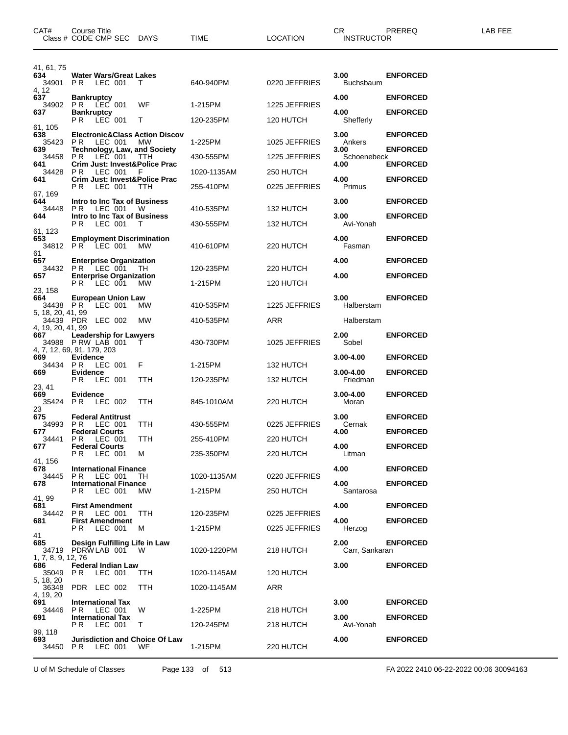| CAT#                                   | Course Title<br>Class # CODE CMP SEC DAYS                                         |                | TIME                   | <b>LOCATION</b>        | CR.<br><b>INSTRUCTOR</b>    | PREREQ          | LAB FEE |
|----------------------------------------|-----------------------------------------------------------------------------------|----------------|------------------------|------------------------|-----------------------------|-----------------|---------|
| 41, 61, 75<br>634                      | <b>Water Wars/Great Lakes</b>                                                     |                |                        |                        | 3.00                        | <b>ENFORCED</b> |         |
| 34901<br>4, 12<br>637                  | PR LEC 001<br><b>Bankruptcy</b>                                                   | T.             | 640-940PM              | 0220 JEFFRIES          | <b>Buchsbaum</b><br>4.00    | <b>ENFORCED</b> |         |
| 34902<br>637                           | <b>PR LEC 001</b><br><b>Bankruptcy</b>                                            | WF             | 1-215PM                | 1225 JEFFRIES          | 4.00                        | <b>ENFORCED</b> |         |
| 61, 105                                | PR LEC 001                                                                        | T.             | 120-235PM              | 120 HUTCH              | Shefferly                   |                 |         |
| 638<br>35423                           | <b>Electronic&amp;Class Action Discov</b><br>PR.<br>LEC 001                       | <b>MW</b>      | 1-225PM                | 1025 JEFFRIES          | 3.00<br>Ankers              | <b>ENFORCED</b> |         |
| 639<br>34458                           | <b>Technology, Law, and Society</b><br>P R<br>LEC 001                             | TTH            | 430-555PM              | 1225 JEFFRIES          | 3.00<br>Schoenebeck         | <b>ENFORCED</b> |         |
| 641<br>34428                           | Crim Just: Invest&Police Prac<br>PR.<br>LEC 001                                   | - F            | 1020-1135AM            | 250 HUTCH              | 4.00                        | <b>ENFORCED</b> |         |
| 641                                    | Crim Just: Invest&Police Prac<br>PR.<br>LEC 001                                   | TTH            | 255-410PM              | 0225 JEFFRIES          | 4.00<br>Primus              | <b>ENFORCED</b> |         |
| 67, 169<br>644                         | Intro to Inc Tax of Business                                                      |                |                        |                        | 3.00                        | <b>ENFORCED</b> |         |
| 34448<br>644                           | P R<br>LEC 001<br>Intro to Inc Tax of Business                                    | - W            | 410-535PM              | 132 HUTCH              | 3.00                        | <b>ENFORCED</b> |         |
| 61, 123<br>653<br>34812                | LEC 001<br>PR.<br><b>Employment Discrimination</b><br><b>PR LEC 001</b>           | т<br><b>MW</b> | 430-555PM<br>410-610PM | 132 HUTCH<br>220 HUTCH | Avi-Yonah<br>4.00<br>Fasman | <b>ENFORCED</b> |         |
| 61<br>657                              | <b>Enterprise Organization</b>                                                    |                |                        |                        | 4.00                        | <b>ENFORCED</b> |         |
| 34432<br>657                           | PR LEC 001<br><b>Enterprise Organization</b>                                      | TН             | 120-235PM              | 220 HUTCH              | 4.00                        | <b>ENFORCED</b> |         |
| 23, 158                                | <b>PR LEC 001</b>                                                                 | <b>MW</b>      | 1-215PM                | 120 HUTCH              |                             |                 |         |
| 664<br>34438 PR                        | European Union Law<br>LEC 001                                                     | <b>MW</b>      | 410-535PM              | 1225 JEFFRIES          | 3.00<br>Halberstam          | <b>ENFORCED</b> |         |
| 5, 18, 20, 41, 99<br>4, 19, 20, 41, 99 | 34439 PDR LEC 002                                                                 | <b>MW</b>      | 410-535PM              | ARR                    | Halberstam                  |                 |         |
| 667                                    | <b>Leadership for Lawyers</b><br>34988 P RW LAB 001<br>4, 7, 12, 69, 91, 179, 203 | т              | 430-730PM              | 1025 JEFFRIES          | 2.00<br>Sobel               | <b>ENFORCED</b> |         |
| 669<br>34434 PR                        | Evidence<br>LEC 001                                                               | F.             | 1-215PM                | 132 HUTCH              | 3.00-4.00                   | <b>ENFORCED</b> |         |
| 669                                    | Evidence<br>P R<br>LEC 001                                                        | TTH            | 120-235PM              | 132 HUTCH              | $3.00 - 4.00$<br>Friedman   | <b>ENFORCED</b> |         |
| 23, 41<br>669<br>35424                 | Evidence<br>PR.<br>LEC 002                                                        | TTH            | 845-1010AM             | 220 HUTCH              | 3.00-4.00<br>Moran          | <b>ENFORCED</b> |         |
| 23<br>675<br>34993                     | <b>Federal Antitrust</b><br>PR.                                                   | TTH            | 430-555PM              | 0225 JEFFRIES          | 3.00                        | <b>ENFORCED</b> |         |
| 677<br>34441                           | LEC 001<br><b>Federal Courts</b><br><b>PR LEC 001</b>                             | TTH            | 255-410PM              | 220 HUTCH              | Cernak<br>4.00              | <b>ENFORCED</b> |         |
| 677                                    | <b>Federal Courts</b><br><b>PR LEC 001</b>                                        | м              | 235-350PM              | 220 HUTCH              | 4.00<br>Litman              | <b>ENFORCED</b> |         |
| 41, 156<br>678                         | <b>International Finance</b>                                                      |                |                        |                        | 4.00                        | <b>ENFORCED</b> |         |
| 34445<br>678                           | PR.<br>LEC 001<br><b>International Finance</b>                                    | TH.            | 1020-1135AM            | 0220 JEFFRIES          | 4.00                        | <b>ENFORCED</b> |         |
| 41, 99                                 | LEC 001<br>P R                                                                    | МW             | 1-215PM                | 250 HUTCH              | Santarosa                   |                 |         |
| 681<br>34442                           | <b>First Amendment</b><br><b>PR LEC 001</b>                                       | TTH            | 120-235PM              | 0225 JEFFRIES          | 4.00                        | <b>ENFORCED</b> |         |
| 681                                    | <b>First Amendment</b><br><b>PR LEC 001</b>                                       | M              | 1-215PM                | 0225 JEFFRIES          | 4.00<br>Herzog              | <b>ENFORCED</b> |         |
| 41<br>685<br>1, 7, 8, 9, 12, 76        | Design Fulfilling Life in Law<br>34719 PDRW LAB 001 W                             |                | 1020-1220PM            | 218 HUTCH              | 2.00<br>Carr. Sankaran      | <b>ENFORCED</b> |         |
| 686<br>35049                           | <b>Federal Indian Law</b><br>PR.<br>LEC 001                                       | TTH.           | 1020-1145AM            | 120 HUTCH              | 3.00                        | <b>ENFORCED</b> |         |
| 5, 18, 20<br>36348                     | PDR LEC 002                                                                       | <b>TTH</b>     | 1020-1145AM            | ARR                    |                             |                 |         |
| 4, 19, 20<br>691                       | <b>International Tax</b>                                                          |                |                        |                        | 3.00                        | <b>ENFORCED</b> |         |
| 34446<br>691                           | PR LEC 001<br><b>International Tax</b>                                            | W              | 1-225PM                | 218 HUTCH              | 3.00                        | <b>ENFORCED</b> |         |
| 99, 118                                | <b>PR LEC 001</b>                                                                 | T.             | 120-245PM              | 218 HUTCH              | Avi-Yonah                   |                 |         |
| 693<br>34450                           | <b>Jurisdiction and Choice Of Law</b><br>P R<br>LEC 001                           | WF             | 1-215PM                | 220 HUTCH              | 4.00                        | <b>ENFORCED</b> |         |

U of M Schedule of Classes Page 133 of 513 FA 2022 2410 06-22-2022 00:06 30094163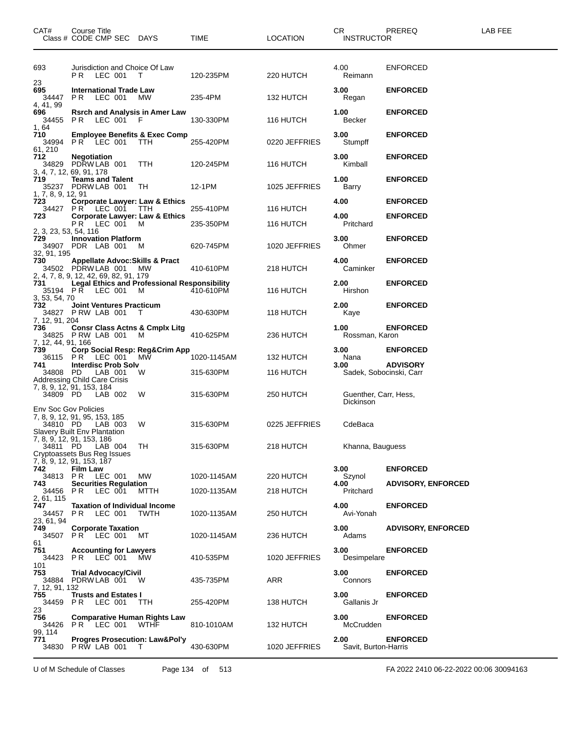| CAT#                                    | Course Title<br>Class # CODE CMP SEC DAYS                                                                         |                   | TIME                    | <b>LOCATION</b>            | CR<br><b>INSTRUCTOR</b>                   | PREREQ                                       | LAB FEE |
|-----------------------------------------|-------------------------------------------------------------------------------------------------------------------|-------------------|-------------------------|----------------------------|-------------------------------------------|----------------------------------------------|---------|
| 693                                     | Jurisdiction and Choice Of Law<br><b>PR LEC 001 T</b>                                                             |                   | 120-235PM               | 220 HUTCH                  | 4.00<br>Reimann                           | <b>ENFORCED</b>                              |         |
| 23<br>695<br>34447<br>4, 41, 99         | <b>International Trade Law</b><br><b>PR LEC 001</b>                                                               | <b>MW</b>         | 235-4PM                 | 132 HUTCH                  | 3.00<br>Regan                             | <b>ENFORCED</b>                              |         |
| 696<br>34455<br>1, 64                   | <b>Rsrch and Analysis in Amer Law</b><br>PR LEC 001 F                                                             |                   | 130-330PM               | 116 HUTCH                  | 1.00<br>Becker                            | <b>ENFORCED</b>                              |         |
| 710<br>34994<br>61, 210                 | <b>Employee Benefits &amp; Exec Comp</b><br>PR LEC 001                                                            | TTH               | 255-420PM               | 0220 JEFFRIES              | 3.00<br>Stumpff                           | <b>ENFORCED</b>                              |         |
| 712                                     | <b>Negotiation</b><br>34829 PDRWLAB 001<br>3, 4, 7, 12, 69, 91, 178                                               | TTH               | 120-245PM               | 116 HUTCH                  | 3.00<br>Kimball                           | <b>ENFORCED</b>                              |         |
| 719<br>1, 7, 8, 9, 12, 91               | <b>Teams and Talent</b><br>35237 PDRW LAB 001                                                                     | TH.               | 12-1PM                  | 1025 JEFFRIES              | 1.00<br>Barry                             | <b>ENFORCED</b>                              |         |
| 723<br>723                              | <b>Corporate Lawyer: Law &amp; Ethics</b><br>34427 PR LEC 001 TTH<br><b>Corporate Lawyer: Law &amp; Ethics</b>    |                   | 255-410PM               | 116 HUTCH                  | 4.00<br>4.00                              | <b>ENFORCED</b><br><b>ENFORCED</b>           |         |
| 2, 3, 23, 53, 54, 116<br>729            | PR LEC 001<br><b>Innovation Platform</b>                                                                          | M                 | 235-350PM               | 116 HUTCH                  | Pritchard<br>3.00                         | <b>ENFORCED</b>                              |         |
| 32, 91, 195<br>730                      | 34907 PDR LAB 001<br><b>Appellate Advoc: Skills &amp; Pract</b><br>34502 PDRWLAB 001                              | M                 | 620-745PM<br>410-610PM  | 1020 JEFFRIES              | Ohmer<br>4.00<br>Caminker                 | <b>ENFORCED</b>                              |         |
| 731                                     | 2, 4, 7, 8, 9, 12, 42, 69, 82, 91, 179<br><b>Legal Ethics and Professional Responsibility</b><br>35194 PR LEC 001 | <b>MW</b><br>M    | 410-610PM               | 218 HUTCH<br>116 HUTCH     | 2.00<br>Hirshon                           | <b>ENFORCED</b>                              |         |
| 3, 53, 54, 70<br>732                    | <b>Joint Ventures Practicum</b><br>34827 PRW LAB 001                                                              | T                 | 430-630PM               | 118 HUTCH                  | 2.00<br>Kaye                              | <b>ENFORCED</b>                              |         |
| 7, 12, 91, 204<br>736                   | <b>Consr Class Actns &amp; Cmplx Litg</b><br>34825 PRW LAB 001                                                    | M                 | 410-625PM               | 236 HUTCH                  | 1.00<br>Rossman, Karon                    | <b>ENFORCED</b>                              |         |
| 7, 12, 44, 91, 166<br>739<br>741        | Corp Social Resp: Reg&Crim App<br>36115 PR LEC 001<br><b>Interdisc Prob Solv</b>                                  | MW                | 1020-1145AM             | 132 HUTCH                  | 3.00<br>Nana<br>3.00                      | <b>ENFORCED</b><br><b>ADVISORY</b>           |         |
| 34808 PD                                | LAB 001<br>Addressing Child Care Crisis<br>7, 8, 9, 12, 91, 153, 184                                              | W                 | 315-630PM               | 116 HUTCH                  | Sadek, Sobocinski, Carr                   |                                              |         |
| 34809 PD<br><b>Env Soc Gov Policies</b> | LAB 002                                                                                                           | W                 | 315-630PM               | 250 HUTCH                  | Guenther, Carr, Hess,<br>Dickinson        |                                              |         |
| 34810 PD                                | 7, 8, 9, 12, 91, 95, 153, 185<br>LAB 003<br><b>Slavery Built Env Plantation</b>                                   | W                 | 315-630PM               | 0225 JEFFRIES              | CdeBaca                                   |                                              |         |
|                                         | 7, 8, 9, 12, 91, 153, 186<br>34811 PD LAB 004<br>Cryptoassets Bus Reg Issues                                      | TH                | 315-630PM               | 218 HUTCH                  | Khanna, Bauguess                          |                                              |         |
| 742<br>34813 PR<br>743                  | 7, 8, 9, 12, 91, 153, 187<br><b>Film Law</b><br>LEC 001<br><b>Securities Regulation</b>                           | MW                | 1020-1145AM             | 220 HUTCH                  | 3.00<br>Szynol<br>4.00                    | <b>ENFORCED</b><br><b>ADVISORY, ENFORCED</b> |         |
| 34456<br>2, 61, 115<br>747              | P R<br>LEC 001<br><b>Taxation of Individual Income</b>                                                            | MTTH              | 1020-1135AM             | 218 HUTCH                  | Pritchard<br>4.00                         | <b>ENFORCED</b>                              |         |
| 34457<br>23, 61, 94<br>749              | P R<br>LEC 001<br><b>Corporate Taxation</b>                                                                       | <b>TWTH</b>       | 1020-1135AM             | 250 HUTCH                  | Avi-Yonah<br>3.00                         | <b>ADVISORY, ENFORCED</b>                    |         |
| 61<br>751                               | 34507 PR LEC 001<br><b>Accounting for Lawyers</b>                                                                 | МT                | 1020-1145AM             | 236 HUTCH                  | Adams<br>3.00                             | <b>ENFORCED</b>                              |         |
| 101<br>753                              | 34423 PR LEC 001<br><b>Trial Advocacy/Civil</b>                                                                   | <b>MW</b>         | 410-535PM               | 1020 JEFFRIES              | Desimpelare<br>3.00                       | <b>ENFORCED</b>                              |         |
| 7, 12, 91, 132<br>755                   | 34884 PDRW LAB 001<br><b>Trusts and Estates I</b>                                                                 | - W               | 435-735PM               | ARR                        | Connors<br>3.00                           | <b>ENFORCED</b>                              |         |
| 34459 PR<br>23<br>756                   | LEC 001<br><b>Comparative Human Rights Law</b>                                                                    | TTH               | 255-420PM               | 138 HUTCH                  | Gallanis Jr<br>3.00                       | <b>ENFORCED</b>                              |         |
| 99. 114<br>771<br>34830                 | 34426 PR LEC 001<br><b>Progres Prosecution: Law&amp;Pol'y</b><br>PRW LAB 001                                      | <b>WTHF</b><br>T. | 810-1010AM<br>430-630PM | 132 HUTCH<br>1020 JEFFRIES | McCrudden<br>2.00<br>Savit, Burton-Harris | <b>ENFORCED</b>                              |         |

U of M Schedule of Classes Page 134 of 513 FA 2022 2410 06-22-2022 00:06 30094163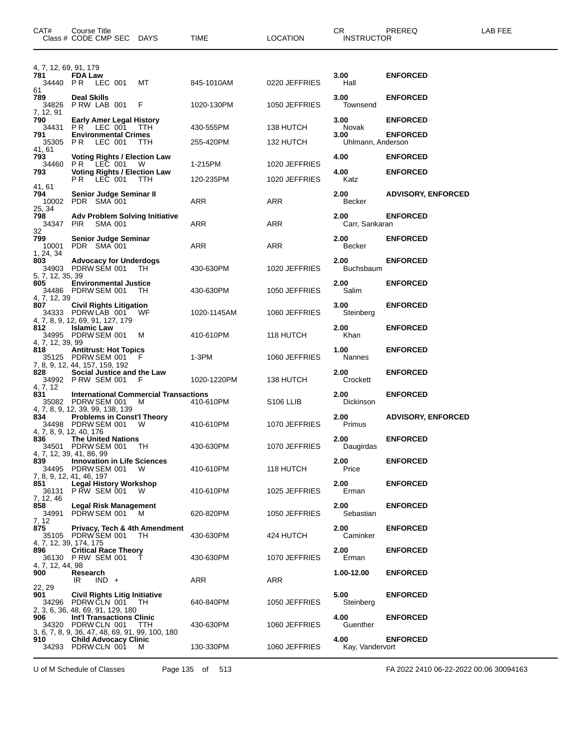| CAT#                            | Course Title<br>Class # CODE CMP SEC DAYS                                                                 |          | TIME        | <b>LOCATION</b>       | CR<br><b>INSTRUCTOR</b>   | PREREQ                    | <b>LAB FEE</b> |
|---------------------------------|-----------------------------------------------------------------------------------------------------------|----------|-------------|-----------------------|---------------------------|---------------------------|----------------|
| 4, 7, 12, 69, 91, 179<br>781    |                                                                                                           |          |             |                       |                           |                           |                |
| 34440                           | <b>FDA Law</b><br><b>PR LEC 001</b>                                                                       | МT       | 845-1010AM  | 0220 JEFFRIES         | 3.00<br>Hall              | <b>ENFORCED</b>           |                |
| 61<br>789<br>34826<br>7, 12, 91 | <b>Deal Skills</b><br>PRW LAB 001                                                                         | F        | 1020-130PM  | 1050 JEFFRIES         | 3.00<br>Townsend          | <b>ENFORCED</b>           |                |
| 790<br>34431                    | <b>Early Amer Legal History</b><br>PR LEC 001                                                             | TTH      | 430-555PM   | 138 HUTCH             | 3.00<br>Novak             | <b>ENFORCED</b>           |                |
| 791<br>35305 PR                 | <b>Environmental Crimes</b><br>LEC 001                                                                    | TTH      | 255-420PM   | 132 HUTCH             | 3.00<br>Uhlmann, Anderson | <b>ENFORCED</b>           |                |
| 41, 61<br>793<br>34460          | <b>Voting Rights / Election Law</b><br>PR LEC 001                                                         | <b>W</b> | 1-215PM     | 1020 JEFFRIES         | 4.00                      | <b>ENFORCED</b>           |                |
| 793                             | <b>Voting Rights / Election Law</b><br><b>PR LEC 001</b>                                                  | TTH      | 120-235PM   | 1020 JEFFRIES         | 4.00<br>Katz              | <b>ENFORCED</b>           |                |
| 41, 61<br>794<br>10002          | Senior Judge Seminar II<br>PDR SMA 001                                                                    |          | ARR         | ARR                   | 2.00<br>Becker            | <b>ADVISORY, ENFORCED</b> |                |
| 25, 34<br>798<br>34347<br>32    | <b>Adv Problem Solving Initiative</b><br><b>PIR</b><br><b>SMA 001</b>                                     |          | ARR         | ARR                   | 2.00<br>Carr, Sankaran    | <b>ENFORCED</b>           |                |
| 799<br>10001<br>1, 24, 34       | <b>Senior Judge Seminar</b><br>PDR SMA 001                                                                |          | ARR         | ARR                   | 2.00<br>Becker            | <b>ENFORCED</b>           |                |
| 803<br>5, 7, 12, 35, 39         | <b>Advocacy for Underdogs</b><br>34903 PDRW SEM 001                                                       | TH.      | 430-630PM   | 1020 JEFFRIES         | 2.00<br><b>Buchsbaum</b>  | <b>ENFORCED</b>           |                |
| 805<br>4, 7, 12, 39             | <b>Environmental Justice</b><br>34486 PDRW SEM 001                                                        | TH.      | 430-630PM   | 1050 JEFFRIES         | 2.00<br>Salim             | <b>ENFORCED</b>           |                |
| 807                             | <b>Civil Rights Litigation</b><br>34333 PDRWLAB 001<br>4, 7, 8, 9, 12, 69, 91, 127, 179                   | WF       | 1020-1145AM | 1060 JEFFRIES         | 3.00<br>Steinberg         | <b>ENFORCED</b>           |                |
| 812                             | <b>Islamic Law</b><br>34995 PDRW SEM 001                                                                  | M        | 410-610PM   | 118 HUTCH             | 2.00<br>Khan              | <b>ENFORCED</b>           |                |
| 4, 7, 12, 39, 99<br>818         | <b>Antitrust: Hot Topics</b><br>35125 PDRW SEM 001<br>7, 8, 9, 12, 44, 157, 159, 192                      | F        | 1-3PM       | 1060 JEFFRIES         | 1.00<br><b>Nannes</b>     | <b>ENFORCED</b>           |                |
| 828<br>4, 7, 12                 | Social Justice and the Law<br>34992 P RW SEM 001                                                          | F        | 1020-1220PM | 138 HUTCH             | 2.00<br>Crockett          | <b>ENFORCED</b>           |                |
| 831                             | <b>International Commercial Transactions</b><br>35082 PDRW SEM 001<br>4, 7, 8, 9, 12, 39, 99, 138, 139    | M        | 410-610PM   | S <sub>106</sub> LLIB | 2.00<br>Dickinson         | <b>ENFORCED</b>           |                |
| 834                             | <b>Problems in Const'l Theory</b><br>34498 PDRW SEM 001<br>4, 7, 8, 9, 12, 40, 176                        | W        | 410-610PM   | 1070 JEFFRIES         | 2.00<br>Primus            | <b>ADVISORY, ENFORCED</b> |                |
| 836                             | <b>The United Nations</b><br>34501 PDRW SEM 001 TH<br>4, 7, 12, 39, 41, 86, 99                            |          | 430-630PM   | 1070 JEFFRIES         | 2.00<br>Daugirdas         | <b>ENFORCED</b>           |                |
| 839                             | <b>Innovation in Life Sciences</b><br>34495 PDRW SEM 001<br>7, 8, 9, 12, 41, 46, 197                      | <b>W</b> | 410-610PM   | 118 HUTCH             | 2.00<br>Price             | <b>ENFORCED</b>           |                |
| 851<br>7, 12, 46                | <b>Legal History Workshop</b><br>36131 PRW SEM 001                                                        | <b>W</b> | 410-610PM   | 1025 JEFFRIES         | 2.00<br>Erman             | <b>ENFORCED</b>           |                |
| 858<br>34991<br>7, 12           | <b>Legal Risk Management</b><br>PDRW SEM 001                                                              | - M      | 620-820PM   | 1050 JEFFRIES         | 2.00<br>Sebastian         | <b>ENFORCED</b>           |                |
| 875                             | Privacy, Tech & 4th Amendment<br>35105 PDRW SEM 001<br>4, 7, 12, 39, 174, 175                             | - TH     | 430-630PM   | 424 HUTCH             | 2.00<br>Caminker          | <b>ENFORCED</b>           |                |
| 896                             | <b>Critical Race Theory</b><br>36130 PRW SEM 001 T                                                        |          | 430-630PM   | 1070 JEFFRIES         | 2.00<br>Erman             | <b>ENFORCED</b>           |                |
| 4, 7, 12, 44, 98<br>900         | Research<br>IR<br>$IND +$                                                                                 |          | ARR         | ARR                   | 1.00-12.00                | <b>ENFORCED</b>           |                |
| 22, 29<br>901                   | <b>Civil Rights Litig Initiative</b><br>34296 PDRW CLN 001 TH<br>2, 3, 6, 36, 48, 69, 91, 129, 180        |          | 640-840PM   | 1050 JEFFRIES         | 5.00<br>Steinberg         | <b>ENFORCED</b>           |                |
| 906                             | <b>Int'l Transactions Clinic</b><br>34320 PDRW CLN 001<br>3, 6, 7, 8, 9, 36, 47, 48, 69, 91, 99, 100, 180 | TTH.     | 430-630PM   | 1060 JEFFRIES         | 4.00<br>Guenther          | <b>ENFORCED</b>           |                |
| 910 -                           | <b>Child Advocacy Clinic</b><br>34293 PDRW CLN 001                                                        | M        | 130-330PM   | 1060 JEFFRIES         | 4.00<br>Kay, Vandervort   | <b>ENFORCED</b>           |                |

U of M Schedule of Classes Page 135 of 513 FA 2022 2410 06-22-2022 00:06 30094163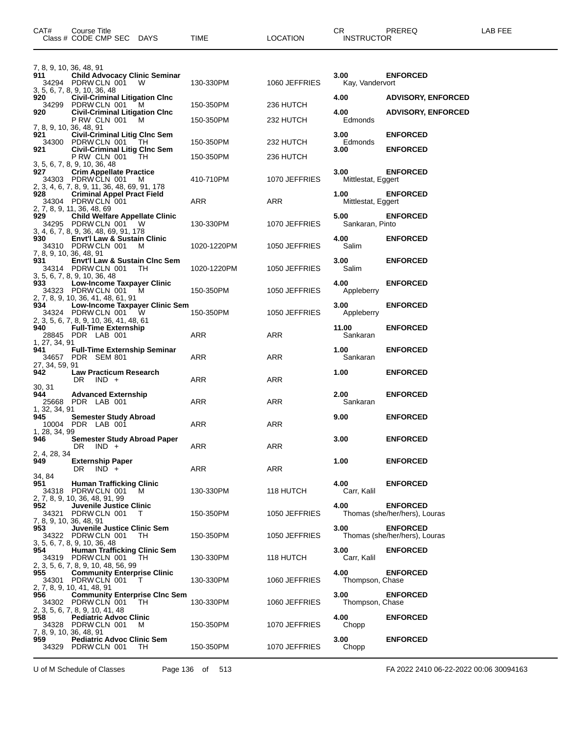| CAT#                                    | Course Title<br>Class # CODE CMP SEC DAYS                                                                                             | TIME          | <b>LOCATION</b> | CR<br><b>INSTRUCTOR</b>    | PREREQ                                           | LAB FEE |
|-----------------------------------------|---------------------------------------------------------------------------------------------------------------------------------------|---------------|-----------------|----------------------------|--------------------------------------------------|---------|
| 7, 8, 9, 10, 36, 48, 91<br>911          | <b>Child Advocacy Clinic Seminar</b><br>34294 PDRW CLN 001 W                                                                          | 130-330PM     | 1060 JEFFRIES   | 3.00<br>Kay, Vandervort    | <b>ENFORCED</b>                                  |         |
| 920                                     | 3, 5, 6, 7, 8, 9, 10, 36, 48<br><b>Civil-Criminal Litigation Cinc</b><br>34299 PDRW CLN 001 M                                         | 150-350PM     | 236 HUTCH       | 4.00                       | <b>ADVISORY, ENFORCED</b>                        |         |
| 920                                     | <b>Civil-Criminal Litigation Cinc</b><br>PRW CLN 001<br>м                                                                             | 150-350PM     | 232 HUTCH       | 4.00<br>Edmonds            | <b>ADVISORY, ENFORCED</b>                        |         |
| 7, 8, 9, 10, 36, 48, 91<br>921          | <b>Civil-Criminal Litig Clnc Sem</b><br>34300 PDRW CLN 001<br>- TH                                                                    | 150-350PM     | 232 HUTCH       | 3.00<br>Edmonds            | <b>ENFORCED</b>                                  |         |
| 921                                     | <b>Civil-Criminal Litig Cinc Sem</b><br>PRW CLN 001<br>TH                                                                             | 150-350PM     | 236 HUTCH       | 3.00                       | <b>ENFORCED</b>                                  |         |
| 927                                     | 3, 5, 6, 7, 8, 9, 10, 36, 48<br><b>Crim Appellate Practice</b><br>34303 PDRW CLN 001<br>M                                             | 410-710PM     | 1070 JEFFRIES   | 3.00<br>Mittlestat, Eggert | <b>ENFORCED</b>                                  |         |
| 928                                     | 2, 3, 4, 6, 7, 8, 9, 11, 36, 48, 69, 91, 178<br><b>Criminal Appel Pract Field</b><br>34304 PDRW CLN 001<br>2, 7, 8, 9, 11, 36, 48, 69 | ARR           | <b>ARR</b>      | 1.00<br>Mittlestat, Eggert | <b>ENFORCED</b>                                  |         |
| 929                                     | <b>Child Welfare Appellate Clinic</b><br>34295 PDRW CLN 001 W<br>3, 4, 6, 7, 8, 9, 36, 48, 69, 91, 178                                | 130-330PM     | 1070 JEFFRIES   | 5.00<br>Sankaran, Pinto    | <b>ENFORCED</b>                                  |         |
| 930<br>7, 8, 9, 10, 36, 48, 91          | <b>Envt'l Law &amp; Sustain Clinic</b><br>34310 PDRW CLN 001<br>м                                                                     | 1020-1220PM   | 1050 JEFFRIES   | 4.00<br>Salim              | <b>ENFORCED</b>                                  |         |
| 931                                     | <b>Envt'l Law &amp; Sustain Cinc Sem</b><br>34314 PDRW CLN 001<br>TH.<br>3, 5, 6, 7, 8, 9, 10, 36, 48                                 | 1020-1220PM   | 1050 JEFFRIES   | 3.00<br>Salim              | <b>ENFORCED</b>                                  |         |
| 933                                     | <b>Low-Income Taxpayer Clinic</b><br>34323 PDRW CLN 001 M<br>2, 7, 8, 9, 10, 36, 41, 48, 61, 91                                       | 150-350PM     | 1050 JEFFRIES   | 4.00<br>Appleberry         | <b>ENFORCED</b>                                  |         |
| 934                                     | Low-Income Taxpayer Clinic Sem<br>34324 PDRW CLN 001<br>- W<br>2, 3, 5, 6, 7, 8, 9, 10, 36, 41, 48, 61                                | 150-350PM     | 1050 JEFFRIES   | 3.00<br>Appleberry         | <b>ENFORCED</b>                                  |         |
| 940                                     | <b>Full-Time Externship</b><br>28845 PDR LAB 001                                                                                      | ARR           | ARR             | 11.00<br>Sankaran          | <b>ENFORCED</b>                                  |         |
| 1, 27, 34, 91<br>941<br>27, 34, 59, 91  | <b>Full-Time Externship Seminar</b><br>34657 PDR SEM 801                                                                              | ARR           | ARR             | 1.00<br>Sankaran           | <b>ENFORCED</b>                                  |         |
| 942<br>30. 31                           | <b>Law Practicum Research</b><br>DR.<br>$IND +$                                                                                       | ARR           | ARR             | 1.00                       | <b>ENFORCED</b>                                  |         |
| 944<br>1, 32, 34, 91                    | <b>Advanced Externship</b><br>25668 PDR LAB 001                                                                                       | ARR           | ARR             | 2.00<br>Sankaran           | <b>ENFORCED</b>                                  |         |
| 945<br>1, 28, 34, 99                    | <b>Semester Study Abroad</b><br>10004 PDR LAB 001                                                                                     | ARR           | ARR             | 9.00                       | <b>ENFORCED</b>                                  |         |
| 946<br>2, 4, 28, 34                     | Semester Study Abroad Paper<br>DR IND +                                                                                               | $\sim$<br>ARR | ARR             | 3.00                       | <b>ENFORCED</b>                                  |         |
| 949<br>34, 84                           | <b>Externship Paper</b><br>DR<br>$IND +$                                                                                              | ARR           | <b>ARR</b>      | 1.00                       | <b>ENFORCED</b>                                  |         |
| 951                                     | <b>Human Trafficking Clinic</b><br>34318 PDRW CLN 001<br>M<br>2, 7, 8, 9, 10, 36, 48, 91, 99                                          | 130-330PM     | 118 HUTCH       | 4.00<br>Carr, Kalil        | <b>ENFORCED</b>                                  |         |
| 952<br>34321<br>7, 8, 9, 10, 36, 48, 91 | Juvenile Justice Clinic<br>PDRW CLN 001<br>T                                                                                          | 150-350PM     | 1050 JEFFRIES   | 4.00                       | <b>ENFORCED</b><br>Thomas (she/her/hers), Louras |         |
| 953                                     | Juvenile Justice Clinic Sem<br>34322 PDRW CLN 001<br>TH.<br>3, 5, 6, 7, 8, 9, 10, 36, 48                                              | 150-350PM     | 1050 JEFFRIES   | 3.00                       | <b>ENFORCED</b><br>Thomas (she/her/hers), Louras |         |
| 954                                     | <b>Human Trafficking Clinic Sem</b><br>34319 PDRW CLN 001<br>TH.<br>2, 3, 5, 6, 7, 8, 9, 10, 48, 56, 99                               | 130-330PM     | 118 HUTCH       | 3.00<br>Carr, Kalil        | <b>ENFORCED</b>                                  |         |
| 955                                     | <b>Community Enterprise Clinic</b><br>34301 PDRW CLN 001<br>$\top$<br>2, 7, 8, 9, 10, 41, 48, 91                                      | 130-330PM     | 1060 JEFFRIES   | 4.00<br>Thompson, Chase    | <b>ENFORCED</b>                                  |         |
| 956                                     | <b>Community Enterprise CInc Sem</b><br>34302 PDRW CLN 001<br>TH<br>2, 3, 5, 6, 7, 8, 9, 10, 41, 48                                   | 130-330PM     | 1060 JEFFRIES   | 3.00<br>Thompson, Chase    | <b>ENFORCED</b>                                  |         |
| 958<br>7, 8, 9, 10, 36, 48, 91          | <b>Pediatric Advoc Clinic</b><br>34328 PDRWCLN 001<br>м                                                                               | 150-350PM     | 1070 JEFFRIES   | 4.00<br>Chopp              | <b>ENFORCED</b>                                  |         |
| 959                                     | <b>Pediatric Advoc Clinic Sem</b><br>34329 PDRW CLN 001<br>TH.                                                                        | 150-350PM     | 1070 JEFFRIES   | 3.00<br>Chopp              | <b>ENFORCED</b>                                  |         |

U of M Schedule of Classes Page 136 of 513 FA 2022 2410 06-22-2022 00:06 30094163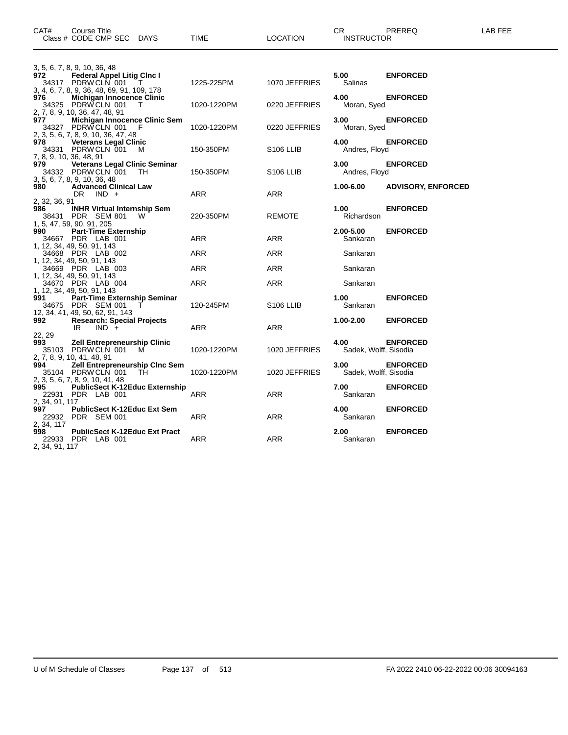| CAT#                                | Course Title<br>Class # CODE CMP SEC DAYS                                                                                       | TIME                      | <b>LOCATION</b>                | CR.<br><b>INSTRUCTOR</b>       | PREREQ                    | LAB FEE |
|-------------------------------------|---------------------------------------------------------------------------------------------------------------------------------|---------------------------|--------------------------------|--------------------------------|---------------------------|---------|
| 972                                 | 3, 5, 6, 7, 8, 9, 10, 36, 48<br><b>Federal Appel Litig Cinc I</b><br>T                                                          |                           |                                | 5.00                           | <b>ENFORCED</b>           |         |
| 976                                 | 34317 PDRW CLN 001<br>3, 4, 6, 7, 8, 9, 36, 48, 69, 91, 109, 178<br><b>Michigan Innocence Clinic</b><br>34325 PDRW CLN 001<br>T | 1225-225PM<br>1020-1220PM | 1070 JEFFRIES<br>0220 JEFFRIES | Salinas<br>4.00<br>Moran, Syed | <b>ENFORCED</b>           |         |
| 977<br>34327                        | 2, 7, 8, 9, 10, 36, 47, 48, 91<br>Michigan Innocence Clinic Sem<br>PDRWCLN 001<br>F                                             | 1020-1220PM               | 0220 JEFFRIES                  | 3.00<br>Moran, Syed            | <b>ENFORCED</b>           |         |
| 978<br>34331                        | 2, 3, 5, 6, 7, 8, 9, 10, 36, 47, 48<br><b>Veterans Legal Clinic</b><br>PDRW CLN 001<br>M                                        | 150-350PM                 | S <sub>106</sub> LLIB          | 4.00<br>Andres, Floyd          | <b>ENFORCED</b>           |         |
| 979                                 | 7, 8, 9, 10, 36, 48, 91<br><b>Veterans Legal Clinic Seminar</b><br>34332 PDRW CLN 001<br>- TH                                   | 150-350PM                 | S <sub>106</sub> LLIB          | 3.00<br>Andres, Floyd          | <b>ENFORCED</b>           |         |
| 980                                 | 3, 5, 6, 7, 8, 9, 10, 36, 48<br><b>Advanced Clinical Law</b><br>DR.<br>$IND +$                                                  | ARR                       | <b>ARR</b>                     | 1.00-6.00                      | <b>ADVISORY, ENFORCED</b> |         |
| 2, 32, 36, 91<br>986                | <b>INHR Virtual Internship Sem</b><br>38431 PDR SEM 801<br><b>W</b>                                                             | 220-350PM                 | <b>REMOTE</b>                  | 1.00<br>Richardson             | <b>ENFORCED</b>           |         |
| 990                                 | 1, 5, 47, 59, 90, 91, 205<br><b>Part-Time Externship</b><br>34667 PDR LAB 001                                                   | ARR                       | ARR                            | 2.00-5.00<br>Sankaran          | <b>ENFORCED</b>           |         |
|                                     | 1, 12, 34, 49, 50, 91, 143<br>34668 PDR LAB 002                                                                                 | ARR                       | ARR                            | Sankaran                       |                           |         |
|                                     | 1, 12, 34, 49, 50, 91, 143<br>34669 PDR LAB 003                                                                                 | <b>ARR</b>                | <b>ARR</b>                     | Sankaran                       |                           |         |
|                                     | 1, 12, 34, 49, 50, 91, 143<br>34670 PDR LAB 004                                                                                 | ARR                       | ARR                            | Sankaran                       |                           |         |
| 991                                 | 1, 12, 34, 49, 50, 91, 143<br>Part-Time Externship Seminar<br>34675 PDR SEM 001<br>12, 34, 41, 49, 50, 62, 91, 143              | 120-245PM                 | S <sub>106</sub> LLIB          | 1.00<br>Sankaran               | <b>ENFORCED</b>           |         |
| 992<br>22, 29                       | <b>Research: Special Projects</b><br>$IND +$<br>IR.                                                                             | ARR                       | ARR                            | $1.00 - 2.00$                  | <b>ENFORCED</b>           |         |
| 993<br>35103                        | <b>Zell Entrepreneurship Clinic</b><br>PDRWCLN 001<br>M<br>2, 7, 8, 9, 10, 41, 48, 91                                           | 1020-1220PM               | 1020 JEFFRIES                  | 4.00<br>Sadek, Wolff, Sisodia  | <b>ENFORCED</b>           |         |
| 994                                 | <b>Zell Entrepreneurship Cinc Sem</b><br>35104 PDRW CLN 001<br>TH<br>2, 3, 5, 6, 7, 8, 9, 10, 41, 48                            | 1020-1220PM               | 1020 JEFFRIES                  | 3.00<br>Sadek, Wolff, Sisodia  | <b>ENFORCED</b>           |         |
| 995                                 | <b>PublicSect K-12Educ Externship</b><br>22931 PDR LAB 001                                                                      | ARR                       | <b>ARR</b>                     | 7.00<br>Sankaran               | <b>ENFORCED</b>           |         |
| 2, 34, 91, 117<br>997<br>22932      | <b>PublicSect K-12Educ Ext Sem</b><br>PDR SEM 001                                                                               | <b>ARR</b>                | <b>ARR</b>                     | 4.00<br>Sankaran               | <b>ENFORCED</b>           |         |
| 2, 34, 117<br>998<br>2, 34, 91, 117 | <b>PublicSect K-12Educ Ext Pract</b><br>22933 PDR LAB 001                                                                       | ARR                       | ARR                            | 2.00<br>Sankaran               | <b>ENFORCED</b>           |         |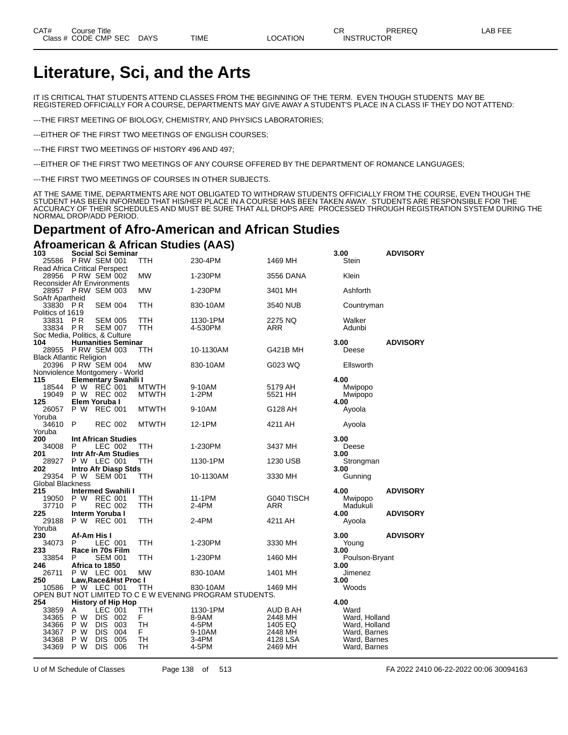# **Literature, Sci, and the Arts**

IT IS CRITICAL THAT STUDENTS ATTEND CLASSES FROM THE BEGINNING OF THE TERM. EVEN THOUGH STUDENTS MAY BE REGISTERED OFFICIALLY FOR A COURSE, DEPARTMENTS MAY GIVE AWAY A STUDENT'S PLACE IN A CLASS IF THEY DO NOT ATTEND:

---THE FIRST MEETING OF BIOLOGY, CHEMISTRY, AND PHYSICS LABORATORIES;

---EITHER OF THE FIRST TWO MEETINGS OF ENGLISH COURSES;

---THE FIRST TWO MEETINGS OF HISTORY 496 AND 497;

---EITHER OF THE FIRST TWO MEETINGS OF ANY COURSE OFFERED BY THE DEPARTMENT OF ROMANCE LANGUAGES;

---THE FIRST TWO MEETINGS OF COURSES IN OTHER SUBJECTS.

AT THE SAME TIME, DEPARTMENTS ARE NOT OBLIGATED TO WITHDRAW STUDENTS OFFICIALLY FROM THE COURSE, EVEN THOUGH THE STUDENT HAS BEEN INFORMED THAT HIS/HER PLACE IN A COURSE HAS BEEN TAKEN AWAY. STUDENTS ARE RESPONSIBLE FOR THE ACCURACY OF THEIR SCHEDULES AND MUST BE SURE THAT ALL DROPS ARE PROCESSED THROUGH REGISTRATION SYSTEM DURING THE NORMAL DROP/ADD PERIOD.

## **Department of Afro-American and African Studies**

**Afroamerican & African Studies (AAS)**

| 103                            |             | <b>Social Sci Seminar</b>            |              |                                                         |                 | 3.00           | <b>ADVISORY</b> |
|--------------------------------|-------------|--------------------------------------|--------------|---------------------------------------------------------|-----------------|----------------|-----------------|
|                                |             | 25586 PRW SEM 001                    | ттн          | 230-4PM                                                 | 1469 MH         | Stein          |                 |
|                                |             | <b>Read Africa Critical Perspect</b> |              |                                                         |                 |                |                 |
|                                |             | 28956 PRW SEM 002                    | МW           | 1-230PM                                                 | 3556 DANA       | Klein          |                 |
|                                |             | <b>Reconsider Afr Environments</b>   |              |                                                         |                 |                |                 |
|                                |             | 28957 P RW SEM 003                   | <b>MW</b>    | 1-230PM                                                 | 3401 MH         | Ashforth       |                 |
| SoAfr Apartheid                |             |                                      |              |                                                         |                 |                |                 |
| 33830 PR                       |             | <b>SEM 004</b>                       | TTH          | 830-10AM                                                | 3540 NUB        | Countryman     |                 |
| Politics of 1619               |             |                                      |              |                                                         |                 |                |                 |
| 33831                          | <b>PR</b>   | <b>SEM 005</b>                       | TTH          | 1130-1PM                                                | 2275 NQ         | Walker         |                 |
| 33834 PR                       |             | <b>SEM 007</b>                       | TTH          | 4-530PM                                                 | ARR             | Adunbi         |                 |
|                                |             | Soc Media, Politics, & Culture       |              |                                                         |                 |                |                 |
| 104                            |             | <b>Humanities Seminar</b>            |              |                                                         |                 | 3.00           | <b>ADVISORY</b> |
|                                |             | 28955 P RW SEM 003                   | TTH          | 10-1130AM                                               | <b>G421B MH</b> | Deese          |                 |
| <b>Black Atlantic Religion</b> |             |                                      |              |                                                         |                 |                |                 |
|                                |             | 20396 P RW SEM 004                   | <b>MW</b>    | 830-10AM                                                | G023 WQ         | Ellsworth      |                 |
|                                |             |                                      |              |                                                         |                 |                |                 |
|                                |             | Nonviolence Montgomery - World       |              |                                                         |                 |                |                 |
| 115                            |             | <b>Elementary Swahili I</b>          |              |                                                         |                 | 4.00           |                 |
| 18544                          |             | P W REC 001                          | <b>MTWTH</b> | 9-10AM                                                  | 5179 AH         | Mwipopo        |                 |
| 19049                          | P W         | REC 002                              | <b>MTWTH</b> | $1-2PM$                                                 | 5521 HH         | Mwipopo        |                 |
| 125                            |             | Elem Yoruba I                        |              |                                                         |                 | 4.00           |                 |
| 26057                          | P W         | <b>REC 001</b>                       | <b>MTWTH</b> | 9-10AM                                                  | G128 AH         | Ayoola         |                 |
| Yoruba                         |             |                                      |              |                                                         |                 |                |                 |
| 34610                          | P           | <b>REC 002</b>                       | <b>MTWTH</b> | 12-1PM                                                  | 4211 AH         | Ayoola         |                 |
| Yoruba                         |             |                                      |              |                                                         |                 |                |                 |
| 200                            |             | <b>Int African Studies</b>           |              |                                                         |                 | 3.00           |                 |
| 34008                          | P           | LEC 002                              | <b>TTH</b>   | 1-230PM                                                 | 3437 MH         | Deese          |                 |
| 201                            |             | Intr Afr-Am Studies                  |              |                                                         |                 | 3.00           |                 |
| 28927                          |             | P W LEC 001                          | TTH          | 1130-1PM                                                | 1230 USB        | Strongman      |                 |
| 202                            |             | <b>Intro Afr Diasp Stds</b>          |              |                                                         |                 | 3.00           |                 |
| 29354                          |             | P W SEM 001                          | TTH          | 10-1130AM                                               | 3330 MH         | Gunning        |                 |
| Global Blackness               |             |                                      |              |                                                         |                 |                |                 |
| 215                            |             | <b>Intermed Swahili I</b>            |              |                                                         |                 | 4.00           | <b>ADVISORY</b> |
| 19050                          |             | P W REC 001                          | TTH          | 11-1PM                                                  | G040 TISCH      | Mwipopo        |                 |
| 37710                          | P           | <b>REC 002</b>                       | TTH          | 2-4PM                                                   | ARR             | Madukuli       |                 |
| 225                            |             | Interm Yoruba I                      |              |                                                         |                 | 4.00           | <b>ADVISORY</b> |
| 29188                          |             | P W REC 001                          | TTH          | 2-4PM                                                   | 4211 AH         | Ayoola         |                 |
| Yoruba                         |             |                                      |              |                                                         |                 |                |                 |
| 230                            | Af-Am His I |                                      |              |                                                         |                 | 3.00           | <b>ADVISORY</b> |
| 34073                          | P           | LEC 001                              | TTH          | 1-230PM                                                 | 3330 MH         | Young          |                 |
| 233                            |             | Race in 70s Film                     |              |                                                         |                 | 3.00           |                 |
| 33854                          | P           | SEM 001                              | TTH          | 1-230PM                                                 | 1460 MH         | Poulson-Bryant |                 |
| 246                            |             | Africa to 1850                       |              |                                                         |                 | 3.00           |                 |
| 26711                          |             | P W LEC 001                          | <b>MW</b>    | 830-10AM                                                | 1401 MH         | Jimenez        |                 |
| 250                            |             | Law, Race& Hst Proc I                |              |                                                         |                 | 3.00           |                 |
| 10586                          |             | P W LEC 001                          | TTH          | 830-10AM                                                | 1469 MH         | Woods          |                 |
|                                |             |                                      |              | OPEN BUT NOT LIMITED TO C E W EVENING PROGRAM STUDENTS. |                 |                |                 |
| 254                            |             | <b>History of Hip Hop</b>            |              |                                                         |                 | 4.00           |                 |
| 33859                          | Α           | LEC 001                              | <b>TTH</b>   | 1130-1PM                                                | AUD B AH        | Ward           |                 |
| 34365                          | P W         | <b>DIS</b><br>002                    | F            | 8-9AM                                                   | 2448 MH         | Ward, Holland  |                 |
| 34366                          | P W         | <b>DIS</b><br>003                    | TH           | 4-5PM                                                   | 1405 EQ         | Ward, Holland  |                 |
| 34367                          | P W         | <b>DIS</b><br>004                    | F.           | 9-10AM                                                  | 2448 MH         | Ward, Barnes   |                 |
| 34368                          | P W         | DIS<br>005                           | TН           | 3-4PM                                                   | 4128 LSA        | Ward, Barnes   |                 |
| 34369                          | P W         | <b>DIS</b><br>006                    | TН           | 4-5PM                                                   | 2469 MH         |                |                 |
|                                |             |                                      |              |                                                         |                 | Ward, Barnes   |                 |

U of M Schedule of Classes Page 138 of 513 FA 2022 2410 06-22-2022 00:06 30094163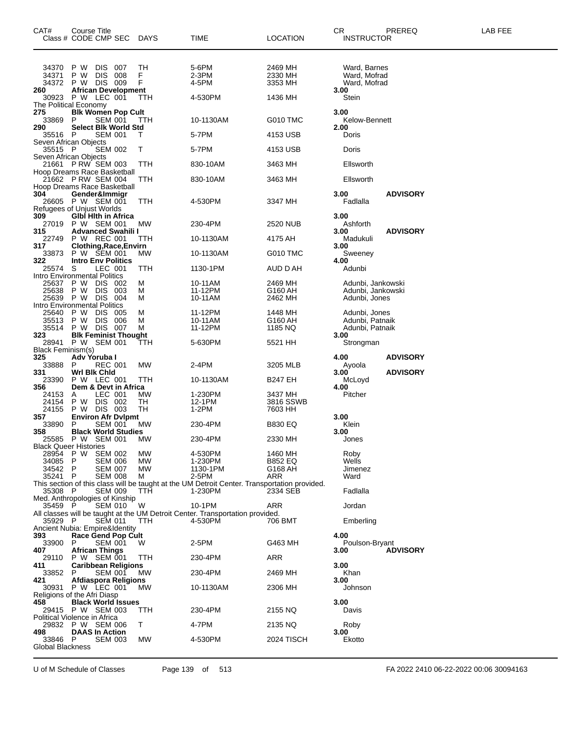| CAT#<br>Class # CODE CMP SEC DAYS                                                | Course Title                  |                       |                                                                     |                | TIME                                                                                         | LOCATION                      | CR                       | <b>INSTRUCTOR</b>                                   | PREREQ                                 | LAB FEE |
|----------------------------------------------------------------------------------|-------------------------------|-----------------------|---------------------------------------------------------------------|----------------|----------------------------------------------------------------------------------------------|-------------------------------|--------------------------|-----------------------------------------------------|----------------------------------------|---------|
| 34370<br>34371<br>34372                                                          | P W<br>P W<br>P W DIS 009     | DIS 007<br><b>DIS</b> | 008                                                                 | ТH<br>F<br>F   | 5-6PM<br>2-3PM<br>4-5PM                                                                      | 2469 MH<br>2330 MH<br>3353 MH |                          | Ward, Barnes<br>Ward, Mofrad<br>Ward, Mofrad        |                                        |         |
| 260<br>30923 P W LEC 001<br>The Political Economy                                |                               |                       | <b>African Development</b>                                          | TTH            | 4-530PM                                                                                      | 1436 MH                       | 3.00<br>Stein            |                                                     |                                        |         |
| 275<br>33869                                                                     | P                             |                       | <b>Blk Women Pop Cult</b><br>SEM 001<br><b>Select Blk World Std</b> | TТH            | 10-1130AM                                                                                    | G010 TMC                      | 3.00                     | Kelow-Bennett                                       |                                        |         |
| 290<br>35516 P                                                                   |                               |                       | <b>SEM 001</b>                                                      | Τ              | 5-7PM                                                                                        | 4153 USB                      | 2.00<br>Doris            |                                                     |                                        |         |
| Seven African Objects<br>35515 P                                                 |                               |                       | <b>SEM 002</b>                                                      | т              | 5-7PM                                                                                        | 4153 USB                      | Doris                    |                                                     |                                        |         |
| Seven African Objects<br>21661 P RW SEM 003                                      |                               |                       |                                                                     | ттн            | 830-10AM                                                                                     | 3463 MH                       |                          | Ellsworth                                           |                                        |         |
| Hoop Dreams Race Basketball<br>21662 P RW SEM 004<br>Hoop Dreams Race Basketball |                               |                       |                                                                     | TTH            | 830-10AM                                                                                     | 3463 MH                       |                          | Ellsworth                                           |                                        |         |
| 304<br>26605 P W SEM 001<br><b>Refugees of Unjust Worlds</b>                     | Gender&Immigr                 |                       |                                                                     | TTH            | 4-530PM                                                                                      | 3347 MH                       | 3.00<br>Fadlalla         |                                                     | <b>ADVISORY</b>                        |         |
| 309<br>27019 P W SEM 001<br>315                                                  |                               |                       | <b>GIbl Hith in Africa</b><br><b>Advanced Swahili I</b>             | MW             | 230-4PM                                                                                      | 2520 NUB                      | 3.00<br>Ashforth<br>3.00 |                                                     | <b>ADVISORY</b>                        |         |
| 22749                                                                            | P W REC 001                   |                       |                                                                     | ттн            | 10-1130AM                                                                                    | 4175 AH                       |                          | Madukuli                                            |                                        |         |
| 317<br>33873                                                                     | P W SEM 001                   |                       | <b>Clothing, Race, Envirn</b>                                       | МW             | 10-1130AM                                                                                    | G010 TMC                      | 3.00                     | Sweeney                                             |                                        |         |
| 322<br>25574<br>Intro Environmental Politics                                     | S                             | LEC 001               | <b>Intro Env Politics</b>                                           | TTH            | 1130-1PM                                                                                     | AUD D AH                      | 4.00<br>Adunbi           |                                                     |                                        |         |
| 25637 P W<br>25638<br>25639<br>Intro Environmental Politics                      | P W<br>PW DIS                 | DIS 002<br><b>DIS</b> | 003<br>004                                                          | м<br>М<br>м    | 10-11AM<br>11-12PM<br>10-11AM                                                                | 2469 MH<br>G160 AH<br>2462 MH |                          | Adunbi, Jones                                       | Adunbi, Jankowski<br>Adunbi, Jankowski |         |
| 25640<br>35513<br>35514                                                          | P W<br>P W DIS<br>P W DIS 007 | DIS.                  | 005<br>006                                                          | м<br>м<br>м    | 11-12PM<br>10-11AM<br>11-12PM                                                                | 1448 MH<br>G160 AH<br>1185 NQ |                          | Adunbi, Jones<br>Adunbi, Patnaik<br>Adunbi, Patnaik |                                        |         |
| 323<br>28941 P W SEM 001                                                         |                               |                       | <b>Blk Feminist Thought</b>                                         | TTH            | 5-630PM                                                                                      | 5521 HH                       | 3.00                     | Strongman                                           |                                        |         |
| <b>Black Feminism(s)</b><br>325                                                  | Adv Yoruba I                  |                       |                                                                     |                |                                                                                              |                               | 4.00                     |                                                     | <b>ADVISORY</b>                        |         |
| 33888<br>331                                                                     | P<br>Wri Bik Chid             |                       | <b>REC 001</b>                                                      | МW             | 2-4PM                                                                                        | 3205 MLB                      | Ayoola<br>3.00           |                                                     | <b>ADVISORY</b>                        |         |
| 23390<br>356                                                                     | P W LEC 001                   |                       | Dem & Devt in Africa                                                | TTH            | 10-1130AM                                                                                    | B247 EH                       | McLoyd<br>4.00           |                                                     |                                        |         |
| 24153                                                                            | A                             |                       | LEC 001                                                             | МW             | 1-230PM                                                                                      | 3437 MH                       | Pitcher                  |                                                     |                                        |         |
| 24154<br>24155                                                                   | P W<br>P W DIS 003            | DIS 002               |                                                                     | TН<br>TН       | 12-1PM<br>1-2PM                                                                              | 3816 SSWB<br>7603 HH          |                          |                                                     |                                        |         |
| 357<br>33890                                                                     | P                             |                       | <b>Environ Afr Dylpmt</b><br><b>SEM 001</b>                         | МW             | 230-4PM                                                                                      | <b>B830 EQ</b>                | 3.00<br>Klein            |                                                     |                                        |         |
| 358<br>25585 P W SEM 001                                                         |                               |                       | <b>Black World Studies</b>                                          | MW             | 230-4PM                                                                                      | 2330 MH                       | 3.00<br>Jones            |                                                     |                                        |         |
| <b>Black Queer Histories</b>                                                     |                               |                       |                                                                     |                |                                                                                              |                               |                          |                                                     |                                        |         |
| 28954 P W SEM 002<br>34085 P                                                     |                               |                       | SEM 006                                                             | MW.<br>МW      | 4-530PM<br>1-230PM                                                                           | 1460 MH<br><b>B852 EQ</b>     | Roby<br>Wells            |                                                     |                                        |         |
| 34542 P<br>35241 P                                                               |                               |                       | SEM 007<br>SEM 008                                                  | <b>MW</b><br>м | 1130-1PM<br>2-5PM                                                                            | G168 AH<br>ARR                | Jimenez<br>Ward          |                                                     |                                        |         |
|                                                                                  |                               |                       |                                                                     |                | This section of this class will be taught at the UM Detroit Center. Transportation provided. |                               |                          |                                                     |                                        |         |
| 35308 P<br>Med. Anthropologies of Kinship                                        |                               |                       | <b>SEM 009</b>                                                      | TTH            | 1-230PM                                                                                      | 2334 SEB                      | Fadlalla                 |                                                     |                                        |         |
| 35459 P                                                                          |                               |                       | <b>SEM 010</b>                                                      | W              | 10-1PM<br>All classes will be taught at the UM Detroit Center. Transportation provided.      | ARR                           | Jordan                   |                                                     |                                        |         |
| 35929 P<br>Ancient Nubia: Empire&Identity                                        |                               | <b>SEM 011</b>        |                                                                     | TTH            | 4-530PM                                                                                      | 706 BMT                       |                          | Emberling                                           |                                        |         |
| 393                                                                              |                               |                       | <b>Race Gend Pop Cult</b>                                           |                |                                                                                              |                               | 4.00                     |                                                     |                                        |         |
| 33900 P<br>407                                                                   | <b>African Things</b>         |                       | <b>SEM 001</b>                                                      | W              | 2-5PM                                                                                        | G463 MH                       | 3.00                     | Poulson-Bryant                                      | <b>ADVISORY</b>                        |         |
| 29110<br>411                                                                     | P W SEM 001                   |                       | <b>Caribbean Religions</b>                                          | TTH            | 230-4PM                                                                                      | ARR                           | 3.00                     |                                                     |                                        |         |
| 33852<br>421                                                                     | P                             |                       | <b>SEM 001</b>                                                      | МW             | 230-4PM                                                                                      | 2469 MH                       | Khan<br>3.00             |                                                     |                                        |         |
| 30931 P W LEC 001<br>Religions of the Afri Diasp                                 |                               |                       | Afdiaspora Religions                                                | МW             | 10-1130AM                                                                                    | 2306 MH                       |                          | Johnson                                             |                                        |         |
| 458<br>29415 P W SEM 003<br>Political Violence in Africa                         |                               |                       | <b>Black World Issues</b>                                           | ттн            | 230-4PM                                                                                      | 2155 NQ                       | 3.00<br>Davis            |                                                     |                                        |         |
| 29832 P W SEM 006                                                                |                               |                       |                                                                     | T.             | 4-7PM                                                                                        | 2135 NQ                       | Roby                     |                                                     |                                        |         |
| 498<br>33846 P<br><b>Global Blackness</b>                                        | <b>DAAS In Action</b>         |                       | <b>SEM 003</b>                                                      | МW             | 4-530PM                                                                                      | 2024 TISCH                    | 3.00<br>Ekotto           |                                                     |                                        |         |

U of M Schedule of Classes Page 139 of 513 FA 2022 2410 06-22-2022 00:06 30094163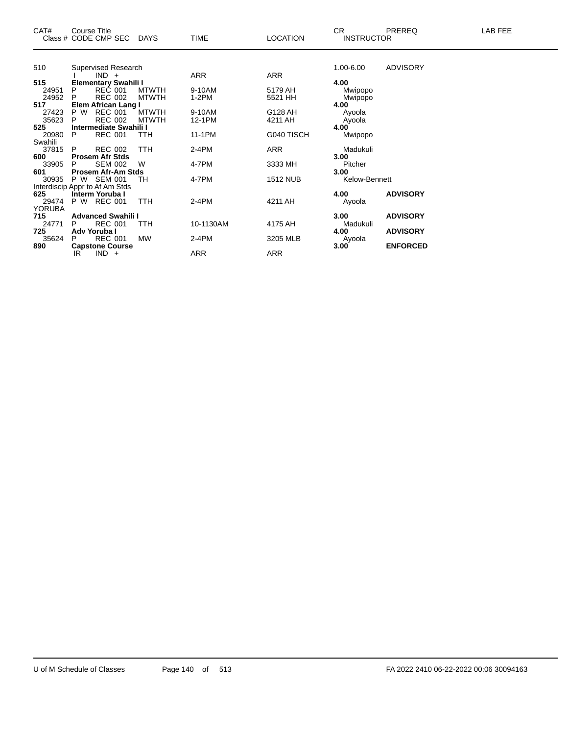| CAT#             |          | Course Title<br>Class # CODE CMP SEC     | <b>DAYS</b>                  | <b>TIME</b>       | <b>LOCATION</b>    | CR.<br><b>INSTRUCTOR</b> | PREREQ          | LAB FEE |
|------------------|----------|------------------------------------------|------------------------------|-------------------|--------------------|--------------------------|-----------------|---------|
|                  |          |                                          |                              |                   |                    |                          |                 |         |
| 510              |          | Supervised Research<br>$IND +$           |                              | ARR               | ARR                | 1.00-6.00                | <b>ADVISORY</b> |         |
| 515              |          | <b>Elementary Swahili I</b>              |                              |                   |                    | 4.00                     |                 |         |
| 24951<br>24952   | P<br>P   | <b>REC 001</b><br><b>REC 002</b>         | <b>MTWTH</b><br><b>MTWTH</b> | 9-10AM<br>$1-2PM$ | 5179 AH<br>5521 HH | Mwipopo<br>Mwipopo       |                 |         |
| 517              |          | Elem African Lang I                      |                              |                   |                    | 4.00                     |                 |         |
| 27423<br>35623   | P W<br>P | <b>REC 001</b><br><b>REC 002</b>         | <b>MTWTH</b><br><b>MTWTH</b> | 9-10AM<br>12-1PM  | G128 AH<br>4211 AH | Ayoola<br>Ayoola         |                 |         |
| 525              |          | Intermediate Swahili I                   |                              |                   |                    | 4.00                     |                 |         |
| 20980            | P        | <b>REC 001</b>                           | <b>TTH</b>                   | 11-1PM            | G040 TISCH         | Mwipopo                  |                 |         |
| Swahili<br>37815 | P        | <b>REC 002</b>                           | <b>TTH</b>                   | 2-4PM             | ARR                | Madukuli                 |                 |         |
| 600              |          | <b>Prosem Afr Stds</b>                   |                              |                   |                    | 3.00                     |                 |         |
| 33905            | P        | <b>SEM 002</b>                           | W                            | 4-7PM             | 3333 MH            | Pitcher                  |                 |         |
| 601<br>30935     |          | Prosem Afr-Am Stds<br>P W SEM 001        | TН                           | 4-7PM             | <b>1512 NUB</b>    | 3.00<br>Kelow-Bennett    |                 |         |
|                  |          | Interdiscip Appr to Af Am Stds           |                              |                   |                    |                          |                 |         |
| 625              |          | Interm Yoruba I                          |                              |                   |                    | 4.00                     | <b>ADVISORY</b> |         |
| 29474            |          | P W REC 001                              | <b>TTH</b>                   | 2-4PM             | 4211 AH            | Ayoola                   |                 |         |
| <b>YORUBA</b>    |          |                                          |                              |                   |                    |                          |                 |         |
| 715              |          | <b>Advanced Swahili I</b>                |                              |                   |                    | 3.00                     | <b>ADVISORY</b> |         |
| 24771            | P        | <b>REC 001</b>                           | TTH                          | 10-1130AM         | 4175 AH            | Madukuli                 |                 |         |
| 725              | P        | Adv Yoruba I                             | <b>MW</b>                    |                   |                    | 4.00                     | <b>ADVISORY</b> |         |
| 35624<br>890     |          | <b>REC 001</b><br><b>Capstone Course</b> |                              | 2-4PM             | 3205 MLB           | Ayoola<br>3.00           | <b>ENFORCED</b> |         |
|                  | IR       | $IND +$                                  |                              | ARR               | ARR                |                          |                 |         |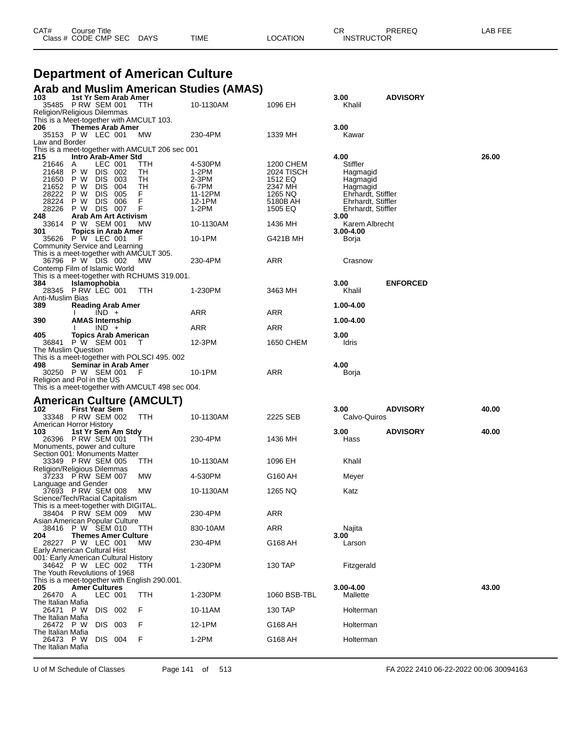| CAT# | Course Title              |      |          | СR                | PREREQ | LAB FEE |
|------|---------------------------|------|----------|-------------------|--------|---------|
|      | Class # CODE CMP SEC DAYS | TIME | LOCATION | <b>INSTRUCTOR</b> |        |         |

# **Department of American Culture**

### **Arab and Muslim American Studies (AMAS)**

| 103                                                                     | 1st Yr Sem Arab Amer<br>35485 PRW SEM 001 |                         | TTH                                              | 10-1130AM        | 1096 EH             | 3.00<br>Khalil                           | <b>ADVISORY</b> |       |
|-------------------------------------------------------------------------|-------------------------------------------|-------------------------|--------------------------------------------------|------------------|---------------------|------------------------------------------|-----------------|-------|
| Religion/Religious Dilemmas                                             |                                           |                         |                                                  |                  |                     |                                          |                 |       |
|                                                                         |                                           |                         | This is a Meet-together with AMCULT 103.         |                  |                     |                                          |                 |       |
| 206<br>35153 P W LEC 001                                                | <b>Themes Arab Amer</b>                   |                         | МW                                               | 230-4PM          | 1339 MH             | 3.00<br>Kawar                            |                 |       |
| Law and Border                                                          |                                           |                         |                                                  |                  |                     |                                          |                 |       |
| 215                                                                     | Intro Arab-Amer Std                       |                         | This is a meet-together with AMCULT 206 sec 001  |                  |                     | 4.00                                     |                 | 26.00 |
| 21646                                                                   | A                                         | LEC 001                 | TTH                                              | 4-530PM          | 1200 CHEM           | Stiffler                                 |                 |       |
| 21648                                                                   | P W                                       | DIS 002                 | TH                                               | 1-2PM            | 2024 TISCH          | Hagmagid                                 |                 |       |
| 21650<br>21652                                                          | P W<br>P W                                | DIS 003<br>DIS.<br>-004 | TН<br>TН                                         | $2-3PM$<br>6-7PM | 1512 EQ<br>2347 MH  | Hagmagid<br>Hagmagid                     |                 |       |
| 28222                                                                   | P W                                       | DIS.<br>005             | F.                                               | 11-12PM          | 1265 NQ             | Ehrhardt, Stiffler                       |                 |       |
| 28224<br>28226                                                          | P W<br>P W                                | DIS 006<br>DIS 007      | F<br>F                                           | 12-1PM<br>1-2PM  | 5180B AH<br>1505 EQ | Ehrhardt, Stiffler<br>Ehrhardt, Stiffler |                 |       |
| 248                                                                     | Arab Am Art Activism                      |                         |                                                  |                  |                     | 3.00                                     |                 |       |
| 33614                                                                   | P W                                       | SEM 001                 | МW                                               | 10-1130AM        | 1436 MH             | Karem Albrecht                           |                 |       |
| 301<br>35626 P W LEC 001                                                | <b>Topics in Arab Amer</b>                |                         | F                                                | 10-1PM           | G421B MH            | $3.00 - 4.00$<br>Borja                   |                 |       |
| Community Service and Learning                                          |                                           |                         |                                                  |                  |                     |                                          |                 |       |
| 36796 P W DIS 002                                                       |                                           |                         | This is a meet-together with AMCULT 305.<br>MW.  | 230-4PM          | ARR                 | Crasnow                                  |                 |       |
| Contemp Film of Islamic World                                           |                                           |                         |                                                  |                  |                     |                                          |                 |       |
| 384                                                                     | Islamophobia                              |                         | This is a meet-together with RCHUMS 319.001.     |                  |                     | 3.00                                     | <b>ENFORCED</b> |       |
| 28345 P RW LEC 001                                                      |                                           |                         | TTH                                              | 1-230PM          | 3463 MH             | Khalil                                   |                 |       |
| Anti-Muslim Bias<br>389                                                 |                                           |                         |                                                  |                  |                     | 1.00-4.00                                |                 |       |
|                                                                         | <b>Reading Arab Amer</b>                  | $IND +$                 |                                                  | ARR              | ARR                 |                                          |                 |       |
| 390                                                                     | <b>AMAS Internship</b>                    |                         |                                                  |                  |                     | 1.00-4.00                                |                 |       |
| 405                                                                     | <b>Topics Arab American</b>               | $IND +$                 |                                                  | ARR              | ARR                 | 3.00                                     |                 |       |
| 36841                                                                   | P W SEM 001                               |                         | $\top$                                           | 12-3PM           | 1650 CHEM           | Idris                                    |                 |       |
| The Muslim Question                                                     |                                           |                         | This is a meet-together with POLSCI 495.002      |                  |                     |                                          |                 |       |
| 498                                                                     | Seminar in Arab Amer                      |                         |                                                  |                  |                     | 4.00                                     |                 |       |
|                                                                         | 30250 P W SEM 001 F                       |                         |                                                  | 10-1PM           | ARR                 | Borja                                    |                 |       |
|                                                                         |                                           |                         |                                                  |                  |                     |                                          |                 |       |
| Religion and Pol in the US                                              |                                           |                         | This is a meet-together with AMCULT 498 sec 004. |                  |                     |                                          |                 |       |
|                                                                         |                                           |                         |                                                  |                  |                     |                                          |                 |       |
| 102                                                                     | <b>First Year Sem</b>                     |                         | <b>American Culture (AMCULT)</b>                 |                  |                     | 3.00                                     | <b>ADVISORY</b> | 40.00 |
| 33348 P RW SEM 002                                                      |                                           |                         | <b>TTH</b>                                       | 10-1130AM        | 2225 SEB            | Calvo-Quiros                             |                 |       |
| American Horror History<br>103                                          | 1st Yr Sem Am Stdy                        |                         |                                                  |                  |                     | 3.00                                     | <b>ADVISORY</b> | 40.00 |
| 26396 PRW SEM 001                                                       |                                           |                         | TTH                                              | 230-4PM          | 1436 MH             | Hass                                     |                 |       |
| Monuments, power and culture<br>Section 001: Monuments Matter           |                                           |                         |                                                  |                  |                     |                                          |                 |       |
|                                                                         | 33349 PRW SEM 005                         |                         | TTH                                              | 10-1130AM        | 1096 EH             | Khalil                                   |                 |       |
| Religion/Religious Dilemmas                                             |                                           |                         |                                                  |                  |                     |                                          |                 |       |
| 37233 PRW SEM 007<br>Language and Gender                                |                                           |                         | MW.                                              | 4-530PM          | G160 AH             | Meyer                                    |                 |       |
| 37693 P RW SEM 008                                                      |                                           |                         | МW                                               | 10-1130AM        | 1265 NQ             | Katz                                     |                 |       |
| Science/Tech/Racial Capitalism<br>This is a meet-together with DIGITAL. |                                           |                         |                                                  |                  |                     |                                          |                 |       |
|                                                                         | 38404 PRW SEM 009                         |                         | <b>MW</b>                                        | 230-4PM          | <b>ARR</b>          |                                          |                 |       |
| Asian American Popular Culture<br>38416                                 | P W SEM 010                               |                         | TTH                                              | 830-10AM         | ARR                 | Najita                                   |                 |       |
| 204                                                                     | <b>Themes Amer Culture</b>                |                         |                                                  |                  |                     | 3.00                                     |                 |       |
| 28227 P W LEC 001<br>Early American Cultural Hist                       |                                           |                         | MW.                                              | 230-4PM          | G168 AH             | Larson                                   |                 |       |
| 001: Early American Cultural History                                    |                                           |                         |                                                  |                  |                     |                                          |                 |       |
| 34642 P W LEC 002<br>The Youth Revolutions of 1968                      |                                           |                         | ттн                                              | 1-230PM          | 130 TAP             | Fitzgerald                               |                 |       |
|                                                                         |                                           |                         | This is a meet-together with English 290.001.    |                  |                     |                                          |                 |       |
| 205                                                                     | <b>Amer Cultures</b>                      |                         |                                                  |                  |                     | $3.00 - 4.00$                            |                 | 43.00 |
| 26470<br>The Italian Mafia                                              | A                                         | LEC 001                 | TTH                                              | 1-230PM          | 1060 BSB-TBL        | Mallette                                 |                 |       |
| 26471 P W                                                               |                                           | DIS 002                 | F                                                | 10-11AM          | 130 TAP             | Holterman                                |                 |       |
| The Italian Mafia<br>26472 P W                                          |                                           | DIS 003                 | F                                                | 12-1PM           | G168 AH             | Holterman                                |                 |       |
| The Italian Mafia                                                       |                                           |                         |                                                  |                  |                     |                                          |                 |       |
| 26473 P W<br>The Italian Mafia                                          |                                           | DIS 004                 | F                                                | 1-2PM            | G168 AH             | Holterman                                |                 |       |

U of M Schedule of Classes Page 141 of 513 FA 2022 2410 06-22-2022 00:06 30094163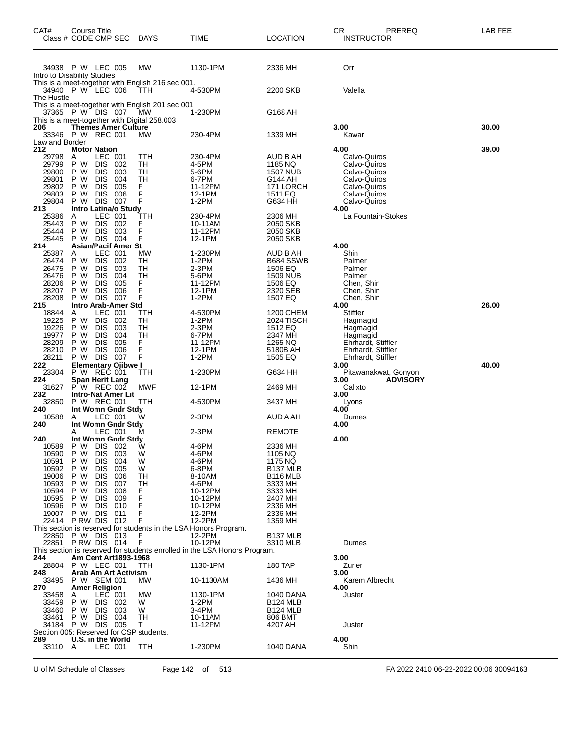| CAT#<br>Class # CODE CMP SEC                     | Course Title                   |                              |                                   | DAYS                                                                                                   | TIME                                                                                 | <b>LOCATION</b>                    | СR<br>PREREQ<br><b>INSTRUCTOR</b>  | LAB FEE |
|--------------------------------------------------|--------------------------------|------------------------------|-----------------------------------|--------------------------------------------------------------------------------------------------------|--------------------------------------------------------------------------------------|------------------------------------|------------------------------------|---------|
| 34938 P W LEC 005<br>Intro to Disability Studies |                                |                              |                                   | МW                                                                                                     | 1130-1PM                                                                             | 2336 MH                            | Orr                                |         |
| 34940 P W LEC 006<br>The Hustle                  |                                |                              |                                   | This is a meet-together with English 216 sec 001.<br>TTH                                               | 4-530PM                                                                              | 2200 SKB                           | Valella                            |         |
| 37365 P W DIS 007                                |                                |                              |                                   | This is a meet-together with English 201 sec 001<br>МW<br>This is a meet-together with Digital 258.003 | 1-230PM                                                                              | G168 AH                            |                                    |         |
| 206                                              |                                |                              | <b>Themes Amer Culture</b>        |                                                                                                        |                                                                                      |                                    | 3.00                               | 30.00   |
| 33346 P W REC 001<br>Law and Border              |                                |                              |                                   | МW                                                                                                     | 230-4PM                                                                              | 1339 MH                            | Kawar                              |         |
| 212<br>29798                                     | <b>Motor Nation</b><br>Α       | LEC 001                      |                                   | TTH                                                                                                    | 230-4PM                                                                              | AUD B AH                           | 4.00<br>Calvo-Quiros               | 39.00   |
| 29799                                            | P W                            | <b>DIS</b>                   | 002                               | TН                                                                                                     | 4-5PM                                                                                | 1185 NQ                            | Calvo-Quiros                       |         |
| 29800<br>29801                                   | P W<br>P W                     | <b>DIS</b><br><b>DIS</b>     | 003<br>004                        | TН<br>TН                                                                                               | 5-6PM<br>6-7PM                                                                       | 1507 NUB<br>G144 AH                | Calvo-Quiros<br>Calvo-Quiros       |         |
| 29802                                            | P W                            | <b>DIS</b>                   | 005                               | F                                                                                                      | 11-12PM                                                                              | 171 LORCH                          | Calvo-Quiros                       |         |
| 29803<br>29804                                   | P W<br>P W                     | <b>DIS</b><br><b>DIS</b>     | 006<br>007                        | F<br>F                                                                                                 | 12-1PM<br>1-2PM                                                                      | 1511 EQ<br>G634 HH                 | Calvo-Quiros<br>Calvo-Quiros       |         |
| 213<br>25386                                     | A                              | LEC 001                      | Intro Latina/o Study              | ттн                                                                                                    | 230-4PM                                                                              | 2306 MH                            | 4.00<br>La Fountain-Stokes         |         |
| 25443                                            | P W                            | <b>DIS</b>                   | 002                               | F                                                                                                      | 10-11AM                                                                              | 2050 SKB                           |                                    |         |
| 25444<br>25445                                   | P W<br>P W                     | <b>DIS</b><br><b>DIS</b>     | 003<br>004                        | F<br>F                                                                                                 | 11-12PM<br>12-1PM                                                                    | 2050 SKB<br>2050 SKB               |                                    |         |
| 214                                              |                                |                              | <b>Asian/Pacif Amer St</b>        |                                                                                                        |                                                                                      |                                    | 4.00                               |         |
| 25387<br>26474                                   | A<br>P W                       | <b>LEC 001</b><br><b>DIS</b> | 002                               | МW<br>TН                                                                                               | 1-230PM<br>$1-2PM$                                                                   | AUD B AH<br>B684 SSWB              | Shin<br>Palmer                     |         |
| 26475                                            | P W                            | <b>DIS</b>                   | 003                               | TН                                                                                                     | 2-3PM                                                                                | 1506 EQ                            | Palmer                             |         |
| 26476<br>28206                                   | P W<br>P W                     | <b>DIS</b><br><b>DIS</b>     | 004<br>005                        | TН<br>F                                                                                                | 5-6PM<br>11-12PM                                                                     | <b>1509 NUB</b><br>1506 EQ         | Palmer<br>Chen, Shin               |         |
| 28207                                            | P W                            | <b>DIS</b>                   | 006                               | F                                                                                                      | 12-1PM                                                                               | 2320 SEB                           | Chen, Shin                         |         |
| 28208<br>215                                     | P W                            | <b>DIS</b>                   | 007<br>Intro Arab-Amer Std        | F                                                                                                      | 1-2PM                                                                                | 1507 EQ                            | Chen, Shin<br>4.00                 | 26.00   |
| 18844                                            | Α                              | LEC 001                      |                                   | TTH                                                                                                    | 4-530PM                                                                              | 1200 CHEM                          | Stiffler                           |         |
| 19225<br>19226                                   | P W<br>P W                     | <b>DIS</b><br><b>DIS</b>     | 002<br>003                        | TН<br>TН                                                                                               | 1-2PM<br>2-3PM                                                                       | 2024 TISCH<br>1512 EQ              | Hagmagid<br>Hagmagid               |         |
| 19977<br>28209                                   | P W<br>P W                     | <b>DIS</b>                   | 004                               | TН<br>F                                                                                                | 6-7PM<br>11-12PM                                                                     | 2347 MH<br>1265 NQ                 | Hagmagid<br>Ehrhardt, Stiffler     |         |
| 28210                                            | P W                            | <b>DIS</b><br><b>DIS</b>     | 005<br>006                        | F                                                                                                      | 12-1PM                                                                               | 5180B AH                           | Ehrhardt, Stiffler                 |         |
| 28211<br>222                                     | P W                            | <b>DIS</b>                   | 007<br><b>Elementary Ojibwe I</b> | F                                                                                                      | 1-2PM                                                                                | 1505 EQ                            | Ehrhardt, Stiffler<br>3.00         | 40.00   |
| 23304                                            | P W                            | REČ 001                      |                                   | TTH                                                                                                    | 1-230PM                                                                              | G634 HH                            | Pitawanakwat, Gonyon               |         |
| 224<br>31627                                     | Span Herit Lang<br>P W REC 002 |                              |                                   | MWF                                                                                                    | 12-1PM                                                                               | 2469 MH                            | 3.00<br><b>ADVISORY</b><br>Calixto |         |
| 232                                              |                                |                              | <b>Intro-Nat Amer Lit</b>         |                                                                                                        |                                                                                      |                                    | 3.00                               |         |
| 32850<br>240                                     | P W REC 001                    |                              | Int Womn Gndr Stdy                | TTH                                                                                                    | 4-530PM                                                                              | 3437 MH                            | Lyons<br>4.00                      |         |
| 10588<br>240                                     | A                              | LEC 001                      | Int Womn Gndr Stdy                | w                                                                                                      | 2-3PM                                                                                | AUD A AH                           | Dumes<br>4.00                      |         |
|                                                  | A                              | LEC 001                      |                                   | м                                                                                                      | 2-3PM                                                                                | <b>REMOTE</b>                      |                                    |         |
| 240<br>10589                                     | Int Womn Gndr Stdy<br>P W      | DIS.                         | - 002                             | W                                                                                                      | 4-6PM                                                                                | 2336 MH                            | 4.00                               |         |
| 10590                                            | P W                            | <b>DIS</b>                   | 003                               | W                                                                                                      | 4-6PM                                                                                | 1105 NQ                            |                                    |         |
| 10591<br>10592                                   | P W<br>P W                     | <b>DIS</b><br><b>DIS</b>     | 004<br>005                        | W<br>W                                                                                                 | 4-6PM<br>6-8PM                                                                       | 1175 NQ<br>B <sub>137</sub> MLB    |                                    |         |
| 19006                                            | P W                            | <b>DIS</b>                   | 006                               | TН                                                                                                     | 8-10AM                                                                               | <b>B116 MLB</b>                    |                                    |         |
| 10593<br>10594                                   | P W<br>P W                     | <b>DIS</b><br><b>DIS</b>     | 007<br>008                        | TН<br>F                                                                                                | 4-6PM<br>10-12PM                                                                     | 3333 MH<br>3333 MH                 |                                    |         |
| 10595<br>10596                                   | P W<br>P W                     | <b>DIS</b><br><b>DIS</b>     | 009<br>010                        | F<br>F                                                                                                 | 10-12PM<br>10-12PM                                                                   | 2407 MH<br>2336 MH                 |                                    |         |
| 19007                                            | P W                            | <b>DIS</b>                   | 011                               | F                                                                                                      | 12-2PM                                                                               | 2336 MH                            |                                    |         |
| 22414                                            | PRW DIS 012                    |                              |                                   | F                                                                                                      | 12-2PM<br>This section is reserved for students in the LSA Honors Program.           | 1359 MH                            |                                    |         |
| 22850                                            | P W DIS 013                    |                              |                                   | F                                                                                                      | 12-2PM                                                                               | B <sub>137</sub> MLB               |                                    |         |
| 22851                                            | PRW DIS 014                    |                              |                                   | F                                                                                                      | 10-12PM<br>This section is reserved for students enrolled in the LSA Honors Program. | 3310 MLB                           | Dumes                              |         |
| 244                                              |                                |                              | Am Cent Art1893-1968              |                                                                                                        |                                                                                      |                                    | 3.00                               |         |
| 28804<br>248                                     | P W LEC 001                    |                              | Arab Am Art Activism              | TTH                                                                                                    | 1130-1PM                                                                             | <b>180 TAP</b>                     | Zurier<br>3.00                     |         |
| 33495                                            | P W SEM 001                    |                              |                                   | МW                                                                                                     | 10-1130AM                                                                            | 1436 MH                            | Karem Albrecht                     |         |
| 270<br>33458                                     | <b>Amer Religion</b><br>Α      | LEC 001                      |                                   | МW                                                                                                     | 1130-1PM                                                                             | 1040 DANA                          | 4.00<br>Juster                     |         |
| 33459<br>33460                                   | P W<br>P W                     | DIS.<br><b>DIS</b>           | 002<br>003                        | W<br>W                                                                                                 | $1-2PM$<br>3-4PM                                                                     | <b>B124 MLB</b><br><b>B124 MLB</b> |                                    |         |
| 33461                                            | P W                            | <b>DIS</b>                   | 004                               | TН                                                                                                     | 10-11AM                                                                              | 806 BMT                            |                                    |         |
| 34184<br>Section 005: Reserved for CSP students. | P W                            | <b>DIS 005</b>               |                                   | Т                                                                                                      | 11-12PM                                                                              | 4207 AH                            | Juster                             |         |
| 289                                              | U.S. in the World              |                              |                                   |                                                                                                        |                                                                                      |                                    | 4.00                               |         |
| 33110                                            | Α                              | LEC 001                      |                                   | TTH                                                                                                    | 1-230PM                                                                              | 1040 DANA                          | Shin                               |         |

U of M Schedule of Classes Page 142 of 513 FA 2022 2410 06-22-2022 00:06 30094163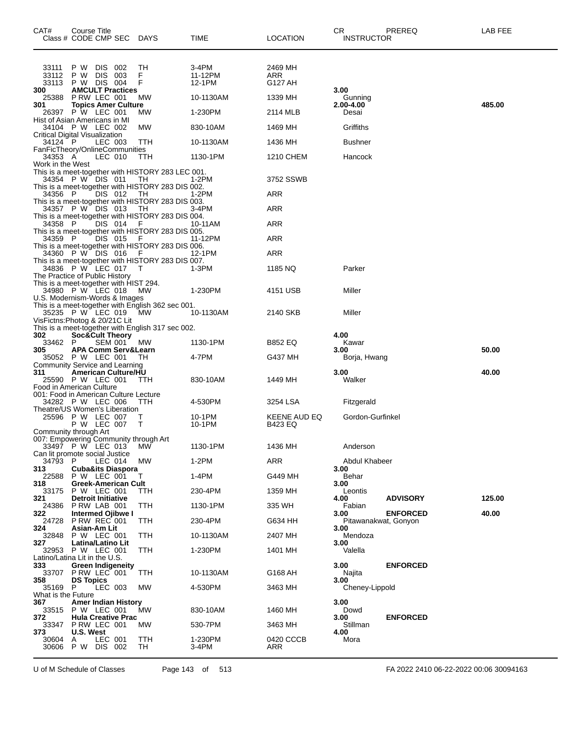| CAT#<br>Class # CODE CMP SEC DAYS                                        | Course Title                                    |                       |                                |                                                          | TIME                       | LOCATION                  | CR.<br><b>INSTRUCTOR</b>     | PREREQ          | LAB FEE |
|--------------------------------------------------------------------------|-------------------------------------------------|-----------------------|--------------------------------|----------------------------------------------------------|----------------------------|---------------------------|------------------------------|-----------------|---------|
| 33111<br>33112<br>33113                                                  | P W<br>P W<br>P W DIS 004                       | DIS 002<br><b>DIS</b> | - 003                          | TН<br>F<br>F                                             | 3-4PM<br>11-12PM<br>12-1PM | 2469 MH<br>ARR<br>G127 AH |                              |                 |         |
| 300<br>25388                                                             | P RW LEC 001                                    |                       | <b>AMCULT Practices</b>        | MW                                                       | 10-1130AM                  | 1339 MH                   | 3.00<br>Gunning              |                 |         |
| 301<br>26397 P W LEC 001                                                 |                                                 |                       | <b>Topics Amer Culture</b>     | MW                                                       | 1-230PM                    | 2114 MLB                  | 2.00-4.00<br>Desai           |                 | 485.00  |
| Hist of Asian Americans in MI<br>34104 P W LEC 002                       |                                                 |                       |                                | MW                                                       | 830-10AM                   | 1469 MH                   | Griffiths                    |                 |         |
| <b>Critical Digital Visualization</b><br>34124 P                         |                                                 | LEC 003               |                                | TTH                                                      | 10-1130AM                  | 1436 MH                   | Bushner                      |                 |         |
| FanFicTheory/OnlineCommunities<br>34353 A                                |                                                 | LEC 010               |                                | TTH                                                      | 1130-1PM                   | 1210 CHEM                 | Hancock                      |                 |         |
| Work in the West                                                         |                                                 |                       |                                | This is a meet-together with HISTORY 283 LEC 001.        |                            |                           |                              |                 |         |
| 34354 P W DIS 011                                                        |                                                 |                       |                                | TH<br>This is a meet-together with HISTORY 283 DIS 002.  | 1-2PM                      | 3752 SSWB                 |                              |                 |         |
| 34356 P                                                                  |                                                 | DIS 012               |                                | - TH                                                     | 1-2PM                      | ARR                       |                              |                 |         |
| 34357 P W DIS 013                                                        |                                                 |                       |                                | This is a meet-together with HISTORY 283 DIS 003.<br>TH  | 3-4PM                      | ARR                       |                              |                 |         |
| 34358 P                                                                  |                                                 | <b>DIS 014</b>        |                                | This is a meet-together with HISTORY 283 DIS 004.<br>- F | 10-11AM                    | <b>ARR</b>                |                              |                 |         |
| 34359 P                                                                  |                                                 | DIS 015               |                                | This is a meet-together with HISTORY 283 DIS 005.<br>- F | 11-12PM                    | ARR                       |                              |                 |         |
| 34360 P W DIS 016                                                        |                                                 |                       |                                | This is a meet-together with HISTORY 283 DIS 006.<br>- F | 12-1PM                     | ARR                       |                              |                 |         |
| 34836 P W LEC 017                                                        |                                                 |                       |                                | This is a meet-together with HISTORY 283 DIS 007.<br>T   | $1-3PM$                    | 1185 NQ                   | Parker                       |                 |         |
| The Practice of Public History<br>This is a meet-together with HIST 294. |                                                 |                       |                                |                                                          |                            |                           |                              |                 |         |
| 34980 P W LEC 018<br>U.S. Modernism-Words & Images                       |                                                 |                       |                                | MW                                                       | 1-230PM                    | 4151 USB                  | Miller                       |                 |         |
| 35235 P W LEC 019                                                        |                                                 |                       |                                | This is a meet-together with English 362 sec 001.<br>МW  | 10-1130AM                  | 2140 SKB                  | Miller                       |                 |         |
| VisFictns: Photog & 20/21C Lit                                           |                                                 |                       |                                |                                                          |                            |                           |                              |                 |         |
| 302                                                                      | <b>Soc&amp;Cult Theory</b>                      |                       |                                | This is a meet-together with English 317 sec 002.        |                            |                           | 4.00                         |                 |         |
| 33462 P<br>305                                                           |                                                 | <b>SEM 001</b>        | <b>APA Comm Serv&amp;Learn</b> | <b>MW</b>                                                | 1130-1PM                   | B852 EQ                   | Kawar<br>3.00                |                 | 50.00   |
| 35052 P W LEC 001<br>Community Service and Learning                      |                                                 |                       |                                | TН                                                       | 4-7PM                      | G437 MH                   | Borja, Hwang                 |                 |         |
| 311<br>25590 P W LEC 001                                                 |                                                 |                       | <b>American Culture/HU</b>     | ттн                                                      | 830-10AM                   | 1449 MH                   | 3.00<br>Walker               |                 | 40.00   |
| Food in American Culture<br>001: Food in American Culture Lecture        |                                                 |                       |                                |                                                          |                            |                           |                              |                 |         |
| 34282 P W LEC 006<br>Theatre/US Women's Liberation                       |                                                 |                       |                                | - ттн                                                    | 4-530PM                    | 3254 LSA                  | Fitzgerald                   |                 |         |
| 25596 P W LEC 007                                                        | P W LEC 007                                     |                       |                                | Τ<br>Т                                                   | 10-1PM<br>10-1PM           | KEENE AUD EQ<br>B423 EQ   | Gordon-Gurfinkel             |                 |         |
| Community through Art<br>007: Empowering Community through Art           |                                                 |                       |                                |                                                          |                            |                           |                              |                 |         |
| 33497 P W LEC 013                                                        |                                                 |                       |                                | MW                                                       | 1130-1PM                   | 1436 MH                   | Anderson                     |                 |         |
| Can lit promote social Justice<br>34793 P                                |                                                 | LEC 014               |                                | МW                                                       | $1-2PM$                    | ARR                       | Abdul Khabeer                |                 |         |
| 313<br>22588 P W LEC 001                                                 |                                                 |                       | <b>Cuba&amp;its Diaspora</b>   | т                                                        | 1-4PM                      | G449 MH                   | 3.00<br>Behar                |                 |         |
| 318<br>33175                                                             | P W LEC 001                                     |                       | Greek-American Cult            | TTH                                                      | 230-4PM                    | 1359 MH                   | 3.00<br>Leontis              |                 |         |
| 321<br>24386                                                             | <b>Detroit Initiative</b><br>PRW LAB 001        |                       |                                | TTH                                                      | 1130-1PM                   | 335 WH                    | 4.00<br>Fabian               | <b>ADVISORY</b> | 125.00  |
| 322<br>24728                                                             | <b>Intermed Ojibwe I</b><br><b>P RW REC 001</b> |                       |                                | TTH                                                      | 230-4PM                    | G634 HH                   | 3.00<br>Pitawanakwat, Gonyon | <b>ENFORCED</b> | 40.00   |
| 324<br>32848                                                             | Asian-Am Lit<br>P W LEC 001                     |                       |                                | TTH                                                      | 10-1130AM                  | 2407 MH                   | 3.00<br>Mendoza              |                 |         |
| 327<br>32953 P W LEC 001                                                 | Latina/Latino Lit                               |                       |                                | TTH                                                      | 1-230PM                    | 1401 MH                   | 3.00<br>Valella              |                 |         |
| Latino/Latina Lit in the U.S.<br>333                                     | <b>Green Indigeneity</b>                        |                       |                                |                                                          |                            |                           | 3.00                         | <b>ENFORCED</b> |         |
| 33707                                                                    | PRW LEC 001                                     |                       |                                | TTH                                                      | 10-1130AM                  | G168 AH                   | Najita                       |                 |         |
| 358<br>35169 P                                                           | <b>DS Topics</b>                                | LEC 003               |                                | МW                                                       | 4-530PM                    | 3463 MH                   | 3.00<br>Cheney-Lippold       |                 |         |
| What is the Future<br>367                                                |                                                 |                       | <b>Amer Indian History</b>     |                                                          |                            |                           | 3.00                         |                 |         |
| 33515 P W LEC 001<br>372                                                 |                                                 |                       | <b>Hula Creative Prac</b>      | МW                                                       | 830-10AM                   | 1460 MH                   | Dowd<br>3.00                 | <b>ENFORCED</b> |         |
| 33347<br>373                                                             | PRW LEC 001<br>U.S. West                        |                       |                                | МW                                                       | 530-7PM                    | 3463 MH                   | Stillman<br>4.00             |                 |         |
| 30604<br>30606                                                           | A<br>P W DIS 002                                | LEC 001               |                                | <b>TTH</b><br>TH                                         | 1-230PM<br>3-4PM           | 0420 CCCB<br>ARR          | Mora                         |                 |         |

U of M Schedule of Classes Page 143 of 513 FA 2022 2410 06-22-2022 00:06 30094163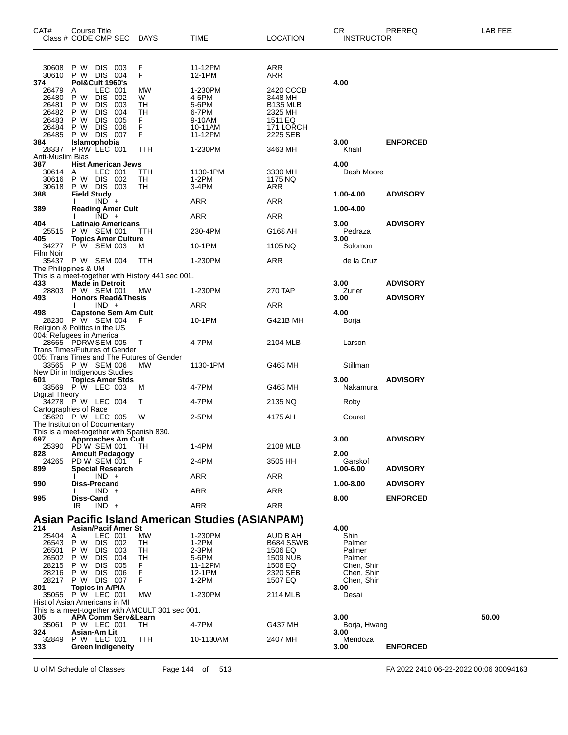| CAT#                                                                                     | Course Title<br>Class # CODE CMP SEC  |                          |                               | <b>DAYS</b>                                | <b>TIME</b>        | <b>LOCATION</b>            | CR<br><b>INSTRUCTOR</b>  | PREREQ          | LAB FEE |
|------------------------------------------------------------------------------------------|---------------------------------------|--------------------------|-------------------------------|--------------------------------------------|--------------------|----------------------------|--------------------------|-----------------|---------|
|                                                                                          |                                       |                          |                               |                                            |                    |                            |                          |                 |         |
| 30608                                                                                    | P W                                   | DIS 003                  |                               | F                                          | 11-12PM            | ARR                        |                          |                 |         |
| 30610<br>374                                                                             | P W DIS 004<br>Pol&Cult 1960's        |                          |                               | F                                          | 12-1PM             | ARR                        | 4.00                     |                 |         |
| 26479                                                                                    | Α                                     | LEC 001                  |                               | MW                                         | 1-230PM            | 2420 CCCB                  |                          |                 |         |
| 26480<br>26481                                                                           | P W<br>P W                            | <b>DIS</b><br>DIS        | 002<br>003                    | W<br>TН                                    | 4-5PM<br>5-6PM     | 3448 MH<br><b>B135 MLB</b> |                          |                 |         |
| 26482                                                                                    | P W                                   | DIS                      | 004                           | TН                                         | 6-7PM              | 2325 MH                    |                          |                 |         |
| 26483<br>26484                                                                           | P W<br>P W                            | <b>DIS</b><br>DIS.       | 005<br>006                    | F<br>F                                     | 9-10AM<br>10-11AM  | 1511 EQ<br>171 LORCH       |                          |                 |         |
| 26485                                                                                    | P W DIS 007                           |                          |                               | F                                          | 11-12PM            | 2225 SEB                   |                          |                 |         |
| 384<br>28337                                                                             | Islamophobia<br>PRW LEC 001           |                          |                               | TTH                                        | 1-230PM            | 3463 MH                    | 3.00<br>Khalil           | <b>ENFORCED</b> |         |
| Anti-Muslim Bias<br>387<br><b>Hist American Jews</b><br>4.00                             |                                       |                          |                               |                                            |                    |                            |                          |                 |         |
| 30614                                                                                    | A                                     | LEC 001                  |                               | TTH                                        | 1130-1PM           | 3330 MH                    | Dash Moore               |                 |         |
| 30616<br>30618                                                                           | P W<br>P W DIS 003                    | DIS 002                  |                               | TН<br>TН                                   | $1-2PM$<br>$3-4PM$ | 1175 NQ<br>ARR             |                          |                 |         |
| 388                                                                                      | <b>Field Study</b>                    |                          |                               |                                            |                    |                            | 1.00-4.00                | <b>ADVISORY</b> |         |
| 389                                                                                      |                                       | $IND +$                  | <b>Reading Amer Cult</b>      |                                            | ARR                | ARR                        | 1.00-4.00                |                 |         |
|                                                                                          |                                       | $\overline{IND}$ +       |                               |                                            | ARR                | ARR                        |                          |                 |         |
| 404<br>25515                                                                             | P W SEM 001                           |                          | Latina/o Americans            | TTH                                        | 230-4PM            | G168 AH                    | 3.00<br>Pedraza          | <b>ADVISORY</b> |         |
| 405                                                                                      |                                       |                          | <b>Topics Amer Culture</b>    |                                            |                    |                            | 3.00                     |                 |         |
| 34277<br>Film Noir                                                                       | P W SEM 003                           |                          |                               | м                                          | 10-1PM             | 1105 NQ                    | Solomon                  |                 |         |
| 35437                                                                                    | P W SEM 004                           |                          |                               | TTH                                        | 1-230PM            | ARR                        | de la Cruz               |                 |         |
| The Philippines & UM<br>This is a meet-together with History 441 sec 001.                |                                       |                          |                               |                                            |                    |                            |                          |                 |         |
| 433<br>28803                                                                             | <b>Made in Detroit</b><br>P W SEM 001 |                          |                               | МW                                         | 1-230PM            | 270 TAP                    | 3.00<br>Zurier           | <b>ADVISORY</b> |         |
| 493                                                                                      |                                       |                          | <b>Honors Read&amp;Thesis</b> |                                            |                    |                            | 3.00                     | <b>ADVISORY</b> |         |
| 498                                                                                      |                                       | $IND +$                  | <b>Capstone Sem Am Cult</b>   |                                            | ARR                | ARR                        | 4.00                     |                 |         |
|                                                                                          | 28230 P W SEM 004                     |                          |                               | F                                          | 10-1PM             | G421B MH                   | Borja                    |                 |         |
| Religion & Politics in the US<br>004: Refugees in America                                |                                       |                          |                               |                                            |                    |                            |                          |                 |         |
|                                                                                          | 28665 PDRW SEM 005                    |                          |                               | Т                                          | 4-7PM              | 2104 MLB                   | Larson                   |                 |         |
| <b>Trans Times/Futures of Gender</b>                                                     |                                       |                          |                               | 005: Trans Times and The Futures of Gender |                    |                            |                          |                 |         |
|                                                                                          | 33565 P W SEM 006                     |                          |                               | <b>MW</b>                                  | 1130-1PM           | G463 MH                    | Stillman                 |                 |         |
| New Dir in Indigenous Studies<br>601                                                     | <b>Topics Amer Stds</b>               |                          |                               |                                            |                    |                            | 3.00                     | <b>ADVISORY</b> |         |
| 33569<br>Digital Theory                                                                  | P W LEC 003                           |                          |                               | M                                          | 4-7PM              | G463 MH                    | Nakamura                 |                 |         |
|                                                                                          | 34278 P W LEC 004                     |                          |                               | т                                          | 4-7PM              | 2135 NQ                    | Roby                     |                 |         |
| Cartographies of Race                                                                    | 35620 P W LEC 005                     |                          |                               | W                                          | 2-5PM              | 4175 AH                    | Couret                   |                 |         |
| The Institution of Documentary                                                           |                                       |                          |                               |                                            |                    |                            |                          |                 |         |
| 697                                                                                      |                                       |                          | <b>Approaches Am Cult</b>     | This is a meet-together with Spanish 830.  |                    |                            | 3.00                     | <b>ADVISORY</b> |         |
| 25390<br>828                                                                             | PDW SEM 001                           |                          | <b>Amcult Pedagogy</b>        | TH                                         | 1-4PM              | 2108 MLB                   | 2.00                     |                 |         |
| 24265                                                                                    | PD W SEM 001                          |                          |                               | F                                          | 2-4PM              | 3505 HH                    | Garskof                  |                 |         |
| 899                                                                                      |                                       | $IND +$                  | <b>Special Research</b>       |                                            | <b>ARR</b>         | <b>ARR</b>                 | 1.00-6.00                | <b>ADVISORY</b> |         |
| 990                                                                                      | Diss-Precand                          |                          |                               |                                            |                    |                            | 1.00-8.00                | <b>ADVISORY</b> |         |
| 995                                                                                      | Diss-Cand                             | $IND +$                  |                               |                                            | <b>ARR</b>         | ARR                        | 8.00                     | <b>ENFORCED</b> |         |
|                                                                                          | IR                                    | $IND +$                  |                               |                                            | <b>ARR</b>         | <b>ARR</b>                 |                          |                 |         |
| <b>Asian Pacific Island American Studies (ASIANPAM)</b>                                  |                                       |                          |                               |                                            |                    |                            |                          |                 |         |
| 214<br>25404                                                                             | A                                     | LEC 001                  | Asian/Pacif Amer St           | MW                                         | 1-230PM            | AUD B AH                   | 4.00<br>Shin             |                 |         |
| 26543                                                                                    | P W                                   | DIS 002                  |                               | TН                                         | 1-2PM              | B684 SSWB                  | Palmer                   |                 |         |
| 26501<br>26502                                                                           | P W<br>P W                            | <b>DIS</b><br><b>DIS</b> | 003<br>004                    | TН<br>TН                                   | 2-3PM<br>5-6PM     | 1506 EQ<br>1509 NUB        | Palmer<br>Palmer         |                 |         |
| 28215                                                                                    | P W                                   | <b>DIS</b>               | 005                           | F.                                         | 11-12PM            | 1506 EQ                    | Chen, Shin               |                 |         |
| 28216<br>28217                                                                           | P W<br>P W DIS 007                    | DIS.                     | 006                           | F<br>F                                     | 12-1PM<br>$1-2PM$  | 2320 SEB<br>1507 EQ        | Chen, Shin<br>Chen, Shin |                 |         |
| 301                                                                                      | <b>Topics in A/PIA</b>                |                          |                               |                                            |                    |                            | 3.00                     |                 |         |
| 35055<br>Hist of Asian Americans in MI                                                   | P W LEC 001                           |                          |                               | МW                                         | 1-230PM            | 2114 MLB                   | Desai                    |                 |         |
| This is a meet-together with AMCULT 301 sec 001.<br>50.00<br>APA Comm Serv&Learn<br>3.00 |                                       |                          |                               |                                            |                    |                            |                          |                 |         |
| 305                                                                                      | 35061 P W LEC 001                     |                          |                               | TН                                         | 4-7PM              | G437 MH                    | Borja, Hwang             |                 |         |
| 324<br>32849                                                                             | Asian-Am Lit<br>P W LEC 001           |                          |                               | TTH                                        | 10-1130AM          | 2407 MH                    | 3.00<br>Mendoza          |                 |         |
| 333                                                                                      |                                       |                          | <b>Green Indigeneity</b>      |                                            |                    |                            | 3.00                     | <b>ENFORCED</b> |         |
|                                                                                          |                                       |                          |                               |                                            |                    |                            |                          |                 |         |

U of M Schedule of Classes Page 144 of 513 FA 2022 2410 06-22-2022 00:06 30094163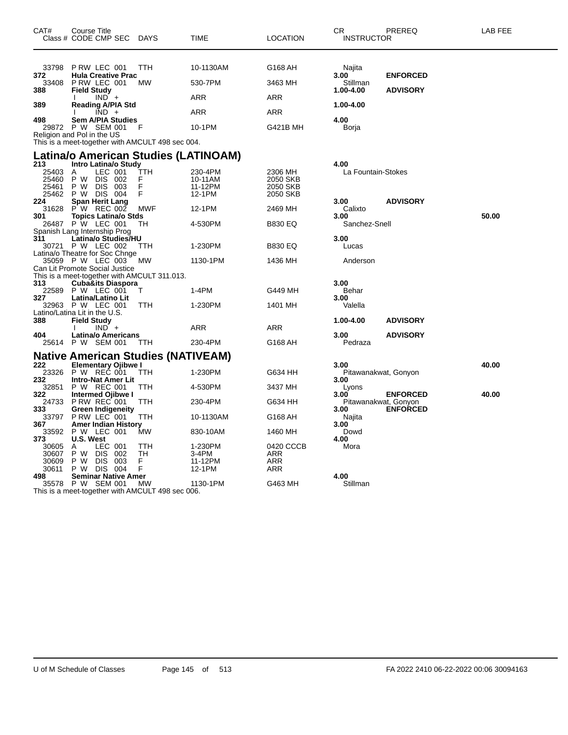| CAT#                                    | Course Title<br>Class # CODE CMP SEC                                                              | <b>DAYS</b>        | TIME                                    | LOCATION                                    | CR<br><b>INSTRUCTOR</b>      | PREREQ          | <b>LAB FEE</b> |
|-----------------------------------------|---------------------------------------------------------------------------------------------------|--------------------|-----------------------------------------|---------------------------------------------|------------------------------|-----------------|----------------|
| 33798                                   | PRW LEC 001                                                                                       | TTH                | 10-1130AM                               | G168 AH                                     | Najita                       |                 |                |
| 372<br>33408                            | <b>Hula Creative Prac</b><br>PRW LEC 001                                                          | MW                 | 530-7PM                                 | 3463 MH                                     | 3.00<br>Stillman             | <b>ENFORCED</b> |                |
| 388<br>389                              | <b>Field Study</b><br>$IND +$<br><b>Reading A/PIA Std</b>                                         |                    | ARR                                     | ARR                                         | 1.00-4.00<br>1.00-4.00       | <b>ADVISORY</b> |                |
|                                         | $IND +$                                                                                           |                    | ARR                                     | <b>ARR</b>                                  |                              |                 |                |
| 498                                     | <b>Sem A/PIA Studies</b><br>29872 P W SEM 001                                                     | F                  | 10-1PM                                  | G421B MH                                    | 4.00<br>Borja                |                 |                |
|                                         | Religion and Pol in the US<br>This is a meet-together with AMCULT 498 sec 004.                    |                    |                                         |                                             |                              |                 |                |
|                                         | Latina/o American Studies (LATINOAM)                                                              |                    |                                         |                                             |                              |                 |                |
| 213<br>25403<br>25460<br>25461<br>25462 | Intro Latina/o Study<br>LEC 001<br>A<br>P W<br><b>DIS</b><br>002<br>P W<br>DIS 003<br>P W DIS 004 | TTH<br>F<br>F<br>F | 230-4PM<br>10-11AM<br>11-12PM<br>12-1PM | 2306 MH<br>2050 SKB<br>2050 SKB<br>2050 SKB | 4.00<br>La Fountain-Stokes   |                 |                |
| 224<br>31628                            | Span Herit Lang<br>$P' W$ REC 002                                                                 | <b>MWF</b>         | 12-1PM                                  | 2469 MH                                     | 3.00<br>Calixto              | <b>ADVISORY</b> |                |
| 301<br>26487                            | Topics Latina/o Stds<br>P W LEC 001<br>Spanish Lang Internship Prog                               | TН                 | 4-530PM                                 | <b>B830 EQ</b>                              | 3.00<br>Sanchez-Snell        |                 | 50.00          |
| 311                                     | Latina/o Studies/HU                                                                               |                    |                                         |                                             | 3.00                         |                 |                |
|                                         | 30721 P W LEC 002<br>Latina/o Theatre for Soc Chnge                                               | TTH                | 1-230PM                                 | <b>B830 EQ</b>                              | Lucas                        |                 |                |
|                                         | 35059 P W LEC 003<br>Can Lit Promote Social Justice                                               | МW                 | 1130-1PM                                | 1436 MH                                     | Anderson                     |                 |                |
| 313                                     | This is a meet-together with AMCULT 311.013.<br><b>Cuba&amp;its Diaspora</b>                      |                    |                                         |                                             | 3.00                         |                 |                |
| 327                                     | 22589 P W LEC 001                                                                                 | т                  | $1-4PM$                                 | G449 MH                                     | Behar                        |                 |                |
| 32963                                   | Latina/Latino Lit<br>P W LEC 001                                                                  | TTH                | 1-230PM                                 | 1401 MH                                     | 3.00<br>Valella              |                 |                |
| 388                                     | Latino/Latina Lit in the U.S.<br><b>Field Study</b>                                               |                    |                                         |                                             | 1.00-4.00                    | <b>ADVISORY</b> |                |
| 404                                     | $IND +$<br><b>Latina/o Americans</b>                                                              |                    | ARR                                     | ARR                                         | 3.00                         | <b>ADVISORY</b> |                |
|                                         | 25614 P W SEM 001                                                                                 | <b>TTH</b>         | 230-4PM                                 | G168 AH                                     | Pedraza                      |                 |                |
| 222                                     | <b>Native American Studies (NATIVEAM)</b><br><b>Elementary Ojibwe I</b>                           |                    |                                         |                                             | 3.00                         |                 | 40.00          |
| 23326                                   | P W REC 001                                                                                       | TTH                | 1-230PM                                 | G634 HH                                     | Pitawanakwat, Gonyon         |                 |                |
| 232<br>32851                            | <b>Intro-Nat Amer Lit</b><br>P W REC 001                                                          | TTH                | 4-530PM                                 | 3437 MH                                     | 3.00<br>Lyons                |                 |                |
| 322<br>24733                            | Intermed Ojibwe I<br><b>P RW REC 001</b>                                                          | ттн                | 230-4PM                                 | G634 HH                                     | 3.00<br>Pitawanakwat, Gonyon | <b>ENFORCED</b> | 40.00          |
| 333<br>33797                            | Green Indigeneity<br>P RW LEC 001                                                                 | TTH                | 10-1130AM                               | G168 AH                                     | 3.00<br>Najita               | <b>ENFORCED</b> |                |
| 367<br>33592                            | Amer Indian History<br>P W LEC 001                                                                | MW                 | 830-10AM                                | 1460 MH                                     | 3.00<br>Dowd                 |                 |                |
| 373                                     | U.S. West                                                                                         |                    |                                         |                                             | 4.00                         |                 |                |
| 30605<br>30607                          | LEC 001<br>A<br>P W<br>DIS<br>002                                                                 | TTH<br>TH          | 1-230PM<br>3-4PM                        | 0420 CCCB<br>ARR                            | Mora                         |                 |                |
| 30609<br>30611                          | <b>DIS</b><br>P W<br>- 003<br>P W DIS 004                                                         | F<br>F.            | 11-12PM<br>12-1PM                       | ARR<br>ARR                                  |                              |                 |                |
| 498                                     | Seminar Native Amer                                                                               |                    |                                         |                                             | 4.00                         |                 |                |
| 35578                                   | P W SEM 001<br>This is a meet-together with AMCULT 498 sec 006.                                   | МW                 | 1130-1PM                                | G463 MH                                     | Stillman                     |                 |                |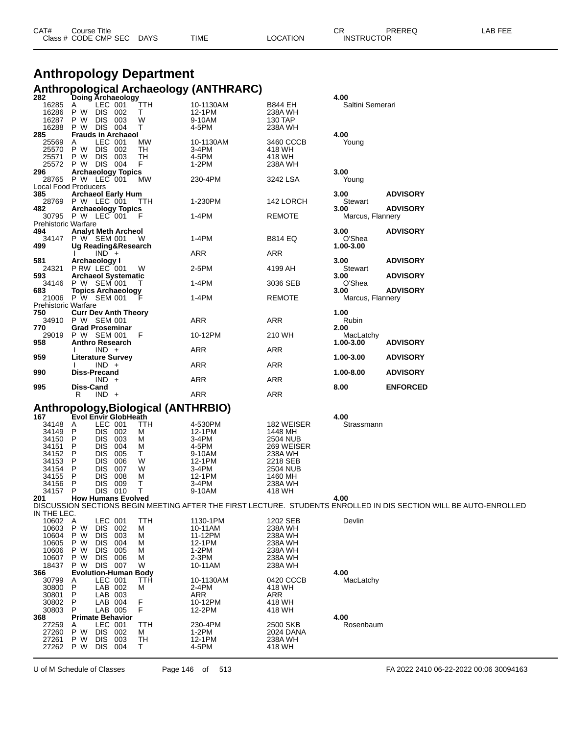| CAT# | Title<br>Course      |      |      |          | Ωn<br>◡∩          | PREREQ | . EEF<br>AR. |
|------|----------------------|------|------|----------|-------------------|--------|--------------|
|      | Class # CODE CMP SEC | DAYS | TIME | LOCATION | <b>INSTRUCTOR</b> |        |              |

# **Anthropology Department Anthropological Archaeology (ANTHRARC) 282 Doing Archaeology 4.00**

| 16285<br>16286<br>16287<br>16288 | LEC 001<br>TTH<br>A<br>т<br>P W<br>DIS 002<br>P W DIS 003<br>P W DIS 004<br>W<br>т | 10-1130AM<br>12-1PM<br>9-10AM<br>4-5PM | B844 EH<br>238A WH<br>130 TAP<br>238A WH | Saltini Semerari  |                                                                                                                   |
|----------------------------------|------------------------------------------------------------------------------------|----------------------------------------|------------------------------------------|-------------------|-------------------------------------------------------------------------------------------------------------------|
| 285                              | <b>Frauds in Archaeol</b>                                                          |                                        |                                          | 4.00              |                                                                                                                   |
| 25569                            | LEC 001<br>MW<br>Α                                                                 | 10-1130AM                              | 3460 CCCB                                | Young             |                                                                                                                   |
| 25570                            | DIS 002<br>TН<br>P W                                                               | 3-4PM                                  | 418 WH                                   |                   |                                                                                                                   |
| 25571                            | DIS 003<br>TН<br>P W                                                               | 4-5PM                                  | 418 WH                                   |                   |                                                                                                                   |
| 25572 PW                         | DIS 004<br>F                                                                       | $1-2PM$                                | 238A WH                                  |                   |                                                                                                                   |
| 296                              | <b>Archaeology Topics</b>                                                          |                                        |                                          | 3.00              |                                                                                                                   |
| 28765                            | P W LEC 001<br>MW<br>Local Food Producers                                          | 230-4PM                                | 3242 LSA                                 | Young             |                                                                                                                   |
| 385                              | <b>Archaeol Early Hum</b>                                                          |                                        |                                          | 3.00              | <b>ADVISORY</b>                                                                                                   |
| 28769                            | P W LEC 001<br>TTH                                                                 | 1-230PM                                | 142 LORCH                                | Stewart           |                                                                                                                   |
| 482                              | <b>Archaeology Topics</b>                                                          |                                        |                                          | 3.00              | <b>ADVISORY</b>                                                                                                   |
|                                  | 30795 P W LEC 001<br>F                                                             | 1-4PM                                  | <b>REMOTE</b>                            | Marcus, Flannery  |                                                                                                                   |
| <b>Prehistoric Warfare</b>       |                                                                                    |                                        |                                          |                   |                                                                                                                   |
| 494                              | <b>Analyt Meth Archeol</b>                                                         |                                        |                                          | 3.00              | <b>ADVISORY</b>                                                                                                   |
| 34147                            | P W SEM 001<br>- W                                                                 | 1-4PM                                  | <b>B814 EQ</b>                           | O'Shea            |                                                                                                                   |
| 499                              | Ug Reading&Research                                                                |                                        |                                          | 1.00-3.00         |                                                                                                                   |
|                                  | $IND +$                                                                            | ARR                                    | ARR                                      |                   |                                                                                                                   |
| 581                              | Archaeology I                                                                      |                                        |                                          | 3.00              | <b>ADVISORY</b>                                                                                                   |
| 24321<br>593                     | PRW LEC 001<br>W<br><b>Archaeol Systematic</b>                                     | 2-5PM                                  | 4199 AH                                  | Stewart<br>3.00   | <b>ADVISORY</b>                                                                                                   |
| 34146                            | P W SEM 001                                                                        | 1-4PM                                  | 3036 SEB                                 | O'Shea            |                                                                                                                   |
| 683                              | <b>Topics Archaeology</b>                                                          |                                        |                                          | 3.00              | <b>ADVISORY</b>                                                                                                   |
| 21006                            | P W SEM 001                                                                        | 1-4PM                                  | <b>REMOTE</b>                            | Marcus, Flannery  |                                                                                                                   |
| <b>Prehistoric Warfare</b>       |                                                                                    |                                        |                                          |                   |                                                                                                                   |
| 750                              | <b>Curr Dev Anth Theory</b>                                                        |                                        |                                          | 1.00              |                                                                                                                   |
| 34910                            | P W SEM 001                                                                        | ARR                                    | ARR                                      | Rubin             |                                                                                                                   |
| 770                              | <b>Grad Proseminar</b>                                                             |                                        |                                          | 2.00              |                                                                                                                   |
| 29019                            | P W SEM 001<br>F                                                                   | 10-12PM                                | 210 WH                                   | MacLatchy         |                                                                                                                   |
| 958                              | <b>Anthro Research</b>                                                             |                                        |                                          | 1.00-3.00         | <b>ADVISORY</b>                                                                                                   |
|                                  | $IND +$                                                                            | ARR                                    | ARR                                      |                   |                                                                                                                   |
| 959                              | Literature Survey                                                                  |                                        |                                          | 1.00-3.00         | <b>ADVISORY</b>                                                                                                   |
| 990                              | $IND +$<br>Diss-Precand                                                            | ARR                                    | ARR                                      | 1.00-8.00         | <b>ADVISORY</b>                                                                                                   |
|                                  |                                                                                    |                                        |                                          |                   |                                                                                                                   |
|                                  |                                                                                    |                                        |                                          |                   |                                                                                                                   |
|                                  | $IND +$                                                                            | ARR                                    | ARR                                      |                   |                                                                                                                   |
| 995                              | Diss-Cand<br>R                                                                     |                                        |                                          | 8.00              | <b>ENFORCED</b>                                                                                                   |
|                                  | $IND +$                                                                            | ARR                                    | ARR                                      |                   |                                                                                                                   |
|                                  |                                                                                    |                                        |                                          |                   |                                                                                                                   |
| 167                              | Anthropology, Biological (ANTHRBIO)<br>Evol Envir GlobHeath                        |                                        |                                          | 4.00              |                                                                                                                   |
| 34148                            | LEC 001<br>A<br>TTH                                                                | 4-530PM                                | 182 WEISER                               | Strassmann        |                                                                                                                   |
| 34149                            | P<br>DIS 002<br>м                                                                  | 12-1PM                                 | 1448 MH                                  |                   |                                                                                                                   |
| 34150                            | <b>DIS</b><br>P<br>003<br>M                                                        | 3-4PM                                  | 2504 NUB                                 |                   |                                                                                                                   |
| 34151                            | <b>DIS</b><br>P<br>004<br>M                                                        | 4-5PM                                  | 269 WEISER                               |                   |                                                                                                                   |
| 34152                            | <b>DIS</b><br>P<br>005<br>Τ                                                        | 9-10AM                                 | 238A WH                                  |                   |                                                                                                                   |
| 34153                            | P<br><b>DIS</b><br>006<br>W                                                        | 12-1PM                                 | 2218 SEB                                 |                   |                                                                                                                   |
| 34154                            | <b>DIS</b><br>007<br>P<br>W<br>P                                                   | 3-4PM                                  | 2504 NUB                                 |                   |                                                                                                                   |
| 34155<br>34156                   | <b>DIS</b><br>008<br>M<br>P<br>009<br>т                                            | 12-1PM<br>3-4PM                        | 1460 MH<br>238A WH                       |                   |                                                                                                                   |
| 34157                            | <b>DIS</b><br>P<br>DIS 010<br>т                                                    | 9-10AM                                 | 418 WH                                   |                   |                                                                                                                   |
| 201                              | <b>How Humans Evolved</b>                                                          |                                        |                                          | 4.00              |                                                                                                                   |
|                                  |                                                                                    |                                        |                                          |                   | DISCUSSION SECTIONS BEGIN MEETING AFTER THE FIRST LECTURE. STUDENTS ENROLLED IN DIS SECTION WILL BE AUTO-ENROLLED |
| IN THE LEC.                      |                                                                                    |                                        |                                          |                   |                                                                                                                   |
| 10602                            | A<br>LEC 001<br>TTH                                                                | 1130-1PM                               | 1202 SEB                                 | Devlin            |                                                                                                                   |
| 10603                            | P W<br>DIS 002<br>M                                                                | 10-11AM                                | 238A WH                                  |                   |                                                                                                                   |
| 10604                            | P W<br><b>DIS</b><br>003<br>M                                                      | 11-12PM                                | 238A WH                                  |                   |                                                                                                                   |
| 10605<br>10606                   | P W<br>DIS<br>004<br>M<br><b>DIS</b><br>005<br>M                                   | 12-1PM<br>$1-2PM$                      | 238A WH<br>238A WH                       |                   |                                                                                                                   |
| 10607                            | P W<br>P W<br>DIS 006<br>M                                                         | 2-3PM                                  | 238A WH                                  |                   |                                                                                                                   |
| 18437                            | W<br>P W<br>DIS 007                                                                | 10-11AM                                | 238A WH                                  |                   |                                                                                                                   |
| 366                              | <b>Evolution-Human</b><br><b>Body</b>                                              |                                        |                                          | 4.00              |                                                                                                                   |
| 30799                            | LEC 001<br>Α<br>TTH                                                                | 10-1130AM                              | 0420 CCCB                                | MacLatchy         |                                                                                                                   |
| 30800                            | P<br>LAB 002<br>м                                                                  | 2-4PM                                  | 418 WH                                   |                   |                                                                                                                   |
| 30801                            | Ρ<br>LAB 003                                                                       | ARR                                    | ARR                                      |                   |                                                                                                                   |
| 30802                            | F<br>P<br>LAB 004                                                                  | 10-12PM                                | 418 WH                                   |                   |                                                                                                                   |
| 30803                            | F<br>P<br>LAB 005                                                                  | 12-2PM                                 | 418 WH                                   |                   |                                                                                                                   |
| 368                              | <b>Primate Behavior</b><br>LEC 001<br>TTH<br>Α                                     | 230-4PM                                | 2500 SKB                                 | 4.00<br>Rosenbaum |                                                                                                                   |
| 27259<br>27260                   | P W<br>DIS 002<br>м                                                                | $1-2PM$                                | 2024 DANA                                |                   |                                                                                                                   |
| 27261                            | P W<br>DIS 003<br><b>TH</b>                                                        | 12-1PM                                 | 238A WH                                  |                   |                                                                                                                   |
| 27262                            | T.<br>P W<br>DIS 004                                                               | 4-5PM                                  | 418 WH                                   |                   |                                                                                                                   |

U of M Schedule of Classes Page 146 of 513 FA 2022 2410 06-22-2022 00:06 30094163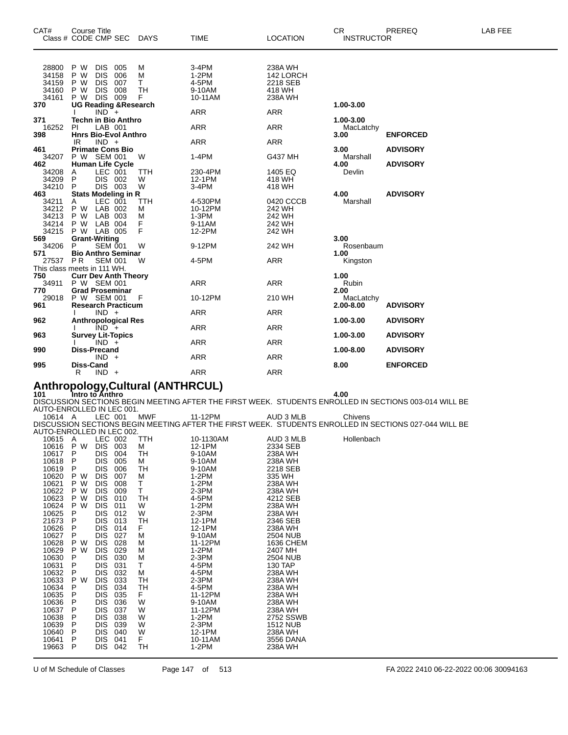| CAT#  | <b>Course Title</b><br>Class # CODE CMP SEC | DAYS       | <b>TIME</b> | <b>LOCATION</b> | CR.<br><b>INSTRUCTOR</b> | PREREQ          | LAB FEE |
|-------|---------------------------------------------|------------|-------------|-----------------|--------------------------|-----------------|---------|
|       |                                             |            |             |                 |                          |                 |         |
| 28800 | P W<br><b>DIS</b><br>005                    | М          | $3-4PM$     | 238A WH         |                          |                 |         |
| 34158 | <b>DIS</b><br>006<br>P W                    | M          | $1-2PM$     | 142 LORCH       |                          |                 |         |
| 34159 | <b>DIS</b><br>P W<br>007                    | Τ          | 4-5PM       | 2218 SEB        |                          |                 |         |
| 34160 | <b>DIS</b><br>P W<br>008                    | TН         | 9-10AM      | 418 WH          |                          |                 |         |
| 34161 | <b>DIS 009</b><br>P W                       | F          | 10-11AM     | 238A WH         |                          |                 |         |
| 370   | <b>UG Reading &amp; Research</b>            |            |             |                 | 1.00-3.00                |                 |         |
| 371   | $IND^-+$<br><b>Techn in Bio Anthro</b>      |            | <b>ARR</b>  | <b>ARR</b>      | 1.00-3.00                |                 |         |
| 16252 | LAB 001<br>PI.                              |            | <b>ARR</b>  | <b>ARR</b>      | MacLatchy                |                 |         |
| 398   | <b>Hnrs Bio-Evol Anthro</b>                 |            |             |                 | 3.00                     | <b>ENFORCED</b> |         |
|       | $IND +$<br>IR                               |            | <b>ARR</b>  | <b>ARR</b>      |                          |                 |         |
| 461   | <b>Primate Cons Bio</b>                     |            |             |                 | 3.00                     | <b>ADVISORY</b> |         |
| 34207 | P W SEM 001                                 | W          | $1-4PM$     | G437 MH         | Marshall                 |                 |         |
| 462   | <b>Human Life Cycle</b>                     |            |             |                 | 4.00                     | <b>ADVISORY</b> |         |
| 34208 | LEC 001<br>A                                | <b>TTH</b> | 230-4PM     | 1405 EQ         | Devlin                   |                 |         |
| 34209 | DIS 002<br>P                                | W          | 12-1PM      | 418 WH          |                          |                 |         |
| 34210 | DIS 003<br>P                                | W          | 3-4PM       | 418 WH          |                          |                 |         |
| 463   | <b>Stats Modeling in R</b>                  |            |             |                 | 4.00                     | <b>ADVISORY</b> |         |
| 34211 | LEC 001<br>Α                                | TTH        | 4-530PM     | 0420 CCCB       | Marshall                 |                 |         |
| 34212 | LAB 002<br>P W                              | м          | 10-12PM     | 242 WH          |                          |                 |         |
| 34213 | P W LAB 003                                 | М          | $1-3PM$     | 242 WH          |                          |                 |         |
| 34214 | P W LAB 004                                 | F          | 9-11AM      | 242 WH          |                          |                 |         |
| 34215 | P W LAB 005                                 | F          | 12-2PM      | 242 WH          |                          |                 |         |
| 569   | <b>Grant-Writing</b>                        |            |             |                 | 3.00                     |                 |         |
| 34206 | <b>SEM 001</b><br>P                         | W          | 9-12PM      | 242 WH          | Rosenbaum                |                 |         |
| 571   | <b>Bio Anthro Seminar</b>                   |            |             |                 | 1.00                     |                 |         |
| 27537 | PR<br><b>SEM 001</b>                        | W          | 4-5PM       | <b>ARR</b>      | Kingston                 |                 |         |
|       | This class meets in 111 WH.                 |            |             |                 |                          |                 |         |
| 750   | <b>Curr Dev Anth Theory</b>                 |            |             |                 | 1.00                     |                 |         |
|       | 34911 P W SEM 001                           |            | <b>ARR</b>  | <b>ARR</b>      | Rubin                    |                 |         |
| 770   | <b>Grad Proseminar</b>                      |            |             |                 | 2.00                     |                 |         |
| 29018 | P W SEM 001                                 | - F        | 10-12PM     | 210 WH          | MacLatchy<br>2.00-8.00   |                 |         |
| 961   | <b>Research Practicum</b>                   |            | <b>ARR</b>  | <b>ARR</b>      |                          | <b>ADVISORY</b> |         |
| 962   | $IND +$                                     |            |             |                 | 1.00-3.00                | <b>ADVISORY</b> |         |
|       | <b>Anthropological Res</b><br>$IND +$       |            | <b>ARR</b>  | <b>ARR</b>      |                          |                 |         |
| 963   | <b>Survey Lit-Topics</b>                    |            |             |                 | 1.00-3.00                | <b>ADVISORY</b> |         |
|       | $IND +$                                     |            | <b>ARR</b>  | <b>ARR</b>      |                          |                 |         |
| 990   | <b>Diss-Precand</b>                         |            |             |                 | 1.00-8.00                | <b>ADVISORY</b> |         |
|       | $IND +$                                     |            | ARR         | <b>ARR</b>      |                          |                 |         |
| 995   | <b>Diss-Cand</b>                            |            |             |                 | 8.00                     | <b>ENFORCED</b> |         |
|       | R<br>$IND +$                                |            | <b>ARR</b>  | <b>ARR</b>      |                          |                 |         |
|       |                                             |            |             |                 |                          |                 |         |

# **Anthropology,Cultural (ANTHRCUL) 101 Intro to Anthro 4.00**

DISCUSSION SECTIONS BEGIN MEETING AFTER THE FIRST WEEK. STUDENTS ENROLLED IN SECTIONS 003-014 WILL BE AUTO-ENROLLED IN LEC 001.

 A LEC 001 MWF 11-12PM AUD 3 MLB Chivens DISCUSSION SECTIONS BEGIN MEETING AFTER THE FIRST WEEK. STUDENTS ENROLLED IN SECTIONS 027-044 WILL BE AUTO-ENROLLED IN LEC 002.

| 10615<br>A<br>10616<br>10617<br>P<br>10618<br>P<br>10619<br>10620<br>10621<br>10622<br>10623<br>10624<br>P<br>10625<br>21673<br>P<br>10626<br>10627<br>10628<br>10629<br>10630<br>10631<br>10632<br>10633<br>10634<br>P<br>10635<br>10636<br>P<br>10637<br>P<br>10638<br>P<br>10639<br>P<br>10640<br>10641<br>P<br>P<br>19663 | P<br>W<br>P<br>P W<br>P W<br>P W<br>P W<br>P W<br>P<br>P<br>P W<br>P W<br>P<br>P<br>P<br>P W<br>P<br>P | LEC 002<br><b>DIS</b><br><b>DIS</b><br><b>DIS</b><br><b>DIS</b><br><b>DIS</b><br><b>DIS</b><br><b>DIS</b><br><b>DIS</b><br><b>DIS</b><br>DIS.<br>DIS.<br><b>DIS</b><br><b>DIS</b><br><b>DIS</b><br><b>DIS</b><br>DIS.<br><b>DIS</b><br><b>DIS</b><br>DIS.<br><b>DIS</b><br><b>DIS</b><br>DIS.<br>DIS.<br>DIS.<br>DIS.<br>DIS.<br>DIS. | 003<br>004<br>005<br>006<br>007<br>008<br>009<br>010<br>011<br>012<br>013<br>014<br>027<br>028<br>029<br>030<br>031<br>032<br>033<br>034<br>035<br>036<br>037<br>038<br>039<br>040<br>041 | <b>TTH</b><br>М<br>TH<br>м<br>TH<br>м<br>T.<br>T.<br>TH<br>W<br>W<br>TH<br>F.<br>м<br>М<br>М<br>М<br>T.<br>м<br>TН<br>TH<br>F.<br>W<br>W<br>W<br>W<br>W<br>F. | 10-1130AM<br>12-1PM<br>9-10AM<br>9-10AM<br>9-10AM<br>$1-2PM$<br>$1-2PM$<br>$2-3PM$<br>4-5PM<br>1-2PM<br>$2-3PM$<br>12-1PM<br>12-1PM<br>9-10AM<br>11-12PM<br>$1-2PM$<br>$2-3PM$<br>4-5PM<br>4-5PM<br>$2-3PM$<br>4-5PM<br>11-12PM<br>9-10AM<br>11-12PM<br>1-2PM<br>2-3PM<br>12-1PM<br>10-11AM | AUD 3 MLB<br>2334 SEB<br>238A WH<br>238A WH<br>2218 SEB<br>335 WH<br>238A WH<br>238A WH<br>4212 SEB<br>238A WH<br>238A WH<br>2346 SEB<br>238A WH<br><b>2504 NUB</b><br>1636 CHEM<br>2407 MH<br>2504 NUB<br>130 TAP<br>238A WH<br>238A WH<br>238A WH<br>238A WH<br>238A WH<br>238A WH<br>2752 SSWB<br><b>1512 NUB</b><br>238A WH<br>3556 DANA | Hollenbach |
|-------------------------------------------------------------------------------------------------------------------------------------------------------------------------------------------------------------------------------------------------------------------------------------------------------------------------------|--------------------------------------------------------------------------------------------------------|---------------------------------------------------------------------------------------------------------------------------------------------------------------------------------------------------------------------------------------------------------------------------------------------------------------------------------------|-------------------------------------------------------------------------------------------------------------------------------------------------------------------------------------------|---------------------------------------------------------------------------------------------------------------------------------------------------------------|---------------------------------------------------------------------------------------------------------------------------------------------------------------------------------------------------------------------------------------------------------------------------------------------|----------------------------------------------------------------------------------------------------------------------------------------------------------------------------------------------------------------------------------------------------------------------------------------------------------------------------------------------|------------|
|-------------------------------------------------------------------------------------------------------------------------------------------------------------------------------------------------------------------------------------------------------------------------------------------------------------------------------|--------------------------------------------------------------------------------------------------------|---------------------------------------------------------------------------------------------------------------------------------------------------------------------------------------------------------------------------------------------------------------------------------------------------------------------------------------|-------------------------------------------------------------------------------------------------------------------------------------------------------------------------------------------|---------------------------------------------------------------------------------------------------------------------------------------------------------------|---------------------------------------------------------------------------------------------------------------------------------------------------------------------------------------------------------------------------------------------------------------------------------------------|----------------------------------------------------------------------------------------------------------------------------------------------------------------------------------------------------------------------------------------------------------------------------------------------------------------------------------------------|------------|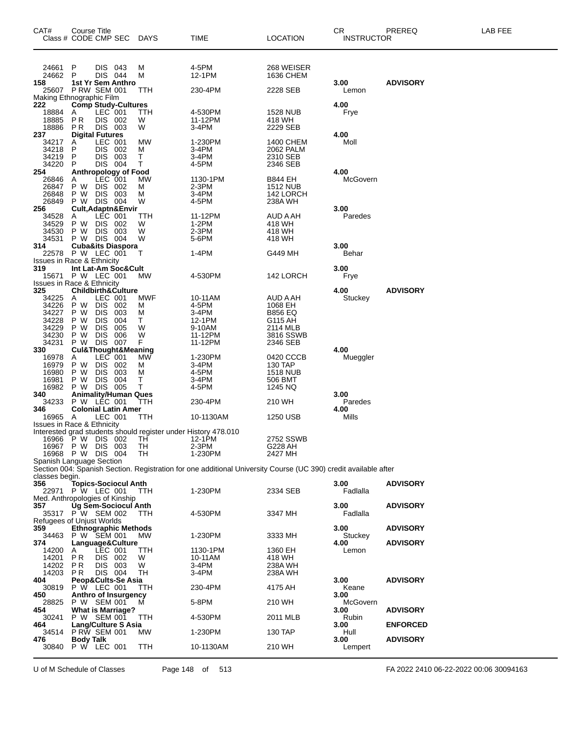| CAT#<br>Class # CODE CMP SEC                 | Course Title                                |                          |                             | <b>DAYS</b>                                                    | TIME                                                                                                            | LOCATION                   | CR.<br><b>INSTRUCTOR</b> | PREREQ          | LAB FEE |
|----------------------------------------------|---------------------------------------------|--------------------------|-----------------------------|----------------------------------------------------------------|-----------------------------------------------------------------------------------------------------------------|----------------------------|--------------------------|-----------------|---------|
|                                              |                                             |                          |                             |                                                                |                                                                                                                 |                            |                          |                 |         |
| 24661                                        | P                                           | DIS 043                  |                             | M                                                              | 4-5PM                                                                                                           | 268 WEISER                 |                          |                 |         |
| 24662                                        | P                                           | DIS 044                  |                             | м                                                              | 12-1PM                                                                                                          | 1636 CHEM                  |                          |                 |         |
| 158<br>25607 P RW SEM 001                    | 1st Yr Sem Anthro                           |                          |                             | TTH                                                            | 230-4PM                                                                                                         | 2228 SEB                   | 3.00<br>Lemon            | <b>ADVISORY</b> |         |
| Making Ethnographic Film<br>222              | <b>Comp Study-Cultures</b>                  |                          |                             |                                                                |                                                                                                                 |                            | 4.00                     |                 |         |
| 18884                                        | A                                           | LEC 001                  |                             | TTH                                                            | 4-530PM                                                                                                         | 1528 NUB                   | Frye                     |                 |         |
| 18885<br>18886                               | P R<br>P R                                  | DIS 002<br>DIS 003       |                             | W<br>W                                                         | 11-12PM<br>3-4PM                                                                                                | 418 WH<br>2229 SEB         |                          |                 |         |
| 237                                          | <b>Digital Futures</b>                      |                          |                             |                                                                |                                                                                                                 |                            | 4.00                     |                 |         |
| 34217<br>34218                               | A<br>P                                      | LEC 001<br>DIS 002       |                             | MW<br>м                                                        | 1-230PM<br>3-4PM                                                                                                | 1400 CHEM<br>2062 PALM     | Moll                     |                 |         |
| 34219<br>34220                               | P<br>P                                      | DIS 003<br>DIS 004       |                             | Τ<br>Т                                                         | 3-4PM<br>4-5PM                                                                                                  | 2310 SEB                   |                          |                 |         |
| 254                                          | Anthropology of Food                        |                          |                             |                                                                |                                                                                                                 | 2346 SEB                   | 4.00                     |                 |         |
| 26846<br>26847                               | A<br>P W                                    | LEC 001<br>DIS 002       |                             | MW<br>M                                                        | 1130-1PM<br>$2-3PM$                                                                                             | B844 EH<br><b>1512 NUB</b> | McGovern                 |                 |         |
| 26848                                        | P W                                         | DIS 003                  |                             | м                                                              | 3-4PM                                                                                                           | 142 LORCH                  |                          |                 |         |
| 26849<br>256                                 | P W DIS 004                                 |                          | Cult, Adaptn&Envir          | W                                                              | 4-5PM                                                                                                           | 238A WH                    | 3.00                     |                 |         |
| 34528                                        | A                                           | LEC 001                  |                             | TTH                                                            | 11-12PM                                                                                                         | AUD A AH                   | Paredes                  |                 |         |
| 34529<br>34530                               | P W<br>P W                                  | <b>DIS</b><br><b>DIS</b> | - 002<br>003                | W<br>W                                                         | $1-2PM$<br>2-3PM                                                                                                | 418 WH<br>418 WH           |                          |                 |         |
| 34531                                        | P W DIS 004                                 |                          |                             | W                                                              | 5-6PM                                                                                                           | 418 WH                     | 3.00                     |                 |         |
| 314<br>22578                                 | <b>Cuba&amp;its Diaspora</b><br>P W LEC 001 |                          |                             | т                                                              | 1-4PM                                                                                                           | G449 MH                    | Behar                    |                 |         |
| <b>Issues in Race &amp; Ethnicity</b><br>319 | Int Lat-Am Soc&Cult                         |                          |                             |                                                                |                                                                                                                 |                            | 3.00                     |                 |         |
| 15671                                        | P W LEC 001                                 |                          |                             | МW                                                             | 4-530PM                                                                                                         | 142 LORCH                  | Frye                     |                 |         |
| <b>Issues in Race &amp; Ethnicity</b><br>325 | <b>Childbirth&amp;Culture</b>               |                          |                             |                                                                |                                                                                                                 |                            | 4.00                     | <b>ADVISORY</b> |         |
| 34225                                        | Α                                           | LEC 001                  |                             | MWF                                                            | 10-11AM                                                                                                         | AUD A AH                   | Stuckey                  |                 |         |
| 34226<br>34227                               | P W<br>P W                                  | <b>DIS</b><br><b>DIS</b> | 002<br>003                  | M<br>M                                                         | 4-5PM<br>3-4PM                                                                                                  | 1068 EH<br><b>B856 EQ</b>  |                          |                 |         |
| 34228<br>34229                               | P W<br>P W                                  | <b>DIS</b>               | 004                         | Т<br>W                                                         | 12-1PM                                                                                                          | G115 AH                    |                          |                 |         |
| 34230                                        | P W                                         | <b>DIS</b><br><b>DIS</b> | 005<br>006                  | W                                                              | 9-10AM<br>11-12PM                                                                                               | 2114 MLB<br>3816 SSWB      |                          |                 |         |
| 34231<br>330                                 | P W<br><b>Cul&amp;Thought&amp;Meaning</b>   | DIS 007                  |                             | F.                                                             | 11-12PM                                                                                                         | 2346 SEB                   | 4.00                     |                 |         |
| 16978                                        | A                                           | LEC 001                  |                             | MW                                                             | 1-230PM                                                                                                         | 0420 CCCB                  | Mueggler                 |                 |         |
| 16979<br>16980                               | P W<br>P W                                  | <b>DIS</b><br><b>DIS</b> | 002<br>003                  | M<br>м                                                         | 3-4PM<br>4-5PM                                                                                                  | 130 TAP<br><b>1518 NUB</b> |                          |                 |         |
| 16981                                        | P W                                         | DIS 004                  |                             | т                                                              | 3-4PM                                                                                                           | 506 BMT                    |                          |                 |         |
| 16982<br>340                                 | P W DIS 005<br><b>Animality/Human Ques</b>  |                          |                             | Т                                                              | 4-5PM                                                                                                           | 1245 NQ                    | 3.00                     |                 |         |
| 34233                                        | P W LÉC 001                                 |                          |                             | TTH                                                            | 230-4PM                                                                                                         | 210 WH                     | Paredes                  |                 |         |
| 346<br>16965                                 | <b>Colonial Latin Amer</b><br>A             | LEC 001                  |                             | TTH                                                            | 10-1130AM                                                                                                       | 1250 USB                   | 4.00<br>Mills            |                 |         |
| <b>Issues in Race &amp; Ethnicity</b>        |                                             |                          |                             | Interested grad students should register under History 478.010 |                                                                                                                 |                            |                          |                 |         |
| 16966 P W DIS 002                            |                                             |                          |                             | TH.                                                            | 12-1PM                                                                                                          | 2752 SSWB                  |                          |                 |         |
| 16967 P W DIS 003<br>16968 P W DIS 004       |                                             |                          |                             | TH<br>TH                                                       | $2-3PM$<br>1-230PM                                                                                              | G228 AH<br>2427 MH         |                          |                 |         |
| Spanish Language Section                     |                                             |                          |                             |                                                                |                                                                                                                 |                            |                          |                 |         |
| classes begin.                               |                                             |                          |                             |                                                                | Section 004: Spanish Section. Registration for one additional University Course (UC 390) credit available after |                            |                          |                 |         |
| 356<br>22971                                 | P W LEC 001                                 |                          | <b>Topics-Sociocul Anth</b> | <b>TTH</b>                                                     | 1-230PM                                                                                                         | 2334 SEB                   | 3.00<br>Fadlalla         | <b>ADVISORY</b> |         |
| Med. Anthropologies of Kinship               |                                             |                          |                             |                                                                |                                                                                                                 |                            |                          |                 |         |
| 357<br>35317 P W SEM 002                     | <b>Ug Sem-Sociocul Anth</b>                 |                          |                             | TTH                                                            | 4-530PM                                                                                                         | 3347 MH                    | 3.00<br>Fadlalla         | <b>ADVISORY</b> |         |
| <b>Refugees of Unjust Worlds</b>             |                                             |                          |                             |                                                                |                                                                                                                 |                            |                          |                 |         |
| 359<br>34463                                 | <b>Ethnographic Methods</b><br>P W SEM 001  |                          |                             | MW.                                                            | 1-230PM                                                                                                         | 3333 MH                    | 3.00<br>Stuckey          | <b>ADVISORY</b> |         |
| 374                                          | Language&Culture                            |                          |                             |                                                                |                                                                                                                 |                            | 4.00                     | <b>ADVISORY</b> |         |
| 14200<br>14201                               | A<br><b>PR</b>                              | LEC 001<br>DIS 002       |                             | TTH<br>W                                                       | 1130-1PM<br>10-11AM                                                                                             | 1360 EH<br>418 WH          | Lemon                    |                 |         |
| 14202<br>14203                               | P R<br>P R                                  | DIS 003<br>DIS 004       |                             | W<br>TH                                                        | 3-4PM<br>3-4PM                                                                                                  | 238A WH<br>238A WH         |                          |                 |         |
| 404                                          |                                             |                          | Peop&Cults-Se Asia          |                                                                |                                                                                                                 |                            | 3.00                     | <b>ADVISORY</b> |         |
| 30819<br>450                                 | P W LEC 001<br>Anthro of Insurgency         |                          |                             | TTH                                                            | 230-4PM                                                                                                         | 4175 AH                    | Keane<br>3.00            |                 |         |
| 28825                                        | P W SEM 001                                 |                          |                             | м                                                              | 5-8PM                                                                                                           | 210 WH                     | McGovern                 |                 |         |
| 454<br>30241                                 | <b>What is Marriage?</b><br>P W SEM 001     |                          |                             | TTH                                                            | 4-530PM                                                                                                         | 2011 MLB                   | 3.00<br>Rubin            | <b>ADVISORY</b> |         |
| 464<br>34514                                 | <b>Lang/Culture S Asia</b><br>P RW SEM 001  |                          |                             | МW                                                             | 1-230PM                                                                                                         | 130 TAP                    | 3.00<br>Hull             | <b>ENFORCED</b> |         |
| 476                                          | Body Talk                                   |                          |                             |                                                                |                                                                                                                 |                            | 3.00                     | <b>ADVISORY</b> |         |
| 30840                                        | P W LEC 001                                 |                          |                             | TTH                                                            | 10-1130AM                                                                                                       | 210 WH                     | Lempert                  |                 |         |

U of M Schedule of Classes Page 148 of 513 FA 2022 2410 06-22-2022 00:06 30094163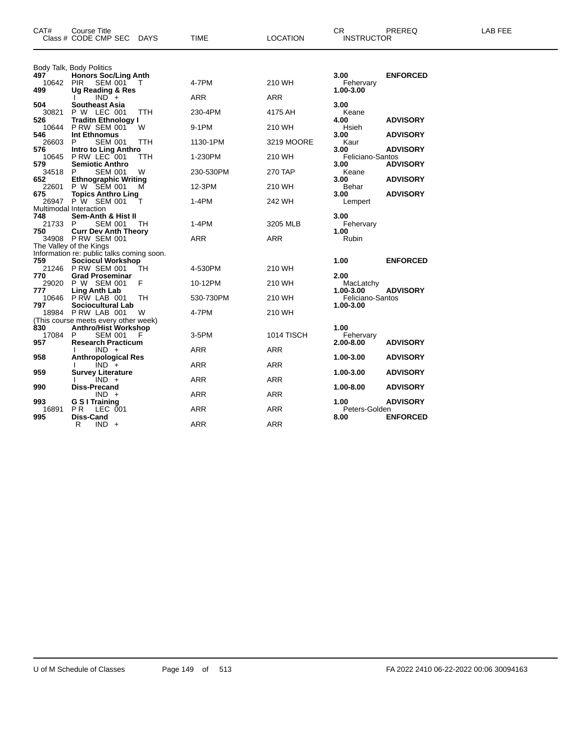| CAT#         | <b>Course Title</b><br>Class # CODE CMP SEC<br>DAYS                  | TIME       | <b>LOCATION</b> | CR<br><b>INSTRUCTOR</b>       | PREREQ          | LAB FEE |
|--------------|----------------------------------------------------------------------|------------|-----------------|-------------------------------|-----------------|---------|
| 497          | Body Talk, Body Politics<br><b>Honors Soc/Ling Anth</b>              |            |                 | 3.00                          | <b>ENFORCED</b> |         |
| 10642 PIR    | SEM 001<br>$\top$                                                    | 4-7PM      | 210 WH          | Fehervary                     |                 |         |
| 499          | Ug Reading & Res<br>$IND +$                                          | ARR        | <b>ARR</b>      | 1.00-3.00                     |                 |         |
| 504<br>30821 | <b>Southeast Asia</b><br>P W LEC 001<br><b>TTH</b>                   | 230-4PM    | 4175 AH         | 3.00<br>Keane                 |                 |         |
| 526<br>10644 | Traditn Ethnology I<br>P RW SEM 001<br>W                             | 9-1PM      | 210 WH          | 4.00<br>Hsieh                 | <b>ADVISORY</b> |         |
| 546<br>26603 | Int Ethnomus<br><b>SEM 001</b><br><b>TTH</b><br>P.                   | 1130-1PM   | 3219 MOORE      | 3.00<br>Kaur                  | <b>ADVISORY</b> |         |
| 576<br>10645 | Intro to Ling Anthro<br>P RW LEC 001<br>TTH                          | 1-230PM    | 210 WH          | 3.00<br>Feliciano-Santos      | <b>ADVISORY</b> |         |
| 579<br>34518 | <b>Semiotic Anthro</b><br><b>SEM 001</b><br>P.<br>W                  | 230-530PM  | 270 TAP         | 3.00<br>Keane                 | <b>ADVISORY</b> |         |
| 652<br>22601 | <b>Ethnographic Writing</b><br>P W SEM 001<br>м                      | 12-3PM     | 210 WH          | 3.00<br>Behar                 | <b>ADVISORY</b> |         |
| 675          | <b>Topics Anthro Ling</b><br>26947 P W SEM 001<br>т                  | $1-4PM$    | 242 WH          | 3.00<br>Lempert               | <b>ADVISORY</b> |         |
| 748          | Multimodal Interaction<br>Sem-Anth & Hist II                         |            |                 | 3.00                          |                 |         |
| 21733<br>750 | P.<br><b>SEM 001</b><br>TН                                           | 1-4PM      | 3205 MLB        | Fehervary<br>1.00             |                 |         |
|              | <b>Curr Dev Anth Theory</b><br>34908 PRW SEM 001                     | ARR        | ARR             | Rubin                         |                 |         |
|              | The Valley of the Kings<br>Information re: public talks coming soon. |            |                 |                               |                 |         |
| 759          | <b>Sociocul Workshop</b><br>21246 P RW SEM 001<br>TH                 | 4-530PM    | 210 WH          | 1.00                          | <b>ENFORCED</b> |         |
| 770<br>29020 | <b>Grad Proseminar</b><br>F<br>P W SEM 001                           | 10-12PM    | 210 WH          | 2.00<br>MacLatchy             |                 |         |
| 777<br>10646 | <b>Ling Anth Lab</b><br>PRW LAB 001<br>TH                            | 530-730PM  | 210 WH          | 1.00-3.00<br>Feliciano-Santos | <b>ADVISORY</b> |         |
| 797          | Sociocultural Lab<br>18984 P RW LAB 001<br>W                         | 4-7PM      | 210 WH          | 1.00-3.00                     |                 |         |
| 830          | (This course meets every other week)<br><b>Anthro/Hist Workshop</b>  |            |                 | 1.00                          |                 |         |
| 17084<br>957 | <b>SEM 001</b><br>P<br>F<br><b>Research Practicum</b>                | $3-5$ PM   | 1014 TISCH      | Fehervary<br>2.00-8.00        | <b>ADVISORY</b> |         |
| 958          | $IND +$<br><b>Anthropological Res</b>                                | ARR        | ARR             | 1.00-3.00                     | <b>ADVISORY</b> |         |
| 959          | $IND +$<br><b>Survey Literature</b>                                  | <b>ARR</b> | <b>ARR</b>      | 1.00-3.00                     | <b>ADVISORY</b> |         |
| 990          | $IND +$<br>Diss-Precand                                              | ARR        | <b>ARR</b>      | 1.00-8.00                     | <b>ADVISORY</b> |         |
| 993          | $IND +$<br>G S I Training                                            | ARR        | <b>ARR</b>      | 1.00                          | <b>ADVISORY</b> |         |
| 16891        | P <sub>R</sub><br>LEC 001                                            | <b>ARR</b> | <b>ARR</b>      | Peters-Golden                 |                 |         |
| 995          | Diss-Cand<br>R<br>$IND +$                                            | <b>ARR</b> | <b>ARR</b>      | 8.00                          | <b>ENFORCED</b> |         |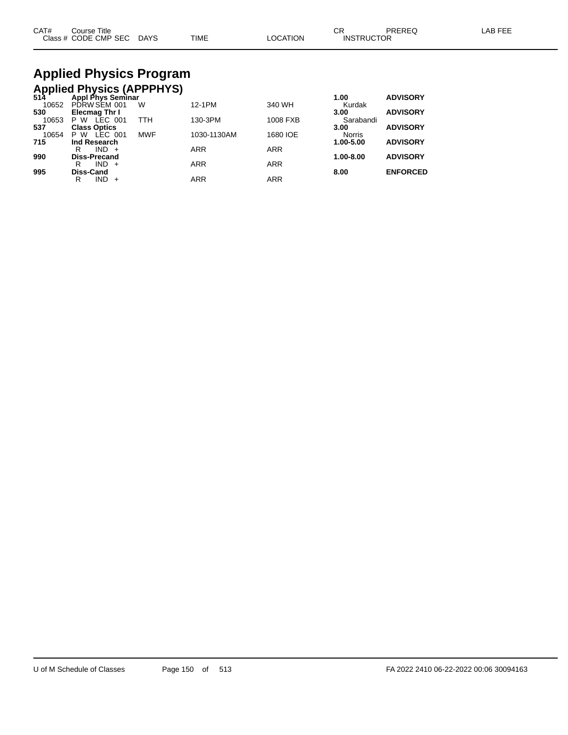| CAT# | Course Title              |      |          | СR                | PREREQ | LAB FEE |
|------|---------------------------|------|----------|-------------------|--------|---------|
|      | Class # CODE CMP SEC DAYS | TIME | LOCATION | <b>INSTRUCTOR</b> |        |         |

### **Applied Physics Program Applied Physics (APPPHYS)**

| 514   | Appl Phys Seminar   |            |             |            | 1.00          | <b>ADVISORY</b> |
|-------|---------------------|------------|-------------|------------|---------------|-----------------|
| 10652 | PDRW SEM 001        | W          | 12-1PM      | 340 WH     | Kurdak        |                 |
| 530   | Elecmag Thr I       |            |             |            | 3.00          | <b>ADVISORY</b> |
| 10653 | LEC 001<br>P W      | TTH        | 130-3PM     | 1008 FXB   | Sarabandi     |                 |
| 537   | <b>Class Optics</b> |            |             |            | 3.00          | <b>ADVISORY</b> |
| 10654 | LEC 001<br>P W      | <b>MWF</b> | 1030-1130AM | 1680 IOE   | <b>Norris</b> |                 |
| 715   | Ind Research        |            |             |            | 1.00-5.00     | <b>ADVISORY</b> |
|       | R<br>$IND +$        |            | <b>ARR</b>  | <b>ARR</b> |               |                 |
| 990   | <b>Diss-Precand</b> |            |             |            | 1.00-8.00     | <b>ADVISORY</b> |
|       | $IND +$<br>R        |            | <b>ARR</b>  | <b>ARR</b> |               |                 |
| 995   | Diss-Cand           |            |             |            | 8.00          | <b>ENFORCED</b> |
|       | IND<br>R            |            | <b>ARR</b>  | ARR        |               |                 |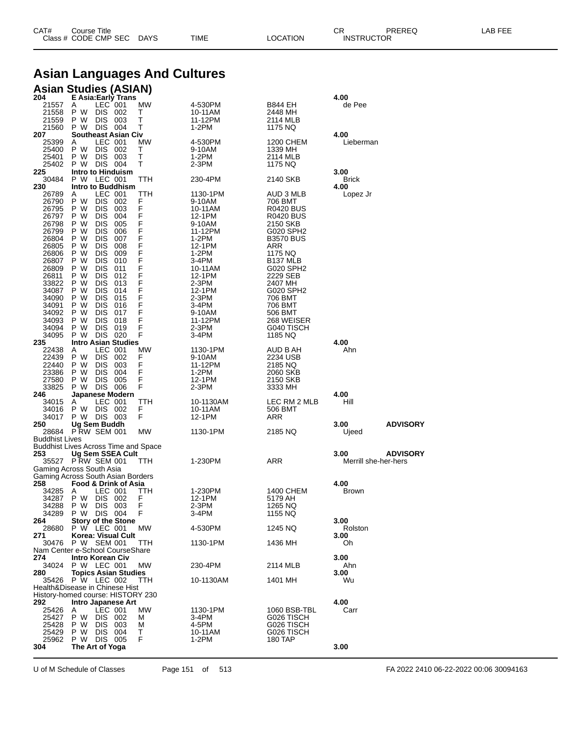| CAT# | Title<br>Course      |                       |             |          | $\sim$ $\sim$<br>◡⊓ | <b>PREREC</b> | AB FFF |
|------|----------------------|-----------------------|-------------|----------|---------------------|---------------|--------|
|      | Class # CODE CMP SEC | <b>DAYS</b><br>$\sim$ | <b>TIME</b> | OCATION. | <b>INSTRUCTOR</b>   |               |        |

# **Asian Languages And Cultures**

### **Asian Studies (ASIAN)**

| 204                   | E Asia:Early Trans                                  |        |           |                          | 4.00                 |                 |
|-----------------------|-----------------------------------------------------|--------|-----------|--------------------------|----------------------|-----------------|
| 21557                 | LEC 001<br>A                                        | MW     | 4-530PM   | B844 EH                  | de Pee               |                 |
| 21558                 | P W<br>DIS<br>002                                   | Т      | 10-11AM   | 2448 MH                  |                      |                 |
| 21559                 | <b>DIS</b><br>P W<br>003                            | т      | 11-12PM   | 2114 MLB                 |                      |                 |
| 21560                 | DIS 004<br>P W                                      | т      | 1-2PM     | 1175 NQ                  |                      |                 |
| 207                   | <b>Southeast Asian Civ</b>                          |        |           |                          | 4.00                 |                 |
| 25399                 | LEC 001<br>Α                                        | МW     | 4-530PM   | 1200 CHEM                | Lieberman            |                 |
| 25400                 | <b>DIS</b><br>P W<br>002                            | т      | 9-10AM    | 1339 MH                  |                      |                 |
| 25401                 | P W<br><b>DIS</b><br>003                            | т      | 1-2PM     | 2114 MLB                 |                      |                 |
| 25402                 | DIS 004<br>P W                                      | т      | 2-3PM     | 1175 NQ                  |                      |                 |
| 225                   | Intro to Hinduism                                   |        |           |                          | 3.00                 |                 |
| 30484                 | P W LEC 001                                         | TTH    | 230-4PM   | 2140 SKB                 | <b>Brick</b>         |                 |
| 230                   | Intro to Buddhism                                   |        |           |                          | 4.00                 |                 |
| 26789                 | LEC 001<br>A                                        | TTH    | 1130-1PM  | AUD 3 MLB                | Lopez Jr             |                 |
| 26790                 | P W<br>DIS.<br>002                                  | F      | 9-10AM    | 706 BMT                  |                      |                 |
| 26795                 | DIS<br>P W<br>003                                   | F      | 10-11AM   | <b>R0420 BUS</b>         |                      |                 |
| 26797                 | P W<br><b>DIS</b><br>004                            | F      | 12-1PM    | <b>R0420 BUS</b>         |                      |                 |
| 26798                 | P W<br><b>DIS</b><br>005                            | F      | 9-10AM    | 2150 SKB                 |                      |                 |
| 26799                 | DIS<br>P W<br>006                                   | F      | 11-12PM   | G020 SPH2                |                      |                 |
| 26804                 | P W<br><b>DIS</b><br>007                            | F      | 1-2PM     | <b>B3570 BUS</b>         |                      |                 |
| 26805                 | P W<br><b>DIS</b><br>008                            | F      | 12-1PM    | ARR                      |                      |                 |
| 26806                 | DIS<br>P W<br>009                                   | F      | 1-2PM     | 1175 NQ                  |                      |                 |
| 26807                 | P W<br><b>DIS</b><br>010                            | F      | 3-4PM     | B <sub>137</sub> MLB     |                      |                 |
| 26809                 | P W<br><b>DIS</b><br>011                            | F      | 10-11AM   | G020 SPH2                |                      |                 |
| 26811                 | DIS<br>P W<br>012                                   | F<br>Ë | 12-1PM    | 2229 SEB                 |                      |                 |
| 33822                 | P W<br><b>DIS</b><br>013                            |        | 2-3PM     | 2407 MH                  |                      |                 |
| 34087                 | P W<br><b>DIS</b><br>014                            | F<br>F | 12-1PM    | G020 SPH2                |                      |                 |
| 34090                 | DIS<br>P W<br>015                                   | F      | 2-3PM     | 706 BMT                  |                      |                 |
| 34091                 | P W<br><b>DIS</b><br>016                            |        | 3-4PM     | 706 BMT                  |                      |                 |
| 34092                 | P W<br><b>DIS</b><br>017                            | F      | 9-10AM    | 506 BMT                  |                      |                 |
| 34093                 | DIS<br>P W<br>018                                   | F      | 11-12PM   | 268 WEISER               |                      |                 |
| 34094                 | <b>DIS</b><br>P W<br>019                            | F      | 2-3PM     | G040 TISCH               |                      |                 |
| 34095                 | P W<br>DIS 020                                      | F      | 3-4PM     | 1185 NQ                  |                      |                 |
| 235                   | <b>Intro Asian Studies</b>                          |        |           |                          | 4.00                 |                 |
| 22438                 | LEC 001<br>A                                        | МW     | 1130-1PM  | AUD B AH                 | Ahn                  |                 |
| 22439                 | P W<br>DIS.<br>002                                  | F      | 9-10AM    | 2234 USB                 |                      |                 |
| 22440                 | P W<br>DIS<br>003                                   | F<br>F | 11-12PM   | 2185 NQ                  |                      |                 |
| 23386                 | P W<br><b>DIS</b><br>004                            | F      | 1-2PM     | 2060 SKB                 |                      |                 |
| 27580                 | P W<br>DIS.<br>005<br>DIS 006                       | F      | 12-1PM    | 2150 SKB                 |                      |                 |
| 33825<br>246          | P W<br>Japanese Modern                              |        | 2-3PM     | 3333 MH                  | 4.00                 |                 |
|                       |                                                     | TTH    |           | LEC RM 2 MLB             | Hill                 |                 |
| 34015<br>34016        | LEC 001<br>A                                        | F      | 10-1130AM |                          |                      |                 |
|                       |                                                     |        |           |                          |                      |                 |
|                       | P W<br>DIS 002                                      |        | 10-11AM   | 506 BMT                  |                      |                 |
| 34017                 | P W DIS 003                                         | F      | 12-1PM    | ARR                      |                      |                 |
| 250                   | Ug Sem Buddh                                        |        |           |                          | 3.00                 | <b>ADVISORY</b> |
| 28684                 | <b>P RW SEM 001</b>                                 | МW     | 1130-1PM  | 2185 NQ                  | Ujeed                |                 |
| <b>Buddhist Lives</b> |                                                     |        |           |                          |                      |                 |
|                       | <b>Buddhist Lives Across Time and Space</b>         |        |           |                          |                      |                 |
| 253                   | Ug Sem SSEA Cult                                    |        |           |                          | 3.00                 | <b>ADVISORY</b> |
|                       | 35527 P RW SEM 001                                  | TTH    | 1-230PM   | ARR                      | Merrill she-her-hers |                 |
|                       | Gaming Across South Asia                            |        |           |                          |                      |                 |
|                       | Gaming Across South Asian Borders                   |        |           |                          |                      |                 |
| 258                   | Food & Drink of Asia                                |        |           |                          | 4.00                 |                 |
| 34285                 | LEC 001<br>Α                                        | TTH    | 1-230PM   | 1400 CHEM                | <b>Brown</b>         |                 |
| 34287                 | P W<br>DIS.<br>002                                  | F      | 12-1PM    | 5179 AH                  |                      |                 |
| 34288                 | P W<br><b>DIS</b><br>003                            | F      | 2-3PM     | 1265 NQ                  |                      |                 |
| 34289                 | P W DIS 004                                         | F      | 3-4PM     | 1155 NQ                  |                      |                 |
| 264.<br>28680         | <b>Story of the Stone</b>                           |        |           |                          | 3.00                 |                 |
|                       | P W LEC 001                                         | MW     | 4-530PM   | 1245 NQ                  | Rolston              |                 |
| 271                   | Korea: Visual Cult<br>P W SEM 001                   |        |           |                          | 3.00                 |                 |
| 30476                 | Nam Center e-School CourseShare                     | ттн    | 1130-1PM  | 1436 MH                  | Oh                   |                 |
| 274                   | Intro Korean Civ                                    |        |           |                          | 3.00                 |                 |
| 34024                 | P W LEC 001                                         | MW     | 230-4PM   | 2114 MLB                 | Ahn                  |                 |
| 280                   | <b>Topics Asian Studies</b>                         |        |           |                          | 3.00                 |                 |
|                       |                                                     | ттн    |           |                          | Wu                   |                 |
|                       | 35426 P W LEC 002<br>Health&Disease in Chinese Hist |        | 10-1130AM | 1401 MH                  |                      |                 |
|                       | History-homed course: HISTORY 230                   |        |           |                          |                      |                 |
| 292                   | Intro Japanese Art                                  |        |           |                          | 4.00                 |                 |
| 25426                 | LEC 001<br>A                                        | MW     | 1130-1PM  |                          | Carr                 |                 |
| 25427                 | P W                                                 | м      | $3-4PM$   | 1060 BSB-TBL             |                      |                 |
| 25428                 | DIS 002<br>P W<br>003                               | м      | 4-5PM     | G026 TISCH<br>G026 TISCH |                      |                 |
| 25429                 | DIS.<br>DIS -<br>P W<br>004                         | т      | 10-11AM   | G026 TISCH               |                      |                 |
| 25962                 | P W DIS 005                                         | F      | 1-2PM     | 180 TAP                  |                      |                 |
| 304                   | The Art of Yoga                                     |        |           |                          | 3.00                 |                 |

U of M Schedule of Classes Page 151 of 513 FA 2022 2410 06-22-2022 00:06 30094163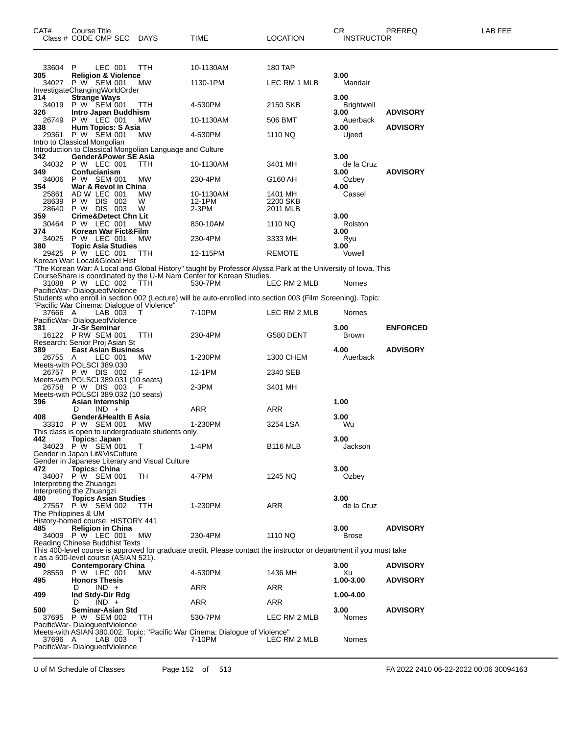| CAT#                    | Course Title<br>Class # CODE CMP SEC                                                     | DAYS          | TIME                                                                                                                                                                                  | <b>LOCATION</b>                 | CR<br><b>INSTRUCTOR</b>     | PREREQ          | <b>LAB FEE</b> |
|-------------------------|------------------------------------------------------------------------------------------|---------------|---------------------------------------------------------------------------------------------------------------------------------------------------------------------------------------|---------------------------------|-----------------------------|-----------------|----------------|
| 33604 P                 | LEC 001                                                                                  | TTH           | 10-1130AM                                                                                                                                                                             | 180 TAP                         |                             |                 |                |
| 305                     | <b>Religion &amp; Violence</b><br>34027 P W SEM 001                                      | MW.           | 1130-1PM                                                                                                                                                                              | LEC RM 1 MLB                    | 3.00<br>Mandair             |                 |                |
| 314<br>34019            | InvestigateChangingWorldOrder<br><b>Strange Ways</b><br>P W SEM 001                      | <b>TTH</b>    | 4-530PM                                                                                                                                                                               | 2150 SKB                        | 3.00<br>Brightwell          |                 |                |
| 326<br>26749            | Intro Japan Buddhism<br>P W LEC 001                                                      | МW            | 10-1130AM                                                                                                                                                                             | 506 BMT                         | 3.00<br>Auerback            | <b>ADVISORY</b> |                |
| 338<br>29361            | <b>Hum Topics: S Asia</b><br>P W SEM 001                                                 | MW.           | 4-530PM                                                                                                                                                                               | 1110 NQ                         | 3.00<br>Ujeed               | <b>ADVISORY</b> |                |
|                         | Intro to Classical Mongolian<br>Introduction to Classical Mongolian Language and Culture |               |                                                                                                                                                                                       |                                 |                             |                 |                |
| 342                     | Gender&Power SE Asia<br>34032 P W LEC 001                                                |               |                                                                                                                                                                                       | 3401 MH                         | 3.00                        |                 |                |
| 349<br>34006            | Confucianism<br>P W SEM 001                                                              | TTH<br>МW     | 10-1130AM<br>230-4PM                                                                                                                                                                  | G160 AH                         | de la Cruz<br>3.00<br>Ozbey | <b>ADVISORY</b> |                |
| 354                     | War & Revol in China                                                                     |               |                                                                                                                                                                                       |                                 | 4.00                        |                 |                |
| 25861<br>28639<br>28640 | AD W LEC 001<br>P W DIS 002<br>P W DIS 003                                               | MW.<br>W<br>W | 10-1130AM<br>12-1PM<br>2-3PM                                                                                                                                                          | 1401 MH<br>2200 SKB<br>2011 MLB | Cassel                      |                 |                |
| 359<br>30464            | <b>Crime&amp;Detect Chn Lit</b><br>P W LEC 001                                           | <b>MW</b>     | 830-10AM                                                                                                                                                                              | 1110 NQ                         | 3.00<br>Rolston             |                 |                |
| 374<br>34025            | Korean War Fict&Film<br>P W LEC 001                                                      | MW            | 230-4PM                                                                                                                                                                               | 3333 MH                         | 3.00<br>Ryu                 |                 |                |
| 380                     | <b>Topic Asia Studies</b><br>29425 P W LEC 001                                           | TTH           | 12-115PM                                                                                                                                                                              | <b>REMOTE</b>                   | 3.00<br>Vowell              |                 |                |
|                         | Korean War: Local&Global Hist                                                            |               |                                                                                                                                                                                       |                                 |                             |                 |                |
|                         |                                                                                          |               | "The Korean War: A Local and Global History" taught by Professor Alyssa Park at the University of Iowa. This<br>Course Share is coordinated by the U-M Nam Center for Korean Studies. |                                 |                             |                 |                |
|                         | 31088 P W LEC 002<br>PacificWar-DialogueofViolence                                       | TTH           | 530-7PM                                                                                                                                                                               | LEC RM 2 MLB                    | Nornes                      |                 |                |
|                         | "Pacific War Cinema: Dialogue of Violence"                                               |               | Students who enroll in section 002 (Lecture) will be auto-enrolled into section 003 (Film Screening). Topic:                                                                          |                                 |                             |                 |                |
| 37666 A                 | LAB 003<br>PacificWar- DialogueofViolence                                                | Т             | 7-10PM                                                                                                                                                                                | LEC RM 2 MLB                    | Nornes                      |                 |                |
| 381                     | Jr-Sr Seminar<br>16122 P RW SEM 001                                                      | - ттн         | 230-4PM                                                                                                                                                                               | G580 DENT                       | 3.00<br>Brown               | <b>ENFORCED</b> |                |
| 389<br>26755 A          | Research: Senior Proj Asian St<br><b>East Asian Business</b><br>LEC 001                  | MW.           | 1-230PM                                                                                                                                                                               | 1300 CHEM                       | 4.00<br>Auerback            | <b>ADVISORY</b> |                |
|                         | Meets-with POLSCI 389.030<br>26757 P W DIS 002                                           | F.            | 12-1PM                                                                                                                                                                                | 2340 SEB                        |                             |                 |                |
|                         | Meets-with POLSCI 389.031 (10 seats)<br>26758 P W DIS 003                                | F             | 2-3PM                                                                                                                                                                                 | 3401 MH                         |                             |                 |                |
|                         | Meets-with POLSCI 389.032 (10 seats)                                                     |               |                                                                                                                                                                                       |                                 |                             |                 |                |
| 396                     | Asian Internship<br>$IND +$<br>D                                                         |               | ARR                                                                                                                                                                                   | ARR                             | 1.00                        |                 |                |
| 408<br>33310            | Gender&Health E Asia<br>P W SEM 001                                                      | <b>MW</b>     | 1-230PM                                                                                                                                                                               | 3254 LSA                        | 3.00<br>Wu                  |                 |                |
| 442                     | This class is open to undergraduate students only.<br>Topics: Japan                      |               |                                                                                                                                                                                       |                                 | 3.00                        |                 |                |
|                         | 34023 PW SEM 001<br>Gender in Japan Lit&VisCulture                                       | $\top$        | 1-4PM                                                                                                                                                                                 | B <sub>116</sub> MLB            | Jackson                     |                 |                |
| 472                     | Gender in Japanese Literary and Visual Culture<br><b>Topics: China</b>                   |               |                                                                                                                                                                                       |                                 | 3.00                        |                 |                |
|                         | 34007 P W SEM 001                                                                        | TH.           | 4-7PM                                                                                                                                                                                 | 1245 NQ                         | Ozbey                       |                 |                |
|                         | Interpreting the Zhuangzi<br>Interpreting the Zhuangzi                                   |               |                                                                                                                                                                                       |                                 |                             |                 |                |
| 480                     | <b>Topics Asian Studies</b><br>27557 P W SEM 002                                         | <b>TTH</b>    | 1-230PM                                                                                                                                                                               | <b>ARR</b>                      | 3.00<br>de la Cruz          |                 |                |
|                         | The Philippines & UM<br>History-homed course: HISTORY 441                                |               |                                                                                                                                                                                       |                                 |                             |                 |                |
| 485                     | <b>Religion in China</b>                                                                 |               |                                                                                                                                                                                       |                                 | 3.00                        | <b>ADVISORY</b> |                |
|                         | 34009 P W LEC 001<br>Reading Chinese Buddhist Texts                                      | МW            | 230-4PM                                                                                                                                                                               | 1110 NQ                         | Brose                       |                 |                |
|                         | it as a 500-level course (ASIAN 521).                                                    |               | This 400-level course is approved for graduate credit. Please contact the instructor or department if you must take                                                                   |                                 |                             |                 |                |
| 490<br>28559            | <b>Contemporary China</b><br>P W LEC 001                                                 | MW.           | 4-530PM                                                                                                                                                                               | 1436 MH                         | 3.00<br>Xu                  | <b>ADVISORY</b> |                |
| 495                     | <b>Honors Thesis</b><br>$IND +$<br>D                                                     |               | ARR                                                                                                                                                                                   | ARR                             | 1.00-3.00                   | <b>ADVISORY</b> |                |
| 499                     | Ind Stdy-Dir Rdg                                                                         |               |                                                                                                                                                                                       |                                 | 1.00-4.00                   |                 |                |
| 500                     | $IND +$<br>D<br>Seminar-Asian Std                                                        |               | ARR                                                                                                                                                                                   | ARR                             | 3.00                        | <b>ADVISORY</b> |                |
| 37695                   | P W SEM 002<br>PacificWar-DialogueofViolence                                             | TTH           | 530-7PM                                                                                                                                                                               | LEC RM 2 MLB                    | Nornes                      |                 |                |
| 37696 A                 | LAB 003<br>PacificWar-DialogueofViolence                                                 | T             | Meets-with ASIAN 380.002. Topic: "Pacific War Cinema: Dialogue of Violence"<br>7-10PM                                                                                                 | LEC RM 2 MLB                    | Nornes                      |                 |                |

U of M Schedule of Classes Page 152 of 513 FA 2022 2410 06-22-2022 00:06 30094163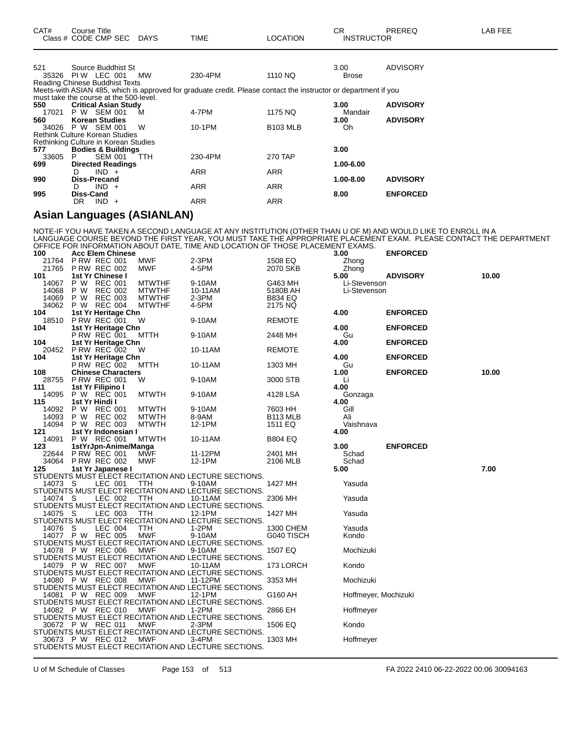| CAT#         | Course Title<br>Class # CODE CMP SEC                                          | DAYS       | <b>TIME</b>                                                                                                     | LOCATION        | <b>CR</b><br><b>INSTRUCTOR</b> | <b>PREREQ</b>   | LAB FEE |
|--------------|-------------------------------------------------------------------------------|------------|-----------------------------------------------------------------------------------------------------------------|-----------------|--------------------------------|-----------------|---------|
| 521          | Source Buddhist St                                                            |            |                                                                                                                 |                 | 3.00                           | <b>ADVISORY</b> |         |
| 35326        | PIW LEC 001<br>Reading Chinese Buddhist Texts                                 | MW         | 230-4PM                                                                                                         | 1110 NQ         | <b>Brose</b>                   |                 |         |
|              | must take the course at the 500-level.                                        |            | Meets-with ASIAN 485, which is approved for graduate credit. Please contact the instructor or department if you |                 |                                |                 |         |
| 550<br>17021 | <b>Critical Asian Study</b><br>P W SEM 001                                    | м          | 4-7PM                                                                                                           | 1175 NQ         | 3.00<br>Mandair                | <b>ADVISORY</b> |         |
| 560<br>34026 | <b>Korean Studies</b><br>P W SEM 001                                          | W          | 10-1PM                                                                                                          | <b>B103 MLB</b> | 3.00<br>Oh                     | <b>ADVISORY</b> |         |
|              | <b>Rethink Culture Korean Studies</b><br>Rethinking Culture in Korean Studies |            |                                                                                                                 |                 |                                |                 |         |
| 577          | <b>Bodies &amp; Buildings</b>                                                 |            |                                                                                                                 |                 | 3.00                           |                 |         |
| 33605<br>699 | <b>SEM 001</b><br>P.<br><b>Directed Readings</b>                              | <b>TTH</b> | 230-4PM                                                                                                         | <b>270 TAP</b>  | 1.00-6.00                      |                 |         |
|              | $IND +$<br>D                                                                  |            | ARR                                                                                                             | <b>ARR</b>      |                                |                 |         |
| 990          | <b>Diss-Precand</b><br>IND.<br>D.<br>$+$                                      |            | <b>ARR</b>                                                                                                      | <b>ARR</b>      | 1.00-8.00                      | <b>ADVISORY</b> |         |
| 995          | <b>Diss-Cand</b>                                                              |            |                                                                                                                 |                 | 8.00                           | <b>ENFORCED</b> |         |
|              | IND.<br>DR.<br>$\ddot{}$                                                      |            | <b>ARR</b>                                                                                                      | <b>ARR</b>      |                                |                 |         |

#### **Asian Languages (ASIANLAN)**

NOTE-IF YOU HAVE TAKEN A SECOND LANGUAGE AT ANY INSTITUTION (OTHER THAN U OF M) AND WOULD LIKE TO ENROLL IN A LANGUAGE COURSE BEYOND THE FIRST YEAR, YOU MUST TAKE THE APPROPRIATE PLACEMENT EXAM. PLEASE CONTACT THE DEPARTMENT OFFICE FOR INFORMATION ABOUT DATE, TIME AND LOCATION OF THOSE PLACEMENT EXAMS.

| 100     |     | <b>Acc Elem Chinese</b>   |               |                                                      |                      | 3.00                 | <b>ENFORCED</b> |       |
|---------|-----|---------------------------|---------------|------------------------------------------------------|----------------------|----------------------|-----------------|-------|
| 21764   |     | <b>P RW REC 001</b>       | <b>MWF</b>    | 2-3PM                                                | 1508 EQ              | Zhong                |                 |       |
| 21765   |     | <b>P RW REC 002</b>       | MWF           | 4-5PM                                                | 2070 SKB             | Zhong                |                 |       |
| 101     |     | 1st Yr Chinese I          |               |                                                      |                      | 5.00                 | <b>ADVISORY</b> | 10.00 |
| 14067   | P W | <b>REC 001</b>            | <b>MTWTHF</b> | 9-10AM                                               | G463 MH              | Li-Stevenson         |                 |       |
| 14068   | P W | <b>REC 002</b>            | <b>MTWTHF</b> | 10-11AM                                              | 5180B AH             | Li-Stevenson         |                 |       |
| 14069   | P W | <b>REC 003</b>            | <b>MTWTHF</b> | 2-3PM                                                | B834 EQ              |                      |                 |       |
| 34062   |     | P W REC 004               | <b>MTWTHF</b> | 4-5PM                                                | 2175 NQ              |                      |                 |       |
| 104     |     | 1st Yr Heritage Chn       |               |                                                      |                      | 4.00                 | <b>ENFORCED</b> |       |
| 18510   |     | P RW REC 001              | W             | 9-10AM                                               | REMOTE               |                      |                 |       |
| 104     |     | 1st Yr Heritage Chn       |               |                                                      |                      | 4.00                 | <b>ENFORCED</b> |       |
|         |     | P RW REC 001              | MTTH          | 9-10AM                                               | 2448 MH              | Gu                   |                 |       |
| 104     |     | 1st Yr Heritage Chn       |               |                                                      |                      | 4.00                 | <b>ENFORCED</b> |       |
| 20452   |     | P RW REC 002              | W             | 10-11AM                                              | <b>REMOTE</b>        |                      |                 |       |
| 104     |     | 1st Yr Heritage Chn       |               |                                                      |                      | 4.00                 | <b>ENFORCED</b> |       |
|         |     | <b>P RW REC 002</b>       | мттн          | 10-11AM                                              | 1303 MH              | Gu                   |                 |       |
| 108     |     | <b>Chinese Characters</b> |               |                                                      |                      | 1.00                 | <b>ENFORCED</b> | 10.00 |
| 28755   |     | <b>P RW REC 001</b>       | W             | 9-10AM                                               | 3000 STB             | Li                   |                 |       |
| 111     |     | 1st Yr Filipino I         |               |                                                      |                      | 4.00                 |                 |       |
| 14095   |     | P W REC 001               | <b>MTWTH</b>  | 9-10AM                                               | 4128 LSA             | Gonzaga              |                 |       |
|         |     |                           |               |                                                      |                      |                      |                 |       |
| 115     |     | 1st Yr Hindi I            |               |                                                      |                      | 4.00                 |                 |       |
| 14092   |     | P W REC 001               | <b>MTWTH</b>  | 9-10AM                                               | 7603 HH              | Gill                 |                 |       |
| 14093   | P W | <b>REC 002</b>            | <b>MTWTH</b>  | 8-9AM                                                | B <sub>113</sub> MLB | Ali                  |                 |       |
| 14094   |     | P W REC 003               | <b>MTWTH</b>  | 12-1PM                                               | 1511 EQ              | Vaishnava            |                 |       |
| 121     |     | 1st Yr Indonesian I       |               |                                                      |                      | 4.00                 |                 |       |
| 14091   |     | P W REC 001               | <b>MTWTH</b>  | 10-11AM                                              | <b>B804 EQ</b>       |                      |                 |       |
| 123     |     | 1stYrJpn-Anime/Manga      |               |                                                      |                      | 3.00                 | <b>ENFORCED</b> |       |
| 22644   |     | <b>P RW REC 001</b>       | MWF           | 11-12PM                                              | 2401 MH              | Schad                |                 |       |
| 34064   |     | <b>P RW REC 002</b>       | <b>MWF</b>    | 12-1PM                                               | 2106 MLB             | Schad                |                 |       |
| 125     |     | 1st Yr Japanese I         |               |                                                      |                      | 5.00                 |                 | 7.00  |
|         |     |                           |               | STUDENTS MUST ELECT RECITATION AND LECTURE SECTIONS. |                      |                      |                 |       |
| 14073 S |     | LEC 001                   | TTH           | 9-10AM                                               | 1427 MH              | Yasuda               |                 |       |
|         |     |                           |               | STUDENTS MUST ELECT RECITATION AND LECTURE SECTIONS. |                      |                      |                 |       |
| 14074 S |     | LEC 002                   | TTH           | 10-11AM                                              | 2306 MH              | Yasuda               |                 |       |
|         |     |                           |               | STUDENTS MUST ELECT RECITATION AND LECTURE SECTIONS. |                      |                      |                 |       |
| 14075 S |     | LEC 003                   | TTH           | 12-1PM                                               | 1427 MH              | Yasuda               |                 |       |
|         |     |                           |               | STUDENTS MUST ELECT RECITATION AND LECTURE SECTIONS. |                      |                      |                 |       |
| 14076 S |     | LEC 004                   | ттн           | 1-2PM                                                | 1300 CHEM            | Yasuda               |                 |       |
|         |     | 14077 P W REC 005         | <b>MWF</b>    | 9-10AM                                               | G040 TISCH           | Kondo                |                 |       |
|         |     |                           |               | STUDENTS MUST ELECT RECITATION AND LECTURE SECTIONS. |                      |                      |                 |       |
|         |     | 14078 P W REC 006         | MWF           | 9-10AM                                               | 1507 EQ              | Mochizuki            |                 |       |
|         |     |                           |               | STUDENTS MUST ELECT RECITATION AND LECTURE SECTIONS. |                      |                      |                 |       |
|         |     | 14079 P W REC 007         | <b>MWF</b>    | 10-11AM                                              | 173 LORCH            | Kondo                |                 |       |
|         |     |                           |               | STUDENTS MUST ELECT RECITATION AND LECTURE SECTIONS. |                      |                      |                 |       |
|         |     | 14080 P W REC 008         | MWF           | 11-12PM                                              | 3353 MH              | Mochizuki            |                 |       |
|         |     |                           |               | STUDENTS MUST ELECT RECITATION AND LECTURE SECTIONS. |                      |                      |                 |       |
|         |     | 14081 P W REC 009         | <b>MWF</b>    | 12-1PM                                               | G160 AH              | Hoffmeyer, Mochizuki |                 |       |
|         |     |                           |               | STUDENTS MUST ELECT RECITATION AND LECTURE SECTIONS. |                      |                      |                 |       |
|         |     | 14082 P W REC 010         | <b>MWF</b>    | $1-2PM$                                              | 2866 EH              | Hoffmeyer            |                 |       |
|         |     |                           |               | STUDENTS MUST ELECT RECITATION AND LECTURE SECTIONS. |                      |                      |                 |       |
|         |     |                           |               |                                                      |                      |                      |                 |       |
|         |     | 30672 P W REC 011         | <b>MWF</b>    | 2-3PM                                                | 1506 EQ              | Kondo                |                 |       |
|         |     |                           |               | STUDENTS MUST ELECT RECITATION AND LECTURE SECTIONS. |                      |                      |                 |       |
|         |     | 30673 P W REC 012         | MWF           | 3-4PM                                                | 1303 MH              | Hoffmeyer            |                 |       |
|         |     |                           |               | STUDENTS MUST ELECT RECITATION AND LECTURE SECTIONS. |                      |                      |                 |       |

U of M Schedule of Classes Page 153 of 513 FA 2022 2410 06-22-2022 00:06 30094163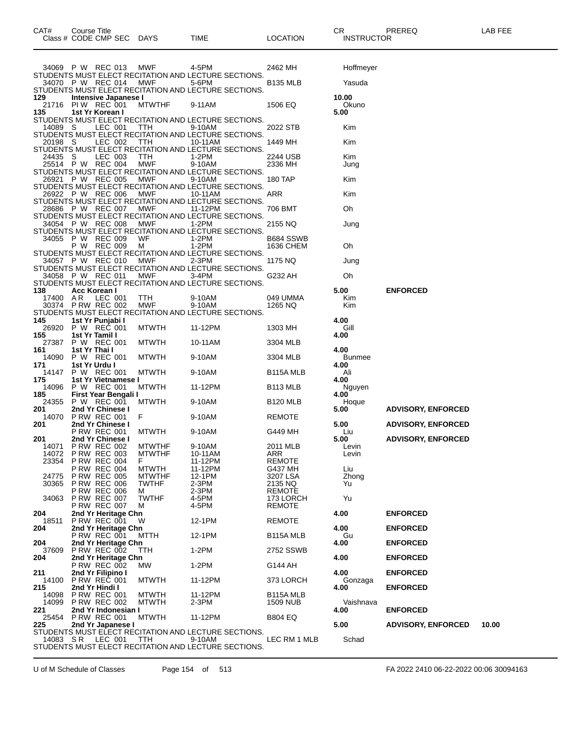| CAT# | Title<br>∴ourse      |                        |             |                  | ⌒冖<br>u۱          | <b>PREREC</b> | ---<br>A R<br>--- |
|------|----------------------|------------------------|-------------|------------------|-------------------|---------------|-------------------|
|      | Class # CODE CMP SEC | <b>DAYS</b><br>_______ | <b>TIME</b> | LOCATION<br>____ | <b>INSTRUCTOR</b> |               |                   |

|     |                |               | 34069 P W REC 013                          | MWF                           | 4-5PM<br>STUDENTS MUST ELECT RECITATION AND LECTURE SECTIONS.   | 2462 MH                    | Hoffmeyer             |                           |       |
|-----|----------------|---------------|--------------------------------------------|-------------------------------|-----------------------------------------------------------------|----------------------------|-----------------------|---------------------------|-------|
|     |                |               | 34070 P W REC 014                          | MWF                           | 5-6PM                                                           | <b>B135 MLB</b>            | Yasuda                |                           |       |
| 129 |                |               | Intensive Japanese I                       |                               | STUDENTS MUST ELECT RECITATION AND LECTURE SECTIONS.            |                            | 10.00                 |                           |       |
| 135 | 21716          |               | PIW REC 001<br>1st Yr Korean I             | <b>MTWTHF</b>                 | 9-11AM                                                          | 1506 EQ                    | Okuno<br>5.00         |                           |       |
|     |                |               |                                            |                               | STUDENTS MUST ELECT RECITATION AND LECTURE SECTIONS.            |                            |                       |                           |       |
|     | 14089 S        |               | LEC 001                                    | TTH                           | 9-10AM<br>STUDENTS MUST ELECT RECITATION AND LECTURE SECTIONS.  | 2022 STB                   | Kim                   |                           |       |
|     | 20198 S        |               | LEC 002                                    | TTH                           | 10-11AM<br>STUDENTS MUST ELECT RECITATION AND LECTURE SECTIONS. | 1449 MH                    | Kim                   |                           |       |
|     | 24435          | S             | LEC 003                                    | TTH<br>MWF                    | 1-2PM                                                           | 2244 USB                   | Kim                   |                           |       |
|     |                |               | 25514 P W REC 004                          |                               | 9-10AM<br>STUDENTS MUST ELECT RECITATION AND LECTURE SECTIONS.  | 2336 MH                    | Jung                  |                           |       |
|     | 26921          |               | P W REC 005                                | MWF                           | 9-10AM<br>STUDENTS MUST ELECT RECITATION AND LECTURE SECTIONS.  | 180 TAP                    | Kim                   |                           |       |
|     |                |               | 26922 P W REC 006                          | MWF                           | 10-11AM<br>STUDENTS MUST ELECT RECITATION AND LECTURE SECTIONS. | ARR                        | Kim                   |                           |       |
|     |                |               | 28686 P W REC 007                          | MWF                           | 11-12PM                                                         | 706 BMT                    | Oh                    |                           |       |
|     |                |               | 34054 P W REC 008                          | MWF                           | STUDENTS MUST ELECT RECITATION AND LECTURE SECTIONS.<br>1-2PM   | 2155 NQ                    | Jung                  |                           |       |
|     | 34055          |               | P W REC 009                                | WF                            | STUDENTS MUST ELECT RECITATION AND LECTURE SECTIONS.<br>$1-2PM$ | B684 SSWB                  |                       |                           |       |
|     |                | P W           | REC 009                                    | M                             | 1-2PM                                                           | 1636 CHEM                  | Oh                    |                           |       |
|     |                |               | 34057 P W REC 010                          | <b>MWF</b>                    | STUDENTS MUST ELECT RECITATION AND LECTURE SECTIONS.<br>2-3PM   | 1175 NQ                    | Jung                  |                           |       |
|     | 34058          |               | P W REC 011                                | MWF                           | STUDENTS MUST ELECT RECITATION AND LECTURE SECTIONS.<br>3-4PM   | G232 AH                    | Oh                    |                           |       |
| 138 |                |               | Acc Korean I                               |                               | STUDENTS MUST ELECT RECITATION AND LECTURE SECTIONS.            |                            | 5.00                  | <b>ENFORCED</b>           |       |
|     | 17400 AR       |               | LEC 001                                    | TTH                           | 9-10AM                                                          | 049 UMMA                   | Kim                   |                           |       |
|     | 30374          |               | <b>P RW REC 002</b>                        | <b>MWF</b>                    | 9-10AM<br>STUDENTS MUST ELECT RECITATION AND LECTURE SECTIONS.  | 1265 NQ                    | Kim                   |                           |       |
| 145 | 26920          |               | 1st Yr Punjabi I<br>P W REC 001            | <b>MTWTH</b>                  | 11-12PM                                                         | 1303 MH                    | 4.00<br>Gill          |                           |       |
| 155 | 27387          |               | 1st Yr Tamil I<br>P W REC 001              | <b>MTWTH</b>                  | 10-11AM                                                         | 3304 MLB                   | 4.00                  |                           |       |
| 161 |                | 1st Yr Thai I |                                            |                               |                                                                 |                            | 4.00                  |                           |       |
| 171 | 14090          | 1st Yr Urdu I | P W REC 001                                | <b>MTWTH</b>                  | 9-10AM                                                          | 3304 MLB                   | <b>Bunmee</b><br>4.00 |                           |       |
| 175 | 14147          |               | P W REC 001<br>1st Yr Vietnamese I         | <b>MTWTH</b>                  | 9-10AM                                                          | B115A MLB                  | Ali<br>4.00           |                           |       |
| 185 | 14096          |               | P W REC 001<br>First Year Bengali I        | <b>MTWTH</b>                  | 11-12PM                                                         | B113 MLB                   | Nguyen<br>4.00        |                           |       |
| 201 | 24355          |               | P W REC 001<br>2nd Yr Chinese I            | <b>MTWTH</b>                  | 9-10AM                                                          | B <sub>120</sub> MLB       | Hoque<br>5.00         | <b>ADVISORY, ENFORCED</b> |       |
|     | 14070          |               | <b>P RW REC 001</b>                        | F                             | 9-10AM                                                          | <b>REMOTE</b>              |                       |                           |       |
| 201 |                |               | 2nd Yr Chinese I<br><b>P RW REC 001</b>    | <b>MTWTH</b>                  | 9-10AM                                                          | G449 MH                    | 5.00<br>Liu           | <b>ADVISORY, ENFORCED</b> |       |
| 201 | 14071          |               | 2nd Yr Chinese I<br><b>P RW REC 002</b>    | <b>MTWTHF</b>                 | 9-10AM                                                          | 2011 MLB                   | 5.00<br>Levin         | <b>ADVISORY, ENFORCED</b> |       |
|     | 14072<br>23354 |               | <b>P RW REC 003</b><br><b>P RW REC 004</b> | <b>MTWTHF</b><br>F            | 10-11AM<br>11-12PM                                              | ARR<br>REMOTE              | Levin                 |                           |       |
|     |                |               | <b>P RW REC 004</b>                        | <b>MTWTH</b>                  | 11-12PM                                                         | G437 MH                    | Liu                   |                           |       |
|     | 24775<br>30365 |               | <b>P RW REC 005</b><br><b>P RW REC 006</b> | <b>MTWTHF</b><br><b>TWTHF</b> | 12-1PM<br>2-3PM                                                 | 3207 LSA<br>2135 NQ        | Zhong<br>Yu           |                           |       |
|     | 34063          |               | <b>P RW REC 006</b><br><b>P RW REC 007</b> | м<br><b>TWTHF</b>             | 2-3PM<br>4-5PM                                                  | <b>REMOTE</b><br>173 LORCH | Yu                    |                           |       |
| 204 |                |               | <b>P RW REC 007</b><br>2nd Yr Heritage Chn | м                             | 4-5PM                                                           | REMOTE                     | 4.00                  | <b>ENFORCED</b>           |       |
|     | 18511          |               | PRW REC 001                                | W                             | 12-1PM                                                          | <b>REMOTE</b>              |                       |                           |       |
| 204 |                |               | 2nd Yr Heritage Chn<br><b>P RW REC 001</b> | MTTH                          | 12-1PM                                                          | B115A MLB                  | 4.00<br>Gu            | <b>ENFORCED</b>           |       |
| 204 | 37609          |               | 2nd Yr Heritage Chn<br><b>P RW REC 002</b> | TTH                           | 1-2PM                                                           | 2752 SSWB                  | 4.00                  | <b>ENFORCED</b>           |       |
| 204 |                |               | 2nd Yr Heritage Chn<br>P RW REC 002        | МW                            | 1-2PM                                                           | G144 AH                    | 4.00                  | <b>ENFORCED</b>           |       |
| 211 | 14100          |               | 2nd Yr Filipino I<br><b>P RW REC 001</b>   |                               |                                                                 |                            | 4.00                  | <b>ENFORCED</b>           |       |
| 215 |                |               | 2nd Yr Hindi I                             | <b>MTWTH</b>                  | 11-12PM                                                         | 373 LORCH                  | Gonzaga<br>4.00       | <b>ENFORCED</b>           |       |
|     | 14098<br>14099 |               | <b>P RW REC 001</b><br><b>P RW REC 002</b> | <b>MTWTH</b><br><b>MTWTH</b>  | 11-12PM<br>2-3PM                                                | B115A MLB<br>1509 NUB      | Vaishnava             |                           |       |
| 221 | 25454          |               | 2nd Yr Indonesian I<br><b>P RW REC 001</b> | <b>MTWTH</b>                  | 11-12PM                                                         | <b>B804 EQ</b>             | 4.00                  | <b>ENFORCED</b>           |       |
| 225 |                |               | 2nd Yr Japanese I                          |                               | STUDENTS MUST ELECT RECITATION AND LECTURE SECTIONS.            |                            | 5.00                  | <b>ADVISORY, ENFORCED</b> | 10.00 |
|     | 14083 SR       |               | LEC 001                                    | TTH                           | 9-10AM                                                          | LEC RM 1 MLB               | Schad                 |                           |       |
|     |                |               |                                            |                               | STUDENTS MUST ELECT RECITATION AND LECTURE SECTIONS.            |                            |                       |                           |       |

U of M Schedule of Classes Page 154 of 513 FA 2022 2410 06-22-2022 00:06 30094163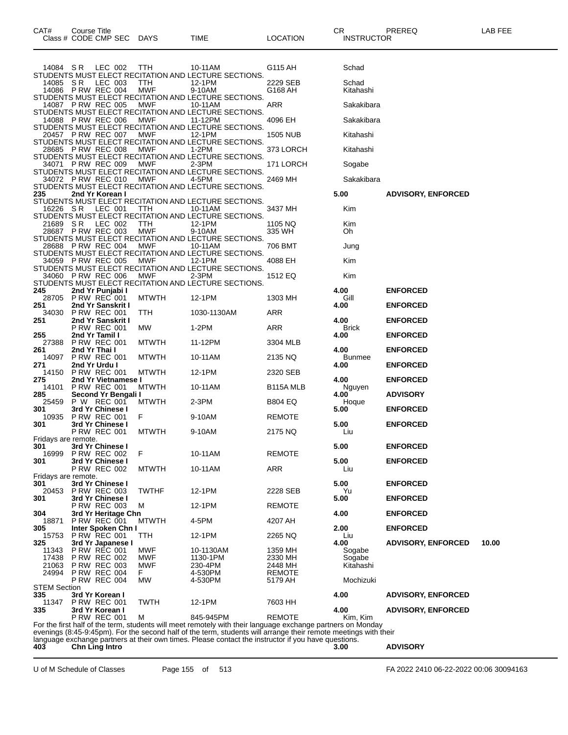| CAT#                       | Course Title<br>Class # CODE CMP SEC       | DAYS              | TIME                                                                                                                                                                                                                           | LOCATION                 | CR<br><b>INSTRUCTOR</b> | PREREQ                    | LAB FEE |
|----------------------------|--------------------------------------------|-------------------|--------------------------------------------------------------------------------------------------------------------------------------------------------------------------------------------------------------------------------|--------------------------|-------------------------|---------------------------|---------|
| 14084 SR                   | LEC 002                                    | TTH               | 10-11AM                                                                                                                                                                                                                        | G115 AH                  | Schad                   |                           |         |
| 14085                      | S R<br>LEC 003<br>14086 P RW REC 004       | TTH<br>MWF        | STUDENTS MUST ELECT RECITATION AND LECTURE SECTIONS.<br>12-1PM<br>9-10AM                                                                                                                                                       | 2229 SEB<br>G168 AH      | Schad<br>Kitahashi      |                           |         |
|                            | 14087 P RW REC 005                         | <b>MWF</b>        | STUDENTS MUST ELECT RECITATION AND LECTURE SECTIONS.<br>10-11AM                                                                                                                                                                | ARR                      | Sakakibara              |                           |         |
| 14088                      | PRW REC 006                                | <b>MWF</b>        | STUDENTS MUST ELECT RECITATION AND LECTURE SECTIONS.<br>11-12PM<br>STUDENTS MUST ELECT RECITATION AND LECTURE SECTIONS.                                                                                                        | 4096 EH                  | Sakakibara              |                           |         |
|                            | 20457 PRW REC 007                          | MWF               | 12-1PM<br>STUDENTS MUST ELECT RECITATION AND LECTURE SECTIONS.                                                                                                                                                                 | 1505 NUB                 | Kitahashi               |                           |         |
|                            | 28685 PRW REC 008                          | MWF               | 1-2PM<br>STUDENTS MUST ELECT RECITATION AND LECTURE SECTIONS.                                                                                                                                                                  | 373 LORCH                | Kitahashi               |                           |         |
| 34071                      | <b>PRW REC 009</b>                         | <b>MWF</b>        | 2-3PM<br>STUDENTS MUST ELECT RECITATION AND LECTURE SECTIONS.                                                                                                                                                                  | 171 LORCH                | Sogabe                  |                           |         |
|                            | 34072 P RW REC 010                         | MWF               | 4-5PM<br>STUDENTS MUST ELECT RECITATION AND LECTURE SECTIONS.                                                                                                                                                                  | 2469 MH                  | Sakakibara              |                           |         |
| 235                        | 2nd Yr Korean I                            |                   | STUDENTS MUST ELECT RECITATION AND LECTURE SECTIONS.                                                                                                                                                                           |                          | 5.00                    | <b>ADVISORY, ENFORCED</b> |         |
| 16226                      | - S R<br>LEC 001                           | TTH               | 10-11AM<br>STUDENTS MUST ELECT RECITATION AND LECTURE SECTIONS.                                                                                                                                                                | 3437 MH                  | Kim                     |                           |         |
| 21689<br>28687             | S R<br>LEC 002<br><b>P RW REC 003</b>      | ттн<br><b>MWF</b> | 12-1PM<br>9-10AM                                                                                                                                                                                                               | 1105 NQ<br>335 WH        | Kim<br>Oh               |                           |         |
|                            | 28688 PRW REC 004                          | MWF               | STUDENTS MUST ELECT RECITATION AND LECTURE SECTIONS.<br>10-11AM                                                                                                                                                                | 706 BMT                  | Jung                    |                           |         |
| 34059                      | <b>PRW REC 005</b>                         | <b>MWF</b>        | STUDENTS MUST ELECT RECITATION AND LECTURE SECTIONS.<br>12-1PM                                                                                                                                                                 | 4088 EH                  | Kim                     |                           |         |
| 34060                      | <b>P RW REC 006</b>                        | <b>MWF</b>        | STUDENTS MUST ELECT RECITATION AND LECTURE SECTIONS.<br>2-3PM                                                                                                                                                                  | 1512 EQ                  | Kim                     |                           |         |
| 245                        | 2nd Yr Punjabi I                           |                   | STUDENTS MUST ELECT RECITATION AND LECTURE SECTIONS.                                                                                                                                                                           |                          | 4.00                    | <b>ENFORCED</b>           |         |
| 28705<br>251               | <b>P RW REC 001</b><br>2nd Yr Sanskrit I   | <b>MTWTH</b>      | 12-1PM                                                                                                                                                                                                                         | 1303 MH                  | Gill<br>4.00            | <b>ENFORCED</b>           |         |
| 34030<br>251               | <b>P RW REC 001</b><br>2nd Yr Sanskrit I   | TTH               | 1030-1130AM                                                                                                                                                                                                                    | ARR                      | 4.00                    | <b>ENFORCED</b>           |         |
|                            | <b>P RW REC 001</b>                        | MW.               | 1-2PM                                                                                                                                                                                                                          | ARR                      | <b>Brick</b>            |                           |         |
| 255<br>27388               | 2nd Yr Tamil I<br><b>P RW REC 001</b>      | <b>MTWTH</b>      | 11-12PM                                                                                                                                                                                                                        | 3304 MLB                 | 4.00                    | <b>ENFORCED</b>           |         |
| 261<br>14097               | 2nd Yr Thai I<br><b>P RW REC 001</b>       | <b>MTWTH</b>      | 10-11AM                                                                                                                                                                                                                        | 2135 NQ                  | 4.00<br><b>Bunmee</b>   | <b>ENFORCED</b>           |         |
| 271<br>14150               | 2nd Yr Urdu I<br><b>P RW REC 001</b>       | <b>MTWTH</b>      | 12-1PM                                                                                                                                                                                                                         | 2320 SEB                 | 4.00                    | <b>ENFORCED</b>           |         |
| 275<br>14101               | 2nd Yr Vietnamese I<br><b>P RW REC 001</b> | <b>MTWTH</b>      | 10-11AM                                                                                                                                                                                                                        | B <sub>115</sub> A MLB   | 4.00<br>Nguyen          | <b>ENFORCED</b>           |         |
| 285<br>25459               | Second Yr Bengali I<br>P W REC 001         | <b>MTWTH</b>      | 2-3PM                                                                                                                                                                                                                          | <b>B804 EQ</b>           | 4.00<br>Hoque           | <b>ADVISORY</b>           |         |
| 301<br>10935               | 3rd Yr Chinese I<br><b>P RW REC 001</b>    | F                 | 9-10AM                                                                                                                                                                                                                         | <b>REMOTE</b>            | 5.00                    | <b>ENFORCED</b>           |         |
| 301                        | 3rd Yr Chinese I<br><b>P RW REC 001</b>    | <b>MTWTH</b>      | 9-10AM                                                                                                                                                                                                                         | 2175 NQ                  | 5.00<br>Liu             | <b>ENFORCED</b>           |         |
| Fridays are remote.<br>301 | 3rd Yr Chinese I                           |                   |                                                                                                                                                                                                                                |                          | 5.00                    | <b>ENFORCED</b>           |         |
| 16999<br>301               | <b>P RW REC 002</b><br>3rd Yr Chinese I    | F                 | 10-11AM                                                                                                                                                                                                                        | <b>REMOTE</b>            | 5.00                    | <b>ENFORCED</b>           |         |
| Fridays are remote.        | <b>P RW REC 002</b>                        | <b>MTWTH</b>      | 10-11AM                                                                                                                                                                                                                        | ARR                      | Liu                     |                           |         |
| 301<br>20453               | 3rd Yr Chinese I<br><b>P RW REC 003</b>    | <b>TWTHF</b>      | 12-1PM                                                                                                                                                                                                                         | 2228 SEB                 | 5.00<br>Yu              | <b>ENFORCED</b>           |         |
| 301                        | 3rd Yr Chinese I<br><b>P RW REC 003</b>    | м                 | 12-1PM                                                                                                                                                                                                                         | <b>REMOTE</b>            | 5.00                    | <b>ENFORCED</b>           |         |
| 304<br>18871               | 3rd Yr Heritage Chn<br>P RW REC 001        | <b>MTWTH</b>      | 4-5PM                                                                                                                                                                                                                          | 4207 AH                  | 4.00                    | <b>ENFORCED</b>           |         |
| 305<br>15753               | Inter Spoken Chn I<br><b>P RW REC 001</b>  | TTH               | 12-1PM                                                                                                                                                                                                                         | 2265 NQ                  | 2.00<br>Liu             | <b>ENFORCED</b>           |         |
| 325<br>11343               | 3rd Yr Japanese I<br><b>P RW REC 001</b>   | MWF               | 10-1130AM                                                                                                                                                                                                                      |                          | 4.00<br>Sogabe          | <b>ADVISORY, ENFORCED</b> | 10.00   |
| 17438                      | <b>P RW REC 002</b>                        | MWF               | 1130-1PM                                                                                                                                                                                                                       | 1359 MH<br>2330 MH       | Sogabe<br>Kitahashi     |                           |         |
| 21063<br>24994             | <b>P RW REC 003</b><br><b>P RW REC 004</b> | <b>MWF</b><br>F.  | 230-4PM<br>4-530PM                                                                                                                                                                                                             | 2448 MH<br><b>REMOTE</b> |                         |                           |         |
| STEM Section               | <b>P RW REC 004</b>                        | МW                | 4-530PM                                                                                                                                                                                                                        | 5179 AH                  | Mochizuki               |                           |         |
| 335<br>11347               | 3rd Yr Korean I<br><b>P RW REC 001</b>     | <b>TWTH</b>       | 12-1PM                                                                                                                                                                                                                         | 7603 HH                  | 4.00                    | <b>ADVISORY, ENFORCED</b> |         |
| 335                        | 3rd Yr Korean I<br><b>P RW REC 001</b>     | м                 | 845-945PM                                                                                                                                                                                                                      | <b>REMOTE</b>            | 4.00<br>Kim, Kim        | <b>ADVISORY, ENFORCED</b> |         |
|                            |                                            |                   | For the first half of the term, students will meet remotely with their language exchange partners on Monday<br>evenings (8:45-9:45pm). For the second half of the term, students will arrange their remote meetings with their |                          |                         |                           |         |
| 403                        | <b>Chn Ling Intro</b>                      |                   | language exchange partners at their own times. Please contact the instructor if you have questions.                                                                                                                            |                          | 3.00                    | <b>ADVISORY</b>           |         |
|                            |                                            |                   |                                                                                                                                                                                                                                |                          |                         |                           |         |

U of M Schedule of Classes Page 155 of 513 FA 2022 2410 06-22-2022 00:06 30094163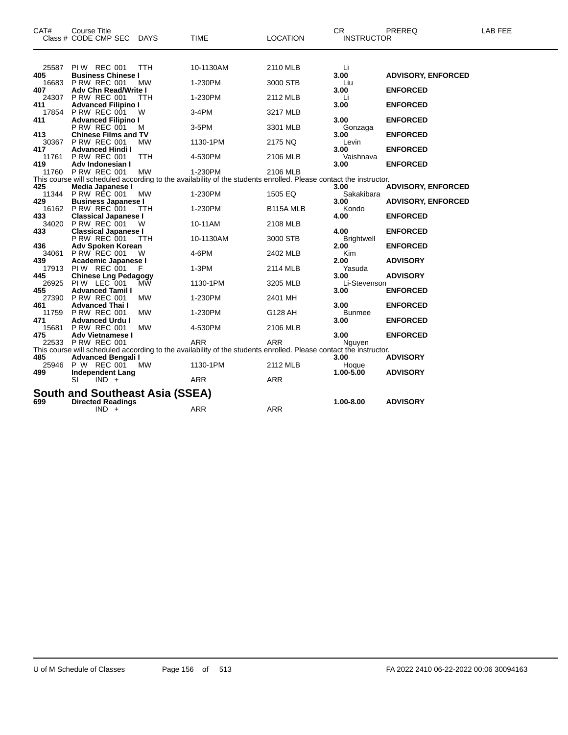| CAT#         | <b>Course Title</b><br>Class # CODE CMP SEC        | DAYS      | <b>TIME</b>                                                                                                       | <b>LOCATION</b> | <b>CR</b><br><b>INSTRUCTOR</b> | PREREQ                    | <b>LAB FEE</b> |
|--------------|----------------------------------------------------|-----------|-------------------------------------------------------------------------------------------------------------------|-----------------|--------------------------------|---------------------------|----------------|
|              |                                                    |           |                                                                                                                   |                 |                                |                           |                |
| 25587        | PIW REC 001                                        | TTH       | 10-1130AM                                                                                                         | 2110 MLB        | Li                             |                           |                |
| 405<br>16683 | <b>Business Chinese I</b><br><b>P RW REC 001</b>   | <b>MW</b> | 1-230PM                                                                                                           | 3000 STB        | 3.00<br>Liu                    | <b>ADVISORY, ENFORCED</b> |                |
| 407          | <b>Adv Chn Read/Write I</b>                        |           |                                                                                                                   |                 | 3.00                           | <b>ENFORCED</b>           |                |
| 24307        | <b>P RW REC 001</b>                                | TTH       | 1-230PM                                                                                                           | 2112 MLB        | Li                             |                           |                |
| 411<br>17854 | <b>Advanced Filipino I</b><br>P RW REC 001         | W         | $3-4PM$                                                                                                           | 3217 MLB        | 3.00                           | <b>ENFORCED</b>           |                |
| 411          | <b>Advanced Filipino I</b>                         |           |                                                                                                                   |                 | 3.00                           | <b>ENFORCED</b>           |                |
|              | P RW REC 001                                       | м         | $3-5$ PM                                                                                                          | 3301 MLB        | Gonzaga                        |                           |                |
| 413<br>30367 | <b>Chinese Films and TV</b><br><b>P RW REC 001</b> | MW        | 1130-1PM                                                                                                          | 2175 NQ         | 3.00<br>Levin                  | <b>ENFORCED</b>           |                |
| 417          | <b>Advanced Hindi I</b>                            |           |                                                                                                                   |                 | 3.00                           | <b>ENFORCED</b>           |                |
| 11761        | <b>P RW REC 001</b>                                | TTH       | 4-530PM                                                                                                           | 2106 MLB        | Vaishnava                      |                           |                |
| 419          | Adv Indonesian I<br>11760 P RW REC 001             | МW        | 1-230PM                                                                                                           | 2106 MLB        | 3.00                           | <b>ENFORCED</b>           |                |
|              |                                                    |           | This course will scheduled according to the availability of the students enrolled. Please contact the instructor. |                 |                                |                           |                |
| 425          | Media Japanese I                                   |           |                                                                                                                   |                 | 3.00                           | <b>ADVISORY, ENFORCED</b> |                |
|              | 11344 PRW REC 001                                  | <b>MW</b> | 1-230PM                                                                                                           | 1505 EQ         | Sakakibara                     |                           |                |
| 429<br>16162 | <b>Business Japanese I</b><br>PRW REC 001          | TTH       | 1-230PM                                                                                                           | B115A MLB       | 3.00<br>Kondo                  | <b>ADVISORY, ENFORCED</b> |                |
| 433          | <b>Classical Japanese I</b>                        |           |                                                                                                                   |                 | 4.00                           | <b>ENFORCED</b>           |                |
| 34020        | <b>P RW REC 001</b>                                | W         | 10-11AM                                                                                                           | 2108 MLB        |                                |                           |                |
| 433          | <b>Classical Japanese I</b><br><b>P RW REC 001</b> | TTH       | 10-1130AM                                                                                                         | 3000 STB        | 4.00<br><b>Brightwell</b>      | <b>ENFORCED</b>           |                |
| 436          | Adv Spoken Korean                                  |           |                                                                                                                   |                 | 2.00                           | <b>ENFORCED</b>           |                |
| 34061        | <b>P RW REC 001</b>                                | W         | 4-6PM                                                                                                             | 2402 MLB        | Kim                            |                           |                |
| 439          | Academic Japanese I<br>17913 PIW REC 001           | F         | $1-3PM$                                                                                                           | 2114 MLB        | 2.00<br>Yasuda                 | <b>ADVISORY</b>           |                |
| 445          | <b>Chinese Lng Pedagogy</b>                        |           |                                                                                                                   |                 | 3.00                           | <b>ADVISORY</b>           |                |
| 26925        | PIW LEC 001                                        | <b>MW</b> | 1130-1PM                                                                                                          | 3205 MLB        | Li-Stevenson                   |                           |                |
| 455<br>27390 | <b>Advanced Tamil I</b><br><b>P RW REC 001</b>     | <b>MW</b> | 1-230PM                                                                                                           | 2401 MH         | 3.00                           | <b>ENFORCED</b>           |                |
| 461          | <b>Advanced Thai I</b>                             |           |                                                                                                                   |                 | 3.00                           | <b>ENFORCED</b>           |                |
| 11759        | <b>P RW REC 001</b>                                | <b>MW</b> | 1-230PM                                                                                                           | G128 AH         | <b>Bunmee</b>                  |                           |                |
| 471          | <b>Advanced Urdu I</b><br>15681 P RW REC 001       | MW        | 4-530PM                                                                                                           | 2106 MLB        | 3.00                           | <b>ENFORCED</b>           |                |
| 475          | Adv Vietnamese I                                   |           |                                                                                                                   |                 | 3.00                           | <b>ENFORCED</b>           |                |
|              | 22533 PRW REC 001                                  |           | <b>ARR</b>                                                                                                        | <b>ARR</b>      | Nguyen                         |                           |                |
|              |                                                    |           | This course will scheduled according to the availability of the students enrolled. Please contact the instructor. |                 |                                |                           |                |
| 485<br>25946 | <b>Advanced Bengali I</b><br>P W REC 001           | МW        | 1130-1PM                                                                                                          | 2112 MLB        | 3.00<br>Hoque                  | <b>ADVISORY</b>           |                |
| 499          | <b>Independent Lang</b>                            |           |                                                                                                                   |                 | 1.00-5.00                      | <b>ADVISORY</b>           |                |
|              | $IND +$<br>SI                                      |           | <b>ARR</b>                                                                                                        | <b>ARR</b>      |                                |                           |                |
|              | South and Southeast Asia (SSEA)                    |           |                                                                                                                   |                 |                                |                           |                |
| 699          | <b>Directed Readings</b>                           |           |                                                                                                                   |                 | 1.00-8.00                      | <b>ADVISORY</b>           |                |
|              | $IND +$                                            |           | <b>ARR</b>                                                                                                        | <b>ARR</b>      |                                |                           |                |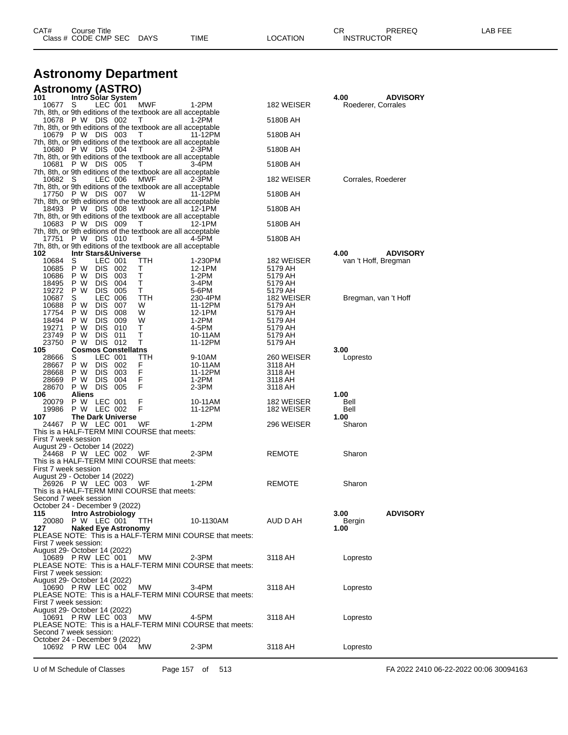| CAT# | Title<br>Course      |             |      |                 | OD.<br>◡∩         | <b>PREREQ</b> | ---<br>ΔP.<br>--- |
|------|----------------------|-------------|------|-----------------|-------------------|---------------|-------------------|
|      | Class # CODE CMP SEC | <b>DAYS</b> | TIME | <b>LOCATION</b> | <b>INSTRUCTOR</b> |               |                   |
|      |                      |             |      |                 |                   |               |                   |

## **Astronomy Department**

| <b>Astronomy (ASTRO)</b><br>101 Intro Solar System      |             |                          |                                |                                                                        |                                                          |                    |                            |                 |
|---------------------------------------------------------|-------------|--------------------------|--------------------------------|------------------------------------------------------------------------|----------------------------------------------------------|--------------------|----------------------------|-----------------|
| 10677                                                   | S           | LEC 001                  |                                | <b>MWF</b>                                                             | 1-2PM                                                    | 182 WEISER         | 4.00<br>Roederer, Corrales | <b>ADVISORY</b> |
|                                                         |             |                          |                                | 7th, 8th, or 9th editions of the textbook are all acceptable           |                                                          |                    |                            |                 |
| 10678 P W DIS 002                                       |             |                          |                                | T.<br>7th, 8th, or 9th editions of the textbook are all acceptable     | 1-2PM                                                    | 5180B AH           |                            |                 |
| 10679 P W DIS 003                                       |             |                          |                                | T                                                                      | 11-12PM                                                  | 5180B AH           |                            |                 |
| 10680 P W DIS 004                                       |             |                          |                                | 7th, 8th, or 9th editions of the textbook are all acceptable<br>T      | $2-3PM$                                                  | 5180B AH           |                            |                 |
| 10681 P W DIS 005                                       |             |                          |                                | 7th, 8th, or 9th editions of the textbook are all acceptable<br>T.     | 3-4PM                                                    | 5180B AH           |                            |                 |
| 10682 S                                                 |             | LEC 006                  |                                | 7th, 8th, or 9th editions of the textbook are all acceptable<br>MWF    | 2-3PM                                                    | 182 WEISER         | Corrales, Roederer         |                 |
| 17750 P W DIS 007                                       |             |                          |                                | 7th, 8th, or 9th editions of the textbook are all acceptable<br>W      | 11-12PM                                                  | 5180B AH           |                            |                 |
| 18493 P W DIS 008                                       |             |                          |                                | 7th, 8th, or 9th editions of the textbook are all acceptable<br>W      |                                                          |                    |                            |                 |
|                                                         |             |                          |                                | 7th, 8th, or 9th editions of the textbook are all acceptable           | 12-1PM                                                   | 5180B AH           |                            |                 |
| 10683 P W DIS 009                                       |             |                          |                                | T<br>7th, 8th, or 9th editions of the textbook are all acceptable      | 12-1PM                                                   | 5180B AH           |                            |                 |
| 17751 P W DIS 010                                       |             |                          |                                | $\top$<br>7th, 8th, or 9th editions of the textbook are all acceptable | 4-5PM                                                    | 5180B AH           |                            |                 |
| 102                                                     |             |                          | <b>Intr Stars&amp;Universe</b> |                                                                        |                                                          |                    | 4.00                       | <b>ADVISORY</b> |
| 10684                                                   | S           | LEC 001                  |                                | TTH                                                                    | 1-230PM                                                  | 182 WEISER         | van 't Hoff, Bregman       |                 |
| 10685<br>10686                                          | P W<br>P W  | <b>DIS</b><br><b>DIS</b> | 002<br>003                     | т<br>т                                                                 | 12-1PM<br>1-2PM                                          | 5179 AH<br>5179 AH |                            |                 |
| 18495                                                   | P W         | <b>DIS</b>               | 004                            | т                                                                      | 3-4PM                                                    | 5179 AH            |                            |                 |
| 19272                                                   | P W         | <b>DIS</b>               | 005                            | т                                                                      | 5-6PM                                                    | 5179 AH            |                            |                 |
| 10687                                                   | S           | <b>LEC 006</b>           |                                | TTH                                                                    | 230-4PM                                                  | 182 WEISER         | Bregman, van 't Hoff       |                 |
| 10688                                                   | P W         | <b>DIS</b>               | 007                            | w                                                                      | 11-12PM                                                  | 5179 AH            |                            |                 |
| 17754                                                   | P W         | <b>DIS</b><br><b>DIS</b> | 008                            | W<br>W                                                                 | 12-1PM                                                   | 5179 AH            |                            |                 |
| 18494<br>19271                                          | P W<br>P W  | <b>DIS</b>               | 009<br>010                     | т                                                                      | 1-2PM<br>4-5PM                                           | 5179 AH<br>5179 AH |                            |                 |
| 23749                                                   | P W         | <b>DIS</b>               | 011                            | т                                                                      | 10-11AM                                                  | 5179 AH            |                            |                 |
| 23750                                                   | P W         | DIS 012                  |                                | т                                                                      | 11-12PM                                                  | 5179 AH            |                            |                 |
| 105                                                     |             |                          | <b>Cosmos Constellatns</b>     |                                                                        |                                                          |                    | 3.00                       |                 |
| 28666                                                   | S           | LEC 001                  |                                | TTH                                                                    | 9-10AM                                                   | 260 WEISER         | Lopresto                   |                 |
| 28667                                                   | P W         | DIS.                     | 002                            | F<br>F                                                                 | 10-11AM                                                  | 3118 AH            |                            |                 |
| 28668<br>28669                                          | P W<br>P W  | <b>DIS</b><br><b>DIS</b> | 003<br>004                     | F                                                                      | 11-12PM<br>1-2PM                                         | 3118 AH<br>3118 AH |                            |                 |
| 28670                                                   | P W DIS     |                          | 005                            | F                                                                      | 2-3PM                                                    | 3118 AH            |                            |                 |
| 106                                                     | Aliens      |                          |                                |                                                                        |                                                          |                    | 1.00                       |                 |
| 20079                                                   | P W LEC 001 |                          |                                | F                                                                      | 10-11AM                                                  | 182 WEISER         | Bell                       |                 |
| 19986                                                   | P W LEC 002 |                          |                                | F                                                                      | 11-12PM                                                  | 182 WEISER         | Bell                       |                 |
| 107                                                     |             |                          | <b>The Dark Universe</b>       |                                                                        |                                                          |                    | 1.00                       |                 |
| 24467 P W LEC 001                                       |             |                          |                                | WF<br>This is a HALF-TERM MINI COURSE that meets:                      | 1-2PM                                                    | 296 WEISER         | Sharon                     |                 |
| First 7 week session                                    |             |                          |                                |                                                                        |                                                          |                    |                            |                 |
| August 29 - October 14 (2022)                           |             |                          |                                |                                                                        |                                                          |                    |                            |                 |
| 24468 P W LEC 002                                       |             |                          |                                | WF                                                                     | 2-3PM                                                    | <b>REMOTE</b>      | Sharon                     |                 |
| First 7 week session                                    |             |                          |                                | This is a HALF-TERM MINI COURSE that meets:                            |                                                          |                    |                            |                 |
| August 29 - October 14 (2022)                           |             |                          |                                |                                                                        |                                                          |                    |                            |                 |
| 26926 P W LEC 003                                       |             |                          |                                | WF                                                                     | 1-2PM                                                    | REMOTE             | Sharon                     |                 |
|                                                         |             |                          |                                | This is a HALF-TERM MINI COURSE that meets:                            |                                                          |                    |                            |                 |
| Second 7 week session<br>October 24 - December 9 (2022) |             |                          |                                |                                                                        |                                                          |                    |                            |                 |
| 115                                                     |             |                          | Intro Astrobiology             |                                                                        |                                                          |                    | 3.00                       | <b>ADVISORY</b> |
| 20080                                                   | P W LEC 001 |                          |                                | ттн                                                                    | 10-1130AM                                                | AUD D AH           | Bergin                     |                 |
| 127                                                     |             |                          | <b>Naked Eye Astronomy</b>     |                                                                        |                                                          |                    | 1.00                       |                 |
|                                                         |             |                          |                                |                                                                        | PLEASE NOTE: This is a HALF-TERM MINI COURSE that meets: |                    |                            |                 |
| First 7 week session:                                   |             |                          |                                |                                                                        |                                                          |                    |                            |                 |
| August 29- October 14 (2022)<br>10689 P RW LEC 001      |             |                          |                                | MW.                                                                    | $2-3PM$                                                  | 3118 AH            | Lopresto                   |                 |
|                                                         |             |                          |                                |                                                                        | PLEASE NOTE: This is a HALF-TERM MINI COURSE that meets: |                    |                            |                 |
| First 7 week session:                                   |             |                          |                                |                                                                        |                                                          |                    |                            |                 |
| August 29- October 14 (2022)                            |             |                          |                                |                                                                        |                                                          |                    |                            |                 |
| 10690 PRW LEC 002                                       |             |                          |                                | MW.                                                                    | $3-4PM$                                                  | 3118 AH            | Lopresto                   |                 |
| First 7 week session:                                   |             |                          |                                |                                                                        | PLEASE NOTE: This is a HALF-TERM MINI COURSE that meets: |                    |                            |                 |
| August 29- October 14 (2022)                            |             |                          |                                |                                                                        |                                                          |                    |                            |                 |
| 10691 PRW LEC 003                                       |             |                          |                                | МW                                                                     | 4-5PM                                                    | 3118 AH            | Lopresto                   |                 |
|                                                         |             |                          |                                |                                                                        | PLEASE NOTE: This is a HALF-TERM MINI COURSE that meets: |                    |                            |                 |
| Second 7 week session:                                  |             |                          |                                |                                                                        |                                                          |                    |                            |                 |
| October 24 - December 9 (2022)                          |             |                          |                                |                                                                        |                                                          |                    |                            |                 |
| 10692 P RW LEC 004                                      |             |                          |                                | МW                                                                     | 2-3PM                                                    | 3118 AH            | Lopresto                   |                 |
|                                                         |             |                          |                                |                                                                        |                                                          |                    |                            |                 |

U of M Schedule of Classes Page 157 of 513 FA 2022 2410 06-22-2022 00:06 30094163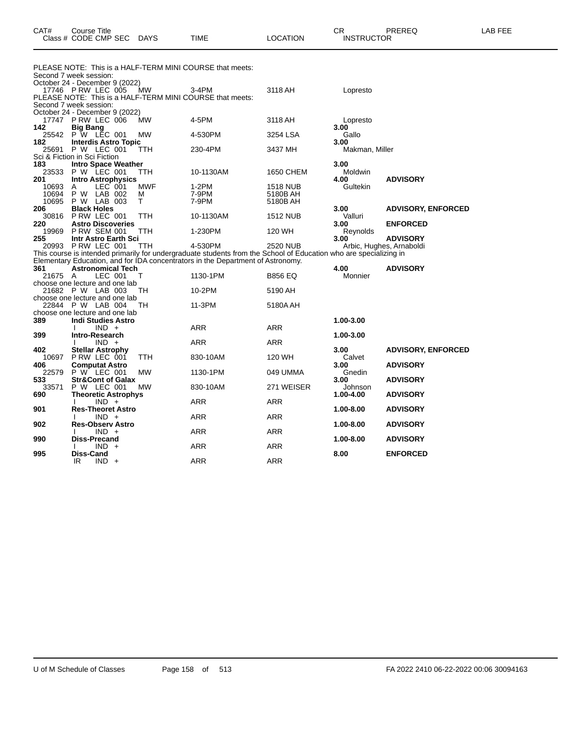| CAT# | Course Title<br>Class # CODE CMP SEC DAYS | TIME | <b>LOCATION</b> | ∩n<br><b>INSTRUCTOR</b> | PREREQ | <b>AB FEE</b> |
|------|-------------------------------------------|------|-----------------|-------------------------|--------|---------------|
|      |                                           |      |                 |                         |        |               |

|         |                                    | PLEASE NOTE: This is a HALF-TERM MINI COURSE that meets:                                                          |                 |                |                           |
|---------|------------------------------------|-------------------------------------------------------------------------------------------------------------------|-----------------|----------------|---------------------------|
|         | Second 7 week session:             |                                                                                                                   |                 |                |                           |
|         | October 24 - December 9 (2022)     |                                                                                                                   |                 |                |                           |
|         | 17746 P RW LEC 005<br><b>MW</b>    | 3-4PM                                                                                                             | 3118 AH         | Lopresto       |                           |
|         |                                    | PLEASE NOTE: This is a HALF-TERM MINI COURSE that meets:                                                          |                 |                |                           |
|         | Second 7 week session:             |                                                                                                                   |                 |                |                           |
|         | October 24 - December 9 (2022)     |                                                                                                                   |                 |                |                           |
|         | 17747 P RW LEC 006<br>МW           | 4-5PM                                                                                                             | 3118 AH         | Lopresto       |                           |
| 142     | <b>Big Bang</b>                    |                                                                                                                   |                 | 3.00           |                           |
| 25542   | P W LEC 001<br><b>MW</b>           | 4-530PM                                                                                                           | 3254 LSA        | Gallo          |                           |
| 182     | <b>Interdis Astro Topic</b>        |                                                                                                                   |                 | 3.00           |                           |
| 25691   | P W LEC 001<br>TTH                 | 230-4PM                                                                                                           | 3437 MH         | Makman, Miller |                           |
|         | Sci & Fiction in Sci Fiction       |                                                                                                                   |                 |                |                           |
| 183     | <b>Intro Space Weather</b>         |                                                                                                                   |                 | 3.00           |                           |
| 23533   | <b>P W LEC 001</b><br>TTH          | 10-1130AM                                                                                                         | 1650 CHEM       | Moldwin        |                           |
| 201     | <b>Intro Astrophysics</b>          |                                                                                                                   |                 | 4.00           | <b>ADVISORY</b>           |
| 10693   | LEC 001<br><b>MWF</b><br>A         | $1-2PM$                                                                                                           | <b>1518 NUB</b> | Gultekin       |                           |
| 10694   | P W LAB 002<br>м                   | 7-9PM                                                                                                             | 5180B AH        |                |                           |
| 10695   | P W LAB 003<br>T                   | 7-9PM                                                                                                             | 5180B AH        |                |                           |
| 206     | <b>Black Holes</b>                 |                                                                                                                   |                 | 3.00           | <b>ADVISORY, ENFORCED</b> |
| 30816   | P RW LEC 001<br>TTH                | 10-1130AM                                                                                                         | <b>1512 NUB</b> | Valluri        |                           |
| 220     | <b>Astro Discoveries</b>           |                                                                                                                   |                 | 3.00           | <b>ENFORCED</b>           |
| 19969   | <b>P RW SEM 001</b><br>TTH         | 1-230PM                                                                                                           | 120 WH          | Reynolds       |                           |
| 255     | Intr Astro Earth Sci               |                                                                                                                   |                 | 3.00           | <b>ADVISORY</b>           |
|         | 20993 P RW LEC 001<br>TTH          | 4-530PM                                                                                                           | <b>2520 NUB</b> |                | Arbic, Hughes, Arnaboldi  |
|         |                                    | This course is intended primarily for undergraduate students from the School of Education who are specializing in |                 |                |                           |
|         |                                    | Elementary Education, and for IDA concentrators in the Department of Astronomy.                                   |                 |                |                           |
| 361     | <b>Astronomical Tech</b>           |                                                                                                                   |                 | 4.00           | <b>ADVISORY</b>           |
| 21675 A | LEC 001<br>т                       | 1130-1PM                                                                                                          | <b>B856 EQ</b>  | Monnier        |                           |
|         | choose one lecture and one lab     |                                                                                                                   |                 |                |                           |
|         | 21682 P W LAB 003<br>TН            | 10-2PM                                                                                                            | 5190 AH         |                |                           |
|         | choose one lecture and one lab     |                                                                                                                   |                 |                |                           |
|         | 22844 P W LAB 004<br>TН            | 11-3PM                                                                                                            | 5180A AH        |                |                           |
|         | choose one lecture and one lab     |                                                                                                                   |                 |                |                           |
| 389     | <b>Indi Studies Astro</b>          |                                                                                                                   |                 | 1.00-3.00      |                           |
|         | $IND +$                            | <b>ARR</b>                                                                                                        | ARR             |                |                           |
| 399     | Intro-Research                     |                                                                                                                   |                 | 1.00-3.00      |                           |
|         | $IND +$                            | <b>ARR</b>                                                                                                        | <b>ARR</b>      |                |                           |
| 402     | <b>Stellar Astrophy</b>            |                                                                                                                   |                 | 3.00           | <b>ADVISORY, ENFORCED</b> |
| 10697   | P RW LEC 001<br><b>TTH</b>         | 830-10AM                                                                                                          | 120 WH          | Calvet         |                           |
| 406     | <b>Computat Astro</b>              |                                                                                                                   |                 | 3.00           | <b>ADVISORY</b>           |
| 22579   | P W LEC 001<br><b>MW</b>           | 1130-1PM                                                                                                          | 049 UMMA        | Gnedin         |                           |
| 533     | <b>Str&amp;Cont of Galax</b>       |                                                                                                                   |                 | 3.00           | <b>ADVISORY</b>           |
| 33571   | P W LEC 001<br><b>MW</b>           | 830-10AM                                                                                                          | 271 WEISER      | Johnson        |                           |
| 690     | <b>Theoretic Astrophys</b>         |                                                                                                                   |                 | 1.00-4.00      | <b>ADVISORY</b>           |
|         | $IND +$                            | <b>ARR</b>                                                                                                        | <b>ARR</b>      |                |                           |
| 901     | <b>Res-Theoret Astro</b>           |                                                                                                                   |                 | 1.00-8.00      | <b>ADVISORY</b>           |
|         | $IND +$                            | ARR                                                                                                               | <b>ARR</b>      |                |                           |
| 902     | <b>Res-Observ Astro</b><br>$IND +$ | <b>ARR</b>                                                                                                        | <b>ARR</b>      | 1.00-8.00      | <b>ADVISORY</b>           |
| 990     | <b>Diss-Precand</b>                |                                                                                                                   |                 | 1.00-8.00      | <b>ADVISORY</b>           |
|         | $IND +$                            | <b>ARR</b>                                                                                                        | ARR             |                |                           |
| 995     | <b>Diss-Cand</b>                   |                                                                                                                   |                 | 8.00           | <b>ENFORCED</b>           |
|         | IR.<br>$IND +$                     | <b>ARR</b>                                                                                                        | <b>ARR</b>      |                |                           |
|         |                                    |                                                                                                                   |                 |                |                           |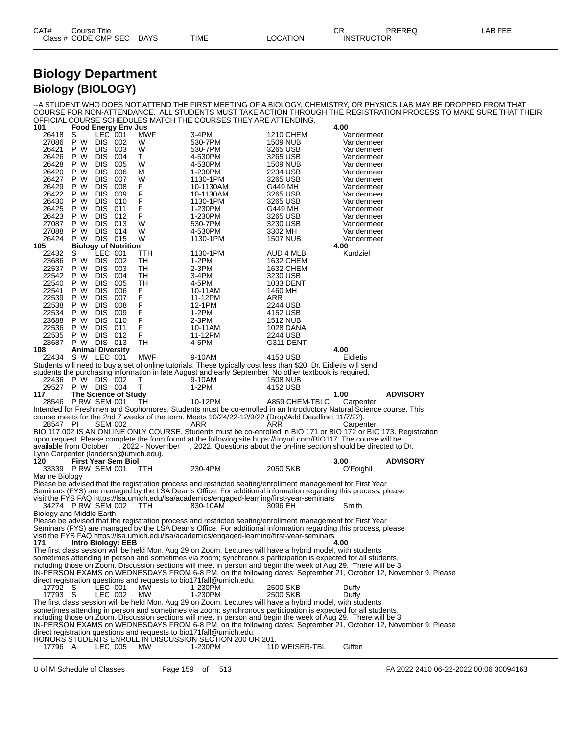| CAT# | Title<br>Course      |             |      |          | Ωm<br>- UN | PREREQ            | -AB FEE |
|------|----------------------|-------------|------|----------|------------|-------------------|---------|
|      | Class # CODE CMP SEC | <b>DAYS</b> | TIME | LOCATION |            | <b>INSTRUCTOR</b> |         |

### **Biology Department Biology (BIOLOGY)**

--A STUDENT WHO DOES NOT ATTEND THE FIRST MEETING OF A BIOLOGY, CHEMISTRY, OR PHYSICS LAB MAY BE DROPPED FROM THAT COURSE FOR NON-ATTENDANCE. ALL STUDENTS MUST TAKE ACTION THROUGH THE REGISTRATION PROCESS TO MAKE SURE THAT THEIR OFFICIAL COURSE SCHEDULES MATCH THE COURSES THEY ARE ATTENDING.

| 101                                  |                         |                          | <b>Food Energy Env Jus</b>  |                     |                                                                                                                                                                                                                                 |                             | 4.00                     |                 |
|--------------------------------------|-------------------------|--------------------------|-----------------------------|---------------------|---------------------------------------------------------------------------------------------------------------------------------------------------------------------------------------------------------------------------------|-----------------------------|--------------------------|-----------------|
| 26418                                | S<br>P W                | LEC 001<br>DIS 002       |                             | MWF                 | 3-4PM                                                                                                                                                                                                                           | 1210 CHEM                   | Vandermeer               |                 |
| 27086<br>26421                       | P W                     | <b>DIS</b>               | 003                         | W<br>W              | 530-7PM<br>530-7PM                                                                                                                                                                                                              | <b>1509 NUB</b><br>3265 USB | Vandermeer<br>Vandermeer |                 |
| 26426                                | P W                     | <b>DIS</b>               | 004                         | Τ                   | 4-530PM                                                                                                                                                                                                                         | 3265 USB                    | Vandermeer               |                 |
| 26428                                | P W                     | <b>DIS</b>               | 005                         | W                   | 4-530PM                                                                                                                                                                                                                         | <b>1509 NUB</b>             | Vandermeer               |                 |
| 26420                                | P W                     | <b>DIS</b>               | 006                         | М                   | 1-230PM                                                                                                                                                                                                                         | 2234 USB                    | Vandermeer               |                 |
| 26427                                | P W                     | <b>DIS</b>               | 007                         | W                   | 1130-1PM                                                                                                                                                                                                                        | 3265 USB                    | Vandermeer               |                 |
| 26429                                | P W                     | <b>DIS</b>               | 008                         | F<br>F              | 10-1130AM                                                                                                                                                                                                                       | G449 MH                     | Vandermeer               |                 |
| 26422                                | P W                     | <b>DIS</b>               | 009                         |                     | 10-1130AM                                                                                                                                                                                                                       | 3265 USB                    | Vandermeer               |                 |
| 26430                                | P W                     | <b>DIS</b>               | 010                         | F                   | 1130-1PM                                                                                                                                                                                                                        | 3265 USB                    | Vandermeer               |                 |
| 26425                                | P W                     | <b>DIS</b>               | 011                         | F<br>$\overline{F}$ | 1-230PM                                                                                                                                                                                                                         | G449 MH                     | Vandermeer               |                 |
| 26423                                | P W                     | <b>DIS</b>               | 012                         |                     | 1-230PM                                                                                                                                                                                                                         | 3265 USB                    | Vandermeer               |                 |
| 27087<br>27088                       | P W<br>P W              | <b>DIS</b><br>DIS.       | 013<br>014                  | W<br>W              | 530-7PM<br>4-530PM                                                                                                                                                                                                              | 3230 USB<br>3302 MH         | Vandermeer<br>Vandermeer |                 |
| 26424                                | P W                     | <b>DIS 015</b>           |                             | W                   | 1130-1PM                                                                                                                                                                                                                        | <b>1507 NUB</b>             | Vandermeer               |                 |
| 105                                  |                         |                          | <b>Biology of Nutrition</b> |                     |                                                                                                                                                                                                                                 |                             | 4.00                     |                 |
| 22432                                | S                       | LEC 001                  |                             | ттн                 | 1130-1PM                                                                                                                                                                                                                        | AUD 4 MLB                   | Kurdziel                 |                 |
| 23686                                | P W                     | DIS.                     | 002                         | TН                  | $1-2PM$                                                                                                                                                                                                                         | 1632 CHEM                   |                          |                 |
| 22537                                | P W                     | <b>DIS</b>               | 003                         | TН                  | $2-3PM$                                                                                                                                                                                                                         | 1632 CHEM                   |                          |                 |
| 22542                                | P W                     | <b>DIS</b>               | 004                         | TН                  | 3-4PM                                                                                                                                                                                                                           | 3230 USB                    |                          |                 |
| 22540                                | P W                     | <b>DIS</b>               | 005                         | TН                  | 4-5PM                                                                                                                                                                                                                           | 1033 DENT                   |                          |                 |
| 22541                                | P W                     | <b>DIS</b>               | 006                         | F<br>F<br>F         | 10-11AM                                                                                                                                                                                                                         | 1460 MH                     |                          |                 |
| 22539<br>22538                       | P W                     | <b>DIS</b><br><b>DIS</b> | 007                         |                     | 11-12PM                                                                                                                                                                                                                         | ARR                         |                          |                 |
| 22534                                | P W<br>P W              | <b>DIS</b>               | 008<br>009                  |                     | 12-1PM<br>$1-2PM$                                                                                                                                                                                                               | 2244 USB<br>4152 USB        |                          |                 |
| 23688                                | P W                     | <b>DIS</b>               | 010                         | F<br>F              | $2-3PM$                                                                                                                                                                                                                         | <b>1512 NUB</b>             |                          |                 |
| 22536                                | P W                     | <b>DIS</b>               | 011                         | F                   | 10-11AM                                                                                                                                                                                                                         | 1028 DANA                   |                          |                 |
| 22535                                | P W                     | <b>DIS</b>               | 012                         | F                   | 11-12PM                                                                                                                                                                                                                         | 2244 USB                    |                          |                 |
| 23687                                | P W DIS 013             |                          |                             | TН                  | 4-5PM                                                                                                                                                                                                                           | G311 DENT                   |                          |                 |
| 108                                  | <b>Animal Diversity</b> |                          |                             |                     |                                                                                                                                                                                                                                 |                             | 4.00                     |                 |
| 22434 S W LEC 001                    |                         |                          |                             | MWF                 | 9-10AM                                                                                                                                                                                                                          | 4153 USB                    | Eidietis                 |                 |
|                                      |                         |                          |                             |                     | Students will need to buy a set of online tutorials. These typically cost less than \$20. Dr. Eidietis will send                                                                                                                |                             |                          |                 |
| 22436                                | P W DIS 002             |                          |                             | т                   | students the purchasing information in late August and early September. No other textbook is required.<br>9-10AM                                                                                                                | <b>1508 NUB</b>             |                          |                 |
|                                      |                         |                          |                             |                     |                                                                                                                                                                                                                                 |                             |                          |                 |
|                                      |                         |                          |                             |                     |                                                                                                                                                                                                                                 |                             |                          |                 |
| 29527                                | P W DIS 004             |                          |                             | т                   | 1-2PM                                                                                                                                                                                                                           | 4152 USB                    |                          |                 |
| 117<br>28546 PRW SEM 001             |                         |                          | The Science of Study        | TН                  | 10-12PM                                                                                                                                                                                                                         |                             | 1.00                     | <b>ADVISORY</b> |
|                                      |                         |                          |                             |                     | Intended for Freshmen and Sophomores. Students must be co-enrolled in an Introductory Natural Science course. This                                                                                                              | A859 CHEM-TBLC              | Carpenter                |                 |
|                                      |                         |                          |                             |                     | course meets for the 2nd 7 weeks of the term. Meets 10/24/22-12/9/22 (Drop/Add Deadline: 11/7/22).                                                                                                                              |                             |                          |                 |
| 28547 PI                             |                         | <b>SEM 002</b>           |                             |                     | ARR                                                                                                                                                                                                                             | <b>ARR</b>                  | Carpenter                |                 |
|                                      |                         |                          |                             |                     | BIO 117.002 IS AN ONLINE ONLY COURSE. Students must be co-enrolled in BIO 171 or BIO 172 or BIO 173. Registration                                                                                                               |                             |                          |                 |
|                                      |                         |                          |                             |                     | upon request. Please complete the form found at the following site https://tinyurl.com/BIO117. The course will be                                                                                                               |                             |                          |                 |
|                                      |                         |                          |                             |                     | available from October __, 2022 - November __, 2022. Questions about the on-line section should be directed to Dr.                                                                                                              |                             |                          |                 |
| Lynn Carpenter (landersn@umich.edu). |                         |                          |                             |                     |                                                                                                                                                                                                                                 |                             |                          |                 |
| 120                                  |                         |                          | <b>First Year Sem Biol</b>  |                     |                                                                                                                                                                                                                                 |                             | 3.00                     | <b>ADVISORY</b> |
| 33339 PRW SEM 001<br>Marine Biology  |                         |                          |                             | TТH                 | 230-4PM                                                                                                                                                                                                                         | 2050 SKB                    | O'Foighil                |                 |
|                                      |                         |                          |                             |                     | Please be advised that the registration process and restricted seating/enrollment management for First Year                                                                                                                     |                             |                          |                 |
|                                      |                         |                          |                             |                     | Seminars (FYS) are managed by the LSA Dean's Office. For additional information regarding this process, please                                                                                                                  |                             |                          |                 |
|                                      |                         |                          |                             |                     | visit the FYS FAQ https://lsa.umich.edu/lsa/academics/engaged-learning/first-year-seminars                                                                                                                                      |                             |                          |                 |
| 34274 PRW SEM 002                    |                         |                          |                             | TTH.                | 830-10AM                                                                                                                                                                                                                        | 3096 EH                     | Smith                    |                 |
| Biology and Middle Earth             |                         |                          |                             |                     |                                                                                                                                                                                                                                 |                             |                          |                 |
|                                      |                         |                          |                             |                     | Please be advised that the registration process and restricted seating/enrollment management for First Year                                                                                                                     |                             |                          |                 |
|                                      |                         |                          |                             |                     | Seminars (FYS) are managed by the LSA Dean's Office. For additional information regarding this process, please                                                                                                                  |                             |                          |                 |
| 171                                  |                         |                          | <b>Intro Biology: EEB</b>   |                     | visit the FYS FAQ https://lsa.umich.edu/lsa/academics/engaged-learning/first-year-seminars                                                                                                                                      |                             | 4.00                     |                 |
|                                      |                         |                          |                             |                     | The first class session will be held Mon. Aug 29 on Zoom. Lectures will have a hybrid model, with students                                                                                                                      |                             |                          |                 |
|                                      |                         |                          |                             |                     | sometimes attending in person and sometimes via zoom; synchronous participation is expected for all students,                                                                                                                   |                             |                          |                 |
|                                      |                         |                          |                             |                     | including those on Zoom. Discussion sections will meet in person and begin the week of Aug 29. There will be 3                                                                                                                  |                             |                          |                 |
|                                      |                         |                          |                             |                     | IN-PERSON EXAMS on WEDNESDAYS FROM 6-8 PM, on the following dates: September 21, October 12, November 9. Please                                                                                                                 |                             |                          |                 |
|                                      |                         |                          |                             |                     | direct registration questions and requests to bio171fall@umich.edu.                                                                                                                                                             |                             |                          |                 |
| 17792 S                              |                         | LEC 001                  |                             | MW                  | 1-230PM                                                                                                                                                                                                                         | 2500 SKB                    | Duffy                    |                 |
| 17793 S                              |                         | LEC 002                  |                             | MW                  | 1-230PM                                                                                                                                                                                                                         | 2500 SKB                    | Duffy                    |                 |
|                                      |                         |                          |                             |                     | The first class session will be held Mon. Aug 29 on Zoom. Lectures will have a hybrid model, with students                                                                                                                      |                             |                          |                 |
|                                      |                         |                          |                             |                     | sometimes attending in person and sometimes via zoom; synchronous participation is expected for all students,<br>including those on Zoom. Discussion sections will meet in person and begin the week of Aug 29. There will be 3 |                             |                          |                 |
|                                      |                         |                          |                             |                     | IN-PERSON EXAMS on WEDNESDAYS FROM 6-8 PM, on the following dates: September 21, October 12, November 9. Please                                                                                                                 |                             |                          |                 |
|                                      |                         |                          |                             |                     | direct registration questions and requests to bio171fall@umich.edu.                                                                                                                                                             |                             |                          |                 |
| 17796 A                              |                         | LEC 005                  |                             | MW                  | HONORS STUDENTS ENROLL IN DISCUSSION SECTION 200 OR 201.<br>1-230PM                                                                                                                                                             | 110 WEISER-TBL              | Giffen                   |                 |

U of M Schedule of Classes Page 159 of 513 FA 2022 2410 06-22-2022 00:06 30094163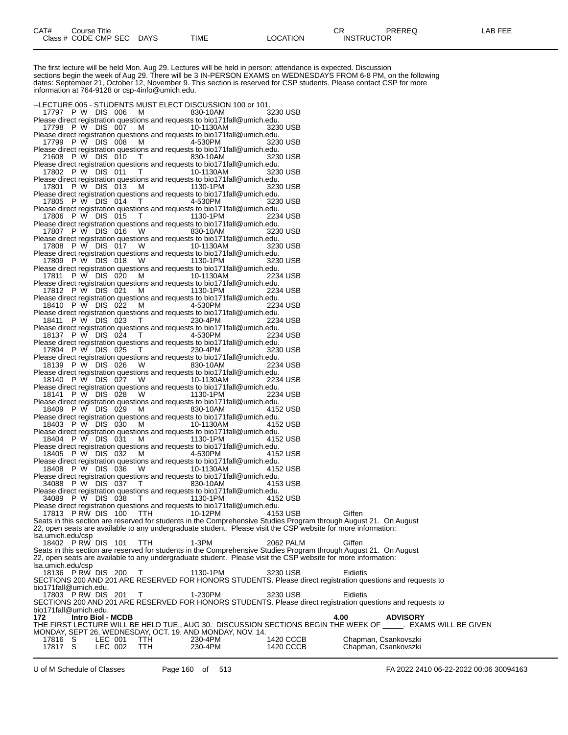The first lecture will be held Mon. Aug 29. Lectures will be held in person; attendance is expected. Discussion sections begin the week of Aug 29. There will be 3 IN-PERSON EXAMS on WEDNESDAYS FROM 6-8 PM, on the following dates: September 21, October 12, November 9. This section is reserved for CSP students. Please contact CSP for more information at 764-9128 or csp-4info@umich.edu. --LECTURE 005 - STUDENTS MUST ELECT DISCUSSION 100 or 101. 17797 P W DIS 006 M 830-10AM 3230 USB Please direct registration questions and requests to bio171fall@umich.edu.<br>17798 P W DIS 007 M 10-1130AM 3230 USB 17798 P W DIS 007 Please direct registration questions and requests to bio171fall@umich.edu.<br>17799 P W DIS 008 M 4-530PM 3230 USB 17799 P W DIS 008 Please direct registration questions and requests to bio171fall@umich.edu. 21608 P W DIS 010 T 830-10AM 3230 USB Please direct registration questions and requests to bio171fall@umich.edu.<br>17802 P W DIS 011 T 10-1130AM 3230 USB 17802 P W DIS 011 T 10-1130AM 3230 USB Please direct registration questions and requests to bio171fall@umich.edu. 17801 P W DIS 013 M 1130-1PM 3230 USB Please direct registration questions and requests to bio171fall@umich.edu. 17805 P W DIS 014 T 4-530PM 3230 USB Please direct registration questions and requests to bio171fall@umich.edu.<br>17806 P W DIS 015 T 1130-1PM 2234 USB 17806 P W DIS 015 T 1130-1PM 2234 USB Please direct registration questions and requests to bio171fall@umich.edu. 17807 P W DIS 016 W 830-10AM 3230 USB Please direct registration questions and requests to bio171fall@umich.edu. 17808 P W DIS 017 W 10-1130AM 3230 USB Please direct registration questions and requests to bio171fall@umich.edu.<br>17809 P W DIS 018 W 1130-1PM 3230 USB 17809 P W DIS 018 Please direct registration questions and requests to bio171fall@umich.edu. 17811 P W DIS 020 M 10-1130AM 2234 USB Please direct registration questions and requests to bio171fall@umich.edu. 17812 P W DIS 021 M 1130-1PM 2234 USB Please direct registration questions and requests to bio171fall@umich.edu.<br>18410 P W DIS 022 M 4-530PM 2234 USB 18410 P W DIS 022 M Please direct registration questions and requests to bio171fall@umich.edu.<br>18411 P W DIS 023 T 230-4PM 2234 USB 18411 P W DIS 023 T Please direct registration questions and requests to bio171fall@umich.edu. 18137 P W DIS 024 T 4-530PM 2234 USB Please direct registration questions and requests to bio171fall@umich.edu.<br>17804 P W DIS 025 T 230-4PM 3230 USB 17804 P W DIS 025 T Please direct registration questions and requests to bio171fall@umich.edu.<br>18139 P W DIS 026 W 830-10AM 2234 USB 18139 P W DIS 026 W Please direct registration questions and requests to bio171fall@umich.edu. 18140 P W DIS 027 W 10-1130AM 2234 USB Please direct registration questions and requests to bio171fall@umich.edu.<br>18141 P W DIS 028 W 1130-1PM 2234 USB 18141 P W DIS 028 Please direct registration questions and requests to bio171fall@umich.edu.<br>18409 P W DIS 029 M 830-10AM 4152 USB 18409 P W DIS 029 M Please direct registration questions and requests to bio171fall@umich.edu. 18403 P W DIS 030 M 10-1130AM 4152 USB Please direct registration questions and requests to bio171fall@umich.edu.<br>18404 P W DIS 031 M 1130-1PM 4152 USB 18404 P W DIS 031 M 1130-1PM 4152 USB Please direct registration questions and requests to bio171fall@umich.edu. 18405 P W DIS 032 M 4-530PM 4152 USB Please direct registration questions and requests to bio171fall@umich.edu. 18408 P W DIS 036 W 10-1130AM 4152 USB Please direct registration questions and requests to bio171fall@umich.edu.<br>34088 P W DIS 037 T 830-10AM 4153 USB 34088 P W DIS 037 T 830-10AM 4153 USB Please direct registration questions and requests to bio171fall@umich.edu. 34089 P W DIS 038 T 1130-1PM 4152 USB Please direct registration questions and requests to bio171fall@umich.edu. 17813 P RW DIS 100 TTH 10-12PM 4153 USB Giffen Seats in this section are reserved for students in the Comprehensive Studies Program through August 21. On August 22, open seats are available to any undergraduate student. Please visit the CSP website for more information: lsa.umich.edu/csp 18402 P RW DIS 101 TTH 1-3PM 2062 PALM Giffen Seats in this section are reserved for students in the Comprehensive Studies Program through August 21. On August 22, open seats are available to any undergraduate student. Please visit the CSP website for more information: lsa.umich.edu/csp 18136 P RW DIS 200 T 1130-1PM 3230 USB Eidietis SECTIONS 200 AND 201 ARE RESERVED FOR HONORS STUDENTS. Please direct registration questions and requests to bio171fall@umich.edu.<br>17803 PRW DIS 201 17803 P RW DIS 201 T 1-230PM 3230 USB Eidietis SECTIONS 200 AND 201 ARE RESERVED FOR HONORS STUDENTS. Please direct registration questions and requests to bio171fall@umich.edu. **172 Intro Biol - MCDB 4.00 ADVISORY** THE FIRST LECTURE WILL BE HELD TUE., AUG 30. DISCUSSION SECTIONS BEGIN THE WEEK OF \_\_\_\_\_. EXAMS WILL BE GIVEN MONDAY, SEPT 26, WEDNESDAY, OCT. 19, AND MONDAY, NOV. 14. 17816<br>17816 S LEC 001 TTH 230-4PM 1420 CCCB<br>17817 S LEC 002 TTH 230-4PM 1420 CCCB 17816 S LEC 001 TTH 230-4PM 1420 CCCB Chapman, Csankovszki 17817 S LEC 002 TTH 230-4PM 1420 CCCB Chapman, Csankovszki

U of M Schedule of Classes Page 160 of 513 FA 2022 2410 06-22-2022 00:06 30094163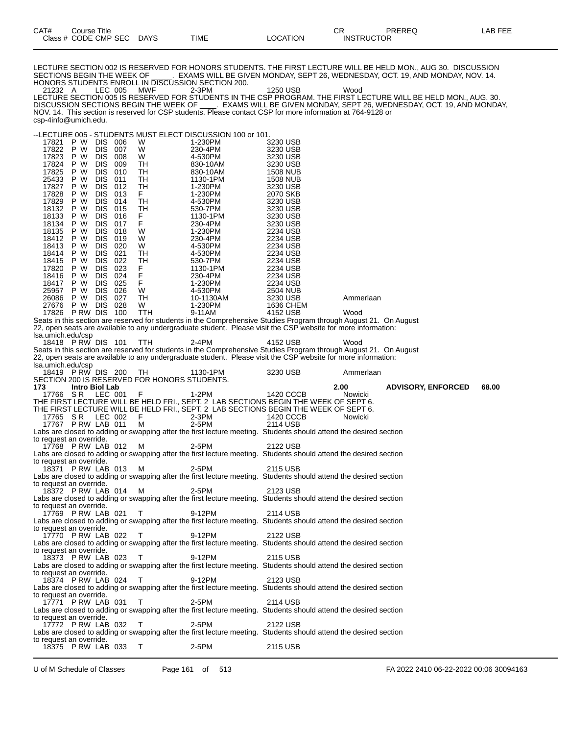LECTURE SECTION 002 IS RESERVED FOR HONORS STUDENTS. THE FIRST LECTURE WILL BE HELD MON., AUG 30. DISCUSSION SECTIONS BEGIN THE WEEK OF \_\_\_\_\_. EXAMS WILL BE GIVEN MONDAY, SEPT 26, WEDNESDAY, OCT. 19, AND MONDAY, NOV. 14. HONORS STUDENTS ENROLL IN DISCUSSION SECTION 200.

21232 A LEC 005 MWF 2-3PM 1250 USB Wood LECTURE SECTION 005 IS RESERVED FOR STUDENTS IN THE CSP PROGRAM. THE FIRST LECTURE WILL BE HELD MON., AUG. 30. DISCUSSION SECTIONS BEGIN THE WEEK OF \_\_\_\_. EXAMS WILL BE GIVEN MONDAY, SEPT 26, WEDNESDAY, OCT. 19, AND MONDAY, NOV. 14. This section is reserved for CSP students. Please contact CSP for more information at 764-9128 or csp-4info@umich.edu.

--LECTURE 005 - STUDENTS MUST ELECT DISCUSSION 100 or 101.

| 17821<br>17823<br>17824<br>17825<br>25433<br>17827<br>17828<br>17829<br>18132<br>18133<br>18134<br>18135<br>18413<br>18414<br>17820<br>18416<br>25957<br>26086<br>Isa.umich.edu/csp<br>Isa.umich.edu/csp | P W<br>17822 P W<br>P W<br>P W<br>P W<br>P W<br>P W<br>P W<br>P W<br>P W<br>P W<br>P W<br>P W<br>18412 P W<br>P W<br>P W<br>18415 P W<br>P W<br>P W<br>18417 P W<br>P W<br>P W<br>27676 P W DIS 028<br>17826 P RW DIS 100<br>18418 P RW DIS 101<br>18419 PRW DIS 200 TH | DIS 006<br>DIS 007<br>DIS 008<br>DIS 009<br>DIS 010<br>DIS 011<br>DIS 012<br>DIS 013<br>DIS 014<br>DIS 015<br>DIS 016<br>DIS 017<br><b>DIS 018</b><br>DIS 019<br>DIS 020<br>DIS 021<br>DIS 022<br>DIS 023<br>DIS 024<br>DIS 025<br>DIS 026<br>DIS 027 | 0100011011001 0001<br>W<br>W<br>W<br>TH<br>TH<br>TH<br>TН<br>F.<br>TH<br>TН<br>F.<br>F.<br>W<br>W<br>W<br>TН<br>TН<br>F.<br>F.<br>F.<br>W<br>TН<br>W<br>TTH<br><b>TTH</b> | 1-230PM<br>230-4PM<br>4-530PM<br>830-10AM<br>830-10AM<br>1130-1PM<br>1-230PM<br>1-230PM<br>4-530PM<br>530-7PM<br>1130-1PM<br>230-4PM<br>1-230PM<br>230-4PM<br>4-530PM<br>4-530PM<br>530-7PM<br>1130-1PM<br>230-4PM<br>1-230PM<br>4-530PM<br>10-1130AM<br>1-230PM<br>9-11AM<br>2-4PM<br>1130-1PM | 3230 USB<br>3230 USB<br>3230 USB<br>3230 USB<br><b>1508 NUB</b><br><b>1508 NUB</b><br>3230 USB<br>2070 SKB<br>3230 USB<br>3230 USB<br>3230 USB<br>3230 USB<br>2234 USB<br>2234 USB<br>2234 USB<br>2234 USB<br>2234 USB<br>2234 USB<br>2234 USB<br>2234 USB<br>2504 NUB<br>3230 USB<br>1636 CHEM<br>4152 USB<br>Seats in this section are reserved for students in the Comprehensive Studies Program through August 21. On August<br>22, open seats are available to any undergraduate student. Please visit the CSP website for more information:<br>4152 USB<br>Seats in this section are reserved for students in the Comprehensive Studies Program through August 21. On August<br>22, open seats are available to any undergraduate student. Please visit the CSP website for more information:<br>3230 USB | Ammerlaan<br>Wood<br>Wood<br>Ammerlaan |                           |       |
|----------------------------------------------------------------------------------------------------------------------------------------------------------------------------------------------------------|-------------------------------------------------------------------------------------------------------------------------------------------------------------------------------------------------------------------------------------------------------------------------|-------------------------------------------------------------------------------------------------------------------------------------------------------------------------------------------------------------------------------------------------------|---------------------------------------------------------------------------------------------------------------------------------------------------------------------------|-------------------------------------------------------------------------------------------------------------------------------------------------------------------------------------------------------------------------------------------------------------------------------------------------|-----------------------------------------------------------------------------------------------------------------------------------------------------------------------------------------------------------------------------------------------------------------------------------------------------------------------------------------------------------------------------------------------------------------------------------------------------------------------------------------------------------------------------------------------------------------------------------------------------------------------------------------------------------------------------------------------------------------------------------------------------------------------------------------------------------------|----------------------------------------|---------------------------|-------|
|                                                                                                                                                                                                          |                                                                                                                                                                                                                                                                         |                                                                                                                                                                                                                                                       | SECTION 200 IS RESERVED FOR HONORS STUDENTS.                                                                                                                              |                                                                                                                                                                                                                                                                                                 |                                                                                                                                                                                                                                                                                                                                                                                                                                                                                                                                                                                                                                                                                                                                                                                                                 |                                        |                           |       |
| 173                                                                                                                                                                                                      | Intro Biol Lab<br>17766 SR LEC 001 F                                                                                                                                                                                                                                    |                                                                                                                                                                                                                                                       |                                                                                                                                                                           | 1-2PM                                                                                                                                                                                                                                                                                           | 1420 CCCB                                                                                                                                                                                                                                                                                                                                                                                                                                                                                                                                                                                                                                                                                                                                                                                                       | 2.00<br>Nowicki                        | <b>ADVISORY, ENFORCED</b> | 68.00 |
| to request an override.                                                                                                                                                                                  | 17765 SR LEC 002<br>17767 PRW LAB 011                                                                                                                                                                                                                                   |                                                                                                                                                                                                                                                       | - F<br>М                                                                                                                                                                  | 2-3PM<br>2-5PM                                                                                                                                                                                                                                                                                  | THE FIRST LECTURE WILL BE HELD FRI., SEPT. 2 LAB SECTIONS BEGIN THE WEEK OF SEPT 6.<br>THE FIRST LECTURE WILL BE HELD FRI., SEPT. 2 LAB SECTIONS BEGIN THE WEEK OF SEPT 6.<br>1420 CCCB<br>2114 USB<br>Labs are closed to adding or swapping after the first lecture meeting. Students should attend the desired section                                                                                                                                                                                                                                                                                                                                                                                                                                                                                        | Nowicki                                |                           |       |
| to request an override.                                                                                                                                                                                  | 17768 P RW LAB 012                                                                                                                                                                                                                                                      |                                                                                                                                                                                                                                                       | M M                                                                                                                                                                       | 2-5PM                                                                                                                                                                                                                                                                                           | 2122 USB<br>Labs are closed to adding or swapping after the first lecture meeting. Students should attend the desired section                                                                                                                                                                                                                                                                                                                                                                                                                                                                                                                                                                                                                                                                                   |                                        |                           |       |
| to request an override.                                                                                                                                                                                  | 18371 P RW LAB 013                                                                                                                                                                                                                                                      |                                                                                                                                                                                                                                                       | M N                                                                                                                                                                       | 2-5PM                                                                                                                                                                                                                                                                                           | 2115 USB<br>Labs are closed to adding or swapping after the first lecture meeting. Students should attend the desired section                                                                                                                                                                                                                                                                                                                                                                                                                                                                                                                                                                                                                                                                                   |                                        |                           |       |
|                                                                                                                                                                                                          | 18372 PRW LAB 014                                                                                                                                                                                                                                                       |                                                                                                                                                                                                                                                       | M M                                                                                                                                                                       | 2-5PM                                                                                                                                                                                                                                                                                           | 2123 USB<br>Labs are closed to adding or swapping after the first lecture meeting. Students should attend the desired section                                                                                                                                                                                                                                                                                                                                                                                                                                                                                                                                                                                                                                                                                   |                                        |                           |       |
| to request an override.<br>to request an override.                                                                                                                                                       | 17769 P RW LAB 021                                                                                                                                                                                                                                                      |                                                                                                                                                                                                                                                       | $\top$                                                                                                                                                                    | 9-12PM                                                                                                                                                                                                                                                                                          | 2114 USB<br>Labs are closed to adding or swapping after the first lecture meeting. Students should attend the desired section                                                                                                                                                                                                                                                                                                                                                                                                                                                                                                                                                                                                                                                                                   |                                        |                           |       |
|                                                                                                                                                                                                          | 17770 PRW LAB 022 T                                                                                                                                                                                                                                                     |                                                                                                                                                                                                                                                       |                                                                                                                                                                           | 9-12PM                                                                                                                                                                                                                                                                                          | 2122 USB<br>Labs are closed to adding or swapping after the first lecture meeting. Students should attend the desired section                                                                                                                                                                                                                                                                                                                                                                                                                                                                                                                                                                                                                                                                                   |                                        |                           |       |
| to request an override.<br>to request an override.                                                                                                                                                       | 18373 P RW LAB 023                                                                                                                                                                                                                                                      |                                                                                                                                                                                                                                                       | $\top$                                                                                                                                                                    | 9-12PM                                                                                                                                                                                                                                                                                          | 2115 USB<br>Labs are closed to adding or swapping after the first lecture meeting. Students should attend the desired section                                                                                                                                                                                                                                                                                                                                                                                                                                                                                                                                                                                                                                                                                   |                                        |                           |       |
| to request an override.                                                                                                                                                                                  | 18374 P RW LAB 024                                                                                                                                                                                                                                                      |                                                                                                                                                                                                                                                       | Т                                                                                                                                                                         | 9-12PM                                                                                                                                                                                                                                                                                          | 2123 USB<br>Labs are closed to adding or swapping after the first lecture meeting. Students should attend the desired section                                                                                                                                                                                                                                                                                                                                                                                                                                                                                                                                                                                                                                                                                   |                                        |                           |       |
|                                                                                                                                                                                                          | 17771 P RW LAB 031                                                                                                                                                                                                                                                      |                                                                                                                                                                                                                                                       | Т                                                                                                                                                                         | $2-5PM$                                                                                                                                                                                                                                                                                         | 2114 USB<br>Labs are closed to adding or swapping after the first lecture meeting. Students should attend the desired section                                                                                                                                                                                                                                                                                                                                                                                                                                                                                                                                                                                                                                                                                   |                                        |                           |       |
| to request an override.                                                                                                                                                                                  | 17772 P RW LAB 032                                                                                                                                                                                                                                                      |                                                                                                                                                                                                                                                       | Т                                                                                                                                                                         | 2-5PM                                                                                                                                                                                                                                                                                           | 2122 USB                                                                                                                                                                                                                                                                                                                                                                                                                                                                                                                                                                                                                                                                                                                                                                                                        |                                        |                           |       |
|                                                                                                                                                                                                          |                                                                                                                                                                                                                                                                         |                                                                                                                                                                                                                                                       |                                                                                                                                                                           |                                                                                                                                                                                                                                                                                                 | Labs are closed to adding or swapping after the first lecture meeting. Students should attend the desired section                                                                                                                                                                                                                                                                                                                                                                                                                                                                                                                                                                                                                                                                                               |                                        |                           |       |
| to request an override.                                                                                                                                                                                  | 18375 P RW LAB 033                                                                                                                                                                                                                                                      |                                                                                                                                                                                                                                                       | $\top$                                                                                                                                                                    | 2-5PM                                                                                                                                                                                                                                                                                           | 2115 USB                                                                                                                                                                                                                                                                                                                                                                                                                                                                                                                                                                                                                                                                                                                                                                                                        |                                        |                           |       |

U of M Schedule of Classes Page 161 of 513 FA 2022 2410 06-22-2022 00:06 30094163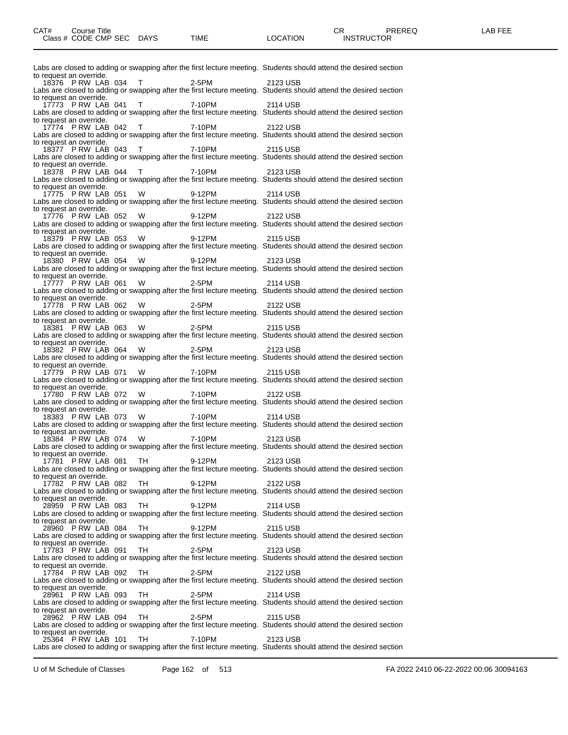| Labs are closed to adding or swapping after the first lecture meeting. Students should attend the desired section                                                                  |          |
|------------------------------------------------------------------------------------------------------------------------------------------------------------------------------------|----------|
| to request an override.<br>18376 P RW LAB 034 T 2-5PM                                                                                                                              | 2123 USB |
| Labs are closed to adding or swapping after the first lecture meeting. Students should attend the desired section<br>to request an override.                                       |          |
| 17773 P RW LAB 041 T 7-10PM<br>Labs are closed to adding or swapping after the first lecture meeting. Students should attend the desired section                                   | 2114 USB |
| to request an override.<br>17774 PRW LAB 042 T 7-10PM<br>Labs are closed to adding or swapping after the first lecture meeting. Students should attend the desired section         | 2122 USB |
| to request an override.<br>18377 PRW LAB 043 T 7-10PM                                                                                                                              | 2115 USB |
| Labs are closed to adding or swapping after the first lecture meeting. Students should attend the desired section<br>to request an override.<br>18378 PRW LAB 044 T 7-10PM         | 2123 USB |
| Labs are closed to adding or swapping after the first lecture meeting. Students should attend the desired section<br>to request an override.                                       |          |
| 17775 P RW LAB 051 W 9-12PM<br>Labs are closed to adding or swapping after the first lecture meeting. Students should attend the desired section                                   | 2114 USB |
| to request an override.<br>17776 PRW LAB 052 W<br>9-12PM<br>Labs are closed to adding or swapping after the first lecture meeting. Students should attend the desired section      | 2122 USB |
| to request an override.<br>18379 PRW LAB 053 W<br>9-12PM                                                                                                                           | 2115 USB |
| Labs are closed to adding or swapping after the first lecture meeting. Students should attend the desired section<br>to request an override.                                       |          |
| 18380 PRW LAB 054 W<br>9-12PM<br>Labs are closed to adding or swapping after the first lecture meeting. Students should attend the desired section                                 | 2123 USB |
| to request an override.<br>17777 PRW LAB 061 W<br>2-5PM<br>Labs are closed to adding or swapping after the first lecture meeting. Students should attend the desired section       | 2114 USB |
| to request an override.<br>17778 PRW LAB 062 W<br>2-5PM 2122 USB                                                                                                                   |          |
| Labs are closed to adding or swapping after the first lecture meeting. Students should attend the desired section<br>to request an override.                                       |          |
| 18381 PRW LAB 063 W<br>2-5PM<br>Labs are closed to adding or swapping after the first lecture meeting. Students should attend the desired section                                  | 2115 USB |
| to request an override.<br>18382 PRW LAB 064 W<br>2-5PM                                                                                                                            | 2123 USB |
| Labs are closed to adding or swapping after the first lecture meeting. Students should attend the desired section<br>to request an override.<br>17779 PRW LAB 071 W 7-10PM         | 2115 USB |
| Labs are closed to adding or swapping after the first lecture meeting. Students should attend the desired section<br>to request an override.                                       |          |
| 17780 P.RW LAB 072 W 7-10PM<br>Labs are closed to adding or swapping after the first lecture meeting. Students should attend the desired section                                   | 2122 USB |
| to request an override.<br>18383 PRW LAB 073 W 7-10PM<br>Labs are closed to adding or swapping after the first lecture meeting. Students should attend the desired section         | 2114 USB |
| to request an override.                                                                                                                                                            |          |
| 18384 P RW LAB 074 W 7-10PM<br>Labs are closed to adding or swapping after the first lecture meeting. Students should attend the desired section<br>to request an override.        | 2123 USB |
| 9-12PM<br>17781 PRW LAB 081 TH<br>Labs are closed to adding or swapping after the first lecture meeting. Students should attend the desired section                                | 2123 USB |
| to request an override.<br>17782 PRW LAB 082<br>TH<br>9-12PM                                                                                                                       | 2122 USB |
| Labs are closed to adding or swapping after the first lecture meeting. Students should attend the desired section<br>to request an override.                                       |          |
| TН<br>9-12PM<br>28959 P RW LAB 083<br>Labs are closed to adding or swapping after the first lecture meeting. Students should attend the desired section<br>to request an override. | 2114 USB |
| 28960 P RW LAB 084<br>TН<br>9-12PM<br>Labs are closed to adding or swapping after the first lecture meeting. Students should attend the desired section                            | 2115 USB |
| to request an override.<br>17783 P RW LAB 091<br>TН<br>2-5PM                                                                                                                       | 2123 USB |
| Labs are closed to adding or swapping after the first lecture meeting. Students should attend the desired section<br>to request an override.                                       |          |
| 17784 P RW LAB 092<br>TН<br>2-5PM<br>Labs are closed to adding or swapping after the first lecture meeting. Students should attend the desired section                             | 2122 USB |
| to request an override.<br>28961 P RW LAB 093<br>TН<br>2-5PM<br>Labs are closed to adding or swapping after the first lecture meeting. Students should attend the desired section  | 2114 USB |
| to request an override.<br>28962 P RW LAB 094<br>TH<br>2-5PM                                                                                                                       | 2115 USB |
| Labs are closed to adding or swapping after the first lecture meeting. Students should attend the desired section<br>to request an override.<br>7-10PM<br>25364 P RW LAB 101<br>TН | 2123 USB |
| Labs are closed to adding or swapping after the first lecture meeting. Students should attend the desired section                                                                  |          |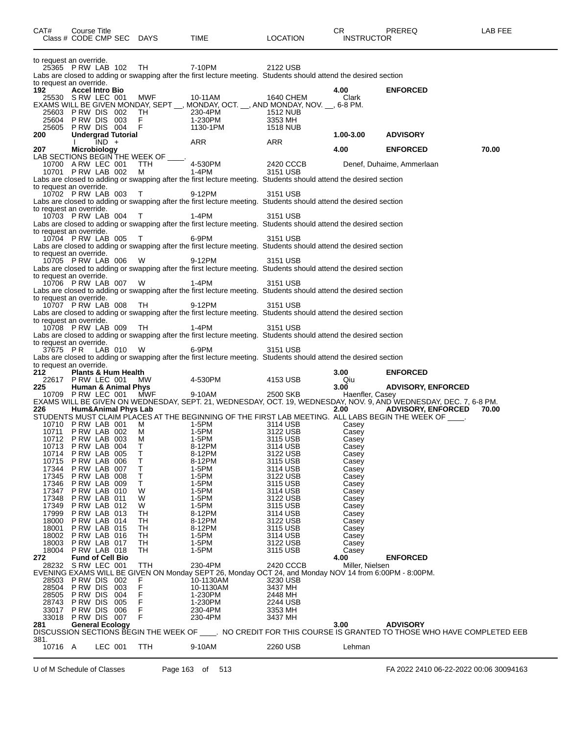| CAT#                                               | Course Title<br>Class # CODE CMP SEC DAYS                                   |         |           |                                            | TIME                                                                                                                                                                                                                                             | <b>LOCATION</b>                              | CR.<br><b>INSTRUCTOR</b>         | <b>PREREQ</b>                                                                                                                                                                                                                                           | LAB FEE |
|----------------------------------------------------|-----------------------------------------------------------------------------|---------|-----------|--------------------------------------------|--------------------------------------------------------------------------------------------------------------------------------------------------------------------------------------------------------------------------------------------------|----------------------------------------------|----------------------------------|---------------------------------------------------------------------------------------------------------------------------------------------------------------------------------------------------------------------------------------------------------|---------|
| to request an override.<br>to request an override. | 25365 PRW LAB 102 TH                                                        |         |           |                                            | 7-10PM<br>Labs are closed to adding or swapping after the first lecture meeting. Students should attend the desired section                                                                                                                      | 2122 USB                                     |                                  |                                                                                                                                                                                                                                                         |         |
| 192                                                | <b>Accel Intro Bio</b><br>25530 S RW LEC 001<br>25603 PRW DIS 002           |         |           | MWF<br>TH                                  | 10-11AM<br>EXAMS WILL BE GIVEN MONDAY, SEPT __, MONDAY, OCT. __, AND MONDAY, NOV. __, 6-8 PM.<br>230-4PM                                                                                                                                         | 1640 CHEM<br><b>1512 NUB</b>                 | 4.00<br>Clark                    | <b>ENFORCED</b>                                                                                                                                                                                                                                         |         |
| 25604<br>25605                                     | <b>PRW DIS 003</b><br>PRW DIS 004                                           |         |           | F.<br>- F                                  | 1-230PM<br>1130-1PM                                                                                                                                                                                                                              | 3353 MH<br>1518 NUB                          |                                  |                                                                                                                                                                                                                                                         |         |
| 200                                                | <b>Undergrad Tutorial</b>                                                   | $IND +$ |           |                                            | ARR                                                                                                                                                                                                                                              | ARR                                          | 1.00-3.00                        | <b>ADVISORY</b>                                                                                                                                                                                                                                         |         |
| 207                                                | Microbiology<br>10700 A RW LEC 001<br>10701 PRW LAB 002                     |         |           | LAB SECTIONS BEGIN THE WEEK OF<br>TTH<br>M | 4-530PM<br>1-4PM<br>Labs are closed to adding or swapping after the first lecture meeting. Students should attend the desired section                                                                                                            | 2420 CCCB<br>3151 USB                        | 4.00                             | <b>ENFORCED</b><br>Denef, Duhaime, Ammerlaan                                                                                                                                                                                                            | 70.00   |
| to request an override.<br>to request an override. | 10702 P RW LAB 003                                                          |         |           | $\top$                                     | 9-12PM<br>Labs are closed to adding or swapping after the first lecture meeting. Students should attend the desired section                                                                                                                      | 3151 USB                                     |                                  |                                                                                                                                                                                                                                                         |         |
| to request an override.                            | 10703 P RW LAB 004<br>10704 P RW LAB 005                                    |         |           | $\top$<br>$\top$                           | 1-4PM<br>Labs are closed to adding or swapping after the first lecture meeting. Students should attend the desired section<br>6-9PM                                                                                                              | 3151 USB<br>3151 USB                         |                                  |                                                                                                                                                                                                                                                         |         |
| to request an override.                            | 10705 P RW LAB 006                                                          |         |           | <b>W</b>                                   | Labs are closed to adding or swapping after the first lecture meeting. Students should attend the desired section<br>9-12PM<br>Labs are closed to adding or swapping after the first lecture meeting. Students should attend the desired section | 3151 USB                                     |                                  |                                                                                                                                                                                                                                                         |         |
| to request an override.<br>to request an override. | 10706 PRW LAB 007 W                                                         |         |           |                                            | 1-4PM<br>Labs are closed to adding or swapping after the first lecture meeting. Students should attend the desired section                                                                                                                       | 3151 USB                                     |                                  |                                                                                                                                                                                                                                                         |         |
| to request an override.                            | 10707 P RW LAB 008<br>10708 P RW LAB 009                                    |         |           | TH<br>- TH                                 | 9-12PM<br>Labs are closed to adding or swapping after the first lecture meeting. Students should attend the desired section<br>1-4PM                                                                                                             | 3151 USB<br>3151 USB                         |                                  |                                                                                                                                                                                                                                                         |         |
| to request an override.<br>37675 PR                |                                                                             |         | LAB 010 W |                                            | Labs are closed to adding or swapping after the first lecture meeting. Students should attend the desired section<br>6-9PM<br>Labs are closed to adding or swapping after the first lecture meeting. Students should attend the desired section  | 3151 USB                                     |                                  |                                                                                                                                                                                                                                                         |         |
| to request an override.<br>212                     | Plants & Hum Health                                                         |         |           |                                            |                                                                                                                                                                                                                                                  |                                              | 3.00                             | <b>ENFORCED</b>                                                                                                                                                                                                                                         |         |
| 225 -                                              | 22617 P RW LEC 001<br><b>Human &amp; Animal Phys</b>                        |         |           | MW                                         | 4-530PM                                                                                                                                                                                                                                          | 4153 USB                                     | Qiu<br>3.00                      | <b>ADVISORY, ENFORCED</b>                                                                                                                                                                                                                               |         |
| 226                                                | 10709 PRW LEC 001 MWF<br><b>Hum&amp;Animal Phys Lab</b>                     |         |           |                                            | 9-10AM                                                                                                                                                                                                                                           | 2500 SKB                                     | Haenfler, Casey<br>2.00          | EXAMS WILL BE GIVEN ON WEDNESDAY, SEPT. 21, WEDNESDAY, OCT. 19, WEDNESDAY, NOV. 9, AND WEDNESDAY, DEC. 7, 6-8 PM.<br><b>ADVISORY, ENFORCED</b><br>STUDENTS MUST CLAIM PLACES AT THE BEGINNING OF THE FIRST LAB MEETING. ALL LABS BEGIN THE WEEK OF UNLI | 70.00   |
| 10713                                              | 10710 P RW LAB 001<br>10711 PRW LAB 002<br>10712 PRW LAB 003<br>PRW LAB 004 |         |           | м<br>м<br>M<br>Т                           | 1-5PM<br>1-5PM<br>1-5PM<br>8-12PM                                                                                                                                                                                                                | 3114 USB<br>3122 USB<br>3115 USB<br>3114 USB | Casey<br>Casey<br>Casey<br>Casey |                                                                                                                                                                                                                                                         |         |
| 10714<br>10715<br>17344                            | PRW LAB 005<br>P RW LAB 006<br>PRW LAB 007                                  |         |           | Τ<br>Т<br>т                                | 8-12PM<br>8-12PM<br>1-5PM                                                                                                                                                                                                                        | 3122 USB<br>3115 USB<br>3114 USB             | Casey<br>Casey<br>Casey          |                                                                                                                                                                                                                                                         |         |
| 17345<br>17346                                     | PRW LAB 008<br>P RW LAB 009                                                 |         |           | т<br>Τ                                     | 1-5PM<br>1-5PM                                                                                                                                                                                                                                   | 3122 USB<br>3115 USB                         | Casey<br>Casey                   |                                                                                                                                                                                                                                                         |         |
| 17347<br>17348                                     | PRW LAB 010<br>PRW LAB 011                                                  |         |           | W<br>W                                     | 1-5PM<br>1-5PM                                                                                                                                                                                                                                   | 3114 USB<br>3122 USB                         | Casey<br>Casey                   |                                                                                                                                                                                                                                                         |         |
| 17349<br>17999                                     | PRW LAB 012<br>PRW LAB 013                                                  |         |           | W<br>TН                                    | 1-5PM<br>8-12PM                                                                                                                                                                                                                                  | 3115 USB<br>3114 USB                         | Casey<br>Casey                   |                                                                                                                                                                                                                                                         |         |
| 18000                                              | PRW LAB 014                                                                 |         |           | TН                                         | 8-12PM                                                                                                                                                                                                                                           | 3122 USB                                     | Casey                            |                                                                                                                                                                                                                                                         |         |
| 18001<br>18002                                     | PRW LAB 015<br>PRW LAB 016                                                  |         |           | TН<br>TH                                   | 8-12PM<br>1-5PM                                                                                                                                                                                                                                  | 3115 USB<br>3114 USB                         | Casey<br>Casey                   |                                                                                                                                                                                                                                                         |         |
| 18003<br>18004                                     | PRW LAB 017<br>PRW LAB 018                                                  |         |           | TH<br>TH                                   | 1-5PM<br>1-5PM                                                                                                                                                                                                                                   | 3122 USB<br>3115 USB                         | Casey<br>Casey                   |                                                                                                                                                                                                                                                         |         |
| 272                                                | <b>Fund of Cell Bio</b><br>28232 S RW LEC 001                               |         |           | TTH                                        | 230-4PM                                                                                                                                                                                                                                          | 2420 CCCB                                    | 4.00<br>Miller, Nielsen          | <b>ENFORCED</b>                                                                                                                                                                                                                                         |         |
|                                                    | 28503 PRW DIS 002                                                           |         |           |                                            | EVENING EXAMS WILL BE GIVEN ON Monday SEPT 26, Monday OCT 24, and Monday NOV 14 from 6:00PM - 8:00PM.<br>10-1130AM                                                                                                                               | 3230 USB                                     |                                  |                                                                                                                                                                                                                                                         |         |
| 28504<br>28505                                     | P RW DIS<br>PRW DIS 004                                                     |         | 003       | F<br>F<br>F<br>F                           | 10-1130AM<br>1-230PM                                                                                                                                                                                                                             | 3437 MH<br>2448 MH                           |                                  |                                                                                                                                                                                                                                                         |         |
| 28743<br>33017                                     | <b>PRW DIS 005</b><br>PRW DIS 006                                           |         |           | F<br>F                                     | 1-230PM<br>230-4PM                                                                                                                                                                                                                               | 2244 USB<br>3353 MH                          |                                  |                                                                                                                                                                                                                                                         |         |
| 33018                                              | PRW DIS 007                                                                 |         |           | F                                          | 230-4PM                                                                                                                                                                                                                                          | 3437 MH                                      |                                  |                                                                                                                                                                                                                                                         |         |
| 381.                                               |                                                                             |         |           |                                            |                                                                                                                                                                                                                                                  |                                              |                                  | 281 General Ecology<br>DISCUSSION SECTIONS BEGIN THE WEEK OF _____. NO CREDIT FOR THIS COURSE IS GRANTED TO THOSE WHO HAVE COMPLETED EEB                                                                                                                |         |
| 10716 A                                            |                                                                             | LEC 001 |           | <b>TTH</b>                                 | 9-10AM                                                                                                                                                                                                                                           | 2260 USB                                     | Lehman                           |                                                                                                                                                                                                                                                         |         |

U of M Schedule of Classes Page 163 of 513 FA 2022 2410 06-22-2022 00:06 30094163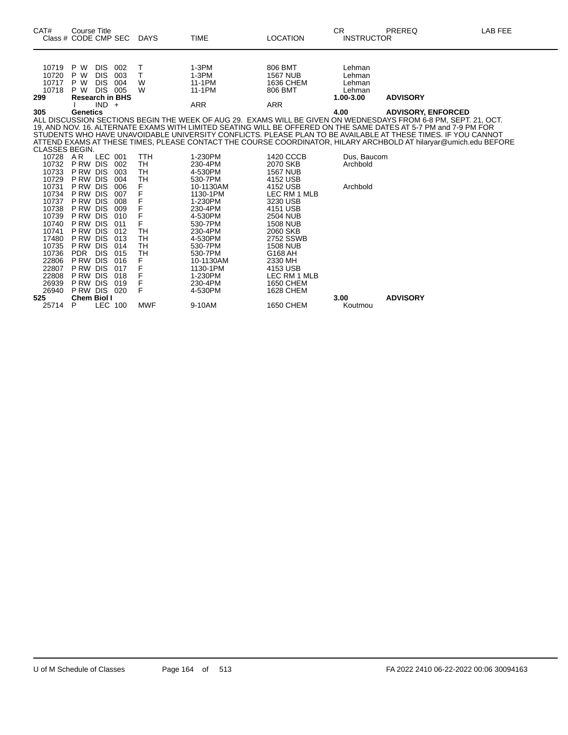| CAT#<br>Class # CODE CMP SEC            | <b>Course Title</b>                                |                                          |                          | <b>DAYS</b>                  | TIME                                        | <b>LOCATION</b>                                      | CR.<br><b>INSTRUCTOR</b>                          | PREREQ                                                                                                                                                                                                                                                                                                                                                                                                                                                                   | LAB FEE |
|-----------------------------------------|----------------------------------------------------|------------------------------------------|--------------------------|------------------------------|---------------------------------------------|------------------------------------------------------|---------------------------------------------------|--------------------------------------------------------------------------------------------------------------------------------------------------------------------------------------------------------------------------------------------------------------------------------------------------------------------------------------------------------------------------------------------------------------------------------------------------------------------------|---------|
| 10719<br>10720<br>10717<br>10718<br>299 | P W<br>P W<br>P W<br>P W<br><b>Research in BHS</b> | DIS.<br><b>DIS</b><br><b>DIS</b><br>DIS. | 002<br>003<br>004<br>005 | Т<br>T.<br>W<br>W            | $1-3PM$<br>$1-3PM$<br>11-1PM<br>11-1PM      | 806 BMT<br><b>1567 NUB</b><br>1636 CHEM<br>806 BMT   | Lehman<br>Lehman<br>Lehman<br>Lehman<br>1.00-3.00 | <b>ADVISORY</b>                                                                                                                                                                                                                                                                                                                                                                                                                                                          |         |
| 305                                     | Genetics                                           | $IND +$                                  |                          |                              | <b>ARR</b>                                  | <b>ARR</b>                                           | 4.00                                              | <b>ADVISORY, ENFORCED</b>                                                                                                                                                                                                                                                                                                                                                                                                                                                |         |
| <b>CLASSES BEGIN.</b>                   |                                                    |                                          |                          |                              |                                             |                                                      |                                                   | ALL DISCUSSION SECTIONS BEGIN THE WEEK OF AUG 29. EXAMS WILL BE GIVEN ON WEDNESDAYS FROM 6-8 PM, SEPT. 21, OCT.<br>19, AND NOV. 16. ALTERNATE EXAMS WITH LIMITED SEATING WILL BE OFFERED ON THE SAME DATES AT 5-7 PM and 7-9 PM FOR<br>STUDENTS WHO HAVE UNAVOIDABLE UNIVERSITY CONFLICTS. PLEASE PLAN TO BE AVAILABLE AT THESE TIMES. IF YOU CANNOT<br>ATTEND EXAMS AT THESE TIMES, PLEASE CONTACT THE COURSE COORDINATOR, HILARY ARCHBOLD AT hilaryar@umich.edu BEFORE |         |
| 10728 AR<br>10732<br>10733<br>10729     | PRW DIS<br>PRW DIS<br>P RW DIS                     | LEC 001                                  | 002<br>003<br>004        | TTH<br>TН<br>TH<br>TH        | 1-230PM<br>230-4PM<br>4-530PM<br>530-7PM    | 1420 CCCB<br>2070 SKB<br><b>1567 NUB</b><br>4152 USB | Dus, Baucom<br>Archbold                           |                                                                                                                                                                                                                                                                                                                                                                                                                                                                          |         |
| 10731<br>10734<br>10737<br>10738        | P RW DIS<br>P RW DIS<br><b>PRW DIS</b><br>P RW DIS |                                          | 006<br>007<br>008<br>009 | F<br>F<br>F<br>F             | 10-1130AM<br>1130-1PM<br>1-230PM<br>230-4PM | 4152 USB<br>LEC RM 1 MLB<br>3230 USB<br>4151 USB     | Archbold                                          |                                                                                                                                                                                                                                                                                                                                                                                                                                                                          |         |
| 10739<br>10740                          | <b>PRW DIS</b><br>P RW DIS                         |                                          | 010<br>011               | F<br>F                       | 4-530PM<br>530-7PM                          | <b>2504 NUB</b><br><b>1508 NUB</b>                   |                                                   |                                                                                                                                                                                                                                                                                                                                                                                                                                                                          |         |
| 10741<br>17480<br>10735                 | P RW DIS<br>PRW DIS<br>P RW DIS                    |                                          | 012<br>013<br>014        | <b>TH</b><br>TH<br><b>TH</b> | 230-4PM<br>4-530PM<br>530-7PM               | 2060 SKB<br>2752 SSWB<br><b>1508 NUB</b>             |                                                   |                                                                                                                                                                                                                                                                                                                                                                                                                                                                          |         |
| 10736<br>22806<br>22807<br>22808        | <b>PDR</b><br>P RW DIS<br>P RW DIS<br>P RW DIS     | <b>DIS</b>                               | 015<br>016<br>017<br>018 | <b>TH</b><br>F<br>F          | 530-7PM<br>10-1130AM<br>1130-1PM<br>1-230PM | G168 AH<br>2330 MH<br>4153 USB<br>LEC RM 1 MLB       |                                                   |                                                                                                                                                                                                                                                                                                                                                                                                                                                                          |         |
| 26939<br>26940<br>525                   | PRW DIS<br>P RW DIS<br><b>Chem Biol I</b>          |                                          | 019<br>020               | F<br>F<br>F                  | 230-4PM<br>4-530PM                          | 1650 CHEM<br><b>1628 CHEM</b>                        | 3.00                                              | <b>ADVISORY</b>                                                                                                                                                                                                                                                                                                                                                                                                                                                          |         |
| 25714                                   | -P                                                 | <b>LEC 100</b>                           |                          | <b>MWF</b>                   | 9-10AM                                      | <b>1650 CHEM</b>                                     | Koutmou                                           |                                                                                                                                                                                                                                                                                                                                                                                                                                                                          |         |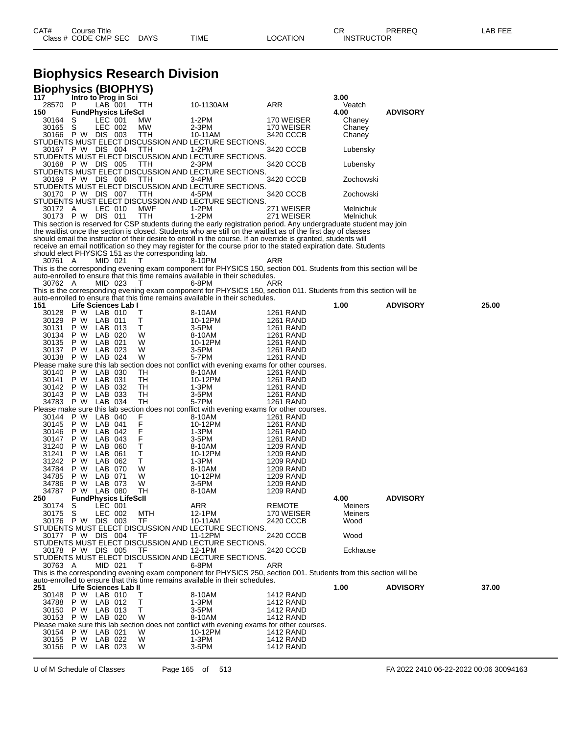# **Biophysics Research Division**

|                   |             |                    | <b>Biophysics (BIOPHYS)</b> |                                                    |                                                                                                                             |                                      |                |                 |       |
|-------------------|-------------|--------------------|-----------------------------|----------------------------------------------------|-----------------------------------------------------------------------------------------------------------------------------|--------------------------------------|----------------|-----------------|-------|
| 117<br>28570      | P           | LAB 001            | Intro to Prog in Sci        | TTH                                                | 10-1130AM                                                                                                                   | ARR                                  | 3.00<br>Veatch |                 |       |
| 150               |             |                    | <b>FundPhysics LifeScl</b>  |                                                    |                                                                                                                             |                                      | 4.00           | <b>ADVISORY</b> |       |
| 30164             | S           | LEC 001            |                             | МW                                                 | 1-2PM                                                                                                                       | 170 WEISER                           | Chaney         |                 |       |
| 30165             | S           | LEC 002            |                             | МW                                                 | 2-3PM                                                                                                                       | 170 WEISER                           | Chaney         |                 |       |
| 30166             | P W DIS 003 |                    |                             | TTH                                                | 10-11AM                                                                                                                     | 3420 CCCB                            | Chaney         |                 |       |
| 30167 P W DIS 004 |             |                    |                             | TTH                                                | STUDENTS MUST ELECT DISCUSSION AND LECTURE SECTIONS.<br>1-2PM                                                               | 3420 CCCB                            | Lubensky       |                 |       |
|                   |             |                    |                             |                                                    | STUDENTS MUST ELECT DISCUSSION AND LECTURE SECTIONS.                                                                        |                                      |                |                 |       |
| 30168             | P W DIS 005 |                    |                             | ттн                                                | $2-3PM$                                                                                                                     | 3420 CCCB                            | Lubensky       |                 |       |
|                   |             |                    |                             |                                                    | STUDENTS MUST ELECT DISCUSSION AND LECTURE SECTIONS.                                                                        |                                      |                |                 |       |
| 30169 PW DIS 006  |             |                    |                             | TTH                                                | 3-4PM<br>STUDENTS MUST ELECT DISCUSSION AND LECTURE SECTIONS.                                                               | 3420 CCCB                            | Zochowski      |                 |       |
| 30170 P W DIS 007 |             |                    |                             | TTH                                                | 4-5PM                                                                                                                       | 3420 CCCB                            | Zochowski      |                 |       |
|                   |             |                    |                             |                                                    | STUDENTS MUST ELECT DISCUSSION AND LECTURE SECTIONS.                                                                        |                                      |                |                 |       |
| 30172 A           |             | LEC 010            |                             | <b>MWF</b>                                         | 1-2PM                                                                                                                       | 271 WEISER                           | Melnichuk      |                 |       |
| 30173 P W DIS 011 |             |                    |                             | TTH                                                | 1-2PM<br>This section is reserved for CSP students during the early registration period. Any undergraduate student may join | 271 WEISER                           | Melnichuk      |                 |       |
|                   |             |                    |                             |                                                    | the waitlist once the section is closed. Students who are still on the waitlist as of the first day of classes              |                                      |                |                 |       |
|                   |             |                    |                             |                                                    | should email the instructor of their desire to enroll in the course. If an override is granted, students will               |                                      |                |                 |       |
|                   |             |                    |                             |                                                    | receive an email notification so they may register for the course prior to the stated expiration date. Students             |                                      |                |                 |       |
|                   |             |                    |                             | should elect PHYSICS 151 as the corresponding lab. |                                                                                                                             |                                      |                |                 |       |
| 30761 A           |             | MID 021            |                             | T                                                  | 8-10PM<br>This is the corresponding evening exam component for PHYSICS 150, section 001. Students from this section will be | ARR                                  |                |                 |       |
|                   |             |                    |                             |                                                    | auto-enrolled to ensure that this time remains available in their schedules.                                                |                                      |                |                 |       |
| 30762 A           |             | MID 023            |                             | Т                                                  | 6-8PM                                                                                                                       | ARR                                  |                |                 |       |
|                   |             |                    |                             |                                                    | This is the corresponding evening exam component for PHYSICS 150, section 011. Students from this section will be           |                                      |                |                 |       |
| 151               |             |                    |                             |                                                    | auto-enrolled to ensure that this time remains available in their schedules.                                                |                                      |                |                 | 25.00 |
| 30128             | P W LAB 010 |                    | Life Sciences Lab I         | т                                                  | 8-10AM                                                                                                                      | <b>1261 RAND</b>                     | 1.00           | <b>ADVISORY</b> |       |
| 30129             | P W         | LAB 011            |                             | Т                                                  | 10-12PM                                                                                                                     | <b>1261 RAND</b>                     |                |                 |       |
| 30131             | P W         | LAB 013            |                             | Τ                                                  | $3-5PM$                                                                                                                     | 1261 RAND                            |                |                 |       |
| 30134             | P W         | LAB 020            |                             | W                                                  | 8-10AM                                                                                                                      | <b>1261 RAND</b>                     |                |                 |       |
| 30135<br>30137    | P W<br>P W  | LAB 021<br>LAB 023 |                             | W<br>W                                             | 10-12PM<br>3-5PM                                                                                                            | <b>1261 RAND</b><br>1261 RAND        |                |                 |       |
| 30138             | P W         | LAB 024            |                             | W                                                  | 5-7PM                                                                                                                       | <b>1261 RAND</b>                     |                |                 |       |
|                   |             |                    |                             |                                                    | Please make sure this lab section does not conflict with evening exams for other courses.                                   |                                      |                |                 |       |
| 30140             | P W         | LAB 030            |                             | TН                                                 | 8-10AM                                                                                                                      | 1261 RAND                            |                |                 |       |
| 30141<br>30142    | P W         | LAB 031            |                             | TН                                                 | 10-12PM                                                                                                                     | 1261 RAND                            |                |                 |       |
|                   |             |                    |                             |                                                    |                                                                                                                             |                                      |                |                 |       |
|                   | P W         | LAB 032            |                             | TH                                                 | 1-3PM                                                                                                                       | 1261 RAND                            |                |                 |       |
| 30143             | P W         | LAB 033            |                             | TН                                                 | 3-5PM                                                                                                                       | 1261 RAND                            |                |                 |       |
| 34783             | P W         | LAB 034            |                             | TН                                                 | 5-7PM<br>Please make sure this lab section does not conflict with evening exams for other courses.                          | <b>1261 RAND</b>                     |                |                 |       |
| 30144             | P W         | LAB 040            |                             | F                                                  | 8-10AM                                                                                                                      | 1261 RAND                            |                |                 |       |
| 30145             | P W         | LAB 041            |                             | F                                                  | 10-12PM                                                                                                                     | 1261 RAND                            |                |                 |       |
| 30146             | P W         | LAB 042            |                             | F                                                  | 1-3PM                                                                                                                       | 1261 RAND                            |                |                 |       |
| 30147<br>31240    | P W<br>P W  | LAB 043<br>LAB 060 |                             | F<br>т                                             | $3-5PM$<br>8-10AM                                                                                                           | 1261 RAND<br>1209 RAND               |                |                 |       |
| 31241             | P W         | LAB                | 061                         | Т                                                  | 10-12PM                                                                                                                     | <b>1209 RAND</b>                     |                |                 |       |
| 31242             | P W         | LAB 062            |                             | Т                                                  | $1-3PM$                                                                                                                     | 1209 RAND                            |                |                 |       |
| 34784             | P W         | LAB 070            |                             | W                                                  | 8-10AM                                                                                                                      | 1209 RAND                            |                |                 |       |
| 34785<br>34786    | P W<br>P W  | LAB 071<br>LAB 073 |                             | W<br>W                                             | 10-12PM<br>3-5PM                                                                                                            | 1209 RAND<br>1209 RAND               |                |                 |       |
| 34787             | P W         | LAB 080            |                             | TН                                                 | 8-10AM                                                                                                                      | 1209 RAND                            |                |                 |       |
| 250               |             |                    | <b>FundPhysics LifeScll</b> |                                                    |                                                                                                                             |                                      | 4.00           | <b>ADVISORY</b> |       |
| 30174 S           |             | LEC 001            |                             |                                                    | ARR                                                                                                                         | <b>REMOTE</b>                        | Meiners        |                 |       |
| 30175             | S           | LEC 002            |                             | MTH                                                | 12-1PM                                                                                                                      | 170 WEISER                           | Meiners        |                 |       |
| 30176 PW          |             | DIS 003            |                             | TF                                                 | 10-11AM<br>STUDENTS MUST ELECT DISCUSSION AND LECTURE SECTIONS.                                                             | 2420 CCCB                            | Wood           |                 |       |
| 30177 P W DIS 004 |             |                    |                             | TF                                                 | 11-12PM                                                                                                                     | 2420 CCCB                            | Wood           |                 |       |
|                   |             |                    |                             |                                                    | STUDENTS MUST ELECT DISCUSSION AND LECTURE SECTIONS.                                                                        |                                      |                |                 |       |
| 30178 P W DIS 005 |             |                    |                             | TF                                                 | 12-1PM                                                                                                                      | 2420 CCCB                            | Eckhause       |                 |       |
| 30763 A           |             | MID 021            |                             | т                                                  | STUDENTS MUST ELECT DISCUSSION AND LECTURE SECTIONS.<br>6-8PM                                                               | ARR                                  |                |                 |       |
|                   |             |                    |                             |                                                    | This is the corresponding evening exam component for PHYSICS 250, section 001. Students from this section will be           |                                      |                |                 |       |
|                   |             |                    |                             |                                                    | auto-enrolled to ensure that this time remains available in their schedules.                                                |                                      |                |                 |       |
| 251               |             |                    | Life Sciences Lab II        |                                                    |                                                                                                                             |                                      | 1.00           | <b>ADVISORY</b> | 37.00 |
| 30148             | P W LAB 010 |                    |                             | Τ                                                  | 8-10AM                                                                                                                      | 1412 RAND                            |                |                 |       |
| 34788<br>30150    | P W<br>P W  | LAB 012<br>LAB 013 |                             | Т<br>т                                             | 1-3PM<br>3-5PM                                                                                                              | <b>1412 RAND</b><br><b>1412 RAND</b> |                |                 |       |
| 30153             | P W         | LAB 020            |                             | W                                                  | 8-10AM                                                                                                                      | <b>1412 RAND</b>                     |                |                 |       |
|                   |             |                    |                             |                                                    | Please make sure this lab section does not conflict with evening exams for other courses.                                   |                                      |                |                 |       |
| 30154<br>30155    | P W<br>P W  | LAB 021<br>LAB 022 |                             | W<br>W                                             | 10-12PM<br>$1-3PM$                                                                                                          | <b>1412 RAND</b><br><b>1412 RAND</b> |                |                 |       |

U of M Schedule of Classes Page 165 of 513 FA 2022 2410 06-22-2022 00:06 30094163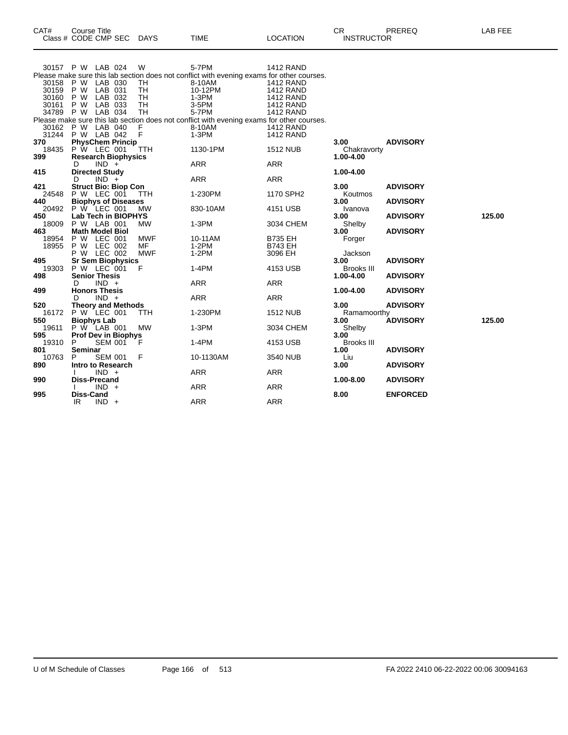| CAT#     | Title<br>Course '             |                |             |                | ∩⊓<br>◡⊓                           | DDEDEA<br>∾∟יי | ---<br>---<br>--- |
|----------|-------------------------------|----------------|-------------|----------------|------------------------------------|----------------|-------------------|
| Close L. | <b>SEC</b><br>CODE CMP<br>- - | DAYS<br>$\sim$ | <b>TIME</b> | <b>OCATION</b> | <b>TRUCTOR</b><br>INS <sup>-</sup> |                |                   |
|          |                               |                |             |                |                                    |                |                   |

| 30158                   | 30157 P W LAB 024<br>P W LAB 030      |                    | W<br>TH        | 5-7PM<br>Please make sure this lab section does not conflict with evening exams for other courses.<br>8-10AM | <b>1412 RAND</b><br>1412 RAND                            |                     |                 |        |
|-------------------------|---------------------------------------|--------------------|----------------|--------------------------------------------------------------------------------------------------------------|----------------------------------------------------------|---------------------|-----------------|--------|
| 30159<br>30160<br>30161 | LAB 031<br>P W<br>P W<br>P W          | LAB 032<br>LAB 033 | TH<br>TH<br>TH | 10-12PM<br>$1-3PM$<br>3-5PM                                                                                  | <b>1412 RAND</b><br><b>1412 RAND</b><br><b>1412 RAND</b> |                     |                 |        |
| 34789                   | P W                                   | LAB 034            | TH             | 5-7PM                                                                                                        | <b>1412 RAND</b>                                         |                     |                 |        |
|                         |                                       |                    |                | Please make sure this lab section does not conflict with evening exams for other courses.                    |                                                          |                     |                 |        |
| 30162                   | P W LAB 040                           |                    | F              | 8-10AM                                                                                                       | <b>1412 RAND</b>                                         |                     |                 |        |
| 31244                   | P W LAB 042                           |                    | $\mathsf{F}$   | $1-3PM$                                                                                                      | <b>1412 RAND</b>                                         |                     |                 |        |
| 370                     | <b>PhysChem Princip</b>               |                    |                |                                                                                                              |                                                          | 3.00                | <b>ADVISORY</b> |        |
| 18435                   | P W LEC 001                           |                    | TTH            | 1130-1PM                                                                                                     | <b>1512 NUB</b>                                          | Chakravorty         |                 |        |
| 399                     | <b>Research Biophysics</b>            |                    |                |                                                                                                              |                                                          | 1.00-4.00           |                 |        |
|                         | $IND +$<br>D                          |                    |                | <b>ARR</b>                                                                                                   | <b>ARR</b>                                               |                     |                 |        |
| 415                     | <b>Directed Study</b>                 |                    |                |                                                                                                              |                                                          | 1.00-4.00           |                 |        |
|                         | $IND +$<br>D                          |                    |                | <b>ARR</b>                                                                                                   | <b>ARR</b>                                               |                     |                 |        |
| 421                     | <b>Struct Bio: Biop Con</b>           |                    |                |                                                                                                              |                                                          | 3.00                | <b>ADVISORY</b> |        |
| 24548                   | P W LEC 001                           |                    | <b>TTH</b>     | 1-230PM                                                                                                      | 1170 SPH2                                                | Koutmos             |                 |        |
| 440                     | <b>Biophys of Diseases</b>            |                    |                |                                                                                                              |                                                          | 3.00                | <b>ADVISORY</b> |        |
| 20492                   | P W LEC 001                           |                    | <b>MW</b>      | 830-10AM                                                                                                     | 4151 USB                                                 | Ivanova             |                 |        |
| 450                     | Lab Tech in BIOPHYS                   |                    |                |                                                                                                              |                                                          | 3.00                | <b>ADVISORY</b> | 125.00 |
| 18009                   | P W LAB 001                           |                    | <b>MW</b>      | $1-3PM$                                                                                                      | 3034 CHEM                                                | Shelby              |                 |        |
| 463                     | <b>Math Model Biol</b>                |                    |                |                                                                                                              |                                                          | 3.00                | <b>ADVISORY</b> |        |
| 18954                   | P W LEC 001                           |                    | <b>MWF</b>     | 10-11AM                                                                                                      | <b>B735 EH</b>                                           | Forger              |                 |        |
| 18955                   | P W                                   | LEC 002            | MF             | $1-2PM$                                                                                                      | <b>B743 EH</b>                                           |                     |                 |        |
|                         | P W LEC 002                           |                    | <b>MWF</b>     | $1-2PM$                                                                                                      | 3096 EH                                                  | Jackson             |                 |        |
| 495                     | <b>Sr Sem Biophysics</b>              |                    |                |                                                                                                              |                                                          | 3.00                | <b>ADVISORY</b> |        |
| 19303                   | P W LEC 001                           |                    | F              | $1-4PM$                                                                                                      | 4153 USB                                                 | <b>Brooks III</b>   |                 |        |
| 498                     | <b>Senior Thesis</b>                  |                    |                | <b>ARR</b>                                                                                                   | <b>ARR</b>                                               | 1.00-4.00           | <b>ADVISORY</b> |        |
|                         | $IND +$<br>D                          |                    |                |                                                                                                              |                                                          |                     |                 |        |
| 499                     | <b>Honors Thesis</b><br>$IND +$<br>D. |                    |                | <b>ARR</b>                                                                                                   | <b>ARR</b>                                               | 1.00-4.00           | <b>ADVISORY</b> |        |
| 520                     | <b>Theory and Methods</b>             |                    |                |                                                                                                              |                                                          | 3.00                | <b>ADVISORY</b> |        |
| 16172                   | P W LEC 001                           |                    | TTH            | 1-230PM                                                                                                      | <b>1512 NUB</b>                                          |                     |                 |        |
| 550                     | <b>Biophys Lab</b>                    |                    |                |                                                                                                              |                                                          | Ramamoorthy<br>3.00 | <b>ADVISORY</b> | 125.00 |
| 19611                   | P W LAB 001                           |                    | <b>MW</b>      | $1-3PM$                                                                                                      | 3034 CHEM                                                | Shelby              |                 |        |
| 595                     | <b>Prof Dev in Biophys</b>            |                    |                |                                                                                                              |                                                          | 3.00                |                 |        |
| 19310                   | P                                     | <b>SEM 001</b>     | F              | 1-4PM                                                                                                        | 4153 USB                                                 | Brooks III          |                 |        |
| 801                     | <b>Seminar</b>                        |                    |                |                                                                                                              |                                                          | 1.00                | <b>ADVISORY</b> |        |
| 10763                   | P                                     | <b>SEM 001</b>     | F              | 10-1130AM                                                                                                    | 3540 NUB                                                 | Liu                 |                 |        |
| 890                     | Intro to Research                     |                    |                |                                                                                                              |                                                          | 3.00                | <b>ADVISORY</b> |        |
|                         | $IND +$                               |                    |                | <b>ARR</b>                                                                                                   | <b>ARR</b>                                               |                     |                 |        |
| 990                     | <b>Diss-Precand</b>                   |                    |                |                                                                                                              |                                                          | 1.00-8.00           | <b>ADVISORY</b> |        |
|                         | $IND +$                               |                    |                | <b>ARR</b>                                                                                                   | <b>ARR</b>                                               |                     |                 |        |
| 995                     | Diss-Cand                             |                    |                |                                                                                                              |                                                          | 8.00                | <b>ENFORCED</b> |        |
|                         | $IND +$<br>IR                         |                    |                | <b>ARR</b>                                                                                                   | <b>ARR</b>                                               |                     |                 |        |
|                         |                                       |                    |                |                                                                                                              |                                                          |                     |                 |        |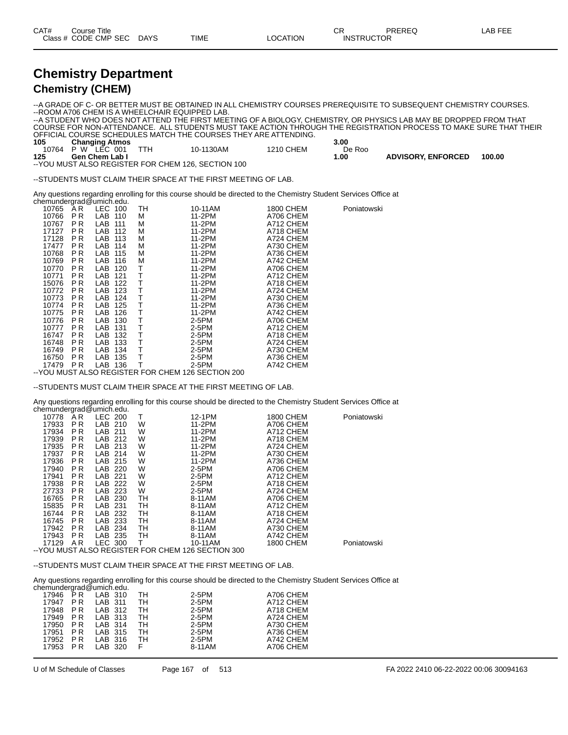| CAT# | Title<br>Course      |             |             |                 | ~~<br>◡⊓          | PREREC | _AB FEF |
|------|----------------------|-------------|-------------|-----------------|-------------------|--------|---------|
|      | Class # CODE CMP SEC | <b>DAYS</b> | <b>TIME</b> | <b>LOCATION</b> | <b>INSTRUCTOR</b> |        |         |

#### **Chemistry Department Chemistry (CHEM)**

--A GRADE OF C- OR BETTER MUST BE OBTAINED IN ALL CHEMISTRY COURSES PREREQUISITE TO SUBSEQUENT CHEMISTRY COURSES. --ROOM A706 CHEM IS A WHEELCHAIR EQUIPPED LAB. --A STUDENT WHO DOES NOT ATTEND THE FIRST MEETING OF A BIOLOGY, CHEMISTRY, OR PHYSICS LAB MAY BE DROPPED FROM THAT COURSE FOR NON-ATTENDANCE. ALL STUDENTS MUST TAKE ACTION THROUGH THE REGISTRATION PROCESS TO MAKE SURE THAT THEIR OFFICIAL COURSE SCHEDULES MATCH THE COURSES THEY ARE ATTENDING.

| 105   | <b>Changing Atmos</b> |                                                     |           | 3.00   |                           |        |
|-------|-----------------------|-----------------------------------------------------|-----------|--------|---------------------------|--------|
| 10764 | P W<br>$LEC$ 001      | 10-1130AM                                           | 1210 CHEM | De Roo |                           |        |
| 125   | <b>Gen Chem Lab I</b> |                                                     |           | .00.   | <b>ADVISORY, ENFORCED</b> | 100.00 |
|       |                       | -- YOU MUST ALSO REGISTER FOR CHEM 126, SECTION 100 |           |        |                           |        |

--STUDENTS MUST CLAIM THEIR SPACE AT THE FIRST MEETING OF LAB.

Any questions regarding enrolling for this course should be directed to the Chemistry Student Services Office at

|       |                | chemundergrad@umich.edu. |    |         |                  |             |
|-------|----------------|--------------------------|----|---------|------------------|-------------|
| 10765 | AR.            | LEC 100                  | TH | 10-11AM | <b>1800 CHEM</b> | Poniatowski |
| 10766 | P <sub>R</sub> | LAB 110                  | м  | 11-2PM  | A706 CHEM        |             |
| 10767 | P <sub>R</sub> | LAB<br>111               | М  | 11-2PM  | A712 CHEM        |             |
| 17127 | P <sub>R</sub> | LAB.<br>112              | М  | 11-2PM  | A718 CHEM        |             |
| 17128 | P <sub>R</sub> | LAB.<br>113              | М  | 11-2PM  | A724 CHEM        |             |
| 17477 | P R            | LAB<br>114               | М  | 11-2PM  | A730 CHEM        |             |
| 10768 | P <sub>R</sub> | LAB<br>115               | М  | 11-2PM  | A736 CHEM        |             |
| 10769 | P <sub>R</sub> | LAB<br>116               | М  | 11-2PM  | A742 CHEM        |             |
| 10770 | P <sub>R</sub> | LAB<br>120               | т  | 11-2PM  | A706 CHEM        |             |
| 10771 | P <sub>R</sub> | LAB<br>121               | Т  | 11-2PM  | A712 CHEM        |             |
| 15076 | P R            | LAB<br>122               | Τ  | 11-2PM  | A718 CHEM        |             |
| 10772 | P <sub>R</sub> | LAB<br>123               | Τ  | 11-2PM  | A724 CHEM        |             |
| 10773 | P <sub>R</sub> | LAB.<br>124              | т  | 11-2PM  | A730 CHEM        |             |
| 10774 | P <sub>R</sub> | LAB<br>125               | Τ  | 11-2PM  | A736 CHEM        |             |
| 10775 | P R            | LAB<br>126               | Т  | 11-2PM  | A742 CHEM        |             |
| 10776 | P <sub>R</sub> | 130<br>LAB.              | Т  | 2-5PM   | A706 CHEM        |             |
| 10777 | P R            | LAB<br>131               | Τ  | 2-5PM   | A712 CHEM        |             |
| 16747 | P <sub>R</sub> | LAB<br>132               | т  | $2-5PM$ | A718 CHEM        |             |
| 16748 | P R            | LAB<br>133               | Τ  | 2-5PM   | A724 CHEM        |             |
| 16749 | P R            | LAB<br>134               | т  | 2-5PM   | A730 CHEM        |             |
| 16750 | P <sub>R</sub> | LAB<br>135               | т  | 2-5PM   | A736 CHEM        |             |
| 17479 | P <sub>R</sub> | LAB<br>136               | Τ  | 2-5PM   | A742 CHEM        |             |
|       |                |                          |    |         |                  |             |

--YOU MUST ALSO REGISTER FOR CHEM 126 SECTION 200

--STUDENTS MUST CLAIM THEIR SPACE AT THE FIRST MEETING OF LAB.

Any questions regarding enrolling for this course should be directed to the Chemistry Student Services Office at chemundergrad@umich.edu.

|                                                                                                                                                                | 200                                                                                                                                                                                            | Т                                                                                                                                         | 12-1PM  | 1800 CHEM      | Poniatowski |
|----------------------------------------------------------------------------------------------------------------------------------------------------------------|------------------------------------------------------------------------------------------------------------------------------------------------------------------------------------------------|-------------------------------------------------------------------------------------------------------------------------------------------|---------|----------------|-------------|
|                                                                                                                                                                |                                                                                                                                                                                                | W                                                                                                                                         | 11-2PM  | A706 CHEM      |             |
|                                                                                                                                                                | 211                                                                                                                                                                                            | W                                                                                                                                         | 11-2PM  | A712 CHEM      |             |
|                                                                                                                                                                | 212                                                                                                                                                                                            | W                                                                                                                                         | 11-2PM  | A718 CHEM      |             |
|                                                                                                                                                                | 213                                                                                                                                                                                            | W                                                                                                                                         | 11-2PM  | A724 CHEM      |             |
|                                                                                                                                                                | 214                                                                                                                                                                                            | W                                                                                                                                         | 11-2PM  | A730 CHEM      |             |
|                                                                                                                                                                | 215                                                                                                                                                                                            | W                                                                                                                                         | 11-2PM  | A736 CHEM      |             |
|                                                                                                                                                                | 220                                                                                                                                                                                            | W                                                                                                                                         | $2-5PM$ | A706 CHEM      |             |
|                                                                                                                                                                | 221                                                                                                                                                                                            | W                                                                                                                                         | $2-5PM$ | A712 CHEM      |             |
|                                                                                                                                                                | 222                                                                                                                                                                                            |                                                                                                                                           | 2-5PM   |                |             |
|                                                                                                                                                                | 223                                                                                                                                                                                            | W                                                                                                                                         | $2-5PM$ | A724 CHEM      |             |
|                                                                                                                                                                | 230                                                                                                                                                                                            | TН                                                                                                                                        | 8-11AM  | A706 CHEM      |             |
|                                                                                                                                                                | 231                                                                                                                                                                                            | TН                                                                                                                                        | 8-11AM  | A712 CHEM      |             |
|                                                                                                                                                                | 232                                                                                                                                                                                            | TН                                                                                                                                        | 8-11AM  | A718 CHEM      |             |
|                                                                                                                                                                | 233                                                                                                                                                                                            | TН                                                                                                                                        | 8-11AM  | A724 CHEM      |             |
|                                                                                                                                                                | 234                                                                                                                                                                                            | TН                                                                                                                                        | 8-11AM  | A730 CHEM      |             |
|                                                                                                                                                                |                                                                                                                                                                                                | TН                                                                                                                                        | 8-11AM  | A742 CHEM      |             |
|                                                                                                                                                                |                                                                                                                                                                                                |                                                                                                                                           | 10-11AM | 1800 CHEM      | Poniatowski |
| 10778<br>17933<br>17934<br>17939<br>17935<br>17937<br>17936<br>17940<br>17941<br>17938<br>27733<br>16765<br>15835<br>16744<br>16745<br>17942<br>17943<br>17129 | ັ<br>ΆR<br>P <sub>R</sub><br>P <sub>R</sub><br>P <sub>R</sub><br>P <sub>R</sub><br>P R<br>P R<br>P R<br>P R<br>P R<br>P R<br>P R<br>P R<br>P R<br>P R<br>P R<br>P R<br>A R<br>\/^\\\\\!\\^T\\\ | LEC<br>LAB 210<br>LAB<br>LAB.<br>LAB<br>LAB.<br>LAB.<br>LAB<br>LAB<br>LAB<br>LAB<br>LAB<br>LAB<br>LAB<br>LAB<br>LAB<br>LAB 235<br>LEC 300 | W       | $\overline{a}$ | A718 CHEM   |

--YOU MUST ALSO REGISTER FOR CHEM 126 SECTION 300

--STUDENTS MUST CLAIM THEIR SPACE AT THE FIRST MEETING OF LAB.

Any questions regarding enrolling for this course should be directed to the Chemistry Student Services Office at chemundergrad

|       |     | ulelliulidei grad @urilicii.edu. |     |        |           |
|-------|-----|----------------------------------|-----|--------|-----------|
| 17946 | P R | LAB 310                          | TH. | 2-5PM  | A706 CHEM |
| 17947 | P R | LAB 311                          | TН  | 2-5PM  | A712 CHEM |
| 17948 | P R | LAB 312                          | TH. | 2-5PM  | A718 CHEM |
| 17949 | PR. | LAB 313                          | TH  | 2-5PM  | A724 CHEM |
| 17950 | P R | LAB 314                          | TН  | 2-5PM  | A730 CHEM |
| 17951 | P R | LAB 315                          | TH  | 2-5PM  | A736 CHEM |
| 17952 | PR. | LAB 316                          | TH  | 2-5PM  | A742 CHEM |
| 17953 | P R | LAB 320                          | F.  | 8-11AM | A706 CHEM |
|       |     |                                  |     |        |           |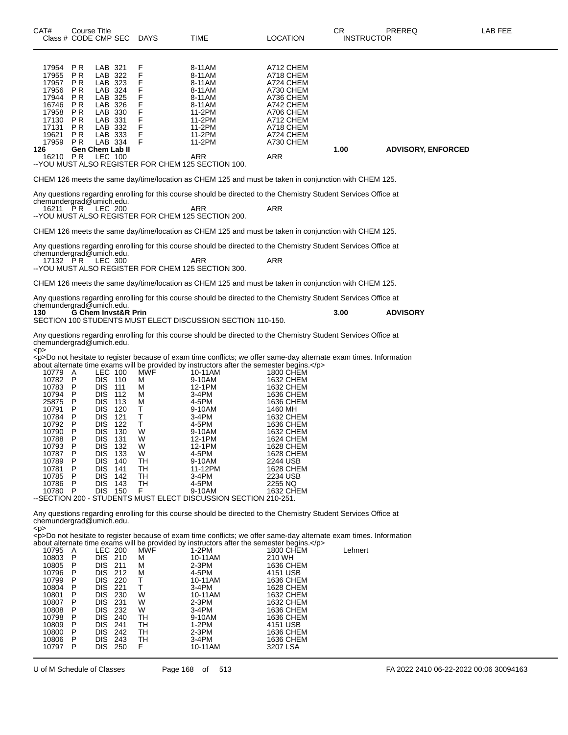| CAT#<br>Class # CODE CMP SEC                                                                                                                                                                                    | <b>Course Title</b>                                                                                            |                                                                                                                                                                                                             |                                                                                             | DAYS                                                                                           | TIME                                                                                                                                                                                                                                                                                                                                                                                                                                                                                                                                                                            | LOCATION                                                                                                                                                                                                                          | CR<br><b>INSTRUCTOR</b> | PREREQ                    | LAB FEE |
|-----------------------------------------------------------------------------------------------------------------------------------------------------------------------------------------------------------------|----------------------------------------------------------------------------------------------------------------|-------------------------------------------------------------------------------------------------------------------------------------------------------------------------------------------------------------|---------------------------------------------------------------------------------------------|------------------------------------------------------------------------------------------------|---------------------------------------------------------------------------------------------------------------------------------------------------------------------------------------------------------------------------------------------------------------------------------------------------------------------------------------------------------------------------------------------------------------------------------------------------------------------------------------------------------------------------------------------------------------------------------|-----------------------------------------------------------------------------------------------------------------------------------------------------------------------------------------------------------------------------------|-------------------------|---------------------------|---------|
| 17954<br>17955<br>17957<br>17956<br>17944<br>16746<br>17958<br>17130<br>17131<br>19621<br>17959<br>126<br>16210 PR                                                                                              | P R<br>P R<br>P R<br>P R<br>P R<br>P R<br>P R<br>P R<br>P R<br>P <sub>R</sub><br>P R<br><b>Gen Chem Lab II</b> | LAB 321<br>LAB 322<br>LAB 323<br>LAB<br>LAB 325<br>LAB 326<br>LAB<br>LAB 331<br>LAB 332<br>LAB 333<br>LAB 334<br><b>LEC 100</b>                                                                             | 324<br>330                                                                                  | F<br>F<br>F<br>F<br>F<br>F<br>F<br>F<br>F<br>F<br>F                                            | 8-11AM<br>8-11AM<br>8-11AM<br>8-11AM<br>8-11AM<br>8-11AM<br>11-2PM<br>11-2PM<br>11-2PM<br>11-2PM<br>11-2PM<br>ARR<br>-- YOU MUST ALSO REGISTER FOR CHEM 125 SECTION 100.                                                                                                                                                                                                                                                                                                                                                                                                        | A712 CHEM<br>A718 CHEM<br>A724 CHEM<br>A730 CHEM<br>A736 CHEM<br>A742 CHEM<br>A706 CHEM<br>A712 CHEM<br>A718 CHEM<br>A724 CHEM<br>A730 CHEM<br>ARR                                                                                | 1.00                    | <b>ADVISORY, ENFORCED</b> |         |
|                                                                                                                                                                                                                 |                                                                                                                |                                                                                                                                                                                                             |                                                                                             |                                                                                                | CHEM 126 meets the same day/time/location as CHEM 125 and must be taken in conjunction with CHEM 125.                                                                                                                                                                                                                                                                                                                                                                                                                                                                           |                                                                                                                                                                                                                                   |                         |                           |         |
| chemundergrad@umich.edu.<br>16211 PR                                                                                                                                                                            |                                                                                                                | <b>LEC 200</b>                                                                                                                                                                                              |                                                                                             |                                                                                                | Any questions regarding enrolling for this course should be directed to the Chemistry Student Services Office at<br>ARR<br>--YOU MUST ALSO REGISTER FOR CHEM 125 SECTION 200.                                                                                                                                                                                                                                                                                                                                                                                                   | ARR                                                                                                                                                                                                                               |                         |                           |         |
|                                                                                                                                                                                                                 |                                                                                                                |                                                                                                                                                                                                             |                                                                                             |                                                                                                | CHEM 126 meets the same day/time/location as CHEM 125 and must be taken in conjunction with CHEM 125.                                                                                                                                                                                                                                                                                                                                                                                                                                                                           |                                                                                                                                                                                                                                   |                         |                           |         |
| chemundergrad@umich.edu.<br>17132 PR                                                                                                                                                                            |                                                                                                                | LEC 300                                                                                                                                                                                                     |                                                                                             |                                                                                                | Any questions regarding enrolling for this course should be directed to the Chemistry Student Services Office at<br>ARR<br>-- YOU MUST ALSO REGISTER FOR CHEM 125 SECTION 300.                                                                                                                                                                                                                                                                                                                                                                                                  | ARR                                                                                                                                                                                                                               |                         |                           |         |
|                                                                                                                                                                                                                 |                                                                                                                |                                                                                                                                                                                                             |                                                                                             |                                                                                                | CHEM 126 meets the same day/time/location as CHEM 125 and must be taken in conjunction with CHEM 125.                                                                                                                                                                                                                                                                                                                                                                                                                                                                           |                                                                                                                                                                                                                                   |                         |                           |         |
| chemundergrad@umich.edu.                                                                                                                                                                                        |                                                                                                                |                                                                                                                                                                                                             |                                                                                             |                                                                                                | Any questions regarding enrolling for this course should be directed to the Chemistry Student Services Office at                                                                                                                                                                                                                                                                                                                                                                                                                                                                |                                                                                                                                                                                                                                   |                         |                           |         |
| 130                                                                                                                                                                                                             |                                                                                                                |                                                                                                                                                                                                             | <b>G Chem Invst&amp;R Prin</b>                                                              |                                                                                                | SECTION 100 STUDENTS MUST ELECT DISCUSSION SECTION 110-150.                                                                                                                                                                                                                                                                                                                                                                                                                                                                                                                     |                                                                                                                                                                                                                                   | 3.00                    | <b>ADVISORY</b>           |         |
| chemundergrad@umich.edu.<br><p><br/>10779<br/>10782<br/>10783<br/>10794<br/>25875<br/>10791<br/>10784<br/>10792<br/>10790<br/>10788<br/>10793<br/>10787<br/>10789<br/>10781<br/>10785<br/>10786<br/>10780 P</p> | A<br>P<br>P<br>P<br>P<br>P<br>P<br>P<br>P<br>P<br>P<br>P<br>P<br>P<br>P<br>P                                   | LEC 100<br><b>DIS 110</b><br>DIS.<br>DIS<br><b>DIS</b><br>DIS.<br><b>DIS</b><br><b>DIS</b><br>DIS<br>DIS 131<br><b>DIS</b><br><b>DIS</b><br><b>DIS</b><br><b>DIS</b><br>DIS<br><b>DIS</b><br><b>DIS 150</b> | 111<br>112<br>113<br>120<br>121<br>122<br>- 130<br>132<br>133<br>140<br>141<br>142<br>- 143 | <b>MWF</b><br>м<br>м<br>м<br>м<br>Τ<br>Τ<br>Τ<br>W<br>W<br>W<br>W<br>TН<br>TН<br>TH<br>TH<br>F | Any questions regarding enrolling for this course should be directed to the Chemistry Student Services Office at<br><p>Do not hesitate to register because of exam time conflicts; we offer same-day alternate exam times. Information<br/>about alternate time exams will be provided by instructors after the semester begins.</p><br>10-11AM<br>9-10AM<br>12-1PM<br>$3-4PM$<br>4-5PM<br>9-10AM<br>3-4PM<br>4-5PM<br>9-10AM<br>12-1PM<br>12-1PM<br>4-5PM<br>9-10AM<br>11-12PM<br>3-4PM<br>4-5PM<br>9-10AM<br>-- SECTION 200 - STUDENTS MUST ELECT DISCUSSION SECTION 210-251. | 1800 CHEM<br>1632 CHEM<br>1632 CHEM<br>1636 CHEM<br>1636 CHEM<br>1460 MH<br>1632 CHEM<br>1636 CHEM<br>1632 CHEM<br>1624 CHEM<br><b>1628 CHEM</b><br>1628 CHEM<br>2244 USB<br><b>1628 CHEM</b><br>2234 USB<br>2255 NQ<br>1632 CHEM |                         |                           |         |
| chemundergrad@umich.edu.<br>< p >                                                                                                                                                                               |                                                                                                                |                                                                                                                                                                                                             |                                                                                             |                                                                                                | Any questions regarding enrolling for this course should be directed to the Chemistry Student Services Office at                                                                                                                                                                                                                                                                                                                                                                                                                                                                |                                                                                                                                                                                                                                   |                         |                           |         |
| 10795<br>10803<br>10805<br>10796<br>10799<br>10804<br>10801<br>10807<br>10808<br>10798<br>10809<br>10800<br>10806                                                                                               | A<br>P<br>P<br>P<br>P<br>P<br>P<br>P<br>P<br>P<br>P<br>P<br>P                                                  | <b>LEC 200</b><br>DIS 210<br><b>DIS</b><br><b>DIS</b><br><b>DIS</b><br><b>DIS</b><br><b>DIS</b><br><b>DIS</b><br>DIS<br><b>DIS</b><br><b>DIS</b><br>DIS.<br>DIS 243                                         | 211<br>212<br>220<br>221<br>230<br>231<br>232<br>240<br>241<br>242                          | <b>MWF</b><br>м<br>M<br>М<br>т<br>Т<br>W<br>W<br>W<br>TН<br>TН<br>TН<br>TН                     | <p>Do not hesitate to register because of exam time conflicts; we offer same-day alternate exam times. Information<br/>about alternate time exams will be provided by instructors after the semester begins.</p><br>1-2PM<br>10-11AM<br>$2-3PM$<br>4-5PM<br>10-11AM<br>3-4PM<br>10-11AM<br>2-3PM<br>3-4PM<br>9-10AM<br>$1-2PM$<br>$2-3PM$<br>3-4PM                                                                                                                                                                                                                              | 1800 CHEM<br>210 WH<br>1636 CHEM<br>4151 USB<br>1636 CHEM<br>1628 CHEM<br>1632 CHEM<br>1632 CHEM<br>1636 CHEM<br>1636 CHEM<br>4151 USB<br>1636 CHEM<br>1636 CHEM                                                                  | Lehnert                 |                           |         |

P DIS 250 F 10-11AM 3207 LSA

U of M Schedule of Classes Page 168 of 513 FA 2022 2410 06-22-2022 00:06 30094163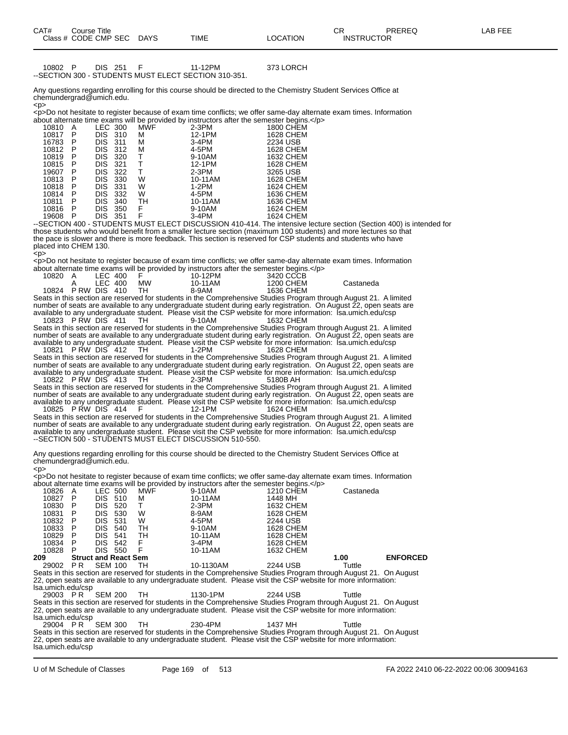10802 P DIS 251 F 11-12PM 373 LORCH --SECTION 300 - STUDENTS MUST ELECT SECTION 310-351.

Any questions regarding enrolling for this course should be directed to the Chemistry Student Services Office at chemundergrad@umich.edu.  $<$ p>

<p>Do not hesitate to register because of exam time conflicts; we offer same-day alternate exam times. Information about alternate time exams will be provided by instructors after the semester begins.</p>

| 10810 | А | LEC 300 |     | <b>MWF</b> | $2-3PM$ | 1800 CHEM        |
|-------|---|---------|-----|------------|---------|------------------|
| 10817 | Р | DIS     | 310 | М          | 12-1PM  | 1628 CHEM        |
| 16783 | Р | DIS     | 311 | М          | 3-4PM   | 2234 USB         |
| 10812 | Р | DIS     | 312 | М          | 4-5PM   | 1628 CHEM        |
| 10819 | Р | DIS     | 320 | т          | 9-10AM  | 1632 CHEM        |
| 10815 | Р | DIS     | 321 | Т          | 12-1PM  | 1628 CHEM        |
| 19607 | Р | DIS     | 322 | т          | $2-3PM$ | 3265 USB         |
| 10813 | Р | DIS     | 330 | W          | 10-11AM | 1628 CHEM        |
| 10818 | Р | DIS     | 331 | w          | $1-2PM$ | <b>1624 CHEM</b> |
| 10814 | Р | DIS     | 332 | w          | 4-5PM   | 1636 CHEM        |
| 10811 | Р | DIS     | 340 | TН         | 10-11AM | 1636 CHEM        |
| 10816 | Р | DIS     | 350 | F          | 9-10AM  | 1624 CHEM        |
| 19608 | Р | DIS     | 351 | F          | 3-4PM   | 1624 CHEM        |
|       |   |         |     |            |         |                  |

--SECTION 400 - STUDENTS MUST ELECT DISCUSSION 410-414. The intensive lecture section (Section 400) is intended for those students who would benefit from a smaller lecture section (maximum 100 students) and more lectures so that the pace is slower and there is more feedback. This section is reserved for CSP students and students who have placed into CHEM 130. .<br><p>

<p>Do not hesitate to register because of exam time conflicts; we offer same-day alternate exam times. Information about alternate time exams will be provided by instructors after the semester begins.</p>

| 10820 A | LEC 400           |           | .<br>10-12PM | 3420 CCCB |           |
|---------|-------------------|-----------|--------------|-----------|-----------|
|         | LEC 400           | <b>MW</b> | 10-11AM      | 1200 CHEM | Castaneda |
|         | 10824 PRW DIS 410 |           | 8-9AM        | 1636 CHEM |           |

Seats in this section are reserved for students in the Comprehensive Studies Program through August 21. A limited number of seats are available to any undergraduate student during early registration. On August 22, open seats are available to any undergraduate student. Please visit the CSP website for more information: lsa.umich.edu/csp 10823 P RW DIS 411 TH

Seats in this section are reserved for students in the Comprehensive Studies Program through August 21. A limited number of seats are available to any undergraduate student during early registration. On August 22, open seats are available to any undergraduate student. Please visit the CSP website for more information: lisa.umich.edu/csp<br>10821 PRW DIS 412 TH 1-2PM 1628 CHEM 10821 P RW DIS 412 TH

Seats in this section are reserved for students in the Comprehensive Studies Program through August 21. A limited number of seats are available to any undergraduate student during early registration. On August 22, open seats are available to any undergraduate student. Please visit the CSP website for more information: lsa.umich.edu/csp 10822 P RW DIS 413 TH 2-3PM 5180B AH

Seats in this section are reserved for students in the Comprehensive Studies Program through August 21. A limited number of seats are available to any undergraduate student during early registration. On August 22, open seats are available to any undergraduate student. Please visit the CSP website for more information: lsa.umich.edu/csp 10825 P RW DIS 414 F 12-1PM 1624 CHEM

Seats in this section are reserved for students in the Comprehensive Studies Program through August 21. A limited number of seats are available to any undergraduate student during early registration. On August 22, open seats are available to any undergraduate student. Please visit the CSP website for more information: Isa.umich.edu/csp --SECTION 500 - STUDENTS MUST ELECT DISCUSSION 510-550.

Any questions regarding enrolling for this course should be directed to the Chemistry Student Services Office at chemundergrad@umich.edu. <p>

<p>Do not hesitate to register because of exam time conflicts; we offer same-day alternate exam times. Information about alternate time exams will be provided by instructors after the semester begins.</p>

| 10826 | A                           |                | LEC 500 | <b>MWF</b> | 9-10AM                                                                                                            | <b>1210 CHEM</b> | Castaneda |                 |
|-------|-----------------------------|----------------|---------|------------|-------------------------------------------------------------------------------------------------------------------|------------------|-----------|-----------------|
| 10827 | P                           | <b>DIS</b>     | 510     | М          | 10-11AM                                                                                                           | 1448 MH          |           |                 |
| 10830 | P                           | DIS            | 520     |            | $2-3PM$                                                                                                           | 1632 CHEM        |           |                 |
| 10831 | P                           | DIS            | 530     | W          | 8-9AM                                                                                                             | 1628 CHEM        |           |                 |
| 10832 | P                           | DIS            | 531     | W          | 4-5PM                                                                                                             | 2244 USB         |           |                 |
| 10833 | P                           | DIS            | 540     | TН         | 9-10AM                                                                                                            | 1628 CHEM        |           |                 |
| 10829 | P                           | DIS            | 541     | тн         | 10-11AM                                                                                                           | 1628 CHEM        |           |                 |
| 10834 | P                           | DIS.           | 542     | F          | $3-4PM$                                                                                                           | 1628 CHEM        |           |                 |
| 10828 | P                           | DIS            | 550     |            | 10-11AM                                                                                                           | 1632 CHEM        |           |                 |
| 209   | <b>Struct and React Sem</b> |                |         |            |                                                                                                                   |                  | 1.00      | <b>ENFORCED</b> |
| 29002 | P R                         | <b>SEM 100</b> |         | тн         | 10-1130AM                                                                                                         | 2244 USB         | Tuttle    |                 |
|       |                             |                |         |            | Seats in this section are reserved for students in the Comprehensive Studies Program through August 21. On August |                  |           |                 |

Seats in this section are reserved for students in the Comprehensive Studies Program through August 21. On August 22, open seats are available to any undergraduate student. Please visit the CSP website for more information: lsa.umich.edu/csp<br>29003 PR SEM 200

29003 P R SEM 200 TH 1130-1PM 2244 USB Tuttle Seats in this section are reserved for students in the Comprehensive Studies Program through August 21. On August 22, open seats are available to any undergraduate student. Please visit the CSP website for more information: lsa.umich.edu/csp

29004 P R SEM 300 TH 230-4PM 1437 MH Tuttle Seats in this section are reserved for students in the Comprehensive Studies Program through August 21. On August 22, open seats are available to any undergraduate student. Please visit the CSP website for more information: lsa.umich.edu/csp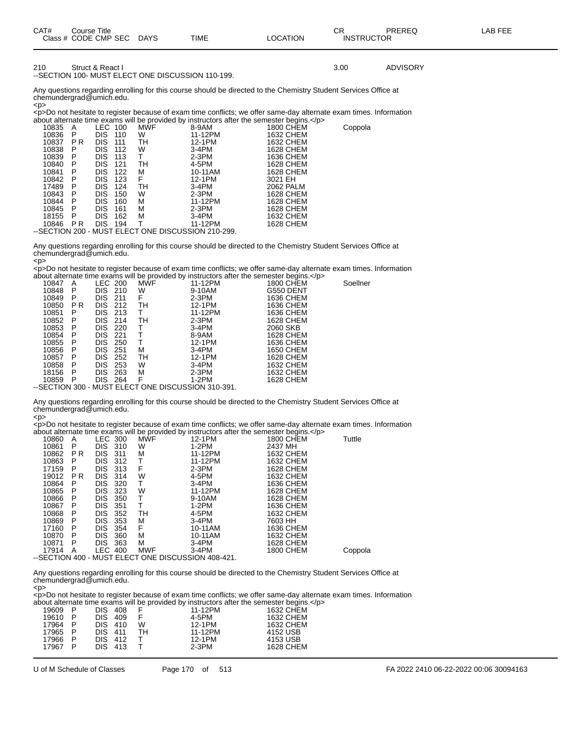| CAT#<br>Course Title<br>Class # CODE CMP SEC DAYS |                                                   | TIME | LOCATION | СR<br><b>INSTRUCTOR</b> | PRFRFQ          | LAB FEE |
|---------------------------------------------------|---------------------------------------------------|------|----------|-------------------------|-----------------|---------|
| 210<br>Struct & React I                           | --SECTION 100- MUST ELECT ONE DISCUSSION 110-199. |      |          | 3.00                    | <b>ADVISORY</b> |         |

Any questions regarding enrolling for this course should be directed to the Chemistry Student Services Office at chemundergrad@umich.edu. <p>

<p>Do not hesitate to register because of exam time conflicts; we offer same-day alternate exam times. Information about alternate time exams will be provided by instructors after the semester begins.</p>

| 10835 | A   | LEC-       | 100 | <b>MWF</b>                                        | 8-9AM   | 1800 CHEM | Coppola |
|-------|-----|------------|-----|---------------------------------------------------|---------|-----------|---------|
| 10836 | P   | DIS.       | 110 | W                                                 | 11-12PM | 1632 CHEM |         |
| 10837 | P R | <b>DIS</b> | 111 | TН                                                | 12-1PM  | 1632 CHEM |         |
| 10838 | P   | <b>DIS</b> | 112 | W                                                 | 3-4PM   | 1628 CHEM |         |
| 10839 | P   | <b>DIS</b> | 113 |                                                   | $2-3PM$ | 1636 CHEM |         |
| 10840 | P   | <b>DIS</b> | 121 | TН                                                | 4-5PM   | 1628 CHEM |         |
| 10841 | P   | <b>DIS</b> | 122 | м                                                 | 10-11AM | 1628 CHEM |         |
| 10842 | P   | <b>DIS</b> | 123 | F                                                 | 12-1PM  | 3021 EH   |         |
| 17489 | P   | DIS        | 124 | TН                                                | 3-4PM   | 2062 PALM |         |
| 10843 | P   | <b>DIS</b> | 150 | W                                                 | $2-3PM$ | 1628 CHEM |         |
| 10844 | P   | <b>DIS</b> | 160 | М                                                 | 11-12PM | 1628 CHEM |         |
| 10845 | P   | <b>DIS</b> | 161 | М                                                 | $2-3PM$ | 1628 CHEM |         |
| 18155 | P   | <b>DIS</b> | 162 | М                                                 | 3-4PM   | 1632 CHEM |         |
| 10846 | P R | DIS.       | 194 |                                                   | 11-12PM | 1628 CHEM |         |
|       |     |            |     | -SECTION 200 - MUST ELECT ONE DISCUSSION 210-299. |         |           |         |

Any questions regarding enrolling for this course should be directed to the Chemistry Student Services Office at chemundergrad@umich.edu.

<p> <p>Do not hesitate to register because of exam time conflicts; we offer same-day alternate exam times. Information about alternate time exams will be provided by instructors after the semester begins.</p>

| 10847                                       | A   |            | LEC 200 | <b>MWF</b> | 11-12PM                                                                                                                                                                                                                                                                                                                                                                        | 1800 CHEM | Soellner |
|---------------------------------------------|-----|------------|---------|------------|--------------------------------------------------------------------------------------------------------------------------------------------------------------------------------------------------------------------------------------------------------------------------------------------------------------------------------------------------------------------------------|-----------|----------|
| 10848                                       | P   |            | DIS 210 | W          | 9-10AM                                                                                                                                                                                                                                                                                                                                                                         | G550 DENT |          |
| 10849                                       | P   | DIS .      | - 211   | F          | $2-3PM$                                                                                                                                                                                                                                                                                                                                                                        | 1636 CHEM |          |
| 10850                                       | P R |            | DIS 212 | TН         | 12-1PM                                                                                                                                                                                                                                                                                                                                                                         | 1636 CHEM |          |
| 10851                                       | P   | DIS.       | 213     |            | 11-12PM                                                                                                                                                                                                                                                                                                                                                                        | 1636 CHEM |          |
| 10852                                       | P   | DIS.       | 214     | TН         | $2-3PM$                                                                                                                                                                                                                                                                                                                                                                        | 1628 CHEM |          |
| 10853                                       | P   | DIS.       | 220     |            | 3-4PM                                                                                                                                                                                                                                                                                                                                                                          | 2060 SKB  |          |
| 10854                                       | P   | <b>DIS</b> | -221    |            | 8-9AM                                                                                                                                                                                                                                                                                                                                                                          | 1628 CHEM |          |
| 10855                                       | P   | DIS.       | 250     |            | 12-1PM                                                                                                                                                                                                                                                                                                                                                                         | 1636 CHEM |          |
| 10856                                       | P   | <b>DIS</b> | 251     | м          | 3-4PM                                                                                                                                                                                                                                                                                                                                                                          | 1650 CHEM |          |
| 10857                                       | P   | <b>DIS</b> | 252     | TН         | 12-1PM                                                                                                                                                                                                                                                                                                                                                                         | 1628 CHEM |          |
| 10858                                       | P   | <b>DIS</b> | 253     | W          | 3-4PM                                                                                                                                                                                                                                                                                                                                                                          | 1632 CHEM |          |
| 18156                                       | P   | DIS.       | 263     | м          | $2-3PM$                                                                                                                                                                                                                                                                                                                                                                        | 1632 CHEM |          |
| 10859                                       | P   |            | DIS 264 | F          | 1-2PM                                                                                                                                                                                                                                                                                                                                                                          | 1628 CHEM |          |
| $\sqrt{2}$ $\sqrt{2}$ $\sqrt{2}$ $\sqrt{2}$ |     |            |         |            | $\overline{M}$ in $\overline{M}$ $\overline{M}$ $\overline{M}$ $\overline{M}$ $\overline{M}$ $\overline{M}$ $\overline{M}$ $\overline{M}$ $\overline{M}$ $\overline{M}$ $\overline{M}$ $\overline{M}$ $\overline{M}$ $\overline{M}$ $\overline{M}$ $\overline{M}$ $\overline{M}$ $\overline{M}$ $\overline{M}$ $\overline{M}$ $\overline{M}$ $\overline{M}$ $\overline{M}$ $\$ |           |          |

--SECTION 300 - MUST ELECT ONE DISCUSSION 310-391.

Any questions regarding enrolling for this course should be directed to the Chemistry Student Services Office at chemundergrad@umich.edu.

<p> <p>Do not hesitate to register because of exam time conflicts; we offer same-day alternate exam times. Information about alternate time exams will be provided by instructors after the semester begins.</p>

|       |                                                   |                |     |            | would internate three exams will be provided by instructions after the semicoter begins. |           |         |  |  |
|-------|---------------------------------------------------|----------------|-----|------------|------------------------------------------------------------------------------------------|-----------|---------|--|--|
| 10860 | A                                                 | LEC 300        |     | MWF        | 12-1PM                                                                                   | 1800 CHEM | Tuttle  |  |  |
| 10861 | P                                                 | <b>DIS</b>     | 310 | w          | 1-2PM                                                                                    | 2437 MH   |         |  |  |
| 10862 | P R                                               | <b>DIS</b>     | 311 | М          | 11-12PM                                                                                  | 1632 CHEM |         |  |  |
| 10863 | P                                                 | <b>DIS</b>     | 312 | Т          | 11-12PM                                                                                  | 1632 CHEM |         |  |  |
| 17159 | P                                                 | <b>DIS</b>     | 313 | F          | $2-3PM$                                                                                  | 1628 CHEM |         |  |  |
| 19012 | P R                                               | <b>DIS</b>     | 314 | W          | 4-5PM                                                                                    | 1632 CHEM |         |  |  |
| 10864 | P                                                 | <b>DIS</b>     | 320 | т          | 3-4PM                                                                                    | 1636 CHEM |         |  |  |
| 10865 | P                                                 | <b>DIS</b>     | 323 | W          | 11-12PM                                                                                  | 1628 CHEM |         |  |  |
| 10866 | P                                                 | <b>DIS</b>     | 350 | т          | 9-10AM                                                                                   | 1628 CHEM |         |  |  |
| 10867 | P                                                 | <b>DIS</b>     | 351 | т          | $1-2PM$                                                                                  | 1636 CHEM |         |  |  |
| 10868 | P                                                 | <b>DIS</b>     | 352 | TН         | 4-5PM                                                                                    | 1632 CHEM |         |  |  |
| 10869 | P                                                 | <b>DIS</b>     | 353 | М          | 3-4PM                                                                                    | 7603 HH   |         |  |  |
| 17160 | P                                                 | <b>DIS</b>     | 354 | F          | 10-11AM                                                                                  | 1636 CHEM |         |  |  |
| 10870 | P                                                 | <b>DIS</b>     | 360 | М          | 10-11AM                                                                                  | 1632 CHEM |         |  |  |
| 10871 | P                                                 | <b>DIS</b>     | 363 | м          | $3-4PM$                                                                                  | 1628 CHEM |         |  |  |
| 17914 | A                                                 | <b>LEC 400</b> |     | <b>MWF</b> | 3-4PM                                                                                    | 1800 CHEM | Coppola |  |  |
|       | -SECTION 400 - MUST ELECT ONE DISCUSSION 408-421. |                |     |            |                                                                                          |           |         |  |  |

Any questions regarding enrolling for this course should be directed to the Chemistry Student Services Office at chemundergrad@umich.edu. <p>

<p>Do not hesitate to register because of exam time conflicts; we offer same-day alternate exam times. Information about alternate time exams will be provided by instructors after the semester begins.</p>

|         |   |         |     | about alternate thric exams will be provided by instructors after the semicater begins. $\sim$ |           |
|---------|---|---------|-----|------------------------------------------------------------------------------------------------|-----------|
| 19609   | P | DIS 408 |     | 11-12PM                                                                                        | 1632 CHEM |
| 19610   | P | DIS 409 |     | 4-5PM                                                                                          | 1632 CHEM |
| 17964   | P | DIS 410 | W   | 12-1PM                                                                                         | 1632 CHEM |
| 17965 P |   | DIS 411 | TH. | 11-12PM                                                                                        | 4152 USB  |
| 17966   | P | DIS 412 |     | 12-1PM                                                                                         | 4153 USB  |
| 17967   | P | DIS 413 |     | 2-3PM                                                                                          | 1628 CHEM |
|         |   |         |     |                                                                                                |           |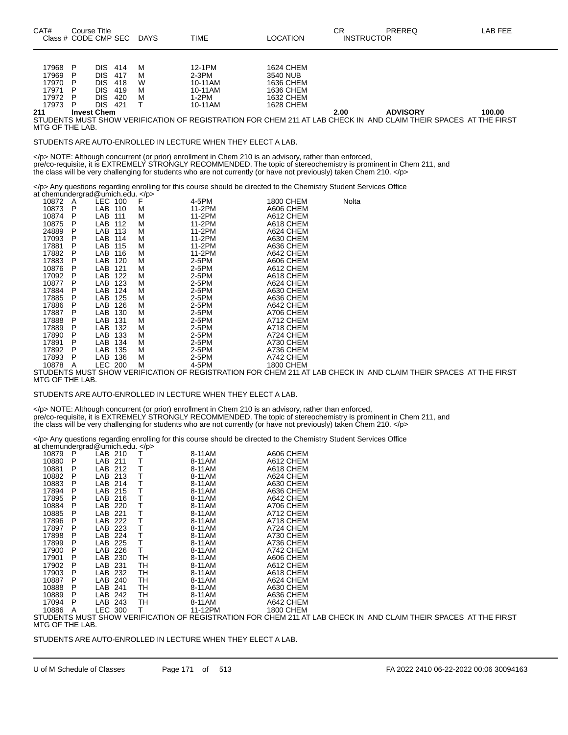| 211   |   | <b>Invest Chem</b> |   |         |           | 2.00 | <b>ADVISORY</b> | 100.00 |
|-------|---|--------------------|---|---------|-----------|------|-----------------|--------|
| 17973 | D | DIS<br>421         |   | 10-11AM | 1628 CHEM |      |                 |        |
| 17972 | D | DIS<br>420         | м | I-2PM   | 1632 CHEM |      |                 |        |
| 17971 | D | DIS<br>419         | м | 10-11AM | 1636 CHEM |      |                 |        |
| 17970 | P | DIS<br>418         | W | 10-11AM | 1636 CHEM |      |                 |        |
| 17969 | D | DIS<br>417         | М | 2-3PM   | 3540 NUB  |      |                 |        |
| 17968 | D | DIS<br>414         | М | 12-1PM  | 1624 CHEM |      |                 |        |
|       |   |                    |   |         |           |      |                 |        |

STUDENTS MUST SHOW VERIFICATION OF REGISTRATION FOR CHEM 211 AT LAB CHECK IN AND CLAIM THEIR SPACES AT THE FIRST MTG OF THE LAB.

STUDENTS ARE AUTO-ENROLLED IN LECTURE WHEN THEY ELECT A LAB.

</p> NOTE: Although concurrent (or prior) enrollment in Chem 210 is an advisory, rather than enforced, pre/co-requisite, it is EXTREMELY STRONGLY RECOMMENDED. The topic of stereochemistry is prominent in Chem 211, and the class will be very challenging for students who are not currently (or have not previously) taken Chem 210. </p>

</p> Any questions regarding enrolling for this course should be directed to the Chemistry Student Services Office

| at chemundergrad@umich.edu. |   |         |     |   |        |           |       |
|-----------------------------|---|---------|-----|---|--------|-----------|-------|
| 10872                       | A | LEC 100 |     | F | 4-5PM  | 1800 CHEM | Nolta |
| 10873                       | P | LAB 110 |     | М | 11-2PM | A606 CHEM |       |
| 10874                       | Ρ | LAB     | 111 | М | 11-2PM | A612 CHEM |       |
| 10875                       | Р | LAB     | 112 | М | 11-2PM | A618 CHEM |       |
| 24889                       | P | LAB     | 113 | М | 11-2PM | A624 CHEM |       |
| 17093                       | Р | LAB     | 114 | М | 11-2PM | A630 CHEM |       |
| 17881                       | Р | LAB     | 115 | М | 11-2PM | A636 CHEM |       |
| 17882                       | P | LAB     | 116 | М | 11-2PM | A642 CHEM |       |
| 17883                       | Ρ | LAB     | 120 | М | 2-5PM  | A606 CHEM |       |
| 10876                       | Р | LAB     | 121 | М | 2-5PM  | A612 CHEM |       |
| 17092                       | Ρ | LAB     | 122 | М | 2-5PM  | A618 CHEM |       |
| 10877                       | Ρ | LAB     | 123 | М | 2-5PM  | A624 CHEM |       |
| 17884                       | Р | LAB     | 124 | М | 2-5PM  | A630 CHEM |       |
| 17885                       | P | LAB     | 125 | М | 2-5PM  | A636 CHEM |       |
| 17886                       | Р | LAB     | 126 | М | 2-5PM  | A642 CHEM |       |
| 17887                       | Р | LAB     | 130 | М | 2-5PM  | A706 CHEM |       |
| 17888                       | Р | LAB     | 131 | М | 2-5PM  | A712 CHEM |       |
| 17889                       | Р | LAB     | 132 | М | 2-5PM  | A718 CHEM |       |
| 17890                       | Р | LAB     | 133 | М | 2-5PM  | A724 CHEM |       |
| 17891                       | P | LAB     | 134 | М | 2-5PM  | A730 CHEM |       |
| 17892                       | Р | LAB     | 135 | М | 2-5PM  | A736 CHEM |       |
| 17893                       | Р | LAB     | 136 | М | 2-5PM  | A742 CHEM |       |
| 10878                       | Α | LEC 200 |     | М | 4-5PM  | 1800 CHEM |       |

STUDENTS MUST SHOW VERIFICATION OF REGISTRATION FOR CHEM 211 AT LAB CHECK IN AND CLAIM THEIR SPACES AT THE FIRST MTG OF THE LAB.

STUDENTS ARE AUTO-ENROLLED IN LECTURE WHEN THEY ELECT A LAB.

</p> NOTE: Although concurrent (or prior) enrollment in Chem 210 is an advisory, rather than enforced, pre/co-requisite, it is EXTREMELY STRONGLY RECOMMENDED. The topic of stereochemistry is prominent in Chem 211, and the class will be very challenging for students who are not currently (or have not previously) taken Chem 210. </p>

</p> Any questions regarding enrolling for this course should be directed to the Chemistry Student Services Office

| at chemundergrad@umich.edu. |   |         |     |    |         |                  |
|-----------------------------|---|---------|-----|----|---------|------------------|
| 10879                       | P | LAB 210 |     | т  | 8-11AM  | A606 CHEM        |
| 10880                       | P | LAB     | 211 | т  | 8-11AM  | A612 CHEM        |
| 10881                       | P | LAB     | 212 | Τ  | 8-11AM  | A618 CHEM        |
| 10882                       | P | LAB.    | 213 | T  | 8-11AM  | A624 CHEM        |
| 10883                       | P | LAB     | 214 | Т  | 8-11AM  | A630 CHEM        |
| 17894                       | P | LAB.    | 215 | Τ  | 8-11AM  | A636 CHEM        |
| 17895                       | P | LAB     | 216 | Т  | 8-11AM  | A642 CHEM        |
| 10884                       | P | LAB     | 220 | T  | 8-11AM  | A706 CHEM        |
| 10885                       | P | LAB     | 221 | T  | 8-11AM  | A712 CHEM        |
| 17896                       | P | LAB.    | 222 | Τ  | 8-11AM  | A718 CHEM        |
| 17897                       | P | LAB     | 223 | Т  | 8-11AM  | A724 CHEM        |
| 17898                       | Ρ | LAB     | 224 | Τ  | 8-11AM  | A730 CHEM        |
| 17899                       | Ρ | LAB     | 225 | Т  | 8-11AM  | A736 CHEM        |
| 17900                       | P | LAB     | 226 | Τ  | 8-11AM  | A742 CHEM        |
| 17901                       | Ρ | LAB     | 230 | TН | 8-11AM  | A606 CHEM        |
| 17902                       | P | LAB     | 231 | TH | 8-11AM  | A612 CHEM        |
| 17903                       | Р | LAB     | 232 | TН | 8-11AM  | A618 CHEM        |
| 10887                       | P | LAB     | 240 | TН | 8-11AM  | A624 CHEM        |
| 10888                       | P | LAB     | 241 | TН | 8-11AM  | A630 CHEM        |
| 10889                       | P | LAB     | 242 | TН | 8-11AM  | A636 CHEM        |
| 17094                       | P | LAB.    | 243 | TН | 8-11AM  | A642 CHEM        |
| 10886                       | Α | LEC 300 |     | т  | 11-12PM | <b>1800 CHEM</b> |

STUDENTS MUST SHOW VERIFICATION OF REGISTRATION FOR CHEM 211 AT LAB CHECK IN AND CLAIM THEIR SPACES AT THE FIRST MTG OF THE LAB.

STUDENTS ARE AUTO-ENROLLED IN LECTURE WHEN THEY ELECT A LAB.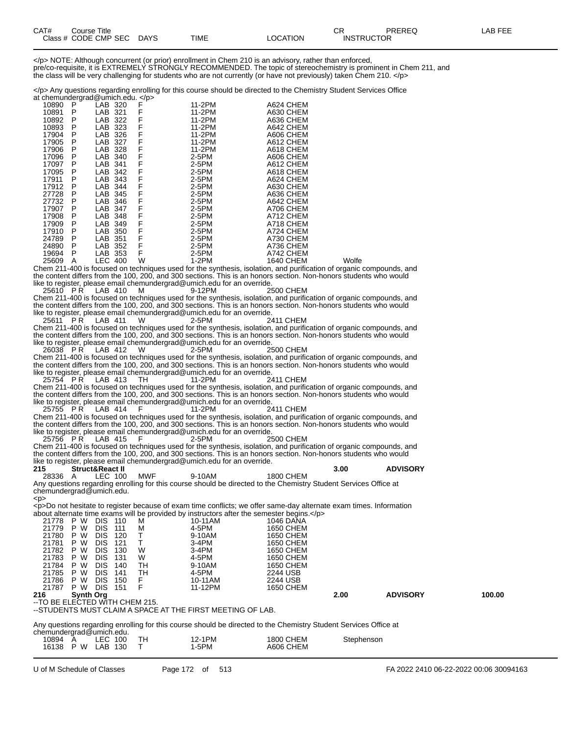| CAT# | Course Title         |             |             |          | rг<br><b>UN</b>   | PREREQ | LAB FEE |
|------|----------------------|-------------|-------------|----------|-------------------|--------|---------|
|      | Class # CODE CMP SEC | <b>DAYS</b> | <b>TIME</b> | _OCATION | <b>INSTRUCTOR</b> |        |         |

</p> NOTE: Although concurrent (or prior) enrollment in Chem 210 is an advisory, rather than enforced, pre/co-requisite, it is EXTREMELY STRONGLY RECOMMENDED. The topic of stereochemistry is prominent in Chem 211, and the class will be very challenging for students who are not currently (or have not previously) taken Chem 210. </p>

</p> Any questions regarding enrolling for this course should be directed to the Chemistry Student Services Office  $at'$ chemundergrad@umich.edu.  $\epsilon$ /p

| ~~~~~~~~~~~ <sub>~</sub> ~~~ |   |                |      | יים י |         |                                                                                                       |       |
|------------------------------|---|----------------|------|-------|---------|-------------------------------------------------------------------------------------------------------|-------|
| 10890                        | P | LAB 320        |      | F     | 11-2PM  | A624 CHEM                                                                                             |       |
| 10891                        | P | LAB            | -321 | F     | 11-2PM  | A630 CHEM                                                                                             |       |
| 10892                        | P | LAB            | 322  | F     | 11-2PM  | A636 CHEM                                                                                             |       |
| 10893                        | P | LAB            | 323  | F     | 11-2PM  | A642 CHEM                                                                                             |       |
| 17904                        | P | LAB            | 326  | F     | 11-2PM  | A606 CHEM                                                                                             |       |
| 17905                        | P | LAB            | 327  | F     | 11-2PM  | A612 CHEM                                                                                             |       |
| 17906                        | P | LAB            | 328  | F     | 11-2PM  | A618 CHEM                                                                                             |       |
| 17096                        | P | LAB            | 340  | F     | $2-5PM$ | A606 CHEM                                                                                             |       |
| 17097                        | P | LAB            | -341 | F     | 2-5PM   | A612 CHEM                                                                                             |       |
| 17095                        | P | LAB            | -342 | F     | 2-5PM   | A618 CHEM                                                                                             |       |
| 17911                        | P | LAB            | -343 | F     | $2-5PM$ | A624 CHEM                                                                                             |       |
| 17912                        | P | LAB            | 344  | F     | 2-5PM   | A630 CHEM                                                                                             |       |
| 27728                        | P | LAB 345        |      | F     | 2-5PM   | A636 CHEM                                                                                             |       |
| 27732                        | P | LAB            | 346  | F     | 2-5PM   | A642 CHEM                                                                                             |       |
| 17907                        | P | LAB            | 347  | F     | 2-5PM   | A706 CHEM                                                                                             |       |
| 17908                        | P | LAB            | 348  | F     | 2-5PM   | A712 CHEM                                                                                             |       |
| 17909                        | P | LAB            | 349  | F     | $2-5PM$ | A718 CHEM                                                                                             |       |
| 17910                        | P | LAB            | 350  | F     | 2-5PM   | A724 CHEM                                                                                             |       |
| 24789                        | P | LAB.           | 351  | F     | 2-5PM   | A730 CHEM                                                                                             |       |
| 24890                        | P | LAB            | 352  | F     | 2-5PM   | A736 CHEM                                                                                             |       |
| 19694                        | P | LAB            | 353  | F     | 2-5PM   | A742 CHEM                                                                                             |       |
| 25609                        | A | <b>LEC 400</b> |      | W     | 1-2PM   | 1640 CHEM                                                                                             | Wolfe |
|                              |   |                |      |       |         | Cham 211, 400 is focused on tochniques used for the synthesis, isolation, and purification of erganic |       |

Chem 211-400 is focused on techniques used for the synthesis, isolation, and purification of organic compounds, and the content differs from the 100, 200, and 300 sections. This is an honors section. Non-honors students who would like to register, please email chemundergrad@umich.edu for an override.

25610 P R LAB 410 M 9-12PM 2500 CHEM Chem 211-400 is focused on techniques used for the synthesis, isolation, and purification of organic compounds, and the content differs from the 100, 200, and 300 sections. This is an honors section. Non-honors students who would like to register, please email chemundergrad@umich.edu for an override.

25611 PR LAB 411 W Chem 211-400 is focused on techniques used for the synthesis, isolation, and purification of organic compounds, and the content differs from the 100, 200, and 300 sections. This is an honors section. Non-honors students who would like to register, please email chemundergrad@umich.edu for an override.

26038 P R LAB 412 W Chem 211-400 is focused on techniques used for the synthesis, isolation, and purification of organic compounds, and the content differs from the 100, 200, and 300 sections. This is an honors section. Non-honors students who would like to register, please email chemundergrad@umich.edu for an override.

25754 P.R LAB 413 TH 11-2PM 2411 CHEM Chem 211-400 is focused on techniques used for the synthesis, isolation, and purification of organic compounds, and the content differs from the 100, 200, and 300 sections. This is an honors section. Non-honors students who would

like to register, please email chemundergrad@umich.edu for an override. 25755 P R LAB 414 F

Chem 211-400 is focused on techniques used for the synthesis, isolation, and purification of organic compounds, and the content differs from the 100, 200, and 300 sections. This is an honors section. Non-honors students who would like to register, please email chemundergrad@umich.edu for an override.

25756 P R LAB 415 F 2-5PM 2500 CHEM

Chem 211-400 is focused on techniques used for the synthesis, isolation, and purification of organic compounds, and the content differs from the 100, 200, and 300 sections. This is an honors section. Non-honors students who would like to register, please email chemundergrad@umich.edu for an override.<br>215 Struct&React II

<p>

**28336 A LEC 100 MWF** 9-10AM **1800 CHEM** 3.00 **ADVISORY** 28336 A LEC 100 MWF 9-10AM 1800 CHEM Any questions regarding enrolling for this course should be directed to the Chemistry Student Services Office at chemundergrad@umich.edu.

<p>Do not hesitate to register because of exam time conflicts; we offer same-day alternate exam times. Information about alternate time exams will be provided by instructors after the semester begins  $\epsilon$ /p>

| 21778                           | P W              | <b>DIS</b> | 110 | м  | 10-11AM                                                    | 1046 DANA        |      |                 |        |
|---------------------------------|------------------|------------|-----|----|------------------------------------------------------------|------------------|------|-----------------|--------|
| 21779                           | W<br>P.          | <b>DIS</b> | 111 | м  | 4-5PM                                                      | 1650 CHEM        |      |                 |        |
| 21780                           | P W              | DIS        | 120 |    | 9-10AM                                                     | 1650 CHEM        |      |                 |        |
| 21781                           | P W              | DIS        | 121 |    | $3-4PM$                                                    | 1650 CHEM        |      |                 |        |
| 21782                           | P W              | DIS        | 130 | W  | 3-4PM                                                      | 1650 CHEM        |      |                 |        |
| 21783                           | P W              | DIS        | 131 | W  | 4-5PM                                                      | <b>1650 CHEM</b> |      |                 |        |
| 21784                           | P W              | <b>DIS</b> | 140 | TН | 9-10AM                                                     | 1650 CHEM        |      |                 |        |
| 21785                           | P W              | <b>DIS</b> | 141 | TН | 4-5PM                                                      | 2244 USB         |      |                 |        |
| 21786                           | P W              | <b>DIS</b> | 150 |    | 10-11AM                                                    | 2244 USB         |      |                 |        |
| 21787                           | P W              | <b>DIS</b> | 151 |    | 11-12PM                                                    | 1650 CHEM        |      |                 |        |
| 216                             | <b>Synth Org</b> |            |     |    |                                                            |                  | 2.00 | <b>ADVISORY</b> | 100.00 |
| -- TO BE ELECTED WITH CHEM 215. |                  |            |     |    |                                                            |                  |      |                 |        |
|                                 |                  |            |     |    | --STUDENTS MUST CLAIM A SPACE AT THE FIRST MEETING OF LAB. |                  |      |                 |        |
|                                 |                  |            |     |    |                                                            |                  |      |                 |        |

Any questions regarding enrolling for this course should be directed to the Chemistry Student Services Office at chemundergrad@umich.edu.

| 10894             | LEC | 100 | TH | '2-1PM<br>-14 | 1800 CHEM | Stephenson |
|-------------------|-----|-----|----|---------------|-----------|------------|
| 16138 P W LAB 130 |     |     |    | I-5PM         | A606 CHEM |            |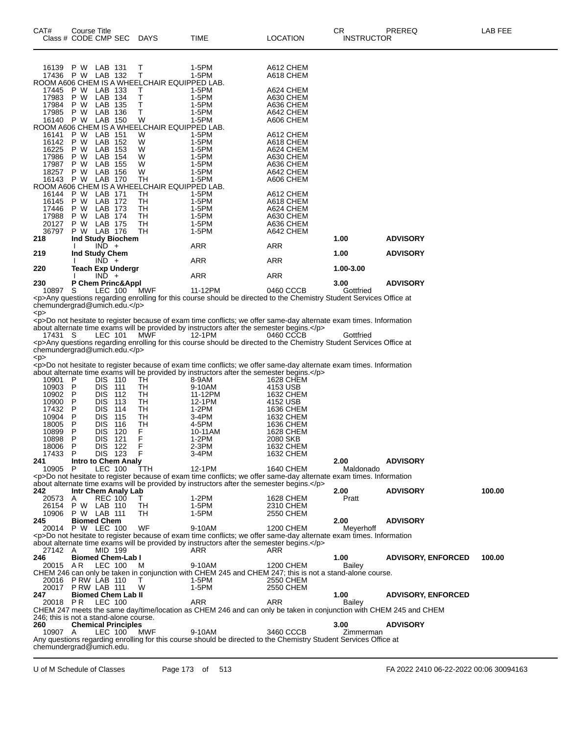| CAT#             | Course Title | Class # CODE CMP SEC DAYS              |                                                   | TIME                                                                                                                                                                                                             | LOCATION               | CR<br><b>INSTRUCTOR</b> | PREREQ                    | LAB FEE |
|------------------|--------------|----------------------------------------|---------------------------------------------------|------------------------------------------------------------------------------------------------------------------------------------------------------------------------------------------------------------------|------------------------|-------------------------|---------------------------|---------|
| 16139 PW         |              | LAB 131                                | Т                                                 | 1-5PM                                                                                                                                                                                                            | A612 CHEM              |                         |                           |         |
|                  |              | 17436 P W LAB 132                      | Т<br>ROOM A606 CHEM IS A WHEELCHAIR EQUIPPED LAB. | 1-5PM                                                                                                                                                                                                            | A618 CHEM              |                         |                           |         |
| 17445            |              | P W LAB 133                            | т                                                 | 1-5PM                                                                                                                                                                                                            | A624 CHEM              |                         |                           |         |
| 17983<br>17984   | P W<br>P W   | LAB 134<br>LAB 135                     | т<br>т                                            | 1-5PM<br>1-5PM                                                                                                                                                                                                   | A630 CHEM<br>A636 CHEM |                         |                           |         |
| 17985 P W        |              | LAB 136                                | Τ                                                 | 1-5PM                                                                                                                                                                                                            | A642 CHEM              |                         |                           |         |
|                  |              | 16140 P W LAB 150                      | W                                                 | 1-5PM                                                                                                                                                                                                            | A606 CHEM              |                         |                           |         |
| 16141            | P W          | LAB 151                                | ROOM A606 CHEM IS A WHEELCHAIR EQUIPPED LAB.<br>W | 1-5PM                                                                                                                                                                                                            | A612 CHEM              |                         |                           |         |
| 16142            | P W          | LAB 152                                | W                                                 | 1-5PM                                                                                                                                                                                                            | A618 CHEM              |                         |                           |         |
| 16225<br>17986   | P W<br>P W   | LAB 153<br>LAB 154                     | W<br>W                                            | 1-5PM<br>1-5PM                                                                                                                                                                                                   | A624 CHEM<br>A630 CHEM |                         |                           |         |
| 17987            | P W          | LAB 155                                | W                                                 | 1-5PM                                                                                                                                                                                                            | A636 CHEM              |                         |                           |         |
| 18257            | P W          | LAB 156                                | W<br><b>TH</b>                                    | 1-5PM                                                                                                                                                                                                            | A642 CHEM              |                         |                           |         |
|                  |              | 16143 P W LAB 170                      | ROOM A606 CHEM IS A WHEELCHAIR EQUIPPED LAB.      | 1-5PM                                                                                                                                                                                                            | A606 CHEM              |                         |                           |         |
|                  |              | 16144 P W LAB 171                      | TН                                                | 1-5PM                                                                                                                                                                                                            | A612 CHEM              |                         |                           |         |
| 16145<br>17446   | P W<br>P W   | LAB 172<br>LAB 173                     | TН<br>TН                                          | 1-5PM<br>1-5PM                                                                                                                                                                                                   | A618 CHEM<br>A624 CHEM |                         |                           |         |
| 17988            | P W          | LAB 174                                | TH                                                | 1-5PM                                                                                                                                                                                                            | A630 CHEM              |                         |                           |         |
| 20127<br>36797   | P W          | LAB 175<br>P W LAB 176                 | TН<br>TН                                          | 1-5PM                                                                                                                                                                                                            | A636 CHEM<br>A642 CHEM |                         |                           |         |
| 218              |              | Ind Study Biochem                      |                                                   | 1-5PM                                                                                                                                                                                                            |                        | 1.00                    | <b>ADVISORY</b>           |         |
|                  |              | $IND +$                                |                                                   | <b>ARR</b>                                                                                                                                                                                                       | ARR                    |                         |                           |         |
| 219              |              | Ind Study Chem<br>$IND +$              |                                                   | <b>ARR</b>                                                                                                                                                                                                       | ARR                    | 1.00                    | <b>ADVISORY</b>           |         |
| 220              |              | Teach Exp Undergr                      |                                                   |                                                                                                                                                                                                                  |                        | 1.00-3.00               |                           |         |
|                  |              | $IND +$                                |                                                   | <b>ARR</b>                                                                                                                                                                                                       | <b>ARR</b>             |                         |                           |         |
| 230<br>10897     | S            | P Chem Princ&Appl<br>LEC 100           | MWF                                               | 11-12PM                                                                                                                                                                                                          | 0460 CCCB              | 3.00<br>Gottfried       | <b>ADVISORY</b>           |         |
|                  |              |                                        |                                                   | <p>Any questions regarding enrolling for this course should be directed to the Chemistry Student Services Office at</p>                                                                                          |                        |                         |                           |         |
|                  |              | chemundergrad@umich.edu.               |                                                   |                                                                                                                                                                                                                  |                        |                         |                           |         |
| < p >            |              |                                        |                                                   | <p>Do not hesitate to register because of exam time conflicts; we offer same-day alternate exam times. Information</p>                                                                                           |                        |                         |                           |         |
|                  |              |                                        |                                                   | about alternate time exams will be provided by instructors after the semester begins.                                                                                                                            |                        |                         |                           |         |
| 17431 S          |              | LEC 101                                | <b>MWF</b>                                        | 12-1PM<br><p>Any questions regarding enrolling for this course should be directed to the Chemistry Student Services Office at</p>                                                                                | 0460 CCCB              | Gottfried               |                           |         |
|                  |              | chemundergrad@umich.edu.               |                                                   |                                                                                                                                                                                                                  |                        |                         |                           |         |
| <p></p>          |              |                                        |                                                   |                                                                                                                                                                                                                  |                        |                         |                           |         |
|                  |              |                                        |                                                   | <p>Do not hesitate to register because of exam time conflicts; we offer same-day alternate exam times. Information<br/>about alternate time exams will be provided by instructors after the semester begins.</p> |                        |                         |                           |         |
| 10901            | P            | DIS 110                                | TH                                                | 8-9AM                                                                                                                                                                                                            | 1628 CHEM              |                         |                           |         |
| 10903            | P            | <b>DIS</b><br>111                      | TН                                                | 9-10AM                                                                                                                                                                                                           | 4153 USB               |                         |                           |         |
| 10902 P<br>10900 | P            | DIS 112<br><b>DIS</b><br>113           | TH<br>TН                                          | 11-12PM<br>12-1PM                                                                                                                                                                                                | 1632 CHEM<br>4152 USB  |                         |                           |         |
| 17432            | P            | <b>DIS</b><br>114                      | TН                                                | 1-2PM                                                                                                                                                                                                            | 1636 CHEM              |                         |                           |         |
| 10904            | P            | <b>DIS</b><br>115                      | TН                                                | 3-4PM                                                                                                                                                                                                            | 1632 CHEM              |                         |                           |         |
| 18005<br>10899   | P<br>P       | <b>DIS</b><br>116<br><b>DIS</b><br>120 | TН<br>F                                           | 4-5PM<br>10-11AM                                                                                                                                                                                                 | 1636 CHEM<br>1628 CHEM |                         |                           |         |
| 10898            | P            | DIS.<br>121                            | F                                                 | 1-2PM                                                                                                                                                                                                            | 2080 SKB               |                         |                           |         |
| 18006 P          |              | DIS 122                                | - F                                               | 2-3PM                                                                                                                                                                                                            | 1632 CHEM              |                         |                           |         |
| 17433<br>241     | P            | DIS 123<br><b>Intro to Chem Analy</b>  | F                                                 | 3-4PM                                                                                                                                                                                                            | 1632 CHEM              | 2.00                    | <b>ADVISORY</b>           |         |
| 10905 P          |              | LEC 100                                | TTH                                               | 12-1PM                                                                                                                                                                                                           | 1640 CHEM              | Maldonado               |                           |         |
|                  |              |                                        |                                                   | <p>Do not hesitate to register because of exam time conflicts; we offer same-day alternate exam times. Information<br/>about alternate time exams will be provided by instructors after the semester begins.</p> |                        |                         |                           |         |
| 242              |              | Intr Chem Analy Lab                    |                                                   |                                                                                                                                                                                                                  |                        | 2.00                    | <b>ADVISORY</b>           | 100.00  |
| 20573            | A            | <b>REC 100</b>                         | T.                                                | 1-2PM                                                                                                                                                                                                            | 1628 CHEM              | Pratt                   |                           |         |
| 26154            | P W          | LAB 110<br>10906 P W LAB 111           | TH<br>TН                                          | 1-5PM<br>$1-5PM$                                                                                                                                                                                                 | 2310 CHEM<br>2550 CHEM |                         |                           |         |
| 245              |              | <b>Biomed Chem</b>                     |                                                   |                                                                                                                                                                                                                  |                        | 2.00                    | <b>ADVISORY</b>           |         |
|                  |              | 20014 P W LEC 100                      | WF                                                | 9-10AM                                                                                                                                                                                                           | 1200 CHEM              | Meyerhoff               |                           |         |
|                  |              |                                        |                                                   | <p>Do not hesitate to register because of exam time conflicts; we offer same-day alternate exam times. Information<br/>about alternate time exams will be provided by instructors after the semester begins.</p> |                        |                         |                           |         |
| 27142 A          |              | MID 199                                |                                                   | ARR                                                                                                                                                                                                              | ARR                    |                         |                           |         |
| 246              |              | <b>Biomed Chem-Lab I</b>               |                                                   |                                                                                                                                                                                                                  |                        | 1.00                    | <b>ADVISORY, ENFORCED</b> | 100.00  |
| 20015 AR         |              | LEC 100                                | M                                                 | 9-10AM<br>CHEM 246 can only be taken in conjunction with CHEM 245 and CHEM 247; this is not a stand-alone course.                                                                                                | 1200 CHEM              | Bailey                  |                           |         |
|                  |              | 20016 PRW LAB 110                      | т                                                 | 1-5PM                                                                                                                                                                                                            | 2550 CHEM              |                         |                           |         |
| 20017            |              | PRW LAB 111                            | W                                                 | 1-5PM                                                                                                                                                                                                            | 2550 CHEM              |                         |                           |         |
| 247<br>20018 PR  |              | <b>Biomed Chem Lab II</b><br>LEC 100   |                                                   | ARR                                                                                                                                                                                                              | ARR                    | 1.00<br>Bailey          | <b>ADVISORY, ENFORCED</b> |         |
|                  |              |                                        |                                                   | CHEM 247 meets the same day/time/location as CHEM 246 and can only be taken in conjunction with CHEM 245 and CHEM                                                                                                |                        |                         |                           |         |
|                  |              | 246; this is not a stand-alone course. |                                                   |                                                                                                                                                                                                                  |                        |                         |                           |         |
| 260<br>10907 A   |              | <b>Chemical Principles</b><br>LEC 100  | MWF                                               | 9-10AM                                                                                                                                                                                                           | 3460 CCCB              | 3.00<br>Zimmerman       | <b>ADVISORY</b>           |         |
|                  |              |                                        |                                                   | Any questions regarding enrolling for this course should be directed to the Chemistry Student Services Office at                                                                                                 |                        |                         |                           |         |
|                  |              | chemundergrad@umich.edu.               |                                                   |                                                                                                                                                                                                                  |                        |                         |                           |         |

U of M Schedule of Classes Page 173 of 513 FA 2022 2410 06-22-2022 00:06 30094163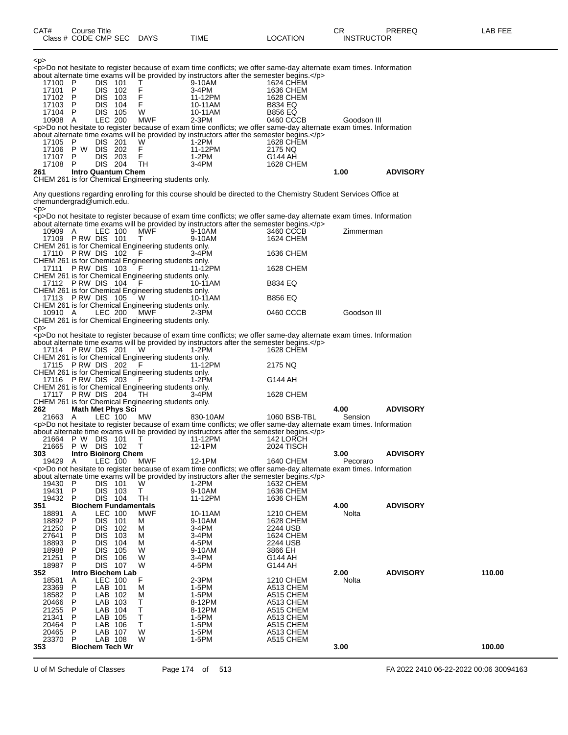<p> <p>Do not hesitate to register because of exam time conflicts; we offer same-day alternate exam times. Information about alternate time exams will be provided by instructors after the semester begins.</p><br>17100 P DIS 101 T 9-10AM<br>17101 P DIS 102 F 3-4PM 1636 CHEM 17100 P DIS 101 T 9-10AM 1624 CHEM 17101 P DIS 102 F 3-4PM 1636 CHEM<br>17102 P DIS 103 F 11-12PM 1628 CHEM 17102 P DIS 103 F 11-12PM 1628 CHEM 17103 P DIS 104 F 10-11AM B834 EQ<br>17104 P DIS 105 W 10-11AM B856 EQ 17104 P DIS 105 W 10-11AM B856 EQ 10908 A LEC 200 MWF 2-3PM 0460 CCCB Goodson III <p>Do not hesitate to register because of exam time conflicts; we offer same-day alternate exam times. Information about alternate time exams will be provided by instructors after the semester begins.</p><br>17105 P DIS 201 W 1-2PM 17105 P DIS 201 W 1-2PM 1628 CHEM<br>17106 P W DIS 202 F 11-12PM 2175 NQ 17106 P W DIS 202 F 11-12P<br>17107 P DIS 203 F 1-2PM 17107 P DIS 203 F 1-2PM G144 AH<br>17108 P DIS 204 TH 3-4PM 1628 CH 17108 P DIS 204 TH 3-4PM 1628 CHEM<br>
261 Intro Quantum Chem **261 Intro Quantum Chem 1.00 ADVISORY** CHEM 261 is for Chemical Engineering students only. Any questions regarding enrolling for this course should be directed to the Chemistry Student Services Office at chemundergrad@umich.edu. <p> <p>Do not hesitate to register because of exam time conflicts; we offer same-day alternate exam times. Information about alternate time exams will be provided by instructors after the semester begins.</p> 10909 A LEC 100 MWF 9-10AM 3460 CCCB Zimmerman 17109 P RW DIS 101 T 9-10AM 1624 CHEM CHEM 261 is for Chemical Engineering students only.<br>17110 PRW DIS 102 F 17110 P RW DIS 102 F 3-4PM 1636 CHEM CHEM 261 is for Chemical Engineering students only. 17111 P RW DIS 103 F 11-12PM 1628 CHEM CHEM 261 is for Chemical Engineering students only.<br>17112 P RW DIS 104 F 10-11AM 17112 P RW DIS 104 F 10-11AM B834 EQ CHEM 261 is for Chemical Engineering students only. 17113 P RW DIS 105 W 10-11AM B856 EQ CHEM 261 is for Chemical Engineering students only. 10910 A LEC 200 MWF 2-3PM 0460 CCCB Goodson III CHEM 261 is for Chemical Engineering students only. <p> <p>Do not hesitate to register because of exam time conflicts; we offer same-day alternate exam times. Information about alternate time exams will be provided by instructors after the semester begins.</p><br>17114 P RW DIS 201 W 1-2PM 1628 CHEM 17114 P RW DIS 201 CHEM 261 is for Chemical Engineering students only.<br>17115 P RW DIS 202 F 11-12PM 17115 P RW DIS 202 F 11-12PM 2175 NQ CHEM 261 is for Chemical Engineering students only. 17116 P RW DIS 203 F 1-2PM G144 AH CHEM 261 is for Chemical Engineering students only.<br>17117 P RW DIS 204 TH 3-4PM 17117 P RW DIS 204 TH 3 3-4PM 1628 CHEM CHEM 261 is for Chemical Engineering students only.<br> **262** Math Met Phys Sci **262 Math Met Phys Sci 4.00 ADVISORY** 21663 A LEC 100 MW 830-10AM 1060 BSB-TBL Sension <p>Do not hesitate to register because of exam time conflicts; we offer same-day alternate exam times. Information about alternate time exams will be provided by instructors after the semester begins.<br>
21664 P W DIS 101 T 11-12PM 142 LORCH 21664 P W DIS 101 T 11-12PM 142 LORCH 21665 P W DIS 102 T 12-1PM 2024 TISCH **303 Intro Bioinorg Chem 3.00 ADVISORY** 19429 A LEC 100 MWF 12-1PM 1640 CHEM Pecoraro <p>Do not hesitate to register because of exam time conflicts; we offer same-day alternate exam times. Information about alternate time exams will be provided by instructors after the semester begins.</p>
19430 P DIS 101 W 1-2PM 1632 CHEM 19430 P DIS 101 W 1-2PM 1632 CHEM 19431 P DIS 103 T 9-10AM 1636 CHEM 19432 P DIS 104 TH 11-12PM 1636 CHEM<br>351 Biochem Fundamentals **351 Biochem Fundamentals 4.00 ADVISORY** 18891 A LEC 100 MWF 10-11AM 1210 CHEM Nolta 18892 P DIS 101 M 9-10AM 1628 CHEM 21250 P DIS 102 M 3-4PM 2244 USB 27641 P DIS 103 M 3-4PM 1624 CHEM 18893 P DIS 104 M 4-5PM 2244 USB 18988 P DIS 105 W 9-10AM 3866 EH 21251 P DIS 106 W 3-4PM G144 AH 18987 P DIS 107 W 4-5PM G144 AH<br>352 Intro Biochem Lab **352 Intro Biochem Lab 2.00 ADVISORY 110.00** 18581 A LEC 100 F 2-3PM 1210 CHEM Nolta 23369 P LAB 101 M 1-5PM A513 CHEM 18582 P LAB 102 M 1-5PM A515 CHEM 20466 P LAB 103 T 8-12PM A513 CHEM 21255 P LAB 104 T 8-12PM A515 CHEM 21341 P LAB 105 T 1-5PM A513 CHEM 20464 P LAB 106 T 1-5PM A515 CHEM 20465 P LAB 107 W 1-5PM A513 CHEM 23370 P LAB 108 W 1-5PM A515 CHEM<br>353 Biochem Tech Wr **353 Biochem Tech Wr 3.00 100.00**

U of M Schedule of Classes Page 174 of 513 FA 2022 2410 06-22-2022 00:06 30094163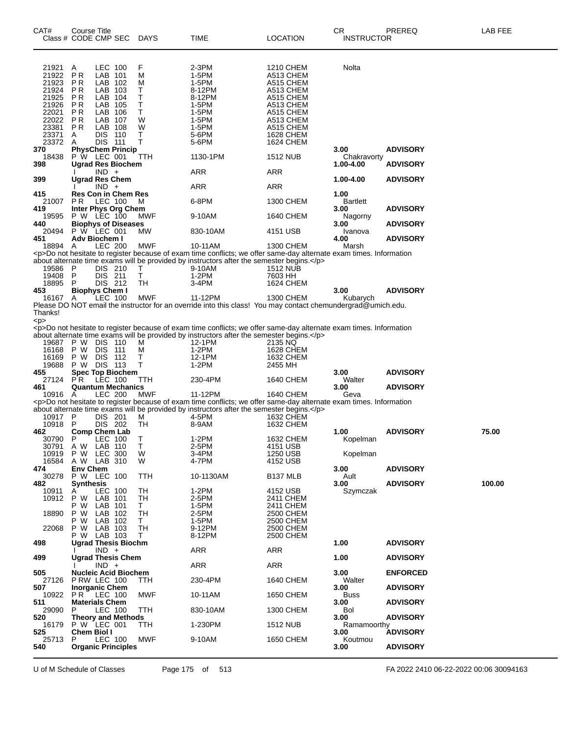| CAT#           | Course Title<br>Class # CODE CMP SEC               | <b>DAYS</b> | TIME                                                                                                                              | <b>LOCATION</b>             | CR.<br><b>INSTRUCTOR</b> | PREREQ          | LAB FEE |
|----------------|----------------------------------------------------|-------------|-----------------------------------------------------------------------------------------------------------------------------------|-----------------------------|--------------------------|-----------------|---------|
| 21921          | LEC 100<br>A                                       | F           | 2-3PM                                                                                                                             | 1210 CHEM                   | Nolta                    |                 |         |
| 21922          | PR<br>LAB 101                                      | М           | 1-5PM                                                                                                                             | A513 CHEM                   |                          |                 |         |
| 21923<br>21924 | P R<br>LAB 102<br>P <sub>R</sub><br>LAB 103        | M<br>т      | 1-5PM                                                                                                                             | A515 CHEM                   |                          |                 |         |
| 21925          | <b>PR</b><br>LAB 104                               | т           | 8-12PM<br>8-12PM                                                                                                                  | A513 CHEM<br>A515 CHEM      |                          |                 |         |
| 21926          | P R<br>LAB 105                                     | т           | 1-5PM                                                                                                                             | A513 CHEM                   |                          |                 |         |
| 22021          | P <sub>R</sub><br>LAB 106                          | Τ           | 1-5PM                                                                                                                             | A515 CHEM                   |                          |                 |         |
| 22022          | <b>PR</b><br>LAB 107<br>LAB 108<br>P R             | W<br>W      | 1-5PM<br>1-5PM                                                                                                                    | A513 CHEM<br>A515 CHEM      |                          |                 |         |
| 23381<br>23371 | DIS 110<br>A                                       | т           | 5-6PM                                                                                                                             | 1628 CHEM                   |                          |                 |         |
| 23372          | DIS 111<br>A                                       | т           | 5-6PM                                                                                                                             | 1624 CHEM                   |                          |                 |         |
| 370            | <b>PhysChem Princip</b>                            |             |                                                                                                                                   |                             | 3.00                     | <b>ADVISORY</b> |         |
| 18438<br>398   | P W LEC 001<br><b>Ugrad Res Biochem</b>            | TTH         | 1130-1PM                                                                                                                          | <b>1512 NUB</b>             | Chakravorty<br>1.00-4.00 | <b>ADVISORY</b> |         |
|                | $IND +$                                            |             | ARR                                                                                                                               | ARR                         |                          |                 |         |
| 399            | <b>Ugrad Res Chem</b>                              |             |                                                                                                                                   |                             | 1.00-4.00                | <b>ADVISORY</b> |         |
|                | $IND +$                                            |             | ARR                                                                                                                               | ARR                         |                          |                 |         |
| 415<br>21007   | <b>Res Con in Chem Res</b><br><b>PR</b><br>LEC 100 | M           | 6-8PM                                                                                                                             | 1300 CHEM                   | 1.00<br><b>Bartlett</b>  |                 |         |
| 419            | Inter Phys Org Chem                                |             |                                                                                                                                   |                             | 3.00                     | <b>ADVISORY</b> |         |
| 19595          | <b>P W LEC 100</b>                                 | MWF         | 9-10AM                                                                                                                            | 1640 CHEM                   | Nagorny                  |                 |         |
| 440            | <b>Biophys of Diseases</b>                         |             |                                                                                                                                   |                             | 3.00                     | <b>ADVISORY</b> |         |
| 20494<br>451   | P W LEC 001<br>Adv Biochem I                       | MW          | 830-10AM                                                                                                                          | 4151 USB                    | Ivanova                  | <b>ADVISORY</b> |         |
| 18894 A        | <b>LEC 200</b>                                     | <b>MWF</b>  | 10-11AM                                                                                                                           | 1300 CHEM                   | 4.00<br>Marsh            |                 |         |
|                |                                                    |             | <p>Do not hesitate to register because of exam time conflicts; we offer same-day alternate exam times. Information</p>            |                             |                          |                 |         |
|                |                                                    |             | about alternate time exams will be provided by instructors after the semester begins.                                             |                             |                          |                 |         |
| 19586          | DIS 210<br>- P                                     | Т           | 9-10AM                                                                                                                            | <b>1512 NUB</b>             |                          |                 |         |
| 19408<br>18895 | $\mathsf{P}$<br>DIS 211<br>- P<br>DIS 212          | Τ<br>TH     | $1-2PM$<br>$3-4PM$                                                                                                                | 7603 HH<br><b>1624 CHEM</b> |                          |                 |         |
| 453            | <b>Biophys Chem I</b>                              |             |                                                                                                                                   |                             | 3.00                     | <b>ADVISORY</b> |         |
| 16167          | LEC 100<br>A                                       | MWF         | 11-12PM                                                                                                                           | 1300 CHEM                   | Kubarych                 |                 |         |
| Thanks!        |                                                    |             | Please DO NOT email the instructor for an override into this class! You may contact chemundergrad@umich.edu.                      |                             |                          |                 |         |
| < p >          |                                                    |             | <p>Do not hesitate to register because of exam time conflicts; we offer same-day alternate exam times. Information</p>            |                             |                          |                 |         |
|                |                                                    |             | about alternate time exams will be provided by instructors after the semester begins.                                             |                             |                          |                 |         |
| 19687          | P W DIS 110                                        | м           | 12-1PM                                                                                                                            | 2135 NQ                     |                          |                 |         |
| 16168          | P W<br><b>DIS 111</b>                              | м           | 1-2PM                                                                                                                             | 1628 CHEM                   |                          |                 |         |
| 16169<br>19688 | P W<br><b>DIS 112</b><br>DIS 113<br>P W            | т<br>т      | 12-1PM<br>$1-2PM$                                                                                                                 | 1632 CHEM<br>2455 MH        |                          |                 |         |
| 455            | <b>Spec Top Biochem</b>                            |             |                                                                                                                                   |                             | 3.00                     | <b>ADVISORY</b> |         |
| 27124          | <b>PR</b><br>LEC 100                               | <b>TTH</b>  | 230-4PM                                                                                                                           | 1640 CHEM                   | Walter                   |                 |         |
| 461            | <b>Quantum Mechanics</b>                           |             |                                                                                                                                   |                             | 3.00                     | <b>ADVISORY</b> |         |
| 10916 A        | LEC 200                                            | <b>MWF</b>  | 11-12PM<br><p>Do not hesitate to register because of exam time conflicts; we offer same-day alternate exam times. Information</p> | 1640 CHEM                   | Geva                     |                 |         |
|                |                                                    |             | about alternate time exams will be provided by instructors after the semester begins.                                             |                             |                          |                 |         |
| 10917 P        | DIS 201                                            | м           | 4-5PM                                                                                                                             | <b>1632 CHEM</b>            |                          |                 |         |
| 10918          | DIS 202<br>-P                                      | TН          | 8-9AM                                                                                                                             | 1632 CHEM                   |                          |                 |         |
| 462<br>30790   | Comp Chem Lab<br>P<br>LEC 100                      | Т           | $1-2PM$                                                                                                                           | 1632 CHEM                   | 1.00<br>Kopelman         | <b>ADVISORY</b> | 75.00   |
| 30791          | LAB 110<br>A W                                     | Τ           | 2-5PM                                                                                                                             | 4151 USB                    |                          |                 |         |
| 10919          | <b>LEC 300</b><br>P W                              | W           | 3-4PM                                                                                                                             | 1250 USB                    | Kopelman                 |                 |         |
| 16584          | A W LAB 310                                        | W           | 4-7PM                                                                                                                             | 4152 USB                    |                          |                 |         |
| 474<br>30278   | <b>Env Chem</b><br>P W LEC 100                     | TTH         | 10-1130AM                                                                                                                         | B <sub>137</sub> MLB        | 3.00<br>Ault             | <b>ADVISORY</b> |         |
| 482            | <b>Synthesis</b>                                   |             |                                                                                                                                   |                             | 3.00                     | <b>ADVISORY</b> | 100.00  |
| 10911          | LEC 100<br>A                                       | TН          | $1-2PM$                                                                                                                           | 4152 USB                    | Szymczak                 |                 |         |
| 10912          | P W<br>LAB 101                                     | TН          | 2-5PM                                                                                                                             | 2411 CHEM                   |                          |                 |         |
|                | P W<br>LAB 101                                     | T.          | 1-5PM                                                                                                                             | 2411 CHEM                   |                          |                 |         |
| 18890          | P W<br>LAB 102<br>P W<br>LAB 102                   | TН<br>T.    | 2-5PM<br>1-5PM                                                                                                                    | 2500 CHEM<br>2500 CHEM      |                          |                 |         |
| 22068          | P W<br>LAB 103                                     | TH          | 9-12PM                                                                                                                            | 2500 CHEM                   |                          |                 |         |
|                | P W LAB 103                                        | T.          | 8-12PM                                                                                                                            | 2500 CHEM                   |                          |                 |         |
| 498            | <b>Ugrad Thesis Biochm</b>                         |             |                                                                                                                                   |                             | 1.00                     | <b>ADVISORY</b> |         |
| 499            | $IND +$<br><b>Ugrad Thesis Chem</b>                |             | <b>ARR</b>                                                                                                                        | ARR                         | 1.00                     | <b>ADVISORY</b> |         |
|                | $IND +$                                            |             | ARR                                                                                                                               | ARR                         |                          |                 |         |
| 505            | <b>Nucleic Acid Biochem</b>                        |             |                                                                                                                                   |                             | 3.00                     | <b>ENFORCED</b> |         |
| 27126          | PRW LEC 100                                        | TTH.        | 230-4PM                                                                                                                           | 1640 CHEM                   | Walter                   |                 |         |
| 507<br>10922   | <b>Inorganic Chem</b><br>PR.<br>LEC 100            | <b>MWF</b>  | 10-11AM                                                                                                                           | 1650 CHEM                   | 3.00                     | <b>ADVISORY</b> |         |
| 511            | <b>Materials Chem</b>                              |             |                                                                                                                                   |                             | Buss<br>3.00             | <b>ADVISORY</b> |         |
| 29090          | LEC 100<br>P                                       | TTH         | 830-10AM                                                                                                                          | 1300 CHEM                   | <b>Bol</b>               |                 |         |
| 520            | <b>Theory and Methods</b>                          |             |                                                                                                                                   |                             | 3.00                     | <b>ADVISORY</b> |         |
| 16179          | P W LEC 001                                        | TTH         | 1-230PM                                                                                                                           | <b>1512 NUB</b>             | Ramamoorthy              |                 |         |
| 525<br>25713   | Chem Biol I<br>LEC 100<br>P.                       | <b>MWF</b>  | 9-10AM                                                                                                                            | 1650 CHEM                   | 3.00<br>Koutmou          | <b>ADVISORY</b> |         |
| 540            | <b>Organic Principles</b>                          |             |                                                                                                                                   |                             | 3.00                     | <b>ADVISORY</b> |         |

U of M Schedule of Classes Page 175 of 513 FA 2022 2410 06-22-2022 00:06 30094163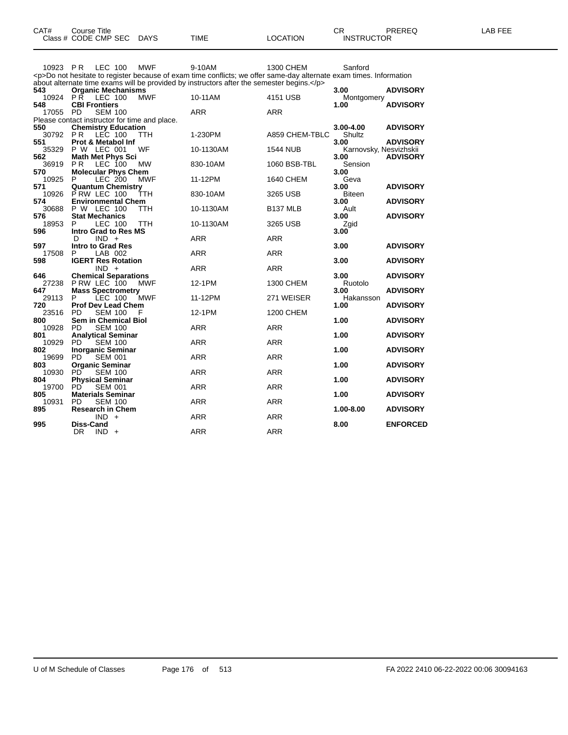| CAT# | Course Title              |      |          | ∼г<br>◡⊓          | PREREQ | <b>AB FEE</b> |
|------|---------------------------|------|----------|-------------------|--------|---------------|
|      | Class # CODE CMP SEC DAYS | TIME | LOCATION | <b>INSTRUCTOR</b> |        |               |

| <b>LEC 100</b><br>10923 PR | <b>MWF</b>                                                                                                                                                                                                                                                                                                                                                                                                                                                                             | 9-10AM                                                                                                                                                                                                                                                                                                                                                                                                                                                                                                                                                           | 1300 CHEM                                                                                                                                                                                                              | Sanford                                                                                                                                                                                                                                                                                                                              |                                                                                                                                                                                                                                                                                                                                                                      |
|----------------------------|----------------------------------------------------------------------------------------------------------------------------------------------------------------------------------------------------------------------------------------------------------------------------------------------------------------------------------------------------------------------------------------------------------------------------------------------------------------------------------------|------------------------------------------------------------------------------------------------------------------------------------------------------------------------------------------------------------------------------------------------------------------------------------------------------------------------------------------------------------------------------------------------------------------------------------------------------------------------------------------------------------------------------------------------------------------|------------------------------------------------------------------------------------------------------------------------------------------------------------------------------------------------------------------------|--------------------------------------------------------------------------------------------------------------------------------------------------------------------------------------------------------------------------------------------------------------------------------------------------------------------------------------|----------------------------------------------------------------------------------------------------------------------------------------------------------------------------------------------------------------------------------------------------------------------------------------------------------------------------------------------------------------------|
|                            |                                                                                                                                                                                                                                                                                                                                                                                                                                                                                        |                                                                                                                                                                                                                                                                                                                                                                                                                                                                                                                                                                  |                                                                                                                                                                                                                        |                                                                                                                                                                                                                                                                                                                                      |                                                                                                                                                                                                                                                                                                                                                                      |
|                            |                                                                                                                                                                                                                                                                                                                                                                                                                                                                                        |                                                                                                                                                                                                                                                                                                                                                                                                                                                                                                                                                                  |                                                                                                                                                                                                                        |                                                                                                                                                                                                                                                                                                                                      |                                                                                                                                                                                                                                                                                                                                                                      |
|                            |                                                                                                                                                                                                                                                                                                                                                                                                                                                                                        |                                                                                                                                                                                                                                                                                                                                                                                                                                                                                                                                                                  |                                                                                                                                                                                                                        |                                                                                                                                                                                                                                                                                                                                      | <b>ADVISORY</b>                                                                                                                                                                                                                                                                                                                                                      |
|                            |                                                                                                                                                                                                                                                                                                                                                                                                                                                                                        |                                                                                                                                                                                                                                                                                                                                                                                                                                                                                                                                                                  |                                                                                                                                                                                                                        |                                                                                                                                                                                                                                                                                                                                      |                                                                                                                                                                                                                                                                                                                                                                      |
|                            |                                                                                                                                                                                                                                                                                                                                                                                                                                                                                        |                                                                                                                                                                                                                                                                                                                                                                                                                                                                                                                                                                  |                                                                                                                                                                                                                        |                                                                                                                                                                                                                                                                                                                                      | <b>ADVISORY</b>                                                                                                                                                                                                                                                                                                                                                      |
|                            |                                                                                                                                                                                                                                                                                                                                                                                                                                                                                        |                                                                                                                                                                                                                                                                                                                                                                                                                                                                                                                                                                  |                                                                                                                                                                                                                        |                                                                                                                                                                                                                                                                                                                                      |                                                                                                                                                                                                                                                                                                                                                                      |
|                            |                                                                                                                                                                                                                                                                                                                                                                                                                                                                                        |                                                                                                                                                                                                                                                                                                                                                                                                                                                                                                                                                                  |                                                                                                                                                                                                                        |                                                                                                                                                                                                                                                                                                                                      | <b>ADVISORY</b>                                                                                                                                                                                                                                                                                                                                                      |
|                            |                                                                                                                                                                                                                                                                                                                                                                                                                                                                                        |                                                                                                                                                                                                                                                                                                                                                                                                                                                                                                                                                                  |                                                                                                                                                                                                                        |                                                                                                                                                                                                                                                                                                                                      |                                                                                                                                                                                                                                                                                                                                                                      |
|                            |                                                                                                                                                                                                                                                                                                                                                                                                                                                                                        |                                                                                                                                                                                                                                                                                                                                                                                                                                                                                                                                                                  |                                                                                                                                                                                                                        |                                                                                                                                                                                                                                                                                                                                      | <b>ADVISORY</b>                                                                                                                                                                                                                                                                                                                                                      |
| <b>P W LEC 001</b>         | WF                                                                                                                                                                                                                                                                                                                                                                                                                                                                                     | 10-1130AM                                                                                                                                                                                                                                                                                                                                                                                                                                                                                                                                                        | <b>1544 NUB</b>                                                                                                                                                                                                        |                                                                                                                                                                                                                                                                                                                                      |                                                                                                                                                                                                                                                                                                                                                                      |
|                            |                                                                                                                                                                                                                                                                                                                                                                                                                                                                                        |                                                                                                                                                                                                                                                                                                                                                                                                                                                                                                                                                                  |                                                                                                                                                                                                                        | 3.00                                                                                                                                                                                                                                                                                                                                 | <b>ADVISORY</b>                                                                                                                                                                                                                                                                                                                                                      |
| <b>PR</b><br>LEC 100       | <b>MW</b>                                                                                                                                                                                                                                                                                                                                                                                                                                                                              | 830-10AM                                                                                                                                                                                                                                                                                                                                                                                                                                                                                                                                                         | 1060 BSB-TBL                                                                                                                                                                                                           | Sension                                                                                                                                                                                                                                                                                                                              |                                                                                                                                                                                                                                                                                                                                                                      |
|                            |                                                                                                                                                                                                                                                                                                                                                                                                                                                                                        |                                                                                                                                                                                                                                                                                                                                                                                                                                                                                                                                                                  |                                                                                                                                                                                                                        | 3.00                                                                                                                                                                                                                                                                                                                                 |                                                                                                                                                                                                                                                                                                                                                                      |
| P                          | MWF                                                                                                                                                                                                                                                                                                                                                                                                                                                                                    |                                                                                                                                                                                                                                                                                                                                                                                                                                                                                                                                                                  |                                                                                                                                                                                                                        | Geva                                                                                                                                                                                                                                                                                                                                 |                                                                                                                                                                                                                                                                                                                                                                      |
|                            |                                                                                                                                                                                                                                                                                                                                                                                                                                                                                        |                                                                                                                                                                                                                                                                                                                                                                                                                                                                                                                                                                  |                                                                                                                                                                                                                        |                                                                                                                                                                                                                                                                                                                                      | <b>ADVISORY</b>                                                                                                                                                                                                                                                                                                                                                      |
|                            |                                                                                                                                                                                                                                                                                                                                                                                                                                                                                        |                                                                                                                                                                                                                                                                                                                                                                                                                                                                                                                                                                  |                                                                                                                                                                                                                        |                                                                                                                                                                                                                                                                                                                                      |                                                                                                                                                                                                                                                                                                                                                                      |
|                            |                                                                                                                                                                                                                                                                                                                                                                                                                                                                                        |                                                                                                                                                                                                                                                                                                                                                                                                                                                                                                                                                                  |                                                                                                                                                                                                                        |                                                                                                                                                                                                                                                                                                                                      | <b>ADVISORY</b>                                                                                                                                                                                                                                                                                                                                                      |
|                            |                                                                                                                                                                                                                                                                                                                                                                                                                                                                                        |                                                                                                                                                                                                                                                                                                                                                                                                                                                                                                                                                                  |                                                                                                                                                                                                                        |                                                                                                                                                                                                                                                                                                                                      |                                                                                                                                                                                                                                                                                                                                                                      |
|                            |                                                                                                                                                                                                                                                                                                                                                                                                                                                                                        |                                                                                                                                                                                                                                                                                                                                                                                                                                                                                                                                                                  |                                                                                                                                                                                                                        |                                                                                                                                                                                                                                                                                                                                      | <b>ADVISORY</b>                                                                                                                                                                                                                                                                                                                                                      |
|                            |                                                                                                                                                                                                                                                                                                                                                                                                                                                                                        |                                                                                                                                                                                                                                                                                                                                                                                                                                                                                                                                                                  |                                                                                                                                                                                                                        |                                                                                                                                                                                                                                                                                                                                      |                                                                                                                                                                                                                                                                                                                                                                      |
|                            |                                                                                                                                                                                                                                                                                                                                                                                                                                                                                        |                                                                                                                                                                                                                                                                                                                                                                                                                                                                                                                                                                  |                                                                                                                                                                                                                        |                                                                                                                                                                                                                                                                                                                                      |                                                                                                                                                                                                                                                                                                                                                                      |
|                            |                                                                                                                                                                                                                                                                                                                                                                                                                                                                                        |                                                                                                                                                                                                                                                                                                                                                                                                                                                                                                                                                                  |                                                                                                                                                                                                                        |                                                                                                                                                                                                                                                                                                                                      | <b>ADVISORY</b>                                                                                                                                                                                                                                                                                                                                                      |
|                            |                                                                                                                                                                                                                                                                                                                                                                                                                                                                                        |                                                                                                                                                                                                                                                                                                                                                                                                                                                                                                                                                                  |                                                                                                                                                                                                                        |                                                                                                                                                                                                                                                                                                                                      |                                                                                                                                                                                                                                                                                                                                                                      |
|                            |                                                                                                                                                                                                                                                                                                                                                                                                                                                                                        |                                                                                                                                                                                                                                                                                                                                                                                                                                                                                                                                                                  |                                                                                                                                                                                                                        |                                                                                                                                                                                                                                                                                                                                      | <b>ADVISORY</b>                                                                                                                                                                                                                                                                                                                                                      |
|                            |                                                                                                                                                                                                                                                                                                                                                                                                                                                                                        |                                                                                                                                                                                                                                                                                                                                                                                                                                                                                                                                                                  |                                                                                                                                                                                                                        |                                                                                                                                                                                                                                                                                                                                      |                                                                                                                                                                                                                                                                                                                                                                      |
|                            |                                                                                                                                                                                                                                                                                                                                                                                                                                                                                        |                                                                                                                                                                                                                                                                                                                                                                                                                                                                                                                                                                  |                                                                                                                                                                                                                        | 3.00                                                                                                                                                                                                                                                                                                                                 | <b>ADVISORY</b>                                                                                                                                                                                                                                                                                                                                                      |
| PRW LEC 100                | <b>MWF</b>                                                                                                                                                                                                                                                                                                                                                                                                                                                                             | 12-1PM                                                                                                                                                                                                                                                                                                                                                                                                                                                                                                                                                           | <b>1300 CHEM</b>                                                                                                                                                                                                       | Ruotolo                                                                                                                                                                                                                                                                                                                              |                                                                                                                                                                                                                                                                                                                                                                      |
|                            |                                                                                                                                                                                                                                                                                                                                                                                                                                                                                        |                                                                                                                                                                                                                                                                                                                                                                                                                                                                                                                                                                  |                                                                                                                                                                                                                        | 3.00                                                                                                                                                                                                                                                                                                                                 | <b>ADVISORY</b>                                                                                                                                                                                                                                                                                                                                                      |
| LEC 100<br>P               | <b>MWF</b>                                                                                                                                                                                                                                                                                                                                                                                                                                                                             |                                                                                                                                                                                                                                                                                                                                                                                                                                                                                                                                                                  | 271 WEISER                                                                                                                                                                                                             | Hakansson                                                                                                                                                                                                                                                                                                                            |                                                                                                                                                                                                                                                                                                                                                                      |
|                            |                                                                                                                                                                                                                                                                                                                                                                                                                                                                                        |                                                                                                                                                                                                                                                                                                                                                                                                                                                                                                                                                                  |                                                                                                                                                                                                                        |                                                                                                                                                                                                                                                                                                                                      | <b>ADVISORY</b>                                                                                                                                                                                                                                                                                                                                                      |
|                            |                                                                                                                                                                                                                                                                                                                                                                                                                                                                                        |                                                                                                                                                                                                                                                                                                                                                                                                                                                                                                                                                                  |                                                                                                                                                                                                                        |                                                                                                                                                                                                                                                                                                                                      |                                                                                                                                                                                                                                                                                                                                                                      |
|                            |                                                                                                                                                                                                                                                                                                                                                                                                                                                                                        |                                                                                                                                                                                                                                                                                                                                                                                                                                                                                                                                                                  |                                                                                                                                                                                                                        |                                                                                                                                                                                                                                                                                                                                      | <b>ADVISORY</b>                                                                                                                                                                                                                                                                                                                                                      |
|                            |                                                                                                                                                                                                                                                                                                                                                                                                                                                                                        |                                                                                                                                                                                                                                                                                                                                                                                                                                                                                                                                                                  |                                                                                                                                                                                                                        |                                                                                                                                                                                                                                                                                                                                      |                                                                                                                                                                                                                                                                                                                                                                      |
|                            |                                                                                                                                                                                                                                                                                                                                                                                                                                                                                        |                                                                                                                                                                                                                                                                                                                                                                                                                                                                                                                                                                  |                                                                                                                                                                                                                        |                                                                                                                                                                                                                                                                                                                                      | <b>ADVISORY</b>                                                                                                                                                                                                                                                                                                                                                      |
|                            |                                                                                                                                                                                                                                                                                                                                                                                                                                                                                        |                                                                                                                                                                                                                                                                                                                                                                                                                                                                                                                                                                  |                                                                                                                                                                                                                        |                                                                                                                                                                                                                                                                                                                                      | <b>ADVISORY</b>                                                                                                                                                                                                                                                                                                                                                      |
|                            |                                                                                                                                                                                                                                                                                                                                                                                                                                                                                        |                                                                                                                                                                                                                                                                                                                                                                                                                                                                                                                                                                  |                                                                                                                                                                                                                        |                                                                                                                                                                                                                                                                                                                                      |                                                                                                                                                                                                                                                                                                                                                                      |
|                            |                                                                                                                                                                                                                                                                                                                                                                                                                                                                                        |                                                                                                                                                                                                                                                                                                                                                                                                                                                                                                                                                                  |                                                                                                                                                                                                                        |                                                                                                                                                                                                                                                                                                                                      | <b>ADVISORY</b>                                                                                                                                                                                                                                                                                                                                                      |
|                            |                                                                                                                                                                                                                                                                                                                                                                                                                                                                                        |                                                                                                                                                                                                                                                                                                                                                                                                                                                                                                                                                                  |                                                                                                                                                                                                                        |                                                                                                                                                                                                                                                                                                                                      |                                                                                                                                                                                                                                                                                                                                                                      |
|                            |                                                                                                                                                                                                                                                                                                                                                                                                                                                                                        |                                                                                                                                                                                                                                                                                                                                                                                                                                                                                                                                                                  |                                                                                                                                                                                                                        |                                                                                                                                                                                                                                                                                                                                      | <b>ADVISORY</b>                                                                                                                                                                                                                                                                                                                                                      |
| PD <sup>'</sup>            |                                                                                                                                                                                                                                                                                                                                                                                                                                                                                        |                                                                                                                                                                                                                                                                                                                                                                                                                                                                                                                                                                  |                                                                                                                                                                                                                        |                                                                                                                                                                                                                                                                                                                                      |                                                                                                                                                                                                                                                                                                                                                                      |
| <b>Materials Seminar</b>   |                                                                                                                                                                                                                                                                                                                                                                                                                                                                                        |                                                                                                                                                                                                                                                                                                                                                                                                                                                                                                                                                                  |                                                                                                                                                                                                                        | 1.00                                                                                                                                                                                                                                                                                                                                 | <b>ADVISORY</b>                                                                                                                                                                                                                                                                                                                                                      |
|                            | <b>PR LEC 100</b><br><b>CBI Frontiers</b><br>- PD<br><b>SEM 100</b><br>PR<br><b>LEC 100</b><br><b>LEC 200</b><br>PRW LEC 100<br><b>P W LEC 100</b><br><b>Stat Mechanics</b><br>LEC 100<br>P<br>D<br>$IND +$<br><b>Intro to Grad Res</b><br>LAB 002<br>P<br>$IND +$<br>PD<br><b>SEM 100</b><br>PD.<br><b>SEM 100</b><br><b>SEM 100</b><br>PD<br><b>PD</b><br><b>SEM 001</b><br><b>Organic Seminar</b><br>PD <sup>T</sup><br><b>SEM 100</b><br><b>Physical Seminar</b><br><b>SEM 001</b> | <b>Organic Mechanisms</b><br><b>MWF</b><br>Please contact instructor for time and place.<br><b>Chemistry Education</b><br><b>TTH</b><br><b>Prot &amp; Metabol Inf</b><br><b>Math Met Phys Sci</b><br><b>Molecular Phys Chem</b><br><b>Quantum Chemistry</b><br>ŤТH<br><b>Environmental Chem</b><br>TTH<br><b>TTH</b><br><b>Intro Grad to Res MS</b><br><b>IGERT Res Rotation</b><br><b>Chemical Separations</b><br><b>Mass Spectrometry</b><br><b>Prof Dev Lead Chem</b><br><b>Sem in Chemical Biol</b><br><b>Analytical Seminar</b><br><b>Inorganic Seminar</b> | 10-11AM<br><b>ARR</b><br>1-230PM<br>11-12PM<br>830-10AM<br>10-1130AM<br>10-1130AM<br><b>ARR</b><br><b>ARR</b><br><b>ARR</b><br>11-12PM<br>12-1PM<br><b>ARR</b><br><b>ARR</b><br><b>ARR</b><br><b>ARR</b><br><b>ARR</b> | about alternate time exams will be provided by instructors after the semester begins.<br>4151 USB<br><b>ARR</b><br>A859 CHEM-TBLC<br><b>1640 CHEM</b><br>3265 USB<br><b>B137 MLB</b><br>3265 USB<br><b>ARR</b><br><b>ARR</b><br><b>ARR</b><br><b>1200 CHEM</b><br><b>ARR</b><br><b>ARR</b><br><b>ARR</b><br><b>ARR</b><br><b>ARR</b> | <p>Do not hesitate to register because of exam time conflicts; we offer same-day alternate exam times. Information<br/>3.00<br/>Montgomery<br/>1.00<br/>3.00-4.00<br/>Shultz<br/>3.00<br/>Karnovsky, Nesvizhskii<br/>3.00<br/><b>Biteen</b><br/>3.00<br/>Ault<br/>3.00<br/>Zgid<br/>3.00<br/>3.00<br/>3.00<br/>1.00<br/>1.00<br/>1.00<br/>1.00<br/>1.00<br/>1.00</p> |

**Research in Chem 1.00-8.00 ADVISORY**

**Diss-Cand 8.00 ENFORCED**

10931 PD SEM 100 ARR ARR ARR

 $IND + ARR$  ARR ARR

DR IND + ARR ARR ARR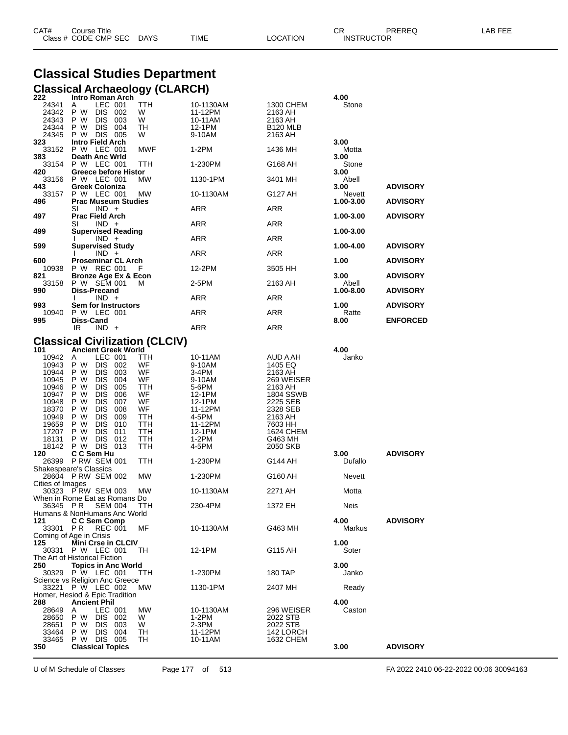| CAT# | Title<br>Courseٽ     |      |      |          | Ωm<br><b>UN</b>   | PREREQ | ----<br>ΔR.<br>--- |
|------|----------------------|------|------|----------|-------------------|--------|--------------------|
|      | Class # CODE CMP SEC | DAYS | TIME | LOCATION | <b>INSTRUCTOR</b> |        |                    |

# **Classical Studies Department**

|                                                                    | <b>Classical Archaeology (CLARCH)</b>                                                                                                                                                       |                                          |                                                                   |                                                                                  |                        |                 |
|--------------------------------------------------------------------|---------------------------------------------------------------------------------------------------------------------------------------------------------------------------------------------|------------------------------------------|-------------------------------------------------------------------|----------------------------------------------------------------------------------|------------------------|-----------------|
| 222<br>24341<br>24342<br>24343<br>24344<br>24345<br>323            | Intro Roman Arch<br>LEC 001<br>A<br>P W<br>DIS 002<br>P W<br>DIS 003<br>P W<br>DIS 004<br>P W<br>DIS 005<br>Intro Field Arch                                                                | TTH<br>W<br>W<br>TН<br>W                 | 10-1130AM<br>11-12PM<br>10-11AM<br>12-1PM<br>9-10AM               | 1300 CHEM<br>2163 AH<br>2163 AH<br><b>B120 MLB</b><br>2163 AH                    | 4.00<br>Stone<br>3.00  |                 |
| 33152                                                              | P W<br>LEC 001                                                                                                                                                                              | MWF                                      | 1-2PM                                                             | 1436 MH                                                                          | Motta                  |                 |
| 383<br>33154                                                       | <b>Death Anc Wrld</b><br>P W LEC 001                                                                                                                                                        | ттн                                      | 1-230PM                                                           | G168 AH                                                                          | 3.00<br>Stone          |                 |
| 420<br>33156                                                       | Greece before Histor<br>P W LEC 001                                                                                                                                                         | МW                                       | 1130-1PM                                                          | 3401 MH                                                                          | 3.00<br>Abell          |                 |
| 443<br>33157                                                       | <b>Greek Coloniza</b><br>P W LEC 001                                                                                                                                                        | MW                                       | 10-1130AM                                                         | G127 AH                                                                          | 3.00<br>Nevett         | <b>ADVISORY</b> |
| 496                                                                | <b>Prac Museum Studies</b><br>SI<br>$IND +$                                                                                                                                                 |                                          | ARR                                                               | ARR                                                                              | 1.00-3.00              | <b>ADVISORY</b> |
| 497                                                                | <b>Prac Field Arch</b><br>$IND +$<br>SI                                                                                                                                                     |                                          | ARR                                                               | ARR                                                                              | 1.00-3.00              | <b>ADVISORY</b> |
| 499                                                                | Supervised Reading<br>$IND +$                                                                                                                                                               |                                          | ARR                                                               | ARR                                                                              | 1.00-3.00              |                 |
| 599                                                                | Supervised Study<br>$IND +$                                                                                                                                                                 |                                          | ARR                                                               | ARR                                                                              | 1.00-4.00              | <b>ADVISORY</b> |
| 600<br>10938                                                       | <b>Proseminar CL Arch</b><br>P W REC 001                                                                                                                                                    | F                                        | 12-2PM                                                            | 3505 HH                                                                          | 1.00                   | <b>ADVISORY</b> |
| 821<br>33158                                                       | <b>Bronze Age Ex &amp; Econ</b><br>P W SEM 001                                                                                                                                              | м                                        | 2-5PM                                                             | 2163 AH                                                                          | 3.00<br>Abell          | <b>ADVISORY</b> |
| 990                                                                | Diss-Precand<br>$IND +$                                                                                                                                                                     |                                          | ARR                                                               | ARR                                                                              | 1.00-8.00              | <b>ADVISORY</b> |
| 993                                                                | Sem for Instructors                                                                                                                                                                         |                                          |                                                                   |                                                                                  | 1.00                   | <b>ADVISORY</b> |
| 10940<br>995                                                       | P W LEC 001<br>Diss-Cand                                                                                                                                                                    |                                          | ARR                                                               | ARR                                                                              | Ratte<br>8.00          | <b>ENFORCED</b> |
|                                                                    | IR<br>$IND +$<br><b>Classical Civilization (CLCIV)</b>                                                                                                                                      |                                          | <b>ARR</b>                                                        | ARR                                                                              |                        |                 |
| 101<br>10942<br>10943<br>10944<br>10945<br>10946<br>10947<br>10948 | <b>Ancient Greek World</b><br>LEC 001<br>A<br>P W<br>DIS 002<br>P W<br>DIS 003<br>P W<br><b>DIS</b><br>004<br>P W<br>DIS -<br>005<br>P W<br><b>DIS</b><br>- 006<br>P W<br><b>DIS</b><br>007 | TТH<br>WF<br>WF<br>WF<br>TTH<br>WF<br>WF | 10-11AM<br>9-10AM<br>3-4PM<br>9-10AM<br>5-6PM<br>12-1PM<br>12-1PM | AUD A AH<br>1405 EQ<br>2163 AH<br>269 WEISER<br>2163 AH<br>1804 SSWB<br>2225 SEB | 4.00<br>Janko          |                 |
| 18370<br>10949<br>19659<br>17207<br>18131<br>18142<br>120          | P W<br>DIS -<br>008<br>P W<br>DIS 009<br>P W<br><b>DIS</b><br>010<br>P W<br>DIS -<br>011<br>P W<br><b>DIS</b><br>- 012<br>P W<br>DIS 013<br>C C Sem Hu                                      | WF<br>ттн<br>ттн<br>ттн<br>TTH<br>ттн    | 11-12PM<br>4-5PM<br>11-12PM<br>12-1PM<br>1-2PM<br>4-5PM           | 2328 SEB<br>2163 AH<br>7603 HH<br>1624 CHEM<br>G463 MH<br>2050 SKB               | 3.00                   | <b>ADVISORY</b> |
| 26399                                                              | P RW SEM 001<br>Shakespeare's Classics                                                                                                                                                      | TTH                                      | 1-230PM                                                           | G144 AH                                                                          | Dufallo                |                 |
| Cities of Images                                                   | 28604 PRW SEM 002                                                                                                                                                                           | МW                                       | 1-230PM                                                           | G160 AH                                                                          | Nevett                 |                 |
|                                                                    | 30323 P RW SEM 003<br>When in Rome Eat as Romans Do                                                                                                                                         | МW                                       | 10-1130AM                                                         | 2271 AH                                                                          | Motta                  |                 |
| 36345 PR                                                           | <b>SEM 004</b><br>Humans & NonHumans Anc World                                                                                                                                              | TTH                                      | 230-4PM                                                           | 1372 EH                                                                          | Neis                   |                 |
| 121<br>33301 PR                                                    | C C Sem Comp<br><b>REC 001</b><br>Coming of Age in Crisis                                                                                                                                   | МF                                       | 10-1130AM                                                         | G463 MH                                                                          | 4.00<br>Markus         | <b>ADVISORY</b> |
| 125<br>30331                                                       | Mini Crse in CLCIV<br><b>P W LEC 001</b><br>The Art of Historical Fiction                                                                                                                   | TH                                       | 12-1PM                                                            | G115 AH                                                                          | 1.00<br>Soter          |                 |
| 250                                                                | <b>Topics in Anc World</b><br>30329 P W LEC 001<br>Science vs Religion Anc Greece                                                                                                           | <b>TTH</b>                               | 1-230PM                                                           | 180 TAP                                                                          | 3.00<br>Janko          |                 |
| 33221                                                              | P W LEC 002<br>Homer, Hesiod & Epic Tradition                                                                                                                                               | <b>MW</b>                                | 1130-1PM                                                          | 2407 MH                                                                          | Ready                  |                 |
| 288<br>28649<br>28650<br>28651<br>33464<br>33465<br>350            | <b>Ancient Phil</b><br>LEC 001<br>A<br>P W<br>DIS 002<br>P W<br>DIS 003<br>P W<br>DIS 004<br>P W<br>DIS 005<br><b>Classical Topics</b>                                                      | <b>MW</b><br>W<br>W<br>TH<br>TН          | 10-1130AM<br>1-2PM<br>2-3PM<br>11-12PM<br>10-11AM                 | 296 WEISER<br>2022 STB<br>2022 STB<br>142 LORCH<br>1632 CHEM                     | 4.00<br>Caston<br>3.00 | <b>ADVISORY</b> |
|                                                                    |                                                                                                                                                                                             |                                          |                                                                   |                                                                                  |                        |                 |

U of M Schedule of Classes Page 177 of 513 FA 2022 2410 06-22-2022 00:06 30094163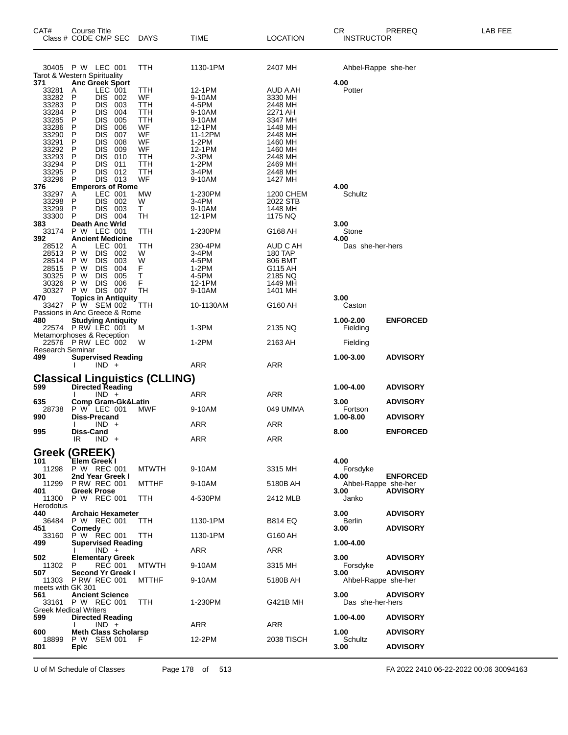| CAT#                    | Course Title<br>Class # CODE CMP SEC                 | <b>DAYS</b>  | TIME             | LOCATION            | CR<br><b>INSTRUCTOR</b>     | PREREQ          | LAB FEE |
|-------------------------|------------------------------------------------------|--------------|------------------|---------------------|-----------------------------|-----------------|---------|
|                         | 30405 P W LEC 001                                    | TTH          | 1130-1PM         | 2407 MH             | Ahbel-Rappe she-her         |                 |         |
|                         | Tarot & Western Spirituality                         |              |                  |                     |                             |                 |         |
| 371<br>33281            | <b>Anc Greek Sport</b><br>LEC 001<br>Α               | ттн          | 12-1PM           | AUD A AH            | 4.00<br>Potter              |                 |         |
| 33282                   | P<br>DIS 002                                         | WF.          | 9-10AM           | 3330 MH             |                             |                 |         |
| 33283                   | P<br><b>DIS</b><br>003                               | TTH          | 4-5PM            | 2448 MH             |                             |                 |         |
| 33284<br>33285          | P<br><b>DIS</b><br>004<br>P<br><b>DIS</b><br>005     | TTH<br>TTH   | 9-10AM<br>9-10AM | 2271 AH<br>3347 MH  |                             |                 |         |
| 33286                   | P<br><b>DIS</b><br>006                               | WF           | 12-1PM           | 1448 MH             |                             |                 |         |
| 33290                   | P<br><b>DIS</b><br>007                               | WF           | 11-12PM          | 2448 MH             |                             |                 |         |
| 33291<br>33292          | P<br><b>DIS</b><br>008<br>P<br><b>DIS</b><br>009     | WF.<br>WF    | 1-2PM<br>12-1PM  | 1460 MH<br>1460 MH  |                             |                 |         |
| 33293                   | P<br><b>DIS</b><br>010                               | TTH          | $2-3PM$          | 2448 MH             |                             |                 |         |
| 33294                   | P<br><b>DIS</b><br>011                               | TTH          | 1-2PM            | 2469 MH             |                             |                 |         |
| 33295<br>33296          | P<br>DIS.<br>012<br>P<br>DIS 013                     | ттн<br>WF    | 3-4PM<br>9-10AM  | 2448 MH<br>1427 MH  |                             |                 |         |
| 376                     | <b>Emperors of Rome</b>                              |              |                  |                     | 4.00                        |                 |         |
| 33297                   | LEC 001<br>A                                         | MW           | 1-230PM          | 1200 CHEM           | Schultz                     |                 |         |
| 33298<br>33299          | P<br>DIS 002<br>P<br><b>DIS</b><br>003               | W<br>T.      | 3-4PM<br>9-10AM  | 2022 STB<br>1448 MH |                             |                 |         |
| 33300                   | P<br>DIS.<br>004                                     | TH           | 12-1PM           | 1175 NQ             |                             |                 |         |
| 383                     | <b>Death Anc Wrld</b>                                |              |                  |                     | 3.00                        |                 |         |
| 33174<br>392            | P W LEC 001<br><b>Ancient Medicine</b>               | TTH          | 1-230PM          | G168 AH             | Stone<br>4.00               |                 |         |
| 28512                   | LEC 001<br>Α                                         | ттн          | 230-4PM          | AUD C AH            | Das she-her-hers            |                 |         |
| 28513                   | P W<br>DIS 002                                       | W            | 3-4PM            | <b>180 TAP</b>      |                             |                 |         |
| 28514<br>28515          | P W<br><b>DIS</b><br>003<br>P W<br><b>DIS</b><br>004 | W<br>F       | 4-5PM<br>1-2PM   | 806 BMT<br>G115 AH  |                             |                 |         |
| 30325                   | P W<br><b>DIS</b><br>005                             | Τ            | 4-5PM            | 2185 NQ             |                             |                 |         |
| 30326                   | P W<br><b>DIS</b><br>006                             | F            | 12-1PM           | 1449 MH             |                             |                 |         |
| 30327<br>470            | P W<br>DIS 007<br><b>Topics in Antiquity</b>         | TН           | 9-10AM           | 1401 MH             | 3.00                        |                 |         |
|                         | 33427 P W SEM 002                                    | TTH          | 10-1130AM        | G160 AH             | Caston                      |                 |         |
|                         | Passions in Anc Greece & Rome                        |              |                  |                     |                             |                 |         |
| 480                     | <b>Studying Antiquity</b><br>22574 PRW LEC 001       | м            | 1-3PM            | 2135 NQ             | 1.00-2.00<br>Fielding       | <b>ENFORCED</b> |         |
|                         | Metamorphoses & Reception                            |              |                  |                     |                             |                 |         |
|                         | 22576 P RW LEC 002                                   | W            | 1-2PM            | 2163 AH             | Fielding                    |                 |         |
| Research Seminar<br>499 | <b>Supervised Reading</b>                            |              |                  |                     | 1.00-3.00                   | <b>ADVISORY</b> |         |
|                         | $IND +$                                              |              | ARR              | <b>ARR</b>          |                             |                 |         |
|                         | <b>Classical Linguistics (CLLING)</b>                |              |                  |                     |                             |                 |         |
| 599                     | <b>Directed Reading</b>                              |              |                  |                     | 1.00-4.00                   | <b>ADVISORY</b> |         |
|                         | $IND +$                                              |              | ARR              | ARR                 |                             |                 |         |
| 635<br>28738            | <b>Comp Gram-Gk&amp;Latin</b><br>P W LEC 001         | <b>MWF</b>   | 9-10AM           | 049 UMMA            | 3.00<br>Fortson             | <b>ADVISORY</b> |         |
| 990                     | Diss-Precand                                         |              |                  |                     | 1.00-8.00                   | <b>ADVISORY</b> |         |
| 995                     | $IND +$<br><b>Diss-Cand</b>                          |              | ARR              | ARR                 | 8.00                        | <b>ENFORCED</b> |         |
|                         | IR<br>$IND +$                                        |              | ARR              | <b>ARR</b>          |                             |                 |         |
|                         |                                                      |              |                  |                     |                             |                 |         |
| 101                     | <b>Greek (GREEK)</b><br><b>Elem Greek I</b>          |              |                  |                     | 4.00                        |                 |         |
| 11298                   | P W REC 001                                          | <b>MTWTH</b> | 9-10AM           | 3315 MH             | Forsdyke                    |                 |         |
| 301                     | 2nd Year Greek I                                     |              |                  |                     | 4.00                        | <b>ENFORCED</b> |         |
| 401                     | 11299 P RW REC 001<br><b>Greek Prose</b>             | MTTHF        | 9-10AM           | 5180B AH            | Ahbel-Rappe she-her<br>3.00 | <b>ADVISORY</b> |         |
| 11300                   | P W REC 001                                          | TTH          | 4-530PM          | 2412 MLB            | Janko                       |                 |         |
| Herodotus               |                                                      |              |                  |                     |                             |                 |         |
| 440<br>36484            | <b>Archaic Hexameter</b><br>P W REC 001              | TTH          | 1130-1PM         | <b>B814 EQ</b>      | 3.00<br>Berlin              | <b>ADVISORY</b> |         |
| 451                     | Comedy                                               |              |                  |                     | 3.00                        | <b>ADVISORY</b> |         |
| 33160<br>499            | P W REC 001<br><b>Supervised Reading</b>             | <b>TTH</b>   | 1130-1PM         | G160 AH             | 1.00-4.00                   |                 |         |
|                         | $IND +$                                              |              | ARR              | ARR                 |                             |                 |         |
| 502                     | <b>Elementary Greek</b>                              |              |                  |                     | 3.00                        | <b>ADVISORY</b> |         |
| 11302<br>507            | P.<br><b>REC 001</b><br>Second Yr Greek I            | <b>MTWTH</b> | 9-10AM           | 3315 MH             | Forsdyke<br>3.00            | <b>ADVISORY</b> |         |
|                         | 11303 P RW REC 001                                   | <b>MTTHF</b> | 9-10AM           | 5180B AH            | Ahbel-Rappe she-her         |                 |         |
| meets with GK 301       |                                                      |              |                  |                     |                             |                 |         |
| 561                     | <b>Ancient Science</b><br>33161 P W REC 001          | TTH          | 1-230PM          | G421B MH            | 3.00<br>Das she-her-hers    | <b>ADVISORY</b> |         |
|                         | Greek Medical Writers                                |              |                  |                     |                             |                 |         |
| 599                     | <b>Directed Reading</b>                              |              |                  |                     | 1.00-4.00                   | <b>ADVISORY</b> |         |
| 600                     | $IND +$<br><b>Meth Class Scholarsp</b>               |              | ARR              | ARR                 | 1.00                        | <b>ADVISORY</b> |         |
| 18899                   | P W SEM 001                                          |              | 12-2PM           | 2038 TISCH          | Schultz                     |                 |         |
| 801                     | <b>Epic</b>                                          |              |                  |                     | 3.00                        | <b>ADVISORY</b> |         |
|                         |                                                      |              |                  |                     |                             |                 |         |

U of M Schedule of Classes Page 178 of 513 FA 2022 2410 06-22-2022 00:06 30094163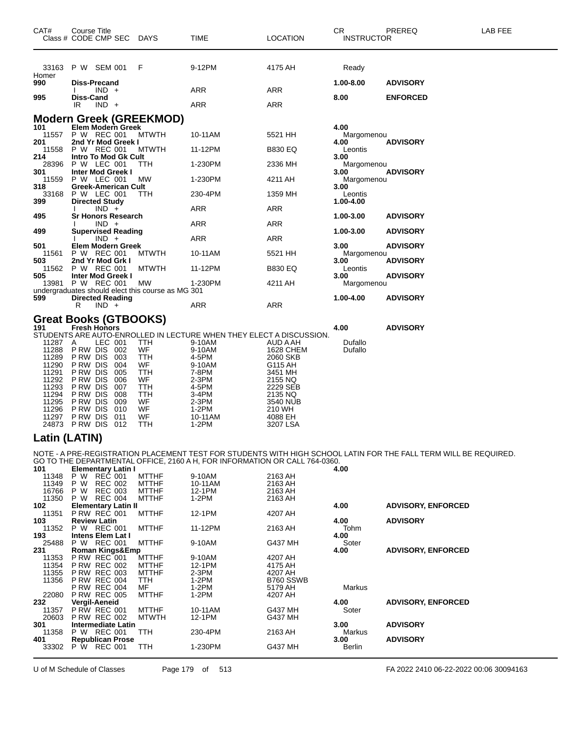| CAT#                                                                                                                    | <b>Course Title</b><br>Class # CODE CMP SEC                                                                                                                           |                                                                                 | DAYS                                                                              | TIME                                                                                                              | <b>LOCATION</b>                                                                                                                                                                                               | CR<br><b>INSTRUCTOR</b>    | PREREQ          | LAB FEE |
|-------------------------------------------------------------------------------------------------------------------------|-----------------------------------------------------------------------------------------------------------------------------------------------------------------------|---------------------------------------------------------------------------------|-----------------------------------------------------------------------------------|-------------------------------------------------------------------------------------------------------------------|---------------------------------------------------------------------------------------------------------------------------------------------------------------------------------------------------------------|----------------------------|-----------------|---------|
| Homer<br>990                                                                                                            | 33163 P W SEM 001<br>Diss-Precand                                                                                                                                     |                                                                                 | F                                                                                 | 9-12PM                                                                                                            | 4175 AH                                                                                                                                                                                                       | Ready<br>1.00-8.00         | <b>ADVISORY</b> |         |
| 995                                                                                                                     | $IND +$<br>Diss-Cand<br>IR<br>$IND +$                                                                                                                                 |                                                                                 |                                                                                   | ARR<br><b>ARR</b>                                                                                                 | ARR<br>ARR                                                                                                                                                                                                    | 8.00                       | <b>ENFORCED</b> |         |
| 101                                                                                                                     | Elem Modern Greek                                                                                                                                                     |                                                                                 | <b>Modern Greek (GREEKMOD)</b>                                                    |                                                                                                                   |                                                                                                                                                                                                               | 4.00                       |                 |         |
| 11557<br>201                                                                                                            | P W REC 001<br>2nd Yr Mod Greek I                                                                                                                                     |                                                                                 | <b>MTWTH</b>                                                                      | 10-11AM                                                                                                           | 5521 HH                                                                                                                                                                                                       | Margomenou<br>4.00         | <b>ADVISORY</b> |         |
| 11558<br>214                                                                                                            | P W REC 001<br><b>Intro To Mod Gk Cult</b>                                                                                                                            |                                                                                 | <b>MTWTH</b>                                                                      | 11-12PM                                                                                                           | <b>B830 EQ</b>                                                                                                                                                                                                | Leontis<br>3.00            |                 |         |
| 28396<br>301                                                                                                            | P W LEC 001<br><b>Inter Mod Greek I</b>                                                                                                                               |                                                                                 | ттн                                                                               | 1-230PM                                                                                                           | 2336 MH                                                                                                                                                                                                       | Margomenou<br>3.00         | <b>ADVISORY</b> |         |
| 11559<br>318                                                                                                            | P W LEC 001<br>Greek-American Cult                                                                                                                                    |                                                                                 | МW                                                                                | 1-230PM                                                                                                           | 4211 AH                                                                                                                                                                                                       | Margomenou<br>3.00         |                 |         |
| 33168<br>399                                                                                                            | P W LEC 001<br><b>Directed Study</b>                                                                                                                                  |                                                                                 | ттн                                                                               | 230-4PM                                                                                                           | 1359 MH                                                                                                                                                                                                       | Leontis                    |                 |         |
| 495                                                                                                                     | $IND +$<br><b>Sr Honors Research</b>                                                                                                                                  |                                                                                 |                                                                                   | ARR                                                                                                               | ARR                                                                                                                                                                                                           | 1.00-4.00<br>1.00-3.00     | <b>ADVISORY</b> |         |
| 499                                                                                                                     | $IND +$                                                                                                                                                               |                                                                                 |                                                                                   | ARR                                                                                                               | ARR                                                                                                                                                                                                           |                            | <b>ADVISORY</b> |         |
|                                                                                                                         | <b>Supervised Reading</b><br>$IND +$                                                                                                                                  |                                                                                 |                                                                                   | ARR                                                                                                               | ARR                                                                                                                                                                                                           | 1.00-3.00                  |                 |         |
| 501<br>11561                                                                                                            | Elem Modern Greek<br>P W REC 001                                                                                                                                      |                                                                                 | <b>MTWTH</b>                                                                      | 10-11AM                                                                                                           | 5521 HH                                                                                                                                                                                                       | 3.00<br>Margomenou         | <b>ADVISORY</b> |         |
| 503<br>11562                                                                                                            | 2nd Yr Mod Grk I<br>P W REC 001                                                                                                                                       |                                                                                 | <b>MTWTH</b>                                                                      | 11-12PM                                                                                                           | <b>B830 EQ</b>                                                                                                                                                                                                | 3.00<br>Leontis            | <b>ADVISORY</b> |         |
| 505<br>13981                                                                                                            | <b>Inter Mod Greek I</b><br>P W REC 001                                                                                                                               |                                                                                 | МW                                                                                | 1-230PM                                                                                                           | 4211 AH                                                                                                                                                                                                       | 3.00<br>Margomenou         | <b>ADVISORY</b> |         |
| 599                                                                                                                     | <b>Directed Reading</b>                                                                                                                                               |                                                                                 | undergraduates should elect this course as MG 301                                 |                                                                                                                   |                                                                                                                                                                                                               | 1.00-4.00                  | <b>ADVISORY</b> |         |
|                                                                                                                         | $IND +$<br>R<br>Great Books (GTBOOKS)                                                                                                                                 |                                                                                 |                                                                                   | ARR                                                                                                               | ARR                                                                                                                                                                                                           |                            |                 |         |
| 191<br>11287<br>11288<br>11289<br>11290<br>11291<br>11292<br>11293<br>11294<br>11295<br>11296<br>11297<br>Latin (LATIN) | <b>Fresh Honors</b><br>A<br>P RW DIS<br>P RW DIS<br>P RW DIS<br>P RW DIS<br>P RW DIS<br>P RW DIS<br>P RW DIS<br>P RW DIS<br>P RW DIS<br>P RW DIS<br>24873 PRW DIS 012 | LEC 001<br>002<br>003<br>004<br>005<br>006<br>007<br>008<br>009<br>010<br>- 011 | TTH<br>WF<br>TTH<br>WF<br>TTH<br>WF<br>TTH<br>TTH<br>WF<br><b>WF</b><br>WF<br>TTH | 9-10AM<br>9-10AM<br>4-5PM<br>9-10AM<br>7-8PM<br>2-3PM<br>4-5PM<br>3-4PM<br>2-3PM<br>$1-2PM$<br>10-11AM<br>$1-2PM$ | STUDENTS ARE AUTO-ENROLLED IN LECTURE WHEN THEY ELECT A DISCUSSION.<br>AUD A AH<br>1628 CHEM<br>2060 SKB<br>G115 AH<br>3451 MH<br>2155 NQ<br>2229 SEB<br>2135 NQ<br>3540 NUB<br>210 WH<br>4088 EH<br>3207 LSA | 4.00<br>Dufallo<br>Dufallo | <b>ADVISORY</b> |         |
|                                                                                                                         |                                                                                                                                                                       |                                                                                 |                                                                                   |                                                                                                                   | NOTE - A PRE-REGISTRATION PLACEMENT TEST FOR STUDENTS WITH HIGH SCHOOL LATIN FOR THE FALL TERM WILL BE REQUIRED.                                                                                              |                            |                 |         |
| 101                                                                                                                     | <b>Elementary Latin I</b><br><b>PUBLIC</b>                                                                                                                            |                                                                                 | MTT11T                                                                            | $\sim$ 40000                                                                                                      | GO TO THE DEPARTMENTAL OFFICE, 2160 A H, FOR INFORMATION OR CALL 764-0360.<br>0.40011                                                                                                                         | 4.00                       |                 |         |

| 11348 | REČ 001<br>P W             | <b>MTTHF</b> | 9-10AM  | 2163 AH                   |                           |                           |
|-------|----------------------------|--------------|---------|---------------------------|---------------------------|---------------------------|
| 11349 | P W<br><b>REC 002</b>      | <b>MTTHF</b> | 10-11AM | 2163 AH                   |                           |                           |
| 16766 | <b>REC 003</b><br>P W      | <b>MTTHF</b> | 12-1PM  | 2163 AH                   |                           |                           |
| 11350 | P W<br>REC 004             | <b>MTTHF</b> | $1-2PM$ | 2163 AH                   |                           |                           |
| 102   | <b>Elementary Latin II</b> |              |         | 4.00                      | <b>ADVISORY, ENFORCED</b> |                           |
| 11351 | <b>P RW REC 001</b>        | <b>MTTHF</b> | 12-1PM  | 4207 AH                   |                           |                           |
| 103   | <b>Review Latin</b>        |              |         | 4.00                      | <b>ADVISORY</b>           |                           |
| 11352 | P W REC 001                | <b>MTTHF</b> | 11-12PM | 2163 AH                   | Tohm                      |                           |
| 193   | Intens Elem Lat I          |              |         |                           | 4.00                      |                           |
| 25488 | P W REC 001                | <b>MTTHF</b> | 9-10AM  | G437 MH                   | Soter                     |                           |
| 231   | <b>Roman Kings&amp;Emp</b> |              | 4.00    | <b>ADVISORY, ENFORCED</b> |                           |                           |
| 11353 | <b>P RW REC 001</b>        | <b>MTTHF</b> | 9-10AM  | 4207 AH                   |                           |                           |
| 11354 | <b>P RW REC 002</b>        | <b>MTTHF</b> | 12-1PM  | 4175 AH                   |                           |                           |
| 11355 | <b>P RW REC 003</b>        | <b>MTTHF</b> | $2-3PM$ | 4207 AH                   |                           |                           |
| 11356 | <b>P RW REC 004</b>        | TTH.         | $1-2PM$ | B760 SSWB                 |                           |                           |
|       | <b>P RW REC 004</b>        | MF           | $1-2PM$ | 5179 AH                   | Markus                    |                           |
| 22080 | <b>P RW REC 005</b>        | <b>MTTHF</b> | 1-2PM   | 4207 AH                   |                           |                           |
| 232   | <b>Vergil-Aeneid</b>       |              |         |                           | 4.00                      | <b>ADVISORY, ENFORCED</b> |
| 11357 | <b>P RW REC 001</b>        | <b>MTTHF</b> | 10-11AM | G437 MH                   | Soter                     |                           |
| 20603 | <b>P RW REC 002</b>        | <b>MTWTH</b> | 12-1PM  | G437 MH                   |                           |                           |
| 301   | <b>Intermediate Latin</b>  |              |         |                           | 3.00                      | <b>ADVISORY</b>           |
| 11358 | P W REC 001                | <b>TTH</b>   | 230-4PM | 2163 AH                   | Markus                    |                           |
| 401   | <b>Republican Prose</b>    |              |         |                           | 3.00                      | <b>ADVISORY</b>           |
| 33302 | REC 001<br>P W             | TTH          | 1-230PM | G437 MH                   | Berlin                    |                           |
|       |                            |              |         |                           |                           |                           |

U of M Schedule of Classes Page 179 of 513 FA 2022 2410 06-22-2022 00:06 30094163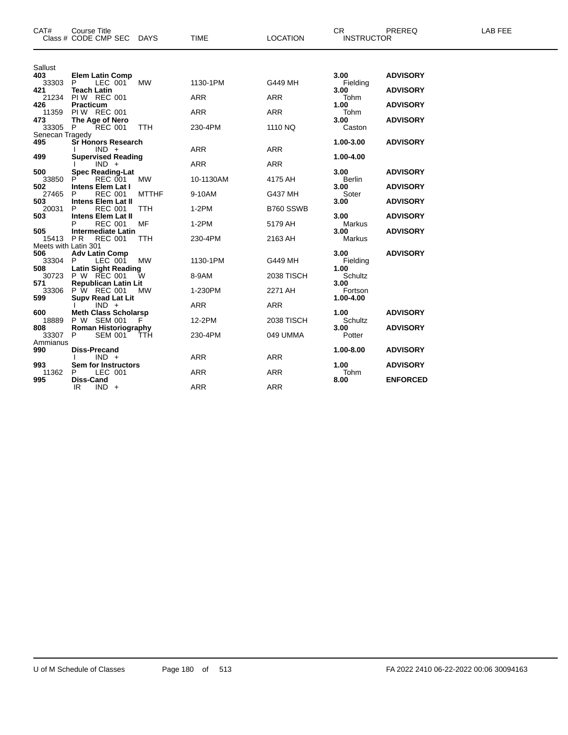| CAT#                 | <b>Course Title</b><br>Class # CODE CMP SEC<br>DAYS     | <b>TIME</b> | <b>LOCATION</b>   | CR.<br><b>INSTRUCTOR</b> | PREREQ          | LAB FEE |
|----------------------|---------------------------------------------------------|-------------|-------------------|--------------------------|-----------------|---------|
|                      |                                                         |             |                   |                          |                 |         |
| Sallust              |                                                         |             |                   |                          |                 |         |
| 403<br>33303         | <b>Elem Latin Comp</b><br><b>MW</b><br>P<br>LEC 001     | 1130-1PM    | G449 MH           | 3.00                     | <b>ADVISORY</b> |         |
| 421                  | <b>Teach Latin</b>                                      |             |                   | Fielding<br>3.00         | <b>ADVISORY</b> |         |
| 21234                | <b>PIW REC 001</b>                                      | <b>ARR</b>  | <b>ARR</b>        | Tohm                     |                 |         |
| 426                  | <b>Practicum</b>                                        |             |                   | 1.00                     | <b>ADVISORY</b> |         |
| 11359<br>473         | <b>PIW REC 001</b><br>The Age of Nero                   | <b>ARR</b>  | <b>ARR</b>        | Tohm<br>3.00             | <b>ADVISORY</b> |         |
| 33305 P              | <b>REC 001</b><br><b>TTH</b>                            | 230-4PM     | 1110 NQ           | Caston                   |                 |         |
| Senecan Tragedy      |                                                         |             |                   |                          |                 |         |
| 495                  | <b>Sr Honors Research</b>                               |             |                   | 1.00-3.00                | <b>ADVISORY</b> |         |
| 499                  | $IND +$<br><b>Supervised Reading</b>                    | <b>ARR</b>  | <b>ARR</b>        | 1.00-4.00                |                 |         |
|                      | $IND +$                                                 | <b>ARR</b>  | <b>ARR</b>        |                          |                 |         |
| 500                  | <b>Spec Reading-Lat</b>                                 |             |                   | 3.00                     | <b>ADVISORY</b> |         |
| 33850<br>502         | <b>REC 001</b><br><b>MW</b><br><b>Intens Elem Lat I</b> | 10-1130AM   | 4175 AH           | Berlin<br>3.00           | <b>ADVISORY</b> |         |
| 27465                | <b>MTTHF</b><br><b>REC 001</b><br>P                     | 9-10AM      | G437 MH           | Soter                    |                 |         |
| 503                  | <b>Intens Elem Lat II</b>                               |             |                   | 3.00                     | <b>ADVISORY</b> |         |
| 20031                | <b>REC 001</b><br>P<br><b>TTH</b>                       | $1-2PM$     | B760 SSWB         |                          |                 |         |
| 503                  | <b>Intens Elem Lat II</b><br>MF<br><b>REC 001</b>       | $1-2PM$     | 5179 AH           | 3.00<br>Markus           | <b>ADVISORY</b> |         |
| 505                  | <b>Intermediate Latin</b>                               |             |                   | 3.00                     | <b>ADVISORY</b> |         |
| 15413 PR             | <b>REC 001</b><br><b>TTH</b>                            | 230-4PM     | 2163 AH           | Markus                   |                 |         |
| Meets with Latin 301 |                                                         |             |                   |                          |                 |         |
| 506<br>33304         | <b>Adv Latin Comp</b><br>LEC 001<br><b>MW</b><br>P      | 1130-1PM    | G449 MH           | 3.00<br>Fielding         | <b>ADVISORY</b> |         |
| 508                  | <b>Latin Sight Reading</b>                              |             |                   | 1.00                     |                 |         |
| 30723                | P W REC 001<br>W                                        | 8-9AM       | <b>2038 TISCH</b> | Schultz                  |                 |         |
| 571<br>33306         | <b>Republican Latin Lit</b>                             | 1-230PM     | 2271 AH           | 3.00                     |                 |         |
| 599                  | P W REC 001<br>MW<br><b>Supv Read Lat Lit</b>           |             |                   | Fortson<br>1.00-4.00     |                 |         |
|                      | $IND +$                                                 | <b>ARR</b>  | <b>ARR</b>        |                          |                 |         |
| 600                  | <b>Meth Class Scholarsp</b>                             |             |                   | 1.00                     | <b>ADVISORY</b> |         |
| 18889<br>808         | P W SEM 001<br>F.<br><b>Roman Historiography</b>        | 12-2PM      | 2038 TISCH        | Schultz<br>3.00          | <b>ADVISORY</b> |         |
| 33307                | <b>SEM 001</b><br>P<br>- ттн                            | 230-4PM     | 049 UMMA          | Potter                   |                 |         |
| Ammianus             |                                                         |             |                   |                          |                 |         |
| 990                  | <b>Diss-Precand</b>                                     |             |                   | 1.00-8.00                | <b>ADVISORY</b> |         |
| 993                  | $IND +$<br><b>Sem for Instructors</b>                   | <b>ARR</b>  | <b>ARR</b>        | 1.00                     | <b>ADVISORY</b> |         |
| 11362                | LEC 001<br>P                                            | <b>ARR</b>  | <b>ARR</b>        | Tohm                     |                 |         |
| 995                  | <b>Diss-Cand</b>                                        |             |                   | 8.00                     | <b>ENFORCED</b> |         |
|                      | $IND +$<br>IR                                           | <b>ARR</b>  | <b>ARR</b>        |                          |                 |         |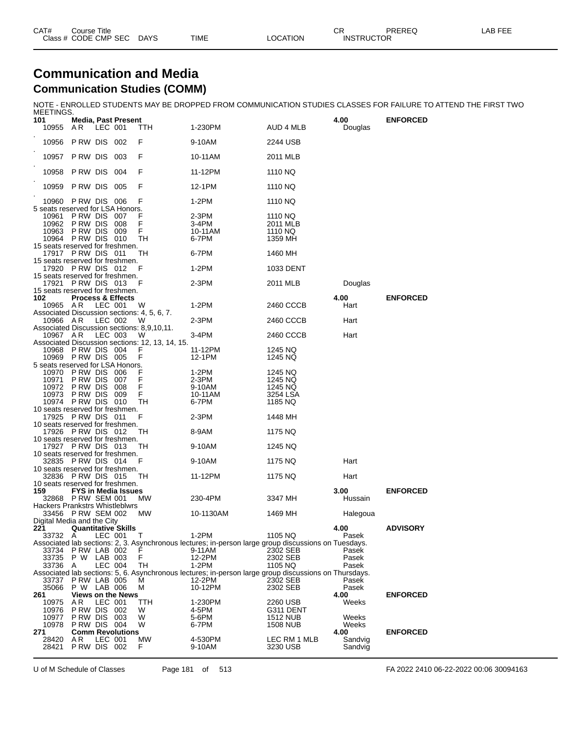| CAT# | ourse Titleٽ         |             |             |          | СR                | <b>PREREQ</b> | _AB FEE |
|------|----------------------|-------------|-------------|----------|-------------------|---------------|---------|
|      | Class # CODE CMP SEC | <b>DAYS</b> | <b>TIME</b> | LOCATION | <b>INSTRUCTOR</b> |               |         |

#### **Communication and Media Communication Studies (COMM)**

NOTE - ENROLLED STUDENTS MAY BE DROPPED FROM COMMUNICATION STUDIES CLASSES FOR FAILURE TO ATTEND THE FIRST TWO

| MEETINGS.                                                   |                                                                        |         |                              |                                                      |                                                                                                                 |                                           |                 |                 |
|-------------------------------------------------------------|------------------------------------------------------------------------|---------|------------------------------|------------------------------------------------------|-----------------------------------------------------------------------------------------------------------------|-------------------------------------------|-----------------|-----------------|
| 101<br>10955                                                | A R                                                                    | LEC 001 | <b>Media, Past Present</b>   | ттн                                                  | 1-230PM                                                                                                         | AUD 4 MLB                                 | 4.00<br>Douglas | <b>ENFORCED</b> |
| 10956                                                       | PRW DIS 002                                                            |         |                              | F                                                    | 9-10AM                                                                                                          | 2244 USB                                  |                 |                 |
| 10957                                                       | <b>P RW DIS 003</b>                                                    |         |                              | F                                                    | 10-11AM                                                                                                         | 2011 MLB                                  |                 |                 |
| 10958                                                       | PRW DIS 004                                                            |         |                              | F                                                    | 11-12PM                                                                                                         | 1110 NQ                                   |                 |                 |
| 10959                                                       | P RW DIS                                                               |         | 005                          | F                                                    | 12-1PM                                                                                                          | 1110 NQ                                   |                 |                 |
| 10960                                                       | PRW DIS 006                                                            |         |                              | F                                                    | $1-2PM$                                                                                                         | 1110 NQ                                   |                 |                 |
| 5 seats reserved for LSA Honors.<br>10961<br>10962<br>10963 | PRW DIS 007<br>PRW DIS 008<br><b>PRW DIS 009</b><br>10964 P RW DIS 010 |         |                              | F<br>F<br>TН                                         | 2-3PM<br>3-4PM<br>10-11AM<br>6-7PM                                                                              | 1110 NQ<br>2011 MLB<br>1110 NQ<br>1359 MH |                 |                 |
| 15 seats reserved for freshmen.                             | 17917 PRW DIS 011                                                      |         |                              | TН                                                   | 6-7PM                                                                                                           | 1460 MH                                   |                 |                 |
| 15 seats reserved for freshmen.                             | 17920 PRW DIS 012                                                      |         |                              | F                                                    | $1-2PM$                                                                                                         | 1033 DENT                                 |                 |                 |
| 15 seats reserved for freshmen.                             | 17921 PRW DIS 013                                                      |         |                              |                                                      | 2-3PM                                                                                                           | 2011 MLB                                  | Douglas         |                 |
| 15 seats reserved for freshmen.<br>102<br>10965 AR          |                                                                        |         | <b>Process &amp; Effects</b> |                                                      |                                                                                                                 |                                           | 4.00            | <b>ENFORCED</b> |
|                                                             |                                                                        | LEC 001 |                              | W<br>Associated Discussion sections: 4, 5, 6, 7.     | 1-2PM                                                                                                           | 2460 CCCB                                 | Hart            |                 |
| 10966 AR                                                    |                                                                        | LEC 002 |                              | W<br>Associated Discussion sections: 8,9,10,11.      | 2-3PM                                                                                                           | 2460 CCCB                                 | Hart            |                 |
| 10967 AR                                                    |                                                                        | LEC 003 |                              | W<br>Associated Discussion sections: 12, 13, 14, 15. | 3-4PM                                                                                                           | 2460 CCCB                                 | Hart            |                 |
|                                                             | 10968 P RW DIS 004<br>10969 P RW DIS 005                               |         |                              | F                                                    | 11-12PM<br>12-1PM                                                                                               | 1245 NQ<br>1245 NQ                        |                 |                 |
| 5 seats reserved for LSA Honors.<br>10970                   | <b>PRW DIS 006</b>                                                     |         |                              |                                                      | 1-2PM                                                                                                           | 1245 NQ                                   |                 |                 |
| 10971                                                       | P RW DIS                                                               |         | 007                          | F                                                    | 2-3PM                                                                                                           | 1245 NQ                                   |                 |                 |
| 10972                                                       | P RW DIS                                                               |         | 008                          | F                                                    | 9-10AM                                                                                                          | 1245 NQ                                   |                 |                 |
|                                                             | 10973 P RW DIS 009                                                     |         |                              | F<br><b>TH</b>                                       | 10-11AM                                                                                                         | 3254 LSA                                  |                 |                 |
| 10 seats reserved for freshmen.                             | 10974 P RW DIS 010                                                     |         |                              |                                                      | 6-7PM                                                                                                           | 1185 NQ                                   |                 |                 |
| 10 seats reserved for freshmen.                             | 17925 P RW DIS 011                                                     |         |                              | F                                                    | $2-3PM$                                                                                                         | 1448 MH                                   |                 |                 |
| 10 seats reserved for freshmen.                             | 17926 P RW DIS 012                                                     |         |                              | TН                                                   | 8-9AM                                                                                                           | 1175 NQ                                   |                 |                 |
| 10 seats reserved for freshmen.                             | 17927 PRW DIS 013                                                      |         |                              | TН                                                   | 9-10AM                                                                                                          | 1245 NQ                                   |                 |                 |
| 10 seats reserved for freshmen.                             | 32835 PRW DIS 014                                                      |         |                              | F                                                    | 9-10AM                                                                                                          | 1175 NQ                                   | Hart            |                 |
|                                                             | 32836 PRW DIS 015                                                      |         |                              | TН                                                   | 11-12PM                                                                                                         | 1175 NQ                                   | Hart            |                 |
| 10 seats reserved for freshmen.                             |                                                                        |         |                              |                                                      |                                                                                                                 |                                           |                 |                 |
| 159                                                         | 32868 P RW SEM 001                                                     |         | <b>FYS in Media Issues</b>   | МW                                                   | 230-4PM                                                                                                         | 3347 MH                                   | 3.00<br>Hussain | <b>ENFORCED</b> |
| Hackers Prankstrs Whistleblwrs                              |                                                                        |         |                              |                                                      |                                                                                                                 |                                           |                 |                 |
| Digital Media and the City                                  | 33456 P RW SEM 002                                                     |         |                              | МW                                                   | 10-1130AM                                                                                                       | 1469 MH                                   | Halegoua        |                 |
| 221                                                         |                                                                        |         | <b>Quantitative Skills</b>   |                                                      |                                                                                                                 |                                           | 4.00            | <b>ADVISORY</b> |
| 33732 A                                                     |                                                                        | LEC 001 |                              | Τ                                                    | 1-2PM<br>Associated lab sections: 2, 3. Asynchronous lectures; in-person large group discussions on Tuesdays.   | 1105 NQ                                   | Pasek           |                 |
|                                                             | 33734 PRW LAB 002                                                      |         |                              |                                                      | 9-11AM                                                                                                          | 2302 SEB                                  | Pasek           |                 |
|                                                             | 33735 P W LAB 003                                                      |         |                              | F                                                    | 12-2PM                                                                                                          | 2302 SEB                                  | Pasek           |                 |
| 33736 A                                                     |                                                                        | LEC 004 |                              | TН                                                   | 1-2PM                                                                                                           | 1105 NQ                                   | Pasek           |                 |
| 33737                                                       | P RW LAB 005                                                           |         |                              | м                                                    | Associated lab sections: 5, 6. Asynchronous lectures; in-person large group discussions on Thursdays.<br>12-2PM | 2302 SEB                                  | Pasek           |                 |
| 35066                                                       | P W LAB 006                                                            |         |                              | М                                                    | 10-12PM                                                                                                         | 2302 SEB                                  | Pasek           |                 |
| 261                                                         |                                                                        |         | <b>Views on the News</b>     |                                                      |                                                                                                                 |                                           | 4.00            | <b>ENFORCED</b> |
| 10975                                                       | AR                                                                     | LEC 001 |                              | TTH                                                  | 1-230PM                                                                                                         | 2260 USB                                  | Weeks           |                 |
| 10976                                                       | P RW DIS                                                               |         | 002                          | W                                                    | 4-5PM                                                                                                           | G311 DENT                                 |                 |                 |
| 10977<br>10978                                              | PRW DIS 003<br>PRW DIS 004                                             |         |                              | W<br>W                                               | 5-6PM<br>6-7PM                                                                                                  | 1512 NUB<br><b>1508 NUB</b>               | Weeks<br>Weeks  |                 |
| 271                                                         |                                                                        |         | <b>Comm Revolutions</b>      |                                                      |                                                                                                                 |                                           | 4.00            | <b>ENFORCED</b> |
| 28420                                                       | ΑR                                                                     | LEC 001 |                              | MW                                                   | 4-530PM                                                                                                         | LEC RM 1 MLB                              | Sandvig         |                 |
| 28421                                                       | P RW DIS 002                                                           |         |                              | F                                                    | 9-10AM                                                                                                          | 3230 USB                                  | Sandvig         |                 |

U of M Schedule of Classes Page 181 of 513 FA 2022 2410 06-22-2022 00:06 30094163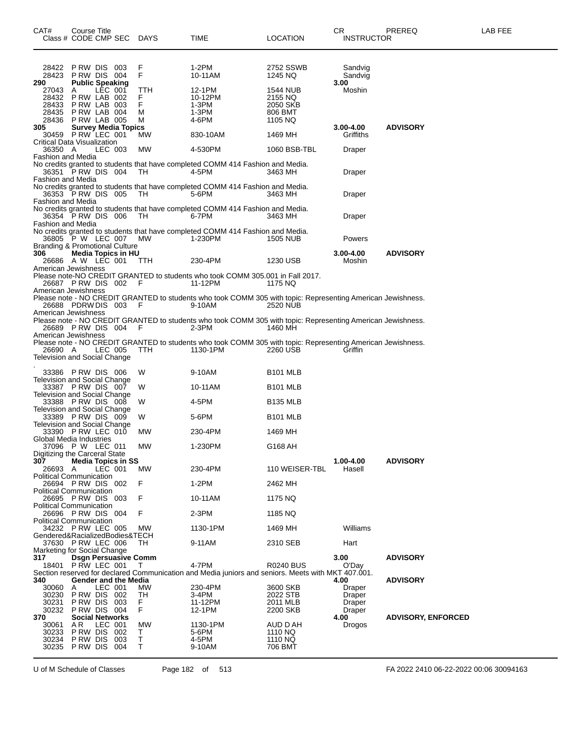| CAT#<br>Class # CODE CMP SEC                                       | Course Title                                                         |         |                             | DAYS                         | TIME                                                                                                                    | <b>LOCATION</b>                                       | CR.<br><b>INSTRUCTOR</b>                     | PREREQ                    | LAB FEE |
|--------------------------------------------------------------------|----------------------------------------------------------------------|---------|-----------------------------|------------------------------|-------------------------------------------------------------------------------------------------------------------------|-------------------------------------------------------|----------------------------------------------|---------------------------|---------|
| 28422<br>28423<br>290                                              | PRW DIS 003<br>PRW DIS 004<br><b>Public Speaking</b>                 |         |                             | F<br>F                       | 1-2PM<br>10-11AM                                                                                                        | 2752 SSWB<br>1245 NQ                                  | Sandvig<br>Sandvig<br>3.00                   |                           |         |
| 27043<br>28432<br>28433<br>28435<br>28436                          | A<br>P RW LAB 002<br>PRW LAB 003<br>PRW LAB 004<br>PRW LAB 005       |         | LEC 001                     | TTH<br>F.<br>F<br>м<br>м     | 12-1PM<br>10-12PM<br>$1-3PM$<br>1-3PM<br>4-6PM                                                                          | 1544 NUB<br>2155 NQ<br>2050 SKB<br>806 BMT<br>1105 NQ | Moshin                                       |                           |         |
| 305<br>30459                                                       | PRW LEC 001                                                          |         | <b>Survey Media Topics</b>  | MW                           | 830-10AM                                                                                                                | 1469 MH                                               | $3.00 - 4.00$<br>Griffiths                   | <b>ADVISORY</b>           |         |
| <b>Critical Data Visualization</b><br>36350 A<br>Fashion and Media |                                                                      | LEC 003 |                             | МW                           | 4-530PM                                                                                                                 | 1060 BSB-TBL                                          | Draper                                       |                           |         |
|                                                                    | 36351 P RW DIS 004                                                   |         |                             | TH                           | No credits granted to students that have completed COMM 414 Fashion and Media.<br>4-5PM                                 | 3463 MH                                               | Draper                                       |                           |         |
| Fashion and Media                                                  | 36353 PRW DIS 005                                                    |         |                             | TH.                          | No credits granted to students that have completed COMM 414 Fashion and Media.<br>5-6PM                                 | 3463 MH                                               | Draper                                       |                           |         |
| Fashion and Media<br><b>Fashion and Media</b>                      | 36354 PRW DIS 006                                                    |         |                             | TH                           | No credits granted to students that have completed COMM 414 Fashion and Media.<br>6-7PM                                 | 3463 MH                                               | Draper                                       |                           |         |
|                                                                    | 36805 P W LEC 007                                                    |         |                             | MW                           | No credits granted to students that have completed COMM 414 Fashion and Media.<br>1-230PM                               | <b>1505 NUB</b>                                       | Powers                                       |                           |         |
| Branding & Promotional Culture<br>306                              | 26686 A W LEC 001                                                    |         | <b>Media Topics in HU</b>   | TTH                          | 230-4PM                                                                                                                 | 1230 USB                                              | 3.00-4.00<br>Moshin                          | <b>ADVISORY</b>           |         |
| American Jewishness<br>26687 PRW DIS 002 F                         |                                                                      |         |                             |                              | Please note-NO CREDIT GRANTED to students who took COMM 305.001 in Fall 2017.<br>11-12PM                                | 1175 NQ                                               |                                              |                           |         |
| American Jewishness<br>American Jewishness                         | 26688 PDRWDIS 003 F                                                  |         |                             |                              | Please note - NO CREDIT GRANTED to students who took COMM 305 with topic: Representing American Jewishness.<br>9-10AM   | <b>2520 NUB</b>                                       |                                              |                           |         |
| 26689 PRW DIS 004 F<br>American Jewishness                         |                                                                      |         |                             |                              | Please note - NO CREDIT GRANTED to students who took COMM 305 with topic: Representing American Jewishness.<br>$2-3PM$  | 1460 MH                                               |                                              |                           |         |
| 26690 A<br>Television and Social Change                            |                                                                      |         | LEC 005                     | TTH                          | Please note - NO CREDIT GRANTED to students who took COMM 305 with topic: Representing American Jewishness.<br>1130-1PM | 2260 USB                                              | Griffin                                      |                           |         |
|                                                                    | 33386 PRW DIS 006                                                    |         |                             | W                            | 9-10AM                                                                                                                  | <b>B101 MLB</b>                                       |                                              |                           |         |
| Television and Social Change                                       | 33387 PRW DIS 007                                                    |         |                             | W                            | 10-11AM                                                                                                                 | B <sub>101</sub> MLB                                  |                                              |                           |         |
| Television and Social Change                                       | 33388 PRW DIS 008                                                    |         |                             | W                            | 4-5PM                                                                                                                   | <b>B135 MLB</b>                                       |                                              |                           |         |
| Television and Social Change                                       | 33389 PRW DIS 009                                                    |         |                             | W                            | 5-6PM                                                                                                                   | <b>B101 MLB</b>                                       |                                              |                           |         |
| Television and Social Change<br>Global Media Industries            | 33390 PRW LEC 010                                                    |         |                             | MW.                          | 230-4PM                                                                                                                 | 1469 MH                                               |                                              |                           |         |
| Digitizing the Carceral State                                      | 37096 P W LEC 011                                                    |         |                             | <b>MW</b>                    | 1-230PM                                                                                                                 | G168 AH                                               |                                              |                           |         |
| 307<br>26693 A<br><b>Political Communication</b>                   |                                                                      | LEC 001 | <b>Media Topics in SS</b>   | МW                           | 230-4PM                                                                                                                 | 110 WEISER-TBL                                        | 1.00-4.00<br>Hasell                          | <b>ADVISORY</b>           |         |
| 26694 PRW DIS 002<br><b>Political Communication</b>                |                                                                      |         |                             | F                            | $1-2PM$                                                                                                                 | 2462 MH                                               |                                              |                           |         |
| <b>Political Communication</b>                                     | 26695 PRW DIS 003                                                    |         |                             | F                            | 10-11AM                                                                                                                 | 1175 NQ                                               |                                              |                           |         |
| <b>Political Communication</b>                                     | 26696 PRW DIS 004                                                    |         |                             | F                            | $2-3PM$                                                                                                                 | 1185 NQ                                               |                                              |                           |         |
|                                                                    | 34232 PRW LEC 005                                                    |         |                             | MW                           | 1130-1PM                                                                                                                | 1469 MH                                               | Williams                                     |                           |         |
| Gendered&RacializedBodies&TECH                                     | 37630 P RW LEC 006                                                   |         |                             | TH.                          | 9-11AM                                                                                                                  | 2310 SEB                                              | Hart                                         |                           |         |
| Marketing for Social Change<br>317<br>18401                        | P RW LEC 001                                                         |         | <b>Dsgn Persuasive Comm</b> | T                            | 4-7PM<br>Section reserved for declared Communication and Media juniors and seniors. Meets with MKT 407.001.             | <b>R0240 BUS</b>                                      | 3.00<br>O'Day                                | <b>ADVISORY</b>           |         |
| 340<br>30060<br>30230<br>30231<br>30232                            | A<br>PRW DIS 002<br>PRW DIS 003<br>PRW DIS 004                       | LEC 001 | <b>Gender and the Media</b> | MW.<br>TH<br>F.<br>F         | 230-4PM<br>3-4PM<br>11-12PM<br>12-1PM                                                                                   | 3600 SKB<br>2022 STB<br>2011 MLB<br>2200 SKB          | 4.00<br>Draper<br>Draper<br>Draper<br>Draper | <b>ADVISORY</b>           |         |
| 370<br>30061<br>30233<br>30234<br>30235                            | <b>Social Networks</b><br>A R<br>P RW DIS<br>P RW DIS<br>PRW DIS 004 | LEC 001 | 002<br>003                  | МW<br>Т<br>$\mathsf T$<br>T. | 1130-1PM<br>5-6PM<br>4-5PM<br>9-10AM                                                                                    | AUD D AH<br>1110 NQ<br>1110 NQ<br>706 BMT             | 4.00<br>Drogos                               | <b>ADVISORY, ENFORCED</b> |         |

U of M Schedule of Classes Page 182 of 513 FA 2022 2410 06-22-2022 00:06 30094163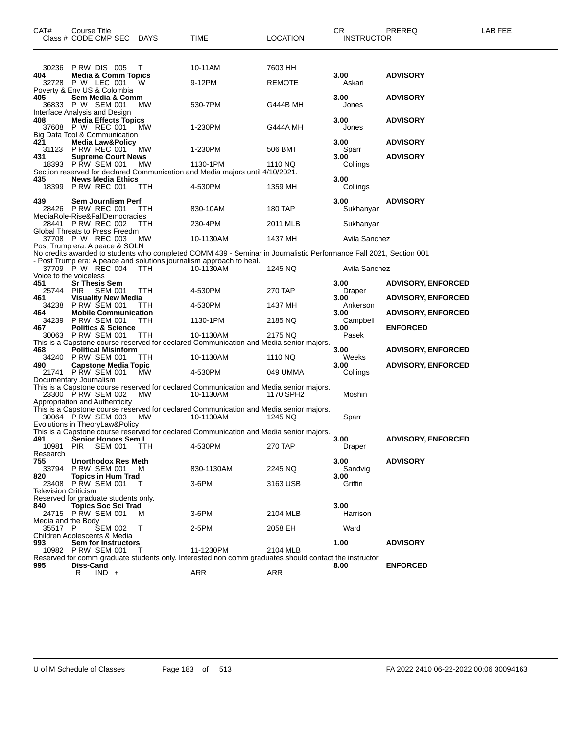| CAT#                                                                  | Course Title<br>Class # CODE CMP SEC                                            |                | <b>DAYS</b> | <b>TIME</b>                                                                                                                                                                                | LOCATION      | CR.<br><b>INSTRUCTOR</b> | PREREQ                                                 | LAB FEE |
|-----------------------------------------------------------------------|---------------------------------------------------------------------------------|----------------|-------------|--------------------------------------------------------------------------------------------------------------------------------------------------------------------------------------------|---------------|--------------------------|--------------------------------------------------------|---------|
| 30236                                                                 | PRW DIS 005                                                                     |                | т           | 10-11AM                                                                                                                                                                                    | 7603 HH       |                          |                                                        |         |
| 404                                                                   | <b>Media &amp; Comm Topics</b><br>32728 P W LEC 001                             |                | w           | 9-12PM                                                                                                                                                                                     | <b>REMOTE</b> | 3.00<br>Askari           | <b>ADVISORY</b>                                        |         |
| Poverty & Env US & Colombia<br>405                                    | Sem Media & Comm<br>36833 P W SEM 001                                           |                | МW          | 530-7PM                                                                                                                                                                                    | G444B MH      | 3.00<br>Jones            | <b>ADVISORY</b>                                        |         |
| Interface Analysis and Design<br>408<br>Big Data Tool & Communication | <b>Media Effects Topics</b><br>37608 P W REC 001                                |                | <b>MW</b>   | 1-230PM                                                                                                                                                                                    | G444A MH      | 3.00<br>Jones            | <b>ADVISORY</b>                                        |         |
| 421                                                                   | <b>Media Law&amp;Policy</b><br>31123 P RW REC 001                               |                | MW          | 1-230PM                                                                                                                                                                                    | 506 BMT       | 3.00<br>Sparr            | <b>ADVISORY</b>                                        |         |
| 431                                                                   | <b>Supreme Court News</b><br>18393 P RW SEM 001                                 |                | MW          | 1130-1PM<br>Section reserved for declared Communication and Media majors until 4/10/2021.                                                                                                  | 1110 NQ       | 3.00<br>Collings         | <b>ADVISORY</b>                                        |         |
| 435<br>18399                                                          | <b>News Media Ethics</b><br>PRW REC 001                                         |                | TTH         | 4-530PM                                                                                                                                                                                    | 1359 MH       | 3.00<br>Collings         |                                                        |         |
| 439                                                                   | Sem Journlism Perf<br>28426 PRW REC 001                                         |                | TTH         | 830-10AM                                                                                                                                                                                   | 180 TAP       | 3.00<br>Sukhanyar        | <b>ADVISORY</b>                                        |         |
| MediaRole-Rise&FallDemocracies<br>Global Threats to Press Freedm      | 28441 PRW REC 002                                                               |                | ттн         | 230-4PM                                                                                                                                                                                    | 2011 MLB      | Sukhanyar                |                                                        |         |
| Post Trump era: A peace & SOLN                                        | 37708 P W REC 003                                                               |                | МW          | 10-1130AM                                                                                                                                                                                  | 1437 MH       | Avila Sanchez            |                                                        |         |
|                                                                       |                                                                                 |                |             | No credits awarded to students who completed COMM 439 - Seminar in Journalistic Performance Fall 2021, Section 001<br>- Post Trump era: A peace and solutions journalism approach to heal. |               |                          |                                                        |         |
| Voice to the voiceless                                                | 37709 P W REC 004                                                               |                | TTH         | 10-1130AM                                                                                                                                                                                  | 1245 NQ       | Avila Sanchez            |                                                        |         |
| 451<br>25744                                                          | Sr Thesis Sem<br><b>PIR</b>                                                     | <b>SEM 001</b> | TTH         | 4-530PM                                                                                                                                                                                    | 270 TAP       | 3.00<br>Draper           | <b>ADVISORY, ENFORCED</b>                              |         |
| 461<br>34238<br>464                                                   | <b>Visuality New Media</b><br><b>PRW SEM 001</b><br><b>Mobile Communication</b> |                | TTH         | 4-530PM                                                                                                                                                                                    | 1437 MH       | 3.00<br>Ankerson<br>3.00 | <b>ADVISORY, ENFORCED</b><br><b>ADVISORY, ENFORCED</b> |         |
| 34239<br>467                                                          | <b>P RW SEM 001</b><br><b>Politics &amp; Science</b>                            |                | TTH         | 1130-1PM                                                                                                                                                                                   | 2185 NQ       | Campbell<br>3.00         | <b>ENFORCED</b>                                        |         |
|                                                                       | 30063 P RW SEM 001                                                              |                | TTH         | 10-1130AM<br>This is a Capstone course reserved for declared Communication and Media senior majors.                                                                                        | 2175 NQ       | Pasek                    |                                                        |         |
| 468<br>34240<br>490                                                   | <b>Political Misinform</b><br><b>PRW SEM 001</b><br><b>Capstone Media Topic</b> |                | ттн         | 10-1130AM                                                                                                                                                                                  | 1110 NQ       | 3.00<br>Weeks<br>3.00    | <b>ADVISORY, ENFORCED</b><br><b>ADVISORY, ENFORCED</b> |         |
| Documentary Journalism                                                | 21741 P RW SEM 001                                                              |                | MW          | 4-530PM                                                                                                                                                                                    | 049 UMMA      | Collings                 |                                                        |         |
| Appropriation and Authenticity                                        | 23300 P RW SEM 002                                                              |                | МW          | This is a Capstone course reserved for declared Communication and Media senior majors.<br>10-1130AM                                                                                        | 1170 SPH2     | Moshin                   |                                                        |         |
|                                                                       | 30064 P RW SEM 003                                                              |                | MW          | This is a Capstone course reserved for declared Communication and Media senior majors.<br>10-1130AM                                                                                        | 1245 NQ       | Sparr                    |                                                        |         |
| Evolutions in TheoryLaw&Policy<br>491                                 | Senior Honors Sem I                                                             |                |             | This is a Capstone course reserved for declared Communication and Media senior majors.                                                                                                     |               | 3.00                     | <b>ADVISORY, ENFORCED</b>                              |         |
| 10981<br>Research                                                     | <b>PIR</b>                                                                      | <b>SEM 001</b> | ттн         | 4-530PM                                                                                                                                                                                    | 270 TAP       | Draper                   |                                                        |         |
| 755<br>33794                                                          | <b>Unorthodox Res Meth</b><br><b>PRW SEM 001</b>                                |                | м           | 830-1130AM                                                                                                                                                                                 | 2245 NQ       | 3.00<br>Sandvig          | <b>ADVISORY</b>                                        |         |
| 820<br>23408<br><b>Television Criticism</b>                           | <b>Topics in Hum Trad</b><br><b>P RW SEM 001</b>                                |                |             | 3-6PM                                                                                                                                                                                      | 3163 USB      | 3.00<br>Griffin          |                                                        |         |
| Reserved for graduate students only.<br>840                           | <b>Topics Soc Sci Trad</b>                                                      |                |             |                                                                                                                                                                                            |               | 3.00                     |                                                        |         |
| Media and the Body                                                    | 24715 P RW SEM 001                                                              |                | м           | 3-6PM                                                                                                                                                                                      | 2104 MLB      | Harrison                 |                                                        |         |
| 35517 P<br>Children Adolescents & Media                               |                                                                                 | <b>SEM 002</b> | т           | 2-5PM                                                                                                                                                                                      | 2058 EH       | Ward                     |                                                        |         |
| 993                                                                   | Sem for Instructors<br>10982 P RW SEM 001                                       |                |             | 11-1230PM                                                                                                                                                                                  | 2104 MLB      | 1.00                     | <b>ADVISORY</b>                                        |         |
| 995                                                                   | Diss-Cand<br>R                                                                  | $IND +$        |             | Reserved for comm graduate students only. Interested non comm graduates should contact the instructor.<br>ARR                                                                              | ARR           | 8.00                     | <b>ENFORCED</b>                                        |         |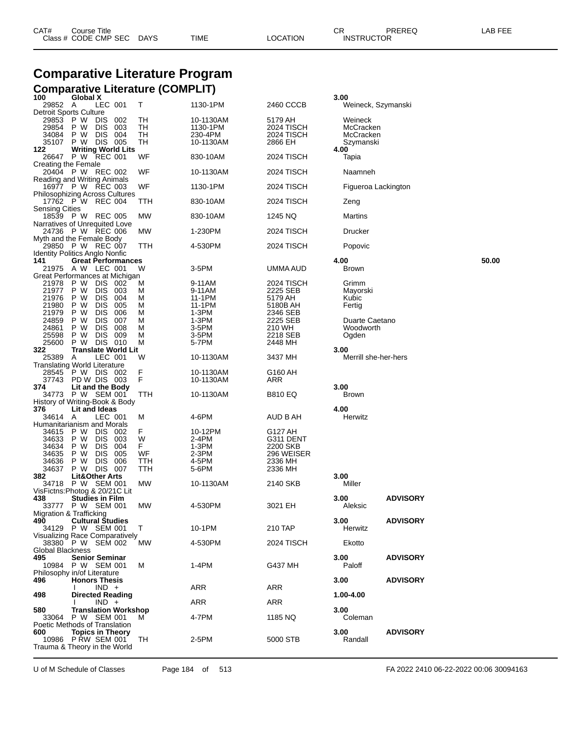| CAT# | Title<br>Course i    |             |      |          | Ωn<br>- UN        | PREREQ | . FEF<br>AR. |
|------|----------------------|-------------|------|----------|-------------------|--------|--------------|
|      | Class # CODE CMP SEC | <b>DAYS</b> | TIME | LOCATION | <b>INSTRUCTOR</b> |        |              |
|      |                      |             |      |          |                   |        |              |

### **Comparative Literature Program Comparative Literature (COMPLIT)**

| 100                                                        | Global X                         |                          |            |          |                  |                        | 3.00 |                             |                 |       |
|------------------------------------------------------------|----------------------------------|--------------------------|------------|----------|------------------|------------------------|------|-----------------------------|-----------------|-------|
| 29852 A<br>Detroit Sports Culture                          |                                  | LEC 001                  |            | T.       | 1130-1PM         | 2460 CCCB              |      | Weineck, Szymanski          |                 |       |
| 29853                                                      | P W                              | <b>DIS</b>               | 002        | TН       | 10-1130AM        | 5179 AH                |      | Weineck                     |                 |       |
| 29854                                                      | P W                              | DIS.                     | 003        | TН       | 1130-1PM         | 2024 TISCH             |      | McCracken                   |                 |       |
| 34084                                                      | P W                              | DIS.                     | 004        | TН       | 230-4PM          | 2024 TISCH             |      | McCracken                   |                 |       |
| 35107<br>122                                               | P W<br><b>Writing World Lits</b> | DIS 005                  |            | TН       | 10-1130AM        | 2866 EH                | 4.00 | Szymanski                   |                 |       |
| 26647 P W REC 001                                          |                                  |                          |            | WF       | 830-10AM         | 2024 TISCH             |      | Tapia                       |                 |       |
| Creating the Female                                        |                                  |                          |            |          |                  |                        |      |                             |                 |       |
| 20404 P W REC 002                                          |                                  |                          |            | WF       | 10-1130AM        | 2024 TISCH             |      | Naamneh                     |                 |       |
| Reading and Writing Animals                                |                                  |                          |            |          |                  |                        |      |                             |                 |       |
| 16977 P W REC 003<br><b>Philosophizing Across Cultures</b> |                                  |                          |            | WF       | 1130-1PM         | 2024 TISCH             |      | Figueroa Lackington         |                 |       |
| 17762 P W REC 004                                          |                                  |                          |            | TTH      | 830-10AM         | 2024 TISCH             |      | Zeng                        |                 |       |
| Sensing Cities                                             |                                  |                          |            |          |                  |                        |      |                             |                 |       |
| 18539 P W REC 005                                          |                                  |                          |            | МW       | 830-10AM         | 1245 NQ                |      | Martins                     |                 |       |
| Narratives of Unrequited Love                              |                                  |                          |            |          |                  |                        |      |                             |                 |       |
| 24736 P W REC 006<br>Myth and the Female Body              |                                  |                          |            | МW       | 1-230PM          | 2024 TISCH             |      | Drucker                     |                 |       |
| 29850 P W REC 007                                          |                                  |                          |            | TTH      | 4-530PM          | 2024 TISCH             |      | Popovic                     |                 |       |
| <b>Identity Politics Anglo Nonfic</b>                      |                                  |                          |            |          |                  |                        |      |                             |                 |       |
| 141                                                        | <b>Great Performances</b>        |                          |            |          |                  |                        | 4.00 |                             |                 | 50.00 |
| 21975 A W LEC 001<br>Great Performances at Michigan        |                                  |                          |            | w        | $3-5$ PM         | UMMA AUD               |      | <b>Brown</b>                |                 |       |
| 21978                                                      | P W                              | DIS 002                  |            | M        | 9-11AM           | 2024 TISCH             |      | Grimm                       |                 |       |
| 21977                                                      | P W                              | DIS.                     | 003        | м        | 9-11AM           | 2225 SEB               |      | Mayorski                    |                 |       |
| 21976                                                      | P W                              | <b>DIS</b>               | 004        | M        | 11-1PM           | 5179 AH                |      | Kubic                       |                 |       |
| 21980                                                      | P W                              | DIS.                     | 005        | M        | 11-1PM           | 5180B AH               |      | Fertig                      |                 |       |
| 21979                                                      | P W                              | DIS.                     | 006        | м        | 1-3PM            | 2346 SEB               |      |                             |                 |       |
| 24859<br>24861                                             | P W<br>P W                       | <b>DIS</b><br><b>DIS</b> | 007<br>008 | м<br>м   | 1-3PM<br>3-5PM   | 2225 SEB<br>210 WH     |      | Duarte Caetano<br>Woodworth |                 |       |
| 25598                                                      | P W                              | <b>DIS</b>               | 009        | м        | 3-5PM            | 2218 SEB               |      | Ogden                       |                 |       |
| 25600                                                      | P W                              | <b>DIS 010</b>           |            | м        | 5-7PM            | 2448 MH                |      |                             |                 |       |
| 322                                                        | <b>Translate World Lit</b>       |                          |            |          |                  |                        | 3.00 |                             |                 |       |
| 25389<br><b>Translating World Literature</b>               | A                                | LEC 001                  |            | W        | 10-1130AM        | 3437 MH                |      | Merrill she-her-hers        |                 |       |
| 28545 P W DIS 002                                          |                                  |                          |            | F        | 10-1130AM        | G160 AH                |      |                             |                 |       |
| 37743 PD W DIS 003                                         |                                  |                          |            | F        | 10-1130AM        | ARR                    |      |                             |                 |       |
| 374                                                        | Lit and the Body                 |                          |            |          |                  |                        | 3.00 |                             |                 |       |
| 34773 P W SEM 001                                          |                                  |                          |            | TTH      | 10-1130AM        | <b>B810 EQ</b>         |      | <b>Brown</b>                |                 |       |
| History of Writing-Book & Body<br>376                      | Lit and Ideas                    |                          |            |          |                  |                        | 4.00 |                             |                 |       |
| 34614 A                                                    |                                  | LEC 001                  |            | м        | 4-6PM            | AUD B AH               |      | Herwitz                     |                 |       |
| Humanitarianism and Morals                                 |                                  |                          |            |          |                  |                        |      |                             |                 |       |
| 34615                                                      | P W                              | DIS .                    | 002        | F.       | 10-12PM          | G127 AH                |      |                             |                 |       |
| 34633                                                      | P W                              | DIS 003                  |            | W        | 2-4PM            | G311 DENT              |      |                             |                 |       |
| 34634<br>34635                                             | P W<br>P W                       | DIS.<br>DIS.             | 004<br>005 | F.<br>WF | 1-3PM<br>$2-3PM$ | 2200 SKB<br>296 WEISER |      |                             |                 |       |
| 34636                                                      | P W                              | <b>DIS</b>               | 006        | TTH      | 4-5PM            | 2336 MH                |      |                             |                 |       |
| 34637                                                      | P W                              | DIS 007                  |            | TTH      | 5-6PM            | 2336 MH                |      |                             |                 |       |
| 382                                                        | <b>Lit&amp;Other Arts</b>        |                          |            |          |                  |                        | 3.00 |                             |                 |       |
| 34718<br>VisFictns: Photog & 20/21C Lit                    | P W SEM 001                      |                          |            | МW       | 10-1130AM        | 2140 SKB               |      | Miller                      |                 |       |
| 438                                                        | <b>Studies in Film</b>           |                          |            |          |                  |                        | 3.00 |                             | <b>ADVISORY</b> |       |
| 33777 PW SEM 001                                           |                                  |                          |            | MW       | 4-530PM          | 3021 EH                |      | Aleksic                     |                 |       |
| Migration & Trafficking                                    |                                  |                          |            |          |                  |                        |      |                             |                 |       |
| 490                                                        | <b>Cultural Studies</b>          |                          |            |          |                  |                        | 3.00 |                             | <b>ADVISORY</b> |       |
| 34129 P W SEM 001<br>Visualizing Race Comparatively        |                                  |                          |            | Τ        | 10-1PM           | 210 TAP                |      | Herwitz                     |                 |       |
| 38380 P W SEM 002                                          |                                  |                          |            | MW       | 4-530PM          | <b>2024 TISCH</b>      |      | Ekotto                      |                 |       |
| <b>Global Blackness</b>                                    |                                  |                          |            |          |                  |                        |      |                             |                 |       |
| 495                                                        | <b>Senior Seminar</b>            |                          |            |          |                  |                        | 3.00 |                             | <b>ADVISORY</b> |       |
| 10984 P W SEM 001                                          |                                  |                          |            | м        | $1-4PM$          | G437 MH                |      | Paloff                      |                 |       |
| Philosophy in/of Literature<br>496                         | <b>Honors Thesis</b>             |                          |            |          |                  |                        | 3.00 |                             | <b>ADVISORY</b> |       |
|                                                            |                                  | $IND +$                  |            |          | ARR              | ARR                    |      |                             |                 |       |
| 498                                                        | <b>Directed Reading</b>          |                          |            |          |                  |                        |      | 1.00-4.00                   |                 |       |
|                                                            |                                  | $IND +$                  |            |          | ARR              | ARR                    |      |                             |                 |       |
| 580<br>33064 P W SEM 001                                   | <b>Translation Workshop</b>      |                          |            | M        | 4-7PM            | 1185 NQ                | 3.00 | Coleman                     |                 |       |
| Poetic Methods of Translation                              |                                  |                          |            |          |                  |                        |      |                             |                 |       |
| 600                                                        | <b>Topics in Theory</b>          |                          |            |          |                  |                        | 3.00 |                             | <b>ADVISORY</b> |       |
| 10986 PRW SEM 001                                          |                                  |                          |            | TН       | 2-5PM            | 5000 STB               |      | Randall                     |                 |       |
| Trauma & Theory in the World                               |                                  |                          |            |          |                  |                        |      |                             |                 |       |

U of M Schedule of Classes Page 184 of 513 FA 2022 2410 06-22-2022 00:06 30094163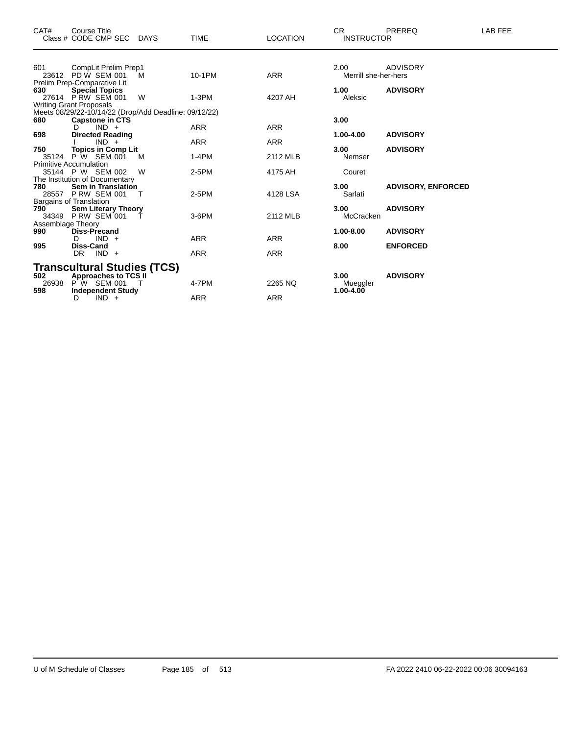| CAT#                     | <b>Course Title</b><br>Class # CODE CMP SEC                                                      | <b>DAYS</b> | <b>TIME</b>              | <b>LOCATION</b>          | <b>CR</b><br><b>INSTRUCTOR</b> | <b>PREREQ</b>                      | LAB FEE |
|--------------------------|--------------------------------------------------------------------------------------------------|-------------|--------------------------|--------------------------|--------------------------------|------------------------------------|---------|
| 601                      | CompLit Prelim Prep1<br>23612 PD W SEM 001<br>Prelim Prep-Comparative Lit                        | M           | 10-1PM                   | <b>ARR</b>               | 2.00<br>Merrill she-her-hers   | <b>ADVISORY</b>                    |         |
| 630                      | <b>Special Topics</b><br>27614 PRW SEM 001<br><b>Writing Grant Proposals</b>                     | W           | $1-3PM$                  | 4207 AH                  | 1.00<br>Aleksic                | <b>ADVISORY</b>                    |         |
| 680                      | Meets 08/29/22-10/14/22 (Drop/Add Deadline: 09/12/22)<br><b>Capstone in CTS</b><br>$IND +$<br>D. |             | <b>ARR</b>               | <b>ARR</b>               | 3.00                           |                                    |         |
| 698<br>750               | <b>Directed Reading</b><br>$IND +$<br><b>Topics in Comp Lit</b>                                  |             | <b>ARR</b>               | <b>ARR</b>               | 1.00-4.00<br>3.00              | <b>ADVISORY</b><br><b>ADVISORY</b> |         |
|                          | 35124 P W SEM 001<br><b>Primitive Accumulation</b><br>35144 P W SEM 002                          | M<br>W      | $1-4PM$<br>$2-5PM$       | 2112 MLB<br>4175 AH      | Nemser<br>Couret               |                                    |         |
| 780                      | The Institution of Documentary<br><b>Sem in Translation</b>                                      |             |                          |                          | 3.00                           | <b>ADVISORY, ENFORCED</b>          |         |
| 790                      | 28557 P RW SEM 001<br>Bargains of Translation<br><b>Sem Literary Theory</b>                      | т           | 2-5PM                    | 4128 LSA                 | Sarlati<br>3.00                | <b>ADVISORY</b>                    |         |
| Assemblage Theory<br>990 | 34349 P RW SEM 001<br><b>Diss-Precand</b>                                                        |             | $3-6$ PM                 | 2112 MLB                 | McCracken<br>1.00-8.00         | <b>ADVISORY</b>                    |         |
| 995                      | $IND +$<br>D.<br><b>Diss-Cand</b><br>$IND +$<br>DR.                                              |             | <b>ARR</b><br><b>ARR</b> | <b>ARR</b><br><b>ARR</b> | 8.00                           | <b>ENFORCED</b>                    |         |
| 502                      | <b>Transcultural Studies (TCS)</b><br><b>Approaches to TCS II</b>                                |             |                          |                          | 3.00                           | <b>ADVISORY</b>                    |         |
| 26938<br>598             | $P'W$ SEM 001<br><b>Independent Study</b><br>$IND +$<br>D                                        |             | 4-7PM<br>ARR             | 2265 NQ<br>ARR           | Mueggler<br>1.00-4.00          |                                    |         |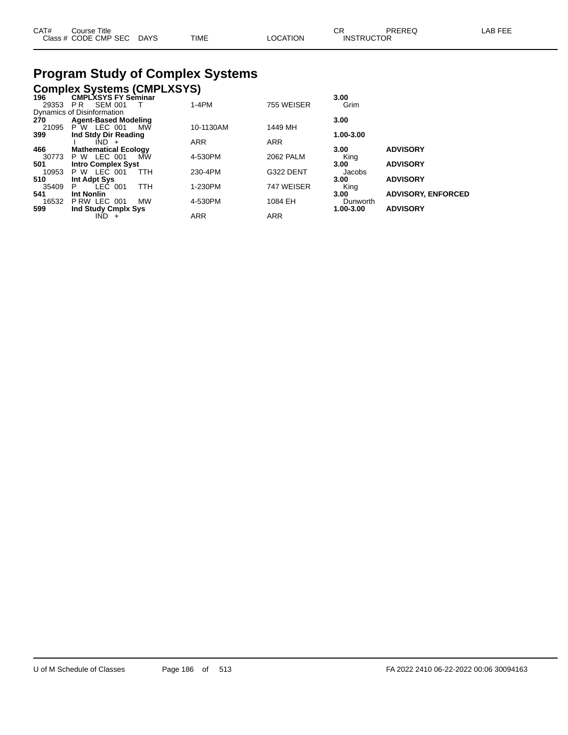| CAT# | Course Title              |      |          | $\cap$<br>◡ጙ      | PREREQ | ∟AB FEE |
|------|---------------------------|------|----------|-------------------|--------|---------|
|      | Class # CODE CMP SEC DAYS | TIME | LOCATION | <b>INSTRUCTOR</b> |        |         |

## **Program Study of Complex Systems**

|       | <b>Complex Systems (CMPLXSYS)</b> |            |            |            |           |                           |
|-------|-----------------------------------|------------|------------|------------|-----------|---------------------------|
| 196   | <b>CMPLXSYS FY Seminar</b>        |            |            |            | 3.00      |                           |
| 29353 | <b>SEM 001</b><br>PR.             |            | $1-4PM$    | 755 WEISER | Grim      |                           |
|       | Dynamics of Disinformation        |            |            |            |           |                           |
| 270   | <b>Agent-Based Modeling</b>       |            |            |            | 3.00      |                           |
| 21095 | P W LEC 001                       | МW         | 10-1130AM  | 1449 MH    |           |                           |
| 399   | Ind Stdy Dir Reading              |            |            |            | 1.00-3.00 |                           |
|       | $IND +$                           |            | <b>ARR</b> | <b>ARR</b> |           |                           |
| 466   | <b>Mathematical Ecology</b>       |            |            |            | 3.00      | <b>ADVISORY</b>           |
| 30773 | <b>P W LEC 001</b>                | МW         | 4-530PM    | 2062 PALM  | King      |                           |
| 501   | <b>Intro Complex Syst</b>         |            |            |            | 3.00      | <b>ADVISORY</b>           |
| 10953 | <b>P W LEC 001</b>                | <b>TTH</b> | 230-4PM    | G322 DENT  | Jacobs    |                           |
| 510   | Int Adpt Sys                      |            |            |            | 3.00      | <b>ADVISORY</b>           |
| 35409 | LEC 001<br>P                      | <b>TTH</b> | 1-230PM    | 747 WEISER | King      |                           |
| 541   | <b>Int Nonlin</b>                 |            |            |            | 3.00      | <b>ADVISORY, ENFORCED</b> |
| 16532 | PRW LEC 001                       | <b>MW</b>  | 4-530PM    | 1084 EH    | Dunworth  |                           |
| 599   | Ind Study Cmplx Sys               |            |            |            | 1.00-3.00 | <b>ADVISORY</b>           |
|       | IND.<br>$\ddot{}$                 |            | <b>ARR</b> | <b>ARR</b> |           |                           |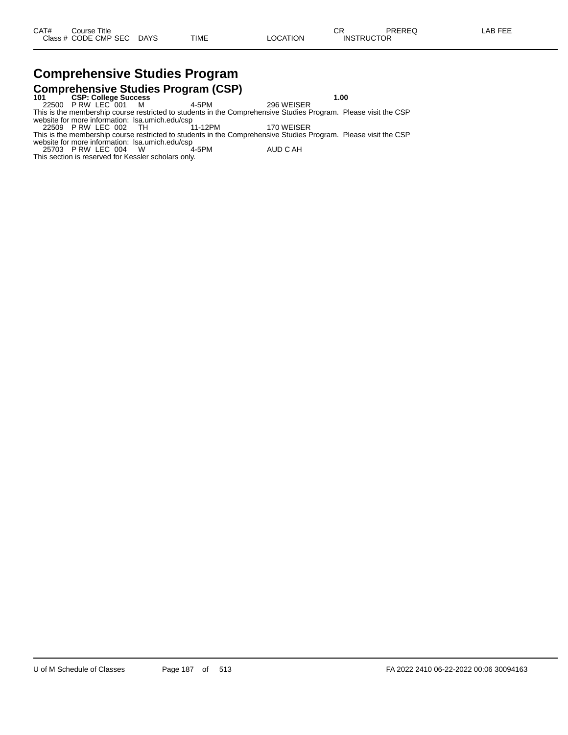# **Comprehensive Studies Program**

**Comprehensive Studies Program (CSP) 101 CSP: College Success 1.00** 22500 P RW LEC 001 M 4-5PM 296 WEISER This is the membership course restricted to students in the Comprehensive Studies Program. Please visit the CSP website for more information: lsa.umich.edu/csp 22509 P RW LEC 002 TH 11-12PM 170 WEISER

This is the membership course restricted to students in the Comprehensive Studies Program. Please visit the CSP

website for more information: lsa.umich.edu/csp 25703 P RW LEC 004 W 4-5PM AUD C AH

This section is reserved for Kessler scholars only.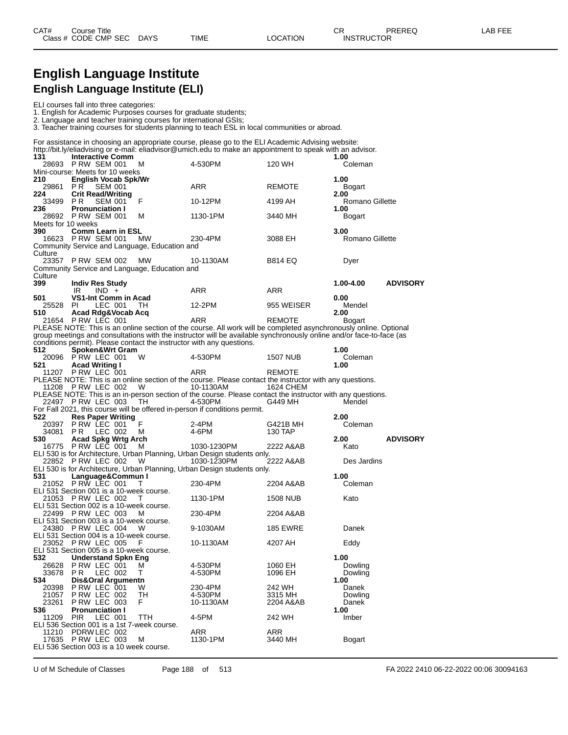#### **English Language Institute English Language Institute (ELI)**

ELI courses fall into three categories:

1. English for Academic Purposes courses for graduate students;

2. Language and teacher training courses for international GSIs;

3. Teacher training courses for students planning to teach ESL in local communities or abroad.

|                        |                                                                                                            |              | For assistance in choosing an appropriate course, please go to the ELI Academic Advising website:<br>http://bit.ly/eliadvising or e-mail: eliadvisor@umich.edu to make an appointment to speak with an advisor.                                       |                              |                                 |                 |
|------------------------|------------------------------------------------------------------------------------------------------------|--------------|-------------------------------------------------------------------------------------------------------------------------------------------------------------------------------------------------------------------------------------------------------|------------------------------|---------------------------------|-----------------|
| 131                    | <b>Interactive Comm</b><br>28693 PRW SEM 001<br>Mini-course: Meets for 10 weeks                            | м            | 4-530PM                                                                                                                                                                                                                                               | 120 WH                       | 1.00<br>Coleman                 |                 |
| 210<br>29861 PR        | <b>English Vocab Spk/Wr</b><br><b>SEM 001</b>                                                              |              | ARR                                                                                                                                                                                                                                                   | <b>REMOTE</b>                | 1.00<br><b>Bogart</b>           |                 |
| 224<br>33499 PR<br>236 | <b>Crit Read/Writing</b><br><b>SEM 001</b><br><b>Pronunciation I</b>                                       | F            | 10-12PM                                                                                                                                                                                                                                               | 4199 AH                      | 2.00<br>Romano Gillette<br>1.00 |                 |
| Meets for 10 weeks     | 28692 P RW SEM 001                                                                                         | м            | 1130-1PM                                                                                                                                                                                                                                              | 3440 MH                      | Bogart                          |                 |
| 390                    | <b>Comm Learn in ESL</b><br>16623 P RW SEM 001<br>Community Service and Language, Education and            | МW           | 230-4PM                                                                                                                                                                                                                                               | 3088 EH                      | 3.00<br>Romano Gillette         |                 |
| Culture                | 23357 P RW SEM 002                                                                                         | MW           | 10-1130AM                                                                                                                                                                                                                                             | B814 EQ                      | Dyer                            |                 |
| Culture<br>399         | Community Service and Language, Education and<br><b>Indiv Res Study</b>                                    |              |                                                                                                                                                                                                                                                       |                              | 1.00-4.00                       | <b>ADVISORY</b> |
| 501                    | IR<br>$IND +$<br>VS1-Int Comm in Acad                                                                      |              | ARR                                                                                                                                                                                                                                                   | ARR                          | 0.00                            |                 |
| 25528 PI<br>510        | LEC 001<br>Acad Rdg&Vocab Acq                                                                              | TH.          | 12-2PM                                                                                                                                                                                                                                                | 955 WEISER                   | Mendel<br>2.00                  |                 |
|                        | 21654 PRW LEC 001                                                                                          |              | <b>ARR</b><br>PLEASE NOTE: This is an online section of the course. All work will be completed asynchronously online. Optional<br>group meetings and consultations with the instructor will be available synchronously online and/or face-to-face (as | <b>REMOTE</b>                | Bogart                          |                 |
| 512                    | Spoken&Wrt Gram                                                                                            |              | conditions permit). Please contact the instructor with any questions.                                                                                                                                                                                 |                              | 1.00                            |                 |
| 521                    | 20096 PRW LEC 001<br><b>Acad Writing I</b><br>11207 P RW LEC 001                                           | W            | 4-530PM<br>ARR                                                                                                                                                                                                                                        | 1507 NUB<br>REMOTE           | Coleman<br>1.00                 |                 |
|                        | 11208 P RW LEC 002                                                                                         | W            | PLEASE NOTE: This is an online section of the course. Please contact the instructor with any questions.<br>10-1130AM                                                                                                                                  | 1624 CHEM                    |                                 |                 |
|                        | 22497 P RW LEC 003                                                                                         | TH           | PLEASE NOTE: This is an in-person section of the course. Please contact the instructor with any questions.<br>4-530PM                                                                                                                                 | G449 MH                      | Mendel                          |                 |
| 522<br>20397           | <b>Res Paper Writing</b><br>PRW LEC 001                                                                    | F            | For Fall 2021, this course will be offered in-person if conditions permit.<br>2-4PM                                                                                                                                                                   | G421B MH                     | 2.00<br>Coleman                 |                 |
| 530                    | 34081 PR LEC 002<br>Acad Spkg Wrtg Arch                                                                    | м            | 4-6PM                                                                                                                                                                                                                                                 | 130 TAP                      | 2.00                            | <b>ADVISORY</b> |
|                        | 16775 PRW LEC 001<br>22852 P RW LEC 002                                                                    | м<br>W       | 1030-1230PM<br>ELI 530 is for Architecture, Urban Planning, Urban Design students only.<br>1030-1230PM                                                                                                                                                | 2222 A&AB<br>2222 A&AB       | Kato<br>Des Jardins             |                 |
| 531                    | Language&Commun I                                                                                          |              | ELI 530 is for Architecture, Urban Planning, Urban Design students only.                                                                                                                                                                              |                              | 1.00                            |                 |
|                        | 21052 P RW LEC 001<br>ELI 531 Section 001 is a 10-week course.                                             | $\mathbf{I}$ | 230-4PM                                                                                                                                                                                                                                               | 2204 A&AB                    | Coleman                         |                 |
|                        | 21053 PRW LEC 002<br>ELI 531 Section 002 is a 10-week course.<br>22499 P RW LEC 003                        | Τ<br>м       | 1130-1PM<br>230-4PM                                                                                                                                                                                                                                   | <b>1508 NUB</b><br>2204 A&AB | Kato                            |                 |
|                        | ELI 531 Section 003 is a 10-week course.<br>24380 P RW LEC 004                                             | w            | 9-1030AM                                                                                                                                                                                                                                              | <b>185 EWRE</b>              | Danek                           |                 |
|                        | ELI 531 Section 004 is a 10-week course.<br>23052 P RW LEC 005<br>ELI 531 Section 005 is a 10-week course. | F            | 10-1130AM                                                                                                                                                                                                                                             | 4207 AH                      | Eddy                            |                 |
| 532<br>26628<br>33678  | <b>Understand Spkn Eng</b><br>PRW LEC 001<br>LEC 002<br>P R                                                | м<br>т       | 4-530PM<br>4-530PM                                                                                                                                                                                                                                    | 1060 EH<br>1096 EH           | 1.00<br>Dowling<br>Dowling      |                 |
| 534<br>20398<br>21057  | Dis&Oral Argumentn<br>PRW LEC 001<br><b>P RW LEC 002</b>                                                   | W<br>TH      | 230-4PM<br>4-530PM                                                                                                                                                                                                                                    | 242 WH<br>3315 MH            | 1.00<br>Danek<br>Dowling        |                 |
| 23261<br>536           | <b>P RW LEC 003</b><br><b>Pronunciation I</b>                                                              | F            | 10-1130AM                                                                                                                                                                                                                                             | 2204 A&AB                    | Danek<br>1.00                   |                 |
| 11209                  | <b>PIR</b><br>LEC 001<br>ELI 536 Section 001 is a 1st 7-week course.                                       | TTH          | 4-5PM                                                                                                                                                                                                                                                 | 242 WH                       | Imber                           |                 |
| 11210                  | PDRW LEC 002<br>17635 PRW LEC 003<br>ELI 536 Section 003 is a 10 week course.                              | M            | ARR<br>1130-1PM                                                                                                                                                                                                                                       | ARR<br>3440 MH               | <b>Bogart</b>                   |                 |

U of M Schedule of Classes Page 188 of 513 FA 2022 2410 06-22-2022 00:06 30094163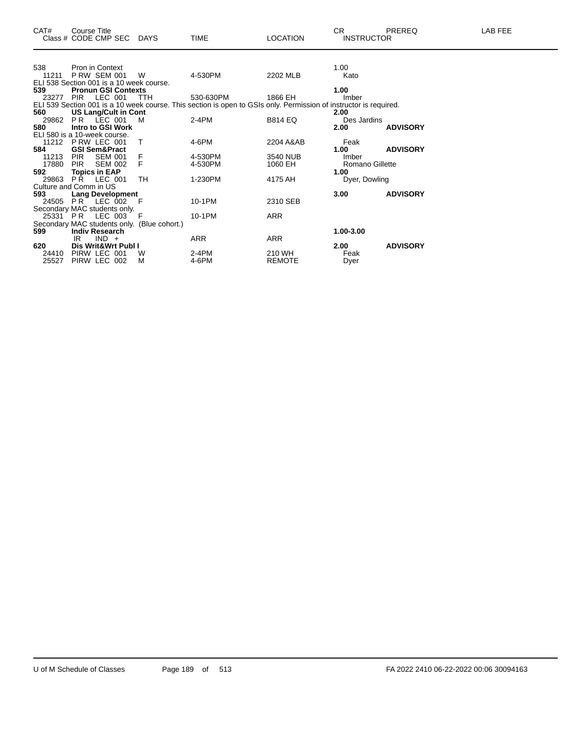| CAT#                                     | Course Title             | Class # CODE CMP SEC DAYS   |                                             | <b>TIME</b>                                                                                                       | <b>LOCATION</b> | CR.<br><b>INSTRUCTOR</b> | <b>PREREQ</b>   | <b>LAB FEE</b> |
|------------------------------------------|--------------------------|-----------------------------|---------------------------------------------|-------------------------------------------------------------------------------------------------------------------|-----------------|--------------------------|-----------------|----------------|
|                                          |                          |                             |                                             |                                                                                                                   |                 |                          |                 |                |
| 538                                      | Pron in Context          |                             |                                             |                                                                                                                   |                 | 1.00                     |                 |                |
| 11211                                    | <b>P RW SEM 001</b>      |                             | W                                           | 4-530PM                                                                                                           | 2202 MLB        | Kato                     |                 |                |
| ELI 538 Section 001 is a 10 week course. |                          |                             |                                             |                                                                                                                   |                 |                          |                 |                |
| 539                                      |                          | <b>Pronun GSI Contexts</b>  |                                             |                                                                                                                   |                 | 1.00                     |                 |                |
| 23277                                    | PIR                      | LEC 001                     | TTH                                         | 530-630PM                                                                                                         | 1866 EH         | Imber                    |                 |                |
|                                          |                          |                             |                                             | ELI 539 Section 001 is a 10 week course. This section is open to GSIs only. Permission of instructor is required. |                 |                          |                 |                |
| 560                                      |                          | <b>US Lang/Cult in Cont</b> |                                             |                                                                                                                   |                 | 2.00                     |                 |                |
| 29862                                    | <b>PR LEC 001</b>        |                             | M                                           | 2-4PM                                                                                                             | <b>B814 EQ</b>  | Des Jardins              |                 |                |
| 580                                      |                          | Intro to GSI Work           |                                             |                                                                                                                   |                 | 2.00                     | <b>ADVISORY</b> |                |
| ELI 580 is a 10-week course.             |                          |                             |                                             |                                                                                                                   |                 |                          |                 |                |
|                                          | 11212 P RW LEC 001       |                             | T                                           | 4-6PM                                                                                                             | 2204 A&AB       | Feak                     |                 |                |
| 584                                      | <b>GSI Sem&amp;Pract</b> |                             |                                             |                                                                                                                   |                 | 1.00                     | <b>ADVISORY</b> |                |
| 11213                                    | <b>PIR</b>               | <b>SEM 001</b>              | F<br>F                                      | 4-530PM                                                                                                           | 3540 NUB        | Imber                    |                 |                |
| 17880                                    | <b>PIR</b>               | <b>SEM 002</b>              |                                             | 4-530PM                                                                                                           | 1060 EH         | <b>Romano Gillette</b>   |                 |                |
| 592                                      | <b>Topics in EAP</b>     |                             |                                             |                                                                                                                   |                 | 1.00                     |                 |                |
|                                          | 29863 PR LEC 001         |                             | <b>TH</b>                                   | 1-230PM                                                                                                           | 4175 AH         | Dyer, Dowling            |                 |                |
| Culture and Comm in US                   |                          |                             |                                             |                                                                                                                   |                 |                          |                 |                |
| 593                                      |                          | <b>Lang Development</b>     | $-F$                                        | 10-1PM                                                                                                            |                 | 3.00                     | <b>ADVISORY</b> |                |
| 24505                                    | PR LEC 002               |                             |                                             |                                                                                                                   | 2310 SEB        |                          |                 |                |
| Secondary MAC students only.             | 25331 PR LEC 003         |                             | F                                           | 10-1PM                                                                                                            | <b>ARR</b>      |                          |                 |                |
|                                          |                          |                             |                                             |                                                                                                                   |                 |                          |                 |                |
| 599                                      | <b>Indiv Research</b>    |                             | Secondary MAC students only. (Blue cohort.) |                                                                                                                   |                 | 1.00-3.00                |                 |                |
|                                          | IR                       | $IND +$                     |                                             | <b>ARR</b>                                                                                                        | <b>ARR</b>      |                          |                 |                |
| 620                                      |                          | Dis Writ&Wrt Publ I         |                                             |                                                                                                                   |                 | 2.00                     | <b>ADVISORY</b> |                |
| 24410                                    | PIRW LEC 001             |                             | w                                           | 2-4PM                                                                                                             | 210 WH          | Feak                     |                 |                |
| 25527                                    | PIRW LEC 002             |                             | M                                           | 4-6PM                                                                                                             | <b>REMOTE</b>   | Dyer                     |                 |                |
|                                          |                          |                             |                                             |                                                                                                                   |                 |                          |                 |                |
|                                          |                          |                             |                                             |                                                                                                                   |                 |                          |                 |                |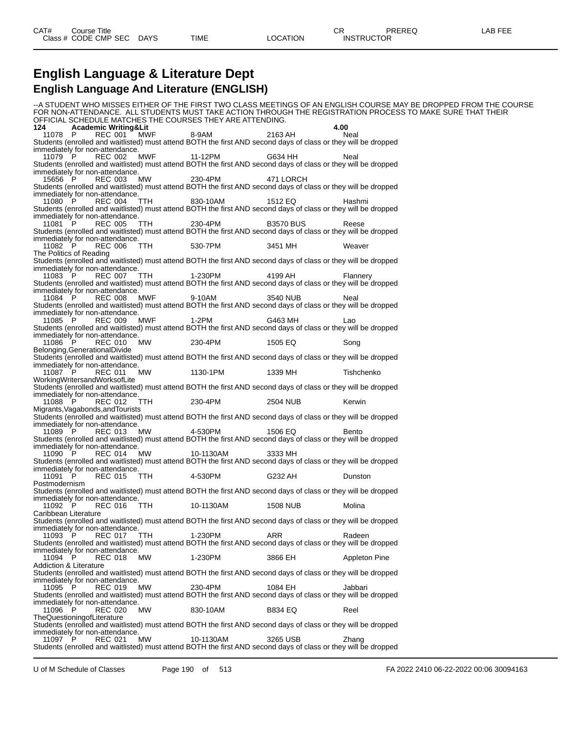#### **English Language & Literature Dept English Language And Literature (ENGLISH)**

--A STUDENT WHO MISSES EITHER OF THE FIRST TWO CLASS MEETINGS OF AN ENGLISH COURSE MAY BE DROPPED FROM THE COURSE FOR NON-ATTENDANCE. ALL STUDENTS MUST TAKE ACTION THROUGH THE REGISTRATION PROCESS TO MAKE SURE THAT THEIR OFFICIAL SCHEDULE MATCHES THE COURSES THEY ARE ATTENDING.<br>124 **Cademic Writing&Lit 124 Academic Writing&Lit 4.00** 11078 P REC 001 MWF 8-9AM 2163 AH Neal Students (enrolled and waitlisted) must attend BOTH the first AND second days of class or they will be dropped immediately for non-attendance. 11079 P REC 002 MWF 11-12PM G634 HH Neal Students (enrolled and waitlisted) must attend BOTH the first AND second days of class or they will be dropped immediately for non-attendance. 15656 P REC 003 MW 230-4PM 471 LORCH Students (enrolled and waitlisted) must attend BOTH the first AND second days of class or they will be dropped immediately for non-attendance. 11080 P REC 004 TTH 830-10AM 1512 EQ Hashmi Students (enrolled and waitlisted) must attend BOTH the first AND second days of class or they will be dropped immediately for non-attendance. 11081 P REC 005 TTH 230-4PM B3570 BUS Reese Students (enrolled and waitlisted) must attend BOTH the first AND second days of class or they will be dropped immediately for non-attendance. 11082 P REC 006 TTH 530-7PM 3451 MH Weaver The Politics of Reading Students (enrolled and waitlisted) must attend BOTH the first AND second days of class or they will be dropped immediately for non-attendance. 11083 P REC 007 TTH 1-230PM 4199 AH Flannery Students (enrolled and waitlisted) must attend BOTH the first AND second days of class or they will be dropped immediately for non-attendance. 11084 P REC 008 MWF 9-10AM 3540 NUB Neal Students (enrolled and waitlisted) must attend BOTH the first AND second days of class or they will be dropped immediately for non-attendance.<br>11085 P REC 009 MWF 11085 P REC 009 MWF 1-2PM G463 MH Lao Students (enrolled and waitlisted) must attend BOTH the first AND second days of class or they will be dropped immediately for non-attendance. 11086 P REC 010 MW 230-4PM 1505 EQ Song Belonging,GenerationalDivide Students (enrolled and waitlisted) must attend BOTH the first AND second days of class or they will be dropped immediately for non-attendance.<br>11087 P REC 011 MW 1130-1PM 1339 MH Tishchenko WorkingWritersandWorksofLite Students (enrolled and waitlisted) must attend BOTH the first AND second days of class or they will be dropped immediately for non-attendance. 11088 P REC 012 TTH 230-4PM 2504 NUB Kerwin Migrants,Vagabonds,andTourists Students (enrolled and waitlisted) must attend BOTH the first AND second days of class or they will be dropped immediately for non-attendance.<br>11089 P REC 013 MW 11089 P REC 013 MW 4-530PM 1506 EQ Bento Students (enrolled and waitlisted) must attend BOTH the first AND second days of class or they will be dropped immediately for non-attendance. 11090 P REC 014 MW 10-1130AM 3333 MH Students (enrolled and waitlisted) must attend BOTH the first AND second days of class or they will be dropped immediately for non-attendance. 11091 P REC 015 TTH 4-530PM G232 AH Dunston Postmodernism Students (enrolled and waitlisted) must attend BOTH the first AND second days of class or they will be dropped immediately for non-attendance.<br>11092 P REC 016 TTH REC 016 TTH 10-1130AM 1508 NUB Molina Caribbean Literature Students (enrolled and waitlisted) must attend BOTH the first AND second days of class or they will be dropped immediately for non-attendance.<br>11093 P REC 017 TTH 11093 P REC 017 TTH 1-230PM ARR Radeen Students (enrolled and waitlisted) must attend BOTH the first AND second days of class or they will be dropped immediately for non-attendance. 11094 P REC 018 MW 1-230PM 3866 EH Appleton Pine Addiction & Literature Students (enrolled and waitlisted) must attend BOTH the first AND second days of class or they will be dropped immediately for non-attendance.<br>11095 P REC 019 MW 11095 P REC 019 MW 230-4PM 1084 EH Jabbari Students (enrolled and waitlisted) must attend BOTH the first AND second days of class or they will be dropped immediately for non-attendance.<br>11096 P REC 020 MW 11096 P REC 020 MW 830-10AM B834 EQ Reel TheQuestioningofLiterature Students (enrolled and waitlisted) must attend BOTH the first AND second days of class or they will be dropped immediately for non-attendance.<br>11097 P REC 021 MW 11097 P REC 021 MW 10-1130AM 3265 USB Zhang Students (enrolled and waitlisted) must attend BOTH the first AND second days of class or they will be dropped

U of M Schedule of Classes Page 190 of 513 FA 2022 2410 06-22-2022 00:06 30094163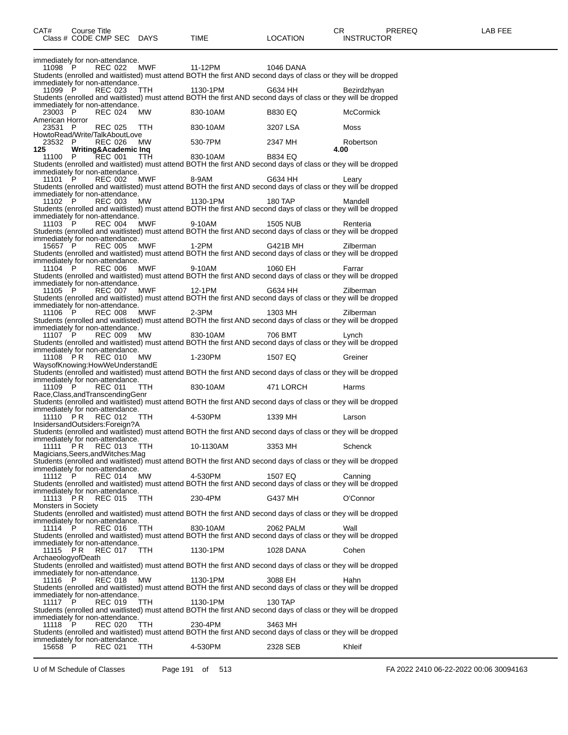| Class # CODE CMP SEC DAYS TIME                                                                                                                    |            |                                                                           | LOCATION     | <b>INSTRUCTOR</b> |
|---------------------------------------------------------------------------------------------------------------------------------------------------|------------|---------------------------------------------------------------------------|--------------|-------------------|
|                                                                                                                                                   |            |                                                                           |              |                   |
| immediately for non-attendance.<br>11098 P REC 022 MWF 11-12PM                                                                                    |            |                                                                           | 1046 DANA    |                   |
| Students (enrolled and waitlisted) must attend BOTH the first AND second days of class or they will be dropped                                    |            |                                                                           |              |                   |
| immediately for non-attendance.                                                                                                                   |            | 11099 P REC 023 TTH 1130-1PM G634 HH                                      |              | Bezirdzhyan       |
| Students (enrolled and waitlisted) must attend BOTH the first AND second days of class or they will be dropped                                    |            |                                                                           |              |                   |
| immediately for non-attendance.                                                                                                                   |            | 2003 P REC 024 MW 830-10AM B830 EQ<br>23003 P REC 024 MW 830-10AM B830 EQ |              | <b>McCormick</b>  |
| American Horror                                                                                                                                   |            | 23531 P REC 025 TTH 830-10AM 3207 LSA                                     |              | Moss              |
|                                                                                                                                                   |            |                                                                           |              |                   |
| HowtoRead/Write/TalkAboutLove<br>23532 P REC 026 MW 530-7PM 2347 MH<br>125 Writing&Academic Inq                                                   |            |                                                                           |              | Robertson<br>4.00 |
|                                                                                                                                                   |            | 3 WILLING ACADEMIC INC.<br>11100 P REC 001 TTH 830-10AM B834 EQ           |              |                   |
| Students (enrolled and waitlisted) must attend BOTH the first AND second days of class or they will be dropped<br>immediately for non-attendance. |            |                                                                           |              |                   |
|                                                                                                                                                   |            | 11101 P REC 002 MWF 8-9AM G634 HH                                         |              | Learv             |
| Students (enrolled and waitlisted) must attend BOTH the first AND second days of class or they will be dropped<br>immediately for non-attendance. |            |                                                                           |              |                   |
|                                                                                                                                                   |            | 11102 P REC 003 MW 1130-1PM 180 TAP                                       |              | Mandell           |
| Students (enrolled and waitlisted) must attend BOTH the first AND second days of class or they will be dropped<br>immediately for non-attendance. |            |                                                                           |              |                   |
|                                                                                                                                                   |            | 11103 P REC 004 MWF 9-10AM 1505 NUB                                       |              | Renteria          |
| Students (enrolled and waitlisted) must attend BOTH the first AND second days of class or they will be dropped<br>immediately for non-attendance. |            |                                                                           |              |                   |
|                                                                                                                                                   |            | 15657 P REC 005 MWF 1-2PM G421B MH                                        |              | Zilberman         |
| Students (enrolled and waitlisted) must attend BOTH the first AND second days of class or they will be dropped<br>immediately for non-attendance. |            |                                                                           |              |                   |
|                                                                                                                                                   |            | 11104 P REC 006 MWF 9-10AM 1060 EH                                        |              | Farrar            |
| Students (enrolled and waitlisted) must attend BOTH the first AND second days of class or they will be dropped<br>immediately for non-attendance. |            |                                                                           |              |                   |
|                                                                                                                                                   |            | 11105 P REC 007 MWF 12-1PM G634 HH                                        |              | Zilberman         |
| Students (enrolled and waitlisted) must attend BOTH the first AND second days of class or they will be dropped<br>immediately for non-attendance. |            |                                                                           |              |                   |
|                                                                                                                                                   |            | 11106 P REC 008 MWF 2-3PM 1303 MH                                         |              | Zilberman         |
| Students (enrolled and waitlisted) must attend BOTH the first AND second days of class or they will be dropped<br>immediately for non-attendance. |            |                                                                           |              |                   |
| Students (enrolled and waitlisted) must attend BOTH the first AND second days of class or they will be dropped                                    |            | 11107 P REC 009 MW 830-10AM                                               | 706 BMT 2006 | Lynch             |
|                                                                                                                                                   |            |                                                                           |              |                   |
| immediately for non-attendance.<br>11108 PR REC 010 MW 1-230PM 1507 EQ Greiner<br>1507 EQ Greiner                                                 |            |                                                                           |              |                   |
| Students (enrolled and waitlisted) must attend BOTH the first AND second days of class or they will be dropped                                    |            |                                                                           |              |                   |
| immediately for non-attendance.<br>11109 P REC 011                                                                                                |            | TTH 830-10AM 471 LORCH Harms                                              |              |                   |
| Race, Class, and Transcending Genr                                                                                                                |            |                                                                           |              |                   |
| Students (enrolled and waitlisted) must attend BOTH the first AND second days of class or they will be dropped<br>immediately for non-attendance. |            |                                                                           |              |                   |
|                                                                                                                                                   |            | 11110 PR REC 012 TTH 4-530PM 1339 MH Larson                               |              |                   |
| InsidersandOutsiders:Foreign?A<br>Students (enrolled and waitlisted) must attend BOTH the first AND second days of class or they will be dropped  |            |                                                                           |              |                   |
| immediately for non-attendance.                                                                                                                   |            |                                                                           |              |                   |
| Magicians, Seers, and Witches: Mag                                                                                                                |            | 11111 PR REC 013 TTH 10-1130AM 3353 MH                                    |              | Schenck           |
| Students (enrolled and waitlisted) must attend BOTH the first AND second days of class or they will be dropped                                    |            |                                                                           |              |                   |
| immediately for non-attendance.<br><b>REC 014</b><br>11112<br>P                                                                                   | MW         | 4-530PM                                                                   | 1507 EQ      | Canning           |
| Students (enrolled and waitlisted) must attend BOTH the first AND second days of class or they will be dropped                                    |            |                                                                           |              |                   |
| immediately for non-attendance.<br>11113<br>PR<br>REC 015                                                                                         | TTH        | 230-4PM                                                                   | G437 MH      | O'Connor          |
| <b>Monsters in Society</b><br>Students (enrolled and waitlisted) must attend BOTH the first AND second days of class or they will be dropped      |            |                                                                           |              |                   |
| immediately for non-attendance.                                                                                                                   |            |                                                                           |              |                   |
| 11114<br>P<br>REC 016<br>Students (enrolled and waitlisted) must attend BOTH the first AND second days of class or they will be dropped           | TTH        | 830-10AM                                                                  | 2062 PALM    | Wall              |
| immediately for non-attendance.                                                                                                                   |            |                                                                           |              |                   |
| 11115<br>P R<br><b>REC 017</b><br>ArchaeologyofDeath                                                                                              | <b>TTH</b> | 1130-1PM                                                                  | 1028 DANA    | Cohen             |
| Students (enrolled and waitlisted) must attend BOTH the first AND second days of class or they will be dropped                                    |            |                                                                           |              |                   |
| immediately for non-attendance.<br>11116<br><b>REC 018</b><br>P                                                                                   | MW.        | 1130-1PM                                                                  | 3088 EH      | Hahn              |
| Students (enrolled and waitlisted) must attend BOTH the first AND second days of class or they will be dropped                                    |            |                                                                           |              |                   |
| immediately for non-attendance.<br>11117<br>P.<br><b>REC 019</b>                                                                                  | TTH        | 1130-1PM                                                                  | 130 TAP      |                   |
| Students (enrolled and waitlisted) must attend BOTH the first AND second days of class or they will be dropped                                    |            |                                                                           |              |                   |
| immediately for non-attendance.<br>11118<br>P.<br><b>REC 020</b>                                                                                  | TTH.       | 230-4PM                                                                   | 3463 MH      |                   |
| Students (enrolled and waitlisted) must attend BOTH the first AND second days of class or they will be dropped                                    |            |                                                                           |              |                   |
| immediately for non-attendance.<br>15658 P<br><b>REC 021</b>                                                                                      | TTH.       | 4-530PM                                                                   | 2328 SEB     | Khleif            |
|                                                                                                                                                   |            |                                                                           |              |                   |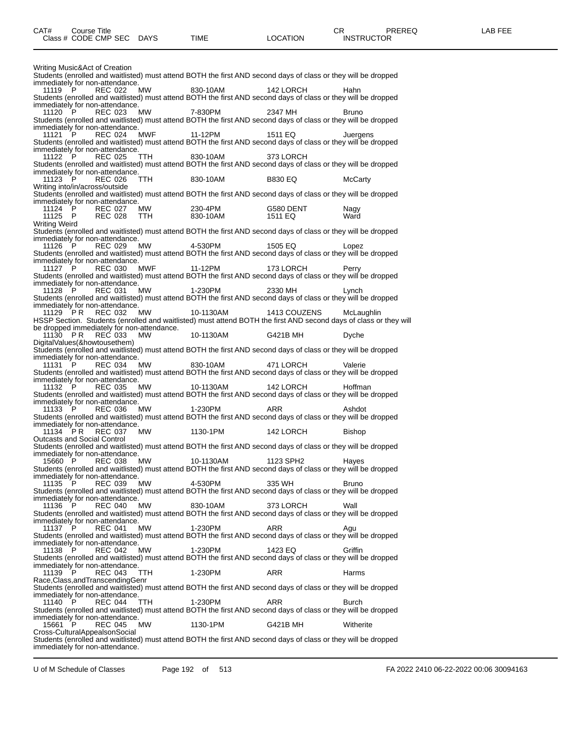Writing Music&Act of Creation Students (enrolled and waitlisted) must attend BOTH the first AND second days of class or they will be dropped immediately for non-attendance. 11119 P REC 022 MW 830-10AM 142 LORCH Hahn Students (enrolled and waitlisted) must attend BOTH the first AND second days of class or they will be dropped immediately for non-attendance. 11120 P REC 023 MW 7-830PM 2347 MH Bruno Students (enrolled and waitlisted) must attend BOTH the first AND second days of class or they will be dropped immediately for non-attendance. 11121 P REC 024 MWF 11-12PM 1511 EQ Juergens Students (enrolled and waitlisted) must attend BOTH the first AND second days of class or they will be dropped immediately for non-attendance. 11122 P REC 025 TTH 830-10AM 373 LORCH Students (enrolled and waitlisted) must attend BOTH the first AND second days of class or they will be dropped immediately for non-attendance. 11123 P REC 026 TTH 830-10AM B830 EQ McCarty Writing into/in/across/outside Students (enrolled and waitlisted) must attend BOTH the first AND second days of class or they will be dropped immediately for non-attendance. 11124 P REC 027 MW 230-4PM G580 DENT Nagy 11125 P REC 028 TTH 830-10AM 1511 EQ Ward Writing Weird Students (enrolled and waitlisted) must attend BOTH the first AND second days of class or they will be dropped immediately for non-attendance. 11126 P REC 029 MW 4-530PM 1505 EQ Lopez Students (enrolled and waitlisted) must attend BOTH the first AND second days of class or they will be dropped immediately for non-attendance.<br>11127 P REC 030 MWF 11127 P REC 030 MWF 11-12PM 173 LORCH Perry Students (enrolled and waitlisted) must attend BOTH the first AND second days of class or they will be dropped immediately for non-attendance. 11128 P REC 031 MW 1-230PM 2330 MH Lynch Students (enrolled and waitlisted) must attend BOTH the first AND second days of class or they will be dropped immediately for non-attendance.<br>11129 PR REC 032 MW 11129 P R REC 032 MW 10-1130AM 1413 COUZENS McLaughlin HSSP Section. Students (enrolled and waitlisted) must attend BOTH the first AND second days of class or they will be dropped immediately for non-attendance. 11130 P R REC 033 MW 10-1130AM G421B MH Dyche DigitalValues(&howtousethem) Students (enrolled and waitlisted) must attend BOTH the first AND second days of class or they will be dropped immediately for non-attendance.<br>11131 P REC 034 MW 11131 P REC 034 MW 830-10AM 471 LORCH Valerie Students (enrolled and waitlisted) must attend BOTH the first AND second days of class or they will be dropped immediately for non-attendance.<br>11132 P REC 035 MW 11132 P REC 035 MW 10-1130AM 142 LORCH Hoffman Students (enrolled and waitlisted) must attend BOTH the first AND second days of class or they will be dropped immediately for non-attendance.<br>11133 P REC 036 MW 11133 P REC 036 MW 1-230PM ARR Ashdot Students (enrolled and waitlisted) must attend BOTH the first AND second days of class or they will be dropped immediately for non-attendance. 11134 P R REC 037 MW 1130-1PM 142 LORCH Bishop Outcasts and Social Control Students (enrolled and waitlisted) must attend BOTH the first AND second days of class or they will be dropped immediately for non-attendance. 15660 P REC 038 MW 10-1130AM 1123 SPH2 Hayes Students (enrolled and waitlisted) must attend BOTH the first AND second days of class or they will be dropped immediately for non-attendance.<br>11135 P REC 039 MW 11135 P REC 039 MW 4-530PM 335 WH Bruno Students (enrolled and waitlisted) must attend BOTH the first AND second days of class or they will be dropped immediately for non-attendance.<br>11136 P REC 040 MW 11136 P REC 040 MW 830-10AM 373 LORCH Wall Students (enrolled and waitlisted) must attend BOTH the first AND second days of class or they will be dropped immediately for non-attendance.<br>11137 P REC 041 MW 11137 P REC 041 MW 1-230PM ARR Agu Students (enrolled and waitlisted) must attend BOTH the first AND second days of class or they will be dropped immediately for non-attendance.<br>11138 P REC 042 MW 11138 P REC 042 MW 1-230PM 1423 EQ Griffin Students (enrolled and waitlisted) must attend BOTH the first AND second days of class or they will be dropped immediately for non-attendance.<br>11139 P REC 043 TTH REC 043 TTH 1-230PM ARR Harms Race,Class,andTranscendingGenr Students (enrolled and waitlisted) must attend BOTH the first AND second days of class or they will be dropped immediately for non-attendance. 11140 P REC 044 TTH 1-230PM ARR Burch Students (enrolled and waitlisted) must attend BOTH the first AND second days of class or they will be dropped immediately for non-attendance. 15661 P REC 045 MW 1130-1PM G421B MH Witherite Cross-CulturalAppealsonSocial Students (enrolled and waitlisted) must attend BOTH the first AND second days of class or they will be dropped immediately for non-attendance.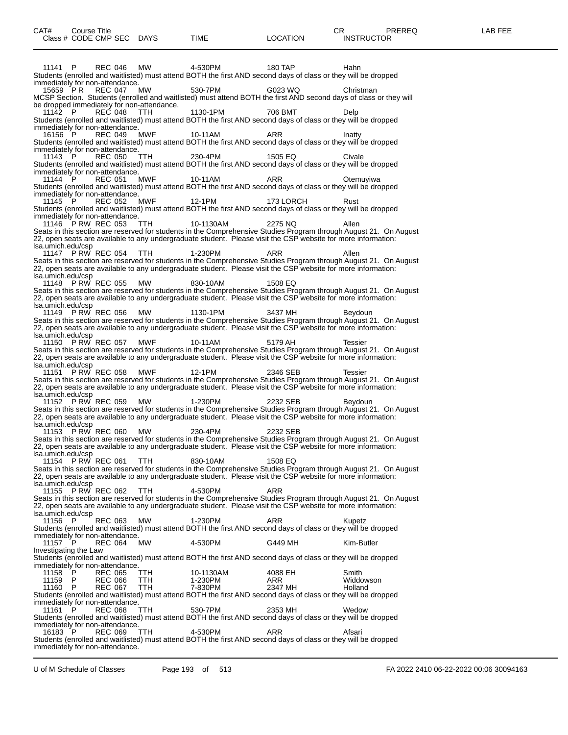11141 P REC 046 MW 4-530PM 180 TAP Hahn Students (enrolled and waitlisted) must attend BOTH the first AND second days of class or they will be dropped immediately for non-attendance. 15659 P R REC 047 MW 530-7PM G023 WQ Christman MCSP Section. Students (enrolled and waitlisted) must attend BOTH the first AND second days of class or they will be dropped immediately for non-attendance. 11142 P REC 048 TTH 1130-1PM 706 BMT Delp Students (enrolled and waitlisted) must attend BOTH the first AND second days of class or they will be dropped immediately for non-attendance. 16156 P REC 049 MWF 10-11AM ARR ARR Inatty Students (enrolled and waitlisted) must attend BOTH the first AND second days of class or they will be dropped immediately for non-attendance. 11143 P REC 050 TTH 230-4PM 1505 EQ Civale Students (enrolled and waitlisted) must attend BOTH the first AND second days of class or they will be dropped immediately for non-attendance. 11144 P REC 051 MWF 10-11AM ARR Otemuyiwa Students (enrolled and waitlisted) must attend BOTH the first AND second days of class or they will be dropped immediately for non-attendance. 11145 P REC 052 MWF 12-1PM 173 LORCH Rust Students (enrolled and waitlisted) must attend BOTH the first AND second days of class or they will be dropped immediately for non-attendance. 11146 P RW REC 053 TTH 10-1130AM 2275 NQ Allen Seats in this section are reserved for students in the Comprehensive Studies Program through August 21. On August 22, open seats are available to any undergraduate student. Please visit the CSP website for more information: lsa.umich.edu/csp<br>11147 PRW REC 054 11147 P RW REC 054 TTH 1-230PM ARR Allen Seats in this section are reserved for students in the Comprehensive Studies Program through August 21. On August 22, open seats are available to any undergraduate student. Please visit the CSP website for more information: lsa.umich.edu/csp 11148 P RW REC 055 MW 830-10AM 1508 EQ Seats in this section are reserved for students in the Comprehensive Studies Program through August 21. On August 22, open seats are available to any undergraduate student. Please visit the CSP website for more information: lsa.umich.edu/csp 11149 P RW REC 056 MW 1130-1PM 3437 MH Beydoun Seats in this section are reserved for students in the Comprehensive Studies Program through August 21. On August 22, open seats are available to any undergraduate student. Please visit the CSP website for more information: lsa.umich.edu/csp<br>11150 P RW REC 057 11150 P RW REC 057 MWF 10-11AM 5179 AH Tessier Seats in this section are reserved for students in the Comprehensive Studies Program through August 21. On August 22, open seats are available to any undergraduate student. Please visit the CSP website for more information: lsa.umich.edu/csp 11151 P RW REC 058 MWF 12-1PM 2346 SEB Tessier Seats in this section are reserved for students in the Comprehensive Studies Program through August 21. On August 22, open seats are available to any undergraduate student. Please visit the CSP website for more information: lsa.umich.edu/csp<br>11152 PRW REC 059 MW 11152 P RW REC 059 MW 1-230PM 2232 SEB Beydoun Seats in this section are reserved for students in the Comprehensive Studies Program through August 21. On August 22, open seats are available to any undergraduate student. Please visit the CSP website for more information: lsa.umich.edu/csp 11153 P RW REC 060 MW 230-4PM 2232 SEB Seats in this section are reserved for students in the Comprehensive Studies Program through August 21. On August 22, open seats are available to any undergraduate student. Please visit the CSP website for more information: lsa.umich.edu/csp 11154 P RW REC 061 TTH 830-10AM 1508 EQ Seats in this section are reserved for students in the Comprehensive Studies Program through August 21. On August 22, open seats are available to any undergraduate student. Please visit the CSP website for more information: lsa.umich.edu/csp 11155 P RW REC 062 TTH 4-530PM ARR Seats in this section are reserved for students in the Comprehensive Studies Program through August 21. On August 22, open seats are available to any undergraduate student. Please visit the CSP website for more information: lsa.umich.edu/csp REC 063 MW 1-230PM ARR Kupetz Students (enrolled and waitlisted) must attend BOTH the first AND second days of class or they will be dropped immediately for non-attendance. 11157 P REC 064 MW 4-530PM G449 MH Kim-Butler Investigating the Law Students (enrolled and waitlisted) must attend BOTH the first AND second days of class or they will be dropped immediately for non-attendance.<br>11158 P REC 065 TTH<br>11159 P REC 066 TTH 11158 P REC 065 TTH 10-1130AM 4088 EH Smith 11159 P REC 066 TTH 1-230PM ARR Widdowson 11160 P REC 067 TTH 7-830PM 2347 MH Holland Students (enrolled and waitlisted) must attend BOTH the first AND second days of class or they will be dropped immediately for non-attendance.<br>11161 P REC 068 TTH 11161 P REC 068 TTH 530-7PM 2353 MH Wedow Students (enrolled and waitlisted) must attend BOTH the first AND second days of class or they will be dropped immediately for non-attendance.<br>16183 P REC 069 TTH 16183 P REC 069 TTH 4-530PM ARR ARR Afsari Students (enrolled and waitlisted) must attend BOTH the first AND second days of class or they will be dropped

immediately for non-attendance.

U of M Schedule of Classes Page 193 of 513 FA 2022 2410 06-22-2022 00:06 30094163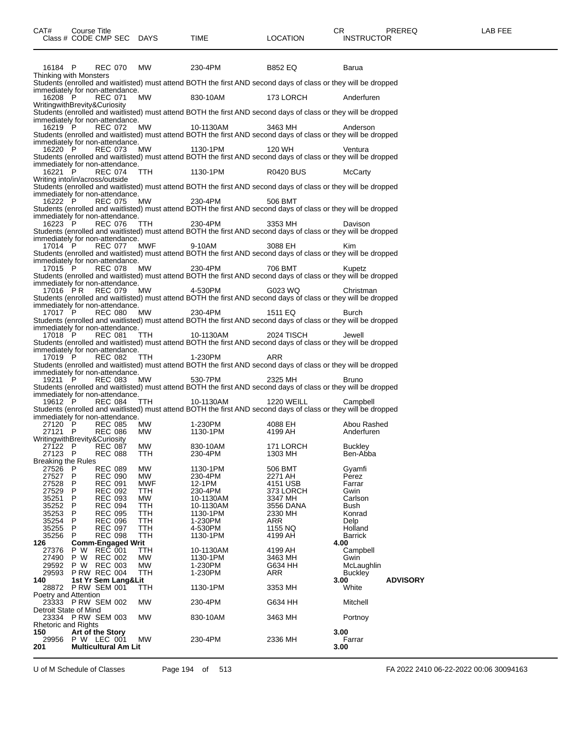| 16184 P                                    |                             |                                  | REC 070                  | MW          | 230-4PM                                                                                                                   | B852 EQ                         | Barua                            |
|--------------------------------------------|-----------------------------|----------------------------------|--------------------------|-------------|---------------------------------------------------------------------------------------------------------------------------|---------------------------------|----------------------------------|
| Thinking with Monsters                     |                             |                                  |                          |             |                                                                                                                           |                                 |                                  |
|                                            |                             |                                  |                          |             | Students (enrolled and waitlisted) must attend BOTH the first AND second days of class or they will be dropped            |                                 |                                  |
| immediately for non-attendance.<br>16208 P |                             | REC 071                          |                          | MW          | 830-10AM                                                                                                                  | 173 LORCH                       | Anderfuren                       |
| WritingwithBrevity&Curiosity               |                             |                                  |                          |             |                                                                                                                           |                                 |                                  |
|                                            |                             |                                  |                          |             | Students (enrolled and waitlisted) must attend BOTH the first AND second days of class or they will be dropped            |                                 |                                  |
| immediately for non-attendance.            |                             |                                  |                          |             |                                                                                                                           |                                 |                                  |
| 16219 P                                    |                             | <b>REC 072</b>                   |                          | MW          | 10-1130AM                                                                                                                 | 3463 MH                         | Anderson                         |
|                                            |                             |                                  |                          |             | Students (enrolled and waitlisted) must attend BOTH the first AND second days of class or they will be dropped            |                                 |                                  |
| immediately for non-attendance.<br>16220 P |                             | <b>REC 073</b>                   |                          | MW          | 1130-1PM                                                                                                                  | 120 WH                          | Ventura                          |
|                                            |                             |                                  |                          |             | Students (enrolled and waitlisted) must attend BOTH the first AND second days of class or they will be dropped            |                                 |                                  |
| immediately for non-attendance.            |                             |                                  |                          |             |                                                                                                                           |                                 |                                  |
| 16221                                      | P.                          | REC 074                          |                          |             | TTH 1130-1PM                                                                                                              | R0420 BUS                       | <b>McCarty</b>                   |
| Writing into/in/across/outside             |                             |                                  |                          |             |                                                                                                                           |                                 |                                  |
|                                            |                             |                                  |                          |             | Students (enrolled and waitlisted) must attend BOTH the first AND second days of class or they will be dropped            |                                 |                                  |
| immediately for non-attendance.<br>16222 P |                             | <b>REC 075</b>                   |                          | MW          | 230-4PM                                                                                                                   | 506 BMT                         |                                  |
|                                            |                             |                                  |                          |             | Students (enrolled and waitlisted) must attend BOTH the first AND second days of class or they will be dropped            |                                 |                                  |
| immediately for non-attendance.            |                             |                                  |                          |             |                                                                                                                           |                                 |                                  |
| 16223 P                                    |                             |                                  |                          | REC 076 TTH | 230-4PM                                                                                                                   | 3353 MH                         | Davison                          |
|                                            |                             |                                  |                          |             | Students (enrolled and waitlisted) must attend BOTH the first AND second days of class or they will be dropped            |                                 |                                  |
| immediately for non-attendance.            |                             |                                  |                          |             |                                                                                                                           |                                 |                                  |
| 17014 P                                    |                             |                                  |                          | REC 077 MWF | 9-10AM<br>Students (enrolled and waitlisted) must attend BOTH the first AND second days of class or they will be dropped  | 3088 EH                         | Kim                              |
| immediately for non-attendance.            |                             |                                  |                          |             |                                                                                                                           |                                 |                                  |
| 17015 P                                    |                             |                                  | REC 078                  | <b>MW</b>   | 230-4PM                                                                                                                   | 706 BMT                         | Kupetz                           |
|                                            |                             |                                  |                          |             | Students (enrolled and waitlisted) must attend BOTH the first AND second days of class or they will be dropped            |                                 |                                  |
| immediately for non-attendance.            |                             |                                  |                          |             |                                                                                                                           |                                 |                                  |
| 17016 PR                                   |                             |                                  | REC 079                  | MW 4-530PM  |                                                                                                                           | G023 WQ                         | Christman                        |
|                                            |                             |                                  |                          |             | Students (enrolled and waitlisted) must attend BOTH the first AND second days of class or they will be dropped            |                                 |                                  |
| immediately for non-attendance.<br>17017 P |                             |                                  | REC 080                  | <b>MW</b>   | 230-4PM                                                                                                                   | 1511 EQ                         | Burch                            |
|                                            |                             |                                  |                          |             | Students (enrolled and waitlisted) must attend BOTH the first AND second days of class or they will be dropped            |                                 |                                  |
| immediately for non-attendance.            |                             |                                  |                          |             |                                                                                                                           |                                 |                                  |
| 17018 P                                    |                             |                                  |                          | REC 081 TTH | 10-1130AM                                                                                                                 | 2024 TISCH                      | Jewell                           |
|                                            |                             |                                  |                          |             | Students (enrolled and waitlisted) must attend BOTH the first AND second days of class or they will be dropped            |                                 |                                  |
| immediately for non-attendance.            |                             |                                  |                          |             |                                                                                                                           |                                 |                                  |
| 17019 P                                    |                             | REC 082                          |                          | TTH         | 1-230PM<br>Students (enrolled and waitlisted) must attend BOTH the first AND second days of class or they will be dropped | ARR                             |                                  |
| immediately for non-attendance.            |                             |                                  |                          |             |                                                                                                                           |                                 |                                  |
| 19211 P                                    |                             | <b>REC 083</b>                   |                          | MW          | 530-7PM                                                                                                                   | 2325 MH                         | <b>Bruno</b>                     |
|                                            |                             |                                  |                          |             | Students (enrolled and waitlisted) must attend BOTH the first AND second days of class or they will be dropped            |                                 |                                  |
| immediately for non-attendance.            |                             |                                  |                          |             |                                                                                                                           |                                 |                                  |
| 19612 P                                    |                             | <b>REC 084</b>                   |                          | TTH         | 10-1130AM                                                                                                                 | 1220 WEILL                      | Campbell                         |
|                                            |                             |                                  |                          |             | Students (enrolled and waitlisted) must attend BOTH the first AND second days of class or they will be dropped            |                                 |                                  |
| immediately for non-attendance.<br>27120 P |                             | <b>REC 085</b>                   |                          | MW          | 1-230PM                                                                                                                   | 4088 EH                         | Abou Rashed                      |
| 27121 P                                    |                             | <b>REC 086</b>                   |                          | MW          | 1130-1PM                                                                                                                  | 4199 AH                         | Anderfuren                       |
| WritingwithBrevity&Curiosity               |                             |                                  |                          |             |                                                                                                                           |                                 |                                  |
| $27122$ P                                  |                             | <b>REC 087</b>                   |                          | MW          | 830-10AM                                                                                                                  | 171 LORCH<br><sub>1303</sub> мн | <b>Buckley</b>                   |
| 27123 P                                    |                             | <b>REC 088</b>                   |                          | TTH         | 230-4PM                                                                                                                   | 1303 MH                         | Ben-Abba                         |
| <b>Breaking the Rules</b>                  |                             | <b>REC 089</b>                   |                          |             |                                                                                                                           |                                 |                                  |
| 27526 P<br>27527                           | P                           | <b>REC 090</b>                   |                          | MW<br>MW    | 1130-1PM<br>230-4PM                                                                                                       | 506 BMT<br>2271 AH              | Gyamfi<br>Perez                  |
| 27528                                      | P                           | <b>REC 091</b>                   |                          | MWF         | 12-1PM                                                                                                                    | 4151 USB                        | Farrar                           |
| 27529                                      | P                           | <b>REC 092</b>                   |                          | TTH         | 230-4PM                                                                                                                   | 373 LORCH                       | Gwin                             |
| 35251                                      | P                           | <b>REC 093</b>                   |                          | MW.         | 10-1130AM                                                                                                                 | 3347 MH                         | Carlson                          |
| 35252                                      | P                           | <b>REC 094</b>                   |                          | TTH         | 10-1130AM                                                                                                                 | 3556 DANA                       | Bush                             |
| 35253                                      | P                           | <b>REC 095</b>                   |                          | TTH         | 1130-1PM                                                                                                                  | 2330 MH                         | Konrad                           |
| 35254<br>35255                             | P<br>P                      | <b>REC 096</b><br><b>REC 097</b> |                          | ттн<br>TTH  | 1-230PM<br>4-530PM                                                                                                        | ARR<br>1155 NQ                  | Delp<br>Holland                  |
| 35256                                      | P                           | <b>REC 098</b>                   |                          | TTH         | 1130-1PM                                                                                                                  | 4199 AH                         | <b>Barrick</b>                   |
| 126                                        |                             |                                  | <b>Comm-Engaged Writ</b> |             |                                                                                                                           |                                 | 4.00                             |
| 27376                                      | P W                         | <b>REC 001</b>                   |                          | ттн         | 10-1130AM                                                                                                                 | 4199 AH                         | Campbell                         |
| 27490                                      | P W                         | <b>REC 002</b>                   |                          | МW          | 1130-1PM                                                                                                                  | 3463 MH                         | Gwin                             |
| 29592                                      | P W                         | <b>REC 003</b>                   |                          | MW          | 1-230PM                                                                                                                   | G634 HH                         | McLaughlin                       |
| 29593<br>140                               | <b>P RW REC 004</b>         |                                  | 1st Yr Sem Lang&Lit      | TTH         | 1-230PM                                                                                                                   | ARR                             | <b>Buckley</b>                   |
| 28872 PRW SEM 001                          |                             |                                  |                          | TTH         | 1130-1PM                                                                                                                  | 3353 MH                         | 3.00<br><b>ADVISORY</b><br>White |
| Poetry and Attention                       |                             |                                  |                          |             |                                                                                                                           |                                 |                                  |
| 23333 P RW SEM 002                         |                             |                                  |                          | <b>MW</b>   | 230-4PM                                                                                                                   | G634 HH                         | Mitchell                         |
| Detroit State of Mind                      |                             |                                  |                          |             |                                                                                                                           |                                 |                                  |
| 23334 PRW SEM 003                          |                             |                                  |                          | МW          | 830-10AM                                                                                                                  | 3463 MH                         | Portnoy                          |
| <b>Rhetoric and Rights</b><br>150          | Art of the Story            |                                  |                          |             |                                                                                                                           |                                 | 3.00                             |
| 29956                                      | P W LEC 001                 |                                  |                          | MW          | 230-4PM                                                                                                                   | 2336 MH                         | Farrar                           |
| 201                                        | <b>Multicultural Am Lit</b> |                                  |                          |             |                                                                                                                           |                                 | 3.00                             |
|                                            |                             |                                  |                          |             |                                                                                                                           |                                 |                                  |

U of M Schedule of Classes Page 194 of 513 FA 2022 2410 06-22-2022 00:06 30094163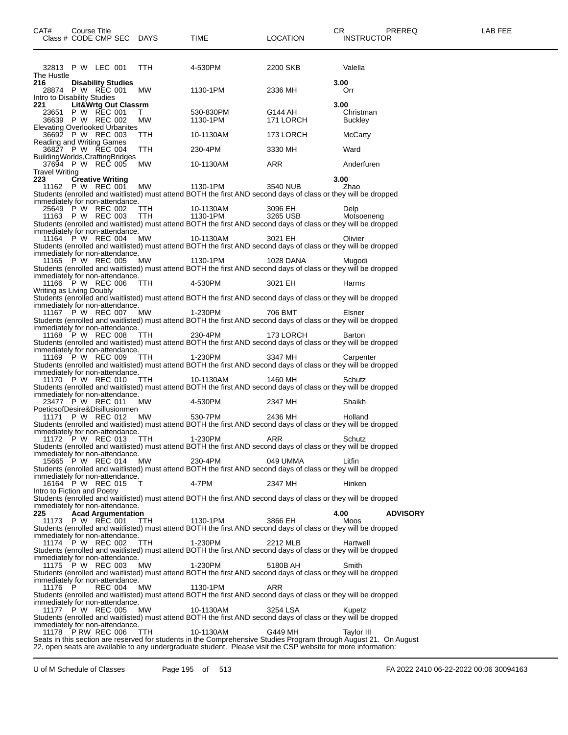|                                                 | Class # CODE CMP SEC DAYS                      |                               | TIME                                                                                                                        | LOCATION             | <b>INSTRUCTOR</b>                                                                                                 |
|-------------------------------------------------|------------------------------------------------|-------------------------------|-----------------------------------------------------------------------------------------------------------------------------|----------------------|-------------------------------------------------------------------------------------------------------------------|
|                                                 |                                                |                               |                                                                                                                             |                      |                                                                                                                   |
| The Hustle                                      | 32813 P W LEC 001                              | <b>TTH</b>                    | 4-530PM                                                                                                                     | 2200 SKB             | Valella                                                                                                           |
| 216                                             | <b>Disability Studies</b><br>28874 P W REC 001 | MW                            | 1130-1PM                                                                                                                    | 2336 MH              | 3.00<br>Orr                                                                                                       |
| Intro to Disability Studies<br>221              | Lit&Wrtg Out Classrm                           |                               |                                                                                                                             |                      | 3.00                                                                                                              |
|                                                 | 23651 P W REC 001<br>36639 P W REC 002         | T.<br>MW                      | 530-830PM<br>1130-1PM                                                                                                       | G144 AH<br>171 LORCH | Christman<br><b>Buckley</b>                                                                                       |
| Elevating Overlooked Urbanites                  | 36692 P W REC 003                              | TTH                           | 10-1130AM                                                                                                                   | 173 LORCH            | McCarty                                                                                                           |
| Reading and Writing Games                       | 36827 P W REC 004                              | TTH                           | 230-4PM                                                                                                                     | 3330 MH              | Ward                                                                                                              |
| BuildingWorlds, CraftingBridges                 |                                                |                               |                                                                                                                             |                      |                                                                                                                   |
| <b>Travel Writing</b>                           | 37694 P W REC 005                              | MW                            | 10-1130AM                                                                                                                   | ARR                  | Anderfuren                                                                                                        |
| 223                                             | <b>Creative Writing</b>                        | 11162 P W REC 001 MW 1130-1PM |                                                                                                                             | 3540 NUB             | 3.00<br>Zhao                                                                                                      |
| immediately for non-attendance.                 |                                                |                               | Students (enrolled and waitlisted) must attend BOTH the first AND second days of class or they will be dropped              |                      |                                                                                                                   |
|                                                 | 25649 P W REC 002<br>11163 P W REC 003         | TTH<br>TTH                    | 10-1130AM<br>1130-1PM                                                                                                       | 3096 EH<br>3265 USB  | Delp<br>Motsoeneng                                                                                                |
| immediately for non-attendance.                 |                                                |                               | Students (enrolled and waitlisted) must attend BOTH the first AND second days of class or they will be dropped              |                      |                                                                                                                   |
|                                                 | 11164 P W REC 004                              | MW                            | 10-1130AM<br>Students (enrolled and waitlisted) must attend BOTH the first AND second days of class or they will be dropped | 3021 EH              | Olivier                                                                                                           |
| immediately for non-attendance.                 | 11165 P W REC 005                              |                               | MW 1130-1PM                                                                                                                 | 1028 DANA            | Muaodi                                                                                                            |
| immediately for non-attendance.                 |                                                |                               | Students (enrolled and waitlisted) must attend BOTH the first AND second days of class or they will be dropped              |                      |                                                                                                                   |
|                                                 |                                                | 11166 P W REC 006 TTH 4-530PM |                                                                                                                             | 3021 EH              | Harms                                                                                                             |
| Writing as Living Doubly                        |                                                |                               | Students (enrolled and waitlisted) must attend BOTH the first AND second days of class or they will be dropped              |                      |                                                                                                                   |
| immediately for non-attendance.                 | 11167 P W REC 007 MW                           |                               | 1-230PM                                                                                                                     | 706 BMT              | Elsner                                                                                                            |
| immediately for non-attendance.                 |                                                |                               | Students (enrolled and waitlisted) must attend BOTH the first AND second days of class or they will be dropped              |                      |                                                                                                                   |
|                                                 | 11168 P W REC 008 TTH                          |                               | 230-4PM<br>Students (enrolled and waitlisted) must attend BOTH the first AND second days of class or they will be dropped   | 173 LORCH            | Barton                                                                                                            |
| immediately for non-attendance.                 | 11169 P W REC 009 TTH                          |                               | 1-230PM                                                                                                                     | 3347 MH              | Carpenter                                                                                                         |
| immediately for non-attendance.                 |                                                |                               | Students (enrolled and waitlisted) must attend BOTH the first AND second days of class or they will be dropped              |                      |                                                                                                                   |
|                                                 | 11170 P W REC 010 TTH                          |                               | 10-1130AM<br>Students (enrolled and waitlisted) must attend BOTH the first AND second days of class or they will be dropped | 1460 MH              | Schutz                                                                                                            |
| immediately for non-attendance.                 | 23477 P W REC 011                              | MW                            | 4-530PM                                                                                                                     | 2347 MH              | Shaikh                                                                                                            |
| PoeticsofDesire&Disillusionmen                  | 11171 P W REC 012                              | MW                            | 530-7PM                                                                                                                     | 2436 MH              | Holland                                                                                                           |
| immediately for non-attendance.                 |                                                |                               | Students (enrolled and waitlisted) must attend BOTH the first AND second days of class or they will be dropped              |                      |                                                                                                                   |
|                                                 | 11172 P W REC 013                              | TTH                           | 1-230PM<br>Students (enrolled and waitlisted) must attend BOTH the first AND second days of class or they will be dropped   | ARR                  | Schutz                                                                                                            |
| immediately for non-attendance.                 | 15665 P W REC 014                              | MW                            | 230-4PM                                                                                                                     | 049 UMMA             | Litfin                                                                                                            |
| immediately for non-attendance.                 |                                                |                               | Students (enrolled and waitlisted) must attend BOTH the first AND second days of class or they will be dropped              |                      |                                                                                                                   |
|                                                 | 16164 P W REC 015                              | T                             | 4-7PM                                                                                                                       | 2347 MH              | Hinken                                                                                                            |
| Intro to Fiction and Poetry                     |                                                |                               | Students (enrolled and waitlisted) must attend BOTH the first AND second days of class or they will be dropped              |                      |                                                                                                                   |
| immediately for non-attendance.<br>225          | <b>Acad Argumentation</b>                      |                               |                                                                                                                             |                      | 4.00<br><b>ADVISORY</b>                                                                                           |
|                                                 | 11173 P W REC 001                              | <b>TTH</b>                    | 1130-1PM<br>Students (enrolled and waitlisted) must attend BOTH the first AND second days of class or they will be dropped  | 3866 EH              | Moos                                                                                                              |
| immediately for non-attendance.                 | 11174 P W REC 002                              | <b>TTH</b>                    | 1-230PM                                                                                                                     | 2212 MLB             | Hartwell                                                                                                          |
| immediately for non-attendance.                 |                                                |                               | Students (enrolled and waitlisted) must attend BOTH the first AND second days of class or they will be dropped              |                      |                                                                                                                   |
|                                                 | 11175 P W REC 003                              | MW                            | 1-230PM<br>Students (enrolled and waitlisted) must attend BOTH the first AND second days of class or they will be dropped   | 5180B AH             | Smith                                                                                                             |
| immediately for non-attendance.<br>11176<br>- P | <b>REC 004</b>                                 | МW                            | 1130-1PM                                                                                                                    | ARR                  |                                                                                                                   |
| immediately for non-attendance.                 |                                                |                               | Students (enrolled and waitlisted) must attend BOTH the first AND second days of class or they will be dropped              |                      |                                                                                                                   |
|                                                 | 11177 P W REC 005                              | МW                            | 10-1130AM<br>Students (enrolled and waitlisted) must attend BOTH the first AND second days of class or they will be dropped | 3254 LSA             | Kupetz                                                                                                            |
| immediately for non-attendance.                 | 11178 P RW REC 006                             | TTH                           | 10-1130AM                                                                                                                   | G449 MH              | <b>Taylor III</b>                                                                                                 |
|                                                 |                                                |                               | 22, open seats are available to any undergraduate student. Please visit the CSP website for more information:               |                      | Seats in this section are reserved for students in the Comprehensive Studies Program through August 21. On August |
|                                                 |                                                |                               |                                                                                                                             |                      |                                                                                                                   |

U of M Schedule of Classes Page 195 of 513 FA 2022 2410 06-22-2022 00:06 30094163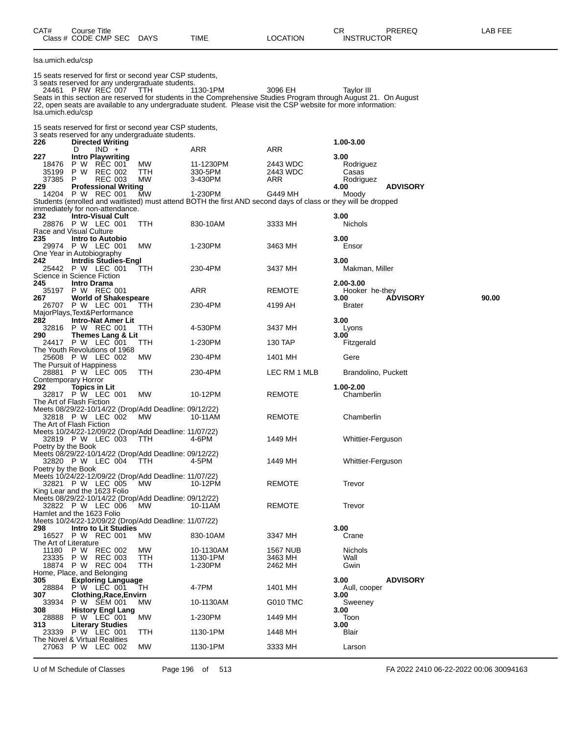| CAT# | Course Title              |      |          | CR                | PREREQ | LAB FEE |
|------|---------------------------|------|----------|-------------------|--------|---------|
|      | Class # CODE CMP SEC DAYS | TIME | LOCATION | <b>INSTRUCTOR</b> |        |         |

lsa.umich.edu/csp

15 seats reserved for first or second year CSP students, 3 seats reserved for any undergraduate students.

24461 P RW REC 007 TTH 1130-1PM 3096 EH Taylor III Seats in this section are reserved for students in the Comprehensive Studies Program through August 21. On August 22, open seats are available to any undergraduate student. Please visit the CSP website for more information: lsa.umich.edu/csp

15 seats reserved for first or second year CSP students,

|                       | id acaid reactived for mat or according year oor atuuchta,<br>3 seats reserved for any undergraduate students. |            |                                                                                                                |                     |                                  |
|-----------------------|----------------------------------------------------------------------------------------------------------------|------------|----------------------------------------------------------------------------------------------------------------|---------------------|----------------------------------|
| 226                   | <b>Directed Writing</b><br>D                                                                                   |            |                                                                                                                |                     | 1.00-3.00                        |
| 227                   | $IND +$<br><b>Intro Playwriting</b>                                                                            |            | ARR                                                                                                            | ARR                 | 3.00                             |
| 18476                 | P W REC 001                                                                                                    | MW         | 11-1230PM                                                                                                      | 2443 WDC            | Rodriguez                        |
| 35199                 | P W REC 002                                                                                                    | TTH        | 330-5PM                                                                                                        | 2443 WDC            | Casas                            |
| 37385                 | P.<br><b>REC 003</b>                                                                                           | МW         | 3-430PM                                                                                                        | ARR                 | Rodriguez                        |
| 229                   | <b>Professional Writing</b><br>14204 P W REC 001                                                               | МW         | 1-230PM                                                                                                        | G449 MH             | <b>ADVISORY</b><br>4.00<br>Moody |
|                       |                                                                                                                |            | Students (enrolled and waitlisted) must attend BOTH the first AND second days of class or they will be dropped |                     |                                  |
|                       | immediately for non-attendance.                                                                                |            |                                                                                                                |                     |                                  |
| 232                   | <b>Intro-Visual Cult</b>                                                                                       |            |                                                                                                                |                     | 3.00                             |
|                       | 28876 P W LEC 001<br>Race and Visual Culture                                                                   | ттн        | 830-10AM                                                                                                       | 3333 MH             | Nichols                          |
| 235                   | <b>Intro to Autobio</b>                                                                                        |            |                                                                                                                |                     | 3.00                             |
|                       | 29974 P W LEC 001                                                                                              | МW         | 1-230PM                                                                                                        | 3463 MH             | Ensor                            |
|                       | One Year in Autobiography                                                                                      |            |                                                                                                                |                     |                                  |
| 242                   | <b>Intrdis Studies-Engl</b>                                                                                    |            |                                                                                                                |                     | 3.00                             |
|                       | 25442 P W LEC 001<br>Science in Science Fiction                                                                | TTH        | 230-4PM                                                                                                        | 3437 MH             | Makman, Miller                   |
| 245                   | <b>Intro Drama</b>                                                                                             |            |                                                                                                                |                     | 2.00-3.00                        |
|                       | 35197 P W REC 001                                                                                              |            | ARR                                                                                                            | <b>REMOTE</b>       | Hooker he-they                   |
| 267                   | <b>World of Shakespeare</b>                                                                                    |            |                                                                                                                |                     | 90.00<br><b>ADVISORY</b><br>3.00 |
|                       | 26707 P W LEC 001<br>MajorPlays, Text&Performance                                                              | TTH        | 230-4PM                                                                                                        | 4199 AH             | <b>Brater</b>                    |
| 282                   | <b>Intro-Nat Amer Lit</b>                                                                                      |            |                                                                                                                |                     | 3.00                             |
|                       | 32816 P W REC 001                                                                                              | <b>TTH</b> | 4-530PM                                                                                                        | 3437 MH             | Lyons                            |
| 290                   | Themes Lang & Lit                                                                                              |            |                                                                                                                |                     | 3.00                             |
|                       | 24417 P W LEC 001                                                                                              | TTH        | 1-230PM                                                                                                        | 130 TAP             | Fitzgerald                       |
|                       | The Youth Revolutions of 1968<br>25608 P W LEC 002                                                             | MW.        | 230-4PM                                                                                                        | 1401 MH             | Gere                             |
|                       | The Pursuit of Happiness                                                                                       |            |                                                                                                                |                     |                                  |
|                       | 28881 P W LEC 005                                                                                              | TTH        | 230-4PM                                                                                                        | LEC RM 1 MLB        | Brandolino, Puckett              |
| Contemporary Horror   |                                                                                                                |            |                                                                                                                |                     |                                  |
| 292                   | <b>Topics in Lit</b><br>32817 P W LEC 001                                                                      | МW         | 10-12PM                                                                                                        | <b>REMOTE</b>       | 1.00-2.00<br>Chamberlin          |
|                       | The Art of Flash Fiction                                                                                       |            |                                                                                                                |                     |                                  |
|                       | Meets 08/29/22-10/14/22 (Drop/Add Deadline: 09/12/22)                                                          |            |                                                                                                                |                     |                                  |
|                       | 32818 P W LEC 002                                                                                              | MW         | 10-11AM                                                                                                        | <b>REMOTE</b>       | Chamberlin                       |
|                       | The Art of Flash Fiction                                                                                       |            |                                                                                                                |                     |                                  |
|                       | Meets 10/24/22-12/09/22 (Drop/Add Deadline: 11/07/22)<br>32819 P W LEC 003                                     | TTH        | 4-6PM                                                                                                          | 1449 MH             | Whittier-Ferguson                |
| Poetry by the Book    |                                                                                                                |            |                                                                                                                |                     |                                  |
|                       | Meets 08/29/22-10/14/22 (Drop/Add Deadline: 09/12/22)                                                          |            |                                                                                                                |                     |                                  |
|                       | 32820 P W LEC 004                                                                                              | TTH        | 4-5PM                                                                                                          | 1449 MH             | Whittier-Ferguson                |
| Poetry by the Book    | Meets 10/24/22-12/09/22 (Drop/Add Deadline: 11/07/22)                                                          |            |                                                                                                                |                     |                                  |
|                       | 32821 P W LEC 005                                                                                              | MW         | 10-12PM                                                                                                        | <b>REMOTE</b>       | Trevor                           |
|                       | King Lear and the 1623 Folio                                                                                   |            |                                                                                                                |                     |                                  |
|                       | Meets 08/29/22-10/14/22 (Drop/Add Deadline: 09/12/22)                                                          |            |                                                                                                                |                     |                                  |
|                       | 32822 P W LEC 006                                                                                              | MW         | 10-11AM                                                                                                        | REMOTE              | Trevor                           |
|                       | Hamlet and the 1623 Folio<br>Meets 10/24/22-12/09/22 (Drop/Add Deadline: 11/07/22)                             |            |                                                                                                                |                     |                                  |
| 298                   | Intro to Lit Studies                                                                                           |            |                                                                                                                |                     | 3.00                             |
|                       | 16527 P W REC 001                                                                                              | <b>MW</b>  | 830-10AM                                                                                                       | 3347 MH             | Crane                            |
| The Art of Literature |                                                                                                                | <b>MW</b>  |                                                                                                                |                     |                                  |
| 11180<br>23335        | P W<br><b>REC 002</b><br>P W<br><b>REC 003</b>                                                                 | TTH        | 10-1130AM<br>1130-1PM                                                                                          | 1567 NUB<br>3463 MH | Nichols<br>Wall                  |
| 18874                 | P W REC 004                                                                                                    | TTH        | 1-230PM                                                                                                        | 2462 MH             | Gwin                             |
|                       | Home, Place, and Belonging                                                                                     |            |                                                                                                                |                     |                                  |
| 305                   | <b>Exploring Language</b>                                                                                      |            |                                                                                                                |                     | 3.00<br><b>ADVISORY</b>          |
| 28884<br>307          | P W LEC 001<br>Clothing, Race, Envirn                                                                          | TН         | 4-7PM                                                                                                          | 1401 MH             | Aull, cooper<br>3.00             |
| 33934                 | P W SEM 001                                                                                                    | MW         | 10-1130AM                                                                                                      | G010 TMC            | Sweeney                          |
| 308                   | <b>History Engl Lang</b>                                                                                       |            |                                                                                                                |                     | 3.00                             |
| 28888                 | P W LEC 001                                                                                                    | МW         | 1-230PM                                                                                                        | 1449 MH             | Toon                             |
| 313<br>23339          | <b>Literary Studies</b><br>P W LEC 001                                                                         | TTH        | 1130-1PM                                                                                                       | 1448 MH             | 3.00<br>Blair                    |
|                       | The Novel & Virtual Realities                                                                                  |            |                                                                                                                |                     |                                  |
|                       | 27063 P W LEC 002                                                                                              | <b>MW</b>  | 1130-1PM                                                                                                       | 3333 MH             | Larson                           |

U of M Schedule of Classes Page 196 of 513 FA 2022 2410 06-22-2022 00:06 30094163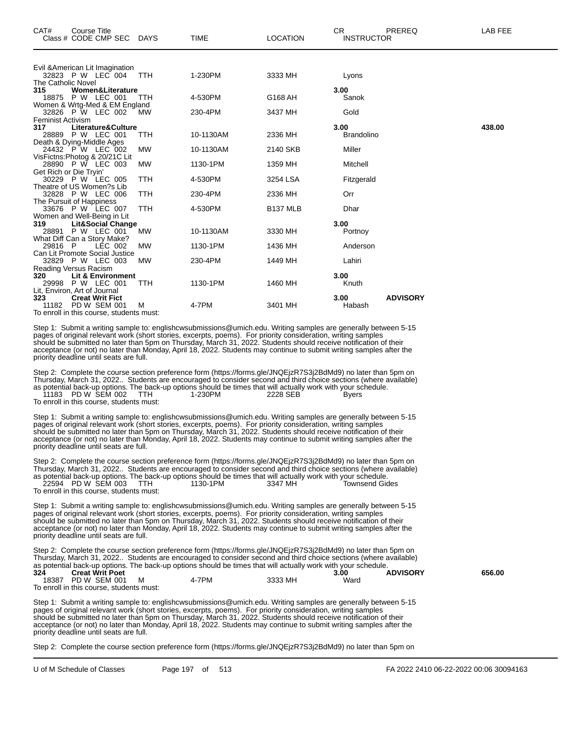| CAT#                      | Course Title<br>Class # CODE CMP SEC DAYS                                                                                |            | <b>TIME</b>                                                                                                                                                                                                                                                                                                                                                                                                                                                                | <b>LOCATION</b>      | CR.<br><b>INSTRUCTOR</b>  | PREREQ          | LAB FEE |
|---------------------------|--------------------------------------------------------------------------------------------------------------------------|------------|----------------------------------------------------------------------------------------------------------------------------------------------------------------------------------------------------------------------------------------------------------------------------------------------------------------------------------------------------------------------------------------------------------------------------------------------------------------------------|----------------------|---------------------------|-----------------|---------|
|                           | Evil & American Lit Imagination<br>32823 P W LEC 004                                                                     | <b>TTH</b> | 1-230PM                                                                                                                                                                                                                                                                                                                                                                                                                                                                    | 3333 MH              | Lyons                     |                 |         |
| The Catholic Novel<br>315 | <b>Women&amp;Literature</b><br>18875 P W LEC 001                                                                         | TTH        | 4-530PM                                                                                                                                                                                                                                                                                                                                                                                                                                                                    | G168 AH              | 3.00<br>Sanok             |                 |         |
|                           | Women & Wrtg-Med & EM England<br>32826 P W LEC 002                                                                       | <b>MW</b>  | 230-4PM                                                                                                                                                                                                                                                                                                                                                                                                                                                                    | 3437 MH              | Gold                      |                 |         |
| Feminist Activism<br>317  | Literature&Culture<br>28889 P W LEC 001                                                                                  | <b>TTH</b> | 10-1130AM                                                                                                                                                                                                                                                                                                                                                                                                                                                                  | 2336 MH              | 3.00<br><b>Brandolino</b> |                 | 438.00  |
|                           | Death & Dying-Middle Ages<br>24432 P W LEC 002                                                                           | МW         | 10-1130AM                                                                                                                                                                                                                                                                                                                                                                                                                                                                  | 2140 SKB             | Miller                    |                 |         |
|                           | VisFictns:Photog & 20/21C Lit<br>28890 P W LEC 003<br>Get Rich or Die Tryin'                                             | MW         | 1130-1PM                                                                                                                                                                                                                                                                                                                                                                                                                                                                   | 1359 MH              | Mitchell                  |                 |         |
|                           | 30229 P W LEC 005                                                                                                        | <b>TTH</b> | 4-530PM                                                                                                                                                                                                                                                                                                                                                                                                                                                                    | 3254 LSA             | Fitzgerald                |                 |         |
|                           | Theatre of US Women?s Lib<br>32828 P W LEC 006                                                                           | TTH        | 230-4PM                                                                                                                                                                                                                                                                                                                                                                                                                                                                    | 2336 MH              | Orr                       |                 |         |
|                           | The Pursuit of Happiness<br>33676 P W LEC 007<br>Women and Well-Being in Lit                                             | TTH        | 4-530PM                                                                                                                                                                                                                                                                                                                                                                                                                                                                    | B <sub>137</sub> MLB | Dhar                      |                 |         |
| 319                       | <b>Lit&amp;Social Change</b><br>28891 P W LEC 001<br>What Diff Can a Story Make?                                         | <b>MW</b>  | 10-1130AM                                                                                                                                                                                                                                                                                                                                                                                                                                                                  | 3330 MH              | 3.00<br>Portnoy           |                 |         |
| 29816 P                   | LEC 002                                                                                                                  | <b>MW</b>  | 1130-1PM                                                                                                                                                                                                                                                                                                                                                                                                                                                                   | 1436 MH              | Anderson                  |                 |         |
|                           | Can Lit Promote Social Justice<br>32829 P W LEC 003                                                                      | <b>MW</b>  | 230-4PM                                                                                                                                                                                                                                                                                                                                                                                                                                                                    | 1449 MH              | Lahiri                    |                 |         |
| 320                       | Reading Versus Racism<br>Lit & Environment<br>29998 P W LEC 001                                                          | <b>TTH</b> | 1130-1PM                                                                                                                                                                                                                                                                                                                                                                                                                                                                   | 1460 MH              | 3.00<br>Knuth             |                 |         |
| 323                       | Lit, Environ, Art of Journal<br><b>Creat Writ Fict</b><br>11182 PD W SEM 001<br>To enroll in this course, students must: | м          | 4-7PM                                                                                                                                                                                                                                                                                                                                                                                                                                                                      | 3401 MH              | 3.00<br>Habash            | <b>ADVISORY</b> |         |
|                           | priority deadline until seats are full.                                                                                  |            | Step 1: Submit a writing sample to: englishcwsubmissions@umich.edu. Writing samples are generally between 5-15<br>pages of original relevant work (short stories, excerpts, poems). For priority consideration, writing samples<br>should be submitted no later than 5pm on Thursday, March 31, 2022. Students should receive notification of their<br>acceptance (or not) no later than Monday, April 18, 2022. Students may continue to submit writing samples after the |                      |                           |                 |         |
|                           | 11183 PD W SEM 002<br>To enroll in this course, students must:                                                           | <b>TTH</b> | Step 2: Complete the course section preference form (https://forms.gle/JNQEjzR7S3j2BdMd9) no later than 5pm on<br>Thursday, March 31, 2022 Students are encouraged to consider second and third choice sections (where available)<br>as potential back-up options. The back-up options should be times that will actually work with your schedule.<br>1-230PM                                                                                                              | 2228 SEB             | Byers                     |                 |         |
|                           | priority deadline until seats are full.                                                                                  |            | Step 1: Submit a writing sample to: englishcwsubmissions@umich.edu. Writing samples are generally between 5-15<br>pages of original relevant work (short stories, excerpts, poems). For priority consideration, writing samples<br>should be submitted no later than 5pm on Thursday, March 31, 2022. Students should receive notification of their<br>acceptance (or not) no later than Monday, April 18, 2022. Students may continue to submit writing samples after the |                      |                           |                 |         |
|                           |                                                                                                                          |            | Step 2: Complete the course section preference form (https://forms.gle/JNQEjzR7S3j2BdMd9) no later than 5pm on<br>Thurodou March 21, 2022 Ctudente are encouraged to consider second and third choice sections (where ovailable)                                                                                                                                                                                                                                           |                      |                           |                 |         |

Thursday, March 31, 2022.. Students are encouraged to consider second and third choice sections (where available) as potential back-up options. The back-up options should be times that will actually work with your schedule. 22594 PD W SEM 003 TTH 1130-1PM 3347 MH Townsend Gides To enroll in this course, students must:

Step 1: Submit a writing sample to: englishcwsubmissions@umich.edu. Writing samples are generally between 5-15 pages of original relevant work (short stories, excerpts, poems). For priority consideration, writing samples should be submitted no later than 5pm on Thursday, March 31, 2022. Students should receive notification of their acceptance (or not) no later than Monday, April 18, 2022. Students may continue to submit writing samples after the priority deadline until seats are full.

Step 2: Complete the course section preference form (https://forms.gle/JNQEjzR7S3j2BdMd9) no later than 5pm on Thursday, March 31, 2022.. Students are encouraged to consider second and third choice sections (where available) as potential back-up options. The back-up options should be times that will actually work with your schedule.<br>324 **Creat Writ Poet Creat Writ Poet 324 Creat Writ Poet 3.00 ADVISORY 656.00** 18387 PD W SEM 001 M 4-7PM 3333 MH Ward

To enroll in this course, students must:

Step 1: Submit a writing sample to: englishcwsubmissions@umich.edu. Writing samples are generally between 5-15 pages of original relevant work (short stories, excerpts, poems). For priority consideration, writing samples should be submitted no later than 5pm on Thursday, March 31, 2022. Students should receive notification of their acceptance (or not) no later than Monday, April 18, 2022. Students may continue to submit writing samples after the priority deadline until seats are full.

Step 2: Complete the course section preference form (https://forms.gle/JNQEjzR7S3j2BdMd9) no later than 5pm on

U of M Schedule of Classes Page 197 of 513 FA 2022 2410 06-22-2022 00:06 30094163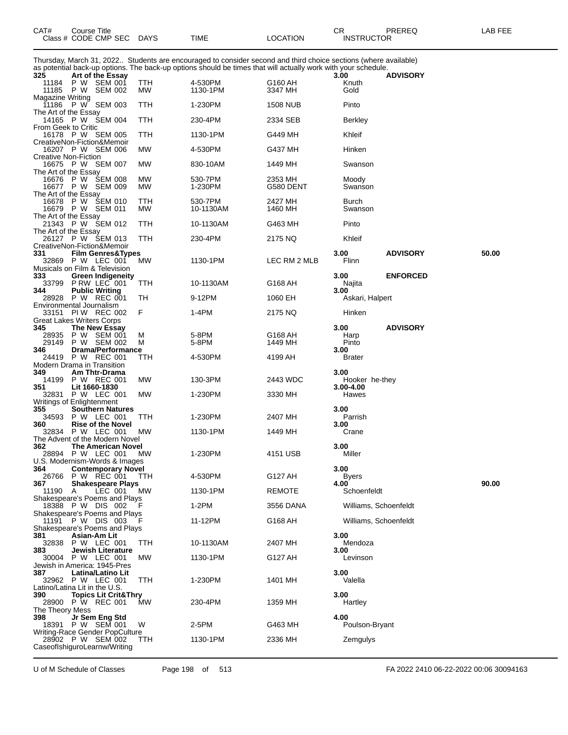| Class # CODE CMP SEC                                                                                                                                                                                                                    | <b>DAYS</b> | TIME                 | LOCATION           | <b>INSTRUCTOR</b>                   |                 |       |
|-----------------------------------------------------------------------------------------------------------------------------------------------------------------------------------------------------------------------------------------|-------------|----------------------|--------------------|-------------------------------------|-----------------|-------|
| Thursday, March 31, 2022 Students are encouraged to consider second and third choice sections (where available)<br>as potential back-up options. The back-up options should be times that will actually work with your schedule.<br>325 |             |                      |                    | 3.00                                |                 |       |
| Art of the Essay<br>11184 P W SEM 001<br>P W<br>11185<br>SEM 002                                                                                                                                                                        | TTH<br>МW   | 4-530PM<br>1130-1PM  | G160 AH<br>3347 MH | Knuth<br>Gold                       | <b>ADVISORY</b> |       |
| <b>Magazine Writing</b><br>P W SEM 003<br>11186<br>The Art of the Essay                                                                                                                                                                 | TTH         | 1-230PM              | <b>1508 NUB</b>    | Pinto                               |                 |       |
| 14165 P W SEM 004<br>From Geek to Critic                                                                                                                                                                                                | TTH         | 230-4PM              | 2334 SEB           | Berkley                             |                 |       |
| 16178 P W SEM 005<br>CreativeNon-Fiction&Memoir                                                                                                                                                                                         | TTH         | 1130-1PM             | G449 MH            | Khleif                              |                 |       |
| 16207 P W SEM 006<br><b>Creative Non-Fiction</b><br>16675 P W SEM 007                                                                                                                                                                   | МW<br>MW    | 4-530PM              | G437 MH<br>1449 MH | Hinken<br>Swanson                   |                 |       |
| The Art of the Essay<br>16676 P W SEM 008                                                                                                                                                                                               | МW          | 830-10AM<br>530-7PM  | 2353 MH            | Moody                               |                 |       |
| 16677 P W SEM 009<br>The Art of the Essay                                                                                                                                                                                               | МW          | 1-230PM              | G580 DENT          | Swanson                             |                 |       |
| 16678 P W ŚEM 010<br>16679 P W SEM 011<br>The Art of the Essay                                                                                                                                                                          | TTH<br>МW   | 530-7PM<br>10-1130AM | 2427 MH<br>1460 MH | Burch<br>Swanson                    |                 |       |
| 21343 P W SEM 012<br>The Art of the Essay                                                                                                                                                                                               | TTH         | 10-1130AM            | G463 MH            | Pinto                               |                 |       |
| 26127 P W ŠEM 013<br>CreativeNon-Fiction&Memoir                                                                                                                                                                                         | TTH         | 230-4PM              | 2175 NQ            | Khleif                              |                 |       |
| 331<br><b>Film Genres&amp;Types</b><br>32869 P W LEC 001                                                                                                                                                                                | МW          | 1130-1PM             | LEC RM 2 MLB       | 3.00<br>Flinn                       | <b>ADVISORY</b> | 50.00 |
| Musicals on Film & Television<br>333<br><b>Green Indigeneity</b><br>33799 P RW LEC 001                                                                                                                                                  | TTH         | 10-1130AM            | G168 AH            | 3.00<br>Najita                      | <b>ENFORCED</b> |       |
| 344<br><b>Public Writing</b><br>28928 P W REC 001                                                                                                                                                                                       | TН          | 9-12PM               | 1060 EH            | 3.00<br>Askari, Halpert             |                 |       |
| Environmental Journalism<br>33151 PIW REC 002<br><b>Great Lakes Writers Corps</b>                                                                                                                                                       | F           | 1-4PM                | 2175 NQ            | Hinken                              |                 |       |
| 345<br>The New Essay<br>P W SEM 001<br>28935                                                                                                                                                                                            | М           | 5-8PM                | G168 AH            | 3.00<br>Harp                        | <b>ADVISORY</b> |       |
| P W SEM 002<br>29149<br>Drama/Performance<br>346                                                                                                                                                                                        | М           | 5-8PM                | 1449 MH            | Pinto<br>3.00                       |                 |       |
| 24419 P W REC 001<br>Modern Drama in Transition                                                                                                                                                                                         | TTH         | 4-530PM              | 4199 AH            | <b>Brater</b>                       |                 |       |
| 349<br>Am Thtr-Drama<br>14199 P W REC 001<br>351<br>Lit 1660-1830                                                                                                                                                                       | МW          | 130-3PM              | 2443 WDC           | 3.00<br>Hooker he-they<br>3.00-4.00 |                 |       |
| 32831 P W LEC 001<br>Writings of Enlightenment                                                                                                                                                                                          | МW          | 1-230PM              | 3330 MH            | Hawes                               |                 |       |
| 355<br><b>Southern Natures</b><br>34593<br>P W LEC 001                                                                                                                                                                                  | TTH         | 1-230PM              | 2407 MH            | 3.00<br>Parrish                     |                 |       |
| 360<br><b>Rise of the Novel</b><br><b>P W LEC 001</b><br>32834<br>The Advent of the Modern Novel                                                                                                                                        | МW          | 1130-1PM             | 1449 MH            | 3.00<br>Crane                       |                 |       |
| 362<br><b>The American Novel</b><br>28894 P W LEC 001 MW                                                                                                                                                                                |             | 1-230PM              | 4151 USB           | 3.00<br>Miller                      |                 |       |
| U.S. Modernism-Words & Images<br><b>Contemporary Novel</b><br>364<br>26766 P W REC 001                                                                                                                                                  | TTH         | 4-530PM              | G127 AH            | 3.00<br>Byers                       |                 |       |
| 367<br><b>Shakespeare Plays</b><br>11190<br>LEC 001<br>A                                                                                                                                                                                | MW          | 1130-1PM             | REMOTE             | 4.00<br>Schoenfeldt                 |                 | 90.00 |
| Shakespeare's Poems and Plays<br>18388 P W DIS 002                                                                                                                                                                                      |             | 1-2PM                | 3556 DANA          | Williams, Schoenfeldt               |                 |       |
| Shakespeare's Poems and Plays<br>P W DIS 003<br>11191<br>Shakespeare's Poems and Plays                                                                                                                                                  |             | 11-12PM              | G168 AH            | Williams, Schoenfeldt               |                 |       |
| Asian-Am Lit<br>381<br>32838 P W LEC 001                                                                                                                                                                                                | TTH         | 10-1130AM            | 2407 MH            | 3.00<br>Mendoza                     |                 |       |
| Jewish Literature<br>383<br>30004 P W LEC 001                                                                                                                                                                                           | <b>MW</b>   | 1130-1PM             | G127 AH            | 3.00<br>Levinson                    |                 |       |
| Jewish in America: 1945-Pres<br>387<br>Latina/Latino Lit<br>32962 P W LEC 001                                                                                                                                                           | TTH         | 1-230PM              | 1401 MH            | 3.00<br>Valella                     |                 |       |
| Latino/Latina Lit in the U.S.<br>390<br><b>Topics Lit Crit&amp;Thry</b>                                                                                                                                                                 |             |                      |                    | 3.00                                |                 |       |
| 28900 P W REC 001<br>The Theory Mess                                                                                                                                                                                                    | MW          | 230-4PM              | 1359 MH            | Hartley                             |                 |       |
| Jr Sem Eng Std<br>398<br>18391 P W SEM 001<br>Writing-Race Gender PopCulture                                                                                                                                                            | W           | 2-5PM                | G463 MH            | 4.00<br>Poulson-Bryant              |                 |       |
| 28902 P W SEM 002<br>CaseofIshiguroLearnw/Writing                                                                                                                                                                                       | TTH         | 1130-1PM             | 2336 MH            | Zemgulys                            |                 |       |

U of M Schedule of Classes Page 198 of 513 FA 2022 2410 06-22-2022 00:06 30094163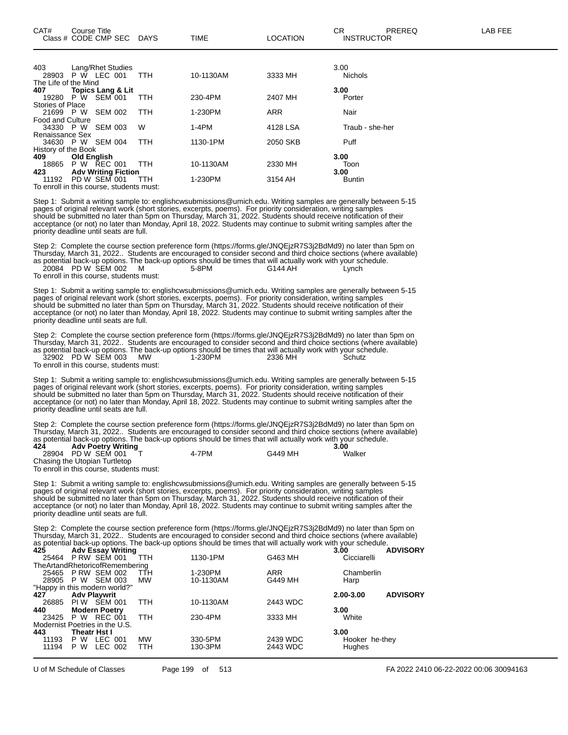| 403                     |                    | Lang/Rhet Studies                        |            |           |            | 3.00            |
|-------------------------|--------------------|------------------------------------------|------------|-----------|------------|-----------------|
| 28903                   |                    | P W LEC 001                              | <b>TTH</b> | 10-1130AM | 3333 MH    | <b>Nichols</b>  |
| The Life of the Mind    |                    |                                          |            |           |            |                 |
| 407                     |                    | <b>Topics Lang &amp; Lit</b>             |            |           |            | 3.00            |
| 19280                   | P W                | <b>SEM 001</b>                           | TTH        | 230-4PM   | 2407 MH    | Porter          |
| Stories of Place        |                    |                                          |            |           |            |                 |
| 21699 P W               |                    | <b>SEM 002</b>                           | <b>TTH</b> | 1-230PM   | <b>ARR</b> | Nair            |
| <b>Food and Culture</b> |                    |                                          |            |           |            |                 |
| 34330 P W               |                    | <b>SEM 003</b>                           | W          | $1-4PM$   | 4128 LSA   | Traub - she-her |
| Renaissance Sex         |                    |                                          |            |           |            |                 |
| 34630 P W               |                    | SEM 004                                  | <b>TTH</b> | 1130-1PM  | 2050 SKB   | Puff            |
| History of the Book     |                    |                                          |            |           |            |                 |
| 409                     | <b>Old English</b> |                                          |            |           |            | 3.00            |
| 18865                   |                    | P W REC 001                              | TTH        | 10-1130AM | 2330 MH    | Toon            |
| 423                     |                    | <b>Adv Writing Fiction</b>               |            |           |            | 3.00            |
| 11192                   |                    | PD W SEM 001                             | TTH        | 1-230PM   | 3154 AH    | <b>Buntin</b>   |
|                         |                    | To enroll in this course, students must: |            |           |            |                 |

Step 1: Submit a writing sample to: englishcwsubmissions@umich.edu. Writing samples are generally between 5-15 pages of original relevant work (short stories, excerpts, poems). For priority consideration, writing samples should be submitted no later than 5pm on Thursday, March 31, 2022. Students should receive notification of their acceptance (or not) no later than Monday, April 18, 2022. Students may continue to submit writing samples after the priority deadline until seats are full.

Step 2: Complete the course section preference form (https://forms.gle/JNQEjzR7S3j2BdMd9) no later than 5pm on Thursday, March 31, 2022.. Students are encouraged to consider second and third choice sections (where available) as potential back-up options. The back-up options should be times that will actually work with your schedule. 20084 PD W SEM 002 M 5-8PM G144 AH Lynch

To enroll in this course, students must:

Step 1: Submit a writing sample to: englishcwsubmissions@umich.edu. Writing samples are generally between 5-15 pages of original relevant work (short stories, excerpts, poems). For priority consideration, writing samples should be submitted no later than 5pm on Thursday, March 31, 2022. Students should receive notification of their acceptance (or not) no later than Monday, April 18, 2022. Students may continue to submit writing samples after the priority deadline until seats are full.

Step 2: Complete the course section preference form (https://forms.gle/JNQEjzR7S3j2BdMd9) no later than 5pm on Thursday, March 31, 2022.. Students are encouraged to consider second and third choice sections (where available) as potential back-up options. The back-up options should be times that will actually work with your schedule. 32902 PD W SEM 003 MW 1-230PM 2336 MH Schutz To enroll in this course, students must:

Step 1: Submit a writing sample to: englishcwsubmissions@umich.edu. Writing samples are generally between 5-15 pages of original relevant work (short stories, excerpts, poems). For priority consideration, writing samples should be submitted no later than 5pm on Thursday, March 31, 2022. Students should receive notification of their acceptance (or not) no later than Monday, April 18, 2022. Students may continue to submit writing samples after the priority deadline until seats are full.

Step 2: Complete the course section preference form (https://forms.gle/JNQEjzR7S3j2BdMd9) no later than 5pm on Thursday, March 31, 2022.. Students are encouraged to consider second and third choice sections (where available) as potential back-up options. The back-up options should be times that will actually work with your schedule.

| 424 | <b>Adv Poetry Writing</b>     |       |         | 3.00   |
|-----|-------------------------------|-------|---------|--------|
|     | 28904 PD W SEM 001            | 4-7PM | G449 MH | Walker |
|     | Chasing the Utopian Turtletop |       |         |        |

To enroll in this course, students must:

Step 1: Submit a writing sample to: englishcwsubmissions@umich.edu. Writing samples are generally between 5-15 pages of original relevant work (short stories, excerpts, poems). For priority consideration, writing samples should be submitted no later than 5pm on Thursday, March 31, 2022. Students should receive notification of their acceptance (or not) no later than Monday, April 18, 2022. Students may continue to submit writing samples after the priority deadline until seats are full.

Step 2: Complete the course section preference form (https://forms.gle/JNQEjzR7S3j2BdMd9) no later than 5pm on Thursday, March 31, 2022.. Students are encouraged to consider second and third choice sections (where available) as potential back-up options. The back-up options should be times that will actually work with your schedule.

| 425       | <b>Adv Essay Writing</b>       |     |            |           |            | 3.00           | <b>ADVISORY</b> |
|-----------|--------------------------------|-----|------------|-----------|------------|----------------|-----------------|
|           | 25464 P RW SEM 001             |     | TTH        | 1130-1PM  | G463 MH    | Cicciarelli    |                 |
|           | TheArtandRhetoricofRemembering |     |            |           |            |                |                 |
|           | 25465 P RW SEM 002             |     | TTH        | 1-230PM   | <b>ARR</b> | Chamberlin     |                 |
| 28905 P W | SEM 003                        |     | <b>MW</b>  | 10-1130AM | G449 MH    | Harp           |                 |
|           | "Happy in this modern world?"  |     |            |           |            |                |                 |
| 427       | <b>Adv Playwrit</b>            |     |            |           |            | 2.00-3.00      | <b>ADVISORY</b> |
| 26885     | SEM 001<br>PI W                |     | <b>TTH</b> | 10-1130AM | 2443 WDC   |                |                 |
| 440       | <b>Modern Poetry</b>           |     |            |           |            | 3.00           |                 |
|           | 23425 P W REC 001              |     | <b>TTH</b> | 230-4PM   | 3333 MH    | White          |                 |
|           | Modernist Poetries in the U.S. |     |            |           |            |                |                 |
| 443       | Theatr Hst I                   |     |            |           |            | 3.00           |                 |
| 11193     | P W<br>LEC 001                 |     | <b>MW</b>  | 330-5PM   | 2439 WDC   | Hooker he-they |                 |
| 11194     | W<br>LEC<br>P.                 | 002 | <b>TTH</b> | 130-3PM   | 2443 WDC   | Hughes         |                 |
|           |                                |     |            |           |            |                |                 |

U of M Schedule of Classes Page 199 of 513 FA 2022 2410 06-22-2022 00:06 30094163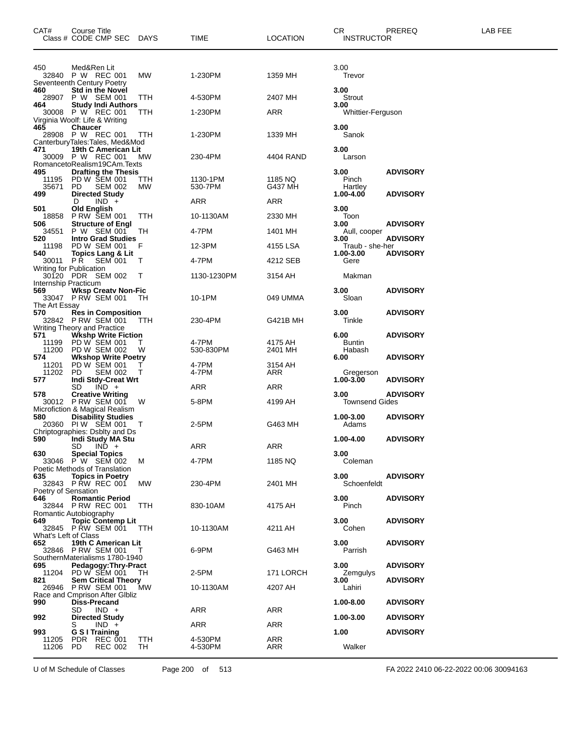| CAT#                        | Course Title<br>Class # CODE CMP SEC DAYS                                                                 |              | TIME                | <b>LOCATION</b>    | CR<br><b>INSTRUCTOR</b>   | PREREQ          | LAB FEE |
|-----------------------------|-----------------------------------------------------------------------------------------------------------|--------------|---------------------|--------------------|---------------------------|-----------------|---------|
| 450                         | Med&Ren Lit<br>32840 P W REC 001<br>Seventeenth Century Poetry                                            | MW           | 1-230PM             | 1359 MH            | 3.00<br>Trevor            |                 |         |
| 460<br>28907                | <b>Std in the Novel</b><br>P W SEM 001                                                                    | ттн          | 4-530PM             | 2407 MH            | 3.00<br>Strout            |                 |         |
| 464                         | <b>Study Indi Authors</b><br>30008 P W REC 001                                                            | TTH          | 1-230PM             | ARR                | 3.00<br>Whittier-Ferguson |                 |         |
| 465                         | Virginia Woolf: Life & Writing<br><b>Chaucer</b>                                                          |              |                     |                    | 3.00                      |                 |         |
|                             | 28908 P W REC 001                                                                                         | TTH          | 1-230PM             | 1339 MH            | Sanok                     |                 |         |
| 471                         | CanterburyTales:Tales, Med&Mod<br>19th C American Lit<br>30009 P W REC 001<br>RomancetoRealism19CAm.Texts | МW           | 230-4PM             | 4404 RAND          | 3.00<br>Larson            |                 |         |
| 495<br>11195<br>35671       | <b>Drafting the Thesis</b><br>PD W SEM 001<br>PD.<br><b>SEM 002</b>                                       | TTH<br>MW    | 1130-1PM<br>530-7PM | 1185 NQ<br>G437 MH | 3.00<br>Pinch<br>Hartley  | <b>ADVISORY</b> |         |
| 499                         | <b>Directed Study</b><br>$IND +$<br>D                                                                     |              | ARR                 | ARR                | 1.00-4.00                 | <b>ADVISORY</b> |         |
| 501                         | <b>Old English</b>                                                                                        |              |                     |                    | 3.00                      |                 |         |
| 506                         | 18858 P RW SEM 001<br><b>Structure of Engl</b>                                                            | TTH          | 10-1130AM           | 2330 MH            | Toon<br>3.00              | <b>ADVISORY</b> |         |
| 34551<br>520                | P W SEM 001<br><b>Intro Grad Studies</b>                                                                  | TН           | 4-7PM               | 1401 MH            | Aull, cooper<br>3.00      | <b>ADVISORY</b> |         |
| 11198                       | PD W SEM 001                                                                                              | F            | 12-3PM              | 4155 LSA           | Traub - she-her           |                 |         |
| 540<br>30011 PR             | <b>Topics Lang &amp; Lit</b><br>SEM 001                                                                   | T            | 4-7PM               | 4212 SEB           | 1.00-3.00<br>Gere         | <b>ADVISORY</b> |         |
| Internship Practicum        | Writing for Publication<br>30120 PDR SEM 002                                                              | T            | 1130-1230PM         | 3154 AH            | Makman                    |                 |         |
| 569<br>The Art Essay        | <b>Wksp Creatv Non-Fic</b><br>33047 P RW SEM 001                                                          | TH           | 10-1PM              | 049 UMMA           | 3.00<br>Sloan             | <b>ADVISORY</b> |         |
| 570                         | <b>Res in Composition</b><br>32842 PRW SEM 001                                                            | TTH          | 230-4PM             | G421B MH           | 3.00<br>Tinkle            | <b>ADVISORY</b> |         |
|                             | Writing Theory and Practice                                                                               |              |                     |                    |                           |                 |         |
| 571<br>11199                | <b>Wkshp Write Fiction</b><br>PD W SEM 001                                                                | т            | 4-7PM               | 4175 AH            | 6.00<br>Buntin            | <b>ADVISORY</b> |         |
| 574                         | 11200 PD W SEM 002<br><b>Wkshop Write Poetry</b>                                                          | W            | 530-830PM           | 2401 MH            | Habash<br>6.00            | <b>ADVISORY</b> |         |
| 11201                       | PD W SEM 001                                                                                              | $\mathbf{I}$ | 4-7PM               | 3154 AH            |                           |                 |         |
| 11202 PD<br>577             | <b>SEM 002</b><br><b>Indi Stdy-Creat Wrt</b>                                                              | т            | 4-7PM               | ARR                | Gregerson<br>1.00-3.00    | <b>ADVISORY</b> |         |
| 578                         | $IND +$<br>SD<br><b>Creative Writing</b>                                                                  |              | ARR                 | ARR                | 3.00                      | <b>ADVISORY</b> |         |
|                             | 30012 P RW SEM 001<br>Microfiction & Magical Realism                                                      | W            | 5-8PM               | 4199 AH            | <b>Townsend Gides</b>     |                 |         |
| 580                         | <b>Disability Studies</b><br>20360 PIW SEM 001                                                            | T            | 2-5PM               | G463 MH            | 1.00-3.00<br>Adams        | <b>ADVISORY</b> |         |
| 590                         | Chriptographies: Dsblty and Ds<br>Indi Study MA Stu<br>SD<br>$IND +$                                      |              | ARR                 | <b>ARR</b>         | 1.00-4.00                 | <b>ADVISORY</b> |         |
| 630                         | <b>Special Topics</b><br>33046 PW SEM 002<br>Poetic Methods of Translation                                | м            | 4-7PM               | 1185 NQ            | 3.00<br>Coleman           |                 |         |
| 635<br>Poetry of Sensation  | <b>Topics in Poetry</b><br>32843 PRW REC 001                                                              | MW           | 230-4PM             | 2401 MH            | 3.00<br>Schoenfeldt       | <b>ADVISORY</b> |         |
| 646                         | <b>Romantic Period</b><br>32844 P RW REC 001<br>Romantic Autobiography                                    | <b>TTH</b>   | 830-10AM            | 4175 AH            | 3.00<br>Pinch             | <b>ADVISORY</b> |         |
| 649<br>What's Left of Class | <b>Topic Contemp Lit</b><br>32845 PRW SEM 001                                                             | <b>TTH</b>   | 10-1130AM           | 4211 AH            | 3.00<br>Cohen             | <b>ADVISORY</b> |         |
| 652                         | 19th C American Lit<br>32846 P RW SEM 001<br>SouthernMaterialisms 1780-1940                               | Τ            | 6-9PM               | G463 MH            | 3.00<br>Parrish           | <b>ADVISORY</b> |         |
| 695<br>11204                | Pedagogy: Thry-Pract<br>PD W SEM 001                                                                      | TН           | 2-5PM               | 171 LORCH          | 3.00<br>Zemgulys          | <b>ADVISORY</b> |         |
| 821                         | <b>Sem Critical Theory</b>                                                                                |              |                     |                    | 3.00                      | <b>ADVISORY</b> |         |
| 26946<br>990                | <b>P RW SEM 001</b><br>Race and Cmprison After Gibliz<br><b>Diss-Precand</b>                              | МW           | 10-1130AM           | 4207 AH            | Lahiri<br>1.00-8.00       | <b>ADVISORY</b> |         |
| 992                         | $IND +$<br>SD<br><b>Directed Study</b>                                                                    |              | ARR                 | ARR                | 1.00-3.00                 | <b>ADVISORY</b> |         |
| 993                         | $IND +$<br>S<br>G S I Training                                                                            |              | ARR                 | ARR                | 1.00                      | <b>ADVISORY</b> |         |
| 11205<br>11206              | PDR REC 001<br>PD.<br>REC 002                                                                             | TTH<br>TH    | 4-530PM<br>4-530PM  | ARR<br>ARR         | Walker                    |                 |         |
|                             |                                                                                                           |              |                     |                    |                           |                 |         |

U of M Schedule of Classes Page 200 of 513 FA 2022 2410 06-22-2022 00:06 30094163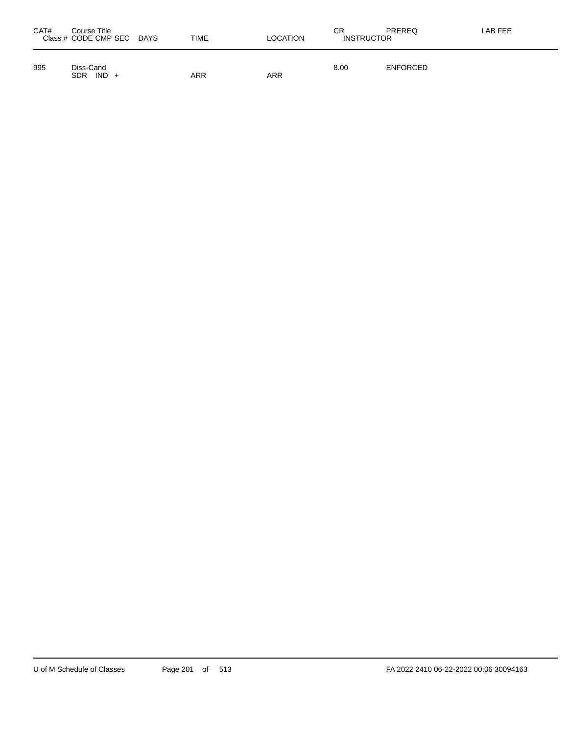| CAT# | Course Title<br>Class # CODE CMP SEC DAYS | <b>TIME</b> | LOCATION | СR<br><b>INSTRUCTOR</b> | PREREQ          | LAB FEE |
|------|-------------------------------------------|-------------|----------|-------------------------|-----------------|---------|
| 995  | Diss-Cand<br>$IND +$<br><b>SDR</b>        | ARR         | ARR      | 8.00                    | <b>ENFORCED</b> |         |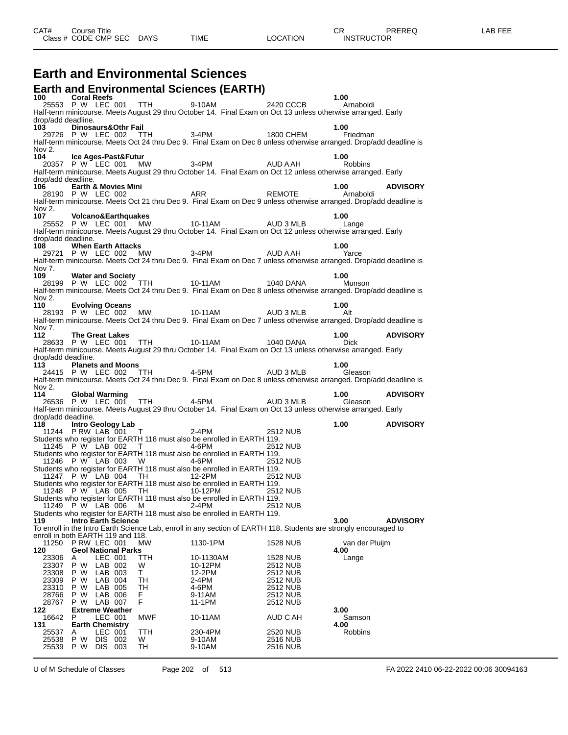#### **Earth and Environmental Sciences**

| 100 Coral Reefs                             |                             |                    |                            |                             | <b>Earth and Environmental Sciences (EARTH)</b>                                                                  |                                                                                                                                                                                                                                                                                            | 1.00           |                 |
|---------------------------------------------|-----------------------------|--------------------|----------------------------|-----------------------------|------------------------------------------------------------------------------------------------------------------|--------------------------------------------------------------------------------------------------------------------------------------------------------------------------------------------------------------------------------------------------------------------------------------------|----------------|-----------------|
|                                             |                             |                    |                            |                             |                                                                                                                  | 25553 P W LEC 001 TTH 9-10AM 2420 CCCB                                                                                                                                                                                                                                                     | Arnaboldi      |                 |
| drop/add deadline.                          |                             |                    |                            |                             |                                                                                                                  | Half-term minicourse. Meets August 29 thru October 14. Final Exam on Oct 13 unless otherwise arranged. Early                                                                                                                                                                               |                |                 |
| 103 Dinosaurs&Othr Fail                     |                             |                    |                            |                             |                                                                                                                  |                                                                                                                                                                                                                                                                                            | 1.00           |                 |
| Nov 2.                                      |                             |                    |                            |                             |                                                                                                                  | 、 PrinosaurisαOuri Fail - 3-4PM<br>29726 P.W. LEC 002 TTH - 3-4PM - 1800 CHEM - Friedman<br>lt-term minicource Meets Od 14 the Dec 3 Turk - - - 1800 CHEM - Friedman<br>Half-term minicourse. Meets Oct 24 thru Dec 9. Final Exam on Dec 8 unless otherwise arranged. Drop/add deadline is |                |                 |
| 104                                         |                             |                    | Ice Ages-Past&Futur        |                             |                                                                                                                  |                                                                                                                                                                                                                                                                                            | 1.00           |                 |
|                                             |                             |                    |                            |                             |                                                                                                                  | 104 Ice Ages-Past&Futur<br>20357 P W LEC 001 MW 3-4PM AUD A AH Robbins<br>Half-term minicourse. Meets August 29 thru October 14. Final Exam on Oct 12 unless otherwise arranged. Early                                                                                                     |                |                 |
| drop/add deadline.<br>106 -                 |                             |                    | Earth & Movies Mini        |                             |                                                                                                                  |                                                                                                                                                                                                                                                                                            | 1.00 ADVISORY  |                 |
|                                             |                             |                    |                            |                             |                                                                                                                  | 28190 P W LEC 002<br>Half-term minicourse. Meets Oct 21 thru Dec 9. Final Exam on Dec 9 unless otherwise arranged. Drop/add deadline is                                                                                                                                                    |                |                 |
|                                             |                             |                    |                            |                             |                                                                                                                  |                                                                                                                                                                                                                                                                                            |                |                 |
| Nov 2.<br>107 Volcano&Earthquakes           |                             |                    |                            |                             |                                                                                                                  |                                                                                                                                                                                                                                                                                            | 1.00           |                 |
|                                             |                             |                    |                            |                             |                                                                                                                  | 25552 P W LEC 001 MW 10-11AM AUD 3 MLB 1.00<br>extern minicourse Moots August 20 three October 14 Clear California AUD 3 MLB Lange                                                                                                                                                         |                |                 |
|                                             |                             |                    |                            |                             |                                                                                                                  | Half-term minicourse. Meets August 29 thru October 14. Final Exam on Oct 12 unless otherwise arranged. Early                                                                                                                                                                               |                |                 |
| drop/add deadline.                          |                             |                    |                            |                             |                                                                                                                  |                                                                                                                                                                                                                                                                                            |                |                 |
| 108 When Earth Attacks                      |                             |                    |                            |                             |                                                                                                                  | b when Earth Attacks<br>29721 P W LEC 002 MW 3-4PM _________ AUD A AH _______ Yarce                                                                                                                                                                                                        | 1.00           |                 |
|                                             |                             |                    |                            |                             |                                                                                                                  | Half-term minicourse. Meets Oct 24 thru Dec 9. Final Exam on Dec 7 unless otherwise arranged. Drop/add deadline is                                                                                                                                                                         |                |                 |
| Nov 7.                                      |                             |                    |                            |                             |                                                                                                                  |                                                                                                                                                                                                                                                                                            |                |                 |
|                                             |                             |                    |                            |                             |                                                                                                                  | 109 Water and Society<br>28199 P W LEC 002 TTH 10-11AM 28199 P W LEC 002 TTH                                                                                                                                                                                                               | 1.00<br>Munson |                 |
|                                             |                             |                    |                            |                             |                                                                                                                  | Half-term minicourse. Meets Oct 24 thru Dec 9. Final Exam on Dec 8 unless otherwise arranged. Drop/add deadline is                                                                                                                                                                         |                |                 |
| Nov $2.$                                    |                             |                    |                            |                             |                                                                                                                  |                                                                                                                                                                                                                                                                                            |                |                 |
| 110 Evolving Oceans                         |                             |                    |                            |                             |                                                                                                                  |                                                                                                                                                                                                                                                                                            | 1.00           |                 |
|                                             |                             |                    |                            |                             |                                                                                                                  | 28193 P W LEC 002 MW 10-11AM AUD 3 MLB 1.00<br>If-term minicourse Meets Oct 24 thru Door Dian Literature - AUD 3 MLB Alt<br>Half-term minicourse. Meets Oct 24 thru Dec 9. Final Exam on Dec 7 unless otherwise arranged. Drop/add deadline is                                             |                |                 |
| Nov 7.                                      |                             |                    |                            |                             |                                                                                                                  |                                                                                                                                                                                                                                                                                            |                |                 |
| 112                                         |                             |                    |                            |                             |                                                                                                                  |                                                                                                                                                                                                                                                                                            | 1.00 ADVISORY  |                 |
|                                             |                             |                    |                            |                             |                                                                                                                  |                                                                                                                                                                                                                                                                                            |                |                 |
| drop/add deadline.                          |                             |                    |                            |                             |                                                                                                                  | Half-term minicourse. Meets August 29 thru October 14. Final Exam on Oct 13 unless otherwise arranged. Early                                                                                                                                                                               |                |                 |
| 113                                         |                             |                    | <b>Planets and Moons</b>   |                             |                                                                                                                  |                                                                                                                                                                                                                                                                                            | 1.00           |                 |
|                                             |                             |                    |                            |                             |                                                                                                                  | 24415 P W LEC 002 TTH 4-5PM AUD 3 MLB                                                                                                                                                                                                                                                      | Gleason        |                 |
| Nov 2.                                      |                             |                    |                            |                             |                                                                                                                  | Half-term minicourse. Meets Oct 24 thru Dec 9. Final Exam on Dec 8 unless otherwise arranged. Drop/add deadline is                                                                                                                                                                         |                |                 |
| 114 Global Warming                          |                             |                    |                            |                             |                                                                                                                  |                                                                                                                                                                                                                                                                                            | 1.00 ADVISORY  |                 |
|                                             |                             |                    |                            |                             |                                                                                                                  | 4 Giobal Warming<br>26536 P.W. LEC 001 TTH 4-5PM _ _ _ AUD 3 MLB Gleason                                                                                                                                                                                                                   |                |                 |
|                                             |                             |                    |                            |                             |                                                                                                                  | Half-term minicourse. Meets August 29 thru October 14. Final Exam on Oct 13 unless otherwise arranged. Early                                                                                                                                                                               |                |                 |
| drop/add deadline.<br>118 Intro Geology Lab |                             |                    |                            |                             |                                                                                                                  |                                                                                                                                                                                                                                                                                            | 1.00 ADVISORY  |                 |
|                                             |                             |                    |                            |                             | o introduction and the matrices of the matrices of the 11244 PRW LAB 001 T                                       | 2512 NUB                                                                                                                                                                                                                                                                                   |                |                 |
|                                             |                             |                    |                            |                             | Students who register for EARTH 118 must also be enrolled in EARTH 119.                                          |                                                                                                                                                                                                                                                                                            |                |                 |
|                                             |                             |                    |                            | 11245 P W LAB 002 T 4-6PM   |                                                                                                                  | 2512 NUB                                                                                                                                                                                                                                                                                   |                |                 |
|                                             |                             |                    |                            | 11246 P W LAB 003 W 4-6PM   | Students who register for EARTH 118 must also be enrolled in EARTH 119.                                          | 2512 NUB                                                                                                                                                                                                                                                                                   |                |                 |
|                                             |                             |                    |                            |                             | Students who register for EARTH 118 must also be enrolled in EARTH 119.                                          |                                                                                                                                                                                                                                                                                            |                |                 |
|                                             |                             |                    |                            | 11247 P W LAB 004 TH 12-2PM |                                                                                                                  | 2512 NUB                                                                                                                                                                                                                                                                                   |                |                 |
|                                             |                             |                    |                            |                             | Students who register for EARTH 118 must also be enrolled in EARTH 119.<br>11248 P W LAB 005 TH 10-12PM 2512 NUB |                                                                                                                                                                                                                                                                                            |                |                 |
|                                             |                             |                    |                            |                             | Students who register for EARTH 118 must also be enrolled in EARTH 119.                                          |                                                                                                                                                                                                                                                                                            |                |                 |
|                                             | 11249 P W LAB 006           |                    |                            | M                           | 2-4PM                                                                                                            | 2512 NUB                                                                                                                                                                                                                                                                                   |                |                 |
| 119                                         |                             |                    | <b>Intro Earth Science</b> |                             | Students who register for EARTH 118 must also be enrolled in EARTH 119.                                          |                                                                                                                                                                                                                                                                                            | 3.00           | <b>ADVISORY</b> |
|                                             |                             |                    |                            |                             |                                                                                                                  | To enroll in the Intro Earth Science Lab, enroll in any section of EARTH 118. Students are strongly encouraged to                                                                                                                                                                          |                |                 |
| enroll in both EARTH 119 and 118.           |                             |                    |                            |                             |                                                                                                                  |                                                                                                                                                                                                                                                                                            |                |                 |
| 11250                                       | P RW LEC 001                |                    |                            | <b>MW</b>                   | 1130-1PM                                                                                                         | 1528 NUB                                                                                                                                                                                                                                                                                   | van der Pluijm |                 |
| 120<br>23306                                | A                           | LEC 001            | <b>Geol National Parks</b> | TTH.                        | 10-1130AM                                                                                                        | <b>1528 NUB</b>                                                                                                                                                                                                                                                                            | 4.00<br>Lange  |                 |
| 23307                                       | P W                         | LAB 002            |                            | W                           | 10-12PM                                                                                                          | 2512 NUB                                                                                                                                                                                                                                                                                   |                |                 |
| 23308                                       | P W                         | LAB 003            |                            | Τ                           | 12-2PM                                                                                                           | <b>2512 NUB</b>                                                                                                                                                                                                                                                                            |                |                 |
| 23309                                       | P W                         | LAB 004            |                            | TН                          | 2-4PM                                                                                                            | 2512 NUB                                                                                                                                                                                                                                                                                   |                |                 |
| 23310<br>28766                              | P W<br>P W                  | LAB 005<br>LAB 006 |                            | TН<br>F                     | 4-6PM<br>9-11AM                                                                                                  | 2512 NUB<br>2512 NUB                                                                                                                                                                                                                                                                       |                |                 |
| 28767                                       | P W                         | LAB 007            |                            | F                           | 11-1PM                                                                                                           | 2512 NUB                                                                                                                                                                                                                                                                                   |                |                 |
| 122                                         | <b>Extreme Weather</b>      |                    |                            |                             |                                                                                                                  |                                                                                                                                                                                                                                                                                            | 3.00           |                 |
| 16642<br>131                                | P<br><b>Earth Chemistry</b> | LEC 001            |                            | <b>MWF</b>                  | 10-11AM                                                                                                          | AUD C AH                                                                                                                                                                                                                                                                                   | Samson<br>4.00 |                 |
| 25537                                       | A                           | LEC 001            |                            | TTH                         | 230-4PM                                                                                                          | 2520 NUB                                                                                                                                                                                                                                                                                   | <b>Robbins</b> |                 |
| 25538                                       | P W                         | DIS 002            |                            | W                           | 9-10AM                                                                                                           | 2516 NUB                                                                                                                                                                                                                                                                                   |                |                 |
| 25539                                       | P W                         | DIS 003            |                            | TH                          | 9-10AM                                                                                                           | 2516 NUB                                                                                                                                                                                                                                                                                   |                |                 |

U of M Schedule of Classes Page 202 of 513 FA 2022 2410 06-22-2022 00:06 30094163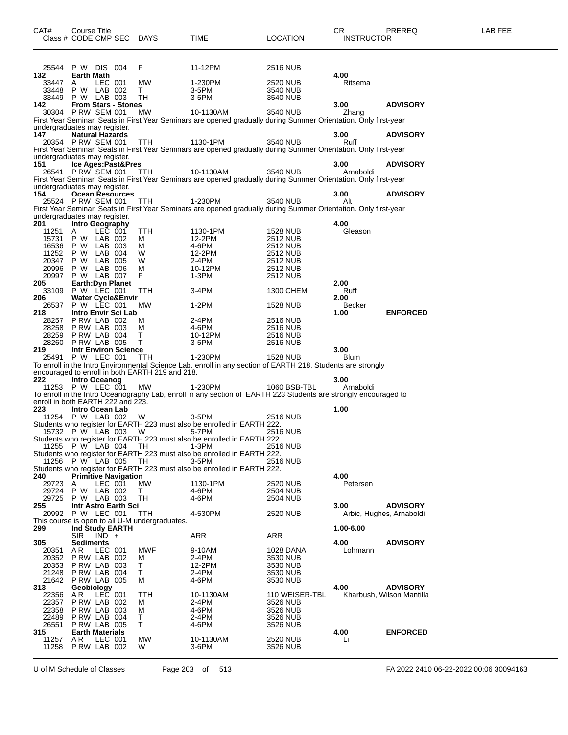|                    | Class # CODE CMP SEC                     |         | <b>DAYS</b>                                                  | TIME                                                                                                             | LOCATION                           | INSTRUCTOR      |                           |
|--------------------|------------------------------------------|---------|--------------------------------------------------------------|------------------------------------------------------------------------------------------------------------------|------------------------------------|-----------------|---------------------------|
|                    |                                          |         |                                                              |                                                                                                                  |                                    |                 |                           |
|                    | 25544 P W DIS 004                        |         | F                                                            | 11-12PM                                                                                                          | 2516 NUB                           |                 |                           |
| 132                | Earth Math                               |         |                                                              |                                                                                                                  |                                    | 4.00            |                           |
| 33447              | LEC 001<br>A                             |         | MW                                                           | 1-230PM                                                                                                          | 2520 NUB                           | Ritsema         |                           |
| 33448<br>33449     | <b>P W LAB 002</b><br><b>P W LAB 003</b> |         | T.<br>TH                                                     | 3-5PM<br>3-5PM                                                                                                   | 3540 NUB<br>3540 NUB               |                 |                           |
| 142.               | <b>From Stars - Stones</b>               |         |                                                              |                                                                                                                  |                                    | 3.00            | <b>ADVISORY</b>           |
|                    | 30304 PRW SEM 001                        |         | MW                                                           | 10-1130AM                                                                                                        | 3540 NUB                           | Zhang           |                           |
|                    | undergraduates may register.             |         |                                                              | First Year Seminar. Seats in First Year Seminars are opened gradually during Summer Orientation. Only first-year |                                    |                 |                           |
| 147                | <b>Natural Hazards</b>                   |         |                                                              |                                                                                                                  |                                    | 3.00            | <b>ADVISORY</b>           |
|                    | 20354 P RW SEM 001                       |         | TTH                                                          | 1130-1PM                                                                                                         | 3540 NUB                           | Ruff            |                           |
|                    | undergraduates may register.             |         |                                                              | First Year Seminar. Seats in First Year Seminars are opened gradually during Summer Orientation. Only first-year |                                    |                 |                           |
| 151                | Ice Ages:Past&Pres                       |         |                                                              |                                                                                                                  |                                    | 3.00            | <b>ADVISORY</b>           |
|                    | 26541 P RW SEM 001                       |         | <b>TTH</b>                                                   | 10-1130AM                                                                                                        | 3540 NUB                           | Arnaboldi       |                           |
|                    | undergraduates may register.             |         |                                                              | First Year Seminar. Seats in First Year Seminars are opened gradually during Summer Orientation. Only first-year |                                    |                 |                           |
| 154                | <b>Ocean Resources</b>                   |         |                                                              |                                                                                                                  |                                    | 3.00            | <b>ADVISORY</b>           |
|                    | 25524 P RW SEM 001                       |         | TTH.                                                         | 1-230PM                                                                                                          | 3540 NUB                           | Alt             |                           |
|                    | undergraduates may register.             |         |                                                              | First Year Seminar. Seats in First Year Seminars are opened gradually during Summer Orientation. Only first-year |                                    |                 |                           |
| 201                | Intro Geography                          |         |                                                              |                                                                                                                  |                                    | 4.00            |                           |
| 11251              | A                                        | LEC 001 | TTH                                                          | 1130-1PM                                                                                                         | 1528 NUB                           | Gleason         |                           |
| 16536 P W          | 15731 P W LAB 002<br>LAB 003             |         | м<br>м                                                       | 12-2PM<br>4-6PM                                                                                                  | <b>2512 NUB</b><br><b>2512 NUB</b> |                 |                           |
| 11252              | P W<br>LAB 004                           |         | W                                                            | 12-2PM                                                                                                           | 2512 NUB                           |                 |                           |
| 20347 P W          | LAB 005                                  |         | W                                                            | 2-4PM                                                                                                            | 2512 NUB                           |                 |                           |
| 20996              | P W<br>LAB 006<br>P W LAB 007            |         | м<br>F                                                       | 10-12PM                                                                                                          | <b>2512 NUB</b>                    |                 |                           |
| 20997<br>205       | Earth: Dyn Planet                        |         |                                                              | 1-3PM                                                                                                            | 2512 NUB                           | 2.00            |                           |
|                    | 33109 P W LEC 001                        |         | <b>TTH</b>                                                   | 3-4PM                                                                                                            | 1300 CHEM                          | Ruff            |                           |
| 206                | <b>Water Cycle&amp;Envir</b>             |         |                                                              |                                                                                                                  |                                    | 2.00            |                           |
| 26537<br>218       | P W LEC 001<br>Intro Envir Sci Lab       |         | МW                                                           | 1-2PM                                                                                                            | 1528 NUB                           | Becker<br>1.00  | <b>ENFORCED</b>           |
| 28257              | PRW LAB 002                              |         | м                                                            | 2-4PM                                                                                                            | 2516 NUB                           |                 |                           |
|                    | 28258 PRW LAB 003                        |         | м                                                            | 4-6PM                                                                                                            | 2516 NUB                           |                 |                           |
|                    | 28259 P RW LAB 004<br>28260 P RW LAB 005 |         | т<br>т                                                       | 10-12PM<br>$3-5$ PM                                                                                              | 2516 NUB<br>2516 NUB               |                 |                           |
| 219                | <b>Intr Environ Science</b>              |         |                                                              |                                                                                                                  |                                    | 3.00            |                           |
|                    | 25491 P W LEC 001                        |         | <b>TTH</b>                                                   | 1-230PM                                                                                                          | 1528 NUB                           | <b>Blum</b>     |                           |
|                    |                                          |         | encouraged to enroll in both EARTH 219 and 218.              | To enroll in the Intro Environmental Science Lab, enroll in any section of EARTH 218. Students are strongly      |                                    |                 |                           |
| 222                | Intro Oceanog                            |         |                                                              |                                                                                                                  |                                    | 3.00            |                           |
|                    | 11253 P W LEC 001                        |         | МW                                                           | 1-230PM                                                                                                          | 1060 BSB-TBL                       | Arnaboldi       |                           |
|                    | enroll in both EARTH 222 and 223.        |         |                                                              | To enroll in the Intro Oceanography Lab, enroll in any section of EARTH 223 Students are strongly encouraged to  |                                    |                 |                           |
| 223                | Intro Ocean Lab                          |         |                                                              |                                                                                                                  |                                    | 1.00            |                           |
|                    | 11254 P W LAB 002                        |         | W                                                            | 3-5PM                                                                                                            | 2516 NUB                           |                 |                           |
|                    | 15732 P W LAB 003                        |         | W                                                            | Students who register for EARTH 223 must also be enrolled in EARTH 222.<br>5-7PM                                 | 2516 NUB                           |                 |                           |
|                    |                                          |         |                                                              | Students who register for EARTH 223 must also be enrolled in EARTH 222.                                          |                                    |                 |                           |
|                    | 11255 P W LAB 004                        |         | TH.                                                          | $1-3PM$                                                                                                          | 2516 NUB                           |                 |                           |
|                    | 11256 P W LAB 005                        |         | TH                                                           | Students who register for EARTH 223 must also be enrolled in EARTH 222.<br>3-5PM                                 | 2516 NUB                           |                 |                           |
|                    |                                          |         |                                                              | Students who register for EARTH 223 must also be enrolled in EARTH 222.                                          |                                    |                 |                           |
| 240                | <b>Primitive Navigation</b>              |         |                                                              |                                                                                                                  |                                    | 4.00            |                           |
| 29723<br>29724 P W | LEC 001<br>A<br>LAB 002                  |         | <b>MW</b><br>т                                               | 1130-1PM<br>4-6PM                                                                                                | 2520 NUB<br>2504 NUB               | Petersen        |                           |
|                    | 29725 P W LAB 003                        |         | TH                                                           | 4-6PM                                                                                                            | 2504 NUB                           |                 |                           |
| 255                | Intr Astro Earth Sci                     |         |                                                              |                                                                                                                  |                                    | 3.00            | <b>ADVISORY</b>           |
|                    | 20992 P W LEC 001                        |         | <b>TTH</b><br>This course is open to all U-M undergraduates. | 4-530PM                                                                                                          | 2520 NUB                           |                 | Arbic, Hughes, Arnaboldi  |
| 299                | Ind Study EARTH                          |         |                                                              |                                                                                                                  |                                    | 1.00-6.00       |                           |
|                    | $SIR$ $IND +$                            |         |                                                              | ARR                                                                                                              | ARR                                |                 |                           |
| 305                | Sediments<br>ΑR<br>LEC 001               |         | <b>MWF</b>                                                   |                                                                                                                  |                                    | 4.00<br>Lohmann | <b>ADVISORY</b>           |
| 20351              | 20352 PRW LAB 002                        |         | м                                                            | 9-10AM<br>2-4PM                                                                                                  | 1028 DANA<br>3530 NUB              |                 |                           |
|                    | 20353 P RW LAB 003                       |         | T.                                                           | 12-2PM                                                                                                           | 3530 NUB                           |                 |                           |
| 21248              | PRW LAB 004<br>21642 P RW LAB 005        |         | т<br>м                                                       | 2-4PM                                                                                                            | 3530 NUB                           |                 |                           |
| 313                | Geobiology                               |         |                                                              | 4-6PM                                                                                                            | 3530 NUB                           | 4.00            | <b>ADVISORY</b>           |
| 22356              | LEC 001<br>A R                           |         | TTH                                                          | 10-1130AM                                                                                                        | 110 WEISER-TBL                     |                 | Kharbush, Wilson Mantilla |
| 22358              | 22357 PRW LAB 002<br>PRW LAB 003         |         | м<br>м                                                       | 2-4PM<br>4-6PM                                                                                                   | 3526 NUB                           |                 |                           |
| 22489              | PRW LAB 004                              |         | т                                                            | 2-4PM                                                                                                            | 3526 NUB<br>3526 NUB               |                 |                           |
| 26551              | PRW LAB 005                              |         | т                                                            | 4-6PM                                                                                                            | 3526 NUB                           |                 |                           |
| 315                | <b>Earth Materials</b>                   |         | <b>MW</b>                                                    |                                                                                                                  |                                    | 4.00            | <b>ENFORCED</b>           |
| 11257<br>11258     | A R<br>LEC 001<br>PRW LAB 002            |         | W                                                            | 10-1130AM<br>3-6PM                                                                                               | 2520 NUB<br>3526 NUB               | Li              |                           |

U of M Schedule of Classes Page 203 of 513 FA 2022 2410 06-22-2022 00:06 30094163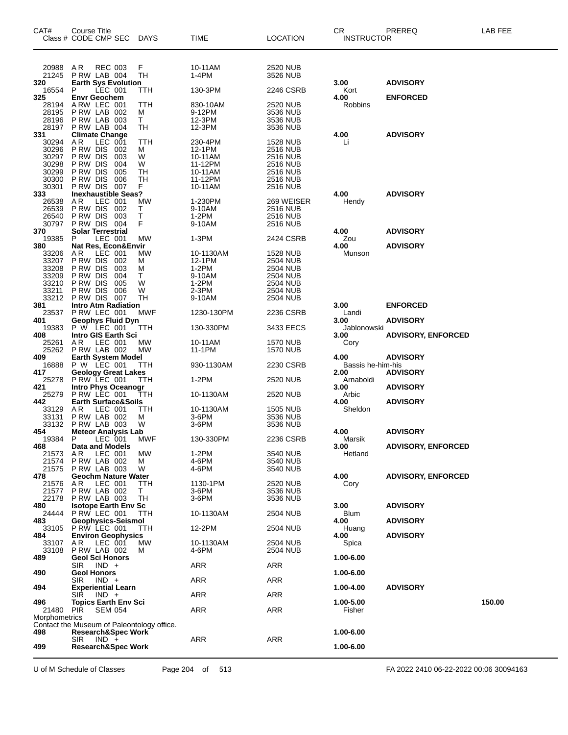| CAT#           | Course Title<br>Class # CODE CMP SEC DAYS                                   |            | TIME               | <b>LOCATION</b>             | CR<br><b>INSTRUCTOR</b>   | <b>PREREQ</b>             | LAB FEE |
|----------------|-----------------------------------------------------------------------------|------------|--------------------|-----------------------------|---------------------------|---------------------------|---------|
| 20988          | <b>REC 003</b><br>AR                                                        | F          | 10-11AM            | 2520 NUB                    |                           |                           |         |
| 21245          | PRW LAB 004                                                                 | <b>TH</b>  | 1-4PM              | 3526 NUB                    |                           |                           |         |
| 320<br>16554   | <b>Earth Sys Evolution</b><br>LEC 001<br>P                                  | TTH        | 130-3PM            | 2246 CSRB                   | 3.00<br>Kort              | <b>ADVISORY</b>           |         |
| 325            | <b>Envr Geochem</b><br>ARW LEC 001                                          | TTH        |                    |                             | 4.00<br>Robbins           | <b>ENFORCED</b>           |         |
| 28194<br>28195 | <b>P RW LAB 002</b>                                                         | м          | 830-10AM<br>9-12PM | 2520 NUB<br>3536 NUB        |                           |                           |         |
| 28196<br>28197 | PRW LAB 003<br>PRW LAB 004                                                  | T.<br>TН   | 12-3PM<br>12-3PM   | 3536 NUB<br>3536 NUB        |                           |                           |         |
| 331            | <b>Climate Change</b>                                                       |            |                    |                             | 4.00                      | <b>ADVISORY</b>           |         |
| 30294<br>30296 | AR<br>LEC 001<br>P RW DIS<br>002                                            | TTH<br>м   | 230-4PM<br>12-1PM  | 1528 NUB<br>2516 NUB        | Li                        |                           |         |
| 30297          | P RW DIS<br>003                                                             | W          | 10-11AM            | <b>2516 NUB</b>             |                           |                           |         |
| 30298          | P RW DIS<br>004                                                             | W          | 11-12PM            | 2516 NUB                    |                           |                           |         |
| 30299<br>30300 | P RW DIS<br>005<br>P RW DIS<br>006                                          | TН<br>TH   | 10-11AM<br>11-12PM | 2516 NUB<br><b>2516 NUB</b> |                           |                           |         |
| 30301          | PRW DIS 007                                                                 | F          | 10-11AM            | 2516 NUB                    |                           |                           |         |
| 333<br>26538   | <b>Inexhaustible Seas?</b><br>AR.<br>LEC 001                                | MW         | 1-230PM            | 269 WEISER                  | 4.00<br>Hendy             | <b>ADVISORY</b>           |         |
| 26539          | PRW DIS 002                                                                 | Τ          | 9-10AM             | 2516 NUB                    |                           |                           |         |
| 26540          | PRW DIS<br>003<br>30797 PRW DIS 004                                         | Τ<br>F     | 1-2PM<br>9-10AM    | <b>2516 NUB</b><br>2516 NUB |                           |                           |         |
| 370            | <b>Solar Terrestrial</b>                                                    |            |                    |                             | 4.00                      | <b>ADVISORY</b>           |         |
| 19385<br>380   | LEC 001<br>P<br>Nat Res, Econ&Envir                                         | <b>MW</b>  | $1-3PM$            | 2424 CSRB                   | Zou<br>4.00               | <b>ADVISORY</b>           |         |
| 33206          | AR<br>LEC 001                                                               | MW         | 10-1130AM          | 1528 NUB                    | Munson                    |                           |         |
| 33207          | P RW DIS<br>002                                                             | м          | 12-1PM             | 2504 NUB                    |                           |                           |         |
| 33208<br>33209 | PRW DIS<br>003<br>PRW DIS<br>004                                            | м<br>Т     | $1-2PM$<br>9-10AM  | 2504 NUB<br>2504 NUB        |                           |                           |         |
| 33210          | PRW DIS<br>005                                                              | W          | 1-2PM              | 2504 NUB                    |                           |                           |         |
| 33211          | P RW DIS<br>006<br>33212 PRW DIS 007                                        | W<br>TН    | 2-3PM<br>9-10AM    | 2504 NUB<br>2504 NUB        |                           |                           |         |
| 381            | <b>Intro Atm Radiation</b>                                                  |            |                    |                             | 3.00                      | <b>ENFORCED</b>           |         |
| 401            | 23537 PRW LEC 001<br><b>Geophys Fluid Dyn</b>                               | MWF        | 1230-130PM         | 2236 CSRB                   | Landi<br>3.00             | <b>ADVISORY</b>           |         |
| 19383          | P W LEC 001                                                                 | ттн        | 130-330PM          | 3433 EECS                   | Jablonowski               |                           |         |
| 408<br>25261   | Intro GIS Earth Sci<br>AR.<br>LEC 001                                       | MW         | 10-11AM            | 1570 NUB                    | 3.00<br>Cory              | <b>ADVISORY, ENFORCED</b> |         |
| 25262          | PRW LAB 002                                                                 | <b>MW</b>  | 11-1PM             | 1570 NUB                    |                           |                           |         |
| 409            | <b>Earth System Model</b>                                                   |            |                    |                             | 4.00                      | <b>ADVISORY</b>           |         |
| 16888<br>417   | P W LEC 001<br><b>Geology Great Lakes</b>                                   | TTH        | 930-1130AM         | 2230 CSRB                   | Bassis he-him-his<br>2.00 | <b>ADVISORY</b>           |         |
| 25278          | P RW LEC 001                                                                | <b>TTH</b> | 1-2PM              | 2520 NUB                    | Arnaboldi                 |                           |         |
| 421<br>25279   | <b>Intro Phys Oceanogr</b><br>PRW LEC 001                                   | TTH        | 10-1130AM          | 2520 NUB                    | 3.00<br>Arbic             | <b>ADVISORY</b>           |         |
| 442            | <b>Earth Surface&amp;Soils</b>                                              |            |                    |                             | 4.00                      | <b>ADVISORY</b>           |         |
| 33129<br>33131 | AR<br>LEC 001<br>PRW LAB 002                                                | TTH<br>м   | 10-1130AM<br>3-6PM | <b>1505 NUB</b><br>3536 NUB | Sheldon                   |                           |         |
|                | 33132 PRW LAB 003                                                           | W          | 3-6PM              | 3536 NUB                    |                           |                           |         |
| 454<br>19384 P | <b>Meteor Analysis Lab</b><br>LEC 001                                       | <b>MWF</b> | 130-330PM          | 2236 CSRB                   | 4.00<br>Marsik            | <b>ADVISORY</b>           |         |
| 468            | <b>Data and Models</b>                                                      |            |                    |                             | 3.00                      | <b>ADVISORY, ENFORCED</b> |         |
| 21573<br>21574 | AR.<br>LEC 001<br>P RW LAB 002                                              | МW<br>м    | $1-2PM$<br>4-6PM   | 3540 NUB<br>3540 NUB        | Hetland                   |                           |         |
| 21575          | PRW LAB 003                                                                 | W          | 4-6PM              | 3540 NUB                    |                           |                           |         |
| 478            | Geochm Nature Water                                                         |            |                    |                             | 4.00                      | <b>ADVISORY, ENFORCED</b> |         |
| 21576<br>21577 | AR.<br>LEC 001<br>PRW LAB 002                                               | TTH<br>Τ   | 1130-1PM<br>3-6PM  | 2520 NUB<br>3536 NUB        | Cory                      |                           |         |
| 22178          | PRW LAB 003                                                                 | TН         | 3-6PM              | 3536 NUB                    |                           |                           |         |
| 480<br>24444   | <b>Isotope Earth Env Sc</b><br>P RW LEC 001                                 | TTH.       | 10-1130AM          | 2504 NUB                    | 3.00<br><b>Blum</b>       | <b>ADVISORY</b>           |         |
| 483            | Geophysics-Seismol                                                          |            |                    |                             | 4.00                      | <b>ADVISORY</b>           |         |
| 33105<br>484   | PRW LEC 001<br><b>Environ Geophysics</b>                                    | TTH        | 12-2PM             | 2504 NUB                    | Huang<br>4.00             | <b>ADVISORY</b>           |         |
| 33107          | AR.<br>LEC 001                                                              | МW         | 10-1130AM          | 2504 NUB                    | Spica                     |                           |         |
| 33108<br>489   | PRW LAB 002<br><b>Geol Sci Honors</b>                                       | м          | 4-6PM              | 2504 NUB                    | 1.00-6.00                 |                           |         |
|                | SIR.<br>$IND +$                                                             |            | <b>ARR</b>         | <b>ARR</b>                  |                           |                           |         |
| 490            | <b>Geol Honors</b>                                                          |            |                    |                             | 1.00-6.00                 |                           |         |
| 494            | SIR<br>$IND +$<br><b>Experiential Learn</b>                                 |            | ARR                | ARR                         | 1.00-4.00                 | <b>ADVISORY</b>           |         |
|                | SIR.<br>IND +                                                               |            | <b>ARR</b>         | <b>ARR</b>                  |                           |                           |         |
| 496<br>21480   | <b>Topics Earth Env Sci</b><br>PIR<br><b>SEM 054</b>                        |            | <b>ARR</b>         | <b>ARR</b>                  | 1.00-5.00<br>Fisher       |                           | 150.00  |
| Morphometrics  |                                                                             |            |                    |                             |                           |                           |         |
| 498            | Contact the Museum of Paleontology office.<br><b>Research&amp;Spec Work</b> |            |                    |                             | 1.00-6.00                 |                           |         |
|                | $IND +$<br>SIR.                                                             |            | <b>ARR</b>         | <b>ARR</b>                  |                           |                           |         |
| 499            | <b>Research&amp;Spec Work</b>                                               |            |                    |                             | 1.00-6.00                 |                           |         |

U of M Schedule of Classes Page 204 of 513 FA 2022 2410 06-22-2022 00:06 30094163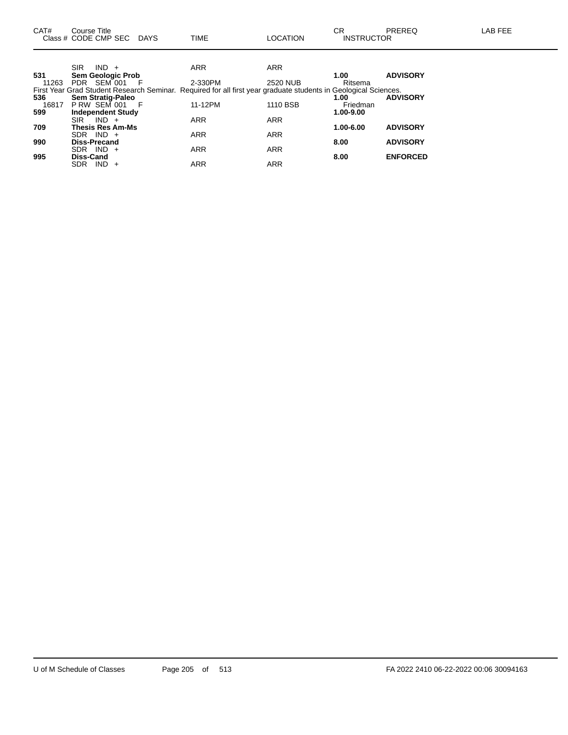**709 Thesis Res Am-Ms 1.00-6.00 ADVISORY**

**990 Diss-Precand 8.00 ADVISORY**

**995 Diss-Cand 8.00 ENFORCED**

SDR IND + ARR ARR ARR

SDR IND + ARR ARR ARR

SDR IND + ARR ARR ARR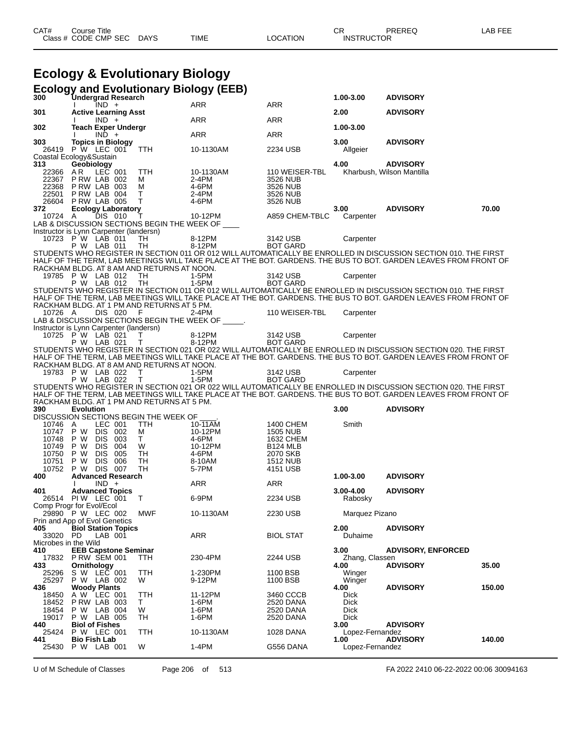# **Ecology & Evolutionary Biology**

| 300                         | <b>Ecology and Evolutionary Biology (EEB)</b><br><b>Undergrad Research</b> |          |                      |                              | 1.00-3.00                       | <b>ADVISORY</b>                                                                                                                                                                                                                    |        |
|-----------------------------|----------------------------------------------------------------------------|----------|----------------------|------------------------------|---------------------------------|------------------------------------------------------------------------------------------------------------------------------------------------------------------------------------------------------------------------------------|--------|
|                             | IND +                                                                      |          | ARR                  | <b>ARR</b>                   |                                 |                                                                                                                                                                                                                                    |        |
| 301                         | <b>Active Learning Asst</b><br>$IND +$                                     |          | ARR                  | ARR                          | 2.00                            | <b>ADVISORY</b>                                                                                                                                                                                                                    |        |
| 302                         | <b>Teach Exper Undergr</b><br>$IND +$                                      |          | ARR                  | <b>ARR</b>                   | 1.00-3.00                       |                                                                                                                                                                                                                                    |        |
| 303                         | <b>Topics in Biology</b>                                                   |          |                      |                              | 3.00                            | <b>ADVISORY</b>                                                                                                                                                                                                                    |        |
|                             | 26419 P W LEC 001<br>Coastal Ecology&Sustain                               | TTH      | 10-1130AM            | 2234 USB                     | Allgeier                        |                                                                                                                                                                                                                                    |        |
| 313                         | Geobiology                                                                 |          |                      |                              | 4.00                            | <b>ADVISORY</b>                                                                                                                                                                                                                    |        |
| 22366<br>22367              | LEC 001<br>AR.<br>PRW LAB 002                                              | TTH<br>М | 10-1130AM<br>$2-4PM$ | 110 WEISER-TBL<br>3526 NUB   |                                 | Kharbush, Wilson Mantilla                                                                                                                                                                                                          |        |
| 22368<br>22501              | PRW LAB 003<br>P RW LAB 004                                                | м<br>Τ   | 4-6PM<br>2-4PM       | 3526 NUB<br>3526 NUB         |                                 |                                                                                                                                                                                                                                    |        |
| 26604                       | <b>P RW LAB 005</b>                                                        | T        | 4-6PM                | 3526 NUB                     |                                 |                                                                                                                                                                                                                                    |        |
| 372<br>10724 A              | <b>Ecology Laboratory</b><br>DIS 010                                       | Τ        | 10-12PM              | A859 CHEM-TBLC               | 3.00<br>Carpenter               | <b>ADVISORY</b>                                                                                                                                                                                                                    | 70.00  |
|                             | LAB & DISCUSSION SECTIONS BEGIN THE WEEK OF ____                           |          |                      |                              |                                 |                                                                                                                                                                                                                                    |        |
|                             | Instructor is Lynn Carpenter (landersn)<br>10723 P W LAB 011               | TH       | 8-12PM               | 3142 USB                     | Carpenter                       |                                                                                                                                                                                                                                    |        |
|                             | P W LAB 011                                                                | TH       | 8-12PM               | <b>BOT GARD</b>              |                                 | STUDENTS WHO REGISTER IN SECTION 011 OR 012 WILL AUTOMATICALLY BE ENROLLED IN DISCUSSION SECTION 010. THE FIRST                                                                                                                    |        |
|                             |                                                                            |          |                      |                              |                                 | HALF OF THE TERM, LAB MEETINGS WILL TAKE PLACE AT THE BOT. GARDENS. THE BUS TO BOT. GARDEN LEAVES FROM FRONT OF                                                                                                                    |        |
|                             | RACKHAM BLDG. AT 8 AM AND RETURNS AT NOON.<br>19785 P W LAB 012            | TH       | 1-5PM                | 3142 USB                     | Carpenter                       |                                                                                                                                                                                                                                    |        |
|                             | P W LAB 012                                                                | TH       | 1-5PM                | <b>BOT GARD</b>              |                                 |                                                                                                                                                                                                                                    |        |
|                             |                                                                            |          |                      |                              |                                 | STUDENTS WHO REGISTER IN SECTION 011 OR 012 WILL AUTOMATICALLY BE ENROLLED IN DISCUSSION SECTION 010. THE FIRST<br>HALF OF THE TERM, LAB MEETINGS WILL TAKE PLACE AT THE BOT. GARDENS. THE BUS TO BOT. GARDEN LEAVES FROM FRONT O  |        |
|                             | RACKHAM BLDG. AT 1 PM AND RETURNS AT 5 PM.                                 |          |                      |                              |                                 |                                                                                                                                                                                                                                    |        |
| 10726 A                     | DIS 020<br>LAB & DISCUSSION SECTIONS BEGIN THE WEEK OF _____.              | - F      | $2-4PM$              | 110 WEISER-TBL               | Carpenter                       |                                                                                                                                                                                                                                    |        |
|                             | Instructor is Lynn Carpenter (landersn)<br>10725 P W LAB 021               |          | 8-12PM               |                              |                                 |                                                                                                                                                                                                                                    |        |
|                             | P W LAB 021                                                                | т<br>T.  | 8-12PM               | 3142 USB<br><b>BOT GARD</b>  | Carpenter                       |                                                                                                                                                                                                                                    |        |
|                             |                                                                            |          |                      |                              |                                 | STUDENTS WHO REGISTER IN SECTION 021 OR 022 WILL AUTOMATICALLY BE ENROLLED IN DISCUSSION SECTION 020. THE FIRST<br>HALF OF THE TERM, LAB MEETINGS WILL TAKE PLACE AT THE BOT. GARDENS. THE BUS TO BOT. GARDEN LEAVES FROM FRONT OF |        |
|                             | RACKHAM BLDG. AT 8 AM AND RETURNS AT NOON.                                 |          |                      |                              |                                 |                                                                                                                                                                                                                                    |        |
|                             | 19783 P W LAB 022                                                          | $\top$   | 1-5PM                | 3142 USB                     | Carpenter                       |                                                                                                                                                                                                                                    |        |
|                             |                                                                            |          |                      |                              |                                 |                                                                                                                                                                                                                                    |        |
|                             | P W LAB 022                                                                | T        | $1-5PM$              | <b>BOT GARD</b>              |                                 | STUDENTS WHO REGISTER IN SECTION 021 OR 022 WILL AUTOMATICALLY BE ENROLLED IN DISCUSSION SECTION 020. THE FIRST                                                                                                                    |        |
|                             | RACKHAM BLDG. AT 1 PM AND RETURNS AT 5 PM.                                 |          |                      |                              |                                 | HALF OF THE TERM, LAB MEETINGS WILL TAKE PLACE AT THE BOT. GARDENS. THE BUS TO BOT. GARDEN LEAVES FROM FRONT OF                                                                                                                    |        |
| 390                         | <b>Evolution</b>                                                           |          |                      |                              | 3.00                            | <b>ADVISORY</b>                                                                                                                                                                                                                    |        |
| 10746                       | DISCUSSION SECTIONS BEGIN THE WEEK OF<br>LEC 001<br>A                      | TTH      | 10-11AM              | 1400 CHEM                    | Smith                           |                                                                                                                                                                                                                                    |        |
| 10747                       | P W<br>DIS 002                                                             | м        | 10-12PM              | <b>1505 NUB</b>              |                                 |                                                                                                                                                                                                                                    |        |
| 10748<br>10749              | DIS 003<br>P W<br>DIS 004<br>P W                                           | T.<br>W  | 4-6PM<br>10-12PM     | 1632 CHEM<br><b>B124 MLB</b> |                                 |                                                                                                                                                                                                                                    |        |
| 10750                       | P W<br>DIS 005                                                             | TH       | 4-6PM                | 2070 SKB                     |                                 |                                                                                                                                                                                                                                    |        |
| 10751<br>10752              | P W<br>DIS 006<br>P W<br>DIS 007                                           | TH<br>TH | 8-10AM<br>5-7PM      | <b>1512 NUB</b><br>4151 USB  |                                 |                                                                                                                                                                                                                                    |        |
| 400                         | <b>Advanced Research</b><br>$IND +$                                        |          | <b>ARR</b>           | ARR                          | 1.00-3.00                       | <b>ADVISORY</b>                                                                                                                                                                                                                    |        |
| 401                         | <b>Advanced Topics</b>                                                     |          |                      |                              | $3.00 - 4.00$                   | <b>ADVISORY</b>                                                                                                                                                                                                                    |        |
|                             | 26514 PIW LEC 001<br>Comp Progr for Evol/Ecol                              | $\top$   | 6-9PM                | 2234 USB                     | Rabosky                         |                                                                                                                                                                                                                                    |        |
|                             | 29890 P W LEC 002                                                          | MWF      | 10-1130AM            | 2230 USB                     | Marquez Pizano                  |                                                                                                                                                                                                                                    |        |
| 405                         | Prin and App of Evol Genetics<br><b>Biol Station Topics</b>                |          |                      |                              | 2.00                            | <b>ADVISORY</b>                                                                                                                                                                                                                    |        |
| 33020 PD                    | LAB 001                                                                    |          | ARR                  | <b>BIOL STAT</b>             | Duhaime                         |                                                                                                                                                                                                                                    |        |
| Microbes in the Wild<br>410 | <b>EEB Capstone Seminar</b>                                                |          |                      |                              | 3.00                            | <b>ADVISORY, ENFORCED</b>                                                                                                                                                                                                          |        |
| 433                         | 17832 P RW SEM 001                                                         | TTH      | 230-4PM              | 2244 USB                     | Zhang, Classen<br>4.00          | <b>ADVISORY</b>                                                                                                                                                                                                                    | 35.00  |
| 25296                       | Ornithology<br>S W LEC 001                                                 | TTH      | 1-230PM              | 1100 BSB                     | Winger                          |                                                                                                                                                                                                                                    |        |
| 25297<br>436                | P W LAB 002<br><b>Woody Plants</b>                                         | W        | 9-12PM               | 1100 BSB                     | Winger<br>4.00                  | <b>ADVISORY</b>                                                                                                                                                                                                                    | 150.00 |
| 18450                       | LEC 001<br>A W                                                             | TTH      | 11-12PM              | 3460 CCCB                    | <b>Dick</b>                     |                                                                                                                                                                                                                                    |        |
| 18452<br>18454              | PRW LAB 003<br>P W LAB 004                                                 | T.<br>W  | 1-6PM<br>1-6PM       | 2520 DANA<br>2520 DANA       | Dick<br><b>Dick</b>             |                                                                                                                                                                                                                                    |        |
| 19017                       | P W LAB 005                                                                | TH       | 1-6PM                | 2520 DANA                    | <b>Dick</b>                     |                                                                                                                                                                                                                                    |        |
| 440<br>25424<br>441         | <b>Biol of Fishes</b><br>P W LEC 001<br><b>Bio Fish Lab</b>                | TTH      | 10-1130AM            | 1028 DANA                    | 3.00<br>Lopez-Fernandez<br>1.00 | <b>ADVISORY</b><br><b>ADVISORY</b>                                                                                                                                                                                                 | 140.00 |

U of M Schedule of Classes Page 206 of 513 FA 2022 2410 06-22-2022 00:06 30094163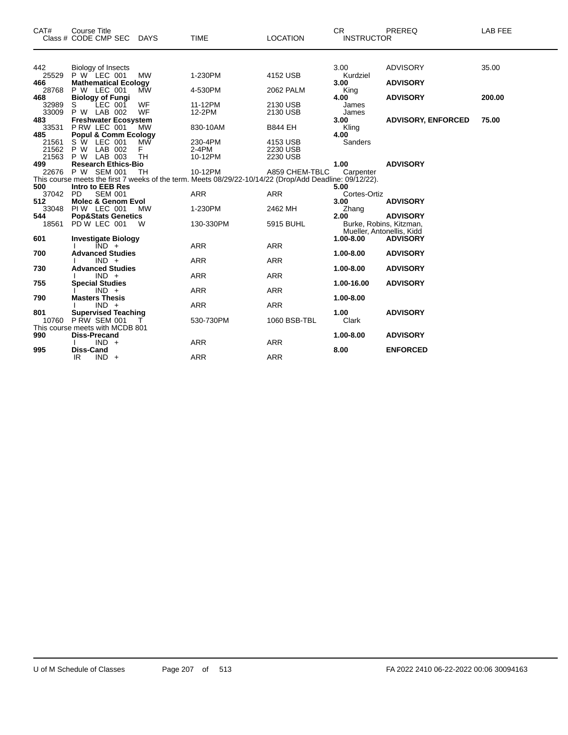| CAT#         | <b>Course Title</b><br>Class # CODE CMP SEC DAYS |           | <b>TIME</b>                                                                                             | <b>LOCATION</b> | CR.<br><b>INSTRUCTOR</b>  | PREREQ                    | LAB FEE |
|--------------|--------------------------------------------------|-----------|---------------------------------------------------------------------------------------------------------|-----------------|---------------------------|---------------------------|---------|
| 442          | Biology of Insects                               |           |                                                                                                         |                 | 3.00                      | <b>ADVISORY</b>           | 35.00   |
| 25529        | P W LEC 001                                      | <b>MW</b> | 1-230PM                                                                                                 | 4152 USB        | Kurdziel                  |                           |         |
| 466          | <b>Mathematical Ecology</b>                      |           |                                                                                                         |                 | 3.00                      | <b>ADVISORY</b>           |         |
| 28768        | P W LEC 001                                      | <b>MW</b> | 4-530PM                                                                                                 | 2062 PALM       | King                      |                           |         |
| 468          | <b>Biology of Fungi</b>                          |           |                                                                                                         |                 | 4.00                      | <b>ADVISORY</b>           | 200.00  |
| 32989        | S<br>LEC 001                                     | WF        | 11-12PM                                                                                                 | 2130 USB        | James                     |                           |         |
| 33009<br>483 | P W LAB 002                                      | WF        | 12-2PM                                                                                                  | 2130 USB        | James<br>3.00             | <b>ADVISORY, ENFORCED</b> | 75.00   |
| 33531        | <b>Freshwater Ecosystem</b><br>P RW LEC 001      | MW        | 830-10AM                                                                                                | <b>B844 EH</b>  | Kling                     |                           |         |
| 485          | <b>Popul &amp; Comm Ecology</b>                  |           |                                                                                                         |                 | 4.00                      |                           |         |
| 21561        | S W LEC 001                                      | <b>MW</b> | 230-4PM                                                                                                 | 4153 USB        | Sanders                   |                           |         |
| 21562        | P W LAB 002                                      | F         | $2-4PM$                                                                                                 | 2230 USB        |                           |                           |         |
| 21563        | P W LAB 003                                      | <b>TH</b> | 10-12PM                                                                                                 | 2230 USB        |                           |                           |         |
| 499          | <b>Research Ethics-Bio</b>                       |           |                                                                                                         |                 | 1.00                      | <b>ADVISORY</b>           |         |
|              | 22676 P W SEM 001                                | TH        | 10-12PM                                                                                                 | A859 CHEM-TBLC  | Carpenter                 |                           |         |
|              |                                                  |           | This course meets the first 7 weeks of the term. Meets 08/29/22-10/14/22 (Drop/Add Deadline: 09/12/22). |                 |                           |                           |         |
| 500          | Intro to EEB Res                                 |           |                                                                                                         |                 | 5.00                      |                           |         |
| 37042        | <b>PD</b><br><b>SEM 001</b>                      |           | <b>ARR</b>                                                                                              | <b>ARR</b>      | Cortes-Ortiz              |                           |         |
| 512          | <b>Molec &amp; Genom Evol</b>                    |           |                                                                                                         |                 | 3.00                      | <b>ADVISORY</b>           |         |
| 33048        | PIW LEC 001                                      | <b>MW</b> | 1-230PM                                                                                                 | 2462 MH         | Zhang                     |                           |         |
| 544          | <b>Pop&amp;Stats Genetics</b>                    |           |                                                                                                         |                 | 2.00                      | <b>ADVISORY</b>           |         |
| 18561        | PD W LEC 001                                     | W         | 130-330PM                                                                                               | 5915 BUHL       | Burke, Robins, Kitzman,   |                           |         |
|              |                                                  |           |                                                                                                         |                 | Mueller, Antonellis, Kidd |                           |         |
| 601          | <b>Investigate Biology</b>                       |           |                                                                                                         |                 | 1.00-8.00                 | <b>ADVISORY</b>           |         |
| 700          | $IND +$<br><b>Advanced Studies</b>               |           | <b>ARR</b>                                                                                              | <b>ARR</b>      | 1.00-8.00                 | <b>ADVISORY</b>           |         |
|              | $IND +$                                          |           | <b>ARR</b>                                                                                              | <b>ARR</b>      |                           |                           |         |
| 730          | <b>Advanced Studies</b>                          |           |                                                                                                         |                 | 1.00-8.00                 | <b>ADVISORY</b>           |         |
|              | $IND +$                                          |           | <b>ARR</b>                                                                                              | <b>ARR</b>      |                           |                           |         |
| 755          | <b>Special Studies</b>                           |           |                                                                                                         |                 | 1.00-16.00                | <b>ADVISORY</b>           |         |
|              | $IND +$                                          |           | <b>ARR</b>                                                                                              | <b>ARR</b>      |                           |                           |         |
| 790          | <b>Masters Thesis</b>                            |           |                                                                                                         |                 | 1.00-8.00                 |                           |         |
|              | $IND +$                                          |           | <b>ARR</b>                                                                                              | <b>ARR</b>      |                           |                           |         |
| 801          | <b>Supervised Teaching</b>                       |           |                                                                                                         |                 | 1.00                      | <b>ADVISORY</b>           |         |
| 10760        | <b>P RW SEM 001</b>                              |           | 530-730PM                                                                                               | 1060 BSB-TBL    | Clark                     |                           |         |
|              | This course meets with MCDB 801                  |           |                                                                                                         |                 |                           |                           |         |
| 990          | <b>Diss-Precand</b>                              |           |                                                                                                         |                 | 1.00-8.00                 | <b>ADVISORY</b>           |         |
|              | $IND +$                                          |           | <b>ARR</b>                                                                                              | <b>ARR</b>      |                           |                           |         |
| 995          | <b>Diss-Cand</b>                                 |           |                                                                                                         |                 | 8.00                      | <b>ENFORCED</b>           |         |
|              | IR.<br>$IND +$                                   |           | <b>ARR</b>                                                                                              | <b>ARR</b>      |                           |                           |         |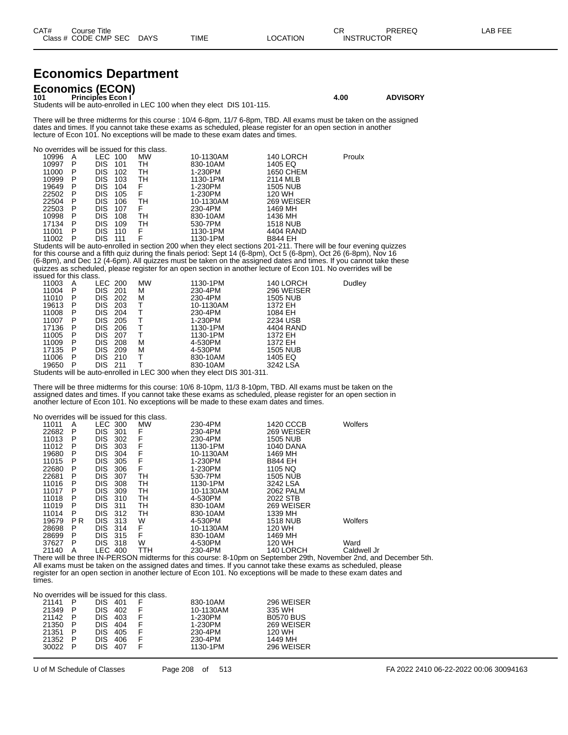| CAT# | Title<br>Course i    |             |      |          | ∩⊓<br>◡⊓          | <b>PREREQ</b> | LAB FEE |
|------|----------------------|-------------|------|----------|-------------------|---------------|---------|
|      | Class # CODE CMP SEC | <b>DAYS</b> | TIME | ∟OCATION | <b>INSTRUCTOR</b> |               |         |

## **Economics Department**

**Economics (ECON) 101 Principles Econ I 4.00 ADVISORY** Students will be auto-enrolled in LEC 100 when they elect DIS 101-115.

There will be three midterms for this course : 10/4 6-8pm, 11/7 6-8pm, TBD. All exams must be taken on the assigned dates and times. If you cannot take these exams as scheduled, please register for an open section in another lecture of Econ 101. No exceptions will be made to these exam dates and times.

No overrides will be issued for this class.

| 10996 | A   | LEC-       | 100 | <b>MW</b> | 10-1130AM | 140 LORCH       | Proulx |
|-------|-----|------------|-----|-----------|-----------|-----------------|--------|
| 10997 | P   | <b>DIS</b> | 101 | TН        | 830-10AM  | 1405 EQ         |        |
| 11000 | P   | <b>DIS</b> | 102 | TН        | 1-230PM   | 1650 CHEM       |        |
| 10999 | P   | <b>DIS</b> | 103 | TН        | 1130-1PM  | 2114 MLB        |        |
| 19649 | P   | <b>DIS</b> | 104 | F         | 1-230PM   | <b>1505 NUB</b> |        |
| 22502 | P   | <b>DIS</b> | 105 | F         | 1-230PM   | 120 WH          |        |
| 22504 | P   | <b>DIS</b> | 106 | TН        | 10-1130AM | 269 WEISER      |        |
| 22503 | - P | <b>DIS</b> | 107 | F         | 230-4PM   | 1469 MH         |        |
| 10998 | P   | <b>DIS</b> | 108 | TН        | 830-10AM  | 1436 MH         |        |
| 17134 | P   | <b>DIS</b> | 109 | тн        | 530-7PM   | <b>1518 NUB</b> |        |
| 11001 | P   | <b>DIS</b> | 110 | F         | 1130-1PM  | 4404 RAND       |        |
| 11002 | P   | DIS        |     | F         | 1130-1PM  | <b>B844 EH</b>  |        |
|       |     |            |     |           |           |                 |        |

Students will be auto-enrolled in section 200 when they elect sections 201-211. There will be four evening quizzes for this course and a fifth quiz during the finals period: Sept 14 (6-8pm), Oct 5 (6-8pm), Oct 26 (6-8pm), Nov 16 (6-8pm), and Dec 12 (4-6pm). All quizzes must be taken on the assigned dates and times. If you cannot take these quizzes as scheduled, please register for an open section in another lecture of Econ 101. No overrides will be issued for this class.

|          | 11003 | A  | LEC 200        |       | <b>MW</b>                              | 1130-1PM  | 140 LORCH       | Dudley |
|----------|-------|----|----------------|-------|----------------------------------------|-----------|-----------------|--------|
|          | 11004 | P  | DIS.           | -201  | м                                      | 230-4PM   | 296 WEISER      |        |
|          | 11010 | P  | DIS.           | 202   | м                                      | 230-4PM   | <b>1505 NUB</b> |        |
|          | 19613 | P  | DIS.           | 203   |                                        | 10-1130AM | 1372 EH         |        |
|          | 11008 | P  | DIS.           | 204   |                                        | 230-4PM   | 1084 EH         |        |
|          | 11007 | P  | DIS.           | 205   |                                        | 1-230PM   | 2234 USB        |        |
|          | 17136 | P  | DIS.           | 206   |                                        | 1130-1PM  | 4404 RAND       |        |
|          | 11005 | P  | DIS.           | -207  |                                        | 1130-1PM  | 1372 EH         |        |
|          | 11009 | P. | DIS.           | 208   | м                                      | 4-530PM   | 1372 EH         |        |
|          | 17135 | P  | DIS.           | 209   | м                                      | 4-530PM   | <b>1505 NUB</b> |        |
|          | 11006 | P  | <b>DIS 210</b> |       |                                        | 830-10AM  | 1405 EQ         |        |
|          | 19650 | P  | DIS            | - 211 |                                        | 830-10AM  | 3242 LSA        |        |
| <b>.</b> |       | .  |                | .     | $\mathbf{r}$ $\mathbf{r}$ $\mathbf{r}$ |           |                 |        |

Students will be auto-enrolled in LEC 300 when they elect DIS 301-311.

There will be three midterms for this course: 10/6 8-10pm, 11/3 8-10pm, TBD. All exams must be taken on the assigned dates and times. If you cannot take these exams as scheduled, please register for an open section in another lecture of Econ 101. No exceptions will be made to these exam dates and times.

| No overrides will be issued for this class. |     |                |     |           |           |                  |             |
|---------------------------------------------|-----|----------------|-----|-----------|-----------|------------------|-------------|
| 11011                                       | A   | <b>LEC 300</b> |     | <b>MW</b> | 230-4PM   | 1420 CCCB        | Wolfers     |
| 22682                                       | P   | <b>DIS</b>     | 301 | F         | 230-4PM   | 269 WEISER       |             |
| 11013                                       | Р   | <b>DIS</b>     | 302 | F         | 230-4PM   | <b>1505 NUB</b>  |             |
| 11012                                       | P   | <b>DIS</b>     | 303 | F         | 1130-1PM  | <b>1040 DANA</b> |             |
| 19680                                       | P   | <b>DIS</b>     | 304 | F         | 10-1130AM | 1469 MH          |             |
| 11015                                       | P   | <b>DIS</b>     | 305 | F         | 1-230PM   | <b>B844 EH</b>   |             |
| 22680                                       | P   | <b>DIS</b>     | 306 | F         | 1-230PM   | 1105 NO          |             |
| 22681                                       | P   | <b>DIS</b>     | 307 | TН        | 530-7PM   | <b>1505 NUB</b>  |             |
| 11016                                       | P   | <b>DIS</b>     | 308 | TH        | 1130-1PM  | 3242 LSA         |             |
| 11017                                       | P   | <b>DIS</b>     | 309 | TH        | 10-1130AM | 2062 PALM        |             |
| 11018                                       | P   | <b>DIS</b>     | 310 | TН        | 4-530PM   | 2022 STB         |             |
| 11019                                       | P   | <b>DIS</b>     | 311 | TН        | 830-10AM  | 269 WEISER       |             |
| 11014                                       | P   | <b>DIS</b>     | 312 | TН        | 830-10AM  | 1339 MH          |             |
| 19679                                       | P R | <b>DIS</b>     | 313 | W         | 4-530PM   | <b>1518 NUB</b>  | Wolfers     |
| 28698                                       | P   | <b>DIS</b>     | 314 | F         | 10-1130AM | 120 WH           |             |
| 28699                                       | P   | <b>DIS</b>     | 315 | F         | 830-10AM  | 1469 MH          |             |
| 37627                                       | P   | <b>DIS</b>     | 318 | W         | 4-530PM   | 120 WH           | Ward        |
| 21140                                       | А   | LEC            | 400 | TTH       | 230-4PM   | 140 LORCH        | Caldwell Jr |

There will be three IN-PERSON midterms for this course: 8-10pm on September 29th, November 2nd, and December 5th. All exams must be taken on the assigned dates and times. If you cannot take these exams as scheduled, please register for an open section in another lecture of Econ 101. No exceptions will be made to these exam dates and times.

No overrides will be issued for this class.

| 21141 | P | DIS. | 401 | 830-10AM  | 296 WEISER       |
|-------|---|------|-----|-----------|------------------|
| 21349 | P | DIS  | 402 | 10-1130AM | 335 WH           |
| 21142 | P | DIS. | 403 | 1-230PM   | <b>B0570 BUS</b> |
| 21350 | P | DIS. | 404 | 1-230PM   | 269 WEISER       |
| 21351 | P | DIS. | 405 | 230-4PM   | 120 WH           |
| 21352 | P | DIS. | 406 | 230-4PM   | 1449 MH          |
| 30022 | P | DIS  | 407 | 1130-1PM  | 296 WEISER       |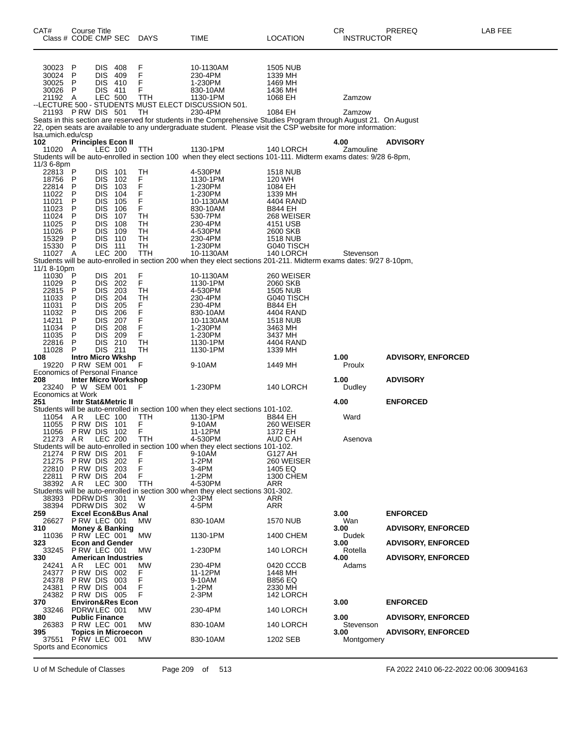| CAT#<br>Class # CODE CMP SEC         | Course Title                          |                          |                                | <b>DAYS</b>     | TIME                                                                                                                                                                                                                               | LOCATION                     | <b>CR</b><br><b>INSTRUCTOR</b> | PREREQ                    | LAB FEE |
|--------------------------------------|---------------------------------------|--------------------------|--------------------------------|-----------------|------------------------------------------------------------------------------------------------------------------------------------------------------------------------------------------------------------------------------------|------------------------------|--------------------------------|---------------------------|---------|
|                                      |                                       |                          |                                |                 |                                                                                                                                                                                                                                    |                              |                                |                           |         |
|                                      |                                       |                          |                                |                 |                                                                                                                                                                                                                                    |                              |                                |                           |         |
| 30023 P<br>30024                     | P                                     | <b>DIS</b><br><b>DIS</b> | - 408<br>409                   | F<br>F          | 10-1130AM<br>230-4PM                                                                                                                                                                                                               | <b>1505 NUB</b><br>1339 MH   |                                |                           |         |
| 30025                                | P                                     | DIS 410                  |                                | F               | 1-230PM                                                                                                                                                                                                                            | 1469 MH                      |                                |                           |         |
| 30026 P                              |                                       | <b>DIS</b>               | -411                           | F               | 830-10AM                                                                                                                                                                                                                           | 1436 MH                      |                                |                           |         |
| 21192 A                              |                                       | <b>LEC 500</b>           |                                | <b>TTH</b>      | 1130-1PM<br>--LECTURE 500 - STUDENTS MUST ELECT DISCUSSION 501.                                                                                                                                                                    | 1068 EH                      | Zamzow                         |                           |         |
| 21193 PRW DIS 501                    |                                       |                          |                                | TН              | 230-4PM                                                                                                                                                                                                                            | 1084 EH                      | Zamzow                         |                           |         |
|                                      |                                       |                          |                                |                 | Seats in this section are reserved for students in the Comprehensive Studies Program through August 21. On August<br>22, open seats are available to any undergraduate student. Please visit the CSP website for more information: |                              |                                |                           |         |
| lsa.umich.edu/csp                    |                                       |                          |                                |                 |                                                                                                                                                                                                                                    |                              |                                |                           |         |
| 102<br>11020 A                       | <b>Principles Econ II</b>             | LEC 100                  |                                | <b>TTH</b>      | 1130-1PM                                                                                                                                                                                                                           | 140 LORCH                    | 4.00<br>Zamouline              | <b>ADVISORY</b>           |         |
|                                      |                                       |                          |                                |                 | Students will be auto-enrolled in section 100 when they elect sections 101-111. Midterm exams dates: 9/28 6-8pm,                                                                                                                   |                              |                                |                           |         |
| 11/3 6-8pm<br>22813 P                |                                       | DIS.                     | 101                            | TH              | 4-530PM                                                                                                                                                                                                                            | <b>1518 NUB</b>              |                                |                           |         |
| 18756                                | P                                     | <b>DIS</b>               | 102                            |                 | 1130-1PM                                                                                                                                                                                                                           | 120 WH                       |                                |                           |         |
| 22814<br>11022                       | P<br>P                                | <b>DIS</b><br><b>DIS</b> | 103<br>104                     | F<br>F<br>F     | 1-230PM<br>1-230PM                                                                                                                                                                                                                 | 1084 EH<br>1339 MH           |                                |                           |         |
| 11021                                | P                                     | <b>DIS</b>               | 105                            | F               | 10-1130AM                                                                                                                                                                                                                          | 4404 RAND                    |                                |                           |         |
| 11023<br>11024                       | P<br>$\sf P$                          | <b>DIS</b><br><b>DIS</b> | 106<br>107                     | F<br><b>TH</b>  | 830-10AM<br>530-7PM                                                                                                                                                                                                                | <b>B844 EH</b><br>268 WEISER |                                |                           |         |
| 11025                                | P                                     | <b>DIS</b>               | 108                            | TН              | 230-4PM                                                                                                                                                                                                                            | 4151 USB                     |                                |                           |         |
| 11026<br>15329                       | P<br>P                                | <b>DIS</b><br><b>DIS</b> | 109<br>110                     | TH<br><b>TH</b> | 4-530PM<br>230-4PM                                                                                                                                                                                                                 | 2600 SKB<br><b>1518 NUB</b>  |                                |                           |         |
| 15330 P                              |                                       | <b>DIS</b>               | 111                            | TН              | 1-230PM                                                                                                                                                                                                                            | G040 TISCH                   |                                |                           |         |
| 11027 A                              |                                       | <b>LEC 200</b>           |                                | TTH             | 10-1130AM                                                                                                                                                                                                                          | 140 LORCH                    | Stevenson                      |                           |         |
| 11/1 8-10pm                          |                                       |                          |                                |                 | Students will be auto-enrolled in section 200 when they elect sections 201-211. Midterm exams dates: 9/27 8-10pm,                                                                                                                  |                              |                                |                           |         |
| $11030$ P                            |                                       | DIS 201                  |                                | F<br>F          | 10-1130AM                                                                                                                                                                                                                          | 260 WEISER                   |                                |                           |         |
| 11029<br>22815                       | P<br>P                                | DIS.<br><b>DIS</b>       | 202<br>203                     | TН              | 1130-1PM<br>4-530PM                                                                                                                                                                                                                | 2060 SKB<br><b>1505 NUB</b>  |                                |                           |         |
| 11033                                | P                                     | <b>DIS</b>               | 204                            | TН              | 230-4PM                                                                                                                                                                                                                            | G040 TISCH                   |                                |                           |         |
| 11031<br>11032                       | P<br>P                                | DIS.<br><b>DIS</b>       | 205<br>206                     | F               | 230-4PM<br>830-10AM                                                                                                                                                                                                                | B844 EH<br>4404 RAND         |                                |                           |         |
| 14211                                | P                                     | <b>DIS</b>               | 207                            | F<br>F<br>F     | 10-1130AM                                                                                                                                                                                                                          | <b>1518 NUB</b>              |                                |                           |         |
| 11034<br>11035                       | P<br>P                                | DIS.<br><b>DIS</b>       | 208<br>209                     | F               | 1-230PM<br>1-230PM                                                                                                                                                                                                                 | 3463 MH<br>3437 MH           |                                |                           |         |
| 22816                                | P                                     | <b>DIS</b>               | 210                            | <b>TH</b>       | 1130-1PM                                                                                                                                                                                                                           | 4404 RAND                    |                                |                           |         |
| 11028<br>108                         | P                                     | DIS 211                  | <b>Intro Micro Wkshp</b>       | TН              | 1130-1PM                                                                                                                                                                                                                           | 1339 MH                      | 1.00                           | <b>ADVISORY, ENFORCED</b> |         |
| 19220                                | <b>PRW SEM 001</b>                    |                          |                                |                 | 9-10AM                                                                                                                                                                                                                             | 1449 MH                      | Proulx                         |                           |         |
| Economics of Personal Finance<br>208 |                                       |                          | <b>Inter Micro Workshop</b>    |                 |                                                                                                                                                                                                                                    |                              | 1.00                           | <b>ADVISORY</b>           |         |
| 23240 P W SEM 001                    |                                       |                          |                                |                 | 1-230PM                                                                                                                                                                                                                            | 140 LORCH                    | Dudley                         |                           |         |
| Economics at Work<br>251             | <b>Intr Stat&amp;Metric II</b>        |                          |                                |                 |                                                                                                                                                                                                                                    |                              | 4.00                           | <b>ENFORCED</b>           |         |
|                                      |                                       |                          |                                |                 | Students will be auto-enrolled in section 100 when they elect sections 101-102.                                                                                                                                                    |                              |                                |                           |         |
| 11054<br>11055                       | AR<br>P RW DIS                        | LEC 100                  | 101                            | TTH<br>F        | 1130-1PM<br>9-10AM                                                                                                                                                                                                                 | B844 EH<br>260 WEISER        | Ward                           |                           |         |
| 11056                                | P RW DIS                              |                          | 102                            | F               | 11-12PM                                                                                                                                                                                                                            | 1372 EH                      |                                |                           |         |
| 21273 AR                             |                                       | LEC 200                  |                                | TTH             | 4-530PM<br>Students will be auto-enrolled in section 100 when they elect sections 101-102.                                                                                                                                         | AUD C AH                     | Asenova                        |                           |         |
| 21274 PRW DIS 201                    |                                       |                          |                                | F               | 9-10AM                                                                                                                                                                                                                             | G127 AH                      |                                |                           |         |
| 21275 PRW DIS<br>22810 PRW DIS       |                                       |                          | 202<br>203                     | F<br>F          | 1-2PM<br>3-4PM                                                                                                                                                                                                                     | 260 WEISER<br>1405 EQ        |                                |                           |         |
| 22811 PRW DIS                        |                                       |                          | -204                           | F               | $1-2PM$                                                                                                                                                                                                                            | 1300 CHEM                    |                                |                           |         |
| 38392 AR                             |                                       | LEC 300                  |                                | TTH             | 4-530PM<br>Students will be auto-enrolled in section 300 when they elect sections 301-302.                                                                                                                                         | ARR                          |                                |                           |         |
| 38393                                | PDRW DIS                              |                          | -301                           | W               | 2-3PM                                                                                                                                                                                                                              | ARR                          |                                |                           |         |
| 38394<br>259                         | PDRW DIS 302                          |                          | <b>Excel Econ&amp;Bus Anal</b> | W               | 4-5PM                                                                                                                                                                                                                              | <b>ARR</b>                   | 3.00                           | <b>ENFORCED</b>           |         |
| 26627                                | PRW LEC 001                           |                          |                                | MW              | 830-10AM                                                                                                                                                                                                                           | <b>1570 NUB</b>              | Wan                            |                           |         |
| 310                                  | <b>Money &amp; Banking</b>            |                          |                                |                 |                                                                                                                                                                                                                                    |                              | 3.00                           | <b>ADVISORY, ENFORCED</b> |         |
| 11036<br>323                         | PRW LEC 001<br><b>Econ and Gender</b> |                          |                                | МW              | 1130-1PM                                                                                                                                                                                                                           | 1400 CHEM                    | <b>Dudek</b><br>3.00           | <b>ADVISORY, ENFORCED</b> |         |
| 33245                                | PRW LEC 001                           |                          |                                | МW              | 1-230PM                                                                                                                                                                                                                            | 140 LORCH                    | Rotella                        |                           |         |
| 330<br>24241                         | A R                                   | LEC 001                  | <b>American Industries</b>     | MW              | 230-4PM                                                                                                                                                                                                                            | 0420 CCCB                    | 4.00<br>Adams                  | <b>ADVISORY, ENFORCED</b> |         |
| 24377                                | PRW DIS 002                           |                          |                                | F               | 11-12PM                                                                                                                                                                                                                            | 1448 MH                      |                                |                           |         |
| 24378<br>24381                       | P RW DIS<br>P RW DIS                  |                          | 003<br>004                     | F<br>F          | 9-10AM<br>$1-2PM$                                                                                                                                                                                                                  | <b>B856 EQ</b><br>2330 MH    |                                |                           |         |
| 24382 PRW DIS 005                    |                                       |                          |                                | F               | $2-3PM$                                                                                                                                                                                                                            | 142 LORCH                    |                                |                           |         |
| 370<br>33246                         | PDRW LEC 001                          |                          | <b>Environ&amp;Res Econ</b>    | MW              | 230-4PM                                                                                                                                                                                                                            | 140 LORCH                    | 3.00                           | <b>ENFORCED</b>           |         |
| 380                                  | <b>Public Finance</b>                 |                          |                                |                 |                                                                                                                                                                                                                                    |                              | 3.00                           | <b>ADVISORY, ENFORCED</b> |         |
| 26383<br>395                         | PRW LEC 001                           |                          | <b>Topics in Microecon</b>     | MW              | 830-10AM                                                                                                                                                                                                                           | 140 LORCH                    | Stevenson<br>3.00              | <b>ADVISORY, ENFORCED</b> |         |
| 37551                                | PRW LEC 001                           |                          |                                | MW              | 830-10AM                                                                                                                                                                                                                           | 1202 SEB                     | Montgomery                     |                           |         |
| Sports and Economics                 |                                       |                          |                                |                 |                                                                                                                                                                                                                                    |                              |                                |                           |         |

U of M Schedule of Classes Page 209 of 513 FA 2022 2410 06-22-2022 00:06 30094163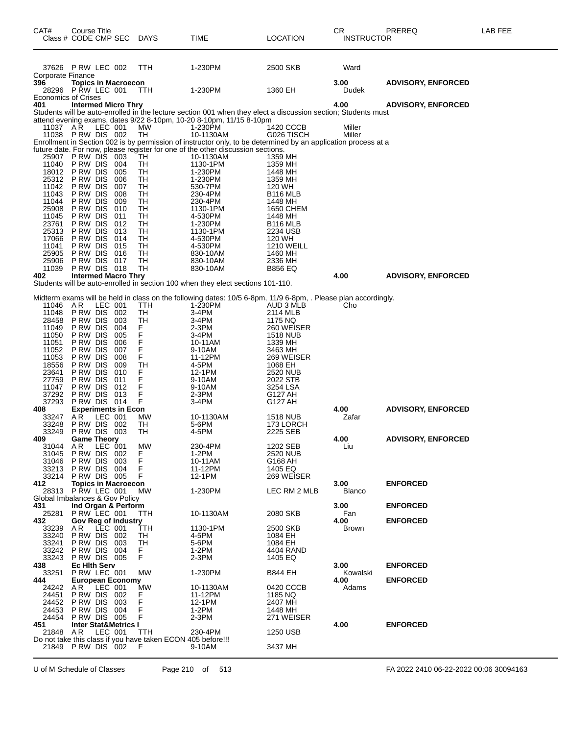| CAT#                                       | Course Title<br>Class # CODE CMP SEC                |            | DAYS                                                             | TIME                                                                                                                                                                                 | LOCATION                | CR<br><b>INSTRUCTOR</b> | PREREQ                    | LAB FEE |
|--------------------------------------------|-----------------------------------------------------|------------|------------------------------------------------------------------|--------------------------------------------------------------------------------------------------------------------------------------------------------------------------------------|-------------------------|-------------------------|---------------------------|---------|
| Corporate Finance                          | 37626 PRW LEC 002                                   |            | TTH                                                              | 1-230PM                                                                                                                                                                              | 2500 SKB                | Ward                    |                           |         |
| 396<br>28296<br><b>Economics of Crises</b> | <b>Topics in Macroecon</b><br>PRW LEC 001           |            | TTH                                                              | 1-230PM                                                                                                                                                                              | 1360 EH                 | 3.00<br>Dudek           | <b>ADVISORY, ENFORCED</b> |         |
| 401                                        | <b>Intermed Micro Thry</b>                          |            |                                                                  |                                                                                                                                                                                      |                         | 4.00                    | <b>ADVISORY, ENFORCED</b> |         |
|                                            |                                                     |            |                                                                  | Students will be auto-enrolled in the lecture section 001 when they elect a discussion section; Students must<br>attend evening exams, dates 9/22 8-10pm, 10-20 8-10pm, 11/15 8-10pm |                         |                         |                           |         |
| 11037 AR                                   | LEC 001<br>11038 PRW DIS 002                        |            | МW<br>TH                                                         | 1-230PM<br>10-1130AM                                                                                                                                                                 | 1420 CCCB<br>G026 TISCH | Miller<br>Miller        |                           |         |
|                                            |                                                     |            |                                                                  | Enrollment in Section 002 is by permission of instructor only, to be determined by an application process at a                                                                       |                         |                         |                           |         |
| 25907                                      | <b>PRW DIS 003</b>                                  |            | TH                                                               | future date. For now, please register for one of the other discussion sections.<br>10-1130AM                                                                                         | 1359 MH                 |                         |                           |         |
| 11040                                      | P RW DIS<br>P RW DIS                                | 004        | TH                                                               | 1130-1PM                                                                                                                                                                             | 1359 MH                 |                         |                           |         |
| 18012<br>25312                             | P RW DIS                                            | 005<br>006 | TН<br>TH                                                         | 1-230PM<br>1-230PM                                                                                                                                                                   | 1448 MH<br>1359 MH      |                         |                           |         |
| 11042                                      | P RW DIS<br>P RW DIS                                | 007        | TH                                                               | 530-7PM                                                                                                                                                                              | 120 WH                  |                         |                           |         |
| 11043<br>11044                             | P RW DIS                                            | 008<br>009 | TН<br>TH                                                         | 230-4PM<br>230-4PM                                                                                                                                                                   | B116 MLB<br>1448 MH     |                         |                           |         |
| 25908                                      | P RW DIS<br>P RW DIS                                | 010<br>011 | TH<br>TН                                                         | 1130-1PM                                                                                                                                                                             | 1650 CHEM               |                         |                           |         |
| 11045<br>23761                             | P RW DIS                                            | 012        | TH                                                               | 4-530PM<br>1-230PM                                                                                                                                                                   | 1448 MH<br>B116 MLB     |                         |                           |         |
| 25313<br>17066                             | P RW DIS<br>P RW DIS                                | 013<br>014 | TН<br>TН                                                         | 1130-1PM<br>4-530PM                                                                                                                                                                  | 2234 USB<br>120 WH      |                         |                           |         |
| 11041                                      | P RW DIS                                            | 015        | TH                                                               | 4-530PM                                                                                                                                                                              | <b>1210 WEILL</b>       |                         |                           |         |
| 25905<br>25906                             | P RW DIS<br>PRW DIS 017                             | 016        | TН<br>TН                                                         | 830-10AM<br>830-10AM                                                                                                                                                                 | 1460 MH<br>2336 MH      |                         |                           |         |
| 11039                                      | PRW DIS 018                                         |            | TН                                                               | 830-10AM                                                                                                                                                                             | <b>B856 EQ</b>          |                         |                           |         |
| 402                                        | <b>Intermed Macro Thry</b>                          |            |                                                                  | Students will be auto-enrolled in section 100 when they elect sections 101-110.                                                                                                      |                         | 4.00                    | <b>ADVISORY, ENFORCED</b> |         |
|                                            |                                                     |            |                                                                  |                                                                                                                                                                                      |                         |                         |                           |         |
| 11046                                      | A R                                                 | LEC 001    | TTH                                                              | Midterm exams will be held in class on the following dates: 10/5 6-8pm, 11/9 6-8pm, . Please plan accordingly.<br>1-230PM                                                            | AUD 3 MLB               | Cho                     |                           |         |
| 11048                                      | PRW DIS 002                                         |            | TH                                                               | 3-4PM                                                                                                                                                                                | 2114 MLB                |                         |                           |         |
| 28458<br>11049                             | P RW DIS<br>P RW DIS                                | 003<br>004 | TН                                                               | 3-4PM<br>2-3PM                                                                                                                                                                       | 1175 NQ<br>260 WEISER   |                         |                           |         |
| 11050                                      | P RW DIS                                            | 005        | F<br>F                                                           | 3-4PM                                                                                                                                                                                | <b>1518 NUB</b>         |                         |                           |         |
| 11051<br>11052                             | P RW DIS<br>P RW DIS                                | 006<br>007 | F                                                                | 10-11AM<br>9-10AM                                                                                                                                                                    | 1339 MH<br>3463 MH      |                         |                           |         |
| 11053                                      | P RW DIS                                            | 008        | F<br>F                                                           | 11-12PM                                                                                                                                                                              | 269 WEISER              |                         |                           |         |
| 18556<br>23641                             | P RW DIS<br>P RW DIS                                | 009<br>010 | <b>TH</b><br>F                                                   | 4-5PM<br>12-1PM                                                                                                                                                                      | 1068 EH<br>2520 NUB     |                         |                           |         |
| 27759                                      | P RW DIS                                            | 011        | F                                                                | 9-10AM                                                                                                                                                                               | 2022 STB                |                         |                           |         |
| 11047<br>37292                             | P RW DIS<br>PRW DIS 013                             | 012        | F<br>F                                                           | 9-10AM<br>$2-3PM$                                                                                                                                                                    | 3254 LSA<br>G127 AH     |                         |                           |         |
| 37293<br>408                               | PRW DIS 014<br><b>Experiments in Econ</b>           |            | F                                                                | 3-4PM                                                                                                                                                                                | G127 AH                 | 4.00                    | <b>ADVISORY, ENFORCED</b> |         |
| 33247                                      | LEC 001<br>AR                                       |            | МW                                                               | 10-1130AM                                                                                                                                                                            | 1518 NUB                | Zafar                   |                           |         |
| 33248<br>33249                             | PRW DIS 002<br>PRW DIS 003                          |            | TН<br>TН                                                         | 5-6PM<br>4-5PM                                                                                                                                                                       | 173 LORCH<br>2225 SEB   |                         |                           |         |
| 409                                        | <b>Game Theory</b>                                  |            |                                                                  |                                                                                                                                                                                      |                         | 4.00                    | <b>ADVISORY, ENFORCED</b> |         |
| 31044 AR<br>31045                          | PRW DIS 002                                         | LEC 001    | <b>MW</b><br>F.                                                  | 230-4PM<br>1-2PM                                                                                                                                                                     | 1202 SEB<br>2520 NUB    | Liu                     |                           |         |
| 31046                                      | PRW DIS 003                                         |            | F                                                                | 10-11AM                                                                                                                                                                              | G168 AH                 |                         |                           |         |
| 33213<br>33214                             | PRW DIS 004<br>PRW DIS 005                          |            | F<br>F                                                           | 11-12PM<br>12-1PM                                                                                                                                                                    | 1405 EQ<br>269 WEISER   |                         |                           |         |
| 412                                        | <b>Topics in Macroecon</b>                          |            |                                                                  |                                                                                                                                                                                      |                         | 3.00                    | <b>ENFORCED</b>           |         |
|                                            | 28313 PRW LEC 001<br>Global Imbalances & Gov Policy |            | MW                                                               | 1-230PM                                                                                                                                                                              | LEC RM 2 MLB            | <b>Blanco</b>           |                           |         |
| 431                                        | Ind Organ & Perform                                 |            |                                                                  |                                                                                                                                                                                      |                         | 3.00                    | <b>ENFORCED</b>           |         |
| 25281<br>432                               | PRW LEC 001<br><b>Gov Reg of Industry</b>           |            | ттн                                                              | 10-1130AM                                                                                                                                                                            | 2080 SKB                | Fan<br>4.00             | <b>ENFORCED</b>           |         |
| 33239                                      | AR.<br>LEC 001<br>PRW DIS 002                       |            | ттн                                                              | 1130-1PM                                                                                                                                                                             | 2500 SKB                | Brown                   |                           |         |
| 33240<br>33241                             | PRW DIS 003                                         |            | TH<br>TH                                                         | 4-5PM<br>5-6PM                                                                                                                                                                       | 1084 EH<br>1084 EH      |                         |                           |         |
| 33242                                      | PRW DIS 004                                         |            | F.<br>F                                                          | $1-2PM$                                                                                                                                                                              | 4404 RAND<br>1405 EQ    |                         |                           |         |
| 33243<br>438                               | PRW DIS 005<br><b>Ec Hith Serv</b>                  |            |                                                                  | $2-3PM$                                                                                                                                                                              |                         | 3.00                    | <b>ENFORCED</b>           |         |
| 33251                                      | P RW LEC 001                                        |            | MW                                                               | 1-230PM                                                                                                                                                                              | B844 EH                 | Kowalski<br>4.00        |                           |         |
| 444<br>24242                               | <b>European Economy</b><br>AR                       | LEC 001    | МW                                                               | 10-1130AM                                                                                                                                                                            | 0420 CCCB               | Adams                   | <b>ENFORCED</b>           |         |
| 24451<br>24452                             | PRW DIS 002<br>PRW DIS 003                          |            | F<br>F                                                           | 11-12PM<br>12-1PM                                                                                                                                                                    | 1185 NQ<br>2407 MH      |                         |                           |         |
| 24453                                      | PRW DIS 004                                         |            | F                                                                | $1-2PM$                                                                                                                                                                              | 1448 MH                 |                         |                           |         |
| 24454<br>451                               | PRW DIS 005<br><b>Inter Stat&amp;Metrics I</b>      |            | F                                                                | 2-3PM                                                                                                                                                                                | 271 WEISER              | 4.00                    | <b>ENFORCED</b>           |         |
| 21848 AR                                   |                                                     | LEC 001    | ттн                                                              | 230-4PM                                                                                                                                                                              | 1250 USB                |                         |                           |         |
|                                            | 21849 PRW DIS 002                                   |            | Do not take this class if you have taken ECON 405 before!!!<br>F | 9-10AM                                                                                                                                                                               | 3437 MH                 |                         |                           |         |
|                                            |                                                     |            |                                                                  |                                                                                                                                                                                      |                         |                         |                           |         |

U of M Schedule of Classes Page 210 of 513 FA 2022 2410 06-22-2022 00:06 30094163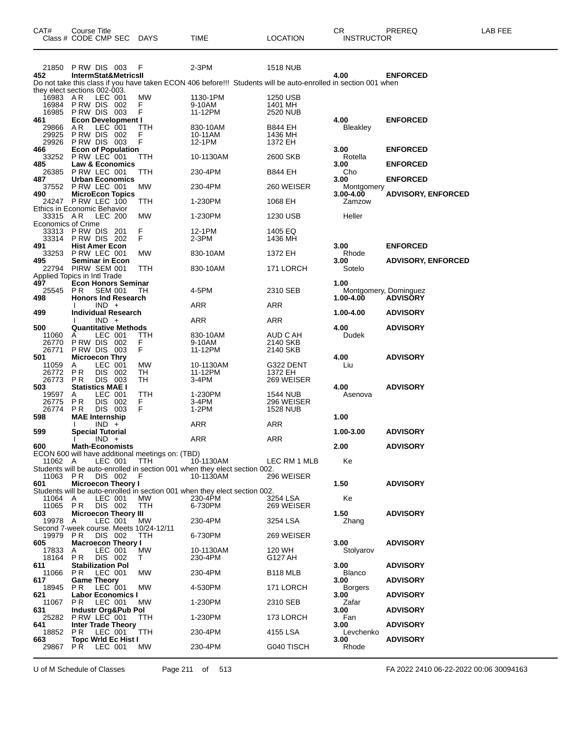| CAT#                               | Course Title<br>Class # CODE CMP SEC DAYS    |                    |                                 |                                                       | TIME                                                                                                           | <b>LOCATION</b>        | CR<br><b>INSTRUCTOR</b> | PREREQ                                   | LAB FEE |
|------------------------------------|----------------------------------------------|--------------------|---------------------------------|-------------------------------------------------------|----------------------------------------------------------------------------------------------------------------|------------------------|-------------------------|------------------------------------------|---------|
|                                    | 21850 PRW DIS 003 F                          |                    |                                 |                                                       | $2-3PM$                                                                                                        | <b>1518 NUB</b>        |                         |                                          |         |
| 452                                |                                              |                    | <b>IntermStat&amp;MetricsII</b> |                                                       | Do not take this class if you have taken ECON 406 before!!! Students will be auto-enrolled in section 001 when |                        | 4.00                    | <b>ENFORCED</b>                          |         |
| they elect sections 002-003.       |                                              |                    |                                 |                                                       |                                                                                                                |                        |                         |                                          |         |
| 16983 AR                           |                                              | LEC 001            |                                 | MW                                                    | 1130-1PM                                                                                                       | 1250 USB               |                         |                                          |         |
|                                    | 16984 PRW DIS 002                            |                    |                                 | F                                                     | 9-10AM                                                                                                         | 1401 MH                |                         |                                          |         |
| 461                                | 16985 PRW DIS 003                            |                    | <b>Econ Development I</b>       | F                                                     | 11-12PM                                                                                                        | 2520 NUB               | 4.00                    | <b>ENFORCED</b>                          |         |
| 29866                              | AR.                                          | LEC 001            |                                 | TTH                                                   | 830-10AM                                                                                                       | <b>B844 EH</b>         | <b>Bleakley</b>         |                                          |         |
| 29925                              | <b>PRW DIS 002</b>                           |                    |                                 | F                                                     | 10-11AM                                                                                                        | 1436 MH                |                         |                                          |         |
| 29926<br>466                       | PRW DIS 003                                  |                    | <b>Econ of Population</b>       | F                                                     | 12-1PM                                                                                                         | 1372 EH                | 3.00                    | <b>ENFORCED</b>                          |         |
| 33252                              | P RW LEC 001                                 |                    |                                 | ттн                                                   | 10-1130AM                                                                                                      | 2600 SKB               | Rotella                 |                                          |         |
| 485                                |                                              |                    | Law & Economics                 |                                                       |                                                                                                                |                        | 3.00                    | <b>ENFORCED</b>                          |         |
| 26385<br>487                       | PRW LEC 001                                  |                    | <b>Urban Economics</b>          | TTH                                                   | 230-4PM                                                                                                        | B844 EH                | Cho<br>3.00             | <b>ENFORCED</b>                          |         |
|                                    | 37552 P RW LEC 001                           |                    |                                 | МW                                                    | 230-4PM                                                                                                        | 260 WEISER             | Montgomery              |                                          |         |
| 490                                |                                              |                    | <b>MicroEcon Topics</b>         |                                                       |                                                                                                                |                        | $3.00 - 4.00$           | <b>ADVISORY, ENFORCED</b>                |         |
| <b>Ethics in Economic Behavior</b> | 24247 PRW LEC 100                            |                    |                                 | TTH                                                   | 1-230PM                                                                                                        | 1068 EH                | Zamzow                  |                                          |         |
| 33315 AR                           |                                              | LEC 200            |                                 | МW                                                    | 1-230PM                                                                                                        | 1230 USB               | Heller                  |                                          |         |
| <b>Economics of Crime</b>          |                                              |                    |                                 |                                                       |                                                                                                                |                        |                         |                                          |         |
|                                    | 33313 PRW DIS 201<br>33314 PRW DIS 202       |                    |                                 | F<br>F                                                | 12-1PM<br>2-3PM                                                                                                | 1405 EQ<br>1436 MH     |                         |                                          |         |
| 491                                | <b>Hist Amer Econ</b>                        |                    |                                 |                                                       |                                                                                                                |                        | 3.00                    | <b>ENFORCED</b>                          |         |
|                                    | 33253 PRW LEC 001                            |                    |                                 | МW                                                    | 830-10AM                                                                                                       | 1372 EH                | Rhode                   |                                          |         |
| 495                                | <b>Seminar in Econ</b><br>22794 PIRW SEM 001 |                    |                                 | TTH                                                   |                                                                                                                |                        | 3.00                    | <b>ADVISORY, ENFORCED</b>                |         |
| Applied Topics in Intl Trade       |                                              |                    |                                 |                                                       | 830-10AM                                                                                                       | 171 LORCH              | Sotelo                  |                                          |         |
| 497                                |                                              |                    | <b>Econ Honors Seminar</b>      |                                                       |                                                                                                                |                        | 1.00                    |                                          |         |
| 25545                              | <b>PR</b>                                    | <b>SEM 001</b>     | <b>Honors Ind Research</b>      | TН                                                    | 4-5PM                                                                                                          | 2310 SEB               | 1.00-4.00               | Montgomery, Dominguez<br><b>ADVISORY</b> |         |
| 498                                |                                              | $IND +$            |                                 |                                                       | <b>ARR</b>                                                                                                     | ARR                    |                         |                                          |         |
| 499                                |                                              |                    | <b>Individual Research</b>      |                                                       |                                                                                                                |                        | 1.00-4.00               | <b>ADVISORY</b>                          |         |
| 500                                |                                              | $IND +$            | <b>Quantitative Methods</b>     |                                                       | ARR                                                                                                            | ARR                    | 4.00                    | <b>ADVISORY</b>                          |         |
| 11060                              | A                                            | LEC 001            |                                 | ттн                                                   | 830-10AM                                                                                                       | AUD C AH               | Dudek                   |                                          |         |
| 26770                              | <b>P RW DIS 002</b>                          |                    |                                 | F                                                     | 9-10AM                                                                                                         | 2140 SKB               |                         |                                          |         |
| 26771                              | <b>P RW DIS 003</b>                          |                    |                                 | F                                                     | 11-12PM                                                                                                        | 2140 SKB               |                         |                                          |         |
| 501<br>11059                       | <b>Microecon Thry</b><br>Α                   | LEC 001            |                                 | МW                                                    | 10-1130AM                                                                                                      | G322 DENT              | 4.00<br>Liu             | <b>ADVISORY</b>                          |         |
| 26772                              | P R                                          | DIS 002            |                                 | TH                                                    | 11-12PM                                                                                                        | 1372 EH                |                         |                                          |         |
| 26773                              | <b>PR</b><br><b>Statistics MAE I</b>         | DIS 003            |                                 | TН                                                    | 3-4PM                                                                                                          | 269 WEISER             |                         |                                          |         |
| 503<br>19597                       | A                                            | LEC 001            |                                 | TTH                                                   | 1-230PM                                                                                                        | 1544 NUB               | 4.00<br>Asenova         | <b>ADVISORY</b>                          |         |
| 26775                              | <b>PR</b>                                    | DIS 002            |                                 | F.                                                    | 3-4PM                                                                                                          | 296 WEISER             |                         |                                          |         |
| 26774                              | PR                                           | DIS 003            |                                 | F                                                     | $1-2PM$                                                                                                        | <b>1528 NUB</b>        |                         |                                          |         |
| 598                                | <b>MAE</b> Internship                        | $IND +$            |                                 |                                                       | ARR                                                                                                            | ARR                    | 1.00                    |                                          |         |
| 599                                | <b>Special Tutorial</b>                      |                    |                                 |                                                       |                                                                                                                |                        | 1.00-3.00               | <b>ADVISORY</b>                          |         |
|                                    |                                              | $IND +$            |                                 |                                                       | ARR                                                                                                            | <b>ARR</b>             |                         |                                          |         |
| 600                                | <b>Math-Economists</b>                       |                    |                                 | ECON 600 will have additional meetings on: (TBD)      |                                                                                                                |                        | 2.00                    | <b>ADVISORY</b>                          |         |
| 11062 A                            |                                              | LEC 001            |                                 | TTH                                                   | 10-1130AM                                                                                                      | LEC RM 1 MLB           | Ke                      |                                          |         |
| 11063 PR                           |                                              | DIS 002            |                                 | F                                                     | Students will be auto-enrolled in section 001 when they elect section 002.<br>10-1130AM                        | 296 WEISER             |                         |                                          |         |
| 601                                |                                              |                    | <b>Microecon Theory I</b>       |                                                       |                                                                                                                |                        | 1.50                    | <b>ADVISORY</b>                          |         |
|                                    |                                              |                    |                                 |                                                       | Students will be auto-enrolled in section 001 when they elect section 002.                                     |                        |                         |                                          |         |
| 11064<br>11065 PR                  | A                                            | LEC 001<br>DIS 002 |                                 | МW<br>TTH                                             | 230-4PM<br>6-730PM                                                                                             | 3254 LSA<br>269 WEISER | Ke                      |                                          |         |
| 603                                |                                              |                    | <b>Microecon Theory III</b>     |                                                       |                                                                                                                |                        | 1.50                    | <b>ADVISORY</b>                          |         |
| 19978                              | A                                            | LEC 001            |                                 | МW                                                    | 230-4PM                                                                                                        | 3254 LSA               | Zhang                   |                                          |         |
| 19979 PR                           |                                              | DIS 002            |                                 | Second 7-week course. Meets 10/24-12/11<br><b>TTH</b> | 6-730PM                                                                                                        | 269 WEISER             |                         |                                          |         |
| 605                                |                                              |                    | <b>Macroecon Theory I</b>       |                                                       |                                                                                                                |                        | 3.00                    | <b>ADVISORY</b>                          |         |
| 17833                              | A                                            | LEC 001            |                                 | МW                                                    | 10-1130AM                                                                                                      | 120 WH                 | Stolyarov               |                                          |         |
| 18164 PR<br>611                    | <b>Stabilization Pol</b>                     | DIS 002            |                                 | T.                                                    | 230-4PM                                                                                                        | G127 AH                | 3.00                    | <b>ADVISORY</b>                          |         |
| 11066                              | PR.                                          | LEC 001            |                                 | МW                                                    | 230-4PM                                                                                                        | B <sub>118</sub> MLB   | <b>Blanco</b>           |                                          |         |
| 617                                | <b>Game Theory</b>                           |                    |                                 |                                                       |                                                                                                                |                        | 3.00                    | <b>ADVISORY</b>                          |         |
| 18945<br>621                       | P R                                          | LEC 001            | <b>Labor Economics I</b>        | MW                                                    | 4-530PM                                                                                                        | 171 LORCH              | <b>Borgers</b><br>3.00  | <b>ADVISORY</b>                          |         |
| 11067                              | P R                                          | LEC 001            |                                 | МW                                                    | 1-230PM                                                                                                        | 2310 SEB               | Zafar                   |                                          |         |
| 631                                |                                              |                    | Industr Org&Pub Pol             |                                                       |                                                                                                                |                        | 3.00                    | <b>ADVISORY</b>                          |         |
| 25282<br>641                       | P RW LEC 001                                 |                    | <b>Inter Trade Theory</b>       | TTH                                                   | 1-230PM                                                                                                        | 173 LORCH              | Fan<br>3.00             | <b>ADVISORY</b>                          |         |
| 18852                              | P R                                          | LEC 001            |                                 | TTH                                                   | 230-4PM                                                                                                        | 4155 LSA               | Levchenko               |                                          |         |
| 663<br>29867 PR                    |                                              | LEC 001            | <b>Topc Wrld Ec Hist I</b>      | МW                                                    | 230-4PM                                                                                                        |                        | 3.00<br>Rhode           | <b>ADVISORY</b>                          |         |
|                                    |                                              |                    |                                 |                                                       |                                                                                                                | G040 TISCH             |                         |                                          |         |

U of M Schedule of Classes Page 211 of 513 FA 2022 2410 06-22-2022 00:06 30094163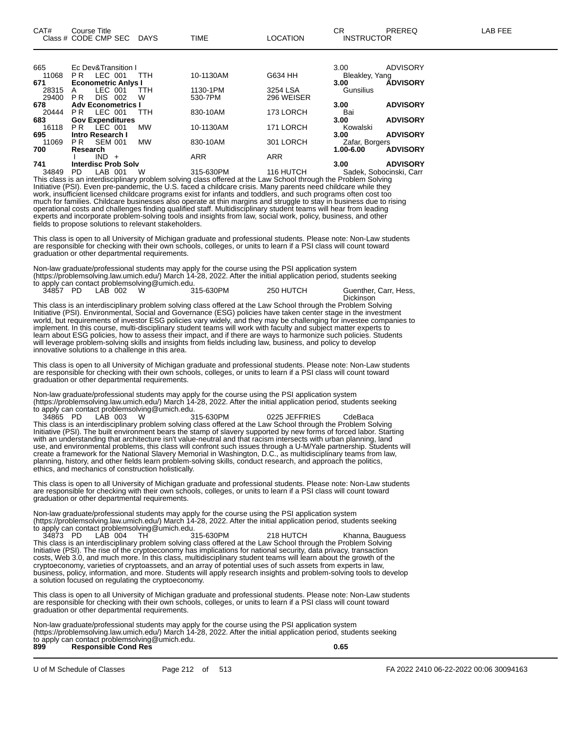| 665   |                | Ec Dev&Transition I        |           |            |            | 3.00           | <b>ADVISORY</b>         |
|-------|----------------|----------------------------|-----------|------------|------------|----------------|-------------------------|
| 11068 | PR.            | LEC 001                    | TTH       | 10-1130AM  | G634 HH    | Bleakley, Yang |                         |
| 671   |                | <b>Econometric Anlys I</b> |           |            |            | 3.00           | <b>ÁDVISORY</b>         |
| 28315 | A              | LEC 001                    | TTH       | 1130-1PM   | 3254 LSA   | Gunsilius      |                         |
| 29400 | P <sub>R</sub> | DIS.<br>002                | W         | 530-7PM    | 296 WEISER |                |                         |
| 678   |                | <b>Adv Econometrics I</b>  |           |            |            | 3.00           | <b>ADVISORY</b>         |
| 20444 | PR.            | LEC 001                    | TTH       | 830-10AM   | 173 LORCH  | Bai            |                         |
| 683   |                | <b>Gov Expenditures</b>    |           |            |            | 3.00           | <b>ADVISORY</b>         |
| 16118 | PR.            | LEC 001                    | <b>MW</b> | 10-1130AM  | 171 LORCH  | Kowalski       |                         |
| 695   |                | Intro Research I           |           |            |            | 3.00           | <b>ADVISORY</b>         |
| 11069 | PR.            | <b>SEM 001</b>             | <b>MW</b> | 830-10AM   | 301 LORCH  | Zafar, Borgers |                         |
| 700   | Research       |                            |           |            |            | 1.00-6.00      | <b>ADVISORY</b>         |
|       |                | IND.<br>$+$                |           | <b>ARR</b> | <b>ARR</b> |                |                         |
| 741   |                | <b>Interdisc Prob Solv</b> |           |            |            | 3.00           | <b>ADVISORY</b>         |
| 34849 | PD.            | LAB<br>001                 | W         | 315-630PM  | 116 HUTCH  |                | Sadek, Sobocinski, Carr |
|       |                |                            |           |            |            |                |                         |

This class is an interdisciplinary problem solving class offered at the Law School through the Problem Solving Initiative (PSI). Even pre-pandemic, the U.S. faced a childcare crisis. Many parents need childcare while they work, insufficient licensed childcare programs exist for infants and toddlers, and such programs often cost too much for families. Childcare businesses also operate at thin margins and struggle to stay in business due to rising operational costs and challenges finding qualified staff. Multidisciplinary student teams will hear from leading experts and incorporate problem-solving tools and insights from law, social work, policy, business, and other fields to propose solutions to relevant stakeholders.

This class is open to all University of Michigan graduate and professional students. Please note: Non-Law students are responsible for checking with their own schools, colleges, or units to learn if a PSI class will count toward graduation or other departmental requirements.

Non-law graduate/professional students may apply for the course using the PSI application system (https://problemsolving.law.umich.edu/) March 14-28, 2022. After the initial application period, students seeking to apply can contact problemsolving@umich.edu.

34857 PD LAB 002 W 315-630PM 250 HUTCH Guenther, Carr, Hess, Dickinson

This class is an interdisciplinary problem solving class offered at the Law School through the Problem Solving Initiative (PSI). Environmental, Social and Governance (ESG) policies have taken center stage in the investment world, but requirements of investor ESG policies vary widely, and they may be challenging for investee companies to implement. In this course, multi-disciplinary student teams will work with faculty and subject matter experts to learn about ESG policies, how to assess their impact, and if there are ways to harmonize such policies. Students will leverage problem-solving skills and insights from fields including law, business, and policy to develop innovative solutions to a challenge in this area.

This class is open to all University of Michigan graduate and professional students. Please note: Non-Law students are responsible for checking with their own schools, colleges, or units to learn if a PSI class will count toward graduation or other departmental requirements.

Non-law graduate/professional students may apply for the course using the PSI application system (https://problemsolving.law.umich.edu/) March 14-28, 2022. After the initial application period, students seeking to apply can contact problemsolving@umich.edu.

34865 PD LAB 003 W 315-630PM 0225 JEFFRIES CdeBaca This class is an interdisciplinary problem solving class offered at the Law School through the Problem Solving Initiative (PSI). The built environment bears the stamp of slavery supported by new forms of forced labor. Starting with an understanding that architecture isn't value-neutral and that racism intersects with urban planning, land use, and environmental problems, this class will confront such issues through a U-M/Yale partnership. Students will create a framework for the National Slavery Memorial in Washington, D.C., as multidisciplinary teams from law, planning, history, and other fields learn problem-solving skills, conduct research, and approach the politics, ethics, and mechanics of construction holistically.

This class is open to all University of Michigan graduate and professional students. Please note: Non-Law students are responsible for checking with their own schools, colleges, or units to learn if a PSI class will count toward graduation or other departmental requirements.

Non-law graduate/professional students may apply for the course using the PSI application system (https://problemsolving.law.umich.edu/) March 14-28, 2022. After the initial application period, students seeking to apply can contact problemsolving@umich.edu.

34873 PD LAB 004 TH 315-630PM 218 HUTCH Khanna, Bauguess This class is an interdisciplinary problem solving class offered at the Law School through the Problem Solving Initiative (PSI). The rise of the cryptoeconomy has implications for national security, data privacy, transaction costs, Web 3.0, and much more. In this class, multidisciplinary student teams will learn about the growth of the cryptoeconomy, varieties of cryptoassets, and an array of potential uses of such assets from experts in law, business, policy, information, and more. Students will apply research insights and problem-solving tools to develop a solution focused on regulating the cryptoeconomy.

This class is open to all University of Michigan graduate and professional students. Please note: Non-Law students are responsible for checking with their own schools, colleges, or units to learn if a PSI class will count toward graduation or other departmental requirements.

Non-law graduate/professional students may apply for the course using the PSI application system (https://problemsolving.law.umich.edu/) March 14-28, 2022. After the initial application period, students seeking to apply can contact problemsolving@umich.edu. **899 Responsible Cond Res 0.65**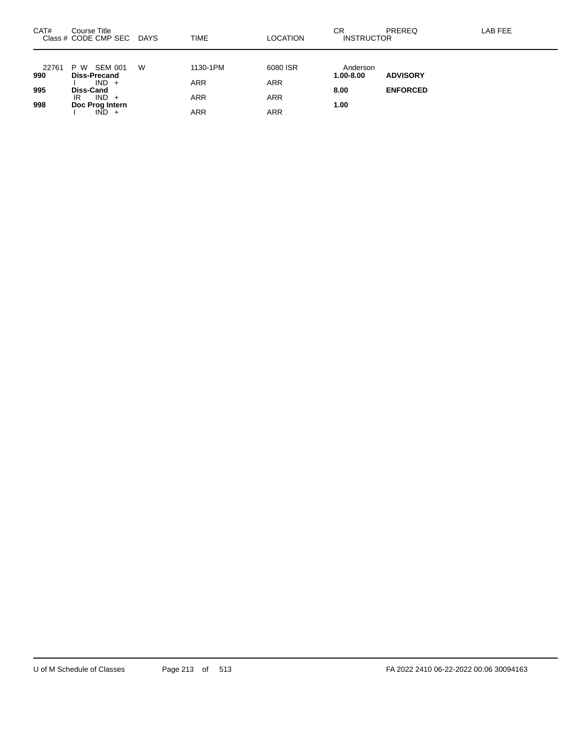| CAT#  | Course Title<br>Class # CODE CMP SEC DAYS |   | <b>TIME</b> | <b>LOCATION</b> | СR<br><b>INSTRUCTOR</b> | PREREQ          | LAB FEE |
|-------|-------------------------------------------|---|-------------|-----------------|-------------------------|-----------------|---------|
| 22761 | SEM 001<br>P W                            | W | 1130-1PM    | 6080 ISR        | Anderson                |                 |         |
| 990   | <b>Diss-Precand</b><br>$IND +$            |   | <b>ARR</b>  | <b>ARR</b>      | $1.00 - 8.00$           | <b>ADVISORY</b> |         |
| 995   | Diss-Cand                                 |   |             |                 | 8.00                    | <b>ENFORCED</b> |         |
| 998   | $IND +$<br>IR<br>Doc Prog Intern          |   | <b>ARR</b>  | <b>ARR</b>      | 1.00                    |                 |         |
|       | $IND +$                                   |   | <b>ARR</b>  | ARR             |                         |                 |         |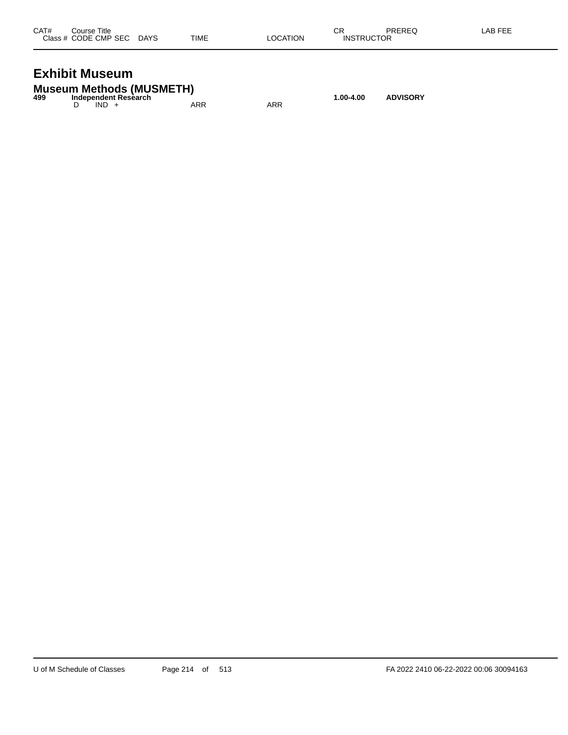| CAT# | Course Title              |      |          | СR                | PREREQ | LAB FEE |
|------|---------------------------|------|----------|-------------------|--------|---------|
|      | Class # CODE CMP SEC DAYS | TIME | LOCATION | <b>INSTRUCTOR</b> |        |         |
|      |                           |      |          |                   |        |         |

## **Exhibit Museum**

|     | <b>Museum Methods (MUSMETH)</b> |     |     |           |                 |
|-----|---------------------------------|-----|-----|-----------|-----------------|
| 499 | Independent Research            |     |     | 1.00-4.00 | <b>ADVISORY</b> |
|     | $IND +$                         | ARR | ARR |           |                 |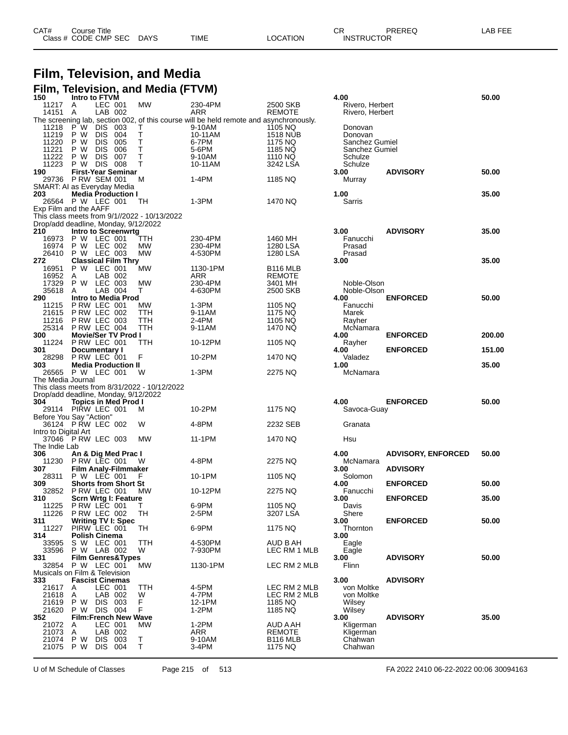| CAT# | Course Title           |             |             |          | ⌒冖<br>◡┍          | PREREQ | LAB FEE |
|------|------------------------|-------------|-------------|----------|-------------------|--------|---------|
|      | Class # CODE CMP SEC L | <b>DAYS</b> | <b>TIME</b> | LOCATION | <b>INSTRUCTOR</b> |        |         |

# **Film, Television, and Media**

### **Film, Television, and Media (FTVM)**

| 150                  | Intro to FTVM                                    |        |                                                                                                  |                            | 4.00                |                           | 50.00  |
|----------------------|--------------------------------------------------|--------|--------------------------------------------------------------------------------------------------|----------------------------|---------------------|---------------------------|--------|
| 11217                | LEC 001<br>A                                     | МW     | 230-4PM                                                                                          | 2500 SKB                   | Rivero, Herbert     |                           |        |
| 14151                | LAB 002<br>A                                     |        | ARR                                                                                              | <b>REMOTE</b>              | Rivero, Herbert     |                           |        |
| 11218                | P W<br><b>DIS</b><br>003                         | Т      | The screening lab, section 002, of this course will be held remote and asynchronously.<br>9-10AM | 1105 NQ                    | Donovan             |                           |        |
| 11219                | P W<br><b>DIS</b><br>004                         | Т      | 10-11AM                                                                                          | <b>1518 NUB</b>            | Donovan             |                           |        |
| 11220                | P W<br><b>DIS</b><br>005                         | T      | 6-7PM                                                                                            | 1175 NQ                    | Sanchez Gumiel      |                           |        |
| 11221                | <b>DIS</b><br>006<br>P W                         | Τ      | 5-6PM                                                                                            | 1185 NQ                    | Sanchez Gumiel      |                           |        |
| 11222                | <b>DIS</b><br>007<br>P W                         | T      | 9-10AM                                                                                           | 1110 NQ                    | Schulze             |                           |        |
| 11223                | <b>DIS 008</b><br>РW                             | т      | 10-11AM                                                                                          | 3242 LSA                   | Schulze             |                           |        |
| 190                  | <b>First-Year Seminar</b><br><b>P RW SEM 001</b> | M      | 1-4PM                                                                                            |                            | 3.00                | <b>ADVISORY</b>           | 50.00  |
| 29736                | SMART: AI as Everyday Media                      |        |                                                                                                  | 1185 NQ                    | Murray              |                           |        |
| 203                  | <b>Media Production I</b>                        |        |                                                                                                  |                            | 1.00                |                           | 35.00  |
|                      | 26564 P W LEC 001                                | TH     | 1-3PM                                                                                            | 1470 NQ                    | Sarris              |                           |        |
|                      | Exp Film and the AAFF                            |        |                                                                                                  |                            |                     |                           |        |
|                      | This class meets from 9/1//2022 - 10/13/2022     |        |                                                                                                  |                            |                     |                           |        |
|                      | Drop/add deadline, Monday, 9/12/2022             |        |                                                                                                  |                            |                     |                           |        |
| 210<br>16973         | Intro to Screenwrtg<br>P W LEC 001               | TTH    | 230-4PM                                                                                          | 1460 MH                    | 3.00<br>Fanucchi    | <b>ADVISORY</b>           | 35.00  |
| 16974                | P W LEC 002                                      | МW     | 230-4PM                                                                                          | 1280 LSA                   | Prasad              |                           |        |
| 26410                | P W LEC 003                                      | MW     | 4-530PM                                                                                          | 1280 LSA                   | Prasad              |                           |        |
| 272                  | <b>Classical Film Thry</b>                       |        |                                                                                                  |                            | 3.00                |                           | 35.00  |
| 16951                | P W LEC 001                                      | MW     | 1130-1PM                                                                                         | <b>B116 MLB</b>            |                     |                           |        |
| 16952                | LAB 002<br>A                                     |        | ARR                                                                                              | <b>REMOTE</b>              |                     |                           |        |
| 17329                | LEC 003<br>P W                                   | MW     | 230-4PM                                                                                          | 3401 MH                    | Noble-Olson         |                           |        |
| 35618<br>290         | LAB 004<br>A<br>Intro to Media Prod              | т      | 4-630PM                                                                                          | 2500 SKB                   | Noble-Olson<br>4.00 | <b>ENFORCED</b>           | 50.00  |
| 11215                | PRW LEC 001                                      | МW     | 1-3PM                                                                                            | 1105 NQ                    | Fanucchi            |                           |        |
| 21615                | P RW LEC 002                                     | TTH    | 9-11AM                                                                                           | 1175 NQ                    | Marek               |                           |        |
| 11216                | <b>P RW LEC 003</b>                              | TTH    | 2-4PM                                                                                            | 1105 NQ                    | Ravher              |                           |        |
| 25314                | PRW LEC 004                                      | TTH    | 9-11AM                                                                                           | 1470 NQ                    | McNamara            |                           |        |
| 300                  | <b>Movie/Ser TV Prod I</b>                       |        |                                                                                                  |                            | 4.00                | <b>ENFORCED</b>           | 200.00 |
| 11224<br>301         | P RW LEC 001                                     | TTH    | 10-12PM                                                                                          | 1105 NQ                    | Rayher              |                           |        |
| 28298                | Documentary I<br>PRW LEC 001                     | F      | 10-2PM                                                                                           | 1470 NQ                    | 4.00<br>Valadez     | <b>ENFORCED</b>           | 151.00 |
| 303                  | <b>Media Production II</b>                       |        |                                                                                                  |                            | 1.00                |                           | 35.00  |
|                      |                                                  |        |                                                                                                  |                            |                     |                           |        |
|                      |                                                  |        |                                                                                                  |                            |                     |                           |        |
| The Media Journal    | 26565 P W LEC 001                                | W      | 1-3PM                                                                                            | 2275 NQ                    | McNamara            |                           |        |
|                      | This class meets from 8/31/2022 - 10/12/2022     |        |                                                                                                  |                            |                     |                           |        |
|                      | Drop/add deadline, Monday, 9/12/2022             |        |                                                                                                  |                            |                     |                           |        |
| 304                  | <b>Topics in Med Prod I</b>                      |        |                                                                                                  |                            | 4.00                | <b>ENFORCED</b>           | 50.00  |
|                      | 29114 PIRW LEC 001                               | м      | 10-2PM                                                                                           | 1175 NQ                    | Savoca-Guay         |                           |        |
|                      | Before You Say "Action"                          |        |                                                                                                  |                            |                     |                           |        |
|                      | 36124 PRW LEC 002                                | W      | 4-8PM                                                                                            | 2232 SEB                   | Granata             |                           |        |
| Intro to Digital Art |                                                  | MW     | 11-1PM                                                                                           | 1470 NQ                    | Hsu                 |                           |        |
| The Indie Lab        | 37046 P RW LEC 003                               |        |                                                                                                  |                            |                     |                           |        |
| 306                  | An & Dig Med Prac I                              |        |                                                                                                  |                            | 4.00                | <b>ADVISORY, ENFORCED</b> | 50.00  |
| 11230                | PRW LEC 001                                      | W      | 4-8PM                                                                                            | 2275 NQ                    | McNamara            |                           |        |
| 307                  | <b>Film Analy-Filmmaker</b>                      |        |                                                                                                  |                            | 3.00                | <b>ADVISORY</b>           |        |
| 28311                | P W LEC 001                                      | F      | 10-1PM                                                                                           | 1105 NQ                    | Solomon             |                           |        |
| 309                  | <b>Shorts from Short St</b>                      |        |                                                                                                  |                            | 4.00                | <b>ENFORCED</b>           | 50.00  |
| 32852<br>310         | PRW LEC 001<br>Scrn Wrtg I: Feature              | MW     | 10-12PM                                                                                          | 2275 NQ                    | Fanucchi<br>3.00    | <b>ENFORCED</b>           | 35.00  |
| 11225                | P RW LEC 001                                     | т      | 6-9PM                                                                                            | 1105 NQ                    | Davis               |                           |        |
| 11226                | PRW LEC 002                                      | TН     | 2-5PM                                                                                            | 3207 LSA                   | Shere               |                           |        |
| 311                  | <b>Writing TV I: Spec</b>                        |        |                                                                                                  |                            | 3.00                | <b>ENFORCED</b>           | 50.00  |
| 11227                | PIRW LEC 001                                     | TH     | 6-9PM                                                                                            | 1175 NQ                    | Thornton            |                           |        |
| 314                  | Polish Cinema                                    |        |                                                                                                  |                            | 3.00                |                           |        |
| 33595                | S W LEC 001                                      | TTH    | 4-530PM                                                                                          | AUD B AH                   | Eagle               |                           |        |
| 33596<br>331         | P W LAB 002                                      | W      | 7-930PM                                                                                          | LEC RM 1 MLB               | Eagle<br>3.00       |                           | 50.00  |
| 32854                | <b>Film Genres&amp;Types</b><br>P W LEC 001      | МW     | 1130-1PM                                                                                         | LEC RM 2 MLB               | Flinn               | <b>ADVISORY</b>           |        |
|                      | Musicals on Film & Television                    |        |                                                                                                  |                            |                     |                           |        |
| 333                  | <b>Fascist Cinemas</b>                           |        |                                                                                                  |                            | 3.00                | <b>ADVISORY</b>           |        |
| 21617                | LEC 001<br>A                                     | TTH    | 4-5PM                                                                                            | LEC RM 2 MLB               | von Moltke          |                           |        |
| 21618                | Α<br>LAB 002                                     | W      | 4-7PM                                                                                            | LEC RM 2 MLB               | von Moltke          |                           |        |
| 21619                | P W<br>DIS 003                                   | F      | 12-1PM                                                                                           | 1185 NQ                    | Wilsey              |                           |        |
| 21620<br>352         | DIS 004<br>P W<br><b>Film:French New Wave</b>    | F      | 1-2PM                                                                                            | 1185 NQ                    | Wilsey<br>3.00      | <b>ADVISORY</b>           | 35.00  |
| 21072                | LEC 001<br>A                                     | МW     | $1-2PM$                                                                                          | AUD A AH                   | Kligerman           |                           |        |
| 21073                | LAB 002<br>Α                                     |        | ARR                                                                                              | <b>REMOTE</b>              | Kligerman           |                           |        |
| 21074                | P W<br>DIS.<br>003<br>21075 P W<br>DIS.<br>004   | Τ<br>T | 9-10AM<br>3-4PM                                                                                  | <b>B116 MLB</b><br>1175 NQ | Chahwan<br>Chahwan  |                           |        |

| Schulze<br>3.00<br>Murray                                         | <b>ADVISORY</b>           | 50.00          |
|-------------------------------------------------------------------|---------------------------|----------------|
| 1.00<br>Sarris                                                    |                           | 35.00          |
| 3.00<br>Fanucchi<br>Prasad<br>Prasad<br>3.00                      | <b>ADVISORY</b>           | 35.00<br>35.00 |
| Noble-Olson<br>Noble-Olson<br>4.00<br>Fanucchi<br>Marek<br>Rayher | <b>ENFORCED</b>           | 50.00          |
| McNamara<br>4.00                                                  | <b>ENFORCED</b>           | 200.00         |
| Rayher<br>4.00                                                    | <b>ENFORCED</b>           | 151.00         |
| Valadez<br>1.00<br>McNamara                                       |                           | 35.00          |
| 4.00<br>Savoca-Guay                                               | <b>ENFORCED</b>           | 50.00          |
| Granata                                                           |                           |                |
| Hsu                                                               |                           |                |
| 4.00<br>McNamara                                                  | <b>ADVISORY, ENFORCED</b> | 50.00          |
| 3.00<br>Solomon                                                   | <b>ADVISORY</b>           |                |
| 4.00<br>Fanucchi                                                  | <b>ENFORCED</b>           | 50.00          |
| 3.00<br>Davis                                                     | <b>ENFORCED</b>           | 35.00          |
| Shere<br>3.00<br>Thornton                                         | <b>ENFORCED</b>           | 50.00          |

U of M Schedule of Classes Page 215 of 513 FA 2022 2410 06-22-2022 00:06 30094163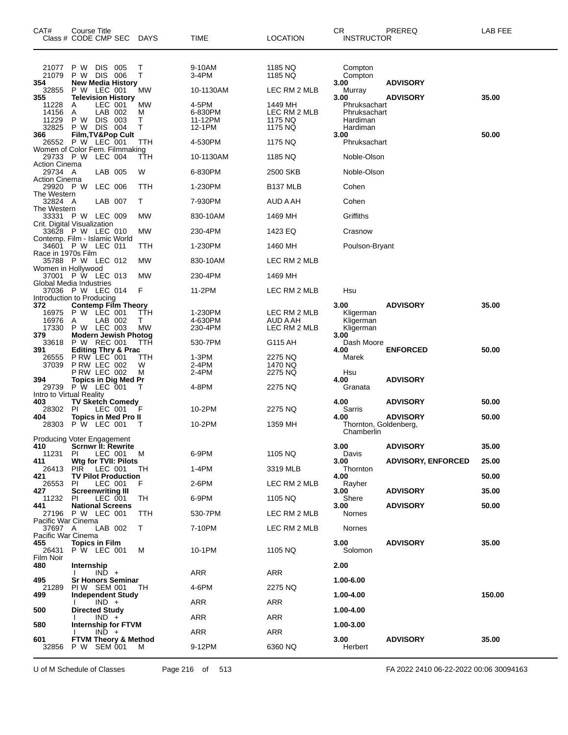| CAT#<br>Class # CODE CMP SEC                        | Course Title                         |                                          |                                 | <b>DAYS</b>            | TIME                                  | <b>LOCATION</b>                               | CR<br>INSTRUCTOR                                     | PREREQ                    | LAB FEE |
|-----------------------------------------------------|--------------------------------------|------------------------------------------|---------------------------------|------------------------|---------------------------------------|-----------------------------------------------|------------------------------------------------------|---------------------------|---------|
| 21077<br>21079<br>354                               | P W<br>P W DIS 006                   | DIS 005                                  | <b>New Media History</b>        | Т<br>т                 | 9-10AM<br>3-4PM                       | 1185 NQ<br>1185 NQ                            | Compton<br>Compton<br>3.00                           | <b>ADVISORY</b>           |         |
| 32855<br>355                                        | P W LEC 001                          |                                          | <b>Television History</b>       | МW                     | 10-1130AM                             | LEC RM 2 MLB                                  | Murray<br>3.00                                       | <b>ADVISORY</b>           | 35.00   |
| 11228<br>14156<br>11229<br>32825                    | A<br>Α<br>P W<br>P W                 | LEC 001<br>LAB 002<br>DIS 003<br>DIS 004 |                                 | МW<br>м<br>Т<br>т      | 4-5PM<br>6-830PM<br>11-12PM<br>12-1PM | 1449 MH<br>LEC RM 2 MLB<br>1175 NQ<br>1175 NQ | Phruksachart<br>Phruksachart<br>Hardiman<br>Hardiman |                           |         |
| 366<br>26552 P W LEC 001                            |                                      |                                          | Film, TV&Pop Cult               | TTH                    | 4-530PM                               | 1175 NQ                                       | 3.00<br>Phruksachart                                 |                           | 50.00   |
| Women of Color Fem. Filmmaking<br>29733 P W LEC 004 |                                      |                                          |                                 | TTH                    | 10-1130AM                             | 1185 NQ                                       | Noble-Olson                                          |                           |         |
| <b>Action Cinema</b><br>29734 A                     |                                      | LAB 005                                  |                                 | W                      | 6-830PM                               | 2500 SKB                                      | Noble-Olson                                          |                           |         |
| <b>Action Cinema</b><br>29920 PW                    |                                      | LEC 006                                  |                                 | TTH                    | 1-230PM                               | B <sub>137</sub> MLB                          | Cohen                                                |                           |         |
| The Western<br>32824 A                              |                                      | LAB 007                                  |                                 | т                      | 7-930PM                               | AUD A AH                                      | Cohen                                                |                           |         |
| The Western<br>33331 P W LEC 009                    |                                      |                                          |                                 | <b>MW</b>              | 830-10AM                              | 1469 MH                                       | Griffiths                                            |                           |         |
| Crit. Digital Visualization<br>33628 P W LEC 010    |                                      |                                          |                                 | MW                     | 230-4PM                               | 1423 EQ                                       | Crasnow                                              |                           |         |
| Contemp. Film - Islamic World<br>34601              | P W LEC 011                          |                                          |                                 | TTH                    | 1-230PM                               | 1460 MH                                       | Poulson-Bryant                                       |                           |         |
| Race in 1970s Film<br>35788 P W LEC 012             |                                      |                                          |                                 | MW                     | 830-10AM                              | LEC RM 2 MLB                                  |                                                      |                           |         |
| Women in Hollywood<br>37001                         | P W LEC 013                          |                                          |                                 | MW                     | 230-4PM                               | 1469 MH                                       |                                                      |                           |         |
| Global Media Industries<br>37036 P W LEC 014        |                                      |                                          |                                 | F                      | 11-2PM                                | LEC RM 2 MLB                                  | Hsu                                                  |                           |         |
| Introduction to Producing<br>372                    |                                      |                                          | <b>Contemp Film Theory</b>      |                        |                                       |                                               | 3.00                                                 | <b>ADVISORY</b>           | 35.00   |
| 16975<br>16976<br>17330                             | P W LEC 001<br>Α<br>P W LEC 003      | LAB 002                                  |                                 | TTH<br>T.<br><b>MW</b> | 1-230PM<br>4-630PM<br>230-4PM         | LEC RM 2 MLB<br>AUD A AH<br>LEC RM 2 MLB      | Kligerman<br>Kligerman<br>Kligerman                  |                           |         |
| 379<br>33618                                        | P W REC 001                          |                                          | <b>Modern Jewish Photog</b>     | ттн                    | 530-7PM                               | G115 AH                                       | 3.00<br>Dash Moore                                   |                           |         |
| 391<br>26555                                        | P RW LEC 001                         |                                          | <b>Editing Thry &amp; Prac</b>  | TTH                    | $1-3PM$                               | 2275 NQ                                       | 4.00<br>Marek                                        | <b>ENFORCED</b>           | 50.00   |
| 37039                                               | P RW LEC 002<br>PRW LEC 002          |                                          |                                 | W<br>М                 | 2-4PM<br>2-4PM                        | 1470 NQ<br>2275 NQ                            | Hsu                                                  |                           |         |
| 394<br>29739                                        | P W LEC 001                          |                                          | <b>Topics in Dig Med Pr</b>     | т                      | 4-8PM                                 | 2275 NQ                                       | 4.00<br>Granata                                      | <b>ADVISORY</b>           |         |
| Intro to Virtual Reality<br>403                     |                                      |                                          |                                 |                        |                                       |                                               | 4.00                                                 | <b>ADVISORY</b>           | 50.00   |
| 28302 PI                                            |                                      | LEC 001                                  | <b>TV Sketch Comedy</b>         | F                      | 10-2PM                                | 2275 NQ                                       | Sarris                                               |                           |         |
| 404<br>28303                                        | <b>P W LEC 001</b>                   |                                          | <b>Topics in Med Pro II</b>     | Т                      | 10-2PM                                | 1359 MH                                       | 4.00<br>Thornton, Goldenberg,                        | <b>ADVISORY</b>           | 50.00   |
| Producing Voter Engagement                          |                                      |                                          |                                 |                        |                                       |                                               | Chamberlin                                           |                           |         |
| 410<br>11231                                        | PL                                   | LEC 001                                  | <b>Scrnwr II: Rewrite</b>       | M                      | 6-9PM                                 | 1105 NQ                                       | 3.00<br>Davis                                        | <b>ADVISORY</b>           | 35.00   |
| 411<br>26413                                        | PIR                                  | LEC 001                                  | Wtg for TVII: Pilots            | TН                     | 1-4PM                                 | 3319 MLB                                      | 3.00<br>Thornton                                     | <b>ADVISORY, ENFORCED</b> | 25.00   |
| 421<br>26553                                        | PI                                   | LEC 001                                  | <b>TV Pilot Production</b>      | F                      | 2-6PM                                 | LEC RM 2 MLB                                  | 4.00<br>Rayher                                       |                           | 50.00   |
| 427<br>11232                                        | <b>Screenwriting III</b><br>PL       | LEC 001                                  |                                 | TH                     | 6-9PM                                 | 1105 NQ                                       | 3.00<br>Shere                                        | <b>ADVISORY</b>           | 35.00   |
| 441<br>27196 P W LEC 001                            | <b>National Screens</b>              |                                          |                                 | TTH                    | 530-7PM                               | LEC RM 2 MLB                                  | 3.00<br>Nornes                                       | <b>ADVISORY</b>           | 50.00   |
| Pacific War Cinema<br>37697 A                       |                                      | LAB 002                                  |                                 | Т                      | 7-10PM                                | LEC RM 2 MLB                                  | Nornes                                               |                           |         |
| Pacific War Cinema<br>455<br>26431                  | <b>Topics in Film</b><br>P W LEC 001 |                                          |                                 | М                      | 10-1PM                                | 1105 NQ                                       | 3.00<br>Solomon                                      | <b>ADVISORY</b>           | 35.00   |
| Film Noir<br>480                                    | Internship                           |                                          |                                 |                        |                                       |                                               | 2.00                                                 |                           |         |
| 495                                                 |                                      | $IND +$                                  | <b>Sr Honors Seminar</b>        |                        | ARR                                   | ARR                                           | 1.00-6.00                                            |                           |         |
| 21289<br>499                                        | PIW SEM 001                          |                                          | <b>Independent Study</b>        | TН                     | 4-6PM                                 | 2275 NQ                                       | 1.00-4.00                                            |                           | 150.00  |
| 500                                                 | <b>Directed Study</b>                | $IND +$                                  |                                 |                        | ARR                                   | <b>ARR</b>                                    | 1.00-4.00                                            |                           |         |
| 580                                                 |                                      | $IND +$                                  | <b>Internship for FTVM</b>      |                        | ARR                                   | ARR                                           | 1.00-3.00                                            |                           |         |
| 601                                                 |                                      | $IND +$                                  | <b>FTVM Theory &amp; Method</b> |                        | ARR                                   | ARR                                           | 3.00                                                 | <b>ADVISORY</b>           | 35.00   |
| 32856                                               | P W SEM 001                          |                                          |                                 | м                      | 9-12PM                                | 6360 NQ                                       | Herbert                                              |                           |         |

U of M Schedule of Classes Page 216 of 513 FA 2022 2410 06-22-2022 00:06 30094163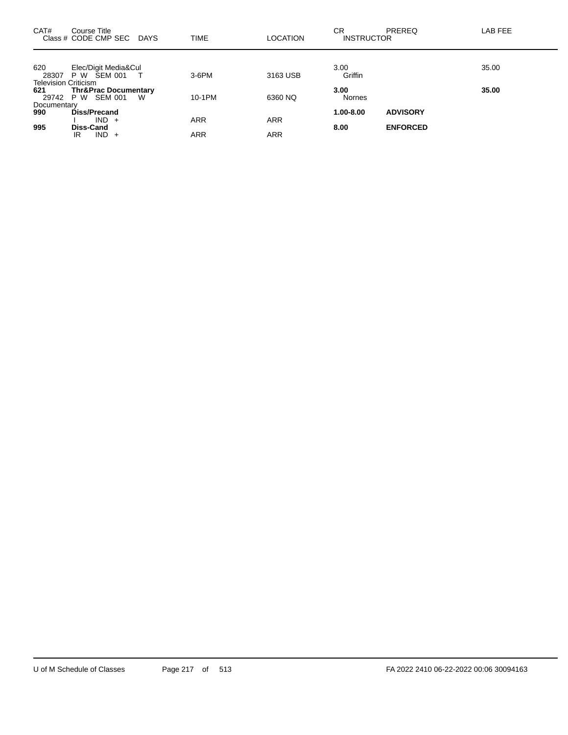| CAT#                        | Course Title<br>Class # CODE CMP SEC   | <b>DAYS</b> | <b>TIME</b> | <b>LOCATION</b> | <b>CR</b><br><b>INSTRUCTOR</b> | <b>PREREQ</b>   | LAB FEE |
|-----------------------------|----------------------------------------|-------------|-------------|-----------------|--------------------------------|-----------------|---------|
|                             |                                        |             |             |                 |                                |                 |         |
| 620<br>28307                | Elec/Digit Media&Cul<br>ŠEM 001<br>P W |             | 3-6PM       | 3163 USB        | 3.00<br>Griffin                |                 | 35.00   |
| <b>Television Criticism</b> |                                        |             |             |                 |                                |                 |         |
| 621                         | <b>Thr&amp;Prac Documentary</b>        |             |             |                 | 3.00                           |                 | 35.00   |
| 29742                       | P W SEM 001                            | W           | 10-1PM      | 6360 NQ         | <b>Nornes</b>                  |                 |         |
| Documentary                 |                                        |             |             |                 |                                |                 |         |
| 990                         | Diss/Precand                           |             |             |                 | 1.00-8.00                      | <b>ADVISORY</b> |         |
|                             | $IND +$                                |             | <b>ARR</b>  | <b>ARR</b>      |                                |                 |         |
| 995                         | <b>Diss-Cand</b>                       |             |             |                 | 8.00                           | <b>ENFORCED</b> |         |
|                             | $IND +$<br>IR                          |             | ARR         | ARR             |                                |                 |         |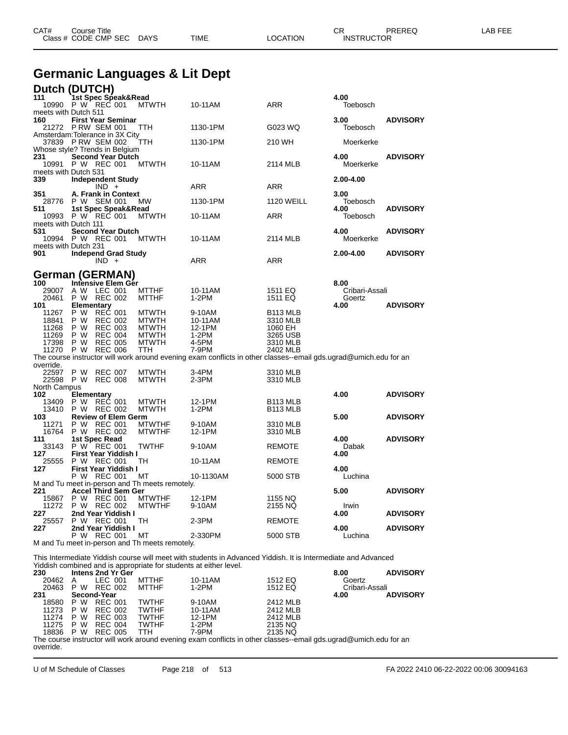| CAT#<br>Course Title<br>Class # CODE CMP SEC DAYS                                                  | TIME    | LOCATION   | PREREQ<br>СR<br><b>INSTRUCTOR</b> | LAB FEE |
|----------------------------------------------------------------------------------------------------|---------|------------|-----------------------------------|---------|
| <b>Germanic Languages &amp; Lit Dept</b>                                                           |         |            |                                   |         |
| Dutch (DUTCH)<br>111<br>`1st Spec Speak&Read<br>MTWTH<br>10990 P W REC 001<br>meets with Dutch 511 | 10-11AM | <b>ARR</b> | 4.00<br>Toebosch                  |         |

| <b>THERE'S WILL DUICH STT</b><br>160 |                   | <b>First Year Seminar</b>                           |                                                      |                                                                                                                  |                      | 3.00                   | <b>ADVISORY</b> |
|--------------------------------------|-------------------|-----------------------------------------------------|------------------------------------------------------|------------------------------------------------------------------------------------------------------------------|----------------------|------------------------|-----------------|
|                                      |                   | 21272 PRW SEM 001                                   | TTH                                                  | 1130-1PM                                                                                                         | G023 WQ              | Toebosch               |                 |
|                                      |                   | Amsterdam: Tolerance in 3X City                     |                                                      |                                                                                                                  |                      |                        |                 |
|                                      |                   | 37839 PRW SEM 002<br>Whose style? Trends in Belgium | ттн                                                  | 1130-1PM                                                                                                         | 210 WH               | Moerkerke              |                 |
| 231                                  |                   | <b>Second Year Dutch</b>                            |                                                      |                                                                                                                  |                      | 4.00                   | <b>ADVISORY</b> |
| 10991                                |                   | P W REC 001                                         | <b>MTWTH</b>                                         | 10-11AM                                                                                                          | 2114 MLB             | Moerkerke              |                 |
| meets with Dutch 531                 |                   |                                                     |                                                      |                                                                                                                  |                      |                        |                 |
| 339                                  |                   | <b>Independent Study</b><br>$IND +$                 |                                                      | ARR                                                                                                              | <b>ARR</b>           | 2.00-4.00              |                 |
| 351                                  |                   | A. Frank in Context                                 |                                                      |                                                                                                                  |                      | 3.00                   |                 |
| 28776                                |                   | P W SEM 001                                         | MW                                                   | 1130-1PM                                                                                                         | <b>1120 WEILL</b>    | Toebosch               |                 |
| 511                                  |                   | 1st Spec Speak&Read<br>10993 P W REC 001            | <b>MTWTH</b>                                         | 10-11AM                                                                                                          | ARR                  | 4.00<br>Toebosch       | <b>ADVISORY</b> |
| meets with Dutch 111                 |                   |                                                     |                                                      |                                                                                                                  |                      |                        |                 |
| 531                                  |                   | <b>Second Year Dutch</b>                            |                                                      |                                                                                                                  |                      | 4.00                   | <b>ADVISORY</b> |
|                                      |                   | 10994 P W REC 001                                   | MTWTH                                                | 10-11AM                                                                                                          | 2114 MLB             | Moerkerke              |                 |
| meets with Dutch 231<br>901          |                   | <b>Independ Grad Study</b>                          |                                                      |                                                                                                                  |                      | 2.00-4.00              | <b>ADVISORY</b> |
|                                      |                   | $IND +$                                             |                                                      | ARR                                                                                                              | ARR                  |                        |                 |
|                                      |                   |                                                     |                                                      |                                                                                                                  |                      |                        |                 |
|                                      |                   | German (GERMAN)                                     |                                                      |                                                                                                                  |                      |                        |                 |
| 100<br>29007                         |                   | Intensive Elem Gér<br>A W LEC 001                   | <b>MTTHF</b>                                         | 10-11AM                                                                                                          | 1511 EQ              | 8.00<br>Cribari-Assali |                 |
| 20461                                |                   | P W REC 002                                         | <b>MTTHF</b>                                         | $1-2PM$                                                                                                          | 1511 EQ              | Goertz                 |                 |
| 101                                  | <b>Elementary</b> |                                                     |                                                      |                                                                                                                  |                      | 4.00                   | <b>ADVISORY</b> |
| 11267                                | P W               | REC 001                                             | <b>MTWTH</b>                                         | 9-10AM                                                                                                           | B <sub>113</sub> MLB |                        |                 |
| 18841                                | P W               | <b>REC 002</b>                                      | <b>MTWTH</b>                                         | 10-11AM                                                                                                          | 3310 MLB             |                        |                 |
| 11268<br>11269                       | P W<br>P W        | <b>REC 003</b><br><b>REC 004</b>                    | <b>MTWTH</b><br><b>MTWTH</b>                         | 12-1PM<br>$1-2PM$                                                                                                | 1060 EH<br>3265 USB  |                        |                 |
| 17398                                | P W               | <b>REC 005</b>                                      | <b>MTWTH</b>                                         | 4-5PM                                                                                                            | 3310 MLB             |                        |                 |
| 11270                                | P W               | <b>REC 006</b>                                      | TTH                                                  | 7-9PM                                                                                                            | 2402 MLB             |                        |                 |
|                                      |                   |                                                     |                                                      | The course instructor will work around evening exam conflicts in other classes--email gds.ugrad@umich.edu for an |                      |                        |                 |
| override.                            |                   | 22597 P W REC 007                                   | <b>MTWTH</b>                                         | 3-4PM                                                                                                            | 3310 MLB             |                        |                 |
| 22598                                |                   | P W REC 008                                         | <b>MTWTH</b>                                         | $2-3PM$                                                                                                          | 3310 MLB             |                        |                 |
| North Campus                         |                   |                                                     |                                                      |                                                                                                                  |                      |                        |                 |
| 102                                  | <b>Elementary</b> |                                                     |                                                      |                                                                                                                  |                      | 4.00                   | <b>ADVISORY</b> |
| 13409                                |                   | P W REC 001                                         | <b>MTWTH</b>                                         | 12-1PM                                                                                                           | B <sub>113</sub> MLB |                        |                 |
| 103                                  |                   | 13410 P W REC 002<br><b>Review of Elem Germ</b>     | <b>MTWTH</b>                                         | 1-2PM                                                                                                            | B113 MLB             | 5.00                   | <b>ADVISORY</b> |
| 11271                                | P W               | REC 001                                             | <b>MTWTHF</b>                                        | 9-10AM                                                                                                           | 3310 MLB             |                        |                 |
|                                      |                   | 16764 P W REC 002                                   | <b>MTWTHF</b>                                        | 12-1PM                                                                                                           | 3310 MLB             |                        |                 |
| 111                                  |                   | 1st Spec Read                                       |                                                      |                                                                                                                  |                      | 4.00                   | <b>ADVISORY</b> |
| 33143                                |                   | P W REC 001                                         | <b>TWTHF</b>                                         | 9-10AM                                                                                                           | <b>REMOTE</b>        | Dabak                  |                 |
| 127<br>25555                         |                   | First Year Yiddish I<br>P W REC 001                 | TН                                                   | 10-11AM                                                                                                          | <b>REMOTE</b>        | 4.00                   |                 |
| 127                                  |                   | First Year Yiddish I                                |                                                      |                                                                                                                  |                      | 4.00                   |                 |
|                                      |                   | P W REC 001                                         | МT                                                   | 10-1130AM                                                                                                        | 5000 STB             | Luchina                |                 |
|                                      |                   |                                                     | M and Tu meet in-person and Th meets remotely.       |                                                                                                                  |                      |                        |                 |
| 221                                  |                   | <b>Accel Third Sem Ger</b><br>15867 P W REC 001     | <b>MTWTHF</b>                                        | 12-1PM                                                                                                           | 1155 NQ              | 5.00                   | <b>ADVISORY</b> |
|                                      |                   | 11272 P W REC 002                                   | <b>MTWTHF</b>                                        | 9-10AM                                                                                                           | 2155 NQ              | Irwin                  |                 |
| 227                                  |                   | 2nd Year Yiddish I                                  |                                                      |                                                                                                                  |                      | 4.00                   | <b>ADVISORY</b> |
| 25557                                |                   | P W REC 001                                         | TH                                                   | $2-3PM$                                                                                                          | <b>REMOTE</b>        |                        |                 |
| 227                                  |                   | 2nd Year Yiddish I                                  |                                                      |                                                                                                                  |                      | 4.00                   | <b>ADVISORY</b> |
|                                      |                   | P W REC 001                                         | МT<br>M and Tu meet in-person and Th meets remotely. | 2-330PM                                                                                                          | 5000 STB             | Luchina                |                 |
|                                      |                   |                                                     |                                                      |                                                                                                                  |                      |                        |                 |

This Intermediate Yiddish course will meet with students in Advanced Yiddish. It is Intermediate and Advanced Yiddish combined and is appropriate for students at either level.

| 230       |     | Intens 2nd Yr Ger |              |                                                                                                                  |          | 8.00           | <b>ADVISORY</b> |
|-----------|-----|-------------------|--------------|------------------------------------------------------------------------------------------------------------------|----------|----------------|-----------------|
| 20462     | A   | LEC 001           | <b>MTTHF</b> | 10-11AM                                                                                                          | 1512 EQ  | Goertz         |                 |
| 20463     |     | P W REC 002       | MTTHF        | 1-2PM                                                                                                            | 1512 EQ  | Cribari-Assali |                 |
| 231       |     | Second-Year       |              |                                                                                                                  |          | 4.00           | <b>ADVISORY</b> |
| 18580     | P W | REC 001           | <b>TWTHF</b> | 9-10AM                                                                                                           | 2412 MLB |                |                 |
| 11273     | P W | <b>REC 002</b>    | <b>TWTHF</b> | 10-11AM                                                                                                          | 2412 MLB |                |                 |
| 11274     | P W | REC 003           | <b>TWTHF</b> | 12-1PM                                                                                                           | 2412 MLB |                |                 |
| 11275 P W |     | REC 004           | TWTHF        | $1-2PM$                                                                                                          | 2135 NQ  |                |                 |
| 18836 P W |     | REC 005           | TTH          | 7-9PM                                                                                                            | 2135 NO  |                |                 |
| override. |     |                   |              | The course instructor will work around evening exam conflicts in other classes--email gds.ugrad@umich.edu for an |          |                |                 |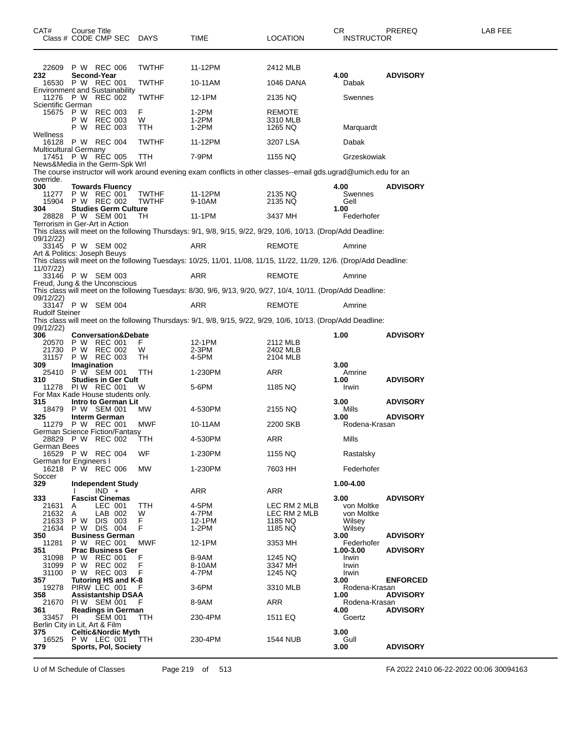| CAT#                                       | Course Title | Class # CODE CMP SEC DAYS                                                   |                       | TIME                                                                                                                | <b>LOCATION</b>                      | CR.<br><b>INSTRUCTOR</b> | PREREQ          | LAB FEE |
|--------------------------------------------|--------------|-----------------------------------------------------------------------------|-----------------------|---------------------------------------------------------------------------------------------------------------------|--------------------------------------|--------------------------|-----------------|---------|
| 22609                                      |              | P W REC 006                                                                 | <b>TWTHF</b>          | 11-12PM                                                                                                             | 2412 MLB                             |                          |                 |         |
| 232                                        |              | Second-Year<br>16530 P W REC 001                                            | <b>TWTHF</b>          | 10-11AM                                                                                                             | 1046 DANA                            | 4.00<br>Dabak            | <b>ADVISORY</b> |         |
|                                            |              | <b>Environment and Sustainability</b><br>11276 P W REC 002                  | <b>TWTHF</b>          | 12-1PM                                                                                                              | 2135 NQ                              | Swennes                  |                 |         |
| Scientific German                          |              |                                                                             |                       |                                                                                                                     |                                      |                          |                 |         |
| 15675                                      | P W          | P W REC 003<br><b>REC 003</b><br>P W REC 003                                | F.<br>W<br>TTH        | 1-2PM<br>$1-2PM$<br>$1-2PM$                                                                                         | <b>REMOTE</b><br>3310 MLB<br>1265 NQ | Marquardt                |                 |         |
| Wellness<br>16128<br>Multicultural Germany |              | P W REC 004                                                                 | <b>TWTHF</b>          | 11-12PM                                                                                                             | 3207 LSA                             | Dabak                    |                 |         |
|                                            |              | 17451 P W REC 005<br>News&Media in the Germ-Spk Wrl                         | TTH                   | 7-9PM                                                                                                               | 1155 NQ                              | Grzeskowiak              |                 |         |
| override.                                  |              |                                                                             |                       | The course instructor will work around evening exam conflicts in other classes--email gds.ugrad@umich.edu for an    |                                      |                          |                 |         |
| 300<br>11277<br>15904                      |              | <b>Towards Fluency</b><br>P W REC 001<br>P W REC 002                        | <b>TWTHF</b><br>TWTHF | 11-12PM<br>9-10AM                                                                                                   | 2135 NQ<br>2135 NQ                   | 4.00<br>Swennes<br>Gell  | <b>ADVISORY</b> |         |
| 304                                        |              | <b>Studies Germ Culture</b><br>28828 P W SEM 001                            | TH                    | 11-1PM                                                                                                              |                                      | 1.00<br>Federhofer       |                 |         |
|                                            |              | Terrorism in Ger-Art in Action                                              |                       |                                                                                                                     | 3437 MH                              |                          |                 |         |
| 09/12/22)                                  |              |                                                                             |                       | This class will meet on the following Thursdays: 9/1, 9/8, 9/15, 9/22, 9/29, 10/6, 10/13. (Drop/Add Deadline:       |                                      |                          |                 |         |
| Art & Politics: Joseph Beuys               |              | 33145 P W SEM 002                                                           |                       | ARR                                                                                                                 | <b>REMOTE</b>                        | Amrine                   |                 |         |
| 11/07/22)                                  |              |                                                                             |                       | This class will meet on the following Tuesdays: 10/25, 11/01, 11/08, 11/15, 11/22, 11/29, 12/6. (Drop/Add Deadline: |                                      |                          |                 |         |
|                                            |              | 33146 P W SEM 003<br>Freud, Jung & the Unconscious                          |                       | ARR                                                                                                                 | <b>REMOTE</b>                        | Amrine                   |                 |         |
| 09/12/22)                                  |              |                                                                             |                       | This class will meet on the following Tuesdays: 8/30, 9/6, 9/13, 9/20, 9/27, 10/4, 10/11. (Drop/Add Deadline:       |                                      |                          |                 |         |
| Rudolf Steiner                             |              | 33147 P W SEM 004                                                           |                       | ARR                                                                                                                 | <b>REMOTE</b>                        | Amrine                   |                 |         |
|                                            |              |                                                                             |                       | This class will meet on the following Thursdays: 9/1, 9/8, 9/15, 9/22, 9/29, 10/6, 10/13. (Drop/Add Deadline:       |                                      |                          |                 |         |
| 09/12/22)<br>306                           |              | <b>Conversation&amp;Debate</b>                                              |                       |                                                                                                                     |                                      | 1.00                     | <b>ADVISORY</b> |         |
| 20570<br>21730                             |              | P W REC 001<br>P W REC 002                                                  | F.<br>W               | 12-1PM<br>2-3PM                                                                                                     | 2112 MLB<br>2402 MLB                 |                          |                 |         |
| 31157<br>309                               | Imagination  | P W REC 003                                                                 | TH                    | 4-5PM                                                                                                               | 2104 MLB                             | 3.00                     |                 |         |
| 310                                        |              | 25410 P W SEM 001<br><b>Studies in Ger Cult</b>                             | TTH                   | 1-230PM                                                                                                             | ARR                                  | Amrine<br>1.00           | <b>ADVISORY</b> |         |
|                                            |              | 11278 PIW REC 001                                                           | W                     | 5-6PM                                                                                                               | 1185 NQ                              | Irwin                    |                 |         |
| 315                                        |              | For Max Kade House students only.<br>Intro to German Lit                    |                       |                                                                                                                     |                                      | 3.00                     | <b>ADVISORY</b> |         |
| 18479<br>325                               |              | P W SEM 001<br><b>Interm German</b>                                         | MW.                   | 4-530PM                                                                                                             | 2155 NQ                              | Mills<br>3.00            | <b>ADVISORY</b> |         |
|                                            |              | 11279 P W REC 001<br>German Science Fiction/Fantasy                         | MWF                   | 10-11AM                                                                                                             | 2200 SKB                             | Rodena-Krasan            |                 |         |
| German Bees                                |              | 28829 P W REC 002                                                           | TTH                   | 4-530PM                                                                                                             | ARR                                  | Mills                    |                 |         |
| German for Engineers I                     |              | 16529 P W REC 004                                                           | WF                    | 1-230PM                                                                                                             | 1155 NQ                              | Rastalsky                |                 |         |
| Soccer                                     |              | 16218 P W REC 006                                                           | MW                    | 1-230PM                                                                                                             | 7603 HH                              | Federhofer               |                 |         |
| 329                                        |              | <b>Independent Study</b><br>$IND +$                                         |                       |                                                                                                                     |                                      | 1.00-4.00                |                 |         |
| 333                                        |              | <b>Fascist Cinemas</b>                                                      |                       | <b>ARR</b>                                                                                                          | ARR                                  | 3.00                     | <b>ADVISORY</b> |         |
| 21631<br>21632                             | A<br>Α       | LEC 001<br>LAB 002                                                          | TTH<br>W              | 4-5PM<br>4-7PM                                                                                                      | LEC RM 2 MLB<br>LEC RM 2 MLB         | von Moltke<br>von Moltke |                 |         |
| 21633<br>21634                             | P W<br>P W   | DIS 003<br>DIS 004                                                          | F<br>F                | 12-1PM<br>$1-2PM$                                                                                                   | 1185 NQ<br>1185 NQ                   | Wilsey<br>Wilsey         |                 |         |
| 350<br>11281                               |              | <b>Business German</b><br>P W REC 001                                       | MWF                   | 12-1PM                                                                                                              | 3353 MH                              | 3.00<br>Federhofer       | <b>ADVISORY</b> |         |
| 351                                        |              | <b>Prac Business Ger</b>                                                    |                       | 8-9AM                                                                                                               |                                      | 1.00-3.00                | <b>ADVISORY</b> |         |
| 31098<br>31099                             | P W          | P W REC 001<br><b>REC 002</b>                                               | F<br>F                | 8-10AM                                                                                                              | 1245 NQ<br>3347 MH                   | Irwin<br>Irwin           |                 |         |
| 31100<br>357                               |              | P W REC 003<br>Tutoring HS and K-8                                          | F                     | 4-7PM                                                                                                               | 1245 NQ                              | Irwin<br>3.00            | <b>ENFORCED</b> |         |
| 19278<br>358                               |              | PIRW LEC 001<br><b>Assistantship DSAA</b>                                   | F                     | 3-6PM                                                                                                               | 3310 MLB                             | Rodena-Krasan<br>1.00    | <b>ADVISORY</b> |         |
| 21670<br>361                               |              | PIW SEM 001<br><b>Readings in German</b>                                    | F                     | 8-9AM                                                                                                               | ARR                                  | Rodena-Krasan<br>4.00    | <b>ADVISORY</b> |         |
| 33457<br>Berlin City in Lit, Art & Film    | PI           | <b>ŠEM 001</b>                                                              | TTH                   | 230-4PM                                                                                                             | 1511 EQ                              | Goertz                   |                 |         |
| 375<br>16525<br>379                        |              | <b>Celtic&amp;Nordic Myth</b><br>P W LEC 001<br><b>Sports, Pol, Society</b> | TTH                   | 230-4PM                                                                                                             | <b>1544 NUB</b>                      | 3.00<br>Gull<br>3.00     | <b>ADVISORY</b> |         |
|                                            |              |                                                                             |                       |                                                                                                                     |                                      |                          |                 |         |

U of M Schedule of Classes Page 219 of 513 FA 2022 2410 06-22-2022 00:06 30094163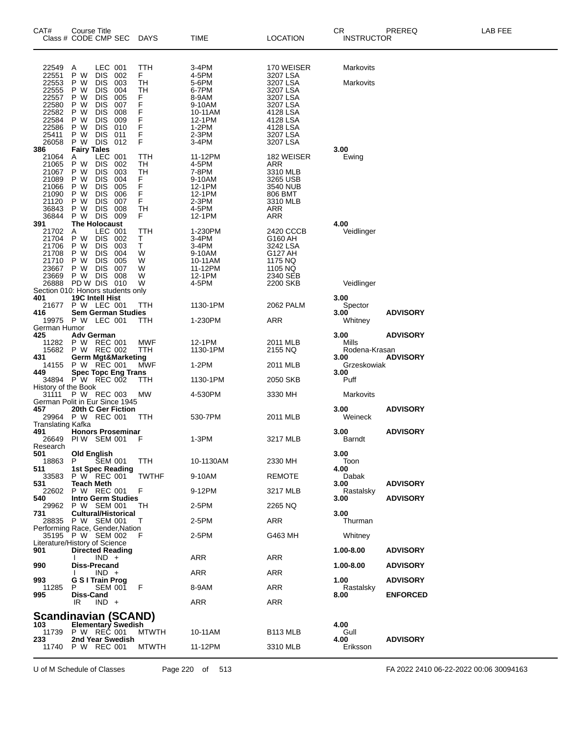| CAT#                                                                                 | Course Title<br>Class # CODE CMP SEC                                                                                                                                                                                                                                   | <b>DAYS</b>                                                  | TIME                                                                                | <b>LOCATION</b>                                                                                   | CR<br><b>INSTRUCTOR</b>     | PREREQ<br>LAB FEE                  |
|--------------------------------------------------------------------------------------|------------------------------------------------------------------------------------------------------------------------------------------------------------------------------------------------------------------------------------------------------------------------|--------------------------------------------------------------|-------------------------------------------------------------------------------------|---------------------------------------------------------------------------------------------------|-----------------------------|------------------------------------|
| 22549                                                                                | LEC 001<br>A                                                                                                                                                                                                                                                           | TTH                                                          | 3-4PM                                                                               | 170 WEISER                                                                                        | Markovits                   |                                    |
| 22551<br>22553<br>22555<br>22557<br>22580<br>22582<br>22584<br>22586                 | P W<br><b>DIS</b><br>002<br>P W<br><b>DIS</b><br>003<br>P W<br><b>DIS</b><br>004<br>P W<br><b>DIS</b><br>005<br>P W<br><b>DIS</b><br>007<br>P W<br><b>DIS</b><br>008<br>P W<br><b>DIS</b><br>009<br>P W<br><b>DIS</b><br>010                                           | F.<br>TH<br>TН<br>F<br>F<br>F<br>F<br>F                      | 4-5PM<br>5-6PM<br>6-7PM<br>8-9AM<br>9-10AM<br>10-11AM<br>12-1PM<br>$1-2PM$          | 3207 LSA<br>3207 LSA<br>3207 LSA<br>3207 LSA<br>3207 LSA<br>4128 LSA<br>4128 LSA<br>4128 LSA      | Markovits                   |                                    |
| 25411<br>26058                                                                       | P W<br><b>DIS</b><br>011<br>P W DIS<br>012                                                                                                                                                                                                                             | F<br>F                                                       | 2-3PM<br>3-4PM                                                                      | 3207 LSA<br>3207 LSA                                                                              |                             |                                    |
| 386<br>21064<br>21065<br>21067<br>21089<br>21066<br>21090<br>21120<br>36843<br>36844 | <b>Fairy Tales</b><br>LEC.<br>001<br>Α<br>P W<br><b>DIS</b><br>002<br>P W<br><b>DIS</b><br>003<br>P W<br><b>DIS</b><br>004<br>P W<br><b>DIS</b><br>005<br>P W<br><b>DIS</b><br>006<br>P W<br><b>DIS</b><br>007<br>P W<br><b>DIS</b><br>008<br>P W<br><b>DIS</b><br>009 | TTH<br>TН<br><b>TH</b><br>F<br>F<br>F<br>F<br><b>TH</b><br>F | 11-12PM<br>4-5PM<br>7-8PM<br>9-10AM<br>12-1PM<br>12-1PM<br>2-3PM<br>4-5PM<br>12-1PM | 182 WEISER<br>ARR<br>3310 MLB<br>3265 USB<br>3540 NUB<br>806 BMT<br>3310 MLB<br><b>ARR</b><br>ARR | 3.00<br>Ewing               |                                    |
| 391<br>21702<br>21704<br>21706<br>21708<br>21710<br>23667<br>23669                   | <b>The Holocaust</b><br>LEC 001<br>Α<br>P W<br><b>DIS</b><br>002<br>P W<br><b>DIS</b><br>003<br>P W<br><b>DIS</b><br>004<br>P W<br><b>DIS</b><br>005<br>P W<br><b>DIS</b><br>007<br>P W DIS<br>008                                                                     | TTH<br>Τ<br>т<br>W<br>W<br>W<br>W                            | 1-230PM<br>3-4PM<br>3-4PM<br>9-10AM<br>10-11AM<br>11-12PM<br>12-1PM                 | 2420 CCCB<br>G160 AH<br>3242 LSA<br>G127 AH<br>1175 NQ<br>1105 NQ<br>2340 SEB                     | 4.00<br>Veidlinger          |                                    |
| 26888<br>401                                                                         | PD W DIS<br>010<br>Section 010: Honors students only<br><b>19C Intell Hist</b>                                                                                                                                                                                         | W                                                            | 4-5PM                                                                               | 2200 SKB                                                                                          | Veidlinger<br>3.00          |                                    |
| 21677<br>416                                                                         | P W LEC 001<br><b>Sem German Studies</b>                                                                                                                                                                                                                               | TTH                                                          | 1130-1PM                                                                            | 2062 PALM                                                                                         | Spector<br>3.00             | <b>ADVISORY</b>                    |
| German Humor<br>425                                                                  | 19975 P W LEC 001<br><b>Adv German</b>                                                                                                                                                                                                                                 | TTH                                                          | 1-230PM                                                                             | ARR                                                                                               | Whitney<br>3.00             | <b>ADVISORY</b>                    |
| 11282<br>15682                                                                       | P W REC 001<br>P W REC 002                                                                                                                                                                                                                                             | MWF<br>TTH                                                   | 12-1PM<br>1130-1PM                                                                  | 2011 MLB<br>2155 NQ                                                                               | Mills<br>Rodena-Krasan      |                                    |
| 431<br>14155<br>449                                                                  | <b>Germ Mgt&amp;Marketing</b><br>P W REC 001<br><b>Spec Topc Eng Trans</b>                                                                                                                                                                                             | MWF                                                          | $1-2PM$                                                                             | 2011 MLB                                                                                          | 3.00<br>Grzeskowiak<br>3.00 | <b>ADVISORY</b>                    |
| History of the Book                                                                  | 34894 P W REC 002                                                                                                                                                                                                                                                      | ттн                                                          | 1130-1PM                                                                            | 2050 SKB                                                                                          | Puff                        |                                    |
| 31111                                                                                | P W REC 003<br>German Polit in Eur Since 1945                                                                                                                                                                                                                          | MW                                                           | 4-530PM                                                                             | 3330 MH                                                                                           | Markovits                   |                                    |
| 457                                                                                  | 20th C Ger Fiction<br>29964 P W REC 001                                                                                                                                                                                                                                | <b>TTH</b>                                                   | 530-7PM                                                                             | 2011 MLB                                                                                          | 3.00<br>Weineck             | <b>ADVISORY</b>                    |
| <b>Translating Kafka</b><br>491                                                      | <b>Honors Proseminar</b><br>26649 PIW SEM 001                                                                                                                                                                                                                          | F                                                            | $1-3PM$                                                                             | 3217 MLB                                                                                          | 3.00<br>Barndt              | <b>ADVISORY</b>                    |
| Research<br>501<br>18863                                                             | <b>Old English</b><br>P<br><b>SEM 001</b>                                                                                                                                                                                                                              | TTH                                                          | 10-1130AM                                                                           | 2330 MH                                                                                           | 3.00<br>Toon                |                                    |
| 511<br>33583                                                                         | <b>1st Spec Reading</b><br>P W REC 001<br><b>Teach Meth</b>                                                                                                                                                                                                            | <b>TWTHF</b>                                                 | 9-10AM                                                                              | <b>REMOTE</b>                                                                                     | 4.00<br>Dabak               |                                    |
| 531<br>22602<br>540                                                                  | P W REC 001<br><b>Intro Germ Studies</b>                                                                                                                                                                                                                               | F                                                            | 9-12PM                                                                              | 3217 MLB                                                                                          | 3.00<br>Rastalsky<br>3.00   | <b>ADVISORY</b><br><b>ADVISORY</b> |
| 29962<br>731                                                                         | P W SEM 001<br><b>Cultural/Historical</b>                                                                                                                                                                                                                              | ТH                                                           | 2-5PM                                                                               | 2265 NQ                                                                                           | 3.00                        |                                    |
|                                                                                      | 28835 P W SEM 001<br>Performing Race, Gender, Nation                                                                                                                                                                                                                   | $\mathbf{I}$                                                 | 2-5PM                                                                               | <b>ARR</b>                                                                                        | Thurman                     |                                    |
|                                                                                      | 35195 P W SEM 002<br>Literature/History of Science                                                                                                                                                                                                                     | F                                                            | 2-5PM                                                                               | G463 MH                                                                                           | Whitney                     |                                    |
| 901                                                                                  | <b>Directed Reading</b><br>$IND +$                                                                                                                                                                                                                                     |                                                              | ARR                                                                                 | <b>ARR</b>                                                                                        | 1.00-8.00                   | <b>ADVISORY</b>                    |
| 990                                                                                  | <b>Diss-Precand</b><br>$IND +$                                                                                                                                                                                                                                         |                                                              | ARR                                                                                 | <b>ARR</b>                                                                                        | 1.00-8.00                   | <b>ADVISORY</b>                    |
| 993<br>11285                                                                         | <b>G S I Train Prog</b><br>P<br><b>SEM 001</b>                                                                                                                                                                                                                         | F                                                            | 8-9AM                                                                               | <b>ARR</b>                                                                                        | 1.00<br>Rastalsky           | <b>ADVISORY</b>                    |
| 995                                                                                  | Diss-Cand<br>$IND +$<br>IR                                                                                                                                                                                                                                             |                                                              | ARR                                                                                 | <b>ARR</b>                                                                                        | 8.00                        | <b>ENFORCED</b>                    |
|                                                                                      | Scandinavian (SCAND)                                                                                                                                                                                                                                                   |                                                              |                                                                                     |                                                                                                   |                             |                                    |
| 103<br>11739                                                                         | <b>Elementary Swedish</b><br>P W REC 001                                                                                                                                                                                                                               | <b>MTWTH</b>                                                 | 10-11AM                                                                             | B <sub>113</sub> MLB                                                                              | 4.00<br>Gull                |                                    |
| 233<br>11740                                                                         | 2nd Year Swedish<br>P W REC 001                                                                                                                                                                                                                                        | <b>MTWTH</b>                                                 | 11-12PM                                                                             | 3310 MLB                                                                                          | 4.00<br>Eriksson            | <b>ADVISORY</b>                    |

U of M Schedule of Classes Page 220 of 513 FA 2022 2410 06-22-2022 00:06 30094163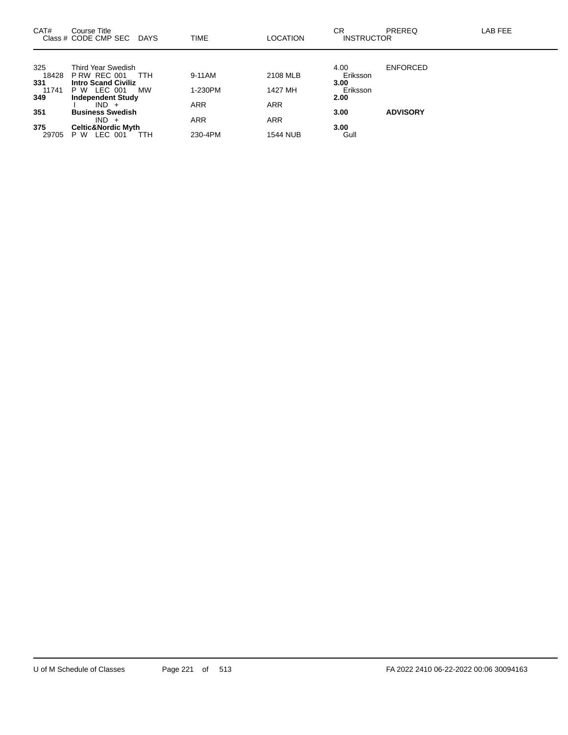| CAT#         | Course Title<br>Class # CODE CMP SEC<br><b>DAYS</b>    | TIME       | <b>LOCATION</b> | CR<br><b>INSTRUCTOR</b> | PREREQ          | LAB FEE |
|--------------|--------------------------------------------------------|------------|-----------------|-------------------------|-----------------|---------|
| 325          | Third Year Swedish                                     |            |                 | 4.00                    | <b>ENFORCED</b> |         |
| 18428        | <b>P RW REC 001</b><br>TTH                             | 9-11AM     | 2108 MLB        | Eriksson                |                 |         |
| 331<br>11741 | <b>Intro Scand Civiliz</b><br>P W LEC 001<br><b>MW</b> | 1-230PM    | 1427 MH         | 3.00<br>Eriksson        |                 |         |
| 349          | <b>Independent Study</b>                               |            |                 | 2.00                    |                 |         |
|              | $IND +$                                                | <b>ARR</b> | <b>ARR</b>      |                         |                 |         |
| 351          | <b>Business Swedish</b>                                |            |                 | 3.00                    | <b>ADVISORY</b> |         |
|              | $IND +$                                                | <b>ARR</b> | <b>ARR</b>      |                         |                 |         |
| 375          | <b>Celtic&amp;Nordic Myth</b>                          |            |                 | 3.00                    |                 |         |
| 29705        | LEC 001<br>P W<br>ттн                                  | 230-4PM    | <b>1544 NUB</b> | Gull                    |                 |         |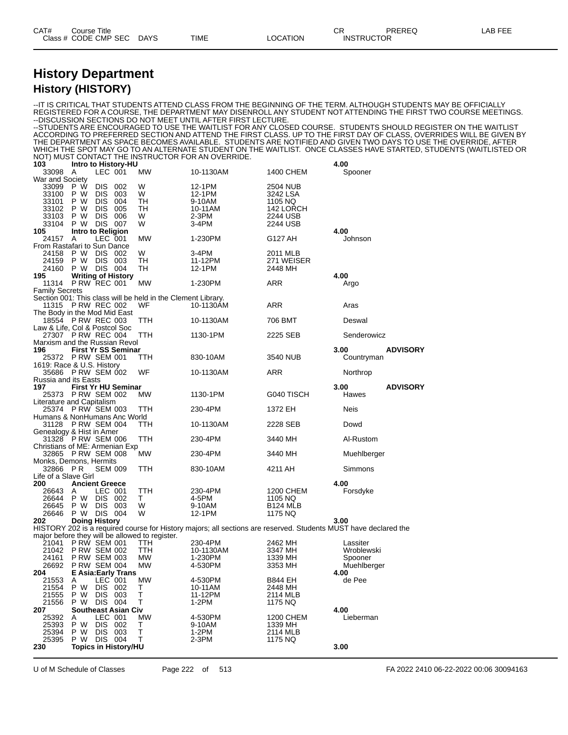#### **History Department History (HISTORY)**

--IT IS CRITICAL THAT STUDENTS ATTEND CLASS FROM THE BEGINNING OF THE TERM. ALTHOUGH STUDENTS MAY BE OFFICIALLY REGISTERED FOR A COURSE, THE DEPARTMENT MAY DISENROLL ANY STUDENT NOT ATTENDING THE FIRST TWO COURSE MEETINGS. --DISCUSSION SECTIONS DO NOT MEET UNTIL AFTER FIRST LECTURE. --STUDENTS ARE ENCOURAGED TO USE THE WAITLIST FOR ANY CLOSED COURSE. STUDENTS SHOULD REGISTER ON THE WAITLIST ACCORDING TO PREFERRED SECTION AND ATTEND THE FIRST CLASS. UP TO THE FIRST DAY OF CLASS, OVERRIDES WILL BE GIVEN BY THE DEPARTMENT AS SPACE BECOMES AVAILABLE. STUDENTS ARE NOTIFIED AND GIVEN TWO DAYS TO USE THE OVERRIDE, AFTER WHICH THE SPOT MAY GO TO AN ALTERNATE STUDENT ON THE WAITLIST. ONCE CLASSES HAVE STARTED, STUDENTS (WAITLISTED OR NOT) MUST CONTACT THE INSTRUCTOR FOR AN OVERRIDE.<br>103 Intro to History-HU **103 Intro to History-HU 4.00** A LEC 001 MW 10-1130AM 1400 CHEM War and Society<br>33099 P W 33099 P W DIS 002 W 12-1PM 2504 NUB 33100 P W DIS 003 W 12-1PM 3242 LSA 33101 P W DIS 004 TH 9-10AM 1105 NQ 33102 P W DIS 005 TH 10-11AM 142 LORCH<br>33103 P W DIS 006 W 2-3PM 2244 USB 33103 P W DIS 006 W 2-3PM 2244 USB 33104 P W DIS 007 W 3-4PM 2244 USB<br>105 Intro to Religion **105 Intro to Religion 4.00** 24157 A LEC 001 MW 1-230PM G127 AH Johnson From Rastafari to Sun Dance 24158 P W DIS 002 W 3-4PM 2011 MLB 24159 P W DIS 003 TH 11-12PM 271 WEISER<br>24160 P W DIS 004 TH 12-1PM 2448 MH 24159 P W DIS 003<br>24160 P W DIS 004<br>**195 Writing of Histo 195 Writing of History 4.00 P RW REC 001** Family Secrets Section 001: This class will be held in the Clement Library.<br>11315 P RW REC 002 WF 10-1130AM 11315 P RW REC 002 WF 10-1130AM ARR Aras The Body in the Mod Mid East 18554 P RW REC 003 TTH 10-1130AM 706 BMT Deswal Law & Life, Col & Postcol Soc 27307 P RW REC 004 TTH 1130-1PM 2225 SEB Senderowicz Marxism and the Russian Revol<br>196 First Yr SS Semina **196 First Yr SS Seminar 3.00 ADVISORY** 25372 P RW SEM 001 TTH 830-10AM 3540 NUB Countryman 1619: Race & U.S. History 35686 P RW SEM 002 WF 10-1130AM ARR Northrop Russia and its Easts<br>197 **First Yr I 197 First Yr HU Seminar 3.00 ADVISORY** 25373 P RW SEM 002 Literature and Capitalism 25374 P RW SEM 003 TTH 230-4PM 1372 EH Neis Humans & NonHumans Anc World 31128 P RW SEM 004 TTH 10-1130AM 2228 SEB Dowd Genealogy & Hist in Amer 31328 P RW SEM 006 TTH 230-4PM 3440 MH Al-Rustom Christians of ME: Armenian Exp<br>32865 P RW SFM 008 MW 32865 P RW SEM 008 MW 230-4PM 3440 MH Muehlberger Monks, Demons, Hermits 32866 P R SEM 009 TTH 830-10AM 4211 AH Simmons Life of a Slave Girl<br>**200 Ancier 200 Ancient Greece 4.00** 26643 A LEC 001 TTH 230-4PM 1200 CHEM Forsdyke 26644 P W DIS 002 T 4-5PM 1105 NQ 26645 P W DIS 003 W 9-10AM B124 MLB 26646 P W DIS 004 W 12-1PM 1175 NQ **202 Doing History 3.00** HISTORY 202 is a required course for History majors; all sections are reserved. Students MUST have declared the major before they will be allowed to register.<br>21041 PRW SEM 001 TTH 21041 P RW SEM 001 TTH 230-4PM 2462 MH Lassiter<br>21042 P RW SEM 002 TTH 10-1130AM 3347 MH Wroblewski 21042 P RW SEM 002 TTH 10-1130AM 3347 MH Wroblewski 24161 P RW SEM 003 MW 1-230PM 1339 MH Spooner 26692 P RW SEM 004 MW 4-530PM 3353 MH Muehlberger<br>
204 E Asia:Early Trans 4.00 **204 E Asia:Early Trans 4.00** 21553 A LEC 001 MW 4-530PM B844 EH de Pee 21554 P W DIS 002 T 10-11AM 2448 MH 21555 P W DIS 003 T 11-12PM 2114 MLB 21556 P W DIS 004 T 1-2PM 1175 NQ **207 Southeast Asian Civ 4.00** 25392 A LEC 001 MW 4-530PM 1200 CHEM Lieberman 25393 P W DIS 002 T 9-10AM 1339 MH 25394 P W DIS 003 T 1-2PM 2114 MLB 25395 P W DIS 004 T 2-3PM 1175 NQ **230 Topics in History/HU 3.00**

U of M Schedule of Classes Page 222 of 513 FA 2022 2410 06-22-2022 00:06 30094163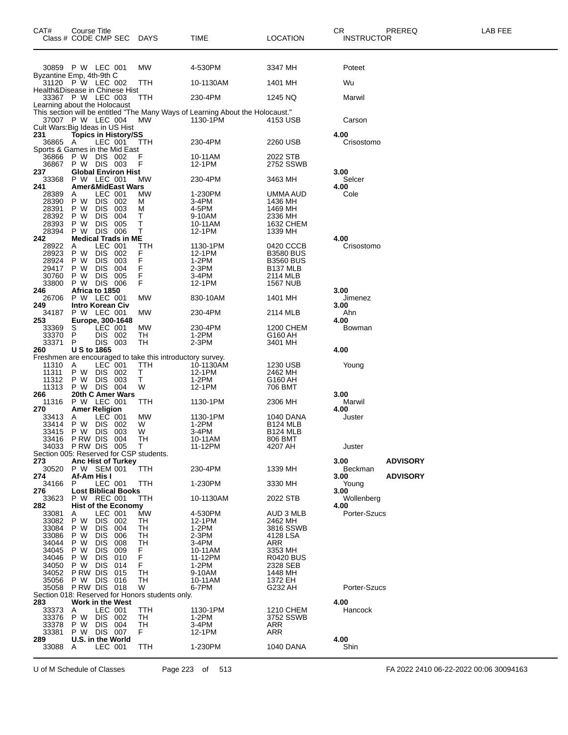| CAT#                                    | Course Title<br>Class # CODE CMP SEC   |                          |                              | DAYS                                            | TIME                                                                           | <b>LOCATION</b>                          | CR<br><b>INSTRUCTOR</b> | PREREQ          | LAB FEE                                |
|-----------------------------------------|----------------------------------------|--------------------------|------------------------------|-------------------------------------------------|--------------------------------------------------------------------------------|------------------------------------------|-------------------------|-----------------|----------------------------------------|
|                                         | 30859 P W LEC 001                      |                          |                              | MW                                              | 4-530PM                                                                        | 3347 MH                                  | Poteet                  |                 |                                        |
| Byzantine Emp, 4th-9th C                | 31120 P W LEC 002                      |                          |                              | TTH                                             | 10-1130AM                                                                      | 1401 MH                                  | Wu                      |                 |                                        |
| Health&Disease in Chinese Hist          | 33367 P W LEC 003                      |                          |                              | TTH                                             | 230-4PM                                                                        | 1245 NQ                                  | Marwil                  |                 |                                        |
| Learning about the Holocaust            |                                        |                          |                              |                                                 | This section will be entitled "The Many Ways of Learning About the Holocaust." |                                          |                         |                 |                                        |
| Cult Wars: Big Ideas in US Hist         | 37007 P W LEC 004                      |                          |                              | MW                                              | 1130-1PM                                                                       | 4153 USB                                 | Carson                  |                 |                                        |
| 231<br>36865 A                          |                                        | LEC 001                  | <b>Topics in History/SS</b>  | ттн                                             | 230-4PM                                                                        | 2260 USB                                 | 4.00<br>Crisostomo      |                 |                                        |
| Sports & Games in the Mid East<br>36866 | P W                                    | DIS 002                  |                              |                                                 | 10-11AM                                                                        | 2022 STB                                 |                         |                 |                                        |
| 36867<br>237                            | P W DIS 003                            |                          | <b>Global Environ Hist</b>   | F                                               | 12-1PM                                                                         | 2752 SSWB                                | 3.00                    |                 |                                        |
| 33368<br>241                            | P W LEC 001                            |                          | <b>Amer&amp;MidEast Wars</b> | МW                                              | 230-4PM                                                                        | 3463 MH                                  | Selcer<br>4.00          |                 |                                        |
| 28389<br>28390                          | A<br>P W                               | LEC 001<br><b>DIS</b>    | 002                          | MW<br>м                                         | 1-230PM<br>3-4PM                                                               | UMMA AUD<br>1436 MH                      | Cole                    |                 |                                        |
| 28391<br>28392                          | P W<br>P W                             | <b>DIS</b><br><b>DIS</b> | 003<br>004                   | M<br>т                                          | 4-5PM<br>9-10AM                                                                | 1469 MH<br>2336 MH                       |                         |                 |                                        |
| 28393                                   | P W                                    | <b>DIS</b>               | 005                          | т<br>T                                          | 10-11AM                                                                        | 1632 CHEM                                |                         |                 |                                        |
| 28394<br>242                            | P W                                    | <b>DIS 006</b>           | <b>Medical Trads in ME</b>   |                                                 | 12-1PM                                                                         | 1339 MH                                  | 4.00                    |                 |                                        |
| 28922<br>28923                          | Α<br>P W                               | LEC 001<br><b>DIS</b>    | 002                          | ттн<br>F                                        | 1130-1PM<br>12-1PM                                                             | 0420 CCCB<br><b>B3580 BUS</b>            | Crisostomo              |                 |                                        |
| 28924<br>29417                          | P W<br>P W                             | <b>DIS</b><br><b>DIS</b> | 003<br>004                   | F<br>F                                          | 1-2PM<br>2-3PM                                                                 | <b>B3560 BUS</b><br>B <sub>137</sub> MLB |                         |                 |                                        |
| 30760<br>33800                          | P W<br>P W                             | <b>DIS</b><br>DIS.       | 005<br>006                   | F<br>F                                          | 3-4PM<br>12-1PM                                                                | 2114 MLB<br><b>1567 NUB</b>              |                         |                 |                                        |
| 246<br>26706                            | Africa to 1850<br>P W LEC 001          |                          |                              | MW                                              | 830-10AM                                                                       | 1401 MH                                  | 3.00<br>Jimenez         |                 |                                        |
| 249<br>34187                            | <b>Intro Korean Civ</b><br>P W LEC 001 |                          |                              | MW                                              | 230-4PM                                                                        | 2114 MLB                                 | 3.00<br>Ahn             |                 |                                        |
| 253<br>33369                            | Europe, 300-1648<br>S                  | LEC 001                  |                              | MW                                              | 230-4PM                                                                        | 1200 CHEM                                | 4.00<br>Bowman          |                 |                                        |
| 33370<br>33371                          | P<br>P                                 | DIS 002<br>DIS 003       |                              | TН<br>TН                                        | 1-2PM<br>2-3PM                                                                 | G160 AH<br>3401 MH                       |                         |                 |                                        |
| 260                                     | <b>U S to 1865</b>                     |                          |                              |                                                 | Freshmen are encouraged to take this introductory survey.                      |                                          | 4.00                    |                 |                                        |
| 11310<br>11311                          | A<br>P W                               | LEC 001<br>DIS 002       |                              | TTH<br>т                                        | 10-1130AM<br>12-1PM                                                            | 1230 USB<br>2462 MH                      | Young                   |                 |                                        |
| 11312<br>11313                          | P W<br>P W DIS 004                     | DIS 003                  |                              | Τ<br>W                                          | 1-2PM<br>12-1PM                                                                | G160 AH<br>706 BMT                       |                         |                 |                                        |
| 266<br>11316                            | P W LEC 001                            |                          | 20th C Amer Wars             | TTH                                             | 1130-1PM                                                                       | 2306 MH                                  | 3.00<br>Marwil          |                 |                                        |
| 270<br>33413                            | <b>Amer Religion</b>                   | LEC 001                  |                              | MW                                              | 1130-1PM                                                                       | 1040 DANA                                | 4.00                    |                 |                                        |
| 33414                                   | A<br>P W                               | DIS.                     | 002                          | W                                               | 1-2PM                                                                          | B <sub>124</sub> MLB                     | Juster                  |                 |                                        |
| 33415<br>33416                          | P W<br>P RW DIS                        | <b>DIS</b>               | 003<br>004                   | W<br>TН                                         | 3-4PM<br>10-11AM                                                               | B <sub>124</sub> MLB<br>806 BMT          |                         |                 |                                        |
| Section 005: Reserved for CSP students. | 34033 PRW DIS 005                      |                          |                              | $\top$                                          | 11-12PM                                                                        | 4207 AH                                  | Juster                  |                 |                                        |
| 273<br>30520                            | P W SEM 001                            |                          | <b>Anc Hist of Turkey</b>    | TTH                                             | 230-4PM                                                                        | 1339 MH                                  | 3.00<br>Beckman         | <b>ADVISORY</b> |                                        |
| 274<br>34166                            | Af-Am His I<br>P                       | LEC 001                  |                              | TTH                                             | 1-230PM                                                                        | 3330 MH                                  | 3.00<br>Young           | <b>ADVISORY</b> |                                        |
| 276<br>33623                            | P W REC 001                            |                          | <b>Lost Biblical Books</b>   | ттн                                             | 10-1130AM                                                                      | 2022 STB                                 | 3.00<br>Wollenberg      |                 |                                        |
| 282<br>33081                            | Α                                      | LEC 001                  | <b>Hist of the Economy</b>   | <b>MW</b>                                       | 4-530PM                                                                        | AUD 3 MLB                                | 4.00<br>Porter-Szucs    |                 |                                        |
| 33082<br>33084                          | P W<br>P W                             | <b>DIS</b><br><b>DIS</b> | 002<br>004                   | TН<br>TН                                        | 12-1PM<br>1-2PM                                                                | 2462 MH<br>3816 SSWB                     |                         |                 |                                        |
| 33086<br>34044                          | P W<br>P W                             | <b>DIS</b><br><b>DIS</b> | 006<br>008                   | TН<br>TН                                        | 2-3PM<br>3-4PM                                                                 | 4128 LSA<br>ARR                          |                         |                 |                                        |
| 34045<br>34046                          | P W<br>P W                             | <b>DIS</b><br><b>DIS</b> | 009<br>010                   | F.<br>F                                         | 10-11AM<br>11-12PM                                                             | 3353 MH<br><b>R0420 BUS</b>              |                         |                 |                                        |
| 34050<br>34052                          | P W<br>P RW DIS                        | <b>DIS</b>               | 014<br>015                   | F<br>TН                                         | 1-2PM<br>9-10AM                                                                | 2328 SEB<br>1448 MH                      |                         |                 |                                        |
| 35056<br>35058                          | P W<br>PRW DIS 018                     | <b>DIS</b>               | 016                          | TН<br>W                                         | 10-11AM<br>6-7PM                                                               | 1372 EH<br>G232 AH                       | Porter-Szucs            |                 |                                        |
|                                         |                                        |                          |                              | Section 018: Reserved for Honors students only. |                                                                                |                                          |                         |                 |                                        |
| 283<br>33373                            | Work in the West<br>A                  | LEC 001                  |                              | TTH                                             | 1130-1PM                                                                       | 1210 CHEM                                | 4.00<br>Hancock         |                 |                                        |
| 33376<br>33378                          | P W<br>P W                             | DIS 002<br>DIS.          | 004                          | TH<br>TН                                        | $1-2PM$<br>3-4PM                                                               | 3752 SSWB<br>ARR                         |                         |                 |                                        |
| 33381<br>289                            | P W DIS 007<br>U.S. in the World       |                          |                              | F.                                              | 12-1PM                                                                         | <b>ARR</b>                               | 4.00                    |                 |                                        |
| 33088                                   | A                                      | LEC 001                  |                              | TTH                                             | 1-230PM                                                                        | <b>1040 DANA</b>                         | Shin                    |                 |                                        |
| U of M Schedule of Classes              |                                        |                          |                              |                                                 | Page 223 of 513                                                                |                                          |                         |                 | FA 2022 2410 06-22-2022 00:06 30094163 |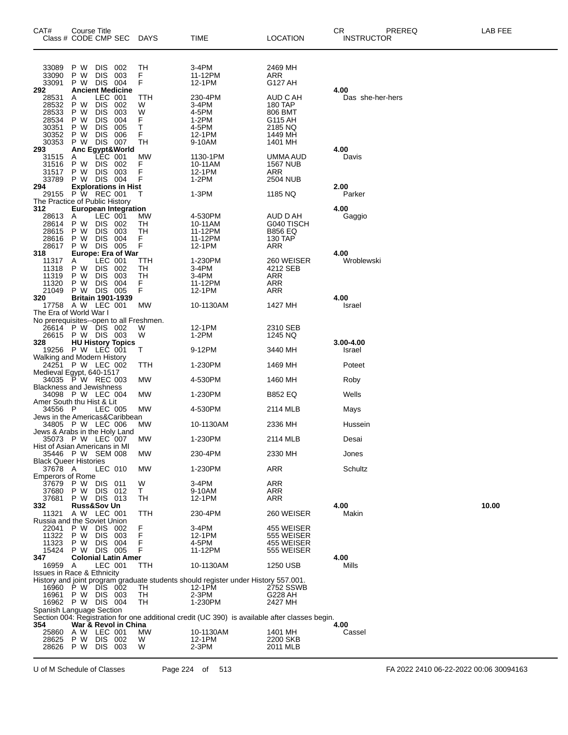|                                                                    |                                             |                                                                                             | Course Title<br>Class # CODE CMP SEC                              | DAYS                               | TIME                                                                                           | LOCATION                                                                   | CR<br>PREREQ<br><b>INSTRUCTOR</b> | LAB FEE |
|--------------------------------------------------------------------|---------------------------------------------|---------------------------------------------------------------------------------------------|-------------------------------------------------------------------|------------------------------------|------------------------------------------------------------------------------------------------|----------------------------------------------------------------------------|-----------------------------------|---------|
| 33089<br>33090<br>33091                                            | P W<br>P W<br>P W                           | <b>DIS</b><br><b>DIS</b><br><b>DIS</b>                                                      | 002<br>003<br>004                                                 | TН<br>F<br>F                       | 3-4PM<br>11-12PM<br>12-1PM                                                                     | 2469 MH<br>ARR<br>G127 AH                                                  |                                   |         |
| 292<br>28531<br>28532<br>28533<br>28534<br>30351<br>30352<br>30353 | A<br>P W<br>P W<br>P W<br>P W<br>P W<br>P W | LEC 001<br><b>DIS</b><br><b>DIS</b><br><b>DIS</b><br><b>DIS</b><br><b>DIS</b><br><b>DIS</b> | <b>Ancient Medicine</b><br>002<br>003<br>004<br>005<br>006<br>007 | ттн<br>W<br>W<br>F<br>т<br>F<br>TН | 230-4PM<br>3-4PM<br>4-5PM<br>1-2PM<br>4-5PM<br>12-1PM<br>9-10AM                                | AUD C AH<br>180 TAP<br>806 BMT<br>G115 AH<br>2185 NQ<br>1449 MH<br>1401 MH | 4.00<br>Das she-her-hers          |         |
| 293<br>31515<br>31516<br>31517<br>33789                            | A<br>P W<br>P W<br>P W DIS                  | <b>DIS</b><br><b>DIS</b>                                                                    | Anc Egypt&World<br>LEC 001<br>002<br>003<br>004                   | <b>MW</b><br>F<br>F<br>F           | 1130-1PM<br>10-11AM<br>12-1PM<br>1-2PM                                                         | UMMA AUD<br><b>1567 NUB</b><br>ARR<br>2504 NUB                             | 4.00<br>Davis                     |         |
| 294                                                                |                                             |                                                                                             | <b>Explorations in Hist</b>                                       |                                    |                                                                                                |                                                                            | 2.00                              |         |
| 29155<br>The Practice of Public History                            | P W REC 001                                 |                                                                                             |                                                                   | т                                  | 1-3PM                                                                                          | 1185 NQ                                                                    | Parker                            |         |
| 312<br>28613<br>28614<br>28615<br>28616<br>28617                   | A<br>P W<br>P W<br>P W<br>P W               | LEC 001<br><b>DIS</b><br><b>DIS</b><br><b>DIS</b><br>DIS.                                   | <b>European Integration</b><br>002<br>003<br>004<br>005           | МW<br>TН<br>TН<br>F<br>F           | 4-530PM<br>10-11AM<br>11-12PM<br>11-12PM<br>12-1PM                                             | AUD D AH<br>G040 TISCH<br><b>B856 EQ</b><br>130 TAP<br>ARR                 | 4.00<br>Gaggio                    |         |
| 318<br>11317<br>11318<br>11319<br>11320<br>21049                   | A<br>P W<br>P W<br>P W<br>P W               | LEC 001<br><b>DIS</b><br><b>DIS</b><br><b>DIS</b><br>DIS 005                                | Europe: Era of War<br>002<br>003<br>004                           | TTH<br>TН<br>TН<br>F<br>F          | 1-230PM<br>3-4PM<br>3-4PM<br>11-12PM<br>12-1PM                                                 | 260 WEISER<br>4212 SEB<br>ARR<br>ARR<br>ARR                                | 4.00<br>Wroblewski                |         |
| 320<br>The Era of World War I                                      | 17758 A W LEC 001                           |                                                                                             | <b>Britain 1901-1939</b>                                          | МW                                 | 10-1130AM                                                                                      | 1427 MH                                                                    | 4.00<br>Israel                    |         |
| No prerequisites--open to all Freshmen.<br>328                     | 26614 P W DIS 002<br>26615 P W DIS 003      |                                                                                             | <b>HU History Topics</b>                                          | W<br>W                             | 12-1PM<br>1-2PM                                                                                | 2310 SEB<br>1245 NQ                                                        | 3.00-4.00                         |         |
|                                                                    | 19256 P W LEC 001                           |                                                                                             |                                                                   | т                                  | 9-12PM                                                                                         | 3440 MH                                                                    | Israel                            |         |
| Walking and Modern History<br>Medieval Egypt, 640-1517             | 24251 P W LEC 002                           |                                                                                             |                                                                   | TTH                                | 1-230PM                                                                                        | 1469 MH                                                                    | Poteet                            |         |
|                                                                    | 34035 P W REC 003                           |                                                                                             |                                                                   | MW                                 | 4-530PM                                                                                        | 1460 MH                                                                    | Roby                              |         |
| <b>Blackness and Jewishness</b><br>Amer South thu Hist & Lit       | 34098 P W LEC 004                           |                                                                                             |                                                                   | MW                                 | 1-230PM                                                                                        | <b>B852 EQ</b>                                                             | Wells                             |         |
| 34556 P<br>Jews in the Americas&Caribbean                          |                                             |                                                                                             | LEC 005                                                           | MW                                 | 4-530PM                                                                                        | 2114 MLB                                                                   | Mays                              |         |
| Jews & Arabs in the Holy Land                                      | 34805 P W LEC 006                           |                                                                                             |                                                                   | МW                                 | 10-1130AM                                                                                      | 2336 MH                                                                    | Hussein                           |         |
| Hist of Asian Americans in MI                                      | 35073 P W LEC 007                           |                                                                                             |                                                                   | MW                                 | 1-230PM                                                                                        | 2114 MLB                                                                   | Desai                             |         |
| <b>Black Queer Histories</b>                                       | 35446 P W SEM 008                           |                                                                                             |                                                                   | МW                                 | 230-4PM                                                                                        | 2330 MH                                                                    | Jones                             |         |
| 37678 A<br><b>Emperors of Rome</b>                                 |                                             | LEC 010                                                                                     |                                                                   | MW                                 | 1-230PM                                                                                        | <b>ARR</b>                                                                 | Schultz                           |         |
| 37680                                                              | 37679 PW<br>P W                             | <b>DIS</b><br>DIS.                                                                          | 011<br>012                                                        | W<br>T.                            | 3-4PM<br>9-10AM                                                                                | ARR<br>ARR                                                                 |                                   |         |
| 37681<br>332                                                       | P W DIS 013                                 | Russ&Sov Un                                                                                 |                                                                   | TН                                 | 12-1PM                                                                                         | ARR                                                                        | 4.00                              | 10.00   |
| 11321<br>Russia and the Soviet Union                               | A W LEC 001                                 |                                                                                             |                                                                   | TTH                                | 230-4PM                                                                                        | 260 WEISER                                                                 | Makin                             |         |
| 22041<br>11322<br>11323<br>15424                                   | P W<br>P W<br>P W<br>P W DIS 005            | DIS.<br><b>DIS</b><br><b>DIS</b>                                                            | 002<br>003<br>004                                                 | F<br>F<br>F<br>F                   | 3-4PM<br>12-1PM<br>4-5PM<br>11-12PM                                                            | 455 WEISER<br>555 WEISER<br>455 WEISER<br>555 WEISER                       |                                   |         |
| 347                                                                |                                             |                                                                                             | <b>Colonial Latin Amer</b>                                        |                                    |                                                                                                |                                                                            | 4.00                              |         |
| 16959<br><b>Issues in Race &amp; Ethnicity</b>                     | Α                                           |                                                                                             | LEC 001                                                           | ттн                                | 10-1130AM                                                                                      | 1250 USB                                                                   | Mills                             |         |
|                                                                    | 16960 P W DIS 002                           |                                                                                             |                                                                   | ТH                                 | History and joint program graduate students should register under History 557.001.<br>12-1PM   | 2752 SSWB                                                                  |                                   |         |
|                                                                    | 16961 P W DIS 003                           |                                                                                             |                                                                   | TН                                 | 2-3PM                                                                                          | G228 AH                                                                    |                                   |         |
| Spanish Language Section                                           | 16962 P W DIS 004                           |                                                                                             |                                                                   | TH                                 | 1-230PM                                                                                        | 2427 MH                                                                    |                                   |         |
| 354                                                                |                                             |                                                                                             | War & Revol in China                                              |                                    | Section 004: Registration for one additional credit (UC 390) is available after classes begin. |                                                                            | 4.00                              |         |
| 25860                                                              | A W LEC 001                                 |                                                                                             |                                                                   | МW                                 | 10-1130AM                                                                                      | 1401 MH                                                                    | Cassel                            |         |
| 28625<br>28626                                                     | P W<br>P W                                  | DIS<br>DIS 003                                                                              | 002                                                               | W<br>W                             | 12-1PM<br>2-3PM                                                                                | 2200 SKB<br>2011 MLB                                                       |                                   |         |

U of M Schedule of Classes Page 224 of 513 FA 2022 2410 06-22-2022 00:06 30094163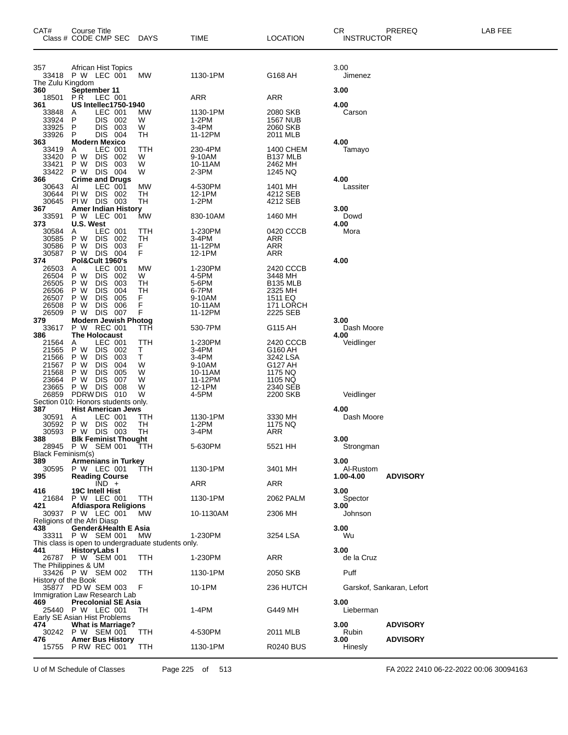| CAT#                                               | Course Title<br>Class # CODE CMP SEC                                                                                                               | <b>DAYS</b>                   | <b>TIME</b>                                               | <b>LOCATION</b>                                                   | CR.<br><b>INSTRUCTOR</b>       | PREREQ                    | LAB FEE |
|----------------------------------------------------|----------------------------------------------------------------------------------------------------------------------------------------------------|-------------------------------|-----------------------------------------------------------|-------------------------------------------------------------------|--------------------------------|---------------------------|---------|
| 357<br>The Zulu Kingdom                            | African Hist Topics<br>33418 P W LEC 001                                                                                                           | МW                            | 1130-1PM                                                  | G168 AH                                                           | 3.00<br>Jimenez                |                           |         |
| 360                                                | September 11                                                                                                                                       |                               |                                                           |                                                                   | 3.00                           |                           |         |
| 18501<br>361                                       | LEC 001<br>P R<br><b>US Intellec1750-1940</b>                                                                                                      |                               | <b>ARR</b>                                                | <b>ARR</b>                                                        | 4.00                           |                           |         |
| 33848<br>33924<br>33925<br>33926                   | LEC 001<br>A<br>P<br>DIS.<br>002<br>P<br>DIS.<br>003<br>P<br>DIS.<br>-004                                                                          | МW<br>W<br>W<br>TН            | 1130-1PM<br>$1-2PM$<br>3-4PM<br>11-12PM                   | 2080 SKB<br><b>1567 NUB</b><br>2060 SKB<br>2011 MLB               | Carson                         |                           |         |
| 363<br>33419<br>33420<br>33421                     | <b>Modern Mexico</b><br>LEC 001<br>A<br>P W<br><b>DIS</b><br>002<br>P W<br><b>DIS</b><br>003                                                       | TTH<br>W<br>W                 | 230-4PM<br>9-10AM<br>10-11AM                              | 1400 CHEM<br>B <sub>137</sub> MLB<br>2462 MH                      | 4.00<br>Tamayo                 |                           |         |
| 33422<br>366<br>30643<br>30644<br>30645            | P W<br><b>DIS</b><br>-004<br><b>Crime and Drugs</b><br>LEC 001<br>AI<br>PI W<br>DIS.<br>- 002<br>PIW DIS 003                                       | W<br>MW<br>TН<br>TН           | 2-3PM<br>4-530PM<br>12-1PM<br>$1-2PM$                     | 1245 NQ<br>1401 MH<br>4212 SEB<br>4212 SEB                        | 4.00<br>Lassiter               |                           |         |
| 367                                                | <b>Amer Indian History</b>                                                                                                                         |                               |                                                           |                                                                   | 3.00                           |                           |         |
| 33591<br>373                                       | P W LEC 001<br>U.S. West                                                                                                                           | MW                            | 830-10AM                                                  | 1460 MH                                                           | Dowd<br>4.00                   |                           |         |
| 30584<br>30585<br>30586<br>30587                   | LEC 001<br>A<br>P W<br><b>DIS</b><br>002<br>P W<br><b>DIS</b><br>003<br>P W DIS<br>004                                                             | TTH<br>TН<br>F<br>F           | 1-230PM<br>3-4PM<br>11-12PM<br>12-1PM                     | 0420 CCCB<br>ARR<br>ARR<br><b>ARR</b>                             | Mora                           |                           |         |
| 374                                                | Pol&Cult 1960's                                                                                                                                    |                               |                                                           |                                                                   | 4.00                           |                           |         |
| 26503<br>26504<br>26505<br>26506<br>26507          | LEC 001<br>A<br>P W<br><b>DIS</b><br>002<br>P W<br><b>DIS</b><br>003<br>P W<br><b>DIS</b><br>004<br>P W<br><b>DIS</b><br>005                       | MW<br>W<br>TH<br>TН<br>F<br>F | 1-230PM<br>4-5PM<br>5-6PM<br>6-7PM<br>9-10AM              | 2420 CCCB<br>3448 MH<br>B135 MLB<br>2325 MH<br>1511 EQ            |                                |                           |         |
| 26508<br>26509                                     | P W<br><b>DIS</b><br>006<br>007<br>P W DIS                                                                                                         | F                             | 10-11AM                                                   | 171 LORCH<br>2225 SEB                                             |                                |                           |         |
| 379<br>33617<br>386                                | <b>Modern Jewish Photog</b><br>P W REC 001<br><b>The Holocaust</b>                                                                                 | TTH                           | 11-12PM<br>530-7PM                                        | G115 AH                                                           | 3.00<br>Dash Moore<br>4.00     |                           |         |
| 21564<br>21565<br>21566<br>21567<br>21568<br>23664 | LEC 001<br>A<br>P W<br>DIS.<br>002<br>P W<br><b>DIS</b><br>003<br>P W<br><b>DIS</b><br>004<br>P W<br><b>DIS</b><br>005<br>P W<br><b>DIS</b><br>007 | TTH<br>T.<br>Τ<br>W<br>W<br>W | 1-230PM<br>3-4PM<br>3-4PM<br>9-10AM<br>10-11AM<br>11-12PM | 2420 CCCB<br>G160 AH<br>3242 LSA<br>G127 AH<br>1175 NQ<br>1105 NQ | Veidlinger                     |                           |         |
| 23665<br>26859                                     | P W DIS<br>008<br>PDRW DIS<br>010<br>Section 010: Honors students only.                                                                            | W<br>W                        | 12-1PM<br>4-5PM                                           | 2340 SEB<br>2200 SKB                                              | Veidlinger                     |                           |         |
| 387                                                | <b>Hist American Jews</b>                                                                                                                          |                               | 1130-1PM                                                  | 3330 MH                                                           | 4.00                           |                           |         |
| 30591<br>30592                                     | LEC 001<br>A<br>P W<br>DIS 002                                                                                                                     | ттн<br>TН                     | $1-2PM$                                                   | 1175 NQ                                                           | Dash Moore                     |                           |         |
| 30593<br>388                                       | P W DIS 003<br><b>Blk Feminist Thought</b><br>28945 P W SEM 001                                                                                    | TН<br>ттн                     | 3-4PM<br>5-630PM                                          | ARR<br>5521 HH                                                    | 3.00                           |                           |         |
| Black Feminism(s)                                  |                                                                                                                                                    |                               |                                                           |                                                                   | Strongman                      |                           |         |
| 389<br>30595<br>395                                | <b>Armenians in Turkey</b><br>P W LEC 001<br><b>Reading Course</b>                                                                                 | TTH                           | 1130-1PM                                                  | 3401 MH                                                           | 3.00<br>Al-Rustom<br>1.00-4.00 | <b>ADVISORY</b>           |         |
|                                                    | $\overline{IND}$ +                                                                                                                                 |                               | ARR                                                       | <b>ARR</b>                                                        |                                |                           |         |
| 416<br>21684                                       | 19C Intell Hist<br>P W LEC 001                                                                                                                     | ттн                           | 1130-1PM                                                  | 2062 PALM                                                         | 3.00<br>Spector                |                           |         |
| 421                                                | Afdiaspora Religions<br>30937 P W LEC 001<br>Religions of the Afri Diasp                                                                           | МW                            | 10-1130AM                                                 | 2306 MH                                                           | 3.00<br>Johnson                |                           |         |
| 438<br>33311                                       | Gender&Health E Asia<br>P W SEM 001<br>This class is open to undergraduate students only.                                                          | МW                            | 1-230PM                                                   | 3254 LSA                                                          | 3.00<br>Wu                     |                           |         |
| 441                                                | <b>HistoryLabs I</b><br>26787 P W SEM 001                                                                                                          | TTH                           | 1-230PM                                                   | <b>ARR</b>                                                        | 3.00<br>de la Cruz             |                           |         |
|                                                    | The Philippines & UM<br>33426 P W SEM 002                                                                                                          | TTH                           | 1130-1PM                                                  | 2050 SKB                                                          | Puff                           |                           |         |
| History of the Book                                | 35877 PD W SEM 003                                                                                                                                 | F                             | 10-1PM                                                    | 236 HUTCH                                                         |                                | Garskof, Sankaran, Lefort |         |
| 469                                                | Immigration Law Research Lab<br><b>Precolonial SE Asia</b>                                                                                         |                               |                                                           |                                                                   | 3.00                           |                           |         |
| 474                                                | 25440 P W LEC 001<br>Early SE Asian Hist Problems<br><b>What is Marriage?</b>                                                                      | TH                            | 1-4PM                                                     | G449 MH                                                           | Lieberman<br>3.00              | <b>ADVISORY</b>           |         |
| 476                                                | 30242 P W SEM 001<br><b>Amer Bus History</b>                                                                                                       | TTH                           | 4-530PM                                                   | 2011 MLB                                                          | Rubin<br>3.00                  | <b>ADVISORY</b>           |         |
|                                                    | 15755 P RW REC 001                                                                                                                                 | ттн                           | 1130-1PM                                                  | R0240 BUS                                                         | Hinesly                        |                           |         |

U of M Schedule of Classes Page 225 of 513 FA 2022 2410 06-22-2022 00:06 30094163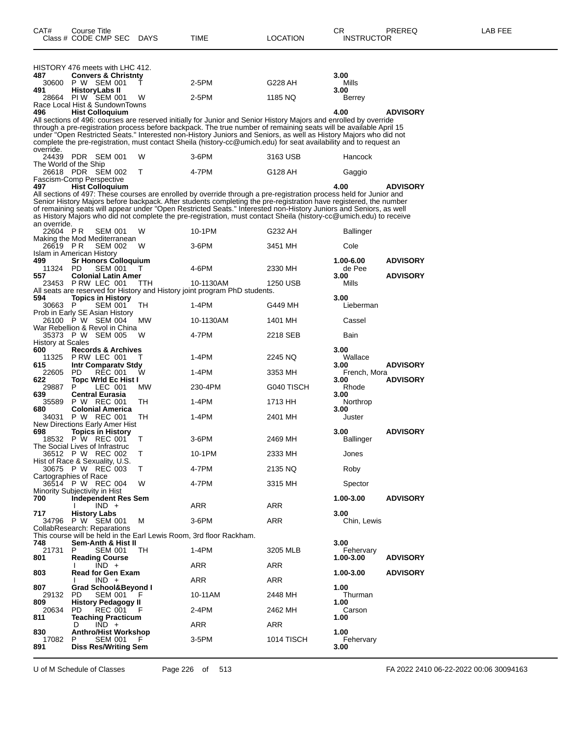|                          | HISTORY 476 meets with LHC 412.                          |              |                                                                                                                                                                                                                                         |            |                   |                 |
|--------------------------|----------------------------------------------------------|--------------|-----------------------------------------------------------------------------------------------------------------------------------------------------------------------------------------------------------------------------------------|------------|-------------------|-----------------|
| 487                      | <b>Convers &amp; Christnty</b>                           |              |                                                                                                                                                                                                                                         |            | 3.00              |                 |
| 30600                    | P W SEM 001                                              | $\mathbf{I}$ | 2-5PM                                                                                                                                                                                                                                   | G228 AH    | Mills             |                 |
| 491                      | <b>HistoryLabs II</b>                                    |              | 2-5PM                                                                                                                                                                                                                                   | 1185 NQ    | 3.00              |                 |
| 28664                    | PIW SEM 001<br>Race Local Hist & SundownTowns            | w            |                                                                                                                                                                                                                                         |            | Berrey            |                 |
| 496                      | <b>Hist Colloguium</b>                                   |              |                                                                                                                                                                                                                                         |            | 4.00              | <b>ADVISORY</b> |
|                          |                                                          |              | All sections of 496: courses are reserved initially for Junior and Senior History Majors and enrolled by override                                                                                                                       |            |                   |                 |
|                          |                                                          |              | through a pre-registration process before backpack. The true number of remaining seats will be available April 15<br>under "Open Restricted Seats." Interested non-History Juniors and Seniors, as well as History Majors who did not   |            |                   |                 |
|                          |                                                          |              | complete the pre-registration, must contact Sheila (history-cc@umich.edu) for seat availability and to request an                                                                                                                       |            |                   |                 |
| override.                |                                                          |              |                                                                                                                                                                                                                                         |            |                   |                 |
|                          | 24439 PDR SEM 001<br>The World of the Ship               | W            | 3-6PM                                                                                                                                                                                                                                   | 3163 USB   | Hancock           |                 |
|                          | 26618 PDR SEM 002                                        | т            | 4-7PM                                                                                                                                                                                                                                   | G128 AH    | Gaggio            |                 |
|                          | Fascism-Comp Perspective                                 |              |                                                                                                                                                                                                                                         |            |                   |                 |
| 497                      | <b>Hist Colloquium</b>                                   |              |                                                                                                                                                                                                                                         |            | 4.00              | <b>ADVISORY</b> |
|                          |                                                          |              | All sections of 497: These courses are enrolled by override through a pre-registration process held for Junior and<br>Senior History Majors before backpack. After students completing the pre-registration have registered, the number |            |                   |                 |
|                          |                                                          |              | of remaining seats will appear under "Open Restricted Seats." Interested non-History Juniors and Seniors, as well                                                                                                                       |            |                   |                 |
|                          |                                                          |              | as History Majors who did not complete the pre-registration, must contact Sheila (history-cc@umich.edu) to receive                                                                                                                      |            |                   |                 |
| an override.<br>22604 PR | <b>SEM 001</b>                                           | w            | 10-1PM                                                                                                                                                                                                                                  | G232 AH    | Ballinger         |                 |
|                          | Making the Mod Mediterranean                             |              |                                                                                                                                                                                                                                         |            |                   |                 |
| 26619 PR                 | <b>SEM 002</b>                                           | w            | 3-6PM                                                                                                                                                                                                                                   | 3451 MH    | Cole              |                 |
| 499                      | Islam in American History<br><b>Sr Honors Colloquium</b> |              |                                                                                                                                                                                                                                         |            | 1.00-6.00         | <b>ADVISORY</b> |
| 11324                    | PD.<br><b>SEM 001</b>                                    | Τ            | 4-6PM                                                                                                                                                                                                                                   | 2330 MH    | de Pee            |                 |
| 557                      | <b>Colonial Latin Amer</b>                               |              |                                                                                                                                                                                                                                         |            | 3.00              | <b>ADVISORY</b> |
| 23453                    | P RW LEC 001                                             | TTH          | 10-1130AM<br>All seats are reserved for History and History joint program PhD students.                                                                                                                                                 | 1250 USB   | Mills             |                 |
| 594                      | <b>Topics in History</b>                                 |              |                                                                                                                                                                                                                                         |            | 3.00              |                 |
| 30663                    | P<br>SEM 001                                             | TH           | 1-4PM                                                                                                                                                                                                                                   | G449 MH    | Lieberman         |                 |
|                          | Prob in Early SE Asian History<br>26100 P W SEM 004      |              |                                                                                                                                                                                                                                         |            |                   |                 |
|                          | War Rebellion & Revol in China                           | МW           | 10-1130AM                                                                                                                                                                                                                               | 1401 MH    | Cassel            |                 |
|                          | 35373 P W SEM 005                                        | w            | 4-7PM                                                                                                                                                                                                                                   | 2218 SEB   | Bain              |                 |
| History at Scales        |                                                          |              |                                                                                                                                                                                                                                         |            |                   |                 |
| 600<br>11325             | <b>Records &amp; Archives</b><br>PRW LEC 001             | Т            | $1-4PM$                                                                                                                                                                                                                                 | 2245 NQ    | 3.00<br>Wallace   |                 |
| 615                      | Intr Comparaty Stdy                                      |              |                                                                                                                                                                                                                                         |            | 3.00              | ADVISORY        |
| 22605                    | REC 001<br>PD.                                           | w            | $1-4PM$                                                                                                                                                                                                                                 | 3353 MH    | French, Mora      |                 |
| 622<br>29887             | Topc Wrld Ec Hist I<br>Р<br>LEC 001                      | МW           | 230-4PM                                                                                                                                                                                                                                 | G040 TISCH | 3.00<br>Rhode     | <b>ADVISORY</b> |
| 639                      | <b>Central Eurasia</b>                                   |              |                                                                                                                                                                                                                                         |            | 3.00              |                 |
| 35589                    | P W REC 001                                              | TН           | $1-4PM$                                                                                                                                                                                                                                 | 1713 HH    | Northrop          |                 |
| 680<br>34031             | <b>Colonial America</b><br>P W REC 001                   | TН           | $1-4PM$                                                                                                                                                                                                                                 | 2401 MH    | 3.00<br>Juster    |                 |
|                          | New Directions Early Amer Hist                           |              |                                                                                                                                                                                                                                         |            |                   |                 |
| 698                      | <b>Topics in History</b>                                 |              |                                                                                                                                                                                                                                         |            | 3.00              | <b>ADVISORY</b> |
|                          | 18532 P W REC 001                                        | т            | $3-6$ PM                                                                                                                                                                                                                                | 2469 MH    | Ballinger         |                 |
| 36512 PW                 | The Social Lives of Infrastruc<br>REC 002                | т            | 10-1PM                                                                                                                                                                                                                                  | 2333 MH    | Jones             |                 |
|                          | Hist of Race & Sexuality, U.S.                           |              |                                                                                                                                                                                                                                         |            |                   |                 |
|                          | 30675 P W REC 003                                        | Т            | 4-7PM                                                                                                                                                                                                                                   | 2135 NQ    | Roby              |                 |
|                          | Cartographies of Race<br>36514 P W REC 004               | W            | 4-7PM                                                                                                                                                                                                                                   | 3315 MH    | Spector           |                 |
|                          | Minority Subjectivity in Hist                            |              |                                                                                                                                                                                                                                         |            |                   |                 |
| 700                      | <b>Independent Res Sem</b>                               |              |                                                                                                                                                                                                                                         |            | 1.00-3.00         | <b>ADVISORY</b> |
| 717                      | $IND +$<br><b>History Labs</b>                           |              | ARR                                                                                                                                                                                                                                     | ARR        | 3.00              |                 |
|                          | 34796 P W SEM 001                                        | м            | $3-6$ PM                                                                                                                                                                                                                                | ARR        | Chin, Lewis       |                 |
|                          | CollabResearch: Reparations                              |              |                                                                                                                                                                                                                                         |            |                   |                 |
| 748                      | Sem-Anth & Hist II                                       |              | This course will be held in the Earl Lewis Room, 3rd floor Rackham.                                                                                                                                                                     |            | 3.00              |                 |
| 21731                    | P<br><b>SEM 001</b>                                      | TH           | 1-4PM                                                                                                                                                                                                                                   | 3205 MLB   | Fehervary         |                 |
| 801                      | <b>Reading Course</b>                                    |              |                                                                                                                                                                                                                                         |            | 1.00-3.00         | <b>ADVISORY</b> |
| 803                      | $IND +$<br><b>Read for Gen Exam</b>                      |              | ARR                                                                                                                                                                                                                                     | ARR        | 1.00-3.00         | <b>ADVISORY</b> |
|                          | $IND +$                                                  |              | ARR                                                                                                                                                                                                                                     | ARR        |                   |                 |
| 807                      | <b>Grad School&amp;Beyond I</b>                          |              |                                                                                                                                                                                                                                         |            | 1.00              |                 |
| 29132                    | PD<br><b>SEM 001</b>                                     |              | 10-11AM                                                                                                                                                                                                                                 | 2448 MH    | Thurman           |                 |
| 809<br>20634             | <b>History Pedagogy II</b><br>PD.<br><b>REC 001</b>      | - F          | 2-4PM                                                                                                                                                                                                                                   | 2462 MH    | 1.00<br>Carson    |                 |
| 811                      | <b>Teaching Practicum</b>                                |              |                                                                                                                                                                                                                                         |            | 1.00              |                 |
|                          | $IND +$<br>D                                             |              | ARR                                                                                                                                                                                                                                     | ARR        |                   |                 |
| 830<br>17082             | <b>Anthro/Hist Workshop</b><br><b>SEM 001</b><br>P       | F            | 3-5PM                                                                                                                                                                                                                                   | 1014 TISCH | 1.00<br>Fehervary |                 |
| 891                      | <b>Diss Res/Writing Sem</b>                              |              |                                                                                                                                                                                                                                         |            | 3.00              |                 |

U of M Schedule of Classes Page 226 of 513 FA 2022 2410 06-22-2022 00:06 30094163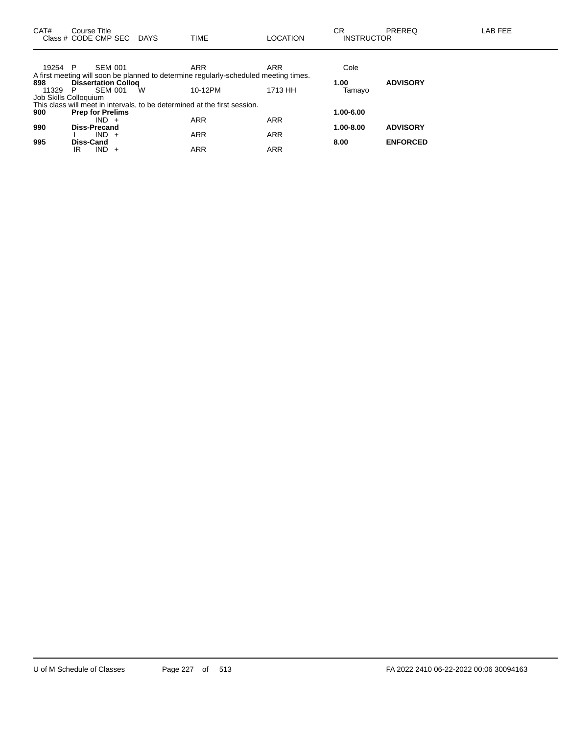| CAT#                  | Course Title | Class # CODE CMP SEC       | DAYS | <b>TIME</b>                                                                          | <b>LOCATION</b> | CR<br><b>INSTRUCTOR</b> | PREREQ          | LAB FEE |
|-----------------------|--------------|----------------------------|------|--------------------------------------------------------------------------------------|-----------------|-------------------------|-----------------|---------|
|                       |              |                            |      |                                                                                      |                 |                         |                 |         |
| 19254 P               |              | <b>SEM 001</b>             |      | <b>ARR</b>                                                                           | <b>ARR</b>      | Cole                    |                 |         |
|                       |              |                            |      | A first meeting will soon be planned to determine regularly-scheduled meeting times. |                 |                         |                 |         |
| 898                   |              | <b>Dissertation Collog</b> |      |                                                                                      |                 | 1.00                    | <b>ADVISORY</b> |         |
| 11329                 | P            | SEM 001                    | W    | 10-12PM                                                                              | 1713 HH         | Tamayo                  |                 |         |
| Job Skills Colloguium |              |                            |      |                                                                                      |                 |                         |                 |         |
|                       |              |                            |      | This class will meet in intervals, to be determined at the first session.            |                 |                         |                 |         |
| 900                   |              | <b>Prep for Prelims</b>    |      |                                                                                      |                 | 1.00-6.00               |                 |         |
|                       |              | $IND +$                    |      | <b>ARR</b>                                                                           | <b>ARR</b>      |                         |                 |         |
| 990                   |              | <b>Diss-Precand</b>        |      |                                                                                      |                 | 1.00-8.00               | <b>ADVISORY</b> |         |
|                       |              | $IND +$                    |      | <b>ARR</b>                                                                           | <b>ARR</b>      |                         |                 |         |
| 995                   | Diss-Cand    |                            |      |                                                                                      |                 | 8.00                    | <b>ENFORCED</b> |         |
|                       | IR           | $IND +$                    |      | <b>ARR</b>                                                                           | <b>ARR</b>      |                         |                 |         |
|                       |              |                            |      |                                                                                      |                 |                         |                 |         |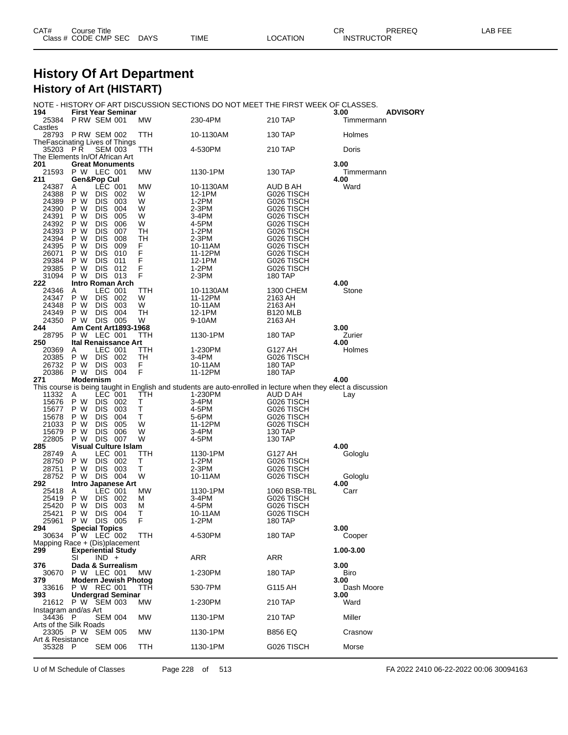| CAT# | Course Title         |             |      |          | ∼⊡<br>◡∩          | PREREQ | LAB FEE |
|------|----------------------|-------------|------|----------|-------------------|--------|---------|
|      | Class # CODE CMP SEC | <b>DAYS</b> | TIME | LOCATION | <b>INSTRUCTOR</b> |        |         |

## **History Of Art Department History of Art (HISTART)**

NOTE - HISTORY OF ART DISCUSSION SECTIONS DO NOT MEET THE FIRST WEEK OF CLASSES.

| 194                             |                       |                | <b>First Year Seminar</b>   |           |                                                                                                               |                 | 3.00<br><b>ADVISORY</b> |
|---------------------------------|-----------------------|----------------|-----------------------------|-----------|---------------------------------------------------------------------------------------------------------------|-----------------|-------------------------|
| 25384                           | <b>P RW SEM 001</b>   |                |                             | МW        | 230-4PM                                                                                                       | 210 TAP         | Timmermann              |
| Castles                         |                       |                |                             |           |                                                                                                               |                 |                         |
| 28793 P RW SEM 002              |                       |                |                             | TTH       | 10-1130AM                                                                                                     | 130 TAP         | Holmes                  |
| TheFascinating Lives of Things  |                       |                |                             |           |                                                                                                               |                 |                         |
| 35203 PR                        |                       | <b>SEM 003</b> |                             | TTH       | 4-530PM                                                                                                       | 210 TAP         | Doris                   |
| The Elements In/Of African Art  |                       |                |                             |           |                                                                                                               |                 |                         |
| 201                             |                       |                | <b>Great Monuments</b>      |           |                                                                                                               |                 | 3.00                    |
| 21593                           | P W LEC 001           |                |                             | МW        | 1130-1PM                                                                                                      | 130 TAP         | Timmermann              |
| 211                             | Gen&Pop Cul           |                |                             |           |                                                                                                               |                 | 4.00                    |
|                                 |                       | LEC 001        |                             | MW        |                                                                                                               |                 | Ward                    |
| 24387                           | A                     |                |                             |           | 10-1130AM                                                                                                     | AUD B AH        |                         |
| 24388                           | P W                   | DIS 002        |                             | W         | 12-1PM                                                                                                        | G026 TISCH      |                         |
| 24389                           | P W                   | <b>DIS</b>     | 003                         | W         | $1-2PM$                                                                                                       | G026 TISCH      |                         |
| 24390                           | P W                   | <b>DIS</b>     | 004                         | W         | 2-3PM                                                                                                         | G026 TISCH      |                         |
| 24391                           | P W                   | <b>DIS</b>     | 005                         | W         | 3-4PM                                                                                                         | G026 TISCH      |                         |
| 24392                           | P W                   | <b>DIS</b>     | 006                         | W         | 4-5PM                                                                                                         | G026 TISCH      |                         |
| 24393                           | P W                   | <b>DIS</b>     | 007                         | TН        | 1-2PM                                                                                                         | G026 TISCH      |                         |
| 24394                           | P W                   | <b>DIS</b>     | 008                         | TН        | 2-3PM                                                                                                         | G026 TISCH      |                         |
| 24395                           | P W                   | <b>DIS</b>     | 009                         | F         | 10-11AM                                                                                                       | G026 TISCH      |                         |
| 26071                           | P W                   | <b>DIS</b>     | 010                         | F         | 11-12PM                                                                                                       | G026 TISCH      |                         |
| 29384                           | P W                   | <b>DIS</b>     |                             | F         | 12-1PM                                                                                                        |                 |                         |
|                                 |                       |                | 011                         |           |                                                                                                               | G026 TISCH      |                         |
| 29385                           | P W                   | <b>DIS</b>     | 012                         | F         | $1-2PM$                                                                                                       | G026 TISCH      |                         |
| 31094                           | P W                   | DIS 013        |                             | F         | 2-3PM                                                                                                         | <b>180 TAP</b>  |                         |
| 222                             |                       |                | Intro Roman Arch            |           |                                                                                                               |                 | 4.00                    |
| 24346                           | A                     | LEC 001        |                             | TTH       | 10-1130AM                                                                                                     | 1300 CHEM       | Stone                   |
| 24347                           | P W                   | <b>DIS</b>     | 002                         | W         | 11-12PM                                                                                                       | 2163 AH         |                         |
| 24348                           | P W                   | <b>DIS</b>     | 003                         | W         | 10-11AM                                                                                                       | 2163 AH         |                         |
| 24349                           | P W                   | <b>DIS</b>     | 004                         | TН        | 12-1PM                                                                                                        | <b>B120 MLB</b> |                         |
| 24350                           | P W                   | <b>DIS 005</b> |                             | W         | 9-10AM                                                                                                        | 2163 AH         |                         |
| 244                             |                       |                |                             |           |                                                                                                               |                 | 3.00                    |
|                                 |                       |                | Am Cent Art1893-1968        |           |                                                                                                               |                 |                         |
| 28795                           | P W LEC 001           |                |                             | TTH       | 1130-1PM                                                                                                      | 180 TAP         | Zurier                  |
| 250                             |                       |                | <b>Ital Renaissance Art</b> |           |                                                                                                               |                 | 4.00                    |
| 20369                           | A                     | LEC 001        |                             | TTH       | 1-230PM                                                                                                       | G127 AH         | Holmes                  |
| 20385                           | P W                   | <b>DIS</b>     | 002                         | TН        | 3-4PM                                                                                                         | G026 TISCH      |                         |
| 26732                           | P W                   | <b>DIS</b>     | 003                         | F.        | 10-11AM                                                                                                       | 180 TAP         |                         |
| 20386                           | P W                   | DIS 004        |                             | F         | 11-12PM                                                                                                       | 180 TAP         |                         |
| 271                             | <b>Modernism</b>      |                |                             |           |                                                                                                               |                 | 4.00                    |
|                                 |                       |                |                             |           | This course is being taught in English and students are auto-enrolled in lecture when they elect a discussion |                 |                         |
| 11332                           | A                     | LEC 001        |                             | TTH       | 1-230PM                                                                                                       | AUD D AH        | Lay                     |
| 15676                           | P W                   | <b>DIS</b>     | 002                         | т         | 3-4PM                                                                                                         | G026 TISCH      |                         |
|                                 |                       |                |                             |           |                                                                                                               |                 |                         |
| 15677 P W                       |                       | <b>DIS</b>     | 003                         | т         | 4-5PM                                                                                                         | G026 TISCH      |                         |
| 15678                           | P W                   | <b>DIS</b>     | 004                         | т         | 5-6PM                                                                                                         | G026 TISCH      |                         |
| 21033                           | P W                   | <b>DIS</b>     | 005                         | W         | 11-12PM                                                                                                       | G026 TISCH      |                         |
| 15679                           | P W                   | <b>DIS</b>     | 006                         | W         | 3-4PM                                                                                                         | 130 TAP         |                         |
| 22805                           | P W                   | DIS 007        |                             | W         | 4-5PM                                                                                                         | 130 TAP         |                         |
| 285                             |                       |                | <b>Visual Culture Islam</b> |           |                                                                                                               |                 | 4.00                    |
| 28749                           | A                     | LEC 001        |                             | TTH       | 1130-1PM                                                                                                      | G127 AH         | Gologlu                 |
| 28750                           | P W                   | DIS 002        |                             | т         | 1-2PM                                                                                                         | G026 TISCH      |                         |
| 28751                           | P W                   | <b>DIS</b>     | 003                         | т         | 2-3PM                                                                                                         | G026 TISCH      |                         |
| 28752                           | P W                   | DIS.           | 004                         | W         | 10-11AM                                                                                                       |                 |                         |
|                                 |                       |                |                             |           |                                                                                                               | G026 TISCH      | Gologlu                 |
| 292                             |                       |                | <b>Intro Japanese Art</b>   |           |                                                                                                               |                 | 4.00                    |
| 25418                           | A                     | LEC 001        |                             | МW        | 1130-1PM                                                                                                      | 1060 BSB-TBL    | Carr                    |
| 25419                           | P W                   | <b>DIS</b>     | 002                         | м         | 3-4PM                                                                                                         | G026 TISCH      |                         |
| 25420                           | P W                   | <b>DIS</b>     | 003                         | M         | 4-5PM                                                                                                         | G026 TISCH      |                         |
| 25421                           | P W                   | DIS            | 004                         | т         | 10-11AM                                                                                                       | G026 TISCH      |                         |
| 25961                           | P W                   | <b>DIS</b>     | 005                         | F         | 1-2PM                                                                                                         | 180 TAP         |                         |
| 294                             | <b>Special Topics</b> |                |                             |           |                                                                                                               |                 | 3.00                    |
| 30634 P W LEC 002               |                       |                |                             | TTH       | 4-530PM                                                                                                       | 180 TAP         | Cooper                  |
| Mapping Race $+$ (Dis)placement |                       |                |                             |           |                                                                                                               |                 |                         |
| 299                             |                       |                | <b>Experiential Study</b>   |           |                                                                                                               |                 | 1.00-3.00               |
|                                 | SI                    | $IND +$        |                             |           | ARR                                                                                                           | ARR             |                         |
|                                 |                       |                |                             |           |                                                                                                               |                 | 3.00                    |
| 376                             |                       |                |                             |           |                                                                                                               |                 |                         |
| 30670                           | Dada & Surrealism     |                |                             |           |                                                                                                               |                 |                         |
|                                 | P W LEC 001           |                |                             | МW        | 1-230PM                                                                                                       | 180 TAP         | Biro                    |
| 379                             |                       |                | <b>Modern Jewish Photog</b> |           |                                                                                                               |                 | 3.00                    |
| 33616                           | P W REC 001           |                |                             | ттн       | 530-7PM                                                                                                       | G115 AH         | Dash Moore              |
| 393                             |                       |                | <b>Undergrad Seminar</b>    |           |                                                                                                               |                 | 3.00                    |
|                                 |                       |                |                             |           |                                                                                                               |                 |                         |
| 21612 P W SEM 003               |                       |                |                             | MW        | 1-230PM                                                                                                       | 210 TAP         | Ward                    |
| Instagram and/as Art            |                       |                |                             |           |                                                                                                               |                 |                         |
| 34436 P                         |                       | <b>SEM 004</b> |                             | MW        | 1130-1PM                                                                                                      | 210 TAP         | Miller                  |
| Arts of the Silk Roads          |                       |                |                             |           |                                                                                                               |                 |                         |
| 23305 P W                       |                       | <b>SEM 005</b> |                             | <b>MW</b> | 1130-1PM                                                                                                      | B856 EQ         | Crasnow                 |
| Art & Resistance                |                       |                |                             |           |                                                                                                               |                 |                         |
| 35328 P                         |                       | SEM 006        |                             | TTH       | 1130-1PM                                                                                                      | G026 TISCH      | Morse                   |

U of M Schedule of Classes Page 228 of 513 FA 2022 2410 06-22-2022 00:06 30094163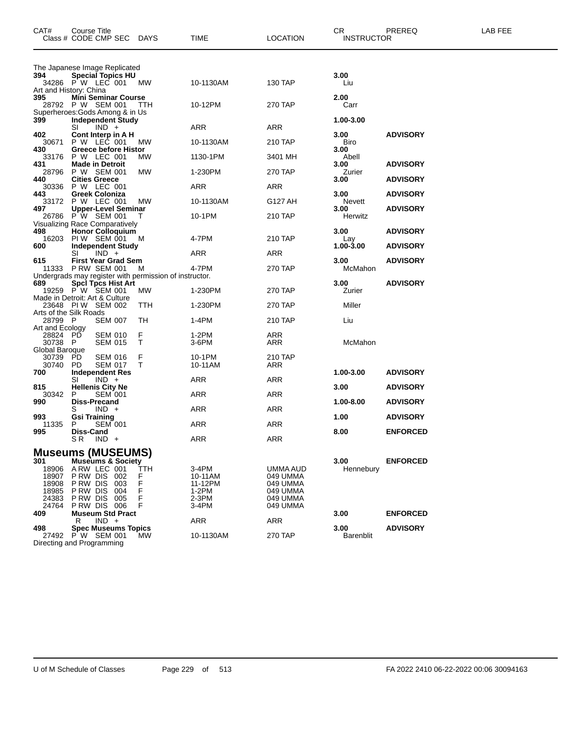| CAT#                                                      | Course Title<br>Class # CODE CMP SEC                                                                                           | DAYS                         | TIME                                                   | LOCATION                                                             | CR.<br><b>INSTRUCTOR</b> | PREREQ          | LAB FEE |
|-----------------------------------------------------------|--------------------------------------------------------------------------------------------------------------------------------|------------------------------|--------------------------------------------------------|----------------------------------------------------------------------|--------------------------|-----------------|---------|
|                                                           | The Japanese Image Replicated                                                                                                  |                              |                                                        |                                                                      |                          |                 |         |
| 394                                                       | <b>Special Topics HU</b><br>34286 PW LEC 001<br>Art and History: China                                                         | <b>MW</b>                    | 10-1130AM                                              | 130 TAP                                                              | 3.00<br>Liu              |                 |         |
| 395                                                       | <b>Mini Seminar Course</b><br>28792 P W SEM 001                                                                                | - ттн                        | 10-12PM                                                | 270 TAP                                                              | 2.00<br>Carr             |                 |         |
| 399                                                       | Superheroes: Gods Among & in Us<br><b>Independent Study</b><br>SI<br>$IND +$                                                   |                              | ARR                                                    | ARR                                                                  | 1.00-3.00                |                 |         |
| 402<br>30671                                              | Cont Interp in A H<br>P W LEC 001                                                                                              | МW                           | 10-1130AM                                              | 210 TAP                                                              | 3.00<br>Biro             | <b>ADVISORY</b> |         |
| 430<br>33176                                              | Greece before Histor<br>P W LEC 001                                                                                            | MW                           | 1130-1PM                                               | 3401 MH                                                              | 3.00<br>Abell            |                 |         |
| 431<br>28796                                              | <b>Made in Detroit</b><br>P W SEM 001                                                                                          | MW                           | 1-230PM                                                | 270 TAP                                                              | 3.00<br>Zurier           | <b>ADVISORY</b> |         |
| 440<br>30336                                              | <b>Cities Greece</b><br>P W LEC 001                                                                                            |                              | <b>ARR</b>                                             | ARR                                                                  | 3.00                     | <b>ADVISORY</b> |         |
| 443<br>33172                                              | Greek Coloniza<br>P W LEC 001<br><b>Upper-Level Seminar</b>                                                                    | <b>MW</b>                    | 10-1130AM                                              | G127 AH                                                              | 3.00<br>Nevett           | <b>ADVISORY</b> |         |
| 497<br>26786                                              | $P^{\dagger}W$ SEM 001<br>Visualizing Race Comparatively                                                                       | т                            | 10-1PM                                                 | 210 TAP                                                              | 3.00<br>Herwitz          | <b>ADVISORY</b> |         |
| 498<br>16203                                              | <b>Honor Colloquium</b><br>PIW SEM 001                                                                                         | M                            | 4-7PM                                                  | 210 TAP                                                              | 3.00<br>Lay              | <b>ADVISORY</b> |         |
| 600                                                       | <b>Independent Study</b><br>SI<br>$IND +$                                                                                      |                              | ARR                                                    | ARR                                                                  | 1.00-3.00                | <b>ADVISORY</b> |         |
| 615<br>11333                                              | <b>First Year Grad Sem</b><br><b>P RW SEM 001</b>                                                                              | м                            | 4-7PM                                                  | 270 TAP                                                              | 3.00<br>McMahon          | <b>ADVISORY</b> |         |
| 689                                                       | Undergrads may register with permission of instructor.<br><b>Spci Tpcs Hist Art</b>                                            |                              |                                                        |                                                                      | 3.00                     | <b>ADVISORY</b> |         |
|                                                           | 19259 PW SEM 001<br>Made in Detroit: Art & Culture                                                                             | МW                           | 1-230PM                                                | 270 TAP                                                              | Zurier                   |                 |         |
|                                                           | 23648 PIW SEM 002<br>Arts of the Silk Roads                                                                                    | TTH                          | 1-230PM                                                | 270 TAP                                                              | Miller                   |                 |         |
| 28799 P<br>Art and Ecology                                | <b>SEM 007</b>                                                                                                                 | TН                           | 1-4PM                                                  | 210 TAP                                                              | Liu                      |                 |         |
| 28824 PD<br>30738 P<br>Global Baroque                     | <b>SEM 010</b><br><b>SEM 015</b>                                                                                               | F<br>T                       | 1-2PM<br>3-6PM                                         | ARR<br>ARR                                                           | McMahon                  |                 |         |
| 30739<br>30740                                            | PD<br><b>SEM 016</b><br><b>SEM 017</b><br>PD.                                                                                  | F<br>Τ                       | 10-1PM<br>10-11AM                                      | 210 TAP<br>ARR                                                       |                          |                 |         |
| 700                                                       | <b>Independent Res</b><br>SI<br>$IND +$                                                                                        |                              | <b>ARR</b>                                             | ARR                                                                  | 1.00-3.00                | <b>ADVISORY</b> |         |
| 815<br>30342                                              | <b>Hellenis City Ne</b><br>P<br><b>SEM 001</b>                                                                                 |                              | ARR                                                    | ARR                                                                  | 3.00                     | <b>ADVISORY</b> |         |
| 990                                                       | <b>Diss-Precand</b><br>$IND +$<br>S                                                                                            |                              | ARR                                                    | ARR                                                                  | 1.00-8.00                | <b>ADVISORY</b> |         |
| 993<br>11335                                              | <b>Gsi Training</b><br><b>SEM 001</b><br>Р                                                                                     |                              | ARR                                                    | ARR                                                                  | 1.00                     | <b>ADVISORY</b> |         |
| 995                                                       | Diss-Cand<br>S R<br>$IND +$                                                                                                    |                              | ARR                                                    | ARR                                                                  | 8.00                     | <b>ENFORCED</b> |         |
|                                                           | <b>Museums (MUSEUMS)</b>                                                                                                       |                              |                                                        |                                                                      |                          |                 |         |
| 301<br>18906<br>18907<br>18908<br>18985<br>24383<br>24764 | <b>Museums &amp; Society</b><br>ARW LEC 001<br>PRW DIS 002<br>P RW DIS<br>003<br>P RW DIS<br>004<br>PRW DIS 005<br>PRW DIS 006 | TTH<br>F<br>F<br>F<br>F<br>F | 3-4PM<br>10-11AM<br>11-12PM<br>1-2PM<br>2-3PM<br>3-4PM | UMMA AUD<br>049 UMMA<br>049 UMMA<br>049 UMMA<br>049 UMMA<br>049 UMMA | 3.00<br>Hennebury        | <b>ENFORCED</b> |         |
| 409                                                       | <b>Museum Std Pract</b><br>$IND +$<br>R                                                                                        |                              | <b>ARR</b>                                             | <b>ARR</b>                                                           | 3.00                     | <b>ENFORCED</b> |         |
| 498                                                       | <b>Spec Museums Topics</b><br>27492 P W SEM 001<br>Directing and Programming                                                   | MW                           | 10-1130AM                                              | 270 TAP                                                              | 3.00<br><b>Barenblit</b> | <b>ADVISORY</b> |         |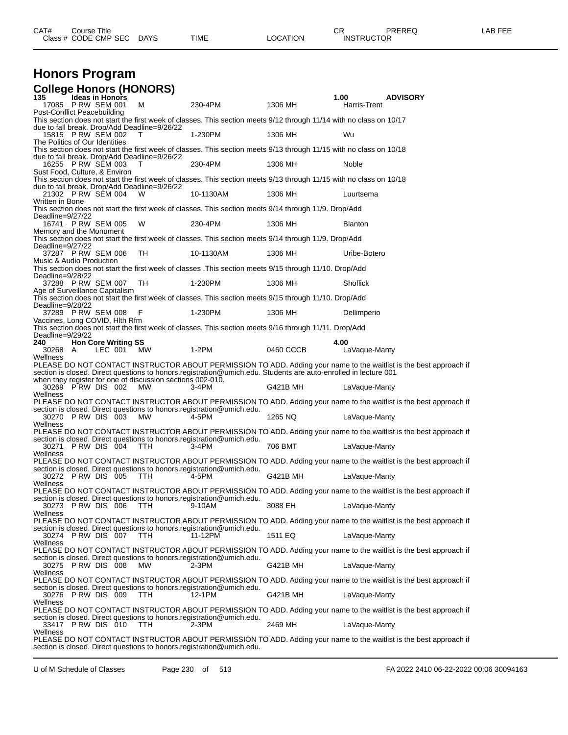| CAT# | Course Title              |      |          | ∩⊓<br>U⊾          | PREREQ | LAB FEE |
|------|---------------------------|------|----------|-------------------|--------|---------|
|      | Class # CODE CMP SEC DAYS | TIME | LOCATION | <b>INSTRUCTOR</b> |        |         |
|      |                           |      |          |                   |        |         |

## **Honors Program**

|                                                      |                            |         | <b>College Honors (HONORS)</b>                                   |                                                                                                                     |           |                       |                                                                                                                    |
|------------------------------------------------------|----------------------------|---------|------------------------------------------------------------------|---------------------------------------------------------------------------------------------------------------------|-----------|-----------------------|--------------------------------------------------------------------------------------------------------------------|
| 135<br>17085 P RW SEM 001                            | <b>Ideas in Honors</b>     |         | м                                                                | 230-4PM                                                                                                             | 1306 MH   | 1.00<br>Harris-Trent  | <b>ADVISORY</b>                                                                                                    |
| Post-Conflict Peacebuilding                          |                            |         |                                                                  | This section does not start the first week of classes. This section meets 9/12 through 11/14 with no class on 10/17 |           |                       |                                                                                                                    |
| 15815 P RW SEM 002                                   |                            |         | due to fall break. Drop/Add Deadline=9/26/22<br>т                | 1-230PM                                                                                                             | 1306 MH   | Wu                    |                                                                                                                    |
| The Politics of Our Identities                       |                            |         |                                                                  | This section does not start the first week of classes. This section meets 9/13 through 11/15 with no class on 10/18 |           |                       |                                                                                                                    |
| 16255 P RW SEM 003                                   |                            |         | due to fall break. Drop/Add Deadline=9/26/22<br>т                | 230-4PM                                                                                                             | 1306 MH   | Noble                 |                                                                                                                    |
| Sust Food, Culture, & Environ                        |                            |         |                                                                  | This section does not start the first week of classes. This section meets 9/13 through 11/15 with no class on 10/18 |           |                       |                                                                                                                    |
|                                                      |                            |         | due to fall break. Drop/Add Deadline=9/26/22                     |                                                                                                                     |           |                       |                                                                                                                    |
| 21302 PRW SEM 004<br>Written in Bone                 |                            |         | W                                                                | 10-1130AM                                                                                                           | 1306 MH   | Luurtsema             |                                                                                                                    |
| Deadline=9/27/22                                     |                            |         |                                                                  | This section does not start the first week of classes. This section meets 9/14 through 11/9. Drop/Add               |           |                       |                                                                                                                    |
| 16741 P RW SEM 005<br>Memory and the Monument        |                            |         | W                                                                | 230-4PM                                                                                                             | 1306 MH   | <b>Blanton</b>        |                                                                                                                    |
| Deadline=9/27/22                                     |                            |         |                                                                  | This section does not start the first week of classes. This section meets 9/14 through 11/9. Drop/Add               |           |                       |                                                                                                                    |
| 37287 P RW SEM 006<br>Music & Audio Production       |                            |         | TH                                                               | 10-1130AM                                                                                                           | 1306 MH   | Uribe-Botero          |                                                                                                                    |
| Deadline=9/28/22                                     |                            |         |                                                                  | This section does not start the first week of classes . This section meets 9/15 through 11/10. Drop/Add             |           |                       |                                                                                                                    |
| 37288 P RW SEM 007<br>Age of Surveillance Capitalism |                            |         | TH                                                               | 1-230PM                                                                                                             | 1306 MH   | Shoflick              |                                                                                                                    |
| Deadline=9/28/22                                     |                            |         |                                                                  | This section does not start the first week of classes. This section meets 9/15 through 11/10. Drop/Add              |           |                       |                                                                                                                    |
| 37289 P RW SEM 008<br>Vaccines, Long COVID, Hlth Rfm |                            |         | F                                                                | 1-230PM                                                                                                             | 1306 MH   | Dellimperio           |                                                                                                                    |
| Deadline=9/29/22                                     |                            |         |                                                                  | This section does not start the first week of classes. This section meets 9/16 through 11/11. Drop/Add              |           |                       |                                                                                                                    |
| 240                                                  | <b>Hon Core Writing SS</b> | LEC 001 |                                                                  | $1-2PM$                                                                                                             | 0460 CCCB | 4.00<br>LaVaque-Manty |                                                                                                                    |
| 30268 A<br>Wellness                                  |                            |         | MW                                                               |                                                                                                                     |           |                       |                                                                                                                    |
|                                                      |                            |         |                                                                  | section is closed. Direct questions to honors.registration@umich.edu. Students are auto-enrolled in lecture 001     |           |                       | PLEASE DO NOT CONTACT INSTRUCTOR ABOUT PERMISSION TO ADD. Adding your name to the waitlist is the best approach if |
| 30269 PRW DIS 002                                    |                            |         | when they register for one of discussion sections 002-010.<br>MW | 3-4PM                                                                                                               | G421B MH  | LaVaque-Manty         |                                                                                                                    |
| Wellness                                             |                            |         |                                                                  |                                                                                                                     |           |                       | PLEASE DO NOT CONTACT INSTRUCTOR ABOUT PERMISSION TO ADD. Adding your name to the waitlist is the best approach if |
| 30270 P RW DIS 003                                   |                            |         | <b>MW</b>                                                        | section is closed. Direct questions to honors.registration@umich.edu.<br>4-5PM                                      | 1265 NQ   | LaVaque-Manty         |                                                                                                                    |
| Wellness                                             |                            |         |                                                                  |                                                                                                                     |           |                       | PLEASE DO NOT CONTACT INSTRUCTOR ABOUT PERMISSION TO ADD. Adding your name to the waitlist is the best approach if |
| 30271 PRW DIS 004                                    |                            |         | TTH                                                              | section is closed. Direct questions to honors.registration@umich.edu.<br>$3-4PM$                                    | 706 BMT   | LaVaque-Manty         |                                                                                                                    |
| Wellness                                             |                            |         |                                                                  |                                                                                                                     |           |                       | PLEASE DO NOT CONTACT INSTRUCTOR ABOUT PERMISSION TO ADD. Adding your name to the waitlist is the best approach if |
| 30272 PRW DIS 005                                    |                            |         | TTH                                                              | section is closed. Direct questions to honors.registration@umich.edu.<br>4-5PM                                      | G421B MH  | LaVaque-Manty         |                                                                                                                    |
| Wellness                                             |                            |         |                                                                  |                                                                                                                     |           |                       | PLEASE DO NOT CONTACT INSTRUCTOR ABOUT PERMISSION TO ADD. Adding your name to the waitlist is the best approach if |
| 30273 PRW DIS 006                                    |                            |         | TTH                                                              | section is closed. Direct questions to honors.registration@umich.edu.<br>9-10AM                                     | 3088 EH   | LaVaque-Manty         |                                                                                                                    |
| Wellness                                             |                            |         |                                                                  |                                                                                                                     |           |                       |                                                                                                                    |
|                                                      |                            |         |                                                                  | section is closed. Direct questions to honors.registration@umich.edu.                                               |           |                       | PLEASE DO NOT CONTACT INSTRUCTOR ABOUT PERMISSION TO ADD. Adding your name to the waitlist is the best approach if |
| 30274 PRW DIS 007<br>Wellness                        |                            |         | TTH                                                              | 11-12PM                                                                                                             | 1511 EQ   | LaVaque-Manty         |                                                                                                                    |
|                                                      |                            |         |                                                                  | section is closed. Direct questions to honors.registration@umich.edu.                                               |           |                       | PLEASE DO NOT CONTACT INSTRUCTOR ABOUT PERMISSION TO ADD. Adding your name to the waitlist is the best approach if |
| 30275 PRW DIS 008<br>Wellness                        |                            |         | МW                                                               | 2-3PM                                                                                                               | G421B MH  | LaVaque-Manty         |                                                                                                                    |
|                                                      |                            |         |                                                                  | section is closed. Direct questions to honors.registration@umich.edu.                                               |           |                       | PLEASE DO NOT CONTACT INSTRUCTOR ABOUT PERMISSION TO ADD. Adding your name to the waitlist is the best approach if |
| 30276 PRW DIS 009<br>Wellness                        |                            |         | ттн                                                              | 12-1PM                                                                                                              | G421B MH  | LaVaque-Manty         |                                                                                                                    |
|                                                      |                            |         |                                                                  | section is closed. Direct questions to honors.registration@umich.edu.                                               |           |                       | PLEASE DO NOT CONTACT INSTRUCTOR ABOUT PERMISSION TO ADD. Adding your name to the waitlist is the best approach if |
| 33417 PRW DIS 010<br>Wellness                        |                            |         | TTH                                                              | 2-3PM                                                                                                               | 2469 MH   | LaVaque-Manty         |                                                                                                                    |
|                                                      |                            |         |                                                                  |                                                                                                                     |           |                       | PLEASE DO NOT CONTACT INSTRUCTOR ABOUT PERMISSION TO ADD. Adding your name to the waitlist is the best approach if |

section is closed. Direct questions to honors.registration@umich.edu.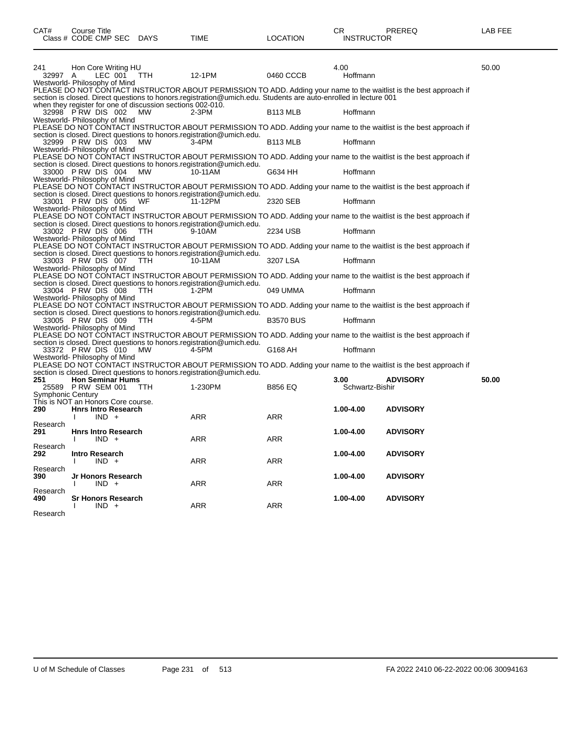|                   | Class # CODE CMP SEC DAYS                                                       |            | TIME                                                                                                            | LOCATION             | <b>INSTRUCTOR</b> |                                                                                                                    |       |
|-------------------|---------------------------------------------------------------------------------|------------|-----------------------------------------------------------------------------------------------------------------|----------------------|-------------------|--------------------------------------------------------------------------------------------------------------------|-------|
| 241               | Hon Core Writing HU                                                             |            |                                                                                                                 |                      | 4.00              |                                                                                                                    | 50.00 |
| 32997 A           | LEC 001                                                                         | <b>TTH</b> | 12-1PM                                                                                                          | 0460 CCCB            | Hoffmann          |                                                                                                                    |       |
|                   | Westworld- Philosophy of Mind                                                   |            | section is closed. Direct questions to honors.registration@umich.edu. Students are auto-enrolled in lecture 001 |                      |                   | PLEASE DO NOT CONTACT INSTRUCTOR ABOUT PERMISSION TO ADD. Adding your name to the waitlist is the best approach if |       |
|                   | when they register for one of discussion sections 002-010.<br>32998 PRW DIS 002 | MW         | $2-3PM$                                                                                                         | <b>B113 MLB</b>      | Hoffmann          |                                                                                                                    |       |
|                   | Westworld- Philosophy of Mind                                                   |            |                                                                                                                 |                      |                   | PLEASE DO NOT CONTACT INSTRUCTOR ABOUT PERMISSION TO ADD. Adding your name to the waitlist is the best approach if |       |
|                   | 32999 PRW DIS 003<br>Westworld- Philosophy of Mind                              | MW         | section is closed. Direct questions to honors.registration@umich.edu.<br>3-4PM                                  | B <sub>113</sub> MLB | Hoffmann          |                                                                                                                    |       |
|                   |                                                                                 |            | section is closed. Direct questions to honors.registration@umich.edu.                                           |                      |                   | PLEASE DO NOT CONTACT INSTRUCTOR ABOUT PERMISSION TO ADD. Adding your name to the waitlist is the best approach if |       |
|                   | 33000 PRW DIS 004<br>Westworld- Philosophy of Mind                              | МW         | 10-11AM                                                                                                         | G634 HH              | Hoffmann          |                                                                                                                    |       |
|                   |                                                                                 |            | section is closed. Direct questions to honors.registration@umich.edu.                                           |                      |                   | PLEASE DO NOT CONTACT INSTRUCTOR ABOUT PERMISSION TO ADD. Adding your name to the waitlist is the best approach if |       |
|                   | 33001 PRW DIS 005<br>Westworld- Philosophy of Mind                              | WF         | 11-12PM                                                                                                         | 2320 SEB             | Hoffmann          |                                                                                                                    |       |
|                   |                                                                                 |            | section is closed. Direct questions to honors.registration@umich.edu.                                           |                      |                   | PLEASE DO NOT CONTACT INSTRUCTOR ABOUT PERMISSION TO ADD. Adding your name to the waitlist is the best approach if |       |
|                   | 33002 PRW DIS 006<br>Westworld- Philosophy of Mind                              | <b>TTH</b> | 9-10AM                                                                                                          | 2234 USB             | Hoffmann          |                                                                                                                    |       |
|                   |                                                                                 |            | section is closed. Direct questions to honors.registration@umich.edu.                                           |                      |                   | PLEASE DO NOT CONTACT INSTRUCTOR ABOUT PERMISSION TO ADD. Adding your name to the waitlist is the best approach if |       |
|                   | 33003 PRW DIS 007<br>Westworld- Philosophy of Mind                              | TTH        | 10-11AM                                                                                                         | 3207 LSA             | Hoffmann          |                                                                                                                    |       |
|                   |                                                                                 |            | section is closed. Direct questions to honors.registration@umich.edu.                                           |                      |                   | PLEASE DO NOT CONTACT INSTRUCTOR ABOUT PERMISSION TO ADD. Adding your name to the waitlist is the best approach if |       |
|                   | 33004 PRW DIS 008<br>Westworld- Philosophy of Mind                              | TTH.       | 1-2PM                                                                                                           | 049 UMMA             | Hoffmann          |                                                                                                                    |       |
|                   | 33005 PRW DIS 009                                                               | TTH.       | section is closed. Direct questions to honors.registration@umich.edu.<br>4-5PM                                  | <b>B3570 BUS</b>     | Hoffmann          | PLEASE DO NOT CONTACT INSTRUCTOR ABOUT PERMISSION TO ADD. Adding your name to the waitlist is the best approach if |       |
|                   | Westworld- Philosophy of Mind                                                   |            |                                                                                                                 |                      |                   | PLEASE DO NOT CONTACT INSTRUCTOR ABOUT PERMISSION TO ADD. Adding your name to the waitlist is the best approach if |       |
|                   | 33372 PRW DIS 010                                                               | МW         | section is closed. Direct questions to honors.registration@umich.edu.<br>4-5PM                                  | G168 AH              | Hoffmann          |                                                                                                                    |       |
|                   | Westworld- Philosophy of Mind                                                   |            |                                                                                                                 |                      |                   | PLEASE DO NOT CONTACT INSTRUCTOR ABOUT PERMISSION TO ADD. Adding your name to the waitlist is the best approach if |       |
| 251               | <b>Hon Seminar Hums</b>                                                         |            | section is closed. Direct questions to honors.registration@umich.edu.                                           |                      | 3.00              | <b>ADVISORY</b>                                                                                                    | 50.00 |
|                   | 25589 P RW SEM 001                                                              | <b>TTH</b> | 1-230PM                                                                                                         | <b>B856 EQ</b>       | Schwartz-Bishir   |                                                                                                                    |       |
| Symphonic Century | This is NOT an Honors Core course.                                              |            |                                                                                                                 |                      |                   |                                                                                                                    |       |
| 290               | <b>Hnrs Intro Research</b><br>$IND +$                                           |            | ARR                                                                                                             | ARR                  | 1.00-4.00         | <b>ADVISORY</b>                                                                                                    |       |
| Research<br>291   | <b>Hnrs Intro Research</b>                                                      |            |                                                                                                                 |                      | 1.00-4.00         | <b>ADVISORY</b>                                                                                                    |       |
|                   | $IND +$                                                                         |            | ARR                                                                                                             | ARR                  |                   |                                                                                                                    |       |
| Research<br>292   | <b>Intro Research</b><br>$IND +$                                                |            | ARR                                                                                                             | ARR                  | 1.00-4.00         | <b>ADVISORY</b>                                                                                                    |       |
| Research<br>390   | Jr Honors Research<br>$IND +$                                                   |            | ARR                                                                                                             | ARR                  | 1.00-4.00         | <b>ADVISORY</b>                                                                                                    |       |
| Research<br>490.  | <b>Sr Honors Research</b>                                                       |            |                                                                                                                 |                      | 1.00-4.00         | <b>ADVISORY</b>                                                                                                    |       |
| Research          | $IND +$                                                                         |            | <b>ARR</b>                                                                                                      | ARR                  |                   |                                                                                                                    |       |
|                   |                                                                                 |            |                                                                                                                 |                      |                   |                                                                                                                    |       |

CAT# Course Title Case CR PREREQ LAB FEE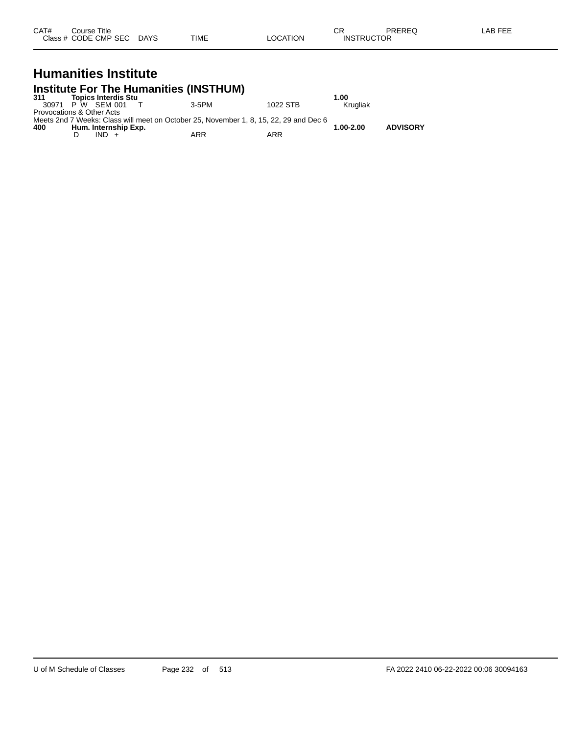| CAT# | Course Title         |             |             |          | ~~<br>- UN        | PREREQ | $\overline{2}$<br>$\mathbf{A} \mathbf{H}$<br>---<br><b>NL</b> |
|------|----------------------|-------------|-------------|----------|-------------------|--------|---------------------------------------------------------------|
|      | Class # CODE CMP SEC | <b>DAYS</b> | <b>TIME</b> | _OCATION | <b>INSTRUCTOR</b> |        |                                                               |

### **Humanities Institute Institute For The Humanities (INSTHUM)**

| 311                       | <b>Topics Interdis Stu</b> |                                                                                       |          | 1.00      |                 |
|---------------------------|----------------------------|---------------------------------------------------------------------------------------|----------|-----------|-----------------|
| 30971                     | P W SFM 001                | 3-5PM                                                                                 | 1022 STB | Krugliak  |                 |
| Provocations & Other Acts |                            |                                                                                       |          |           |                 |
|                           |                            | Meets 2nd 7 Weeks: Class will meet on October 25. November 1, 8, 15, 22, 29 and Dec 6 |          |           |                 |
| 400                       | Hum. Internship Exp.       |                                                                                       |          | 1.00-2.00 | <b>ADVISORY</b> |
|                           | $IND +$                    | ARR                                                                                   | ARR      |           |                 |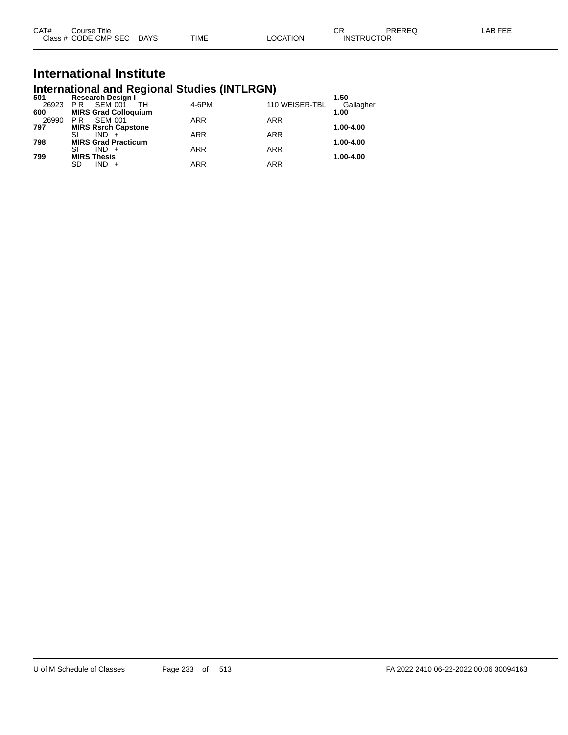| CAT# | Course Title              |      |          | ◡ጙ                | PREREQ | LAB FEE |
|------|---------------------------|------|----------|-------------------|--------|---------|
|      | Class # CODE CMP SEC DAYS | TIME | LOCATION | <b>INSTRUCTOR</b> |        |         |

# **International Institute**

| <b>International and Regional Studies (INTLRGN)</b> |                                                                                    |            |       |                |                   |  |  |  |  |  |  |
|-----------------------------------------------------|------------------------------------------------------------------------------------|------------|-------|----------------|-------------------|--|--|--|--|--|--|
| 501<br>26923                                        | <b>Research Design I</b><br><b>SEM 001</b><br>PR                                   | TН         | 4-6PM | 110 WEISER-TBL | 1.50<br>Gallagher |  |  |  |  |  |  |
| 600<br>26990<br>797                                 | <b>MIRS Grad Colloquium</b><br><b>SEM 001</b><br>PR.<br><b>MIRS Rsrch Capstone</b> | <b>ARR</b> |       | <b>ARR</b>     | 1.00<br>1.00-4.00 |  |  |  |  |  |  |
| 798                                                 | SI<br>$IND +$<br><b>MIRS Grad Practicum</b>                                        | <b>ARR</b> |       | <b>ARR</b>     | 1.00-4.00         |  |  |  |  |  |  |
| 799                                                 | SI<br>$IND +$<br><b>MIRS Thesis</b>                                                | <b>ARR</b> |       | <b>ARR</b>     | 1.00-4.00         |  |  |  |  |  |  |
|                                                     | SD<br>$IND +$                                                                      | <b>ARR</b> |       | <b>ARR</b>     |                   |  |  |  |  |  |  |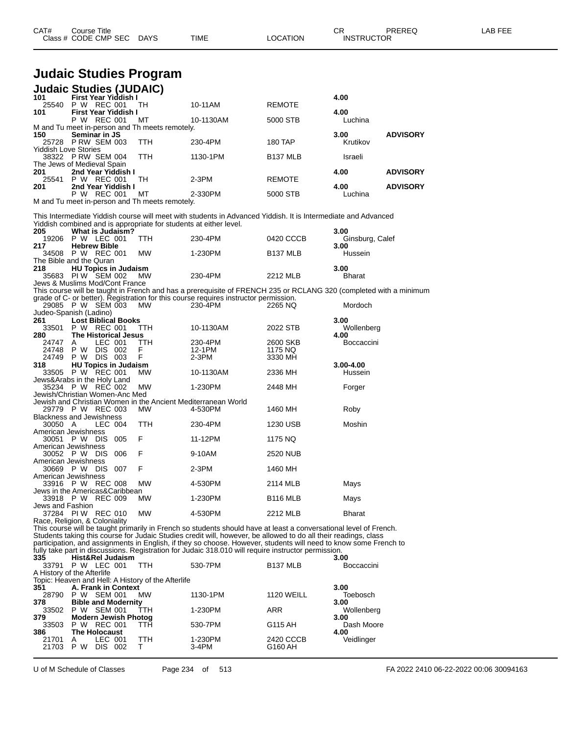| CAT# | Title<br>Course      |             |             |          | ⌒冖<br>ັບເ         | PREREC | ---<br>A R<br>--- |
|------|----------------------|-------------|-------------|----------|-------------------|--------|-------------------|
|      | Class # CODE CMP SEC | <b>DAYS</b> | <b>TIME</b> | LOCATION | <b>INSTRUCTOR</b> | ___    |                   |

## **Judaic Studies Program**

| <b>Judaic Studies (JUDAIC)</b>                      |                                               |         |                             |                                                    |                                                                                                                                                                                                                                     |                      |                         |                 |
|-----------------------------------------------------|-----------------------------------------------|---------|-----------------------------|----------------------------------------------------|-------------------------------------------------------------------------------------------------------------------------------------------------------------------------------------------------------------------------------------|----------------------|-------------------------|-----------------|
| 101                                                 |                                               |         | First Year Yiddish I        |                                                    |                                                                                                                                                                                                                                     |                      | 4.00                    |                 |
| 25540                                               | P W REC 001                                   |         | <b>First Year Yiddish I</b> | TH                                                 | 10-11AM                                                                                                                                                                                                                             | REMOTE               |                         |                 |
| 101                                                 | P W REC 001                                   |         |                             | МT                                                 | 10-1130AM                                                                                                                                                                                                                           | 5000 STB             | 4.00<br>Luchina         |                 |
|                                                     |                                               |         |                             | M and Tu meet in-person and Th meets remotely.     |                                                                                                                                                                                                                                     |                      |                         |                 |
| 150                                                 | Seminar in JS                                 |         |                             |                                                    |                                                                                                                                                                                                                                     |                      | 3.00                    | <b>ADVISORY</b> |
| 25728 PRW SEM 003<br><b>Yiddish Love Stories</b>    |                                               |         |                             | TTH                                                | 230-4PM                                                                                                                                                                                                                             | 180 TAP              | Krutikov                |                 |
| 38322 PRW SEM 004                                   |                                               |         |                             | TTH                                                | 1130-1PM                                                                                                                                                                                                                            | B137 MLB             | Israeli                 |                 |
| The Jews of Medieval Spain                          |                                               |         |                             |                                                    |                                                                                                                                                                                                                                     |                      |                         |                 |
| 201<br>25541                                        | P W REC 001                                   |         | 2nd Year Yiddish I          | TН                                                 | $2-3PM$                                                                                                                                                                                                                             | REMOTE               | 4.00                    | <b>ADVISORY</b> |
| 201                                                 |                                               |         | 2nd Year Yiddish I          |                                                    |                                                                                                                                                                                                                                     |                      | 4.00                    | <b>ADVISORY</b> |
|                                                     | P W REC 001                                   |         |                             | МT                                                 | 2-330PM                                                                                                                                                                                                                             | 5000 STB             | Luchina                 |                 |
|                                                     |                                               |         |                             | M and Tu meet in-person and Th meets remotely.     |                                                                                                                                                                                                                                     |                      |                         |                 |
|                                                     |                                               |         |                             |                                                    | This Intermediate Yiddish course will meet with students in Advanced Yiddish. It is Intermediate and Advanced                                                                                                                       |                      |                         |                 |
|                                                     |                                               |         |                             |                                                    | Yiddish combined and is appropriate for students at either level.                                                                                                                                                                   |                      |                         |                 |
| 205<br>19206                                        | <b>What is Judaism?</b><br><b>P W LEC 001</b> |         |                             | ттн                                                | 230-4PM                                                                                                                                                                                                                             | 0420 CCCB            | 3.00<br>Ginsburg, Calef |                 |
| 217                                                 | <b>Hebrew Bible</b>                           |         |                             |                                                    |                                                                                                                                                                                                                                     |                      | 3.00                    |                 |
| 34508 P W REC 001                                   |                                               |         |                             | МW                                                 | 1-230PM                                                                                                                                                                                                                             | B <sub>137</sub> MLB | Hussein                 |                 |
| The Bible and the Quran<br>218                      |                                               |         | <b>HU Topics in Judaism</b> |                                                    |                                                                                                                                                                                                                                     |                      | 3.00                    |                 |
| 35683 PIW SEM 002                                   |                                               |         |                             | MW.                                                | 230-4PM                                                                                                                                                                                                                             | 2212 MLB             | <b>Bharat</b>           |                 |
| Jews & Muslims Mod/Cont France                      |                                               |         |                             |                                                    |                                                                                                                                                                                                                                     |                      |                         |                 |
|                                                     |                                               |         |                             |                                                    | This course will be taught in French and has a prerequisite of FRENCH 235 or RCLANG 320 (completed with a minimum<br>grade of C- or better). Registration for this course requires instructor permission.                           |                      |                         |                 |
| 29085 P W SEM 003                                   |                                               |         |                             | МW                                                 | 230-4PM                                                                                                                                                                                                                             | 2265 NQ              | Mordoch                 |                 |
| Judeo-Spanish (Ladino)                              |                                               |         |                             |                                                    |                                                                                                                                                                                                                                     |                      |                         |                 |
| 261                                                 | P W REC 001                                   |         | <b>Lost Biblical Books</b>  |                                                    | 10-1130AM                                                                                                                                                                                                                           | 2022 STB             | 3.00                    |                 |
| 33501<br>280                                        |                                               |         | <b>The Historical Jesus</b> | ттн                                                |                                                                                                                                                                                                                                     |                      | Wollenberg<br>4.00      |                 |
| 24747                                               | A                                             | LEC 001 |                             | ттн                                                | 230-4PM                                                                                                                                                                                                                             | 2600 SKB             | Boccaccini              |                 |
| 24748                                               | P W DIS 002                                   |         |                             | F                                                  | 12-1PM                                                                                                                                                                                                                              | 1175 NQ              |                         |                 |
| 24749<br>318                                        | P W DIS 003                                   |         | <b>HU Topics in Judaism</b> | F                                                  | $2-3PM$                                                                                                                                                                                                                             | 3330 MH              | 3.00-4.00               |                 |
| 33505                                               | P W REC 001                                   |         |                             | МW                                                 | 10-1130AM                                                                                                                                                                                                                           | 2336 MH              | Hussein                 |                 |
| Jews&Arabs in the Holy Land                         |                                               |         |                             |                                                    |                                                                                                                                                                                                                                     |                      |                         |                 |
| 35234 P W REC 002<br>Jewish/Christian Women-Anc Med |                                               |         |                             | MW                                                 | 1-230PM                                                                                                                                                                                                                             | 2448 MH              | Forger                  |                 |
|                                                     |                                               |         |                             |                                                    | Jewish and Christian Women in the Ancient Mediterranean World                                                                                                                                                                       |                      |                         |                 |
| 29779 P W REC 003                                   |                                               |         |                             | <b>MW</b>                                          | 4-530PM                                                                                                                                                                                                                             | 1460 MH              | Roby                    |                 |
| <b>Blackness and Jewishness</b><br>30050 A          |                                               | LEC 004 |                             | TTH                                                | 230-4PM                                                                                                                                                                                                                             | 1230 USB             | Moshin                  |                 |
| American Jewishness                                 |                                               |         |                             |                                                    |                                                                                                                                                                                                                                     |                      |                         |                 |
| 30051                                               | PW DIS                                        |         | 005                         | F                                                  | 11-12PM                                                                                                                                                                                                                             | 1175 NQ              |                         |                 |
| American Jewishness<br>30052 P W DIS                |                                               |         | 006                         | F                                                  | 9-10AM                                                                                                                                                                                                                              | 2520 NUB             |                         |                 |
| American Jewishness                                 |                                               |         |                             |                                                    |                                                                                                                                                                                                                                     |                      |                         |                 |
| 30669 PW DIS 007                                    |                                               |         |                             | F                                                  | 2-3PM                                                                                                                                                                                                                               | 1460 MH              |                         |                 |
| American Jewishness<br>33916 P W REC 008            |                                               |         |                             | MW                                                 | 4-530PM                                                                                                                                                                                                                             | 2114 MLB             | Mays                    |                 |
| Jews in the Americas&Caribbean                      |                                               |         |                             |                                                    |                                                                                                                                                                                                                                     |                      |                         |                 |
| 33918 P W REC 009                                   |                                               |         |                             | MW                                                 | 1-230PM                                                                                                                                                                                                                             | B116 MLB             | Mays                    |                 |
| Jews and Fashion<br>37284 PIW REC 010               |                                               |         |                             | MW                                                 | 4-530PM                                                                                                                                                                                                                             | 2212 MLB             | Bharat                  |                 |
| Race, Religion, & Coloniality                       |                                               |         |                             |                                                    |                                                                                                                                                                                                                                     |                      |                         |                 |
|                                                     |                                               |         |                             |                                                    | This course will be taught primarily in French so students should have at least a conversational level of French.                                                                                                                   |                      |                         |                 |
|                                                     |                                               |         |                             |                                                    | Students taking this course for Judaic Studies credit will, however, be allowed to do all their readings, class<br>participation, and assignments in English, if they so choose. However, students will need to know some French to |                      |                         |                 |
|                                                     |                                               |         |                             |                                                    | fully take part in discussions. Registration for Judaic 318.010 will require instructor permission.                                                                                                                                 |                      |                         |                 |
| 335                                                 | <b>Hist&amp;Rel Judaism</b>                   |         |                             |                                                    |                                                                                                                                                                                                                                     |                      | 3.00                    |                 |
| 33791<br>A History of the Afterlife                 | P W LEC 001                                   |         |                             | <b>TTH</b>                                         | 530-7PM                                                                                                                                                                                                                             | B <sub>137</sub> MLB | Boccaccini              |                 |
|                                                     |                                               |         |                             | Topic: Heaven and Hell: A History of the Afterlife |                                                                                                                                                                                                                                     |                      |                         |                 |
| 351                                                 |                                               |         | A. Frank in Context         |                                                    |                                                                                                                                                                                                                                     |                      | 3.00                    |                 |
| 28790<br>378                                        | P W SEM 001                                   |         | <b>Bible and Modernity</b>  | МW                                                 | 1130-1PM                                                                                                                                                                                                                            | <b>1120 WEILL</b>    | Toebosch<br>3.00        |                 |
| 33502                                               | P W SEM 001                                   |         |                             | ттн                                                | 1-230PM                                                                                                                                                                                                                             | ARR                  | Wollenberg              |                 |
| 379                                                 |                                               |         | <b>Modern Jewish Photog</b> |                                                    |                                                                                                                                                                                                                                     |                      | 3.00                    |                 |
| 33503<br>386                                        | P W REC 001<br><b>The Holocaust</b>           |         |                             | TTH                                                | 530-7PM                                                                                                                                                                                                                             | G115 AH              | Dash Moore<br>4.00      |                 |
| 21701                                               | A                                             | LEC 001 |                             | TTH                                                | 1-230PM                                                                                                                                                                                                                             | 2420 CCCB            | Veidlinger              |                 |
| 21703 P W DIS 002                                   |                                               |         |                             | Τ                                                  | 3-4PM                                                                                                                                                                                                                               | G160 AH              |                         |                 |

U of M Schedule of Classes Page 234 of 513 FA 2022 2410 06-22-2022 00:06 30094163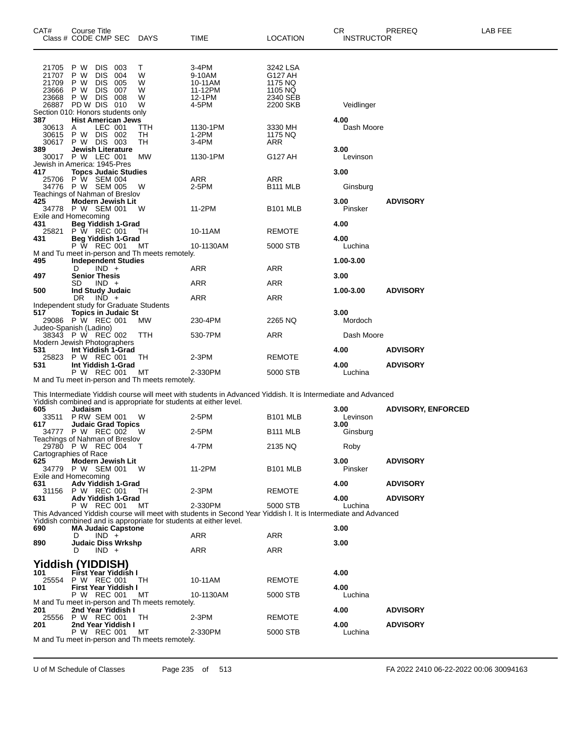| CAT#                                      | Course Title                        | Class # CODE CMP SEC DAYS                                                                                                                     |                                                      | <b>TIME</b>                                                                                                                                                                                    | <b>LOCATION</b>                                                   | CR<br><b>INSTRUCTOR</b>  | PREREQ                             | LAB FEE |
|-------------------------------------------|-------------------------------------|-----------------------------------------------------------------------------------------------------------------------------------------------|------------------------------------------------------|------------------------------------------------------------------------------------------------------------------------------------------------------------------------------------------------|-------------------------------------------------------------------|--------------------------|------------------------------------|---------|
| 21705<br>21707<br>21709<br>23666<br>23668 | P W<br>P W<br>P W<br>P W<br>P W DIS | DIS I<br>003<br><b>DIS</b><br>004<br><b>DIS</b><br>005<br><b>DIS</b><br>007<br>008<br>26887 PD W DIS 010<br>Section 010: Honors students only | Τ<br>W<br>W<br>W<br>W<br>W                           | 3-4PM<br>9-10AM<br>10-11AM<br>11-12PM<br>12-1PM<br>4-5PM                                                                                                                                       | 3242 LSA<br>G127 AH<br>1175 NQ<br>1105 NQ<br>2340 SEB<br>2200 SKB | Veidlinger               |                                    |         |
| 387<br>30613<br>30615                     | A<br>P W                            | <b>Hist American Jews</b><br>LEC 001<br>DIS 002<br>30617 P W DIS 003                                                                          | TTH<br>TH<br>TН                                      | 1130-1PM<br>1-2PM<br>3-4PM                                                                                                                                                                     | 3330 MH<br>1175 NQ<br>ARR                                         | 4.00<br>Dash Moore       |                                    |         |
| 389                                       |                                     | Jewish Literature<br>30017 P W LEC 001<br>Jewish in America: 1945-Pres                                                                        | MW                                                   | 1130-1PM                                                                                                                                                                                       | G127 AH                                                           | 3.00<br>Levinson         |                                    |         |
| 417                                       |                                     | <b>Topcs Judaic Studies</b><br>25706 P W SEM 004<br>34776 P W SEM 005                                                                         | W                                                    | ARR<br>2-5PM                                                                                                                                                                                   | <b>ARR</b><br>B <sub>111</sub> MLB                                | 3.00<br>Ginsburg         |                                    |         |
| 425<br>Exile and Homecoming               |                                     | Teachings of Nahman of Breslov<br><b>Modern Jewish Lit</b><br>34778 P W SEM 001                                                               | W                                                    | 11-2PM                                                                                                                                                                                         | <b>B101 MLB</b>                                                   | 3.00<br>Pinsker          | <b>ADVISORY</b>                    |         |
| 431<br>25821<br>431                       |                                     | <b>Beg Yiddish 1-Grad</b><br>P W REC 001<br><b>Beg Yiddish 1-Grad</b>                                                                         | TH.                                                  | 10-11AM                                                                                                                                                                                        | <b>REMOTE</b>                                                     | 4.00<br>4.00             |                                    |         |
| 495                                       |                                     | P W REC 001<br><b>Independent Studies</b>                                                                                                     | МT<br>M and Tu meet in-person and Th meets remotely. | 10-1130AM                                                                                                                                                                                      | 5000 STB                                                          | Luchina<br>1.00-3.00     |                                    |         |
| 497<br>500                                | D<br>SD.                            | $IND +$<br><b>Senior Thesis</b><br>$IND +$<br><b>Ind Study Judaic</b>                                                                         |                                                      | ARR<br>ARR                                                                                                                                                                                     | ARR<br><b>ARR</b>                                                 | 3.00<br>1.00-3.00        | <b>ADVISORY</b>                    |         |
| 517                                       | DR.                                 | IND +<br>Independent study for Graduate Students<br><b>Topics in Judaic St</b>                                                                |                                                      | <b>ARR</b>                                                                                                                                                                                     | ARR                                                               | 3.00                     |                                    |         |
| Judeo-Spanish (Ladino)                    |                                     | 29086 P W REC 001<br>38343 P W REC 002                                                                                                        | МW<br>TTH                                            | 230-4PM<br>530-7PM                                                                                                                                                                             | 2265 NQ<br>ARR                                                    | Mordoch<br>Dash Moore    |                                    |         |
| 531<br>25823                              |                                     | Modern Jewish Photographers<br>Int Yiddish 1-Grad<br>P W REC 001                                                                              | TH                                                   | $2-3PM$                                                                                                                                                                                        | <b>REMOTE</b>                                                     | 4.00                     | <b>ADVISORY</b>                    |         |
| 531                                       |                                     | Int Yiddish 1-Grad<br>P W REC 001                                                                                                             | МT<br>M and Tu meet in-person and Th meets remotely. | 2-330PM                                                                                                                                                                                        | 5000 STB                                                          | 4.00<br>Luchina          | <b>ADVISORY</b>                    |         |
|                                           |                                     |                                                                                                                                               |                                                      | This Intermediate Yiddish course will meet with students in Advanced Yiddish. It is Intermediate and Advanced<br>Yiddish combined and is appropriate for students at either level.             |                                                                   |                          |                                    |         |
| 605<br>617                                | Judaism                             | 33511 P RW SEM 001<br><b>Judaic Grad Topics</b><br>34777 P W REC 002 W                                                                        | W                                                    | 2-5PM<br>2-5PM                                                                                                                                                                                 | <b>B101 MLB</b><br>B <sub>111</sub> MLB                           | 3.00<br>Levinson<br>3.00 | <b>ADVISORY, ENFORCED</b>          |         |
| Cartographies of Race                     |                                     | Teachings of Nahman of Breslov<br>29780 P W REC 004                                                                                           |                                                      | 4-7PM                                                                                                                                                                                          | 2135 NQ                                                           | Ginsburg<br>Roby         |                                    |         |
| 625<br>Exile and Homecoming               |                                     | <b>Modern Jewish Lit</b><br>34779 P W SEM 001                                                                                                 | W                                                    | 11-2PM                                                                                                                                                                                         | <b>B101 MLB</b>                                                   | 3.00<br>Pinsker          | <b>ADVISORY</b>                    |         |
| 631<br>631                                |                                     | Adv Yiddish 1-Grad<br>31156 P W REC 001<br><b>Adv Yiddish 1-Grad</b>                                                                          | TH.                                                  | 2-3PM                                                                                                                                                                                          | <b>REMOTE</b>                                                     | 4.00<br>4.00             | <b>ADVISORY</b><br><b>ADVISORY</b> |         |
|                                           |                                     | P W REC 001 MT                                                                                                                                |                                                      | 2-330PM<br>This Advanced Yiddish course will meet with students in Second Year Yiddish I. It is Intermediate and Advanced<br>Yiddish combined and is appropriate for students at either level. | 5000 STB                                                          | Luchina                  |                                    |         |
| 690<br>890                                | D<br>D                              | <b>MA Judaic Capstone</b><br>$IND +$<br>Judaic Diss Wrkshp<br>$IND +$                                                                         |                                                      | ARR<br>ARR                                                                                                                                                                                     | <b>ARR</b><br><b>ARR</b>                                          | 3.00<br>3.00             |                                    |         |
|                                           |                                     | <b>Yiddish (YIDDISH)</b><br>First Year Yiddish I                                                                                              |                                                      |                                                                                                                                                                                                |                                                                   |                          |                                    |         |
| 101<br>25554<br>101                       |                                     | P W REC 001<br>First Year Yiddish I<br>P W REC 001                                                                                            | TH<br>MT                                             | 10-11AM<br>10-1130AM                                                                                                                                                                           | <b>REMOTE</b><br>5000 STB                                         | 4.00<br>4.00<br>Luchina  |                                    |         |
| 201                                       |                                     | 2nd Year Yiddish I                                                                                                                            | M and Tu meet in-person and Th meets remotely.       |                                                                                                                                                                                                |                                                                   | 4.00                     | <b>ADVISORY</b>                    |         |
| 201                                       |                                     | 25556 P W REC 001<br>2nd Year Yiddish I<br>P W REC 001                                                                                        | TH.<br>МT                                            | $2-3PM$<br>2-330PM                                                                                                                                                                             | <b>REMOTE</b><br>5000 STB                                         | 4.00<br>Luchina          | <b>ADVISORY</b>                    |         |
|                                           |                                     |                                                                                                                                               | M and Tu meet in-person and Th meets remotely.       |                                                                                                                                                                                                |                                                                   |                          |                                    |         |

U of M Schedule of Classes Page 235 of 513 FA 2022 2410 06-22-2022 00:06 30094163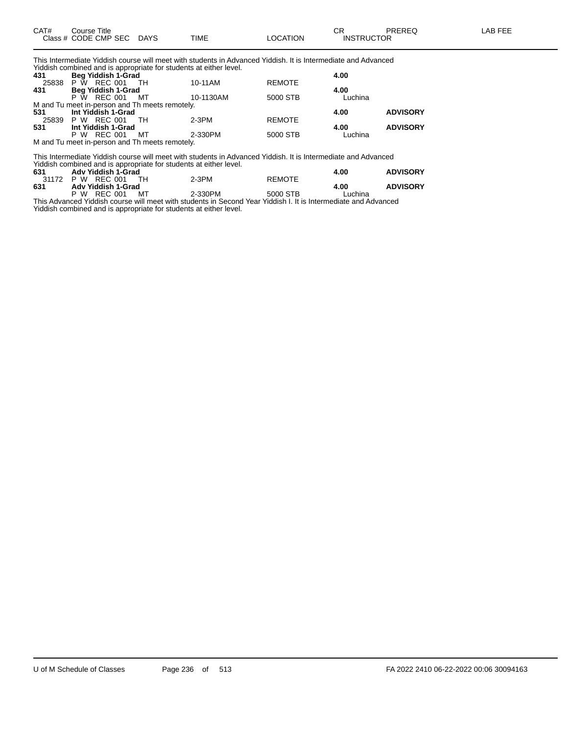| CAT# | Course Title              |      |          | rη<br>◡◠          | PREREQ | <b>AB FEE</b> |
|------|---------------------------|------|----------|-------------------|--------|---------------|
|      | Class # CODE CMP SEC DAYS | TIME | LOCATION | <b>INSTRUCTOR</b> |        |               |

This Intermediate Yiddish course will meet with students in Advanced Yiddish. It is Intermediate and Advanced Yiddish combined and is appropriate for students at either level.

| 431 | Beg Yiddish 1-Grad                             |           |               | 4.00    |                 |
|-----|------------------------------------------------|-----------|---------------|---------|-----------------|
|     | 25838 P W REC 001<br>TH <sub>.</sub>           | 10-11AM   | <b>REMOTE</b> |         |                 |
| 431 | <b>Beg Yiddish 1-Grad</b>                      |           |               | 4.00    |                 |
|     | P W REC 001<br><b>MT</b>                       | 10-1130AM | 5000 STB      | Luchina |                 |
|     | M and Tu meet in-person and Th meets remotely. |           |               |         |                 |
| 531 | Int Yiddish 1-Grad                             |           |               | 4.00    | <b>ADVISORY</b> |
|     | 25839 P W REC 001<br>TH T                      | 2-3PM     | <b>REMOTE</b> |         |                 |
| 531 | Int Yiddish 1-Grad                             |           |               | 4.00    | <b>ADVISORY</b> |
|     | P W REC 001<br>MT                              | 2-330PM   | 5000 STB      | Luchina |                 |
|     | M and Tu meet in-person and Th meets remotely. |           |               |         |                 |

This Intermediate Yiddish course will meet with students in Advanced Yiddish. It is Intermediate and Advanced Yiddish combined and is appropriate for students at either level. **631 Adv Yiddish 1-Grad 4.00 ADVISORY** 31172 P W REC 001 TH 2-3PM REMOTE **631 Adv Yiddish 1-Grad 4.00 ADVISORY**

P W REC 001 MT 2-330PM 5000 STB Luchina This Advanced Yiddish course will meet with students in Second Year Yiddish I. It is Intermediate and Advanced Yiddish combined and is appropriate for students at either level.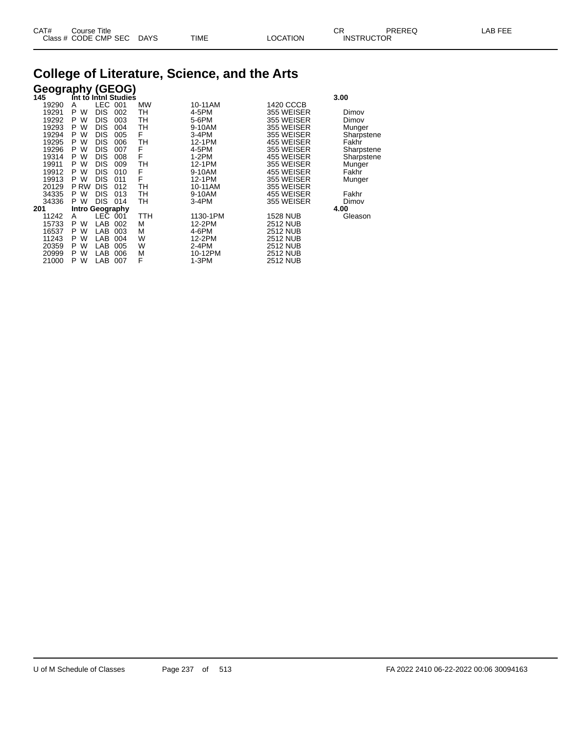## **College of Literature, Science, and the Arts**

| <b>Geography (GEOG)</b> |                 |            |                      |           |          |                 |            |
|-------------------------|-----------------|------------|----------------------|-----------|----------|-----------------|------------|
| 145                     |                 |            | Int to Inthl Studies |           |          |                 | 3.00       |
| 19290                   | A               | <b>LEC</b> | 001                  | <b>MW</b> | 10-11AM  | 1420 CCCB       |            |
| 19291                   | W<br>P          | <b>DIS</b> | 002                  | TН        | 4-5PM    | 355 WEISER      | Dimov      |
| 19292                   | W<br>P          | <b>DIS</b> | 003                  | TН        | 5-6PM    | 355 WEISER      | Dimov      |
| 19293                   | W<br>P.         | <b>DIS</b> | 004                  | TН        | 9-10AM   | 355 WEISER      | Munger     |
| 19294                   | W<br>P.         | <b>DIS</b> | 005                  | F         | 3-4PM    | 355 WEISER      | Sharpstene |
| 19295                   | W<br>P.         | <b>DIS</b> | 006                  | TН        | 12-1PM   | 455 WEISER      | Fakhr      |
| 19296                   | W<br>P.         | <b>DIS</b> | 007                  | F         | 4-5PM    | 355 WEISER      | Sharpstene |
| 19314                   | W<br>P          | <b>DIS</b> | 008                  | F         | $1-2PM$  | 455 WEISER      | Sharpstene |
| 19911                   | W<br>P.         | <b>DIS</b> | 009                  | TН        | 12-1PM   | 355 WEISER      | Munger     |
| 19912                   | W<br>P          | <b>DIS</b> | 010                  | F         | 9-10AM   | 455 WEISER      | Fakhr      |
| 19913                   | W<br>P.         | <b>DIS</b> | 011                  | F         | 12-1PM   | 355 WEISER      | Munger     |
| 20129                   | P RW            | <b>DIS</b> | 012                  | TН        | 10-11AM  | 355 WEISER      |            |
| 34335                   | W<br>P.         | <b>DIS</b> | 013                  | TН        | 9-10AM   | 455 WEISER      | Fakhr      |
| 34336                   | P W             | <b>DIS</b> | 014                  | TН        | $3-4PM$  | 355 WEISER      | Dimov      |
| 201                     | Intro Geography |            |                      |           |          |                 | 4.00       |
| 11242                   | A               | LEC.       | 001                  | ттн       | 1130-1PM | <b>1528 NUB</b> | Gleason    |
| 15733                   | P<br>W          | LAB        | 002                  | М         | 12-2PM   | 2512 NUB        |            |
| 16537                   | W<br>P          | LAB        | 003                  | М         | 4-6PM    | <b>2512 NUB</b> |            |
| 11243                   | W<br>P          | LAB        | 004                  | W         | 12-2PM   | <b>2512 NUB</b> |            |
| 20359                   | W<br>P          | LAB        | 005                  | W         | 2-4PM    | 2512 NUB        |            |
| 20999                   | W<br>P          | LAB        | 006                  | М         | 10-12PM  | 2512 NUB        |            |
| 21000                   | W<br>P          | LAB        | 007                  | F         | 1-3PM    | <b>2512 NUB</b> |            |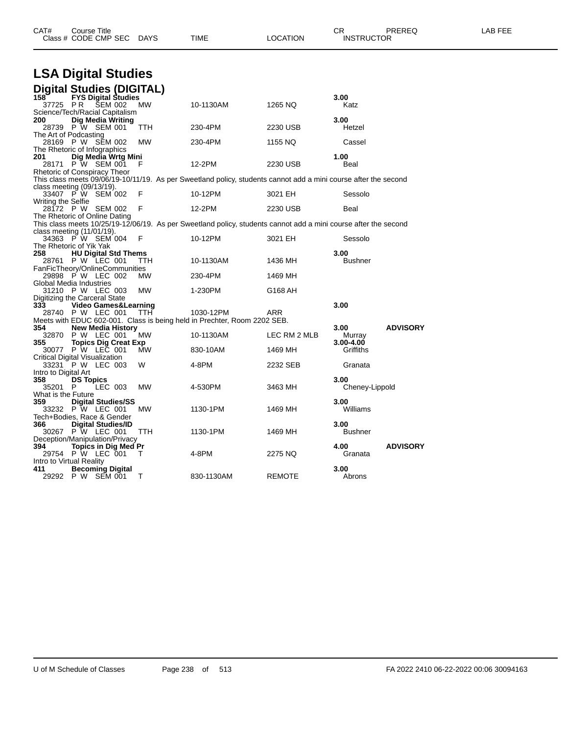| CAT#<br>Course Title<br>Class # CODE CMP SEC DAYS                                                                                                |            | TIME       | <b>LOCATION</b> | CR.<br><b>INSTRUCTOR</b>   | PREREQ          | LAB FEE |
|--------------------------------------------------------------------------------------------------------------------------------------------------|------------|------------|-----------------|----------------------------|-----------------|---------|
| <b>LSA Digital Studies</b>                                                                                                                       |            |            |                 |                            |                 |         |
| Digital Studies (DIGITAL)<br><b>FYS Digital Studies</b><br>158`<br>37725 PR<br><b>SEM 002</b>                                                    | МW         | 10-1130AM  | 1265 NQ         | 3.00<br>Katz               |                 |         |
| Science/Tech/Racial Capitalism<br><b>Dig Media Writing</b><br>200<br>28739 P W SEM 001                                                           | TTH        | 230-4PM    | 2230 USB        | 3.00<br>Hetzel             |                 |         |
| The Art of Podcasting<br>28169 P W SEM 002<br>The Rhetoric of Infographics                                                                       | MW         | 230-4PM    | 1155 NQ         | Cassel                     |                 |         |
| 201<br>Dig Media Wrtg Mini<br>28171 P W SEM 001<br>Rhetoric of Conspiracy Theor                                                                  | F          | 12-2PM     | 2230 USB        | 1.00<br>Beal               |                 |         |
| This class meets 09/06/19-10/11/19. As per Sweetland policy, students cannot add a mini course after the second<br>class meeting $(09/13/19)$ .  |            |            |                 |                            |                 |         |
| 33407 PW SEM 002<br>Writing the Selfie                                                                                                           | F          | 10-12PM    | 3021 EH         | Sessolo                    |                 |         |
| 28172 P W SEM 002                                                                                                                                | F          | 12-2PM     | 2230 USB        | Beal                       |                 |         |
| The Rhetoric of Online Dating<br>This class meets 10/25/19-12/06/19. As per Sweetland policy, students cannot add a mini course after the second |            |            |                 |                            |                 |         |
| class meeting $(11/01/19)$ .<br>34363 PW SEM 004                                                                                                 | F          | 10-12PM    | 3021 EH         | Sessolo                    |                 |         |
| The Rhetoric of Yik Yak<br>258<br><b>HU Digital Std Thems</b><br><b>P W LEC 001</b><br>28761                                                     | TТH        | 10-1130AM  | 1436 MH         | 3.00<br><b>Bushner</b>     |                 |         |
| FanFicTheory/OnlineCommunities<br>29898 P W LEC 002                                                                                              | <b>MW</b>  | 230-4PM    | 1469 MH         |                            |                 |         |
| Global Media Industries<br>31210 P W LEC 003<br>Digitizing the Carceral State                                                                    | <b>MW</b>  | 1-230PM    | G168 AH         |                            |                 |         |
| 333<br>Video Games&Learning<br>28740 P W LEC 001<br>Meets with EDUC 602-001. Class is being held in Prechter, Room 2202 SEB.                     | TTH        | 1030-12PM  | ARR             | 3.00                       |                 |         |
| 354<br><b>New Media History</b><br>32870 P W LEC 001                                                                                             | МW         | 10-1130AM  | LEC RM 2 MLB    | 3.00<br>Murray             | <b>ADVISORY</b> |         |
| <b>Topics Dig Creat Exp</b><br>355<br>30077 P W LEC 001                                                                                          | MW         | 830-10AM   | 1469 MH         | $3.00 - 4.00$<br>Griffiths |                 |         |
| Critical Digital Visualization<br>33231 P W LEC 003<br>Intro to Digital Art                                                                      | W          | 4-8PM      | 2232 SEB        | Granata                    |                 |         |
| <b>DS Topics</b><br>358<br>LEC 003<br>35201 P                                                                                                    | МW         | 4-530PM    | 3463 MH         | 3.00<br>Cheney-Lippold     |                 |         |
| What is the Future<br>359<br><b>Digital Studies/SS</b><br>33232 P W LEC 001                                                                      | <b>MW</b>  | 1130-1PM   | 1469 MH         | 3.00<br>Williams           |                 |         |
| Tech+Bodies, Race & Gender<br>366<br>Digital Studies/ID<br>30267 P W LEC 001                                                                     | <b>TTH</b> | 1130-1PM   | 1469 MH         | 3.00<br><b>Bushner</b>     |                 |         |
| Deception/Manipulation/Privacy<br><b>Topics in Dia Med Pr</b><br>394<br>29754 P W LEC 001                                                        |            | 4-8PM      | 2275 NQ         | 4.00<br>Granata            | <b>ADVISORY</b> |         |
| Intro to Virtual Reality<br><b>Becoming Digital</b><br>411<br>29292 P W SEM 001                                                                  | $\top$     | 830-1130AM | <b>REMOTE</b>   | 3.00<br>Abrons             |                 |         |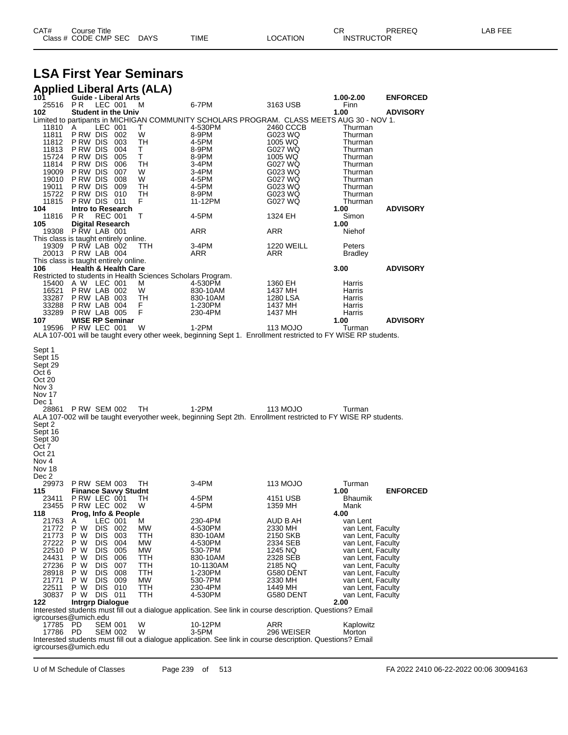| CAT# | Title<br>Courseٽ     |      |      |          | Ωm<br><b>UN</b>   | PREREQ | ----<br>ΔR.<br>--- |
|------|----------------------|------|------|----------|-------------------|--------|--------------------|
|      | Class # CODE CMP SEC | DAYS | TIME | LOCATION | <b>INSTRUCTOR</b> |        |                    |

## **LSA First Year Seminars**

|                                                                                                                                       | <b>Applied Liberal Arts (ALA)</b>                                                |            |                                                                                                                        |                      |                                        |                 |
|---------------------------------------------------------------------------------------------------------------------------------------|----------------------------------------------------------------------------------|------------|------------------------------------------------------------------------------------------------------------------------|----------------------|----------------------------------------|-----------------|
| 101<br>25516                                                                                                                          | <b>Guide - Liberal Arts</b><br>LEC 001<br>PR.                                    | м          | 6-7PM                                                                                                                  | 3163 USB             | 1.00-2.00<br>Finn                      | <b>ENFORCED</b> |
| 102                                                                                                                                   | <b>Student in the Univ</b>                                                       |            |                                                                                                                        |                      | 1.00                                   | <b>ADVISORY</b> |
| 11810                                                                                                                                 | LEC 001<br>A                                                                     | T.         | Limited to partipants in MICHIGAN COMMUNITY SCHOLARS PROGRAM. CLASS MEETS AUG 30 - NOV 1.<br>4-530PM                   | 2460 CCCB            | Thurman                                |                 |
| 11811                                                                                                                                 | PRW DIS 002                                                                      | W          | 8-9PM                                                                                                                  | G023 WQ              | Thurman                                |                 |
| 11812                                                                                                                                 | <b>PRW DIS 003</b><br>PRW DIS 004                                                | TН<br>Τ    | 4-5PM                                                                                                                  | 1005 WQ              | Thurman                                |                 |
| 11813<br>15724                                                                                                                        | PRW DIS 005                                                                      | Τ          | 8-9PM<br>8-9PM                                                                                                         | G027 WQ<br>1005 WQ   | Thurman<br>Thurman                     |                 |
| 11814                                                                                                                                 | PRW DIS 006                                                                      | TH         | 3-4PM                                                                                                                  | G027 WQ              | Thurman                                |                 |
| 19009<br>19010                                                                                                                        | PRW DIS 007<br>PRW DIS 008                                                       | W<br>W     | 3-4PM<br>4-5PM                                                                                                         | G023 WQ<br>G027 WQ   | Thurman<br>Thurman                     |                 |
| 19011                                                                                                                                 | PRW DIS 009                                                                      | TH         | 4-5PM                                                                                                                  | G023 WQ              | Thurman                                |                 |
| 15722                                                                                                                                 | PRW DIS 010                                                                      | TН<br>F.   | 8-9PM                                                                                                                  | G023 WQ              | Thurman                                |                 |
| 11815<br>104                                                                                                                          | PRW DIS 011<br>Intro to Research                                                 |            | 11-12PM                                                                                                                | G027 WQ              | Thurman<br>1.00                        | <b>ADVISORY</b> |
| 11816                                                                                                                                 | PR.<br><b>REC 001</b>                                                            | т          | 4-5PM                                                                                                                  | 1324 EH              | Simon                                  |                 |
| 105                                                                                                                                   | <b>Digital Research</b><br>19308 PRW LAB 001                                     |            | ARR                                                                                                                    | ARR                  | 1.00<br>Niehof                         |                 |
|                                                                                                                                       | This class is taught entirely online.                                            |            |                                                                                                                        |                      |                                        |                 |
|                                                                                                                                       | 19309 P RW LAB 002                                                               | ттн        | 3-4PM                                                                                                                  | <b>1220 WEILL</b>    | Peters                                 |                 |
|                                                                                                                                       | 20013 P RW LAB 004<br>This class is taught entirely online.                      |            | ARR                                                                                                                    | ARR                  | <b>Bradley</b>                         |                 |
| 106                                                                                                                                   | <b>Health &amp; Health Care</b>                                                  |            |                                                                                                                        |                      | 3.00                                   | <b>ADVISORY</b> |
|                                                                                                                                       | Restricted to students in Health Sciences Scholars Program.<br>15400 A W LEC 001 | м          | 4-530PM                                                                                                                | 1360 EH              | Harris                                 |                 |
| 16521                                                                                                                                 | PRW LAB 002                                                                      | W          | 830-10AM                                                                                                               | 1437 MH              | Harris                                 |                 |
|                                                                                                                                       | 33287 P RW LAB 003                                                               | TH         | 830-10AM                                                                                                               | 1280 LSA             | Harris                                 |                 |
| 33288<br>33289                                                                                                                        | PRW LAB 004<br>PRW LAB 005                                                       | F<br>F     | 1-230PM<br>230-4PM                                                                                                     | 1437 MH<br>1437 MH   | Harris<br>Harris                       |                 |
| 107                                                                                                                                   | <b>WISE RP Seminar</b>                                                           |            |                                                                                                                        |                      | 1.00                                   | <b>ADVISORY</b> |
|                                                                                                                                       | 19596 P RW LEC 001                                                               | W          | 1-2PM<br>ALA 107-001 will be taught every other week, beginning Sept 1. Enrollment restricted to FY WISE RP students.  | 113 MOJO             | Turman                                 |                 |
| Sept 29<br>Oct 6<br>Oct 20<br>Nov 3<br>Nov 17<br>Dec 1<br>Sept 2<br>Sept 16<br>Sept 30<br>Oct 7<br>Oct 21<br>Nov 4<br>Nov 18<br>Dec 2 | 28861 PRW SEM 002                                                                | TH         | 1-2PM<br>ALA 107-002 will be taught everyother week, beginning Sept 2th. Enrollment restricted to FY WISE RP students. | 113 MOJO             | Turman                                 |                 |
| 29973<br>115                                                                                                                          | <b>P RW SEM 003</b><br><b>Finance Savvy Studnt</b>                               | TH         | 3-4PM                                                                                                                  | 113 MOJO             | Turman<br>1.00                         | <b>ENFORCED</b> |
| 23411                                                                                                                                 | PRW LEC 001                                                                      | TH         | 4-5PM                                                                                                                  | 4151 USB             | Bhaumik                                |                 |
| 23455                                                                                                                                 | PRW LEC 002<br>Prog, Info & People                                               | W          | 4-5PM                                                                                                                  | 1359 MH              | Mank                                   |                 |
| 118<br>21763                                                                                                                          | LEC 001<br>Α                                                                     | м          | 230-4PM                                                                                                                | AUD B AH             | 4.00<br>van Lent                       |                 |
| 21772                                                                                                                                 | P W<br>DIS 002                                                                   | MW         | 4-530PM                                                                                                                | 2330 MH              | van Lent, Faculty                      |                 |
| 21773<br>27222                                                                                                                        | P W<br>DIS I<br>003<br>P W<br>DIS.<br>004                                        | TTH<br>МW  | 830-10AM<br>4-530PM                                                                                                    | 2150 SKB<br>2334 SEB | van Lent, Faculty<br>van Lent, Faculty |                 |
| 22510                                                                                                                                 | P W<br>DIS 005                                                                   | МW         | 530-7PM                                                                                                                | 1245 NQ              | van Lent, Faculty                      |                 |
| 24431                                                                                                                                 | P W<br>DIS<br>006                                                                | TTH        | 830-10AM                                                                                                               | 2328 SEB             | van Lent, Faculty                      |                 |
| 27236<br>28918                                                                                                                        | P W<br>DIS<br>007<br>P W<br>DIS 008                                              | TTH<br>TTH | 10-1130AM<br>1-230PM                                                                                                   | 2185 NQ<br>G580 DENT | van Lent, Faculty<br>van Lent, Faculty |                 |
| 21771                                                                                                                                 | P W<br><b>DIS 009</b>                                                            | МW         | 530-7PM                                                                                                                | 2330 MH              | van Lent, Faculty                      |                 |
| 22511                                                                                                                                 | P W<br>DIS 010<br>DIS 011                                                        | <b>TTH</b> | 230-4PM                                                                                                                | 1449 MH              | van Lent, Faculty                      |                 |
| 30837<br>122                                                                                                                          | P W<br><b>Intrgrp Dialogue</b>                                                   | TTH        | 4-530PM                                                                                                                | G580 DENT            | van Lent, Faculty<br>2.00              |                 |
|                                                                                                                                       |                                                                                  |            | Interested students must fill out a dialogue application. See link in course description. Questions? Email             |                      |                                        |                 |
| 17785                                                                                                                                 | igrcourses@umich.edu<br>PD<br><b>SEM 001</b>                                     | W          | 10-12PM                                                                                                                | ARR                  | Kaplowitz                              |                 |
| 17786 PD                                                                                                                              | <b>SEM 002</b>                                                                   | W          | 3-5PM                                                                                                                  | 296 WEISER           | Morton                                 |                 |
|                                                                                                                                       | igrcourses@umich.edu                                                             |            | Interested students must fill out a dialogue application. See link in course description. Questions? Email             |                      |                                        |                 |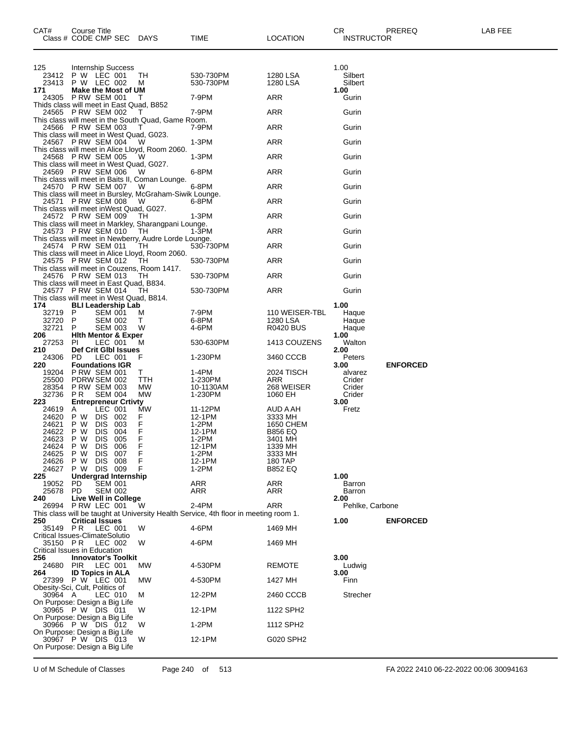| CAT#           | Course Title<br>Class # CODE CMP SEC                                          | <b>DAYS</b> | TIME                                                                                 | LOCATION                   | <b>CR</b><br>PREREQ<br><b>INSTRUCTOR</b> | LAB FEE |
|----------------|-------------------------------------------------------------------------------|-------------|--------------------------------------------------------------------------------------|----------------------------|------------------------------------------|---------|
|                |                                                                               |             |                                                                                      |                            |                                          |         |
| 125            | <b>Internship Success</b>                                                     |             |                                                                                      |                            | 1.00                                     |         |
| 23412<br>23413 | P W LEC 001<br>P W LEC 002                                                    | TН<br>M     | 530-730PM<br>530-730PM                                                               | 1280 LSA<br>1280 LSA       | Silbert<br>Silbert                       |         |
| 171<br>24305   | <b>Make the Most of UM</b><br><b>P RW SEM 001</b>                             | T           | 7-9PM                                                                                | ARR                        | 1.00<br>Gurin                            |         |
|                | Thids class will meet in East Quad, B852<br>24565 P RW SEM 002                | T           | 7-9PM                                                                                | ARR                        | Gurin                                    |         |
|                | This class will meet in the South Quad, Game Room.<br>24566 P RW SEM 003      | T           | 7-9PM                                                                                | ARR                        | Gurin                                    |         |
|                | This class will meet in West Quad, G023.<br>24567 P RW SEM 004                | W           | 1-3PM                                                                                | ARR                        | Gurin                                    |         |
|                | This class will meet in Alice Lloyd, Room 2060.<br>24568 P RW SEM 005         | W           | 1-3PM                                                                                | ARR                        | Gurin                                    |         |
|                | This class will meet in West Quad, G027.<br>24569 PRW SEM 006                 |             |                                                                                      |                            |                                          |         |
|                | This class will meet in Baits II, Coman Lounge.                               | W           | 6-8PM                                                                                | ARR                        | Gurin                                    |         |
|                | 24570 P RW SEM 007<br>This class will meet in Bursley, McGraham-Siwik Lounge. | <b>W</b>    | 6-8PM                                                                                | ARR                        | Gurin                                    |         |
|                | 24571 P RW SEM 008<br>This class will meet inWest Quad, G027.                 | W           | 6-8PM                                                                                | ARR                        | Gurin                                    |         |
|                | 24572 PRW SEM 009<br>This class will meet in Markley, Sharangpani Lounge.     | TН          | 1-3PM                                                                                | ARR                        | Gurin                                    |         |
|                | 24573 P RW SEM 010<br>This class will meet in Newberry, Audre Lorde Lounge.   | - TH        | 1-3PM                                                                                | ARR                        | Gurin                                    |         |
|                | 24574 PRW SEM 011<br>This class will meet in Alice Lloyd, Room 2060.          | TН          | 530-730PM                                                                            | ARR                        | Gurin                                    |         |
|                | 24575 P RW SEM 012                                                            | TН          | 530-730PM                                                                            | ARR                        | Gurin                                    |         |
|                | This class will meet in Couzens, Room 1417.<br>24576 P RW SEM 013             | TН          | 530-730PM                                                                            | ARR                        | Gurin                                    |         |
|                | This class will meet in East Quad, B834.<br>24577 P RW SEM 014                | TН          | 530-730PM                                                                            | ARR                        | Gurin                                    |         |
| 174            | This class will meet in West Quad, B814.<br><b>BLI Leadership Lab</b>         |             |                                                                                      |                            | 1.00                                     |         |
| 32719<br>32720 | P<br><b>SEM 001</b><br>P<br><b>SEM 002</b>                                    | M<br>т      | 7-9PM<br>6-8PM                                                                       | 110 WEISER-TBL<br>1280 LSA | Haque<br>Haque                           |         |
| 32721<br>206   | P<br><b>SEM 003</b><br><b>Hith Mentor &amp; Exper</b>                         | W           | 4-6PM                                                                                | <b>R0420 BUS</b>           | Haque<br>1.00                            |         |
| 27253<br>210   | LEC 001<br>PI.<br>Def Crit Gibl Issues                                        | м           | 530-630PM                                                                            | 1413 COUZENS               | Walton<br>2.00                           |         |
| 24306          | PD<br>LEC 001                                                                 | F           | 1-230PM                                                                              | 3460 CCCB                  | Peters                                   |         |
| 220<br>19204   | <b>Foundations IGR</b><br>P RW SEM 001                                        | т           | 1-4PM                                                                                | 2024 TISCH                 | <b>ENFORCED</b><br>3.00<br>alvarez       |         |
| 25500<br>28354 | PDRW SEM 002<br><b>P RW SEM 003</b>                                           | TTH<br>MW   | 1-230PM<br>10-1130AM                                                                 | ARR<br>268 WEISER          | Crider<br>Crider                         |         |
| 32736<br>223   | P R<br><b>SEM 004</b><br><b>Entrepreneur Crtivty</b>                          | <b>MW</b>   | 1-230PM                                                                              | 1060 EH                    | Crider<br>3.00                           |         |
| 24619<br>24620 | LEC 001<br>A<br>P W<br>DIS 002                                                | MW<br>F     | 11-12PM<br>12-1PM                                                                    | AUD A AH<br>3333 MH        | Fretz                                    |         |
| 24621<br>24622 | <b>DIS</b><br>P W<br>003<br>P W<br><b>DIS</b><br>004                          | F<br>F      | 1-2PM<br>12-1PM                                                                      | 1650 CHEM<br>B856 EQ       |                                          |         |
| 24623          | P W<br>DIS.<br>005                                                            | F           | 1-2PM<br>12-1PM                                                                      | 3401 MH                    |                                          |         |
| 24624<br>24625 | P W<br>DIS 006<br>P W<br>DIS 007                                              | F<br>F      | 1-2PM                                                                                | 1339 MH<br>3333 MH         |                                          |         |
| 24626<br>24627 | <b>DIS 008</b><br>P W<br>P W DIS 009                                          | F<br>F      | 12-1PM<br>$1-2PM$                                                                    | 180 TAP<br><b>B852 EQ</b>  |                                          |         |
| 225<br>19052   | <b>Undergrad Internship</b><br>PD.                                            |             | ARR                                                                                  | ARR                        | 1.00<br>Barron                           |         |
| 25678          | <b>SEM 001</b><br><b>SEM 002</b><br>PD                                        |             | ARR                                                                                  | ARR                        | Barron                                   |         |
| 240<br>26994   | <b>Live Well in College</b><br>P RW LEC 001                                   | W           | 2-4PM                                                                                | ARR                        | 2.00<br>Pehlke, Carbone                  |         |
|                |                                                                               |             | This class will be taught at University Health Service, 4th floor in meeting room 1. |                            |                                          |         |
| 250<br>35149   | <b>Critical Issues</b><br>LEC 001<br>PR.                                      | W           | 4-6PM                                                                                | 1469 MH                    | 1.00<br><b>ENFORCED</b>                  |         |
| 35150 PR       | Critical Issues-ClimateSolutio<br>LEC 002                                     | W           | 4-6PM                                                                                | 1469 MH                    |                                          |         |
| 256            | Critical Issues in Education<br><b>Innovator's Toolkit</b>                    |             |                                                                                      |                            | 3.00                                     |         |
| 24680<br>264   | PIR<br>LEC 001<br><b>ID Topics in ALA</b>                                     | МW          | 4-530PM                                                                              | REMOTE                     | Ludwig<br>3.00                           |         |
|                | 27399 P W LEC 001<br>Obesity-Sci, Cult, Politics of                           | MW          | 4-530PM                                                                              | 1427 MH                    | Finn                                     |         |
| 30964 A        | LEC 010                                                                       | м           | 12-2PM                                                                               | 2460 CCCB                  | <b>Strecher</b>                          |         |
|                | On Purpose: Design a Big Life<br>30965 P W DIS 011                            | W           | 12-1PM                                                                               | 1122 SPH2                  |                                          |         |
|                | On Purpose: Design a Big Life<br>30966 P W DIS 012                            | W           | 1-2PM                                                                                | 1112 SPH2                  |                                          |         |
|                | On Purpose: Design a Big Life<br>30967 P W DIS 013                            | W           | 12-1PM                                                                               | G020 SPH2                  |                                          |         |
|                | On Purpose: Design a Big Life                                                 |             |                                                                                      |                            |                                          |         |

U of M Schedule of Classes Page 240 of 513 FA 2022 2410 06-22-2022 00:06 30094163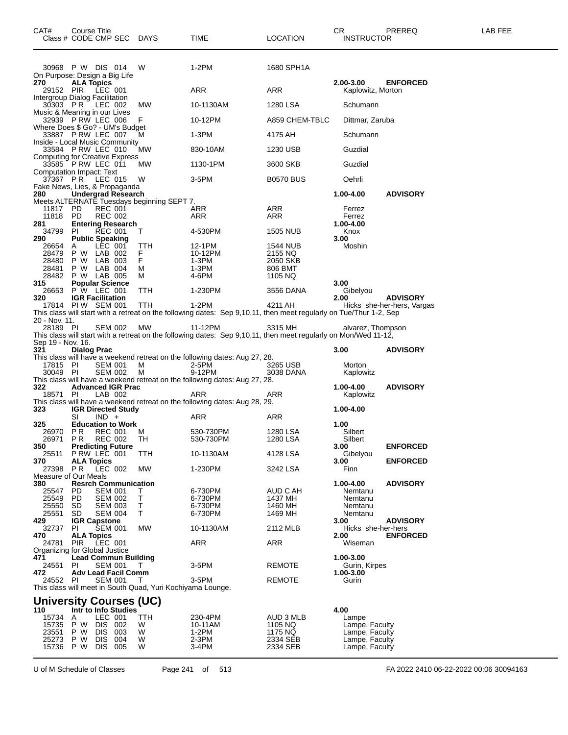| CAT#                           | Course Title            | Class # CODE CMP SEC DAYS                                  |                                                            | <b>TIME</b>                                                                                                        | <b>LOCATION</b>     | CR<br><b>INSTRUCTOR</b>          | PREREQ                                        | LAB FEE |
|--------------------------------|-------------------------|------------------------------------------------------------|------------------------------------------------------------|--------------------------------------------------------------------------------------------------------------------|---------------------|----------------------------------|-----------------------------------------------|---------|
|                                |                         | 30968 P W DIS 014<br>On Purpose: Design a Big Life         | W                                                          | 1-2PM                                                                                                              | 1680 SPH1A          |                                  |                                               |         |
| 270<br>29152 PIR               | <b>ALA Topics</b>       | LEC 001                                                    |                                                            | ARR                                                                                                                | ARR                 | 2.00-3.00<br>Kaplowitz, Morton   | <b>ENFORCED</b>                               |         |
| Intergroup Dialog Facilitation |                         | 30303 PR LEC 002                                           | MW                                                         | 10-1130AM                                                                                                          | 1280 LSA            | Schumann                         |                                               |         |
|                                |                         | Music & Meaning in our Lives<br>32939 PRW LEC 006          | F                                                          | 10-12PM                                                                                                            | A859 CHEM-TBLC      | Dittmar, Zaruba                  |                                               |         |
|                                |                         | Where Does \$ Go? - UM's Budget<br>33887 PRW LEC 007       | М                                                          | 1-3PM                                                                                                              | 4175 AH             | Schumann                         |                                               |         |
|                                |                         | Inside - Local Music Community                             |                                                            |                                                                                                                    |                     |                                  |                                               |         |
|                                |                         | 33584 PRW LEC 010<br><b>Computing for Creative Express</b> | MW                                                         | 830-10AM                                                                                                           | 1230 USB            | Guzdial                          |                                               |         |
| Computation Impact: Text       |                         | 33585 PRW LEC 011                                          | МW                                                         | 1130-1PM                                                                                                           | 3600 SKB            | Guzdial                          |                                               |         |
|                                |                         | 37367 PR LEC 015<br>Fake News, Lies, & Propaganda          | W                                                          | 3-5PM                                                                                                              | <b>B0570 BUS</b>    | Oehrli                           |                                               |         |
| 280                            |                         | <b>Undergrad Research</b>                                  | Meets ALTERNATE Tuesdays beginning SEPT 7.                 |                                                                                                                    |                     | 1.00-4.00                        | <b>ADVISORY</b>                               |         |
| 11817                          | PD                      | <b>REC 001</b>                                             |                                                            | ARR                                                                                                                | ARR                 | Ferrez                           |                                               |         |
| 11818 PD<br>281                |                         | <b>REC 002</b><br><b>Entering Research</b>                 |                                                            | ARR                                                                                                                | <b>ARR</b>          | Ferrez<br>1.00-4.00              |                                               |         |
| 34799                          | PI                      | <b>REC 001</b>                                             | Т                                                          | 4-530PM                                                                                                            | 1505 NUB            | Knox                             |                                               |         |
| 290<br>26654                   | A                       | <b>Public Speaking</b><br>LEC 001                          | ттн                                                        | 12-1PM                                                                                                             | 1544 NUB            | 3.00<br>Moshin                   |                                               |         |
| 28479<br>28480                 |                         | P W LAB 002<br>P W LAB 003                                 | F.<br>F                                                    | 10-12PM<br>1-3PM                                                                                                   | 2155 NQ<br>2050 SKB |                                  |                                               |         |
| 28481                          |                         | P W LAB 004                                                | м                                                          | 1-3PM                                                                                                              | 806 BMT             |                                  |                                               |         |
| 28482<br>315                   |                         | P W LAB 005<br><b>Popular Science</b>                      | м                                                          | 4-6PM                                                                                                              | 1105 NQ             | 3.00                             |                                               |         |
| 26653                          |                         | P W LEC 001                                                | TTH                                                        | 1-230PM                                                                                                            | 3556 DANA           | Gibelyou                         |                                               |         |
| 320                            |                         | <b>IGR Facilitation</b><br>17814 PIW SEM 001               | TTH                                                        | 1-2PM                                                                                                              | 4211 AH             | 2.00                             | <b>ADVISORY</b><br>Hicks she-her-hers, Vargas |         |
|                                |                         |                                                            |                                                            | This class will start with a retreat on the following dates: Sep 9,10,11, then meet regularly on Tue/Thur 1-2, Sep |                     |                                  |                                               |         |
| 20 - Nov. 11.<br>28189 PI      |                         | SEM 002                                                    | MW                                                         | 11-12PM                                                                                                            | 3315 MH             | alvarez, Thompson                |                                               |         |
| Sep 19 - Nov. 16.              |                         |                                                            |                                                            | This class will start with a retreat on the following dates: Sep 9,10,11, then meet regularly on Mon/Wed 11-12,    |                     |                                  |                                               |         |
| 321                            | <b>Dialog Prac</b>      |                                                            |                                                            |                                                                                                                    |                     | 3.00                             | <b>ADVISORY</b>                               |         |
| 17815 PI                       |                         | <b>SEM 001</b>                                             | M                                                          | This class will have a weekend retreat on the following dates: Aug 27, 28.<br>2-5PM                                | 3265 USB            | Morton                           |                                               |         |
| 30049 PI                       |                         | <b>SEM 002</b>                                             | M                                                          | 9-12PM                                                                                                             | 3038 DANA           | Kaplowitz                        |                                               |         |
| 322                            |                         | <b>Advanced IGR Prac</b>                                   |                                                            | This class will have a weekend retreat on the following dates: Aug 27, 28.                                         |                     | 1.00-4.00                        | <b>ADVISORY</b>                               |         |
| 18571 PI                       |                         | LAB 002                                                    |                                                            | ARR                                                                                                                | ARR                 | Kaplowitz                        |                                               |         |
| 323                            |                         | <b>IGR Directed Study</b>                                  |                                                            | This class will have a weekend retreat on the following dates: Aug 28, 29.                                         |                     | 1.00-4.00                        |                                               |         |
|                                | SI                      | $IND +$                                                    |                                                            | ARR                                                                                                                | ARR                 |                                  |                                               |         |
| 325<br>26970                   | P R                     | <b>Education to Work</b><br><b>REC 001</b>                 | м                                                          | 530-730PM                                                                                                          | 1280 LSA            | 1.00<br>Silbert                  |                                               |         |
| 26971                          | P R                     | REC 002                                                    | TН                                                         | 530-730PM                                                                                                          | 1280 LSA            | Silbert                          |                                               |         |
| 350<br>25511                   |                         | <b>Predicting Future</b><br>P RW LEC 001                   | TTH                                                        | 10-1130AM                                                                                                          | 4128 LSA            | 3.00<br>Gibelyou                 | <b>ENFORCED</b>                               |         |
| 370<br>27398                   | <b>ALA Topics</b>       | <b>PR LEC 002</b>                                          | MW                                                         | 1-230PM                                                                                                            | 3242 LSA            | 3.00<br>Finn                     | <b>ENFORCED</b>                               |         |
| Measure of Our Meals           |                         |                                                            |                                                            |                                                                                                                    |                     |                                  |                                               |         |
| 380<br>25547                   | PD.                     | <b>Resrch Communication</b><br><b>SEM 001</b>              | Τ                                                          | 6-730PM                                                                                                            | AUD C AH            | 1.00-4.00<br>Nemtanu             | <b>ADVISORY</b>                               |         |
| 25549                          | PD                      | <b>SEM 002</b>                                             | т                                                          | 6-730PM                                                                                                            | 1437 MH             | Nemtanu                          |                                               |         |
| 25550<br>25551                 | SD<br>SD                | <b>SEM 003</b><br><b>SEM 004</b>                           | Т<br>т                                                     | 6-730PM<br>6-730PM                                                                                                 | 1460 MH<br>1469 MH  | Nemtanu<br>Nemtanu               |                                               |         |
| 429                            |                         | <b>IGR Capstone</b><br><b>SEM 001</b>                      |                                                            |                                                                                                                    |                     | 3.00                             | <b>ADVISORY</b>                               |         |
| 32737<br>470                   | ΡI<br><b>ALA Topics</b> |                                                            | MW                                                         | 10-1130AM                                                                                                          | 2112 MLB            | Hicks she-her-hers<br>2.00       | <b>ENFORCED</b>                               |         |
| 24781                          | PIR                     | LEC 001<br>Organizing for Global Justice                   |                                                            | ARR                                                                                                                | ARR                 | Wiseman                          |                                               |         |
| 471                            |                         | <b>Lead Commun Building</b>                                |                                                            |                                                                                                                    |                     | 1.00-3.00                        |                                               |         |
| 24551<br>472                   | PI                      | SEM 001<br><b>Adv Lead Facil Comm</b>                      | T                                                          | 3-5PM                                                                                                              | <b>REMOTE</b>       | Gurin, Kirpes<br>1.00-3.00       |                                               |         |
| 24552                          | PI                      | SEM 001                                                    | T.                                                         | 3-5PM                                                                                                              | REMOTE              | Gurin                            |                                               |         |
|                                |                         |                                                            | This class will meet in South Quad, Yuri Kochiyama Lounge. |                                                                                                                    |                     |                                  |                                               |         |
| 110                            |                         | University Courses (UC)<br>Intr to Info Studies            |                                                            |                                                                                                                    |                     | 4.00                             |                                               |         |
| 15734                          | A                       | LEC 001                                                    | TTH                                                        | 230-4PM                                                                                                            | AUD 3 MLB           | Lampe                            |                                               |         |
| 15735<br>23551                 | P W<br>P W              | DIS 002<br>DIS 003                                         | W<br>W                                                     | 10-11AM<br>$1-2PM$                                                                                                 | 1105 NQ<br>1175 NQ  | Lampe, Faculty<br>Lampe, Faculty |                                               |         |
| 25273                          | P W                     | DIS 004                                                    | W                                                          | $2-3PM$                                                                                                            | 2334 SEB            | Lampe, Faculty                   |                                               |         |
| 15736                          | P W                     | DIS 005                                                    | W                                                          | 3-4PM                                                                                                              | 2334 SEB            | Lampe, Faculty                   |                                               |         |

U of M Schedule of Classes Page 241 of 513 FA 2022 2410 06-22-2022 00:06 30094163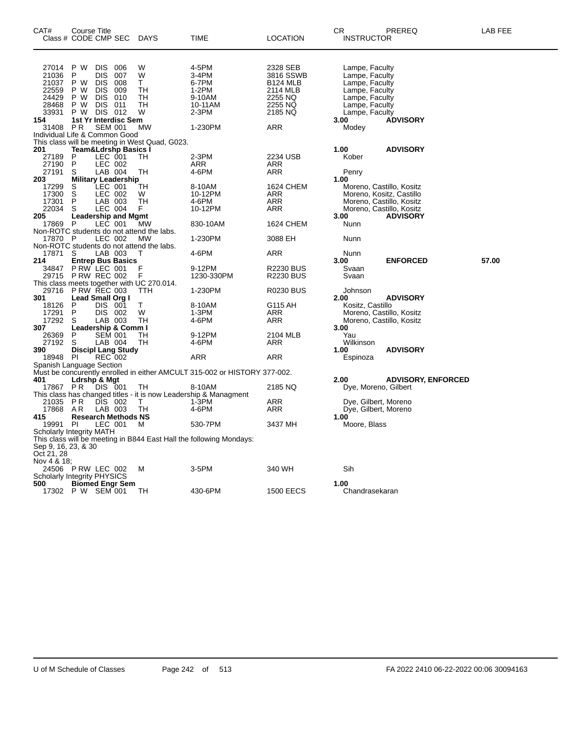| CAT#                                                        | Course Title<br>Class # CODE CMP SEC                                                                                                 |                                        | DAYS                                           | TIME                                                                       | <b>LOCATION</b>                                                                       | CR<br><b>INSTRUCTOR</b>                                                                                                    | PREREQ                    | LAB FEE |
|-------------------------------------------------------------|--------------------------------------------------------------------------------------------------------------------------------------|----------------------------------------|------------------------------------------------|----------------------------------------------------------------------------|---------------------------------------------------------------------------------------|----------------------------------------------------------------------------------------------------------------------------|---------------------------|---------|
| 27014<br>21036<br>21037<br>22559<br>24429<br>28468<br>33931 | P W<br><b>DIS</b><br>P<br>DIS<br>P W<br>DIS.<br><b>DIS</b><br>P W<br>P W<br><b>DIS</b><br>P W<br><b>DIS</b><br><b>DIS 012</b><br>P W | 006<br>007<br>008<br>009<br>010<br>011 | W<br>W<br>T.<br>TН<br>TН<br>TН<br>W            | 4-5PM<br>3-4PM<br>6-7PM<br>$1-2PM$<br>9-10AM<br>10-11AM<br>2-3PM           | 2328 SEB<br>3816 SSWB<br><b>B124 MLB</b><br>2114 MLB<br>2255 NQ<br>2255 NQ<br>2185 NQ | Lampe, Faculty<br>Lampe, Faculty<br>Lampe, Faculty<br>Lampe, Faculty<br>Lampe, Faculty<br>Lampe, Faculty<br>Lampe, Faculty |                           |         |
| 154                                                         | 1st Yr Interdisc Sem                                                                                                                 |                                        |                                                |                                                                            |                                                                                       | 3.00                                                                                                                       | <b>ADVISORY</b>           |         |
| 31408                                                       | <b>SEM 001</b><br>P R<br>Individual Life & Common Good                                                                               |                                        | MW                                             | 1-230PM                                                                    | <b>ARR</b>                                                                            | Modey                                                                                                                      |                           |         |
|                                                             |                                                                                                                                      |                                        | This class will be meeting in West Quad, G023. |                                                                            |                                                                                       |                                                                                                                            |                           |         |
| 201                                                         | <b>Team&amp;Ldrshp Basics I</b>                                                                                                      |                                        |                                                |                                                                            |                                                                                       | 1.00                                                                                                                       | <b>ADVISORY</b>           |         |
| 27189<br>27190                                              | <b>LEC 001</b><br>P<br>LEC 002<br>P                                                                                                  |                                        | TH                                             | 2-3PM<br>ARR                                                               | 2234 USB<br>ARR                                                                       | Kober                                                                                                                      |                           |         |
| 27191                                                       | $LAB$ 004<br>S                                                                                                                       |                                        | TН                                             | 4-6PM                                                                      | ARR                                                                                   | Penry                                                                                                                      |                           |         |
| 203                                                         | <b>Military Leadership</b>                                                                                                           |                                        |                                                |                                                                            |                                                                                       | 1.00                                                                                                                       |                           |         |
| 17299<br>17300                                              | LEC 001<br>S<br>$\overline{\mathsf{s}}$<br>LEC 002                                                                                   |                                        | TН<br>W                                        | 8-10AM<br>10-12PM                                                          | 1624 CHEM                                                                             | Moreno, Castillo, Kositz                                                                                                   |                           |         |
| 17301                                                       | P<br>LAB 003                                                                                                                         |                                        | <b>TH</b>                                      | 4-6PM                                                                      | ARR<br>ARR                                                                            | Moreno, Kositz, Castillo<br>Moreno, Castillo, Kositz                                                                       |                           |         |
| 22034                                                       | S<br>LEC 004                                                                                                                         |                                        | F.                                             | 10-12PM                                                                    | <b>ARR</b>                                                                            | Moreno, Castillo, Kositz                                                                                                   |                           |         |
| 205                                                         | <b>Leadership and Mgmt</b>                                                                                                           |                                        |                                                |                                                                            |                                                                                       | 3.00                                                                                                                       | <b>ADVISORY</b>           |         |
| 17869                                                       | P<br>LEC 001<br>Non-ROTC students do not attend the labs.                                                                            |                                        | МW                                             | 830-10AM                                                                   | 1624 CHEM                                                                             | Nunn                                                                                                                       |                           |         |
| 17870 P                                                     | LEC 002                                                                                                                              |                                        | <b>MW</b>                                      | 1-230PM                                                                    | 3088 EH                                                                               | Nunn                                                                                                                       |                           |         |
|                                                             | Non-ROTC students do not attend the labs.                                                                                            |                                        |                                                |                                                                            |                                                                                       |                                                                                                                            |                           |         |
| 17871<br>214                                                | LAB 003<br><sub>S</sub><br><b>Entrep Bus Basics</b>                                                                                  |                                        | т                                              | 4-6PM                                                                      | ARR                                                                                   | Nunn<br>3.00                                                                                                               | <b>ENFORCED</b>           | 57.00   |
| 34847                                                       | P RW LEC 001                                                                                                                         |                                        | F                                              | 9-12PM                                                                     | <b>R2230 BUS</b>                                                                      | Svaan                                                                                                                      |                           |         |
| 29715                                                       | P RW REC 002                                                                                                                         |                                        | F                                              | 1230-330PM                                                                 | <b>R2230 BUS</b>                                                                      | Svaan                                                                                                                      |                           |         |
|                                                             | This class meets together with UC 270.014.                                                                                           |                                        |                                                |                                                                            |                                                                                       |                                                                                                                            |                           |         |
| 29716<br>301                                                | <b>P RW REC 003</b><br>Lead Small Org I                                                                                              |                                        | TTH                                            | 1-230PM                                                                    | <b>R0230 BUS</b>                                                                      | Johnson<br>2.00                                                                                                            | <b>ADVISORY</b>           |         |
| 18126                                                       | $\sf P$<br><b>DIS 001</b>                                                                                                            |                                        | T.                                             | 8-10AM                                                                     | G115 AH                                                                               | Kositz, Castillo                                                                                                           |                           |         |
| 17291                                                       | P<br>DIS 002                                                                                                                         |                                        | W                                              | $1-3PM$                                                                    | ARR                                                                                   | Moreno, Castillo, Kositz                                                                                                   |                           |         |
| 17292<br>307                                                | LAB 003<br>S<br>Leadership & Comm I                                                                                                  |                                        | TH                                             | 4-6PM                                                                      | <b>ARR</b>                                                                            | Moreno, Castillo, Kositz<br>3.00                                                                                           |                           |         |
| 26369                                                       | <b>SEM 001</b><br>P                                                                                                                  |                                        | TН                                             | 9-12PM                                                                     | 2104 MLB                                                                              | Yau                                                                                                                        |                           |         |
| 27192                                                       | S<br>LAB 004                                                                                                                         |                                        | TН                                             | 4-6PM                                                                      | ARR                                                                                   | Wilkinson                                                                                                                  |                           |         |
| 390<br>18948 PI                                             | <b>Discipl Lang Study</b><br>REC 002                                                                                                 |                                        |                                                | ARR                                                                        | ARR                                                                                   | 1.00                                                                                                                       | <b>ADVISORY</b>           |         |
|                                                             | Spanish Language Section                                                                                                             |                                        |                                                |                                                                            |                                                                                       | Espinoza                                                                                                                   |                           |         |
|                                                             |                                                                                                                                      |                                        |                                                | Must be concurently enrolled in either AMCULT 315-002 or HISTORY 377-002.  |                                                                                       |                                                                                                                            |                           |         |
| 401                                                         | Ldrshp & Mgt                                                                                                                         |                                        |                                                |                                                                            |                                                                                       | 2.00                                                                                                                       | <b>ADVISORY, ENFORCED</b> |         |
| 17867 PR                                                    | DIS 001                                                                                                                              |                                        | TН                                             | 8-10AM<br>This class has changed titles - it is now Leadership & Managment | 2185 NQ                                                                               | Dye, Moreno, Gilbert                                                                                                       |                           |         |
| 21035                                                       | DIS 002<br><b>PR</b>                                                                                                                 |                                        | T.                                             | 1-3PM                                                                      | ARR                                                                                   | Dye, Gilbert, Moreno                                                                                                       |                           |         |
| 17868                                                       | AR.<br>LAB 003                                                                                                                       |                                        | TН                                             | 4-6PM                                                                      | <b>ARR</b>                                                                            | Dye, Gilbert, Moreno                                                                                                       |                           |         |
| 415<br>19991                                                | <b>Research Methods NS</b><br><b>PI</b><br>LEC 001                                                                                   |                                        | м                                              | 530-7PM                                                                    | 3437 MH                                                                               | 1.00<br>Moore, Blass                                                                                                       |                           |         |
|                                                             | Scholarly Integrity MATH                                                                                                             |                                        |                                                |                                                                            |                                                                                       |                                                                                                                            |                           |         |
| Sep 9, 16, 23, & 30<br>Oct 21, 28                           |                                                                                                                                      |                                        |                                                | This class will be meeting in B844 East Hall the following Mondays:        |                                                                                       |                                                                                                                            |                           |         |
| Nov 4 & 18:                                                 | 24506 PRW LEC 002<br>Scholarly Integrity PHYSICS                                                                                     |                                        | м                                              | $3-5$ PM                                                                   | 340 WH                                                                                | Sih                                                                                                                        |                           |         |
| 500                                                         | <b>Biomed Engr Sem</b>                                                                                                               |                                        |                                                |                                                                            |                                                                                       | 1.00                                                                                                                       |                           |         |
|                                                             | 17302 P W SEM 001                                                                                                                    |                                        | TН                                             | 430-6PM                                                                    | <b>1500 EECS</b>                                                                      | Chandrasekaran                                                                                                             |                           |         |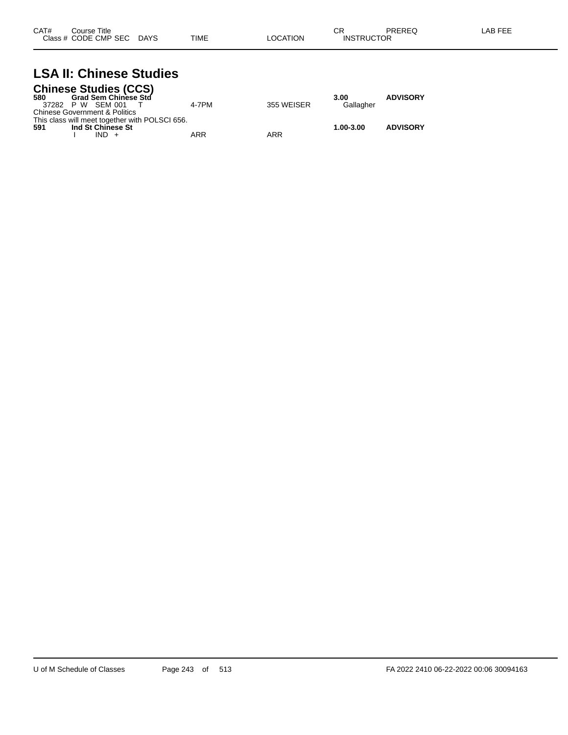| CAT# | Course Title              |             |          | ∩⊓<br>◡ጙ          | PREREQ | _AB FEE |
|------|---------------------------|-------------|----------|-------------------|--------|---------|
|      | Class # CODE CMP SEC DAYS | <b>TIME</b> | LOCATION | <b>INSTRUCTOR</b> |        |         |

#### **LSA II: Chinese Studies Chinese Studies (CCS)**

|                               | Crimese Studies (CCS)                          |       |            |           |                 |
|-------------------------------|------------------------------------------------|-------|------------|-----------|-----------------|
| 580                           | <b>Grad Sem Chinese Std</b>                    |       |            | 3.00      | <b>ADVISORY</b> |
| 37282 P W SEM 001             |                                                | 4-7PM | 355 WEISER | Gallagher |                 |
| Chinese Government & Politics |                                                |       |            |           |                 |
|                               | This class will meet together with POLSCI 656. |       |            |           |                 |
| 591                           | Ind St Chinese St                              |       |            | 1.00-3.00 | <b>ADVISORY</b> |
|                               | $IND +$                                        | ARR   | ARR        |           |                 |
|                               |                                                |       |            |           |                 |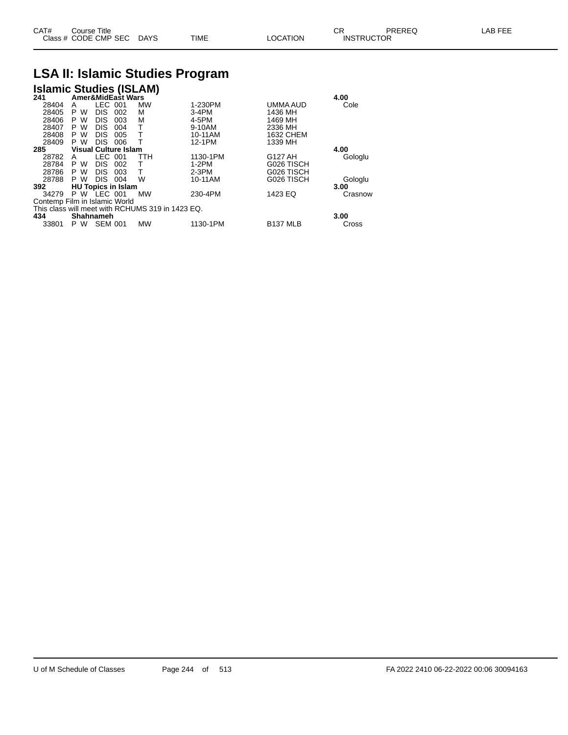| CAT# | ourse Titleٽ              |      |                 | Ωn<br>◡∩          | PREREQ | LAB FEE |
|------|---------------------------|------|-----------------|-------------------|--------|---------|
|      | Class # CODE CMP SEC DAYS | TIME | <b>LOCATION</b> | <b>INSTRUCTOR</b> |        |         |

## **LSA II: Islamic Studies Program**

| <b>Islamic Studies (ISLAM)</b><br>241 Amer&MidEast Wars |                    |                |                             |                                                  |          |                  |         |
|---------------------------------------------------------|--------------------|----------------|-----------------------------|--------------------------------------------------|----------|------------------|---------|
|                                                         |                    |                |                             |                                                  |          |                  | 4.00    |
| 28404                                                   | A                  | <b>LEC</b>     | 001                         | <b>MW</b>                                        | 1-230PM  | UMMA AUD         | Cole    |
| 28405                                                   | W<br>P             | <b>DIS</b>     | 002                         | М                                                | $3-4PM$  | 1436 MH          |         |
| 28406                                                   | P W                | <b>DIS</b>     | 003                         | М                                                | 4-5PM    | 1469 MH          |         |
| 28407                                                   | P<br>w             | <b>DIS</b>     | 004                         | т                                                | 9-10AM   | 2336 MH          |         |
| 28408                                                   | P<br>W             | <b>DIS</b>     | 005                         | т                                                | 10-11AM  | <b>1632 CHEM</b> |         |
| 28409                                                   | P W                | <b>DIS</b>     | 006                         |                                                  | 12-1PM   | 1339 MH          |         |
| 285                                                     |                    |                | <b>Visual Culture Islam</b> |                                                  |          |                  | 4.00    |
| 28782                                                   | A                  | LEC            | 001                         | TTH                                              | 1130-1PM | G127 AH          | Gologlu |
| 28784                                                   | w<br>P             | <b>DIS</b>     | 002                         | T                                                | 1-2PM    | G026 TISCH       |         |
| 28786                                                   | P W                | <b>DIS</b>     | 003                         | Т                                                | $2-3PM$  | G026 TISCH       |         |
| 28788                                                   | P W                | <b>DIS</b>     | 004                         | W                                                | 10-11AM  | G026 TISCH       | Gologlu |
| 392                                                     |                    |                | <b>HU Topics in Islam</b>   |                                                  |          |                  | 3.00    |
| 34279                                                   | <b>P W LEC 001</b> |                |                             | <b>MW</b>                                        | 230-4PM  | 1423 EQ          | Crasnow |
| Contemp Film in Islamic World                           |                    |                |                             |                                                  |          |                  |         |
|                                                         |                    |                |                             | This class will meet with RCHUMS 319 in 1423 EQ. |          |                  |         |
| 434                                                     | <b>Shahnameh</b>   |                |                             |                                                  |          |                  | 3.00    |
| 33801                                                   | P W                | <b>SEM 001</b> |                             | <b>MW</b>                                        | 1130-1PM | <b>B137 MLB</b>  | Cross   |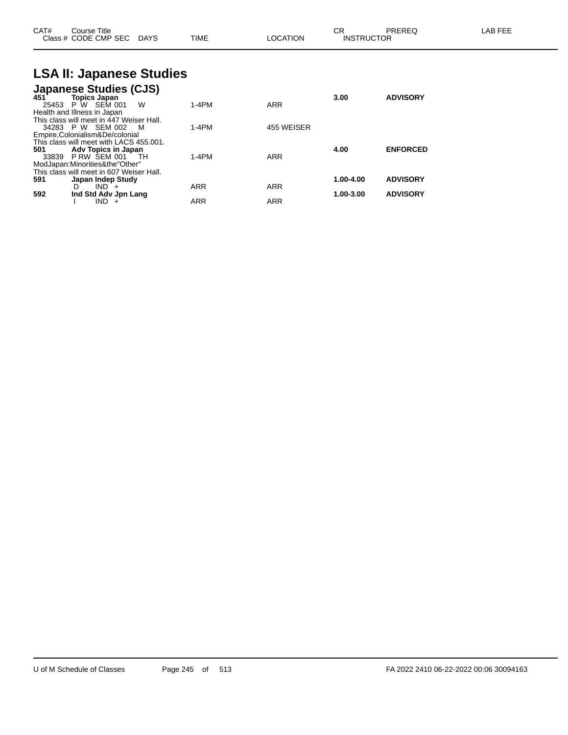| Class # CODE CMP SEC DAYS | CAT# | Course Title |      |          | СR                | <b>PREREQ</b> | LAB FEE |
|---------------------------|------|--------------|------|----------|-------------------|---------------|---------|
|                           |      |              | TIME | LOCATION | <b>INSTRUCTOR</b> |               |         |

## **LSA II: Japanese Studies**

|       | <b>Japanese Studies (CJS)</b>            |            |            |           |                 |
|-------|------------------------------------------|------------|------------|-----------|-----------------|
| 451   | <b>Topics Japan</b>                      |            |            | 3.00      | <b>ADVISORY</b> |
| 25453 | P W SEM 001<br>W                         | $1-4PM$    | <b>ARR</b> |           |                 |
|       | Health and Illness in Japan              |            |            |           |                 |
|       | This class will meet in 447 Weiser Hall. |            |            |           |                 |
|       | 34283 P W SEM 002<br>M                   | $1-4PM$    | 455 WEISER |           |                 |
|       | Empire, Colonialism & De/colonial        |            |            |           |                 |
|       | This class will meet with LACS 455.001.  |            |            |           |                 |
| 501   | Adv Topics in Japan                      |            |            | 4.00      | <b>ENFORCED</b> |
| 33839 | PRW SEM 001<br>тн                        | $1-4PM$    | <b>ARR</b> |           |                 |
|       | ModJapan:Minorities&the"Other"           |            |            |           |                 |
|       | This class will meet in 607 Weiser Hall. |            |            |           |                 |
| 591   | Japan Indep Study                        |            |            | 1.00-4.00 | <b>ADVISORY</b> |
|       | $IND +$<br>D                             | <b>ARR</b> | <b>ARR</b> |           |                 |
| 592   | Ind Std Adv Jpn Lang                     |            |            | 1.00-3.00 | <b>ADVISORY</b> |
|       | IND.<br>$+$                              | ARR        | <b>ARR</b> |           |                 |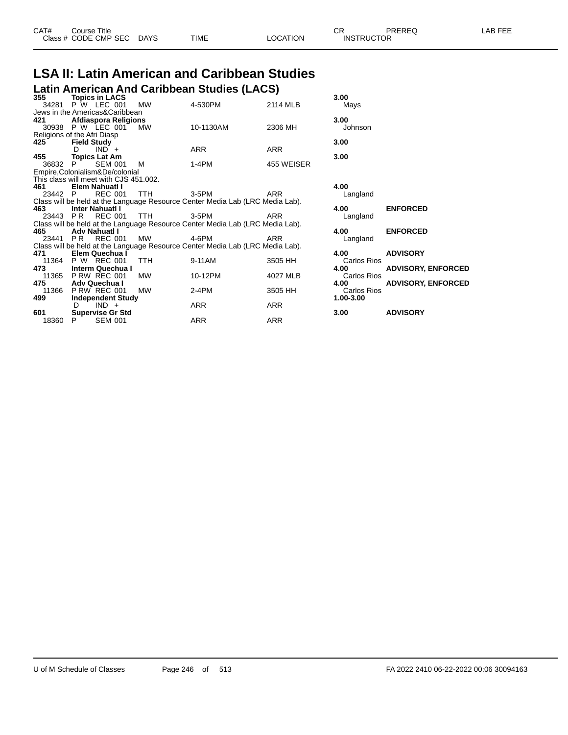| CAT# | ourse Titleٽ         |             |      |          | ⌒冖<br>◡⊓          | PREREQ | AR FFF |
|------|----------------------|-------------|------|----------|-------------------|--------|--------|
|      | Class # CODE CMP SEC | <b>DAYS</b> | TIME | LOCATION | <b>INSTRUCTOR</b> |        |        |
|      |                      |             |      |          |                   |        |        |

#### **LSA II: Latin American and Caribbean Studies Latin American And Caribbean Studies (LACS)**

| 355                                    |                    | <b>Topics in LACS</b>    |            |                                                                               |            | 3.00        |                  |
|----------------------------------------|--------------------|--------------------------|------------|-------------------------------------------------------------------------------|------------|-------------|------------------|
|                                        |                    | 34281 P W LEC 001        | MW         | 4-530PM                                                                       | 2114 MLB   | Mays        |                  |
| Jews in the Americas&Caribbean         |                    |                          |            |                                                                               |            |             |                  |
| 421                                    |                    | Afdiaspora Religions     |            |                                                                               |            | 3.00        |                  |
|                                        |                    | 30938 P W LEC 001        | MW         | 10-1130AM                                                                     | 2306 MH    | Johnson     |                  |
| Religions of the Afri Diasp            |                    |                          |            |                                                                               |            |             |                  |
| 425                                    | <b>Field Study</b> |                          |            |                                                                               |            | 3.00        |                  |
|                                        | D.                 | $IND +$                  |            | ARR                                                                           | <b>ARR</b> |             |                  |
| 455 — 1                                |                    | <b>Topics Lat Am</b>     |            |                                                                               |            | 3.00        |                  |
| 36832 P                                |                    | <b>SEM 001</b>           | M          | 1-4PM                                                                         | 455 WEISER |             |                  |
| Empire, Colonialism&De/colonial        |                    |                          |            |                                                                               |            |             |                  |
| This class will meet with CJS 451.002. |                    |                          |            |                                                                               |            |             |                  |
| 461                                    |                    | Elem Nahuatl I           |            |                                                                               |            | 4.00        |                  |
| 23442 P                                |                    | <b>REC 001</b>           | <b>TTH</b> | 3-5PM                                                                         | <b>ARR</b> | Langland    |                  |
|                                        |                    |                          |            | Class will be held at the Language Resource Center Media Lab (LRC Media Lab). |            |             |                  |
| 463                                    |                    | <b>Inter Nahuati I</b>   |            |                                                                               |            | 4.00        | <b>ENFORCED</b>  |
|                                        |                    | 23443 PR REC 001         | TTH.       | 3-5PM                                                                         | ARR        | Langland    |                  |
|                                        |                    |                          |            | Class will be held at the Language Resource Center Media Lab (LRC Media Lab). |            |             |                  |
| 465                                    |                    | Adv Nahuatl I            |            |                                                                               |            | 4.00        | <b>ENFORCED</b>  |
|                                        |                    | 23441 PR REC 001         | MW         | 4-6PM                                                                         | <b>ARR</b> | Langland    |                  |
|                                        |                    |                          |            | Class will be held at the Language Resource Center Media Lab (LRC Media Lab). |            |             |                  |
| 471                                    |                    | Elem Quechua I           |            |                                                                               |            | 4.00        | <b>ADVISORY</b>  |
|                                        |                    | 11364 P W REC 001        | <b>TTH</b> | 9-11AM                                                                        | 3505 HH    | Carlos Rios |                  |
| 473                                    |                    | Interm Quechua I         |            |                                                                               |            | 4.00        | <b>ADVISORY,</b> |
|                                        |                    | 11365 P RW REC 001       | MW         | 10-12PM                                                                       | 4027 MLB   | Carlos Rios |                  |
| 475                                    |                    | Adv Quechua I            |            |                                                                               |            | 4.00        | <b>ADVISORY,</b> |
|                                        |                    | 11366 P RW REC 001       | <b>MW</b>  | 2-4PM                                                                         | 3505 HH    | Carlos Rios |                  |
| 499                                    |                    | <b>Independent Study</b> |            |                                                                               |            | 1.00-3.00   |                  |
|                                        | D.                 | $IND +$                  |            | ARR                                                                           | ARR        |             |                  |
| 601                                    |                    | <b>Supervise Gr Std</b>  |            |                                                                               |            | 3.00        | <b>ADVISORY</b>  |
| 18360                                  | P.                 | <b>SEM 001</b>           |            | ARR                                                                           | ARR        |             |                  |
|                                        |                    |                          |            |                                                                               |            |             |                  |

**473 Interm Quechua I 4.00 ADVISORY, ENFORCED**

 $ADVISORY$ , ENFORCED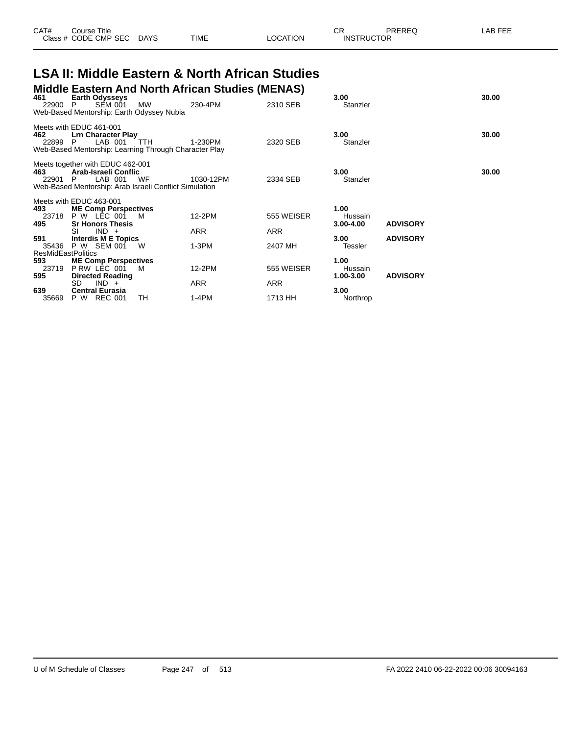| CAT# | ourse Titleٽ         |             |             |          | ⌒冖<br>◡⊓          | PREREC | AB FEE |
|------|----------------------|-------------|-------------|----------|-------------------|--------|--------|
|      | Class # CODE CMP SEC | <b>DAYS</b> | <b>TIME</b> | LOCATION | <b>INSTRUCTOR</b> |        |        |

#### **LSA II: Middle Eastern & North African Studies Middle Eastern And North African Studies (MENAS)**

|                                               |                                                                                                                                                                                           |                                                                                                                                                                                                                                   |                                                                                                                                            |                                 |                                                                                  | 30.00                              |
|-----------------------------------------------|-------------------------------------------------------------------------------------------------------------------------------------------------------------------------------------------|-----------------------------------------------------------------------------------------------------------------------------------------------------------------------------------------------------------------------------------|--------------------------------------------------------------------------------------------------------------------------------------------|---------------------------------|----------------------------------------------------------------------------------|------------------------------------|
| SEM 001<br>22900 P                            | <b>MW</b>                                                                                                                                                                                 | 230-4PM                                                                                                                                                                                                                           | 2310 SEB                                                                                                                                   | Stanzler                        |                                                                                  |                                    |
|                                               |                                                                                                                                                                                           |                                                                                                                                                                                                                                   |                                                                                                                                            |                                 |                                                                                  |                                    |
| Meets with EDUC 461-001<br>LAB 001<br>22899 P | TTH                                                                                                                                                                                       | 1-230PM                                                                                                                                                                                                                           | 2320 SEB                                                                                                                                   | 3.00 <sub>1</sub><br>Stanzler   |                                                                                  | 30.00                              |
| LAB 001<br>22901 P                            | WF                                                                                                                                                                                        | 1030-12PM                                                                                                                                                                                                                         | 2334 SEB                                                                                                                                   | 3.00<br>Stanzler                |                                                                                  | 30.00                              |
|                                               |                                                                                                                                                                                           |                                                                                                                                                                                                                                   |                                                                                                                                            |                                 |                                                                                  |                                    |
| Meets with EDUC 463-001                       |                                                                                                                                                                                           |                                                                                                                                                                                                                                   |                                                                                                                                            |                                 |                                                                                  |                                    |
|                                               |                                                                                                                                                                                           |                                                                                                                                                                                                                                   |                                                                                                                                            |                                 |                                                                                  |                                    |
|                                               |                                                                                                                                                                                           |                                                                                                                                                                                                                                   |                                                                                                                                            |                                 |                                                                                  |                                    |
| $IND +$<br>SI                                 |                                                                                                                                                                                           | ARR                                                                                                                                                                                                                               | ARR                                                                                                                                        |                                 |                                                                                  |                                    |
|                                               |                                                                                                                                                                                           |                                                                                                                                                                                                                                   |                                                                                                                                            | 3.00                            | <b>ADVISORY</b>                                                                  |                                    |
| P W SEM 001                                   | W                                                                                                                                                                                         | $1-3PM$                                                                                                                                                                                                                           | 2407 MH                                                                                                                                    | Tessler                         |                                                                                  |                                    |
|                                               |                                                                                                                                                                                           |                                                                                                                                                                                                                                   |                                                                                                                                            |                                 |                                                                                  |                                    |
|                                               |                                                                                                                                                                                           |                                                                                                                                                                                                                                   |                                                                                                                                            |                                 |                                                                                  |                                    |
|                                               |                                                                                                                                                                                           |                                                                                                                                                                                                                                   |                                                                                                                                            |                                 |                                                                                  |                                    |
|                                               |                                                                                                                                                                                           |                                                                                                                                                                                                                                   |                                                                                                                                            |                                 |                                                                                  |                                    |
|                                               |                                                                                                                                                                                           |                                                                                                                                                                                                                                   |                                                                                                                                            |                                 |                                                                                  |                                    |
| P W<br>REC 001                                | TН                                                                                                                                                                                        | $1-4PM$                                                                                                                                                                                                                           | 1713 HH                                                                                                                                    | Northrop                        |                                                                                  |                                    |
|                                               | <b>Earth Odysseys</b><br><b>P W LEC 001</b><br><b>Sr Honors Thesis</b><br><b>ResMidEastPolitics</b><br>PRW LEC 001<br><b>Directed Reading</b><br>SD.<br>$IND +$<br><b>Central Eurasia</b> | Web-Based Mentorship: Earth Odyssey Nubia<br><b>Lrn Character Play</b><br>Meets together with EDUC 462-001<br>Arab-Israeli Conflic<br><b>ME Comp Perspectives</b><br>м<br>Interdis M E Topics<br><b>ME Comp Perspectives</b><br>M | Web-Based Mentorship: Learning Through Character Play<br>Web-Based Mentorship: Arab Israeli Conflict Simulation<br>12-2PM<br>12-2PM<br>ARR | 555 WEISER<br>555 WEISER<br>ARR | 3.00<br>1.00<br>Hussain<br>$3.00 - 4.00$<br>1.00<br>Hussain<br>1.00-3.00<br>3.00 | <b>ADVISORY</b><br><b>ADVISORY</b> |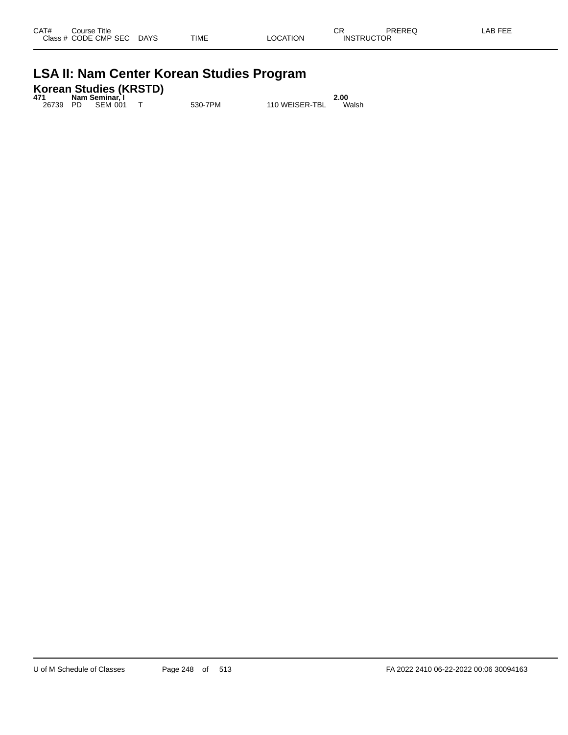|  |  |  |  |  |  | <b>LSA II: Nam Center Korean Studies Program</b> |
|--|--|--|--|--|--|--------------------------------------------------|
|--|--|--|--|--|--|--------------------------------------------------|

|     | Korean Studies (KRSTD) |      |
|-----|------------------------|------|
| 471 | Nam Seminar, I         | 2.00 |

26739 PD SEM 001 T 530-7PM 110 WEISER-TBL Walsh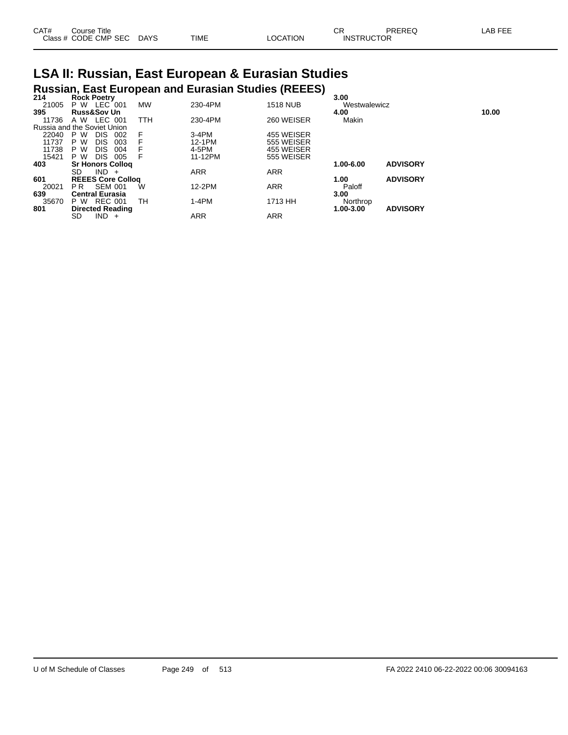| CAT# | ourse Titleٽ              |      |                 | ∩⊓<br>◡┍          | PREREQ | LAB FEE |
|------|---------------------------|------|-----------------|-------------------|--------|---------|
|      | Class # CODE CMP SEC DAYS | TIME | <b>LOCATION</b> | <b>INSTRUCTOR</b> |        |         |

## **LSA II: Russian, East European & Eurasian Studies Russian, East European and Eurasian Studies (REEES) 214 Rock Poetry 3.00**

| 214   | Rock Poetry                 |            |            |                 | 3.00         |                 |       |
|-------|-----------------------------|------------|------------|-----------------|--------------|-----------------|-------|
| 21005 | LEC 001<br>P W              | <b>MW</b>  | 230-4PM    | <b>1518 NUB</b> | Westwalewicz |                 |       |
| 395   | <b>Russ&amp;Sov Un</b>      |            |            |                 | 4.00         |                 | 10.00 |
| 11736 | LEC 001<br>A W              | <b>TTH</b> | 230-4PM    | 260 WEISER      | Makin        |                 |       |
|       | Russia and the Soviet Union |            |            |                 |              |                 |       |
| 22040 | <b>DIS</b><br>P W<br>002    |            | $3-4PM$    | 455 WEISER      |              |                 |       |
| 11737 | <b>DIS</b><br>003<br>P W    |            | 12-1PM     | 555 WEISER      |              |                 |       |
| 11738 | P W<br><b>DIS</b><br>004    |            | 4-5PM      | 455 WEISER      |              |                 |       |
| 15421 | <b>DIS</b><br>P W<br>005    |            | 11-12PM    | 555 WEISER      |              |                 |       |
| 403   | <b>Sr Honors Collog</b>     |            |            |                 | 1.00-6.00    | <b>ADVISORY</b> |       |
|       | SD<br>$IND +$               |            | <b>ARR</b> | <b>ARR</b>      |              |                 |       |
| 601   | <b>REEES Core Collog</b>    |            |            |                 | 1.00         | <b>ADVISORY</b> |       |
| 20021 | <b>SEM 001</b><br>PR        | W          | 12-2PM     | <b>ARR</b>      | Paloff       |                 |       |
| 639   | <b>Central Eurasia</b>      |            |            |                 | 3.00         |                 |       |
| 35670 | <b>REC 001</b><br>P W       | тн         | $1-4PM$    | 1713 HH         | Northrop     |                 |       |
| 801   | <b>Directed Reading</b>     |            |            |                 | 1.00-3.00    | <b>ADVISORY</b> |       |
|       | $IND +$<br>SD               |            | ARR        | <b>ARR</b>      |              |                 |       |
|       |                             |            |            |                 |              |                 |       |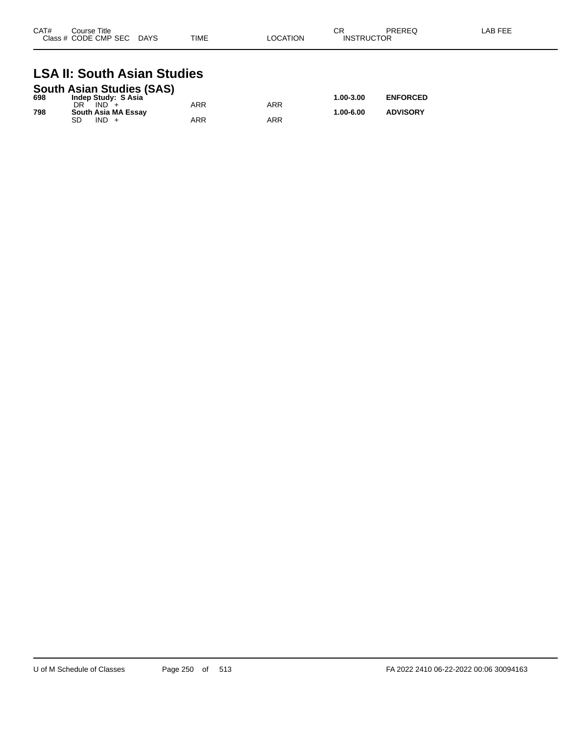| CAT# | Course Title<br>Class # CODE CMP SEC | <b>DAYS</b> | <b>TIME</b> | LOCATION | СF<br><b>INSTRUCTOR</b> | PREREQ | LAB FEE |
|------|--------------------------------------|-------------|-------------|----------|-------------------------|--------|---------|
|      |                                      |             |             |          |                         |        |         |

#### **LSA II: South Asian Studies South Asian Studies (SAS)**

|     | South Asian Studies (SAS) |     |     |           |                 |
|-----|---------------------------|-----|-----|-----------|-----------------|
| 698 | Indep Study: S Asia       |     |     | 1.00-3.00 | <b>ENFORCED</b> |
|     | $IND +$                   | ARR | ARR |           |                 |
| 798 | South Asia MA Essay       |     |     | 1.00-6.00 | <b>ADVISORY</b> |
|     | $IND +$                   | ARR | ARR |           |                 |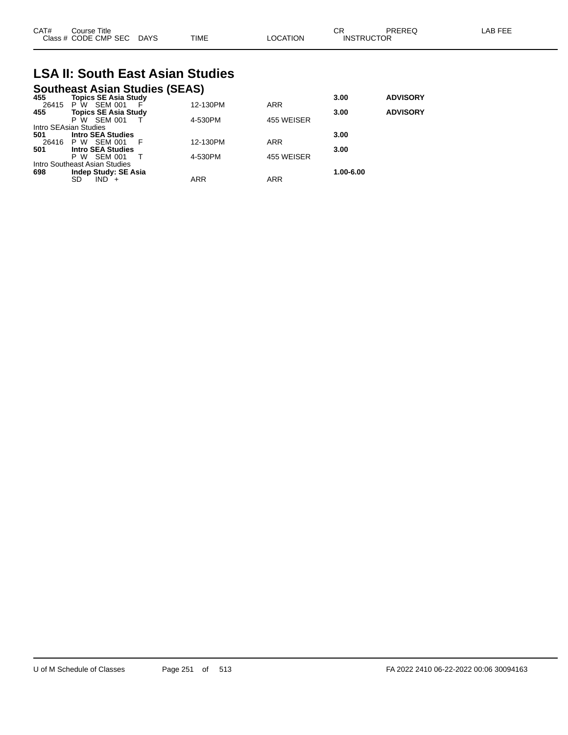| CAT# | Course Title<br>Class # CODE CMP SEC | <b>DAYS</b> | <b>TIME</b> | LOCATION | oг<br>◡<br><b>INSTRUCTOR</b> | PREREQ | AB FEE. |
|------|--------------------------------------|-------------|-------------|----------|------------------------------|--------|---------|
|      |                                      |             |             |          |                              |        |         |

## **LSA II: South East Asian Studies**

### **Southeast Asian Studies (SEAS)**

| <b>ADVISORY</b> |
|-----------------|
|                 |
|                 |
|                 |
|                 |
|                 |
|                 |
|                 |
|                 |
|                 |
|                 |
|                 |
|                 |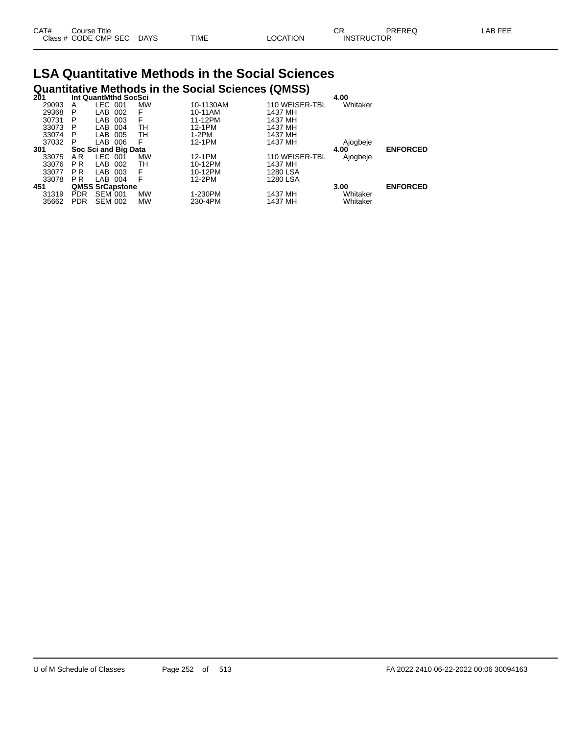| CAT# | Course Title         |             |      |          | СR                | PREREQ | _AB FEE |
|------|----------------------|-------------|------|----------|-------------------|--------|---------|
|      | Class # CODE CMP SEC | <b>DAYS</b> | TIME | OCATION. | <b>INSTRUCTOR</b> |        |         |

#### **LSA Quantitative Methods in the Social Sciences Quantitative Methods in the Social Sciences (QMSS)**

| 201   | Int QuantMthd SocSci |                        |  |           |           |                | 4.00     |                 |  |
|-------|----------------------|------------------------|--|-----------|-----------|----------------|----------|-----------------|--|
| 29093 | A                    | LEC 001                |  | <b>MW</b> | 10-1130AM | 110 WEISER-TBL | Whitaker |                 |  |
| 29368 | P                    | LAB 002                |  | F         | 10-11AM   | 1437 MH        |          |                 |  |
| 30731 | P                    | LAB 003                |  | F         | 11-12PM   | 1437 MH        |          |                 |  |
| 33073 | P                    | LAB 004                |  | тн        | 12-1PM    | 1437 MH        |          |                 |  |
| 33074 | P                    | LAB 005                |  | тн        | 1-2PM     | 1437 MH        |          |                 |  |
| 37032 | P                    | LAB 006                |  | F         | 12-1PM    | 1437 MH        | Ajogbeje |                 |  |
| 301   |                      | Soc Sci and Big Data   |  |           |           |                | 4.00     | <b>ENFORCED</b> |  |
| 33075 | AR.                  | LEC 001                |  | MW        | 12-1PM    | 110 WEISER-TBL | Ajogbeje |                 |  |
| 33076 | P <sub>R</sub>       | LAB 002                |  | TН        | 10-12PM   | 1437 MH        |          |                 |  |
| 33077 | P R                  | LAB 003                |  | F         | 10-12PM   | 1280 LSA       |          |                 |  |
| 33078 | <b>PR</b>            | LAB 004                |  | F         | 12-2PM    | 1280 LSA       |          |                 |  |
| 451   |                      | <b>QMSS SrCapstone</b> |  |           |           |                | 3.00     | <b>ENFORCED</b> |  |
| 31319 | <b>PDR</b>           | <b>SEM 001</b>         |  | <b>MW</b> | 1-230PM   | 1437 MH        | Whitaker |                 |  |
| 35662 | <b>PDR</b>           | <b>SEM 002</b>         |  | MW        | 230-4PM   | 1437 MH        | Whitaker |                 |  |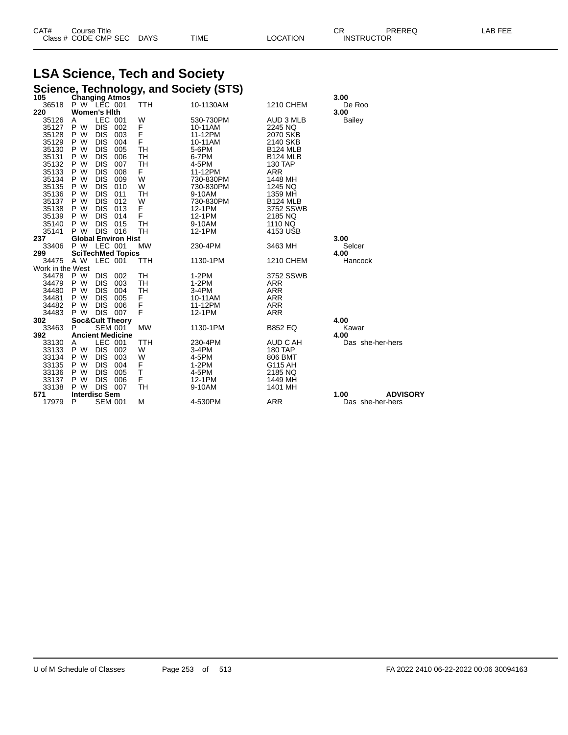| CAT# | ourse Titleٽ              |      |                 | Ωn<br>◡∩          | PREREQ | LAB FEE |
|------|---------------------------|------|-----------------|-------------------|--------|---------|
|      | Class # CODE CMP SEC DAYS | TIME | <b>LOCATION</b> | <b>INSTRUCTOR</b> |        |         |

## **LSA Science, Tech and Society**

|                  |                      |                          |                                      |           | Science, Technology, and Society (STS) |                  |                         |
|------------------|----------------------|--------------------------|--------------------------------------|-----------|----------------------------------------|------------------|-------------------------|
| 105              |                      |                          | <b>Changing Atmos</b><br>P W LEC 001 |           |                                        |                  | 3.00                    |
| 36518            |                      |                          |                                      | TTH       | 10-1130AM                              | <b>1210 CHEM</b> | De Roo                  |
| 220              | <b>Women's Hith</b>  |                          |                                      |           |                                        |                  | 3.00                    |
| 35126            | A                    | LEC 001                  |                                      | W         | 530-730PM                              | AUD 3 MLB        | <b>Bailey</b>           |
| 35127            | P W                  | <b>DIS</b>               | 002                                  | F         | 10-11AM                                | 2245 NQ          |                         |
| 35128            | P W                  | <b>DIS</b>               | 003                                  | F         | 11-12PM                                | 2070 SKB         |                         |
| 35129            | P W                  | <b>DIS</b>               | 004                                  | F         | 10-11AM                                | 2140 SKB         |                         |
| 35130            | P W                  | <b>DIS</b>               | 005                                  | TН        | 5-6PM                                  | <b>B124 MLB</b>  |                         |
| 35131            | P W                  | <b>DIS</b>               | 006                                  | TH        | 6-7PM                                  | <b>B124 MLB</b>  |                         |
| 35132            | P W                  | <b>DIS</b>               | 007                                  | TН        | 4-5PM                                  | <b>130 TAP</b>   |                         |
| 35133            | P W                  | <b>DIS</b>               | 008                                  | F.        | 11-12PM                                | <b>ARR</b>       |                         |
| 35134            | P W                  | <b>DIS</b>               | 009                                  | W         | 730-830PM                              | 1448 MH          |                         |
| 35135            | P W                  | <b>DIS</b>               | 010                                  | W         | 730-830PM                              | 1245 NQ          |                         |
| 35136            | P W                  | <b>DIS</b>               | 011                                  | TН        | 9-10AM                                 | 1359 MH          |                         |
| 35137            | P W                  | <b>DIS</b>               | 012                                  | W         | 730-830PM                              | <b>B124 MLB</b>  |                         |
| 35138            | P W                  | <b>DIS</b>               | 013                                  | F         | 12-1PM                                 | 3752 SSWB        |                         |
| 35139            | P W                  | <b>DIS</b>               | 014                                  | F         | 12-1PM                                 | 2185 NQ          |                         |
| 35140            | P W                  | <b>DIS</b>               | 015                                  | TН        | 9-10AM                                 | 1110 NQ          |                         |
| 35141            | P W                  |                          | DIS 016                              | TН        | 12-1PM                                 | 4153 USB         |                         |
| 237              |                      |                          | <b>Global Environ Hist</b>           |           |                                        |                  | 3.00                    |
| 33406            | P W LEC 001          |                          |                                      | <b>MW</b> | 230-4PM                                | 3463 MH          | Selcer                  |
| 299              |                      |                          | <b>SciTechMed Topics</b>             |           |                                        |                  | 4.00                    |
| 34475            | A W                  | LEC 001                  |                                      | TTH       | 1130-1PM                               | <b>1210 CHEM</b> | Hancock                 |
| Work in the West |                      |                          |                                      |           |                                        |                  |                         |
| 34478            | P W                  | <b>DIS</b>               | 002                                  | TН        | $1-2PM$                                | 3752 SSWB        |                         |
| 34479            | P W                  | <b>DIS</b>               | 003                                  | TН        | $1-2PM$                                | <b>ARR</b>       |                         |
| 34480            | P W                  | <b>DIS</b>               | 004                                  | TН        | $3-4PM$                                | <b>ARR</b>       |                         |
| 34481            | P W                  | <b>DIS</b>               | 005                                  | F         | 10-11AM                                | <b>ARR</b>       |                         |
| 34482            | P W                  | <b>DIS</b>               | 006                                  | F         | 11-12PM                                | <b>ARR</b>       |                         |
| 34483            | P W                  |                          | DIS 007                              | F         | 12-1PM                                 | <b>ARR</b>       |                         |
| 302              |                      |                          | <b>Soc&amp;Cult Theory</b>           |           |                                        |                  | 4.00                    |
| 33463            | P                    |                          | <b>SEM 001</b>                       | <b>MW</b> | 1130-1PM                               | <b>B852 EQ</b>   | Kawar                   |
| 392              |                      |                          | <b>Ancient Medicine</b>              |           |                                        |                  | 4.00                    |
| 33130            | A                    | LEC 001                  |                                      | TTH       | 230-4PM                                | AUD C AH         | Das she-her-hers        |
| 33133            | P W                  | <b>DIS</b>               | 002                                  | W         | 3-4PM                                  | 180 TAP          |                         |
| 33134<br>33135   | P W<br>P W           | <b>DIS</b><br><b>DIS</b> | 003                                  | W         | 4-5PM                                  | 806 BMT          |                         |
|                  | P W                  | <b>DIS</b>               | 004<br>005                           | F<br>Τ    | $1-2PM$<br>4-5PM                       | G115 AH          |                         |
| 33136            |                      |                          |                                      |           |                                        | 2185 NQ          |                         |
| 33137            | P W<br>P W           | <b>DIS</b>               | 006                                  | F         | 12-1PM                                 | 1449 MH          |                         |
| 33138<br>571     | <b>Interdisc Sem</b> | <b>DIS</b>               | 007                                  | TН        | 9-10AM                                 | 1401 MH          | <b>ADVISORY</b><br>1.00 |
| 17979            | P                    |                          | <b>SEM 001</b>                       | M         | 4-530PM                                | <b>ARR</b>       | Das she-her-hers        |
|                  |                      |                          |                                      |           |                                        |                  |                         |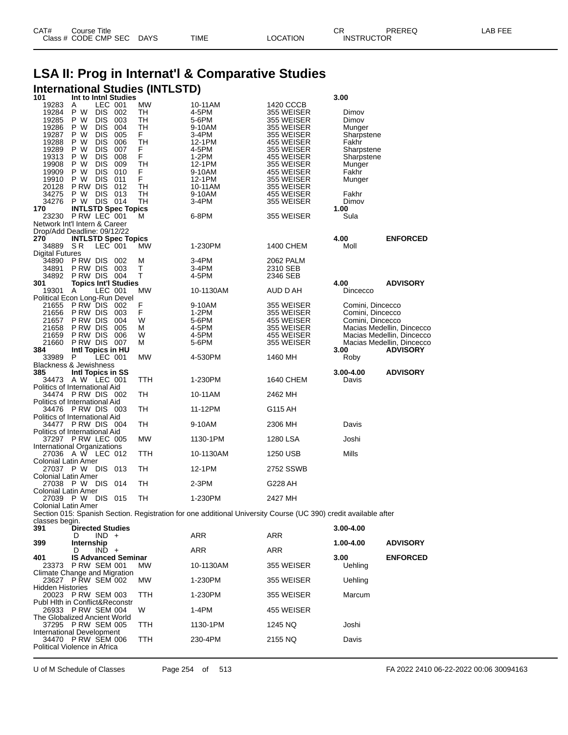| CAT# | Title<br>Course -    |             |      |          | Ωm<br>- UN        | PREREQ | _AB FEF |
|------|----------------------|-------------|------|----------|-------------------|--------|---------|
|      | Class # CODE CMP SEC | <b>DAYS</b> | TIME | LOCATION | <b>INSTRUCTOR</b> |        |         |

### **LSA II: Prog in Internat'l & Comparative Studies International Studies (INTLSTD) 101 Int to Intnl Studies 3.00**

| 1 V I<br>19283             | <br>LEC 001<br>A                                   | נייייי שנעטופ | МW   | 10-11AM                                                                                                         | 1420 CCCB  | v.vv             |                           |
|----------------------------|----------------------------------------------------|---------------|------|-----------------------------------------------------------------------------------------------------------------|------------|------------------|---------------------------|
| 19284                      | P W<br>DIS.                                        | 002           | TН   | 4-5PM                                                                                                           | 355 WEISER | Dimov            |                           |
| 19285                      | P W<br>DIS.                                        | 003           | TH   | 5-6PM                                                                                                           | 355 WEISER | Dimov            |                           |
| 19286                      | P W<br><b>DIS</b>                                  | 004           | TH   | 9-10AM                                                                                                          | 355 WEISER | Munger           |                           |
| 19287                      | P W<br><b>DIS</b>                                  | 005           | F.   | 3-4PM                                                                                                           | 355 WEISER | Sharpstene       |                           |
| 19288                      | P W<br>DIS.                                        | 006           | TH   | 12-1PM                                                                                                          | 455 WEISER | Fakhr            |                           |
| 19289                      | P W<br><b>DIS</b>                                  | 007           | F.   | 4-5PM                                                                                                           | 355 WEISER | Sharpstene       |                           |
| 19313                      | P W<br><b>DIS</b>                                  | 008           | F.   | 1-2PM                                                                                                           | 455 WEISER | Sharpstene       |                           |
| 19908                      | P W<br>DIS.                                        | 009           | TH   | 12-1PM                                                                                                          | 355 WEISER | Munger           |                           |
| 19909                      | P W<br><b>DIS</b>                                  | 010           | F.   | 9-10AM                                                                                                          | 455 WEISER | Fakhr            |                           |
| 19910                      | P W<br><b>DIS</b>                                  | 011           | F.   | 12-1PM                                                                                                          | 355 WEISER | Munger           |                           |
| 20128                      | PRW DIS 012                                        |               | TH   | 10-11AM                                                                                                         | 355 WEISER |                  |                           |
| 34275                      | P W<br>DIS.                                        | 013           | TН   | 9-10AM                                                                                                          | 455 WEISER | Fakhr            |                           |
| 34276                      | <b>P W DIS 014</b>                                 |               | TH   | 3-4PM                                                                                                           | 355 WEISER | Dimov            |                           |
| 170                        | <b>INTLSTD Spec Topics</b>                         |               |      |                                                                                                                 |            | 1.00             |                           |
|                            | 23230 P RW LEC 001                                 |               | м    | 6-8PM                                                                                                           | 355 WEISER | Sula             |                           |
|                            | Network Int'l Intern & Career                      |               |      |                                                                                                                 |            |                  |                           |
|                            | Drop/Add Deadline: 09/12/22                        |               |      |                                                                                                                 |            |                  |                           |
| 270                        | <b>INTLSTD Spec Topics</b>                         |               |      |                                                                                                                 |            | 4.00             | <b>ENFORCED</b>           |
| 34889 SR                   | LEC 001                                            |               | МW   | 1-230PM                                                                                                         | 1400 CHEM  | Moll             |                           |
| <b>Digital Futures</b>     |                                                    |               |      |                                                                                                                 |            |                  |                           |
|                            | 34890 PRW DIS 002                                  |               | м    | 3-4PM                                                                                                           | 2062 PALM  |                  |                           |
|                            | 34891 PRW DIS 003                                  |               | Т    | 3-4PM                                                                                                           | 2310 SEB   |                  |                           |
|                            | 34892 PRW DIS 004                                  |               | т    | 4-5PM                                                                                                           | 2346 SEB   |                  |                           |
| 301                        | <b>Topics Int'l Studies</b>                        |               |      |                                                                                                                 |            | 4.00             | <b>ADVISORY</b>           |
| 19301 A                    | LEC 001                                            |               | MW   | 10-1130AM                                                                                                       | AUD D AH   | Dincecco         |                           |
|                            | Political Econ Long-Run Devel                      |               |      |                                                                                                                 |            |                  |                           |
|                            | 21655 P RW DIS 002                                 |               | F    | 9-10AM                                                                                                          | 355 WEISER | Comini, Dincecco |                           |
| 21656                      | PRW DIS 003                                        |               | F    | 1-2PM                                                                                                           | 355 WEISER | Comini, Dincecco |                           |
|                            | 21657 P RW DIS 004                                 |               | W    | 5-6PM                                                                                                           | 455 WEISER | Comini, Dincecco |                           |
| 21658                      | P RW DIS                                           | 005           | м    | 4-5PM                                                                                                           | 355 WEISER |                  | Macias Medellin, Dincecco |
| 21659                      | PRW DIS 006                                        |               | W    | 4-5PM                                                                                                           | 455 WEISER |                  | Macias Medellin, Dincecco |
| 21660                      | PRW DIS 007                                        |               | М    | 5-6PM                                                                                                           | 355 WEISER |                  | Macias Medellin, Dincecco |
| 384                        | Intl Topics in HU<br>LEC 001                       |               |      |                                                                                                                 |            | 3.00             | <b>ADVISORY</b>           |
| 33989 P                    | <b>Blackness &amp; Jewishness</b>                  |               | MW   | 4-530PM                                                                                                         | 1460 MH    | Roby             |                           |
| 385                        | Intl Topics in SS                                  |               |      |                                                                                                                 |            | $3.00 - 4.00$    | <b>ADVISORY</b>           |
|                            | 34473 AW LEC 001                                   |               | TTH  | 1-230PM                                                                                                         | 1640 CHEM  | Davis            |                           |
|                            | Politics of International Aid                      |               |      |                                                                                                                 |            |                  |                           |
|                            | 34474 PRW DIS 002                                  |               | TH   | 10-11AM                                                                                                         | 2462 MH    |                  |                           |
|                            | Politics of International Aid                      |               |      |                                                                                                                 |            |                  |                           |
|                            | 34476 PRW DIS 003                                  |               | TH   | 11-12PM                                                                                                         | G115 AH    |                  |                           |
|                            | Politics of International Aid                      |               |      |                                                                                                                 |            |                  |                           |
|                            | 34477 PRW DIS 004                                  |               | TH   | 9-10AM                                                                                                          | 2306 MH    | Davis            |                           |
|                            | Politics of International Aid                      |               |      |                                                                                                                 |            |                  |                           |
|                            | 37297 PRW LEC 005                                  |               | MW   | 1130-1PM                                                                                                        | 1280 LSA   | Joshi            |                           |
|                            | International Organizations                        |               |      |                                                                                                                 |            |                  |                           |
|                            | 27036 A W LEC 012                                  |               | TTH  | 10-1130AM                                                                                                       | 1250 USB   | Mills            |                           |
| <b>Colonial Latin Amer</b> |                                                    |               |      |                                                                                                                 |            |                  |                           |
|                            | 27037 P W DIS 013                                  |               | TH   | 12-1PM                                                                                                          | 2752 SSWB  |                  |                           |
| <b>Colonial Latin Amer</b> |                                                    |               |      |                                                                                                                 |            |                  |                           |
|                            | 27038 P W DIS 014                                  |               | TH   | 2-3PM                                                                                                           | G228 AH    |                  |                           |
| <b>Colonial Latin Amer</b> |                                                    |               |      |                                                                                                                 |            |                  |                           |
|                            | 27039 P W DIS 015                                  |               | TН   | 1-230PM                                                                                                         | 2427 MH    |                  |                           |
| <b>Colonial Latin Amer</b> |                                                    |               |      |                                                                                                                 |            |                  |                           |
|                            |                                                    |               |      | Section 015: Spanish Section. Registration for one additional University Course (UC 390) credit available after |            |                  |                           |
| classes begin.             |                                                    |               |      |                                                                                                                 |            |                  |                           |
| 391                        | <b>Directed Studies</b>                            |               |      |                                                                                                                 |            | $3.00 - 4.00$    |                           |
|                            | D<br>$IND +$                                       |               |      | ARR                                                                                                             | ARR        |                  |                           |
| 399                        | Internship                                         |               |      |                                                                                                                 |            | 1.00-4.00        | <b>ADVISORY</b>           |
|                            | $IND +$<br>D                                       |               |      | ARR                                                                                                             | ARR        |                  |                           |
| 401                        | <b>IS Advanced Seminar</b>                         |               |      |                                                                                                                 |            | 3.00             | <b>ENFORCED</b>           |
|                            | 23373 P RW SEM 001                                 |               | MW.  | 10-1130AM                                                                                                       | 355 WEISER | Uehling          |                           |
|                            | Climate Change and Migration<br>23627 P RW SEM 002 |               |      |                                                                                                                 |            |                  |                           |
|                            |                                                    |               | MW   | 1-230PM                                                                                                         | 355 WEISER | Uehling          |                           |
| <b>Hidden Histories</b>    | 20023 P RW SEM 003                                 |               | TTH  | 1-230PM                                                                                                         | 355 WEISER | Marcum           |                           |
|                            | Publ Hith in Conflict&Reconstr                     |               |      |                                                                                                                 |            |                  |                           |
|                            | 26933 P RW SEM 004                                 |               | W    | 1-4PM                                                                                                           | 455 WEISER |                  |                           |
|                            |                                                    |               |      |                                                                                                                 |            |                  |                           |
|                            |                                                    |               |      |                                                                                                                 |            |                  |                           |
|                            | The Globalized Ancient World                       |               |      |                                                                                                                 |            |                  |                           |
|                            | 37295 P RW SEM 005                                 |               | TTH. | 1130-1PM                                                                                                        | 1245 NQ    | Joshi            |                           |
|                            | International Development                          |               |      |                                                                                                                 |            |                  |                           |
|                            | 34470 P RW SEM 006<br>Political Violence in Africa |               | TTH  | 230-4PM                                                                                                         | 2155 NQ    | Davis            |                           |

U of M Schedule of Classes Page 254 of 513 FA 2022 2410 06-22-2022 00:06 30094163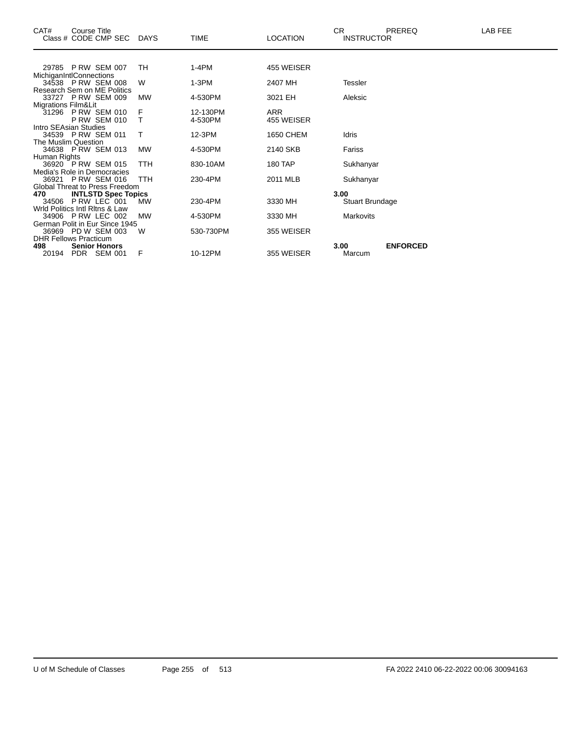| CAT#                           | Course Title<br>Class # CODE CMP SEC          | <b>DAYS</b> | <b>TIME</b> | <b>LOCATION</b> | CR.  | <b>INSTRUCTOR</b> | <b>PREREQ</b>   | LAB FEE |
|--------------------------------|-----------------------------------------------|-------------|-------------|-----------------|------|-------------------|-----------------|---------|
|                                |                                               |             |             |                 |      |                   |                 |         |
|                                | 29785 P RW SEM 007                            | TH          | $1-4PM$     | 455 WEISER      |      |                   |                 |         |
|                                | MichiganIntlConnections                       |             |             |                 |      |                   |                 |         |
|                                | 34538 P RW SEM 008                            | W           | 1-3PM       | 2407 MH         |      | <b>Tessler</b>    |                 |         |
|                                | Research Sem on ME Politics                   |             |             |                 |      |                   |                 |         |
|                                | 33727 P RW SEM 009                            | <b>MW</b>   | 4-530PM     | 3021 EH         |      | Aleksic           |                 |         |
| <b>Migrations Film&amp;Lit</b> | 31296 P RW SEM 010                            |             | 12-130PM    | ARR             |      |                   |                 |         |
|                                | <b>P RW SEM 010</b>                           | F<br>т      | 4-530PM     | 455 WEISER      |      |                   |                 |         |
|                                | Intro SEAsian Studies                         |             |             |                 |      |                   |                 |         |
|                                | 34539 P RW SEM 011                            | Т           | 12-3PM      | 1650 CHEM       |      | Idris             |                 |         |
| The Muslim Question            |                                               |             |             |                 |      |                   |                 |         |
|                                | 34638 P RW SEM 013                            | <b>MW</b>   | 4-530PM     | 2140 SKB        |      | Fariss            |                 |         |
| Human Rights                   |                                               |             |             |                 |      |                   |                 |         |
|                                | 36920 P RW SEM 015                            | TTH         | 830-10AM    | 180 TAP         |      | Sukhanyar         |                 |         |
|                                | Media's Role in Democracies                   |             |             |                 |      |                   |                 |         |
|                                | 36921 P RW SEM 016                            | TTH         | 230-4PM     | 2011 MLB        |      | Sukhanyar         |                 |         |
|                                | Global Threat to Press Freedom                |             |             |                 |      |                   |                 |         |
| 470                            | <b>INTLSTD Spec Topics</b>                    |             |             |                 | 3.00 |                   |                 |         |
| 34506                          | PRW LEC 001<br>Wrld Politics Intl Ritns & Law | MW          | 230-4PM     | 3330 MH         |      | Stuart Brundage   |                 |         |
|                                | 34906 P RW LEC 002                            | <b>MW</b>   | 4-530PM     | 3330 MH         |      | <b>Markovits</b>  |                 |         |
|                                | German Polit in Eur Since 1945                |             |             |                 |      |                   |                 |         |
|                                | 36969 PD W SEM 003                            | W           | 530-730PM   | 355 WEISER      |      |                   |                 |         |
|                                | <b>DHR Fellows Practicum</b>                  |             |             |                 |      |                   |                 |         |
| 498                            | <b>Senior Honors</b>                          |             |             |                 | 3.00 |                   | <b>ENFORCED</b> |         |
| 20194                          | PDR SEM 001                                   | F           | 10-12PM     | 355 WEISER      |      | Marcum            |                 |         |
|                                |                                               |             |             |                 |      |                   |                 |         |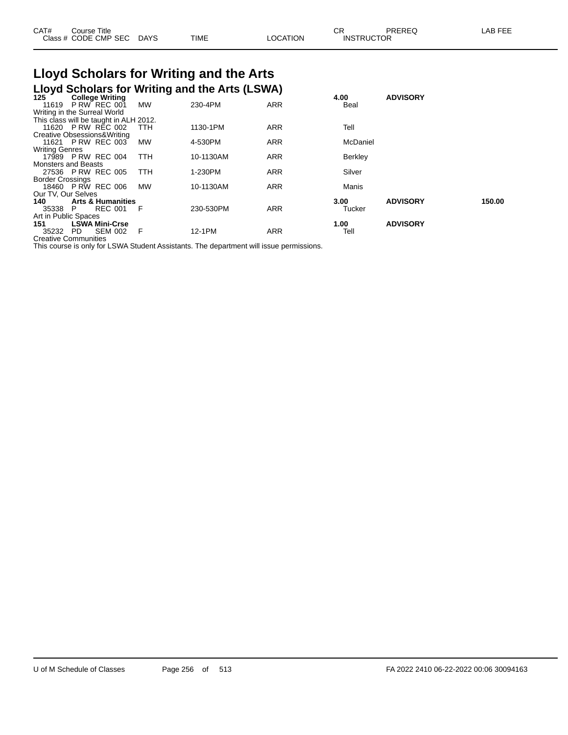| CAT# | Course Title<br>Class # CODE CMP SEC | <b>DAYS</b> | <b>TIME</b> | LOCATION | СR<br><b>INSTRUCTOR</b> | PREREQ | LAB FEE |
|------|--------------------------------------|-------------|-------------|----------|-------------------------|--------|---------|
|      |                                      |             |             |          |                         |        |         |

# **Lloyd Scholars for Writing and the Arts**

|                            |                                        |           | Lloyd Scholars for Writing and the Arts (LSWA) |            |          |                 |        |
|----------------------------|----------------------------------------|-----------|------------------------------------------------|------------|----------|-----------------|--------|
| 125                        | <b>College Writing</b>                 |           |                                                |            | 4.00     | <b>ADVISORY</b> |        |
| 11619                      | P RW REC 001                           | <b>MW</b> | 230-4PM                                        | <b>ARR</b> | Beal     |                 |        |
|                            | Writing in the Surreal World           |           |                                                |            |          |                 |        |
|                            | This class will be taught in ALH 2012. |           |                                                |            |          |                 |        |
|                            | 11620 P RW REC 002                     | ттн       | 1130-1PM                                       | <b>ARR</b> | Tell     |                 |        |
|                            | Creative Obsessions& Writing           |           |                                                |            |          |                 |        |
|                            | 11621 P RW REC 003                     | MW        | 4-530PM                                        | <b>ARR</b> | McDaniel |                 |        |
| <b>Writing Genres</b>      |                                        |           |                                                |            |          |                 |        |
|                            | 17989 P RW REC 004                     | TTH       | 10-1130AM                                      | <b>ARR</b> | Berkley  |                 |        |
| <b>Monsters and Beasts</b> |                                        |           |                                                |            |          |                 |        |
|                            | 27536 P RW REC 005                     | TTH       | 1-230PM                                        | <b>ARR</b> | Silver   |                 |        |
| <b>Border Crossings</b>    |                                        |           |                                                |            |          |                 |        |
|                            | 18460 P RW REC 006                     | <b>MW</b> | 10-1130AM                                      | <b>ARR</b> | Manis    |                 |        |
| Our TV, Our Selves         |                                        |           |                                                |            |          |                 |        |
| 140                        | <b>Arts &amp; Humanities</b>           |           |                                                |            | 3.00     | <b>ADVISORY</b> | 150.00 |
| 35338                      | <b>REC 001</b><br>P.                   | - F       | 230-530PM                                      | <b>ARR</b> | Tucker   |                 |        |
| Art in Public Spaces       |                                        |           |                                                |            |          |                 |        |
| 151                        | <b>LSWA Mini-Crse</b>                  |           |                                                |            | 1.00     | <b>ADVISORY</b> |        |
| 35232 PD                   | <b>SEM 002</b>                         | - F       | 12-1PM                                         | <b>ARR</b> | Tell     |                 |        |
|                            | <b>Creative Communities</b>            |           |                                                |            |          |                 |        |

This course is only for LSWA Student Assistants. The department will issue permissions.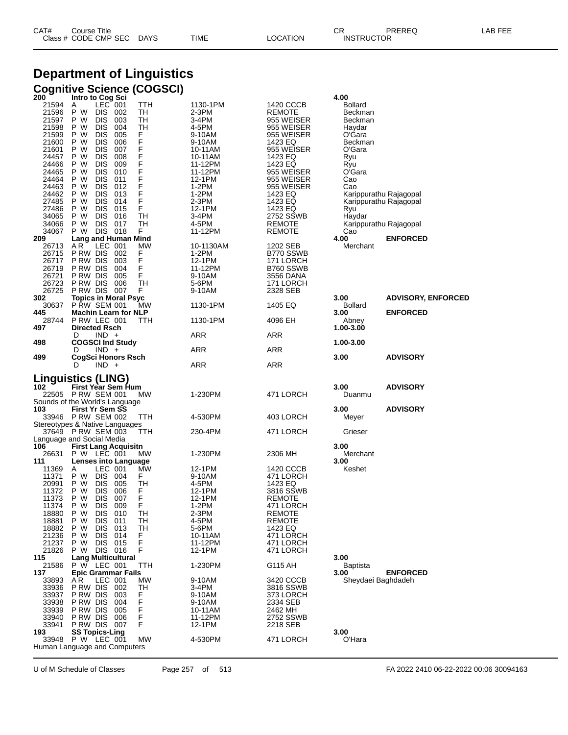| CAT# | Title<br>Courseٽ     |      |      |          | Ωm<br>ັບເ         | PREREQ | ----<br>AR<br>--- |
|------|----------------------|------|------|----------|-------------------|--------|-------------------|
|      | Class # CODE CMP SEC | DAYS | TIME | LOCATION | <b>INSTRUCTOR</b> |        |                   |

## **Department of Linguistics**

| 200                                                                                                                                                            | Cognitive Science (COGSCI)<br>Intro to Cog Sci                                                                                                                                                                                                                                                                                                                                                                                                                                                                                                                                                    |                                                                                                                                                                                   |                                                                                                                                                                                                                          | 4.00                                                                                                                                         |                                                                            |
|----------------------------------------------------------------------------------------------------------------------------------------------------------------|---------------------------------------------------------------------------------------------------------------------------------------------------------------------------------------------------------------------------------------------------------------------------------------------------------------------------------------------------------------------------------------------------------------------------------------------------------------------------------------------------------------------------------------------------------------------------------------------------|-----------------------------------------------------------------------------------------------------------------------------------------------------------------------------------|--------------------------------------------------------------------------------------------------------------------------------------------------------------------------------------------------------------------------|----------------------------------------------------------------------------------------------------------------------------------------------|----------------------------------------------------------------------------|
| 21594<br>21596<br>21597<br>21598<br>21599<br>21600<br>21601<br>24457<br>24466<br>24465<br>24464<br>24463<br>24462<br>27485<br>27486<br>34065<br>34066<br>34067 | $LEC$ 001<br>TTH<br>A<br>P W<br>TH<br><b>DIS</b><br>002<br>P W<br>003<br>TН<br><b>DIS</b><br>P W<br><b>DIS</b><br>004<br>TН<br><b>DIS</b><br>005<br>F<br>P W<br>F<br>F<br>P W<br>006<br><b>DIS</b><br>P W<br><b>DIS</b><br>007<br>F<br><b>DIS</b><br>008<br>P W<br>F<br>F<br>P W<br><b>DIS</b><br>009<br>P W<br><b>DIS</b><br>010<br>F<br><b>DIS</b><br>011<br>P W<br>F<br>F<br>P W<br><b>DIS</b><br>012<br>P W<br><b>DIS</b><br>013<br>F<br><b>DIS</b><br>014<br>P W<br>F<br>P W<br><b>DIS</b><br>015<br>P W<br><b>DIS</b><br>TH<br>016<br><b>DIS</b><br>TН<br>P W<br>017<br>P W<br>DIS 018<br>F | 1130-1PM<br>2-3PM<br>3-4PM<br>4-5PM<br>9-10AM<br>9-10AM<br>10-11AM<br>10-11AM<br>11-12PM<br>11-12PM<br>12-1PM<br>1-2PM<br>$1-2PM$<br>2-3PM<br>12-1PM<br>3-4PM<br>4-5PM<br>11-12PM | 1420 CCCB<br>REMOTE<br>955 WEISER<br>955 WEISER<br>955 WEISER<br>1423 EQ<br>955 WEISER<br>1423 EQ<br>1423 EQ<br>955 WEISER<br>955 WEISER<br>955 WEISER<br>1423 EQ<br>1423 EQ<br>1423 EQ<br>2752 SSWB<br>REMOTE<br>REMOTE | Bollard<br>Beckman<br>Beckman<br>Haydar<br>O'Gara<br>Beckman<br>O'Gara<br>Ryu<br>Ryu<br>O'Gara<br>Cao<br>Cao<br>Ryu<br>Haydar<br>Cao<br>4.00 | Karippurathu Rajagopal<br>Karippurathu Rajagopal<br>Karippurathu Rajagopal |
| 209<br>26713<br>26715<br>26717<br>26719<br>26721<br>26723<br>26725<br>302<br>30637<br>445                                                                      | <b>Lang and Human Mind</b><br>LEC 001<br>A R<br>MW<br>PRW DIS 002<br>F<br>F<br>P RW DIS<br>003<br>F<br>P RW DIS<br>004<br>F<br>P RW DIS<br>005<br><b>TH</b><br>P RW DIS<br>006<br>P RW DIS 007<br>F<br><b>Topics in Moral Psyc</b><br>P RW SEM 001<br><b>MW</b><br><b>Machin Learn for NLP</b>                                                                                                                                                                                                                                                                                                    | 10-1130AM<br>1-2PM<br>12-1PM<br>11-12PM<br>9-10AM<br>5-6PM<br>9-10AM<br>1130-1PM                                                                                                  | 1202 SEB<br>B770 SSWB<br>171 LORCH<br>B760 SSWB<br>3556 DANA<br>171 LORCH<br>2328 SEB<br>1405 EQ                                                                                                                         | Merchant<br>3.00<br>Bollard<br>3.00                                                                                                          | <b>ENFORCED</b><br><b>ADVISORY, ENFORCED</b><br><b>ENFORCED</b>            |
| 28744<br>497                                                                                                                                                   | PRW LEC 001<br>TTH<br><b>Directed Rsch</b>                                                                                                                                                                                                                                                                                                                                                                                                                                                                                                                                                        | 1130-1PM                                                                                                                                                                          | 4096 EH                                                                                                                                                                                                                  | Abney<br>1.00-3.00                                                                                                                           |                                                                            |
| 498                                                                                                                                                            | $IND +$<br>D<br><b>COGSCI Ind Study</b>                                                                                                                                                                                                                                                                                                                                                                                                                                                                                                                                                           | ARR                                                                                                                                                                               | ARR                                                                                                                                                                                                                      | 1.00-3.00                                                                                                                                    |                                                                            |
| 499                                                                                                                                                            | $IND +$<br>D<br>CogSci Honors Rsch                                                                                                                                                                                                                                                                                                                                                                                                                                                                                                                                                                | <b>ARR</b>                                                                                                                                                                        | <b>ARR</b>                                                                                                                                                                                                               | 3.00                                                                                                                                         | <b>ADVISORY</b>                                                            |
|                                                                                                                                                                | $IND +$<br>D                                                                                                                                                                                                                                                                                                                                                                                                                                                                                                                                                                                      | ARR                                                                                                                                                                               | ARR                                                                                                                                                                                                                      |                                                                                                                                              |                                                                            |
| 102<br>103                                                                                                                                                     | Linguistics (LING)<br>First Year Sem Hum<br>22505 PRW SEM 001<br>MW.<br>Sounds of the World's Language<br><b>First Yr Sem SS</b>                                                                                                                                                                                                                                                                                                                                                                                                                                                                  | 1-230PM                                                                                                                                                                           | 471 LORCH                                                                                                                                                                                                                | 3.00<br>Duanmu<br>3.00                                                                                                                       | <b>ADVISORY</b><br><b>ADVISORY</b>                                         |
|                                                                                                                                                                | 33946 P RW SEM 002<br>TTH<br>Stereotypes & Native Languages                                                                                                                                                                                                                                                                                                                                                                                                                                                                                                                                       | 4-530PM                                                                                                                                                                           | 403 LORCH                                                                                                                                                                                                                | Meyer                                                                                                                                        |                                                                            |
|                                                                                                                                                                | 37649 PRW SEM 003<br>ттн<br>Language and Social Media                                                                                                                                                                                                                                                                                                                                                                                                                                                                                                                                             | 230-4PM                                                                                                                                                                           | 471 LORCH                                                                                                                                                                                                                | Grieser                                                                                                                                      |                                                                            |
| 106<br>26631<br>111                                                                                                                                            | <b>First Lang Acquisitn</b><br>P W LEC 001<br>МW<br>Lenses into Language                                                                                                                                                                                                                                                                                                                                                                                                                                                                                                                          | 1-230PM                                                                                                                                                                           | 2306 MH                                                                                                                                                                                                                  | 3.00<br>Merchant<br>3.00                                                                                                                     |                                                                            |
| 11369<br>11371<br>20991<br>11372<br>11373<br>11374<br>18880<br>18881<br>18882<br>21236<br>21237<br>21826                                                       | LEC 001<br>MW<br>A<br>P W<br><b>DIS</b><br>F<br>004<br>P W<br><b>DIS</b><br>TH<br>005<br><b>DIS</b><br>006<br>F<br>P W<br>F<br>P W<br><b>DIS</b><br>007<br><b>DIS</b><br>F<br>P W<br>009<br>P W<br>TН<br><b>DIS</b><br>010<br>P W<br>TН<br><b>DIS</b><br>011<br>P W<br><b>DIS</b><br>013<br>TН<br>P W<br><b>DIS</b><br>014<br>F<br>F<br>P W<br><b>DIS</b><br>015<br>F<br>P W<br>DIS 016                                                                                                                                                                                                           | 12-1PM<br>9-10AM<br>4-5PM<br>12-1PM<br>12-1PM<br>1-2PM<br>2-3PM<br>4-5PM<br>5-6PM<br>10-11AM<br>11-12PM<br>12-1PM                                                                 | 1420 CCCB<br>471 LORCH<br>1423 EQ<br>3816 SSWB<br>REMOTE<br>471 LORCH<br>REMOTE<br>REMOTE<br>1423 EQ<br>471 LORCH<br>471 LORCH<br>471 LORCH                                                                              | Keshet                                                                                                                                       |                                                                            |
| 115<br>21586                                                                                                                                                   | <b>Lang Multicultural</b><br>P W LEC 001<br>TTH                                                                                                                                                                                                                                                                                                                                                                                                                                                                                                                                                   | 1-230PM                                                                                                                                                                           | G115 AH                                                                                                                                                                                                                  | 3.00<br>Baptista                                                                                                                             |                                                                            |
| 137<br>33893                                                                                                                                                   | <b>Epic Grammar Fails</b>                                                                                                                                                                                                                                                                                                                                                                                                                                                                                                                                                                         | 9-10AM                                                                                                                                                                            | 3420 CCCB                                                                                                                                                                                                                | 3.00<br>Sheydaei Baghdadeh                                                                                                                   | <b>ENFORCED</b>                                                            |
| 33936<br>33937<br>33938<br>33939<br>33940<br>33941<br>193<br>33948                                                                                             | A R<br>LEC 001<br>MW<br>P RW DIS<br>002<br>TН<br>P RW DIS<br>003<br>F<br>F<br>P RW DIS<br>004<br>P RW DIS<br>F<br>005<br>F<br>P RW DIS<br>006<br>PRW DIS 007<br>F<br><b>SS Topics-Ling</b><br>P W LEC 001<br><b>MW</b>                                                                                                                                                                                                                                                                                                                                                                            | 3-4PM<br>9-10AM<br>9-10AM<br>10-11AM<br>11-12PM<br>12-1PM<br>4-530PM                                                                                                              | 3816 SSWB<br>373 LORCH<br>2334 SEB<br>2462 MH<br>2752 SSWB<br>2218 SEB<br>471 LORCH                                                                                                                                      | 3.00<br>O'Hara                                                                                                                               |                                                                            |

U of M Schedule of Classes Page 257 of 513 FA 2022 2410 06-22-2022 00:06 30094163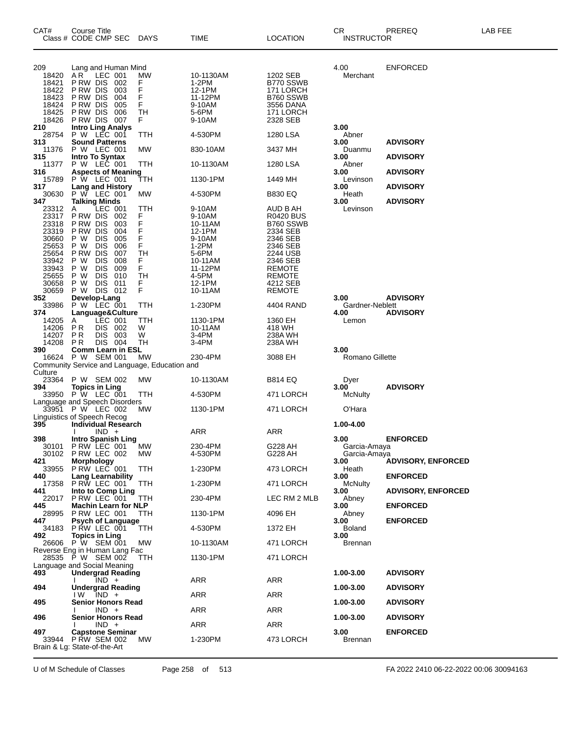| CAT#             | Course Title<br>Class # CODE CMP SEC                 | DAYS       | TIME                | LOCATION               | CR<br><b>INSTRUCTOR</b> | <b>PREREQ</b>             | LAB FEE |
|------------------|------------------------------------------------------|------------|---------------------|------------------------|-------------------------|---------------------------|---------|
|                  |                                                      |            |                     |                        |                         |                           |         |
| 209<br>18420     | Lang and Human Mind<br>AR.<br>LEC 001                | МW         | 10-1130AM           | 1202 SEB               | 4.00<br>Merchant        | <b>ENFORCED</b>           |         |
| 18421            | P RW DIS<br>002                                      | F          | 1-2PM               | B770 SSWB              |                         |                           |         |
| 18422            | P RW DIS<br>003                                      | F          | 12-1PM              | 171 LORCH              |                         |                           |         |
| 18423<br>18424   | P RW DIS<br>004<br>P RW DIS<br>005                   | F<br>F     | 11-12PM<br>9-10AM   | B760 SSWB<br>3556 DANA |                         |                           |         |
| 18425            | P RW DIS<br>006                                      | TН         | 5-6PM               | 171 LORCH              |                         |                           |         |
| 18426            | P RW DIS 007                                         | F.         | 9-10AM              | 2328 SEB               |                         |                           |         |
| 210<br>28754     | <b>Intro Ling Analys</b><br>P W LEC 001              | TTH        | 4-530PM             | 1280 LSA               | 3.00<br>Abner           |                           |         |
| 313              | <b>Sound Patterns</b>                                |            |                     |                        | 3.00                    | <b>ADVISORY</b>           |         |
| 11376            | P W LEC 001                                          | MW         | 830-10AM            | 3437 MH                | Duanmu                  |                           |         |
| 315<br>11377     | Intro To Syntax<br>P W LEC 001                       | TTH        | 10-1130AM           | 1280 LSA               | 3.00<br>Abner           | <b>ADVISORY</b>           |         |
| 316              | <b>Aspects of Meaning</b>                            |            |                     |                        | 3.00                    | <b>ADVISORY</b>           |         |
| 15789<br>317     | P W LEC 001<br><b>Lang and History</b>               | ттн        | 1130-1PM            | 1449 MH                | Levinson<br>3.00        | <b>ADVISORY</b>           |         |
| 30630            | P W LEC 001                                          | MW         | 4-530PM             | <b>B830 EQ</b>         | Heath                   |                           |         |
| 347              | <b>Talking Minds</b>                                 |            |                     |                        | 3.00                    | <b>ADVISORY</b>           |         |
| 23312<br>23317   | LEC 001<br>A<br>P RW DIS<br>002                      | TTH<br>F.  | 9-10AM<br>9-10AM    | AUD B AH<br>R0420 BUS  | Levinson                |                           |         |
| 23318            | P RW DIS<br>003                                      | F          | 10-11AM             | B760 SSWB              |                         |                           |         |
| 23319            | P RW DIS<br>004                                      | F          | 12-1PM              | 2334 SEB               |                         |                           |         |
| 30660<br>25653   | P W<br><b>DIS</b><br>005<br>P W<br><b>DIS</b><br>006 | F<br>F     | 9-10AM<br>1-2PM     | 2346 SEB<br>2346 SEB   |                         |                           |         |
| 25654            | P RW DIS<br>007                                      | TН         | 5-6PM               | 2244 USB               |                         |                           |         |
| 33942            | P W<br><b>DIS</b><br>008                             | F.         | 10-11AM             | 2346 SEB               |                         |                           |         |
| 33943<br>25655   | <b>DIS</b><br>P W<br>009<br><b>DIS</b><br>P W<br>010 | F.<br>TН   | 11-12PM<br>4-5PM    | REMOTE<br>REMOTE       |                         |                           |         |
| 30658            | <b>DIS</b><br>P W<br>011                             | F          | 12-1PM              | 4212 SEB               |                         |                           |         |
| 30659<br>352     | P W DIS 012<br>Develop-Lang                          | F          | 10-11AM             | REMOTE                 | 3.00                    | <b>ADVISORY</b>           |         |
| 33986            | P W LEC 001                                          | TTH        | 1-230PM             | 4404 RAND              | Gardner-Neblett         |                           |         |
| 374              | Language&Culture                                     |            |                     |                        | 4.00                    | <b>ADVISORY</b>           |         |
| 14205<br>14206   | LEC 001<br>A<br>DIS 002<br>P R                       | ттн<br>W   | 1130-1PM<br>10-11AM | 1360 EH<br>418 WH      | Lemon                   |                           |         |
| 14207            | P R<br>DIS 003                                       | W          | 3-4PM               | 238A WH                |                         |                           |         |
| 14208<br>390     | DIS 004<br>P R<br><b>Comm Learn in ESL</b>           | TН         | 3-4PM               | 238A WH                | 3.00                    |                           |         |
| 16624            | P W SEM 001                                          | MW         | 230-4PM             | 3088 EH                | Romano Gillette         |                           |         |
|                  | Community Service and Language, Education and        |            |                     |                        |                         |                           |         |
| Culture<br>23364 | P W SEM 002                                          | МW         | 10-1130AM           | <b>B814 EQ</b>         | Dyer                    |                           |         |
| 394              | <b>Topics in Ling</b>                                |            |                     |                        | 3.00                    | <b>ADVISORY</b>           |         |
| 33950            | <b>P W LEC 001</b>                                   | TTH        | 4-530PM             | 471 LORCH              | McNulty                 |                           |         |
|                  | Language and Speech Disorders<br>33951 P W LEC 002   | МW         | 1130-1PM            | 471 LORCH              | O'Hara                  |                           |         |
|                  | Linguistics of Speech Recog                          |            |                     |                        |                         |                           |         |
| 395              | <b>Individual Research</b><br>$IND +$                |            | ARR                 | ARR                    | 1.00-4.00               |                           |         |
| 398              | <b>Intro Spanish Ling</b>                            |            |                     |                        | 3.00                    | <b>ENFORCED</b>           |         |
|                  | 30101 PRW LEC 001                                    | <b>MW</b>  | 230-4PM             | G228 AH                | Garcia-Amaya            |                           |         |
| 421              | 30102 P RW LEC 002<br><b>Morphology</b>              | MW         | 4-530PM             | G228 AH                | Garcia-Amaya<br>3.00    | <b>ADVISORY, ENFORCED</b> |         |
| 33955            | P RW LEC 001                                         | TTH        | 1-230PM             | 473 LORCH              | Heath                   |                           |         |
| 440<br>17358     | <b>Lang Learnability</b><br>PRW LEC 001              | TTH        | 1-230PM             | 471 LORCH              | 3.00<br><b>McNulty</b>  | <b>ENFORCED</b>           |         |
| 441              | Into to Comp Ling                                    |            |                     |                        | 3.00                    | <b>ADVISORY, ENFORCED</b> |         |
| 22017            | P RW LEC 001                                         | TTH        | 230-4PM             | LEC RM 2 MLB           | Abney                   |                           |         |
| 445<br>28995     | <b>Machin Learn for NLP</b><br>P RW LEC 001          | TTH.       | 1130-1PM            | 4096 EH                | 3.00<br>Abney           | <b>ENFORCED</b>           |         |
| 447              | <b>Psych of Language</b>                             |            |                     |                        | 3.00                    | <b>ENFORCED</b>           |         |
| 34183<br>492     | PRW LEC 001<br><b>Topics in Ling</b>                 | <b>TTH</b> | 4-530PM             | 1372 EH                | <b>Boland</b><br>3.00   |                           |         |
| 26606            | P W SEM 001                                          | MW         | 10-1130AM           | 471 LORCH              | Brennan                 |                           |         |
|                  | Reverse Eng in Human Lang Fac                        |            |                     |                        |                         |                           |         |
|                  | 28535 P W SEM 002<br>Language and Social Meaning     | TTH.       | 1130-1PM            | 471 LORCH              |                         |                           |         |
| 493              | <b>Undergrad Reading</b>                             |            |                     |                        | 1.00-3.00               | <b>ADVISORY</b>           |         |
| 494              | $IND +$<br><b>Undergrad Reading</b>                  |            | ARR                 | ARR                    | 1.00-3.00               | <b>ADVISORY</b>           |         |
|                  | $IW$ $IND +$                                         |            | ARR                 | ARR                    |                         |                           |         |
| 495              | Senior Honors Read                                   |            |                     |                        | 1.00-3.00               | <b>ADVISORY</b>           |         |
| 496              | $IND +$<br><b>Senior Honors Read</b>                 |            | ARR                 | ARR                    | 1.00-3.00               | <b>ADVISORY</b>           |         |
|                  | $IND +$                                              |            | <b>ARR</b>          | ARR                    |                         |                           |         |
| 497<br>33944     | <b>Capstone Seminar</b><br><b>P RW SEM 002</b>       | MW.        | 1-230PM             | 473 LORCH              | 3.00<br><b>Brennan</b>  | <b>ENFORCED</b>           |         |
|                  | Brain & Lg: State-of-the-Art                         |            |                     |                        |                         |                           |         |
|                  |                                                      |            |                     |                        |                         |                           |         |

U of M Schedule of Classes Page 258 of 513 FA 2022 2410 06-22-2022 00:06 30094163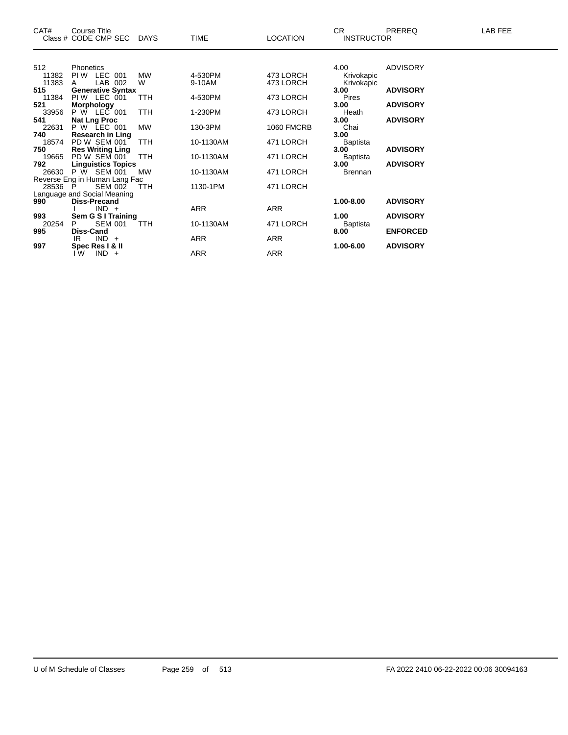| CAT#         | Course Title<br>Class # CODE CMP SEC DAYS |            | <b>TIME</b> | <b>LOCATION</b>   | CR.<br><b>INSTRUCTOR</b> | <b>PREREQ</b>   | LAB FEE |
|--------------|-------------------------------------------|------------|-------------|-------------------|--------------------------|-----------------|---------|
|              |                                           |            |             |                   |                          |                 |         |
| 512          | <b>Phonetics</b>                          |            |             |                   | 4.00                     | <b>ADVISORY</b> |         |
| 11382        | PIW LEC 001                               | <b>MW</b>  | 4-530PM     | 473 LORCH         | Krivokapic               |                 |         |
| 11383        | LAB 002<br>A                              | W          | 9-10AM      | 473 LORCH         | Krivokapic               |                 |         |
| 515          | <b>Generative Syntax</b>                  |            |             |                   | 3.00                     | <b>ADVISORY</b> |         |
| 11384<br>521 | PIW LEC 001<br><b>Morphology</b>          | TTH        | 4-530PM     | 473 LORCH         | Pires<br>3.00            | <b>ADVISORY</b> |         |
| 33956        | $P W$ LEC 001                             | <b>TTH</b> | 1-230PM     | 473 LORCH         | Heath                    |                 |         |
| 541          | <b>Nat Lng Proc</b>                       |            |             |                   | 3.00                     | <b>ADVISORY</b> |         |
| 22631        | <b>P W LEC 001</b>                        | <b>MW</b>  | 130-3PM     | <b>1060 FMCRB</b> | Chai                     |                 |         |
| 740          | <b>Research in Ling</b>                   |            |             |                   | 3.00                     |                 |         |
| 18574        | PD W SEM 001                              | <b>TTH</b> | 10-1130AM   | 471 LORCH         | <b>Baptista</b>          |                 |         |
| 750          | <b>Res Writing Ling</b>                   |            |             |                   | 3.00                     | <b>ADVISORY</b> |         |
| 19665        | PD W SEM 001                              | <b>TTH</b> | 10-1130AM   | 471 LORCH         | Baptista                 |                 |         |
| 792          | <b>Linguistics Topics</b>                 |            |             |                   | 3.00                     | <b>ADVISORY</b> |         |
| 26630        | $P \bar{W}$ SEM 001                       | <b>MW</b>  | 10-1130AM   | 471 LORCH         | Brennan                  |                 |         |
|              | Reverse Eng in Human Lang Fac             |            |             |                   |                          |                 |         |
| 28536 P      | <b>SEM 002</b>                            | <b>TTH</b> | 1130-1PM    | 471 LORCH         |                          |                 |         |
|              | Language and Social Meaning               |            |             |                   |                          |                 |         |
| 990          | <b>Diss-Precand</b>                       |            |             |                   | 1.00-8.00                | <b>ADVISORY</b> |         |
|              | $IND +$                                   |            | ARR         | ARR               |                          |                 |         |
| 993          | Sem G S I Training                        |            |             |                   | 1.00                     | <b>ADVISORY</b> |         |
| 20254        | <b>SEM 001</b><br>P                       | <b>TTH</b> | 10-1130AM   | 471 LORCH         | Baptista                 |                 |         |
| 995          | Diss-Cand<br>$IND +$<br>IR                |            | ARR         | ARR               | 8.00                     | <b>ENFORCED</b> |         |
| 997          | Spec Res I & II                           |            |             |                   | 1.00-6.00                | <b>ADVISORY</b> |         |
|              | IW.<br>$IND +$                            |            | ARR         | <b>ARR</b>        |                          |                 |         |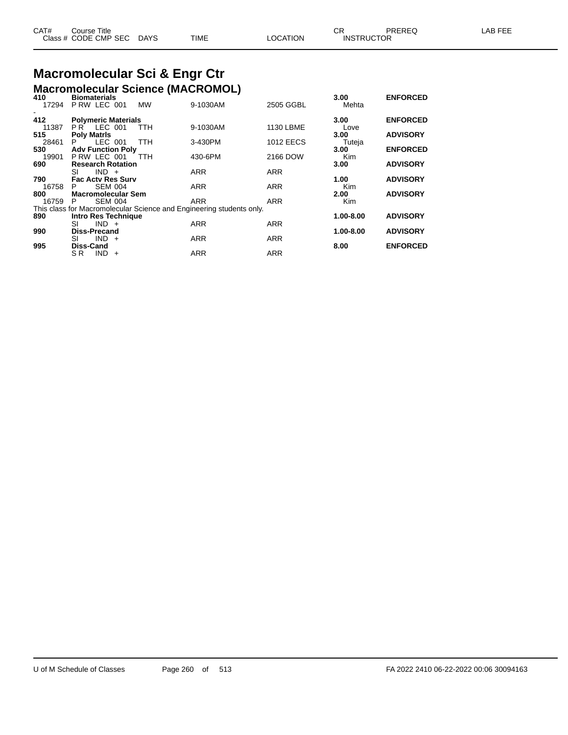| CAT# | Title<br>Course      |             |             |          | CR                | <b>PREREQ</b> | <b>FEE</b><br>_AB |
|------|----------------------|-------------|-------------|----------|-------------------|---------------|-------------------|
|      | Class # CODE CMP SEC | <b>DAYS</b> | <b>TIME</b> | LOCATION | <b>INSTRUCTOR</b> |               |                   |

### **Macromolecular Sci & Engr Ctr Macromolecular Science (MACROMOL) 410 Biomaterials 3.00 ENFORCED**

|     |                     | ----- |
|-----|---------------------|-------|
| 410 | <b>Biomaterials</b> |       |

| 7 I V<br>17294 | piviliuwi iuiv<br>P RW LEC 001 | <b>MW</b>  | 9-1030AM                                                             | 2505 GGBL        | <br>Mehta | - - - - - - - - |
|----------------|--------------------------------|------------|----------------------------------------------------------------------|------------------|-----------|-----------------|
| 412            | <b>Polymeric Materials</b>     |            |                                                                      |                  | 3.00      | <b>ENFORCED</b> |
| 11387          | PR LEC 001                     | <b>TTH</b> | 9-1030AM                                                             | 1130 LBME        | Love      |                 |
| 515            | <b>Poly Matris</b>             |            |                                                                      |                  | 3.00      | <b>ADVISORY</b> |
| 28461          | LEC 001<br>P.                  | <b>TTH</b> | 3-430PM                                                              | <b>1012 EECS</b> | Tuteja    |                 |
| 530            | <b>Adv Function Poly</b>       |            |                                                                      |                  | 3.00      | <b>ENFORCED</b> |
| 19901          | PRW LEC 001                    | <b>TTH</b> | 430-6PM                                                              | 2166 DOW         | Kim       |                 |
| 690            | <b>Research Rotation</b>       |            |                                                                      |                  | 3.00      | <b>ADVISORY</b> |
|                | $IND +$<br>SI                  |            | <b>ARR</b>                                                           | <b>ARR</b>       |           |                 |
| 790            | <b>Fac Acty Res Surv</b>       |            |                                                                      |                  | 1.00      | <b>ADVISORY</b> |
| 16758          | <b>SEM 004</b><br>P.           |            | <b>ARR</b>                                                           | <b>ARR</b>       | Kim       |                 |
| 800            | <b>Macromolecular Sem</b>      |            |                                                                      |                  | 2.00      | <b>ADVISORY</b> |
| 16759          | <b>SEM 004</b><br>P            |            | <b>ARR</b>                                                           | <b>ARR</b>       | Kim       |                 |
|                |                                |            | This class for Macromolecular Science and Engineering students only. |                  |           |                 |
| 890            | Intro Res Technique            |            |                                                                      |                  | 1.00-8.00 | <b>ADVISORY</b> |
|                | SI<br>$IND +$                  |            | <b>ARR</b>                                                           | <b>ARR</b>       |           |                 |
| 990            | <b>Diss-Precand</b>            |            |                                                                      |                  | 1.00-8.00 | <b>ADVISORY</b> |
|                | $IND +$<br>SI                  |            | <b>ARR</b>                                                           | <b>ARR</b>       |           |                 |
| 995            | <b>Diss-Cand</b>               |            |                                                                      |                  | 8.00      | <b>ENFORCED</b> |
|                | SR.<br>$IND +$                 |            | <b>ARR</b>                                                           | <b>ARR</b>       |           |                 |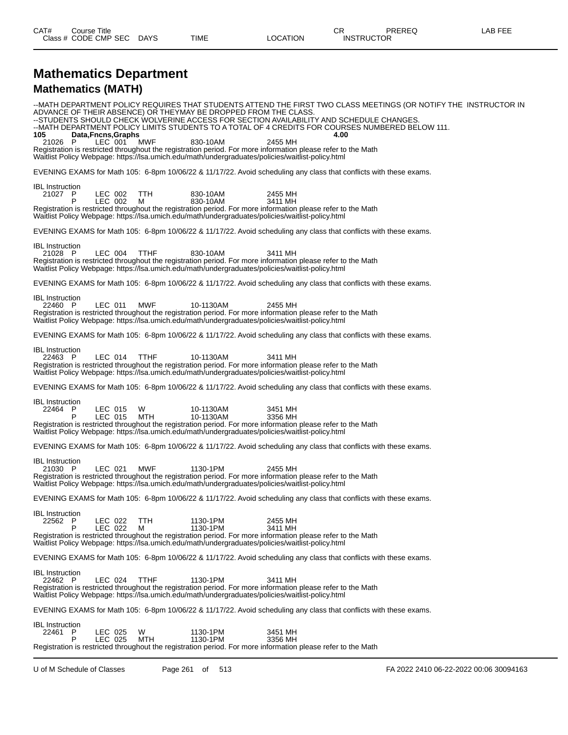#### **Mathematics Department Mathematics (MATH)**

--MATH DEPARTMENT POLICY REQUIRES THAT STUDENTS ATTEND THE FIRST TWO CLASS MEETINGS (OR NOTIFY THE INSTRUCTOR IN ADVANCE OF THEIR ABSENCE) OR THEYMAY BE DROPPED FROM THE CLASS. --STUDENTS SHOULD CHECK WOLVERINE ACCESS FOR SECTION AVAILABILITY AND SCHEDULE CHANGES. --MATH DEPARTMENT POLICY LIMITS STUDENTS TO A TOTAL OF 4 CREDITS FOR COURSES NUMBERED BELOW 111. **105 105 Data,Fncns,Graphs 105 105 1040 1051 1040 4.000 1040 4.000 4.000 4.000 4.000 4.000 4.000 4.000 4.000 4.000 4.000 4.000 4.000 4.000 4.000 4.000 4.000 4.000 4.000** 21026 P LEC 001 MWF 830-10AM 2455 MH Registration is restricted throughout the registration period. For more information please refer to the Math Waitlist Policy Webpage: https://lsa.umich.edu/math/undergraduates/policies/waitlist-policy.html EVENING EXAMS for Math 105: 6-8pm 10/06/22 & 11/17/22. Avoid scheduling any class that conflicts with these exams. IBL Instruction 21027 P LEC 002 TTH 830-10AM 2455 MH P LEC 002 M 830-10AM 3411 MH Registration is restricted throughout the registration period. For more information please refer to the Math Waitlist Policy Webpage: https://lsa.umich.edu/math/undergraduates/policies/waitlist-policy.html EVENING EXAMS for Math 105: 6-8pm 10/06/22 & 11/17/22. Avoid scheduling any class that conflicts with these exams. IBL Instruction<br>21028 P 21028 P LEC 004 TTHF 830-10AM 3411 MH Registration is restricted throughout the registration period. For more information please refer to the Math Waitlist Policy Webpage: https://lsa.umich.edu/math/undergraduates/policies/waitlist-policy.html EVENING EXAMS for Math 105: 6-8pm 10/06/22 & 11/17/22. Avoid scheduling any class that conflicts with these exams. IBL Instruction<br>22460 P 22460 P LEC 011 MWF 10-1130AM 2455 MH Registration is restricted throughout the registration period. For more information please refer to the Math Waitlist Policy Webpage: https://lsa.umich.edu/math/undergraduates/policies/waitlist-policy.html EVENING EXAMS for Math 105: 6-8pm 10/06/22 & 11/17/22. Avoid scheduling any class that conflicts with these exams. IBL Instruction<br>22463 P 22463 P LEC 014 TTHF 10-1130AM 3411 MH Registration is restricted throughout the registration period. For more information please refer to the Math Waitlist Policy Webpage: https://lsa.umich.edu/math/undergraduates/policies/waitlist-policy.html EVENING EXAMS for Math 105: 6-8pm 10/06/22 & 11/17/22. Avoid scheduling any class that conflicts with these exams. IBL Instruction<br>22464 P P LEC 015 W 10-1130AM 3451 MH<br>P LEC 015 MTH 10-1130AM 3356 MH P LEC 015 MTH 10-1130AM 3356 MH Registration is restricted throughout the registration period. For more information please refer to the Math Waitlist Policy Webpage: https://lsa.umich.edu/math/undergraduates/policies/waitlist-policy.html EVENING EXAMS for Math 105: 6-8pm 10/06/22 & 11/17/22. Avoid scheduling any class that conflicts with these exams. IBL Instruction<br>21030 P 21030 P LEC 021 MWF 1130-1PM 2455 MH Registration is restricted throughout the registration period. For more information please refer to the Math Waitlist Policy Webpage: https://lsa.umich.edu/math/undergraduates/policies/waitlist-policy.html EVENING EXAMS for Math 105: 6-8pm 10/06/22 & 11/17/22. Avoid scheduling any class that conflicts with these exams. IBL Instruction<br>22562 P 2455 MH<br>P LEC 022 M 1130-1PM 2455 MH P LEC 022 M 1130-1PM 3411 MH Registration is restricted throughout the registration period. For more information please refer to the Math Waitlist Policy Webpage: https://lsa.umich.edu/math/undergraduates/policies/waitlist-policy.html EVENING EXAMS for Math 105: 6-8pm 10/06/22 & 11/17/22. Avoid scheduling any class that conflicts with these exams. IBL Instruction<br>22462 P 22462 P LEC 024 TTHF 1130-1PM 3411 MH Registration is restricted throughout the registration period. For more information please refer to the Math Waitlist Policy Webpage: https://lsa.umich.edu/math/undergraduates/policies/waitlist-policy.html EVENING EXAMS for Math 105: 6-8pm 10/06/22 & 11/17/22. Avoid scheduling any class that conflicts with these exams. IBL Instruction<br>22461 P ...<br>P LEC 025 W 1130-1PM 3451 MH<br>P LEC 025 MTH 1130-1PM 3356 MH P LEC 025 MTH 1130-1PM 3356 MH Registration is restricted throughout the registration period. For more information please refer to the Math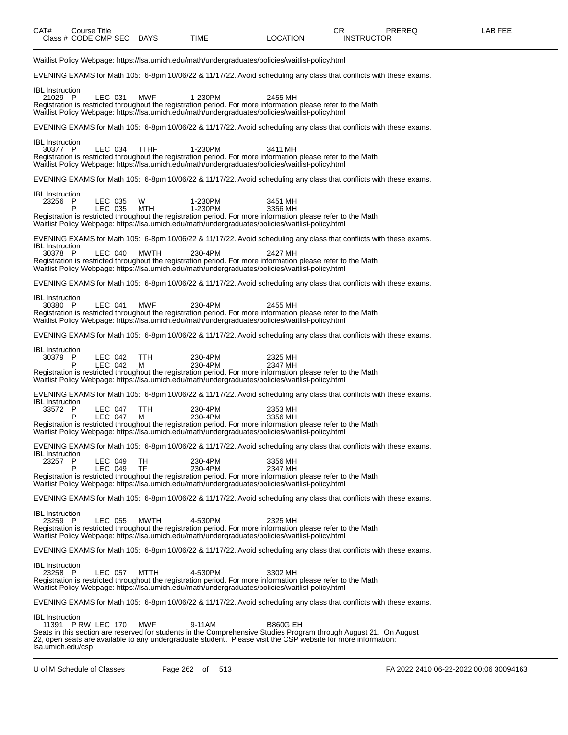Waitlist Policy Webpage: https://lsa.umich.edu/math/undergraduates/policies/waitlist-policy.html EVENING EXAMS for Math 105: 6-8pm 10/06/22 & 11/17/22. Avoid scheduling any class that conflicts with these exams. IBL Instruction<br>21029 P 21029 P LEC 031 MWF 1-230PM 2455 MH Registration is restricted throughout the registration period. For more information please refer to the Math Waitlist Policy Webpage: https://lsa.umich.edu/math/undergraduates/policies/waitlist-policy.html EVENING EXAMS for Math 105: 6-8pm 10/06/22 & 11/17/22. Avoid scheduling any class that conflicts with these exams. IBL Instruction<br>30377 P 30377 P LEC 034 TTHF 1-230PM 3411 MH Registration is restricted throughout the registration period. For more information please refer to the Math Waitlist Policy Webpage: https://lsa.umich.edu/math/undergraduates/policies/waitlist-policy.html EVENING EXAMS for Math 105: 6-8pm 10/06/22 & 11/17/22. Avoid scheduling any class that conflicts with these exams. IBL Instruction<br>23256 P 23256 P LEC 035 W 1-230PM 3451 MH P LEC 035 MTH 1-230PM 3356 MH Registration is restricted throughout the registration period. For more information please refer to the Math Waitlist Policy Webpage: https://lsa.umich.edu/math/undergraduates/policies/waitlist-policy.html EVENING EXAMS for Math 105: 6-8pm 10/06/22 & 11/17/22. Avoid scheduling any class that conflicts with these exams. IBL Instruction<br>30378 P 30378 P LEC 040 MWTH 230-4PM 2427 MH Registration is restricted throughout the registration period. For more information please refer to the Math Waitlist Policy Webpage: https://lsa.umich.edu/math/undergraduates/policies/waitlist-policy.html EVENING EXAMS for Math 105: 6-8pm 10/06/22 & 11/17/22. Avoid scheduling any class that conflicts with these exams. IBL Instruction<br>30380 P 30380 P LEC 041 MWF 230-4PM 2455 MH Registration is restricted throughout the registration period. For more information please refer to the Math Waitlist Policy Webpage: https://lsa.umich.edu/math/undergraduates/policies/waitlist-policy.html EVENING EXAMS for Math 105: 6-8pm 10/06/22 & 11/17/22. Avoid scheduling any class that conflicts with these exams. IBL Instruction<br>30379 P P LEC 042 TTH 230-4PM 2325 MH<br>P LEC 042 M 230-4PM 2347 MH P LEC 042 M 230-4PM 2347 MH Registration is restricted throughout the registration period. For more information please refer to the Math Waitlist Policy Webpage: https://lsa.umich.edu/math/undergraduates/policies/waitlist-policy.html EVENING EXAMS for Math 105: 6-8pm 10/06/22 & 11/17/22. Avoid scheduling any class that conflicts with these exams. IBL Instruction 33572 P LEC 047 TTH 230-4PM 2353 MH P LEC 047 M 230-4PM 3356 MH Registration is restricted throughout the registration period. For more information please refer to the Math Waitlist Policy Webpage: https://lsa.umich.edu/math/undergraduates/policies/waitlist-policy.html EVENING EXAMS for Math 105: 6-8pm 10/06/22 & 11/17/22. Avoid scheduling any class that conflicts with these exams. IBL Instruction<br>23257 P P LEC 049 TH 230-4PM 3356 MH<br>P LEC 049 TF 230-4PM 2347 MH P LEC 049 TF 230-4PM 2347 MH Registration is restricted throughout the registration period. For more information please refer to the Math Waitlist Policy Webpage: https://lsa.umich.edu/math/undergraduates/policies/waitlist-policy.html EVENING EXAMS for Math 105: 6-8pm 10/06/22 & 11/17/22. Avoid scheduling any class that conflicts with these exams. IBL Instruction<br>23259 P LEC 055 MWTH 4-530PM 2325 MH Registration is restricted throughout the registration period. For more information please refer to the Math Waitlist Policy Webpage: https://lsa.umich.edu/math/undergraduates/policies/waitlist-policy.html EVENING EXAMS for Math 105: 6-8pm 10/06/22 & 11/17/22. Avoid scheduling any class that conflicts with these exams. IBL Instruction<br>23258 P 23258 P LEC 057 MTTH 4-530PM 3302 MH Registration is restricted throughout the registration period. For more information please refer to the Math Waitlist Policy Webpage: https://lsa.umich.edu/math/undergraduates/policies/waitlist-policy.html EVENING EXAMS for Math 105: 6-8pm 10/06/22 & 11/17/22. Avoid scheduling any class that conflicts with these exams. IBL Instruction 11391 P RW LEC 170 MWF 9-11AM B860G EH Seats in this section are reserved for students in the Comprehensive Studies Program through August 21. On August

lsa.umich.edu/csp

22, open seats are available to any undergraduate student. Please visit the CSP website for more information: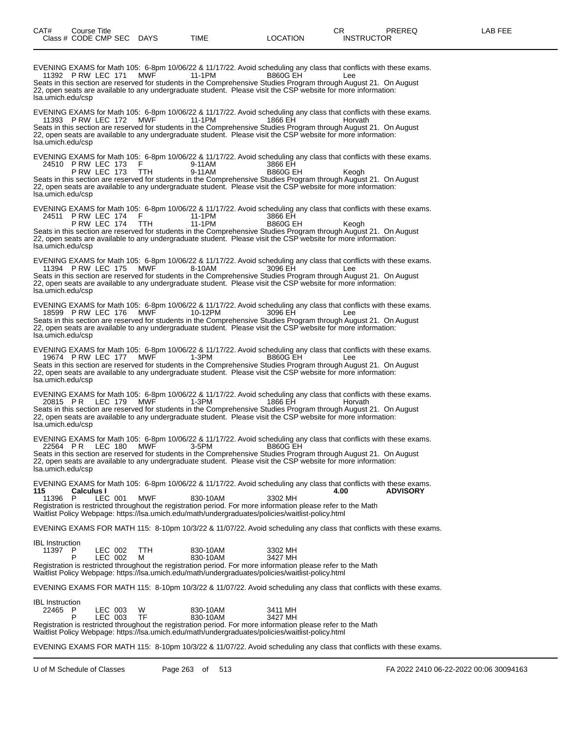EVENING EXAMS for Math 105: 6-8pm 10/06/22 & 11/17/22. Avoid scheduling any class that conflicts with these exams. 11392 P RW LEC 171 MWF Seats in this section are reserved for students in the Comprehensive Studies Program through August 21. On August 22, open seats are available to any undergraduate student. Please visit the CSP website for more information: lsa.umich.edu/csp EVENING EXAMS for Math 105: 6-8pm 10/06/22 & 11/17/22. Avoid scheduling any class that conflicts with these exams. 11393 P RW LEC 172 MWF 11-1PM 1866 EH Horvath Seats in this section are reserved for students in the Comprehensive Studies Program through August 21. On August 22, open seats are available to any undergraduate student. Please visit the CSP website for more information: lsa.umich.edu/csp EVENING EXAMS for Math 105: 6-8pm 10/06/22 & 11/17/22. Avoid scheduling any class that conflicts with these exams.<br>24510 PRW LEC 173 F 9-11AM 3866 EH 24510 P RW LEC 173 F 9-11AM 3866 EH<br>P RW LEC 173 TH 9-11AM B860G EH P RW LEC 173 TTH 9-11AM B860G EH Keogh Seats in this section are reserved for students in the Comprehensive Studies Program through August 21. On August 22, open seats are available to any undergraduate student. Please visit the CSP website for more information: lsa.umich.edu/csp EVENING EXAMS for Math 105: 6-8pm 10/06/22 & 11/17/22. Avoid scheduling any class that conflicts with these exams. 24511 P RW LEC 174 F 11-1PM 3866 EH P RW LEC 174 TTH 11-1PM B860G EH Keogh Seats in this section are reserved for students in the Comprehensive Studies Program through August 21. On August 22, open seats are available to any undergraduate student. Please visit the CSP website for more information: lsa.umich.edu/csp EVENING EXAMS for Math 105: 6-8pm 10/06/22 & 11/17/22. Avoid scheduling any class that conflicts with these exams. 11394 P RW LEC 175 MWF 8-10AM 3096 EH Lee Seats in this section are reserved for students in the Comprehensive Studies Program through August 21. On August 22, open seats are available to any undergraduate student. Please visit the CSP website for more information: lsa.umich.edu/csp EVENING EXAMS for Math 105: 6-8pm 10/06/22 & 11/17/22. Avoid scheduling any class that conflicts with these exams. 18599 P RW LEC 176 MWF 10-12PM 3096 EH Lee Seats in this section are reserved for students in the Comprehensive Studies Program through August 21. On August 22, open seats are available to any undergraduate student. Please visit the CSP website for more information: lsa.umich.edu/csp EVENING EXAMS for Math 105: 6-8pm 10/06/22 & 11/17/22. Avoid scheduling any class that conflicts with these exams. 19674 P RW LEC 177 MWF 1-3PM B860G EH Lee Seats in this section are reserved for students in the Comprehensive Studies Program through August 21. On August 22, open seats are available to any undergraduate student. Please visit the CSP website for more information: lsa.umich.edu/csp EVENING EXAMS for Math 105: 6-8pm 10/06/22 & 11/17/22. Avoid scheduling any class that conflicts with these exams. 20815 PR LEC 179 MWF 1-3PM 1866 EH Horvath Seats in this section are reserved for students in the Comprehensive Studies Program through August 21. On August 22, open seats are available to any undergraduate student. Please visit the CSP website for more information: lsa.umich.edu/csp EVENING EXAMS for Math 105: 6-8pm 10/06/22 & 11/17/22. Avoid scheduling any class that conflicts with these exams. 22564 P R LEC 180 MWF 3-5PM B860G EH Seats in this section are reserved for students in the Comprehensive Studies Program through August 21. On August 22, open seats are available to any undergraduate student. Please visit the CSP website for more information: lsa.umich.edu/csp EVENING EXAMS for Math 105: 6-8pm 10/06/22 & 11/17/22. Avoid scheduling any class that conflicts with these exams. **115 Calculus I 4.00 ADVISORY** 11396 P LEC 001 MWF 830-10AM 3302 MH Registration is restricted throughout the registration period. For more information please refer to the Math Waitlist Policy Webpage: https://lsa.umich.edu/math/undergraduates/policies/waitlist-policy.html EVENING EXAMS FOR MATH 115: 8-10pm 10/3/22 & 11/07/22. Avoid scheduling any class that conflicts with these exams. IBL Instruction<br>11397 P 11397 LEC 002 TTH 830-10AM 3302 MH<br>11392 M 330-10AM 3427 MH P LEC 002 M 830-10AM 3427 MH Registration is restricted throughout the registration period. For more information please refer to the Math Waitlist Policy Webpage: https://lsa.umich.edu/math/undergraduates/policies/waitlist-policy.html EVENING EXAMS FOR MATH 115: 8-10pm 10/3/22 & 11/07/22. Avoid scheduling any class that conflicts with these exams. IBL Instruction<br>22465 P 22411 NH CD EC 003 W 830-10AM 3411 NH<br>2427 MH B30-10AM 3427 MH P LEC 003 TF 830-10AM 3427 MH Registration is restricted throughout the registration period. For more information please refer to the Math Waitlist Policy Webpage: https://lsa.umich.edu/math/undergraduates/policies/waitlist-policy.html EVENING EXAMS FOR MATH 115: 8-10pm 10/3/22 & 11/07/22. Avoid scheduling any class that conflicts with these exams.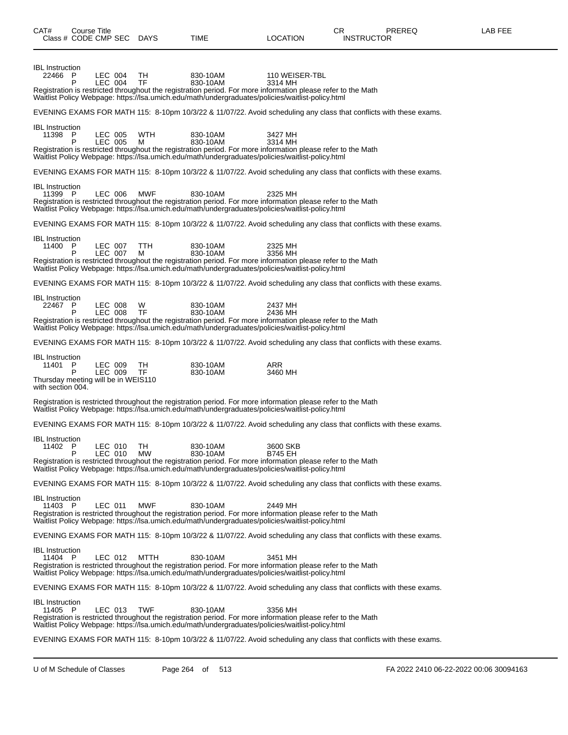| CAT#<br>Class # CODE CMP SEC DAYS                                                             | Course Title |                    |                | TIME                                                                                                                                                                                                                                     | <b>LOCATION</b>            | CR.<br><b>INSTRUCTOR</b> | <b>PREREQ</b> | LAB FEE |
|-----------------------------------------------------------------------------------------------|--------------|--------------------|----------------|------------------------------------------------------------------------------------------------------------------------------------------------------------------------------------------------------------------------------------------|----------------------------|--------------------------|---------------|---------|
| <b>IBL</b> Instruction<br>22466 P                                                             | P            | LEC 004<br>LEC 004 | TH<br>TF       | 830-10AM<br>830-10AM<br>Registration is restricted throughout the registration period. For more information please refer to the Math<br>Waitlist Policy Webpage: https://lsa.umich.edu/math/undergraduates/policies/waitlist-policy.html | 110 WEISER-TBL<br>3314 MH  |                          |               |         |
|                                                                                               |              |                    |                | EVENING EXAMS FOR MATH 115: 8-10pm 10/3/22 & 11/07/22. Avoid scheduling any class that conflicts with these exams.                                                                                                                       |                            |                          |               |         |
| <b>IBL</b> Instruction<br>11398 P                                                             | P            | LEC 005<br>LEC 005 | WTH<br>м       | 830-10AM<br>830-10AM<br>Registration is restricted throughout the registration period. For more information please refer to the Math<br>Waitlist Policy Webpage: https://lsa.umich.edu/math/undergraduates/policies/waitlist-policy.html | 3427 MH<br>3314 MH         |                          |               |         |
|                                                                                               |              |                    |                | EVENING EXAMS FOR MATH 115: 8-10pm 10/3/22 & 11/07/22. Avoid scheduling any class that conflicts with these exams.                                                                                                                       |                            |                          |               |         |
| <b>IBL</b> Instruction<br>11399 P                                                             |              | LEC 006            | <b>MWF</b>     | 830-10AM<br>Registration is restricted throughout the registration period. For more information please refer to the Math<br>Waitlist Policy Webpage: https://lsa.umich.edu/math/undergraduates/policies/waitlist-policy.html             | 2325 MH                    |                          |               |         |
|                                                                                               |              |                    |                | EVENING EXAMS FOR MATH 115: 8-10pm 10/3/22 & 11/07/22. Avoid scheduling any class that conflicts with these exams.                                                                                                                       |                            |                          |               |         |
| <b>IBL</b> Instruction<br>11400                                                               | P<br>P       | LEC 007<br>LEC 007 | TTH<br>м       | 830-10AM<br>830-10AM<br>Registration is restricted throughout the registration period. For more information please refer to the Math<br>Waitlist Policy Webpage: https://lsa.umich.edu/math/undergraduates/policies/waitlist-policy.html | 2325 MH<br>3356 MH         |                          |               |         |
|                                                                                               |              |                    |                | EVENING EXAMS FOR MATH 115: 8-10pm 10/3/22 & 11/07/22. Avoid scheduling any class that conflicts with these exams.                                                                                                                       |                            |                          |               |         |
| <b>IBL</b> Instruction<br>22467 P                                                             | P            | LEC 008<br>LEC 008 | W<br><b>TF</b> | 830-10AM<br>830-10AM<br>Registration is restricted throughout the registration period. For more information please refer to the Math<br>Waitlist Policy Webpage: https://lsa.umich.edu/math/undergraduates/policies/waitlist-policy.html | 2437 MH<br>2436 MH         |                          |               |         |
|                                                                                               |              |                    |                | EVENING EXAMS FOR MATH 115: 8-10pm 10/3/22 & 11/07/22. Avoid scheduling any class that conflicts with these exams.                                                                                                                       |                            |                          |               |         |
| <b>IBL</b> Instruction<br>11401 P<br>Thursday meeting will be in WEIS110<br>with section 004. | P            | LEC 009<br>LEC 009 | TH<br>TF.      | 830-10AM<br>830-10AM                                                                                                                                                                                                                     | ARR<br>3460 MH             |                          |               |         |
|                                                                                               |              |                    |                | Registration is restricted throughout the registration period. For more information please refer to the Math<br>Waitlist Policy Webpage: https://lsa.umich.edu/math/undergraduates/policies/waitlist-policy.html                         |                            |                          |               |         |
|                                                                                               |              |                    |                | EVENING EXAMS FOR MATH 115: 8-10pm 10/3/22 & 11/07/22. Avoid scheduling any class that conflicts with these exams.                                                                                                                       |                            |                          |               |         |
| <b>IBL</b> Instruction<br>11402 P                                                             | Р            | LEC 010<br>LEC 010 | TН<br>MW       | 830-10AM<br>830-10AM<br>Registration is restricted throughout the registration period. For more information please refer to the Math<br>Waitlist Policy Webpage: https://lsa.umich.edu/math/undergraduates/policies/waitlist-policy.html | 3600 SKB<br><b>B745 EH</b> |                          |               |         |
|                                                                                               |              |                    |                | EVENING EXAMS FOR MATH 115: 8-10pm 10/3/22 & 11/07/22. Avoid scheduling any class that conflicts with these exams.                                                                                                                       |                            |                          |               |         |
| <b>IBL</b> Instruction<br>11403 P                                                             |              | LEC 011            | <b>MWF</b>     | 830-10AM<br>Registration is restricted throughout the registration period. For more information please refer to the Math<br>Waitlist Policy Webpage: https://lsa.umich.edu/math/undergraduates/policies/waitlist-policy.html             | 2449 MH                    |                          |               |         |
|                                                                                               |              |                    |                | EVENING EXAMS FOR MATH 115: 8-10pm 10/3/22 & 11/07/22. Avoid scheduling any class that conflicts with these exams.                                                                                                                       |                            |                          |               |         |
| <b>IBL</b> Instruction<br>11404 P                                                             |              | LEC 012            | MTTH           | 830-10AM<br>Registration is restricted throughout the registration period. For more information please refer to the Math<br>Waitlist Policy Webpage: https://lsa.umich.edu/math/undergraduates/policies/waitlist-policy.html             | 3451 MH                    |                          |               |         |
|                                                                                               |              |                    |                | EVENING EXAMS FOR MATH 115: 8-10pm 10/3/22 & 11/07/22. Avoid scheduling any class that conflicts with these exams.                                                                                                                       |                            |                          |               |         |
| <b>IBL</b> Instruction<br>11405 P                                                             |              | LEC 013            | <b>TWF</b>     | 830-10AM<br>Registration is restricted throughout the registration period. For more information please refer to the Math<br>Waitlist Policy Webpage: https://lsa.umich.edu/math/undergraduates/policies/waitlist-policy.html             | 3356 MH                    |                          |               |         |
|                                                                                               |              |                    |                | EVENING EXAMS FOR MATH 115: 8-10pm 10/3/22 & 11/07/22. Avoid scheduling any class that conflicts with these exams.                                                                                                                       |                            |                          |               |         |

U of M Schedule of Classes Page 264 of 513 FA 2022 2410 06-22-2022 00:06 30094163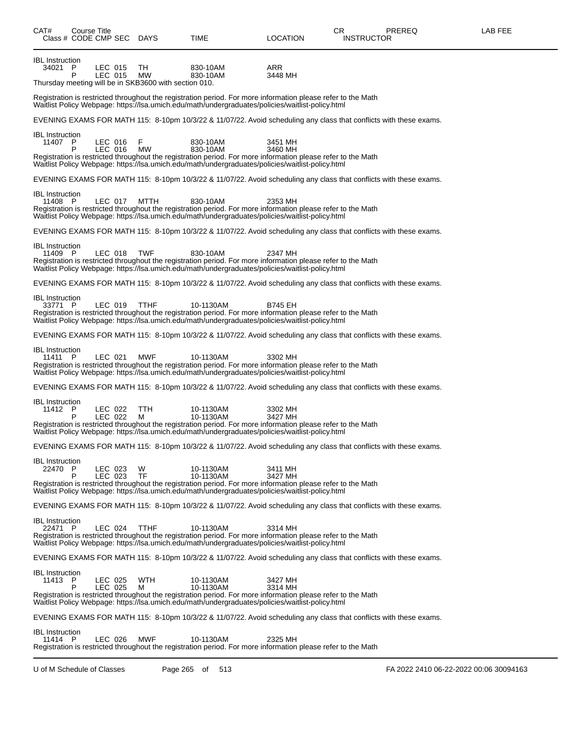| CAT#<br>Class # CODE CMP SEC DAYS | Course Title |                    |                                                                          | TIME                                                                                                                                                                                                                                       | LOCATION           | CR.<br><b>INSTRUCTOR</b> | PREREQ | LAB FEE |
|-----------------------------------|--------------|--------------------|--------------------------------------------------------------------------|--------------------------------------------------------------------------------------------------------------------------------------------------------------------------------------------------------------------------------------------|--------------------|--------------------------|--------|---------|
| <b>IBL</b> Instruction<br>34021 P | P            | LEC 015<br>LEC 015 | TH<br><b>MW</b><br>Thursday meeting will be in SKB3600 with section 010. | 830-10AM<br>830-10AM                                                                                                                                                                                                                       | ARR<br>3448 MH     |                          |        |         |
|                                   |              |                    |                                                                          | Registration is restricted throughout the registration period. For more information please refer to the Math<br>Waitlist Policy Webpage: https://lsa.umich.edu/math/undergraduates/policies/waitlist-policy.html                           |                    |                          |        |         |
|                                   |              |                    |                                                                          | EVENING EXAMS FOR MATH 115: 8-10pm 10/3/22 & 11/07/22. Avoid scheduling any class that conflicts with these exams.                                                                                                                         |                    |                          |        |         |
| <b>IBL</b> Instruction<br>11407 P | P            | LEC 016<br>LEC 016 | F<br><b>MW</b>                                                           | 830-10AM<br>830-10AM<br>Registration is restricted throughout the registration period. For more information please refer to the Math<br>Waitlist Policy Webpage: https://lsa.umich.edu/math/undergraduates/policies/waitlist-policy.html   | 3451 MH<br>3460 MH |                          |        |         |
|                                   |              |                    |                                                                          | EVENING EXAMS FOR MATH 115: 8-10pm 10/3/22 & 11/07/22. Avoid scheduling any class that conflicts with these exams.                                                                                                                         |                    |                          |        |         |
| <b>IBL</b> Instruction<br>11408 P |              | LEC 017            | MTTH                                                                     | 830-10AM<br>Registration is restricted throughout the registration period. For more information please refer to the Math<br>Waitlist Policy Webpage: https://lsa.umich.edu/math/undergraduates/policies/waitlist-policy.html               | 2353 MH            |                          |        |         |
|                                   |              |                    |                                                                          | EVENING EXAMS FOR MATH 115: 8-10pm 10/3/22 & 11/07/22. Avoid scheduling any class that conflicts with these exams.                                                                                                                         |                    |                          |        |         |
| <b>IBL</b> Instruction<br>11409 P |              | LEC 018            | <b>TWF</b>                                                               | 830-10AM<br>Registration is restricted throughout the registration period. For more information please refer to the Math<br>Waitlist Policy Webpage: https://lsa.umich.edu/math/undergraduates/policies/waitlist-policy.html               | 2347 MH            |                          |        |         |
|                                   |              |                    |                                                                          | EVENING EXAMS FOR MATH 115: 8-10pm 10/3/22 & 11/07/22. Avoid scheduling any class that conflicts with these exams.                                                                                                                         |                    |                          |        |         |
| <b>IBL</b> Instruction<br>33771 P |              | LEC 019            | TTHF                                                                     | 10-1130AM<br>Registration is restricted throughout the registration period. For more information please refer to the Math<br>Waitlist Policy Webpage: https://lsa.umich.edu/math/undergraduates/policies/waitlist-policy.html              | <b>B745 EH</b>     |                          |        |         |
|                                   |              |                    |                                                                          | EVENING EXAMS FOR MATH 115: 8-10pm 10/3/22 & 11/07/22. Avoid scheduling any class that conflicts with these exams.                                                                                                                         |                    |                          |        |         |
| <b>IBL</b> Instruction<br>11411 P |              | LEC 021            | <b>MWF</b>                                                               | 10-1130AM<br>Registration is restricted throughout the registration period. For more information please refer to the Math<br>Waitlist Policy Webpage: https://lsa.umich.edu/math/undergraduates/policies/waitlist-policy.html              | 3302 MH            |                          |        |         |
|                                   |              |                    |                                                                          | EVENING EXAMS FOR MATH 115: 8-10pm 10/3/22 & 11/07/22. Avoid scheduling any class that conflicts with these exams.                                                                                                                         |                    |                          |        |         |
| <b>IBL</b> Instruction<br>11412 P | P            | LEC 022<br>LEC 022 | TTH<br>м                                                                 | 10-1130AM<br>10-1130AM<br>Registration is restricted throughout the registration period. For more information please refer to the Math<br>Waitlist Policy Webpage: https://lsa.umich.edu/math/undergraduates/policies/waitlist-policy.html | 3302 MH<br>3427 MH |                          |        |         |
|                                   |              |                    |                                                                          | EVENING EXAMS FOR MATH 115: 8-10pm 10/3/22 & 11/07/22. Avoid scheduling any class that conflicts with these exams.                                                                                                                         |                    |                          |        |         |
| <b>IBL</b> Instruction<br>22470 P | P            | LEC 023<br>LEC 023 | W<br><b>TF</b>                                                           | 10-1130AM<br>10-1130AM<br>Registration is restricted throughout the registration period. For more information please refer to the Math<br>Waitlist Policy Webpage: https://lsa.umich.edu/math/undergraduates/policies/waitlist-policy.html | 3411 MH<br>3427 MH |                          |        |         |
|                                   |              |                    |                                                                          | EVENING EXAMS FOR MATH 115: 8-10pm 10/3/22 & 11/07/22. Avoid scheduling any class that conflicts with these exams.                                                                                                                         |                    |                          |        |         |
| <b>IBL</b> Instruction<br>22471 P |              | LEC 024            | <b>TTHF</b>                                                              | 10-1130AM<br>Registration is restricted throughout the registration period. For more information please refer to the Math<br>Waitlist Policy Webpage: https://lsa.umich.edu/math/undergraduates/policies/waitlist-policy.html              | 3314 MH            |                          |        |         |
|                                   |              |                    |                                                                          | EVENING EXAMS FOR MATH 115: 8-10pm 10/3/22 & 11/07/22. Avoid scheduling any class that conflicts with these exams.                                                                                                                         |                    |                          |        |         |
| <b>IBL</b> Instruction<br>11413 P | P            | LEC 025<br>LEC 025 | WTH<br>M                                                                 | 10-1130AM<br>10-1130AM<br>Registration is restricted throughout the registration period. For more information please refer to the Math<br>Waitlist Policy Webpage: https://lsa.umich.edu/math/undergraduates/policies/waitlist-policy.html | 3427 MH<br>3314 MH |                          |        |         |
|                                   |              |                    |                                                                          | EVENING EXAMS FOR MATH 115: 8-10pm 10/3/22 & 11/07/22. Avoid scheduling any class that conflicts with these exams.                                                                                                                         |                    |                          |        |         |
| <b>IBL</b> Instruction<br>11414 P |              | LEC 026            | <b>MWF</b>                                                               | 10-1130AM<br>Registration is restricted throughout the registration period. For more information please refer to the Math                                                                                                                  | 2325 MH            |                          |        |         |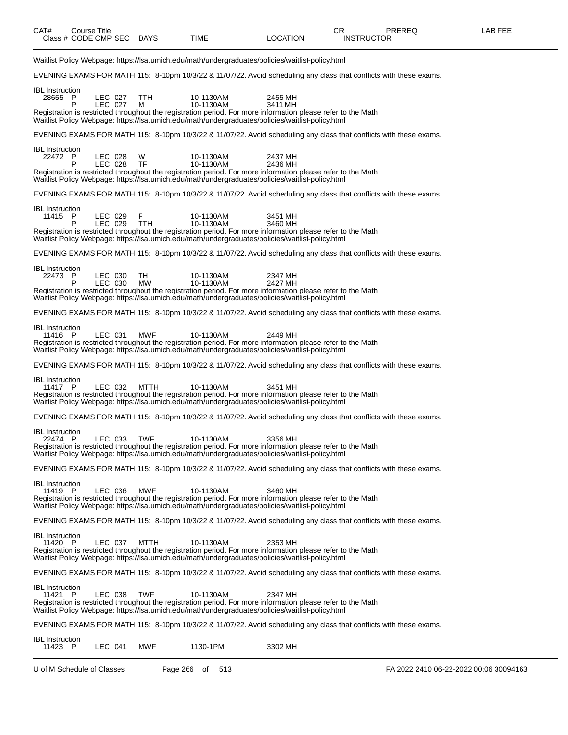| Waitlist Policy Webpage: https://lsa.umich.edu/math/undergraduates/policies/waitlist-policy.html                                                 |                 |                        |                                                                                                                         |                                        |
|--------------------------------------------------------------------------------------------------------------------------------------------------|-----------------|------------------------|-------------------------------------------------------------------------------------------------------------------------|----------------------------------------|
|                                                                                                                                                  |                 |                        | EVENING EXAMS FOR MATH 115: 8-10pm 10/3/22 & 11/07/22. Avoid scheduling any class that conflicts with these exams.      |                                        |
| <b>IBL</b> Instruction<br>28655 P<br>LEC 027<br>P<br>LEC 027                                                                                     | <b>TTH</b><br>м | 10-1130AM<br>10-1130AM | 2455 MH<br>3411 MH                                                                                                      |                                        |
| Waitlist Policy Webpage: https://lsa.umich.edu/math/undergraduates/policies/waitlist-policy.html                                                 |                 |                        | Registration is restricted throughout the registration period. For more information please refer to the Math            |                                        |
|                                                                                                                                                  |                 |                        | EVENING EXAMS FOR MATH 115: 8-10pm 10/3/22 & 11/07/22. Avoid scheduling any class that conflicts with these exams.      |                                        |
| <b>IBL</b> Instruction<br>22472 P<br>LEC 028<br>LEC 028<br>P                                                                                     | W<br>TF         | 10-1130AM<br>10-1130AM | 2437 MH<br>2436 MH                                                                                                      |                                        |
| Waitlist Policy Webpage: https://lsa.umich.edu/math/undergraduates/policies/waitlist-policy.html                                                 |                 |                        | Registration is restricted throughout the registration period. For more information please refer to the Math            |                                        |
|                                                                                                                                                  |                 |                        | EVENING EXAMS FOR MATH 115: 8-10pm 10/3/22 & 11/07/22. Avoid scheduling any class that conflicts with these exams.      |                                        |
| IBL Instruction<br>11415 P<br>LEC 029<br>LEC 029<br>P                                                                                            | F<br><b>TTH</b> | 10-1130AM<br>10-1130AM | 3451 MH<br>3460 MH                                                                                                      |                                        |
| Waitlist Policy Webpage: https://lsa.umich.edu/math/undergraduates/policies/waitlist-policy.html                                                 |                 |                        | Registration is restricted throughout the registration period. For more information please refer to the Math            |                                        |
|                                                                                                                                                  |                 |                        | EVENING EXAMS FOR MATH 115: 8-10pm 10/3/22 & 11/07/22. Avoid scheduling any class that conflicts with these exams.      |                                        |
| <b>IBL</b> Instruction<br>22473 P<br>LEC 030<br>P<br>LEC 030                                                                                     | TH<br>MW        | 10-1130AM<br>10-1130AM | 2347 MH<br>2427 MH                                                                                                      |                                        |
| Waitlist Policy Webpage: https://lsa.umich.edu/math/undergraduates/policies/waitlist-policy.html                                                 |                 |                        | Registration is restricted throughout the registration period. For more information please refer to the Math            |                                        |
|                                                                                                                                                  |                 |                        | EVENING EXAMS FOR MATH 115: 8-10pm 10/3/22 & 11/07/22. Avoid scheduling any class that conflicts with these exams.      |                                        |
| <b>IBL</b> Instruction<br>11416 P<br>LEC 031<br>Waitlist Policy Webpage: https://lsa.umich.edu/math/undergraduates/policies/waitlist-policy.html | <b>MWF</b>      | 10-1130AM              | 2449 MH<br>Registration is restricted throughout the registration period. For more information please refer to the Math |                                        |
|                                                                                                                                                  |                 |                        | EVENING EXAMS FOR MATH 115: 8-10pm 10/3/22 & 11/07/22. Avoid scheduling any class that conflicts with these exams.      |                                        |
| <b>IBL</b> Instruction<br>11417 P<br>LEC 032<br>Waitlist Policy Webpage: https://lsa.umich.edu/math/undergraduates/policies/waitlist-policy.html | MTTH            | 10-1130AM              | 3451 MH<br>Registration is restricted throughout the registration period. For more information please refer to the Math |                                        |
|                                                                                                                                                  |                 |                        | EVENING EXAMS FOR MATH 115: 8-10pm 10/3/22 & 11/07/22. Avoid scheduling any class that conflicts with these exams.      |                                        |
| <b>IBL</b> Instruction<br>22474 P<br>LEC 033<br>Waitlist Policy Webpage: https://lsa.umich.edu/math/undergraduates/policies/waitlist-policy.html | <b>TWF</b>      | 10-1130AM              | 3356 MH<br>Registration is restricted throughout the registration period. For more information please refer to the Math |                                        |
|                                                                                                                                                  |                 |                        | EVENING EXAMS FOR MATH 115: 8-10pm 10/3/22 & 11/07/22. Avoid scheduling any class that conflicts with these exams.      |                                        |
| <b>IBL</b> Instruction<br>11419 P<br>LEC 036<br>Waitlist Policy Webpage: https://lsa.umich.edu/math/undergraduates/policies/waitlist-policy.html | MWF             | 10-1130AM              | 3460 MH<br>Registration is restricted throughout the registration period. For more information please refer to the Math |                                        |
|                                                                                                                                                  |                 |                        | EVENING EXAMS FOR MATH 115: 8-10pm 10/3/22 & 11/07/22. Avoid scheduling any class that conflicts with these exams.      |                                        |
| <b>IBL</b> Instruction<br>11420 P<br>LEC 037<br>Waitlist Policy Webpage: https://lsa.umich.edu/math/undergraduates/policies/waitlist-policy.html | MTTH            | 10-1130AM              | 2353 MH<br>Registration is restricted throughout the registration period. For more information please refer to the Math |                                        |
|                                                                                                                                                  |                 |                        | EVENING EXAMS FOR MATH 115: 8-10pm 10/3/22 & 11/07/22. Avoid scheduling any class that conflicts with these exams.      |                                        |
| <b>IBL</b> Instruction<br>11421 P<br>LEC 038<br>Waitlist Policy Webpage: https://lsa.umich.edu/math/undergraduates/policies/waitlist-policy.html | <b>TWF</b>      | 10-1130AM              | 2347 MH<br>Registration is restricted throughout the registration period. For more information please refer to the Math |                                        |
|                                                                                                                                                  |                 |                        | EVENING EXAMS FOR MATH 115: 8-10pm 10/3/22 & 11/07/22. Avoid scheduling any class that conflicts with these exams.      |                                        |
| IBL Instruction<br>11423 P<br>LEC 041                                                                                                            | MWF             | 1130-1PM               | 3302 MH                                                                                                                 |                                        |
| U of M Schedule of Classes                                                                                                                       |                 | Page 266 of<br>513     |                                                                                                                         | FA 2022 2410 06-22-2022 00:06 30094163 |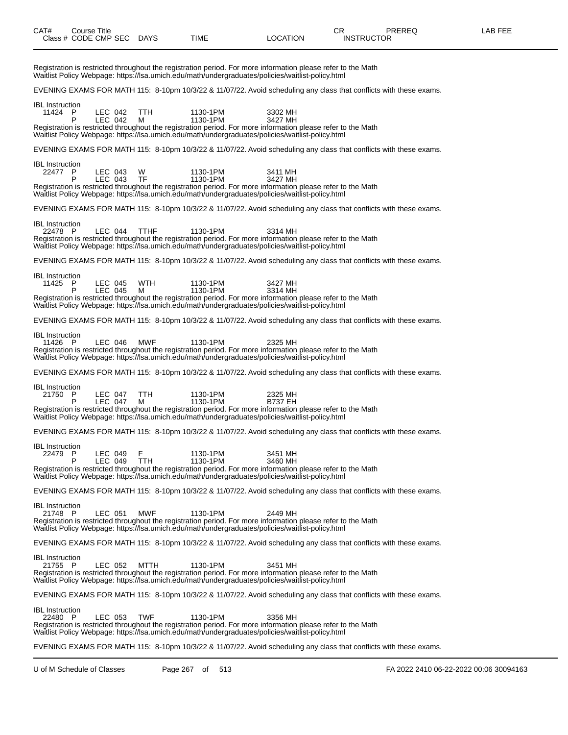| CAT#                              | Class # CODE CMP SEC DAYS | Course Title       |                 | TIME                                                                                                                                                                                                                                     | <b>LOCATION</b>           | CR.<br><b>INSTRUCTOR</b> | PREREQ | LAB FEE |
|-----------------------------------|---------------------------|--------------------|-----------------|------------------------------------------------------------------------------------------------------------------------------------------------------------------------------------------------------------------------------------------|---------------------------|--------------------------|--------|---------|
|                                   |                           |                    |                 | Registration is restricted throughout the registration period. For more information please refer to the Math<br>Waitlist Policy Webpage: https://lsa.umich.edu/math/undergraduates/policies/waitlist-policy.html                         |                           |                          |        |         |
|                                   |                           |                    |                 | EVENING EXAMS FOR MATH 115: 8-10pm 10/3/22 & 11/07/22. Avoid scheduling any class that conflicts with these exams.                                                                                                                       |                           |                          |        |         |
| <b>IBL</b> Instruction<br>11424 P | P                         | LEC 042<br>LEC 042 | <b>TTH</b><br>М | 1130-1PM<br>1130-1PM<br>Registration is restricted throughout the registration period. For more information please refer to the Math<br>Waitlist Policy Webpage: https://lsa.umich.edu/math/undergraduates/policies/waitlist-policy.html | 3302 MH<br>3427 MH        |                          |        |         |
|                                   |                           |                    |                 | EVENING EXAMS FOR MATH 115: 8-10pm 10/3/22 & 11/07/22. Avoid scheduling any class that conflicts with these exams.                                                                                                                       |                           |                          |        |         |
| <b>IBL</b> Instruction<br>22477 P | P                         | LEC 043<br>LEC 043 | W<br>TF         | 1130-1PM<br>1130-1PM<br>Registration is restricted throughout the registration period. For more information please refer to the Math<br>Waitlist Policy Webpage: https://lsa.umich.edu/math/undergraduates/policies/waitlist-policy.html | 3411 MH<br>3427 MH        |                          |        |         |
|                                   |                           |                    |                 | EVENING EXAMS FOR MATH 115: 8-10pm 10/3/22 & 11/07/22. Avoid scheduling any class that conflicts with these exams.                                                                                                                       |                           |                          |        |         |
| <b>IBL</b> Instruction<br>22478 P |                           | LEC 044            | <b>TTHF</b>     | 1130-1PM<br>Registration is restricted throughout the registration period. For more information please refer to the Math<br>Waitlist Policy Webpage: https://lsa.umich.edu/math/undergraduates/policies/waitlist-policy.html             | 3314 MH                   |                          |        |         |
|                                   |                           |                    |                 | EVENING EXAMS FOR MATH 115: 8-10pm 10/3/22 & 11/07/22. Avoid scheduling any class that conflicts with these exams.                                                                                                                       |                           |                          |        |         |
| <b>IBL</b> Instruction<br>11425 P | P                         | LEC 045<br>LEC 045 | <b>WTH</b><br>м | 1130-1PM<br>1130-1PM<br>Registration is restricted throughout the registration period. For more information please refer to the Math<br>Waitlist Policy Webpage: https://lsa.umich.edu/math/undergraduates/policies/waitlist-policy.html | 3427 MH<br>3314 MH        |                          |        |         |
|                                   |                           |                    |                 | EVENING EXAMS FOR MATH 115: 8-10pm 10/3/22 & 11/07/22. Avoid scheduling any class that conflicts with these exams.                                                                                                                       |                           |                          |        |         |
| <b>IBL</b> Instruction<br>11426 P |                           | LEC 046            | <b>MWF</b>      | 1130-1PM<br>Registration is restricted throughout the registration period. For more information please refer to the Math<br>Waitlist Policy Webpage: https://lsa.umich.edu/math/undergraduates/policies/waitlist-policy.html             | 2325 MH                   |                          |        |         |
|                                   |                           |                    |                 | EVENING EXAMS FOR MATH 115: 8-10pm 10/3/22 & 11/07/22. Avoid scheduling any class that conflicts with these exams.                                                                                                                       |                           |                          |        |         |
| <b>IBL</b> Instruction<br>21750 P | P                         | LEC 047<br>LEC 047 | TTH<br>м        | 1130-1PM<br>1130-1PM<br>Registration is restricted throughout the registration period. For more information please refer to the Math<br>Waitlist Policy Webpage: https://lsa.umich.edu/math/undergraduates/policies/waitlist-policy.html | 2325 MH<br><b>B737 EH</b> |                          |        |         |
|                                   |                           |                    |                 | EVENING EXAMS FOR MATH 115: 8-10pm 10/3/22 & 11/07/22. Avoid scheduling any class that conflicts with these exams.                                                                                                                       |                           |                          |        |         |
| <b>IBL</b> Instruction<br>22479 P | P                         | LEC 049<br>LEC 049 | F<br>TTH        | 1130-1PM<br>1130-1PM<br>Registration is restricted throughout the registration period. For more information please refer to the Math<br>Waitlist Policy Webpage: https://lsa.umich.edu/math/undergraduates/policies/waitlist-policy.html | 3451 MH<br>3460 MH        |                          |        |         |
|                                   |                           |                    |                 | EVENING EXAMS FOR MATH 115: 8-10pm 10/3/22 & 11/07/22. Avoid scheduling any class that conflicts with these exams.                                                                                                                       |                           |                          |        |         |
| <b>IBL</b> Instruction<br>21748 P |                           | LEC 051            | <b>MWF</b>      | 1130-1PM<br>Registration is restricted throughout the registration period. For more information please refer to the Math<br>Waitlist Policy Webpage: https://lsa.umich.edu/math/undergraduates/policies/waitlist-policy.html             | 2449 MH                   |                          |        |         |
|                                   |                           |                    |                 | EVENING EXAMS FOR MATH 115: 8-10pm 10/3/22 & 11/07/22. Avoid scheduling any class that conflicts with these exams.                                                                                                                       |                           |                          |        |         |

IBL Instruction<br>21755 P 21755 P LEC 052 MTTH 1130-1PM 3451 MH Registration is restricted throughout the registration period. For more information please refer to the Math Waitlist Policy Webpage: https://lsa.umich.edu/math/undergraduates/policies/waitlist-policy.html

EVENING EXAMS FOR MATH 115: 8-10pm 10/3/22 & 11/07/22. Avoid scheduling any class that conflicts with these exams.

IBL Instruction 22480 P LEC 053 TWF 1130-1PM 3356 MH Registration is restricted throughout the registration period. For more information please refer to the Math Waitlist Policy Webpage: https://lsa.umich.edu/math/undergraduates/policies/waitlist-policy.html

EVENING EXAMS FOR MATH 115: 8-10pm 10/3/22 & 11/07/22. Avoid scheduling any class that conflicts with these exams.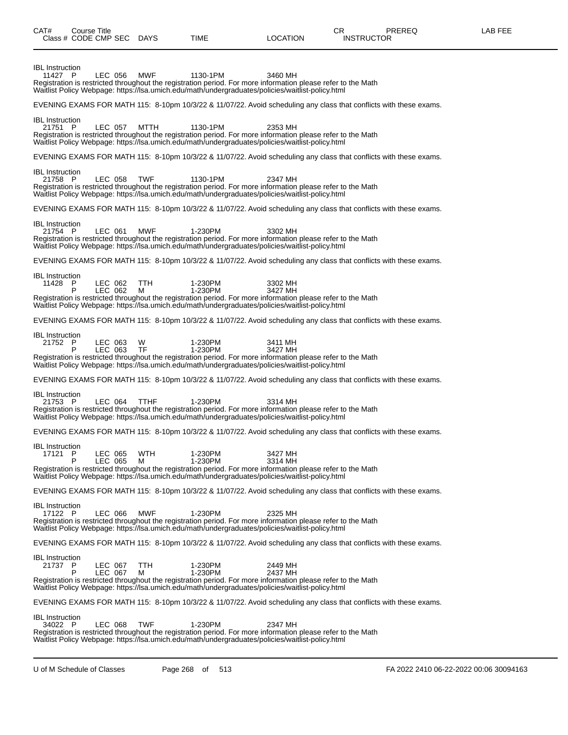| Class # CODE CMP SEC DAYS              |                    |                  | TIME               | LOCATION                                                                                                                                                                                                                               | <b>INSTRUCTOR</b>                                                                                                  |
|----------------------------------------|--------------------|------------------|--------------------|----------------------------------------------------------------------------------------------------------------------------------------------------------------------------------------------------------------------------------------|--------------------------------------------------------------------------------------------------------------------|
| <b>IBL</b> Instruction<br>11427 P      | LEC 056            | <b>MWF</b>       | 1130-1PM           | 3460 MH<br>Registration is restricted throughout the registration period. For more information please refer to the Math<br>Waitlist Policy Webpage: https://lsa.umich.edu/math/undergraduates/policies/waitlist-policy.html            |                                                                                                                    |
|                                        |                    |                  |                    |                                                                                                                                                                                                                                        | EVENING EXAMS FOR MATH 115: 8-10pm 10/3/22 & 11/07/22. Avoid scheduling any class that conflicts with these exams. |
| <b>IBL</b> Instruction<br>21751 P      | LEC 057            | MTTH             | 1130-1PM           | 2353 MH<br>Registration is restricted throughout the registration period. For more information please refer to the Math<br>Waitlist Policy Webpage: https://lsa.umich.edu/math/undergraduates/policies/waitlist-policy.html            |                                                                                                                    |
|                                        |                    |                  |                    |                                                                                                                                                                                                                                        | EVENING EXAMS FOR MATH 115: 8-10pm 10/3/22 & 11/07/22. Avoid scheduling any class that conflicts with these exams. |
| <b>IBL</b> Instruction<br>21758 P      | LEC 058            | <b>TWF</b>       | 1130-1PM           | 2347 MH<br>Registration is restricted throughout the registration period. For more information please refer to the Math<br>Waitlist Policy Webpage: https://lsa.umich.edu/math/undergraduates/policies/waitlist-policy.html            |                                                                                                                    |
|                                        |                    |                  |                    |                                                                                                                                                                                                                                        | EVENING EXAMS FOR MATH 115: 8-10pm 10/3/22 & 11/07/22. Avoid scheduling any class that conflicts with these exams. |
| <b>IBL</b> Instruction<br>21754 P      | LEC 061            | <b>MWF</b>       | 1-230PM            | 3302 MH<br>Registration is restricted throughout the registration period. For more information please refer to the Math<br>Waitlist Policy Webpage: https://lsa.umich.edu/math/undergraduates/policies/waitlist-policy.html            |                                                                                                                    |
|                                        |                    |                  |                    |                                                                                                                                                                                                                                        | EVENING EXAMS FOR MATH 115: 8-10pm 10/3/22 & 11/07/22. Avoid scheduling any class that conflicts with these exams. |
| <b>IBL</b> Instruction<br>11428 P<br>P | LEC 062<br>LEC 062 | TTH<br>м         | 1-230PM<br>1-230PM | 3302 MH<br>3427 MH<br>Registration is restricted throughout the registration period. For more information please refer to the Math                                                                                                     |                                                                                                                    |
|                                        |                    |                  |                    | Waitlist Policy Webpage: https://lsa.umich.edu/math/undergraduates/policies/waitlist-policy.html                                                                                                                                       |                                                                                                                    |
|                                        |                    |                  |                    |                                                                                                                                                                                                                                        | EVENING EXAMS FOR MATH 115: 8-10pm 10/3/22 & 11/07/22. Avoid scheduling any class that conflicts with these exams. |
| <b>IBL</b> Instruction<br>21752 P<br>P | LEC 063<br>LEC 063 | W<br><b>TF</b>   | 1-230PM<br>1-230PM | 3411 MH<br>3427 MH<br>Registration is restricted throughout the registration period. For more information please refer to the Math<br>Waitlist Policy Webpage: https://lsa.umich.edu/math/undergraduates/policies/waitlist-policy.html |                                                                                                                    |
|                                        |                    |                  |                    |                                                                                                                                                                                                                                        | EVENING EXAMS FOR MATH 115: 8-10pm 10/3/22 & 11/07/22. Avoid scheduling any class that conflicts with these exams. |
| <b>IBL</b> Instruction<br>21753 P      | LEC 064            | <b>TTHF</b>      | 1-230PM            | 3314 MH<br>Registration is restricted throughout the registration period. For more information please refer to the Math<br>Waitlist Policy Webpage: https://lsa.umich.edu/math/undergraduates/policies/waitlist-policy.html            |                                                                                                                    |
|                                        |                    |                  |                    |                                                                                                                                                                                                                                        | EVENING EXAMS FOR MATH 115: 8-10pm 10/3/22 & 11/07/22. Avoid scheduling any class that conflicts with these exams. |
| <b>IBL</b> Instruction<br>17121 P<br>P | LEC 065            | LEC 065 WTH<br>м | 1-230PM<br>1-230PM | 3427 MH<br>3314 MH<br>Registration is restricted throughout the registration period. For more information please refer to the Math<br>Waitlist Policy Webpage: https://lsa.umich.edu/math/undergraduates/policies/waitlist-policy.html |                                                                                                                    |
|                                        |                    |                  |                    |                                                                                                                                                                                                                                        | EVENING EXAMS FOR MATH 115: 8-10pm 10/3/22 & 11/07/22. Avoid scheduling any class that conflicts with these exams. |
| <b>IBL</b> Instruction<br>17122 P      | LEC 066            | <b>MWF</b>       | 1-230PM            | 2325 MH<br>Registration is restricted throughout the registration period. For more information please refer to the Math<br>Waitlist Policy Webpage: https://lsa.umich.edu/math/undergraduates/policies/waitlist-policy.html            |                                                                                                                    |
|                                        |                    |                  |                    |                                                                                                                                                                                                                                        | EVENING EXAMS FOR MATH 115: 8-10pm 10/3/22 & 11/07/22. Avoid scheduling any class that conflicts with these exams. |
| <b>IBL</b> Instruction<br>21737 P<br>P | LEC 067<br>LEC 067 | TTH<br>M         | 1-230PM<br>1-230PM | 2449 MH<br>2437 MH<br>Registration is restricted throughout the registration period. For more information please refer to the Math<br>Waitlist Policy Webpage: https://lsa.umich.edu/math/undergraduates/policies/waitlist-policy.html |                                                                                                                    |
|                                        |                    |                  |                    |                                                                                                                                                                                                                                        | EVENING EXAMS FOR MATH 115: 8-10pm 10/3/22 & 11/07/22. Avoid scheduling any class that conflicts with these exams. |
| <b>IBL</b> Instruction<br>34022 P      | LEC 068            | <b>TWF</b>       | 1-230PM            | 2347 MH<br>Registration is restricted throughout the registration period. For more information please refer to the Math<br>Waitlist Policy Webpage: https://lsa.umich.edu/math/undergraduates/policies/waitlist-policy.html            |                                                                                                                    |

CAT# Course Title Case CR PREREQ LAB FEE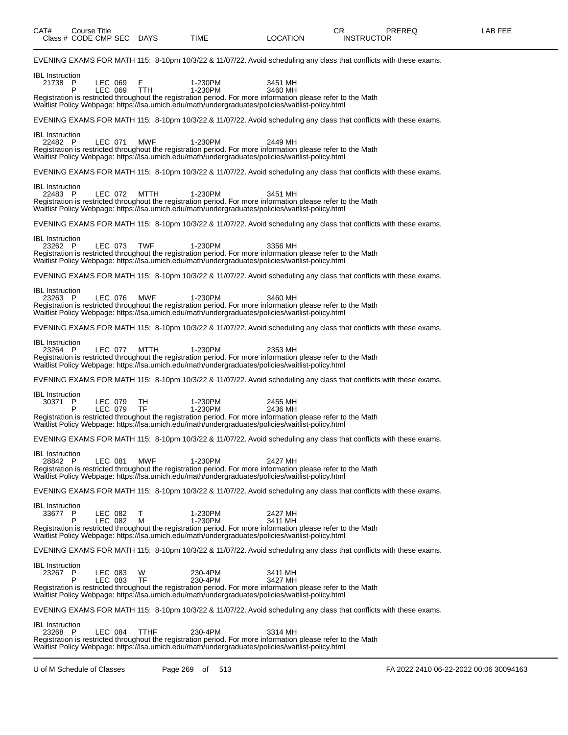| CAT#<br>Class # CODE CMP SEC DAYS |   | <b>Course Title</b> |             | <b>TIME</b>                                                                                                                                                                                                                            | LOCATION           | CR<br>PREREQ<br><b>INSTRUCTOR</b>                                                                                  | LAB FEE |
|-----------------------------------|---|---------------------|-------------|----------------------------------------------------------------------------------------------------------------------------------------------------------------------------------------------------------------------------------------|--------------------|--------------------------------------------------------------------------------------------------------------------|---------|
|                                   |   |                     |             |                                                                                                                                                                                                                                        |                    | EVENING EXAMS FOR MATH 115: 8-10pm 10/3/22 & 11/07/22. Avoid scheduling any class that conflicts with these exams. |         |
| <b>IBL</b> Instruction<br>21738 P | P | LEC 069<br>LEC 069  | F<br>TTH    | 1-230PM<br>1-230PM<br>Registration is restricted throughout the registration period. For more information please refer to the Math                                                                                                     | 3451 MH<br>3460 MH |                                                                                                                    |         |
|                                   |   |                     |             | Waitlist Policy Webpage: https://lsa.umich.edu/math/undergraduates/policies/waitlist-policy.html                                                                                                                                       |                    | EVENING EXAMS FOR MATH 115: 8-10pm 10/3/22 & 11/07/22. Avoid scheduling any class that conflicts with these exams. |         |
| <b>IBL</b> Instruction            |   |                     |             |                                                                                                                                                                                                                                        |                    |                                                                                                                    |         |
| 22482 P                           |   | LEC 071             | <b>MWF</b>  | 1-230PM<br>Registration is restricted throughout the registration period. For more information please refer to the Math<br>Waitlist Policy Webpage: https://lsa.umich.edu/math/undergraduates/policies/waitlist-policy.html            | 2449 MH            |                                                                                                                    |         |
|                                   |   |                     |             |                                                                                                                                                                                                                                        |                    | EVENING EXAMS FOR MATH 115: 8-10pm 10/3/22 & 11/07/22. Avoid scheduling any class that conflicts with these exams. |         |
| <b>IBL</b> Instruction<br>22483 P |   | LEC 072             | MTTH        | 1-230PM<br>Registration is restricted throughout the registration period. For more information please refer to the Math<br>Waitlist Policy Webpage: https://lsa.umich.edu/math/undergraduates/policies/waitlist-policy.html            | 3451 MH            |                                                                                                                    |         |
|                                   |   |                     |             |                                                                                                                                                                                                                                        |                    | EVENING EXAMS FOR MATH 115: 8-10pm 10/3/22 & 11/07/22. Avoid scheduling any class that conflicts with these exams. |         |
| <b>IBL</b> Instruction<br>23262 P |   | LEC 073             | <b>TWF</b>  | 1-230PM<br>Registration is restricted throughout the registration period. For more information please refer to the Math<br>Waitlist Policy Webpage: https://lsa.umich.edu/math/undergraduates/policies/waitlist-policy.html            | 3356 MH            |                                                                                                                    |         |
|                                   |   |                     |             |                                                                                                                                                                                                                                        |                    | EVENING EXAMS FOR MATH 115: 8-10pm 10/3/22 & 11/07/22. Avoid scheduling any class that conflicts with these exams. |         |
| <b>IBL</b> Instruction<br>23263 P |   | LEC 076             | MWF         | 1-230PM<br>Registration is restricted throughout the registration period. For more information please refer to the Math<br>Waitlist Policy Webpage: https://lsa.umich.edu/math/undergraduates/policies/waitlist-policy.html            | 3460 MH            |                                                                                                                    |         |
|                                   |   |                     |             |                                                                                                                                                                                                                                        |                    | EVENING EXAMS FOR MATH 115: 8-10pm 10/3/22 & 11/07/22. Avoid scheduling any class that conflicts with these exams. |         |
| <b>IBL</b> Instruction<br>23264 P |   | LEC 077             | <b>MTTH</b> | 1-230PM<br>Registration is restricted throughout the registration period. For more information please refer to the Math<br>Waitlist Policy Webpage: https://lsa.umich.edu/math/undergraduates/policies/waitlist-policy.html            | 2353 MH            |                                                                                                                    |         |
|                                   |   |                     |             |                                                                                                                                                                                                                                        |                    | EVENING EXAMS FOR MATH 115: 8-10pm 10/3/22 & 11/07/22. Avoid scheduling any class that conflicts with these exams. |         |
| <b>IBL</b> Instruction<br>30371 P | P | LEC 079<br>LEC 079  | TН<br>TF    | 1-230PM<br>1-230PM<br>Registration is restricted throughout the registration period. For more information please refer to the Math<br>Waitlist Policy Webpage: https://lsa.umich.edu/math/undergraduates/policies/waitlist-policy.html | 2455 MH<br>2436 MH |                                                                                                                    |         |
|                                   |   |                     |             |                                                                                                                                                                                                                                        |                    | EVENING EXAMS FOR MATH 115: 8-10pm 10/3/22 & 11/07/22. Avoid scheduling any class that conflicts with these exams. |         |
| <b>IBL</b> Instruction<br>28842 P |   | LEC 081             | <b>MWF</b>  | 1-230PM<br>Registration is restricted throughout the registration period. For more information please refer to the Math<br>Waitlist Policy Webpage: https://lsa.umich.edu/math/undergraduates/policies/waitlist-policy.html            | 2427 MH            |                                                                                                                    |         |
|                                   |   |                     |             |                                                                                                                                                                                                                                        |                    | EVENING EXAMS FOR MATH 115: 8-10pm 10/3/22 & 11/07/22. Avoid scheduling any class that conflicts with these exams. |         |
| <b>IBL</b> Instruction<br>33677 P | P | LEC 082<br>LEC 082  | т<br>М      | 1-230PM<br>1-230PM<br>Registration is restricted throughout the registration period. For more information please refer to the Math<br>Waitlist Policy Webpage: https://lsa.umich.edu/math/undergraduates/policies/waitlist-policy.html | 2427 MH<br>3411 MH |                                                                                                                    |         |
|                                   |   |                     |             |                                                                                                                                                                                                                                        |                    | EVENING EXAMS FOR MATH 115: 8-10pm 10/3/22 & 11/07/22. Avoid scheduling any class that conflicts with these exams. |         |
| <b>IBL</b> Instruction<br>23267 P | P | LEC 083<br>LEC 083  | W<br>TF     | 230-4PM<br>230-4PM<br>Registration is restricted throughout the registration period. For more information please refer to the Math<br>Waitlist Policy Webpage: https://lsa.umich.edu/math/undergraduates/policies/waitlist-policy.html | 3411 MH<br>3427 MH |                                                                                                                    |         |
|                                   |   |                     |             |                                                                                                                                                                                                                                        |                    | EVENING EXAMS FOR MATH 115: 8-10pm 10/3/22 & 11/07/22. Avoid scheduling any class that conflicts with these exams. |         |
| <b>IBL</b> Instruction<br>23268 P |   | LEC 084             | <b>TTHF</b> | 230-4PM<br>Registration is restricted throughout the registration period. For more information please refer to the Math<br>Waitlist Policy Webpage: https://lsa.umich.edu/math/undergraduates/policies/waitlist-policy.html            | 3314 MH            |                                                                                                                    |         |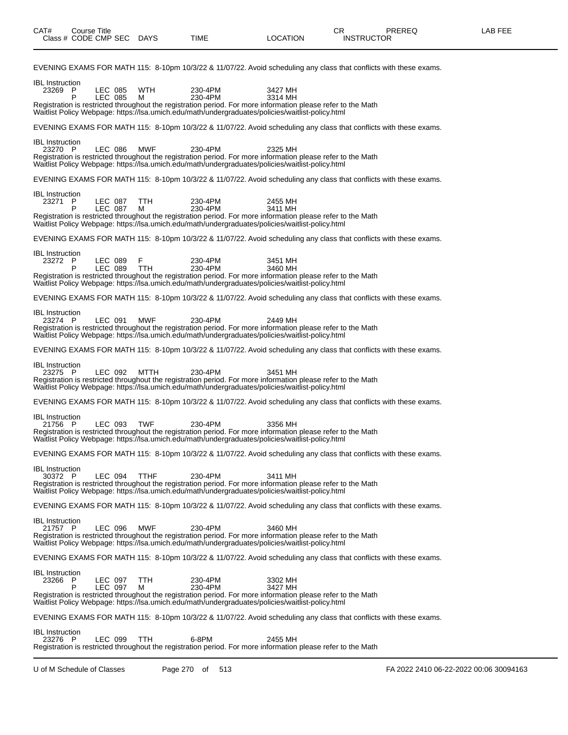| EVENING EXAMS FOR MATH 115: 8-10pm 10/3/22 & 11/07/22. Avoid scheduling any class that conflicts with these exams.                                                                                                                                                                                                                              |
|-------------------------------------------------------------------------------------------------------------------------------------------------------------------------------------------------------------------------------------------------------------------------------------------------------------------------------------------------|
| <b>IBL</b> Instruction<br>LEC 085<br>23269 P<br><b>WTH</b><br>230-4PM<br>3427 MH<br>230-4PM<br>P<br>LEC 085<br>м<br>3314 MH                                                                                                                                                                                                                     |
| Registration is restricted throughout the registration period. For more information please refer to the Math<br>Waitlist Policy Webpage: https://lsa.umich.edu/math/undergraduates/policies/waitlist-policy.html                                                                                                                                |
| EVENING EXAMS FOR MATH 115: 8-10pm 10/3/22 & 11/07/22. Avoid scheduling any class that conflicts with these exams.                                                                                                                                                                                                                              |
| <b>IBL</b> Instruction<br><b>LEC 086</b><br><b>MWF</b><br>230-4PM<br>23270 P<br>2325 MH<br>Registration is restricted throughout the registration period. For more information please refer to the Math<br>Waitlist Policy Webpage: https://lsa.umich.edu/math/undergraduates/policies/waitlist-policy.html                                     |
| EVENING EXAMS FOR MATH 115: 8-10pm 10/3/22 & 11/07/22. Avoid scheduling any class that conflicts with these exams.                                                                                                                                                                                                                              |
| <b>IBL</b> Instruction<br>23271 P<br>LEC 087<br>TTH<br>230-4PM<br>2455 MH<br>230-4PM<br>P<br>LEC 087<br>м<br>3411 MH<br>Registration is restricted throughout the registration period. For more information please refer to the Math<br>Waitlist Policy Webpage: https://lsa.umich.edu/math/undergraduates/policies/waitlist-policy.html        |
| EVENING EXAMS FOR MATH 115: 8-10pm 10/3/22 & 11/07/22. Avoid scheduling any class that conflicts with these exams.                                                                                                                                                                                                                              |
| <b>IBL</b> Instruction<br>F<br>23272 P<br>LEC 089<br>230-4PM<br>3451 MH<br>P<br>LEC 089<br><b>TTH</b><br>230-4PM<br>3460 MH<br>Registration is restricted throughout the registration period. For more information please refer to the Math<br>Waitlist Policy Webpage: https://lsa.umich.edu/math/undergraduates/policies/waitlist-policy.html |
| EVENING EXAMS FOR MATH 115: 8-10pm 10/3/22 & 11/07/22. Avoid scheduling any class that conflicts with these exams.                                                                                                                                                                                                                              |
| <b>IBL</b> Instruction<br>LEC 091<br><b>MWF</b><br>230-4PM<br>23274 P<br>2449 MH<br>Registration is restricted throughout the registration period. For more information please refer to the Math<br>Waitlist Policy Webpage: https://lsa.umich.edu/math/undergraduates/policies/waitlist-policy.html                                            |
| EVENING EXAMS FOR MATH 115: 8-10pm 10/3/22 & 11/07/22. Avoid scheduling any class that conflicts with these exams.                                                                                                                                                                                                                              |
| <b>IBL</b> Instruction<br>LEC 092<br>230-4PM<br>23275 P<br>MTTH<br>3451 MH<br>Registration is restricted throughout the registration period. For more information please refer to the Math<br>Waitlist Policy Webpage: https://lsa.umich.edu/math/undergraduates/policies/waitlist-policy.html                                                  |
| EVENING EXAMS FOR MATH 115: 8-10pm 10/3/22 & 11/07/22. Avoid scheduling any class that conflicts with these exams.                                                                                                                                                                                                                              |
| <b>IBL</b> Instruction<br>LEC 093<br><b>TWF</b><br>21756 P<br>230-4PM<br>3356 MH<br>Registration is restricted throughout the registration period. For more information please refer to the Math<br>Waitlist Policy Webpage: https://lsa.umich.edu/math/undergraduates/policies/waitlist-policy.html                                            |
| EVENING EXAMS FOR MATH 115: 8-10pm 10/3/22 & 11/07/22. Avoid scheduling any class that conflicts with these exams.                                                                                                                                                                                                                              |
| <b>IBL</b> Instruction<br>LEC 094 TTHF<br>30372 P<br>230-4PM<br>3411 MH<br>Registration is restricted throughout the registration period. For more information please refer to the Math<br>Waitlist Policy Webpage: https://lsa.umich.edu/math/undergraduates/policies/waitlist-policy.html                                                     |
| EVENING EXAMS FOR MATH 115: 8-10pm 10/3/22 & 11/07/22. Avoid scheduling any class that conflicts with these exams.                                                                                                                                                                                                                              |
| <b>IBL</b> Instruction<br>21757 P<br>LEC 096<br>230-4PM<br>MWF<br>3460 MH<br>Registration is restricted throughout the registration period. For more information please refer to the Math<br>Waitlist Policy Webpage: https://lsa.umich.edu/math/undergraduates/policies/waitlist-policy.html                                                   |
| EVENING EXAMS FOR MATH 115: 8-10pm 10/3/22 & 11/07/22. Avoid scheduling any class that conflicts with these exams.                                                                                                                                                                                                                              |
| <b>IBL</b> Instruction<br>LEC 097<br>23266 P<br>TTH<br>230-4PM<br>3302 MH<br>LEC 097<br>230-4PM<br>3427 MH<br>м<br>Registration is restricted throughout the registration period. For more information please refer to the Math<br>Waitlist Policy Webpage: https://lsa.umich.edu/math/undergraduates/policies/waitlist-policy.html             |
| EVENING EXAMS FOR MATH 115: 8-10pm 10/3/22 & 11/07/22. Avoid scheduling any class that conflicts with these exams.                                                                                                                                                                                                                              |
| <b>IBL</b> Instruction                                                                                                                                                                                                                                                                                                                          |

23276 P LEC 099 TTH 6-8PM 2455 MH Registration is restricted throughout the registration period. For more information please refer to the Math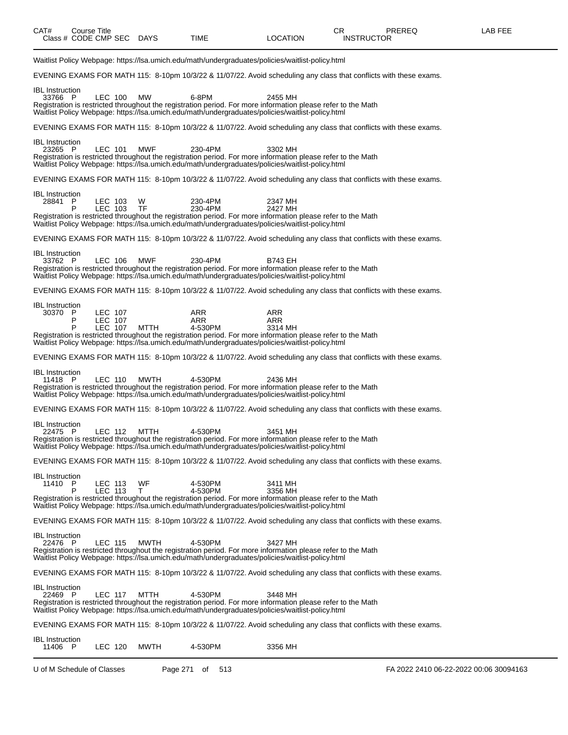| CAT# | Title<br>Course      |             |      |                 | חה<br>◡           | <b>PREREQ</b> | _AB FEE |
|------|----------------------|-------------|------|-----------------|-------------------|---------------|---------|
|      | Class # CODE CMP SEC | <b>DAYS</b> | TIME | <b>LOCATION</b> | <b>INSTRUCTOR</b> |               |         |
|      |                      |             |      |                 |                   |               |         |

Waitlist Policy Webpage: https://lsa.umich.edu/math/undergraduates/policies/waitlist-policy.html EVENING EXAMS FOR MATH 115: 8-10pm 10/3/22 & 11/07/22. Avoid scheduling any class that conflicts with these exams. IBL Instruction<br>33766 P 33766 P LEC 100 MW 6-8PM 2455 MH Registration is restricted throughout the registration period. For more information please refer to the Math Waitlist Policy Webpage: https://lsa.umich.edu/math/undergraduates/policies/waitlist-policy.html EVENING EXAMS FOR MATH 115: 8-10pm 10/3/22 & 11/07/22. Avoid scheduling any class that conflicts with these exams. IBL Instruction<br>23265 P 23265 P LEC 101 MWF 230-4PM 3302 MH Registration is restricted throughout the registration period. For more information please refer to the Math Waitlist Policy Webpage: https://lsa.umich.edu/math/undergraduates/policies/waitlist-policy.html EVENING EXAMS FOR MATH 115: 8-10pm 10/3/22 & 11/07/22. Avoid scheduling any class that conflicts with these exams. IBL Instruction<br>28841 P 28841 P LEC 103 W 230-4PM 2347 MH P LEC 103 TF 230-4PM 2427 MH Registration is restricted throughout the registration period. For more information please refer to the Math Waitlist Policy Webpage: https://lsa.umich.edu/math/undergraduates/policies/waitlist-policy.html EVENING EXAMS FOR MATH 115: 8-10pm 10/3/22 & 11/07/22. Avoid scheduling any class that conflicts with these exams. IBL Instruction<br>33762 P 33762 P LEC 106 MWF 230-4PM B743 EH Registration is restricted throughout the registration period. For more information please refer to the Math Waitlist Policy Webpage: https://lsa.umich.edu/math/undergraduates/policies/waitlist-policy.html EVENING EXAMS FOR MATH 115: 8-10pm 10/3/22 & 11/07/22. Avoid scheduling any class that conflicts with these exams. IBL Instruction<br>30370 P 30370 P LEC 107 ARR ARR P LEC 107 ARR ARR P LEC 107 MTTH 4-530PM 3314 MH Registration is restricted throughout the registration period. For more information please refer to the Math Waitlist Policy Webpage: https://lsa.umich.edu/math/undergraduates/policies/waitlist-policy.html EVENING EXAMS FOR MATH 115: 8-10pm 10/3/22 & 11/07/22. Avoid scheduling any class that conflicts with these exams. IBL Instruction<br>11418 P 11418 P LEC 110 MWTH 4-530PM 2436 MH Registration is restricted throughout the registration period. For more information please refer to the Math Waitlist Policy Webpage: https://lsa.umich.edu/math/undergraduates/policies/waitlist-policy.html EVENING EXAMS FOR MATH 115: 8-10pm 10/3/22 & 11/07/22. Avoid scheduling any class that conflicts with these exams. IBL Instruction<br>22475 P 22475 P LEC 112 MTTH 4-530PM 3451 MH Registration is restricted throughout the registration period. For more information please refer to the Math Waitlist Policy Webpage: https://lsa.umich.edu/math/undergraduates/policies/waitlist-policy.html EVENING EXAMS FOR MATH 115: 8-10pm 10/3/22 & 11/07/22. Avoid scheduling any class that conflicts with these exams. IBL Instruction<br>11410 P LEC 113 WF 4-530PM 3411 MH<br>LEC 113 T 4-530PM 3356 MH P LEC 113 T 4-530PM 3356 MH Registration is restricted throughout the registration period. For more information please refer to the Math Waitlist Policy Webpage: https://lsa.umich.edu/math/undergraduates/policies/waitlist-policy.html EVENING EXAMS FOR MATH 115: 8-10pm 10/3/22 & 11/07/22. Avoid scheduling any class that conflicts with these exams. IBL Instruction 22476 P LEC 115 MWTH 4-530PM 3427 MH Registration is restricted throughout the registration period. For more information please refer to the Math Waitlist Policy Webpage: https://lsa.umich.edu/math/undergraduates/policies/waitlist-policy.html EVENING EXAMS FOR MATH 115: 8-10pm 10/3/22 & 11/07/22. Avoid scheduling any class that conflicts with these exams. IBL Instruction<br>22469 P 22469 P LEC 117 MTTH 4-530PM 3448 MH Registration is restricted throughout the registration period. For more information please refer to the Math Waitlist Policy Webpage: https://lsa.umich.edu/math/undergraduates/policies/waitlist-policy.html EVENING EXAMS FOR MATH 115: 8-10pm 10/3/22 & 11/07/22. Avoid scheduling any class that conflicts with these exams. IBL Instruction<br>11406 P LEC 120 MWTH 4-530PM 3356 MH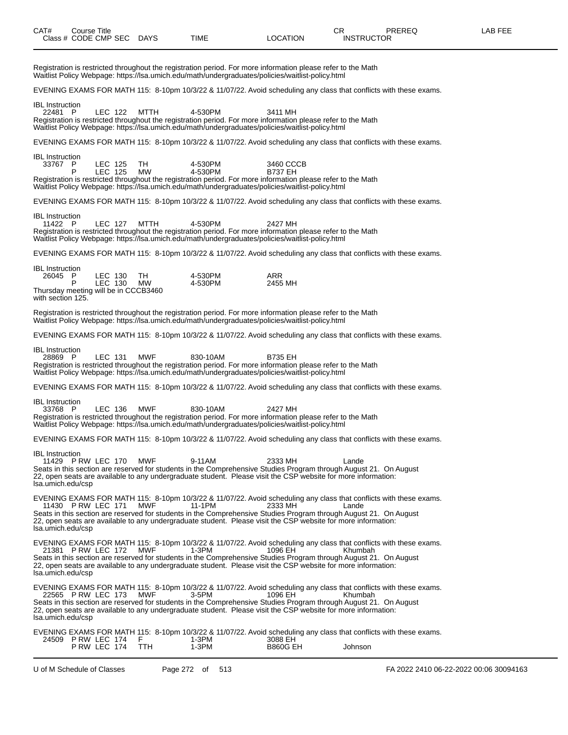| Registration is restricted throughout the registration period. For more information please refer to the Math<br>Waitlist Policy Webpage: https://lsa.umich.edu/math/undergraduates/policies/waitlist-policy.html                                                                                                                                                                                                     |                                        |
|----------------------------------------------------------------------------------------------------------------------------------------------------------------------------------------------------------------------------------------------------------------------------------------------------------------------------------------------------------------------------------------------------------------------|----------------------------------------|
| EVENING EXAMS FOR MATH 115: 8-10pm 10/3/22 & 11/07/22. Avoid scheduling any class that conflicts with these exams.                                                                                                                                                                                                                                                                                                   |                                        |
| <b>IBL</b> Instruction<br>22481 P<br>LEC 122<br>MTTH<br>4-530PM<br>Registration is restricted throughout the registration period. For more information please refer to the Math<br>Waitlist Policy Webpage: https://lsa.umich.edu/math/undergraduates/policies/waitlist-policy.html                                                                                                                                  | 3411 MH                                |
| EVENING EXAMS FOR MATH 115: 8-10pm 10/3/22 & 11/07/22. Avoid scheduling any class that conflicts with these exams.                                                                                                                                                                                                                                                                                                   |                                        |
| <b>IBL</b> Instruction<br>TH<br>4-530PM<br>33767 P<br>LEC 125<br>LEC 125<br>4-530PM<br>P<br>МW<br>Registration is restricted throughout the registration period. For more information please refer to the Math<br>Waitlist Policy Webpage: https://lsa.umich.edu/math/undergraduates/policies/waitlist-policy.html                                                                                                   | 3460 CCCB<br><b>B737 EH</b>            |
| EVENING EXAMS FOR MATH 115: 8-10pm 10/3/22 & 11/07/22. Avoid scheduling any class that conflicts with these exams.                                                                                                                                                                                                                                                                                                   |                                        |
| <b>IBL</b> Instruction<br>11422 P<br>LEC 127<br>MTTH<br>4-530PM<br>Registration is restricted throughout the registration period. For more information please refer to the Math<br>Waitlist Policy Webpage: https://lsa.umich.edu/math/undergraduates/policies/waitlist-policy.html                                                                                                                                  | 2427 MH                                |
| EVENING EXAMS FOR MATH 115: 8-10pm 10/3/22 & 11/07/22. Avoid scheduling any class that conflicts with these exams.                                                                                                                                                                                                                                                                                                   |                                        |
| <b>IBL</b> Instruction<br>26045 P<br>LEC 130<br>TH<br>4-530PM<br>LEC 130<br>4-530PM<br>P<br>MW<br>Thursday meeting will be in CCCB3460<br>with section 125.                                                                                                                                                                                                                                                          | <b>ARR</b><br>2455 MH                  |
| Registration is restricted throughout the registration period. For more information please refer to the Math<br>Waitlist Policy Webpage: https://lsa.umich.edu/math/undergraduates/policies/waitlist-policy.html                                                                                                                                                                                                     |                                        |
| EVENING EXAMS FOR MATH 115: 8-10pm 10/3/22 & 11/07/22. Avoid scheduling any class that conflicts with these exams.                                                                                                                                                                                                                                                                                                   |                                        |
| <b>IBL</b> Instruction<br>28869 P<br>LEC 131<br><b>MWF</b><br>830-10AM<br>Registration is restricted throughout the registration period. For more information please refer to the Math<br>Waitlist Policy Webpage: https://lsa.umich.edu/math/undergraduates/policies/waitlist-policy.html                                                                                                                           | B735 EH                                |
| EVENING EXAMS FOR MATH 115: 8-10pm 10/3/22 & 11/07/22. Avoid scheduling any class that conflicts with these exams.                                                                                                                                                                                                                                                                                                   |                                        |
| <b>IBL</b> Instruction<br><b>MWF</b><br>33768 P<br>LEC 136<br>830-10AM<br>Registration is restricted throughout the registration period. For more information please refer to the Math<br>Waitlist Policy Webpage: https://lsa.umich.edu/math/undergraduates/policies/waitlist-policy.html                                                                                                                           | 2427 MH                                |
| EVENING EXAMS FOR MATH 115: 8-10pm 10/3/22 & 11/07/22. Avoid scheduling any class that conflicts with these exams.                                                                                                                                                                                                                                                                                                   |                                        |
| <b>IBL</b> Instruction<br>11429 P RW LEC 170<br>MWF<br>9-11AM<br>Seats in this section are reserved for students in the Comprehensive Studies Program through August 21. On August<br>22, open seats are available to any undergraduate student. Please visit the CSP website for more information:<br>Isa.umich.edu/csp                                                                                             | 2333 MH<br>Lande                       |
| EVENING EXAMS FOR MATH 115: 8-10pm 10/3/22 & 11/07/22. Avoid scheduling any class that conflicts with these exams.<br>11430 P RW LEC 171<br>MWF<br>11-1PM<br>Seats in this section are reserved for students in the Comprehensive Studies Program through August 21. On August<br>22, open seats are available to any undergraduate student. Please visit the CSP website for more information:<br>Isa.umich.edu/csp | 2333 MH<br>Lande                       |
| EVENING EXAMS FOR MATH 115: 8-10pm 10/3/22 & 11/07/22. Avoid scheduling any class that conflicts with these exams.<br>21381 P RW LEC 172<br>MWF<br>1-3PM<br>Seats in this section are reserved for students in the Comprehensive Studies Program through August 21. On August<br>22, open seats are available to any undergraduate student. Please visit the CSP website for more information:<br>Isa.umich.edu/csp  | 1096 EH<br>Khumbah                     |
| EVENING EXAMS FOR MATH 115: 8-10pm 10/3/22 & 11/07/22. Avoid scheduling any class that conflicts with these exams.<br>22565 P RW LEC 173<br>MWF<br>3-5PM<br>Seats in this section are reserved for students in the Comprehensive Studies Program through August 21. On August<br>22, open seats are available to any undergraduate student. Please visit the CSP website for more information:<br>Isa.umich.edu/csp  | 1096 EH<br>Khumbah                     |
| EVENING EXAMS FOR MATH 115: 8-10pm 10/3/22 & 11/07/22. Avoid scheduling any class that conflicts with these exams.<br>24509 P RW LEC 174<br>1-3PM<br>F.<br>$1-3PM$<br>P RW LEC 174<br><b>TTH</b>                                                                                                                                                                                                                     | 3088 EH<br><b>B860G EH</b><br>Johnson  |
| U of M Schedule of Classes<br>Page 272 of 513                                                                                                                                                                                                                                                                                                                                                                        | FA 2022 2410 06-22-2022 00:06 30094163 |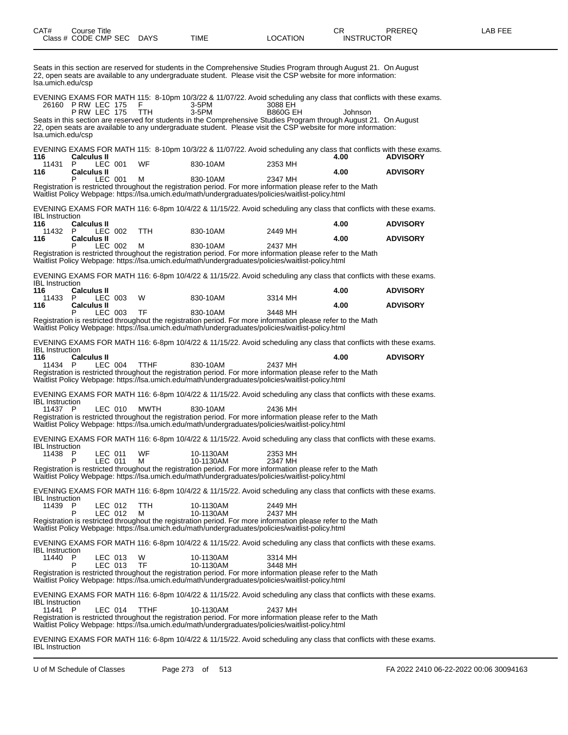Seats in this section are reserved for students in the Comprehensive Studies Program through August 21. On August 22, open seats are available to any undergraduate student. Please visit the CSP website for more information: lsa.umich.edu/csp

|                        | 26160 P RW LEC 175       |                           | F              | 3-5PM    |                        | 3088 EH                                                                                                     | EVENING EXAMS FOR MATH 115: 8-10pm 10/3/22 & 11/07/22. Avoid scheduling any class that conflicts with these exams.                                                                                                                            |                 |  |
|------------------------|--------------------------|---------------------------|----------------|----------|------------------------|-------------------------------------------------------------------------------------------------------------|-----------------------------------------------------------------------------------------------------------------------------------------------------------------------------------------------------------------------------------------------|-----------------|--|
| Isa.umich.edu/csp      | <b>P RW LEC 175</b>      |                           | <b>TTH</b>     | $3-5$ PM |                        | <b>B860G EH</b>                                                                                             | Johnson<br>Seats in this section are reserved for students in the Comprehensive Studies Program through August 21. On August<br>22, open seats are available to any undergraduate student. Please visit the CSP website for more information: |                 |  |
| 116                    | <b>Calculus II</b>       |                           |                |          |                        |                                                                                                             | EVENING EXAMS FOR MATH 115: 8-10pm 10/3/22 & 11/07/22. Avoid scheduling any class that conflicts with these exams.<br>4.00                                                                                                                    | <b>ADVISORY</b> |  |
| 11431<br>116           | P.<br><b>Calculus II</b> | LEC 001                   | WF             |          | 830-10AM               | 2353 MH                                                                                                     | 4.00                                                                                                                                                                                                                                          | <b>ADVISORY</b> |  |
|                        | P                        | LEC 001                   | М              |          | 830-10AM               | 2347 MH<br>Waitlist Policy Webpage: https://lsa.umich.edu/math/undergraduates/policies/waitlist-policy.html | Registration is restricted throughout the registration period. For more information please refer to the Math                                                                                                                                  |                 |  |
| <b>IBL</b> Instruction |                          |                           |                |          |                        |                                                                                                             | EVENING EXAMS FOR MATH 116: 6-8pm 10/4/22 & 11/15/22. Avoid scheduling any class that conflicts with these exams.                                                                                                                             |                 |  |
| 116<br>11432 P         | <b>Calculus II</b>       | LEC 002                   | TTH.           |          | 830-10AM               | 2449 MH                                                                                                     | 4.00                                                                                                                                                                                                                                          | <b>ADVISORY</b> |  |
| 116                    | <b>Calculus II</b><br>P  | LEC 002                   | М              |          | 830-10AM               | 2437 MH                                                                                                     | 4.00                                                                                                                                                                                                                                          | <b>ADVISORY</b> |  |
|                        |                          |                           |                |          |                        | Waitlist Policy Webpage: https://lsa.umich.edu/math/undergraduates/policies/waitlist-policy.html            | Registration is restricted throughout the registration period. For more information please refer to the Math                                                                                                                                  |                 |  |
| <b>IBL</b> Instruction |                          |                           |                |          |                        |                                                                                                             | EVENING EXAMS FOR MATH 116: 6-8pm 10/4/22 & 11/15/22. Avoid scheduling any class that conflicts with these exams.                                                                                                                             |                 |  |
| 116<br>11433           | <b>Calculus II</b><br>P. | LEC 003                   | W              |          | 830-10AM               | 3314 MH                                                                                                     | 4.00                                                                                                                                                                                                                                          | <b>ADVISORY</b> |  |
| 116                    | <b>Calculus II</b><br>P  | LEC 003                   | TF             |          | 830-10AM               | 3448 MH                                                                                                     | 4.00                                                                                                                                                                                                                                          | <b>ADVISORY</b> |  |
|                        |                          |                           |                |          |                        | Waitlist Policy Webpage: https://lsa.umich.edu/math/undergraduates/policies/waitlist-policy.html            | Registration is restricted throughout the registration period. For more information please refer to the Math                                                                                                                                  |                 |  |
| <b>IBL</b> Instruction |                          |                           |                |          |                        |                                                                                                             | EVENING EXAMS FOR MATH 116: 6-8pm 10/4/22 & 11/15/22. Avoid scheduling any class that conflicts with these exams.                                                                                                                             |                 |  |
| 116<br>11434           | <b>Calculus II</b><br>P  | LEC 004                   | <b>TTHF</b>    |          | 830-10AM               | 2437 MH                                                                                                     | 4.00                                                                                                                                                                                                                                          | <b>ADVISORY</b> |  |
|                        |                          |                           |                |          |                        | Waitlist Policy Webpage: https://lsa.umich.edu/math/undergraduates/policies/waitlist-policy.html            | Registration is restricted throughout the registration period. For more information please refer to the Math                                                                                                                                  |                 |  |
| <b>IBL</b> Instruction |                          |                           |                |          |                        |                                                                                                             | EVENING EXAMS FOR MATH 116: 6-8pm 10/4/22 & 11/15/22. Avoid scheduling any class that conflicts with these exams.                                                                                                                             |                 |  |
| 11437 P                |                          | LEC 010                   | MWTH           |          | 830-10AM               | 2436 MH<br>Waitlist Policy Webpage: https://lsa.umich.edu/math/undergraduates/policies/waitlist-policy.html | Registration is restricted throughout the registration period. For more information please refer to the Math                                                                                                                                  |                 |  |
| <b>IBL</b> Instruction |                          |                           |                |          |                        |                                                                                                             | EVENING EXAMS FOR MATH 116: 6-8pm 10/4/22 & 11/15/22. Avoid scheduling any class that conflicts with these exams.                                                                                                                             |                 |  |
| 11438                  | P<br>P                   | LEC 011<br><b>LEC 011</b> | <b>WF</b><br>м |          | 10-1130AM<br>10-1130AM | 2353 MH<br>2347 MH                                                                                          |                                                                                                                                                                                                                                               |                 |  |
|                        |                          |                           |                |          |                        | Waitlist Policy Webpage: https://lsa.umich.edu/math/undergraduates/policies/waitlist-policy.html            | Registration is restricted throughout the registration period. For more information please refer to the Math                                                                                                                                  |                 |  |
| <b>IBL</b> Instruction |                          |                           |                |          |                        |                                                                                                             | EVENING EXAMS FOR MATH 116: 6-8pm 10/4/22 & 11/15/22. Avoid scheduling any class that conflicts with these exams.                                                                                                                             |                 |  |
| 11439 P                | P                        | LEC 012                   | TTH            |          | 10-1130AM<br>10-1130AM | 2449 MH                                                                                                     |                                                                                                                                                                                                                                               |                 |  |
|                        |                          | LEC 012                   | М              |          |                        | 2437 MH<br>Waitlist Policy Webpage: https://lsa.umich.edu/math/undergraduates/policies/waitlist-policy.html | Registration is restricted throughout the registration period. For more information please refer to the Math                                                                                                                                  |                 |  |
| <b>IBL</b> Instruction |                          |                           |                |          |                        |                                                                                                             | EVENING EXAMS FOR MATH 116: 6-8pm 10/4/22 & 11/15/22. Avoid scheduling any class that conflicts with these exams.                                                                                                                             |                 |  |
| 11440 P                | P                        | LEC 013<br>LEC 013        | W<br>TF        |          | 10-1130AM<br>10-1130AM | 3314 MH<br>3448 MH                                                                                          |                                                                                                                                                                                                                                               |                 |  |
|                        |                          |                           |                |          |                        | Waitlist Policy Webpage: https://lsa.umich.edu/math/undergraduates/policies/waitlist-policy.html            | Registration is restricted throughout the registration period. For more information please refer to the Math                                                                                                                                  |                 |  |
| <b>IBL</b> Instruction |                          |                           |                |          |                        |                                                                                                             | EVENING EXAMS FOR MATH 116: 6-8pm 10/4/22 & 11/15/22. Avoid scheduling any class that conflicts with these exams.                                                                                                                             |                 |  |
| 11441 P                |                          | LEC 014                   | <b>TTHF</b>    |          | 10-1130AM              | 2437 MH<br>Waitlist Policy Webpage: https://lsa.umich.edu/math/undergraduates/policies/waitlist-policy.html | Registration is restricted throughout the registration period. For more information please refer to the Math                                                                                                                                  |                 |  |
| <b>IBL</b> Instruction |                          |                           |                |          |                        |                                                                                                             | EVENING EXAMS FOR MATH 116: 6-8pm 10/4/22 & 11/15/22. Avoid scheduling any class that conflicts with these exams.                                                                                                                             |                 |  |

U of M Schedule of Classes Page 273 of 513 FA 2022 2410 06-22-2022 00:06 30094163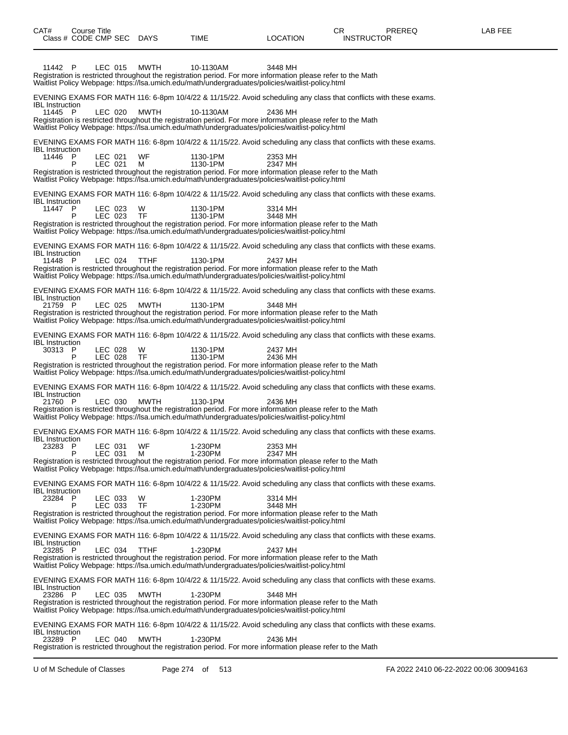| CAT#                              |   | Course Title |                    | Class # CODE CMP SEC DAYS | TIME                                                                                                                                                                                                                                     | <b>LOCATION</b>    | CR.<br><b>INSTRUCTOR</b> | PREREQ | LAB FEE |
|-----------------------------------|---|--------------|--------------------|---------------------------|------------------------------------------------------------------------------------------------------------------------------------------------------------------------------------------------------------------------------------------|--------------------|--------------------------|--------|---------|
| 11442 P                           |   |              | LEC 015            | MWTH                      | 10-1130AM<br>Registration is restricted throughout the registration period. For more information please refer to the Math<br>Waitlist Policy Webpage: https://lsa.umich.edu/math/undergraduates/policies/waitlist-policy.html            | 3448 MH            |                          |        |         |
| <b>IBL</b> Instruction            |   |              |                    |                           | EVENING EXAMS FOR MATH 116: 6-8pm 10/4/22 & 11/15/22. Avoid scheduling any class that conflicts with these exams.                                                                                                                        |                    |                          |        |         |
| 11445 P                           |   |              | LEC 020            | MWTH                      | 10-1130AM<br>Registration is restricted throughout the registration period. For more information please refer to the Math<br>Waitlist Policy Webpage: https://lsa.umich.edu/math/undergraduates/policies/waitlist-policy.html            | 2436 MH            |                          |        |         |
| <b>IBL</b> Instruction            |   |              |                    |                           | EVENING EXAMS FOR MATH 116: 6-8pm 10/4/22 & 11/15/22. Avoid scheduling any class that conflicts with these exams.                                                                                                                        |                    |                          |        |         |
| 11446 P                           | P |              | LEC 021<br>LEC 021 | WF<br>м                   | 1130-1PM<br>1130-1PM                                                                                                                                                                                                                     | 2353 MH<br>2347 MH |                          |        |         |
|                                   |   |              |                    |                           | Registration is restricted throughout the registration period. For more information please refer to the Math<br>Waitlist Policy Webpage: https://lsa.umich.edu/math/undergraduates/policies/waitlist-policy.html                         |                    |                          |        |         |
| <b>IBL</b> Instruction            |   |              |                    |                           | EVENING EXAMS FOR MATH 116: 6-8pm 10/4/22 & 11/15/22. Avoid scheduling any class that conflicts with these exams.                                                                                                                        |                    |                          |        |         |
| 11447 P                           |   |              | LEC 023<br>LEC 023 | W<br>TF                   | 1130-1PM<br>1130-1PM                                                                                                                                                                                                                     | 3314 MH<br>3448 MH |                          |        |         |
|                                   |   |              |                    |                           | Registration is restricted throughout the registration period. For more information please refer to the Math<br>Waitlist Policy Webpage: https://lsa.umich.edu/math/undergraduates/policies/waitlist-policy.html                         |                    |                          |        |         |
| <b>IBL</b> Instruction            |   |              |                    |                           | EVENING EXAMS FOR MATH 116: 6-8pm 10/4/22 & 11/15/22. Avoid scheduling any class that conflicts with these exams.                                                                                                                        |                    |                          |        |         |
| 11448 P                           |   |              | LEC 024            | <b>TTHF</b>               | 1130-1PM<br>Registration is restricted throughout the registration period. For more information please refer to the Math<br>Waitlist Policy Webpage: https://lsa.umich.edu/math/undergraduates/policies/waitlist-policy.html             | 2437 MH            |                          |        |         |
| <b>IBL</b> Instruction            |   |              |                    |                           | EVENING EXAMS FOR MATH 116: 6-8pm 10/4/22 & 11/15/22. Avoid scheduling any class that conflicts with these exams.                                                                                                                        |                    |                          |        |         |
| 21759 P                           |   |              | LEC 025            | MWTH                      | 1130-1PM<br>Registration is restricted throughout the registration period. For more information please refer to the Math<br>Waitlist Policy Webpage: https://lsa.umich.edu/math/undergraduates/policies/waitlist-policy.html             | 3448 MH            |                          |        |         |
| <b>IBL</b> Instruction            |   |              |                    |                           | EVENING EXAMS FOR MATH 116: 6-8pm 10/4/22 & 11/15/22. Avoid scheduling any class that conflicts with these exams.                                                                                                                        |                    |                          |        |         |
| 30313 P                           |   |              | LEC 028<br>LEC 028 | W<br><b>TF</b>            | 1130-1PM<br>1130-1PM<br>Registration is restricted throughout the registration period. For more information please refer to the Math<br>Waitlist Policy Webpage: https://lsa.umich.edu/math/undergraduates/policies/waitlist-policy.html | 2437 MH<br>2436 MH |                          |        |         |
|                                   |   |              |                    |                           | EVENING EXAMS FOR MATH 116: 6-8pm 10/4/22 & 11/15/22. Avoid scheduling any class that conflicts with these exams.                                                                                                                        |                    |                          |        |         |
| <b>IBL</b> Instruction<br>21760 P |   |              | LEC 030            | MWTH                      | 1130-1PM<br>Registration is restricted throughout the registration period. For more information please refer to the Math<br>Waitlist Policy Webpage: https://lsa.umich.edu/math/undergraduates/policies/waitlist-policy.html             | 2436 MH            |                          |        |         |
|                                   |   |              |                    |                           | EVENING EXAMS FOR MATH 116: 6-8pm 10/4/22 & 11/15/22. Avoid scheduling any class that conflicts with these exams.                                                                                                                        |                    |                          |        |         |
| <b>IBL</b> Instruction<br>23283 P | P |              | LEC 031<br>LEC 031 | WF<br>м                   | 1-230PM<br>1-230PM                                                                                                                                                                                                                       | 2353 MH<br>2347 MH |                          |        |         |
|                                   |   |              |                    |                           | Registration is restricted throughout the registration period. For more information please refer to the Math<br>Waitlist Policy Webpage: https://lsa.umich.edu/math/undergraduates/policies/waitlist-policy.html                         |                    |                          |        |         |
| <b>IBL</b> Instruction            |   |              |                    |                           | EVENING EXAMS FOR MATH 116: 6-8pm 10/4/22 & 11/15/22. Avoid scheduling any class that conflicts with these exams.                                                                                                                        |                    |                          |        |         |
| 23284 P                           | P |              | LEC 033<br>LEC 033 | W<br>TF                   | 1-230PM<br>1-230PM                                                                                                                                                                                                                       | 3314 MH<br>3448 MH |                          |        |         |
|                                   |   |              |                    |                           | Registration is restricted throughout the registration period. For more information please refer to the Math<br>Waitlist Policy Webpage: https://lsa.umich.edu/math/undergraduates/policies/waitlist-policy.html                         |                    |                          |        |         |
| <b>IBL</b> Instruction            |   |              |                    |                           | EVENING EXAMS FOR MATH 116: 6-8pm 10/4/22 & 11/15/22. Avoid scheduling any class that conflicts with these exams.                                                                                                                        |                    |                          |        |         |
| 23285 P                           |   |              | LEC 034            | <b>TTHF</b>               | 1-230PM<br>Registration is restricted throughout the registration period. For more information please refer to the Math<br>Waitlist Policy Webpage: https://lsa.umich.edu/math/undergraduates/policies/waitlist-policy.html              | 2437 MH            |                          |        |         |
| <b>IBL</b> Instruction            |   |              |                    |                           | EVENING EXAMS FOR MATH 116: 6-8pm 10/4/22 & 11/15/22. Avoid scheduling any class that conflicts with these exams.                                                                                                                        |                    |                          |        |         |
| 23286 P                           |   |              | LEC 035            | MWTH                      | 1-230PM<br>Registration is restricted throughout the registration period. For more information please refer to the Math<br>Waitlist Policy Webpage: https://lsa.umich.edu/math/undergraduates/policies/waitlist-policy.html              | 3448 MH            |                          |        |         |
| <b>IBL</b> Instruction            |   |              |                    |                           | EVENING EXAMS FOR MATH 116: 6-8pm 10/4/22 & 11/15/22. Avoid scheduling any class that conflicts with these exams.                                                                                                                        |                    |                          |        |         |
| 23289 P                           |   |              | LEC 040            | MWTH                      | 1-230PM<br>Registration is restricted throughout the registration period. For more information please refer to the Math                                                                                                                  | 2436 MH            |                          |        |         |

U of M Schedule of Classes Page 274 of 513 FA 2022 2410 06-22-2022 00:06 30094163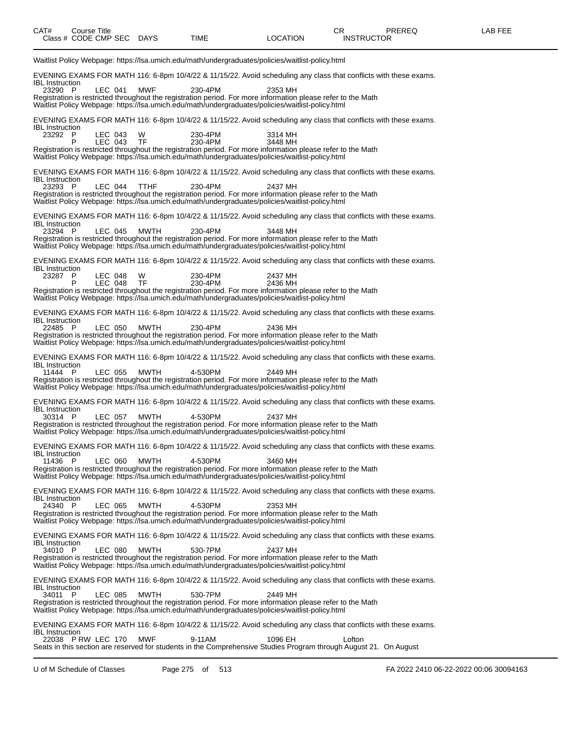| CAT# | ourse Titleٽ<br>Class # CODE CMP SEC | <b>DAYS</b> | <b>TIME</b> | LOCATION | ⌒冖<br>◡◠<br><b>INSTRUCTOR</b> | PREREQ | EEE<br>ΔR |
|------|--------------------------------------|-------------|-------------|----------|-------------------------------|--------|-----------|
|      |                                      |             |             |          |                               |        |           |

Waitlist Policy Webpage: https://lsa.umich.edu/math/undergraduates/policies/waitlist-policy.html EVENING EXAMS FOR MATH 116: 6-8pm 10/4/22 & 11/15/22. Avoid scheduling any class that conflicts with these exams. IBL Instruction<br>23290 P 23290 P LEC 041 MWF 230-4PM 2353 MH Registration is restricted throughout the registration period. For more information please refer to the Math Waitlist Policy Webpage: https://lsa.umich.edu/math/undergraduates/policies/waitlist-policy.html EVENING EXAMS FOR MATH 116: 6-8pm 10/4/22 & 11/15/22. Avoid scheduling any class that conflicts with these exams. IBL Instruction 23292 P LEC 043 W 230-4PM 3314 MH  $LEC$  043 Registration is restricted throughout the registration period. For more information please refer to the Math Waitlist Policy Webpage: https://lsa.umich.edu/math/undergraduates/policies/waitlist-policy.html EVENING EXAMS FOR MATH 116: 6-8pm 10/4/22 & 11/15/22. Avoid scheduling any class that conflicts with these exams. IBL Instruction<br>23293 P 23293 P LEC 044 TTHF 230-4PM 2437 MH Registration is restricted throughout the registration period. For more information please refer to the Math Waitlist Policy Webpage: https://lsa.umich.edu/math/undergraduates/policies/waitlist-policy.html EVENING EXAMS FOR MATH 116: 6-8pm 10/4/22 & 11/15/22. Avoid scheduling any class that conflicts with these exams. IBL Instruction<br>23294 P 23294 P LEC 045 MWTH 230-4PM 3448 MH Registration is restricted throughout the registration period. For more information please refer to the Math Waitlist Policy Webpage: https://lsa.umich.edu/math/undergraduates/policies/waitlist-policy.html EVENING EXAMS FOR MATH 116: 6-8pm 10/4/22 & 11/15/22. Avoid scheduling any class that conflicts with these exams. IBL Instruction<br>23287 P P LEC 048 W 230-4PM 2437 MH<br>P LEC 048 TF 230-4PM 2436 MH P LEC 048 TF 230-4PM 2436 MH Registration is restricted throughout the registration period. For more information please refer to the Math Waitlist Policy Webpage: https://lsa.umich.edu/math/undergraduates/policies/waitlist-policy.html EVENING EXAMS FOR MATH 116: 6-8pm 10/4/22 & 11/15/22. Avoid scheduling any class that conflicts with these exams. IBL Instruction<br>22485 P 22485 P LEC 050 MWTH 230-4PM 2436 MH Registration is restricted throughout the registration period. For more information please refer to the Math Waitlist Policy Webpage: https://lsa.umich.edu/math/undergraduates/policies/waitlist-policy.html EVENING EXAMS FOR MATH 116: 6-8pm 10/4/22 & 11/15/22. Avoid scheduling any class that conflicts with these exams. IBL Instruction<br>11444 P 11444 P LEC 055 MWTH 4-530PM 2449 MH Registration is restricted throughout the registration period. For more information please refer to the Math Waitlist Policy Webpage: https://lsa.umich.edu/math/undergraduates/policies/waitlist-policy.html EVENING EXAMS FOR MATH 116: 6-8pm 10/4/22 & 11/15/22. Avoid scheduling any class that conflicts with these exams. IBL Instruction<br>30314 P 30314 P LEC 057 MWTH 4-530PM 2437 MH Registration is restricted throughout the registration period. For more information please refer to the Math Waitlist Policy Webpage: https://lsa.umich.edu/math/undergraduates/policies/waitlist-policy.html EVENING EXAMS FOR MATH 116: 6-8pm 10/4/22 & 11/15/22. Avoid scheduling any class that conflicts with these exams. IBL Instruction<br>11436 P 11436 P LEC 060 MWTH 4-530PM 3460 MH Registration is restricted throughout the registration period. For more information please refer to the Math Waitlist Policy Webpage: https://lsa.umich.edu/math/undergraduates/policies/waitlist-policy.html EVENING EXAMS FOR MATH 116: 6-8pm 10/4/22 & 11/15/22. Avoid scheduling any class that conflicts with these exams. IBL Instruction<br>24340 P 24340 P LEC 065 MWTH 4-530PM 2353 MH Registration is restricted throughout the registration period. For more information please refer to the Math Waitlist Policy Webpage: https://lsa.umich.edu/math/undergraduates/policies/waitlist-policy.html EVENING EXAMS FOR MATH 116: 6-8pm 10/4/22 & 11/15/22. Avoid scheduling any class that conflicts with these exams. IBL Instruction<br>34010 P 34010 P LEC 080 MWTH 530-7PM 2437 MH Registration is restricted throughout the registration period. For more information please refer to the Math Waitlist Policy Webpage: https://lsa.umich.edu/math/undergraduates/policies/waitlist-policy.html EVENING EXAMS FOR MATH 116: 6-8pm 10/4/22 & 11/15/22. Avoid scheduling any class that conflicts with these exams. IBL Instruction<br>34011 P 34011 P LEC 085 MWTH 530-7PM 2449 MH Registration is restricted throughout the registration period. For more information please refer to the Math Waitlist Policy Webpage: https://lsa.umich.edu/math/undergraduates/policies/waitlist-policy.html EVENING EXAMS FOR MATH 116: 6-8pm 10/4/22 & 11/15/22. Avoid scheduling any class that conflicts with these exams. IBL Instruction 22038 P RW LEC 170 MWF 9-11AM 1096 EH Lofton Seats in this section are reserved for students in the Comprehensive Studies Program through August 21. On August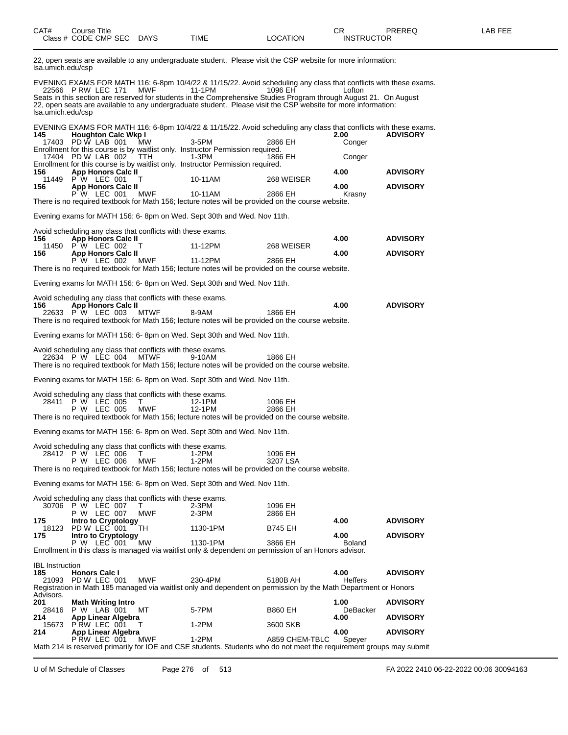| CAT# | Title<br>Course      |             |      |          | ⌒冖<br>◡           | PREREQ | AB FFF |
|------|----------------------|-------------|------|----------|-------------------|--------|--------|
|      | Class # CODE CMP SEC | <b>DAYS</b> | TIME | LOCATION | <b>INSTRUCTOR</b> |        |        |

22, open seats are available to any undergraduate student. Please visit the CSP website for more information: lsa.umich.edu/csp

EVENING EXAMS FOR MATH 116: 6-8pm 10/4/22 & 11/15/22. Avoid scheduling any class that conflicts with these exams. 22566 P RW LEC 171 MWF 11-1PM 1096 EH Lofton Seats in this section are reserved for students in the Comprehensive Studies Program through August 21. On August 22, open seats are available to any undergraduate student. Please visit the CSP website for more information: lsa.umich.edu/csp

EVENING EXAMS FOR MATH 116: 6-8pm 10/4/22 & 11/15/22. Avoid scheduling any class that conflicts with these exams.

| 145                           | <b>Houghton Calc Wkp I</b>                                                             |             |                                                                                                                                |                     | 2.00             | <b>ADVISORY</b> |
|-------------------------------|----------------------------------------------------------------------------------------|-------------|--------------------------------------------------------------------------------------------------------------------------------|---------------------|------------------|-----------------|
|                               | 17403 PD W LAB 001                                                                     | <b>MW</b>   | 3-5PM<br>Enrollment for this course is by waitlist only. Instructor Permission required.                                       | 2866 EH             | Conger           |                 |
|                               | 17404 PD W LAB 002                                                                     | <b>TTH</b>  | 1-3PM                                                                                                                          | 1866 EH             | Conger           |                 |
| 156                           | App Honors Calc II                                                                     |             | Enrollment for this course is by waitlist only. Instructor Permission required.                                                |                     | 4.00             | <b>ADVISORY</b> |
| 156                           | 11449 P W LEC 001<br>Т<br><b>App Honors Calc II</b>                                    |             | 10-11AM                                                                                                                        | 268 WEISER          | 4.00             | <b>ADVISORY</b> |
|                               | P W LEC 001                                                                            | MWF         | 10-11AM                                                                                                                        | 2866 EH             | Krasny           |                 |
|                               |                                                                                        |             | There is no required textbook for Math 156; lecture notes will be provided on the course website.                              |                     |                  |                 |
|                               |                                                                                        |             | Evening exams for MATH 156: 6- 8pm on Wed. Sept 30th and Wed. Nov 11th.                                                        |                     |                  |                 |
|                               | Avoid scheduling any class that conflicts with these exams.                            |             |                                                                                                                                |                     |                  |                 |
| 156                           | App Honors Calc II<br>11450 P W LEC 002<br>T                                           |             | 11-12PM                                                                                                                        | 268 WEISER          | 4.00             | <b>ADVISORY</b> |
| 156                           | <b>App Honors Calc II</b>                                                              |             |                                                                                                                                |                     | 4.00             | <b>ADVISORY</b> |
|                               | P W LEC 002                                                                            | MWF         | 11-12PM<br>There is no required textbook for Math 156; lecture notes will be provided on the course website.                   | 2866 EH             |                  |                 |
|                               |                                                                                        |             |                                                                                                                                |                     |                  |                 |
|                               |                                                                                        |             | Evening exams for MATH 156: 6- 8pm on Wed. Sept 30th and Wed. Nov 11th.                                                        |                     |                  |                 |
| 156                           | Avoid scheduling any class that conflicts with these exams.<br>App Honors Calc II      |             |                                                                                                                                |                     | 4.00             | <b>ADVISORY</b> |
|                               | 22633 P W LEC 003                                                                      | MTWF        | 8-9AM                                                                                                                          | 1866 EH             |                  |                 |
|                               |                                                                                        |             | There is no required textbook for Math 156; lecture notes will be provided on the course website.                              |                     |                  |                 |
|                               |                                                                                        |             | Evening exams for MATH 156: 6- 8pm on Wed. Sept 30th and Wed. Nov 11th.                                                        |                     |                  |                 |
|                               | Avoid scheduling any class that conflicts with these exams.                            |             |                                                                                                                                |                     |                  |                 |
|                               | 22634 P W LEC 004                                                                      | <b>MTWF</b> | 9-10AM<br>There is no required textbook for Math 156; lecture notes will be provided on the course website.                    | 1866 EH             |                  |                 |
|                               |                                                                                        |             | Evening exams for MATH 156: 6- 8pm on Wed. Sept 30th and Wed. Nov 11th.                                                        |                     |                  |                 |
|                               |                                                                                        |             |                                                                                                                                |                     |                  |                 |
|                               | Avoid scheduling any class that conflicts with these exams.<br>28411 P W LEC 005<br>T. |             | 12-1PM                                                                                                                         | 1096 EH             |                  |                 |
|                               | P W LEC 005                                                                            | MWF         | 12-1PM<br>There is no required textbook for Math 156; lecture notes will be provided on the course website.                    | 2866 EH             |                  |                 |
|                               |                                                                                        |             |                                                                                                                                |                     |                  |                 |
|                               |                                                                                        |             | Evening exams for MATH 156: 6- 8pm on Wed. Sept 30th and Wed. Nov 11th.                                                        |                     |                  |                 |
|                               | Avoid scheduling any class that conflicts with these exams.                            |             |                                                                                                                                |                     |                  |                 |
|                               | 28412 P W LEC 006<br>т<br>P W LEC 006                                                  | <b>MWF</b>  | 1-2PM<br>$1-2PM$                                                                                                               | 1096 EH<br>3207 LSA |                  |                 |
|                               |                                                                                        |             | There is no required textbook for Math 156; lecture notes will be provided on the course website.                              |                     |                  |                 |
|                               |                                                                                        |             | Evening exams for MATH 156: 6- 8pm on Wed. Sept 30th and Wed. Nov 11th.                                                        |                     |                  |                 |
|                               | Avoid scheduling any class that conflicts with these exams.                            |             |                                                                                                                                |                     |                  |                 |
|                               | 30706 P W LEC 007<br>T<br>P W LEC 007                                                  | MWF         | 2-3PM<br>2-3PM                                                                                                                 | 1096 EH<br>2866 EH  |                  |                 |
| 175                           | Intro to Cryptology                                                                    |             |                                                                                                                                |                     | 4.00             | <b>ADVISORY</b> |
| 18123<br>175                  | PD W LEC 001<br>Intro to Cryptology                                                    | TH          | 1130-1PM                                                                                                                       | B745 EH             | 4.00             | <b>ADVISORY</b> |
|                               | P W LEC 001                                                                            | МW          | 1130-1PM<br>Enrollment in this class is managed via waitlist only & dependent on permission of an Honors advisor.              | 3866 EH             | Boland           |                 |
|                               |                                                                                        |             |                                                                                                                                |                     |                  |                 |
| <b>IBL</b> Instruction<br>185 | <b>Honors Calc I</b>                                                                   |             |                                                                                                                                |                     | 4.00             | <b>ADVISORY</b> |
| 21093                         | PD W LEC 001                                                                           | <b>MWF</b>  | 230-4PM                                                                                                                        | 5180B AH            | <b>Heffers</b>   |                 |
| Advisors.                     |                                                                                        |             | Registration in Math 185 managed via waitlist only and dependent on permission by the Math Department or Honors                |                     |                  |                 |
| 201<br>28416                  | <b>Math Writing Intro</b><br>P W LAB 001                                               | MT.         | 5-7PM                                                                                                                          | B860 EH             | 1.00<br>DeBacker | <b>ADVISORY</b> |
| 214                           | App Linear Algebra                                                                     |             |                                                                                                                                |                     | 4.00             | <b>ADVISORY</b> |
| 15673<br>214                  | P RW LEC 001<br>T.<br>App Linear Algebra                                               |             | $1-2PM$                                                                                                                        | 3600 SKB            | 4.00             | <b>ADVISORY</b> |
|                               | PRW LEC 001                                                                            | <b>MWF</b>  | $1-2PM$<br>Math 214 is reserved primarily for IOE and CSE students. Students who do not meet the requirement groups may submit | A859 CHEM-TBLC      | Spever           |                 |
|                               |                                                                                        |             |                                                                                                                                |                     |                  |                 |

U of M Schedule of Classes Page 276 of 513 FA 2022 2410 06-22-2022 00:06 30094163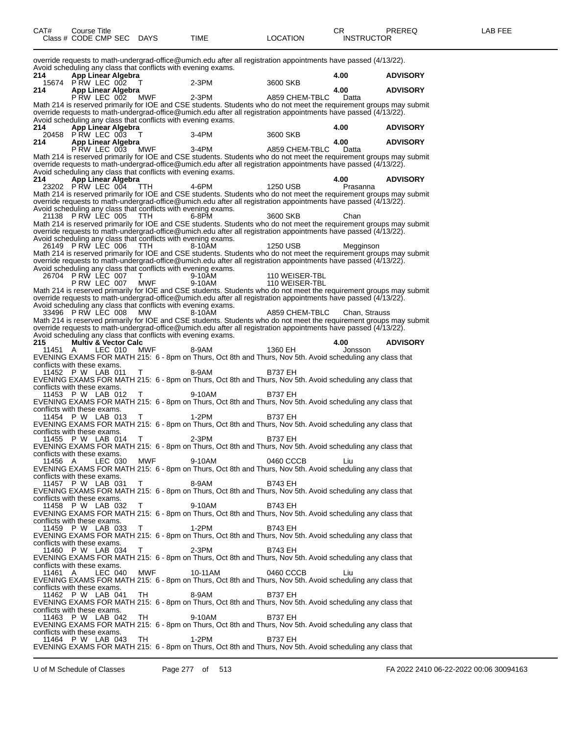| CAT# | Course Title         |             |      |          | ◠г<br>◡⊓          | PREREQ | AR FFF |
|------|----------------------|-------------|------|----------|-------------------|--------|--------|
|      | Class # CODE CMP SEC | <b>DAYS</b> | TIME | LOCATION | <b>INSTRUCTOR</b> |        |        |
|      |                      |             |      |          |                   |        |        |

override requests to math-undergrad-office@umich.edu after all registration appointments have passed (4/13/22). Avoid scheduling any class that conflicts with evening exams.<br>214 **App Linear Algebra 214 App Linear Algebra 4.00 ADVISORY** 15674 P RW LEC 002 T 2-3PM 3600 SKB **214 App Linear Algebra 4.00 ADVISORY** P RW LEC 002 MWF 2-3PM A859 CHEM-TBLC Datta Math 214 is reserved primarily for IOE and CSE students. Students who do not meet the requirement groups may submit override requests to math-undergrad-office@umich.edu after all registration appointments have passed (4/13/22). Avoid scheduling any class that conflicts with evening exams.<br>214 **App Linear Algebra 214 App Linear Algebra 4.00 ADVISORY** 20458 P RW LEC 003 T 3-4PM 3600 SKB **214 App Linear Algebra 4.00 ADVISORY** P RW LEC 003 MWF 3-4PM A859 CHEM-TBLC Datta Math 214 is reserved primarily for IOE and CSE students. Students who do not meet the requirement groups may submit override requests to math-undergrad-office@umich.edu after all registration appointments have passed (4/13/22). Avoid scheduling any class that conflicts with evening exams. **214 App Linear Algebra 4.00 ADVISORY** 23202 P RW LEC 004 TTH 4-6PM 1250 USB Prasanna Math 214 is reserved primarily for IOE and CSE students. Students who do not meet the requirement groups may submit override requests to math-undergrad-office@umich.edu after all registration appointments have passed (4/13/22). Avoid scheduling any class that conflicts with evening exams.<br>21138 P RW LEC 005 TTH 6-8PM 21138 P RW LEC 005 TTH 6-8PM 3600 SKB Chan Math 214 is reserved primarily for IOE and CSE students. Students who do not meet the requirement groups may submit override requests to math-undergrad-office@umich.edu after all registration appointments have passed (4/13/22). Avoid scheduling any class that conflicts with evening exams. 26149 P RW LEC 006 TTH 8-10AM 1250 USB Megginson Math 214 is reserved primarily for IOE and CSE students. Students who do not meet the requirement groups may submit override requests to math-undergrad-office@umich.edu after all registration appointments have passed (4/13/22). Avoid scheduling any class that conflicts with evening exams.<br>26704 P RW LEC 007 T<br>P RW LEC 007 MWF 9-10AM 26704 P RW LEC 007 T 9-10AM 110 WEISER-TBL P RW LEC 007 MWF 9-10AM 110 WEISER-TBL Math 214 is reserved primarily for IOE and CSE students. Students who do not meet the requirement groups may submit override requests to math-undergrad-office@umich.edu after all registration appointments have passed (4/13/22). Avoid scheduling any class that conflicts with evening exams. 33496 P RW LEC 008 MW 8-10AM A859 CHEM-TBLC Chan, Strauss Math 214 is reserved primarily for IOE and CSE students. Students who do not meet the requirement groups may submit override requests to math-undergrad-office@umich.edu after all registration appointments have passed (4/13/22). Avoid scheduling any class that conflicts with evening exams.<br>215 Multiv & Vector Calc **215 215 226 215 226 236 236 24.00 ADVISORY**<br>
4.00 **ADVISORY**<br>
4.00 **ADVISORY**<br>
4.00 **ADVISORY** 11451 A LEC 010 MWF 8-9AM 1360 EH Jonsson EVENING EXAMS FOR MATH 215: 6 - 8pm on Thurs, Oct 8th and Thurs, Nov 5th. Avoid scheduling any class that conflicts with these exams. 11452 P W LAB 011 T 8-9AM B737 EH EVENING EXAMS FOR MATH 215: 6 - 8pm on Thurs, Oct 8th and Thurs, Nov 5th. Avoid scheduling any class that conflicts with these exams. 11453 P W LAB 012 T 9-10AM B737 EH EVENING EXAMS FOR MATH 215: 6 - 8pm on Thurs, Oct 8th and Thurs, Nov 5th. Avoid scheduling any class that conflicts with these exams. 11454 P W LAB 013 T 1-2PM B737 EH EVENING EXAMS FOR MATH 215: 6 - 8pm on Thurs, Oct 8th and Thurs, Nov 5th. Avoid scheduling any class that conflicts with these exams.<br>11455 P W LAB 014 11455 P W LAB 014 T 2-3PM B737 EH EVENING EXAMS FOR MATH 215: 6 - 8pm on Thurs, Oct 8th and Thurs, Nov 5th. Avoid scheduling any class that conflicts with these exams. 11456 A LEC 030 MWF 9-10AM 0460 CCCB Liu EVENING EXAMS FOR MATH 215: 6 - 8pm on Thurs, Oct 8th and Thurs, Nov 5th. Avoid scheduling any class that conflicts with these exams. 11457 P W LAB 031 T 8-9AM B743 EH EVENING EXAMS FOR MATH 215: 6 - 8pm on Thurs, Oct 8th and Thurs, Nov 5th. Avoid scheduling any class that conflicts with these exams. 11458 P W LAB 032 T 9-10AM B743 EH EVENING EXAMS FOR MATH 215: 6 - 8pm on Thurs, Oct 8th and Thurs, Nov 5th. Avoid scheduling any class that conflicts with these exams. 11459 P W LAB 033 T 1-2PM B743 EH EVENING EXAMS FOR MATH 215: 6 - 8pm on Thurs, Oct 8th and Thurs, Nov 5th. Avoid scheduling any class that conflicts with these exams. 11460 P W LAB 034 T 2-3PM B743 EH EVENING EXAMS FOR MATH 215: 6 - 8pm on Thurs, Oct 8th and Thurs, Nov 5th. Avoid scheduling any class that conflicts with these exams. 11461 A LEC 040 MWF 10-11AM 0460 CCCB Liu EVENING EXAMS FOR MATH 215: 6 - 8pm on Thurs, Oct 8th and Thurs, Nov 5th. Avoid scheduling any class that conflicts with these exams. 11462 P W LAB 041 TH 8-9AM B737 EH EVENING EXAMS FOR MATH 215: 6 - 8pm on Thurs, Oct 8th and Thurs, Nov 5th. Avoid scheduling any class that conflicts with these exams. 11463 P W LAB 042 TH 9-10AM B737 EH EVENING EXAMS FOR MATH 215: 6 - 8pm on Thurs, Oct 8th and Thurs, Nov 5th. Avoid scheduling any class that conflicts with these exams. 11464 P W LAB 043 TH 1-2PM B737 EH EVENING EXAMS FOR MATH 215: 6 - 8pm on Thurs, Oct 8th and Thurs, Nov 5th. Avoid scheduling any class that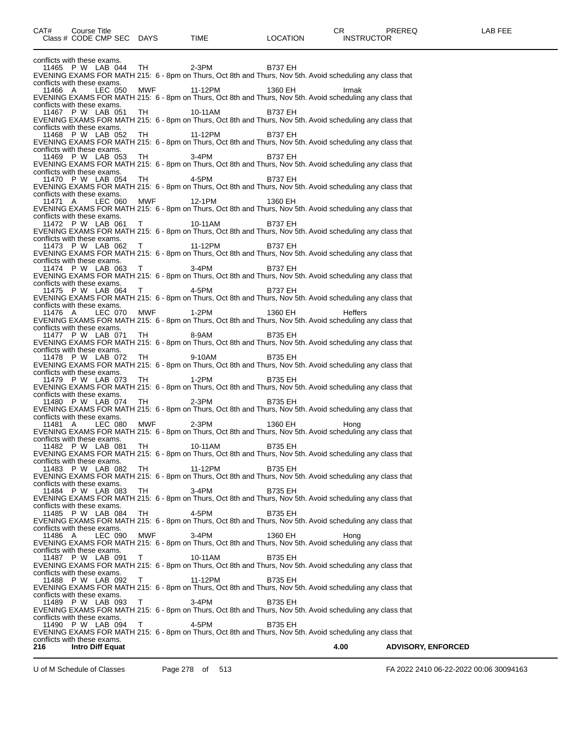conflicts with these exams.<br>11465 P W LAB 044 11465 P W LAB 044 TH 2-3PM B737 EH EVENING EXAMS FOR MATH 215: 6 - 8pm on Thurs, Oct 8th and Thurs, Nov 5th. Avoid scheduling any class that conflicts with these exams.<br>11466 A LEC 050 11466 A LEC 050 MWF 11-12PM 1360 EH Irmak EVENING EXAMS FOR MATH 215: 6 - 8pm on Thurs, Oct 8th and Thurs, Nov 5th. Avoid scheduling any class that conflicts with these exams. 11467 P W LAB 051 TH 10-11AM B737 EH EVENING EXAMS FOR MATH 215: 6 - 8pm on Thurs, Oct 8th and Thurs, Nov 5th. Avoid scheduling any class that conflicts with these exams. 11468 P W LAB 052 TH 11-12PM B737 EH EVENING EXAMS FOR MATH 215: 6 - 8pm on Thurs, Oct 8th and Thurs, Nov 5th. Avoid scheduling any class that conflicts with these exams. 11469 P W LAB 053 TH 3-4PM B737 EH EVENING EXAMS FOR MATH 215: 6 - 8pm on Thurs, Oct 8th and Thurs, Nov 5th. Avoid scheduling any class that conflicts with these exams. 11470 P W LAB 054 TH 4-5PM B737 EH EVENING EXAMS FOR MATH 215: 6 - 8pm on Thurs, Oct 8th and Thurs, Nov 5th. Avoid scheduling any class that conflicts with these exams. 11471 A LEC 060 MWF 12-1PM 1360 EH EVENING EXAMS FOR MATH 215: 6 - 8pm on Thurs, Oct 8th and Thurs, Nov 5th. Avoid scheduling any class that conflicts with these exams.<br>11472 P W LAB 061 11472 P W LAB 061 T 10-11AM B737 EH EVENING EXAMS FOR MATH 215: 6 - 8pm on Thurs, Oct 8th and Thurs, Nov 5th. Avoid scheduling any class that conflicts with these exams.<br>11473 P W LAB 062 11473 P W LAB 062 T 11-12PM B737 EH EVENING EXAMS FOR MATH 215: 6 - 8pm on Thurs, Oct 8th and Thurs, Nov 5th. Avoid scheduling any class that conflicts with these exams.<br>11474 P W LAB 063 11474 P W LAB 063 T 3-4PM B737 EH EVENING EXAMS FOR MATH 215: 6 - 8pm on Thurs, Oct 8th and Thurs, Nov 5th. Avoid scheduling any class that conflicts with these exams. 11475 P W LAB 064 T 4-5PM B737 EH EVENING EXAMS FOR MATH 215: 6 - 8pm on Thurs, Oct 8th and Thurs, Nov 5th. Avoid scheduling any class that conflicts with these exams.<br>11476 A LEC 070 11476 A LEC 070 MWF 1-2PM 1360 EH Heffers EVENING EXAMS FOR MATH 215: 6 - 8pm on Thurs, Oct 8th and Thurs, Nov 5th. Avoid scheduling any class that conflicts with these exams. 11477 P W LAB 071 TH 8-9AM B735 EH EVENING EXAMS FOR MATH 215: 6 - 8pm on Thurs, Oct 8th and Thurs, Nov 5th. Avoid scheduling any class that conflicts with these exams. 11478 P W LAB 072 TH 9-10AM B735 EH EVENING EXAMS FOR MATH 215: 6 - 8pm on Thurs, Oct 8th and Thurs, Nov 5th. Avoid scheduling any class that conflicts with these exams. 11479 P W LAB 073 TH 1-2PM B735 EH EVENING EXAMS FOR MATH 215: 6 - 8pm on Thurs, Oct 8th and Thurs, Nov 5th. Avoid scheduling any class that conflicts with these exams.<br>11480 P W LAB 074 11480 P W LAB 074 TH 2-3PM B735 EH EVENING EXAMS FOR MATH 215: 6 - 8pm on Thurs, Oct 8th and Thurs, Nov 5th. Avoid scheduling any class that conflicts with these exams.<br>11481 A LEC 08 LEC 080 MWF 2-3PM 1360 EH Hong EVENING EXAMS FOR MATH 215: 6 - 8pm on Thurs, Oct 8th and Thurs, Nov 5th. Avoid scheduling any class that conflicts with these exams.<br>11482 P W LAB 081 11482 P W LAB 081 TH 10-11AM B735 EH EVENING EXAMS FOR MATH 215: 6 - 8pm on Thurs, Oct 8th and Thurs, Nov 5th. Avoid scheduling any class that conflicts with these exams.<br>11483 P W LAB 082 11483 P W LAB 082 TH 11-12PM B735 EH EVENING EXAMS FOR MATH 215: 6 - 8pm on Thurs, Oct 8th and Thurs, Nov 5th. Avoid scheduling any class that conflicts with these exams.<br>11484 P W LAB 083 11484 P W LAB 083 TH 3-4PM B735 EH EVENING EXAMS FOR MATH 215: 6 - 8pm on Thurs, Oct 8th and Thurs, Nov 5th. Avoid scheduling any class that conflicts with these exams.<br>11485 P W LAB 084 11485 P W LAB 084 TH 4-5PM B735 EH EVENING EXAMS FOR MATH 215: 6 - 8pm on Thurs, Oct 8th and Thurs, Nov 5th. Avoid scheduling any class that conflicts with these exams.<br>11486 A LEC 090 11486 A LEC 090 MWF 3-4PM 1360 EH Hong EVENING EXAMS FOR MATH 215: 6 - 8pm on Thurs, Oct 8th and Thurs, Nov 5th. Avoid scheduling any class that conflicts with these exams. 11487 P W LAB 091 T 10-11AM B735 EH EVENING EXAMS FOR MATH 215: 6 - 8pm on Thurs, Oct 8th and Thurs, Nov 5th. Avoid scheduling any class that conflicts with these exams. 11488 P W LAB 092 T 11-12PM B735 EH EVENING EXAMS FOR MATH 215: 6 - 8pm on Thurs, Oct 8th and Thurs, Nov 5th. Avoid scheduling any class that conflicts with these exams. 11489 P W LAB 093 T 3-4PM B735 EH EVENING EXAMS FOR MATH 215: 6 - 8pm on Thurs, Oct 8th and Thurs, Nov 5th. Avoid scheduling any class that conflicts with these exams. 11490 P W LAB 094 T 4-5PM B735 EH EVENING EXAMS FOR MATH 215: 6 - 8pm on Thurs, Oct 8th and Thurs, Nov 5th. Avoid scheduling any class that conflicts with these exams.<br>216 **Intro Diff Equat 216 Intro Diff Equat 4.00 ADVISORY, ENFORCED**

U of M Schedule of Classes Page 278 of 513 FA 2022 2410 06-22-2022 00:06 30094163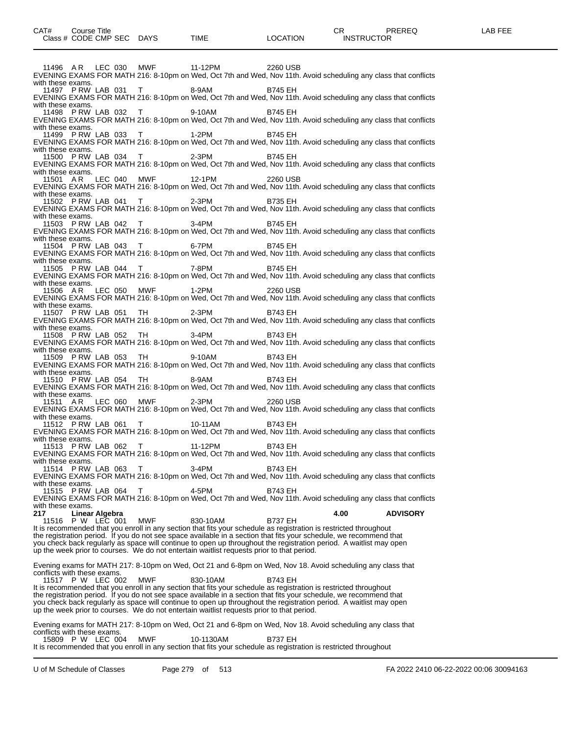11496 A R LEC 030 MWF 11-12PM 2260 USB EVENING EXAMS FOR MATH 216: 8-10pm on Wed, Oct 7th and Wed, Nov 11th. Avoid scheduling any class that conflicts with these exams. 11497 P RW LAB 031 T 8-9AM B745 EH EVENING EXAMS FOR MATH 216: 8-10pm on Wed, Oct 7th and Wed, Nov 11th. Avoid scheduling any class that conflicts with these exams. 11498 P RW LAB 032 T 9-10AM B745 EH EVENING EXAMS FOR MATH 216: 8-10pm on Wed, Oct 7th and Wed, Nov 11th. Avoid scheduling any class that conflicts with these exams. 11499 P RW LAB 033 T 1-2PM B745 EH EVENING EXAMS FOR MATH 216: 8-10pm on Wed, Oct 7th and Wed, Nov 11th. Avoid scheduling any class that conflicts with these exams. 11500 P RW LAB 034 T 2-3PM B745 EH EVENING EXAMS FOR MATH 216: 8-10pm on Wed, Oct 7th and Wed, Nov 11th. Avoid scheduling any class that conflicts with these exams. 11501 A R LEC 040 MWF 12-1PM 2260 USB EVENING EXAMS FOR MATH 216: 8-10pm on Wed, Oct 7th and Wed, Nov 11th. Avoid scheduling any class that conflicts with these exams. 11502 P RW LAB 041 T 2-3PM B735 EH EVENING EXAMS FOR MATH 216: 8-10pm on Wed, Oct 7th and Wed, Nov 11th. Avoid scheduling any class that conflicts with these exams.<br>11503 P RW LAB 042 11503 P RW LAB 042 T 3-4PM B745 EH EVENING EXAMS FOR MATH 216: 8-10pm on Wed, Oct 7th and Wed, Nov 11th. Avoid scheduling any class that conflicts with these exams. 11504 P RW LAB 043 T 6-7PM B745 EH EVENING EXAMS FOR MATH 216: 8-10pm on Wed, Oct 7th and Wed, Nov 11th. Avoid scheduling any class that conflicts with these exams. 11505 P RW LAB 044 T 7-8PM B745 EH EVENING EXAMS FOR MATH 216: 8-10pm on Wed, Oct 7th and Wed, Nov 11th. Avoid scheduling any class that conflicts with these exams.<br>11506 AR LEC 050 11506 A R LEC 050 MWF 1-2PM 2260 USB EVENING EXAMS FOR MATH 216: 8-10pm on Wed, Oct 7th and Wed, Nov 11th. Avoid scheduling any class that conflicts with these exams. 11507 P RW LAB 051 TH 2-3PM B743 EH EVENING EXAMS FOR MATH 216: 8-10pm on Wed, Oct 7th and Wed, Nov 11th. Avoid scheduling any class that conflicts with these exams 11508 P RW LAB 052 TH 3-4PM B743 EH EVENING EXAMS FOR MATH 216: 8-10pm on Wed, Oct 7th and Wed, Nov 11th. Avoid scheduling any class that conflicts with these exams. 11509 P RW LAB 053 TH 9-10AM B743 EH EVENING EXAMS FOR MATH 216: 8-10pm on Wed, Oct 7th and Wed, Nov 11th. Avoid scheduling any class that conflicts with these exams. 11510 P RW LAB 054 TH 8-9AM B743 EH EVENING EXAMS FOR MATH 216: 8-10pm on Wed, Oct 7th and Wed, Nov 11th. Avoid scheduling any class that conflicts with these exams. 11511 A R LEC 060 MWF 2-3PM 2260 USB EVENING EXAMS FOR MATH 216: 8-10pm on Wed, Oct 7th and Wed, Nov 11th. Avoid scheduling any class that conflicts with these exams.<br>11512 PRW LAB 061 11512 P RW LAB 061 T 10-11AM B743 EH EVENING EXAMS FOR MATH 216: 8-10pm on Wed, Oct 7th and Wed, Nov 11th. Avoid scheduling any class that conflicts with these exams.<br>11513 PRW LAB 062 11513 P RW LAB 062 T 11-12PM B743 EH EVENING EXAMS FOR MATH 216: 8-10pm on Wed, Oct 7th and Wed, Nov 11th. Avoid scheduling any class that conflicts with these exams.<br>11514 PRW LAB 063 11514 P RW LAB 063 T 3-4PM B743 EH EVENING EXAMS FOR MATH 216: 8-10pm on Wed, Oct 7th and Wed, Nov 11th. Avoid scheduling any class that conflicts with these exams. 11515 P RW LAB 064 T 4-5PM B743 EH EVENING EXAMS FOR MATH 216: 8-10pm on Wed, Oct 7th and Wed, Nov 11th. Avoid scheduling any class that conflicts with these exams.<br>217 **I** inear **217 Linear Algebra 4.00 ADVISORY** P W LEC 001 It is recommended that you enroll in any section that fits your schedule as registration is restricted throughout the registration period. If you do not see space available in a section that fits your schedule, we recommend that you check back regularly as space will continue to open up throughout the registration period. A waitlist may open up the week prior to courses. We do not entertain waitlist requests prior to that period. Evening exams for MATH 217: 8-10pm on Wed, Oct 21 and 6-8pm on Wed, Nov 18. Avoid scheduling any class that conflicts with these exams. 11517 P W LEC 002 MWF 830-10AM B743 EH It is recommended that you enroll in any section that fits your schedule as registration is restricted throughout the registration period. If you do not see space available in a section that fits your schedule, we recommend that you check back regularly as space will continue to open up throughout the registration period. A waitlist may open up the week prior to courses. We do not entertain waitlist requests prior to that period. Evening exams for MATH 217: 8-10pm on Wed, Oct 21 and 6-8pm on Wed, Nov 18. Avoid scheduling any class that conflicts with these exams. 15809 P W LEC 004 MWF 10-1130AM B737 EH It is recommended that you enroll in any section that fits your schedule as registration is restricted throughout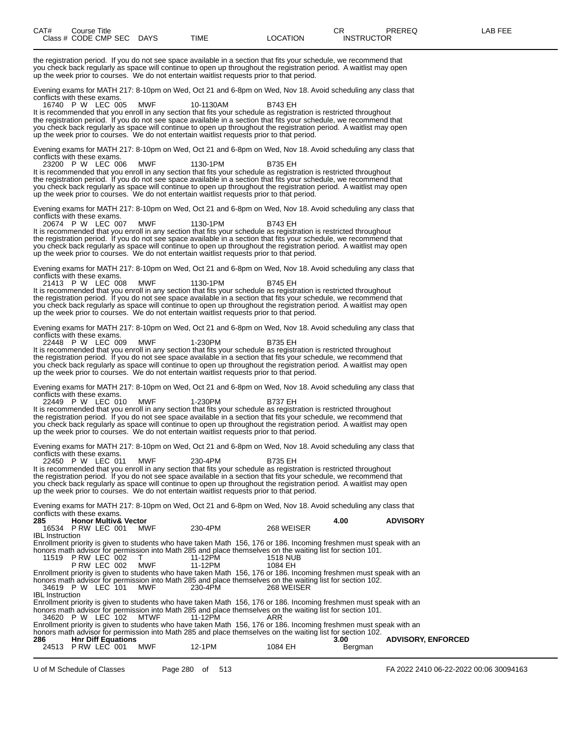the registration period. If you do not see space available in a section that fits your schedule, we recommend that you check back regularly as space will continue to open up throughout the registration period. A waitlist may open up the week prior to courses. We do not entertain waitlist requests prior to that period. Evening exams for MATH 217: 8-10pm on Wed, Oct 21 and 6-8pm on Wed, Nov 18. Avoid scheduling any class that conflicts with these exams. 16740 P W LEC 005 MWF 10-1130AM B743 EH It is recommended that you enroll in any section that fits your schedule as registration is restricted throughout the registration period. If you do not see space available in a section that fits your schedule, we recommend that you check back regularly as space will continue to open up throughout the registration period. A waitlist may open up the week prior to courses. We do not entertain waitlist requests prior to that period. Evening exams for MATH 217: 8-10pm on Wed, Oct 21 and 6-8pm on Wed, Nov 18. Avoid scheduling any class that conflicts with these exams.<br>23200 P W LEC 006 23200 P W LEC 006 MWF 1130-1PM B735 EH It is recommended that you enroll in any section that fits your schedule as registration is restricted throughout the registration period. If you do not see space available in a section that fits your schedule, we recommend that you check back regularly as space will continue to open up throughout the registration period. A waitlist may open up the week prior to courses. We do not entertain waitlist requests prior to that period. Evening exams for MATH 217: 8-10pm on Wed, Oct 21 and 6-8pm on Wed, Nov 18. Avoid scheduling any class that conflicts with these exams.<br>20674 P W LEC 007 20674 P W LEC 007 MWF 1130-1PM B743 EH It is recommended that you enroll in any section that fits your schedule as registration is restricted throughout the registration period. If you do not see space available in a section that fits your schedule, we recommend that you check back regularly as space will continue to open up throughout the registration period. A waitlist may open up the week prior to courses. We do not entertain waitlist requests prior to that period. Evening exams for MATH 217: 8-10pm on Wed, Oct 21 and 6-8pm on Wed, Nov 18. Avoid scheduling any class that conflicts with these exams. 21413 P W LEC 008 MWF 1130-1PM B745 EH It is recommended that you enroll in any section that fits your schedule as registration is restricted throughout the registration period. If you do not see space available in a section that fits your schedule, we recommend that you check back regularly as space will continue to open up throughout the registration period. A waitlist may open up the week prior to courses. We do not entertain waitlist requests prior to that period. Evening exams for MATH 217: 8-10pm on Wed, Oct 21 and 6-8pm on Wed, Nov 18. Avoid scheduling any class that conflicts with these exams. 22448 P W LEC 009 MWF 1-230PM B735 EH It is recommended that you enroll in any section that fits your schedule as registration is restricted throughout the registration period. If you do not see space available in a section that fits your schedule, we recommend that you check back regularly as space will continue to open up throughout the registration period. A waitlist may open up the week prior to courses. We do not entertain waitlist requests prior to that period. Evening exams for MATH 217: 8-10pm on Wed, Oct 21 and 6-8pm on Wed, Nov 18. Avoid scheduling any class that conflicts with these exams. 22449 P W LEC 010 MWF 1-230PM B737 EH It is recommended that you enroll in any section that fits your schedule as registration is restricted throughout the registration period. If you do not see space available in a section that fits your schedule, we recommend that you check back regularly as space will continue to open up throughout the registration period. A waitlist may open up the week prior to courses. We do not entertain waitlist requests prior to that period. Evening exams for MATH 217: 8-10pm on Wed, Oct 21 and 6-8pm on Wed, Nov 18. Avoid scheduling any class that conflicts with these exams. 22450 P W LEC 011 MWF 230-4PM B735 EH It is recommended that you enroll in any section that fits your schedule as registration is restricted throughout the registration period. If you do not see space available in a section that fits your schedule, we recommend that you check back regularly as space will continue to open up throughout the registration period. A waitlist may open up the week prior to courses. We do not entertain waitlist requests prior to that period. Evening exams for MATH 217: 8-10pm on Wed, Oct 21 and 6-8pm on Wed, Nov 18. Avoid scheduling any class that conflicts with these exams<br>285 **Honor Multiva 285 Honor Multiv& Vector 4.00 ADVISORY** P RW LEC 001 IBL Instruction Enrollment priority is given to students who have taken Math 156, 176 or 186. Incoming freshmen must speak with an honors math advisor for permission into Math 285 and place themselves on the waiting list for section 101. 11519 P RW LEC 002 T 11-12PM 1518 NUB P RW LEC 002 MWF 11-12PM 1084 EH Enrollment priority is given to students who have taken Math 156, 176 or 186. Incoming freshmen must speak with an honors math advisor for permission into Math 285 and place themselves on the waiting list for section 102. 34619 P W LEC 101 MWF 230-4PM 268 WEISER IBL Instruction Enrollment priority is given to students who have taken Math 156, 176 or 186. Incoming freshmen must speak with an honors math advisor for permission into Math 285 and place themselves on the waiting list for section 101. 34620 P W LEC 102 MTWF 11-12PM ARR Enrollment priority is given to students who have taken Math 156, 176 or 186. Incoming freshmen must speak with an honors math advisor for permission into Math 285 and place themselves on the waiting list for section 102. **286 Hnr Diff Equations 3.00 ADVISORY, ENFORCED** 24513 P RW LEC 001 MWF 12-1PM 1084 EH Bergman

U of M Schedule of Classes Page 280 of 513 FA 2022 2410 06-22-2022 00:06 30094163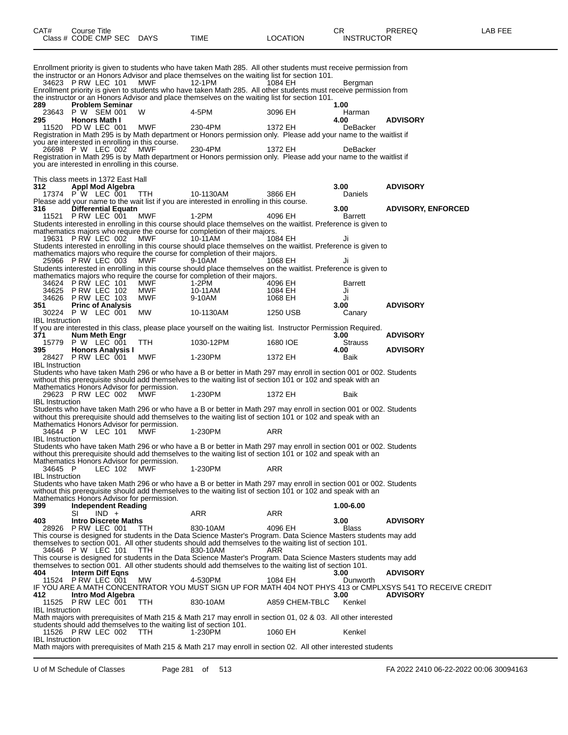| CAT# | Course Title              |             |          | ∩⊓<br>- UN        | PREREQ | _AB FEE |
|------|---------------------------|-------------|----------|-------------------|--------|---------|
|      | Class # CODE CMP SEC DAYS | <b>TIME</b> | LOCATION | <b>INSTRUCTOR</b> |        |         |

Enrollment priority is given to students who have taken Math 285. All other students must receive permission from the instructor or an Honors Advisor and place themselves on the waiting list for section 101.<br>34623 PRW LEC 101 MWF 12-1PM 1084 EH 34623 P RW LEC 101 MWF 12-1PM 1084 EH Bergman Enrollment priority is given to students who have taken Math 285. All other students must receive permission from the instructor or an Honors Advisor and place themselves on the waiting list for section 101.<br>289 Problem Seminar **289 Problem Seminar 1.00** 23643 P W SEM 001 W 4-5PM 3096 EH Harman **295 Honors Math I 4.00 ADVISORY** 11520 PD W LEC 001 MWF 230-4PM 1372 EH DeBacker Registration in Math 295 is by Math department or Honors permission only. Please add your name to the waitlist if you are interested in enrolling in this course.<br>26698 P W LEC 002 MWF 26698 P W LEC 002 MWF 230-4PM 1372 EH DeBacker Registration in Math 295 is by Math department or Honors permission only. Please add your name to the waitlist if you are interested in enrolling in this course. This class meets in 1372 East Hall<br>312 **Appl Mod Algebra 312 Appl Mod Algebra 3.00 ADVISORY** 17374 P W LEC 001 TTH 10-1130AM 3866 EH Daniels Please add your name to the wait list if you are interested in enrolling in this course. **316 Differential Equatn 3.00 ADVISORY, ENFORCED** 11521 P RW LEC 001 MWF 1-2PM 4096 EH Barrett Students interested in enrolling in this course should place themselves on the waitlist. Preference is given to mathematics majors who require the course for completion of their majors.<br>19631 P RW LEC 002 MWF 10-11AM 1064 EH 19631 P RW LEC 002 Students interested in enrolling in this course should place themselves on the waitlist. Preference is given to mathematics majors who require the course for completion of their majors.<br>25966 P RW LEC 003 MWF 9-10AM 1068 EH 25966 P RW LEC 003 Students interested in enrolling in this course should place themselves on the waitlist. Preference is given to mathematics majors who require the course for completion of their majors.<br>34624 P RW LEC 101 MWF 1-2PM 4096 EH 34624 P RW LEC 101 MWF 1-2PM 4096 EH Barrett 34625 P RW LEC 102 MWF 10-11AM 1084 EH Ji 34626 P RW LEC 103 MWF 9-10AM 1068 EH Ji **351 Princ of Analysis 3.00 ADVISORY** 30224 P W LEC 001 MW 10-1130AM 1250 USB Canary IBL Instruction If you are interested in this class, please place yourself on the waiting list. Instructor Permission Required.<br>371 **Num Meth Engr 371 Num Meth Engr 3.00 ADVISORY** 15779 P W LEC 001 TTH 1030-12PM 1680 IOE Strauss **395 Honors Analysis I 4.00 ADVISORY** 28427 P RW LEC 001 MWF 1-230PM 1372 EH Baik IBL Instruction Students who have taken Math 296 or who have a B or better in Math 297 may enroll in section 001 or 002. Students without this prerequisite should add themselves to the waiting list of section 101 or 102 and speak with an Mathematics Honors Advisor for permission.<br>29623 PRW LEC 002 MWF 29623 P RW LEC 002 MWF 1-230PM 1372 EH Baik IBL Instruction Students who have taken Math 296 or who have a B or better in Math 297 may enroll in section 001 or 002. Students without this prerequisite should add themselves to the waiting list of section 101 or 102 and speak with an Mathematics Honors Advisor for permission.<br>34644 P W LEC 101 MWF 34644 P W LEC 101 MWF 1-230PM ARR IBL Instruction Students who have taken Math 296 or who have a B or better in Math 297 may enroll in section 001 or 002. Students without this prerequisite should add themselves to the waiting list of section 101 or 102 and speak with an Mathematics Honors Advisor for permission. 34645 P LEC 102 MWF 1-230PM ARR IBL Instruction Students who have taken Math 296 or who have a B or better in Math 297 may enroll in section 001 or 002. Students without this prerequisite should add themselves to the waiting list of section 101 or 102 and speak with an Mathematics Honors Advisor for permission.<br>399 **Independent Reading 399 Independent Reading 1.00-6.00** SI IND + ARR ARR ARR **403 Intro Discrete Maths 3.00 ADVISORY** 28926 P RW LEC 001 TTH 830-10AM 4096 EH Blass This course is designed for students in the Data Science Master's Program. Data Science Masters students may add themselves to section 001. All other students should add themselves to the waiting list of section 101. 34646 P W LEC 101 TTH This course is designed for students in the Data Science Master's Program. Data Science Masters students may add themselves to section 001. All other students should add themselves to the waiting list of section 101.<br>404 **Interm Diff Eqns 404 Interm Diff Eqns 3.00 ADVISORY** 11524 P RW LEC 001 MW 4-530PM 1084 EH Dunworth IF YOU ARE A MATH CONCENTRATOR YOU MUST SIGN UP FOR MATH 404 NOT PHYS 413 or CMPLXSYS 541 TO RECEIVE CREDIT **412 Intro Mod Algebra 3.00 ADVISORY**  $P$  RW LEC  $\overline{0}01$ IBL Instruction Math majors with prerequisites of Math 215 & Math 217 may enroll in section 01, 02 & 03. All other interested students should add themselves to the waiting list of section 101.<br>11526 P RW LEC 002 TTH 1-230PM 11526 P RW LEC 002 TTH  $\degree$  1-230PM 1060 EH Kenkel IBL Instruction Math majors with prerequisites of Math 215 & Math 217 may enroll in section 02. All other interested students

U of M Schedule of Classes Page 281 of 513 FA 2022 2410 06-22-2022 00:06 30094163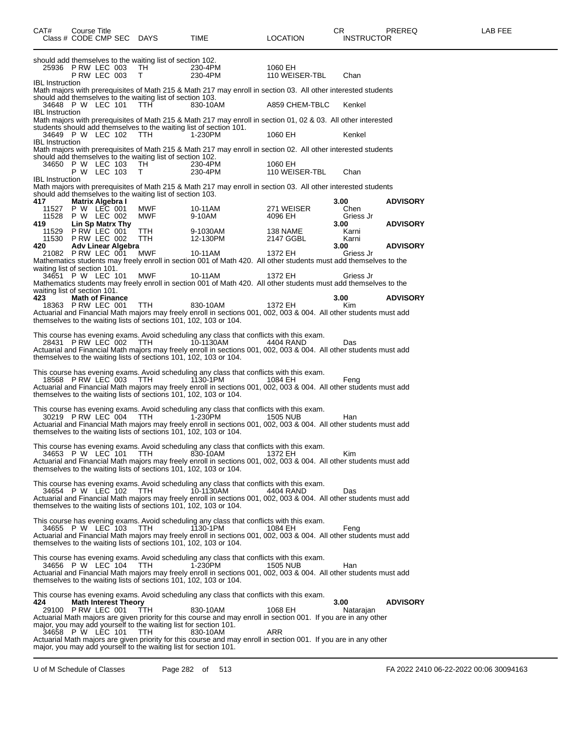| CAT#<br>Class # CODE CMP SEC DAYS                                                 | Course Title               |  |                             |                                                                                                                                                                  | TIME                                                                                                                                                                                                                                                                                                                                                   | <b>LOCATION</b>                  | CR.<br><b>INSTRUCTOR</b>            | <b>PREREQ</b>                      | LAB FEE |
|-----------------------------------------------------------------------------------|----------------------------|--|-----------------------------|------------------------------------------------------------------------------------------------------------------------------------------------------------------|--------------------------------------------------------------------------------------------------------------------------------------------------------------------------------------------------------------------------------------------------------------------------------------------------------------------------------------------------------|----------------------------------|-------------------------------------|------------------------------------|---------|
| 25936 P RW LEC 003                                                                | PRW LEC 003                |  |                             | should add themselves to the waiting list of section 102.<br>TH<br>T.                                                                                            | 230-4PM<br>230-4PM                                                                                                                                                                                                                                                                                                                                     | 1060 EH<br>110 WEISER-TBL        | Chan                                |                                    |         |
| <b>IBL</b> Instruction<br>34648 P W LEC 101                                       |                            |  |                             | should add themselves to the waiting list of section 103.<br>TTH                                                                                                 | Math majors with prerequisites of Math 215 & Math 217 may enroll in section 03. All other interested students<br>830-10AM                                                                                                                                                                                                                              | A859 CHEM-TBLC                   | Kenkel                              |                                    |         |
| <b>IBL</b> Instruction<br>34649 P W LEC 102 TTH                                   |                            |  |                             |                                                                                                                                                                  | Math majors with prerequisites of Math 215 & Math 217 may enroll in section 01, 02 & 03. All other interested<br>students should add themselves to the waiting list of section 101.<br>1-230PM                                                                                                                                                         | 1060 EH                          | Kenkel                              |                                    |         |
| <b>IBL</b> Instruction<br>34650 P W LEC 103                                       |                            |  |                             | should add themselves to the waiting list of section 102.<br>TH                                                                                                  | Math majors with prerequisites of Math 215 & Math 217 may enroll in section 02. All other interested students<br>230-4PM                                                                                                                                                                                                                               | 1060 EH                          |                                     |                                    |         |
| <b>IBL</b> Instruction                                                            | P W LEC 103                |  |                             | T.<br>should add themselves to the waiting list of section 103.                                                                                                  | 230-4PM<br>Math majors with prerequisites of Math 215 & Math 217 may enroll in section 03. All other interested students                                                                                                                                                                                                                               | 110 WEISER-TBL                   | Chan                                |                                    |         |
| 417<br>11527 P W LEC 001<br>11528 P W LEC 002<br>419                              | Matrix Algebra I           |  | Lin Sp Matrx Thy            | MWF<br>MWF                                                                                                                                                       | 10-11AM<br>9-10AM                                                                                                                                                                                                                                                                                                                                      | 271 WEISER<br>4096 EH            | 3.00<br>Chen<br>Griess Jr<br>3.00   | <b>ADVISORY</b><br><b>ADVISORY</b> |         |
| 11529<br>11530<br>420<br>21082 P RW LEC 001                                       | PRW LEC 001<br>PRW LEC 002 |  | <b>Adv Linear Algebra</b>   | <b>TTH</b><br>TTH<br><b>MWF</b>                                                                                                                                  | 9-1030AM<br>12-130PM<br>10-11AM                                                                                                                                                                                                                                                                                                                        | 138 NAME<br>2147 GGBL<br>1372 EH | Karni<br>Karni<br>3.00<br>Griess Jr | <b>ADVISORY</b>                    |         |
| waiting list of section 101.<br>34651 P W LEC 101<br>waiting list of section 101. |                            |  |                             | MWF                                                                                                                                                              | Mathematics students may freely enroll in section 001 of Math 420. All other students must add themselves to the<br>10-11AM<br>Mathematics students may freely enroll in section 001 of Math 420. All other students must add themselves to the                                                                                                        | 1372 EH                          | Griess Jr                           |                                    |         |
| 423<br>18363 P RW LEC 001                                                         | <b>Math of Finance</b>     |  |                             | TTH                                                                                                                                                              | 830-10AM<br>Actuarial and Financial Math majors may freely enroll in sections 001, 002, 003 & 004. All other students must add<br>themselves to the waiting lists of sections 101, 102, 103 or 104.                                                                                                                                                    | 1372 EH                          | 3.00<br>Kim                         | <b>ADVISORY</b>                    |         |
| 28431 PRW LEC 002 TTH                                                             |                            |  |                             |                                                                                                                                                                  | This course has evening exams. Avoid scheduling any class that conflicts with this exam.<br>10-1130AM<br>Actuarial and Financial Math majors may freely enroll in sections 001, 002, 003 & 004. All other students must add<br>themselves to the waiting lists of sections 101, 102, 103 or 104.                                                       | 4404 RAND                        | Das                                 |                                    |         |
| 18568 PRW LEC 003                                                                 |                            |  |                             | TTH                                                                                                                                                              | This course has evening exams. Avoid scheduling any class that conflicts with this exam.<br>1130-1PM<br>Actuarial and Financial Math majors may freely enroll in sections 001, 002, 003 & 004. All other students must add<br>themselves to the waiting lists of sections 101, 102, 103 or 104.                                                        | 1084 EH                          | Feng                                |                                    |         |
| 30219 PRW LEC 004                                                                 |                            |  |                             | <b>TTH</b>                                                                                                                                                       | This course has evening exams. Avoid scheduling any class that conflicts with this exam.<br>1-230PM<br>Actuarial and Financial Math majors may freely enroll in sections 001, 002, 003 & 004. All other students must add<br>themselves to the waiting lists of sections 101, 102, 103 or 104.                                                         | 1505 NUB                         | Han                                 |                                    |         |
| 34653 P W LEC 101                                                                 |                            |  |                             | <b>TTH</b>                                                                                                                                                       | This course has evening exams. Avoid scheduling any class that conflicts with this exam.<br>830-10AM<br>Actuarial and Financial Math majors may freely enroll in sections 001, 002, 003 & 004. All other students must add<br>themselves to the waiting lists of sections 101, 102, 103 or 104.                                                        | 1372 EH                          | Kim                                 |                                    |         |
| 34654 P W LEC 102                                                                 |                            |  |                             | TTH                                                                                                                                                              | This course has evening exams. Avoid scheduling any class that conflicts with this exam.<br>10-1130AM<br>Actuarial and Financial Math majors may freely enroll in sections 001, 002, 003 & 004. All other students must add<br>themselves to the waiting lists of sections 101, 102, 103 or 104.                                                       | 4404 RAND                        | Das                                 |                                    |         |
| 34655 P W LEC 103                                                                 |                            |  |                             | TTH                                                                                                                                                              | This course has evening exams. Avoid scheduling any class that conflicts with this exam.<br>1130-1PM<br>Actuarial and Financial Math majors may freely enroll in sections 001, 002, 003 & 004. All other students must add<br>themselves to the waiting lists of sections 101, 102, 103 or 104.                                                        | 1084 EH                          | Feng                                |                                    |         |
| 34656 P W LEC 104                                                                 |                            |  |                             | TTH                                                                                                                                                              | This course has evening exams. Avoid scheduling any class that conflicts with this exam.<br>1-230PM<br>Actuarial and Financial Math majors may freely enroll in sections 001, 002, 003 & 004. All other students must add<br>themselves to the waiting lists of sections 101, 102, 103 or 104.                                                         | 1505 NUB                         | Han                                 |                                    |         |
| 424<br>29100 PRW LEC 001<br>34658 P W LEC 101                                     |                            |  | <b>Math Interest Theory</b> | <b>TTH</b><br>major, you may add yourself to the waiting list for section 101.<br><b>TTH</b><br>major, you may add yourself to the waiting list for section 101. | This course has evening exams. Avoid scheduling any class that conflicts with this exam.<br>830-10AM<br>Actuarial Math majors are given priority for this course and may enroll in section 001. If you are in any other<br>830-10AM<br>Actuarial Math majors are given priority for this course and may enroll in section 001. If you are in any other | 1068 EH<br>ARR                   | 3.00<br>Natarajan                   | <b>ADVISORY</b>                    |         |

U of M Schedule of Classes Page 282 of 513 FA 2022 2410 06-22-2022 00:06 30094163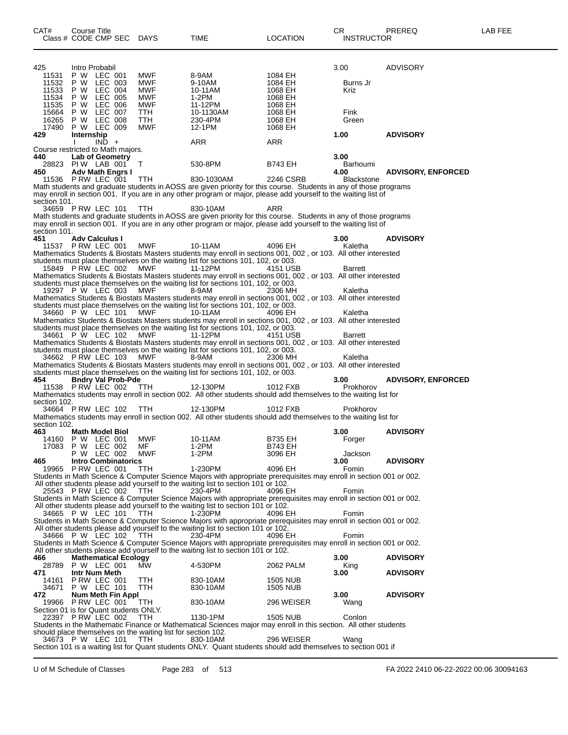| CAT#<br>Class # CODE CMP SEC DAYS        | Course Title       |                             |                                                              | TIME                                                                                                                                                                                                     | LOCATION           | CR<br><b>INSTRUCTOR</b> | PREREQ                    | LAB FEE |
|------------------------------------------|--------------------|-----------------------------|--------------------------------------------------------------|----------------------------------------------------------------------------------------------------------------------------------------------------------------------------------------------------------|--------------------|-------------------------|---------------------------|---------|
| 425                                      |                    | Intro Probabil              |                                                              |                                                                                                                                                                                                          |                    | 3.00                    | ADVISORY                  |         |
| 11531                                    |                    | P W LEC 001                 | MWF                                                          | 8-9AM                                                                                                                                                                                                    | 1084 EH            |                         |                           |         |
| 11532<br>11533                           | P W<br>P W         | LEC 003<br>LEC 004          | MWF<br><b>MWF</b>                                            | 9-10AM<br>10-11AM                                                                                                                                                                                        | 1084 EH<br>1068 EH | Burns Jr<br>Kriz        |                           |         |
| 11534                                    | P W                | <b>LEC 005</b>              | MWF                                                          | 1-2PM                                                                                                                                                                                                    | 1068 EH            |                         |                           |         |
| 11535                                    | P W                | LEC 006                     | <b>MWF</b>                                                   | 11-12PM                                                                                                                                                                                                  | 1068 EH            |                         |                           |         |
| 15664 P W LEC 007                        | <b>P W LEC 008</b> |                             | TTH                                                          | 10-1130AM                                                                                                                                                                                                | 1068 EH            | Fink                    |                           |         |
| 16265<br>17490                           | <b>P W LEC 009</b> |                             | TTH<br><b>MWF</b>                                            | 230-4PM<br>12-1PM                                                                                                                                                                                        | 1068 EH<br>1068 EH | Green                   |                           |         |
| 429                                      | Internship         |                             |                                                              |                                                                                                                                                                                                          |                    | 1.00                    | <b>ADVISORY</b>           |         |
|                                          |                    | $IND +$                     |                                                              | ARR                                                                                                                                                                                                      | ARR                |                         |                           |         |
| Course restricted to Math majors.<br>440 |                    | Lab of Geometry             |                                                              |                                                                                                                                                                                                          |                    | 3.00                    |                           |         |
| 28823 PIW LAB 001                        |                    |                             | T                                                            | 530-8PM                                                                                                                                                                                                  | <b>B743 EH</b>     | Barhoumi                |                           |         |
| 450                                      |                    | <b>Adv Math Engrs I</b>     |                                                              |                                                                                                                                                                                                          |                    | 4.00                    | <b>ADVISORY, ENFORCED</b> |         |
| 11536 P RW LEC 001                       |                    |                             | <b>TTH</b>                                                   | 830-1030AM<br>Math students and graduate students in AOSS are given priority for this course. Students in any of those programs                                                                          | 2246 CSRB          | <b>Blackstone</b>       |                           |         |
|                                          |                    |                             |                                                              | may enroll in section 001. If you are in any other program or major, please add yourself to the waiting list of                                                                                          |                    |                         |                           |         |
| section 101.                             |                    |                             |                                                              |                                                                                                                                                                                                          |                    |                         |                           |         |
| 34659 PRW LEC 101                        |                    |                             | <b>TTH</b>                                                   | 830-10AM<br>Math students and graduate students in AOSS are given priority for this course. Students in any of those programs                                                                            | ARR                |                         |                           |         |
|                                          |                    |                             |                                                              | may enroll in section 001. If you are in any other program or major, please add yourself to the waiting list of                                                                                          |                    |                         |                           |         |
| section 101.                             |                    |                             |                                                              |                                                                                                                                                                                                          |                    |                         |                           |         |
| 451                                      |                    | <b>Adv Calculus I</b>       |                                                              |                                                                                                                                                                                                          |                    | 3.00                    | <b>ADVISORY</b>           |         |
| 11537 P RW LEC 001                       |                    |                             | <b>MWF</b>                                                   | 10-11AM<br>Mathematics Students & Biostats Masters students may enroll in sections 001, 002, or 103. All other interested                                                                                | 4096 EH            | Kaletha                 |                           |         |
|                                          |                    |                             |                                                              | students must place themselves on the waiting list for sections 101, 102, or 003.                                                                                                                        |                    |                         |                           |         |
| 15849 P RW LEC 002                       |                    |                             | MWF                                                          | 11-12PM                                                                                                                                                                                                  | 4151 USB           | <b>Barrett</b>          |                           |         |
|                                          |                    |                             |                                                              | Mathematics Students & Biostats Masters students may enroll in sections 001, 002, or 103. All other interested                                                                                           |                    |                         |                           |         |
| 19297 P W LEC 003                        |                    |                             | MWF                                                          | students must place themselves on the waiting list for sections 101, 102, or 003.<br>8-9AM                                                                                                               | 2306 MH            | Kaletha                 |                           |         |
|                                          |                    |                             |                                                              | Mathematics Students & Biostats Masters students may enroll in sections 001, 002, or 103. All other interested                                                                                           |                    |                         |                           |         |
|                                          |                    |                             |                                                              | students must place themselves on the waiting list for sections 101, 102, or 003.                                                                                                                        |                    |                         |                           |         |
| 34660 P W LEC 101                        |                    |                             | MWF                                                          | 10-11AM                                                                                                                                                                                                  | 4096 EH            | Kaletha                 |                           |         |
|                                          |                    |                             |                                                              | Mathematics Students & Biostats Masters students may enroll in sections 001, 002, or 103. All other interested<br>students must place themselves on the waiting list for sections 101, 102, or 003.      |                    |                         |                           |         |
| 34661 PW LEC 102                         |                    |                             | MWF                                                          | 11-12PM                                                                                                                                                                                                  | 4151 USB           | <b>Barrett</b>          |                           |         |
|                                          |                    |                             |                                                              | Mathematics Students & Biostats Masters students may enroll in sections 001, 002, or 103. All other interested                                                                                           |                    |                         |                           |         |
| 34662 PRW LEC 103                        |                    |                             | MWF                                                          | students must place themselves on the waiting list for sections 101, 102, or 003.<br>8-9AM                                                                                                               | 2306 MH            | Kaletha                 |                           |         |
|                                          |                    |                             |                                                              | Mathematics Students & Biostats Masters students may enroll in sections 001, 002, or 103. All other interested                                                                                           |                    |                         |                           |         |
|                                          |                    |                             |                                                              | students must place themselves on the waiting list for sections 101, 102, or 003.                                                                                                                        |                    |                         |                           |         |
| 454<br>11538 P RW LEC 002                |                    | <b>Bndry Val Prob-Pde</b>   |                                                              | 12-130PM                                                                                                                                                                                                 | 1012 FXB           | 3.00                    | <b>ADVISORY, ENFORCED</b> |         |
|                                          |                    |                             | <b>TTH</b>                                                   | Mathematics students may enroll in section 002. All other students should add themselves to the waiting list for                                                                                         |                    | Prokhorov               |                           |         |
| section 102.                             |                    |                             |                                                              |                                                                                                                                                                                                          |                    |                         |                           |         |
| 34664 PRW LEC 102                        |                    |                             | TTH                                                          | 12-130PM                                                                                                                                                                                                 | 1012 FXB           | Prokhorov               |                           |         |
| section 102.                             |                    |                             |                                                              | Mathematics students may enroll in section 002. All other students should add themselves to the waiting list for                                                                                         |                    |                         |                           |         |
| 463                                      |                    | <b>Math Model Biol</b>      |                                                              |                                                                                                                                                                                                          |                    | 3.00                    | <b>ADVISORY</b>           |         |
| 14160 P W LEC 001                        |                    |                             | MWF                                                          | 10-11AM                                                                                                                                                                                                  | <b>B735 EH</b>     | Forger                  |                           |         |
| 17083                                    | P W LEC 002        | P W LEC 002                 | MF<br>MWF                                                    | 1-2PM<br>1-2PM                                                                                                                                                                                           | B743 EH<br>3096 EH | Jackson                 |                           |         |
| 465                                      |                    | <b>Intro Combinatorics</b>  |                                                              |                                                                                                                                                                                                          |                    | 3.00                    | <b>ADVISORY</b>           |         |
| 19965 P RW LEC 001                       |                    |                             | TTH                                                          | 1-230PM                                                                                                                                                                                                  | 4096 EH            | Fomin                   |                           |         |
|                                          |                    |                             |                                                              | Students in Math Science & Computer Science Majors with appropriate prerequisites may enroll in section 001 or 002.                                                                                      |                    |                         |                           |         |
| 25543 PRW LEC 002                        |                    |                             | - TTH                                                        | All other students please add yourself to the waiting list to section 101 or 102.<br>230-4PM                                                                                                             | 4096 EH            | Fomin                   |                           |         |
|                                          |                    |                             |                                                              | Students in Math Science & Computer Science Majors with appropriate prerequisites may enroll in section 001 or 002.                                                                                      |                    |                         |                           |         |
|                                          |                    |                             |                                                              | All other students please add yourself to the waiting list to section 101 or 102.                                                                                                                        |                    |                         |                           |         |
| 34665 P W LEC 101                        |                    |                             | TTH                                                          | 1-230PM                                                                                                                                                                                                  | 4096 EH            | Fomin                   |                           |         |
|                                          |                    |                             |                                                              | Students in Math Science & Computer Science Majors with appropriate prerequisites may enroll in section 001 or 002.<br>All other students please add yourself to the waiting list to section 101 or 102. |                    |                         |                           |         |
| 34666 P W LEC 102                        |                    |                             | - ттн                                                        | 230-4PM                                                                                                                                                                                                  | 4096 EH            | Fomin                   |                           |         |
|                                          |                    |                             |                                                              | Students in Math Science & Computer Science Majors with appropriate prerequisites may enroll in section 001 or 002.                                                                                      |                    |                         |                           |         |
| 466                                      |                    | <b>Mathematical Ecology</b> |                                                              | All other students please add yourself to the waiting list to section 101 or 102.                                                                                                                        |                    | 3.00                    | <b>ADVISORY</b>           |         |
| 28789                                    | P W LEC 001        |                             | MW                                                           | 4-530PM                                                                                                                                                                                                  | 2062 PALM          | King                    |                           |         |
| 471                                      |                    | Intr Num Meth               |                                                              |                                                                                                                                                                                                          |                    | 3.00                    | <b>ADVISORY</b>           |         |
| 14161                                    |                    | PRW LEC 001                 | TTH                                                          | 830-10AM                                                                                                                                                                                                 | 1505 NUB           |                         |                           |         |
| 34671<br>472                             | <b>P W LEC 101</b> | Num Meth Fin Appl           | <b>TTH</b>                                                   | 830-10AM                                                                                                                                                                                                 | <b>1505 NUB</b>    | 3.00                    | <b>ADVISORY</b>           |         |
| 19966 PRW LEC 001                        |                    |                             | TTH                                                          | 830-10AM                                                                                                                                                                                                 | 296 WEISER         | Wang                    |                           |         |
| Section 01 is for Quant students ONLY.   |                    |                             |                                                              |                                                                                                                                                                                                          |                    |                         |                           |         |
| 22397 PRW LEC 002                        |                    |                             | <b>TTH</b>                                                   | 1130-1PM                                                                                                                                                                                                 | <b>1505 NUB</b>    | Conlon                  |                           |         |
|                                          |                    |                             | should place themselves on the waiting list for section 102. | Students in the Mathematic Finance or Mathematical Sciences major may enroll in this section. All other students                                                                                         |                    |                         |                           |         |
| 34673 P W LEC 101                        |                    |                             | TTH.                                                         | 830-10AM                                                                                                                                                                                                 | 296 WEISER         | Wang                    |                           |         |
|                                          |                    |                             |                                                              | Section 101 is a waiting list for Quant students ONLY. Quant students should add themselves to section 001 if                                                                                            |                    |                         |                           |         |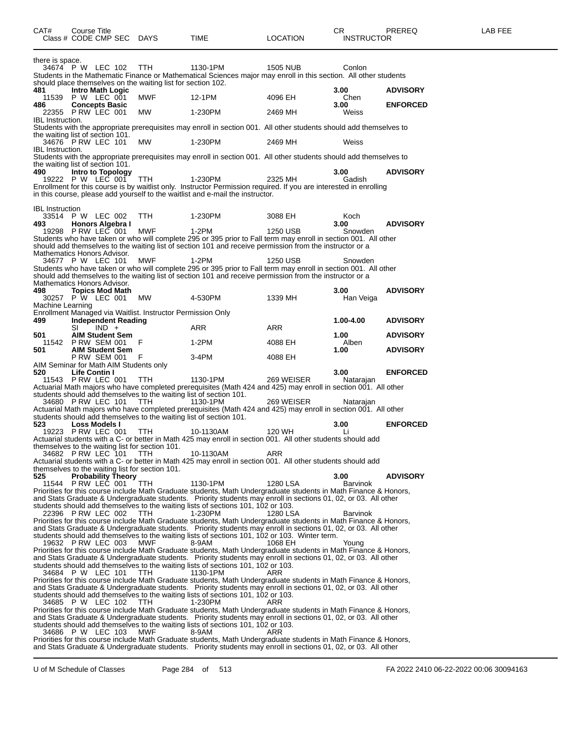| CAT#<br>Course Title<br>Class # CODE CMP SEC                                                                       | DAYS       | <b>TIME</b> | <b>LOCATION</b> | CR<br><b>INSTRUCTOR</b> | <b>PREREQ</b>   | LAB FEE |
|--------------------------------------------------------------------------------------------------------------------|------------|-------------|-----------------|-------------------------|-----------------|---------|
| there is space.                                                                                                    |            |             |                 |                         |                 |         |
| 34674 P W LEC 102 TTH                                                                                              |            | 1130-1PM    | 1505 NUB        | Conlon                  |                 |         |
| Students in the Mathematic Finance or Mathematical Sciences major may enroll in this section. All other students   |            |             |                 |                         |                 |         |
| should place themselves on the waiting list for section 102.                                                       |            |             |                 |                         |                 |         |
| <b>Intro Math Logic</b><br>481                                                                                     |            |             |                 | 3.00                    | <b>ADVISORY</b> |         |
| P W LEC 001<br>11539                                                                                               | <b>MWF</b> | 12-1PM      | 4096 EH         | Chen                    |                 |         |
| 486<br><b>Concepts Basic</b>                                                                                       |            |             |                 | 3.00 <sub>1</sub>       | <b>ENFORCED</b> |         |
| PRW LEC 001<br>22355                                                                                               | <b>MW</b>  | 1-230PM     | 2469 MH         | Weiss                   |                 |         |
| <b>IBL</b> Instruction.                                                                                            |            |             |                 |                         |                 |         |
|                                                                                                                    |            |             |                 |                         |                 |         |
| Students with the appropriate prerequisites may enroll in section 001. All other students should add themselves to |            |             |                 |                         |                 |         |
| the waiting list of section 101.                                                                                   |            |             |                 |                         |                 |         |
| 34676 P RW LEC 101                                                                                                 | MW         | 1-230PM     | 2469 MH         | Weiss                   |                 |         |
| <b>IBL</b> Instruction.                                                                                            |            |             |                 |                         |                 |         |
| Students with the appropriate prerequisites may enroll in section 001. All other students should add themselves to |            |             |                 |                         |                 |         |
| the waiting list of section 101.                                                                                   |            |             |                 |                         |                 |         |

the waiting list of section 101. **490 Intro to Topology 3.00 ADVISORY** 19222 P W LEC 001 TTH 1-230PM 2325 MH Gadish Enrollment for this course is by waitlist only. Instructor Permission required. If you are interested in enrolling in this course, please add yourself to the waitlist and e-mail the instructor. IBL Instruction<br>33514 P 33514 P W LEC 002 TTH 1-230PM 3088 EH Koch<br>493 Honors Algebra I 3.00 **493 Honors Algebra I 3.00 ADVISORY** 19298 P RW LEC 001 MWF 1-2PM 1250 USB Snowden Students who have taken or who will complete 295 or 395 prior to Fall term may enroll in section 001. All other should add themselves to the waiting list of section 101 and receive permission from the instructor or a Mathematics Honors Advisor.<br>34677 P W LEC 101 34677 P W LEC 101 MWF 1-2PM 1250 USB Snowden Students who have taken or who will complete 295 or 395 prior to Fall term may enroll in section 001. All other should add themselves to the waiting list of section 101 and receive permission from the instructor or a Mathematics Honors Advisor.<br>498 Topics Mod Math **498 Topics Mod Math 3.00 ADVISORY P W LEC 001** Machine Learning Enrollment Managed via Waitlist. Instructor Permission Only **499 Independent Reading 1.00-4.00 ADVISORY**<br>  $\begin{array}{ccc}\n\mathsf{S I} & \mathsf{IND} & \mathsf{ADV} \\
\mathsf{S I} & \mathsf{IND} & \mathsf{ADV} & \mathsf{A}\n\end{array}$ SI IND + ARR ARR ARR **501 AIM Student Sem 1.00 ADVISORY** 11542 P RW SEM 001 F 1-2PM 4088 EH Alben **501 AIM Student Sem 1.00 ADVISORY** P RW SEM 001 F 3-4PM 4088 EH AIM Seminar for Math AIM Students only<br>520 **Life Contin I 520 Life Contin I 3.00 ENFORCED** 11543 P RW LEC 001 TTH 1130-1PM 269 WEISER Natarajan Actuarial Math majors who have completed prerequisites (Math 424 and 425) may enroll in section 001. All other students should add themselves to the waiting list of section 101. 34680 P RW LEC 101 TTH 1130-1PM 269 WEISER Natarajan Actuarial Math majors who have completed prerequisites (Math 424 and 425) may enroll in section 001. All other students should add themselves to the waiting list of section 101.<br>523 Loss Models I **523 Loss Models I 3.00 ENFORCED** 19223 P RW LEC 001 TTH 10-1130AM 120 WH Li Actuarial students with a C- or better in Math 425 may enroll in section 001. All other students should add themselves to the waiting list for section 101. 34682 P RW LEC 101 TTH 10-1130AM ARR Actuarial students with a C- or better in Math 425 may enroll in section 001. All other students should add themselves to the waiting list for section 101.<br>525 Probability Theory **525 Probability Theory 3.00 ADVISORY** 11544 P RW LEC 001 TTH 1130-1PM 1280 LSA Barvinok Priorities for this course include Math Graduate students, Math Undergraduate students in Math Finance & Honors, and Stats Graduate & Undergraduate students. Priority students may enroll in sections 01, 02, or 03. All other students should add themselves to the waiting lists of sections 101, 102 or 103. 22396 P RW LEC 002 TTH 1-230PM 1280 LSA Barvinok Priorities for this course include Math Graduate students, Math Undergraduate students in Math Finance & Honors, and Stats Graduate & Undergraduate students. Priority students may enroll in sections 01, 02, or 03. All other students should add themselves to the waiting lists of sections 101, 102 or 103. Winter term.<br>19632 P RW LEC 003 MWF 8-9AM 1068 EH 19632 P RW LEC 003 MWF 8-9AM 1068 EH Young Priorities for this course include Math Graduate students, Math Undergraduate students in Math Finance & Honors, and Stats Graduate & Undergraduate students. Priority students may enroll in sections 01, 02, or 03. All other students should add themselves to the waiting lists of sections 101, 102 or 103.<br>34684 P W LEC 101 TTH 1130-1PM ARR 34684 P W LEC 101 TTH 1130-1PM ARR Priorities for this course include Math Graduate students, Math Undergraduate students in Math Finance & Honors, and Stats Graduate & Undergraduate students. Priority students may enroll in sections 01, 02, or 03. All other students should add themselves to the waiting lists of sections 101, 102 or 103. 34685 P W LEC 102 TTH 1-230PM ARR Priorities for this course include Math Graduate students, Math Undergraduate students in Math Finance & Honors, and Stats Graduate & Undergraduate students. Priority students may enroll in sections 01, 02, or 03. All other students should add themselves to the waiting lists of sections 101, 102 or 103. 34686 P W LEC 103 MWF 8-9AM ARR Priorities for this course include Math Graduate students, Math Undergraduate students in Math Finance & Honors, and Stats Graduate & Undergraduate students. Priority students may enroll in sections 01, 02, or 03. All other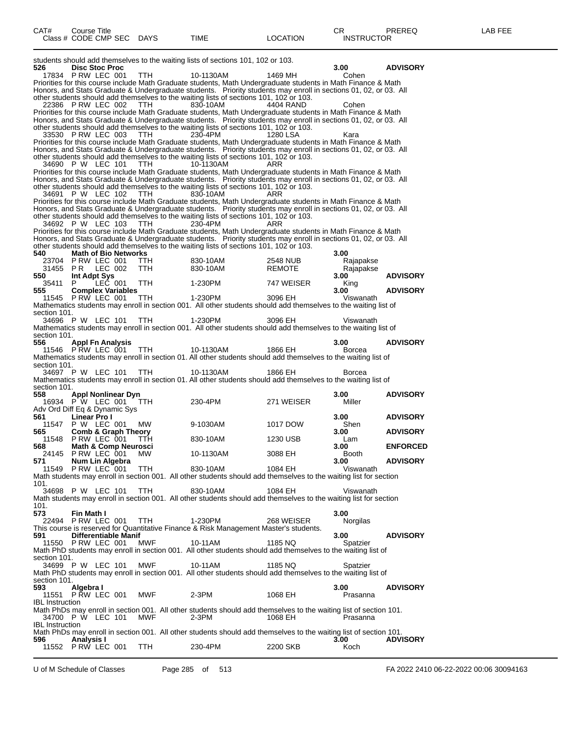| 526  |                                                    | <b>Disc Stoc Proc</b>                         |         |                             |            | students should add themselves to the waiting lists of sections 101, 102 or 103.                                                                                                                           |               | 3.00              | <b>ADVISORY</b> |
|------|----------------------------------------------------|-----------------------------------------------|---------|-----------------------------|------------|------------------------------------------------------------------------------------------------------------------------------------------------------------------------------------------------------------|---------------|-------------------|-----------------|
|      | 17834 P RW LEC 001                                 |                                               |         |                             | TTH.       | 10-1130AM                                                                                                                                                                                                  | 1469 MH       | Cohen             |                 |
|      |                                                    |                                               |         |                             |            | Priorities for this course include Math Graduate students, Math Undergraduate students in Math Finance & Math                                                                                              |               |                   |                 |
|      |                                                    |                                               |         |                             |            | Honors, and Stats Graduate & Undergraduate students. Priority students may enroll in sections 01, 02, or 03. All<br>other students should add themselves to the waiting lists of sections 101, 102 or 103. |               |                   |                 |
|      | 22386 PRW LEC 002                                  |                                               |         |                             | TTH.       | 830-10AM                                                                                                                                                                                                   | 4404 RAND     | Cohen             |                 |
|      |                                                    |                                               |         |                             |            | Priorities for this course include Math Graduate students, Math Undergraduate students in Math Finance & Math                                                                                              |               |                   |                 |
|      |                                                    |                                               |         |                             |            | Honors, and Stats Graduate & Undergraduate students. Priority students may enroll in sections 01, 02, or 03. All<br>other students should add themselves to the waiting lists of sections 101, 102 or 103. |               |                   |                 |
|      | 33530 P RW LEC 003                                 |                                               |         |                             | TTH.       | 230-4PM                                                                                                                                                                                                    | 1280 LSA      | Kara              |                 |
|      |                                                    |                                               |         |                             |            | Priorities for this course include Math Graduate students, Math Undergraduate students in Math Finance & Math                                                                                              |               |                   |                 |
|      |                                                    |                                               |         |                             |            | Honors, and Stats Graduate & Undergraduate students. Priority students may enroll in sections 01, 02, or 03. All                                                                                           |               |                   |                 |
|      | 34690 P W LEC 101                                  |                                               |         |                             | TTH        | other students should add themselves to the waiting lists of sections 101, 102 or 103.<br>10-1130AM                                                                                                        | ARR           |                   |                 |
|      |                                                    |                                               |         |                             |            | Priorities for this course include Math Graduate students, Math Undergraduate students in Math Finance & Math                                                                                              |               |                   |                 |
|      |                                                    |                                               |         |                             |            | Honors, and Stats Graduate & Undergraduate students. Priority students may enroll in sections 01, 02, or 03. All                                                                                           |               |                   |                 |
|      | 34691 P W LEC 102                                  |                                               |         |                             | <b>TTH</b> | other students should add themselves to the waiting lists of sections 101, 102 or 103.<br>830-10AM                                                                                                         | ARR           |                   |                 |
|      |                                                    |                                               |         |                             |            | Priorities for this course include Math Graduate students, Math Undergraduate students in Math Finance & Math                                                                                              |               |                   |                 |
|      |                                                    |                                               |         |                             |            | Honors, and Stats Graduate & Undergraduate students. Priority students may enroll in sections 01, 02, or 03. All                                                                                           |               |                   |                 |
|      | 34692 P W LEC 103                                  |                                               |         |                             | TTH        | other students should add themselves to the waiting lists of sections 101, 102 or 103.<br>230-4PM                                                                                                          | ARR           |                   |                 |
|      |                                                    |                                               |         |                             |            | Priorities for this course include Math Graduate students, Math Undergraduate students in Math Finance & Math                                                                                              |               |                   |                 |
|      |                                                    |                                               |         |                             |            | Honors, and Stats Graduate & Undergraduate students. Priority students may enroll in sections 01, 02, or 03. All                                                                                           |               |                   |                 |
| 540  |                                                    | <b>Math of Bio Networks</b>                   |         |                             |            | other students should add themselves to the waiting lists of sections 101, 102 or 103.                                                                                                                     |               | 3.00              |                 |
|      | 23704                                              | P RW LEC 001                                  |         |                             | ттн        | 830-10AM                                                                                                                                                                                                   | 2548 NUB      | Rajapakse         |                 |
|      | 31455                                              | PR.                                           | LEC 002 |                             | <b>TTH</b> | 830-10AM                                                                                                                                                                                                   | <b>REMOTE</b> | Rajapakse         |                 |
| 550  | 35411                                              | Int Adpt Sys<br>P.                            | LEC 001 |                             | TTH.       |                                                                                                                                                                                                            | 747 WEISER    | 3.00              | <b>ADVISORY</b> |
| 555  |                                                    | <b>Complex Variables</b>                      |         |                             |            | 1-230PM                                                                                                                                                                                                    |               | King<br>3.00      | <b>ADVISORY</b> |
|      | 11545 P RW LEC 001                                 |                                               |         |                             | TTH.       | 1-230PM                                                                                                                                                                                                    | 3096 EH       | Viswanath         |                 |
|      |                                                    |                                               |         |                             |            | Mathematics students may enroll in section 001. All other students should add themselves to the waiting list of                                                                                            |               |                   |                 |
|      | section 101.<br>34696 P W LEC 101                  |                                               |         |                             | <b>TTH</b> | 1-230PM                                                                                                                                                                                                    | 3096 EH       | Viswanath         |                 |
|      |                                                    |                                               |         |                             |            | Mathematics students may enroll in section 001. All other students should add themselves to the waiting list of                                                                                            |               |                   |                 |
|      | section 101.                                       |                                               |         |                             |            |                                                                                                                                                                                                            |               |                   |                 |
| 556  | 11546 P RW LEC 001                                 | <b>Appl Fn Analysis</b>                       |         |                             | <b>TTH</b> | 10-1130AM                                                                                                                                                                                                  | 1866 EH       | 3.00<br>Borcea    | <b>ADVISORY</b> |
|      |                                                    |                                               |         |                             |            | Mathematics students may enroll in section 01. All other students should add themselves to the waiting list of                                                                                             |               |                   |                 |
|      | section 101.                                       |                                               |         |                             |            |                                                                                                                                                                                                            |               |                   |                 |
|      |                                                    |                                               |         |                             |            |                                                                                                                                                                                                            |               |                   |                 |
|      | 34697 P W LEC 101                                  |                                               |         |                             | TTH.       | 10-1130AM<br>Mathematics students may enroll in section 01. All other students should add themselves to the waiting list of                                                                                | 1866 EH       | Borcea            |                 |
|      | section 101.                                       |                                               |         |                             |            |                                                                                                                                                                                                            |               |                   |                 |
| 558  |                                                    | Appl Nonlinear Dyn                            |         |                             |            |                                                                                                                                                                                                            |               | 3.00              | <b>ADVISORY</b> |
|      | 16934 P W LEC 001<br>Adv Ord Diff Eq & Dynamic Sys |                                               |         |                             | ттн        | 230-4PM                                                                                                                                                                                                    | 271 WEISER    | Miller            |                 |
| 561  |                                                    | Linear Pro I                                  |         |                             |            |                                                                                                                                                                                                            |               | 3.00              | <b>ADVISORY</b> |
|      | 11547                                              | P W LEC 001                                   |         |                             | МW         | 9-1030AM                                                                                                                                                                                                   | 1017 DOW      | Shen              |                 |
| 565  | 11548                                              | <b>Comb &amp; Graph Theory</b><br>PRW LEC 001 |         |                             | ттн        | 830-10AM                                                                                                                                                                                                   | 1230 USB      | 3.00<br>Lam       | <b>ADVISORY</b> |
| 568  |                                                    | <b>Math &amp; Comp Neurosci</b>               |         |                             |            |                                                                                                                                                                                                            |               | 3.00              | <b>ENFORCED</b> |
|      | 24145 P RW LEC 001                                 |                                               |         |                             | MW.        | 10-1130AM                                                                                                                                                                                                  | 3088 EH       | Booth             |                 |
| 571  | 11549                                              | Num Lin Algebra<br>PRW LEC 001                |         |                             | <b>TTH</b> | 830-10AM                                                                                                                                                                                                   | 1084 EH       | 3.00<br>Viswanath | <b>ADVISORY</b> |
|      |                                                    |                                               |         |                             |            | Math students may enroll in section 001. All other students should add themselves to the waiting list for section                                                                                          |               |                   |                 |
| 101. |                                                    |                                               |         |                             |            |                                                                                                                                                                                                            |               |                   |                 |
|      | 34698 P W LEC 101                                  |                                               |         |                             | TTH        | 830-10AM<br>Math students may enroll in section 001. All other students should add themselves to the waiting list for section                                                                              | 1084 EH       | Viswanath         |                 |
| 101. |                                                    |                                               |         |                             |            |                                                                                                                                                                                                            |               |                   |                 |
| 573  |                                                    | Fin Math I                                    |         |                             |            |                                                                                                                                                                                                            |               | 3.00              |                 |
|      | 22494 P RW LEC 001                                 |                                               |         |                             | TTH        | 1-230PM<br>This course is reserved for Quantitative Finance & Risk Management Master's students.                                                                                                           | 268 WEISER    | Norgilas          |                 |
| 591  |                                                    |                                               |         | <b>Differentiable Manif</b> |            |                                                                                                                                                                                                            |               | 3.00              | <b>ADVISORY</b> |
|      | 11550                                              | PRW LEC 001                                   |         |                             | MWF        | 10-11AM                                                                                                                                                                                                    | 1185 NQ       | Spatzier          |                 |
|      | section 101.                                       |                                               |         |                             |            | Math PhD students may enroll in section 001. All other students should add themselves to the waiting list of                                                                                               |               |                   |                 |
|      | 34699 P W LEC 101                                  |                                               |         |                             | MWF        | 10-11AM                                                                                                                                                                                                    | 1185 NQ       | Spatzier          |                 |
|      |                                                    |                                               |         |                             |            | Math PhD students may enroll in section 001. All other students should add themselves to the waiting list of                                                                                               |               |                   |                 |
| 593  | section 101.                                       | Algebra I                                     |         |                             |            |                                                                                                                                                                                                            |               | 3.00              | <b>ADVISORY</b> |
|      | 11551 P RW LEC 001                                 |                                               |         |                             | MWF        | $2-3PM$                                                                                                                                                                                                    | 1068 EH       | Prasanna          |                 |
|      | <b>IBL Instruction</b>                             |                                               |         |                             |            |                                                                                                                                                                                                            |               |                   |                 |
|      | 34700 P W LEC 101                                  |                                               |         |                             | MWF        | Math PhDs may enroll in section 001. All other students should add themselves to the waiting list of section 101.<br>$2-3PM$                                                                               | 1068 EH       | Prasanna          |                 |
|      | <b>IBL</b> Instruction                             |                                               |         |                             |            |                                                                                                                                                                                                            |               |                   |                 |
|      |                                                    |                                               |         |                             |            | Math PhDs may enroll in section 001. All other students should add themselves to the waiting list of section 101.                                                                                          |               |                   |                 |
| 596  | 11552 P RW LEC 001                                 | Analysis I                                    |         |                             | TTH        | 230-4PM                                                                                                                                                                                                    | 2200 SKB      | 3.00<br>Koch      | <b>ADVISORY</b> |

U of M Schedule of Classes Page 285 of 513 FA 2022 2410 06-22-2022 00:06 30094163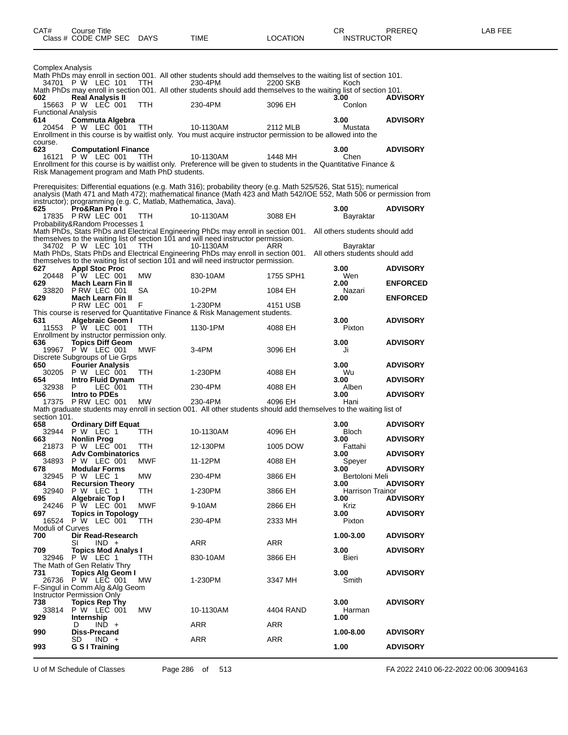| Complex Analysis           |                                                                                |            |                                                                                                                                                                                                                                          |           |                                             |                 |
|----------------------------|--------------------------------------------------------------------------------|------------|------------------------------------------------------------------------------------------------------------------------------------------------------------------------------------------------------------------------------------------|-----------|---------------------------------------------|-----------------|
|                            | 34701 P W LEC 101                                                              | <b>TTH</b> | Math PhDs may enroll in section 001. All other students should add themselves to the waiting list of section 101.<br>230-4PM                                                                                                             | 2200 SKB  | Koch                                        |                 |
| 602                        | <b>Real Analysis II</b>                                                        |            | Math PhDs may enroll in section 001. All other students should add themselves to the waiting list of section 101.                                                                                                                        |           | 3.00                                        | <b>ADVISORY</b> |
| <b>Functional Analysis</b> | 15663 P W LEC 001                                                              | <b>TTH</b> | 230-4PM                                                                                                                                                                                                                                  | 3096 EH   | Conlon                                      |                 |
| 614                        | <b>Commuta Algebra</b><br>20454 P W LEC 001                                    | TTH        | 10-1130AM                                                                                                                                                                                                                                | 2112 MLB  | 3.00<br>Mustata                             | <b>ADVISORY</b> |
|                            |                                                                                |            | Enrollment in this course is by waitlist only. You must acquire instructor permission to be allowed into the                                                                                                                             |           |                                             |                 |
| course.<br>623             | <b>Computationl Finance</b>                                                    |            |                                                                                                                                                                                                                                          |           | 3.00                                        | <b>ADVISORY</b> |
| 16121                      | P W LEC 001                                                                    | TTH        | 10-1130AM<br>Enrollment for this course is by waitlist only. Preference will be given to students in the Quantitative Finance &                                                                                                          | 1448 MH   | Chen                                        |                 |
|                            | Risk Management program and Math PhD students.                                 |            |                                                                                                                                                                                                                                          |           |                                             |                 |
|                            |                                                                                |            | Prerequisites: Differential equations (e.g. Math 316); probability theory (e.g. Math 525/526, Stat 515); numerical<br>analysis (Math 471 and Math 472); mathematical finance (Math 423 and Math 542/IOE 552, Math 506 or permission from |           |                                             |                 |
| 625                        | instructor); programming (e.g. C, Matlab, Mathematica, Java).<br>Pro&Ran Pro I |            |                                                                                                                                                                                                                                          |           | 3.00                                        | <b>ADVISORY</b> |
|                            | 17835 P RW LEC 001<br>Probability&Random Processes 1                           | TTH.       | 10-1130AM                                                                                                                                                                                                                                | 3088 EH   | Bayraktar                                   |                 |
|                            |                                                                                |            | Math PhDs, Stats PhDs and Electrical Engineering PhDs may enroll in section 001.<br>themselves to the waiting list of section 101 and will need instructor permission.                                                                   |           | All others students should add              |                 |
|                            | 34702 P W LEC 101                                                              | <b>TTH</b> | 10-1130AM<br>Math PhDs, Stats PhDs and Electrical Engineering PhDs may enroll in section 001.                                                                                                                                            | ARR       | Bayraktar<br>All others students should add |                 |
| 627                        |                                                                                |            | themselves to the waiting list of section 101 and will need instructor permission.                                                                                                                                                       |           | 3.00                                        |                 |
|                            | <b>Appl Stoc Proc</b><br>20448 P W LEC 001                                     | MW         | 830-10AM                                                                                                                                                                                                                                 | 1755 SPH1 | Wen                                         | <b>ADVISORY</b> |
| 629<br>33820               | Mach Learn Fin II<br>P RW LEC 001                                              | SА         | 10-2PM                                                                                                                                                                                                                                   | 1084 EH   | 2.00<br>Nazari                              | <b>ENFORCED</b> |
| 629                        | <b>Mach Learn Fin II</b><br>PRW LEC 001                                        | F          | 1-230PM                                                                                                                                                                                                                                  | 4151 USB  | 2.00                                        | <b>ENFORCED</b> |
| 631                        | <b>Algebraic Geom I</b>                                                        |            | This course is reserved for Quantitative Finance & Risk Management students.                                                                                                                                                             |           | 3.00                                        | <b>ADVISORY</b> |
|                            | 11553 P W LEC 001<br>Enrollment by instructor permission only.                 | ттн        | 1130-1PM                                                                                                                                                                                                                                 | 4088 EH   | Pixton                                      |                 |
| 636                        | <b>Topics Diff Geom</b><br>19967 P W LEC 001                                   | MWF        | $3-4PM$                                                                                                                                                                                                                                  | 3096 EH   | 3.00<br>Ji                                  | <b>ADVISORY</b> |
| 650                        | Discrete Subgroups of Lie Grps<br><b>Fourier Analysis</b>                      |            |                                                                                                                                                                                                                                          |           | 3.00                                        | <b>ADVISORY</b> |
| 30205                      | P W LEC 001                                                                    | TTH        | 1-230PM                                                                                                                                                                                                                                  | 4088 EH   | Wu                                          |                 |
| 654<br>32938               | Intro Fluid Dynam<br>LEC 001<br>P                                              | <b>TTH</b> | 230-4PM                                                                                                                                                                                                                                  | 4088 EH   | 3.00<br>Alben                               | <b>ADVISORY</b> |
| 656                        | Intro to PDEs<br>17375 P RW LEC 001                                            | <b>MW</b>  | 230-4PM                                                                                                                                                                                                                                  | 4096 EH   | 3.00<br>Hani                                | <b>ADVISORY</b> |
| section 101.               |                                                                                |            | Math graduate students may enroll in section 001. All other students should add themselves to the waiting list of                                                                                                                        |           |                                             |                 |
| 658<br>32944               | <b>Ordinary Diff Equat</b><br>P W LEC 1                                        | TTH        | 10-1130AM                                                                                                                                                                                                                                | 4096 EH   | 3.00<br><b>Bloch</b>                        | <b>ADVISORY</b> |
| 663                        | Nonlin Prog<br>21873 P W LEC 001                                               | TTH        | 12-130PM                                                                                                                                                                                                                                 | 1005 DOW  | 3.00<br>Fattahi                             | <b>ADVISORY</b> |
| 668<br>34893               | <b>Adv Combinatorics</b><br><b>P W LEC 001</b>                                 | <b>MWF</b> | 11-12PM                                                                                                                                                                                                                                  | 4088 EH   | 3.00<br>Speyer                              | <b>ADVISORY</b> |
| 678                        | <b>Modular Forms</b><br>32945 P W LEC 1                                        | MW         | 230-4PM                                                                                                                                                                                                                                  | 3866 EH   | 3.00<br>Bertoloni Meli                      | <b>ADVISORY</b> |
| 684                        | <b>Recursion Theory</b><br>32940 P W LEC 1                                     |            |                                                                                                                                                                                                                                          |           | 3.00                                        | <b>ADVISORY</b> |
| 695                        | Algebraic Top I                                                                | TTH        | 1-230PM                                                                                                                                                                                                                                  | 3866 EH   | Harrison Trainor<br>3.00                    | <b>ADVISORY</b> |
| 24246<br>697               | P W LEC 001<br><b>Topics in Topology</b>                                       | MWF        | 9-10AM                                                                                                                                                                                                                                   | 2866 EH   | Kriz<br>3.00                                | <b>ADVISORY</b> |
| Moduli of Curves           | 16524 P W LEC 001                                                              | TTH        | 230-4PM                                                                                                                                                                                                                                  | 2333 MH   | Pixton                                      |                 |
| 700                        | Dir Read-Research<br>$IND +$<br>SI                                             |            | ARR                                                                                                                                                                                                                                      | ARR       | 1.00-3.00                                   | <b>ADVISORY</b> |
| 709                        | <b>Topics Mod Analys I</b><br>32946 P W LEC 1                                  | ттн        | 830-10AM                                                                                                                                                                                                                                 | 3866 EH   | 3.00<br>Bieri                               | <b>ADVISORY</b> |
| 731                        | The Math of Gen Relativ Thry<br><b>Topics Alg Geom I</b>                       |            |                                                                                                                                                                                                                                          |           | 3.00                                        | <b>ADVISORY</b> |
|                            | 26736 P W LEC 001<br>F-Singul in Comm Alg & Alg Geom                           | МW         | 1-230PM                                                                                                                                                                                                                                  | 3347 MH   | Smith                                       |                 |
|                            | Instructor Permission Only                                                     |            |                                                                                                                                                                                                                                          |           |                                             |                 |
| 738<br>33814               | <b>Topics Rep Thy</b><br>P W LEC 001                                           | MW         | 10-1130AM                                                                                                                                                                                                                                | 4404 RAND | 3.00<br>Harman                              | <b>ADVISORY</b> |
| 929                        | Internship<br>$IND +$<br>D                                                     |            | ARR                                                                                                                                                                                                                                      | ARR       | 1.00                                        |                 |
| 990                        | <b>Diss-Precand</b><br>SD<br>IND +                                             |            | ARR                                                                                                                                                                                                                                      | ARR       | 1.00-8.00                                   | <b>ADVISORY</b> |
| 993                        | G S I Training                                                                 |            |                                                                                                                                                                                                                                          |           | 1.00                                        | <b>ADVISORY</b> |

U of M Schedule of Classes Page 286 of 513 FA 2022 2410 06-22-2022 00:06 30094163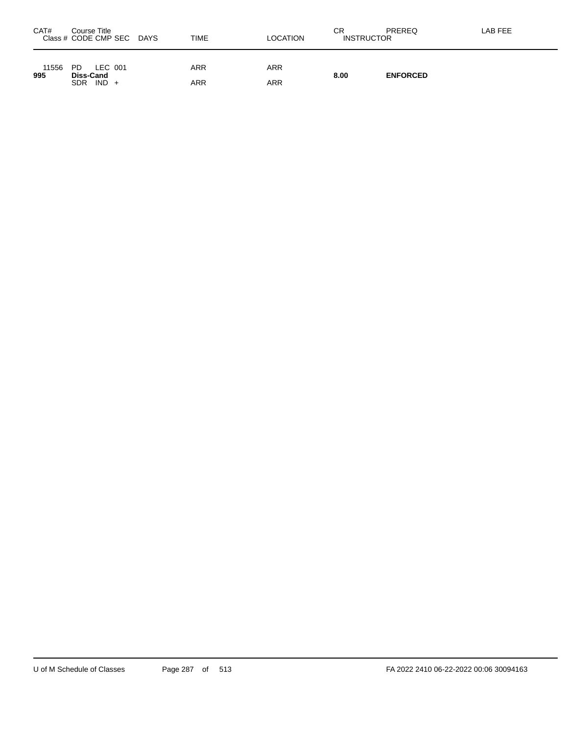| CAT#         | Course Title<br>Class # CODE CMP SEC DAYS | <b>TIME</b> | <b>LOCATION</b> | СR<br><b>INSTRUCTOR</b> | PREREQ          | LAB FEE |
|--------------|-------------------------------------------|-------------|-----------------|-------------------------|-----------------|---------|
| 11556<br>995 | LEC 001<br>PD.<br>Diss-Cand               | <b>ARR</b>  | ARR             | 8.00                    | <b>ENFORCED</b> |         |
|              | $IND +$<br><b>SDR</b>                     | ARR         | ARR             |                         |                 |         |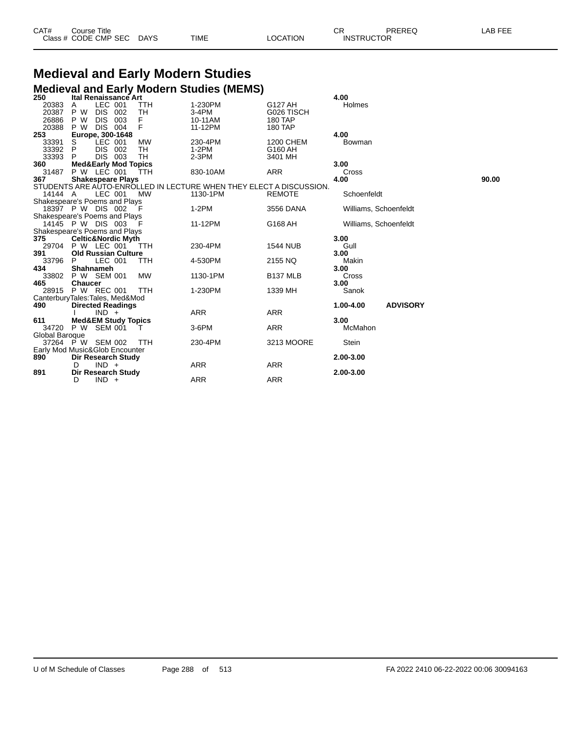| CAT# | Course Title         |             |             |          | ⌒冖<br>◡⊓          | PREREQ | LAB FEE |
|------|----------------------|-------------|-------------|----------|-------------------|--------|---------|
|      | Class # CODE CMP SEC | <b>DAYS</b> | <b>TIME</b> | LOCATION | <b>INSTRUCTOR</b> |        |         |

# **Medieval and Early Modern Studies**

|                                |                    |                                 |     |            | <b>Medieval and Early Modern Studies (MEMS)</b>                     |                      |                       |                 |       |
|--------------------------------|--------------------|---------------------------------|-----|------------|---------------------------------------------------------------------|----------------------|-----------------------|-----------------|-------|
| 250                            |                    | <b>Ital Renaissance Art</b>     |     |            |                                                                     |                      | 4.00                  |                 |       |
| 20383                          | Α                  | LEC 001                         |     | TTH        | 1-230PM                                                             | G127 AH              | Holmes                |                 |       |
| 20387                          | P W                | DIS 002                         |     | TН         | 3-4PM                                                               | G026 TISCH           |                       |                 |       |
| 26886                          | P W                | <b>DIS</b>                      | 003 | F          | 10-11AM                                                             | 180 TAP              |                       |                 |       |
| 20388                          | P W                | <b>DIS 004</b>                  |     | F          | 11-12PM                                                             | 180 TAP              |                       |                 |       |
| 253                            |                    | Europe, 300-1648                |     |            |                                                                     |                      | 4.00                  |                 |       |
| 33391                          | S                  | LEC 001                         |     | <b>MW</b>  | 230-4PM                                                             | 1200 CHEM            | Bowman                |                 |       |
| 33392 P                        |                    | <b>DIS</b>                      | 002 | TН         | $1-2PM$                                                             | G160 AH              |                       |                 |       |
| 33393                          | P.                 | DIS 003                         |     | <b>TH</b>  | $2-3PM$                                                             | 3401 MH              |                       |                 |       |
| 360                            |                    | <b>Med&amp;Early Mod Topics</b> |     |            |                                                                     |                      | 3.00                  |                 |       |
| 31487                          | <b>P W LEC 001</b> |                                 |     | ŤΤH        | 830-10AM                                                            | <b>ARR</b>           | Cross                 |                 |       |
| 367                            |                    | <b>Shakespeare Plays</b>        |     |            |                                                                     |                      | 4.00                  |                 | 90.00 |
|                                |                    |                                 |     |            | STUDENTS ARE AUTO-ENROLLED IN LECTURE WHEN THEY ELECT A DISCUSSION. |                      |                       |                 |       |
| 14144 A                        |                    | LEC 001                         |     | МW         | 1130-1PM                                                            | <b>REMOTE</b>        | Schoenfeldt           |                 |       |
| Shakespeare's Poems and Plays  |                    |                                 |     |            |                                                                     |                      |                       |                 |       |
| 18397 P W DIS 002              |                    |                                 |     | - F        | $1-2PM$                                                             | 3556 DANA            | Williams, Schoenfeldt |                 |       |
| Shakespeare's Poems and Plays  |                    |                                 |     |            |                                                                     |                      |                       |                 |       |
| 14145 P W DIS 003              |                    |                                 |     |            | 11-12PM                                                             | G168 AH              | Williams, Schoenfeldt |                 |       |
| Shakespeare's Poems and Plays  |                    |                                 |     |            |                                                                     |                      |                       |                 |       |
| 375                            |                    | <b>Celtic&amp;Nordic Myth</b>   |     |            |                                                                     |                      | 3.00                  |                 |       |
| 29704                          | P W LEC 001        |                                 |     | <b>TTH</b> | 230-4PM                                                             | <b>1544 NUB</b>      | Gull                  |                 |       |
| 391                            |                    | <b>Old Russian Culture</b>      |     |            |                                                                     |                      | 3.00                  |                 |       |
| 33796                          | P                  | LEC 001                         |     | TTH        | 4-530PM                                                             | 2155 NQ              | Makin                 |                 |       |
| 434                            |                    | Shahnameh                       |     |            |                                                                     |                      | 3.00                  |                 |       |
| 33802                          | P W SEM 001        |                                 |     | <b>MW</b>  | 1130-1PM                                                            | B <sub>137</sub> MLB | Cross                 |                 |       |
| 465                            | <b>Chaucer</b>     |                                 |     |            |                                                                     |                      | 3.00                  |                 |       |
| 28915 P W REC 001              |                    |                                 |     | <b>TTH</b> | 1-230PM                                                             | 1339 MH              | Sanok                 |                 |       |
| CanterburyTales:Tales, Med&Mod |                    |                                 |     |            |                                                                     |                      |                       |                 |       |
| 490                            |                    | <b>Directed Readings</b>        |     |            |                                                                     |                      | 1.00-4.00             | <b>ADVISORY</b> |       |
|                                |                    | $IND +$                         |     |            | <b>ARR</b>                                                          | <b>ARR</b>           |                       |                 |       |
| 611                            |                    | <b>Med&amp;EM Study Topics</b>  |     |            |                                                                     |                      | 3.00                  |                 |       |
| 34720 P W                      |                    | SEM 001                         |     |            | 3-6PM                                                               | <b>ARR</b>           | McMahon               |                 |       |
| Global Baroque                 |                    |                                 |     |            |                                                                     |                      |                       |                 |       |
| 37264 P W SEM 002              |                    |                                 |     | <b>TTH</b> | 230-4PM                                                             | 3213 MOORE           | Stein                 |                 |       |
| Early Mod Music&Glob Encounter |                    |                                 |     |            |                                                                     |                      |                       |                 |       |
| 890                            | Dir Research Study |                                 |     |            |                                                                     |                      | 2.00-3.00             |                 |       |
|                                | D                  | $IND +$                         |     |            | <b>ARR</b>                                                          | <b>ARR</b>           |                       |                 |       |
| 891                            |                    | Dir Research Study              |     |            |                                                                     |                      | 2.00-3.00             |                 |       |
|                                | D                  | $IND +$                         |     |            | <b>ARR</b>                                                          | <b>ARR</b>           |                       |                 |       |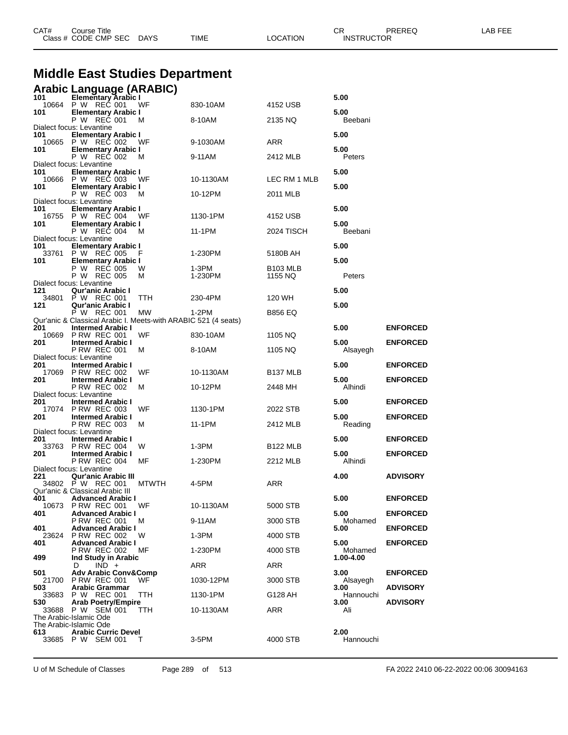|              | <b>Middle East Studies Department</b>                                                                            |              |           |                      |                              |                 |
|--------------|------------------------------------------------------------------------------------------------------------------|--------------|-----------|----------------------|------------------------------|-----------------|
| 101          | <b>Arabic Language (ARABIC)</b><br>11 Elementary Arabic I<br>10664 P W REC 001 V                                 |              |           |                      | 5.00                         |                 |
| 101          | <b>Elementary Arabic I</b>                                                                                       | WF           | 830-10AM  | 4152 USB             | 5.00                         |                 |
|              | P W REC 001<br>Dialect focus: Levantine                                                                          | M            | 8-10AM    | 2135 NQ              | Beebani                      |                 |
| 101          | <b>Elementary Arabic I</b><br>10665 P W REC 002                                                                  | WF           | 9-1030AM  | ARR                  | 5.00                         |                 |
| 101          | <b>Elementary Arabic I</b><br>P W REC 002                                                                        | M            | 9-11AM    | 2412 MLB             | 5.00<br>Peters               |                 |
| 101          | Dialect focus: Levantine<br><b>Elementary Arabic I</b><br>10666 P W REC 003                                      | WF           | 10-1130AM | LEC RM 1 MLB         | 5.00                         |                 |
| 101          | <b>Elementary Arabic I</b><br>P W REC 003                                                                        | м            | 10-12PM   | 2011 MLB             | 5.00                         |                 |
| 101          | Dialect focus: Levantine<br><b>Elementary Arabic I</b>                                                           |              |           |                      | 5.00                         |                 |
| 101          | 16755 P W REC 004<br><b>Elementary Arabic I</b>                                                                  | WF           | 1130-1PM  | 4152 USB             | 5.00                         |                 |
|              | P W REC 004<br>Dialect focus: Levantine                                                                          | M            | 11-1PM    | 2024 TISCH           | Beebani                      |                 |
| 101          | <b>Elementary Arabic I</b><br>33761 P W REC 005                                                                  | F            | 1-230PM   | 5180B AH             | 5.00                         |                 |
| 101          | <b>Elementary Arabic I</b><br>P W REC 005                                                                        | w            | 1-3PM     | B <sub>103</sub> MLB | 5.00                         |                 |
|              | P W REC 005<br>Dialect focus: Levantine                                                                          | м            | 1-230PM   | 1155 NQ              | Peters                       |                 |
| 121<br>34801 | Qur'anic Arabic I<br>P W REC 001                                                                                 | TTH          | 230-4PM   | 120 WH               | 5.00                         |                 |
| 121          | Qur'anic Arabic I<br>P W REC 001                                                                                 | MW           | 1-2PM     | B856 EQ              | 5.00                         |                 |
| 201          | Qur'anic & Classical Arabic I. Meets-with ARABIC 521 (4 seats)<br><b>Intermed Arabic I</b><br>10669 P RW REC 001 | WF           | 830-10AM  | 1105 NQ              | 5.00                         | <b>ENFORCED</b> |
| 201          | <b>Intermed Arabic I</b><br><b>P RW REC 001</b>                                                                  | м            | 8-10AM    | 1105 NQ              | 5.00<br>Alsayegh             | <b>ENFORCED</b> |
| 201          | Dialect focus: Levantine<br><b>Intermed Arabic I</b>                                                             |              |           |                      | 5.00                         | <b>ENFORCED</b> |
| 17069<br>201 | PRW REC 002<br><b>Intermed Arabic I</b>                                                                          | WF           | 10-1130AM | B <sub>137</sub> MLB | 5.00                         | <b>ENFORCED</b> |
|              | <b>P RW REC 002</b><br>Dialect focus: Levantine                                                                  | м            | 10-12PM   | 2448 MH              | Alhindi                      |                 |
| 201          | <b>Intermed Arabic I</b><br>17074 P RW REC 003                                                                   | WF           | 1130-1PM  | 2022 STB             | 5.00                         | <b>ENFORCED</b> |
| 201          | <b>Intermed Arabic I</b><br><b>P RW REC 003</b>                                                                  | м            | 11-1PM    | 2412 MLB             | 5.00<br>Reading              | <b>ENFORCED</b> |
| 201          | Dialect focus: Levantine<br><b>Intermed Arabic I</b>                                                             |              | 1-3PM     | <b>B122 MLB</b>      | 5.00                         | <b>ENFORCED</b> |
| 33763<br>201 | PRW REC 004<br><b>Intermed Arabic I</b><br>P RW REC 004                                                          | W<br>MF      | 1-230PM   | 2212 MLB             | 5.00<br>Alhindi              | <b>ENFORCED</b> |
| 221          | Dialect focus: Levantine<br><b>Qur'anic Arabic III</b>                                                           |              |           |                      | 4.00                         | <b>ADVISORY</b> |
|              | 34802 P W REC 001<br>Qur'anic & Classical Arabic III                                                             | <b>MTWTH</b> | 4-5PM     | ARR                  |                              |                 |
| 401          | <b>Advanced Arabic I</b><br>10673 P RW REC 001                                                                   | WF           | 10-1130AM | 5000 STB             | 5.00                         | <b>ENFORCED</b> |
| 401          | <b>Advanced Arabic I</b><br><b>P RW REC 001</b>                                                                  | м            | 9-11AM    | 3000 STB             | 5.00<br>Mohamed              | <b>ENFORCED</b> |
| 401<br>23624 | <b>Advanced Arabic I</b><br><b>P RW REC 002</b>                                                                  | w            | 1-3PM     | 4000 STB             | 5.00                         | <b>ENFORCED</b> |
| 401<br>499   | <b>Advanced Arabic I</b><br><b>P RW REC 002</b><br>Ind Study in Arabic                                           | MF           | 1-230PM   | 4000 STB             | 5.00<br>Mohamed<br>1.00-4.00 | <b>ENFORCED</b> |
| 501          | $IND +$<br>D<br><b>Adv Arabic Conv&amp;Comp</b>                                                                  |              | ARR       | ARR                  | 3.00                         | <b>ENFORCED</b> |
| 21700<br>503 | <b>P RW REC 001</b><br><b>Arabic Grammar</b>                                                                     | WF.          | 1030-12PM | 3000 STB             | Alsayegh<br>3.00             | <b>ADVISORY</b> |
| 33683<br>530 | P W REC 001<br><b>Arab Poetry/Empire</b>                                                                         | TTH          | 1130-1PM  | G128 AH              | Hannouchi<br>3.00            | <b>ADVISORY</b> |
|              | 33688 P W SEM 001<br>The Arabic-Islamic Ode                                                                      | <b>TTH</b>   | 10-1130AM | ARR                  | Ali                          |                 |
| 613          | The Arabic-Islamic Ode<br><b>Arabic Curric Devel</b>                                                             |              |           |                      | 2.00                         |                 |
|              | 33685 P W SEM 001                                                                                                | T            | 3-5PM     | 4000 STB             | Hannouchi                    |                 |

Class # CODE CMP SEC DAYS TIME LOCATION INSTRUCTOR

U of M Schedule of Classes Page 289 of 513 FA 2022 2410 06-22-2022 00:06 30094163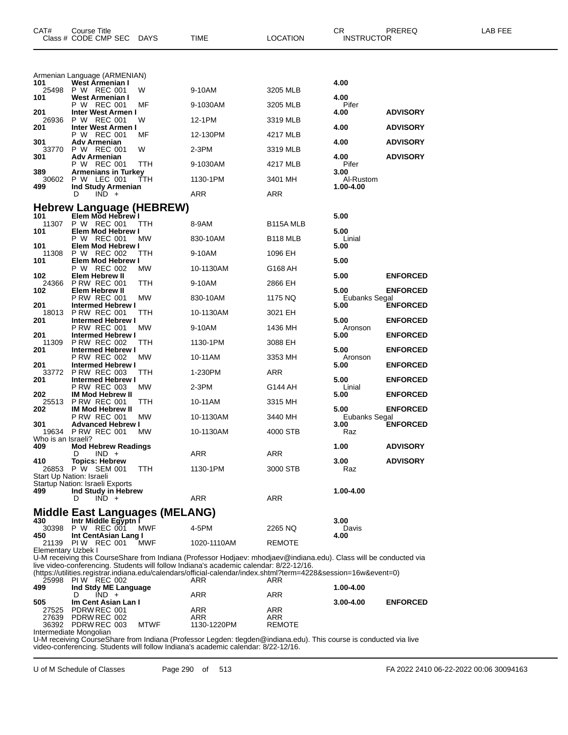| CAT#               | Course Title<br>Class # CODE CMP SEC                          | <b>DAYS</b> | <b>TIME</b>                                                                                                                                                                                                  | LOCATION               | CR<br><b>INSTRUCTOR</b> | PREREQ          | LAB FEE |
|--------------------|---------------------------------------------------------------|-------------|--------------------------------------------------------------------------------------------------------------------------------------------------------------------------------------------------------------|------------------------|-------------------------|-----------------|---------|
|                    | Armenian Language (ARMENIAN)                                  |             |                                                                                                                                                                                                              |                        |                         |                 |         |
| 101<br>25498       | West Armenian I<br>P W REC 001                                | W           | 9-10AM                                                                                                                                                                                                       | 3205 MLB               | 4.00                    |                 |         |
| 101                | West Armenian I                                               |             |                                                                                                                                                                                                              |                        | 4.00                    |                 |         |
| 201                | P W REC 001<br><b>Inter West Armen I</b>                      | МF          | 9-1030AM                                                                                                                                                                                                     | 3205 MLB               | Pifer<br>4.00           | <b>ADVISORY</b> |         |
| 26936<br>201       | P W REC 001<br>Inter West Armen I                             | w           | 12-1PM                                                                                                                                                                                                       | 3319 MLB               | 4.00                    | <b>ADVISORY</b> |         |
|                    | P W REC 001                                                   | MF          | 12-130PM                                                                                                                                                                                                     | 4217 MLB               |                         |                 |         |
| 301<br>33770       | Adv Armenian<br>P W REC 001                                   | W           | 2-3PM                                                                                                                                                                                                        | 3319 MLB               | 4.00                    | <b>ADVISORY</b> |         |
| 301                | <b>Adv Armenian</b><br>P W REC 001                            | TTH         | 9-1030AM                                                                                                                                                                                                     | 4217 MLB               | 4.00<br>Pifer           | <b>ADVISORY</b> |         |
| 389<br>30602       | <b>Armenians in Turkey</b><br>P W LEC 001                     | TTH         | 1130-1PM                                                                                                                                                                                                     | 3401 MH                | 3.00<br>Al-Rustom       |                 |         |
| 499                | Ind Study Armenian                                            |             |                                                                                                                                                                                                              |                        | 1.00-4.00               |                 |         |
|                    | $IND +$<br>D                                                  |             | <b>ARR</b>                                                                                                                                                                                                   | ARR                    |                         |                 |         |
| 101                | <b>Hebrew Language (HEBREW)</b><br>Elem Mod Hebrew I          |             |                                                                                                                                                                                                              |                        | 5.00                    |                 |         |
| 11307              | P W REC 001                                                   | ттн         | 8-9AM                                                                                                                                                                                                        | B <sub>115</sub> A MLB |                         |                 |         |
| 101                | Elem Mod Hebrew I<br>P W REC 001                              | МW          | 830-10AM                                                                                                                                                                                                     | B <sub>118</sub> MLB   | 5.00<br>Linial          |                 |         |
| 101<br>11308       | Elem Mod Hebrew I<br>P W REC 002                              | TТH         | 9-10AM                                                                                                                                                                                                       | 1096 EH                | 5.00                    |                 |         |
| 101                | Elem Mod Hebrew I<br>P W REC 002                              |             |                                                                                                                                                                                                              |                        | 5.00                    |                 |         |
| 102                | Elem Hebrew II                                                | МW          | 10-1130AM                                                                                                                                                                                                    | G168 AH                | 5.00                    | <b>ENFORCED</b> |         |
| 24366<br>102       | <b>P RW REC 001</b><br>Elem Hebrew II                         | ттн         | 9-10AM                                                                                                                                                                                                       | 2866 EH                | 5.00                    | <b>ENFORCED</b> |         |
| 201                | <b>P RW REC 001</b><br><b>Intermed Hebrew I</b>               | МW          | 830-10AM                                                                                                                                                                                                     | 1175 NQ                | Eubanks Segal<br>5.00   | <b>ENFORCED</b> |         |
| 18013              | <b>P RW REC 001</b>                                           | TTH         | 10-1130AM                                                                                                                                                                                                    | 3021 EH                |                         |                 |         |
| 201                | <b>Intermed Hebrew I</b><br>P RW REC 001                      | МW          | 9-10AM                                                                                                                                                                                                       | 1436 MH                | 5.00<br>Aronson         | <b>ENFORCED</b> |         |
| 201<br>11309       | <b>Intermed Hebrew I</b><br><b>P RW REC 002</b>               | TTH         | 1130-1PM                                                                                                                                                                                                     | 3088 EH                | 5.00                    | <b>ENFORCED</b> |         |
| 201                | <b>Intermed Hebrew I</b>                                      |             |                                                                                                                                                                                                              |                        | 5.00                    | <b>ENFORCED</b> |         |
| 201                | <b>P RW REC 002</b><br><b>Intermed Hebrew I</b>               | МW          | 10-11AM                                                                                                                                                                                                      | 3353 MH                | Aronson<br>5.00         | <b>ENFORCED</b> |         |
| 33772<br>201       | <b>P RW REC 003</b><br><b>Intermed Hebrew I</b>               | TTH         | 1-230PM                                                                                                                                                                                                      | ARR                    | 5.00                    | <b>ENFORCED</b> |         |
| 202                | <b>P RW REC 003</b><br><b>IM Mod Hebrew II</b>                | MW.         | $2-3PM$                                                                                                                                                                                                      | G144 AH                | Linial<br>5.00          | <b>ENFORCED</b> |         |
| 25513              | <b>P RW REC 001</b>                                           | TTH         | 10-11AM                                                                                                                                                                                                      | 3315 MH                |                         |                 |         |
| 202                | <b>IM Mod Hebrew II</b><br>P RW REC 001                       | MW          | 10-1130AM                                                                                                                                                                                                    | 3440 MH                | 5.00<br>Eubanks Segal   | <b>ENFORCED</b> |         |
| 301                | <b>Advanced Hebrew I</b><br>19634 P RW REC 001                | MW.         | 10-1130AM                                                                                                                                                                                                    | 4000 STB               | 3.00<br>Raz             | <b>ENFORCED</b> |         |
| Who is an Israeli? |                                                               |             |                                                                                                                                                                                                              |                        |                         |                 |         |
| 409                | <b>Mod Hebrew Readings</b><br>$IND +$<br>D                    |             | ARR                                                                                                                                                                                                          | ARR                    | 1.00                    | <b>ADVISORY</b> |         |
| 410                | <b>Topics: Hebrew</b><br>26853 P W SEM 001                    | TTH         | 1130-1PM                                                                                                                                                                                                     | 3000 STB               | 3.00<br>Raz             | <b>ADVISORY</b> |         |
|                    | Start Up Nation: Israeli                                      |             |                                                                                                                                                                                                              |                        |                         |                 |         |
| 499                | Startup Nation: Israeli Exports<br>Ind Study in Hebrew        |             |                                                                                                                                                                                                              |                        | 1.00-4.00               |                 |         |
|                    | $IND +$<br>D                                                  |             | ARR                                                                                                                                                                                                          | ARR                    |                         |                 |         |
| 430                | <b>Middle East Languages (MELANG)</b><br>Intr Middle Egyptn I |             |                                                                                                                                                                                                              |                        | 3.00                    |                 |         |
| 30398              | P W REC 001                                                   | <b>MWF</b>  | 4-5PM                                                                                                                                                                                                        | 2265 NQ                | Davis                   |                 |         |
| 450                | Int CentAsian Lang I<br>21139 PIW REC 001                     | MWF         | 1020-1110AM                                                                                                                                                                                                  | <b>REMOTE</b>          | 4.00                    |                 |         |
| Elementary Uzbek I |                                                               |             |                                                                                                                                                                                                              |                        |                         |                 |         |
|                    |                                                               |             | U-M receiving this CourseShare from Indiana (Professor Hodjaev: mhodjaev@indiana.edu). Class will be conducted via<br>live video-conferencing. Students will follow Indiana's academic calendar: 8/22-12/16. |                        |                         |                 |         |
|                    | 25998 PIW REC 002                                             |             | (https://utilities.registrar.indiana.edu/calendars/official-calendar/index.shtml?term=4228&session=16w&event=0)<br>ARR                                                                                       | ARR                    |                         |                 |         |
| 499                | Ind Stdy ME Language<br>$IND +$<br>D                          |             | ARR                                                                                                                                                                                                          | ARR                    | 1.00-4.00               |                 |         |
| 505                | Im Cent Asian Lan I                                           |             |                                                                                                                                                                                                              |                        | 3.00-4.00               | <b>ENFORCED</b> |         |
| 27525<br>27639     | PDRW REC 001<br>PDRW REC 002                                  |             | ARR<br>ARR                                                                                                                                                                                                   | ARR<br>ARR             |                         |                 |         |
|                    | 36392 PDRW REC 003                                            | <b>MTWF</b> | 1130-1220PM                                                                                                                                                                                                  | <b>REMOTE</b>          |                         |                 |         |

Intermediate Mongolian

U-M receiving CourseShare from Indiana (Professor Legden: tlegden@indiana.edu). This course is conducted via live video-conferencing. Students will follow Indiana's academic calendar: 8/22-12/16.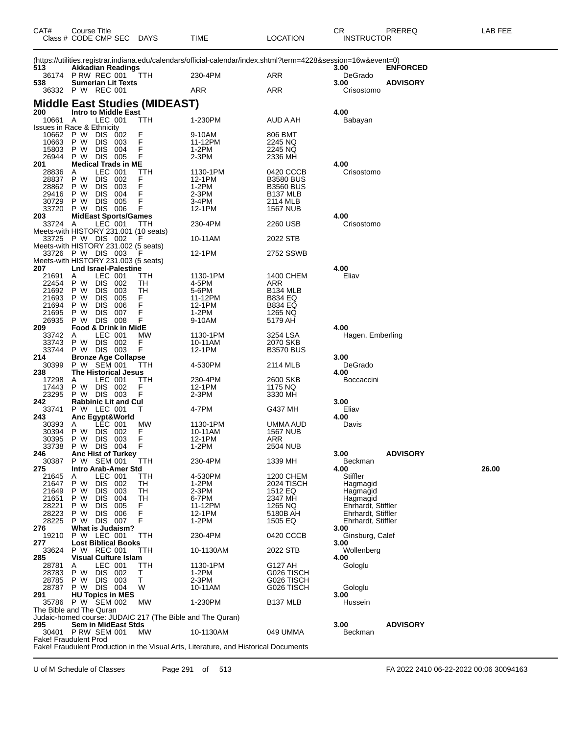| CAT#           | Course Title<br>Class # CODE CMP SEC                      | <b>DAYS</b> | TIME                                                                                                            | LOCATION                                 | CR.<br><b>INSTRUCTOR</b>       | PREREQ          | LAB FEE |
|----------------|-----------------------------------------------------------|-------------|-----------------------------------------------------------------------------------------------------------------|------------------------------------------|--------------------------------|-----------------|---------|
|                |                                                           |             | (https://utilities.registrar.indiana.edu/calendars/official-calendar/index.shtml?term=4228&session=16w&event=0) |                                          |                                |                 |         |
| 513            | <b>Akkadian Readings</b><br>36174 PRW REC 001             | TTH         | 230-4PM                                                                                                         | ARR                                      | 3.00<br>DeGrado                | <b>ENFORCED</b> |         |
| 538            | <b>Sumerian Lit Texts</b>                                 |             |                                                                                                                 |                                          | 3.00                           | <b>ADVISORY</b> |         |
|                | 36332 PW REC 001                                          |             | ARR                                                                                                             | ARR                                      | Crisostomo                     |                 |         |
|                | Middle East Studies (MIDEAST)                             |             |                                                                                                                 |                                          |                                |                 |         |
| 200<br>10661 A | <b>Intro to Middle East</b><br>LEC 001                    | TTH         | 1-230PM                                                                                                         | AUD A AH                                 | 4.00<br>Babayan                |                 |         |
|                | Issues in Race & Ethnicity                                |             |                                                                                                                 |                                          |                                |                 |         |
| 10662<br>10663 | P W<br>002<br>DIS.<br>P W<br><b>DIS</b><br>- 003          | F           | 9-10AM<br>11-12PM                                                                                               | 806 BMT<br>2245 NQ                       |                                |                 |         |
| 15803          | P W<br><b>DIS</b><br>004                                  | F<br>F      | 1-2PM                                                                                                           | 2245 NQ                                  |                                |                 |         |
| 26944<br>201   | P W<br>DIS 005<br><b>Medical Trads in ME</b>              | F           | 2-3PM                                                                                                           | 2336 MH                                  | 4.00                           |                 |         |
| 28836          | LEC 001<br>A                                              | TTH         | 1130-1PM                                                                                                        | 0420 CCCB                                | Crisostomo                     |                 |         |
| 28837          | P W<br><b>DIS</b><br>002                                  | F           | 12-1PM                                                                                                          | <b>B3580 BUS</b>                         |                                |                 |         |
| 28862<br>29416 | P W<br><b>DIS</b><br>003<br>P W<br><b>DIS</b><br>-004     | F<br>F      | 1-2PM<br>2-3PM                                                                                                  | <b>B3560 BUS</b><br>B <sub>137</sub> MLB |                                |                 |         |
| 30729          | P W<br><b>DIS</b><br>005                                  | F           | 3-4PM                                                                                                           | 2114 MLB                                 |                                |                 |         |
| 33720<br>203   | <b>DIS 006</b><br>P W<br><b>MidEast Sports/Games</b>      | F           | 12-1PM                                                                                                          | <b>1567 NUB</b>                          | 4.00                           |                 |         |
| 33724          | LEC 001<br>A                                              | TTH         | 230-4PM                                                                                                         | 2260 USB                                 | Crisostomo                     |                 |         |
|                | Meets-with HISTORY 231.001 (10 seats)                     |             |                                                                                                                 |                                          |                                |                 |         |
|                | 33725 PW DIS 002<br>Meets-with HISTORY 231.002 (5 seats)  | F           | 10-11AM                                                                                                         | 2022 STB                                 |                                |                 |         |
|                | 33726 PW DIS 003                                          |             | 12-1PM                                                                                                          | 2752 SSWB                                |                                |                 |         |
| 207            | Meets-with HISTORY 231.003 (5 seats)                      |             |                                                                                                                 |                                          | 4.00                           |                 |         |
| 21691          | <b>Lnd Israel-Palestine</b><br>LEC 001<br>A               | ттн         | 1130-1PM                                                                                                        | 1400 CHEM                                | Eliav                          |                 |         |
| 22454          | DIS 002<br>P W                                            | TH          | 4-5PM                                                                                                           | ARR                                      |                                |                 |         |
| 21692<br>21693 | P W<br><b>DIS</b><br>003<br>P W<br><b>DIS</b><br>005      | TН<br>F.    | 5-6PM<br>11-12PM                                                                                                | B <sub>134</sub> MLB<br><b>B834 EQ</b>   |                                |                 |         |
| 21694          | P W<br><b>DIS</b><br>006                                  | F           | 12-1PM                                                                                                          | <b>B834 EQ</b>                           |                                |                 |         |
| 21695<br>26935 | P W<br><b>DIS</b><br>007<br><b>DIS 008</b><br>P W         | F<br>F      | 1-2PM<br>9-10AM                                                                                                 | 1265 NQ<br>5179 AH                       |                                |                 |         |
| 209            | <b>Food &amp; Drink in MidE</b>                           |             |                                                                                                                 |                                          | 4.00                           |                 |         |
| 33742          | LEC 001<br>Α                                              | МW          | 1130-1PM                                                                                                        | 3254 LSA                                 | Hagen, Emberling               |                 |         |
| 33743<br>33744 | P W<br>DIS 002<br>P W DIS 003                             | F<br>F      | 10-11AM<br>12-1PM                                                                                               | 2070 SKB<br><b>B3570 BUS</b>             |                                |                 |         |
| 214            | <b>Bronze Age Collapse</b>                                |             |                                                                                                                 |                                          | 3.00                           |                 |         |
| 30399<br>238   | P W SEM 001<br><b>The Historical Jesus</b>                | TTH         | 4-530PM                                                                                                         | 2114 MLB                                 | DeGrado<br>4.00                |                 |         |
| 17298          | LEC 001<br>Α                                              | ттн         | 230-4PM                                                                                                         | 2600 SKB                                 | <b>Boccaccini</b>              |                 |         |
| 17443          | P W<br>DIS 002                                            | F           | 12-1PM                                                                                                          | 1175 NQ                                  |                                |                 |         |
| 23295<br>242   | P W DIS 003<br><b>Rabbinic Lit and Cul</b>                | F           | 2-3PM                                                                                                           | 3330 MH                                  | 3.00                           |                 |         |
| 33741          | P W LEC 001                                               | т           | 4-7PM                                                                                                           | G437 MH                                  | Eliav                          |                 |         |
| 243<br>30393   | Anc Egypt&World<br>LEC 001<br>Α                           | МW          | 1130-1PM                                                                                                        | UMMA AUD                                 | 4.00<br>Davis                  |                 |         |
| 30394          | P W<br>DIS 002                                            | F           | 10-11AM                                                                                                         | <b>1567 NUB</b>                          |                                |                 |         |
| 30395          | P W<br>DIS 003                                            | F           | 12-1PM                                                                                                          | ARR                                      |                                |                 |         |
| 33738<br>246   | P W DIS 004<br>Anc Hist of Turkey                         | F           | 1-2PM                                                                                                           | 2504 NUB                                 | 3.00                           | <b>ADVISORY</b> |         |
| 30387          | P W SEM 001                                               | ттн         | 230-4PM                                                                                                         | 1339 MH                                  | Beckman                        |                 |         |
| 275<br>21645   | Intro Arab-Amer Std<br>LEC 001<br>Α                       | TTH         | 4-530PM                                                                                                         | 1200 CHEM                                | 4.00<br>Stiffler               |                 | 26.00   |
| 21647          | P W<br><b>DIS</b><br>002                                  | TН          | $1-2PM$                                                                                                         | 2024 TISCH                               | Hagmagid                       |                 |         |
| 21649          | P W<br><b>DIS</b><br>003                                  | TН          | 2-3PM                                                                                                           | 1512 EQ                                  | Hagmagid                       |                 |         |
| 21651<br>28221 | P W<br><b>DIS</b><br>004<br>P W<br><b>DIS</b><br>005      | TН<br>F     | 6-7PM<br>11-12PM                                                                                                | 2347 MH<br>1265 NQ                       | Hagmagid<br>Ehrhardt, Stiffler |                 |         |
| 28223          | P W<br><b>DIS</b><br>006                                  | F           | 12-1PM                                                                                                          | 5180B AH                                 | Ehrhardt, Stiffler             |                 |         |
| 28225<br>276   | DIS 007<br>P W<br><b>What is Judaism?</b>                 | F           | 1-2PM                                                                                                           | 1505 EQ                                  | Ehrhardt, Stiffler<br>3.00     |                 |         |
| 19210          | P W LEC 001                                               | TTH         | 230-4PM                                                                                                         | 0420 CCCB                                | Ginsburg, Calef                |                 |         |
| 277            | <b>Lost Biblical Books</b>                                |             |                                                                                                                 |                                          | 3.00                           |                 |         |
| 33624<br>285   | P W REC 001<br><b>Visual Culture Islam</b>                | TTH         | 10-1130AM                                                                                                       | 2022 STB                                 | Wollenberg<br>4.00             |                 |         |
| 28781          | LEC 001<br>Α                                              | ттн         | 1130-1PM                                                                                                        | G127 AH                                  | Gologlu                        |                 |         |
| 28783          | P W<br>DIS 002<br>P W<br>DIS 003                          | Т<br>Τ      | 1-2PM<br>2-3PM                                                                                                  | G026 TISCH                               |                                |                 |         |
| 28785<br>28787 | P W DIS 004                                               | W           | 10-11AM                                                                                                         | G026 TISCH<br>G026 TISCH                 | Gologlu                        |                 |         |
| 291            | <b>HU Topics in MES</b>                                   |             |                                                                                                                 |                                          | 3.00                           |                 |         |
| 35786          | P W SEM 002<br>The Bible and The Quran                    | МW          | 1-230PM                                                                                                         | B137 MLB                                 | Hussein                        |                 |         |
|                | Judaic-homed course: JUDAIC 217 (The Bible and The Quran) |             |                                                                                                                 |                                          |                                |                 |         |
| 295            | Sem in MidEast Stds<br>30401 PRW SEM 001                  | MW          | 10-1130AM                                                                                                       | 049 UMMA                                 | 3.00<br>Beckman                | <b>ADVISORY</b> |         |
|                | Fake! Fraudulent Prod                                     |             |                                                                                                                 |                                          |                                |                 |         |
|                |                                                           |             | Fake! Fraudulent Production in the Visual Arts, Literature, and Historical Documents                            |                                          |                                |                 |         |

U of M Schedule of Classes Page 291 of 513 FA 2022 2410 06-22-2022 00:06 30094163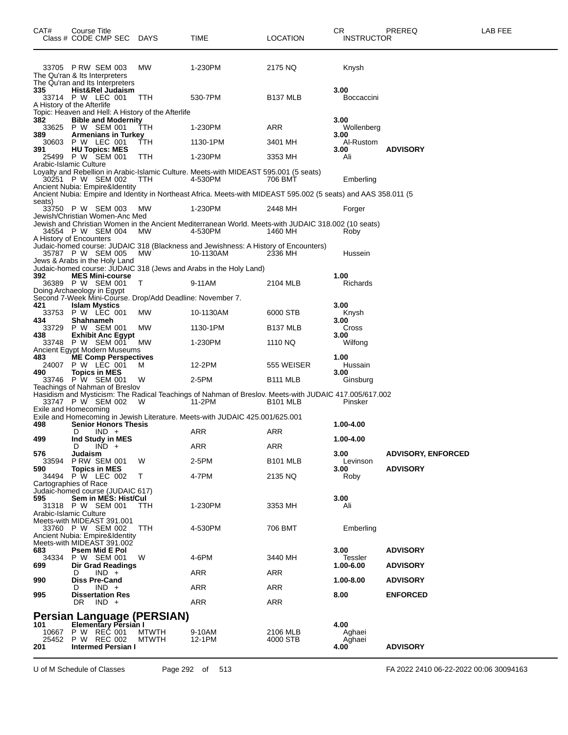| CAT#                              | Course Title | Class # CODE CMP SEC                                                              | DAYS                                               | TIME                                                                                                            | <b>LOCATION</b>      | CR.<br><b>INSTRUCTOR</b>   | PREREQ                                       | LAB FEE |
|-----------------------------------|--------------|-----------------------------------------------------------------------------------|----------------------------------------------------|-----------------------------------------------------------------------------------------------------------------|----------------------|----------------------------|----------------------------------------------|---------|
| The Qu'ran & Its Interpreters     |              | 33705 PRW SEM 003<br>The Qu'ran and Its Interpreters                              | MW                                                 | 1-230PM                                                                                                         | 2175 NQ              | Knysh                      |                                              |         |
| 335<br>A History of the Afterlife |              | Hist&Rel Judaism<br>33714 P W LEC 001                                             | <b>TTH</b>                                         | 530-7PM                                                                                                         | B <sub>137</sub> MLB | 3.00<br>Boccaccini         |                                              |         |
|                                   |              |                                                                                   | Topic: Heaven and Hell: A History of the Afterlife |                                                                                                                 |                      |                            |                                              |         |
| 382<br>389                        |              | <b>Bible and Modernity</b><br>33625 P W SEM 001<br><b>Armenians in Turkey</b>     | TТH                                                | 1-230PM                                                                                                         | <b>ARR</b>           | 3.00<br>Wollenberg<br>3.00 |                                              |         |
| 30603<br>391                      |              | P W LEC 001<br><b>HU Topics: MES</b>                                              | TTH                                                | 1130-1PM                                                                                                        | 3401 MH              | Al-Rustom<br>3.00          | <b>ADVISORY</b>                              |         |
| Arabic-Islamic Culture            |              | 25499 P W SEM 001                                                                 | ттн                                                | 1-230PM                                                                                                         | 3353 MH              | Ali                        |                                              |         |
|                                   |              | 30251 P W SEM 002                                                                 | <b>TTH</b>                                         | Loyalty and Rebellion in Arabic-Islamic Culture. Meets-with MIDEAST 595.001 (5 seats)<br>4-530PM                | 706 BMT              | Emberling                  |                                              |         |
|                                   |              | Ancient Nubia: Empire&Identity                                                    |                                                    | Ancient Nubia: Empire and Identity in Northeast Africa. Meets-with MIDEAST 595.002 (5 seats) and AAS 358.011 (5 |                      |                            |                                              |         |
| seats)                            |              | 33750 P W SEM 003<br>Jewish/Christian Women-Anc Med                               | - MW                                               | 1-230PM                                                                                                         | 2448 MH              | Forger                     |                                              |         |
| A History of Encounters           |              | 34554 P W SEM 004                                                                 | <b>MW</b>                                          | Jewish and Christian Women in the Ancient Mediterranean World. Meets-with JUDAIC 318.002 (10 seats)<br>4-530PM  | 1460 MH              | Roby                       |                                              |         |
|                                   |              | 35787 P W SEM 005<br>Jews & Arabs in the Holy Land                                | МW                                                 | Judaic-homed course: JUDAIC 318 (Blackness and Jewishness: A History of Encounters)<br>10-1130AM                | 2336 MH              | Hussein                    |                                              |         |
|                                   |              |                                                                                   |                                                    | Judaic-homed course: JUDAIC 318 (Jews and Arabs in the Holy Land)                                               |                      |                            |                                              |         |
| 392<br>Doing Archaeology in Egypt |              | <b>MES Mini-course</b><br>36389 P W SEM 001                                       | $\top$                                             | 9-11AM                                                                                                          | 2104 MLB             | 1.00<br>Richards           |                                              |         |
|                                   |              |                                                                                   |                                                    | Second 7-Week Mini-Course. Drop/Add Deadline: November 7.                                                       |                      |                            |                                              |         |
| 421<br>33753                      |              | <b>Islam Mystics</b><br>P W LEC 001                                               | MW                                                 | 10-1130AM                                                                                                       | 6000 STB             | 3.00<br>Knysh              |                                              |         |
| 434<br>33729                      | Shahnameh    | P W SEM 001                                                                       | МW                                                 | 1130-1PM                                                                                                        | B <sub>137</sub> MLB | 3.00<br>Cross              |                                              |         |
| 438                               |              | <b>Exhibit Anc Egypt</b><br>33748 P W SEM 001                                     | <b>MW</b>                                          | 1-230PM                                                                                                         | 1110 NQ              | 3.00<br>Wilfong            |                                              |         |
| 483<br>24007                      |              | Ancient Egypt Modern Museums<br><b>ME Comp Perspectives</b><br>P W LEC 001        | м                                                  | 12-2PM                                                                                                          | 555 WEISER           | 1.00<br>Hussain            |                                              |         |
| 490                               |              | <b>Topics in MES</b><br>33746 P W SEM 001<br>Teachings of Nahman of Breslov       | W                                                  | 2-5PM                                                                                                           | B <sub>111</sub> MLB | 3.00<br>Ginsburg           |                                              |         |
| Exile and Homecoming              |              | 33747 P W SEM 002                                                                 | - W                                                | Hasidism and Mysticism: The Radical Teachings of Nahman of Breslov. Meets-with JUDAIC 417.005/617.002<br>11-2PM | <b>B101 MLB</b>      | Pinsker                    |                                              |         |
| 498                               |              | <b>Senior Honors Thesis</b>                                                       |                                                    | Exile and Homecoming in Jewish Literature. Meets-with JUDAIC 425.001/625.001                                    |                      | 1.00-4.00                  |                                              |         |
| 499                               | D            | $IND +$<br>Ind Study in MES                                                       |                                                    | ARR                                                                                                             | ARR                  | 1.00-4.00                  |                                              |         |
| 576                               | D            | $IND +$                                                                           |                                                    | ARR                                                                                                             | ARR                  | 3.00                       |                                              |         |
| 33594<br>590                      | Judaism      | <b>P RW SEM 001</b><br><b>Topics in MES</b>                                       | W                                                  | 2-5PM                                                                                                           | <b>B101 MLB</b>      | Levinson<br>3.00           | <b>ADVISORY, ENFORCED</b><br><b>ADVISORY</b> |         |
| Cartographies of Race             |              | 34494 P W LEC 002                                                                 | Τ                                                  | 4-7PM                                                                                                           | 2135 NQ              | Roby                       |                                              |         |
|                                   |              | Judaic-homed course (JUDAIC 617)                                                  |                                                    |                                                                                                                 |                      |                            |                                              |         |
| 595                               |              | Sem in MES: Hist/Cul<br>31318 P W SEM 001                                         | TTH                                                | 1-230PM                                                                                                         | 3353 MH              | 3.00<br>Ali                |                                              |         |
| Arabic-Islamic Culture            |              | Meets-with MIDEAST 391.001<br>33760 P W SEM 002<br>Ancient Nubia: Empire&Identity | <b>TTH</b>                                         | 4-530PM                                                                                                         | 706 BMT              | Emberling                  |                                              |         |
| 683                               |              | Meets-with MIDEAST 391.002<br>Psem Mid E Pol                                      |                                                    |                                                                                                                 |                      | 3.00                       | <b>ADVISORY</b>                              |         |
| 699                               |              | 34334 P W SEM 001<br>Dir Grad Readings                                            | W                                                  | 4-6PM                                                                                                           | 3440 MH              | Tessler<br>1.00-6.00       | <b>ADVISORY</b>                              |         |
| 990                               | D            | $IND +$<br><b>Diss Pre-Cand</b>                                                   |                                                    | ARR                                                                                                             | ARR                  | 1.00-8.00                  | <b>ADVISORY</b>                              |         |
| 995                               | D            | $IND +$<br><b>Dissertation Res</b>                                                |                                                    | ARR                                                                                                             | ARR                  | 8.00                       | <b>ENFORCED</b>                              |         |
|                                   | DR           | $IND +$                                                                           |                                                    | ARR                                                                                                             | ARR                  |                            |                                              |         |
| 101                               |              | <b>Elementary Persian I</b>                                                       | Persian Language (PERSIAN)                         |                                                                                                                 |                      | 4.00                       |                                              |         |
| 10667                             |              | P W REČ 001                                                                       | <b>MTWTH</b>                                       | 9-10AM                                                                                                          | 2106 MLB             | Aghaei                     |                                              |         |
| 201                               |              | 25452 P W REC 002<br><b>Intermed Persian I</b>                                    | <b>MTWTH</b>                                       | 12-1PM                                                                                                          | 4000 STB             | Aghaei<br>4.00             | <b>ADVISORY</b>                              |         |

U of M Schedule of Classes Page 292 of 513 FA 2022 2410 06-22-2022 00:06 30094163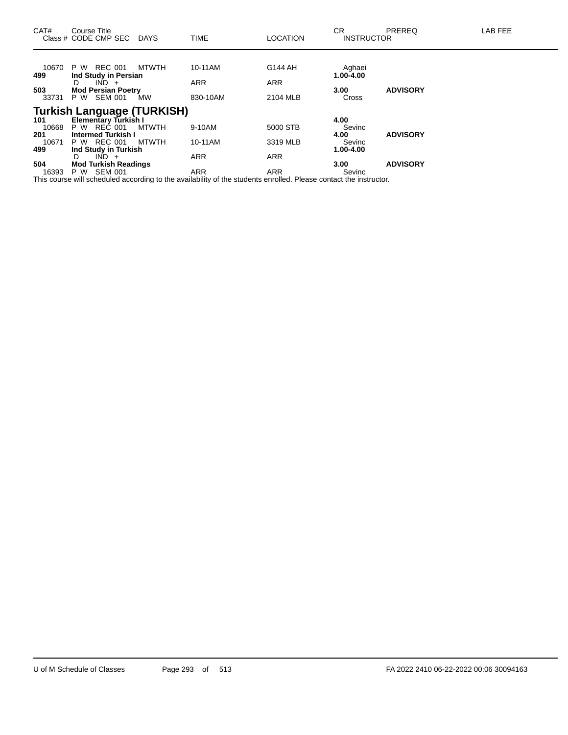| CAT#                | Course Title<br>Class # CODE CMP SEC DAYS                                |       | <b>TIME</b>              | <b>LOCATION</b>          | CR.<br><b>INSTRUCTOR</b>    | PREREQ          | LAB FEE |
|---------------------|--------------------------------------------------------------------------|-------|--------------------------|--------------------------|-----------------------------|-----------------|---------|
| 10670<br>499        | P W REC 001<br>Ind Study in Persian                                      | MTWTH | 10-11AM                  | G144 AH                  | Aghaei<br>$1.00 - 4.00$     |                 |         |
| 503<br>33731        | $IND +$<br>D<br><b>Mod Persian Poetry</b><br>P W SEM 001                 | MW    | <b>ARR</b><br>830-10AM   | <b>ARR</b><br>2104 MLB   | 3.00<br>Cross               | <b>ADVISORY</b> |         |
| 101<br>10668        | <b>Turkish Language (TURKISH)</b><br>Elementary Turkish I<br>P W REC 001 | MTWTH | 9-10AM                   | 5000 STB                 | 4.00<br>Sevinc              |                 |         |
| 201<br>10671<br>499 | <b>Intermed Turkish I</b><br>P W REC 001<br>Ind Study in Turkish         | MTWTH | 10-11AM                  | 3319 MLB                 | 4.00<br>Sevinc<br>1.00-4.00 | <b>ADVISORY</b> |         |
| 504<br>16393        | $IND +$<br>D<br><b>Mod Turkish Readings</b><br>P W SEM 001               |       | <b>ARR</b><br><b>ARR</b> | <b>ARR</b><br><b>ARR</b> | 3.00 <sub>1</sub><br>Sevinc | <b>ADVISORY</b> |         |

This course will scheduled according to the availability of the students enrolled. Please contact the instructor.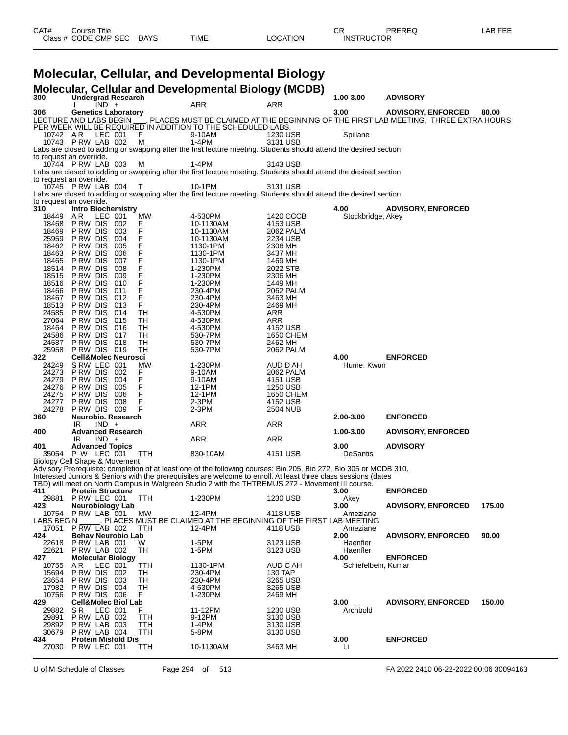| CAT# | Title<br>Course      |             |             |          | ⌒冖<br>◡Ⴡ          | PREREQ | LAB FEE |
|------|----------------------|-------------|-------------|----------|-------------------|--------|---------|
|      | Class # CODE CMP SEC | <b>DAYS</b> | <b>TIME</b> | LOCATION | <b>INSTRUCTOR</b> |        |         |

### **Molecular, Cellular, and Developmental Biology**

|                               |                              |         |                                |            | <b>Molecular, Cellular and Developmental Biology (MCDB)</b>                                                                                                                                                                           |                       |                      |                                                                                     |        |
|-------------------------------|------------------------------|---------|--------------------------------|------------|---------------------------------------------------------------------------------------------------------------------------------------------------------------------------------------------------------------------------------------|-----------------------|----------------------|-------------------------------------------------------------------------------------|--------|
| 300                           |                              | $IND +$ | <b>Undergrad Research</b>      |            | ARR                                                                                                                                                                                                                                   | ARR                   | 1.00-3.00            | <b>ADVISORY</b>                                                                     |        |
| 306                           |                              |         | <b>Genetics Laboratory</b>     |            |                                                                                                                                                                                                                                       |                       | 3.00                 | <b>ADVISORY, ENFORCED</b>                                                           | 80.00  |
| LECTURE AND LABS BEGIN        |                              |         |                                |            | PER WEEK WILL BE REQUIRED IN ADDITION TO THE SCHEDULED LABS.                                                                                                                                                                          |                       |                      | PLACES MUST BE CLAIMED AT THE BEGINNING OF THE FIRST LAB MEETING. THREE EXTRA HOURS |        |
| 10742 AR                      |                              | LEC 001 |                                | F          | 9-10AM                                                                                                                                                                                                                                | 1230 USB              | Spillane             |                                                                                     |        |
|                               | 10743 P RW LAB 002           |         |                                | м          | 1-4PM<br>Labs are closed to adding or swapping after the first lecture meeting. Students should attend the desired section                                                                                                            | 3131 USB              |                      |                                                                                     |        |
| to request an override.       |                              |         |                                |            |                                                                                                                                                                                                                                       |                       |                      |                                                                                     |        |
| 10744 P RW LAB 003            |                              |         |                                | м          | $1-4PM$                                                                                                                                                                                                                               | 3143 USB              |                      |                                                                                     |        |
| to request an override.       |                              |         |                                |            | Labs are closed to adding or swapping after the first lecture meeting. Students should attend the desired section                                                                                                                     |                       |                      |                                                                                     |        |
|                               | 10745 P RW LAB 004           |         |                                | т          | 10-1PM                                                                                                                                                                                                                                | 3131 USB              |                      |                                                                                     |        |
| to request an override.       |                              |         |                                |            | Labs are closed to adding or swapping after the first lecture meeting. Students should attend the desired section                                                                                                                     |                       |                      |                                                                                     |        |
| 310                           |                              |         | <b>Intro Biochemistry</b>      |            |                                                                                                                                                                                                                                       |                       | 4.00                 | <b>ADVISORY, ENFORCED</b>                                                           |        |
| 18449                         | AR.                          | LEC 001 |                                | МW         | 4-530PM                                                                                                                                                                                                                               | 1420 CCCB             | Stockbridge, Akey    |                                                                                     |        |
| 18468<br>18469                | P RW DIS<br>P RW DIS         |         | -002<br>003                    | F<br>F     | 10-1130AM<br>10-1130AM                                                                                                                                                                                                                | 4153 USB<br>2062 PALM |                      |                                                                                     |        |
| 25959                         | P RW DIS                     |         | 004                            | F          | 10-1130AM                                                                                                                                                                                                                             | 2234 USB              |                      |                                                                                     |        |
| 18462                         | P RW DIS                     |         | 005                            | F          | 1130-1PM                                                                                                                                                                                                                              | 2306 MH               |                      |                                                                                     |        |
| 18463<br>18465                | P RW DIS<br>P RW DIS         |         | 006<br>007                     | F<br>F     | 1130-1PM<br>1130-1PM                                                                                                                                                                                                                  | 3437 MH<br>1469 MH    |                      |                                                                                     |        |
| 18514                         | P RW DIS                     |         | 008                            | F          | 1-230PM                                                                                                                                                                                                                               | 2022 STB              |                      |                                                                                     |        |
| 18515<br>18516                | P RW DIS<br>P RW DIS         |         | 009<br>010                     | F<br>F     | 1-230PM<br>1-230PM                                                                                                                                                                                                                    | 2306 MH<br>1449 MH    |                      |                                                                                     |        |
| 18466                         | P RW DIS                     |         | 011                            | F          | 230-4PM                                                                                                                                                                                                                               | 2062 PALM             |                      |                                                                                     |        |
| 18467                         | P RW DIS                     |         | 012                            | F          | 230-4PM                                                                                                                                                                                                                               | 3463 MH               |                      |                                                                                     |        |
| 18513<br>24585                | P RW DIS<br>P RW DIS         |         | -013<br>014                    | F<br>TН    | 230-4PM<br>4-530PM                                                                                                                                                                                                                    | 2469 MH<br>ARR        |                      |                                                                                     |        |
| 27064                         | P RW DIS                     |         | 015                            | TН         | 4-530PM                                                                                                                                                                                                                               | ARR                   |                      |                                                                                     |        |
| 18464                         | P RW DIS                     |         | -016                           | TН         | 4-530PM                                                                                                                                                                                                                               | 4152 USB              |                      |                                                                                     |        |
| 24586<br>24587                | P RW DIS<br>PRW DIS 018      |         | 017                            | TН<br>TН   | 530-7PM<br>530-7PM                                                                                                                                                                                                                    | 1650 CHEM<br>2462 MH  |                      |                                                                                     |        |
| 25958                         | PRW DIS 019                  |         |                                | TН         | 530-7PM                                                                                                                                                                                                                               | 2062 PALM             |                      |                                                                                     |        |
| 322<br>24249                  | SRW LEC 001                  |         | <b>Cell&amp;Molec Neurosci</b> | МW         | 1-230PM                                                                                                                                                                                                                               | AUD D AH              | 4.00<br>Hume, Kwon   | <b>ENFORCED</b>                                                                     |        |
| 24273                         | PRW DIS 002                  |         |                                | F          | 9-10AM                                                                                                                                                                                                                                | 2062 PALM             |                      |                                                                                     |        |
| 24279                         | P RW DIS                     |         | 004                            | F          | 9-10AM                                                                                                                                                                                                                                | 4151 USB              |                      |                                                                                     |        |
| 24276<br>24275                | P RW DIS<br>P RW DIS         |         | 005<br>006                     | F<br>F     | 12-1PM<br>12-1PM                                                                                                                                                                                                                      | 1250 USB<br>1650 CHEM |                      |                                                                                     |        |
| 24277                         | PRW DIS 008                  |         |                                | F          | $2-3PM$                                                                                                                                                                                                                               | 4152 USB              |                      |                                                                                     |        |
| 24278                         | PRW DIS 009                  |         | Neurobio. Research             | F          | $2-3PM$                                                                                                                                                                                                                               | 2504 NUB              | 2.00-3.00            | <b>ENFORCED</b>                                                                     |        |
| 360                           | IR                           | $IND +$ |                                |            | ARR                                                                                                                                                                                                                                   | ARR                   |                      |                                                                                     |        |
| 400                           |                              |         | <b>Advanced Research</b>       |            |                                                                                                                                                                                                                                       |                       | 1.00-3.00            | <b>ADVISORY, ENFORCED</b>                                                           |        |
| 401                           | IR<br><b>Advanced Topics</b> | $IND +$ |                                |            | ARR                                                                                                                                                                                                                                   | <b>ARR</b>            | 3.00                 | <b>ADVISORY</b>                                                                     |        |
|                               | 35054 P W LEC 001            |         |                                | TTH        | 830-10AM                                                                                                                                                                                                                              | 4151 USB              | <b>DeSantis</b>      |                                                                                     |        |
| Biology Cell Shape & Movement |                              |         |                                |            |                                                                                                                                                                                                                                       |                       |                      |                                                                                     |        |
|                               |                              |         |                                |            | Advisory Prerequisite: completion of at least one of the following courses: Bio 205, Bio 272, Bio 305 or MCDB 310.<br>Interested Juniors & Seniors with the prerequisites are welcome to enroll. At least three class sessions (dates |                       |                      |                                                                                     |        |
|                               |                              |         |                                |            | TBD) will meet on North Campus in Walgreen Studio 2 with the THTREMUS 272 - Movement III course.                                                                                                                                      |                       |                      |                                                                                     |        |
| 411<br>29881 PRW LEC 001      | <b>Protein Structure</b>     |         |                                | TTH        | 1-230PM                                                                                                                                                                                                                               | 1230 USB              | 3.00<br>Akey         | <b>ENFORCED</b>                                                                     |        |
| 423                           |                              |         | Neurobiology Lab               |            |                                                                                                                                                                                                                                       |                       | 3.00                 | <b>ADVISORY, ENFORCED</b>                                                           | 175.00 |
|                               | 10754 P RW LAB 001           |         |                                | МW         | 12-4PM                                                                                                                                                                                                                                | 4118 USB              | Ameziane             |                                                                                     |        |
| LABS BEGIN<br>17051           | PRW LAB 002                  |         |                                | <b>TTH</b> | PLACES MUST BE CLAIMED AT THE BEGINNING OF THE FIRST LAB MEETING<br>12-4PM                                                                                                                                                            | 4118 USB              | Ameziane             |                                                                                     |        |
| 424                           |                              |         | <b>Behav Neurobio Lab</b>      |            |                                                                                                                                                                                                                                       |                       | 2.00                 | <b>ADVISORY, ENFORCED</b>                                                           | 90.00  |
| 22618                         | PRW LAB 001                  |         |                                | w          | 1-5PM                                                                                                                                                                                                                                 | 3123 USB              | Haenfler<br>Haenfler |                                                                                     |        |
| 22621<br>427                  | P RW LAB 002                 |         | <b>Molecular Biology</b>       | TН         | 1-5PM                                                                                                                                                                                                                                 | 3123 USB              | 4.00                 | <b>ENFORCED</b>                                                                     |        |
| 10755                         | AR                           | LEC 001 |                                | TTH        | 1130-1PM                                                                                                                                                                                                                              | AUD C AH              | Schiefelbein, Kumar  |                                                                                     |        |
| 15694<br>23654                | P RW DIS 002<br>P RW DIS     |         | - 003                          | ТH<br>TН   | 230-4PM<br>230-4PM                                                                                                                                                                                                                    | 130 TAP<br>3265 USB   |                      |                                                                                     |        |
| 17982                         | P RW DIS 004                 |         |                                | TН         | 4-530PM                                                                                                                                                                                                                               | 3265 USB              |                      |                                                                                     |        |
| 10756                         | PRW DIS 006                  |         |                                | F          | 1-230PM                                                                                                                                                                                                                               | 2469 MH               |                      |                                                                                     |        |
| 429<br>29882                  | S R                          | LEC 001 | <b>Cell&amp;Molec Biol Lab</b> | F          | 11-12PM                                                                                                                                                                                                                               | 1230 USB              | 3.00<br>Archbold     | <b>ADVISORY, ENFORCED</b>                                                           | 150.00 |
| 29891                         | PRW LAB 002                  |         |                                | ттн        | 9-12PM                                                                                                                                                                                                                                | 3130 USB              |                      |                                                                                     |        |
| 29892                         | PRW LAB 003                  |         |                                | TTH        | 1-4PM                                                                                                                                                                                                                                 | 3130 USB              |                      |                                                                                     |        |
| 30679<br>434                  | PRW LAB 004                  |         | <b>Protein Misfold Dis</b>     | TTH        | 5-8PM                                                                                                                                                                                                                                 | 3130 USB              | 3.00                 | <b>ENFORCED</b>                                                                     |        |
| 27030                         | PRW LEC 001                  |         |                                | ттн        | 10-1130AM                                                                                                                                                                                                                             | 3463 MH               | Li                   |                                                                                     |        |
|                               |                              |         |                                |            |                                                                                                                                                                                                                                       |                       |                      |                                                                                     |        |

U of M Schedule of Classes Page 294 of 513 FA 2022 2410 06-22-2022 00:06 30094163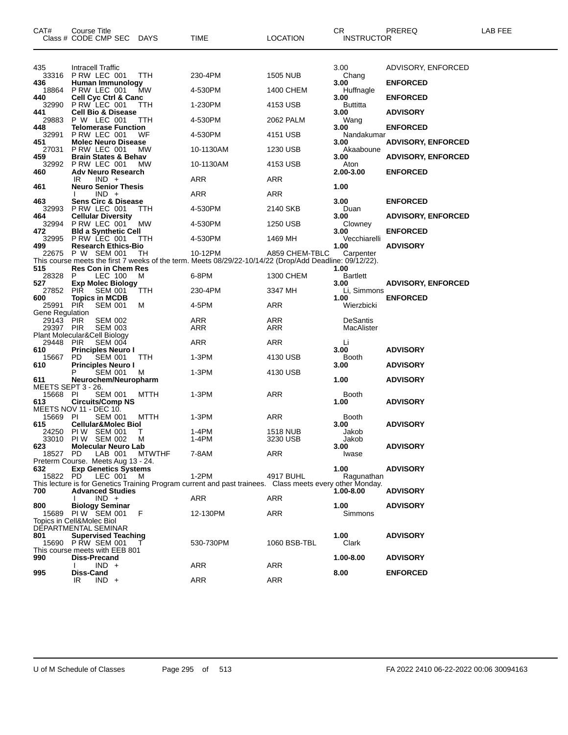| CAT#                      | <b>Course Title</b><br>Class # CODE CMP SEC DAYS          |               | TIME                                                                                                               | <b>LOCATION</b>             | CR<br>INSTRUCTOR              | PREREQ                    | LAB FEE |
|---------------------------|-----------------------------------------------------------|---------------|--------------------------------------------------------------------------------------------------------------------|-----------------------------|-------------------------------|---------------------------|---------|
| 435<br>33316              | Intracell Traffic<br>P RW LEC 001                         | TTH           | 230-4PM                                                                                                            | <b>1505 NUB</b>             | 3.00<br>Chang                 | ADVISORY, ENFORCED        |         |
| 436                       | Human Immunology                                          |               |                                                                                                                    |                             | 3.00                          | <b>ENFORCED</b>           |         |
| 18864<br>440              | PRW LEC 001<br>Cell Cyc Ctrl & Canc                       | МW            | 4-530PM                                                                                                            | 1400 CHEM                   | Huffnagle<br>3.00             | <b>ENFORCED</b>           |         |
| 32990                     | P RW LEC 001                                              | TTH           | 1-230PM                                                                                                            | 4153 USB                    | Buttitta                      |                           |         |
| 441<br>29883              | <b>Cell Bio &amp; Disease</b><br>P W LEC 001              | TTH           | 4-530PM                                                                                                            | 2062 PALM                   | 3.00<br>Wang                  | <b>ADVISORY</b>           |         |
| 448<br>32991              | <b>Telomerase Function</b><br>P RW LEC 001                | WF            | 4-530PM                                                                                                            | 4151 USB                    | 3.00<br>Nandakumar            | <b>ENFORCED</b>           |         |
| 451<br>27031              | <b>Molec Neuro Disease</b><br>P RW LEC 001                | МW            | 10-1130AM                                                                                                          | 1230 USB                    | 3.00<br>Akaaboune             | <b>ADVISORY, ENFORCED</b> |         |
| 459                       | <b>Brain States &amp; Behav</b>                           |               |                                                                                                                    |                             | 3.00                          | <b>ADVISORY, ENFORCED</b> |         |
| 32992<br>460              | P RW LEC 001<br><b>Adv Neuro Research</b>                 | МW            | 10-1130AM                                                                                                          | 4153 USB                    | Aton<br>2.00-3.00             | <b>ENFORCED</b>           |         |
| 461                       | IR<br>$IND +$<br><b>Neuro Senior Thesis</b>               |               | ARR                                                                                                                | ARR                         | 1.00                          |                           |         |
|                           | $IND +$                                                   |               | ARR                                                                                                                | <b>ARR</b>                  |                               |                           |         |
| 463<br>32993              | <b>Sens Circ &amp; Disease</b><br>PRW LEC 001             | TTH           | 4-530PM                                                                                                            | 2140 SKB                    | 3.00<br>Duan                  | <b>ENFORCED</b>           |         |
| 464<br>32994              | <b>Cellular Diversity</b><br>PRW LEC 001                  | МW            | 4-530PM                                                                                                            | 1250 USB                    | 3.00<br>Clowney               | <b>ADVISORY, ENFORCED</b> |         |
| 472<br>32995              | <b>Bld a Synthetic Cell</b><br>PRW LEC 001                | TTH           | 4-530PM                                                                                                            | 1469 MH                     | 3.00<br>Vecchiarelli          | <b>ENFORCED</b>           |         |
| 499                       | <b>Research Ethics-Bio</b>                                |               |                                                                                                                    |                             | 1.00                          | <b>ADVISORY</b>           |         |
| 22675                     | P W SEM 001                                               | TН            | 10-12PM<br>This course meets the first 7 weeks of the term. Meets 08/29/22-10/14/22 (Drop/Add Deadline: 09/12/22). | A859 CHEM-TBLC              | Carpenter                     |                           |         |
| 515<br>28328              | <b>Res Con in Chem Res</b><br>P<br>LEC 100                | M             | 6-8PM                                                                                                              | 1300 CHEM                   | 1.00<br><b>Bartlett</b>       |                           |         |
| 527                       | <b>Exp Molec Biology</b>                                  |               |                                                                                                                    |                             | 3.00                          | <b>ADVISORY, ENFORCED</b> |         |
| 27852<br>600              | PIR<br><b>SEM 001</b><br><b>Topics in MCDB</b>            | TTH           | 230-4PM                                                                                                            | 3347 MH                     | Li, Simmons<br>1.00           | <b>ENFORCED</b>           |         |
| 25991<br>Gene Regulation  | PIR<br><b>SEM 001</b>                                     | м             | 4-5PM                                                                                                              | ARR                         | Wierzbicki                    |                           |         |
| 29143 PIR<br>29397 PIR    | <b>SEM 002</b><br><b>SEM 003</b>                          |               | ARR<br>ARR                                                                                                         | ARR<br><b>ARR</b>           | <b>DeSantis</b><br>MacAlister |                           |         |
|                           | Plant Molecular&Cell Biology                              |               |                                                                                                                    |                             |                               |                           |         |
| 29448<br>610              | <b>SEM 004</b><br><b>PIR</b><br><b>Principles Neuro I</b> |               | ARR                                                                                                                | ARR                         | Li<br>3.00                    | <b>ADVISORY</b>           |         |
| 15667<br>610              | PD.<br><b>SEM 001</b><br><b>Principles Neuro I</b>        | TTH           | $1-3PM$                                                                                                            | 4130 USB                    | Booth<br>3.00                 | <b>ADVISORY</b>           |         |
|                           | <b>SEM 001</b><br>Р                                       | M             | $1-3PM$                                                                                                            | 4130 USB                    |                               |                           |         |
| 611<br>MEETS SEPT 3 - 26. | Neurochem/Neuropharm                                      |               |                                                                                                                    |                             | 1.00                          | <b>ADVISORY</b>           |         |
| 15668 PI<br>613           | SEM 001<br><b>Circuits/Comp NS</b>                        | <b>MTTH</b>   | $1-3PM$                                                                                                            | <b>ARR</b>                  | Booth<br>1.00                 | <b>ADVISORY</b>           |         |
| 15669 PI                  | MEETS NOV 11 - DEC 10.                                    |               |                                                                                                                    |                             |                               |                           |         |
| 615                       | <b>SEM 001</b><br><b>Cellular&amp;Molec Biol</b>          | MTTH          | 1-3PM                                                                                                              | ARR                         | Booth<br>3.00                 | <b>ADVISORY</b>           |         |
| 24250                     | PIW SEM 001<br>33010 PIW SEM 002                          | т<br>M        | 1-4PM<br>1-4PM                                                                                                     | <b>1518 NUB</b><br>3230 USB | Jakob<br>Jakob                |                           |         |
| 623<br>18527 PD           | <b>Molecular Neuro Lab</b><br>LAB 001                     | <b>MTWTHF</b> | 7-8AM                                                                                                              | ARR                         | 3.00<br>Iwase                 | <b>ADVISORY</b>           |         |
|                           | Preterm Course. Meets Aug 13 - 24.                        |               |                                                                                                                    |                             |                               |                           |         |
| 632<br>15822 PD           | <b>Exp Genetics Systems</b><br>LEC 001                    | M             | 1-2PM                                                                                                              | 4917 BUHL                   | 1.00<br>Ragunathan            | <b>ADVISORY</b>           |         |
| 700                       | <b>Advanced Studies</b>                                   |               | This lecture is for Genetics Training Program current and past trainees.  Class meets every other Monday.          |                             | 1.00-8.00                     | <b>ADVISORY</b>           |         |
|                           | $IND +$                                                   |               | ARR                                                                                                                | ARR                         |                               |                           |         |
| 800                       | <b>Biology Seminar</b><br>15689 PIW SEM 001               | F             | 12-130PM                                                                                                           | ARR                         | 1.00<br>Simmons               | <b>ADVISORY</b>           |         |
|                           | Topics in Cell&Molec Biol<br>DEPARTMENTAL SEMINAR         |               |                                                                                                                    |                             |                               |                           |         |
| 801                       | <b>Supervised Teaching</b>                                |               |                                                                                                                    |                             | 1.00                          | <b>ADVISORY</b>           |         |
|                           | 15690 P RW SEM 001<br>This course meets with EEB 801      |               | 530-730PM                                                                                                          | 1060 BSB-TBL                | Clark                         |                           |         |
| 990                       | <b>Diss-Precand</b><br>$IND +$                            |               | ARR                                                                                                                | ARR                         | 1.00-8.00                     | <b>ADVISORY</b>           |         |
| 995                       | Diss-Cand<br>IR<br>$IND +$                                |               | ARR                                                                                                                | <b>ARR</b>                  | 8.00                          | <b>ENFORCED</b>           |         |
|                           |                                                           |               |                                                                                                                    |                             |                               |                           |         |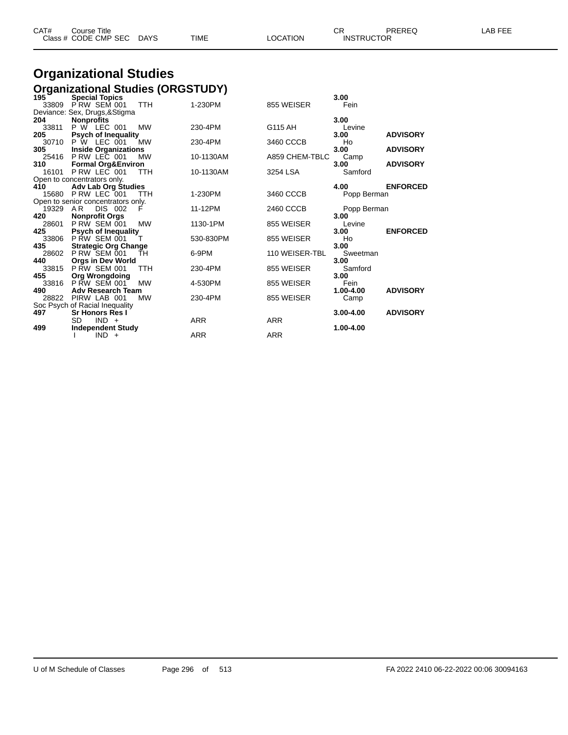| CAT# | Course Title              |      |          | $\cap$<br><b>UN</b> | PREREQ | <b>AB FEE</b> |
|------|---------------------------|------|----------|---------------------|--------|---------------|
|      | Class # CODE CMP SEC DAYS | TIME | LOCATION | <b>INSTRUCTOR</b>   |        |               |

# **Organizational Studies**

|          | <b>Organizational Studies (ORGSTUDY)</b> |            |            |                |             |                 |
|----------|------------------------------------------|------------|------------|----------------|-------------|-----------------|
| 195      | <b>Special Topics</b>                    |            |            |                | 3.00        |                 |
| 33809    | PRW SEM 001                              | <b>TTH</b> | 1-230PM    | 855 WEISER     | Fein        |                 |
|          | Deviance: Sex, Drugs, & Stigma           |            |            |                |             |                 |
| 204      | <b>Nonprofits</b>                        |            |            |                | 3.00        |                 |
| 33811    | <b>P W LEC 001</b>                       | <b>MW</b>  | 230-4PM    | G115 AH        | Levine      |                 |
| 205      | <b>Psych of Inequality</b>               |            |            |                | 3.00        | <b>ADVISORY</b> |
|          | 30710 P W LEC 001                        | <b>MW</b>  | 230-4PM    | 3460 CCCB      | Ho          |                 |
| 305      | <b>Inside Organizations</b>              |            |            |                | 3.00        | <b>ADVISORY</b> |
| 25416    | P RW LEC 001                             | <b>MW</b>  | 10-1130AM  | A859 CHEM-TBLC | Camp        |                 |
| 310      | <b>Formal Org&amp;Environ</b>            |            |            |                | 3.00        | <b>ADVISORY</b> |
| 16101    | PRW LEC 001                              | <b>TTH</b> | 10-1130AM  | 3254 LSA       | Samford     |                 |
|          | Open to concentrators only.              |            |            |                |             |                 |
| 410      | <b>Adv Lab Org Studies</b>               |            |            |                | 4.00        | <b>ENFORCED</b> |
| 15680    | P RW LEC 001                             | TTH        | 1-230PM    | 3460 CCCB      | Popp Berman |                 |
|          | Open to senior concentrators only.       |            |            |                |             |                 |
| 19329 AR | <b>DIS 002</b>                           | F          | 11-12PM    | 2460 CCCB      | Popp Berman |                 |
| 420      | <b>Nonprofit Orgs</b>                    |            |            |                | 3.00        |                 |
| 28601    | P RW SEM 001                             | <b>MW</b>  | 1130-1PM   | 855 WEISER     | Levine      |                 |
| 425      | <b>Psych of Inequality</b>               |            |            |                | 3.00        | <b>ENFORCED</b> |
| 33806    | <b>P RW SEM 001</b>                      |            | 530-830PM  | 855 WEISER     | Ho          |                 |
| 435      | <b>Strategic Org Change</b>              |            |            |                | 3.00        |                 |
| 28602    | P RW SEM 001                             | ŤН         | 6-9PM      | 110 WEISER-TBL | Sweetman    |                 |
| 440      | <b>Orgs in Dev World</b>                 |            |            |                | 3.00        |                 |
| 33815    | <b>P RW SEM 001</b>                      | TTH        | 230-4PM    | 855 WEISER     | Samford     |                 |
| 455      | <b>Org Wrongdoing</b>                    |            |            |                | 3.00        |                 |
| 33816    | <b>PRW SEM 001</b>                       | <b>MW</b>  | 4-530PM    | 855 WEISER     | Fein        |                 |
| 490      | <b>Adv Research Team</b>                 |            |            |                | 1.00-4.00   | <b>ADVISORY</b> |
|          | 28822 PIRW LAB 001                       | <b>MW</b>  | 230-4PM    | 855 WEISER     | Camp        |                 |
|          | Soc Psych of Racial Inequality           |            |            |                |             |                 |
| 497      | <b>Sr Honors Res I</b>                   |            |            |                | 3.00-4.00   | <b>ADVISORY</b> |
|          | SD.<br>$IND +$                           |            | <b>ARR</b> | <b>ARR</b>     |             |                 |
| 499      | <b>Independent Study</b>                 |            |            |                | 1.00-4.00   |                 |
|          | $IND +$                                  |            | <b>ARR</b> | <b>ARR</b>     |             |                 |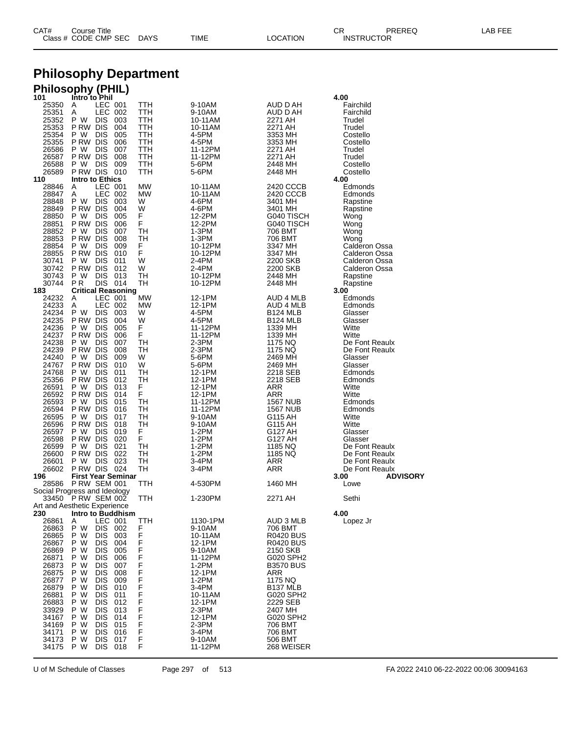| CAT# | Title<br>Courseٽ     |      |      |          | Ωm<br><b>UN</b>   | PREREQ | ----<br>ΔR.<br>--- |
|------|----------------------|------|------|----------|-------------------|--------|--------------------|
|      | Class # CODE CMP SEC | DAYS | TIME | LOCATION | <b>INSTRUCTOR</b> |        |                    |

### **Philosophy Department**

### **Philosophy (PHIL)**

| 101            | Intro to Phil                               |            |                    |                      | 4.00                    |
|----------------|---------------------------------------------|------------|--------------------|----------------------|-------------------------|
| 25350          | LEC 001<br>A                                | TTH        | 9-10AM             | AUD D AH             | Fairchild               |
| 25351          | Α<br>LEC 002<br>P W<br><b>DIS</b>           | TTH<br>TTH | 9-10AM             | AUD D AH             | Fairchild               |
| 25352<br>25353 | 003<br>P RW DIS<br>004                      | TTH        | 10-11AM<br>10-11AM | 2271 AH<br>2271 AH   | Trudel<br>Trudel        |
| 25354          | P W<br><b>DIS</b><br>005                    | TTH        | 4-5PM              | 3353 MH              | Costello                |
| 25355          | P RW DIS<br>006                             | TTH        | 4-5PM              | 3353 MH              | Costello                |
| 26586          | <b>DIS</b><br>P W<br>007                    | TTH        | 11-12PM            | 2271 AH              | Trudel                  |
| 26587          | P RW DIS<br>008                             | TTH        | 11-12PM            | 2271 AH              | Trudel                  |
| 26588          | P W<br><b>DIS</b><br>009                    | TTH        | 5-6PM              | 2448 MH              | Costello                |
| 26589          | PRW DIS 010                                 | TTH        | 5-6PM              | 2448 MH              | Costello                |
| 110            | Intro to Ethics                             |            |                    |                      | 4.00                    |
| 28846          | LEC 001<br>A                                | <b>MW</b>  | 10-11AM            | 2420 CCCB            | Edmonds                 |
| 28847          | LEC 002<br>Α                                | MW         | 10-11AM            | 2420 CCCB            | Edmonds                 |
| 28848          | P W<br><b>DIS</b><br>003                    | W          | 4-6PM              | 3401 MH              | Rapstine                |
| 28849          | P RW DIS<br>004                             | W          | 4-6PM              | 3401 MH              | Rapstine                |
| 28850          | P W<br><b>DIS</b><br>005                    | F          | 12-2PM             | G040 TISCH           | Wong                    |
| 28851          | P RW DIS<br>006                             | F          | 12-2PM             | G040 TISCH           | Wong                    |
| 28852          | <b>DIS</b><br>P W<br>007                    | TН         | 1-3PM              | 706 BMT              | Wong                    |
| 28853          | P RW DIS<br>008                             | тн         | 1-3PM              | 706 BMT              | Wong                    |
| 28854          | P W<br><b>DIS</b><br>009                    | F          | 10-12PM            | 3347 MH              | Calderon Ossa           |
| 28855          | P RW DIS<br>010                             | F          | 10-12PM            | 3347 MH              | Calderon Ossa           |
| 30741          | P W<br><b>DIS</b><br>011                    | W          | 2-4PM              | 2200 SKB             | Calderon Ossa           |
| 30742<br>30743 | P RW DIS<br>012<br>P W<br><b>DIS</b>        | W<br>TН    | 2-4PM              | 2200 SKB             | Calderon Ossa           |
| 30744          | 013<br>P <sub>R</sub><br>DIS.<br>014        | TН         | 10-12PM<br>10-12PM | 2448 MH<br>2448 MH   | Rapstine<br>Rapstine    |
| 183            | <b>Critical Reasoning</b>                   |            |                    |                      | 3.00                    |
| 24232          | LEC 001<br>A                                | МW         | 12-1PM             | <b>AUD 4 MLB</b>     | Edmonds                 |
| 24233          | LEC 002<br>A                                | MW         | 12-1PM             | AUD 4 MLB            | Edmonds                 |
| 24234          | P W<br>DIS.<br>003                          | W          | 4-5PM              | B124 MLB             | Glasser                 |
| 24235          | P RW DIS<br>004                             | W          | 4-5PM              | <b>B124 MLB</b>      | Glasser                 |
| 24236          | P W<br><b>DIS</b><br>005                    | F          | 11-12PM            | 1339 MH              | Witte                   |
| 24237          | P RW DIS<br>006                             | F          | 11-12PM            | 1339 MH              | Witte                   |
| 24238          | <b>DIS</b><br>P W<br>007                    | TН         | 2-3PM              | 1175 NQ              | De Font Reaulx          |
| 24239          | P RW DIS<br>008                             | TН         | 2-3PM              | 1175 NQ              | De Font Reaulx          |
| 24240          | P W<br><b>DIS</b><br>009                    | W          | 5-6PM              | 2469 MH              | Glasser                 |
| 24767          | P RW DIS<br>010                             | W          | 5-6PM              | 2469 MH              | Glasser                 |
| 24768          | <b>DIS</b><br>P W<br>011                    | TН         | 12-1PM             | 2218 SEB             | Edmonds                 |
| 25356          | P RW DIS<br>012                             | TН         | 12-1PM             | 2218 SEB             | Edmonds                 |
| 26591          | <b>DIS</b><br>P W<br>013                    | F          | 12-1PM             | ARR                  | Witte                   |
| 26592          | P RW DIS<br>014                             | F          | 12-1PM             | ARR                  | Witte                   |
| 26593          | P W<br><b>DIS</b><br>015                    | TН         | 11-12PM            | <b>1567 NUB</b>      | Edmonds                 |
| 26594          | P RW DIS<br>016                             | TН         | 11-12PM            | 1567 NUB             | Edmonds                 |
| 26595          | P W<br><b>DIS</b><br>017                    | TH         | 9-10AM             | G115 AH              | Witte                   |
| 26596          | P RW DIS<br>018                             | TН         | 9-10AM             | G115 AH              | Witte                   |
| 26597          | <b>DIS</b><br>P W<br>019                    | F          | 1-2PM              | G127 AH              | Glasser                 |
| 26598          | P RW DIS<br>020                             | F          | 1-2PM              | G127 AH              | Glasser                 |
| 26599          | P W<br><b>DIS</b><br>021                    | TН         | 1-2PM              | 1185 NQ              | De Font Reaulx          |
| 26600          | P RW DIS<br>022                             | TН         | 1-2PM              | 1185 NQ              | De Font Reaulx          |
| 26601          | <b>DIS</b><br>P W<br>023                    | TН         | 3-4PM              | ARR                  | De Font Reaulx          |
| 26602          | PRW DIS 024                                 | TН         | 3-4PM              | ARR                  | De Font Reaulx          |
| 196            | <b>First Year Seminar</b>                   |            |                    |                      | 3.00<br><b>ADVISORY</b> |
| 28586          | <b>P RW SEM 001</b>                         | TTH        | 4-530PM            | 1460 MH              | Lowe                    |
|                | Social Progress and Ideology<br>PRW SEM 002 |            |                    |                      |                         |
| 33450          | Art and Aesthetic Experience                | TTH        | 1-230PM            | 2271 AH              | Sethi                   |
| 230            | Intro to Buddhism                           |            |                    |                      | 4.00                    |
| 26861          | LEC 001<br>Α                                | TTH        | 1130-1PM           | AUD 3 MLB            | Lopez Jr                |
| 26863          | P W<br><b>DIS</b><br>002                    | F          | 9-10AM             | 706 BMT              |                         |
| 26865          | P W<br><b>DIS</b><br>003                    | F          | 10-11AM            | R0420 BUS            |                         |
| 26867          | P W<br><b>DIS</b><br>004                    |            | 12-1PM             | R0420 BUS            |                         |
| 26869          | <b>DIS</b><br>P W<br>005                    | F<br>F     | 9-10AM             | 2150 SKB             |                         |
| 26871          | РW<br><b>DIS</b><br>006                     | F          | 11-12PM            | G020 SPH2            |                         |
| 26873          | P W<br><b>DIS</b><br>007                    |            | $1-2PM$            | <b>B3570 BUS</b>     |                         |
| 26875          | <b>DIS</b><br>P W<br>008                    | F<br>F     | 12-1PM             | ARR                  |                         |
| 26877          | РW<br>DIS.<br>009                           | F          | 1-2PM              | 1175 NQ              |                         |
| 26879          | P W<br><b>DIS</b><br>010                    |            | 3-4PM              | B <sub>137</sub> MLB |                         |
| 26881          | <b>DIS</b><br>P W<br>011                    | F<br>F     | 10-11AM            | G020 SPH2            |                         |
| 26883          | РW<br>DIS.<br>012                           | F          | 12-1PM             | 2229 SEB             |                         |
| 33929          | P W<br><b>DIS</b><br>013                    | F<br>F     | $2-3PM$            | 2407 MH              |                         |
| 34167          | P W<br>DIS.<br>014                          |            | 12-1PM             | G020 SPH2            |                         |
| 34169          | P W<br>DIS.<br>015                          | F          | 2-3PM              | 706 BMT              |                         |
| 34171          | P W<br><b>DIS</b><br>016                    | F<br>F     | 3-4PM              | 706 BMT              |                         |
| 34173          | <b>DIS</b><br>P W<br>017                    |            | 9-10AM             | 506 BMT              |                         |
| 34175          | P W<br>DIS 018                              | F          | 11-12PM            | 268 WEISER           |                         |
|                |                                             |            |                    |                      |                         |

U of M Schedule of Classes Page 297 of 513 FA 2022 2410 06-22-2022 00:06 30094163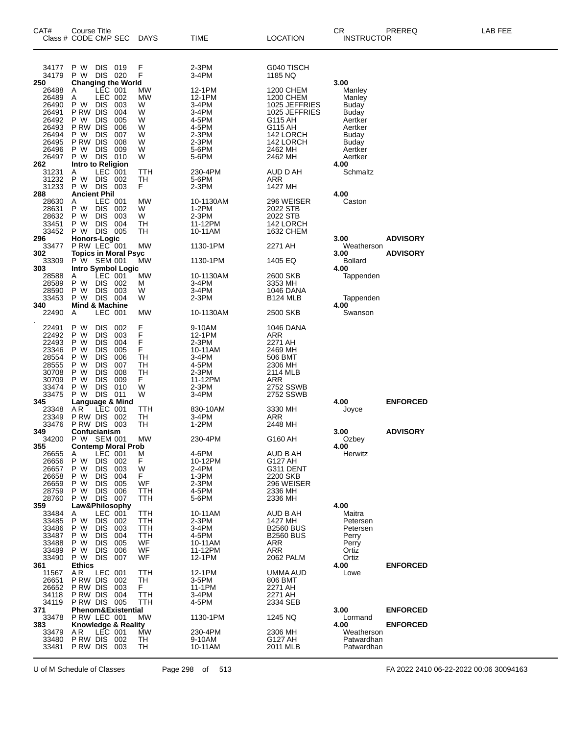| CAT#                                                                                          | Course Title<br>Class # CODE CMP SEC                                                                                                                                                                                                                                              | DAYS                                                      | <b>TIME</b>                                                                                    | LOCATION                                                                                                                              | CR<br><b>INSTRUCTOR</b>                                                                                         | PREREQ                             | LAB FEE |
|-----------------------------------------------------------------------------------------------|-----------------------------------------------------------------------------------------------------------------------------------------------------------------------------------------------------------------------------------------------------------------------------------|-----------------------------------------------------------|------------------------------------------------------------------------------------------------|---------------------------------------------------------------------------------------------------------------------------------------|-----------------------------------------------------------------------------------------------------------------|------------------------------------|---------|
| 34177<br>34179<br>250                                                                         | DIS 019<br>P W<br>DIS 020<br>P W<br><b>Changing the World</b>                                                                                                                                                                                                                     | F<br>F                                                    | 2-3PM<br>3-4PM                                                                                 | G040 TISCH<br>1185 NQ                                                                                                                 | 3.00                                                                                                            |                                    |         |
| 26488<br>26489<br>26490<br>26491<br>26492<br>26493<br>26494<br>26495<br>26496<br>26497<br>262 | LEC 001<br>A<br><b>LEC 002</b><br>Α<br><b>DIS</b><br>P W<br>003<br><b>DIS</b><br>P RW<br>004<br>P W<br><b>DIS</b><br>005<br>P RW<br><b>DIS</b><br>006<br><b>DIS</b><br>P W<br>007<br>P RW<br><b>DIS</b><br>008<br><b>DIS</b><br>P W<br>009<br>DIS 010<br>P W<br>Intro to Religion | MW<br>MW<br>W<br>W<br>W<br>W<br>W<br>W<br>W<br>W          | 12-1PM<br>12-1PM<br>$3-4PM$<br>3-4PM<br>4-5PM<br>4-5PM<br>2-3PM<br>2-3PM<br>5-6PM<br>5-6PM     | 1200 CHEM<br><b>1200 CHEM</b><br>1025 JEFFRIES<br>1025 JEFFRIES<br>G115 AH<br>G115 AH<br>142 LORCH<br>142 LORCH<br>2462 MH<br>2462 MH | Manley<br>Manley<br><b>Buday</b><br>Buday<br>Aertker<br>Aertker<br>Buday<br>Buday<br>Aertker<br>Aertker<br>4.00 |                                    |         |
| 31231<br>31232<br>31233<br>288                                                                | LEC 001<br>Α<br>P W<br>DIS 002<br>DIS 003<br>P W<br><b>Ancient Phil</b>                                                                                                                                                                                                           | TTH<br>TН<br>F.                                           | 230-4PM<br>5-6PM<br>$2-3PM$                                                                    | AUD D AH<br>ARR<br>1427 MH                                                                                                            | Schmaltz<br>4.00                                                                                                |                                    |         |
| 28630<br>28631<br>28632<br>33451<br>33452<br>296                                              | LEC 001<br>A<br>P W<br>DIS 002<br><b>DIS</b><br>P W<br>003<br><b>DIS</b><br>P W<br>-004<br>P W<br>DIS 005                                                                                                                                                                         | MW<br>W<br>W<br>TН<br>TН                                  | 10-1130AM<br>$1-2PM$<br>$2-3PM$<br>11-12PM<br>10-11AM                                          | 296 WEISER<br>2022 STB<br>2022 STB<br>142 LORCH<br>1632 CHEM                                                                          | Caston<br>3.00                                                                                                  | <b>ADVISORY</b>                    |         |
| 33477<br>302                                                                                  | <b>Honors-Logic</b><br>P RW LEC 001<br><b>Topics in Moral Psyc</b>                                                                                                                                                                                                                | MW                                                        | 1130-1PM                                                                                       | 2271 AH                                                                                                                               | Weatherson<br>3.00                                                                                              | <b>ADVISORY</b>                    |         |
| 33309<br>303                                                                                  | P W SEM 001<br><b>Intro Symbol Logic</b>                                                                                                                                                                                                                                          | MW                                                        | 1130-1PM                                                                                       | 1405 EQ                                                                                                                               | Bollard<br>4.00                                                                                                 |                                    |         |
| 28588<br>28589<br>28590<br>33453<br>340                                                       | LEC 001<br>A<br>DIS 002<br>P W<br>DIS 003<br>P W<br>DIS 004<br>P W<br><b>Mind &amp; Machine</b>                                                                                                                                                                                   | МW<br>M<br>W<br>W                                         | 10-1130AM<br>3-4PM<br>3-4PM<br>2-3PM                                                           | 2600 SKB<br>3353 MH<br>1046 DANA<br><b>B124 MLB</b>                                                                                   | Tappenden<br>Tappenden<br>4.00                                                                                  |                                    |         |
| 22490                                                                                         | Α<br>LEC 001                                                                                                                                                                                                                                                                      | MW                                                        | 10-1130AM                                                                                      | 2500 SKB                                                                                                                              | Swanson                                                                                                         |                                    |         |
| 22491<br>22492<br>22493<br>23346<br>28554<br>28555<br>30708<br>30709<br>33474<br>33475        | <b>DIS</b><br>P W<br>002<br>P W<br><b>DIS</b><br>003<br>P W<br><b>DIS</b><br>004<br><b>DIS</b><br>P W<br>005<br>P W<br><b>DIS</b><br>006<br><b>DIS</b><br>007<br>P W<br><b>DIS</b><br>008<br>P W<br>P W<br><b>DIS</b><br>009<br><b>DIS</b><br>010<br>P W<br><b>DIS 011</b><br>P W | F<br>F<br>F<br>F<br><b>TH</b><br>TН<br>TH<br>F.<br>W<br>W | 9-10AM<br>12-1PM<br>2-3PM<br>10-11AM<br>3-4PM<br>4-5PM<br>$2-3PM$<br>11-12PM<br>2-3PM<br>3-4PM | <b>1046 DANA</b><br>ARR<br>2271 AH<br>2469 MH<br>506 BMT<br>2306 MH<br>2114 MLB<br>ARR<br>2752 SSWB<br>2752 SSWB                      |                                                                                                                 |                                    |         |
| 345<br>23348<br>23349<br>33476                                                                | Language & Mind<br>AR LEC 001<br>AR<br><b>P RW DIS 002</b><br><b>P RW DIS 003</b>                                                                                                                                                                                                 | TTH<br>TН<br>TН                                           | 830-10AM<br>3-4PM<br>1-2PM                                                                     | 3330 MH<br>ARR<br>2448 MH                                                                                                             | 4.00<br>Joyce                                                                                                   | <b>ENFORCED</b>                    |         |
| 349<br>34200                                                                                  | Confucianism<br>P W SEM 001                                                                                                                                                                                                                                                       | MW                                                        | 230-4PM                                                                                        | G160 AH                                                                                                                               | 3.00<br>Ozbey                                                                                                   | <b>ADVISORY</b>                    |         |
| 355<br>26655<br>26656<br>26657<br>26658<br>26659<br>28759<br>28760                            | <b>Contemp Moral Prob</b><br>LEC 001<br>Α<br>P W<br><b>DIS</b><br>002<br>P W<br><b>DIS</b><br>003<br><b>DIS</b><br>004<br>P W<br>P W<br><b>DIS</b><br>005<br>P W<br><b>DIS</b><br>006<br><b>DIS</b><br>007<br>P W                                                                 | M<br>F<br>W<br>F.<br>WF<br>TTH<br>TTH                     | 4-6PM<br>10-12PM<br>2-4PM<br>1-3PM<br>$2-3PM$<br>4-5PM<br>5-6PM                                | AUD B AH<br>G127 AH<br>G311 DENT<br>2200 SKB<br>296 WEISER<br>2336 MH<br>2336 MH                                                      | 4.00<br>Herwitz                                                                                                 |                                    |         |
| 359<br>33484<br>33485<br>33486<br>33487<br>33488<br>33489<br>33490                            | Law&Philosophy<br>LEC 001<br>A<br>P W<br><b>DIS</b><br>002<br><b>DIS</b><br>P W<br>003<br>P W<br><b>DIS</b><br>004<br>005<br>P W<br><b>DIS</b><br>P W<br><b>DIS</b><br>006<br>P W<br>DIS.<br>007                                                                                  | TTH<br>TTH<br>TTH<br>TTH<br>WF<br>WF<br>WF                | 10-11AM<br>2-3PM<br>3-4PM<br>4-5PM<br>10-11AM<br>11-12PM<br>12-1PM                             | AUD B AH<br>1427 MH<br><b>B2560 BUS</b><br><b>B2560 BUS</b><br>ARR<br><b>ARR</b><br>2062 PALM                                         | 4.00<br>Maitra<br>Petersen<br>Petersen<br>Perry<br>Perry<br>Ortiz<br>Ortiz                                      |                                    |         |
| 361<br>11567<br>26651<br>26652<br>34118<br>34119                                              | <b>Ethics</b><br>LEC 001<br>A R<br>P RW DIS<br>002<br>P RW DIS<br>003<br>P RW DIS<br>004<br><b>P RW DIS 005</b>                                                                                                                                                                   | TTH<br>TH<br>F.<br>TTH<br>TTH                             | 12-1PM<br>3-5PM<br>11-1PM<br>3-4PM<br>4-5PM                                                    | UMMA AUD<br>806 BMT<br>2271 AH<br>2271 AH<br>2334 SEB                                                                                 | 4.00<br>Lowe                                                                                                    | <b>ENFORCED</b>                    |         |
| 371<br>33478<br>383                                                                           | Phenom&Existential<br>P RW LEC 001<br><b>Knowledge &amp; Reality</b>                                                                                                                                                                                                              | MW                                                        | 1130-1PM                                                                                       | 1245 NQ                                                                                                                               | 3.00<br>Lormand<br>4.00                                                                                         | <b>ENFORCED</b><br><b>ENFORCED</b> |         |
| 33479<br>33480<br>33481                                                                       | LEC 001<br>A R<br>PRW DIS 002<br><b>P RW DIS 003</b>                                                                                                                                                                                                                              | <b>MW</b><br>TН<br>TH                                     | 230-4PM<br>9-10AM<br>10-11AM                                                                   | 2306 MH<br>G127 AH<br>2011 MLB                                                                                                        | Weatherson<br>Patwardhan<br>Patwardhan                                                                          |                                    |         |

U of M Schedule of Classes Page 298 of 513 FA 2022 2410 06-22-2022 00:06 30094163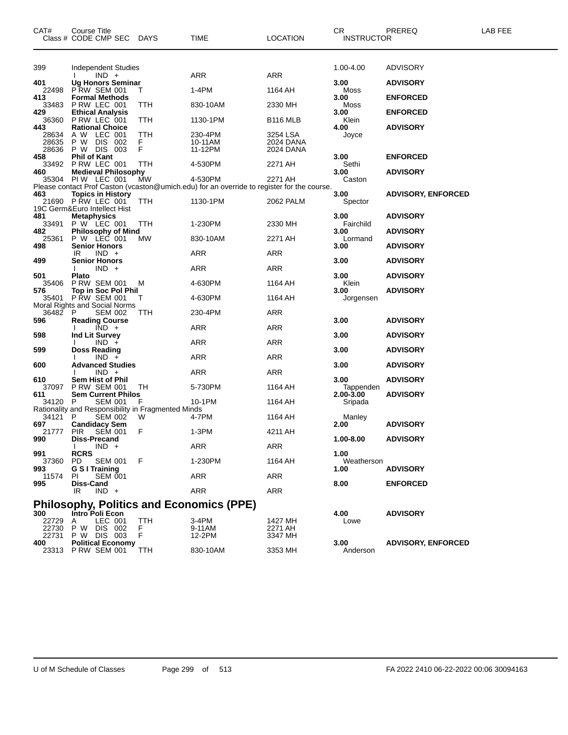| CAT#                    | Course Title<br>Class # CODE CMP SEC DAYS                                   |               | TIME                                                                                                  | <b>LOCATION</b>                    | <b>CR</b><br><b>INSTRUCTOR</b> | PREREQ                             | LAB FEE |
|-------------------------|-----------------------------------------------------------------------------|---------------|-------------------------------------------------------------------------------------------------------|------------------------------------|--------------------------------|------------------------------------|---------|
| 399                     | <b>Independent Studies</b><br>$IND +$                                       |               | ARR                                                                                                   | ARR                                | 1.00-4.00                      | <b>ADVISORY</b>                    |         |
| 401<br>22498            | <b>Ug Honors Seminar</b><br><b>P RW SEM 001</b>                             | Τ             | 1-4PM                                                                                                 | 1164 AH                            | 3.00<br>Moss                   | <b>ADVISORY</b>                    |         |
| 413<br>33483            | <b>Formal Methods</b><br>P RW LEC 001                                       | TTH           | 830-10AM                                                                                              | 2330 MH                            | 3.00<br>Moss                   | <b>ENFORCED</b>                    |         |
| 429<br>36360<br>443     | <b>Ethical Analysis</b><br>PRW LEC 001<br><b>Rational Choice</b>            | TTH           | 1130-1PM                                                                                              | B <sub>116</sub> MLB               | 3.00<br>Klein<br>4.00          | <b>ENFORCED</b><br><b>ADVISORY</b> |         |
| 28634<br>28635<br>28636 | A W LEC 001<br>P W<br>DIS 002<br>P W DIS 003                                | TTH<br>F<br>F | 230-4PM<br>10-11AM<br>11-12PM                                                                         | 3254 LSA<br>2024 DANA<br>2024 DANA | Joyce                          |                                    |         |
| 458<br>33492            | <b>Phil of Kant</b><br>P RW LEC 001                                         | TTH           | 4-530PM                                                                                               | 2271 AH                            | 3.00<br>Sethi                  | <b>ENFORCED</b>                    |         |
| 460<br>35304            | <b>Medieval Philosophy</b><br><b>PIW LEC 001</b>                            | MW            | 4-530PM<br>Please contact Prof Caston (vcaston@umich.edu) for an override to register for the course. | 2271 AH                            | 3.00<br>Caston                 | <b>ADVISORY</b>                    |         |
| 463                     | <b>Topics in History</b><br>21690 PRW LEC 001                               | <b>TTH</b>    | 1130-1PM                                                                                              | 2062 PALM                          | 3.00<br>Spector                | <b>ADVISORY, ENFORCED</b>          |         |
| 481<br>33491            | 19C Germ&Euro Intellect Hist<br><b>Metaphysics</b><br>P W LEC 001           | TTH           | 1-230PM                                                                                               | 2330 MH                            | 3.00<br>Fairchild              | <b>ADVISORY</b>                    |         |
| 482<br>25361            | <b>Philosophy of Mind</b><br>P W LEC 001                                    | <b>MW</b>     | 830-10AM                                                                                              | 2271 AH                            | 3.00<br>Lormand                | <b>ADVISORY</b>                    |         |
| 498<br>499              | <b>Senior Honors</b><br>$IND +$<br>IR<br><b>Senior Honors</b>               |               | ARR                                                                                                   | ARR                                | 3.00<br>3.00                   | <b>ADVISORY</b><br><b>ADVISORY</b> |         |
| 501                     | $IND +$<br>Plato                                                            |               | <b>ARR</b>                                                                                            | <b>ARR</b>                         | 3.00                           | <b>ADVISORY</b>                    |         |
| 35406<br>576            | <b>P RW SEM 001</b><br>Top in Soc Pol Phil                                  | м             | 4-630PM                                                                                               | 1164 AH                            | Klein<br>3.00                  | <b>ADVISORY</b>                    |         |
| 35401<br>36482          | <b>P RW SEM 001</b><br>Moral Rights and Social Norms<br>P<br><b>SEM 002</b> | Τ<br>TTH      | 4-630PM<br>230-4PM                                                                                    | 1164 AH<br><b>ARR</b>              | Jorgensen                      |                                    |         |
| 596                     | <b>Reading Course</b><br>$\overline{IND}$ +                                 |               | ARR                                                                                                   | ARR                                | 3.00                           | <b>ADVISORY</b>                    |         |
| 598                     | Ind Lit Survey<br>$IND +$                                                   |               | ARR                                                                                                   | ARR                                | 3.00                           | <b>ADVISORY</b>                    |         |
| 599<br>600              | <b>Doss Reading</b><br>$IND +$<br><b>Advanced Studies</b>                   |               | <b>ARR</b>                                                                                            | ARR                                | 3.00<br>3.00                   | <b>ADVISORY</b><br><b>ADVISORY</b> |         |
| 610                     | $IND +$<br><b>Sem Hist of Phil</b>                                          |               | ARR                                                                                                   | ARR                                | 3.00                           | <b>ADVISORY</b>                    |         |
| 37097<br>611<br>34120 P | <b>P RW SEM 001</b><br><b>Sem Current Philos</b><br><b>SEM 001</b>          | TН<br>F       | 5-730PM<br>10-1PM                                                                                     | 1164 AH<br>1164 AH                 | Tappenden<br>2.00-3.00         | <b>ADVISORY</b>                    |         |
| 34121                   | Rationality and Responsibility in Fragmented Minds<br>P<br><b>SEM 002</b>   | W             | 4-7PM                                                                                                 | 1164 AH                            | Sripada<br>Manley              |                                    |         |
| 697<br>21777<br>990     | <b>Candidacy Sem</b><br><b>SEM 001</b><br><b>PIR</b><br><b>Diss-Precand</b> | F             | $1-3PM$                                                                                               | 4211 AH                            | 2.00<br>1.00-8.00              | <b>ADVISORY</b><br><b>ADVISORY</b> |         |
| 991                     | $IND +$<br>$\mathbf{L}$<br><b>RCRS</b>                                      |               | <b>ARR</b>                                                                                            | <b>ARR</b>                         | 1.00                           |                                    |         |
| 37360<br>993            | SEM 001<br><b>PD</b><br>G S I Training                                      | F             | 1-230PM                                                                                               | 1164 AH                            | Weatherson<br>1.00             | <b>ADVISORY</b>                    |         |
| 11574<br>995            | <b>SEM 001</b><br>ΡI<br>Diss-Cand                                           |               | <b>ARR</b>                                                                                            | ARR                                | 8.00                           | <b>ENFORCED</b>                    |         |
|                         | $IND +$<br>IR                                                               |               | ARR<br><b>Philosophy, Politics and Economics (PPE)</b>                                                | <b>ARR</b>                         |                                |                                    |         |
| 300<br>22729<br>22730   | Intro Poli Econ<br>LEC 001<br>A<br>P W DIS 002                              | TTH<br>F      | 3-4PM<br>9-11AM                                                                                       | 1427 MH<br>2271 AH                 | 4.00<br>Lowe                   | <b>ADVISORY</b>                    |         |
| 22731<br>400<br>23313   | P W DIS 003<br><b>Political Economy</b><br><b>P RW SEM 001</b>              | F<br>TTH      | 12-2PM<br>830-10AM                                                                                    | 3347 MH<br>3353 MH                 | 3.00<br>Anderson               | <b>ADVISORY, ENFORCED</b>          |         |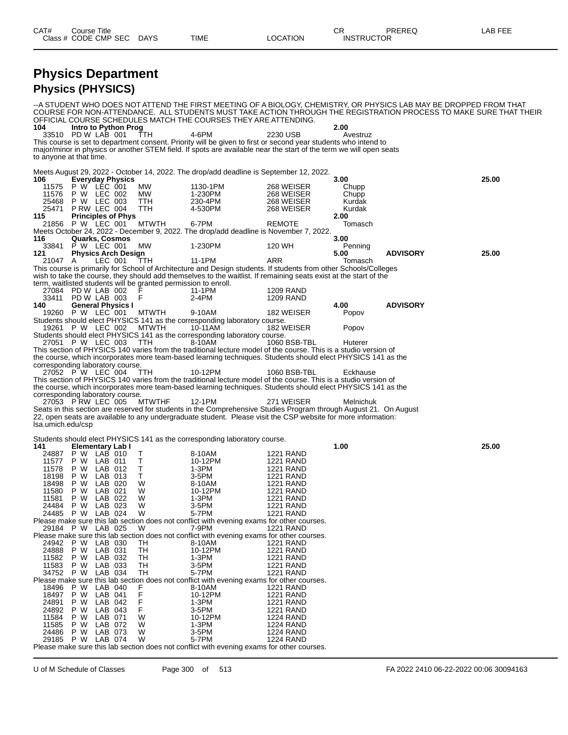# **Physics Department**

### **Physics (PHYSICS)**

--A STUDENT WHO DOES NOT ATTEND THE FIRST MEETING OF A BIOLOGY, CHEMISTRY, OR PHYSICS LAB MAY BE DROPPED FROM THAT COURSE FOR NON-ATTENDANCE. ALL STUDENTS MUST TAKE ACTION THROUGH THE REGISTRATION PROCESS TO MAKE SURE THAT THEIR OFFICIAL COURSE SCHEDULES MATCH THE COURSES THEY ARE ATTENDING.<br>104 htro to Python Prog **104 Intro to Python Prog 2.00** 33510 PD W LAB 001 TTH 4-6PM 2230 USB Avestruz This course is set to department consent. Priority will be given to first or second year students who intend to major/minor in physics or another STEM field. If spots are available near the start of the term we will open seats to anyone at that time. Meets August 29, 2022 - October 14, 2022. The drop/add deadline is September 12, 2022.<br>106 **Everyday Physics 106 Everyday Physics 3.00 25.00** 11575 P W LEC 001 MW 1130-1PM 268 WEISER Chupp 11576 P W LEC 002 MW 1-230PM 268 WEISER Chupp 25468 P W LEC 003 TTH 230-4PM 268 WEISER Kurdak  $P$  RW LEC 004 **115 Principles of Phys 2.00** 21856 P W LEC 001 MTWTH 6-7PM REMOTE Tomasch Meets October 24, 2022 - December 9, 2022. The drop/add deadline is November 7, 2022. **116 Quarks, Cosmos 3.00** 33841 P W LEC 001 MW 1-230PM 120 WH Penning **121 Physics Arch Design 5.00 ADVISORY 25.00** 21047 A LEC 001 TTH 11-1PM ARR Tomasch This course is primarily for School of Architecture and Design students. If students from other Schools/Colleges wish to take the course, they should add themselves to the waitlist. If remaining seats exist at the start of the term, waitlisted students will be granted permission to enroll. 27084 PD W LAB 002 F 11-1PM 1209 RAND<br>33411 PD W LAB 003 F 2-4PM 1209 RAND 33411 PD W LAB 003 F 2-4PM 1209 RAND **140 General Physics I 4.00 ADVISORY** 19260 P W LEC 001 MTWTH 9-10AM 182 WEISER Popov Students should elect PHYSICS 141 as the corresponding laboratory course. 19261 P W LEC 002 MTWTH 10-11AM 182 WEISER Popov Students should elect PHYSICS 141 as the corresponding laboratory course. 27051 P W LEC 003 TTH 8-10AM 1060 BSB-TBL Huterer This section of PHYSICS 140 varies from the traditional lecture model of the course. This is a studio version of the course, which incorporates more team-based learning techniques. Students should elect PHYSICS 141 as the corresponding laboratory course. 27052 P W LEC 004 TTH 10-12PM 1060 BSB-TBL Eckhause This section of PHYSICS 140 varies from the traditional lecture model of the course. This is a studio version of the course, which incorporates more team-based learning techniques. Students should elect PHYSICS 141 as the corresponding laboratory course.<br>27053 P RW LEC 005 MTWTHF 27053 P RW LEC 005 MTWTHF 12-1PM 271 WEISER Melnichuk Seats in this section are reserved for students in the Comprehensive Studies Program through August 21. On August 22, open seats are available to any undergraduate student. Please visit the CSP website for more information: lsa.umich.edu/csp Students should elect PHYSICS 141 as the corresponding laboratory course.<br>141 **Elementary Lab I 141 Elementary Lab I 1.00 25.00** 24887 P W LAB 010 T 8-10AM 1221 RAND 11577 P W LAB 011 T 10-12PM 1221 RAND 11578 P W LAB 012 T 1-3PM 1221 RAND 18198 P W LAB 013 T 3-5PM 1221 RAND 18498 P W LAB 020 W 8-10AM 1221 RAND 11580 P W LAB 021 W 10-12PM 1221 RAND 11581 P W LAB 022 W 1-3PM 1221 RAND 24484 P W LAB 023 W 3-5PM 1221 RAND 24485 P W LAB 024 W 5-7PM 1221 RAND Please make sure this lab section does not conflict with evening exams for other courses.<br>29184 P W LAB 025 W 7-9PM 1221 RAND 29184 P W LAB 025 W 7-9PM 1221 RAND Please make sure this lab section does not conflict with evening exams for other courses. 24942 P W LAB 030 TH 8-10AM 1221 RAND 24888 P W LAB 031 TH 10-12PM 1221 RAND 11582 P W LAB 032 TH 1-3PM 1221 RAND 11583 P W LAB 033 TH 3-5PM 1221 RAND 34752 P W LAB 034 TH 5-7PM 1221 RAND Please make sure this lab section does not conflict with evening exams for other courses. 18496 P W LAB 040 F 8-10AM 1221 RAND 18497 P W LAB 041 F 10-12PM 1221 RAND 24891 P W LAB 042 F 1-3PM 1221 RAND 24892 P W LAB 043 F 3-5PM 1221 RAND 11584 P W LAB 071 W 10-12PM 1224 RAND 11585 P W LAB 072 W 1-3PM 1224 RAND 24486 P W LAB 073 W 3-5PM 1224 RAND 29185 P W LAB 074 W 5-7PM 1224 RAND Please make sure this lab section does not conflict with evening exams for other courses.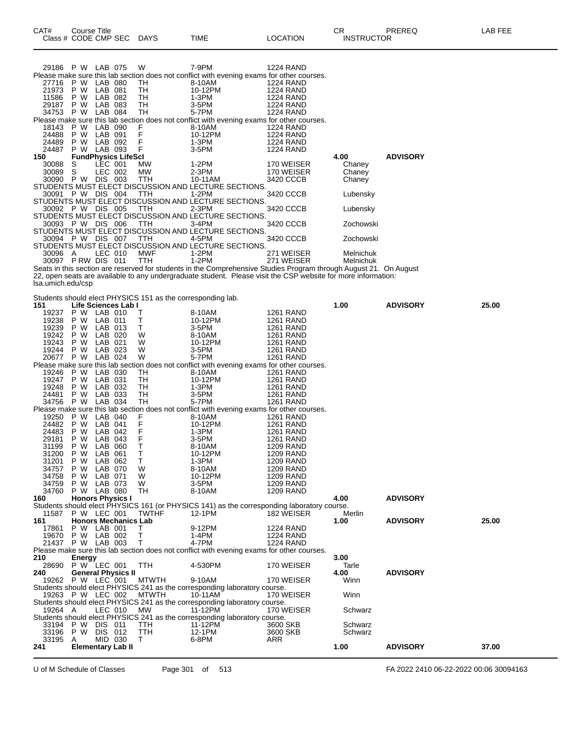| 29186     | P W                        | LAB 075        | W          | 7-9PM                                                                                     | <b>1224 RAND</b> |           |                 |
|-----------|----------------------------|----------------|------------|-------------------------------------------------------------------------------------------|------------------|-----------|-----------------|
|           |                            |                |            | Please make sure this lab section does not conflict with evening exams for other courses. |                  |           |                 |
| 27716     | P W                        | LAB 080        | TH.        | 8-10AM                                                                                    | 1224 RAND        |           |                 |
| 21973     | P W                        | LAB 081        | TH         | 10-12PM                                                                                   | <b>1224 RAND</b> |           |                 |
| 11586     | P W                        | LAB 082        | TH         | 1-3PM                                                                                     | <b>1224 RAND</b> |           |                 |
| 29187     | P W                        | LAB 083        | TH.        | 3-5PM                                                                                     | <b>1224 RAND</b> |           |                 |
| 34753 P W |                            | LAB 084        | TH.        | 5-7PM                                                                                     | <b>1224 RAND</b> |           |                 |
|           |                            |                |            | Please make sure this lab section does not conflict with evening exams for other courses. |                  |           |                 |
| 18143     | P W                        | LAB 090        | F          | 8-10AM                                                                                    | <b>1224 RAND</b> |           |                 |
| 24488     | P W                        | LAB 091        | F          | 10-12PM                                                                                   | <b>1224 RAND</b> |           |                 |
| 24489     | P W                        | LAB 092        | F          | 1-3PM                                                                                     | <b>1224 RAND</b> |           |                 |
| 24487     | P W                        | LAB 093        | $-F$       | 3-5PM                                                                                     | <b>1224 RAND</b> |           |                 |
| 150       | <b>FundPhysics LifeScl</b> |                |            |                                                                                           |                  | 4.00      | <b>ADVISORY</b> |
| 30088 S   |                            | LEC 001        | MW.        | 1-2PM                                                                                     | 170 WEISER       | Chaney    |                 |
| 30089 S   |                            | LEC 002        | MW.        | 2-3PM                                                                                     | 170 WEISER       | Chaney    |                 |
| 30090     | P W                        | <b>DIS 003</b> | TTH.       | 10-11AM                                                                                   | 3420 CCCB        | Chaney    |                 |
|           |                            |                |            | STUDENTS MUST ELECT DISCUSSION AND LECTURE SECTIONS.                                      |                  |           |                 |
|           | 30091 P W DIS 004          |                | <b>TTH</b> | 1-2PM                                                                                     | 3420 CCCB        | Lubensky  |                 |
|           |                            |                |            | STUDENTS MUST ELECT DISCUSSION AND LECTURE SECTIONS.                                      |                  |           |                 |
|           | 30092 P W DIS 005 TTH      |                |            | 2-3PM                                                                                     | 3420 CCCB        | Lubensky  |                 |
|           |                            |                |            | STUDENTS MUST ELECT DISCUSSION AND LECTURE SECTIONS.                                      |                  |           |                 |
|           | 30093 P W DIS 006          |                | TTH        | 3-4PM                                                                                     | 3420 CCCB        | Zochowski |                 |
|           |                            |                |            | STUDENTS MUST ELECT DISCUSSION AND LECTURE SECTIONS.                                      |                  |           |                 |
|           | 30094 P W DIS 007          |                | TTH        | 4-5PM                                                                                     | 3420 CCCB        | Zochowski |                 |
|           |                            |                |            | STUDENTS MUST ELECT DISCUSSION AND LECTURE SECTIONS.                                      |                  |           |                 |
| 30096     | A                          | LEC 010        | MWF        | 1-2PM                                                                                     | 271 WEISER       | Melnichuk |                 |
| 30097     | PRW DIS 011                |                | TTH        | 1-2PM                                                                                     | 271 WEISER       | Melnichuk |                 |

Seats in this section are reserved for students in the Comprehensive Studies Program through August 21. On August 22, open seats are available to any undergraduate student. Please visit the CSP website for more information: lsa.umich.edu/csp

Students should elect PHYSICS 151 as the corresponding lab.

| 151               |                          |         | Life Sciences Lab I         |              |                                                                                            |                  | 1.00    | <b>ADVISORY</b> | 25.00 |
|-------------------|--------------------------|---------|-----------------------------|--------------|--------------------------------------------------------------------------------------------|------------------|---------|-----------------|-------|
| 19237             | P W LAB 010              |         |                             | т            | 8-10AM                                                                                     | <b>1261 RAND</b> |         |                 |       |
| 19238             | P W                      | LAB 011 |                             | т            | 10-12PM                                                                                    | <b>1261 RAND</b> |         |                 |       |
| 19239             | P W                      | LAB 013 |                             | Т            | 3-5PM                                                                                      | <b>1261 RAND</b> |         |                 |       |
| 19242             | P W                      | LAB 020 |                             | W            | 8-10AM                                                                                     | <b>1261 RAND</b> |         |                 |       |
| 19243             | P W                      | LAB 021 |                             | W            | 10-12PM                                                                                    | <b>1261 RAND</b> |         |                 |       |
| 19244             | P W                      | LAB 023 |                             | W            | 3-5PM                                                                                      | <b>1261 RAND</b> |         |                 |       |
| 20677             | P W                      | LAB 024 |                             | W            | 5-7PM                                                                                      | <b>1261 RAND</b> |         |                 |       |
|                   |                          |         |                             |              | Please make sure this lab section does not conflict with evening exams for other courses.  |                  |         |                 |       |
| 19246             | P W LAB 030              |         |                             | TH           | 8-10AM                                                                                     | <b>1261 RAND</b> |         |                 |       |
| 19247             | P W                      | LAB 031 |                             | TH           | 10-12PM                                                                                    | <b>1261 RAND</b> |         |                 |       |
| 19248             | P W                      | LAB 032 |                             | TН           | $1-3PM$                                                                                    | <b>1261 RAND</b> |         |                 |       |
| 24481             | P W                      | LAB 033 |                             | TH           | 3-5PM                                                                                      | <b>1261 RAND</b> |         |                 |       |
| 34756             | P W LAB 034              |         |                             | <b>TH</b>    | 5-7PM                                                                                      | <b>1261 RAND</b> |         |                 |       |
|                   |                          |         |                             |              | Please make sure this lab section does not conflict with evening exams for other courses.  |                  |         |                 |       |
| 19250             | P W LAB 040              |         |                             | F            | 8-10AM                                                                                     | <b>1261 RAND</b> |         |                 |       |
| 24482             | P W                      | LAB 041 |                             | F            | 10-12PM                                                                                    | <b>1261 RAND</b> |         |                 |       |
| 24483             | P W                      | LAB 042 |                             | F            | $1-3PM$                                                                                    | <b>1261 RAND</b> |         |                 |       |
| 29181             | P W                      | LAB 043 |                             | F            | 3-5PM                                                                                      | <b>1261 RAND</b> |         |                 |       |
| 31199             | P W                      | LAB 060 |                             | T            | 8-10AM                                                                                     | <b>1209 RAND</b> |         |                 |       |
| 31200             | P W                      | LAB 061 |                             | T            | 10-12PM                                                                                    | <b>1209 RAND</b> |         |                 |       |
| 31201             | P W                      | LAB 062 |                             | T.           | $1-3PM$                                                                                    | <b>1209 RAND</b> |         |                 |       |
| 34757             | P W                      | LAB 070 |                             | W            | 8-10AM                                                                                     | <b>1209 RAND</b> |         |                 |       |
| 34758             | P W                      | LAB 071 |                             | W            | 10-12PM                                                                                    | 1209 RAND        |         |                 |       |
| 34759             | P W                      | LAB 073 |                             | W            | 3-5PM                                                                                      | <b>1209 RAND</b> |         |                 |       |
| 34760             | P W LAB 080              |         |                             | TH           | 8-10AM                                                                                     | <b>1209 RAND</b> |         |                 |       |
| 160               | <b>Honors Physics I</b>  |         |                             |              |                                                                                            |                  | 4.00    | <b>ADVISORY</b> |       |
|                   |                          |         |                             |              | Students should elect PHYSICS 161 (or PHYSICS 141) as the corresponding laboratory course. |                  |         |                 |       |
| 11587             | P W LEC 001              |         |                             | <b>TWTHF</b> | 12-1PM                                                                                     | 182 WEISER       | Merlin  |                 |       |
| 161               |                          |         | <b>Honors Mechanics Lab</b> |              |                                                                                            |                  | 1.00    | <b>ADVISORY</b> | 25.00 |
| 17861             | P W LAB 001              |         |                             | $\top$       | 9-12PM                                                                                     | <b>1224 RAND</b> |         |                 |       |
| 19670             | P W LAB 002              |         |                             | $\mathsf{T}$ | 1-4PM                                                                                      | <b>1224 RAND</b> |         |                 |       |
| 21437 P W LAB 003 |                          |         |                             | $\mathsf{T}$ | 4-7PM                                                                                      | <b>1224 RAND</b> |         |                 |       |
|                   |                          |         |                             |              | Please make sure this lab section does not conflict with evening exams for other courses.  |                  |         |                 |       |
| 210               |                          |         |                             |              |                                                                                            |                  | 3.00    |                 |       |
| 28690             | <b>Energy</b>            |         |                             | <b>TTH</b>   |                                                                                            |                  | Tarle   |                 |       |
| 240               | P W LEC 001              |         |                             |              | 4-530PM                                                                                    | 170 WEISER       | 4.00    | <b>ADVISORY</b> |       |
|                   |                          |         | <b>General Physics II</b>   |              |                                                                                            |                  |         |                 |       |
| 19262 P W LEC 001 |                          |         |                             | <b>MTWTH</b> | 9-10AM                                                                                     | 170 WEISER       | Winn    |                 |       |
|                   |                          |         |                             |              | Students should elect PHYSICS 241 as the corresponding laboratory course.                  |                  |         |                 |       |
| 19263 P W LEC 002 |                          |         |                             | <b>MTWTH</b> | 10-11AM                                                                                    | 170 WEISER       | Winn    |                 |       |
|                   |                          |         |                             |              | Students should elect PHYSICS 241 as the corresponding laboratory course.                  |                  |         |                 |       |
| 19264 A           |                          | LEC 010 |                             | MW           | 11-12PM                                                                                    | 170 WEISER       | Schwarz |                 |       |
|                   |                          |         |                             |              | Students should elect PHYSICS 241 as the corresponding laboratory course.                  |                  |         |                 |       |
| 33194             | P W DIS 011              |         |                             | <b>TTH</b>   | 11-12PM                                                                                    | 3600 SKB         | Schwarz |                 |       |
| 33196             | P W DIS 012              |         |                             | <b>TTH</b>   | 12-1PM                                                                                     | 3600 SKB         | Schwarz |                 |       |
| 33195             | Α                        | MID 030 |                             | T.           | 6-8PM                                                                                      | <b>ARR</b>       |         |                 |       |
| 241               | <b>Elementary Lab II</b> |         |                             |              |                                                                                            |                  | 1.00    | <b>ADVISORY</b> | 37.00 |

U of M Schedule of Classes Page 301 of 513 FA 2022 2410 06-22-2022 00:06 30094163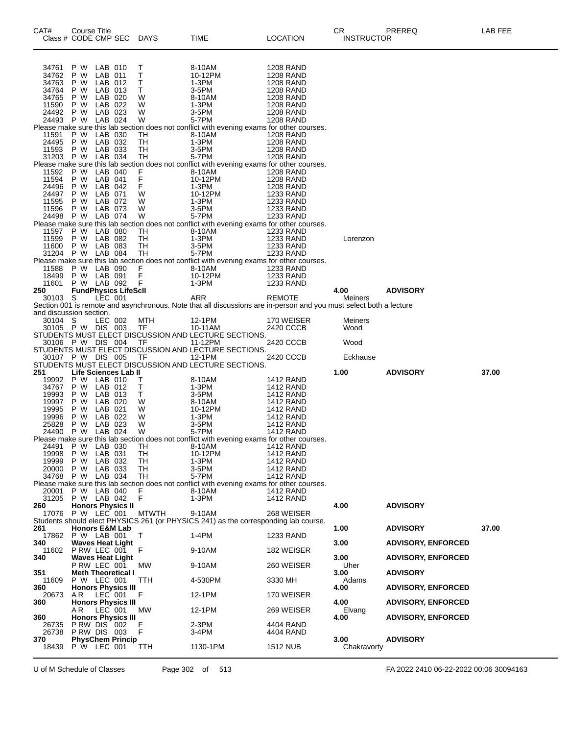| CAT#                    | Course Title<br>Class # CODE CMP SEC |                    |                             | <b>DAYS</b>                  | TIME                                                                                                               | <b>LOCATION</b>                      | CR.<br><b>INSTRUCTOR</b> | PREREQ                    | LAB FEE |
|-------------------------|--------------------------------------|--------------------|-----------------------------|------------------------------|--------------------------------------------------------------------------------------------------------------------|--------------------------------------|--------------------------|---------------------------|---------|
| 34761 P W               |                                      | LAB 010            |                             | Τ                            | 8-10AM                                                                                                             | <b>1208 RAND</b>                     |                          |                           |         |
| 34762                   | P W                                  | LAB 011            |                             | Τ                            | 10-12PM                                                                                                            | <b>1208 RAND</b>                     |                          |                           |         |
| 34763<br>34764          | P W<br>P W                           | LAB 012<br>LAB 013 |                             | Τ<br>T.                      | 1-3PM<br>3-5PM                                                                                                     | <b>1208 RAND</b><br><b>1208 RAND</b> |                          |                           |         |
| 34765                   | P W                                  | LAB 020            |                             | W                            | 8-10AM                                                                                                             | 1208 RAND                            |                          |                           |         |
| 11590                   | P W                                  | LAB 022            |                             | W                            | 1-3PM                                                                                                              | <b>1208 RAND</b>                     |                          |                           |         |
| 24492<br>24493 P W      | P W                                  | LAB 023<br>LAB 024 |                             | W<br>W                       | 3-5PM<br>5-7PM                                                                                                     | <b>1208 RAND</b><br><b>1208 RAND</b> |                          |                           |         |
|                         |                                      |                    |                             |                              | Please make sure this lab section does not conflict with evening exams for other courses.                          |                                      |                          |                           |         |
| 11591<br>24495          | P W<br>P W                           | LAB 030<br>LAB 032 |                             | TH<br>TH                     | 8-10AM<br>1-3PM                                                                                                    | <b>1208 RAND</b>                     |                          |                           |         |
| 11593                   | P W                                  | LAB 033            |                             | <b>TH</b>                    | 3-5PM                                                                                                              | 1208 RAND<br><b>1208 RAND</b>        |                          |                           |         |
|                         | 31203 P W LAB 034                    |                    |                             | TH                           | 5-7PM                                                                                                              | <b>1208 RAND</b>                     |                          |                           |         |
| 11592                   | P W                                  | LAB 040            |                             | F                            | Please make sure this lab section does not conflict with evening exams for other courses.<br>8-10AM                | <b>1208 RAND</b>                     |                          |                           |         |
| 11594                   | P W                                  | LAB 041            |                             | F                            | 10-12PM                                                                                                            | <b>1208 RAND</b>                     |                          |                           |         |
| 24496                   | P W                                  | LAB 042            |                             | F.                           | 1-3PM                                                                                                              | 1208 RAND                            |                          |                           |         |
| 24497<br>11595          | P W<br>P W                           | LAB 071<br>LAB 072 |                             | W<br>W                       | 10-12PM<br>$1-3PM$                                                                                                 | 1233 RAND<br>1233 RAND               |                          |                           |         |
| 11596                   | P W                                  | LAB 073            |                             | W                            | 3-5PM                                                                                                              | 1233 RAND                            |                          |                           |         |
| 24498                   | P W                                  | LAB 074            |                             | W                            | 5-7PM                                                                                                              | <b>1233 RAND</b>                     |                          |                           |         |
| 11597                   | P W                                  | LAB 080            |                             | TH                           | Please make sure this lab section does not conflict with evening exams for other courses.<br>8-10AM                | 1233 RAND                            |                          |                           |         |
| 11599                   | P W                                  | LAB 082            |                             | TH                           | 1-3PM                                                                                                              | 1233 RAND                            | Lorenzon                 |                           |         |
| 11600                   | P W LAB 083<br>31204 P W LAB 084     |                    |                             | TH                           | 3-5PM<br>5-7PM                                                                                                     | 1233 RAND                            |                          |                           |         |
|                         |                                      |                    |                             | TH                           | Please make sure this lab section does not conflict with evening exams for other courses.                          | 1233 RAND                            |                          |                           |         |
| 11588                   | P W LAB 090                          |                    |                             | $\mathop{\mathsf{F}}\limits$ | 8-10AM                                                                                                             | <b>1233 RAND</b>                     |                          |                           |         |
| 18499<br>11601          | P W LAB 091<br>P W LAB 092           |                    |                             | F                            | 10-12PM<br>$1-3PM$                                                                                                 | 1233 RAND<br><b>1233 RAND</b>        |                          |                           |         |
| 250                     |                                      |                    | <b>FundPhysics LifeScll</b> |                              |                                                                                                                    |                                      | 4.00                     | <b>ADVISORY</b>           |         |
| 30103 S                 |                                      | LEC 001            |                             |                              | ARR                                                                                                                | REMOTE                               | Meiners                  |                           |         |
| and discussion section. |                                      |                    |                             |                              | Section 001 is remote and asynchronous. Note that all discussions are in-person and you must select both a lecture |                                      |                          |                           |         |
| 30104 S                 |                                      | LEC 002            |                             | MTH                          | 12-1PM                                                                                                             | 170 WEISER                           | Meiners                  |                           |         |
|                         | 30105 P W DIS 003                    |                    |                             | TF                           | 10-11AM<br>STUDENTS MUST ELECT DISCUSSION AND LECTURE SECTIONS.                                                    | 2420 CCCB                            | Wood                     |                           |         |
|                         | 30106 P W DIS 004                    |                    |                             | TF                           | 11-12PM                                                                                                            | 2420 CCCB                            | Wood                     |                           |         |
|                         |                                      |                    |                             |                              | STUDENTS MUST ELECT DISCUSSION AND LECTURE SECTIONS.                                                               |                                      |                          |                           |         |
|                         | 30107 P W DIS 005 TF                 |                    |                             |                              | 12-1PM<br>STUDENTS MUST ELECT DISCUSSION AND LECTURE SECTIONS.                                                     | 2420 CCCB                            | Eckhause                 |                           |         |
| 251                     |                                      |                    | Life Sciences Lab II        |                              |                                                                                                                    |                                      | 1.00                     | <b>ADVISORY</b>           | 37.00   |
|                         | 19992 P W LAB 010                    |                    |                             | Τ                            | 8-10AM                                                                                                             | 1412 RAND                            |                          |                           |         |
| 34767<br>19993          | P W<br>P W                           | LAB 012<br>LAB 013 |                             | Τ<br>T.                      | 1-3PM<br>3-5PM                                                                                                     | 1412 RAND<br><b>1412 RAND</b>        |                          |                           |         |
| 19997                   | P W                                  | LAB 020            |                             | W                            | 8-10AM                                                                                                             | <b>1412 RAND</b>                     |                          |                           |         |
| 19995                   | P W                                  | LAB 021            |                             | W                            | 10-12PM                                                                                                            | 1412 RAND                            |                          |                           |         |
| 19996<br>25828          | P W<br>P W LAB 023                   | LAB 022            |                             | W<br>W                       | $1-3PM$<br>3-5PM                                                                                                   | 1412 RAND<br>1412 RAND               |                          |                           |         |
|                         | 24490 P W LAB 024                    |                    |                             | W                            | 5-7PM                                                                                                              | 1412 RAND                            |                          |                           |         |
| 24491                   | P W                                  | LAB 030            |                             | <b>TH</b>                    | Please make sure this lab section does not conflict with evening exams for other courses.<br>8-10AM                | 1412 RAND                            |                          |                           |         |
| 19998                   | P W                                  | LAB 031            |                             | TН                           | 10-12PM                                                                                                            | 1412 RAND                            |                          |                           |         |
| 19999                   | P W                                  | LAB 032            |                             | <b>TH</b>                    | 1-3PM                                                                                                              | 1412 RAND                            |                          |                           |         |
| 20000<br>34768          | P W<br>P W                           | LAB 033<br>LAB 034 |                             | TH<br>TН                     | 3-5PM<br>5-7PM                                                                                                     | <b>1412 RAND</b><br>1412 RAND        |                          |                           |         |
|                         |                                      |                    |                             |                              | Please make sure this lab section does not conflict with evening exams for other courses.                          |                                      |                          |                           |         |
| 20001<br>31205          | P W LAB 040<br>P W LAB 042           |                    |                             | F<br>F                       | 8-10AM<br>1-3PM                                                                                                    | 1412 RAND<br>1412 RAND               |                          |                           |         |
| 260                     |                                      |                    | <b>Honors Physics II</b>    |                              |                                                                                                                    |                                      | 4.00                     | <b>ADVISORY</b>           |         |
|                         | 17076 P W LEC 001                    |                    |                             | <b>MTWTH</b>                 | 9-10AM                                                                                                             | 268 WEISER                           |                          |                           |         |
| 261                     | <b>Honors E&amp;M Lab</b>            |                    |                             |                              | Students should elect PHYSICS 261 (or PHYSICS 241) as the corresponding lab course.                                |                                      | 1.00                     | <b>ADVISORY</b>           | 37.00   |
|                         | 17862 P W LAB 001                    |                    |                             | Τ                            | $1-4PM$                                                                                                            | <b>1233 RAND</b>                     |                          |                           |         |
| 340                     |                                      |                    | <b>Waves Heat Light</b>     |                              |                                                                                                                    |                                      | 3.00                     | <b>ADVISORY, ENFORCED</b> |         |
| 11602<br>340            | PRW LEC 001                          |                    | Waves Heat Light            | F                            | 9-10AM                                                                                                             | 182 WEISER                           | 3.00                     | <b>ADVISORY, ENFORCED</b> |         |
|                         | PRW LEC 001                          |                    |                             | MW.                          | 9-10AM                                                                                                             | 260 WEISER                           | Uher                     |                           |         |
| 351                     |                                      |                    | <b>Meth Theoretical I</b>   |                              |                                                                                                                    |                                      | 3.00                     | <b>ADVISORY</b>           |         |
| 11609<br>360            | P W LEC 001                          |                    | <b>Honors Physics III</b>   | TTH                          | 4-530PM                                                                                                            | 3330 MH                              | Adams<br>4.00            | <b>ADVISORY, ENFORCED</b> |         |
| 20673                   | AR.                                  | LEC 001            |                             | F                            | 12-1PM                                                                                                             | 170 WEISER                           |                          |                           |         |
| 360                     | A R                                  | LEC 001            | <b>Honors Physics III</b>   | MW.                          | 12-1PM                                                                                                             | 269 WEISER                           | 4.00<br>Elvang           | <b>ADVISORY, ENFORCED</b> |         |
| 360                     |                                      |                    | <b>Honors Physics III</b>   |                              |                                                                                                                    |                                      | 4.00                     | <b>ADVISORY, ENFORCED</b> |         |
| 26735                   | PRW DIS 002                          |                    |                             | F                            | $2-3PM$                                                                                                            | 4404 RAND                            |                          |                           |         |
| 26738<br>370            | PRW DIS 003                          |                    | <b>PhysChem Princip</b>     | F                            | 3-4PM                                                                                                              | 4404 RAND                            | 3.00                     | <b>ADVISORY</b>           |         |
|                         | 18439 P W LEC 001                    |                    |                             | TTH                          | 1130-1PM                                                                                                           | 1512 NUB                             | Chakravorty              |                           |         |

U of M Schedule of Classes Page 302 of 513 FA 2022 2410 06-22-2022 00:06 30094163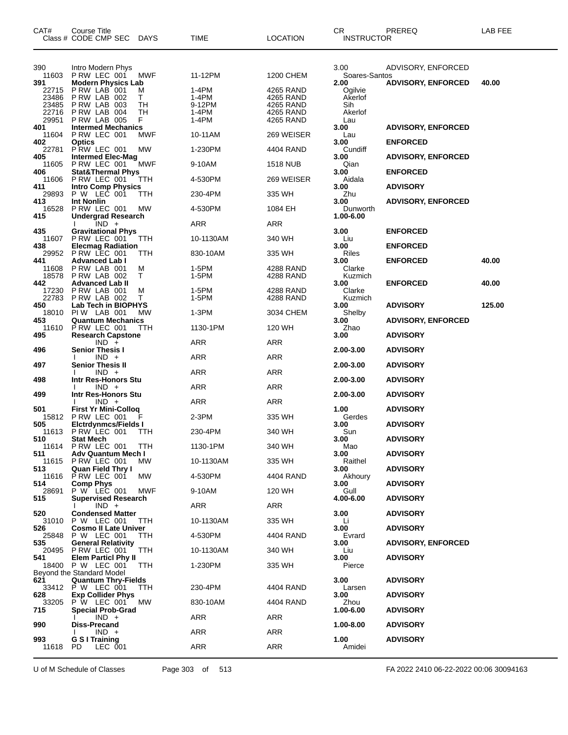| CAT#                                    | <b>Course Title</b><br>Class # CODE CMP SEC DAYS                                      |                    | TIME                              | <b>LOCATION</b>                                  | CR.<br><b>INSTRUCTOR</b>                     | PREREQ                             | LAB FEE        |
|-----------------------------------------|---------------------------------------------------------------------------------------|--------------------|-----------------------------------|--------------------------------------------------|----------------------------------------------|------------------------------------|----------------|
| 390<br>11603                            | Intro Modern Phys<br>PRW LEC 001                                                      | MWF                | 11-12PM                           | 1200 CHEM                                        | 3.00<br>Soares-Santos                        | ADVISORY, ENFORCED                 |                |
| 391<br>22715<br>23486<br>23485<br>22716 | <b>Modern Physics Lab</b><br>PRW LAB 001<br>PRW LAB 002<br>PRW LAB 003<br>PRW LAB 004 | M<br>Τ<br>TН<br>TН | 1-4PM<br>1-4PM<br>9-12PM<br>1-4PM | 4265 RAND<br>4265 RAND<br>4265 RAND<br>4265 RAND | 2.00<br>Ogilvie<br>Akerlof<br>Sih<br>Akerlof | <b>ADVISORY, ENFORCED</b>          | 40.00          |
| 29951<br>401<br>11604                   | P RW LAB 005<br><b>Intermed Mechanics</b>                                             | F<br><b>MWF</b>    | 1-4PM<br>10-11AM                  | 4265 RAND<br>269 WEISER                          | Lau<br>3.00                                  | <b>ADVISORY, ENFORCED</b>          |                |
| 402<br>22781                            | PRW LEC 001<br><b>Optics</b><br>PRW LEC 001                                           | MW                 | 1-230PM                           | 4404 RAND                                        | Lau<br>3.00<br>Cundiff                       | <b>ENFORCED</b>                    |                |
| 405<br>11605                            | <b>Intermed Elec-Mag</b><br>PRW LEC 001                                               | <b>MWF</b>         | 9-10AM                            | 1518 NUB                                         | 3.00<br>Qian                                 | <b>ADVISORY, ENFORCED</b>          |                |
| 406<br>11606                            | <b>Stat&amp;Thermal Phys</b><br>PRW LEC 001                                           | TTH                | 4-530PM                           | 269 WEISER                                       | 3.00<br>Aidala                               | <b>ENFORCED</b>                    |                |
| 411<br>29893                            | <b>Intro Comp Physics</b><br>P W LEC 001                                              | TТH                | 230-4PM                           | 335 WH                                           | 3.00<br>Zhu                                  | <b>ADVISORY</b>                    |                |
| 413<br>16528<br>415                     | <b>Int Nonlin</b><br>PRW LEC 001<br><b>Undergrad Research</b>                         | МW                 | 4-530PM                           | 1084 EH                                          | 3.00<br>Dunworth<br>1.00-6.00                | <b>ADVISORY, ENFORCED</b>          |                |
|                                         | $IND +$                                                                               |                    | ARR                               | ARR                                              |                                              |                                    |                |
| 435<br>11607                            | <b>Gravitational Phys</b><br>PRW LEC 001                                              | TTH                | 10-1130AM                         | 340 WH                                           | 3.00<br>Liu                                  | <b>ENFORCED</b>                    |                |
| 438<br>29952                            | <b>Elecmag Radiation</b><br>P RW LEC 001                                              | TTH                | 830-10AM                          | 335 WH                                           | 3.00<br>Riles                                | <b>ENFORCED</b>                    |                |
| 441<br>11608<br>18578<br>442            | <b>Advanced Lab I</b><br>PRW LAB 001<br>PRW LAB 002<br><b>Advanced Lab II</b>         | M<br>т             | 1-5PM<br>1-5PM                    | 4288 RAND<br>4288 RAND                           | 3.00<br>Clarke<br>Kuzmich<br>3.00            | <b>ENFORCED</b><br><b>ENFORCED</b> | 40.00<br>40.00 |
| 17230<br>22783                          | PRW LAB 001<br>PRW LAB 002                                                            | M<br>т             | 1-5PM<br>1-5PM                    | 4288 RAND<br>4288 RAND                           | Clarke<br>Kuzmich                            |                                    |                |
| 450<br>18010                            | Lab Tech in BIOPHYS<br>PIW LAB 001                                                    | MW                 | 1-3PM                             | 3034 CHEM                                        | 3.00<br>Shelby                               | <b>ADVISORY</b>                    | 125.00         |
| 453<br>11610                            | <b>Quantum Mechanics</b><br>P RW LEC 001                                              | ттн                | 1130-1PM                          | 120 WH                                           | 3.00<br>Zhao                                 | <b>ADVISORY, ENFORCED</b>          |                |
| 495                                     | <b>Research Capstone</b><br>$IND +$                                                   |                    | ARR                               | <b>ARR</b>                                       | 3.00                                         | <b>ADVISORY</b>                    |                |
| 496                                     | <b>Senior Thesis I</b><br>$IND +$                                                     |                    | ARR                               | ARR                                              | 2.00-3.00                                    | <b>ADVISORY</b>                    |                |
| 497                                     | <b>Senior Thesis II</b><br>$IND +$                                                    |                    | ARR                               | ARR                                              | 2.00-3.00                                    | <b>ADVISORY</b>                    |                |
| 498                                     | Intr Res-Honors Stu<br>$IND +$                                                        |                    | <b>ARR</b>                        | <b>ARR</b>                                       | 2.00-3.00                                    | <b>ADVISORY</b>                    |                |
| 499                                     | Intr Res-Honors Stu<br>$IND +$                                                        |                    | ARR                               | ARR                                              | 2.00-3.00                                    | <b>ADVISORY</b>                    |                |
| 501<br>15812                            | <b>First Yr Mini-Colloq</b><br>PRW LEC 001                                            |                    | 2-3PM                             | 335 WH                                           | 1.00<br>Gerdes                               | <b>ADVISORY</b>                    |                |
| 505<br>11613                            | <b>Elctrdynmcs/Fields I</b><br>P RW LEC 001                                           | TTH                | 230-4PM                           | 340 WH                                           | 3.00<br>Sun                                  | <b>ADVISORY</b>                    |                |
| 510                                     | <b>Stat Mech</b><br>11614 PRW LEC 001                                                 | <b>TTH</b>         | 1130-1PM                          | 340 WH                                           | 3.00<br>Mao                                  | <b>ADVISORY</b>                    |                |
| 511<br>11615                            | <b>Adv Quantum Mech I</b><br><b>P RW LEC 001</b>                                      | MW.                | 10-1130AM                         | 335 WH                                           | 3.00<br>Raithel                              | <b>ADVISORY</b>                    |                |
| 513.<br>11616                           | <b>Quan Field Thry I</b><br>PRW LEC 001                                               | МW                 | 4-530PM                           | 4404 RAND                                        | 3.00<br>Akhoury                              | <b>ADVISORY</b>                    |                |
| 514<br>28691                            | <b>Comp Phys</b><br>P W LEC 001                                                       | MWF                | 9-10AM                            | 120 WH                                           | 3.00<br>Gull                                 | <b>ADVISORY</b>                    |                |
| 515                                     | <b>Supervised Research</b><br>$IND +$                                                 |                    | ARR                               | ARR                                              | 4.00-6.00                                    | <b>ADVISORY</b>                    |                |
| 520                                     | <b>Condensed Matter</b><br>31010 P W LEC 001                                          | TTH                | 10-1130AM                         | 335 WH                                           | 3.00<br>Li                                   | <b>ADVISORY</b>                    |                |
| 526<br>25848                            | <b>Cosmo II Late Univer</b><br>P W LEC 001                                            | <b>TTH</b>         | 4-530PM                           | 4404 RAND                                        | 3.00<br>Evrard                               | <b>ADVISORY</b>                    |                |
| 535<br>20495                            | <b>General Relativity</b><br>P RW LEC 001                                             | <b>TTH</b>         | 10-1130AM                         | 340 WH                                           | 3.00<br>Liu                                  | <b>ADVISORY, ENFORCED</b>          |                |
| 541                                     | <b>Elem Particl Phy II</b><br>18400 P W LEC 001<br>Beyond the Standard Model          | <b>TTH</b>         | 1-230PM                           | 335 WH                                           | 3.00<br>Pierce                               | <b>ADVISORY</b>                    |                |
| 621                                     | <b>Quantum Thry-Fields</b><br>33412 P W LEC 001                                       | <b>TTH</b>         | 230-4PM                           | 4404 RAND                                        | 3.00<br>Larsen                               | <b>ADVISORY</b>                    |                |
| 628<br>33205                            | <b>Exp Collider Phys</b><br><b>P W LEC 001</b>                                        | МW                 | 830-10AM                          | 4404 RAND                                        | 3.00<br>Zhou                                 | <b>ADVISORY</b>                    |                |
| 715                                     | <b>Special Prob-Grad</b><br>$IND +$                                                   |                    | ARR                               | ARR                                              | 1.00-6.00                                    | <b>ADVISORY</b>                    |                |
| 990                                     | <b>Diss-Precand</b><br>$IND +$                                                        |                    | ARR                               | ARR                                              | 1.00-8.00                                    | <b>ADVISORY</b>                    |                |
| 993<br>11618                            | G S I Training<br>PD.<br>LEC 001                                                      |                    | ARR                               | ARR                                              | 1.00<br>Amidei                               | <b>ADVISORY</b>                    |                |

U of M Schedule of Classes Page 303 of 513 FA 2022 2410 06-22-2022 00:06 30094163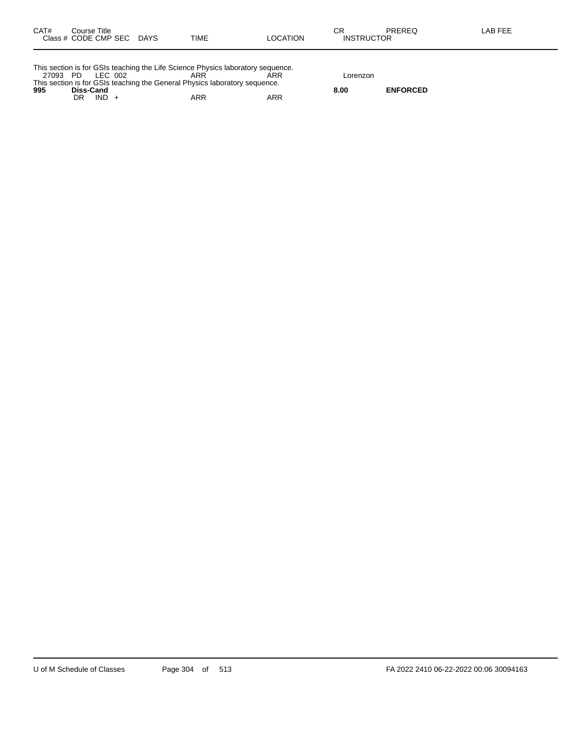| CAT# | Course Title         |             |      |                 | ⌒冖<br>◡           | PREREQ | LAB FEE |
|------|----------------------|-------------|------|-----------------|-------------------|--------|---------|
|      | Class # CODE CMP SEC | <b>DAYS</b> | TIME | <b>LOCATION</b> | <b>INSTRUCTOR</b> |        |         |
|      |                      |             |      |                 |                   |        |         |

|          |           |         | This section is for GSIs teaching the Life Science Physics laboratory sequence. |     |          |                 |
|----------|-----------|---------|---------------------------------------------------------------------------------|-----|----------|-----------------|
| 27093 PD |           | LEC 002 | ARR                                                                             |     | Lorenzon |                 |
|          |           |         | This section is for GSIs teaching the General Physics laboratory sequence.      |     |          |                 |
| 995      | Diss-Cand |         |                                                                                 |     | 8.00     | <b>ENFORCED</b> |
|          | DR        | $IND +$ | ARR                                                                             | ARR |          |                 |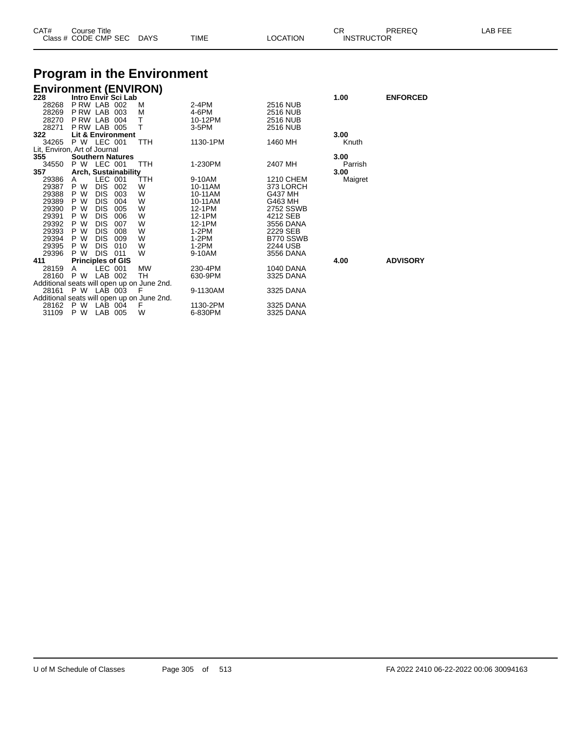| CAT# | Title<br>Course      |             |             |          | ⌒г<br>◡           | PREREC | LAB FF <sup>F</sup> |
|------|----------------------|-------------|-------------|----------|-------------------|--------|---------------------|
|      | Class # CODE CMP SEC | <b>DAYS</b> | <b>TIME</b> | LOCATION | <b>INSTRUCTOR</b> |        |                     |

### **Program in the Environment**

| <b>Environment (ENVIRON)</b> |                          |            |                              |                                            |          |                 |         |                 |
|------------------------------|--------------------------|------------|------------------------------|--------------------------------------------|----------|-----------------|---------|-----------------|
| 228                          |                          |            | Intro Envir Sci Lab          |                                            |          |                 | 1.00    | <b>ENFORCED</b> |
| 28268                        | PRW LAB 002              |            |                              | м                                          | 2-4PM    | <b>2516 NUB</b> |         |                 |
| 28269 P RW LAB 003           |                          |            |                              | м                                          | 4-6PM    | <b>2516 NUB</b> |         |                 |
| 28270 P RW LAB 004           |                          |            |                              | Τ                                          | 10-12PM  | <b>2516 NUB</b> |         |                 |
| 28271 P RW LAB 005           |                          |            |                              | $\top$                                     | 3-5PM    | 2516 NUB        |         |                 |
| 322                          |                          |            | <b>Lit &amp; Environment</b> |                                            |          |                 | 3.00    |                 |
| 34265 P W LEC 001            |                          |            |                              | TTH                                        | 1130-1PM | 1460 MH         | Knuth   |                 |
| Lit, Environ, Art of Journal |                          |            |                              |                                            |          |                 |         |                 |
| 355                          |                          |            | <b>Southern Natures</b>      |                                            |          |                 | 3.00    |                 |
| 34550                        | P W LEC 001              |            |                              | TTH                                        | 1-230PM  | 2407 MH         | Parrish |                 |
| 357                          |                          |            | Arch, Sustainability         |                                            |          |                 | 3.00    |                 |
| 29386                        | A                        | LEC 001    |                              | TTH                                        | 9-10AM   | 1210 CHEM       | Maigret |                 |
| 29387 P W                    |                          | DIS 002    |                              | W                                          | 10-11AM  | 373 LORCH       |         |                 |
| 29388 P W                    |                          | DIS.       | 003                          | W                                          | 10-11AM  | G437 MH         |         |                 |
| 29389 P W                    |                          | DIS.       | 004                          | W                                          | 10-11AM  | G463 MH         |         |                 |
| 29390                        | P W                      | <b>DIS</b> | 005                          | W                                          | 12-1PM   | 2752 SSWB       |         |                 |
| 29391                        | P W                      | DIS.       | 006                          | W                                          | 12-1PM   | 4212 SEB        |         |                 |
| 29392 P W                    |                          | DIS.       | 007                          | W                                          | 12-1PM   | 3556 DANA       |         |                 |
| 29393 P W                    |                          | DIS.       | 008                          | W                                          | 1-2PM    | 2229 SEB        |         |                 |
| 29394 P W                    |                          | DIS.       | 009                          | W                                          | 1-2PM    | B770 SSWB       |         |                 |
| 29395 P W                    |                          | DIS.       | 010                          | W                                          | $1-2PM$  | 2244 USB        |         |                 |
| 29396                        | P W                      | DIS 011    |                              | W                                          | 9-10AM   | 3556 DANA       |         |                 |
| 411                          | <b>Principles of GIS</b> |            |                              |                                            |          |                 | 4.00    | <b>ADVISORY</b> |
| 28159                        | A                        | LEC 001    |                              | <b>MW</b>                                  | 230-4PM  | 1040 DANA       |         |                 |
| 28160 P W LAB 002            |                          |            |                              | TH.                                        | 630-9PM  | 3325 DANA       |         |                 |
|                              |                          |            |                              | Additional seats will open up on June 2nd. |          |                 |         |                 |
| 28161                        | P W LAB 003              |            |                              | - F                                        | 9-1130AM | 3325 DANA       |         |                 |
|                              |                          |            |                              | Additional seats will open up on June 2nd. |          |                 |         |                 |
| 28162                        | P W                      | LAB 004    |                              | F                                          | 1130-2PM | 3325 DANA       |         |                 |
| 31109                        | P W                      | LAB 005    |                              | W                                          | 6-830PM  | 3325 DANA       |         |                 |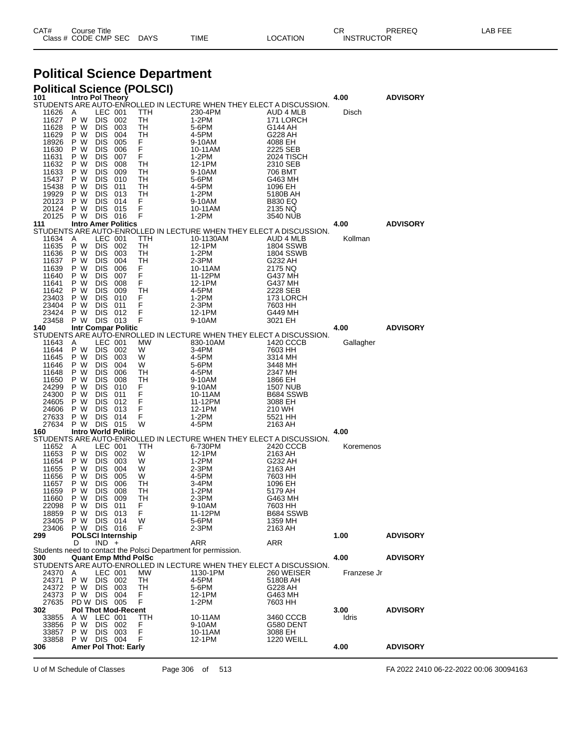| CAT# | Title<br>Course      |             |      |          | $\sim$ $\sim$<br>◡∩ | <b>PREREC</b>     | LAB FEF<br>-- |
|------|----------------------|-------------|------|----------|---------------------|-------------------|---------------|
|      | Class # CODE CMP SEC | <b>DAYS</b> | TIME | LOCATION |                     | <b>INSTRUCTOR</b> |               |

# **Political Science Department**

| 101            | Intro Pol Theory |                          |                             | <b>Political Science (POLSCI)</b>                              |                                                                     |                               | 4.00          |                 |
|----------------|------------------|--------------------------|-----------------------------|----------------------------------------------------------------|---------------------------------------------------------------------|-------------------------------|---------------|-----------------|
|                |                  |                          |                             |                                                                | STUDENTS ARE AUTO-ENROLLED IN LECTURE WHEN THEY ELECT A DISCUSSION. |                               |               | <b>ADVISORY</b> |
| 11626          | A                | LEC 001                  |                             | TTH                                                            | 230-4PM                                                             | AUD 4 MLB                     | Disch         |                 |
| 11627<br>11628 | P W<br>P W       | DIS 002<br><b>DIS</b>    | 003                         | TH<br>TН                                                       | $1-2PM$<br>5-6PM                                                    | 171 LORCH<br>G144 AH          |               |                 |
| 11629          | P W              | <b>DIS</b>               | 004                         | TН                                                             | 4-5PM                                                               | G228 AH                       |               |                 |
| 18926          | P W              | <b>DIS</b>               | 005                         | F                                                              | 9-10AM                                                              | 4088 EH                       |               |                 |
| 11630          | P W              | <b>DIS</b>               | 006                         | F<br>F                                                         | 10-11AM                                                             | 2225 SEB                      |               |                 |
| 11631<br>11632 | P W<br>P W       | <b>DIS</b><br><b>DIS</b> | 007<br>008                  | TН                                                             | 1-2PM<br>12-1PM                                                     | 2024 TISCH<br>2310 SEB        |               |                 |
| 11633          | P W              | <b>DIS</b>               | 009                         | TН                                                             | 9-10AM                                                              | 706 BMT                       |               |                 |
| 15437          | P W              | <b>DIS</b>               | 010                         | TН                                                             | 5-6PM                                                               | G463 MH                       |               |                 |
| 15438<br>19929 | P W<br>P W       | <b>DIS</b><br><b>DIS</b> | 011<br>013                  | TН<br>TН                                                       | 4-5PM<br>1-2PM                                                      | 1096 EH<br>5180B AH           |               |                 |
| 20123          | P W              | <b>DIS</b>               | 014                         | F                                                              | 9-10AM                                                              | <b>B830 EQ</b>                |               |                 |
| 20124          | P W              | <b>DIS</b>               | 015                         | F                                                              | 10-11AM                                                             | 2135 NQ                       |               |                 |
| 20125<br>111   | P W              | DIS 016                  | <b>Intro Amer Politics</b>  | F                                                              | $1-2PM$                                                             | 3540 NUB                      | 4.00          | <b>ADVISORY</b> |
|                |                  |                          |                             |                                                                | STUDENTS ARE AUTO-ENROLLED IN LECTURE WHEN THEY ELECT A DISCUSSION. |                               |               |                 |
| 11634          | A                | LEC 001                  |                             | TTH                                                            | 10-1130AM                                                           | AUD 4 MLB                     | Kollman       |                 |
| 11635<br>11636 | P W<br>P W       | DIS.<br><b>DIS</b>       | 002<br>003                  | TН<br>TН                                                       | 12-1PM<br>1-2PM                                                     | 1804 SSWB<br><b>1804 SSWB</b> |               |                 |
| 11637          | P W              | <b>DIS</b>               | 004                         | TН                                                             | 2-3PM                                                               | G232 AH                       |               |                 |
| 11639          | P W              | <b>DIS</b>               | 006                         | F                                                              | 10-11AM                                                             | 2175 NQ                       |               |                 |
| 11640          | P W              | <b>DIS</b>               | 007                         | F                                                              | 11-12PM                                                             | G437 MH                       |               |                 |
| 11641<br>11642 | P W<br>P W       | <b>DIS</b><br><b>DIS</b> | 008<br>009                  | F<br>TН                                                        | 12-1PM<br>4-5PM                                                     | G437 MH<br>2228 SEB           |               |                 |
| 23403          | P W              | <b>DIS</b>               | 010                         | F                                                              | $1-2PM$                                                             | 173 LORCH                     |               |                 |
| 23404          | P W              | <b>DIS</b>               | 011                         | F                                                              | $2-3PM$                                                             | 7603 HH                       |               |                 |
| 23424<br>23458 | P W<br>P W       | <b>DIS</b><br>DIS 013    | 012                         | F<br>F                                                         | 12-1PM<br>9-10AM                                                    | G449 MH                       |               |                 |
| 140            |                  |                          | <b>Intr Compar Politic</b>  |                                                                |                                                                     | 3021 EH                       | 4.00          | <b>ADVISORY</b> |
|                |                  |                          |                             |                                                                | STUDENTS ARE AUTO-ENROLLED IN LECTURE WHEN THEY ELECT A DISCUSSION. |                               |               |                 |
| 11643          | A                | LEC 001                  |                             | МW                                                             | 830-10AM                                                            | 1420 CCCB                     | Gallagher     |                 |
| 11644<br>11645 | P W<br>P W       | DIS 002<br><b>DIS</b>    | - 003                       | W<br>W                                                         | 3-4PM<br>4-5PM                                                      | 7603 HH<br>3314 MH            |               |                 |
| 11646          | P W              | <b>DIS</b>               | 004                         | W                                                              | 5-6PM                                                               | 3448 MH                       |               |                 |
| 11648          | P W              | <b>DIS</b>               | 006                         | TН                                                             | 4-5PM                                                               | 2347 MH                       |               |                 |
| 11650<br>24299 | P W<br>P W       | <b>DIS</b><br><b>DIS</b> | 008<br>010                  | TН<br>F                                                        | 9-10AM<br>9-10AM                                                    | 1866 EH<br><b>1507 NUB</b>    |               |                 |
| 24300          | P W              | <b>DIS</b>               | 011                         | F                                                              | 10-11AM                                                             | B684 SSWB                     |               |                 |
| 24605          | P W              | <b>DIS</b>               | 012                         | F                                                              | 11-12PM                                                             | 3088 EH                       |               |                 |
| 24606          | P W              | <b>DIS</b>               | 013                         | F                                                              | 12-1PM                                                              | 210 WH                        |               |                 |
| 27633<br>27634 | P W<br>P W       | <b>DIS</b><br>DIS 015    | 014                         | F<br>W                                                         | 1-2PM<br>4-5PM                                                      | 5521 HH<br>2163 AH            |               |                 |
| 160            |                  |                          | <b>Intro World Politic</b>  |                                                                |                                                                     |                               | 4.00          |                 |
|                |                  |                          |                             |                                                                | STUDENTS ARE AUTO-ENROLLED IN LECTURE WHEN THEY ELECT A DISCUSSION. |                               |               |                 |
| 11652<br>11653 | A<br>P W         | LEC 001<br>DIS 002       |                             | TTH<br>W                                                       | 6-730PM<br>12-1PM                                                   | 2420 CCCB<br>2163 AH          | Koremenos     |                 |
| 11654          | P W              | <b>DIS</b>               | 003                         | W                                                              | 1-2PM                                                               | G232 AH                       |               |                 |
| 11655          | P W              | <b>DIS</b>               | 004                         | W                                                              | 2-3PM                                                               | 2163 AH                       |               |                 |
| 11656          | P W<br>P W       | <b>DIS</b>               | 005                         | W                                                              | 4-5PM                                                               | 7603 HH                       |               |                 |
| 11657<br>11659 | P W              | DIS<br><b>DIS</b>        | 006<br>008                  | TН<br>TН                                                       | 3-4PM<br>1-2PM                                                      | 1096 EH<br>5179 AH            |               |                 |
| 11660          | P W              | DIS.                     | 009                         | TН                                                             | 2-3PM                                                               | G463 MH                       |               |                 |
| 22098          | P W              | DIS 011                  |                             | F                                                              | 9-10AM                                                              | 7603 HH                       |               |                 |
| 18859<br>23405 | P W<br>P W       | <b>DIS</b><br><b>DIS</b> | 013<br>014                  | F<br>W                                                         | 11-12PM<br>5-6PM                                                    | B684 SSWB<br>1359 MH          |               |                 |
| 23406          | P W              | DIS 016                  |                             | F                                                              | 2-3PM                                                               | 2163 AH                       |               |                 |
| 299            |                  |                          | <b>POLSCI Internship</b>    |                                                                |                                                                     |                               | 1.00          | <b>ADVISORY</b> |
|                | D                | $IND +$                  |                             |                                                                | ARR                                                                 | ARR                           |               |                 |
| 300            |                  |                          | <b>Quant Emp Mthd PolSc</b> | Students need to contact the Polsci Department for permission. |                                                                     |                               | 4.00          | <b>ADVISORY</b> |
|                |                  |                          |                             |                                                                | STUDENTS ARE AUTO-ENROLLED IN LECTURE WHEN THEY ELECT A DISCUSSION. |                               |               |                 |
| 24370          | A                | LEC 001                  |                             | MW.                                                            | 1130-1PM                                                            | 260 WEISER                    | Franzese Jr   |                 |
| 24371<br>24372 | P W<br>P W       | DIS 002<br><b>DIS</b>    | 003                         | TН<br>TН                                                       | 4-5PM<br>5-6PM                                                      | 5180B AH<br>G228 AH           |               |                 |
| 24373          | P W              | <b>DIS</b>               | 004                         | F.                                                             | 12-1PM                                                              | G463 MH                       |               |                 |
| 27635          | PD W DIS 005     |                          |                             | F                                                              | 1-2PM                                                               | 7603 HH                       |               |                 |
| 302            |                  |                          | <b>Pol Thot Mod-Recent</b>  |                                                                |                                                                     |                               | 3.00<br>Idris | <b>ADVISORY</b> |
| 33855<br>33856 | A W<br>P W       | LEC 001<br>DIS 002       |                             | TTH<br>F                                                       | 10-11AM<br>9-10AM                                                   | 3460 CCCB<br>G580 DENT        |               |                 |
| 33857          | P W              | <b>DIS</b>               | 003                         | F                                                              | 10-11AM                                                             | 3088 EH                       |               |                 |
| 33858          | P W              | DIS 004                  |                             | F                                                              | 12-1PM                                                              | <b>1220 WEILL</b>             |               |                 |
| 306            |                  |                          | <b>Amer Pol Thot: Early</b> |                                                                |                                                                     |                               | 4.00          | <b>ADVISORY</b> |

U of M Schedule of Classes Page 306 of 513 FA 2022 2410 06-22-2022 00:06 30094163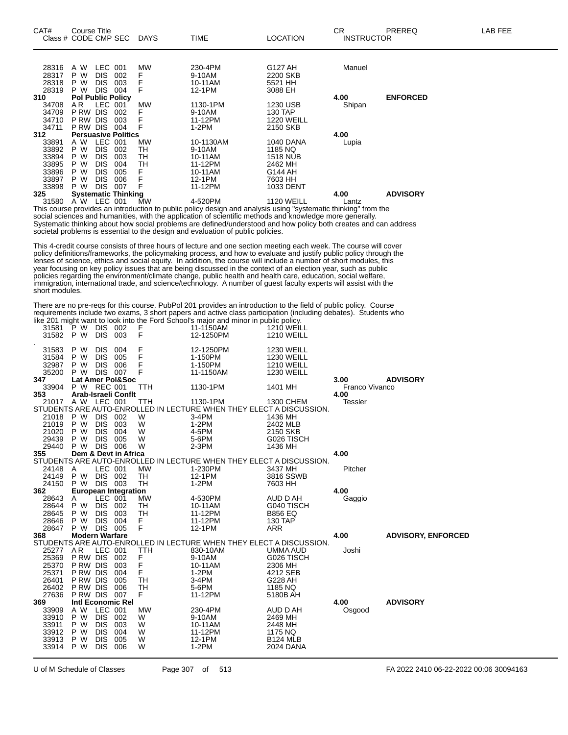| CAT#<br>Class # CODE CMP SEC | Course Title   |                          |                            | DAYS | <b>TIME</b>                                                                                                                                                                                                                | <b>LOCATION</b>     | СR<br><b>INSTRUCTOR</b> | <b>PREREQ</b>   | LAB FEE |
|------------------------------|----------------|--------------------------|----------------------------|------|----------------------------------------------------------------------------------------------------------------------------------------------------------------------------------------------------------------------------|---------------------|-------------------------|-----------------|---------|
|                              |                |                          |                            |      |                                                                                                                                                                                                                            |                     |                         |                 |         |
| 28316<br>28317               | A W<br>P W     | LEC 001                  | 002                        | MW   | 230-4PM<br>9-10AM                                                                                                                                                                                                          | G127 AH<br>2200 SKB | Manuel                  |                 |         |
| 28318                        | P W            | <b>DIS</b><br><b>DIS</b> | 003                        |      | 10-11AM                                                                                                                                                                                                                    | 5521 HH             |                         |                 |         |
| 28319                        | P W            | <b>DIS</b>               | 004                        |      | 12-1PM                                                                                                                                                                                                                     | 3088 EH             |                         |                 |         |
| 310                          |                |                          | <b>Pol Public Policy</b>   |      |                                                                                                                                                                                                                            |                     | 4.00                    | <b>ENFORCED</b> |         |
| 34708                        | AR.            | LEC 001                  |                            | МW   | 1130-1PM                                                                                                                                                                                                                   | 1230 USB            | Shipan                  |                 |         |
| 34709                        | P RW           | <b>DIS</b>               | 002                        | F    | 9-10AM                                                                                                                                                                                                                     | 130 TAP             |                         |                 |         |
| 34710                        | <b>PRW DIS</b> |                          | 003                        |      | 11-12PM                                                                                                                                                                                                                    | <b>1220 WEILL</b>   |                         |                 |         |
| 34711                        | P RW DIS       |                          | 004                        |      | 1-2PM                                                                                                                                                                                                                      | 2150 SKB            |                         |                 |         |
| 312                          |                |                          | <b>Persuasive Politics</b> |      |                                                                                                                                                                                                                            |                     | 4.00                    |                 |         |
| 33891                        | A W            | LEC 001                  |                            | MW   | 10-1130AM                                                                                                                                                                                                                  | 1040 DANA           | Lupia                   |                 |         |
| 33892                        | P W            | <b>DIS</b>               | 002                        | TH   | 9-10AM                                                                                                                                                                                                                     | 1185 NQ             |                         |                 |         |
| 33894                        | P W            | <b>DIS</b>               | 003                        | TН   | 10-11AM                                                                                                                                                                                                                    | <b>1518 NUB</b>     |                         |                 |         |
| 33895                        | P W            | DIS.                     | 004                        | TН   | 11-12PM                                                                                                                                                                                                                    | 2462 MH             |                         |                 |         |
| 33896<br>33897               | P W            | <b>DIS</b>               | 005                        |      | 10-11AM<br>12-1PM                                                                                                                                                                                                          | G144 AH<br>7603 HH  |                         |                 |         |
| 33898                        | P W<br>P W     | <b>DIS</b><br><b>DIS</b> | 006<br>007                 |      | 11-12PM                                                                                                                                                                                                                    | 1033 DENT           |                         |                 |         |
| 325                          |                |                          | <b>Systematic Thinking</b> |      |                                                                                                                                                                                                                            |                     | 4.00                    | <b>ADVISORY</b> |         |
| 31580                        | A W LEC 001    |                          |                            | MW   | 4-520PM                                                                                                                                                                                                                    | <b>1120 WEILL</b>   | Lantz                   |                 |         |
|                              |                |                          |                            |      | This course provides an introduction to public policy design and analysis using "systematic thinking" from the<br>social sciences and humanities, with the application of scientific methods and knowledge more generally. |                     |                         |                 |         |
|                              |                |                          |                            |      | Systematic thinking about how social problems are defined/understood and how policy both creates and can address                                                                                                           |                     |                         |                 |         |
|                              |                |                          |                            |      | societal problems is essential to the design and evaluation of public policies.                                                                                                                                            |                     |                         |                 |         |

This 4-credit course consists of three hours of lecture and one section meeting each week. The course will cover policy definitions/frameworks, the policymaking process, and how to evaluate and justify public policy through the lenses of science, ethics and social equity. In addition, the course will include a number of short modules, this year focusing on key policy issues that are being discussed in the context of an election year, such as public policies regarding the environment/climate change, public health and health care, education, social welfare, immigration, international trade, and science/technology. A number of guest faculty experts will assist with the short modules.

There are no pre-reqs for this course. PubPol 201 provides an introduction to the field of public policy. Course requirements include two exams, 3 short papers and active class participation (including debates). Students who like 201 might want to look into the Ford School's major and minor in public policy.

| 31581<br>31582                   | P W<br>P W               | <b>DIS 002</b><br><b>DIS</b>                             | 003                         | F<br>F           | the zot might want to look line the rold behoors major and minor in pablic policy.<br>11-1150AM<br>12-1250PM | 1210 WEILL<br><b>1210 WEILL</b>                                                  |                |                           |
|----------------------------------|--------------------------|----------------------------------------------------------|-----------------------------|------------------|--------------------------------------------------------------------------------------------------------------|----------------------------------------------------------------------------------|----------------|---------------------------|
| 31583<br>31584<br>32987<br>35200 | P W<br>P W<br>P W<br>P W | <b>DIS</b><br><b>DIS</b><br><b>DIS</b><br><b>DIS 007</b> | 004<br>005<br>006           | F<br>F<br>F<br>F | 12-1250PM<br>1-150PM<br>1-150PM<br>11-1150AM                                                                 | <b>1230 WEILL</b><br><b>1230 WEILL</b><br><b>1210 WEILL</b><br><b>1230 WEILL</b> |                |                           |
| 347                              |                          |                                                          | <b>Lat Amer Pol&amp;Soc</b> |                  |                                                                                                              |                                                                                  | 3.00           | <b>ADVISORY</b>           |
| 33904                            |                          | P W REC 001                                              |                             | <b>TTH</b>       | 1130-1PM                                                                                                     | 1401 MH                                                                          | Franco Vivanco |                           |
| 353                              |                          |                                                          | Arab-Israeli Conflt         |                  |                                                                                                              |                                                                                  | 4.00           |                           |
|                                  | 21017 A W LEC 001        |                                                          |                             | TTH              | 1130-1PM                                                                                                     | 1300 CHEM                                                                        | <b>Tessler</b> |                           |
|                                  |                          |                                                          |                             |                  | STUDENTS ARE AUTO-ENROLLED IN LECTURE WHEN THEY ELECT A DISCUSSION.                                          |                                                                                  |                |                           |
| 21018                            | P W                      | DIS 002                                                  |                             | W                | $3-4PM$                                                                                                      | 1436 MH                                                                          |                |                           |
| 21019                            | P W                      | <b>DIS</b>                                               | 003                         | W                | $1-2PM$                                                                                                      | 2402 MLB                                                                         |                |                           |
| 21020                            | P W                      | <b>DIS</b>                                               | 004                         | W                | 4-5PM                                                                                                        | 2150 SKB                                                                         |                |                           |
| 29439                            | P W                      | <b>DIS</b>                                               | 005                         | W                | 5-6PM                                                                                                        | G026 TISCH                                                                       |                |                           |
| 29440                            | P W                      | DIS 006                                                  |                             | W                | $2-3PM$                                                                                                      | 1436 MH                                                                          |                |                           |
| 355                              |                          |                                                          | Dem & Devt in Africa        |                  |                                                                                                              |                                                                                  | 4.00           |                           |
|                                  |                          |                                                          |                             |                  | STUDENTS ARE AUTO-ENROLLED IN LECTURE WHEN THEY ELECT A DISCUSSION.                                          |                                                                                  |                |                           |
| 24148                            | A                        | LEC 001                                                  |                             | <b>MW</b>        | 1-230PM                                                                                                      | 3437 MH                                                                          | Pitcher        |                           |
| 24149                            | P W                      | DIS 002                                                  |                             | TH               | 12-1PM                                                                                                       | 3816 SSWB                                                                        |                |                           |
| 24150                            | P W DIS 003              |                                                          |                             | TH               | $1-2PM$                                                                                                      | 7603 HH                                                                          |                |                           |
|                                  |                          |                                                          |                             |                  |                                                                                                              |                                                                                  |                |                           |
| 362                              |                          |                                                          | <b>European Integration</b> |                  |                                                                                                              |                                                                                  | 4.00           |                           |
| 28643                            | A                        | LEC 001                                                  |                             | <b>MW</b>        | 4-530PM                                                                                                      | AUD D AH                                                                         | Gaggio         |                           |
| 28644                            | P W                      | DIS 002                                                  |                             | TH               | 10-11AM                                                                                                      | G040 TISCH                                                                       |                |                           |
| 28645                            | P W                      | <b>DIS</b>                                               | 003                         | TH               | 11-12PM                                                                                                      | <b>B856 EQ</b>                                                                   |                |                           |
| 28646                            | P W                      | <b>DIS</b>                                               | 004                         | F                | 11-12PM                                                                                                      | 130 TAP                                                                          |                |                           |
| 28647                            |                          | P W DIS 005                                              |                             | F                | 12-1PM                                                                                                       | <b>ARR</b>                                                                       |                |                           |
| 368                              |                          | <b>Modern Warfare</b>                                    |                             |                  |                                                                                                              |                                                                                  | 4.00           | <b>ADVISORY, ENFORCED</b> |
|                                  |                          |                                                          |                             |                  | STUDENTS ARE AUTO-ENROLLED IN LECTURE WHEN THEY ELECT A DISCUSSION.                                          |                                                                                  |                |                           |
| 25277 AR                         |                          | LEC 001                                                  |                             | <b>TTH</b>       | 830-10AM                                                                                                     | <b>UMMA AUD</b>                                                                  | Joshi          |                           |
| 25369                            | P RW DIS                 |                                                          | 002                         | F                | 9-10AM                                                                                                       | G026 TISCH                                                                       |                |                           |
| 25370                            | P RW DIS                 |                                                          | 003                         | F                | 10-11AM                                                                                                      | 2306 MH                                                                          |                |                           |
| 25371                            | P RW DIS                 |                                                          | 004                         | F.               | 1-2PM                                                                                                        | 4212 SEB                                                                         |                |                           |
| 26401                            | P RW DIS                 |                                                          | 005                         | TH               | $3-4PM$                                                                                                      | G228 AH                                                                          |                |                           |
| 26402                            | P RW DIS                 |                                                          | 006                         | <b>TH</b>        | 5-6PM                                                                                                        | 1185 NQ                                                                          |                |                           |
| 27636                            | P RW DIS                 |                                                          | 007                         | F.               | 11-12PM                                                                                                      | 5180B AH                                                                         |                |                           |
| 369                              |                          |                                                          | Intl Economic Rel           |                  |                                                                                                              |                                                                                  | 4.00           | <b>ADVISORY</b>           |
| 33909                            | A W                      | LEC 001                                                  |                             | <b>MW</b>        | 230-4PM                                                                                                      | AUD D AH                                                                         | Osgood         |                           |
| 33910                            | P W                      | <b>DIS</b>                                               | 002                         | W                | 9-10AM                                                                                                       | 2469 MH                                                                          |                |                           |
| 33911                            | P W                      | <b>DIS</b>                                               | 003                         | W                | 10-11AM                                                                                                      | 2448 MH                                                                          |                |                           |
| 33912                            | P W                      | <b>DIS</b>                                               | 004                         | W                | 11-12PM                                                                                                      | 1175 NQ                                                                          |                |                           |
| 33913<br>33914                   | P W<br>P W               | <b>DIS</b><br><b>DIS</b>                                 | 005<br>006                  | W<br>W           | 12-1PM<br>$1-2PM$                                                                                            | <b>B124 MLB</b><br>2024 DANA                                                     |                |                           |

U of M Schedule of Classes Page 307 of 513 FA 2022 2410 06-22-2022 00:06 30094163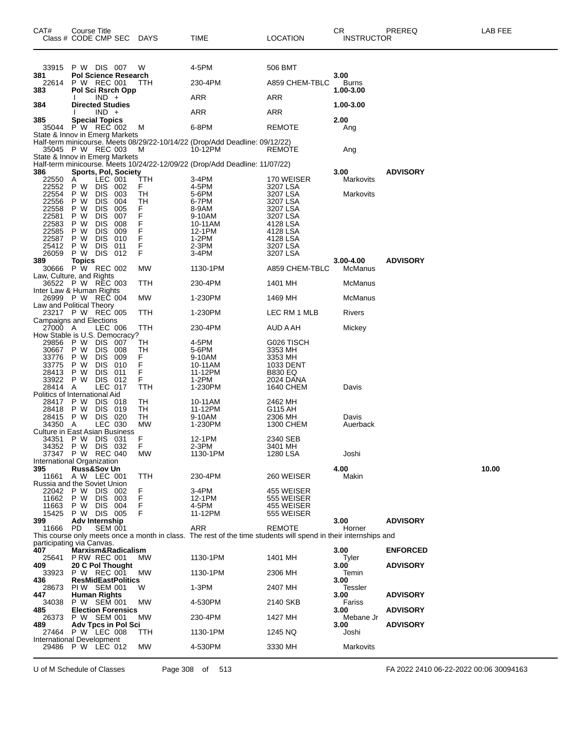| CAT#                                     | <b>Course Title</b><br>Class # CODE CMP SEC  |                          |            | DAYS     | TIME                                                                                                            | <b>LOCATION</b>             | CR<br><b>INSTRUCTOR</b> | PREREQ          | LAB FEE |
|------------------------------------------|----------------------------------------------|--------------------------|------------|----------|-----------------------------------------------------------------------------------------------------------------|-----------------------------|-------------------------|-----------------|---------|
| 33915                                    | P W DIS 007                                  |                          |            | W        | 4-5PM                                                                                                           | 506 BMT                     |                         |                 |         |
| 381<br>22614                             | <b>Pol Science Research</b><br>P W REC 001   |                          |            | ттн      | 230-4PM                                                                                                         | A859 CHEM-TBLC              | 3.00<br>Burns           |                 |         |
| 383<br>384                               | Pol Sci Rsrch Opp<br><b>Directed Studies</b> | $IND +$                  |            |          | ARR                                                                                                             | ARR                         | 1.00-3.00<br>1.00-3.00  |                 |         |
|                                          |                                              | $IND +$                  |            |          | ARR                                                                                                             | ARR                         |                         |                 |         |
| 385<br>35044                             | <b>Special Topics</b><br>P W REC 002         |                          |            | M        | 6-8PM                                                                                                           | <b>REMOTE</b>               | 2.00<br>Ang             |                 |         |
| State & Innov in Emerg Markets           | 35045 P W REC 003                            |                          |            | M        | Half-term minicourse. Meets 08/29/22-10/14/22 (Drop/Add Deadline: 09/12/22)<br>10-12PM                          | <b>REMOTE</b>               | Ang                     |                 |         |
| State & Innov in Emerg Markets           |                                              |                          |            |          | Half-term minicourse. Meets 10/24/22-12/09/22 (Drop/Add Deadline: 11/07/22)                                     |                             |                         |                 |         |
| 386<br>22550                             | <b>Sports, Pol, Society</b><br>A             | LEC 001                  |            | TTH      | 3-4PM                                                                                                           | 170 WEISER                  | 3.00<br>Markovits       | <b>ADVISORY</b> |         |
| 22552<br>22554                           | P W<br>P W                                   | <b>DIS</b><br>DIS.       | 002<br>003 | F.<br>TН | 4-5PM<br>5-6PM                                                                                                  | 3207 LSA<br>3207 LSA        | Markovits               |                 |         |
| 22556                                    | P W                                          | <b>DIS</b>               | 004        | ТH       | 6-7PM                                                                                                           | 3207 LSA                    |                         |                 |         |
| 22558<br>22581                           | P W<br>P W                                   | <b>DIS</b><br><b>DIS</b> | 005<br>007 | F<br>F   | 8-9AM<br>9-10AM                                                                                                 | 3207 LSA<br>3207 LSA        |                         |                 |         |
| 22583                                    | P W                                          | <b>DIS</b>               | 008        | F        | 10-11AM                                                                                                         | 4128 LSA                    |                         |                 |         |
| 22585<br>22587                           | P W<br>P W                                   | <b>DIS</b><br><b>DIS</b> | 009<br>010 | F<br>F   | 12-1PM<br>$1-2PM$                                                                                               | 4128 LSA<br>4128 LSA        |                         |                 |         |
| 25412                                    | P W                                          | <b>DIS</b>               | 011        | F        | 2-3PM                                                                                                           | 3207 LSA                    |                         |                 |         |
| 26059<br>389                             | P W DIS 012<br><b>Topics</b>                 |                          |            | F        | 3-4PM                                                                                                           | 3207 LSA                    | $3.00 - 4.00$           | <b>ADVISORY</b> |         |
| 30666<br>Law, Culture, and Rights        | P W REC 002                                  |                          |            | MW       | 1130-1PM                                                                                                        | A859 CHEM-TBLC              | McManus                 |                 |         |
| Inter Law & Human Rights                 | 36522 P W REC 003                            |                          |            | TTH      | 230-4PM                                                                                                         | 1401 MH                     | McManus                 |                 |         |
| Law and Political Theory                 | 26999 P W REC 004                            |                          |            | МW       | 1-230PM                                                                                                         | 1469 MH                     | McManus                 |                 |         |
| Campaigns and Elections                  | 23217 P W REC 005                            |                          |            | ттн      | 1-230PM                                                                                                         | LEC RM 1 MLB                | Rivers                  |                 |         |
| 27000 A<br>How Stable is U.S. Democracy? |                                              | LEC 006                  |            | TTH      | 230-4PM                                                                                                         | AUD A AH                    | Mickey                  |                 |         |
| 29856<br>30667                           | P W<br>P W                                   | DIS.<br>DIS.             | 007<br>008 | TН<br>TН | 4-5PM<br>5-6PM                                                                                                  | G026 TISCH<br>3353 MH       |                         |                 |         |
| 33776                                    | P W                                          | <b>DIS</b>               | 009        | F        | 9-10AM                                                                                                          | 3353 MH                     |                         |                 |         |
| 33775<br>28413                           | P W<br>P W                                   | <b>DIS</b><br>DIS.       | 010<br>011 | F<br>F   | 10-11AM<br>11-12PM                                                                                              | 1033 DENT<br><b>B830 EQ</b> |                         |                 |         |
| 33922                                    | P W                                          | DIS 012                  |            | F        | 1-2PM                                                                                                           | 2024 DANA                   |                         |                 |         |
| 28414<br>Politics of International Aid   | Α                                            | <b>LEC 017</b>           |            | TTH      | 1-230PM                                                                                                         | <b>1640 CHEM</b>            | Davis                   |                 |         |
| 28417                                    | P W                                          | DIS 018                  |            | TН       | 10-11AM                                                                                                         | 2462 MH                     |                         |                 |         |
| 28418<br>28415                           | P W<br>P W                                   | DIS 019<br>DIS 020       |            | TН<br>TН | 11-12PM<br>9-10AM                                                                                               | G115 AH<br>2306 MH          | Davis                   |                 |         |
| 34350                                    | A                                            | LEC 030                  |            | МW       | 1-230PM                                                                                                         | 1300 CHEM                   | Auerback                |                 |         |
| Culture in East Asian Business           | 34351 PW DIS 031                             |                          |            | F        | 12-1PM                                                                                                          | 2340 SEB                    |                         |                 |         |
|                                          | 34352 PW DIS 032                             |                          |            | F.       | 2-3PM                                                                                                           | 3401 MH                     |                         |                 |         |
| International Organization               | 37347 P W REC 040                            |                          |            | МW       | 1130-1PM                                                                                                        | 1280 LSA                    | Joshi                   |                 |         |
| 395<br>11661                             | <b>Russ&amp;Sov Un</b><br>A W LEC 001        |                          |            | TTH      | 230-4PM                                                                                                         | 260 WEISER                  | 4.00<br>Makin           |                 | 10.00   |
| Russia and the Soviet Union              |                                              |                          |            |          |                                                                                                                 |                             |                         |                 |         |
| 22042<br>11662                           | P W<br>P W                                   | DIS.<br><b>DIS</b>       | 002<br>003 | F<br>F   | 3-4PM<br>12-1PM                                                                                                 | 455 WEISER<br>555 WEISER    |                         |                 |         |
| 11663                                    | P W                                          | DIS.                     | 004        | F        | 4-5PM                                                                                                           | 455 WEISER                  |                         |                 |         |
| 15425<br>399                             | P W DIS 005<br>Adv Internship                |                          |            | F        | 11-12PM                                                                                                         | 555 WEISER                  | 3.00                    | <b>ADVISORY</b> |         |
| 11666                                    | PD.                                          | <b>SEM 001</b>           |            |          | ARR                                                                                                             | <b>REMOTE</b>               | Horner                  |                 |         |
| participating via Canvas.                |                                              |                          |            |          | This course only meets once a month in class. The rest of the time students will spend in their internships and |                             |                         |                 |         |
| 407                                      | Marxism&Radicalism                           |                          |            |          |                                                                                                                 |                             | 3.00                    | <b>ENFORCED</b> |         |
| 25641<br>409                             | <b>P RW REC 001</b><br>20 C Pol Thought      |                          |            | MW.      | 1130-1PM                                                                                                        | 1401 MH                     | Tyler<br>3.00           | <b>ADVISORY</b> |         |
| 33923<br>436                             | P W REC 001<br><b>ResMidEastPolitics</b>     |                          |            | МW       | 1130-1PM                                                                                                        | 2306 MH                     | Temin<br>3.00           |                 |         |
| 28673<br>447                             | PIW SEM 001<br><b>Human Rights</b>           |                          |            | W        | 1-3PM                                                                                                           | 2407 MH                     | Tessler<br>3.00         | <b>ADVISORY</b> |         |
| 34038<br>485                             | P W SEM 001<br><b>Election Forensics</b>     |                          |            | MW       | 4-530PM                                                                                                         | 2140 SKB                    | Fariss<br>3.00          | <b>ADVISORY</b> |         |
| 26373<br>489                             | P W SEM 001<br>Adv Tpcs in Pol Sci           |                          |            | MW.      | 230-4PM                                                                                                         | 1427 MH                     | Mebane Jr<br>3.00       | <b>ADVISORY</b> |         |
| International Development                | 27464 PW LEC 008                             |                          |            | ттн      | 1130-1PM                                                                                                        | 1245 NQ                     | Joshi                   |                 |         |
|                                          | 29486 P W LEC 012                            |                          |            | MW       | 4-530PM                                                                                                         | 3330 MH                     | Markovits               |                 |         |

U of M Schedule of Classes Page 308 of 513 FA 2022 2410 06-22-2022 00:06 30094163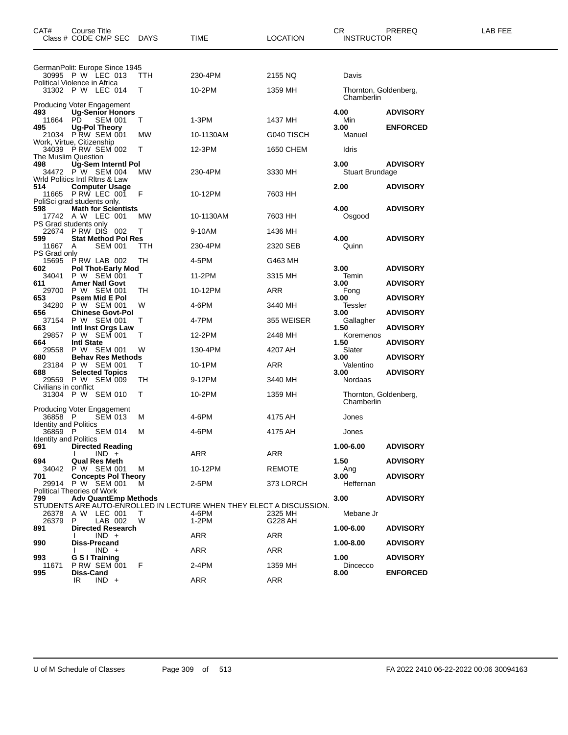| CAT#                                    | Course Title<br>Class # CODE CMP SEC DAYS                                      |        | TIME                                                                         | <b>LOCATION</b> | CR<br><b>INSTRUCTOR</b>             | PREREQ          | LAB FEE |
|-----------------------------------------|--------------------------------------------------------------------------------|--------|------------------------------------------------------------------------------|-----------------|-------------------------------------|-----------------|---------|
|                                         | GermanPolit: Europe Since 1945                                                 |        |                                                                              |                 |                                     |                 |         |
|                                         | 30995 P W LEC 013<br>Political Violence in Africa                              | ттн    | 230-4PM                                                                      | 2155 NQ         | Davis                               |                 |         |
|                                         | 31302 P W LEC 014                                                              | Τ      | 10-2PM                                                                       | 1359 MH         | Thornton, Goldenberg,<br>Chamberlin |                 |         |
| 493                                     | Producing Voter Engagement<br><b>Ug-Senior Honors</b>                          |        |                                                                              |                 | 4.00                                | <b>ADVISORY</b> |         |
| 11664                                   | РĎ<br><b>SEM 001</b>                                                           | T      | 1-3PM                                                                        | 1437 MH         | Min                                 |                 |         |
| 495                                     | <b>Ug-Pol Theory</b><br>21034 P RW SEM 001                                     | МW     | 10-1130AM                                                                    | G040 TISCH      | 3.00<br>Manuel                      | <b>ENFORCED</b> |         |
|                                         | Work, Virtue, Citizenship<br>34039 P RW SEM 002                                | т      | 12-3PM                                                                       | 1650 CHEM       | Idris                               |                 |         |
| 498                                     | The Muslim Question                                                            |        |                                                                              |                 | 3.00                                | <b>ADVISORY</b> |         |
|                                         | 8 Ug-Sem Interntl Pol<br>34472 P W SEM 004 N<br>Wrld Politics Intl Ritns & Law | МW     | 230-4PM                                                                      | 3330 MH         | Stuart Brundage                     |                 |         |
| 514                                     | <b>Computer Usage</b>                                                          |        |                                                                              |                 | 2.00                                | <b>ADVISORY</b> |         |
|                                         | 11665 PRW LEC 001<br>PoliSci grad students only.                               | F      | 10-12PM                                                                      | 7603 HH         |                                     |                 |         |
| 598                                     | <b>Math for Scientists</b><br>17742 A W LEC 001                                | МW     | 10-1130AM                                                                    | 7603 HH         | 4.00<br>Osgood                      | <b>ADVISORY</b> |         |
|                                         | PS Grad students only<br>22674 PRW DIS 002                                     | Τ      | 9-10AM                                                                       | 1436 MH         |                                     |                 |         |
| 599                                     | <b>Stat Method Pol Res</b>                                                     |        |                                                                              |                 | 4.00                                | <b>ADVISORY</b> |         |
| 11667<br>PS Grad only                   | <b>SEM 001</b><br>A                                                            | ттн    | 230-4PM                                                                      | 2320 SEB        | Quinn                               |                 |         |
| 15695<br>602                            | PRW LAB 002<br><b>Pol Thot-Early Mod</b>                                       | TН     | 4-5PM                                                                        | G463 MH         | 3.00                                | <b>ADVISORY</b> |         |
| 34041<br>611                            | P W SEM 001<br>Amer Natl Govt                                                  | т      | 11-2PM                                                                       | 3315 MH         | Temin<br>3.00                       | <b>ADVISORY</b> |         |
| 29700<br>653                            | P W SEM 001<br>Psem Mid E Pol                                                  | TН     | 10-12PM                                                                      | ARR             | Fong<br>3.00                        | <b>ADVISORY</b> |         |
| 34280                                   | P W SEM 001                                                                    | W      | 4-6PM                                                                        | 3440 MH         | Tessler                             |                 |         |
| 656<br>37154                            | <b>Chinese Govt-Pol</b><br>P W SEM 001                                         | т      | 4-7PM                                                                        | 355 WEISER      | 3.00<br>Gallagher                   | <b>ADVISORY</b> |         |
| 663<br>29857                            | Intl Inst Orgs Law<br>P W SEM 001                                              | т      | 12-2PM                                                                       | 2448 MH         | 1.50<br>Koremenos                   | <b>ADVISORY</b> |         |
| 664<br>29558                            | <b>Intl State</b><br>P W SEM 001                                               | W      | 130-4PM                                                                      | 4207 AH         | 1.50<br>Slater                      | <b>ADVISORY</b> |         |
| 680<br>23184                            | <b>Behav Res Methods</b><br>P W SEM 001                                        | Τ      | 10-1PM                                                                       | ARR             | 3.00<br>Valentino                   | <b>ADVISORY</b> |         |
| 688                                     | <b>Selected Topics</b>                                                         |        |                                                                              |                 | 3.00                                | <b>ADVISORY</b> |         |
| Civilians in conflict                   | 29559 P W SEM 009                                                              | TН     | 9-12PM                                                                       | 3440 MH         | Nordaas                             |                 |         |
|                                         | 31304 P W SEM 010                                                              | Т      | 10-2PM                                                                       | 1359 MH         | Thornton, Goldenberg,<br>Chamberlin |                 |         |
| 36858 P                                 | <b>Producing Voter Engagement</b><br><b>SEM 013</b>                            | м      | 4-6PM                                                                        | 4175 AH         | Jones                               |                 |         |
| <b>Identity and Politics</b><br>36859 P | <b>SEM 014</b>                                                                 | М      | 4-6PM                                                                        | 4175 AH         | Jones                               |                 |         |
| Identity and Politics<br>691            | <b>Directed Reading</b>                                                        |        |                                                                              |                 | 1.00-6.00                           | <b>ADVISORY</b> |         |
|                                         | $IND +$                                                                        |        | ARR                                                                          | <b>ARR</b>      |                                     |                 |         |
| 694                                     | <b>Qual Res Meth</b><br>34042 P W SEM 001                                      | M      | 10-12PM                                                                      | <b>REMOTE</b>   | 1.50<br>Ang                         | <b>ADVISORY</b> |         |
| 701                                     | <b>Concepts Pol Theory</b><br>29914 P W SEM 001                                | м      | 2-5PM                                                                        | 373 LORCH       | 3.00<br>Heffernan                   | <b>ADVISORY</b> |         |
| 799                                     | <b>Political Theories of Work</b><br><b>Adv QuantEmp Methods</b>               |        |                                                                              |                 | 3.00                                | <b>ADVISORY</b> |         |
| 26378                                   | A W LEC 001                                                                    | $\top$ | STUDENTS ARE AUTO-ENROLLED IN LECTURE WHEN THEY ELECT A DISCUSSION.<br>4-6PM | 2325 MH         | Mebane Jr                           |                 |         |
| 26379                                   | LAB 002<br>P                                                                   | W      | 1-2PM                                                                        | G228 AH         |                                     |                 |         |
| 891                                     | <b>Directed Research</b><br>$IND +$                                            |        | ARR                                                                          | ARR             | 1.00-6.00                           | <b>ADVISORY</b> |         |
| 990                                     | Diss-Precand<br>$IND +$                                                        |        | ARR                                                                          | ARR             | 1.00-8.00                           | <b>ADVISORY</b> |         |
| 993<br>11671                            | G S I Training<br><b>P RW SEM 001</b>                                          | - F    | 2-4PM                                                                        | 1359 MH         | 1.00<br>Dincecco                    | <b>ADVISORY</b> |         |
| 995                                     | Diss-Cand<br>$IND +$<br>IR                                                     |        | ARR                                                                          | ARR             | 8.00                                | <b>ENFORCED</b> |         |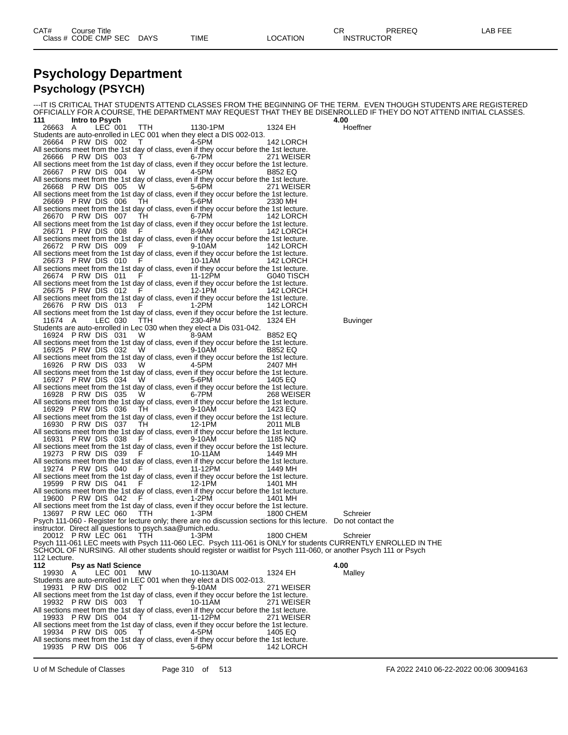### **Psychology Department Psychology (PSYCH)**

|              |                                                                                                                 |                                                                                                                                                                                                                                |           |                                                                                                                   | ---IT IS CRITICAL THAT STUDENTS ATTEND CLASSES FROM THE BEGINNING OF THE TERM.  EVEN THOUGH STUDENTS ARE REGISTERED         |
|--------------|-----------------------------------------------------------------------------------------------------------------|--------------------------------------------------------------------------------------------------------------------------------------------------------------------------------------------------------------------------------|-----------|-------------------------------------------------------------------------------------------------------------------|-----------------------------------------------------------------------------------------------------------------------------|
| 111          | Intro to Psych                                                                                                  |                                                                                                                                                                                                                                |           |                                                                                                                   | OFFICIALLY FOR A COURSE, THE DEPARTMENT MAY REQUEST THAT THEY BE DISENROLLED IF THEY DO NOT ATTEND INITIAL CLASSES.<br>4.00 |
| 26663 A      | LEC 001                                                                                                         | TTH                                                                                                                                                                                                                            | 1130-1PM  | 1324 EH                                                                                                           | Hoeffner                                                                                                                    |
|              | Students are auto-enrolled in LEC 001 when they elect a DIS 002-013.                                            |                                                                                                                                                                                                                                |           |                                                                                                                   |                                                                                                                             |
|              | 26664 PRW DIS 002                                                                                               | $\top$                                                                                                                                                                                                                         | 4-5PM     | 142 LORCH                                                                                                         |                                                                                                                             |
|              | All sections meet from the 1st day of class, even if they occur before the 1st lecture.                         |                                                                                                                                                                                                                                |           |                                                                                                                   |                                                                                                                             |
|              | 26666 PRW DIS 003                                                                                               | Т.                                                                                                                                                                                                                             | 6-7PM     | 271 WEISER                                                                                                        |                                                                                                                             |
|              | All sections meet from the 1st day of class, even if they occur before the 1st lecture.<br>26667 PRW DIS 004    | <b>W</b>                                                                                                                                                                                                                       | 4-5PM     | B852 EQ                                                                                                           |                                                                                                                             |
|              | All sections meet from the 1st day of class, even if they occur before the 1st lecture.                         |                                                                                                                                                                                                                                |           |                                                                                                                   |                                                                                                                             |
|              | 26668 PRW DIS 005                                                                                               | W.                                                                                                                                                                                                                             | 5-6PM     | 271 WEISER                                                                                                        |                                                                                                                             |
|              | All sections meet from the 1st day of class, even if they occur before the 1st lecture.                         |                                                                                                                                                                                                                                |           |                                                                                                                   |                                                                                                                             |
|              | 26669 PRW DIS 006                                                                                               | TH                                                                                                                                                                                                                             | 5-6PM     | 2330 MH                                                                                                           |                                                                                                                             |
|              | All sections meet from the 1st day of class, even if they occur before the 1st lecture.                         |                                                                                                                                                                                                                                |           |                                                                                                                   |                                                                                                                             |
|              | 26670 PRW DIS 007 TH<br>All sections meet from the 1st day of class, even if they occur before the 1st lecture. |                                                                                                                                                                                                                                | 6-7PM     | 142 LORCH                                                                                                         |                                                                                                                             |
|              | 26671 PRW DIS 008                                                                                               | F.                                                                                                                                                                                                                             | 8-9AM     | 142 LORCH                                                                                                         |                                                                                                                             |
|              | All sections meet from the 1st day of class, even if they occur before the 1st lecture.                         |                                                                                                                                                                                                                                |           |                                                                                                                   |                                                                                                                             |
|              | 26672 PRW DIS 009                                                                                               | - F                                                                                                                                                                                                                            | 9-10AM    | 142 LORCH                                                                                                         |                                                                                                                             |
|              | All sections meet from the 1st day of class, even if they occur before the 1st lecture.                         |                                                                                                                                                                                                                                |           |                                                                                                                   |                                                                                                                             |
|              | 26673 PRW DIS 010                                                                                               | <b>F</b>                                                                                                                                                                                                                       | 10-11AM   | 142 LORCH                                                                                                         |                                                                                                                             |
|              | All sections meet from the 1st day of class, even if they occur before the 1st lecture.<br>26674 PRW DIS 011    | E and the state of the state of the state of the state of the state of the state of the state of the state of the state of the state of the state of the state of the state of the state of the state of the state of the stat | 11-12PM   | G040 TISCH                                                                                                        |                                                                                                                             |
|              | All sections meet from the 1st day of class, even if they occur before the 1st lecture.                         |                                                                                                                                                                                                                                |           |                                                                                                                   |                                                                                                                             |
|              | 26675 PRW DIS 012                                                                                               | - F                                                                                                                                                                                                                            | 12-1PM    | 142 LORCH                                                                                                         |                                                                                                                             |
|              | All sections meet from the 1st day of class, even if they occur before the 1st lecture.                         |                                                                                                                                                                                                                                |           |                                                                                                                   |                                                                                                                             |
|              | 26676 PRW DIS 013                                                                                               | <b>F</b>                                                                                                                                                                                                                       | 1-2PM     | 142 LORCH                                                                                                         |                                                                                                                             |
|              | All sections meet from the 1st day of class, even if they occur before the 1st lecture.                         |                                                                                                                                                                                                                                |           |                                                                                                                   |                                                                                                                             |
| 11674 A      | LEC 030<br>Students are auto-enrolled in Lec 030 when they elect a Dis 031-042.                                 | TTH.                                                                                                                                                                                                                           | 230-4PM   | 1324 EH                                                                                                           | Buvinger                                                                                                                    |
|              | 16924 PRW DIS 031                                                                                               | <b>W</b>                                                                                                                                                                                                                       | 8-9AM     | B852 EQ                                                                                                           |                                                                                                                             |
|              | All sections meet from the 1st day of class, even if they occur before the 1st lecture.                         |                                                                                                                                                                                                                                |           |                                                                                                                   |                                                                                                                             |
|              | 16925 PRW DIS 032 W                                                                                             |                                                                                                                                                                                                                                | 9-10AM    | B852 EQ                                                                                                           |                                                                                                                             |
|              | All sections meet from the 1st day of class, even if they occur before the 1st lecture.                         |                                                                                                                                                                                                                                |           |                                                                                                                   |                                                                                                                             |
|              | 16926 PRW DIS 033                                                                                               | W.                                                                                                                                                                                                                             | 4-5PM     | 2407 MH                                                                                                           |                                                                                                                             |
|              | All sections meet from the 1st day of class, even if they occur before the 1st lecture.<br>16927 PRW DIS 034    |                                                                                                                                                                                                                                | 5-6PM     |                                                                                                                   |                                                                                                                             |
|              | All sections meet from the 1st day of class, even if they occur before the 1st lecture.                         | <b>W</b>                                                                                                                                                                                                                       |           | 1405 EQ                                                                                                           |                                                                                                                             |
|              | 16928 PRW DIS 035                                                                                               | - W                                                                                                                                                                                                                            | 6-7PM     | 268 WEISER                                                                                                        |                                                                                                                             |
|              | All sections meet from the 1st day of class, even if they occur before the 1st lecture.                         |                                                                                                                                                                                                                                |           |                                                                                                                   |                                                                                                                             |
|              | 16929 PRW DIS 036                                                                                               | TH                                                                                                                                                                                                                             | 9-10AM    | 1423 EQ                                                                                                           |                                                                                                                             |
|              | All sections meet from the 1st day of class, even if they occur before the 1st lecture.                         |                                                                                                                                                                                                                                |           |                                                                                                                   |                                                                                                                             |
|              | 16930 PRW DIS 037<br>All sections meet from the 1st day of class, even if they occur before the 1st lecture.    | TH                                                                                                                                                                                                                             | 12-1PM    | 2011 MLB                                                                                                          |                                                                                                                             |
|              | 16931 PRW DIS 038                                                                                               | <b>F</b> P                                                                                                                                                                                                                     | 9-10AM    | 1185 NQ                                                                                                           |                                                                                                                             |
|              | All sections meet from the 1st day of class, even if they occur before the 1st lecture.                         |                                                                                                                                                                                                                                |           |                                                                                                                   |                                                                                                                             |
|              | 19273 PRW DIS 039                                                                                               | F                                                                                                                                                                                                                              | 10-11AM   | 1449 MH                                                                                                           |                                                                                                                             |
|              | All sections meet from the 1st day of class, even if they occur before the 1st lecture.                         |                                                                                                                                                                                                                                |           |                                                                                                                   |                                                                                                                             |
|              | 19274 P RW DIS 040                                                                                              | - F                                                                                                                                                                                                                            | 11-12PM   | 1449 MH                                                                                                           |                                                                                                                             |
|              | All sections meet from the 1st day of class, even if they occur before the 1st lecture.<br>19599 PRW DIS 041    | <b>F</b> F                                                                                                                                                                                                                     | 12-1PM    | 1401 MH                                                                                                           |                                                                                                                             |
|              | All sections meet from the 1st day of class, even if they occur before the 1st lecture.                         |                                                                                                                                                                                                                                |           |                                                                                                                   |                                                                                                                             |
|              | 19600 PRW DIS 042                                                                                               | -F                                                                                                                                                                                                                             | 1-2PM     | 1401 MH                                                                                                           |                                                                                                                             |
|              | All sections meet from the 1st day of class, even if they occur before the 1st lecture.                         |                                                                                                                                                                                                                                |           |                                                                                                                   |                                                                                                                             |
|              | 13697 PRW LEC 060 TTH                                                                                           |                                                                                                                                                                                                                                | 1-3PM     | 1800 CHEM                                                                                                         | Schreier                                                                                                                    |
|              |                                                                                                                 |                                                                                                                                                                                                                                |           | Psych 111-060 - Register for lecture only; there are no discussion sections for this lecture.  Do not contact the |                                                                                                                             |
|              | instructor. Direct all questions to psych.saa@umich.edu.<br>20012 PRW LEC 061                                   | <b>TTH</b>                                                                                                                                                                                                                     | 1-3PM     | 1800 CHEM                                                                                                         | Schreier                                                                                                                    |
|              |                                                                                                                 |                                                                                                                                                                                                                                |           |                                                                                                                   | Psych 111-061 LEC meets with Psych 111-060 LEC. Psych 111-061 is ONLY for students CURRENTLY ENROLLED IN THE                |
|              |                                                                                                                 |                                                                                                                                                                                                                                |           |                                                                                                                   |                                                                                                                             |
|              |                                                                                                                 |                                                                                                                                                                                                                                |           |                                                                                                                   |                                                                                                                             |
| 112 Lecture. |                                                                                                                 |                                                                                                                                                                                                                                |           |                                                                                                                   | SCHOOL OF NURSING. All other students should register or waitlist for Psych 111-060, or another Psych 111 or Psych          |
| 112          | <b>Psy as Natl Science</b>                                                                                      |                                                                                                                                                                                                                                |           |                                                                                                                   | 4.00                                                                                                                        |
| 19930 A      | LEC 001                                                                                                         | MW.                                                                                                                                                                                                                            | 10-1130AM | 1324 EH                                                                                                           | Malley                                                                                                                      |
|              | Students are auto-enrolled in LEC 001 when they elect a DIS 002-013.                                            |                                                                                                                                                                                                                                |           |                                                                                                                   |                                                                                                                             |
|              | 19931 PRW DIS 002                                                                                               | T                                                                                                                                                                                                                              | 9-10AM    | 271 WEISER                                                                                                        |                                                                                                                             |
|              | All sections meet from the 1st day of class, even if they occur before the 1st lecture.                         |                                                                                                                                                                                                                                |           |                                                                                                                   |                                                                                                                             |
|              | 19932 P RW DIS 003<br>All sections meet from the 1st day of class, even if they occur before the 1st lecture.   | T                                                                                                                                                                                                                              | 10-11AM   | 271 WEISER                                                                                                        |                                                                                                                             |
|              | 19933 PRW DIS 004                                                                                               |                                                                                                                                                                                                                                | 11-12PM   | 271 WEISER                                                                                                        |                                                                                                                             |
|              | All sections meet from the 1st day of class, even if they occur before the 1st lecture.                         |                                                                                                                                                                                                                                |           |                                                                                                                   |                                                                                                                             |
|              | 19934 PRW DIS 005                                                                                               |                                                                                                                                                                                                                                | 4-5PM     | 1405 EQ                                                                                                           |                                                                                                                             |
|              | All sections meet from the 1st day of class, even if they occur before the 1st lecture.<br>19935 PRW DIS 006    |                                                                                                                                                                                                                                | 5-6PM     | 142 LORCH                                                                                                         |                                                                                                                             |

U of M Schedule of Classes Page 310 of 513 FA 2022 2410 06-22-2022 00:06 30094163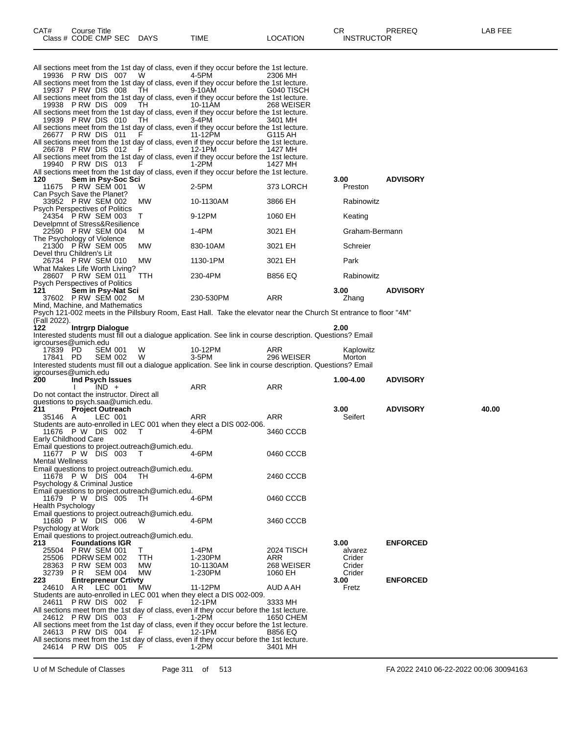| 19936 PRW DIS 007                                          |                                       | W.                                             | All sections meet from the 1st day of class, even if they occur before the 1st lecture.<br>4-5PM                  | 2306 MH                   |                  |                 |       |
|------------------------------------------------------------|---------------------------------------|------------------------------------------------|-------------------------------------------------------------------------------------------------------------------|---------------------------|------------------|-----------------|-------|
|                                                            |                                       |                                                | All sections meet from the 1st day of class, even if they occur before the 1st lecture.                           |                           |                  |                 |       |
| 19937 PRW DIS 008<br>19938 PRW DIS 009                     |                                       | TH.                                            | 9-10AM<br>All sections meet from the 1st day of class, even if they occur before the 1st lecture.                 | G040 TISCH                |                  |                 |       |
|                                                            |                                       | TH                                             | 10-11AM<br>All sections meet from the 1st day of class, even if they occur before the 1st lecture.                | 268 WEISER                |                  |                 |       |
| 19939 PRW DIS 010                                          |                                       | TH.                                            | 3-4PM<br>All sections meet from the 1st day of class, even if they occur before the 1st lecture.                  | 3401 MH                   |                  |                 |       |
| 26677 PRW DIS 011                                          |                                       | F                                              | 11-12PM<br>All sections meet from the 1st day of class, even if they occur before the 1st lecture.                | G115 AH                   |                  |                 |       |
| 26678 PRW DIS 012                                          |                                       |                                                | 12-1PM                                                                                                            | 1427 MH                   |                  |                 |       |
| 19940 PRW DIS 013                                          |                                       | F.                                             | All sections meet from the 1st day of class, even if they occur before the 1st lecture.<br>1-2PM                  | 1427 MH                   |                  |                 |       |
| 120                                                        | Sem in Psy-Soc Sci                    |                                                | All sections meet from the 1st day of class, even if they occur before the 1st lecture.                           |                           | 3.00             | <b>ADVISORY</b> |       |
| 11675 P RW SEM 001<br>Can Psych Save the Planet?           |                                       | W                                              | 2-5PM                                                                                                             | 373 LORCH                 | Preston          |                 |       |
| 33952 P RW SEM 002<br>Psych Perspectives of Politics       |                                       | MW                                             | 10-1130AM                                                                                                         | 3866 EH                   | Rabinowitz       |                 |       |
| 24354 PRW SEM 003<br>Develpmnt of Stress&Resilience        |                                       | Τ                                              | 9-12PM                                                                                                            | 1060 EH                   | Keating          |                 |       |
| 22590 PRW SEM 004<br>The Psychology of Violence            |                                       | м                                              | 1-4PM                                                                                                             | 3021 EH                   | Graham-Bermann   |                 |       |
| 21300 P RW SEM 005<br>Devel thru Children's Lit            |                                       | <b>MW</b>                                      | 830-10AM                                                                                                          | 3021 EH                   | Schreier         |                 |       |
| 26734 PRW SEM 010<br>What Makes Life Worth Living?         |                                       | МW                                             | 1130-1PM                                                                                                          | 3021 EH                   | Park             |                 |       |
| 28607 PRW SEM 011<br><b>Psych Perspectives of Politics</b> |                                       | TTH                                            | 230-4PM                                                                                                           | <b>B856 EQ</b>            | Rabinowitz       |                 |       |
| 121                                                        | Sem in Psy-Nat Sci                    |                                                |                                                                                                                   | ARR                       | 3.00             | <b>ADVISORY</b> |       |
| 37602 PRW SEM 002<br>Mind, Machine, and Mathematics        |                                       | м                                              | 230-530PM                                                                                                         |                           | Zhang            |                 |       |
| (Fall 2022).                                               |                                       |                                                | Psych 121-002 meets in the Pillsbury Room, East Hall. Take the elevator near the Church St entrance to floor "4M" |                           |                  |                 |       |
| 122                                                        | <b>Intrgrp Dialogue</b>               |                                                |                                                                                                                   |                           | 2.00             |                 |       |
| igrcourses@umich.edu                                       |                                       |                                                | Interested students must fill out a dialogue application. See link in course description. Questions? Email        |                           |                  |                 |       |
| 17839 PD                                                   | <b>SEM 001</b>                        | W                                              | 10-12PM                                                                                                           | ARR<br>296 WEISER         | Kaplowitz        |                 |       |
| 17841 PD                                                   | <b>SEM 002</b>                        | - W                                            | 3-5PM                                                                                                             |                           | Morton           |                 |       |
|                                                            |                                       |                                                | Interested students must fill out a dialogue application. See link in course description. Questions? Email        |                           |                  |                 |       |
| igrcourses@umich.edu                                       |                                       |                                                |                                                                                                                   |                           |                  |                 |       |
| 200                                                        | Ind Psych Issues<br>$IND +$           |                                                | ARR                                                                                                               | ARR                       | 1.00-4.00        | <b>ADVISORY</b> |       |
| Do not contact the instructor. Direct all                  |                                       |                                                |                                                                                                                   |                           |                  |                 |       |
| questions to psych.saa@umich.edu.<br>211                   | <b>Project Outreach</b>               |                                                |                                                                                                                   |                           | 3.00             | <b>ADVISORY</b> | 40.00 |
| 35146 A                                                    | LEC 001                               |                                                | ARR                                                                                                               | ARR                       | Seifert          |                 |       |
| 11676 P W DIS 002                                          |                                       | $\top$                                         | Students are auto-enrolled in LEC 001 when they elect a DIS 002-006.<br>4-6PM                                     | 3460 CCCB                 |                  |                 |       |
| Early Childhood Care                                       |                                       | Email questions to project.outreach@umich.edu. |                                                                                                                   |                           |                  |                 |       |
| 11677 PW DIS 003                                           |                                       | т                                              | 4-6PM                                                                                                             | 0460 CCCB                 |                  |                 |       |
| <b>Mental Wellness</b>                                     |                                       | Email questions to project.outreach@umich.edu. |                                                                                                                   |                           |                  |                 |       |
| 11678 PW DIS 004                                           |                                       | TH                                             | 4-6PM                                                                                                             | 2460 CCCB                 |                  |                 |       |
| Psychology & Criminal Justice                              |                                       | Email questions to project.outreach@umich.edu. |                                                                                                                   |                           |                  |                 |       |
| 11679 P W DIS 005                                          |                                       | TH.                                            | 4-6PM                                                                                                             | 0460 CCCB                 |                  |                 |       |
| <b>Health Psychology</b>                                   |                                       | Email questions to project.outreach@umich.edu. |                                                                                                                   |                           |                  |                 |       |
| 11680 P W DIS 006<br>Psychology at Work                    |                                       | W                                              | 4-6PM                                                                                                             | 3460 CCCB                 |                  |                 |       |
|                                                            |                                       | Email questions to project.outreach@umich.edu. |                                                                                                                   |                           |                  |                 |       |
| 213<br>25504 P RW SEM 001                                  | <b>Foundations IGR</b>                | T.                                             | 1-4PM                                                                                                             | 2024 TISCH                | 3.00<br>alvarez  | <b>ENFORCED</b> |       |
| 25506                                                      | PDRW SEM 002                          | TTH                                            | 1-230PM                                                                                                           | ARR                       | Crider           |                 |       |
| 28363<br>32739<br>P R                                      | <b>P RW SEM 003</b><br><b>SEM 004</b> | МW<br><b>MW</b>                                | 10-1130AM<br>1-230PM                                                                                              | 268 WEISER<br>1060 EH     | Crider<br>Crider |                 |       |
| 223                                                        | <b>Entrepreneur Crtivty</b>           |                                                |                                                                                                                   |                           | 3.00             | <b>ENFORCED</b> |       |
| 24610 AR                                                   | LEC 001                               | MW                                             | 11-12PM<br>Students are auto-enrolled in LEC 001 when they elect a DIS 002-009.                                   | AUD A AH                  | Fretz            |                 |       |
| 24611 PRW DIS 002                                          |                                       | F                                              | 12-1PM                                                                                                            | 3333 MH                   |                  |                 |       |
| 24612 PRW DIS 003                                          |                                       |                                                | All sections meet from the 1st day of class, even if they occur before the 1st lecture.<br>1-2PM                  | 1650 CHEM                 |                  |                 |       |
|                                                            |                                       |                                                | All sections meet from the 1st day of class, even if they occur before the 1st lecture.                           |                           |                  |                 |       |
| 24613 PRW DIS 004<br>24614 PRW DIS 005                     |                                       | F                                              | 12-1PM<br>All sections meet from the 1st day of class, even if they occur before the 1st lecture.<br>$1-2PM$      | <b>B856 EQ</b><br>3401 MH |                  |                 |       |

U of M Schedule of Classes Page 311 of 513 FA 2022 2410 06-22-2022 00:06 30094163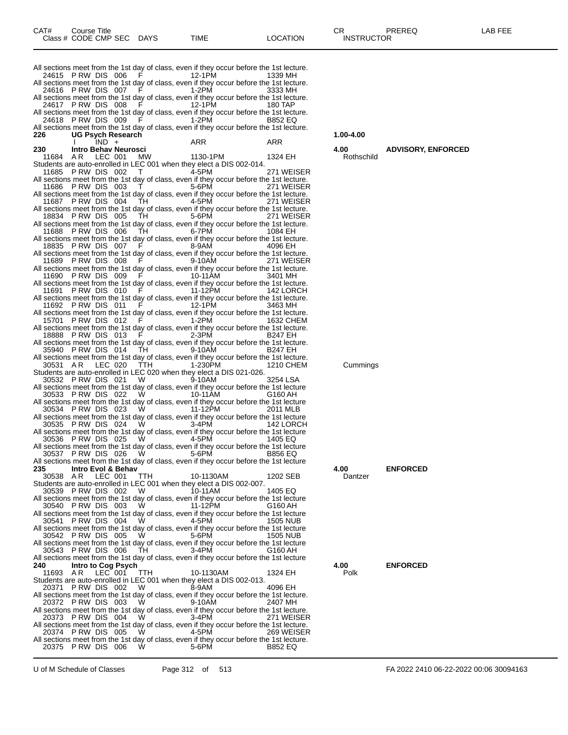| CAT# | Title<br>Course⊺     |             |      |          | ◠г<br>- UN        | PREREQ | _AB FEF |
|------|----------------------|-------------|------|----------|-------------------|--------|---------|
|      | Class # CODE CMP SEC | <b>DAYS</b> | TIME | LOCATION | <b>INSTRUCTOR</b> |        |         |

All sections meet from the 1st day of class, even if they occur before the 1st lecture.<br>24615 P RW DIS 006 F 12-1PM 1339 MH 24615 P RW DIS 006 All sections meet from the 1st day of class, even if they occur before the 1st lecture.<br>24616 P RW DIS 007 F 1-2PM 3333 MH 24616 P RW DIS 007 All sections meet from the 1st day of class, even if they occur before the 1st lecture.<br>24617 P RW DIS 008 F 12-1PM 180 TAP 24617 P RW DIS 008 All sections meet from the 1st day of class, even if they occur before the 1st lecture.<br>24618 P RW DIS 009 F 1-2PM B852 EQ 24618 P RW DIS 009 All sections meet from the 1st day of class, even if they occur before the 1st lecture.<br>226 UG Psych Research **226 UG Psych Research 1.00-4.00** I IND + ARR ARR **230 Intro Behav Neurosci 4.00 ADVISORY, ENFORCED** 11684 A R LEC 001 MW 1130-1PM 1324 EH Rothschild Students are auto-enrolled in LEC 001 when they elect a DIS 002-014. 11685 P RW DIS 002 T 4-5PM 271 WEISER All sections meet from the 1st day of class, even if they occur before the 1st lecture. 11686 P RW DIS 003 T 5-6PM 271 WEISER All sections meet from the 1st day of class, even if they occur before the 1st lecture. 11687 P RW DIS 004 TH 4-5PM 271 WEISER All sections meet from the 1st day of class, even if they occur before the 1st lecture.<br>18834 P RW DIS 005 TH 5-6PM 271 WEISER 18834 P RW DIS 005 TH 5-6PM 271 WEISER All sections meet from the 1st day of class, even if they occur before the 1st lecture.<br>11688 P RW DIS 006 TH 6-7PM 6-7PM 11688 P RW DIS 006 TH 6-7PM 1084 EH All sections meet from the 1st day of class, even if they occur before the 1st lecture. 18835 P RW DIS 007 F 8-9AM 4096 EH All sections meet from the 1st day of class, even if they occur before the 1st lecture.<br>11689 P RW DIS 008 F 9-10AM 271 WEISER 11689 PRW DIS 008 F All sections meet from the 1st day of class, even if they occur before the 1st lecture.<br>11690 P RW DIS 009 F 10-11AM 3401 MH 11690 P RW DIS 009 All sections meet from the 1st day of class, even if they occur before the 1st lecture.<br>1142 LORCH 11691 PRW DIS 010 F 11-12PM 11691 P RW DIS 010 All sections meet from the 1st day of class, even if they occur before the 1st lecture.<br>11692 P RW DIS 011 F 12-1PM 3463 MH 11692 P RW DIS 011 All sections meet from the 1st day of class, even if they occur before the 1st lecture.<br>15701 P RW DIS 012 F 1-2PM 15701 P RW DIS 012 All sections meet from the 1st day of class, even if they occur before the 1st lecture.<br>18888 P RW DIS 013 F 2-3PM B247 EH 18888 P RW DIS 013 All sections meet from the 1st day of class, even if they occur before the 1st lecture.<br>35940 P RW DIS 014 TH 9-10AM B247 EH 35940 P RW DIS 014 All sections meet from the 1st day of class, even if they occur before the 1st lecture.<br>1210 CHEM 1210 CHEM 30531 A R LEC 020 TTH 1-230PM 1210 CHEM Cummings Students are auto-enrolled in LEC 020 when they elect a DIS 021-026. 30532 P RW DIS 021 W 9-10AM 3254 LSA All sections meet from the 1st day of class, even if they occur before the 1st lecture<br>30533 P RW DIS 022 W 10-11AM G160 AH 30533 P RW DIS 022 All sections meet from the 1st day of class, even if they occur before the 1st lecture<br>30534 P RW DIS 023 W 11-12PM 2011 MLB 30534 P RW DIS 023 W 11-12PM 2011 MLB All sections meet from the 1st day of class, even if they occur before the 1st lecture 30535 P RW DIS 024 W 3-4PM 142 LORCH All sections meet from the 1st day of class, even if they occur before the 1st lecture<br>30536 P RW DIS 025 W 4-5PM 1405 EQ 30536 P RW DIS 025 W 4-5PM 1405 EQ All sections meet from the 1st day of class, even if they occur before the 1st lecture<br>30537 P RW DIS 026 W 5-6PM B856 EQ 30537 P RW DIS 026 All sections meet from the 1st day of class, even if they occur before the 1st lecture<br>235 **Intro Fvol & Behav 235 Intro Evol & Behav 4.00 ENFORCED** 30538 A R LEC 001 TTH 10-1130AM 1202 SEB Dantzer Students are auto-enrolled in LEC 001 when they elect a DIS 002-007. 30539 P RW DIS 002 W 10-11AM 1405 EQ All sections meet from the 1st day of class, even if they occur before the 1st lecture<br>30540 P RW DIS 003 W 11-12PM 6160 AH 30540 P RW DIS 003 All sections meet from the 1st day of class, even if they occur before the 1st lecture<br>30541 P RW DIS 004 W 4-5PM 1505 NUB 30541 P RW DIS 004 All sections meet from the 1st day of class, even if they occur before the 1st lecture<br>30542 P RW DIS 005 W 5-6PM 1505 NUB 30542 P RW DIS 005 All sections meet from the 1st day of class, even if they occur before the 1st lecture<br>30543 P RW DIS 006 TH 3-4PM 6160 AH 30543 P RW DIS 006 TH All sections meet from the 1st day of class, even if they occur before the 1st lecture **240 Intro to Cog Psych 4.00 ENFORCED** 11693 A R LEC 001 TTH 10-1130AM 1324 EH Polk Students are auto-enrolled in LEC 001 when they elect a DIS 002-013. 20371 P RW DIS 002 W 8-9AM 4096 EH All sections meet from the 1st day of class, even if they occur before the 1st lecture.<br>20372 P RW DIS 003 W 9-10AM 2407 MH 20372 P RW DIS 003 All sections meet from the 1st day of class, even if they occur before the 1st lecture.<br>20373 PRW DIS 004 W 3-4PM 271 WEISER 20373 P RW DIS 004 All sections meet from the 1st day of class, even if they occur before the 1st lecture.<br>20374 P RW DIS 005 W 4-5PM 269 WEISER 20374 P RW DIS 005 All sections meet from the 1st day of class, even if they occur before the 1st lecture.<br>20375 P RW DIS 006 W 5-6PM B852 EQ 20375 P RW DIS 006

| 4.00       | <b>ADVISORY, ENFORCED</b> |
|------------|---------------------------|
| Rothschild |                           |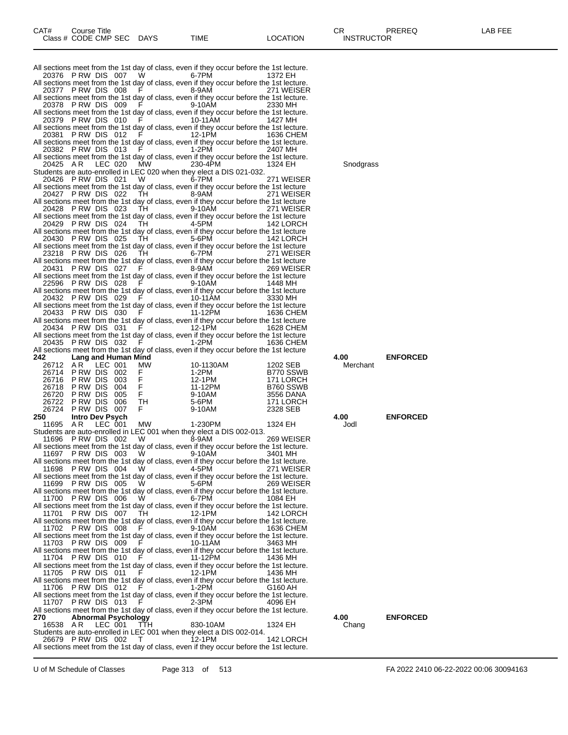All sections meet from the 1st day of class, even if they occur before the 1st lecture.<br>20376 P RW DIS 007 W 6-7PM 1372 EH 20376 P RW DIS 007 W All sections meet from the 1st day of class, even if they occur before the 1st lecture.<br>20377 P RW DIS 008 F 8-9AM 271 WEISER 20377 P RW DIS 008 All sections meet from the 1st day of class, even if they occur before the 1st lecture.<br>20378 P RW DIS 009 F 9-10AM 2330 MH 20378 P RW DIS 009 All sections meet from the 1st day of class, even if they occur before the 1st lecture.<br>20379 P RW DIS 010 F 10-11AM 20379 P RW DIS 010 F 10-11AM 1427 MH All sections meet from the 1st day of class, even if they occur before the 1st lecture. 20381 P RW DIS 012 F 12-1PM 1636 CHEM All sections meet from the 1st day of class, even if they occur before the 1st lecture.<br>20382 P RW DIS 013 F 1-2PM 2407 MH 20382 P RW DIS 013 All sections meet from the 1st day of class, even if they occur before the 1st lecture.<br>20425 AR LEC 020 MW 230-4PM 1324 EH 20425 A R LEC 020 MW 230-4PM 1324 EH Snodgrass Students are auto-enrolled in LEC 020 when they elect a DIS 021-032. 20426 P RW DIS 021 W 6-7PM 271 WEISER All sections meet from the 1st day of class, even if they occur before the 1st lecture<br>20427 P RW DIS 022 TH 8-9AM 271 WEISER 20427 P RW DIS 022 TH 8-9AM 271 WEISER All sections meet from the 1st day of class, even if they occur before the 1st lecture 20428 P RW DIS 023 TH 9-10AM 271 WEISER All sections meet from the 1st day of class, even if they occur before the 1st lecture 20429 P RW DIS 024 TH 4-5PM 142 LORCH All sections meet from the 1st day of class, even if they occur before the 1st lecture<br>20430 P RW DIS 025 TH 5-6PM 142 LORCH 20430 P RW DIS 025 TH 5-6PM 142 LORCH All sections meet from the 1st day of class, even if they occur before the 1st lecture 23218 P RW DIS 026 TH 6-7PM 271 WEISER All sections meet from the 1st day of class, even if they occur before the 1st lecture 20431 P RW DIS 027 F 8-9AM 269 WEISER All sections meet from the 1st day of class, even if they occur before the 1st lecture<br>22596 P RW DIS 028 F 9-10AM 22596 P RW DIS 028 All sections meet from the 1st day of class, even if they occur before the 1st lecture<br>20432 P RW DIS 029 F 10-11AM 3330 MH 20432 P RW DIS 029 F 10-11AM 3330 MH All sections meet from the 1st day of class, even if they occur before the 1st lecture 20433 P RW DIS 030 F 11-12PM 1636 CHEM All sections meet from the 1st day of class, even if they occur before the 1st lecture<br>20434 P RW DIS 031 F 12-1PM 1628 CHEM 20434 P RW DIS 031 All sections meet from the 1st day of class, even if they occur before the 1st lecture<br>20435 P RW DIS 032 F 1-2PM 1636 CHEM 20435 P RW DIS 032 F All sections meet from the 1st day of class, even if they occur before the 1st lecture<br>242 Lang and Human Mind **242 Lang and Human Mind 4.00 ENFORCED** 26712 AR LEC 001 MW 10-1130AM 1202 SEB<br>26714 PRW DIS 002 F 1-2PM B770 SSWB 26714 P RW DIS 002 F 1-2PM B770 SSWB 26716 P RW DIS 003 F 12-1PM 171 LORCH 26718 P RW DIS 004 F 11-12PM B760 SSWB 26720 P RW DIS 005 F 9-10AM 3556 DANA 26722 P RW DIS 006 TH 5-6PM 171 LORCH 26724 P RW DIS 007<br>250 Intro Dev Psych **250 Intro Dev Psych 4.00 ENFORCED** 11695 A R LEC 001 MW 1-230PM 1324 EH Jodl Students are auto-enrolled in LEC 001 when they elect a DIS 002-013. 11696 P RW DIS 002 W 8-9AM 269 WEISER All sections meet from the 1st day of class, even if they occur before the 1st lecture.<br>11697 P RW DIS 003 W 9-10AM 3401 MH 11697 P RW DIS 003 All sections meet from the 1st day of class, even if they occur before the 1st lecture. 11698 P RW DIS 004 W 4-5PM 271 WEISER All sections meet from the 1st day of class, even if they occur before the 1st lecture.<br>11699 P RW DIS 005 W 5-6PM 269 WEISER 11699 P RW DIS 005 All sections meet from the 1st day of class, even if they occur before the 1st lecture.<br>11700 P RW DIS 006 W 6-7PM 1084 EH 11700 P RW DIS 006 W 6-7PM 1084 EH All sections meet from the 1st day of class, even if they occur before the 1st lecture. 11701 P RW DIS 007 TH 12-1PM 142 LORCH All sections meet from the 1st day of class, even if they occur before the 1st lecture.<br>11702 P RW DIS 008 F 9-10AM 1636 CHEM 11702 P RW DIS 008 All sections meet from the 1st day of class, even if they occur before the 1st lecture.<br>11703 P RW DIS 009 F 10-11AM 3463 MH 11703 P RW DIS 009 F 10-11AM 3463 MH All sections meet from the 1st day of class, even if they occur before the 1st lecture. 11704 P RW DIS 010 F 11-12PM 1436 MH All sections meet from the 1st day of class, even if they occur before the 1st lecture.<br>11705 P RW DIS 011 F 12-1PM 1436 MH 11705 P RW DIS 011 All sections meet from the 1st day of class, even if they occur before the 1st lecture.<br>11706 P RW DIS 012 F 1-2PM 6160 AH 11706 P RW DIS 012 All sections meet from the 1st day of class, even if they occur before the 1st lecture.<br>11707 P RW DIS 013 F 2-3PM 4096 EH 11707 P RW DIS 013 All sections meet from the 1st day of class, even if they occur before the 1st lecture.<br>270 **Abnormal Psychology 270 Abnormal Psychology 4.00 ENFORCED** 16538 A R LEC 001 TTH 830-10AM 1324 EH Chang Students are auto-enrolled in LEC 001 when they elect a DIS 002-014.<br>26679 PRW DIS 002 T 12-1PM 26679 P RW DIS 002 T 12-1PM 142 LORCH All sections meet from the 1st day of class, even if they occur before the 1st lecture.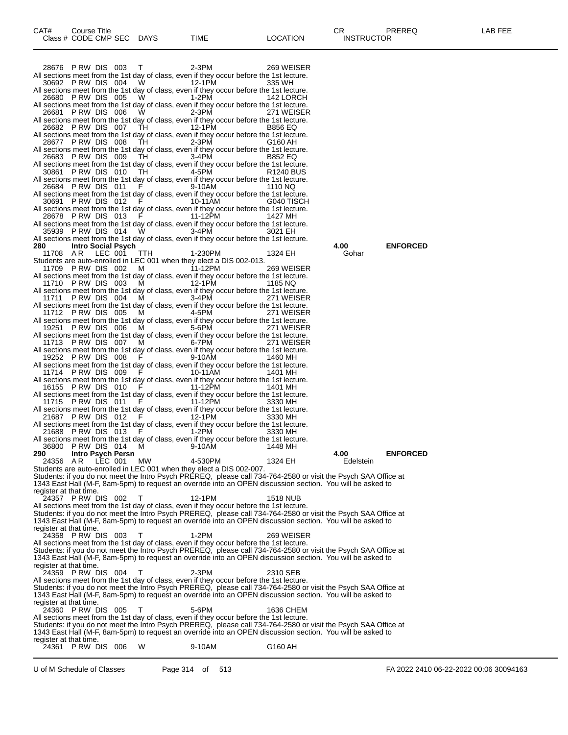28676 P RW DIS 003 T 2-3PM 269 WEISER All sections meet from the 1st day of class, even if they occur before the 1st lecture.<br>30692 P RW DIS 004 W 12-1PM 335 WH 30692 P RW DIS 004 All sections meet from the 1st day of class, even if they occur before the 1st lecture.<br>26680 P RW DIS 005 W 1-2PM 142 LORCH 26680 P RW DIS 005 All sections meet from the 1st day of class, even if they occur before the 1st lecture.<br>26681 P RW DIS 006 W 2-3PM 271 WEISER 26681 P RW DIS 006 All sections meet from the 1st day of class, even if they occur before the 1st lecture.<br>26682 P RW DIS 007 TH 12-1PM B856 EQ 26682 P RW DIS 007 All sections meet from the 1st day of class, even if they occur before the 1st lecture.<br>28677 P RW DIS 008 TH 2-3PM 6160 AH 28677 P RW DIS 008 All sections meet from the 1st day of class, even if they occur before the 1st lecture.<br>26683 P RW DIS 009 TH 3-4PM B852 EQ 26683 P RW DIS 009 All sections meet from the 1st day of class, even if they occur before the 1st lecture.<br>30861 P RW DIS 010 TH 4-5PM R1240 BUS 30861 P RW DIS 010 TH 4-5PM R1240 BUS All sections meet from the 1st day of class, even if they occur before the 1st lecture. 26684 P RW DIS 011 F 9-10AM 1110 NQ All sections meet from the 1st day of class, even if they occur before the 1st lecture. 30691 P RW DIS 012 F 10-11AM G040 TISCH All sections meet from the 1st day of class, even if they occur before the 1st lecture.<br>28678 P RW DIS 013 F 11-12PM 1427 MH 28678 P RW DIS 013 F 11-12PM 1427 MH All sections meet from the 1st day of class, even if they occur before the 1st lecture. 35939 P RW DIS 014 W 3-4PM 3021 EH All sections meet from the 1st day of class, even if they occur before the 1st lecture. **280 Intro Social Psych Control of the Control of the Control of the Control of the Control of the MEDICIDE 11708 AR LEC 001 TTH 1-230PM 1324 EH Gohar** 11708 A R LEC 001 TTH 1-230PM 1324 EH Gohar Students are auto-enrolled in LEC 001 when they elect a DIS 002-013. 11709 P RW DIS 002 M 11-12PM 269 WEISER All sections meet from the 1st day of class, even if they occur before the 1st lecture. 11710 P RW DIS 003 M 12-1PM 1185 NQ All sections meet from the 1st day of class, even if they occur before the 1st lecture. 11711 P RW DIS 004 M 3-4PM 271 WEISER All sections meet from the 1st day of class, even if they occur before the 1st lecture. 11712 P RW DIS 005 All sections meet from the 1st day of class, even if they occur before the 1st lecture.<br>19251 P RW DIS 006 M 5-6PM 271 WEISER 19251 P RW DIS 006 All sections meet from the 1st day of class, even if they occur before the 1st lecture.<br>11713 P RW DIS 007 M 6-7PM 271 WEISER 11713 P RW DIS 007 All sections meet from the 1st day of class, even if they occur before the 1st lecture.<br>19252 P RW DIS 008 F 9-10AM 1460 MH 19252 P RW DIS 008 All sections meet from the 1st day of class, even if they occur before the 1st lecture.<br>11714 P RW DIS 009 F 10-11AM 11714 P RW DIS 009 All sections meet from the 1st day of class, even if they occur before the 1st lecture.<br>16155 P RW DIS 010 F 11-12PM 1401 MH 16155 PRW DIS 010 F 11-12PM 1401 MH All sections meet from the 1st day of class, even if they occur before the 1st lecture. 11715 P RW DIS 011 F 11-12PM 3330 MH All sections meet from the 1st day of class, even if they occur before the 1st lecture.<br>21687 P RW DIS 012 F 12-1PM 3330 MH 21687 P RW DIS 012 All sections meet from the 1st day of class, even if they occur before the 1st lecture.<br>21688 P RW DIS 013 F 1-2PM 3330 MH 21688 P RW DIS 013 F 1-2PM 3330 MH All sections meet from the 1st day of class, even if they occur before the 1st lecture. 36800 P RW DIS 014 M 9-10AM 1448 MH **290 Intro Psych Persn 4.00 ENFORCED** 24356 A R LEC 001 MW 4-530PM 1324 EH Edelstein Students are auto-enrolled in LEC 001 when they elect a DIS 002-007. Students: if you do not meet the Intro Psych PREREQ, please call 734-764-2580 or visit the Psych SAA Office at 1343 East Hall (M-F, 8am-5pm) to request an override into an OPEN discussion section. You will be asked to register at that time.<br>24357 P RW DIS 002 24357 P RW DIS 002 T 12-1PM 1518 NUB All sections meet from the 1st day of class, even if they occur before the 1st lecture. Students: if you do not meet the Intro Psych PREREQ, please call 734-764-2580 or visit the Psych SAA Office at 1343 East Hall (M-F, 8am-5pm) to request an override into an OPEN discussion section. You will be asked to register at that time. 24358 P RW DIS 003 T 1-2PM 269 WEISER All sections meet from the 1st day of class, even if they occur before the 1st lecture. Students: if you do not meet the Intro Psych PREREQ, please call 734-764-2580 or visit the Psych SAA Office at 1343 East Hall (M-F, 8am-5pm) to request an override into an OPEN discussion section. You will be asked to register at that time.<br>24359 P RW DIS 004 24359 P RW DIS 004 T 2-3PM 2310 SEB All sections meet from the 1st day of class, even if they occur before the 1st lecture. Students: if you do not meet the Intro Psych PREREQ, please call 734-764-2580 or visit the Psych SAA Office at 1343 East Hall (M-F, 8am-5pm) to request an override into an OPEN discussion section. You will be asked to register at that time.<br>24360 PRW DIS 005 24360 P RW DIS 005 T 5-6PM 1636 CHEM All sections meet from the 1st day of class, even if they occur before the 1st lecture. Students: if you do not meet the Intro Psych PREREQ, please call 734-764-2580 or visit the Psych SAA Office at 1343 East Hall (M-F, 8am-5pm) to request an override into an OPEN discussion section. You will be asked to register at that time.

<sup>24361</sup> P RW DIS 006 W 9-10AM G160 AH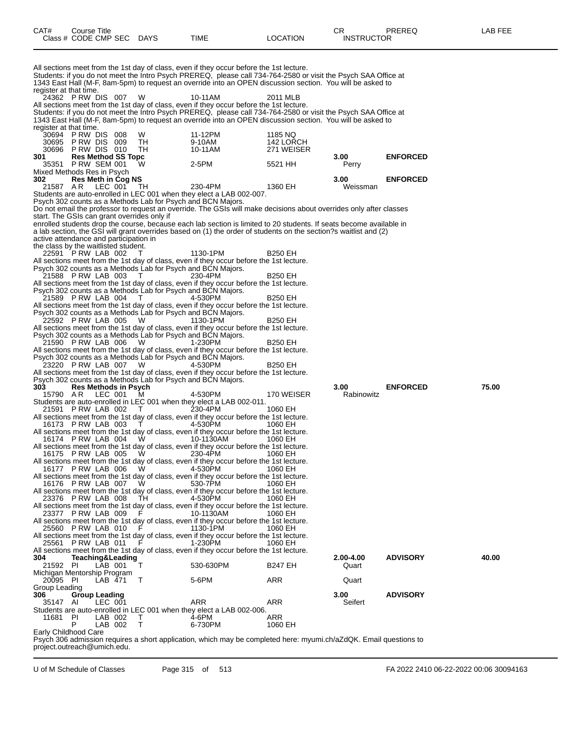| CAT# | Title<br>Course      |             |      |                | ∼г<br>◡⊓          | PREREQ | AR FFF |
|------|----------------------|-------------|------|----------------|-------------------|--------|--------|
|      | Class # CODE CMP SEC | <b>DAYS</b> | TIME | <b>OCATION</b> | <b>INSTRUCTOR</b> |        |        |

All sections meet from the 1st day of class, even if they occur before the 1st lecture. Students: if you do not meet the Intro Psych PREREQ, please call 734-764-2580 or visit the Psych SAA Office at 1343 East Hall (M-F, 8am-5pm) to request an override into an OPEN discussion section. You will be asked to register at that time.<br>24362 P RW DIS 007 24362 P RW DIS 007 W 10-11AM 2011 MLB All sections meet from the 1st day of class, even if they occur before the 1st lecture. Students: if you do not meet the Intro Psych PREREQ, please call 734-764-2580 or visit the Psych SAA Office at 1343 East Hall (M-F, 8am-5pm) to request an override into an OPEN discussion section. You will be asked to register at that time. 30694 P RW DIS 008 W 11-12PM 1185 NQ 30695 P RW DIS 009 TH 9-10AM 142 LORCH 30696 P RW DIS 010<br>301 Res Method SS **301 Res Method SS Topc 3.00 ENFORCED P RW SEM 001** Mixed Methods Res in Psych<br>302 Res Meth in Coq **302 Res Meth in Cog NS 3.00 ENFORCED** 21587 A R LEC 001 TH 230-4PM 1360 EH Weissman Students are auto-enrolled in LEC 001 when they elect a LAB 002-007. Psych 302 counts as a Methods Lab for Psych and BCN Majors. Do not email the professor to request an override. The GSIs will make decisions about overrides only after classes start. The GSIs can grant overrides only if enrolled students drop the course, because each lab section is limited to 20 students. If seats become available in a lab section, the GSI will grant overrides based on (1) the order of students on the section?s waitlist and (2) active attendance and participation in the class by the waitlisted student. 22591 P RW LAB 002 T 1130-1PM B250 EH All sections meet from the 1st day of class, even if they occur before the 1st lecture. Psych 302 counts as a Methods Lab for Psych and BCN Majors. 21588 P RW LAB 003 T 230-4PM B250 EH All sections meet from the 1st day of class, even if they occur before the 1st lecture. Psych 302 counts as a Methods Lab for Psych and BCN Majors. 21589 P RW LAB 004 T 4-530PM B250 EH All sections meet from the 1st day of class, even if they occur before the 1st lecture. Psych 302 counts as a Methods Lab for Psych and BCN Majors. 22592 P RW LAB 005 W 1130-1PM B250 EH All sections meet from the 1st day of class, even if they occur before the 1st lecture. Psych 302 counts as a Methods Lab for Psych and BCN Majors. 21590 P RW LAB 006 W 1-230PM B250 EH All sections meet from the 1st day of class, even if they occur before the 1st lecture. Psych 302 counts as a Methods Lab for Psych and BCN Majors. 23220 P RW LAB 007 W 4-530PM B250 EH All sections meet from the 1st day of class, even if they occur before the 1st lecture. Psych 302 counts as a Methods Lab for Psych and BCN Majors. **303 Res Methods in Psych 3.00 ENFORCED 75.00** 15790 AR LEC 001 M 4-530PM 170 WEISER Rabinowitz Students are auto-enrolled in LEC 001 when they elect a LAB 002-011. 21591 P RW LAB 002 T 230-4PM 1060 EH All sections meet from the 1st day of class, even if they occur before the 1st lecture. 16173 P RW LAB 003 T 4-530PM 1060 EH All sections meet from the 1st day of class, even if they occur before the 1st lecture.<br>16174 P RW LAB 004 W 10-1130AM 1060 EH 16174 P RW LAB 004 W 10-1130AM 1060 EH All sections meet from the 1st day of class, even if they occur before the 1st lecture.<br>16175 P RW LAB 005 W 230-4PM 1060 EH 16175 P RW LAB 005 All sections meet from the 1st day of class, even if they occur before the 1st lecture. 16177 P RW LAB 006 W 4-530PM 1060 EH All sections meet from the 1st day of class, even if they occur before the 1st lecture. 16176 P RW LAB 007 W 530-7PM 1060 EH 16176 P RW LAB 007 W 530-7PM 1060 EH<br>All sections meet from the 1st day of class, even if they occur before the 1st lecture.<br>23376 P RW LAB 008 TH 4-530PM 1060 EH 23376 P RW LAB 008 All sections meet from the 1st day of class, even if they occur before the 1st lecture. 23377 P RW LAB 009 F 10-1130AM 1060 EH All sections meet from the 1st day of class, even if they occur before the 1st lecture.<br>25560 P RW LAB 010 F 1130-1PM 1060 EH 25560 P RW LAB 010 All sections meet from the 1st day of class, even if they occur before the 1st lecture.<br>25561 P RW LAB 011 F 1-230PM 1060 EH 25561 P RW LAB 011 F All sections meet from the 1st day of class, even if they occur before the 1st lecture.<br>304 Teaching&Leading **304 Teaching&Leading 2.00-4.00 ADVISORY 40.00** 530-630PM Michigan Mentorship Program<br>20095 PI LAB 471 20095 PI LAB 471 T 5-6PM ARR Quart Group Leading<br>306 Gro **306 Group Leading 3.00 ADVISORY** 35147 AI LEC 001 ARR ARR Seifert Students are auto-enrolled in LEC 001 when they elect a LAB 002-006. 11681 PI LAB 002 T 4-6PM ARR<br>P LAB 002 T 6-730PM 1060 EH LAB 002

Early Childhood Care

Psych 306 admission requires a short application, which may be completed here: myumi.ch/aZdQK. Email questions to project.outreach@umich.edu.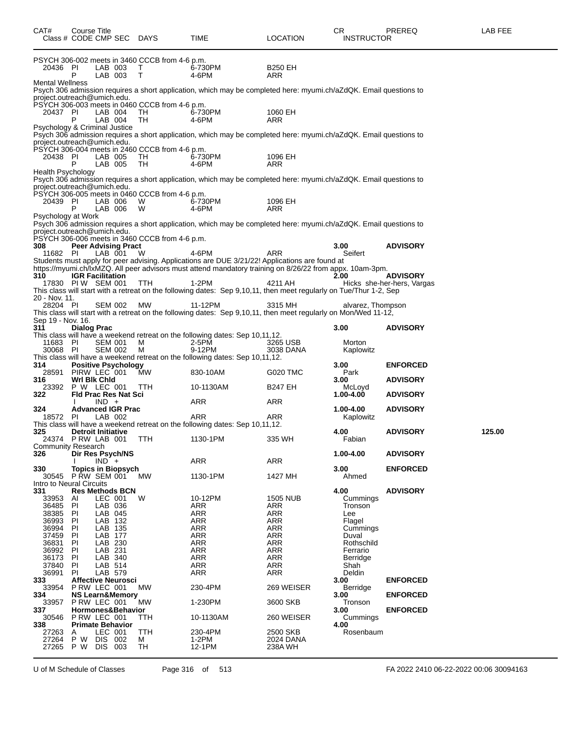| CAT#                                          | Course Title<br>Class # CODE CMP SEC DAYS                                                                |                | TIME                                                                                                                                                                                                                | <b>LOCATION</b>                      | CR<br><b>INSTRUCTOR</b>                      | PREREQ                                        | LAB FEE |
|-----------------------------------------------|----------------------------------------------------------------------------------------------------------|----------------|---------------------------------------------------------------------------------------------------------------------------------------------------------------------------------------------------------------------|--------------------------------------|----------------------------------------------|-----------------------------------------------|---------|
| 20436 PI                                      | PSYCH 306-002 meets in 3460 CCCB from 4-6 p.m.<br>LAB 003<br>P<br>LAB 003                                | Τ<br>T         | 6-730PM<br>4-6PM                                                                                                                                                                                                    | <b>B250 EH</b><br>ARR                |                                              |                                               |         |
| <b>Mental Wellness</b>                        | project.outreach@umich.edu.                                                                              |                | Psych 306 admission requires a short application, which may be completed here: myumi.ch/aZdQK. Email questions to                                                                                                   |                                      |                                              |                                               |         |
| 20437 PI                                      | PSYCH 306-003 meets in 0460 CCCB from 4-6 p.m.<br>LAB 004<br>LAB 004                                     | TH<br>TH       | 6-730PM<br>4-6PM                                                                                                                                                                                                    | 1060 EH<br>ARR                       |                                              |                                               |         |
|                                               | Psychology & Criminal Justice<br>project.outreach@umich.edu.                                             |                | Psych 306 admission requires a short application, which may be completed here: myumi.ch/aZdQK. Email questions to                                                                                                   |                                      |                                              |                                               |         |
| 20438 PI                                      | PSYCH 306-004 meets in 2460 CCCB from 4-6 p.m.<br>LAB 005<br>LAB 005                                     | TH<br>TH       | 6-730PM<br>4-6PM                                                                                                                                                                                                    | 1096 EH<br>ARR                       |                                              |                                               |         |
| Health Psychology                             |                                                                                                          |                | Psych 306 admission requires a short application, which may be completed here: myumi.ch/aZdQK. Email questions to                                                                                                   |                                      |                                              |                                               |         |
| 20439 PI<br>Psychology at Work                | project.outreach@umich.edu.<br>PSYCH 306-005 meets in 0460 CCCB from 4-6 p.m.<br>LAB 006<br>LAB 006<br>Р | W<br>W         | 6-730PM<br>4-6PM                                                                                                                                                                                                    | 1096 EH<br>ARR                       |                                              |                                               |         |
|                                               | project.outreach@umich.edu.<br>PSYCH 306-006 meets in 3460 CCCB from 4-6 p.m.                            |                | Psych 306 admission requires a short application, which may be completed here: myumi.ch/aZdQK. Email questions to                                                                                                   |                                      |                                              |                                               |         |
| 308<br>11682 PI                               | <b>Peer Advising Pract</b><br>LAB 001                                                                    | W              | 4-6PM<br>Students must apply for peer advising. Applications are DUE 3/21/22! Applications are found at<br>https://myumi.ch/lxMZQ. All peer advisors must attend mandatory training on 8/26/22 from appx. 10am-3pm. | <b>ARR</b>                           | 3.00<br>Seifert                              | <b>ADVISORY</b>                               |         |
| 310                                           | <b>IGR Facilitation</b><br>17830 PIW SEM 001                                                             | <b>TTH</b>     | 1-2PM<br>This class will start with a retreat on the following dates: Sep 9,10,11, then meet regularly on Tue/Thur 1-2, Sep                                                                                         | 4211 AH                              | 2.00                                         | <b>ADVISORY</b><br>Hicks she-her-hers, Vargas |         |
| 20 - Nov. 11.<br>28204 PI                     | SEM 002                                                                                                  | МW             | 11-12PM<br>This class will start with a retreat on the following dates: Sep 9,10,11, then meet regularly on Mon/Wed 11-12,                                                                                          | 3315 MH                              | alvarez, Thompson                            |                                               |         |
| Sep 19 - Nov. 16.<br>311                      | <b>Dialog Prac</b>                                                                                       |                | This class will have a weekend retreat on the following dates: Sep 10,11,12.                                                                                                                                        |                                      | 3.00                                         | <b>ADVISORY</b>                               |         |
| 11683 PI<br>30068 PI                          | <b>SEM 001</b><br><b>SEM 002</b>                                                                         | M<br>м         | 2-5PM<br>9-12PM<br>This class will have a weekend retreat on the following dates: Sep 10,11,12.                                                                                                                     | 3265 USB<br>3038 DANA                | Morton<br>Kaplowitz                          |                                               |         |
| 314.                                          | <b>Positive Psychology</b><br>28591 PIRW LEC 001                                                         | <b>MW</b>      | 830-10AM                                                                                                                                                                                                            | G020 TMC                             | 3.00<br>Park                                 | <b>ENFORCED</b>                               |         |
| 316.<br>322                                   | Wri Bik Chid<br>23392 P W LEC 001<br>Fld Prac Res Nat Sci                                                | TTH            | 10-1130AM                                                                                                                                                                                                           | <b>B247 EH</b>                       | 3.00<br>McLoyd<br>1.00-4.00                  | <b>ADVISORY</b><br><b>ADVISORY</b>            |         |
| 324.                                          | $IND +$<br><b>Advanced IGR Prac</b><br>LAB 002                                                           |                | ARR<br><b>ARR</b>                                                                                                                                                                                                   | ARR<br>ARR                           | 1.00-4.00                                    | <b>ADVISORY</b>                               |         |
| 18572 PI<br>325                               | <b>Detroit Initiative</b>                                                                                |                | This class will have a weekend retreat on the following dates: Sep 10,11,12.                                                                                                                                        |                                      | Kaplowitz<br>4.00                            | <b>ADVISORY</b>                               | 125.00  |
|                                               | 24374 P RW LAB 001<br><b>Community Research</b>                                                          | TTH            | 1130-1PM                                                                                                                                                                                                            | 335 WH                               | Fabian                                       |                                               |         |
| 326                                           | Dir Res Psych/NS<br>$IND +$                                                                              |                | ARR                                                                                                                                                                                                                 | ARR                                  | 1.00-4.00                                    | <b>ADVISORY</b>                               |         |
| 330                                           | <b>Topics in Biopsych</b><br>30545 PRW SEM 001<br>Intro to Neural Circuits                               | <b>MW</b>      | 1130-1PM                                                                                                                                                                                                            | 1427 MH                              | 3.00<br>Ahmed                                | <b>ENFORCED</b>                               |         |
| 331<br>33953<br>36485<br>38385 PI<br>36993 PI | <b>Res Methods BCN</b><br>LEC 001<br>AI<br>LAB 036<br>PI<br>LAB 045<br>LAB 132                           | W              | 10-12PM<br>ARR<br>ARR<br><b>ARR</b>                                                                                                                                                                                 | <b>1505 NUB</b><br>ARR<br>ARR<br>ARR | 4.00<br>Cummings<br>Tronson<br>Lee<br>Flagel | <b>ADVISORY</b>                               |         |
| 36994<br>37459 PI<br>36831<br>36992 PI        | LAB 135<br>PI<br>LAB 177<br><b>PI</b><br>LAB 230<br>LAB 231                                              |                | <b>ARR</b><br>ARR<br><b>ARR</b><br><b>ARR</b>                                                                                                                                                                       | ARR<br>ARR<br>ARR<br>ARR             | Cummings<br>Duval<br>Rothschild<br>Ferrario  |                                               |         |
| 36173 PI<br>37840<br>36991                    | LAB 340<br>- PI<br>LAB 514<br>LAB 579<br>PI                                                              |                | ARR<br><b>ARR</b><br>ARR                                                                                                                                                                                            | ARR<br>ARR<br>ARR                    | Berridge<br>Shah<br>Deldin                   |                                               |         |
| 333<br>334                                    | <b>Affective Neurosci</b><br>33954 P RW LEC 001<br><b>NS Learn&amp;Memory</b>                            | <b>MW</b>      | 230-4PM                                                                                                                                                                                                             | 269 WEISER                           | 3.00<br>Berridge<br>3.00                     | <b>ENFORCED</b><br><b>ENFORCED</b>            |         |
| 33957<br>337                                  | PRW LEC 001<br>Hormones&Behavior                                                                         | MW             | 1-230PM                                                                                                                                                                                                             | 3600 SKB                             | Tronson<br>3.00                              | <b>ENFORCED</b>                               |         |
| 30546<br>338                                  | PRW LEC 001<br><b>Primate Behavior</b>                                                                   | ттн            | 10-1130AM                                                                                                                                                                                                           | 260 WEISER                           | Cummings<br>4.00                             |                                               |         |
| 27263<br>27264                                | LEC 001<br>$\mathsf{A}$<br>DIS 002<br>P W<br>27265 P W DIS 003                                           | TTH<br>M<br>TH | 230-4PM<br>$1-2PM$<br>12-1PM                                                                                                                                                                                        | 2500 SKB<br>2024 DANA<br>238A WH     | Rosenbaum                                    |                                               |         |

U of M Schedule of Classes Page 316 of 513 FA 2022 2410 06-22-2022 00:06 30094163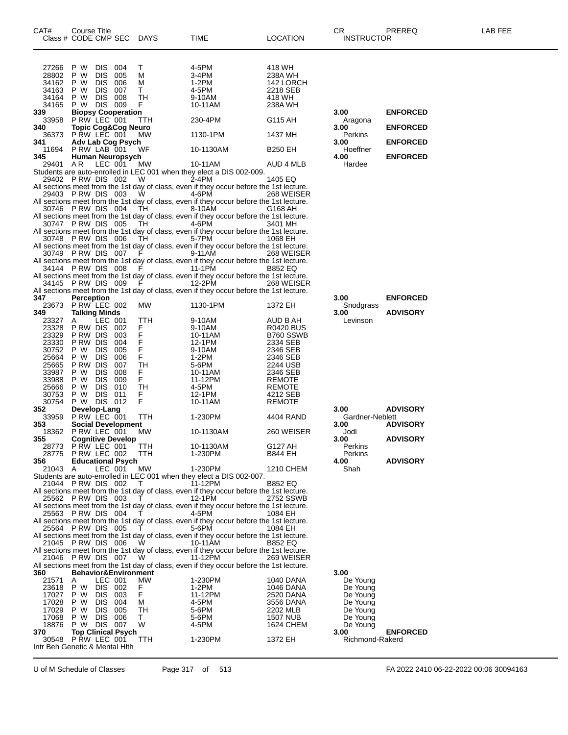| CAT#                           | Course Title<br>Class # CODE CMP SEC          |                       |            | <b>DAYS</b>                     | TIME                                                                                               | <b>LOCATION</b>               | CR.<br><b>INSTRUCTOR</b> | PREREQ          | LAB FEE |
|--------------------------------|-----------------------------------------------|-----------------------|------------|---------------------------------|----------------------------------------------------------------------------------------------------|-------------------------------|--------------------------|-----------------|---------|
| 27266<br>28802                 | P W<br>P W                                    | DIS<br><b>DIS</b>     | 004<br>005 | Т<br>M                          | 4-5PM<br>3-4PM                                                                                     | 418 WH<br>238A WH             |                          |                 |         |
| 34162                          | P W                                           | <b>DIS</b>            | 006        | M                               | 1-2PM                                                                                              | 142 LORCH                     |                          |                 |         |
| 34163                          | P W                                           | <b>DIS</b>            | 007        | т                               | 4-5PM                                                                                              | 2218 SEB                      |                          |                 |         |
| 34164<br>34165                 | P W<br>P W                                    | <b>DIS</b><br>DIS 009 | 008        | TН<br>F                         | 9-10AM<br>10-11AM                                                                                  | 418 WH<br>238A WH             |                          |                 |         |
| 339                            | <b>Biopsy Cooperation</b>                     |                       |            |                                 |                                                                                                    |                               | 3.00                     | <b>ENFORCED</b> |         |
| 33958                          | P RW LEC 001                                  |                       |            | ттн                             | 230-4PM                                                                                            | G115 AH                       | Aragona                  |                 |         |
| 340<br>36373                   | <b>Topic Cog&amp;Cog Neuro</b><br>PRW LEC 001 |                       |            | МW                              | 1130-1PM                                                                                           | 1437 MH                       | 3.00<br>Perkins          | <b>ENFORCED</b> |         |
| 341                            | Adv Lab Cog Psych                             |                       |            |                                 |                                                                                                    |                               | 3.00                     | <b>ENFORCED</b> |         |
| 11694                          | PRW LAB 001                                   |                       |            | WF                              | 10-1130AM                                                                                          | <b>B250 EH</b>                | Hoeffner                 |                 |         |
| 345<br>29401                   | Human Neuropsych<br>AR.                       | LEC 001               |            | MW                              | 10-11AM                                                                                            | AUD 4 MLB                     | 4.00<br>Hardee           | <b>ENFORCED</b> |         |
|                                |                                               |                       |            |                                 | Students are auto-enrolled in LEC 001 when they elect a DIS 002-009.                               |                               |                          |                 |         |
|                                | 29402 PRW DIS 002                             |                       |            | W                               | 2-4PM                                                                                              | 1405 EQ                       |                          |                 |         |
|                                | 29403 PRW DIS 003                             |                       |            |                                 | All sections meet from the 1st day of class, even if they occur before the 1st lecture.            |                               |                          |                 |         |
|                                |                                               |                       |            | W                               | 4-6PM<br>All sections meet from the 1st day of class, even if they occur before the 1st lecture.   | 268 WEISER                    |                          |                 |         |
|                                | 30746 PRW DIS 004                             |                       |            | TH                              | 8-10AM                                                                                             | G168 AH                       |                          |                 |         |
|                                |                                               |                       |            |                                 | All sections meet from the 1st day of class, even if they occur before the 1st lecture.            |                               |                          |                 |         |
|                                | 30747 PRW DIS 005                             |                       |            | TH                              | 4-6PM<br>All sections meet from the 1st day of class, even if they occur before the 1st lecture.   | 3401 MH                       |                          |                 |         |
|                                | 30748 PRW DIS 006                             |                       |            | TH                              | 5-7PM                                                                                              | 1068 EH                       |                          |                 |         |
|                                |                                               |                       |            |                                 | All sections meet from the 1st day of class, even if they occur before the 1st lecture.            |                               |                          |                 |         |
|                                | 30749 PRW DIS 007                             |                       |            | F                               | 9-11AM                                                                                             | 268 WEISER                    |                          |                 |         |
|                                | 34144 PRW DIS 008                             |                       |            | F                               | All sections meet from the 1st day of class, even if they occur before the 1st lecture.<br>11-1PM  | B852 EQ                       |                          |                 |         |
|                                |                                               |                       |            |                                 | All sections meet from the 1st day of class, even if they occur before the 1st lecture.            |                               |                          |                 |         |
|                                | 34145 PRW DIS 009                             |                       |            | -F                              | 12-2PM                                                                                             | 268 WEISER                    |                          |                 |         |
| 347                            | <b>Perception</b>                             |                       |            |                                 | All sections meet from the 1st day of class, even if they occur before the 1st lecture.            |                               | 3.00                     | <b>ENFORCED</b> |         |
| 23673                          | P RW LEC 002                                  |                       |            | МW                              | 1130-1PM                                                                                           | 1372 EH                       | Snodgrass                |                 |         |
| 349                            | <b>Talking Minds</b>                          |                       |            |                                 |                                                                                                    |                               | 3.00                     | <b>ADVISORY</b> |         |
| 23327                          | A                                             | LEC 001               |            | ттн                             | 9-10AM                                                                                             | AUD B AH                      | Levinson                 |                 |         |
| 23328<br>23329                 | P RW DIS<br>P RW DIS                          |                       | 002<br>003 | F.<br>F                         | 9-10AM<br>10-11AM                                                                                  | <b>R0420 BUS</b><br>B760 SSWB |                          |                 |         |
| 23330                          | P RW DIS                                      |                       | 004        | F                               | 12-1PM                                                                                             | 2334 SEB                      |                          |                 |         |
| 30752                          | P W                                           | <b>DIS</b>            | 005        | F                               | 9-10AM                                                                                             | 2346 SEB                      |                          |                 |         |
| 25664<br>25665                 | P W<br>P RW DIS                               | <b>DIS</b>            | 006<br>007 | F.<br>TН                        | 1-2PM<br>5-6PM                                                                                     | 2346 SEB<br>2244 USB          |                          |                 |         |
| 33987                          | P W                                           | <b>DIS</b>            | 008        | F.                              | 10-11AM                                                                                            | 2346 SEB                      |                          |                 |         |
| 33988                          | P W                                           | <b>DIS</b>            | 009        | F.                              | 11-12PM                                                                                            | <b>REMOTE</b>                 |                          |                 |         |
| 25666                          | P W                                           | <b>DIS</b>            | 010        | TН                              | 4-5PM                                                                                              | <b>REMOTE</b>                 |                          |                 |         |
| 30753<br>30754                 | P W<br>P W DIS 012                            | DIS 011               |            | F.<br>F                         | 12-1PM<br>10-11AM                                                                                  | 4212 SEB<br><b>REMOTE</b>     |                          |                 |         |
| 352                            | Develop-Lang                                  |                       |            |                                 |                                                                                                    |                               | 3.00                     | <b>ADVISORY</b> |         |
| 33959                          | PRW LEC 001                                   |                       |            | TTH                             | 1-230PM                                                                                            | 4404 RAND                     | Gardner-Neblett          |                 |         |
| 353                            | <b>Social Development</b><br>P RW LEC 001     |                       |            | <b>MW</b>                       |                                                                                                    | 260 WEISER                    | 3.00                     | <b>ADVISORY</b> |         |
| 18362<br>355                   | <b>Cognitive Develop</b>                      |                       |            |                                 | 10-1130AM                                                                                          |                               | Jodl<br>3.00             | <b>ADVISORY</b> |         |
| 28773                          | P RW LEC 001                                  |                       |            | TTH                             | 10-1130AM                                                                                          | G127 AH                       | Perkins                  |                 |         |
| 28775                          | P RW LEC 002                                  |                       |            | TTH                             | 1-230PM                                                                                            | <b>B844 EH</b>                | Perkins                  |                 |         |
| 356<br>21043 A                 | <b>Educational Psych</b>                      | LEC 001               |            | МW                              | 1-230PM                                                                                            | <b>1210 CHEM</b>              | 4.00<br>Shah             | <b>ADVISORY</b> |         |
|                                |                                               |                       |            |                                 | Students are auto-enrolled in LEC 001 when they elect a DIS 002-007.                               |                               |                          |                 |         |
|                                | 21044 PRW DIS 002                             |                       |            | T                               | 11-12PM                                                                                            | <b>B852 EQ</b>                |                          |                 |         |
|                                | 25562 PRW DIS 003                             |                       |            | T                               | All sections meet from the 1st day of class, even if they occur before the 1st lecture.<br>12-1PM  | 2752 SSWB                     |                          |                 |         |
|                                |                                               |                       |            |                                 | All sections meet from the 1st day of class, even if they occur before the 1st lecture.            |                               |                          |                 |         |
|                                | 25563 PRW DIS 004                             |                       |            |                                 | 4-5PM                                                                                              | 1084 EH                       |                          |                 |         |
|                                |                                               |                       |            |                                 | All sections meet from the 1st day of class, even if they occur before the 1st lecture.            |                               |                          |                 |         |
|                                | 25564 P RW DIS 005                            |                       |            |                                 | 5-6PM<br>All sections meet from the 1st day of class, even if they occur before the 1st lecture.   | 1084 EH                       |                          |                 |         |
|                                | 21045 PRW DIS 006                             |                       |            | W                               | 10-11AM                                                                                            | <b>B852 EQ</b>                |                          |                 |         |
|                                |                                               |                       |            |                                 | All sections meet from the 1st day of class, even if they occur before the 1st lecture.            |                               |                          |                 |         |
|                                | 21046 PRW DIS 007                             |                       |            | W                               | 11-12PM<br>All sections meet from the 1st day of class, even if they occur before the 1st lecture. | 269 WEISER                    |                          |                 |         |
| 360                            |                                               |                       |            | <b>Behavior&amp;Environment</b> |                                                                                                    |                               | 3.00                     |                 |         |
| 21571                          | Α                                             | LEC 001               |            | MW                              | 1-230PM                                                                                            | 1040 DANA                     | De Young                 |                 |         |
| 23618                          | P W                                           | DIS 002               |            | F.                              | 1-2PM                                                                                              | 1046 DANA                     | De Young                 |                 |         |
| 17027<br>17028                 | P W<br>P W                                    | DIS 003<br>DIS .      | 004        | F<br>м                          | 11-12PM<br>4-5PM                                                                                   | 2520 DANA<br>3556 DANA        | De Young<br>De Young     |                 |         |
| 17029                          | P W                                           | DIS.                  | 005        | TH                              | 5-6PM                                                                                              | 2202 MLB                      | De Young                 |                 |         |
| 17068                          | P W                                           | DIS 006               |            | T.                              | 5-6PM                                                                                              | <b>1507 NUB</b>               | De Young                 |                 |         |
| 18876                          | P W DIS 007                                   |                       |            | W                               | 4-5PM                                                                                              | 1624 CHEM                     | De Young                 |                 |         |
| 370<br>30548                   | <b>Top Clinical Psych</b><br>P RW LEC 001     |                       |            | ттн                             | 1-230PM                                                                                            | 1372 EH                       | 3.00<br>Richmond-Rakerd  | <b>ENFORCED</b> |         |
| Intr Beh Genetic & Mental Hith |                                               |                       |            |                                 |                                                                                                    |                               |                          |                 |         |

U of M Schedule of Classes Page 317 of 513 FA 2022 2410 06-22-2022 00:06 30094163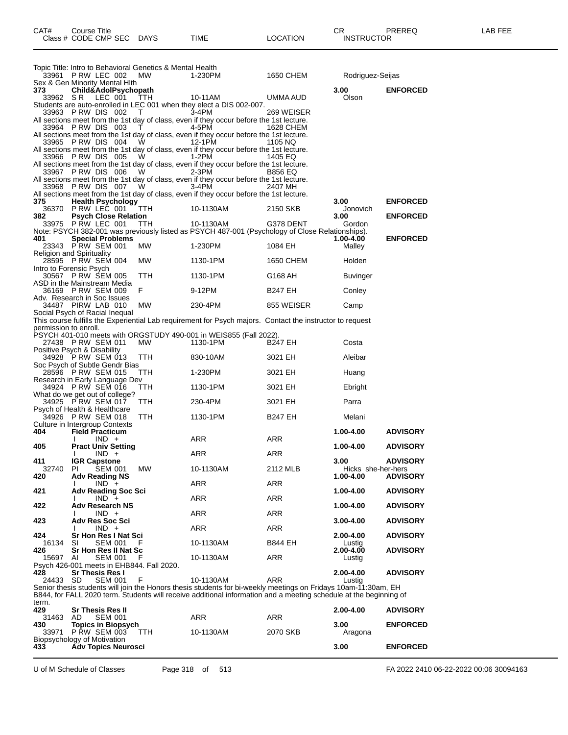|                       | Topic Title: Intro to Behavioral Genetics & Mental Health<br>33961 PRW LEC 002 | МW                | 1-230PM                                                                                                                                                                                                                                          | 1650 CHEM               | Rodriguez-Seijas           |                 |
|-----------------------|--------------------------------------------------------------------------------|-------------------|--------------------------------------------------------------------------------------------------------------------------------------------------------------------------------------------------------------------------------------------------|-------------------------|----------------------------|-----------------|
| 373                   | Sex & Gen Minority Mental HIth<br>Child&AdolPsychopath                         |                   |                                                                                                                                                                                                                                                  |                         | 3.00                       | <b>ENFORCED</b> |
| 33962 SR              | LEC 001                                                                        | TTH               | 10-11AM<br>Students are auto-enrolled in LEC 001 when they elect a DIS 002-007.                                                                                                                                                                  | UMMA AUD                | Olson                      |                 |
|                       | 33963 P RW DIS 002<br>33964 PRW DIS 003                                        | T                 | 3-4PM<br>All sections meet from the 1st day of class, even if they occur before the 1st lecture.<br>4-5PM                                                                                                                                        | 269 WEISER<br>1628 CHEM |                            |                 |
|                       | 33965 PRW DIS 004                                                              | $\mathbf{I}$<br>W | All sections meet from the 1st day of class, even if they occur before the 1st lecture.<br>12-1PM                                                                                                                                                |                         |                            |                 |
|                       |                                                                                |                   | All sections meet from the 1st day of class, even if they occur before the 1st lecture.<br>1-2PM                                                                                                                                                 | 1105 NQ<br>1405 EQ      |                            |                 |
|                       | 33966 PRW DIS 005<br>33967 PRW DIS 006                                         | W<br>W            | All sections meet from the 1st day of class, even if they occur before the 1st lecture.<br>2-3PM                                                                                                                                                 | <b>B856 EQ</b>          |                            |                 |
|                       | 33968 PRW DIS 007                                                              | W                 | All sections meet from the 1st day of class, even if they occur before the 1st lecture.<br>3-4PM                                                                                                                                                 | 2407 MH                 |                            |                 |
| 375                   | <b>Health Psychology</b>                                                       |                   | All sections meet from the 1st day of class, even if they occur before the 1st lecture.                                                                                                                                                          |                         | 3.00                       | <b>ENFORCED</b> |
| 382                   | 36370 PRW LEC 001<br><b>Psych Close Relation</b>                               | TTH               | 10-1130AM                                                                                                                                                                                                                                        | 2150 SKB                | Jonovich<br>3.00           | <b>ENFORCED</b> |
|                       | 33975 PRW LEC 001                                                              | TTH               | 10-1130AM<br>Note: PSYCH 382-001 was previously listed as PSYCH 487-001 (Psychology of Close Relationships).                                                                                                                                     | G378 DENT               | Gordon                     |                 |
| 401                   | <b>Special Problems</b><br>23343 PRW SEM 001                                   | МW                | 1-230PM                                                                                                                                                                                                                                          | 1084 EH                 | 1.00-4.00<br>Malley        | <b>ENFORCED</b> |
|                       | <b>Religion and Spirituality</b><br>28595 P RW SEM 004                         | MW                | 1130-1PM                                                                                                                                                                                                                                         | 1650 CHEM               | Holden                     |                 |
|                       | Intro to Forensic Psych<br>30567 P RW SEM 005                                  | ттн               | 1130-1PM                                                                                                                                                                                                                                         | G168 AH                 | Buvinger                   |                 |
|                       | ASD in the Mainstream Media<br>36169 PRW SEM 009                               | F                 | 9-12PM                                                                                                                                                                                                                                           | <b>B247 EH</b>          | Conley                     |                 |
|                       | Adv. Research in Soc Issues<br>34487 PIRW LAB 010                              | МW                | 230-4PM                                                                                                                                                                                                                                          | 855 WEISER              | Camp                       |                 |
|                       | Social Psych of Racial Inequal                                                 |                   | This course fulfills the Experiential Lab requirement for Psych majors. Contact the instructor to request                                                                                                                                        |                         |                            |                 |
| permission to enroll. |                                                                                |                   | PSYCH 401-010 meets with ORGSTUDY 490-001 in WEIS855 (Fall 2022).                                                                                                                                                                                |                         |                            |                 |
|                       | 27438 PRW SEM 011<br>Positive Psych & Disability                               | MW                | 1130-1PM                                                                                                                                                                                                                                         | B247 EH                 | Costa                      |                 |
|                       | 34928 PRW SEM 013<br>Soc Psych of Subtle Gendr Bias                            | ттн               | 830-10AM                                                                                                                                                                                                                                         | 3021 EH                 | Aleibar                    |                 |
|                       | 28596 PRW SEM 015<br>Research in Early Language Dev                            | TTH               | 1-230PM                                                                                                                                                                                                                                          | 3021 EH                 | Huang                      |                 |
|                       | 34924 PRW SEM 016<br>What do we get out of college?                            | <b>TTH</b>        | 1130-1PM                                                                                                                                                                                                                                         | 3021 EH                 | Ebright                    |                 |
|                       | 34925 P RW SEM 017<br>Psych of Health & Healthcare                             | ттн               | 230-4PM                                                                                                                                                                                                                                          | 3021 EH                 | Parra                      |                 |
|                       | 34926 PRW SEM 018<br>Culture in Intergroup Contexts                            | TTH               | 1130-1PM                                                                                                                                                                                                                                         | <b>B247 EH</b>          | Melani                     |                 |
| 404                   | <b>Field Practicum</b><br>$IND +$<br>I.                                        |                   | ARR                                                                                                                                                                                                                                              | ARR                     | 1.00-4.00                  | <b>ADVISORY</b> |
| 405                   | <b>Pract Univ Setting</b><br>$IND +$<br>I.                                     |                   | ARR                                                                                                                                                                                                                                              | ARR                     | 1.00-4.00                  | <b>ADVISORY</b> |
| 411<br>32740          | <b>IGR Capstone</b><br><b>SEM 001</b><br>PI.                                   | МW                | 10-1130AM                                                                                                                                                                                                                                        | 2112 MLB                | 3.00<br>Hicks she-her-hers | <b>ADVISORY</b> |
| 420                   | <b>Adv Reading NS</b><br>$IND +$<br>L                                          |                   | ARR                                                                                                                                                                                                                                              | ARR                     | 1.00-4.00                  | <b>ADVISORY</b> |
| 421                   | Adv Reading Soc Sci<br>$IND +$                                                 |                   | <b>ARR</b>                                                                                                                                                                                                                                       | <b>ARR</b>              | 1.00-4.00                  | <b>ADVISORY</b> |
| 422                   | <b>Adv Research NS</b><br>$IND +$                                              |                   | <b>ARR</b>                                                                                                                                                                                                                                       | <b>ARR</b>              | 1.00-4.00                  | <b>ADVISORY</b> |
| 423                   | <b>Adv Res Soc Sci</b><br>$IND +$                                              |                   | ARR                                                                                                                                                                                                                                              | ARR                     | 3.00-4.00                  | <b>ADVISORY</b> |
| 424<br>16134          | Sr Hon Res I Nat Sci<br>SI<br>SEM 001                                          | F                 | 10-1130AM                                                                                                                                                                                                                                        | <b>B844 EH</b>          | 2.00-4.00<br>Lustig        | <b>ADVISORY</b> |
| 426<br>15697          | Sr Hon Res II Nat Sc<br><b>SEM 001</b><br>AI                                   | F                 | 10-1130AM                                                                                                                                                                                                                                        | ARR                     | 2.00-4.00<br>Lustig        | <b>ADVISORY</b> |
| 428                   | Psych 426-001 meets in EHB844. Fall 2020.<br><b>Sr Thesis Res I</b>            |                   |                                                                                                                                                                                                                                                  |                         | 2.00-4.00                  | <b>ADVISORY</b> |
| 24433                 | <b>SEM 001</b><br>-SD                                                          | F                 | 10-1130AM<br>Senior thesis students will join the Honors thesis students for bi-weekly meetings on Fridays 10am-11:30am, EH<br>B844, for FALL 2020 term. Students will receive additional information and a meeting schedule at the beginning of | ARR                     | Lustia                     |                 |
| term.<br>429          | <b>Sr Thesis Res II</b>                                                        |                   |                                                                                                                                                                                                                                                  |                         | 2.00-4.00                  | <b>ADVISORY</b> |
| 31463<br>430          | AD.<br><b>SEM 001</b><br><b>Topics in Biopsych</b>                             |                   | ARR                                                                                                                                                                                                                                              | ARR                     | 3.00                       | <b>ENFORCED</b> |
| 33971                 | <b>P RW SEM 003</b><br>Biopsychology of Motivation                             | TTH.              | 10-1130AM                                                                                                                                                                                                                                        | 2070 SKB                | Aragona                    |                 |
| 433                   | <b>Adv Topics Neurosci</b>                                                     |                   |                                                                                                                                                                                                                                                  |                         | 3.00                       | <b>ENFORCED</b> |

U of M Schedule of Classes Page 318 of 513 FA 2022 2410 06-22-2022 00:06 30094163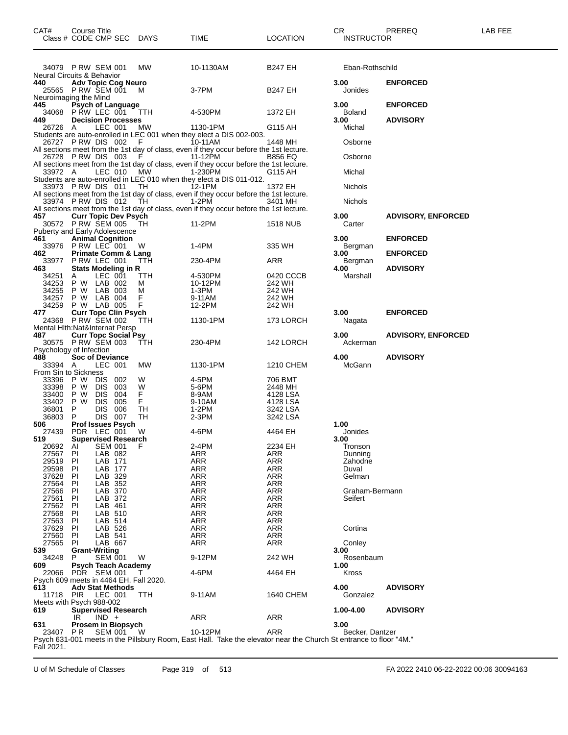| CAT#                                         | Course Title | Class # CODE CMP SEC DAYS                                  |                                               | TIME                                                                                                                          | <b>LOCATION</b>      | CR<br><b>INSTRUCTOR</b>   | PREREQ                    | LAB FEE |
|----------------------------------------------|--------------|------------------------------------------------------------|-----------------------------------------------|-------------------------------------------------------------------------------------------------------------------------------|----------------------|---------------------------|---------------------------|---------|
|                                              |              | 34079 PRW SEM 001                                          | MW                                            | 10-1130AM                                                                                                                     | B247 EH              | Eban-Rothschild           |                           |         |
| <b>Neural Circuits &amp; Behavior</b><br>440 |              | <b>Adv Topic Cog Neuro</b><br>25565 PRW SEM 001            | M                                             | 3-7PM                                                                                                                         | <b>B247 EH</b>       | 3.00<br>Jonides           | <b>ENFORCED</b>           |         |
| Neuroimaging the Mind<br>445                 |              | Psych of Language<br>34068 PRW LEC 001 TTH                 |                                               | 4-530PM                                                                                                                       | 1372 EH              | 3.00<br><b>Boland</b>     | <b>ENFORCED</b>           |         |
| 449<br>26726 A                               |              | <b>Decision Processes</b><br>LEC 001                       | МW                                            | 1130-1PM                                                                                                                      | G115 AH              | 3.00<br>Michal            | <b>ADVISORY</b>           |         |
|                                              |              | 26727 PRW DIS 002                                          | F                                             | Students are auto-enrolled in LEC 001 when they elect a DIS 002-003.<br>10-11AM                                               | 1448 MH              | Osborne                   |                           |         |
|                                              |              | 26728 PRW DIS 003                                          | - F                                           | All sections meet from the 1st day of class, even if they occur before the 1st lecture.<br>11-12PM                            | B856 EQ              | Osborne                   |                           |         |
| 33972 A                                      |              | LEC 010                                                    | МW                                            | All sections meet from the 1st day of class, even if they occur before the 1st lecture.<br>1-230PM                            | G115 AH              | Michal                    |                           |         |
|                                              |              | 33973 PRW DIS 011                                          | TH                                            | Students are auto-enrolled in LEC 010 when they elect a DIS 011-012.<br>$12-1$ PM                                             | 1372 EH              | Nichols                   |                           |         |
|                                              |              | 33974 PRW DIS 012                                          | TH.                                           | All sections meet from the 1st day of class, even if they occur before the 1st lecture.<br>1-2PM                              | 3401 MH              | Nichols                   |                           |         |
| 457                                          |              | <b>Curr Topic Dev Psych</b>                                |                                               | All sections meet from the 1st day of class, even if they occur before the 1st lecture.                                       |                      | 3.00                      | <b>ADVISORY, ENFORCED</b> |         |
| Puberty and Early Adolescence                |              | 30572 P RW SEM 005                                         | - TH                                          | 11-2PM                                                                                                                        | 1518 NUB             | Carter                    |                           |         |
| 461                                          |              | <b>Animal Cognition</b><br>33976 PRW LEC 001               | W                                             | 1-4PM                                                                                                                         | 335 WH               | 3.00<br>Bergman           | <b>ENFORCED</b>           |         |
| 462                                          |              | <b>Primate Comm &amp; Lang</b><br>33977 PRW LEC 001        | <b>TTH</b>                                    | 230-4PM                                                                                                                       | ARR                  | 3.00<br>Bergman           | <b>ENFORCED</b>           |         |
| 463<br>34251                                 | A            | <b>Stats Modeling in R</b><br>LEC 001<br>34253 P W LAB 002 | TTH<br>м                                      | 4-530PM<br>10-12PM                                                                                                            | 0420 CCCB<br>242 WH  | 4.00<br>Marshall          | <b>ADVISORY</b>           |         |
| 34255<br>34257                               | P W          | P W LAB 003<br>LAB 004                                     | м<br>F                                        | 1-3PM<br>9-11AM                                                                                                               | 242 WH<br>242 WH     |                           |                           |         |
| 34259<br>477                                 |              | P W LAB 005<br><b>Curr Topc Clin Psych</b>                 | F                                             | 12-2PM                                                                                                                        | 242 WH               | 3.00                      | <b>ENFORCED</b>           |         |
| Mental Hith: Nat&Internat Persp              |              | 24368 P RW SEM 002                                         | ттн                                           | 1130-1PM                                                                                                                      | 173 LORCH            | Nagata                    |                           |         |
| 487                                          |              | <b>Curr Topc Social Psy</b><br>30575 P RW SEM 003          | <b>TTH</b>                                    | 230-4PM                                                                                                                       | 142 LORCH            | 3.00<br>Ackerman          | <b>ADVISORY, ENFORCED</b> |         |
| Psychology of Infection<br>488               |              | <b>Soc of Deviance</b>                                     |                                               |                                                                                                                               |                      | 4.00                      | <b>ADVISORY</b>           |         |
| 33394 A<br>From Sin to Sickness              |              | LEC 001                                                    | МW                                            | 1130-1PM                                                                                                                      | 1210 CHEM            | McGann                    |                           |         |
| 33396<br>33398                               | P W<br>P W   | <b>DIS</b><br>002<br><b>DIS</b><br>003                     | W<br>W                                        | 4-5PM<br>5-6PM                                                                                                                | 706 BMT<br>2448 MH   |                           |                           |         |
| 33400                                        | P W<br>P W   | <b>DIS</b><br>004                                          | F.<br>F                                       | 8-9AM                                                                                                                         | 4128 LSA             |                           |                           |         |
| 33402<br>36801                               | P            | <b>DIS</b><br>005<br><b>DIS</b><br>006                     | TН                                            | 9-10AM<br>$1-2PM$                                                                                                             | 4128 LSA<br>3242 LSA |                           |                           |         |
| 36803<br>506                                 | P            | DIS 007<br><b>Prof Issues Psych</b>                        | TН                                            | 2-3PM                                                                                                                         | 3242 LSA             | 1.00                      |                           |         |
| 27439<br>519                                 |              | PDR LEC 001<br><b>Supervised Research</b>                  | W                                             | 4-6PM                                                                                                                         | 4464 EH              | Jonides<br>3.00           |                           |         |
| 20692<br>27567                               | Al<br>PI     | <b>SEM 001</b><br>LAB 082                                  | F                                             | 2-4PM<br>ARR                                                                                                                  | 2234 EH              | Tronson                   |                           |         |
| 29519                                        | PI           | LAB 171                                                    |                                               | <b>ARR</b>                                                                                                                    | ARR<br>ARR           | Dunning<br>Zahodne        |                           |         |
| 29598<br>37628                               | PI<br>PI     | LAB 177<br>LAB 329                                         |                                               | ARR<br>ARR                                                                                                                    | ARR<br><b>ARR</b>    | Duval<br>Gelman           |                           |         |
| 27564                                        | <b>PI</b>    | LAB 352                                                    |                                               | <b>ARR</b>                                                                                                                    | ARR                  |                           |                           |         |
| 27566<br>27561                               | PI<br>PI     | LAB 370<br>LAB 372                                         |                                               | <b>ARR</b><br><b>ARR</b>                                                                                                      | ARR<br><b>ARR</b>    | Graham-Bermann<br>Seifert |                           |         |
| 27562                                        | PI           | LAB 461                                                    |                                               | <b>ARR</b>                                                                                                                    | ARR                  |                           |                           |         |
| 27568                                        | PI           | LAB 510                                                    |                                               | ARR                                                                                                                           | ARR                  |                           |                           |         |
| 27563<br>37629                               | PI<br>PI     | LAB 514<br>LAB 526                                         |                                               | <b>ARR</b><br>ARR                                                                                                             | ARR<br>ARR           | Cortina                   |                           |         |
| 27560                                        | PI           | LAB 541                                                    |                                               | <b>ARR</b>                                                                                                                    | ARR                  |                           |                           |         |
| 27565<br>539                                 | PI           | LAB 667<br><b>Grant-Writing</b>                            |                                               | <b>ARR</b>                                                                                                                    | <b>ARR</b>           | Conley<br>3.00            |                           |         |
| 34248                                        | P            | <b>SEM 001</b>                                             | W                                             | 9-12PM                                                                                                                        | 242 WH               | Rosenbaum                 |                           |         |
| 609<br>22066                                 |              | <b>Psych Teach Academy</b><br>PDR SEM 001                  | T                                             | 4-6PM                                                                                                                         | 4464 EH              | 1.00<br>Kross             |                           |         |
| 613<br>11718                                 | <b>PIR</b>   | <b>Adv Stat Methods</b><br>LEC 001                         | Psych 609 meets in 4464 EH. Fall 2020.<br>TTH | 9-11AM                                                                                                                        | 1640 CHEM            | 4.00<br>Gonzalez          | <b>ADVISORY</b>           |         |
| Meets with Psych 988-002<br>619              |              | <b>Supervised Research</b>                                 |                                               |                                                                                                                               |                      | 1.00-4.00                 | <b>ADVISORY</b>           |         |
| 631                                          | IR           | $IND +$<br>Prosem in Biopsych                              |                                               | <b>ARR</b>                                                                                                                    | <b>ARR</b>           | 3.00                      |                           |         |
| 23407 PR<br>Fall 2021.                       |              | <b>SEM 001</b>                                             | W                                             | 10-12PM<br>Psych 631-001 meets in the Pillsbury Room, East Hall. Take the elevator near the Church St entrance to floor "4M." | <b>ARR</b>           | Becker, Dantzer           |                           |         |

U of M Schedule of Classes Page 319 of 513 FA 2022 2410 06-22-2022 00:06 30094163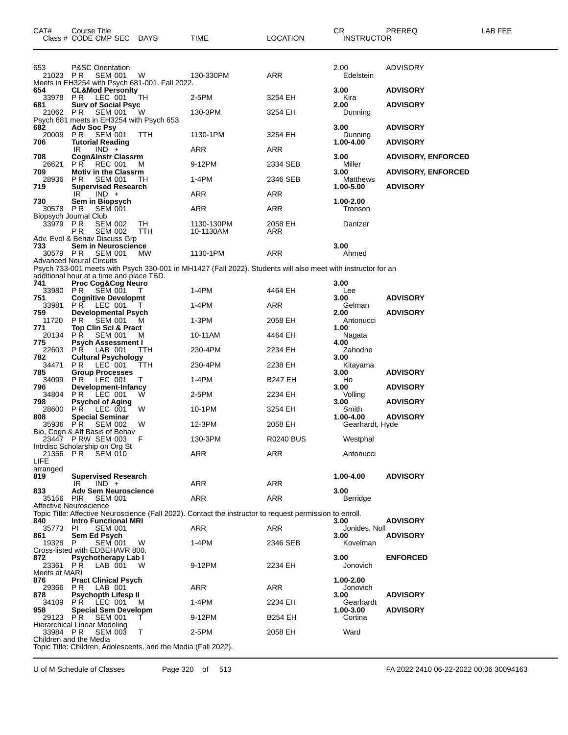| CAT#                             | Course Title<br>Class # CODE CMP SEC DAYS                                                |            | TIME                                                                                                         | <b>LOCATION</b>  | CR<br><b>INSTRUCTOR</b>      | PREREQ                    | LAB FEE |
|----------------------------------|------------------------------------------------------------------------------------------|------------|--------------------------------------------------------------------------------------------------------------|------------------|------------------------------|---------------------------|---------|
| 653<br>21023 PR                  | <b>P&amp;SC Orientation</b><br><b>SEM 001</b>                                            | W          | 130-330PM                                                                                                    | ARR              | 2.00<br>Edelstein            | <b>ADVISORY</b>           |         |
| 654                              | Meets in EH3254 with Psych 681-001. Fall 2022.<br><b>CL&amp;Mod Personity</b>            |            |                                                                                                              |                  | 3.00                         | <b>ADVISORY</b>           |         |
| 33978 PR                         | LEC 001                                                                                  | TН         | 2-5PM                                                                                                        | 3254 EH          | Kira                         |                           |         |
| 681<br>21062 PR                  | <b>Surv of Social Psyc</b><br>SEM 001                                                    | W          | 130-3PM                                                                                                      | 3254 EH          | 2.00<br>Dunning              | <b>ADVISORY</b>           |         |
| 682                              | Psych 681 meets in EH3254 with Psych 653<br><b>Adv Soc Psy</b>                           |            |                                                                                                              |                  | 3.00                         | <b>ADVISORY</b>           |         |
| 20009<br>706                     | P R<br>SEM 001<br><b>Tutorial Reading</b>                                                | <b>TTH</b> | 1130-1PM                                                                                                     | 3254 EH          | Dunning<br>1.00-4.00         | <b>ADVISORY</b>           |         |
| 708                              | IR<br>$IND +$<br><b>Cogn&amp;Instr Classrm</b>                                           |            | ARR                                                                                                          | ARR              | 3.00                         | <b>ADVISORY, ENFORCED</b> |         |
| 26621<br>709                     | PR.<br><b>REC 001</b><br><b>Motiv in the Classrm</b>                                     | M          | 9-12PM                                                                                                       | 2334 SEB         | Miller<br>3.00               | <b>ADVISORY, ENFORCED</b> |         |
| 28936<br>719                     | P R<br><b>SEM 001</b><br><b>Supervised Research</b>                                      | TН         | 1-4PM                                                                                                        | 2346 SEB         | Matthews<br>1.00-5.00        | <b>ADVISORY</b>           |         |
| 730                              | IR<br>$IND +$<br>Sem in Biopsych                                                         |            | ARR                                                                                                          | ARR              | 1.00-2.00                    |                           |         |
| 30578 PR                         | <b>SEM 001</b><br>Biopsych Journal Club                                                  |            | ARR                                                                                                          | ARR              | Tronson                      |                           |         |
| 33979 PR                         | SEM 002<br>P R<br><b>SEM 002</b><br>Adv. Evol & Behav Discuss Grp                        | TН<br>TTH  | 1130-130PM<br>10-1130AM                                                                                      | 2058 EH<br>ARR   | Dantzer                      |                           |         |
| 733<br>30579 PR                  | Sem in Neuroscience<br><b>SEM 001</b>                                                    | МW         | 1130-1PM                                                                                                     | <b>ARR</b>       | 3.00<br>Ahmed                |                           |         |
|                                  | <b>Advanced Neural Circuits</b>                                                          |            |                                                                                                              |                  |                              |                           |         |
|                                  | additional hour at a time and place TBD.                                                 |            | Psych 733-001 meets with Psych 330-001 in MH1427 (Fall 2022). Students will also meet with instructor for an |                  |                              |                           |         |
| 741                              | <b>Proc Cog&amp;Cog Neuro</b><br>33980 PR SEM 001                                        | T          | 1-4PM                                                                                                        | 4464 EH          | 3.00<br>Lee                  |                           |         |
| 751<br>33981                     | <b>Cognitive Developmt</b><br>PR LEC 001                                                 | $\top$     | 1-4PM                                                                                                        | ARR              | 3.00<br>Gelman               | <b>ADVISORY</b>           |         |
| 759<br>11720                     | <b>Developmental Psych</b><br>PR.<br><b>SEM 001</b>                                      | M          | 1-3PM                                                                                                        | 2058 EH          | 2.00<br>Antonucci            | <b>ADVISORY</b>           |         |
| 771<br>20134                     | Top Clin Sci & Pract<br>P R<br><b>SEM 001</b>                                            | м          | 10-11AM                                                                                                      | 4464 EH          | 1.00<br>Nagata               |                           |         |
| 775<br>22603                     | <b>Psych Assessment I</b><br><b>PR</b> LAB 001                                           | <b>TTH</b> | 230-4PM                                                                                                      | 2234 EH          | 4.00<br>Zahodne              |                           |         |
| 782<br>34471                     | <b>Cultural Psychology</b><br>PR.<br>LEC 001                                             | ттн        | 230-4PM                                                                                                      | 2238 EH          | 3.00<br>Kitayama             |                           |         |
| 785<br>34099                     | <b>Group Processes</b><br>P <sub>R</sub><br>LEC 001                                      | T          | 1-4PM                                                                                                        | <b>B247 EH</b>   | 3.00<br>Ho                   | <b>ADVISORY</b>           |         |
| 796<br>34804                     | Development-Infancy<br>PR.<br>LEC 001                                                    | W          | 2-5PM                                                                                                        | 2234 EH          | 3.00<br>Volling              | <b>ADVISORY</b>           |         |
| 798<br>28600                     | <b>Psychol of Aging</b><br><b>PR LEC 001</b>                                             | W          | 10-1PM                                                                                                       | 3254 EH          | 3.00<br>Smith                | <b>ADVISORY</b>           |         |
| 808<br>35936 PR                  | <b>Special Seminar</b><br><b>SEM 002</b>                                                 | W          | 12-3PM                                                                                                       | 2058 EH          | 1.00-4.00<br>Gearhardt, Hyde | <b>ADVISORY</b>           |         |
|                                  | Bio, Cogn & Aff Basis of Behav<br>23447 P RW SEM 003                                     | F          | 130-3PM                                                                                                      | <b>R0240 BUS</b> | Westphal                     |                           |         |
| 21356 PR                         | Intrdisc Scholarship on Org St<br><b>SEM 010</b>                                         |            | ARR                                                                                                          | ARR              | Antonucci                    |                           |         |
| LIFE<br>arranged                 |                                                                                          |            |                                                                                                              |                  |                              |                           |         |
| 819                              | <b>Supervised Research</b><br>IR<br>$IND +$                                              |            | ARR                                                                                                          | ARR              | 1.00-4.00                    | <b>ADVISORY</b>           |         |
| 833<br>35156                     | <b>Adv Sem Neuroscience</b><br>PIR<br><b>SEM 001</b>                                     |            | ARR                                                                                                          | <b>ARR</b>       | 3.00                         |                           |         |
|                                  | Affective Neuroscience                                                                   |            |                                                                                                              |                  | Berridge                     |                           |         |
| 840                              | <b>Intro Functional MRI</b>                                                              |            | Topic Title: Affective Neuroscience (Fall 2022). Contact the instructor to request permission to enroll.     |                  | 3.00                         | <b>ADVISORY</b>           |         |
| 35773<br>861                     | PI<br><b>SEM 001</b><br>Sem Ed Psych                                                     |            | ARR                                                                                                          | ARR              | Jonides, Noll<br>3.00        | <b>ADVISORY</b>           |         |
| 19328                            | - P<br>SEM 001<br>Cross-listed with EDBEHAVR 800.                                        | w          | 1-4PM                                                                                                        | 2346 SEB         | Kovelman                     |                           |         |
| 872<br>23361 PR<br>Meets at MARI | <b>Psychotherapy Lab I</b><br>LAB 001                                                    | W          | 9-12PM                                                                                                       | 2234 EH          | 3.00<br>Jonovich             | <b>ENFORCED</b>           |         |
| 876<br>29366                     | <b>Pract Clinical Psych</b><br>P R<br>LAB 001                                            |            | ARR                                                                                                          | <b>ARR</b>       | 1.00-2.00<br>Jonovich        |                           |         |
| 878<br>34109                     | <b>Psychopth Lifesp II</b><br>PR LEC 001                                                 | M          | 1-4PM                                                                                                        | 2234 EH          | 3.00<br>Gearhardt            | <b>ADVISORY</b>           |         |
| 958<br>29123 PR                  | <b>Special Sem Developm</b><br><b>SEM 001</b>                                            |            | 9-12PM                                                                                                       | <b>B254 EH</b>   | 1.00-3.00<br>Cortina         | <b>ADVISORY</b>           |         |
| 33984 PR                         | Hierarchical Linear Modeling<br><b>SEM 003</b>                                           | Τ          | 2-5PM                                                                                                        | 2058 EH          | Ward                         |                           |         |
|                                  | Children and the Media<br>Topic Title: Children, Adolescents, and the Media (Fall 2022). |            |                                                                                                              |                  |                              |                           |         |
|                                  |                                                                                          |            |                                                                                                              |                  |                              |                           |         |

U of M Schedule of Classes Page 320 of 513 FA 2022 2410 06-22-2022 00:06 30094163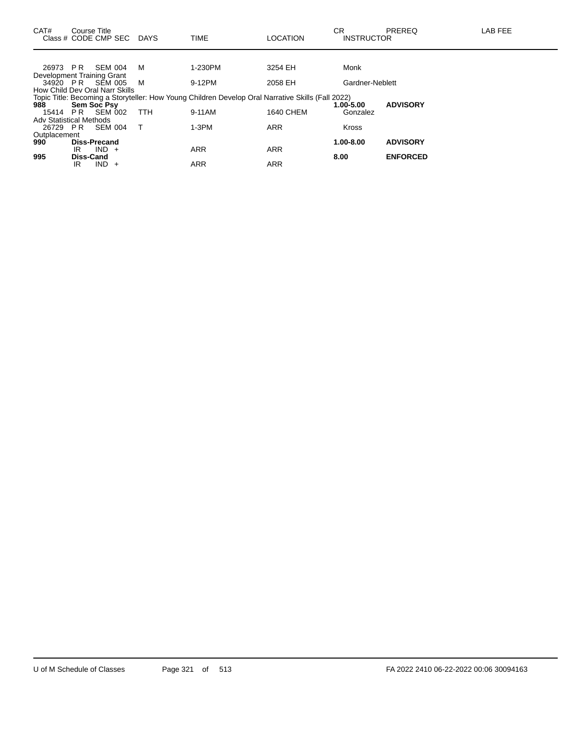| CAT#                           | Course Title     | Class # CODE CMP SEC DAYS      |            | <b>TIME</b>                                                                                       | <b>LOCATION</b>  | CR<br><b>INSTRUCTOR</b> | <b>PREREQ</b>   | <b>LAB FEE</b> |
|--------------------------------|------------------|--------------------------------|------------|---------------------------------------------------------------------------------------------------|------------------|-------------------------|-----------------|----------------|
|                                |                  |                                |            |                                                                                                   |                  |                         |                 |                |
| 26973 PR                       |                  | SEM 004                        | м          | 1-230PM                                                                                           | 3254 EH          | Monk                    |                 |                |
| Development Training Grant     |                  |                                |            |                                                                                                   |                  |                         |                 |                |
|                                |                  | 34920 PR SEM 005               | M          | 9-12PM                                                                                            | 2058 EH          | Gardner-Neblett         |                 |                |
|                                |                  | How Child Dev Oral Narr Skills |            |                                                                                                   |                  |                         |                 |                |
|                                |                  |                                |            | Topic Title: Becoming a Storyteller: How Young Children Develop Oral Narrative Skills (Fall 2022) |                  |                         |                 |                |
| 988                            |                  | Sem Soc Psy                    |            |                                                                                                   |                  | 1.00-5.00               | <b>ADVISORY</b> |                |
| 15414                          |                  | <b>PR SEM 002</b>              | <b>TTH</b> | 9-11AM                                                                                            | <b>1640 CHEM</b> | Gonzalez                |                 |                |
| <b>Adv Statistical Methods</b> |                  |                                |            |                                                                                                   |                  |                         |                 |                |
| 26729 PR                       |                  | SEM 004                        | T          | $1-3PM$                                                                                           | <b>ARR</b>       | Kross                   |                 |                |
| Outplacement                   |                  |                                |            |                                                                                                   |                  |                         |                 |                |
| 990                            |                  | <b>Diss-Precand</b>            |            |                                                                                                   |                  | 1.00-8.00               | <b>ADVISORY</b> |                |
|                                | IR               | $IND +$                        |            | <b>ARR</b>                                                                                        | <b>ARR</b>       |                         |                 |                |
| 995                            | <b>Diss-Cand</b> |                                |            |                                                                                                   |                  | 8.00                    | <b>ENFORCED</b> |                |
|                                | IR               | $IND +$                        |            | <b>ARR</b>                                                                                        | <b>ARR</b>       |                         |                 |                |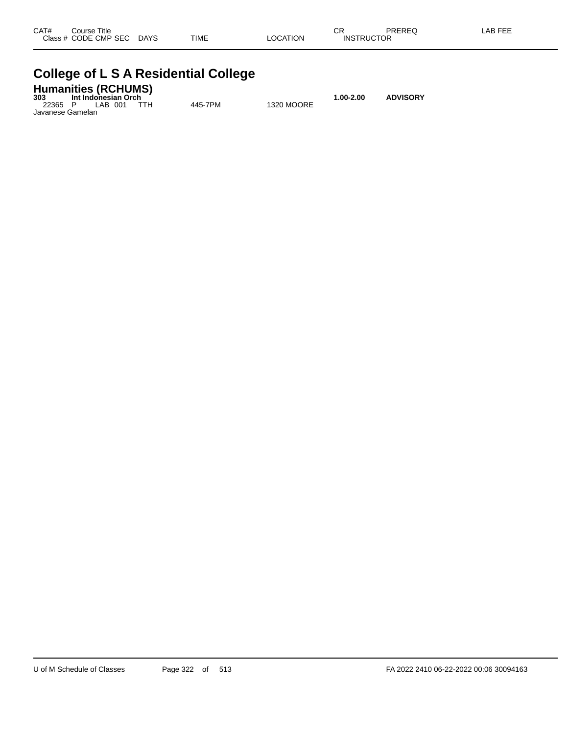| CAT# | Title<br>Course∶     |             |             |                 | ⌒冖<br>◡           | PREREG | _AB FEE |
|------|----------------------|-------------|-------------|-----------------|-------------------|--------|---------|
|      | Class # CODE CMP SEC | <b>DAYS</b> | <b>TIME</b> | <b>LOCATION</b> | <b>INSTRUCTOR</b> |        |         |

### **College of L S A Residential College**

### **Humanities (RCHUMS) 303 Int Indonesian Orch 1.00-2.00 ADVISORY**

22365 P LAB 001 TTH 445-7PM 1320 MOORE Javanese Gamelan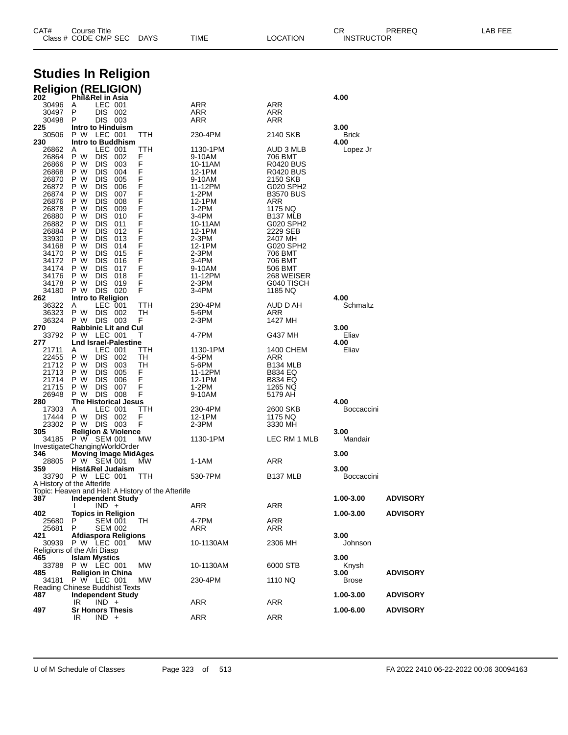| CAT# | Course Title         |             |      |          | חי<br>∪π          | PREREQ | LAB FEE |
|------|----------------------|-------------|------|----------|-------------------|--------|---------|
|      | Class # CODE CMP SEC | <b>DAYS</b> | TIME | LOCATION | <b>INSTRUCTOR</b> |        |         |

# **Studies In Religion**

|                | <b>Religion (RELIGION)</b>                                                       |         |                   |                                 |                      |                 |
|----------------|----------------------------------------------------------------------------------|---------|-------------------|---------------------------------|----------------------|-----------------|
| 202<br>30496   | Phil&Rel in Asia<br>LEC 001<br>A                                                 |         | ARR               | ARR                             | 4.00                 |                 |
| 30497          | DIS 002<br>P                                                                     |         | ARR               | ARR                             |                      |                 |
| 30498          | DIS 003<br>P                                                                     |         | ARR               | ARR                             |                      |                 |
| 225            | Intro to Hinduism                                                                |         |                   |                                 | 3.00                 |                 |
| 30506<br>230   | P W LEC 001<br>Intro to Buddhism                                                 | ттн     | 230-4PM           | 2140 SKB                        | <b>Brick</b><br>4.00 |                 |
| 26862          | LEC 001<br>A                                                                     | ттн     | 1130-1PM          | AUD 3 MLB                       | Lopez Jr             |                 |
| 26864          | P W<br><b>DIS</b><br>002                                                         | F       | 9-10AM            | 706 BMT                         |                      |                 |
| 26866          | P W<br><b>DIS</b><br>003                                                         | F       | 10-11AM           | <b>R0420 BUS</b>                |                      |                 |
| 26868<br>26870 | P W<br><b>DIS</b><br>004<br>P W<br>DIS<br>005                                    | F<br>F  | 12-1PM<br>9-10AM  | R0420 BUS<br>2150 SKB           |                      |                 |
| 26872          | P W<br><b>DIS</b><br>006                                                         | F       | 11-12PM           | G020 SPH2                       |                      |                 |
| 26874          | P W<br><b>DIS</b><br>007                                                         | F       | 1-2PM             | <b>B3570 BUS</b>                |                      |                 |
| 26876          | P W<br>DIS<br>008                                                                | F       | 12-1PM            | ARR                             |                      |                 |
| 26878<br>26880 | P W<br><b>DIS</b><br>009<br>P W<br><b>DIS</b><br>010                             | F<br>F  | 1-2PM<br>3-4PM    | 1175 NQ<br>B <sub>137</sub> MLB |                      |                 |
| 26882          | P W<br>DIS<br>011                                                                | F       | 10-11AM           | G020 SPH2                       |                      |                 |
| 26884          | P W<br><b>DIS</b><br>012                                                         | F       | 12-1PM            | 2229 SEB                        |                      |                 |
| 33930<br>34168 | P W<br><b>DIS</b><br>013<br>P W<br>DIS<br>014                                    | F<br>F  | $2-3PM$<br>12-1PM | 2407 MH<br>G020 SPH2            |                      |                 |
| 34170          | P W<br><b>DIS</b><br>015                                                         | F       | 2-3PM             | 706 BMT                         |                      |                 |
| 34172          | P W<br><b>DIS</b><br>016                                                         | F       | 3-4PM             | 706 BMT                         |                      |                 |
| 34174          | P W<br>DIS<br>017                                                                | F       | 9-10AM            | 506 BMT                         |                      |                 |
| 34176<br>34178 | <b>DIS</b><br>P W<br>018<br>P W<br>DIS.<br>019                                   | F<br>F  | 11-12PM<br>2-3PM  | 268 WEISER<br>G040 TISCH        |                      |                 |
| 34180          | P W<br>DIS 020                                                                   | F       | 3-4PM             | 1185 NQ                         |                      |                 |
| 262            | Intro to Religion                                                                |         |                   |                                 | 4.00                 |                 |
| 36322          | LEC 001<br>Α<br>P W                                                              | ттн     | 230-4PM           | AUD D AH                        | Schmaltz             |                 |
| 36323<br>36324 | DIS 002<br>P W DIS 003                                                           | TН<br>F | 5-6PM<br>2-3PM    | ARR<br>1427 MH                  |                      |                 |
| 270            | <b>Rabbinic Lit and Cul</b>                                                      |         |                   |                                 | 3.00                 |                 |
| 33792          | P W LEC 001                                                                      | T       | 4-7PM             | G437 MH                         | Eliav                |                 |
| 277<br>21711   | <b>Lnd Israel-Palestine</b><br>LEC 001<br>A                                      | TTH     | 1130-1PM          | 1400 CHEM                       | 4.00<br>Eliav        |                 |
| 22455          | P W<br>DIS.<br>002                                                               | TН      | 4-5PM             | ARR                             |                      |                 |
| 21712          | P W<br><b>DIS</b><br>003                                                         | TН      | 5-6PM             | <b>B134 MLB</b>                 |                      |                 |
| 21713<br>21714 | P W<br><b>DIS</b><br>005<br>P W<br>DIS<br>006                                    | F.<br>F | 11-12PM<br>12-1PM | B834 EQ<br><b>B834 EQ</b>       |                      |                 |
| 21715          | <b>DIS</b><br>P W<br>007                                                         | F       | 1-2PM             | 1265 NQ                         |                      |                 |
| 26948          | P W<br><b>DIS 008</b>                                                            | F       | 9-10AM            | 5179 AH                         |                      |                 |
| 280<br>17303   | <b>The Historical Jesus</b><br>LEC 001<br>A                                      | ттн     | 230-4PM           | 2600 SKB                        | 4.00<br>Boccaccini   |                 |
| 17444          | P W<br>DIS 002                                                                   | F       | 12-1PM            | 1175 NQ                         |                      |                 |
| 23302          | P W<br>DIS 003                                                                   | F       | 2-3PM             | 3330 MH                         |                      |                 |
| 305<br>34185   | <b>Religion &amp; Violence</b><br>P W SEM 001                                    | МW      | 1130-1PM          | LEC RM 1 MLB                    | 3.00<br>Mandair      |                 |
|                | InvestigateChangingWorldOrder                                                    |         |                   |                                 |                      |                 |
| 346            | <b>Moving Image MidAges</b>                                                      |         |                   |                                 | 3.00                 |                 |
| 28805<br>359   | P W SEM 001<br>Hist&Rel Judaism                                                  | МW      | 1-1AM             | ARR                             | 3.00                 |                 |
|                | 33790 P W LEC 001                                                                | ттн     | 530-7PM           | B <sub>137</sub> MLB            | Boccaccini           |                 |
|                | A History of the Afterlife<br>Topic: Heaven and Hell: A History of the Afterlife |         |                   |                                 |                      |                 |
| 387            | <b>Independent Study</b>                                                         |         |                   |                                 | 1.00-3.00            | <b>ADVISORY</b> |
|                | $IND +$<br>I.                                                                    |         | <b>ARR</b>        | <b>ARR</b>                      |                      |                 |
| 402<br>25680   | <b>Topics in Religion</b><br>P<br><b>SEM 001</b>                                 | TH.     | 4-7PM             | ARR                             | 1.00-3.00            | <b>ADVISORY</b> |
| 25681          | P<br><b>SEM 002</b>                                                              |         | ARR               | ARR                             |                      |                 |
| 421            | Afdiaspora Religions                                                             |         |                   |                                 | 3.00                 |                 |
| 30939          | P W LEC 001<br>Religions of the Afri Diasp                                       | МW      | 10-1130AM         | 2306 MH                         | Johnson              |                 |
| 465            | <b>Islam Mystics</b>                                                             |         |                   |                                 | 3.00                 |                 |
| 33788          | P W LEC 001                                                                      | MW      | 10-1130AM         | 6000 STB                        | Knysh                |                 |
| 485<br>34181   | <b>Religion in China</b><br>P W LEC 001                                          | МW      | 230-4PM           | 1110 NQ                         | 3.00<br><b>Brose</b> | <b>ADVISORY</b> |
|                | Reading Chinese Buddhist Texts                                                   |         |                   |                                 |                      |                 |
| 487            | <b>Independent Study</b>                                                         |         |                   |                                 | 1.00-3.00            | <b>ADVISORY</b> |
| 497            | IR<br>$IND +$<br><b>Sr Honors Thesis</b>                                         |         | ARR               | ARR                             | 1.00-6.00            | <b>ADVISORY</b> |
|                | IR.<br>$IND +$                                                                   |         | ARR               | <b>ARR</b>                      |                      |                 |
|                |                                                                                  |         |                   |                                 |                      |                 |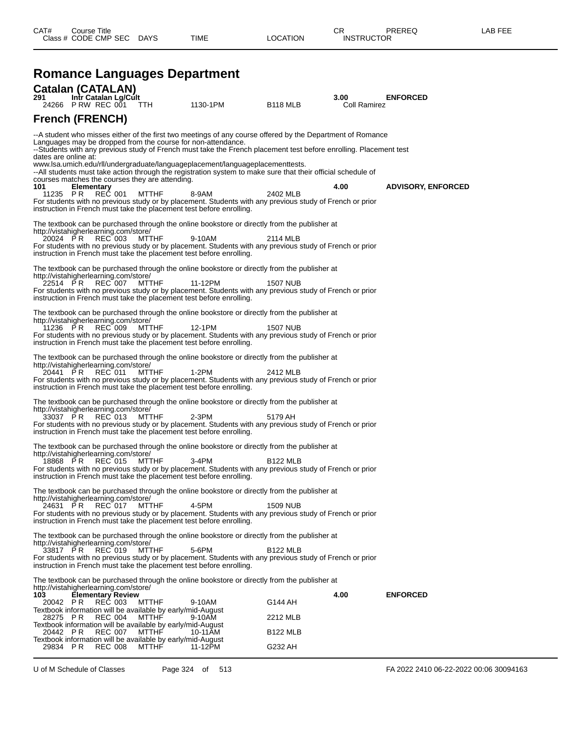|                                       |                          |                |                                                                            | <b>Romance Languages Department</b>                                                                                                                                                           |                 |                      |                           |
|---------------------------------------|--------------------------|----------------|----------------------------------------------------------------------------|-----------------------------------------------------------------------------------------------------------------------------------------------------------------------------------------------|-----------------|----------------------|---------------------------|
| <b>Catalan (CATALAN)</b>              |                          |                |                                                                            |                                                                                                                                                                                               |                 |                      |                           |
| 291<br>24266 PRW REC 001              | Intr Catalan Lg/Cult     |                | TTH                                                                        | 1130-1PM                                                                                                                                                                                      | <b>B118 MLB</b> | 3.00<br>Coll Ramirez | <b>ENFORCED</b>           |
| <b>French (FRENCH)</b>                |                          |                |                                                                            |                                                                                                                                                                                               |                 |                      |                           |
|                                       |                          |                |                                                                            | --A student who misses either of the first two meetings of any course offered by the Department of Romance<br>Languages may be dropped from the course for non-attendance.                    |                 |                      |                           |
| dates are online at:                  |                          |                |                                                                            | --Students with any previous study of French must take the French placement test before enrolling. Placement test                                                                             |                 |                      |                           |
|                                       |                          |                | courses matches the courses they are attending.                            | www.lsa.umich.edu/rll/undergraduate/languageplacement/languageplacementtests.<br>--All students must take action through the registration system to make sure that their official schedule of |                 |                      |                           |
| 101<br>11235 PR                       | Elementary               | <b>REC 001</b> | MTTHF                                                                      | 8-9AM                                                                                                                                                                                         | 2402 MLB        | 4.00                 | <b>ADVISORY, ENFORCED</b> |
|                                       |                          |                |                                                                            | For students with no previous study or by placement. Students with any previous study of French or prior<br>instruction in French must take the placement test before enrolling.              |                 |                      |                           |
| http://vistahigherlearning.com/store/ |                          |                |                                                                            | The textbook can be purchased through the online bookstore or directly from the publisher at                                                                                                  |                 |                      |                           |
| 20024 PR                              |                          | REC 003        | MTTHF                                                                      | 9-10AM<br>For students with no previous study or by placement. Students with any previous study of French or prior                                                                            | 2114 MLB        |                      |                           |
|                                       |                          |                |                                                                            | instruction in French must take the placement test before enrolling.                                                                                                                          |                 |                      |                           |
| http://vistahigherlearning.com/store/ |                          |                |                                                                            | The textbook can be purchased through the online bookstore or directly from the publisher at                                                                                                  |                 |                      |                           |
| 22514 PR                              |                          | REC 007        | MTTHF                                                                      | 11-12PM<br>For students with no previous study or by placement. Students with any previous study of French or prior                                                                           | <b>1507 NUB</b> |                      |                           |
|                                       |                          |                |                                                                            | instruction in French must take the placement test before enrolling.                                                                                                                          |                 |                      |                           |
| http://vistahigherlearning.com/store/ |                          |                |                                                                            | The textbook can be purchased through the online bookstore or directly from the publisher at                                                                                                  |                 |                      |                           |
| 11236 PR                              |                          | REC 009        | MTTHF                                                                      | 12-1PM<br>For students with no previous study or by placement. Students with any previous study of French or prior                                                                            | <b>1507 NUB</b> |                      |                           |
|                                       |                          |                |                                                                            | instruction in French must take the placement test before enrolling.                                                                                                                          |                 |                      |                           |
| http://vistahigherlearning.com/store/ |                          |                |                                                                            | The textbook can be purchased through the online bookstore or directly from the publisher at                                                                                                  |                 |                      |                           |
| 20441 PR                              |                          | REC 011        | MTTHF                                                                      | $1-2PM$                                                                                                                                                                                       | 2412 MLB        |                      |                           |
|                                       |                          |                |                                                                            | For students with no previous study or by placement. Students with any previous study of French or prior<br>instruction in French must take the placement test before enrolling.              |                 |                      |                           |
| http://vistahigherlearning.com/store/ |                          |                |                                                                            | The textbook can be purchased through the online bookstore or directly from the publisher at                                                                                                  |                 |                      |                           |
| 33037 PR                              |                          | REC 013        | MTTHF                                                                      | 2-3PM<br>For students with no previous study or by placement. Students with any previous study of French or prior                                                                             | 5179 AH         |                      |                           |
|                                       |                          |                |                                                                            | instruction in French must take the placement test before enrolling.                                                                                                                          |                 |                      |                           |
| http://vistahigherlearning.com/store/ |                          |                |                                                                            | The textbook can be purchased through the online bookstore or directly from the publisher at                                                                                                  |                 |                      |                           |
| 18868 PR                              |                          | REC 015        | MTTHF                                                                      | $3-4PM$<br>For students with no previous study or by placement. Students with any previous study of French or prior                                                                           | <b>B122 MLB</b> |                      |                           |
|                                       |                          |                |                                                                            | instruction in French must take the placement test before enrolling.                                                                                                                          |                 |                      |                           |
| http://vistahigherlearning.com/store/ |                          |                |                                                                            | The textbook can be purchased through the online bookstore or directly from the publisher at                                                                                                  |                 |                      |                           |
| 24631 PR                              |                          | REC 017        | MTTHF                                                                      | 4-5PM                                                                                                                                                                                         | 1509 NUB        |                      |                           |
|                                       |                          |                |                                                                            | For students with no previous study or by placement. Students with any previous study of French or prior<br>instruction in French must take the placement test before enrolling.              |                 |                      |                           |
| http://vistahigherlearning.com/store/ |                          |                |                                                                            | The textbook can be purchased through the online bookstore or directly from the publisher at                                                                                                  |                 |                      |                           |
| 33817 PR                              |                          | REC 019        | <b>MTTHF</b>                                                               | 5-6PM                                                                                                                                                                                         | <b>B122 MLB</b> |                      |                           |
|                                       |                          |                |                                                                            | For students with no previous study or by placement. Students with any previous study of French or prior<br>instruction in French must take the placement test before enrolling.              |                 |                      |                           |
| http://vistahigherlearning.com/store/ |                          |                |                                                                            | The textbook can be purchased through the online bookstore or directly from the publisher at                                                                                                  |                 |                      |                           |
| 103                                   | <b>Elementary Review</b> |                |                                                                            |                                                                                                                                                                                               |                 | 4.00                 | <b>ENFORCED</b>           |
| 20042 PR                              |                          | <b>REC 003</b> | <b>MTTHF</b><br>Textbook information will be available by early/mid-August | 9-10AM                                                                                                                                                                                        | G144 AH         |                      |                           |
| 28275 PR                              |                          | <b>REC 004</b> | <b>MTTHF</b><br>Textbook information will be available by early/mid-August | 9-10AM                                                                                                                                                                                        | 2212 MLB        |                      |                           |
| 20442 PR                              |                          | <b>REC 007</b> | <b>MTTHF</b>                                                               | 10-11AM                                                                                                                                                                                       | <b>B122 MLB</b> |                      |                           |

Textbook information will be available by early/mid-August

29834 P R REC 008 MTTHF 11-12PM G232 AH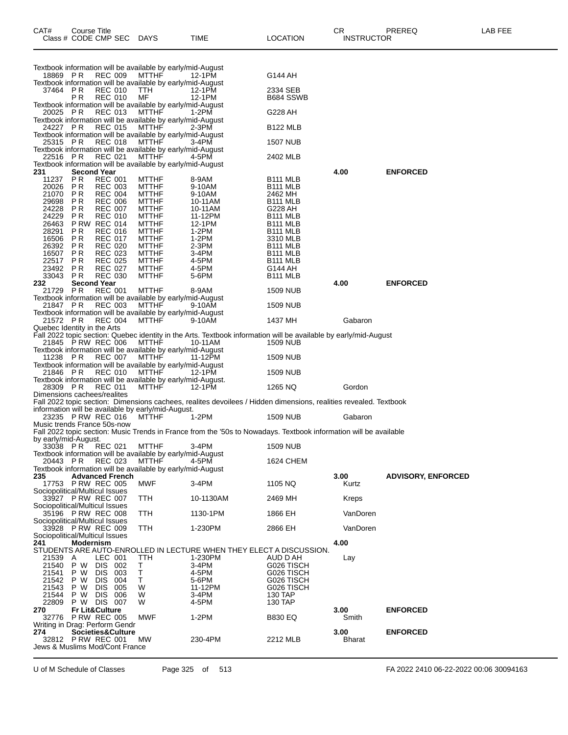| CAT#                                    | Course Title           | Class # CODE CMP SEC DAYS                |            |                                                                            | TIME                                                                                                                                                       | <b>LOCATION</b>                    | CR.<br><b>INSTRUCTOR</b> | PREREQ                    | LAB FEE |
|-----------------------------------------|------------------------|------------------------------------------|------------|----------------------------------------------------------------------------|------------------------------------------------------------------------------------------------------------------------------------------------------------|------------------------------------|--------------------------|---------------------------|---------|
|                                         |                        |                                          |            | Textbook information will be available by early/mid-August                 |                                                                                                                                                            |                                    |                          |                           |         |
| 18869 PR                                |                        | <b>REC 009</b>                           |            | MTTHF<br>Textbook information will be available by early/mid-August        | 12-1PM                                                                                                                                                     | G144 AH                            |                          |                           |         |
| 37464 PR                                | P R                    | <b>REC 010</b><br><b>REC 010</b>         |            | TTH<br>MF                                                                  | 12-1PM<br>12-1PM                                                                                                                                           | 2334 SEB<br>B684 SSWB              |                          |                           |         |
| 20025 PR                                |                        | <b>REC 013</b>                           |            | Textbook information will be available by early/mid-August<br><b>MTTHF</b> | 1-2PM                                                                                                                                                      | G228 AH                            |                          |                           |         |
|                                         |                        |                                          |            | Textbook information will be available by early/mid-August                 |                                                                                                                                                            |                                    |                          |                           |         |
| 24227 PR                                |                        | <b>REC 015</b>                           |            | MTTHF<br>Textbook information will be available by early/mid-August        | $2-3PM$                                                                                                                                                    | <b>B122 MLB</b>                    |                          |                           |         |
| 25315 PR                                |                        | <b>REC 018</b>                           |            | MTTHF                                                                      | $3-4PM$                                                                                                                                                    | <b>1507 NUB</b>                    |                          |                           |         |
| 22516 PR                                |                        | <b>REC 021</b>                           |            | Textbook information will be available by early/mid-August<br><b>MTTHF</b> | 4-5PM                                                                                                                                                      | 2402 MLB                           |                          |                           |         |
| 231                                     |                        | <b>Second Year</b>                       |            | Textbook information will be available by early/mid-August                 |                                                                                                                                                            |                                    | 4.00                     | <b>ENFORCED</b>           |         |
| 11237                                   | <b>PR</b>              | <b>REC 001</b>                           |            | <b>MTTHF</b>                                                               | 8-9AM                                                                                                                                                      | B <sub>111</sub> MLB               |                          |                           |         |
| 20026<br>21070                          | <b>PR</b><br><b>PR</b> | <b>REC 003</b><br><b>REC 004</b>         |            | <b>MTTHF</b><br><b>MTTHF</b>                                               | 9-10AM<br>9-10AM                                                                                                                                           | <b>B111 MLB</b><br>2462 MH         |                          |                           |         |
| 29698                                   | P <sub>R</sub>         | <b>REC 006</b>                           |            | <b>MTTHF</b>                                                               | 10-11AM                                                                                                                                                    | <b>B111 MLB</b>                    |                          |                           |         |
| 24228                                   | P <sub>R</sub>         | <b>REC 007</b>                           |            | <b>MTTHF</b>                                                               | 10-11AM                                                                                                                                                    | G228 AH                            |                          |                           |         |
| 24229<br>26463                          | PR                     | <b>REC 010</b><br><b>P RW REC 014</b>    |            | <b>MTTHF</b><br><b>MTTHF</b>                                               | 11-12PM<br>12-1PM                                                                                                                                          | <b>B111 MLB</b><br><b>B111 MLB</b> |                          |                           |         |
| 28291                                   | P R                    | <b>REC 016</b>                           |            | <b>MTTHF</b>                                                               | $1-2PM$                                                                                                                                                    | <b>B111 MLB</b>                    |                          |                           |         |
| 16506                                   | PR                     | <b>REC 017</b>                           |            | <b>MTTHF</b>                                                               | $1-2PM$                                                                                                                                                    | 3310 MLB                           |                          |                           |         |
| 26392<br>16507                          | P <sub>R</sub><br>P R  | <b>REC 020</b><br><b>REC 023</b>         |            | <b>MTTHF</b><br><b>MTTHF</b>                                               | $2-3PM$<br>3-4PM                                                                                                                                           | <b>B111 MLB</b><br><b>B111 MLB</b> |                          |                           |         |
| 22517                                   | P <sub>R</sub>         | <b>REC 025</b>                           |            | <b>MTTHF</b>                                                               | 4-5PM                                                                                                                                                      | <b>B111 MLB</b>                    |                          |                           |         |
| 23492                                   | P R                    | <b>REC 027</b>                           |            | <b>MTTHF</b>                                                               | 4-5PM                                                                                                                                                      | G144 AH                            |                          |                           |         |
| 33043<br>232                            | P R                    | <b>REC 030</b><br><b>Second Year</b>     |            | <b>MTTHF</b>                                                               | 5-6PM                                                                                                                                                      | <b>B111 MLB</b>                    | 4.00                     | <b>ENFORCED</b>           |         |
| 21729                                   | P R                    | <b>REC 001</b>                           |            | <b>MTTHF</b>                                                               | 8-9AM                                                                                                                                                      | <b>1509 NUB</b>                    |                          |                           |         |
| 21847 PR                                |                        | <b>REC 003</b>                           |            | Textbook information will be available by early/mid-August<br>MTTHF        | 9-10AM                                                                                                                                                     | <b>1509 NUB</b>                    |                          |                           |         |
|                                         |                        |                                          |            | Textbook information will be available by early/mid-August                 |                                                                                                                                                            |                                    |                          |                           |         |
| 21572 PR<br>Quebec Identity in the Arts |                        | <b>REC 004</b>                           |            | <b>MTTHF</b>                                                               | 9-10AM                                                                                                                                                     | 1437 MH                            | Gabaron                  |                           |         |
|                                         |                        |                                          |            |                                                                            | Fall 2022 topic section: Quebec identity in the Arts. Textbook information will be available by early/mid-August 21845 P RW REC 006 MTTHF 10-11AM 1509 NUB |                                    |                          |                           |         |
|                                         |                        |                                          |            | Textbook information will be available by early/mid-August                 |                                                                                                                                                            |                                    |                          |                           |         |
| 11238 PR                                |                        | <b>REC 007</b>                           |            | <b>MTTHF</b>                                                               | 11-12PM                                                                                                                                                    | <b>1509 NUB</b>                    |                          |                           |         |
| 21846 PR                                |                        | REC 010                                  |            | Textbook information will be available by early/mid-August<br>MTTHF        | 12-1PM                                                                                                                                                     | <b>1509 NUB</b>                    |                          |                           |         |
|                                         |                        |                                          |            | Textbook information will be available by early/mid-August.                |                                                                                                                                                            |                                    |                          |                           |         |
| 28309 PR<br>Dimensions cachees/realites |                        | <b>REC 011</b>                           |            | <b>MTTHF</b>                                                               | 12-1PM                                                                                                                                                     | 1265 NQ                            | Gordon                   |                           |         |
|                                         |                        |                                          |            |                                                                            | Fall 2022 topic section: Dimensions cachees, realites devoilees / Hidden dimensions, realities revealed. Textbook                                          |                                    |                          |                           |         |
|                                         |                        | 23235 PRW REC 016                        |            | information will be available by early/mid-August.                         |                                                                                                                                                            | <b>1509 NUB</b>                    |                          |                           |         |
| Music trends France 50s-now             |                        |                                          |            | MTTHF                                                                      | 1-2PM                                                                                                                                                      |                                    | Gabaron                  |                           |         |
| by early/mid-August.                    |                        |                                          |            |                                                                            | Fall 2022 topic section: Music Trends in France from the '50s to Nowadays. Textbook information will be available                                          |                                    |                          |                           |         |
|                                         |                        | 33038 PR REC 021                         |            | <b>MTTHF</b><br>Textbook information will be available by early/mid-August | 3-4PM                                                                                                                                                      | <b>1509 NUB</b>                    |                          |                           |         |
| 20443 PR                                |                        | <b>REC 023</b>                           |            | <b>MTTHF</b>                                                               | 4-5PM                                                                                                                                                      | <b>1624 CHEM</b>                   |                          |                           |         |
| 235                                     |                        | <b>Advanced French</b>                   |            | Textbook information will be available by early/mid-August                 |                                                                                                                                                            |                                    | 3.00                     | <b>ADVISORY, ENFORCED</b> |         |
|                                         |                        | 17753 P RW REC 005                       |            | MWF                                                                        | $3-4PM$                                                                                                                                                    | 1105 NQ                            | Kurtz                    |                           |         |
| Sociopolitical/Multicul Issues          |                        |                                          |            |                                                                            |                                                                                                                                                            |                                    |                          |                           |         |
| Sociopolitical/Multicul Issues          |                        | 33927 PRW REC 007                        |            | TTH                                                                        | 10-1130AM                                                                                                                                                  | 2469 MH                            | <b>Kreps</b>             |                           |         |
|                                         |                        | 35196 PRW REC 008                        |            | TTH                                                                        | 1130-1PM                                                                                                                                                   | 1866 EH                            | VanDoren                 |                           |         |
| Sociopolitical/Multicul Issues          |                        | 33928 P RW REC 009                       |            | TTH                                                                        | 1-230PM                                                                                                                                                    | 2866 EH                            | VanDoren                 |                           |         |
| Sociopolitical/Multicul Issues          |                        |                                          |            |                                                                            |                                                                                                                                                            |                                    |                          |                           |         |
| 241                                     | <b>Modernism</b>       |                                          |            |                                                                            | STUDENTS ARE AUTO-ENROLLED IN LECTURE WHEN THEY ELECT A DISCUSSION.                                                                                        |                                    | 4.00                     |                           |         |
| 21539                                   | A                      | LEC 001                                  |            | TTH                                                                        | 1-230PM                                                                                                                                                    | AUD D AH                           | Lay                      |                           |         |
| 21540                                   | P W                    | <b>DIS</b>                               | 002        | Τ                                                                          | $3-4PM$                                                                                                                                                    | G026 TISCH                         |                          |                           |         |
| 21541<br>21542                          | P W<br>P W             | <b>DIS</b><br>DIS.                       | 003<br>004 | Т<br>Τ                                                                     | 4-5PM<br>5-6PM                                                                                                                                             | G026 TISCH<br>G026 TISCH           |                          |                           |         |
| 21543                                   | P W                    | <b>DIS</b>                               | 005        | W                                                                          | 11-12PM                                                                                                                                                    | G026 TISCH                         |                          |                           |         |
| 21544                                   | P W                    | <b>DIS</b><br>006                        |            | W                                                                          | 3-4PM                                                                                                                                                      | 130 TAP                            |                          |                           |         |
| 22809<br>270                            |                        | P W DIS 007<br><b>Fr Lit&amp;Culture</b> |            | W                                                                          | 4-5PM                                                                                                                                                      | 130 TAP                            | 3.00                     | <b>ENFORCED</b>           |         |
| 32776                                   |                        | <b>P RW REC 005</b>                      |            | <b>MWF</b>                                                                 | $1-2PM$                                                                                                                                                    | <b>B830 EQ</b>                     | Smith                    |                           |         |
| Writing in Drag: Perform Gendr          |                        |                                          |            |                                                                            |                                                                                                                                                            |                                    |                          |                           |         |
| 274                                     |                        | Societies&Culture<br>32812 PRW REC 001   |            | <b>MW</b>                                                                  | 230-4PM                                                                                                                                                    | 2212 MLB                           | 3.00<br><b>Bharat</b>    | <b>ENFORCED</b>           |         |
| Jews & Muslims Mod/Cont France          |                        |                                          |            |                                                                            |                                                                                                                                                            |                                    |                          |                           |         |
|                                         |                        |                                          |            |                                                                            |                                                                                                                                                            |                                    |                          |                           |         |

U of M Schedule of Classes Page 325 of 513 FA 2022 2410 06-22-2022 00:06 30094163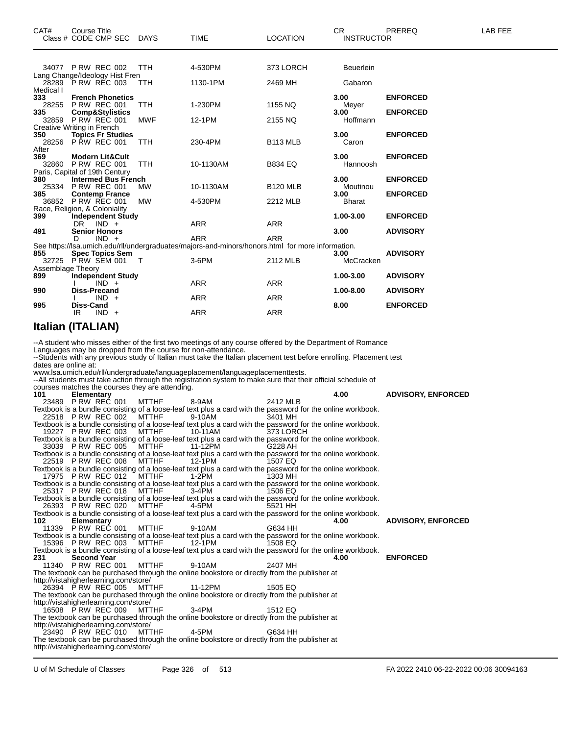|                                      |                   | Class # CODE CMP SEC                                       | <b>DAYS</b>                                     | TIME                                                                                                                                                                                                                                                                                                                                                                                 | LOCATION             | INSTRUCTOR       |                           |
|--------------------------------------|-------------------|------------------------------------------------------------|-------------------------------------------------|--------------------------------------------------------------------------------------------------------------------------------------------------------------------------------------------------------------------------------------------------------------------------------------------------------------------------------------------------------------------------------------|----------------------|------------------|---------------------------|
|                                      |                   |                                                            |                                                 |                                                                                                                                                                                                                                                                                                                                                                                      |                      |                  |                           |
|                                      |                   | 34077 PRW REC 002<br>Lang Change/Ideology Hist Fren        | TTH                                             | 4-530PM                                                                                                                                                                                                                                                                                                                                                                              | 373 LORCH            | Beuerlein        |                           |
| Medical I                            |                   | 28289 PRW REC 003                                          | TTH                                             | 1130-1PM                                                                                                                                                                                                                                                                                                                                                                             | 2469 MH              | Gabaron          |                           |
| 333<br>28255                         |                   | <b>French Phonetics</b><br>PRW REC 001                     | <b>TTH</b>                                      | 1-230PM                                                                                                                                                                                                                                                                                                                                                                              | 1155 NQ              | 3.00<br>Meyer    | <b>ENFORCED</b>           |
| 335                                  |                   | <b>Comp&amp;Stylistics</b>                                 |                                                 |                                                                                                                                                                                                                                                                                                                                                                                      |                      | 3.00             | <b>ENFORCED</b>           |
| Creative Writing in French           |                   | 32859 PRW REC 001                                          | MWF                                             | 12-1PM                                                                                                                                                                                                                                                                                                                                                                               | 2155 NQ              | Hoffmann         |                           |
| 350<br>28256                         |                   | <b>Topics Fr Studies</b><br><b>P RW REC 001</b>            | TTH                                             | 230-4PM                                                                                                                                                                                                                                                                                                                                                                              | B <sub>113</sub> MLB | 3.00<br>Caron    | <b>ENFORCED</b>           |
| After<br>369                         |                   |                                                            |                                                 |                                                                                                                                                                                                                                                                                                                                                                                      |                      | 3.00             |                           |
| 32860                                |                   | Modern Lit&Cult<br>PRW REC 001                             | TTH                                             | 10-1130AM                                                                                                                                                                                                                                                                                                                                                                            | B834 EQ              | Hannoosh         | <b>ENFORCED</b>           |
| 380                                  |                   | Paris, Capital of 19th Century<br>Intermed Bus French      |                                                 |                                                                                                                                                                                                                                                                                                                                                                                      |                      | 3.00             | <b>ENFORCED</b>           |
| 385                                  |                   | 25334 PRW REC 001<br><b>Contemp France</b>                 | МW                                              | 10-1130AM                                                                                                                                                                                                                                                                                                                                                                            | <b>B120 MLB</b>      | Moutinou<br>3.00 | <b>ENFORCED</b>           |
|                                      |                   | 36852 P RW REC 001                                         | MW                                              | 4-530PM                                                                                                                                                                                                                                                                                                                                                                              | 2212 MLB             | <b>Bharat</b>    |                           |
| Race, Religion, & Coloniality<br>399 |                   | <b>Independent Study</b>                                   |                                                 |                                                                                                                                                                                                                                                                                                                                                                                      |                      | 1.00-3.00        | <b>ENFORCED</b>           |
| 491                                  | DR.               | $IND +$<br><b>Senior Honors</b>                            |                                                 | ARR                                                                                                                                                                                                                                                                                                                                                                                  | ARR                  | 3.00             | <b>ADVISORY</b>           |
|                                      | D                 | $IND +$                                                    |                                                 | ARR<br>See https://lsa.umich.edu/rll/undergraduates/majors-and-minors/honors.html for more information.                                                                                                                                                                                                                                                                              | ARR                  |                  |                           |
| 855                                  |                   | <b>Spec Topics Sem</b>                                     |                                                 |                                                                                                                                                                                                                                                                                                                                                                                      |                      | 3.00             | <b>ADVISORY</b>           |
| Assemblage Theory                    |                   | 32725 PRW SEM 001                                          | $\top$                                          | 3-6PM                                                                                                                                                                                                                                                                                                                                                                                | 2112 MLB             | McCracken        |                           |
| 899                                  |                   | <b>Independent Study</b><br>$IND +$                        |                                                 | ARR                                                                                                                                                                                                                                                                                                                                                                                  | ARR                  | 1.00-3.00        | <b>ADVISORY</b>           |
| 990                                  |                   | Diss-Precand                                               |                                                 | ARR                                                                                                                                                                                                                                                                                                                                                                                  | <b>ARR</b>           | 1.00-8.00        | <b>ADVISORY</b>           |
| 995                                  | Diss-Cand         | $IND +$                                                    |                                                 |                                                                                                                                                                                                                                                                                                                                                                                      |                      | 8.00             | <b>ENFORCED</b>           |
|                                      | IR                | $IND +$                                                    |                                                 | ARR                                                                                                                                                                                                                                                                                                                                                                                  | ARR                  |                  |                           |
| <b>Italian (ITALIAN)</b>             |                   |                                                            |                                                 |                                                                                                                                                                                                                                                                                                                                                                                      |                      |                  |                           |
| dates are online at:                 |                   |                                                            | courses matches the courses they are attending. | Languages may be dropped from the course for non-attendance.<br>--Students with any previous study of Italian must take the Italian placement test before enrolling. Placement test<br>www.lsa.umich.edu/rll/undergraduate/languageplacement/languageplacementtests.<br>--All students must take action through the registration system to make sure that their official schedule of |                      |                  |                           |
| 101                                  | <b>Elementary</b> | 23489 PRW REC 001                                          | MTTHF                                           | 8-9AM                                                                                                                                                                                                                                                                                                                                                                                | 2412 MLB             | 4.00             | <b>ADVISORY, ENFORCED</b> |
|                                      |                   |                                                            |                                                 | Textbook is a bundle consisting of a loose-leaf text plus a card with the password for the online workbook.                                                                                                                                                                                                                                                                          |                      |                  |                           |
|                                      |                   | 22518 PRW REC 002                                          | <b>MTTHF</b>                                    | 9-10AM<br>Textbook is a bundle consisting of a loose-leaf text plus a card with the password for the online workbook.                                                                                                                                                                                                                                                                | 3401 MH              |                  |                           |
|                                      |                   | 19227 P RW REC 003                                         | <b>MTTHF</b>                                    | 10-11AM<br>Textbook is a bundle consisting of a loose-leaf text plus a card with the password for the online workbook.                                                                                                                                                                                                                                                               | 373 LORCH            |                  |                           |
|                                      |                   | 33039 P RW REC 005                                         | MTTHF                                           | 11-12PM<br>Textbook is a bundle consisting of a loose-leaf text plus a card with the password for the online workbook.                                                                                                                                                                                                                                                               | G228 AH              |                  |                           |
|                                      |                   | 22519 PRW REC 008                                          | MTTHF                                           | 12-1PM                                                                                                                                                                                                                                                                                                                                                                               | 1507 EQ              |                  |                           |
|                                      |                   | 17975 P RW REC 012                                         | MTTHF                                           | Textbook is a bundle consisting of a loose-leaf text plus a card with the password for the online workbook.<br>1-2PM                                                                                                                                                                                                                                                                 | 1303 MH              |                  |                           |
|                                      |                   | 25317 PRW REC 018                                          | MTTHF                                           | Textbook is a bundle consisting of a loose-leaf text plus a card with the password for the online workbook.<br>3-4PM                                                                                                                                                                                                                                                                 | 1506 EQ              |                  |                           |
|                                      |                   | 26393 PRW REC 020                                          | MTTHF                                           | Textbook is a bundle consisting of a loose-leaf text plus a card with the password for the online workbook.<br>4-5PM                                                                                                                                                                                                                                                                 | 5521 HH              |                  |                           |
|                                      |                   |                                                            |                                                 | Textbook is a bundle consisting of a loose-leaf text plus a card with the password for the online workbook.                                                                                                                                                                                                                                                                          |                      |                  |                           |
| 102                                  | <b>Elementary</b> | 11339 P RW REC 001                                         | MTTHF                                           | 9-10AM                                                                                                                                                                                                                                                                                                                                                                               | G634 HH              | 4.00             | <b>ADVISORY, ENFORCED</b> |
|                                      |                   | 15396 P RW REC 003                                         | <b>MTTHF</b>                                    | Textbook is a bundle consisting of a loose-leaf text plus a card with the password for the online workbook.<br>12-1PM                                                                                                                                                                                                                                                                | 1508 EQ              |                  |                           |
| 231                                  |                   | <b>Second Year</b>                                         |                                                 | Textbook is a bundle consisting of a loose-leaf text plus a card with the password for the online workbook.                                                                                                                                                                                                                                                                          |                      | 4.00             | <b>ENFORCED</b>           |
|                                      |                   | 11340 PRW REC 001                                          | MTTHF                                           | 9-10AM                                                                                                                                                                                                                                                                                                                                                                               | 2407 MH              |                  |                           |
|                                      |                   | http://vistahigherlearning.com/store/                      |                                                 | The textbook can be purchased through the online bookstore or directly from the publisher at                                                                                                                                                                                                                                                                                         |                      |                  |                           |
|                                      |                   | 26394 PRW REC 005                                          | MTTHF                                           | 11-12PM<br>The textbook can be purchased through the online bookstore or directly from the publisher at                                                                                                                                                                                                                                                                              | 1505 EQ              |                  |                           |
|                                      |                   | http://vistahigherlearning.com/store/                      |                                                 |                                                                                                                                                                                                                                                                                                                                                                                      |                      |                  |                           |
|                                      |                   | 16508 PRW REC 009                                          | <b>MTTHF</b>                                    | 3-4PM<br>The textbook can be purchased through the online bookstore or directly from the publisher at                                                                                                                                                                                                                                                                                | 1512 EQ              |                  |                           |
|                                      |                   | http://vistahigherlearning.com/store/<br>23490 PRW REC 010 | <b>MTTHF</b>                                    | 4-5PM                                                                                                                                                                                                                                                                                                                                                                                | G634 HH              |                  |                           |
|                                      |                   | http://vistahigherlearning.com/store/                      |                                                 | The textbook can be purchased through the online bookstore or directly from the publisher at                                                                                                                                                                                                                                                                                         |                      |                  |                           |
|                                      |                   |                                                            |                                                 |                                                                                                                                                                                                                                                                                                                                                                                      |                      |                  |                           |

CAT# Course Title Case CR PREREQ LAB FEE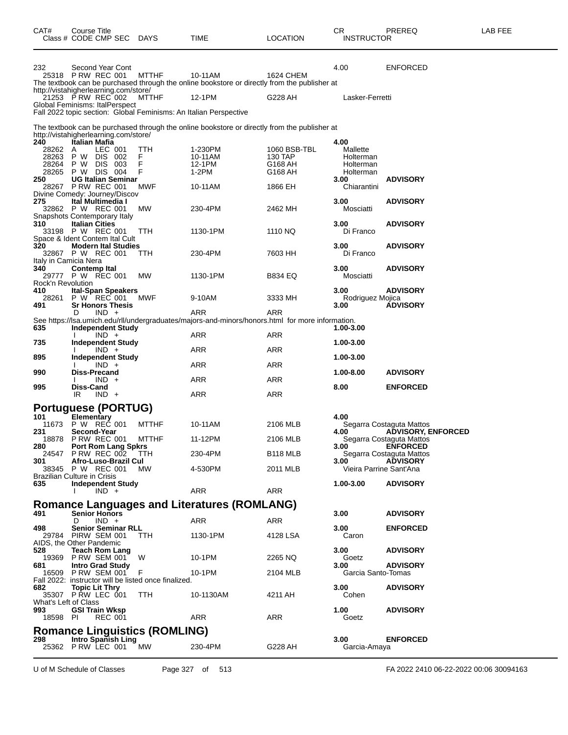| CAT#                     | Course Title<br>Class # CODE CMP SEC DAYS                                                    |              | <b>TIME</b>                                                                                             | <b>LOCATION</b>         | CR<br><b>INSTRUCTOR</b> | PREREQ                                                | LAB FEE |
|--------------------------|----------------------------------------------------------------------------------------------|--------------|---------------------------------------------------------------------------------------------------------|-------------------------|-------------------------|-------------------------------------------------------|---------|
| 232                      | Second Year Cont<br>25318 P RW REC 001                                                       | <b>MTTHF</b> | 10-11AM<br>The textbook can be purchased through the online bookstore or directly from the publisher at | <b>1624 CHEM</b>        | 4.00                    | <b>ENFORCED</b>                                       |         |
|                          | http://vistahigherlearning.com/store/<br>21253 PRW REC 002<br>Global Feminisms: ItalPerspect | <b>MTTHF</b> | 12-1PM                                                                                                  | G228 AH                 | Lasker-Ferretti         |                                                       |         |
|                          | Fall 2022 topic section: Global Feminisms: An Italian Perspective                            |              |                                                                                                         |                         |                         |                                                       |         |
|                          | http://vistahigherlearning.com/store/                                                        |              | The textbook can be purchased through the online bookstore or directly from the publisher at            |                         |                         |                                                       |         |
| 240                      | Italian Mafia                                                                                |              |                                                                                                         |                         | 4.00                    |                                                       |         |
| 28262<br>28263           | LEC 001<br>$\overline{A}$<br>P W<br>DIS 002                                                  | TTH<br>F     | 1-230PM<br>10-11AM                                                                                      | 1060 BSB-TBL<br>130 TAP | Mallette<br>Holterman   |                                                       |         |
| 28264                    | <b>DIS</b><br>003<br>P W                                                                     | F            | 12-1PM                                                                                                  | G168 AH                 | Holterman               |                                                       |         |
| 250                      | 28265 P W DIS 004<br><b>UG Italian Seminar</b>                                               | F            | 1-2PM                                                                                                   | G168 AH                 | Holterman<br>3.00       | <b>ADVISORY</b>                                       |         |
|                          | 28267 P RW REC 001                                                                           | MWF          | 10-11AM                                                                                                 | 1866 EH                 | Chiarantini             |                                                       |         |
| 275                      | Divine Comedy: Journey/Discov<br>Ital Multimedia I                                           |              |                                                                                                         |                         | 3.00                    | <b>ADVISORY</b>                                       |         |
|                          | 32862 P W REC 001                                                                            | МW           | 230-4PM                                                                                                 | 2462 MH                 | Mosciatti               |                                                       |         |
| 310                      | Snapshots Contemporary Italy<br><b>Italian Cities</b>                                        |              |                                                                                                         |                         | 3.00                    | <b>ADVISORY</b>                                       |         |
|                          | 33198 P W REC 001                                                                            | TTH          | 1130-1PM                                                                                                | 1110 NQ                 | Di Franco               |                                                       |         |
| 320                      | Space & Ident Contem Ital Cult<br><b>Modern Ital Studies</b>                                 |              |                                                                                                         |                         | 3.00                    | <b>ADVISORY</b>                                       |         |
|                          | 32867 P W REC 001                                                                            | TTH          | 230-4PM                                                                                                 | 7603 HH                 | Di Franco               |                                                       |         |
| 340                      | Italy in Camicia Nera<br><b>Contemp Ital</b>                                                 |              |                                                                                                         |                         | 3.00                    | <b>ADVISORY</b>                                       |         |
|                          | 29777 P W REC 001                                                                            | МW           | 1130-1PM                                                                                                | <b>B834 EQ</b>          | Mosciatti               |                                                       |         |
| Rock'n Revolution<br>410 | <b>Ital-Span Speakers</b>                                                                    |              |                                                                                                         |                         | 3.00                    | <b>ADVISORY</b>                                       |         |
| 28261                    | P W REC 001                                                                                  | MWF          | 9-10AM                                                                                                  | 3333 MH                 | Rodriguez Mojica        |                                                       |         |
| 491                      | <b>Sr Honors Thesis</b><br>$IND +$<br>D                                                      |              | ARR                                                                                                     | <b>ARR</b>              | 3.00                    | <b>ÁDVISORY</b>                                       |         |
|                          |                                                                                              |              | See https://lsa.umich.edu/rll/undergraduates/majors-and-minors/honors.html for more information.        |                         |                         |                                                       |         |
| 635                      | <b>Independent Study</b><br>$IND +$                                                          |              | ARR                                                                                                     | ARR                     | 1.00-3.00               |                                                       |         |
| 735                      | <b>Independent Study</b>                                                                     |              | ARR                                                                                                     |                         | 1.00-3.00               |                                                       |         |
| 895                      | $IND +$<br>Independent Study                                                                 |              |                                                                                                         | ARR                     | 1.00-3.00               |                                                       |         |
| 990                      | $IND +$<br>Diss-Precand                                                                      |              | ARR                                                                                                     | ARR                     | 1.00-8.00               | <b>ADVISORY</b>                                       |         |
|                          | $IND +$                                                                                      |              | ARR                                                                                                     | ARR                     |                         |                                                       |         |
| 995                      | Diss-Cand<br>IR<br>$IND +$                                                                   |              | ARR                                                                                                     | ARR                     | 8.00                    | <b>ENFORCED</b>                                       |         |
|                          | Portuguese (PORTUG)                                                                          |              |                                                                                                         |                         |                         |                                                       |         |
| 101                      | Elementary                                                                                   |              |                                                                                                         |                         | 4.00                    |                                                       |         |
| 11673<br>231             | P W REC 001<br>Second-Year                                                                   | <b>MTTHF</b> | 10-11AM                                                                                                 | 2106 MLB                | 4.00                    | Segarra Costaguta Mattos<br><b>ADVISORY, ENFORCED</b> |         |
|                          | 18878 P RW REC 001                                                                           | <b>MTTHF</b> | 11-12PM                                                                                                 | 2106 MLB                |                         | Segarra Costaguta Mattos                              |         |
| 280                      | <b>Port Rom Lang Spkrs</b><br>24547 PRW REC 002 TTH                                          |              | 230-4PM                                                                                                 | <b>B118 MLB</b>         | 3.00                    | <b>ENFORCED</b><br>Segarra Costaguta Mattos           |         |
| 301                      | Afro-Luso-Brazil Cul                                                                         |              |                                                                                                         |                         | 3.00                    | <b>ADVISORY</b>                                       |         |
|                          | 38345 P W REC 001<br><b>Brazilian Culture in Crisis</b>                                      | <b>MW</b>    | 4-530PM                                                                                                 | 2011 MLB                | Vieira Parrine Sant'Ana |                                                       |         |
| 635                      | Independent Study                                                                            |              |                                                                                                         |                         | 1.00-3.00               | <b>ADVISORY</b>                                       |         |
|                          | $IND +$                                                                                      |              | ARR                                                                                                     | ARR                     |                         |                                                       |         |
|                          |                                                                                              |              | <b>Romance Languages and Literatures (ROMLANG)</b>                                                      |                         |                         |                                                       |         |
| 491                      | <b>Senior Honors</b><br>D<br>$IND +$                                                         |              | ARR                                                                                                     | ARR                     | 3.00                    | <b>ADVISORY</b>                                       |         |
| 498                      | <b>Senior Seminar RLL</b>                                                                    |              |                                                                                                         |                         | 3.00                    | <b>ENFORCED</b>                                       |         |
|                          | 29784 PIRW SEM 001<br>AIDS, the Other Pandemic                                               | TTH          | 1130-1PM                                                                                                | 4128 LSA                | Caron                   |                                                       |         |
| 528                      | <b>Teach Rom Lang</b><br>19369 P RW SEM 001                                                  | W            | 10-1PM                                                                                                  |                         | 3.00<br>Goetz           | <b>ADVISORY</b>                                       |         |
| 681                      | <b>Intro Grad Study</b>                                                                      |              |                                                                                                         | 2265 NQ                 | 3.00                    | <b>ADVISORY</b>                                       |         |
|                          | 16509 P RW SEM 001<br>Fall 2022: instructor will be listed once finalized.                   | F            | 10-1PM                                                                                                  | 2104 MLB                | Garcia Santo-Tomas      |                                                       |         |
| 682                      | <b>Topic Lit Thry</b>                                                                        |              |                                                                                                         |                         | 3.00                    | <b>ADVISORY</b>                                       |         |
| What's Left of Class     | 35307 P RW LEC 001                                                                           | TTH.         | 10-1130AM                                                                                               | 4211 AH                 | Cohen                   |                                                       |         |
| 993                      | <b>GSI Train Wksp</b>                                                                        |              |                                                                                                         |                         | 1.00                    | <b>ADVISORY</b>                                       |         |
| 18598 PI                 | <b>REC 001</b>                                                                               |              | ARR                                                                                                     | ARR                     | Goetz                   |                                                       |         |
|                          | <b>Romance Linguistics (ROMLING)</b>                                                         |              |                                                                                                         |                         |                         |                                                       |         |
| 298                      | Intro Spanish Ling<br>25362 P RW LEC 001                                                     | МW           | 230-4PM                                                                                                 | G228 AH                 | 3.00<br>Garcia-Amaya    | <b>ENFORCED</b>                                       |         |
|                          |                                                                                              |              |                                                                                                         |                         |                         |                                                       |         |

U of M Schedule of Classes Page 327 of 513 FA 2022 2410 06-22-2022 00:06 30094163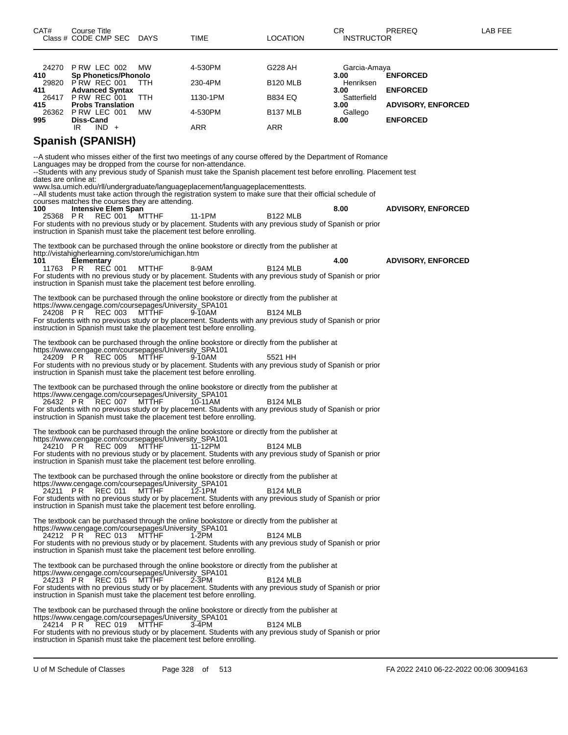| CAT#                 | Course Title<br>Class # CODE CMP SEC DAYS                                       |              | TIME                                                                                                                                                                                                                                                                                                                                                                                                                               | LOCATION             | CR<br><b>INSTRUCTOR</b> | PREREQ                    | LAB FEE |
|----------------------|---------------------------------------------------------------------------------|--------------|------------------------------------------------------------------------------------------------------------------------------------------------------------------------------------------------------------------------------------------------------------------------------------------------------------------------------------------------------------------------------------------------------------------------------------|----------------------|-------------------------|---------------------------|---------|
|                      | 24270 P RW LEC 002                                                              | МW           | 4-530PM                                                                                                                                                                                                                                                                                                                                                                                                                            | G228 AH              | Garcia-Amaya            |                           |         |
| 410                  | <b>Sp Phonetics/Phonolo</b><br>29820 PRW REC 001                                | <b>TTH</b>   | 230-4PM                                                                                                                                                                                                                                                                                                                                                                                                                            | <b>B120 MLB</b>      | 3.00<br>Henriksen       | <b>ENFORCED</b>           |         |
| 411                  | <b>Advanced Syntax</b><br>26417 PRW REC 001                                     | <b>TTH</b>   | 1130-1PM                                                                                                                                                                                                                                                                                                                                                                                                                           | <b>B834 EQ</b>       | 3.00<br>Satterfield     | <b>ENFORCED</b>           |         |
| 415                  | <b>Probs Translation</b><br>26362 PRW LEC 001                                   | МW           | 4-530PM                                                                                                                                                                                                                                                                                                                                                                                                                            | B <sub>137</sub> MLB | 3.00                    | <b>ADVISORY, ENFORCED</b> |         |
| 995                  | Diss-Cand                                                                       |              |                                                                                                                                                                                                                                                                                                                                                                                                                                    |                      | Gallego<br>8.00         | <b>ENFORCED</b>           |         |
|                      | IR<br>$IND +$<br><b>Spanish (SPANISH)</b>                                       |              | ARR                                                                                                                                                                                                                                                                                                                                                                                                                                | <b>ARR</b>           |                         |                           |         |
| dates are online at: | Languages may be dropped from the course for non-attendance.                    |              | --A student who misses either of the first two meetings of any course offered by the Department of Romance<br>--Students with any previous study of Spanish must take the Spanish placement test before enrolling. Placement test<br>www.lsa.umich.edu/rll/undergraduate/languageplacement/languageplacementtests.<br>--All students must take action through the registration system to make sure that their official schedule of |                      |                         |                           |         |
|                      | courses matches the courses they are attending.                                 |              |                                                                                                                                                                                                                                                                                                                                                                                                                                    |                      |                         |                           |         |
| 100                  | <b>Intensive Elem Span</b><br>25368 PR REC 001 MTTHF                            |              | 11-1PM                                                                                                                                                                                                                                                                                                                                                                                                                             | <b>B122 MLB</b>      | 8.00                    | <b>ADVISORY, ENFORCED</b> |         |
|                      |                                                                                 |              | For students with no previous study or by placement. Students with any previous study of Spanish or prior<br>instruction in Spanish must take the placement test before enrolling.                                                                                                                                                                                                                                                 |                      |                         |                           |         |
|                      |                                                                                 |              | The textbook can be purchased through the online bookstore or directly from the publisher at                                                                                                                                                                                                                                                                                                                                       |                      |                         |                           |         |
| 101                  | http://vistahigherlearning.com/store/umichigan.htm<br>Elementary                |              |                                                                                                                                                                                                                                                                                                                                                                                                                                    |                      | 4.00                    | <b>ADVISORY, ENFORCED</b> |         |
| 11763 PR             | REC 001                                                                         | MTTHF        | 8-9AM<br>For students with no previous study or by placement. Students with any previous study of Spanish or prior<br>instruction in Spanish must take the placement test before enrolling.                                                                                                                                                                                                                                        | <b>B124 MLB</b>      |                         |                           |         |
|                      | https://www.cengage.com/coursepages/University_SPA101<br>24208 PR REC 003       | MTTHF        | The textbook can be purchased through the online bookstore or directly from the publisher at<br>9-10AM<br>For students with no previous study or by placement. Students with any previous study of Spanish or prior<br>instruction in Spanish must take the placement test before enrolling.                                                                                                                                       | <b>B124 MLB</b>      |                         |                           |         |
|                      | https://www.cengage.com/coursepages/University_SPA101<br>24209 PR REC 005       | MTTHF        | The textbook can be purchased through the online bookstore or directly from the publisher at<br>9-10AM<br>For students with no previous study or by placement. Students with any previous study of Spanish or prior<br>instruction in Spanish must take the placement test before enrolling.                                                                                                                                       | 5521 HH              |                         |                           |         |
|                      | https://www.cengage.com/coursepages/University_SPA101<br>26432 PR REC 007       | MTTHF        | The textbook can be purchased through the online bookstore or directly from the publisher at<br>10-11AM<br>For students with no previous study or by placement. Students with any previous study of Spanish or prior<br>instruction in Spanish must take the placement test before enrolling.                                                                                                                                      | <b>B124 MLB</b>      |                         |                           |         |
|                      |                                                                                 |              | The textbook can be purchased through the online bookstore or directly from the publisher at                                                                                                                                                                                                                                                                                                                                       |                      |                         |                           |         |
|                      | https://www.cengage.com/coursepages/University_SPA101<br>24210 PR REC 009 MTTHF |              | 11-12PM<br>For students with no previous study or by placement. Students with any previous study of Spanish or prior<br>instruction in Spanish must take the placement test before enrolling.                                                                                                                                                                                                                                      | <b>B124 MLB</b>      |                         |                           |         |
|                      | https://www.cengage.com/coursepages/University_SPA101<br>24211 PR REC 011       | <b>MTTHF</b> | The textbook can be purchased through the online bookstore or directly from the publisher at<br>12-1PM<br>For students with no previous study or by placement. Students with any previous study of Spanish or prior<br>instruction in Spanish must take the placement test before enrolling.                                                                                                                                       | <b>B124 MLB</b>      |                         |                           |         |
|                      | https://www.cengage.com/coursepages/University_SPA101<br>24212 PR REC 013       | MTTHF        | The textbook can be purchased through the online bookstore or directly from the publisher at<br>$1-2PM$<br>For students with no previous study or by placement. Students with any previous study of Spanish or prior<br>instruction in Spanish must take the placement test before enrolling.                                                                                                                                      | <b>B124 MLB</b>      |                         |                           |         |
|                      | https://www.cengage.com/coursepages/University_SPA101<br>24213 PR REC 015       | MTTHF        | The textbook can be purchased through the online bookstore or directly from the publisher at<br>$2-3PM$<br>For students with no previous study or by placement. Students with any previous study of Spanish or prior<br>instruction in Spanish must take the placement test before enrolling.                                                                                                                                      | <b>B124 MLB</b>      |                         |                           |         |
|                      | https://www.cengage.com/coursepages/University_SPA101<br>24214 PR REC 019       | <b>MTTHF</b> | The textbook can be purchased through the online bookstore or directly from the publisher at<br>$3-4PM$<br>For students with no previous study or by placement. Students with any previous study of Spanish or prior<br>instruction in Spanish must take the placement test before enrolling.                                                                                                                                      | <b>B124 MLB</b>      |                         |                           |         |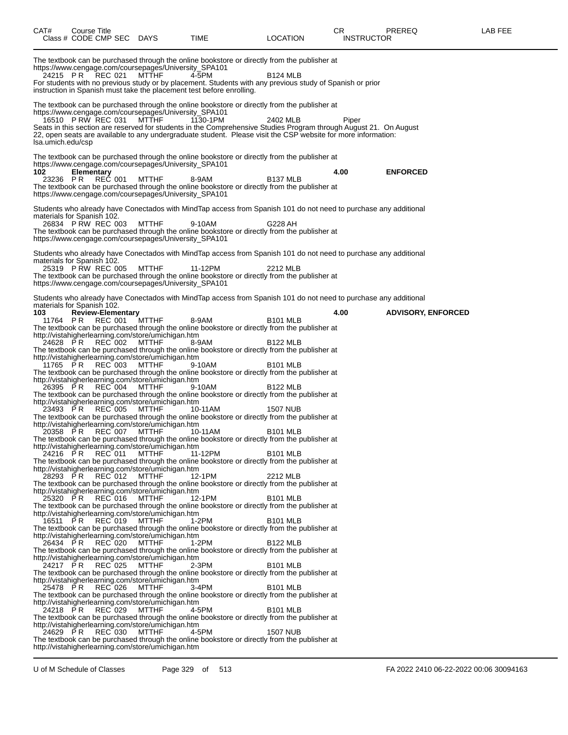| CAT#                                                                                                      | Course Title |            | Class # CODE CMP SEC DAYS                                                                                                                             |                                                                                                                                                                                                                                                                                                                                                                                                                                                                                                                         | TIME                                                                                                                                                                                                                                                                                                                                                                                                                                                                                                                                                                                                                                                                                                                                                                                                                                                                          | <b>LOCATION</b>                                                                                                                                       | CR.<br><b>INSTRUCTOR</b> | <b>PREREQ</b>             | LAB FEE |
|-----------------------------------------------------------------------------------------------------------|--------------|------------|-------------------------------------------------------------------------------------------------------------------------------------------------------|-------------------------------------------------------------------------------------------------------------------------------------------------------------------------------------------------------------------------------------------------------------------------------------------------------------------------------------------------------------------------------------------------------------------------------------------------------------------------------------------------------------------------|-------------------------------------------------------------------------------------------------------------------------------------------------------------------------------------------------------------------------------------------------------------------------------------------------------------------------------------------------------------------------------------------------------------------------------------------------------------------------------------------------------------------------------------------------------------------------------------------------------------------------------------------------------------------------------------------------------------------------------------------------------------------------------------------------------------------------------------------------------------------------------|-------------------------------------------------------------------------------------------------------------------------------------------------------|--------------------------|---------------------------|---------|
| 24215 PR                                                                                                  |              |            | <b>REC 021</b>                                                                                                                                        | https://www.cengage.com/coursepages/University_SPA101<br>MTTHF                                                                                                                                                                                                                                                                                                                                                                                                                                                          | The textbook can be purchased through the online bookstore or directly from the publisher at<br>4-5PM<br>For students with no previous study or by placement. Students with any previous study of Spanish or prior<br>instruction in Spanish must take the placement test before enrolling.                                                                                                                                                                                                                                                                                                                                                                                                                                                                                                                                                                                   | <b>B124 MLB</b>                                                                                                                                       |                          |                           |         |
| 16510 PRW REC 031<br>Isa.umich.edu/csp                                                                    |              |            |                                                                                                                                                       | https://www.cengage.com/coursepages/University_SPA101<br>MTTHF                                                                                                                                                                                                                                                                                                                                                                                                                                                          | The textbook can be purchased through the online bookstore or directly from the publisher at<br>1130-1PM<br>Seats in this section are reserved for students in the Comprehensive Studies Program through August 21. On August<br>22, open seats are available to any undergraduate student. Please visit the CSP website for more information:                                                                                                                                                                                                                                                                                                                                                                                                                                                                                                                                | 2402 MLB                                                                                                                                              | Piper                    |                           |         |
| 102<br>23236 PR                                                                                           |              | Elementary | <b>REC 001</b>                                                                                                                                        | https://www.cengage.com/coursepages/University_SPA101<br><b>MTTHF</b><br>https://www.cengage.com/coursepages/University_SPA101                                                                                                                                                                                                                                                                                                                                                                                          | The textbook can be purchased through the online bookstore or directly from the publisher at<br>8-9AM<br>The textbook can be purchased through the online bookstore or directly from the publisher at                                                                                                                                                                                                                                                                                                                                                                                                                                                                                                                                                                                                                                                                         | B <sub>137</sub> MLB                                                                                                                                  | 4.00                     | <b>ENFORCED</b>           |         |
| materials for Spanish 102.<br>26834 PRW REC 003                                                           |              |            |                                                                                                                                                       | MTTHF<br>https://www.cengage.com/coursepages/University_SPA101                                                                                                                                                                                                                                                                                                                                                                                                                                                          | Students who already have Conectados with MindTap access from Spanish 101 do not need to purchase any additional<br>9-10AM<br>The textbook can be purchased through the online bookstore or directly from the publisher at                                                                                                                                                                                                                                                                                                                                                                                                                                                                                                                                                                                                                                                    | G228 AH                                                                                                                                               |                          |                           |         |
| materials for Spanish 102.<br>25319 P RW REC 005                                                          |              |            |                                                                                                                                                       | MTTHF<br>https://www.cengage.com/coursepages/University SPA101                                                                                                                                                                                                                                                                                                                                                                                                                                                          | Students who already have Conectados with MindTap access from Spanish 101 do not need to purchase any additional<br>11-12PM<br>The textbook can be purchased through the online bookstore or directly from the publisher at                                                                                                                                                                                                                                                                                                                                                                                                                                                                                                                                                                                                                                                   | 2212 MLB                                                                                                                                              |                          |                           |         |
| materials for Spanish 102.<br>103<br>24628 PR<br>11765 PR<br>26395 PR<br>23493 PR<br>24216 PR<br>28293 PR |              |            | <b>Review-Elementary</b><br>11764 PR REC 001 MTTHF<br>REC 002<br>REC 003<br>REC 004<br>REC 005<br>20358 PR REC 007 MTTHF<br><b>REC 011</b><br>REC 012 | http://vistahigherlearning.com/store/umichigan.htm<br>MTTHF<br>http://vistahigherlearning.com/store/umichigan.htm<br>MTTHF<br>http://vistahigherlearning.com/store/umichigan.htm<br><b>MTTHF</b><br>http://vistahigherlearning.com/store/umichigan.htm<br>MTTHF<br>http://vistahigherlearning.com/store/umichigan.htm<br>http://vistahigherlearning.com/store/umichigan.htm<br><b>MTTHF</b><br>http://vistahigherlearning.com/store/umichigan.htm<br><b>MTTHF</b><br>http://vistahigherlearning.com/store/umichigan.htm | 8-9AM<br>The textbook can be purchased through the online bookstore or directly from the publisher at<br>8-9AM<br>The textbook can be purchased through the online bookstore or directly from the publisher at<br>9-10AM<br>The textbook can be purchased through the online bookstore or directly from the publisher at<br>9-10AM<br>The textbook can be purchased through the online bookstore or directly from the publisher at<br>10-11AM<br>The textbook can be purchased through the online bookstore or directly from the publisher at<br>10-11AM<br>The textbook can be purchased through the online bookstore or directly from the publisher at<br>11-12PM<br>The textbook can be purchased through the online bookstore or directly from the publisher at<br>12-1PM<br>The textbook can be purchased through the online bookstore or directly from the publisher at | B <sub>101</sub> MLB<br><b>B122 MLB</b><br>B <sub>101</sub> MLB<br><b>B122 MLB</b><br>1507 NUB<br><b>B101 MLB</b><br>B <sub>101</sub> MLB<br>2212 MLB | 4.00                     | <b>ADVISORY, ENFORCED</b> |         |
| 25320 PR<br>16511 PR<br>26434 PR<br>24217 PR<br>25478 PR<br>24218 PR<br>24629 PR                          |              |            | REC 016<br>REC 019<br>REC 020<br><b>REC 025</b><br><b>REC 026</b><br><b>REC 029</b><br>REC 030                                                        | <b>MTTHF</b><br>http://vistahigherlearning.com/store/umichigan.htm<br><b>MTTHF</b><br>http://vistahigherlearning.com/store/umichigan.htm<br><b>MTTHF</b><br>http://vistahigherlearning.com/store/umichigan.htm<br><b>MTTHF</b><br>http://vistahigherlearning.com/store/umichigan.htm<br><b>MTTHF</b><br>http://vistahigherlearning.com/store/umichigan.htm<br><b>MTTHF</b><br>http://vistahigherlearning.com/store/umichigan.htm<br><b>MTTHF</b><br>http://vistahigherlearning.com/store/umichigan.htm                  | 12-1PM<br>The textbook can be purchased through the online bookstore or directly from the publisher at<br>1-2PM<br>The textbook can be purchased through the online bookstore or directly from the publisher at<br>$1-2PM$<br>The textbook can be purchased through the online bookstore or directly from the publisher at<br>2-3PM<br>The textbook can be purchased through the online bookstore or directly from the publisher at<br>3-4PM<br>The textbook can be purchased through the online bookstore or directly from the publisher at<br>4-5PM<br>The textbook can be purchased through the online bookstore or directly from the publisher at<br>4-5PM<br>The textbook can be purchased through the online bookstore or directly from the publisher at                                                                                                                | <b>B101 MLB</b><br><b>B101 MLB</b><br><b>B122 MLB</b><br><b>B101 MLB</b><br><b>B101 MLB</b><br><b>B101 MLB</b><br><b>1507 NUB</b>                     |                          |                           |         |

U of M Schedule of Classes Page 329 of 513 FA 2022 2410 06-22-2022 00:06 30094163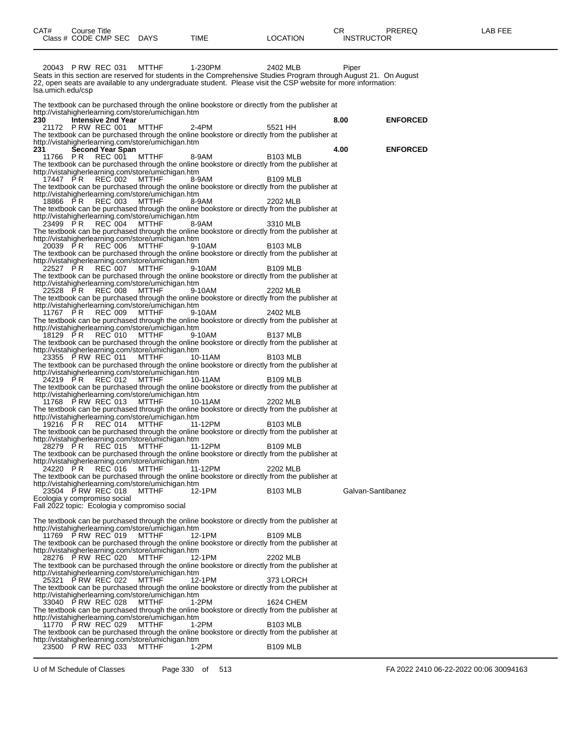| CAT# | Course Title              |             |          | ∼⊡                | PREREQ | LAB FEE |
|------|---------------------------|-------------|----------|-------------------|--------|---------|
|      | Class # CODE CMP SEC DAYS | <b>TIME</b> | LOCATION | <b>INSTRUCTOR</b> |        |         |

20043 P RW REC 031 MTTHF 1-230PM 2402 MLB Piper Seats in this section are reserved for students in the Comprehensive Studies Program through August 21. On August 22, open seats are available to any undergraduate student. Please visit the CSP website for more information: lsa.umich.edu/csp The textbook can be purchased through the online bookstore or directly from the publisher at http://vistahigherlearning.com/store/umichigan.htm<br>230 **Intensive 2nd Year 230 Intensive 2nd Year 8.00 ENFORCED P RW REC 001** The textbook can be purchased through the online bookstore or directly from the publisher at http://vistahigherlearning.com/store/umichigan.htm<br>231 Second Year Span **231 Second Year Span 4.00 ENFORCED** 11766 P R REC 001 MTTHF 8-9AM B103 MLB The textbook can be purchased through the online bookstore or directly from the publisher at http://vistahigherlearning.com/store/umichigan.htm 17447 PR REC 002 MTTHF 8-9AM B109 MLB The textbook can be purchased through the online bookstore or directly from the publisher at http://vistahigherlearning.com/store/umichigan.htm 18866 P R REC 003 MTTHF 8-9AM 2202 MLB The textbook can be purchased through the online bookstore or directly from the publisher at http://vistahigherlearning.com/store/umichigan.htm 23499 P.R REC 004 MTTHF 8-9AM 3310 MLB The textbook can be purchased through the online bookstore or directly from the publisher at http://vistahigherlearning.com/store/umichigan.htm 20039 P R REC 006 MTTHF 9-10AM B103 MLB The textbook can be purchased through the online bookstore or directly from the publisher at http://vistahigherlearning.com/store/umichigan.htm 22527 P R REC 007 MTTHF 9-10AM B109 MLB The textbook can be purchased through the online bookstore or directly from the publisher at http://vistahigherlearning.com/store/umichigan.htm 22528 P R REC 008 MTTHF 9-10AM 2202 MLB The textbook can be purchased through the online bookstore or directly from the publisher at http://vistahigherlearning.com/store/umichigan.htm 11767 P R REC 009 MTTHF 9-10AM 2402 MLB The textbook can be purchased through the online bookstore or directly from the publisher at http://vistahigherlearning.com/store/umichigan.htm 18129 PR REC 010 MTTHF 9-10AM B137 MLB The textbook can be purchased through the online bookstore or directly from the publisher at http://vistahigherlearning.com/store/umichigan.htm 23355 P RW REC 011 MTTHF 10-11AM B103 MLB The textbook can be purchased through the online bookstore or directly from the publisher at http://vistahigherlearning.com/store/umichigan.htm 24219 P R REC 012 MTTHF 10-11AM B109 MLB The textbook can be purchased through the online bookstore or directly from the publisher at http://vistahigherlearning.com/store/umichigan.htm 11768 P RW REC 013 MTTHF 10-11AM 2202 MLB The textbook can be purchased through the online bookstore or directly from the publisher at http://vistahigherlearning.com/store/umichigan.htm 19216 PR REC 014 MTTHF 11-12PM B103 MLB The textbook can be purchased through the online bookstore or directly from the publisher at http://vistahigherlearning.com/store/umichigan.htm 28279 P R REC 015 MTTHF 11-12PM B109 MLB The textbook can be purchased through the online bookstore or directly from the publisher at http://vistahigherlearning.com/store/umichigan.htm 24220 P R REC 016 MTTHF 11-12PM 2202 MLB The textbook can be purchased through the online bookstore or directly from the publisher at http://vistahigherlearning.com/store/umichigan.htm 23504 P RW REC 018 MTTHF 12-1PM B103 MLB Galvan-Santibanez Ecologia y compromiso social Fall 2022 topic: Ecologia y compromiso social The textbook can be purchased through the online bookstore or directly from the publisher at http://vistahigherlearning.com/store/umichigan.htm 11769 P RW REC 019 MTTHF 12-1PM B109 MLB The textbook can be purchased through the online bookstore or directly from the publisher at http://vistahigherlearning.com/store/umichigan.htm 28276 P RW REC 020 MTTHF 12-1PM 2202 MLB The textbook can be purchased through the online bookstore or directly from the publisher at http://vistahigherlearning.com/store/umichigan.htm 25321 P RW REC 022 MTTHF 12-1PM 373 LORCH The textbook can be purchased through the online bookstore or directly from the publisher at http://vistahigherlearning.com/store/umichigan.htm 33040 P RW REC 028 MTTHF 1-2PM 1624 CHEM The textbook can be purchased through the online bookstore or directly from the publisher at http://vistahigherlearning.com/store/umichigan.htm 11770 P RW REC 029 MTTHF 1-2PM B103 MLB The textbook can be purchased through the online bookstore or directly from the publisher at http://vistahigherlearning.com/store/umichigan.htm 23500 P RW REC 033 MTTHF 1-2PM B109 MLB

U of M Schedule of Classes Page 330 of 513 FA 2022 2410 06-22-2022 00:06 30094163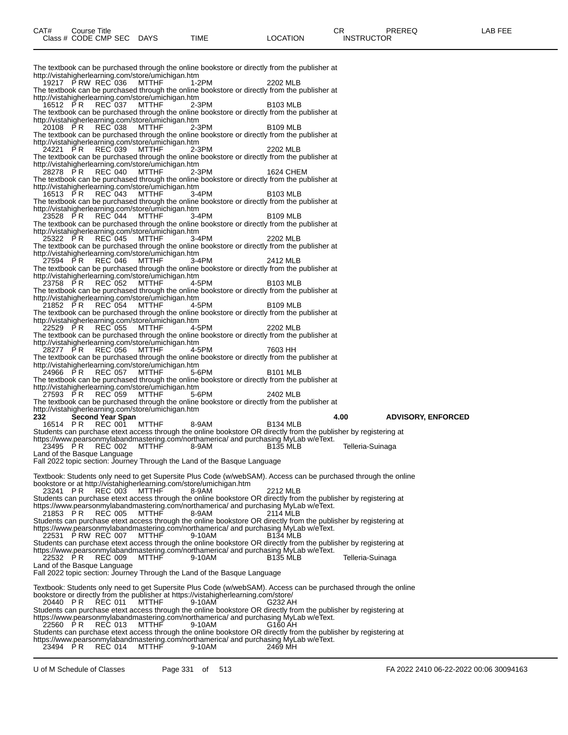The textbook can be purchased through the online bookstore or directly from the publisher at http://vistahigherlearning.com/store/umichigan.htm 19217 P RW REC 036 MTTHF 1-2PM 2202 MLB The textbook can be purchased through the online bookstore or directly from the publisher at http://vistahigherlearning.com/store/umichigan.htm 16512 P R REC 037 MTTHF 2-3PM B103 MLB The textbook can be purchased through the online bookstore or directly from the publisher at http://vistahigherlearning.com/store/umichigan.htm 20108 P R REC 038 MTTHF 2-3PM B109 MLB The textbook can be purchased through the online bookstore or directly from the publisher at http://vistahigherlearning.com/store/umichigan.htm 24221 P R REC 039 MTTHF 2-3PM 2202 MLB The textbook can be purchased through the online bookstore or directly from the publisher at http://vistahigherlearning.com/store/umichigan.htm 28278 P R REC 040 MTTHF 2-3PM 1624 CHEM The textbook can be purchased through the online bookstore or directly from the publisher at http://vistahigherlearning.com/store/umichigan.htm 16513 P R REC 043 MTTHF 3-4PM B103 MLB The textbook can be purchased through the online bookstore or directly from the publisher at http://vistahigherlearning.com/store/umichigan.htm 23528 P R REC 044 MTTHF 3-4PM B109 MLB The textbook can be purchased through the online bookstore or directly from the publisher at http://vistahigherlearning.com/store/umichigan.htm 25322 P R REC 045 MTTHF 3-4PM 2202 MLB The textbook can be purchased through the online bookstore or directly from the publisher at http://vistahigherlearning.com/store/umichigan.htm 27594 P R REC 046 MTTHF 3-4PM 2412 MLB The textbook can be purchased through the online bookstore or directly from the publisher at http://vistahigherlearning.com/store/umichigan.htm 23758 P R REC 052 MTTHF 4-5PM B103 MLB The textbook can be purchased through the online bookstore or directly from the publisher at http://vistahigherlearning.com/store/umichigan.htm 21852 P R REC 054 MTTHF 4-5PM B109 MLB The textbook can be purchased through the online bookstore or directly from the publisher at http://vistahigherlearning.com/store/umichigan.htm 22529 P R REC 055 MTTHF 4-5PM 2202 MLB The textbook can be purchased through the online bookstore or directly from the publisher at http://vistahigherlearning.com/store/umichigan.htm 28277 P R REC 056 MTTHF 4-5PM 7603 HH The textbook can be purchased through the online bookstore or directly from the publisher at http://vistahigherlearning.com/store/umichigan.htm 24966 P R REC 057 MTTHF 5-6PM B101 MLB The textbook can be purchased through the online bookstore or directly from the publisher at http://vistahigherlearning.com/store/umichigan.htm 27593 P R REC 059 MTTHF 5-6PM 2402 MLB The textbook can be purchased through the online bookstore or directly from the publisher at http://vistahigherlearning.com/store/umichigan.htm<br>232 Second Year Span **232 Second Year Span 4.00 ADVISORY, ENFORCED** 16514 PR REC 001 MTTHF 8-9AM B134 MLB Students can purchase etext access through the online bookstore OR directly from the publisher by registering at https://www.pearsonmylabandmastering.com/northamerica/ and purchasing MyLab w/eText. 23495 P R REC 002 MTTHF 8-9AM B135 MLB Telleria-Suinaga Land of the Basque Language Fall 2022 topic section: Journey Through the Land of the Basque Language Textbook: Students only need to get Supersite Plus Code (w/webSAM). Access can be purchased through the online bookstore or at http://vistahigherlearning.com/store/umichigan.htm 23241 P R REC 003 MTTHF 8-9AM 2212 MLB Students can purchase etext access through the online bookstore OR directly from the publisher by registering at https://www.pearsonmylabandmastering.com/northamerica/ and purchasing MyLab w/eText. 21853 P R REC 005 MTTHF 8-9AM 2114 MLB Students can purchase etext access through the online bookstore OR directly from the publisher by registering at https://www.pearsonmylabandmastering.com/northamerica/ and purchasing MyLab w/eText. 22531 P RW REC 007 MTTHF 9-10AM B134 MLB Students can purchase etext access through the online bookstore OR directly from the publisher by registering at https://www.pearsonmylabandmastering.com/northamerica/ and purchasing MyLab w/eText. 22532 P R REC 009 MTTHF 9-10AM B135 MLB Telleria-Suinaga Land of the Basque Language Fall 2022 topic section: Journey Through the Land of the Basque Language Textbook: Students only need to get Supersite Plus Code (w/webSAM). Access can be purchased through the online bookstore or directly from the publisher at https://vistahigherlearning.com/store/ 20440 P R REC 011 MTTHF 9-10AM G232 AH Students can purchase etext access through the online bookstore OR directly from the publisher by registering at https://www.pearsonmylabandmastering.com/northamerica/ and purchasing MyLab w/eText. 22560 P R REC 013 MTTHF 9-10AM G160 AH Students can purchase etext access through the online bookstore OR directly from the publisher by registering at https://www.pearsonmylabandmastering.com/northamerica/ and purchasing MyLab w/eText.

23494 P R REC 014 MTTHF 9-10AM 2469 MH

U of M Schedule of Classes Page 331 of 513 FA 2022 2410 06-22-2022 00:06 30094163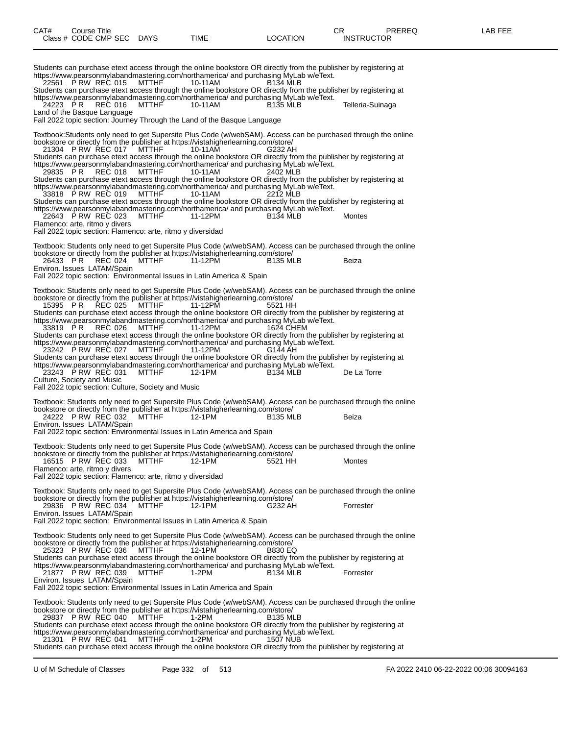Students can purchase etext access through the online bookstore OR directly from the publisher by registering at https://www.pearsonmylabandmastering.com/northamerica/ and purchasing MyLab w/eText. 22561 P RW REC 015 Students can purchase etext access through the online bookstore OR directly from the publisher by registering at https://www.pearsonmylabandmastering.com/northamerica/ and purchasing MyLab w/eText. 24223 P.R REC 016 MTTHF 10-11AM B135 MLB Telleria-Suinaga Land of the Basque Language Fall 2022 topic section: Journey Through the Land of the Basque Language Textbook:Students only need to get Supersite Plus Code (w/webSAM). Access can be purchased through the online bookstore or directly from the publisher at https://vistahigherlearning.com/store/ 21304 P RW REC 017 MTTHF 10-11AM G232 AH Students can purchase etext access through the online bookstore OR directly from the publisher by registering at https://www.pearsonmylabandmastering.com/northamerica/ and purchasing MyLab w/eText. 29835 P R REC 018 MTTHF 10-11AM 2402 MLB Students can purchase etext access through the online bookstore OR directly from the publisher by registering at https://www.pearsonmylabandmastering.com/northamerica/ and purchasing MyLab w/eText. 33818 P RW REC 019 MTTHF 10-11AM 2212 MLB Students can purchase etext access through the online bookstore OR directly from the publisher by registering at https://www.pearsonmylabandmastering.com/northamerica/ and purchasing MyLab w/eText. 22643 P RW REC 023 MTTHF 11-12PM B134 MLB Montes Flamenco: arte, ritmo y divers Fall 2022 topic section: Flamenco: arte, ritmo y diversidad Textbook: Students only need to get Supersite Plus Code (w/webSAM). Access can be purchased through the online bookstore or directly from the publisher at https://vistahigherlearning.com/store/ 26433 P R REC 024 MTTHF 11-12PM B135 MLB Beiza Environ. Issues LATAM/Spain Fall 2022 topic section: Environmental Issues in Latin America & Spain Textbook: Students only need to get Supersite Plus Code (w/webSAM). Access can be purchased through the online bookstore or directly from the publisher at https://vistahigherlearning.com/store/ 15395 PR REC 025 MTTHF 11-12PM 5521 HH Students can purchase etext access through the online bookstore OR directly from the publisher by registering at https://www.pearsonmylabandmastering.com/northamerica/ and purchasing MyLab w/eText. 33819 P R REC 026 MTTHF 11-12PM 1624 CHEM Students can purchase etext access through the online bookstore OR directly from the publisher by registering at https://www.pearsonmylabandmastering.com/northamerica/ and purchasing MyLab w/eText.<br>23242 P RW REC 027 MTTHF 11-12PM 6144 AH 23242 PRW REC 027 MTTHF Students can purchase etext access through the online bookstore OR directly from the publisher by registering at https://www.pearsonmylabandmastering.com/northamerica/ and purchasing MyLab w/eText.<br>23243 P RW REC 031 MTTHF 12-1PM B134 MLB 23243 P RW REC 031 MTTHF 12-1PM B134 MLB De La Torre Culture, Society and Music Fall 2022 topic section: Culture, Society and Music Textbook: Students only need to get Supersite Plus Code (w/webSAM). Access can be purchased through the online bookstore or directly from the publisher at https://vistahigherlearning.com/store/ 24222 P RW REC 032 MTTHF 12-1PM B135 MLB Beiza Environ. Issues LATAM/Spain Fall 2022 topic section: Environmental Issues in Latin America and Spain Textbook: Students only need to get Supersite Plus Code (w/webSAM). Access can be purchased through the online bookstore or directly from the publisher at https://vistahigherlearning.com/store/ 16515 P RW REC 033 MTTHF 12-1PM 5521 HH Montes Flamenco: arte, ritmo y divers Fall 2022 topic section: Flamenco: arte, ritmo y diversidad Textbook: Students only need to get Supersite Plus Code (w/webSAM). Access can be purchased through the online bookstore or directly from the publisher at https://vistahigherlearning.com/store/<br>29836 P RW REC 034 MTTHF 12-1PM G232 AH 29836 P RW REC 034 MTTHF 12-1PM G232 AH Forrester Environ. Issues LATAM/Spain Fall 2022 topic section: Environmental Issues in Latin America & Spain Textbook: Students only need to get Supersite Plus Code (w/webSAM). Access can be purchased through the online bookstore or directly from the publisher at https://vistahigherlearning.com/store/ 25323 P RW REC 036 MTTHF Students can purchase etext access through the online bookstore OR directly from the publisher by registering at https://www.pearsonmylabandmastering.com/northamerica/ and purchasing MyLab w/eText. 21877 P RW REC 039 MTTHF 1-2PM B134 MLB Forrester Environ. Issues LATAM/Spain Fall 2022 topic section: Environmental Issues in Latin America and Spain Textbook: Students only need to get Supersite Plus Code (w/webSAM). Access can be purchased through the online bookstore or directly from the publisher at https://vistahigherlearning.com/store/ 29837 P RW REC 040 MTTHF 1-2PM B135 MLB Students can purchase etext access through the online bookstore OR directly from the publisher by registering at https://www.pearsonmylabandmastering.com/northamerica/ and purchasing MyLab w/eText. 21301 P RW REC 041 MTTHF 1-2PM 1507 NUB Students can purchase etext access through the online bookstore OR directly from the publisher by registering at

U of M Schedule of Classes Page 332 of 513 FA 2022 2410 06-22-2022 00:06 30094163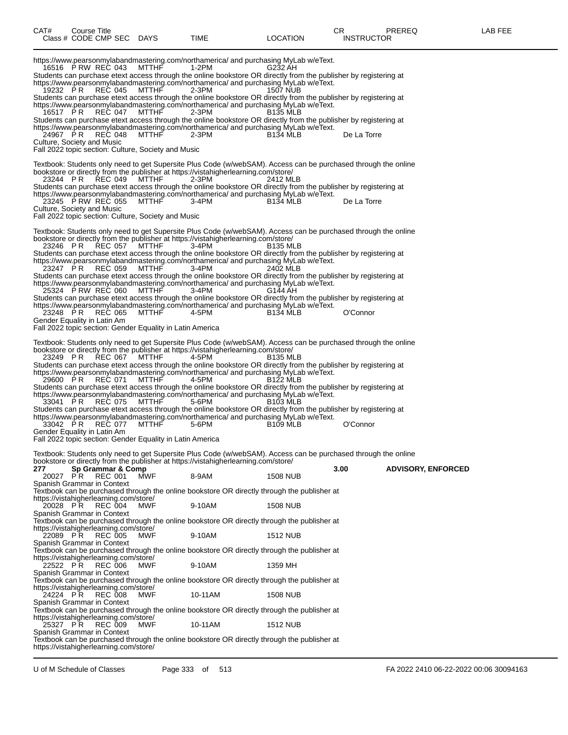https://www.pearsonmylabandmastering.com/northamerica/ and purchasing MyLab w/eText. 16516 P RW REC 043 MTTHF 1-2PM G232 AH Students can purchase etext access through the online bookstore OR directly from the publisher by registering at https://www.pearsonmylabandmastering.com/northamerica/ and purchasing MyLab w/eText. 19232 P R REC 045 MTTHF 2-3PM 1507 NUB Students can purchase etext access through the online bookstore OR directly from the publisher by registering at https://www.pearsonmylabandmastering.com/northamerica/ and purchasing MyLab w/eText. 16517 P R REC 047 MTTHF 2-3PM B135 MLB Students can purchase etext access through the online bookstore OR directly from the publisher by registering at https://www.pearsonmylabandmastering.com/northamerica/ and purchasing MyLab w/eText. 24967 P R REC 048 MTTHF 2-3PM B134 MLB De La Torre Culture, Society and Music Fall 2022 topic section: Culture, Society and Music Textbook: Students only need to get Supersite Plus Code (w/webSAM). Access can be purchased through the online bookstore or directly from the publisher at https://vistahigherlearning.com/store/ 23244 P R REC 049 MTTHF 2-3PM 2412 MLB Students can purchase etext access through the online bookstore OR directly from the publisher by registering at https://www.pearsonmylabandmastering.com/northamerica/ and purchasing MyLab w/eText. 23245 P RW REC 055 MTTHF 3-4PM B134 MLB De La Torre Culture, Society and Music Fall 2022 topic section: Culture, Society and Music Textbook: Students only need to get Supersite Plus Code (w/webSAM). Access can be purchased through the online bookstore or directly from the publisher at https://vistahigherlearning.com/store/ 23246 P.R REC 057 MTTHF 3-4PM B135 MLB 23246 PR REC 057 MTTHF 3-4PM<br>Students can purchase etext access through the online bookstore OR directly from the publisher by registering at https://www.pearsonmylabandmastering.com/northamerica/ and purchasing MyLab w/eText. 23247 P R REC 059 MTTHF 3-4PM 2402 MLB Students can purchase etext access through the online bookstore OR directly from the publisher by registering at https://www.pearsonmylabandmastering.com/northamerica/ and purchasing MyLab w/eText. 25324 P RW REC 060 MTTHF 3-4PM G144 AH Students can purchase etext access through the online bookstore OR directly from the publisher by registering at https://www.pearsonmylabandmastering.com/northamerica/ and purchasing MyLab w/eText. 23248 P R REC 065 MTTHF 4-5PM B134 MLB O'Connor Gender Equality in Latin Am Fall 2022 topic section: Gender Equality in Latin America Textbook: Students only need to get Supersite Plus Code (w/webSAM). Access can be purchased through the online bookstore or directly from the publisher at https://vistahigherlearning.com/store/ 23249 P.R REC 067 MTTHF 4-5PM B135 MLB Students can purchase etext access through the online bookstore OR directly from the publisher by registering at https://www.pearsonmylabandmastering.com/northamerica/ and purchasing MyLab w/eText. 29600 P R REC 071 MTTHF 4-5PM B122 MLB Students can purchase etext access through the online bookstore OR directly from the publisher by registering at https://www.pearsonmylabandmastering.com/northamerica/ and purchasing MyLab w/eText. 33041 P.R REC 075 MTTHF 5-6PM B103 MLB Students can purchase etext access through the online bookstore OR directly from the publisher by registering at https://www.pearsonmylabandmastering.com/northamerica/ and purchasing MyLab w/eText. 33042 PR REC 077 MTTHF 5-6PM B109 MLB 60'Connor Gender Equality in Latin Am Fall 2022 topic section: Gender Equality in Latin America Textbook: Students only need to get Supersite Plus Code (w/webSAM). Access can be purchased through the online bookstore or directly from the publisher at https://vistahigherlearning.com/store/<br>277 Sp Grammar & Comp **277 Sp Grammar & Comp 3.00 ADVISORY, ENFORCED** REC 001 Spanish Grammar in Context Textbook can be purchased through the online bookstore OR directly through the publisher at https://vistahigherlearning.com/store/<br>20028 PR REC 004 MWF 20028 P R REC 004 MWF 9-10AM 1508 NUB Spanish Grammar in Context Textbook can be purchased through the online bookstore OR directly through the publisher at https://vistahigherlearning.com/store/ 22089 P.R REC 005 MWF 9-10AM 1512 NUB 22089 P R REC 005<br>Spanish Grammar in Context Textbook can be purchased through the online bookstore OR directly through the publisher at https://vistahigherlearning.com/store/<br>22522 PR REC 006 MWF 22522 P R REC 006 MWF 9-10AM 1359 MH Spanish Grammar in Context Textbook can be purchased through the online bookstore OR directly through the publisher at https://vistahigherlearning.com/store/<br>24224 PR REC 008 MWF 24224 P R REC 008 MWF 10-11AM 1508 NUB Spanish Grammar in Context Textbook can be purchased through the online bookstore OR directly through the publisher at https://vistahigherlearning.com/store/ 25327 P.R REC 009 MWF 10-11AM 1512 NUB Spanish Grammar in Context Textbook can be purchased through the online bookstore OR directly through the publisher at https://vistahigherlearning.com/store/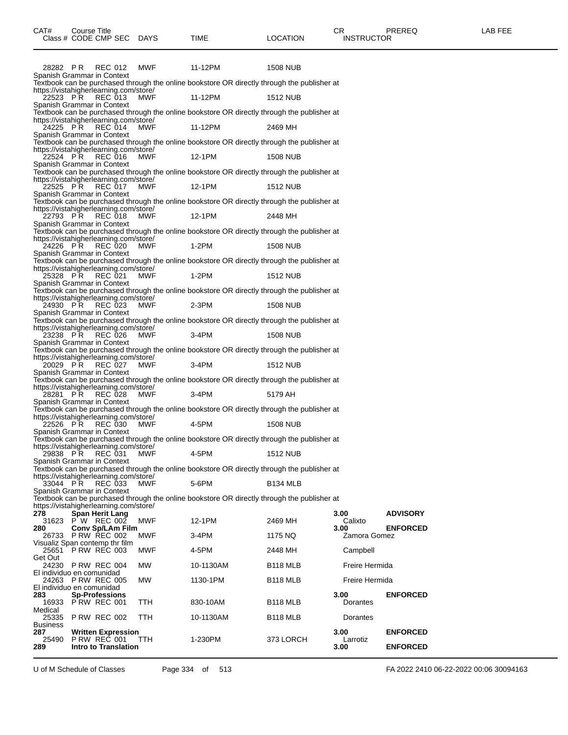| 28282 PR               | REC 012                                                  | MWF        | 11-12PM                                                                                     | <b>1508 NUB</b>      |                  |                 |
|------------------------|----------------------------------------------------------|------------|---------------------------------------------------------------------------------------------|----------------------|------------------|-----------------|
|                        | Spanish Grammar in Context                               |            | Textbook can be purchased through the online bookstore OR directly through the publisher at |                      |                  |                 |
| 22523 PR               | https://vistahigherlearning.com/store/<br>REC 013        | <b>MWF</b> | 11-12PM                                                                                     | <b>1512 NUB</b>      |                  |                 |
|                        | Spanish Grammar in Context                               |            | Textbook can be purchased through the online bookstore OR directly through the publisher at |                      |                  |                 |
| 24225 PR               | https://vistahigherlearning.com/store/<br>REC 014        | MWF        | 11-12PM                                                                                     | 2469 MH              |                  |                 |
|                        | Spanish Grammar in Context                               |            | Textbook can be purchased through the online bookstore OR directly through the publisher at |                      |                  |                 |
| 22524 PR               | https://vistahigherlearning.com/store/<br><b>REC 016</b> | MWF        | 12-1PM                                                                                      | <b>1508 NUB</b>      |                  |                 |
|                        | Spanish Grammar in Context                               |            |                                                                                             |                      |                  |                 |
|                        | https://vistahigherlearning.com/store/                   |            | Textbook can be purchased through the online bookstore OR directly through the publisher at |                      |                  |                 |
|                        | 22525 PR REC 017<br>Spanish Grammar in Context           | MWF        | 12-1PM                                                                                      | <b>1512 NUB</b>      |                  |                 |
|                        |                                                          |            | Textbook can be purchased through the online bookstore OR directly through the publisher at |                      |                  |                 |
| 22793 PR               | https://vistahigherlearning.com/store/<br>REC 018        | MWF        | 12-1PM                                                                                      | 2448 MH              |                  |                 |
|                        | Spanish Grammar in Context                               |            | Textbook can be purchased through the online bookstore OR directly through the publisher at |                      |                  |                 |
| 24226 PR               | https://vistahigherlearning.com/store/<br><b>REC 020</b> | MWF        | $1-2PM$                                                                                     | <b>1508 NUB</b>      |                  |                 |
|                        | Spanish Grammar in Context                               |            |                                                                                             |                      |                  |                 |
|                        | https://vistahigherlearning.com/store/                   |            | Textbook can be purchased through the online bookstore OR directly through the publisher at |                      |                  |                 |
|                        | 25328 PR REC 021<br>Spanish Grammar in Context           | MWF        | $1-2PM$                                                                                     | <b>1512 NUB</b>      |                  |                 |
|                        |                                                          |            | Textbook can be purchased through the online bookstore OR directly through the publisher at |                      |                  |                 |
| 24930 PR               | https://vistahigherlearning.com/store/<br>REC 023        | MWF        | $2-3PM$                                                                                     | <b>1508 NUB</b>      |                  |                 |
|                        | Spanish Grammar in Context                               |            | Textbook can be purchased through the online bookstore OR directly through the publisher at |                      |                  |                 |
| 23238 PR               | https://vistahigherlearning.com/store/<br><b>REC 026</b> | MWF        | $3-4PM$                                                                                     | <b>1508 NUB</b>      |                  |                 |
|                        | Spanish Grammar in Context                               |            |                                                                                             |                      |                  |                 |
|                        | https://vistahigherlearning.com/store/                   |            | Textbook can be purchased through the online bookstore OR directly through the publisher at |                      |                  |                 |
|                        | 20029 PR REC 027<br>Spanish Grammar in Context           | MWF        | $3-4PM$                                                                                     | <b>1512 NUB</b>      |                  |                 |
|                        |                                                          |            | Textbook can be purchased through the online bookstore OR directly through the publisher at |                      |                  |                 |
| 28281 PR               | https://vistahigherlearning.com/store/<br>REC 028        | MWF        | 3-4PM                                                                                       | 5179 AH              |                  |                 |
|                        | Spanish Grammar in Context                               |            | Textbook can be purchased through the online bookstore OR directly through the publisher at |                      |                  |                 |
|                        | https://vistahigherlearning.com/store/                   |            |                                                                                             |                      |                  |                 |
| 22526 PR               | <b>REC 030</b><br>Spanish Grammar in Context             | MWF        | 4-5PM                                                                                       | <b>1508 NUB</b>      |                  |                 |
|                        | https://vistahigherlearning.com/store/                   |            | Textbook can be purchased through the online bookstore OR directly through the publisher at |                      |                  |                 |
|                        | 29838 PR REC 031<br>Spanish Grammar in Context           | MWF        | 4-5PM                                                                                       | <b>1512 NUB</b>      |                  |                 |
|                        |                                                          |            | Textbook can be purchased through the online bookstore OR directly through the publisher at |                      |                  |                 |
| 33044 PR               | https://vistahigherlearning.com/store/<br>REC 033        | MWF        | 5-6PM                                                                                       | B <sub>134</sub> MLB |                  |                 |
|                        | Spanish Grammar in Context                               |            |                                                                                             |                      |                  |                 |
|                        | https://vistahigherlearning.com/store/                   |            | Textbook can be purchased through the online bookstore OR directly through the publisher at |                      |                  |                 |
| 278                    | Span Herit Lang                                          |            |                                                                                             |                      | 3.00             | <b>ADVISORY</b> |
| 280                    | 31623 PW REC 002<br><b>Conv Sp/LAm Film</b>              | MWF        | 12-1PM                                                                                      | 2469 MH              | Calixto<br>3.00  | <b>ENFORCED</b> |
|                        | 26733 P RW REC 002<br>Visualiz Span contemp thr film     | MWF        | 3-4PM                                                                                       | 1175 NQ              | Zamora Gomez     |                 |
| Get Out                | 25651 P RW REC 003                                       | MWF        | 4-5PM                                                                                       | 2448 MH              | Campbell         |                 |
|                        | 24230 P RW REC 004                                       | MW         | 10-1130AM                                                                                   | B <sub>118</sub> MLB | Freire Hermida   |                 |
|                        | El individuo en comunidad<br>24263 P RW REC 005          | <b>MW</b>  | 1130-1PM                                                                                    | B <sub>118</sub> MLB | Freire Hermida   |                 |
| 283                    | El individuo en comunidad<br><b>Sp-Professions</b>       |            |                                                                                             |                      | 3.00             | <b>ENFORCED</b> |
| Medical                | 16933 P RW REC 001                                       | TTH        | 830-10AM                                                                                    | B <sub>118</sub> MLB | Dorantes         |                 |
| 25335                  | PRW REC 002                                              | <b>TTH</b> | 10-1130AM                                                                                   | B <sub>118</sub> MLB | Dorantes         |                 |
| <b>Business</b><br>287 | <b>Written Expression</b>                                |            |                                                                                             |                      | 3.00             | <b>ENFORCED</b> |
| 25490<br>289           | <b>PRW REC 001</b><br><b>Intro to Translation</b>        | <b>TTH</b> | 1-230PM                                                                                     | 373 LORCH            | Larrotiz<br>3.00 | <b>ENFORCED</b> |
|                        |                                                          |            |                                                                                             |                      |                  |                 |

U of M Schedule of Classes Page 334 of 513 FA 2022 2410 06-22-2022 00:06 30094163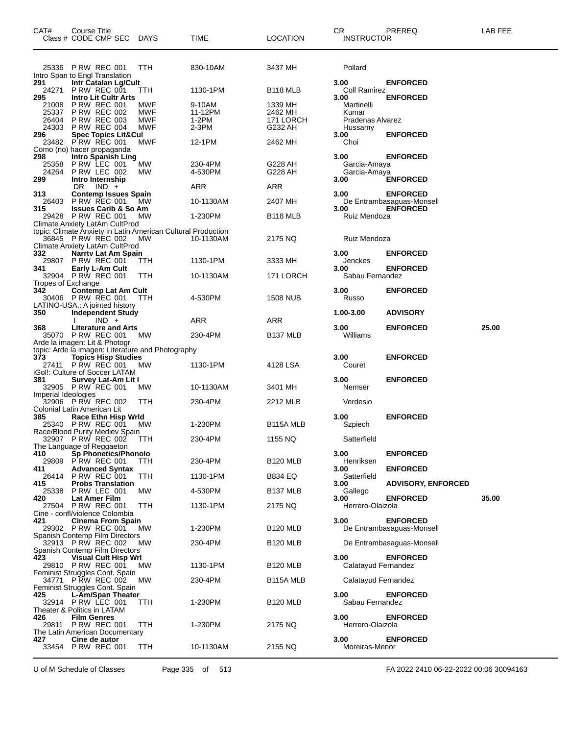| CAT#                             | Course Title<br>Class # CODE CMP SEC DAYS                                                                                                             |                          | TIME                                  | <b>LOCATION</b>                            | CR<br>PREREQ<br><b>INSTRUCTOR</b>                                               | LAB FEE |
|----------------------------------|-------------------------------------------------------------------------------------------------------------------------------------------------------|--------------------------|---------------------------------------|--------------------------------------------|---------------------------------------------------------------------------------|---------|
|                                  | 25336 PRW REC 001<br>Intro Span to Engl Translation                                                                                                   | TTH                      | 830-10AM                              | 3437 MH                                    | Pollard                                                                         |         |
| 291<br>24271<br>295              | Intr Catalan Lg/Cult<br><b>P RW REC 001</b><br><b>Intro Lit Cultr Arts</b>                                                                            | ттн                      | 1130-1PM                              | B <sub>118</sub> MLB                       | 3.00<br><b>ENFORCED</b><br>Coll Ramirez<br>3.00<br><b>ENFORCED</b>              |         |
| 21008<br>25337<br>26404<br>24303 | <b>P RW REC 001</b><br><b>P RW REC 002</b><br><b>P RW REC 003</b><br>PRW REC 004                                                                      | MWF<br>MWF<br>MWF<br>MWF | 9-10AM<br>11-12PM<br>1-2PM<br>$2-3PM$ | 1339 MH<br>2462 MH<br>171 LORCH<br>G232 AH | Martinelli<br>Kumar<br>Pradenas Alvarez<br>Hussamy                              |         |
| 296                              | <b>Spec Topics Lit&amp;Cul</b><br>23482 PRW REC 001<br>Como (no) hacer propaganda                                                                     | MWF                      | 12-1PM                                | 2462 MH                                    | 3.00<br><b>ENFORCED</b><br>Choi                                                 |         |
| 298<br>25358                     | Intro Spanish Ling<br>PRW LEC 001<br>24264 PRW LEC 002                                                                                                | MW.<br>MW                | 230-4PM<br>4-530PM                    | G228 AH<br>G228 AH                         | <b>ENFORCED</b><br>3.00<br>Garcia-Amaya<br>Garcia-Amaya                         |         |
| 299                              | Intro Internship<br>DR $IND +$                                                                                                                        |                          | ARR                                   | ARR                                        | 3.00<br><b>ENFORCED</b>                                                         |         |
| 313<br>26403<br>315              | <b>Contemp Issues Spain</b><br><b>P RW REC 001</b><br><b>Issues Carib &amp; So Am</b>                                                                 | <b>MW</b>                | 10-1130AM                             | 2407 MH                                    | <b>ENFORCED</b><br>3.00<br>De Entrambasaguas-Monsell<br>3.00<br><b>ENFORCED</b> |         |
|                                  | 29428 PRW REC 001                                                                                                                                     | МW                       | 1-230PM                               | <b>B118 MLB</b>                            | Ruiz Mendoza                                                                    |         |
|                                  | Climate Anxiety LatAm CultProd<br>topic: Climate Anxiety in Latin American Cultural Production<br>36845 PRW REC 002<br>Climate Anxiety LatAm CultProd | МW                       | 10-1130AM                             | 2175 NQ                                    | Ruiz Mendoza                                                                    |         |
| 332                              | Narrty Lat Am Spain<br>29807 PRW REC 001                                                                                                              | TTH.                     | 1130-1PM                              | 3333 MH                                    | 3.00<br><b>ENFORCED</b><br>Jenckes                                              |         |
| 341<br>Tropes of Exchange        | <b>Early L-Am Cult</b><br>32904 PRW REC 001                                                                                                           | TTH                      | 10-1130AM                             | 171 LORCH                                  | <b>ENFORCED</b><br>3.00<br>Sabau Fernandez                                      |         |
| 342                              | <b>Contemp Lat Am Cult</b><br>30406 PRW REC 001<br>LATINO-USA.: A jointed history                                                                     | <b>TTH</b>               | 4-530PM                               | <b>1508 NUB</b>                            | 3.00<br><b>ENFORCED</b><br>Russo                                                |         |
| 350                              | <b>Independent Study</b><br>$IND +$<br>$\mathbf{L}$                                                                                                   |                          | ARR                                   | ARR                                        | 1.00-3.00<br><b>ADVISORY</b>                                                    |         |
| 368                              | <b>Literature and Arts</b><br>35070 PRW REC 001                                                                                                       | МW                       | 230-4PM                               | B <sub>137</sub> MLB                       | 3.00<br><b>ENFORCED</b><br>Williams                                             | 25.00   |
|                                  | Arde la imagen: Lit & Photogr<br>topic: Arde la imagen: Literature and Photography                                                                    |                          |                                       |                                            |                                                                                 |         |
| 373                              | <b>Topics Hisp Studies</b><br>27411 PRW REC 001<br>iGol!: Culture of Soccer LATAM                                                                     | <b>MW</b>                | 1130-1PM                              | 4128 LSA                                   | 3.00<br><b>ENFORCED</b><br>Couret                                               |         |
| 381<br>Imperial Ideologies       | Survey Lat-Am Lit I<br>32905 P RW REC 001                                                                                                             | MW.                      | 10-1130AM                             | 3401 MH                                    | 3.00<br><b>ENFORCED</b><br>Nemser                                               |         |
|                                  | 32906 PRW REC 002                                                                                                                                     | <b>TTH</b>               | 230-4PM                               | 2212 MLB                                   | Verdesio                                                                        |         |
| 385                              | Colonial Latin American Lit<br><b>Race Ethn Hisp Wrld</b><br>25340 PRW REC 001                                                                        | MW.                      | 1-230PM                               | B115A MLB                                  | 3.00<br><b>ENFORCED</b><br>Szpiech                                              |         |
|                                  | Race/Blood Purity Mediev Spain<br>32907 PRW REC 002                                                                                                   | <b>TTH</b>               | 230-4PM                               | 1155 NQ                                    | Satterfield                                                                     |         |
| 410<br>29809                     | The Language of Reggaeton<br><b>Sp Phonetics/Phonolo</b><br>PRW REC 001                                                                               | TTH                      | 230-4PM                               | <b>B120 MLB</b>                            | 3.00<br><b>ENFORCED</b><br>Henriksen                                            |         |
| 411<br>26414                     | <b>Advanced Syntax</b><br><b>P RW REC 001</b>                                                                                                         | TTH                      | 1130-1PM                              | <b>B834 EQ</b>                             | <b>ENFORCED</b><br>3.00<br>Satterfield                                          |         |
| 415                              | <b>Probs Translation</b>                                                                                                                              |                          |                                       |                                            | 3.00<br><b>ADVISORY, ENFORCED</b>                                               |         |
| 25338<br>420                     | P RW LEC 001<br>Lat Amer Film                                                                                                                         | <b>MW</b>                | 4-530PM                               | B <sub>137</sub> MLB                       | Gallego<br>3.00<br><b>ENFORCED</b>                                              | 35.00   |
|                                  | 27504 PRW REC 001<br>Cine - confl/violence Colombia                                                                                                   | TTH                      | 1130-1PM                              | 2175 NQ                                    | Herrero-Olaizola                                                                |         |
| 421                              | <b>Cinema From Spain</b><br>29302 PRW REC 001<br>Spanish Contemp Film Directors                                                                       | MW                       | 1-230PM                               | <b>B120 MLB</b>                            | 3.00<br><b>ENFORCED</b><br>De Entrambasaguas-Monsell                            |         |
|                                  | 32913 PRW REC 002                                                                                                                                     | МW                       | 230-4PM                               | <b>B120 MLB</b>                            | De Entrambasaguas-Monsell                                                       |         |
| 423                              | Spanish Contemp Film Directors<br><b>Visual Cult Hisp Wrl</b><br>29810 PRW REC 001                                                                    | <b>MW</b>                | 1130-1PM                              | <b>B120 MLB</b>                            | <b>ENFORCED</b><br>3.00<br>Calatayud Fernandez                                  |         |
|                                  | Feminist Struggles Cont. Spain<br>34771 PRW REC 002                                                                                                   | МW                       | 230-4PM                               | B115A MLB                                  | Calatayud Fernandez                                                             |         |
| 425                              | Feminist Struggles Cont. Spain<br>L-Am/Span Theater<br>32914 PRW LEC 001                                                                              | TTH                      | 1-230PM                               | <b>B120 MLB</b>                            | <b>ENFORCED</b><br>3.00 <sub>1</sub><br>Sabau Fernandez                         |         |
| 426<br>29811                     | Theater & Politics in LATAM<br><b>Film Genres</b><br><b>P RW REC 001</b>                                                                              | <b>TTH</b>               | 1-230PM                               | 2175 NQ                                    | 3.00<br><b>ENFORCED</b><br>Herrero-Olaizola                                     |         |
| 427                              | The Latin American Documentary<br>Cine de autor<br>33454 P RW REC 001                                                                                 | TTH                      | 10-1130AM                             | 2155 NQ                                    | 3.00<br><b>ENFORCED</b><br>Moreiras-Menor                                       |         |

U of M Schedule of Classes Page 335 of 513 FA 2022 2410 06-22-2022 00:06 30094163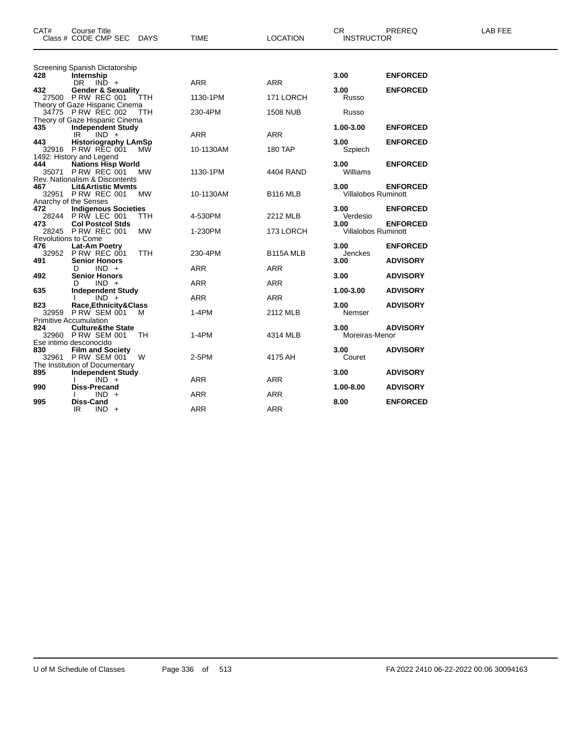| CAT#       | <b>Course Title</b><br>Class # CODE CMP SEC<br>DAYS                                                                  | <b>TIME</b> | <b>LOCATION</b>      | CR.<br><b>INSTRUCTOR</b>           | PREREQ                             | LAB FEE |
|------------|----------------------------------------------------------------------------------------------------------------------|-------------|----------------------|------------------------------------|------------------------------------|---------|
| 428        | Screening Spanish Dictatorship<br>Internship                                                                         |             |                      | 3.00                               | <b>ENFORCED</b>                    |         |
| 432        | DR $IND +$<br><b>Gender &amp; Sexuality</b>                                                                          | <b>ARR</b>  | <b>ARR</b>           | 3.00                               | <b>ENFORCED</b>                    |         |
|            | 27500 P RW REC 001<br><b>TTH</b><br>Theory of Gaze Hispanic Cinema                                                   | 1130-1PM    | 171 LORCH            | Russo                              |                                    |         |
|            | 34775 P RW REC 002<br>TTH<br>Theory of Gaze Hispanic Cinema                                                          | 230-4PM     | <b>1508 NUB</b>      | Russo                              |                                    |         |
| 435        | <b>Independent Study</b><br>IR<br>$IND +$                                                                            | <b>ARR</b>  | <b>ARR</b>           | 1.00-3.00                          | <b>ENFORCED</b>                    |         |
| 443        | 3 Historiography LAmSp<br>32916 PRW REC 001 MW                                                                       | 10-1130AM   | 180 TAP              | 3.00<br>Szpiech                    | <b>ENFORCED</b>                    |         |
| 444        | 1492: History and Legend<br><b>Nations Hisp World</b><br>35071 P RW REC 001<br><b>MW</b>                             | 1130-1PM    | 4404 RAND            | 3.00<br>Williams                   | <b>ENFORCED</b>                    |         |
| 467        | Rev. Nationalism & Discontents<br><b>Lit&amp;Artistic Mymts</b><br>32951 P RW REC 001<br>MW<br>Anarchy of the Senses | 10-1130AM   | B <sub>116</sub> MLB | 3.00<br><b>Villalobos Ruminott</b> | <b>ENFORCED</b>                    |         |
| 472        | <b>Indigenous Societies</b><br>28244 PRW LEC 001<br>TTH                                                              | 4-530PM     | 2212 MLB             | 3.00<br>Verdesio                   | <b>ENFORCED</b>                    |         |
| 473        | <b>Col Postcol Stds</b><br>28245 P RW REC 001<br><b>MW</b>                                                           | 1-230PM     | 173 LORCH            | 3.00<br>Villalobos Ruminott        | <b>ENFORCED</b>                    |         |
|            | <b>Revolutions to Come</b>                                                                                           |             |                      |                                    |                                    |         |
| 476<br>491 | Lat-Am Poetry<br><b>TTH</b><br>32952 P RW REC 001<br><b>Senior Honors</b>                                            | 230-4PM     | B115A MLB            | 3.00<br>Jenckes<br>3.00            | <b>ENFORCED</b><br><b>ADVISORY</b> |         |
| 492        | $IND +$<br>D<br><b>Senior Honors</b>                                                                                 | <b>ARR</b>  | <b>ARR</b>           | 3.00                               | <b>ADVISORY</b>                    |         |
|            | $IND +$<br>D.                                                                                                        | <b>ARR</b>  | ARR                  |                                    |                                    |         |
| 635        | <b>Independent Study</b><br>$IND +$                                                                                  | <b>ARR</b>  | <b>ARR</b>           | 1.00-3.00                          | <b>ADVISORY</b>                    |         |
| 823        | Race, Ethnicity & Class<br>32959 P RW SEM 001<br>м<br><b>Primitive Accumulation</b>                                  | $1-4PM$     | 2112 MLB             | 3.00<br>Nemser                     | <b>ADVISORY</b>                    |         |
| 824        | <b>Culture&amp;the State</b><br>32960 P RW SEM 001<br>TH                                                             | $1-4PM$     | 4314 MLB             | 3.00<br>Moreiras-Menor             | <b>ADVISORY</b>                    |         |
| 830        | Ese intimo desconocido<br><b>Film and Society</b><br>32961 P RW SEM 001<br>W                                         | 2-5PM       | 4175 AH              | 3.00<br>Couret                     | <b>ADVISORY</b>                    |         |
| 895        | The Institution of Documentary<br><b>Independent Study</b><br>$IND +$                                                | <b>ARR</b>  | ARR                  | 3.00                               | <b>ADVISORY</b>                    |         |
| 990        | <b>Diss-Precand</b><br>$IND +$                                                                                       | ARR         | ARR                  | 1.00-8.00                          | <b>ADVISORY</b>                    |         |
| 995        | Diss-Cand<br>$IND +$<br>IR                                                                                           | <b>ARR</b>  | <b>ARR</b>           | 8.00                               | <b>ENFORCED</b>                    |         |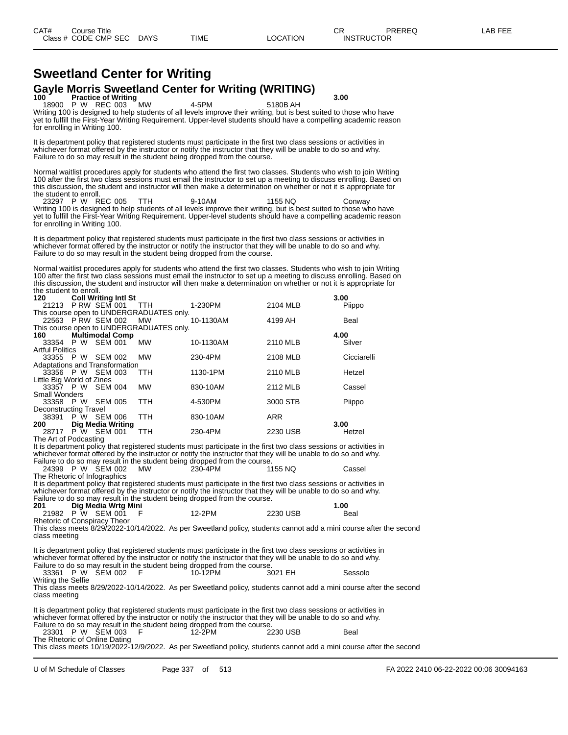## **Sweetland Center for Writing** Gayle Morris Sweetland Center for Writing (WRITING)<br>100 **Practice of Writing**

**1000 P W REC 003 MW 4-5PM 5180B AH** 3.00 18900 P W REC 003 Writing 100 is designed to help students of all levels improve their writing, but is best suited to those who have yet to fulfill the First-Year Writing Requirement. Upper-level students should have a compelling academic reason for enrolling in Writing 100.

It is department policy that registered students must participate in the first two class sessions or activities in whichever format offered by the instructor or notify the instructor that they will be unable to do so and why. Failure to do so may result in the student being dropped from the course.

Normal waitlist procedures apply for students who attend the first two classes. Students who wish to join Writing 100 after the first two class sessions must email the instructor to set up a meeting to discuss enrolling. Based on this discussion, the student and instructor will then make a determination on whether or not it is appropriate for the student to enroll.

23297 P W REC 005 TTH 9-10AM 1155 NQ Conway Writing 100 is designed to help students of all levels improve their writing, but is best suited to those who have yet to fulfill the First-Year Writing Requirement. Upper-level students should have a compelling academic reason for enrolling in Writing 100.

It is department policy that registered students must participate in the first two class sessions or activities in whichever format offered by the instructor or notify the instructor that they will be unable to do so and why. Failure to do so may result in the student being dropped from the course.

Normal waitlist procedures apply for students who attend the first two classes. Students who wish to join Writing 100 after the first two class sessions must email the instructor to set up a meeting to discuss enrolling. Based on this discussion, the student and instructor will then make a determination on whether or not it is appropriate for the student to enroll.

| 120                            | <b>Coll Writing Intl St</b> |                          |                                          |           |            | 3.00        |
|--------------------------------|-----------------------------|--------------------------|------------------------------------------|-----------|------------|-------------|
| 21213 PRW SEM 001 TTH          |                             |                          |                                          | 1-230PM   | 2104 MLB   | Piippo      |
|                                |                             |                          | This course open to UNDERGRADUATES only. |           |            |             |
| 22563 P RW SEM 002 MW          |                             |                          |                                          | 10-1130AM | 4199 AH    | <b>Beal</b> |
|                                |                             |                          | This course open to UNDERGRADUATES only. |           |            |             |
| 160                            | <b>Multimodal Comp</b>      |                          |                                          |           |            | 4.00        |
| 33354 P W SEM 001              |                             |                          | <b>MW</b>                                | 10-1130AM | 2110 MLB   | Silver      |
| <b>Artful Politics</b>         |                             |                          |                                          |           |            |             |
| 33355 P W SEM 002              |                             |                          | <b>MW</b>                                | 230-4PM   | 2108 MLB   | Cicciarelli |
| Adaptations and Transformation |                             |                          |                                          |           |            |             |
| 33356 P W SEM 003              |                             |                          | <b>TTH</b>                               | 1130-1PM  | 2110 MLB   | Hetzel      |
| Little Big World of Zines      |                             |                          |                                          |           |            |             |
| 33357 P W SEM 004              |                             |                          | <b>MW</b>                                | 830-10AM  | 2112 MLB   | Cassel      |
| <b>Small Wonders</b>           |                             |                          |                                          |           |            |             |
| 33358 P W SEM 005              |                             |                          | <b>TTH</b>                               | 4-530PM   | 3000 STB   | Piippo      |
| Deconstructing Travel          |                             |                          |                                          |           |            |             |
| 38391                          | P W SEM 006                 |                          | <b>TTH</b>                               | 830-10AM  | <b>ARR</b> |             |
| 200                            |                             | <b>Dig Media Writing</b> |                                          |           |            | 3.00        |
| 28717 P W SEM 001              |                             |                          | TTH                                      | 230-4PM   | 2230 USB   | Hetzel      |
| The Art of Podcasting          |                             |                          |                                          |           |            |             |

It is department policy that registered students must participate in the first two class sessions or activities in whichever format offered by the instructor or notify the instructor that they will be unable to do so and why.

Failure to do so may result in the student being dropped from the course. 24399 P W SEM 002 MW 230-4PM 1155 NQ Cassel

The Rhetoric of Infographics

It is department policy that registered students must participate in the first two class sessions or activities in whichever format offered by the instructor or notify the instructor that they will be unable to do so and why. Failure to do so may result in the student being dropped from the course. **201 Dig Media Wrtg Mini 1.00**

| ZU I | Dig meala wrtg mini |        |          | I .UU |
|------|---------------------|--------|----------|-------|
|      | 21982 P W SEM 001   | 12-2PM | 2230 USB | Beal  |
|      |                     |        |          |       |

Rhetoric of Conspiracy Theor

This class meets 8/29/2022-10/14/2022. As per Sweetland policy, students cannot add a mini course after the second class meeting

It is department policy that registered students must participate in the first two class sessions or activities in whichever format offered by the instructor or notify the instructor that they will be unable to do so and why. Failure to do so may result in the student being dropped from the course.<br>33361 P W SEM 002 F 10-12PM 3021 EH 33361 P W SEM 002 F 10-12PM 3021 EH Sessolo Writing the Selfie This class meets 8/29/2022-10/14/2022. As per Sweetland policy, students cannot add a mini course after the second class meeting

It is department policy that registered students must participate in the first two class sessions or activities in whichever format offered by the instructor or notify the instructor that they will be unable to do so and why. Failure to do so may result in the student being dropped from the course.<br>23301 P W SEM 003 F 12-2PM 2230 USB 23301 P W SEM 003 F 12-2PM 2230 USB Beal The Rhetoric of Online Dating

This class meets 10/19/2022-12/9/2022. As per Sweetland policy, students cannot add a mini course after the second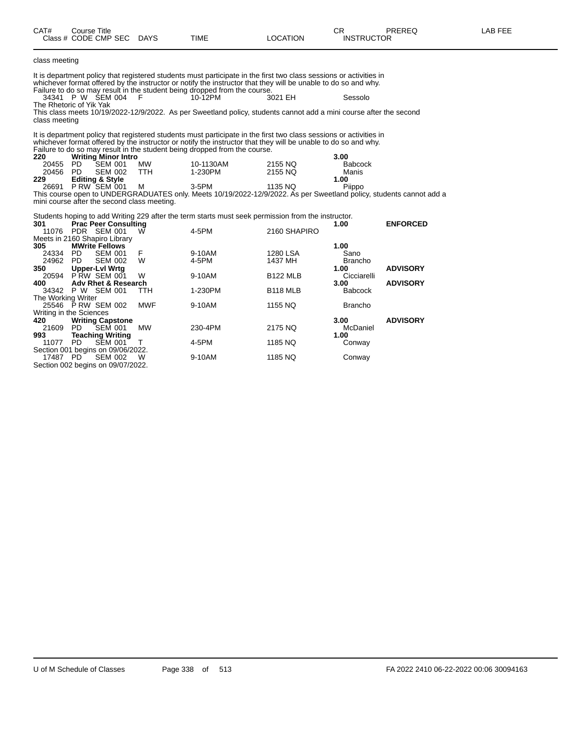| CAT#                 | <b>Course Title</b><br>Class # CODE CMP SEC DAYS                                  |            | <b>TIME</b>                                                                                                                                                                                                                                                                                                       | <b>LOCATION</b>     | CR<br><b>INSTRUCTOR</b> | PREREQ          | LAB FEE |
|----------------------|-----------------------------------------------------------------------------------|------------|-------------------------------------------------------------------------------------------------------------------------------------------------------------------------------------------------------------------------------------------------------------------------------------------------------------------|---------------------|-------------------------|-----------------|---------|
| class meeting        |                                                                                   |            |                                                                                                                                                                                                                                                                                                                   |                     |                         |                 |         |
|                      |                                                                                   |            | It is department policy that registered students must participate in the first two class sessions or activities in<br>whichever format offered by the instructor or notify the instructor that they will be unable to do so and why.<br>Failure to do so may result in the student being dropped from the course. |                     |                         |                 |         |
|                      | 34341 P W SEM 004<br>The Rhetoric of Yik Yak                                      | E          | 10-12PM                                                                                                                                                                                                                                                                                                           | 3021 EH             | Sessolo                 |                 |         |
| class meeting        |                                                                                   |            | This class meets 10/19/2022-12/9/2022. As per Sweetland policy, students cannot add a mini course after the second                                                                                                                                                                                                |                     |                         |                 |         |
| 220                  | <b>Writing Minor Intro</b>                                                        |            | It is department policy that registered students must participate in the first two class sessions or activities in<br>whichever format offered by the instructor or notify the instructor that they will be unable to do so and why.<br>Failure to do so may result in the student being dropped from the course. |                     | 3.00                    |                 |         |
| 20455 PD             | <b>SEM 001</b>                                                                    | MW         | 10-1130AM                                                                                                                                                                                                                                                                                                         | 2155 NO             | <b>Babcock</b>          |                 |         |
| 20456                | - PD<br><b>SEM 002</b>                                                            | <b>TTH</b> | 1-230PM                                                                                                                                                                                                                                                                                                           | 2155 NQ             | Manis                   |                 |         |
| 229                  | <b>Editing &amp; Style</b><br>26691 P RW SEM 001                                  | M          | 3-5PM                                                                                                                                                                                                                                                                                                             | 1135 NQ             | 1.00<br>Piippo          |                 |         |
|                      | mini course after the second class meeting.                                       |            | This course open to UNDERGRADUATES only. Meets 10/19/2022-12/9/2022. As per Sweetland policy, students cannot add a                                                                                                                                                                                               |                     |                         |                 |         |
|                      |                                                                                   |            | Students hoping to add Writing 229 after the term starts must seek permission from the instructor.                                                                                                                                                                                                                |                     |                         |                 |         |
| 301                  | <b>Prac Peer Consulting</b><br>11076 PDR SEM 001<br>Meets in 2160 Shapiro Library | W          | 4-5PM                                                                                                                                                                                                                                                                                                             | 2160 SHAPIRO        | 1.00                    | <b>ENFORCED</b> |         |
| 305                  | <b>MWrite Fellows</b>                                                             |            |                                                                                                                                                                                                                                                                                                                   |                     | 1.00                    |                 |         |
| 24334 PD<br>24962 PD | <b>SEM 001</b>                                                                    | F<br>W     | 9-10AM<br>4-5PM                                                                                                                                                                                                                                                                                                   | 1280 LSA<br>1437 MH | Sano<br><b>Brancho</b>  |                 |         |
| 350                  | <b>SEM 002</b><br><b>Upper-Lvl Wrtg</b>                                           |            |                                                                                                                                                                                                                                                                                                                   |                     | 1.00                    | <b>ADVISORY</b> |         |
|                      | 20594 PRW SEM 001                                                                 | W          | 9-10AM                                                                                                                                                                                                                                                                                                            | <b>B122 MLB</b>     | Cicciarelli             |                 |         |
| 400                  | <b>Adv Rhet &amp; Research</b>                                                    |            |                                                                                                                                                                                                                                                                                                                   |                     | 3.00                    | <b>ADVISORY</b> |         |
| The Working Writer   | 34342 P W SEM 001                                                                 | <b>TTH</b> | 1-230PM                                                                                                                                                                                                                                                                                                           | <b>B118 MLB</b>     | <b>Babcock</b>          |                 |         |
|                      | 25546 P RW SEM 002                                                                | <b>MWF</b> | 9-10AM                                                                                                                                                                                                                                                                                                            | 1155 NQ             | <b>Brancho</b>          |                 |         |
| 420                  | Writing in the Sciences<br><b>Writing Capstone</b>                                |            |                                                                                                                                                                                                                                                                                                                   |                     | 3.00                    | <b>ADVISORY</b> |         |
| 21609                | PD.<br>SEM 001                                                                    | <b>MW</b>  | 230-4PM                                                                                                                                                                                                                                                                                                           | 2175 NO             | McDaniel                |                 |         |
| 993<br>11077         | <b>Teaching Writing</b><br><b>PD</b><br><b>SEM 001</b>                            | т          | 4-5PM                                                                                                                                                                                                                                                                                                             | 1185 NQ             | 1.00<br>Conway          |                 |         |
|                      | Section 001 begins on 09/06/2022.                                                 |            |                                                                                                                                                                                                                                                                                                                   |                     |                         |                 |         |
| 17487 PD             | <b>SEM 002</b>                                                                    | w          | 9-10AM                                                                                                                                                                                                                                                                                                            | 1185 NQ             | Conway                  |                 |         |
|                      | Section 002 begins on 09/07/2022.                                                 |            |                                                                                                                                                                                                                                                                                                                   |                     |                         |                 |         |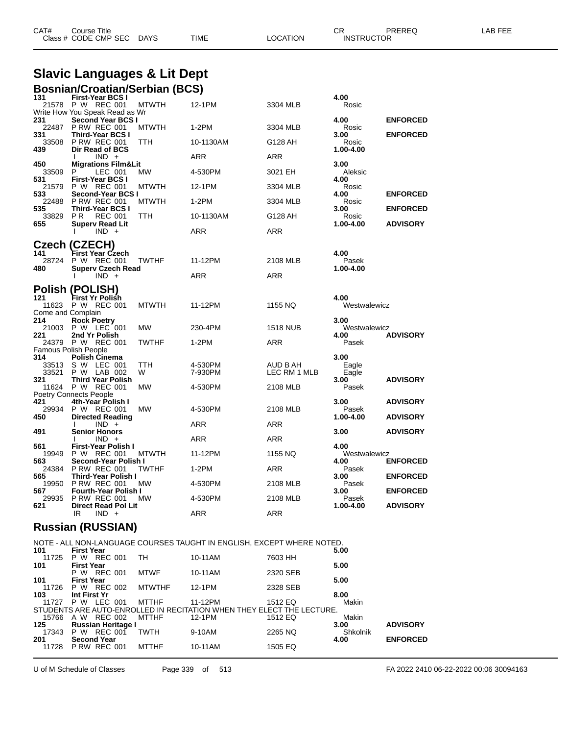| CAT#<br>$\mathop{\mathsf{course}}$ Title                                | PREREQ<br>◡◠      | LAB FEE |
|-------------------------------------------------------------------------|-------------------|---------|
| Class # $CODE$ CMP SEC $\rightarrow$<br><b>DAYS</b><br>LOCATION<br>TIME | <b>INSTRUCTOR</b> |         |

#### **Slavic Languages & Lit Dept Bosnian/Croatian/Serbian (BCS)**

| 131<br>21578      | <b>First-Year BCS I</b><br>P W REC 001                     | <b>MTWTH</b> | 12-1PM             | 3304 MLB                 | 4.00<br>Rosic        |                 |
|-------------------|------------------------------------------------------------|--------------|--------------------|--------------------------|----------------------|-----------------|
|                   | Write How You Speak Read as Wr                             |              |                    |                          |                      |                 |
| 231               | <b>Second Year BCS I</b>                                   |              |                    |                          | 4.00                 | <b>ENFORCED</b> |
| 22487<br>331      | <b>P RW REC 001</b><br>Third-Year BCS I                    | <b>MTWTH</b> | $1-2PM$            | 3304 MLB                 | Rosic<br>3.00        | <b>ENFORCED</b> |
| 33508             | <b>P RW REC 001</b>                                        | <b>TTH</b>   | 10-1130AM          | G128 AH                  | Rosic                |                 |
| 439               | Dir Read of BCS                                            |              |                    |                          | 1.00-4.00            |                 |
|                   | $IND +$<br>I.                                              |              | ARR                | ARR                      |                      |                 |
| 450<br>33509      | <b>Migrations Film&amp;Lit</b><br>P<br>LEC 001             | MW           | 4-530PM            | 3021 EH                  | 3.00<br>Aleksic      |                 |
| 531               | <b>First-Year BCS I</b>                                    |              |                    |                          | 4.00                 |                 |
| 21579             | P W REC 001                                                | <b>MTWTH</b> | 12-1PM             | 3304 MLB                 | Rosic                |                 |
| 533               | Second-Year BCS I                                          |              |                    |                          | 4.00                 | <b>ENFORCED</b> |
| 22488<br>535      | <b>P RW REC 001</b><br><b>Third-Year BCS I</b>             | <b>MTWTH</b> | $1-2PM$            | 3304 MLB                 | Rosic<br>3.00        | <b>ENFORCED</b> |
| 33829<br>655      | P <sub>R</sub><br><b>REC 001</b><br><b>Superv Read Lit</b> | TTH          | 10-1130AM          | G128 AH                  | Rosic<br>1.00-4.00   | <b>ADVISORY</b> |
|                   | I.<br>$IND +$                                              |              | ARR                | <b>ARR</b>               |                      |                 |
|                   |                                                            |              |                    |                          |                      |                 |
| 141               | Czech (CZECH)                                              |              |                    |                          | 4.00                 |                 |
| 28724             | First Year Czech<br>P W REC 001                            | <b>TWTHF</b> | 11-12PM            | 2108 MLB                 | Pasek                |                 |
| 480               | <b>Superv Czech Read</b>                                   |              |                    |                          | 1.00-4.00            |                 |
|                   | $IND +$<br>I.                                              |              | <b>ARR</b>         | <b>ARR</b>               |                      |                 |
|                   | <b>Polish (POLISH)</b>                                     |              |                    |                          |                      |                 |
| 121               | First Yr Polish                                            |              |                    |                          | 4.00                 |                 |
| 11623             | P W REC 001                                                | <b>MTWTH</b> | 11-12PM            | 1155 NQ                  | Westwalewicz         |                 |
| Come and Complain |                                                            |              |                    |                          |                      |                 |
| 214<br>21003      | <b>Rock Poetry</b><br>P W LEC 001                          | MW           | 230-4PM            |                          | 3.00                 |                 |
| 221               | 2nd Yr Polish                                              |              |                    | <b>1518 NUB</b>          | Westwalewicz<br>4.00 | <b>ADVISORY</b> |
| 24379             | P W REC 001                                                | <b>TWTHF</b> | 1-2PM              | ARR                      | Pasek                |                 |
|                   | Famous Polish People                                       |              |                    |                          |                      |                 |
| 314               | <b>Polish Cinema</b>                                       |              |                    |                          | 3.00                 |                 |
| 33513<br>33521    | S W<br>LEC 001<br>P W LAB 002                              | TTH<br>W     | 4-530PM<br>7-930PM | AUD B AH<br>LEC RM 1 MLB | Eagle<br>Eagle       |                 |
| 321               | <b>Third Year Polish</b>                                   |              |                    |                          | 3.00                 | <b>ADVISORY</b> |
| 11624             | P W REC 001                                                | MW           | 4-530PM            | 2108 MLB                 | Pasek                |                 |
|                   | <b>Poetry Connects People</b>                              |              |                    |                          |                      |                 |
| 421<br>29934      | 4th-Year Polish I<br>P W REC 001                           | MW           | 4-530PM            | 2108 MLB                 | 3.00<br>Pasek        | <b>ADVISORY</b> |
| 450               | <b>Directed Reading</b>                                    |              |                    |                          | 1.00-4.00            | <b>ADVISORY</b> |
|                   | $IND +$                                                    |              | ARR                | ARR                      |                      |                 |
| 491               | <b>Senior Honors</b>                                       |              |                    |                          | 3.00                 | <b>ADVISORY</b> |
| 561               | $IND +$<br>First-Year Polish I                             |              | ARR                | <b>ARR</b>               | 4.00                 |                 |
| 19949             | P W REC 001                                                | <b>MTWTH</b> | 11-12PM            | 1155 NQ                  | Westwalewicz         |                 |
| 563               | Second-Year Polish I                                       |              |                    |                          | 4.00                 | <b>ENFORCED</b> |
| 24384             | <b>P RW REC 001</b>                                        | TWTHF        | 1-2PM              | ARR                      | Pasek                |                 |
| 565               | Third-Year Polish I                                        |              |                    |                          | 3.00                 | <b>ENFORCED</b> |
| 19950<br>567      | <b>P RW REC 001</b><br><b>Fourth-Year Polish I</b>         | <b>MW</b>    | 4-530PM            | 2108 MLB                 | Pasek<br>3.00        | <b>ENFORCED</b> |
| 29935             | <b>P RW REC 001</b>                                        | MW           | 4-530PM            | 2108 MLB                 | Pasek                |                 |
| 621               | <b>Direct Read Pol Lit</b>                                 |              |                    |                          | 1.00-4.00            | <b>ADVISORY</b> |
|                   | IR<br>$IND +$                                              |              | <b>ARR</b>         | <b>ARR</b>               |                      |                 |

### **Russian (RUSSIAN)**

|                   |                     |                    |                           |               | NOTE - ALL NON-LANGUAGE COURSES TAUGHT IN ENGLISH, EXCEPT WHERE NOTED. |          |          |                 |
|-------------------|---------------------|--------------------|---------------------------|---------------|------------------------------------------------------------------------|----------|----------|-----------------|
| 101               | <b>First Year</b>   |                    |                           |               |                                                                        |          | 5.00     |                 |
| 11725             | P W REC 001         |                    |                           | TH            | 10-11AM                                                                | 7603 HH  |          |                 |
| 101               | <b>First Year</b>   |                    |                           |               |                                                                        |          | 5.00     |                 |
|                   |                     | P W REC 001        |                           | MTWF          | 10-11AM                                                                | 2320 SEB |          |                 |
| 101               | <b>First Year</b>   |                    |                           |               |                                                                        |          | 5.00     |                 |
| 11726 P W REC 002 |                     |                    |                           | <b>MTWTHF</b> | 12-1PM                                                                 | 2328 SEB |          |                 |
| 103               | Int First Yr        |                    |                           |               |                                                                        |          | 8.00     |                 |
| 11727 P W LEC 001 |                     |                    |                           | MTTHF         | 11-12PM                                                                | 1512 EQ  | Makin    |                 |
|                   |                     |                    |                           |               | STUDENTS ARE AUTO-ENROLLED IN RECITATION WHEN THEY ELECT THE LECTURE.  |          |          |                 |
| 15766             | A W REC 002         |                    |                           | MTTHF         | 12-1PM                                                                 | 1512 EQ  | Makin    |                 |
| 125               |                     |                    | <b>Russian Heritage I</b> |               |                                                                        |          | 3.00     | <b>ADVISORY</b> |
| 17343 P W REC 001 |                     |                    |                           | TWTH          | 9-10AM                                                                 | 2265 NQ  | Shkolnik |                 |
| 201               |                     | <b>Second Year</b> |                           |               |                                                                        |          | 4.00     | <b>ENFORCED</b> |
| 11728             | <b>P RW REC 001</b> |                    |                           | MTTHF         | 10-11AM                                                                | 1505 EQ  |          |                 |

U of M Schedule of Classes Page 339 of 513 FA 2022 2410 06-22-2022 00:06 30094163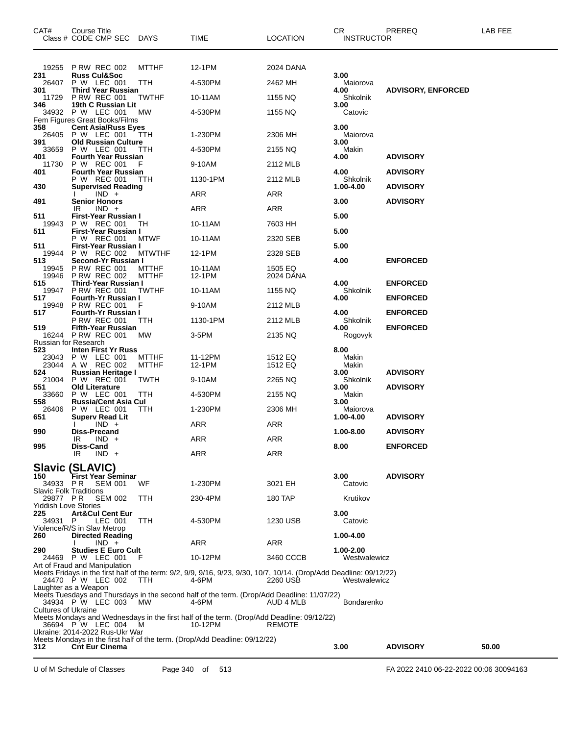| CAT#                                      | Course Title<br>Class # CODE CMP SEC DAYS           |                              | <b>TIME</b>                                                                                                         | <b>LOCATION</b>      | CR<br><b>INSTRUCTOR</b>   | PREREQ                    | LAB FEE |
|-------------------------------------------|-----------------------------------------------------|------------------------------|---------------------------------------------------------------------------------------------------------------------|----------------------|---------------------------|---------------------------|---------|
|                                           | 19255 P RW REC 002                                  | <b>MTTHF</b>                 | 12-1PM                                                                                                              | 2024 DANA            |                           |                           |         |
| 231<br>26407                              | <b>Russ Cul&amp;Soc</b><br>P W LEC 001              | TTH                          | 4-530PM                                                                                                             | 2462 MH              | 3.00<br>Maiorova          |                           |         |
| 301<br>11729                              | Third Year Russian<br><b>P RW REC 001</b>           | <b>TWTHF</b>                 | 10-11AM                                                                                                             | 1155 NQ              | 4.00<br>Shkolnik          | <b>ADVISORY, ENFORCED</b> |         |
| 346                                       | 19th C Russian Lit<br>34932 P W LEC 001             | МW                           | 4-530PM                                                                                                             | 1155 NQ              | 3.00<br>Catovic           |                           |         |
|                                           | Fem Figures Great Books/Films                       |                              |                                                                                                                     |                      | 3.00                      |                           |         |
| 358                                       | <b>Cent Asia/Russ Eyes</b><br>26405 P W LEC 001     | <b>TTH</b>                   | 1-230PM                                                                                                             | 2306 MH              | Maiorova                  |                           |         |
| 391<br>33659                              | <b>Old Russian Culture</b><br>P W LEC 001           | TTH                          | 4-530PM                                                                                                             | 2155 NQ              | 3.00<br>Makin             |                           |         |
| 401<br>11730                              | <b>Fourth Year Russian</b><br>P W REC 001           | F                            | 9-10AM                                                                                                              | 2112 MLB             | 4.00                      | <b>ADVISORY</b>           |         |
| 401                                       | Fourth Year Russian<br>P W REC 001                  | TTH                          | 1130-1PM                                                                                                            | 2112 MLB             | 4.00<br>Shkolnik          | <b>ADVISORY</b>           |         |
| 430                                       | <b>Supervised Reading</b><br>$IND +$                |                              | ARR                                                                                                                 | ARR                  | 1.00-4.00                 | <b>ADVISORY</b>           |         |
| 491                                       | <b>Senior Honors</b><br>$IND +$                     |                              |                                                                                                                     |                      | 3.00                      | <b>ADVISORY</b>           |         |
| 511                                       | IR<br>First-Year Russian I                          |                              | ARR                                                                                                                 | ARR                  | 5.00                      |                           |         |
| 19943<br>511                              | P W REC 001<br>First-Year Russian I                 | TH                           | 10-11AM                                                                                                             | 7603 HH              | 5.00                      |                           |         |
| 511                                       | P W REC 001<br>First-Year Russian I                 | <b>MTWF</b>                  | 10-11AM                                                                                                             | 2320 SEB             | 5.00                      |                           |         |
| 19944<br>513                              | P W REC 002<br>Second-Yr Russian I                  | <b>MTWTHF</b>                | 12-1PM                                                                                                              | 2328 SEB             | 4.00                      | <b>ENFORCED</b>           |         |
| 19945<br>19946                            | <b>P RW REC 001</b><br><b>P RW REC 002</b>          | <b>MTTHF</b><br><b>MTTHF</b> | 10-11AM                                                                                                             | 1505 EQ<br>2024 DANA |                           |                           |         |
| 515                                       | Third-Year Russian I                                |                              | 12-1PM                                                                                                              |                      | 4.00                      | <b>ENFORCED</b>           |         |
| 19947<br>517                              | <b>P RW REC 001</b><br>Fourth-Yr Russian I          | <b>TWTHF</b>                 | 10-11AM                                                                                                             | 1155 NQ              | Shkolnik<br>4.00          | <b>ENFORCED</b>           |         |
| 19948<br>517                              | <b>P RW REC 001</b><br><b>Fourth-Yr Russian I</b>   | F                            | 9-10AM                                                                                                              | 2112 MLB             | 4.00                      | <b>ENFORCED</b>           |         |
| 519                                       | <b>P RW REC 001</b><br><b>Fifth-Year Russian</b>    | ттн                          | 1130-1PM                                                                                                            | 2112 MLB             | Shkolnik<br>4.00          | <b>ENFORCED</b>           |         |
| Russian for Research                      | 16244 PRW REC 001                                   | МW                           | 3-5PM                                                                                                               | 2135 NQ              | Rogovyk                   |                           |         |
| 523<br>23043                              | <b>Inten First Yr Russ</b><br>P W LEC 001           | <b>MTTHF</b>                 | 11-12PM                                                                                                             |                      | 8.00                      |                           |         |
| 23044                                     | A W REC 002                                         | <b>MTTHF</b>                 | 12-1PM                                                                                                              | 1512 EQ<br>1512 EQ   | Makin<br>Makin            |                           |         |
| 524<br>21004                              | <b>Russian Heritage I</b><br>P W REC 001            | <b>TWTH</b>                  | 9-10AM                                                                                                              | 2265 NQ              | 3.00<br>Shkolnik          | <b>ADVISORY</b>           |         |
| 551<br>33660                              | <b>Old Literature</b><br>P W LEC 001                | <b>TTH</b>                   | 4-530PM                                                                                                             | 2155 NQ              | 3.00<br>Makin             | <b>ADVISORY</b>           |         |
| 558<br>26406                              | <b>Russia/Cent Asia Cul</b><br>P W LEC 001          | TTH                          | 1-230PM                                                                                                             | 2306 MH              | 3.00<br>Maiorova          |                           |         |
| 651                                       | <b>Superv Read Lit</b><br>$IND +$                   |                              | ARR                                                                                                                 | <b>ARR</b>           | 1.00-4.00                 | <b>ADVISORY</b>           |         |
| 990                                       | Diss-Precand<br><b>IND</b><br>IR.                   |                              | ARR                                                                                                                 | ARR                  | 1.00-8.00                 | <b>ADVISORY</b>           |         |
| 995                                       | Diss-Cand                                           |                              |                                                                                                                     |                      | 8.00                      | <b>ENFORCED</b>           |         |
|                                           | IR.<br>$IND +$                                      |                              | ARR                                                                                                                 | ARR                  |                           |                           |         |
| 150                                       | <b>Slavic (SLAVIC)</b><br><b>First Year Seminar</b> |                              |                                                                                                                     |                      | 3.00                      | <b>ADVISORY</b>           |         |
| 34933 PR<br><b>Slavic Folk Traditions</b> | SEM 001                                             | WF                           | 1-230PM                                                                                                             | 3021 EH              | Catovic                   |                           |         |
| 29877 PR<br>Yiddish Love Stories          | <b>SEM 002</b>                                      | TTH                          | 230-4PM                                                                                                             | 180 TAP              | Krutikov                  |                           |         |
| 225<br>34931                              | <b>Art&amp;Cul Cent Eur</b><br>P.<br>LEC 001        | TTH                          | 4-530PM                                                                                                             | 1230 USB             | 3.00<br>Catovic           |                           |         |
|                                           | Violence/R/S in Slav Metrop                         |                              |                                                                                                                     |                      |                           |                           |         |
| 260                                       | <b>Directed Reading</b><br>$IND +$                  |                              | ARR                                                                                                                 | ARR                  | 1.00-4.00                 |                           |         |
| 290                                       | <b>Studies E Euro Cult</b><br>24469 P W LEC 001     | F                            | 10-12PM                                                                                                             | 3460 CCCB            | 1.00-2.00<br>Westwalewicz |                           |         |
|                                           | Art of Fraud and Manipulation                       |                              | Meets Fridays in the first half of the term: 9/2, 9/9, 9/16, 9/23, 9/30, 10/7, 10/14. (Drop/Add Deadline: 09/12/22) |                      |                           |                           |         |
|                                           | 24470 P W LEC 002<br>Laughter as a Weapon           | TTH.                         | 4-6PM                                                                                                               | 2260 USB             | Westwalewicz              |                           |         |
|                                           | 34934 P W LEC 003                                   | MW.                          | Meets Tuesdays and Thursdays in the second half of the term. (Drop/Add Deadline: 11/07/22)<br>4-6PM                 | AUD 4 MLB            | Bondarenko                |                           |         |
| <b>Cultures of Ukraine</b>                | 36694 P W LEC 004                                   | M                            | Meets Mondays and Wednesdays in the first half of the term. (Drop/Add Deadline: 09/12/22)<br>10-12PM                | REMOTE               |                           |                           |         |
|                                           | Ukraine: 2014-2022 Rus-Ukr War                      |                              | Meets Mondays in the first half of the term. (Drop/Add Deadline: 09/12/22)                                          |                      |                           |                           |         |
| 312                                       | <b>Cnt Eur Cinema</b>                               |                              |                                                                                                                     |                      | 3.00                      | <b>ADVISORY</b>           | 50.00   |

U of M Schedule of Classes Page 340 of 513 FA 2022 2410 06-22-2022 00:06 30094163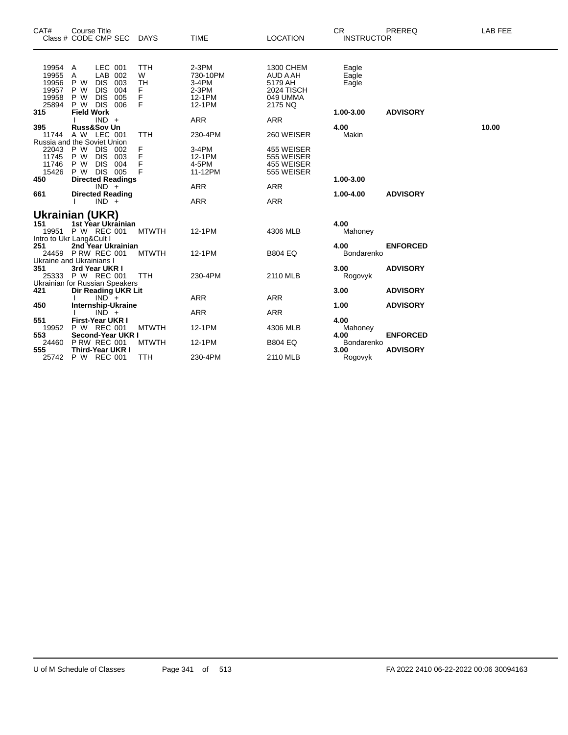| CAT#                                               | <b>Course Title</b><br>Class # CODE CMP SEC DAYS                                                                                                |                                      | <b>TIME</b>                                                 | <b>LOCATION</b>                                                       | <b>CR</b><br><b>INSTRUCTOR</b> | PREREQ                             | <b>LAB FEE</b> |
|----------------------------------------------------|-------------------------------------------------------------------------------------------------------------------------------------------------|--------------------------------------|-------------------------------------------------------------|-----------------------------------------------------------------------|--------------------------------|------------------------------------|----------------|
| 19954<br>19955<br>19956<br>19957<br>19958<br>25894 | LEC 001<br>Α<br>LAB<br>002<br>Α<br><b>DIS</b><br>P W<br>003<br><b>DIS</b><br>P W<br>004<br><b>DIS</b><br>005<br>P W<br>P W<br><b>DIS</b><br>006 | TTH<br>W<br><b>TH</b><br>F<br>F<br>F | $2-3PM$<br>730-10PM<br>3-4PM<br>$2-3PM$<br>12-1PM<br>12-1PM | 1300 CHEM<br>AUD A AH<br>5179 AH<br>2024 TISCH<br>049 UMMA<br>2175 NQ | Eagle<br>Eagle<br>Eagle        |                                    |                |
| 315                                                | <b>Field Work</b><br>$IND +$                                                                                                                    |                                      | ARR                                                         | <b>ARR</b>                                                            | 1.00-3.00                      | <b>ADVISORY</b>                    |                |
| 395                                                | <b>Russ&amp;Sov Un</b>                                                                                                                          |                                      |                                                             |                                                                       | 4.00                           |                                    | 10.00          |
| 11744                                              | A W LEC 001                                                                                                                                     | <b>TTH</b>                           | 230-4PM                                                     | 260 WEISER                                                            | Makin                          |                                    |                |
| 22043<br>11745<br>11746<br>15426                   | Russia and the Soviet Union<br>P W<br><b>DIS</b><br>002<br>P W<br><b>DIS</b><br>003<br><b>DIS</b><br>P W<br>004<br>P W DIS 005                  | F<br>F<br>F<br>F                     | 3-4PM<br>12-1PM<br>4-5PM<br>11-12PM                         | 455 WEISER<br>555 WEISER<br>455 WEISER<br>555 WEISER                  |                                |                                    |                |
| 450                                                | <b>Directed Readings</b>                                                                                                                        |                                      |                                                             |                                                                       | 1.00-3.00                      |                                    |                |
|                                                    | $IND +$                                                                                                                                         |                                      | ARR                                                         | <b>ARR</b>                                                            |                                |                                    |                |
| 661                                                | <b>Directed Reading</b>                                                                                                                         |                                      |                                                             |                                                                       | 1.00-4.00                      | <b>ADVISORY</b>                    |                |
|                                                    | $IND +$                                                                                                                                         |                                      | <b>ARR</b>                                                  | <b>ARR</b>                                                            |                                |                                    |                |
| 151                                                | <b>Ukrainian (UKR)</b><br>1st Year Ukrainian<br>19951 P W REC 001                                                                               | <b>MTWTH</b>                         | 12-1PM                                                      | 4306 MLB                                                              | 4.00<br>Mahoney                |                                    |                |
| 251                                                | Intro to Ukr Lang&Cult I<br>2nd Year Ukrainian<br>24459 P RW REC 001<br>Ukraine and Ukrainians I                                                | <b>MTWTH</b>                         | 12-1PM                                                      | <b>B804 EQ</b>                                                        | 4.00<br>Bondarenko             | <b>ENFORCED</b>                    |                |
| 351                                                | 3rd Year UKR I<br>25333 P W REC 001<br>Ukrainian for Russian Speakers                                                                           | <b>TTH</b>                           | 230-4PM                                                     | 2110 MLB                                                              | 3.00<br>Rogovyk                | <b>ADVISORY</b>                    |                |
| 421                                                | Dir Reading UKR Lit                                                                                                                             |                                      |                                                             |                                                                       | 3.00                           | <b>ADVISORY</b>                    |                |
|                                                    | $IND^-$ +                                                                                                                                       |                                      | <b>ARR</b>                                                  | <b>ARR</b>                                                            |                                |                                    |                |
| 450                                                | <b>Internship-Ukraine</b>                                                                                                                       |                                      |                                                             |                                                                       | 1.00                           | <b>ADVISORY</b>                    |                |
|                                                    | $IND +$                                                                                                                                         |                                      | <b>ARR</b>                                                  | <b>ARR</b>                                                            |                                |                                    |                |
| 551<br>19952                                       | <b>First-Year UKR I</b><br>P W REC 001                                                                                                          | <b>MTWTH</b>                         | 12-1PM                                                      | 4306 MLB                                                              | 4.00<br>Mahoney                |                                    |                |
| 553<br>24460<br>555                                | Second-Year UKR I<br><b>P RW REC 001</b><br><b>Third-Year UKR I</b>                                                                             | <b>MTWTH</b>                         | 12-1PM                                                      | <b>B804 EQ</b>                                                        | 4.00<br>Bondarenko<br>3.00     | <b>ENFORCED</b><br><b>ADVISORY</b> |                |
| 25742                                              | P W REC 001                                                                                                                                     | <b>TTH</b>                           | 230-4PM                                                     | 2110 MLB                                                              | Rogovyk                        |                                    |                |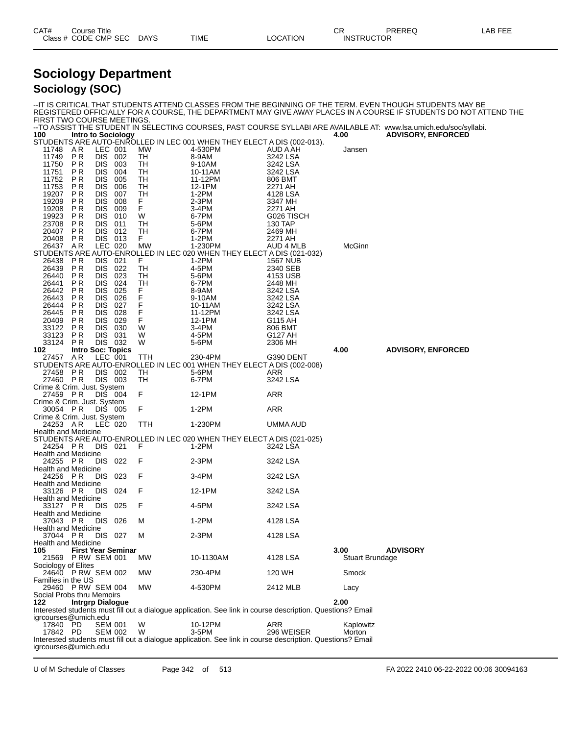| CAT# | Title<br>Course      |      |             |                 | ∩⊓<br>UN          | PREREC | LAB FEE |
|------|----------------------|------|-------------|-----------------|-------------------|--------|---------|
|      | Class # CODE CMP SEC | DAYS | <b>TIME</b> | <b>LOCATION</b> | <b>INSTRUCTOR</b> |        |         |

### **Sociology Department Sociology (SOC)**

| FIRST TWO COURSE MEETINGS.                                                                                                                            |                                                  |                                        |                                            |                        | -IT IS CRITICAL THAT STUDENTS ATTEND CLASSES FROM THE BEGINNING OF THE TERM. EVEN THOUGH STUDENTS MAY BE<br>REGISTERED OFFICIALLY FOR A COURSE, THE DEPARTMENT MAY GIVE AWAY PLACES IN A COURSE IF STUDENTS DO NOT ATTEND THE |
|-------------------------------------------------------------------------------------------------------------------------------------------------------|--------------------------------------------------|----------------------------------------|--------------------------------------------|------------------------|-------------------------------------------------------------------------------------------------------------------------------------------------------------------------------------------------------------------------------|
| 100<br>Intro to Sociology                                                                                                                             |                                                  |                                        |                                            | 4.00                   | --TO ASSIST THE STUDENT IN SELECTING COURSES, PAST COURSE SYLLABI ARE AVAILABLE AT: www.lsa.umich.edu/soc/syllabi.<br><b>ADVISORY, ENFORCED</b>                                                                               |
| STUDENTS ARE AUTO-ENROLLED IN LEC 001 WHEN THEY ELECT A DIS (002-013).<br>11748<br>A R<br>LEC 001<br>P <sub>R</sub><br><b>DIS</b><br>11749            | MW<br>002<br>TH                                  | 4-530PM<br>8-9AM                       | AUD A AH<br>3242 LSA                       | Jansen                 |                                                                                                                                                                                                                               |
| <b>DIS</b><br>11750<br>P R<br><b>DIS</b><br>P R<br>11751<br><b>DIS</b><br>11752<br>ΡR<br><b>DIS</b><br>11753<br>ΡR                                    | 003<br>TН<br>TH<br>004<br>005<br>TН<br>006<br>TН | 9-10AM<br>10-11AM<br>11-12PM<br>12-1PM | 3242 LSA<br>3242 LSA<br>806 BMT<br>2271 AH |                        |                                                                                                                                                                                                                               |
| <b>DIS</b><br>19207<br>P R<br><b>DIS</b><br>19209<br>ΡR<br><b>DIS</b><br>19208<br>PR                                                                  | TH<br>007<br>008<br>F.<br>F.<br>009              | $1-2PM$<br>2-3PM<br>3-4PM              | 4128 LSA<br>3347 MH<br>2271 AH             |                        |                                                                                                                                                                                                                               |
| <b>PR</b><br><b>DIS</b><br>19923<br><b>DIS</b><br>23708<br>P R<br><b>DIS</b><br>20407<br>P R                                                          | W<br>010<br>011<br>TН<br>TH<br>012               | 6-7PM<br>5-6PM<br>6-7PM                | G026 TISCH<br>130 TAP<br>2469 MH           |                        |                                                                                                                                                                                                                               |
| DIS 013<br>P R<br>20408<br>LEC 020<br>26437<br>AR<br>STUDENTS ARE AUTO-ENROLLED IN LEC 020 WHEN THEY ELECT A DIS (021-032)<br>26438<br>P R<br>DIS 021 | F.<br>MW<br>F                                    | $1-2PM$<br>1-230PM<br>$1-2PM$          | 2271 AH<br>AUD 4 MLB<br>1567 NUB           | McGinn                 |                                                                                                                                                                                                                               |
| 26439<br><b>PR</b><br><b>DIS</b><br><b>DIS</b><br>26440<br>P R<br>ΡR<br><b>DIS</b><br>26441                                                           | 022<br>TН<br>023<br>TН<br>TH<br>024              | 4-5PM<br>5-6PM<br>6-7PM                | 2340 SEB<br>4153 USB<br>2448 MH            |                        |                                                                                                                                                                                                                               |
| <b>DIS</b><br>26442<br>P R<br><b>DIS</b><br>26443<br>P R<br><b>DIS</b><br>26444<br>P R                                                                | 025<br>F<br>.<br>F<br>026<br>027                 | 8-9AM<br>9-10AM<br>10-11AM             | 3242 LSA<br>3242 LSA<br>3242 LSA           |                        |                                                                                                                                                                                                                               |
| <b>DIS</b><br>26445<br>P R<br><b>DIS</b><br>20409<br>P R<br><b>DIS</b><br>P R<br>33122<br>DIS 031<br>33123<br>P R                                     | F<br>028<br>F<br>029<br>W<br>- 030<br>W          | 11-12PM<br>12-1PM<br>3-4PM<br>4-5PM    | 3242 LSA<br>G115 AH<br>806 BMT<br>G127 AH  |                        |                                                                                                                                                                                                                               |
| 33124<br>DIS 032<br>P R<br><b>Intro Soc: Topics</b><br>102                                                                                            | W                                                | 5-6PM                                  | 2306 MH                                    | 4.00                   | <b>ADVISORY, ENFORCED</b>                                                                                                                                                                                                     |
| LEC 001<br>27457<br>AR<br>STUDENTS ARE AUTO-ENROLLED IN LEC 001 WHEN THEY ELECT A DIS (002-008)                                                       | TTH                                              | 230-4PM                                | G390 DENT                                  |                        |                                                                                                                                                                                                                               |
| 27458 PR<br>DIS 002                                                                                                                                   | TН                                               | 5-6PM                                  | ARR                                        |                        |                                                                                                                                                                                                                               |
| 27460 PR<br>DIS 003<br>Crime & Crim. Just. System                                                                                                     | TН                                               | 6-7PM                                  | 3242 LSA                                   |                        |                                                                                                                                                                                                                               |
| 27459 PR<br>DIS 004<br>Crime & Crim. Just. System                                                                                                     | F                                                | 12-1PM                                 | ARR                                        |                        |                                                                                                                                                                                                                               |
| 30054 PR<br>DIS 005<br>Crime & Crim. Just. System                                                                                                     | F                                                | $1-2PM$                                | ARR                                        |                        |                                                                                                                                                                                                                               |
| 24253 AR<br>LEC 020<br>Health and Medicine                                                                                                            | TTH                                              | 1-230PM                                | UMMA AUD                                   |                        |                                                                                                                                                                                                                               |
| STUDENTS ARE AUTO-ENROLLED IN LEC 020 WHEN THEY ELECT A DIS (021-025)<br>24254 PR<br>DIS 021<br>Health and Medicine                                   | F                                                | 1-2PM                                  | 3242 LSA                                   |                        |                                                                                                                                                                                                                               |
| DIS 022<br>24255 PR<br>Health and Medicine                                                                                                            | F                                                | 2-3PM                                  | 3242 LSA                                   |                        |                                                                                                                                                                                                                               |
| <b>DIS</b><br>24256 PR                                                                                                                                | F<br>023                                         | 3-4PM                                  | 3242 LSA                                   |                        |                                                                                                                                                                                                                               |
| <b>Health and Medicine</b><br>DIS 024<br>33126 PR                                                                                                     | F                                                | 12-1PM                                 | 3242 LSA                                   |                        |                                                                                                                                                                                                                               |
| <b>Health and Medicine</b><br>DIS 025<br>33127 PR                                                                                                     | F                                                | 4-5PM                                  | 3242 LSA                                   |                        |                                                                                                                                                                                                                               |
| Health and Medicine<br>DIS 026<br>37043 PR                                                                                                            | M                                                | $1-2PM$                                | 4128 LSA                                   |                        |                                                                                                                                                                                                                               |
| Health and Medicine<br>DIS 027<br>37044 PR                                                                                                            | M                                                | 2-3PM                                  | 4128 LSA                                   |                        |                                                                                                                                                                                                                               |
| Health and Medicine<br><b>First Year Seminar</b><br>105                                                                                               |                                                  |                                        |                                            | 3.00                   | <b>ADVISORY</b>                                                                                                                                                                                                               |
| 21569 P RW SEM 001<br>Sociology of Elites                                                                                                             | MW.                                              | 10-1130AM                              | 4128 LSA                                   | <b>Stuart Brundage</b> |                                                                                                                                                                                                                               |
| 24640 P RW SEM 002<br>Families in the US                                                                                                              | MW                                               | 230-4PM                                | 120 WH                                     | Smock                  |                                                                                                                                                                                                                               |
| 29460 P RW SEM 004<br>Social Probs thru Memoirs                                                                                                       | MW.                                              | 4-530PM                                | 2412 MLB                                   | Lacy                   |                                                                                                                                                                                                                               |
| <b>Intrgrp Dialogue</b><br>122.<br>Interested students must fill out a dialogue application. See link in course description. Questions? Email         |                                                  |                                        |                                            | 2.00                   |                                                                                                                                                                                                                               |
| igrcourses@umich.edu                                                                                                                                  |                                                  |                                        |                                            |                        |                                                                                                                                                                                                                               |
| 17840 PD<br><b>SEM 001</b><br>17842 PD<br><b>SEM 002</b>                                                                                              | W<br>W                                           | 10-12PM<br>3-5PM                       | ARR<br>296 WEISER                          | Kaplowitz<br>Morton    |                                                                                                                                                                                                                               |
| Interested students must fill out a dialogue application. See link in course description. Questions? Email<br>igrcourses@umich.edu                    |                                                  |                                        |                                            |                        |                                                                                                                                                                                                                               |

U of M Schedule of Classes Page 342 of 513 FA 2022 2410 06-22-2022 00:06 30094163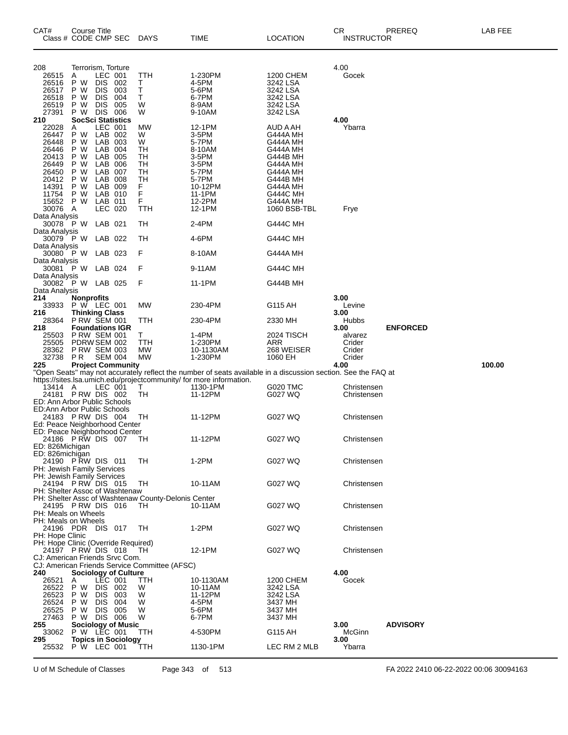| CAT#<br>Class # CODE CMP SEC                                                        | Course Title                                                                                |                                                                                                 |                                 | <b>DAYS</b>                                               | TIME                                                                                                          | LOCATION                                                                                                            | CR<br><b>INSTRUCTOR</b>                       | PREREQ          | LAB FEE |
|-------------------------------------------------------------------------------------|---------------------------------------------------------------------------------------------|-------------------------------------------------------------------------------------------------|---------------------------------|-----------------------------------------------------------|---------------------------------------------------------------------------------------------------------------|---------------------------------------------------------------------------------------------------------------------|-----------------------------------------------|-----------------|---------|
| 208<br>26515<br>26516<br>26517<br>26518<br>26519<br>27391                           | Terrorism, Torture<br>Α<br>P<br>W<br>P W<br>P W<br>P W                                      | LEC 001<br><b>DIS</b><br><b>DIS</b><br><b>DIS</b><br><b>DIS</b>                                 | 002<br>003<br>004<br>005<br>006 | TTH<br>т<br>Т<br>т<br>W<br>W                              | 1-230PM<br>4-5PM<br>5-6PM<br>6-7PM<br>8-9AM                                                                   | 1200 CHEM<br>3242 LSA<br>3242 LSA<br>3242 LSA<br>3242 LSA                                                           | 4.00<br>Gocek                                 |                 |         |
| 210<br>22028<br>26447<br>26448                                                      | P W DIS<br><b>SocSci Statistics</b><br>Α<br>P W<br>P W                                      | LEC 001<br>LAB 002<br>LAB 003                                                                   |                                 | MW<br>W<br>W                                              | 9-10AM<br>12-1PM<br>3-5PM<br>5-7PM                                                                            | 3242 LSA<br>AUD A AH<br>G444A MH<br>G444A MH                                                                        | 4.00<br>Ybarra                                |                 |         |
| 26446<br>20413<br>26449<br>26450<br>20412<br>14391<br>11754<br>15652<br>30076       | P W<br>P W<br>P W<br>P W<br>P W<br>P W<br>P W<br>P W<br>A                                   | LAB 004<br>LAB 005<br>LAB 006<br>LAB 007<br>LAB 008<br>LAB 009<br>LAB 010<br>LAB 011<br>LEC 020 |                                 | TH<br>TН<br>TН<br>TH<br>TH<br>F<br>F<br>F<br>TTH          | 8-10AM<br>3-5PM<br>3-5PM<br>5-7PM<br>5-7PM<br>10-12PM<br>11-1PM<br>12-2PM<br>12-1PM                           | G444A MH<br>G444B MH<br>G444A MH<br>G444A MH<br>G444B MH<br>G444A MH<br><b>G444C MH</b><br>G444A MH<br>1060 BSB-TBL | Frye                                          |                 |         |
| Data Analysis<br>30078 P W LAB 021<br>Data Analysis                                 |                                                                                             |                                                                                                 |                                 | TН                                                        | 2-4PM                                                                                                         | <b>G444C MH</b>                                                                                                     |                                               |                 |         |
| 30079 P W<br>Data Analysis                                                          |                                                                                             | LAB 022                                                                                         |                                 | TН                                                        | 4-6PM                                                                                                         | <b>G444C MH</b>                                                                                                     |                                               |                 |         |
| 30080 P W<br>Data Analysis                                                          |                                                                                             | LAB 023                                                                                         |                                 | F                                                         | 8-10AM                                                                                                        | G444A MH                                                                                                            |                                               |                 |         |
| 30081 P W LAB 024<br>Data Analysis                                                  |                                                                                             |                                                                                                 |                                 | F                                                         | 9-11AM                                                                                                        | <b>G444C MH</b>                                                                                                     |                                               |                 |         |
| 30082 P W LAB 025<br>Data Analysis                                                  |                                                                                             |                                                                                                 |                                 | F                                                         | 11-1PM                                                                                                        | G444B MH                                                                                                            |                                               |                 |         |
| 214<br>33933                                                                        | <b>Nonprofits</b><br><b>P W LEC 001</b>                                                     |                                                                                                 |                                 | MW                                                        | 230-4PM                                                                                                       | G115 AH                                                                                                             | 3.00<br>Levine                                |                 |         |
| 216<br>28364                                                                        | <b>Thinking Class</b><br><b>P RW SEM 001</b>                                                |                                                                                                 |                                 | ттн                                                       | 230-4PM                                                                                                       | 2330 MH                                                                                                             | 3.00<br>Hubbs                                 |                 |         |
| 218<br>25503<br>25505<br>28362<br>32738                                             | <b>Foundations IGR</b><br><b>P RW SEM 001</b><br>PDRW SEM 002<br><b>P RW SEM 003</b><br>P R | <b>SEM 004</b>                                                                                  |                                 | т<br>TTH<br><b>MW</b><br><b>MW</b>                        | 1-4PM<br>1-230PM<br>10-1130AM<br>1-230PM                                                                      | 2024 TISCH<br>ARR<br>268 WEISER<br>1060 EH                                                                          | 3.00<br>alvarez<br>Crider<br>Crider<br>Crider | <b>ENFORCED</b> |         |
| 225                                                                                 |                                                                                             |                                                                                                 | <b>Project Community</b>        |                                                           | "Open Seats" may not accurately reflect the number of seats available in a discussion section. See the FAQ at |                                                                                                                     | 4.00                                          |                 | 100.00  |
| 13414 A                                                                             |                                                                                             | LEC 001                                                                                         |                                 | т                                                         | https://sites.lsa.umich.edu/projectcommunity/ for more information.<br>1130-1PM                               | G020 TMC                                                                                                            | Christensen                                   |                 |         |
| 24181 PRW DIS 002<br>ED: Ann Arbor Public Schools<br>ED: Ann Arbor Public Schools   |                                                                                             |                                                                                                 |                                 | TН                                                        | 11-12PM                                                                                                       | G027 WQ                                                                                                             | Christensen                                   |                 |         |
| 24183 PRW DIS 004<br>Ed: Peace Neighborhood Center<br>ED: Peace Neighborhood Center |                                                                                             |                                                                                                 |                                 | TН                                                        | 11-12PM                                                                                                       | G027 WQ                                                                                                             | Christensen                                   |                 |         |
| 24186 PRW DIS 007<br>ED: 826Michigan<br>ED: 826 michigan                            |                                                                                             |                                                                                                 |                                 | TH                                                        | 11-12PM                                                                                                       | G027 WQ                                                                                                             | Christensen                                   |                 |         |
| 24190 P RW DIS 011<br>PH: Jewish Family Services<br>PH: Jewish Family Services      |                                                                                             |                                                                                                 |                                 | TH                                                        | $1-2PM$                                                                                                       | G027 WQ                                                                                                             | Christensen                                   |                 |         |
| 24194 P RW DIS 015<br>PH: Shelter Assoc of Washtenaw                                |                                                                                             |                                                                                                 |                                 | TH<br>PH: Shelter Assc of Washtenaw County-Delonis Center | 10-11AM                                                                                                       | G027 WQ                                                                                                             | Christensen                                   |                 |         |
| 24195 PRW DIS 016<br>PH: Meals on Wheels<br>PH: Meals on Wheels                     |                                                                                             |                                                                                                 |                                 | TH                                                        | 10-11AM                                                                                                       | G027 WQ                                                                                                             | Christensen                                   |                 |         |
| 24196 PDR DIS 017<br>PH: Hope Clinic<br>PH: Hope Clinic (Override Required)         |                                                                                             |                                                                                                 |                                 | TH                                                        | $1-2PM$                                                                                                       | G027 WQ                                                                                                             | Christensen                                   |                 |         |
| 24197 PRW DIS 018<br>CJ: American Friends Srvc Com.                                 |                                                                                             |                                                                                                 |                                 | TH.<br>CJ: American Friends Service Committee (AFSC)      | 12-1PM                                                                                                        | G027 WQ                                                                                                             | Christensen                                   |                 |         |
| 240                                                                                 |                                                                                             |                                                                                                 | <b>Sociology of Culture</b>     |                                                           |                                                                                                               |                                                                                                                     | 4.00                                          |                 |         |
| 26521<br>26522                                                                      | A<br>P W                                                                                    | <b>LEC 001</b><br>DIS 002                                                                       |                                 | TTH<br>W                                                  | 10-1130AM<br>10-11AM                                                                                          | 1200 CHEM<br>3242 LSA                                                                                               | Gocek                                         |                 |         |
| 26523<br>26524                                                                      | P W<br>P W                                                                                  | DIS.<br>DIS.                                                                                    | 003<br>004                      | W<br>W                                                    | 11-12PM<br>4-5PM                                                                                              | 3242 LSA<br>3437 MH                                                                                                 |                                               |                 |         |
| 26525                                                                               | P W                                                                                         | DIS 005                                                                                         |                                 | W                                                         | 5-6PM                                                                                                         | 3437 MH                                                                                                             |                                               |                 |         |
| 27463<br>255                                                                        | P W DIS 006                                                                                 |                                                                                                 | <b>Sociology of Music</b>       | W                                                         | 6-7PM                                                                                                         | 3437 MH                                                                                                             | 3.00                                          | <b>ADVISORY</b> |         |
| 33062                                                                               | P W LEC 001                                                                                 |                                                                                                 |                                 | ттн                                                       | 4-530PM                                                                                                       | G115 AH                                                                                                             | McGinn                                        |                 |         |
| 295<br>25532                                                                        | P W LEC 001                                                                                 |                                                                                                 | <b>Topics in Sociology</b>      | ттн                                                       | 1130-1PM                                                                                                      | LEC RM 2 MLB                                                                                                        | 3.00<br>Ybarra                                |                 |         |

U of M Schedule of Classes Page 343 of 513 FA 2022 2410 06-22-2022 00:06 30094163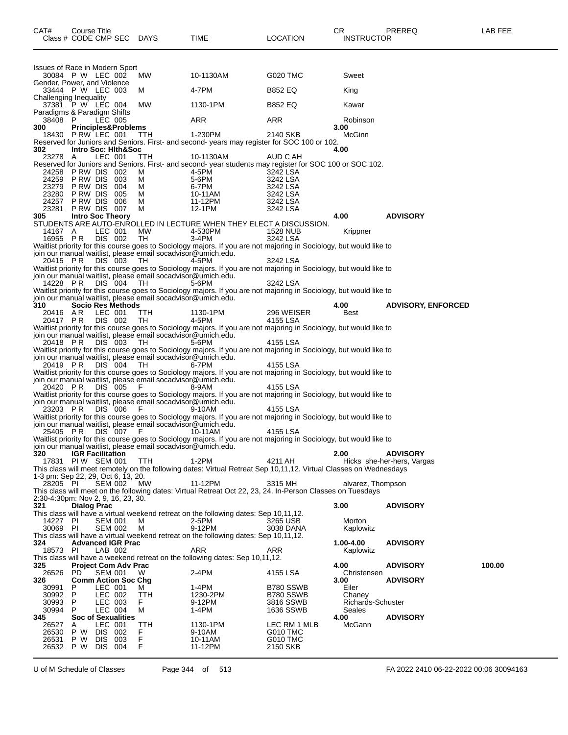| CAT#                                   | Course Title<br>Class # CODE CMP SEC DAYS |                    |            | TIME                                                                                                                                                                                | <b>LOCATION</b>          | CR.<br><b>INSTRUCTOR</b>           | PREREQ                     | LAB FEE |
|----------------------------------------|-------------------------------------------|--------------------|------------|-------------------------------------------------------------------------------------------------------------------------------------------------------------------------------------|--------------------------|------------------------------------|----------------------------|---------|
| Issues of Race in Modern Sport         |                                           |                    |            |                                                                                                                                                                                     |                          |                                    |                            |         |
|                                        | 30084 P W LEC 002                         |                    | MW.        | 10-1130AM                                                                                                                                                                           | G020 TMC                 | Sweet                              |                            |         |
| Gender, Power, and Violence            | 33444 P W LEC 003                         |                    | м          | 4-7PM                                                                                                                                                                               | <b>B852 EQ</b>           | King                               |                            |         |
| Challenging Inequality                 | 37381 P W LEC 004                         |                    | MW         | 1130-1PM                                                                                                                                                                            | <b>B852 EQ</b>           | Kawar                              |                            |         |
| Paradigms & Paradigm Shifts<br>38408 P |                                           | LEC 005            |            | ARR                                                                                                                                                                                 | ARR                      | Robinson                           |                            |         |
| 300                                    | <b>Principles&amp;Problems</b>            |                    |            |                                                                                                                                                                                     |                          | 3.00                               |                            |         |
| 18430                                  | PRW LEC 001                               |                    | TTH        | 1-230PM<br>Reserved for Juniors and Seniors. First- and second-years may register for SOC 100 or 102.                                                                               | 2140 SKB                 | McGinn                             |                            |         |
| 302                                    | Intro Soc: Hith&Soc                       | LEC 001            |            | 10-1130AM                                                                                                                                                                           | AUD C AH                 | 4.00                               |                            |         |
| 23278 A                                |                                           |                    | ттн        | Reserved for Juniors and Seniors. First- and second- year students may register for SOC 100 or SOC 102.                                                                             |                          |                                    |                            |         |
| 24259                                  | 24258 PRW DIS 002<br>PRW DIS 003          |                    | м<br>м     | 4-5PM<br>5-6PM                                                                                                                                                                      | 3242 LSA<br>3242 LSA     |                                    |                            |         |
| 23279                                  | PRW DIS 004                               |                    | м          | 6-7PM                                                                                                                                                                               | 3242 LSA                 |                                    |                            |         |
| 23280<br>24257                         | PRW DIS 005<br>PRW DIS 006                |                    | м<br>м     | 10-11AM<br>11-12PM                                                                                                                                                                  | 3242 LSA<br>3242 LSA     |                                    |                            |         |
| 23281                                  | PRW DIS 007                               |                    | м          | 12-1PM                                                                                                                                                                              | 3242 LSA                 |                                    |                            |         |
| 305                                    | <b>Intro Soc Theory</b>                   |                    |            | STUDENTS ARE AUTO-ENROLLED IN LECTURE WHEN THEY ELECT A DISCUSSION.                                                                                                                 |                          | 4.00                               | <b>ADVISORY</b>            |         |
| 14167 A                                |                                           | LEC 001            | МW         | 4-530PM                                                                                                                                                                             | 1528 NUB                 | Krippner                           |                            |         |
| 16955 PR                               |                                           | DIS 002            | TH         | $3-4PM$<br>Waitlist priority for this course goes to Sociology majors. If you are not majoring in Sociology, but would like to                                                      | 3242 LSA                 |                                    |                            |         |
| 20415 PR                               |                                           | DIS 003            | TH.        | join our manual waitlist, please email socadvisor@umich.edu.<br>4-5PM                                                                                                               | 3242 LSA                 |                                    |                            |         |
|                                        |                                           |                    |            | Waitlist priority for this course goes to Sociology majors. If you are not majoring in Sociology, but would like to<br>join our manual waitlist, please email socadvisor@umich.edu. |                          |                                    |                            |         |
| 14228 PR                               |                                           | DIS 004            | TH.        | 5-6PM                                                                                                                                                                               | 3242 LSA                 |                                    |                            |         |
|                                        |                                           |                    |            | Waitlist priority for this course goes to Sociology majors. If you are not majoring in Sociology, but would like to<br>join our manual waitlist, please email socadvisor@umich.edu. |                          |                                    |                            |         |
| 310                                    | <b>Socio Res Methods</b>                  |                    |            |                                                                                                                                                                                     |                          | 4.00                               | <b>ADVISORY, ENFORCED</b>  |         |
| 20416 AR<br>20417 PR                   |                                           | LEC 001<br>DIS 002 | TTH<br>TH  | 1130-1PM<br>4-5PM                                                                                                                                                                   | 296 WEISER<br>4155 LSA   | Best                               |                            |         |
|                                        |                                           |                    |            | Waitlist priority for this course goes to Sociology majors. If you are not majoring in Sociology, but would like to                                                                 |                          |                                    |                            |         |
| 20418 PR                               |                                           | DIS 003            | TH.        | join our manual waitlist, please email socadvisor@umich.edu.<br>5-6PM                                                                                                               | 4155 LSA                 |                                    |                            |         |
|                                        |                                           |                    |            | Waitlist priority for this course goes to Sociology majors. If you are not majoring in Sociology, but would like to                                                                 |                          |                                    |                            |         |
| 20419 PR                               |                                           | DIS 004            | TH.        | join our manual waitlist, please email socadvisor@umich.edu.<br>6-7PM                                                                                                               | 4155 LSA                 |                                    |                            |         |
|                                        |                                           |                    |            | Waitlist priority for this course goes to Sociology majors. If you are not majoring in Sociology, but would like to                                                                 |                          |                                    |                            |         |
| 20420 PR                               |                                           | DIS 005            |            | join our manual waitlist, please email socadvisor@umich.edu.<br>8-9AM                                                                                                               | 4155 LSA                 |                                    |                            |         |
|                                        |                                           |                    |            | Waitlist priority for this course goes to Sociology majors. If you are not majoring in Sociology, but would like to                                                                 |                          |                                    |                            |         |
| 23203 PR                               |                                           | DIS 006            |            | join our manual waitlist, please email socadvisor@umich.edu.<br>9-10AM                                                                                                              | 4155 LSA                 |                                    |                            |         |
|                                        |                                           |                    |            | Waitlist priority for this course goes to Sociology majors. If you are not majoring in Sociology, but would like to                                                                 |                          |                                    |                            |         |
| 25405 PR                               |                                           | DIS 007            | F          | join our manual waitlist, please email socadvisor@umich.edu.<br>10-11AM                                                                                                             | 4155 LSA                 |                                    |                            |         |
|                                        |                                           |                    |            | Waitlist priority for this course goes to Sociology majors. If you are not majoring in Sociology, but would like to                                                                 |                          |                                    |                            |         |
| 320                                    | <b>IGR Facilitation</b>                   |                    |            | join our manual waitlist, please email socadvisor@umich.edu.                                                                                                                        |                          | 2.00                               | <b>ADVISORY</b>            |         |
|                                        | 17831 PIW SEM 001                         |                    | <b>TTH</b> | $1-2PM$                                                                                                                                                                             | 4211 AH                  |                                    | Hicks she-her-hers, Vargas |         |
| 1-3 pm: Sep 22, 29, Oct 6, 13, 20.     |                                           |                    |            | This class will meet remotely on the following dates: Virtual Retreat Sep 10,11,12. Virtual Classes on Wednesdays                                                                   |                          |                                    |                            |         |
| 28205 PI                               |                                           | SEM 002            | MW         | 11-12PM                                                                                                                                                                             | 3315 MH                  | alvarez. Thompson                  |                            |         |
| 2:30-4:30pm: Nov 2, 9, 16, 23, 30.     |                                           |                    |            | This class will meet on the following dates: Virtual Retreat Oct 22, 23, 24. In-Person Classes on Tuesdays                                                                          |                          |                                    |                            |         |
| 321                                    | <b>Dialog Prac</b>                        |                    |            |                                                                                                                                                                                     |                          | 3.00                               | <b>ADVISORY</b>            |         |
| 14227 PI                               |                                           | <b>SEM 001</b>     | м          | This class will have a virtual weekend retreat on the following dates: Sep 10,11,12.<br>2-5PM                                                                                       | 3265 USB                 | Morton                             |                            |         |
| 30069 PI                               |                                           | <b>SEM 002</b>     | М          | 9-12PM                                                                                                                                                                              | 3038 DANA                | Kaplowitz                          |                            |         |
| 324                                    | <b>Advanced IGR Prac</b>                  |                    |            | This class will have a virtual weekend retreat on the following dates: Sep 10,11,12.                                                                                                |                          | 1.00-4.00                          | <b>ADVISORY</b>            |         |
| 18573                                  | PI                                        | LAB 002            |            | <b>ARR</b>                                                                                                                                                                          | ARR                      | Kaplowitz                          |                            |         |
| 325                                    | <b>Project Com Adv Prac</b>               |                    |            | This class will have a weekend retreat on the following dates: Sep 10,11,12.                                                                                                        |                          | 4.00                               | <b>ADVISORY</b>            | 100.00  |
| 26526                                  | PD.                                       | <b>SEM 001</b>     | W          | 2-4PM                                                                                                                                                                               | 4155 LSA                 | Christensen                        |                            |         |
| 326<br>30991                           | <b>Comm Action Soc Chg</b><br>P           | LEC 001            | м          | 1-4PM                                                                                                                                                                               | B780 SSWB                | 3.00<br>Eiler                      | <b>ADVISORY</b>            |         |
| 30992                                  | P                                         | LEC 002            | TTH        | 1230-2PM                                                                                                                                                                            | B780 SSWB                | Chaney                             |                            |         |
| 30993<br>30994                         | P<br>P                                    | LEC 003<br>LEC 004 | F.<br>м    | 9-12PM<br>1-4PM                                                                                                                                                                     | 3816 SSWB<br>1636 SSWB   | <b>Richards-Schuster</b><br>Seales |                            |         |
| 345                                    | <b>Soc of Sexualities</b>                 |                    |            |                                                                                                                                                                                     |                          | 4.00                               | <b>ADVISORY</b>            |         |
| 26527<br>26530                         | A<br>P W                                  | LEC 001<br>DIS 002 | TTH        | 1130-1PM<br>9-10AM                                                                                                                                                                  | LEC RM 1 MLB<br>G010 TMC | McGann                             |                            |         |
| 26531                                  | P W                                       | DIS 003            | F<br>F     | 10-11AM                                                                                                                                                                             | G010 TMC                 |                                    |                            |         |
| 26532                                  | P W                                       | DIS 004            | F          | 11-12PM                                                                                                                                                                             | 2150 SKB                 |                                    |                            |         |

U of M Schedule of Classes Page 344 of 513 FA 2022 2410 06-22-2022 00:06 30094163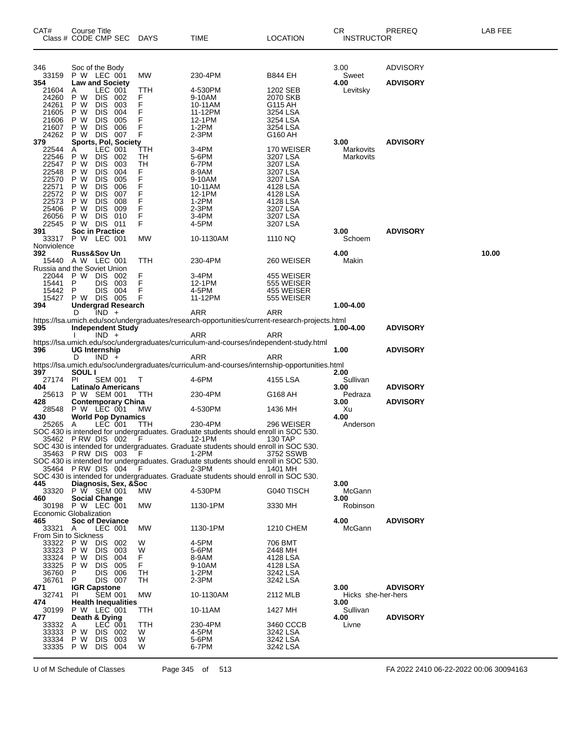| CAT#                    | <b>Course Title</b><br>Class # CODE CMP SEC          | DAYS       | <b>TIME</b>                                                                                  | <b>LOCATION</b>                                                                                | СR<br><b>INSTRUCTOR</b> | PREREQ          | LAB FEE |
|-------------------------|------------------------------------------------------|------------|----------------------------------------------------------------------------------------------|------------------------------------------------------------------------------------------------|-------------------------|-----------------|---------|
| 346                     | Soc of the Body                                      |            |                                                                                              |                                                                                                | 3.00                    | <b>ADVISORY</b> |         |
| 33159                   | P W LEC 001                                          | МW         | 230-4PM                                                                                      | <b>B844 EH</b>                                                                                 | Sweet                   |                 |         |
| 354<br>21604            | <b>Law and Society</b><br>LEC 001<br>A               | TTH        | 4-530PM                                                                                      | 1202 SEB                                                                                       | 4.00<br>Levitsky        | <b>ADVISORY</b> |         |
| 24260                   | P W<br><b>DIS</b><br>002                             | F          | 9-10AM                                                                                       | 2070 SKB                                                                                       |                         |                 |         |
| 24261                   | P W<br><b>DIS</b><br>003                             | F          | 10-11AM                                                                                      | G115 AH                                                                                        |                         |                 |         |
| 21605                   | P W<br><b>DIS</b><br>004                             | F          | 11-12PM                                                                                      | 3254 LSA                                                                                       |                         |                 |         |
| 21606<br>21607          | <b>DIS</b><br>P W<br>005<br>P W<br><b>DIS</b><br>006 | F<br>F     | 12-1PM<br>$1-2PM$                                                                            | 3254 LSA<br>3254 LSA                                                                           |                         |                 |         |
| 24262                   | P W<br><b>DIS</b><br>007                             | F          | $2-3PM$                                                                                      | G160 AH                                                                                        |                         |                 |         |
| 379                     | Sports, Pol, Society                                 |            |                                                                                              |                                                                                                | 3.00                    | <b>ADVISORY</b> |         |
| 22544                   | LEC 001<br>A                                         | ттн        | 3-4PM                                                                                        | 170 WEISER                                                                                     | Markovits               |                 |         |
| 22546<br>22547          | P W<br><b>DIS</b><br>002<br>P W<br><b>DIS</b><br>003 | TН<br>TН   | 5-6PM<br>6-7PM                                                                               | 3207 LSA<br>3207 LSA                                                                           | Markovits               |                 |         |
| 22548                   | P W<br><b>DIS</b><br>004                             | F          | 8-9AM                                                                                        | 3207 LSA                                                                                       |                         |                 |         |
| 22570                   | P W<br><b>DIS</b><br>005                             | F          | 9-10AM                                                                                       | 3207 LSA                                                                                       |                         |                 |         |
| 22571                   | <b>DIS</b><br>P W<br>006                             | F          | 10-11AM                                                                                      | 4128 LSA                                                                                       |                         |                 |         |
| 22572                   | P W<br><b>DIS</b><br>007                             | F          | 12-1PM                                                                                       | 4128 LSA                                                                                       |                         |                 |         |
| 22573<br>25406          | P W<br><b>DIS</b><br>008<br><b>DIS</b><br>P W<br>009 | F<br>F     | 1-2PM<br>2-3PM                                                                               | 4128 LSA<br>3207 LSA                                                                           |                         |                 |         |
| 26056                   | <b>DIS</b><br>P W<br>010                             | F          | 3-4PM                                                                                        | 3207 LSA                                                                                       |                         |                 |         |
| 22545                   | P W DIS<br>- 011                                     | F          | 4-5PM                                                                                        | 3207 LSA                                                                                       |                         |                 |         |
| 391                     | <b>Soc in Practice</b>                               |            |                                                                                              |                                                                                                | 3.00                    | <b>ADVISORY</b> |         |
|                         | 33317 P W LEC 001                                    | MW         | 10-1130AM                                                                                    | 1110 NQ                                                                                        | Schoem                  |                 |         |
| Nonviolence<br>392      | <b>Russ&amp;Sov Un</b>                               |            |                                                                                              |                                                                                                | 4.00                    |                 | 10.00   |
|                         | 15440 A W LEC 001                                    | TTH        | 230-4PM                                                                                      | 260 WEISER                                                                                     | Makin                   |                 |         |
|                         | Russia and the Soviet Union                          |            |                                                                                              |                                                                                                |                         |                 |         |
| 22044                   | P W DIS<br>-002                                      | F          | 3-4PM                                                                                        | 455 WEISER                                                                                     |                         |                 |         |
| 15441                   | P<br><b>DIS</b><br>003                               | F          | 12-1PM                                                                                       | 555 WEISER                                                                                     |                         |                 |         |
| 15442<br>15427          | P<br><b>DIS</b><br>004<br>P W DIS 005                | F<br>F     | 4-5PM<br>11-12PM                                                                             | 455 WEISER<br>555 WEISER                                                                       |                         |                 |         |
| 394                     | <b>Undergrad Research</b>                            |            |                                                                                              |                                                                                                | 1.00-4.00               |                 |         |
|                         | D<br>$IND +$                                         |            | ARR                                                                                          | ARR                                                                                            |                         |                 |         |
|                         |                                                      |            |                                                                                              | https://lsa.umich.edu/soc/undergraduates/research-opportunities/current-research-projects.html |                         |                 |         |
| 395                     | <b>Independent Study</b><br>$IND +$                  |            | ARR                                                                                          | ARR                                                                                            | 1.00-4.00               | <b>ADVISORY</b> |         |
|                         |                                                      |            |                                                                                              | https://lsa.umich.edu/soc/undergraduates/curriculum-and-courses/independent-study.html         |                         |                 |         |
| 396                     | <b>UG Internship</b>                                 |            |                                                                                              |                                                                                                | 1.00                    | <b>ADVISORY</b> |         |
|                         | D<br>$IND +$                                         |            | ARR                                                                                          | ARR                                                                                            |                         |                 |         |
| 397                     | <b>SOUL</b> I                                        |            |                                                                                              | https://lsa.umich.edu/soc/undergraduates/curriculum-and-courses/internship-opportunities.html  | 2.00                    |                 |         |
| 27174                   | <b>PI</b><br><b>SEM 001</b>                          | $\top$     | 4-6PM                                                                                        | 4155 LSA                                                                                       | Sullivan                |                 |         |
| 404                     | Latina/o Americans                                   |            |                                                                                              |                                                                                                | 3.00                    | <b>ADVISORY</b> |         |
| 25613                   | P W SEM 001                                          | TTH        | 230-4PM                                                                                      | G168 AH                                                                                        | Pedraza                 |                 |         |
| 428                     | <b>Contemporary China</b>                            |            |                                                                                              |                                                                                                | 3.00                    | <b>ADVISORY</b> |         |
| 28548<br>430            | P W LEC 001<br><b>World Pop Dynamics</b>             | MW         | 4-530PM                                                                                      | 1436 MH                                                                                        | Xu<br>4.00              |                 |         |
| 25265 A                 | LEC 001                                              | <b>TTH</b> | 230-4PM                                                                                      | 296 WEISER                                                                                     | Anderson                |                 |         |
|                         |                                                      |            | SOC 430 is intended for undergraduates. Graduate students should enroll in SOC 530.          |                                                                                                |                         |                 |         |
|                         | 35462 PRW DIS 002 F                                  |            | 12-1PM                                                                                       | 130 TAP                                                                                        |                         |                 |         |
|                         | 35463 PRW DIS 003                                    | F.         | SOC 430 is intended for undergraduates. Graduate students should enroll in SOC 530.<br>1-2PM | 3752 SSWB                                                                                      |                         |                 |         |
|                         |                                                      |            | SOC 430 is intended for undergraduates. Graduate students should enroll in SOC 530.          |                                                                                                |                         |                 |         |
|                         | 35464 PRW DIS 004                                    | - F        | $2-3PM$                                                                                      | 1401 MH                                                                                        |                         |                 |         |
|                         |                                                      |            | SOC 430 is intended for undergraduates. Graduate students should enroll in SOC 530.          |                                                                                                |                         |                 |         |
| 445                     | Diagnosis, Sex, &Soc                                 |            |                                                                                              |                                                                                                | 3.00                    |                 |         |
| 33320<br>460            | P W SEM 001<br><b>Social Change</b>                  | <b>MW</b>  | 4-530PM                                                                                      | G040 TISCH                                                                                     | McGann<br>3.00          |                 |         |
| 30198                   | <b>P W LEC 001</b>                                   | MW         | 1130-1PM                                                                                     | 3330 MH                                                                                        | Robinson                |                 |         |
|                         | Economic Globalization                               |            |                                                                                              |                                                                                                |                         |                 |         |
| 465                     | <b>Soc of Deviance</b>                               |            |                                                                                              |                                                                                                | 4.00                    | <b>ADVISORY</b> |         |
| 33321 A                 | LEC 001                                              | <b>MW</b>  | 1130-1PM                                                                                     | 1210 CHEM                                                                                      | McGann                  |                 |         |
| 33322                   | From Sin to Sickness<br>P W<br>DIS.<br>002           | W          | 4-5PM                                                                                        | 706 BMT                                                                                        |                         |                 |         |
| 33323                   | P W<br><b>DIS</b><br>003                             | W          | 5-6PM                                                                                        | 2448 MH                                                                                        |                         |                 |         |
| 33324                   | P W<br><b>DIS</b><br>004                             | F          | 8-9AM                                                                                        | 4128 LSA                                                                                       |                         |                 |         |
| 33325                   | P W<br><b>DIS</b><br>005                             | F          | 9-10AM                                                                                       | 4128 LSA                                                                                       |                         |                 |         |
| 36760                   | P<br><b>DIS</b><br>006<br>P                          | TН         | 1-2PM                                                                                        | 3242 LSA                                                                                       |                         |                 |         |
| 36761<br>471            | DIS.<br>007<br><b>IGR Capstone</b>                   | TН         | 2-3PM                                                                                        | 3242 LSA                                                                                       | 3.00                    | <b>ADVISORY</b> |         |
| 32741                   | <b>SEM 001</b><br>PI                                 | MW         | 10-1130AM                                                                                    | 2112 MLB                                                                                       | Hicks she-her-hers      |                 |         |
| 474                     | <b>Health Inequalities</b>                           |            |                                                                                              |                                                                                                | 3.00                    |                 |         |
| 30199                   | P W LEC 001                                          | TTH        | 10-11AM                                                                                      | 1427 MH                                                                                        | Sullivan                |                 |         |
| 477<br>33332            | Death & Dying<br>LEC 001<br>Α                        | TTH        | 230-4PM                                                                                      | 3460 CCCB                                                                                      | 4.00<br>Livne           | <b>ADVISORY</b> |         |
|                         |                                                      | W          |                                                                                              |                                                                                                |                         |                 |         |
|                         | P W<br><b>DIS 002</b>                                |            | 4-5PM                                                                                        | 3242 LSA                                                                                       |                         |                 |         |
| 33333<br>33334<br>33335 | P W<br><b>DIS</b><br>003<br>P W<br><b>DIS</b><br>004 | W<br>W     | 5-6PM<br>6-7PM                                                                               | 3242 LSA<br>3242 LSA                                                                           |                         |                 |         |

U of M Schedule of Classes Page 345 of 513 FA 2022 2410 06-22-2022 00:06 30094163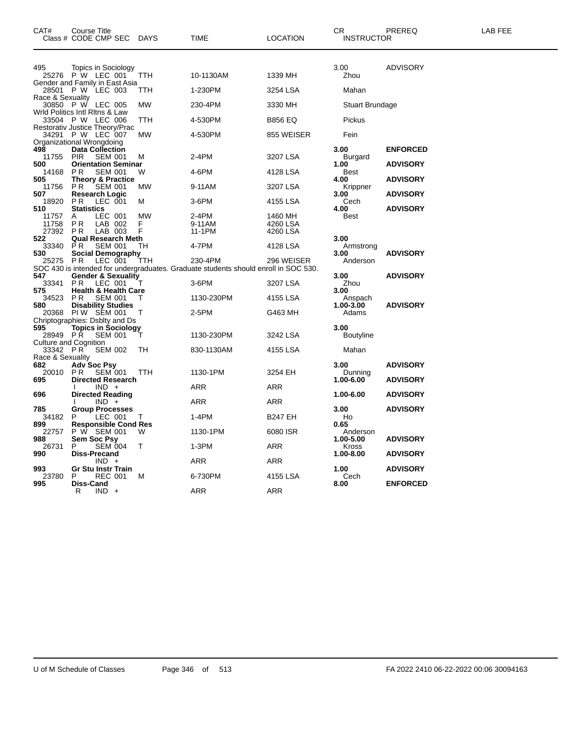| CAT#                         | Course Title<br>Class # CODE CMP SEC                                                  | DAYS                | <b>TIME</b>                                                                         | <b>LOCATION</b>                 | CR.<br><b>INSTRUCTOR</b>         | PREREQ                             | <b>LAB FEE</b> |
|------------------------------|---------------------------------------------------------------------------------------|---------------------|-------------------------------------------------------------------------------------|---------------------------------|----------------------------------|------------------------------------|----------------|
| 495                          | Topics in Sociology<br>25276 P W LEC 001<br>Gender and Family in East Asia            | TTH                 | 10-1130AM                                                                           | 1339 MH                         | 3.00<br>Zhou                     | <b>ADVISORY</b>                    |                |
|                              | 28501 P W LEC 003                                                                     | ттн                 | 1-230PM                                                                             | 3254 LSA                        | Mahan                            |                                    |                |
| Race & Sexuality             | 30850 P W LEC 005<br>Wrld Politics Intl Ritns & Law                                   | MW                  | 230-4PM                                                                             | 3330 MH                         | <b>Stuart Brundage</b>           |                                    |                |
|                              | 33504 P W LEC 006                                                                     | TTH                 | 4-530PM                                                                             | <b>B856 EQ</b>                  | Pickus                           |                                    |                |
|                              | Restorativ Justice Theory/Prac<br>34291 P W LEC 007<br>Organizational Wrongdoing      | MW                  | 4-530PM                                                                             | 855 WEISER                      | Fein                             |                                    |                |
| 498<br>11755                 | <b>Data Collection</b><br><b>PIR</b><br><b>SEM 001</b>                                | М                   | 2-4PM                                                                               | 3207 LSA                        | 3.00<br><b>Burgard</b>           | <b>ENFORCED</b>                    |                |
| 500<br>14168                 | <b>Orientation Seminar</b><br><b>PR</b><br><b>SEM 001</b>                             | W                   | 4-6PM                                                                               | 4128 LSA                        | 1.00<br>Best                     | <b>ADVISORY</b>                    |                |
| 505<br>11756<br>507          | <b>Theory &amp; Practice</b><br>PR.<br><b>SEM 001</b><br><b>Research Logic</b>        | MW                  | 9-11AM                                                                              | 3207 LSA                        | 4.00<br>Krippner<br>3.00         | <b>ADVISORY</b><br><b>ADVISORY</b> |                |
| 18920<br>510                 | P <sub>R</sub><br>LEC 001<br><b>Statistics</b>                                        | м                   | 3-6PM                                                                               | 4155 LSA                        | Cech<br>4.00                     | <b>ADVISORY</b>                    |                |
| 11757<br>11758<br>27392      | LEC 001<br>A<br>PR.<br>LAB 002<br>LAB 003<br><b>PR</b>                                | <b>MW</b><br>F<br>F | 2-4PM<br>9-11AM<br>11-1PM                                                           | 1460 MH<br>4260 LSA<br>4260 LSA | Best                             |                                    |                |
| 522                          | <b>Qual Research Meth</b>                                                             |                     |                                                                                     |                                 | 3.00                             |                                    |                |
| 33340<br>530                 | <b>SEM 001</b><br>PR.<br><b>Social Demography</b><br>PR<br>LEC 001                    | TН<br>TTH           | 4-7PM<br>230-4PM                                                                    | 4128 LSA<br>296 WEISER          | Armstrong<br>3.00<br>Anderson    | <b>ADVISORY</b>                    |                |
| 25275                        |                                                                                       |                     | SOC 430 is intended for undergraduates. Graduate students should enroll in SOC 530. |                                 |                                  |                                    |                |
| 547<br>33341                 | <b>Gender &amp; Sexuality</b><br>LEC 001<br>PR.                                       | т                   | 3-6PM                                                                               | 3207 LSA                        | 3.00<br>Zhou                     | <b>ADVISORY</b>                    |                |
| 575<br>34523<br>580          | <b>Health &amp; Health Care</b><br>PR.<br><b>SEM 001</b><br><b>Disability Studies</b> |                     | 1130-230PM                                                                          | 4155 LSA                        | 3.00<br>Anspach<br>$1.00 - 3.00$ | <b>ADVISORY</b>                    |                |
| 20368                        | PIW SEM 001<br>Chriptographies: Dsblty and Ds                                         | T                   | 2-5PM                                                                               | G463 MH                         | Adams                            |                                    |                |
| 595                          | <b>Topics in Sociology</b>                                                            |                     |                                                                                     |                                 | 3.00                             |                                    |                |
| 28949 PR                     | <b>SEM 001</b><br>Culture and Cognition                                               |                     | 1130-230PM                                                                          | 3242 LSA                        | <b>Boutyline</b>                 |                                    |                |
| 33342 PR<br>Race & Sexuality | <b>SEM 002</b>                                                                        | TН                  | 830-1130AM                                                                          | 4155 LSA                        | Mahan                            |                                    |                |
| 682<br>20010                 | <b>Adv Soc Psy</b><br>PR.<br><b>SEM 001</b>                                           | TTH                 | 1130-1PM                                                                            | 3254 EH                         | 3.00<br>Dunning                  | <b>ADVISORY</b>                    |                |
| 695                          | <b>Directed Research</b><br>$IND +$                                                   |                     | ARR                                                                                 | ARR                             | 1.00-6.00                        | <b>ADVISORY</b>                    |                |
| 696                          | <b>Directed Reading</b><br>$IND +$                                                    |                     | ARR                                                                                 | ARR                             | 1.00-6.00                        | <b>ADVISORY</b>                    |                |
| 785<br>34182                 | <b>Group Processes</b><br>LEC 001<br>P.                                               | T                   | $1-4PM$                                                                             | <b>B247 EH</b>                  | 3.00<br>Ho                       | <b>ADVISORY</b>                    |                |
| 899<br>22757<br>988          | <b>Responsible Cond Res</b><br>P W SEM 001<br>Sem Soc Psy                             | W                   | 1130-1PM                                                                            | 6080 ISR                        | 0.65<br>Anderson<br>1.00-5.00    | <b>ADVISORY</b>                    |                |
| 26731<br>990                 | <b>SEM 004</b><br>P<br><b>Diss-Precand</b>                                            | т                   | $1-3PM$                                                                             | <b>ARR</b>                      | Kross<br>1.00-8.00               | <b>ADVISORY</b>                    |                |
|                              | $IND +$                                                                               |                     | ARR                                                                                 | ARR                             |                                  |                                    |                |
| 993<br>23780<br>995          | <b>Gr Stu Instr Train</b><br>P<br><b>REC 001</b><br>Diss-Cand                         | м                   | 6-730PM                                                                             | 4155 LSA                        | 1.00<br>Cech<br>8.00             | <b>ADVISORY</b><br><b>ENFORCED</b> |                |
|                              | R<br>$IND +$                                                                          |                     | ARR                                                                                 | ARR                             |                                  |                                    |                |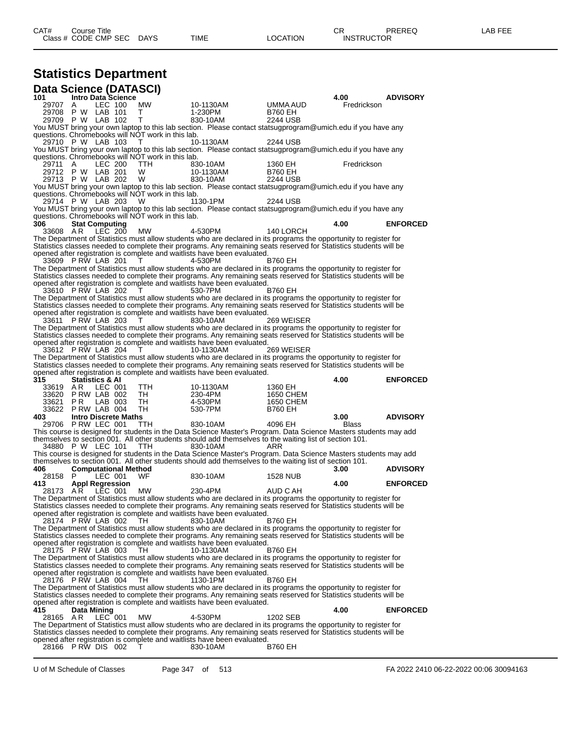# **Statistics Department**

| <b>Data Science (DATASCI)</b>  |                            |                                     |                             |                                                   |                                                                                                                                                                                                                                         |                                                                                                                    |                      |                 |
|--------------------------------|----------------------------|-------------------------------------|-----------------------------|---------------------------------------------------|-----------------------------------------------------------------------------------------------------------------------------------------------------------------------------------------------------------------------------------------|--------------------------------------------------------------------------------------------------------------------|----------------------|-----------------|
| 101<br>29707                   | A                          | LEC 100                             | <b>Intro Data Science</b>   | MW                                                | 10-1130AM                                                                                                                                                                                                                               | UMMA AUD                                                                                                           | 4.00<br>Fredrickson  | <b>ADVISORY</b> |
| 29708 P W LAB 101              |                            |                                     |                             | т                                                 | 1-230PM                                                                                                                                                                                                                                 | <b>B760 EH</b>                                                                                                     |                      |                 |
| 29709 P W LAB 102              |                            |                                     |                             | т                                                 | 830-10AM                                                                                                                                                                                                                                | 2244 USB                                                                                                           |                      |                 |
|                                |                            |                                     |                             | questions. Chromebooks will NOT work in this lab. | You MUST bring your own laptop to this lab section. Please contact statsugprogram@umich.edu if you have any                                                                                                                             |                                                                                                                    |                      |                 |
| 29710 P W LAB 103              |                            |                                     |                             | Τ                                                 | 10-1130AM                                                                                                                                                                                                                               | 2244 USB                                                                                                           |                      |                 |
|                                |                            |                                     |                             |                                                   | You MUST bring your own laptop to this lab section. Please contact statsugprogram@umich.edu if you have any                                                                                                                             |                                                                                                                    |                      |                 |
|                                |                            |                                     |                             | questions. Chromebooks will NOT work in this lab. |                                                                                                                                                                                                                                         |                                                                                                                    |                      |                 |
| 29711<br>29712 P W LAB 201     | A                          | LEC 200                             |                             | TTH.<br>W                                         | 830-10AM<br>10-1130AM                                                                                                                                                                                                                   | 1360 EH<br>B760 EH                                                                                                 | Fredrickson          |                 |
| 29713 P W LAB 202              |                            |                                     |                             | W                                                 | 830-10AM                                                                                                                                                                                                                                | 2244 USB                                                                                                           |                      |                 |
|                                |                            |                                     |                             |                                                   | You MUST bring your own laptop to this lab section. Please contact statsugprogram@umich.edu if you have any                                                                                                                             |                                                                                                                    |                      |                 |
|                                |                            |                                     |                             | questions. Chromebooks will NOT work in this lab. |                                                                                                                                                                                                                                         |                                                                                                                    |                      |                 |
| 29714 P W LAB 203              |                            |                                     |                             | w                                                 | 1130-1PM<br>You MUST bring your own laptop to this lab section. Please contact statsugprogram@umich.edu if you have any                                                                                                                 | <b>2244 USB</b>                                                                                                    |                      |                 |
|                                |                            |                                     |                             | questions. Chromebooks will NOT work in this lab. |                                                                                                                                                                                                                                         |                                                                                                                    |                      |                 |
| 306                            | <b>Stat Computing</b>      |                                     |                             |                                                   |                                                                                                                                                                                                                                         |                                                                                                                    | 4.00                 | <b>ENFORCED</b> |
| 33608 AR                       |                            | LEC 200                             |                             | MW.                                               | 4-530PM                                                                                                                                                                                                                                 | 140 LORCH                                                                                                          |                      |                 |
|                                |                            |                                     |                             |                                                   | The Department of Statistics must allow students who are declared in its programs the opportunity to register for<br>Statistics classes needed to complete their programs. Any remaining seats reserved for Statistics students will be |                                                                                                                    |                      |                 |
|                                |                            |                                     |                             |                                                   | opened after registration is complete and waitlists have been evaluated.                                                                                                                                                                |                                                                                                                    |                      |                 |
| 33609 PRW LAB 201              |                            |                                     |                             |                                                   | 4-530PM                                                                                                                                                                                                                                 | <b>B760 EH</b>                                                                                                     |                      |                 |
|                                |                            |                                     |                             |                                                   | The Department of Statistics must allow students who are declared in its programs the opportunity to register for                                                                                                                       |                                                                                                                    |                      |                 |
|                                |                            |                                     |                             |                                                   | Statistics classes needed to complete their programs. Any remaining seats reserved for Statistics students will be<br>opened after registration is complete and waitlists have been evaluated.                                          |                                                                                                                    |                      |                 |
| 33610 P RW LAB 202             |                            |                                     |                             | т                                                 | 530-7PM                                                                                                                                                                                                                                 | <b>B760 EH</b>                                                                                                     |                      |                 |
|                                |                            |                                     |                             |                                                   | The Department of Statistics must allow students who are declared in its programs the opportunity to register for                                                                                                                       |                                                                                                                    |                      |                 |
|                                |                            |                                     |                             |                                                   | Statistics classes needed to complete their programs. Any remaining seats reserved for Statistics students will be                                                                                                                      |                                                                                                                    |                      |                 |
| 33611                          | PRW LAB 203                |                                     |                             | $\mathbf{I}$                                      | opened after registration is complete and waitlists have been evaluated.<br>830-10AM                                                                                                                                                    | 269 WEISER                                                                                                         |                      |                 |
|                                |                            |                                     |                             |                                                   | The Department of Statistics must allow students who are declared in its programs the opportunity to register for                                                                                                                       |                                                                                                                    |                      |                 |
|                                |                            |                                     |                             |                                                   | Statistics classes needed to complete their programs. Any remaining seats reserved for Statistics students will be                                                                                                                      |                                                                                                                    |                      |                 |
| 33612 PRW LAB 204              |                            |                                     |                             |                                                   | opened after registration is complete and waitlists have been evaluated.<br>10-1130AM                                                                                                                                                   | 269 WEISER                                                                                                         |                      |                 |
|                                |                            |                                     |                             |                                                   | The Department of Statistics must allow students who are declared in its programs the opportunity to register for                                                                                                                       |                                                                                                                    |                      |                 |
|                                |                            |                                     |                             |                                                   |                                                                                                                                                                                                                                         |                                                                                                                    |                      |                 |
|                                |                            |                                     |                             |                                                   |                                                                                                                                                                                                                                         | Statistics classes needed to complete their programs. Any remaining seats reserved for Statistics students will be |                      |                 |
|                                |                            |                                     |                             |                                                   | opened after registration is complete and waitlists have been evaluated.                                                                                                                                                                |                                                                                                                    |                      |                 |
| 315                            | <b>Statistics &amp; AI</b> |                                     |                             |                                                   |                                                                                                                                                                                                                                         |                                                                                                                    | 4.00                 | <b>ENFORCED</b> |
| 33619 AR<br>33620 P RW LAB 002 |                            | LEC 001                             |                             | TTH.<br>TH                                        | 10-1130AM<br>230-4PM                                                                                                                                                                                                                    | 1360 EH<br>1650 CHEM                                                                                               |                      |                 |
| 33621 PR                       |                            | LAB 003                             |                             | TH                                                | 4-530PM                                                                                                                                                                                                                                 | 1650 CHEM                                                                                                          |                      |                 |
| 33622 P RW LAB 004             |                            |                                     |                             | TH                                                | 530-7PM                                                                                                                                                                                                                                 | <b>B760 EH</b>                                                                                                     |                      |                 |
| 403                            |                            |                                     | <b>Intro Discrete Maths</b> | <b>TTH</b>                                        |                                                                                                                                                                                                                                         |                                                                                                                    | 3.00<br><b>Blass</b> | <b>ADVISORY</b> |
| 29706 PRW LEC 001              |                            |                                     |                             |                                                   | 830-10AM<br>This course is designed for students in the Data Science Master's Program. Data Science Masters students may add                                                                                                            | 4096 EH                                                                                                            |                      |                 |
|                                |                            |                                     |                             |                                                   | themselves to section 001. All other students should add themselves to the waiting list of section 101.                                                                                                                                 |                                                                                                                    |                      |                 |
| 34880 P W LEC 101              |                            |                                     |                             | TTH.                                              | 830-10AM                                                                                                                                                                                                                                | ARR                                                                                                                |                      |                 |
|                                |                            |                                     |                             |                                                   | This course is designed for students in the Data Science Master's Program. Data Science Masters students may add                                                                                                                        |                                                                                                                    |                      |                 |
| 406                            |                            |                                     | <b>Computational Method</b> |                                                   | themselves to section 001. All other students should add themselves to the waiting list of section 101.                                                                                                                                 |                                                                                                                    | 3.00                 | <b>ADVISORY</b> |
| 28158                          | P                          | LEC 001                             |                             | WF.                                               | 830-10AM                                                                                                                                                                                                                                | <b>1528 NUB</b>                                                                                                    |                      |                 |
| 413                            | <b>Appl Regression</b>     |                                     |                             |                                                   |                                                                                                                                                                                                                                         |                                                                                                                    | 4.00                 | <b>ENFORCED</b> |
| 28173 AR                       |                            | LEC 001                             |                             | MW.                                               | 230-4PM<br>The Department of Statistics must allow students who are declared in its programs the opportunity to register for                                                                                                            | AUD C AH                                                                                                           |                      |                 |
|                                |                            |                                     |                             |                                                   | Statistics classes needed to complete their programs. Any remaining seats reserved for Statistics students will be                                                                                                                      |                                                                                                                    |                      |                 |
|                                |                            |                                     |                             |                                                   | opened after registration is complete and waitlists have been evaluated.                                                                                                                                                                |                                                                                                                    |                      |                 |
| 28174 PRW LAB 002              |                            |                                     |                             | TH                                                | 830-10AM                                                                                                                                                                                                                                | <b>B760 EH</b>                                                                                                     |                      |                 |
|                                |                            |                                     |                             |                                                   | The Department of Statistics must allow students who are declared in its programs the opportunity to register for<br>Statistics classes needed to complete their programs. Any remaining seats reserved for Statistics students will be |                                                                                                                    |                      |                 |
|                                |                            |                                     |                             |                                                   | opened after registration is complete and waitlists have been evaluated.                                                                                                                                                                |                                                                                                                    |                      |                 |
| 28175 P RW LAB 003             |                            |                                     |                             | TH                                                | 10-1130AM                                                                                                                                                                                                                               | B760 EH                                                                                                            |                      |                 |
|                                |                            |                                     |                             |                                                   | The Department of Statistics must allow students who are declared in its programs the opportunity to register for<br>Statistics classes needed to complete their programs. Any remaining seats reserved for Statistics students will be |                                                                                                                    |                      |                 |
|                                |                            |                                     |                             |                                                   | opened after registration is complete and waitlists have been evaluated.                                                                                                                                                                |                                                                                                                    |                      |                 |
| 28176 P RW LAB 004             |                            |                                     |                             | TH                                                | 1130-1PM                                                                                                                                                                                                                                | <b>B760 EH</b>                                                                                                     |                      |                 |
|                                |                            |                                     |                             |                                                   | The Department of Statistics must allow students who are declared in its programs the opportunity to register for                                                                                                                       |                                                                                                                    |                      |                 |
|                                |                            |                                     |                             |                                                   | Statistics classes needed to complete their programs. Any remaining seats reserved for Statistics students will be<br>opened after registration is complete and waitlists have been evaluated.                                          |                                                                                                                    |                      |                 |
| 415                            | Data Mining                |                                     |                             |                                                   |                                                                                                                                                                                                                                         |                                                                                                                    | 4.00                 | <b>ENFORCED</b> |
| 28165 AR                       |                            | $LEC$ <sup><math>-</math></sup> 001 |                             | <b>MW</b>                                         | 4-530PM                                                                                                                                                                                                                                 | 1202 SEB                                                                                                           |                      |                 |
|                                |                            |                                     |                             |                                                   | The Department of Statistics must allow students who are declared in its programs the opportunity to register for                                                                                                                       |                                                                                                                    |                      |                 |
|                                |                            |                                     |                             |                                                   | Statistics classes needed to complete their programs. Any remaining seats reserved for Statistics students will be<br>opened after registration is complete and waitlists have been evaluated.                                          |                                                                                                                    |                      |                 |
| 28166 PRW DIS 002              |                            |                                     |                             | т                                                 | 830-10AM                                                                                                                                                                                                                                | <b>B760 EH</b>                                                                                                     |                      |                 |

U of M Schedule of Classes Page 347 of 513 FA 2022 2410 06-22-2022 00:06 30094163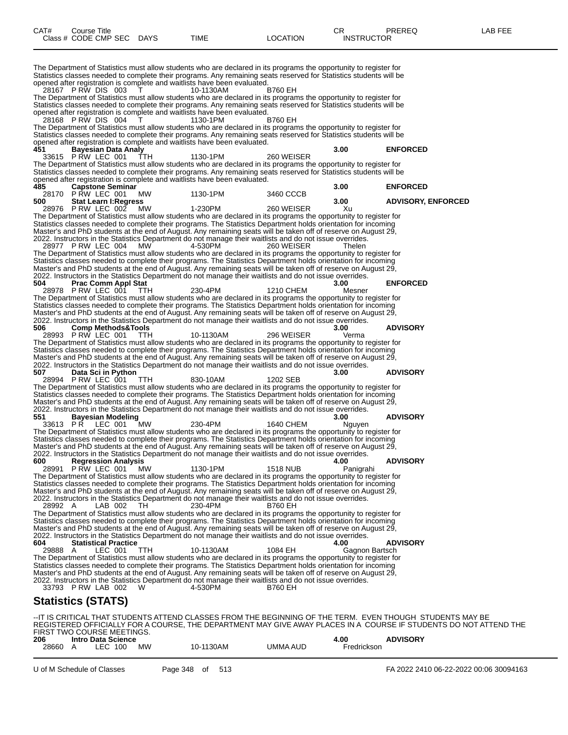| CAT#           | Course Title<br>Class # CODE CMP SEC DAYS         |           | <b>TIME</b>                                                                                                                                                                                                                             | <b>LOCATION</b> | CR<br><b>INSTRUCTOR</b> | PREREQ                                                                                                   | LAB FEE |
|----------------|---------------------------------------------------|-----------|-----------------------------------------------------------------------------------------------------------------------------------------------------------------------------------------------------------------------------------------|-----------------|-------------------------|----------------------------------------------------------------------------------------------------------|---------|
|                |                                                   |           | The Department of Statistics must allow students who are declared in its programs the opportunity to register for                                                                                                                       |                 |                         |                                                                                                          |         |
|                |                                                   |           | Statistics classes needed to complete their programs. Any remaining seats reserved for Statistics students will be<br>opened after registration is complete and waitlists have been evaluated.                                          |                 |                         |                                                                                                          |         |
|                | 28167 PRW DIS 003                                 |           | 10-1130AM                                                                                                                                                                                                                               | B760 EH         |                         |                                                                                                          |         |
|                |                                                   |           | The Department of Statistics must allow students who are declared in its programs the opportunity to register for<br>Statistics classes needed to complete their programs. Any remaining seats reserved for Statistics students will be |                 |                         |                                                                                                          |         |
|                | 28168 PRW DIS 004                                 |           | opened after registration is complete and waitlists have been evaluated.<br>1130-1PM                                                                                                                                                    | B760 EH         |                         |                                                                                                          |         |
|                |                                                   |           | The Department of Statistics must allow students who are declared in its programs the opportunity to register for                                                                                                                       |                 |                         |                                                                                                          |         |
|                |                                                   |           | Statistics classes needed to complete their programs. Any remaining seats reserved for Statistics students will be<br>opened after registration is complete and waitlists have been evaluated.                                          |                 |                         |                                                                                                          |         |
| 451            | <b>Bayesian Data Analy</b>                        |           |                                                                                                                                                                                                                                         |                 | 3.00                    | <b>ENFORCED</b>                                                                                          |         |
|                | 33615 P RW LEC 001                                | TTH       | 1130-1PM<br>The Department of Statistics must allow students who are declared in its programs the opportunity to register for                                                                                                           | 260 WEISER      |                         |                                                                                                          |         |
|                |                                                   |           | Statistics classes needed to complete their programs. Any remaining seats reserved for Statistics students will be                                                                                                                      |                 |                         |                                                                                                          |         |
| 485            | <b>Capstone Seminar</b>                           |           | opened after registration is complete and waitlists have been evaluated.                                                                                                                                                                |                 | 3.00                    | <b>ENFORCED</b>                                                                                          |         |
| 500            | 28170 PRW LEC 001<br><b>Stat Learn I: Regress</b> | MW        | 1130-1PM                                                                                                                                                                                                                                | 3460 CCCB       | 3.00                    | <b>ADVISORY, ENFORCED</b>                                                                                |         |
|                | 28976 PRW LEC 002                                 | MW        | 1-230PM                                                                                                                                                                                                                                 | 260 WEISER      | Xu                      |                                                                                                          |         |
|                |                                                   |           | The Department of Statistics must allow students who are declared in its programs the opportunity to register for<br>Statistics classes needed to complete their programs. The Statistics Department holds orientation for incoming     |                 |                         |                                                                                                          |         |
|                |                                                   |           | Master's and PhD students at the end of August. Any remaining seats will be taken off of reserve on August 29,                                                                                                                          |                 |                         |                                                                                                          |         |
|                | 28977 PRW LEC 004                                 | <b>MW</b> | 2022. Instructors in the Statistics Department do not manage their waitlists and do not issue overrides.<br>4-530PM                                                                                                                     | 260 WEISER      | Thelen                  |                                                                                                          |         |
|                |                                                   |           | The Department of Statistics must allow students who are declared in its programs the opportunity to register for                                                                                                                       |                 |                         |                                                                                                          |         |
|                |                                                   |           | Statistics classes needed to complete their programs. The Statistics Department holds orientation for incoming<br>Master's and PhD students at the end of August. Any remaining seats will be taken off of reserve on August 29,        |                 |                         |                                                                                                          |         |
| 504            | <b>Prac Comm Appl Stat</b>                        |           | 2022. Instructors in the Statistics Department do not manage their waitlists and do not issue overrides.                                                                                                                                |                 | 3.00                    | <b>ENFORCED</b>                                                                                          |         |
|                | 28978 PRW LEC 001                                 | TTH       | 230-4PM                                                                                                                                                                                                                                 | 1210 CHEM       | Mesner                  |                                                                                                          |         |
|                |                                                   |           | The Department of Statistics must allow students who are declared in its programs the opportunity to register for<br>Statistics classes needed to complete their programs. The Statistics Department holds orientation for incoming     |                 |                         |                                                                                                          |         |
|                |                                                   |           | Master's and PhD students at the end of August. Any remaining seats will be taken off of reserve on August 29,                                                                                                                          |                 |                         |                                                                                                          |         |
| 506            | <b>Comp Methods&amp;Tools</b>                     |           | 2022. Instructors in the Statistics Department do not manage their waitlists and do not issue overrides.                                                                                                                                |                 | 3.00                    | <b>ADVISORY</b>                                                                                          |         |
|                | 28993 PRW LEC 001                                 | TTH       | 10-1130AM                                                                                                                                                                                                                               | 296 WEISER      | Verma                   |                                                                                                          |         |
|                |                                                   |           | The Department of Statistics must allow students who are declared in its programs the opportunity to register for<br>Statistics classes needed to complete their programs. The Statistics Department holds orientation for incoming     |                 |                         |                                                                                                          |         |
|                |                                                   |           | Master's and PhD students at the end of August. Any remaining seats will be taken off of reserve on August 29,<br>2022. Instructors in the Statistics Department do not manage their waitlists and do not issue overrides.              |                 |                         |                                                                                                          |         |
| 507            | Data Sci in Python                                |           |                                                                                                                                                                                                                                         |                 | 3.00                    | <b>ADVISORY</b>                                                                                          |         |
|                | 28994 P RW LEC 001                                | TTH.      | 830-10AM<br>The Department of Statistics must allow students who are declared in its programs the opportunity to register for                                                                                                           | 1202 SEB        |                         |                                                                                                          |         |
|                |                                                   |           | Statistics classes needed to complete their programs. The Statistics Department holds orientation for incoming                                                                                                                          |                 |                         |                                                                                                          |         |
|                |                                                   |           | Master's and PhD students at the end of August. Any remaining seats will be taken off of reserve on August 29,<br>2022. Instructors in the Statistics Department do not manage their waitlists and do not issue overrides.              |                 |                         |                                                                                                          |         |
| 551            | <b>Bayesian Modeling</b>                          |           |                                                                                                                                                                                                                                         |                 | 3.00                    | <b>ADVISORY</b>                                                                                          |         |
|                | 33613 PR LEC 001                                  | MW.       | 230-4PM<br>The Department of Statistics must allow students who are declared in its programs the opportunity to register for                                                                                                            | 1640 CHEM       | Nguyen                  |                                                                                                          |         |
|                |                                                   |           | Statistics classes needed to complete their programs. The Statistics Department holds orientation for incoming<br>Master's and PhD students at the end of August. Any remaining seats will be taken off of reserve on August 29,        |                 |                         |                                                                                                          |         |
|                |                                                   |           | 2022. Instructors in the Statistics Department do not manage their waitlists and do not issue overrides.                                                                                                                                |                 |                         |                                                                                                          |         |
| 600            | <b>Regression Analysis</b><br>28991 P RW LEC 001  | MW        | 1130-1PM                                                                                                                                                                                                                                | <b>1518 NUB</b> | 4.00<br>Panigrahi       | <b>ADVISORY</b>                                                                                          |         |
|                |                                                   |           | The Department of Statistics must allow students who are declared in its programs the opportunity to register for                                                                                                                       |                 |                         |                                                                                                          |         |
|                |                                                   |           | Statistics classes needed to complete their programs. The Statistics Department holds orientation for incoming<br>Master's and PhD students at the end of August. Any remaining seats will be taken off of reserve on August 29,        |                 |                         |                                                                                                          |         |
|                |                                                   | TH        | 2022. Instructors in the Statistics Department do not manage their waitlists and do not issue overrides.<br>230-4PM                                                                                                                     | <b>B760 EH</b>  |                         |                                                                                                          |         |
| 28992 A        | LAB 002                                           |           | The Department of Statistics must allow students who are declared in its programs the opportunity to register for                                                                                                                       |                 |                         |                                                                                                          |         |
|                |                                                   |           | Statistics classes needed to complete their programs. The Statistics Department holds orientation for incoming<br>Master's and PhD students at the end of August. Any remaining seats will be taken off of reserve on August 29,        |                 |                         |                                                                                                          |         |
|                |                                                   |           | 2022. Instructors in the Statistics Department do not manage their waitlists and do not issue overrides.                                                                                                                                |                 |                         |                                                                                                          |         |
| 604<br>29888 A | <b>Statistical Practice</b><br>LEC 001            | TTH.      | 10-1130AM                                                                                                                                                                                                                               | 1084 EH         | 4.00<br>Gagnon Bartsch  | <b>ADVISORY</b>                                                                                          |         |
|                |                                                   |           | The Department of Statistics must allow students who are declared in its programs the opportunity to register for                                                                                                                       |                 |                         |                                                                                                          |         |
|                |                                                   |           | Statistics classes needed to complete their programs. The Statistics Department holds orientation for incoming<br>Master's and PhD students at the end of August. Any remaining seats will be taken off of reserve on August 29,        |                 |                         |                                                                                                          |         |
|                | 33793 P RW LAB 002                                | W         | 2022. Instructors in the Statistics Department do not manage their waitlists and do not issue overrides.<br>4-530PM                                                                                                                     | <b>B760 EH</b>  |                         |                                                                                                          |         |
|                |                                                   |           |                                                                                                                                                                                                                                         |                 |                         |                                                                                                          |         |
|                | <b>Statistics (STATS)</b>                         |           |                                                                                                                                                                                                                                         |                 |                         |                                                                                                          |         |
|                |                                                   |           |                                                                                                                                                                                                                                         |                 |                         | -IT IS CRITICAL THAT STUDENTS ATTEND CLASSES FROM THE BEGINNING OF THE TERM. EVEN THOUGH STUDENTS MAY BE |         |

REGISTERED OFFICIALLY FOR A COURSE, THE DEPARTMENT MAY GIVE AWAY PLACES IN A COURSE IF STUDENTS DO NOT ATTEND THE FIRST TWO COURSE MEETINGS. **206 Intro Data Science 4.00 ADVISORY**

| 28660                      | LEC 100 | <b>MW</b> | 10-1130AM           | UMMA AUD | Fredrickson                            |
|----------------------------|---------|-----------|---------------------|----------|----------------------------------------|
| U of M Schedule of Classes |         |           | -513<br>Page 348 of |          | FA 2022 2410 06-22-2022 00:06 30094163 |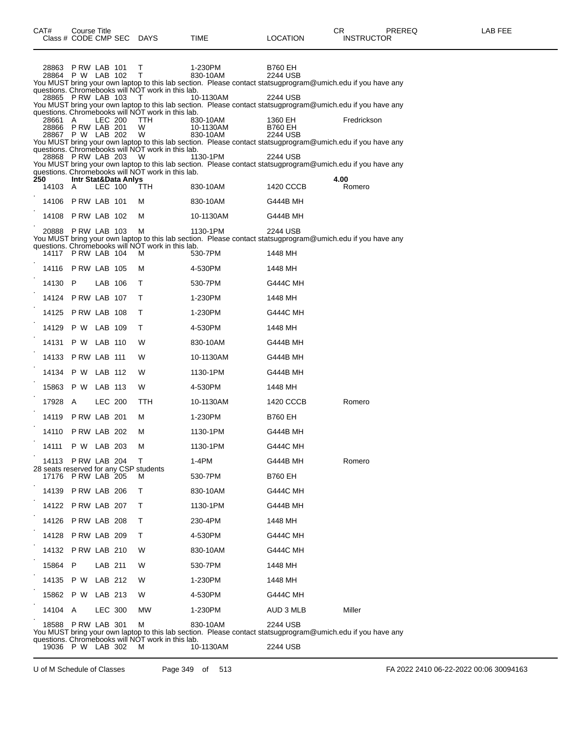| CAT#                                   | <b>Course Title</b>                         |                |                                 | Class # CODE CMP SEC DAYS                                                                                   | TIME                                                                                                                                                                                                                                   | <b>LOCATION</b>                       | CR<br>PREREQ<br><b>INSTRUCTOR</b>                                                                           | <b>LAB FEE</b> |
|----------------------------------------|---------------------------------------------|----------------|---------------------------------|-------------------------------------------------------------------------------------------------------------|----------------------------------------------------------------------------------------------------------------------------------------------------------------------------------------------------------------------------------------|---------------------------------------|-------------------------------------------------------------------------------------------------------------|----------------|
| 28863                                  | PRW LAB 101<br>28864 P W LAB 102            |                |                                 | т<br>T.                                                                                                     | 1-230PM<br>830-10AM<br>You MUST bring your own laptop to this lab section. Please contact statsugprogram@umich.edu if you have any                                                                                                     | B760 EH<br>2244 USB                   |                                                                                                             |                |
|                                        | 28865 P RW LAB 103                          |                |                                 | questions. Chromebooks will NOT work in this lab.<br>T                                                      | 10-1130AM<br>You MUST bring your own laptop to this lab section. Please contact statsugprogram@umich.edu if you have any                                                                                                               | 2244 USB                              |                                                                                                             |                |
| 28661                                  | A<br>28866 PRW LAB 201<br>28867 P W LAB 202 |                | <b>LEC 200</b>                  | questions. Chromebooks will NOT work in this lab.<br><b>TTH</b><br>W<br>W                                   | 830-10AM<br>10-1130AM<br>830-10AM                                                                                                                                                                                                      | 1360 EH<br><b>B760 EH</b><br>2244 USB | Fredrickson                                                                                                 |                |
|                                        | 28868 PRW LAB 203                           |                |                                 | questions. Chromebooks will NOT work in this lab.<br>W<br>questions. Chromebooks will NOT work in this lab. | You MUST bring your own laptop to this lab section. Please contact statsugprogram@umich.edu if you have any<br>1130-1PM<br>You MUST bring your own laptop to this lab section. Please contact statsugprogram@umich.edu if you have any | 2244 USB                              |                                                                                                             |                |
| 250<br>14103 A                         |                                             |                | Intr Stat&Data Anlys<br>LEC 100 | TTH                                                                                                         | 830-10AM                                                                                                                                                                                                                               | 1420 CCCB                             | 4.00<br>Romero                                                                                              |                |
|                                        | 14106 P RW LAB 101                          |                |                                 | м                                                                                                           | 830-10AM                                                                                                                                                                                                                               | G444B MH                              |                                                                                                             |                |
| 14108                                  | PRW LAB 102                                 |                |                                 | м                                                                                                           | 10-1130AM                                                                                                                                                                                                                              | G444B MH                              |                                                                                                             |                |
| 20888                                  | PRW LAB 103                                 |                |                                 | M<br>questions. Chromebooks will NOT work in this lab.                                                      | 1130-1PM<br>You MUST bring your own laptop to this lab section. Please contact statsugprogram@umich.edu if you have any                                                                                                                | 2244 USB                              |                                                                                                             |                |
|                                        | 14117 P RW LAB 104                          |                |                                 | м                                                                                                           | 530-7PM                                                                                                                                                                                                                                | 1448 MH                               |                                                                                                             |                |
| 14116                                  | PRW LAB 105                                 |                |                                 | м                                                                                                           | 4-530PM                                                                                                                                                                                                                                | 1448 MH                               |                                                                                                             |                |
| 14130 P                                |                                             |                | LAB 106                         | T.                                                                                                          | 530-7PM                                                                                                                                                                                                                                | <b>G444C MH</b>                       |                                                                                                             |                |
|                                        | 14124 P RW LAB 107                          |                |                                 | T.                                                                                                          | 1-230PM                                                                                                                                                                                                                                | 1448 MH                               |                                                                                                             |                |
|                                        | 14125 P RW LAB 108                          |                |                                 | T.                                                                                                          | 1-230PM                                                                                                                                                                                                                                | <b>G444C MH</b>                       |                                                                                                             |                |
| 14129                                  | P W LAB 109                                 |                |                                 | T.                                                                                                          | 4-530PM                                                                                                                                                                                                                                | 1448 MH                               |                                                                                                             |                |
| 14131                                  | P W LAB 110                                 |                |                                 | W                                                                                                           | 830-10AM                                                                                                                                                                                                                               | G444B MH                              |                                                                                                             |                |
|                                        | 14133 P RW LAB 111                          |                |                                 | W                                                                                                           | 10-1130AM                                                                                                                                                                                                                              | G444B MH                              |                                                                                                             |                |
| 14134                                  | P W LAB 112                                 |                |                                 | W                                                                                                           | 1130-1PM                                                                                                                                                                                                                               | G444B MH                              |                                                                                                             |                |
| 15863                                  | P W                                         | LAB 113        |                                 | W                                                                                                           | 4-530PM                                                                                                                                                                                                                                | 1448 MH                               |                                                                                                             |                |
| 17928                                  | A                                           | <b>LEC 200</b> |                                 | TTH                                                                                                         | 10-1130AM                                                                                                                                                                                                                              | 1420 CCCB                             | Romero                                                                                                      |                |
| 14119                                  | <b>P RW LAB 201</b>                         |                |                                 | м                                                                                                           | 1-230PM                                                                                                                                                                                                                                | B760 EH                               |                                                                                                             |                |
|                                        | 14110 P RW LAB 202                          |                |                                 | м                                                                                                           | 1130-1PM                                                                                                                                                                                                                               | G444B MH                              |                                                                                                             |                |
| 14111                                  | P W LAB 203                                 |                |                                 | M                                                                                                           | 1130-1PM                                                                                                                                                                                                                               | G444C MH                              |                                                                                                             |                |
|                                        | 14113 P RW LAB 204                          |                |                                 | т                                                                                                           | 1-4PM                                                                                                                                                                                                                                  | G444B MH                              | Romero                                                                                                      |                |
| 28 seats reserved for any CSP students | 17176 P RW LAB 205                          |                |                                 | м                                                                                                           | 530-7PM                                                                                                                                                                                                                                | <b>B760 EH</b>                        |                                                                                                             |                |
|                                        | 14139 P RW LAB 206                          |                |                                 | т                                                                                                           | 830-10AM                                                                                                                                                                                                                               | <b>G444C MH</b>                       |                                                                                                             |                |
|                                        | 14122 PRW LAB 207                           |                |                                 | т                                                                                                           | 1130-1PM                                                                                                                                                                                                                               | G444B MH                              |                                                                                                             |                |
|                                        | 14126 P RW LAB 208                          |                |                                 | т                                                                                                           | 230-4PM                                                                                                                                                                                                                                | 1448 MH                               |                                                                                                             |                |
| 14128                                  | PRW LAB 209                                 |                |                                 | т                                                                                                           | 4-530PM                                                                                                                                                                                                                                | <b>G444C MH</b>                       |                                                                                                             |                |
|                                        | 14132 P RW LAB 210                          |                |                                 | W                                                                                                           | 830-10AM                                                                                                                                                                                                                               | <b>G444C MH</b>                       |                                                                                                             |                |
| 15864                                  | P                                           | LAB 211        |                                 | W                                                                                                           | 530-7PM                                                                                                                                                                                                                                | 1448 MH                               |                                                                                                             |                |
| 14135                                  | P W                                         | LAB 212        |                                 | W                                                                                                           | 1-230PM                                                                                                                                                                                                                                | 1448 MH                               |                                                                                                             |                |
| 15862 P W                              |                                             | LAB 213        |                                 | W                                                                                                           | 4-530PM                                                                                                                                                                                                                                | G444C MH                              |                                                                                                             |                |
| 14104 A                                |                                             | <b>LEC 300</b> |                                 | МW                                                                                                          | 1-230PM                                                                                                                                                                                                                                | AUD 3 MLB                             | Miller                                                                                                      |                |
| 18588                                  | PRW LAB 301                                 |                |                                 | м                                                                                                           | 830-10AM                                                                                                                                                                                                                               | 2244 USB                              |                                                                                                             |                |
|                                        |                                             |                |                                 |                                                                                                             |                                                                                                                                                                                                                                        |                                       | You MUST bring your own laptop to this lab section. Please contact statsugprogram@umich.edu if you have any |                |

questions. Chromebooks will NOT work in this lab. 19036 P W LAB 302 M 10-1130AM 2244 USB

U of M Schedule of Classes Page 349 of 513 FA 2022 2410 06-22-2022 00:06 30094163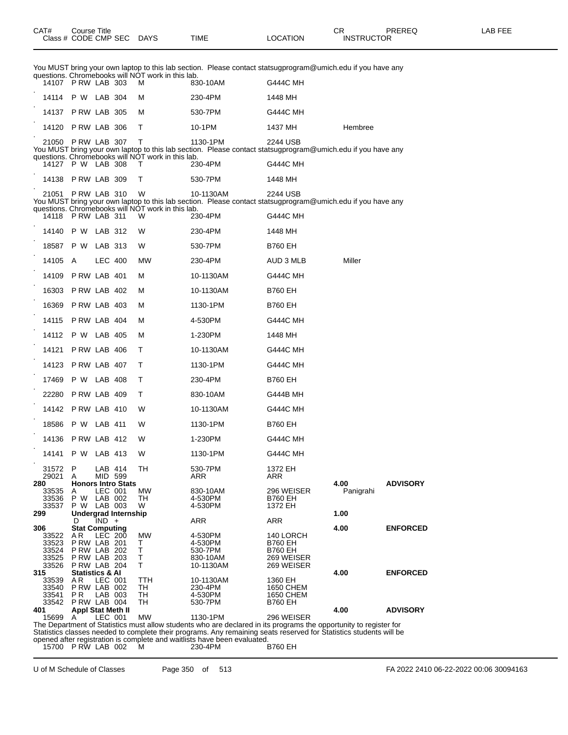|     | UΚ  |
|-----|-----|
| ion | IN: |

|                |                                     |         | questions. Chromebooks will NOT work in this lab.      |                       | You MUST bring your own laptop to this lab section. Please contact statsugprogram@umich.edu if you have any             |           |                 |
|----------------|-------------------------------------|---------|--------------------------------------------------------|-----------------------|-------------------------------------------------------------------------------------------------------------------------|-----------|-----------------|
|                | 14107 P RW LAB 303                  |         | м                                                      | 830-10AM              | <b>G444C MH</b>                                                                                                         |           |                 |
| 14114          | P W LAB 304                         |         | м                                                      | 230-4PM               | 1448 MH                                                                                                                 |           |                 |
| 14137          | PRW LAB 305                         |         | м                                                      | 530-7PM               | <b>G444C MH</b>                                                                                                         |           |                 |
| 14120          | PRW LAB 306                         |         | т                                                      | 10-1PM                | 1437 MH                                                                                                                 | Hembree   |                 |
|                | 21050 P RW LAB 307                  |         | т                                                      | 1130-1PM              | 2244 USB<br>You MUST bring your own laptop to this lab section. Please contact statsugprogram@umich.edu if you have any |           |                 |
|                | 14127 P W LAB 308                   |         | questions. Chromebooks will NOT work in this lab.<br>т | 230-4PM               | <b>G444C MH</b>                                                                                                         |           |                 |
|                | 14138 P RW LAB 309                  |         | т                                                      | 530-7PM               | 1448 MH                                                                                                                 |           |                 |
| 21051          | PRW LAB 310                         |         | W                                                      | 10-1130AM             | 2244 USB                                                                                                                |           |                 |
|                |                                     |         | questions. Chromebooks will NOT work in this lab.      |                       | You MUST bring your own laptop to this lab section. Please contact statsugprogram@umich.edu if you have any             |           |                 |
|                | 14118 P RW LAB 311                  |         | W                                                      | 230-4PM               | <b>G444C MH</b>                                                                                                         |           |                 |
| 14140          | P W                                 | LAB 312 | W                                                      | 230-4PM               | 1448 MH                                                                                                                 |           |                 |
| 18587          | P W                                 | LAB 313 | W                                                      | 530-7PM               | <b>B760 EH</b>                                                                                                          |           |                 |
| 14105          | A                                   | LEC 400 | MW                                                     | 230-4PM               | AUD 3 MLB                                                                                                               | Miller    |                 |
| 14109          | PRW LAB 401                         |         | м                                                      | 10-1130AM             | <b>G444C MH</b>                                                                                                         |           |                 |
| 16303          | PRW LAB 402                         |         | м                                                      | 10-1130AM             | <b>B760 EH</b>                                                                                                          |           |                 |
| 16369          | PRW LAB 403                         |         | м                                                      | 1130-1PM              | <b>B760 EH</b>                                                                                                          |           |                 |
| 14115          | P RW LAB 404                        |         | м                                                      | 4-530PM               | <b>G444C MH</b>                                                                                                         |           |                 |
| 14112          | P W LAB 405                         |         | м                                                      | 1-230PM               | 1448 MH                                                                                                                 |           |                 |
| 14121          | PRW LAB 406                         |         | т                                                      | 10-1130AM             | G444C MH                                                                                                                |           |                 |
| 14123          | PRW LAB 407                         |         | т                                                      | 1130-1PM              | <b>G444C MH</b>                                                                                                         |           |                 |
| 17469          | P W LAB 408                         |         | т                                                      | 230-4PM               | <b>B760 EH</b>                                                                                                          |           |                 |
| 22280          | PRW LAB 409                         |         | т                                                      | 830-10AM              | G444B MH                                                                                                                |           |                 |
| 14142          | PRW LAB 410                         |         | W                                                      | 10-1130AM             | <b>G444C MH</b>                                                                                                         |           |                 |
| 18586          | P W LAB 411                         |         | W                                                      | 1130-1PM              | <b>B760 EH</b>                                                                                                          |           |                 |
| 14136          | PRW LAB 412                         |         | W                                                      | 1-230PM               | G444C MH                                                                                                                |           |                 |
|                | 14141 P W LAB 413                   |         | W                                                      | 1130-1PM              | <b>G444C MH</b>                                                                                                         |           |                 |
| 31572          | P.                                  | LAB 414 | TH                                                     | 530-7PM               | 1372 EH                                                                                                                 |           |                 |
| 29021<br>280   | A<br><b>Honors Intro Stats</b>      | MID 599 |                                                        | ARR                   | ARR                                                                                                                     | 4.00      | <b>ADVISORY</b> |
| 33535<br>33536 | A<br>P W LAB 002                    | LEC 001 | МW<br>TH                                               | 830-10AM<br>4-530PM   | 296 WEISER<br><b>B760 EH</b>                                                                                            | Panigrahi |                 |
| 33537<br>299   | P W LAB 003<br>Undergrad Internship |         | W                                                      | 4-530PM               | 1372 EH                                                                                                                 | 1.00      |                 |
| 306            | D<br><b>Stat Computing</b>          | $IND +$ |                                                        | ARR                   | ARR                                                                                                                     | 4.00      | <b>ENFORCED</b> |
| 33522          | AR.<br>PRW LAB 201                  | LEC 200 | MW                                                     | 4-530PM               | 140 LORCH                                                                                                               |           |                 |
| 33523<br>33524 | <b>P RW LAB 202</b>                 |         | Т<br>Τ                                                 | 4-530PM<br>530-7PM    | <b>B760 EH</b><br><b>B760 EH</b>                                                                                        |           |                 |
| 33525<br>33526 | PRW LAB 203<br>PRW LAB 204          |         | Т<br>т                                                 | 830-10AM<br>10-1130AM | 269 WEISER<br>269 WEISER                                                                                                |           |                 |
| 315<br>33539   | <b>Statistics &amp; Al</b><br>AR    | LEC 001 | ттн                                                    | 10-1130AM             | 1360 EH                                                                                                                 | 4.00      | <b>ENFORCED</b> |
| 33540          | PRW LAB 002                         |         | TH                                                     | 230-4PM               | 1650 CHEM                                                                                                               |           |                 |
| 33541<br>33542 | P R<br>PRW LAB 004                  | LAB 003 | TН<br>TН                                               | 4-530PM<br>530-7PM    | 1650 CHEM<br><b>B760 EH</b>                                                                                             |           |                 |
| 401<br>15699 A | <b>Appl Stat Meth II</b>            | LEC 001 | <b>MW</b>                                              | 1130-1PM              | 296 WEISER                                                                                                              | 4.00      | <b>ADVISORY</b> |
|                |                                     |         |                                                        |                       | The Department of Statistics must allow students who are declared in its programs the opportunity to register for       |           |                 |

Statistics classes needed to complete their programs. Any remaining seats reserved for Statistics students will be

opened after registration is complete and waitlists have been evaluated.

15700 P RW LAB 002 M 230-4PM B760 EH

U of M Schedule of Classes Page 350 of 513 FA 2022 2410 06-22-2022 00:06 30094163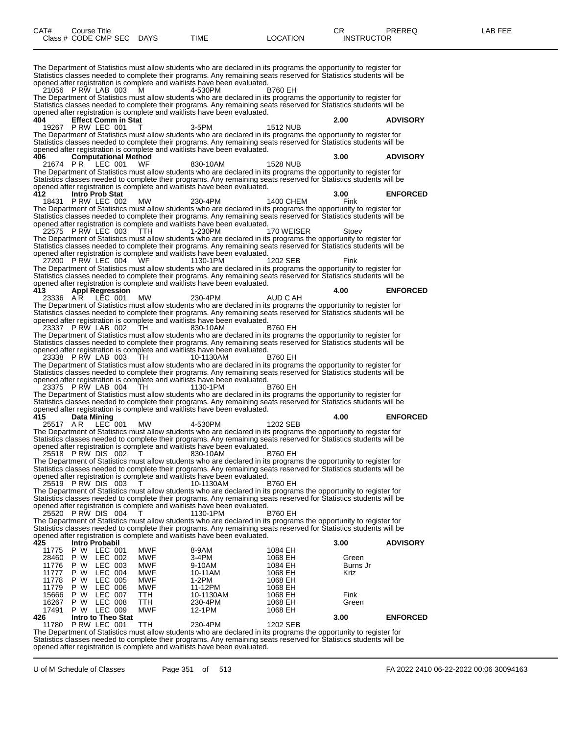| CAT#           | Course Title              |                             |                          |                                                                                       |                                                                                                                                                                                                                                         | CR.               | PREREQ          | LAB FEE |
|----------------|---------------------------|-----------------------------|--------------------------|---------------------------------------------------------------------------------------|-----------------------------------------------------------------------------------------------------------------------------------------------------------------------------------------------------------------------------------------|-------------------|-----------------|---------|
|                | Class # CODE CMP SEC DAYS |                             |                          | TIME                                                                                  | <b>LOCATION</b>                                                                                                                                                                                                                         | <b>INSTRUCTOR</b> |                 |         |
|                |                           |                             |                          |                                                                                       |                                                                                                                                                                                                                                         |                   |                 |         |
|                |                           |                             |                          |                                                                                       |                                                                                                                                                                                                                                         |                   |                 |         |
|                |                           |                             |                          |                                                                                       | The Department of Statistics must allow students who are declared in its programs the opportunity to register for                                                                                                                       |                   |                 |         |
|                |                           |                             |                          |                                                                                       | Statistics classes needed to complete their programs. Any remaining seats reserved for Statistics students will be                                                                                                                      |                   |                 |         |
|                |                           |                             |                          | opened after registration is complete and waitlists have been evaluated.              |                                                                                                                                                                                                                                         |                   |                 |         |
|                | 21056 P RW LAB 003        |                             | M                        | 4-530PM                                                                               | <b>B760 EH</b>                                                                                                                                                                                                                          |                   |                 |         |
|                |                           |                             |                          |                                                                                       | The Department of Statistics must allow students who are declared in its programs the opportunity to register for                                                                                                                       |                   |                 |         |
|                |                           |                             |                          | opened after registration is complete and waitlists have been evaluated.              | Statistics classes needed to complete their programs. Any remaining seats reserved for Statistics students will be                                                                                                                      |                   |                 |         |
| 404            |                           | <b>Effect Comm in Stat</b>  |                          |                                                                                       |                                                                                                                                                                                                                                         | 2.00              | <b>ADVISORY</b> |         |
|                | 19267 P RW LEC 001        |                             |                          | 3-5PM                                                                                 | <b>1512 NUB</b>                                                                                                                                                                                                                         |                   |                 |         |
|                |                           |                             |                          |                                                                                       | The Department of Statistics must allow students who are declared in its programs the opportunity to register for                                                                                                                       |                   |                 |         |
|                |                           |                             |                          |                                                                                       | Statistics classes needed to complete their programs. Any remaining seats reserved for Statistics students will be                                                                                                                      |                   |                 |         |
| 406            |                           | <b>Computational Method</b> |                          | opened after registration is complete and waitlists have been evaluated.              |                                                                                                                                                                                                                                         | 3.00              | <b>ADVISORY</b> |         |
|                | 21674 PR LEC 001          |                             | WF                       | 830-10AM                                                                              | <b>1528 NUB</b>                                                                                                                                                                                                                         |                   |                 |         |
|                |                           |                             |                          |                                                                                       | The Department of Statistics must allow students who are declared in its programs the opportunity to register for                                                                                                                       |                   |                 |         |
|                |                           |                             |                          |                                                                                       | Statistics classes needed to complete their programs. Any remaining seats reserved for Statistics students will be                                                                                                                      |                   |                 |         |
|                |                           |                             |                          | opened after registration is complete and waitlists have been evaluated.              |                                                                                                                                                                                                                                         |                   |                 |         |
| 412            | 18431 P RW LEC 002        | Intro Prob Stat             |                          |                                                                                       |                                                                                                                                                                                                                                         | 3.00              | <b>ENFORCED</b> |         |
|                |                           |                             | <b>MW</b>                | 230-4PM                                                                               | 1400 CHEM<br>The Department of Statistics must allow students who are declared in its programs the opportunity to register for                                                                                                          | Fink              |                 |         |
|                |                           |                             |                          |                                                                                       | Statistics classes needed to complete their programs. Any remaining seats reserved for Statistics students will be                                                                                                                      |                   |                 |         |
|                |                           |                             |                          | opened after registration is complete and waitlists have been evaluated.              |                                                                                                                                                                                                                                         |                   |                 |         |
|                | 22575 P RW LEC 003        |                             | TTH.                     | 1-230PM                                                                               | 170 WEISER                                                                                                                                                                                                                              | Stoev             |                 |         |
|                |                           |                             |                          |                                                                                       | The Department of Statistics must allow students who are declared in its programs the opportunity to register for                                                                                                                       |                   |                 |         |
|                |                           |                             |                          | opened after registration is complete and waitlists have been evaluated.              | Statistics classes needed to complete their programs. Any remaining seats reserved for Statistics students will be                                                                                                                      |                   |                 |         |
|                | 27200 PRW LEC 004         |                             | <b>WF</b>                | 1130-1PM                                                                              | 1202 SEB                                                                                                                                                                                                                                | Fink              |                 |         |
|                |                           |                             |                          |                                                                                       | The Department of Statistics must allow students who are declared in its programs the opportunity to register for                                                                                                                       |                   |                 |         |
|                |                           |                             |                          |                                                                                       | Statistics classes needed to complete their programs. Any remaining seats reserved for Statistics students will be                                                                                                                      |                   |                 |         |
|                |                           |                             |                          | opened after registration is complete and waitlists have been evaluated.              |                                                                                                                                                                                                                                         |                   |                 |         |
| 413            | 23336 AR LEC 001          | <b>Appl Regression</b>      | МW                       | 230-4PM                                                                               | AUD C AH                                                                                                                                                                                                                                | 4.00              | <b>ENFORCED</b> |         |
|                |                           |                             |                          |                                                                                       | The Department of Statistics must allow students who are declared in its programs the opportunity to register for                                                                                                                       |                   |                 |         |
|                |                           |                             |                          |                                                                                       | Statistics classes needed to complete their programs. Any remaining seats reserved for Statistics students will be                                                                                                                      |                   |                 |         |
|                |                           |                             |                          | opened after registration is complete and waitlists have been evaluated.              |                                                                                                                                                                                                                                         |                   |                 |         |
|                | 23337 PRW LAB 002         |                             | TH.                      | 830-10AM                                                                              | <b>B760 EH</b>                                                                                                                                                                                                                          |                   |                 |         |
|                |                           |                             |                          |                                                                                       | The Department of Statistics must allow students who are declared in its programs the opportunity to register for                                                                                                                       |                   |                 |         |
|                |                           |                             |                          | opened after registration is complete and waitlists have been evaluated.              | Statistics classes needed to complete their programs. Any remaining seats reserved for Statistics students will be                                                                                                                      |                   |                 |         |
|                | 23338 P RW LAB 003        |                             | TH.                      | 10-1130AM                                                                             | <b>B760 EH</b>                                                                                                                                                                                                                          |                   |                 |         |
|                |                           |                             |                          |                                                                                       | The Department of Statistics must allow students who are declared in its programs the opportunity to register for                                                                                                                       |                   |                 |         |
|                |                           |                             |                          |                                                                                       | Statistics classes needed to complete their programs. Any remaining seats reserved for Statistics students will be                                                                                                                      |                   |                 |         |
|                | 23375 PRW LAB 004         |                             | TH                       | opened after registration is complete and waitlists have been evaluated.              |                                                                                                                                                                                                                                         |                   |                 |         |
|                |                           |                             |                          | 1130-1PM                                                                              | <b>B760 EH</b><br>The Department of Statistics must allow students who are declared in its programs the opportunity to register for                                                                                                     |                   |                 |         |
|                |                           |                             |                          |                                                                                       | Statistics classes needed to complete their programs. Any remaining seats reserved for Statistics students will be                                                                                                                      |                   |                 |         |
|                |                           |                             |                          | opened after registration is complete and waitlists have been evaluated.              |                                                                                                                                                                                                                                         |                   |                 |         |
| 415            | Data Mining               |                             |                          |                                                                                       |                                                                                                                                                                                                                                         | 4.00              | <b>ENFORCED</b> |         |
| 25517 AR       |                           | LEC 001                     | <b>MW</b>                | 4-530PM                                                                               | 1202 SEB                                                                                                                                                                                                                                |                   |                 |         |
|                |                           |                             |                          |                                                                                       | The Department of Statistics must allow students who are declared in its programs the opportunity to register for<br>Statistics classes needed to complete their programs. Any remaining seats reserved for Statistics students will be |                   |                 |         |
|                |                           |                             |                          | opened after registration is complete and waitlists have been evaluated.              |                                                                                                                                                                                                                                         |                   |                 |         |
|                | 25518 PRW DIS 002         |                             |                          | 830-10AM                                                                              | <b>B760 EH</b>                                                                                                                                                                                                                          |                   |                 |         |
|                |                           |                             |                          |                                                                                       | The Department of Statistics must allow students who are declared in its programs the opportunity to register for                                                                                                                       |                   |                 |         |
|                |                           |                             |                          |                                                                                       | Statistics classes needed to complete their programs. Any remaining seats reserved for Statistics students will be                                                                                                                      |                   |                 |         |
|                | 25519 PRW DIS 003         |                             |                          | opened after registration is complete and waitlists have been evaluated.<br>10-1130AM | <b>B760 EH</b>                                                                                                                                                                                                                          |                   |                 |         |
|                |                           |                             |                          |                                                                                       | The Department of Statistics must allow students who are declared in its programs the opportunity to register for                                                                                                                       |                   |                 |         |
|                |                           |                             |                          |                                                                                       | Statistics classes needed to complete their programs. Any remaining seats reserved for Statistics students will be                                                                                                                      |                   |                 |         |
|                |                           |                             |                          | opened after registration is complete and waitlists have been evaluated.              |                                                                                                                                                                                                                                         |                   |                 |         |
|                | 25520 PRW DIS 004         |                             |                          | 1130-1PM                                                                              | <b>B760 EH</b>                                                                                                                                                                                                                          |                   |                 |         |
|                |                           |                             |                          |                                                                                       | The Department of Statistics must allow students who are declared in its programs the opportunity to register for                                                                                                                       |                   |                 |         |
|                |                           |                             |                          | opened after registration is complete and waitlists have been evaluated.              | Statistics classes needed to complete their programs. Any remaining seats reserved for Statistics students will be                                                                                                                      |                   |                 |         |
| 425            |                           | Intro Probabil              |                          |                                                                                       |                                                                                                                                                                                                                                         | 3.00              | <b>ADVISORY</b> |         |
| 11775          |                           | P W LEC 001                 | MWF                      | 8-9AM                                                                                 | 1084 EH                                                                                                                                                                                                                                 |                   |                 |         |
| 28460          | P W                       | LEC 002                     | <b>MWF</b>               | 3-4PM                                                                                 | 1068 EH                                                                                                                                                                                                                                 | Green             |                 |         |
| 11776          | P W                       | LEC 003                     | <b>MWF</b>               | 9-10AM                                                                                | 1084 EH                                                                                                                                                                                                                                 | Burns Jr          |                 |         |
| 11777<br>11778 | P W<br>P W                | LEC 004<br>LEC 005          | <b>MWF</b><br><b>MWF</b> | 10-11AM<br>1-2PM                                                                      | 1068 EH<br>1068 EH                                                                                                                                                                                                                      | Kriz              |                 |         |
| 11779          | P W                       | LEC 006                     | MWF                      | 11-12PM                                                                               | 1068 EH                                                                                                                                                                                                                                 |                   |                 |         |
| 15666          | P W                       | LEC 007                     | TTH                      | 10-1130AM                                                                             | 1068 EH                                                                                                                                                                                                                                 | Fink              |                 |         |
| 16267          | P W                       | LEC 008                     | <b>TTH</b>               | 230-4PM                                                                               | 1068 EH                                                                                                                                                                                                                                 | Green             |                 |         |
| 17491          | P W LEC 009               |                             | MWF                      | 12-1PM                                                                                | 1068 EH                                                                                                                                                                                                                                 |                   |                 |         |
| 426            |                           | Intro to Theo Stat          |                          |                                                                                       |                                                                                                                                                                                                                                         | 3.00              | <b>ENFORCED</b> |         |
| 11780          | PRW LEC 001               |                             | TTH                      | 230-4PM                                                                               | 1202 SEB<br>The Department of Statistics must allow students who are declared in its programs the opportunity to register for                                                                                                           |                   |                 |         |
|                |                           |                             |                          |                                                                                       | Statistics classes needed to complete their programs. Any remaining seats reserved for Statistics students will be                                                                                                                      |                   |                 |         |

opened after registration is complete and waitlists have been evaluated.

U of M Schedule of Classes Page 351 of 513 FA 2022 2410 06-22-2022 00:06 30094163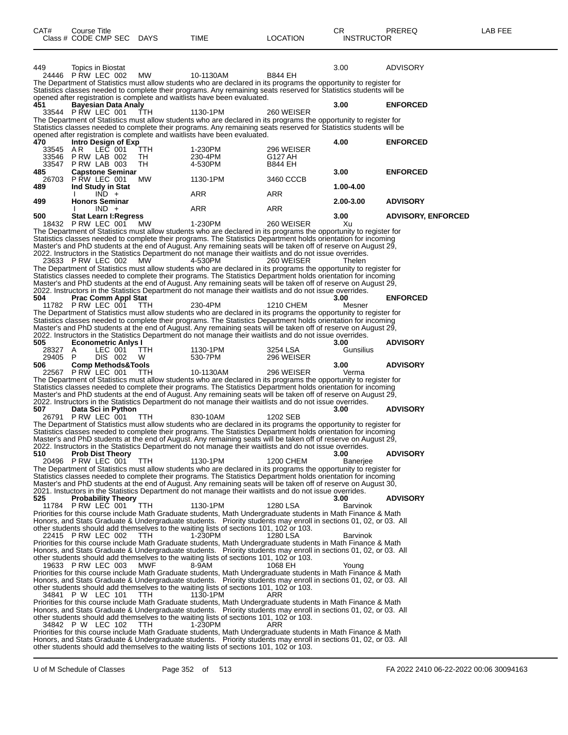| CAT#             | <b>Course Title</b><br>Class # CODE CMP SEC DAYS   |           | <b>TIME</b>                                                                                                                                                                                                                             | <b>LOCATION</b>       | СR<br><b>INSTRUCTOR</b> | PREREQ                    | LAB FEE |
|------------------|----------------------------------------------------|-----------|-----------------------------------------------------------------------------------------------------------------------------------------------------------------------------------------------------------------------------------------|-----------------------|-------------------------|---------------------------|---------|
|                  |                                                    |           |                                                                                                                                                                                                                                         |                       |                         |                           |         |
| 449              | Topics in Biostat                                  |           |                                                                                                                                                                                                                                         |                       | 3.00                    | <b>ADVISORY</b>           |         |
|                  | 24446 PRW LEC 002                                  | МW        | 10-1130AM<br>The Department of Statistics must allow students who are declared in its programs the opportunity to register for                                                                                                          | <b>B844 EH</b>        |                         |                           |         |
|                  |                                                    |           | Statistics classes needed to complete their programs. Any remaining seats reserved for Statistics students will be                                                                                                                      |                       |                         |                           |         |
| 451              | <b>Bayesian Data Analy</b>                         |           | opened after registration is complete and waitlists have been evaluated.                                                                                                                                                                |                       | 3.00                    | <b>ENFORCED</b>           |         |
|                  | 33544 P RW LEC 001                                 | TTH       | 1130-1PM                                                                                                                                                                                                                                | 260 WEISER            |                         |                           |         |
|                  |                                                    |           | The Department of Statistics must allow students who are declared in its programs the opportunity to register for<br>Statistics classes needed to complete their programs. Any remaining seats reserved for Statistics students will be |                       |                         |                           |         |
|                  |                                                    |           | opened after registration is complete and waitlists have been evaluated.                                                                                                                                                                |                       |                         |                           |         |
| 470<br>33545 A R | Intro Design of Exp                                |           |                                                                                                                                                                                                                                         |                       | 4.00                    | <b>ENFORCED</b>           |         |
|                  | LEC 001<br>33546 P RW LAB 002                      | TTH<br>TH | 1-230PM<br>230-4PM                                                                                                                                                                                                                      | 296 WEISER<br>G127 AH |                         |                           |         |
|                  | 33547 P RW LAB 003                                 | TH.       | 4-530PM                                                                                                                                                                                                                                 | <b>B844 EH</b>        |                         |                           |         |
| 485<br>26703     | <b>Capstone Seminar</b><br>P RW LEC 001            | MW        | 1130-1PM                                                                                                                                                                                                                                | 3460 CCCB             | 3.00                    | <b>ENFORCED</b>           |         |
| 489              | Ind Study in Stat                                  |           |                                                                                                                                                                                                                                         |                       | 1.00-4.00               |                           |         |
| 499              | $IND +$<br><b>Honors Seminar</b>                   |           | <b>ARR</b>                                                                                                                                                                                                                              | ARR                   | 2.00-3.00               | <b>ADVISORY</b>           |         |
|                  | $IND +$                                            |           | ARR                                                                                                                                                                                                                                     | ARR                   |                         |                           |         |
| 500              | <b>Stat Learn I: Regress</b><br>18432 P RW LEC 001 | MW.       | 1-230PM                                                                                                                                                                                                                                 | 260 WEISER            | 3.00<br>Xu              | <b>ADVISORY, ENFORCED</b> |         |
|                  |                                                    |           | The Department of Statistics must allow students who are declared in its programs the opportunity to register for                                                                                                                       |                       |                         |                           |         |
|                  |                                                    |           | Statistics classes needed to complete their programs. The Statistics Department holds orientation for incoming                                                                                                                          |                       |                         |                           |         |
|                  |                                                    |           | Master's and PhD students at the end of August. Any remaining seats will be taken off of reserve on August 29,<br>2022. Instructors in the Statistics Department do not manage their waitlists and do not issue overrides.              |                       |                         |                           |         |
|                  | 23633 P RW LEC 002                                 | МW        | 4-530PM                                                                                                                                                                                                                                 | 260 WEISER            | Thelen                  |                           |         |
|                  |                                                    |           | The Department of Statistics must allow students who are declared in its programs the opportunity to register for<br>Statistics classes needed to complete their programs. The Statistics Department holds orientation for incoming     |                       |                         |                           |         |
|                  |                                                    |           | Master's and PhD students at the end of August. Any remaining seats will be taken off of reserve on August 29,                                                                                                                          |                       |                         |                           |         |
| 504              | <b>Prac Comm Appl Stat</b>                         |           | 2022. Instructors in the Statistics Department do not manage their waitlists and do not issue overrides.                                                                                                                                |                       | 3.00                    | <b>ENFORCED</b>           |         |
|                  | 11782 P RW LEC 001 TTH                             |           | 230-4PM                                                                                                                                                                                                                                 | 1210 CHEM             | Mesner                  |                           |         |
|                  |                                                    |           | The Department of Statistics must allow students who are declared in its programs the opportunity to register for<br>Statistics classes needed to complete their programs. The Statistics Department holds orientation for incoming     |                       |                         |                           |         |
|                  |                                                    |           | Master's and PhD students at the end of August. Any remaining seats will be taken off of reserve on August 29,                                                                                                                          |                       |                         |                           |         |
|                  |                                                    |           | 2022. Instructors in the Statistics Department do not manage their waitlists and do not issue overrides.                                                                                                                                |                       |                         |                           |         |
| 505<br>28327 A   | <b>Econometric Anlys I</b><br>LEC 001              | TTH.      | 1130-1PM                                                                                                                                                                                                                                | 3254 LSA              | 3.00<br>Gunsilius       | <b>ADVISORY</b>           |         |
| 29405 P          | DIS 002                                            | W         | 530-7PM                                                                                                                                                                                                                                 | 296 WEISER            |                         |                           |         |
| 506              | <b>Comp Methods&amp;Tools</b><br>22567 PRW LEC 001 | TTH       | 10-1130AM                                                                                                                                                                                                                               | 296 WEISER            | 3.00<br>Verma           | <b>ADVISORY</b>           |         |
|                  |                                                    |           | The Department of Statistics must allow students who are declared in its programs the opportunity to register for                                                                                                                       |                       |                         |                           |         |
|                  |                                                    |           | Statistics classes needed to complete their programs. The Statistics Department holds orientation for incoming<br>Master's and PhD students at the end of August. Any remaining seats will be taken off of reserve on August 29,        |                       |                         |                           |         |
|                  |                                                    |           | 2022. Instructors in the Statistics Department do not manage their waitlists and do not issue overrides.                                                                                                                                |                       |                         |                           |         |
| 507              | Data Sci in Python<br>26791 P RW LEC 001           | TTH.      | 830-10AM                                                                                                                                                                                                                                | 1202 SEB              | 3.00                    | <b>ADVISORY</b>           |         |
|                  |                                                    |           | The Department of Statistics must allow students who are declared in its programs the opportunity to register for                                                                                                                       |                       |                         |                           |         |
|                  |                                                    |           | Statistics classes needed to complete their programs. The Statistics Department holds orientation for incoming<br>Master's and PhD students at the end of August. Any remaining seats will be taken off of reserve on August 29,        |                       |                         |                           |         |
|                  |                                                    |           | 2022. Instructors in the Statistics Department do not manage their waitlists and do not issue overrides.                                                                                                                                |                       |                         |                           |         |
| 510<br>20496     | <b>Prob Dist Theory</b><br>PRW LEC 001             | TTH.      | 1130-1PM                                                                                                                                                                                                                                | 1200 CHEM             | 3.00<br><b>Baneriee</b> | <b>ADVISORY</b>           |         |
|                  |                                                    |           | The Department of Statistics must allow students who are declared in its programs the opportunity to register for                                                                                                                       |                       |                         |                           |         |
|                  |                                                    |           | Statistics classes needed to complete their programs. The Statistics Department holds orientation for incoming<br>Master's and PhD students at the end of August. Any remaining seats will be taken off of reserve on August 30,        |                       |                         |                           |         |
|                  |                                                    |           | 2021. Instuctors in the Statistics Department do not manage their waitlists and do not issue overrides.                                                                                                                                 |                       |                         |                           |         |
| 525              | <b>Probability Theory</b>                          |           |                                                                                                                                                                                                                                         |                       | 3.00                    | <b>ADVISORY</b>           |         |
|                  | 11784 P RW LEC 001                                 | TTH       | 1130-1PM<br>Priorities for this course include Math Graduate students, Math Undergraduate students in Math Finance & Math                                                                                                               | 1280 LSA              | <b>Barvinok</b>         |                           |         |
|                  |                                                    |           | Honors, and Stats Graduate & Undergraduate students. Priority students may enroll in sections 01, 02, or 03. All                                                                                                                        |                       |                         |                           |         |
|                  | 22415 PRW LEC 002                                  | TTH       | other students should add themselves to the waiting lists of sections 101, 102 or 103.<br>1-230PM                                                                                                                                       | 1280 LSA              | <b>Barvinok</b>         |                           |         |
|                  |                                                    |           | Priorities for this course include Math Graduate students, Math Undergraduate students in Math Finance & Math                                                                                                                           |                       |                         |                           |         |
|                  |                                                    |           | Honors, and Stats Graduate & Undergraduate students. Priority students may enroll in sections 01, 02, or 03. All<br>other students should add themselves to the waiting lists of sections 101, 102 or 103.                              |                       |                         |                           |         |
|                  | 19633 P RW LEC 003                                 | MWF       | 8-9AM                                                                                                                                                                                                                                   | 1068 EH               | Young                   |                           |         |
|                  |                                                    |           | Priorities for this course include Math Graduate students, Math Undergraduate students in Math Finance & Math<br>Honors, and Stats Graduate & Undergraduate students. Priority students may enroll in sections 01, 02, or 03. All       |                       |                         |                           |         |
|                  |                                                    |           | other students should add themselves to the waiting lists of sections 101, 102 or 103.                                                                                                                                                  |                       |                         |                           |         |
|                  | 34841 P W LEC 101                                  | TTH.      | 1130-1PM                                                                                                                                                                                                                                | ARR                   |                         |                           |         |
|                  |                                                    |           | Priorities for this course include Math Graduate students, Math Undergraduate students in Math Finance & Math<br>Honors, and Stats Graduate & Undergraduate students. Priority students may enroll in sections 01, 02, or 03. All       |                       |                         |                           |         |
|                  |                                                    |           | other students should add themselves to the waiting lists of sections 101, 102 or 103.                                                                                                                                                  |                       |                         |                           |         |
|                  | 34842 P W LEC 102                                  | TTH       | 1-230PM<br>Priorities for this course include Math Graduate students, Math Undergraduate students in Math Finance & Math                                                                                                                | ARR                   |                         |                           |         |
|                  |                                                    |           | Honors, and Stats Graduate & Undergraduate students. Priority students may enroll in sections 01, 02, or 03. All                                                                                                                        |                       |                         |                           |         |
|                  |                                                    |           | other students should add themselves to the waiting lists of sections 101, 102 or 103.                                                                                                                                                  |                       |                         |                           |         |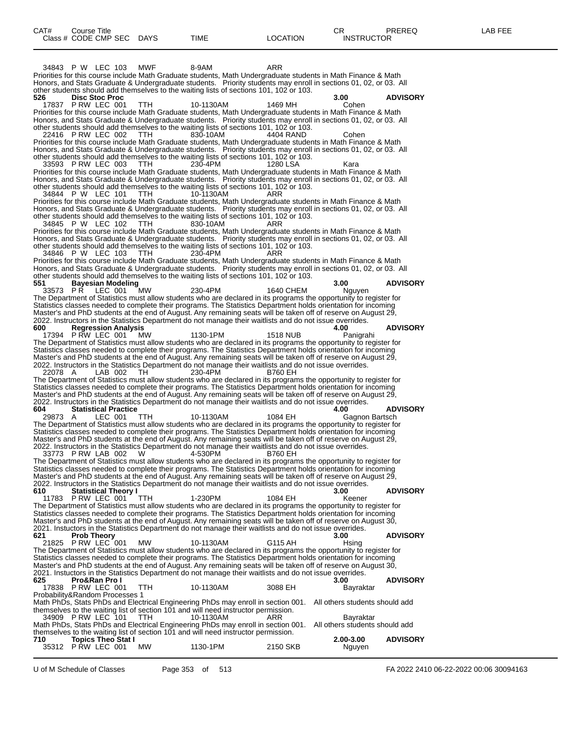34843 P W LEC 103 MWF 8-9AM ARR Priorities for this course include Math Graduate students, Math Undergraduate students in Math Finance & Math Honors, and Stats Graduate & Undergraduate students. Priority students may enroll in sections 01, 02, or 03. All other students should add themselves to the waiting lists of sections 101, 102 or 103.<br>526 **Disc Stoc Proc 526 Disc Stoc Proc 3.00 ADVISORY** 17837 P RW LEC 001 TTH 10-1130AM 1469 MH Cohen Priorities for this course include Math Graduate students, Math Undergraduate students in Math Finance & Math Honors, and Stats Graduate & Undergraduate students. Priority students may enroll in sections 01, 02, or 03. All other students should add themselves to the waiting lists of sections 101, 102 or 103. 22416 P RW LEC 002 TTH 830-10AM 4404 RAND Cohen Priorities for this course include Math Graduate students, Math Undergraduate students in Math Finance & Math Honors, and Stats Graduate & Undergraduate students. Priority students may enroll in sections 01, 02, or 03. All other students should add themselves to the waiting lists of sections 101, 102 or 103. 33593 P RW LEC 003 TTH 230-4PM 1280 LSA Kara Priorities for this course include Math Graduate students, Math Undergraduate students in Math Finance & Math Honors, and Stats Graduate & Undergraduate students. Priority students may enroll in sections 01, 02, or 03. All other students should add themselves to the waiting lists of sections 101, 102 or 103. 34844 P W LEC 101 TTH 10-1130AM ARR Priorities for this course include Math Graduate students, Math Undergraduate students in Math Finance & Math Honors, and Stats Graduate & Undergraduate students. Priority students may enroll in sections 01, 02, or 03. All other students should add themselves to the waiting lists of sections 101, 102 or 103. 34845 P W LEC 102 TTH 830-10AM ARR Priorities for this course include Math Graduate students, Math Undergraduate students in Math Finance & Math Honors, and Stats Graduate & Undergraduate students. Priority students may enroll in sections 01, 02, or 03. All other students should add themselves to the waiting lists of sections 101, 102 or 103. 34846 P W LEC 103 TTH 230-4PM ARR Priorities for this course include Math Graduate students, Math Undergraduate students in Math Finance & Math Honors, and Stats Graduate & Undergraduate students. Priority students may enroll in sections 01, 02, or 03. All other students should add themselves to the waiting lists of sections 101, 102 or 103.<br>551 **Bayesian Modeling 551 Bayesian Modeling 3.00 ADVISORY** 33573 P R LEC 001 MW 230-4PM 1640 CHEM Nguyen The Department of Statistics must allow students who are declared in its programs the opportunity to register for Statistics classes needed to complete their programs. The Statistics Department holds orientation for incoming Master's and PhD students at the end of August. Any remaining seats will be taken off of reserve on August 29, 2022. Instructors in the Statistics Department do not manage their waitlists and do not issue overrides.<br>600 Regression Analysis **600 Regression Analysis 4.00 ADVISORY** 17394 P RW LEC 001 MW 1130-1PM 1518 NUB Panigrahi The Department of Statistics must allow students who are declared in its programs the opportunity to register for Statistics classes needed to complete their programs. The Statistics Department holds orientation for incoming Master's and PhD students at the end of August. Any remaining seats will be taken off of reserve on August 29, 2022. Instructors in the Statistics Department do not manage their waitlists and do not issue overrides. 22078 A LAB 002 TH 230-4PM B760 EH The Department of Statistics must allow students who are declared in its programs the opportunity to register for Statistics classes needed to complete their programs. The Statistics Department holds orientation for incoming Master's and PhD students at the end of August. Any remaining seats will be taken off of reserve on August 29, 2022. Instructors in the Statistics Department do not manage their waitlists and do not issue overrides. **4 CONSIDERTY 600 <b>ADVISORY**<br>29873 A LEC 001 TTH 10-1130AM 1084 EH Gagnon Bartsch 29873 A LEC 001 TTH 10-1130AM 1084 EH Gagnon Bartsch The Department of Statistics must allow students who are declared in its programs the opportunity to register for Statistics classes needed to complete their programs. The Statistics Department holds orientation for incoming Master's and PhD students at the end of August. Any remaining seats will be taken off of reserve on August 29, 2022. Instructors in the Statistics Department do not manage their waitlists and do not issue overrides. 33773 P RW LAB 002 W 4-530PM B760 EH The Department of Statistics must allow students who are declared in its programs the opportunity to register for Statistics classes needed to complete their programs. The Statistics Department holds orientation for incoming Master's and PhD students at the end of August. Any remaining seats will be taken off of reserve on August 29, 2022. Instructors in the Statistics Department do not manage their waitlists and do not issue overrides. **610 Statistical Theory I 3.00 ADVISORY** 11783 P RW LEC 001 TTH 1-230PM 1084 EH Keener The Department of Statistics must allow students who are declared in its programs the opportunity to register for Statistics classes needed to complete their programs. The Statistics Department holds orientation for incoming Master's and PhD students at the end of August. Any remaining seats will be taken off of reserve on August 30, 2021. Instuctors in the Statistics Department do not manage their waitlists and do not issue overrides.<br>621 **Prob Theory** 3.00 **621 Prob Theory 3.00 ADVISORY** 21825 P RW LEC 001 MW 10-1130AM G115 AH Hsing The Department of Statistics must allow students who are declared in its programs the opportunity to register for Statistics classes needed to complete their programs. The Statistics Department holds orientation for incoming Master's and PhD students at the end of August. Any remaining seats will be taken off of reserve on August 30, 2021. Instuctors in the Statistics Department do not manage their waitlists and do not issue overrides.<br>625 **Pro&Ran Pro I Fro&Ran Pro I CONSECT 12.00 CONSECT 12.00 PRW LEC 001 TTH** 10-1130AM 3088 EH 3.00 **Bayraktar** 17838 P RW LEC 001 Probability&Random Processes 1 Math PhDs, Stats PhDs and Electrical Engineering PhDs may enroll in section 001. All others students should add themselves to the waiting list of section 101 and will need instructor permission. 34909 P RW LEC 101 TTH 10-1130AM ARR Bayraktar Math PhDs, Stats PhDs and Electrical Engineering PhDs may enroll in section 001. All others students should add themselves to the waiting list of section 101 and will need instructor permission.<br>710 **Topics Theo Stat I 710 Topics Theo Stat I 2.00-3.00 ADVISORY** 35312 P RW LEC 001 MW 1130-1PM 2150 SKB Nguyen

U of M Schedule of Classes Page 353 of 513 FA 2022 2410 06-22-2022 00:06 30094163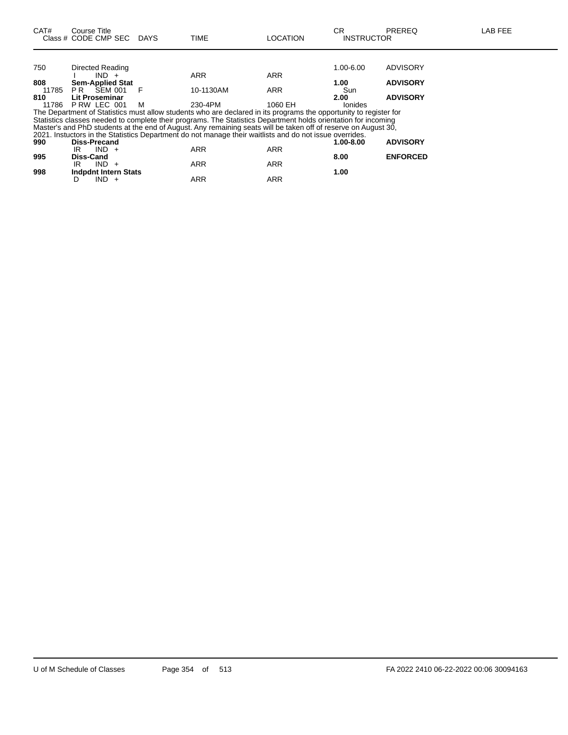| CAT#  | Course Title<br>Class # CODE CMP SEC | <b>DAYS</b> | <b>TIME</b>                                                                                                                                                                                                                      | <b>LOCATION</b> | СR<br><b>INSTRUCTOR</b> | <b>PREREQ</b>   | LAB FEE |
|-------|--------------------------------------|-------------|----------------------------------------------------------------------------------------------------------------------------------------------------------------------------------------------------------------------------------|-----------------|-------------------------|-----------------|---------|
|       |                                      |             |                                                                                                                                                                                                                                  |                 |                         |                 |         |
| 750   | Directed Reading                     |             |                                                                                                                                                                                                                                  |                 | 1.00-6.00               | ADVISORY        |         |
|       | $IND +$                              |             | <b>ARR</b>                                                                                                                                                                                                                       | ARR             |                         |                 |         |
| 808   | <b>Sem-Applied Stat</b>              |             |                                                                                                                                                                                                                                  |                 | 1.00                    | <b>ADVISORY</b> |         |
| 11785 | PR.<br>SEM 001                       | F           | 10-1130AM                                                                                                                                                                                                                        | <b>ARR</b>      | Sun                     |                 |         |
| 810   | <b>Lit Proseminar</b>                |             |                                                                                                                                                                                                                                  |                 | 2.00                    | <b>ADVISORY</b> |         |
| 11786 | PRW LEC 001                          | м           | 230-4PM                                                                                                                                                                                                                          | 1060 EH         | <b>lonides</b>          |                 |         |
|       |                                      |             | The Department of Statistics must allow students who are declared in its programs the opportunity to register for                                                                                                                |                 |                         |                 |         |
|       |                                      |             | Statistics classes needed to complete their programs. The Statistics Department holds orientation for incoming<br>Master's and PhD students at the end of August. Any remaining seats will be taken off of reserve on August 30, |                 |                         |                 |         |
|       |                                      |             | 2021. Instuctors in the Statistics Department do not manage their waitlists and do not issue overrides.                                                                                                                          |                 |                         |                 |         |
| 990   | <b>Diss-Precand</b>                  |             |                                                                                                                                                                                                                                  |                 | 1.00-8.00               | <b>ADVISORY</b> |         |
|       | $IND +$<br>IR                        |             | <b>ARR</b>                                                                                                                                                                                                                       | <b>ARR</b>      |                         |                 |         |
| 995   | Diss-Cand                            |             |                                                                                                                                                                                                                                  |                 | 8.00                    | <b>ENFORCED</b> |         |
|       | $IND +$<br>IR                        |             | <b>ARR</b>                                                                                                                                                                                                                       | <b>ARR</b>      |                         |                 |         |
| 998   | <b>Indpdnt Intern Stats</b>          |             |                                                                                                                                                                                                                                  |                 | 1.00                    |                 |         |
|       | IND.<br>D<br>$+$                     |             | <b>ARR</b>                                                                                                                                                                                                                       | <b>ARR</b>      |                         |                 |         |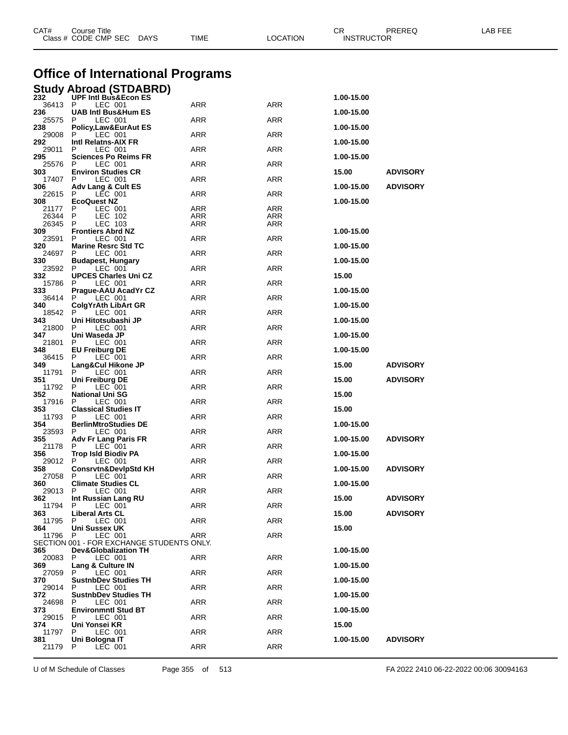| CAT#           | <b>Course Title</b><br>Class # CODE CMP SEC DAYS | <b>TIME</b> | <b>LOCATION</b> | CR<br><b>INSTRUCTOR</b> | PREREQ          | LAB FEE |
|----------------|--------------------------------------------------|-------------|-----------------|-------------------------|-----------------|---------|
|                | <b>Office of International Programs</b>          |             |                 |                         |                 |         |
|                | <b>Study Abroad (STDABRD)</b>                    |             |                 |                         |                 |         |
| 232<br>36413 P | <b>UPF Intl Bus&amp;Econ ES</b><br>LEC 001       | <b>ARR</b>  | <b>ARR</b>      | 1.00-15.00              |                 |         |
| 236<br>25575   | <b>UAB Intl Bus&amp;Hum ES</b><br>LEC 001        | ARR         | ARR             | 1.00-15.00              |                 |         |
| 238            | Policy,Law&EurAut ES                             |             |                 | 1.00-15.00              |                 |         |
| 29008<br>292   | LEC 001<br>P<br>Intl Relatns-AIX FR              | ARR         | ARR             | 1.00-15.00              |                 |         |
| 29011<br>295   | LEC 001<br>P<br><b>Sciences Po Reims FR</b>      | <b>ARR</b>  | ARR             | 1.00-15.00              |                 |         |
| 25576          | LEC 001<br>P                                     | ARR         | ARR             |                         |                 |         |
| 303<br>17407   | <b>Environ Studies CR</b><br>LEC 001<br>P        | ARR         | ARR             | 15.00                   | <b>ADVISORY</b> |         |
| 306<br>22615   | Adv Lang & Cult ES<br>LEC 001<br>P               | ARR         | ARR             | 1.00-15.00              | <b>ADVISORY</b> |         |
| 308            | <b>EcoQuest NZ</b>                               |             |                 | 1.00-15.00              |                 |         |
| 21177<br>26344 | LEC 001<br>P<br>LEC 102                          | ARR<br>ARR  | ARR<br>ARR      |                         |                 |         |
| 26345          | LEC 103<br>P                                     | ARR         | ARR             |                         |                 |         |
| 309<br>23591   | <b>Frontiers Abrd NZ</b><br>LEC 001<br>P         | <b>ARR</b>  | ARR             | 1.00-15.00              |                 |         |
| 320            | <b>Marine Resrc Std TC</b>                       |             |                 | 1.00-15.00              |                 |         |
| 24697<br>330   | LEC 001<br><b>Budapest, Hungary</b>              | ARR         | ARR             | 1.00-15.00              |                 |         |
| 23592          | LEC 001<br>P                                     | ARR         | ARR             |                         |                 |         |
| 332<br>15786   | <b>UPCES Charles Uni CZ</b><br>LEC 001<br>P      | <b>ARR</b>  | ARR             | 15.00                   |                 |         |
| 333.<br>36414  | Prague-AAU AcadYr CZ<br>LEC 001<br>P             | ARR         | ARR             | 1.00-15.00              |                 |         |
| 340            | ColgYrAth LibArt GR                              |             |                 | 1.00-15.00              |                 |         |
| 18542<br>343   | P<br>LEC 001<br>Uni Hitotsubashi JP              | ARR         | ARR             | 1.00-15.00              |                 |         |
| 21800          | LEC 001<br>P                                     | <b>ARR</b>  | ARR             |                         |                 |         |
| 347<br>21801   | Uni Waseda JP<br>LEC 001                         | ARR         | ARR             | 1.00-15.00              |                 |         |
| 348<br>36415   | <b>EU Freiburg DE</b><br>LEC 001<br>P            | <b>ARR</b>  | ARR             | 1.00-15.00              |                 |         |
| 349            | Lang&Cul Hikone JP                               |             |                 | 15.00                   | <b>ADVISORY</b> |         |
| 11791<br>351   | LEC 001<br>P<br>Uni Freiburg DE                  | <b>ARR</b>  | ARR             | 15.00                   | <b>ADVISORY</b> |         |
| 11792          | P<br>LEC 001                                     | <b>ARR</b>  | ARR             |                         |                 |         |
| 352<br>17916   | <b>National Uni SG</b><br>LEC 001<br>P           | ARR         | ARR             | 15.00                   |                 |         |
| 353<br>11793   | <b>Classical Studies IT</b><br>LEC 001<br>P      | ARR         | ARR             | 15.00                   |                 |         |
| 354            | <b>BerlinMtroStudies DE</b>                      |             |                 | 1.00-15.00              |                 |         |
| 23593<br>355   | LEC 001<br>P<br>Adv Fr Lang Paris FR             | ARR         | ARR             | 1.00-15.00              | <b>ADVISORY</b> |         |
| 21178 P<br>356 | $LEC$ 001<br><b>Trop Isld Biodiv PA</b>          | <b>ARR</b>  | ARR             | 1.00-15.00              |                 |         |
| 29012          | P<br>LEC 001                                     | <b>ARR</b>  | ARR             |                         |                 |         |
| 358<br>27058   | <b>Consrvtn&amp;DevipStd KH</b><br>P<br>LEC 001  | ARR         | ARR             | 1.00-15.00              | <b>ADVISORY</b> |         |
| 360            | <b>Climate Studies CL</b>                        |             |                 | 1.00-15.00              |                 |         |
| 29013<br>362   | LEC 001<br>P<br>Int Russian Lang RU              | ARR         | ARR             | 15.00                   | <b>ADVISORY</b> |         |
| 11794<br>363   | LEC 001<br>P<br><b>Liberal Arts CL</b>           | <b>ARR</b>  | ARR             | 15.00                   | <b>ADVISORY</b> |         |
| 11795          | LEC 001<br>P                                     | ARR         | ARR             |                         |                 |         |
| 364<br>11796   | Uni Sussex UK<br>LEC 001<br>P                    | ARR         | ARR             | 15.00                   |                 |         |
|                | SECTION 001 - FOR EXCHANGE STUDENTS ONLY.        |             |                 |                         |                 |         |
| 365<br>20083   | <b>Dev&amp;Globalization TH</b><br>LEC 001<br>P  | ARR         | ARR             | 1.00-15.00              |                 |         |
| 369            | Lang & Culture IN                                |             |                 | 1.00-15.00              |                 |         |
| 27059<br>370   | LEC 001<br>P<br><b>SustnbDev Studies TH</b>      | <b>ARR</b>  | ARR             | 1.00-15.00              |                 |         |
| 29014<br>372   | LEC 001<br>P<br><b>SustnbDev Studies TH</b>      | ARR         | ARR             | 1.00-15.00              |                 |         |
| 24698          | LEC 001<br>P                                     | ARR         | ARR             |                         |                 |         |
| 373<br>29015   | <b>Environmntl Stud BT</b><br>LEC 001<br>P       | <b>ARR</b>  | ARR             | 1.00-15.00              |                 |         |
| 374            | Uni Yonsei KR                                    |             |                 | 15.00                   |                 |         |
| 11797<br>381   | LEC 001<br>P<br>Uni Bologna IT                   | ARR         | ARR             | 1.00-15.00              | <b>ADVISORY</b> |         |
| 21179          | P<br>LEC 001                                     | ARR         | ARR             |                         |                 |         |

U of M Schedule of Classes Page 355 of 513 FA 2022 2410 06-22-2022 00:06 30094163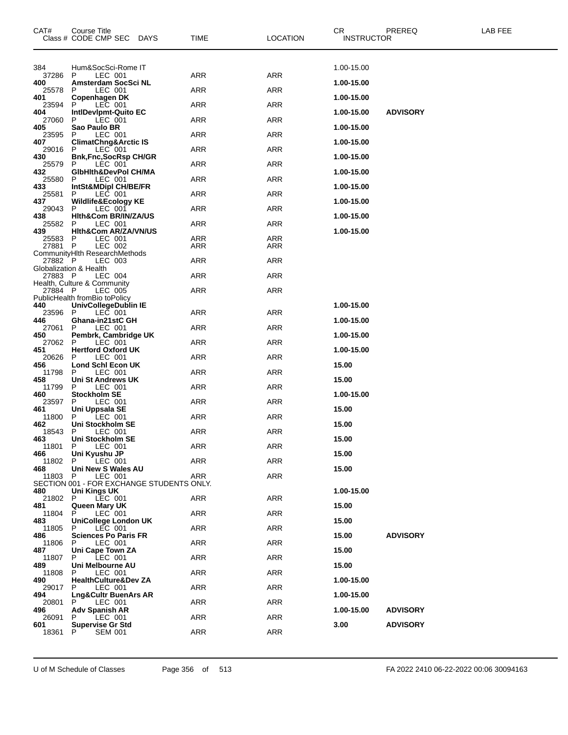| CAT#             | Course Title<br>Class # CODE CMP SEC DAYS                 | <b>TIME</b> | <b>LOCATION</b>   | CR<br><b>INSTRUCTOR</b> | PREREQ          | LAB FEE |
|------------------|-----------------------------------------------------------|-------------|-------------------|-------------------------|-----------------|---------|
| 384              | Hum&SocSci-Rome IT                                        |             |                   | 1.00-15.00              |                 |         |
| 37286<br>400     | P<br>LEC 001<br>Amsterdam SocSci NL                       | ARR         | <b>ARR</b>        | 1.00-15.00              |                 |         |
| 25578            | LEC 001<br>P                                              | ARR         | <b>ARR</b>        |                         |                 |         |
| 401<br>23594     | Copenhagen DK<br>LEC 001<br>P                             | ARR         | <b>ARR</b>        | 1.00-15.00              |                 |         |
| 404<br>27060     | IntiDevipmt-Quito EC<br>P<br>LEC 001                      | ARR         | <b>ARR</b>        | 1.00-15.00              | <b>ADVISORY</b> |         |
| 405<br>23595     | Sao Paulo BR<br>P<br>LEC 001                              | ARR         | <b>ARR</b>        | 1.00-15.00              |                 |         |
| 407              | <b>ClimatChng&amp;Arctic IS</b>                           |             |                   | 1.00-15.00              |                 |         |
| 29016<br>430     | LEC 001<br>P<br><b>Bnk,Fnc,SocRsp CH/GR</b>               | <b>ARR</b>  | <b>ARR</b>        | 1.00-15.00              |                 |         |
| 25579<br>432     | P<br>LEC 001<br>GibHith&DevPol CH/MA                      | ARR         | <b>ARR</b>        | 1.00-15.00              |                 |         |
| 25580            | LEC 001<br>P                                              | ARR         | <b>ARR</b>        |                         |                 |         |
| 433<br>25581     | IntSt&MDipl CH/BE/FR<br>LEC 001<br>P.                     | ARR         | <b>ARR</b>        | 1.00-15.00              |                 |         |
| 437<br>29043     | <b>Wildlife&amp;Ecology KE</b><br>P<br>LEC 001            | ARR         | <b>ARR</b>        | 1.00-15.00              |                 |         |
| 438<br>25582     | Hith&Com BR/IN/ZA/US<br>P<br>LEC 001                      | ARR         | <b>ARR</b>        | 1.00-15.00              |                 |         |
| 439              | Hith&Com AR/ZA/VN/US                                      |             |                   | 1.00-15.00              |                 |         |
| 25583<br>27881 P | LEC 001<br>P<br>LEC 002                                   | ARR<br>ARR  | <b>ARR</b><br>ARR |                         |                 |         |
| 27882 P          | CommunityHIth ResearchMethods<br>LEC 003                  | ARR         | <b>ARR</b>        |                         |                 |         |
|                  | Globalization & Health                                    |             |                   |                         |                 |         |
| 27883 P          | LEC 004<br>Health, Culture & Community                    | ARR         | <b>ARR</b>        |                         |                 |         |
| 27884 P          | LEC 005<br>PublicHealth fromBio toPolicy                  | ARR         | <b>ARR</b>        |                         |                 |         |
| 440<br>23596 P   | UnivCollegeDublin IE<br>LEC 001                           | ARR         | ARR               | 1.00-15.00              |                 |         |
| 446              | Ghana-in21stC GH                                          |             |                   | 1.00-15.00              |                 |         |
| 27061<br>450     | LEC 001<br>P<br>Pembrk, Cambridge UK                      | <b>ARR</b>  | <b>ARR</b>        | 1.00-15.00              |                 |         |
| 27062<br>451     | P<br>LEC 001<br><b>Hertford Oxford UK</b>                 | ARR         | <b>ARR</b>        | 1.00-15.00              |                 |         |
| 20626            | LEC 001<br>P                                              | ARR         | <b>ARR</b>        |                         |                 |         |
| 456<br>11798     | Lond Schl Econ UK<br>P<br>LEC 001                         | ARR         | <b>ARR</b>        | 15.00                   |                 |         |
| 458<br>11799     | Uni St Andrews UK<br>P<br>LEC 001                         | ARR         | <b>ARR</b>        | 15.00                   |                 |         |
| 460<br>23597     | <b>Stockholm SE</b><br>LEC 001<br>P                       | ARR         | <b>ARR</b>        | 1.00-15.00              |                 |         |
| 461              | Uni Uppsala SE                                            |             |                   | 15.00                   |                 |         |
| 11800<br>462     | LEC 001<br>P<br>Uni Stockholm SE                          | ARR         | ARR               | 15.00                   |                 |         |
| 18543<br>463     | P.<br>LEC 001<br>Uni Stockholm SE                         | <b>ARR</b>  | <b>ARR</b>        | 15.00                   |                 |         |
| 11801<br>466     | LEC 001<br>P.<br>Uni Kyushu JP                            | ARR         | ARR               | 15.00                   |                 |         |
| 11802 P          | LEC 001                                                   | <b>ARR</b>  | ARR               |                         |                 |         |
| 468<br>11803 P   | Uni New S Wales AU<br>LEC 001                             | ARR         | ARR               | 15.00                   |                 |         |
| 480              | SECTION 001 - FOR EXCHANGE STUDENTS ONLY.<br>Uni Kings UK |             |                   | 1.00-15.00              |                 |         |
| 21802            | LEC 001<br>P.                                             | ARR         | ARR               |                         |                 |         |
| 481<br>11804     | Queen Mary UK<br>P<br>LEC 001                             | ARR         | ARR               | 15.00                   |                 |         |
| 483<br>11805     | <b>UniCollege London UK</b><br>LEC 001<br>P.              | ARR         | ARR               | 15.00                   |                 |         |
| 486<br>11806     | <b>Sciences Po Paris FR</b><br>P.<br>LEC 001              | ARR         | ARR               | 15.00                   | <b>ADVISORY</b> |         |
| 487              | Uni Cape Town ZA                                          |             |                   | 15.00                   |                 |         |
| 11807<br>489     | P<br>LEC 001<br>Uni Melbourne AU                          | ARR         | ARR               | 15.00                   |                 |         |
| 11808<br>490     | LEC 001<br>P.<br><b>HealthCulture&amp;Dev ZA</b>          | ARR         | ARR               | 1.00-15.00              |                 |         |
| 29017            | P.<br>LEC 001                                             | ARR         | ARR               |                         |                 |         |
| 494<br>20801     | Lng&Cultr BuenArs AR<br>P.<br>LEC 001                     | ARR         | ARR               | 1.00-15.00              |                 |         |
| 496<br>26091     | <b>Adv Spanish AR</b><br>LEC 001<br>P.                    | ARR         | ARR               | 1.00-15.00              | <b>ADVISORY</b> |         |
| 601              | <b>Supervise Gr Std</b>                                   |             |                   | 3.00                    | <b>ADVISORY</b> |         |
| 18361            | P<br><b>SEM 001</b>                                       | ARR         | ARR               |                         |                 |         |

U of M Schedule of Classes Page 356 of 513 FA 2022 2410 06-22-2022 00:06 30094163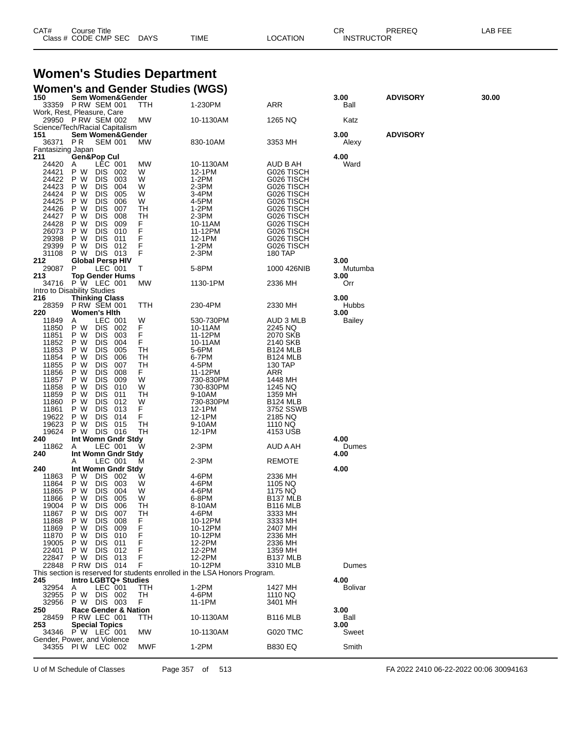| CAT# | Course Title              |             |          | ◠⊏<br>◡◚          | PREREQ | LAB FEE |
|------|---------------------------|-------------|----------|-------------------|--------|---------|
|      | Class # CODE CMP SEC DAYS | <b>TIME</b> | _OCATION | <b>INSTRUCTOR</b> |        |         |

#### **Women's Studies Department Women's and Gender Studies (WGS)**

| 150                                  | .<br>Sem Women&Gender                        |                                            |          |                                                                           |                            | 3.00                 | <b>ADVISORY</b> | 30.00 |
|--------------------------------------|----------------------------------------------|--------------------------------------------|----------|---------------------------------------------------------------------------|----------------------------|----------------------|-----------------|-------|
|                                      | 33359 P RW SEM 001                           |                                            | TTH      | 1-230PM                                                                   | ARR                        | Ball                 |                 |       |
| Work, Rest, Pleasure, Care           | 29950 P RW SEM 002                           |                                            | MW       | 10-1130AM                                                                 | 1265 NQ                    | Katz                 |                 |       |
| Science/Tech/Racial Capitalism       |                                              |                                            |          |                                                                           |                            |                      |                 |       |
| 151                                  | Sem Women&Gender                             |                                            |          |                                                                           |                            | 3.00                 | <b>ADVISORY</b> |       |
| 36371<br>Fantasizing Japan           | PR.                                          | <b>SEM 001</b>                             | МW       | 830-10AM                                                                  | 3353 MH                    | Alexy                |                 |       |
| 211                                  | <b>Gen&amp;Pop Cul</b>                       |                                            |          |                                                                           |                            | 4.00                 |                 |       |
| 24420                                | A                                            | LEC 001                                    | МW       | 10-1130AM                                                                 | AUD B AH                   | Ward                 |                 |       |
| 24421<br>24422                       | P W<br>P W<br>DIS.                           | DIS 002<br>-003                            | W<br>W   | 12-1PM<br>$1-2PM$                                                         | G026 TISCH<br>G026 TISCH   |                      |                 |       |
| 24423                                | P W<br><b>DIS</b>                            | 004                                        | W        | 2-3PM                                                                     | G026 TISCH                 |                      |                 |       |
| 24424                                | P W<br><b>DIS</b>                            | 005                                        | W        | 3-4PM                                                                     | G026 TISCH                 |                      |                 |       |
| 24425                                | P W<br><b>DIS</b>                            | 006                                        | W        | 4-5PM                                                                     | G026 TISCH                 |                      |                 |       |
| 24426<br>24427                       | <b>DIS</b><br>P W<br>P W<br><b>DIS</b>       | 007<br>008                                 | TН<br>TН | $1-2PM$<br>2-3PM                                                          | G026 TISCH<br>G026 TISCH   |                      |                 |       |
| 24428                                | P W<br><b>DIS</b>                            | 009                                        | F        | 10-11AM                                                                   | G026 TISCH                 |                      |                 |       |
| 26073                                | <b>DIS</b><br>P W                            | 010                                        | F        | 11-12PM                                                                   | G026 TISCH                 |                      |                 |       |
| 29398<br>29399                       | P W<br>DIS.<br>P W                           | 011<br>DIS 012                             | F<br>F   | 12-1PM<br>1-2PM                                                           | G026 TISCH<br>G026 TISCH   |                      |                 |       |
| 31108                                | P W                                          | DIS 013                                    | F        | $2-3PM$                                                                   | 180 TAP                    |                      |                 |       |
| 212                                  | <b>Global Persp HIV</b>                      |                                            |          |                                                                           |                            | 3.00                 |                 |       |
| 29087<br>213                         | P<br><b>Top Gender Hums</b>                  | LEC 001                                    | Т        | 5-8PM                                                                     | 1000 426NIB                | Mutumba<br>3.00      |                 |       |
|                                      | 34716 P W LEC 001                            |                                            | МW       | 1130-1PM                                                                  | 2336 MH                    | Orr                  |                 |       |
| Intro to Disability Studies          |                                              |                                            |          |                                                                           |                            |                      |                 |       |
| 216<br>28359                         | <b>Thinking Class</b><br><b>P RW SEM 001</b> |                                            | TTH      | 230-4PM                                                                   | 2330 MH                    | 3.00<br><b>Hubbs</b> |                 |       |
| 220                                  | <b>Women's Hith</b>                          |                                            |          |                                                                           |                            | 3.00                 |                 |       |
| 11849                                | A                                            | LEC 001                                    | W        | 530-730PM                                                                 | AUD 3 MLB                  | Bailey               |                 |       |
| 11850<br>11851                       | P W<br>P W<br><b>DIS</b>                     | DIS 002<br>003                             | F.<br>F  | 10-11AM<br>11-12PM                                                        | 2245 NQ<br>2070 SKB        |                      |                 |       |
| 11852                                | P W<br><b>DIS</b>                            | 004                                        | F.       | 10-11AM                                                                   | 2140 SKB                   |                      |                 |       |
| 11853                                | P W<br>DIS.                                  | 005                                        | TН       | 5-6PM                                                                     | B124 MLB                   |                      |                 |       |
| 11854<br>11855                       | P W<br><b>DIS</b><br><b>DIS</b><br>P W       | 006<br>007                                 | TН<br>TН | 6-7PM<br>4-5PM                                                            | <b>B124 MLB</b><br>130 TAP |                      |                 |       |
| 11856                                | P W<br>DIS.                                  | 008                                        | F.       | 11-12PM                                                                   | ARR                        |                      |                 |       |
| 11857                                | P W<br><b>DIS</b>                            | 009                                        | W        | 730-830PM                                                                 | 1448 MH                    |                      |                 |       |
| 11858                                | <b>DIS</b><br>P W                            | 010                                        | W        | 730-830PM                                                                 | 1245 NQ                    |                      |                 |       |
| 11859<br>11860                       | P W<br>DIS.<br>P W<br><b>DIS</b>             | 011<br>012                                 | TН<br>W  | 9-10AM<br>730-830PM                                                       | 1359 MH<br><b>B124 MLB</b> |                      |                 |       |
| 11861                                | <b>DIS</b><br>P W                            | 013                                        | F.       | 12-1PM                                                                    | 3752 SSWB                  |                      |                 |       |
| 19622                                | P W                                          | DIS 014                                    | F.       | 12-1PM                                                                    | 2185 NQ                    |                      |                 |       |
| 19623<br>19624                       | P W<br>P W                                   | DIS 015<br>DIS 016                         | TН<br>TН | 9-10AM<br>12-1PM                                                          | 1110 NQ<br>4153 USB        |                      |                 |       |
| 240                                  | Int Womn Gndr Stdy                           |                                            |          |                                                                           |                            | 4.00                 |                 |       |
| 11862                                | A                                            | LEC 001                                    | W        | 2-3PM                                                                     | AUD A AH                   | Dumes                |                 |       |
| 240                                  | Int Womn Gndr Stdy<br>A                      | LEC 001                                    | M        | 2-3PM                                                                     | <b>REMOTE</b>              | 4.00                 |                 |       |
| 240                                  | Int Womn Gndr Stdy                           |                                            |          |                                                                           |                            | 4.00                 |                 |       |
| 11863                                | P W                                          | DIS 002                                    | W        | 4-6PM                                                                     | 2336 MH                    |                      |                 |       |
| 11864<br>11865                       | P W<br>P W                                   | DIS 003<br>DIS 004                         | w<br>W   | 4-6PM<br>4-6PM                                                            | 1105 NQ<br>1175 NQ         |                      |                 |       |
| 11866                                | P W                                          | DIS 005                                    | W        | 6-8PM                                                                     | B <sub>137</sub> MLB       |                      |                 |       |
| 19004                                | P W                                          | DIS 006                                    | TН       | 8-10AM                                                                    | B116 MLB                   |                      |                 |       |
| 11867<br>11868                       | P W<br>DIS<br><b>DIS</b><br>РW               | 007<br>008                                 | TH<br>F  | 4-6PM<br>10-12PM                                                          | 3333 MH<br>3333 MH         |                      |                 |       |
| 11869                                | P W<br>DIS                                   | 009                                        | F        | 10-12PM                                                                   | 2407 MH                    |                      |                 |       |
| 11870                                | P W<br>DIS                                   | 010                                        | F        | 10-12PM                                                                   | 2336 MH                    |                      |                 |       |
| 19005<br>22401                       | <b>DIS</b><br>P W<br>P W<br><b>DIS</b>       | 011<br>012                                 | F<br>F   | 12-2PM<br>12-2PM                                                          | 2336 MH<br>1359 MH         |                      |                 |       |
| 22847                                | P W<br><b>DIS</b>                            | 013                                        | F        | 12-2PM                                                                    | B <sub>137</sub> MLB       |                      |                 |       |
| 22848                                | PRW DIS 014                                  |                                            | F        | 10-12PM                                                                   | 3310 MLB                   | Dumes                |                 |       |
| 245                                  | Intro LGBTQ+ Studies                         |                                            |          | This section is reserved for students enrolled in the LSA Honors Program. |                            | 4.00                 |                 |       |
| 32954                                | Α                                            | LEC 001                                    | TTH      | $1-2PM$                                                                   | 1427 MH                    | <b>Bolivar</b>       |                 |       |
| 32955                                | P W                                          | DIS 002                                    | TН       | 4-6PM                                                                     | 1110 NQ                    |                      |                 |       |
| 32956<br>250                         | P W                                          | DIS 003<br><b>Race Gender &amp; Nation</b> | F        | 11-1PM                                                                    | 3401 MH                    | 3.00                 |                 |       |
| 28459                                | PRW LEC 001                                  |                                            | TТH      | 10-1130AM                                                                 | <b>B116 MLB</b>            | Ball                 |                 |       |
| 253                                  | <b>Special Topics</b>                        |                                            |          |                                                                           |                            | 3.00                 |                 |       |
| 34346<br>Gender, Power, and Violence | P W LEC 001                                  |                                            | МW       | 10-1130AM                                                                 | G020 TMC                   | Sweet                |                 |       |
|                                      | 34355 PIW LEC 002                            |                                            | MWF      | 1-2PM                                                                     | B830 EQ                    | Smith                |                 |       |
|                                      |                                              |                                            |          |                                                                           |                            |                      |                 |       |

U of M Schedule of Classes Page 357 of 513 FA 2022 2410 06-22-2022 00:06 30094163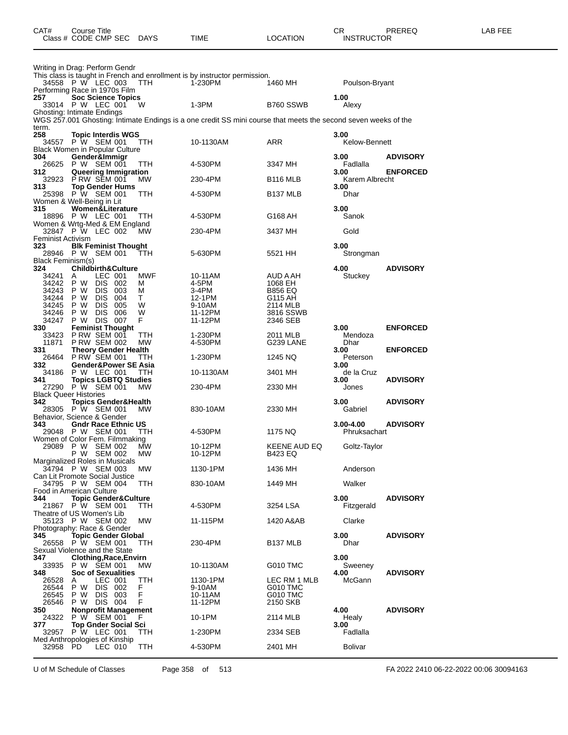| CAT#                     | Course Title<br>Class # CODE CMP SEC DAYS              |                                 |            | TIME                                                                                                           | <b>LOCATION</b>                | CR<br><b>INSTRUCTOR</b>       | PREREQ          | LAB FEE |
|--------------------------|--------------------------------------------------------|---------------------------------|------------|----------------------------------------------------------------------------------------------------------------|--------------------------------|-------------------------------|-----------------|---------|
|                          | Writing in Drag: Perform Gendr                         |                                 |            | This class is taught in French and enrollment is by instructor permission.                                     |                                |                               |                 |         |
|                          | 34558 P W LEC 003                                      |                                 | TTH        | 1-230PM                                                                                                        | 1460 MH                        | Poulson-Bryant                |                 |         |
| 257                      | Performing Race in 1970s Film<br>33014 P W LEC 001     | <b>Soc Science Topics</b>       | - W        | $1-3PM$                                                                                                        | B760 SSWB                      | 1.00<br>Alexy                 |                 |         |
|                          | Ghosting: Intimate Endings                             |                                 |            | WGS 257.001 Ghosting: Intimate Endings is a one credit SS mini course that meets the second seven weeks of the |                                |                               |                 |         |
| term.<br>258             |                                                        | <b>Topic Interdis WGS</b>       |            |                                                                                                                |                                | 3.00                          |                 |         |
|                          | 34557 P W SEM 001                                      |                                 | TTH        | 10-1130AM                                                                                                      | ARR                            | Kelow-Bennett                 |                 |         |
| 304                      | <b>Black Women in Popular Culture</b><br>Gender&Immigr |                                 |            |                                                                                                                |                                | 3.00                          | <b>ADVISORY</b> |         |
| 312                      | 26625 P W SEM 001<br>Queering Immigration              |                                 | TTH        | 4-530PM                                                                                                        | 3347 MH                        | Fadlalla<br>3.00              | <b>ENFORCED</b> |         |
| 32923                    | <b>P RW SEM 001</b>                                    |                                 | MW.        | 230-4PM                                                                                                        | B <sub>116</sub> MLB           | Karem Albrecht                |                 |         |
| 313.                     | 25398 PW SEM 001                                       | <b>Top Gender Hums</b>          | TTH        | 4-530PM                                                                                                        | B <sub>137</sub> MLB           | 3.00<br>Dhar                  |                 |         |
| 315                      | Women & Well-Being in Lit                              | <b>Women&amp;Literature</b>     |            |                                                                                                                |                                | 3.00                          |                 |         |
|                          | 18896 P W LEC 001                                      |                                 | TTH        | 4-530PM                                                                                                        | G168 AH                        | Sanok                         |                 |         |
|                          | Women & Wrtg-Med & EM England<br>32847 P W LEC 002     |                                 | <b>MW</b>  | 230-4PM                                                                                                        | 3437 MH                        | Gold                          |                 |         |
| Feminist Activism<br>323 |                                                        |                                 |            |                                                                                                                |                                | 3.00                          |                 |         |
|                          | <b>Blk Feminist Thought</b><br>28946 P W SEM 001       |                                 | TTH        | 5-630PM                                                                                                        | 5521 HH                        | Strongman                     |                 |         |
| Black Feminism(s)<br>324 | <b>Childbirth&amp;Culture</b>                          |                                 |            |                                                                                                                |                                | 4.00                          | <b>ADVISORY</b> |         |
| 34241                    | A                                                      | LEC 001<br>DIS 002              | MWF        | 10-11AM<br>4-5PM                                                                                               | AUD A AH                       | Stuckey                       |                 |         |
| 34242<br>34243           | P W<br>P W                                             | DIS 003                         | м<br>м     | 3-4PM                                                                                                          | 1068 EH<br><b>B856 EQ</b>      |                               |                 |         |
| 34244<br>34245           | DIS.<br>P W<br>DIS.                                    | 004                             | T.<br>W    | 12-1PM                                                                                                         | G115 AH                        |                               |                 |         |
| 34246                    | P W<br><b>DIS</b><br>P W                               | 005<br>006                      | W          | 9-10AM<br>11-12PM                                                                                              | 2114 MLB<br>3816 SSWB          |                               |                 |         |
| 34247                    | P W DIS 007                                            |                                 | F          | 11-12PM                                                                                                        | 2346 SEB                       |                               |                 |         |
| 330<br>33423             | <b>Feminist Thought</b><br>P RW SEM 001                |                                 | TTH        | 1-230PM                                                                                                        | 2011 MLB                       | 3.00<br>Mendoza               | <b>ENFORCED</b> |         |
| 11871                    | <b>P RW SEM 002</b>                                    |                                 | МW         | 4-530PM                                                                                                        | G239 LANE                      | Dhar                          |                 |         |
| 331<br>26464             | <b>Theory Gender Health</b><br><b>P RW SEM 001</b>     |                                 | TTH        | 1-230PM                                                                                                        | 1245 NQ                        | 3.00<br>Peterson              | <b>ENFORCED</b> |         |
| 332<br>34186             | P W LEC 001                                            | Gender&Power SE Asia            | TTH        | 10-1130AM                                                                                                      | 3401 MH                        | 3.00<br>de la Cruz            |                 |         |
| 341                      | <b>Topics LGBTQ Studies</b>                            |                                 |            |                                                                                                                |                                | 3.00                          | <b>ADVISORY</b> |         |
|                          | 27290 P W SEM 001<br><b>Black Queer Histories</b>      |                                 | MW         | 230-4PM                                                                                                        | 2330 MH                        | Jones                         |                 |         |
| 342                      | <b>Topics Gender&amp;Health</b><br>28305 P W SEM 001   |                                 | MW         | 830-10AM                                                                                                       | 2330 MH                        | 3.00<br>Gabriel               | <b>ADVISORY</b> |         |
|                          | Behavior, Science & Gender                             |                                 |            |                                                                                                                |                                |                               |                 |         |
| 343                      | 29048 P W SEM 001                                      | <b>Gndr Race Ethnic US</b>      | TTH        | 4-530PM                                                                                                        | 1175 NQ                        | $3.00 - 4.00$<br>Phruksachart | <b>ADVISORY</b> |         |
|                          | Women of Color Fem. Filmmaking                         |                                 |            |                                                                                                                |                                |                               |                 |         |
|                          | 29089 PW SEM 002<br>P W SEM 002                        |                                 | MW<br>МW   | 10-12PM<br>10-12PM                                                                                             | KEENE AUD EQ<br><b>B423 EQ</b> | Goltz-Taylor                  |                 |         |
|                          | Marginalized Roles in Musicals<br>34794 P W SEM 003    |                                 | МW         | 1130-1PM                                                                                                       | 1436 MH                        | Anderson                      |                 |         |
|                          | Can Lit Promote Social Justice                         |                                 |            |                                                                                                                |                                |                               |                 |         |
|                          | 34795 P W SEM 004<br>Food in American Culture          |                                 | <b>TTH</b> | 830-10AM                                                                                                       | 1449 MH                        | Walker                        |                 |         |
| 344                      | 21867 P W SEM 001                                      | <b>Topic Gender&amp;Culture</b> | TTH        | 4-530PM                                                                                                        | 3254 LSA                       | 3.00<br>Fitzgerald            | <b>ADVISORY</b> |         |
|                          | Theatre of US Women's Lib                              |                                 |            |                                                                                                                |                                |                               |                 |         |
|                          | 35123 P W SEM 002<br>Photography: Race & Gender        |                                 | МW         | 11-115PM                                                                                                       | 1420 A&AB                      | Clarke                        |                 |         |
| 345                      |                                                        | <b>Topic Gender Global</b>      |            |                                                                                                                |                                | 3.00                          | <b>ADVISORY</b> |         |
|                          | 26558 P W SEM 001<br>Sexual Violence and the State     |                                 | TTH        | 230-4PM                                                                                                        | B <sub>137</sub> MLB           | Dhar                          |                 |         |
| 347                      |                                                        | <b>Clothing, Race, Envirn</b>   |            |                                                                                                                |                                | 3.00                          |                 |         |
| 33935<br>348             | P W SEM 001                                            | <b>Soc of Sexualities</b>       | MW.        | 10-1130AM                                                                                                      | G010 TMC                       | Sweeney<br>4.00               | <b>ADVISORY</b> |         |
| 26528                    | A                                                      | LEC 001                         | TTH        | 1130-1PM                                                                                                       | LEC RM 1 MLB                   | McGann                        |                 |         |
| 26544<br>26545           | P W<br>P W                                             | DIS 002<br>DIS 003              | F.<br>F    | 9-10AM<br>10-11AM                                                                                              | G010 TMC<br><b>G010 TMC</b>    |                               |                 |         |
| 26546                    | P W DIS 004                                            |                                 | F          | 11-12PM                                                                                                        | 2150 SKB                       |                               |                 |         |
| 350<br>24322             | P W SEM 001                                            | <b>Nonprofit Management</b>     | F          | 10-1PM                                                                                                         | 2114 MLB                       | 4.00<br>Healy                 | <b>ADVISORY</b> |         |
| 377                      |                                                        | <b>Top Gnder Social Sci</b>     |            |                                                                                                                |                                | 3.00                          |                 |         |
| 32957                    | P W LEC 001<br>Med Anthropologies of Kinship           |                                 | TTH        | 1-230PM                                                                                                        | 2334 SEB                       | Fadlalla                      |                 |         |
| 32958 PD                 |                                                        | LEC 010                         | TTH        | 4-530PM                                                                                                        | 2401 MH                        | <b>Bolivar</b>                |                 |         |

U of M Schedule of Classes Page 358 of 513 FA 2022 2410 06-22-2022 00:06 30094163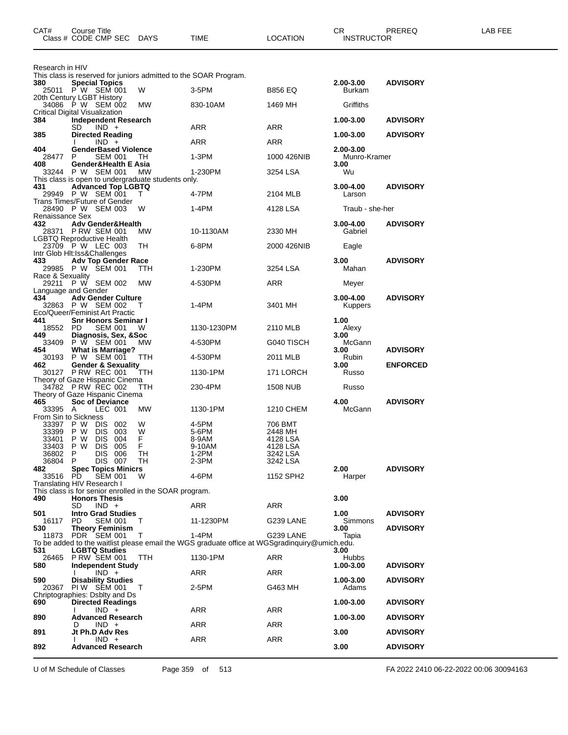| CAT#                                               | Course Title<br>Class # CODE CMP SEC                                                                     | <b>DAYS</b>                  | TIME                                                                                                   | LOCATION                                                           | CR<br><b>INSTRUCTOR</b>   | PREREQ          | LAB FEE |
|----------------------------------------------------|----------------------------------------------------------------------------------------------------------|------------------------------|--------------------------------------------------------------------------------------------------------|--------------------------------------------------------------------|---------------------------|-----------------|---------|
| Research in HIV                                    | This class is reserved for juniors admitted to the SOAR Program.                                         |                              |                                                                                                        |                                                                    |                           |                 |         |
| 380                                                | <b>Special Topics</b><br>25011 PW SEM 001                                                                | W                            | $3-5$ PM                                                                                               | <b>B856 EQ</b>                                                     | $2.00 - 3.00$<br>Burkam   | <b>ADVISORY</b> |         |
|                                                    | 20th Century LGBT History<br>34086 P W SEM 002<br><b>Critical Digital Visualization</b>                  | МW                           | 830-10AM                                                                                               | 1469 MH                                                            | Griffiths                 |                 |         |
| 384                                                | <b>Independent Research</b><br>SD<br>$IND +$                                                             |                              | ARR                                                                                                    | ARR                                                                | 1.00-3.00                 | <b>ADVISORY</b> |         |
| 385                                                | <b>Directed Reading</b><br>$IND +$                                                                       |                              | ARR                                                                                                    | ARR                                                                | 1.00-3.00                 | <b>ADVISORY</b> |         |
| 404<br>28477                                       | <b>GenderBased Violence</b><br><b>SEM 001</b><br>P                                                       | TH                           | 1-3PM                                                                                                  | 1000 426NIB                                                        | 2.00-3.00<br>Munro-Kramer |                 |         |
| 408                                                | Gender&Health E Asia<br>33244 P W SEM 001                                                                | МW                           | 1-230PM                                                                                                | 3254 LSA                                                           | 3.00<br>Wu                |                 |         |
| 431                                                | This class is open to undergraduate students only.<br>Advanced Top LGBTQ<br>29949 P W SEM 001            | т                            | 4-7PM                                                                                                  | 2104 MLB                                                           | 3.00-4.00<br>Larson       | <b>ADVISORY</b> |         |
|                                                    | Trans Times/Future of Gender<br>28490 P W SEM 003                                                        | W                            | 1-4PM                                                                                                  | 4128 LSA                                                           | Traub - she-her           |                 |         |
| Renaissance Sex<br>432                             | <b>Adv Gender&amp;Health</b><br>28371 P RW SEM 001                                                       | <b>MW</b>                    | 10-1130AM                                                                                              | 2330 MH                                                            | 3.00-4.00<br>Gabriel      | <b>ADVISORY</b> |         |
|                                                    | LGBTQ Reproductive Health<br>23709 P W LEC 003                                                           | TH                           | 6-8PM                                                                                                  | 2000 426NIB                                                        | Eagle                     |                 |         |
| 433                                                | Intr Glob Hit: Iss& Challenges<br><b>Adv Top Gender Race</b><br>29985 P W SEM 001                        | ттн                          | 1-230PM                                                                                                | 3254 LSA                                                           | 3.00<br>Mahan             | <b>ADVISORY</b> |         |
| Race & Sexuality                                   | 29211 P W SEM 002                                                                                        | MW                           | 4-530PM                                                                                                | ARR                                                                | Meyer                     |                 |         |
| 434                                                | Language and Gender<br><b>Adv Gender Culture</b><br>32863 P W SEM 002                                    | T                            | 1-4PM                                                                                                  | 3401 MH                                                            | $3.00 - 4.00$<br>Kuppers  | <b>ADVISORY</b> |         |
| 441<br>18552 PD                                    | Eco/Queer/Feminist Art Practic<br><b>Snr Honors Seminar I</b><br><b>SEM 001</b>                          | W                            | 1130-1230PM                                                                                            | 2110 MLB                                                           | 1.00<br>Alexy<br>3.00     |                 |         |
| 449<br>33409                                       | Diagnosis, Sex, & Soc<br>P W SEM 001 MW                                                                  | МW                           | 4-530PM                                                                                                | G040 TISCH                                                         | McGann                    |                 |         |
| 454<br>30193                                       | <b>What is Marriage?</b><br>P W SEM 001                                                                  | TTH                          | 4-530PM                                                                                                | 2011 MLB                                                           | 3.00<br>Rubin             | <b>ADVISORY</b> |         |
| 462                                                | <b>Gender &amp; Sexuality</b><br>30127 P RW REC 001                                                      | TTH                          | 1130-1PM                                                                                               | 171 LORCH                                                          | 3.00<br>Russo             | <b>ENFORCED</b> |         |
|                                                    | Theory of Gaze Hispanic Cinema<br>34782 P RW REC 002                                                     | <b>TTH</b>                   | 230-4PM                                                                                                | <b>1508 NUB</b>                                                    | Russo                     |                 |         |
| 465                                                | Theory of Gaze Hispanic Cinema<br><b>Soc of Deviance</b>                                                 |                              |                                                                                                        |                                                                    | 4.00                      | <b>ADVISORY</b> |         |
| 33395 A                                            | LEC 001<br>From Sin to Sickness                                                                          | МW                           | 1130-1PM                                                                                               | 1210 CHEM                                                          | McGann                    |                 |         |
| 33397<br>33399<br>33401<br>33403<br>36802<br>36804 | P W<br>DIS 002<br>P W<br>DIS.<br>003<br>P W<br>DIS 004<br>P W<br>DIS 005<br>P<br>DIS 006<br>DIS 007<br>P | W<br>W<br>F<br>F<br>TH<br>TH | 4-5PM<br>5-6PM<br>8-9AM<br>9-10AM<br>1-2PM<br>2-3PM                                                    | 706 BMT<br>2448 MH<br>4128 LSA<br>4128 LSA<br>3242 LSA<br>3242 LSA |                           |                 |         |
| 482<br>33516                                       | <b>Spec Topics Minicrs</b><br>PD.<br><b>SEM 001</b><br>Translating HIV Research I                        | W                            | 4-6PM                                                                                                  | 1152 SPH2                                                          | 2.00<br>Harper            | <b>ADVISORY</b> |         |
| 490                                                | This class is for senior enrolled in the SOAR program.<br><b>Honors Thesis</b>                           |                              |                                                                                                        |                                                                    | 3.00                      |                 |         |
|                                                    | SD<br>$IND +$<br><b>Intro Grad Studies</b>                                                               |                              | ARR                                                                                                    | ARR                                                                |                           |                 |         |
| 501<br>16117                                       | PD.<br><b>SEM 001</b>                                                                                    | T                            | 11-1230PM                                                                                              | G239 LANE                                                          | 1.00<br><b>Simmons</b>    | <b>ADVISORY</b> |         |
| 530                                                | <b>Theory Feminism</b><br>11873 PDR SEM 001                                                              | т                            | 1-4PM<br>To be added to the waitlist please email the WGS graduate office at WGSgradinguiry@umich.edu. | G239 LANE                                                          | 3.00<br>Tapia             | <b>ADVISORY</b> |         |
| 531<br>26465                                       | <b>LGBTQ Studies</b><br><b>PRW SEM 001</b>                                                               | TTH                          | 1130-1PM                                                                                               | ARR                                                                | 3.00<br>Hubbs             |                 |         |
| 580                                                | <b>Independent Study</b><br>$IND +$                                                                      |                              | ARR                                                                                                    | ARR                                                                | 1.00-3.00                 | <b>ADVISORY</b> |         |
| 590<br>20367                                       | <b>Disability Studies</b><br>PIW SEM 001                                                                 | $\top$                       | 2-5PM                                                                                                  | G463 MH                                                            | 1.00-3.00<br>Adams        | <b>ADVISORY</b> |         |
| 690                                                | Chriptographies: Dsblty and Ds<br><b>Directed Readings</b><br>$IND +$                                    |                              | ARR                                                                                                    | ARR                                                                | 1.00-3.00                 | <b>ADVISORY</b> |         |
| 890                                                | <b>Advanced Research</b>                                                                                 |                              |                                                                                                        |                                                                    | 1.00-3.00                 | <b>ADVISORY</b> |         |
| 891                                                | $IND +$<br>D<br>Jt Ph.D Adv Res                                                                          |                              | ARR                                                                                                    | ARR                                                                | 3.00                      | <b>ADVISORY</b> |         |
| 892                                                | $IND +$<br><b>Advanced Research</b>                                                                      |                              | ARR                                                                                                    | ARR                                                                | 3.00                      | <b>ADVISORY</b> |         |

U of M Schedule of Classes Page 359 of 513 FA 2022 2410 06-22-2022 00:06 30094163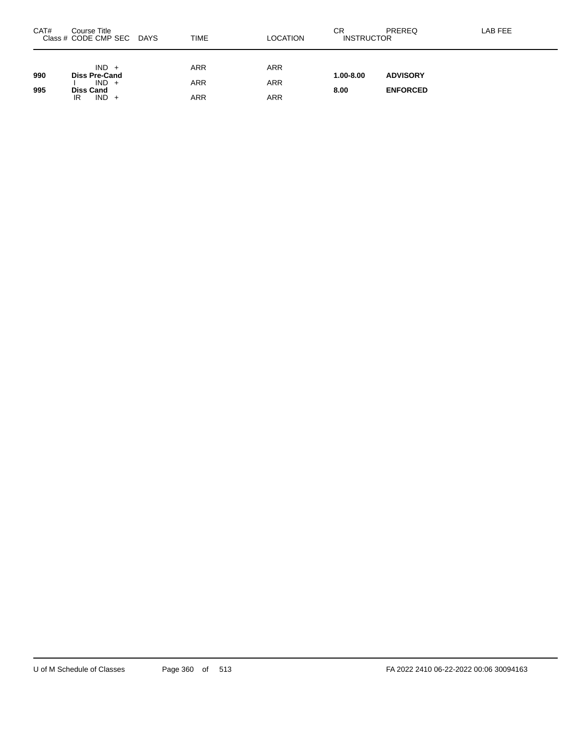| CAT# | Course Title<br>Class # CODE CMP SEC       | <b>DAYS</b> | <b>TIME</b>              | LOCATION                 | СR<br><b>INSTRUCTOR</b> | PREREQ          | LAB FEE |
|------|--------------------------------------------|-------------|--------------------------|--------------------------|-------------------------|-----------------|---------|
| 990  | $IND +$<br><b>Diss Pre-Cand</b><br>$IND +$ |             | <b>ARR</b><br><b>ARR</b> | <b>ARR</b><br><b>ARR</b> | $1.00 - 8.00$           | <b>ADVISORY</b> |         |
| 995  | <b>Diss Cand</b><br>$IND +$<br>IR          |             | ARR                      | ARR                      | 8.00                    | <b>ENFORCED</b> |         |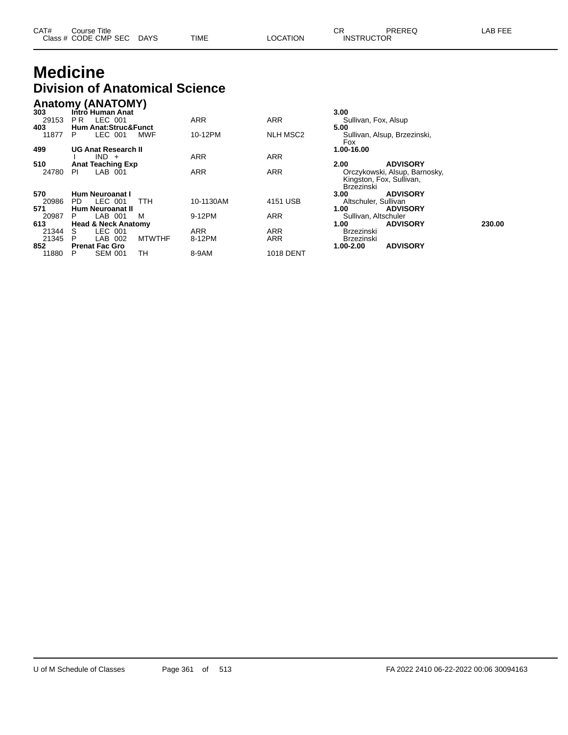| CAT# | Course Title              |      |          | ∼⊏<br>∪π          | PREREQ | LAB FEE |
|------|---------------------------|------|----------|-------------------|--------|---------|
|      | Class # CODE CMP SEC DAYS | TIME | LOCATION | <b>INSTRUCTOR</b> |        |         |

## **Medicine Division of Anatomical Science**

|       | <b>Anatomy (ANATOMY)</b>        |                         |                  |                                                                         |        |
|-------|---------------------------------|-------------------------|------------------|-------------------------------------------------------------------------|--------|
| 303   | Intro Human Anat                |                         |                  | 3.00                                                                    |        |
| 29153 | LEC 001<br>PR.                  | <b>ARR</b>              | <b>ARR</b>       | Sullivan, Fox, Alsup                                                    |        |
| 403   | <b>Hum Anat:Struc&amp;Funct</b> |                         |                  | 5.00                                                                    |        |
| 11877 | LEC 001<br><b>MWF</b><br>P.     | 10-12PM                 | <b>NLH MSC2</b>  | Sullivan, Alsup, Brzezinski,<br><b>Fox</b>                              |        |
| 499   | <b>UG Anat Research II</b>      |                         |                  | 1.00-16.00                                                              |        |
|       | $IND +$                         | <b>ARR</b>              | <b>ARR</b>       |                                                                         |        |
| 510   | <b>Anat Teaching Exp</b>        |                         |                  | <b>ADVISORY</b><br>2.00                                                 |        |
| 24780 | LAB 001<br>PI                   | <b>ARR</b>              | <b>ARR</b>       | Orczykowski, Alsup, Barnosky,<br>Kingston, Fox, Sullivan,<br>Brzezinski |        |
| 570   | Hum Neuroanat I                 |                         |                  | 3.00<br><b>ADVISORY</b>                                                 |        |
| 20986 | LEC 001<br>PD.<br>TTH           | 10-1130AM               | 4151 USB         | Altschuler, Sullivan                                                    |        |
| 571   | <b>Hum Neuroanat II</b>         |                         |                  | 1.00<br><b>ADVISORY</b>                                                 |        |
| 20987 | LAB 001<br>м                    | 9-12PM                  | <b>ARR</b>       | Sullivan, Altschuler                                                    |        |
| 613   | <b>Head &amp; Neck Anatomy</b>  |                         |                  | 1.00<br><b>ADVISORY</b>                                                 | 230.00 |
| 21344 | LEC 001<br>S.                   | <b>ARR</b>              | <b>ARR</b>       | <b>Brzezinski</b>                                                       |        |
| 21345 | P<br>LAB<br>002                 | <b>MTWTHF</b><br>8-12PM | <b>ARR</b>       | Brzezinski                                                              |        |
| 852   | <b>Prenat Fac Gro</b>           |                         |                  | <b>ADVISORY</b><br>1.00-2.00                                            |        |
| 11880 | TН<br><b>SEM 001</b><br>P       | 8-9AM                   | <b>1018 DENT</b> |                                                                         |        |

| 3.00<br>Sullivan, Fox, Alsup<br>5.00<br>Fox<br>1.00-16.00 | Sullivan, Alsup, Brzezinski,                                                 |        |
|-----------------------------------------------------------|------------------------------------------------------------------------------|--------|
| 2.00<br>Brzezinski                                        | <b>ADVISORY</b><br>Orczykowski, Alsup, Barnosky,<br>Kingston, Fox, Sullivan, |        |
| 3.00                                                      | <b>ADVISORY</b>                                                              |        |
| Altschuler, Sullivan                                      |                                                                              |        |
| 1.00                                                      | <b>ADVISORY</b>                                                              |        |
| Sullivan, Altschuler                                      |                                                                              |        |
| 1.00<br>Brzezinski<br>Brzezinski                          | <b>ADVISORY</b>                                                              | 230.00 |
| 1.00-2.00                                                 | <b>ADVISORY</b>                                                              |        |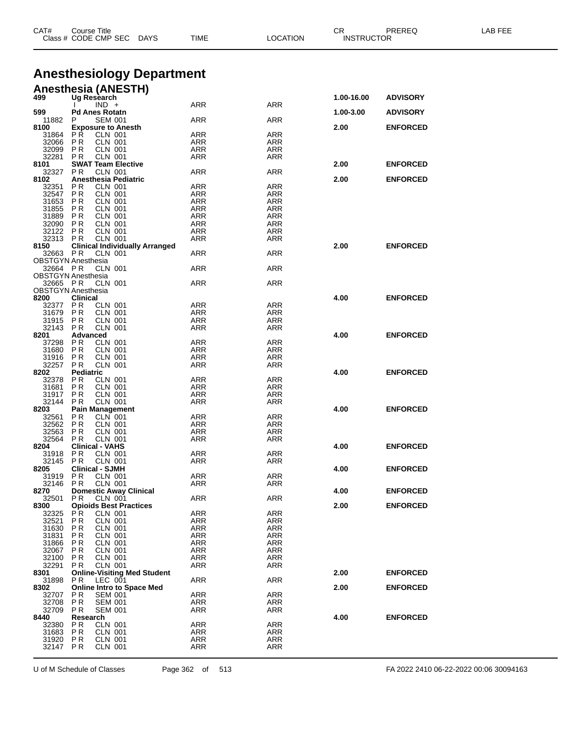| CAT#                                  | Course Title                 | Class # CODE CMP SEC                            | DAYS                                  | TIME                     | <b>LOCATION</b>          | CR<br><b>INSTRUCTOR</b> | <b>PREREQ</b>   | LAB FEE |
|---------------------------------------|------------------------------|-------------------------------------------------|---------------------------------------|--------------------------|--------------------------|-------------------------|-----------------|---------|
|                                       |                              |                                                 |                                       |                          |                          |                         |                 |         |
|                                       |                              |                                                 |                                       |                          |                          |                         |                 |         |
|                                       |                              |                                                 | <b>Anesthesiology Department</b>      |                          |                          |                         |                 |         |
|                                       |                              | <b>Anesthesia (ANESTH)</b>                      |                                       |                          |                          |                         |                 |         |
| 499                                   |                              | Ug Research<br>$IND +$                          |                                       | ARR                      | ARR                      | 1.00-16.00              | <b>ADVISORY</b> |         |
| 599<br>11882                          | P                            | <b>Pd Anes Rotatn</b><br><b>SEM 001</b>         |                                       | <b>ARR</b>               | ARR                      | 1.00-3.00               | <b>ADVISORY</b> |         |
| 8100                                  |                              | <b>Exposure to Anesth</b>                       |                                       |                          |                          | 2.00                    | <b>ENFORCED</b> |         |
| 31864<br>32066                        | P R<br>P R                   | <b>CLN 001</b><br>CLN 001                       |                                       | <b>ARR</b><br>ARR        | <b>ARR</b><br>ARR        |                         |                 |         |
| 32099                                 | P R                          | <b>CLN 001</b>                                  |                                       | <b>ARR</b>               | ARR                      |                         |                 |         |
| 32281                                 | P R                          | <b>CLN 001</b>                                  |                                       | <b>ARR</b>               | ARR                      |                         |                 |         |
| 8101<br>32327                         | P R                          | <b>SWAT Team Elective</b><br><b>CLN 001</b>     |                                       | <b>ARR</b>               | ARR                      | 2.00                    | <b>ENFORCED</b> |         |
| 8102                                  |                              | Anesthesia Pediatric                            |                                       |                          |                          | 2.00                    | <b>ENFORCED</b> |         |
| 32351<br>32547                        | P R<br><b>PR</b>             | <b>CLN 001</b><br><b>CLN 001</b>                |                                       | ARR<br>ARR               | ARR<br>ARR               |                         |                 |         |
| 31653                                 | P R                          | <b>CLN 001</b>                                  |                                       | <b>ARR</b>               | ARR                      |                         |                 |         |
| 31855<br>31889                        | P R                          | CLN 001                                         |                                       | ARR                      | ARR                      |                         |                 |         |
| 32090                                 | P R<br>P R                   | <b>CLN 001</b><br>CLN 001                       |                                       | <b>ARR</b><br><b>ARR</b> | <b>ARR</b><br><b>ARR</b> |                         |                 |         |
| 32122                                 | P R                          | CLN 001                                         |                                       | <b>ARR</b>               | ARR                      |                         |                 |         |
| 32313<br>8150                         | P R                          | <b>CLN 001</b>                                  | <b>Clinical Individually Arranged</b> | <b>ARR</b>               | ARR                      | 2.00                    | <b>ENFORCED</b> |         |
| 32663 PR                              |                              | CLN 001                                         |                                       | ARR                      | ARR                      |                         |                 |         |
| <b>OBSTGYN Anesthesia</b>             |                              |                                                 |                                       |                          |                          |                         |                 |         |
| 32664 PR<br><b>OBSTGYN Anesthesia</b> |                              | CLN 001                                         |                                       | <b>ARR</b>               | ARR                      |                         |                 |         |
| 32665 PR                              |                              | <b>CLN 001</b>                                  |                                       | ARR                      | ARR                      |                         |                 |         |
| <b>OBSTGYN Anesthesia</b>             |                              |                                                 |                                       |                          |                          |                         |                 |         |
| 8200<br>32377                         | <b>Clinical</b><br><b>PR</b> | CLN 001                                         |                                       | <b>ARR</b>               | <b>ARR</b>               | 4.00                    | <b>ENFORCED</b> |         |
| 31679                                 | P <sub>R</sub>               | <b>CLN 001</b>                                  |                                       | <b>ARR</b>               | ARR                      |                         |                 |         |
| 31915<br>32143                        | P R<br>P R                   | <b>CLN 001</b><br><b>CLN 001</b>                |                                       | ARR<br>ARR               | ARR<br>ARR               |                         |                 |         |
| 8201                                  | Advanced                     |                                                 |                                       |                          |                          | 4.00                    | <b>ENFORCED</b> |         |
| 37298                                 | P R                          | CLN 001                                         |                                       | <b>ARR</b>               | ARR                      |                         |                 |         |
| 31680<br>31916                        | <b>PR</b><br>P R             | <b>CLN 001</b><br><b>CLN 001</b>                |                                       | ARR<br>ARR               | ARR<br>ARR               |                         |                 |         |
| 32257                                 | P R                          | <b>CLN 001</b>                                  |                                       | ARR                      | ARR                      |                         |                 |         |
| 8202                                  | <b>Pediatric</b>             |                                                 |                                       |                          |                          | 4.00                    | <b>ENFORCED</b> |         |
| 32378<br>31681                        | P R<br>P <sub>R</sub>        | <b>CLN 001</b><br>CLN 001                       |                                       | <b>ARR</b><br>ARR        | <b>ARR</b><br>ARR        |                         |                 |         |
| 31917                                 | P R                          | <b>CLN 001</b>                                  |                                       | <b>ARR</b>               | ARR                      |                         |                 |         |
| 32144<br>8203                         | P R                          | <b>CLN 001</b><br><b>Pain Management</b>        |                                       | ARR                      | ARR                      | 4.00                    | <b>ENFORCED</b> |         |
| 32561                                 | P R                          | <b>CLN</b> 001                                  |                                       | ARR                      | ARR                      |                         |                 |         |
| 32562                                 | P R                          | <b>CLN 001</b>                                  |                                       | <b>ARR</b>               | ARR                      |                         |                 |         |
| 32563<br>32564                        | P R<br>P R                   | <b>CLN 001</b><br><b>CLN 001</b>                |                                       | ARR<br><b>ARR</b>        | ARR<br>ARR               |                         |                 |         |
| 8204                                  |                              | <b>Clinical - VAHS</b>                          |                                       |                          |                          | 4.00                    | <b>ENFORCED</b> |         |
| 31918                                 | P R                          | <b>CLN 001</b>                                  |                                       | <b>ARR</b>               | <b>ARR</b>               |                         |                 |         |
| 32145<br>8205                         | P R                          | <b>CLN 001</b><br><b>Clinical - SJMH</b>        |                                       | ARR                      | ARR                      | 4.00                    | <b>ENFORCED</b> |         |
| 31919                                 | P R                          | <b>CLN 001</b>                                  |                                       | ARR                      | ARR                      |                         |                 |         |
| 32146<br>8270                         | P R                          | <b>CLN 001</b><br><b>Domestic Away Clinical</b> |                                       | ARR                      | ARR                      | 4.00                    | <b>ENFORCED</b> |         |
| 32501                                 | P R                          | <b>CLN 001</b>                                  |                                       | ARR                      | ARR                      |                         |                 |         |
| 8300                                  |                              | <b>Opioids Best Practices</b>                   |                                       |                          |                          | 2.00                    | <b>ENFORCED</b> |         |
| 32325<br>32521                        | P R<br>P <sub>R</sub>        | CLN 001<br><b>CLN 001</b>                       |                                       | <b>ARR</b><br>ARR        | <b>ARR</b><br>ARR        |                         |                 |         |
| 31630                                 | P R                          | <b>CLN 001</b>                                  |                                       | ARR                      | ARR                      |                         |                 |         |
| 31831                                 | P R                          | CLN 001                                         |                                       | <b>ARR</b>               | <b>ARR</b>               |                         |                 |         |
| 31866<br>32067                        | P <sub>R</sub><br>P R        | <b>CLN 001</b><br>CLN 001                       |                                       | ARR<br>ARR               | ARR<br>ARR               |                         |                 |         |
| 32100                                 | P R                          | CLN 001                                         |                                       | ARR                      | ARR                      |                         |                 |         |
| 32291<br>8301                         | P <sub>R</sub>               | CLN 001                                         | <b>Online-Visiting Med Student</b>    | ARR                      | ARR                      | 2.00                    | <b>ENFORCED</b> |         |
| 31898                                 | P R                          | LEC 001                                         |                                       | ARR                      | <b>ARR</b>               |                         |                 |         |
| 8302                                  |                              | <b>Online Intro to Space Med</b>                |                                       |                          |                          | 2.00                    | <b>ENFORCED</b> |         |
| 32707<br>32708                        | P R<br>P <sub>R</sub>        | <b>SEM 001</b><br><b>SEM 001</b>                |                                       | ARR<br>ARR               | ARR<br>ARR               |                         |                 |         |
| 32709                                 | P R                          | <b>SEM 001</b>                                  |                                       | ARR                      | ARR                      |                         |                 |         |
| 8440                                  | Research                     |                                                 |                                       |                          |                          | 4.00                    | <b>ENFORCED</b> |         |
| 32380<br>31683                        | P R<br>P <sub>R</sub>        | CLN 001<br><b>CLN 001</b>                       |                                       | <b>ARR</b><br>ARR        | <b>ARR</b><br>ARR        |                         |                 |         |
| 31920                                 | <b>PR</b>                    | CLN 001                                         |                                       | ARR                      | ARR                      |                         |                 |         |
| 32147                                 | P R                          | <b>CLN 001</b>                                  |                                       | ARR                      | <b>ARR</b>               |                         |                 |         |
|                                       |                              |                                                 |                                       |                          |                          |                         |                 |         |

U of M Schedule of Classes Page 362 of 513 FA 2022 2410 06-22-2022 00:06 30094163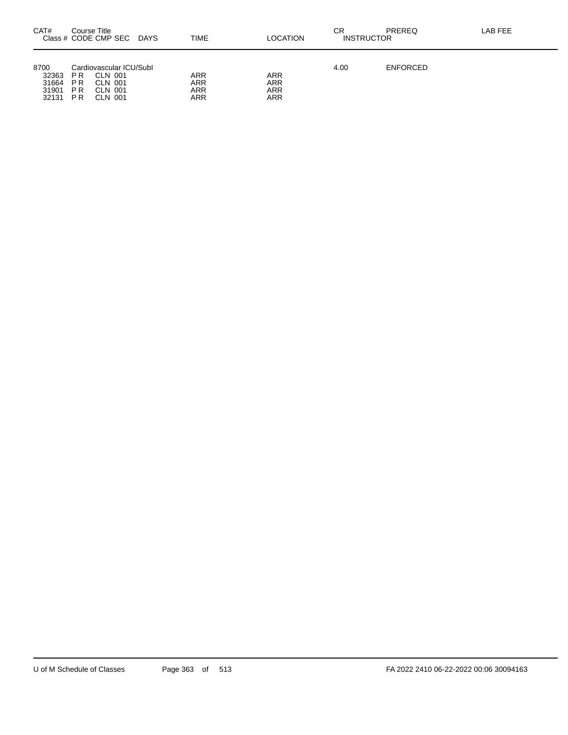| CAT#                                     | Course Title                   | Class # CODE CMP SEC                                                       | DAYS | <b>TIME</b>              | <b>LOCATION</b>                 | СR<br><b>INSTRUCTOR</b> | PREREQ          | LAB FEE |
|------------------------------------------|--------------------------------|----------------------------------------------------------------------------|------|--------------------------|---------------------------------|-------------------------|-----------------|---------|
| 8700<br>32363<br>31664<br>31901<br>32131 | P R<br>P R<br><b>PR</b><br>P R | Cardiovascular ICU/Subl<br><b>CLN 001</b><br>CLN 001<br>CLN 001<br>CLN 001 |      | ARR<br>ARR<br>ARR<br>ARR | <b>ARR</b><br>ARR<br>ARR<br>ARR | 4.00                    | <b>ENFORCED</b> |         |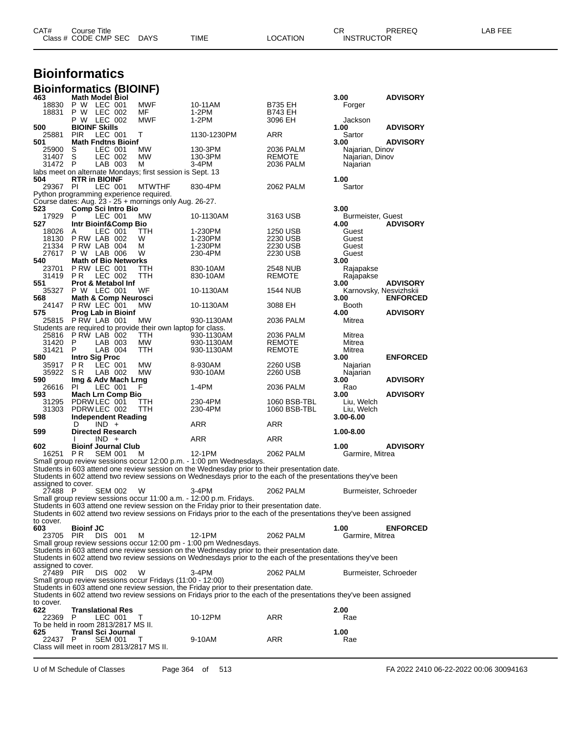| CAT# | Title<br>∴ourse      |      |      |          | Ωm<br><b>UN</b> | PREREC            | ---<br>ΔR<br>--- |
|------|----------------------|------|------|----------|-----------------|-------------------|------------------|
|      | Class # CODE CMP SEC | DAYS | TIME | LOCATION |                 | <b>INSTRUCTOR</b> |                  |

## **Bioinformatics**

| <b>Bioinformatics (BIOINF)</b>           |                                 |                |                                                                     |                                                                                                                    |                           |                           |                 |
|------------------------------------------|---------------------------------|----------------|---------------------------------------------------------------------|--------------------------------------------------------------------------------------------------------------------|---------------------------|---------------------------|-----------------|
| 463                                      | <b>Math Model Biol</b>          |                |                                                                     |                                                                                                                    |                           | 3.00                      | <b>ADVISORY</b> |
| 18830                                    | P W LEC 001                     | LEC 002        | <b>MWF</b>                                                          | 10-11AM                                                                                                            | B735 EH                   | Forger                    |                 |
| 18831                                    | P W<br>P W LEC 002              |                | МF<br><b>MWF</b>                                                    | 1-2PM<br>1-2PM                                                                                                     | <b>B743 EH</b><br>3096 EH | Jackson                   |                 |
| 500                                      | <b>BIOINF Skills</b>            |                |                                                                     |                                                                                                                    |                           | 1.00                      | <b>ADVISORY</b> |
| 25881                                    | <b>PIR</b>                      | LEC 001        | т                                                                   | 1130-1230PM                                                                                                        | ARR                       | Sartor                    |                 |
| 501                                      | <b>Math Fndtns Bioinf</b>       |                |                                                                     |                                                                                                                    |                           | 3.00                      | <b>ADVISORY</b> |
| 25900                                    | S                               | LEC 001        | МW                                                                  | 130-3PM                                                                                                            | 2036 PALM                 | Najarian, Dinov           |                 |
| 31407                                    | S                               | LEC 002        | МW                                                                  | 130-3PM                                                                                                            | REMOTE                    | Najarian, Dinov           |                 |
| 31472                                    | - P                             | LAB 003        | м<br>labs meet on alternate Mondays; first session is Sept. 13      | 3-4PM                                                                                                              | 2036 PALM                 | Najarian                  |                 |
| 504                                      | <b>RTR in BIOINF</b>            |                |                                                                     |                                                                                                                    |                           | 1.00                      |                 |
| 29367 PI                                 |                                 | LEC 001        | <b>MTWTHF</b>                                                       | 830-4PM                                                                                                            | 2062 PALM                 | Sartor                    |                 |
|                                          |                                 |                | Python programming experience required.                             |                                                                                                                    |                           |                           |                 |
|                                          |                                 |                | Course dates: Aug. 23 - 25 + mornings only Aug. 26-27.              |                                                                                                                    |                           |                           |                 |
| 523                                      | <b>Comp Sci Intro Bio</b><br>P  |                |                                                                     |                                                                                                                    |                           | 3.00                      |                 |
| 17929<br>527                             | Intr Bioinf&Comp Bio            | LEC 001        | MW.                                                                 | 10-1130AM                                                                                                          | 3163 USB                  | Burmeister, Guest<br>4.00 | <b>ADVISORY</b> |
| 18026                                    | A                               | LEC 001        | ттн                                                                 | 1-230PM                                                                                                            | 1250 USB                  | Guest                     |                 |
| 18130                                    | PRW LAB 002                     |                | w                                                                   | 1-230PM                                                                                                            | 2230 USB                  | Guest                     |                 |
| 21334                                    | PRW LAB 004                     |                | м                                                                   | 1-230PM                                                                                                            | 2230 USB                  | Guest                     |                 |
| 27617                                    | P W LAB 006                     |                | W                                                                   | 230-4PM                                                                                                            | 2230 USB                  | Guest                     |                 |
| 540                                      | <b>Math of Bio Networks</b>     |                |                                                                     |                                                                                                                    |                           | 3.00                      |                 |
| 23701<br>31419 PR                        | PRW LEC 001                     | LEC 002        | TTH<br>TTH                                                          | 830-10AM<br>830-10AM                                                                                               | 2548 NUB<br><b>REMOTE</b> | Rajapakse                 |                 |
| 551                                      | <b>Prot &amp; Metabol Inf</b>   |                |                                                                     |                                                                                                                    |                           | Rajapakse<br>3.00         | <b>ADVISORY</b> |
| 35327                                    | P W LEC 001                     |                | WF                                                                  | 10-1130AM                                                                                                          | 1544 NUB                  | Karnovsky, Nesvizhskii    |                 |
| 568                                      | <b>Math &amp; Comp Neurosci</b> |                |                                                                     |                                                                                                                    |                           | 3.00                      | <b>ENFORCED</b> |
| 24147                                    | PRW LEC 001                     |                | МW                                                                  | 10-1130AM                                                                                                          | 3088 EH                   | Booth                     |                 |
| 575                                      | <b>Prog Lab in Bioinf</b>       |                |                                                                     |                                                                                                                    |                           | 4.00                      | <b>ADVISORY</b> |
| 25815 PRW LAB 001                        |                                 |                | МW                                                                  | 930-1130AM                                                                                                         | 2036 PALM                 | Mitrea                    |                 |
| 25816                                    | PRW LAB 002                     |                | Students are required to provide their own laptop for class.<br>TTH | 930-1130AM                                                                                                         | 2036 PALM                 | Mitrea                    |                 |
| 31420                                    | - P                             | LAB 003        | МW                                                                  | 930-1130AM                                                                                                         | REMOTE                    | Mitrea                    |                 |
| 31421                                    | P                               | LAB 004        | TTH                                                                 | 930-1130AM                                                                                                         | <b>REMOTE</b>             | Mitrea                    |                 |
| 580                                      | <b>Intro Sig Proc</b>           |                |                                                                     |                                                                                                                    |                           | 3.00                      | <b>ENFORCED</b> |
| 35917                                    | PR.                             | LEC 001        | МW                                                                  | 8-930AM                                                                                                            | 2260 USB                  | Najarian                  |                 |
| 35922                                    | S R                             | LAB 002        | МW                                                                  | 930-10AM                                                                                                           | 2260 USB                  | Najarian                  |                 |
| 590                                      | Img & Adv Mach Lrng<br>PI.      |                | F                                                                   |                                                                                                                    |                           | 3.00                      | <b>ADVISORY</b> |
| 26616<br>593                             | <b>Mach Lrn Comp Bio</b>        | LEC 001        |                                                                     | 1-4PM                                                                                                              | 2036 PALM                 | Rao<br>3.00               | <b>ADVISORY</b> |
| 31295                                    | PDRW LEC 001                    |                | TTH                                                                 | 230-4PM                                                                                                            | 1060 BSB-TBL              | Liu, Welch                |                 |
| 31303                                    | PDRW LEC 002                    |                | TTH                                                                 | 230-4PM                                                                                                            | 1060 BSB-TBL              | Liu, Welch                |                 |
| 598                                      | <b>Independent Reading</b>      |                |                                                                     |                                                                                                                    |                           | 3.00-6.00                 |                 |
|                                          | D                               | $IND +$        |                                                                     | ARR                                                                                                                | ARR                       |                           |                 |
| 599                                      | <b>Directed Research</b>        | $IND +$        |                                                                     |                                                                                                                    |                           | 1.00-8.00                 |                 |
| 602                                      | <b>Bioinf Journal Club</b>      |                |                                                                     | ARR                                                                                                                | ARR                       | 1.00                      | <b>ADVISORY</b> |
| 16251                                    | P R                             | <b>SEM 001</b> | м                                                                   | 12-1PM                                                                                                             | 2062 PALM                 | Garmire, Mitrea           |                 |
|                                          |                                 |                |                                                                     | Small group review sessions occur 12:00 p.m. - 1:00 pm Wednesdays.                                                 |                           |                           |                 |
|                                          |                                 |                |                                                                     | Students in 603 attend one review session on the Wednesday prior to their presentation date.                       |                           |                           |                 |
|                                          |                                 |                |                                                                     | Students in 602 attend two review sessions on Wednesdays prior to the each of the presentations they've been       |                           |                           |                 |
| assigned to cover.                       |                                 |                |                                                                     |                                                                                                                    |                           |                           |                 |
| 27488 P                                  |                                 | <b>SEM 002</b> | W                                                                   | 3-4PM<br>Small group review sessions occur 11:00 a.m. - 12:00 p.m. Fridays.                                        | 2062 PALM                 | Burmeister, Schroeder     |                 |
|                                          |                                 |                |                                                                     | Students in 603 attend one review session on the Friday prior to their presentation date.                          |                           |                           |                 |
|                                          |                                 |                |                                                                     | Students in 602 attend two review sessions on Fridays prior to the each of the presentations they've been assigned |                           |                           |                 |
| to cover.                                |                                 |                |                                                                     |                                                                                                                    |                           |                           |                 |
| 603                                      | <b>Bioinf JC</b>                |                |                                                                     |                                                                                                                    |                           | 1.00                      | <b>ENFORCED</b> |
| 23705 PIR                                |                                 | DIS 001        | м                                                                   | 12-1PM                                                                                                             | 2062 PALM                 | Garmire, Mitrea           |                 |
|                                          |                                 |                |                                                                     | Small group review sessions occur 12:00 pm - 1:00 pm Wednesdays.                                                   |                           |                           |                 |
|                                          |                                 |                |                                                                     | Students in 603 attend one review session on the Wednesday prior to their presentation date.                       |                           |                           |                 |
| assigned to cover.                       |                                 |                |                                                                     | Students in 602 attend two review sessions on Wednesdays prior to the each of the presentations they've been       |                           |                           |                 |
| 27489 PIR                                |                                 | DIS 002        | W                                                                   | $3-4PM$                                                                                                            | 2062 PALM                 | Burmeister, Schroeder     |                 |
|                                          |                                 |                | Small group review sessions occur Fridays (11:00 - 12:00)           |                                                                                                                    |                           |                           |                 |
|                                          |                                 |                |                                                                     | Students in 603 attend one review session, the Friday prior to their presentation date.                            |                           |                           |                 |
|                                          |                                 |                |                                                                     | Students in 602 attend two review sessions on Fridays prior to the each of the presentations they've been assigned |                           |                           |                 |
| to cover.                                |                                 |                |                                                                     |                                                                                                                    |                           |                           |                 |
| 622<br>22369                             | <b>Translational Res</b><br>P.  | LEC 001        |                                                                     | 10-12PM                                                                                                            | ARR                       | 2.00<br>Rae               |                 |
| To be held in room 2813/2817 MS II.      |                                 |                | Τ                                                                   |                                                                                                                    |                           |                           |                 |
| 625.                                     | Transl Sci Journal              |                |                                                                     |                                                                                                                    |                           | 1.00                      |                 |
| 22437                                    | P                               | <b>SEM 001</b> | Τ                                                                   | 9-10AM                                                                                                             | ARR                       | Rae                       |                 |
| Class will meet in room 2813/2817 MS II. |                                 |                |                                                                     |                                                                                                                    |                           |                           |                 |
|                                          |                                 |                |                                                                     |                                                                                                                    |                           |                           |                 |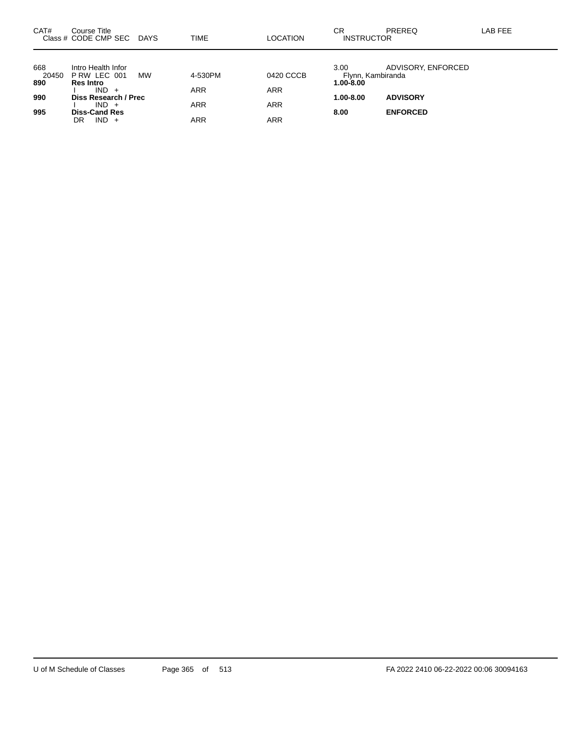| CAT#                | Course Title<br>Class # CODE CMP SEC DAYS             |    | TIME       | <b>LOCATION</b> | CR<br><b>INSTRUCTOR</b>                | PREREQ             | LAB FEE |
|---------------------|-------------------------------------------------------|----|------------|-----------------|----------------------------------------|--------------------|---------|
| 668<br>20450<br>890 | Intro Health Infor<br>PRW LEC 001<br><b>Res Intro</b> | MW | 4-530PM    | 0420 CCCB       | 3.00<br>Flynn, Kambiranda<br>1.00-8.00 | ADVISORY, ENFORCED |         |
| 990                 | $IND +$<br>Diss Research / Prec                       |    | <b>ARR</b> | <b>ARR</b>      | 1.00-8.00                              | <b>ADVISORY</b>    |         |
| 995                 | $IND +$<br><b>Diss-Cand Res</b>                       |    | <b>ARR</b> | <b>ARR</b>      | 8.00                                   | <b>ENFORCED</b>    |         |
|                     | $IND +$<br>DR                                         |    | ARR        | <b>ARR</b>      |                                        |                    |         |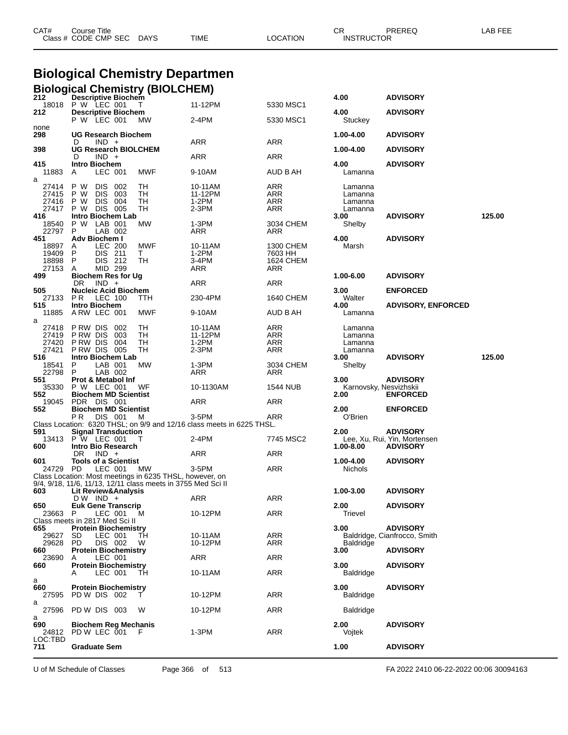|                     | <b>Biological Chemistry Departmen</b>                                                                                   |                    |                      |                                |                                                 |        |
|---------------------|-------------------------------------------------------------------------------------------------------------------------|--------------------|----------------------|--------------------------------|-------------------------------------------------|--------|
| 212                 | <b>Biological Chemistry (BIOLCHEM)</b><br><b>Descriptive Biochem</b>                                                    |                    |                      | 4.00                           | <b>ADVISORY</b>                                 |        |
| 18018               | P W LEC 001<br>T                                                                                                        | 11-12PM            | 5330 MSC1            |                                |                                                 |        |
| 212                 | <b>Descriptive Biochem</b><br>P W LEC 001<br>МW                                                                         | 2-4PM              | 5330 MSC1            | 4.00<br>Stuckey                | <b>ADVISORY</b>                                 |        |
| none<br>298         | <b>UG Research Biochem</b>                                                                                              |                    |                      | 1.00-4.00                      | <b>ADVISORY</b>                                 |        |
| 398                 | $IND +$<br>D<br><b>UG Research BIOLCHEM</b>                                                                             | ARR                | ARR                  | 1.00-4.00                      | <b>ADVISORY</b>                                 |        |
| 415                 | $IND +$<br>D<br><b>Intro Biochem</b>                                                                                    | ARR                | ARR                  | 4.00                           | <b>ADVISORY</b>                                 |        |
| 11883<br>a          | LEC 001<br>MWF<br>A                                                                                                     | 9-10AM             | AUD B AH             | Lamanna                        |                                                 |        |
| 27414<br>27415      | P W<br><b>DIS</b><br>002<br>TН<br>P W<br>DIS.<br>003<br>TН                                                              | 10-11AM<br>11-12PM | ARR<br>ARR           | Lamanna<br>Lamanna             |                                                 |        |
| 27416               | 004<br>P W<br>DIS.<br>TH                                                                                                | 1-2PM              | ARR                  | Lamanna                        |                                                 |        |
| 27417<br>416        | TH<br>P W<br>DIS 005<br>Intro Biochem Lab                                                                               | 2-3PM              | ARR                  | Lamanna<br>3.00                | <b>ADVISORY</b>                                 | 125.00 |
| 18540<br>22797      | P W LAB 001<br>МW<br>P<br>LAB 002                                                                                       | 1-3PM<br>ARR       | 3034 CHEM<br>ARR     | Shelby                         |                                                 |        |
| 451<br>18897        | Adv Biochem I<br><b>LEC 200</b><br>MWF<br>A                                                                             | 10-11AM            | 1300 CHEM            | 4.00<br>Marsh                  | <b>ADVISORY</b>                                 |        |
| 19409<br>18898      | P<br>DIS 211<br>T.<br>$\mathsf{P}$<br>DIS 212<br>TH                                                                     | 1-2PM<br>3-4PM     | 7603 HH<br>1624 CHEM |                                |                                                 |        |
| 27153<br>499        | MID 299<br>A<br><b>Biochem Res for Ug</b>                                                                               | ARR                | ARR                  | 1.00-6.00                      | <b>ADVISORY</b>                                 |        |
|                     | DR.<br>$IND +$                                                                                                          | ARR                | <b>ARR</b>           |                                |                                                 |        |
| 505<br>27133<br>515 | <b>Nucleic Acid Biochem</b><br>P R<br>LEC 100<br>ттн<br>Intro Biochem                                                   | 230-4PM            | 1640 CHEM            | 3.00<br>Walter<br>4.00         | <b>ENFORCED</b><br><b>ADVISORY, ENFORCED</b>    |        |
| 11885<br>a          | ARW LEC 001<br>MWF                                                                                                      | 9-10AM             | AUD B AH             | Lamanna                        |                                                 |        |
| 27418               | P RW DIS<br>-002<br>TН                                                                                                  | 10-11AM            | ARR                  | Lamanna                        |                                                 |        |
| 27419<br>27420      | TH<br>P RW DIS<br>003<br>P RW DIS<br>004<br>TН                                                                          | 11-12PM<br>$1-2PM$ | ARR<br><b>ARR</b>    | Lamanna<br>Lamanna             |                                                 |        |
| 27421<br>516        | PRW DIS 005<br>TН<br>Intro Biochem Lab                                                                                  | 2-3PM              | ARR                  | Lamanna<br>3.00                | <b>ADVISORY</b>                                 | 125.00 |
| 18541<br>22798      | P<br>LAB 001<br><b>MW</b><br>P.<br>LAB 002                                                                              | 1-3PM<br>ARR       | 3034 CHEM<br>ARR     | Shelby                         |                                                 |        |
| 551                 | <b>Prot &amp; Metabol Inf</b>                                                                                           |                    |                      | 3.00                           | <b>ADVISORY</b>                                 |        |
| 35330<br>552        | P W LEC 001<br>WF<br><b>Biochem MD Scientist</b>                                                                        | 10-1130AM          | 1544 NUB             | Karnovsky, Nesvizhskii<br>2.00 | <b>ENFORCED</b>                                 |        |
| 19045<br>552        | PDR DIS 001<br><b>Biochem MD Scientist</b>                                                                              | ARR                | ARR                  | 2.00                           | <b>ENFORCED</b>                                 |        |
|                     | P R<br>DIS 001<br>M                                                                                                     | 3-5PM              | ARR                  | O'Brien                        |                                                 |        |
| 591                 | Class Location: 6320 THSL; on 9/9 and 12/16 class meets in 6225 THSL.<br><b>Signal Transduction</b>                     |                    |                      | 2.00                           | <b>ADVISORY</b>                                 |        |
| 600                 | 13413 P W LEC 001<br>T<br>Intro Bio Research                                                                            | 2-4PM              | 7745 MSC2            | 1.00-8.00                      | Lee, Xu, Rui, Yin, Mortensen<br><b>ADVISORY</b> |        |
|                     | DR.<br>$IND +$                                                                                                          | ARR                | ARR                  |                                |                                                 |        |
| 601<br>24729 PD     | <b>Tools of a Scientist</b><br>LEC 001<br><b>MW</b>                                                                     | 3-5PM              | ARR                  | 1.00-4.00<br><b>Nichols</b>    | <b>ADVISORY</b>                                 |        |
|                     | Class Location: Most meetings in 6235 THSL, however, on<br>9/4, 9/18, 11/6, 11/13, 12/11 class meets in 3755 Med Sci II |                    |                      |                                |                                                 |        |
| 603                 | Lit Review&Analysis                                                                                                     |                    |                      | 1.00-3.00                      | <b>ADVISORY</b>                                 |        |
| 650                 | DW IND +<br><b>Euk Gene Transcrip</b>                                                                                   | <b>ARR</b>         | ARR                  | 2.00                           | <b>ADVISORY</b>                                 |        |
| 23663               | LEC 001<br>P<br>м<br>Class meets in 2817 Med Sci II                                                                     | 10-12PM            | ARR                  | Trievel                        |                                                 |        |
| 655                 | <b>Protein Biochemistry</b>                                                                                             |                    |                      | 3.00                           | <b>ADVISORY</b>                                 |        |
| 29627<br>29628      | LEC 001<br>SD.<br>TН<br>DIS 002<br>PD<br>W                                                                              | 10-11AM<br>10-12PM | ARR<br>ARR           | <b>Baldridge</b>               | Baldridge, Cianfrocco, Smith                    |        |
| 660<br>23690        | <b>Protein Biochemistry</b><br>LEC 001<br>A                                                                             | ARR                | ARR                  | 3.00                           | <b>ADVISORY</b>                                 |        |
| 660                 | <b>Protein Biochemistry</b><br>LEC 001<br>TН                                                                            | 10-11AM            | ARR                  | 3.00<br>Baldridge              | <b>ADVISORY</b>                                 |        |
| а                   |                                                                                                                         |                    |                      |                                |                                                 |        |
| 660<br>27595        | <b>Protein Biochemistry</b><br>PD W DIS 002                                                                             | 10-12PM            | ARR                  | 3.00<br>Baldridge              | <b>ADVISORY</b>                                 |        |
| a<br>27596          | PD W DIS 003<br>W                                                                                                       | 10-12PM            | ARR                  | <b>Baldridge</b>               |                                                 |        |
| a<br>690            | <b>Biochem Reg Mechanis</b>                                                                                             |                    |                      | 2.00                           | <b>ADVISORY</b>                                 |        |
| 24812<br>LOC:TBD    | PD W LEC 001<br>- F                                                                                                     | $1-3PM$            | ARR                  | Vojtek                         |                                                 |        |
| 711                 | <b>Graduate Sem</b>                                                                                                     |                    |                      | 1.00                           | <b>ADVISORY</b>                                 |        |

CAT# Course Title Case CR PREREQ LAB FEE

Class # CODE CMP SEC DAYS TIME LOCATION INSTRUCTOR

U of M Schedule of Classes Page 366 of 513 FA 2022 2410 06-22-2022 00:06 30094163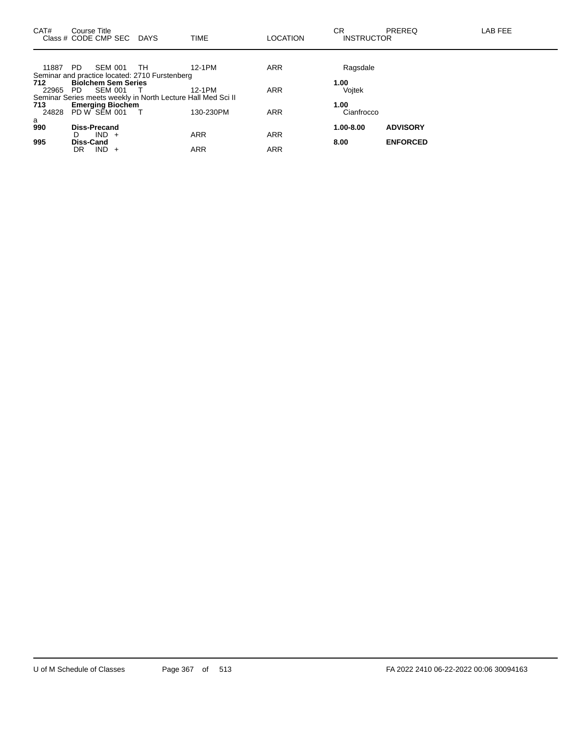| CAT#<br>Class # CODE CMP SEC DAYS | Course Title               |                |                                                              | <b>TIME</b> | <b>LOCATION</b> | CR.<br><b>INSTRUCTOR</b> | PREREQ          | LAB FEE |
|-----------------------------------|----------------------------|----------------|--------------------------------------------------------------|-------------|-----------------|--------------------------|-----------------|---------|
| 11887 PD                          |                            | SEM 001        | - TH                                                         | 12-1PM      | <b>ARR</b>      | Ragsdale                 |                 |         |
|                                   |                            |                | Seminar and practice located: 2710 Furstenberg               |             |                 |                          |                 |         |
| 712                               | <b>Biolchem Sem Series</b> |                |                                                              |             |                 | 1.00                     |                 |         |
| 22965                             | - PD                       | <b>SEM 001</b> |                                                              | 12-1PM      | <b>ARR</b>      | Vojtek                   |                 |         |
|                                   |                            |                | Seminar Series meets weekly in North Lecture Hall Med Sci II |             |                 |                          |                 |         |
| 713                               | <b>Emerging Biochem</b>    |                |                                                              |             |                 | 1.00                     |                 |         |
| 24828                             | PD W SEM 001               |                |                                                              | 130-230PM   | <b>ARR</b>      | Cianfrocco               |                 |         |
| a                                 |                            |                |                                                              |             |                 |                          |                 |         |
| 990                               |                            | Diss-Precand   |                                                              |             |                 | 1.00-8.00                | <b>ADVISORY</b> |         |
|                                   | D.                         | $IND +$        |                                                              | <b>ARR</b>  | <b>ARR</b>      |                          |                 |         |
| 995                               | <b>Diss-Cand</b>           |                |                                                              |             |                 | 8.00                     | <b>ENFORCED</b> |         |
|                                   | DR                         | $IND +$        |                                                              | <b>ARR</b>  | <b>ARR</b>      |                          |                 |         |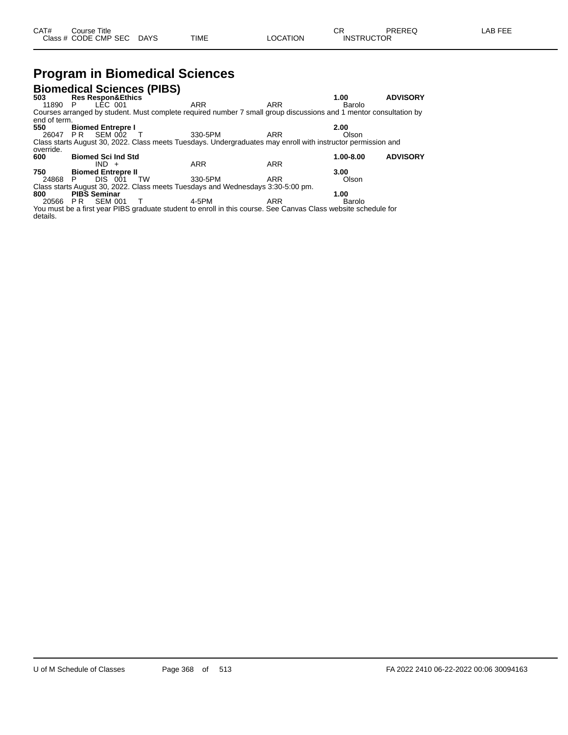## **Program in Biomedical Sciences**

| <b>Biomedical Sciences (PIBS)</b> |    |                              |    |                                                                                                                   |            |               |                 |
|-----------------------------------|----|------------------------------|----|-------------------------------------------------------------------------------------------------------------------|------------|---------------|-----------------|
| 503                               |    | <b>Res Respon&amp;Ethics</b> |    |                                                                                                                   |            | 1.00          | <b>ADVISORY</b> |
| 11890                             | P  | LEC 001                      |    | <b>ARR</b>                                                                                                        | <b>ARR</b> | Barolo        |                 |
|                                   |    |                              |    | Courses arranged by student. Must complete required number 7 small group discussions and 1 mentor consultation by |            |               |                 |
| end of term.                      |    |                              |    |                                                                                                                   |            |               |                 |
| 550                               |    | <b>Biomed Entrepre I</b>     |    |                                                                                                                   |            | 2.00          |                 |
| 26047                             | PR | <b>SEM 002</b>               |    | 330-5PM                                                                                                           | ARR        | Olson         |                 |
|                                   |    |                              |    | Class starts August 30, 2022. Class meets Tuesdays. Undergraduates may enroll with instructor permission and      |            |               |                 |
| override.                         |    |                              |    |                                                                                                                   |            |               |                 |
| 600                               |    | <b>Biomed Sci Ind Std</b>    |    |                                                                                                                   |            | $1.00 - 8.00$ | <b>ADVISORY</b> |
|                                   |    | $IND +$                      |    | <b>ARR</b>                                                                                                        | <b>ARR</b> |               |                 |
| 750                               |    | <b>Biomed Entrepre II</b>    |    |                                                                                                                   |            | 3.00          |                 |
| 24868                             | P  | DIS 001                      | TW | 330-5PM                                                                                                           | ARR        | Olson         |                 |
|                                   |    |                              |    | Class starts August 30, 2022. Class meets Tuesdays and Wednesdays 3:30-5:00 pm.                                   |            |               |                 |
| 800                               |    | <b>PIBS Seminar</b>          |    |                                                                                                                   |            | 1.00          |                 |
| 20566                             | PR | <b>SEM 001</b>               |    | 4-5PM                                                                                                             | ARR        | Barolo        |                 |
|                                   |    |                              |    | You must be a first year DIRS araduate student to enroll in this course. See Canyas Class website schedule for    |            |               |                 |

You must be a first year PIBS graduate student to enroll in this course. See Canvas Class website schedule for details.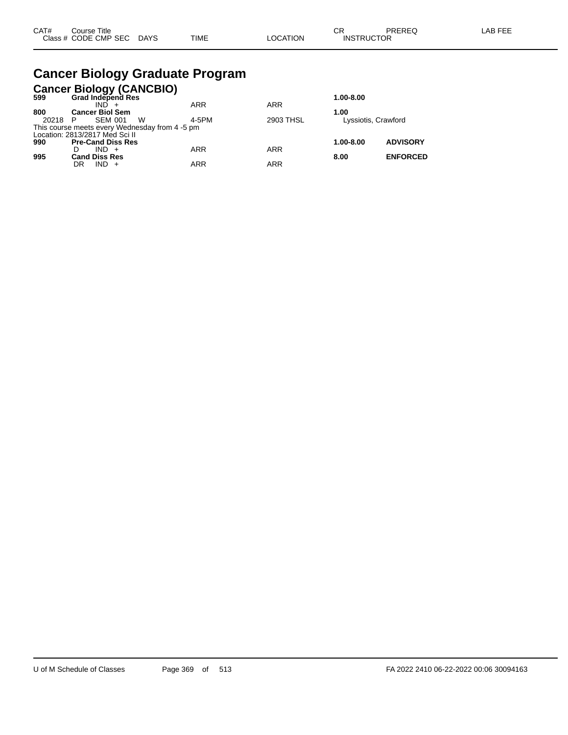### **Cancer Biology Graduate Program**

|       | Cancer Biology (CANCBIO)<br>599 Grad Independ Res |            |            |                     |                 |
|-------|---------------------------------------------------|------------|------------|---------------------|-----------------|
|       |                                                   |            |            | 1.00-8.00           |                 |
|       | IND.                                              | <b>ARR</b> | <b>ARR</b> |                     |                 |
| 800   | <b>Cancer Biol Sem</b>                            |            |            | 1.00                |                 |
| 20218 | <b>SEM 001</b><br>W<br>P                          | 4-5PM      | 2903 THSL  | Lyssiotis, Crawford |                 |
|       | This course meets every Wednesday from 4 -5 pm    |            |            |                     |                 |
|       | Location: 2813/2817 Med Sci II                    |            |            |                     |                 |
| 990   | <b>Pre-Cand Diss Res</b>                          |            |            | 1.00-8.00           | <b>ADVISORY</b> |
|       | $IND +$                                           | <b>ARR</b> | <b>ARR</b> |                     |                 |
| 995   | <b>Cand Diss Res</b>                              |            |            | 8.00                | <b>ENFORCED</b> |
|       | $IND +$<br>DR                                     | <b>ARR</b> | <b>ARR</b> |                     |                 |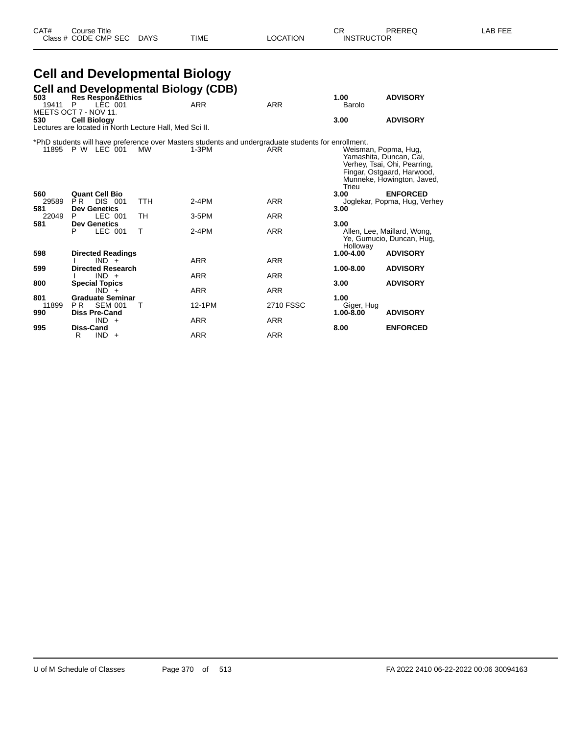# **Cell and Developmental Biology**

| 503                 | <b>Cell and Developmental Biology (CDB)</b>                                    |              |                                                                                                              |            |                               |                                                                                                                     |
|---------------------|--------------------------------------------------------------------------------|--------------|--------------------------------------------------------------------------------------------------------------|------------|-------------------------------|---------------------------------------------------------------------------------------------------------------------|
| 19411               | <b>Res Respon&amp;Ethics</b><br>LEC 001<br>P<br>MEETS OCT 7 - NOV 11.          |              | <b>ARR</b>                                                                                                   | <b>ARR</b> | 1.00<br>Barolo                | <b>ADVISORY</b>                                                                                                     |
| 530                 | <b>Cell Biology</b><br>Lectures are located in North Lecture Hall, Med Sci II. |              |                                                                                                              |            | 3.00                          | <b>ADVISORY</b>                                                                                                     |
|                     | 11895 P W LEC 001                                                              | МW           | *PhD students will have preference over Masters students and undergraduate students for enrollment.<br>1-3PM | ARR        | Weisman, Popma, Hug,<br>Trieu | Yamashita, Duncan, Cai,<br>Verhey, Tsai, Ohi, Pearring,<br>Fingar, Ostgaard, Harwood,<br>Munneke, Howington, Javed, |
| 560<br>29589<br>581 | <b>Quant Cell Bio</b><br>P <sub>R</sub><br>DIS 001<br><b>Dev Genetics</b>      | <b>TTH</b>   | $2-4PM$                                                                                                      | <b>ARR</b> | 3.00<br>3.00                  | <b>ENFORCED</b><br>Joglekar, Popma, Hug, Verhey                                                                     |
| 22049<br>581        | LEC 001<br>P<br><b>Dev Genetics</b>                                            | <b>TH</b>    | $3-5$ PM                                                                                                     | <b>ARR</b> | 3.00                          |                                                                                                                     |
|                     | LEC 001<br>P                                                                   | $\mathsf{T}$ | $2-4PM$                                                                                                      | <b>ARR</b> | Holloway                      | Allen, Lee, Maillard, Wong,<br>Ye, Gumucio, Duncan, Hug,                                                            |
| 598                 | <b>Directed Readings</b><br>$IND +$                                            |              | <b>ARR</b>                                                                                                   | <b>ARR</b> | $1.00 - 4.00$                 | <b>ADVISORY</b>                                                                                                     |
| 599                 | <b>Directed Research</b><br>$IND +$                                            |              | <b>ARR</b>                                                                                                   | <b>ARR</b> | 1.00-8.00                     | <b>ADVISORY</b>                                                                                                     |
| 800                 | <b>Special Topics</b><br>$IND +$                                               |              | <b>ARR</b>                                                                                                   | <b>ARR</b> | 3.00                          | <b>ADVISORY</b>                                                                                                     |
| 801<br>11899        | <b>Graduate Seminar</b><br><b>SEM 001</b><br>P <sub>R</sub>                    | т            | 12-1PM                                                                                                       | 2710 FSSC  | 1.00<br>Giger, Hug            |                                                                                                                     |
| 990                 | <b>Diss Pre-Cand</b><br>$IND +$                                                |              | <b>ARR</b>                                                                                                   | <b>ARR</b> | 1.00-8.00                     | <b>ADVISORY</b>                                                                                                     |
| 995                 | <b>Diss-Cand</b><br><b>IND</b><br>R<br>$+$                                     |              | <b>ARR</b>                                                                                                   | <b>ARR</b> | 8.00                          | <b>ENFORCED</b>                                                                                                     |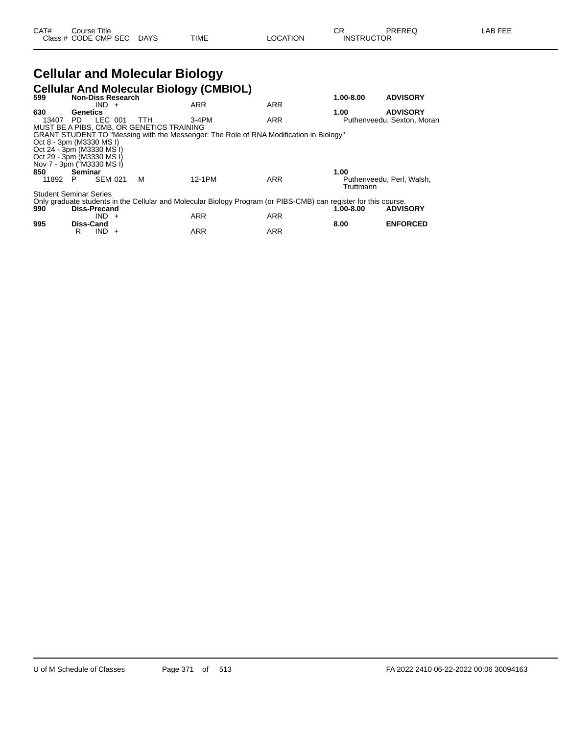#### **Cellular and Molecular Biology Cellular And Molecular Biology (CMBIOL)**

| 599   | <b>Non-Diss Research</b>      |                                           | <b>Scharar And Molcouldi Biology (SMBIOL)</b> |                                                                                                                  | $1.00 - 8.00$ | <b>ADVISORY</b>            |
|-------|-------------------------------|-------------------------------------------|-----------------------------------------------|------------------------------------------------------------------------------------------------------------------|---------------|----------------------------|
|       | $IND +$                       |                                           | <b>ARR</b>                                    | <b>ARR</b>                                                                                                       |               |                            |
| 630   | Genetics                      |                                           |                                               |                                                                                                                  | 1.00          | <b>ADVISORY</b>            |
| 13407 | LEC 001<br>PD.                | TTH                                       | 3-4PM                                         | <b>ARR</b>                                                                                                       |               | Puthenveedu, Sexton, Moran |
|       |                               | MUST BE A PIBS, CMB, OR GENETICS TRAINING |                                               |                                                                                                                  |               |                            |
|       |                               |                                           |                                               | GRANT STUDENT TO "Messing with the Messenger: The Role of RNA Modification in Biology"                           |               |                            |
|       | Oct 8 - 3pm (M3330 MS I)      |                                           |                                               |                                                                                                                  |               |                            |
|       | Oct 24 - 3pm (M3330 MS I)     |                                           |                                               |                                                                                                                  |               |                            |
|       | Oct 29 - 3pm (M3330 MS I)     |                                           |                                               |                                                                                                                  |               |                            |
|       | Nov 7 - 3pm ("M3330 MS I)     |                                           |                                               |                                                                                                                  |               |                            |
| 850   | Seminar                       |                                           |                                               |                                                                                                                  | 1.00          |                            |
| 11892 | <b>SEM 021</b><br>P           | м                                         | 12-1PM                                        | <b>ARR</b>                                                                                                       | Truttmann     | Puthenveedu. Perl. Walsh.  |
|       | <b>Student Seminar Series</b> |                                           |                                               |                                                                                                                  |               |                            |
|       |                               |                                           |                                               | Only graduate students in the Cellular and Molecular Biology Program (or PIBS-CMB) can register for this course. |               |                            |
| 990   | Diss-Precand                  |                                           |                                               |                                                                                                                  | 1.00-8.00     | <b>ADVISORY</b>            |
|       | IND.<br>$+$                   |                                           | <b>ARR</b>                                    | <b>ARR</b>                                                                                                       |               |                            |
| 995   | <b>Diss-Cand</b>              |                                           |                                               |                                                                                                                  | 8.00          | <b>ENFORCED</b>            |
|       | R<br>IND.<br>$\ddot{}$        |                                           | <b>ARR</b>                                    | <b>ARR</b>                                                                                                       |               |                            |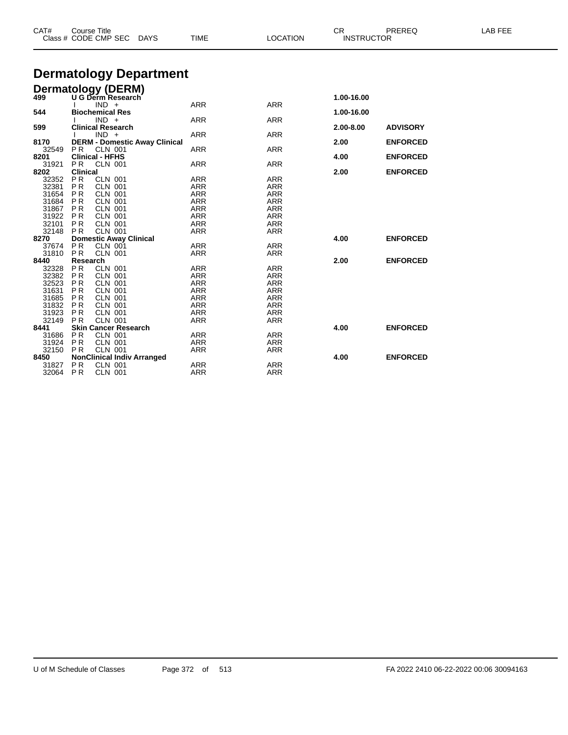| CAT#          | <b>Course Title</b><br>Class # CODE CMP SEC                         | <b>TIME</b><br><b>DAYS</b> | <b>LOCATION</b> | CR<br><b>INSTRUCTOR</b> | PREREQ          | LAB FEE |
|---------------|---------------------------------------------------------------------|----------------------------|-----------------|-------------------------|-----------------|---------|
|               | <b>Dermatology Department</b>                                       |                            |                 |                         |                 |         |
|               |                                                                     |                            |                 |                         |                 |         |
|               | <b>Dermatology (DERM)</b><br>499 U G Derm Research                  |                            |                 | 1.00-16.00              |                 |         |
|               | $IND +$                                                             | <b>ARR</b>                 | <b>ARR</b>      |                         |                 |         |
| 544           | <b>Biochemical Res</b>                                              |                            |                 | 1.00-16.00              |                 |         |
|               | $IND +$                                                             | <b>ARR</b>                 | <b>ARR</b>      |                         |                 |         |
| 599           | <b>Clinical Research</b>                                            |                            |                 | 2.00-8.00               | <b>ADVISORY</b> |         |
|               | $IND +$                                                             | <b>ARR</b>                 | <b>ARR</b>      |                         |                 |         |
| 8170<br>32549 | <b>DERM - Domestic Away Clinical</b><br><b>PR</b><br><b>CLN 001</b> | <b>ARR</b>                 | <b>ARR</b>      | 2.00                    | <b>ENFORCED</b> |         |
| 8201          | <b>Clinical - HFHS</b>                                              |                            |                 | 4.00                    | <b>ENFORCED</b> |         |
| 31921         | PR.<br><b>CLN 001</b>                                               | ARR                        | <b>ARR</b>      |                         |                 |         |
| 8202          | <b>Clinical</b>                                                     |                            |                 | 2.00                    | <b>ENFORCED</b> |         |
| 32352         | <b>PR</b><br><b>CLN 001</b>                                         | <b>ARR</b>                 | <b>ARR</b>      |                         |                 |         |
| 32381         | <b>PR</b><br><b>CLN 001</b>                                         | <b>ARR</b>                 | <b>ARR</b>      |                         |                 |         |
| 31654         | <b>PR</b><br><b>CLN 001</b>                                         | <b>ARR</b>                 | <b>ARR</b>      |                         |                 |         |
| 31684         | P <sub>R</sub><br><b>CLN 001</b>                                    | ARR                        | <b>ARR</b>      |                         |                 |         |
| 31867         | <b>PR</b><br><b>CLN 001</b>                                         | ARR                        | <b>ARR</b>      |                         |                 |         |
| 31922         | <b>PR</b><br><b>CLN 001</b>                                         | <b>ARR</b>                 | <b>ARR</b>      |                         |                 |         |
| 32101         | <b>PR</b><br><b>CLN 001</b>                                         | <b>ARR</b>                 | <b>ARR</b>      |                         |                 |         |
| 32148         | <b>PR</b><br><b>CLN 001</b>                                         | <b>ARR</b>                 | <b>ARR</b>      |                         |                 |         |
| 8270          | <b>Domestic Away Clinical</b>                                       |                            |                 | 4.00                    | <b>ENFORCED</b> |         |
| 37674         | <b>PR</b><br><b>CLN 001</b>                                         | ARR                        | <b>ARR</b>      |                         |                 |         |
| 31810         | <b>PR</b><br><b>CLN 001</b>                                         | <b>ARR</b>                 | <b>ARR</b>      |                         |                 |         |
| 8440          | Research                                                            |                            |                 | 2.00                    | <b>ENFORCED</b> |         |
| 32328         | PR<br><b>CLN 001</b>                                                | <b>ARR</b>                 | <b>ARR</b>      |                         |                 |         |
| 32382         | P <sub>R</sub><br><b>CLN 001</b>                                    | <b>ARR</b>                 | <b>ARR</b>      |                         |                 |         |
| 32523         | PR<br><b>CLN 001</b>                                                | ARR                        | <b>ARR</b>      |                         |                 |         |
| 31631         | P <sub>R</sub><br><b>CLN 001</b>                                    | <b>ARR</b>                 | <b>ARR</b>      |                         |                 |         |
| 31685         | P <sub>R</sub><br><b>CLN 001</b>                                    | <b>ARR</b>                 | <b>ARR</b>      |                         |                 |         |
| 31832         | PR<br><b>CLN 001</b>                                                | <b>ARR</b>                 | <b>ARR</b>      |                         |                 |         |
| 31923         | P <sub>R</sub><br><b>CLN 001</b>                                    | <b>ARR</b>                 | <b>ARR</b>      |                         |                 |         |
| 32149         | <b>CLN 001</b><br><b>PR</b>                                         | ARR                        | <b>ARR</b>      |                         |                 |         |
| 8441          | <b>Skin Cancer Research</b>                                         |                            |                 | 4.00                    | <b>ENFORCED</b> |         |
| 31686         | <b>PR</b><br><b>CLN 001</b>                                         | <b>ARR</b>                 | <b>ARR</b>      |                         |                 |         |
| 31924         | <b>PR</b><br><b>CLN 001</b>                                         | <b>ARR</b>                 | <b>ARR</b>      |                         |                 |         |
| 32150         | <b>CLN 001</b><br>P <sub>R</sub>                                    | <b>ARR</b>                 | <b>ARR</b>      |                         |                 |         |
| 8450          | <b>NonClinical Indiv Arranged</b>                                   |                            |                 | 4.00                    | <b>ENFORCED</b> |         |
| 31827         | P <sub>R</sub><br><b>CLN 001</b>                                    | ARR                        | <b>ARR</b>      |                         |                 |         |
| 32064         | <b>PR</b><br><b>CLN 001</b>                                         | ARR                        | <b>ARR</b>      |                         |                 |         |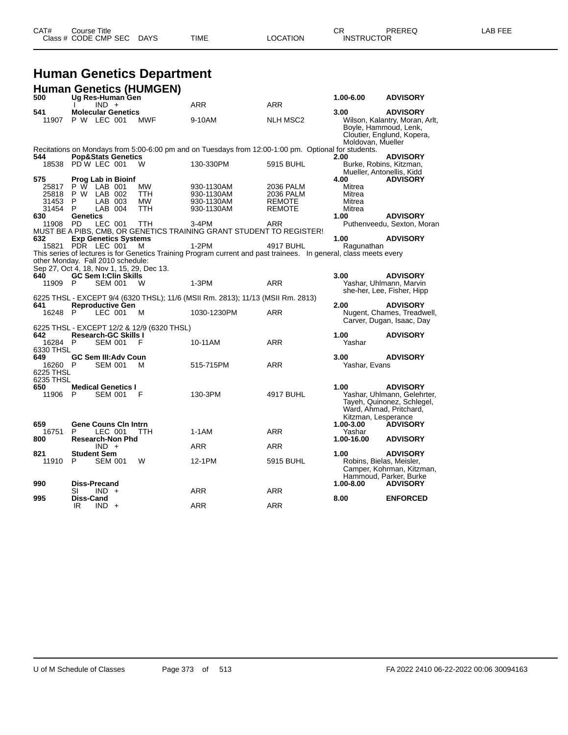| CAT# | ourse Titleٽ         |             |      |          | ⌒冖<br>◡           | PREREQ | AR FFF |
|------|----------------------|-------------|------|----------|-------------------|--------|--------|
|      | Class # CODE CMP SEC | <b>DAYS</b> | TIME | LOCATION | <b>INSTRUCTOR</b> |        |        |

### **Human Genetics Department**

|           | <b>Human Genetics (HUMGEN)</b>                                           |            |                                                                                                                   |                 |                                                      |                                                              |
|-----------|--------------------------------------------------------------------------|------------|-------------------------------------------------------------------------------------------------------------------|-----------------|------------------------------------------------------|--------------------------------------------------------------|
| 500       | Ug Res-Human Gen<br>$IND +$                                              |            | <b>ARR</b>                                                                                                        | <b>ARR</b>      | 1.00-6.00                                            | <b>ADVISORY</b>                                              |
| 541       | <b>Molecular Genetics</b>                                                |            |                                                                                                                   |                 | 3.00                                                 | <b>ADVISORY</b>                                              |
| 11907     | P W LEC 001                                                              | <b>MWF</b> | 9-10AM                                                                                                            | <b>NLH MSC2</b> | Boyle, Hammoud, Lenk,<br>Moldovan, Mueller           | Wilson, Kalantry, Moran, Arlt,<br>Cloutier, Englund, Kopera, |
|           |                                                                          |            | Recitations on Mondays from 5:00-6:00 pm and on Tuesdays from 12:00-1:00 pm. Optional for students.               |                 |                                                      |                                                              |
| 544       | <b>Pop&amp;Stats Genetics</b>                                            |            |                                                                                                                   |                 | 2.00                                                 | <b>ADVISORY</b>                                              |
|           | 18538 PD W LEC 001                                                       | W          | 130-330PM                                                                                                         | 5915 BUHL       | Burke, Robins, Kitzman,<br>Mueller, Antonellis, Kidd |                                                              |
| 575       | Prog Lab in Bioinf                                                       |            |                                                                                                                   |                 | 4.00                                                 | <b>ADVISORY</b>                                              |
| 25817     | P W LAB 001                                                              | <b>MW</b>  | 930-1130AM                                                                                                        | 2036 PALM       | Mitrea                                               |                                                              |
| 25818     | P W LAB 002                                                              | TTH.       | 930-1130AM                                                                                                        | 2036 PALM       | Mitrea                                               |                                                              |
| 31453     | P<br>LAB 003                                                             | <b>MW</b>  | 930-1130AM                                                                                                        | <b>REMOTE</b>   | Mitrea                                               |                                                              |
| 31454     | P<br>LAB 004                                                             | <b>TTH</b> | 930-1130AM                                                                                                        | <b>REMOTE</b>   | Mitrea                                               |                                                              |
| 630       | Genetics                                                                 |            |                                                                                                                   |                 | 1.00                                                 | <b>ADVISORY</b>                                              |
| 11908     | <b>PD</b><br>LEC 001                                                     | <b>TTH</b> | 3-4PM                                                                                                             | ARR             |                                                      | Puthenveedu, Sexton, Moran                                   |
|           |                                                                          |            | MUST BE A PIBS, CMB, OR GENETICS TRAINING GRANT STUDENT TO REGISTER!                                              |                 |                                                      |                                                              |
| 632       | <b>Exp Genetics Systems</b>                                              |            |                                                                                                                   |                 | 1.00                                                 | <b>ADVISORY</b>                                              |
|           | 15821 PDR LEC 001                                                        | м          | $1-2PM$                                                                                                           | 4917 BUHL       | Ragunathan                                           |                                                              |
|           | other Monday. Fall 2010 schedule:                                        |            | This series of lectures is for Genetics Training Program current and past trainees. In general, class meets every |                 |                                                      |                                                              |
|           |                                                                          |            |                                                                                                                   |                 |                                                      |                                                              |
| 640       | Sep 27, Oct 4, 18, Nov 1, 15, 29, Dec 13.<br><b>GC Sem I:Clin Skills</b> |            |                                                                                                                   |                 | 3.00                                                 | <b>ADVISORY</b>                                              |
| 11909     | <b>SEM 001</b><br>P.                                                     | W          | $1-3PM$                                                                                                           | <b>ARR</b>      |                                                      | Yashar, Uhlmann, Marvin                                      |
|           |                                                                          |            |                                                                                                                   |                 |                                                      | she-her, Lee, Fisher, Hipp                                   |
|           |                                                                          |            | 6225 THSL - EXCEPT 9/4 (6320 THSL); 11/6 (MSII Rm. 2813); 11/13 (MSII Rm. 2813)                                   |                 |                                                      |                                                              |
| 641       | <b>Reproductive Gen</b>                                                  |            |                                                                                                                   |                 | 2.00                                                 | <b>ADVISORY</b>                                              |
| 16248 P   | LEC 001                                                                  | м          | 1030-1230PM                                                                                                       | <b>ARR</b>      |                                                      | Nugent, Chames, Treadwell,                                   |
|           |                                                                          |            |                                                                                                                   |                 |                                                      | Carver, Dugan, Isaac, Day                                    |
|           | 6225 THSL - EXCEPT 12/2 & 12/9 (6320 THSL)                               |            |                                                                                                                   |                 |                                                      |                                                              |
| 642       | <b>Research-GC Skills I</b>                                              |            |                                                                                                                   |                 | 1.00                                                 | <b>ADVISORY</b>                                              |
| 16284     | P.<br><b>SEM 001</b>                                                     | F          | 10-11AM                                                                                                           | ARR             | Yashar                                               |                                                              |
| 6330 THSL |                                                                          |            |                                                                                                                   |                 |                                                      |                                                              |
| 649.      | <b>GC Sem III: Adv Coun</b>                                              |            |                                                                                                                   |                 | 3.00                                                 | <b>ADVISORY</b>                                              |
| 16260     | <b>SEM 001</b><br>P                                                      | м          | 515-715PM                                                                                                         | <b>ARR</b>      | Yashar, Evans                                        |                                                              |
| 6225 THSL |                                                                          |            |                                                                                                                   |                 |                                                      |                                                              |
| 6235 THSL |                                                                          |            |                                                                                                                   |                 |                                                      |                                                              |
| 650       | <b>Medical Genetics I</b><br>P<br><b>SEM 001</b>                         | F          | 130-3PM                                                                                                           | 4917 BUHL       | 1.00                                                 | <b>ADVISORY</b>                                              |
| 11906     |                                                                          |            |                                                                                                                   |                 |                                                      | Yashar, Uhlmann, Gelehrter,                                  |
|           |                                                                          |            |                                                                                                                   |                 |                                                      | Tayeh, Quinonez, Schlegel,                                   |
|           |                                                                          |            |                                                                                                                   |                 |                                                      | Ward, Ahmad, Pritchard,                                      |
| 659       | <b>Gene Couns Cin Intrn</b>                                              |            |                                                                                                                   |                 | Kitzman, Lesperance<br>1.00-3.00                     | <b>ADVISORY</b>                                              |
| 16751     | LEC 001<br>P                                                             | <b>TTH</b> | $1-1AM$                                                                                                           | <b>ARR</b>      | Yashar                                               |                                                              |
| 800       | <b>Research-Non Phd</b>                                                  |            |                                                                                                                   |                 | 1.00-16.00                                           | <b>ADVISORY</b>                                              |
|           | $IND +$                                                                  |            | <b>ARR</b>                                                                                                        | <b>ARR</b>      |                                                      |                                                              |
| 821       | <b>Student Sem</b>                                                       |            |                                                                                                                   |                 | 1.00                                                 | <b>ADVISORY</b>                                              |
| 11910     | P<br><b>SEM 001</b>                                                      | W          | 12-1PM                                                                                                            | 5915 BUHL       | Robins, Bielas, Meisler,                             |                                                              |
|           |                                                                          |            |                                                                                                                   |                 |                                                      | Camper, Kohrman, Kitzman,                                    |
|           |                                                                          |            |                                                                                                                   |                 |                                                      | Hammoud, Parker, Burke                                       |
| 990       | <b>Diss-Precand</b>                                                      |            |                                                                                                                   |                 | 1.00-8.00                                            | <b>ADVISORY</b>                                              |
|           | SI<br>$IND +$                                                            |            | <b>ARR</b>                                                                                                        | <b>ARR</b>      |                                                      |                                                              |
| 995       | Diss-Cand                                                                |            |                                                                                                                   |                 | 8.00                                                 | <b>ENFORCED</b>                                              |
|           | $IND +$<br>IR                                                            |            | ARR                                                                                                               | <b>ARR</b>      |                                                      |                                                              |
|           |                                                                          |            |                                                                                                                   |                 |                                                      |                                                              |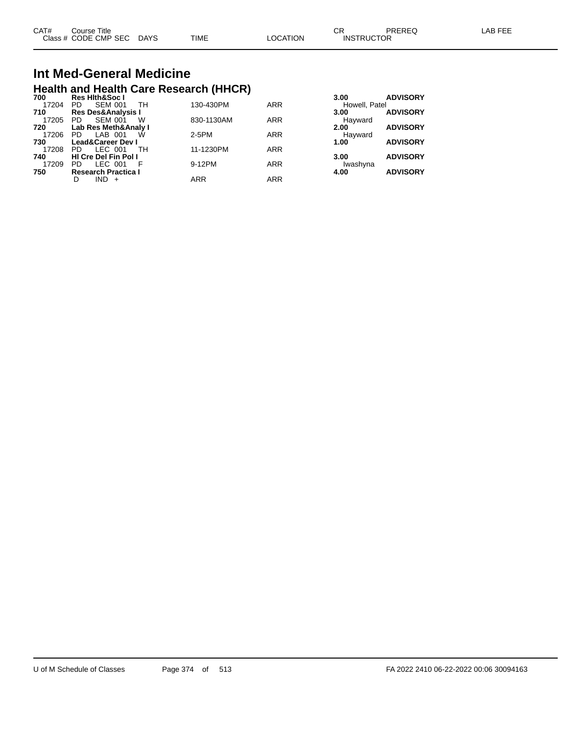| CAT# | Course Title              |             |          | ∩⊓<br>◡⊓          | PREREQ | LAB FEE |
|------|---------------------------|-------------|----------|-------------------|--------|---------|
|      | Class # CODE CMP SEC DAYS | <b>TIME</b> | LOCATION | <b>INSTRUCTOR</b> |        |         |

## **Int Med-General Medicine Health and Health Care Research (HHCR) 700 Res Hlth&Soc I 3.00 ADVISORY**

| 1 V V | 1153 HILIBOOG 1                   |            |            | .<br><b>APTIVORT</b>    |
|-------|-----------------------------------|------------|------------|-------------------------|
| 17204 | <b>SEM 001</b><br>TH<br><b>PD</b> | 130-430PM  | <b>ARR</b> | Howell, Patel           |
| 710   | <b>Res Des&amp;Analysis I</b>     |            |            | <b>ADVISORY</b><br>3.00 |
| 17205 | <b>SEM 001</b><br>PD.<br>w        | 830-1130AM | <b>ARR</b> | Hayward                 |
| 720   | Lab Res Meth&Analy I              |            |            | <b>ADVISORY</b><br>2.00 |
| 17206 | LAB 001<br>PD.<br>W               | 2-5PM      | <b>ARR</b> | Havward                 |
| 730   | <b>Lead&amp;Career Dev I</b>      |            |            | <b>ADVISORY</b><br>1.00 |
| 17208 | LEC 001<br>PD.<br>TH              | 11-1230PM  | <b>ARR</b> |                         |
| 740   | <b>HI Cre Del Fin Pol I</b>       |            |            | <b>ADVISORY</b><br>3.00 |
| 17209 | LEC 001<br>PD.                    | 9-12PM     | <b>ARR</b> | Iwashyna                |
| 750   | <b>Research Practica I</b>        |            |            | <b>ADVISORY</b><br>4.00 |
|       | $IND +$<br>D                      | <b>ARR</b> | <b>ARR</b> |                         |
|       |                                   |            |            |                         |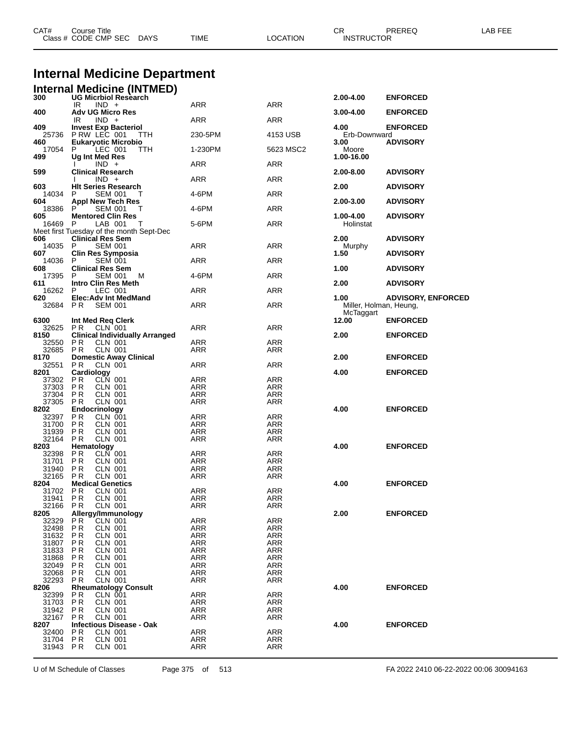|                  | <b>Internal Medicine Department</b>                              |            |                   |                      |                           |
|------------------|------------------------------------------------------------------|------------|-------------------|----------------------|---------------------------|
|                  |                                                                  |            |                   |                      |                           |
|                  | <b>Internal Medicine (INTMED)</b><br><b>UG Micrbiol Research</b> |            |                   |                      |                           |
| 300              | IR<br>$IND +$                                                    | ARR        | <b>ARR</b>        | 2.00-4.00            | <b>ENFORCED</b>           |
| 400              | <b>Adv UG Micro Res</b>                                          |            |                   | 3.00-4.00            | <b>ENFORCED</b>           |
|                  | $IND +$<br>IR                                                    | ARR        | <b>ARR</b>        |                      |                           |
| 409              | <b>Invest Exp Bacteriol</b>                                      |            |                   | 4.00                 | <b>ENFORCED</b>           |
| 25736<br>460     | PRW LEC 001<br>TTH<br><b>Eukaryotic Microbio</b>                 | 230-5PM    | 4153 USB          | Erb-Downward<br>3.00 | <b>ADVISORY</b>           |
| 17054            | P<br>LEC 001<br><b>TTH</b>                                       | 1-230PM    | 5623 MSC2         | Moore                |                           |
| 499              | Ug Int Med Res                                                   |            |                   | 1.00-16.00           |                           |
|                  | $IND +$                                                          | ARR        | ARR               |                      |                           |
| 599              | <b>Clinical Research</b><br>$IND +$                              | ARR        | <b>ARR</b>        | 2.00-8.00            | <b>ADVISORY</b>           |
| 603              | <b>HIt Series Research</b>                                       |            |                   | 2.00                 | <b>ADVISORY</b>           |
| 14034            | P<br>SEM 001<br>т                                                | 4-6PM      | <b>ARR</b>        |                      |                           |
| 604              | Appl New Tech Res                                                |            |                   | 2.00-3.00            | <b>ADVISORY</b>           |
| 18386<br>605     | P<br><b>SEM 001</b><br>Τ<br><b>Mentored Clin Res</b>             | 4-6PM      | ARR               | 1.00-4.00            | <b>ADVISORY</b>           |
| 16469            | P<br>LAB 001<br>т                                                | 5-6PM      | <b>ARR</b>        | Holinstat            |                           |
|                  | Meet first Tuesday of the month Sept-Dec                         |            |                   |                      |                           |
| 606              | <b>Clinical Res Sem</b>                                          |            |                   | 2.00                 | <b>ADVISORY</b>           |
| 14035<br>607     | P<br><b>SEM 001</b><br>Clin Res Symposia                         | ARR        | <b>ARR</b>        | Murphy<br>1.50       | <b>ADVISORY</b>           |
| 14036            | P<br><b>SEM 001</b>                                              | ARR        | <b>ARR</b>        |                      |                           |
| 608              | <b>Clinical Res Sem</b>                                          |            |                   | 1.00                 | <b>ADVISORY</b>           |
| 17395            | <b>SEM 001</b><br>P<br>M                                         | 4-6PM      | ARR               |                      |                           |
| 611<br>16262     | Intro Clin Res Meth<br>P<br>LEC 001                              | ARR        | <b>ARR</b>        | 2.00                 | <b>ADVISORY</b>           |
| 620              | <b>Elec:Adv Int MedMand</b>                                      |            |                   | 1.00                 | <b>ADVISORY, ENFORCED</b> |
| 32684            | PR.<br><b>SEM 001</b>                                            | ARR        | ARR               |                      | Miller, Holman, Heung,    |
|                  |                                                                  |            |                   | McTaggart            |                           |
| 6300<br>32625    | Int Med Req Clerk                                                | ARR        | ARR               | 12.00                | <b>ENFORCED</b>           |
| 8150             | P R<br>CLN 001<br><b>Clinical Individually Arranged</b>          |            |                   | 2.00                 | <b>ENFORCED</b>           |
| 32550            | P R<br>CLN 001                                                   | ARR        | ARR               |                      |                           |
| 32685            | <b>CLN 001</b><br>P R                                            | ARR        | ARR               |                      |                           |
| 8170             | <b>Domestic Away Clinical</b>                                    |            |                   | 2.00                 | <b>ENFORCED</b>           |
| 32551<br>8201    | P R<br>CLN 001<br>Cardiology                                     | ARR        | ARR               | 4.00                 | <b>ENFORCED</b>           |
| 37302            | P R<br>CLN 001                                                   | ARR        | ARR               |                      |                           |
| 37303            | P R<br>CLN 001                                                   | ARR        | ARR               |                      |                           |
| 37304<br>37305   | P R<br>CLN 001<br>P R<br><b>CLN 001</b>                          | ARR<br>ARR | <b>ARR</b><br>ARR |                      |                           |
| 8202             | <b>Endocrinology</b>                                             |            |                   | 4.00                 | <b>ENFORCED</b>           |
| 32397            | PR<br>CLN 001                                                    | ARR        | ARR               |                      |                           |
| 31700            | P R<br><b>CLN 001</b>                                            | <b>ARR</b> | <b>ARR</b>        |                      |                           |
| 31939<br>32164   | P R<br>CLN 001                                                   | ARR<br>ARR | ARR<br>ARR        |                      |                           |
| 8203             | P R<br>CLN 001<br>Hematology                                     |            |                   | 4.00                 | <b>ENFORCED</b>           |
| 32398            | P R<br>CLN 001                                                   | ARR        | ARR               |                      |                           |
| 31701 PR         | <b>CLN 001</b>                                                   | ARR        | ARR               |                      |                           |
| 31940 PR         | CLN 001                                                          | ARR        | ARR               |                      |                           |
| 32165 PR<br>8204 | CLN 001<br><b>Medical Genetics</b>                               | ARR        | ARR               | 4.00                 | <b>ENFORCED</b>           |
| 31702            | PR<br>CLN 001                                                    | ARR        | <b>ARR</b>        |                      |                           |
| 31941            | PR<br><b>CLN 001</b>                                             | ARR        | ARR               |                      |                           |
| 32166            | P R<br><b>CLN 001</b><br>Allergy/Immunology                      | ARR        | ARR               |                      |                           |
| 8205<br>32329    | P R<br>CLN 001                                                   | ARR        | ARR               | 2.00                 | <b>ENFORCED</b>           |
| 32498            | PR<br><b>CLN 001</b>                                             | ARR        | ARR               |                      |                           |
| 31632            | P R<br>CLN 001                                                   | ARR        | ARR               |                      |                           |
| 31807            | P R<br><b>CLN 001</b>                                            | ARR        | <b>ARR</b>        |                      |                           |
| 31833<br>31868   | PR<br><b>CLN 001</b><br>P R<br>CLN 001                           | ARR<br>ARR | ARR<br><b>ARR</b> |                      |                           |
| 32049            | <b>CLN 001</b><br>P R                                            | ARR        | <b>ARR</b>        |                      |                           |
| 32068            | PR<br><b>CLN 001</b>                                             | ARR        | ARR               |                      |                           |
| 32293            | P R<br>CLN 001                                                   | ARR        | <b>ARR</b>        |                      |                           |
| 8206<br>32399 PR | <b>Rheumatology Consult</b><br>CLN 001                           | ARR        | ARR               | 4.00                 | <b>ENFORCED</b>           |
| 31703            | P <sub>R</sub><br>CLN 001                                        | ARR        | ARR               |                      |                           |
| 31942            | P R<br><b>CLN 001</b>                                            | ARR        | ARR               |                      |                           |
| 32167            | CLN 001<br>P R                                                   | ARR        | ARR               |                      |                           |
| 8207<br>32400    | <b>Infectious Disease - Oak</b><br>P R<br>CLN 001                | ARR        | ARR               | 4.00                 | <b>ENFORCED</b>           |
| 31704            | PR<br><b>CLN 001</b>                                             | ARR        | ARR               |                      |                           |
| 31943 PR         | CLN 001                                                          | ARR        | ARR               |                      |                           |
|                  |                                                                  |            |                   |                      |                           |

Class # CODE CMP SEC DAYS TIME LOCATION INSTRUCTOR

U of M Schedule of Classes Page 375 of 513 FA 2022 2410 06-22-2022 00:06 30094163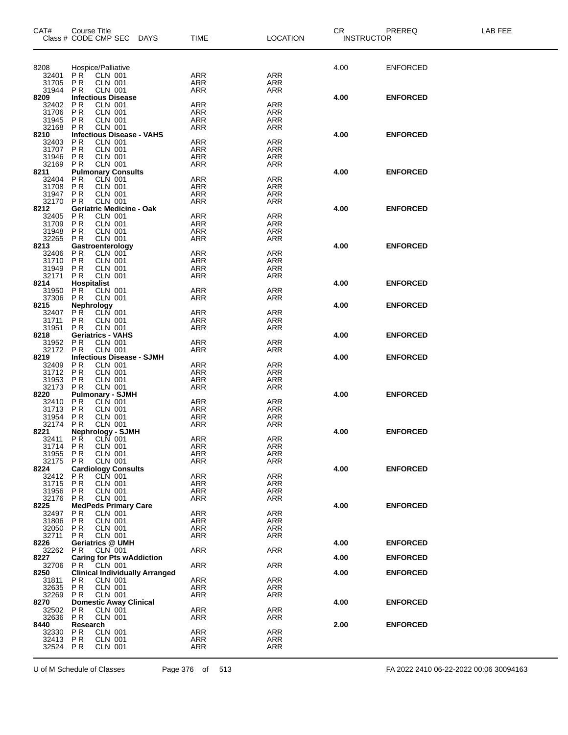| CAT#           | Course Title<br>Class # CODE CMP SEC DAYS                                 | <b>TIME</b>              | <b>LOCATION</b>          | CR.<br><b>INSTRUCTOR</b> | PREREQ          | LAB FEE |
|----------------|---------------------------------------------------------------------------|--------------------------|--------------------------|--------------------------|-----------------|---------|
|                |                                                                           |                          |                          |                          |                 |         |
|                |                                                                           |                          |                          |                          |                 |         |
| 8208<br>32401  | Hospice/Palliative<br>P R<br>CLN 001                                      | <b>ARR</b>               | <b>ARR</b>               | 4.00                     | <b>ENFORCED</b> |         |
| 31705          | <b>CLN 001</b><br>P R                                                     | ARR                      | ARR                      |                          |                 |         |
| 31944          | <b>PR</b><br><b>CLN 001</b>                                               | ARR                      | <b>ARR</b>               |                          |                 |         |
| 8209<br>32402  | <b>Infectious Disease</b><br><b>CLN 001</b><br>P R                        | ARR                      | <b>ARR</b>               | 4.00                     | <b>ENFORCED</b> |         |
| 31706          | <b>PR</b><br><b>CLN 001</b>                                               | <b>ARR</b>               | ARR                      |                          |                 |         |
| 31945          | P R<br>CLN 001                                                            | ARR                      | ARR                      |                          |                 |         |
| 32168          | <b>CLN 001</b><br>P R<br><b>Infectious Disease - VAHS</b>                 | ARR                      | ARR                      | 4.00                     | <b>ENFORCED</b> |         |
| 8210<br>32403  | P R<br><b>CLN 001</b>                                                     | <b>ARR</b>               | <b>ARR</b>               |                          |                 |         |
| 31707          | <b>PR</b><br><b>CLN 001</b>                                               | <b>ARR</b>               | ARR                      |                          |                 |         |
| 31946<br>32169 | <b>PR</b><br><b>CLN 001</b><br>CLN 001<br>P R                             | <b>ARR</b><br><b>ARR</b> | <b>ARR</b><br><b>ARR</b> |                          |                 |         |
| 8211           | <b>Pulmonary Consults</b>                                                 |                          |                          | 4.00                     | <b>ENFORCED</b> |         |
| 32404          | <b>PR</b><br><b>CLN 001</b>                                               | ARR                      | <b>ARR</b>               |                          |                 |         |
| 31708<br>31947 | P R<br>CLN 001<br><b>CLN 001</b><br>P R                                   | <b>ARR</b><br><b>ARR</b> | ARR<br>ARR               |                          |                 |         |
| 32170          | <b>CLN 001</b><br>P R                                                     | <b>ARR</b>               | <b>ARR</b>               |                          |                 |         |
| 8212           | <b>Geriatric Medicine - Oak</b>                                           |                          |                          | 4.00                     | <b>ENFORCED</b> |         |
| 32405<br>31709 | <b>PR</b><br><b>CLN 001</b><br>PR<br><b>CLN 001</b>                       | ARR<br><b>ARR</b>        | <b>ARR</b><br><b>ARR</b> |                          |                 |         |
| 31948          | P R<br>CLN 001                                                            | ARR                      | ARR                      |                          |                 |         |
| 32265          | <b>CLN 001</b><br>P R                                                     | ARR                      | ARR                      |                          |                 |         |
| 8213<br>32406  | Gastroenterology<br>P R<br>CLN 001                                        | <b>ARR</b>               | <b>ARR</b>               | 4.00                     | <b>ENFORCED</b> |         |
| 31710          | CLN 001<br>P R                                                            | <b>ARR</b>               | ARR                      |                          |                 |         |
| 31949          | <b>PR</b><br><b>CLN 001</b>                                               | <b>ARR</b>               | <b>ARR</b>               |                          |                 |         |
| 32171<br>8214  | P <sub>R</sub><br>CLN 001<br><b>Hospitalist</b>                           | <b>ARR</b>               | ARR                      | 4.00                     | <b>ENFORCED</b> |         |
| 31950          | <b>PR</b><br><b>CLN 001</b>                                               | ARR                      | <b>ARR</b>               |                          |                 |         |
| 37306          | P R<br>CLN 001                                                            | ARR                      | ARR                      |                          |                 |         |
| 8215<br>32407  | <b>Nephrology</b><br>PŔ<br>CLN 001                                        | ARR                      | <b>ARR</b>               | 4.00                     | <b>ENFORCED</b> |         |
| 31711          | P R<br>CLN 001                                                            | ARR                      | ARR                      |                          |                 |         |
| 31951          | P R<br>CLN 001                                                            | ARR                      | ARR                      |                          |                 |         |
| 8218<br>31952  | <b>Geriatrics - VAHS</b><br>P R<br>CLN 001                                | <b>ARR</b>               | <b>ARR</b>               | 4.00                     | <b>ENFORCED</b> |         |
| 32172          | <b>CLN 001</b><br>P R                                                     | ARR                      | ARR                      |                          |                 |         |
| 8219           | <b>Infectious Disease - SJMH</b>                                          |                          |                          | 4.00                     | <b>ENFORCED</b> |         |
| 32409<br>31712 | P R<br><b>CLN 001</b><br>CLN 001<br>P R                                   | <b>ARR</b><br><b>ARR</b> | <b>ARR</b><br>ARR        |                          |                 |         |
| 31953          | <b>PR</b><br><b>CLN 001</b>                                               | <b>ARR</b>               | <b>ARR</b>               |                          |                 |         |
| 32173          | <b>PR</b><br>CLN 001                                                      | ARR                      | ARR                      |                          |                 |         |
| 8220<br>32410  | <b>Pulmonary - SJMH</b><br><b>CLN 001</b><br>P R                          | ARR                      | <b>ARR</b>               | 4.00                     | <b>ENFORCED</b> |         |
| 31713          | P R<br>CLN 001                                                            | <b>ARR</b>               | ARR                      |                          |                 |         |
| 31954          | P R<br><b>CLN 001</b>                                                     | <b>ARR</b>               | ARR                      |                          |                 |         |
| 32174<br>8221  | P R<br>CLN 001<br><b>Nephrology - SJMH</b>                                | ARR                      | <b>ARR</b>               | 4.00                     | <b>ENFORCED</b> |         |
| 32411          | PR CLN 001                                                                | ARR                      | <b>ARR</b>               |                          |                 |         |
| 31714 PR       | <b>CLN 001</b>                                                            | <b>ARR</b>               | ARR                      |                          |                 |         |
| 31955<br>32175 | P R<br>CLN 001<br><b>CLN 001</b><br>P R                                   | <b>ARR</b><br>ARR        | <b>ARR</b><br>ARR        |                          |                 |         |
| 8224           | <b>Cardiology Consults</b>                                                |                          |                          | 4.00                     | <b>ENFORCED</b> |         |
| 32412          | P R<br>CLN 001                                                            | <b>ARR</b>               | <b>ARR</b>               |                          |                 |         |
| 31715<br>31956 | <b>CLN 001</b><br>P R<br><b>PR</b><br><b>CLN 001</b>                      | <b>ARR</b><br>ARR        | ARR<br>ARR               |                          |                 |         |
| 32176          | P R<br><b>CLN 001</b>                                                     | <b>ARR</b>               | <b>ARR</b>               |                          |                 |         |
| 8225           | <b>MedPeds Primary Care</b>                                               |                          |                          | 4.00                     | <b>ENFORCED</b> |         |
| 32497<br>31806 | P <sub>R</sub><br><b>CLN 001</b><br>P R<br>CLN 001                        | <b>ARR</b><br><b>ARR</b> | <b>ARR</b><br><b>ARR</b> |                          |                 |         |
| 32050          | <b>CLN 001</b><br>P R                                                     | <b>ARR</b>               | ARR                      |                          |                 |         |
| 32711          | <b>CLN 001</b><br>P R                                                     | <b>ARR</b>               | <b>ARR</b>               |                          |                 |         |
| 8226<br>32262  | <b>Geriatrics @ UMH</b><br><b>CLN 001</b><br>P R                          | ARR                      | <b>ARR</b>               | 4.00                     | <b>ENFORCED</b> |         |
| 8227           | <b>Caring for Pts wAddiction</b>                                          |                          |                          | 4.00                     | <b>ENFORCED</b> |         |
| 32706          | CLN 001<br>P R                                                            | <b>ARR</b>               | <b>ARR</b>               |                          |                 |         |
| 8250<br>31811  | <b>Clinical Individually Arranged</b><br>P <sub>R</sub><br><b>CLN 001</b> | ARR                      | <b>ARR</b>               | 4.00                     | <b>ENFORCED</b> |         |
| 32635          | P R<br>CLN 001                                                            | <b>ARR</b>               | ARR                      |                          |                 |         |
| 32269          | <b>CLN 001</b><br>P R                                                     | ARR                      | ARR                      |                          |                 |         |
| 8270<br>32502  | <b>Domestic Away Clinical</b><br>P R<br>CLN 001                           | ARR                      | <b>ARR</b>               | 4.00                     | <b>ENFORCED</b> |         |
| 32636          | <b>CLN 001</b><br>P R                                                     | ARR                      | ARR                      |                          |                 |         |
| 8440           | Research                                                                  |                          |                          | 2.00                     | <b>ENFORCED</b> |         |
| 32330<br>32413 | P R<br>CLN 001<br>P R<br>CLN 001                                          | <b>ARR</b><br>ARR        | <b>ARR</b><br>ARR        |                          |                 |         |
| 32524 PR       | CLN 001                                                                   | ARR                      | <b>ARR</b>               |                          |                 |         |
|                |                                                                           |                          |                          |                          |                 |         |

U of M Schedule of Classes Page 376 of 513 FA 2022 2410 06-22-2022 00:06 30094163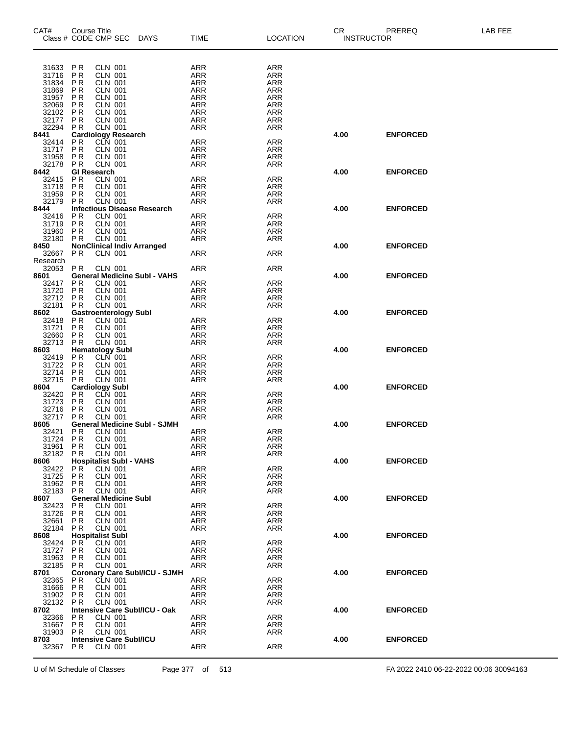| CAT#<br>Class # CODE CMP SEC | <b>Course Title</b>              |                                  | <b>DAYS</b>                          | TIME              | LOCATION                 | CR   | PREREQ<br><b>INSTRUCTOR</b> | LAB FEE |
|------------------------------|----------------------------------|----------------------------------|--------------------------------------|-------------------|--------------------------|------|-----------------------------|---------|
|                              |                                  |                                  |                                      |                   |                          |      |                             |         |
| 31633                        | PR                               | <b>CLN 001</b>                   |                                      | ARR               | ARR                      |      |                             |         |
| 31716<br>31834               | P <sub>R</sub><br>P R            | <b>CLN 001</b><br><b>CLN 001</b> |                                      | ARR<br>ARR        | ARR<br>ARR               |      |                             |         |
| 31869                        | P <sub>R</sub>                   | <b>CLN 001</b>                   |                                      | ARR               | <b>ARR</b>               |      |                             |         |
| 31957                        | P <sub>R</sub>                   | <b>CLN 001</b>                   |                                      | ARR               | <b>ARR</b>               |      |                             |         |
| 32069                        | P R                              | <b>CLN 001</b>                   |                                      | ARR               | ARR                      |      |                             |         |
| 32102<br>32177               | P <sub>R</sub><br><b>PR</b>      | <b>CLN 001</b><br><b>CLN 001</b> |                                      | ARR<br>ARR        | <b>ARR</b><br><b>ARR</b> |      |                             |         |
| 32294                        | P R                              | <b>CLN 001</b>                   |                                      | ARR               | ARR                      |      |                             |         |
| 8441                         |                                  | <b>Cardiology Research</b>       |                                      |                   |                          | 4.00 | <b>ENFORCED</b>             |         |
| 32414<br>31717               | P R<br><b>PR</b>                 | CLN 001<br><b>CLN 001</b>        |                                      | <b>ARR</b>        | <b>ARR</b>               |      |                             |         |
| 31958                        | <b>PR</b>                        | <b>CLN 001</b>                   |                                      | ARR<br>ARR        | ARR<br>ARR               |      |                             |         |
| 32178                        | P R                              | <b>CLN 001</b>                   |                                      | ARR               | <b>ARR</b>               |      |                             |         |
| 8442                         |                                  | GI Research                      |                                      |                   |                          | 4.00 | <b>ENFORCED</b>             |         |
| 32415<br>31718               | P <sub>R</sub><br>P <sub>R</sub> | <b>CLN 001</b><br><b>CLN 001</b> |                                      | <b>ARR</b><br>ARR | <b>ARR</b><br>ARR        |      |                             |         |
| 31959                        | P R                              | <b>CLN 001</b>                   |                                      | ARR               | ARR                      |      |                             |         |
| 32179                        | P R                              | <b>CLN 001</b>                   |                                      | <b>ARR</b>        | ARR                      |      |                             |         |
| 8444                         |                                  |                                  | <b>Infectious Disease Research</b>   |                   |                          | 4.00 | <b>ENFORCED</b>             |         |
| 32416<br>31719               | P R<br><b>PR</b>                 | <b>CLN 001</b><br><b>CLN 001</b> |                                      | ARR<br><b>ARR</b> | ARR<br>ARR               |      |                             |         |
| 31960                        | P R                              | CLN 001                          |                                      | <b>ARR</b>        | <b>ARR</b>               |      |                             |         |
| 32180                        | P R                              | CLN 001                          |                                      | ARR               | ARR                      |      |                             |         |
| 8450                         |                                  |                                  | <b>NonClinical Indiv Arranged</b>    |                   |                          | 4.00 | <b>ENFORCED</b>             |         |
| 32667<br>Research            | P <sub>R</sub>                   | <b>CLN 001</b>                   |                                      | ARR               | <b>ARR</b>               |      |                             |         |
| 32053                        | <b>PR</b>                        | CLN 001                          |                                      | ARR               | <b>ARR</b>               |      |                             |         |
| 8601                         |                                  |                                  | <b>General Medicine Subl - VAHS</b>  |                   |                          | 4.00 | <b>ENFORCED</b>             |         |
| 32417                        | P R                              | <b>CLN 001</b>                   |                                      | ARR               | ARR                      |      |                             |         |
| 31720<br>32712               | P <sub>R</sub><br>P R            | <b>CLN 001</b><br><b>CLN 001</b> |                                      | ARR<br><b>ARR</b> | ARR<br><b>ARR</b>        |      |                             |         |
| 32181                        | P R                              | CLN 001                          |                                      | ARR               | ARR                      |      |                             |         |
| 8602                         |                                  | <b>Gastroenterology Subl</b>     |                                      |                   |                          | 4.00 | <b>ENFORCED</b>             |         |
| 32418                        | P <sub>R</sub>                   | <b>CLN 001</b>                   |                                      | <b>ARR</b>        | <b>ARR</b>               |      |                             |         |
| 31721<br>32660               | <b>PR</b><br>P <sub>R</sub>      | <b>CLN 001</b><br><b>CLN 001</b> |                                      | ARR               | ARR                      |      |                             |         |
| 32713                        | P <sub>R</sub>                   | <b>CLN 001</b>                   |                                      | ARR<br>ARR        | ARR<br><b>ARR</b>        |      |                             |         |
| 8603                         |                                  | <b>Hematology Subl</b>           |                                      |                   |                          | 4.00 | <b>ENFORCED</b>             |         |
| 32419                        | P <sub>R</sub>                   | <b>CLN 001</b>                   |                                      | <b>ARR</b>        | <b>ARR</b>               |      |                             |         |
| 31722<br>32714               | P <sub>R</sub><br><b>PR</b>      | <b>CLN 001</b><br>CLN 001        |                                      | ARR<br>ARR        | ARR<br>ARR               |      |                             |         |
| 32715                        | <b>PR</b>                        | <b>CLN 001</b>                   |                                      | ARR               | ARR                      |      |                             |         |
| 8604                         |                                  | <b>Cardiology Subl</b>           |                                      |                   |                          | 4.00 | <b>ENFORCED</b>             |         |
| 32420                        | P R                              | CLN 001                          |                                      | ARR               | ARR                      |      |                             |         |
| 31723<br>32716               | P <sub>R</sub><br>P <sub>R</sub> | <b>CLN 001</b><br><b>CLN 001</b> |                                      | ARR<br>ARR        | ARR<br><b>ARR</b>        |      |                             |         |
| 32717                        | P <sub>R</sub>                   | <b>CLN 001</b>                   |                                      | ARR               | ARR                      |      |                             |         |
| 8605                         |                                  |                                  | <b>General Medicine Subl - SJMH</b>  |                   |                          | 4.00 | <b>ENFORCED</b>             |         |
| 32421                        | P R                              | CLN 001                          |                                      | ARR               | ARR                      |      |                             |         |
| 31724<br>31961               | P R<br>P R                       | CLN 001<br><b>CLN 001</b>        |                                      | ARR<br>ARR        | ARR<br>ARR               |      |                             |         |
| 32182                        | PR.                              | <b>CLN 001</b>                   |                                      | ARR               | ARR                      |      |                             |         |
| 8606                         |                                  | <b>Hospitalist Subl - VAHS</b>   |                                      |                   |                          | 4.00 | <b>ENFORCED</b>             |         |
| 32422                        | <b>PR</b>                        | <b>CLN 001</b>                   |                                      | <b>ARR</b>        | ARR                      |      |                             |         |
| 31725<br>31962               | P <sub>R</sub><br>P R            | CLN 001<br><b>CLN 001</b>        |                                      | ARR<br>ARR        | ARR<br>ARR               |      |                             |         |
| 32183                        | P R                              | CLN 001                          |                                      | ARR               | ARR                      |      |                             |         |
| 8607                         |                                  | <b>General Medicine Subl</b>     |                                      |                   |                          | 4.00 | <b>ENFORCED</b>             |         |
| 32423                        | P R                              | <b>CLN 001</b>                   |                                      | ARR               | ARR                      |      |                             |         |
| 31726<br>32661               | <b>PR</b><br>P R                 | <b>CLN 001</b><br><b>CLN 001</b> |                                      | ARR<br>ARR        | ARR<br>ARR               |      |                             |         |
| 32184                        | P R                              | CLN 001                          |                                      | ARR               | ARR                      |      |                             |         |
| 8608                         |                                  | <b>Hospitalist Subl</b>          |                                      |                   |                          | 4.00 | <b>ENFORCED</b>             |         |
| 32424                        | P R                              | CLN 001                          |                                      | ARR               | <b>ARR</b>               |      |                             |         |
| 31727<br>31963               | P R<br>P R                       | <b>CLN 001</b><br>CLN 001        |                                      | ARR<br>ARR        | ARR<br>ARR               |      |                             |         |
| 32185                        | P R                              | CLN 001                          |                                      | ARR               | ARR                      |      |                             |         |
| 8701                         |                                  |                                  | <b>Coronary Care Subl/ICU - SJMH</b> |                   |                          | 4.00 | <b>ENFORCED</b>             |         |
| 32365                        | P R                              | CLN 001                          |                                      | ARR               | ARR                      |      |                             |         |
| 31666<br>31902               | P <sub>R</sub><br>P R            | CLN 001<br><b>CLN 001</b>        |                                      | ARR<br>ARR        | ARR<br>ARR               |      |                             |         |
| 32132                        | <b>PR</b>                        | CLN 001                          |                                      | ARR               | ARR                      |      |                             |         |
| 8702                         |                                  |                                  | Intensive Care Subl/ICU - Oak        |                   |                          | 4.00 | <b>ENFORCED</b>             |         |
| 32366                        | P R                              | CLN 001                          |                                      | ARR               | ARR                      |      |                             |         |
| 31667<br>31903               | <b>PR</b><br>P R                 | <b>CLN 001</b><br>CLN 001        |                                      | ARR<br>ARR        | ARR<br>ARR               |      |                             |         |
| 8703                         |                                  | <b>Intensive Care SubI/ICU</b>   |                                      |                   |                          | 4.00 | <b>ENFORCED</b>             |         |
| 32367                        | P <sub>R</sub>                   | <b>CLN 001</b>                   |                                      | ARR               | ARR                      |      |                             |         |
|                              |                                  |                                  |                                      |                   |                          |      |                             |         |

U of M Schedule of Classes Page 377 of 513 FA 2022 2410 06-22-2022 00:06 30094163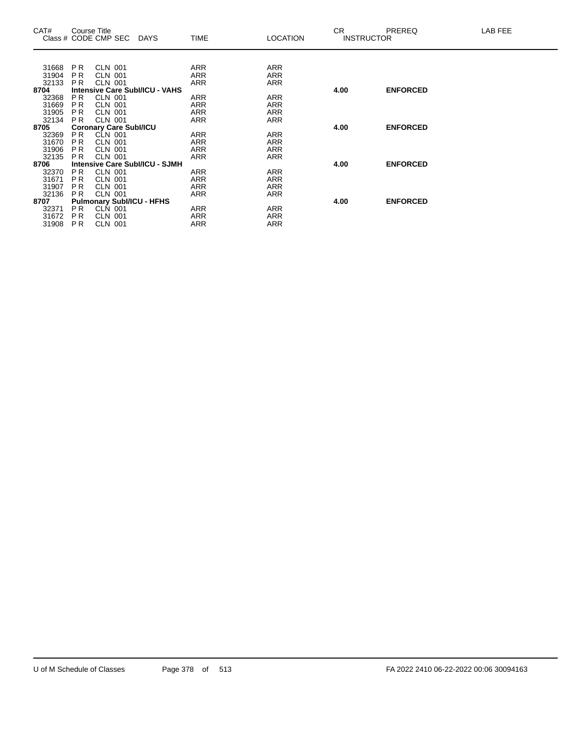| CAT#  |                | Course Title<br>Class # CODE CMP SEC DAYS |                                       | <b>TIME</b> | <b>LOCATION</b> | CR.  | <b>PREREQ</b><br><b>INSTRUCTOR</b> | LAB FEE |
|-------|----------------|-------------------------------------------|---------------------------------------|-------------|-----------------|------|------------------------------------|---------|
|       |                |                                           |                                       |             |                 |      |                                    |         |
| 31668 | P R            | <b>CLN 001</b>                            |                                       | ARR         | ARR             |      |                                    |         |
| 31904 | P <sub>R</sub> | <b>CLN 001</b>                            |                                       | ARR         | ARR             |      |                                    |         |
| 32133 | PR.            | <b>CLN 001</b>                            |                                       | ARR         | ARR             |      |                                    |         |
| 8704  |                |                                           | <b>Intensive Care Subl/ICU - VAHS</b> |             |                 | 4.00 | <b>ENFORCED</b>                    |         |
| 32368 | P <sub>R</sub> | <b>CLN 001</b>                            |                                       | <b>ARR</b>  | <b>ARR</b>      |      |                                    |         |
| 31669 | P R            | <b>CLN 001</b>                            |                                       | ARR         | <b>ARR</b>      |      |                                    |         |
| 31905 | P <sub>R</sub> | CLN 001                                   |                                       | ARR         | ARR             |      |                                    |         |
| 32134 | P <sub>R</sub> | <b>CLN 001</b>                            |                                       | ARR         | <b>ARR</b>      |      |                                    |         |
| 8705  |                | <b>Coronary Care Subl/ICU</b>             |                                       |             |                 | 4.00 | <b>ENFORCED</b>                    |         |
| 32369 | PR.            | <b>CLN 001</b>                            |                                       | ARR         | ARR             |      |                                    |         |
| 31670 | P <sub>R</sub> | CLN 001                                   |                                       | ARR         | ARR             |      |                                    |         |
| 31906 | <b>PR</b>      | CLN 001                                   |                                       | ARR         | <b>ARR</b>      |      |                                    |         |
| 32135 | P <sub>R</sub> | <b>CLN 001</b>                            |                                       | ARR         | <b>ARR</b>      |      |                                    |         |
| 8706  |                |                                           | Intensive Care Subl/ICU - SJMH        |             |                 | 4.00 | <b>ENFORCED</b>                    |         |
| 32370 | PR.            | CLN 001                                   |                                       | ARR         | <b>ARR</b>      |      |                                    |         |
| 31671 | <b>PR</b>      | <b>CLN 001</b>                            |                                       | <b>ARR</b>  | <b>ARR</b>      |      |                                    |         |
| 31907 | <b>PR</b>      | CLN 001                                   |                                       | ARR         | ARR             |      |                                    |         |
| 32136 | PR.            | <b>CLN 001</b>                            |                                       | ARR         | ARR             |      |                                    |         |
| 8707  |                | <b>Pulmonary SubI/ICU - HFHS</b>          |                                       |             |                 | 4.00 | <b>ENFORCED</b>                    |         |
| 32371 | P <sub>R</sub> | CLN 001                                   |                                       | ARR         | ARR             |      |                                    |         |
| 31672 | P <sub>R</sub> | CLN 001                                   |                                       | <b>ARR</b>  | <b>ARR</b>      |      |                                    |         |
| 31908 | PR.            | <b>CLN 001</b>                            |                                       | ARR         | <b>ARR</b>      |      |                                    |         |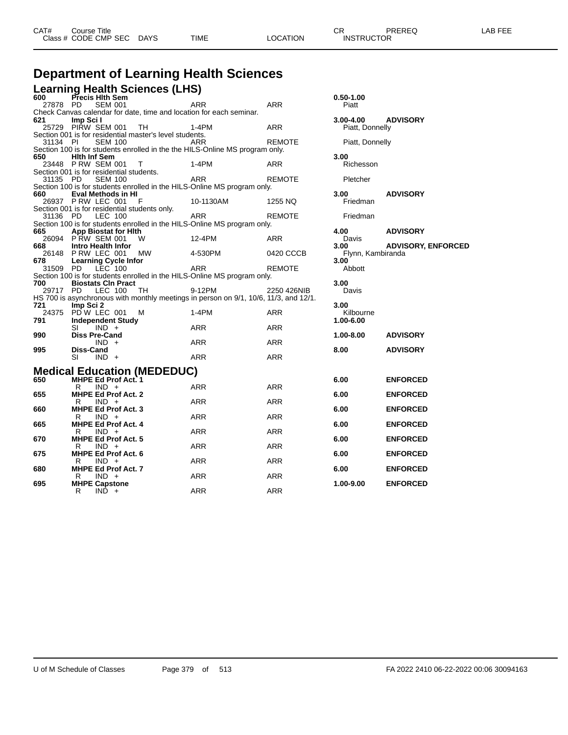| CAT# | Course Title         |             |      |          | rπ<br>◡◠          | PREREQ | _AB FEE |
|------|----------------------|-------------|------|----------|-------------------|--------|---------|
|      | Class # CODE CMP SEC | <b>DAYS</b> | TIME | LOCATION | <b>INSTRUCTOR</b> |        |         |
|      |                      |             |      |          |                   |        |         |

## **Department of Learning Health Sciences**

**Learning Health Sciences (LHS) 600 Precis Hlth Sem 0.50-1.00**

| υυυ<br>27878 PD | <b>PIECIS FIIII SEIII</b><br><b>SEM 001</b>                                                           | <b>ARR</b> | <b>ARR</b>    | 0.30-1.00<br>Piatt        |                           |
|-----------------|-------------------------------------------------------------------------------------------------------|------------|---------------|---------------------------|---------------------------|
|                 | Check Canvas calendar for date, time and location for each seminar.                                   |            |               |                           |                           |
| 621             | Imp Sci I<br>25729 PIRW SEM 001<br>TH                                                                 | $1-4PM$    | <b>ARR</b>    | $3.00 - 4.00$             | <b>ADVISORY</b>           |
|                 | Section 001 is for residential master's level students.                                               |            |               | Piatt, Donnelly           |                           |
| 31134 PI        | <b>SEM 100</b>                                                                                        | ARR        | <b>REMOTE</b> | Piatt, Donnelly           |                           |
|                 | Section 100 is for students enrolled in the the HILS-Online MS program only.                          |            |               |                           |                           |
| 650             | <b>Hith Inf Sem</b>                                                                                   |            |               | 3.00                      |                           |
|                 | 23448 PRW SEM 001 T                                                                                   | $1-4PM$    | <b>ARR</b>    | Richesson                 |                           |
|                 | Section 001 is for residential students.                                                              |            |               |                           |                           |
| 31135 PD        | <b>SEM 100</b>                                                                                        | <b>ARR</b> | <b>REMOTE</b> | Pletcher                  |                           |
| 660             | Section 100 is for students enrolled in the HILS-Online MS program only.<br><b>Eval Methods in HI</b> |            |               |                           |                           |
|                 | 26937 P RW LEC 001<br>- F                                                                             | 10-1130AM  | 1255 NQ       | 3.00<br>Friedman          | <b>ADVISORY</b>           |
|                 | Section 001 is for residential students only.                                                         |            |               |                           |                           |
| 31136 PD        | <b>LEC 100</b>                                                                                        | <b>ARR</b> | <b>REMOTE</b> | Friedman                  |                           |
|                 | Section 100 is for students enrolled in the HILS-Online MS program only.                              |            |               |                           |                           |
| 665             | <b>App Biostat for Hith</b>                                                                           |            |               | 4.00                      | <b>ADVISORY</b>           |
|                 | 26094 PRW SEM 001<br>W                                                                                | 12-4PM     | ARR           | Davis                     |                           |
| 668             | Intro Health Infor                                                                                    |            |               | 3.00                      | <b>ADVISORY, ENFORCED</b> |
| 678             | 26148 PRW LEC 001<br>MW<br><b>Learning Cycle Infor</b>                                                | 4-530PM    | 0420 CCCB     | Flynn, Kambiranda<br>3.00 |                           |
| 31509 PD        | LEC 100                                                                                               | <b>ARR</b> | <b>REMOTE</b> | Abbott                    |                           |
|                 | Section 100 is for students enrolled in the HILS-Online MS program only.                              |            |               |                           |                           |
| 700             | <b>Biostats CIn Pract</b>                                                                             |            |               | 3.00                      |                           |
| 29717 PD        | LEC 100<br>TH                                                                                         | 9-12PM     | 2250 426NIB   | Davis                     |                           |
|                 | HS 700 is asynchronous with monthly meetings in person on 9/1, 10/6, 11/3, and 12/1.                  |            |               |                           |                           |
| 721             | Imp Sci 2                                                                                             |            |               | 3.00                      |                           |
|                 | 24375 PDW LEC 001<br>м                                                                                | 1-4PM      | ARR           | Kilbourne                 |                           |
| 791             | <b>Independent Study</b><br>SI<br>$IND +$                                                             | <b>ARR</b> | <b>ARR</b>    | 1.00-6.00                 |                           |
| 990             | <b>Diss Pre-Cand</b>                                                                                  |            |               | $1.00 - 8.00$             | <b>ADVISORY</b>           |
|                 | $IND +$                                                                                               | ARR        | <b>ARR</b>    |                           |                           |
| 995             | <b>Diss-Cand</b>                                                                                      |            |               | 8.00                      | <b>ADVISORY</b>           |
|                 | $IND +$<br>SI                                                                                         | <b>ARR</b> | <b>ARR</b>    |                           |                           |
|                 |                                                                                                       |            |               |                           |                           |
| 650             | <b>Medical Education (MEDEDUC)</b><br><b>MHPE Ed Prof Act. 1</b>                                      |            |               | 6.00                      | <b>ENFORCED</b>           |
|                 | $IND +$<br>R                                                                                          | <b>ARR</b> | <b>ARR</b>    |                           |                           |
| 655             | <b>MHPE Ed Prof Act. 2</b>                                                                            |            |               | 6.00                      | <b>ENFORCED</b>           |
|                 | R<br>$IND +$                                                                                          | <b>ARR</b> | <b>ARR</b>    |                           |                           |
| 660             | <b>MHPE Ed Prof Act. 3</b>                                                                            |            |               | 6.00                      | <b>ENFORCED</b>           |
|                 | $IND +$<br>R                                                                                          | <b>ARR</b> | <b>ARR</b>    |                           |                           |
| 665             | <b>MHPE Ed Prof Act. 4</b>                                                                            |            |               | 6.00                      | <b>ENFORCED</b>           |
| 670             | $IND +$<br>R<br><b>MHPE Ed Prof Act. 5</b>                                                            | <b>ARR</b> | <b>ARR</b>    | 6.00                      | <b>ENFORCED</b>           |
|                 | $IND +$<br>R                                                                                          | <b>ARR</b> | <b>ARR</b>    |                           |                           |
| 675             | <b>MHPE Ed Prof Act. 6</b>                                                                            |            |               | 6.00                      | <b>ENFORCED</b>           |
|                 | $IND +$<br>R                                                                                          | ARR        | <b>ARR</b>    |                           |                           |
| 680             | <b>MHPE Ed Prof Act. 7</b>                                                                            |            |               | 6.00                      | <b>ENFORCED</b>           |
|                 | $IND +$<br>R                                                                                          | <b>ARR</b> | <b>ARR</b>    |                           |                           |
| 695             | <b>MHPE Capstone</b>                                                                                  |            |               | 1.00-9.00                 | <b>ENFORCED</b>           |
|                 | R<br>$IND +$                                                                                          | <b>ARR</b> | <b>ARR</b>    |                           |                           |

| $0.50 - 1.00$<br>Piatt                             |                                            |
|----------------------------------------------------|--------------------------------------------|
| 3.00-4.00<br>Piatt, Donnelly                       | <b>ADVISORY</b>                            |
| Piatt, Donnelly                                    |                                            |
| 3.00<br>Richesson                                  |                                            |
| Pletcher                                           |                                            |
| 3.00<br>Friedman                                   | <b>ADVISORY</b>                            |
| Friedman                                           |                                            |
| 4.00<br>Davis<br>3.00<br>Flynn, Kambiranda<br>3.00 | <b>ADVISORY</b><br><b>ADVISORY, ENFORC</b> |
| Abbott                                             |                                            |
| 3.00<br>Davis                                      |                                            |
| 3.00<br>Kilbourne<br>1.00-6.00                     |                                            |
| 1.00-8.00                                          | <b>ADVISORY</b>                            |
| 8.00                                               | <b>ADVISORY</b>                            |
| 6.00                                               | <b>ENFORCED</b>                            |
| 6.00                                               | <b>ENFORCED</b>                            |
| 6.00                                               | <b>ENFORCED</b>                            |
| 6.00                                               | <b>ENFORCED</b>                            |
| 6.00                                               | <b>ENFORCED</b>                            |
| 6.00                                               | <b>ENFORCED</b>                            |
| 6.00                                               | <b>ENFORCED</b>                            |
| 1 ሰቢ ባ ሰበ                                          | <b>ENEODOED</b>                            |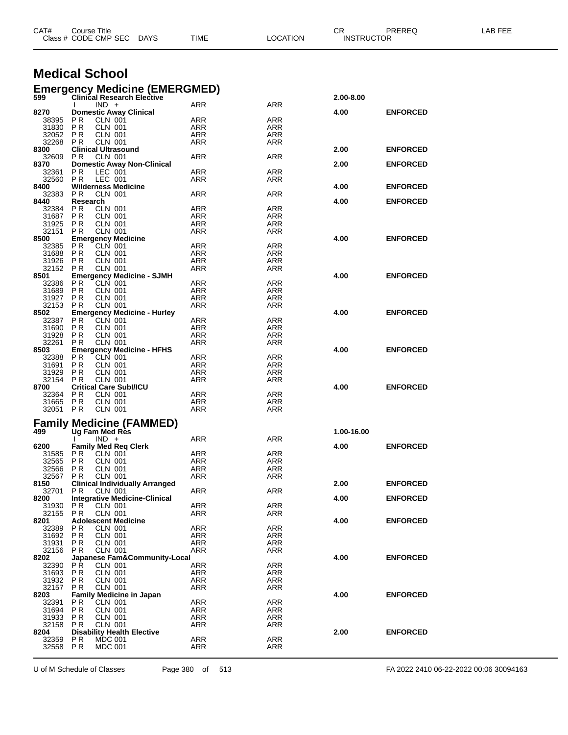|                | Class # CODE CMP SEC<br><b>DAYS</b>                              | TIME                     | LOCATION          | <b>INSTRUCTOR</b> |                 |  |
|----------------|------------------------------------------------------------------|--------------------------|-------------------|-------------------|-----------------|--|
|                |                                                                  |                          |                   |                   |                 |  |
|                | <b>Medical School</b>                                            |                          |                   |                   |                 |  |
|                | <b>Emergency Medicine (EMERGMED)</b>                             |                          |                   |                   |                 |  |
| 599            | <b>Clinical Research Elective</b><br>$IND +$                     | ARR                      | ARR               | 2.00-8.00         |                 |  |
| 8270           | <b>Domestic Away Clinical</b>                                    |                          |                   | 4.00              | <b>ENFORCED</b> |  |
| 38395<br>31830 | P R<br><b>CLN 001</b><br>CLN 001<br>P R                          | ARR<br>ARR               | ARR<br>ARR        |                   |                 |  |
| 32052          | P R<br><b>CLN 001</b>                                            | ARR                      | ARR               |                   |                 |  |
| 32268          | P <sub>R</sub><br>CLN 001                                        | ARR                      | ARR               |                   |                 |  |
| 8300<br>32609  | <b>Clinical Ultrasound</b><br>P R<br><b>CLN 001</b>              | ARR                      | ARR               | 2.00              | <b>ENFORCED</b> |  |
| 8370           | <b>Domestic Away Non-Clinical</b>                                |                          |                   | 2.00              | <b>ENFORCED</b> |  |
| 32361<br>32560 | P R<br>LEC 001<br>LEC 001<br>P <sub>R</sub>                      | ARR<br>ARR               | ARR<br>ARR        |                   |                 |  |
| 8400           | <b>Wilderness Medicine</b>                                       |                          |                   | 4.00              | <b>ENFORCED</b> |  |
| 32383<br>8440  | P R<br>CLN 001<br>Research                                       | ARR                      | ARR               | 4.00              | <b>ENFORCED</b> |  |
| 32384          | P R<br>CLN 001                                                   | ARR                      | ARR               |                   |                 |  |
| 31687<br>31925 | P R<br>CLN 001<br>P R<br><b>CLN 001</b>                          | ARR<br>ARR               | ARR<br>ARR        |                   |                 |  |
| 32151          | P R<br><b>CLN 001</b>                                            | ARR                      | ARR               |                   |                 |  |
| 8500           | <b>Emergency Medicine</b><br>CLN 001                             |                          | ARR               | 4.00              | <b>ENFORCED</b> |  |
| 32385<br>31688 | P R<br>P R<br>CLN 001                                            | ARR<br>ARR               | ARR               |                   |                 |  |
| 31926          | <b>CLN 001</b><br>P R                                            | ARR                      | ARR               |                   |                 |  |
| 32152<br>8501  | <b>CLN 001</b><br>P R<br><b>Emergency Medicine - SJMH</b>        | ARR                      | ARR               | 4.00              | <b>ENFORCED</b> |  |
| 32386          | P R<br><b>CLN 001</b>                                            | ARR                      | ARR               |                   |                 |  |
| 31689<br>31927 | P R<br>CLN 001<br>P R<br>CLN 001                                 | ARR<br>ARR               | ARR<br>ARR        |                   |                 |  |
| 32153          | <b>CLN 001</b><br>P R                                            | ARR                      | ARR               |                   |                 |  |
| 8502<br>32387  | <b>Emergency Medicine - Hurley</b><br>P R<br>CLN 001             | ARR                      | ARR               | 4.00              | <b>ENFORCED</b> |  |
| 31690          | P R<br>CLN 001                                                   | ARR                      | ARR               |                   |                 |  |
| 31928<br>32261 | <b>CLN 001</b><br>P R<br>P R<br><b>CLN 001</b>                   | <b>ARR</b><br>ARR        | ARR<br>ARR        |                   |                 |  |
| 8503           | <b>Emergency Medicine - HFHS</b>                                 |                          |                   | 4.00              | <b>ENFORCED</b> |  |
| 32388          | P R<br>CLN 001                                                   | ARR                      | ARR               |                   |                 |  |
| 31691<br>31929 | <b>PR</b><br>CLN 001<br><b>CLN 001</b><br>P R                    | <b>ARR</b><br>ARR        | ARR<br>ARR        |                   |                 |  |
| 32154          | P <sub>R</sub><br>CLN 001                                        | ARR                      | ARR               |                   |                 |  |
| 8700<br>32364  | <b>Critical Care Subl/ICU</b><br>P R<br>CLN 001                  | ARR                      | ARR               | 4.00              | <b>ENFORCED</b> |  |
| 31665          | P R<br><b>CLN 001</b>                                            | ARR                      | ARR               |                   |                 |  |
| 32051 PR       | CLN 001                                                          | ARR                      | ARR               |                   |                 |  |
|                | <b>Family Medicine (FAMMED)</b>                                  |                          |                   |                   |                 |  |
| 499            | Ug Fam Med Res<br>$IND +$                                        | ARR                      | ARR               | 1.00-16.00        |                 |  |
| 6200           | <b>Family Med Req Clerk</b>                                      |                          |                   | 4.00              | <b>ENFORCED</b> |  |
| 31585          | <b>PR</b><br><b>CLN 001</b><br>CLN 001                           | ARR                      | ARR               |                   |                 |  |
| 32565<br>32566 | P R<br><b>PR</b><br><b>CLN 001</b>                               | ARR<br><b>ARR</b>        | ARR<br><b>ARR</b> |                   |                 |  |
| 32567          | <b>PR</b><br><b>CLN 001</b>                                      | <b>ARR</b>               | <b>ARR</b>        |                   |                 |  |
| 8150<br>32701  | <b>Clinical Individually Arranged</b><br>PR.<br><b>CLN 001</b>   | ARR                      | ARR               | 2.00              | <b>ENFORCED</b> |  |
| 8200           | <b>Integrative Medicine-Clinical</b>                             |                          |                   | 4.00              | <b>ENFORCED</b> |  |
| 31930<br>32155 | P R<br>CLN 001<br>PR.<br><b>CLN 001</b>                          | ARR<br>ARR               | ARR<br>ARR        |                   |                 |  |
| 8201           | <b>Adolescent Medicine</b>                                       |                          |                   | 4.00              | <b>ENFORCED</b> |  |
| 32389<br>31692 | <b>CLN 001</b><br>P R<br><b>PR</b><br><b>CLN 001</b>             | <b>ARR</b><br><b>ARR</b> | <b>ARR</b><br>ARR |                   |                 |  |
| 31931          | <b>PR</b><br><b>CLN 001</b>                                      | <b>ARR</b>               | ARR               |                   |                 |  |
| 32156<br>8202  | <b>CLN 001</b><br>P R<br>Japanese Fam&Community-Local            | ARR                      | ARR               | 4.00              | <b>ENFORCED</b> |  |
| 32390          | <b>PR</b><br>CLN 001                                             | <b>ARR</b>               | <b>ARR</b>        |                   |                 |  |
| 31693          | CLN 001<br><b>PR</b>                                             | ARR                      | ARR               |                   |                 |  |
| 31932<br>32157 | <b>PR</b><br><b>CLN 001</b><br><b>PR</b><br><b>CLN 001</b>       | <b>ARR</b><br><b>ARR</b> | ARR<br><b>ARR</b> |                   |                 |  |
| 8203           | <b>Family Medicine in Japan</b>                                  |                          |                   | 4.00              | <b>ENFORCED</b> |  |
| 32391<br>31694 | P R<br>CLN 001<br><b>PR</b><br>CLN 001                           | <b>ARR</b><br><b>ARR</b> | ARR<br><b>ARR</b> |                   |                 |  |
| 31933          | <b>CLN 001</b><br>P R                                            | ARR                      | ARR               |                   |                 |  |
| 32158<br>8204  | <b>PR</b><br><b>CLN 001</b><br><b>Disability Health Elective</b> | ARR                      | ARR               | 2.00              | <b>ENFORCED</b> |  |
| 32359          | P R<br><b>MDC 001</b>                                            | ARR                      | <b>ARR</b>        |                   |                 |  |
| 32558 PR       | <b>MDC 001</b>                                                   | ARR                      | ARR               |                   |                 |  |
|                |                                                                  |                          |                   |                   |                 |  |

CAT# Course Title Case CR PREREQ LAB FEE

U of M Schedule of Classes Page 380 of 513 FA 2022 2410 06-22-2022 00:06 30094163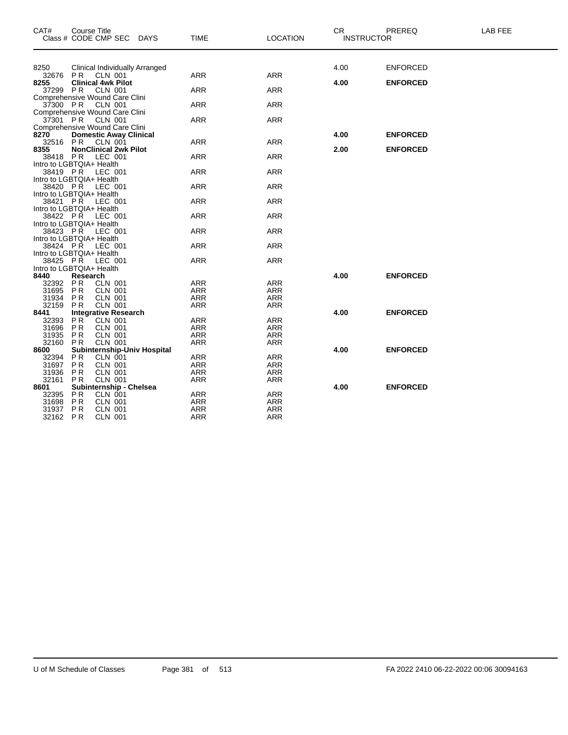| CAT#                                 | <b>Course Title</b><br>Class # CODE CMP SEC DAYS       | <b>TIME</b> | <b>LOCATION</b> | <b>CR</b> | PREREQ<br><b>INSTRUCTOR</b> | <b>LAB FEE</b> |
|--------------------------------------|--------------------------------------------------------|-------------|-----------------|-----------|-----------------------------|----------------|
|                                      |                                                        |             |                 |           |                             |                |
| 8250                                 | <b>Clinical Individually Arranged</b>                  |             |                 | 4.00      | <b>ENFORCED</b>             |                |
| 32676                                | PR.<br>CLN 001                                         | <b>ARR</b>  | <b>ARR</b>      |           |                             |                |
| 8255                                 | <b>Clinical 4wk Pilot</b>                              |             |                 | 4.00      | <b>ENFORCED</b>             |                |
| 37299                                | <b>PR</b><br>CLN 001                                   | <b>ARR</b>  | <b>ARR</b>      |           |                             |                |
| 37300 PR                             | Comprehensive Wound Care Clini<br><b>CLN 001</b>       | <b>ARR</b>  | <b>ARR</b>      |           |                             |                |
|                                      | Comprehensive Wound Care Clini                         |             |                 |           |                             |                |
|                                      | 37301 PR CLN 001                                       | <b>ARR</b>  | <b>ARR</b>      |           |                             |                |
|                                      | Comprehensive Wound Care Clini                         |             |                 |           |                             |                |
| 8270                                 | <b>Domestic Away Clinical</b>                          |             |                 | 4.00      | <b>ENFORCED</b>             |                |
| 32516                                | PR CLN 001<br><b>NonClinical 2wk Pilot</b>             | <b>ARR</b>  | <b>ARR</b>      |           |                             |                |
| 8355                                 | 38418 PR LEC 001                                       | <b>ARR</b>  | <b>ARR</b>      | 2.00      | <b>ENFORCED</b>             |                |
| Intro to LGBTQIA+ Health             |                                                        |             |                 |           |                             |                |
| 38419 PR                             | LEC 001                                                | <b>ARR</b>  | <b>ARR</b>      |           |                             |                |
| Intro to LGBTQIA+ Health             |                                                        |             |                 |           |                             |                |
| 38420 PR                             | <b>LEC 001</b>                                         | <b>ARR</b>  | <b>ARR</b>      |           |                             |                |
| Intro to LGBTQIA+ Health             |                                                        |             |                 |           |                             |                |
| 38421 PR<br>Intro to LGBTQIA+ Health | LEC 001                                                | <b>ARR</b>  | <b>ARR</b>      |           |                             |                |
| 38422 PR                             | LEC 001                                                | <b>ARR</b>  | <b>ARR</b>      |           |                             |                |
| Intro to LGBTQIA+ Health             |                                                        |             |                 |           |                             |                |
| 38423 PR                             | LEC 001                                                | <b>ARR</b>  | <b>ARR</b>      |           |                             |                |
| Intro to LGBTQIA+ Health             |                                                        |             |                 |           |                             |                |
| 38424 PR                             | LEC 001                                                | <b>ARR</b>  | <b>ARR</b>      |           |                             |                |
| Intro to LGBTQIA+ Health<br>38425 PR | LEC 001                                                | <b>ARR</b>  | <b>ARR</b>      |           |                             |                |
| Intro to LGBTQIA+ Health             |                                                        |             |                 |           |                             |                |
| 8440                                 | Research                                               |             |                 | 4.00      | <b>ENFORCED</b>             |                |
| 32392                                | P <sub>R</sub><br><b>CLN 001</b>                       | <b>ARR</b>  | <b>ARR</b>      |           |                             |                |
| 31695                                | <b>PR</b><br><b>CLN 001</b>                            | <b>ARR</b>  | <b>ARR</b>      |           |                             |                |
| 31934                                | P <sub>R</sub><br><b>CLN 001</b>                       | <b>ARR</b>  | <b>ARR</b>      |           |                             |                |
| 32159                                | <b>CLN 001</b><br><b>PR</b>                            | <b>ARR</b>  | <b>ARR</b>      |           |                             |                |
| 8441<br>32393                        | <b>Integrative Research</b><br>PR<br><b>CLN 001</b>    | <b>ARR</b>  | <b>ARR</b>      | 4.00      | <b>ENFORCED</b>             |                |
| 31696                                | <b>PR</b><br><b>CLN 001</b>                            | <b>ARR</b>  | <b>ARR</b>      |           |                             |                |
| 31935                                | P <sub>R</sub><br><b>CLN 001</b>                       | <b>ARR</b>  | <b>ARR</b>      |           |                             |                |
| 32160                                | <b>PR</b><br><b>CLN 001</b>                            | <b>ARR</b>  | <b>ARR</b>      |           |                             |                |
| 8600                                 | Subinternship-Univ Hospital                            |             |                 | 4.00      | <b>ENFORCED</b>             |                |
| 32394                                | P <sub>R</sub><br>CLN 001                              | <b>ARR</b>  | <b>ARR</b>      |           |                             |                |
| 31697                                | <b>PR</b><br><b>CLN 001</b>                            | <b>ARR</b>  | <b>ARR</b>      |           |                             |                |
| 31936                                | <b>CLN 001</b><br>P <sub>R</sub>                       | <b>ARR</b>  | <b>ARR</b>      |           |                             |                |
| 32161                                | <b>PR</b><br><b>CLN 001</b><br>Subinternship - Chelsea | <b>ARR</b>  | <b>ARR</b>      | 4.00      | <b>ENFORCED</b>             |                |
| 8601<br>32395                        | P <sub>R</sub><br>CLN 001                              | <b>ARR</b>  | <b>ARR</b>      |           |                             |                |
| 31698                                | P <sub>R</sub><br><b>CLN 001</b>                       | <b>ARR</b>  | <b>ARR</b>      |           |                             |                |
| 31937                                | P <sub>R</sub><br><b>CLN 001</b>                       | <b>ARR</b>  | <b>ARR</b>      |           |                             |                |
| 32162 PR                             | CLN 001                                                | ARR         | ARR             |           |                             |                |
|                                      |                                                        |             |                 |           |                             |                |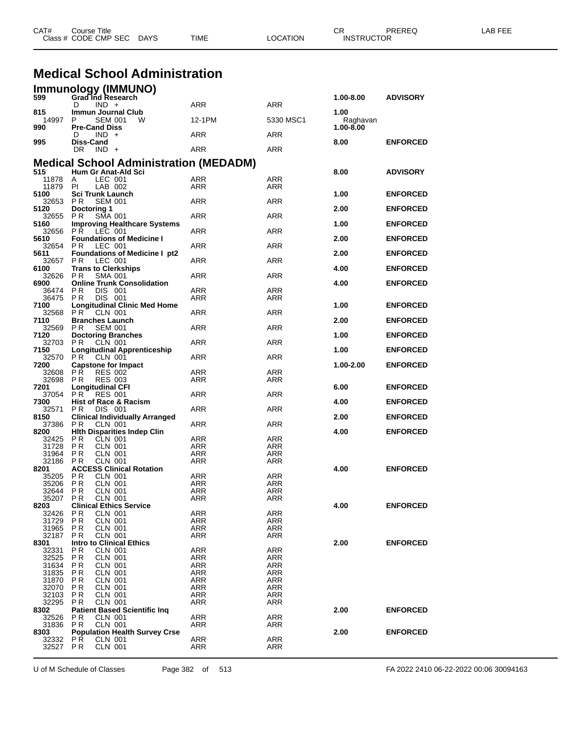|                   | <b>Medical School Administration</b>                                    |                          |                          |                           |                 |
|-------------------|-------------------------------------------------------------------------|--------------------------|--------------------------|---------------------------|-----------------|
|                   | Immunology (IMMUNO)<br>599 Grad Ind Research<br>$IND +$                 |                          |                          | 1.00-8.00                 | <b>ADVISORY</b> |
| 815               | D<br>Immun Journal Club                                                 | ARR                      | <b>ARR</b>               | 1.00                      |                 |
| 14997<br>990      | P<br><b>SEM 001</b><br>W<br><b>Pre-Cand Diss</b>                        | 12-1PM                   | 5330 MSC1                | Raghavan<br>$1.00 - 8.00$ |                 |
|                   | $IND +$<br>D                                                            | ARR                      | ARR                      |                           |                 |
| 995               | Diss-Cand<br>DR.<br>$IND +$                                             | <b>ARR</b>               | ARR                      | 8.00                      | <b>ENFORCED</b> |
|                   | <b>Medical School Administration (MEDADM)</b>                           |                          |                          |                           |                 |
| 515<br>11878      | Hum Gr Anat-Ald Sci<br>LEC 001                                          | <b>ARR</b>               |                          | 8.00                      | <b>ADVISORY</b> |
| 11879             | A<br>LAB 002<br>PI                                                      | ARR                      | ARR<br>ARR               |                           |                 |
| 5100<br>32653     | <b>Sci Trunk Launch</b><br>P <sub>R</sub><br><b>SEM 001</b>             | ARR                      | <b>ARR</b>               | 1.00                      | <b>ENFORCED</b> |
| 5120              | Doctoring 1<br>SMA 001                                                  | ARR                      | <b>ARR</b>               | 2.00                      | <b>ENFORCED</b> |
| 32655<br>5160     | PR.<br><b>Improving Healthcare Systems</b>                              |                          |                          | 1.00                      | <b>ENFORCED</b> |
| 32656<br>5610     | LEC 001<br>PR.<br><b>Foundations of Medicine I</b>                      | ARR                      | ARR                      | 2.00                      | <b>ENFORCED</b> |
| 32654             | LEC 001<br>P <sub>R</sub>                                               | ARR                      | <b>ARR</b>               |                           |                 |
| 5611<br>32657     | <b>Foundations of Medicine I pt2</b><br>PR.<br>LEC 001                  | ARR                      | <b>ARR</b>               | 2.00                      | <b>ENFORCED</b> |
| 6100<br>32626     | <b>Trans to Clerkships</b><br><b>SMA 001</b><br>P R                     | ARR                      | ARR                      | 4.00                      | <b>ENFORCED</b> |
| 6900              | <b>Online Trunk Consolidation</b>                                       |                          |                          | 4.00                      | <b>ENFORCED</b> |
| 36474<br>36475    | <b>PR</b><br>DIS 001<br>DIS 001<br>P R                                  | ARR<br>ARR               | <b>ARR</b><br>ARR        |                           |                 |
| 7100<br>32568     | <b>Longitudinal Clinic Med Home</b><br>PR.<br><b>CLN 001</b>            | ARR                      | <b>ARR</b>               | 1.00                      | <b>ENFORCED</b> |
| 7110              | <b>Branches Launch</b>                                                  |                          |                          | 2.00                      | <b>ENFORCED</b> |
| 32569<br>7120     | PR.<br><b>SEM 001</b><br><b>Doctoring Branches</b>                      | ARR                      | <b>ARR</b>               | 1.00                      | <b>ENFORCED</b> |
| 32703<br>7150     | CLN 001<br>PR.<br><b>Longitudinal Apprenticeship</b>                    | ARR                      | ARR                      | 1.00                      | <b>ENFORCED</b> |
| 32570             | P <sub>R</sub><br>CLN 001                                               | <b>ARR</b>               | <b>ARR</b>               |                           |                 |
| 7200<br>32608     | <b>Capstone for Impact</b><br>P R<br><b>RES 002</b>                     | <b>ARR</b>               | <b>ARR</b>               | 1.00-2.00                 | <b>ENFORCED</b> |
| 32698<br>7201     | <b>RES 003</b><br>P R<br><b>Longitudinal CFI</b>                        | ARR                      | ARR                      | 6.00                      | <b>ENFORCED</b> |
| 37054<br>7300     | PR.<br><b>RES 001</b><br><b>Hist of Race &amp; Racism</b>               | <b>ARR</b>               | <b>ARR</b>               | 4.00                      | <b>ENFORCED</b> |
| 32571             | DIS 001<br>P R                                                          | ARR                      | ARR                      |                           |                 |
| 8150<br>37386     | <b>Clinical Individually Arranged</b><br><b>CLN 001</b><br>P R          | ARR                      | <b>ARR</b>               | 2.00                      | <b>ENFORCED</b> |
| 8200<br>32425     | <b>Hith Disparities Indep Clin</b><br>P R<br>CLN 001                    | ARR                      | ARR                      | 4.00                      | <b>ENFORCED</b> |
| 31728             | <b>CLN 001</b><br>P R                                                   | ARR                      | <b>ARR</b>               |                           |                 |
| 31964<br>32186    | P R<br><b>CLN 001</b><br>P R<br><b>CLN 001</b>                          | ARR<br>ARR               | ARR<br>ARR               |                           |                 |
| 8201<br>35205     | <b>ACCESS Clinical Rotation</b><br>P R<br>CLN 001                       | ARR                      | ARR                      | 4.00                      | <b>ENFORCED</b> |
| 35206             | P R<br><b>CLN 001</b>                                                   | ARR                      | ARR                      |                           |                 |
| 32644<br>35207    | <b>PR</b><br><b>CLN 001</b><br><b>PR</b><br><b>CLN 001</b>              | <b>ARR</b><br>ARR        | <b>ARR</b><br>ARR        |                           |                 |
| 8203              | <b>Clinical Ethics Service</b><br>P <sub>R</sub><br><b>CLN 001</b>      |                          | <b>ARR</b>               | 4.00                      | <b>ENFORCED</b> |
| 32426<br>31729    | <b>PR</b><br><b>CLN 001</b>                                             | <b>ARR</b><br>ARR        | <b>ARR</b>               |                           |                 |
| 31965<br>32187    | P R<br>CLN 001<br><b>PR</b><br><b>CLN 001</b>                           | ARR<br>ARR               | ARR<br><b>ARR</b>        |                           |                 |
| 8301              | <b>Intro to Clinical Ethics</b>                                         |                          |                          | 2.00                      | <b>ENFORCED</b> |
| 32331<br>32525    | ΡR<br><b>CLN 001</b><br>P <sub>R</sub><br><b>CLN 001</b>                | <b>ARR</b><br><b>ARR</b> | <b>ARR</b><br><b>ARR</b> |                           |                 |
| 31634<br>31835    | <b>PR</b><br><b>CLN 001</b><br>P R<br><b>CLN 001</b>                    | ARR<br>ARR               | <b>ARR</b><br>ARR        |                           |                 |
| 31870             | P <sub>R</sub><br><b>CLN 001</b>                                        | <b>ARR</b>               | <b>ARR</b>               |                           |                 |
| 32070<br>32103    | <b>PR</b><br><b>CLN 001</b><br>P R<br><b>CLN 001</b>                    | ARR<br>ARR               | <b>ARR</b><br>ARR        |                           |                 |
| 32295<br>8302     | P <sub>R</sub><br><b>CLN 001</b><br><b>Patient Based Scientific Ing</b> | ARR                      | <b>ARR</b>               | 2.00                      | <b>ENFORCED</b> |
| 32526             | P R<br><b>CLN 001</b>                                                   | ARR                      | <b>ARR</b>               |                           |                 |
| 31836<br>8303     | <b>CLN 001</b><br>PR.<br><b>Population Health Survey Crse</b>           | ARR                      | <b>ARR</b>               | 2.00                      | <b>ENFORCED</b> |
| 32332<br>32527 PR | P <sub>R</sub><br><b>CLN 001</b><br><b>CLN 001</b>                      | <b>ARR</b><br>ARR        | <b>ARR</b><br><b>ARR</b> |                           |                 |
|                   |                                                                         |                          |                          |                           |                 |

CAT# Course Title Case CR PREREQ LAB FEE

Class # CODE CMP SEC DAYS TIME LOCATION INSTRUCTOR

U of M Schedule of Classes Page 382 of 513 FA 2022 2410 06-22-2022 00:06 30094163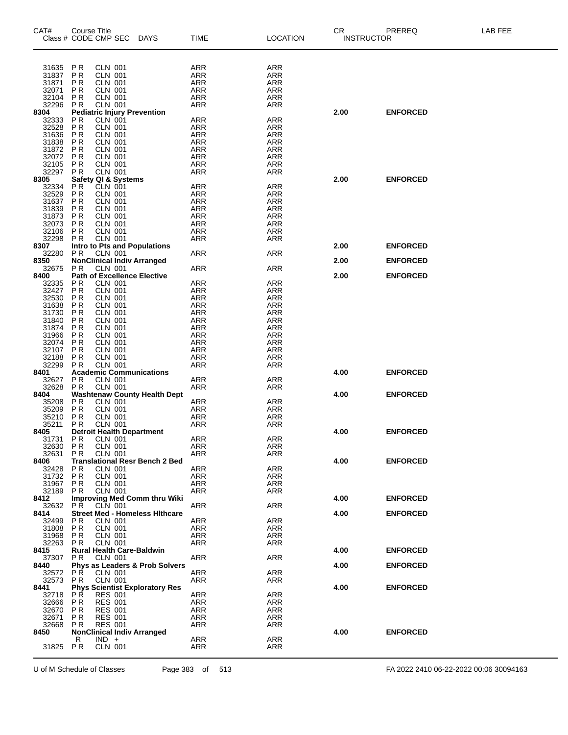| CAT#           | <b>Course Title</b>                                                  |                           |                                           |                          |                          | <b>CR</b>         | PREREQ          | LAB FEE |
|----------------|----------------------------------------------------------------------|---------------------------|-------------------------------------------|--------------------------|--------------------------|-------------------|-----------------|---------|
|                | Class # CODE CMP SEC                                                 |                           | <b>DAYS</b>                               | <b>TIME</b>              | LOCATION                 | <b>INSTRUCTOR</b> |                 |         |
|                |                                                                      |                           |                                           |                          |                          |                   |                 |         |
|                |                                                                      |                           |                                           |                          |                          |                   |                 |         |
|                |                                                                      |                           |                                           |                          |                          |                   |                 |         |
| 31635<br>31837 | P R<br>P <sub>R</sub>                                                | CLN 001<br><b>CLN 001</b> |                                           | ARR<br>ARR               | ARR<br><b>ARR</b>        |                   |                 |         |
| 31871          | P <sub>R</sub>                                                       | CLN 001                   |                                           | <b>ARR</b>               | <b>ARR</b>               |                   |                 |         |
| 32071          | P <sub>R</sub><br><b>CLN 001</b>                                     |                           |                                           | ARR                      | <b>ARR</b>               |                   |                 |         |
| 32104          | <b>PR</b>                                                            | <b>CLN 001</b>            |                                           | ARR                      | <b>ARR</b>               |                   |                 |         |
| 32296          | P <sub>R</sub><br><b>CLN 001</b>                                     |                           |                                           | <b>ARR</b>               | <b>ARR</b>               |                   |                 |         |
| 8304           | <b>Pediatric Injury Prevention</b>                                   |                           |                                           |                          |                          | 2.00              | <b>ENFORCED</b> |         |
| 32333          | P <sub>R</sub>                                                       | $CLN$ 001                 |                                           | ARR                      | ARR                      |                   |                 |         |
| 32528          | <b>PR</b>                                                            | <b>CLN 001</b>            |                                           | <b>ARR</b>               | <b>ARR</b>               |                   |                 |         |
| 31636<br>31838 | <b>PR</b><br><b>CLN 001</b><br>P <sub>R</sub>                        | <b>CLN 001</b>            |                                           | ARR                      | ARR                      |                   |                 |         |
| 31872          | <b>PR</b><br><b>CLN 001</b>                                          |                           |                                           | <b>ARR</b><br><b>ARR</b> | ARR<br>ARR               |                   |                 |         |
| 32072          | P <sub>R</sub><br><b>CLN 001</b>                                     |                           |                                           | ARR                      | <b>ARR</b>               |                   |                 |         |
| 32105          | P <sub>R</sub>                                                       | <b>CLN 001</b>            |                                           | ARR                      | <b>ARR</b>               |                   |                 |         |
| 32297          | P <sub>R</sub><br><b>CLN 001</b>                                     |                           |                                           | <b>ARR</b>               | <b>ARR</b>               |                   |                 |         |
| 8305           | Safety QI & Systems                                                  |                           |                                           |                          |                          | 2.00              | <b>ENFORCED</b> |         |
| 32334          | P <sub>R</sub><br>CLN 001                                            |                           |                                           | ARR                      | ARR                      |                   |                 |         |
| 32529          | P <sub>R</sub><br><b>CLN 001</b>                                     |                           |                                           | <b>ARR</b>               | <b>ARR</b>               |                   |                 |         |
| 31637          | ΡR<br><b>CLN 001</b>                                                 |                           |                                           | ARR                      | ARR                      |                   |                 |         |
| 31839          | ΡR                                                                   | <b>CLN 001</b>            |                                           | <b>ARR</b>               | ARR                      |                   |                 |         |
| 31873<br>32073 | <b>PR</b><br>CLN 001<br>P <sub>R</sub><br><b>CLN 001</b>             |                           |                                           | <b>ARR</b>               | <b>ARR</b><br>ARR        |                   |                 |         |
| 32106          | P R                                                                  | <b>CLN 001</b>            |                                           | ARR<br><b>ARR</b>        | <b>ARR</b>               |                   |                 |         |
| 32298          | P <sub>R</sub><br><b>CLN 001</b>                                     |                           |                                           | <b>ARR</b>               | <b>ARR</b>               |                   |                 |         |
| 8307           | Intro to Pts and Populations                                         |                           |                                           |                          |                          | 2.00              | <b>ENFORCED</b> |         |
| 32280          | P <sub>R</sub>                                                       | CLN 001                   |                                           | ARR                      | ARR                      |                   |                 |         |
| 8350           | <b>NonClinical Indiv Arranged</b>                                    |                           |                                           |                          |                          | 2.00              | <b>ENFORCED</b> |         |
| 32675          | P <sub>R</sub>                                                       | <b>CLN 001</b>            |                                           | ARR                      | ARR                      |                   |                 |         |
| 8400           | <b>Path of Excellence Elective</b>                                   |                           |                                           |                          |                          | 2.00              | <b>ENFORCED</b> |         |
| 32335          | <b>CLN 001</b><br>ΡR                                                 |                           |                                           | <b>ARR</b>               | ARR                      |                   |                 |         |
| 32427          | <b>CLN 001</b><br>ΡR                                                 |                           |                                           | ARR                      | ARR                      |                   |                 |         |
| 32530          | <b>CLN 001</b><br>P R                                                |                           |                                           | <b>ARR</b>               | <b>ARR</b>               |                   |                 |         |
| 31638<br>31730 | <b>PR</b><br><b>CLN 001</b><br>P <sub>R</sub><br><b>CLN 001</b>      |                           |                                           | <b>ARR</b>               | <b>ARR</b><br><b>ARR</b> |                   |                 |         |
| 31840          | ΡR                                                                   | <b>CLN 001</b>            |                                           | ARR<br>ARR               | <b>ARR</b>               |                   |                 |         |
| 31874          | P <sub>R</sub><br><b>CLN 001</b>                                     |                           |                                           | <b>ARR</b>               | <b>ARR</b>               |                   |                 |         |
| 31966          | P <sub>R</sub><br><b>CLN 001</b>                                     |                           |                                           | ARR                      | ARR                      |                   |                 |         |
| 32074          | P <sub>R</sub>                                                       | <b>CLN 001</b>            |                                           | <b>ARR</b>               | <b>ARR</b>               |                   |                 |         |
| 32107          | <b>PR</b><br><b>CLN 001</b>                                          |                           |                                           | <b>ARR</b>               | <b>ARR</b>               |                   |                 |         |
| 32188          | P <sub>R</sub>                                                       | <b>CLN 001</b>            |                                           | ARR                      | <b>ARR</b>               |                   |                 |         |
| 32299          | P <sub>R</sub>                                                       | <b>CLN 001</b>            |                                           | ARR                      | <b>ARR</b>               |                   |                 |         |
| 8401           | <b>Academic Communications</b>                                       |                           |                                           |                          |                          | 4.00              | <b>ENFORCED</b> |         |
| 32627          | P <sub>R</sub>                                                       | <b>CLN 001</b>            |                                           | ARR                      | <b>ARR</b>               |                   |                 |         |
| 32628          | <b>PR</b>                                                            | <b>CLN 001</b>            |                                           | ARR                      | ARR                      |                   |                 |         |
| 8404           |                                                                      |                           | <b>Washtenaw County Health Dept</b>       |                          |                          | 4.00              | <b>ENFORCED</b> |         |
| 35208<br>35209 | P <sub>R</sub><br><b>CLN 001</b><br>P <sub>R</sub><br><b>CLN 001</b> |                           |                                           | ARR<br>ARR               | <b>ARR</b><br><b>ARR</b> |                   |                 |         |
| 35210          | P <sub>R</sub><br><b>CLN 001</b>                                     |                           |                                           | <b>ARR</b>               | <b>ARR</b>               |                   |                 |         |
| 35211          | ΡR                                                                   | <b>CLN 001</b>            |                                           | ARR                      | ARR                      |                   |                 |         |
| 8405           | <b>Detroit Health Department</b>                                     |                           |                                           |                          |                          | 4.00              | <b>ENFORCED</b> |         |
| 31731          | ΡR                                                                   | <b>CLN 001</b>            |                                           | <b>ARR</b>               | <b>ARR</b>               |                   |                 |         |
| 32630          | PR                                                                   | <b>CLN 001</b>            |                                           | ARR                      | ARR                      |                   |                 |         |
| 32631          | P R                                                                  | <b>CLN 001</b>            |                                           | ARR                      | ARR                      |                   |                 |         |
| 8406           |                                                                      |                           | <b>Translational Resr Bench 2 Bed</b>     |                          |                          | 4.00              | <b>ENFORCED</b> |         |
| 32428          | ΡR                                                                   | <b>CLN 001</b>            |                                           | ARR                      | ARR                      |                   |                 |         |
| 31732          | P <sub>R</sub><br><b>CLN 001</b>                                     |                           |                                           | ARR                      | ARR                      |                   |                 |         |
| 31967<br>32189 | P <sub>R</sub><br>CLN 001                                            | <b>CLN 001</b>            |                                           | ARR                      | <b>ARR</b>               |                   |                 |         |
| 8412           | P R                                                                  |                           | <b>Improving Med Comm thru Wiki</b>       | ARR                      | ARR                      | 4.00              | <b>ENFORCED</b> |         |
| 32632          | РŔ<br>CLN 001                                                        |                           |                                           | <b>ARR</b>               | ARR                      |                   |                 |         |
| 8414           |                                                                      |                           | <b>Street Med - Homeless Hithcare</b>     |                          |                          | 4.00              | <b>ENFORCED</b> |         |
| 32499          | P R<br><b>CLN 001</b>                                                |                           |                                           | ARR                      | ARR                      |                   |                 |         |
| 31808          | P <sub>R</sub><br>CLN 001                                            |                           |                                           | ARR                      | ARR                      |                   |                 |         |
| 31968          | P R                                                                  | <b>CLN 001</b>            |                                           | ARR                      | ARR                      |                   |                 |         |
| 32263          | P R                                                                  | <b>CLN 001</b>            |                                           | ARR                      | ARR                      |                   |                 |         |
| 8415           | <b>Rural Health Care-Baldwin</b>                                     |                           |                                           |                          |                          | 4.00              | <b>ENFORCED</b> |         |
| 37307          | P R                                                                  | <b>CLN 001</b>            |                                           | ARR                      | ARR                      |                   |                 |         |
| 8440           |                                                                      |                           | <b>Phys as Leaders &amp; Prob Solvers</b> |                          |                          | 4.00              | <b>ENFORCED</b> |         |
| 32572          | P R                                                                  | CLN 001                   |                                           | <b>ARR</b>               | ARR                      |                   |                 |         |
| 32573<br>8441  | PR.                                                                  | <b>CLN 001</b>            |                                           | ARR                      | ARR                      | 4.00              | <b>ENFORCED</b> |         |
| 32718          | P R                                                                  | RES 001                   | <b>Phys Scientist Exploratory Res</b>     | <b>ARR</b>               | ARR                      |                   |                 |         |
| 32666          | P R                                                                  | <b>RES 001</b>            |                                           | ARR                      | ARR                      |                   |                 |         |
| 32670          | <b>RES 001</b><br>P R                                                |                           |                                           | ARR                      | <b>ARR</b>               |                   |                 |         |
| 32671          | P R                                                                  | <b>RES 001</b>            |                                           | ARR                      | <b>ARR</b>               |                   |                 |         |
| 32668          | P R                                                                  | <b>RES 001</b>            |                                           | ARR                      | ARR                      |                   |                 |         |
| 8450           | <b>NonClinical Indiv Arranged</b>                                    |                           |                                           |                          |                          | 4.00              | <b>ENFORCED</b> |         |
|                | R<br>$IND +$                                                         |                           |                                           | <b>ARR</b>               | ARR                      |                   |                 |         |
| 31825          | PR.                                                                  | <b>CLN 001</b>            |                                           | ARR                      | ARR                      |                   |                 |         |
|                |                                                                      |                           |                                           |                          |                          |                   |                 |         |

U of M Schedule of Classes Page 383 of 513 FA 2022 2410 06-22-2022 00:06 30094163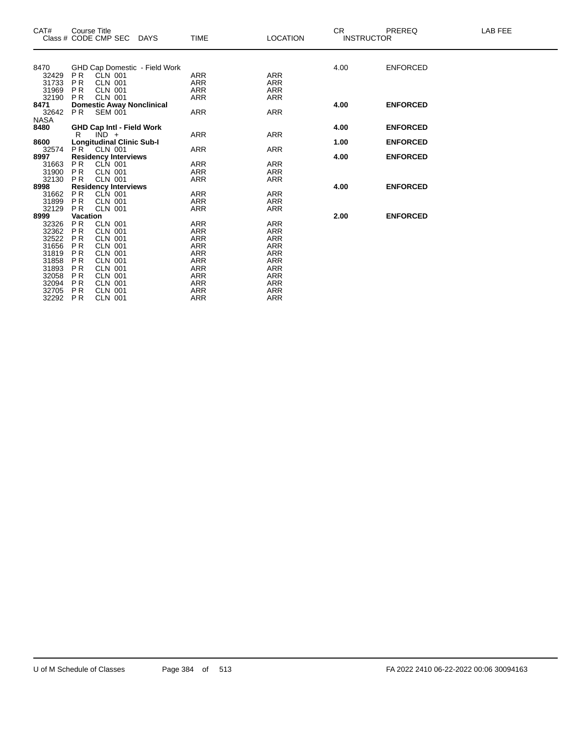| CAT#        | Course Title    | Class # CODE CMP SEC             | DAYS                                 | <b>TIME</b> | <b>LOCATION</b> | CR.<br><b>INSTRUCTOR</b> | PREREQ          | LAB FEE |
|-------------|-----------------|----------------------------------|--------------------------------------|-------------|-----------------|--------------------------|-----------------|---------|
|             |                 |                                  |                                      |             |                 |                          |                 |         |
| 8470        |                 |                                  | <b>GHD Cap Domestic - Field Work</b> |             |                 | 4.00                     | <b>ENFORCED</b> |         |
| 32429       | <b>PR</b>       | CLN 001                          |                                      | <b>ARR</b>  | <b>ARR</b>      |                          |                 |         |
| 31733       | <b>PR</b>       | CLN 001                          |                                      | ARR         | <b>ARR</b>      |                          |                 |         |
| 31969       | <b>PR</b>       | CLN 001                          |                                      | <b>ARR</b>  | <b>ARR</b>      |                          |                 |         |
| 32190       | <b>PR</b>       | <b>CLN 001</b>                   |                                      | ARR         | <b>ARR</b>      |                          |                 |         |
| 8471        |                 | <b>Domestic Away Nonclinical</b> |                                      |             |                 | 4.00                     | <b>ENFORCED</b> |         |
| 32642       | PR.             | <b>SEM 001</b>                   |                                      | <b>ARR</b>  | <b>ARR</b>      |                          |                 |         |
| <b>NASA</b> |                 |                                  |                                      |             |                 |                          |                 |         |
| 8480        |                 | <b>GHD Cap Intl - Field Work</b> |                                      |             |                 | 4.00                     | <b>ENFORCED</b> |         |
|             | R               | $IND +$                          |                                      | <b>ARR</b>  | <b>ARR</b>      |                          |                 |         |
| 8600        |                 | <b>Longitudinal Clinic Sub-I</b> |                                      |             |                 | 1.00                     | <b>ENFORCED</b> |         |
| 32574       | PR <sup>T</sup> | CLN 001                          |                                      | <b>ARR</b>  | <b>ARR</b>      |                          |                 |         |
| 8997        |                 | <b>Residency Interviews</b>      |                                      |             |                 | 4.00                     | <b>ENFORCED</b> |         |
| 31663       | <b>PR</b>       | CLN 001                          |                                      | <b>ARR</b>  | <b>ARR</b>      |                          |                 |         |
| 31900       | PR              | CLN 001                          |                                      | ARR         | <b>ARR</b>      |                          |                 |         |
| 32130       | P <sub>R</sub>  | <b>CLN 001</b>                   |                                      | <b>ARR</b>  | <b>ARR</b>      |                          |                 |         |
| 8998        |                 | <b>Residency Interviews</b>      |                                      |             |                 | 4.00                     | <b>ENFORCED</b> |         |
| 31662       | <b>PR</b>       | CLN 001                          |                                      | <b>ARR</b>  | <b>ARR</b>      |                          |                 |         |
| 31899       | <b>PR</b>       | CLN 001                          |                                      | <b>ARR</b>  | <b>ARR</b>      |                          |                 |         |
| 32129       | P <sub>R</sub>  | <b>CLN 001</b>                   |                                      | <b>ARR</b>  | <b>ARR</b>      |                          |                 |         |
| 8999        | Vacation        |                                  |                                      |             |                 | 2.00                     | <b>ENFORCED</b> |         |
| 32326       | <b>PR</b>       | <b>CLN 001</b>                   |                                      | ARR         | <b>ARR</b>      |                          |                 |         |
| 32362       | PR              | <b>CLN 001</b>                   |                                      | ARR         | <b>ARR</b>      |                          |                 |         |
| 32522       | <b>PR</b>       | <b>CLN 001</b>                   |                                      | ARR         | <b>ARR</b>      |                          |                 |         |
| 31656       | <b>PR</b>       | <b>CLN 001</b>                   |                                      | <b>ARR</b>  | <b>ARR</b>      |                          |                 |         |
| 31819       | <b>PR</b>       | <b>CLN 001</b>                   |                                      | <b>ARR</b>  | <b>ARR</b>      |                          |                 |         |
| 31858       | <b>PR</b>       | <b>CLN 001</b>                   |                                      | ARR         | <b>ARR</b>      |                          |                 |         |
| 31893       | P <sub>R</sub>  | <b>CLN 001</b>                   |                                      | ARR         | <b>ARR</b>      |                          |                 |         |
| 32058       | <b>PR</b>       | <b>CLN 001</b>                   |                                      | <b>ARR</b>  | <b>ARR</b>      |                          |                 |         |
| 32094       | <b>PR</b>       | <b>CLN 001</b>                   |                                      | ARR         | <b>ARR</b>      |                          |                 |         |
| 32705       | <b>PR</b>       | <b>CLN 001</b>                   |                                      | ARR         | ARR             |                          |                 |         |
| 32292       | <b>PR</b>       | <b>CLN 001</b>                   |                                      | ARR         | <b>ARR</b>      |                          |                 |         |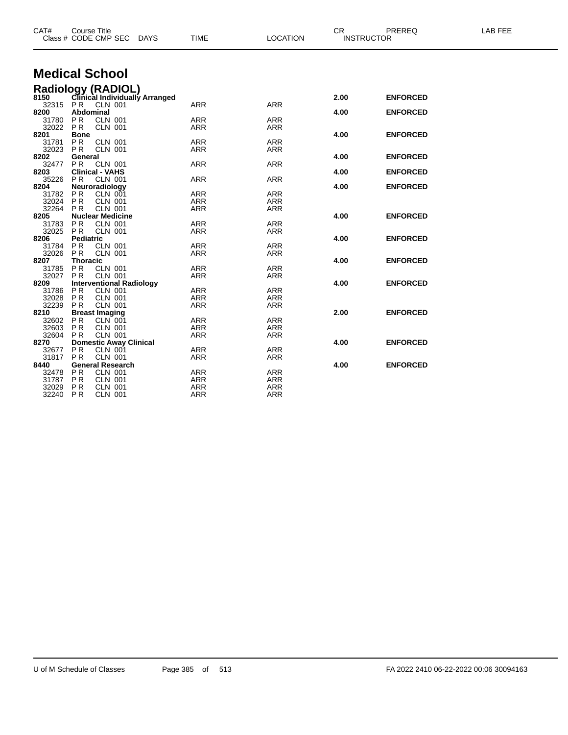| CAT#           | <b>Course Title</b><br>Class # CODE CMP SEC                | <b>DAYS</b> | <b>TIME</b>       | <b>LOCATION</b>   | CR.<br><b>INSTRUCTOR</b> | PREREQ          | LAB FEE |
|----------------|------------------------------------------------------------|-------------|-------------------|-------------------|--------------------------|-----------------|---------|
|                |                                                            |             |                   |                   |                          |                 |         |
|                | <b>Medical School</b>                                      |             |                   |                   |                          |                 |         |
|                | Radiology (RADIOL)<br>8150 Clinical Individually Arranged  |             |                   |                   |                          |                 |         |
|                |                                                            |             |                   |                   | 2.00                     | <b>ENFORCED</b> |         |
| 32315 PR       | <b>CLN 001</b>                                             |             | <b>ARR</b>        | <b>ARR</b>        |                          |                 |         |
| 8200           | <b>Abdominal</b>                                           |             |                   |                   | 4.00                     | <b>ENFORCED</b> |         |
| 31780<br>32022 | <b>PR</b><br><b>CLN 001</b><br><b>PR</b><br><b>CLN 001</b> |             | ARR<br><b>ARR</b> | <b>ARR</b><br>ARR |                          |                 |         |
| 8201           | <b>Bone</b>                                                |             |                   |                   | 4.00                     | <b>ENFORCED</b> |         |
| 31781          | PR.<br><b>CLN 001</b>                                      |             | <b>ARR</b>        | <b>ARR</b>        |                          |                 |         |
| 32023          | P R<br><b>CLN 001</b>                                      |             | ARR               | <b>ARR</b>        |                          |                 |         |
| 8202           | General                                                    |             |                   |                   | 4.00                     | <b>ENFORCED</b> |         |
| 32477          | PR.<br><b>CLN 001</b>                                      |             | <b>ARR</b>        | <b>ARR</b>        |                          |                 |         |
| 8203           | <b>Clinical - VAHS</b>                                     |             |                   |                   | 4.00                     | <b>ENFORCED</b> |         |
| 35226          | PR.<br><b>CLN 001</b>                                      |             | ARR               | <b>ARR</b>        |                          |                 |         |
| 8204           | Neuroradiology<br><b>PR</b><br><b>CLN 001</b>              |             | ARR               | ARR               | 4.00                     | <b>ENFORCED</b> |         |
| 31782<br>32024 | <b>CLN 001</b><br><b>PR</b>                                |             | <b>ARR</b>        | <b>ARR</b>        |                          |                 |         |
| 32264          | <b>CLN 001</b><br>PR.                                      |             | <b>ARR</b>        | <b>ARR</b>        |                          |                 |         |
| 8205           | <b>Nuclear Medicine</b>                                    |             |                   |                   | 4.00                     | <b>ENFORCED</b> |         |
| 31783          | <b>PR</b><br><b>CLN 001</b>                                |             | <b>ARR</b>        | <b>ARR</b>        |                          |                 |         |
| 32025          | <b>CLN 001</b><br>PR.                                      |             | <b>ARR</b>        | <b>ARR</b>        |                          |                 |         |
| 8206           | <b>Pediatric</b>                                           |             |                   |                   | 4.00                     | <b>ENFORCED</b> |         |
| 31784          | <b>PR</b><br><b>CLN 001</b>                                |             | <b>ARR</b>        | <b>ARR</b>        |                          |                 |         |
| 32026          | PR.<br><b>CLN 001</b>                                      |             | ARR               | <b>ARR</b>        |                          |                 |         |
| 8207           | <b>Thoracic</b><br><b>PR</b>                               |             | ARR               | ARR               | 4.00                     | <b>ENFORCED</b> |         |
| 31785<br>32027 | <b>CLN 001</b><br><b>CLN 001</b><br>PR                     |             | <b>ARR</b>        | <b>ARR</b>        |                          |                 |         |
| 8209           | <b>Interventional Radiology</b>                            |             |                   |                   | 4.00                     | <b>ENFORCED</b> |         |
| 31786          | <b>PR</b><br><b>CLN 001</b>                                |             | ARR               | ARR               |                          |                 |         |
| 32028          | <b>PR</b><br><b>CLN 001</b>                                |             | <b>ARR</b>        | <b>ARR</b>        |                          |                 |         |
| 32239          | <b>CLN 001</b><br>PR.                                      |             | <b>ARR</b>        | <b>ARR</b>        |                          |                 |         |
| 8210           | <b>Breast Imaging</b>                                      |             |                   |                   | 2.00                     | <b>ENFORCED</b> |         |
| 32602          | PR<br>CLN 001                                              |             | <b>ARR</b>        | <b>ARR</b>        |                          |                 |         |
| 32603          | PR<br>CLN 001                                              |             | <b>ARR</b>        | <b>ARR</b>        |                          |                 |         |
| 32604          | <b>CLN 001</b><br><b>PR</b>                                |             | <b>ARR</b>        | <b>ARR</b>        |                          |                 |         |
| 8270<br>32677  | <b>Domestic Away Clinical</b><br><b>PR</b><br>CLN 001      |             | <b>ARR</b>        | <b>ARR</b>        | 4.00                     | <b>ENFORCED</b> |         |
| 31817          | PR<br><b>CLN 001</b>                                       |             | <b>ARR</b>        | <b>ARR</b>        |                          |                 |         |
| 8440           | <b>General Research</b>                                    |             |                   |                   | 4.00                     | <b>ENFORCED</b> |         |
| 32478          | P R<br><b>CLN 001</b>                                      |             | <b>ARR</b>        | <b>ARR</b>        |                          |                 |         |
| 31787          | <b>CLN 001</b><br><b>PR</b>                                |             | <b>ARR</b>        | <b>ARR</b>        |                          |                 |         |
| 32029          | PR<br><b>CLN 001</b>                                       |             | <b>ARR</b>        | <b>ARR</b>        |                          |                 |         |
| 32240          | <b>PR</b><br><b>CLN 001</b>                                |             | <b>ARR</b>        | <b>ARR</b>        |                          |                 |         |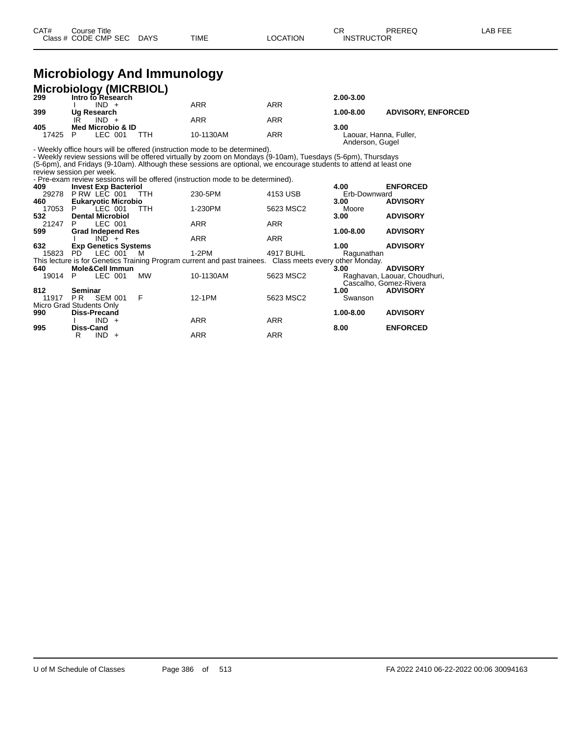## **Microbiology And Immunology**

|       | <b>Microbiology (MICRBIOL)</b> |                  |            |                 |                           |
|-------|--------------------------------|------------------|------------|-----------------|---------------------------|
| 299   | Intro to Research              |                  |            | $2.00 - 3.00$   |                           |
|       | $IND +$                        | <b>ARR</b>       | <b>ARR</b> |                 |                           |
| 399   | Ug Research                    |                  |            | 1.00-8.00       | <b>ADVISORY, ENFORCED</b> |
|       | $IND +$                        | <b>ARR</b>       | <b>ARR</b> |                 |                           |
| 405   | Med Microbio & ID              |                  |            | 3.00            |                           |
| 17425 | LEC 001                        | 10-1130AM<br>ттн | <b>ARR</b> | Anderson, Gugel | Laouar, Hanna, Fuller,    |

- Weekly office hours will be offered (instruction mode to be determined).

- Weekly review sessions will be offered virtually by zoom on Mondays (9-10am), Tuesdays (5-6pm), Thursdays (5-6pm), and Fridays (9-10am). Although these sessions are optional, we encourage students to attend at least one

review session per week. - Pre-exam review sessions will be offered (instruction mode to be determined).

| 409     | <b>Invest Exp Bacteriol</b> |     |            |                                                                                                          |            | 4.00                   | <b>ENFORCED</b>              |
|---------|-----------------------------|-----|------------|----------------------------------------------------------------------------------------------------------|------------|------------------------|------------------------------|
| 29278   | PRW LEC 001                 |     | TTH        | 230-5PM                                                                                                  | 4153 USB   | Erb-Downward           |                              |
| 460     | <b>Eukaryotic Microbio</b>  |     |            |                                                                                                          |            | 3.00 <sub>1</sub>      | <b>ADVISORY</b>              |
| 17053 P | $LEC$ 001                   |     | <b>TTH</b> | 1-230PM                                                                                                  | 5623 MSC2  | Moore                  |                              |
| 532     | <b>Dental Microbiol</b>     |     |            |                                                                                                          |            | 3.00                   | <b>ADVISORY</b>              |
| 21247 P | LEC 001                     |     |            | <b>ARR</b>                                                                                               | <b>ARR</b> |                        |                              |
| 599     | <b>Grad Independ Res</b>    |     |            |                                                                                                          |            | 1.00-8.00              | <b>ADVISORY</b>              |
|         | $IND +$                     |     |            | <b>ARR</b>                                                                                               | <b>ARR</b> |                        |                              |
| 632     | <b>Exp Genetics Systems</b> |     |            |                                                                                                          |            | 1.00                   | <b>ADVISORY</b>              |
|         | 15823 PD LEC 001            |     | M          | 1-2PM                                                                                                    | 4917 BUHL  | Ragunathan             |                              |
|         |                             |     |            | This lecture is for Genetics Training Program current and past trainees. Class meets every other Monday. |            |                        |                              |
| 640     | <b>Mole&amp;Cell Immun</b>  |     |            |                                                                                                          |            | 3.00                   | <b>ADVISORY</b>              |
| 19014   | LEC 001<br>P –              |     | MW         | 10-1130AM                                                                                                | 5623 MSC2  |                        | Raghavan, Laouar, Choudhuri, |
|         |                             |     |            |                                                                                                          |            | Cascalho, Gomez-Rivera |                              |
| 812     | Seminar                     |     |            |                                                                                                          |            | 1.00                   | <b>ADVISORY</b>              |
|         | 11917 PR SEM 001            | - F |            | 12-1PM                                                                                                   | 5623 MSC2  | Swanson                |                              |
|         | Micro Grad Students Only    |     |            |                                                                                                          |            |                        |                              |
| 990     | <b>Diss-Precand</b>         |     |            |                                                                                                          |            | 1.00-8.00              | <b>ADVISORY</b>              |
|         | $IND +$                     |     |            | <b>ARR</b>                                                                                               | <b>ARR</b> |                        |                              |
| 995     | <b>Diss-Cand</b>            |     |            |                                                                                                          |            | 8.00                   | <b>ENFORCED</b>              |
|         | $IND +$<br>R                |     |            | <b>ARR</b>                                                                                               | <b>ARR</b> |                        |                              |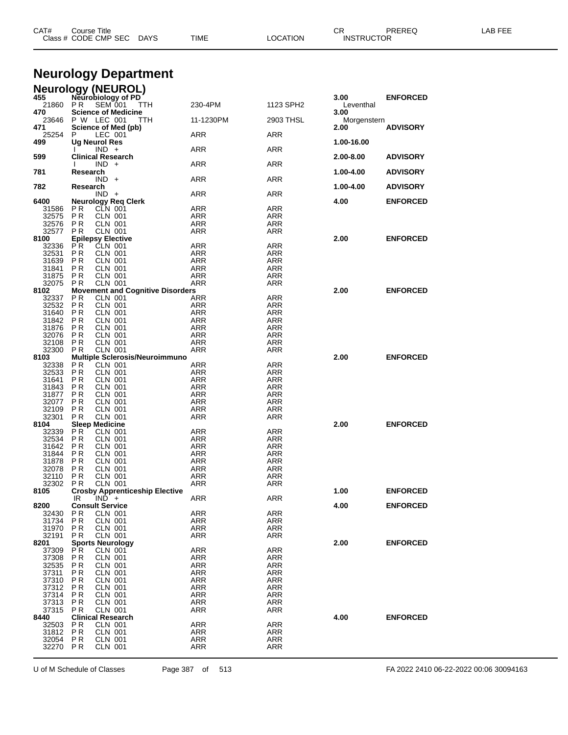|                | Class # CODE CMP SEC<br>DAYS                                         | TIME                     | LOCATION          | <b>INSTRUCTOR</b>   |                 |  |
|----------------|----------------------------------------------------------------------|--------------------------|-------------------|---------------------|-----------------|--|
|                |                                                                      |                          |                   |                     |                 |  |
|                | <b>Neurology Department</b>                                          |                          |                   |                     |                 |  |
|                | <b>Neurology (NEUROL)</b>                                            |                          |                   |                     |                 |  |
| 455<br>21860   | Neurobiology of PD<br>PR<br><b>SEM 001</b><br>TTH                    | 230-4PM                  | 1123 SPH2         | 3.00<br>Leventhal   | <b>ENFORCED</b> |  |
| 470            | <b>Science of Medicine</b>                                           |                          |                   | 3.00                |                 |  |
| 23646<br>471   | P W LEC 001<br>TTH<br>Science of Med (pb)                            | 11-1230PM                | 2903 THSL         | Morgenstern<br>2.00 | <b>ADVISORY</b> |  |
| 25254          | P<br>LEC 001                                                         | ARR                      | ARR               |                     |                 |  |
| 499            | Ug Neurol Res<br>$IND +$                                             | ARR                      | ARR               | 1.00-16.00          |                 |  |
| 599            | <b>Clinical Research</b><br>$IND +$                                  | ARR                      | ARR               | 2.00-8.00           | <b>ADVISORY</b> |  |
| 781            | Research                                                             |                          |                   | 1.00-4.00           | <b>ADVISORY</b> |  |
| 782            | $IND +$<br>Research                                                  | ARR                      | ARR               | 1.00-4.00           | <b>ADVISORY</b> |  |
|                | $IND +$                                                              | ARR                      | ARR               |                     |                 |  |
| 6400<br>31586  | <b>Neurology Req Clerk</b><br>P R<br>CLN 001                         | ARR                      | <b>ARR</b>        | 4.00                | <b>ENFORCED</b> |  |
| 32575          | P R<br><b>CLN 001</b>                                                | ARR                      | ARR               |                     |                 |  |
| 32576<br>32577 | P R<br><b>CLN 001</b><br>P R<br><b>CLN 001</b>                       | ARR<br><b>ARR</b>        | ARR<br>ARR        |                     |                 |  |
| 8100           | <b>Epilepsy Elective</b>                                             |                          |                   | 2.00                | <b>ENFORCED</b> |  |
| 32336<br>32531 | P R<br><b>CLN 001</b><br>P <sub>R</sub><br><b>CLN 001</b>            | ARR<br><b>ARR</b>        | ARR<br>ARR        |                     |                 |  |
| 31639          | P R<br><b>CLN 001</b>                                                | ARR                      | ARR               |                     |                 |  |
| 31841<br>31875 | P <sub>R</sub><br><b>CLN 001</b><br>P <sub>R</sub><br><b>CLN 001</b> | <b>ARR</b><br><b>ARR</b> | <b>ARR</b><br>ARR |                     |                 |  |
| 32075<br>8102  | PR<br><b>CLN 001</b><br><b>Movement and Cognitive Disorders</b>      | ARR                      | ARR               | 2.00                | <b>ENFORCED</b> |  |
| 32337          | P R<br><b>CLN 001</b>                                                | <b>ARR</b>               | <b>ARR</b>        |                     |                 |  |
| 32532<br>31640 | CLN 001<br>P R<br>P <sub>R</sub><br><b>CLN 001</b>                   | ARR<br>ARR               | ARR<br>ARR        |                     |                 |  |
| 31842          | <b>PR</b><br>CLN 001                                                 | ARR                      | ARR               |                     |                 |  |
| 31876<br>32076 | P R<br><b>CLN 001</b><br>P <sub>R</sub><br><b>CLN 001</b>            | ARR<br><b>ARR</b>        | ARR<br><b>ARR</b> |                     |                 |  |
| 32108<br>32300 | P <sub>R</sub><br>CLN 001<br><b>CLN 001</b>                          | <b>ARR</b>               | ARR               |                     |                 |  |
| 8103           | P R<br><b>Multiple Sclerosis/Neuroimmuno</b>                         | ARR                      | ARR               | 2.00                | <b>ENFORCED</b> |  |
| 32338<br>32533 | P R<br>CLN 001<br>PR.<br><b>CLN 001</b>                              | <b>ARR</b><br>ARR        | <b>ARR</b><br>ARR |                     |                 |  |
| 31641          | P <sub>R</sub><br><b>CLN 001</b>                                     | ARR                      | <b>ARR</b>        |                     |                 |  |
| 31843<br>31877 | <b>PR</b><br>CLN 001<br>P R<br>CLN 001                               | ARR<br>ARR               | ARR<br>ARR        |                     |                 |  |
| 32077          | P <sub>R</sub><br>CLN 001                                            | ARR                      | ARR               |                     |                 |  |
| 32109<br>32301 | P <sub>R</sub><br>CLN 001<br><b>CLN 001</b><br>P R                   | <b>ARR</b><br>ARR        | ARR<br>ARR        |                     |                 |  |
| 8104           | <b>Sleep Medicine</b>                                                |                          |                   | 2.00                | <b>ENFORCED</b> |  |
| 32339<br>32534 | P R<br><b>CLN 001</b><br>P R<br>CLN 001                              | <b>ARR</b><br>ARR        | <b>ARR</b><br>ARR |                     |                 |  |
| 31642          | P R<br>CLN 001<br><b>CLN 001</b>                                     | ARR                      | ARR               |                     |                 |  |
| 31844<br>31878 | PR<br>P R<br>CLN 001                                                 | ARR<br>ARR               | ARR<br>ARR        |                     |                 |  |
| 32078<br>32110 | P <sub>R</sub><br><b>CLN 001</b><br>P <sub>R</sub><br><b>CLN 001</b> | <b>ARR</b><br><b>ARR</b> | ARR<br><b>ARR</b> |                     |                 |  |
| 32302          | P R<br><b>CLN 001</b>                                                | ARR                      | ARR               |                     |                 |  |
| 8105           | <b>Crosby Apprenticeship Elective</b><br>IR<br>$IND +$               | <b>ARR</b>               | <b>ARR</b>        | 1.00                | <b>ENFORCED</b> |  |
| 8200           | <b>Consult Service</b>                                               |                          |                   | 4.00                | <b>ENFORCED</b> |  |
| 32430<br>31734 | P <sub>R</sub><br><b>CLN 001</b><br>P <sub>R</sub><br>CLN 001        | <b>ARR</b><br><b>ARR</b> | ARR<br>ARR        |                     |                 |  |
| 31970          | P R<br><b>CLN 001</b>                                                | ARR                      | ARR               |                     |                 |  |
| 32191<br>8201  | <b>PR</b><br><b>CLN 001</b><br><b>Sports Neurology</b>               | <b>ARR</b>               | ARR               | 2.00                | <b>ENFORCED</b> |  |
| 37309          | P R<br><b>CLN 001</b>                                                | <b>ARR</b>               | <b>ARR</b>        |                     |                 |  |
| 37308<br>32535 | <b>PR</b><br><b>CLN 001</b><br>P R<br>CLN 001                        | <b>ARR</b><br><b>ARR</b> | ARR<br><b>ARR</b> |                     |                 |  |
| 37311<br>37310 | P R<br><b>CLN 001</b><br><b>CLN 001</b><br>P R                       | ARR<br><b>ARR</b>        | ARR<br><b>ARR</b> |                     |                 |  |
| 37312          | P R<br>CLN 001                                                       | <b>ARR</b>               | <b>ARR</b>        |                     |                 |  |
| 37314<br>37313 | P R<br><b>CLN 001</b><br><b>CLN 001</b><br>P R                       | ARR<br><b>ARR</b>        | ARR<br><b>ARR</b> |                     |                 |  |
| 37315          | PR<br>CLN 001                                                        | <b>ARR</b>               | ARR               |                     |                 |  |
| 8440<br>32503  | <b>Clinical Research</b><br>P <sub>R</sub><br><b>CLN 001</b>         | <b>ARR</b>               | <b>ARR</b>        | 4.00                | <b>ENFORCED</b> |  |
| 31812          | P <sub>R</sub><br><b>CLN 001</b>                                     | <b>ARR</b>               | ARR               |                     |                 |  |
| 32054<br>32270 | P R<br><b>CLN 001</b><br>PR<br><b>CLN 001</b>                        | ARR<br><b>ARR</b>        | ARR<br><b>ARR</b> |                     |                 |  |
|                |                                                                      |                          |                   |                     |                 |  |

U of M Schedule of Classes Page 387 of 513 FA 2022 2410 06-22-2022 00:06 30094163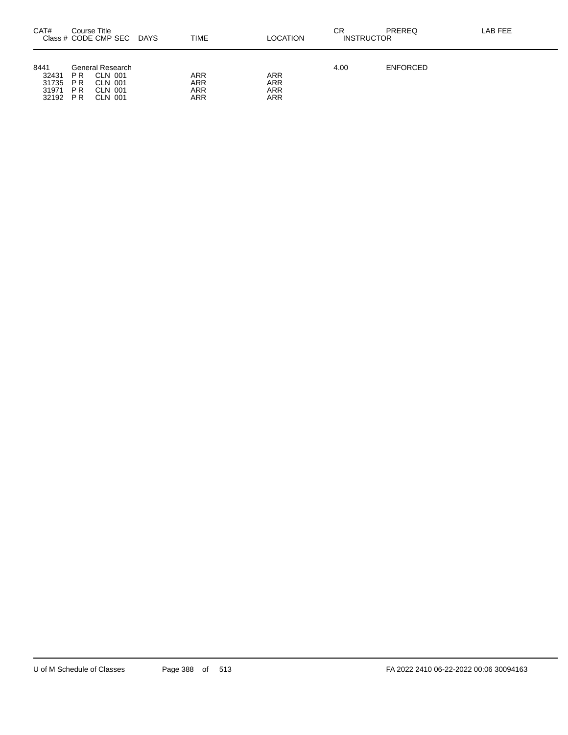| CAT#                                     | Course Title                   | Class # CODE CMP SEC                                         | DAYS. | TIME                     | LOCATION                 | СR<br><b>INSTRUCTOR</b> | PREREQ          | LAB FEE |
|------------------------------------------|--------------------------------|--------------------------------------------------------------|-------|--------------------------|--------------------------|-------------------------|-----------------|---------|
| 8441<br>32431<br>31735<br>31971<br>32192 | P R<br>P R<br><b>PR</b><br>P R | General Research<br>CLN 001<br>CLN 001<br>CLN 001<br>CLN 001 |       | ARR<br>ARR<br>ARR<br>ARR | ARR<br>ARR<br>ARR<br>ARR | 4.00                    | <b>ENFORCED</b> |         |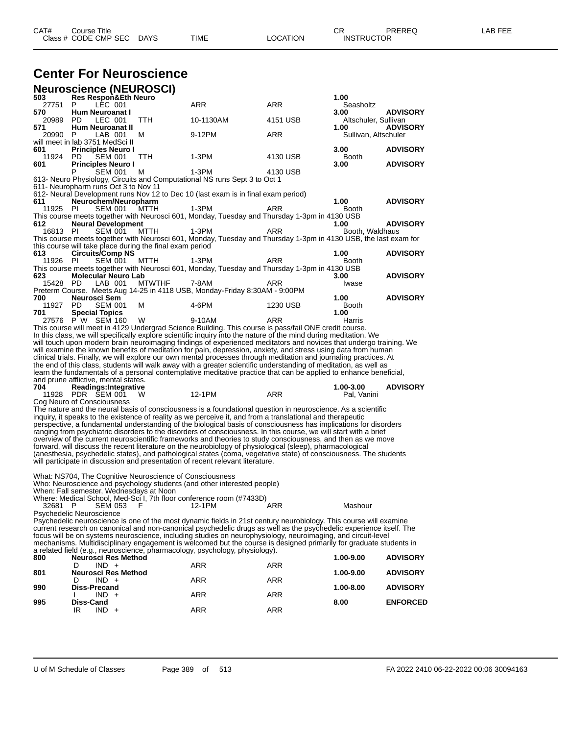## **Center For Neuroscience**

|              | <b>Neuroscience (NEUROSCI)</b>                           |               |                                                                                                                                                                                                                                       |            |                      |                 |
|--------------|----------------------------------------------------------|---------------|---------------------------------------------------------------------------------------------------------------------------------------------------------------------------------------------------------------------------------------|------------|----------------------|-----------------|
| 503          | <b>Res Respon&amp;Eth Neuro</b>                          |               |                                                                                                                                                                                                                                       |            | 1.00                 |                 |
| 27751<br>570 | P<br>LEC 001<br>Hum Neuroanat I                          |               | ARR                                                                                                                                                                                                                                   | ARR        | Seasholtz<br>3.00    | <b>ADVISORY</b> |
| 20989        | LEC 001<br>PD.                                           | TTH           | 10-1130AM                                                                                                                                                                                                                             | 4151 USB   | Altschuler, Sullivan |                 |
| 571          | Hum Neuroanat II                                         |               |                                                                                                                                                                                                                                       |            | 1.00                 | <b>ADVISORY</b> |
| 20990        | P<br>LAB 001                                             | м             | 9-12PM                                                                                                                                                                                                                                | ARR        | Sullivan, Altschuler |                 |
| 601          | will meet in lab 3751 MedSci II                          |               |                                                                                                                                                                                                                                       |            | 3.00                 | <b>ADVISORY</b> |
| 11924        | <b>Principles Neuro I</b><br>PD.<br>SEM 001              | TTH           | 1-3PM                                                                                                                                                                                                                                 | 4130 USB   | <b>Booth</b>         |                 |
| 601          | <b>Principles Neuro I</b>                                |               |                                                                                                                                                                                                                                       |            | 3.00                 | <b>ADVISORY</b> |
|              | P<br><b>SEM 001</b>                                      | м             | $1-3PM$                                                                                                                                                                                                                               | 4130 USB   |                      |                 |
|              |                                                          |               | 613- Neuro Physiology, Circuits and Computational NS runs Sept 3 to Oct 1                                                                                                                                                             |            |                      |                 |
|              | 611- Neuropharm runs Oct 3 to Nov 11                     |               | 612- Neural Development runs Nov 12 to Dec 10 (last exam is in final exam period)                                                                                                                                                     |            |                      |                 |
| 611          | Neurochem/Neuropharm                                     |               |                                                                                                                                                                                                                                       |            | 1.00                 | <b>ADVISORY</b> |
| 11925        | <b>SEM 001</b><br>PI.                                    | MTTH          | $1-3PM$                                                                                                                                                                                                                               | ARR        | Booth                |                 |
|              |                                                          |               | This course meets together with Neurosci 601, Monday, Tuesday and Thursday 1-3pm in 4130 USB                                                                                                                                          |            |                      |                 |
| 612          | <b>Neural Development</b>                                |               |                                                                                                                                                                                                                                       |            | 1.00                 | <b>ADVISORY</b> |
| 16813 PI     | <b>SEM 001</b>                                           | MTTH          | $1-3PM$<br>This course meets together with Neurosci 601, Monday, Tuesday and Thursday 1-3pm in 4130 USB, the last exam for                                                                                                            | ARR        | Booth, Waldhaus      |                 |
|              | this course will take place during the final exam period |               |                                                                                                                                                                                                                                       |            |                      |                 |
| 613          | <b>Circuits/Comp NS</b>                                  |               |                                                                                                                                                                                                                                       |            | 1.00                 | <b>ADVISORY</b> |
| 11926        | PI.<br>SEM 001                                           | MTTH          | 1-3PM                                                                                                                                                                                                                                 | ARR        | Booth                |                 |
|              |                                                          |               | This course meets together with Neurosci 601, Monday, Tuesday and Thursday 1-3pm in 4130 USB                                                                                                                                          |            |                      |                 |
| 623<br>15428 | <b>Molecular Neuro Lab</b><br>PD.<br>LAB 001             | <b>MTWTHF</b> | 7-8AM                                                                                                                                                                                                                                 | ARR        | 3.00<br>Iwase        | <b>ADVISORY</b> |
|              |                                                          |               | Preterm Course. Meets Aug 14-25 in 4118 USB, Monday-Friday 8:30AM - 9:00PM                                                                                                                                                            |            |                      |                 |
| 700          | Neurosci Sem                                             |               |                                                                                                                                                                                                                                       |            | 1.00                 | <b>ADVISORY</b> |
| 11927        | PD.<br><b>SEM 001</b>                                    | м             | 4-6PM                                                                                                                                                                                                                                 | 1230 USB   | Booth                |                 |
| 701          | <b>Special Topics</b><br>27576 PW SEM 160                |               |                                                                                                                                                                                                                                       |            | 1.00                 |                 |
|              |                                                          | W             | 9-10AM<br>This course will meet in 4129 Undergrad Science Building. This course is pass/fail ONE credit course.                                                                                                                       | ARR        | Harris               |                 |
|              |                                                          |               | In this class, we will specifically explore scientific inquiry into the nature of the mind during meditation. We                                                                                                                      |            |                      |                 |
|              |                                                          |               | will touch upon modern brain neuroimaging findings of experienced meditators and novices that undergo training. We                                                                                                                    |            |                      |                 |
|              |                                                          |               | will examine the known benefits of meditation for pain, depression, anxiety, and stress using data from human                                                                                                                         |            |                      |                 |
|              |                                                          |               | clinical trials. Finally, we will explore our own mental processes through meditation and journaling practices. At                                                                                                                    |            |                      |                 |
|              |                                                          |               | the end of this class, students will walk away with a greater scientific understanding of meditation, as well as<br>learn the fundamentals of a personal contemplative meditative practice that can be applied to enhance beneficial, |            |                      |                 |
|              | and prune afflictive, mental states.                     |               |                                                                                                                                                                                                                                       |            |                      |                 |
| 704          | <b>Readings:Integrative</b>                              |               |                                                                                                                                                                                                                                       |            | 1.00-3.00            | <b>ADVISORY</b> |
|              | 11928 PDR SEM 001                                        | W             | 12-1PM                                                                                                                                                                                                                                | <b>ARR</b> | Pal, Vanini          |                 |
|              | Cog Neuro of Consciousness                               |               |                                                                                                                                                                                                                                       |            |                      |                 |
|              |                                                          |               | The nature and the neural basis of consciousness is a foundational question in neuroscience. As a scientific<br>inquiry, it speaks to the existence of reality as we perceive it, and from a translational and therapeutic            |            |                      |                 |
|              |                                                          |               | perspective, a fundamental understanding of the biological basis of consciousness has implications for disorders                                                                                                                      |            |                      |                 |
|              |                                                          |               | ranging from psychiatric disorders to the disorders of consciousness. In this course, we will start with a brief                                                                                                                      |            |                      |                 |
|              |                                                          |               | overview of the current neuroscientific frameworks and theories to study consciousness, and then as we move                                                                                                                           |            |                      |                 |
|              |                                                          |               | forward, will discuss the recent literature on the neurobiology of physiological (sleep), pharmacological                                                                                                                             |            |                      |                 |
|              |                                                          |               | (anesthesia, psychedelic states), and pathological states (coma, vegetative state) of consciousness. The students<br>will participate in discussion and presentation of recent relevant literature.                                   |            |                      |                 |
|              |                                                          |               |                                                                                                                                                                                                                                       |            |                      |                 |
|              | What: NS704, The Cognitive Neuroscience of Consciousness |               |                                                                                                                                                                                                                                       |            |                      |                 |
|              |                                                          |               | Who: Neuroscience and psychology students (and other interested people)                                                                                                                                                               |            |                      |                 |
|              | When: Fall semester, Wednesdays at Noon                  |               |                                                                                                                                                                                                                                       |            |                      |                 |
| 32681 P      | <b>SEM 053</b>                                           | F             | Where: Medical School, Med-Sci I, 7th floor conference room (#7433D)                                                                                                                                                                  | ARR        | Mashour              |                 |
|              | Psychedelic Neuroscience                                 |               | 12-1PM                                                                                                                                                                                                                                |            |                      |                 |
|              |                                                          |               | Psychedelic neuroscience is one of the most dynamic fields in 21st century neurobiology. This course will examine                                                                                                                     |            |                      |                 |
|              |                                                          |               | current research on canonical and non-canonical psychedelic drugs as well as the psychedelic experience itself. The                                                                                                                   |            |                      |                 |
|              |                                                          |               | focus will be on systems neuroscience, including studies on neurophysiology, neuroimaging, and circuit-level                                                                                                                          |            |                      |                 |
|              |                                                          |               | mechanisms. Multidisciplinary engagement is welcomed but the course is designed primarily for graduate students in                                                                                                                    |            |                      |                 |
| 800          | Neurosci Res Method                                      |               | a related field (e.g., neuroscience, pharmacology, psychology, physiology).                                                                                                                                                           |            | 1.00-9.00            | <b>ADVISORY</b> |
|              | $IND +$<br>D                                             |               | <b>ARR</b>                                                                                                                                                                                                                            | ARR        |                      |                 |
| 801          | <b>Neurosci Res Method</b>                               |               |                                                                                                                                                                                                                                       |            | 1.00-9.00            | <b>ADVISORY</b> |
|              | $IND +$<br>D                                             |               | ARR                                                                                                                                                                                                                                   | <b>ARR</b> |                      |                 |
| 990          | Diss-Precand                                             |               |                                                                                                                                                                                                                                       |            | 1.00-8.00            | <b>ADVISORY</b> |
| 995          | $IND +$<br>Diss-Cand                                     |               | ARR                                                                                                                                                                                                                                   | ARR        | 8.00                 | <b>ENFORCED</b> |
|              | IR<br>$IND +$                                            |               | ARR                                                                                                                                                                                                                                   | ARR        |                      |                 |
|              |                                                          |               |                                                                                                                                                                                                                                       |            |                      |                 |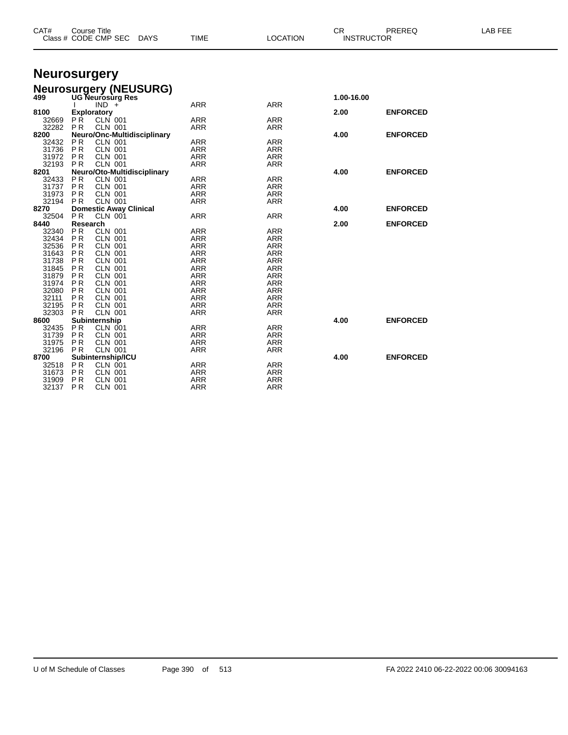| CAT#           | <b>Course Title</b><br>Class # CODE CMP SEC                | <b>TIME</b><br><b>DAYS</b> | <b>LOCATION</b>          | CR.        | PREREQ<br><b>INSTRUCTOR</b> | LAB FEE |
|----------------|------------------------------------------------------------|----------------------------|--------------------------|------------|-----------------------------|---------|
|                | <b>Neurosurgery</b>                                        |                            |                          |            |                             |         |
|                |                                                            |                            |                          |            |                             |         |
|                | <b>Neurosurgery (NEUSURG)</b>                              |                            |                          |            |                             |         |
| 499            | <b>UG Neurosurg Res</b>                                    |                            |                          | 1.00-16.00 |                             |         |
| 8100           | $IND +$                                                    | <b>ARR</b>                 | <b>ARR</b>               |            |                             |         |
| 32669          | <b>Exploratory</b><br><b>PR</b><br>CLN 001                 | <b>ARR</b>                 | <b>ARR</b>               | 2.00       | <b>ENFORCED</b>             |         |
| 32282          | <b>PR</b><br><b>CLN 001</b>                                | <b>ARR</b>                 | <b>ARR</b>               |            |                             |         |
| 8200           | Neuro/Onc-Multidisciplinary                                |                            |                          | 4.00       | <b>ENFORCED</b>             |         |
| 32432          | <b>PR</b><br><b>CLN 001</b>                                | <b>ARR</b>                 | <b>ARR</b>               |            |                             |         |
| 31736          | <b>PR</b><br><b>CLN 001</b>                                | ARR                        | <b>ARR</b>               |            |                             |         |
| 31972          | <b>PR</b><br><b>CLN 001</b>                                | ARR                        | <b>ARR</b>               |            |                             |         |
| 32193          | PR<br><b>CLN 001</b>                                       | <b>ARR</b>                 | <b>ARR</b>               |            |                             |         |
| 8201           | Neuro/Oto-Multidisciplinary<br><b>PR</b><br><b>CLN 001</b> |                            | <b>ARR</b>               | 4.00       | <b>ENFORCED</b>             |         |
| 32433<br>31737 | <b>PR</b><br><b>CLN 001</b>                                | ARR<br><b>ARR</b>          | <b>ARR</b>               |            |                             |         |
| 31973          | <b>CLN 001</b><br><b>PR</b>                                | <b>ARR</b>                 | <b>ARR</b>               |            |                             |         |
| 32194          | <b>PR</b><br><b>CLN 001</b>                                | <b>ARR</b>                 | <b>ARR</b>               |            |                             |         |
| 8270           | <b>Domestic Away Clinical</b>                              |                            |                          | 4.00       | <b>ENFORCED</b>             |         |
| 32504          | <b>PR</b><br>CLN 001                                       | <b>ARR</b>                 | <b>ARR</b>               |            |                             |         |
| 8440           | Research                                                   |                            |                          | 2.00       | <b>ENFORCED</b>             |         |
| 32340          | <b>PR</b><br><b>CLN 001</b>                                | <b>ARR</b>                 | <b>ARR</b>               |            |                             |         |
| 32434          | <b>PR</b><br><b>CLN 001</b>                                | ARR                        | <b>ARR</b>               |            |                             |         |
| 32536<br>31643 | <b>PR</b><br><b>CLN 001</b><br><b>CLN 001</b><br><b>PR</b> | <b>ARR</b><br><b>ARR</b>   | <b>ARR</b><br><b>ARR</b> |            |                             |         |
| 31738          | <b>PR</b><br><b>CLN 001</b>                                | ARR                        | <b>ARR</b>               |            |                             |         |
| 31845          | P <sub>R</sub><br><b>CLN 001</b>                           | <b>ARR</b>                 | <b>ARR</b>               |            |                             |         |
| 31879          | P <sub>R</sub><br><b>CLN 001</b>                           | <b>ARR</b>                 | <b>ARR</b>               |            |                             |         |
| 31974          | <b>PR</b><br><b>CLN 001</b>                                | <b>ARR</b>                 | <b>ARR</b>               |            |                             |         |
| 32080          | <b>PR</b><br><b>CLN 001</b>                                | <b>ARR</b>                 | <b>ARR</b>               |            |                             |         |
| 32111          | <b>PR</b><br><b>CLN 001</b>                                | <b>ARR</b>                 | <b>ARR</b>               |            |                             |         |
| 32195          | <b>PR</b><br><b>CLN 001</b>                                | <b>ARR</b>                 | <b>ARR</b>               |            |                             |         |
| 32303<br>8600  | <b>CLN 001</b><br><b>PR</b>                                | <b>ARR</b>                 | <b>ARR</b>               |            | <b>ENFORCED</b>             |         |
| 32435          | Subinternship<br><b>PR</b><br><b>CLN 001</b>               | ARR                        | <b>ARR</b>               | 4.00       |                             |         |
| 31739          | <b>PR</b><br><b>CLN 001</b>                                | <b>ARR</b>                 | <b>ARR</b>               |            |                             |         |
| 31975          | <b>PR</b><br><b>CLN 001</b>                                | <b>ARR</b>                 | <b>ARR</b>               |            |                             |         |
| 32196          | <b>PR</b><br><b>CLN 001</b>                                | ARR                        | <b>ARR</b>               |            |                             |         |
| 8700           | Subinternship/ICU                                          |                            |                          | 4.00       | <b>ENFORCED</b>             |         |
| 32518          | <b>PR</b><br>CLN 001                                       | <b>ARR</b>                 | <b>ARR</b>               |            |                             |         |
| 31673          | P <sub>R</sub><br><b>CLN 001</b>                           | <b>ARR</b>                 | <b>ARR</b>               |            |                             |         |
| 31909          | <b>PR</b><br><b>CLN 001</b>                                | <b>ARR</b>                 | <b>ARR</b>               |            |                             |         |

P R CLN 001 ARR ARR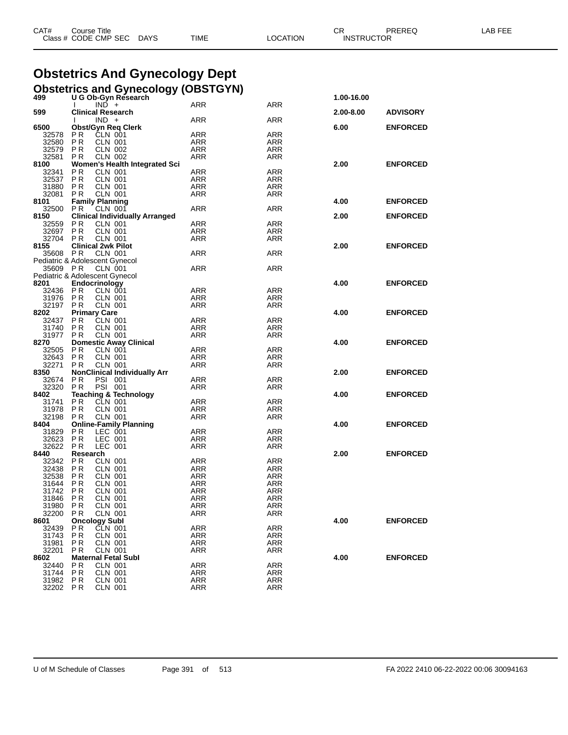| CAT# | Title<br>$\degree$ course $\degree$ |             |      |          | ◠г<br>◡⊓          | PREREQ | _AB FEF |
|------|-------------------------------------|-------------|------|----------|-------------------|--------|---------|
|      | Class # CODE CMP SEC                | <b>DAYS</b> | TIME | LOCATION | <b>INSTRUCTOR</b> |        |         |

# **Obstetrics And Gynecology Dept**

|  | Obstetrics and Gynecology (OBSTGYN) |  |
|--|-------------------------------------|--|
|  |                                     |  |

| 499                            |                        |                                  | U G Ob-Gyn Research                   |            |                   | 1.00-16.00 |                 |
|--------------------------------|------------------------|----------------------------------|---------------------------------------|------------|-------------------|------------|-----------------|
|                                | I.                     | $IND +$                          |                                       | ARR        | <b>ARR</b>        |            |                 |
| 599                            |                        |                                  | <b>Clinical Research</b>              |            |                   | 2.00-8.00  | <b>ADVISORY</b> |
|                                |                        | $IND +$                          |                                       | ARR        | <b>ARR</b>        |            |                 |
| 6500                           |                        |                                  | <b>Obst/Gyn Req Clerk</b>             |            |                   | 6.00       | <b>ENFORCED</b> |
| 32578                          | P <sub>R</sub>         | CLN 001                          |                                       | ARR        | <b>ARR</b>        |            |                 |
| 32580 PR                       |                        | <b>CLN 001</b>                   |                                       | ARR        | ARR               |            |                 |
| 32579 PR                       |                        | <b>CLN 002</b>                   |                                       | ARR        | <b>ARR</b>        |            |                 |
| 32581 PR<br>8100               |                        | <b>CLN 002</b>                   |                                       | ARR        | <b>ARR</b>        | 2.00       | <b>ENFORCED</b> |
| 32341 PR                       |                        | <b>CLN 001</b>                   | Women's Health Integrated Sci         | ARR        | <b>ARR</b>        |            |                 |
| 32537 PR                       |                        | <b>CLN 001</b>                   |                                       | <b>ARR</b> | <b>ARR</b>        |            |                 |
| 31880 PR                       |                        | CLN 001                          |                                       | ARR        | <b>ARR</b>        |            |                 |
| 32081 PR                       |                        | <b>CLN 001</b>                   |                                       | ARR        | <b>ARR</b>        |            |                 |
| 8101                           | <b>Family Planning</b> |                                  |                                       |            |                   | 4.00       | <b>ENFORCED</b> |
| 32500 PR                       |                        | <b>CLN 001</b>                   |                                       | ARR        | <b>ARR</b>        |            |                 |
| 8150                           |                        |                                  | <b>Clinical Individually Arranged</b> |            |                   | 2.00       | <b>ENFORCED</b> |
| 32559 PR                       |                        | <b>CLN 001</b>                   |                                       | <b>ARR</b> | <b>ARR</b>        |            |                 |
| 32697 PR                       |                        | <b>CLN 001</b>                   |                                       | ARR        | ARR               |            |                 |
| 32704 PR                       |                        | <b>CLN 001</b>                   |                                       | ARR        | <b>ARR</b>        |            |                 |
| 8155                           |                        |                                  | <b>Clinical 2wk Pilot</b>             |            |                   | 2.00       | <b>ENFORCED</b> |
| 35608 PR                       |                        | <b>CLN 001</b>                   |                                       | ARR        | <b>ARR</b>        |            |                 |
| Pediatric & Adolescent Gynecol |                        |                                  |                                       |            |                   |            |                 |
| 35609 PR                       |                        | <b>CLN 001</b>                   |                                       | ARR        | <b>ARR</b>        |            |                 |
| Pediatric & Adolescent Gynecol |                        |                                  |                                       |            |                   |            |                 |
| 8201                           | Endocrinology          |                                  |                                       |            |                   | 4.00       | <b>ENFORCED</b> |
| 32436 PR                       |                        | CLN 001                          |                                       | ARR        | <b>ARR</b>        |            |                 |
| 31976 PR                       |                        | <b>CLN 001</b>                   |                                       | ARR        | <b>ARR</b>        |            |                 |
| 32197 PR                       |                        | <b>CLN 001</b>                   |                                       | ARR        | <b>ARR</b>        |            |                 |
| 8202                           | <b>Primary Care</b>    |                                  |                                       |            |                   | 4.00       | <b>ENFORCED</b> |
| 32437                          | P R                    | <b>CLN 001</b>                   |                                       | ARR        | <b>ARR</b>        |            |                 |
| 31740 PR                       |                        | <b>CLN 001</b>                   |                                       | ARR        | <b>ARR</b>        |            |                 |
| 31977 PR                       |                        | <b>CLN 001</b>                   |                                       | ARR        | <b>ARR</b>        |            |                 |
| 8270                           |                        |                                  | <b>Domestic Away Clinical</b>         |            |                   | 4.00       | <b>ENFORCED</b> |
| 32505 PR                       |                        | CLN 001                          |                                       | ARR        | <b>ARR</b>        |            |                 |
| 32643 PR                       |                        | <b>CLN 001</b>                   |                                       | ARR        | <b>ARR</b>        |            |                 |
| 32271 PR                       |                        | <b>CLN 001</b>                   |                                       | ARR        | ARR               |            |                 |
| 8350                           |                        |                                  | <b>NonClinical Individually Arr</b>   |            |                   | 2.00       | <b>ENFORCED</b> |
| 32674 PR                       |                        | PSI 001                          |                                       | <b>ARR</b> | <b>ARR</b>        |            |                 |
| 32320 PR                       |                        | PSI 001                          |                                       | ARR        | ARR               |            |                 |
| 8402                           |                        |                                  | <b>Teaching &amp; Technology</b>      |            | <b>ARR</b>        | 4.00       | <b>ENFORCED</b> |
| 31741<br>31978                 | P <sub>R</sub><br>PR   | <b>CLN 001</b><br><b>CLN 001</b> |                                       | ARR        |                   |            |                 |
| 32198 PR                       |                        | <b>CLN 001</b>                   |                                       | ARR<br>ARR | ARR<br><b>ARR</b> |            |                 |
| 8404                           |                        |                                  | <b>Online-Family Planning</b>         |            |                   | 4.00       | <b>ENFORCED</b> |
| 31829 PR                       |                        | LEC 001                          |                                       | ARR        | ARR               |            |                 |
| 32623 PR                       |                        | LEC 001                          |                                       | ARR        | <b>ARR</b>        |            |                 |
| 32622 PR                       |                        | LEC 001                          |                                       | ARR        | <b>ARR</b>        |            |                 |
| 8440                           | Research               |                                  |                                       |            |                   | 2.00       | <b>ENFORCED</b> |
| 32342 PR                       |                        | <b>CLN 001</b>                   |                                       | ARR        | <b>ARR</b>        |            |                 |
| 32438 PR                       |                        | <b>CLN 001</b>                   |                                       | ARR        | <b>ARR</b>        |            |                 |
| 32538 PR                       |                        | <b>CLN 001</b>                   |                                       | ARR        | ARR               |            |                 |
| 31644 PR                       |                        | <b>CLN 001</b>                   |                                       | ARR        | <b>ARR</b>        |            |                 |
| 31742                          | P R                    | <b>CLN 001</b>                   |                                       | ARR        | <b>ARR</b>        |            |                 |
| 31846 PR                       |                        | <b>CLN 001</b>                   |                                       | <b>ARR</b> | ARR               |            |                 |
| 31980 PR                       |                        | <b>CLN 001</b>                   |                                       | ARR        | <b>ARR</b>        |            |                 |
| 32200                          | P R                    | CLN 001                          |                                       | ARR        | ARR               |            |                 |
| 8601                           | <b>Oncology Subl</b>   |                                  |                                       |            |                   | 4.00       | <b>ENFORCED</b> |
| 32439                          | P R                    | CLN 001                          |                                       | ARR        | <b>ARR</b>        |            |                 |
| 31743                          | P <sub>R</sub>         | <b>CLN 001</b>                   |                                       | ARR        | ARR               |            |                 |
| 31981                          | P R                    | CLN 001                          |                                       | ARR        | ARR               |            |                 |
| 32201                          | P R                    | <b>CLN 001</b>                   |                                       | ARR        | <b>ARR</b>        |            |                 |
| 8602                           |                        |                                  | <b>Maternal Fetal Subl</b>            |            |                   | 4.00       | <b>ENFORCED</b> |
| 32440                          | P R                    | <b>CLN 001</b>                   |                                       | ARR        | ARR               |            |                 |
| 31744                          | P R                    | CLN 001                          |                                       | ARR        | ARR               |            |                 |
| 31982                          | P R                    | CLN 001                          |                                       | ARR        | <b>ARR</b>        |            |                 |
| 32202                          | PR                     | CLN 001                          |                                       | ARR        | ARR               |            |                 |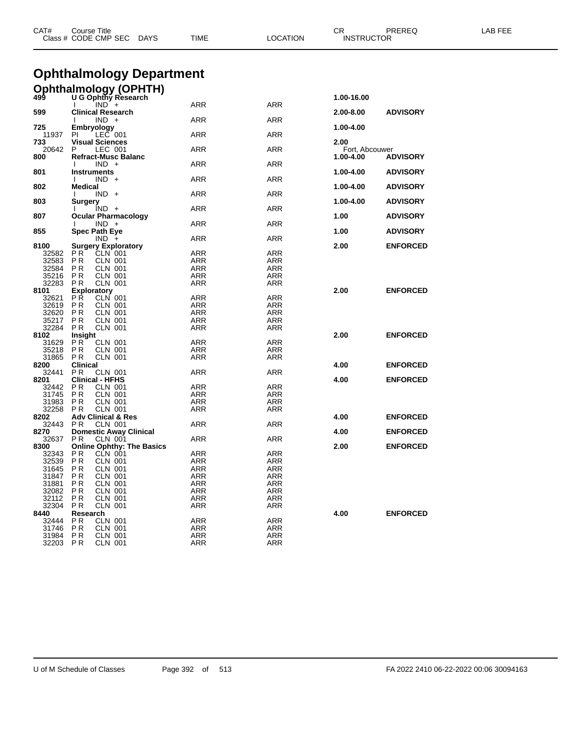| CAT#<br>Course Title<br>Class # CODE CMP SEC<br>DAYS |                                                    | TIME<br>LOCATION         |                          | CR<br>PREREQ<br><b>INSTRUCTOR</b> |                 | LAB FEE |  |
|------------------------------------------------------|----------------------------------------------------|--------------------------|--------------------------|-----------------------------------|-----------------|---------|--|
|                                                      | <b>Ophthalmology Department</b>                    |                          |                          |                                   |                 |         |  |
|                                                      |                                                    |                          |                          |                                   |                 |         |  |
|                                                      | Ophthalmology (OPHTH)                              |                          |                          | 1.00-16.00                        |                 |         |  |
|                                                      | $IND +$                                            | ARR                      | ARR                      |                                   |                 |         |  |
| 599                                                  | <b>Clinical Research</b>                           |                          |                          | 2.00-8.00                         | <b>ADVISORY</b> |         |  |
| 725                                                  | $IND +$<br><b>Embryology</b>                       | ARR                      | ARR                      | 1.00-4.00                         |                 |         |  |
| 11937                                                | ΡI<br>LEC 001                                      | ARR                      | ARR                      |                                   |                 |         |  |
| 733                                                  | Visual Sciences                                    |                          |                          | 2.00                              |                 |         |  |
| 20642<br>800                                         | P<br>LEC 001<br><b>Refract-Musc Balanc</b>         | ARR                      | ARR                      | Fort, Abcouwer<br>1.00-4.00       | <b>ADVISORY</b> |         |  |
|                                                      | $IND +$                                            | ARR                      | ARR                      |                                   |                 |         |  |
| 801                                                  | <b>Instruments</b>                                 |                          |                          | 1.00-4.00                         | <b>ADVISORY</b> |         |  |
|                                                      | $IND +$<br><b>Medical</b>                          | ARR                      | ARR                      |                                   |                 |         |  |
| 802                                                  | $IND +$                                            | ARR                      | ARR                      | 1.00-4.00                         | <b>ADVISORY</b> |         |  |
| 803                                                  | Surgery                                            |                          |                          | 1.00-4.00                         | <b>ADVISORY</b> |         |  |
|                                                      | $IND +$                                            | ARR                      | ARR                      |                                   |                 |         |  |
| 807                                                  | <b>Ocular Pharmacology</b><br>$IND +$              | ARR                      | ARR                      | 1.00                              | <b>ADVISORY</b> |         |  |
| 855                                                  | <b>Spec Path Eye</b>                               |                          |                          | 1.00                              | <b>ADVISORY</b> |         |  |
|                                                      | $IND +$                                            | ARR                      | ARR                      |                                   |                 |         |  |
| 8100<br>32582                                        | <b>Surgery Exploratory</b><br>P R<br>CLN 001       | ARR                      | ARR                      | 2.00                              | <b>ENFORCED</b> |         |  |
| 32583                                                | P R<br>CLN 001                                     | <b>ARR</b>               | ARR                      |                                   |                 |         |  |
| 32584                                                | P R<br>CLN 001                                     | ARR                      | ARR                      |                                   |                 |         |  |
| 35216                                                | P R<br>CLN 001                                     | ARR                      | ARR                      |                                   |                 |         |  |
| 32283                                                | P R<br>CLN 001                                     | <b>ARR</b>               | ARR                      |                                   |                 |         |  |
| 8101                                                 | Exploratory                                        |                          |                          | 2.00                              | <b>ENFORCED</b> |         |  |
| 32621<br>32619                                       | ΡR<br>CLN 001<br>P R<br>CLN 001                    | ARR<br><b>ARR</b>        | ARR<br>ARR               |                                   |                 |         |  |
| 32620                                                | P R<br>CLN 001                                     | ARR                      | ARR                      |                                   |                 |         |  |
| 35217                                                | P R<br>CLN 001                                     | ARR                      | ARR                      |                                   |                 |         |  |
| 32284                                                | P R<br>CLN 001                                     | ARR                      | ARR                      |                                   |                 |         |  |
| 8102                                                 | Insight                                            |                          |                          | 2.00                              | <b>ENFORCED</b> |         |  |
| 31629                                                | P R<br><b>CLN 001</b>                              | ARR                      | ARR                      |                                   |                 |         |  |
| 35218<br>31865                                       | P R<br><b>CLN 001</b><br>P R<br>CLN 001            | <b>ARR</b><br>ARR        | ARR<br>ARR               |                                   |                 |         |  |
| 8200                                                 | <b>Clinical</b>                                    |                          |                          | 4.00                              | <b>ENFORCED</b> |         |  |
| 32441                                                | P R<br>CLN 001                                     | ARR                      | ARR                      |                                   |                 |         |  |
| 8201                                                 | <b>Clinical - HFHS</b>                             |                          |                          | 4.00                              | <b>ENFORCED</b> |         |  |
| 32442                                                | P R<br><b>CLN 001</b>                              | ARR                      | ARR                      |                                   |                 |         |  |
| 31745                                                | P R<br>CLN 001<br>P R                              | <b>ARR</b><br>ARR        | ARR<br>ARR               |                                   |                 |         |  |
| 31983<br>32258                                       | CLN 001<br><b>CLN 001</b><br>P R                   | ARR                      | ARR                      |                                   |                 |         |  |
| 8202                                                 | <b>Adv Clinical &amp; Res</b>                      |                          |                          | 4.00                              | <b>ENFORCED</b> |         |  |
| 32443                                                | P R<br>CLN 001                                     | ARR                      | ARR                      |                                   |                 |         |  |
| 8270                                                 | <b>Domestic Away Clinical</b>                      |                          |                          | 4.00                              | <b>ENFORCED</b> |         |  |
| 32637                                                | P R<br>CLN 001                                     | ARR                      | ARR                      |                                   |                 |         |  |
| 8300<br>32343                                        | <b>Online Ophthy: The Basics</b><br>P R<br>CLN 001 | <b>ARR</b>               | ARR                      | 2.00                              | <b>ENFORCED</b> |         |  |
| 32539                                                | PR<br><b>CLN 001</b>                               | ARR                      | <b>ARR</b>               |                                   |                 |         |  |
| 31645                                                | P R<br>CLN 001                                     | <b>ARR</b>               | <b>ARR</b>               |                                   |                 |         |  |
| 31847                                                | <b>CLN 001</b><br>P R                              | <b>ARR</b>               | <b>ARR</b>               |                                   |                 |         |  |
| 31881                                                | P R<br>CLN 001                                     | ARR                      | <b>ARR</b>               |                                   |                 |         |  |
| 32082                                                | P R<br>CLN 001                                     | <b>ARR</b>               | <b>ARR</b>               |                                   |                 |         |  |
| 32112<br>32304                                       | <b>CLN 001</b><br>P R<br>P R<br>CLN 001            | <b>ARR</b><br><b>ARR</b> | <b>ARR</b><br><b>ARR</b> |                                   |                 |         |  |
| 8440                                                 | Research                                           |                          |                          | 4.00                              | <b>ENFORCED</b> |         |  |
| 32444                                                | P R<br>CLN 001                                     | <b>ARR</b>               | <b>ARR</b>               |                                   |                 |         |  |
| 31746                                                | <b>CLN 001</b><br>P R                              | ARR                      | <b>ARR</b>               |                                   |                 |         |  |
| 31984                                                | P R<br>CLN 001                                     | <b>ARR</b>               | <b>ARR</b>               |                                   |                 |         |  |
| 32203                                                | <b>CLN 001</b><br>P R                              | <b>ARR</b>               | <b>ARR</b>               |                                   |                 |         |  |

U of M Schedule of Classes Page 392 of 513 FA 2022 2410 06-22-2022 00:06 30094163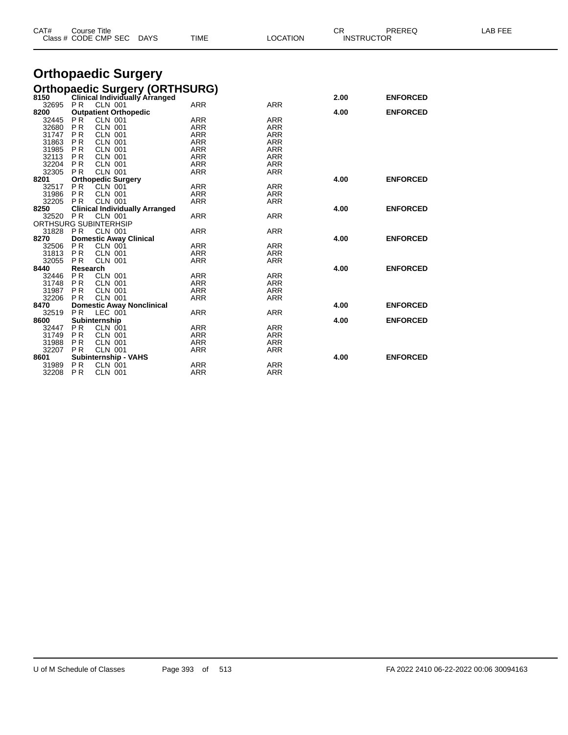|          | Class # CODE CMP SEC<br>DAYS          | TIME       | LOCATION   |      | <b>INSTRUCTOR</b> |  |
|----------|---------------------------------------|------------|------------|------|-------------------|--|
|          | <b>Orthopaedic Surgery</b>            |            |            |      |                   |  |
|          | <b>Orthopaedic Surgery (ORTHSURG)</b> |            |            |      |                   |  |
| 8150     | Clinical Individually Arranged        |            |            | 2.00 | <b>ENFORCED</b>   |  |
| 32695    | <b>CLN 001</b><br>P <sub>R</sub>      | <b>ARR</b> | <b>ARR</b> |      |                   |  |
| 8200     | <b>Outpatient Orthopedic</b>          |            |            | 4.00 | <b>ENFORCED</b>   |  |
| 32445    | PR<br><b>CLN 001</b>                  | <b>ARR</b> | ARR        |      |                   |  |
| 32680    | <b>PR</b><br><b>CLN 001</b>           | <b>ARR</b> | ARR        |      |                   |  |
| 31747    | P <sub>R</sub><br><b>CLN 001</b>      | <b>ARR</b> | ARR        |      |                   |  |
| 31863    | <b>PR</b><br><b>CLN 001</b>           | <b>ARR</b> | <b>ARR</b> |      |                   |  |
| 31985    | <b>PR</b><br><b>CLN 001</b>           | <b>ARR</b> | ARR        |      |                   |  |
| 32113    | P <sub>R</sub><br><b>CLN 001</b>      | <b>ARR</b> | <b>ARR</b> |      |                   |  |
| 32204    | <b>PR</b><br><b>CLN 001</b>           | <b>ARR</b> | <b>ARR</b> |      |                   |  |
| 32305    | <b>CLN 001</b><br>P <sub>R</sub>      | <b>ARR</b> | <b>ARR</b> |      |                   |  |
| 8201     | <b>Orthopedic Surgery</b>             |            |            | 4.00 | <b>ENFORCED</b>   |  |
| 32517    | <b>PR</b><br><b>CLN 001</b>           | <b>ARR</b> | ARR        |      |                   |  |
| 31986    | P <sub>R</sub><br><b>CLN 001</b>      | <b>ARR</b> | ARR        |      |                   |  |
| 32205    | PR.<br><b>CLN 001</b>                 | <b>ARR</b> | ARR        |      |                   |  |
| 8250     | <b>Clinical Individually Arranged</b> |            |            | 4.00 | <b>ENFORCED</b>   |  |
| 32520 PR | <b>CLN 001</b>                        | <b>ARR</b> | <b>ARR</b> |      |                   |  |
|          | ORTHSURG SUBINTERHSIP                 |            |            |      |                   |  |
| 31828 PR | CLN 001                               | <b>ARR</b> | ARR        |      |                   |  |
| 8270     | <b>Domestic Away Clinical</b>         |            |            | 4.00 | <b>ENFORCED</b>   |  |
| 32506    | PR.<br>CLN 001                        | <b>ARR</b> | ARR        |      |                   |  |
| 31813    | <b>PR</b><br><b>CLN 001</b>           | <b>ARR</b> | <b>ARR</b> |      |                   |  |
| 32055    | <b>CLN 001</b><br>P <sub>R</sub>      | <b>ARR</b> | <b>ARR</b> |      |                   |  |
| 8440     | Research                              |            |            | 4.00 | <b>ENFORCED</b>   |  |
| 32446    | PR.<br><b>CLN 001</b>                 | <b>ARR</b> | <b>ARR</b> |      |                   |  |
| 31748    | P <sub>R</sub><br><b>CLN 001</b>      | <b>ARR</b> | <b>ARR</b> |      |                   |  |
| 31987    | P <sub>R</sub><br><b>CLN 001</b>      | <b>ARR</b> | ARR        |      |                   |  |
| 32206    | <b>PR</b><br><b>CLN 001</b>           | <b>ARR</b> | <b>ARR</b> |      |                   |  |
| 8470     | <b>Domestic Away Nonclinical</b>      |            |            | 4.00 | <b>ENFORCED</b>   |  |
| 32519    | LEC 001<br>PR.                        | <b>ARR</b> | <b>ARR</b> |      |                   |  |
| 8600     | Subinternship                         |            |            | 4.00 | <b>ENFORCED</b>   |  |
| 32447    | CLN 001<br>PR.                        | ARR        | <b>ARR</b> |      |                   |  |
| 31749    | PR.<br><b>CLN 001</b>                 | <b>ARR</b> | ARR        |      |                   |  |
| 31988    | <b>PR</b><br><b>CLN 001</b>           | <b>ARR</b> | ARR        |      |                   |  |
| 32207    | <b>CLN 001</b><br><b>PR</b>           | <b>ARR</b> | <b>ARR</b> |      |                   |  |
| 8601     | <b>Subinternship - VAHS</b>           |            |            | 4.00 | <b>ENFORCED</b>   |  |
| 31989    | <b>PR</b><br>CLN 001                  | <b>ARR</b> | <b>ARR</b> |      |                   |  |

CAT# Course Title Case CR PREREQ LAB FEE

32208 P.R CLN 001 ARR ARR ARR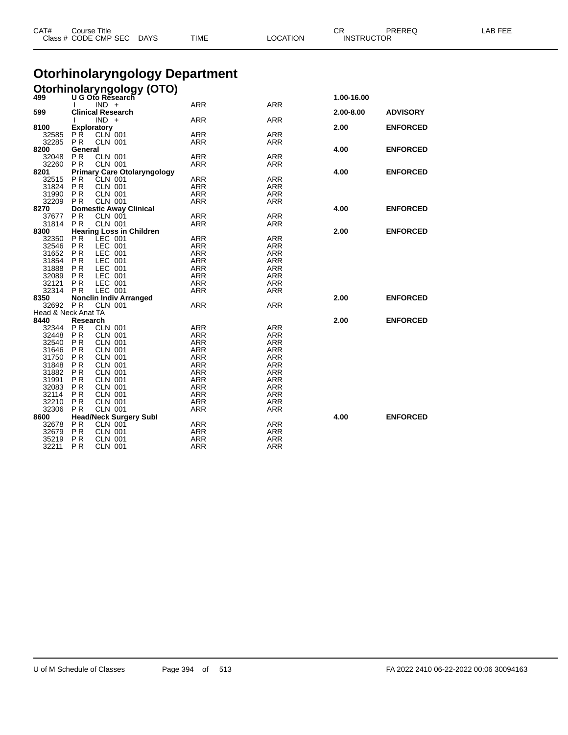| CAT#           | <b>Course Title</b>                 | Class # CODE CMP SEC DAYS                            | <b>TIME</b>                           | <b>LOCATION</b>   | CR<br>PREREQ<br><b>INSTRUCTOR</b> |                 | LAB FEE |
|----------------|-------------------------------------|------------------------------------------------------|---------------------------------------|-------------------|-----------------------------------|-----------------|---------|
|                |                                     |                                                      | <b>Otorhinolaryngology Department</b> |                   |                                   |                 |         |
|                |                                     | <b>Otorhinolaryngology (OTO)</b>                     |                                       |                   |                                   |                 |         |
|                |                                     |                                                      |                                       |                   | 1.00-16.00                        |                 |         |
|                | $IND +$                             |                                                      | ARR                                   | ARR               |                                   |                 |         |
| 599            | <b>Clinical Research</b><br>$IND +$ |                                                      | <b>ARR</b>                            | <b>ARR</b>        | 2.00-8.00                         | <b>ADVISORY</b> |         |
| 8100           | <b>Exploratory</b>                  |                                                      |                                       |                   | 2.00                              | <b>ENFORCED</b> |         |
| 32585          | P <sub>R</sub>                      | <b>CLN 001</b>                                       | ARR                                   | ARR               |                                   |                 |         |
| 32285          | <b>PR</b>                           | <b>CLN 001</b>                                       | <b>ARR</b>                            | ARR               |                                   |                 |         |
| 8200           | General                             |                                                      |                                       |                   | 4.00                              | <b>ENFORCED</b> |         |
| 32048          | P <sub>R</sub>                      | <b>CLN 001</b>                                       | ARR                                   | ARR               |                                   |                 |         |
| 32260<br>8201  | P <sub>R</sub>                      | <b>CLN 001</b><br><b>Primary Care Otolaryngology</b> | ARR                                   | ARR               | 4.00                              | <b>ENFORCED</b> |         |
| 32515          | P <sub>R</sub>                      | <b>CLN 001</b>                                       | <b>ARR</b>                            | <b>ARR</b>        |                                   |                 |         |
| 31824          | P R                                 | <b>CLN 001</b>                                       | <b>ARR</b>                            | <b>ARR</b>        |                                   |                 |         |
| 31990          | <b>PR</b>                           | <b>CLN 001</b>                                       | <b>ARR</b>                            | ARR               |                                   |                 |         |
| 32209          | <b>PR</b>                           | <b>CLN 001</b>                                       | <b>ARR</b>                            | <b>ARR</b>        |                                   |                 |         |
| 8270           |                                     | <b>Domestic Away Clinical</b>                        |                                       |                   | 4.00                              | <b>ENFORCED</b> |         |
| 37677          | <b>PR</b>                           | CLN 001                                              | ARR                                   | <b>ARR</b>        |                                   |                 |         |
| 31814<br>8300  | <b>PR</b>                           | <b>CLN 001</b><br><b>Hearing Loss in Children</b>    | <b>ARR</b>                            | ARR               | 2.00                              | <b>ENFORCED</b> |         |
| 32350          | P <sub>R</sub>                      | LEC 001                                              | ARR                                   | ARR               |                                   |                 |         |
| 32546          | <b>PR</b>                           | LEC 001                                              | <b>ARR</b>                            | <b>ARR</b>        |                                   |                 |         |
| 31652          | P <sub>R</sub>                      | LEC 001                                              | <b>ARR</b>                            | <b>ARR</b>        |                                   |                 |         |
| 31854          | P <sub>R</sub>                      | LEC 001                                              | ARR                                   | ARR               |                                   |                 |         |
| 31888          | <b>PR</b>                           | LEC 001                                              | <b>ARR</b>                            | <b>ARR</b>        |                                   |                 |         |
| 32089          | P <sub>R</sub>                      | LEC 001                                              | ARR                                   | <b>ARR</b>        |                                   |                 |         |
| 32121          | <b>PR</b>                           | LEC 001                                              | ARR                                   | <b>ARR</b>        |                                   |                 |         |
| 32314<br>8350  | <b>PR</b>                           | LEC 001<br><b>Nonclin Indiv Arranged</b>             | <b>ARR</b>                            | <b>ARR</b>        | 2.00                              | <b>ENFORCED</b> |         |
| 32692          | <b>PR</b>                           | <b>CLN 001</b>                                       | <b>ARR</b>                            | <b>ARR</b>        |                                   |                 |         |
|                | Head & Neck Anat TA                 |                                                      |                                       |                   |                                   |                 |         |
| 8440           | Research                            |                                                      |                                       |                   | 2.00                              | <b>ENFORCED</b> |         |
| 32344          | <b>PR</b>                           | <b>CLN 001</b>                                       | ARR                                   | ARR               |                                   |                 |         |
| 32448          | <b>PR</b>                           | <b>CLN 001</b>                                       | <b>ARR</b>                            | ARR               |                                   |                 |         |
| 32540<br>31646 | P R<br>P <sub>R</sub>               | CLN 001<br><b>CLN 001</b>                            | ARR<br><b>ARR</b>                     | ARR<br><b>ARR</b> |                                   |                 |         |
| 31750          | P <sub>R</sub>                      | <b>CLN 001</b>                                       | <b>ARR</b>                            | ARR               |                                   |                 |         |
| 31848          | P <sub>R</sub>                      | <b>CLN 001</b>                                       | <b>ARR</b>                            | ARR               |                                   |                 |         |
| 31882          | <b>PR</b>                           | <b>CLN 001</b>                                       | <b>ARR</b>                            | <b>ARR</b>        |                                   |                 |         |
| 31991          | P <sub>R</sub>                      | <b>CLN 001</b>                                       | <b>ARR</b>                            | ARR               |                                   |                 |         |
| 32083          | P <sub>R</sub>                      | <b>CLN 001</b>                                       | ARR                                   | ARR               |                                   |                 |         |
| 32114          | P <sub>R</sub>                      | <b>CLN 001</b>                                       | ARR                                   | ARR               |                                   |                 |         |
| 32210          | P <sub>R</sub>                      | <b>CLN 001</b>                                       | ARR                                   | ARR               |                                   |                 |         |
| 32306<br>8600  | <b>PR</b>                           | <b>CLN 001</b><br><b>Head/Neck Surgery Subl</b>      | ARR                                   | ARR               | 4.00                              | <b>ENFORCED</b> |         |
| 32678          | P <sub>R</sub>                      | <b>CLN 001</b>                                       | <b>ARR</b>                            | <b>ARR</b>        |                                   |                 |         |
| 32679          | P <sub>R</sub>                      | <b>CLN 001</b>                                       | ARR                                   | ARR               |                                   |                 |         |
| 35219          | <b>PR</b>                           | CLN 001                                              | ARR                                   | ARR               |                                   |                 |         |

P R CLN 001 ARR ARR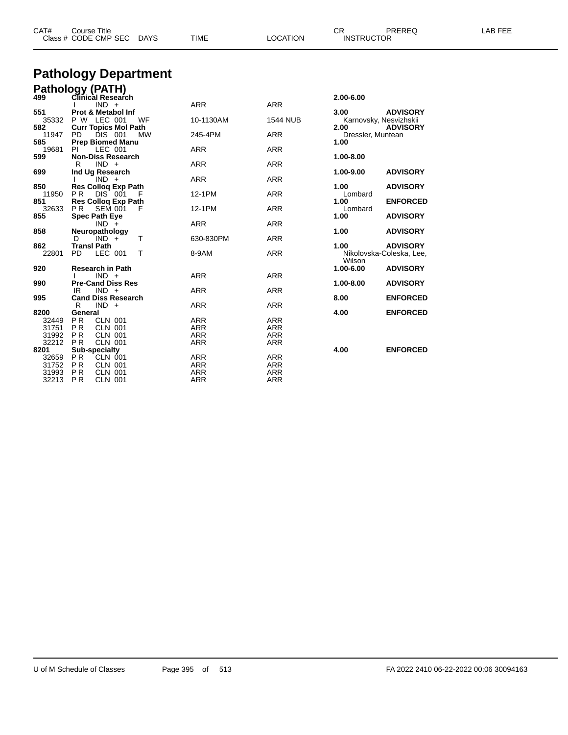| CAT#<br>PREREQ<br>$\cap$<br>Course Title<br>Class # CODE CMP SEC DAYS<br>LOCATION<br><b>INSTRUCTOR</b><br>TIME | -AB FEE |
|----------------------------------------------------------------------------------------------------------------|---------|
|----------------------------------------------------------------------------------------------------------------|---------|

## **Pathology Department**

|          | Pathology (PATH)                      |            |                 |                   |                          |
|----------|---------------------------------------|------------|-----------------|-------------------|--------------------------|
| 499      | Clinical Research                     |            |                 | 2.00-6.00         |                          |
|          | $IND +$                               | <b>ARR</b> | <b>ARR</b>      |                   |                          |
| 551      | <b>Prot &amp; Metabol Inf</b>         |            |                 | 3.00              | <b>ADVISORY</b>          |
| 35332    | P W LEC 001<br>WF                     | 10-1130AM  | <b>1544 NUB</b> |                   | Karnovsky, Nesvizhskii   |
| 582      | <b>Curr Topics Mol Path</b>           |            |                 | 2.00              | <b>ADVISORY</b>          |
| 11947    | DIS 001<br>PD.<br><b>MW</b>           | 245-4PM    | <b>ARR</b>      | Dressler, Muntean |                          |
| 585      | <b>Prep Biomed Manu</b>               |            |                 | 1.00              |                          |
| 19681    | LEC 001<br>PI.                        | <b>ARR</b> | <b>ARR</b>      |                   |                          |
| 599      | <b>Non-Diss Research</b>              |            |                 | 1.00-8.00         |                          |
|          | $IND +$<br>R                          | <b>ARR</b> | <b>ARR</b>      |                   |                          |
| 699      | Ind Ug Research                       |            |                 | 1.00-9.00         | <b>ADVISORY</b>          |
|          | $IND +$                               | <b>ARR</b> | <b>ARR</b>      |                   |                          |
| 850      | <b>Res Colloq Exp Path</b>            |            |                 | 1.00              | <b>ADVISORY</b>          |
| 11950    | P <sub>R</sub><br>DIS 001<br>-F       | 12-1PM     | <b>ARR</b>      | Lombard           |                          |
| 851      | <b>Res Collog Exp Path</b>            |            |                 | 1.00              | <b>ENFORCED</b>          |
| 32633    | <b>SEM 001</b><br>P <sub>R</sub><br>F | 12-1PM     | <b>ARR</b>      | Lombard           |                          |
| 855      | <b>Spec Path Eye</b>                  |            |                 | 1.00              | <b>ADVISORY</b>          |
|          | $IND +$                               | <b>ARR</b> | <b>ARR</b>      |                   |                          |
| 858      | Neuropathology                        |            |                 | 1.00              | <b>ADVISORY</b>          |
|          | T<br>IND +<br>D.                      | 630-830PM  | <b>ARR</b>      |                   |                          |
| 862      | <b>Transl Path</b>                    |            |                 | 1.00              | <b>ADVISORY</b>          |
| 22801    | LEC 001<br>T<br>PD.                   | 8-9AM      | <b>ARR</b>      |                   | Nikolovska-Coleska, Lee, |
|          |                                       |            |                 | Wilson            |                          |
| 920      | <b>Research in Path</b>               |            |                 | 1.00-6.00         | <b>ADVISORY</b>          |
|          | $IND +$                               | <b>ARR</b> | <b>ARR</b>      |                   |                          |
| 990      | <b>Pre-Cand Diss Res</b>              |            |                 | 1.00-8.00         | <b>ADVISORY</b>          |
|          | $IND +$<br>IR                         | <b>ARR</b> | <b>ARR</b>      |                   |                          |
| 995      | <b>Cand Diss Research</b>             |            |                 | 8.00              | <b>ENFORCED</b>          |
|          | R<br>$IND +$                          | <b>ARR</b> | <b>ARR</b>      |                   |                          |
| 8200     | General                               |            |                 | 4.00              | <b>ENFORCED</b>          |
| 32449 PR | <b>CLN 001</b>                        | <b>ARR</b> | ARR             |                   |                          |
| 31751    | P R<br><b>CLN 001</b>                 | <b>ARR</b> | <b>ARR</b>      |                   |                          |
| 31992    | <b>CLN 001</b><br><b>PR</b>           | <b>ARR</b> | <b>ARR</b>      |                   |                          |
| 32212    | <b>PR</b><br><b>CLN 001</b>           | <b>ARR</b> | <b>ARR</b>      |                   |                          |
| 8201     | Sub-specialty                         |            |                 | 4.00              | <b>ENFORCED</b>          |
| 32659    | PR<br><b>CLN 001</b>                  | <b>ARR</b> | <b>ARR</b>      |                   |                          |
| 31752    | PR<br><b>CLN 001</b>                  | <b>ARR</b> | <b>ARR</b>      |                   |                          |
|          | P R<br><b>CLN 001</b>                 | <b>ARR</b> | <b>ARR</b>      |                   |                          |
| 31993    |                                       |            |                 |                   |                          |
| 32213    | <b>PR</b><br><b>CLN 001</b>           | <b>ARR</b> | <b>ARR</b>      |                   |                          |

| <b>ADVISORY</b><br>Karnovsky, Nesvizhskii<br><b>ADVISORY</b> |
|--------------------------------------------------------------|
|                                                              |
|                                                              |
| <b>ADVISORY</b>                                              |
| <b>ADVISORY</b>                                              |
| <b>ENFORCED</b>                                              |
| <b>ADVISORY</b>                                              |
| <b>ADVISORY</b>                                              |
| <b>ADVISORY</b><br>Nikolovska-Coleska, Lee,                  |
| <b>ADVISORY</b>                                              |
| <b>ADVISORY</b>                                              |
| <b>ENFORCED</b>                                              |
| <b>ENFORCED</b>                                              |
| <b>ENFORCED</b>                                              |
|                                                              |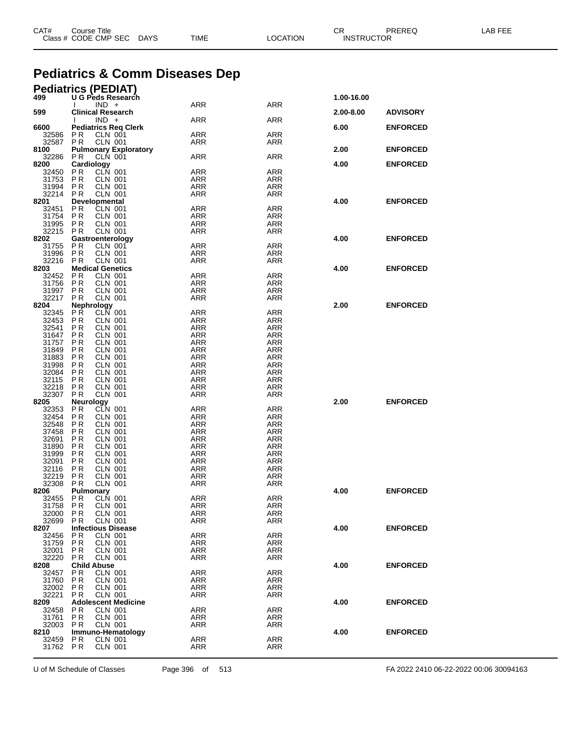|                | <b>Pediatrics &amp; Comm Diseases Dep</b>                     |                          |                          |            |                 |  |
|----------------|---------------------------------------------------------------|--------------------------|--------------------------|------------|-----------------|--|
|                | <b>Pediatrics (PEDIAT)</b>                                    |                          |                          |            |                 |  |
| 499            | U G Peds Research<br>$IND +$                                  | ARR                      | ARR                      | 1.00-16.00 |                 |  |
| 599            | <b>Clinical Research</b><br>$IND +$                           | ARR                      | ARR                      | 2.00-8.00  | <b>ADVISORY</b> |  |
| 6600           | <b>Pediatrics Reg Clerk</b>                                   |                          |                          | 6.00       | <b>ENFORCED</b> |  |
| 32586<br>32587 | P <sub>R</sub><br><b>CLN 001</b><br><b>CLN 001</b><br>P R     | <b>ARR</b><br>ARR        | <b>ARR</b><br>ARR        |            |                 |  |
| 8100<br>32286  | <b>Pulmonary Exploratory</b><br><b>CLN 001</b><br>P R         | <b>ARR</b>               | <b>ARR</b>               | 2.00       | <b>ENFORCED</b> |  |
| 8200           | Cardiology                                                    |                          |                          | 4.00       | <b>ENFORCED</b> |  |
| 32450<br>31753 | CLN 001<br>P R<br><b>CLN 001</b><br>P R                       | <b>ARR</b><br><b>ARR</b> | <b>ARR</b><br><b>ARR</b> |            |                 |  |
| 31994          | P R<br>CLN 001                                                | <b>ARR</b>               | ARR                      |            |                 |  |
| 32214<br>8201  | P R<br>CLN 001<br>Developmental                               | ARR                      | ARR                      | 4.00       | <b>ENFORCED</b> |  |
| 32451          | CLN 001<br>P R                                                | <b>ARR</b>               | ARR                      |            |                 |  |
| 31754<br>31995 | P R<br>CLN 001<br><b>PR</b><br><b>CLN 001</b>                 | ARR<br><b>ARR</b>        | ARR<br><b>ARR</b>        |            |                 |  |
| 32215          | P R<br>CLN 001                                                | ARR                      | ARR                      |            |                 |  |
| 8202<br>31755  | Gastroenterology<br>P <sub>R</sub><br><b>CLN 001</b>          | <b>ARR</b>               | <b>ARR</b>               | 4.00       | <b>ENFORCED</b> |  |
| 31996<br>32216 | P <sub>R</sub><br><b>CLN 001</b><br>P R<br>CLN 001            | <b>ARR</b><br>ARR        | ARR<br>ARR               |            |                 |  |
| 8203           | <b>Medical Genetics</b>                                       |                          |                          | 4.00       | <b>ENFORCED</b> |  |
| 32452<br>31756 | <b>CLN 001</b><br>P R<br>P R<br>CLN 001                       | <b>ARR</b><br>ARR        | ARR<br>ARR               |            |                 |  |
| 31997          | P <sub>R</sub><br><b>CLN 001</b>                              | <b>ARR</b>               | <b>ARR</b>               |            |                 |  |
| 32217<br>8204  | <b>CLN 001</b><br>P R<br><b>Nephrology</b>                    | ARR                      | ARR                      | 2.00       | <b>ENFORCED</b> |  |
| 32345          | <b>PR</b><br><b>CLN 001</b>                                   | <b>ARR</b>               | <b>ARR</b>               |            |                 |  |
| 32453<br>32541 | P R<br>CLN 001<br>P R<br>CLN 001                              | <b>ARR</b><br>ARR        | ARR<br>ARR               |            |                 |  |
| 31647          | P <sub>R</sub><br><b>CLN 001</b>                              | <b>ARR</b>               | <b>ARR</b>               |            |                 |  |
| 31757<br>31849 | <b>CLN 001</b><br>P R<br>P R<br>CLN 001                       | <b>ARR</b><br>ARR        | <b>ARR</b><br>ARR        |            |                 |  |
| 31883          | P <sub>R</sub><br><b>CLN 001</b>                              | <b>ARR</b>               | <b>ARR</b>               |            |                 |  |
| 31998<br>32084 | <b>CLN 001</b><br>P R<br>P R<br>CLN 001                       | <b>ARR</b><br>ARR        | <b>ARR</b><br>ARR        |            |                 |  |
| 32115          | P <sub>R</sub><br><b>CLN 001</b>                              | ARR                      | <b>ARR</b>               |            |                 |  |
| 32218<br>32307 | PR<br><b>CLN 001</b><br>P R<br>CLN 001                        | <b>ARR</b><br>ARR        | ARR<br>ARR               |            |                 |  |
| 8205           | Neurology                                                     |                          |                          | 2.00       | <b>ENFORCED</b> |  |
| 32353<br>32454 | CLN 001<br>P <sub>R</sub><br>P R<br>CLN 001                   | <b>ARR</b><br>ARR        | ARR<br>ARR               |            |                 |  |
| 32548          | P <sub>R</sub><br><b>CLN 001</b>                              | <b>ARR</b>               | <b>ARR</b>               |            |                 |  |
| 37458<br>32691 | P R<br><b>CLN 001</b><br>P R<br>CLN 001                       | <b>ARR</b><br>ARR        | <b>ARR</b><br>ARR        |            |                 |  |
| 31890          | P <sub>R</sub><br><b>CLN 001</b>                              | ARR                      | <b>ARR</b>               |            |                 |  |
| 31999<br>32091 | P R<br><b>CLN 001</b><br>P R<br>CLN 001                       | ARR<br>ARR               | ARR<br>ARR               |            |                 |  |
| 32116          | <b>PR</b><br><b>CLN 001</b>                                   | <b>ARR</b>               | <b>ARR</b>               |            |                 |  |
| 32219<br>32308 | <b>CLN 001</b><br>P R<br>P R<br>CLN 001                       | <b>ARR</b><br>ARR        | ARR<br>ARR               |            |                 |  |
| 8206           | Pulmonary                                                     |                          |                          | 4.00       | <b>ENFORCED</b> |  |
| 32455<br>31758 | CLN 001<br>P <sub>R</sub><br>P R<br>CLN 001                   | <b>ARR</b><br>ARR        | ARR<br>ARR               |            |                 |  |
| 32000          | P <sub>R</sub><br><b>CLN 001</b>                              | <b>ARR</b>               | <b>ARR</b>               |            |                 |  |
| 32699<br>8207  | P <sub>R</sub><br><b>CLN 001</b><br><b>Infectious Disease</b> | ARR                      | ARR                      | 4.00       | <b>ENFORCED</b> |  |
| 32456          | P <sub>R</sub><br><b>CLN 001</b>                              | <b>ARR</b>               | <b>ARR</b>               |            |                 |  |
| 31759<br>32001 | P <sub>R</sub><br><b>CLN 001</b><br>P R<br>CLN 001            | <b>ARR</b><br>ARR        | ARR<br>ARR               |            |                 |  |
| 32220          | <b>CLN 001</b><br>P <sub>R</sub>                              | <b>ARR</b>               | ARR                      |            |                 |  |
| 8208<br>32457  | <b>Child Abuse</b><br><b>CLN 001</b><br>P R                   | <b>ARR</b>               | <b>ARR</b>               | 4.00       | <b>ENFORCED</b> |  |
| 31760          | P <sub>R</sub><br><b>CLN 001</b>                              | <b>ARR</b>               | <b>ARR</b>               |            |                 |  |
| 32002<br>32221 | P <sub>R</sub><br><b>CLN 001</b><br><b>CLN 001</b><br>P R     | <b>ARR</b><br><b>ARR</b> | ARR<br>ARR               |            |                 |  |
| 8209           | <b>Adolescent Medicine</b>                                    |                          |                          | 4.00       | <b>ENFORCED</b> |  |
| 32458<br>31761 | <b>CLN 001</b><br>P R<br><b>CLN 001</b><br>P R                | <b>ARR</b><br>ARR        | <b>ARR</b><br>ARR        |            |                 |  |
| 32003          | <b>CLN 001</b><br><b>PR</b>                                   | ARR                      | ARR                      |            |                 |  |
| 8210<br>32459  | Immuno-Hematology<br>P R<br><b>CLN 001</b>                    | <b>ARR</b>               | <b>ARR</b>               | 4.00       | <b>ENFORCED</b> |  |
| 31762 PR       | <b>CLN 001</b>                                                | <b>ARR</b>               | <b>ARR</b>               |            |                 |  |

CAT# Course Title Case CR PREREQ LAB FEE

Class # CODE CMP SEC DAYS TIME LOCATION INSTRUCTOR

U of M Schedule of Classes Page 396 of 513 FA 2022 2410 06-22-2022 00:06 30094163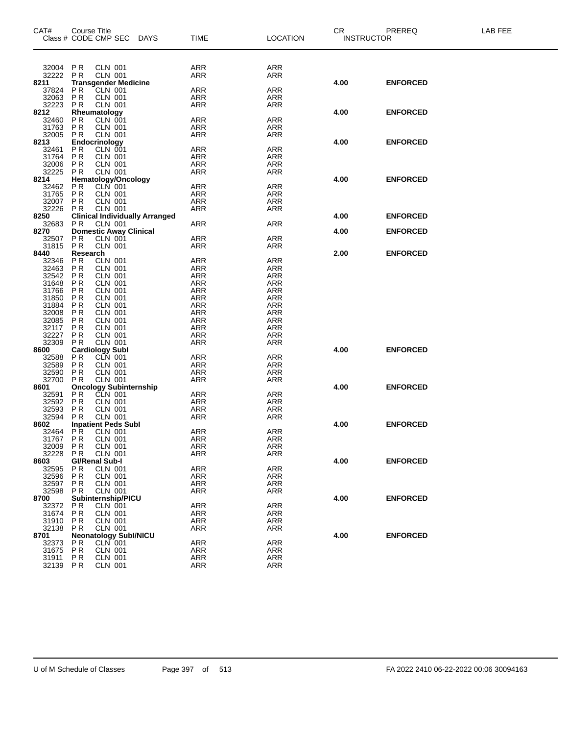| CAT#              | Course Title           |                                              | Class # CODE CMP SEC DAYS             | <b>TIME</b>              | <b>LOCATION</b> | CR<br><b>INSTRUCTOR</b> | <b>PREREQ</b>   | LAB FEE |
|-------------------|------------------------|----------------------------------------------|---------------------------------------|--------------------------|-----------------|-------------------------|-----------------|---------|
|                   |                        |                                              |                                       |                          |                 |                         |                 |         |
| 32004 PR          |                        | <b>CLN 001</b>                               |                                       | ARR                      | ARR             |                         |                 |         |
| 32222             | <b>PR</b>              | <b>CLN 001</b>                               |                                       | ARR                      | ARR             |                         |                 |         |
| 8211<br>37824     | <b>PR</b>              | <b>Transgender Medicine</b><br>CLN 001       |                                       | ARR                      | ARR             | 4.00                    | <b>ENFORCED</b> |         |
| 32063             | <b>PR</b>              | <b>CLN 001</b>                               |                                       | ARR                      | ARR             |                         |                 |         |
| 32223             | PR                     | <b>CLN 001</b>                               |                                       | <b>ARR</b>               | ARR             |                         |                 |         |
| 8212              |                        | Rheumatology                                 |                                       |                          |                 | 4.00                    | <b>ENFORCED</b> |         |
| 32460<br>31763    | PR<br><b>PR</b>        | CLN 001<br>CLN 001                           |                                       | <b>ARR</b><br><b>ARR</b> | ARR<br>ARR      |                         |                 |         |
| 32005             | <b>PR</b>              | <b>CLN 001</b>                               |                                       | ARR                      | ARR             |                         |                 |         |
| 8213              |                        | Endocrinology                                |                                       |                          |                 | 4.00                    | <b>ENFORCED</b> |         |
| 32461             | <b>PR</b>              | CLN 001                                      |                                       | <b>ARR</b>               | ARR             |                         |                 |         |
| 31764<br>32006    | PR<br>PR               | <b>CLN 001</b><br><b>CLN 001</b>             |                                       | <b>ARR</b><br><b>ARR</b> | ARR<br>ARR      |                         |                 |         |
| 32225             | PR                     | <b>CLN 001</b>                               |                                       | <b>ARR</b>               | ARR             |                         |                 |         |
| 8214              |                        | Hematology/Oncology                          |                                       |                          |                 | 4.00                    | <b>ENFORCED</b> |         |
| 32462             | <b>PR</b>              | CLN 001                                      |                                       | <b>ARR</b>               | ARR             |                         |                 |         |
| 31765<br>32007    | PR<br>PR               | <b>CLN 001</b><br><b>CLN 001</b>             |                                       | <b>ARR</b><br>ARR        | ARR<br>ARR      |                         |                 |         |
| 32226             | <b>PR</b>              | <b>CLN 001</b>                               |                                       | <b>ARR</b>               | ARR             |                         |                 |         |
| 8250              |                        |                                              | <b>Clinical Individually Arranged</b> |                          |                 | 4.00                    | <b>ENFORCED</b> |         |
| 32683             | <b>PR</b>              | <b>CLN 001</b>                               |                                       | ARR                      | ARR             |                         |                 |         |
| 8270<br>32507     | P <sub>R</sub>         | <b>CLN 001</b>                               | <b>Domestic Away Clinical</b>         | <b>ARR</b>               | ARR             | 4.00                    | <b>ENFORCED</b> |         |
| 31815             | <b>PR</b>              | <b>CLN 001</b>                               |                                       | ARR                      | ARR             |                         |                 |         |
| 8440              | Research               |                                              |                                       |                          |                 | 2.00                    | <b>ENFORCED</b> |         |
| 32346             | PR                     | <b>CLN 001</b>                               |                                       | ARR                      | ARR             |                         |                 |         |
| 32463<br>32542    | <b>PR</b><br><b>PR</b> | <b>CLN 001</b><br><b>CLN 001</b>             |                                       | ARR<br>ARR               | ARR<br>ARR      |                         |                 |         |
| 31648             | P R                    | <b>CLN 001</b>                               |                                       | <b>ARR</b>               | ARR             |                         |                 |         |
| 31766             | PR                     | <b>CLN 001</b>                               |                                       | ARR                      | ARR             |                         |                 |         |
| 31850             | <b>PR</b>              | <b>CLN 001</b>                               |                                       | <b>ARR</b>               | ARR             |                         |                 |         |
| 31884             | PR                     | CLN 001                                      |                                       | ARR                      | ARR             |                         |                 |         |
| 32008<br>32085    | PR<br>PR               | <b>CLN 001</b><br><b>CLN 001</b>             |                                       | <b>ARR</b><br><b>ARR</b> | ARR<br>ARR      |                         |                 |         |
| 32117             | PR                     | <b>CLN 001</b>                               |                                       | <b>ARR</b>               | ARR             |                         |                 |         |
| 32227             | PR                     | <b>CLN 001</b>                               |                                       | <b>ARR</b>               | ARR             |                         |                 |         |
| 32309             | P <sub>R</sub>         | <b>CLN 001</b>                               |                                       | ARR                      | ARR             |                         |                 |         |
| 8600<br>32588     | P <sub>R</sub>         | <b>Cardiology Subl</b><br>CLN 001            |                                       | ARR                      | ARR             | 4.00                    | <b>ENFORCED</b> |         |
| 32589             | PR                     | <b>CLN 001</b>                               |                                       | <b>ARR</b>               | ARR             |                         |                 |         |
| 32590             | PR                     | CLN 001                                      |                                       | <b>ARR</b>               | ARR             |                         |                 |         |
| 32700             | <b>PR</b>              | <b>CLN 001</b>                               |                                       | ARR                      | <b>ARR</b>      |                         |                 |         |
| 8601<br>32591     | P <sub>R</sub>         |                                              | Oncology Subinternship<br>PR CLN 001  | <b>ARR</b>               | ARR             | 4.00                    | <b>ENFORCED</b> |         |
| 32592             | PR                     | <b>CLN 001</b>                               |                                       | ARR                      | ARR             |                         |                 |         |
| 32593             | P <sub>R</sub>         | <b>CLN 001</b>                               |                                       | ARR                      | ARR             |                         |                 |         |
| 32594             | P <sub>R</sub>         | <b>CLN 001</b>                               |                                       | <b>ARR</b>               | ARR             |                         |                 |         |
| 8602<br>32464     | ΡR                     | <b>Inpatient Peds Subl</b><br><b>CLN 001</b> |                                       | ARR                      | <b>ARR</b>      | 4.00                    | <b>ENFORCED</b> |         |
| 31767 PR          |                        | <b>CLN 001</b>                               |                                       | ARR                      | <b>ARR</b>      |                         |                 |         |
| 32009 PR          |                        | <b>CLN 001</b>                               |                                       | ARR                      | ARR             |                         |                 |         |
| 32228             | P R                    | CLN 001                                      |                                       | ARR                      | ARR             |                         |                 |         |
| 8603              |                        | <b>GI/Renal Sub-I</b><br><b>CLN 001</b>      |                                       | ARR                      | ARR             | 4.00                    | <b>ENFORCED</b> |         |
| 32595<br>32596    | P R<br>P <sub>R</sub>  | CLN 001                                      |                                       | ARR                      | ARR             |                         |                 |         |
| 32597             | P R                    | CLN 001                                      |                                       | ARR                      | ARR             |                         |                 |         |
| 32598             | P R                    | <b>CLN 001</b>                               |                                       | ARR                      | ARR             |                         |                 |         |
| 8700              |                        | Subinternship/PICU                           |                                       |                          |                 | 4.00                    | <b>ENFORCED</b> |         |
| 32372<br>31674    | P R<br><b>PR</b>       | <b>CLN 001</b><br>CLN 001                    |                                       | ARR<br>ARR               | ARR<br>ARR      |                         |                 |         |
| 31910             | PR                     | CLN 001                                      |                                       | ARR                      | ARR             |                         |                 |         |
| 32138             | P R                    | <b>CLN 001</b>                               |                                       | ARR                      | ARR             |                         |                 |         |
| 8701              |                        |                                              | <b>Neonatology Subl/NICU</b>          |                          |                 | 4.00                    | <b>ENFORCED</b> |         |
| 32373<br>31675 PR | P R                    | <b>CLN 001</b><br>CLN 001                    |                                       | <b>ARR</b><br>ARR        | ARR<br>ARR      |                         |                 |         |
| 31911             | P R                    | <b>CLN 001</b>                               |                                       | ARR                      | ARR             |                         |                 |         |
| 32139             | P R                    | <b>CLN 001</b>                               |                                       | <b>ARR</b>               | <b>ARR</b>      |                         |                 |         |
|                   |                        |                                              |                                       |                          |                 |                         |                 |         |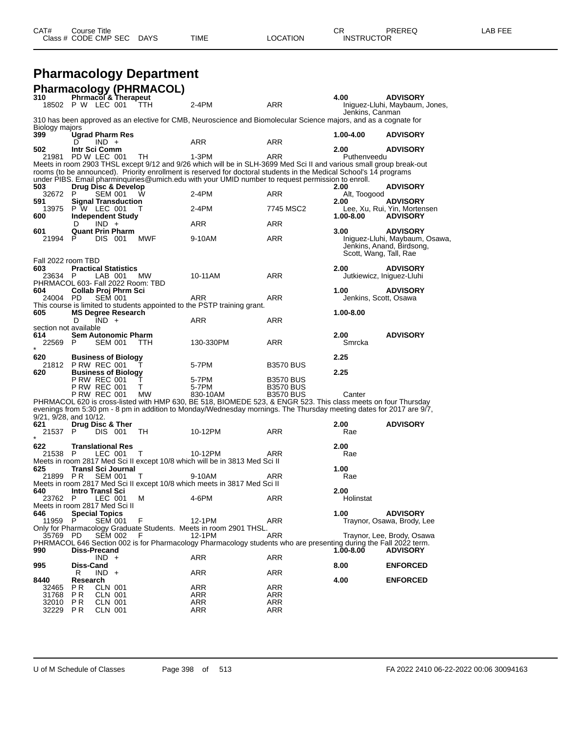| <b>Pharmacology Department</b> |  |
|--------------------------------|--|
| Pharmacology (PHRMACOL)        |  |

| ו המההמטטוס<br>310                |                            |                           | Phrmacol & Therapeut        | U IIIWAVVLI |                                                                                                                              |                   | 4.00                      | <b>ADVISORY</b>                                   |
|-----------------------------------|----------------------------|---------------------------|-----------------------------|-------------|------------------------------------------------------------------------------------------------------------------------------|-------------------|---------------------------|---------------------------------------------------|
| 18502 P W LEC 001                 |                            |                           |                             | TTH         | 2-4PM                                                                                                                        | ARR               |                           | Iniguez-Lluhi, Maybaum, Jones,                    |
| Biology majors                    |                            |                           |                             |             | 310 has been approved as an elective for CMB, Neuroscience and Biomolecular Science majors, and as a cognate for             |                   | Jenkins, Canman           |                                                   |
| 399                               |                            |                           | Ugrad Pharm Res             |             |                                                                                                                              |                   | 1.00-4.00                 | <b>ADVISORY</b>                                   |
|                                   | D                          | $IND +$                   |                             |             | ARR                                                                                                                          | ARR               |                           |                                                   |
| 502                               | Intr Sci Comm              |                           |                             |             |                                                                                                                              |                   | 2.00                      | <b>ADVISORY</b>                                   |
| 21981                             | PD W LEC 001               |                           |                             | TH          | 1-3PM<br>Meets in room 2903 THSL except 9/12 and 9/26 which will be in SLH-3699 Med Sci II and various small group break-out | ARR               | Puthenveedu               |                                                   |
|                                   |                            |                           |                             |             | rooms (to be announced). Priority enrollment is reserved for doctoral students in the Medical School's 14 programs           |                   |                           |                                                   |
|                                   |                            |                           |                             |             | under PIBS. Email pharminquiries@umich.edu with your UMID number to request permission to enroll.                            |                   |                           |                                                   |
| 503                               |                            |                           | Drug Disc & Develop         |             |                                                                                                                              |                   | 2.00                      | <b>ADVISORY</b>                                   |
| 32672<br>591                      | P.                         | <b>SEM 001</b>            | <b>Signal Transduction</b>  | w           | 2-4PM                                                                                                                        | ARR               | Alt, Toogood<br>2.00      | <b>ADVISORY</b>                                   |
| 13975                             | P W LEC 001                |                           |                             |             | $2-4PM$                                                                                                                      | 7745 MSC2         |                           | Lee, Xu, Rui, Yin, Mortensen                      |
| 600                               |                            |                           | Independent Study           |             |                                                                                                                              |                   | 1.00-8.00                 | <b>ADVISORY</b>                                   |
|                                   | D                          | $IND +$                   |                             |             | ARR                                                                                                                          | ARR               |                           |                                                   |
| 601<br>21994                      | P.                         | <b>DIS 001</b>            | <b>Quant Prin Pharm</b>     | <b>MWF</b>  | 9-10AM                                                                                                                       | ARR               | 3.00                      | <b>ADVISORY</b><br>Iniguez-Lluhi, Maybaum, Osawa, |
|                                   |                            |                           |                             |             |                                                                                                                              |                   |                           | Jenkins, Anand, Birdsong,                         |
|                                   |                            |                           |                             |             |                                                                                                                              |                   | Scott, Wang, Tall, Rae    |                                                   |
| Fall 2022 room TBD                |                            |                           |                             |             |                                                                                                                              |                   |                           |                                                   |
| 603<br>23634                      | P                          | LAB 001                   | <b>Practical Statistics</b> | МW          | 10-11AM                                                                                                                      | ARR               | 2.00                      | <b>ADVISORY</b>                                   |
| PHRMACOL 603- Fall 2022 Room: TBD |                            |                           |                             |             |                                                                                                                              |                   | Jutkiewicz, Iniguez-Lluhi |                                                   |
| 604                               |                            |                           | Collab Proj Phrm Sci        |             |                                                                                                                              |                   | 1.00                      | <b>ADVISORY</b>                                   |
| 24004 PD                          |                            | <b>SEM 001</b>            |                             |             | ARR                                                                                                                          | ARR               | Jenkins, Scott, Osawa     |                                                   |
|                                   |                            |                           |                             |             | This course is limited to students appointed to the PSTP training grant.                                                     |                   |                           |                                                   |
| 605                               | D                          | $IND +$                   | <b>MS Degree Research</b>   |             | ARR                                                                                                                          | ARR               | 1.00-8.00                 |                                                   |
| section not available             |                            |                           |                             |             |                                                                                                                              |                   |                           |                                                   |
| 614                               |                            |                           | <b>Sem Autonomic Pharm</b>  |             |                                                                                                                              |                   | 2.00                      | <b>ADVISORY</b>                                   |
| 22569                             | P                          | <b>SEM 001</b>            |                             | TTH         | 130-330PM                                                                                                                    | ARR               | Smrcka                    |                                                   |
| 620                               |                            |                           | <b>Business of Biology</b>  |             |                                                                                                                              |                   | 2.25                      |                                                   |
| 21812                             | <b>P RW REC 001</b>        |                           |                             |             | 5-7PM                                                                                                                        | <b>B3570 BUS</b>  |                           |                                                   |
| 620                               |                            |                           | <b>Business of Biology</b>  |             |                                                                                                                              |                   | 2.25                      |                                                   |
|                                   | <b>P RW REC 001</b>        |                           |                             | Т           | 5-7PM                                                                                                                        | <b>B3570 BUS</b>  |                           |                                                   |
|                                   | <b>P RW REC 001</b>        |                           |                             | т           | 5-7PM                                                                                                                        | <b>B3570 BUS</b>  |                           |                                                   |
|                                   | <b>P RW REC 001</b>        |                           |                             | МW          | 830-10AM<br>PHRMACOL 620 is cross-listed with HMP 630, BE 518, BIOMEDE 523, & ENGR 523. This class meets on four Thursday    | <b>B3570 BUS</b>  | Canter                    |                                                   |
| 9/21, 9/28, and 10/12.            |                            |                           |                             |             | evenings from 5:30 pm - 8 pm in addition to Monday/Wednesday mornings. The Thursday meeting dates for 2017 are 9/7,          |                   |                           |                                                   |
| 621                               | Drug Disc & Ther           |                           |                             |             |                                                                                                                              |                   | 2.00                      | <b>ADVISORY</b>                                   |
| 21537                             | P                          | DIS 001                   |                             | TН          | 10-12PM                                                                                                                      | ARR               | Rae                       |                                                   |
| 622                               | <b>Translational Res</b>   |                           |                             |             |                                                                                                                              |                   | 2.00                      |                                                   |
| 21538                             | P.                         | LEC 001                   |                             | Т           | 10-12PM                                                                                                                      | ARR               | Rae                       |                                                   |
|                                   |                            |                           |                             |             | Meets in room 2817 Med Sci II except 10/8 which will be in 3813 Med Sci II                                                   |                   |                           |                                                   |
| 625                               |                            |                           | <b>Transl Sci Journal</b>   |             |                                                                                                                              |                   | 1.00                      |                                                   |
| 21899 PR                          |                            | <b>SEM 001</b>            |                             | т           | 9-10AM<br>Meets in room 2817 Med Sci II except 10/8 which meets in 3817 Med Sci II                                           | ARR               | Rae                       |                                                   |
| 640                               | <b>Intro Transi Sci</b>    |                           |                             |             |                                                                                                                              |                   | 2.00                      |                                                   |
| 23762 P                           |                            | LEC 001                   |                             | м           | 4-6PM                                                                                                                        | ARR               | Holinstat                 |                                                   |
| Meets in room 2817 Med Sci II     |                            |                           |                             |             |                                                                                                                              |                   |                           |                                                   |
| 646<br>11959                      | <b>Special Topics</b><br>P | <b>SEM 001</b>            |                             | F           | 12-1PM                                                                                                                       | ARR               | 1.00                      | <b>ADVISORY</b><br>Traynor, Osawa, Brody, Lee     |
|                                   |                            |                           |                             |             | Only for Pharmacology Graduate Students. Meets in room 2901 THSL.                                                            |                   |                           |                                                   |
| 35769 PD                          |                            | <b>SEM 002</b>            |                             | F           | 12-1PM                                                                                                                       | ARR               |                           | Traynor, Lee, Brody, Osawa                        |
|                                   |                            |                           |                             |             | PHRMACOL 646 Section 002 is for Pharmacology Pharmacology students who are presenting during the Fall 2022 term.             |                   |                           |                                                   |
| 990                               | Diss-Precand               |                           |                             |             |                                                                                                                              |                   | 1.00-8.00                 | <b>ADVISORY</b>                                   |
| 995                               | <b>Diss-Cand</b>           | $IND +$                   |                             |             | ARR                                                                                                                          | ARR               | 8.00                      | <b>ENFORCED</b>                                   |
|                                   | R                          | $IND +$                   |                             |             | ARR                                                                                                                          | ARR               |                           |                                                   |
| 8440                              | Research                   |                           |                             |             |                                                                                                                              |                   | 4.00                      | <b>ENFORCED</b>                                   |
| 32465                             | P R                        | CLN 001                   |                             |             | ARR                                                                                                                          | ARR               |                           |                                                   |
| 31768                             | P R                        | <b>CLN 001</b>            |                             |             | ARR<br><b>ARR</b>                                                                                                            | ARR<br><b>ARR</b> |                           |                                                   |
| 32010<br>32229                    | P R<br>P R                 | CLN 001<br><b>CLN 001</b> |                             |             | ARR                                                                                                                          | ARR               |                           |                                                   |
|                                   |                            |                           |                             |             |                                                                                                                              |                   |                           |                                                   |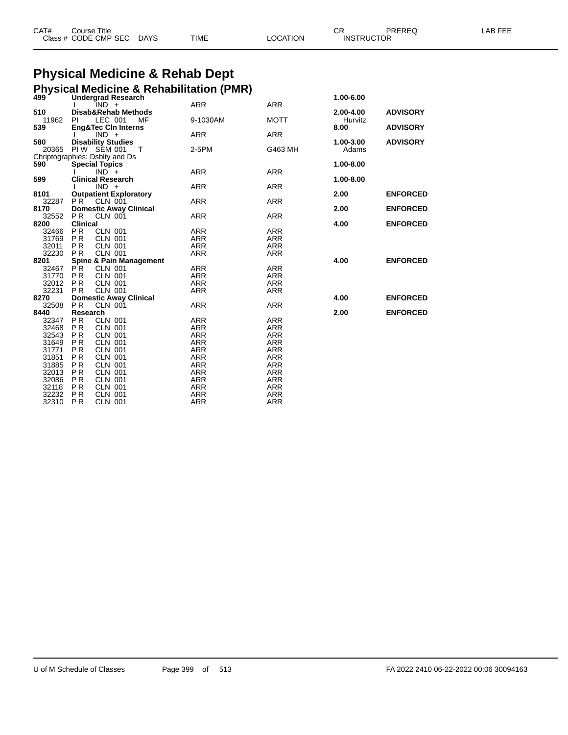| CAT# | Course Title              |      |          | ⌒冖<br>◡ド          | PREREQ | LAB FEE |
|------|---------------------------|------|----------|-------------------|--------|---------|
|      | Class # CODE CMP SEC DAYS | TIME | LOCATION | <b>INSTRUCTOR</b> |        |         |

# **Physical Medicine & Rehab Dept**

|                |                  |                                                         | <b>Physical Medicine &amp; Rehabilitation (PMR)</b> |                          |           |                 |
|----------------|------------------|---------------------------------------------------------|-----------------------------------------------------|--------------------------|-----------|-----------------|
| 499            |                  | <b>Undergrad Research</b>                               |                                                     |                          | 1.00-6.00 |                 |
| 510            |                  | - IND<br>Disab&Rehab Methods                            | <b>ARR</b>                                          | <b>ARR</b>               | 2.00-4.00 | <b>ADVISORY</b> |
| 11962          | PL               | LEC 001<br>MF                                           | 9-1030AM                                            | <b>MOTT</b>              | Hurvitz   |                 |
| 539            |                  | <b>Eng&amp;Tec CIn Interns</b>                          |                                                     |                          | 8.00      | <b>ADVISORY</b> |
|                |                  | $IND +$                                                 | <b>ARR</b>                                          | <b>ARR</b>               |           |                 |
| 580            |                  | <b>Disability Studies</b>                               |                                                     |                          | 1.00-3.00 | <b>ADVISORY</b> |
| 20365          |                  | PIW SEM 001<br>$\top$                                   | 2-5PM                                               | G463 MH                  | Adams     |                 |
| 590            |                  | Chriptographies: Dsblty and Ds<br><b>Special Topics</b> |                                                     |                          | 1.00-8.00 |                 |
|                |                  | $IND^+$                                                 | <b>ARR</b>                                          | <b>ARR</b>               |           |                 |
| 599            |                  | <b>Clinical Research</b>                                |                                                     |                          | 1.00-8.00 |                 |
|                |                  | $IND +$                                                 | <b>ARR</b>                                          | <b>ARR</b>               |           |                 |
| 8101           |                  | <b>Outpatient Exploratory</b>                           |                                                     |                          | 2.00      | <b>ENFORCED</b> |
| 32287          | PR <sup>1</sup>  | CLN 001                                                 | <b>ARR</b>                                          | <b>ARR</b>               |           |                 |
| 8170<br>32552  | PR.              | <b>Domestic Away Clinical</b><br><b>CLN 001</b>         | <b>ARR</b>                                          | <b>ARR</b>               | 2.00      | <b>ENFORCED</b> |
| 8200           | <b>Clinical</b>  |                                                         |                                                     |                          | 4.00      | <b>ENFORCED</b> |
| 32466 PR       |                  | <b>CLN 001</b>                                          | <b>ARR</b>                                          | <b>ARR</b>               |           |                 |
| 31769 PR       |                  | <b>CLN 001</b>                                          | <b>ARR</b>                                          | <b>ARR</b>               |           |                 |
| 32011          | <b>PR</b>        | <b>CLN 001</b>                                          | <b>ARR</b>                                          | <b>ARR</b>               |           |                 |
| 32230          | <b>PR</b>        | <b>CLN 001</b>                                          | <b>ARR</b>                                          | <b>ARR</b>               |           |                 |
| 8201           |                  | <b>Spine &amp; Pain Management</b>                      |                                                     |                          | 4.00      | <b>ENFORCED</b> |
| 32467<br>31770 | PR.<br>PR.       | <b>CLN 001</b><br><b>CLN 001</b>                        | ARR<br><b>ARR</b>                                   | <b>ARR</b><br><b>ARR</b> |           |                 |
| 32012 PR       |                  | CLN 001                                                 | <b>ARR</b>                                          | <b>ARR</b>               |           |                 |
| 32231 PR       |                  | <b>CLN 001</b>                                          | <b>ARR</b>                                          | <b>ARR</b>               |           |                 |
| 8270           |                  | <b>Domestic Away Clinical</b>                           |                                                     |                          | 4.00      | <b>ENFORCED</b> |
| 32508          | <b>PR</b>        | <b>CLN 001</b>                                          | <b>ARR</b>                                          | <b>ARR</b>               |           |                 |
| 8440           | Research         |                                                         |                                                     |                          | 2.00      | <b>ENFORCED</b> |
| 32347<br>32468 | PR               | <b>CLN 001</b>                                          | <b>ARR</b>                                          | <b>ARR</b>               |           |                 |
| 32543          | <b>PR</b><br>PR. | <b>CLN 001</b><br><b>CLN 001</b>                        | <b>ARR</b><br><b>ARR</b>                            | <b>ARR</b><br><b>ARR</b> |           |                 |
| 31649 PR       |                  | <b>CLN 001</b>                                          | <b>ARR</b>                                          | <b>ARR</b>               |           |                 |
| 31771          | <b>PR</b>        | <b>CLN 001</b>                                          | <b>ARR</b>                                          | <b>ARR</b>               |           |                 |
| 31851          | PR.              | <b>CLN 001</b>                                          | <b>ARR</b>                                          | <b>ARR</b>               |           |                 |
| 31885          | PR.              | <b>CLN 001</b>                                          | <b>ARR</b>                                          | <b>ARR</b>               |           |                 |
| 32013          | <b>PR</b>        | <b>CLN 001</b>                                          | <b>ARR</b>                                          | <b>ARR</b>               |           |                 |
| 32086          | <b>PR</b>        | <b>CLN 001</b>                                          | <b>ARR</b>                                          | <b>ARR</b>               |           |                 |
| 32118          | PR               | <b>CLN 001</b>                                          | ARR                                                 | <b>ARR</b>               |           |                 |
| 32232<br>32310 | P R<br><b>PR</b> | <b>CLN 001</b><br><b>CLN 001</b>                        | <b>ARR</b><br><b>ARR</b>                            | <b>ARR</b><br><b>ARR</b> |           |                 |
|                |                  |                                                         |                                                     |                          |           |                 |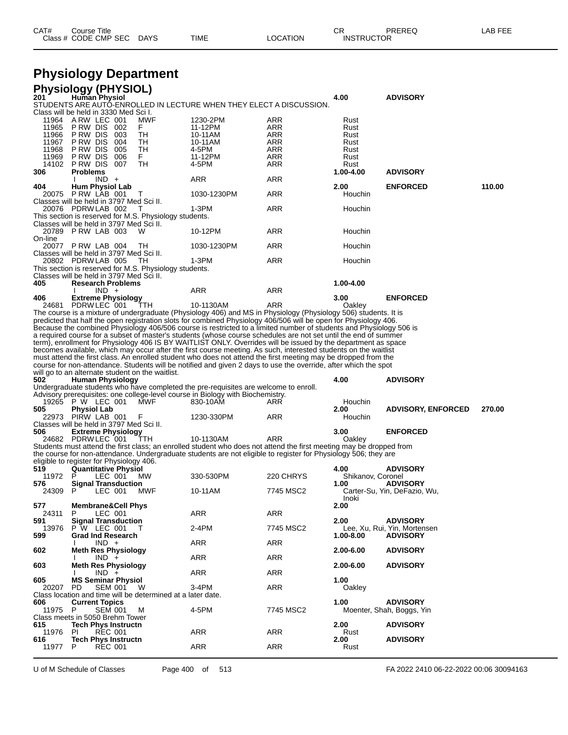|  | CAT#<br>Class # CODE CMP SEC | Course Title | <b>DAYS</b> | TIME | <b>LOCATION</b> | СR<br><b>INSTRUCTOR</b> | PREREQ | LAB FEE |
|--|------------------------------|--------------|-------------|------|-----------------|-------------------------|--------|---------|
|--|------------------------------|--------------|-------------|------|-----------------|-------------------------|--------|---------|

### **Physiology Department**

| 201          | <b>Physiology (PHYSIOL)</b><br><b>Human Physiol</b>                  |            |                                                                                                                                                                                                                                  |            | 4.00                 | <b>ADVISORY</b>              |        |
|--------------|----------------------------------------------------------------------|------------|----------------------------------------------------------------------------------------------------------------------------------------------------------------------------------------------------------------------------------|------------|----------------------|------------------------------|--------|
|              | Class will be held in 3330 Med Sci I.                                |            | STUDENTS ARE AUTO-ENROLLED IN LECTURE WHEN THEY ELECT A DISCUSSION.                                                                                                                                                              |            |                      |                              |        |
| 11964        | ARW LEC 001                                                          | <b>MWF</b> | 1230-2PM                                                                                                                                                                                                                         | <b>ARR</b> | Rust                 |                              |        |
| 11965        | PRW DIS 002                                                          | F.         | 11-12PM                                                                                                                                                                                                                          | ARR        | Rust                 |                              |        |
| 11966        | PRW DIS 003                                                          | TН         | 10-11AM                                                                                                                                                                                                                          | ARR        | Rust                 |                              |        |
| 11967        | PRW DIS 004                                                          | TН         | 10-11AM                                                                                                                                                                                                                          | ARR        | Rust                 |                              |        |
| 11968        | P RW DIS<br>005                                                      | TН         | 4-5PM                                                                                                                                                                                                                            | ARR        | Rust                 |                              |        |
| 11969        | PRW DIS 006                                                          | F.         | 11-12PM                                                                                                                                                                                                                          | ARR        | Rust                 |                              |        |
| 14102<br>306 | PRW DIS 007<br><b>Problems</b>                                       | TН         | 4-5PM                                                                                                                                                                                                                            | ARR        | Rust<br>1.00-4.00    | <b>ADVISORY</b>              |        |
|              | $IND +$                                                              |            | ARR                                                                                                                                                                                                                              | ARR        |                      |                              |        |
| 404          | Hum Physiol Lab                                                      |            |                                                                                                                                                                                                                                  |            | 2.00                 | <b>ENFORCED</b>              | 110.00 |
|              | 20075 P RW LAB 001                                                   | $\top$     | 1030-1230PM                                                                                                                                                                                                                      | ARR        | Houchin              |                              |        |
|              | Classes will be held in 3797 Med Sci II.                             |            |                                                                                                                                                                                                                                  |            |                      |                              |        |
|              | 20076 PDRW LAB 002                                                   |            | 1-3PM                                                                                                                                                                                                                            | ARR        | Houchin              |                              |        |
|              | This section is reserved for M.S. Physiology students.               |            |                                                                                                                                                                                                                                  |            |                      |                              |        |
|              | Classes will be held in 3797 Med Sci II.<br>20789 PRW LAB 003        |            | 10-12PM                                                                                                                                                                                                                          | ARR        | Houchin              |                              |        |
| On-line      |                                                                      |            |                                                                                                                                                                                                                                  |            |                      |                              |        |
|              | 20077 PRW LAB 004                                                    | TН         | 1030-1230PM                                                                                                                                                                                                                      | ARR        | Houchin              |                              |        |
|              | Classes will be held in 3797 Med Sci II.                             |            |                                                                                                                                                                                                                                  |            |                      |                              |        |
|              | 20802 PDRW LAB 005                                                   | - TH       | 1-3PM                                                                                                                                                                                                                            | ARR        | Houchin              |                              |        |
|              | This section is reserved for M.S. Physiology students.               |            |                                                                                                                                                                                                                                  |            |                      |                              |        |
| 405          | Classes will be held in 3797 Med Sci II.<br><b>Research Problems</b> |            |                                                                                                                                                                                                                                  |            | 1.00-4.00            |                              |        |
|              | $IND +$                                                              |            | <b>ARR</b>                                                                                                                                                                                                                       | ARR        |                      |                              |        |
| 406          | <b>Extreme Physiology</b>                                            |            |                                                                                                                                                                                                                                  |            | 3.00                 | <b>ENFORCED</b>              |        |
|              | 24681 PDRW LEC 001                                                   | ттн        | 10-1130AM                                                                                                                                                                                                                        | ARR        | Oakley               |                              |        |
|              |                                                                      |            | The course is a mixture of undergraduate (Physiology 406) and MS in Physiology (Physiology 506) students. It is                                                                                                                  |            |                      |                              |        |
|              |                                                                      |            | predicted that half the open registration slots for combined Physiology 406/506 will be open for Physiology 406.                                                                                                                 |            |                      |                              |        |
|              |                                                                      |            | Because the combined Physiology 406/506 course is restricted to a limited number of students and Physiology 506 is                                                                                                               |            |                      |                              |        |
|              |                                                                      |            | a required course for a subset of master's students (whose course schedules are not set until the end of summer<br>term), enrollment for Physiology 406 IS BY WAITLIST ONLY. Overrides will be issued by the department as space |            |                      |                              |        |
|              |                                                                      |            | becomes available, which may occur after the first course meeting. As such, interested students on the waitlist                                                                                                                  |            |                      |                              |        |
|              |                                                                      |            | must attend the first class. An enrolled student who does not attend the first meeting may be dropped from the                                                                                                                   |            |                      |                              |        |
|              |                                                                      |            | course for non-attendance. Students will be notified and given 2 days to use the override, after which the spot                                                                                                                  |            |                      |                              |        |
|              |                                                                      |            |                                                                                                                                                                                                                                  |            |                      |                              |        |
|              | will go to an alternate student on the waitlist.                     |            |                                                                                                                                                                                                                                  |            |                      |                              |        |
| 502          | <b>Human Physiology</b>                                              |            |                                                                                                                                                                                                                                  |            | 4.00                 | <b>ADVISORY</b>              |        |
|              |                                                                      |            | Undergraduate students who have completed the pre-requisites are welcome to enroll.                                                                                                                                              |            |                      |                              |        |
|              |                                                                      |            | Advisory prerequisites: one college-level course in Biology with Biochemistry.                                                                                                                                                   |            |                      |                              |        |
|              | 19265 P W LEC 001                                                    | MWF        | 830-10AM                                                                                                                                                                                                                         | ARR        | Houchin<br>2.00      |                              |        |
| 505          | <b>Physiol Lab</b><br>22973 PIRW LAB 001                             | F          | 1230-330PM                                                                                                                                                                                                                       | ARR        | Houchin              | <b>ADVISORY, ENFORCED</b>    | 270.00 |
|              | Classes will be held in 3797 Med Sci II.                             |            |                                                                                                                                                                                                                                  |            |                      |                              |        |
| 506          | <b>Extreme Physiology</b>                                            |            |                                                                                                                                                                                                                                  |            | 3.00                 | <b>ENFORCED</b>              |        |
|              | 24682 PDRW LEC 001                                                   | ттн        | 10-1130AM                                                                                                                                                                                                                        | ARR        | Oakley               |                              |        |
|              |                                                                      |            | Students must attend the first class; an enrolled student who does not attend the first meeting may be dropped from                                                                                                              |            |                      |                              |        |
|              |                                                                      |            | the course for non-attendance. Undergraduate students are not eligible to register for Physiology 506; they are                                                                                                                  |            |                      |                              |        |
| 519          | eligible to register for Physiology 406.                             |            |                                                                                                                                                                                                                                  |            | 4.00                 | <b>ADVISORY</b>              |        |
| 11972        | Quantitative Physiol<br>LEC 001<br>P                                 | МW         | 330-530PM                                                                                                                                                                                                                        | 220 CHRYS  | Shikanov, Coronel    |                              |        |
| 576          | <b>Signal Transduction</b>                                           |            |                                                                                                                                                                                                                                  |            | 1.00                 | <b>ADVISORY</b>              |        |
| 24309 P      | LEC 001                                                              | MWF        | 10-11AM                                                                                                                                                                                                                          | 7745 MSC2  |                      | Carter-Su, Yin, DeFazio, Wu, |        |
|              |                                                                      |            |                                                                                                                                                                                                                                  |            | Inoki                |                              |        |
| 577          | <b>Membrane&amp;Cell Phys</b>                                        |            |                                                                                                                                                                                                                                  |            | 2.00                 |                              |        |
| 24311<br>591 | P<br>LEC 001                                                         |            | ARR                                                                                                                                                                                                                              | ARR        | 2.00                 | <b>ADVISORY</b>              |        |
| 13976        | <b>Signal Transduction</b><br>P W LEC 001                            | т          | 2-4PM                                                                                                                                                                                                                            | 7745 MSC2  |                      | Lee, Xu, Rui, Yin, Mortensen |        |
| 599          | <b>Grad Ind Research</b>                                             |            |                                                                                                                                                                                                                                  |            | 1.00-8.00            | <b>ADVISORY</b>              |        |
|              | $IND +$                                                              |            | ARR                                                                                                                                                                                                                              | <b>ARR</b> |                      |                              |        |
| 602          | <b>Meth Res Physiology</b>                                           |            |                                                                                                                                                                                                                                  |            | 2.00-6.00            | <b>ADVISORY</b>              |        |
|              | $IND +$                                                              |            | ARR                                                                                                                                                                                                                              | ARR        |                      |                              |        |
| 603          | <b>Meth Res Physiology</b>                                           |            |                                                                                                                                                                                                                                  |            | 2.00-6.00            | <b>ADVISORY</b>              |        |
| 605          | $IND +$<br><b>MS Seminar Physiol</b>                                 |            | <b>ARR</b>                                                                                                                                                                                                                       | ARR        | 1.00                 |                              |        |
| 20207        | SEM 001<br>PD.                                                       | - W        | $3-4PM$                                                                                                                                                                                                                          | <b>ARR</b> | Oakley               |                              |        |
|              | Class location and time will be determined at a later date.          |            |                                                                                                                                                                                                                                  |            |                      |                              |        |
| 606          | <b>Current Topics</b>                                                |            |                                                                                                                                                                                                                                  |            | 1.00                 | <b>ADVISORY</b>              |        |
| 11975 P      | <b>SEM 001</b>                                                       | м          | 4-5PM                                                                                                                                                                                                                            | 7745 MSC2  |                      | Moenter, Shah, Boggs, Yin    |        |
|              | Class meets in 5050 Brehm Tower                                      |            |                                                                                                                                                                                                                                  |            |                      |                              |        |
| 615<br>11976 | <b>Tech Phys Instructn</b><br><b>REC 001</b><br>PL                   |            |                                                                                                                                                                                                                                  | <b>ARR</b> | 2.00                 | <b>ADVISORY</b>              |        |
| 616<br>11977 | <b>Tech Phys Instructn</b><br>P<br><b>REC 001</b>                    |            | <b>ARR</b><br>ARR                                                                                                                                                                                                                | <b>ARR</b> | Rust<br>2.00<br>Rust | <b>ADVISORY</b>              |        |

U of M Schedule of Classes Page 400 of 513 FA 2022 2410 06-22-2022 00:06 30094163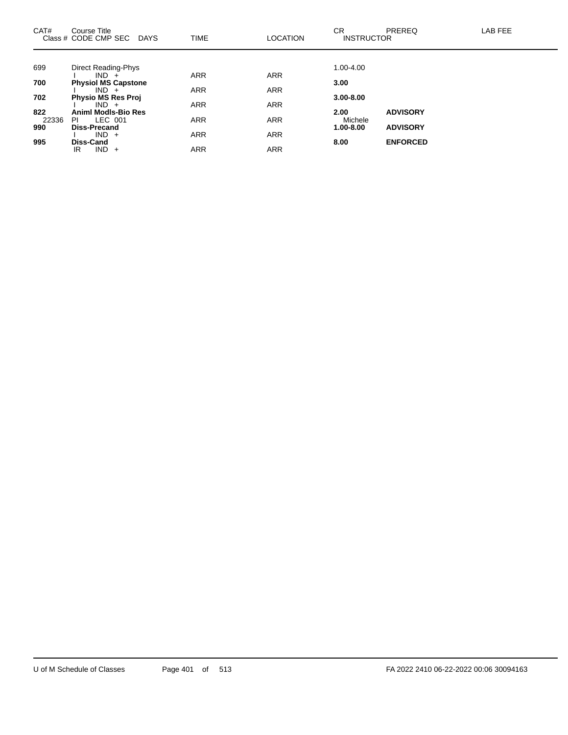| CAT#  | Course Title<br>Class # CODE CMP SEC<br><b>DAYS</b> | <b>TIME</b> | <b>LOCATION</b> | CR.<br><b>INSTRUCTOR</b> | PREREQ          | LAB FEE |
|-------|-----------------------------------------------------|-------------|-----------------|--------------------------|-----------------|---------|
|       |                                                     |             |                 |                          |                 |         |
| 699   | <b>Direct Reading-Phys</b>                          |             |                 | 1.00-4.00                |                 |         |
|       | $IND +$                                             | <b>ARR</b>  | <b>ARR</b>      |                          |                 |         |
| 700   | <b>Physiol MS Capstone</b>                          |             |                 | 3.00                     |                 |         |
|       | $IND +$                                             | <b>ARR</b>  | <b>ARR</b>      |                          |                 |         |
| 702   | Physio MS Res Proj                                  |             |                 | $3.00 - 8.00$            |                 |         |
| 822   | $IND +$<br>Animi Modis-Bio Res                      | <b>ARR</b>  | <b>ARR</b>      | 2.00                     | <b>ADVISORY</b> |         |
| 22336 | LEC 001<br>PI                                       | <b>ARR</b>  | <b>ARR</b>      | Michele                  |                 |         |
| 990   | <b>Diss-Precand</b>                                 |             |                 | 1.00-8.00                | <b>ADVISORY</b> |         |
|       | $IND +$                                             | <b>ARR</b>  | <b>ARR</b>      |                          |                 |         |
| 995   | Diss-Cand                                           |             |                 | 8.00                     | <b>ENFORCED</b> |         |
|       | $IND +$<br>IR                                       | <b>ARR</b>  | <b>ARR</b>      |                          |                 |         |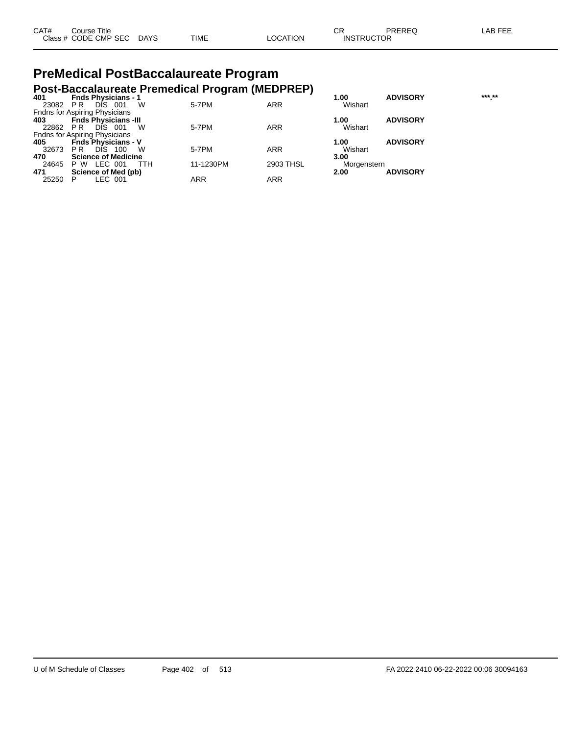| CAT# | ourse Titleٽ              |      |          | ∩⊓<br>◡ጙ          | PREREQ | LAB FEE |
|------|---------------------------|------|----------|-------------------|--------|---------|
|      | Class # CODE CMP SEC DAYS | TIME | LOCATION | <b>INSTRUCTOR</b> |        |         |

# **PreMedical PostBaccalaureate Program**

|       | Post-Baccalaureate Premedical Program (MEDPREP) |            |            |             |                 |        |
|-------|-------------------------------------------------|------------|------------|-------------|-----------------|--------|
| 401   | <b>Fnds Physicians - 1</b>                      |            |            | 1.00        | <b>ADVISORY</b> | *** ** |
| 23082 | DIS.<br>W<br>-001<br>PR.                        | 5-7PM      | ARR        | Wishart     |                 |        |
|       | <b>Fndns for Aspiring Physicians</b>            |            |            |             |                 |        |
| 403   | <b>Fnds Physicians -III</b>                     |            |            | 1.00        | <b>ADVISORY</b> |        |
| 22862 | W<br>PR<br><b>DIS</b><br>- 001                  | 5-7PM      | <b>ARR</b> | Wishart     |                 |        |
|       | <b>Fndns for Aspiring Physicians</b>            |            |            |             |                 |        |
| 405   | <b>Fnds Physicians - V</b>                      |            |            | 1.00        | <b>ADVISORY</b> |        |
| 32673 | <b>DIS</b><br>W<br>P <sub>R</sub><br>100        | 5-7PM      | <b>ARR</b> | Wishart     |                 |        |
| 470   | <b>Science of Medicine</b>                      |            |            | 3.00        |                 |        |
| 24645 | LEC 001<br>P W<br>TTH                           | 11-1230PM  | 2903 THSL  | Morgenstern |                 |        |
| 471   | Science of Med (pb)                             |            |            | 2.00        | <b>ADVISORY</b> |        |
| 25250 | LEC 001                                         | <b>ARR</b> | ARR        |             |                 |        |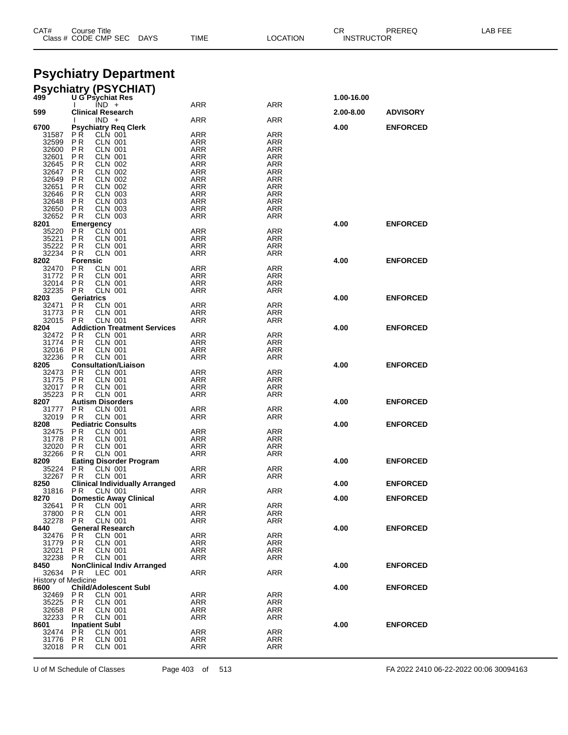| Class # CODE CMP SEC<br>LOCATION<br><b>DAYS</b><br>TIME |                                                              | <b>INSTRUCTOR</b> |                   |            |                 |  |
|---------------------------------------------------------|--------------------------------------------------------------|-------------------|-------------------|------------|-----------------|--|
|                                                         |                                                              |                   |                   |            |                 |  |
|                                                         | <b>Psychiatry Department</b>                                 |                   |                   |            |                 |  |
| 499                                                     | <b>Psychiatry (PSYCHIAT)</b>                                 |                   |                   | 1.00-16.00 |                 |  |
|                                                         | <b>U G Psychiat Res</b><br>$IND +$                           | <b>ARR</b>        | ARR               |            |                 |  |
| 599                                                     | <b>Clinical Research</b><br>$IND +$                          | <b>ARR</b>        | ARR               | 2.00-8.00  | <b>ADVISORY</b> |  |
| 6700                                                    | <b>Psychiatry Reg Clerk</b><br>P R<br><b>CLN 001</b>         | ARR               | ARR               | 4.00       | <b>ENFORCED</b> |  |
| 31587<br>32599                                          | P <sub>R</sub><br><b>CLN 001</b>                             | ARR               | ARR               |            |                 |  |
| 32600<br>32601                                          | <b>CLN 001</b><br>P R<br>P R<br>CLN 001                      | ARR<br>ARR        | ARR<br><b>ARR</b> |            |                 |  |
| 32645                                                   | P <sub>R</sub><br>CLN 002                                    | ARR               | ARR               |            |                 |  |
| 32647<br>32649                                          | P R<br><b>CLN 002</b><br>P <sub>R</sub><br><b>CLN 002</b>    | ARR<br>ARR        | ARR<br><b>ARR</b> |            |                 |  |
| 32651<br>32646                                          | P <sub>R</sub><br>CLN 002<br><b>CLN 003</b><br>P R           | ARR<br>ARR        | ARR<br>ARR        |            |                 |  |
| 32648                                                   | <b>PR</b><br><b>CLN 003</b>                                  | ARR               | <b>ARR</b>        |            |                 |  |
| 32650<br>32652                                          | P <sub>R</sub><br><b>CLN 003</b><br><b>CLN 003</b><br>P R    | ARR<br>ARR        | ARR<br>ARR        |            |                 |  |
| 8201                                                    | Emergency                                                    |                   |                   | 4.00       | <b>ENFORCED</b> |  |
| 35220<br>35221                                          | CLN 001<br>P R<br>P R<br><b>CLN 001</b>                      | <b>ARR</b><br>ARR | <b>ARR</b><br>ARR |            |                 |  |
| 35222<br>32234                                          | <b>PR</b><br><b>CLN 001</b><br><b>PR</b><br><b>CLN 001</b>   | ARR<br>ARR        | ARR<br>ARR        |            |                 |  |
| 8202                                                    | <b>Forensic</b>                                              |                   |                   | 4.00       | <b>ENFORCED</b> |  |
| 32470<br>31772                                          | P R<br><b>CLN 001</b><br>P R<br><b>CLN 001</b>               | ARR<br>ARR        | ARR<br>ARR        |            |                 |  |
| 32014                                                   | P R<br><b>CLN 001</b>                                        | ARR               | ARR               |            |                 |  |
| 32235<br>8203                                           | <b>CLN 001</b><br>P R<br>Geriatrics                          | ARR               | ARR               | 4.00       | <b>ENFORCED</b> |  |
| 32471<br>31773                                          | P R<br><b>CLN 001</b><br>P <sub>R</sub><br><b>CLN 001</b>    | ARR<br>ARR        | ARR<br>ARR        |            |                 |  |
| 32015                                                   | <b>CLN 001</b><br>P R                                        | ARR               | ARR               |            |                 |  |
| 8204<br>32472                                           | <b>Addiction Treatment Services</b><br><b>CLN 001</b><br>P R | ARR               | ARR               | 4.00       | <b>ENFORCED</b> |  |
| 31774                                                   | P <sub>R</sub><br><b>CLN 001</b>                             | ARR               | ARR               |            |                 |  |
| 32016<br>32236                                          | P R<br><b>CLN 001</b><br><b>PR</b><br><b>CLN 001</b>         | ARR<br>ARR        | ARR<br>ARR        |            |                 |  |
| 8205<br>32473                                           | <b>Consultation/Liaison</b><br>P R<br><b>CLN 001</b>         | ARR               | ARR               | 4.00       | <b>ENFORCED</b> |  |
| 31775                                                   | P R<br><b>CLN 001</b>                                        | ARR               | ARR               |            |                 |  |
| 32017<br>35223                                          | P <sub>R</sub><br><b>CLN 001</b><br><b>CLN 001</b><br>P R    | ARR<br>ARR        | ARR<br>ARR        |            |                 |  |
| 8207                                                    | <b>Autism Disorders</b>                                      |                   |                   | 4.00       | <b>ENFORCED</b> |  |
| 31777<br>32019                                          | P R<br><b>CLN 001</b><br><b>CLN 001</b><br>P R               | <b>ARR</b><br>ARR | <b>ARR</b><br>ARR |            |                 |  |
| 8208<br>32475                                           | <b>Pediatric Consults</b><br>P R<br><b>CLN 001</b>           | <b>ARR</b>        | <b>ARR</b>        | 4.00       | <b>ENFORCED</b> |  |
| 31778                                                   | P R<br><b>CLN 001</b>                                        | ARR               | ARR               |            |                 |  |
| 32020                                                   | P R<br><b>CLN 001</b><br>32266 PR CLN 001                    | <b>ARR</b><br>ARR | ARR<br>ARR        |            |                 |  |
| 8209                                                    | <b>Eating Disorder Program</b>                               |                   |                   | 4.00       | <b>ENFORCED</b> |  |
| 35224<br>32267 PR                                       | PR.<br><b>CLN 001</b><br><b>CLN 001</b>                      | <b>ARR</b><br>ARR | ARR<br>ARR        |            |                 |  |
| 8250<br>31816                                           | <b>Clinical Individually Arranged</b><br>P R<br>CLN 001      | ARR               | ARR               | 4.00       | <b>ENFORCED</b> |  |
| 8270                                                    | <b>Domestic Away Clinical</b>                                |                   |                   | 4.00       | <b>ENFORCED</b> |  |
| 32641<br>37800                                          | P R<br>CLN 001<br><b>PR</b><br><b>CLN 001</b>                | <b>ARR</b><br>ARR | ARR<br>ARR        |            |                 |  |
| 32278                                                   | <b>PR</b><br><b>CLN 001</b><br><b>General Research</b>       | <b>ARR</b>        | <b>ARR</b>        |            |                 |  |
| 8440<br>32476                                           | <b>CLN 001</b><br>PR.                                        | <b>ARR</b>        | <b>ARR</b>        | 4.00       | <b>ENFORCED</b> |  |
| 31779<br>32021                                          | <b>PR</b><br><b>CLN 001</b><br><b>CLN 001</b><br>P R         | <b>ARR</b><br>ARR | <b>ARR</b><br>ARR |            |                 |  |
| 32238                                                   | PR.<br><b>CLN 001</b>                                        | ARR               | ARR               |            |                 |  |
| 8450<br>32634                                           | <b>NonClinical Indiv Arranged</b><br>PR<br>LEC 001           | <b>ARR</b>        | <b>ARR</b>        | 4.00       | <b>ENFORCED</b> |  |
| History of Medicine<br>8600                             | <b>Child/Adolescent Subl</b>                                 |                   |                   | 4.00       | <b>ENFORCED</b> |  |
| 32469                                                   | P R<br>CLN 001                                               | <b>ARR</b>        | <b>ARR</b>        |            |                 |  |
| 35225<br>32658                                          | <b>PR</b><br><b>CLN 001</b><br>P R<br><b>CLN 001</b>         | ARR<br>ARR        | <b>ARR</b><br>ARR |            |                 |  |
| 32233                                                   | <b>CLN 001</b><br>P R                                        | ARR               | ARR               |            |                 |  |
| 8601<br>32474                                           | <b>Inpatient Subl</b><br>P <sub>R</sub><br><b>CLN 001</b>    | ARR               | ARR               | 4.00       | <b>ENFORCED</b> |  |
| 31776<br>32018 PR                                       | P R<br>CLN 001<br><b>CLN 001</b>                             | ARR<br>ARR        | ARR<br>ARR        |            |                 |  |
|                                                         |                                                              |                   |                   |            |                 |  |

CAT# Course Title Case CR PREREQ LAB FEE

U of M Schedule of Classes Page 403 of 513 FA 2022 2410 06-22-2022 00:06 30094163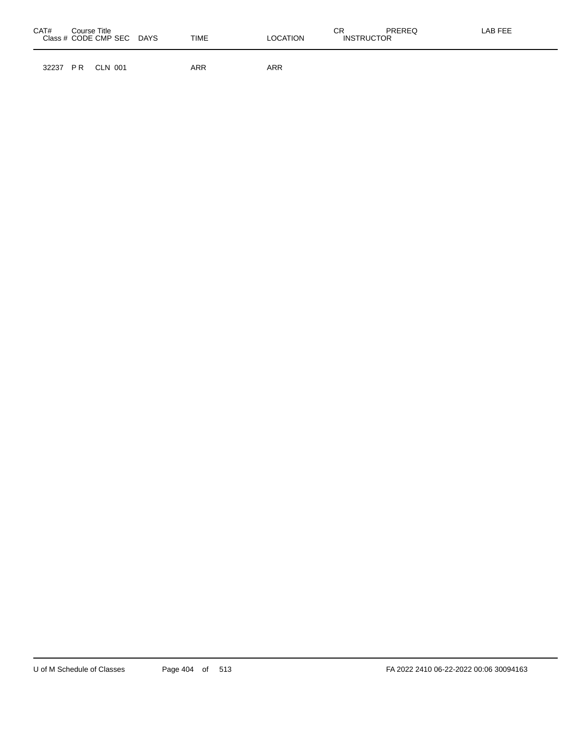| CAT#<br>Course Title<br>Class # CODE CMP SEC | TIME<br><b>DAYS</b> | LOCATION | СR<br><b>PREREQ</b><br><b>INSTRUCTOR</b> | LAB FEE |
|----------------------------------------------|---------------------|----------|------------------------------------------|---------|
| P R<br>32237<br>CLN 001                      | <b>ARR</b>          | ARR      |                                          |         |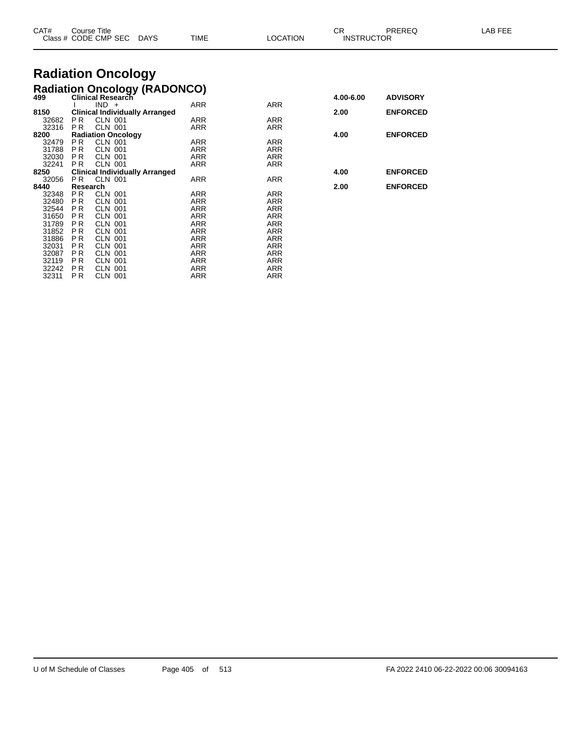| CAT#<br>Class | Course Title<br>CODE CMP SEC | <b>DAYS</b> | <b>TIME</b> | <b>LOCATION</b> | rπ<br>- UN<br><b>INSTRUCTOR</b> | PREREG | AB FEE |
|---------------|------------------------------|-------------|-------------|-----------------|---------------------------------|--------|--------|
|               |                              |             |             |                 |                                 |        |        |

## **Radiation Oncology**

|     |                                                                                                                                                                                                                                            |                                                                                                                                                                                                                                                                                                                                                                |                                                                                                                                                                                                                                                                                                                    | 4.00-6.00                                                                                                                                                                                                                                                | <b>ADVISORY</b> |
|-----|--------------------------------------------------------------------------------------------------------------------------------------------------------------------------------------------------------------------------------------------|----------------------------------------------------------------------------------------------------------------------------------------------------------------------------------------------------------------------------------------------------------------------------------------------------------------------------------------------------------------|--------------------------------------------------------------------------------------------------------------------------------------------------------------------------------------------------------------------------------------------------------------------------------------------------------------------|----------------------------------------------------------------------------------------------------------------------------------------------------------------------------------------------------------------------------------------------------------|-----------------|
|     |                                                                                                                                                                                                                                            |                                                                                                                                                                                                                                                                                                                                                                |                                                                                                                                                                                                                                                                                                                    |                                                                                                                                                                                                                                                          |                 |
|     |                                                                                                                                                                                                                                            |                                                                                                                                                                                                                                                                                                                                                                |                                                                                                                                                                                                                                                                                                                    | 2.00                                                                                                                                                                                                                                                     | <b>ENFORCED</b> |
|     |                                                                                                                                                                                                                                            |                                                                                                                                                                                                                                                                                                                                                                |                                                                                                                                                                                                                                                                                                                    |                                                                                                                                                                                                                                                          |                 |
|     |                                                                                                                                                                                                                                            |                                                                                                                                                                                                                                                                                                                                                                |                                                                                                                                                                                                                                                                                                                    |                                                                                                                                                                                                                                                          |                 |
|     |                                                                                                                                                                                                                                            |                                                                                                                                                                                                                                                                                                                                                                |                                                                                                                                                                                                                                                                                                                    | 4.00                                                                                                                                                                                                                                                     | <b>ENFORCED</b> |
| PR. | CLN 001                                                                                                                                                                                                                                    |                                                                                                                                                                                                                                                                                                                                                                |                                                                                                                                                                                                                                                                                                                    |                                                                                                                                                                                                                                                          |                 |
|     | CLN 001                                                                                                                                                                                                                                    |                                                                                                                                                                                                                                                                                                                                                                |                                                                                                                                                                                                                                                                                                                    |                                                                                                                                                                                                                                                          |                 |
|     |                                                                                                                                                                                                                                            |                                                                                                                                                                                                                                                                                                                                                                |                                                                                                                                                                                                                                                                                                                    |                                                                                                                                                                                                                                                          |                 |
|     |                                                                                                                                                                                                                                            |                                                                                                                                                                                                                                                                                                                                                                |                                                                                                                                                                                                                                                                                                                    |                                                                                                                                                                                                                                                          |                 |
|     |                                                                                                                                                                                                                                            |                                                                                                                                                                                                                                                                                                                                                                |                                                                                                                                                                                                                                                                                                                    | 4.00                                                                                                                                                                                                                                                     | <b>ENFORCED</b> |
| PR. |                                                                                                                                                                                                                                            |                                                                                                                                                                                                                                                                                                                                                                |                                                                                                                                                                                                                                                                                                                    |                                                                                                                                                                                                                                                          |                 |
|     |                                                                                                                                                                                                                                            |                                                                                                                                                                                                                                                                                                                                                                |                                                                                                                                                                                                                                                                                                                    | 2.00                                                                                                                                                                                                                                                     | <b>ENFORCED</b> |
|     |                                                                                                                                                                                                                                            |                                                                                                                                                                                                                                                                                                                                                                |                                                                                                                                                                                                                                                                                                                    |                                                                                                                                                                                                                                                          |                 |
|     |                                                                                                                                                                                                                                            |                                                                                                                                                                                                                                                                                                                                                                |                                                                                                                                                                                                                                                                                                                    |                                                                                                                                                                                                                                                          |                 |
|     |                                                                                                                                                                                                                                            |                                                                                                                                                                                                                                                                                                                                                                |                                                                                                                                                                                                                                                                                                                    |                                                                                                                                                                                                                                                          |                 |
|     |                                                                                                                                                                                                                                            |                                                                                                                                                                                                                                                                                                                                                                |                                                                                                                                                                                                                                                                                                                    |                                                                                                                                                                                                                                                          |                 |
|     |                                                                                                                                                                                                                                            |                                                                                                                                                                                                                                                                                                                                                                |                                                                                                                                                                                                                                                                                                                    |                                                                                                                                                                                                                                                          |                 |
|     |                                                                                                                                                                                                                                            |                                                                                                                                                                                                                                                                                                                                                                |                                                                                                                                                                                                                                                                                                                    |                                                                                                                                                                                                                                                          |                 |
|     |                                                                                                                                                                                                                                            |                                                                                                                                                                                                                                                                                                                                                                |                                                                                                                                                                                                                                                                                                                    |                                                                                                                                                                                                                                                          |                 |
|     |                                                                                                                                                                                                                                            |                                                                                                                                                                                                                                                                                                                                                                |                                                                                                                                                                                                                                                                                                                    |                                                                                                                                                                                                                                                          |                 |
|     |                                                                                                                                                                                                                                            |                                                                                                                                                                                                                                                                                                                                                                |                                                                                                                                                                                                                                                                                                                    |                                                                                                                                                                                                                                                          |                 |
|     |                                                                                                                                                                                                                                            |                                                                                                                                                                                                                                                                                                                                                                |                                                                                                                                                                                                                                                                                                                    |                                                                                                                                                                                                                                                          |                 |
|     |                                                                                                                                                                                                                                            |                                                                                                                                                                                                                                                                                                                                                                |                                                                                                                                                                                                                                                                                                                    |                                                                                                                                                                                                                                                          |                 |
|     | CLN 001                                                                                                                                                                                                                                    |                                                                                                                                                                                                                                                                                                                                                                |                                                                                                                                                                                                                                                                                                                    |                                                                                                                                                                                                                                                          |                 |
|     | P <sub>R</sub><br>P <sub>R</sub><br><b>PR</b><br><b>PR</b><br>P <sub>R</sub><br>P <sub>R</sub><br>P <sub>R</sub><br>PR.<br><b>PR</b><br><b>PR</b><br><b>PR</b><br><b>PR</b><br><b>PR</b><br>PR.<br>P R<br>P <sub>R</sub><br>P <sub>R</sub> | Clinical Research<br>$IND +$<br><b>CLN 001</b><br><b>CLN 001</b><br><b>Radiation Oncology</b><br><b>CLN 001</b><br><b>CLN 001</b><br><b>CLN 001</b><br>Research<br><b>CLN 001</b><br><b>CLN 001</b><br><b>CLN 001</b><br><b>CLN 001</b><br><b>CLN 001</b><br><b>CLN 001</b><br><b>CLN 001</b><br><b>CLN 001</b><br><b>CLN 001</b><br>CLN 001<br><b>CLN 001</b> | <b>Radiation Oncology (RADONCO)</b><br><b>ARR</b><br><b>Clinical Individually Arranged</b><br>ARR<br>ARR<br><b>ARR</b><br>ARR<br><b>ARR</b><br>ARR<br><b>Clinical Individually Arranged</b><br>ARR<br><b>ARR</b><br>ARR<br>ARR<br>ARR<br>ARR<br><b>ARR</b><br>ARR<br><b>ARR</b><br><b>ARR</b><br>ARR<br>ARR<br>ARR | <b>ARR</b><br><b>ARR</b><br><b>ARR</b><br><b>ARR</b><br><b>ARR</b><br><b>ARR</b><br>ARR<br>ARR<br><b>ARR</b><br><b>ARR</b><br><b>ARR</b><br><b>ARR</b><br><b>ARR</b><br><b>ARR</b><br>ARR<br><b>ARR</b><br><b>ARR</b><br>ARR<br><b>ARR</b><br><b>ARR</b> |                 |

| 4.00-6.00 | <b>ADVISORY</b> |
|-----------|-----------------|
| 2.00      | <b>ENFORCED</b> |
| 4.00      | <b>ENFORCED</b> |
| 4.00      | <b>ENFORCED</b> |
| 2.00      | <b>ENFORCED</b> |
|           |                 |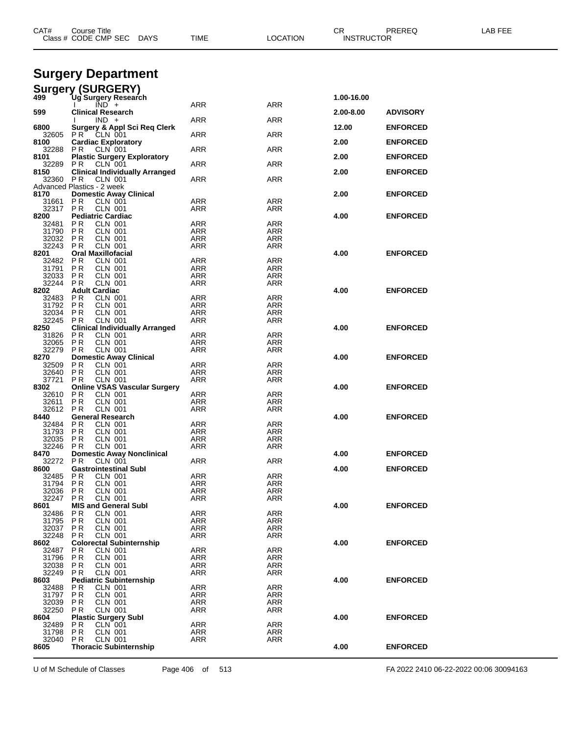| CAT#           | Course Title<br>Class # CODE CMP SEC<br><b>DAYS</b>                     | TIME                     | LOCATION          | CR<br><b>INSTRUCTOR</b> | PREREQ          | LAB FEE |  |
|----------------|-------------------------------------------------------------------------|--------------------------|-------------------|-------------------------|-----------------|---------|--|
|                | <b>Surgery Department</b>                                               |                          |                   |                         |                 |         |  |
| 499            | <b>Surgery (SURGERY)</b>                                                |                          |                   |                         |                 |         |  |
|                | Ug Surgery Research<br>$\overline{IND}$ +                               | ARR                      | ARR               | 1.00-16.00              |                 |         |  |
| 599            | <b>Clinical Research</b><br>$IND +$                                     | ARR                      | ARR               | 2.00-8.00               | <b>ADVISORY</b> |         |  |
| 6800<br>32605  | <b>Surgery &amp; Appl Sci Req Clerk</b><br>PR<br>CLN 001                | ARR                      | ARR               | 12.00                   | <b>ENFORCED</b> |         |  |
| 8100           | <b>Cardiac Exploratory</b><br>CLN 001                                   |                          |                   | 2.00                    | <b>ENFORCED</b> |         |  |
| 32288<br>8101  | P R<br><b>Plastic Surgery Exploratory</b>                               | ARR                      | ARR               | 2.00                    | <b>ENFORCED</b> |         |  |
| 32289<br>8150  | PR.<br>CLN 001<br><b>Clinical Individually Arranged</b>                 | ARR                      | ARR               | 2.00                    | <b>ENFORCED</b> |         |  |
| 32360          | P <sub>R</sub><br>CLN 001<br>Advanced Plastics - 2 week                 | ARR                      | ARR               |                         |                 |         |  |
| 8170           | <b>Domestic Away Clinical</b>                                           |                          |                   | 2.00                    | <b>ENFORCED</b> |         |  |
| 31661<br>32317 | P <sub>R</sub><br>CLN 001<br><b>PR</b><br><b>CLN 001</b>                | ARR<br>ARR               | ARR<br>ARR        |                         |                 |         |  |
| 8200<br>32481  | <b>Pediatric Cardiac</b><br><b>CLN 001</b><br>P R                       | ARR                      | <b>ARR</b>        | 4.00                    | <b>ENFORCED</b> |         |  |
| 31790          | P R<br><b>CLN 001</b>                                                   | ARR                      | ARR               |                         |                 |         |  |
| 32032<br>32243 | P R<br>CLN 001<br><b>PR</b><br><b>CLN 001</b>                           | ARR<br><b>ARR</b>        | ARR<br>ARR        |                         |                 |         |  |
| 8201           | <b>Oral Maxillofacial</b><br><b>CLN 001</b>                             |                          |                   | 4.00                    | <b>ENFORCED</b> |         |  |
| 32482<br>31791 | P R<br>P <sub>R</sub><br><b>CLN 001</b>                                 | ARR<br><b>ARR</b>        | ARR<br>ARR        |                         |                 |         |  |
| 32033<br>32244 | P R<br><b>CLN 001</b><br>P <sub>R</sub><br><b>CLN 001</b>               | ARR<br>ARR               | ARR<br>ARR        |                         |                 |         |  |
| 8202           | <b>Adult Cardiac</b>                                                    |                          |                   | 4.00                    | <b>ENFORCED</b> |         |  |
| 32483<br>31792 | P R<br><b>CLN 001</b><br><b>PR</b><br><b>CLN 001</b>                    | ARR<br>ARR               | ARR<br>ARR        |                         |                 |         |  |
| 32034          | P <sub>R</sub><br><b>CLN 001</b>                                        | <b>ARR</b>               | ARR               |                         |                 |         |  |
| 32245<br>8250  | <b>CLN 001</b><br>P R<br><b>Clinical Individually Arranged</b>          | ARR                      | ARR               | 4.00                    | <b>ENFORCED</b> |         |  |
| 31826          | P <sub>R</sub><br><b>CLN 001</b><br>P R<br>CLN 001                      | ARR<br>ARR               | <b>ARR</b>        |                         |                 |         |  |
| 32065<br>32279 | P <sub>R</sub><br><b>CLN 001</b>                                        | ARR                      | ARR<br>ARR        |                         |                 |         |  |
| 8270<br>32509  | <b>Domestic Away Clinical</b><br>P R<br><b>CLN 001</b>                  | ARR                      | ARR               | 4.00                    | <b>ENFORCED</b> |         |  |
| 32640          | P <sub>R</sub><br><b>CLN 001</b>                                        | ARR                      | ARR               |                         |                 |         |  |
| 37721<br>8302  | P <sub>R</sub><br><b>CLN 001</b><br><b>Online VSAS Vascular Surgery</b> | <b>ARR</b>               | ARR               | 4.00                    | <b>ENFORCED</b> |         |  |
| 32610<br>32611 | <b>CLN 001</b><br>P R<br>P <sub>R</sub><br><b>CLN 001</b>               | ARR                      | ARR               |                         |                 |         |  |
| 32612          | P R<br><b>CLN 001</b>                                                   | ARR<br>ARR               | ARR<br>ARR        |                         |                 |         |  |
| 8440<br>32484  | <b>General Research</b><br>P R<br><b>CLN 001</b>                        | ARR                      | ARR               | 4.00                    | <b>ENFORCED</b> |         |  |
| 31793          | P R<br><b>CLN 001</b>                                                   | ARR                      | ARR               |                         |                 |         |  |
| 32035<br>32246 | P R<br>CLN 001<br><b>PR</b><br><b>CLN 001</b>                           | ARR<br>ARR               | ARR<br>ARR        |                         |                 |         |  |
| 8470           | <b>Domestic Away Nonclinical</b>                                        |                          |                   | 4.00                    | <b>ENFORCED</b> |         |  |
| 32272<br>8600  | P R<br>CLN 001<br><b>Gastrointestinal Subl</b>                          | <b>ARR</b>               | ARR               | 4.00                    | <b>ENFORCED</b> |         |  |
| 32485<br>31794 | P R<br><b>CLN 001</b><br>P <sub>R</sub><br>CLN 001                      | <b>ARR</b><br><b>ARR</b> | <b>ARR</b><br>ARR |                         |                 |         |  |
| 32036          | <b>CLN 001</b><br>P R                                                   | ARR                      | <b>ARR</b>        |                         |                 |         |  |
| 32247<br>8601  | <b>CLN 001</b><br>P <sub>R</sub><br><b>MIS and General Subl</b>         | ARR                      | ARR               | 4.00                    | <b>ENFORCED</b> |         |  |
| 32486          | P R<br><b>CLN 001</b>                                                   | <b>ARR</b>               | <b>ARR</b>        |                         |                 |         |  |
| 31795<br>32037 | P R<br>CLN 001<br>P <sub>R</sub><br><b>CLN 001</b>                      | <b>ARR</b><br>ARR        | ARR<br>ARR        |                         |                 |         |  |
| 32248          | P <sub>R</sub><br><b>CLN 001</b><br><b>Colorectal Subinternship</b>     | <b>ARR</b>               | <b>ARR</b>        | 4.00                    | <b>ENFORCED</b> |         |  |
| 8602<br>32487  | P R<br><b>CLN 001</b>                                                   | <b>ARR</b>               | ARR               |                         |                 |         |  |
| 31796<br>32038 | P <sub>R</sub><br><b>CLN 001</b><br>PR<br><b>CLN 001</b>                | <b>ARR</b><br><b>ARR</b> | <b>ARR</b><br>ARR |                         |                 |         |  |
| 32249          | <b>CLN 001</b><br>P R                                                   | ARR                      | ARR               |                         |                 |         |  |
| 8603<br>32488  | <b>Pediatric Subinternship</b><br>ΡR<br>CLN 001                         | <b>ARR</b>               | <b>ARR</b>        | 4.00                    | <b>ENFORCED</b> |         |  |
| 31797          | P <sub>R</sub><br><b>CLN 001</b>                                        | ARR                      | ARR               |                         |                 |         |  |
| 32039<br>32250 | P <sub>R</sub><br><b>CLN 001</b><br>P <sub>R</sub><br><b>CLN 001</b>    | <b>ARR</b><br>ARR        | <b>ARR</b><br>ARR |                         |                 |         |  |
| 8604           | <b>Plastic Surgery Subl</b>                                             |                          |                   | 4.00                    | <b>ENFORCED</b> |         |  |
| 32489<br>31798 | CLN 001<br>P <sub>R</sub><br>P R<br>CLN 001                             | <b>ARR</b><br>ARR        | <b>ARR</b><br>ARR |                         |                 |         |  |
| 32040<br>8605  | <b>CLN 001</b><br>P R<br><b>Thoracic Subinternship</b>                  | ARR                      | ARR               | 4.00                    | <b>ENFORCED</b> |         |  |
|                |                                                                         |                          |                   |                         |                 |         |  |

U of M Schedule of Classes Page 406 of 513 FA 2022 2410 06-22-2022 00:06 30094163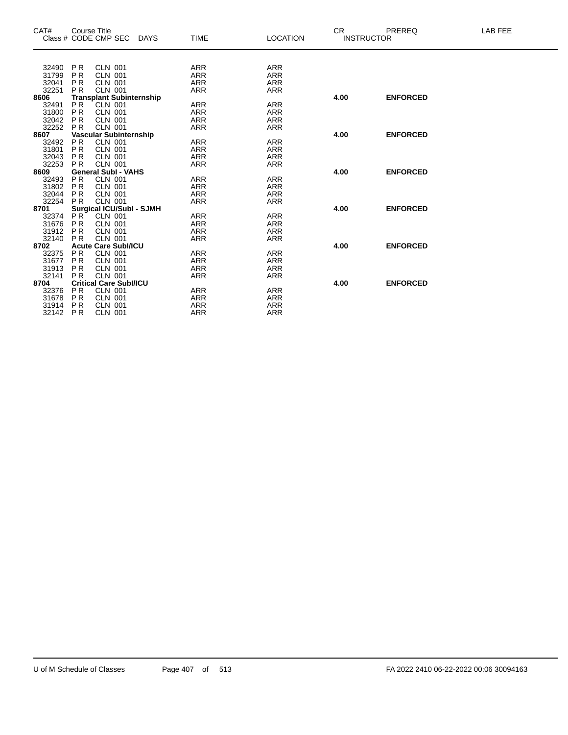| CAT#  |                | <b>Course Title</b>             |             |             |                 | CR.  | PREREQ            | LAB FEE |
|-------|----------------|---------------------------------|-------------|-------------|-----------------|------|-------------------|---------|
|       |                | Class # CODE CMP SEC            | <b>DAYS</b> | <b>TIME</b> | <b>LOCATION</b> |      | <b>INSTRUCTOR</b> |         |
|       |                |                                 |             |             |                 |      |                   |         |
| 32490 | <b>PR</b>      | <b>CLN 001</b>                  |             | ARR         | <b>ARR</b>      |      |                   |         |
| 31799 | P <sub>R</sub> | <b>CLN 001</b>                  |             | <b>ARR</b>  | <b>ARR</b>      |      |                   |         |
| 32041 | <b>PR</b>      | <b>CLN 001</b>                  |             | <b>ARR</b>  | <b>ARR</b>      |      |                   |         |
| 32251 | <b>PR</b>      | <b>CLN 001</b>                  |             | <b>ARR</b>  | <b>ARR</b>      |      |                   |         |
| 8606  |                | <b>Transplant Subinternship</b> |             |             |                 | 4.00 | <b>ENFORCED</b>   |         |
| 32491 | P <sub>R</sub> | <b>CLN 001</b>                  |             | ARR         | <b>ARR</b>      |      |                   |         |
| 31800 | <b>PR</b>      | <b>CLN 001</b>                  |             | <b>ARR</b>  | <b>ARR</b>      |      |                   |         |
| 32042 | <b>PR</b>      | <b>CLN 001</b>                  |             | <b>ARR</b>  | <b>ARR</b>      |      |                   |         |
| 32252 | <b>PR</b>      | <b>CLN 001</b>                  |             | <b>ARR</b>  | <b>ARR</b>      |      |                   |         |
| 8607  |                | Vascular Subinternship          |             |             |                 | 4.00 | <b>ENFORCED</b>   |         |
| 32492 | P <sub>R</sub> | <b>CLN 001</b>                  |             | ARR         | <b>ARR</b>      |      |                   |         |
| 31801 | P <sub>R</sub> | <b>CLN 001</b>                  |             | <b>ARR</b>  | <b>ARR</b>      |      |                   |         |
| 32043 | <b>PR</b>      | <b>CLN 001</b>                  |             | <b>ARR</b>  | <b>ARR</b>      |      |                   |         |
| 32253 | <b>PR</b>      | <b>CLN 001</b>                  |             | <b>ARR</b>  | <b>ARR</b>      |      |                   |         |
| 8609  |                | <b>General Subl - VAHS</b>      |             |             |                 | 4.00 | <b>ENFORCED</b>   |         |
| 32493 | <b>PR</b>      | <b>CLN 001</b>                  |             | ARR         | <b>ARR</b>      |      |                   |         |
| 31802 | <b>PR</b>      | <b>CLN 001</b>                  |             | <b>ARR</b>  | <b>ARR</b>      |      |                   |         |
| 32044 | <b>PR</b>      | <b>CLN 001</b>                  |             | <b>ARR</b>  | <b>ARR</b>      |      |                   |         |
| 32254 | <b>PR</b>      | <b>CLN 001</b>                  |             | <b>ARR</b>  | <b>ARR</b>      |      |                   |         |
| 8701  |                | <b>Surgical ICU/SubI - SJMH</b> |             |             |                 | 4.00 | <b>ENFORCED</b>   |         |
| 32374 | P <sub>R</sub> | <b>CLN 001</b>                  |             | <b>ARR</b>  | <b>ARR</b>      |      |                   |         |
| 31676 | P <sub>R</sub> | <b>CLN 001</b>                  |             | <b>ARR</b>  | <b>ARR</b>      |      |                   |         |
| 31912 | <b>PR</b>      | <b>CLN 001</b>                  |             | <b>ARR</b>  | <b>ARR</b>      |      |                   |         |
| 32140 | <b>PR</b>      | <b>CLN 001</b>                  |             | <b>ARR</b>  | <b>ARR</b>      |      |                   |         |
| 8702  |                | <b>Acute Care Subl/ICU</b>      |             |             |                 | 4.00 | <b>ENFORCED</b>   |         |
| 32375 | <b>PR</b>      | <b>CLN 001</b>                  |             | ARR         | ARR             |      |                   |         |
| 31677 | <b>PR</b>      | <b>CLN 001</b>                  |             | <b>ARR</b>  | <b>ARR</b>      |      |                   |         |
| 31913 | <b>PR</b>      | <b>CLN 001</b>                  |             | <b>ARR</b>  | <b>ARR</b>      |      |                   |         |
| 32141 | <b>PR</b>      | <b>CLN 001</b>                  |             | <b>ARR</b>  | <b>ARR</b>      |      |                   |         |
| 8704  |                | <b>Critical Care Subl/ICU</b>   |             |             |                 | 4.00 | <b>ENFORCED</b>   |         |
| 32376 | P <sub>R</sub> | <b>CLN 001</b>                  |             | ARR         | <b>ARR</b>      |      |                   |         |
| 31678 | P <sub>R</sub> | <b>CLN 001</b>                  |             | <b>ARR</b>  | ARR             |      |                   |         |
| 31914 | <b>PR</b>      | <b>CLN 001</b>                  |             | <b>ARR</b>  | <b>ARR</b>      |      |                   |         |
| 32142 | P <sub>R</sub> | <b>CLN 001</b>                  |             | <b>ARR</b>  | <b>ARR</b>      |      |                   |         |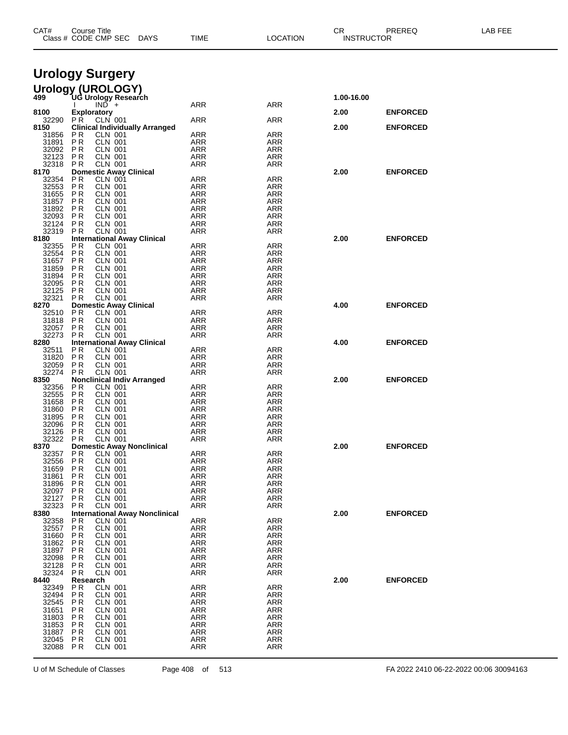| CAT#                                         | Course Title                     | Class # CODE CMP SEC                            | DAYS                                  | <b>TIME</b>              | <b>LOCATION</b>          | CR.        | PREREQ<br><b>INSTRUCTOR</b> | LAB FEE |
|----------------------------------------------|----------------------------------|-------------------------------------------------|---------------------------------------|--------------------------|--------------------------|------------|-----------------------------|---------|
|                                              |                                  |                                                 |                                       |                          |                          |            |                             |         |
| <b>Urology Surgery</b>                       |                                  |                                                 |                                       |                          |                          |            |                             |         |
| Urology (UROLOGY)<br>499 UG Urology Research |                                  |                                                 |                                       |                          |                          |            |                             |         |
|                                              |                                  | $IN\overline{D}$ +                              |                                       | <b>ARR</b>               | <b>ARR</b>               | 1.00-16.00 |                             |         |
| 8100                                         | <b>Exploratory</b>               |                                                 |                                       |                          |                          | 2.00       | <b>ENFORCED</b>             |         |
| 32290<br>8150                                | P <sub>R</sub>                   | CLN 001                                         | <b>Clinical Individually Arranged</b> | <b>ARR</b>               | <b>ARR</b>               | 2.00       | <b>ENFORCED</b>             |         |
| 31856<br>31891                               | ΡR<br><b>PR</b>                  | <b>CLN 001</b><br><b>CLN 001</b>                |                                       | <b>ARR</b><br><b>ARR</b> | ARR                      |            |                             |         |
| 32092                                        | P R                              | <b>CLN 001</b>                                  |                                       | ARR                      | ARR<br>ARR               |            |                             |         |
| 32123<br>32318                               | ΡR<br><b>PR</b>                  | <b>CLN 001</b><br><b>CLN 001</b>                |                                       | <b>ARR</b><br><b>ARR</b> | ARR<br>ARR               |            |                             |         |
| 8170                                         |                                  | <b>Domestic Away Clinical</b>                   |                                       |                          |                          | 2.00       | <b>ENFORCED</b>             |         |
| 32354<br>32553                               | P <sub>R</sub><br>P <sub>R</sub> | <b>CLN 001</b><br><b>CLN 001</b>                |                                       | ARR<br><b>ARR</b>        | ARR<br>ARR               |            |                             |         |
| 31655                                        | P R                              | <b>CLN 001</b>                                  |                                       | ARR                      | ARR                      |            |                             |         |
| 31857<br>31892                               | ΡR<br><b>PR</b>                  | <b>CLN 001</b>                                  |                                       | <b>ARR</b>               | ARR<br><b>ARR</b>        |            |                             |         |
| 32093                                        | P R                              | <b>CLN 001</b><br><b>CLN 001</b>                |                                       | <b>ARR</b><br>ARR        | ARR                      |            |                             |         |
| 32124                                        | ΡR                               | <b>CLN 001</b>                                  |                                       | <b>ARR</b>               | ARR                      |            |                             |         |
| 32319<br>8180                                | <b>PR</b>                        | <b>CLN 001</b>                                  | <b>International Away Clinical</b>    | <b>ARR</b>               | ARR                      | 2.00       | <b>ENFORCED</b>             |         |
| 32355                                        | ΡR                               | <b>CLN 001</b>                                  |                                       | ARR                      | ARR                      |            |                             |         |
| 32554<br>31657                               | P <sub>R</sub><br>P R            | <b>CLN 001</b><br><b>CLN 001</b>                |                                       | <b>ARR</b><br>ARR        | ARR<br>ARR               |            |                             |         |
| 31859                                        | ΡR                               | <b>CLN 001</b>                                  |                                       | <b>ARR</b>               | ARR                      |            |                             |         |
| 31894<br>32095                               | <b>PR</b><br>P R                 | <b>CLN 001</b><br><b>CLN 001</b>                |                                       | <b>ARR</b><br>ARR        | <b>ARR</b><br>ARR        |            |                             |         |
| 32125                                        | ΡR                               | <b>CLN 001</b>                                  |                                       | <b>ARR</b>               | ARR                      |            |                             |         |
| 32321<br>8270                                | <b>PR</b>                        | <b>CLN 001</b><br><b>Domestic Away Clinical</b> |                                       | <b>ARR</b>               | ARR                      | 4.00       | <b>ENFORCED</b>             |         |
| 32510                                        | P <sub>R</sub>                   | <b>CLN 001</b>                                  |                                       | <b>ARR</b>               | ARR                      |            |                             |         |
| 31818<br>32057                               | <b>PR</b><br>P R                 | <b>CLN 001</b><br><b>CLN 001</b>                |                                       | <b>ARR</b><br>ARR        | ARR<br>ARR               |            |                             |         |
| 32273                                        | P <sub>R</sub>                   | CLN 001                                         |                                       | ARR                      | ARR                      |            |                             |         |
| 8280<br>32511                                | ΡR                               | CLN 001                                         | <b>International Away Clinical</b>    | <b>ARR</b>               | ARR                      | 4.00       | <b>ENFORCED</b>             |         |
| 31820                                        | <b>PR</b>                        | <b>CLN 001</b>                                  |                                       | <b>ARR</b>               | ARR                      |            |                             |         |
| 32059<br>32274                               | <b>PR</b><br>P R                 | <b>CLN 001</b><br><b>CLN 001</b>                |                                       | <b>ARR</b><br>ARR        | ARR<br>ARR               |            |                             |         |
| 8350                                         |                                  |                                                 | <b>Nonclinical Indiv Arranged</b>     |                          |                          | 2.00       | <b>ENFORCED</b>             |         |
| 32356<br>32555                               | <b>PR</b><br>P R                 | <b>CLN 001</b><br><b>CLN 001</b>                |                                       | ARR<br>ARR               | ARR<br>ARR               |            |                             |         |
| 31658                                        | ΡR                               | <b>CLN 001</b>                                  |                                       | <b>ARR</b>               | ARR                      |            |                             |         |
| 31860<br>31895                               | P <sub>R</sub><br>P R            | <b>CLN 001</b><br><b>CLN 001</b>                |                                       | <b>ARR</b><br>ARR        | <b>ARR</b><br>ARR        |            |                             |         |
| 32096                                        | ΡR                               | <b>CLN 001</b>                                  |                                       | <b>ARR</b>               | ARR                      |            |                             |         |
| 32126<br>32322                               | <b>PR</b><br>P <sub>R</sub>      | <b>CLN 001</b><br><b>CLN 001</b>                |                                       | <b>ARR</b><br>ARR        | <b>ARR</b><br>ARR        |            |                             |         |
| 8370                                         |                                  |                                                 | <b>Domestic Away Nonclinical</b>      |                          |                          | 2.00       | <b>ENFORCED</b>             |         |
| 32357<br>32556                               | P R<br>P <sub>R</sub>            | CLN 001<br>CLN 001                              |                                       | ARR<br><b>ARR</b>        | <b>ARR</b><br>ARR        |            |                             |         |
| 31659                                        | ΡR                               | <b>CLN 001</b>                                  |                                       | <b>ARR</b>               | ARR                      |            |                             |         |
| 31861<br>31896                               | P <sub>R</sub><br>P R            | <b>CLN 001</b><br><b>CLN 001</b>                |                                       | <b>ARR</b><br>ARR        | <b>ARR</b><br><b>ARR</b> |            |                             |         |
| 32097                                        | ΡR                               | <b>CLN 001</b>                                  |                                       | <b>ARR</b>               | ARR                      |            |                             |         |
| 32127<br>32323                               | P R<br>P R                       | <b>CLN 001</b><br><b>CLN 001</b>                |                                       | <b>ARR</b><br><b>ARR</b> | <b>ARR</b><br>ARR        |            |                             |         |
| 8380                                         |                                  |                                                 | <b>International Away Nonclinical</b> |                          |                          | 2.00       | <b>ENFORCED</b>             |         |
| 32358<br>32557                               | ΡR<br>P R                        | CLN 001<br><b>CLN 001</b>                       |                                       | <b>ARR</b><br><b>ARR</b> | <b>ARR</b><br>ARR        |            |                             |         |
| 31660                                        | P R                              | <b>CLN 001</b>                                  |                                       | <b>ARR</b>               | ARR                      |            |                             |         |
| 31862                                        | P <sub>R</sub>                   | <b>CLN 001</b>                                  |                                       | <b>ARR</b>               | <b>ARR</b>               |            |                             |         |
| 31897<br>32098                               | P R<br>ΡR                        | <b>CLN 001</b><br><b>CLN 001</b>                |                                       | <b>ARR</b><br><b>ARR</b> | <b>ARR</b><br>ARR        |            |                             |         |
| 32128                                        | P <sub>R</sub>                   | <b>CLN 001</b>                                  |                                       | <b>ARR</b>               | <b>ARR</b>               |            |                             |         |
| 32324<br>8440                                | P R<br>Research                  | <b>CLN 001</b>                                  |                                       | ARR                      | ARR                      | 2.00       | <b>ENFORCED</b>             |         |
| 32349                                        | <b>PR</b>                        | <b>CLN 001</b>                                  |                                       | <b>ARR</b>               | ARR                      |            |                             |         |
| 32494<br>32545                               | P R<br>ΡR                        | <b>CLN 001</b><br><b>CLN 001</b>                |                                       | <b>ARR</b><br><b>ARR</b> | ARR<br>ARR               |            |                             |         |
| 31651                                        | P R                              | <b>CLN 001</b>                                  |                                       | <b>ARR</b>               | ARR                      |            |                             |         |
| 31803<br>31853                               | P R<br>P <sub>R</sub>            | <b>CLN 001</b><br><b>CLN 001</b>                |                                       | ARR<br><b>ARR</b>        | <b>ARR</b><br>ARR        |            |                             |         |
| 31887                                        | P R                              | <b>CLN 001</b>                                  |                                       | <b>ARR</b>               | <b>ARR</b>               |            |                             |         |
| 32045<br>32088                               | ΡR<br>PR                         | <b>CLN 001</b><br><b>CLN 001</b>                |                                       | ARR<br><b>ARR</b>        | ARR<br>ARR               |            |                             |         |
|                                              |                                  |                                                 |                                       |                          |                          |            |                             |         |

U of M Schedule of Classes Page 408 of 513 FA 2022 2410 06-22-2022 00:06 30094163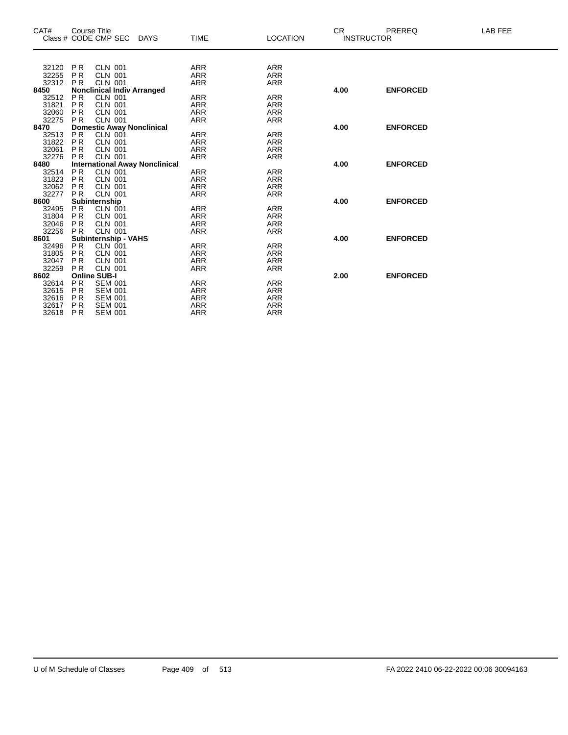| CAT#  |                | <b>Course Title</b>                   |             |             |                 | <b>CR</b> | PREREQ            | LAB FEE |
|-------|----------------|---------------------------------------|-------------|-------------|-----------------|-----------|-------------------|---------|
|       |                | Class # CODE CMP SEC                  | <b>DAYS</b> | <b>TIME</b> | <b>LOCATION</b> |           | <b>INSTRUCTOR</b> |         |
|       |                |                                       |             |             |                 |           |                   |         |
|       |                |                                       |             |             |                 |           |                   |         |
| 32120 | <b>PR</b>      | <b>CLN 001</b>                        |             | <b>ARR</b>  | <b>ARR</b>      |           |                   |         |
| 32255 | P <sub>R</sub> | <b>CLN 001</b>                        |             | <b>ARR</b>  | <b>ARR</b>      |           |                   |         |
| 32312 | <b>PR</b>      | <b>CLN 001</b>                        |             | <b>ARR</b>  | <b>ARR</b>      |           |                   |         |
| 8450  |                | <b>Nonclinical Indiv Arranged</b>     |             |             |                 | 4.00      | <b>ENFORCED</b>   |         |
| 32512 | <b>PR</b>      | <b>CLN 001</b>                        |             | <b>ARR</b>  | <b>ARR</b>      |           |                   |         |
| 31821 | <b>PR</b>      | <b>CLN 001</b>                        |             | <b>ARR</b>  | <b>ARR</b>      |           |                   |         |
| 32060 | <b>PR</b>      | <b>CLN 001</b>                        |             | <b>ARR</b>  | <b>ARR</b>      |           |                   |         |
| 32275 | <b>PR</b>      | <b>CLN 001</b>                        |             | <b>ARR</b>  | <b>ARR</b>      |           |                   |         |
| 8470  |                | <b>Domestic Away Nonclinical</b>      |             |             |                 | 4.00      | <b>ENFORCED</b>   |         |
| 32513 | <b>PR</b>      | <b>CLN 001</b>                        |             | <b>ARR</b>  | <b>ARR</b>      |           |                   |         |
| 31822 | P <sub>R</sub> | <b>CLN 001</b>                        |             | <b>ARR</b>  | <b>ARR</b>      |           |                   |         |
| 32061 | P <sub>R</sub> | <b>CLN 001</b>                        |             | <b>ARR</b>  | <b>ARR</b>      |           |                   |         |
| 32276 | <b>PR</b>      | <b>CLN 001</b>                        |             | <b>ARR</b>  | <b>ARR</b>      |           |                   |         |
| 8480  |                | <b>International Away Nonclinical</b> |             |             |                 | 4.00      | <b>ENFORCED</b>   |         |
| 32514 | <b>PR</b>      | <b>CLN 001</b>                        |             | <b>ARR</b>  | <b>ARR</b>      |           |                   |         |
| 31823 | <b>PR</b>      | <b>CLN 001</b>                        |             | <b>ARR</b>  | <b>ARR</b>      |           |                   |         |
| 32062 | <b>PR</b>      | <b>CLN 001</b>                        |             | <b>ARR</b>  | <b>ARR</b>      |           |                   |         |
| 32277 | <b>PR</b>      | <b>CLN 001</b>                        |             | <b>ARR</b>  | <b>ARR</b>      |           |                   |         |
| 8600  |                | Subinternship                         |             |             |                 | 4.00      | <b>ENFORCED</b>   |         |
| 32495 | P <sub>R</sub> | <b>CLN 001</b>                        |             | <b>ARR</b>  | <b>ARR</b>      |           |                   |         |
| 31804 | <b>PR</b>      | <b>CLN 001</b>                        |             | <b>ARR</b>  | <b>ARR</b>      |           |                   |         |
| 32046 | P <sub>R</sub> | <b>CLN 001</b>                        |             | <b>ARR</b>  | <b>ARR</b>      |           |                   |         |
| 32256 |                | <b>CLN 001</b>                        |             |             | <b>ARR</b>      |           |                   |         |
|       | <b>PR</b>      |                                       |             | ARR         |                 | 4.00      | <b>ENFORCED</b>   |         |
| 8601  |                | Subinternship - VAHS                  |             |             |                 |           |                   |         |
| 32496 | <b>PR</b>      | <b>CLN 001</b>                        |             | <b>ARR</b>  | <b>ARR</b>      |           |                   |         |
| 31805 | <b>PR</b>      | <b>CLN 001</b>                        |             | <b>ARR</b>  | <b>ARR</b>      |           |                   |         |
| 32047 | <b>PR</b>      | <b>CLN 001</b>                        |             | <b>ARR</b>  | <b>ARR</b>      |           |                   |         |
| 32259 | <b>PR</b>      | <b>CLN 001</b>                        |             | <b>ARR</b>  | <b>ARR</b>      |           |                   |         |
| 8602  |                | <b>Online SUB-I</b>                   |             |             |                 | 2.00      | <b>ENFORCED</b>   |         |
| 32614 | <b>PR</b>      | <b>SEM 001</b>                        |             | <b>ARR</b>  | <b>ARR</b>      |           |                   |         |
| 32615 | P <sub>R</sub> | <b>SEM 001</b>                        |             | <b>ARR</b>  | <b>ARR</b>      |           |                   |         |
| 32616 | P <sub>R</sub> | <b>SEM 001</b>                        |             | <b>ARR</b>  | <b>ARR</b>      |           |                   |         |
| 32617 | P <sub>R</sub> | <b>SEM 001</b>                        |             | <b>ARR</b>  | <b>ARR</b>      |           |                   |         |
| 32618 | P <sub>R</sub> | <b>SEM 001</b>                        |             | <b>ARR</b>  | <b>ARR</b>      |           |                   |         |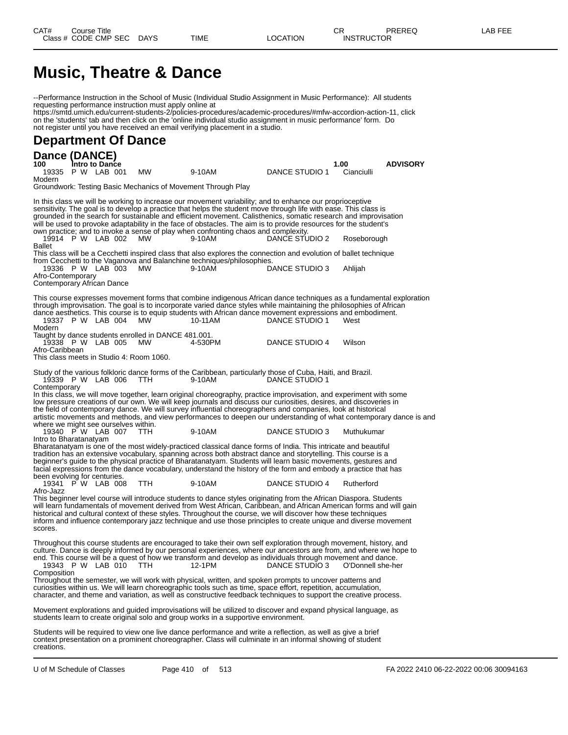### **Music, Theatre & Dance**

--Performance Instruction in the School of Music (Individual Studio Assignment in Music Performance): All students requesting performance instruction must apply online at https://smtd.umich.edu/current-students-2/policies-procedures/academic-procedures/#mfw-accordion-action-11, click on the 'students' tab and then click on the 'online individual studio assignment in music performance' form. Do not register until you have received an email verifying placement in a studio. **Department Of Dance Dance (DANCE) 100 Intro to Dance 1.00 ADVISORY** 19335 P W LAB 001 MW 9-10AM DANCE STUDIO 1 Cianciulli Modern Groundwork: Testing Basic Mechanics of Movement Through Play In this class we will be working to increase our movement variability; and to enhance our proprioceptive sensitivity. The goal is to develop a practice that helps the student move through life with ease. This class is grounded in the search for sustainable and efficient movement. Calisthenics, somatic research and improvisation will be used to provoke adaptability in the face of obstacles. The aim is to provide resources for the student's own practice; and to invoke a sense of play when confronting chaos and complexity. 19914 P W LAB 002 MW 9-10AM DANCE STUDIO 2 Roseborough Ballet This class will be a Cecchetti inspired class that also explores the connection and evolution of ballet technique from Cecchetti to the Vaganova and Balanchine techniques/philosophies. 19336 P W LAB 003 MW 9-10AM DANCE STUDIO 3 Ahlijah Afro-Contemporary Contemporary African Dance This course expresses movement forms that combine indigenous African dance techniques as a fundamental exploration through improvisation. The goal is to incorporate varied dance styles while maintaining the philosophies of African dance aesthetics. This course is to equip students with African dance movement expressions and embodiment.<br>19337 P W LAB 004 MW 10-11AM DANCE STUDIO 1 West 19337 P W LAB 004 Modern Taught by dance students enrolled in DANCE 481.001. 19338 P W LAB 005 MW 4-530PM DANCE STUDIO 4 Wilson Afro-Caribbean This class meets in Studio 4: Room 1060. Study of the various folkloric dance forms of the Caribbean, particularly those of Cuba, Haiti, and Brazil. 19339 P W LAB 006 TTH 9-10AM DANCE STUDIO 1 **Contemporary** In this class, we will move together, learn original choreography, practice improvisation, and experiment with some low pressure creations of our own. We will keep journals and discuss our curiosities, desires, and discoveries in the field of contemporary dance. We will survey influential choreographers and companies, look at historical artistic movements and methods, and view performances to deepen our understanding of what contemporary dance is and where we might see ourselves within.<br>19340 P W LAB 007 TTH 19340 P W LAB 007 TTH 9-10AM DANCE STUDIO 3 Muthukumar Intro to Bharatanatyam Bharatanatyam is one of the most widely-practiced classical dance forms of India. This intricate and beautiful tradition has an extensive vocabulary, spanning across both abstract dance and storytelling. This course is a beginner's guide to the physical practice of Bharatanatyam. Students will learn basic movements, gestures and facial expressions from the dance vocabulary, understand the history of the form and embody a practice that has been evolving for centuries. 19341 P W LAB 008 TTH 9-10AM DANCE STUDIO 4 Rutherford Afro-Jazz This beginner level course will introduce students to dance styles originating from the African Diaspora. Students will learn fundamentals of movement derived from West African, Caribbean, and African American forms and will gain historical and cultural context of these styles. Throughout the course, we will discover how these techniques inform and influence contemporary jazz technique and use those principles to create unique and diverse movement scores Throughout this course students are encouraged to take their own self exploration through movement, history, and culture. Dance is deeply informed by our personal experiences, where our ancestors are from, and where we hope to end. This course will be a quest of how we transform and develop as individuals through movement and dance.<br>19343 P W LAB 010 TTH 12-1PM DANCE STUDIO 3 O'Donnell she-her 19343 P W LAB 010 **Composition** Throughout the semester, we will work with physical, written, and spoken prompts to uncover patterns and curiosities within us. We will learn choreographic tools such as time, space effort, repetition, accumulation, character, and theme and variation, as well as constructive feedback techniques to support the creative process. Movement explorations and guided improvisations will be utilized to discover and expand physical language, as students learn to create original solo and group works in a supportive environment. Students will be required to view one live dance performance and write a reflection, as well as give a brief context presentation on a prominent choreographer. Class will culminate in an informal showing of student

creations.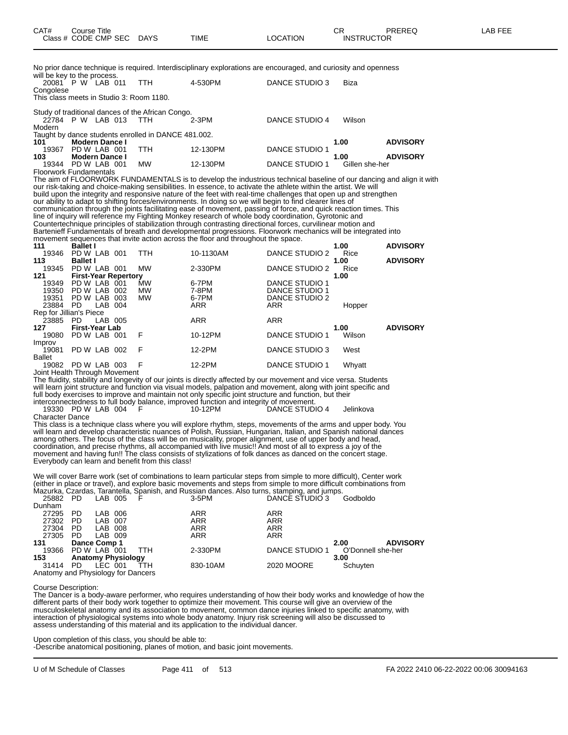No prior dance technique is required. Interdisciplinary explorations are encouraged, and curiosity and openness will be key to the process.

|           | WILL DO INDY TO THE PHODOS.              |                                                     |          |                |                |                 |
|-----------|------------------------------------------|-----------------------------------------------------|----------|----------------|----------------|-----------------|
|           | 20081 P W LAB 011                        | <b>TTH</b>                                          | 4-530PM  | DANCE STUDIO 3 | Biza           |                 |
| Congolese |                                          |                                                     |          |                |                |                 |
|           | This class meets in Studio 3: Room 1180. |                                                     |          |                |                |                 |
|           |                                          | Study of traditional dances of the African Congo.   |          |                |                |                 |
|           | 22784 P W LAB 013                        | - ттн                                               | $2-3PM$  | DANCE STUDIO 4 | Wilson         |                 |
| Modern    |                                          |                                                     |          |                |                |                 |
|           |                                          | Taught by dance students enrolled in DANCE 481.002. |          |                |                |                 |
| 101       | Modern Dance I                           |                                                     |          |                | 1.00           | <b>ADVISORY</b> |
| 19367     | PD W LAB 001                             | <b>TTH</b>                                          | 12-130PM | DANCE STUDIO 1 |                |                 |
| 103       | <b>Modern Dance I</b>                    |                                                     |          |                | 1.00           | <b>ADVISORY</b> |
| 19344     | PD W LAB 001                             | <b>MW</b>                                           | 12-130PM | DANCE STUDIO 1 | Gillen she-her |                 |
|           |                                          |                                                     |          |                |                |                 |

Floorwork Fundamentals The aim of FLOORWORK FUNDAMENTALS is to develop the industrious technical baseline of our dancing and align it with our risk-taking and choice-making sensibilities. In essence, to activate the athlete within the artist. We will build upon the integrity and responsive nature of the feet with real-time challenges that open up and strengthen our ability to adapt to shifting forces/environments. In doing so we will begin to find clearer lines of communication through the joints facilitating ease of movement, passing of force, and quick reaction times. This line of inquiry will reference my Fighting Monkey research of whole body coordination, Gyrotonic and Countertechnique principles of stabilization through contrasting directional forces, curvilinear motion and Bartenieff Fundamentals of breath and developmental progressions. Floorwork mechanics will be integrated into movement sequences that invite action across the floor and throughout the space. **111 Ballet I 1.00 ADVISORY**

| .             | Dallet I                    |      |            |            |                | 1.VV   | ADVIJURI        |
|---------------|-----------------------------|------|------------|------------|----------------|--------|-----------------|
| 19346         | PD W LAB 001                |      | <b>TTH</b> | 10-1130AM  | DANCE STUDIO 2 | Rice   |                 |
| 113           | <b>Ballet I</b>             |      |            |            |                | 1.00   | <b>ADVISORY</b> |
| 19345         | PD W LAB 001                |      | <b>MW</b>  | 2-330PM    | DANCE STUDIO 2 | Rice   |                 |
| 121           | <b>First-Year Repertory</b> |      |            |            |                | 1.00   |                 |
| 19349         | PD W LAB 001                |      | <b>MW</b>  | 6-7PM      | DANCE STUDIO 1 |        |                 |
| 19350         | PD W LAB                    | 002  | <b>MW</b>  | 7-8PM      | DANCE STUDIO 1 |        |                 |
| 19351         | PD W LAB                    | 003  | <b>MW</b>  | 6-7PM      | DANCE STUDIO 2 |        |                 |
| 23884         | - PD<br>LAB 004             |      |            | ARR        | ARR            | Hopper |                 |
|               | Rep for Jillian's Piece     |      |            |            |                |        |                 |
| 23885 PD      | LAB 005                     |      |            | <b>ARR</b> | <b>ARR</b>     |        |                 |
| 127           | <b>First-Year Lab</b>       |      |            |            |                | 1.00   | <b>ADVISORY</b> |
| 19080         | PD W LAB 001                |      | F          | 10-12PM    | DANCE STUDIO 1 | Wilson |                 |
| Improv        |                             |      |            |            |                |        |                 |
| 19081         | PD W LAB 002                |      | F          | 12-2PM     | DANCE STUDIO 3 | West   |                 |
| <b>Ballet</b> |                             |      |            |            |                |        |                 |
|               | 19082 PD W LAB              | -003 | F          | 12-2PM     | DANCE STUDIO 1 | Whyatt |                 |
|               |                             |      |            |            |                |        |                 |

Joint Health Through Movement

The fluidity, stability and longevity of our joints is directly affected by our movement and vice versa. Students will learn joint structure and function via visual models, palpation and movement, along with joint specific and full body exercises to improve and maintain not only specific joint structure and function, but their interconnectedness to full body balance, improved function and integrity of movement.

19330 PD W LAB 004 F 10-12PM DANCE STUDIO 4 Jelinkova Character Dance

This class is a technique class where you will explore rhythm, steps, movements of the arms and upper body. You will learn and develop characteristic nuances of Polish, Russian, Hungarian, Italian, and Spanish national dances among others. The focus of the class will be on musicality, proper alignment, use of upper body and head, coordination, and precise rhythms, all accompanied with live music!! And most of all to express a joy of the movement and having fun!! The class consists of stylizations of folk dances as danced on the concert stage. Everybody can learn and benefit from this class!

We will cover Barre work (set of combinations to learn particular steps from simple to more difficult), Center work (either in place or travel), and explore basic movements and steps from simple to more difficult combinations from Mazurka, Czardas, Tarantella, Spanish, and Russian dances. Also turns, stamping, and jumps. 25882 PD LAB 005 F 3-5PM DANCE STUDIO 3 Godboldo

| LUUUL              | .                                  | ----         |                           |     | ויו וט ש                | <u>DI WUL UTUDIO U</u> | ovuvuluv          |  |  |  |  |
|--------------------|------------------------------------|--------------|---------------------------|-----|-------------------------|------------------------|-------------------|--|--|--|--|
| Dunham             |                                    |              |                           |     |                         |                        |                   |  |  |  |  |
| 27295              | <b>PD</b>                          | LAB 006      |                           |     | ARR                     | ARR                    |                   |  |  |  |  |
| 27302              | PD.                                | LAB 007      |                           |     | <b>ARR</b>              | <b>ARR</b>             |                   |  |  |  |  |
| 27304              | <b>PD</b>                          | LAB 008      |                           |     | <b>ARR</b>              | <b>ARR</b>             |                   |  |  |  |  |
| 27305              | <b>PD</b>                          | LAB 009      |                           |     | <b>ARR</b>              | <b>ARR</b>             |                   |  |  |  |  |
| 131                |                                    | Dance Comp 1 |                           |     | <b>ADVISORY</b><br>2.00 |                        |                   |  |  |  |  |
| 19366 PD W LAB 001 |                                    |              |                           | TTH | 2-330PM                 | DANCE STUDIO 1         | O'Donnell she-her |  |  |  |  |
| 153                |                                    |              | <b>Anatomy Physiology</b> |     |                         |                        | 3.00              |  |  |  |  |
| 31414              | - PD                               | LEC 001      |                           | ŤТH | 830-10AM                | 2020 MOORE             | Schuyten          |  |  |  |  |
|                    | Anatomy and Physiology for Dancers |              |                           |     |                         |                        |                   |  |  |  |  |

Course Description:

The Dancer is a body-aware performer, who requires understanding of how their body works and knowledge of how the different parts of their body work together to optimize their movement. This course will give an overview of the musculoskeletal anatomy and its association to movement, common dance injuries linked to specific anatomy, with interaction of physiological systems into whole body anatomy. Injury risk screening will also be discussed to assess understanding of this material and its application to the individual dancer.

Upon completion of this class, you should be able to:

-Describe anatomical positioning, planes of motion, and basic joint movements.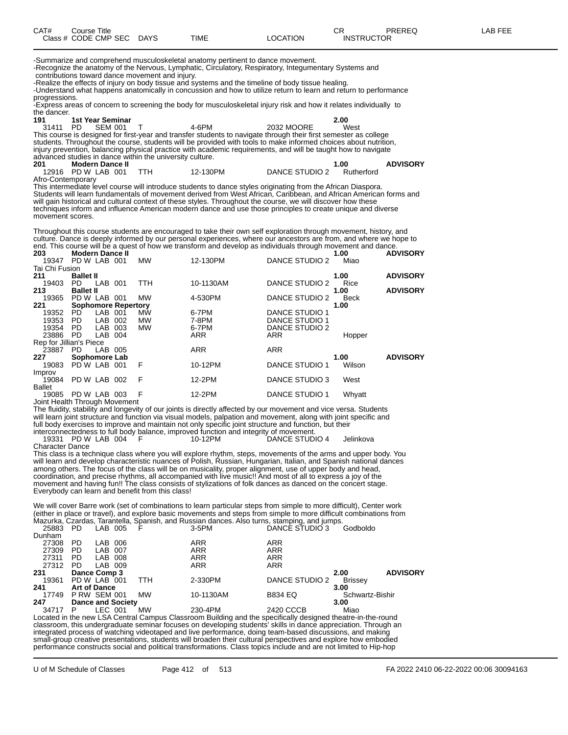| CAT# | Course Title<br>Class # CODE CMP SEC DAYS | TIME | LOCATION | $\cap$<br>U⊾<br><b>INSTRUCTOR</b> | PREREQ | <b>AB FEE</b> |
|------|-------------------------------------------|------|----------|-----------------------------------|--------|---------------|
|      |                                           |      |          |                                   |        |               |

-Summarize and comprehend musculoskeletal anatomy pertinent to dance movement. -Recognize the anatomy of the Nervous, Lymphatic, Circulatory, Respiratory, Integumentary Systems and

contributions toward dance movement and injury.

-Realize the effects of injury on body tissue and systems and the timeline of body tissue healing. -Understand what happens anatomically in concussion and how to utilize return to learn and return to performance progressions.

-Express areas of concern to screening the body for musculoskeletal injury risk and how it relates individually to the dancer.<br>191

**191 1st Year Seminar 2.00** 31411 PD SEM 001 T 4-6PM 2032 MOORE West This course is designed for first-year and transfer students to navigate through their first semester as college students. Throughout the course, students will be provided with tools to make informed choices about nutrition, injury prevention, balancing physical practice with academic requirements, and will be taught how to navigate advanced studies in dance within the university culture.

| 201               | Modern Dance II   |          |                                                                                                            | 1.00       | <b>ADVISORY</b> |
|-------------------|-------------------|----------|------------------------------------------------------------------------------------------------------------|------------|-----------------|
|                   | 12916 PDW LAB 001 | 12-130PM | DANCE STUDIO 2                                                                                             | Rutherford |                 |
| Afro-Contemporary |                   |          | This integrable faced corresponding the structure to dence at the colorador from the African Bisco Biscope |            |                 |

This intermediate level course will introduce students to dance styles originating from the African Diaspora. Students will learn fundamentals of movement derived from West African, Caribbean, and African American forms and will gain historical and cultural context of these styles. Throughout the course, we will discover how these techniques inform and influence American modern dance and use those principles to create unique and diverse movement scores.

Throughout this course students are encouraged to take their own self exploration through movement, history, and culture. Dance is deeply informed by our personal experiences, where our ancestors are from, and where we hope to end. This course will be a quest of how we transform and develop as individuals through movement and dance.

| 203                           | <b>Modern Dance II</b>     |         |     |           |            |                       | 1.00        | <b>ADVISORY</b> |
|-------------------------------|----------------------------|---------|-----|-----------|------------|-----------------------|-------------|-----------------|
| 19347                         | PD W LAB 001               |         |     | <b>MW</b> | 12-130PM   | DANCE STUDIO 2        | Miao        |                 |
| Tai Chi Fusion                |                            |         |     |           |            |                       |             |                 |
| 211                           | <b>Ballet II</b>           |         |     |           |            |                       | 1.00        | <b>ADVISORY</b> |
| 19403                         | PD.                        | LAB 001 |     | TTH       | 10-1130AM  | DANCE STUDIO 2        | Rice        |                 |
| 213                           | <b>Ballet II</b>           |         |     |           |            |                       | 1.00        | <b>ADVISORY</b> |
| 19365                         | PD W LAB 001               |         |     | MW        | 4-530PM    | DANCE STUDIO 2        | <b>Beck</b> |                 |
| 221                           | <b>Sophomore Repertory</b> |         |     |           |            |                       | 1.00        |                 |
| 19352                         | <b>PD</b>                  | LAB 001 |     | <b>MW</b> | 6-7PM      | DANCE STUDIO 1        |             |                 |
| 19353                         | <b>PD</b>                  | LAB     | 002 | <b>MW</b> | 7-8PM      | DANCE STUDIO 1        |             |                 |
| 19354                         | <b>PD</b>                  | LAB 003 |     | <b>MW</b> | 6-7PM      | DANCE STUDIO 2        |             |                 |
| 23886                         | - PD                       | LAB 004 |     |           | <b>ARR</b> | <b>ARR</b>            | Hopper      |                 |
| Rep for Jillian's Piece       |                            |         |     |           |            |                       |             |                 |
| 23887                         | <b>PD</b>                  | LAB 005 |     |           | <b>ARR</b> | <b>ARR</b>            |             |                 |
| 227                           | Sophomore Lab              |         |     |           |            |                       | 1.00        | <b>ADVISORY</b> |
| 19083                         | PDW LAB 001                |         |     | F         | 10-12PM    | <b>DANCE STUDIO 1</b> | Wilson      |                 |
| Improv                        |                            |         |     |           |            |                       |             |                 |
| 19084                         | PD W LAB 002               |         |     | - F       | 12-2PM     | DANCE STUDIO 3        | West        |                 |
| Ballet                        |                            |         |     |           |            |                       |             |                 |
| 19085                         | PD W LAB 003               |         |     | F         | 12-2PM     | DANCE STUDIO 1        | Whyatt      |                 |
| Joint Hoalth Through Movement |                            |         |     |           |            |                       |             |                 |

Joint Health Through Movement

The fluidity, stability and longevity of our joints is directly affected by our movement and vice versa. Students will learn joint structure and function via visual models, palpation and movement, along with joint specific and full body exercises to improve and maintain not only specific joint structure and function, but their interconnectedness to full body balance, improved function and integrity of movement.

19331 PD W LAB 004 F 10-12PM DANCE STUDIO 4 Jelinkova Character Dance

This class is a technique class where you will explore rhythm, steps, movements of the arms and upper body. You will learn and develop characteristic nuances of Polish, Russian, Hungarian, Italian, and Spanish national dances among others. The focus of the class will be on musicality, proper alignment, use of upper body and head, coordination, and precise rhythms, all accompanied with live music!! And most of all to express a joy of the movement and having fun!! The class consists of stylizations of folk dances as danced on the concert stage. Everybody can learn and benefit from this class!

We will cover Barre work (set of combinations to learn particular steps from simple to more difficult), Center work (either in place or travel), and explore basic movements and steps from simple to more difficult combinations from Mazurka, Czardas, Tarantella, Spanish, and Russian dances. Also turns, stamping, and jumps.

| <b>ADVISORY</b> |
|-----------------|
|                 |
|                 |
|                 |
|                 |
|                 |
| Schwartz-Bishir |

Located in the new LSA Central Campus Classroom Building and the specifically designed theatre-in-the-round classroom, this undergraduate seminar focuses on developing students' skills in dance appreciation. Through an integrated process of watching videotaped and live performance, doing team-based discussions, and making small-group creative presentations, students will broaden their cultural perspectives and explore how embodied performance constructs social and political transformations. Class topics include and are not limited to Hip-hop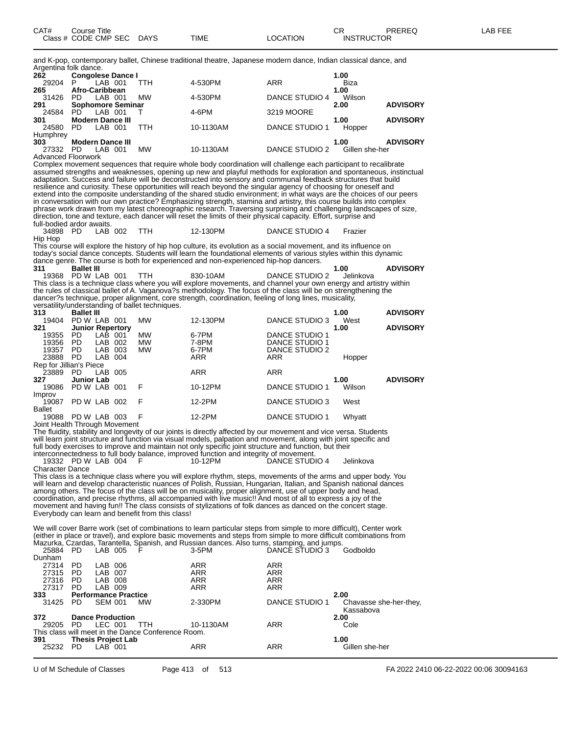and K-pop, contemporary ballet, Chinese traditional theatre, Japanese modern dance, Indian classical dance, and Argentina folk dance.

| <b>ADVISORY</b> |
|-----------------|
|                 |
| <b>ADVISORY</b> |
|                 |
|                 |
| <b>ADVISORY</b> |
|                 |
|                 |

Advanced Floorwork

Complex movement sequences that require whole body coordination will challenge each participant to recalibrate assumed strengths and weaknesses, opening up new and playful methods for exploration and spontaneous, instinctual adaptation. Success and failure will be deconstructed into sensory and communal feedback structures that build resilience and curiosity. These opportunities will reach beyond the singular agency of choosing for oneself and extend into the composite understanding of the shared studio environment; in what ways are the choices of our peers in conversation with our own practice? Emphasizing strength, stamina and artistry, this course builds into complex phrase work drawn from my latest choreographic research. Traversing surprising and challenging landscapes of size, direction, tone and texture, each dancer will reset the limits of their physical capacity. Effort, surprise and full-bodied ardor awaits.

34898 PD LAB 002 TTH 12-130PM DANCE STUDIO 4 Frazier

Hip Hop This course will explore the history of hip hop culture, its evolution as a social movement, and its influence on today's social dance concepts. Students will learn the foundational elements of various styles within this dynamic dance genre. The course is both for experienced and non-experienced hip-hop dancers.<br>311 **Ballet III** 

**311 Ballet III 1.00 ADVISORY** 19368 PD W LAB 001 TTH 830-10AM DANCE STUDIO 2 Jelinkova This class is a technique class where you will explore movements, and channel your own energy and artistry within the rules of classical ballet of A. Vaganova?s methodology. The focus of the class will be on strengthening the dancer?s technique, proper alignment, core strength, coordination, feeling of long lines, musicality, versatility/understanding of ballet techniques.

| <b>Ballet III</b>       |     |                                                                                                                                                         |            |                |        | <b>ADVISORY</b> |
|-------------------------|-----|---------------------------------------------------------------------------------------------------------------------------------------------------------|------------|----------------|--------|-----------------|
|                         |     | <b>MW</b>                                                                                                                                               | 12-130PM   | DANCE STUDIO 3 | West   |                 |
|                         |     |                                                                                                                                                         |            |                | 1.00   | <b>ADVISORY</b> |
| PD.                     |     | <b>MW</b>                                                                                                                                               | 6-7PM      | DANCE STUDIO 1 |        |                 |
| PD.                     |     | <b>MW</b>                                                                                                                                               | 7-8PM      | DANCE STUDIO 1 |        |                 |
| <b>PD</b>               | 003 | <b>MW</b>                                                                                                                                               | 6-7PM      | DANCE STUDIO 2 |        |                 |
| <b>PD</b>               |     |                                                                                                                                                         | ARR        | ARR            |        |                 |
| Rep for Jillian's Piece |     |                                                                                                                                                         |            |                |        |                 |
| PD.                     |     |                                                                                                                                                         | <b>ARR</b> | <b>ARR</b>     |        |                 |
|                         |     |                                                                                                                                                         |            |                | 1.00   | <b>ADVISORY</b> |
|                         | 001 | F                                                                                                                                                       | 10-12PM    | DANCE STUDIO 1 | Wilson |                 |
|                         |     |                                                                                                                                                         |            |                |        |                 |
|                         |     | F                                                                                                                                                       | 12-2PM     | DANCE STUDIO 3 | West   |                 |
|                         |     |                                                                                                                                                         |            |                |        |                 |
|                         | 003 | F                                                                                                                                                       | 12-2PM     | DANCE STUDIO 1 | Whyatt |                 |
|                         |     | PD W LAB 001<br><b>Junior Repertory</b><br>LAB 001<br>LAB 002<br>LAB<br>LAB 004<br>LAB 005<br><b>Junior Lab</b><br>PD W LAB<br>PD W LAB 002<br>PD W LAB |            |                |        | 1.00<br>Hopper  |

Joint Health Through Movement

The fluidity, stability and longevity of our joints is directly affected by our movement and vice versa. Students will learn joint structure and function via visual models, palpation and movement, along with joint specific and full body exercises to improve and maintain not only specific joint structure and function, but their interconnectedness to full body balance, improved function and integrity of movement.

19332 PD W LAB 004 F 10-12PM DANCE STUDIO 4 Jelinkova Character Dance

This class is a technique class where you will explore rhythm, steps, movements of the arms and upper body. You will learn and develop characteristic nuances of Polish, Russian, Hungarian, Italian, and Spanish national dances among others. The focus of the class will be on musicality, proper alignment, use of upper body and head, coordination, and precise rhythms, all accompanied with live music!! And most of all to express a joy of the movement and having fun!! The class consists of stylizations of folk dances as danced on the concert stage. Everybody can learn and benefit from this class!

We will cover Barre work (set of combinations to learn particular steps from simple to more difficult), Center work (either in place or travel), and explore basic movements and steps from simple to more difficult combinations from Mazurka, Czardas, Tarantella, Spanish, and Russian dances. Also turns, stamping, and jumps.

| 25884  | -PD       | LAB 005                     |                           | F                                                  | $3-5$ PM   | DANCE STUDIO 3 | Godboldo                            |
|--------|-----------|-----------------------------|---------------------------|----------------------------------------------------|------------|----------------|-------------------------------------|
| Dunham |           |                             |                           |                                                    |            |                |                                     |
| 27314  | <b>PD</b> | LAB 006                     |                           |                                                    | <b>ARR</b> | <b>ARR</b>     |                                     |
| 27315  | PD.       | LAB 007                     |                           |                                                    | <b>ARR</b> | <b>ARR</b>     |                                     |
| 27316  | PD.       | LAB 008                     |                           |                                                    | <b>ARR</b> | <b>ARR</b>     |                                     |
| 27317  | <b>PD</b> | LAB 009                     |                           |                                                    | <b>ARR</b> | ARR            |                                     |
| 333    |           | <b>Performance Practice</b> |                           | 2.00                                               |            |                |                                     |
| 31425  | PD.       | <b>SEM 001</b>              |                           | <b>MW</b>                                          | 2-330PM    | DANCE STUDIO 1 | Chavasse she-her-they,<br>Kassabova |
| 372    |           |                             | <b>Dance Production</b>   |                                                    |            |                | 2.00                                |
| 29205  | PD.       | LEC 001                     |                           | TTH                                                | 10-1130AM  | <b>ARR</b>     | Cole                                |
|        |           |                             |                           | This class will meet in the Dance Conference Room. |            |                |                                     |
| 391    |           |                             | <b>Thesis Project Lab</b> |                                                    |            |                | 1.00                                |
| 25232  | PD.       | LAB 001                     |                           |                                                    | <b>ARR</b> | <b>ARR</b>     | Gillen she-her                      |
|        |           |                             |                           |                                                    |            |                |                                     |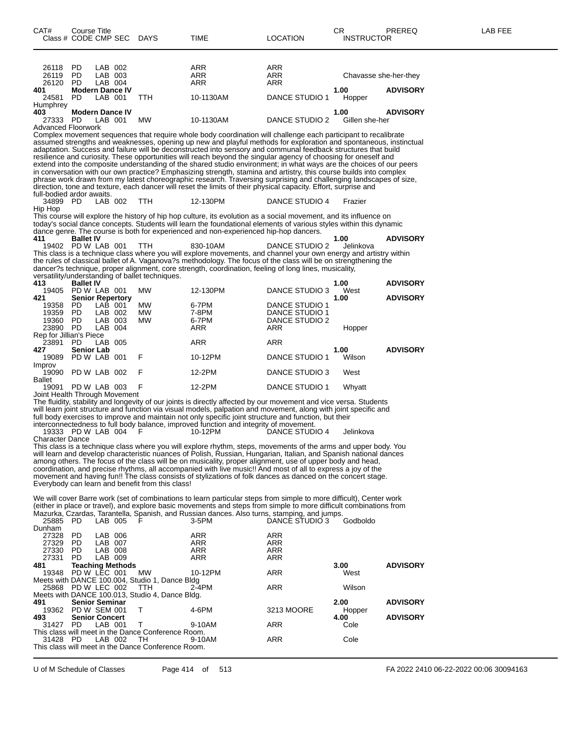| CAT#                                                     | Course Title            | Class # CODE CMP SEC DAYS                                           |                                                                                                          | <b>TIME</b>                                                                                                                                                                                                                                                                                                                                                                                                                                                                                                                                                                                                                                                                                                                                                                                                                                                                                                                                                                                                                            | <b>LOCATION</b>                                           | СR<br><b>INSTRUCTOR</b> | PREREQ          | LAB FEE |
|----------------------------------------------------------|-------------------------|---------------------------------------------------------------------|----------------------------------------------------------------------------------------------------------|----------------------------------------------------------------------------------------------------------------------------------------------------------------------------------------------------------------------------------------------------------------------------------------------------------------------------------------------------------------------------------------------------------------------------------------------------------------------------------------------------------------------------------------------------------------------------------------------------------------------------------------------------------------------------------------------------------------------------------------------------------------------------------------------------------------------------------------------------------------------------------------------------------------------------------------------------------------------------------------------------------------------------------------|-----------------------------------------------------------|-------------------------|-----------------|---------|
| 26118<br>26119<br>26120                                  | PD.<br>PD<br>- PD       | LAB 002<br>LAB 003<br>LAB 004                                       |                                                                                                          | ARR<br>ARR<br>ARR                                                                                                                                                                                                                                                                                                                                                                                                                                                                                                                                                                                                                                                                                                                                                                                                                                                                                                                                                                                                                      | ARR<br>ARR<br>ARR                                         | Chavasse she-her-they   |                 |         |
| 401<br>24581                                             | PD.                     | <b>Modern Dance IV</b><br>LAB 001                                   | <b>TTH</b>                                                                                               | 10-1130AM                                                                                                                                                                                                                                                                                                                                                                                                                                                                                                                                                                                                                                                                                                                                                                                                                                                                                                                                                                                                                              | DANCE STUDIO 1                                            | 1.00<br>Hopper          | <b>ADVISORY</b> |         |
| Humphrey<br>403<br>27333 PD<br><b>Advanced Floorwork</b> |                         | <b>Modern Dance IV</b><br>LAB 001                                   | МW                                                                                                       | 10-1130AM                                                                                                                                                                                                                                                                                                                                                                                                                                                                                                                                                                                                                                                                                                                                                                                                                                                                                                                                                                                                                              | DANCE STUDIO 2                                            | 1.00<br>Gillen she-her  | <b>ADVISORY</b> |         |
| full-bodied ardor awaits.                                |                         |                                                                     |                                                                                                          | Complex movement sequences that require whole body coordination will challenge each participant to recalibrate<br>assumed strengths and weaknesses, opening up new and playful methods for exploration and spontaneous, instinctual<br>adaptation. Success and failure will be deconstructed into sensory and communal feedback structures that build<br>resilience and curiosity. These opportunities will reach beyond the singular agency of choosing for oneself and<br>extend into the composite understanding of the shared studio environment; in what ways are the choices of our peers<br>in conversation with our own practice? Emphasizing strength, stamina and artistry, this course builds into complex<br>phrase work drawn from my latest choreographic research. Traversing surprising and challenging landscapes of size,<br>direction, tone and texture, each dancer will reset the limits of their physical capacity. Effort, surprise and                                                                         |                                                           |                         |                 |         |
| 34899 PD<br>Hip Hop                                      |                         | LAB 002                                                             | <b>TTH</b>                                                                                               | 12-130PM                                                                                                                                                                                                                                                                                                                                                                                                                                                                                                                                                                                                                                                                                                                                                                                                                                                                                                                                                                                                                               | DANCE STUDIO 4                                            | Frazier                 |                 |         |
| 411                                                      | <b>Ballet IV</b>        |                                                                     |                                                                                                          | This course will explore the history of hip hop culture, its evolution as a social movement, and its influence on<br>today's social dance concepts. Students will learn the foundational elements of various styles within this dynamic<br>dance genre. The course is both for experienced and non-experienced hip-hop dancers.                                                                                                                                                                                                                                                                                                                                                                                                                                                                                                                                                                                                                                                                                                        |                                                           | 1.00                    | <b>ADVISORY</b> |         |
|                                                          |                         | 19402 PD W LAB 001                                                  | <b>TTH</b><br>versatility/understanding of ballet techniques.                                            | 830-10AM<br>This class is a technique class where you will explore movements, and channel your own energy and artistry within<br>the rules of classical ballet of A. Vaganova?s methodology. The focus of the class will be on strengthening the<br>dancer?s technique, proper alignment, core strength, coordination, feeling of long lines, musicality,                                                                                                                                                                                                                                                                                                                                                                                                                                                                                                                                                                                                                                                                              | DANCE STUDIO 2                                            | Jelinkova               |                 |         |
| 413                                                      | <b>Ballet IV</b>        | 19405 PD W LAB 001                                                  | МW                                                                                                       | 12-130PM                                                                                                                                                                                                                                                                                                                                                                                                                                                                                                                                                                                                                                                                                                                                                                                                                                                                                                                                                                                                                               | DANCE STUDIO 3                                            | 1.00<br>West            | <b>ADVISORY</b> |         |
| 421<br>19358<br>19359<br>19360<br>23890 PD               | PD.<br>PD<br>PD.        | <b>Senior Repertory</b><br>LAB 001<br>LAB 002<br>LAB 003<br>LAB 004 | МW<br>МW<br>МW                                                                                           | 6-7PM<br>7-8PM<br>6-7PM<br>ARR                                                                                                                                                                                                                                                                                                                                                                                                                                                                                                                                                                                                                                                                                                                                                                                                                                                                                                                                                                                                         | DANCE STUDIO 1<br>DANCE STUDIO 1<br>DANCE STUDIO 2<br>ARR | 1.00<br>Hopper          | <b>ADVISORY</b> |         |
| Rep for Jillian's Piece<br>23891<br>427                  | PD<br><b>Senior Lab</b> | LAB 005                                                             |                                                                                                          | ARR                                                                                                                                                                                                                                                                                                                                                                                                                                                                                                                                                                                                                                                                                                                                                                                                                                                                                                                                                                                                                                    | ARR                                                       | 1.00                    | <b>ADVISORY</b> |         |
| 19089<br>Improv                                          |                         | PD W LAB 001                                                        | F                                                                                                        | 10-12PM                                                                                                                                                                                                                                                                                                                                                                                                                                                                                                                                                                                                                                                                                                                                                                                                                                                                                                                                                                                                                                | DANCE STUDIO 1                                            | Wilson                  |                 |         |
| 19090<br><b>Ballet</b>                                   |                         | PD W LAB 002                                                        | F                                                                                                        | 12-2PM                                                                                                                                                                                                                                                                                                                                                                                                                                                                                                                                                                                                                                                                                                                                                                                                                                                                                                                                                                                                                                 | DANCE STUDIO 3                                            | West                    |                 |         |
|                                                          |                         | 19091 PD W LAB 003<br>Joint Health Through Movement                 |                                                                                                          | 12-2PM                                                                                                                                                                                                                                                                                                                                                                                                                                                                                                                                                                                                                                                                                                                                                                                                                                                                                                                                                                                                                                 | DANCE STUDIO 1                                            | Whyatt                  |                 |         |
| <b>Character Dance</b>                                   |                         | 19333 PD W LAB 004 F                                                | Everybody can learn and benefit from this class!                                                         | The fluidity, stability and longevity of our joints is directly affected by our movement and vice versa. Students<br>will learn joint structure and function via visual models, palpation and movement, along with joint specific and<br>full body exercises to improve and maintain not only specific joint structure and function, but their<br>interconnectedness to full body balance, improved function and integrity of movement.<br>10-12PM<br>This class is a technique class where you will explore rhythm, steps, movements of the arms and upper body. You<br>will learn and develop characteristic nuances of Polish, Russian, Hungarian, Italian, and Spanish national dances<br>among others. The focus of the class will be on musicality, proper alignment, use of upper body and head,<br>coordination, and precise rhythms, all accompanied with live music!! And most of all to express a joy of the<br>movement and having fun!! The class consists of stylizations of folk dances as danced on the concert stage. | DANCE STUDIO 4                                            | Jelinkova               |                 |         |
| 25885 PD<br>Dunham                                       |                         | LAB 005                                                             |                                                                                                          | We will cover Barre work (set of combinations to learn particular steps from simple to more difficult), Center work<br>(either in place or travel), and explore basic movements and steps from simple to more difficult combinations from<br>Mazurka, Czardas, Tarantella, Spanish, and Russian dances. Also turns, stamping, and jumps.<br>3-5PM                                                                                                                                                                                                                                                                                                                                                                                                                                                                                                                                                                                                                                                                                      | DANCE STUDIO 3                                            | Godboldo                |                 |         |
| 27328<br>27329<br>27330<br>27331                         | PD<br>PD<br>PD.<br>PD   | LAB 006<br>LAB 007<br>LAB 008<br>LAB 009                            |                                                                                                          | ARR<br>ARR<br>ARR<br><b>ARR</b>                                                                                                                                                                                                                                                                                                                                                                                                                                                                                                                                                                                                                                                                                                                                                                                                                                                                                                                                                                                                        | ARR<br>ARR<br>ARR<br><b>ARR</b>                           |                         |                 |         |
| 481<br>19348                                             |                         | <b>Teaching Methods</b><br>PD W LEC 001                             | <b>MW</b>                                                                                                | 10-12PM                                                                                                                                                                                                                                                                                                                                                                                                                                                                                                                                                                                                                                                                                                                                                                                                                                                                                                                                                                                                                                | ARR                                                       | 3.00<br>West            | <b>ADVISORY</b> |         |
|                                                          |                         | 25868 PD W LEC 002                                                  | Meets with DANCE 100.004, Studio 1, Dance Bldg<br>TTH<br>Meets with DANCE 100.013, Studio 4, Dance Bldg. | $2 - 4$ PM                                                                                                                                                                                                                                                                                                                                                                                                                                                                                                                                                                                                                                                                                                                                                                                                                                                                                                                                                                                                                             | ARR                                                       | Wilson                  |                 |         |
| 491                                                      |                         | <b>Senior Seminar</b><br>19362 PD W SEM 001                         | Τ                                                                                                        | 4-6PM                                                                                                                                                                                                                                                                                                                                                                                                                                                                                                                                                                                                                                                                                                                                                                                                                                                                                                                                                                                                                                  | 3213 MOORE                                                | 2.00<br>Hopper          | <b>ADVISORY</b> |         |
| 493<br>31427 PD                                          |                         | <b>Senior Concert</b><br>LAB 001                                    | Т<br>This class will meet in the Dance Conference Room.                                                  | 9-10AM                                                                                                                                                                                                                                                                                                                                                                                                                                                                                                                                                                                                                                                                                                                                                                                                                                                                                                                                                                                                                                 | ARR                                                       | 4.00<br>Cole            | <b>ADVISORY</b> |         |

This class will meet in the Dance Conference Room.

31428 PD LAB 002 TH 9-10AM ARR Cole

U of M Schedule of Classes Page 414 of 513 FA 2022 2410 06-22-2022 00:06 30094163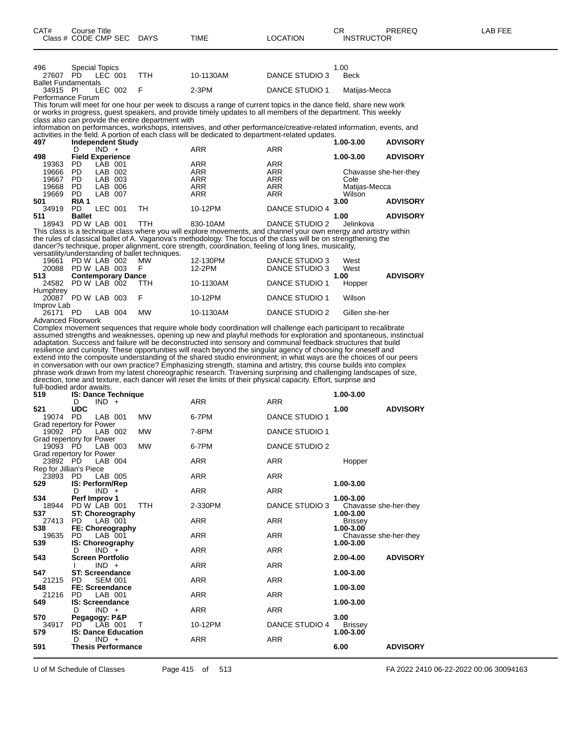| 496                        | <b>Special Topics</b> |           |     |           |                | 1.00          |
|----------------------------|-----------------------|-----------|-----|-----------|----------------|---------------|
| 27607                      | PD.                   | LEC 001   | TTH | 10-1130AM | DANCE STUDIO 3 | Beck          |
| <b>Ballet Fundamentals</b> |                       |           |     |           |                |               |
| 34915 PI                   |                       | LEC 002 F |     | 2-3PM     | DANCE STUDIO 1 | Matiias-Mecca |
| Performance Forum          |                       |           |     |           |                |               |
|                            |                       |           |     |           |                |               |

This forum will meet for one hour per week to discuss a range of current topics in the dance field, share new work or works in progress, guest speakers, and provide timely updates to all members of the department. This weekly class also can provide the entire department with

information on performances, workshops, intensives, and other performance/creative-related information, events, and activities in the field. A portion of each class will be dedicated to department-related updates.

| 497   | <b>Independent Study</b> |     |           |                 | 1.00-3.00             | <b>ADVISORY</b> |
|-------|--------------------------|-----|-----------|-----------------|-----------------------|-----------------|
|       | $IND +$                  |     | ARR       | <b>ARR</b>      |                       |                 |
| 498   | <b>Field Experience</b>  |     | 1.00-3.00 | <b>ADVISORY</b> |                       |                 |
| 19363 | PD<br>LAB 001            |     | ARR       | <b>ARR</b>      |                       |                 |
| 19666 | PD<br>LAB 002            |     | ARR       | <b>ARR</b>      | Chavasse she-her-they |                 |
| 19667 | PD<br>LAB 003            |     | ARR       | <b>ARR</b>      | Cole                  |                 |
| 19668 | PD<br>LAB.<br>006        |     | ARR       | ARR             | Matiias-Mecca         |                 |
| 19669 | PD<br>LAB 007            |     | ARR       | <b>ARR</b>      | Wilson                |                 |
| 501   | RIA <sub>1</sub>         |     |           |                 | 3.00                  | <b>ADVISORY</b> |
| 34919 | PD<br>LEC 001            | тн  | 10-12PM   | DANCE STUDIO 4  |                       |                 |
| 511   | <b>Ballet</b>            |     |           |                 | 1.00                  | <b>ADVISORY</b> |
| 10012 | <b>DD W LAD 004</b>      | ┯┯⊔ | 020.1011  | DANCE CTHOLO 2  | l                     |                 |

18943 PD W LAB 001 TTH 830-10AM DANCE STUDIO 2 Jelinkova This class is a technique class where you will explore movements, and channel your own energy and artistry within the rules of classical ballet of A. Vaganova's methodology. The focus of the class will be on strengthening the dancer?s technique, proper alignment, core strength, coordination, feeling of long lines, musicality,

versatility/understanding of ballet techniques.

| 19661                     | PD W LAB 002 MW           |         |           | 12-130PM  | DANCE STUDIO 3 | West           |                 |
|---------------------------|---------------------------|---------|-----------|-----------|----------------|----------------|-----------------|
| 20088                     | PD W LAB 003              |         | -F.       | 12-2PM    | DANCE STUDIO 3 | West           |                 |
| 513                       | <b>Contemporary Dance</b> |         |           |           |                | 1.00           | <b>ADVISORY</b> |
| 24582 PD W LAB 002 TTH    |                           |         |           | 10-1130AM | DANCE STUDIO 1 | Hopper         |                 |
| Humphrey                  |                           |         |           |           |                |                |                 |
| 20087 PD W LAB 003 F      |                           |         |           | 10-12PM   | DANCE STUDIO 1 | Wilson         |                 |
| Improv Lab                |                           |         |           |           |                |                |                 |
| 26171 PD                  |                           | LAB 004 | <b>MW</b> | 10-1130AM | DANCE STUDIO 2 | Gillen she-her |                 |
| <b>Advanced Floorwork</b> |                           |         |           |           |                |                |                 |

Complex movement sequences that require whole body coordination will challenge each participant to recalibrate assumed strengths and weaknesses, opening up new and playful methods for exploration and spontaneous, instinctual adaptation. Success and failure will be deconstructed into sensory and communal feedback structures that build resilience and curiosity. These opportunities will reach beyond the singular agency of choosing for oneself and extend into the composite understanding of the shared studio environment; in what ways are the choices of our peers in conversation with our own practice? Emphasizing strength, stamina and artistry, this course builds into complex phrase work drawn from my latest choreographic research. Traversing surprising and challenging landscapes of size, direction, tone and texture, each dancer will reset the limits of their physical capacity. Effort, surprise and full-bodied ardor awaits.

| rail boaroa araoi amano:<br>519 |                         |                | <b>IS: Dance Technique</b> |            |            |                       | 1.00-3.00                          |                 |
|---------------------------------|-------------------------|----------------|----------------------------|------------|------------|-----------------------|------------------------------------|-----------------|
|                                 | D.                      | $IND +$        |                            |            | <b>ARR</b> | <b>ARR</b>            |                                    |                 |
| 521                             | <b>UDC</b>              |                |                            |            |            |                       | 1.00                               | <b>ADVISORY</b> |
| 19074                           | PD.                     | LAB 001        |                            | <b>MW</b>  | 6-7PM      | <b>DANCE STUDIO 1</b> |                                    |                 |
| Grad repertory for Power        |                         |                |                            |            |            |                       |                                    |                 |
| 19092 PD                        |                         | LAB 002        |                            | <b>MW</b>  | 7-8PM      | <b>DANCE STUDIO 1</b> |                                    |                 |
| Grad repertory for Power        |                         |                |                            |            |            |                       |                                    |                 |
| 19093 PD                        |                         | LAB 003        |                            | <b>MW</b>  | 6-7PM      | <b>DANCE STUDIO 2</b> |                                    |                 |
| Grad repertory for Power        |                         |                |                            |            |            |                       |                                    |                 |
| 23892 PD                        |                         | LAB 004        |                            |            | ARR        | <b>ARR</b>            | Hopper                             |                 |
| Rep for Jillian's Piece         |                         |                |                            |            |            |                       |                                    |                 |
| 23893 PD LAB 005                |                         |                |                            |            | <b>ARR</b> | <b>ARR</b>            |                                    |                 |
| 529                             | IS: Perform/Rep         |                |                            |            |            |                       | 1.00-3.00                          |                 |
|                                 | D                       | $IND +$        |                            |            | <b>ARR</b> | <b>ARR</b>            |                                    |                 |
| 534                             | Perf Improv 1           |                |                            |            |            |                       | 1.00-3.00                          |                 |
| 18944                           | PD W LAB 001            |                |                            | <b>TTH</b> | 2-330PM    | DANCE STUDIO 3        | Chavasse she-her-they              |                 |
| 537                             |                         |                | <b>ST: Choreography</b>    |            | <b>ARR</b> | <b>ARR</b>            | 1.00-3.00                          |                 |
| 27413 PD<br>538                 |                         | LAB 001        |                            |            |            |                       | <b>Brissey</b><br>1.00-3.00        |                 |
| 19635 PD                        |                         | LAB 001        | FE: Choreography           |            | <b>ARR</b> | <b>ARR</b>            |                                    |                 |
| 539                             |                         |                |                            |            |            |                       | Chavasse she-her-they<br>1.00-3.00 |                 |
|                                 | D                       | $IND^-$ +      | IS: Choreography           |            | <b>ARR</b> | <b>ARR</b>            |                                    |                 |
| 543                             | <b>Screen Portfolio</b> |                |                            |            |            |                       | 2.00-4.00                          | <b>ADVISORY</b> |
|                                 |                         | $IND +$        |                            |            | <b>ARR</b> | <b>ARR</b>            |                                    |                 |
| 547                             | <b>ST: Screendance</b>  |                |                            |            |            |                       | 1.00-3.00                          |                 |
| 21215                           | PD.                     | <b>SEM 001</b> |                            |            | <b>ARR</b> | <b>ARR</b>            |                                    |                 |
| 548                             | FE: Screendance         |                |                            |            |            |                       | 1.00-3.00                          |                 |
| 21216                           | PD.                     | LAB 001        |                            |            | ARR        | <b>ARR</b>            |                                    |                 |
| 549                             | <b>IS: Screendance</b>  |                |                            |            |            |                       | 1.00-3.00                          |                 |
|                                 | D                       | $IND +$        |                            |            | <b>ARR</b> | <b>ARR</b>            |                                    |                 |
| 570                             | Pegagogy: P&P           |                |                            |            |            |                       | 3.00                               |                 |
| 34917                           | PD.                     | LAB 001        |                            | $\top$     | 10-12PM    | DANCE STUDIO 4        | Brissey                            |                 |
| 579                             |                         |                | <b>IS: Dance Education</b> |            |            |                       | 1.00-3.00                          |                 |
|                                 | D                       | $IND +$        |                            |            | ARR        | <b>ARR</b>            |                                    |                 |
| 591                             |                         |                | <b>Thesis Performance</b>  |            |            |                       | 6.00                               | <b>ADVISORY</b> |

U of M Schedule of Classes Page 415 of 513 FA 2022 2410 06-22-2022 00:06 30094163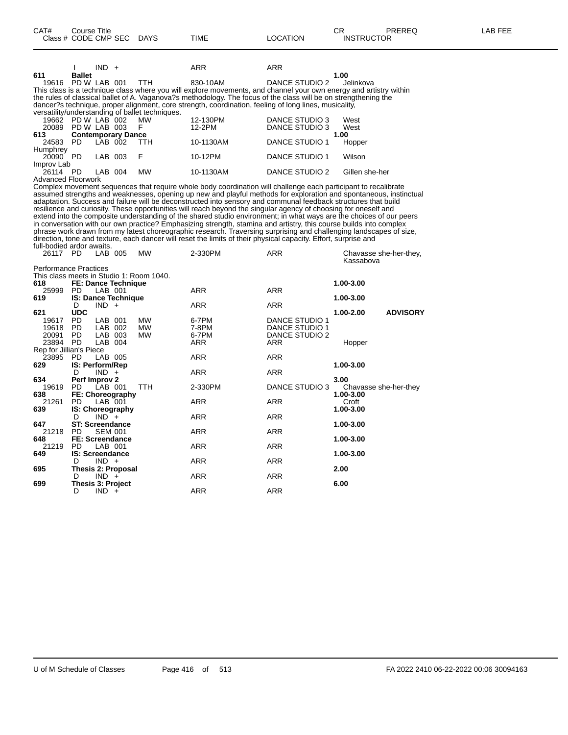|                           |               | $IND +$ |                           |                                                 | <b>ARR</b>                                                                                                         | <b>ARR</b>            |                                                                                                                     |
|---------------------------|---------------|---------|---------------------------|-------------------------------------------------|--------------------------------------------------------------------------------------------------------------------|-----------------------|---------------------------------------------------------------------------------------------------------------------|
| 611                       | <b>Ballet</b> |         |                           |                                                 |                                                                                                                    |                       | 1.00                                                                                                                |
| 19616                     | PD W LAB 001  |         |                           | TTH.                                            | 830-10AM                                                                                                           | DANCE STUDIO 2        | Jelinkova                                                                                                           |
|                           |               |         |                           |                                                 |                                                                                                                    |                       | This class is a technique class where you will explore movements, and channel your own energy and artistry within   |
|                           |               |         |                           |                                                 | the rules of classical ballet of A. Vaganova?s methodology. The focus of the class will be on strengthening the    |                       |                                                                                                                     |
|                           |               |         |                           |                                                 | dancer?s technique, proper alignment, core strength, coordination, feeling of long lines, musicality,              |                       |                                                                                                                     |
|                           |               |         |                           | versatility/understanding of ballet techniques. |                                                                                                                    |                       |                                                                                                                     |
| 19662 PD W LAB 002        |               |         |                           | <b>MW</b>                                       | 12-130PM                                                                                                           | DANCE STUDIO 3        | West                                                                                                                |
| 20089                     | PD W LAB 003  |         |                           | F                                               | 12-2PM                                                                                                             | <b>DANCE STUDIO 3</b> | West                                                                                                                |
| 613                       |               |         | <b>Contemporary Dance</b> |                                                 |                                                                                                                    |                       | 1.00                                                                                                                |
| 24583                     | PD.           | LAB 002 |                           | TTH.                                            | 10-1130AM                                                                                                          | DANCE STUDIO 1        | Hopper                                                                                                              |
| Humphrey                  |               |         |                           |                                                 |                                                                                                                    |                       |                                                                                                                     |
| 20090 PD                  |               | LAB 003 |                           | F                                               | 10-12PM                                                                                                            | DANCE STUDIO 1        | Wilson                                                                                                              |
| Improv Lab                |               |         |                           |                                                 |                                                                                                                    |                       |                                                                                                                     |
| 26114                     | PD.           | LAB 004 |                           | <b>MW</b>                                       | 10-1130AM                                                                                                          | DANCE STUDIO 2        | Gillen she-her                                                                                                      |
| Advanced Floorwork        |               |         |                           |                                                 |                                                                                                                    |                       |                                                                                                                     |
|                           |               |         |                           |                                                 | Complex movement sequences that require whole body coordination will challenge each participant to recalibrate     |                       |                                                                                                                     |
|                           |               |         |                           |                                                 |                                                                                                                    |                       | assumed strengths and weaknesses, opening up new and playful methods for exploration and spontaneous, instinctual   |
|                           |               |         |                           |                                                 | adaptation. Success and failure will be deconstructed into sensory and communal feedback structures that build     |                       |                                                                                                                     |
|                           |               |         |                           |                                                 | resilience and curiosity. These opportunities will reach beyond the singular agency of choosing for oneself and    |                       |                                                                                                                     |
|                           |               |         |                           |                                                 |                                                                                                                    |                       | extend into the composite understanding of the shared studio environment; in what ways are the choices of our peers |
|                           |               |         |                           |                                                 | in conversation with our own practice? Emphasizing strength, stamina and artistry, this course builds into complex |                       |                                                                                                                     |
|                           |               |         |                           |                                                 |                                                                                                                    |                       | phrase work drawn from my latest choreographic research. Traversing surprising and challenging landscapes of size,  |
|                           |               |         |                           |                                                 | direction, tone and texture, each dancer will reset the limits of their physical capacity. Effort, surprise and    |                       |                                                                                                                     |
| full-bodied ardor awaits. |               |         |                           |                                                 |                                                                                                                    |                       |                                                                                                                     |
| 26117 PD                  |               | LAB 005 |                           | MW                                              | 2-330PM                                                                                                            | <b>ARR</b>            | Chavasse she-her-they,                                                                                              |
|                           |               |         |                           |                                                 |                                                                                                                    |                       | Kassabova                                                                                                           |

| <b>Performance Practices</b> |            |                                          |            |            |                |                              |
|------------------------------|------------|------------------------------------------|------------|------------|----------------|------------------------------|
|                              |            | This class meets in Studio 1: Room 1040. |            |            |                |                              |
| 618                          |            | FE: Dance Technique                      |            |            |                | 1.00-3.00                    |
| 25999                        | PD.        | LAB 001                                  |            | ARR        | ARR            |                              |
| 619                          |            | <b>IS: Dance Technique</b>               |            |            |                | 1.00-3.00                    |
|                              | D          | $IND +$                                  |            | ARR        | <b>ARR</b>     |                              |
| 621                          | <b>UDC</b> |                                          |            |            |                | <b>ADVISORY</b><br>1.00-2.00 |
| 19617                        | PD.        | LAB 001                                  | MW         | 6-7PM      | DANCE STUDIO 1 |                              |
| 19618                        | PD.        | 002<br>LAB                               | MW         | 7-8PM      | DANCE STUDIO 1 |                              |
| 20091                        | PD.        | LAB<br>003                               | <b>MW</b>  | 6-7PM      | DANCE STUDIO 2 |                              |
| 23894 PD                     |            | LAB 004                                  |            | ARR        | ARR            | Hopper                       |
| Rep for Jillian's Piece      |            |                                          |            |            |                |                              |
| 23895                        | PD.        | LAB 005                                  |            | <b>ARR</b> | <b>ARR</b>     |                              |
| 629                          |            | <b>IS: Perform/Rep</b>                   |            | 1.00-3.00  |                |                              |
|                              | D          | $IND +$                                  |            | ARR        | ARR            |                              |
| 634                          |            | Perf Improv 2                            |            | 3.00       |                |                              |
| 19619                        | PD         | LAB 001                                  | <b>TTH</b> | 2-330PM    | DANCE STUDIO 3 | Chavasse she-her-they        |
| 638                          |            | FE: Choreography                         |            |            |                | 1.00-3.00                    |
| 21261                        | PD.        | LAB 001                                  |            | ARR        | ARR            | Croft                        |
| 639                          |            | <b>IS: Choreography</b>                  |            |            |                | 1.00-3.00                    |
|                              | D          | $IND +$                                  |            | ARR        | ARR            |                              |
| 647                          |            | <b>ST: Screendance</b>                   |            |            |                | 1.00-3.00                    |
| 21218                        | PD.        | <b>SEM 001</b>                           |            | ARR        | <b>ARR</b>     |                              |
| 648                          |            | FE: Screendance                          |            |            |                | 1.00-3.00                    |
| 21219                        | PD.        | LAB 001                                  |            | ARR        | ARR            |                              |
| 649                          |            | <b>IS: Screendance</b>                   |            |            |                | 1.00-3.00                    |
|                              | D          | $IND +$                                  |            | ARR        | <b>ARR</b>     |                              |
| 695                          |            | Thesis 2: Proposal                       |            |            |                | 2.00                         |
|                              | D          | $IND +$                                  |            | ARR        | <b>ARR</b>     |                              |
| 699                          |            | Thesis 3: Project                        | 6.00       |            |                |                              |
|                              | D          | $IND +$                                  |            | ARR        | ARR            |                              |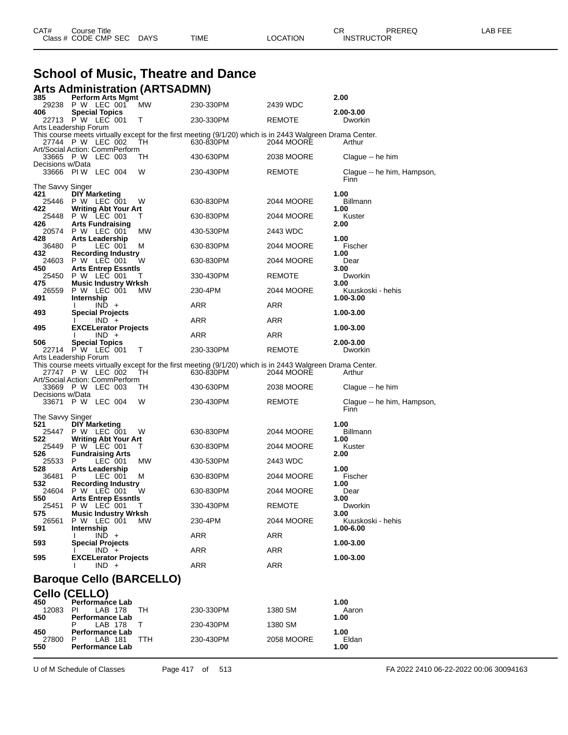| CAT#<br>Course Title      |      |          | ∩⊓<br>◡⊓ | PREREQ            | _AB FEE |
|---------------------------|------|----------|----------|-------------------|---------|
| Class # CODE CMP SEC DAYS | TIME | LOCATION |          | <b>INSTRUCTOR</b> |         |

## **School of Music, Theatre and Dance**

|                  | <b>Arts Administration (ARTSADMN)</b>               |           |                                                                                                                        |            |                                    |
|------------------|-----------------------------------------------------|-----------|------------------------------------------------------------------------------------------------------------------------|------------|------------------------------------|
| 385<br>29238     | <b>Perform Arts Mgmt</b><br>P W LEC 001             | <b>MW</b> | 230-330PM                                                                                                              | 2439 WDC   | 2.00                               |
| 406              | <b>Special Topics</b><br>22713 P W LEC 001          | т         | 230-330PM                                                                                                              | REMOTE     | 2.00-3.00<br>Dworkin               |
|                  | Arts Leadership Forum                               |           |                                                                                                                        |            |                                    |
|                  | 27744 P W LEC 002<br>Art/Social Action: CommPerform | TН        | This course meets virtually except for the first meeting (9/1/20) which is in 2443 Walgreen Drama Center.<br>630-830PM | 2044 MOORE | Arthur                             |
| Decisions w/Data | 33665 P W LEC 003                                   | TН        | 430-630PM                                                                                                              | 2038 MOORE | Clague -- he him                   |
|                  | 33666 PIW LEC 004                                   | W         | 230-430PM                                                                                                              | REMOTE     | Clague -- he him, Hampson,<br>Finn |
| The Savvy Singer |                                                     |           |                                                                                                                        |            |                                    |
| 421<br>25446     | <b>DIY Marketing</b><br>P W LEC 001                 | W         | 630-830PM                                                                                                              | 2044 MOORE | 1.00<br>Billmann                   |
| 422<br>25448     | Writing Abt Your Art<br>P W LEC 001                 | Т         | 630-830PM                                                                                                              | 2044 MOORE | 1.00<br>Kuster                     |
| 426              | <b>Arts Fundraising</b><br>20574 P W LEC 001        | МW        | 430-530PM                                                                                                              | 2443 WDC   | 2.00                               |
| 428<br>36480     | Arts Leadership<br>P<br>LEC 001                     | M         | 630-830PM                                                                                                              | 2044 MOORE | 1.00<br>Fischer                    |
| 432<br>24603     | <b>Recording Industry</b><br>P W LEC 001            | w         | 630-830PM                                                                                                              | 2044 MOORE | 1.00<br>Dear                       |
| 450<br>25450     | <b>Arts Entrep Essntls</b><br>P W LEC 001           | Τ         | 330-430PM                                                                                                              | REMOTE     | 3.00<br>Dworkin                    |
| 475<br>26559     | <b>Music Industry Wrksh</b><br>P W LEC 001          | МW        | 230-4PM                                                                                                                | 2044 MOORE | 3.00<br>Kuuskoski - hehis          |
| 491              | Internship<br>$IND +$                               |           | ARR                                                                                                                    | ARR        | 1.00-3.00                          |
| 493              | <b>Special Projects</b><br>$IND +$                  |           | ARR                                                                                                                    | ARR        | 1.00-3.00                          |
| 495              | <b>EXCELerator Projects</b><br>$IND +$              |           | ARR                                                                                                                    | ARR        | 1.00-3.00                          |
| 506              | <b>Special Topics</b><br>22714 P W LEC 001          | Т         | 230-330PM                                                                                                              | REMOTE     | 2.00-3.00<br>Dworkin               |
|                  | Arts Leadership Forum                               |           |                                                                                                                        |            |                                    |
|                  | 27747 P W LEC 002                                   | TH        | This course meets virtually except for the first meeting (9/1/20) which is in 2443 Walgreen Drama Center.<br>630-830PM | 2044 MOORE | Arthur                             |
|                  | Art/Social Action: CommPerform<br>33669 PW LEC 003  | ТH        | 430-630PM                                                                                                              | 2038 MOORE | Clague -- he him                   |
| Decisions w/Data | 33671 P W LEC 004                                   | W         | 230-430PM                                                                                                              | REMOTE     | Clague -- he him, Hampson,<br>Finn |
| The Savvy Singer |                                                     |           |                                                                                                                        |            |                                    |
| 521<br>25447     | <b>DIY Marketing</b><br>P W LEC 001                 | w         | 630-830PM                                                                                                              | 2044 MOORE | 1.00<br><b>Billmann</b>            |
| 522<br>25449     | <b>Writing Abt Your Art</b><br>P W LEC 001          | Τ         | 630-830PM                                                                                                              | 2044 MOORE | 1.00<br>Kuster                     |
| 526<br>25533     | <b>Fundraising Arts</b><br>P<br>LEC 001             | MW        | 430-530PM                                                                                                              | 2443 WDC   | 2.00                               |
| 528<br>36481     | Arts Leadership<br>P<br>LEC 001                     | M         | 630-830PM                                                                                                              | 2044 MOORE | 1.00<br>Fischer                    |
| 532<br>24604     | <b>Recording Industry</b><br>P W LEC 001            | W         | 630-830PM                                                                                                              | 2044 MOORE | 1.00<br>Dear                       |
| 550<br>25451     | <b>Arts Entrep Essntls</b><br>P W LEC 001           | Т         | 330-430PM                                                                                                              | REMOTE     | 3.00<br>Dworkin                    |
| 575<br>26561     | <b>Music Industry Wrksh</b><br>P W LEC 001          | <b>MW</b> | 230-4PM                                                                                                                | 2044 MOORE | 3.00<br>Kuuskoski - hehis          |
| 591              | Internship<br>$IND +$                               |           |                                                                                                                        |            | 1.00-6.00                          |
| 593              | <b>Special Projects</b>                             |           | ARR<br>ARR                                                                                                             | ARR<br>ARR | 1.00-3.00                          |
| 595              | $IND +$<br><b>EXCELerator Projects</b>              |           |                                                                                                                        |            | 1.00-3.00                          |
|                  | $IND +$<br><b>Baroque Cello (BARCELLO)</b>          |           | ARR                                                                                                                    | ARR        |                                    |
|                  | Cello (CELLO)                                       |           |                                                                                                                        |            |                                    |
| 450              | <b>Performance Lab</b>                              |           |                                                                                                                        |            | 1.00                               |
| 12083<br>450     | PI<br>LAB 178<br>Performance Lab                    | TH        | 230-330PM                                                                                                              | 1380 SM    | Aaron<br>1.00                      |
| 450              | P<br>LAB 178<br><b>Performance Lab</b>              | т         | 230-430PM                                                                                                              | 1380 SM    | 1.00                               |
| 27800<br>550     | P<br>LAB 181<br>Performance Lab                     | TTH       | 230-430PM                                                                                                              | 2058 MOORE | Eldan<br>1.00                      |

U of M Schedule of Classes Page 417 of 513 FA 2022 2410 06-22-2022 00:06 30094163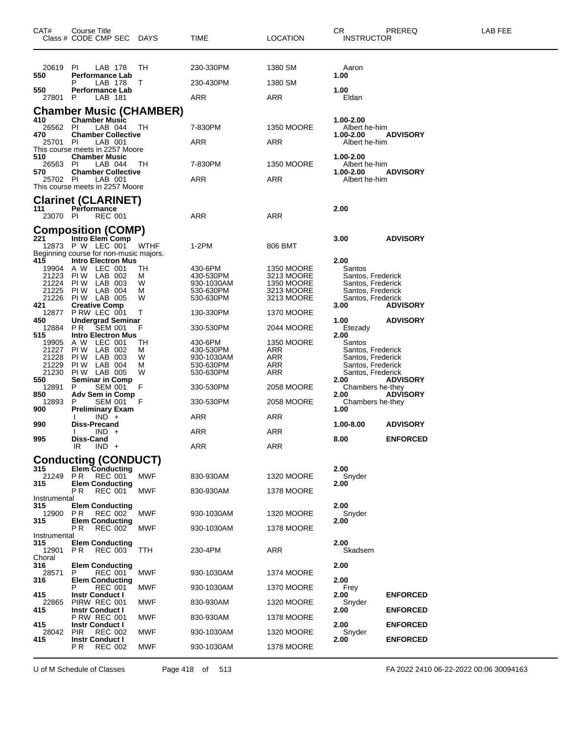| CAT#                | Course Title<br>Class # CODE CMP SEC DAYS                   |            | TIME                    | <b>LOCATION</b>                 | CR.<br><b>INSTRUCTOR</b>               | PREREQ          | LAB FEE |
|---------------------|-------------------------------------------------------------|------------|-------------------------|---------------------------------|----------------------------------------|-----------------|---------|
| 20619<br>550        | PI.<br>LAB 178                                              | TН         | 230-330PM               | 1380 SM                         | Aaron                                  |                 |         |
|                     | <b>Performance Lab</b><br>LAB 178<br>Р                      | T          | 230-430PM               | 1380 SM                         | 1.00                                   |                 |         |
| 550<br>27801        | <b>Performance Lab</b><br>P<br>LAB 181                      |            | ARR                     | ARR                             | 1.00<br>Eldan                          |                 |         |
|                     | Chamber Music (CHAMBER)                                     |            |                         |                                 |                                        |                 |         |
| 410<br>26562 PI     | <b>Chamber Music</b><br>LAB 044                             | ТH         | 7-830PM                 | <b>1350 MOORE</b>               | 1.00-2.00<br>Albert he-him             |                 |         |
| 470<br>25701        | <b>Chamber Collective</b><br><b>PI</b><br>LAB 001           |            | ARR                     | ARR                             | 1.00-2.00<br>Albert he-him             | <b>ADVISORY</b> |         |
| 510                 | This course meets in 2257 Moore<br><b>Chamber Music</b>     |            |                         |                                 | 1.00-2.00                              |                 |         |
| 26563<br>570        | LAB 044<br><b>PI</b><br><b>Chamber Collective</b>           | TH.        | 7-830PM                 | <b>1350 MOORE</b>               | Albert he-him<br>1.00-2.00             | <b>ADVISORY</b> |         |
| 25702 PI            | LAB 001                                                     |            | ARR                     | ARR                             | Albert he-him                          |                 |         |
|                     | This course meets in 2257 Moore                             |            |                         |                                 |                                        |                 |         |
| 111                 | <b>Clarinet (CLARINET)</b><br>Performance                   |            |                         |                                 | 2.00                                   |                 |         |
| 23070 PI            | <b>REC 001</b>                                              |            | ARR                     | ARR                             |                                        |                 |         |
| 221                 | <b>Composition (COMP)</b><br>Intro Elem Comp                |            |                         |                                 | 3.00                                   | <b>ADVISORY</b> |         |
|                     | 12873 P W LEC 001<br>Beginning course for non-music majors. | WTHF       | 1-2PM                   | 806 BMT                         |                                        |                 |         |
| 415<br>19904 A W    | <b>Intro Electron Mus</b><br>LEC 001                        | TН         | 430-6PM                 | <b>1350 MOORE</b>               | 2.00<br>Santos                         |                 |         |
| 21223<br>21224      | PIW LAB 002<br>PIW LAB 003                                  | м<br>W     | 430-530PM<br>930-1030AM | 3213 MOORE<br><b>1350 MOORE</b> | Santos, Frederick<br>Santos, Frederick |                 |         |
| 21225               | PIW LAB 004                                                 | м          | 530-630PM               | 3213 MOORE                      | Santos, Frederick                      |                 |         |
| 21226<br>421        | PIW LAB 005<br><b>Creative Comp</b>                         | W          | 530-630PM               | 3213 MOORE                      | Santos, Frederick<br>3.00              | <b>ADVISORY</b> |         |
| 12877<br>450        | P RW LEC 001<br><b>Undergrad Seminar</b>                    | Т          | 130-330PM               | 1370 MOORE                      | 1.00                                   | <b>ADVISORY</b> |         |
| 12884<br>515        | SEM 001<br>PR.<br><b>Intro Electron Mus</b>                 | F          | 330-530PM               | 2044 MOORE                      | Etezady<br>2.00                        |                 |         |
| 19905<br>21227      | A W LEC 001<br>PIW LAB 002                                  | TН<br>м    | 430-6PM<br>430-530PM    | <b>1350 MOORE</b><br>ARR        | Santos<br>Santos, Frederick            |                 |         |
| 21228<br>21229      | PIW LAB 003<br>PIW LAB 004                                  | W<br>М     | 930-1030AM<br>530-630PM | ARR<br>ARR                      | Santos, Frederick<br>Santos, Frederick |                 |         |
| 21230<br>550        | PIW LAB 005<br><b>Seminar in Comp</b>                       | W          | 530-630PM               | ARR                             | Santos, Frederick<br>2.00              | <b>ADVISORY</b> |         |
| 12891<br>850        | SEM 001<br>P<br>Adv Sem in Comp                             | F          | 330-530PM               | 2058 MOORE                      | Chambers he-they<br>2.00               | <b>ADVISORY</b> |         |
| 12893               | <b>SEM 001</b><br>P                                         | F          | 330-530PM               | 2058 MOORE                      | Chambers he-they                       |                 |         |
| 900                 | <b>Preliminary Exam</b><br>$IND^+$                          |            | ARR                     | ARR                             | 1.00                                   |                 |         |
| 990                 | Diss-Precand<br>$IND +$                                     |            | ARR                     | ARR                             | 1.00-8.00                              | <b>ADVISORY</b> |         |
| 995                 | Diss-Cand<br>$IND +$<br>IR                                  |            | <b>ARR</b>              | <b>ARR</b>                      | 8.00                                   | <b>ENFORCED</b> |         |
|                     | <b>Conducting (CONDUCT)</b>                                 |            |                         |                                 |                                        |                 |         |
| 315<br>21249        | <b>Elem Conducting</b><br>P <sub>R</sub><br>REC 001         | <b>MWF</b> | 830-930AM               | <b>1320 MOORE</b>               | 2.00<br>Snyder                         |                 |         |
| 315                 | <b>Elem Conducting</b><br>P R<br><b>REC 001</b>             | MWF        | 830-930AM               | 1378 MOORE                      | 2.00                                   |                 |         |
| Instrumental<br>315 | <b>Elem Conducting</b>                                      |            |                         |                                 | 2.00                                   |                 |         |
| 12900<br>315        | P R<br><b>REC 002</b><br><b>Elem Conducting</b>             | MWF        | 930-1030AM              | <b>1320 MOORE</b>               | Snyder                                 |                 |         |
|                     | РR<br><b>REC 002</b>                                        | MWF        | 930-1030AM              | 1378 MOORE                      | 2.00                                   |                 |         |
| Instrumental<br>315 | <b>Elem Conducting</b>                                      |            |                         |                                 | 2.00                                   |                 |         |
| 12901<br>Choral     | P R<br><b>REC 003</b>                                       | <b>TTH</b> | 230-4PM                 | ARR                             | Skadsem                                |                 |         |
| 316<br>28571        | <b>Elem Conducting</b><br>P<br><b>REC 001</b>               | MWF        | 930-1030AM              | 1374 MOORE                      | 2.00                                   |                 |         |
| 316                 | <b>Elem Conducting</b><br><b>REC 001</b><br>Р               | MWF        | 930-1030AM              | <b>1370 MOORE</b>               | 2.00<br>Frey                           |                 |         |
| 415<br>22865        | <b>Instr Conduct I</b><br>PIRW REC 001                      | MWF        | 830-930AM               | 1320 MOORE                      | 2.00<br>Snyder                         | <b>ENFORCED</b> |         |
| 415                 | <b>Instr Conduct I</b><br><b>P RW REC 001</b>               | MWF        | 830-930AM               | 1378 MOORE                      | 2.00                                   | <b>ENFORCED</b> |         |
| 415                 | <b>Instr Conduct I</b><br><b>REC 002</b>                    | MWF        |                         |                                 | 2.00                                   | <b>ENFORCED</b> |         |
| 28042<br>415        | <b>PIR</b><br><b>Instr Conduct I</b>                        |            | 930-1030AM              | 1320 MOORE                      | Snyder<br>2.00                         | <b>ENFORCED</b> |         |
|                     | P R<br><b>REC 002</b>                                       | MWF        | 930-1030AM              | 1378 MOORE                      |                                        |                 |         |

U of M Schedule of Classes Page 418 of 513 FA 2022 2410 06-22-2022 00:06 30094163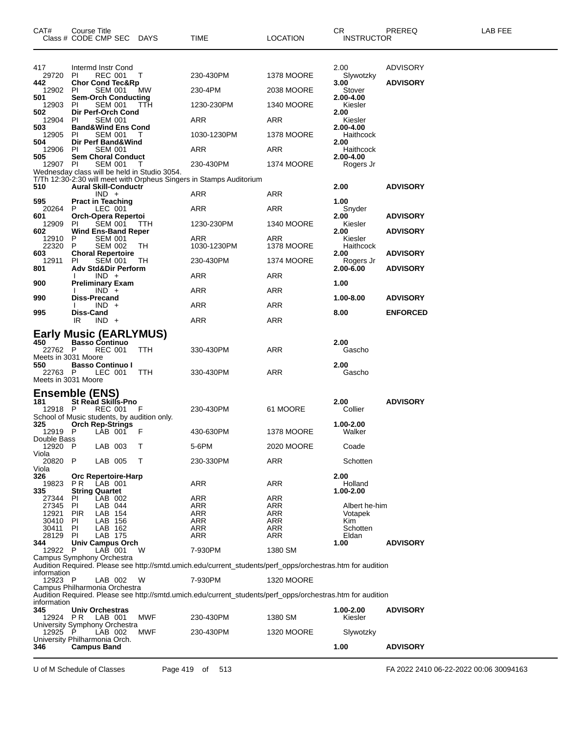| CAT#                           | Course Title     | Class # CODE CMP SEC DAYS                           |                                                    | TIME                                                                                                       | <b>LOCATION</b>   | CR.<br><b>INSTRUCTOR</b> | PREREQ          | LAB FEE |
|--------------------------------|------------------|-----------------------------------------------------|----------------------------------------------------|------------------------------------------------------------------------------------------------------------|-------------------|--------------------------|-----------------|---------|
|                                |                  |                                                     |                                                    |                                                                                                            |                   |                          |                 |         |
| 417                            |                  | Intermd Instr Cond                                  |                                                    |                                                                                                            |                   | 2.00                     | <b>ADVISORY</b> |         |
| 29720<br>442                   | PI               | <b>REC 001</b><br><b>Chor Cond Tec&amp;Rp</b>       | Т                                                  | 230-430PM                                                                                                  | <b>1378 MOORE</b> | Slywotzky<br>3.00        | <b>ADVISORY</b> |         |
| 12902                          | PI               | <b>SEM 001</b>                                      | МW                                                 | 230-4PM                                                                                                    | 2038 MOORE        | Stover                   |                 |         |
| 501<br>12903                   | PI               | <b>Sem-Orch Conducting</b><br><b>SEM 001</b>        | TTH                                                | 1230-230PM                                                                                                 | <b>1340 MOORE</b> | 2.00-4.00<br>Kiesler     |                 |         |
| 502<br>12904                   | PI               | Dir Perf-Orch Cond<br><b>SEM 001</b>                |                                                    | ARR                                                                                                        | ARR               | 2.00<br>Kiesler          |                 |         |
| 503<br>12905                   | PI               | <b>Band&amp;Wind Ens Cond</b><br><b>SEM 001</b>     | т                                                  | 1030-1230PM                                                                                                | 1378 MOORE        | 2.00-4.00<br>Haithcock   |                 |         |
| 504<br>12906                   | PI               | Dir Perf Band&Wind<br><b>SEM 001</b>                |                                                    | ARR                                                                                                        | ARR               | 2.00<br>Haithcock        |                 |         |
| 505                            |                  | <b>Sem Choral Conduct</b><br><b>SEM 001</b>         |                                                    |                                                                                                            |                   | 2.00-4.00                |                 |         |
| 12907 PI                       |                  |                                                     | Wednesday class will be held in Studio 3054.       | 230-430PM                                                                                                  | <b>1374 MOORE</b> | Rogers Jr                |                 |         |
| 510                            |                  | <b>Aural Skill-Conductr</b>                         |                                                    | T/Th 12:30-2:30 will meet with Orpheus Singers in Stamps Auditorium                                        |                   | 2.00                     | <b>ADVISORY</b> |         |
| 595                            |                  | $IND +$<br><b>Pract in Teaching</b>                 |                                                    | ARR                                                                                                        | ARR               | 1.00                     |                 |         |
| 20264<br>601                   | P                | LEC 001<br>Orch-Opera Repertoi                      |                                                    | ARR                                                                                                        | ARR               | Snyder<br>2.00           | <b>ADVISORY</b> |         |
| 12909<br>602                   | PI               | <b>SEM 001</b><br><b>Wind Ens-Band Reper</b>        | TTH                                                | 1230-230PM                                                                                                 | <b>1340 MOORE</b> | Kiesler<br>2.00          | <b>ADVISORY</b> |         |
| 12910                          | P                | <b>SEM 001</b>                                      |                                                    | ARR                                                                                                        | ARR               | Kiesler                  |                 |         |
| 22320<br>603                   | P                | <b>SEM 002</b><br><b>Choral Repertoire</b>          | TН                                                 | 1030-1230PM                                                                                                | <b>1378 MOORE</b> | Haithcock<br>2.00        | <b>ADVISORY</b> |         |
| 12911<br>801                   | PI               | <b>SEM 001</b><br>Adv Std&Dir Perform               | TН                                                 | 230-430PM                                                                                                  | <b>1374 MOORE</b> | Rogers Jr<br>2.00-6.00   | <b>ADVISORY</b> |         |
| 900                            |                  | $IND +$<br>Preliminary Exam                         |                                                    | ARR                                                                                                        | ARR               | 1.00                     |                 |         |
| 990                            |                  | $IND +$<br><b>Diss-Precand</b>                      |                                                    | ARR                                                                                                        | ARR               | 1.00-8.00                | <b>ADVISORY</b> |         |
|                                |                  | $IND +$                                             |                                                    | ARR                                                                                                        | <b>ARR</b>        |                          |                 |         |
| 995                            | Diss-Cand<br>IR  | $IND +$                                             |                                                    | ARR                                                                                                        | ARR               | 8.00                     | <b>ENFORCED</b> |         |
|                                |                  |                                                     | <b>Early Music (EARLYMUS)</b>                      |                                                                                                            |                   |                          |                 |         |
| 450<br>22762 P                 |                  | <b>Basso Continuo</b><br><b>REC 001</b>             | TTH                                                | 330-430PM                                                                                                  | ARR               | 2.00<br>Gascho           |                 |         |
| Meets in 3031 Moore<br>550     |                  | <b>Basso Continuo I</b>                             |                                                    |                                                                                                            |                   | 2.00                     |                 |         |
| 22763 P<br>Meets in 3031 Moore |                  | LEC 001                                             | TTH                                                | 330-430PM                                                                                                  | ARR               | Gascho                   |                 |         |
| <b>Ensemble (ENS)</b>          |                  |                                                     |                                                    |                                                                                                            |                   |                          |                 |         |
| 181                            |                  | <b>St Read Skills-Pno</b>                           |                                                    |                                                                                                            |                   | 2.00                     | <b>ADVISORY</b> |         |
| 12918 P                        |                  | REC 001                                             | - F<br>School of Music students, by audition only. | 230-430PM                                                                                                  | 61 MOORE          | Collier                  |                 |         |
| 325<br>12919 P                 |                  | <b>Orch Rep-Strings</b><br>LAB 001                  | - F                                                | 430-630PM                                                                                                  | <b>1378 MOORE</b> | 1.00-2.00<br>Walker      |                 |         |
| Double Bass<br>12920           | P                | LAB 003                                             | Т                                                  | 5-6PM                                                                                                      | 2020 MOORE        | Coade                    |                 |         |
| Viola<br>20820                 | P                | LAB 005                                             | т                                                  | 230-330PM                                                                                                  | ARR               | Schotten                 |                 |         |
| Viola<br>326                   |                  | <b>Orc Repertoire-Harp</b>                          |                                                    |                                                                                                            |                   | 2.00                     |                 |         |
| 19823                          | P R              | LAB 001                                             |                                                    | <b>ARR</b>                                                                                                 | <b>ARR</b>        | Holland                  |                 |         |
| 335<br>27344                   | <b>PI</b>        | <b>String Quartet</b><br>LAB 002                    |                                                    | ARR                                                                                                        | ARR               | 1.00-2.00                |                 |         |
| 27345<br>12921                 | PI<br><b>PIR</b> | LAB 044<br>LAB 154                                  |                                                    | <b>ARR</b><br>ARR                                                                                          | ARR<br>ARR        | Albert he-him<br>Votapek |                 |         |
| 30410                          | PI               | LAB 156                                             |                                                    | <b>ARR</b>                                                                                                 | ARR               | Kim                      |                 |         |
| 30411<br>28129                 | PI<br><b>PI</b>  | LAB 162<br>LAB 175                                  |                                                    | ARR<br>ARR                                                                                                 | ARR<br>ARR        | Schotten<br>Eldan        |                 |         |
| 344                            |                  | Univ Campus Orch                                    |                                                    |                                                                                                            |                   | 1.00                     | <b>ADVISORY</b> |         |
| 12922                          | P                | LAB 001                                             | W                                                  | 7-930PM                                                                                                    | 1380 SM           |                          |                 |         |
|                                |                  | Campus Symphony Orchestra                           |                                                    | Audition Required. Please see http://smtd.umich.edu/current_students/perf_opps/orchestras.htm for audition |                   |                          |                 |         |
| information<br>12923 P         |                  | LAB 002                                             | W                                                  | 7-930PM                                                                                                    | <b>1320 MOORE</b> |                          |                 |         |
|                                |                  | Campus Philharmonia Orchestra                       |                                                    | Audition Required. Please see http://smtd.umich.edu/current_students/perf_opps/orchestras.htm for audition |                   |                          |                 |         |
| information                    |                  |                                                     |                                                    |                                                                                                            |                   |                          |                 |         |
| 345<br>12924                   | P R              | Univ Orchestras<br>LAB 001                          | MWF                                                | 230-430PM                                                                                                  | 1380 SM           | 1.00-2.00<br>Kiesler     | <b>ADVISORY</b> |         |
| 12925                          | - P              | University Symphony Orchestra<br>LAB 002            | MWF                                                | 230-430PM                                                                                                  | <b>1320 MOORE</b> | Slywotzky                |                 |         |
| 346                            |                  | University Philharmonia Orch.<br><b>Campus Band</b> |                                                    |                                                                                                            |                   | 1.00                     | <b>ADVISORY</b> |         |
|                                |                  |                                                     |                                                    |                                                                                                            |                   |                          |                 |         |

U of M Schedule of Classes Page 419 of 513 FA 2022 2410 06-22-2022 00:06 30094163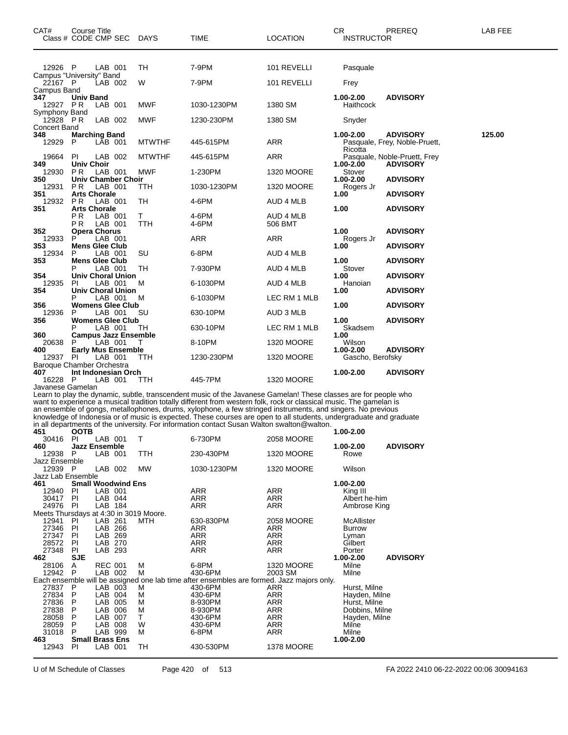| CAT# | Class # CODE CMP SEC                | Course Title                        |                           |                             | <b>DAYS</b>                            | TIME                                                                                                                                                                                                                                                                                                                                                                                                                                                                                                                                                                      | <b>LOCATION</b>       | CR.<br><b>INSTRUCTOR</b>      | PREREQ                                           | LAB FEE |
|------|-------------------------------------|-------------------------------------|---------------------------|-----------------------------|----------------------------------------|---------------------------------------------------------------------------------------------------------------------------------------------------------------------------------------------------------------------------------------------------------------------------------------------------------------------------------------------------------------------------------------------------------------------------------------------------------------------------------------------------------------------------------------------------------------------------|-----------------------|-------------------------------|--------------------------------------------------|---------|
|      |                                     |                                     |                           |                             |                                        |                                                                                                                                                                                                                                                                                                                                                                                                                                                                                                                                                                           |                       |                               |                                                  |         |
|      | 12926 P<br>Campus "University" Band |                                     | LAB 001                   |                             | TН                                     | 7-9PM                                                                                                                                                                                                                                                                                                                                                                                                                                                                                                                                                                     | 101 REVELLI           | Pasquale                      |                                                  |         |
|      | 22167 P                             |                                     | LAB 002                   |                             | W                                      | 7-9PM                                                                                                                                                                                                                                                                                                                                                                                                                                                                                                                                                                     | 101 REVELLI           | Frey                          |                                                  |         |
| 347  | Campus Band<br>12927 PR             | Univ Band                           | LAB 001                   |                             | MWF                                    | 1030-1230PM                                                                                                                                                                                                                                                                                                                                                                                                                                                                                                                                                               | 1380 SM               | 1.00-2.00<br>Haithcock        | <b>ADVISORY</b>                                  |         |
|      | Symphony Band<br>12928 PR           |                                     | LAB 002                   |                             | MWF                                    | 1230-230PM                                                                                                                                                                                                                                                                                                                                                                                                                                                                                                                                                                | 1380 SM               | Snyder                        |                                                  |         |
| 348  | Concert Band<br>12929               | <b>Marching Band</b><br>P           | LĀB 001                   |                             | <b>MTWTHF</b>                          | 445-615PM                                                                                                                                                                                                                                                                                                                                                                                                                                                                                                                                                                 | ARR                   | 1.00-2.00                     | <b>ADVISORY</b><br>Pasquale, Frey, Noble-Pruett, | 125.00  |
|      | 19664                               | PI.                                 | LAB 002                   |                             | <b>MTWTHF</b>                          | 445-615PM                                                                                                                                                                                                                                                                                                                                                                                                                                                                                                                                                                 | ARR                   | Ricotta                       | Pasquale, Noble-Pruett, Frey                     |         |
| 349  | 12930                               | <b>Univ Choir</b><br>P <sub>R</sub> | LAB 001                   |                             | MWF                                    | 1-230PM                                                                                                                                                                                                                                                                                                                                                                                                                                                                                                                                                                   | <b>1320 MOORE</b>     | 1.00-2.00<br>Stover           | <b>ADVISORY</b>                                  |         |
| 350  | 12931                               | P R                                 | LAB 001                   | Univ Chamber Choir          | ттн                                    | 1030-1230PM                                                                                                                                                                                                                                                                                                                                                                                                                                                                                                                                                               | <b>1320 MOORE</b>     | 1.00-2.00<br>Rogers Jr        | <b>ADVISORY</b>                                  |         |
| 351  | 12932                               | <b>Arts Chorale</b><br>P R          | LAB 001                   |                             | TН                                     | 4-6PM                                                                                                                                                                                                                                                                                                                                                                                                                                                                                                                                                                     | AUD 4 MLB             | 1.00                          | <b>ADVISORY</b>                                  |         |
| 351  |                                     | <b>Arts Chorale</b><br>РR           | LAB 001                   |                             | т                                      | 4-6PM                                                                                                                                                                                                                                                                                                                                                                                                                                                                                                                                                                     | AUD 4 MLB             | 1.00                          | <b>ADVISORY</b>                                  |         |
|      |                                     | РR                                  | LAB 001                   |                             | TTH                                    | 4-6PM                                                                                                                                                                                                                                                                                                                                                                                                                                                                                                                                                                     | 506 BMT               |                               |                                                  |         |
| 352  | 12933                               | <b>Opera Chorus</b><br>P            | LAB 001                   |                             |                                        | ARR                                                                                                                                                                                                                                                                                                                                                                                                                                                                                                                                                                       | ARR                   | 1.00<br>Rogers Jr             | <b>ADVISORY</b>                                  |         |
| 353  | 12934                               | <b>Mens Glee Club</b><br>P          | LAB 001                   |                             | SU                                     | 6-8PM                                                                                                                                                                                                                                                                                                                                                                                                                                                                                                                                                                     | AUD 4 MLB             | 1.00                          | <b>ADVISORY</b>                                  |         |
| 353  |                                     | <b>Mens Glee Club</b><br>Р          | LAB 001                   |                             | TН                                     | 7-930PM                                                                                                                                                                                                                                                                                                                                                                                                                                                                                                                                                                   | AUD 4 MLB             | 1.00<br>Stover                | <b>ADVISORY</b>                                  |         |
| 354  | 12935                               | PI.                                 | LAB 001                   | <b>Univ Choral Union</b>    | м                                      | 6-1030PM                                                                                                                                                                                                                                                                                                                                                                                                                                                                                                                                                                  |                       | 1.00                          | <b>ADVISORY</b>                                  |         |
| 354  |                                     |                                     |                           | Univ Choral Union           |                                        |                                                                                                                                                                                                                                                                                                                                                                                                                                                                                                                                                                           | AUD 4 MLB             | Hanoian<br>1.00               | <b>ADVISORY</b>                                  |         |
| 356  |                                     | Р                                   | LAB 001                   | <b>Womens Glee Club</b>     | м                                      | 6-1030PM                                                                                                                                                                                                                                                                                                                                                                                                                                                                                                                                                                  | LEC RM 1 MLB          | 1.00                          | <b>ADVISORY</b>                                  |         |
| 356  | 12936                               | P                                   | LAB 001                   | <b>Womens Glee Club</b>     | SU                                     | 630-10PM                                                                                                                                                                                                                                                                                                                                                                                                                                                                                                                                                                  | AUD 3 MLB             | 1.00                          | <b>ADVISORY</b>                                  |         |
| 360  |                                     | Р                                   | LAB 001                   | <b>Campus Jazz Ensemble</b> | TH                                     | 630-10PM                                                                                                                                                                                                                                                                                                                                                                                                                                                                                                                                                                  | LEC RM 1 MLB          | Skadsem<br>1.00               |                                                  |         |
| 400  | 20638                               | Р                                   | LAB 001                   | <b>Early Mus Ensemble</b>   | т                                      | 8-10PM                                                                                                                                                                                                                                                                                                                                                                                                                                                                                                                                                                    | <b>1320 MOORE</b>     | Wilson<br>1.00-2.00           | <b>ADVISORY</b>                                  |         |
|      | 12937                               | PI                                  | LAB 001                   |                             | TTH                                    | 1230-230PM                                                                                                                                                                                                                                                                                                                                                                                                                                                                                                                                                                | <b>1320 MOORE</b>     | Gascho, Berofsky              |                                                  |         |
| 407  | Baroque Chamber Orchestra           |                                     |                           | Int Indonesian Orch         |                                        |                                                                                                                                                                                                                                                                                                                                                                                                                                                                                                                                                                           |                       | 1.00-2.00                     | <b>ADVISORY</b>                                  |         |
|      | 16228<br>Javanese Gamelan           | P                                   | LAB 001                   |                             | ттн                                    | 445-7PM                                                                                                                                                                                                                                                                                                                                                                                                                                                                                                                                                                   | <b>1320 MOORE</b>     |                               |                                                  |         |
| 451  |                                     | <b>OOTB</b>                         |                           |                             |                                        | Learn to play the dynamic, subtle, transcendent music of the Javanese Gamelan! These classes are for people who<br>want to experience a musical tradition totally different from western folk, rock or classical music. The gamelan is<br>an ensemble of gongs, metallophones, drums, xylophone, a few stringed instruments, and singers. No previous<br>knowledge of Indonesia or of music is expected. These courses are open to all students, undergraduate and graduate<br>in all departments of the university. For information contact Susan Walton swalton@walton. |                       | 1.00-2.00                     |                                                  |         |
| 460  | 30416                               | PI<br><b>Jazz Ensemble</b>          |                           | LAB 001 T                   |                                        | 6-730PM                                                                                                                                                                                                                                                                                                                                                                                                                                                                                                                                                                   | 2058 MOORE            | 1.00-2.00                     | <b>ADVISORY</b>                                  |         |
|      | 12938 P<br>Jazz Ensemble            |                                     | LAB 001                   |                             | TTH                                    | 230-430PM                                                                                                                                                                                                                                                                                                                                                                                                                                                                                                                                                                 | <b>1320 MOORE</b>     | Rowe                          |                                                  |         |
|      | 12939 P                             |                                     | LAB 002                   |                             | <b>MW</b>                              | 1030-1230PM                                                                                                                                                                                                                                                                                                                                                                                                                                                                                                                                                               | 1320 MOORE            | Wilson                        |                                                  |         |
| 461  | Jazz Lab Ensemble                   |                                     |                           | <b>Small Woodwind Ens</b>   |                                        |                                                                                                                                                                                                                                                                                                                                                                                                                                                                                                                                                                           |                       | 1.00-2.00                     |                                                  |         |
|      | 12940<br>30417 PI                   | PI                                  | LAB 001<br>LAB 044        |                             |                                        | <b>ARR</b><br><b>ARR</b>                                                                                                                                                                                                                                                                                                                                                                                                                                                                                                                                                  | ARR<br>ARR            | King III<br>Albert he-him     |                                                  |         |
|      | 24976 PI                            |                                     | LAB 184                   |                             | Meets Thursdays at 4:30 in 3019 Moore. | <b>ARR</b>                                                                                                                                                                                                                                                                                                                                                                                                                                                                                                                                                                | ARR                   | Ambrose King                  |                                                  |         |
|      | 12941<br>27346                      | PI<br>PI.                           | LAB 261<br>LAB 266        |                             | MTH                                    | 630-830PM<br><b>ARR</b>                                                                                                                                                                                                                                                                                                                                                                                                                                                                                                                                                   | 2058 MOORE<br>ARR     | McAllister<br><b>Burrow</b>   |                                                  |         |
|      | 27347                               | PI                                  | LAB 269                   |                             |                                        | <b>ARR</b>                                                                                                                                                                                                                                                                                                                                                                                                                                                                                                                                                                | ARR                   | Lyman                         |                                                  |         |
|      | 28572<br>27348                      | PI<br>PI                            | LAB 270<br>LAB 293        |                             |                                        | <b>ARR</b><br><b>ARR</b>                                                                                                                                                                                                                                                                                                                                                                                                                                                                                                                                                  | <b>ARR</b><br>ARR     | Gilbert<br>Porter             |                                                  |         |
| 462  | 28106<br>12942                      | <b>SJE</b><br>A<br>P                | <b>REC 001</b><br>LAB 002 |                             | м<br>М                                 | 6-8PM<br>430-6PM                                                                                                                                                                                                                                                                                                                                                                                                                                                                                                                                                          | 1320 MOORE<br>2003 SM | 1.00-2.00<br>Milne<br>Milne   | <b>ADVISORY</b>                                  |         |
|      | 27837                               | P                                   | LAB 003                   |                             | м                                      | Each ensemble will be assigned one lab time after ensembles are formed. Jazz majors only.<br>430-6PM                                                                                                                                                                                                                                                                                                                                                                                                                                                                      | ARR                   | Hurst, Milne                  |                                                  |         |
|      | 27834<br>27836                      | P<br>P                              | LAB 004<br>LAB 005        |                             | М<br>М                                 | 430-6PM<br>8-930PM                                                                                                                                                                                                                                                                                                                                                                                                                                                                                                                                                        | <b>ARR</b><br>ARR     | Hayden, Milne<br>Hurst, Milne |                                                  |         |
|      | 27838                               | P                                   | LAB 006                   |                             | М                                      | 8-930PM                                                                                                                                                                                                                                                                                                                                                                                                                                                                                                                                                                   | <b>ARR</b>            | Dobbins, Milne                |                                                  |         |
|      | 28058<br>28059                      | P<br>P                              | LAB 007<br>LAB 008        |                             | T.<br>W                                | 430-6PM<br>430-6PM                                                                                                                                                                                                                                                                                                                                                                                                                                                                                                                                                        | <b>ARR</b><br>ARR     | Hayden, Milne<br>Milne        |                                                  |         |
| 463  | 31018                               | P<br><b>Small Brass Ens</b>         | LAB 999                   |                             | М                                      | 6-8PM                                                                                                                                                                                                                                                                                                                                                                                                                                                                                                                                                                     | <b>ARR</b>            | Milne<br>1.00-2.00            |                                                  |         |
|      | 12943                               | PI                                  | LAB 001                   |                             | TН                                     | 430-530PM                                                                                                                                                                                                                                                                                                                                                                                                                                                                                                                                                                 | 1378 MOORE            |                               |                                                  |         |
|      |                                     |                                     |                           |                             |                                        |                                                                                                                                                                                                                                                                                                                                                                                                                                                                                                                                                                           |                       |                               |                                                  |         |

U of M Schedule of Classes Page 420 of 513 FA 2022 2410 06-22-2022 00:06 30094163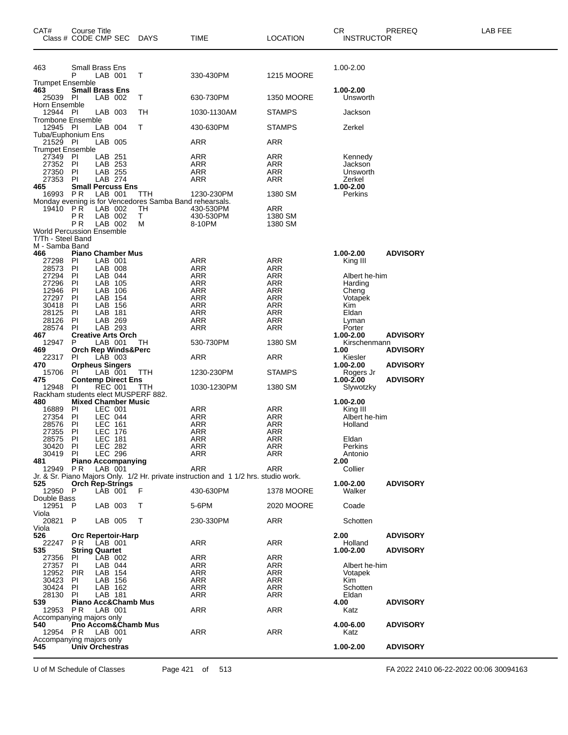| CAT#                                                      | Course Title          | Class # CODE CMP SEC DAYS                             |                                                               | TIME                                                                                | LOCATION           | CR<br><b>INSTRUCTOR</b>   | PREREQ          | <b>LAB FEE</b> |
|-----------------------------------------------------------|-----------------------|-------------------------------------------------------|---------------------------------------------------------------|-------------------------------------------------------------------------------------|--------------------|---------------------------|-----------------|----------------|
| 463                                                       |                       | Small Brass Ens                                       |                                                               |                                                                                     |                    | 1.00-2.00                 |                 |                |
| <b>Trumpet Ensemble</b>                                   | P                     | LAB 001                                               | т                                                             | 330-430PM                                                                           | <b>1215 MOORE</b>  |                           |                 |                |
| 463<br>25039<br>Horn Ensemble                             | PI                    | <b>Small Brass Ens</b><br>LAB 002                     | Т                                                             | 630-730PM                                                                           | <b>1350 MOORE</b>  | 1.00-2.00<br>Unsworth     |                 |                |
| 12944 PI                                                  |                       | LAB 003                                               | TН                                                            | 1030-1130AM                                                                         | <b>STAMPS</b>      | Jackson                   |                 |                |
| Trombone Ensemble<br>12945 PI                             |                       | LAB 004                                               | т                                                             | 430-630PM                                                                           | <b>STAMPS</b>      | Zerkel                    |                 |                |
| Tuba/Euphonium Ens<br>21529 PI<br><b>Trumpet Ensemble</b> |                       | LAB 005                                               |                                                               | ARR                                                                                 | ARR                |                           |                 |                |
| 27349                                                     | PI                    | LAB 251                                               |                                                               | ARR                                                                                 | ARR                | Kennedy                   |                 |                |
| 27352<br>27350                                            | <b>PI</b><br>PI       | LAB 253<br>LAB 255                                    |                                                               | ARR<br><b>ARR</b>                                                                   | ARR<br><b>ARR</b>  | Jackson<br>Unsworth       |                 |                |
| 27353<br>465                                              | <b>PI</b>             | LAB 274<br><b>Small Percuss Ens</b>                   |                                                               | ARR                                                                                 | ARR                | Zerkel<br>1.00-2.00       |                 |                |
| 16993                                                     | <b>PR</b>             | LAB 001                                               | ттн                                                           | 1230-230PM                                                                          | 1380 SM            | Perkins                   |                 |                |
| 19410                                                     | <b>PR</b>             | LAB 002                                               | Monday evening is for Vencedores Samba Band rehearsals.<br>TН | 430-530PM                                                                           | ARR                |                           |                 |                |
|                                                           | ΡR<br>ΡR              | LAB 002<br>LAB 002                                    | т<br>М                                                        | 430-530PM<br>8-10PM                                                                 | 1380 SM<br>1380 SM |                           |                 |                |
| <b>World Percussion Ensemble</b>                          |                       |                                                       |                                                               |                                                                                     |                    |                           |                 |                |
| T/Th - Steel Band<br>M - Samba Band                       |                       |                                                       |                                                               |                                                                                     |                    |                           |                 |                |
| 466<br>27298 PI                                           |                       | <b>Piano Chamber Mus</b><br>LAB 001                   |                                                               | <b>ARR</b>                                                                          | <b>ARR</b>         | 1.00-2.00<br>King III     | <b>ADVISORY</b> |                |
| 28573                                                     | PI                    | LAB 008                                               |                                                               | ARR                                                                                 | ARR                |                           |                 |                |
| 27294<br>27296                                            | PI<br>PI              | LAB 044<br>LAB 105                                    |                                                               | ARR<br><b>ARR</b>                                                                   | ARR<br>ARR         | Albert he-him<br>Harding  |                 |                |
| 12946                                                     | PI                    | LAB 106                                               |                                                               | ARR                                                                                 | ARR                | Cheng                     |                 |                |
| 27297<br>30418                                            | PI<br>-PI             | LAB 154<br>LAB 156                                    |                                                               | ARR<br><b>ARR</b>                                                                   | ARR<br>ARR         | Votapek<br>Kim            |                 |                |
| 28125                                                     | <b>PI</b>             | LAB 181                                               |                                                               | ARR                                                                                 | ARR                | Eldan                     |                 |                |
| 28126<br>28574                                            | PI<br><b>PI</b>       | LAB 269<br>LAB 293                                    |                                                               | ARR<br><b>ARR</b>                                                                   | ARR<br><b>ARR</b>  | Lyman<br>Porter           |                 |                |
| 467                                                       |                       | <b>Creative Arts Orch</b>                             |                                                               |                                                                                     |                    | 1.00-2.00                 | <b>ADVISORY</b> |                |
| 12947<br>469                                              | P                     | LAB 001<br>Orch Rep Winds&Perc                        | TН                                                            | 530-730PM                                                                           | 1380 SM            | Kirschenmann<br>1.00      | <b>ADVISORY</b> |                |
| 22317                                                     | <b>PI</b>             | LAB 003                                               |                                                               | ARR                                                                                 | ARR                | Kiesler                   |                 |                |
| 470<br>15706                                              | -PI                   | <b>Orpheus Singers</b><br>$LAB$ 001                   | TTH                                                           | 1230-230PM                                                                          | <b>STAMPS</b>      | 1.00-2.00<br>Rogers Jr    | <b>ADVISORY</b> |                |
| 475                                                       |                       | <b>Contemp Direct Ens</b>                             |                                                               |                                                                                     |                    | 1.00-2.00                 | <b>ADVISORY</b> |                |
| 12948                                                     | <b>PI</b>             | <b>REC 001</b><br>Rackham students elect MUSPERF 882. | ттн                                                           | 1030-1230PM                                                                         | 1380 SM            | Slywotzky                 |                 |                |
| 480                                                       |                       | <b>Mixed Chamber Music</b>                            |                                                               |                                                                                     |                    | 1.00-2.00                 |                 |                |
| 16889<br>27354                                            | PI<br>PI              | LEC 001<br><b>LEC 044</b>                             |                                                               | ARR<br>ARR                                                                          | ARR<br>ARR         | King III<br>Albert he-him |                 |                |
| 28576                                                     | PI                    | LEC 161                                               |                                                               | ARR                                                                                 | ARR                | Holland                   |                 |                |
| 27355                                                     | PI<br>P               | <b>LEC 176</b>                                        |                                                               | ARR                                                                                 | ARR                |                           |                 |                |
| 28575<br>30420 PI                                         |                       | LEC 181<br>LEC 282                                    |                                                               | ARR<br>ARR                                                                          | ARR<br>ARR         | Eldan<br>Perkins          |                 |                |
| 30419                                                     | PI                    | <b>LEC 296</b>                                        |                                                               | ARR                                                                                 | ARR                | Antonio                   |                 |                |
| 481<br>12949 PR                                           |                       | <b>Piano Accompanying</b><br>LAB 001                  |                                                               | ARR                                                                                 | ARR                | 2.00<br>Collier           |                 |                |
|                                                           |                       |                                                       |                                                               | Jr. & Sr. Piano Majors Only. 1/2 Hr. private instruction and 11/2 hrs. studio work. |                    |                           |                 |                |
| 525<br>12950<br>Double Bass                               | P                     | <b>Orch Rep-Strings</b><br>LAB 001                    | F                                                             | 430-630PM                                                                           | 1378 MOORE         | 1.00-2.00<br>Walker       | <b>ADVISORY</b> |                |
| 12951 P<br>Viola                                          |                       | LAB 003                                               | т                                                             | 5-6PM                                                                               | 2020 MOORE         | Coade                     |                 |                |
| 20821 P<br>Viola                                          |                       | LAB 005                                               | Т                                                             | 230-330PM                                                                           | ARR                | Schotten                  |                 |                |
| 526<br>22247                                              | PR.                   | <b>Orc Repertoir-Harp</b><br>LAB 001                  |                                                               | ARR                                                                                 | ARR                | 2.00<br>Holland           | <b>ADVISORY</b> |                |
| 535                                                       | <b>String Quartet</b> |                                                       |                                                               |                                                                                     |                    | 1.00-2.00                 | <b>ADVISORY</b> |                |
| 27356                                                     | PI.                   | LAB 002                                               |                                                               | ARR                                                                                 | ARR                |                           |                 |                |
| 27357<br>12952                                            | PI<br><b>PIR</b>      | LAB 044<br>LAB 154                                    |                                                               | ARR<br>ARR                                                                          | ARR<br>ARR         | Albert he-him<br>Votapek  |                 |                |
| 30423                                                     | PI.                   | LAB 156                                               |                                                               | ARR                                                                                 | ARR                | Kim                       |                 |                |
| 30424<br>28130                                            | PI<br>-PI             | LAB 162                                               |                                                               | ARR                                                                                 | ARR                | Schotten                  |                 |                |
| 539                                                       |                       | LAB 181<br>Piano Acc&Chamb Mus                        |                                                               | ARR                                                                                 | ARR                | Eldan<br>4.00             | <b>ADVISORY</b> |                |
| 12953 PR                                                  |                       | LAB 001                                               |                                                               | ARR                                                                                 | ARR                | Katz                      |                 |                |
| Accompanying majors only<br>540<br>12954 PR               |                       | <b>Pno Accom&amp;Chamb Mus</b><br>LAB 001             |                                                               | ARR                                                                                 | ARR                | 4.00-6.00<br>Katz         | <b>ADVISORY</b> |                |
| Accompanying majors only                                  |                       |                                                       |                                                               |                                                                                     |                    |                           |                 |                |
| 545                                                       |                       | Univ Orchestras                                       |                                                               |                                                                                     |                    | 1.00-2.00                 | <b>ADVISORY</b> |                |

U of M Schedule of Classes Page 421 of 513 FA 2022 2410 06-22-2022 00:06 30094163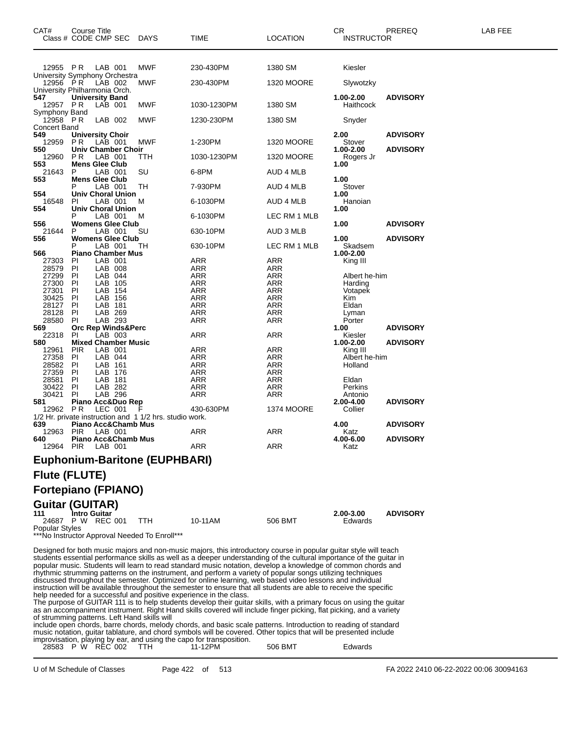| CAT#                      | Course Title<br>Class # CODE CMP SEC                                      | DAYS                                                    | TIME                                                                                                                                                                                                                                                                                                                                                                                                                                                                                                                                                                              | LOCATION          | CR<br><b>INSTRUCTOR</b>      | PREREQ          | LAB FEE |
|---------------------------|---------------------------------------------------------------------------|---------------------------------------------------------|-----------------------------------------------------------------------------------------------------------------------------------------------------------------------------------------------------------------------------------------------------------------------------------------------------------------------------------------------------------------------------------------------------------------------------------------------------------------------------------------------------------------------------------------------------------------------------------|-------------------|------------------------------|-----------------|---------|
| 12955 PR                  | LAB 001                                                                   | MWF                                                     | 230-430PM                                                                                                                                                                                                                                                                                                                                                                                                                                                                                                                                                                         | 1380 SM           | Kiesler                      |                 |         |
| 12956 PR                  | University Symphony Orchestra<br>LAB 002<br>University Philharmonia Orch. | MWF                                                     | 230-430PM                                                                                                                                                                                                                                                                                                                                                                                                                                                                                                                                                                         | <b>1320 MOORE</b> | Slywotzky                    |                 |         |
| 547<br>12957 PR           | <b>University Band</b><br>LAB 001                                         | MWF                                                     | 1030-1230PM                                                                                                                                                                                                                                                                                                                                                                                                                                                                                                                                                                       | 1380 SM           | 1.00-2.00<br>Haithcock       | <b>ADVISORY</b> |         |
| Symphony Band<br>12958 PR | LAB 002                                                                   | MWF                                                     | 1230-230PM                                                                                                                                                                                                                                                                                                                                                                                                                                                                                                                                                                        | 1380 SM           | Snyder                       |                 |         |
| Concert Band              |                                                                           |                                                         |                                                                                                                                                                                                                                                                                                                                                                                                                                                                                                                                                                                   |                   |                              |                 |         |
| 549<br>12959              | <b>University Choir</b><br>P R<br>LAB 001                                 | MWF                                                     | 1-230PM                                                                                                                                                                                                                                                                                                                                                                                                                                                                                                                                                                           | <b>1320 MOORE</b> | 2.00<br>Stover               | <b>ADVISORY</b> |         |
| 550<br>12960              | <b>Univ Chamber Choir</b><br>LAB 001<br>P R                               | TTH                                                     | 1030-1230PM                                                                                                                                                                                                                                                                                                                                                                                                                                                                                                                                                                       | <b>1320 MOORE</b> | 1.00-2.00<br>Rogers Jr       | <b>ADVISORY</b> |         |
| 553<br>21643              | <b>Mens Glee Club</b><br>LAB 001<br>P                                     | SU                                                      | 6-8PM                                                                                                                                                                                                                                                                                                                                                                                                                                                                                                                                                                             | AUD 4 MLB         | 1.00                         |                 |         |
| 553                       | <b>Mens Glee Club</b><br>LAB 001                                          | TН                                                      | 7-930PM                                                                                                                                                                                                                                                                                                                                                                                                                                                                                                                                                                           | AUD 4 MLB         | 1.00<br>Stover               |                 |         |
| 554<br>16548              | <b>Univ Choral Union</b><br>LAB 001<br>PI.                                | м                                                       | 6-1030PM                                                                                                                                                                                                                                                                                                                                                                                                                                                                                                                                                                          | AUD 4 MLB         | 1.00<br>Hanoian              |                 |         |
| 554                       | <b>Univ Choral Union</b><br>LAB 001                                       | M                                                       | 6-1030PM                                                                                                                                                                                                                                                                                                                                                                                                                                                                                                                                                                          | LEC RM 1 MLB      | 1.00                         |                 |         |
| 556<br>21644              | <b>Womens Glee Club</b><br>LAB 001<br>P                                   | SU                                                      | 630-10PM                                                                                                                                                                                                                                                                                                                                                                                                                                                                                                                                                                          | AUD 3 MLB         | 1.00                         | <b>ADVISORY</b> |         |
| 556<br>566                | <b>Womens Glee Club</b><br>LAB 001<br>Р<br><b>Piano Chamber Mus</b>       | TН                                                      | 630-10PM                                                                                                                                                                                                                                                                                                                                                                                                                                                                                                                                                                          | LEC RM 1 MLB      | 1.00<br>Skadsem<br>1.00-2.00 | <b>ADVISORY</b> |         |
| 27303                     | LAB 001<br><b>PI</b>                                                      |                                                         | ARR                                                                                                                                                                                                                                                                                                                                                                                                                                                                                                                                                                               | ARR               | King III                     |                 |         |
| 28579<br>27299            | LAB 008<br>PI<br>LAB 044                                                  |                                                         | ARR                                                                                                                                                                                                                                                                                                                                                                                                                                                                                                                                                                               | ARR               |                              |                 |         |
| 27300                     | PI<br>PI<br>LAB 105                                                       |                                                         | ARR<br><b>ARR</b>                                                                                                                                                                                                                                                                                                                                                                                                                                                                                                                                                                 | ARR<br><b>ARR</b> | Albert he-him<br>Harding     |                 |         |
| 27301                     | LAB 154<br>PI                                                             |                                                         | ARR                                                                                                                                                                                                                                                                                                                                                                                                                                                                                                                                                                               | ARR               | Votapek                      |                 |         |
| 30425                     | ΡI<br>LAB 156                                                             |                                                         | ARR                                                                                                                                                                                                                                                                                                                                                                                                                                                                                                                                                                               | <b>ARR</b>        | Kim                          |                 |         |
| 28127                     | LAB 181<br>ΡI                                                             |                                                         | <b>ARR</b>                                                                                                                                                                                                                                                                                                                                                                                                                                                                                                                                                                        | <b>ARR</b>        | Eldan                        |                 |         |
| 28128                     | LAB 269<br>PI                                                             |                                                         | ARR                                                                                                                                                                                                                                                                                                                                                                                                                                                                                                                                                                               | <b>ARR</b>        | Lyman                        |                 |         |
| 28580                     | LAB 293<br>PI.                                                            |                                                         | ARR                                                                                                                                                                                                                                                                                                                                                                                                                                                                                                                                                                               | ARR               | Porter                       |                 |         |
| 569<br>22318              | Orc Rep Winds&Perc<br>LAB 003<br><b>PI</b>                                |                                                         | ARR                                                                                                                                                                                                                                                                                                                                                                                                                                                                                                                                                                               | ARR               | 1.00<br>Kiesler              | <b>ADVISORY</b> |         |
| 580                       | <b>Mixed Chamber Music</b>                                                |                                                         |                                                                                                                                                                                                                                                                                                                                                                                                                                                                                                                                                                                   |                   | 1.00-2.00                    | <b>ADVISORY</b> |         |
| 12961                     | LAB 001<br><b>PIR</b>                                                     |                                                         | ARR                                                                                                                                                                                                                                                                                                                                                                                                                                                                                                                                                                               | ARR               | King III                     |                 |         |
| 27358                     | LAB 044<br>PI                                                             |                                                         | ARR                                                                                                                                                                                                                                                                                                                                                                                                                                                                                                                                                                               | <b>ARR</b>        | Albert he-him                |                 |         |
| 28582                     | PI<br>LAB 161                                                             |                                                         | ARR                                                                                                                                                                                                                                                                                                                                                                                                                                                                                                                                                                               | ARR               | Holland                      |                 |         |
| 27359                     | PI<br>LAB 176                                                             |                                                         | <b>ARR</b>                                                                                                                                                                                                                                                                                                                                                                                                                                                                                                                                                                        | <b>ARR</b>        |                              |                 |         |
| 28581                     | LAB 181<br>PI                                                             |                                                         | ARR                                                                                                                                                                                                                                                                                                                                                                                                                                                                                                                                                                               | <b>ARR</b>        | Eldan                        |                 |         |
| 30422<br>30421            | LAB 282<br>PI<br>PI<br>LAB 296                                            |                                                         | ARR<br><b>ARR</b>                                                                                                                                                                                                                                                                                                                                                                                                                                                                                                                                                                 | ARR<br>ARR        | Perkins<br>Antonio           |                 |         |
| 581                       | Piano Acc&Duo Rep                                                         |                                                         |                                                                                                                                                                                                                                                                                                                                                                                                                                                                                                                                                                                   |                   | 2.00-4.00                    | <b>ADVISORY</b> |         |
| 12962                     | P R<br>LEC 001                                                            |                                                         | 430-630PM                                                                                                                                                                                                                                                                                                                                                                                                                                                                                                                                                                         | <b>1374 MOORE</b> | Collier                      |                 |         |
|                           |                                                                           | 1/2 Hr. private instruction and 1 1/2 hrs. studio work. |                                                                                                                                                                                                                                                                                                                                                                                                                                                                                                                                                                                   |                   |                              |                 |         |
| 639                       | Piano Acc&Chamb Mus                                                       |                                                         |                                                                                                                                                                                                                                                                                                                                                                                                                                                                                                                                                                                   |                   | 4.00                         | <b>ADVISORY</b> |         |
| 12963 PIR                 | LAB 001                                                                   |                                                         | ARR                                                                                                                                                                                                                                                                                                                                                                                                                                                                                                                                                                               | <b>ARR</b>        | Katz                         |                 |         |
| 640<br>12964 PIR          | Piano Acc&Chamb Mus<br>LAB 001                                            |                                                         | ARR                                                                                                                                                                                                                                                                                                                                                                                                                                                                                                                                                                               | ARR               | 4.00-6.00<br>Katz            | <b>ADVISORY</b> |         |
|                           |                                                                           | <b>Euphonium-Baritone (EUPHBARI)</b>                    |                                                                                                                                                                                                                                                                                                                                                                                                                                                                                                                                                                                   |                   |                              |                 |         |
|                           | <b>Flute (FLUTE)</b>                                                      |                                                         |                                                                                                                                                                                                                                                                                                                                                                                                                                                                                                                                                                                   |                   |                              |                 |         |
|                           | <b>Fortepiano (FPIANO)</b>                                                |                                                         |                                                                                                                                                                                                                                                                                                                                                                                                                                                                                                                                                                                   |                   |                              |                 |         |
| 111                       | <b>Guitar (GUITAR)</b><br><b>Intro Guitar</b>                             |                                                         |                                                                                                                                                                                                                                                                                                                                                                                                                                                                                                                                                                                   |                   | 2.00-3.00                    | <b>ADVISORY</b> |         |
|                           | 24687 P W REC 001                                                         | TTH                                                     | 10-11AM                                                                                                                                                                                                                                                                                                                                                                                                                                                                                                                                                                           | 506 BMT           | Edwards                      |                 |         |
| <b>Popular Styles</b>     | *** No Instructor Approval Needed To Enroll***                            |                                                         |                                                                                                                                                                                                                                                                                                                                                                                                                                                                                                                                                                                   |                   |                              |                 |         |
|                           |                                                                           |                                                         | Designed for both music majors and non-music majors, this introductory course in popular guitar style will teach<br>students essential performance skills as well as a deeper understanding of the cultural importance of the guitar in<br>popular music. Students will learn to read standard music notation, develop a knowledge of common chords and<br>rhythmic strumming patterns on the instrument, and perform a variety of popular songs utilizing techniques<br>discussed throughout the semester. Optimized for online learning, web based video lessons and individual |                   |                              |                 |         |

instruction will be available throughout the semester to ensure that all students are able to receive the specific help needed for a successful and positive experience in the class.

The purpose of GUITAR 111 is to help students develop their guitar skills, with a primary focus on using the guitar as an accompaniment instrument. Right Hand skills covered will include finger picking, flat picking, and a variety of strumming patterns. Left Hand skills will

include open chords, barre chords, melody chords, and basic scale patterns. Introduction to reading of standard music notation, guitar tablature, and chord symbols will be covered. Other topics that will be presented include improvisation, playing by ear, and using the capo for transposition.

|  | 28583 P W REC 002 | 11-12PM | 506 BMT | Edwards |
|--|-------------------|---------|---------|---------|
|  |                   |         |         |         |

U of M Schedule of Classes Page 422 of 513 FA 2022 2410 06-22-2022 00:06 30094163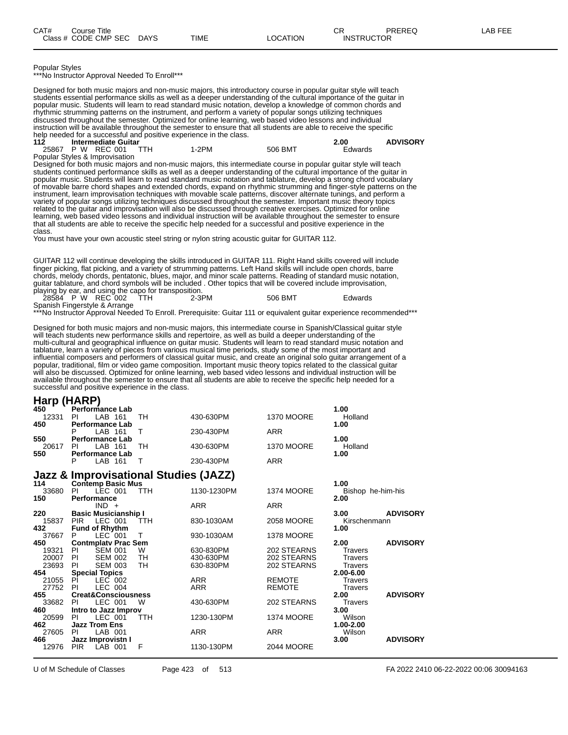Popular Styles

\*\*\*No Instructor Approval Needed To Enroll\*\*\*

Designed for both music majors and non-music majors, this introductory course in popular guitar style will teach students essential performance skills as well as a deeper understanding of the cultural importance of the guitar in popular music. Students will learn to read standard music notation, develop a knowledge of common chords and rhythmic strumming patterns on the instrument, and perform a variety of popular songs utilizing techniques discussed throughout the semester. Optimized for online learning, web based video lessons and individual instruction will be available throughout the semester to ensure that all students are able to receive the specific help needed for a successful and positive experience in the class.<br>112 **Intermediate Guitar** 

**112 Intermediate Guitar 2.00 ADVISORY** P W REC 001 Popular Styles & Improvisation

Designed for both music majors and non-music majors, this intermediate course in popular guitar style will teach students continued performance skills as well as a deeper understanding of the cultural importance of the guitar in popular music. Students will learn to read standard music notation and tablature, develop a strong chord vocabulary of movable barre chord shapes and extended chords, expand on rhythmic strumming and finger-style patterns on the instrument, learn improvisation techniques with movable scale patterns, discover alternate tunings, and perform a variety of popular songs utilizing techniques discussed throughout the semester. Important music theory topics related to the guitar and improvisation will also be discussed through creative exercises. Optimized for online learning, web based video lessons and individual instruction will be available throughout the semester to ensure that all students are able to receive the specific help needed for a successful and positive experience in the class.

You must have your own acoustic steel string or nylon string acoustic guitar for GUITAR 112.

GUITAR 112 will continue developing the skills introduced in GUITAR 111. Right Hand skills covered will include finger picking, flat picking, and a variety of strumming patterns. Left Hand skills will include open chords, barre chords, melody chords, pentatonic, blues, major, and minor scale patterns. Reading of standard music notation, guitar tablature, and chord symbols will be included . Other topics that will be covered include improvisation,

playing by ear, and using the capo for transposition.<br>28584 P W REC 002 TTH 2-3PM 28584 P W REC 002 TTH 2-3PM 506 BMT Edwards

Spanish Fingerstyle & Arrange

\*\*\*No Instructor Approval Needed To Enroll. Prerequisite: Guitar 111 or equivalent guitar experience recommended\*\*\*

Designed for both music majors and non-music majors, this intermediate course in Spanish/Classical guitar style will teach students new performance skills and repertoire, as well as build a deeper understanding of the multi-cultural and geographical influence on guitar music. Students will learn to read standard music notation and tablature, learn a variety of pieces from various musical time periods, study some of the most important and influential composers and performers of classical guitar music, and create an original solo guitar arrangement of a popular, traditional, film or video game composition. Important music theory topics related to the classical guitar will also be discussed. Optimized for online learning, web based video lessons and individual instruction will be available throughout the semester to ensure that all students are able to receive the specific help needed for a successful and positive experience in the class.

#### **Harp (HARP)**

| $\mathbf{u}$ in particular $\mathbf{v}$ |                                         |            |             |                   |                         |
|-----------------------------------------|-----------------------------------------|------------|-------------|-------------------|-------------------------|
| 450<br>12331                            | <b>Performance Lab</b><br>LAB 161<br>PI | TH         | 430-630PM   | <b>1370 MOORE</b> | 1.00<br>Holland         |
| 450                                     | <b>Performance Lab</b>                  |            |             |                   | 1.00                    |
|                                         | LAB 161<br>P                            | Τ          | 230-430PM   | <b>ARR</b>        |                         |
| 550                                     | <b>Performance Lab</b>                  |            |             |                   | 1.00                    |
| 20617                                   | LAB 161<br>PI.                          | <b>TH</b>  | 430-630PM   | <b>1370 MOORE</b> | Holland                 |
| 550                                     | <b>Performance Lab</b>                  |            |             |                   | 1.00                    |
|                                         | LAB 161                                 | т          | 230-430PM   | <b>ARR</b>        |                         |
|                                         | Jazz & Improvisational Studies (JAZZ)   |            |             |                   |                         |
| 114                                     | <b>Contemp Basic Mus</b>                |            |             |                   | 1.00                    |
| 33680                                   | LEC 001<br>PI.                          | <b>TTH</b> | 1130-1230PM | <b>1374 MOORE</b> | Bishop he-him-his       |
| 150                                     | Performance                             |            |             |                   | 2.00                    |
|                                         | $IND +$                                 |            | <b>ARR</b>  | <b>ARR</b>        |                         |
| 220                                     | <b>Basic Musicianship I</b>             |            |             |                   | <b>ADVISORY</b><br>3.00 |
| 15837                                   | LEC 001<br><b>PIR</b>                   | <b>TTH</b> | 830-1030AM  | 2058 MOORE        | Kirschenmann            |
| 432<br>37667                            | <b>Fund of Rhythm</b><br>LEC 001        | т          | 930-1030AM  | <b>1378 MOORE</b> | 1.00                    |
| 450                                     | <b>Contmplatv Prac Sem</b>              |            |             |                   | <b>ADVISORY</b><br>2.00 |
| 19321                                   | <b>SEM 001</b><br>- PI                  | W          | 630-830PM   | 202 STEARNS       | <b>Travers</b>          |
| 20007                                   | - PI<br><b>SEM 002</b>                  | TH         | 430-630PM   | 202 STEARNS       | <b>Travers</b>          |
| 23693                                   | PI<br><b>SEM 003</b>                    | TН         | 630-830PM   | 202 STEARNS       | <b>Travers</b>          |
| 454                                     | <b>Special Topics</b>                   |            |             |                   | 2.00-6.00               |
| 21055                                   | - PI<br>LEC 002                         |            | <b>ARR</b>  | <b>REMOTE</b>     | <b>Travers</b>          |
| 27752                                   | LEC 004<br>PI                           |            | <b>ARR</b>  | <b>REMOTE</b>     | <b>Travers</b>          |
| 455                                     | <b>Creat&amp;Consciousness</b>          |            |             |                   | 2.00<br><b>ADVISORY</b> |
| 33682<br>460                            | LEC 001<br>PI.                          | W          | 430-630PM   | 202 STEARNS       | <b>Travers</b><br>3.00  |
| 20599                                   | Intro to Jazz Improv<br>LEC 001<br>PI   | <b>TTH</b> | 1230-130PM  | <b>1374 MOORE</b> | Wilson                  |
| 462                                     | <b>Jazz Trom Ens</b>                    |            |             |                   | 1.00-2.00               |
| 27605                                   | LAB 001<br>PI                           |            | <b>ARR</b>  | <b>ARR</b>        | Wilson                  |
| 466                                     | Jazz Improvistn I                       |            |             |                   | <b>ADVISORY</b><br>3.00 |
| 12976                                   | <b>PIR</b><br>LAB 001                   | F          | 1130-130PM  | 2044 MOORE        |                         |
|                                         |                                         |            |             |                   |                         |

U of M Schedule of Classes Page 423 of 513 FA 2022 2410 06-22-2022 00:06 30094163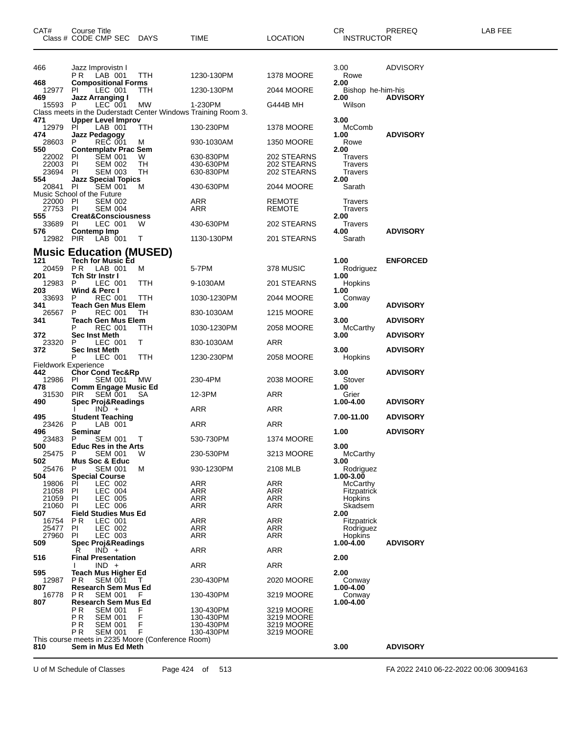| CAT#                                           | <b>Course Title</b><br>Class # CODE CMP SEC DAYS                                  |            | TIME                     | <b>LOCATION</b>            | CR<br><b>INSTRUCTOR</b>     | PREREQ          | LAB FEE |
|------------------------------------------------|-----------------------------------------------------------------------------------|------------|--------------------------|----------------------------|-----------------------------|-----------------|---------|
| 466                                            | Jazz Improvistn I<br>PR LAB 001                                                   | <b>TTH</b> | 1230-130PM               | <b>1378 MOORE</b>          | 3.00<br>Rowe                | ADVISORY        |         |
| 468                                            | <b>Compositional Forms</b>                                                        |            |                          |                            | 2.00                        |                 |         |
| 12977<br>469                                   | LEC 001<br>-PI<br><b>Jazz Arranging I</b>                                         | TTH        | 1230-130PM               | 2044 MOORE                 | Bishop he-him-his<br>2.00   | <b>ADVISORY</b> |         |
| 15593                                          | $LEC$ 001<br>- P<br>Class meets in the Duderstadt Center Windows Training Room 3. | МW         | 1-230PM                  | G444B MH                   | Wilson                      |                 |         |
| 471<br>12979                                   | <b>Upper Level Improv</b><br>PI.<br>LAB 001                                       | TTH        | 130-230PM                | 1378 MOORE                 | 3.00<br>McComb              |                 |         |
| 474<br>28603                                   | Jazz Pedagogy<br><b>REC 001</b><br>P                                              | м          | 930-1030AM               | 1350 MOORE                 | 1.00<br>Rowe                | <b>ADVISORY</b> |         |
| 550<br>22002 PI                                | <b>Contemplaty Prac Sem</b><br><b>SEM 001</b>                                     | W          | 630-830PM                | 202 STEARNS                | 2.00<br><b>Travers</b>      |                 |         |
| 22003<br>23694                                 | PI<br><b>SEM 002</b><br><b>SEM 003</b><br>PI                                      | TН<br>TН   | 430-630PM<br>630-830PM   | 202 STEARNS<br>202 STEARNS | <b>Travers</b><br>Travers   |                 |         |
| 554<br>20841 PI                                | <b>Jazz Special Topics</b><br>SEM 001                                             | м          | 430-630PM                | 2044 MOORE                 | 2.00<br>Sarath              |                 |         |
| 22000                                          | Music School of the Future<br>- PI<br><b>SEM 002</b>                              |            | ARR                      | REMOTE                     | Travers                     |                 |         |
| 27753 PI<br>555                                | <b>SEM 004</b><br><b>Creat&amp;Consciousness</b>                                  |            | ARR                      | REMOTE                     | Travers<br>2.00             |                 |         |
| 33689<br>576                                   | LEC 001<br>- PI<br>Contemp Imp                                                    | W          | 430-630PM                | 202 STEARNS                | Travers<br>4.00             | <b>ADVISORY</b> |         |
| 12982 PIR                                      | LAB 001                                                                           | T          | 1130-130PM               | 201 STEARNS                | Sarath                      |                 |         |
|                                                | <b>Music Education (MUSED)</b>                                                    |            |                          |                            |                             |                 |         |
| 121<br>20459 PR                                | <b>Tech for Music Ed</b><br>LAB 001                                               | M          | 5-7PM                    | 378 MUSIC                  | 1.00<br>Rodriguez           | <b>ENFORCED</b> |         |
| 201<br>12983                                   | <b>Tch Str Instr I</b><br>LEC 001<br>P                                            | TTH        | 9-1030AM                 | 201 STEARNS                | 1.00<br>Hopkins             |                 |         |
| 203<br>33693                                   | Wind & Perc I<br><b>REC 001</b><br>P                                              | TTH        | 1030-1230PM              | 2044 MOORE                 | 1.00<br>Conway              |                 |         |
| 341<br>26567                                   | Teach Gen Mus Elem<br><b>REC 001</b><br>P                                         | TН         | 830-1030AM               | 1215 MOORE                 | 3.00                        | <b>ADVISORY</b> |         |
| 341                                            | <b>Teach Gen Mus Elem</b><br>P<br><b>REC 001</b>                                  | ттн        | 1030-1230PM              | 2058 MOORE                 | 3.00<br>McCarthy            | <b>ADVISORY</b> |         |
| 372<br>23320                                   | <b>Sec Inst Meth</b><br>LEC 001<br>P                                              | Τ          | 830-1030AM               | ARR                        | 3.00                        | <b>ADVISORY</b> |         |
| 372                                            | Sec Inst Meth<br>P<br>LEC 001                                                     | TTH        | 1230-230PM               | 2058 MOORE                 | 3.00<br>Hopkins             | <b>ADVISORY</b> |         |
| <b>Fieldwork Experience</b><br>442<br>12986 PI | Chor Cond Tec&Rp<br>SEM 001                                                       | МW         | 230-4PM                  | 2038 MOORE                 | 3.00<br>Stover              | <b>ADVISORY</b> |         |
| 478<br>31530                                   | <b>Comm Engage Music Ed</b><br>SEM 001<br><b>PIR</b>                              |            | 12-3PM                   | ARR                        | 1.00<br>Grier               |                 |         |
| 490                                            | <b>Spec Proj&amp;Readings</b>                                                     | SA         |                          |                            | 1.00-4.00                   | <b>ADVISORY</b> |         |
| 495                                            | $IND +$<br><b>Student Teaching</b>                                                |            | ARR                      | ARR                        | 7.00-11.00                  | <b>ADVISORY</b> |         |
| 23426<br>496                                   | LAB 001<br>P<br>Seminar                                                           |            | ARR                      | ARR                        | 1.00                        | <b>ADVISORY</b> |         |
| 23483 P<br>500                                 | SEM 001 T<br><b>Educ Res in the Arts</b>                                          |            | 530-730PM                | 1374 MOORE                 | 3.00                        |                 |         |
| 25475<br>502                                   | <b>SEM 001</b><br>P<br><b>Mus Soc &amp; Educ</b>                                  | w          | 230-530PM                | 3213 MOORE                 | <b>McCarthy</b><br>3.00     |                 |         |
| 25476<br>504                                   | P<br>SEM 001<br><b>Special Course</b>                                             | м          | 930-1230PM               | 2108 MLB                   | Rodriguez<br>1.00-3.00      |                 |         |
| 19806                                          | LEC 002<br>PI                                                                     |            | ARR                      | ARR                        | McCarthy                    |                 |         |
| 21058<br>21059                                 | LEC 004<br>-PI<br>LEC 005<br>PI                                                   |            | ARR<br><b>ARR</b>        | ARR<br><b>ARR</b>          | Fitzpatrick<br>Hopkins      |                 |         |
| 21060<br>507                                   | LEC 006<br>PI<br><b>Field Studies Mus Ed</b>                                      |            | <b>ARR</b>               | <b>ARR</b>                 | Skadsem<br>2.00             |                 |         |
| 16754<br>25477                                 | P <sub>R</sub><br>LEC 001<br>LEC 002<br>PI                                        |            | <b>ARR</b><br><b>ARR</b> | <b>ARR</b><br>ARR          | Fitzpatrick<br>Rodriguez    |                 |         |
| 27960<br>509                                   | LEC 003<br>-PI<br><b>Spec Proj&amp;Readings</b>                                   |            | ARR                      | ARR                        | <b>Hopkins</b><br>1.00-4.00 | <b>ADVISORY</b> |         |
| 516                                            | $IND +$<br>R<br><b>Final Presentation</b>                                         |            | ARR                      | <b>ARR</b>                 | 2.00                        |                 |         |
|                                                | $IND +$                                                                           |            | ARR                      | ARR                        |                             |                 |         |
| 595<br>12987                                   | <b>Teach Mus Higher Ed</b><br><b>SEM 001</b><br>P R                               |            | 230-430PM                | 2020 MOORE                 | 2.00<br>Conway              |                 |         |
| 807<br>16778                                   | <b>Research Sem Mus Ed</b><br>PR.<br>SEM 001                                      | E          | 130-430PM                | 3219 MOORE                 | 1.00-4.00<br>Conway         |                 |         |
| 807                                            | <b>Research Sem Mus Ed</b><br>PR.<br><b>SEM 001</b>                               | F          | 130-430PM                | 3219 MOORE                 | 1.00-4.00                   |                 |         |
|                                                | PR<br><b>SEM 001</b><br>PR.<br><b>SEM 001</b>                                     | F<br>F     | 130-430PM<br>130-430PM   | 3219 MOORE<br>3219 MOORE   |                             |                 |         |
|                                                | P R<br><b>SEM 001</b><br>This course meets in 2235 Moore (Conference Room)        | F          | 130-430PM                | 3219 MOORE                 |                             |                 |         |
| 810                                            | Sem in Mus Ed Meth                                                                |            |                          |                            | 3.00                        | <b>ADVISORY</b> |         |

U of M Schedule of Classes Page 424 of 513 FA 2022 2410 06-22-2022 00:06 30094163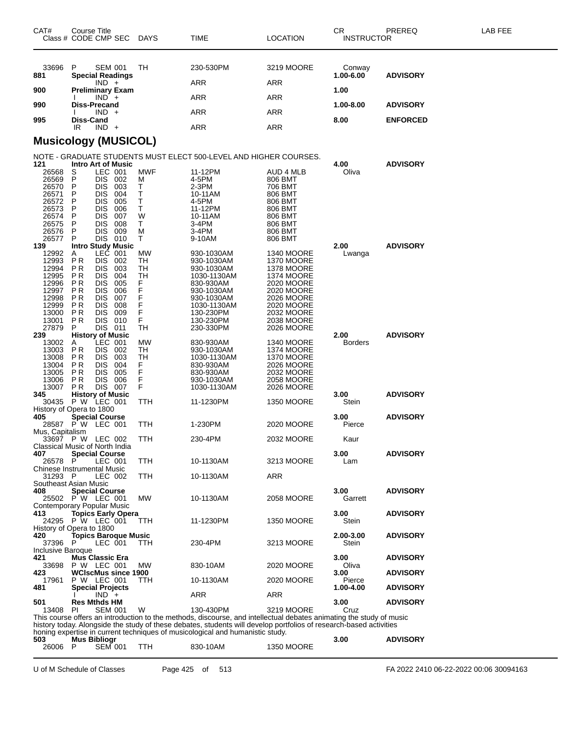| CAT#                                                                                                   | Course Title<br>Class # CODE CMP SEC                                                                                                                                                                                                                                                            | <b>DAYS</b>                                              | TIME                                                                                                                                                 | LOCATION                                                                                                                                                                    | СR<br><b>INSTRUCTOR</b> | PREREQ          | LAB FEE |
|--------------------------------------------------------------------------------------------------------|-------------------------------------------------------------------------------------------------------------------------------------------------------------------------------------------------------------------------------------------------------------------------------------------------|----------------------------------------------------------|------------------------------------------------------------------------------------------------------------------------------------------------------|-----------------------------------------------------------------------------------------------------------------------------------------------------------------------------|-------------------------|-----------------|---------|
| 33696<br>881                                                                                           | P<br><b>SEM 001</b><br><b>Special Readings</b>                                                                                                                                                                                                                                                  | TН                                                       | 230-530PM<br>ARR                                                                                                                                     | 3219 MOORE                                                                                                                                                                  | Conway<br>1.00-6.00     | <b>ADVISORY</b> |         |
| 900                                                                                                    | $IND +$<br><b>Preliminary Exam</b>                                                                                                                                                                                                                                                              |                                                          |                                                                                                                                                      | ARR                                                                                                                                                                         | 1.00                    |                 |         |
| 990                                                                                                    | $IND +$<br><b>Diss-Precand</b>                                                                                                                                                                                                                                                                  |                                                          | ARR                                                                                                                                                  | ARR                                                                                                                                                                         | 1.00-8.00               | <b>ADVISORY</b> |         |
|                                                                                                        | $IND +$                                                                                                                                                                                                                                                                                         |                                                          | ARR                                                                                                                                                  | ARR                                                                                                                                                                         |                         |                 |         |
| 995                                                                                                    | Diss-Cand<br>IR.<br>$IND +$                                                                                                                                                                                                                                                                     |                                                          | ARR                                                                                                                                                  | ARR                                                                                                                                                                         | 8.00                    | <b>ENFORCED</b> |         |
|                                                                                                        | <b>Musicology (MUSICOL)</b>                                                                                                                                                                                                                                                                     |                                                          |                                                                                                                                                      |                                                                                                                                                                             |                         |                 |         |
|                                                                                                        |                                                                                                                                                                                                                                                                                                 |                                                          | NOTE - GRADUATE STUDENTS MUST ELECT 500-LEVEL AND HIGHER COURSES.                                                                                    |                                                                                                                                                                             |                         |                 |         |
| 121<br>26568<br>26569<br>26570<br>26571<br>26572<br>26573<br>26574<br>26575<br>26576                   | <b>Intro Art of Music</b><br>LEC 001<br>S<br>P<br>DIS 002<br><b>DIS</b><br>003<br>P<br><b>DIS</b><br>004<br>P<br>P<br><b>DIS</b><br>005<br>DIS<br>006<br>P<br><b>DIS</b><br>007<br>P<br><b>DIS</b><br>008<br>P<br><b>DIS</b><br>009<br>P                                                        | <b>MWF</b><br>M<br>Т<br>Т<br>Т<br>Т<br>W<br>т<br>М       | 11-12PM<br>4-5PM<br>2-3PM<br>10-11AM<br>4-5PM<br>11-12PM<br>10-11AM<br>3-4PM<br>3-4PM                                                                | AUD 4 MLB<br>806 BMT<br>706 BMT<br>806 BMT<br>806 BMT<br>806 BMT<br>806 BMT<br>806 BMT<br>806 BMT                                                                           | 4.00<br>Oliva           | <b>ADVISORY</b> |         |
| 26577<br>139                                                                                           | DIS 010<br>P<br><b>Intro Study Music</b>                                                                                                                                                                                                                                                        | т                                                        | 9-10AM                                                                                                                                               | 806 BMT                                                                                                                                                                     | 2.00                    | <b>ADVISORY</b> |         |
| 12992<br>12993<br>12994<br>12995<br>12996<br>12997<br>12998<br>12999<br>13000<br>13001<br>27879<br>239 | LEC 001<br>Α<br>P <sub>R</sub><br>DIS 002<br>ΡR<br><b>DIS</b><br>003<br><b>DIS</b><br>004<br>P R<br><b>DIS</b><br>005<br>ΡR<br>ΡR<br>006<br><b>DIS</b><br><b>DIS</b><br>007<br>P <sub>R</sub><br><b>DIS</b><br>008<br>P R<br>ΡR<br><b>DIS</b><br>009<br><b>DIS</b><br>ΡR<br>010<br>P<br>DIS 011 | МW<br>TH<br>TН<br>TН<br>F<br>F<br>F<br>F<br>F<br>F<br>TН | 930-1030AM<br>930-1030AM<br>930-1030AM<br>1030-1130AM<br>830-930AM<br>930-1030AM<br>930-1030AM<br>1030-1130AM<br>130-230PM<br>130-230PM<br>230-330PM | <b>1340 MOORE</b><br><b>1370 MOORE</b><br>1378 MOORE<br><b>1374 MOORE</b><br>2020 MOORE<br>2020 MOORE<br>2026 MOORE<br>2020 MOORE<br>2032 MOORE<br>2038 MOORE<br>2026 MOORE | Lwanga<br>2.00          | <b>ADVISORY</b> |         |
| 13002<br>13003<br>13008<br>13004<br>13005<br>13006<br>13007                                            | <b>History of Music</b><br>LEC 001<br>Α<br>DIS 002<br>P R<br>P R<br>DIS.<br>003<br><b>DIS</b><br>004<br>P R<br><b>DIS</b><br>005<br>P R<br>ΡR<br><b>DIS</b><br>006<br><b>DIS 007</b><br><b>PR</b>                                                                                               | МW<br>TH<br>TН<br>F<br>F<br>F<br>F                       | 830-930AM<br>930-1030AM<br>1030-1130AM<br>830-930AM<br>830-930AM<br>930-1030AM<br>1030-1130AM                                                        | 1340 MOORE<br><b>1374 MOORE</b><br><b>1370 MOORE</b><br>2026 MOORE<br>2032 MOORE<br>2058 MOORE<br>2026 MOORE                                                                | <b>Borders</b>          |                 |         |
| 345<br>30435                                                                                           | <b>History of Music</b><br>P W LEC 001                                                                                                                                                                                                                                                          | TTH                                                      | 11-1230PM                                                                                                                                            | <b>1350 MOORE</b>                                                                                                                                                           | 3.00<br>Stein           | <b>ADVISORY</b> |         |
| 405<br>Mus, Capitalism                                                                                 | History of Opera to 1800<br><b>Special Course</b><br>28587 P W LEC 001                                                                                                                                                                                                                          | TTH                                                      | 1-230PM                                                                                                                                              | 2020 MOORE                                                                                                                                                                  | 3.00<br>Pierce          | <b>ADVISORY</b> |         |
|                                                                                                        | 33697 P W LEC 002                                                                                                                                                                                                                                                                               | TTH                                                      | 230-4PM                                                                                                                                              | 2032 MOORE                                                                                                                                                                  | Kaur                    |                 |         |
| 407<br>26578                                                                                           | Classical Music of North India<br><b>Special Course</b><br>P<br>LEC 001<br><b>Chinese Instrumental Music</b>                                                                                                                                                                                    | TTH                                                      | 10-1130AM                                                                                                                                            | 3213 MOORE                                                                                                                                                                  | 3.00<br>Lam             | <b>ADVISORY</b> |         |
| 31293 P                                                                                                | LEC 002                                                                                                                                                                                                                                                                                         | TTH                                                      | 10-1130AM                                                                                                                                            | ARR                                                                                                                                                                         |                         |                 |         |
| 408                                                                                                    | Southeast Asian Music<br><b>Special Course</b><br>25502 PW LEC 001<br>Contemporary Popular Music                                                                                                                                                                                                | MW                                                       | 10-1130AM                                                                                                                                            | 2058 MOORE                                                                                                                                                                  | 3.00<br>Garrett         | <b>ADVISORY</b> |         |
| 413<br>24295                                                                                           | <b>Topics Early Opera</b><br>P W LEC 001                                                                                                                                                                                                                                                        | ттн                                                      | 11-1230PM                                                                                                                                            | <b>1350 MOORE</b>                                                                                                                                                           | 3.00<br>Stein           | <b>ADVISORY</b> |         |
| 420<br>37396<br>Inclusive Baroque                                                                      | History of Opera to 1800<br><b>Topics Baroque Music</b><br>LEC 001<br>P                                                                                                                                                                                                                         | TTH                                                      | 230-4PM                                                                                                                                              | 3213 MOORE                                                                                                                                                                  | 2.00-3.00<br>Stein      | <b>ADVISORY</b> |         |
| 421<br>33698                                                                                           | <b>Mus Classic Era</b><br>P W LEC 001                                                                                                                                                                                                                                                           | МW                                                       | 830-10AM                                                                                                                                             | 2020 MOORE                                                                                                                                                                  | 3.00<br>Oliva           | <b>ADVISORY</b> |         |
| 423<br>17961                                                                                           | <b>WCIscMus since 1900</b><br>P W LEC 001                                                                                                                                                                                                                                                       | ттн                                                      | 10-1130AM                                                                                                                                            | 2020 MOORE                                                                                                                                                                  | 3.00<br>Pierce          | <b>ADVISORY</b> |         |
| 481                                                                                                    | <b>Special Projects</b><br>$IND +$                                                                                                                                                                                                                                                              |                                                          | ARR                                                                                                                                                  | <b>ARR</b>                                                                                                                                                                  | 1.00-4.00               | <b>ADVISORY</b> |         |
| 501<br>13408                                                                                           | <b>Res Mthds HM</b><br>-PI<br><b>SEM 001</b>                                                                                                                                                                                                                                                    | W                                                        | 130-430PM                                                                                                                                            | 3219 MOORE                                                                                                                                                                  | 3.00<br>Cruz            | <b>ADVISORY</b> |         |
|                                                                                                        |                                                                                                                                                                                                                                                                                                 |                                                          | This course offers an introduction to the methods, discourse, and intellectual debates animating the study of music                                  |                                                                                                                                                                             |                         |                 |         |

history today. Alongside the study of these debates, students will develop portfolios of research-based activities honing expertise in current techniques of musicological and humanistic study.

 **Mus Bibliogr 3.00 ADVISORY** P SEM 001 TTH 830-10AM 1350 MOORE

U of M Schedule of Classes Page 425 of 513 FA 2022 2410 06-22-2022 00:06 30094163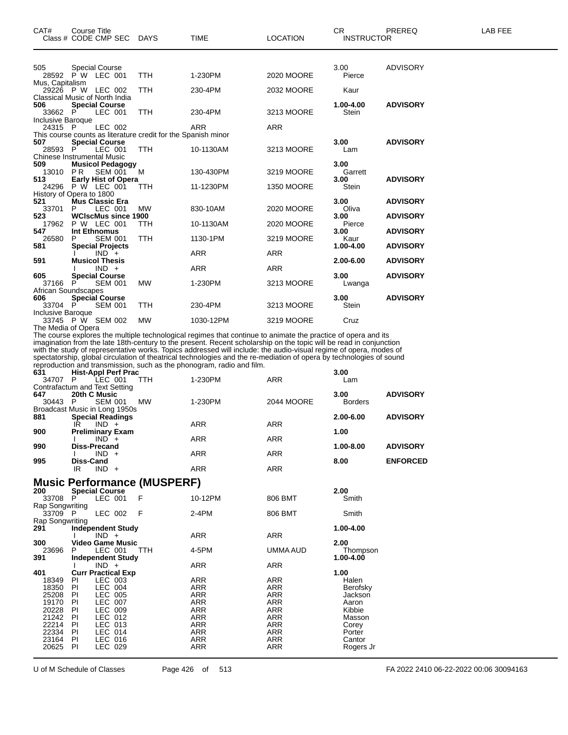| CAT#                     | Course Title                                                  |            |            |                   | CR.               | PREREQ          | LAB FEE |
|--------------------------|---------------------------------------------------------------|------------|------------|-------------------|-------------------|-----------------|---------|
|                          | Class # CODE CMP SEC DAYS                                     |            | TIME       | <b>LOCATION</b>   | <b>INSTRUCTOR</b> |                 |         |
| 505                      | <b>Special Course</b>                                         |            |            |                   | 3.00              | <b>ADVISORY</b> |         |
|                          | 28592 PW LEC 001                                              | <b>TTH</b> | 1-230PM    | 2020 MOORE        | Pierce            |                 |         |
| Mus, Capitalism          |                                                               |            |            |                   |                   |                 |         |
|                          | 29226 P W LEC 002                                             | <b>TTH</b> | 230-4PM    | 2032 MOORE        | Kaur              |                 |         |
|                          | Classical Music of North India                                |            |            |                   |                   |                 |         |
| 506                      | <b>Special Course</b>                                         |            |            |                   | 1.00-4.00         | <b>ADVISORY</b> |         |
| 33662 P                  | LEC 001                                                       | <b>TTH</b> | 230-4PM    | 3213 MOORE        | Stein             |                 |         |
| Inclusive Baroque        |                                                               |            |            |                   |                   |                 |         |
| 24315 P                  | LEC 002                                                       |            | <b>ARR</b> | <b>ARR</b>        |                   |                 |         |
|                          | This course counts as literature credit for the Spanish minor |            |            |                   |                   |                 |         |
| 507<br>28593             | <b>Special Course</b><br>LEC 001<br>P                         | TTH.       | 10-1130AM  | 3213 MOORE        | 3.00<br>Lam       | <b>ADVISORY</b> |         |
|                          | <b>Chinese Instrumental Music</b>                             |            |            |                   |                   |                 |         |
| 509                      | <b>Musicol Pedagogy</b>                                       |            |            |                   | 3.00              |                 |         |
| 13010 PR                 | SEM 001                                                       | M          | 130-430PM  | 3219 MOORE        | Garrett           |                 |         |
| 513                      | <b>Early Hist of Opera</b>                                    |            |            |                   | 3.00              | <b>ADVISORY</b> |         |
|                          | 24296 P W LEC 001                                             | <b>TTH</b> | 11-1230PM  | <b>1350 MOORE</b> | Stein             |                 |         |
|                          | History of Opera to 1800                                      |            |            |                   |                   |                 |         |
| 521                      | Mus Classic Era                                               |            |            |                   | 3.00              | <b>ADVISORY</b> |         |
| 33701                    | LEC 001                                                       | <b>MW</b>  | 830-10AM   | 2020 MOORE        | Oliva             |                 |         |
| 523                      | <b>WCIscMus since 1900</b>                                    |            |            |                   | 3.00              | <b>ADVISORY</b> |         |
| 17962                    | P W LEC 001                                                   | <b>TTH</b> | 10-1130AM  | 2020 MOORE        | Pierce            |                 |         |
| 547                      | Int Ethnomus                                                  |            |            |                   | 3.00              | <b>ADVISORY</b> |         |
| 26580                    | <b>SEM 001</b>                                                | <b>TTH</b> | 1130-1PM   | 3219 MOORE        | Kaur              |                 |         |
| 581                      | <b>Special Projects</b>                                       |            |            |                   | 1.00-4.00         | <b>ADVISORY</b> |         |
|                          | $IND +$                                                       |            | <b>ARR</b> | <b>ARR</b>        |                   |                 |         |
| 591                      | <b>Musicol Thesis</b>                                         |            |            |                   | 2.00-6.00         | <b>ADVISORY</b> |         |
|                          | $IND +$                                                       |            | <b>ARR</b> | <b>ARR</b>        |                   |                 |         |
| 605                      | <b>Special Course</b>                                         |            |            |                   | 3.00              | <b>ADVISORY</b> |         |
| 37166 P                  | <b>SEM 001</b>                                                | <b>MW</b>  | 1-230PM    | 3213 MOORE        | Lwanga            |                 |         |
| 606                      | African Soundscapes                                           |            |            |                   | 3.00              | <b>ADVISORY</b> |         |
| 33704 P                  | <b>Special Course</b><br><b>SEM 001</b>                       | TTH.       | 230-4PM    | 3213 MOORE        | Stein             |                 |         |
| <b>Inclusive Baroque</b> |                                                               |            |            |                   |                   |                 |         |
|                          | 33745 P W SEM 002                                             | <b>MW</b>  | 1030-12PM  | 3219 MOORE        | Cruz              |                 |         |

The Media of Opera The course explores the multiple technological regimes that continue to animate the practice of opera and its imagination from the late 18th-century to the present. Recent scholarship on the topic will be read in conjunction with the study of representative works. Topics addressed will include: the audio-visual regime of opera, modes of spectatorship, global circulation of theatrical technologies and the re-mediation of opera by technologies of sound reproduction and transmission, such as the phonogram, radio and film.

| 631   | <b>Hist-Appl Perf Prac</b>    |            |            |            | 3.00           |                 |
|-------|-------------------------------|------------|------------|------------|----------------|-----------------|
| 34707 | LEC 001<br>P                  | <b>TTH</b> | 1-230PM    | <b>ARR</b> | Lam            |                 |
|       | Contrafactum and Text Setting |            |            |            |                |                 |
| 647   | 20th C Music                  |            |            |            | 3.00           | <b>ADVISORY</b> |
| 30443 | <b>SEM 001</b><br>- P         | МW         | 1-230PM    | 2044 MOORE | <b>Borders</b> |                 |
|       | Broadcast Music in Long 1950s |            |            |            |                |                 |
| 881   | <b>Special Readings</b>       |            |            |            | 2.00-6.00      | <b>ADVISORY</b> |
|       | $IND +$<br>IR                 |            | <b>ARR</b> | <b>ARR</b> |                |                 |
| 900   | <b>Preliminary Exam</b>       |            |            |            | 1.00           |                 |
|       | $IND +$                       |            | <b>ARR</b> | <b>ARR</b> |                |                 |
| 990   | <b>Diss-Precand</b>           |            |            |            | 1.00-8.00      | <b>ADVISORY</b> |
|       | $IND +$                       |            | <b>ARR</b> | <b>ARR</b> |                |                 |
| 995   | Diss-Cand                     |            |            |            | 8.00           | <b>ENFORCED</b> |
|       | <b>IND</b><br>IR<br>$+$       |            | <b>ARR</b> | ARR        |                |                 |
|       |                               |            |            |            |                |                 |

#### **Music Performance (MUSPERF)**

| 200             | <b>Special Course</b>     |                |                          |       |            |            | 2.00      |
|-----------------|---------------------------|----------------|--------------------------|-------|------------|------------|-----------|
| 33708           | P                         | LEC 001        |                          | F     | 10-12PM    | 806 BMT    | Smith     |
| Rap Songwriting |                           |                |                          |       |            |            |           |
| 33709 P         |                           | LEC 002        |                          | - F   | $2-4PM$    | 806 BMT    | Smith     |
| Rap Songwriting |                           |                |                          |       |            |            |           |
| 291             | <b>Independent Study</b>  |                |                          |       |            |            | 1.00-4.00 |
|                 |                           | $IND +$        |                          |       | ARR        | ARR        |           |
| 300             |                           |                | <b>Video Game Music</b>  |       |            |            | 2.00      |
| 23696           | P.                        | LEC 001        |                          | - TTH | 4-5PM      | UMMA AUD   | Thompson  |
| 391             |                           |                | <b>Independent Study</b> |       |            |            | 1.00-4.00 |
|                 |                           | $IND +$        |                          |       | <b>ARR</b> | <b>ARR</b> |           |
| 401             | <b>Curr Practical Exp</b> |                |                          |       |            |            | 1.00      |
| 18349           | PL                        | LEC 003        |                          |       | ARR        | ARR        | Halen     |
| 18350           | PI                        | LEC 004        |                          |       | <b>ARR</b> | <b>ARR</b> | Berofsky  |
| 25208           | PI.                       | LEC 005        |                          |       | ARR        | ARR        | Jackson   |
| 19170           | <b>PI</b>                 | <b>LEC 007</b> |                          |       | <b>ARR</b> | <b>ARR</b> | Aaron     |
| 20228           | <b>PI</b>                 | LEC 009        |                          |       | <b>ARR</b> | <b>ARR</b> | Kibbie    |
| 21242           | PI                        | LEC 012        |                          |       | ARR        | <b>ARR</b> | Masson    |
| 22214           | PI                        | LEC 013        |                          |       | <b>ARR</b> | <b>ARR</b> | Corey     |
| 22334           | <b>PI</b>                 | LEC 014        |                          |       | <b>ARR</b> | <b>ARR</b> | Porter    |
| 23164           | PI                        | LEC 016        |                          |       | ARR        | <b>ARR</b> | Cantor    |
| 20625           | PI                        | LEC 029        |                          |       | ARR        | <b>ARR</b> | Rogers Jr |
|                 |                           |                |                          |       |            |            |           |

U of M Schedule of Classes Page 426 of 513 FA 2022 2410 06-22-2022 00:06 30094163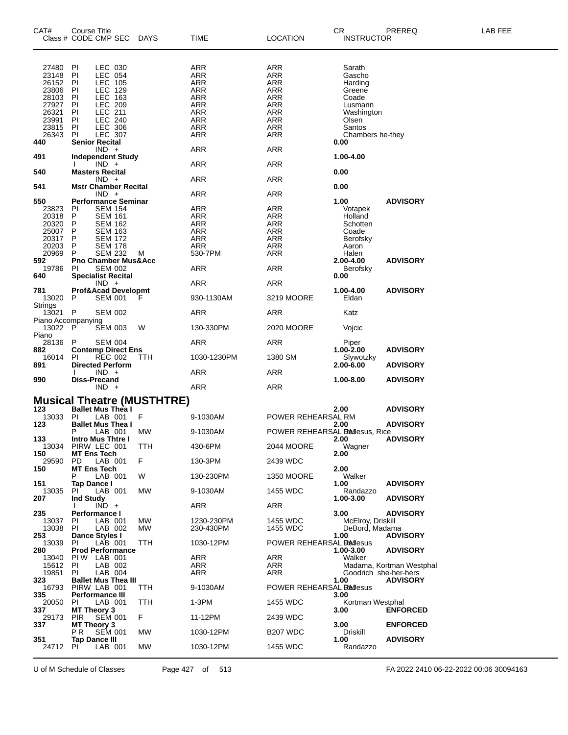| CAT#                        | Course Title<br>Class # CODE CMP SEC               | DAYS                              | TIME                     | <b>LOCATION</b>                  | CR<br><b>INSTRUCTOR</b> | PREREQ                   | LAB FEE |
|-----------------------------|----------------------------------------------------|-----------------------------------|--------------------------|----------------------------------|-------------------------|--------------------------|---------|
| 27480                       | PI<br>LEC 030                                      |                                   | ARR                      | ARR                              | Sarath                  |                          |         |
| 23148                       | PI<br><b>LEC 054</b>                               |                                   | <b>ARR</b>               | <b>ARR</b>                       | Gascho                  |                          |         |
| 26152                       | <b>LEC 105</b><br>PI                               |                                   | ARR                      | ARR                              | Harding                 |                          |         |
| 23806                       | LEC 129<br>PI                                      |                                   | <b>ARR</b>               | <b>ARR</b>                       | Greene                  |                          |         |
| 28103                       | LEC 163<br>PI                                      |                                   | <b>ARR</b>               | <b>ARR</b>                       | Coade                   |                          |         |
| 27927<br>26321              | LEC 209<br>PI<br>LEC 211<br>PI                     |                                   | ARR                      | ARR                              | Lusmann                 |                          |         |
| 23991                       | <b>LEC 240</b><br>ΡI                               |                                   | <b>ARR</b><br><b>ARR</b> | <b>ARR</b><br><b>ARR</b>         | Washington<br>Olsen     |                          |         |
| 23815                       | LEC 306<br>PI                                      |                                   | <b>ARR</b>               | ARR                              | Santos                  |                          |         |
| 26343                       | PI<br><b>LEC 307</b>                               |                                   | <b>ARR</b>               | <b>ARR</b>                       | Chambers he-they        |                          |         |
| 440                         | <b>Senior Recital</b>                              |                                   |                          |                                  | 0.00                    |                          |         |
|                             | $IND +$                                            |                                   | ARR                      | ARR                              |                         |                          |         |
| 491                         | <b>Independent Study</b>                           |                                   |                          |                                  | 1.00-4.00               |                          |         |
|                             | $IND +$                                            |                                   | ARR                      | ARR                              |                         |                          |         |
| 540                         | <b>Masters Recital</b><br>$IND +$                  |                                   | ARR                      | <b>ARR</b>                       | 0.00                    |                          |         |
| 541                         | <b>Mstr Chamber Recital</b>                        |                                   |                          |                                  | 0.00                    |                          |         |
|                             | $IND +$                                            |                                   | ARR                      | ARR                              |                         |                          |         |
| 550                         | <b>Performance Seminar</b>                         |                                   |                          |                                  | 1.00                    | <b>ADVISORY</b>          |         |
| 23823                       | SEM 154<br>PI                                      |                                   | ARR                      | ARR                              | Votapek                 |                          |         |
| 20318                       | P<br><b>SEM 161</b>                                |                                   | ARR                      | ARR                              | Holland                 |                          |         |
| 20320                       | <b>SEM 162</b><br>P                                |                                   | ARR                      | <b>ARR</b>                       | Schotten                |                          |         |
| 25007                       | P<br><b>SEM 163</b>                                |                                   | ARR                      | <b>ARR</b>                       | Coade                   |                          |         |
| 20317<br>20203              | P<br><b>SEM 172</b>                                |                                   | <b>ARR</b>               | ARR                              | Berofsky                |                          |         |
| 20969                       | <b>SEM 178</b><br>P<br><b>SEM 232</b><br>P         | M                                 | <b>ARR</b><br>530-7PM    | ARR<br><b>ARR</b>                | Aaron<br>Halen          |                          |         |
| 592                         | <b>Pno Chamber Mus&amp;Acc</b>                     |                                   |                          |                                  | 2.00-4.00               | <b>ADVISORY</b>          |         |
| 19786                       | <b>SEM 002</b><br><b>PI</b>                        |                                   | <b>ARR</b>               | ARR                              | Berofsky                |                          |         |
| 640                         | <b>Specialist Recital</b>                          |                                   |                          |                                  | 0.00                    |                          |         |
|                             | $IND +$                                            |                                   | ARR                      | ARR                              |                         |                          |         |
| 781                         | Prof&Acad Developmt                                |                                   |                          |                                  | 1.00-4.00               | <b>ADVISORY</b>          |         |
| 13020                       | <b>SEM 001</b><br>P                                | F                                 | 930-1130AM               | 3219 MOORE                       | Eldan                   |                          |         |
| Strings                     |                                                    |                                   |                          |                                  |                         |                          |         |
| 13021<br>Piano Accompanying | $\mathsf{P}$<br><b>SEM 002</b>                     |                                   | ARR                      | ARR                              | Katz                    |                          |         |
| 13022                       | P<br><b>SEM 003</b>                                | W                                 | 130-330PM                | 2020 MOORE                       | Vojcic                  |                          |         |
| Piano                       |                                                    |                                   |                          |                                  |                         |                          |         |
| 28136                       | P<br><b>SEM 004</b>                                |                                   | ARR                      | ARR                              | Piper                   |                          |         |
| 882                         | <b>Contemp Direct Ens</b>                          |                                   |                          |                                  | $1.00 - 2.00$           | <b>ADVISORY</b>          |         |
| 16014                       | <b>REC 002</b><br>ΡI                               | ттн                               | 1030-1230PM              | 1380 SM                          | Slywotzky               |                          |         |
| 891                         | <b>Directed Perform</b>                            |                                   |                          |                                  | 2.00-6.00               | <b>ADVISORY</b>          |         |
|                             | $IND +$                                            |                                   | ARR                      | ARR                              |                         |                          |         |
| 990                         | <b>Diss-Precand</b><br>$IND +$                     |                                   | ARR                      | ARR                              | 1.00-8.00               | <b>ADVISORY</b>          |         |
|                             |                                                    |                                   |                          |                                  |                         |                          |         |
|                             |                                                    | <b>Musical Theatre (MUSTHTRE)</b> |                          |                                  |                         |                          |         |
| 123                         | <b>Ballet Mus Thea I</b>                           |                                   |                          |                                  | 2.00                    | <b>ADVISORY</b>          |         |
| 13033                       | LAB 001<br><b>PI</b>                               | F                                 | 9-1030AM                 | POWER REHEARSAL RM               |                         |                          |         |
| 123                         | <b>Ballet Mus Thea I</b>                           |                                   |                          |                                  | 2.00                    | <b>ADVISORY</b>          |         |
|                             | Р<br>LAB 001                                       | <b>MW</b>                         | 9-1030AM                 | POWER REHEARSAL Bellesus, Rice   |                         |                          |         |
| 133<br>13034                | Intro Mus Thtre I<br>PIRW LEC 001                  | TTH                               | 430-6PM                  |                                  | 2.00<br>Wagner          | <b>ADVISORY</b>          |         |
| 150                         | <b>MT Ens Tech</b>                                 |                                   |                          | 2044 MOORE                       | 2.00                    |                          |         |
| 29590                       | PD<br>LAB 001                                      | F                                 | 130-3PM                  | 2439 WDC                         |                         |                          |         |
| 150                         | <b>MT Ens Tech</b>                                 |                                   |                          |                                  | 2.00                    |                          |         |
|                             | LAB 001<br>P                                       | W                                 | 130-230PM                | <b>1350 MOORE</b>                | Walker                  |                          |         |
| 151                         | Tap Dance I                                        |                                   |                          |                                  | 1.00                    | <b>ADVISORY</b>          |         |
| 13035                       | LAB 001<br>ΡI                                      | MW                                | 9-1030AM                 | 1455 WDC                         | Randazzo                |                          |         |
| 207                         | <b>Ind Study</b><br>$IND +$                        |                                   | ARR                      | ARR                              | 1.00-3.00               | <b>ADVISORY</b>          |         |
| 235                         | Performance I                                      |                                   |                          |                                  | 3.00                    | <b>ADVISORY</b>          |         |
| 13037                       | LAB 001<br>PI.                                     | MW                                | 1230-230PM               | 1455 WDC                         | McElroy, Driskill       |                          |         |
| 13038                       | PI.<br>LAB 002                                     | MW                                | 230-430PM                | 1455 WDC                         | DeBord, Madama          |                          |         |
| 253                         | Dance Styles I                                     |                                   |                          |                                  | 1.00                    | <b>ADVISORY</b>          |         |
| 13039                       | LAB 001<br>PI.                                     | ттн                               | 1030-12PM                | POWER REHEARSAL <b>Re</b> llesus |                         |                          |         |
| 280                         | <b>Prod Performance</b><br>PIW LAB 001             |                                   | <b>ARR</b>               | <b>ARR</b>                       | 1.00-3.00<br>Walker     | <b>ADVISORY</b>          |         |
| 13040<br>15612              | LAB 002<br>PI.                                     |                                   | ARR                      | <b>ARR</b>                       |                         | Madama, Kortman Westphal |         |
| 19851                       | LAB 004<br>PI.                                     |                                   | ARR                      | ARR                              | Goodrich she-her-hers   |                          |         |
| 323                         | <b>Ballet Mus Thea III</b>                         |                                   |                          |                                  | 1.00                    | <b>ADVISORY</b>          |         |
| 16793                       | PIRW LAB 001                                       | TTH                               | 9-1030AM                 | POWER REHEARSAL <b>Re</b> llesus |                         |                          |         |
| 335                         | Performance III                                    |                                   |                          |                                  | 3.00                    |                          |         |
| 20050                       | LAB 001<br>PI                                      | TTH                               | $1-3PM$                  | 1455 WDC                         | Kortman Westphal        |                          |         |
| 337                         | MT Theory 3                                        |                                   |                          |                                  | 3.00                    | <b>ENFORCED</b>          |         |
| 29173<br>337                | <b>SEM 001</b><br><b>PIR</b><br><b>MT Theory 3</b> | F                                 | 11-12PM                  | 2439 WDC                         | 3.00                    | <b>ENFORCED</b>          |         |
|                             | <b>SEM 001</b><br>P R                              | MW                                | 1030-12PM                | B <sub>207</sub> WDC             | Driskill                |                          |         |
| 351                         | <b>Tap Dance III</b>                               |                                   |                          |                                  | 1.00                    | <b>ADVISORY</b>          |         |
| 24712                       | LAB 001<br>PI.                                     | <b>MW</b>                         | 1030-12PM                | 1455 WDC                         | Randazzo                |                          |         |
|                             |                                                    |                                   |                          |                                  |                         |                          |         |

U of M Schedule of Classes Page 427 of 513 FA 2022 2410 06-22-2022 00:06 30094163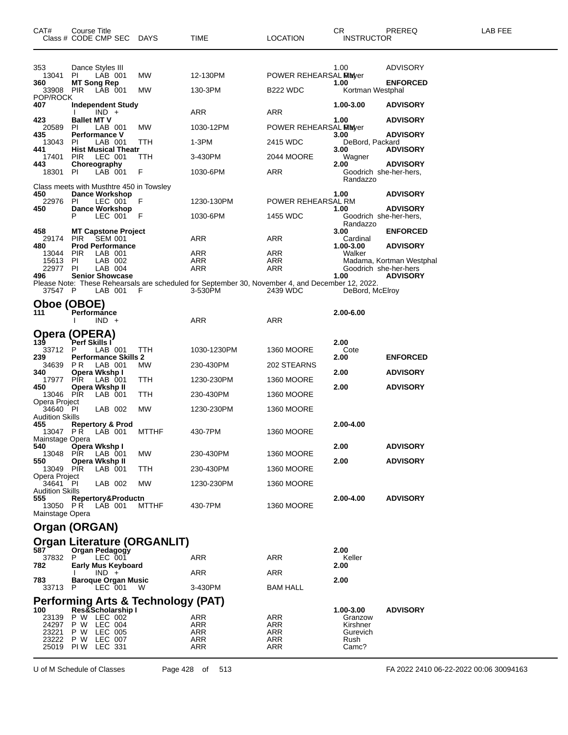| CAT#                                      | Course Title<br>Class # CODE CMP SEC                               | DAYS         | <b>TIME</b>                                                                                      | <b>LOCATION</b>              | CR.<br>INSTRUCTOR              | PREREQ                   | LAB FEE |
|-------------------------------------------|--------------------------------------------------------------------|--------------|--------------------------------------------------------------------------------------------------|------------------------------|--------------------------------|--------------------------|---------|
| 353<br>13041<br>360                       | Dance Styles III<br>LÁB 001<br>PI.                                 | MW           | 12-130PM                                                                                         | <b>POWER REHEARSAL Mayer</b> | 1.00                           | ADVISORY                 |         |
| 33908 PIR<br>POP/ROCK                     | <b>MT Song Rep</b><br>LAB 001                                      | MW           | 130-3PM                                                                                          | B <sub>22</sub> WDC          | 1.00<br>Kortman Westphal       | <b>ENFORCED</b>          |         |
| 407                                       | Independent Study<br>$IND +$                                       |              | ARR                                                                                              | ARR                          | 1.00-3.00                      | <b>ADVISORY</b>          |         |
| 423<br>20589                              | <b>Ballet MT V</b><br>PI.<br>LAB 001                               | MW           | 1030-12PM                                                                                        | POWER REHEARSAL MEWer        | 1.00                           | <b>ADVISORY</b>          |         |
| 435<br>13043                              | <b>Performance V</b><br>LAB 001<br>ΡL                              | TTH          | 1-3PM                                                                                            | 2415 WDC                     | 3.00<br>DeBord, Packard        | <b>ADVISORY</b>          |         |
| 441<br>17401                              | <b>Hist Musical Theatr</b><br>LEC 001<br><b>PIR</b>                | TTH          | 3-430PM                                                                                          | 2044 MOORE                   | 3.00<br>Wagner                 | <b>ADVISORY</b>          |         |
| 443<br>18301                              | Choreography<br>LAB 001<br>PI.                                     | F            | 1030-6PM                                                                                         | ARR                          | 2.00<br>Goodrich she-her-hers, | <b>ADVISORY</b>          |         |
|                                           | Class meets with Musthtre 450 in Towsley                           |              |                                                                                                  |                              | Randazzo                       |                          |         |
| 450<br>22976                              | <b>Dance Workshop</b><br>LEC 001<br>PI                             | F            | 1230-130PM                                                                                       | POWER REHEARSAL RM           | 1.00                           | <b>ADVISORY</b>          |         |
| 450                                       | <b>Dance Workshop</b><br>P<br>LEC 001                              | F            | 1030-6PM                                                                                         | 1455 WDC                     | 1.00<br>Goodrich she-her-hers, | <b>ADVISORY</b>          |         |
| 458<br>29174                              | <b>MT Capstone Project</b><br><b>PIR</b>                           |              | ARR                                                                                              | ARR                          | Randazzo<br>3.00<br>Cardinal   | <b>ENFORCED</b>          |         |
| 480<br>13044                              | <b>SEM 001</b><br><b>Prod Performance</b><br><b>PIR</b><br>LAB 001 |              | ARR                                                                                              | ARR                          | 1.00-3.00<br>Walker            | <b>ADVISORY</b>          |         |
| 15613<br>22977                            | PI.<br>LAB 002<br>PI.<br>LAB 004                                   |              | <b>ARR</b><br><b>ARR</b>                                                                         | <b>ARR</b><br><b>ARR</b>     | Goodrich she-her-hers          | Madama, Kortman Westphal |         |
| 496                                       | <b>Senior Showcase</b>                                             |              | Please Note: These Rehearsals are scheduled for September 30, November 4, and December 12, 2022. |                              | 1.00                           | <b>ADVISORY</b>          |         |
| 37547 P                                   | LAB 001                                                            | F            | 3-530PM                                                                                          | 2439 WDC                     | DeBord, McElroy                |                          |         |
| 111                                       | Oboe (OBOE)<br>Performance                                         |              |                                                                                                  |                              | 2.00-6.00                      |                          |         |
|                                           | $IND +$                                                            |              | ARR                                                                                              | ARR                          |                                |                          |         |
| 139                                       | Opera (OPERA)<br>Perf Skills I                                     |              |                                                                                                  |                              | 2.00                           |                          |         |
| 33712<br>239                              | LAB 001<br>P<br><b>Performance Skills 2</b>                        | TTH          | 1030-1230PM                                                                                      | <b>1360 MOORE</b>            | Cote<br>2.00                   | <b>ENFORCED</b>          |         |
| 34639<br>340                              | P R<br>LAB 001<br>Opera Wkshp I                                    | <b>MW</b>    | 230-430PM                                                                                        | 202 STEARNS                  | 2.00                           | <b>ADVISORY</b>          |         |
| 17977<br>450                              | <b>PIR</b><br>LAB 001<br>Opera Wkshp II                            | TTH          | 1230-230PM                                                                                       | <b>1360 MOORE</b>            | 2.00                           | <b>ADVISORY</b>          |         |
| 13046 PIR<br>Opera Project                | LAB 001                                                            | TTH          | 230-430PM                                                                                        | 1360 MOORE                   |                                |                          |         |
| 34640<br><b>Audition Skills</b><br>455    | PI<br>LAB 002<br><b>Repertory &amp; Prod</b>                       | MW           | 1230-230PM                                                                                       | 1360 MOORE                   | 2.00-4.00                      |                          |         |
| 13047 PR<br>Mainstage Opera               | LAB 001                                                            | <b>MTTHF</b> | 430-7PM                                                                                          | <b>1360 MOORE</b>            |                                |                          |         |
| 540<br>13048 PIR                          | Opera Wkshp I<br>LAB 001                                           | MW.          | 230-430PM                                                                                        | <b>1360 MOORE</b>            | 2.00                           | <b>ADVISORY</b>          |         |
| 550<br>13049 PIR                          | Opera Wkshp II<br>LAB 001                                          | TTH          | 230-430PM                                                                                        | <b>1360 MOORE</b>            | 2.00                           | <b>ADVISORY</b>          |         |
| Opera Project<br>34641 PI                 | LAB 002                                                            | MW.          | 1230-230PM                                                                                       | 1360 MOORE                   |                                |                          |         |
| <b>Audition Skills</b><br>555<br>13050 PR | Repertory&Productn<br>LAB 001                                      | MTTHF        | 430-7PM                                                                                          | 1360 MOORE                   | 2.00-4.00                      | <b>ADVISORY</b>          |         |
| Mainstage Opera                           | Organ (ORGAN)                                                      |              |                                                                                                  |                              |                                |                          |         |
|                                           | <b>Organ Literature (ORGANLIT)</b>                                 |              |                                                                                                  |                              |                                |                          |         |
| 587<br>37832 P                            | Organ Pedagogy<br>LEC 001                                          |              | ARR                                                                                              | ARR                          | 2.00<br>Keller                 |                          |         |
| 782                                       | <b>Early Mus Keyboard</b><br>$IND +$                               |              | ARR                                                                                              | ARR                          | 2.00                           |                          |         |
| 783<br>33713 P                            | <b>Baroque Organ Music</b><br>LEC 001                              | <b>W</b>     | 3-430PM                                                                                          | <b>BAM HALL</b>              | 2.00                           |                          |         |
|                                           | Performing Arts & Technology (PAT)                                 |              |                                                                                                  |                              |                                |                          |         |
| 100<br>23139                              | Res&Scholarship I<br>P W LEC 002                                   |              | ARR                                                                                              | ARR                          | 1.00-3.00<br>Granzow           | <b>ADVISORY</b>          |         |
| 24297<br>23221                            | P W LEC 004<br>P W LEC 005                                         |              | ARR<br>ARR                                                                                       | ARR<br>ARR                   | Kirshner<br>Gurevich           |                          |         |
| 23222<br>25019                            | P W LEC 007<br><b>PIW LEC 331</b>                                  |              | ARR<br><b>ARR</b>                                                                                | ARR<br><b>ARR</b>            | Rush<br>Camc?                  |                          |         |

U of M Schedule of Classes Page 428 of 513 FA 2022 2410 06-22-2022 00:06 30094163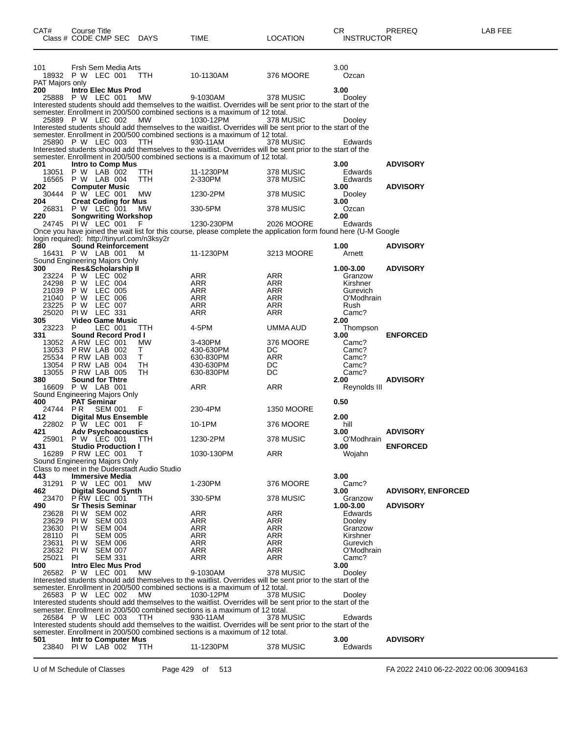| CAT#            | <b>Course Title</b>                                                           |            |                                                                                                                          |                   | CR.                    | PREREQ                    | LAB FEE |
|-----------------|-------------------------------------------------------------------------------|------------|--------------------------------------------------------------------------------------------------------------------------|-------------------|------------------------|---------------------------|---------|
|                 | Class # CODE CMP SEC DAYS                                                     |            | TIME                                                                                                                     | <b>LOCATION</b>   | <b>INSTRUCTOR</b>      |                           |         |
|                 |                                                                               |            |                                                                                                                          |                   |                        |                           |         |
|                 |                                                                               |            |                                                                                                                          |                   |                        |                           |         |
| 101             | Frsh Sem Media Arts                                                           |            |                                                                                                                          |                   | 3.00                   |                           |         |
| PAT Majors only | 18932 P W LEC 001                                                             | TTH        | 10-1130AM                                                                                                                | 376 MOORE         | Ozcan                  |                           |         |
| 200             | Intro Elec Mus Prod                                                           |            |                                                                                                                          |                   | 3.00                   |                           |         |
|                 | 25888 P W LEC 001                                                             | MW         | 9-1030AM                                                                                                                 | 378 MUSIC         | Dooley                 |                           |         |
|                 |                                                                               |            | Interested students should add themselves to the waitlist. Overrides will be sent prior to the start of the              |                   |                        |                           |         |
|                 |                                                                               |            | semester. Enrollment in 200/500 combined sections is a maximum of 12 total.                                              |                   |                        |                           |         |
|                 | 25889 P W LEC 002                                                             | MW         | 1030-12PM<br>Interested students should add themselves to the waitlist. Overrides will be sent prior to the start of the | 378 MUSIC         | Dooley                 |                           |         |
|                 |                                                                               |            | semester. Enrollment in 200/500 combined sections is a maximum of 12 total.                                              |                   |                        |                           |         |
|                 | 25890 P W LEC 003                                                             | TTH        | 930-11AM                                                                                                                 | 378 MUSIC         | Edwards                |                           |         |
|                 |                                                                               |            | Interested students should add themselves to the waitlist. Overrides will be sent prior to the start of the              |                   |                        |                           |         |
| 201             | <b>Intro to Comp Mus</b>                                                      |            | semester. Enrollment in 200/500 combined sections is a maximum of 12 total.                                              |                   | 3.00                   | <b>ADVISORY</b>           |         |
|                 | 13051 P W LAB 002                                                             | <b>TTH</b> | 11-1230PM                                                                                                                | 378 MUSIC         | Edwards                |                           |         |
|                 | 16565 P W LAB 004                                                             | TTH        | 2-330PM                                                                                                                  | 378 MUSIC         | Edwards                |                           |         |
| 202             | <b>Computer Music</b>                                                         |            |                                                                                                                          |                   | 3.00                   | <b>ADVISORY</b>           |         |
| 30444           | P W LEC 001                                                                   | MW         | 1230-2PM                                                                                                                 | 378 MUSIC         | Dooley                 |                           |         |
| 204             | <b>Creat Coding for Mus</b><br>26831 P W LEC 001                              | MW         | 330-5PM                                                                                                                  |                   | 3.00<br>Ozcan          |                           |         |
| 220             | <b>Songwriting Workshop</b>                                                   |            |                                                                                                                          | 378 MUSIC         | 2.00                   |                           |         |
|                 | 24745 PIW LEC 001                                                             |            | 1230-230PM                                                                                                               | 2026 MOORE        | Edwards                |                           |         |
|                 |                                                                               |            | Once you have joined the wait list for this course, please complete the application form found here (U-M Google          |                   |                        |                           |         |
|                 | login required): http://tinyurl.com/n3ksy2r                                   |            |                                                                                                                          |                   |                        |                           |         |
| 280             | <b>Sound Reinforcement</b><br>16431 P W LAB 001                               | M          | 11-1230PM                                                                                                                | 3213 MOORE        | 1.00<br>Arnett         | <b>ADVISORY</b>           |         |
|                 | Sound Engineering Majors Only                                                 |            |                                                                                                                          |                   |                        |                           |         |
| 300             | <b>Res&amp;Scholarship II</b>                                                 |            |                                                                                                                          |                   | 1.00-3.00              | <b>ADVISORY</b>           |         |
|                 | 23224 P W LEC 002                                                             |            | ARR                                                                                                                      | ARR               | Granzow                |                           |         |
| 24298           | P W LEC 004                                                                   |            | ARR                                                                                                                      | ARR               | Kirshner               |                           |         |
| 21039<br>21040  | P W LEC 005<br>P W LEC 006                                                    |            | ARR<br>ARR                                                                                                               | ARR<br>ARR        | Gurevich<br>O'Modhrain |                           |         |
| 23225           | P W LEC 007                                                                   |            | ARR                                                                                                                      | ARR               | Rush                   |                           |         |
| 25020           | PIW LEC 331                                                                   |            | ARR                                                                                                                      | <b>ARR</b>        | Camc?                  |                           |         |
| 305             | <b>Video Game Music</b>                                                       |            |                                                                                                                          |                   | 2.00                   |                           |         |
| 23223           | LEC 001<br>P.                                                                 | TTH        | 4-5PM                                                                                                                    | UMMA AUD          | Thompson               |                           |         |
| 331             | Sound Record Prod I<br>13052 A RW LEC 001                                     | МW         | 3-430PM                                                                                                                  | 376 MOORE         | 3.00<br>Camc?          | <b>ENFORCED</b>           |         |
| 13053           | PRW LAB 002                                                                   | T.         | 430-630PM                                                                                                                | DC                | Camc?                  |                           |         |
| 25534           | P RW LAB 003                                                                  | T.         | 630-830PM                                                                                                                | ARR               | Camc?                  |                           |         |
| 13054           | P RW LAB 004                                                                  | TH         | 430-630PM                                                                                                                | DC                | Camc?                  |                           |         |
| 13055           | PRW LAB 005                                                                   | TH         | 630-830PM                                                                                                                | DC                | Camc?                  |                           |         |
| 380             | <b>Sound for Thtre</b><br>16609 P W LAB 001                                   |            | ARR                                                                                                                      | ARR               | 2.00<br>Reynolds III   | <b>ADVISORY</b>           |         |
|                 | Sound Engineering Majors Only                                                 |            |                                                                                                                          |                   |                        |                           |         |
| 400             | <b>PAT Seminar</b>                                                            |            |                                                                                                                          |                   | 0.50                   |                           |         |
| 24744 PR        | <b>SEM 001</b>                                                                | F.         | 230-4PM                                                                                                                  | <b>1350 MOORE</b> |                        |                           |         |
| 412.            | <b>Digital Mus Ensemble</b>                                                   |            |                                                                                                                          |                   | 2.00                   |                           |         |
| 22802<br>421    | <b>P W LEC 001</b><br><b>Adv Psychoacoustics</b>                              |            | 10-1PM                                                                                                                   | 376 MOORE         | hill<br>3.00           | <b>ADVISORY</b>           |         |
|                 | 25901 P W LEC 001                                                             | <b>TTH</b> | 1230-2PM                                                                                                                 | 378 MUSIC         | O'Modhrain             |                           |         |
| 431             | <b>Studio Production I</b>                                                    |            |                                                                                                                          |                   | 3.00                   | <b>ENFORCED</b>           |         |
|                 | 16289 P RW LEC 001                                                            | $\top$     | 1030-130PM                                                                                                               | ARR               | Wojahn                 |                           |         |
|                 | Sound Engineering Majors Only<br>Class to meet in the Duderstadt Audio Studio |            |                                                                                                                          |                   |                        |                           |         |
| 443.            | <b>Immersive Media</b>                                                        |            |                                                                                                                          |                   | 3.00                   |                           |         |
| 31291           | P W LEC 001                                                                   | МW         | 1-230PM                                                                                                                  | 376 MOORE         | Camc?                  |                           |         |
| 462             | <b>Digital Sound Synth</b>                                                    |            |                                                                                                                          |                   | 3.00                   | <b>ADVISORY, ENFORCED</b> |         |
| 23470<br>490    | P RW LEC 001<br><b>Sr Thesis Seminar</b>                                      | ттн        | 330-5PM                                                                                                                  | 378 MUSIC         | Granzow<br>1.00-3.00   |                           |         |
| 23628           | PI W<br><b>SEM 002</b>                                                        |            | ARR                                                                                                                      | ARR               | Edwards                | <b>ADVISORY</b>           |         |
| 23629           | PI W<br><b>SEM 003</b>                                                        |            | ARR                                                                                                                      | ARR               | Dooley                 |                           |         |
| 23630           | PI W<br><b>SEM 004</b>                                                        |            | ARR                                                                                                                      | ARR               | Granzow                |                           |         |
| 28110           | <b>SEM 005</b><br>PI                                                          |            | ARR                                                                                                                      | ARR               | Kirshner               |                           |         |
| 23631<br>23632  | PI W<br><b>SEM 006</b><br>PI W<br>SEM 007                                     |            | ARR<br>ARR                                                                                                               | ARR<br>ARR        | Gurevich<br>O'Modhrain |                           |         |
| 25021           | <b>SEM 331</b><br>PI.                                                         |            | ARR                                                                                                                      | ARR               | Camc?                  |                           |         |
| 500             | Intro Elec Mus Prod                                                           |            |                                                                                                                          |                   | 3.00                   |                           |         |
| 26582           | P W LEC 001                                                                   | MW.        | 9-1030AM                                                                                                                 | 378 MUSIC         | Dooley                 |                           |         |
|                 |                                                                               |            | Interested students should add themselves to the waitlist. Overrides will be sent prior to the start of the              |                   |                        |                           |         |
|                 |                                                                               |            | semester. Enrollment in 200/500 combined sections is a maximum of 12 total.                                              |                   |                        |                           |         |
|                 | 26583 P W LEC 002                                                             | MW         | 1030-12PM<br>Interested students should add themselves to the waitlist. Overrides will be sent prior to the start of the | 378 MUSIC         | <b>Dooley</b>          |                           |         |
|                 |                                                                               |            | semester. Enrollment in 200/500 combined sections is a maximum of 12 total.                                              |                   |                        |                           |         |
|                 | 26584 P W LEC 003                                                             | TTH        | 930-11AM                                                                                                                 | 378 MUSIC         | Edwards                |                           |         |
|                 |                                                                               |            | Interested students should add themselves to the waitlist. Overrides will be sent prior to the start of the              |                   |                        |                           |         |
| 501             | Intr to Computer Mus                                                          |            | semester. Enrollment in 200/500 combined sections is a maximum of 12 total.                                              |                   | 3.00                   | <b>ADVISORY</b>           |         |
|                 | 23840 PIW LAB 002                                                             | ттн        | 11-1230PM                                                                                                                | 378 MUSIC         | Edwards                |                           |         |
|                 |                                                                               |            |                                                                                                                          |                   |                        |                           |         |

U of M Schedule of Classes Page 429 of 513 FA 2022 2410 06-22-2022 00:06 30094163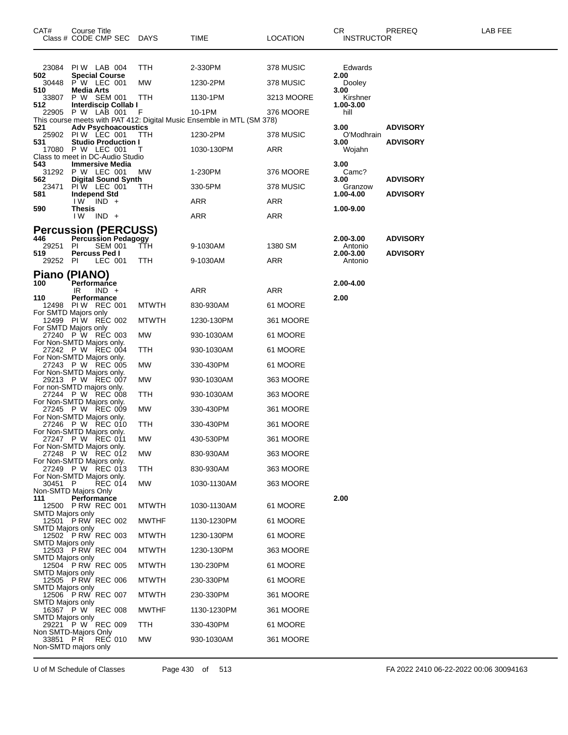| CAT#                    | Course Title<br>Class # CODE CMP SEC                      | DAYS         | TIME                                                                   | <b>LOCATION</b> | CR.<br><b>INSTRUCTOR</b> | PREREQ          | LAB FEE |
|-------------------------|-----------------------------------------------------------|--------------|------------------------------------------------------------------------|-----------------|--------------------------|-----------------|---------|
| 502                     | 23084 PIW LAB 004                                         | TTH          | 2-330PM                                                                | 378 MUSIC       | Edwards                  |                 |         |
|                         | <b>Special Course</b><br>30448 P W LEC 001                | МW           | 1230-2PM                                                               | 378 MUSIC       | 2.00<br>Dooley           |                 |         |
| 510<br>33807            | Media Arts<br>P W SEM 001                                 | TTH          | 1130-1PM                                                               | 3213 MOORE      | 3.00<br>Kirshner         |                 |         |
| 512                     | Interdiscip Collab I<br>22905 P W LAB 001                 | F            | 10-1PM                                                                 | 376 MOORE       | 1.00-3.00<br>hill        |                 |         |
| 521                     | <b>Adv Psychoacoustics</b>                                |              | This course meets with PAT 412: Digital Music Ensemble in MTL (SM 378) |                 | 3.00                     | <b>ADVISORY</b> |         |
| 531                     | 25902 PIW LEC 001<br><b>Studio Production I</b>           | TTH          | 1230-2PM                                                               | 378 MUSIC       | O'Modhrain<br>3.00       | <b>ADVISORY</b> |         |
|                         | 17080 P W LEC 001<br>Class to meet in DC-Audio Studio     | Τ            | 1030-130PM                                                             | ARR             | Wojahn                   |                 |         |
| 543                     | <b>Immersive Media</b><br>31292 P W LEC 001               | МW           | 1-230PM                                                                | 376 MOORE       | 3.00<br>Camc?            |                 |         |
| 562<br>23471            | <b>Digital Sound Synth</b><br>PIW LEC 001                 | TTH          | 330-5PM                                                                | 378 MUSIC       | 3.00<br>Granzow          | <b>ADVISORY</b> |         |
| 581                     | Independ Std<br>I W<br>$IND +$                            |              | ARR                                                                    | ARR             | 1.00-4.00                | <b>ADVISORY</b> |         |
| 590                     | <b>Thesis</b><br>$IND +$                                  |              |                                                                        |                 | 1.00-9.00                |                 |         |
|                         | I W                                                       |              | ARR                                                                    | ARR             |                          |                 |         |
| 446                     | <b>Percussion (PERCUSS)</b><br><b>Percussion Pedagogy</b> |              | 9-1030AM                                                               |                 | 2.00-3.00                | <b>ADVISORY</b> |         |
| 29251<br>519            | <b>SEM 001</b><br>PI.<br>Percuss Ped I                    | TTH          |                                                                        | 1380 SM         | Antonio<br>2.00-3.00     | <b>ADVISORY</b> |         |
| 29252 PI                | LEC 001                                                   | TTH          | 9-1030AM                                                               | ARR             | Antonio                  |                 |         |
| 100                     | Piano (PIANO)<br>Performance                              |              |                                                                        |                 | 2.00-4.00                |                 |         |
| 110                     | IR<br>$IND +$<br>Performance                              |              | ARR                                                                    | <b>ARR</b>      | 2.00                     |                 |         |
|                         | 12498 PIW REC 001<br>For SMTD Majors only                 | <b>MTWTH</b> | 830-930AM                                                              | 61 MOORE        |                          |                 |         |
|                         | 12499 PIW REC 002<br>For SMTD Majors only                 | <b>MTWTH</b> | 1230-130PM                                                             | 361 MOORE       |                          |                 |         |
|                         | 27240 P W REC 003<br>For Non-SMTD Majors only.            | MW           | 930-1030AM                                                             | 61 MOORE        |                          |                 |         |
|                         | 27242 P W REC 004                                         | TTH          | 930-1030AM                                                             | 61 MOORE        |                          |                 |         |
|                         | For Non-SMTD Majors only.<br>27243 P W REC 005            | MW.          | 330-430PM                                                              | 61 MOORE        |                          |                 |         |
|                         | For Non-SMTD Majors only.<br>29213 P W REC 007            | МW           | 930-1030AM                                                             | 363 MOORE       |                          |                 |         |
|                         | For non-SMTD majors only.<br>27244 P W REC 008            | TTH          | 930-1030AM                                                             | 363 MOORE       |                          |                 |         |
|                         | For Non-SMTD Majors only.<br>27245 P W REC 009            | MW.          | 330-430PM                                                              | 361 MOORE       |                          |                 |         |
|                         | For Non-SMTD Majors only.<br>27246 P W REC 010            | ттн          | 330-430PM                                                              | 361 MOORE       |                          |                 |         |
|                         | For Non-SMTD Majors only.<br>27247 P W REC 011            | МW           | 430-530PM                                                              | 361 MOORE       |                          |                 |         |
|                         | For Non-SMTD Majors only.<br>27248 P W REC 012            | МW           | 830-930AM                                                              | 363 MOORE       |                          |                 |         |
|                         | For Non-SMTD Majors only.<br>27249 P W REC 013            | <b>TTH</b>   | 830-930AM                                                              | 363 MOORE       |                          |                 |         |
| 30451 P                 | For Non-SMTD Majors only.<br>REC 014                      | MW.          |                                                                        |                 |                          |                 |         |
|                         | Non-SMTD Majors Only                                      |              | 1030-1130AM                                                            | 363 MOORE       |                          |                 |         |
| 111                     | Performance<br>12500 P RW REC 001                         | <b>MTWTH</b> | 1030-1130AM                                                            | 61 MOORE        | 2.00                     |                 |         |
| <b>SMTD Majors only</b> | 12501 P RW REC 002                                        | <b>MWTHF</b> | 1130-1230PM                                                            | 61 MOORE        |                          |                 |         |
| SMTD Majors only        | 12502 P RW REC 003                                        | <b>MTWTH</b> | 1230-130PM                                                             | 61 MOORE        |                          |                 |         |
| <b>SMTD Majors only</b> | 12503 P RW REC 004                                        | <b>MTWTH</b> | 1230-130PM                                                             | 363 MOORE       |                          |                 |         |
| <b>SMTD Majors only</b> | 12504 P RW REC 005                                        | <b>MTWTH</b> | 130-230PM                                                              | 61 MOORE        |                          |                 |         |
| SMTD Majors only        | 12505 P RW REC 006                                        | <b>MTWTH</b> | 230-330PM                                                              | 61 MOORE        |                          |                 |         |
| <b>SMTD Majors only</b> | 12506 P RW REC 007                                        | <b>MTWTH</b> | 230-330PM                                                              | 361 MOORE       |                          |                 |         |
| <b>SMTD Majors only</b> | 16367 P W REC 008                                         | <b>MWTHF</b> | 1130-1230PM                                                            | 361 MOORE       |                          |                 |         |
| SMTD Majors only        | 29221 P W REC 009                                         | TTH          | 330-430PM                                                              | 61 MOORE        |                          |                 |         |
| 33851 PR                | Non SMTD-Majors Only<br><b>REC 010</b>                    | MW.          | 930-1030AM                                                             | 361 MOORE       |                          |                 |         |
|                         | Non-SMTD majors only                                      |              |                                                                        |                 |                          |                 |         |

U of M Schedule of Classes Page 430 of 513 FA 2022 2410 06-22-2022 00:06 30094163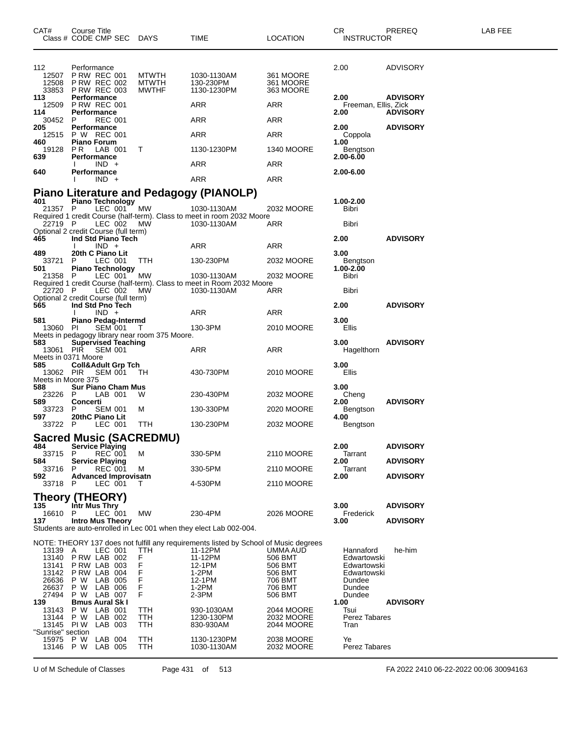| CAT#                                                                 | Course Title                             | Class # CODE CMP SEC DAYS                                                                                                       |                                                          | TIME                                                                                                                                                            | LOCATION                                                                   | CR<br><b>INSTRUCTOR</b>                                                                      | PREREQ                             | <b>LAB FEE</b> |
|----------------------------------------------------------------------|------------------------------------------|---------------------------------------------------------------------------------------------------------------------------------|----------------------------------------------------------|-----------------------------------------------------------------------------------------------------------------------------------------------------------------|----------------------------------------------------------------------------|----------------------------------------------------------------------------------------------|------------------------------------|----------------|
| 112<br>12508                                                         | Performance                              | 12507 P RW REC 001<br><b>P RW REC 002</b><br>33853 P RW REC 003                                                                 | <b>MTWTH</b><br><b>MTWTH</b><br><b>MWTHF</b>             | 1030-1130AM<br>130-230PM<br>1130-1230PM                                                                                                                         | 361 MOORE<br>361 MOORE<br>363 MOORE                                        | 2.00                                                                                         | <b>ADVISORY</b>                    |                |
| 113<br>12509<br>114                                                  | Performance<br>Performance               | <b>P RW REC 001</b>                                                                                                             |                                                          | ARR                                                                                                                                                             | ARR                                                                        | 2.00<br>Freeman, Ellis, Zick<br>2.00                                                         | <b>ADVISORY</b><br><b>ADVISORY</b> |                |
| 30452                                                                | P.                                       | <b>REC 001</b>                                                                                                                  |                                                          | ARR                                                                                                                                                             | ARR                                                                        |                                                                                              |                                    |                |
| 205<br>12515                                                         | <b>Performance</b>                       | P W REC 001                                                                                                                     |                                                          | ARR                                                                                                                                                             | ARR                                                                        | 2.00<br>Coppola                                                                              | <b>ADVISORY</b>                    |                |
| 460<br>19128<br>639                                                  | <b>Piano Forum</b><br>PR.<br>Performance | LAB 001                                                                                                                         | T.                                                       | 1130-1230PM                                                                                                                                                     | 1340 MOORE                                                                 | 1.00<br>Bengtson<br>2.00-6.00                                                                |                                    |                |
| 640                                                                  |                                          | $IND +$                                                                                                                         |                                                          | ARR                                                                                                                                                             | ARR                                                                        | 2.00-6.00                                                                                    |                                    |                |
|                                                                      | Performance                              | $IND +$                                                                                                                         |                                                          | ARR                                                                                                                                                             | ARR                                                                        |                                                                                              |                                    |                |
|                                                                      |                                          |                                                                                                                                 |                                                          | Piano Literature and Pedagogy (PIANOLP)                                                                                                                         |                                                                            |                                                                                              |                                    |                |
| 401<br>21357 P                                                       |                                          | <b>Piano Technology</b><br>LEC 001 MW                                                                                           |                                                          | 1030-1130AM<br>Required 1 credit Course (half-term). Class to meet in room 2032 Moore                                                                           | 2032 MOORE                                                                 | 1.00-2.00<br>Bibri                                                                           |                                    |                |
| 22719 P<br>Optional 2 credit Course (full term)                      |                                          | LEC 002                                                                                                                         | МW                                                       | 1030-1130AM                                                                                                                                                     | ARR                                                                        | Bibri                                                                                        |                                    |                |
| 465                                                                  |                                          | Ind Std Piano Tech<br>$IND +$                                                                                                   |                                                          | ARR                                                                                                                                                             | ARR                                                                        | 2.00                                                                                         | <b>ADVISORY</b>                    |                |
| 489<br>33721                                                         | P                                        | 20th C Piano Lit<br>LEC 001                                                                                                     | <b>TTH</b>                                               | 130-230PM                                                                                                                                                       | 2032 MOORE                                                                 | 3.00<br>Bengtson                                                                             |                                    |                |
| 501<br>21358 P                                                       |                                          | <b>Piano Technology</b><br>LEC 001"                                                                                             | МW                                                       | 1030-1130AM                                                                                                                                                     | 2032 MOORE                                                                 | 1.00-2.00<br>Bibri                                                                           |                                    |                |
| 22720 P                                                              |                                          | LEC 002                                                                                                                         | МW                                                       | Required 1 credit Course (half-term). Class to meet in Room 2032 Moore<br>1030-1130AM                                                                           | ARR                                                                        | Bibri                                                                                        |                                    |                |
| Optional 2 credit Course (full term)<br>565                          |                                          | Ind Std Pno Tech                                                                                                                |                                                          |                                                                                                                                                                 |                                                                            | 2.00                                                                                         | <b>ADVISORY</b>                    |                |
| 581                                                                  |                                          | $IND +$<br><b>Piano Pedag-Intermd</b>                                                                                           |                                                          | ARR                                                                                                                                                             | ARR                                                                        | 3.00                                                                                         |                                    |                |
| 13060 PI                                                             |                                          | <b>SEM 001</b>                                                                                                                  | $\top$<br>Meets in pedagogy library near room 375 Moore. | 130-3PM                                                                                                                                                         | 2010 MOORE                                                                 | Ellis                                                                                        |                                    |                |
| 583<br>Meets in 0371 Moore                                           |                                          | Supervised Teaching<br>13061 PIR SEM 001                                                                                        |                                                          | ARR                                                                                                                                                             | ARR                                                                        | 3.00<br>Hagelthorn                                                                           | <b>ADVISORY</b>                    |                |
| 585                                                                  |                                          | <b>Coll&amp;Adult Grp Tch</b><br>13062 PIR SEM 001                                                                              | TH.                                                      | 430-730PM                                                                                                                                                       | 2010 MOORE                                                                 | 3.00<br>Ellis                                                                                |                                    |                |
| Meets in Moore 375<br>588<br>23226                                   | P                                        | <b>Sur Piano Cham Mus</b><br>LAB 001                                                                                            | W                                                        | 230-430PM                                                                                                                                                       | 2032 MOORE                                                                 | 3.00<br>Cheng                                                                                |                                    |                |
| 589<br>33723                                                         | <b>Concerti</b><br>P                     | SEM 001                                                                                                                         | м                                                        | 130-330PM                                                                                                                                                       | 2020 MOORE                                                                 | 2.00<br>Bengtson                                                                             | <b>ADVISORY</b>                    |                |
| 597<br>33722 P                                                       |                                          | 20thC Piano Lit<br>LEC 001                                                                                                      | <b>TTH</b>                                               | 130-230PM                                                                                                                                                       | 2032 MOORE                                                                 | 4.00<br>Bengtson                                                                             |                                    |                |
|                                                                      |                                          |                                                                                                                                 | <b>Sacred Music (SACREDMU)</b>                           |                                                                                                                                                                 |                                                                            |                                                                                              |                                    |                |
| 484                                                                  |                                          | <b>Service Playing</b>                                                                                                          |                                                          |                                                                                                                                                                 |                                                                            | 2.00                                                                                         | <b>ADVISORY</b>                    |                |
| 33715<br>584                                                         | P                                        | REC 001<br><b>Service Playing</b>                                                                                               | М                                                        | 330-5PM                                                                                                                                                         | 2110 MOORE                                                                 | Tarrant<br>2.00                                                                              | <b>ADVISORY</b>                    |                |
| 33716<br>592                                                         | P                                        | <b>REC 001</b><br><b>Advanced Improvisatn</b>                                                                                   | м                                                        | 330-5PM                                                                                                                                                         | 2110 MOORE                                                                 | Tarrant<br>2.00                                                                              | <b>ADVISORY</b>                    |                |
| 33718                                                                | P                                        | LEC 001                                                                                                                         | Τ                                                        | 4-530PM                                                                                                                                                         | 2110 MOORE                                                                 |                                                                                              |                                    |                |
| Theory (THEORY)<br>135                                               | Intr Mus Thry                            |                                                                                                                                 |                                                          |                                                                                                                                                                 |                                                                            | 3.00                                                                                         | <b>ADVISORY</b>                    |                |
| 16610 P<br>137                                                       |                                          | LEC 001<br><b>Intro Mus Theory</b>                                                                                              | МW                                                       | 230-4PM                                                                                                                                                         | 2026 MOORE                                                                 | Frederick<br>3.00                                                                            | <b>ADVISORY</b>                    |                |
|                                                                      |                                          |                                                                                                                                 |                                                          | Students are auto-enrolled in Lec 001 when they elect Lab 002-004.                                                                                              |                                                                            |                                                                                              |                                    |                |
| 13139 A<br>13140<br>13141<br>13142<br>26636<br>26637<br>27494<br>139 | P W                                      | LEC 001<br><b>P RW LAB 002</b><br>PRW LAB 003<br>PRW LAB 004<br>P W LAB 005<br>LAB 006<br>P W LAB 007<br><b>Bmus Aural Sk I</b> | TTH<br>F<br>F<br>F<br>F<br>F<br>F                        | NOTE: THEORY 137 does not fulfill any requirements listed by School of Music degrees<br>11-12PM<br>11-12PM<br>12-1PM<br>$1-2PM$<br>12-1PM<br>$1-2PM$<br>$2-3PM$ | UMMA AUD<br>506 BMT<br>506 BMT<br>506 BMT<br>706 BMT<br>706 BMT<br>506 BMT | Hannaford<br>Edwartowski<br>Edwartowski<br>Edwartowski<br>Dundee<br>Dundee<br>Dundee<br>1.00 | he-him<br><b>ADVISORY</b>          |                |
| 13143<br>13144<br>"Sunrise" section                                  |                                          | P W LAB 001<br>P W LAB 002<br>13145 PIW LAB 003                                                                                 | TTH<br>TTH<br><b>TTH</b>                                 | 930-1030AM<br>1230-130PM<br>830-930AM                                                                                                                           | 2044 MOORE<br>2032 MOORE<br>2044 MOORE                                     | Tsui<br>Perez Tabares<br>Tran                                                                |                                    |                |
| 15975<br>13146 P W                                                   | P W                                      | LAB 004<br>LAB 005                                                                                                              | TTH<br>TTH                                               | 1130-1230PM<br>1030-1130AM                                                                                                                                      | 2038 MOORE<br>2032 MOORE                                                   | Ye<br>Perez Tabares                                                                          |                                    |                |

U of M Schedule of Classes Page 431 of 513 FA 2022 2410 06-22-2022 00:06 30094163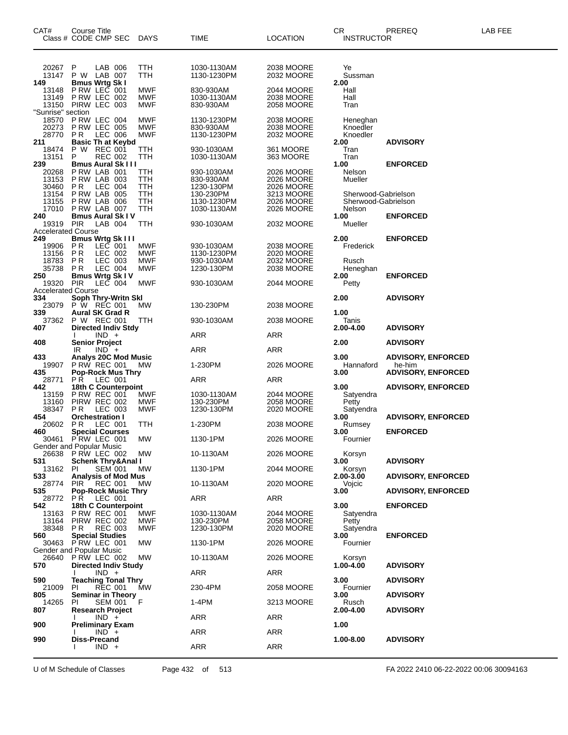| CAT#                                               | Course Title<br>Class # CODE CMP SEC                                                                                       | <b>DAYS</b>                     | TIME                                               | <b>LOCATION</b>                                      | CR.<br><b>INSTRUCTOR</b>                         | PREREQ                                                           | LAB FEE |
|----------------------------------------------------|----------------------------------------------------------------------------------------------------------------------------|---------------------------------|----------------------------------------------------|------------------------------------------------------|--------------------------------------------------|------------------------------------------------------------------|---------|
| 20267                                              | P<br>LAB 006<br>TTH                                                                                                        |                                 | 1030-1130AM                                        | 2038 MOORE                                           | Ye                                               |                                                                  |         |
| 13147<br>149                                       | P W LAB 007<br>TTH<br><b>Bmus Wrtg Sk I</b>                                                                                |                                 | 1130-1230PM                                        | 2032 MOORE                                           | Sussman<br>2.00                                  |                                                                  |         |
| 13148<br>13149<br>13150                            | P RW LEC 001<br>P RW LEC 002<br>PIRW LEC 003                                                                               | MWF<br>MWF<br>MWF               | 830-930AM<br>1030-1130AM<br>830-930AM              | 2044 MOORE<br>2038 MOORE<br>2058 MOORE               | Hall<br>Hall<br>Tran                             |                                                                  |         |
| "Sunrise" section<br>18570<br>20273<br>28770       | PRW LEC 004<br><b>P RW LEC 005</b><br>PR<br>LEC 006                                                                        | MWF<br><b>MWF</b><br><b>MWF</b> | 1130-1230PM<br>830-930AM<br>1130-1230PM            | 2038 MOORE<br>2038 MOORE<br>2032 MOORE               | Heneghan<br>Knoedler<br>Knoedler                 |                                                                  |         |
| 211<br>18474<br>13151                              | <b>Basic Th at Keybd</b><br>P W REC 001<br>TTH<br>P<br><b>REC 002</b><br>TTH                                               |                                 | 930-1030AM<br>1030-1130AM                          | 361 MOORE<br>363 MOORE                               | 2.00<br>Tran<br>Tran                             | <b>ADVISORY</b>                                                  |         |
| 239<br>20268<br>13153<br>30460<br>13154            | <b>Bmus Aural Sk III</b><br>PRW LAB 001<br>TTH<br>PRW LAB 003<br>TTH<br>LEC 004<br>PR.<br>TTH<br>PRW LAB 005<br><b>TTH</b> |                                 | 930-1030AM<br>830-930AM<br>1230-130PM<br>130-230PM | 2026 MOORE<br>2026 MOORE<br>2026 MOORE<br>3213 MOORE | 1.00<br>Nelson<br>Mueller<br>Sherwood-Gabrielson | <b>ENFORCED</b>                                                  |         |
| 13155<br>17010<br>240                              | P RW LAB 006<br>TTH<br>PRW LAB 007<br>TTH<br><b>Bmus Aural Sk IV</b>                                                       |                                 | 1130-1230PM<br>1030-1130AM                         | 2026 MOORE<br>2026 MOORE                             | Sherwood-Gabrielson<br>Nelson<br>1.00            | <b>ENFORCED</b>                                                  |         |
| 19319                                              | <b>PIR</b><br>LAB 004<br>TTH                                                                                               |                                 | 930-1030AM                                         | 2032 MOORE                                           | Mueller                                          |                                                                  |         |
| <b>Accelerated Course</b><br>249<br>19906<br>13156 | <b>Bmus Wrtg Sk III</b><br>P <sub>R</sub><br>LEC 001<br><b>PR</b><br>LEC 002                                               | MWF<br>MWF                      | 930-1030AM<br>1130-1230PM                          | 2038 MOORE<br>2020 MOORE                             | 2.00<br>Frederick                                | <b>ENFORCED</b>                                                  |         |
| 18783<br>35738<br>250<br>19320                     | LEC 003<br>P R<br>P R<br>LEC 004<br>Bmus Wrtg Sk I V<br>PIR<br>$LEC$ 004                                                   | MWF<br>MWF<br>MWF               | 930-1030AM<br>1230-130PM<br>930-1030AM             | 2032 MOORE<br>2038 MOORE<br>2044 MOORE               | Rusch<br>Heneghan<br>2.00<br>Petty               | <b>ENFORCED</b>                                                  |         |
| <b>Accelerated Course</b><br>334<br>23079          | Soph Thry-Writn Skl<br>P W REC 001<br>MW                                                                                   |                                 | 130-230PM                                          | 2038 MOORE                                           | 2.00                                             | <b>ADVISORY</b>                                                  |         |
| 339<br>37362<br>407                                | <b>Aural SK Grad R</b><br>P W REC 001<br>TTH<br><b>Directed Indiv Stdy</b>                                                 |                                 | 930-1030AM                                         | 2038 MOORE                                           | 1.00<br>Tanis<br>2.00-4.00                       | <b>ADVISORY</b>                                                  |         |
| 408                                                | $IND +$<br>Senior Project                                                                                                  |                                 | <b>ARR</b>                                         | ARR                                                  | 2.00                                             | <b>ADVISORY</b>                                                  |         |
|                                                    | $IND +$<br>IR                                                                                                              |                                 | <b>ARR</b>                                         | ARR                                                  |                                                  |                                                                  |         |
| 433<br>19907<br>435                                | <b>Analys 20C Mod Music</b><br><b>P RW REC 001</b><br><b>MW</b><br><b>Pop-Rock Mus Thry</b>                                |                                 | 1-230PM                                            | 2026 MOORE                                           | 3.00<br>Hannaford<br>3.00                        | <b>ADVISORY, ENFORCED</b><br>he-him<br><b>ADVISORY, ENFORCED</b> |         |
| 28771<br>442                                       | PR.<br>LEC 001<br>18th C Counterpoint                                                                                      |                                 | ARR                                                | ARR                                                  | 3.00                                             | <b>ADVISORY, ENFORCED</b>                                        |         |
| 13159<br>13160<br>38347                            | <b>P RW REC 001</b><br>PIRW REC 002<br>LEC 003<br>PR.                                                                      | MWF<br>MWF<br>MWF               | 1030-1130AM<br>130-230PM<br>1230-130PM             | 2044 MOORE<br>2058 MOORE<br>2020 MOORE               | Satyendra<br>Petty<br>Satyendra                  |                                                                  |         |
| 454<br>20602                                       | <b>Orchestration I</b><br>PR.<br>LEC 001<br>TTH                                                                            |                                 | 1-230PM                                            | 2038 MOORE                                           | 3.00<br>Rumsey                                   | <b>ADVISORY, ENFORCED</b>                                        |         |
| 460<br>30461                                       | <b>Special Courses</b><br>PRW LEC 001<br>МW<br>Gender and Popular Music                                                    |                                 | 1130-1PM                                           | 2026 MOORE                                           | 3.00<br>Fournier                                 | <b>ENFORCED</b>                                                  |         |
|                                                    | 26638 P RW LEC 002<br>МW                                                                                                   |                                 | 10-1130AM                                          | 2026 MOORE                                           | Korsyn                                           |                                                                  |         |
| 531<br>13162<br>533                                | <b>Schenk Thry&amp;Anal I</b><br><b>SEM 001</b><br>-PI<br>МW<br>Analysis of Mod Mus                                        |                                 | 1130-1PM                                           | 2044 MOORE                                           | 3.00<br>Korsyn<br>2.00-3.00                      | <b>ADVISORY</b><br><b>ADVISORY, ENFORCED</b>                     |         |
| 28774<br>535                                       | <b>REC 001</b><br><b>PIR</b><br>МW<br>Pop-Rock Music Thry                                                                  |                                 | 10-1130AM                                          | 2020 MOORE                                           | Vojcic<br>3.00                                   | <b>ADVISORY, ENFORCED</b>                                        |         |
| 28772 PR<br>542                                    | LEC 001<br>18th C Counterpoint                                                                                             |                                 | ARR                                                | ARR                                                  | 3.00                                             | <b>ENFORCED</b>                                                  |         |
| 13163<br>13164<br>38348<br>560                     | <b>P RW REC 001</b><br>PIRW REC 002<br>PR.<br><b>REC 003</b><br><b>Special Studies</b>                                     | MWF<br>MWF<br>MWF               | 1030-1130AM<br>130-230PM<br>1230-130PM             | 2044 MOORE<br><b>2058 MOORE</b><br>2020 MOORE        | Satyendra<br>Petty<br>Satyendra<br>3.00          | <b>ENFORCED</b>                                                  |         |
|                                                    | 30463 PRW LEC 001<br>МW<br>Gender and Popular Music                                                                        |                                 | 1130-1PM                                           | 2026 MOORE                                           | Fournier                                         |                                                                  |         |
| 26640<br>570                                       | PRW LEC 002<br>МW<br><b>Directed Indiv Study</b><br>$IND +$                                                                |                                 | 10-1130AM<br>ARR                                   | 2026 MOORE<br>ARR                                    | Korsyn<br>1.00-4.00                              | <b>ADVISORY</b>                                                  |         |
| 590                                                | <b>Teaching Tonal Thry</b>                                                                                                 |                                 |                                                    |                                                      | 3.00                                             | <b>ADVISORY</b>                                                  |         |
| 21009<br>805<br>14265                              | PI<br><b>REC 001</b><br>MW<br><b>Seminar in Theory</b><br>F<br>SEM 001<br><b>PI</b>                                        |                                 | 230-4PM<br>1-4PM                                   | 2058 MOORE<br>3213 MOORE                             | Fournier<br>3.00<br>Rusch                        | <b>ADVISORY</b>                                                  |         |
| 807                                                | <b>Research Project</b>                                                                                                    |                                 |                                                    |                                                      | 2.00-4.00                                        | <b>ADVISORY</b>                                                  |         |
| 900                                                | $IND +$<br>Preliminary Exam<br>$IND +$                                                                                     |                                 | ARR<br>ARR                                         | ARR<br>ARR                                           | 1.00                                             |                                                                  |         |
| 990                                                | Diss-Precand<br>$IND +$<br>$\mathbf{I}$                                                                                    |                                 | ARR                                                | <b>ARR</b>                                           | $1.00 - 8.00$                                    | <b>ADVISORY</b>                                                  |         |
|                                                    |                                                                                                                            |                                 |                                                    |                                                      |                                                  |                                                                  |         |

U of M Schedule of Classes Page 432 of 513 FA 2022 2410 06-22-2022 00:06 30094163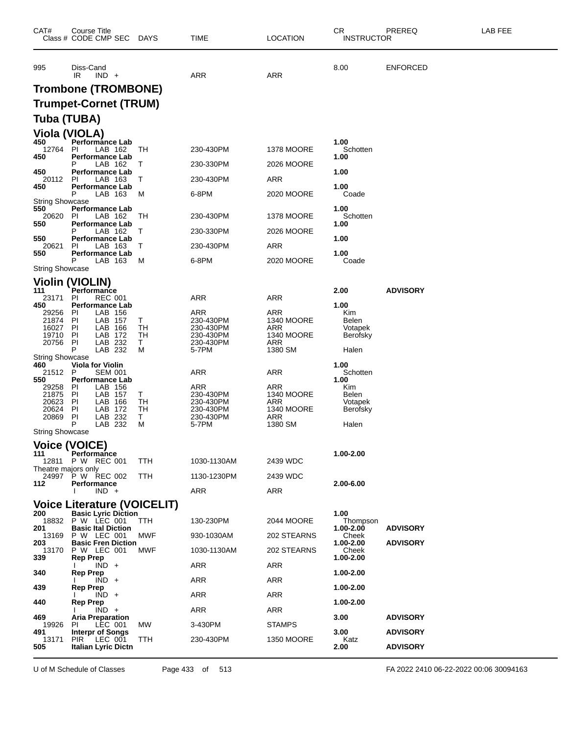| CAT#                   | <b>Course Title</b><br>Class # CODE CMP SEC                      | <b>DAYS</b> | <b>TIME</b>            | <b>LOCATION</b>                 | <b>CR</b><br><b>INSTRUCTOR</b> | PREREQ          | LAB FEE |
|------------------------|------------------------------------------------------------------|-------------|------------------------|---------------------------------|--------------------------------|-----------------|---------|
| 995                    | Diss-Cand<br>$IND +$<br>IR                                       |             | <b>ARR</b>             | <b>ARR</b>                      | 8.00                           | <b>ENFORCED</b> |         |
|                        | <b>Trombone (TROMBONE)</b>                                       |             |                        |                                 |                                |                 |         |
|                        | <b>Trumpet-Cornet (TRUM)</b>                                     |             |                        |                                 |                                |                 |         |
| Tuba (TUBA)            |                                                                  |             |                        |                                 |                                |                 |         |
|                        | <b>Viola (VIOLA)</b>                                             |             |                        |                                 |                                |                 |         |
| 450<br>12764           | <b>Performance Lab</b><br>-PI<br>LAB 162                         | TH          | 230-430PM              | 1378 MOORE                      | 1.00<br>Schotten               |                 |         |
| 450                    | <b>Performance Lab</b><br>Р<br>LAB 162                           | T           | 230-330PM              | 2026 MOORE                      | 1.00                           |                 |         |
| 450<br>20112           | <b>Performance Lab</b><br>PI<br>LAB 163                          | Τ           | 230-430PM              | ARR                             | 1.00                           |                 |         |
| 450                    | <b>Performance Lab</b><br>P<br>LAB 163                           | M           | 6-8PM                  | 2020 MOORE                      | 1.00<br>Coade                  |                 |         |
| <b>String Showcase</b> |                                                                  |             |                        |                                 | 1.00                           |                 |         |
| 550<br>20620           | <b>Performance Lab</b><br>PI<br>LAB 162                          | TН          | 230-430PM              | 1378 MOORE                      | Schotten                       |                 |         |
| 550                    | <b>Performance Lab</b><br>Р<br>LAB 162                           | T           | 230-330PM              | 2026 MOORE                      | 1.00                           |                 |         |
| 550<br>20621           | <b>Performance Lab</b><br>ΡI<br>LAB 163                          | Τ           | 230-430PM              | ARR                             | 1.00                           |                 |         |
| 550                    | <b>Performance Lab</b><br>P<br>LAB 163                           | M           | 6-8PM                  | 2020 MOORE                      | 1.00<br>Coade                  |                 |         |
| <b>String Showcase</b> |                                                                  |             |                        |                                 |                                |                 |         |
| 111                    | <b>Violin (VIOLIN)</b><br>Performance                            |             |                        |                                 | 2.00                           | <b>ADVISORY</b> |         |
| 23171<br>450           | <b>REC 001</b><br>PI<br><b>Performance Lab</b>                   |             | <b>ARR</b>             | ARR                             | 1.00                           |                 |         |
| 29256<br>21874         | PI<br>LAB 156<br>LAB 157<br><b>PI</b>                            | Τ           | ARR<br>230-430PM       | ARR<br><b>1340 MOORE</b>        | Kim<br>Belen                   |                 |         |
| 16027                  | <b>PI</b><br>LAB 166                                             | TH          | 230-430PM              | ARR                             | Votapek                        |                 |         |
| 19710<br>20756         | PI<br>LAB<br>172<br>LAB 232<br>PI                                | TН<br>Т     | 230-430PM<br>230-430PM | 1340 MOORE<br><b>ARR</b>        | Berofsky                       |                 |         |
| <b>String Showcase</b> | P<br>LAB 232                                                     | М           | 5-7PM                  | 1380 SM                         | Halen                          |                 |         |
| 460<br>21512           | <b>Viola for Violin</b><br>P<br>SEM 001                          |             | ARR                    | ARR                             | 1.00<br>Schotten               |                 |         |
| 550<br>29258           | <b>Performance Lab</b><br>LAB 156<br><b>PI</b>                   |             | ARR                    | ARR                             | 1.00<br>Kim                    |                 |         |
| 21875<br>20623         | PI<br>LAB 157<br>PI<br>LAB<br>166                                | Τ<br>TН     | 230-430PM<br>230-430PM | <b>1340 MOORE</b><br><b>ARR</b> | Belen<br>Votapek               |                 |         |
| 20624<br>20869         | PI<br>172<br>LAB<br>PI<br>LAB 232                                | TН<br>T.    | 230-430PM<br>230-430PM | 1340 MOORE<br>ARR               | Berofsky                       |                 |         |
| <b>String Showcase</b> | P<br>LAB 232                                                     | М           | 5-7PM                  | 1380 SM                         | Halen                          |                 |         |
|                        |                                                                  |             |                        |                                 |                                |                 |         |
| 111                    | Voice (VOICE)<br>Performance                                     |             |                        |                                 | 1.00-2.00                      |                 |         |
| Theatre majors only    | 12811 P W REC 001                                                | TTH         | 1030-1130AM            | 2439 WDC                        |                                |                 |         |
| 112                    | 24997 P W REC 002<br>Performance                                 | TTH         | 1130-1230PM            | 2439 WDC                        | 2.00-6.00                      |                 |         |
|                        | $IND +$                                                          |             | ARR                    | ARR                             |                                |                 |         |
| 200                    | <b>Voice Literature (VOICELIT)</b><br><b>Basic Lyric Diction</b> |             |                        |                                 | 1.00                           |                 |         |
| 201                    | 18832 P W LEC 001<br><b>Basic Ital Diction</b>                   | TTH         | 130-230PM              | 2044 MOORE                      | Thompson<br>1.00-2.00          | <b>ADVISORY</b> |         |
| 13169<br>203           | P W LEC 001<br><b>Basic Fren Diction</b>                         | MWF         | 930-1030AM             | 202 STEARNS                     | Cheek<br>1.00-2.00             | <b>ADVISORY</b> |         |
| 13170<br>339           | P W LEC 001                                                      | MWF         | 1030-1130AM            | 202 STEARNS                     | Cheek<br>1.00-2.00             |                 |         |
|                        | <b>Rep Prep</b><br>$IND +$                                       |             | ARR                    | ARR                             |                                |                 |         |
| 340                    | Rep Prep<br>$IND +$                                              |             | ARR                    | ARR                             | 1.00-2.00                      |                 |         |
| 439                    | Rep Prep<br>$IND +$                                              |             | ARR                    | ARR                             | 1.00-2.00                      |                 |         |
| 440                    | <b>Rep Prep</b><br>$IND +$                                       |             | ARR                    | ARR                             | 1.00-2.00                      |                 |         |
| 469<br>19926           | <b>Aria Preparation</b><br>PI<br>LEC 001                         | МW          | 3-430PM                | <b>STAMPS</b>                   | 3.00                           | <b>ADVISORY</b> |         |
| 491<br>13171           | <b>Interpr of Songs</b><br><b>PIR</b><br>LEC 001                 | <b>TTH</b>  | 230-430PM              | 1350 MOORE                      | 3.00<br>Katz                   | <b>ADVISORY</b> |         |
| 505                    | <b>Italian Lyric Dictn</b>                                       |             |                        |                                 | 2.00                           | <b>ADVISORY</b> |         |
|                        |                                                                  |             |                        |                                 |                                |                 |         |

U of M Schedule of Classes Page 433 of 513 FA 2022 2410 06-22-2022 00:06 30094163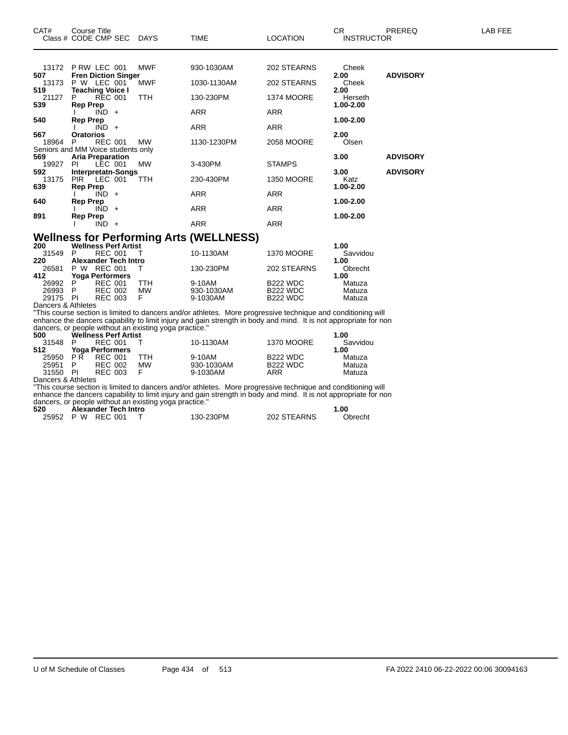| CAT#               | <b>Course Title</b><br>Class # CODE CMP SEC    | <b>DAYS</b>                                            | <b>TIME</b>                                                                                                      | <b>LOCATION</b>   | CR.<br><b>INSTRUCTOR</b> | PREREQ          | LAB FEE |
|--------------------|------------------------------------------------|--------------------------------------------------------|------------------------------------------------------------------------------------------------------------------|-------------------|--------------------------|-----------------|---------|
|                    | 13172 P RW LEC 001                             | <b>MWF</b>                                             | 930-1030AM                                                                                                       | 202 STEARNS       | Cheek                    |                 |         |
| 507                | <b>Fren Diction Singer</b>                     |                                                        |                                                                                                                  |                   | 2.00                     | <b>ADVISORY</b> |         |
| 13173              | P W LEC 001                                    | <b>MWF</b>                                             | 1030-1130AM                                                                                                      | 202 STEARNS       | Cheek                    |                 |         |
| 519<br>21127       | <b>Teaching Voice I</b><br><b>REC 001</b>      | <b>TTH</b>                                             | 130-230PM                                                                                                        | <b>1374 MOORE</b> | 2.00<br>Herseth          |                 |         |
| 539                | <b>Rep Prep</b><br>$IND +$                     |                                                        | <b>ARR</b>                                                                                                       | <b>ARR</b>        | 1.00-2.00                |                 |         |
| 540                | <b>Rep Prep</b>                                |                                                        |                                                                                                                  |                   | 1.00-2.00                |                 |         |
|                    | $IND +$                                        |                                                        | <b>ARR</b>                                                                                                       | <b>ARR</b>        |                          |                 |         |
| 567                | Oratorios                                      |                                                        |                                                                                                                  |                   | 2.00                     |                 |         |
| 18964              | <b>REC 001</b><br>P                            | МW                                                     | 1130-1230PM                                                                                                      | 2058 MOORE        | Olsen                    |                 |         |
|                    | Seniors and MM Voice students only             |                                                        |                                                                                                                  |                   |                          |                 |         |
| 569<br>19927       | <b>Aria Preparation</b><br>PI.<br>LEC 001      | MW                                                     | 3-430PM                                                                                                          | <b>STAMPS</b>     | 3.00                     | <b>ADVISORY</b> |         |
| 592.               | Interpretatn-Songs                             |                                                        |                                                                                                                  |                   | 3.00                     | <b>ADVISORY</b> |         |
| 13175              | LEC 001<br><b>PIR</b>                          | <b>TTH</b>                                             | 230-430PM                                                                                                        | <b>1350 MOORE</b> | Katz                     |                 |         |
| 639                | <b>Rep Prep</b>                                |                                                        |                                                                                                                  |                   | 1.00-2.00                |                 |         |
|                    | $IND +$                                        |                                                        | <b>ARR</b>                                                                                                       | <b>ARR</b>        |                          |                 |         |
| 640                | <b>Rep Prep</b>                                |                                                        |                                                                                                                  |                   | 1.00-2.00                |                 |         |
|                    | $IND +$                                        |                                                        | <b>ARR</b>                                                                                                       | <b>ARR</b>        |                          |                 |         |
| 891                | <b>Rep Prep</b><br>$IND +$                     |                                                        | <b>ARR</b>                                                                                                       | <b>ARR</b>        | 1.00-2.00                |                 |         |
|                    |                                                |                                                        |                                                                                                                  |                   |                          |                 |         |
|                    |                                                |                                                        | <b>Wellness for Performing Arts (WELLNESS)</b>                                                                   |                   |                          |                 |         |
| 200                | <b>Wellness Perf Artist</b>                    |                                                        |                                                                                                                  |                   | 1.00                     |                 |         |
| 31549              | P<br><b>REC 001</b>                            | $\top$                                                 | 10-1130AM                                                                                                        | <b>1370 MOORE</b> | Savvidou                 |                 |         |
| 220                | <b>Alexander Tech Intro</b>                    |                                                        |                                                                                                                  |                   | 1.00                     |                 |         |
| 26581              | P W REC 001                                    | т                                                      | 130-230PM                                                                                                        | 202 STEARNS       | Obrecht                  |                 |         |
| 412<br>26992       | <b>Yoga Performers</b><br>P.<br><b>REC 001</b> | <b>TTH</b>                                             | 9-10AM                                                                                                           | <b>B222 WDC</b>   | 1.00<br>Matuza           |                 |         |
| 26993              | P<br><b>REC 002</b>                            | <b>MW</b>                                              | 930-1030AM                                                                                                       | <b>B222 WDC</b>   | Matuza                   |                 |         |
| 29175 PI           | <b>REC 003</b>                                 | F.                                                     | 9-1030AM                                                                                                         | <b>B222 WDC</b>   | Matuza                   |                 |         |
| Dancers & Athletes |                                                |                                                        |                                                                                                                  |                   |                          |                 |         |
|                    |                                                |                                                        | "This course section is limited to dancers and/or athletes. More progressive technique and conditioning will     |                   |                          |                 |         |
|                    |                                                |                                                        | enhance the dancers capability to limit injury and gain strength in body and mind. It is not appropriate for non |                   |                          |                 |         |
|                    |                                                | dancers, or people without an existing yoga practice." |                                                                                                                  |                   |                          |                 |         |
| 500                | <b>Wellness Perf Artist</b>                    |                                                        |                                                                                                                  |                   | 1.00                     |                 |         |
| 31548<br>512       | <b>REC 001</b><br>P<br><b>Yoga Performers</b>  | Т                                                      | 10-1130AM                                                                                                        | <b>1370 MOORE</b> | Savvidou<br>1.00         |                 |         |
| 25950              | PR<br><b>REC 001</b>                           | <b>TTH</b>                                             | 9-10AM                                                                                                           | <b>B222 WDC</b>   | Matuza                   |                 |         |
| 25951              | <b>REC 002</b><br>P                            | <b>MW</b>                                              | 930-1030AM                                                                                                       | <b>B222 WDC</b>   | Matuza                   |                 |         |
| 31550 PI           | <b>REC 003</b>                                 | F                                                      | 9-1030AM                                                                                                         | <b>ARR</b>        | Matuza                   |                 |         |
| Dancers & Athletes |                                                |                                                        |                                                                                                                  |                   |                          |                 |         |
|                    |                                                |                                                        | "This course section is limited to dancers and/or athletes. More progressive technique and conditioning will     |                   |                          |                 |         |
|                    |                                                |                                                        | enhance the dancers capability to limit injury and gain strength in body and mind. It is not appropriate for non |                   |                          |                 |         |
|                    |                                                | dancers, or people without an existing yoga practice." |                                                                                                                  |                   |                          |                 |         |

| 520 | Alexander Tech Intro |           |             | 00. ا   |
|-----|----------------------|-----------|-------------|---------|
|     | 25952 P W REC 001    | 130-230PM | 202 STEARNS | Obrecht |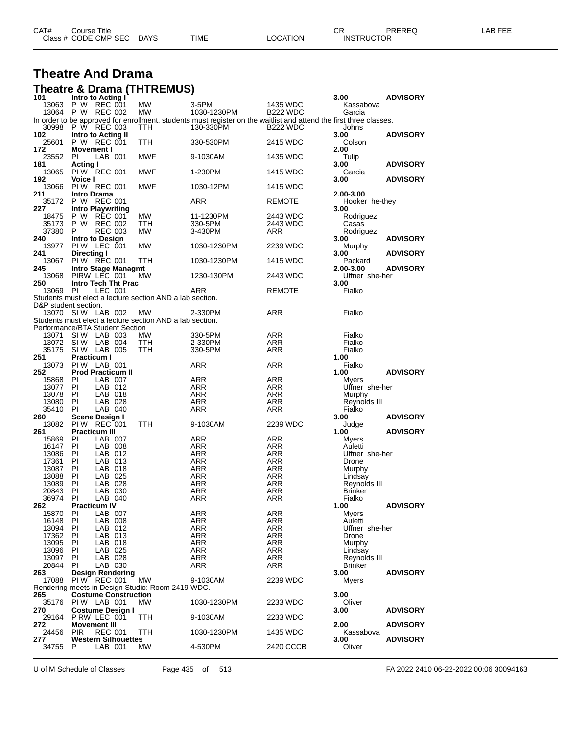| CAT# | Title<br>Course⊺     |             |      |          | ◠г<br>- UN        | PREREQ | _AB FEF |
|------|----------------------|-------------|------|----------|-------------------|--------|---------|
|      | Class # CODE CMP SEC | <b>DAYS</b> | TIME | LOCATION | <b>INSTRUCTOR</b> |        |         |

#### **Theatre And Drama Theatre & Drama (THTREMUS)**

| 101                             | Intro to Acting I                   |                    |                                                          |                                                                                                                    |                 | 3.00                    | <b>ADVISORY</b> |
|---------------------------------|-------------------------------------|--------------------|----------------------------------------------------------|--------------------------------------------------------------------------------------------------------------------|-----------------|-------------------------|-----------------|
| 13063                           | P W REC 001                         |                    | <b>MW</b>                                                | 3-5PM                                                                                                              | 1435 WDC        | Kassabova               |                 |
| 13064                           | P W REC 002                         |                    | MW                                                       | 1030-1230PM                                                                                                        | <b>B222 WDC</b> | Garcia                  |                 |
|                                 |                                     |                    |                                                          | In order to be approved for enrollment, students must register on the waitlist and attend the first three classes. |                 |                         |                 |
| 30998 P W REC 003<br>102        | Intro to Acting II                  |                    | TTH                                                      | 130-330PM                                                                                                          | <b>B222 WDC</b> | Johns<br>3.00           | <b>ADVISORY</b> |
| 25601                           | P W REC 001                         |                    | TTH                                                      | 330-530PM                                                                                                          | 2415 WDC        | Colson                  |                 |
| 172                             | Movement I                          |                    |                                                          |                                                                                                                    |                 | 2.00                    |                 |
| 23552                           | PI                                  | LAB 001            | MWF                                                      | 9-1030AM                                                                                                           | 1435 WDC        | Tulip                   |                 |
| 181                             | <b>Acting I</b>                     |                    |                                                          |                                                                                                                    |                 | 3.00                    | <b>ADVISORY</b> |
| 13065                           | PIW REC 001                         |                    | MWF                                                      | 1-230PM                                                                                                            | 1415 WDC        | Garcia                  |                 |
| 192                             | Voice I                             |                    |                                                          |                                                                                                                    |                 | 3.00                    | <b>ADVISORY</b> |
| 13066                           | PIW REC 001                         |                    | <b>MWF</b>                                               | 1030-12PM                                                                                                          | 1415 WDC        |                         |                 |
| 211                             | <b>Intro Drama</b>                  |                    |                                                          |                                                                                                                    |                 | 2.00-3.00               |                 |
| 35172                           | P W                                 | REC 001            |                                                          | ARR                                                                                                                | <b>REMOTE</b>   | Hooker he-they          |                 |
| 227                             | <b>Intro Playwriting</b>            |                    |                                                          |                                                                                                                    |                 | 3.00                    |                 |
| 18475                           | P W                                 | REC 001            | MW                                                       | 11-1230PM                                                                                                          | 2443 WDC        | Rodriguez               |                 |
| 35173                           | P W REC 002                         |                    | ттн                                                      | 330-5PM                                                                                                            | 2443 WDC        | Casas                   |                 |
| 37380                           | P                                   | <b>REC 003</b>     | MW                                                       | 3-430PM                                                                                                            | ARR             | Rodriguez               |                 |
| 240                             | Intro to Design                     |                    |                                                          |                                                                                                                    |                 | 3.00                    | <b>ADVISORY</b> |
| 13977<br>241                    | PIW LEC 001<br>Directing I          |                    | MW                                                       | 1030-1230PM                                                                                                        | 2239 WDC        | Murphy<br>3.00          | <b>ADVISORY</b> |
| 13067 PIW REC 001               |                                     |                    | TTH                                                      | 1030-1230PM                                                                                                        | 1415 WDC        | Packard                 |                 |
| 245                             | Intro Stage Managmt                 |                    |                                                          |                                                                                                                    |                 | 2.00-3.00               | <b>ADVISORY</b> |
| 13068                           | PIRW LEC 001                        |                    | MW.                                                      | 1230-130PM                                                                                                         | 2443 WDC        | Uffner she-her          |                 |
| 250                             | Intro Tech Tht Prac                 |                    |                                                          |                                                                                                                    |                 | 3.00                    |                 |
| 13069                           | - PI                                | LEC 001            |                                                          | ARR                                                                                                                | <b>REMOTE</b>   | Fialko                  |                 |
|                                 |                                     |                    | Students must elect a lecture section AND a lab section. |                                                                                                                    |                 |                         |                 |
| D&P student section.            |                                     |                    |                                                          |                                                                                                                    |                 |                         |                 |
| 13070 SIW LAB 002               |                                     |                    | <b>MW</b>                                                | 2-330PM                                                                                                            | ARR             | Fialko                  |                 |
|                                 |                                     |                    | Students must elect a lecture section AND a lab section. |                                                                                                                    |                 |                         |                 |
| Performance/BTA Student Section |                                     |                    |                                                          |                                                                                                                    |                 |                         |                 |
| 13071                           | SIW LAB 003                         |                    | <b>MW</b>                                                | 330-5PM                                                                                                            | ARR             | Fialko                  |                 |
| 13072                           | SI W                                | LAB 004            | TTH                                                      | 2-330PM                                                                                                            | <b>ARR</b>      | Fialko                  |                 |
| 35175                           | SIW LAB 005                         |                    | TTH                                                      | 330-5PM                                                                                                            | ARR             | Fialko                  |                 |
| 251                             | <b>Practicum I</b>                  |                    |                                                          |                                                                                                                    |                 | 1.00                    |                 |
| 13073                           | PIW LAB 001                         |                    |                                                          | ARR                                                                                                                | ARR             | Fialko                  |                 |
| 252                             | <b>Prod Practicum II</b>            |                    |                                                          |                                                                                                                    |                 | 1.00                    | <b>ADVISORY</b> |
| 15868                           | PI                                  | LAB 007            |                                                          | ARR                                                                                                                | ARR             | Myers                   |                 |
| 13077<br>13078                  | - PI<br>PI                          | LAB 012<br>LAB 018 |                                                          | ARR<br>ARR                                                                                                         | ARR<br>ARR      | Uffner she-her          |                 |
| 13080                           | PI                                  | LAB 028            |                                                          | ARR                                                                                                                | ARR             | Murphy<br>Reynolds III  |                 |
| 35410                           | PI                                  | LAB 040            |                                                          | ARR                                                                                                                | ARR             | Fialko                  |                 |
| 260                             | Scene Design I                      |                    |                                                          |                                                                                                                    |                 | 3.00                    | <b>ADVISORY</b> |
| 13082                           | PIW REC 001                         |                    | TTH                                                      | 9-1030AM                                                                                                           | 2239 WDC        | Judge                   |                 |
| 261                             | <b>Practicum III</b>                |                    |                                                          |                                                                                                                    |                 | 1.00                    | <b>ADVISORY</b> |
| 15869                           | PI                                  | LAB 007            |                                                          | ARR                                                                                                                | ARR             | Myers                   |                 |
| 16147                           | ΡI                                  | LAB 008            |                                                          | ARR                                                                                                                | ARR             | Auletti                 |                 |
| 13086                           | PI                                  | LAB 012            |                                                          | ARR                                                                                                                | ARR             | Uffner she-her          |                 |
| 17361                           | - PI                                | LAB 013            |                                                          | ARR                                                                                                                | ARR             | Drone                   |                 |
| 13087                           | ΡI                                  | LAB 018            |                                                          | ARR                                                                                                                | ARR             | Murphy                  |                 |
| 13088                           | - PI                                | LAB 025            |                                                          | ARR                                                                                                                | ARR             | Lindsay                 |                 |
| 13089                           | -PI                                 | LAB 028            |                                                          | ARR                                                                                                                | ARR             | Reynolds III            |                 |
| 20843                           | PI                                  | LAB 030            |                                                          | ARR                                                                                                                | <b>ARR</b>      | <b>Brinker</b>          |                 |
| 36974<br>262                    | PI<br><b>Practicum IV</b>           | LAB 040            |                                                          | ARR                                                                                                                | ARR             | Fialko<br>1.00          | <b>ADVISORY</b> |
| 15870                           |                                     |                    |                                                          |                                                                                                                    |                 |                         |                 |
| 16148                           | - PI<br>PI                          | LAB 007<br>LAB 008 |                                                          | ARR<br>ARR                                                                                                         | ARR<br>ARR      | <b>Myers</b><br>Auletti |                 |
| 13094                           | PI                                  | LAB 012            |                                                          | ARR                                                                                                                | ARR             | Uffner she-her          |                 |
| 17362                           | PI                                  | LAB 013            |                                                          | ARR                                                                                                                | ARR             | Drone                   |                 |
| 13095                           | - PI                                | LAB 018            |                                                          | ARR                                                                                                                | ARR             | Murphy                  |                 |
| 13096                           | - PI                                | LAB 025            |                                                          | ARR                                                                                                                | ARR             | Lindsay                 |                 |
| 13097                           | PI                                  | LAB 028            |                                                          | ARR                                                                                                                | ARR             | Reynolds III            |                 |
| 20844                           | PI                                  | LAB 030            |                                                          | ARR                                                                                                                | ARR             | <b>Brinker</b>          |                 |
| 263                             | <b>Design Rendering</b>             |                    |                                                          |                                                                                                                    |                 | 3.00                    | <b>ADVISORY</b> |
| 17088                           | PIW REC 001                         |                    | MW                                                       | 9-1030AM                                                                                                           | 2239 WDC        | Myers                   |                 |
|                                 |                                     |                    | Rendering meets in Design Studio: Room 2419 WDC.         |                                                                                                                    |                 |                         |                 |
| 265                             | <b>Costume Construction</b>         |                    |                                                          |                                                                                                                    |                 | 3.00                    |                 |
| 35176                           | PIW LAB 001                         |                    | <b>MW</b>                                                | 1030-1230PM                                                                                                        | 2233 WDC        | Oliver                  |                 |
| 270                             | Costume Design I                    |                    |                                                          |                                                                                                                    |                 | 3.00                    | <b>ADVISORY</b> |
| 29164<br>272.                   | P RW LEC 001<br><b>Movement III</b> |                    | TTH                                                      | 9-1030AM                                                                                                           | 2233 WDC        | 2.00                    | <b>ADVISORY</b> |
| 24456                           | <b>PIR</b>                          | <b>REC 001</b>     | TTH                                                      | 1030-1230PM                                                                                                        | 1435 WDC        | Kassabova               |                 |
| 277                             | <b>Western Silhouettes</b>          |                    |                                                          |                                                                                                                    |                 | 3.00                    | <b>ADVISORY</b> |
| 34755                           | P                                   | LAB 001            | <b>MW</b>                                                | 4-530PM                                                                                                            | 2420 CCCB       | Oliver                  |                 |
|                                 |                                     |                    |                                                          |                                                                                                                    |                 |                         |                 |

U of M Schedule of Classes Page 435 of 513 FA 2022 2410 06-22-2022 00:06 30094163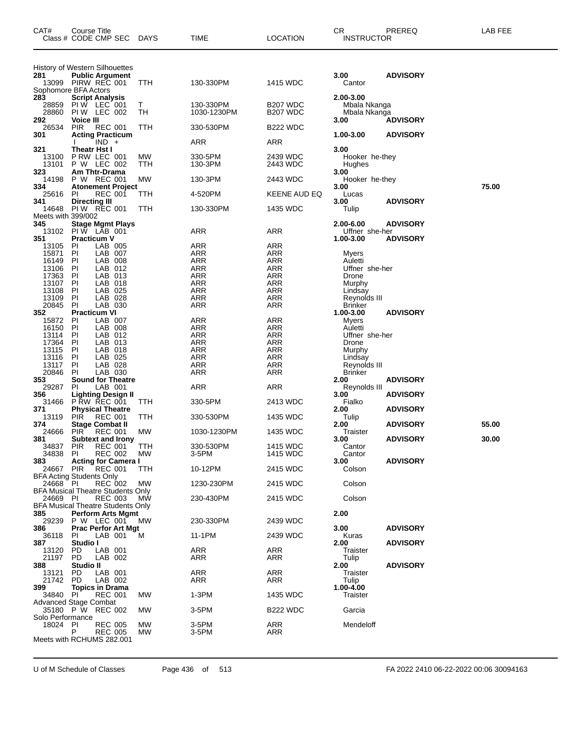| CAT#                                        | Course Title         | Class # CODE CMP SEC                                       | <b>DAYS</b> | <b>TIME</b>              | <b>LOCATION</b>                              | CR.<br><b>INSTRUCTOR</b>       | PREREQ          | LAB FEE |
|---------------------------------------------|----------------------|------------------------------------------------------------|-------------|--------------------------|----------------------------------------------|--------------------------------|-----------------|---------|
|                                             |                      | History of Western Silhouettes                             |             |                          |                                              |                                |                 |         |
| 281                                         |                      | <b>Public Argument</b><br>13099 PIRW REC 001               | TTH         | 130-330PM                | 1415 WDC                                     | 3.00<br>Cantor                 | <b>ADVISORY</b> |         |
| Sophomore BFA Actors                        |                      |                                                            |             |                          |                                              |                                |                 |         |
| 283                                         |                      | <b>Script Analysis</b>                                     |             |                          |                                              | 2.00-3.00                      |                 |         |
| 28859<br>28860                              |                      | PIW LEC 001<br>PIW LEC 002                                 | Τ<br>TН     | 130-330PM<br>1030-1230PM | B <sub>207</sub> WDC<br>B <sub>207</sub> WDC | Mbala Nkanga                   |                 |         |
| 292                                         | <b>Voice III</b>     |                                                            |             |                          |                                              | Mbala Nkanga<br>3.00           | <b>ADVISORY</b> |         |
| 26534                                       | <b>PIR</b>           | <b>REC 001</b>                                             | ттн         | 330-530PM                | B <sub>22</sub> WDC                          |                                |                 |         |
| 301                                         |                      | <b>Acting Practicum</b><br>$IND +$                         |             | ARR                      | ARR                                          | 1.00-3.00                      | <b>ADVISORY</b> |         |
| 321                                         | Theatr Hst I         |                                                            |             |                          |                                              | 3.00                           |                 |         |
| 13100                                       |                      | P RW LEC 001                                               | <b>MW</b>   | 330-5PM                  | 2439 WDC                                     | Hooker he-they                 |                 |         |
| 13101                                       |                      | P W LEC 002                                                | TTH         | 130-3PM                  | 2443 WDC                                     | Hughes                         |                 |         |
| 323<br>14198                                |                      | Am Thtr-Drama<br>P W REC 001                               | MW          | 130-3PM                  | 2443 WDC                                     | 3.00<br>Hooker he-they         |                 |         |
| 334                                         |                      | <b>Atonement Project</b>                                   |             |                          |                                              | 3.00                           |                 | 75.00   |
| 25616                                       | PI.                  | <b>REC 001</b>                                             | TTH         | 4-520PM                  | KEENE AUD EQ                                 | Lucas                          |                 |         |
| 341<br>14648                                | <b>Directing III</b> | <b>PIW REC 001</b>                                         | ттн         | 130-330PM                | 1435 WDC                                     | 3.00<br>Tulip                  | <b>ADVISORY</b> |         |
| Meets with 399/002                          |                      |                                                            |             |                          |                                              |                                |                 |         |
| 345                                         |                      | <b>Stage Mgmt Plays</b>                                    |             |                          |                                              | 2.00-6.00                      | <b>ADVISORY</b> |         |
| 13102<br>351                                | <b>Practicum V</b>   | PIW LAB 001                                                |             | ARR                      | ARR                                          | Uffner she-her<br>1.00-3.00    | <b>ADVISORY</b> |         |
| 13105                                       | PI                   | LAB 005                                                    |             | ARR                      | ARR                                          |                                |                 |         |
| 15871                                       | PI                   | LAB 007                                                    |             | ARR                      | <b>ARR</b>                                   | Myers                          |                 |         |
| 16149                                       | PI                   | LAB 008                                                    |             | ARR                      | ARR                                          | Auletti                        |                 |         |
| 13106<br>17363                              | PI<br>PI             | LAB 012<br>LAB 013                                         |             | <b>ARR</b><br>ARR        | <b>ARR</b><br><b>ARR</b>                     | Uffner she-her<br>Drone        |                 |         |
| 13107                                       | ΡI                   | LAB 018                                                    |             | ARR                      | ARR                                          | Murphy                         |                 |         |
| 13108                                       | PI                   | LAB 025                                                    |             | <b>ARR</b>               | <b>ARR</b>                                   | Lindsay                        |                 |         |
| 13109<br>20845                              | PI<br>PI             | LAB 028<br>LAB 030                                         |             | <b>ARR</b><br>ARR        | <b>ARR</b><br>ARR                            | Reynolds III<br><b>Brinker</b> |                 |         |
| 352                                         | <b>Practicum VI</b>  |                                                            |             |                          |                                              | 1.00-3.00                      | <b>ADVISORY</b> |         |
| 15872                                       | PI                   | LAB 007                                                    |             | ARR                      | ARR                                          | Myers                          |                 |         |
| 16150<br>13114                              | PI<br>PI             | LAB 008<br>LAB 012                                         |             | ARR<br><b>ARR</b>        | ARR<br><b>ARR</b>                            | Auletti<br>Uffner she-her      |                 |         |
| 17364                                       | PI                   | LAB 013                                                    |             | ARR                      | <b>ARR</b>                                   | Drone                          |                 |         |
| 13115                                       | PI                   | LAB 018                                                    |             | ARR                      | ARR                                          | Murphy                         |                 |         |
| 13116<br>13117                              | PI<br>PI             | LAB 025                                                    |             | <b>ARR</b>               | <b>ARR</b><br><b>ARR</b>                     | Lindsay                        |                 |         |
| 20846                                       | PI                   | LAB 028<br>LAB 030                                         |             | ARR<br>ARR               | ARR                                          | Reynolds III<br><b>Brinker</b> |                 |         |
| 353                                         |                      | <b>Sound for Theatre</b>                                   |             |                          |                                              | 2.00                           | <b>ADVISORY</b> |         |
| 29287                                       | PI                   | LAB 001                                                    |             | ARR                      | ARR                                          | Reynolds III                   |                 |         |
| 356<br>31466                                |                      | <b>Lighting Design II</b><br>P RW REC 001                  | TTH         | 330-5PM                  | 2413 WDC                                     | 3.00<br>Fialko                 | <b>ADVISORY</b> |         |
| 371                                         |                      | <b>Physical Theatre</b>                                    |             |                          |                                              | 2.00                           | <b>ADVISORY</b> |         |
| 13119                                       | <b>PIR</b>           | <b>REC 001</b>                                             | ттн         | 330-530PM                | 1435 WDC                                     | Tulip                          |                 |         |
| 374<br>24666                                | PIR.                 | <b>Stage Combat II</b><br><b>REC 001</b>                   | МW          | 1030-1230PM              | 1435 WDC                                     | 2.00<br>Traister               | <b>ADVISORY</b> | 55.00   |
| 381                                         |                      | <b>Subtext and Irony</b>                                   |             |                          |                                              | 3.00                           | <b>ADVISORY</b> | 30.00   |
| 34837                                       | <b>PIR</b>           | <b>REC 001</b>                                             | TTH         | 330-530PM                | 1415 WDC                                     | Cantor                         |                 |         |
| 34838<br>383                                | PI.                  | <b>REC 002</b><br><b>Acting for Camera I</b>               | МW          | 3-5PM                    | 1415 WDC                                     | Cantor<br>3.00                 | <b>ADVISORY</b> |         |
| 24667                                       | <b>PIR</b>           | <b>REC 001</b>                                             | TTH         | 10-12PM                  | 2415 WDC                                     | Colson                         |                 |         |
| <b>BFA Acting Students Only</b><br>24668 PI |                      |                                                            |             |                          |                                              |                                |                 |         |
|                                             |                      | <b>REC 002</b><br><b>BFA Musical Theatre Students Only</b> | МW          | 1230-230PM               | 2415 WDC                                     | Colson                         |                 |         |
| 24669 PI                                    |                      | <b>REC 003</b>                                             | <b>MW</b>   | 230-430PM                | 2415 WDC                                     | Colson                         |                 |         |
|                                             |                      | BFA Musical Theatre Students Only                          |             |                          |                                              |                                |                 |         |
| 385<br>29239                                |                      | <b>Perform Arts Mgmt</b><br><b>P W LEC 001</b>             | <b>MW</b>   | 230-330PM                | 2439 WDC                                     | 2.00                           |                 |         |
| 386                                         |                      | <b>Prac Perfor Art Mgt</b>                                 |             |                          |                                              | 3.00                           | <b>ADVISORY</b> |         |
| 36118                                       | PI                   | LAB 001                                                    | м           | 11-1PM                   | 2439 WDC                                     | Kuras                          |                 |         |
| 387<br>13120                                | Studio I<br>PD.      | LAB 001                                                    |             | ARR                      | ARR                                          | 2.00<br>Traister               | <b>ADVISORY</b> |         |
| 21197                                       | PD.                  | LAB 002                                                    |             | ARR                      | ARR                                          | Tulip                          |                 |         |
| 388                                         | Studio II            |                                                            |             |                          |                                              | 2.00                           | <b>ADVISORY</b> |         |
| 13121<br>21742                              | PD.<br><b>PD</b>     | LAB 001<br>LAB 002                                         |             | ARR<br>ARR               | ARR<br><b>ARR</b>                            | Traister<br>Tulip              |                 |         |
| 399                                         |                      | <b>Topics in Drama</b>                                     |             |                          |                                              | 1.00-4.00                      |                 |         |
| 34840                                       | PI.                  | <b>REC 001</b>                                             | МW          | $1-3PM$                  | 1435 WDC                                     | Traister                       |                 |         |
| <b>Advanced Stage Combat</b>                |                      | 35180 P W REC 002                                          | МW          | 3-5PM                    | B <sub>22</sub> WDC                          | Garcia                         |                 |         |
| Solo Performance<br>18024                   | PI                   | <b>REC 005</b>                                             | МW          | 3-5PM                    | ARR                                          | Mendeloff                      |                 |         |
|                                             | P                    | <b>REC 005</b>                                             | МW          | 3-5PM                    | ARR                                          |                                |                 |         |
|                                             |                      | Meets with RCHUMS 282.001                                  |             |                          |                                              |                                |                 |         |

U of M Schedule of Classes Page 436 of 513 FA 2022 2410 06-22-2022 00:06 30094163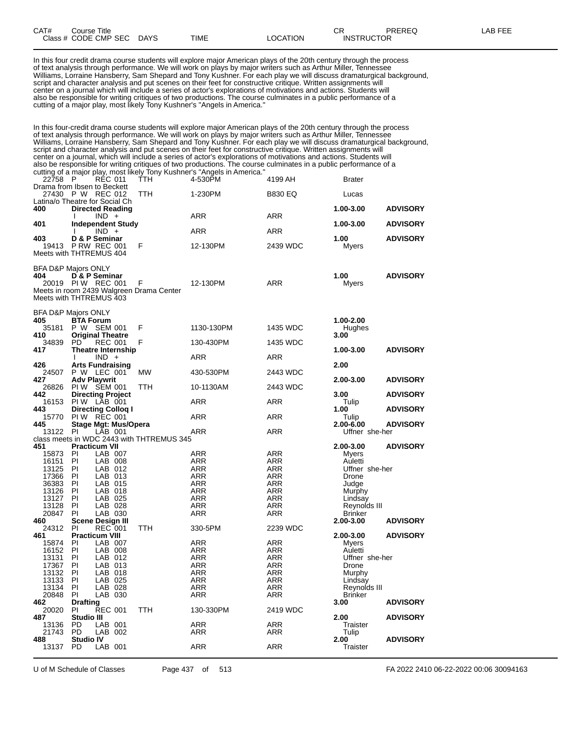| CAT# | Title<br>∴ourse                    |                       |             |          | ~~<br>◡⊓                           | <b>PREREC</b> | $- - -$<br>ΔR<br>--- |
|------|------------------------------------|-----------------------|-------------|----------|------------------------------------|---------------|----------------------|
|      | Class # CODE CMP SEC<br>__<br>____ | <b>DAYS</b><br>$\sim$ | <b>TIME</b> | _OCATION | TRUCTOR<br><b>INST</b><br>________ |               |                      |

In this four credit drama course students will explore major American plays of the 20th century through the process of text analysis through performance. We will work on plays by major writers such as Arthur Miller, Tennessee Williams, Lorraine Hansberry, Sam Shepard and Tony Kushner. For each play we will discuss dramaturgical background, script and character analysis and put scenes on their feet for constructive critique. Written assignments will center on a journal which will include a series of actor's explorations of motivations and actions. Students will also be responsible for writing critiques of two productions. The course culminates in a public performance of a cutting of a major play, most likely Tony Kushner's "Angels in America."

In this four-credit drama course students will explore major American plays of the 20th century through the process of text analysis through performance. We will work on plays by major writers such as Arthur Miller, Tennessee Williams, Lorraine Hansberry, Sam Shepard and Tony Kushner. For each play we will discuss dramaturgical background, script and character analysis and put scenes on their feet for constructive critique. Written assignments will center on a journal, which will include a series of actor's explorations of motivations and actions. Students will also be responsible for writing critiques of two productions. The course culminates in a public performance of a cutting of a major play, most likely Tony Kushner's "Angels in America."

| 22758 P         |                                                                                                 | <b>REC 011</b>     | <b>TTH</b>                                    | catting or a major play, most likely forly redshifts of Angels in America.<br>4-530PM | 4199 AH           | <b>Brater</b>                  |                 |
|-----------------|-------------------------------------------------------------------------------------------------|--------------------|-----------------------------------------------|---------------------------------------------------------------------------------------|-------------------|--------------------------------|-----------------|
|                 | Drama from Ibsen to Beckett<br>27430 P W REC 012                                                |                    | TTH                                           | 1-230PM                                                                               | <b>B830 EQ</b>    | Lucas                          |                 |
| 400             | Latina/o Theatre for Social Ch<br><b>Directed Reading</b>                                       |                    |                                               |                                                                                       |                   | 1.00-3.00                      | <b>ADVISORY</b> |
|                 | $\mathbf{I}$                                                                                    | $IND +$            |                                               | <b>ARR</b>                                                                            | ARR               |                                |                 |
| 401             | <b>Independent Study</b>                                                                        | $IND +$            |                                               | <b>ARR</b>                                                                            | <b>ARR</b>        | 1.00-3.00                      | <b>ADVISORY</b> |
| 403             | D & P Seminar<br>19413 PRW REC 001<br>Meets with THTREMUS 404                                   |                    | F                                             | 12-130PM                                                                              | 2439 WDC          | 1.00<br>Myers                  | <b>ADVISORY</b> |
| 404             | <b>BFA D&amp;P Majors ONLY</b><br>D & P Seminar<br>20019 PIW REC 001<br>Meets with THTREMUS 403 |                    | F<br>Meets in room 2439 Walgreen Drama Center | 12-130PM                                                                              | <b>ARR</b>        | 1.00<br>Myers                  | <b>ADVISORY</b> |
| 405             | <b>BFA D&amp;P Majors ONLY</b><br><b>BTA Forum</b>                                              |                    |                                               |                                                                                       |                   | 1.00-2.00                      |                 |
| 410             | 35181 P W SEM 001<br><b>Original Theatre</b>                                                    |                    | F                                             | 1130-130PM                                                                            | 1435 WDC          | Hughes<br>3.00                 |                 |
| 34839<br>417    | PD<br><b>Theatre Internship</b>                                                                 | <b>REC 001</b>     | F                                             | 130-430PM                                                                             | 1435 WDC          | 1.00-3.00                      | <b>ADVISORY</b> |
|                 |                                                                                                 | $IND +$            |                                               | <b>ARR</b>                                                                            | <b>ARR</b>        |                                |                 |
| 426<br>24507    | <b>Arts Fundraising</b><br>P W LEC 001                                                          |                    | MW                                            | 430-530PM                                                                             | 2443 WDC          | 2.00                           |                 |
| 427             | <b>Adv Playwrit</b><br>26826 PIW SEM 001                                                        |                    | TTH                                           | 10-1130AM                                                                             | 2443 WDC          | 2.00-3.00                      | <b>ADVISORY</b> |
| 442<br>16153    | <b>Directing Project</b><br>PIW LAB 001                                                         |                    |                                               | <b>ARR</b>                                                                            | <b>ARR</b>        | 3.00<br>Tulip                  | <b>ADVISORY</b> |
| 443<br>15770    | <b>Directing Colloq I</b><br>PIW REC 001                                                        |                    |                                               | <b>ARR</b>                                                                            | <b>ARR</b>        | 1.00<br>Tulip                  | <b>ADVISORY</b> |
| 445<br>13122 PI | <b>Stage Mgt: Mus/Opera</b>                                                                     | LĀB 001            |                                               | ARR                                                                                   | <b>ARR</b>        | 2.00-6.00<br>Uffner she-her    | <b>ADVISORY</b> |
|                 |                                                                                                 |                    | class meets in WDC 2443 with THTREMUS 345     |                                                                                       |                   |                                |                 |
| 451<br>15873 PI | <b>Practicum VII</b>                                                                            | LAB 007            |                                               | ARR                                                                                   | <b>ARR</b>        | 2.00-3.00<br><b>Myers</b>      | <b>ADVISORY</b> |
| 16151 PI        |                                                                                                 | LAB 008            |                                               | <b>ARR</b>                                                                            | <b>ARR</b>        | Auletti                        |                 |
| 13125           | P1                                                                                              | LAB 012            |                                               | ARR                                                                                   | ARR               | Uffner she-her                 |                 |
| 17366           | - PI                                                                                            | LAB 013            |                                               | <b>ARR</b>                                                                            | <b>ARR</b>        | Drone                          |                 |
| 36383 PI        |                                                                                                 | LAB 015            |                                               | ARR                                                                                   | <b>ARR</b>        | Judge                          |                 |
| 13126           | PI                                                                                              | LAB 018            |                                               | ARR                                                                                   | <b>ARR</b>        | Murphy                         |                 |
| 13127<br>13128  | PI<br><b>PI</b>                                                                                 | LAB 025<br>LAB 028 |                                               | ARR<br>ARR                                                                            | <b>ARR</b><br>ARR | Lindsay<br>Reynolds III        |                 |
| 20847           | PI                                                                                              | LAB 030            |                                               | ARR                                                                                   | ARR               | <b>Brinker</b>                 |                 |
| 460             | <b>Scene Design III</b>                                                                         |                    |                                               |                                                                                       |                   | 2.00-3.00                      | <b>ADVISORY</b> |
| 24312 PI<br>461 | <b>Practicum VIII</b>                                                                           | REC 001            | TTH                                           | 330-5PM                                                                               | 2239 WDC          | 2.00-3.00                      | <b>ADVISORY</b> |
| 15874           | PI                                                                                              | LAB 007            |                                               | ARR                                                                                   | <b>ARR</b>        | <b>Myers</b>                   |                 |
| 16152           | PI                                                                                              | LAB 008            |                                               | ARR                                                                                   | <b>ARR</b>        | Auletti                        |                 |
| 13131           | PI                                                                                              | LAB 012            |                                               | <b>ARR</b>                                                                            | <b>ARR</b>        | Uffner she-her                 |                 |
| 17367           | PI                                                                                              | LAB 013            |                                               | ARR                                                                                   | ARR               | Drone                          |                 |
| 13132           | - PI                                                                                            | LAB 018            |                                               | <b>ARR</b>                                                                            | ARR               | Murphy                         |                 |
| 13133<br>13134  | PI<br>PI                                                                                        | LAB 025<br>LAB 028 |                                               | <b>ARR</b>                                                                            | ARR               | Lindsay                        |                 |
| 20848           | PI                                                                                              | LAB 030            |                                               | ARR<br>ARR                                                                            | ARR<br><b>ARR</b> | Reynolds III<br><b>Brinker</b> |                 |
| 462             | <b>Drafting</b>                                                                                 |                    |                                               |                                                                                       |                   | 3.00                           | <b>ADVISORY</b> |
| 20020           | PI                                                                                              | <b>REC 001</b>     | TTH                                           | 130-330PM                                                                             | 2419 WDC          |                                |                 |
| 487             | <b>Studio III</b>                                                                               |                    |                                               |                                                                                       |                   | 2.00                           | <b>ADVISORY</b> |
| 13136           | PD.                                                                                             | LAB 001            |                                               | ARR                                                                                   | ARR               | Traister                       |                 |
| 21743           | PD                                                                                              | LAB 002            |                                               | ARR                                                                                   | ARR               | Tulip                          |                 |
| 488<br>13137 PD | <b>Studio IV</b>                                                                                | LAB 001            |                                               | <b>ARR</b>                                                                            | <b>ARR</b>        | 2.00<br>Traister               | <b>ADVISORY</b> |
|                 |                                                                                                 |                    |                                               |                                                                                       |                   |                                |                 |

U of M Schedule of Classes Page 437 of 513 FA 2022 2410 06-22-2022 00:06 30094163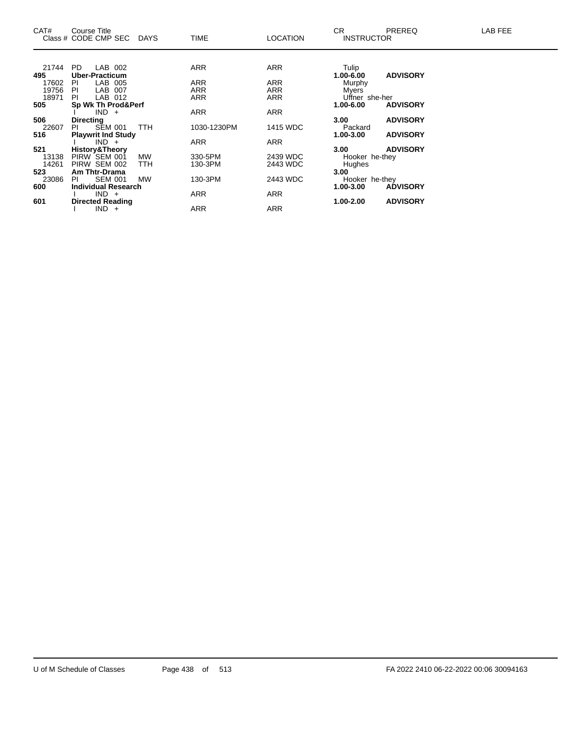| CAT#  | Course Title<br>Class # CODE CMP SEC DAYS |            | <b>TIME</b> | <b>LOCATION</b> | CR.<br><b>INSTRUCTOR</b> | <b>PREREQ</b>   | LAB FEE |
|-------|-------------------------------------------|------------|-------------|-----------------|--------------------------|-----------------|---------|
|       |                                           |            |             |                 |                          |                 |         |
| 21744 | PD.<br>LAB 002                            |            | <b>ARR</b>  | ARR             | Tulip                    |                 |         |
| 495   | <b>Uber-Practicum</b>                     |            |             |                 | $1.00 - 6.00$            | <b>ADVISORY</b> |         |
| 17602 | LAB 005<br>PL                             |            | <b>ARR</b>  | ARR             | Murphy                   |                 |         |
| 19756 | LAB 007<br>-PI                            |            | ARR         | ARR             | Myers                    |                 |         |
| 18971 | LAB 012<br>PI.                            |            | <b>ARR</b>  | ARR             | Uffner she-her           |                 |         |
| 505   | Sp Wk Th Prod&Perf                        |            |             |                 | 1.00-6.00                | <b>ADVISORY</b> |         |
|       | $IND +$                                   |            | <b>ARR</b>  | ARR             |                          |                 |         |
| 506   | <b>Directing</b>                          |            |             |                 | 3.00 <sub>1</sub>        | <b>ADVISORY</b> |         |
| 22607 | <b>SEM 001</b><br>PL                      | <b>TTH</b> | 1030-1230PM | 1415 WDC        | Packard                  |                 |         |
| 516   | <b>Playwrit Ind Study</b>                 |            |             |                 | 1.00-3.00                | <b>ADVISORY</b> |         |
|       | $IND +$                                   |            | <b>ARR</b>  | ARR             |                          |                 |         |
| 521   | <b>History&amp;Theory</b>                 |            |             |                 | 3.00 <sub>1</sub>        | <b>ADVISORY</b> |         |
| 13138 | PIRW SEM 001                              | <b>MW</b>  | 330-5PM     | 2439 WDC        | Hooker he-they           |                 |         |
| 14261 | PIRW SEM 002                              | <b>TTH</b> | 130-3PM     | 2443 WDC        | Hughes                   |                 |         |
| 523   | Am Thtr-Drama                             |            |             |                 | 3.00                     |                 |         |
| 23086 | <b>SEM 001</b><br>PL                      | <b>MW</b>  | 130-3PM     | 2443 WDC        | Hooker he-they           |                 |         |
| 600   | <b>Individual Research</b>                |            |             |                 | 1.00-3.00                | <b>ADVISORY</b> |         |
|       | $IND +$                                   |            | ARR         | ARR             |                          |                 |         |
| 601   | <b>Directed Reading</b>                   |            |             |                 | $1.00 - 2.00$            | <b>ADVISORY</b> |         |
|       | $IND +$                                   |            | <b>ARR</b>  | ARR             |                          |                 |         |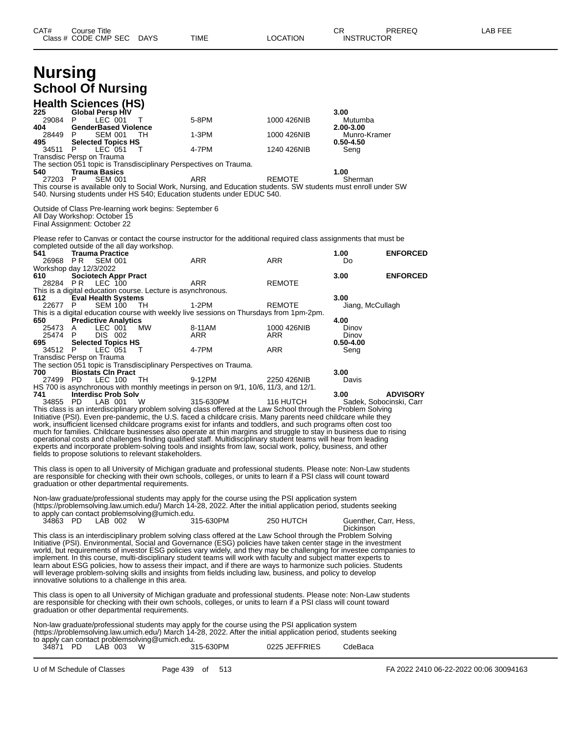| CAT#            | <b>Course Title</b><br>Class # CODE CMP SEC DAYS                                                                       |      | TIME                                                                                                                                                                                                                                                                                                                                                                                                                                                                                                                                                                                                                                                                                                             | <b>LOCATION</b> | CR<br><b>INSTRUCTOR</b>            | PREREQ                                     | LAB FEE |
|-----------------|------------------------------------------------------------------------------------------------------------------------|------|------------------------------------------------------------------------------------------------------------------------------------------------------------------------------------------------------------------------------------------------------------------------------------------------------------------------------------------------------------------------------------------------------------------------------------------------------------------------------------------------------------------------------------------------------------------------------------------------------------------------------------------------------------------------------------------------------------------|-----------------|------------------------------------|--------------------------------------------|---------|
| <b>Nursing</b>  |                                                                                                                        |      |                                                                                                                                                                                                                                                                                                                                                                                                                                                                                                                                                                                                                                                                                                                  |                 |                                    |                                            |         |
|                 | <b>School Of Nursing</b>                                                                                               |      |                                                                                                                                                                                                                                                                                                                                                                                                                                                                                                                                                                                                                                                                                                                  |                 |                                    |                                            |         |
|                 | <b>Health Sciences (HS)</b>                                                                                            |      |                                                                                                                                                                                                                                                                                                                                                                                                                                                                                                                                                                                                                                                                                                                  |                 |                                    |                                            |         |
| 225<br>29084    | <b>Global Persp HIV</b><br>LEC 001<br>P                                                                                | т    | 5-8PM                                                                                                                                                                                                                                                                                                                                                                                                                                                                                                                                                                                                                                                                                                            | 1000 426NIB     | 3.00<br>Mutumba                    |                                            |         |
| 404<br>28449    | <b>GenderBased Violence</b><br>P<br>SEM 001                                                                            | - TH | 1-3PM                                                                                                                                                                                                                                                                                                                                                                                                                                                                                                                                                                                                                                                                                                            | 1000 426NIB     | 2.00-3.00<br>Munro-Kramer          |                                            |         |
| 495<br>34511 P  | <b>Selected Topics HS</b><br>LEC 051                                                                                   | т    | 4-7PM                                                                                                                                                                                                                                                                                                                                                                                                                                                                                                                                                                                                                                                                                                            | 1240 426NIB     | $0.50 - 4.50$<br>Seng              |                                            |         |
|                 | Transdisc Persp on Trauma                                                                                              |      |                                                                                                                                                                                                                                                                                                                                                                                                                                                                                                                                                                                                                                                                                                                  |                 |                                    |                                            |         |
| 540             | The section 051 topic is Transdisciplinary Perspectives on Trauma.<br><b>Trauma Basics</b>                             |      |                                                                                                                                                                                                                                                                                                                                                                                                                                                                                                                                                                                                                                                                                                                  |                 | 1.00                               |                                            |         |
| 27203 P         | <b>SEM 001</b>                                                                                                         |      | ARR<br>This course is available only to Social Work, Nursing, and Education students. SW students must enroll under SW<br>540. Nursing students under HS 540; Education students under EDUC 540.                                                                                                                                                                                                                                                                                                                                                                                                                                                                                                                 | <b>REMOTE</b>   | Sherman                            |                                            |         |
|                 | Outside of Class Pre-learning work begins: September 6<br>All Day Workshop: October 15<br>Final Assignment: October 22 |      |                                                                                                                                                                                                                                                                                                                                                                                                                                                                                                                                                                                                                                                                                                                  |                 |                                    |                                            |         |
|                 | completed outside of the all day workshop.                                                                             |      | Please refer to Canvas or contact the course instructor for the additional required class assignments that must be                                                                                                                                                                                                                                                                                                                                                                                                                                                                                                                                                                                               |                 |                                    |                                            |         |
| 541<br>26968 PR | <b>Trauma Practice</b><br>SEM 001                                                                                      |      | ARR                                                                                                                                                                                                                                                                                                                                                                                                                                                                                                                                                                                                                                                                                                              | <b>ARR</b>      | 1.00<br>Do                         | <b>ENFORCED</b>                            |         |
| 610             | Workshop day 12/3/2022<br><b>Sociotech Appr Pract</b>                                                                  |      |                                                                                                                                                                                                                                                                                                                                                                                                                                                                                                                                                                                                                                                                                                                  |                 | 3.00                               | <b>ENFORCED</b>                            |         |
| 28284 PR        | <b>LEC 100</b><br>This is a digital education course. Lecture is asynchronous.                                         |      | ARR                                                                                                                                                                                                                                                                                                                                                                                                                                                                                                                                                                                                                                                                                                              | <b>REMOTE</b>   |                                    |                                            |         |
| 612<br>22677 P  | <b>Eval Health Systems</b><br><b>SEM 100</b>                                                                           | TH   | 1-2PM                                                                                                                                                                                                                                                                                                                                                                                                                                                                                                                                                                                                                                                                                                            | REMOTE          | 3.00                               |                                            |         |
|                 |                                                                                                                        |      | This is a digital education course with weekly live sessions on Thursdays from 1pm-2pm.                                                                                                                                                                                                                                                                                                                                                                                                                                                                                                                                                                                                                          |                 | Jiang, McCullagh                   |                                            |         |
| 650<br>25473 A  | <b>Predictive Analytics</b><br>LEC 001                                                                                 | МW   | 8-11AM                                                                                                                                                                                                                                                                                                                                                                                                                                                                                                                                                                                                                                                                                                           | 1000 426NIB     | 4.00<br>Dinov                      |                                            |         |
| 25474 P<br>695  | DIS 002<br><b>Selected Topics HS</b>                                                                                   |      | ARR                                                                                                                                                                                                                                                                                                                                                                                                                                                                                                                                                                                                                                                                                                              | ARR             | Dinov<br>$0.50 - 4.00$             |                                            |         |
| 34512 P         | LEC 051<br>Transdisc Persp on Trauma                                                                                   | T    | 4-7PM                                                                                                                                                                                                                                                                                                                                                                                                                                                                                                                                                                                                                                                                                                            | ARR             | Seng                               |                                            |         |
| 700             | The section 051 topic is Transdisciplinary Perspectives on Trauma.<br><b>Biostats CIn Pract</b>                        |      |                                                                                                                                                                                                                                                                                                                                                                                                                                                                                                                                                                                                                                                                                                                  |                 | 3.00                               |                                            |         |
| 27499 PD        | LEC 100                                                                                                                | TH   | 9-12PM<br>HS 700 is asynchronous with monthly meetings in person on 9/1, 10/6, 11/3, and 12/1.                                                                                                                                                                                                                                                                                                                                                                                                                                                                                                                                                                                                                   | 2250 426NIB     | Davis                              |                                            |         |
| 741<br>34855 PD | <b>Interdisc Prob Solv</b><br>LAB 001                                                                                  | W    | 315-630PM                                                                                                                                                                                                                                                                                                                                                                                                                                                                                                                                                                                                                                                                                                        | 116 HUTCH       | 3.00                               | <b>ADVISORY</b><br>Sadek, Sobocinski, Carr |         |
|                 | fields to propose solutions to relevant stakeholders.                                                                  |      | This class is an interdisciplinary problem solving class offered at the Law School through the Problem Solving<br>Initiative (PSI). Even pre-pandemic, the U.S. faced a childcare crisis. Many parents need childcare while they<br>work, insufficient licensed childcare programs exist for infants and toddlers, and such programs often cost too<br>much for families. Childcare businesses also operate at thin margins and struggle to stay in business due to rising<br>operational costs and challenges finding qualified staff. Multidisciplinary student teams will hear from leading<br>experts and incorporate problem-solving tools and insights from law, social work, policy, business, and other  |                 |                                    |                                            |         |
|                 | graduation or other departmental requirements.                                                                         |      | This class is open to all University of Michigan graduate and professional students. Please note: Non-Law students<br>are responsible for checking with their own schools, colleges, or units to learn if a PSI class will count toward                                                                                                                                                                                                                                                                                                                                                                                                                                                                          |                 |                                    |                                            |         |
|                 | to apply can contact problemsolving@umich.edu.                                                                         |      | Non-law graduate/professional students may apply for the course using the PSI application system<br>(https://problemsolving.law.umich.edu/) March 14-28, 2022. After the initial application period, students seeking                                                                                                                                                                                                                                                                                                                                                                                                                                                                                            |                 |                                    |                                            |         |
| 34863 PD        | LAB 002                                                                                                                | W    | 315-630PM                                                                                                                                                                                                                                                                                                                                                                                                                                                                                                                                                                                                                                                                                                        | 250 HUTCH       | Guenther, Carr, Hess,<br>Dickinson |                                            |         |
|                 | innovative solutions to a challenge in this area.                                                                      |      | This class is an interdisciplinary problem solving class offered at the Law School through the Problem Solving<br>Initiative (PSI). Environmental, Social and Governance (ESG) policies have taken center stage in the investment<br>world, but requirements of investor ESG policies vary widely, and they may be challenging for investee companies to<br>implement. In this course, multi-disciplinary student teams will work with faculty and subject matter experts to<br>learn about ESG policies, how to assess their impact, and if there are ways to harmonize such policies. Students<br>will leverage problem-solving skills and insights from fields including law, business, and policy to develop |                 |                                    |                                            |         |
|                 | graduation or other departmental requirements.                                                                         |      | This class is open to all University of Michigan graduate and professional students. Please note: Non-Law students<br>are responsible for checking with their own schools, colleges, or units to learn if a PSI class will count toward                                                                                                                                                                                                                                                                                                                                                                                                                                                                          |                 |                                    |                                            |         |
|                 | to apply can contact problemsolving@umich.edu.                                                                         |      | Non-law graduate/professional students may apply for the course using the PSI application system<br>(https://problemsolving.law.umich.edu/) March 14-28, 2022. After the initial application period, students seeking                                                                                                                                                                                                                                                                                                                                                                                                                                                                                            |                 |                                    |                                            |         |
| 34871 PD        | LAB 003                                                                                                                | W    | 315-630PM                                                                                                                                                                                                                                                                                                                                                                                                                                                                                                                                                                                                                                                                                                        | 0225 JEFFRIES   | CdeBaca                            |                                            |         |

U of M Schedule of Classes Page 439 of 513 FA 2022 2410 06-22-2022 00:06 30094163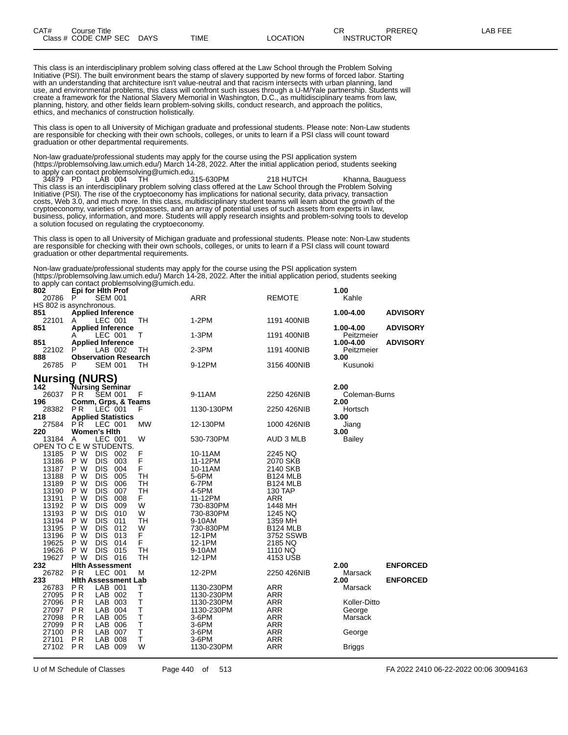This class is an interdisciplinary problem solving class offered at the Law School through the Problem Solving Initiative (PSI). The built environment bears the stamp of slavery supported by new forms of forced labor. Starting with an understanding that architecture isn't value-neutral and that racism intersects with urban planning, land use, and environmental problems, this class will confront such issues through a U-M/Yale partnership. Students will create a framework for the National Slavery Memorial in Washington, D.C., as multidisciplinary teams from law, planning, history, and other fields learn problem-solving skills, conduct research, and approach the politics, ethics, and mechanics of construction holistically.

This class is open to all University of Michigan graduate and professional students. Please note: Non-Law students are responsible for checking with their own schools, colleges, or units to learn if a PSI class will count toward graduation or other departmental requirements.

Non-law graduate/professional students may apply for the course using the PSI application system (https://problemsolving.law.umich.edu/) March 14-28, 2022. After the initial application period, students seeking to apply can contact problemsolving@umich.edu.<br>194879 PD LAB 004 TH 315-630PM

34879 PD LAB 004 TH 315-630PM 218 HUTCH Khanna, Bauguess This class is an interdisciplinary problem solving class offered at the Law School through the Problem Solving Initiative (PSI). The rise of the cryptoeconomy has implications for national security, data privacy, transaction costs, Web 3.0, and much more. In this class, multidisciplinary student teams will learn about the growth of the cryptoeconomy, varieties of cryptoassets, and an array of potential uses of such assets from experts in law, business, policy, information, and more. Students will apply research insights and problem-solving tools to develop a solution focused on regulating the cryptoeconomy.

This class is open to all University of Michigan graduate and professional students. Please note: Non-Law students are responsible for checking with their own schools, colleges, or units to learn if a PSI class will count toward graduation or other departmental requirements.

Non-law graduate/professional students may apply for the course using the PSI application system (https://problemsolving.law.umich.edu/) March 14-28, 2022. After the initial application period, students seeking to apply can contact problemsolving@umich.edu.

| 802<br>20786 | Epi for Hith Prof<br>P<br><b>SEM 001</b> |           | <b>ARR</b> | <b>REMOTE</b>   | 1.00<br>Kahle |                 |
|--------------|------------------------------------------|-----------|------------|-----------------|---------------|-----------------|
|              | HS 802 is asynchronous.                  |           |            |                 |               |                 |
| 851          | <b>Applied Inference</b>                 |           |            |                 | 1.00-4.00     | <b>ADVISORY</b> |
| 22101        | LEC 001<br>A                             | TН        | $1-2PM$    | 1191 400NIB     |               |                 |
| 851          | <b>Applied Inference</b>                 |           |            |                 | 1.00-4.00     | <b>ADVISORY</b> |
|              | LEC 001<br>A                             | т         | 1-3PM      | 1191 400NIB     | Peitzmeier    |                 |
| 851          | <b>Applied Inference</b>                 |           |            |                 | 1.00-4.00     | <b>ADVISORY</b> |
| 22102        | P<br>LAB 002                             | TH        | $2-3PM$    | 1191 400NIB     | Peitzmeier    |                 |
| 888          | <b>Observation Research</b>              |           |            |                 | 3.00          |                 |
| 26785        | P<br>SEM 001                             | TH        | 9-12PM     | 3156 400NIB     | Kusunoki      |                 |
|              |                                          |           |            |                 |               |                 |
|              | <b>Nursing (NURS)</b>                    |           |            |                 |               |                 |
| 142          | <b>Tursing Seminar</b>                   |           |            |                 | 2.00          |                 |
| 26037        | P <sub>R</sub><br><b>SEM 001</b>         | F         | 9-11AM     | 2250 426NIB     | Coleman-Burns |                 |
| 196          | Comm, Grps, & Teams                      |           |            |                 | 2.00          |                 |
| 28382        | P <sub>R</sub><br>LEC 001                | F         | 1130-130PM | 2250 426NIB     | Hortsch       |                 |
| 218          | <b>Applied Statistics</b>                |           |            |                 | 3.00          |                 |
| 27584        | LEC 001<br>PR.                           | <b>MW</b> | 12-130PM   | 1000 426NIB     | Jiang         |                 |
| 220<br>13184 | <b>Women's Hith</b><br>LEC 001           |           |            |                 | 3.00          |                 |
|              | A<br>OPEN TO C E W STUDENTS.             | W         | 530-730PM  | AUD 3 MLB       | Bailey        |                 |
| 13185        | P W<br><b>DIS</b><br>002                 | F         | 10-11AM    | 2245 NQ         |               |                 |
| 13186        | P W<br><b>DIS</b><br>003                 | F         | 11-12PM    | 2070 SKB        |               |                 |
| 13187        | P W<br><b>DIS</b><br>004                 | F         | 10-11AM    | 2140 SKB        |               |                 |
| 13188        | P W<br><b>DIS</b><br>005                 | <b>TH</b> | 5-6PM      | <b>B124 MLB</b> |               |                 |
| 13189        | P W<br><b>DIS</b><br>006                 | <b>TH</b> | 6-7PM      | <b>B124 MLB</b> |               |                 |
| 13190        | <b>DIS</b><br>P W<br>007                 | <b>TH</b> | 4-5PM      | 130 TAP         |               |                 |
| 13191        | <b>DIS</b><br>008<br>P W                 | F.        | 11-12PM    | <b>ARR</b>      |               |                 |
| 13192        | P W<br><b>DIS</b><br>009                 | W         | 730-830PM  | 1448 MH         |               |                 |
| 13193        | <b>DIS</b><br>010<br>P W                 | W         | 730-830PM  | 1245 NQ         |               |                 |
| 13194        | P W<br><b>DIS</b><br>011                 | TН        | 9-10AM     | 1359 MH         |               |                 |
| 13195        | <b>DIS</b><br>012<br>P W                 | W         | 730-830PM  | <b>B124 MLB</b> |               |                 |
| 13196        | P W<br><b>DIS</b><br>013                 | F         | 12-1PM     | 3752 SSWB       |               |                 |
| 19625        | P W<br><b>DIS</b><br>014                 | F         | 12-1PM     | 2185 NQ         |               |                 |
| 19626        | P W<br><b>DIS</b><br>015                 | TH        | 9-10AM     | 1110 NQ         |               |                 |
| 19627        | DIS 016<br>P W                           | TН        | 12-1PM     | 4153 USB        |               |                 |
| 232          | <b>Hith Assessment</b>                   |           |            |                 | 2.00          | <b>ENFORCED</b> |
| 26782        | LEC 001<br>P <sub>R</sub>                | М         | 12-2PM     | 2250 426NIB     | Marsack       |                 |
| 233          | <b>Hith Assessment Lab</b>               |           |            |                 | 2.00          | <b>ENFORCED</b> |
| 26783        | LAB 001<br><b>PR</b>                     | Т         | 1130-230PM | <b>ARR</b>      | Marsack       |                 |
| 27095        | <b>PR</b><br>LAB 002                     | Т         | 1130-230PM | <b>ARR</b>      |               |                 |
| 27096        | P <sub>R</sub><br>LAB 003                | Т         | 1130-230PM | <b>ARR</b>      | Koller-Ditto  |                 |
| 27097        | <b>PR</b><br>LAB 004                     | T         | 1130-230PM | <b>ARR</b>      | George        |                 |
| 27098        | P <sub>R</sub><br>LAB 005                | T         | 3-6PM      | <b>ARR</b>      | Marsack       |                 |
| 27099        | <b>PR</b><br>LAB<br>006                  | T         | 3-6PM      | <b>ARR</b>      |               |                 |
| 27100        | <b>PR</b><br>LAB<br>007                  | Τ         | $3-6$ PM   | <b>ARR</b>      | George        |                 |
| 27101        | P <sub>R</sub><br>LAB<br>008             | Т         | 3-6PM      | <b>ARR</b>      |               |                 |
| 27102        | <b>PR</b><br>LAB 009                     | W         | 1130-230PM | <b>ARR</b>      | Briggs        |                 |
|              |                                          |           |            |                 |               |                 |

U of M Schedule of Classes Page 440 of 513 FA 2022 2410 06-22-2022 00:06 30094163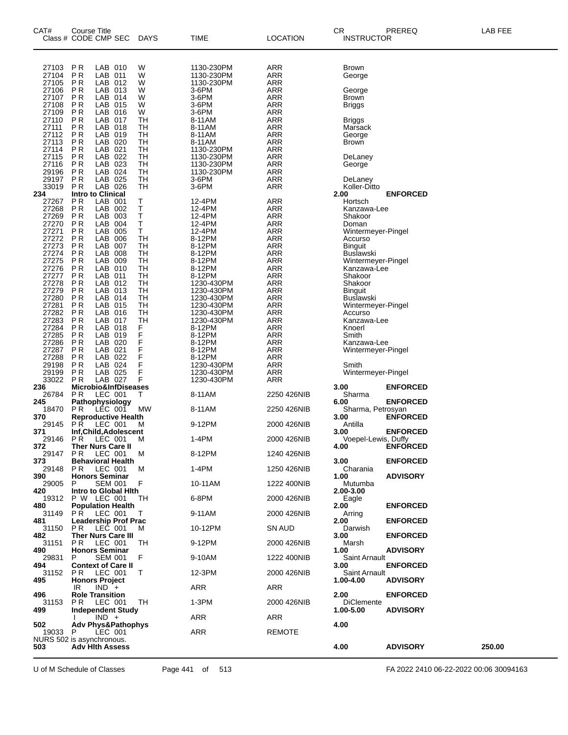| CAT#           | <b>Course Title</b><br>Class # CODE CMP SEC            | <b>DAYS</b>     | TIME                     | <b>LOCATION</b>          | CR<br><b>INSTRUCTOR</b>            | PREREQ          | LAB FEE |
|----------------|--------------------------------------------------------|-----------------|--------------------------|--------------------------|------------------------------------|-----------------|---------|
| 27103<br>27104 | <b>PR</b><br>LAB 010<br>P <sub>R</sub><br>LAB 011      | W<br>W          | 1130-230PM<br>1130-230PM | ARR<br>ARR               | <b>Brown</b><br>George             |                 |         |
| 27105<br>27106 | <b>PR</b><br>LAB 012<br><b>PR</b><br>LAB 013           | W<br>W          | 1130-230PM<br>3-6PM      | <b>ARR</b><br><b>ARR</b> | George                             |                 |         |
| 27107<br>27108 | P <sub>R</sub><br>LAB 014<br><b>PR</b><br>LAB 015      | W<br>W          | 3-6PM<br>3-6PM           | <b>ARR</b><br><b>ARR</b> | Brown                              |                 |         |
| 27109          | <b>PR</b><br>LAB 016                                   | W               | 3-6PM                    | <b>ARR</b>               | Briggs                             |                 |         |
| 27110<br>27111 | P <sub>R</sub><br>LAB 017<br>P <sub>R</sub><br>LAB 018 | TН<br><b>TH</b> | 8-11AM<br>8-11AM         | <b>ARR</b><br><b>ARR</b> | Briggs<br>Marsack                  |                 |         |
| 27112          | P <sub>R</sub><br>LAB 019                              | TН              | 8-11AM                   | <b>ARR</b>               | George                             |                 |         |
| 27113<br>27114 | LAB 020<br>P <sub>R</sub><br>P <sub>R</sub><br>LAB 021 | TН<br><b>TH</b> | 8-11AM<br>1130-230PM     | <b>ARR</b><br><b>ARR</b> | Brown                              |                 |         |
| 27115          | <b>PR</b><br>LAB 022                                   | TН              | 1130-230PM               | <b>ARR</b>               | DeLaney                            |                 |         |
| 27116<br>29196 | P <sub>R</sub><br>LAB 023<br><b>PR</b><br>LAB 024      | TН<br>TН        | 1130-230PM<br>1130-230PM | <b>ARR</b><br><b>ARR</b> | George                             |                 |         |
| 29197          | P <sub>R</sub><br>LAB 025                              | <b>TH</b>       | 3-6PM                    | <b>ARR</b>               | DeLaney                            |                 |         |
| 33019<br>234   | LAB 026<br>P <sub>R</sub><br><b>Intro to Clinical</b>  | TН              | 3-6PM                    | ARR                      | Koller-Ditto<br>2.00               | <b>ENFORCED</b> |         |
| 27267<br>27268 | P <sub>R</sub><br>LAB 001<br><b>PR</b>                 | Т<br>Ť          | 12-4PM                   | <b>ARR</b>               | Hortsch                            |                 |         |
| 27269          | LAB 002<br><b>PR</b><br>LAB 003                        | $\sf T$         | 12-4PM<br>12-4PM         | <b>ARR</b><br><b>ARR</b> | Kanzawa-Lee<br>Shakoor             |                 |         |
| 27270<br>27271 | <b>PR</b><br>LAB 004<br>P <sub>R</sub><br>LAB 005      | Т<br>Ť.         | 12-4PM                   | <b>ARR</b><br><b>ARR</b> | Doman                              |                 |         |
| 27272          | <b>PR</b><br>LAB 006                                   | TH              | 12-4PM<br>8-12PM         | <b>ARR</b>               | Wintermeyer-Pingel<br>Accurso      |                 |         |
| 27273<br>27274 | <b>PR</b><br>LAB 007<br>P <sub>R</sub><br>LAB 008      | <b>TH</b><br>TН | 8-12PM<br>8-12PM         | <b>ARR</b><br><b>ARR</b> | <b>Binguit</b><br><b>Buslawski</b> |                 |         |
| 27275          | <b>PR</b><br>LAB 009                                   | TH              | 8-12PM                   | <b>ARR</b>               | Wintermeyer-Pingel                 |                 |         |
| 27276<br>27277 | <b>PR</b><br>LAB 010<br>P <sub>R</sub><br>LAB 011      | <b>TH</b><br>TН | 8-12PM<br>8-12PM         | <b>ARR</b><br><b>ARR</b> | Kanzawa-Lee<br>Shakoor             |                 |         |
| 27278          | <b>PR</b><br>LAB 012                                   | TH              | 1230-430PM               | <b>ARR</b>               | Shakoor                            |                 |         |
| 27279<br>27280 | <b>PR</b><br>LAB 013<br>LAB 014<br>P <sub>R</sub>      | TН<br>TН        | 1230-430PM<br>1230-430PM | <b>ARR</b><br><b>ARR</b> | <b>Binguit</b><br>Buslawski        |                 |         |
| 27281          | P <sub>R</sub><br>LAB 015                              | <b>TH</b>       | 1230-430PM               | <b>ARR</b>               | Wintermeyer-Pingel                 |                 |         |
| 27282<br>27283 | <b>PR</b><br>LAB 016<br>P <sub>R</sub><br>LAB 017      | <b>TH</b><br>TН | 1230-430PM<br>1230-430PM | <b>ARR</b><br><b>ARR</b> | Accurso<br>Kanzawa-Lee             |                 |         |
| 27284          | <b>PR</b><br>LAB 018                                   | F               | 8-12PM                   | <b>ARR</b>               | Knoerl                             |                 |         |
| 27285<br>27286 | <b>PR</b><br>LAB 019<br><b>PR</b><br>LAB 020           | F<br>F          | 8-12PM<br>8-12PM         | <b>ARR</b><br><b>ARR</b> | Smith<br>Kanzawa-Lee               |                 |         |
| 27287          | <b>PR</b><br>LAB 021                                   | F<br>F          | 8-12PM                   | <b>ARR</b>               | Wintermeyer-Pingel                 |                 |         |
| 27288<br>29198 | P <sub>R</sub><br>LAB 022<br>P <sub>R</sub><br>LAB 024 | F               | 8-12PM<br>1230-430PM     | <b>ARR</b><br><b>ARR</b> | Smith                              |                 |         |
| 29199<br>33022 | P <sub>R</sub><br>LAB 025<br><b>PR</b><br>LAB 027      | F<br>F          | 1230-430PM<br>1230-430PM | ARR<br>ARR               | Wintermeyer-Pingel                 |                 |         |
| 236            | Microbio&InfDiseases                                   |                 |                          |                          | 3.00                               | <b>ENFORCED</b> |         |
| 26784<br>245   | P R<br>LEC 001<br>Pathophysiology                      | Τ               | 8-11AM                   | 2250 426NIB              | Sharma<br>6.00                     | <b>ENFORCED</b> |         |
| 18470          | <b>PR</b><br>LÉC 001                                   | МW              | 8-11AM                   | 2250 426NIB              | Sharma, Petrosyan                  |                 |         |
| 370<br>29145   | <b>Reproductive Health</b><br>P R<br>LEC 001           | м               | 9-12PM                   | 2000 426NIB              | 3.00<br>Antilla                    | <b>ENFORCED</b> |         |
| 371<br>29146   | Inf.Child.Adolescent<br>P R<br>LEC 001                 | м               | 1-4PM                    | 2000 426NIB              | 3.00<br>Voepel-Lewis, Duffy        | <b>ENFORCED</b> |         |
| 372            | Ther Nurs Care II                                      |                 |                          |                          | 4.00                               | <b>ENFORCED</b> |         |
| 29147<br>373.  | LEC 001<br>PR.<br><b>Behavioral Health</b>             | M               | 8-12PM                   | 1240 426NIB              | 3.00                               | <b>ENFORCED</b> |         |
| 29148<br>390   | P R<br>LEC 001<br><b>Honors Seminar</b>                | м               | 1-4PM                    | 1250 426NIB              | Charania<br>1.00                   | <b>ADVISORY</b> |         |
| 29005          | P<br><b>SEM 001</b>                                    | F               | 10-11AM                  | 1222 400NIB              | Mutumba                            |                 |         |
| 420<br>19312   | Intro to Global Hith<br>P W LEC 001                    | ТH              | 6-8PM                    | 2000 426NIB              | 2.00-3.00<br>Eagle                 |                 |         |
| 480<br>31149   | <b>Population Health</b><br><b>PR LEC 001</b>          | т               | 9-11AM                   | 2000 426NIB              | 2.00<br>Arring                     | <b>ENFORCED</b> |         |
| 481<br>31150   | <b>Leadership Prof Prac</b><br>PR.<br>LEC 001          | M               | 10-12PM                  | SN AUD                   | 2.00<br>Darwish                    | <b>ENFORCED</b> |         |
| 482<br>31151   | <b>Ther Nurs Care III</b><br>P R<br>LEC 001            | ТH              | 9-12PM                   | 2000 426NIB              | 3.00<br>Marsh                      | <b>ENFORCED</b> |         |
| 490<br>29831   | <b>Honors Seminar</b><br>SEM 001<br>P.                 | F               | 9-10AM                   | 1222 400NIB              | 1.00<br>Saint Arnault              | <b>ADVISORY</b> |         |
| 494            | <b>Context of Care II</b>                              |                 |                          |                          | 3.00                               | <b>ENFORCED</b> |         |
| 31152<br>495   | P <sub>R</sub><br>LEC 001<br><b>Honors Project</b>     | Т               | 12-3PM                   | 2000 426NIB              | Saint Arnault<br>1.00-4.00         | <b>ADVISORY</b> |         |
| 496            | $IND +$<br>IR<br><b>Role Transition</b>                |                 | ARR                      | ARR                      | 2.00 <sub>1</sub>                  | <b>ENFORCED</b> |         |
| 31153<br>499   | LEC 001<br>P R<br><b>Independent Study</b>             | TH              | 1-3PM                    | 2000 426NIB              | <b>DiClemente</b><br>1.00-5.00     | <b>ADVISORY</b> |         |
| 502            | $IND +$<br>Adv Phys&Pathophys                          |                 | ARR                      | ARR                      | 4.00                               |                 |         |
| 19033          | LEC 001<br>P.<br>NURS 502 is asynchronous.             |                 | ARR                      | <b>REMOTE</b>            |                                    |                 |         |
| 503            | <b>Adv Hith Assess</b>                                 |                 |                          |                          | 4.00                               | <b>ADVISORY</b> | 250.00  |
|                |                                                        |                 |                          |                          |                                    |                 |         |

U of M Schedule of Classes Page 441 of 513 FA 2022 2410 06-22-2022 00:06 30094163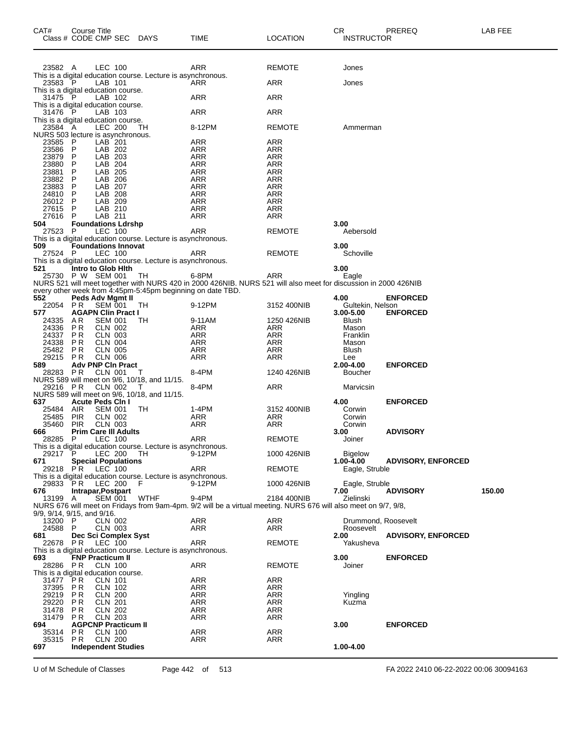| CAT#                                            | Course Title<br>Class # CODE CMP SEC DAYS |                                  |                                                              | TIME                                                                                                            | <b>LOCATION</b>          | CR<br><b>INSTRUCTOR</b>  | PREREQ                    | LAB FEE |
|-------------------------------------------------|-------------------------------------------|----------------------------------|--------------------------------------------------------------|-----------------------------------------------------------------------------------------------------------------|--------------------------|--------------------------|---------------------------|---------|
| 23582 A                                         |                                           | LEC 100                          |                                                              | ARR                                                                                                             | REMOTE                   | Jones                    |                           |         |
| 23583 P                                         |                                           | LAB 101                          | This is a digital education course. Lecture is asynchronous. | ARR                                                                                                             | ARR                      | Jones                    |                           |         |
| This is a digital education course.<br>31475 P  |                                           | LAB 102                          |                                                              | ARR                                                                                                             | ARR                      |                          |                           |         |
| This is a digital education course.<br>31476 P  |                                           | LAB 103                          |                                                              | ARR                                                                                                             | <b>ARR</b>               |                          |                           |         |
| This is a digital education course.<br>23584 A  |                                           | <b>LEC 200</b>                   | ТH                                                           | 8-12PM                                                                                                          | <b>REMOTE</b>            | Ammerman                 |                           |         |
| NURS 503 lecture is asynchronous.<br>23585 P    |                                           | LAB <sup>201</sup>               |                                                              | ARR                                                                                                             | ARR                      |                          |                           |         |
| 23586 P                                         |                                           | LAB 202                          |                                                              | ARR                                                                                                             | ARR                      |                          |                           |         |
| 23879<br>23880                                  | P<br>P                                    | LAB 203<br>LAB 204               |                                                              | <b>ARR</b><br><b>ARR</b>                                                                                        | <b>ARR</b><br><b>ARR</b> |                          |                           |         |
| 23881                                           | P                                         | LAB 205                          |                                                              | ARR                                                                                                             | ARR                      |                          |                           |         |
| 23882                                           | P                                         | LAB 206                          |                                                              | <b>ARR</b>                                                                                                      | <b>ARR</b>               |                          |                           |         |
| 23883<br>24810 P                                | P                                         | LAB 207<br>LAB 208               |                                                              | <b>ARR</b><br>ARR                                                                                               | <b>ARR</b><br>ARR        |                          |                           |         |
| 26012 P                                         |                                           | LAB 209                          |                                                              | <b>ARR</b>                                                                                                      | <b>ARR</b>               |                          |                           |         |
| 27615 P                                         |                                           | LAB 210                          |                                                              | <b>ARR</b>                                                                                                      | <b>ARR</b>               |                          |                           |         |
| 27616 P<br>504                                  | <b>Foundations Ldrshp</b>                 | LAB 211                          |                                                              | ARR                                                                                                             | ARR                      | 3.00                     |                           |         |
| 27523 P                                         |                                           | LEC 100                          |                                                              | <b>ARR</b>                                                                                                      | <b>REMOTE</b>            | Aebersold                |                           |         |
|                                                 |                                           |                                  | This is a digital education course. Lecture is asynchronous. |                                                                                                                 |                          |                          |                           |         |
| 509<br>27524 P                                  | <b>Foundations Innovat</b>                | LEC 100                          |                                                              | ARR                                                                                                             | REMOTE                   | 3.00<br>Schoville        |                           |         |
|                                                 |                                           |                                  | This is a digital education course. Lecture is asynchronous. |                                                                                                                 |                          |                          |                           |         |
| 521                                             | Intro to Glob Hith<br>25730 P W SEM 001   |                                  | TH                                                           | 6-8PM                                                                                                           | ARR                      | 3.00<br>Eagle            |                           |         |
|                                                 |                                           |                                  |                                                              | NURS 521 will meet together with NURS 420 in 2000 426NIB. NURS 521 will also meet for discussion in 2000 426NIB |                          |                          |                           |         |
|                                                 |                                           |                                  | every other week from 4:45pm-5:45pm beginning on date TBD.   |                                                                                                                 |                          |                          |                           |         |
| 552<br>22054 PR                                 | Peds Adv Mgmt II                          | SEM 001                          | TН                                                           | 9-12PM                                                                                                          | 3152 400NIB              | 4.00<br>Gultekin, Nelson | <b>ENFORCED</b>           |         |
| 577                                             | <b>AGAPN Clin Pract I</b>                 |                                  |                                                              |                                                                                                                 |                          | 3.00-5.00                | <b>ENFORCED</b>           |         |
| 24335 AR<br>24336 PR                            |                                           | <b>SEM 001</b><br>CLN 002        | TН                                                           | 9-11AM<br>ARR                                                                                                   | 1250 426NIB<br>ARR       | Blush<br>Mason           |                           |         |
| 24337                                           | PR                                        | <b>CLN 003</b>                   |                                                              | ARR                                                                                                             | <b>ARR</b>               | Franklin                 |                           |         |
| 24338 PR                                        |                                           | <b>CLN 004</b>                   |                                                              | <b>ARR</b>                                                                                                      | <b>ARR</b>               | Mason                    |                           |         |
| 25482<br>29215                                  | P R<br><b>PR</b>                          | <b>CLN 005</b><br><b>CLN 006</b> |                                                              | ARR<br>ARR                                                                                                      | ARR<br><b>ARR</b>        | Blush<br>Lee             |                           |         |
| 589                                             | <b>Adv PNP CIn Pract</b>                  |                                  |                                                              |                                                                                                                 |                          | 2.00-4.00                | <b>ENFORCED</b>           |         |
| 28283 PR                                        |                                           | CLN 001                          | T                                                            | 8-4PM                                                                                                           | 1240 426NIB              | Boucher                  |                           |         |
| 29216 PR                                        |                                           | <b>CLN 002</b>                   | NURS 589 will meet on 9/6, 10/18, and 11/15.<br>-1           | 8-4PM                                                                                                           | ARR                      | Marvicsin                |                           |         |
|                                                 |                                           |                                  | NURS 589 will meet on 9/6, 10/18, and 11/15.                 |                                                                                                                 |                          |                          |                           |         |
| 637<br>25484                                    | <b>Acute Peds Cin I</b><br>AIR            | <b>SEM 001</b>                   | TН                                                           | 1-4PM                                                                                                           | 3152 400NIB              | 4.00<br>Corwin           | <b>ENFORCED</b>           |         |
| 25485                                           | PIR                                       | CLN 002                          |                                                              | ARR                                                                                                             | ARR                      | Corwin                   |                           |         |
| 35460                                           | <b>PIR</b>                                | <b>CLN 003</b>                   |                                                              | ARR                                                                                                             | <b>ARR</b>               | Corwin                   |                           |         |
| 666<br>28285 P                                  | <b>Prim Care III Adults</b>               | <b>LEC 100</b>                   |                                                              | ARR                                                                                                             | <b>REMOTE</b>            | 3.00<br>Joiner           | <b>ADVISORY</b>           |         |
|                                                 |                                           |                                  | This is a digital education course. Lecture is asynchronous. |                                                                                                                 |                          |                          |                           |         |
| 29217 P<br>671                                  | <b>Special Populations</b>                | LEC 200                          | TH.                                                          | 9-12PM                                                                                                          | 1000 426NIB              | Bigelow<br>1.00-4.00     | <b>ADVISORY, ENFORCED</b> |         |
| 29218 PR LEC 100                                |                                           |                                  |                                                              | ARR                                                                                                             | <b>REMOTE</b>            | Eagle, Struble           |                           |         |
|                                                 |                                           |                                  | This is a digital education course. Lecture is asynchronous. |                                                                                                                 |                          |                          |                           |         |
| 676                                             | 29833 PR LEC 200<br>Intrapar, Postpart    |                                  | - F                                                          | 9-12PM                                                                                                          | 1000 426NIB              | Eagle, Struble<br>7.00   | <b>ADVISORY</b>           | 150.00  |
| 13199 A                                         |                                           | SEM 001                          | WTHF                                                         | 9-4PM                                                                                                           | 2184 400NIB              | Zielinski                |                           |         |
| 9/9, 9/14, 9/15, and 9/16.                      |                                           |                                  |                                                              | NURS 676 will meet on Fridays from 9am-4pm. 9/2 will be a virtual meeting. NURS 676 will also meet on 9/7, 9/8, |                          |                          |                           |         |
| 13200 P                                         |                                           | <b>CLN 002</b>                   |                                                              | ARR                                                                                                             | ARR                      | Drummond, Roosevelt      |                           |         |
| 24588 P                                         |                                           | CLN 003                          |                                                              | ARR                                                                                                             | ARR                      | Roosevelt                |                           |         |
| 681                                             | Dec Sci Complex Syst<br>22678 PR LEC 100  |                                  |                                                              | ARR                                                                                                             | <b>REMOTE</b>            | 2.00<br>Yakusheva        | <b>ADVISORY, ENFORCED</b> |         |
|                                                 |                                           |                                  | This is a digital education course. Lecture is asynchronous. |                                                                                                                 |                          |                          |                           |         |
| 693                                             | <b>FNP Practicum II</b>                   |                                  |                                                              |                                                                                                                 |                          | 3.00                     | <b>ENFORCED</b>           |         |
| 28286 PR<br>This is a digital education course. |                                           | CLN 100                          |                                                              | ARR                                                                                                             | <b>REMOTE</b>            | Joiner                   |                           |         |
| 31477                                           | P R                                       | <b>CLN 101</b>                   |                                                              | ARR                                                                                                             | ARR                      |                          |                           |         |
| 37395 PR                                        |                                           | <b>CLN 102</b>                   |                                                              | ARR                                                                                                             | ARR                      |                          |                           |         |
| 29219 PR<br>29220 PR                            |                                           | <b>CLN 200</b><br>CLN 201        |                                                              | ARR<br>ARR                                                                                                      | ARR<br>ARR               | Yingling<br>Kuzma        |                           |         |
| 31478 PR                                        |                                           | CLN 202                          |                                                              | ARR                                                                                                             | ARR                      |                          |                           |         |
| 31479 PR                                        |                                           | CLN 203                          |                                                              | ARR                                                                                                             | ARR                      |                          |                           |         |
| 694<br>35314 PR                                 | <b>AGPCNP Practicum II</b>                | <b>CLN 100</b>                   |                                                              | ARR                                                                                                             | <b>ARR</b>               | 3.00                     | <b>ENFORCED</b>           |         |
| 35315 PR                                        |                                           | <b>CLN 200</b>                   |                                                              | ARR                                                                                                             | ARR                      |                          |                           |         |
| 697                                             | <b>Independent Studies</b>                |                                  |                                                              |                                                                                                                 |                          | 1.00-4.00                |                           |         |
|                                                 |                                           |                                  |                                                              |                                                                                                                 |                          |                          |                           |         |

U of M Schedule of Classes Page 442 of 513 FA 2022 2410 06-22-2022 00:06 30094163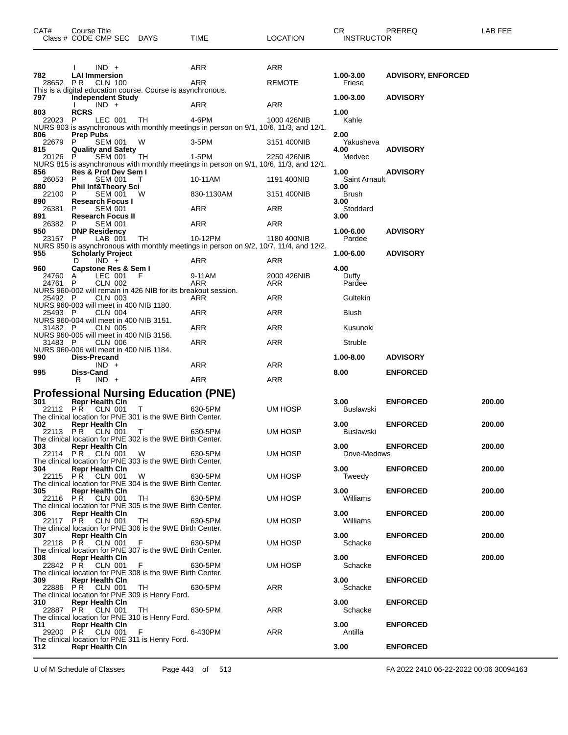|                    | Class # CODE CMP SEC DAYS                                                                |                 | TIME                                                                                              | LOCATION           | <b>INSTRUCTOR</b>     |                           |        |
|--------------------|------------------------------------------------------------------------------------------|-----------------|---------------------------------------------------------------------------------------------------|--------------------|-----------------------|---------------------------|--------|
|                    |                                                                                          |                 |                                                                                                   |                    |                       |                           |        |
|                    | $IND +$                                                                                  |                 | ARR                                                                                               | ARR                |                       |                           |        |
| 782<br>28652 PR    | <b>LAI Immersion</b><br><b>CLN 100</b>                                                   |                 | ARR                                                                                               | <b>REMOTE</b>      | 1.00-3.00<br>Friese   | <b>ADVISORY, ENFORCED</b> |        |
|                    | This is a digital education course. Course is asynchronous.                              |                 |                                                                                                   |                    |                       |                           |        |
| 797                | <b>Independent Study</b><br>$IND +$                                                      |                 | ARR                                                                                               | ARR                | 1.00-3.00             | <b>ADVISORY</b>           |        |
| 803                | <b>RCRS</b>                                                                              |                 |                                                                                                   |                    | 1.00                  |                           |        |
| 22023              | LEC 001<br>P.                                                                            | TH              | 4-6PM<br>NURS 803 is asynchronous with monthly meetings in person on 9/1, 10/6, 11/3, and 12/1.   | 1000 426NIB        | Kahle                 |                           |        |
| 806<br>22679       | <b>Prep Pubs</b><br><b>SEM 001</b><br>P.                                                 | W               | $3-5$ PM                                                                                          | 3151 400NIB        | 2.00<br>Yakusheva     |                           |        |
| 815                | <b>Quality and Safety</b>                                                                |                 |                                                                                                   |                    | 4.00                  | <b>ADVISORY</b>           |        |
| 20126              | SEM 001<br>P                                                                             | TH              | $1-5PM$<br>NURS 815 is asynchronous with monthly meetings in person on 9/1, 10/6, 11/3, and 12/1. | 2250 426NIB        | Medvec                |                           |        |
| 856                | Res & Prof Dev Sem I                                                                     |                 |                                                                                                   |                    | 1.00                  | <b>ADVISORY</b>           |        |
| 26053<br>880       | <b>SEM 001</b><br>P<br><b>Phil Inf&amp;Theory Sci</b>                                    | T               | 10-11AM                                                                                           | 1191 400NIB        | Saint Arnault<br>3.00 |                           |        |
| 22100<br>890       | SEM 001 W<br>P<br><b>Research Focus I</b>                                                |                 | 830-1130AM                                                                                        | 3151 400NIB        | Brush<br>3.00         |                           |        |
| 26381              | <b>SEM 001</b><br>P.                                                                     |                 | ARR                                                                                               | ARR                | Stoddard              |                           |        |
| 891<br>26382       | <b>Research Focus II</b><br>P<br><b>SEM 001</b>                                          |                 | ARR                                                                                               | ARR                | 3.00                  |                           |        |
| 950                | <b>DNP Residency</b>                                                                     |                 |                                                                                                   |                    | 1.00-6.00             | <b>ADVISORY</b>           |        |
| 23157 P            | LAB 001                                                                                  | TH.             | 10-12PM<br>NURS 950 is asynchronous with monthly meetings in person on 9/2, 10/7, 11/4, and 12/2. | 1180 400NIB        | Pardee                |                           |        |
| 955                | <b>Scholarly Project</b><br>$IND +$<br>D                                                 |                 |                                                                                                   |                    | 1.00-6.00             | <b>ADVISORY</b>           |        |
| 960                | Capstone Res & Sem I                                                                     |                 | ARR                                                                                               | ARR                | 4.00                  |                           |        |
| 24760 A<br>24761 P | LEC 001<br><b>CLN 002</b>                                                                | -F              | 9-11AM<br>ARR                                                                                     | 2000 426NIB<br>ARR | Duffy<br>Pardee       |                           |        |
|                    | NURS 960-002 will remain in 426 NIB for its breakout session.                            |                 |                                                                                                   |                    |                       |                           |        |
| 25492 P            | <b>CLN 003</b><br>NURS 960-003 will meet in 400 NIB 1180.                                |                 | ARR                                                                                               | ARR                | Gultekin              |                           |        |
| 25493 P            | CLN 004                                                                                  |                 | ARR                                                                                               | ARR                | Blush                 |                           |        |
| 31482 P            | NURS 960-004 will meet in 400 NIB 3151.<br><b>CLN 005</b>                                |                 | ARR                                                                                               | ARR                | Kusunoki              |                           |        |
| 31483 P            | NURS 960-005 will meet in 400 NIB 3156.<br><b>CLN 006</b>                                |                 | ARR                                                                                               | <b>ARR</b>         | Struble               |                           |        |
|                    | NURS 960-006 will meet in 400 NIB 1184.                                                  |                 |                                                                                                   |                    |                       |                           |        |
| 990                | Diss-Precand<br>$IND +$                                                                  |                 | ARR                                                                                               | ARR                | 1.00-8.00             | <b>ADVISORY</b>           |        |
| 995                | Diss-Cand                                                                                |                 |                                                                                                   |                    | 8.00                  | <b>ENFORCED</b>           |        |
|                    | $IND +$<br>R                                                                             |                 | ARR                                                                                               | ARR                |                       |                           |        |
| 301                | <b>Professional Nursing Education (PNE)</b><br><b>Repr Health Cin</b>                    |                 |                                                                                                   |                    | 3.00                  | <b>ENFORCED</b>           | 200.00 |
| 22112              | PŘ<br>CLN 001                                                                            | T.              | 630-5PM                                                                                           | UM HOSP            | Buslawski             |                           |        |
| 302                | The clinical location for PNE 301 is the 9WE Birth Center.<br><b>Repr Health Cin</b>     |                 |                                                                                                   |                    | 3.00                  | <b>ENFORCED</b>           | 200.00 |
| 22113              | CLN 001<br>PR.                                                                           | T               | 630-5PM                                                                                           | UM HOSP            | Buslawski             |                           |        |
| 303                | The clinical location for PNE 302 is the 9WE Birth Center.<br><b>Repr Health Cln</b>     |                 |                                                                                                   |                    | 3.00                  | <b>ENFORCED</b>           | 200.00 |
|                    | 22114 PR CLN 001 W 630-5PM<br>The clinical location for PNE 303 is the 9WE Birth Center. |                 |                                                                                                   | UM HOSP            | Dove-Medows           |                           |        |
| 304                | <b>Repr Health Cin</b>                                                                   |                 |                                                                                                   |                    | 3.00                  | <b>ENFORCED</b>           | 200.00 |
|                    | 22115 PR CLN 001 W 630-5PM<br>The clinical location for PNE 304 is the 9WE Birth Center. |                 |                                                                                                   | UM HOSP            | Tweedy                |                           |        |
| 305                | <b>Repr Health Cin</b><br>22116 P.R. CLN 001 TH 630-5PM                                  |                 |                                                                                                   | UM HOSP            | 3.00<br>Williams      | <b>ENFORCED</b>           | 200.00 |
|                    | The clinical location for PNE 305 is the 9WE Birth Center.                               |                 |                                                                                                   |                    |                       |                           |        |
| 306                | <b>Repr Health Cin</b><br>22117 PR CLN 001 TH 630-5PM                                    |                 |                                                                                                   | UM HOSP            | 3.00<br>Williams      | <b>ENFORCED</b>           | 200.00 |
|                    | The clinical location for PNE 306 is the 9WE Birth Center.                               |                 |                                                                                                   |                    |                       |                           |        |
| 307 — 10           | <b>Repr Health Cin</b><br>22118 PR CLN 001 F 630-5PM                                     |                 |                                                                                                   | UM HOSP            | 3.00<br>Schacke       | <b>ENFORCED</b>           | 200.00 |
| 308 — 10           | The clinical location for PNE 307 is the 9WE Birth Center.<br><b>Repr Health Cin</b>     |                 |                                                                                                   |                    | 3.00                  |                           |        |
|                    | 22842 PR CLN 001 F 630-5PM                                                               |                 |                                                                                                   | UM HOSP            | Schacke               | <b>ENFORCED</b>           | 200.00 |
| 309                | The clinical location for PNE 308 is the 9WE Birth Center.<br><b>Repr Health Cin</b>     |                 |                                                                                                   |                    | 3.00                  | <b>ENFORCED</b>           |        |
|                    | 22886 PR CLN 001 TH                                                                      |                 | 630-5PM                                                                                           | ARR                | Schacke               |                           |        |
| 310                | The clinical location for PNE 309 is Henry Ford.<br><b>Repr Health Cin</b>               |                 |                                                                                                   |                    | 3.00                  | <b>ENFORCED</b>           |        |
|                    | 22887 PR CLN 001                                                                         | TH <sub>1</sub> | 630-5PM                                                                                           | ARR                | Schacke               |                           |        |
| 311                | The clinical location for PNE 310 is Henry Ford.<br><b>Repr Health Cin</b>               |                 |                                                                                                   |                    | 3.00                  | <b>ENFORCED</b>           |        |
|                    | 29200 PR CLN 001<br>The clinical location for PNE 311 is Henry Ford.                     | $F = 1$         | 6-430PM                                                                                           | ARR                | Antilla               |                           |        |
| 312                | <b>Repr Health Cin</b>                                                                   |                 |                                                                                                   |                    | 3.00                  | <b>ENFORCED</b>           |        |

CAT# Course Title Case CR PREREQ LAB FEE

U of M Schedule of Classes Page 443 of 513 FA 2022 2410 06-22-2022 00:06 30094163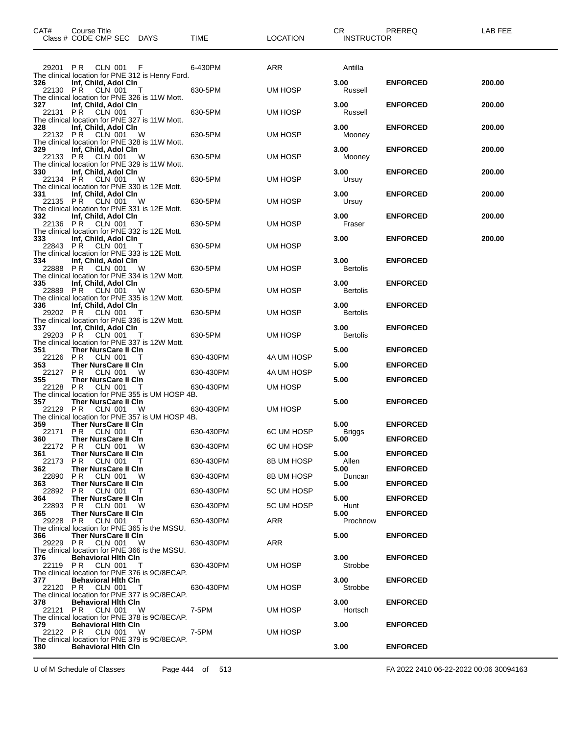|                             | CAT# Course Title<br>Class # CODE CMP SEC DAYS TIME                                                                                                                                                                                                                                                                                                                                     |          |                      | LOCATION   | CR PREREQ<br><b>INSTRUCTOR</b> |                                    | LAB FEE |
|-----------------------------|-----------------------------------------------------------------------------------------------------------------------------------------------------------------------------------------------------------------------------------------------------------------------------------------------------------------------------------------------------------------------------------------|----------|----------------------|------------|--------------------------------|------------------------------------|---------|
|                             | 29201 PR CLN 001 F 6-430PM<br>The clinical location for PNE 312 is Henry Ford.                                                                                                                                                                                                                                                                                                          |          |                      | ARR        | Antilla                        |                                    |         |
|                             | 326 Inf, Child, Adol Cln<br>22130 P.R. CLN 001 T<br>The clinical location for PNE 326 is 11W Mott.                                                                                                                                                                                                                                                                                      | 630-5PM  |                      | UM HOSP    | 3.00<br>Russell                | <b>ENFORCED</b>                    | 200.00  |
|                             | 327 Inf, Child, Adol Cln<br>22131 PR CLN 001 T<br>The clinical location for PNE 327 is 11W Mott.                                                                                                                                                                                                                                                                                        | 630-5PM  |                      | UM HOSP    | 3.00<br>Russell                | <b>ENFORCED</b>                    | 200.00  |
|                             | 328 Inf, Child, Adol Cln<br>22132 PR CLN 001 W<br>22132 PR CLN 001 W<br>The clinical location for PNE 328 is 11W Mott.                                                                                                                                                                                                                                                                  |          |                      | UM HOSP    | 3.00<br>Mooney                 | <b>ENFORCED</b>                    | 200.00  |
|                             | 329 Inf, Child, Adol Cln<br>22133 PR CLN 001 W<br>22133 PR CLN 001 W<br>The clinical location for PNE 329 is 11W Mott.<br>330                                                                                                                                                                                                                                                           |          |                      | UM HOSP    | 3.00<br>Mooney                 | <b>ENFORCED</b>                    | 200.00  |
|                             | 330 Inf, Child, Adol Cln<br>22134 PR CLN 001 W<br>The clinical location for PNE 330 is 12E Mott.<br>The clinical location for PNE 330 is 12E Mott.                                                                                                                                                                                                                                      |          |                      | UM HOSP    | 3.00<br>Ursuy                  | <b>ENFORCED</b>                    | 200.00  |
|                             | 331 Inf, Child, Adol Cln<br>22135 PR CLN 001 W 630-5PM<br>The clinical location for PNE 331 is 12E Mott.                                                                                                                                                                                                                                                                                |          |                      | UM HOSP    | 3.00<br>Ursuy                  | <b>ENFORCED</b>                    | 200.00  |
|                             | 332 Inf, Child, Adol Cln<br>22136 P.R. CLN 001 T<br>The clinical location for PNE 332 is 12E Mott.                                                                                                                                                                                                                                                                                      | 630-5PM  |                      | UM HOSP    | 3.00<br>Fraser                 | <b>ENFORCED</b>                    | 200.00  |
|                             | 333 Inf, Child, Adol Cln<br>22843 PR CLN 001 T<br>22843 PR CLN 001 T<br>The clinical location for PNE 333 is 12E Mott.                                                                                                                                                                                                                                                                  |          |                      | UM HOSP    | 3.00                           | <b>ENFORCED</b>                    | 200.00  |
|                             | 334 Inf, Child, Adol Cln<br>22888 PR CLN 001 W<br>The clinical location for PNE 334 is 12W Mott.<br>335 Inf, Child, Adol Cln                                                                                                                                                                                                                                                            |          |                      | UM HOSP    | 3.00<br>Bertolis<br>3.00       | <b>ENFORCED</b><br><b>ENFORCED</b> |         |
|                             | 22889 PR CLN 001 W<br>22889 PR CLN 001 W<br>The clinical location for PNE 335 is 12W Mott.<br>336 Inf, Child, Adol Cln                                                                                                                                                                                                                                                                  |          |                      | UM HOSP    | Bertolis<br>3.00               | <b>ENFORCED</b>                    |         |
|                             | 29202 P R CLN 001 T<br>The clinical location for PNE 336 is 12W Mott.<br>337 Inf, Child, Adol Cln                                                                                                                                                                                                                                                                                       | 630-5PM  |                      | UM HOSP    | Bertolis<br>3.00               | <b>ENFORCED</b>                    |         |
|                             | 29203 P R CLN 001 T<br>The clinical location for PNE 337 is 12W Mott.<br>351 Ther NursCare II CIn                                                                                                                                                                                                                                                                                       |          | 630-5PM              | UM HOSP    | Bertolis<br>5.00               | <b>ENFORCED</b>                    |         |
| 353 and the state of $\sim$ | 22126 PR CLN 001 T<br>Ther NursCare II CIn                                                                                                                                                                                                                                                                                                                                              |          | 630-430PM            | 4A UM HOSP | 5.00                           | <b>ENFORCED</b>                    |         |
| 355                         | 22127 PR CLN 001 W 630-430PM                                                                                                                                                                                                                                                                                                                                                            |          |                      | 4A UM HOSP | 5.00                           | <b>ENFORCED</b>                    |         |
|                             | $\frac{P}{P}$ Ther NursCare II CIn<br>$\frac{P}{P}$ $\frac{P}{P}$ $\frac{P}{P}$ $\frac{P}{P}$ $\frac{P}{P}$ $\frac{P}{P}$ $\frac{P}{P}$ $\frac{P}{P}$ $\frac{P}{P}$ $\frac{P}{P}$ $\frac{P}{P}$ $\frac{P}{P}$ $\frac{P}{P}$ $\frac{P}{P}$ $\frac{P}{P}$ $\frac{P}{P}$ $\frac{P}{P}$ $\frac{P}{P}$ $\frac{P}{P}$<br>22128 PR CLN 001<br>The clinical location for PNE 355 is UM HOSP 4B. |          |                      | UM HOSP    |                                |                                    |         |
|                             | 357 Ther NursCare II CIn<br>22129 PR CLN 001<br>The clinical location for PNE 357 is UM HOSP 4B.                                                                                                                                                                                                                                                                                        | <b>W</b> | $630 - 430$ PM       | UM HOSP    | 5.00                           | <b>ENFORCED</b>                    |         |
|                             | 359 Ther NursCare II Cln<br>22171 PR CLN 001 T<br>360 Ther NursCare II Cln                                                                                                                                                                                                                                                                                                              |          | 630-430PM 6C UM HOSP |            | 5.00<br>Briggs<br>$5.00^\circ$ | <b>ENFORCED</b><br><b>ENFORCED</b> |         |
| 361 —                       | 22172 PR CLN 001 W<br>Ther NursCare II CIn                                                                                                                                                                                                                                                                                                                                              |          | 630-430PM            | 6C UM HOSP | 5.00                           |                                    |         |
|                             | 22173 PR CLN 001 T                                                                                                                                                                                                                                                                                                                                                                      |          | 630-430PM            | 8B UM HOSP | Allen                          | <b>ENFORCED</b>                    |         |
| 362 —                       | Ther NursCare II CIn<br>22890 PR CLN 001 W                                                                                                                                                                                                                                                                                                                                              |          | 630-430PM            | 8B UM HOSP | 5.00<br>Duncan                 | <b>ENFORCED</b>                    |         |
| 363                         | Ther NursCare II CIn<br>22892 PR CLN 001 T                                                                                                                                                                                                                                                                                                                                              |          | 630-430PM            | 5C UM HOSP | 5.00                           | <b>ENFORCED</b>                    |         |
| 364 —                       | <b>Ther NursCare II CIn</b><br>22893 PR CLN 001 W                                                                                                                                                                                                                                                                                                                                       |          | 630-430PM            | 5C UM HOSP | 5.00<br>Hunt                   | <b>ENFORCED</b>                    |         |
| 365 —                       | Ther NursCare II CIn<br>29228 PR CLN 001 T                                                                                                                                                                                                                                                                                                                                              |          | 630-430PM            | ARR        | 5.00<br>Prochnow               | <b>ENFORCED</b>                    |         |
| 366 7                       | The clinical location for PNE 365 is the MSSU.<br>Ther NursCare II CIn<br>29229 PR CLN 001 W                                                                                                                                                                                                                                                                                            |          | 630-430PM            | ARR        | 5.00                           | <b>ENFORCED</b>                    |         |
| 376 —                       | The clinical location for PNE 366 is the MSSU.<br><b>Behavioral Hith Cin</b><br>22119 PR CLN 001 T                                                                                                                                                                                                                                                                                      |          | 630-430PM            | UM HOSP    | 3.00<br>Strobbe                | <b>ENFORCED</b>                    |         |
| 377                         | The clinical location for PNE 376 is 9C/8ECAP.<br><b>Behavioral Hith Cin</b><br>22120 PR CLN 001 T<br>The clinical location for PNE 377 is 9C/8ECAP.                                                                                                                                                                                                                                    |          | 630-430PM            | UM HOSP    | 3.00<br>Strobbe                | <b>ENFORCED</b>                    |         |
| 378 —                       | <b>Behavioral Hith Cin</b><br>22121 PR CLN 001 W<br>The clinical location for PNE 378 is 9C/8ECAP.                                                                                                                                                                                                                                                                                      |          | 7-5PM                | UM HOSP    | 3.00<br>Hortsch                | <b>ENFORCED</b>                    |         |
| 379 —                       | <b>Behavioral Hith Cin</b><br>22122 PR CLN 001 W<br>The clinical location for PNE 379 is 9C/8ECAP.                                                                                                                                                                                                                                                                                      |          | 7-5PM                | UM HOSP    | 3.00                           | <b>ENFORCED</b>                    |         |
| 380                         | <b>Behavioral Hith Cin</b>                                                                                                                                                                                                                                                                                                                                                              |          |                      |            | 3.00                           | <b>ENFORCED</b>                    |         |

U of M Schedule of Classes Page 444 of 513 FA 2022 2410 06-22-2022 00:06 30094163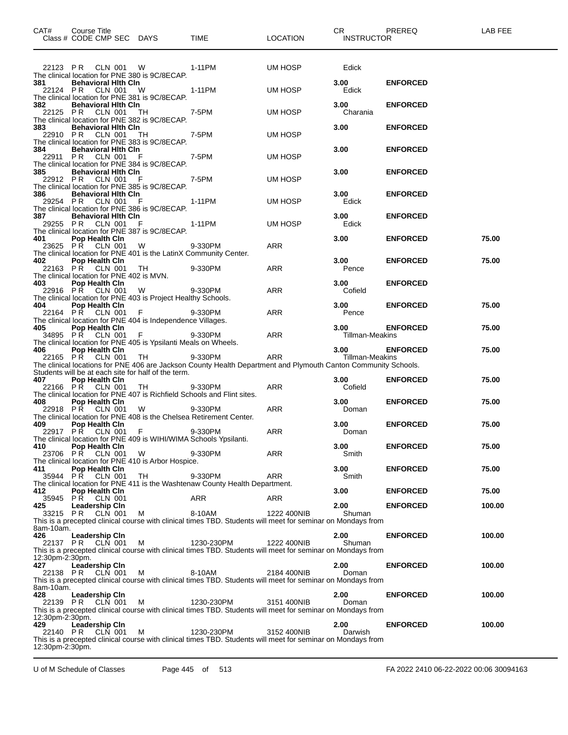| CAT#                                                                                                                                                                                                                            | <b>Course Title</b><br>Class # CODE CMP SEC DAYS                                |                                                                                             | <b>TIME</b>                                                                                                                                                                                           | <b>LOCATION</b> | CR .<br><b>INSTRUCTOR</b> | <b>PREREQ</b>   | LAB FEE |
|---------------------------------------------------------------------------------------------------------------------------------------------------------------------------------------------------------------------------------|---------------------------------------------------------------------------------|---------------------------------------------------------------------------------------------|-------------------------------------------------------------------------------------------------------------------------------------------------------------------------------------------------------|-----------------|---------------------------|-----------------|---------|
|                                                                                                                                                                                                                                 |                                                                                 |                                                                                             |                                                                                                                                                                                                       |                 |                           |                 |         |
|                                                                                                                                                                                                                                 | 22123 PR CLN 001 W                                                              | The clinical location for PNE 380 is 9C/8ECAP.                                              | 1-11PM                                                                                                                                                                                                | UM HOSP         | Edick                     |                 |         |
| 381                                                                                                                                                                                                                             | <b>Behavioral Hith Cin</b><br>22124 PR CLN 001 W                                | The clinical location for PNE 381 is 9C/8ECAP.                                              | 1-11PM                                                                                                                                                                                                | UM HOSP         | 3.00<br>Edick             | <b>ENFORCED</b> |         |
| 382                                                                                                                                                                                                                             | <b>Behavioral Hith Cin</b><br>22125 PR CLN 001 TH                               |                                                                                             | 7-5PM                                                                                                                                                                                                 | UM HOSP         | 3.00<br>Charania          | <b>ENFORCED</b> |         |
| 383                                                                                                                                                                                                                             | <b>Behavioral Hith Cin</b><br>22910 PR CLN 001 TH                               | The clinical location for PNE 382 is 9C/8ECAP.                                              | 7-5PM                                                                                                                                                                                                 | UM HOSP         | 3.00                      | <b>ENFORCED</b> |         |
| 384                                                                                                                                                                                                                             | <b>Behavioral Hith Cin</b><br>22911 PR CLN 001 F                                | The clinical location for PNE 383 is 9C/8ECAP.                                              | 7-5PM                                                                                                                                                                                                 | UM HOSP         | 3.00                      | <b>ENFORCED</b> |         |
| 385                                                                                                                                                                                                                             | <b>Behavioral Hith Cin</b>                                                      | The clinical location for PNE 384 is 9C/8ECAP.                                              |                                                                                                                                                                                                       |                 | 3.00                      | <b>ENFORCED</b> |         |
| 386 —                                                                                                                                                                                                                           | 22912 PR CLN 001 F<br><b>Behavioral Hith Cin</b>                                | The clinical location for PNE 385 is 9C/8ECAP.                                              | 7-5PM                                                                                                                                                                                                 | UM HOSP         | 3.00                      | <b>ENFORCED</b> |         |
| 387                                                                                                                                                                                                                             | 29254 PR CLN 001 F<br><b>Behavioral Hith Cin</b>                                | The clinical location for PNE 386 is 9C/8ECAP.                                              | 1-11PM                                                                                                                                                                                                | UM HOSP         | Edick<br>3.00             | <b>ENFORCED</b> |         |
|                                                                                                                                                                                                                                 | 29255 PR CLN 001 F                                                              | The clinical location for PNE 387 is 9C/8ECAP.                                              | 1-11PM                                                                                                                                                                                                | UM HOSP         | Edick                     |                 |         |
| 401 — 101 — 102 — 102 — 102 — 102 — 102 — 102 — 102 — 102 — 102 — 102 — 102 — 102 — 102 — 102 — 102 — 102 — 102 — 102 — 102 — 102 — 102 — 102 — 102 — 102 — 102 — 102 — 102 — 102 — 102 — 102 — 102 — 102 — 102 — 102 — 102 — 1 | Pop Health Cin<br>23625 PR CLN 001                                              | W                                                                                           | 9-330PM<br>The clinical location for PNE 401 is the LatinX Community Center.                                                                                                                          | ARR             | 3.00                      | <b>ENFORCED</b> | 75.00   |
| 402                                                                                                                                                                                                                             | Pop Health Cin<br>22163 PR CLN 001<br>The clinical location for PNE 402 is MVN. | TH                                                                                          | 9-330PM                                                                                                                                                                                               | <b>ARR</b>      | 3.00<br>Pence             | <b>ENFORCED</b> | 75.00   |
| 403 — 100                                                                                                                                                                                                                       | Pop Health Cin                                                                  | 22916 PR CLN 001 W 9-330PM<br>The clinical location for PNE 403 is Project Healthy Schools. |                                                                                                                                                                                                       | <b>ARR</b>      | 3.00<br>Cofield           | <b>ENFORCED</b> |         |
| 404 — 100                                                                                                                                                                                                                       | Pop Health Cin                                                                  | 22164 PR CLN 001 F 9-330PM<br>The clinical location for PNE 404 is Independence Villages.   |                                                                                                                                                                                                       | <b>ARR</b>      | 3.00<br>Pence             | <b>ENFORCED</b> | 75.00   |
| 405 — 100                                                                                                                                                                                                                       | Pop Health Cin<br>34895 PR CLN 001 F                                            |                                                                                             | 9-330PM                                                                                                                                                                                               | <b>ARR</b>      | 3.00<br>Tillman-Meakins   | <b>ENFORCED</b> | 75.00   |
| 406 — 10                                                                                                                                                                                                                        | Pop Health Cin                                                                  |                                                                                             | The clinical location for PNE 405 is Ypsilanti Meals on Wheels.                                                                                                                                       |                 | 3.00                      | <b>ENFORCED</b> | 75.00   |
|                                                                                                                                                                                                                                 |                                                                                 |                                                                                             | 22165 PR CLN 001 TH 9-330PM ARR The clinical locations for PNE 406 are Jackson County Health Department and Plymouth Canton Community Schools.<br>Students will be at each site for half of the term. |                 |                           |                 |         |
| 407                                                                                                                                                                                                                             | Pop Health Cin<br>22166 PR CLN 001                                              | TH                                                                                          | 9-330PM<br>The clinical location for PNE 407 is Richfield Schools and Flint sites.                                                                                                                    | ARR             | 3.00<br>Cofield           | <b>ENFORCED</b> | 75.00   |
| 408                                                                                                                                                                                                                             | Pop Health Cin<br>22918 PR CLN 001                                              | W                                                                                           | 9-330PM<br>The clinical location for PNE 408 is the Chelsea Retirement Center.                                                                                                                        | ARR             | 3.00<br>Doman             | <b>ENFORCED</b> | 75.00   |
| 409                                                                                                                                                                                                                             | Pop Health Cln<br>22917 PR CLN 001                                              | $-F$                                                                                        | 9-330PM                                                                                                                                                                                               | ARR             | 3.00<br>Doman             | <b>ENFORCED</b> | 75.00   |
| 410                                                                                                                                                                                                                             | Pop Health Cln<br>23706 PR CLN 001                                              | W                                                                                           | The clinical location for PNE 409 is WIHI/WIMA Schools Ypsilanti.<br>9-330PM                                                                                                                          | ARR             | 3.00<br>Smith             | <b>ENFORCED</b> | 75.00   |
| 411                                                                                                                                                                                                                             | Pop Health Cin<br>35944 PR CLN 001                                              | The clinical location for PNE 410 is Arbor Hospice.<br>TH                                   | 9-330PM                                                                                                                                                                                               | <b>ARR</b>      | 3.00<br>Smith             | <b>ENFORCED</b> | 75.00   |
| 412                                                                                                                                                                                                                             | <b>Pop Health Cin</b><br>35945 PR CLN 001                                       |                                                                                             | The clinical location for PNE 411 is the Washtenaw County Health Department.<br>ARR                                                                                                                   | <b>ARR</b>      | 3.00                      | <b>ENFORCED</b> | 75.00   |
| 425                                                                                                                                                                                                                             | Leadership Cln<br>33215 PR CLN 001                                              | M                                                                                           | 8-10AM                                                                                                                                                                                                | 1222 400NIB     | 2.00<br>Shuman            | <b>ENFORCED</b> | 100.00  |
| 8am-10am.<br>426                                                                                                                                                                                                                | Leadership Cln                                                                  |                                                                                             | This is a precepted clinical course with clinical times TBD. Students will meet for seminar on Mondays from                                                                                           |                 | 2.00                      | <b>ENFORCED</b> | 100.00  |
| 12:30pm-2:30pm.                                                                                                                                                                                                                 | 22137 PR CLN 001                                                                | М                                                                                           | 1230-230PM<br>This is a precepted clinical course with clinical times TBD. Students will meet for seminar on Mondays from                                                                             | 1222 400NIB     | Shuman                    |                 |         |
| 427                                                                                                                                                                                                                             | Leadership Cln<br>22138 PR CLN 001                                              | м                                                                                           | 8-10AM                                                                                                                                                                                                | 2184 400NIB     | 2.00<br>Doman             | <b>ENFORCED</b> | 100.00  |
| 8am-10am.<br>428                                                                                                                                                                                                                | <b>Leadership Cln</b>                                                           |                                                                                             | This is a precepted clinical course with clinical times TBD. Students will meet for seminar on Mondays from                                                                                           |                 | 2.00                      | <b>ENFORCED</b> | 100.00  |
| 12:30pm-2:30pm.                                                                                                                                                                                                                 | 22139 PR CLN 001                                                                | М                                                                                           | 1230-230PM<br>This is a precepted clinical course with clinical times TBD. Students will meet for seminar on Mondays from                                                                             | 3151 400NIB     | Doman                     |                 |         |
| 429                                                                                                                                                                                                                             | Leadership Cln<br>22140 PR CLN 001                                              | М                                                                                           | 1230-230PM                                                                                                                                                                                            | 3152 400NIB     | 2.00<br>Darwish           | <b>ENFORCED</b> | 100.00  |
| 12:30pm-2:30pm.                                                                                                                                                                                                                 |                                                                                 |                                                                                             | This is a precepted clinical course with clinical times TBD. Students will meet for seminar on Mondays from                                                                                           |                 |                           |                 |         |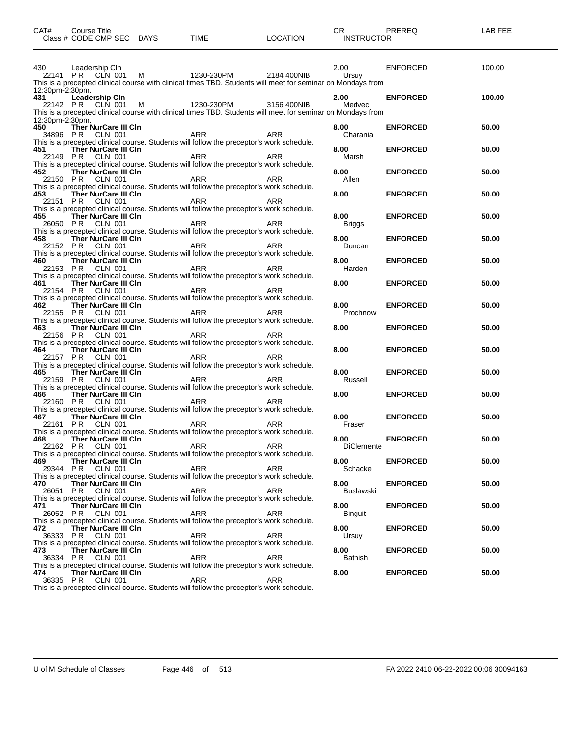| CAT#                     | <b>Course Title</b>                                  | Class # CODE CMP SEC DAYS TIME                                                                                                                                                                                                                                                       | LOCATION   | CR PREREQ<br><b>INSTRUCTOR</b> |                                    | LAB FEE        |
|--------------------------|------------------------------------------------------|--------------------------------------------------------------------------------------------------------------------------------------------------------------------------------------------------------------------------------------------------------------------------------------|------------|--------------------------------|------------------------------------|----------------|
| 430                      | Leadership Cln                                       | 20141 PR CLN 001 M<br>This is a precepted clinical course with clinical times TBD. Students will meet for seminar on Mondays from                                                                                                                                                    |            | 2.00                           | ENFORCED                           | 100.00         |
| 12:30pm-2:30pm.<br>431   | <b>Leadership CIn</b>                                | 431 Leadership Un<br>22142 PR CLN 001 M 1230-230PM 3156 400NIB Medvec<br>This is a precepted clinical course with clinical times TBD. Students will meet for seminar on Mondays from                                                                                                 |            | 2.00 ENFORCED                  |                                    | 100.00         |
| 12:30pm-2:30pm.<br>450 — | Ther NurCare III CIn<br>34896 PR CLN 001             | ARR ARR<br>Students will follow the process of the RR                                                                                                                                                                                                                                |            | 8.00<br>Charania               | <b>ENFORCED</b>                    | 50.00          |
|                          |                                                      | This is a precepted clinical course. Students will follow the preceptor's work schedule.<br>451 Ther NurCare III CIn<br>22149 PR CLN 001 ARR ARR ARR ARR ARR APSENGED BY A SCHOOL ARR This is a precepted clinical course. Students will follow the preceptor's work schedule.       |            | 8.00<br>Marsh                  | <b>ENFORCED</b>                    | 50.00          |
|                          | 452 Ther NurCare III CIn<br>22150 PR CLN 001         | ARR<br>This is a precepted clinical course. Students will follow the preceptor's work schedule.                                                                                                                                                                                      | ARR        | <b>8.00</b><br>Allen           | <b>ENFORCED</b>                    | 50.00          |
|                          | 453 Ther NurCare III CIn<br>22151 PR CLN 001         | ARR<br>This is a precepted clinical course. Students will follow the preceptor's work schedule.                                                                                                                                                                                      | ARR        | 8.00                           | <b>ENFORCED</b>                    | 50.00          |
|                          | 455 Ther NurCare III Cln                             | 26050 PR CLN 001 ARR ARR ARR ARR ARR ARR ARR CLN 001 ARR This is a precepted clinical course. Students will follow the preceptor's work schedule.                                                                                                                                    |            | 8.00<br>Briggs                 | <b>ENFORCED</b>                    | 50.00          |
|                          | 458 Ther NurCare III CIn<br>460 Ther NurCare III CIn | 22152 PR CLN 001 ARR ARR ARR ARR ARR ARR ARR CLN 001 CHAIS is a precepted clinical course. Students will follow the preceptor's work schedule.                                                                                                                                       |            | 8.00<br>Duncan<br>8.00         | <b>ENFORCED</b><br><b>ENFORCED</b> | 50.00<br>50.00 |
|                          | 461 Ther NurCare III CIn                             | 22153 PR CLN 001 ARR ARR ARR ARR ARR ARR ARR CLN 001 ARR This is a precepted clinical course. Students will follow the preceptor's work schedule.                                                                                                                                    |            | Harden<br>8.00                 | <b>ENFORCED</b>                    | 50.00          |
|                          | 462 Ther NurCare III CIn                             | 22154 PR CLN 001 ARR ARR ARR ARR ARR ARR ARR CLN 001 ARR This is a precepted clinical course. Students will follow the preceptor's work schedule.                                                                                                                                    |            | 8.00                           | <b>ENFORCED</b>                    | 50.00          |
|                          | 463 Ther NurCare III CIn                             | 22155 PR CLN 001 ARR ARR ARR ARR ARR ARR ARR CLN 001 CHAIS is a precepted clinical course. Students will follow the preceptor's work schedule.                                                                                                                                       |            | Prochnow<br>8.00               | <b>ENFORCED</b>                    | 50.00          |
|                          | 464 Ther NurCare III CIn                             | 22156 PR CLN 001 ARR ARR ARR ARR ARR ARR CLN 001 This is a precepted clinical course. Students will follow the preceptor's work schedule.                                                                                                                                            |            | 8.00                           | <b>ENFORCED</b>                    | 50.00          |
|                          | 465 Ther NurCare III CIn                             | 22157 PR CLN 001 ARR ARR ARR ARR ARR ARR CLN 001 CHAIS is a precepted clinical course. Students will follow the preceptor's work schedule.                                                                                                                                           |            | 8.00<br>Russell                | <b>ENFORCED</b>                    | 50.00          |
|                          | 466 Ther NurCare III CIn                             | 22159 PR CLN 001 ARR ARR ARR ARR ARR ARR ARR CLN 001 CHAINS IS a precepted clinical course. Students will follow the preceptor's work schedule.<br>22160 PR CLN 001 ARR ARR ARR ARR ARR ARR This is a precepted clinical course. Students will follow the preceptor's work schedule. |            | 8.00                           | <b>ENFORCED</b>                    | 50.00          |
|                          | 467 Ther NurCare III CIn<br>22161 PR CLN 001         | ARR                                                                                                                                                                                                                                                                                  | ARR        | 8.00<br>Fraser                 | <b>ENFORCED</b>                    | 50.00          |
|                          | 468 Ther NurCare III Cln<br>22162 PR CLN 001         | This is a precepted clinical course. Students will follow the preceptor's work schedule.<br>ARR<br>This is a precepted clinical course. Students will follow the preceptor's work schedule.                                                                                          | ARR        | 8.00<br><b>DiClemente</b>      | <b>ENFORCED</b>                    | 50.00          |
| 469.<br>29344 PR         | Ther NurCare III CIn<br>CLN 001                      | <b>ARR</b><br>This is a precepted clinical course. Students will follow the preceptor's work schedule.                                                                                                                                                                               | <b>ARR</b> | 8.00<br>Schacke                | <b>ENFORCED</b>                    | 50.00          |
| 470<br>26051 PR          | Ther NurCare III Cln<br>CLN 001                      | <b>ARR</b><br>This is a precepted clinical course. Students will follow the preceptor's work schedule.                                                                                                                                                                               | <b>ARR</b> | 8.00<br>Buslawski              | <b>ENFORCED</b>                    | 50.00          |
| 471                      | Ther NurCare III Cln<br>26052 PR CLN 001             | ARR<br>This is a precepted clinical course. Students will follow the preceptor's work schedule.                                                                                                                                                                                      | ARR        | 8.00<br><b>Binguit</b>         | <b>ENFORCED</b>                    | 50.00          |
| 472.                     | Ther NurCare III Cln<br>36333 PR CLN 001             | ARR<br>This is a precepted clinical course. Students will follow the preceptor's work schedule.                                                                                                                                                                                      | ARR        | 8.00<br>Ursuy                  | <b>ENFORCED</b>                    | 50.00          |
| 473<br>36334 PR<br>474.  | Ther NurCare III CIn<br>CLN 001                      | ARR<br>This is a precepted clinical course. Students will follow the preceptor's work schedule.                                                                                                                                                                                      | ARR        | 8.00<br><b>Bathish</b><br>8.00 | <b>ENFORCED</b><br><b>ENFORCED</b> | 50.00<br>50.00 |
| 36335 PR                 | Ther NurCare III CIn<br><b>CLN 001</b>               | ARR<br>This is a procepted clinical course. Students will follow the proceptor's work schodule                                                                                                                                                                                       | ARR        |                                |                                    |                |

This is a precepted clinical course. Students will follow the preceptor's work schedule.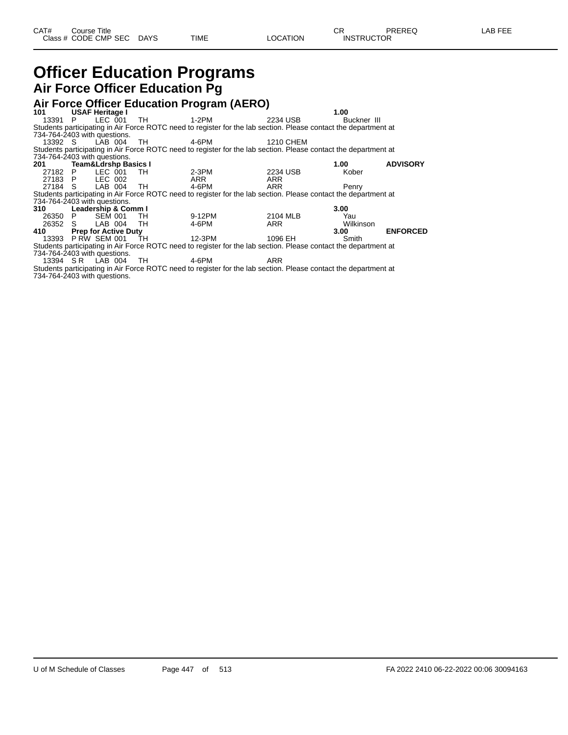# **Officer Education Programs Air Force Officer Education Pg**

|                              |                                 |                |                             |             | Air Force Officer Education Program (AERO)                                                                      |           |             |                 |
|------------------------------|---------------------------------|----------------|-----------------------------|-------------|-----------------------------------------------------------------------------------------------------------------|-----------|-------------|-----------------|
| 101                          | <b>USAF Heritage I</b>          |                |                             |             |                                                                                                                 |           | 1.00        |                 |
| 13391 P                      |                                 | LEC 001        |                             | TH<br>1-2PM |                                                                                                                 | 2234 USB  | Buckner III |                 |
|                              |                                 |                |                             |             | Students participating in Air Force ROTC need to register for the lab section. Please contact the department at |           |             |                 |
| 734-764-2403 with questions. |                                 |                |                             |             |                                                                                                                 |           |             |                 |
| 13392 S                      |                                 |                | LAB 004 TH                  |             | 4-6PM                                                                                                           | 1210 CHEM |             |                 |
|                              |                                 |                |                             |             | Students participating in Air Force ROTC need to register for the lab section. Please contact the department at |           |             |                 |
| 734-764-2403 with questions. |                                 |                |                             |             |                                                                                                                 |           |             |                 |
| 201                          | <b>Team&amp;Ldrshp Basics I</b> |                |                             |             |                                                                                                                 |           | 1.00        | <b>ADVISORY</b> |
| 27182 P                      |                                 |                | LEC 001                     | TH.         | 2-3PM                                                                                                           | 2234 USB  | Kober       |                 |
| 27183 P                      |                                 | LEC 002        |                             |             | ARR                                                                                                             | ARR       |             |                 |
| 27184 S                      |                                 |                | LAB 004 TH                  |             | 4-6PM                                                                                                           | ARR       | Penry       |                 |
|                              |                                 |                |                             |             | Students participating in Air Force ROTC need to register for the lab section. Please contact the department at |           |             |                 |
| 734-764-2403 with questions. |                                 |                |                             |             |                                                                                                                 |           |             |                 |
| 310                          |                                 |                | Leadership & Comm I         |             |                                                                                                                 |           | 3.00        |                 |
| 26350 P                      |                                 | <b>SEM 001</b> |                             | TH          | 9-12PM                                                                                                          | 2104 MLB  | Yau         |                 |
| 26352 S                      |                                 | LAB 004        |                             | TH          | 4-6PM                                                                                                           | ARR       | Wilkinson   |                 |
| 410                          |                                 |                | <b>Prep for Active Duty</b> |             |                                                                                                                 |           | 3.00        | <b>ENFORCED</b> |
| 13393 P RW SEM 001           |                                 |                |                             | TH T        | 12-3PM                                                                                                          | 1096 EH   | Smith       |                 |
|                              |                                 |                |                             |             | Students participating in Air Force ROTC need to register for the lab section. Please contact the department at |           |             |                 |
| 734-764-2403 with questions. |                                 |                |                             |             |                                                                                                                 |           |             |                 |
| 13394 SR LAB 004             |                                 |                |                             | TH.         | 4-6PM                                                                                                           | ARR       |             |                 |

Students participating in Air Force ROTC need to register for the lab section. Please contact the department at 734-764-2403 with questions.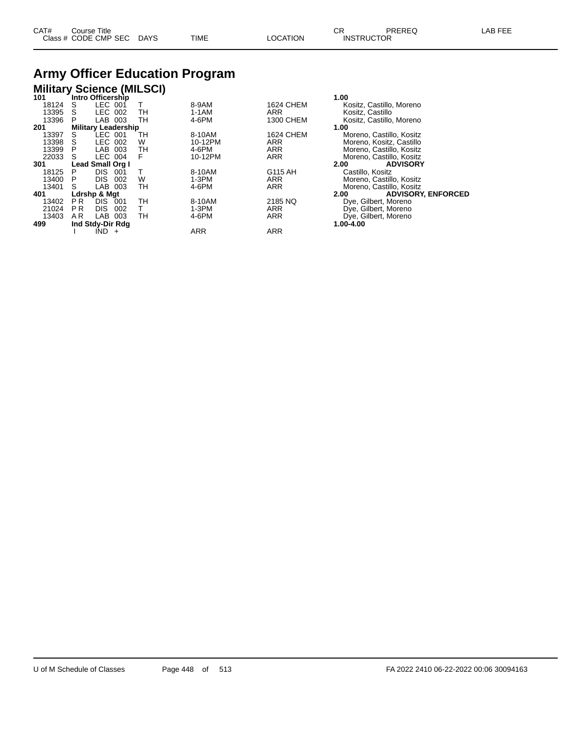# **Army Officer Education Program**

### **Military Science (MILSCI)**

|                |            |                                                                                                                                                                                                    |                            |            | 1.00                              |
|----------------|------------|----------------------------------------------------------------------------------------------------------------------------------------------------------------------------------------------------|----------------------------|------------|-----------------------------------|
| S              |            |                                                                                                                                                                                                    | 8-9AM                      | 1624 CHEM  | Kositz, Castillo, Moreno          |
| S              |            | TН                                                                                                                                                                                                 | 1-1AM                      | <b>ARR</b> | Kositz, Castillo                  |
| P              | LAB        | TН                                                                                                                                                                                                 | 4-6PM                      | 1300 CHEM  | Kositz, Castillo, Moreno          |
|                |            |                                                                                                                                                                                                    |                            |            | 1.00                              |
| S              |            | TН                                                                                                                                                                                                 | 8-10AM                     | 1624 CHEM  | Moreno, Castillo, Kositz          |
|                |            | W                                                                                                                                                                                                  | 10-12PM                    | <b>ARR</b> | Moreno, Kositz, Castillo          |
|                | LAB        | тн                                                                                                                                                                                                 | 4-6PM                      | <b>ARR</b> | Moreno, Castillo, Kositz          |
|                |            | F                                                                                                                                                                                                  | 10-12PM                    | <b>ARR</b> | Moreno, Castillo, Kositz          |
|                |            |                                                                                                                                                                                                    |                            |            | <b>ADVISORY</b><br>2.00           |
| Р              | DIS.       |                                                                                                                                                                                                    | 8-10AM                     | G115 AH    | Castillo, Kositz                  |
| P              | <b>DIS</b> | W                                                                                                                                                                                                  | 1-3PM                      | <b>ARR</b> | Moreno, Castillo, Kositz          |
| S              | LAB        | TН                                                                                                                                                                                                 | 4-6PM                      | <b>ARR</b> | Moreno, Castillo, Kositz          |
|                |            |                                                                                                                                                                                                    |                            |            | <b>ADVISORY, ENFORCED</b><br>2.00 |
| P <sub>R</sub> | <b>DIS</b> | тн                                                                                                                                                                                                 | 8-10AM                     | 2185 NQ    | Dye, Gilbert, Moreno              |
| <b>PR</b>      | <b>DIS</b> |                                                                                                                                                                                                    | 1-3PM                      | <b>ARR</b> | Dye, Gilbert, Moreno              |
| A R            | LAB        | TН                                                                                                                                                                                                 | 4-6PM                      | <b>ARR</b> | Dye, Gilbert, Moreno              |
|                |            |                                                                                                                                                                                                    |                            |            | 1.00-4.00                         |
|                | IND.       |                                                                                                                                                                                                    | ARR                        | <b>ARR</b> |                                   |
|                |            | Intro Officership<br>LEC 001<br>LEC 002<br>003<br>LEC 001<br>LEC 002<br>003<br>LEC 004<br>Lead Small Org I<br>001<br>002<br>003<br>Ldrshp & Mgt<br>001<br>002<br>003<br>Ind Stdy-Dir Rdg<br>$\div$ | <b>Military Leadership</b> |            |                                   |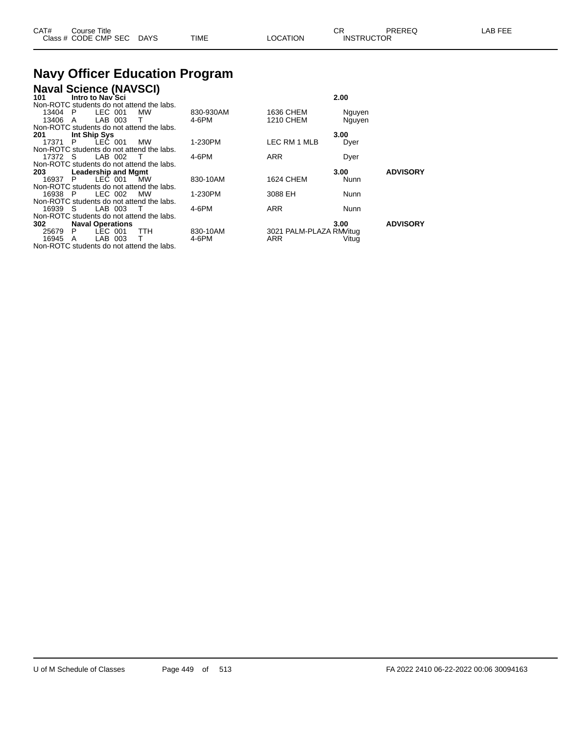| CAT# | Course Title         |             |             |          | $\sim$<br>◡       | PREREQ | LAB FEE |
|------|----------------------|-------------|-------------|----------|-------------------|--------|---------|
|      | Class # CODE CMP SEC | <b>DAYS</b> | <b>TIME</b> | LOCATION | <b>INSTRUCTOR</b> |        |         |

# **Navy Officer Education Program<br>Naval Science (NAVSCI)**

| <b>Naval Science (NAVSCI)</b> |  |
|-------------------------------|--|
|                               |  |

| Intro to Nav`Sci<br>101                   |           |                         | 2.00        |                 |
|-------------------------------------------|-----------|-------------------------|-------------|-----------------|
| Non-ROTC students do not attend the labs. |           |                         |             |                 |
| LEC 001<br>13404 P<br><b>MW</b>           | 830-930AM | 1636 CHEM               | Nguyen      |                 |
| LAB 003<br>13406<br>T.<br>A               | 4-6PM     | 1210 CHEM               | Nguyen      |                 |
| Non-ROTC students do not attend the labs. |           |                         |             |                 |
| Int Ship Sys<br>201                       |           |                         | 3.00        |                 |
| LEC 001<br>17371 P<br><b>MW</b>           | 1-230PM   | LEC RM 1 MLB            | Dyer        |                 |
| Non-ROTC students do not attend the labs. |           |                         |             |                 |
| LAB 002<br>17372 S<br>$\top$              | 4-6PM     | <b>ARR</b>              | Dyer        |                 |
| Non-ROTC students do not attend the labs. |           |                         |             |                 |
| <b>Leadership and Mgmt</b><br>203         |           |                         | 3.00        | <b>ADVISORY</b> |
| LEC 001<br>16937 P<br><b>MW</b>           | 830-10AM  | <b>1624 CHEM</b>        | Nunn        |                 |
| Non-ROTC students do not attend the labs. |           |                         |             |                 |
| LEC 002<br>16938 P<br><b>MW</b>           | 1-230PM   | 3088 EH                 | <b>Nunn</b> |                 |
| Non-ROTC students do not attend the labs. |           |                         |             |                 |
| LAB 003<br>16939 S<br>$\top$              | 4-6PM     | <b>ARR</b>              | <b>Nunn</b> |                 |
| Non-ROTC students do not attend the labs. |           |                         |             |                 |
| <b>Naval Operations</b><br>302            |           |                         | 3.00        | <b>ADVISORY</b> |
| LEC 001<br>25679<br><b>TTH</b><br>P       | 830-10AM  | 3021 PALM-PLAZA RM/itug |             |                 |
| LAB 003<br>16945 A<br>T.                  | 4-6PM     | <b>ARR</b>              | Vitug       |                 |
| Non-ROTC students do not attend the labs. |           |                         |             |                 |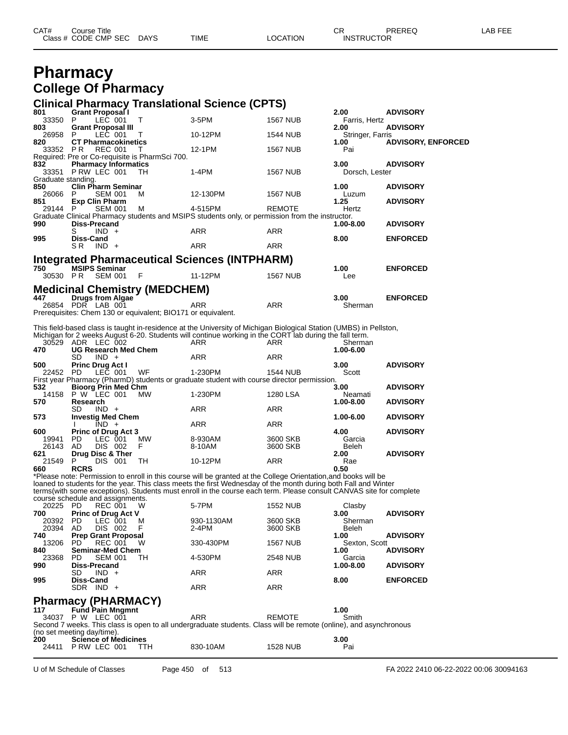| CAT# | Course Title         |             |      |          | ⌒冖<br>◡⊓          | PREREQ | -AB FEE |
|------|----------------------|-------------|------|----------|-------------------|--------|---------|
|      | Class # CODE CMP SEC | <b>DAYS</b> | TIME | LOCATION | <b>INSTRUCTOR</b> |        |         |

# **Pharmacy College Of Pharmacy**

#### **Clinical Pharmacy Translational Science (CPTS)**

| 801                | <b>Grant Proposal I</b>                          |         |                                                              |                                                                                                                    |                 | 2.00                 | <b>ADVISORY</b>           |
|--------------------|--------------------------------------------------|---------|--------------------------------------------------------------|--------------------------------------------------------------------------------------------------------------------|-----------------|----------------------|---------------------------|
| 33350              | P.                                               | LEC 001 | $\mathsf{T}$                                                 | $3-5$ PM                                                                                                           | <b>1567 NUB</b> | Farris, Hertz        |                           |
| 803                | <b>Grant Proposal III</b>                        |         |                                                              |                                                                                                                    |                 | 2.00                 | <b>ADVISORY</b>           |
| 26958<br>820       | P.<br>LEC 001                                    |         | T                                                            | 10-12PM                                                                                                            | <b>1544 NUB</b> | Stringer, Farris     |                           |
| 33352 PR           | <b>CT Pharmacokinetics</b><br><b>REC 001</b>     |         | т                                                            | 12-1PM                                                                                                             | <b>1567 NUB</b> | 1.00<br>Pai          | <b>ADVISORY, ENFORCED</b> |
|                    |                                                  |         | Required: Pre or Co-requisite is PharmSci 700.               |                                                                                                                    |                 |                      |                           |
| 832                | <b>Pharmacy Informatics</b>                      |         |                                                              |                                                                                                                    |                 | 3.00                 | <b>ADVISORY</b>           |
|                    | 33351 P RW LEC 001                               |         | TH.                                                          | $1-4PM$                                                                                                            | <b>1567 NUB</b> | Dorsch, Lester       |                           |
| Graduate standing. |                                                  |         |                                                              |                                                                                                                    |                 |                      |                           |
| 850                | <b>Clin Pharm Seminar</b>                        |         |                                                              |                                                                                                                    |                 | 1.00                 | <b>ADVISORY</b>           |
| 26066<br>851       | P<br><b>SEM 001</b><br><b>Exp Clin Pharm</b>     |         | M                                                            | 12-130PM                                                                                                           | <b>1567 NUB</b> | Luzum<br>1.25        | <b>ADVISORY</b>           |
| 29144 P            | <b>SEM 001</b>                                   |         | м                                                            | 4-515PM                                                                                                            | <b>REMOTE</b>   | Hertz                |                           |
|                    |                                                  |         |                                                              | Graduate Clinical Pharmacy students and MSIPS students only, or permission from the instructor.                    |                 |                      |                           |
| 990                | <b>Diss-Precand</b>                              |         |                                                              |                                                                                                                    |                 | 1.00-8.00            | <b>ADVISORY</b>           |
|                    | S<br>$IND +$                                     |         |                                                              | <b>ARR</b>                                                                                                         | <b>ARR</b>      |                      |                           |
| 995                | <b>Diss-Cand</b>                                 |         |                                                              |                                                                                                                    |                 | 8.00                 | <b>ENFORCED</b>           |
|                    | S <sub>R</sub><br>$IND +$                        |         |                                                              | <b>ARR</b>                                                                                                         | <b>ARR</b>      |                      |                           |
|                    |                                                  |         |                                                              | Integrated Pharmaceutical Sciences (INTPHARM)                                                                      |                 |                      |                           |
| 750                | <b>MSIPS Seminar</b>                             |         |                                                              |                                                                                                                    |                 | 1.00                 | <b>ENFORCED</b>           |
| 30530 PR           | SEM 001                                          |         | F                                                            | 11-12PM                                                                                                            | <b>1567 NUB</b> | Lee                  |                           |
|                    |                                                  |         |                                                              |                                                                                                                    |                 |                      |                           |
| 447                | <b>Drugs from Algae</b>                          |         | <b>Medicinal Chemistry (MEDCHEM)</b>                         |                                                                                                                    |                 | 3.00                 | <b>ENFORCED</b>           |
|                    | 26854 PDR LAB 001                                |         |                                                              | <b>ARR</b>                                                                                                         | <b>ARR</b>      | Sherman              |                           |
|                    |                                                  |         | Prerequisites: Chem 130 or equivalent; BIO171 or equivalent. |                                                                                                                    |                 |                      |                           |
|                    |                                                  |         |                                                              |                                                                                                                    |                 |                      |                           |
|                    |                                                  |         |                                                              | This field-based class is taught in-residence at the University of Michigan Biological Station (UMBS) in Pellston, |                 |                      |                           |
|                    |                                                  |         |                                                              | Michigan for 2 weeks August 6-20. Students will continue working in the CORT lab during the fall term.             | <b>ARR</b>      | Sherman              |                           |
| 470                | 30529 ADR LEC 002<br><b>UG Research Med Chem</b> |         |                                                              | ARR                                                                                                                |                 | 1.00-6.00            |                           |
|                    | <b>SD</b><br>$IND +$                             |         |                                                              | <b>ARR</b>                                                                                                         | <b>ARR</b>      |                      |                           |
| 500                | <b>Princ Drug Act I</b>                          |         |                                                              |                                                                                                                    |                 | 3.00                 | <b>ADVISORY</b>           |
| 22452 PD           | LEC 001                                          |         | WF                                                           | 1-230PM                                                                                                            | <b>1544 NUB</b> | Scott                |                           |
|                    |                                                  |         |                                                              | First year Pharmacy (PharmD) students or graduate student with course director permission.                         |                 |                      |                           |
| 532                | <b>Bioorg Prin Med Chm</b>                       |         |                                                              |                                                                                                                    |                 | 3.00                 | <b>ADVISORY</b>           |
| 570                | 14158 P W LEC 001<br>Research                    |         | MW                                                           | 1-230PM                                                                                                            | 1280 LSA        | Neamati<br>1.00-8.00 | <b>ADVISORY</b>           |
|                    | <b>SD</b><br>$IND +$                             |         |                                                              | <b>ARR</b>                                                                                                         | <b>ARR</b>      |                      |                           |
| 573                | <b>Investig Med Chem</b>                         |         |                                                              |                                                                                                                    |                 | 1.00-6.00            | <b>ADVISORY</b>           |
|                    | $IND +$                                          |         |                                                              | <b>ARR</b>                                                                                                         | <b>ARR</b>      |                      |                           |
| 600                | <b>Princ of Drug Act 3</b>                       |         |                                                              |                                                                                                                    |                 | 4.00                 | <b>ADVISORY</b>           |
| 19941              | <b>PD</b><br>LEC 001                             |         | <b>MW</b>                                                    | 8-930AM                                                                                                            | 3600 SKB        | Garcia               |                           |
| 26143              | AD<br>DIS 002                                    |         | F                                                            | 8-10AM                                                                                                             | 3600 SKB        | Beleh                |                           |

**621 Drug Disc & Ther 2.00 Drug Disc & Ther 2.00 ADVISORY**<br> **660 RCRS CRS 21549 P** DIS 001 TH **10-12PM ARR ARR 2.50 RGB 2.00**  P DIS 001<br>660 RCRS **RCRS 0.50** \*Please note: Permission to enroll in this course will be granted at the College Orientation,and books will be loaned to students for the year. This class meets the first Wednesday of the month during both Fall and Winter terms(with some exceptions). Students must enroll in the course each term. Please consult CANVAS site for complete course schedule and assignments.

|       | course scriedule and assignments. |            |                 |               |                 |
|-------|-----------------------------------|------------|-----------------|---------------|-----------------|
| 20225 | <b>PD</b><br><b>REC 001</b><br>w  | 5-7PM      | <b>1552 NUB</b> | Clasby        |                 |
| 700   | <b>Princ of Drug Act V</b>        |            |                 | 3.00          | <b>ADVISORY</b> |
| 20392 | LEC 001<br><b>PD</b><br>м         | 930-1130AM | 3600 SKB        | Sherman       |                 |
| 20394 | F<br>DIS<br>002<br>AD.            | $2-4PM$    | 3600 SKB        | Beleh         |                 |
| 740   | <b>Prep Grant Proposal</b>        |            |                 | 1.00          | <b>ADVISORY</b> |
| 13206 | <b>REC 001</b><br>W<br>PD.        | 330-430PM  | <b>1567 NUB</b> | Sexton, Scott |                 |
| 840   | <b>Seminar-Med Chem</b>           |            |                 | 1.00          | <b>ADVISORY</b> |
| 23368 | <b>SEM 001</b><br>PD<br>TН        | 4-530PM    | <b>2548 NUB</b> | Garcia        |                 |
| 990   | <b>Diss-Precand</b>               |            |                 | 1.00-8.00     | <b>ADVISORY</b> |
|       | SD<br>$IND +$                     | ARR        | <b>ARR</b>      |               |                 |
| 995   | Diss-Cand                         |            |                 | 8.00          | <b>ENFORCED</b> |
|       | $IND +$<br>SDR                    | ARR        | <b>ARR</b>      |               |                 |
|       |                                   |            |                 |               |                 |

# **Pharmacy (PHARMACY) 117 Fund Pain Mngmnt 1.00**

| .   | <b>FUILD FAILL MILLUILLE</b> |                                                                                                                   |        | 1.UU  |  |
|-----|------------------------------|-------------------------------------------------------------------------------------------------------------------|--------|-------|--|
|     | 34037 P W LEC 001            | ARR                                                                                                               | REMOTE | Smith |  |
|     |                              | Second 7 weeks. This class is open to all undergraduate students. Class will be remote (online), and asynchronous |        |       |  |
|     | (no set meeting day/time).   |                                                                                                                   |        |       |  |
| 200 | <b>Science of Medicines</b>  |                                                                                                                   |        | 3.00  |  |

| 24411 | PRW LEC 001 | - | 830-10AM | 1528 NUB | Pai |
|-------|-------------|---|----------|----------|-----|
|       |             |   |          |          |     |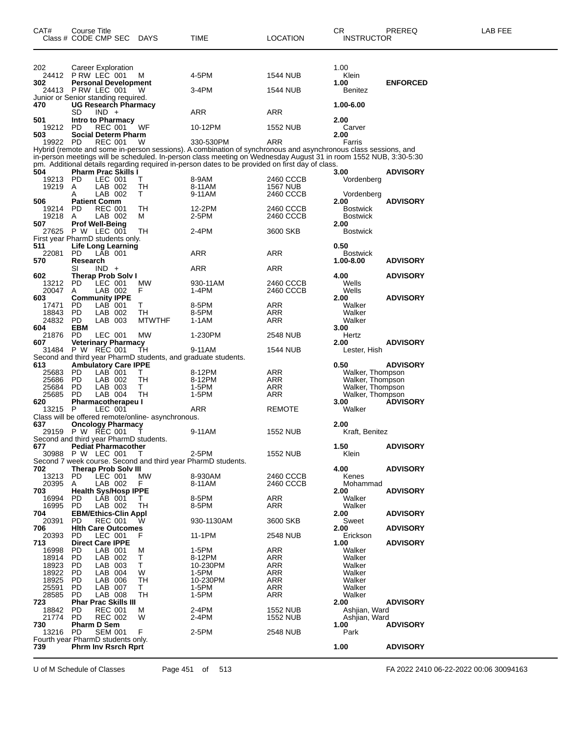| CAT#           | Course Title     | Class # CODE CMP SEC                                                 | <b>DAYS</b>                                        | TIME                                                                                                                        | LOCATION        | CR<br><b>INSTRUCTOR</b>              | PREREQ          | LAB FEE |
|----------------|------------------|----------------------------------------------------------------------|----------------------------------------------------|-----------------------------------------------------------------------------------------------------------------------------|-----------------|--------------------------------------|-----------------|---------|
| 202            |                  | Career Exploration                                                   |                                                    |                                                                                                                             |                 | 1.00                                 |                 |         |
|                |                  | 24412 PRW LEC 001                                                    | M                                                  | 4-5PM                                                                                                                       | <b>1544 NUB</b> | Klein                                |                 |         |
| 302            |                  | <b>Personal Development</b>                                          |                                                    |                                                                                                                             |                 | 1.00                                 | <b>ENFORCED</b> |         |
|                |                  | 24413 PRW LEC 001<br>Junior or Senior standing required.             | w                                                  | 3-4PM                                                                                                                       | 1544 NUB        | Benitez                              |                 |         |
| 470            |                  | <b>UG Research Pharmacy</b>                                          |                                                    |                                                                                                                             |                 | 1.00-6.00                            |                 |         |
| 501            | SD               | $IND +$<br><b>Intro to Pharmacy</b>                                  |                                                    | ARR                                                                                                                         | ARR             | 2.00                                 |                 |         |
| 19212 PD       |                  | <b>REC 001</b>                                                       | WF                                                 | 10-12PM                                                                                                                     | <b>1552 NUB</b> | Carver                               |                 |         |
| 503            |                  | <b>Social Determ Pharm</b>                                           |                                                    |                                                                                                                             |                 | 2.00                                 |                 |         |
| 19922 PD       |                  | <b>REC 001</b>                                                       | W                                                  | 330-530PM<br>Hybrid (remote and some in-person sessions). A combination of synchronous and asynchronous class sessions, and | ARR             | Farris                               |                 |         |
|                |                  |                                                                      |                                                    | in-person meetings will be scheduled. In-person class meeting on Wednesday August 31 in room 1552 NUB, 3:30-5:30            |                 |                                      |                 |         |
| 504            |                  | <b>Pharm Prac Skills I</b>                                           |                                                    | pm. Additional details regarding required in-person dates to be provided on first day of class.                             |                 | 3.00                                 | <b>ADVISORY</b> |         |
| 19213          | <b>PD</b>        | LEC 001                                                              | т                                                  | 8-9AM                                                                                                                       | 2460 CCCB       | Vordenberg                           |                 |         |
| 19219          | A                | LAB 002                                                              | TН                                                 | 8-11AM                                                                                                                      | <b>1567 NUB</b> |                                      |                 |         |
| 506            | A                | LAB 002<br><b>Patient Comm</b>                                       | T.                                                 | 9-11AM                                                                                                                      | 2460 CCCB       | Vordenberg<br>2.00                   | <b>ADVISORY</b> |         |
| 19214          | - PD             | <b>REC 001</b>                                                       | TН                                                 | 12-2PM                                                                                                                      | 2460 CCCB       | <b>Bostwick</b>                      |                 |         |
| 19218          | A                | LAB 002                                                              | м                                                  | 2-5PM                                                                                                                       | 2460 CCCB       | <b>Bostwick</b>                      |                 |         |
| 507            |                  | <b>Prof Well-Being</b><br>27625 P W LEC 001                          | TН                                                 | 2-4PM                                                                                                                       | 3600 SKB        | 2.00<br><b>Bostwick</b>              |                 |         |
|                |                  | First year PharmD students only.                                     |                                                    |                                                                                                                             |                 |                                      |                 |         |
| 511            |                  | <b>Life Long Learning</b>                                            |                                                    |                                                                                                                             |                 | 0.50                                 |                 |         |
| 22081<br>570   | PD.<br>Research  | LĀB 001                                                              |                                                    | ARR                                                                                                                         | ARR             | <b>Bostwick</b><br>1.00-8.00         | <b>ADVISORY</b> |         |
|                | SI               | $IND +$                                                              |                                                    | ARR                                                                                                                         | ARR             |                                      |                 |         |
| 602<br>13212   | PD               | <b>Therap Prob Solv I</b><br>LEC 001                                 | MW                                                 | 930-11AM                                                                                                                    | 2460 CCCB       | 4.00<br>Wells                        | <b>ADVISORY</b> |         |
| 20047          | A                | LAB 002                                                              | F                                                  | 1-4PM                                                                                                                       | 2460 CCCB       | Wells                                |                 |         |
| 603            |                  | <b>Community IPPE</b>                                                |                                                    |                                                                                                                             |                 | 2.00                                 | <b>ADVISORY</b> |         |
| 17471<br>18843 | PD<br>PD.        | LAB 001<br>LAB 002                                                   | Τ<br>TН                                            | 8-5PM<br>8-5PM                                                                                                              | ARR<br>ARR      | Walker<br>Walker                     |                 |         |
| 24832          | PD.              | LAB 003                                                              | <b>MTWTHF</b>                                      | 1-1AM                                                                                                                       | ARR             | Walker                               |                 |         |
| 604            | EBM              |                                                                      |                                                    |                                                                                                                             |                 | 3.00                                 |                 |         |
| 21876<br>607   | PD.              | LEC 001<br><b>Veterinary Pharmacy</b>                                | MW                                                 | 1-230PM                                                                                                                     | 2548 NUB        | Hertz<br>2.00                        | <b>ADVISORY</b> |         |
|                |                  | 31484 P W REC 001                                                    | ŤН                                                 | 9-11AM                                                                                                                      | 1544 NUB        | Lester, Hish                         |                 |         |
| 613            |                  | <b>Ambulatory Care IPPE</b>                                          |                                                    | Second and third year PharmD students, and graduate students.                                                               |                 | 0.50                                 | <b>ADVISORY</b> |         |
| 25683          | PD               | $LAB$ 001                                                            | T.                                                 | 8-12PM                                                                                                                      | ARR             | Walker, Thompson                     |                 |         |
| 25686          | PD               | LAB 002                                                              | TН                                                 | 8-12PM                                                                                                                      | ARR             | Walker, Thompson                     |                 |         |
| 25684<br>25685 | PD.<br><b>PD</b> | LAB 003<br>LAB 004                                                   | T.<br>TН                                           | 1-5PM<br>1-5PM                                                                                                              | ARR<br>ARR      | Walker, Thompson<br>Walker, Thompson |                 |         |
| 620            |                  | Pharmacotherapeu I                                                   |                                                    |                                                                                                                             |                 | 3.00                                 | <b>ADVISORY</b> |         |
| 13215 P        |                  | LEC 001                                                              |                                                    | ARR                                                                                                                         | <b>REMOTE</b>   | Walker                               |                 |         |
| 637            |                  | <b>Oncology Pharmacy</b>                                             | Class will be offered remote/online- asynchronous. |                                                                                                                             |                 | 2.00                                 |                 |         |
|                |                  | 29159 P W REC 001                                                    |                                                    | 9-11AM                                                                                                                      | 1552 NUB        | Kraft, Benitez                       |                 |         |
| 677            |                  | Second and third year PharmD students.<br><b>Pediat Pharmacother</b> |                                                    |                                                                                                                             |                 | 1.50                                 | <b>ADVISORY</b> |         |
|                |                  | 30988 P W LEC 001                                                    | $\top$                                             | 2-5PM                                                                                                                       | 1552 NUB        | Klein                                |                 |         |
|                |                  |                                                                      |                                                    | Second 7 week course. Second and third year PharmD students.                                                                |                 |                                      |                 |         |
| 702<br>13213   | PD.              | <b>Therap Prob Solv III</b><br>LEC 001                               | MW                                                 | 8-930AM                                                                                                                     | 2460 CCCB       | 4.00<br>Kenes                        | <b>ADVISORY</b> |         |
| 20395          | A                | LAB 002                                                              | F.                                                 | 8-11AM                                                                                                                      | 2460 CCCB       | Mohammad                             |                 |         |
| 703<br>16994   | PD.              | <b>Health Sys/Hosp IPPE</b><br>LÁB 001                               | T.                                                 | 8-5PM                                                                                                                       | ARR             | 2.00<br>Walker                       | <b>ADVISORY</b> |         |
| 16995          | <b>PD</b>        | LAB 002                                                              | TH                                                 | 8-5PM                                                                                                                       | ARR             | Walker                               |                 |         |
| 704            |                  | <b>EBM/Ethics-Clin Appl</b>                                          |                                                    |                                                                                                                             |                 | 2.00                                 | <b>ADVISORY</b> |         |
| 20391<br>706   | PD.              | <b>REC 001</b><br><b>Hith Care Outcomes</b>                          | W                                                  | 930-1130AM                                                                                                                  | 3600 SKB        | Sweet<br>2.00                        | <b>ADVISORY</b> |         |
| 20393          | PD.              | LEC 001                                                              | F                                                  | 11-1PM                                                                                                                      | 2548 NUB        | Erickson                             |                 |         |
| 713            |                  | <b>Direct Care IPPE</b>                                              |                                                    |                                                                                                                             |                 | 1.00                                 | <b>ADVISORY</b> |         |
| 16998<br>18914 | PD<br><b>PD</b>  | LAB 001<br>LAB 002                                                   | M<br>Τ                                             | 1-5PM<br>8-12PM                                                                                                             | ARR<br>ARR      | Walker<br>Walker                     |                 |         |
| 18923          | PD               | LAB 003                                                              | T.                                                 | 10-230PM                                                                                                                    | <b>ARR</b>      | Walker                               |                 |         |
| 18922<br>18925 | PD<br>PD.        | LAB 004<br>LAB 006                                                   | W<br>TH                                            | 1-5PM<br>10-230PM                                                                                                           | ARR<br>ARR      | Walker<br>Walker                     |                 |         |
| 25591          | PD.              | LAB 007                                                              | T.                                                 | 1-5PM                                                                                                                       | ARR             | Walker                               |                 |         |
| 28585          | PD.              | LAB 008                                                              | TН                                                 | 1-5PM                                                                                                                       | ARR             | Walker                               |                 |         |
| 723<br>18842   | PD               | <b>Phar Prac Skills III</b><br><b>REC 001</b>                        | м                                                  | 2-4PM                                                                                                                       | <b>1552 NUB</b> | 2.00<br>Ashjian, Ward                | <b>ADVISORY</b> |         |
| 21774          | <b>PD</b>        | <b>REC 002</b>                                                       | W                                                  | 2-4PM                                                                                                                       | 1552 NUB        | Ashjian, Ward                        |                 |         |
| 730            |                  | Pharm D Sem                                                          |                                                    |                                                                                                                             |                 | 1.00                                 | <b>ADVISORY</b> |         |
| 13216 PD       |                  | <b>SEM 001</b><br>Fourth year PharmD students only.                  | F.                                                 | 2-5PM                                                                                                                       | 2548 NUB        | Park                                 |                 |         |
| 739            |                  | <b>Phrm Inv Rsrch Rprt</b>                                           |                                                    |                                                                                                                             |                 | 1.00                                 | <b>ADVISORY</b> |         |
|                |                  |                                                                      |                                                    |                                                                                                                             |                 |                                      |                 |         |

U of M Schedule of Classes Page 451 of 513 FA 2022 2410 06-22-2022 00:06 30094163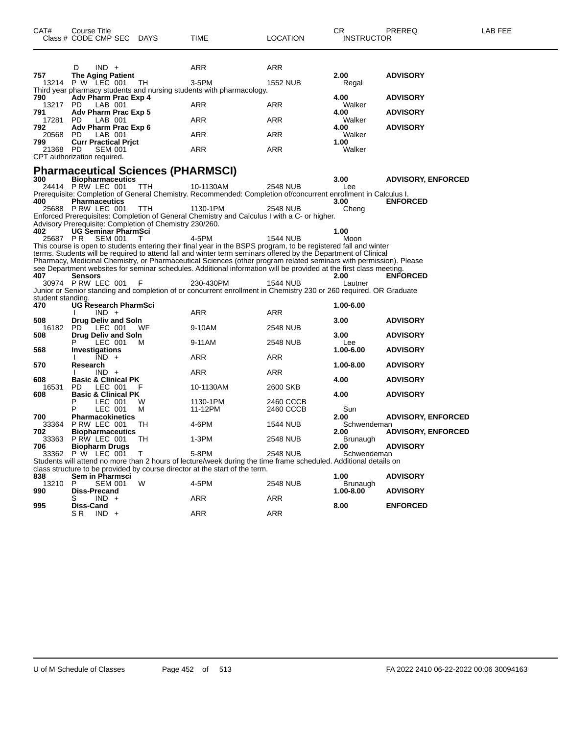| CAT#                     | Course Title<br>Class # CODE CMP SEC DAYS                                                               |                   | <b>TIME</b>                                                                                                                                                                                                                                                                                                                                                                                                                                                                                                                                                                                                      | <b>LOCATION</b>        | СR<br><b>INSTRUCTOR</b>         | PREREQ                                       | LAB FEE |
|--------------------------|---------------------------------------------------------------------------------------------------------|-------------------|------------------------------------------------------------------------------------------------------------------------------------------------------------------------------------------------------------------------------------------------------------------------------------------------------------------------------------------------------------------------------------------------------------------------------------------------------------------------------------------------------------------------------------------------------------------------------------------------------------------|------------------------|---------------------------------|----------------------------------------------|---------|
| 757                      | $IND +$<br>D<br><b>The Aging Patient</b>                                                                |                   | ARR                                                                                                                                                                                                                                                                                                                                                                                                                                                                                                                                                                                                              | ARR                    | 2.00                            | <b>ADVISORY</b>                              |         |
|                          | 13214 P W LEC 001                                                                                       | ТH                | 3-5PM                                                                                                                                                                                                                                                                                                                                                                                                                                                                                                                                                                                                            | <b>1552 NUB</b>        | Regal                           |                                              |         |
| 790<br>13217 PD          | Adv Pharm Prac Exp 4<br>LAB 001                                                                         |                   | Third year pharmacy students and nursing students with pharmacology.<br>ARR                                                                                                                                                                                                                                                                                                                                                                                                                                                                                                                                      | ARR                    | 4.00<br>Walker                  | <b>ADVISORY</b>                              |         |
| 791<br>17281<br>792      | Adv Pharm Prac Exp 5<br>PD.<br>LAB 001<br>Adv Pharm Prac Exp 6                                          |                   | ARR                                                                                                                                                                                                                                                                                                                                                                                                                                                                                                                                                                                                              | ARR                    | 4.00<br>Walker<br>4.00          | <b>ADVISORY</b><br><b>ADVISORY</b>           |         |
| 20568<br>799             | PD.<br>LAB 001<br><b>Curr Practical Prict</b>                                                           |                   | ARR                                                                                                                                                                                                                                                                                                                                                                                                                                                                                                                                                                                                              | ARR                    | Walker<br>1.00                  |                                              |         |
| 21368                    | PD<br><b>SEM 001</b><br>CPT authorization required.                                                     |                   | ARR                                                                                                                                                                                                                                                                                                                                                                                                                                                                                                                                                                                                              | ARR                    | Walker                          |                                              |         |
|                          | <b>Pharmaceutical Sciences (PHARMSCI)</b>                                                               |                   |                                                                                                                                                                                                                                                                                                                                                                                                                                                                                                                                                                                                                  |                        |                                 |                                              |         |
| 300<br>400               | <b>Biopharmaceutics</b><br>24414 P RW LEC 001<br><b>Pharmaceutics</b><br>25688 PRW LEC 001              | TTH<br><b>TTH</b> | 10-1130AM<br>Prerequisite: Completion of General Chemistry. Recommended: Completion of/concurrent enrollment in Calculus I.<br>1130-1PM                                                                                                                                                                                                                                                                                                                                                                                                                                                                          | 2548 NUB<br>2548 NUB   | 3.00<br>Lee<br>3.00<br>Cheng    | <b>ADVISORY, ENFORCED</b><br><b>ENFORCED</b> |         |
| 402<br>25687 PR          | Advisory Prerequisite: Completion of Chemistry 230/260.<br><b>UG Seminar PharmSci</b><br><b>SEM 001</b> | т                 | Enforced Prerequisites: Completion of General Chemistry and Calculus I with a C- or higher.<br>4-5PM                                                                                                                                                                                                                                                                                                                                                                                                                                                                                                             | 1544 NUB               | 1.00<br>Moon                    |                                              |         |
| 407                      | Sensors<br>30974 PRW LEC 001                                                                            | F                 | This course is open to students entering their final year in the BSPS program, to be registered fall and winter<br>terms. Students will be required to attend fall and winter term seminars offered by the Department of Clinical<br>Pharmacy, Medicinal Chemistry, or Pharmaceutical Sciences (other program related seminars with permission). Please<br>see Department websites for seminar schedules. Additional information will be provided at the first class meeting.<br>230-430PM<br>Junior or Senior standing and completion of or concurrent enrollment in Chemistry 230 or 260 required. OR Graduate | 1544 NUB               | 2.00<br>Lautner                 | <b>ENFORCED</b>                              |         |
| student standing.<br>470 | UG Research PharmSci                                                                                    |                   |                                                                                                                                                                                                                                                                                                                                                                                                                                                                                                                                                                                                                  |                        | 1.00-6.00                       |                                              |         |
| 508<br>16182             | $IND +$<br>Drug Deliv and Soln<br>PD.<br>LEC 001                                                        | WF                | <b>ARR</b><br>9-10AM                                                                                                                                                                                                                                                                                                                                                                                                                                                                                                                                                                                             | ARR<br><b>2548 NUB</b> | 3.00                            | <b>ADVISORY</b>                              |         |
| 508                      | Drug Deliv and Soln<br>LEC 001                                                                          | м                 | 9-11AM                                                                                                                                                                                                                                                                                                                                                                                                                                                                                                                                                                                                           | <b>2548 NUB</b>        | 3.00<br>Lee                     | <b>ADVISORY</b>                              |         |
| 568                      | <b>Investigations</b><br>$IND +$                                                                        |                   | ARR                                                                                                                                                                                                                                                                                                                                                                                                                                                                                                                                                                                                              | ARR                    | 1.00-6.00                       | <b>ADVISORY</b>                              |         |
| 570<br>608               | Research<br>$IND +$<br><b>Basic &amp; Clinical PK</b>                                                   |                   | ARR                                                                                                                                                                                                                                                                                                                                                                                                                                                                                                                                                                                                              | ARR                    | 1.00-8.00<br>4.00               | <b>ADVISORY</b><br><b>ADVISORY</b>           |         |
| 16531<br>608             | PD<br>LEC 001<br><b>Basic &amp; Clinical PK</b>                                                         |                   | 10-1130AM                                                                                                                                                                                                                                                                                                                                                                                                                                                                                                                                                                                                        | 2600 SKB               | 4.00                            | <b>ADVISORY</b>                              |         |
| 700                      | P<br>LEC 001<br>LEC 001<br>Р<br><b>Pharmacokinetics</b>                                                 | W<br>м            | 1130-1PM<br>11-12PM                                                                                                                                                                                                                                                                                                                                                                                                                                                                                                                                                                                              | 2460 CCCB<br>2460 CCCB | Sun<br>2.00                     | <b>ADVISORY, ENFORCED</b>                    |         |
| 33364<br>702             | PRW LEC 001<br><b>Biopharmaceutics</b>                                                                  | TН                | 4-6PM                                                                                                                                                                                                                                                                                                                                                                                                                                                                                                                                                                                                            | 1544 NUB               | Schwendeman<br>2.00             | <b>ADVISORY, ENFORCED</b>                    |         |
| 33363<br>706             | P RW LEC 001<br><b>Biopharm Drugs</b><br>33362 P W LEC 001                                              | - TH<br>$\top$    | 1-3PM<br>5-8PM                                                                                                                                                                                                                                                                                                                                                                                                                                                                                                                                                                                                   | 2548 NUB<br>2548 NUB   | Brunaugh<br>2.00<br>Schwendeman | <b>ADVISORY</b>                              |         |
|                          |                                                                                                         |                   | Students will attend no more than 2 hours of lecture/week during the time frame scheduled. Additional details on<br>class structure to be provided by course director at the start of the term.                                                                                                                                                                                                                                                                                                                                                                                                                  |                        |                                 |                                              |         |
| 838<br>13210             | Sem in Pharmsci<br>P<br><b>SEM 001</b>                                                                  | W                 | 4-5PM                                                                                                                                                                                                                                                                                                                                                                                                                                                                                                                                                                                                            | 2548 NUB               | 1.00<br>Brunaugh                | <b>ADVISORY</b>                              |         |
| 990                      | <b>Diss-Precand</b><br>$IND +$<br>S                                                                     |                   | ARR                                                                                                                                                                                                                                                                                                                                                                                                                                                                                                                                                                                                              | <b>ARR</b>             | 1.00-8.00                       | <b>ADVISORY</b>                              |         |
| 995                      | Diss-Cand<br>SR IND +                                                                                   |                   | ARR                                                                                                                                                                                                                                                                                                                                                                                                                                                                                                                                                                                                              | <b>ARR</b>             | 8.00                            | <b>ENFORCED</b>                              |         |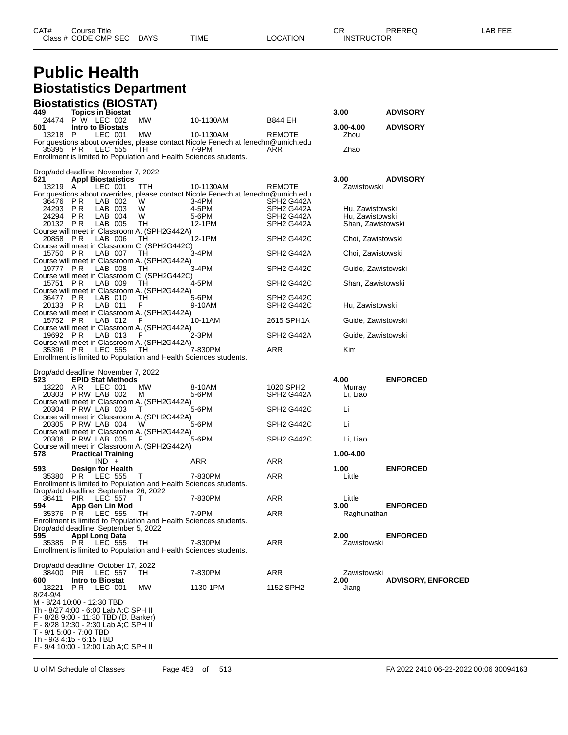#### **Public Health Biostatistics Department Biostatistics (BIOSTAT)**

| <b>BIOSTATISTICS (BIOSTAT)</b><br>449                                                                           |                 |                                                  | 3.00                |                           |
|-----------------------------------------------------------------------------------------------------------------|-----------------|--------------------------------------------------|---------------------|---------------------------|
| <b>Topics in Biostat</b><br><b>MW</b><br>P W LEC 002<br>24474                                                   | 10-1130AM       | B844 EH                                          |                     | <b>ADVISORY</b>           |
| 501<br>Intro to Biostats                                                                                        |                 |                                                  | 3.00-4.00           | <b>ADVISORY</b>           |
| P<br>LEC 001<br>MW<br>13218<br>For questions about overrides, please contact Nicole Fenech at fenechn@umich.edu | 10-1130AM       | REMOTE                                           | Zhou                |                           |
| 35395 PR<br><b>LEC 555</b><br>TH                                                                                | 7-9PM           | ARR                                              | Zhao                |                           |
| Enrollment is limited to Population and Health Sciences students.                                               |                 |                                                  |                     |                           |
| Drop/add deadline: November 7, 2022                                                                             |                 |                                                  |                     |                           |
| <b>Appl Biostatistics</b><br>521<br>13219<br>A<br>LEC 001<br>TTH                                                | 10-1130AM       | <b>REMOTE</b>                                    | 3.00<br>Zawistowski | <b>ADVISORY</b>           |
| For questions about overrides, please contact Nicole Fenech at fenechn@umich.edu                                |                 |                                                  |                     |                           |
| W<br>36476<br>P R<br>LAB 002<br>24293<br>P R<br>LAB 003<br>W                                                    | 3-4PM<br>4-5PM  | SPH <sub>2</sub> G442A<br>SPH <sub>2</sub> G442A | Hu, Zawistowski     |                           |
| 24294 PR<br>LAB 004<br>W                                                                                        | 5-6PM           | SPH <sub>2</sub> G442A                           | Hu, Zawistowski     |                           |
| LAB 005<br>20132 PR<br>TН                                                                                       | 12-1PM          | SPH <sub>2</sub> G442A                           | Shan, Zawistowski   |                           |
| Course will meet in Classroom A. (SPH2G442A)<br>20858 PR<br>LAB 006<br>TН                                       | 12-1PM          | SPH <sub>2</sub> G442C                           | Choi, Zawistowski   |                           |
| Course will meet in Classroom C. (SPH2G442C)                                                                    |                 |                                                  |                     |                           |
| LAB 007<br>15750 PR<br>TН<br>Course will meet in Classroom A. (SPH2G442A)                                       | 3-4PM           | SPH2 G442A                                       | Choi, Zawistowski   |                           |
| 19777 PR<br>LAB 008<br>TН                                                                                       | 3-4PM           | SPH2 G442C                                       | Guide, Zawistowski  |                           |
| Course will meet in Classroom C. (SPH2G442C)<br>15751 PR<br>LAB 009<br>TН                                       | 4-5PM           | SPH2 G442C                                       | Shan, Zawistowski   |                           |
| Course will meet in Classroom A. (SPH2G442A)                                                                    |                 |                                                  |                     |                           |
| P R<br>LAB 010<br>36477<br>TН<br>20133 PR<br>LAB 011<br>F                                                       | 5-6PM<br>9-10AM | SPH2 G442C<br>SPH <sub>2</sub> G442C             | Hu, Zawistowski     |                           |
| Course will meet in Classroom A. (SPH2G442A)                                                                    |                 |                                                  |                     |                           |
| LAB 012<br>15752 PR<br>F<br>Course will meet in Classroom A. (SPH2G442A)                                        | 10-11AM         | 2615 SPH1A                                       | Guide, Zawistowski  |                           |
| 19692 PR<br>LAB 013<br>F                                                                                        | 2-3PM           | SPH <sub>2</sub> G442A                           | Guide, Zawistowski  |                           |
| Course will meet in Classroom A. (SPH2G442A)<br>35396 PR<br><b>LEC 555</b><br>TH                                | 7-830PM         | ARR                                              | Kim                 |                           |
| Enrollment is limited to Population and Health Sciences students.                                               |                 |                                                  |                     |                           |
|                                                                                                                 |                 |                                                  |                     |                           |
| Drop/add deadline: November 7, 2022<br>523<br><b>EPID Stat Methods</b>                                          |                 |                                                  | 4.00                | <b>ENFORCED</b>           |
| AR<br>MW<br>13220<br>LEC 001                                                                                    | 8-10AM          | 1020 SPH2                                        | Murray              |                           |
| 20303 P RW LAB 002<br>м<br>Course will meet in Classroom A. (SPH2G442A)                                         | 5-6PM           | SPH <sub>2</sub> G442A                           | Li, Liao            |                           |
| 20304 P RW LAB 003<br>T                                                                                         | 5-6PM           | SPH <sub>2</sub> G442C                           | Li                  |                           |
| Course will meet in Classroom A. (SPH2G442A)<br>20305 P RW LAB 004<br>W                                         | 5-6PM           | SPH <sub>2</sub> G442C                           | Li                  |                           |
| Course will meet in Classroom A. (SPH2G442A)                                                                    |                 |                                                  |                     |                           |
| 20306 P RW LAB 005<br>F<br>Course will meet in Classroom A. (SPH2G442A)                                         | 5-6PM           | SPH2 G442C                                       | Li, Liao            |                           |
| 578<br><b>Practical Training</b>                                                                                |                 |                                                  | 1.00-4.00           |                           |
| $IND +$<br>Design for Health<br>593                                                                             | ARR             | ARR                                              | 1.00                | <b>ENFORCED</b>           |
| P R<br>35380<br>LEC 555<br>$\top$                                                                               | 7-830PM         | ARR                                              | Little              |                           |
| Enrollment is limited to Population and Health Sciences students.<br>Drop/add deadline: September 26, 2022      |                 |                                                  |                     |                           |
| 36411<br><b>PIR</b><br><b>LEC 557</b><br>Τ                                                                      | 7-830PM         | ARR                                              | Little              |                           |
| 594<br>App Gen Lin Mod<br>35376 PR<br><b>LEC 555</b><br>TН                                                      | 7-9PM           | ARR                                              | 3.00                | <b>ENFORCED</b>           |
| Enrollment is limited to Population and Health Sciences students.                                               |                 |                                                  | Raghunathan         |                           |
| Drop/add deadline: September 5, 2022<br><b>Appl Long Data</b>                                                   |                 |                                                  |                     |                           |
| 595<br>35385 PR<br>LEC 555<br>TН                                                                                | 7-830PM         | ARR                                              | 2.00<br>Zawistowski | <b>ENFORCED</b>           |
| Enrollment is limited to Population and Health Sciences students.                                               |                 |                                                  |                     |                           |
| Drop/add deadline: October 17, 2022                                                                             |                 |                                                  |                     |                           |
| 38400<br>PIR<br><b>LEC 557</b><br>TH.                                                                           | 7-830PM         | ARR                                              | Zawistowski         |                           |
| 600<br><b>Intro to Biostat</b><br>P R<br>MW<br>13221<br>LEC 001                                                 | 1130-1PM        | 1152 SPH2                                        | 2.00<br>Jiang       | <b>ADVISORY, ENFORCED</b> |
| 8/24-9/4                                                                                                        |                 |                                                  |                     |                           |
| M - 8/24 10:00 - 12:30 TBD<br>Th - 8/27 4:00 - 6:00 Lab A;C SPH II                                              |                 |                                                  |                     |                           |
| F - 8/28 9:00 - 11:30 TBD (D. Barker)                                                                           |                 |                                                  |                     |                           |
| F - 8/28 12:30 - 2:30 Lab A;C SPH II<br>T - 9/1 5:00 - 7:00 TBD                                                 |                 |                                                  |                     |                           |
| Th - 9/3 4:15 - 6:15 TBD                                                                                        |                 |                                                  |                     |                           |
| F - 9/4 10:00 - 12:00 Lab A;C SPH II                                                                            |                 |                                                  |                     |                           |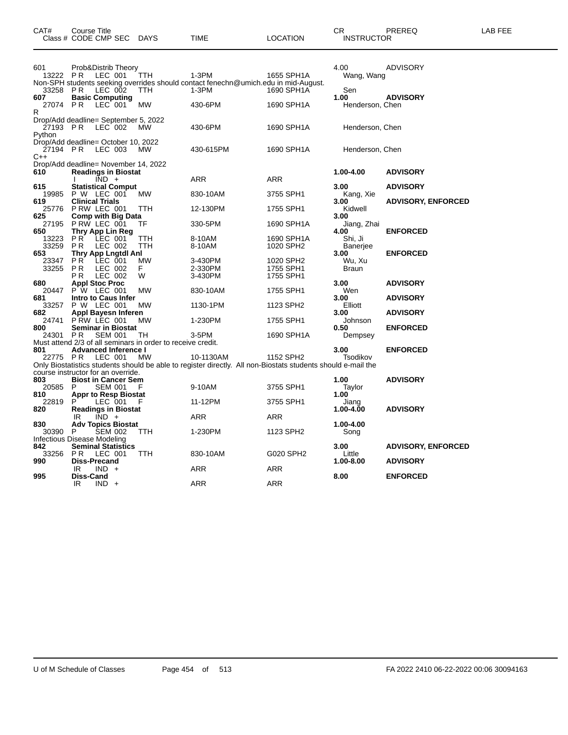|                       | Class # CODE CMP SEC                                               |                                                  | <b>DAYS</b>                                                       | TIME                                                                                                                      | LOCATION                            | <b>INSTRUCTOR</b>                  |                           |
|-----------------------|--------------------------------------------------------------------|--------------------------------------------------|-------------------------------------------------------------------|---------------------------------------------------------------------------------------------------------------------------|-------------------------------------|------------------------------------|---------------------------|
| 601<br>13222 PR       | Prob&Distrib Theory                                                | LEC 001                                          | TTH                                                               | $1-3PM$                                                                                                                   | 1655 SPH1A                          | 4.00<br>Wang, Wang                 | ADVISORY                  |
| 33258<br>607          | P <sub>R</sub><br><b>Basic Computing</b>                           | LEC 002                                          | TTH                                                               | Non-SPH students seeking overrides should contact fenechn@umich.edu in mid-August.<br>$1-3PM$                             | 1690 SPH1A                          | Sen<br>1.00                        | <b>ADVISORY</b>           |
| 27074<br>R            | <b>PR</b>                                                          | LEC 001                                          | <b>MW</b>                                                         | 430-6PM                                                                                                                   | 1690 SPH1A                          | Henderson, Chen                    |                           |
| 27193 PR<br>Python    | Drop/Add deadline= September 5, 2022                               | LEC 002                                          | МW                                                                | 430-6PM                                                                                                                   | 1690 SPH1A                          | Henderson, Chen                    |                           |
| 27194 PR<br>$C++$     | Drop/Add deadline= October 10, 2022                                | LEC 003                                          | <b>MW</b>                                                         | 430-615PM                                                                                                                 | 1690 SPH1A                          | Henderson, Chen                    |                           |
| 610                   | Drop/Add deadline= November 14, 2022<br><b>Readings in Biostat</b> |                                                  |                                                                   |                                                                                                                           |                                     | 1.00-4.00                          | <b>ADVISORY</b>           |
| 615                   |                                                                    | $IND +$<br><b>Statistical Comput</b>             |                                                                   | ARR                                                                                                                       | ARR                                 | 3.00                               | <b>ADVISORY</b>           |
| 19985<br>619          | P W LEC 001<br><b>Clinical Trials</b>                              |                                                  | МW                                                                | 830-10AM                                                                                                                  | 3755 SPH1                           | Kang, Xie<br>3.00                  | <b>ADVISORY, ENFORCED</b> |
| 25776<br>625          | P RW LEC 001<br><b>Comp with Big Data</b>                          |                                                  | <b>TTH</b>                                                        | 12-130PM                                                                                                                  | 1755 SPH1                           | Kidwell<br>3.00                    |                           |
| 27195<br>650          | PRW LEC 001<br>Thry App Lin Reg                                    |                                                  | ТF                                                                | 330-5PM                                                                                                                   | 1690 SPH1A                          | Jiang, Zhai<br>4.00                | <b>ENFORCED</b>           |
| 13223<br>33259<br>653 | PR <sup>1</sup><br><b>PR</b>                                       | LEC 001<br>LEC 002<br><b>Thry App Lngtdl Anl</b> | TTH<br>TTH                                                        | 8-10AM<br>8-10AM                                                                                                          | 1690 SPH1A<br>1020 SPH2             | Shi, Ji<br><b>Baneriee</b><br>3.00 | <b>ENFORCED</b>           |
| 23347<br>33255        | P <sub>R</sub><br>P R<br>ΡR                                        | LEC 001<br>LEC 002<br>LEC 002                    | <b>MW</b><br>F<br>W                                               | 3-430PM<br>2-330PM<br>3-430PM                                                                                             | 1020 SPH2<br>1755 SPH1<br>1755 SPH1 | Wu, Xu<br>Braun                    |                           |
| 680<br>20447          | <b>Appl Stoc Proc</b><br>P W                                       | LEC 001                                          | <b>MW</b>                                                         | 830-10AM                                                                                                                  | 1755 SPH1                           | 3.00<br>Wen                        | <b>ADVISORY</b>           |
| 681<br>33257          | Intro to Caus Infer<br>P W LEC 001                                 |                                                  | МW                                                                | 1130-1PM                                                                                                                  | 1123 SPH2                           | 3.00<br>Elliott                    | <b>ADVISORY</b>           |
| 682<br>24741          | <b>Appl Bayesn Inferen</b><br>PRW LEC 001                          |                                                  | MW                                                                | 1-230PM                                                                                                                   | 1755 SPH1                           | 3.00<br>Johnson                    | <b>ADVISORY</b>           |
| 800<br>24301          | <b>PR</b>                                                          | <b>Seminar in Biostat</b><br><b>SEM 001</b>      | TН<br>Must attend 2/3 of all seminars in order to receive credit. | 3-5PM                                                                                                                     | 1690 SPH1A                          | 0.50<br>Dempsey                    | <b>ENFORCED</b>           |
| 801<br>22775 PR       | <b>Advanced Inference I</b>                                        | LEC 001                                          | МW                                                                | 10-1130AM<br>Only Biostatistics students should be able to register directly. All non-Biostats students should e-mail the | 1152 SPH2                           | 3.00<br>Tsodikov                   | <b>ENFORCED</b>           |
|                       | course instructor for an override.                                 |                                                  |                                                                   |                                                                                                                           |                                     |                                    |                           |
| 803<br>20585          | <b>Biost in Cancer Sem</b><br>P                                    | <b>SEM 001</b>                                   | F                                                                 | 9-10AM                                                                                                                    | 3755 SPH1                           | 1.00<br>Taylor                     | <b>ADVISORY</b>           |
| 810<br>22819          | P                                                                  | <b>Appr to Resp Biostat</b><br>LEC 001           | F                                                                 | 11-12PM                                                                                                                   | 3755 SPH1                           | 1.00<br>Jiang<br>1.00-4.00         | <b>ADVISORY</b>           |
| 820<br>830            | <b>Readings in Biostat</b><br>IR                                   | $\overline{IND}$ +<br><b>Adv Topics Biostat</b>  |                                                                   | <b>ARR</b>                                                                                                                | <b>ARR</b>                          | 1.00-4.00                          |                           |
| 30390                 | P<br>Infectious Disease Modeling                                   | <b>SEM 002</b>                                   | TTH                                                               | 1-230PM                                                                                                                   | 1123 SPH2                           | Song                               |                           |
| 842<br>33256          | <b>Seminal Statistics</b><br>P R                                   | LEC 001                                          | ттн                                                               | 830-10AM                                                                                                                  | G020 SPH2                           | 3.00<br>Little                     | <b>ADVISORY, ENFORCED</b> |
| 990                   | <b>Diss-Precand</b><br>IR<br><b>IND</b>                            |                                                  |                                                                   | ARR                                                                                                                       | ARR                                 | 1.00-8.00                          | <b>ADVISORY</b>           |
| 995                   | Diss-Cand<br>IR                                                    | $IND +$                                          |                                                                   | ARR                                                                                                                       | ARR                                 | 8.00                               | <b>ENFORCED</b>           |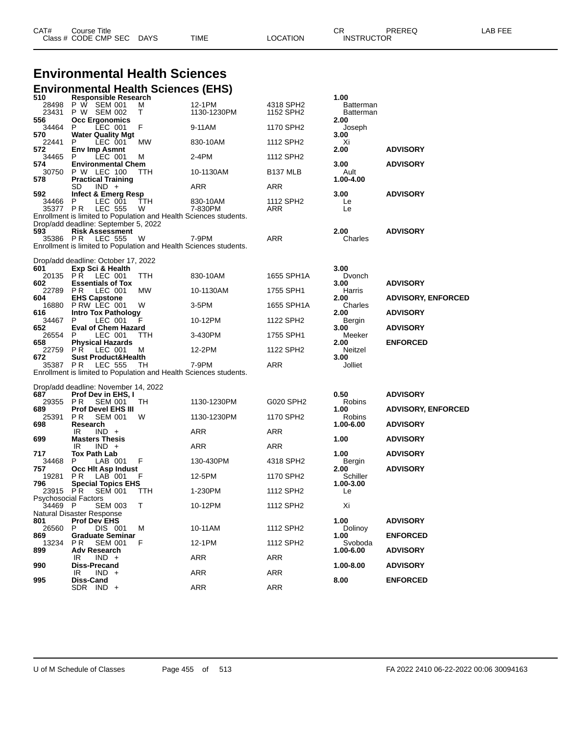| CAT# | Title<br>Course T    |             |      |          | ⌒冖<br>- UN        | PREREQ | AR FFF |
|------|----------------------|-------------|------|----------|-------------------|--------|--------|
|      | Class # CODE CMP SEC | <b>DAYS</b> | TIME | LOCATION | <b>INSTRUCTOR</b> |        |        |

#### **Environmental Health Sciences Environmental Health Sciences (EHS)**

| 510                         | Responsible Research                                              |          |                     |                       | 1.00                     |                           |
|-----------------------------|-------------------------------------------------------------------|----------|---------------------|-----------------------|--------------------------|---------------------------|
| 28498                       | P W SEM 001                                                       | м        | 12-1PM              | 4318 SPH2             | <b>Batterman</b>         |                           |
| 23431<br>556                | P W SEM 002<br><b>Occ Ergonomics</b>                              | Т        | 1130-1230PM         | 1152 SPH2             | <b>Batterman</b><br>2.00 |                           |
| 34464                       | LEC 001<br>P.                                                     | F        | 9-11AM              | 1170 SPH2             | Joseph                   |                           |
| 570                         | <b>Water Quality Mgt</b>                                          |          |                     |                       | 3.00                     |                           |
| 22441                       | LEC 001<br>P.                                                     | МW       | 830-10AM            | 1112 SPH <sub>2</sub> | Xi                       |                           |
| 572                         | <b>Env Imp Asmnt</b>                                              |          |                     |                       | 2.00                     | <b>ADVISORY</b>           |
| 34465<br>574                | LEC 001<br>P.<br><b>Environmental Chem</b>                        | м        | 2-4PM               | 1112 SPH2             | 3.00                     | <b>ADVISORY</b>           |
|                             | 30750 P W LEC 100                                                 | TTH      | 10-1130AM           | B <sub>137</sub> MLB  | Ault                     |                           |
| 578                         | <b>Practical Training</b>                                         |          |                     |                       | 1.00-4.00                |                           |
|                             | SD<br>$IND +$                                                     |          | ARR                 | ARR                   |                          |                           |
| 592                         | Infect & Emerg Resp                                               |          |                     |                       | 3.00                     | <b>ADVISORY</b>           |
| 34466<br>35377 PR           | P.<br>LEC 001<br><b>LEC 555</b>                                   | TTH<br>W | 830-10AM<br>7-830PM | 1112 SPH2<br>ARR      | Le<br>Le                 |                           |
|                             | Enrollment is limited to Population and Health Sciences students. |          |                     |                       |                          |                           |
|                             | Drop/add deadline: September 5, 2022                              |          |                     |                       |                          |                           |
| 593                         | <b>Risk Assessment</b>                                            |          |                     |                       | 2.00                     | <b>ADVISORY</b>           |
|                             | 35386 PR LEC 555                                                  | W        | 7-9PM               | ARR                   | Charles                  |                           |
|                             | Enrollment is limited to Population and Health Sciences students. |          |                     |                       |                          |                           |
|                             | Drop/add deadline: October 17, 2022                               |          |                     |                       |                          |                           |
| 601                         | Exp Sci & Health                                                  |          |                     |                       | 3.00                     |                           |
|                             | 20135 PR LEC 001                                                  | TTH      | 830-10AM            | 1655 SPH1A            | Dvonch                   |                           |
| 602                         | <b>Essentials of Tox</b>                                          |          |                     |                       | 3.00                     | <b>ADVISORY</b>           |
| 22789<br>604                | P R<br>LEC 001<br><b>EHS Capstone</b>                             | МW       | 10-1130AM           | 1755 SPH1             | Harris<br>2.00           | <b>ADVISORY, ENFORCED</b> |
|                             | 16880 PRW LEC 001                                                 | W        | 3-5PM               | 1655 SPH1A            | Charles                  |                           |
| 616                         | <b>Intro Tox Pathology</b>                                        |          |                     |                       | 2.00                     | <b>ADVISORY</b>           |
| 34467                       | P.<br>LEC 001                                                     | F        | 10-12PM             | 1122 SPH2             | Bergin                   |                           |
| 652                         | <b>Eval of Chem Hazard</b>                                        |          |                     |                       | 3.00                     | <b>ADVISORY</b>           |
| 26554<br>658                | LEC 001<br>P<br><b>Physical Hazards</b>                           | ттн      | 3-430PM             | 1755 SPH1             | Meeker<br>2.00           | <b>ENFORCED</b>           |
| 22759                       | PR<br>LEC 001                                                     | м        | 12-2PM              | 1122 SPH2             | Neitzel                  |                           |
| 672                         | <b>Sust Product&amp;Health</b>                                    |          |                     |                       | 3.00                     |                           |
| 35387 PR                    | <b>LEC 555</b>                                                    | TH       | 7-9PM               | ARR                   | Jolliet                  |                           |
|                             | Enrollment is limited to Population and Health Sciences students. |          |                     |                       |                          |                           |
|                             | Drop/add deadline: November 14, 2022                              |          |                     |                       |                          |                           |
| 687                         | <b>Prof Dev in EHS, I</b>                                         |          |                     |                       | 0.50                     | <b>ADVISORY</b>           |
| 29355                       | PR.<br><b>SEM 001</b>                                             | TH       | 1130-1230PM         | G020 SPH2             | Robins                   |                           |
| 689                         | <b>Prof Devel EHS III</b>                                         |          |                     |                       | 1.00                     | <b>ADVISORY, ENFORCED</b> |
| 25391                       | PR.<br><b>SEM 001</b><br>Research                                 | W        | 1130-1230PM         | 1170 SPH2             | Robins<br>1.00-6.00      | <b>ADVISORY</b>           |
| 698                         | IR<br>$IND +$                                                     |          | ARR                 | ARR                   |                          |                           |
| 699                         | <b>Masters Thesis</b>                                             |          |                     |                       | 1.00                     | <b>ADVISORY</b>           |
|                             | IR<br>$IND +$                                                     |          | ARR                 | ARR                   |                          |                           |
| 717                         | Tox Path Lab                                                      |          |                     |                       | 1.00                     | <b>ADVISORY</b>           |
| 34468<br>757                | LAB 001<br>P.<br>Occ Hit Asp Indust                               | F        | 130-430PM           | 4318 SPH2             | Bergin<br>2.00           | <b>ADVISORY</b>           |
| 19281                       | P R<br>LAB 001                                                    | F        | 12-5PM              | 1170 SPH <sub>2</sub> | Schiller                 |                           |
| 796                         | <b>Special Topics EHS</b>                                         |          |                     |                       | 1.00-3.00                |                           |
| 23915 PR                    | <b>SEM 001</b>                                                    | TTH      | 1-230PM             | 1112 SPH2             | Le                       |                           |
| <b>Psychosocial Factors</b> |                                                                   |          |                     |                       |                          |                           |
| 34469 P                     | <b>SEM 003</b><br>Natural Disaster Response                       | Т        | 10-12PM             | 1112 SPH2             | Xi                       |                           |
| 801                         | <b>Prof Dev EHS</b>                                               |          |                     |                       | 1.00                     | <b>ADVISORY</b>           |
| 26560                       | DIS 001<br>P                                                      | м        | 10-11AM             | 1112 SPH2             | Dolinoy                  |                           |
| 869                         | <b>Graduate Seminar</b>                                           |          |                     |                       | 1.00                     | <b>ENFORCED</b>           |
| 13234<br>899                | P <sub>R</sub><br><b>SEM 001</b><br><b>Adv Research</b>           | F        | 12-1PM              | 1112 SPH2             | Svoboda<br>1.00-6.00     | <b>ADVISORY</b>           |
|                             | $IND +$<br>IR                                                     |          | ARR                 | ARR                   |                          |                           |
| 990                         | <b>Diss-Precand</b>                                               |          |                     |                       | 1.00-8.00                | <b>ADVISORY</b>           |
|                             | $IND +$<br>IR                                                     |          | <b>ARR</b>          | ARR                   |                          |                           |
| 995                         | Diss-Cand<br>SDR IND +                                            |          | <b>ARR</b>          | <b>ARR</b>            | 8.00                     | <b>ENFORCED</b>           |
|                             |                                                                   |          |                     |                       |                          |                           |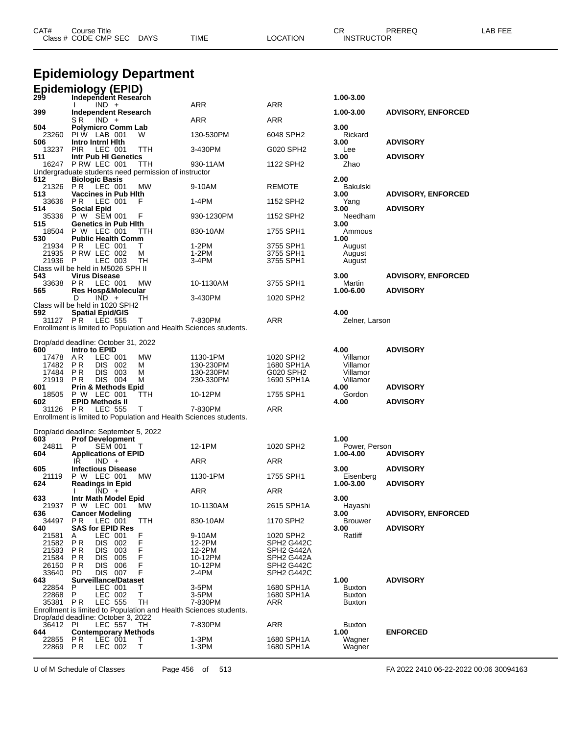|                     | <b>Epidemiology Department</b>                                    |          |                       |                                                   |                                |                           |  |  |  |
|---------------------|-------------------------------------------------------------------|----------|-----------------------|---------------------------------------------------|--------------------------------|---------------------------|--|--|--|
| 299                 | <b>Epidemiology (EPID)</b><br>Independent Research                |          |                       |                                                   | 1.00-3.00                      |                           |  |  |  |
| 399                 | $IND +$<br><b>Independent Research</b>                            |          | ARR                   | <b>ARR</b>                                        | 1.00-3.00                      | <b>ADVISORY, ENFORCED</b> |  |  |  |
| 504                 | $IND +$<br>S R                                                    |          | ARR                   | ARR                                               | 3.00                           |                           |  |  |  |
| 23260               | <b>Polymicro Comm Lab</b><br>PIW LAB 001                          | W        | 130-530PM             | 6048 SPH2                                         | Rickard                        |                           |  |  |  |
| 506<br>13237        | Intro Intrnl Hith<br><b>PIR</b><br>LEC 001                        | ттн      | 3-430PM               | G020 SPH2                                         | 3.00<br>Lee                    | <b>ADVISORY</b>           |  |  |  |
| 511                 | Intr Pub HI Genetics<br>16247 P RW LEC 001                        |          | 930-11AM              | 1122 SPH2                                         | 3.00                           | <b>ADVISORY</b>           |  |  |  |
|                     | Undergraduate students need permission of instructor              | ттн      |                       |                                                   | Zhao                           |                           |  |  |  |
| 512<br>21326        | <b>Biologic Basis</b><br>PR<br>LEC 001                            | МW       | 9-10AM                | <b>REMOTE</b>                                     | 2.00<br>Bakulski               |                           |  |  |  |
| 513<br>33636        | <b>Vaccines in Pub Hith</b><br>PR.<br>LEC 001                     | F        | 1-4PM                 | 1152 SPH2                                         | 3.00<br>Yang                   | <b>ADVISORY, ENFORCED</b> |  |  |  |
| 514                 | <b>Social Epid</b>                                                |          |                       |                                                   | 3.00                           | <b>ADVISORY</b>           |  |  |  |
| 515                 | 35336 P W SEM 001<br><b>Genetics in Pub Hith</b>                  | F        | 930-1230PM            | 1152 SPH2                                         | Needham<br>3.00                |                           |  |  |  |
| 18504<br>530        | P W LEC 001<br><b>Public Health Comm</b>                          | ттн      | 830-10AM              | 1755 SPH1                                         | Ammous<br>1.00                 |                           |  |  |  |
| 21934               | LEC 001<br>P R                                                    | т        | 1-2PM                 | 3755 SPH1                                         | August                         |                           |  |  |  |
| 21935<br>21936      | PRW LEC 002<br>- P<br>LEC 003                                     | м<br>TН  | 1-2PM<br>3-4PM        | 3755 SPH1<br>3755 SPH1                            | August<br>August               |                           |  |  |  |
| 543                 | Class will be held in M5026 SPH II<br><b>Virus Disease</b>        |          |                       |                                                   | 3.00                           | <b>ADVISORY, ENFORCED</b> |  |  |  |
| 33638 PR            | LEC 001                                                           | МW       | 10-1130AM             | 3755 SPH1                                         | Martin                         |                           |  |  |  |
| 565                 | Res Hosp&Molecular<br>$IND +$<br>D                                | TН       | 3-430PM               | 1020 SPH2                                         | 1.00-6.00                      | <b>ADVISORY</b>           |  |  |  |
| 592                 | Class will be held in 1020 SPH2<br><b>Spatial Epid/GIS</b>        |          |                       |                                                   | 4.00                           |                           |  |  |  |
| 31127 PR            | LEC 555                                                           | Т        | 7-830PM               | ARR                                               | Zelner, Larson                 |                           |  |  |  |
|                     | Enrollment is limited to Population and Health Sciences students. |          |                       |                                                   |                                |                           |  |  |  |
| 600                 | Drop/add deadline: October 31, 2022<br>Intro to EPID              |          |                       |                                                   | 4.00                           | <b>ADVISORY</b>           |  |  |  |
| 17478<br>17482      | AR.<br>LEC 001<br>P R<br>DIS 002                                  | MW<br>м  | 1130-1PM<br>130-230PM | 1020 SPH2<br>1680 SPH1A                           | Villamor<br>Villamor           |                           |  |  |  |
| 17484               | P R<br>DIS 003                                                    | м        | 130-230PM             | G020 SPH2                                         | Villamor                       |                           |  |  |  |
| 21919<br>601        | DIS 004<br>P R<br><b>Prin &amp; Methods Epid</b>                  | M        | 230-330PM             | 1690 SPH1A                                        | Villamor<br>4.00               | <b>ADVISORY</b>           |  |  |  |
| 18505<br>602        | P W LEC 001<br><b>EPID Methods II</b>                             | TTH      | 10-12PM               | 1755 SPH1                                         | Gordon<br>4.00                 | <b>ADVISORY</b>           |  |  |  |
| 31126               | PR.<br><b>LEC 555</b>                                             | т        | 7-830PM               | ARR                                               |                                |                           |  |  |  |
|                     | Enrollment is limited to Population and Health Sciences students. |          |                       |                                                   |                                |                           |  |  |  |
| 603                 | Drop/add deadline: September 5, 2022<br><b>Prof Development</b>   |          |                       |                                                   | 1.00                           |                           |  |  |  |
| 24811               | P<br>SEM 001                                                      |          | 12-1PM                | 1020 SPH2                                         | Power, Person                  |                           |  |  |  |
| 604                 | <b>Applications of EPID</b><br>IR<br>$IND +$                      |          | ARR                   | ARR                                               | 1.00-4.00                      | <b>ADVISORY</b>           |  |  |  |
| 605<br>21119        | <b>Infectious Disease</b><br>P W LEC 001                          | MW       | 1130-1PM              | 1755 SPH1                                         | 3.00<br>Eisenberg              | <b>ADVISORY</b>           |  |  |  |
| 624                 | <b>Readings in Epid</b><br>$IND +$                                |          | ARR                   | ARR                                               | 1.00-3.00                      | <b>ADVISORY</b>           |  |  |  |
| 633                 | Intr Math Model Epid                                              |          |                       |                                                   | 3.00                           |                           |  |  |  |
| 636                 | 21937 P W LEC 001<br><b>Cancer Modeling</b>                       | MW.      | 10-1130AM             | 2615 SPH1A                                        | Hayashi<br>3.00                | <b>ADVISORY, ENFORCED</b> |  |  |  |
| 34497<br>640        | LEC 001<br>PR.<br><b>SAS for EPID Res</b>                         | TTH      | 830-10AM              | 1170 SPH2                                         | <b>Brouwer</b><br>3.00         | <b>ADVISORY</b>           |  |  |  |
| 21581               | LEC 001<br>A                                                      | F        | 9-10AM                | 1020 SPH2                                         | Ratliff                        |                           |  |  |  |
| 21582<br>21583      | P R<br>DIS 002<br>P R<br>DIS 003                                  | F<br>F   | 12-2PM<br>12-2PM      | SPH2 G442C<br>SPH <sub>2</sub> G <sub>442</sub> A |                                |                           |  |  |  |
| 21584<br>26150      | P R<br>DIS 005<br>P R<br>DIS 006                                  | F<br>F   | 10-12PM<br>10-12PM    | SPH <sub>2</sub> G <sub>442</sub> A<br>SPH2 G442C |                                |                           |  |  |  |
| 33640 PD            | DIS 007                                                           | F        | 2-4PM                 | SPH2 G442C                                        |                                |                           |  |  |  |
| 643<br>22854        | <b>Surveillance/Dataset</b><br>LEC 001<br>P.                      | т        | 3-5PM                 | 1680 SPH1A                                        | 1.00<br><b>Buxton</b>          | <b>ADVISORY</b>           |  |  |  |
| 22868 P<br>35381 PR | LEC 002<br><b>LEC 555</b>                                         | T.<br>TH | 3-5PM<br>7-830PM      | 1680 SPH1A<br>ARR                                 | <b>Buxton</b><br><b>Buxton</b> |                           |  |  |  |
|                     | Enrollment is limited to Population and Health Sciences students. |          |                       |                                                   |                                |                           |  |  |  |
| 36412 PI            | Drop/add deadline: October 3, 2022<br>LEC 557                     | TH.      | 7-830PM               | ARR                                               | <b>Buxton</b>                  |                           |  |  |  |
| 644<br>22855 PR     | <b>Contemporary Methods</b><br>LEC 001                            | T.       | $1-3PM$               | 1680 SPH1A                                        | 1.00<br>Wagner                 | <b>ENFORCED</b>           |  |  |  |
| 22869 PR            | LEC 002                                                           | Т        | $1-3PM$               | 1680 SPH1A                                        | Wagner                         |                           |  |  |  |

CAT# Course Title Case CR PREREQ LAB FEE

Class # CODE CMP SEC DAYS TIME LOCATION INSTRUCTOR

U of M Schedule of Classes Page 456 of 513 FA 2022 2410 06-22-2022 00:06 30094163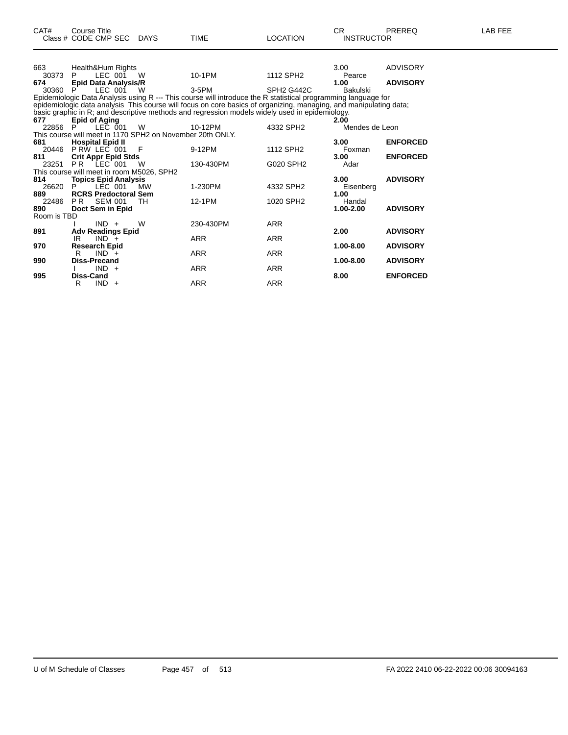| CAT#         | <b>Course Title</b>                                       |          |                                                                                                                   |                                     | CR.               | PREREQ          | LAB FEE |
|--------------|-----------------------------------------------------------|----------|-------------------------------------------------------------------------------------------------------------------|-------------------------------------|-------------------|-----------------|---------|
|              | Class # CODE CMP SEC DAYS                                 |          | <b>TIME</b>                                                                                                       | <b>LOCATION</b>                     | <b>INSTRUCTOR</b> |                 |         |
| 663          | Health&Hum Rights                                         |          |                                                                                                                   |                                     | 3.00              | ADVISORY        |         |
| 30373        | LEC 001<br>P.                                             | <b>W</b> | 10-1PM                                                                                                            | 1112 SPH <sub>2</sub>               | Pearce            |                 |         |
| 674          | <b>Epid Data Analysis/R</b>                               |          |                                                                                                                   |                                     | 1.00              | <b>ADVISORY</b> |         |
| 30360 P      | LEC 001                                                   | - W      | 3-5PM                                                                                                             | SPH <sub>2</sub> G <sub>442</sub> C | Bakulski          |                 |         |
|              |                                                           |          | Epidemiologic Data Analysis using R --- This course will introduce the R statistical programming language for     |                                     |                   |                 |         |
|              |                                                           |          | epidemiologic data analysis This course will focus on core basics of organizing, managing, and manipulating data; |                                     |                   |                 |         |
|              |                                                           |          | basic graphic in R; and descriptive methods and regression models widely used in epidemiology.                    |                                     |                   |                 |         |
| 677          | <b>Epid of Aging</b>                                      |          |                                                                                                                   |                                     | 2.00              |                 |         |
| 22856 P      | LEC 001                                                   | W        | 10-12PM                                                                                                           | 4332 SPH2                           | Mendes de Leon    |                 |         |
|              | This course will meet in 1170 SPH2 on November 20th ONLY. |          |                                                                                                                   |                                     |                   |                 |         |
| 681          | 1 <b>Hospital Epid II</b><br>20446 PRW LEC 001            |          |                                                                                                                   |                                     | 3.00              | <b>ENFORCED</b> |         |
|              |                                                           | - F      | 9-12PM                                                                                                            | 1112 SPH <sub>2</sub>               | Foxman            |                 |         |
| 811          | <b>Crit Appr Epid Stds</b>                                |          |                                                                                                                   |                                     | 3.00              | <b>ENFORCED</b> |         |
| 23251        | PR LEC 001                                                | W        | 130-430PM                                                                                                         | G020 SPH2                           | Adar              |                 |         |
|              | This course will meet in room M5026, SPH2                 |          |                                                                                                                   |                                     |                   |                 |         |
| 814          | <b>Topics Epid Analysis</b>                               |          |                                                                                                                   |                                     | 3.00              | <b>ADVISORY</b> |         |
| 26620<br>889 | LÉC 001<br><b>RCRS Predoctoral Sem</b>                    | МW       | 1-230PM                                                                                                           | 4332 SPH2                           | Eisenberg<br>1.00 |                 |         |
| 22486        | PR<br><b>SEM 001</b>                                      | TH       | 12-1PM                                                                                                            | 1020 SPH2                           | Handal            |                 |         |
| 890          | Doct Sem in Epid                                          |          |                                                                                                                   |                                     | 1.00-2.00         | <b>ADVISORY</b> |         |
| Room is TBD  |                                                           |          |                                                                                                                   |                                     |                   |                 |         |
|              | $IND +$                                                   | W        | 230-430PM                                                                                                         | <b>ARR</b>                          |                   |                 |         |
| 891          | <b>Adv Readings Epid</b>                                  |          |                                                                                                                   |                                     | 2.00              | <b>ADVISORY</b> |         |
|              | IR<br>$IND +$                                             |          | <b>ARR</b>                                                                                                        | <b>ARR</b>                          |                   |                 |         |
| 970          | <b>Research Epid</b>                                      |          |                                                                                                                   |                                     | 1.00-8.00         | <b>ADVISORY</b> |         |
|              | $IND +$<br>R                                              |          | <b>ARR</b>                                                                                                        | <b>ARR</b>                          |                   |                 |         |
| 990          | Diss-Precand                                              |          |                                                                                                                   |                                     | 1.00-8.00         | <b>ADVISORY</b> |         |
|              | $IND +$                                                   |          | <b>ARR</b>                                                                                                        | <b>ARR</b>                          |                   |                 |         |
| 995          | <b>Diss-Cand</b>                                          |          |                                                                                                                   |                                     | 8.00              | <b>ENFORCED</b> |         |
|              | $IND +$<br>R                                              |          | ARR                                                                                                               | <b>ARR</b>                          |                   |                 |         |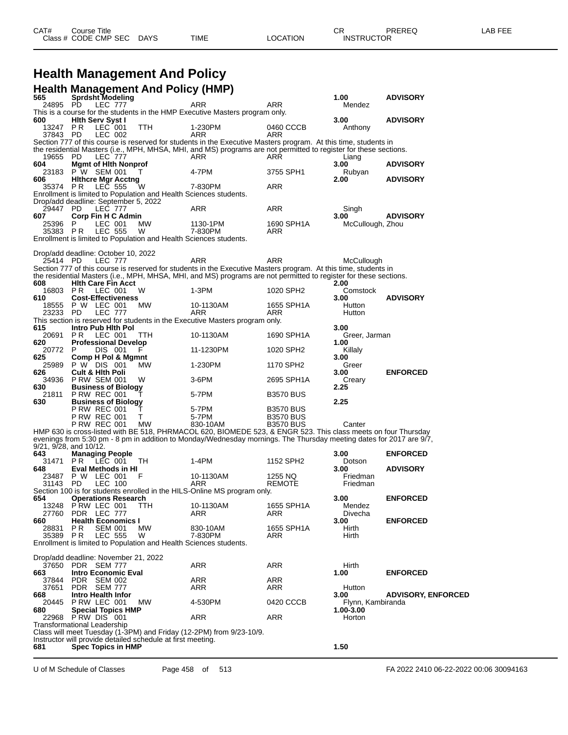# **Health Management And Policy**

|              | <b>Health Management And Policy (HMP)</b>                                                                                                  |            |                  |                       |                           |
|--------------|--------------------------------------------------------------------------------------------------------------------------------------------|------------|------------------|-----------------------|---------------------------|
| 565          | Sprdsht Modeling<br>PD.                                                                                                                    | ARR        | ARR              | 1.00                  | <b>ADVISORY</b>           |
| 24895        | <b>LEC 777</b><br>This is a course for the students in the HMP Executive Masters program only.                                             |            |                  | Mendez                |                           |
| 600          | <b>Hith Serv Syst I</b>                                                                                                                    |            |                  | 3.00                  | <b>ADVISORY</b>           |
| 13247        | LEC 001<br>P R<br>TTH                                                                                                                      | 1-230PM    | 0460 CCCB        | Anthony               |                           |
| 37843 PD     | LEC 002<br>Section 777 of this course is reserved for students in the Executive Masters program. At this time, students in                 | ARR        | ARR              |                       |                           |
|              | the residential Masters (i.e., MPH, MHSA, MHI, and MS) programs are not permitted to register for these sections.                          |            |                  |                       |                           |
| 19655        | PD.<br><b>LEC 777</b>                                                                                                                      | ARR        | ARR              | Liang                 |                           |
| 604<br>23183 | <b>Mgmt of Hith Nonprof</b><br>P W SEM 001<br>Τ                                                                                            | 4-7PM      | 3755 SPH1        | 3.00<br>Rubyan        | <b>ADVISORY</b>           |
| 606          | <b>Hithcre Mgr Acctng</b>                                                                                                                  |            |                  | 2.00                  | <b>ADVISORY</b>           |
| 35374 PR     | <b>LEC 555</b><br>W                                                                                                                        | 7-830PM    | ARR              |                       |                           |
|              | Enrollment is limited to Population and Health Sciences students.                                                                          |            |                  |                       |                           |
| 29447        | Drop/add deadline: September 5, 2022<br><b>LEC 777</b><br>- PD                                                                             | ARR        | ARR              | Singh                 |                           |
| 607          | Corp Fin H C Admin                                                                                                                         |            |                  | 3.00                  | <b>ADVISORY</b>           |
| 25396        | P.<br>LEC 001<br>MW.                                                                                                                       | 1130-1PM   | 1690 SPH1A       | McCullough, Zhou      |                           |
| 35383 PR     | <b>LEC 555</b><br>W<br>Enrollment is limited to Population and Health Sciences students.                                                   | 7-830PM    | ARR              |                       |                           |
|              |                                                                                                                                            |            |                  |                       |                           |
|              | Drop/add deadline: October 10, 2022                                                                                                        |            |                  |                       |                           |
| 25414 PD     | <b>LEC 777</b><br>Section 777 of this course is reserved for students in the Executive Masters program. At this time, students in          | ARR        | ARR              | McCullough            |                           |
|              | the residential Masters (i.e., MPH, MHSA, MHI, and MS) programs are not permitted to register for these sections.                          |            |                  |                       |                           |
| 608          | <b>Hith Care Fin Acct</b>                                                                                                                  |            |                  | 2.00                  |                           |
| 16803        | P R<br>LEC 001<br>W                                                                                                                        | 1-3PM      | 1020 SPH2        | Comstock              |                           |
| 610          | <b>Cost-Effectiveness</b><br>18555 P W LEC 001<br>MW.                                                                                      | 10-1130AM  | 1655 SPH1A       | 3.00<br>Hutton        | <b>ADVISORY</b>           |
| 23233 PD     | <b>LEC 777</b>                                                                                                                             | <b>ARR</b> | ARR              | Hutton                |                           |
|              | This section is reserved for students in the Executive Masters program only.                                                               |            |                  |                       |                           |
| 615<br>20691 | Intro Pub Hith Pol<br>P R<br>LEC 001<br>TTH                                                                                                | 10-1130AM  | 1690 SPH1A       | 3.00<br>Greer, Jarman |                           |
| 620          | <b>Professional Develop</b>                                                                                                                |            |                  | 1.00                  |                           |
| 20772 P      | DIS 001<br>F                                                                                                                               | 11-1230PM  | 1020 SPH2        | Killaly               |                           |
| 625          | Comp H Pol & Mgmnt                                                                                                                         |            |                  | 3.00                  |                           |
| 626          | 25989 P W DIS 001<br>МW<br><b>Cult &amp; Hith Poli</b>                                                                                     | 1-230PM    | 1170 SPH2        | Greer<br>3.00         | <b>ENFORCED</b>           |
| 34936        | <b>P RW SEM 001</b><br>W                                                                                                                   | $3-6$ PM   | 2695 SPH1A       | Creary                |                           |
| 630          | <b>Business of Biology</b>                                                                                                                 |            |                  | 2.25                  |                           |
| 21811<br>630 | PRW REC 001<br><b>Business of Biology</b>                                                                                                  | 5-7PM      | <b>B3570 BUS</b> | 2.25                  |                           |
|              | P RW REC 001<br>$\mathbf{I}$                                                                                                               | 5-7PM      | <b>B3570 BUS</b> |                       |                           |
|              | T.<br><b>P RW REC 001</b>                                                                                                                  | 5-7PM      | <b>B3570 BUS</b> |                       |                           |
|              | <b>P RW REC 001</b><br>МW<br>HMP 630 is cross-listed with BE 518, PHRMACOL 620, BIOMEDE 523, & ENGR 523. This class meets on four Thursday | 830-10AM   | <b>B3570 BUS</b> | Canter                |                           |
|              | evenings from 5:30 pm - 8 pm in addition to Monday/Wednesday mornings. The Thursday meeting dates for 2017 are 9/7,                        |            |                  |                       |                           |
|              | 9/21, 9/28, and 10/12.                                                                                                                     |            |                  |                       |                           |
| 643          | <b>Managing People</b>                                                                                                                     |            |                  | 3.00                  | <b>ENFORCED</b>           |
| 31471<br>648 | PR.<br>LEC 001<br>TH<br>Eval Methods in HI                                                                                                 | 1-4PM      | 1152 SPH2        | Dotson<br>3.00        | <b>ADVISORY</b>           |
| 23487        | P W LEC 001<br>F                                                                                                                           | 10-1130AM  | 1255 NQ          | Friedman              |                           |
| 31143        | PD.<br>LEC 100                                                                                                                             | ARR        | <b>REMOTE</b>    | Friedman              |                           |
| 654          | Section 100 is for students enrolled in the HILS-Online MS program only.<br><b>Operations Research</b>                                     |            |                  | 3.00                  | <b>ENFORCED</b>           |
| 13248        | PRW LEC 001<br>TTH                                                                                                                         | 10-1130AM  | 1655 SPH1A       | Mendez                |                           |
| 27760        | PDR LEC 777                                                                                                                                | ARR        | ARR              | Divecha               |                           |
| 660<br>28831 | <b>Health Economics I</b><br>P R<br><b>SEM 001</b><br>MW                                                                                   | 830-10AM   | 1655 SPH1A       | 3.00<br>Hirth         | <b>ENFORCED</b>           |
| 35389 PR     | LEC 555<br>W                                                                                                                               | 7-830PM    | ARR              | Hirth                 |                           |
|              | Enrollment is limited to Population and Health Sciences students.                                                                          |            |                  |                       |                           |
|              |                                                                                                                                            |            |                  |                       |                           |
| 37650        | Drop/add deadline: November 21, 2022<br>PDR SEM 777                                                                                        | ARR        | ARR              | Hirth                 |                           |
| 663          | <b>Intro Economic Eval</b>                                                                                                                 |            |                  | 1.00                  | <b>ENFORCED</b>           |
| 37844        | <b>PDR</b><br><b>SEM 002</b>                                                                                                               | ARR        | <b>ARR</b>       |                       |                           |
| 37651        | PDR SEM 777<br><b>Intro Health Infor</b>                                                                                                   | ARR        | ARR              | Hutton<br>3.00        |                           |
| 668<br>20445 | P RW LEC 001<br>MW.                                                                                                                        | 4-530PM    | 0420 CCCB        | Flynn, Kambiranda     | <b>ADVISORY, ENFORCED</b> |
| 680          | <b>Special Topics HMP</b>                                                                                                                  |            |                  | 1.00-3.00             |                           |
| 22968        | PRW DIS 001                                                                                                                                | ARR        | ARR              | Horton                |                           |
|              | Transformational Leadership<br>Class will meet Tuesday (1-3PM) and Friday (12-2PM) from 9/23-10/9.                                         |            |                  |                       |                           |
|              | Instructor will provide detailed schedule at first meeting.                                                                                |            |                  |                       |                           |
| 681          | <b>Spec Topics in HMP</b>                                                                                                                  |            |                  | 1.50                  |                           |
|              |                                                                                                                                            |            |                  |                       |                           |

U of M Schedule of Classes Page 458 of 513 FA 2022 2410 06-22-2022 00:06 30094163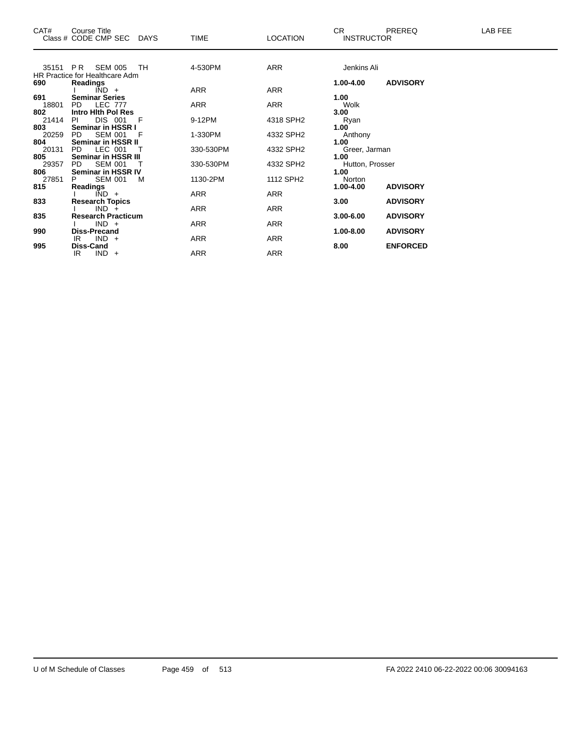| CAT#     | Course Title<br>Class # CODE CMP SEC DAYS |    | <b>TIME</b> | <b>LOCATION</b> | <b>CR</b><br><b>INSTRUCTOR</b> | PREREQ          | LAB FEE |
|----------|-------------------------------------------|----|-------------|-----------------|--------------------------------|-----------------|---------|
| 35151 PR | SEM 005                                   | TH | 4-530PM     | <b>ARR</b>      | Jenkins Ali                    |                 |         |
|          | HR Practice for Healthcare Adm            |    |             |                 |                                |                 |         |
| 690      | Readings                                  |    |             |                 | 1.00-4.00                      | <b>ADVISORY</b> |         |
|          | $IND +$                                   |    | ARR         | ARR             |                                |                 |         |
| 691      | <b>Seminar Series</b>                     |    |             |                 | 1.00                           |                 |         |
| 18801    | <b>LEC 777</b><br><b>PD</b>               |    | <b>ARR</b>  | <b>ARR</b>      | Wolk                           |                 |         |
| 802      | Intro Hith Pol Res                        |    |             |                 | 3.00                           |                 |         |
| 21414    | DIS 001<br>PI.                            | F  | 9-12PM      | 4318 SPH2       | Ryan                           |                 |         |
| 803      | Seminar in HSSR I                         |    |             |                 | 1.00                           |                 |         |
| 20259    | <b>SEM 001</b><br>PD.                     | F  | 1-330PM     | 4332 SPH2       | Anthony                        |                 |         |
| 804      | Seminar in HSSR II                        |    |             |                 | 1.00                           |                 |         |
| 20131    | LEC 001<br>PD.                            |    | 330-530PM   | 4332 SPH2       | Greer, Jarman                  |                 |         |
| 805      | Seminar in HSSR III                       |    |             |                 | 1.00                           |                 |         |
| 29357    | <b>PD</b><br><b>SEM 001</b>               |    | 330-530PM   | 4332 SPH2       | Hutton, Prosser                |                 |         |
| 806      | Seminar in HSSR IV                        |    |             |                 | 1.00                           |                 |         |
| 27851    | <b>SEM 001</b>                            | M  | 1130-2PM    | 1112 SPH2       | Norton                         |                 |         |
| 815      | <b>Readings</b>                           |    |             |                 | 1.00-4.00                      | <b>ADVISORY</b> |         |
|          | $\overline{IND}$ +                        |    | <b>ARR</b>  | ARR             |                                |                 |         |
| 833      | <b>Research Topics</b>                    |    |             |                 | 3.00                           | <b>ADVISORY</b> |         |
|          | $IND +$                                   |    | <b>ARR</b>  | <b>ARR</b>      |                                |                 |         |
| 835      | <b>Research Practicum</b>                 |    |             |                 | $3.00 - 6.00$                  | <b>ADVISORY</b> |         |
|          | $IND +$                                   |    | <b>ARR</b>  | <b>ARR</b>      |                                |                 |         |
| 990      | Diss-Precand                              |    |             |                 | 1.00-8.00                      | <b>ADVISORY</b> |         |
|          | $IND +$<br>IR                             |    | ARR         | ARR             |                                |                 |         |
| 995      | Diss-Cand                                 |    |             |                 | 8.00                           | <b>ENFORCED</b> |         |
|          | $IND +$<br>IR.                            |    | ARR         | <b>ARR</b>      |                                |                 |         |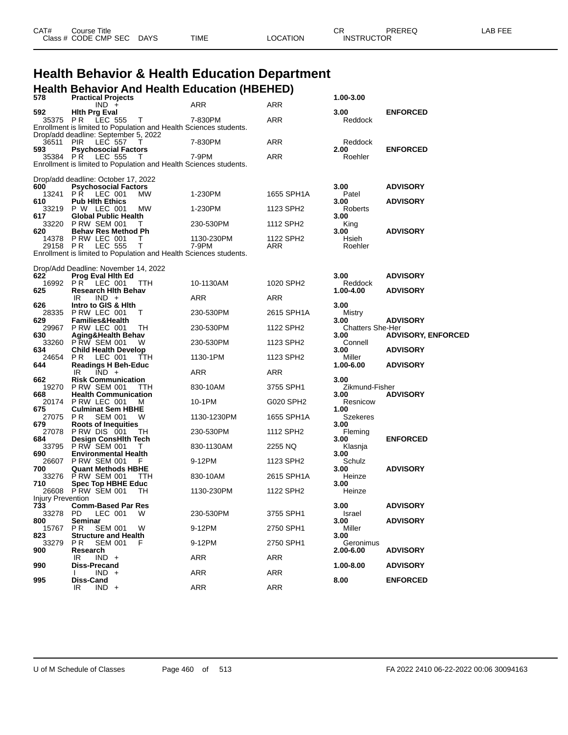| CAT# | Course Title              |      |          | ∼י<br>◡◚          | PREREQ | ∟AB FEE |
|------|---------------------------|------|----------|-------------------|--------|---------|
|      | Class # CODE CMP SEC DAYS | TIME | LOCATION | <b>INSTRUCTOR</b> |        |         |
|      |                           |      |          |                   |        |         |

# **Health Behavior & Health Education Department**

|                          | <b>Health Behavior And Health Education (HBEHED)</b>                                   |             |            |                                 |                           |
|--------------------------|----------------------------------------------------------------------------------------|-------------|------------|---------------------------------|---------------------------|
| 578                      | <b>Practical Projects</b><br>$IND +$                                                   | <b>ARR</b>  | ARR        | 1.00-3.00                       |                           |
| 592<br>35375 PR          | <b>Hith Prg Eval</b>                                                                   |             | ARR        | 3.00<br>Reddock                 | <b>ENFORCED</b>           |
|                          | LEC 555<br>$\top$<br>Enrollment is limited to Population and Health Sciences students. | 7-830PM     |            |                                 |                           |
|                          | Drop/add deadline: September 5, 2022                                                   |             |            |                                 |                           |
| 36511<br>593             | <b>PIR</b><br><b>LEC 557</b><br>т<br><b>Psychosocial Factors</b>                       | 7-830PM     | ARR        | Reddock<br>2.00                 | <b>ENFORCED</b>           |
| 35384 PR                 | <b>LEC 555</b><br>Τ                                                                    | 7-9PM       | ARR        | Roehler                         |                           |
|                          | Enrollment is limited to Population and Health Sciences students.                      |             |            |                                 |                           |
|                          | Drop/add deadline: October 17, 2022                                                    |             |            |                                 |                           |
| 600<br>13241             | <b>Psychosocial Factors</b><br>PŔ.<br>LEC 001<br><b>MW</b>                             | 1-230PM     | 1655 SPH1A | 3.00<br>Patel                   | <b>ADVISORY</b>           |
| 610                      | <b>Pub Hith Ethics</b>                                                                 |             |            | 3.00                            | <b>ADVISORY</b>           |
| 33219<br>617             | <b>P W LEC 001</b><br>MW<br><b>Global Public Health</b>                                | 1-230PM     | 1123 SPH2  | Roberts<br>3.00                 |                           |
| 33220                    | <b>P RW SEM 001</b><br>т                                                               | 230-530PM   | 1112 SPH2  | King                            |                           |
| 620                      | <b>Behav Res Method Ph</b><br>14378 PRW LEC 001<br>Τ                                   | 1130-230PM  | 1122 SPH2  | 3.00<br>Hsieh                   | <b>ADVISORY</b>           |
| 29158 PR                 | <b>LEC 555</b><br>Т                                                                    | 7-9PM       | ARR        | Roehler                         |                           |
|                          | Enrollment is limited to Population and Health Sciences students.                      |             |            |                                 |                           |
|                          | Drop/Add Deadline: November 14, 2022                                                   |             |            |                                 |                           |
| 622                      | <b>Prog Eval Hith Ed</b>                                                               |             |            | 3.00                            | <b>ADVISORY</b>           |
| 16992<br>625             | PR.<br>LEC 001<br>TTH<br><b>Research Hith Behav</b>                                    | 10-1130AM   | 1020 SPH2  | Reddock<br>1.00-4.00            | <b>ADVISORY</b>           |
|                          | IR<br>$IND +$                                                                          | ARR         | ARR        |                                 |                           |
| 626<br>28335             | Intro to GIS & Hith<br>P RW LEC 001<br>т                                               | 230-530PM   | 2615 SPH1A | 3.00<br>Mistry                  |                           |
| 629                      | <b>Families&amp;Health</b>                                                             |             |            | 3.00                            | <b>ADVISORY</b>           |
| 29967<br>630             | P RW LEC 001<br>TН<br>Aging&Health Behav                                               | 230-530PM   | 1122 SPH2  | <b>Chatters She-Her</b><br>3.00 | <b>ADVISORY, ENFORCED</b> |
| 33260                    | PRW SEM 001<br>w                                                                       | 230-530PM   | 1123 SPH2  | Connell                         |                           |
| 634<br>24654             | <b>Child Health Develop</b><br>LEC 001<br>P R<br>TTH                                   | 1130-1PM    | 1123 SPH2  | 3.00<br>Miller                  | <b>ADVISORY</b>           |
| 644                      | <b>Readings H Beh-Educ</b>                                                             |             |            | 1.00-6.00                       | <b>ADVISORY</b>           |
| 662                      | $\overline{IND}$ +<br>IR.<br><b>Risk Communication</b>                                 | <b>ARR</b>  | ARR        | 3.00                            |                           |
| 19270                    | <b>P RW SEM 001</b><br>TTH                                                             | 830-10AM    | 3755 SPH1  | Zikmund-Fisher                  |                           |
| 668<br>20174             | <b>Health Communication</b><br>P RW LEC 001<br>м                                       | 10-1PM      | G020 SPH2  | 3.00<br>Resnicow                | <b>ADVISORY</b>           |
| 675                      | <b>Culminat Sem HBHE</b>                                                               |             |            | 1.00                            |                           |
| 27075<br>679             | P R<br><b>SEM 001</b><br>w<br><b>Roots of Inequities</b>                               | 1130-1230PM | 1655 SPH1A | Szekeres<br>3.00                |                           |
| 27078                    | PRW DIS 001<br>ТH                                                                      | 230-530PM   | 1112 SPH2  | Fleming                         |                           |
| 684<br>33795             | <b>Design ConsHith Tech</b><br><b>P RW SEM 001</b><br>т                                | 830-1130AM  | 2255 NQ    | 3.00<br>Klasnja                 | <b>ENFORCED</b>           |
| 690                      | <b>Environmental Health</b>                                                            |             |            | 3.00                            |                           |
| 26607<br>700             | <b>P RW SEM 001</b><br>F.<br><b>Quant Methods HBHE</b>                                 | 9-12PM      | 1123 SPH2  | Schulz<br>3.00                  | <b>ADVISORY</b>           |
| 33276                    | <b>P RW SEM 001</b><br>ттн                                                             | 830-10AM    | 2615 SPH1A | Heinze                          |                           |
| 710                      | <b>Spec Top HBHE Educ</b><br>26608 P RW SEM 001<br>TН                                  | 1130-230PM  | 1122 SPH2  | 3.00<br>Heinze                  |                           |
| <b>Injury Prevention</b> |                                                                                        |             |            |                                 |                           |
| 733<br>33278             | <b>Comm-Based Par Res</b><br>PD.<br>LEC 001<br>W                                       | 230-530PM   | 3755 SPH1  | 3.00<br>Israel                  | <b>ADVISORY</b>           |
| 800                      | Seminar                                                                                |             |            | 3.00                            | <b>ADVISORY</b>           |
| 15767<br>823             | <b>SEM 001</b><br>PR.<br>W<br><b>Structure and Health</b>                              | 9-12PM      | 2750 SPH1  | Miller<br>3.00                  |                           |
| 33279                    | P R<br><b>SEM 001</b><br>F                                                             | 9-12PM      | 2750 SPH1  | Geronimus                       |                           |
| 900                      | Research<br>$IND +$<br>IR                                                              | <b>ARR</b>  | ARR        | 2.00-6.00                       | <b>ADVISORY</b>           |
| 990                      | <b>Diss-Precand</b>                                                                    |             |            | 1.00-8.00                       | <b>ADVISORY</b>           |
| 995                      | $IND +$<br>Diss-Cand                                                                   | <b>ARR</b>  | <b>ARR</b> | 8.00                            | <b>ENFORCED</b>           |
|                          | IR<br>$IND +$                                                                          | <b>ARR</b>  | ARR        |                                 |                           |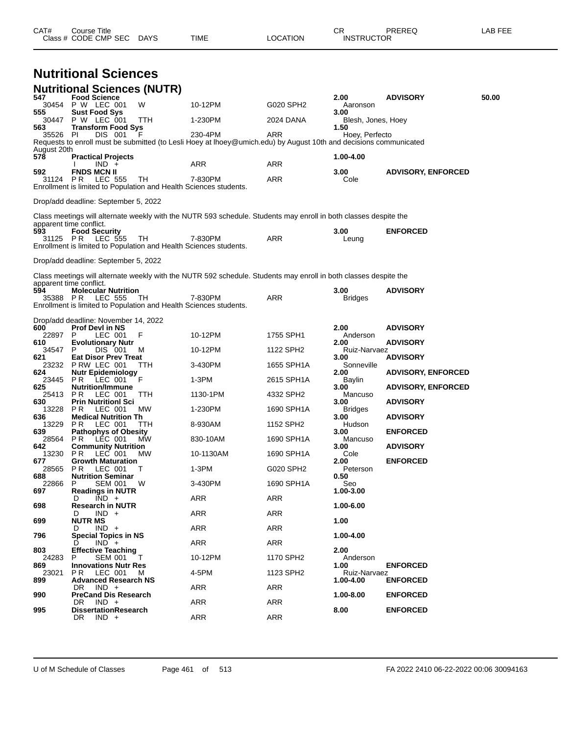|                  | Class # CODE CMP SEC DAYS                                                             |        | TIME                                                                                                              | LOCATION   | <b>INSTRUCTOR</b>          |                           |       |
|------------------|---------------------------------------------------------------------------------------|--------|-------------------------------------------------------------------------------------------------------------------|------------|----------------------------|---------------------------|-------|
|                  | <b>Nutritional Sciences</b>                                                           |        |                                                                                                                   |            |                            |                           |       |
|                  | <b>Nutritional Sciences (NUTR)</b>                                                    |        |                                                                                                                   |            |                            |                           |       |
| 547              | <b>Food Science</b><br>30454 P W LEC 001                                              | W      | 10-12PM                                                                                                           | G020 SPH2  | 2.00<br>Aaronson           | <b>ADVISORY</b>           | 50.00 |
| 555<br>30447     | <b>Sust Food Sys</b><br>P W LEC 001                                                   | TTH    | 1-230PM                                                                                                           | 2024 DANA  | 3.00<br>Blesh, Jones, Hoey |                           |       |
| 563.<br>35526 PI | <b>Transform Food Sys</b><br>DIS 001                                                  | - F    | 230-4PM                                                                                                           | ARR        | 1.50<br>Hoey, Perfecto     |                           |       |
| August 20th      |                                                                                       |        | Requests to enroll must be submitted (to Lesli Hoey at lhoey@umich.edu) by August 10th and decisions communicated |            |                            |                           |       |
| 578              | <b>Practical Projects</b><br>$IND +$                                                  |        | ARR                                                                                                               | ARR        | 1.00-4.00                  |                           |       |
| 592<br>31124     | <b>FNDS MCN II</b><br><b>PR LEC 555</b>                                               | TH.    | 7-830PM                                                                                                           | ARR        | 3.00<br>Cole               | <b>ADVISORY, ENFORCED</b> |       |
|                  | Enrollment is limited to Population and Health Sciences students.                     |        |                                                                                                                   |            |                            |                           |       |
|                  | Drop/add deadline: September 5, 2022                                                  |        |                                                                                                                   |            |                            |                           |       |
|                  |                                                                                       |        | Class meetings will alternate weekly with the NUTR 593 schedule. Students may enroll in both classes despite the  |            |                            |                           |       |
| 593              | apparent time conflict.<br><b>Food Security</b>                                       |        |                                                                                                                   |            | 3.00                       | <b>ENFORCED</b>           |       |
|                  | 31125 PR LEC 555<br>Enrollment is limited to Population and Health Sciences students. | TН     | 7-830PM                                                                                                           | ARR        | Leung                      |                           |       |
|                  | Drop/add deadline: September 5, 2022                                                  |        |                                                                                                                   |            |                            |                           |       |
|                  |                                                                                       |        | Class meetings will alternate weekly with the NUTR 592 schedule. Students may enroll in both classes despite the  |            |                            |                           |       |
| 594              | apparent time conflict.<br><b>Molecular Nutrition</b>                                 |        |                                                                                                                   |            | 3.00                       | <b>ADVISORY</b>           |       |
|                  | 35388 PR LEC 555<br>Enrollment is limited to Population and Health Sciences students. | TH.    | 7-830PM                                                                                                           | ARR        | <b>Bridges</b>             |                           |       |
|                  | Drop/add deadline: November 14, 2022                                                  |        |                                                                                                                   |            |                            |                           |       |
| 600<br>22897     | <b>Prof Devl in NS</b><br>P<br>LEC 001                                                | F      | 10-12PM                                                                                                           | 1755 SPH1  | 2.00<br>Anderson           | <b>ADVISORY</b>           |       |
| 610<br>34547     | <b>Evolutionary Nutr</b><br>P.<br>DIS 001                                             | M      | 10-12PM                                                                                                           | 1122 SPH2  | 2.00<br>Ruiz-Narvaez       | <b>ADVISORY</b>           |       |
| 621<br>23232     | <b>Eat Disor Prev Treat</b><br>PRW LEC 001                                            | TTH    | 3-430PM                                                                                                           | 1655 SPH1A | 3.00<br>Sonneville         | <b>ADVISORY</b>           |       |
| 624<br>23445     | <b>Nutr Epidemiology</b><br>PR.<br>LEC 001                                            | F      | 1-3PM                                                                                                             | 2615 SPH1A | 2.00<br>Baylin             | <b>ADVISORY, ENFORCED</b> |       |
| 625<br>25413     | <b>Nutrition/Immune</b><br>P R<br>LEC 001                                             | TTH    | 1130-1PM                                                                                                          | 4332 SPH2  | 3.00<br>Mancuso            | <b>ADVISORY, ENFORCED</b> |       |
| 630<br>13228     | <b>Prin Nutritionl Sci</b><br>P R<br>LEC 001                                          | МW     | 1-230PM                                                                                                           | 1690 SPH1A | 3.00<br><b>Bridges</b>     | <b>ADVISORY</b>           |       |
| 636              | <b>Medical Nutrition Th</b>                                                           |        | 8-930AM                                                                                                           |            | 3.00                       | <b>ADVISORY</b>           |       |
| 13229<br>639     | PR.<br>LEC 001<br><b>Pathophys of Obesity</b>                                         | TTH    |                                                                                                                   | 1152 SPH2  | Hudson<br>3.00             | <b>ENFORCED</b>           |       |
| 28564<br>642     | PR.<br>LEC 001<br><b>Community Nutrition</b>                                          | MW.    | 830-10AM                                                                                                          | 1690 SPH1A | Mancuso<br>3.00            | <b>ADVISORY</b>           |       |
| 13230<br>677     | PR LEC 001 MW<br><b>Growth Maturation</b>                                             |        | 10-1130AM                                                                                                         | 1690 SPH1A | Cole<br>2.00               | <b>ENFORCED</b>           |       |
| 28565<br>688     | LEC 001<br>PR.<br><b>Nutrition Seminar</b>                                            | т      | 1-3PM                                                                                                             | G020 SPH2  | Peterson<br>0.50           |                           |       |
| 22866<br>697     | <b>SEM 001 W</b><br>P<br><b>Readings in NUTR</b>                                      |        | 3-430PM                                                                                                           | 1690 SPH1A | Seo<br>1.00-3.00           |                           |       |
| 698              | $IND +$<br>D<br><b>Research in NUTR</b>                                               |        | ARR                                                                                                               | ARR        | 1.00-6.00                  |                           |       |
| 699              | $IND +$<br>D<br><b>NUTR MS</b>                                                        |        | ARR                                                                                                               | ARR        | 1.00                       |                           |       |
| 796              | $IND +$<br>D<br><b>Special Topics in NS</b>                                           |        | ARR                                                                                                               | ARR        | 1.00-4.00                  |                           |       |
| 803              | $IND +$<br>D<br><b>Effective Teaching</b>                                             |        | ARR                                                                                                               | ARR        | 2.00                       |                           |       |
| 24283<br>869     | P<br>SEM 001<br><b>Innovations Nutr Res</b>                                           | $\top$ | 10-12PM                                                                                                           | 1170 SPH2  | Anderson<br>1.00           | <b>ENFORCED</b>           |       |
| 23021<br>899     | P R<br>LEC 001<br><b>Advanced Research NS</b>                                         | M      | 4-5PM                                                                                                             | 1123 SPH2  | Ruiz-Narvaez<br>1.00-4.00  | <b>ENFORCED</b>           |       |
| 990              | DR IND +<br><b>PreCand Dis Research</b>                                               |        | ARR                                                                                                               | ARR        | 1.00-8.00                  | <b>ENFORCED</b>           |       |
| 995              | DR.<br>$IND +$<br><b>DissertationResearch</b>                                         |        | ARR                                                                                                               | ARR        | 8.00                       | <b>ENFORCED</b>           |       |
|                  | DR<br>$IND +$                                                                         |        | ARR                                                                                                               | ARR        |                            |                           |       |
|                  |                                                                                       |        |                                                                                                                   |            |                            |                           |       |

CAT# Course Title Case CR PREREQ LAB FEE

U of M Schedule of Classes Page 461 of 513 FA 2022 2410 06-22-2022 00:06 30094163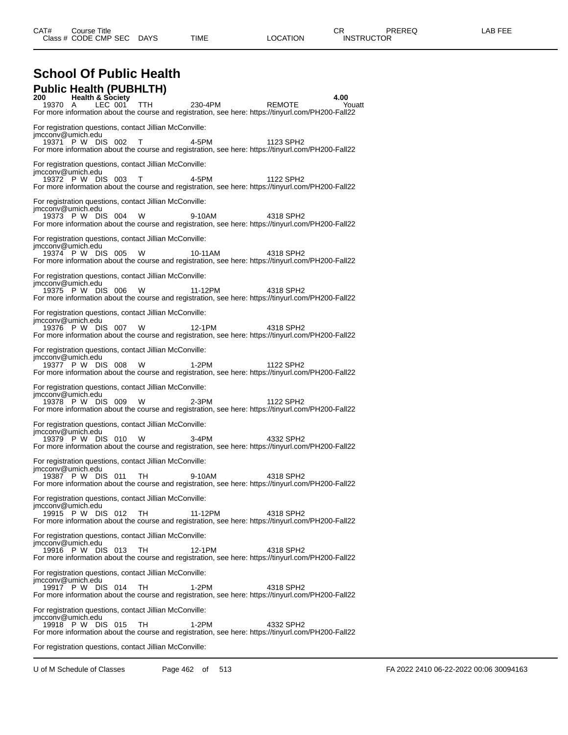| <b>School Of Public Health</b>                                               |                                        |      |         |                                                                                                                             |                |
|------------------------------------------------------------------------------|----------------------------------------|------|---------|-----------------------------------------------------------------------------------------------------------------------------|----------------|
| <b>Public Health (PUBHLTH)</b><br>19370 A                                    | <b>Health &amp; Society</b><br>LEC 001 | TTH. | 230-4PM | REMOTE                                                                                                                      | 4.00<br>Youatt |
|                                                                              |                                        |      |         | For more information about the course and registration, see here: https://tinyurl.com/PH200-Fall22                          |                |
| For registration questions, contact Jillian McConville:<br>imcconv@umich.edu |                                        |      |         |                                                                                                                             |                |
| 19371 P W DIS 002 T                                                          |                                        |      | 4-5PM   | 1123 SPH2<br>For more information about the course and registration, see here: https://tinyurl.com/PH200-Fall22             |                |
| For registration questions, contact Jillian McConville:<br>imcconv@umich.edu |                                        |      |         |                                                                                                                             |                |
| 19372 P W DIS 003 T 4-5PM                                                    |                                        |      |         | 1122 SPH2<br>For more information about the course and registration, see here: https://tinyurl.com/PH200-Fall22             |                |
| For registration questions, contact Jillian McConville:<br>imcconv@umich.edu |                                        |      |         |                                                                                                                             |                |
| 19373 PW DIS 004                                                             |                                        | W    | 9-10AM  | 4318 SPH2<br>For more information about the course and registration, see here: https://tinyurl.com/PH200-Fall22             |                |
| For registration questions, contact Jillian McConville:<br>imcconv@umich.edu |                                        |      |         |                                                                                                                             |                |
| 19374 P W DIS 005                                                            |                                        | W    | 10-11AM | 4318 SPH2<br>For more information about the course and registration, see here: https://tinyurl.com/PH200-Fall22             |                |
| For registration questions, contact Jillian McConville:<br>jmcconv@umich.edu |                                        |      |         |                                                                                                                             |                |
| 19375 P W DIS 006 W                                                          |                                        |      | 11-12PM | 4318 SPH <sub>2</sub><br>For more information about the course and registration, see here: https://tinyurl.com/PH200-Fall22 |                |
| For registration questions, contact Jillian McConville:<br>imcconv@umich.edu |                                        |      |         |                                                                                                                             |                |
| 19376 P W DIS 007 W                                                          |                                        |      | 12-1PM  | 4318 SPH2<br>For more information about the course and registration, see here: https://tinyurl.com/PH200-Fall22             |                |
| For registration questions, contact Jillian McConville:<br>imcconv@umich.edu |                                        |      |         |                                                                                                                             |                |
| 19377 P W DIS 008                                                            |                                        | W    | 1-2PM   | 1122 SPH2<br>For more information about the course and registration, see here: https://tinyurl.com/PH200-Fall22             |                |
| For registration questions, contact Jillian McConville:<br>jmcconv@umich.edu |                                        |      |         |                                                                                                                             |                |
| 19378 P W DIS 009 W                                                          |                                        |      | 2-3PM   | 1122 SPH2<br>For more information about the course and registration, see here: https://tinyurl.com/PH200-Fall22             |                |
| For registration questions, contact Jillian McConville:<br>imcconv@umich.edu |                                        |      |         |                                                                                                                             |                |
| 19379 PW DIS 010 W                                                           |                                        |      | 3-4PM   | 4332 SPH2<br>For more information about the course and registration, see here: https://tinyurl.com/PH200-Fall22             |                |
| For registration questions, contact Jillian McConville:<br>imcconv@umich.edu |                                        |      |         |                                                                                                                             |                |
| 19387 P W DIS 011 TH                                                         |                                        |      | 9-10AM  | 4318 SPH2<br>For more information about the course and registration, see here: https://tinyurl.com/PH200-Fall22             |                |
| For registration questions, contact Jillian McConville:<br>imcconv@umich.edu |                                        |      |         |                                                                                                                             |                |
| 19915 P W DIS 012                                                            |                                        | TH.  | 11-12PM | 4318 SPH2<br>For more information about the course and registration, see here: https://tinyurl.com/PH200-Fall22             |                |
| For registration questions, contact Jillian McConville:<br>imcconv@umich.edu |                                        |      |         |                                                                                                                             |                |
| 19916 P W DIS 013                                                            |                                        | TН   | 12-1PM  | 4318 SPH2<br>For more information about the course and registration, see here: https://tinyurl.com/PH200-Fall22             |                |
| For registration questions, contact Jillian McConville:<br>imcconv@umich.edu |                                        |      |         |                                                                                                                             |                |
| 19917 P W DIS 014                                                            |                                        | TH   | 1-2PM   | 4318 SPH2<br>For more information about the course and registration, see here: https://tinyurl.com/PH200-Fall22             |                |
| For registration questions, contact Jillian McConville:<br>imcconv@umich.edu |                                        |      |         |                                                                                                                             |                |
| 19918 P W DIS 015                                                            |                                        | TH.  | 1-2PM   | 4332 SPH2<br>For more information about the course and registration, see here: https://tinyurl.com/PH200-Fall22             |                |
| For registration questions, contact Jillian McConville:                      |                                        |      |         |                                                                                                                             |                |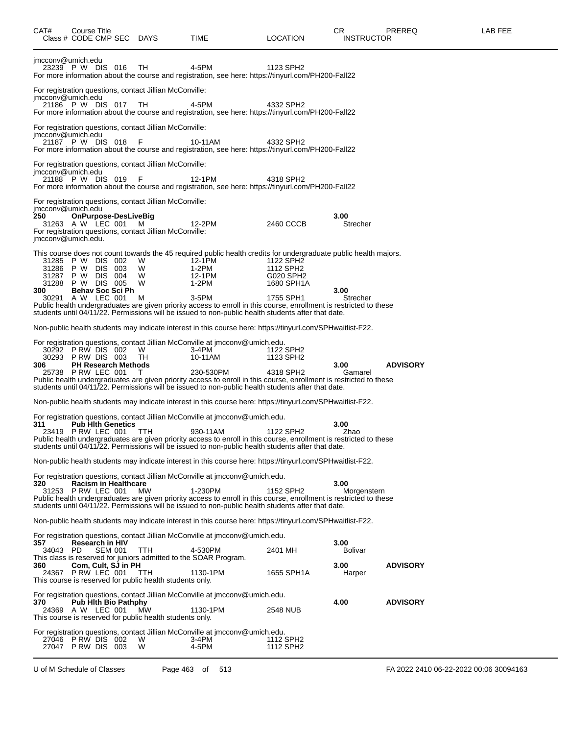| CAT#                                    | Course Title<br>Class # CODE CMP SEC DAYS                                                              |                                                                                                                         | TIME                                                                                                                                                                                                                                                                                                                                                                                           | LOCATION                                                       | CR.<br><b>INSTRUCTOR</b>                 | <b>PREREQ</b>   | LAB FEE |
|-----------------------------------------|--------------------------------------------------------------------------------------------------------|-------------------------------------------------------------------------------------------------------------------------|------------------------------------------------------------------------------------------------------------------------------------------------------------------------------------------------------------------------------------------------------------------------------------------------------------------------------------------------------------------------------------------------|----------------------------------------------------------------|------------------------------------------|-----------------|---------|
|                                         | jmcconv@umich.edu<br>23239 P W DIS 016                                                                 | TH.                                                                                                                     | 4-5PM<br>For more information about the course and registration, see here: https://tinyurl.com/PH200-Fall22                                                                                                                                                                                                                                                                                    | 1123 SPH2                                                      |                                          |                 |         |
|                                         | jmcconv@umich.edu<br>21186 PW DIS 017 TH                                                               | For registration questions, contact Jillian McConville:                                                                 | 4-5PM<br>For more information about the course and registration, see here: https://tinyurl.com/PH200-Fall22                                                                                                                                                                                                                                                                                    | 4332 SPH2                                                      |                                          |                 |         |
|                                         | jmcconv@umich.edu<br>21187 P W DIS 018                                                                 | For registration questions, contact Jillian McConville:<br>- F                                                          | 10-11AM<br>For more information about the course and registration, see here: https://tinyurl.com/PH200-Fall22                                                                                                                                                                                                                                                                                  | 4332 SPH2                                                      |                                          |                 |         |
|                                         | jmcconv@umich.edu<br>21188 P W DIS 019                                                                 | For registration questions, contact Jillian McConville:<br>- F                                                          | 12-1PM<br>For more information about the course and registration, see here: https://tinyurl.com/PH200-Fall22                                                                                                                                                                                                                                                                                   | 4318 SPH2                                                      |                                          |                 |         |
| 250                                     | jmcconv@umich.edu<br>OnPurpose-DesLiveBig<br>31263 A W LEC 001<br>jmcconv@umich.edu.                   | For registration questions, contact Jillian McConville:<br>M<br>For registration questions, contact Jillian McConville: | 12-2PM                                                                                                                                                                                                                                                                                                                                                                                         | 2460 CCCB                                                      | 3.00<br>Strecher                         |                 |         |
| 31286<br>31287<br>31288<br>300<br>30291 | 31285 PW DIS 002<br>DIS 003<br>P W<br>DIS 004<br>P W<br>P W DIS 005<br>Behav Soc Sci Ph<br>A W LEC 001 | W<br>W<br>W<br>W<br>м                                                                                                   | This course does not count towards the 45 required public health credits for undergraduate public health majors.<br>12-1PM<br>1-2PM<br>12-1PM<br>1-2PM<br>$3-5$ PM<br>Public health undergraduates are given priority access to enroll in this course, enrollment is restricted to these<br>students until 04/11/22. Permissions will be issued to non-public health students after that date. | 1122 SPH2<br>1112 SPH2<br>G020 SPH2<br>1680 SPH1A<br>1755 SPH1 | 3.00<br>Strecher                         |                 |         |
|                                         |                                                                                                        |                                                                                                                         | Non-public health students may indicate interest in this course here: https://tinyurl.com/SPHwaitlist-F22.                                                                                                                                                                                                                                                                                     |                                                                |                                          |                 |         |
| 30293<br>306                            | 30292 PRW DIS 002<br>PRW DIS 003<br><b>PH Research Methods</b><br>25738 PRW LEC 001                    | W<br>TH<br>T                                                                                                            | For registration questions, contact Jillian McConville at jmcconv@umich.edu.<br>3-4PM<br>10-11AM<br>230-530PM<br>Public health undergraduates are given priority access to enroll in this course, enrollment is restricted to these<br>students until 04/11/22. Permissions will be issued to non-public health students after that date.                                                      | 1122 SPH2<br>1123 SPH2<br>4318 SPH2                            | 3.00<br>Gamarel                          | <b>ADVISORY</b> |         |
|                                         |                                                                                                        |                                                                                                                         | Non-public health students may indicate interest in this course here: https://tinyurl.com/SPHwaitlist-F22.                                                                                                                                                                                                                                                                                     |                                                                |                                          |                 |         |
| 311                                     | <b>Pub Hith Genetics</b><br>23419 PRW LEC 001 TTH                                                      |                                                                                                                         | For registration questions, contact Jillian McConville at jmcconv@umich.edu.<br>930-11AM<br>Public health undergraduates are given priority access to enroll in this course, enrollment is restricted to these<br>students until 04/11/22. Permissions will be issued to non-public health students after that date.                                                                           | 1122 SPH2                                                      | 3.00<br>Zhao                             |                 |         |
|                                         |                                                                                                        |                                                                                                                         | Non-public health students may indicate interest in this course here: https://tinyurl.com/SPHwaitlist-F22.                                                                                                                                                                                                                                                                                     |                                                                |                                          |                 |         |
| 320                                     | Racism in Healthcare<br>31253 P RW LEC 001                                                             | MW                                                                                                                      | For registration questions, contact Jillian McConville at jmcconv@umich.edu.<br>1-230PM<br>Public health undergraduates are given priority access to enroll in this course, enrollment is restricted to these<br>students until 04/11/22. Permissions will be issued to non-public health students after that date.                                                                            | 1152 SPH2                                                      | 3.00<br>Morgenstern                      |                 |         |
|                                         |                                                                                                        |                                                                                                                         | Non-public health students may indicate interest in this course here: https://tinyurl.com/SPHwaitlist-F22.                                                                                                                                                                                                                                                                                     |                                                                |                                          |                 |         |
| 357<br>34043 PD<br>360                  | <b>Research in HIV</b><br><b>SEM 001</b><br>Com, Cult, SJ in PH<br>24367 PRW LEC 001                   | <b>TTH</b><br>TTH<br>This course is reserved for public health students only.                                           | For registration questions, contact Jillian McConville at jmcconv@umich.edu.<br>4-530PM<br>This class is reserved for juniors admitted to the SOAR Program.<br>1130-1PM                                                                                                                                                                                                                        | 2401 MH<br>1655 SPH1A                                          | 3.00<br><b>Bolivar</b><br>3.00<br>Harper | <b>ADVISORY</b> |         |
| 370                                     | <b>Pub Hith Bio Pathphy</b><br>24369 A W LEC 001                                                       | MW<br>This course is reserved for public health students only.                                                          | For registration questions, contact Jillian McConville at jmcconv@umich.edu.<br>1130-1PM                                                                                                                                                                                                                                                                                                       | 2548 NUB                                                       | 4.00                                     | <b>ADVISORY</b> |         |
|                                         | 27046 PRW DIS 002<br>27047 PRW DIS 003                                                                 | W<br>W                                                                                                                  | For registration questions, contact Jillian McConville at jmcconv@umich.edu.<br>3-4PM<br>4-5PM                                                                                                                                                                                                                                                                                                 | 1112 SPH2<br>1112 SPH2                                         |                                          |                 |         |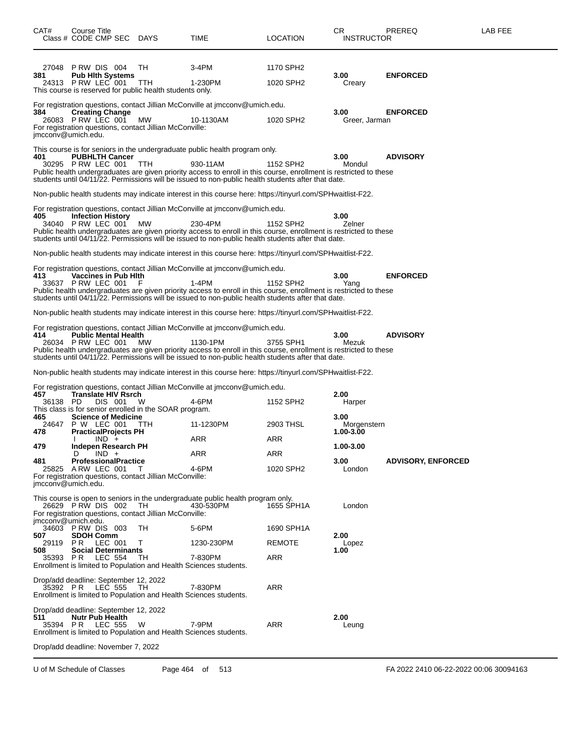| CAT#                | Course Title<br>Class # CODE CMP SEC DAYS                                                |                                                                       | TIME                                                                                                                                                                                                                                                                                                                 | LOCATION               | СR<br><b>INSTRUCTOR</b>     | PREREQ                    | LAB FEE |
|---------------------|------------------------------------------------------------------------------------------|-----------------------------------------------------------------------|----------------------------------------------------------------------------------------------------------------------------------------------------------------------------------------------------------------------------------------------------------------------------------------------------------------------|------------------------|-----------------------------|---------------------------|---------|
| 27048<br>381        | PRW DIS 004<br><b>Pub Hith Systems</b><br>24313 P RW LEC 001                             | TН<br>ттн<br>This course is reserved for public health students only. | 3-4PM<br>1-230PM                                                                                                                                                                                                                                                                                                     | 1170 SPH2<br>1020 SPH2 | 3.00<br>Creary              | <b>ENFORCED</b>           |         |
| 384                 | <b>Creating Change</b><br>26083 PRW LEC 001<br>imcconv@umich.edu.                        | MW<br>For registration questions, contact Jillian McConville:         | For registration questions, contact Jillian McConville at jmcconv@umich.edu.<br>10-1130AM                                                                                                                                                                                                                            | 1020 SPH2              | 3.00<br>Greer, Jarman       | <b>ENFORCED</b>           |         |
| 401                 | <b>PUBHLTH Cancer</b><br>30295 P RW LEC 001                                              | TTH                                                                   | This course is for seniors in the undergraduate public health program only.<br>930-11AM<br>Public health undergraduates are given priority access to enroll in this course, enrollment is restricted to these<br>students until 04/11/22. Permissions will be issued to non-public health students after that date.  | 1152 SPH2              | 3.00<br>Mondul              | <b>ADVISORY</b>           |         |
|                     |                                                                                          |                                                                       | Non-public health students may indicate interest in this course here: https://tinyurl.com/SPHwaitlist-F22.                                                                                                                                                                                                           |                        |                             |                           |         |
| 405                 | <b>Infection History</b><br>34040 P RW LEC 001                                           | <b>MW</b>                                                             | For registration questions, contact Jillian McConville at jmcconv@umich.edu.<br>230-4PM<br>Public health undergraduates are given priority access to enroll in this course, enrollment is restricted to these<br>students until 04/11/22. Permissions will be issued to non-public health students after that date.  | 1152 SPH <sub>2</sub>  | 3.00<br>Zelner              |                           |         |
|                     |                                                                                          |                                                                       | Non-public health students may indicate interest in this course here: https://tinyurl.com/SPHwaitlist-F22.                                                                                                                                                                                                           |                        |                             |                           |         |
| 413                 | <b>Vaccines in Pub Hith</b><br>33637 PRW LEC 001                                         |                                                                       | For registration questions, contact Jillian McConville at jmcconv@umich.edu.<br>1-4PM<br>Public health undergraduates are given priority access to enroll in this course, enrollment is restricted to these<br>students until 04/11/22. Permissions will be issued to non-public health students after that date.    | 1152 SPH2              | 3.00<br>Yang                | <b>ENFORCED</b>           |         |
|                     |                                                                                          |                                                                       | Non-public health students may indicate interest in this course here: https://tinyurl.com/SPHwaitlist-F22.                                                                                                                                                                                                           |                        |                             |                           |         |
| 414                 | <b>Public Mental Health</b><br>26034 P RW LEC 001                                        | MW                                                                    | For registration questions, contact Jillian McConville at jmcconv@umich.edu.<br>1130-1PM<br>Public health undergraduates are given priority access to enroll in this course, enrollment is restricted to these<br>students until 04/11/22. Permissions will be issued to non-public health students after that date. | 3755 SPH1              | 3.00<br>Mezuk               | <b>ADVISORY</b>           |         |
|                     |                                                                                          |                                                                       | Non-public health students may indicate interest in this course here: https://tinyurl.com/SPHwaitlist-F22.                                                                                                                                                                                                           |                        |                             |                           |         |
| 457<br>36138 PD     | <b>Translate HIV Rsrch</b><br>DIS 001<br><b>Science of Medicine</b>                      | W<br>This class is for senior enrolled in the SOAR program.           | For registration questions, contact Jillian McConville at jmcconv@umich.edu.<br>4-6PM                                                                                                                                                                                                                                | 1152 SPH2              | 2.00<br>Harper              |                           |         |
| 465<br>24647        | P W LEC 001                                                                              | TTH                                                                   | 11-1230PM                                                                                                                                                                                                                                                                                                            | 2903 THSL              | 3.00<br>Morgenstern         |                           |         |
| 478                 | <b>PracticalProjects PH</b><br>$IND +$                                                   |                                                                       | ARR                                                                                                                                                                                                                                                                                                                  | ARR                    | 1.00-3.00                   |                           |         |
| 479<br>481<br>25825 | <b>Indepen Research PH</b><br>$IND +$<br>D<br><b>ProfessionalPractice</b><br>ARW LEC 001 | T<br>For registration questions, contact Jillian McConville:          | ARR<br>4-6PM                                                                                                                                                                                                                                                                                                         | ARR<br>1020 SPH2       | 1.00-3.00<br>3.00<br>London | <b>ADVISORY, ENFORCED</b> |         |
|                     | jmcconv@umich.edu.<br>26629 PRW DIS 002<br>imcconv@umich.edu.                            | TH.<br>For registration questions, contact Jillian McConville:        | This course is open to seniors in the undergraduate public health program only.<br>430-530PM                                                                                                                                                                                                                         | 1655 SPH1A             | London                      |                           |         |
| 507                 | 34603 PRW DIS 003<br><b>SDOH Comm</b>                                                    | TН                                                                    | 5-6PM                                                                                                                                                                                                                                                                                                                | 1690 SPH1A             | 2.00                        |                           |         |
| 29119<br>508        | <b>PR LEC 001</b><br><b>Social Determinants</b>                                          | Τ                                                                     | 1230-230PM                                                                                                                                                                                                                                                                                                           | <b>REMOTE</b>          | Lopez<br>1.00               |                           |         |
| 35393 PR            | <b>LEC 554</b>                                                                           | TН                                                                    | 7-830PM<br>Enrollment is limited to Population and Health Sciences students.                                                                                                                                                                                                                                         | ARR                    |                             |                           |         |
| 35392 PR            | Drop/add deadline: September 12, 2022<br>LEC 555                                         | TH.                                                                   | 7-830PM<br>Enrollment is limited to Population and Health Sciences students.                                                                                                                                                                                                                                         | ARR                    |                             |                           |         |
| 511<br>35394 PR     | Drop/add deadline: September 12, 2022<br><b>Nutr Pub Health</b><br>LEC 555               | W                                                                     | 7-9PM<br>Enrollment is limited to Population and Health Sciences students.                                                                                                                                                                                                                                           | <b>ARR</b>             | 2.00<br>Leung               |                           |         |
|                     | Drop/add deadline: November 7, 2022                                                      |                                                                       |                                                                                                                                                                                                                                                                                                                      |                        |                             |                           |         |

U of M Schedule of Classes Page 464 of 513 FA 2022 2410 06-22-2022 00:06 30094163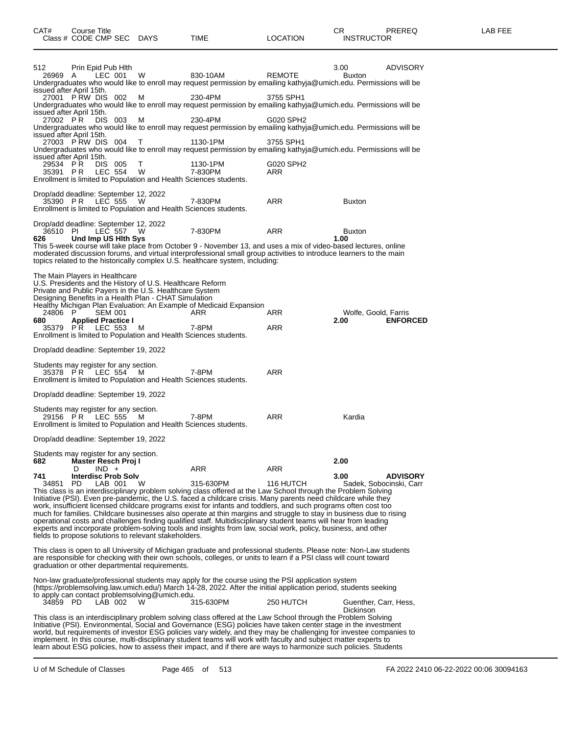| 512<br>26969 A  | Prin Epid Pub Hith<br>LEC 001                                     | W                                                                                                                | 830-10AM                                                                                                                                                                                                                         | <b>REMOTE</b> | <b>ADVISORY</b><br>3.00<br><b>Buxton</b>                                                                                                                                                                                               |
|-----------------|-------------------------------------------------------------------|------------------------------------------------------------------------------------------------------------------|----------------------------------------------------------------------------------------------------------------------------------------------------------------------------------------------------------------------------------|---------------|----------------------------------------------------------------------------------------------------------------------------------------------------------------------------------------------------------------------------------------|
|                 |                                                                   |                                                                                                                  |                                                                                                                                                                                                                                  |               | Undergraduates who would like to enroll may request permission by emailing kathyja@umich.edu. Permissions will be                                                                                                                      |
|                 | issued after April 15th.<br>27001 PRW DIS 002                     | м                                                                                                                | 230-4PM                                                                                                                                                                                                                          | 3755 SPH1     |                                                                                                                                                                                                                                        |
|                 | issued after April 15th.                                          |                                                                                                                  |                                                                                                                                                                                                                                  |               | Undergraduates who would like to enroll may request permission by emailing kathyja@umich.edu. Permissions will be                                                                                                                      |
| 27002 PR        | DIS 003                                                           | м                                                                                                                | 230-4PM                                                                                                                                                                                                                          | G020 SPH2     |                                                                                                                                                                                                                                        |
|                 | issued after April 15th.                                          |                                                                                                                  |                                                                                                                                                                                                                                  |               | Undergraduates who would like to enroll may request permission by emailing kathyja@umich.edu. Permissions will be                                                                                                                      |
|                 | 27003 PRW DIS 004                                                 | T                                                                                                                | 1130-1PM                                                                                                                                                                                                                         | 3755 SPH1     | Undergraduates who would like to enroll may request permission by emailing kathyja@umich.edu. Permissions will be                                                                                                                      |
| 29534 PR        | issued after April 15th.<br>DIS 005                               | T.                                                                                                               | 1130-1PM                                                                                                                                                                                                                         | G020 SPH2     |                                                                                                                                                                                                                                        |
| 35391 PR        | <b>LEC 554</b>                                                    | - W                                                                                                              | 7-830PM<br>Enrollment is limited to Population and Health Sciences students.                                                                                                                                                     | ARR           |                                                                                                                                                                                                                                        |
|                 |                                                                   |                                                                                                                  |                                                                                                                                                                                                                                  |               |                                                                                                                                                                                                                                        |
| 35390 PR        | Drop/add deadline: September 12, 2022<br>LEC 555                  | - W                                                                                                              | 7-830PM                                                                                                                                                                                                                          | ARR           | <b>Buxton</b>                                                                                                                                                                                                                          |
|                 |                                                                   |                                                                                                                  | Enrollment is limited to Population and Health Sciences students.                                                                                                                                                                |               |                                                                                                                                                                                                                                        |
|                 | Drop/add deadline: September 12, 2022                             |                                                                                                                  |                                                                                                                                                                                                                                  |               |                                                                                                                                                                                                                                        |
| 36510 PI<br>626 | LEC 557 W<br>Und Imp US Hith Sys                                  |                                                                                                                  | 7-830PM                                                                                                                                                                                                                          | ARR           | <b>Buxton</b><br>1.00                                                                                                                                                                                                                  |
|                 |                                                                   |                                                                                                                  |                                                                                                                                                                                                                                  |               | This 5-week course will take place from October 9 - November 13, and uses a mix of video-based lectures, online                                                                                                                        |
|                 |                                                                   |                                                                                                                  | topics related to the historically complex U.S. healthcare system, including:                                                                                                                                                    |               | moderated discussion forums, and virtual interprofessional small group activities to introduce learners to the main                                                                                                                    |
|                 | The Main Players in Healthcare                                    |                                                                                                                  |                                                                                                                                                                                                                                  |               |                                                                                                                                                                                                                                        |
|                 |                                                                   | U.S. Presidents and the History of U.S. Healthcare Reform                                                        |                                                                                                                                                                                                                                  |               |                                                                                                                                                                                                                                        |
|                 |                                                                   | Private and Public Payers in the U.S. Healthcare System<br>Designing Benefits in a Health Plan - CHAT Simulation |                                                                                                                                                                                                                                  |               |                                                                                                                                                                                                                                        |
| 24806 P         |                                                                   |                                                                                                                  | Healthy Michigan Plan Evaluation: An Example of Medicaid Expansion<br>ARR                                                                                                                                                        |               |                                                                                                                                                                                                                                        |
| 680             | <b>SEM 001</b><br><b>Applied Practice I</b>                       |                                                                                                                  |                                                                                                                                                                                                                                  | ARR           | Wolfe, Goold, Farris<br><b>ENFORCED</b><br>2.00                                                                                                                                                                                        |
|                 | 35379 PR LEC 553                                                  | - M                                                                                                              | 7-8PM<br>Enrollment is limited to Population and Health Sciences students.                                                                                                                                                       | <b>ARR</b>    |                                                                                                                                                                                                                                        |
|                 |                                                                   |                                                                                                                  |                                                                                                                                                                                                                                  |               |                                                                                                                                                                                                                                        |
|                 | Drop/add deadline: September 19, 2022                             |                                                                                                                  |                                                                                                                                                                                                                                  |               |                                                                                                                                                                                                                                        |
|                 | Students may register for any section.<br>35378 PR LEC 554        | M                                                                                                                | 7-8PM                                                                                                                                                                                                                            | <b>ARR</b>    |                                                                                                                                                                                                                                        |
|                 |                                                                   |                                                                                                                  | Enrollment is limited to Population and Health Sciences students.                                                                                                                                                                |               |                                                                                                                                                                                                                                        |
|                 | Drop/add deadline: September 19, 2022                             |                                                                                                                  |                                                                                                                                                                                                                                  |               |                                                                                                                                                                                                                                        |
|                 | Students may register for any section.                            |                                                                                                                  |                                                                                                                                                                                                                                  |               |                                                                                                                                                                                                                                        |
|                 | 29156 PR LEC 555                                                  | - M                                                                                                              | 7-8PM<br>Enrollment is limited to Population and Health Sciences students.                                                                                                                                                       | <b>ARR</b>    | Kardia                                                                                                                                                                                                                                 |
|                 | Drop/add deadline: September 19, 2022                             |                                                                                                                  |                                                                                                                                                                                                                                  |               |                                                                                                                                                                                                                                        |
|                 |                                                                   |                                                                                                                  |                                                                                                                                                                                                                                  |               |                                                                                                                                                                                                                                        |
|                 | Students may register for any section.<br>682 Master Resch Proj I |                                                                                                                  |                                                                                                                                                                                                                                  |               | 2.00                                                                                                                                                                                                                                   |
| 741             | $IND +$<br>D<br><b>Interdisc Prob Solv</b>                        |                                                                                                                  | ARR                                                                                                                                                                                                                              | ARR           | <b>ADVISORY</b><br>3.00                                                                                                                                                                                                                |
| 34851           | LAB 001<br>- PD                                                   | W                                                                                                                | 315-630PM                                                                                                                                                                                                                        | 116 HUTCH     | Sadek, Sobocinski, Carr                                                                                                                                                                                                                |
|                 |                                                                   |                                                                                                                  | This class is an interdisciplinary problem solving class offered at the Law School through the Problem Solving<br>Initiative (PSI). Even pre-pandemic, the U.S. faced a childcare crisis. Many parents need childcare while they |               |                                                                                                                                                                                                                                        |
|                 |                                                                   |                                                                                                                  | work, insufficient licensed childcare programs exist for infants and toddlers, and such programs often cost too                                                                                                                  |               | much for families. Childcare businesses also operate at thin margins and struggle to stay in business due to rising                                                                                                                    |
|                 |                                                                   |                                                                                                                  | operational costs and challenges finding qualified staff. Multidisciplinary student teams will hear from leading                                                                                                                 |               |                                                                                                                                                                                                                                        |
|                 |                                                                   | fields to propose solutions to relevant stakeholders.                                                            | experts and incorporate problem-solving tools and insights from law, social work, policy, business, and other                                                                                                                    |               |                                                                                                                                                                                                                                        |
|                 |                                                                   |                                                                                                                  |                                                                                                                                                                                                                                  |               | This class is open to all University of Michigan graduate and professional students. Please note: Non-Law students                                                                                                                     |
|                 |                                                                   |                                                                                                                  | are responsible for checking with their own schools, colleges, or units to learn if a PSI class will count toward                                                                                                                |               |                                                                                                                                                                                                                                        |
|                 |                                                                   | graduation or other departmental requirements.                                                                   |                                                                                                                                                                                                                                  |               |                                                                                                                                                                                                                                        |
|                 |                                                                   |                                                                                                                  | Non-law graduate/professional students may apply for the course using the PSI application system                                                                                                                                 |               |                                                                                                                                                                                                                                        |
|                 |                                                                   | to apply can contact problemsolving@umich.edu.                                                                   |                                                                                                                                                                                                                                  |               | (https://problemsolving.law.umich.edu/) March 14-28, 2022. After the initial application period, students seeking                                                                                                                      |
| 34859 PD        | LAB 002                                                           | W                                                                                                                | 315-630PM                                                                                                                                                                                                                        | 250 HUTCH     | Guenther, Carr, Hess,<br>Dickinson                                                                                                                                                                                                     |
|                 |                                                                   |                                                                                                                  | This class is an interdisciplinary problem solving class offered at the Law School through the Problem Solving                                                                                                                   |               |                                                                                                                                                                                                                                        |
|                 |                                                                   |                                                                                                                  |                                                                                                                                                                                                                                  |               | Initiative (PSI). Environmental, Social and Governance (ESG) policies have taken center stage in the investment<br>world, but requirements of investor ESG policies vary widely, and they may be challenging for investee companies to |
|                 |                                                                   |                                                                                                                  | implement. In this course, multi-disciplinary student teams will work with faculty and subject matter experts to                                                                                                                 |               | learn about ESG policies, how to assess their impact, and if there are ways to harmonize such policies. Students                                                                                                                       |
|                 |                                                                   |                                                                                                                  |                                                                                                                                                                                                                                  |               |                                                                                                                                                                                                                                        |

U of M Schedule of Classes Page 465 of 513 FA 2022 2410 06-22-2022 00:06 30094163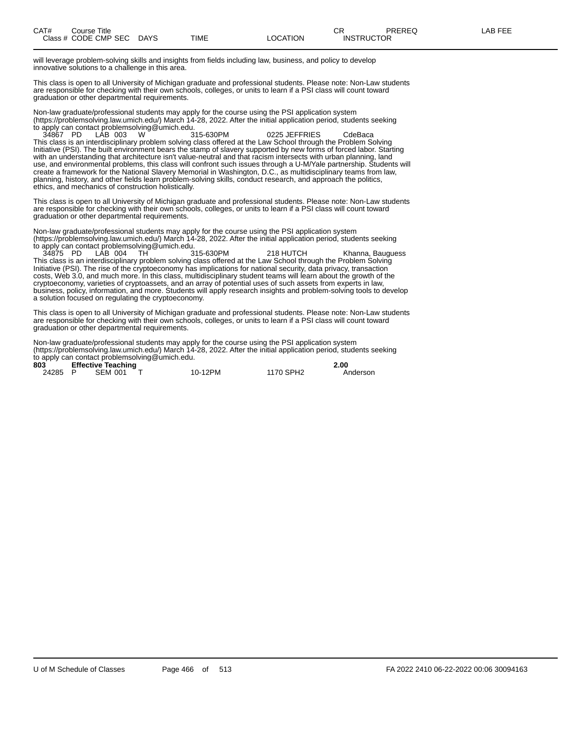will leverage problem-solving skills and insights from fields including law, business, and policy to develop innovative solutions to a challenge in this area.

This class is open to all University of Michigan graduate and professional students. Please note: Non-Law students are responsible for checking with their own schools, colleges, or units to learn if a PSI class will count toward graduation or other departmental requirements.

Non-law graduate/professional students may apply for the course using the PSI application system (https://problemsolving.law.umich.edu/) March 14-28, 2022. After the initial application period, students seeking to apply can contact problemsolving@umich.edu.

34867 PD LAB 003 W 315-630PM 0225 JEFFRIES CdeBaca This class is an interdisciplinary problem solving class offered at the Law School through the Problem Solving Initiative (PSI). The built environment bears the stamp of slavery supported by new forms of forced labor. Starting with an understanding that architecture isn't value-neutral and that racism intersects with urban planning, land use, and environmental problems, this class will confront such issues through a U-M/Yale partnership. Students will create a framework for the National Slavery Memorial in Washington, D.C., as multidisciplinary teams from law, planning, history, and other fields learn problem-solving skills, conduct research, and approach the politics, ethics, and mechanics of construction holistically.

This class is open to all University of Michigan graduate and professional students. Please note: Non-Law students are responsible for checking with their own schools, colleges, or units to learn if a PSI class will count toward graduation or other departmental requirements.

Non-law graduate/professional students may apply for the course using the PSI application system (https://problemsolving.law.umich.edu/) March 14-28, 2022. After the initial application period, students seeking to apply can contact problemsolving@umich.edu.<br>34875 PD LAB 004 TH 315-630PM

34875 PD LAB 004 TH 315-630PM 218 HUTCH Khanna, Bauguess This class is an interdisciplinary problem solving class offered at the Law School through the Problem Solving Initiative (PSI). The rise of the cryptoeconomy has implications for national security, data privacy, transaction costs, Web 3.0, and much more. In this class, multidisciplinary student teams will learn about the growth of the cryptoeconomy, varieties of cryptoassets, and an array of potential uses of such assets from experts in law, business, policy, information, and more. Students will apply research insights and problem-solving tools to develop a solution focused on regulating the cryptoeconomy.

This class is open to all University of Michigan graduate and professional students. Please note: Non-Law students are responsible for checking with their own schools, colleges, or units to learn if a PSI class will count toward graduation or other departmental requirements.

Non-law graduate/professional students may apply for the course using the PSI application system (https://problemsolving.law.umich.edu/) March 14-28, 2022. After the initial application period, students seeking to apply can contact problemsolving@umich.edu.

| 803     | <b>Effective Teaching</b> |         |           | 2.00     |
|---------|---------------------------|---------|-----------|----------|
| 24285 P | SEM 001                   | 10-12PM | 1170 SPH2 | Anderson |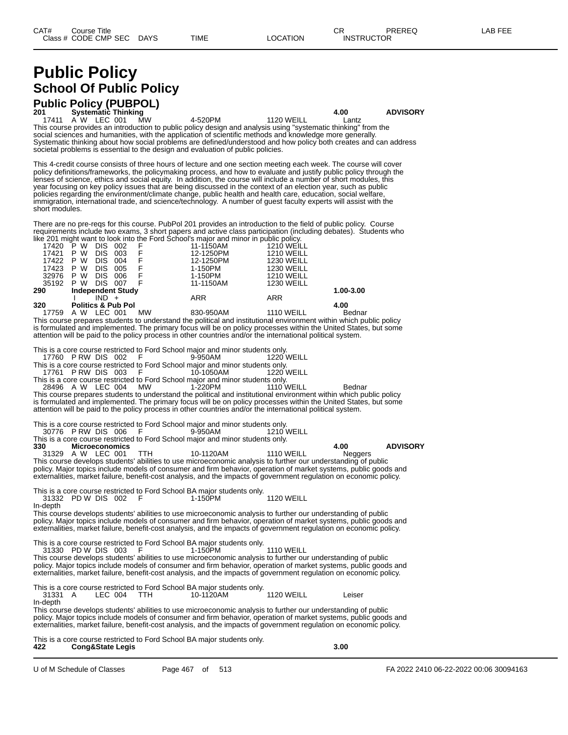# **Public Policy School Of Public Policy**

# **Public Policy (PUBPOL) 201 Systematic Thinking 4.00 ADVISORY**

17411 A W LEC 001 MW 4-520PM 1120 WEILL Lantz This course provides an introduction to public policy design and analysis using "systematic thinking" from the social sciences and humanities, with the application of scientific methods and knowledge more generally. Systematic thinking about how social problems are defined/understood and how policy both creates and can address societal problems is essential to the design and evaluation of public policies.

This 4-credit course consists of three hours of lecture and one section meeting each week. The course will cover policy definitions/frameworks, the policymaking process, and how to evaluate and justify public policy through the lenses of science, ethics and social equity. In addition, the course will include a number of short modules, this year focusing on key policy issues that are being discussed in the context of an election year, such as public policies regarding the environment/climate change, public health and health care, education, social welfare, immigration, international trade, and science/technology. A number of guest faculty experts will assist with the short modules.

There are no pre-reqs for this course. PubPol 201 provides an introduction to the field of public policy. Course requirements include two exams, 3 short papers and active class participation (including debates). Students who like 201 might want to look into the Ford School's major and minor in public policy.

| 17420 | W<br>P                        | <b>DIS</b> | 002 |           | 11-1150AM | <b>1210 WEILL</b> |           |
|-------|-------------------------------|------------|-----|-----------|-----------|-------------------|-----------|
| 17421 | W<br>P.                       | <b>DIS</b> | 003 |           | 12-1250PM | <b>1210 WEILL</b> |           |
| 17422 | W<br>P.                       | <b>DIS</b> | 004 |           | 12-1250PM | <b>1230 WEILL</b> |           |
| 17423 | W<br>P.                       | <b>DIS</b> | 005 |           | 1-150PM   | <b>1230 WEILL</b> |           |
| 32976 | P W                           | <b>DIS</b> | 006 |           | 1-150PM   | <b>1210 WEILL</b> |           |
| 35192 | P W                           | DIS.       | 007 |           | 11-1150AM | <b>1230 WEILL</b> |           |
| 290   | <b>Independent Study</b>      |            |     |           |           |                   | 1.00-3.00 |
|       |                               | $IND +$    |     |           | ARR       | <b>ARR</b>        |           |
| 320   | <b>Politics &amp; Pub Pol</b> |            |     |           |           |                   | 4.00      |
| 17759 | A W                           | LEC 001    |     | <b>MW</b> | 830-950AM | <b>1110 WEILL</b> | Bednar    |

This course prepares students to understand the political and institutional environment within which public policy is formulated and implemented. The primary focus will be on policy processes within the United States, but some attention will be paid to the policy process in other countries and/or the international political system.

This is a core course restricted to Ford School major and minor students only.<br>17760 P RW DIS 002 F 9-950AM 1220 WEILL

17760 P RW DIS 002

This is a core course restricted to Ford School major and minor students only.<br>17761 P RW DIS 003 F 10-1050AM 1220 WEILL 17761 P RW DIS 003

This is a core course restricted to Ford School major and minor students only.<br>28496 A W LEC 004 MW 1-220PM 1110 WEILL 28496 A W LEC 004 MW 1-220PM 1110 WEILL Bednar

This course prepares students to understand the political and institutional environment within which public policy is formulated and implemented. The primary focus will be on policy processes within the United States, but some attention will be paid to the policy process in other countries and/or the international political system.

This is a core course restricted to Ford School major and minor students only.<br>30776 P RW DIS 006 F 9-950AM 1210 WEILL

30776 P RW DIS 006

This is a core course restricted to Ford School major and minor students only.<br>330 **Microeconomics 330 Microeconomics 4.00 ADVISORY** 31329 A W LEC 001 TTH 10-1120AM 1110 WEILL Neggers

This course develops students' abilities to use microeconomic analysis to further our understanding of public policy. Major topics include models of consumer and firm behavior, operation of market systems, public goods and externalities, market failure, benefit-cost analysis, and the impacts of government regulation on economic policy.

This is a core course restricted to Ford School BA major students only. 31332 PD W DIS 002 F 1-150PM 1120 WEILL

In-depth

This course develops students' abilities to use microeconomic analysis to further our understanding of public policy. Major topics include models of consumer and firm behavior, operation of market systems, public goods and externalities, market failure, benefit-cost analysis, and the impacts of government regulation on economic policy.

This is a core course restricted to Ford School BA major students only.<br>31330 PD W DIS 003 F 1-150PM

31330 PD W DIS 003 F 1-150PM 1110 WEILL This course develops students' abilities to use microeconomic analysis to further our understanding of public policy. Major topics include models of consumer and firm behavior, operation of market systems, public goods and externalities, market failure, benefit-cost analysis, and the impacts of government regulation on economic policy.

This is a core course restricted to Ford School BA major students only.<br>31331 A LEC 004 TTH 10-1120AM

10-1120AM 1120 WEILL Leiser In-depth

This course develops students' abilities to use microeconomic analysis to further our understanding of public policy. Major topics include models of consumer and firm behavior, operation of market systems, public goods and externalities, market failure, benefit-cost analysis, and the impacts of government regulation on economic policy.

This is a core course restricted to Ford School BA major students only.<br>422 Cong&State Legis **422 Cong&State Legis 3.00**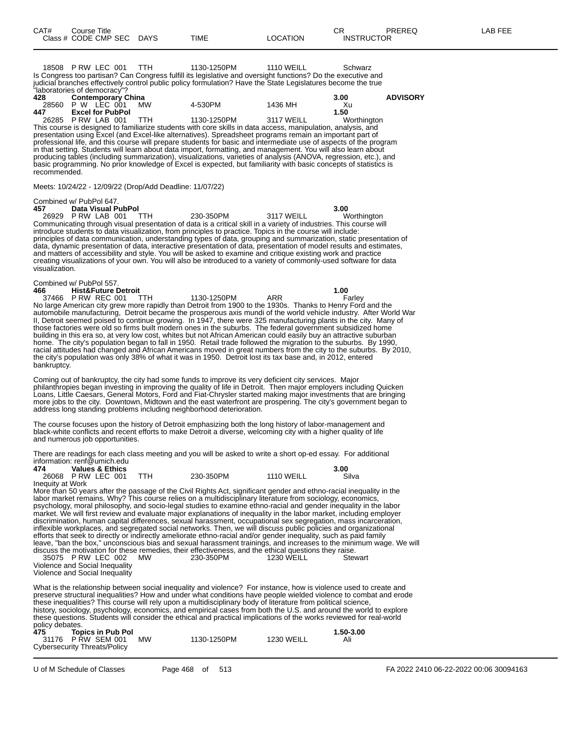18508 P RW LEC 001 TTH 1130-1250PM 1110 WEILL Schwarz Is Congress too partisan? Can Congress fulfill its legislative and oversight functions? Do the executive and judicial branches effectively control public policy formulation? Have the State Legislatures become the true "laboratories of democracy"?

| 428 | <b>Contemporary China</b> |     |             |            | 3.00        | <b>ADVISORY</b> |
|-----|---------------------------|-----|-------------|------------|-------------|-----------------|
|     | 28560 P W LEC 001         | MW  | 4-530PM     | 1436 MH    | Χu          |                 |
| 447 | <b>Excel for PubPol</b>   |     |             |            | 1.50        |                 |
|     | 26285 PRW LAB 001         | TTH | 1130-1250PM | 3117 WEILL | Worthington |                 |

This course is designed to familiarize students with core skills in data access, manipulation, analysis, and presentation using Excel (and Excel-like alternatives). Spreadsheet programs remain an important part of professional life, and this course will prepare students for basic and intermediate use of aspects of the program in that setting. Students will learn about data import, formatting, and management. You will also learn about producing tables (including summarization), visualizations, varieties of analysis (ANOVA, regression, etc.), and basic programming. No prior knowledge of Excel is expected, but familiarity with basic concepts of statistics is recommended.

Meets: 10/24/22 - 12/09/22 (Drop/Add Deadline: 11/07/22)

#### Combined w/ PubPol 647.

**457 Data Visual PubPol 3.00** 26929 P RW LAB 001 TTH 230-350PM 3117 WEILL Worthington Communicating through visual presentation of data is a critical skill in a variety of industries. This course will introduce students to data visualization, from principles to practice. Topics in the course will include: principles of data communication, understanding types of data, grouping and summarization, static presentation of data, dynamic presentation of data, interactive presentation of data, presentation of model results and estimates, and matters of accessibility and style. You will be asked to examine and critique existing work and practice creating visualizations of your own. You will also be introduced to a variety of commonly-used software for data visualization.

|             | Combined w/ PubPol 557. |  |             |     |                                                                                                                    |  |
|-------------|-------------------------|--|-------------|-----|--------------------------------------------------------------------------------------------------------------------|--|
|             | 466 Hist&Future Detroit |  |             |     | 1.00                                                                                                               |  |
|             | 37466 PRW REC 001 TTH   |  | 1130-1250PM | ARR | Farley                                                                                                             |  |
|             |                         |  |             |     | No large American city grew more rapidly than Detroit from 1900 to the 1930s. Thanks to Henry Ford and the         |  |
|             |                         |  |             |     | automobile manufacturing. Detroit became the prosperous axis mundi of the world vehicle industry. After World War  |  |
|             |                         |  |             |     | II, Detroit seemed poised to continue growing. In 1947, there were 325 manufacturing plants in the city. Many of   |  |
|             |                         |  |             |     | those factories were old so firms built modern ones in the suburbs. The federal government subsidized home         |  |
|             |                         |  |             |     | building in this era so, at very low cost, whites but not African American could easily buy an attractive suburban |  |
|             |                         |  |             |     | home. The city's population began to fall in 1950. Retail trade followed the migration to the suburbs. By 1990,    |  |
|             |                         |  |             |     | racial attitudes had changed and African Americans moved in great numbers from the city to the suburbs. By 2010,   |  |
|             |                         |  |             |     | the city's population was only 38% of what it was in 1950. Detroit lost its tax base and, in 2012, entered         |  |
| bankruptcy. |                         |  |             |     |                                                                                                                    |  |
|             |                         |  |             |     |                                                                                                                    |  |

Coming out of bankruptcy, the city had some funds to improve its very deficient city services. Major philanthropies began investing in improving the quality of life in Detroit. Then major employers including Quicken Loans, Little Caesars, General Motors, Ford and Fiat-Chrysler started making major investments that are bringing more jobs to the city. Downtown, Midtown and the east waterfront are prospering. The city's government began to address long standing problems including neighborhood deterioration.

The course focuses upon the history of Detroit emphasizing both the long history of labor-management and black-white conflicts and recent efforts to make Detroit a diverse, welcoming city with a higher quality of life and numerous job opportunities.

There are readings for each class meeting and you will be asked to write a short op-ed essay. For additional information: renf@umich.edu

| 474              | <b>Values &amp; Ethics</b> |           |                   | 3.00  |
|------------------|----------------------------|-----------|-------------------|-------|
|                  | 26068 P RW LEC 001         | 230-350PM | <b>1110 WEILL</b> | Silva |
| Inequity at Work |                            |           |                   |       |

More than 50 years after the passage of the Civil Rights Act, significant gender and ethno-racial inequality in the labor market remains. Why? This course relies on a multidisciplinary literature from sociology, economics, psychology, moral philosophy, and socio-legal studies to examine ethno-racial and gender inequality in the labor market. We will first review and evaluate major explanations of inequality in the labor market, including employer discrimination, human capital differences, sexual harassment, occupational sex segregation, mass incarceration, inflexible workplaces, and segregated social networks. Then, we will discuss public policies and organizational efforts that seek to directly or indirectly ameliorate ethno-racial and/or gender inequality, such as paid family leave, "ban the box," unconscious bias and sexual harassment trainings, and increases to the minimum wage. We will discuss the motivation for these remedies, their effectiveness, and the ethical questions they raise. 35075 P RW LEC 002 MW 230-350PM 1230 WEILL Stewart Violence and Social Inequality

Violence and Social Inequality

What is the relationship between social inequality and violence? For instance, how is violence used to create and preserve structural inequalities? How and under what conditions have people wielded violence to combat and erode these inequalities? This course will rely upon a multidisciplinary body of literature from political science, history, sociology, psychology, economics, and empirical cases from both the U.S. and around the world to explore these questions. Students will consider the ethical and practical implications of the works reviewed for real-world policy debates.

| 475 | <b>Topics in Pub Pol</b>     |           |             |            | 1.50-3.00 |
|-----|------------------------------|-----------|-------------|------------|-----------|
|     | 31176 PRW SEM 001            | <b>MW</b> | 1130-1250PM | 1230 WEILL | Ali       |
|     | Cybersecurity Threats/Policy |           |             |            |           |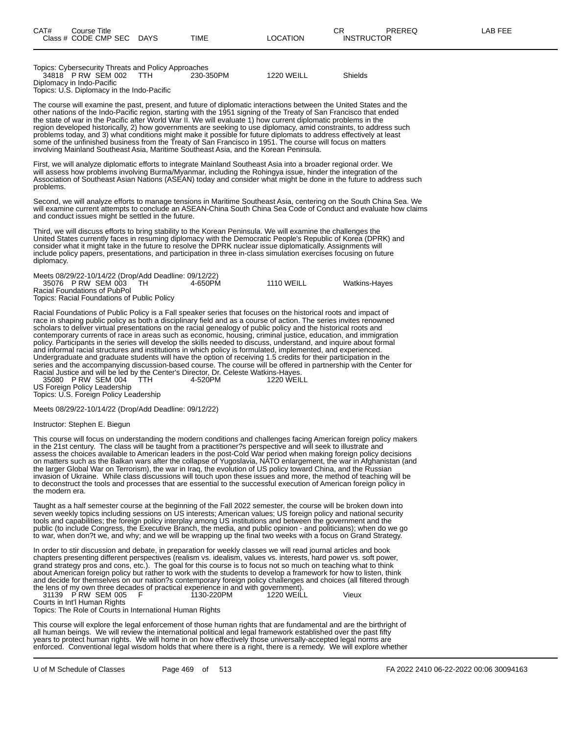| Topics: Cybersecurity Threats and Policy Approaches |           |                   |                |
|-----------------------------------------------------|-----------|-------------------|----------------|
| 34818 PRW SEM 002<br>TTH.                           | 230-350PM | <b>1220 WEILL</b> | <b>Shields</b> |
| Diplomacy in Indo-Pacific                           |           |                   |                |
| Topics: U.S. Diplomacy in the Indo-Pacific          |           |                   |                |

The course will examine the past, present, and future of diplomatic interactions between the United States and the other nations of the Indo-Pacific region, starting with the 1951 signing of the Treaty of San Francisco that ended the state of war in the Pacific after World War II. We will evaluate 1) how current diplomatic problems in the region developed historically, 2) how governments are seeking to use diplomacy, amid constraints, to address such problems today, and 3) what conditions might make it possible for future diplomats to address effectively at least some of the unfinished business from the Treaty of San Francisco in 1951. The course will focus on matters involving Mainland Southeast Asia, Maritime Southeast Asia, and the Korean Peninsula.

First, we will analyze diplomatic efforts to integrate Mainland Southeast Asia into a broader regional order. We will assess how problems involving Burma/Myanmar, including the Rohingya issue, hinder the integration of the Association of Southeast Asian Nations (ASEAN) today and consider what might be done in the future to address such problems.

Second, we will analyze efforts to manage tensions in Maritime Southeast Asia, centering on the South China Sea. We will examine current attempts to conclude an ASEAN-China South China Sea Code of Conduct and evaluate how claims and conduct issues might be settled in the future.

Third, we will discuss efforts to bring stability to the Korean Peninsula. We will examine the challenges the United States currently faces in resuming diplomacy with the Democratic People's Republic of Korea (DPRK) and consider what it might take in the future to resolve the DPRK nuclear issue diplomatically. Assignments will include policy papers, presentations, and participation in three in-class simulation exercises focusing on future diplomacy.

Meets 08/29/22-10/14/22 (Drop/Add Deadline: 09/12/22) 35076 P RW SEM 003 TH 4-650PM 1110 WEILL Watkins-Hayes Racial Foundations of PubPol Topics: Racial Foundations of Public Policy

Racial Foundations of Public Policy is a Fall speaker series that focuses on the historical roots and impact of race in shaping public policy as both a disciplinary field and as a course of action. The series invites renowned scholars to deliver virtual presentations on the racial genealogy of public policy and the historical roots and contemporary currents of race in areas such as economic, housing, criminal justice, education, and immigration policy. Participants in the series will develop the skills needed to discuss, understand, and inquire about formal and informal racial structures and institutions in which policy is formulated, implemented, and experienced. Undergraduate and graduate students will have the option of receiving 1.5 credits for their participation in the series and the accompanying discussion-based course. The course will be offered in partnership with the Center for Racial Justice and will be led by the Center's Director, Dr. Celeste Watkins-Hayes.

35080 P RW SEM 004 TTH 4-520PM 1220 WEILL US Foreign Policy Leadership

Topics: U.S. Foreign Policy Leadership

Meets 08/29/22-10/14/22 (Drop/Add Deadline: 09/12/22)

Instructor: Stephen E. Biegun

This course will focus on understanding the modern conditions and challenges facing American foreign policy makers in the 21st century. The class will be taught from a practitioner?s perspective and will seek to illustrate and assess the choices available to American leaders in the post-Cold War period when making foreign policy decisions on matters such as the Balkan wars after the collapse of Yugoslavia, NATO enlargement, the war in Afghanistan (and the larger Global War on Terrorism), the war in Iraq, the evolution of US policy toward China, and the Russian invasion of Ukraine. While class discussions will touch upon these issues and more, the method of teaching will be to deconstruct the tools and processes that are essential to the successful execution of American foreign policy in the modern era.

Taught as a half semester course at the beginning of the Fall 2022 semester, the course will be broken down into seven weekly topics including sessions on US interests; American values; US foreign policy and national security tools and capabilities; the foreign policy interplay among US institutions and between the government and the public (to include Congress, the Executive Branch, the media, and public opinion - and politicians); when do we go to war, when don?t we, and why; and we will be wrapping up the final two weeks with a focus on Grand Strategy.

In order to stir discussion and debate, in preparation for weekly classes we will read journal articles and book chapters presenting different perspectives (realism vs. idealism, values vs. interests, hard power vs. soft power, grand strategy pros and cons, etc.). The goal for this course is to focus not so much on teaching what to think about American foreign policy but rather to work with the students to develop a framework for how to listen, think and decide for themselves on our nation?s contemporary foreign policy challenges and choices (all filtered through the lens of my own three decades of practical experience in and with government).<br>31139 P RW SEM 005 F 1130-220PM 1220 WEILL

31139 P RW SEM 005 F 1130-220PM 11220 WEILL Vieux

Courts in Int'l Human Rights Topics: The Role of Courts in International Human Rights

This course will explore the legal enforcement of those human rights that are fundamental and are the birthright of all human beings. We will review the international political and legal framework established over the past fifty years to protect human rights. We will home in on how effectively those universally-accepted legal norms are enforced. Conventional legal wisdom holds that where there is a right, there is a remedy. We will explore whether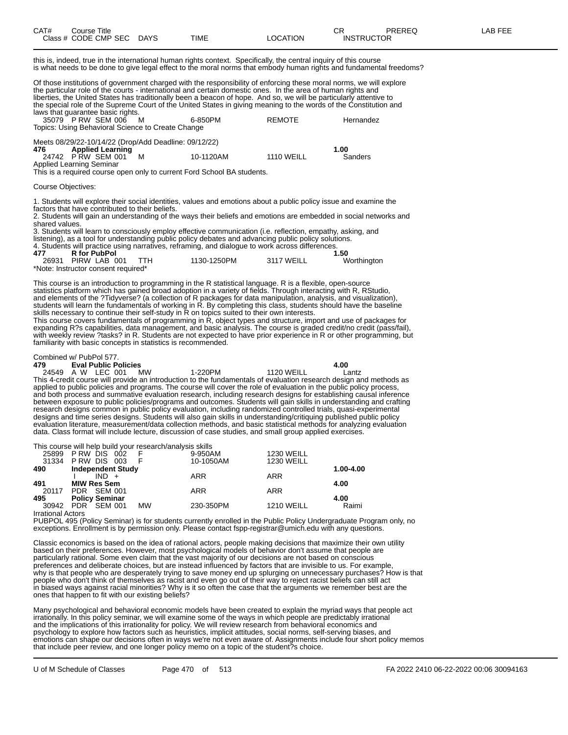| CAT# | Course Title         |             |      |          | СR                | PREREQ | _AB FEE |
|------|----------------------|-------------|------|----------|-------------------|--------|---------|
|      | Class # CODE CMP SEC | <b>DAYS</b> | TIME | LOCATION | <b>INSTRUCTOR</b> |        |         |

this is, indeed, true in the international human rights context. Specifically, the central inquiry of this course is what needs to be done to give legal effect to the moral norms that embody human rights and fundamental freedoms?

Of those institutions of government charged with the responsibility of enforcing these moral norms, we will explore the particular role of the courts - international and certain domestic ones. In the area of human rights and liberties, the United States has traditionally been a beacon of hope. And so, we will be particularly attentive to the special role of the Supreme Court of the United States in giving meaning to the words of the Constitution and laws that quarantee basic rights.

| rano mai guarantee baoie righter.<br>35079 P RW SEM 006 M<br>Topics: Using Behavioral Science to Create Change |                         | 6-850PM   | <b>REMOTE</b>     | Hernandez |
|----------------------------------------------------------------------------------------------------------------|-------------------------|-----------|-------------------|-----------|
| Meets 08/29/22-10/14/22 (Drop/Add Deadline: 09/12/22)<br>476                                                   | <b>Applied Learning</b> |           |                   | 1.00      |
| 24742 PRW SEM 001<br>Applied Learning Seminar                                                                  |                         | 10-1120AM | <b>1110 WEILL</b> | Sanders   |

This is a required course open only to current Ford School BA students.

#### Course Objectives:

1. Students will explore their social identities, values and emotions about a public policy issue and examine the factors that have contributed to their beliefs.

2. Students will gain an understanding of the ways their beliefs and emotions are embedded in social networks and shared values.

3. Students will learn to consciously employ effective communication (i.e. reflection, empathy, asking, and listening), as a tool for understanding public policy debates and advancing public policy solutions. 4. Students will practice using narratives, reframing, and dialogue to work across differences. **477 R for PubPol 1.50** PIRW LAB 001

This course is an introduction to programming in the R statistical language. R is a flexible, open-source statistics platform which has gained broad adoption in a variety of fields. Through interacting with R, RStudio, and elements of the ?Tidyverse? (a collection of R packages for data manipulation, analysis, and visualization), students will learn the fundamentals of working in R. By completing this class, students should have the baseline

skills necessary to continue their self-study in R on topics suited to their own interests. This course covers fundamentals of programming in R, object types and structure, import and use of packages for expanding R?s capabilities, data management, and basic analysis. The course is graded credit/no credit (pass/fail), with weekly review ?tasks? in R. Students are not expected to have prior experience in R or other programming, but familiarity with basic concepts in statistics is recommended.

## Combined w/ PubPol 577.<br>479 **Eval Public Policies**

\*Note: Instructor consent required\*

**479 Eval Public Policies 4.00** 24549 A W LEC 001 MW 1-220PM 1120 WEILL Lantz This 4-credit course will provide an introduction to the fundamentals of evaluation research design and methods as applied to public policies and programs. The course will cover the role of evaluation in the public policy process, and both process and summative evaluation research, including research designs for establishing causal inference between exposure to public policies/programs and outcomes. Students will gain skills in understanding and crafting research designs common in public policy evaluation, including randomized controlled trials, quasi-experimental designs and time series designs. Students will also gain skills in understanding/critiquing published public policy evaluation literature, measurement/data collection methods, and basic statistical methods for analyzing evaluation data. Class format will include lecture, discussion of case studies, and small group applied exercises.

This course will help build your research/analysis skills

|                          | 25899 PRW DIS 002        |           | 9-950AM    | <b>1230 WEILL</b> |           |
|--------------------------|--------------------------|-----------|------------|-------------------|-----------|
|                          | 31334 PRW DIS 003        | - F       | 10-1050AM  | <b>1230 WEILL</b> |           |
| 490                      | <b>Independent Study</b> |           |            |                   | 1.00-4.00 |
|                          | $IND +$                  |           | <b>ARR</b> | ARR               |           |
| 491                      | <b>MIW Res Sem</b>       |           |            |                   | 4.00      |
|                          | 20117 PDR SEM 001        |           | <b>ARR</b> | ARR               |           |
| 495                      | <b>Policy Seminar</b>    |           |            |                   | 4.00      |
|                          | 30942 PDR SEM 001        | <b>MW</b> | 230-350PM  | <b>1210 WEILL</b> | Raimi     |
| <b>Irrational Actors</b> |                          |           |            |                   |           |

PUBPOL 495 (Policy Seminar) is for students currently enrolled in the Public Policy Undergraduate Program only, no exceptions. Enrollment is by permission only. Please contact fspp-registrar@umich.edu with any questions.

Classic economics is based on the idea of rational actors, people making decisions that maximize their own utility based on their preferences. However, most psychological models of behavior don't assume that people are particularly rational. Some even claim that the vast majority of our decisions are not based on conscious preferences and deliberate choices, but are instead influenced by factors that are invisible to us. For example, why is that people who are desperately trying to save money end up splurging on unnecessary purchases? How is that people who don't think of themselves as racist and even go out of their way to reject racist beliefs can still act in biased ways against racial minorities? Why is it so often the case that the arguments we remember best are the ones that happen to fit with our existing beliefs?

Many psychological and behavioral economic models have been created to explain the myriad ways that people act irrationally. In this policy seminar, we will examine some of the ways in which people are predictably irrational and the implications of this irrationality for policy. We will review research from behavioral economics and psychology to explore how factors such as heuristics, implicit attitudes, social norms, self-serving biases, and emotions can shape our decisions often in ways we're not even aware of. Assignments include four short policy memos that include peer review, and one longer policy memo on a topic of the student?s choice.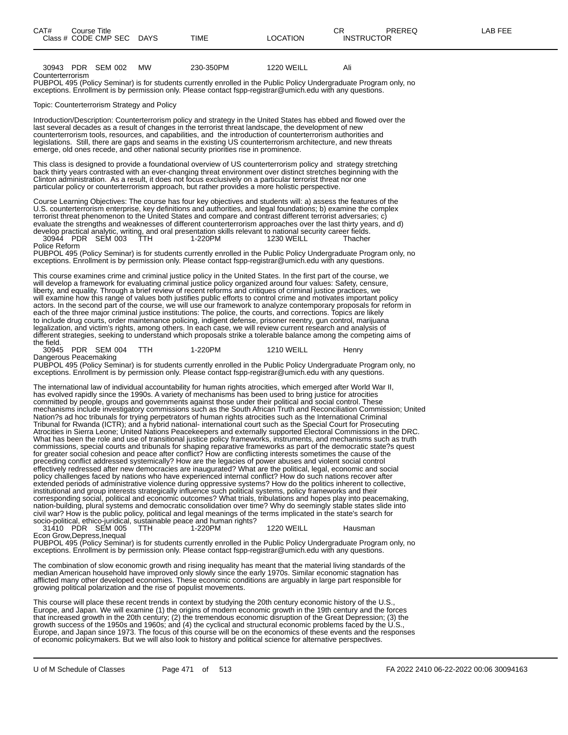| CAT# | Course Title<br>Class # CODE CMP SEC DAYS | TIME | LOCATION | rη<br>◡⊓<br><b>INSTRUCTOR</b> | PREREQ | LAB FEE |
|------|-------------------------------------------|------|----------|-------------------------------|--------|---------|
|      |                                           |      |          |                               |        |         |

|                  | 30943 PDR SEM 002 | мw | 230-350PM | 1220 WEILL | Ali |
|------------------|-------------------|----|-----------|------------|-----|
| Counterterrorism |                   |    |           |            |     |

PUBPOL 495 (Policy Seminar) is for students currently enrolled in the Public Policy Undergraduate Program only, no exceptions. Enrollment is by permission only. Please contact fspp-registrar@umich.edu with any questions.

Topic: Counterterrorism Strategy and Policy

Introduction/Description: Counterterrorism policy and strategy in the United States has ebbed and flowed over the last several decades as a result of changes in the terrorist threat landscape, the development of new counterterrorism tools, resources, and capabilities, and the introduction of counterterrorism authorities and legislations. Still, there are gaps and seams in the existing US counterterrorism architecture, and new threats emerge, old ones recede, and other national security priorities rise in prominence.

This class is designed to provide a foundational overview of US counterterrorism policy and strategy stretching back thirty years contrasted with an ever-changing threat environment over distinct stretches beginning with the Clinton administration. As a result, it does not focus exclusively on a particular terrorist threat nor one particular policy or counterterrorism approach, but rather provides a more holistic perspective.

Course Learning Objectives: The course has four key objectives and students will: a) assess the features of the U.S. counterterrorism enterprise, key definitions and authorities, and legal foundations; b) examine the complex terrorist threat phenomenon to the United States and compare and contrast different terrorist adversaries; c) evaluate the strengths and weaknesses of different counterterrorism approaches over the last thirty years, and d) develop practical analytic, writing, and oral presentation skills relevant to national security career fields. 30944 PDR SEM 003 TTH 1-220PM 1230 WEILL Thacher 30944 PDR SEM 003<br>Police Reform

PUBPOL 495 (Policy Seminar) is for students currently enrolled in the Public Policy Undergraduate Program only, no exceptions. Enrollment is by permission only. Please contact fspp-registrar@umich.edu with any questions.

This course examines crime and criminal justice policy in the United States. In the first part of the course, we will develop a framework for evaluating criminal justice policy organized around four values: Safety, censure, liberty, and equality. Through a brief review of recent reforms and critiques of criminal justice practices, we will examine how this range of values both justifies public efforts to control crime and motivates important policy actors. In the second part of the course, we will use our framework to analyze contemporary proposals for reform in each of the three major criminal justice institutions: The police, the courts, and corrections. Topics are likely to include drug courts, order maintenance policing, indigent defense, prisoner reentry, gun control, marijuana legalization, and victim's rights, among others. In each case, we will review current research and analysis of different strategies, seeking to understand which proposals strike a tolerable balance among the competing aims of the field.<br>30945

PDR SEM 004 TTH 1-220PM 1210 WEILL Henry Dangerous Peacemaking

PUBPOL 495 (Policy Seminar) is for students currently enrolled in the Public Policy Undergraduate Program only, no exceptions. Enrollment is by permission only. Please contact fspp-registrar@umich.edu with any questions.

The international law of individual accountability for human rights atrocities, which emerged after World War II, has evolved rapidly since the 1990s. A variety of mechanisms has been used to bring justice for atrocities committed by people, groups and governments against those under their political and social control. These mechanisms include investigatory commissions such as the South African Truth and Reconciliation Commission; United Nation?s ad hoc tribunals for trying perpetrators of human rights atrocities such as the International Criminal Tribunal for Rwanda (ICTR); and a hybrid national- international court such as the Special Court for Prosecuting Atrocities in Sierra Leone; United Nations Peacekeepers and externally supported Electoral Commissions in the DRC. What has been the role and use of transitional justice policy frameworks, instruments, and mechanisms such as truth commissions, special courts and tribunals for shaping reparative frameworks as part of the democratic state?s quest for greater social cohesion and peace after conflict? How are conflicting interests sometimes the cause of the preceding conflict addressed systemically? How are the legacies of power abuses and violent social control effectively redressed after new democracies are inaugurated? What are the political, legal, economic and social policy challenges faced by nations who have experienced internal conflict? How do such nations recover after extended periods of administrative violence during oppressive systems? How do the politics inherent to collective, institutional and group interests strategically influence such political systems, policy frameworks and their corresponding social, political and economic outcomes? What trials, tribulations and hopes play into peacemaking, nation-building, plural systems and democratic consolidation over time? Why do seemingly stable states slide into civil war? How is the public policy, political and legal meanings of the terms implicated in the state's search for socio-political, ethico-juridical, sustainable peace and human rights?

31410 PDR SEM 005 TTH 1-220PM 1220 WEILL Hausman

Econ Grow,Depress,Inequal PUBPOL 495 (Policy Seminar) is for students currently enrolled in the Public Policy Undergraduate Program only, no exceptions. Enrollment is by permission only. Please contact fspp-registrar@umich.edu with any questions.

The combination of slow economic growth and rising inequality has meant that the material living standards of the median American household have improved only slowly since the early 1970s. Similar economic stagnation has afflicted many other developed economies. These economic conditions are arguably in large part responsible for growing political polarization and the rise of populist movements.

This course will place these recent trends in context by studying the 20th century economic history of the U.S., Europe, and Japan. We will examine (1) the origins of modern economic growth in the 19th century and the forces that increased growth in the 20th century; (2) the tremendous economic disruption of the Great Depression; (3) the growth success of the 1950s and 1960s; and (4) the cyclical and structural economic problems faced by the U.S., Europe, and Japan since 1973. The focus of this course will be on the economics of these events and the responses of economic policymakers. But we will also look to history and political science for alternative perspectives.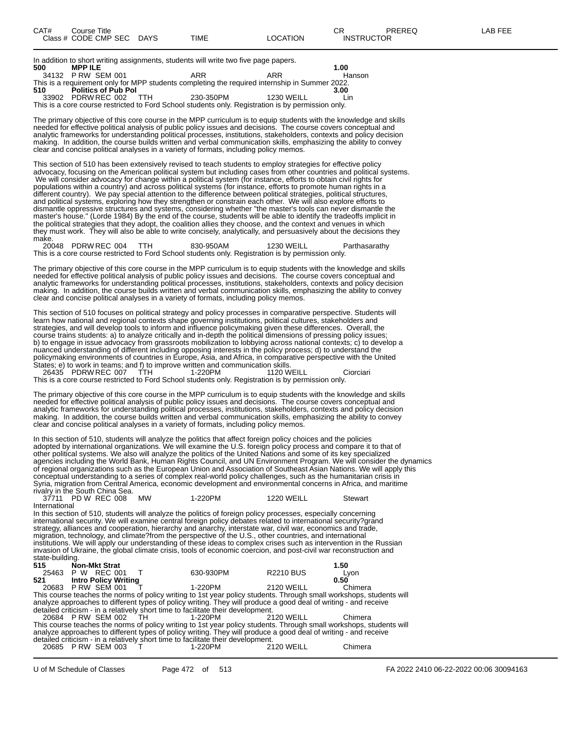In addition to short writing assignments, students will write two five page papers.

|     | in addition to short whilling assignments, students will write two five page papers. |  |                                                                                                    |            |        |  |  |  |
|-----|--------------------------------------------------------------------------------------|--|----------------------------------------------------------------------------------------------------|------------|--------|--|--|--|
| 500 | <b>MPP ILE</b>                                                                       |  |                                                                                                    |            | 1.00   |  |  |  |
|     | 34132 PRW SEM 001                                                                    |  | ARR                                                                                                | ARR        | Hanson |  |  |  |
|     |                                                                                      |  | This is a requirement only for MPP students completing the required internship in Summer 2022.     |            |        |  |  |  |
| 510 | <b>Politics of Pub Pol</b>                                                           |  |                                                                                                    |            | 3.00   |  |  |  |
|     | 33902 PDRW REC 002 TTH                                                               |  | 230-350PM                                                                                          | 1230 WEILL | l in   |  |  |  |
|     |                                                                                      |  | This is a core course restricted to Ford School students only. Registration is by permission only. |            |        |  |  |  |

The primary objective of this core course in the MPP curriculum is to equip students with the knowledge and skills needed for effective political analysis of public policy issues and decisions. The course covers conceptual and analytic frameworks for understanding political processes, institutions, stakeholders, contexts and policy decision making. In addition, the course builds written and verbal communication skills, emphasizing the ability to convey clear and concise political analyses in a variety of formats, including policy memos.

This section of 510 has been extensively revised to teach students to employ strategies for effective policy advocacy, focusing on the American political system but including cases from other countries and political systems. We will consider advocacy for change within a political system (for instance, efforts to obtain civil rights for populations within a country) and across political systems (for instance, efforts to promote human rights in a different country). We pay special attention to the difference between political strategies, political structures, and political systems, exploring how they strengthen or constrain each other. We will also explore efforts to dismantle oppressive structures and systems, considering whether "the master's tools can never dismantle the master's house." (Lorde 1984) By the end of the course, students will be able to identify the tradeoffs implicit in the political strategies that they adopt, the coalition allies they choose, and the context and venues in which they must work. They will also be able to write concisely, analytically, and persuasively about the decisions they make.<br>20048 PDRWREC 004 TTH

20048 PDRW REC 004 TTH 830-950AM 1230 WEILL Parthasarathy This is a core course restricted to Ford School students only. Registration is by permission only.

The primary objective of this core course in the MPP curriculum is to equip students with the knowledge and skills needed for effective political analysis of public policy issues and decisions. The course covers conceptual and analytic frameworks for understanding political processes, institutions, stakeholders, contexts and policy decision making. In addition, the course builds written and verbal communication skills, emphasizing the ability to convey clear and concise political analyses in a variety of formats, including policy memos.

This section of 510 focuses on political strategy and policy processes in comparative perspective. Students will learn how national and regional contexts shape governing institutions, political cultures, stakeholders and strategies, and will develop tools to inform and influence policymaking given these differences. Overall, the course trains students: a) to analyze critically and in-depth the political dimensions of pressing policy issues; b) to engage in issue advocacy from grassroots mobilization to lobbying across national contexts; c) to develop a nuanced understanding of different including opposing interests in the policy process; d) to understand the policymaking environments of countries in Europe, Asia, and Africa, in comparative perspective with the United States; e) to work in teams; and f) to improve written and communication skills.

26435 PDRW REC 007 TTH 1-220PM 1120 WEILL Ciorciari This is a core course restricted to Ford School students only. Registration is by permission only.

The primary objective of this core course in the MPP curriculum is to equip students with the knowledge and skills needed for effective political analysis of public policy issues and decisions. The course covers conceptual and analytic frameworks for understanding political processes, institutions, stakeholders, contexts and policy decision making. In addition, the course builds written and verbal communication skills, emphasizing the ability to convey clear and concise political analyses in a variety of formats, including policy memos.

In this section of 510, students will analyze the politics that affect foreign policy choices and the policies adopted by international organizations. We will examine the U.S. foreign policy process and compare it to that of other political systems. We also will analyze the politics of the United Nations and some of its key specialized agencies including the World Bank, Human Rights Council, and UN Environment Program. We will consider the dynamics of regional organizations such as the European Union and Association of Southeast Asian Nations. We will apply this conceptual understanding to a series of complex real-world policy challenges, such as the humanitarian crisis in Syria, migration from Central America, economic development and environmental concerns in Africa, and maritime rivalry in the South China Sea.

| PD W REC 008<br>37711 | <b>MW</b> | 1-220PM | 1220 WEILL | Stewart |
|-----------------------|-----------|---------|------------|---------|
| International         |           |         |            |         |

In this section of 510, students will analyze the politics of foreign policy processes, especially concerning international security. We will examine central foreign policy debates related to international security?grand strategy, alliances and cooperation, hierarchy and anarchy, interstate war, civil war, economics and trade, migration, technology, and climate?from the perspective of the U.S., other countries, and international institutions. We will apply our understanding of these ideas to complex crises such as intervention in the Russian invasion of Ukraine, the global climate crisis, tools of economic coercion, and post-civil war reconstruction and state-building.<br>515 No **515 Non-Mkt Strat 1.50** 25463 P W REC 001 T 630-930PM R2210 BUS Lyon **521 Intro Policy Writing 0.50** 20683 P RW SEM 001 T 1-220PM 2120 WEILL Chimera This course teaches the norms of policy writing to 1st year policy students. Through small workshops, students will analyze approaches to different types of policy writing. They will produce a good deal of writing - and receive detailed criticism - in a relatively short time to facilitate their development. 20684 P RW SEM 002 TH 1-220PM 2120 WEILL Chimera This course teaches the norms of policy writing to 1st year policy students. Through small workshops, students will

analyze approaches to different types of policy writing. They will produce a good deal of writing - and receive detailed criticism - in a relatively short time to facilitate their development. 20685 P RW SEM 003 T 1-220PM 2120 WEILL Chimera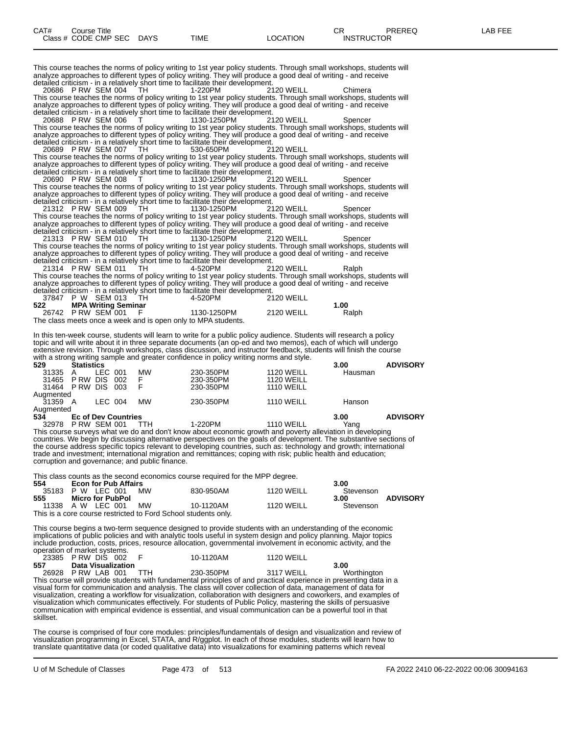This course teaches the norms of policy writing to 1st year policy students. Through small workshops, students will analyze approaches to different types of policy writing. They will produce a good deal of writing - and receive detailed criticism - in a relatively short time to facilitate their development.

20686 P RW SEM 004 TH 1-220PM 2120 WEILL Chimera This course teaches the norms of policy writing to 1st year policy students. Through small workshops, students will analyze approaches to different types of policy writing. They will produce a good deal of writing - and receive detailed criticism - in a relatively short time to facilitate their development.

20688 P RW SEM 006 T 1130-1250PM 2120 WEILL Spencer This course teaches the norms of policy writing to 1st year policy students. Through small workshops, students will analyze approaches to different types of policy writing. They will produce a good deal of writing - and receive detailed criticism - in a relatively short time to facilitate their development.

20689 P RW SEM 007 TH 530-650PM 2120 WEILL This course teaches the norms of policy writing to 1st year policy students. Through small workshops, students will analyze approaches to different types of policy writing. They will produce a good deal of writing - and receive detailed criticism - in a relatively short time to facilitate their development.

20690 P RW SEM 008 T 1130-1250PM 2120 WEILL Spencer This course teaches the norms of policy writing to 1st year policy students. Through small workshops, students will analyze approaches to different types of policy writing. They will produce a good deal of writing - and receive detailed criticism - in a relatively short time to facilitate their development.

21312 P RW SEM 009 TH 1130-1250PM 2120 WEILL Spencer This course teaches the norms of policy writing to 1st year policy students. Through small workshops, students will analyze approaches to different types of policy writing. They will produce a good deal of writing - and receive detailed criticism - in a relatively short time to facilitate their development.

21313 P RW SEM 010 TH 1130-1250PM 2120 WEILL Spencer This course teaches the norms of policy writing to 1st year policy students. Through small workshops, students will analyze approaches to different types of policy writing. They will produce a good deal of writing - and receive detailed criticism - in a relatively short time to facilitate their development.

21314 P RW SEM 011 TH 4-520PM 2120 WEILL Ralph This course teaches the norms of policy writing to 1st year policy students. Through small workshops, students will analyze approaches to different types of policy writing. They will produce a good deal of writing - and receive detailed criticism - in a relatively short time to facilitate their development.

|     | 37847 P W SEM 013 TH                                         | 4-520PM     | <b>2120 WEILL</b> |       |
|-----|--------------------------------------------------------------|-------------|-------------------|-------|
| 522 | <b>MPA Writing Seminar</b>                                   |             |                   | 1.00  |
|     | 26742 PRW SEM 001 F                                          | 1130-1250PM | <b>2120 WEILL</b> | Ralph |
|     | The class meets once a week and is onen only to MPA students |             |                   |       |

is meets once a week and is open only to MPA students.

In this ten-week course, students will learn to write for a public policy audience. Students will research a policy topic and will write about it in three separate documents (an op-ed and two memos), each of which will undergo extensive revision. Through workshops, class discussion, and instructor feedback, students will finish the course with a strong writing sample and greater confidence in policy writing norms and style.

| 529       | <b>Statistics</b>          |         |     |           |           |                   | 3.00    | <b>ADVISORY</b> |
|-----------|----------------------------|---------|-----|-----------|-----------|-------------------|---------|-----------------|
| 31335     |                            | LEC 001 |     | <b>MW</b> | 230-350PM | <b>1120 WEILL</b> | Hausman |                 |
| 31465     | P RW                       | DIS     | 002 | F         | 230-350PM | <b>1120 WEILL</b> |         |                 |
| 31464     | PRW DIS 003                |         |     | F         | 230-350PM | <b>1110 WEILL</b> |         |                 |
| Auamented |                            |         |     |           |           |                   |         |                 |
| 31359 A   |                            | LEC 004 |     | <b>MW</b> | 230-350PM | <b>1110 WEILL</b> | Hanson  |                 |
| Augmented |                            |         |     |           |           |                   |         |                 |
| 534       | <b>Ec of Dev Countries</b> |         |     |           |           |                   | 3.00    | <b>ADVISORY</b> |
| 32978     | PRW SFM 001                |         |     |           | 1-220PM   | 1110 WFILL        | Yang    |                 |

This course surveys what we do and don't know about economic growth and poverty alleviation in developing countries. We begin by discussing alternative perspectives on the goals of development. The substantive sections of the course address specific topics relevant to developing countries, such as: technology and growth; international trade and investment; international migration and remittances; coping with risk; public health and education; corruption and governance; and public finance.

This class counts as the second economics course required for the MPP degree.

| 554   | <b>Econ for Pub Affairs</b>                                    |    |           |                   | 3.00      |                 |
|-------|----------------------------------------------------------------|----|-----------|-------------------|-----------|-----------------|
| 35183 | P W LEC 001                                                    | MW | 830-950AM | <b>1120 WEILL</b> | Stevenson |                 |
| 555   | Micro for PubPol                                               |    |           |                   | 3.00      | <b>ADVISORY</b> |
|       | 11338 A W LEC 001                                              | MW | 10-1120AM | <b>1120 WEILL</b> | Stevenson |                 |
|       | This is a core course restricted to Ford School students only. |    |           |                   |           |                 |

This course begins a two-term sequence designed to provide students with an understanding of the economic implications of public policies and with analytic tools useful in system design and policy planning. Major topics include production, costs, prices, resource allocation, governmental involvement in economic activity, and the operation of market systems.

|     | 23385 PRW DIS 002 F    | 10-1120AM | <b>1120 WEILL</b> |             |
|-----|------------------------|-----------|-------------------|-------------|
| 557 | Data Visualization     |           |                   | 3.00        |
|     | 26928 P RW LAB 001 TTH | 230-350PM | 3117 WEILL        | Worthington |

This course will provide students with fundamental principles of and practical experience in presenting data in a visual form for communication and analysis. The class will cover collection of data, management of data for visualization, creating a workflow for visualization, collaboration with designers and coworkers, and examples of visualization which communicates effectively. For students of Public Policy, mastering the skills of persuasive communication with empirical evidence is essential, and visual communication can be a powerful tool in that skillset.

The course is comprised of four core modules: principles/fundamentals of design and visualization and review of visualization programming in Excel, STATA, and R/ggplot. In each of those modules, students will learn how to translate quantitative data (or coded qualitative data) into visualizations for examining patterns which reveal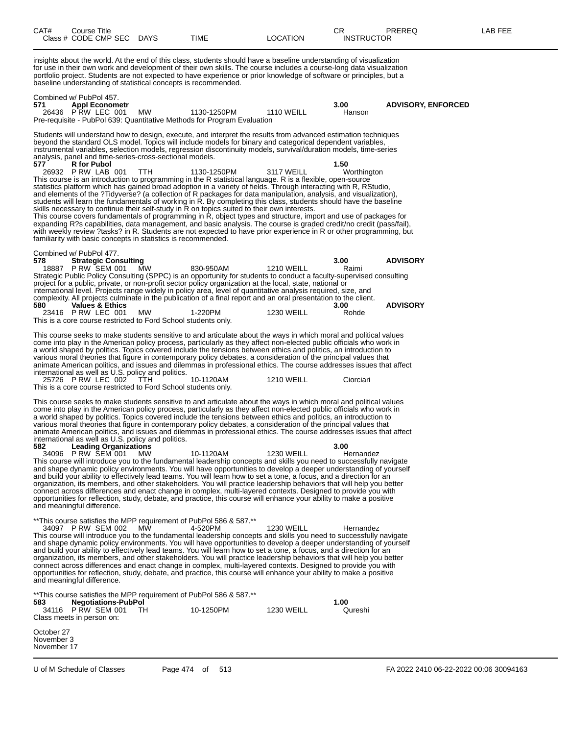| CAT#<br>Class # CODE CMP SEC DAYS                                                 |  | Course Title       |                                                           |                                                                 | TIME                                                                                                                                                                                                                                                                                                                                                                                                                                                                                                                                                                                                                                                                                                                                                                                                                                                                                                                                                                                                                                                                                                                                                                                                                                                                                                                                                                     | <b>LOCATION</b>                        | CR.<br><b>INSTRUCTOR</b>       | PREREQ                             | LAB FEE |
|-----------------------------------------------------------------------------------|--|--------------------|-----------------------------------------------------------|-----------------------------------------------------------------|--------------------------------------------------------------------------------------------------------------------------------------------------------------------------------------------------------------------------------------------------------------------------------------------------------------------------------------------------------------------------------------------------------------------------------------------------------------------------------------------------------------------------------------------------------------------------------------------------------------------------------------------------------------------------------------------------------------------------------------------------------------------------------------------------------------------------------------------------------------------------------------------------------------------------------------------------------------------------------------------------------------------------------------------------------------------------------------------------------------------------------------------------------------------------------------------------------------------------------------------------------------------------------------------------------------------------------------------------------------------------|----------------------------------------|--------------------------------|------------------------------------|---------|
|                                                                                   |  |                    |                                                           |                                                                 | insights about the world. At the end of this class, students should have a baseline understanding of visualization<br>for use in their own work and development of their own skills. The course includes a course-long data visualization<br>portfolio project. Students are not expected to have experience or prior knowledge of software or principles, but a<br>baseline understanding of statistical concepts is recommended.                                                                                                                                                                                                                                                                                                                                                                                                                                                                                                                                                                                                                                                                                                                                                                                                                                                                                                                                       |                                        |                                |                                    |         |
| Combined w/ PubPol 457.<br>571<br>26436 P RW LEC 001                              |  |                    | <b>Appl Econometr</b>                                     | МW                                                              | 1130-1250PM<br>Pre-requisite - PubPol 639: Quantitative Methods for Program Evaluation                                                                                                                                                                                                                                                                                                                                                                                                                                                                                                                                                                                                                                                                                                                                                                                                                                                                                                                                                                                                                                                                                                                                                                                                                                                                                   | <b>1110 WEILL</b>                      | 3.00<br>Hanson                 | <b>ADVISORY, ENFORCED</b>          |         |
| 577<br>26932 P RW LAB 001                                                         |  | <b>R</b> for Pubol |                                                           | analysis, panel and time-series-cross-sectional models.<br>TTH. | Students will understand how to design, execute, and interpret the results from advanced estimation techniques<br>beyond the standard OLS model. Topics will include models for binary and categorical dependent variables,<br>instrumental variables, selection models, regression discontinuity models, survival/duration models, time-series<br>1130-1250PM<br>This course is an introduction to programming in the R statistical language. R is a flexible, open-source<br>statistics platform which has gained broad adoption in a variety of fields. Through interacting with R, RStudio,<br>and elements of the ?Tidyverse? (a collection of R packages for data manipulation, analysis, and visualization),<br>students will learn the fundamentals of working in R. By completing this class, students should have the baseline<br>skills necessary to continue their self-study in R on topics suited to their own interests.<br>This course covers fundamentals of programming in R, object types and structure, import and use of packages for<br>expanding R?s capabilities, data management, and basic analysis. The course is graded credit/no credit (pass/fail),<br>with weekly review ?tasks? in R. Students are not expected to have prior experience in R or other programming, but<br>familiarity with basic concepts in statistics is recommended. | 3117 WEILL                             | 1.50<br>Worthington            |                                    |         |
| Combined w/ PubPol 477.<br>578<br>18887 P RW SEM 001<br>580<br>23416 P RW LEC 001 |  |                    | <b>Strategic Consulting</b><br><b>Values &amp; Ethics</b> | MW<br>MW                                                        | 830-950AM<br>Strategic Public Policy Consulting (SPPC) is an opportunity for students to conduct a faculty-supervised consulting<br>project for a public, private, or non-profit sector policy organization at the local, state, national or<br>international level. Projects range widely in policy area, level of quantitative analysis required, size, and<br>complexity. All projects culminate in the publication of a final report and an oral presentation to the client.<br>1-220PM<br>This is a core course restricted to Ford School students only.                                                                                                                                                                                                                                                                                                                                                                                                                                                                                                                                                                                                                                                                                                                                                                                                            | <b>1210 WEILL</b><br><b>1230 WEILL</b> | 3.00<br>Raimi<br>3.00<br>Rohde | <b>ADVISORY</b><br><b>ADVISORY</b> |         |
| 25726 PRW LEC 002                                                                 |  |                    |                                                           | international as well as U.S. policy and politics.<br>TTH       | This course seeks to make students sensitive to and articulate about the ways in which moral and political values<br>come into play in the American policy process, particularly as they affect non-elected public officials who work in<br>a world shaped by politics. Topics covered include the tensions between ethics and politics, an introduction to<br>various moral theories that figure in contemporary policy debates, a consideration of the principal values that<br>animate American politics, and issues and dilemmas in professional ethics. The course addresses issues that affect<br>10-1120AM<br>This is a core course restricted to Ford School students only.                                                                                                                                                                                                                                                                                                                                                                                                                                                                                                                                                                                                                                                                                      | <b>1210 WEILL</b>                      | Ciorciari                      |                                    |         |
| 582<br>34096 PRW SEM 001<br>and meaningful difference.                            |  |                    | <b>Leading Organizations</b>                              | international as well as U.S. policy and politics.<br>MW        | This course seeks to make students sensitive to and articulate about the ways in which moral and political values<br>come into play in the American policy process, particularly as they affect non-elected public officials who work in<br>a world shaped by politics. Topics covered include the tensions between ethics and politics, an introduction to<br>various moral theories that figure in contemporary policy debates, a consideration of the principal values that<br>animate American politics, and issues and dilemmas in professional ethics. The course addresses issues that affect<br>10-1120AM<br>This course will introduce you to the fundamental leadership concepts and skills you need to successfully navigate<br>and shape dynamic policy environments. You will have opportunities to develop a deeper understanding of yourself<br>and build your ability to effectively lead teams. You will learn how to set a tone, a focus, and a direction for an<br>organization, its members, and other stakeholders. You will practice leadership behaviors that will help you better<br>connect across differences and enact change in complex, multi-layered contexts. Designed to provide you with<br>opportunities for reflection, study, debate, and practice, this course will enhance your ability to make a positive                         | <b>1230 WEILL</b>                      | 3.00<br>Hernandez              |                                    |         |
| 34097 P RW SEM 002<br>and meaningful difference.                                  |  |                    |                                                           | MW.                                                             | **This course satisfies the MPP requirement of PubPol 586 & 587.**<br>4-520PM<br>This course will introduce you to the fundamental leadership concepts and skills you need to successfully navigate<br>and shape dynamic policy environments. You will have opportunities to develop a deeper understanding of yourself<br>and build your ability to effectively lead teams. You will learn how to set a tone, a focus, and a direction for an<br>organization, its members, and other stakeholders. You will practice leadership behaviors that will help you better<br>connect across differences and enact change in complex, multi-layered contexts. Designed to provide you with<br>opportunities for reflection, study, debate, and practice, this course will enhance your ability to make a positive                                                                                                                                                                                                                                                                                                                                                                                                                                                                                                                                                             | <b>1230 WEILL</b>                      | Hernandez                      |                                    |         |
| 583<br>34116 P RW SEM 001<br>Class meets in person on:                            |  |                    | <b>Negotiations-PubPol</b>                                | TH.                                                             | **This course satisfies the MPP requirement of PubPol 586 & 587.**<br>10-1250PM                                                                                                                                                                                                                                                                                                                                                                                                                                                                                                                                                                                                                                                                                                                                                                                                                                                                                                                                                                                                                                                                                                                                                                                                                                                                                          | <b>1230 WEILL</b>                      | 1.00<br>Qureshi                |                                    |         |
| October 27<br>November 3<br>November 17                                           |  |                    |                                                           |                                                                 |                                                                                                                                                                                                                                                                                                                                                                                                                                                                                                                                                                                                                                                                                                                                                                                                                                                                                                                                                                                                                                                                                                                                                                                                                                                                                                                                                                          |                                        |                                |                                    |         |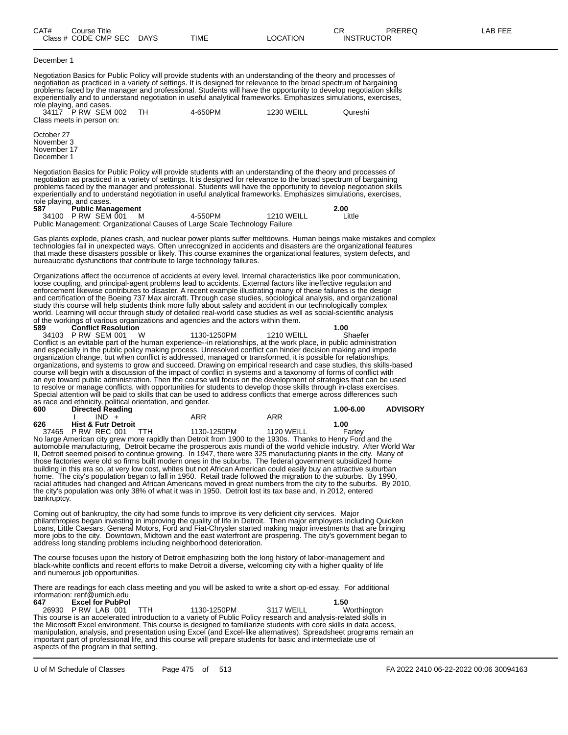| CAT#                                                  | Course Title<br>Class # CODE CMP SEC DAYS                                                                               |            | TIME                                                                                                                                                                                                                                                                                                                                                                                                                                                                                                                                                                                                                                                                                                                                                                                                                                                                                                                                                                              | <b>LOCATION</b>   | CR<br><b>INSTRUCTOR</b> | PREREQ                                 | LAB FEE |
|-------------------------------------------------------|-------------------------------------------------------------------------------------------------------------------------|------------|-----------------------------------------------------------------------------------------------------------------------------------------------------------------------------------------------------------------------------------------------------------------------------------------------------------------------------------------------------------------------------------------------------------------------------------------------------------------------------------------------------------------------------------------------------------------------------------------------------------------------------------------------------------------------------------------------------------------------------------------------------------------------------------------------------------------------------------------------------------------------------------------------------------------------------------------------------------------------------------|-------------------|-------------------------|----------------------------------------|---------|
| December 1                                            |                                                                                                                         |            |                                                                                                                                                                                                                                                                                                                                                                                                                                                                                                                                                                                                                                                                                                                                                                                                                                                                                                                                                                                   |                   |                         |                                        |         |
|                                                       | role playing, and cases.<br>34117 P RW SEM 002<br>Class meets in person on:                                             | TH         | Negotiation Basics for Public Policy will provide students with an understanding of the theory and processes of<br>negotiation as practiced in a variety of settings. It is designed for relevance to the broad spectrum of bargaining<br>problems faced by the manager and professional. Students will have the opportunity to develop negotiation skills<br>experientially and to understand negotiation in useful analytical frameworks. Emphasizes simulations, exercises,<br>4-650PM                                                                                                                                                                                                                                                                                                                                                                                                                                                                                         | 1230 WEILL        | Qureshi                 |                                        |         |
| October 27<br>November 3<br>November 17<br>December 1 |                                                                                                                         |            |                                                                                                                                                                                                                                                                                                                                                                                                                                                                                                                                                                                                                                                                                                                                                                                                                                                                                                                                                                                   |                   |                         |                                        |         |
| 587                                                   | role playing, and cases.<br><b>Public Management</b><br>34100 PRW SEM 001                                               | M          | Negotiation Basics for Public Policy will provide students with an understanding of the theory and processes of<br>negotiation as practiced in a variety of settings. It is designed for relevance to the broad spectrum of bargaining<br>problems faced by the manager and professional. Students will have the opportunity to develop negotiation skills<br>experientially and to understand negotiation in useful analytical frameworks. Emphasizes simulations, exercises,<br>4-550PM                                                                                                                                                                                                                                                                                                                                                                                                                                                                                         | <b>1210 WEILL</b> | 2.00<br>Little          |                                        |         |
|                                                       |                                                                                                                         |            | Public Management: Organizational Causes of Large Scale Technology Failure                                                                                                                                                                                                                                                                                                                                                                                                                                                                                                                                                                                                                                                                                                                                                                                                                                                                                                        |                   |                         |                                        |         |
|                                                       |                                                                                                                         |            | Gas plants explode, planes crash, and nuclear power plants suffer meltdowns. Human beings make mistakes and complex<br>technologies fail in unexpected ways. Often unrecognized in accidents and disasters are the organizational features<br>that made these disasters possible or likely. This course examines the organizational features, system defects, and<br>bureaucratic dysfunctions that contribute to large technology failures.                                                                                                                                                                                                                                                                                                                                                                                                                                                                                                                                      |                   |                         |                                        |         |
| 589                                                   | <b>Conflict Resolution</b>                                                                                              |            | Organizations affect the occurrence of accidents at every level. Internal characteristics like poor communication,<br>loose coupling, and principal-agent problems lead to accidents. External factors like ineffective regulation and<br>enforcement likewise contributes to disaster. A recent example illustrating many of these failures is the design<br>and certification of the Boeing 737 Max aircraft. Through case studies, sociological analysis, and organizational<br>study this course will help students think more fully about safety and accident in our technologically complex<br>world. Learning will occur through study of detailed real-world case studies as well as social-scientific analysis<br>of the workings of various organizations and agencies and the actors within them.                                                                                                                                                                      |                   | 1.00                    |                                        |         |
| 600                                                   | 34103 P RW SEM 001<br>as race and ethnicity, political orientation, and gender.<br><b>Directed Reading</b>              | W          | 1130-1250PM<br>Conflict is an evitable part of the human experience--in relationships, at the work place, in public administration<br>and especially in the public policy making process. Unresolved conflict can hinder decision making and impede<br>organization change, but when conflict is addressed, managed or transformed, it is possible for relationships,<br>organizations, and systems to grow and succeed. Drawing on empirical research and case studies, this skills-based<br>course will begin with a discussion of the impact of conflict in systems and a taxonomy of forms of conflict with<br>an eye toward public administration. Then the course will focus on the development of strategies that can be used<br>to resolve or manage conflicts, with opportunities for students to develop those skills through in-class exercises.<br>Special attention will be paid to skills that can be used to address conflicts that emerge across differences such | <b>1210 WEILL</b> | Shaefer<br>1.00-6.00    | <b>ADVISORY</b>                        |         |
| 626                                                   | $IND +$<br><b>Hist &amp; Futr Detroit</b>                                                                               |            | ARR                                                                                                                                                                                                                                                                                                                                                                                                                                                                                                                                                                                                                                                                                                                                                                                                                                                                                                                                                                               | ARR               | 1.00                    |                                        |         |
| bankruptcy.                                           | 37465 P RW REC 001                                                                                                      | TTH.       | 1130-1250PM<br>No large American city grew more rapidly than Detroit from 1900 to the 1930s. Thanks to Henry Ford and the<br>automobile manufacturing, Detroit became the prosperous axis mundi of the world vehicle industry. After World War<br>II, Detroit seemed poised to continue growing. In 1947, there were 325 manufacturing plants in the city. Many of<br>those factories were old so firms built modern ones in the suburbs. The federal government subsidized home<br>building in this era so, at very low cost, whites but not African American could easily buy an attractive suburban<br>home. The city's population began to fall in 1950. Retail trade followed the migration to the suburbs. By 1990,<br>racial attitudes had changed and African Americans moved in great numbers from the city to the suburbs. By 2010,<br>the city's population was only 38% of what it was in 1950. Detroit lost its tax base and, in 2012, entered                       | <b>1120 WEILL</b> | Farley                  |                                        |         |
|                                                       |                                                                                                                         |            | Coming out of bankruptcy, the city had some funds to improve its very deficient city services. Major<br>philanthropies began investing in improving the quality of life in Detroit. Then major employers including Quicken<br>Loans, Little Caesars, General Motors, Ford and Fiat-Chrysler started making major investments that are bringing<br>more jobs to the city. Downtown, Midtown and the east waterfront are prospering. The city's government began to<br>address long standing problems including neighborhood deterioration.                                                                                                                                                                                                                                                                                                                                                                                                                                         |                   |                         |                                        |         |
|                                                       | and numerous job opportunities.                                                                                         |            | The course focuses upon the history of Detroit emphasizing both the long history of labor-management and<br>black-white conflicts and recent efforts to make Detroit a diverse, welcoming city with a higher quality of life                                                                                                                                                                                                                                                                                                                                                                                                                                                                                                                                                                                                                                                                                                                                                      |                   |                         |                                        |         |
| 647                                                   | information: renf@umich.edu<br><b>Excel for PubPol</b><br>26930 P RW LAB 001<br>aspects of the program in that setting. | <b>TTH</b> | There are readings for each class meeting and you will be asked to write a short op-ed essay. For additional<br>1130-1250PM<br>This course is an accelerated introduction to a variety of Public Policy research and analysis-related skills in<br>the Microsoft Excel environment. This course is designed to familiarize students with core skills in data access,<br>manipulation, analysis, and presentation using Excel (and Excel-like alternatives). Spreadsheet programs remain an<br>important part of professional life, and this course will prepare students for basic and intermediate use of                                                                                                                                                                                                                                                                                                                                                                        | 3117 WEILL        | 1.50<br>Worthington     |                                        |         |
|                                                       | U of M Schedule of Classes                                                                                              |            | Page 475 of 513                                                                                                                                                                                                                                                                                                                                                                                                                                                                                                                                                                                                                                                                                                                                                                                                                                                                                                                                                                   |                   |                         | FA 2022 2410 06-22-2022 00:06 30094163 |         |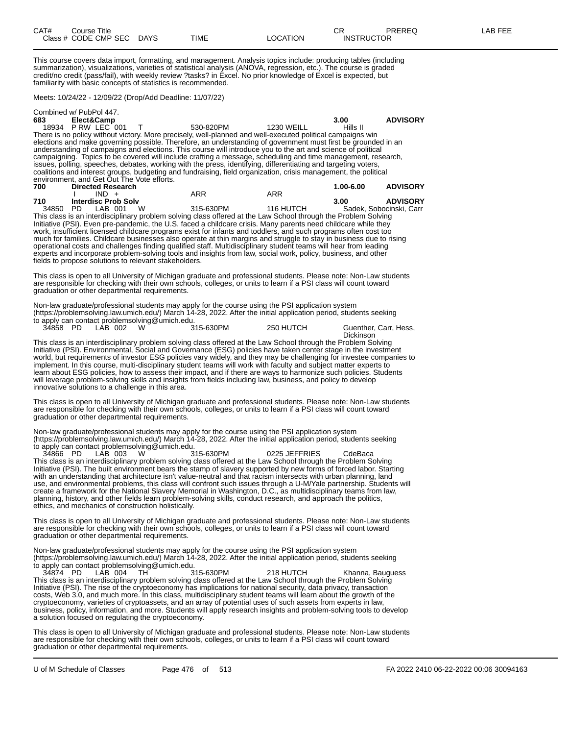This course covers data import, formatting, and management. Analysis topics include: producing tables (including summarization), visualizations, varieties of statistical analysis (ANOVA, regression, etc.). The course is graded credit/no credit (pass/fail), with weekly review ?tasks? in Excel. No prior knowledge of Excel is expected, but familiarity with basic concepts of statistics is recommended.

Meets: 10/24/22 - 12/09/22 (Drop/Add Deadline: 11/07/22)

|          | Combined w/ PubPol 447.                    |           |                                                                                                                 |           |                 |
|----------|--------------------------------------------|-----------|-----------------------------------------------------------------------------------------------------------------|-----------|-----------------|
| 683 — 10 | Elect&Camp                                 |           |                                                                                                                 | 3.00      | <b>ADVISORY</b> |
|          | 18934 PRW LEC 001                          | 530-820PM | <b>1230 WEILL</b>                                                                                               | Hills II  |                 |
|          |                                            |           | There is no policy without victory. More precisely, well-planned and well-executed political campaigns win      |           |                 |
|          |                                            |           | elections and make governing possible. Therefore, an understanding of government must first be grounded in an   |           |                 |
|          |                                            |           | understanding of campaigns and elections. This course will introduce you to the art and science of political    |           |                 |
|          |                                            |           | campaigning. Topics to be covered will include crafting a message, scheduling and time management, research,    |           |                 |
|          |                                            |           | issues, polling, speeches, debates, working with the press, identifying, differentiating and targeting voters,  |           |                 |
|          |                                            |           | coalitions and interest groups, budgeting and fundraising, field organization, crisis management, the political |           |                 |
|          | environment, and Get Out The Vote efforts. |           |                                                                                                                 |           |                 |
| 700      | <b>Directed Research</b>                   |           |                                                                                                                 | 1.00-6.00 | <b>ADVISORY</b> |

| 1 V V | President Research         |          |                                                                                                                     |           | vv-v.vv                 | <b>ADVIUVILI</b> |
|-------|----------------------------|----------|---------------------------------------------------------------------------------------------------------------------|-----------|-------------------------|------------------|
|       | $IND +$                    |          | ARR                                                                                                                 | ARR       |                         |                  |
| 710   | <b>Interdisc Prob Solv</b> |          |                                                                                                                     |           | 3.00                    | <b>ADVISORY</b>  |
| 34850 | PD LAB 001                 | <b>W</b> | 315-630PM                                                                                                           | 116 HUTCH | Sadek, Sobocinski, Carr |                  |
|       |                            |          | This class is an interdisciplinary problem solving class offered at the Law School through the Problem Solving      |           |                         |                  |
|       |                            |          | Initiative (PSI). Even pre-pandemic, the U.S. faced a childcare crisis. Many parents need childcare while they      |           |                         |                  |
|       |                            |          | work, insufficient licensed childcare programs exist for infants and toddlers, and such programs often cost too     |           |                         |                  |
|       |                            |          | much for families. Childcare businesses also operate at thin margins and struggle to stay in business due to rising |           |                         |                  |

much for families. Childcare businesses also operate at thin margins and struggle to stay in business due to rising operational costs and challenges finding qualified staff. Multidisciplinary student teams will hear from leading experts and incorporate problem-solving tools and insights from law, social work, policy, business, and other fields to propose solutions to relevant stakeholders.

This class is open to all University of Michigan graduate and professional students. Please note: Non-Law students are responsible for checking with their own schools, colleges, or units to learn if a PSI class will count toward graduation or other departmental requirements.

Non-law graduate/professional students may apply for the course using the PSI application system (https://problemsolving.law.umich.edu/) March 14-28, 2022. After the initial application period, students seeking to apply can contact problemsolving  $@$  umich.edu.

|  | 34858 PD LAB 002 | 315-630PM | 250 HUTC |
|--|------------------|-----------|----------|
|  |                  |           |          |

**Dickinson** This class is an interdisciplinary problem solving class offered at the Law School through the Problem Solving Initiative (PSI). Environmental, Social and Governance (ESG) policies have taken center stage in the investment world, but requirements of investor ESG policies vary widely, and they may be challenging for investee companies to implement. In this course, multi-disciplinary student teams will work with faculty and subject matter experts to learn about ESG policies, how to assess their impact, and if there are ways to harmonize such policies. Students will leverage problem-solving skills and insights from fields including law, business, and policy to develop innovative solutions to a challenge in this area.

This class is open to all University of Michigan graduate and professional students. Please note: Non-Law students are responsible for checking with their own schools, colleges, or units to learn if a PSI class will count toward graduation or other departmental requirements.

Non-law graduate/professional students may apply for the course using the PSI application system (https://problemsolving.law.umich.edu/) March 14-28, 2022. After the initial application period, students seeking to apply can contact problemsolving@umich.edu.

34866 PD LAB 003 W 315-630PM 0225 JEFFRIES CdeBaca This class is an interdisciplinary problem solving class offered at the Law School through the Problem Solving Initiative (PSI). The built environment bears the stamp of slavery supported by new forms of forced labor. Starting with an understanding that architecture isn't value-neutral and that racism intersects with urban planning, land use, and environmental problems, this class will confront such issues through a U-M/Yale partnership. Students will create a framework for the National Slavery Memorial in Washington, D.C., as multidisciplinary teams from law, planning, history, and other fields learn problem-solving skills, conduct research, and approach the politics, ethics, and mechanics of construction holistically.

This class is open to all University of Michigan graduate and professional students. Please note: Non-Law students are responsible for checking with their own schools, colleges, or units to learn if a PSI class will count toward graduation or other departmental requirements.

Non-law graduate/professional students may apply for the course using the PSI application system (https://problemsolving.law.umich.edu/) March 14-28, 2022. After the initial application period, students seeking to apply can contact problemsolving@umich.edu.<br>34874 PD LAB 004 TH 315-630PM

34874 PD LAB 004 TH 315-630PM 218 HUTCH Khanna, Bauguess This class is an interdisciplinary problem solving class offered at the Law School through the Problem Solving Initiative (PSI). The rise of the cryptoeconomy has implications for national security, data privacy, transaction costs, Web 3.0, and much more. In this class, multidisciplinary student teams will learn about the growth of the cryptoeconomy, varieties of cryptoassets, and an array of potential uses of such assets from experts in law, business, policy, information, and more. Students will apply research insights and problem-solving tools to develop a solution focused on regulating the cryptoeconomy.

This class is open to all University of Michigan graduate and professional students. Please note: Non-Law students are responsible for checking with their own schools, colleges, or units to learn if a PSI class will count toward graduation or other departmental requirements.

Guenther, Carr, Hess,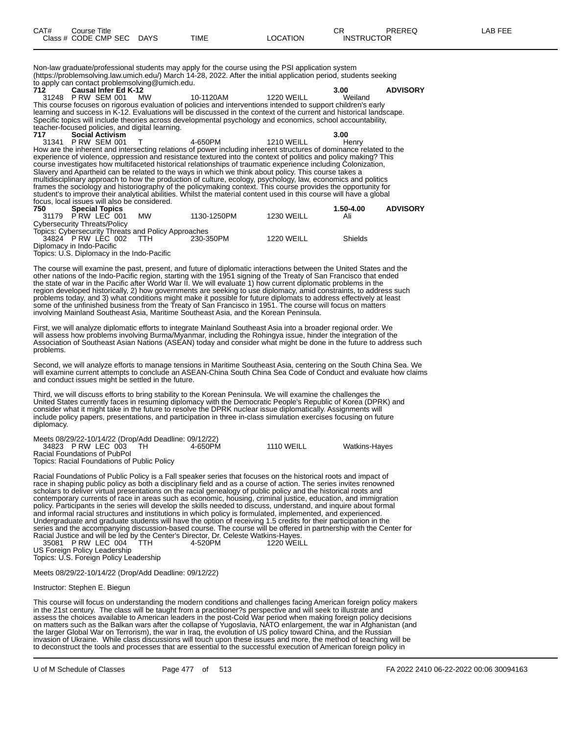| CAT# | Course Title              |             |          | ∼г<br>◡┍          | PREREQ | LAB FEE |
|------|---------------------------|-------------|----------|-------------------|--------|---------|
|      | Class # CODE CMP SEC DAYS | <b>TIME</b> | LOCATION | <b>INSTRUCTOR</b> |        |         |

Non-law graduate/professional students may apply for the course using the PSI application system (https://problemsolving.law.umich.edu/) March 14-28, 2022. After the initial application period, students seeking to apply can contact problemsolving@umich.edu.

**712 Causal Infer Ed K-12 3.00 ADVISORY** 31248 P RW SEM 001 MW 10-1120AM 1220 WEILL Weiland This course focuses on rigorous evaluation of policies and interventions intended to support children's early learning and success in K-12. Evaluations will be discussed in the context of the current and historical landscape. Specific topics will include theories across developmental psychology and economics, school accountability, teacher-focused policies, and digital learning. **717 Social Activism 3.00** 31341 P RW SEM 001 T 4-650PM 1210 WEILL Henry How are the inherent and intersecting relations of power including inherent structures of dominance related to the experience of violence, oppression and resistance textured into the context of politics and policy making? This course investigates how multifaceted historical relationships of traumatic experience including Colonization, Slavery and Apartheid can be related to the ways in which we think about policy. This course takes a multidisciplinary approach to how the production of culture, ecology, psychology, law, economics and politics frames the sociology and historiography of the policymaking context. This course provides the opportunity for student's to improve their analytical abilities. Whilst the material content used in this course will have a global focus, local issues will also be considered.

| 750 | <b>Special Topics</b>                               |            |             |                   | 1.50-4.00 | <b>ADVISORY</b> |
|-----|-----------------------------------------------------|------------|-------------|-------------------|-----------|-----------------|
|     | 31179 PRW LEC 001                                   | <b>MW</b>  | 1130-1250PM | <b>1230 WEILL</b> | Ali       |                 |
|     | Cybersecurity Threats/Policy                        |            |             |                   |           |                 |
|     | Topics: Cybersecurity Threats and Policy Approaches |            |             |                   |           |                 |
|     | 34824 P RW LEC 002                                  | <b>TTH</b> | 230-350PM   | 1220 WEILL        | Shields   |                 |
|     | Diplomacy in Indo-Pacific                           |            |             |                   |           |                 |
|     | Topico: LLC, Diplomagy in the Inde Depitio          |            |             |                   |           |                 |

Topics: U.S. Diplomacy in the Indo-Pacific

The course will examine the past, present, and future of diplomatic interactions between the United States and the other nations of the Indo-Pacific region, starting with the 1951 signing of the Treaty of San Francisco that ended the state of war in the Pacific after World War II. We will evaluate 1) how current diplomatic problems in the region developed historically, 2) how governments are seeking to use diplomacy, amid constraints, to address such problems today, and 3) what conditions might make it possible for future diplomats to address effectively at least some of the unfinished business from the Treaty of San Francisco in 1951. The course will focus on matters involving Mainland Southeast Asia, Maritime Southeast Asia, and the Korean Peninsula.

First, we will analyze diplomatic efforts to integrate Mainland Southeast Asia into a broader regional order. We will assess how problems involving Burma/Myanmar, including the Rohingya issue, hinder the integration of the Association of Southeast Asian Nations (ASEAN) today and consider what might be done in the future to address such problems.

Second, we will analyze efforts to manage tensions in Maritime Southeast Asia, centering on the South China Sea. We will examine current attempts to conclude an ASEAN-China South China Sea Code of Conduct and evaluate how claims and conduct issues might be settled in the future.

Third, we will discuss efforts to bring stability to the Korean Peninsula. We will examine the challenges the United States currently faces in resuming diplomacy with the Democratic People's Republic of Korea (DPRK) and consider what it might take in the future to resolve the DPRK nuclear issue diplomatically. Assignments will include policy papers, presentations, and participation in three in-class simulation exercises focusing on future diplomacy.

| Meets 08/29/22-10/14/22 (Drop/Add Deadline: 09/12/22) |         |                   |                      |
|-------------------------------------------------------|---------|-------------------|----------------------|
| 34823 PRW LEC 003                                     | 4-650PM | <b>1110 WEILL</b> | <b>Watkins-Hayes</b> |
| Racial Foundations of PubPol                          |         |                   |                      |
| Topics: Racial Foundations of Public Policy           |         |                   |                      |

Racial Foundations of Public Policy is a Fall speaker series that focuses on the historical roots and impact of race in shaping public policy as both a disciplinary field and as a course of action. The series invites renowned scholars to deliver virtual presentations on the racial genealogy of public policy and the historical roots and contemporary currents of race in areas such as economic, housing, criminal justice, education, and immigration policy. Participants in the series will develop the skills needed to discuss, understand, and inquire about formal and informal racial structures and institutions in which policy is formulated, implemented, and experienced. Undergraduate and graduate students will have the option of receiving 1.5 credits for their participation in the series and the accompanying discussion-based course. The course will be offered in partnership with the Center for Racial Justice and will be led by the Center's Director, Dr. Celeste Watkins-Hayes. 35081 P RW LEC 004 TTH 4-520PM 1220 WEILL

US Foreign Policy Leadership

Topics: U.S. Foreign Policy Leadership

Meets 08/29/22-10/14/22 (Drop/Add Deadline: 09/12/22)

Instructor: Stephen E. Biegun

This course will focus on understanding the modern conditions and challenges facing American foreign policy makers in the 21st century. The class will be taught from a practitioner?s perspective and will seek to illustrate and assess the choices available to American leaders in the post-Cold War period when making foreign policy decisions on matters such as the Balkan wars after the collapse of Yugoslavia, NATO enlargement, the war in Afghanistan (and the larger Global War on Terrorism), the war in Iraq, the evolution of US policy toward China, and the Russian invasion of Ukraine. While class discussions will touch upon these issues and more, the method of teaching will be to deconstruct the tools and processes that are essential to the successful execution of American foreign policy in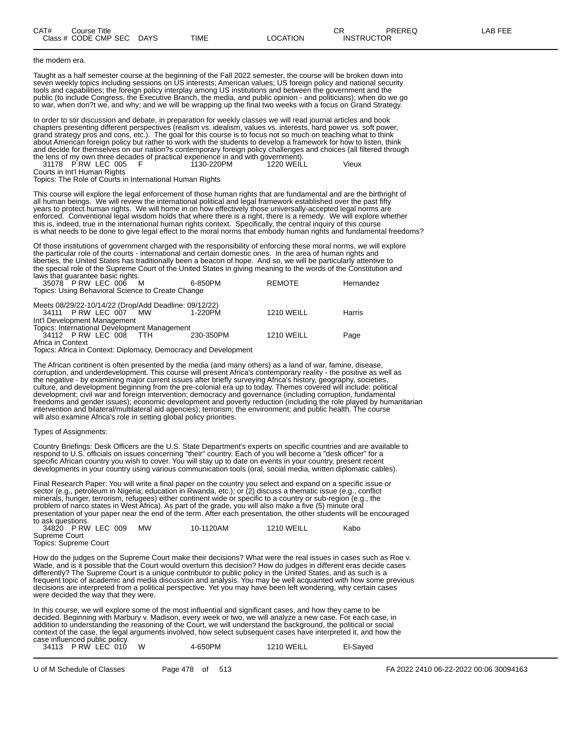### the modern era.

Taught as a half semester course at the beginning of the Fall 2022 semester, the course will be broken down into seven weekly topics including sessions on US interests; American values; US foreign policy and national security tools and capabilities; the foreign policy interplay among US institutions and between the government and the public (to include Congress, the Executive Branch, the media, and public opinion - and politicians); when do we go to war, when don?t we, and why; and we will be wrapping up the final two weeks with a focus on Grand Strategy.

In order to stir discussion and debate, in preparation for weekly classes we will read journal articles and book chapters presenting different perspectives (realism vs. idealism, values vs. interests, hard power vs. soft power, grand strategy pros and cons, etc.). The goal for this course is to focus not so much on teaching what to think about American foreign policy but rather to work with the students to develop a framework for how to listen, think and decide for themselves on our nation?s contemporary foreign policy challenges and choices (all filtered through the lens of my own three decades of practical experience in and with government).

31178 P RW LEC 005 F 1130-220PM 1220 WEILL Vieux Courts in Int'l Human Rights

Topics: The Role of Courts in International Human Rights

This course will explore the legal enforcement of those human rights that are fundamental and are the birthright of all human beings. We will review the international political and legal framework established over the past fifty years to protect human rights. We will home in on how effectively those universally-accepted legal norms are enforced. Conventional legal wisdom holds that where there is a right, there is a remedy. We will explore whether this is, indeed, true in the international human rights context. Specifically, the central inquiry of this course is what needs to be done to give legal effect to the moral norms that embody human rights and fundamental freedoms?

Of those institutions of government charged with the responsibility of enforcing these moral norms, we will explore the particular role of the courts - international and certain domestic ones. In the area of human rights and liberties, the United States has traditionally been a beacon of hope. And so, we will be particularly attentive to the special role of the Supreme Court of the United States in giving meaning to the words of the Constitution and laws that guarantee basic rights.

| 35078 P RW LEC 006 M<br>Topics: Using Behavioral Science to Create Change                                      | 6-850PM   | <b>REMOTE</b>     | Hernandez |  |  |  |  |
|----------------------------------------------------------------------------------------------------------------|-----------|-------------------|-----------|--|--|--|--|
| Meets 08/29/22-10/14/22 (Drop/Add Deadline: 09/12/22)<br>34111 P RW LEC 007 MW<br>Int'l Development Management | 1-220PM   | <b>1210 WEILL</b> | Harris    |  |  |  |  |
| Topics: International Development Management                                                                   |           |                   |           |  |  |  |  |
| 34112 P RW LEC 008<br>TTH.                                                                                     | 230-350PM | <b>1210 WEILL</b> | Page      |  |  |  |  |

Africa in Context

Topics: Africa in Context: Diplomacy, Democracy and Development

The African continent is often presented by the media (and many others) as a land of war, famine, disease, corruption, and underdevelopment. This course will present Africa's contemporary reality - the positive as well as the negative - by examining major current issues after briefly surveying Africa's history, geography, societies, culture, and development beginning from the pre-colonial era up to today. Themes covered will include: political development; civil war and foreign intervention; democracy and governance (including corruption, fundamental freedoms and gender issues); economic development and poverty reduction (including the role played by humanitarian intervention and bilateral/multilateral aid agencies); terrorism; the environment; and public health. The course will also examine Africa's role in setting global policy priorities.

#### Types of Assignments:

Country Briefings: Desk Officers are the U.S. State Department's experts on specific countries and are available to respond to U.S. officials on issues concerning "their" country. Each of you will become a "desk officer" for a specific African country you wish to cover. You will stay up to date on events in your country, present recent developments in your country using various communication tools (oral, social media, written diplomatic cables).

Final Research Paper: You will write a final paper on the country you select and expand on a specific issue or sector (e.g., petroleum in Nigeria; education in Rwanda, etc.); or (2) discuss a thematic issue (e.g., conflict minerals, hunger, terrorism, refugees) either continent wide or specific to a country or sub-region (e.g., the problem of narco states in West Africa). As part of the grade, you will also make a five (5) minute oral presentation of your paper near the end of the term. After each presentation, the other students will be encouraged to ask questions. 34820 P RW LEC 009 MW 10-1120AM 1210 WEILL Kabo

Supreme Court Topics: Supreme Court

How do the judges on the Supreme Court make their decisions? What were the real issues in cases such as Roe v. Wade, and is it possible that the Court would overturn this decision? How do judges in different eras decide cases differently? The Supreme Court is a unique contributor to public policy in the United States, and as such is a frequent topic of academic and media discussion and analysis. You may be well acquainted with how some previous decisions are interpreted from a political perspective. Yet you may have been left wondering, why certain cases were decided the way that they were.

In this course, we will explore some of the most influential and significant cases, and how they came to be decided. Beginning with Marbury v. Madison, every week or two, we will analyze a new case. For each case, in addition to understanding the reasoning of the Court, we will understand the background, the political or social context of the case, the legal arguments involved, how select subsequent cases have interpreted it, and how the case influenced public policy.

|  |                     | El-Saved              |
|--|---------------------|-----------------------|
|  | 34113 PRW LEC 010 W | 1210 WEILL<br>4-650PM |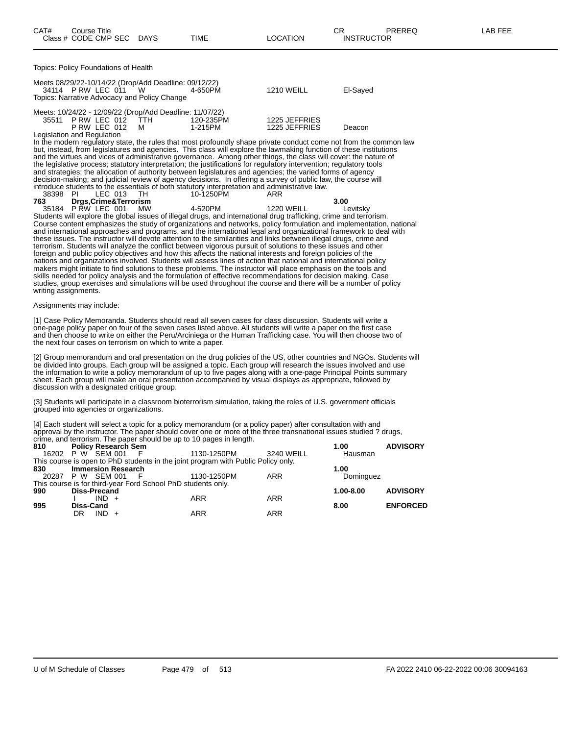| CAT# | Course Title         |             |      |          | ∩⊓<br>◡◠          | PREREQ | <b>AB FEE</b> |
|------|----------------------|-------------|------|----------|-------------------|--------|---------------|
|      | Class # CODE CMP SEC | <b>DAYS</b> | TIME | LOCATION | <b>INSTRUCTOR</b> |        |               |

Topics: Policy Foundations of Health

| Meets 08/29/22-10/14/22 (Drop/Add Deadline: 09/12/22)<br>Topics: Narrative Advocacy and Policy Change | 34114 PRW LEC 011 W                    | 4-650PM                                                                          | <b>1210 WEILL</b>              | El-Sayed |
|-------------------------------------------------------------------------------------------------------|----------------------------------------|----------------------------------------------------------------------------------|--------------------------------|----------|
|                                                                                                       | 35511 PRW LEC 012 TTH<br>PRW LEC 012 M | Meets: 10/24/22 - 12/09/22 (Drop/Add Deadline: 11/07/22)<br>120-235PM<br>1-215PM | 1225 JEFFRIES<br>1225 JEFFRIES | Deacon   |
| Legislation and Regulation                                                                            |                                        |                                                                                  |                                |          |

In the modern regulatory state, the rules that most profoundly shape private conduct come not from the common law but, instead, from legislatures and agencies. This class will explore the lawmaking function of these institutions and the virtues and vices of administrative governance. Among other things, the class will cover: the nature of the legislative process; statutory interpretation; the justifications for regulatory intervention; regulatory tools and strategies; the allocation of authority between legislatures and agencies; the varied forms of agency decision-making; and judicial review of agency decisions. In offering a survey of public law, the course will introduce students to the essentials of both statutory interpretation and administrative law. 38398 PI LEC 013 TH 10-1250PM ARR

| - www |                      |         | .          |          |
|-------|----------------------|---------|------------|----------|
| 763   | Drgs,Crime&Terrorism |         |            | 3.00     |
|       | 35184 PRW LEC 001 MW | 4-520PM | 1220 WEILL | Levitsky |
| .     |                      |         |            |          |

Students will explore the global issues of illegal drugs, and international drug trafficking, crime and terrorism. Course content emphasizes the study of organizations and networks, policy formulation and implementation, national and international approaches and programs, and the international legal and organizational framework to deal with these issues. The instructor will devote attention to the similarities and links between illegal drugs, crime and terrorism. Students will analyze the conflict between vigorous pursuit of solutions to these issues and other foreign and public policy objectives and how this affects the national interests and foreign policies of the nations and organizations involved. Students will assess lines of action that national and international policy makers might initiate to find solutions to these problems. The instructor will place emphasis on the tools and skills needed for policy analysis and the formulation of effective recommendations for decision making. Case studies, group exercises and simulations will be used throughout the course and there will be a number of policy writing assignments.

#### Assignments may include:

[1] Case Policy Memoranda. Students should read all seven cases for class discussion. Students will write a one-page policy paper on four of the seven cases listed above. All students will write a paper on the first case and then choose to write on either the Peru/Arciniega or the Human Trafficking case. You will then choose two of the next four cases on terrorism on which to write a paper.

[2] Group memorandum and oral presentation on the drug policies of the US, other countries and NGOs. Students will be divided into groups. Each group will be assigned a topic. Each group will research the issues involved and use the information to write a policy memorandum of up to five pages along with a one-page Principal Points summary sheet. Each group will make an oral presentation accompanied by visual displays as appropriate, followed by discussion with a designated critique group.

(3] Students will participate in a classroom bioterrorism simulation, taking the roles of U.S. government officials grouped into agencies or organizations.

[4] Each student will select a topic for a policy memorandum (or a policy paper) after consultation with and approval by the instructor. The paper should cover one or more of the three transnational issues studied ? drugs, crime, and terrorism. The paper should be up to 10 pages in length.

| 810 | <b>Policy Research Sem</b> |         |                                                              |                                                                                   |            | 1.00          | <b>ADVISORY</b> |
|-----|----------------------------|---------|--------------------------------------------------------------|-----------------------------------------------------------------------------------|------------|---------------|-----------------|
|     | 16202 P W SEM 001          |         | - F                                                          | 1130-1250PM                                                                       | 3240 WEILL | Hausman       |                 |
|     |                            |         |                                                              | This course is open to PhD students in the joint program with Public Policy only. |            |               |                 |
| 830 | <b>Immersion Research</b>  |         |                                                              |                                                                                   |            | 1.00          |                 |
|     | 20287 P W SEM 001          |         | - F                                                          | 1130-1250PM                                                                       | ARR        | Dominguez     |                 |
|     |                            |         | This course is for third-year Ford School PhD students only. |                                                                                   |            |               |                 |
| 990 | <b>Diss-Precand</b>        |         |                                                              |                                                                                   |            | $1.00 - 8.00$ | <b>ADVISORY</b> |
|     |                            | $IND +$ |                                                              | <b>ARR</b>                                                                        | <b>ARR</b> |               |                 |
| 995 | <b>Diss-Cand</b>           |         |                                                              |                                                                                   |            | 8.00          | <b>ENFORCED</b> |
|     | DR                         | $IND +$ |                                                              | <b>ARR</b>                                                                        | ARR        |               |                 |
|     |                            |         |                                                              |                                                                                   |            |               |                 |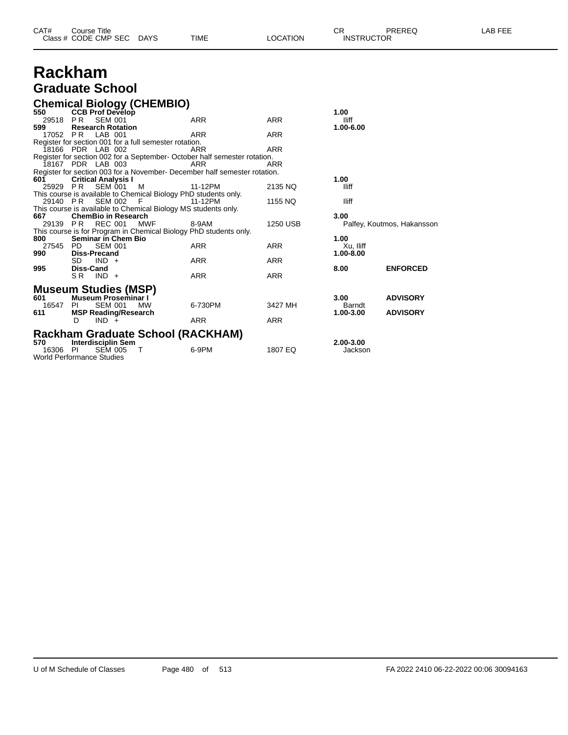| CAT# | Title<br>Course      |      |      |          | Ωm<br>◡∩          | PREREQ | ----<br>A <sub>R</sub><br>노노니 |
|------|----------------------|------|------|----------|-------------------|--------|-------------------------------|
|      | Class # CODE CMP SEC | DAYS | TIME | LOCATION | <b>INSTRUCTOR</b> |        |                               |

## **Rackham Graduate School**

## **Chemical Biology (CHEMBIO)**

| 550      | <b>CCB Prof Develop</b>          |                                                                           |            | 1.00      |                            |
|----------|----------------------------------|---------------------------------------------------------------------------|------------|-----------|----------------------------|
| 29518 PR | <b>SEM 001</b>                   | <b>ARR</b>                                                                | ARR        | lliff     |                            |
| 599      | <b>Research Rotation</b>         |                                                                           |            | 1.00-6.00 |                            |
|          | 17052 PR LAB 001                 | ARR                                                                       | <b>ARR</b> |           |                            |
|          |                                  | Register for section 001 for a full semester rotation.                    |            |           |                            |
|          | 18166 PDR LAB 002                | ARR                                                                       | <b>ARR</b> |           |                            |
|          |                                  | Register for section 002 for a September-October half semester rotation.  |            |           |                            |
|          | 18167 PDR LAB 003                | <b>ARR</b>                                                                | ARR        |           |                            |
|          |                                  | Register for section 003 for a November- December half semester rotation. |            |           |                            |
| 601      | <b>Critical Analysis I</b>       |                                                                           |            | 1.00      |                            |
| 25929 PR | <b>SEM 001</b>                   | м<br>11-12PM                                                              | 2135 NQ    | lliff     |                            |
|          |                                  | This course is available to Chemical Biology PhD students only.           |            |           |                            |
| 29140 PR | SEM 002                          | F<br>11-12PM                                                              | 1155 NQ    | lliff     |                            |
|          |                                  | This course is available to Chemical Biology MS students only.            |            |           |                            |
| 667      | <b>ChemBio in Research</b>       |                                                                           |            | 3.00      |                            |
| 29139 PR | <b>REC 001</b>                   | MWF<br>8-9AM                                                              | 1250 USB   |           | Palfey, Koutmos, Hakansson |
|          |                                  | This course is for Program in Chemical Biology PhD students only.         |            |           |                            |
| 800      | <b>Seminar in Chem Bio</b>       |                                                                           |            | 1.00      |                            |
| 27545 PD | <b>SEM 001</b>                   | <b>ARR</b>                                                                | <b>ARR</b> | Xu, Iliff |                            |
| 990      | <b>Diss-Precand</b>              |                                                                           |            | 1.00-8.00 |                            |
|          | $IND +$<br>SD.                   | ARR                                                                       | ARR        |           |                            |
|          | Diss-Cand                        |                                                                           |            |           | <b>ENFORCED</b>            |
| 995      | SR.                              | <b>ARR</b>                                                                | <b>ARR</b> | 8.00      |                            |
|          | $IND +$                          |                                                                           |            |           |                            |
|          |                                  |                                                                           |            |           |                            |
|          | <b>Museum Studies (MSP)</b>      |                                                                           |            |           |                            |
| 601      | <b>Museum Proseminar I</b>       |                                                                           |            | 3.00      | <b>ADVISORY</b>            |
| 16547    | <b>SEM 001</b><br>PL             | 6-730PM<br><b>MW</b>                                                      | 3427 MH    | Barndt    |                            |
| 611      | <b>MSP Reading/Research</b>      |                                                                           |            | 1.00-3.00 | <b>ADVISORY</b>            |
|          | $IND +$<br>D                     | ARR                                                                       | <b>ARR</b> |           |                            |
|          |                                  |                                                                           |            |           |                            |
|          |                                  | Rackham Graduate School (RACKHAM)                                         |            |           |                            |
| 570      | Interdisciplin Sem               |                                                                           |            | 2.00-3.00 |                            |
| 16306 PI | <b>SEM 005</b>                   | 6-9PM<br>т                                                                | 1807 EQ    | Jackson   |                            |
|          | <b>World Performance Studies</b> |                                                                           |            |           |                            |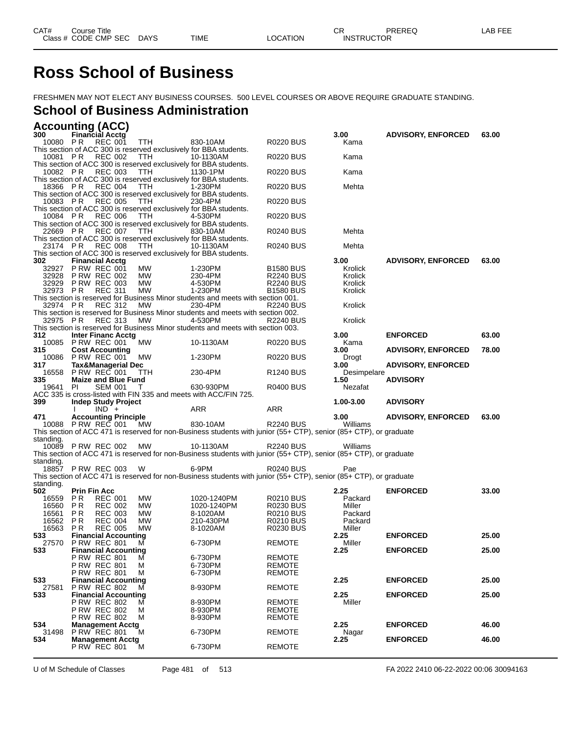# **Ross School of Business**

FRESHMEN MAY NOT ELECT ANY BUSINESS COURSES. 500 LEVEL COURSES OR ABOVE REQUIRE GRADUATE STANDING.

# **School of Business Administration**

|                    | <b>Accounting (ACC)</b>                            |                |            |                                                                                                                    |                       |                |                           |       |
|--------------------|----------------------------------------------------|----------------|------------|--------------------------------------------------------------------------------------------------------------------|-----------------------|----------------|---------------------------|-------|
| 300                | <b>Financial Acctg</b>                             |                |            |                                                                                                                    |                       | 3.00           | <b>ADVISORY, ENFORCED</b> | 63.00 |
| 10080 PR           | <b>REC 001</b>                                     |                | <b>TTH</b> | 830-10AM<br>This section of ACC 300 is reserved exclusively for BBA students.                                      | <b>R0220 BUS</b>      | Kama           |                           |       |
| 10081 PR           | <b>REC 002</b>                                     |                | <b>TTH</b> | 10-1130AM                                                                                                          | <b>R0220 BUS</b>      | Kama           |                           |       |
|                    |                                                    |                |            | This section of ACC 300 is reserved exclusively for BBA students.                                                  |                       |                |                           |       |
| 10082 PR           | <b>REC 003</b>                                     |                | TTH        | 1130-1PM                                                                                                           | <b>R0220 BUS</b>      | Kama           |                           |       |
| 18366 PR           | <b>REC 004</b>                                     |                | TTH        | This section of ACC 300 is reserved exclusively for BBA students.<br>1-230PM                                       | <b>R0220 BUS</b>      | Mehta          |                           |       |
|                    |                                                    |                |            | This section of ACC 300 is reserved exclusively for BBA students.                                                  |                       |                |                           |       |
| 10083 PR           | <b>REC 005</b>                                     |                | TTH        | 230-4PM                                                                                                            | <b>R0220 BUS</b>      |                |                           |       |
| 10084 PR           | <b>REC 006</b>                                     |                | TTH        | This section of ACC 300 is reserved exclusively for BBA students.<br>4-530PM                                       | <b>R0220 BUS</b>      |                |                           |       |
|                    |                                                    |                |            | This section of ACC 300 is reserved exclusively for BBA students.                                                  |                       |                |                           |       |
| 22669 PR           | <b>REC 007</b>                                     |                | TTH        | 830-10AM                                                                                                           | <b>R0240 BUS</b>      | Mehta          |                           |       |
|                    |                                                    |                |            | This section of ACC 300 is reserved exclusively for BBA students.                                                  |                       |                |                           |       |
| 23174 PR           | <b>REC 008</b>                                     |                | <b>TTH</b> | 10-1130AM<br>This section of ACC 300 is reserved exclusively for BBA students.                                     | <b>R0240 BUS</b>      | Mehta          |                           |       |
| 302                | <b>Financial Acctg</b>                             |                |            |                                                                                                                    |                       | 3.00           | <b>ADVISORY, ENFORCED</b> | 63.00 |
| 32927              | <b>P RW REC 001</b>                                |                | МW         | 1-230PM                                                                                                            | <b>B1580 BUS</b>      | Krolick        |                           |       |
| 32928              | <b>P RW REC 002</b>                                |                | MW         | 230-4PM                                                                                                            | <b>R2240 BUS</b>      | Krolick        |                           |       |
| 32929              | <b>P RW REC 003</b>                                |                | МW         | 4-530PM                                                                                                            | <b>R2240 BUS</b>      | Krolick        |                           |       |
| 32973              | <b>REC 311</b><br>P R                              |                | MW         | 1-230PM<br>This section is reserved for Business Minor students and meets with section 001.                        | <b>B1580 BUS</b>      | Krolick        |                           |       |
| 32974 PR           | <b>REC 312</b>                                     |                | <b>MW</b>  | 230-4PM                                                                                                            | <b>R2240 BUS</b>      | Krolick        |                           |       |
|                    |                                                    |                |            | This section is reserved for Business Minor students and meets with section 002.                                   |                       |                |                           |       |
| 32975 PR           | <b>REC 313</b>                                     |                | MW         | 4-530PM                                                                                                            | <b>R2240 BUS</b>      | Krolick        |                           |       |
|                    |                                                    |                |            | This section is reserved for Business Minor students and meets with section 003.                                   |                       |                |                           |       |
| 312                | <b>Inter Financ Acctg</b><br>10085 P RW REC 001    |                | МW         | 10-1130AM                                                                                                          | R0220 BUS             | 3.00<br>Kama   | <b>ENFORCED</b>           | 63.00 |
| 315                | <b>Cost Accounting</b>                             |                |            |                                                                                                                    |                       | 3.00           | <b>ADVISORY, ENFORCED</b> | 78.00 |
| 10086              | <b>P RW REC 001</b>                                |                | МW         | 1-230PM                                                                                                            | R0220 BUS             | Drogt          |                           |       |
| 317                | <b>Tax&amp;Managerial Dec</b>                      |                |            |                                                                                                                    |                       | 3.00           | <b>ADVISORY, ENFORCED</b> |       |
| 16558              | <b>P RW REC 001</b>                                |                | TTH        | 230-4PM                                                                                                            | R <sub>1240</sub> BUS | Desimpelare    |                           |       |
| 335                | <b>Maize and Blue Fund</b>                         |                |            |                                                                                                                    |                       | 1.50           | <b>ADVISORY</b>           |       |
|                    |                                                    |                |            |                                                                                                                    |                       |                |                           |       |
| 19641              | PI                                                 | <b>SEM 001</b> | Τ          | 630-930PM                                                                                                          | <b>R0400 BUS</b>      | Nezafat        |                           |       |
| 399                | <b>Indep Study Project</b>                         |                |            | ACC 335 is cross-listed with FIN 335 and meets with ACC/FIN 725.                                                   |                       | 1.00-3.00      | <b>ADVISORY</b>           |       |
|                    | $IND +$                                            |                |            | ARR                                                                                                                | <b>ARR</b>            |                |                           |       |
| 471                | <b>Accounting Principle</b>                        |                |            |                                                                                                                    |                       | 3.00           | <b>ADVISORY, ENFORCED</b> | 63.00 |
| 10088              | PRW REC 001                                        |                | МW         | 830-10AM                                                                                                           | <b>R2240 BUS</b>      | Williams       |                           |       |
|                    |                                                    |                |            | This section of ACC 471 is reserved for non-Business students with junior (55+ CTP), senior (85+ CTP), or graduate |                       |                |                           |       |
| standing.<br>10089 | <b>P RW REC 002</b>                                |                | МW         | 10-1130AM                                                                                                          | <b>R2240 BUS</b>      | Williams       |                           |       |
|                    |                                                    |                |            | This section of ACC 471 is reserved for non-Business students with junior (55+ CTP), senior (85+ CTP), or graduate |                       |                |                           |       |
| standing.          |                                                    |                |            |                                                                                                                    |                       |                |                           |       |
| 18857              | <b>PRW REC 003</b>                                 |                | W          | 6-9PM                                                                                                              | <b>R0240 BUS</b>      | Pae            |                           |       |
|                    |                                                    |                |            | This section of ACC 471 is reserved for non-Business students with junior (55+ CTP), senior (85+ CTP), or graduate |                       |                |                           |       |
| standing.<br>502   | <b>Prin Fin Acc</b>                                |                |            |                                                                                                                    |                       | 2.25           | <b>ENFORCED</b>           | 33.00 |
| 16559              | P R<br><b>REC 001</b>                              |                | MW         | 1020-1240PM                                                                                                        | R0210 BUS             | Packard        |                           |       |
| 16560              | P R<br><b>REC 002</b>                              |                | МW         | 1020-1240PM                                                                                                        | R0230 BUS             | Miller         |                           |       |
| 16561              | P R<br><b>REC 003</b>                              |                | МW         | 8-1020AM                                                                                                           | <b>R0210 BUS</b>      | Packard        |                           |       |
| 16562              | PR<br><b>REC 004</b>                               |                | <b>MW</b>  | 210-430PM                                                                                                          | <b>R0210 BUS</b>      | Packard        |                           |       |
| 16563              | P R<br><b>REC 005</b>                              |                | MW         | 8-1020AM                                                                                                           | <b>R0230 BUS</b>      | Miller         |                           |       |
| 533<br>27570       | <b>Financial Accounting</b><br><b>P RW REC 801</b> |                | M          | 6-730PM                                                                                                            | <b>REMOTE</b>         | 2.25<br>Miller | <b>ENFORCED</b>           | 25.00 |
| 533                | <b>Financial Accounting</b>                        |                |            |                                                                                                                    |                       | 2.25           | <b>ENFORCED</b>           | 25.00 |
|                    | <b>P RW REC 801</b>                                |                | M          | 6-730PM                                                                                                            | <b>REMOTE</b>         |                |                           |       |
|                    | <b>P RW REC 801</b>                                |                | м          | 6-730PM                                                                                                            | <b>REMOTE</b>         |                |                           |       |
|                    | <b>P RW REC 801</b>                                |                | M          | 6-730PM                                                                                                            | <b>REMOTE</b>         |                |                           |       |
| 533                | <b>Financial Accounting</b>                        |                | м          |                                                                                                                    |                       | 2.25           | <b>ENFORCED</b>           | 25.00 |
| 27581<br>533       | <b>P RW REC 802</b><br><b>Financial Accounting</b> |                |            | 8-930PM                                                                                                            | <b>REMOTE</b>         | 2.25           | <b>ENFORCED</b>           | 25.00 |
|                    | <b>P RW REC 802</b>                                |                | м          | 8-930PM                                                                                                            | <b>REMOTE</b>         | Miller         |                           |       |
|                    | <b>P RW REC 802</b>                                |                | м          | 8-930PM                                                                                                            | <b>REMOTE</b>         |                |                           |       |
|                    | <b>P RW REC 802</b>                                |                | M          | 8-930PM                                                                                                            | <b>REMOTE</b>         |                |                           |       |
| 534                | <b>Management Acctg</b>                            |                | м          |                                                                                                                    |                       | 2.25           | <b>ENFORCED</b>           | 46.00 |
| 31498<br>534       | <b>P RW REC 801</b><br><b>Management Acctg</b>     |                |            | 6-730PM                                                                                                            | <b>REMOTE</b>         | Nagar<br>2.25  | <b>ENFORCED</b>           | 46.00 |
|                    | <b>P RW REC 801</b>                                |                | м          | 6-730PM                                                                                                            | <b>REMOTE</b>         |                |                           |       |

U of M Schedule of Classes Page 481 of 513 FA 2022 2410 06-22-2022 00:06 30094163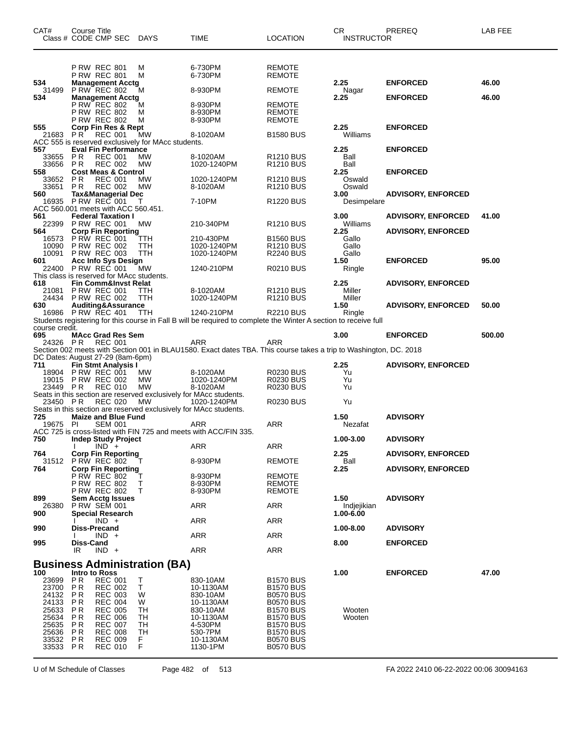| CAT#                                                                        | Course Title<br>Class # CODE CMP SEC DAYS                                                                                                                                                                                        |                                          | TIME                                                                                                              | <b>LOCATION</b>                                                                                                                                              | CR.<br><b>INSTRUCTOR</b>        | PREREQ                    | LAB FEE |
|-----------------------------------------------------------------------------|----------------------------------------------------------------------------------------------------------------------------------------------------------------------------------------------------------------------------------|------------------------------------------|-------------------------------------------------------------------------------------------------------------------|--------------------------------------------------------------------------------------------------------------------------------------------------------------|---------------------------------|---------------------------|---------|
|                                                                             | <b>P RW REC 801</b><br><b>P RW REC 801</b>                                                                                                                                                                                       | M<br>M                                   | 6-730PM<br>6-730PM                                                                                                | REMOTE<br><b>REMOTE</b>                                                                                                                                      |                                 |                           |         |
| 534<br>31499                                                                | <b>Management Acctg</b><br>P RW REC 802                                                                                                                                                                                          | M                                        | 8-930PM                                                                                                           | <b>REMOTE</b>                                                                                                                                                | 2.25<br>Nagar                   | <b>ENFORCED</b>           | 46.00   |
| 534                                                                         | <b>Management Acctg</b><br>P RW REC 802<br><b>P RW REC 802</b><br><b>P RW REC 802</b>                                                                                                                                            | м<br>M<br>M                              | 8-930PM<br>8-930PM<br>8-930PM                                                                                     | <b>REMOTE</b><br><b>REMOTE</b><br><b>REMOTE</b>                                                                                                              | 2.25                            | <b>ENFORCED</b>           | 46.00   |
| 555<br>21683                                                                | Corp Fin Res & Rept<br><b>REC 001</b><br>PR                                                                                                                                                                                      | MW                                       | 8-1020AM                                                                                                          | <b>B1580 BUS</b>                                                                                                                                             | 2.25<br>Williams                | <b>ENFORCED</b>           |         |
| 557                                                                         | ACC 555 is reserved exclusively for MAcc students.<br><b>Eval Fin Performance</b>                                                                                                                                                |                                          |                                                                                                                   |                                                                                                                                                              | 2.25                            | <b>ENFORCED</b>           |         |
| 33655<br>33656 PR<br>558                                                    | <b>PR</b><br><b>REC 001</b><br><b>REC 002</b><br><b>Cost Meas &amp; Control</b>                                                                                                                                                  | MW<br>MW                                 | 8-1020AM<br>1020-1240PM                                                                                           | R <sub>1210</sub> BUS<br><b>R1210 BUS</b>                                                                                                                    | Ball<br>Ball<br>2.25            | <b>ENFORCED</b>           |         |
| 33652<br>33651                                                              | PR<br><b>REC 001</b><br>P R<br><b>REC 002</b>                                                                                                                                                                                    | MW<br>MW                                 | 1020-1240PM<br>8-1020AM                                                                                           | R <sub>1210</sub> BUS<br>R <sub>1210</sub> BUS                                                                                                               | Oswald<br>Oswald                |                           |         |
| 560<br>16935                                                                | <b>Tax&amp;Managerial Dec</b><br><b>P RW REC 001</b><br>ACC 560.001 meets with ACC 560.451.                                                                                                                                      | т                                        | 7-10PM                                                                                                            | R <sub>1220</sub> BUS                                                                                                                                        | 3.00<br>Desimpelare             | <b>ADVISORY, ENFORCED</b> |         |
| 561<br>22399                                                                | <b>Federal Taxation I</b><br><b>P RW REC 001</b>                                                                                                                                                                                 | МW                                       | 210-340PM                                                                                                         | R <sub>1210</sub> BUS                                                                                                                                        | 3.00<br>Williams                | <b>ADVISORY, ENFORCED</b> | 41.00   |
| 564<br>16573<br>10090<br>10091                                              | <b>Corp Fin Reporting</b><br><b>P RW REC 001</b><br><b>P RW REC 002</b><br><b>P RW REC 003</b>                                                                                                                                   | TTH<br><b>TTH</b><br>TTH                 | 210-430PM<br>1020-1240PM<br>1020-1240PM                                                                           | <b>B1560 BUS</b><br><b>R1210 BUS</b><br><b>R2240 BUS</b>                                                                                                     | 2.25<br>Gallo<br>Gallo<br>Gallo | <b>ADVISORY, ENFORCED</b> |         |
| 601<br>22400                                                                | <b>Acc Info Sys Design</b><br>P RW REC 001                                                                                                                                                                                       | <b>MW</b>                                | 1240-210PM                                                                                                        | <b>R0210 BUS</b>                                                                                                                                             | 1.50<br>Ringle                  | <b>ENFORCED</b>           | 95.00   |
| 618<br>21081                                                                | This class is reserved for MAcc students.<br><b>Fin Comm&amp;Invst Relat</b><br><b>P RW REC 001</b>                                                                                                                              | TTH                                      | 8-1020AM                                                                                                          | R <sub>1210</sub> BUS                                                                                                                                        | 2.25<br>Miller                  | <b>ADVISORY, ENFORCED</b> |         |
| 630                                                                         | 24434 P RW REC 002<br>Auditing&Assurance<br>16986 P RW REC 401                                                                                                                                                                   | TTH<br><b>TTH</b>                        | 1020-1240PM<br>1240-210PM                                                                                         | R <sub>1210</sub> BUS<br><b>R2210 BUS</b>                                                                                                                    | Miller<br>1.50<br>Ringle        | <b>ADVISORY, ENFORCED</b> | 50.00   |
| course credit.                                                              |                                                                                                                                                                                                                                  |                                          | Students registering for this course in Fall B will be required to complete the Winter A section to receive full  |                                                                                                                                                              |                                 |                           |         |
| 695<br>24326 PR                                                             | <b>MAcc Grad Res Sem</b><br><b>REC 001</b>                                                                                                                                                                                       |                                          | ARR                                                                                                               | <b>ARR</b>                                                                                                                                                   | 3.00                            | <b>ENFORCED</b>           | 500.00  |
|                                                                             |                                                                                                                                                                                                                                  |                                          | Section 002 meets with Section 001 in BLAU1580. Exact dates TBA. This course takes a trip to Washington, DC. 2018 |                                                                                                                                                              |                                 |                           |         |
| 711                                                                         | DC Dates: August 27-29 (8am-6pm)<br><b>Fin Stmt Analysis I</b>                                                                                                                                                                   |                                          |                                                                                                                   |                                                                                                                                                              | 2.25                            | <b>ADVISORY, ENFORCED</b> |         |
| 19015<br>23449 PR                                                           | 18904 P RW REC 001<br><b>P RW REC 002</b><br><b>REC 010</b>                                                                                                                                                                      | MW<br><b>MW</b><br>MW                    | 8-1020AM<br>1020-1240PM<br>8-1020AM                                                                               | <b>R0230 BUS</b><br><b>R0230 BUS</b><br>R0230 BUS                                                                                                            | Yu<br>Yu<br>Yu                  |                           |         |
| 23450 PR                                                                    | Seats in this section are reserved exclusively for MAcc students.<br><b>REC 020</b><br>Seats in this section are reserved exclusively for MAcc students.                                                                         | MW                                       | 1020-1240PM                                                                                                       | <b>R0230 BUS</b>                                                                                                                                             | Yu                              |                           |         |
| 725<br>19675 PI                                                             | <b>Maize and Blue Fund</b><br><b>SEM 001</b>                                                                                                                                                                                     |                                          | ARR                                                                                                               | ARR                                                                                                                                                          | 1.50<br>Nezafat                 | <b>ADVISORY</b>           |         |
| 750                                                                         | Indep Study Project<br>$NND +$                                                                                                                                                                                                   |                                          | ACC 725 is cross-listed with FIN 725 and meets with ACC/FIN 335.<br><b>ARR</b>                                    | <b>ARR</b>                                                                                                                                                   | 1.00-3.00                       | <b>ADVISORY</b>           |         |
| 764                                                                         | <b>Corp Fin Reporting</b><br>31512 P RW REC 802                                                                                                                                                                                  |                                          | 8-930PM                                                                                                           | <b>REMOTE</b>                                                                                                                                                | 2.25<br>Ball                    | <b>ADVISORY, ENFORCED</b> |         |
| 764                                                                         | <b>Corp Fin Reporting</b><br><b>P RW REC 802</b><br><b>P RW REC 802</b><br><b>P RW REC 802</b>                                                                                                                                   | Т<br>Т                                   | 8-930PM<br>8-930PM<br>8-930PM                                                                                     | <b>REMOTE</b><br><b>REMOTE</b><br><b>REMOTE</b>                                                                                                              | 2.25                            | <b>ADVISORY, ENFORCED</b> |         |
| 899<br>26380                                                                | <b>Sem Acctg Issues</b><br><b>P RW SEM 001</b>                                                                                                                                                                                   |                                          | ARR                                                                                                               | ARR                                                                                                                                                          | 1.50<br>Indjejikian             | <b>ADVISORY</b>           |         |
| 900<br>990                                                                  | <b>Special Research</b><br>$IND +$<br>Diss-Precand                                                                                                                                                                               |                                          | <b>ARR</b>                                                                                                        | <b>ARR</b>                                                                                                                                                   | 1.00-6.00<br>1.00-8.00          | <b>ADVISORY</b>           |         |
|                                                                             | $IND +$<br><b>Diss-Cand</b>                                                                                                                                                                                                      |                                          | ARR                                                                                                               | <b>ARR</b>                                                                                                                                                   |                                 |                           |         |
| 995                                                                         | $IND +$<br>IR                                                                                                                                                                                                                    |                                          | <b>ARR</b>                                                                                                        | <b>ARR</b>                                                                                                                                                   | 8.00                            | <b>ENFORCED</b>           |         |
|                                                                             | <b>Business Administration (BA)</b>                                                                                                                                                                                              |                                          |                                                                                                                   |                                                                                                                                                              |                                 |                           |         |
| 100<br>23699<br>23700<br>24132<br>24133<br>25633<br>25634<br>25635<br>25636 | Intro to Ross<br><b>PR</b><br><b>REC 001</b><br>PR<br><b>REC 002</b><br>P R<br><b>REC 003</b><br><b>REC 004</b><br>P R<br>P R<br><b>REC 005</b><br><b>PR</b><br><b>REC 006</b><br><b>REC 007</b><br>P R<br>P R<br><b>REC 008</b> | Т<br>Τ<br>W<br>W<br>TН<br>TН<br>TH<br>TН | 830-10AM<br>10-1130AM<br>830-10AM<br>10-1130AM<br>830-10AM<br>10-1130AM<br>4-530PM<br>530-7PM                     | <b>B1570 BUS</b><br><b>B1570 BUS</b><br><b>B0570 BUS</b><br><b>B0570 BUS</b><br><b>B1570 BUS</b><br><b>B1570 BUS</b><br><b>B1570 BUS</b><br><b>B1570 BUS</b> | 1.00<br>Wooten<br>Wooten        | <b>ENFORCED</b>           | 47.00   |
| 33532<br>33533                                                              | P R<br><b>REC 009</b><br>PR<br><b>REC 010</b>                                                                                                                                                                                    | F.<br>F                                  | 10-1130AM<br>1130-1PM                                                                                             | <b>B0570 BUS</b><br><b>B0570 BUS</b>                                                                                                                         |                                 |                           |         |

U of M Schedule of Classes Page 482 of 513 FA 2022 2410 06-22-2022 00:06 30094163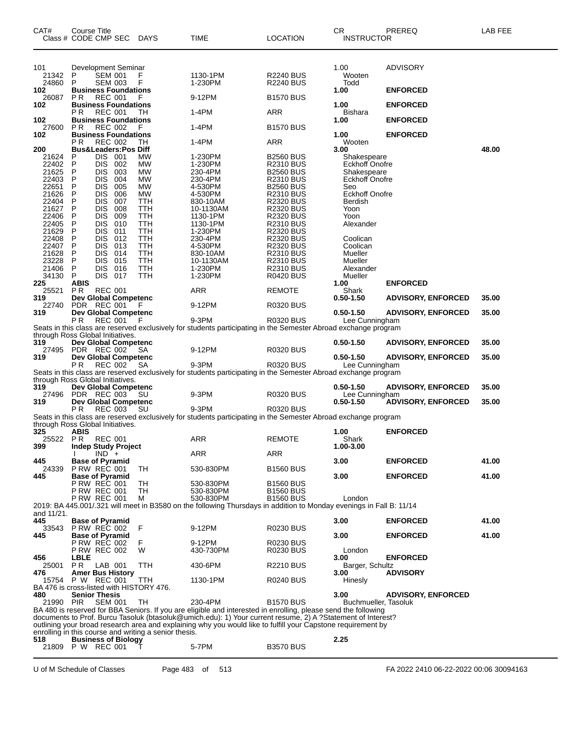| CAT#                                                                                                                                                                                       | Course Title<br>Class # CODE CMP SEC DAYS                                                                                                                                                                                                                                                                                                                                                                                                                                                                                                                                             |                                                                                                                                                               | TIME                                                                                                                                                                                                                                                                                                                                                     | <b>LOCATION</b>                                                                                                                                                                                                                                                                                                        | CR<br><b>INSTRUCTOR</b>                                                                                                                                                                                                                                                                    | PREREQ                                                                                                 | LAB FEE                 |
|--------------------------------------------------------------------------------------------------------------------------------------------------------------------------------------------|---------------------------------------------------------------------------------------------------------------------------------------------------------------------------------------------------------------------------------------------------------------------------------------------------------------------------------------------------------------------------------------------------------------------------------------------------------------------------------------------------------------------------------------------------------------------------------------|---------------------------------------------------------------------------------------------------------------------------------------------------------------|----------------------------------------------------------------------------------------------------------------------------------------------------------------------------------------------------------------------------------------------------------------------------------------------------------------------------------------------------------|------------------------------------------------------------------------------------------------------------------------------------------------------------------------------------------------------------------------------------------------------------------------------------------------------------------------|--------------------------------------------------------------------------------------------------------------------------------------------------------------------------------------------------------------------------------------------------------------------------------------------|--------------------------------------------------------------------------------------------------------|-------------------------|
| 101<br>21342<br>24860                                                                                                                                                                      | Development Seminar<br>P<br>SEM 001<br>P<br>SEM 003                                                                                                                                                                                                                                                                                                                                                                                                                                                                                                                                   | F                                                                                                                                                             | 1130-1PM<br>1-230PM                                                                                                                                                                                                                                                                                                                                      | R2240 BUS<br><b>R2240 BUS</b>                                                                                                                                                                                                                                                                                          | 1.00<br>Wooten<br>Todd                                                                                                                                                                                                                                                                     | <b>ADVISORY</b>                                                                                        |                         |
| 102<br>26087                                                                                                                                                                               | <b>Business Foundations</b><br>P R<br><b>REC 001</b>                                                                                                                                                                                                                                                                                                                                                                                                                                                                                                                                  |                                                                                                                                                               | 9-12PM                                                                                                                                                                                                                                                                                                                                                   | <b>B1570 BUS</b>                                                                                                                                                                                                                                                                                                       | 1.00                                                                                                                                                                                                                                                                                       | <b>ENFORCED</b>                                                                                        |                         |
| 102                                                                                                                                                                                        | <b>Business Foundations</b><br>P R<br><b>REC 001</b>                                                                                                                                                                                                                                                                                                                                                                                                                                                                                                                                  | TН                                                                                                                                                            | 1-4PM                                                                                                                                                                                                                                                                                                                                                    | <b>ARR</b>                                                                                                                                                                                                                                                                                                             | 1.00<br>Bishara                                                                                                                                                                                                                                                                            | <b>ENFORCED</b>                                                                                        |                         |
| 102<br>27600                                                                                                                                                                               | <b>Business Foundations</b><br>P R<br><b>REC 002</b>                                                                                                                                                                                                                                                                                                                                                                                                                                                                                                                                  | F                                                                                                                                                             | 1-4PM                                                                                                                                                                                                                                                                                                                                                    | <b>B1570 BUS</b>                                                                                                                                                                                                                                                                                                       | 1.00                                                                                                                                                                                                                                                                                       | <b>ENFORCED</b>                                                                                        |                         |
| 102                                                                                                                                                                                        | <b>Business Foundations</b><br>РR<br><b>REC 002</b>                                                                                                                                                                                                                                                                                                                                                                                                                                                                                                                                   | ТH                                                                                                                                                            | 1-4PM                                                                                                                                                                                                                                                                                                                                                    | ARR                                                                                                                                                                                                                                                                                                                    | 1.00<br>Wooten                                                                                                                                                                                                                                                                             | <b>ENFORCED</b>                                                                                        |                         |
| 200<br>21624                                                                                                                                                                               | <b>Bus&amp;Leaders:Pos Diff</b><br>DIS<br>-001<br>P                                                                                                                                                                                                                                                                                                                                                                                                                                                                                                                                   | МW                                                                                                                                                            | 1-230PM                                                                                                                                                                                                                                                                                                                                                  | <b>B2560 BUS</b>                                                                                                                                                                                                                                                                                                       | 3.00<br>Shakespeare                                                                                                                                                                                                                                                                        |                                                                                                        | 48.00                   |
| 22402<br>21625<br>22403<br>22651<br>21626<br>22404<br>21627<br>22406<br>22405<br>21629<br>22408<br>22407<br>21628<br>23228<br>21406<br>34130<br>225<br>25521<br>319<br>22740<br>319<br>319 | <b>DIS</b><br>P<br>002<br><b>DIS</b><br>003<br>P<br>P<br><b>DIS</b><br>004<br>P<br><b>DIS</b><br>005<br>P<br><b>DIS</b><br>006<br>P<br><b>DIS</b><br>007<br><b>DIS</b><br>P<br>008<br><b>DIS</b><br>P<br>009<br>P<br><b>DIS</b><br>010<br>P<br>DIS<br>011<br><b>DIS</b><br>P<br>012<br>P<br><b>DIS</b><br>013<br>P<br>DIS<br>014<br>DIS<br>P<br>015<br>P<br>DIS<br>016<br>DIS.<br>P<br>017<br>ABIS<br>PR.<br><b>REC 001</b><br>Dev Global Competenc<br>PDR REC 001<br>Dev Global Competenc<br>РR<br><b>REC 001</b><br>through Ross Global Initiatives.<br><b>Dev Global Competenc</b> | <b>MW</b><br>МW<br><b>MW</b><br><b>MW</b><br>MW<br><b>TTH</b><br>TTH<br>TTH<br><b>TTH</b><br>TTH<br>TTH<br><b>TTH</b><br>TTH<br>TTH<br><b>TTH</b><br>TTH<br>F | 1-230PM<br>230-4PM<br>230-4PM<br>4-530PM<br>4-530PM<br>830-10AM<br>10-1130AM<br>1130-1PM<br>1130-1PM<br>1-230PM<br>230-4PM<br>4-530PM<br>830-10AM<br>10-1130AM<br>1-230PM<br>1-230PM<br>ARR<br>9-12PM<br>9-3PM<br>Seats in this class are reserved exclusively for students participating in the Semester Abroad exchange program                        | R2310 BUS<br><b>B2560 BUS</b><br><b>R2310 BUS</b><br><b>B2560 BUS</b><br><b>R2310 BUS</b><br>R2320 BUS<br>R2320 BUS<br><b>R2320 BUS</b><br>R2310 BUS<br>R2320 BUS<br><b>R2320 BUS</b><br>R2320 BUS<br><b>R2310 BUS</b><br><b>R2310 BUS</b><br>R2310 BUS<br><b>R0420 BUS</b><br>REMOTE<br>R0320 BUS<br><b>R0320 BUS</b> | Eckhoff Onofre<br>Shakespeare<br><b>Eckhoff Onofre</b><br>Seo<br><b>Eckhoff Onofre</b><br>Berdish<br>Yoon<br>Yoon<br>Alexander<br>Coolican<br>Coolican<br>Mueller<br>Mueller<br>Alexander<br>Mueller<br>1.00<br>Shark<br>$0.50 - 1.50$<br>$0.50 - 1.50$<br>Lee Cunningham<br>$0.50 - 1.50$ | <b>ENFORCED</b><br><b>ADVISORY, ENFORCED</b><br><b>ADVISORY, ENFORCED</b><br><b>ADVISORY, ENFORCED</b> | 35.00<br>35.00<br>35.00 |
| 27495<br>319                                                                                                                                                                               | PDR REC 002<br>Dev Global Competenc                                                                                                                                                                                                                                                                                                                                                                                                                                                                                                                                                   | SA                                                                                                                                                            | 9-12PM                                                                                                                                                                                                                                                                                                                                                   | <b>R0320 BUS</b>                                                                                                                                                                                                                                                                                                       | $0.50 - 1.50$                                                                                                                                                                                                                                                                              | <b>ADVISORY, ENFORCED</b>                                                                              | 35.00                   |
|                                                                                                                                                                                            | РR<br><b>REC 002</b>                                                                                                                                                                                                                                                                                                                                                                                                                                                                                                                                                                  | SА                                                                                                                                                            | 9-3PM<br>Seats in this class are reserved exclusively for students participating in the Semester Abroad exchange program                                                                                                                                                                                                                                 | <b>R0320 BUS</b>                                                                                                                                                                                                                                                                                                       | Lee Cunningham                                                                                                                                                                                                                                                                             |                                                                                                        |                         |
| 319                                                                                                                                                                                        | through Ross Global Initiatives.<br><b>Dev Global Competenc</b>                                                                                                                                                                                                                                                                                                                                                                                                                                                                                                                       |                                                                                                                                                               |                                                                                                                                                                                                                                                                                                                                                          | <b>R0320 BUS</b>                                                                                                                                                                                                                                                                                                       | $0.50 - 1.50$<br>Lee Cunningham                                                                                                                                                                                                                                                            | <b>ADVISORY, ENFORCED</b>                                                                              | 35.00                   |
| 27496<br>319                                                                                                                                                                               | PDR REC 003<br><b>Dev Global Competenc</b>                                                                                                                                                                                                                                                                                                                                                                                                                                                                                                                                            | <b>SU</b>                                                                                                                                                     | 9-3PM                                                                                                                                                                                                                                                                                                                                                    |                                                                                                                                                                                                                                                                                                                        | $0.50 - 1.50$                                                                                                                                                                                                                                                                              | <b>ADVISORY, ENFORCED</b>                                                                              | 35.00                   |
|                                                                                                                                                                                            | P R<br><b>REC 003</b>                                                                                                                                                                                                                                                                                                                                                                                                                                                                                                                                                                 | SU                                                                                                                                                            | 9-3PM<br>Seats in this class are reserved exclusively for students participating in the Semester Abroad exchange program                                                                                                                                                                                                                                 | <b>R0320 BUS</b>                                                                                                                                                                                                                                                                                                       |                                                                                                                                                                                                                                                                                            |                                                                                                        |                         |
| 325<br>25522 PR                                                                                                                                                                            | through Ross Global Initiatives.<br>ABIS<br>REC 001                                                                                                                                                                                                                                                                                                                                                                                                                                                                                                                                   |                                                                                                                                                               | ARR                                                                                                                                                                                                                                                                                                                                                      | <b>REMOTE</b>                                                                                                                                                                                                                                                                                                          | 1.00<br>Shark                                                                                                                                                                                                                                                                              | <b>ENFORCED</b>                                                                                        |                         |
| 399                                                                                                                                                                                        | <b>Indep Study Project</b><br>$IND +$                                                                                                                                                                                                                                                                                                                                                                                                                                                                                                                                                 |                                                                                                                                                               | ARR                                                                                                                                                                                                                                                                                                                                                      | ARR                                                                                                                                                                                                                                                                                                                    | 1.00-3.00                                                                                                                                                                                                                                                                                  |                                                                                                        |                         |
| 445<br>24339                                                                                                                                                                               | <b>Base of Pyramid</b><br><b>P RW REC 001</b>                                                                                                                                                                                                                                                                                                                                                                                                                                                                                                                                         | TН                                                                                                                                                            | 530-830PM                                                                                                                                                                                                                                                                                                                                                | <b>B1560 BUS</b>                                                                                                                                                                                                                                                                                                       | 3.00                                                                                                                                                                                                                                                                                       | <b>ENFORCED</b>                                                                                        | 41.00                   |
| 445                                                                                                                                                                                        | <b>Base of Pyramid</b><br><b>P RW REC 001</b><br><b>P RW REC 001</b><br><b>PRW REC 001</b>                                                                                                                                                                                                                                                                                                                                                                                                                                                                                            | TН<br>TH<br>м                                                                                                                                                 | 530-830PM<br>530-830PM<br>530-830PM<br>2019: BA 445.001/.321 will meet in B3580 on the following Thursdays in addition to Monday evenings in Fall B: 11/14                                                                                                                                                                                               | <b>B1560 BUS</b><br><b>B1560 BUS</b><br><b>B1560 BUS</b>                                                                                                                                                                                                                                                               | 3.00<br>London                                                                                                                                                                                                                                                                             | <b>ENFORCED</b>                                                                                        | 41.00                   |
| and 11/21.<br>445                                                                                                                                                                          | <b>Base of Pyramid</b>                                                                                                                                                                                                                                                                                                                                                                                                                                                                                                                                                                |                                                                                                                                                               |                                                                                                                                                                                                                                                                                                                                                          |                                                                                                                                                                                                                                                                                                                        | 3.00                                                                                                                                                                                                                                                                                       | <b>ENFORCED</b>                                                                                        | 41.00                   |
| 33543<br>445                                                                                                                                                                               | PRW REC 002<br><b>Base of Pyramid</b>                                                                                                                                                                                                                                                                                                                                                                                                                                                                                                                                                 | F                                                                                                                                                             | 9-12PM                                                                                                                                                                                                                                                                                                                                                   | R0230 BUS                                                                                                                                                                                                                                                                                                              | 3.00                                                                                                                                                                                                                                                                                       | <b>ENFORCED</b>                                                                                        | 41.00                   |
| 456                                                                                                                                                                                        | P RW REC 002<br><b>P RW REC 002</b><br><b>LBLE</b>                                                                                                                                                                                                                                                                                                                                                                                                                                                                                                                                    | F.<br>W                                                                                                                                                       | 9-12PM<br>430-730PM                                                                                                                                                                                                                                                                                                                                      | R0230 BUS<br>R0230 BUS                                                                                                                                                                                                                                                                                                 | London<br>3.00                                                                                                                                                                                                                                                                             | <b>ENFORCED</b>                                                                                        |                         |
| 25001<br>476                                                                                                                                                                               | PR.<br>LAB 001<br><b>Amer Bus History</b>                                                                                                                                                                                                                                                                                                                                                                                                                                                                                                                                             | TTH                                                                                                                                                           | 430-6PM                                                                                                                                                                                                                                                                                                                                                  | <b>R2210 BUS</b>                                                                                                                                                                                                                                                                                                       | Barger, Schultz<br>3.00                                                                                                                                                                                                                                                                    | <b>ADVISORY</b>                                                                                        |                         |
| 15754                                                                                                                                                                                      | P W REC 001<br>BA 476 is cross-listed with HISTORY 476.                                                                                                                                                                                                                                                                                                                                                                                                                                                                                                                               | TTH                                                                                                                                                           | 1130-1PM                                                                                                                                                                                                                                                                                                                                                 | <b>R0240 BUS</b>                                                                                                                                                                                                                                                                                                       | Hinesly                                                                                                                                                                                                                                                                                    |                                                                                                        |                         |
| 480<br>21990 PIR                                                                                                                                                                           | <b>Senior Thesis</b><br><b>SEM 001</b>                                                                                                                                                                                                                                                                                                                                                                                                                                                                                                                                                | TH                                                                                                                                                            | 230-4PM<br>BA 480 is reserved for BBA Seniors. If you are eligible and interested in enrolling, please send the following<br>documents to Prof. Burcu Tasoluk (btasoluk@umich.edu): 1) Your current resume, 2) A ?Statement of Interest?<br>outlining your broad research area and explaining why you would like to fulfill your Capstone requirement by | <b>B1570 BUS</b>                                                                                                                                                                                                                                                                                                       | 3.00<br>Buchmueller, Tasoluk                                                                                                                                                                                                                                                               | <b>ADVISORY, ENFORCED</b>                                                                              |                         |
| 518                                                                                                                                                                                        | enrolling in this course and writing a senior thesis.<br><b>Business of Biology</b><br>21809 P W REC 001                                                                                                                                                                                                                                                                                                                                                                                                                                                                              |                                                                                                                                                               | 5-7PM                                                                                                                                                                                                                                                                                                                                                    | <b>B3570 BUS</b>                                                                                                                                                                                                                                                                                                       | 2.25                                                                                                                                                                                                                                                                                       |                                                                                                        |                         |

U of M Schedule of Classes Page 483 of 513 FA 2022 2410 06-22-2022 00:06 30094163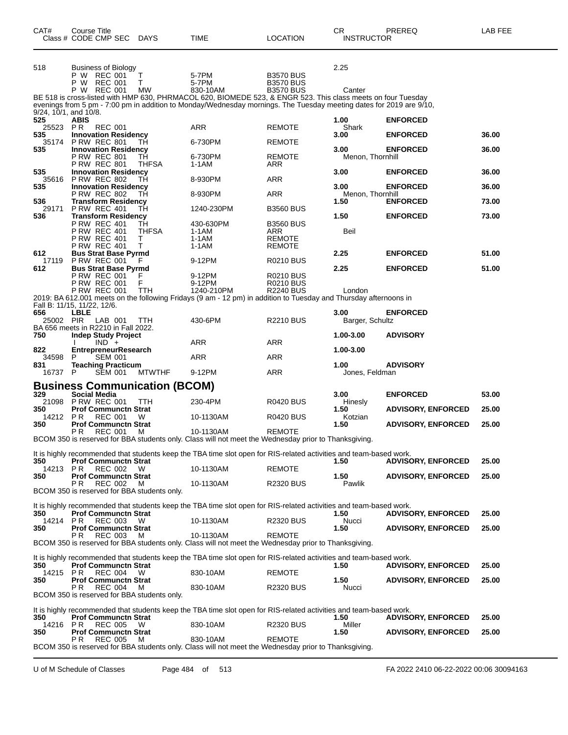| CAT#                     | Course Title<br>Class # CODE CMP SEC DAYS                                                           |                    | TIME                                                                                                                                                                                                                                | <b>LOCATION</b>                                          | CR<br><b>INSTRUCTOR</b>  | PREREQ                    | LAB FEE |
|--------------------------|-----------------------------------------------------------------------------------------------------|--------------------|-------------------------------------------------------------------------------------------------------------------------------------------------------------------------------------------------------------------------------------|----------------------------------------------------------|--------------------------|---------------------------|---------|
| 518                      | Business of Biology<br>P W REC 001<br>P W<br>REC 001<br>P W REC 001                                 | T<br>т<br>МW       | 5-7PM<br>5-7PM<br>830-10AM                                                                                                                                                                                                          | <b>B3570 BUS</b><br><b>B3570 BUS</b><br><b>B3570 BUS</b> | 2.25<br>Canter           |                           |         |
| $9/24$ , 10/1, and 10/8. |                                                                                                     |                    | BE 518 is cross-listed with HMP 630, PHRMACOL 620, BIOMEDE 523, & ENGR 523. This class meets on four Tuesday<br>evenings from 5 pm - 7:00 pm in addition to Monday/Wednesday mornings. The Tuesday meeting dates for 2019 are 9/10, |                                                          |                          |                           |         |
| 525<br>25523 PR          | ABIS<br><b>REC 001</b>                                                                              |                    | ARR                                                                                                                                                                                                                                 | REMOTE                                                   | 1.00<br>Shark            | <b>ENFORCED</b>           |         |
| 535<br>35174             | <b>Innovation Residency</b><br><b>P RW REC 801</b>                                                  | ТH                 | 6-730PM                                                                                                                                                                                                                             | <b>REMOTE</b>                                            | 3.00                     | <b>ENFORCED</b>           | 36.00   |
| 535                      | <b>Innovation Residency</b><br><b>P RW REC 801</b><br><b>P RW REC 801</b>                           | ТH<br><b>THFSA</b> | 6-730PM<br>$1-1AM$                                                                                                                                                                                                                  | <b>REMOTE</b><br>ARR                                     | 3.00<br>Menon, Thornhill | <b>ENFORCED</b>           | 36.00   |
| 535                      | <b>Innovation Residency</b><br>35616 P RW REC 802                                                   | TН                 | 8-930PM                                                                                                                                                                                                                             | ARR                                                      | 3.00                     | <b>ENFORCED</b>           | 36.00   |
| 535                      | <b>Innovation Residency</b><br><b>P RW REC 802</b>                                                  | TН                 | 8-930PM                                                                                                                                                                                                                             | ARR                                                      | 3.00<br>Menon, Thornhill | <b>ENFORCED</b>           | 36.00   |
| 536<br>29171             | <b>Transform Residency</b><br><b>P RW REC 401</b>                                                   | TН                 | 1240-230PM                                                                                                                                                                                                                          | <b>B3560 BUS</b>                                         | 1.50                     | <b>ENFORCED</b>           | 73.00   |
| 536                      | <b>Transform Residency</b><br><b>P RW REC 401</b><br><b>P RW REC 401</b>                            | TH<br><b>THFSA</b> | 430-630PM<br>$1-1AM$                                                                                                                                                                                                                | <b>B3560 BUS</b><br>ARR                                  | 1.50<br>Beil             | <b>ENFORCED</b>           | 73.00   |
| 612                      | <b>P RW REC 401</b><br><b>P RW REC 401</b><br><b>Bus Strat Base Pyrmd</b>                           | Τ<br>т             | $1-1AM$<br>1-1AM                                                                                                                                                                                                                    | REMOTE<br>REMOTE                                         | 2.25                     | <b>ENFORCED</b>           | 51.00   |
| 612                      | 17119 PRW REC 001<br><b>Bus Strat Base Pyrmd</b>                                                    | F                  | 9-12PM                                                                                                                                                                                                                              | <b>R0210 BUS</b>                                         | 2.25                     | <b>ENFORCED</b>           | 51.00   |
|                          | <b>P RW REC 001</b><br><b>P RW REC 001</b><br><b>P RW REC 001</b>                                   | F<br>TTH           | 9-12PM<br>9-12PM<br>1240-210PM                                                                                                                                                                                                      | <b>R0210 BUS</b><br><b>R0210 BUS</b><br><b>R2240 BUS</b> | London                   |                           |         |
|                          | Fall B: 11/15, 11/22, 12/6.                                                                         |                    | 2019: BA 612.001 meets on the following Fridays (9 am - 12 pm) in addition to Tuesday and Thursday afternoons in                                                                                                                    |                                                          |                          |                           |         |
| 656<br>25002 PIR         | LBLE<br>LAB 001<br>BA 656 meets in R2210 in Fall 2022.                                              | <b>TTH</b>         | 430-6PM                                                                                                                                                                                                                             | <b>R2210 BUS</b>                                         | 3.00<br>Barger, Schultz  | <b>ENFORCED</b>           |         |
| 750                      | <b>Indep Study Project</b><br>$IND +$                                                               |                    | ARR                                                                                                                                                                                                                                 | ARR                                                      | 1.00-3.00                | <b>ADVISORY</b>           |         |
| 822<br>34598             | <b>EntrepreneurResearch</b><br><b>SEM 001</b><br>P                                                  |                    | ARR                                                                                                                                                                                                                                 | ARR                                                      | 1.00-3.00                |                           |         |
| 831<br>16737 P           | <b>Teaching Practicum</b><br><b>SEM 001</b>                                                         | <b>MTWTHF</b>      | 9-12PM                                                                                                                                                                                                                              | <b>ARR</b>                                               | 1.00<br>Jones, Feldman   | <b>ADVISORY</b>           |         |
|                          | <b>Business Communication (BCOM)</b>                                                                |                    |                                                                                                                                                                                                                                     |                                                          |                          |                           |         |
| 329                      | <b>Social Media</b><br>21098 P RW REC 001                                                           | <b>TTH</b>         | 230-4PM                                                                                                                                                                                                                             | <b>R0420 BUS</b>                                         | 3.00<br>Hinesly          | <b>ENFORCED</b>           | 53.00   |
| 350<br>14212 PR          | <b>Prof Communctn Strat</b><br><b>REC 001</b>                                                       | W                  | 10-1130AM                                                                                                                                                                                                                           | <b>R0420 BUS</b>                                         | 1.50<br>Kotzian          | <b>ADVISORY, ENFORCED</b> | 25.00   |
| 350                      | <b>Prof Communctn Strat</b><br>РR<br><b>REC 001</b>                                                 | M                  | 10-1130AM<br>BCOM 350 is reserved for BBA students only. Class will not meet the Wednesday prior to Thanksgiving.                                                                                                                   | <b>REMOTE</b>                                            | 1.50                     | <b>ADVISORY, ENFORCED</b> | 25.00   |
|                          |                                                                                                     |                    | It is highly recommended that students keep the TBA time slot open for RIS-related activities and team-based work.                                                                                                                  |                                                          |                          |                           |         |
| 350                      | <b>Prof Communctn Strat</b>                                                                         |                    |                                                                                                                                                                                                                                     |                                                          | 1.50                     | <b>ADVISORY, ENFORCED</b> | 25.00   |
| 14213<br>350             | P R<br>REC 002<br><b>Prof Communctn Strat</b><br>P R<br>REC 002                                     | w<br>M             | 10-1130AM<br>10-1130AM                                                                                                                                                                                                              | REMOTE<br><b>R2320 BUS</b>                               | 1.50<br>Pawlik           | <b>ADVISORY, ENFORCED</b> | 25.00   |
|                          | BCOM 350 is reserved for BBA students only.                                                         |                    |                                                                                                                                                                                                                                     |                                                          |                          |                           |         |
| 350                      | <b>Prof Communctn Strat</b>                                                                         |                    | It is highly recommended that students keep the TBA time slot open for RIS-related activities and team-based work.                                                                                                                  |                                                          | 1.50                     | <b>ADVISORY, ENFORCED</b> | 25.00   |
| 14214 PR<br>350          | <b>REC 003</b><br><b>Prof Communctn Strat</b>                                                       | w                  | 10-1130AM                                                                                                                                                                                                                           | <b>R2320 BUS</b>                                         | Nucci<br>1.50            | <b>ADVISORY, ENFORCED</b> | 25.00   |
|                          | <b>REC 003</b><br>P R                                                                               | M                  | 10-1130AM<br>BCOM 350 is reserved for BBA students only. Class will not meet the Wednesday prior to Thanksgiving.                                                                                                                   | REMOTE                                                   |                          |                           |         |
|                          |                                                                                                     |                    | It is highly recommended that students keep the TBA time slot open for RIS-related activities and team-based work.                                                                                                                  |                                                          |                          |                           |         |
| 350<br>14215 PR          | <b>Prof Communctn Strat</b><br><b>REC 004</b>                                                       | w                  | 830-10AM                                                                                                                                                                                                                            | REMOTE                                                   | 1.50                     | <b>ADVISORY, ENFORCED</b> | 25.00   |
| 350                      | <b>Prof Communctn Strat</b><br>P R<br><b>REC 004</b><br>BCOM 350 is reserved for BBA students only. | M                  | 830-10AM                                                                                                                                                                                                                            | <b>R2320 BUS</b>                                         | 1.50<br>Nucci            | <b>ADVISORY, ENFORCED</b> | 25.00   |
|                          |                                                                                                     |                    | It is highly recommended that students keep the TBA time slot open for RIS-related activities and team-based work.                                                                                                                  |                                                          |                          |                           |         |
| 350<br>14216             | <b>Prof Communctn Strat</b><br>P R<br><b>REC 005</b>                                                | w                  | 830-10AM                                                                                                                                                                                                                            | <b>R2320 BUS</b>                                         | 1.50<br>Miller           | <b>ADVISORY, ENFORCED</b> | 25.00   |
| 350                      | <b>Prof Communctn Strat</b><br>P R<br><b>REC 005</b>                                                | м                  | 830-10AM<br>BCOM 350 is reserved for BBA students only. Class will not meet the Wednesday prior to Thanksgiving.                                                                                                                    | <b>REMOTE</b>                                            | 1.50                     | <b>ADVISORY, ENFORCED</b> | 25.00   |
|                          |                                                                                                     |                    |                                                                                                                                                                                                                                     |                                                          |                          |                           |         |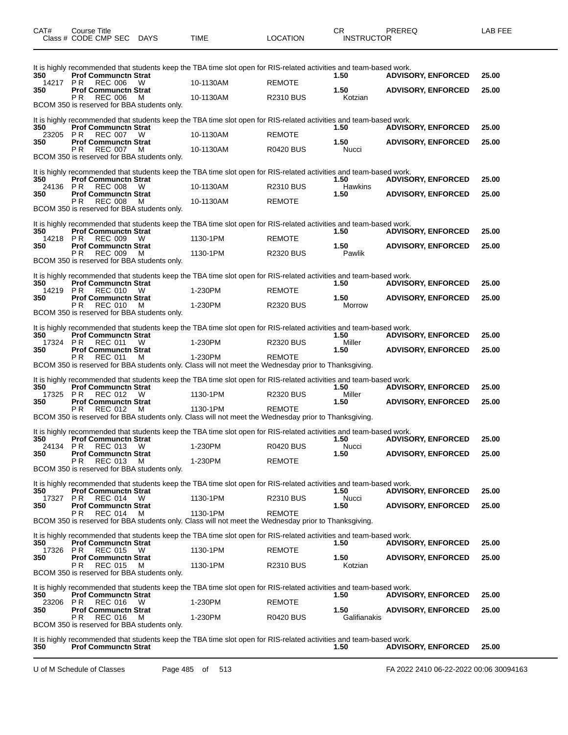| CAT#            | Course Title<br>Class # CODE CMP SEC DAYS                                                           |   | TIME                                                                                                                            | <b>LOCATION</b>  | CR<br><b>INSTRUCTOR</b> | PREREQ                    | LAB FEE |
|-----------------|-----------------------------------------------------------------------------------------------------|---|---------------------------------------------------------------------------------------------------------------------------------|------------------|-------------------------|---------------------------|---------|
| 350<br>14217 PR | <b>Prof Communctn Strat</b><br>REC 006                                                              | W | It is highly recommended that students keep the TBA time slot open for RIS-related activities and team-based work.<br>10-1130AM | <b>REMOTE</b>    | 1.50                    | <b>ADVISORY, ENFORCED</b> | 25.00   |
| 350             | <b>Prof Communctn Strat</b><br>P R<br><b>REC 006</b><br>BCOM 350 is reserved for BBA students only. | M | 10-1130AM                                                                                                                       | <b>R2310 BUS</b> | 1.50<br>Kotzian         | <b>ADVISORY, ENFORCED</b> | 25.00   |
|                 |                                                                                                     |   |                                                                                                                                 |                  |                         |                           |         |
| 350             | <b>Prof Communctn Strat</b>                                                                         |   | It is highly recommended that students keep the TBA time slot open for RIS-related activities and team-based work.              |                  | 1.50                    | <b>ADVISORY, ENFORCED</b> | 25.00   |
| 23205<br>350    | P R<br><b>REC 007</b><br><b>Prof Communctn Strat</b>                                                | W | 10-1130AM                                                                                                                       | <b>REMOTE</b>    | 1.50                    | <b>ADVISORY, ENFORCED</b> | 25.00   |
|                 | PR.<br>REC 007<br>BCOM 350 is reserved for BBA students only.                                       | M | 10-1130AM                                                                                                                       | <b>R0420 BUS</b> | Nucci                   |                           |         |
|                 |                                                                                                     |   | It is highly recommended that students keep the TBA time slot open for RIS-related activities and team-based work.              |                  |                         |                           |         |
| 350<br>24136 PR | <b>Prof Communctn Strat</b><br><b>REC 008</b>                                                       | W | 10-1130AM                                                                                                                       | R2310 BUS        | 1.50<br>Hawkins         | <b>ADVISORY, ENFORCED</b> | 25.00   |
| 350             | <b>Prof Communctn Strat</b><br>P R<br><b>REC 008</b>                                                | м | 10-1130AM                                                                                                                       | <b>REMOTE</b>    | 1.50                    | <b>ADVISORY, ENFORCED</b> | 25.00   |
|                 | BCOM 350 is reserved for BBA students only.                                                         |   |                                                                                                                                 |                  |                         |                           |         |
|                 |                                                                                                     |   | It is highly recommended that students keep the TBA time slot open for RIS-related activities and team-based work.              |                  |                         |                           |         |
| 350<br>14218 PR | <b>Prof Communctn Strat</b><br>REC 009                                                              | W | 1130-1PM                                                                                                                        | <b>REMOTE</b>    | 1.50                    | <b>ADVISORY, ENFORCED</b> | 25.00   |
| 350             | <b>Prof Communctn Strat</b>                                                                         |   |                                                                                                                                 |                  | 1.50                    | <b>ADVISORY, ENFORCED</b> | 25.00   |
|                 | P R<br><b>REC 009</b><br>BCOM 350 is reserved for BBA students only.                                | м | 1130-1PM                                                                                                                        | <b>R2320 BUS</b> | Pawlik                  |                           |         |
|                 |                                                                                                     |   | It is highly recommended that students keep the TBA time slot open for RIS-related activities and team-based work.              |                  |                         |                           |         |
| 350<br>14219    | <b>Prof Communctn Strat</b><br>P R<br><b>REC 010</b>                                                | W | 1-230PM                                                                                                                         | <b>REMOTE</b>    | 1.50                    | <b>ADVISORY, ENFORCED</b> | 25.00   |
| 350             | <b>Prof Communctn Strat</b>                                                                         |   |                                                                                                                                 |                  | 1.50                    | <b>ADVISORY, ENFORCED</b> | 25.00   |
|                 | PR.<br><b>REC 010</b><br>BCOM 350 is reserved for BBA students only.                                | M | 1-230PM                                                                                                                         | <b>R2320 BUS</b> | Morrow                  |                           |         |
|                 |                                                                                                     |   | It is highly recommended that students keep the TBA time slot open for RIS-related activities and team-based work.              |                  |                         |                           |         |
| 350             | <b>Prof Communctn Strat</b>                                                                         |   |                                                                                                                                 |                  | 1.50                    | <b>ADVISORY, ENFORCED</b> | 25.00   |
| 17324 PR<br>350 | <b>REC 011</b><br><b>Prof Communctn Strat</b>                                                       | W | 1-230PM                                                                                                                         | <b>R2320 BUS</b> | Miller<br>1.50          | <b>ADVISORY, ENFORCED</b> | 25.00   |
|                 | P R<br><b>REC 011</b>                                                                               | м | 1-230PM<br>BCOM 350 is reserved for BBA students only. Class will not meet the Wednesday prior to Thanksgiving.                 | <b>REMOTE</b>    |                         |                           |         |
|                 |                                                                                                     |   | It is highly recommended that students keep the TBA time slot open for RIS-related activities and team-based work.              |                  |                         |                           |         |
| 350             | <b>Prof Communctn Strat</b>                                                                         |   |                                                                                                                                 |                  | 1.50                    | <b>ADVISORY, ENFORCED</b> | 25.00   |
| 17325<br>350    | PR<br><b>REC 012</b><br><b>Prof Communctn Strat</b>                                                 | W | 1130-1PM                                                                                                                        | <b>R2320 BUS</b> | Miller<br>1.50          | <b>ADVISORY, ENFORCED</b> | 25.00   |
|                 | <b>REC 012</b><br>P R.                                                                              | M | 1130-1PM<br>BCOM 350 is reserved for BBA students only. Class will not meet the Wednesday prior to Thanksgiving.                | <b>REMOTE</b>    |                         |                           |         |
|                 |                                                                                                     |   |                                                                                                                                 |                  |                         |                           |         |
| 350             | <b>Prof Communctn Strat</b>                                                                         |   | It is highly recommended that students keep the TBA time slot open for RIS-related activities and team-based work.              |                  | 1.50                    | <b>ADVISORY, ENFORCED</b> | 25.00   |
| 24134<br>350    | PR.<br>REC 013 W<br><b>Prof Communctn Strat</b>                                                     |   | 1-230PM                                                                                                                         | <b>R0420 BUS</b> | Nucci<br>1.50           | <b>ADVISORY, ENFORCED</b> | 25.00   |
|                 | <b>REC 013</b><br>P R                                                                               | M | 1-230PM                                                                                                                         | <b>REMOTE</b>    |                         |                           |         |
|                 | BCOM 350 is reserved for BBA students only.                                                         |   |                                                                                                                                 |                  |                         |                           |         |
| 350             | <b>Prof Communctn Strat</b>                                                                         |   | It is highly recommended that students keep the TBA time slot open for RIS-related activities and team-based work.              |                  | 1.50                    | <b>ADVISORY, ENFORCED</b> | 25.00   |
| 17327           | P R<br><b>REC 014</b>                                                                               | W | 1130-1PM                                                                                                                        | <b>R2310 BUS</b> | Nucci                   |                           | 25.00   |
| 350             | <b>Prof Communctn Strat</b><br>РR<br><b>REC 014</b>                                                 | M | 1130-1PM                                                                                                                        | <b>REMOTE</b>    | 1.50                    | <b>ADVISORY, ENFORCED</b> |         |
|                 |                                                                                                     |   | BCOM 350 is reserved for BBA students only. Class will not meet the Wednesday prior to Thanksgiving.                            |                  |                         |                           |         |
| 350             | <b>Prof Communctn Strat</b>                                                                         |   | It is highly recommended that students keep the TBA time slot open for RIS-related activities and team-based work.              |                  | 1.50                    | <b>ADVISORY, ENFORCED</b> | 25.00   |
| 17326           | PR.<br><b>REC 015</b>                                                                               | w | 1130-1PM                                                                                                                        | <b>REMOTE</b>    |                         |                           |         |
| 350             | <b>Prof Communctn Strat</b><br>P R<br><b>REC 015</b>                                                | M | 1130-1PM                                                                                                                        | R2310 BUS        | 1.50<br>Kotzian         | <b>ADVISORY, ENFORCED</b> | 25.00   |
|                 | BCOM 350 is reserved for BBA students only.                                                         |   |                                                                                                                                 |                  |                         |                           |         |
|                 |                                                                                                     |   | It is highly recommended that students keep the TBA time slot open for RIS-related activities and team-based work.              |                  |                         |                           |         |
| 350<br>23206    | <b>Prof Communctn Strat</b><br>P R<br>REC 016                                                       | W | 1-230PM                                                                                                                         | <b>REMOTE</b>    | 1.50                    | <b>ADVISORY, ENFORCED</b> | 25.00   |
| 350             | <b>Prof Communctn Strat</b><br><b>REC 016</b><br>P R.                                               | M | 1-230PM                                                                                                                         | <b>R0420 BUS</b> | 1.50<br>Galifianakis    | <b>ADVISORY, ENFORCED</b> | 25.00   |
|                 | BCOM 350 is reserved for BBA students only.                                                         |   |                                                                                                                                 |                  |                         |                           |         |
|                 |                                                                                                     |   | It is highly recommended that students keep the TBA time slot open for RIS-related activities and team-based work.              |                  |                         |                           |         |

**350 Prof Communctn Strat 1.50 ADVISORY, ENFORCED 25.00**

U of M Schedule of Classes Page 485 of 513 FA 2022 2410 06-22-2022 00:06 30094163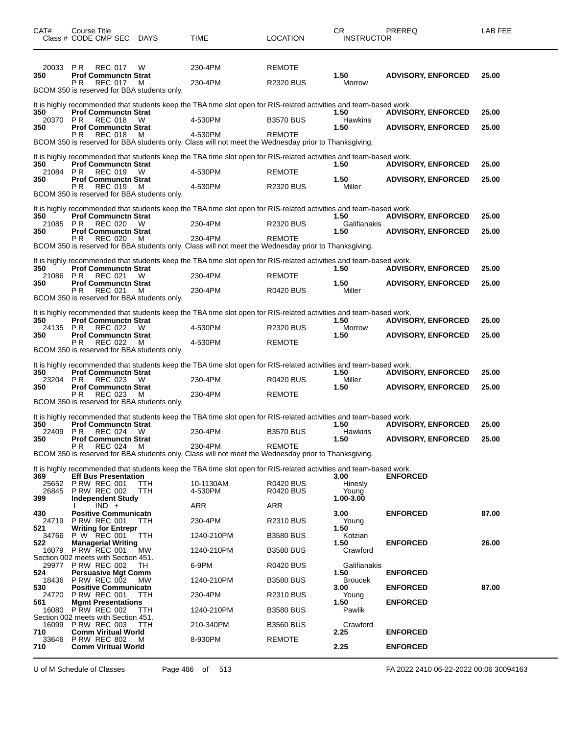| CAT#                                         | Course Title<br>Class # CODE CMP SEC                                                                                                                                                                                     | <b>DAYS</b>                   | TIME                                                                                                                                                                                                                                             | <b>LOCATION</b>                                                | CR<br><b>INSTRUCTOR</b>                                                     | PREREQ                                                 | LAB FEE        |
|----------------------------------------------|--------------------------------------------------------------------------------------------------------------------------------------------------------------------------------------------------------------------------|-------------------------------|--------------------------------------------------------------------------------------------------------------------------------------------------------------------------------------------------------------------------------------------------|----------------------------------------------------------------|-----------------------------------------------------------------------------|--------------------------------------------------------|----------------|
| 20033<br>350                                 | P R<br><b>REC 017</b><br><b>Prof Communctn Strat</b><br>РR<br><b>REC 017</b><br>BCOM 350 is reserved for BBA students only.                                                                                              | W<br>м                        | 230-4PM<br>230-4PM                                                                                                                                                                                                                               | <b>REMOTE</b><br><b>R2320 BUS</b>                              | 1.50<br>Morrow                                                              | <b>ADVISORY, ENFORCED</b>                              | 25.00          |
| 350<br>20370<br>350                          | <b>Prof Communctn Strat</b><br>PR.<br><b>REC 018</b><br><b>Prof Communctn Strat</b><br>P R<br><b>REC 018</b>                                                                                                             | W<br>M                        | It is highly recommended that students keep the TBA time slot open for RIS-related activities and team-based work.<br>4-530PM<br>4-530PM<br>BCOM 350 is reserved for BBA students only. Class will not meet the Wednesday prior to Thanksgiving. | <b>B3570 BUS</b><br><b>REMOTE</b>                              | 1.50<br>Hawkins<br>1.50                                                     | <b>ADVISORY, ENFORCED</b><br><b>ADVISORY, ENFORCED</b> | 25.00<br>25.00 |
| 350<br>21084 PR<br>350                       | <b>Prof Communctn Strat</b><br><b>REC 019</b><br><b>Prof Communctn Strat</b><br>PR.<br>REC 019<br>BCOM 350 is reserved for BBA students only.                                                                            | W<br>M                        | It is highly recommended that students keep the TBA time slot open for RIS-related activities and team-based work.<br>4-530PM<br>4-530PM                                                                                                         | <b>REMOTE</b><br><b>R2320 BUS</b>                              | 1.50<br>1.50<br>Miller                                                      | <b>ADVISORY, ENFORCED</b><br><b>ADVISORY, ENFORCED</b> | 25.00<br>25.00 |
| 350<br>21085 PR<br>350                       | <b>Prof Communctn Strat</b><br><b>REC 020</b><br><b>Prof Communctn Strat</b><br>P R<br><b>REC 020</b>                                                                                                                    | W<br>м                        | It is highly recommended that students keep the TBA time slot open for RIS-related activities and team-based work.<br>230-4PM<br>230-4PM<br>BCOM 350 is reserved for BBA students only. Class will not meet the Wednesday prior to Thanksgiving. | <b>R2320 BUS</b><br><b>REMOTE</b>                              | 1.50<br>Galifianakis<br>1.50                                                | <b>ADVISORY, ENFORCED</b><br><b>ADVISORY, ENFORCED</b> | 25.00<br>25.00 |
| 350<br>21086<br>350                          | <b>Prof Communctn Strat</b><br>PR.<br><b>REC 021</b><br><b>Prof Communctn Strat</b><br>P R<br><b>REC 021</b><br>BCOM 350 is reserved for BBA students only.                                                              | W<br>м                        | It is highly recommended that students keep the TBA time slot open for RIS-related activities and team-based work.<br>230-4PM<br>230-4PM                                                                                                         | <b>REMOTE</b><br><b>R0420 BUS</b>                              | 1.50<br>1.50<br>Miller                                                      | <b>ADVISORY, ENFORCED</b><br><b>ADVISORY, ENFORCED</b> | 25.00<br>25.00 |
| 350<br>24135 PR<br>350                       | <b>Prof Communctn Strat</b><br>REC 022<br><b>Prof Communctn Strat</b><br>PR.<br><b>REC 022</b><br>BCOM 350 is reserved for BBA students only.                                                                            | W<br>M                        | It is highly recommended that students keep the TBA time slot open for RIS-related activities and team-based work.<br>4-530PM<br>4-530PM                                                                                                         | <b>R2320 BUS</b><br><b>REMOTE</b>                              | 1.50<br>Morrow<br>1.50                                                      | <b>ADVISORY, ENFORCED</b><br><b>ADVISORY, ENFORCED</b> | 25.00<br>25.00 |
| 350<br>23204<br>350                          | <b>Prof Communctn Strat</b><br><b>REC 023</b><br>P R<br><b>Prof Communctn Strat</b><br>P R<br><b>REC 023</b><br>BCOM 350 is reserved for BBA students only.                                                              | W<br>м                        | It is highly recommended that students keep the TBA time slot open for RIS-related activities and team-based work.<br>230-4PM<br>230-4PM                                                                                                         | <b>R0420 BUS</b><br><b>REMOTE</b>                              | 1.50<br>Miller<br>1.50                                                      | <b>ADVISORY, ENFORCED</b><br><b>ADVISORY, ENFORCED</b> | 25.00<br>25.00 |
| 350<br>22409<br>350                          | <b>Prof Communctn Strat</b><br>PR.<br>REC 024<br><b>Prof Communctn Strat</b><br><b>REC 024</b><br>P R                                                                                                                    | W<br>М                        | It is highly recommended that students keep the TBA time slot open for RIS-related activities and team-based work.<br>230-4PM<br>230-4PM<br>BCOM 350 is reserved for BBA students only. Class will not meet the Wednesday prior to Thanksgiving. | <b>B3570 BUS</b><br><b>REMOTE</b>                              | 1.50<br>Hawkins<br>1.50                                                     | <b>ADVISORY, ENFORCED</b><br><b>ADVISORY, ENFORCED</b> | 25.00<br>25.00 |
| 369<br>25652<br>26845<br>399                 | <b>Eff Bus Presentation</b><br><b>P RW REC 001</b><br><b>P RW REC 002</b><br><b>Independent Study</b><br>IND +                                                                                                           | TTH<br>TTH                    | It is highly recommended that students keep the TBA time slot open for RIS-related activities and team-based work.<br>10-1130AM<br>4-530PM<br>ARR                                                                                                | <b>R0420 BUS</b><br><b>R0420 BUS</b><br>ARR                    | 3.00<br>Hinesly<br>Young<br>1.00-3.00                                       | <b>ENFORCED</b>                                        |                |
| 430<br>24719<br>521<br>34766<br>522          | <b>Positive Communicatn</b><br><b>P RW REC 001</b><br><b>Writing for Entrepr</b><br>P W REC 001<br><b>Managerial Writing</b>                                                                                             | TTH<br>ттн                    | 230-4PM<br>1240-210PM                                                                                                                                                                                                                            | <b>R2310 BUS</b><br><b>B3580 BUS</b>                           | 3.00<br>Young<br>1.50<br>Kotzian<br>1.50                                    | <b>ENFORCED</b><br><b>ENFORCED</b>                     | 87.00<br>26.00 |
| 16079<br>524<br>18436<br>530<br>24720<br>561 | <b>P RW REC 001</b><br>Section 002 meets with Section 451.<br>29977 P RW REC 002<br><b>Persuasive Mgt Comm</b><br><b>P RW REC 002</b><br><b>Positive Communicatn</b><br><b>P RW REC 001</b><br><b>Mgmt Presentations</b> | МW<br>TH.<br><b>MW</b><br>TTH | 1240-210PM<br>6-9PM<br>1240-210PM<br>230-4PM                                                                                                                                                                                                     | <b>B3580 BUS</b><br>R0420 BUS<br><b>B3580 BUS</b><br>R2310 BUS | Crawford<br>Galifianakis<br>1.50<br><b>Broucek</b><br>3.00<br>Young<br>1.50 | <b>ENFORCED</b><br><b>ENFORCED</b><br><b>ENFORCED</b>  | 87.00          |
| 16080<br>16099<br>710<br>33646<br>710        | <b>P RW REC 002</b><br>Section 002 meets with Section 451.<br><b>P RW REC 003</b><br><b>Comm Viritual World</b><br><b>P RW REC 802</b><br><b>Comm Viritual World</b>                                                     | TTH<br>TTH<br>м               | 1240-210PM<br>210-340PM<br>8-930PM                                                                                                                                                                                                               | <b>B3580 BUS</b><br><b>B3560 BUS</b><br><b>REMOTE</b>          | Pawlik<br>Crawford<br>2.25<br>2.25                                          | <b>ENFORCED</b><br><b>ENFORCED</b>                     |                |

U of M Schedule of Classes Page 486 of 513 FA 2022 2410 06-22-2022 00:06 30094163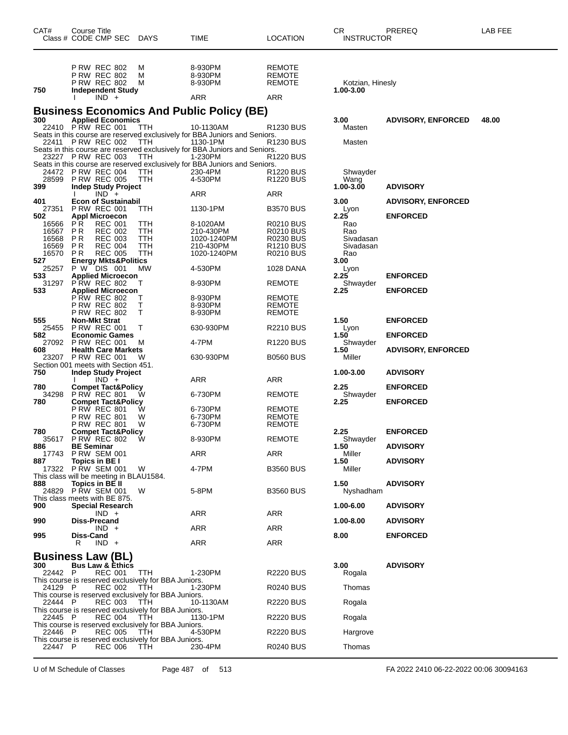| CAT#           | Course Title          | Class # CODE CMP SEC                                                                          | <b>DAYS</b>                                                  | TIME                                                                                                | <b>LOCATION</b>                                | CR<br><b>INSTRUCTOR</b>       | PREREQ                    | LAB FEE |
|----------------|-----------------------|-----------------------------------------------------------------------------------------------|--------------------------------------------------------------|-----------------------------------------------------------------------------------------------------|------------------------------------------------|-------------------------------|---------------------------|---------|
| 750            |                       | <b>P RW REC 802</b><br><b>P RW REC 802</b><br><b>P RW REC 802</b><br><b>Independent Study</b> | M<br>М<br>M                                                  | 8-930PM<br>8-930PM<br>8-930PM                                                                       | REMOTE<br><b>REMOTE</b><br><b>REMOTE</b>       | Kotzian, Hinesly<br>1.00-3.00 |                           |         |
|                |                       | $IND +$                                                                                       |                                                              | ARR                                                                                                 | ARR                                            |                               |                           |         |
| 300            |                       | <b>Applied Economics</b>                                                                      |                                                              | <b>Business Economics And Public Policy (BE)</b>                                                    |                                                | 3.00                          | <b>ADVISORY, ENFORCED</b> | 48.00   |
|                |                       | 22410 PRW REC 001<br>22411 P RW REC 002                                                       | TTH<br><b>TTH</b>                                            | 10-1130AM<br>Seats in this course are reserved exclusively for BBA Juniors and Seniors.<br>1130-1PM | R1230 BUS<br>R1230 BUS                         | Masten<br>Masten              |                           |         |
|                |                       |                                                                                               |                                                              | Seats in this course are reserved exclusively for BBA Juniors and Seniors.                          |                                                |                               |                           |         |
|                |                       | 23227 P RW REC 003                                                                            | TTH                                                          | 1-230PM<br>Seats in this course are reserved exclusively for BBA Juniors and Seniors.               | R1220 BUS                                      |                               |                           |         |
| 28599<br>399   |                       | 24472 P RW REC 004<br><b>P RW REC 005</b><br><b>Indep Study Project</b>                       | TTH<br>TTH                                                   | 230-4PM<br>4-530PM                                                                                  | R <sub>1220</sub> BUS<br>R <sub>1220</sub> BUS | Shwayder<br>Wang<br>1.00-3.00 | <b>ADVISORY</b>           |         |
|                |                       | $IND +$                                                                                       |                                                              | ARR                                                                                                 | ARR                                            |                               |                           |         |
| 401<br>27351   |                       | <b>Econ of Sustainabil</b><br><b>P RW REC 001</b>                                             | ттн                                                          | 1130-1PM                                                                                            | <b>B3570 BUS</b>                               | 3.00<br>Lyon                  | <b>ADVISORY, ENFORCED</b> |         |
| 502<br>16566   | P R                   | <b>Appl Microecon</b><br><b>REC 001</b>                                                       | TTH                                                          | 8-1020AM                                                                                            | R0210 BUS                                      | 2.25<br>Rao                   | <b>ENFORCED</b>           |         |
| 16567<br>16568 | P <sub>R</sub><br>P R | <b>REC 002</b><br><b>REC 003</b>                                                              | <b>TTH</b><br>TTH                                            | 210-430PM<br>1020-1240PM                                                                            | R0210 BUS<br><b>R0230 BUS</b>                  | Rao<br>Sivadasan              |                           |         |
| 16569          | P R                   | <b>REC 004</b>                                                                                | TTH                                                          | 210-430PM                                                                                           | R1210 BUS                                      | Sivadasan                     |                           |         |
| 16570<br>527   | P R                   | <b>REC 005</b><br><b>Energy Mkts&amp;Politics</b>                                             | TTH                                                          | 1020-1240PM                                                                                         | <b>R0210 BUS</b>                               | Rao<br>3.00                   |                           |         |
| 25257          |                       | P W DIS 001                                                                                   | МW                                                           | 4-530PM                                                                                             | 1028 DANA                                      | Lyon                          |                           |         |
| 533<br>31297   |                       | <b>Applied Microecon</b><br>PRW REC 802                                                       | Т                                                            | 8-930PM                                                                                             | REMOTE                                         | 2.25<br>Shwayder              | <b>ENFORCED</b>           |         |
| 533            |                       | <b>Applied Microecon</b>                                                                      |                                                              |                                                                                                     |                                                | 2.25                          | <b>ENFORCED</b>           |         |
|                |                       | <b>P RW REC 802</b><br><b>P RW REC 802</b>                                                    | т<br>т                                                       | 8-930PM<br>8-930PM                                                                                  | REMOTE<br><b>REMOTE</b>                        |                               |                           |         |
|                |                       | <b>P RW REC 802</b>                                                                           | т                                                            | 8-930PM                                                                                             | REMOTE                                         |                               |                           |         |
| 555<br>25455   |                       | <b>Non-Mkt Strat</b><br>PRW REC 001                                                           | т                                                            | 630-930PM                                                                                           | <b>R2210 BUS</b>                               | 1.50<br>Lyon                  | <b>ENFORCED</b>           |         |
| 582            |                       | <b>Economic Games</b>                                                                         |                                                              |                                                                                                     |                                                | 1.50                          | <b>ENFORCED</b>           |         |
| 27092<br>608   |                       | <b>P RW REC 001</b><br><b>Health Care Markets</b>                                             | M                                                            | 4-7PM                                                                                               | R1220 BUS                                      | Shwayder<br>1.50              | <b>ADVISORY, ENFORCED</b> |         |
| 23207          |                       | <b>P RW REC 001</b><br>Section 001 meets with Section 451.                                    | w                                                            | 630-930PM                                                                                           | <b>B0560 BUS</b>                               | Miller                        |                           |         |
| 750            |                       | <b>Indep Study Project</b>                                                                    |                                                              |                                                                                                     |                                                | 1.00-3.00                     | <b>ADVISORY</b>           |         |
| 780            |                       | $IND +$<br><b>Compet Tact&amp;Policy</b>                                                      |                                                              | ARR                                                                                                 | ARR                                            | 2.25                          | <b>ENFORCED</b>           |         |
| 34298          |                       | PRW REC 801                                                                                   | W                                                            | 6-730PM                                                                                             | REMOTE                                         | Shwayder                      |                           |         |
| 780            |                       | <b>Compet Tact&amp;Policy</b><br><b>P RW REC 801</b>                                          | W                                                            | 6-730PM                                                                                             | <b>REMOTE</b>                                  | 2.25                          | <b>ENFORCED</b>           |         |
|                |                       | P RW REC 801                                                                                  | W                                                            | 6-730PM                                                                                             | <b>REMOTE</b>                                  |                               |                           |         |
| 780            |                       | P RW REC 801<br><b>Compet Tact&amp;Policy</b>                                                 | W                                                            | 6-730PM                                                                                             | REMOTE                                         | 2.25                          | <b>ENFORCED</b>           |         |
| 35617          |                       | <b>P RW REC 802</b>                                                                           | W                                                            | 8-930PM                                                                                             | <b>REMOTE</b>                                  | Shwayder                      |                           |         |
| 886<br>17743   | <b>BE Seminar</b>     | PRW SEM 001                                                                                   |                                                              | ARR                                                                                                 | ARR                                            | 1.50<br>Miller                | <b>ADVISORY</b>           |         |
| 887<br>17322   |                       | Topics in BE I<br><b>PRW SEM 001</b>                                                          | W                                                            | 4-7PM                                                                                               | <b>B3560 BUS</b>                               | 1.50<br>Miller                | <b>ADVISORY</b>           |         |
|                |                       | This class will be meeting in BLAU1584.                                                       |                                                              |                                                                                                     |                                                |                               |                           |         |
| 888<br>24829   |                       | Topics in BE II<br><b>P RW SEM 001</b>                                                        | W                                                            | 5-8PM                                                                                               | <b>B3560 BUS</b>                               | 1.50<br>Nyshadham             | <b>ADVISORY</b>           |         |
|                |                       | This class meets with BE 875.                                                                 |                                                              |                                                                                                     |                                                |                               |                           |         |
| 900            |                       | <b>Special Research</b><br>$IND +$                                                            |                                                              | ARR                                                                                                 | ARR                                            | 1.00-6.00                     | <b>ADVISORY</b>           |         |
| 990            |                       | Diss-Precand                                                                                  |                                                              |                                                                                                     |                                                | 1.00-8.00                     | <b>ADVISORY</b>           |         |
| 995            | Diss-Cand             | $IND +$                                                                                       |                                                              | ARR                                                                                                 | ARR                                            | 8.00                          | <b>ENFORCED</b>           |         |
|                | R                     | $IND +$                                                                                       |                                                              | <b>ARR</b>                                                                                          | ARR                                            |                               |                           |         |
|                |                       | <b>Business Law (BL)</b>                                                                      |                                                              |                                                                                                     |                                                |                               |                           |         |
| 300<br>22442 P |                       | <b>Bus Law &amp; Ethics</b><br><b>REC 001</b>                                                 | TTH                                                          | 1-230PM                                                                                             | <b>R2220 BUS</b>                               | 3.00<br>Rogala                | <b>ADVISORY</b>           |         |
| 24129 P        |                       | <b>REC 002</b>                                                                                | This course is reserved exclusively for BBA Juniors.<br>TTH  | 1-230PM                                                                                             | R0240 BUS                                      | Thomas                        |                           |         |
| 22444 P        |                       |                                                                                               | This course is reserved exclusively for BBA Juniors.<br>TTH. | 10-1130AM                                                                                           |                                                |                               |                           |         |
|                |                       | <b>REC 003</b>                                                                                | This course is reserved exclusively for BBA Juniors.         |                                                                                                     | R2220 BUS                                      | Rogala                        |                           |         |
| 22445 P        |                       | <b>REC 004</b>                                                                                | TTH<br>This course is reserved exclusively for BBA Juniors.  | 1130-1PM                                                                                            | <b>R2220 BUS</b>                               | Rogala                        |                           |         |
| 22446 P        |                       | <b>REC 005</b>                                                                                | TTH<br>This course is reserved exclusively for BBA Juniors.  | 4-530PM                                                                                             | R2220 BUS                                      | Hargrove                      |                           |         |
| 22447 P        |                       | <b>REC 006</b>                                                                                | TTH                                                          | 230-4PM                                                                                             | R0240 BUS                                      | Thomas                        |                           |         |

U of M Schedule of Classes Page 487 of 513 FA 2022 2410 06-22-2022 00:06 30094163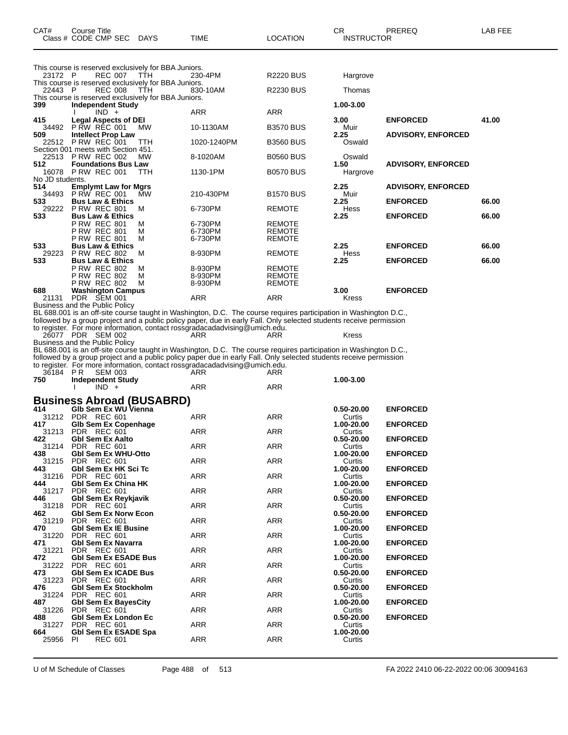| CAT#                | Course Title<br>Class # CODE CMP SEC                                                                                           | DAYS        | TIME                                                                                                                                                                                                                                                                                                                                                                                                                                                                                                                                     | <b>LOCATION</b>                                 | CR<br><b>INSTRUCTOR</b>            | PREREQ                             | LAB FEE        |
|---------------------|--------------------------------------------------------------------------------------------------------------------------------|-------------|------------------------------------------------------------------------------------------------------------------------------------------------------------------------------------------------------------------------------------------------------------------------------------------------------------------------------------------------------------------------------------------------------------------------------------------------------------------------------------------------------------------------------------------|-------------------------------------------------|------------------------------------|------------------------------------|----------------|
| 23172 P             | This course is reserved exclusively for BBA Juniors.<br><b>REC 007</b><br>This course is reserved exclusively for BBA Juniors. | TTH         | 230-4PM                                                                                                                                                                                                                                                                                                                                                                                                                                                                                                                                  | <b>R2220 BUS</b>                                | Hargrove                           |                                    |                |
| 22443 P             | <b>REC 008</b><br>This course is reserved exclusively for BBA Juniors.                                                         | TTH         | 830-10AM                                                                                                                                                                                                                                                                                                                                                                                                                                                                                                                                 | <b>R2230 BUS</b>                                | Thomas                             |                                    |                |
| 399                 | <b>Independent Study</b><br>$IND +$                                                                                            |             | ARR                                                                                                                                                                                                                                                                                                                                                                                                                                                                                                                                      | ARR                                             | 1.00-3.00                          |                                    |                |
| 415<br>34492        | <b>Legal Aspects of DEI</b><br><b>P RW REC 001</b>                                                                             | <b>MW</b>   | 10-1130AM                                                                                                                                                                                                                                                                                                                                                                                                                                                                                                                                | <b>B3570 BUS</b>                                | 3.00<br>Muir                       | <b>ENFORCED</b>                    | 41.00          |
| 509                 | <b>Intellect Prop Law</b><br>22512 PRW REC 001<br>Section 001 meets with Section 451.                                          | ттн         | 1020-1240PM                                                                                                                                                                                                                                                                                                                                                                                                                                                                                                                              | <b>B3560 BUS</b>                                | 2.25<br>Oswald                     | <b>ADVISORY, ENFORCED</b>          |                |
| 512                 | 22513 P RW REC 002<br><b>Foundations Bus Law</b>                                                                               | MW          | 8-1020AM                                                                                                                                                                                                                                                                                                                                                                                                                                                                                                                                 | <b>B0560 BUS</b>                                | Oswald<br>1.50                     | <b>ADVISORY, ENFORCED</b>          |                |
| No JD students.     | 16078 P RW REC 001                                                                                                             | TTH         | 1130-1PM                                                                                                                                                                                                                                                                                                                                                                                                                                                                                                                                 | <b>B0570 BUS</b>                                | Hargrove                           |                                    |                |
| 514<br>34493        | <b>Emplymt Law for Mgrs</b><br>P RW REC 001                                                                                    | МW          | 210-430PM                                                                                                                                                                                                                                                                                                                                                                                                                                                                                                                                | <b>B1570 BUS</b>                                | 2.25<br>Muir                       | <b>ADVISORY, ENFORCED</b>          |                |
| 533<br>29222<br>533 | <b>Bus Law &amp; Ethics</b><br><b>PRW REC 801</b>                                                                              | м           | 6-730PM                                                                                                                                                                                                                                                                                                                                                                                                                                                                                                                                  | <b>REMOTE</b>                                   | 2.25<br>Hess                       | <b>ENFORCED</b>                    | 66.00<br>66.00 |
|                     | <b>Bus Law &amp; Ethics</b><br><b>P RW REC 801</b><br><b>P RW REC 801</b><br><b>P RW REC 801</b>                               | м<br>м<br>м | 6-730PM<br>6-730PM<br>6-730PM                                                                                                                                                                                                                                                                                                                                                                                                                                                                                                            | <b>REMOTE</b><br><b>REMOTE</b><br><b>REMOTE</b> | 2.25                               | <b>ENFORCED</b>                    |                |
| 533<br>29223        | <b>Bus Law &amp; Ethics</b><br><b>P RW REC 802</b>                                                                             | м           | 8-930PM                                                                                                                                                                                                                                                                                                                                                                                                                                                                                                                                  | <b>REMOTE</b>                                   | 2.25<br>Hess                       | <b>ENFORCED</b>                    | 66.00          |
| 533                 | <b>Bus Law &amp; Ethics</b><br><b>P RW REC 802</b><br><b>P RW REC 802</b>                                                      | м<br>м      | 8-930PM<br>8-930PM                                                                                                                                                                                                                                                                                                                                                                                                                                                                                                                       | <b>REMOTE</b><br><b>REMOTE</b>                  | 2.25                               | <b>ENFORCED</b>                    | 66.00          |
| 688                 | <b>P RW REC 802</b><br><b>Washington Campus</b>                                                                                | м           | 8-930PM                                                                                                                                                                                                                                                                                                                                                                                                                                                                                                                                  | <b>REMOTE</b>                                   | 3.00                               | <b>ENFORCED</b>                    |                |
| 21131               | PDR SEM 001<br>Business and the Public Policy                                                                                  |             | ARR                                                                                                                                                                                                                                                                                                                                                                                                                                                                                                                                      | ARR                                             | Kress                              |                                    |                |
| 36184 PR            | 26077 PDR SEM 002<br>Business and the Public Policy<br><b>SEM 003</b>                                                          |             | followed by a group project and a public policy paper, due in early Fall. Only selected students receive permission<br>to register. For more information, contact rossgradacadadvising@umich.edu.<br>ARR<br>BL 688.001 is an off-site course taught in Washington, D.C. The course requires participation in Washington D.C.,<br>followed by a group project and a public policy paper due in early Fall. Only selected students receive permission<br>to register. For more information, contact rossgradacadadvising@umich.edu.<br>ARR | ARR<br>ARR                                      | Kress                              |                                    |                |
| 750                 | <b>Independent Study</b><br>$IND +$<br>$\mathbf{I}$                                                                            |             | ARR                                                                                                                                                                                                                                                                                                                                                                                                                                                                                                                                      | ARR                                             | 1.00-3.00                          |                                    |                |
|                     | <b>Business Abroad (BUSABRD)</b>                                                                                               |             |                                                                                                                                                                                                                                                                                                                                                                                                                                                                                                                                          |                                                 |                                    |                                    |                |
| 414                 | Glb Sem Ex WU Vienna<br>31212 PDR REC 601<br><b>GIb Sem Ex Copenhage</b>                                                       |             | ARR                                                                                                                                                                                                                                                                                                                                                                                                                                                                                                                                      | ARR                                             | 0.50-20.00<br>Curtis               | <b>ENFORCED</b><br><b>ENFORCED</b> |                |
| 417<br>31213<br>422 | PDR REC 601<br><b>Gbl Sem Ex Aalto</b>                                                                                         |             | ARR                                                                                                                                                                                                                                                                                                                                                                                                                                                                                                                                      | ARR                                             | 1.00-20.00<br>Curtis<br>0.50-20.00 | <b>ENFORCED</b>                    |                |
| 438                 | 31214 PDR REC 601<br>Gbl Sem Ex WHU-Otto                                                                                       |             | <b>ARR</b>                                                                                                                                                                                                                                                                                                                                                                                                                                                                                                                               | ARR                                             | Curtis<br>1.00-20.00               | <b>ENFORCED</b>                    |                |
| 31215<br>443        | PDR REC 601<br>Gbl Sem Ex HK Sci Tc                                                                                            |             | ARR                                                                                                                                                                                                                                                                                                                                                                                                                                                                                                                                      | ARR                                             | Curtis<br>1.00-20.00               | <b>ENFORCED</b>                    |                |
| 31216<br>444        | PDR REC 601<br><b>Gbl Sem Ex China HK</b>                                                                                      |             | <b>ARR</b>                                                                                                                                                                                                                                                                                                                                                                                                                                                                                                                               | ARR                                             | Curtis<br>1.00-20.00               | <b>ENFORCED</b>                    |                |
| 31217<br>446        | PDR REC 601<br><b>Gbl Sem Ex Reykjavik</b>                                                                                     |             | <b>ARR</b>                                                                                                                                                                                                                                                                                                                                                                                                                                                                                                                               | ARR                                             | Curtis<br>0.50-20.00               | <b>ENFORCED</b>                    |                |
| 31218<br>462        | PDR REC 601<br><b>GbI Sem Ex Norw Econ</b>                                                                                     |             | ARR                                                                                                                                                                                                                                                                                                                                                                                                                                                                                                                                      | ARR                                             | Curtis<br>0.50-20.00               | <b>ENFORCED</b>                    |                |
| 31219<br>470        | PDR REC 601<br><b>GbI Sem Ex IE Busine</b>                                                                                     |             | <b>ARR</b>                                                                                                                                                                                                                                                                                                                                                                                                                                                                                                                               | ARR                                             | Curtis<br>1.00-20.00               | <b>ENFORCED</b>                    |                |
| 31220<br>471        | PDR REC 601<br><b>Gbl Sem Ex Navarra</b>                                                                                       |             | <b>ARR</b>                                                                                                                                                                                                                                                                                                                                                                                                                                                                                                                               | ARR                                             | Curtis<br>1.00-20.00               | <b>ENFORCED</b>                    |                |
| 31221<br>472        | PDR REC 601<br><b>GbI Sem Ex ESADE Bus</b>                                                                                     |             | ARR                                                                                                                                                                                                                                                                                                                                                                                                                                                                                                                                      | ARR                                             | Curtis<br>1.00-20.00               | <b>ENFORCED</b>                    |                |
| 31222<br>473        | PDR REC 601<br><b>GbI Sem Ex ICADE Bus</b>                                                                                     |             | ARR                                                                                                                                                                                                                                                                                                                                                                                                                                                                                                                                      | ARR                                             | Curtis<br>0.50-20.00               | <b>ENFORCED</b>                    |                |
| 31223<br>476        | PDR REC 601<br><b>Gbl Sem Ex Stockholm</b>                                                                                     |             | <b>ARR</b>                                                                                                                                                                                                                                                                                                                                                                                                                                                                                                                               | ARR                                             | Curtis<br>0.50-20.00               | <b>ENFORCED</b>                    |                |
| 31224<br>487        | PDR REC 601<br><b>Gbl Sem Ex BayesCity</b>                                                                                     |             | ARR                                                                                                                                                                                                                                                                                                                                                                                                                                                                                                                                      | ARR                                             | Curtis<br>1.00-20.00               | <b>ENFORCED</b>                    |                |
| 31226<br>488        | PDR REC 601<br><b>Gbl Sem Ex London Ec</b>                                                                                     |             | <b>ARR</b>                                                                                                                                                                                                                                                                                                                                                                                                                                                                                                                               | ARR                                             | Curtis<br>0.50-20.00               | <b>ENFORCED</b>                    |                |
| 31227<br>664        | PDR REC 601<br>Gbl Sem Ex ESADE Spa                                                                                            |             | <b>ARR</b>                                                                                                                                                                                                                                                                                                                                                                                                                                                                                                                               | ARR                                             | Curtis<br>1.00-20.00               |                                    |                |
| 25956               | PI.<br><b>REC 601</b>                                                                                                          |             | ARR                                                                                                                                                                                                                                                                                                                                                                                                                                                                                                                                      | ARR                                             | Curtis                             |                                    |                |

U of M Schedule of Classes Page 488 of 513 FA 2022 2410 06-22-2022 00:06 30094163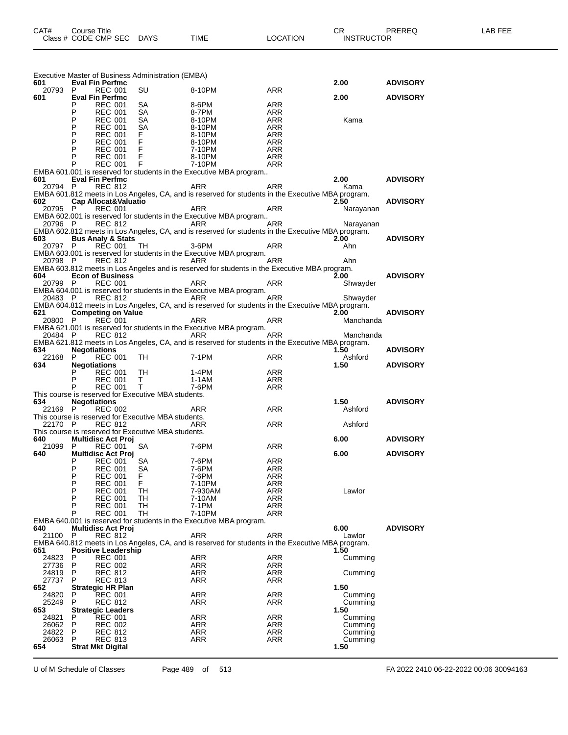| 601            | <b>Eval Fin Perfmc</b>          |                                  |                                     | Executive Master of Business Administration (EMBA)  |                                                                                                   |                   | 2.00               | <b>ADVISORY</b> |
|----------------|---------------------------------|----------------------------------|-------------------------------------|-----------------------------------------------------|---------------------------------------------------------------------------------------------------|-------------------|--------------------|-----------------|
| 20793 P        |                                 | <b>REC 001</b>                   |                                     | SU                                                  | 8-10PM                                                                                            | ARR               |                    |                 |
| 601            | <b>Eval Fin Perfmc</b><br>P     | <b>REC 001</b>                   |                                     | SA                                                  | 8-6PM                                                                                             | ARR               | 2.00               | <b>ADVISORY</b> |
|                | P                               | <b>REC 001</b>                   |                                     | SA                                                  | 8-7PM                                                                                             | ARR               |                    |                 |
|                | P                               | <b>REC 001</b>                   |                                     | <b>SA</b>                                           | 8-10PM                                                                                            | ARR               | Kama               |                 |
|                | P<br>P                          | <b>REC 001</b><br><b>REC 001</b> |                                     | SA<br>F.                                            | 8-10PM<br>8-10PM                                                                                  | ARR<br>ARR        |                    |                 |
|                | P                               |                                  | REC 001 F<br>REC 001 F<br>REC 001 F |                                                     | 8-10PM                                                                                            | ARR               |                    |                 |
|                | P                               |                                  |                                     |                                                     | 7-10PM                                                                                            | ARR               |                    |                 |
|                | P<br>P                          |                                  |                                     | REC 001 F<br>REC 001 F<br>reserved for the lines    | 8-10PM<br>7-10PM                                                                                  | ARR<br>ARR        |                    |                 |
|                |                                 |                                  |                                     |                                                     | EMBA 601.001 is reserved for students in the Executive MBA program                                |                   |                    |                 |
| 601<br>20794 P | <b>Eval Fin Perfmc</b>          | <b>REC 812</b>                   |                                     |                                                     | ARR                                                                                               | ARR               | 2.00<br>Kama       | <b>ADVISORY</b> |
|                |                                 |                                  |                                     |                                                     | EMBA 601.812 meets in Los Angeles, CA, and is reserved for students in the Executive MBA program. |                   |                    |                 |
| 602            | Cap Allocat&Valuatio            |                                  |                                     |                                                     |                                                                                                   |                   | 2.50               | <b>ADVISORY</b> |
| 20795 P        |                                 | <b>REC 001</b>                   |                                     |                                                     | ARR<br>EMBA 602.001 is reserved for students in the Executive MBA program                         | ARR               | Narayanan          |                 |
| 20796 P        |                                 | <b>REC 812</b>                   |                                     | ARR <sub>a</sub>                                    | <b>Example 2</b> ARR                                                                              |                   | Narayanan          |                 |
|                |                                 |                                  |                                     |                                                     | EMBA 602.812 meets in Los Angeles, CA, and is reserved for students in the Executive MBA program. |                   |                    |                 |
| 603<br>20797 P | <b>Bus Analy &amp; Stats</b>    |                                  | REC 001 TH                          |                                                     | 3-6PM                                                                                             |                   | 2.00<br>Ahn        | <b>ADVISORY</b> |
|                |                                 |                                  |                                     |                                                     | EMBA 603.001 is reserved for students in the Executive MBA program.                               | ARR               |                    |                 |
|                | 20798 P REC 812                 |                                  |                                     |                                                     | ARR                                                                                               | ARR               | Ahn                |                 |
|                |                                 |                                  |                                     |                                                     | EMBA 603.812 meets in Los Angeles and is reserved for students in the Executive MBA program.      |                   |                    |                 |
| 604<br>20799 P | <b>Econ of Business</b>         | <b>REC 001</b>                   |                                     |                                                     | <b>ARR</b>                                                                                        | ARR               | 2.00<br>Shwayder   | <b>ADVISORY</b> |
|                |                                 |                                  |                                     |                                                     | EMBA 604.001 is reserved for students in the Executive MBA program.                               |                   |                    |                 |
| 20483 P        |                                 | REC 812                          |                                     |                                                     | ARR<br>ARR <sub>a</sub>                                                                           |                   | Shwayder           |                 |
| 621            | <b>Competing on Value</b>       |                                  |                                     |                                                     | EMBA 604.812 meets in Los Angeles, CA, and is reserved for students in the Executive MBA program. |                   | 2.00               | <b>ADVISORY</b> |
| 20800 P        |                                 | <b>REC 001</b>                   |                                     |                                                     | ARR                                                                                               | ARR               | Manchanda          |                 |
|                |                                 |                                  |                                     |                                                     | EMBA 621.001 is reserved for students in the Executive MBA program.                               |                   |                    |                 |
| 20484 P        |                                 | REC 812                          |                                     | <b>Example 20</b> ARR                               | EMBA 621.812 meets in Los Angeles, CA, and is reserved for students in the Executive MBA program. | ARR               | Manchanda          |                 |
| 634            | <b>Negotiations</b>             |                                  |                                     |                                                     |                                                                                                   |                   | 1.50               | <b>ADVISORY</b> |
| 22168          | P.                              | <b>REC 001</b>                   |                                     | TH                                                  | 7-1PM                                                                                             | ARR               | Ashford            |                 |
| 634            | <b>Negotiations</b>             |                                  |                                     | TH                                                  | 1-4PM                                                                                             | ARR               | 1.50               | <b>ADVISORY</b> |
|                | P                               | REC 001<br><b>REC 001</b>        |                                     | $\mathsf{T}$                                        | $1-1AM$                                                                                           | ARR               |                    |                 |
|                | P                               | <b>REC 001</b>                   |                                     | $\top$                                              | 7-6PM                                                                                             | ARR               |                    |                 |
| 634            |                                 |                                  |                                     | This course is reserved for Executive MBA students. |                                                                                                   |                   |                    |                 |
| 22169 P        | <b>Negotiations</b>             | <b>REC 002</b>                   |                                     |                                                     | <b>Example 28 ARR</b><br>ARR                                                                      |                   | 1.50<br>Ashford    | <b>ADVISORY</b> |
|                |                                 |                                  |                                     | This course is reserved for Executive MBA students. |                                                                                                   |                   |                    |                 |
| 22170 P        |                                 | <b>REC 812</b>                   |                                     |                                                     | ARR                                                                                               | ARR               | Ashford            |                 |
| 640            | <b>Multidisc Act Proj</b>       |                                  |                                     | This course is reserved for Executive MBA students. |                                                                                                   |                   | 6.00               | <b>ADVISORY</b> |
| 21099          | P                               | <b>REC 001</b>                   |                                     | SA                                                  | 7-6PM                                                                                             | ARR               |                    |                 |
| 640            | <b>Multidisc Act Proj</b>       |                                  |                                     |                                                     |                                                                                                   |                   | 6.00               | <b>ADVISORY</b> |
|                | P<br>P                          | <b>REC 001</b><br><b>REC 001</b> |                                     | SA<br>SA                                            | 7-6PM<br>7-6PM                                                                                    | ARR<br><b>ARR</b> |                    |                 |
|                | P                               | <b>REC 001</b>                   |                                     | F.                                                  | 7-6PM                                                                                             | ARR               |                    |                 |
|                | P                               | <b>REC 001</b>                   |                                     | F.                                                  | 7-10PM                                                                                            | ARR               |                    |                 |
|                | P<br>P                          | <b>REC 001</b><br><b>REC 001</b> |                                     | TН<br>TH                                            | 7-930AM<br>7-10AM                                                                                 | ARR<br>ARR        | Lawlor             |                 |
|                | P                               | <b>REC 001</b>                   |                                     | TH                                                  | 7-1PM                                                                                             | ARR               |                    |                 |
|                | P                               | <b>REC 001</b>                   |                                     | TН                                                  | 7-10PM                                                                                            | ARR               |                    |                 |
| 640            | <b>Multidisc Act Proj</b>       |                                  |                                     |                                                     | EMBA 640.001 is reserved for students in the Executive MBA program.                               |                   | 6.00               | <b>ADVISORY</b> |
| 21100          | P                               | <b>REC 812</b>                   |                                     |                                                     | <b>ARR</b>                                                                                        | <b>ARR</b>        | Lawlor             |                 |
|                |                                 |                                  |                                     |                                                     | EMBA 640.812 meets in Los Angeles, CA, and is reserved for students in the Executive MBA program. |                   |                    |                 |
| 651<br>24823   | <b>Positive Leadership</b><br>P | <b>REC 001</b>                   |                                     |                                                     | ARR                                                                                               | <b>ARR</b>        | 1.50<br>Cumming    |                 |
| 27736          | P                               | <b>REC 002</b>                   |                                     |                                                     | <b>ARR</b>                                                                                        | ARR               |                    |                 |
| 24819          | P                               | <b>REC 812</b>                   |                                     |                                                     | ARR                                                                                               | ARR               | Cumming            |                 |
| 27737<br>652   | P<br><b>Strategic HR Plan</b>   | <b>REC 813</b>                   |                                     |                                                     | ARR                                                                                               | ARR               | 1.50               |                 |
| 24820          | P                               | <b>REC 001</b>                   |                                     |                                                     | ARR                                                                                               | ARR               | Cumming            |                 |
| 25249          | P                               | <b>REC 812</b>                   |                                     |                                                     | ARR                                                                                               | ARR               | Cumming            |                 |
| 653            | <b>Strategic Leaders</b><br>P   |                                  |                                     |                                                     | <b>ARR</b>                                                                                        | ARR               | 1.50               |                 |
| 24821<br>26062 | P                               | <b>REC 001</b><br><b>REC 002</b> |                                     |                                                     | <b>ARR</b>                                                                                        | ARR               | Cumming<br>Cumming |                 |
| 24822          | P                               | <b>REC 812</b>                   |                                     |                                                     | <b>ARR</b>                                                                                        | ARR               | Cumming            |                 |
| 26063          | P                               | <b>REC 813</b>                   |                                     |                                                     | ARR                                                                                               | ARR               | Cumming            |                 |
| 654            | <b>Strat Mkt Digital</b>        |                                  |                                     |                                                     |                                                                                                   |                   | 1.50               |                 |
|                |                                 |                                  |                                     |                                                     |                                                                                                   |                   |                    |                 |

U of M Schedule of Classes Page 489 of 513 FA 2022 2410 06-22-2022 00:06 30094163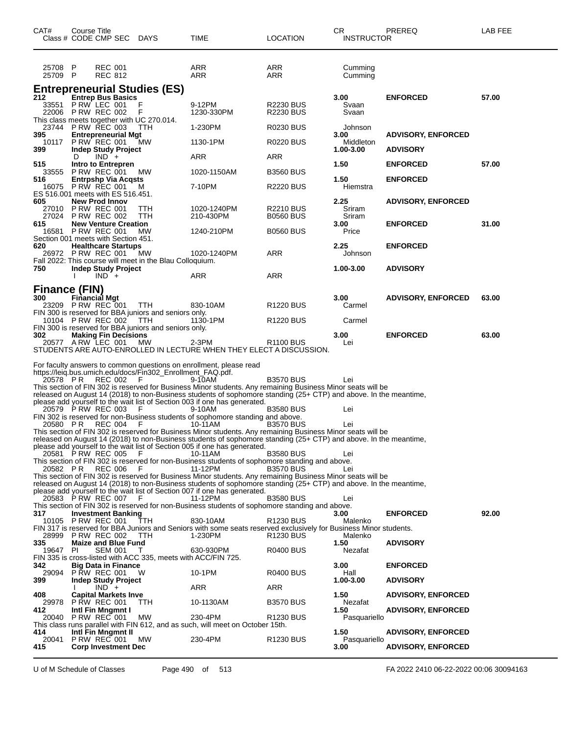| P<br><b>REC 001</b><br>ARR<br>ARR<br>Cumming<br>25708<br><b>REC 812</b><br>25709 P<br>ARR<br>ARR<br>Cumming<br><b>Entrepreneurial Studies (ES)</b><br><b>Entrep Bus Basics</b><br>57.00<br>212<br>3.00<br><b>ENFORCED</b><br>33551 P RW LEC 001<br>F<br>9-12PM<br><b>R2230 BUS</b><br>Svaan<br>22006 P RW REC 002<br>1230-330PM<br><b>R2230 BUS</b><br>Svaan<br>This class meets together with UC 270.014.<br>23744 P RW REC 003<br>1-230PM<br><b>R0230 BUS</b><br>Johnson<br>TTH<br><b>Entrepreneurial Mgt</b><br><b>ADVISORY, ENFORCED</b><br>395<br>3.00<br><b>P RW REC 001</b><br>1130-1PM<br>10117<br><b>R0220 BUS</b><br>Middleton<br><b>MW</b><br>399<br><b>Indep Study Project</b><br>1.00-3.00<br><b>ADVISORY</b><br>$IND +$<br>ARR<br>ARR<br>D<br>57.00<br>515<br>Intro to Entrepren<br>1.50<br><b>ENFORCED</b><br>P RW REC 001<br><b>B3560 BUS</b><br>33555<br><b>MW</b><br>1020-1150AM<br><b>Entrpshp Via Acqsts</b><br>1.50<br><b>ENFORCED</b><br>516<br><b>P RW REC 001</b><br>7-10PM<br><b>R2220 BUS</b><br>Hiemstra<br>16075<br>м<br>ES 516.001 meets with ES 516.451.<br>2.25<br><b>New Prod Innov</b><br><b>ADVISORY, ENFORCED</b><br>605<br><b>P RW REC 001</b><br>1020-1240PM<br><b>R2210 BUS</b><br>Sriram<br>TTH<br>27010<br>27024 P RW REC 002<br>210-430PM<br><b>B0560 BUS</b><br>ттн<br>Sriram<br><b>New Venture Creation</b><br>3.00<br><b>ENFORCED</b><br>31.00<br>615<br><b>P RW REC 001</b><br>MW<br>Price<br>16581<br>1240-210PM<br><b>B0560 BUS</b><br>Section 001 meets with Section 451.<br><b>Healthcare Startups</b><br>2.25<br><b>ENFORCED</b><br>620<br>PRW REC 001<br>МW<br>1020-1240PM<br>ARR<br>26972<br>Johnson<br>Fall 2022: This course will meet in the Blau Colloquium.<br>750<br><b>Indep Study Project</b><br>1.00-3.00<br><b>ADVISORY</b><br>$IND +$<br>ARR<br>ARR<br>Finance (FIN)<br>300<br>Financial Mgt<br>3.00<br><b>ADVISORY, ENFORCED</b><br>63.00<br>23209 PRW REC 001<br>R1220 BUS<br><b>TTH</b><br>830-10AM<br>Carmel<br>FIN 300 is reserved for BBA juniors and seniors only.<br>10104 P RW REC 002<br>R1220 BUS<br>Carmel<br>TTH<br>1130-1PM<br>FIN 300 is reserved for BBA juniors and seniors only.<br>302<br><b>Making Fin Decisions</b><br>3.00<br><b>ENFORCED</b><br>63.00<br>20577 ARW LEC 001<br>MW<br>$2-3PM$<br>R <sub>1100</sub> BUS<br>Lei<br>STUDENTS ARE AUTO-ENROLLED IN LECTURE WHEN THEY ELECT A DISCUSSION.<br>For faculty answers to common questions on enrollment, please read<br>https://leiq.bus.umich.edu/docs/Fin302_Enrollment_FAQ.pdf.<br>REC 002<br><b>B3570 BUS</b><br>20578 PR<br>F<br>9-10AM<br>Lei<br>This section of FIN 302 is reserved for Business Minor students. Any remaining Business Minor seats will be<br>released on August 14 (2018) to non-Business students of sophomore standing (25+ CTP) and above. In the meantime,<br>please add yourself to the wait list of Section 003 if one has generated.<br>20579 P RW REC 003<br>9-10AM<br><b>B3580 BUS</b><br>Lei<br>F<br>FIN 302 is reserved for non-Business students of sophomore standing and above.<br>20580 PR<br><b>REC 004</b><br>10-11AM<br>F<br><b>B3570 BUS</b><br>Lei<br>This section of FIN 302 is reserved for Business Minor students. Any remaining Business Minor seats will be<br>released on August 14 (2018) to non-Business students of sophomore standing (25+ CTP) and above. In the meantime,<br>please add yourself to the wait list of Section 005 if one has generated.<br>20581 P RW REC 005<br>10-11AM<br><b>B3580 BUS</b><br>F.<br>Lei<br>This section of FIN 302 is reserved for non-Business students of sophomore standing and above.<br>20582 PR REC 006<br>11-12PM<br><b>B3570 BUS</b><br>- F<br>Lei<br>This section of FIN 302 is reserved for Business Minor students. Any remaining Business Minor seats will be<br>released on August 14 (2018) to non-Business students of sophomore standing (25+ CTP) and above. In the meantime,<br>please add yourself to the wait list of Section 007 if one has generated.<br>20583 P RW REC 007<br>11-12PM<br><b>B3580 BUS</b><br>Lei<br>F.<br>This section of FIN 302 is reserved for non-Business students of sophomore standing and above.<br>317<br><b>Investment Banking</b><br>3.00<br><b>ENFORCED</b><br>92.00<br>10105 P RW REC 001<br>830-10AM<br>R1230 BUS<br>TTH<br>Malenko<br>FIN 317 is reserved for BBA Juniors and Seniors with some seats reserved exclusively for Business Minor students.<br>28999<br>PRW REC 002<br>TTH<br>1-230PM<br><b>R1230 BUS</b><br>Malenko<br>335<br><b>Maize and Blue Fund</b><br>1.50<br><b>ADVISORY</b><br><b>PI</b><br>SEM 001<br>630-930PM<br>19647<br>R0400 BUS<br>Nezafat<br>$\top$<br>FIN 335 is cross-listed with ACC 335, meets with ACC/FIN 725.<br>342<br><b>Big Data in Finance</b><br>3.00<br><b>ENFORCED</b><br><b>P RW REC 001</b><br>29094<br>10-1PM<br>R0400 BUS<br>Hall<br><b>Indep Study Project</b><br>1.00-3.00<br><b>ADVISORY</b><br>399<br>$IND +$<br>ARR<br>ARR<br>408<br><b>Capital Markets Inve</b><br>1.50<br><b>ADVISORY, ENFORCED</b><br><b>P RW REC 001</b><br>10-1130AM<br><b>B3570 BUS</b><br>Nezafat<br>29978<br>TTH.<br>Intl Fin Mngmnt I<br>412<br>1.50<br><b>ADVISORY, ENFORCED</b><br><b>P RW REC 001</b><br>МW<br>230-4PM<br>20040<br>R1230 BUS<br>Pasquariello<br>This class runs parallel with FIN 612, and as such, will meet on October 15th. | CAT# | Course Title | Class # CODE CMP SEC DAYS  |  | TIME | LOCATION | CR.<br><b>INSTRUCTOR</b> | <b>PREREQ</b>             | LAB FEE |
|---------------------------------------------------------------------------------------------------------------------------------------------------------------------------------------------------------------------------------------------------------------------------------------------------------------------------------------------------------------------------------------------------------------------------------------------------------------------------------------------------------------------------------------------------------------------------------------------------------------------------------------------------------------------------------------------------------------------------------------------------------------------------------------------------------------------------------------------------------------------------------------------------------------------------------------------------------------------------------------------------------------------------------------------------------------------------------------------------------------------------------------------------------------------------------------------------------------------------------------------------------------------------------------------------------------------------------------------------------------------------------------------------------------------------------------------------------------------------------------------------------------------------------------------------------------------------------------------------------------------------------------------------------------------------------------------------------------------------------------------------------------------------------------------------------------------------------------------------------------------------------------------------------------------------------------------------------------------------------------------------------------------------------------------------------------------------------------------------------------------------------------------------------------------------------------------------------------------------------------------------------------------------------------------------------------------------------------------------------------------------------------------------------------------------------------------------------------------------------------------------------------------------------------------------------------------------------------------------------------------------------------------------------------------------------------------------------------------------------------------------------------------------------------------------------------------------------------------------------------------------------------------------------------------------------------------------------------------------------------------------------------------------------------------------------------------------------------------------------------------------------------------------------------------------------------------------------------------------------------------------------------------------------------------------------------------------------------------------------------------------------------------------------------------------------------------------------------------------------------------------------------------------------------------------------------------------------------------------------------------------------------------------------------------------------------------------------------------------------------------------------------------------------------------------------------------------------------------------------------------------------------------------------------------------------------------------------------------------------------------------------------------------------------------------------------------------------------------------------------------------------------------------------------------------------------------------------------------------------------------------------------------------------------------------------------------------------------------------------------------------------------------------------------------------------------------------------------------------------------------------------------------------------------------------------------------------------------------------------------------------------------------------------------------------------------------------------------------------------------------------------------------------------------------------------------------------------------------------------------------------------------------------------------------------------------------------------------------------------------------------------------------------------------------------------------------------------------------------------------------------------------------------------------------------------------------------------------------------------------------------------------------------------------------------------------------------------------------------------------------------|------|--------------|----------------------------|--|------|----------|--------------------------|---------------------------|---------|
|                                                                                                                                                                                                                                                                                                                                                                                                                                                                                                                                                                                                                                                                                                                                                                                                                                                                                                                                                                                                                                                                                                                                                                                                                                                                                                                                                                                                                                                                                                                                                                                                                                                                                                                                                                                                                                                                                                                                                                                                                                                                                                                                                                                                                                                                                                                                                                                                                                                                                                                                                                                                                                                                                                                                                                                                                                                                                                                                                                                                                                                                                                                                                                                                                                                                                                                                                                                                                                                                                                                                                                                                                                                                                                                                                                                                                                                                                                                                                                                                                                                                                                                                                                                                                                                                                                                                                                                                                                                                                                                                                                                                                                                                                                                                                                                                                                                                                                                                                                                                                                                                                                                                                                                                                                                                                                                                                                           |      |              |                            |  |      |          |                          |                           |         |
|                                                                                                                                                                                                                                                                                                                                                                                                                                                                                                                                                                                                                                                                                                                                                                                                                                                                                                                                                                                                                                                                                                                                                                                                                                                                                                                                                                                                                                                                                                                                                                                                                                                                                                                                                                                                                                                                                                                                                                                                                                                                                                                                                                                                                                                                                                                                                                                                                                                                                                                                                                                                                                                                                                                                                                                                                                                                                                                                                                                                                                                                                                                                                                                                                                                                                                                                                                                                                                                                                                                                                                                                                                                                                                                                                                                                                                                                                                                                                                                                                                                                                                                                                                                                                                                                                                                                                                                                                                                                                                                                                                                                                                                                                                                                                                                                                                                                                                                                                                                                                                                                                                                                                                                                                                                                                                                                                                           |      |              |                            |  |      |          |                          |                           |         |
|                                                                                                                                                                                                                                                                                                                                                                                                                                                                                                                                                                                                                                                                                                                                                                                                                                                                                                                                                                                                                                                                                                                                                                                                                                                                                                                                                                                                                                                                                                                                                                                                                                                                                                                                                                                                                                                                                                                                                                                                                                                                                                                                                                                                                                                                                                                                                                                                                                                                                                                                                                                                                                                                                                                                                                                                                                                                                                                                                                                                                                                                                                                                                                                                                                                                                                                                                                                                                                                                                                                                                                                                                                                                                                                                                                                                                                                                                                                                                                                                                                                                                                                                                                                                                                                                                                                                                                                                                                                                                                                                                                                                                                                                                                                                                                                                                                                                                                                                                                                                                                                                                                                                                                                                                                                                                                                                                                           |      |              |                            |  |      |          |                          |                           |         |
|                                                                                                                                                                                                                                                                                                                                                                                                                                                                                                                                                                                                                                                                                                                                                                                                                                                                                                                                                                                                                                                                                                                                                                                                                                                                                                                                                                                                                                                                                                                                                                                                                                                                                                                                                                                                                                                                                                                                                                                                                                                                                                                                                                                                                                                                                                                                                                                                                                                                                                                                                                                                                                                                                                                                                                                                                                                                                                                                                                                                                                                                                                                                                                                                                                                                                                                                                                                                                                                                                                                                                                                                                                                                                                                                                                                                                                                                                                                                                                                                                                                                                                                                                                                                                                                                                                                                                                                                                                                                                                                                                                                                                                                                                                                                                                                                                                                                                                                                                                                                                                                                                                                                                                                                                                                                                                                                                                           |      |              |                            |  |      |          |                          |                           |         |
|                                                                                                                                                                                                                                                                                                                                                                                                                                                                                                                                                                                                                                                                                                                                                                                                                                                                                                                                                                                                                                                                                                                                                                                                                                                                                                                                                                                                                                                                                                                                                                                                                                                                                                                                                                                                                                                                                                                                                                                                                                                                                                                                                                                                                                                                                                                                                                                                                                                                                                                                                                                                                                                                                                                                                                                                                                                                                                                                                                                                                                                                                                                                                                                                                                                                                                                                                                                                                                                                                                                                                                                                                                                                                                                                                                                                                                                                                                                                                                                                                                                                                                                                                                                                                                                                                                                                                                                                                                                                                                                                                                                                                                                                                                                                                                                                                                                                                                                                                                                                                                                                                                                                                                                                                                                                                                                                                                           |      |              |                            |  |      |          |                          |                           |         |
|                                                                                                                                                                                                                                                                                                                                                                                                                                                                                                                                                                                                                                                                                                                                                                                                                                                                                                                                                                                                                                                                                                                                                                                                                                                                                                                                                                                                                                                                                                                                                                                                                                                                                                                                                                                                                                                                                                                                                                                                                                                                                                                                                                                                                                                                                                                                                                                                                                                                                                                                                                                                                                                                                                                                                                                                                                                                                                                                                                                                                                                                                                                                                                                                                                                                                                                                                                                                                                                                                                                                                                                                                                                                                                                                                                                                                                                                                                                                                                                                                                                                                                                                                                                                                                                                                                                                                                                                                                                                                                                                                                                                                                                                                                                                                                                                                                                                                                                                                                                                                                                                                                                                                                                                                                                                                                                                                                           |      |              |                            |  |      |          |                          |                           |         |
|                                                                                                                                                                                                                                                                                                                                                                                                                                                                                                                                                                                                                                                                                                                                                                                                                                                                                                                                                                                                                                                                                                                                                                                                                                                                                                                                                                                                                                                                                                                                                                                                                                                                                                                                                                                                                                                                                                                                                                                                                                                                                                                                                                                                                                                                                                                                                                                                                                                                                                                                                                                                                                                                                                                                                                                                                                                                                                                                                                                                                                                                                                                                                                                                                                                                                                                                                                                                                                                                                                                                                                                                                                                                                                                                                                                                                                                                                                                                                                                                                                                                                                                                                                                                                                                                                                                                                                                                                                                                                                                                                                                                                                                                                                                                                                                                                                                                                                                                                                                                                                                                                                                                                                                                                                                                                                                                                                           |      |              |                            |  |      |          |                          |                           |         |
|                                                                                                                                                                                                                                                                                                                                                                                                                                                                                                                                                                                                                                                                                                                                                                                                                                                                                                                                                                                                                                                                                                                                                                                                                                                                                                                                                                                                                                                                                                                                                                                                                                                                                                                                                                                                                                                                                                                                                                                                                                                                                                                                                                                                                                                                                                                                                                                                                                                                                                                                                                                                                                                                                                                                                                                                                                                                                                                                                                                                                                                                                                                                                                                                                                                                                                                                                                                                                                                                                                                                                                                                                                                                                                                                                                                                                                                                                                                                                                                                                                                                                                                                                                                                                                                                                                                                                                                                                                                                                                                                                                                                                                                                                                                                                                                                                                                                                                                                                                                                                                                                                                                                                                                                                                                                                                                                                                           |      |              |                            |  |      |          |                          |                           |         |
|                                                                                                                                                                                                                                                                                                                                                                                                                                                                                                                                                                                                                                                                                                                                                                                                                                                                                                                                                                                                                                                                                                                                                                                                                                                                                                                                                                                                                                                                                                                                                                                                                                                                                                                                                                                                                                                                                                                                                                                                                                                                                                                                                                                                                                                                                                                                                                                                                                                                                                                                                                                                                                                                                                                                                                                                                                                                                                                                                                                                                                                                                                                                                                                                                                                                                                                                                                                                                                                                                                                                                                                                                                                                                                                                                                                                                                                                                                                                                                                                                                                                                                                                                                                                                                                                                                                                                                                                                                                                                                                                                                                                                                                                                                                                                                                                                                                                                                                                                                                                                                                                                                                                                                                                                                                                                                                                                                           |      |              |                            |  |      |          |                          |                           |         |
|                                                                                                                                                                                                                                                                                                                                                                                                                                                                                                                                                                                                                                                                                                                                                                                                                                                                                                                                                                                                                                                                                                                                                                                                                                                                                                                                                                                                                                                                                                                                                                                                                                                                                                                                                                                                                                                                                                                                                                                                                                                                                                                                                                                                                                                                                                                                                                                                                                                                                                                                                                                                                                                                                                                                                                                                                                                                                                                                                                                                                                                                                                                                                                                                                                                                                                                                                                                                                                                                                                                                                                                                                                                                                                                                                                                                                                                                                                                                                                                                                                                                                                                                                                                                                                                                                                                                                                                                                                                                                                                                                                                                                                                                                                                                                                                                                                                                                                                                                                                                                                                                                                                                                                                                                                                                                                                                                                           |      |              |                            |  |      |          |                          |                           |         |
|                                                                                                                                                                                                                                                                                                                                                                                                                                                                                                                                                                                                                                                                                                                                                                                                                                                                                                                                                                                                                                                                                                                                                                                                                                                                                                                                                                                                                                                                                                                                                                                                                                                                                                                                                                                                                                                                                                                                                                                                                                                                                                                                                                                                                                                                                                                                                                                                                                                                                                                                                                                                                                                                                                                                                                                                                                                                                                                                                                                                                                                                                                                                                                                                                                                                                                                                                                                                                                                                                                                                                                                                                                                                                                                                                                                                                                                                                                                                                                                                                                                                                                                                                                                                                                                                                                                                                                                                                                                                                                                                                                                                                                                                                                                                                                                                                                                                                                                                                                                                                                                                                                                                                                                                                                                                                                                                                                           |      |              |                            |  |      |          |                          |                           |         |
|                                                                                                                                                                                                                                                                                                                                                                                                                                                                                                                                                                                                                                                                                                                                                                                                                                                                                                                                                                                                                                                                                                                                                                                                                                                                                                                                                                                                                                                                                                                                                                                                                                                                                                                                                                                                                                                                                                                                                                                                                                                                                                                                                                                                                                                                                                                                                                                                                                                                                                                                                                                                                                                                                                                                                                                                                                                                                                                                                                                                                                                                                                                                                                                                                                                                                                                                                                                                                                                                                                                                                                                                                                                                                                                                                                                                                                                                                                                                                                                                                                                                                                                                                                                                                                                                                                                                                                                                                                                                                                                                                                                                                                                                                                                                                                                                                                                                                                                                                                                                                                                                                                                                                                                                                                                                                                                                                                           |      |              |                            |  |      |          |                          |                           |         |
|                                                                                                                                                                                                                                                                                                                                                                                                                                                                                                                                                                                                                                                                                                                                                                                                                                                                                                                                                                                                                                                                                                                                                                                                                                                                                                                                                                                                                                                                                                                                                                                                                                                                                                                                                                                                                                                                                                                                                                                                                                                                                                                                                                                                                                                                                                                                                                                                                                                                                                                                                                                                                                                                                                                                                                                                                                                                                                                                                                                                                                                                                                                                                                                                                                                                                                                                                                                                                                                                                                                                                                                                                                                                                                                                                                                                                                                                                                                                                                                                                                                                                                                                                                                                                                                                                                                                                                                                                                                                                                                                                                                                                                                                                                                                                                                                                                                                                                                                                                                                                                                                                                                                                                                                                                                                                                                                                                           |      |              |                            |  |      |          |                          |                           |         |
|                                                                                                                                                                                                                                                                                                                                                                                                                                                                                                                                                                                                                                                                                                                                                                                                                                                                                                                                                                                                                                                                                                                                                                                                                                                                                                                                                                                                                                                                                                                                                                                                                                                                                                                                                                                                                                                                                                                                                                                                                                                                                                                                                                                                                                                                                                                                                                                                                                                                                                                                                                                                                                                                                                                                                                                                                                                                                                                                                                                                                                                                                                                                                                                                                                                                                                                                                                                                                                                                                                                                                                                                                                                                                                                                                                                                                                                                                                                                                                                                                                                                                                                                                                                                                                                                                                                                                                                                                                                                                                                                                                                                                                                                                                                                                                                                                                                                                                                                                                                                                                                                                                                                                                                                                                                                                                                                                                           |      |              |                            |  |      |          |                          |                           |         |
|                                                                                                                                                                                                                                                                                                                                                                                                                                                                                                                                                                                                                                                                                                                                                                                                                                                                                                                                                                                                                                                                                                                                                                                                                                                                                                                                                                                                                                                                                                                                                                                                                                                                                                                                                                                                                                                                                                                                                                                                                                                                                                                                                                                                                                                                                                                                                                                                                                                                                                                                                                                                                                                                                                                                                                                                                                                                                                                                                                                                                                                                                                                                                                                                                                                                                                                                                                                                                                                                                                                                                                                                                                                                                                                                                                                                                                                                                                                                                                                                                                                                                                                                                                                                                                                                                                                                                                                                                                                                                                                                                                                                                                                                                                                                                                                                                                                                                                                                                                                                                                                                                                                                                                                                                                                                                                                                                                           |      |              |                            |  |      |          |                          |                           |         |
|                                                                                                                                                                                                                                                                                                                                                                                                                                                                                                                                                                                                                                                                                                                                                                                                                                                                                                                                                                                                                                                                                                                                                                                                                                                                                                                                                                                                                                                                                                                                                                                                                                                                                                                                                                                                                                                                                                                                                                                                                                                                                                                                                                                                                                                                                                                                                                                                                                                                                                                                                                                                                                                                                                                                                                                                                                                                                                                                                                                                                                                                                                                                                                                                                                                                                                                                                                                                                                                                                                                                                                                                                                                                                                                                                                                                                                                                                                                                                                                                                                                                                                                                                                                                                                                                                                                                                                                                                                                                                                                                                                                                                                                                                                                                                                                                                                                                                                                                                                                                                                                                                                                                                                                                                                                                                                                                                                           |      |              |                            |  |      |          |                          |                           |         |
|                                                                                                                                                                                                                                                                                                                                                                                                                                                                                                                                                                                                                                                                                                                                                                                                                                                                                                                                                                                                                                                                                                                                                                                                                                                                                                                                                                                                                                                                                                                                                                                                                                                                                                                                                                                                                                                                                                                                                                                                                                                                                                                                                                                                                                                                                                                                                                                                                                                                                                                                                                                                                                                                                                                                                                                                                                                                                                                                                                                                                                                                                                                                                                                                                                                                                                                                                                                                                                                                                                                                                                                                                                                                                                                                                                                                                                                                                                                                                                                                                                                                                                                                                                                                                                                                                                                                                                                                                                                                                                                                                                                                                                                                                                                                                                                                                                                                                                                                                                                                                                                                                                                                                                                                                                                                                                                                                                           |      |              |                            |  |      |          |                          |                           |         |
|                                                                                                                                                                                                                                                                                                                                                                                                                                                                                                                                                                                                                                                                                                                                                                                                                                                                                                                                                                                                                                                                                                                                                                                                                                                                                                                                                                                                                                                                                                                                                                                                                                                                                                                                                                                                                                                                                                                                                                                                                                                                                                                                                                                                                                                                                                                                                                                                                                                                                                                                                                                                                                                                                                                                                                                                                                                                                                                                                                                                                                                                                                                                                                                                                                                                                                                                                                                                                                                                                                                                                                                                                                                                                                                                                                                                                                                                                                                                                                                                                                                                                                                                                                                                                                                                                                                                                                                                                                                                                                                                                                                                                                                                                                                                                                                                                                                                                                                                                                                                                                                                                                                                                                                                                                                                                                                                                                           |      |              |                            |  |      |          |                          |                           |         |
| 414<br>Intl Fin Mngmnt II<br>1.50<br><b>ADVISORY, ENFORCED</b><br><b>P RW REC 001</b><br>20041<br>МW<br>230-4PM<br>Pasquariello<br>R1230 BUS                                                                                                                                                                                                                                                                                                                                                                                                                                                                                                                                                                                                                                                                                                                                                                                                                                                                                                                                                                                                                                                                                                                                                                                                                                                                                                                                                                                                                                                                                                                                                                                                                                                                                                                                                                                                                                                                                                                                                                                                                                                                                                                                                                                                                                                                                                                                                                                                                                                                                                                                                                                                                                                                                                                                                                                                                                                                                                                                                                                                                                                                                                                                                                                                                                                                                                                                                                                                                                                                                                                                                                                                                                                                                                                                                                                                                                                                                                                                                                                                                                                                                                                                                                                                                                                                                                                                                                                                                                                                                                                                                                                                                                                                                                                                                                                                                                                                                                                                                                                                                                                                                                                                                                                                                              |      |              |                            |  |      |          |                          |                           |         |
|                                                                                                                                                                                                                                                                                                                                                                                                                                                                                                                                                                                                                                                                                                                                                                                                                                                                                                                                                                                                                                                                                                                                                                                                                                                                                                                                                                                                                                                                                                                                                                                                                                                                                                                                                                                                                                                                                                                                                                                                                                                                                                                                                                                                                                                                                                                                                                                                                                                                                                                                                                                                                                                                                                                                                                                                                                                                                                                                                                                                                                                                                                                                                                                                                                                                                                                                                                                                                                                                                                                                                                                                                                                                                                                                                                                                                                                                                                                                                                                                                                                                                                                                                                                                                                                                                                                                                                                                                                                                                                                                                                                                                                                                                                                                                                                                                                                                                                                                                                                                                                                                                                                                                                                                                                                                                                                                                                           | 415  |              | <b>Corp Investment Dec</b> |  |      |          | 3.00                     | <b>ADVISORY, ENFORCED</b> |         |

U of M Schedule of Classes Page 490 of 513 FA 2022 2410 06-22-2022 00:06 30094163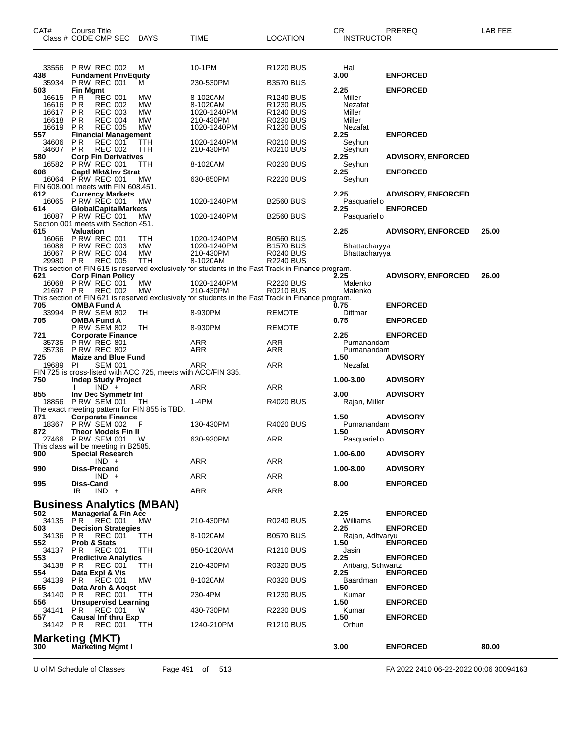| CAT#            | Course Title<br>Class # CODE CMP SEC DAYS                                                   |                   | <b>TIME</b>                                                                                                                                                                            | <b>LOCATION</b>                           | <b>CR</b><br><b>INSTRUCTOR</b> | PREREQ                    | LAB FEE |
|-----------------|---------------------------------------------------------------------------------------------|-------------------|----------------------------------------------------------------------------------------------------------------------------------------------------------------------------------------|-------------------------------------------|--------------------------------|---------------------------|---------|
|                 |                                                                                             |                   |                                                                                                                                                                                        |                                           |                                |                           |         |
| 33556           | <b>P RW REC 002</b>                                                                         | M                 | 10-1PM                                                                                                                                                                                 | R <sub>1220</sub> BUS                     | Hall                           |                           |         |
| 438<br>35934    | <b>Fundament PrivEquity</b><br><b>P RW REC 001</b>                                          | м                 | 230-530PM                                                                                                                                                                              | <b>B3570 BUS</b>                          | 3.00                           | <b>ENFORCED</b>           |         |
| 503<br>16615    | <b>Fin Mgmt</b><br>P R<br><b>REC 001</b>                                                    | МW                | 8-1020AM                                                                                                                                                                               | R <sub>1240</sub> BUS                     | 2.25<br>Miller                 | <b>ENFORCED</b>           |         |
| 16616           | <b>PR</b><br><b>REC 002</b>                                                                 | <b>MW</b>         | 8-1020AM                                                                                                                                                                               | R1230 BUS                                 | Nezafat                        |                           |         |
| 16617<br>16618  | P R<br><b>REC 003</b><br><b>REC 004</b><br>P R                                              | MW<br><b>MW</b>   | 1020-1240PM<br>210-430PM                                                                                                                                                               | R <sub>1240</sub> BUS<br><b>R0230 BUS</b> | Miller<br>Miller               |                           |         |
| 16619 PR<br>557 | <b>REC 005</b><br><b>Financial Management</b>                                               | <b>MW</b>         | 1020-1240PM                                                                                                                                                                            | R1230 BUS                                 | Nezafat<br>2.25                | <b>ENFORCED</b>           |         |
| 34606<br>34607  | P R<br><b>REC 001</b><br>PR.<br><b>REC 002</b>                                              | TTH<br><b>TTH</b> | 1020-1240PM<br>210-430PM                                                                                                                                                               | R0210 BUS<br><b>R0210 BUS</b>             | Seyhun<br>Seyhun               |                           |         |
| 580<br>16582    | <b>Corp Fin Derivatives</b><br><b>PRW REC 001</b>                                           | ттн               | 8-1020AM                                                                                                                                                                               | R0230 BUS                                 | 2.25<br>Seyhun                 | <b>ADVISORY, ENFORCED</b> |         |
| 608             | <b>Captl Mkt&amp;Inv Strat</b>                                                              |                   |                                                                                                                                                                                        |                                           | 2.25                           | <b>ENFORCED</b>           |         |
|                 | 16064 P RW REC 001<br>FIN 608.001 meets with FIN 608.451.                                   | MW                | 630-850PM                                                                                                                                                                              | R2220 BUS                                 | Seyhun                         |                           |         |
| 612             | <b>Currency Markets</b><br>16065 PRW REC 001                                                | МW                | 1020-1240PM                                                                                                                                                                            | <b>B2560 BUS</b>                          | 2.25<br>Pasquariello           | <b>ADVISORY, ENFORCED</b> |         |
| 614             | <b>GlobalCapitalMarkets</b><br>16087 P RW REC 001                                           | MW                | 1020-1240PM                                                                                                                                                                            | <b>B2560 BUS</b>                          | 2.25<br>Pasquariello           | <b>ENFORCED</b>           |         |
| 615             | Section 001 meets with Section 451.<br><b>Valuation</b>                                     |                   |                                                                                                                                                                                        |                                           | 2.25                           | <b>ADVISORY, ENFORCED</b> | 25.00   |
|                 | 16066 PRW REC 001                                                                           | TTH               | 1020-1240PM                                                                                                                                                                            | <b>B0560 BUS</b>                          |                                |                           |         |
| 16088<br>16067  | <b>PRW REC 003</b><br>P RW REC 004                                                          | MW<br><b>MW</b>   | 1020-1240PM<br>210-430PM                                                                                                                                                               | <b>B1570 BUS</b><br><b>R0240 BUS</b>      | Bhattacharyya<br>Bhattacharyya |                           |         |
| 29980 PR        | <b>REC 005</b>                                                                              | TTH               | 8-1020AM<br>29980 PR REU UUS IT DESSENSION OF THE PAST TRACK IN FINANCE program.<br>This section of FIN 615 is reserved exclusively for students in the Fast Track in Finance program. | <b>R2240 BUS</b>                          |                                |                           |         |
|                 | <b>Corp Finan Policy</b><br>16068 P RW REC 001                                              | МW                | 1020-1240PM                                                                                                                                                                            | <b>R2220 BUS</b>                          | Malenko                        | <b>ADVISORY, ENFORCED</b> | 26.00   |
| 21697 PR        | REC 002                                                                                     | MW                | 210-430PM<br>This section of FIN 621 is reserved exclusively for students in the Fast Track in Finance program.                                                                        | <b>R0210 BUS</b>                          | Malenko                        |                           |         |
| 705             | <b>OMBA Fund A</b>                                                                          |                   |                                                                                                                                                                                        |                                           | 0.75                           | <b>ENFORCED</b>           |         |
| 33994<br>705    | <b>P RW SEM 802</b><br><b>OMBA Fund A</b>                                                   | TH                | 8-930PM                                                                                                                                                                                | <b>REMOTE</b>                             | Dittmar<br>0.75                | <b>ENFORCED</b>           |         |
| 721             | <b>P RW SEM 802</b><br><b>Corporate Finance</b>                                             | TН                | 8-930PM                                                                                                                                                                                | <b>REMOTE</b>                             | 2.25                           | <b>ENFORCED</b>           |         |
| 35735<br>35736  | <b>P RW REC 801</b><br><b>P RW REC 802</b>                                                  |                   | ARR<br>ARR                                                                                                                                                                             | ARR<br>ARR                                | Purnanandam<br>Purnanandam     |                           |         |
| 725<br>19689    | <b>Maize and Blue Fund</b><br>PI<br><b>SEM 001</b>                                          |                   | ARR                                                                                                                                                                                    | ARR                                       | 1.50<br>Nezafat                | <b>ADVISORY</b>           |         |
| 750             | FIN 725 is cross-listed with ACC 725, meets with ACC/FIN 335.<br><b>Indep Study Project</b> |                   |                                                                                                                                                                                        |                                           | 1.00-3.00                      | <b>ADVISORY</b>           |         |
| 855             | $IND +$                                                                                     |                   | ARR                                                                                                                                                                                    | ARR                                       | 3.00                           | <b>ADVISORY</b>           |         |
|                 | Inv Dec Symmetr Inf<br>18856 PRW SEM 001                                                    | TH.               | 1-4PM                                                                                                                                                                                  | R4020 BUS                                 | Rajan, Miller                  |                           |         |
| 871             | The exact meeting pattern for FIN 855 is TBD.<br><b>Corporate Finance</b>                   |                   |                                                                                                                                                                                        |                                           | 1.50                           | <b>ADVISORY</b>           |         |
| 18367<br>872    | P RW SEM 002<br><b>Theor Models Fin II</b>                                                  | F                 | 130-430PM                                                                                                                                                                              | <b>R4020 BUS</b>                          | Purnanandam<br>1.50            | <b>ADVISORY</b>           |         |
| 27466           | <b>P RW SEM 001</b><br>This class will be meeting in B2585.                                 | W                 | 630-930PM                                                                                                                                                                              | ARR                                       | Pasquariello                   |                           |         |
| 900             | <b>Special Research</b><br>$IND +$                                                          |                   | ARR                                                                                                                                                                                    | <b>ARR</b>                                | 1.00-6.00                      | <b>ADVISORY</b>           |         |
| 990             | Diss-Precand                                                                                |                   |                                                                                                                                                                                        |                                           | 1.00-8.00                      | <b>ADVISORY</b>           |         |
| 995             | $IND +$<br>Diss-Cand                                                                        |                   | ARR                                                                                                                                                                                    | ARR                                       | 8.00                           | <b>ENFORCED</b>           |         |
|                 | IR.<br>$IND +$                                                                              |                   | <b>ARR</b>                                                                                                                                                                             | ARR                                       |                                |                           |         |
| 502             | <b>Business Analytics (MBAN)</b><br><b>Managerial &amp; Fin Acc</b>                         |                   |                                                                                                                                                                                        |                                           | 2.25                           | <b>ENFORCED</b>           |         |
| 34135<br>503    | PR<br>REC 001<br><b>Decision Strategies</b>                                                 | MW.               | 210-430PM                                                                                                                                                                              | R0240 BUS                                 | Williams<br>2.25               | <b>ENFORCED</b>           |         |
| 34136<br>552    | P <sub>R</sub><br><b>REC 001</b><br>Prob & Stats                                            | ттн               | 8-1020AM                                                                                                                                                                               | <b>B0570 BUS</b>                          | Rajan, Adhvaryu<br>1.50        | <b>ENFORCED</b>           |         |
| 34137 PR        | <b>REC 001</b><br><b>Predictive Analytics</b>                                               | ттн               | 850-1020AM                                                                                                                                                                             | R1210 BUS                                 | Jasin                          |                           |         |
| 553.<br>34138   | PR.<br><b>REC 001</b>                                                                       | ттн               | 210-430PM                                                                                                                                                                              | R0320 BUS                                 | 2.25<br>Aribarg, Schwartz      | <b>ENFORCED</b>           |         |
| 554<br>34139    | Data Expl & Vis<br>REC 001<br>PR.                                                           | МW                | 8-1020AM                                                                                                                                                                               | R0320 BUS                                 | 2.25<br>Baardman               | <b>ENFORCED</b>           |         |
| 555<br>34140    | Data Arch & Acqst<br>P R<br><b>REC 001</b>                                                  | TТH               | 230-4PM                                                                                                                                                                                | R1230 BUS                                 | 1.50<br>Kumar                  | <b>ENFORCED</b>           |         |
| 556<br>34141    | <b>Unsupervisd Learning</b><br>PR.<br>REC 001                                               | W                 | 430-730PM                                                                                                                                                                              | <b>R2230 BUS</b>                          | 1.50<br>Kumar                  | <b>ENFORCED</b>           |         |
| 557<br>34142 PR | <b>Causal Inf thru Exp</b><br><b>REC 001</b>                                                | <b>TTH</b>        | 1240-210PM                                                                                                                                                                             | R <sub>1210</sub> BUS                     | 1.50<br>Orhun                  | <b>ENFORCED</b>           |         |
|                 | <b>Marketing (MKT)</b>                                                                      |                   |                                                                                                                                                                                        |                                           |                                |                           |         |
| 300             | <b>Marketing Mgmt I</b>                                                                     |                   |                                                                                                                                                                                        |                                           | 3.00                           | <b>ENFORCED</b>           | 80.00   |

U of M Schedule of Classes Page 491 of 513 FA 2022 2410 06-22-2022 00:06 30094163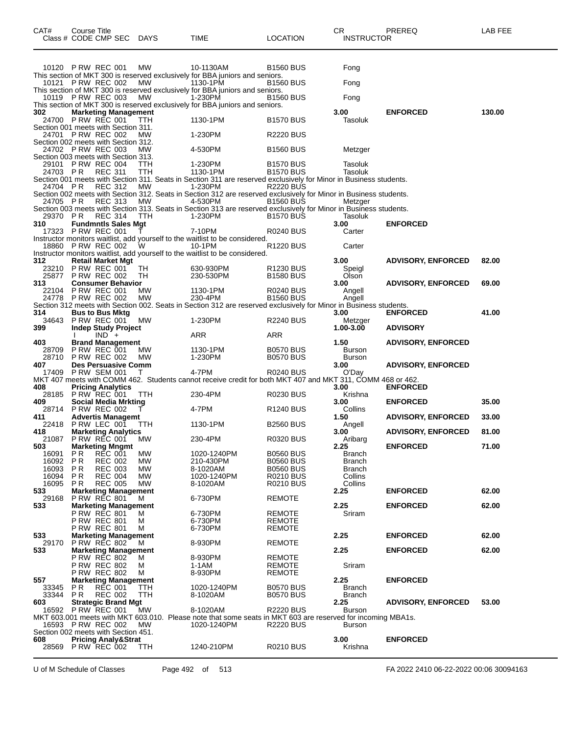| CAT#                                | Course Title                                       |                                  |             |                                                                                                                              |                                      | CR                       | PREREQ                    | LAB FEE |
|-------------------------------------|----------------------------------------------------|----------------------------------|-------------|------------------------------------------------------------------------------------------------------------------------------|--------------------------------------|--------------------------|---------------------------|---------|
|                                     | Class # CODE CMP SEC                               |                                  | <b>DAYS</b> | TIME                                                                                                                         | LOCATION                             | <b>INSTRUCTOR</b>        |                           |         |
|                                     |                                                    |                                  |             |                                                                                                                              |                                      |                          |                           |         |
|                                     |                                                    |                                  |             |                                                                                                                              |                                      |                          |                           |         |
|                                     | 10120 P RW REC 001                                 |                                  | МW          | 10-1130AM                                                                                                                    | B1560 BUS                            | Fong                     |                           |         |
|                                     | 10121 P RW REC 002                                 |                                  |             | This section of MKT 300 is reserved exclusively for BBA juniors and seniors.                                                 |                                      |                          |                           |         |
|                                     |                                                    |                                  | МW          | 1130-1PM<br>This section of MKT 300 is reserved exclusively for BBA juniors and seniors.                                     | B1560 BUS                            | Fong                     |                           |         |
|                                     | 10119 PRW REC 003                                  |                                  | <b>MW</b>   | 1-230PM                                                                                                                      | <b>B1560 BUS</b>                     | Fong                     |                           |         |
|                                     |                                                    |                                  |             | This section of MKT 300 is reserved exclusively for BBA juniors and seniors.                                                 |                                      |                          |                           |         |
| 302<br>24700                        | <b>Marketing Management</b><br><b>P RW REC 001</b> |                                  |             | 1130-1PM                                                                                                                     | <b>B1570 BUS</b>                     | 3.00<br>Tasoluk          | <b>ENFORCED</b>           | 130.00  |
| Section 001 meets with Section 311. |                                                    |                                  | TTH         |                                                                                                                              |                                      |                          |                           |         |
|                                     | 24701 P RW REC 002                                 |                                  | МW          | 1-230PM                                                                                                                      | R2220 BUS                            |                          |                           |         |
| Section 002 meets with Section 312. |                                                    |                                  |             |                                                                                                                              |                                      |                          |                           |         |
| Section 003 meets with Section 313. | 24702 P RW REC 003                                 |                                  | МW          | 4-530PM                                                                                                                      | <b>B1560 BUS</b>                     | Metzger                  |                           |         |
|                                     | 29101 PRW REC 004                                  |                                  | ттн         | 1-230PM                                                                                                                      | <b>B1570 BUS</b>                     | Tasoluk                  |                           |         |
| 24703 PR                            |                                                    | <b>REC 311</b>                   | ттн         | 1130-1PM                                                                                                                     | <b>B1570 BUS</b>                     | Tasoluk                  |                           |         |
|                                     |                                                    |                                  |             | Section 001 meets with Section 311. Seats in Section 311 are reserved exclusively for Minor in Business students.            |                                      |                          |                           |         |
| 24704 PR                            |                                                    | REC 312                          | МW          | 1-230PM<br>Section 002 meets with Section 312. Seats in Section 312 are reserved exclusively for Minor in Business students. | R2220 BUS                            |                          |                           |         |
| 24705 PR                            |                                                    | <b>REC 313</b>                   | MW          | 4-530PM                                                                                                                      | <b>B1560 BUS</b>                     | Metzger                  |                           |         |
|                                     |                                                    |                                  |             | Section 003 meets with Section 313. Seats in Section 313 are reserved exclusively for Minor in Business students.            |                                      |                          |                           |         |
| 29370 PR                            |                                                    | <b>REC 314</b>                   | ттн         | 1-230PM                                                                                                                      | <b>B1570 BUS</b>                     | Tasoluk<br>3.00          |                           |         |
| 310<br>17323                        | <b>Fundmntls Sales Mgt</b><br><b>P RW REC 001</b>  |                                  |             | 7-10PM                                                                                                                       | R0240 BUS                            | Carter                   | <b>ENFORCED</b>           |         |
|                                     |                                                    |                                  |             | Instructor monitors waitlist, add yourself to the waitlist to be considered.                                                 |                                      |                          |                           |         |
| 18860                               | <b>P RW REC 002</b>                                |                                  | W           | 10-1PM                                                                                                                       | R1220 BUS                            | Carter                   |                           |         |
| 312                                 | <b>Retail Market Mgt</b>                           |                                  |             | Instructor monitors waitlist, add yourself to the waitlist to be considered.                                                 |                                      | 3.00                     |                           | 82.00   |
| 23210                               | <b>P RW REC 001</b>                                |                                  | ТH          | 630-930PM                                                                                                                    | R1230 BUS                            | Speigl                   | <b>ADVISORY, ENFORCED</b> |         |
| 25877                               | <b>P RW REC 002</b>                                |                                  | TН          | 230-530PM                                                                                                                    | <b>B1580 BUS</b>                     | Olson                    |                           |         |
| 313                                 | <b>Consumer Behavior</b>                           |                                  |             |                                                                                                                              |                                      | 3.00                     | <b>ADVISORY, ENFORCED</b> | 69.00   |
| 22104                               | <b>P RW REC 001</b><br>24778 P RW REC 002          |                                  | МW<br>МW    | 1130-1PM<br>230-4PM                                                                                                          | R0240 BUS<br><b>B1560 BUS</b>        | Angell<br>Angell         |                           |         |
|                                     |                                                    |                                  |             | Section 312 meets with Section 002. Seats in Section 312 are reserved exclusively for Minor in Business students.            |                                      |                          |                           |         |
| 314                                 | <b>Bus to Bus Mktg</b>                             |                                  |             |                                                                                                                              |                                      | 3.00                     | <b>ENFORCED</b>           | 41.00   |
| 34643                               | <b>P RW REC 001</b>                                |                                  | МW          | 1-230PM                                                                                                                      | R2240 BUS                            | Metzger                  |                           |         |
| 399                                 | <b>Indep Study Project</b>                         | $IND +$                          |             | ARR                                                                                                                          | ARR                                  | 1.00-3.00                | <b>ADVISORY</b>           |         |
| 403                                 | <b>Brand Management</b>                            |                                  |             |                                                                                                                              |                                      | 1.50                     | <b>ADVISORY, ENFORCED</b> |         |
| 28709                               | <b>P RW REC 001</b>                                |                                  | МW          | 1130-1PM                                                                                                                     | <b>B0570 BUS</b>                     | Burson                   |                           |         |
| 28710                               | <b>P RW REC 002</b>                                |                                  | МW          | 1-230PM                                                                                                                      | <b>B0570 BUS</b>                     | <b>Burson</b>            |                           |         |
| 407<br>17409                        | <b>Des Persuasive Comm</b><br><b>P RW SEM 001</b>  |                                  | т           | 4-7PM                                                                                                                        | R0240 BUS                            | 3.00<br>O'Day            | <b>ADVISORY, ENFORCED</b> |         |
|                                     |                                                    |                                  |             | MKT 407 meets with COMM 462. Students cannot receive credit for both MKT 407 and MKT 311, COMM 468 or 462.                   |                                      |                          |                           |         |
| 408                                 | <b>Pricing Analytics</b>                           |                                  |             |                                                                                                                              |                                      | 3.00                     | <b>ENFORCED</b>           |         |
| 28185<br>409                        | P RW REC 001                                       |                                  | ттн         | 230-4PM                                                                                                                      | R0230 BUS                            | Krishna<br>3.00          | <b>ENFORCED</b>           | 35.00   |
| 28714                               | Social Media Mrkting<br><b>P RW REC 002</b>        |                                  |             | 4-7PM                                                                                                                        | R <sub>1240</sub> BUS                | Collins                  |                           |         |
| 411                                 | <b>Advertis Managemt</b>                           |                                  |             |                                                                                                                              |                                      | 1.50                     | <b>ADVISORY, ENFORCED</b> | 33.00   |
| 22418                               | P RW LEC 001                                       |                                  | TTH         | 1130-1PM                                                                                                                     | <b>B2560 BUS</b>                     | Angell                   |                           |         |
| 418<br>21087                        | <b>Marketing Analytics</b><br><b>P RW REC 001</b>  |                                  | МW          | 230-4PM                                                                                                                      | R0320 BUS                            | 3.00<br>Aribarg          | <b>ADVISORY, ENFORCED</b> | 81.00   |
| 503                                 | <b>Marketing Mngmt</b>                             |                                  |             |                                                                                                                              |                                      | 2.25                     | <b>ENFORCED</b>           | 71.00   |
| 16091                               | P R                                                | REC 001                          | МW          | 1020-1240PM                                                                                                                  | <b>B0560 BUS</b>                     | Branch                   |                           |         |
| 16092                               | <b>PR</b>                                          | <b>REC 002</b>                   | МW          | 210-430PM                                                                                                                    | <b>B0560 BUS</b>                     | <b>Branch</b>            |                           |         |
| 16093<br>16094                      | P <sub>R</sub><br>P R                              | <b>REC 003</b><br><b>REC 004</b> | МW<br>МW    | 8-1020AM<br>1020-1240PM                                                                                                      | <b>B0560 BUS</b><br><b>R0210 BUS</b> | <b>Branch</b><br>Collins |                           |         |
| 16095                               | P R                                                | <b>REC 005</b>                   | МW          | 8-1020AM                                                                                                                     | R0210 BUS                            | Collins                  |                           |         |
| 533                                 | <b>Marketing Management</b>                        |                                  |             |                                                                                                                              |                                      | 2.25                     | <b>ENFORCED</b>           | 62.00   |
| 29168<br>533                        | <b>P RW REC 801</b><br><b>Marketing Management</b> |                                  | M           | 6-730PM                                                                                                                      | <b>REMOTE</b>                        | 2.25                     | <b>ENFORCED</b>           | 62.00   |
|                                     | <b>P RW REC 801</b>                                |                                  | м           | 6-730PM                                                                                                                      | <b>REMOTE</b>                        | Sriram                   |                           |         |
|                                     | <b>P RW REC 801</b>                                |                                  | м           | 6-730PM                                                                                                                      | <b>REMOTE</b>                        |                          |                           |         |
|                                     | <b>P RW REC 801</b>                                |                                  | м           | 6-730PM                                                                                                                      | <b>REMOTE</b>                        |                          |                           |         |
| 533<br>29170                        | <b>Marketing Management</b><br><b>P RW REC 802</b> |                                  | M           | 8-930PM                                                                                                                      | <b>REMOTE</b>                        | 2.25                     | <b>ENFORCED</b>           | 62.00   |
| 533                                 | <b>Marketing Management</b>                        |                                  |             |                                                                                                                              |                                      | 2.25                     | <b>ENFORCED</b>           | 62.00   |
|                                     | <b>P RW REC 802</b>                                |                                  | м           | 8-930PM                                                                                                                      | <b>REMOTE</b>                        |                          |                           |         |
|                                     | <b>P RW REC 802</b>                                |                                  | м           | 1-1AM                                                                                                                        | <b>REMOTE</b>                        | Sriram                   |                           |         |
| 557                                 | <b>P RW REC 802</b><br><b>Marketing Management</b> |                                  | м           | 8-930PM                                                                                                                      | <b>REMOTE</b>                        | 2.25                     | <b>ENFORCED</b>           |         |
| 33345                               | P R                                                | REC 001                          | ттн         | 1020-1240PM                                                                                                                  | <b>B0570 BUS</b>                     | Branch                   |                           |         |
| 33344                               | PR.                                                | <b>REC 002</b>                   | TTH         | 8-1020AM                                                                                                                     | <b>B0570 BUS</b>                     | <b>Branch</b>            |                           |         |
| 603                                 | <b>Strategic Brand Mgt</b>                         |                                  |             |                                                                                                                              |                                      | 2.25                     | <b>ADVISORY, ENFORCED</b> | 53.00   |
|                                     | 16592 P RW REC 001                                 |                                  | МW          | 8-1020AM<br>MKT 603.001 meets with MKT 603.010. Please note that some seats in MKT 603 are reserved for incoming MBA1s.      | <b>R2220 BUS</b>                     | Burson                   |                           |         |
|                                     | 16593 P RW REC 002                                 |                                  | <b>MW</b>   | 1020-1240PM                                                                                                                  | <b>R2220 BUS</b>                     | <b>Burson</b>            |                           |         |
| Section 002 meets with Section 451. |                                                    |                                  |             |                                                                                                                              |                                      |                          |                           |         |
| 608                                 | <b>Pricing Analy&amp;Strat</b>                     |                                  |             |                                                                                                                              |                                      | 3.00                     | <b>ENFORCED</b>           |         |
|                                     | 28569 P RW REC 002                                 |                                  | <b>TTH</b>  | 1240-210PM                                                                                                                   | R0210 BUS                            | Krishna                  |                           |         |

U of M Schedule of Classes Page 492 of 513 FA 2022 2410 06-22-2022 00:06 30094163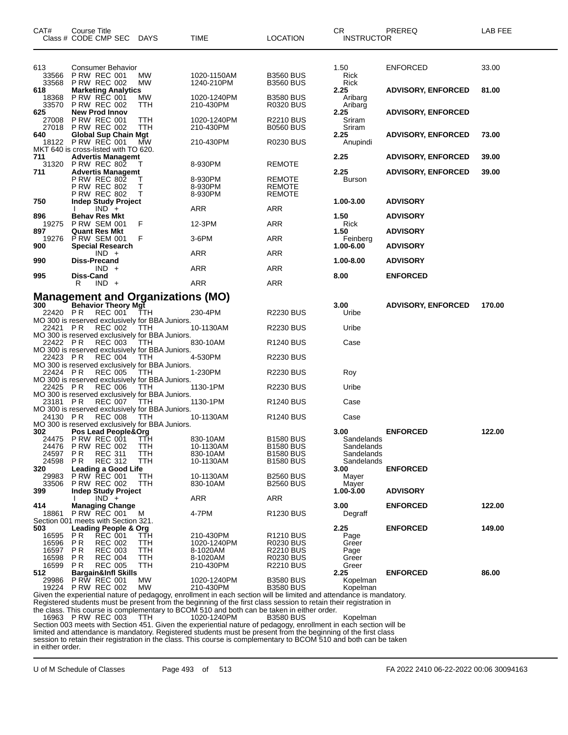| CAT#             | <b>Course Title</b><br>Class # CODE CMP SEC                            | DAYS            | <b>TIME</b>                                                                                                                                                                                                                             | <b>LOCATION</b>                      | CR<br>INSTRUCTOR         | PREREQ                    | LAB FEE |
|------------------|------------------------------------------------------------------------|-----------------|-----------------------------------------------------------------------------------------------------------------------------------------------------------------------------------------------------------------------------------------|--------------------------------------|--------------------------|---------------------------|---------|
|                  |                                                                        |                 |                                                                                                                                                                                                                                         |                                      |                          |                           |         |
| 613<br>33566     | Consumer Behavior<br><b>P RW REC 001</b>                               | МW              | 1020-1150AM                                                                                                                                                                                                                             | <b>B3560 BUS</b>                     | 1.50<br>Rick             | <b>ENFORCED</b>           | 33.00   |
| 33568<br>618     | <b>P RW REC 002</b><br><b>Marketing Analytics</b>                      | MW              | 1240-210PM                                                                                                                                                                                                                              | <b>B3560 BUS</b>                     | Rick<br>2.25             | <b>ADVISORY, ENFORCED</b> | 81.00   |
| 18368            | <b>P RW REC 001</b>                                                    | МW              | 1020-1240PM                                                                                                                                                                                                                             | <b>B3580 BUS</b>                     | Aribarg                  |                           |         |
| 33570<br>625     | <b>P RW REC 002</b><br><b>New Prod Innov</b>                           | ттн             | 210-430PM                                                                                                                                                                                                                               | <b>R0320 BUS</b>                     | Aribarg<br>2.25          | <b>ADVISORY, ENFORCED</b> |         |
| 27008<br>27018   | <b>P RW REC 001</b><br><b>PRW REC 002</b>                              | ттн<br>ттн      | 1020-1240PM<br>210-430PM                                                                                                                                                                                                                | <b>R2210 BUS</b><br><b>B0560 BUS</b> | Sriram<br>Sriram         |                           |         |
| 640<br>18122     | <b>Global Sup Chain Mgt</b><br><b>P RW REC 001</b>                     | MW              | 210-430PM                                                                                                                                                                                                                               | <b>R0230 BUS</b>                     | 2.25<br>Anupindi         | <b>ADVISORY, ENFORCED</b> | 73.00   |
|                  | MKT 640 is cross-listed with TO 620.                                   |                 |                                                                                                                                                                                                                                         |                                      |                          |                           |         |
| 711<br>31320     | <b>Advertis Managemt</b><br><b>P RW REC 802</b>                        |                 | 8-930PM                                                                                                                                                                                                                                 | <b>REMOTE</b>                        | 2.25                     | <b>ADVISORY, ENFORCED</b> | 39.00   |
| 711              | <b>Advertis Managemt</b><br><b>P RW REC 802</b>                        | т               | 8-930PM                                                                                                                                                                                                                                 | REMOTE                               | 2.25<br>Burson           | <b>ADVISORY, ENFORCED</b> | 39.00   |
|                  | <b>P RW REC 802</b><br><b>P RW REC 802</b>                             | т<br>т          | 8-930PM<br>8-930PM                                                                                                                                                                                                                      | <b>REMOTE</b><br><b>REMOTE</b>       |                          |                           |         |
| 750              | <b>Indep Study Project</b><br>$IND +$                                  |                 | ARR                                                                                                                                                                                                                                     | ARR                                  | 1.00-3.00                | <b>ADVISORY</b>           |         |
| 896              | <b>Behav Res Mkt</b>                                                   |                 |                                                                                                                                                                                                                                         |                                      | 1.50                     | <b>ADVISORY</b>           |         |
| 19275<br>897     | <b>P RW SEM 001</b><br><b>Quant Res Mkt</b>                            | F               | 12-3PM                                                                                                                                                                                                                                  | ARR                                  | Rick<br>1.50             | <b>ADVISORY</b>           |         |
| 19276<br>900     | P RW SEM 001<br><b>Special Research</b>                                | F               | $3-6$ PM                                                                                                                                                                                                                                | ARR                                  | Feinberg<br>1.00-6.00    | <b>ADVISORY</b>           |         |
| 990              | $IND +$<br><b>Diss-Precand</b>                                         |                 | ARR                                                                                                                                                                                                                                     | <b>ARR</b>                           | 1.00-8.00                | <b>ADVISORY</b>           |         |
|                  | $IND +$                                                                |                 | ARR                                                                                                                                                                                                                                     | ARR                                  |                          |                           |         |
| 995              | Diss-Cand<br>$IND +$<br>R.                                             |                 | ARR                                                                                                                                                                                                                                     | <b>ARR</b>                           | 8.00                     | <b>ENFORCED</b>           |         |
|                  | <b>Management and Organizations (MO)</b>                               |                 |                                                                                                                                                                                                                                         |                                      |                          |                           |         |
| 300<br>22420 PR  | <b>Behavior Theory Mgt</b><br>REC 001                                  | TTH             | 230-4PM                                                                                                                                                                                                                                 | <b>R2230 BUS</b>                     | 3.00<br>Uribe            | <b>ADVISORY, ENFORCED</b> | 170.00  |
| 22421 PR         | MO 300 is reserved exclusively for BBA Juniors.<br><b>REC 002</b>      | <b>TTH</b>      | 10-1130AM                                                                                                                                                                                                                               | <b>R2230 BUS</b>                     | Uribe                    |                           |         |
|                  | MO 300 is reserved exclusively for BBA Juniors.                        |                 |                                                                                                                                                                                                                                         |                                      |                          |                           |         |
| 22422 PR         | <b>REC 003</b><br>MO 300 is reserved exclusively for BBA Juniors.      | <b>TTH</b>      | 830-10AM                                                                                                                                                                                                                                | R <sub>1240</sub> BUS                | Case                     |                           |         |
| 22423 PR         | REC 004<br>MO 300 is reserved exclusively for BBA Juniors.             | TTH             | 4-530PM                                                                                                                                                                                                                                 | <b>R2230 BUS</b>                     |                          |                           |         |
| 22424 PR         | <b>REC 005</b><br>MO 300 is reserved exclusively for BBA Juniors.      | TTH             | 1-230PM                                                                                                                                                                                                                                 | <b>R2230 BUS</b>                     | Roy                      |                           |         |
| 22425 PR         | <b>REC 006</b>                                                         | TTH             | 1130-1PM                                                                                                                                                                                                                                | <b>R2230 BUS</b>                     | Uribe                    |                           |         |
| 23181 PR         | MO 300 is reserved exclusively for BBA Juniors.<br>REC 007             | TTH             | 1130-1PM                                                                                                                                                                                                                                | <b>R1240 BUS</b>                     | Case                     |                           |         |
| 24130 PR         | MO 300 is reserved exclusively for BBA Juniors.<br><b>REC 008</b>      | <b>TTH</b>      | 10-1130AM                                                                                                                                                                                                                               | <b>R1240 BUS</b>                     | Case                     |                           |         |
| 302              | MO 300 is reserved exclusively for BBA Juniors.<br>Pos Lead People&Org |                 |                                                                                                                                                                                                                                         |                                      | 3.00                     | <b>ENFORCED</b>           | 122.00  |
| 24476            | 24475 PRW REC 001 TTH<br><b>P RW REC 002</b>                           | TTH             | 830-10AM<br>10-1130AM                                                                                                                                                                                                                   | <b>B1580 BUS</b><br><b>B1580 BUS</b> | Sandelands<br>Sandelands |                           |         |
| 24597            | P R<br><b>REC 311</b>                                                  | TTH             | 830-10AM                                                                                                                                                                                                                                | <b>B1580 BUS</b>                     | Sandelands               |                           |         |
| 24598<br>320     | <b>REC 312</b><br>P R<br>Leading a Good Life                           | TTH             | 10-1130AM                                                                                                                                                                                                                               | <b>B1580 BUS</b>                     | Sandelands<br>3.00       | <b>ENFORCED</b>           |         |
| 29983<br>33506   | <b>P RW REC 001</b><br><b>P RW REC 002</b>                             | ттн<br>TTH      | 10-1130AM<br>830-10AM                                                                                                                                                                                                                   | <b>B2560 BUS</b><br><b>B2560 BUS</b> | Mayer<br>Mayer           |                           |         |
| 399              | <b>Indep Study Project</b><br>$IND +$                                  |                 | <b>ARR</b>                                                                                                                                                                                                                              | ARR                                  | 1.00-3.00                | <b>ADVISORY</b>           |         |
| 414              | <b>Managing Change</b><br><b>P RW REC 001</b>                          |                 |                                                                                                                                                                                                                                         |                                      | 3.00                     | <b>ENFORCED</b>           | 122.00  |
| 18861            | Section 001 meets with Section 321.                                    | м               | 4-7PM                                                                                                                                                                                                                                   | R <sub>1230</sub> BUS                | Degraff                  |                           |         |
| 503<br>16595     | Leading People & Org<br>P R<br><b>REC 001</b>                          | ттн             | 210-430PM                                                                                                                                                                                                                               | R <sub>1210</sub> BUS                | 2.25<br>Page             | <b>ENFORCED</b>           | 149.00  |
| 16596<br>16597   | P <sub>R</sub><br><b>REC 002</b><br>P R<br><b>REC 003</b>              | TTH<br>TTH      | 1020-1240PM<br>8-1020AM                                                                                                                                                                                                                 | <b>R0230 BUS</b><br><b>R2210 BUS</b> | Greer<br>Page            |                           |         |
| 16598<br>16599   | P R<br><b>REC 004</b><br>P R<br><b>REC 005</b>                         | TTH<br>TTH      | 8-1020AM<br>210-430PM                                                                                                                                                                                                                   | <b>R0230 BUS</b><br><b>R2210 BUS</b> | Greer<br>Greer           |                           |         |
| 512              | <b>Bargain&amp;Infl Skills</b>                                         |                 |                                                                                                                                                                                                                                         |                                      | 2.25                     | <b>ENFORCED</b>           | 86.00   |
| 29986            | <b>P RW REC 001</b><br>19224 P RW REC 002                              | МW<br><b>MW</b> | 1020-1240PM<br>210-430PM                                                                                                                                                                                                                | <b>B3580 BUS</b><br><b>B3580 BUS</b> | Kopelman<br>Kopelman     |                           |         |
|                  |                                                                        |                 | Given the experiential nature of pedagogy, enrollment in each section will be limited and attendance is mandatory.<br>Registered students must be present from the beginning of the first class session to retain their registration in |                                      |                          |                           |         |
|                  | 16963 P RW REC 003                                                     | TTH.            | the class. This course is complementary to BCOM 510 and both can be taken in either order.<br>1020-1240PM                                                                                                                               | <b>B3580 BUS</b>                     | Kopelman                 |                           |         |
|                  |                                                                        |                 | Section 003 meets with Section 451. Given the experiential nature of pedagogy, enrollment in each section will be                                                                                                                       |                                      |                          |                           |         |
|                  |                                                                        |                 | limited and attendance is mandatory. Registered students must be present from the beginning of the first class<br>session to retain their registration in the class. This course is complementary to BCOM 510 and both can be taken     |                                      |                          |                           |         |
| in either order. |                                                                        |                 |                                                                                                                                                                                                                                         |                                      |                          |                           |         |

U of M Schedule of Classes Page 493 of 513 FA 2022 2410 06-22-2022 00:06 30094163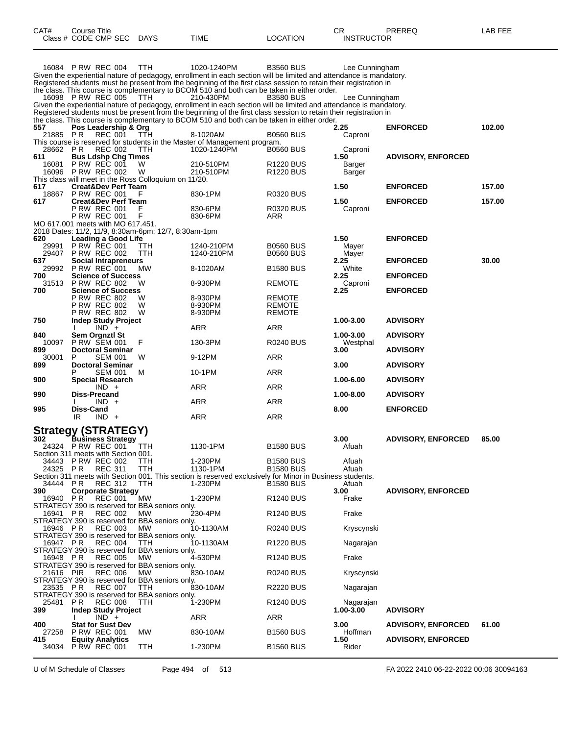| CAT#                  | Course Title<br>Class # CODE CMP SEC                                                        | <b>DAYS</b>       | <b>TIME</b>                                                                                                                                                                                                                                                                                                                                                                                                                                                                                                                                                                                                  | <b>LOCATION</b>                      | СR<br><b>INSTRUCTOR</b>          | PREREQ                    | LAB FEE |
|-----------------------|---------------------------------------------------------------------------------------------|-------------------|--------------------------------------------------------------------------------------------------------------------------------------------------------------------------------------------------------------------------------------------------------------------------------------------------------------------------------------------------------------------------------------------------------------------------------------------------------------------------------------------------------------------------------------------------------------------------------------------------------------|--------------------------------------|----------------------------------|---------------------------|---------|
|                       | 16084 P RW REC 004<br>16098 P RW REC 005                                                    | TTH<br>TTH        | 1020-1240PM<br>Given the experiential nature of pedagogy, enrollment in each section will be limited and attendance is mandatory.<br>Registered students must be present from the beginning of the first class session to retain their registration in<br>the class. This course is complementary to BCOM 510 and both can be taken in either order.<br>210-430PM<br>Given the experiential nature of pedagogy, enrollment in each section will be limited and attendance is mandatory.<br>Registered students must be present from the beginning of the first class session to retain their registration in | <b>B3560 BUS</b><br><b>B3580 BUS</b> | Lee Cunningham<br>Lee Cunningham |                           |         |
| 557<br>21885 PR       | Pos Leadership & Org<br><b>REC 001</b>                                                      | TTH               | the class. This course is complementary to BCOM 510 and both can be taken in either order.<br>8-1020AM                                                                                                                                                                                                                                                                                                                                                                                                                                                                                                       | B0560 BUS                            | 2.25<br>Caproni                  | <b>ENFORCED</b>           | 102.00  |
| 28662 PR<br>611       | REC 002<br><b>Bus Ldshp Chg Times</b>                                                       | TTH               | This course is reserved for students in the Master of Management program.<br>1020-1240PM                                                                                                                                                                                                                                                                                                                                                                                                                                                                                                                     | <b>B0560 BUS</b>                     | Caproni<br>1.50                  | <b>ADVISORY, ENFORCED</b> |         |
| 16081                 | P RW REC 001<br>16096 P RW REC 002<br>This class will meet in the Ross Colloquium on 11/20. | W<br>W            | 210-510PM<br>210-510PM                                                                                                                                                                                                                                                                                                                                                                                                                                                                                                                                                                                       | R1220 BUS<br>R <sub>1220</sub> BUS   | Barger<br>Barger                 |                           |         |
| 617<br>18867          | <b>Creat&amp;Dev Perf Team</b><br><b>PRW REC 001</b>                                        | F                 | 830-1PM                                                                                                                                                                                                                                                                                                                                                                                                                                                                                                                                                                                                      | <b>R0320 BUS</b>                     | 1.50                             | <b>ENFORCED</b>           | 157.00  |
| 617                   | <b>Creat&amp;Dev Perf Team</b><br>P RW REC 001<br><b>P RW REC 001</b>                       | F<br>F            | 830-6PM<br>830-6PM                                                                                                                                                                                                                                                                                                                                                                                                                                                                                                                                                                                           | <b>R0320 BUS</b><br>ARR              | 1.50<br>Caproni                  | <b>ENFORCED</b>           | 157.00  |
|                       | MO 617.001 meets with MO 617.451.<br>2018 Dates: 11/2, 11/9, 8:30am-6pm; 12/7, 8:30am-1pm   |                   |                                                                                                                                                                                                                                                                                                                                                                                                                                                                                                                                                                                                              |                                      |                                  |                           |         |
| 620<br>29991<br>29407 | Leading a Good Life<br><b>P RW REC 001</b><br><b>P RW REC 002</b>                           | ттн<br><b>TTH</b> | 1240-210PM<br>1240-210PM                                                                                                                                                                                                                                                                                                                                                                                                                                                                                                                                                                                     | <b>B0560 BUS</b><br><b>B0560 BUS</b> | 1.50<br>Mayer<br>Mayer           | <b>ENFORCED</b>           |         |
| 637<br>29992          | <b>Social Intrapreneurs</b><br><b>P RW REC 001</b>                                          | МW                | 8-1020AM                                                                                                                                                                                                                                                                                                                                                                                                                                                                                                                                                                                                     | <b>B1580 BUS</b>                     | 2.25<br>White                    | <b>ENFORCED</b>           | 30.00   |
| 700<br>31513          | <b>Science of Success</b><br><b>PRW REC 802</b>                                             | W                 | 8-930PM                                                                                                                                                                                                                                                                                                                                                                                                                                                                                                                                                                                                      | <b>REMOTE</b>                        | 2.25<br>Caproni                  | <b>ENFORCED</b>           |         |
| 700                   | <b>Science of Success</b><br>P RW REC 802<br>P RW REC 802                                   | W<br>W            | 8-930PM<br>8-930PM                                                                                                                                                                                                                                                                                                                                                                                                                                                                                                                                                                                           | <b>REMOTE</b><br><b>REMOTE</b>       | 2.25                             | <b>ENFORCED</b>           |         |
| 750                   | P RW REC 802<br><b>Indep Study Project</b>                                                  | W                 | 8-930PM                                                                                                                                                                                                                                                                                                                                                                                                                                                                                                                                                                                                      | <b>REMOTE</b>                        | 1.00-3.00                        | <b>ADVISORY</b>           |         |
| 840                   | $IND +$<br>Sem Orgnztl St                                                                   |                   | ARR                                                                                                                                                                                                                                                                                                                                                                                                                                                                                                                                                                                                          | ARR                                  | 1.00-3.00                        | <b>ADVISORY</b>           |         |
| 10097<br>899          | <b>P RW SEM 001</b><br><b>Doctoral Seminar</b>                                              | F                 | 130-3PM                                                                                                                                                                                                                                                                                                                                                                                                                                                                                                                                                                                                      | <b>R0240 BUS</b>                     | Westphal<br>3.00                 | <b>ADVISORY</b>           |         |
| 30001<br>899          | P<br><b>SEM 001</b><br><b>Doctoral Seminar</b>                                              | W                 | 9-12PM                                                                                                                                                                                                                                                                                                                                                                                                                                                                                                                                                                                                       | ARR                                  | 3.00                             | <b>ADVISORY</b>           |         |
| 900                   | <b>SEM 001</b><br><b>Special Research</b>                                                   | м                 | 10-1PM                                                                                                                                                                                                                                                                                                                                                                                                                                                                                                                                                                                                       | ARR                                  | 1.00-6.00                        | <b>ADVISORY</b>           |         |
| 990                   | $IND +$<br><b>Diss-Precand</b>                                                              |                   | ARR                                                                                                                                                                                                                                                                                                                                                                                                                                                                                                                                                                                                          | ARR                                  | 1.00-8.00                        | <b>ADVISORY</b>           |         |
|                       | $IND +$                                                                                     |                   | ARR                                                                                                                                                                                                                                                                                                                                                                                                                                                                                                                                                                                                          | ARR                                  |                                  | <b>ENFORCED</b>           |         |
| 995                   | Diss-Cand<br>IR<br>$IND +$                                                                  |                   | ARR                                                                                                                                                                                                                                                                                                                                                                                                                                                                                                                                                                                                          | <b>ARR</b>                           | 8.00                             |                           |         |
| 302                   | <b>Strategy (STRATEGY)</b><br><b>Business Strategy</b><br>24324 PRW REC 001                 | TTH               | 1130-1PM                                                                                                                                                                                                                                                                                                                                                                                                                                                                                                                                                                                                     | B1580 BUS                            | 3.00<br>Afuah                    | <b>ADVISORY, ENFORCED</b> | 85.00   |
|                       | Section 311 meets with Section 001.<br>34443 PRW REC 002                                    | ттн               | 1-230PM                                                                                                                                                                                                                                                                                                                                                                                                                                                                                                                                                                                                      | <b>B1580 BUS</b>                     | Afuah                            |                           |         |
| 24325 PR<br>34444 PR  | <b>REC 311</b><br><b>REC 312</b>                                                            | ттн<br>ттн        | 1130-1PM<br>Section 311 meets with Section 001. This section is reserved exclusively for Minor in Business students.<br>1-230PM                                                                                                                                                                                                                                                                                                                                                                                                                                                                              | <b>B1580 BUS</b><br><b>B1580 BUS</b> | Afuah<br>Afuah                   |                           |         |
| 390<br>16940 PR       | <b>Corporate Strategy</b><br><b>REC 001</b>                                                 | MW                | 1-230PM                                                                                                                                                                                                                                                                                                                                                                                                                                                                                                                                                                                                      | R <sub>1240</sub> BUS                | 3.00<br>Frake                    | <b>ADVISORY, ENFORCED</b> |         |
| 16941 PR              | STRATEGY 390 is reserved for BBA seniors only.<br><b>REC 002</b>                            | МW                | 230-4PM                                                                                                                                                                                                                                                                                                                                                                                                                                                                                                                                                                                                      | R <sub>1240</sub> BUS                | Frake                            |                           |         |
| 16946 PR              | STRATEGY 390 is reserved for BBA seniors only.<br><b>REC 003</b>                            | MW                | 10-1130AM                                                                                                                                                                                                                                                                                                                                                                                                                                                                                                                                                                                                    | <b>R0240 BUS</b>                     | Kryscynski                       |                           |         |
| 16947 PR              | STRATEGY 390 is reserved for BBA seniors only.<br><b>REC 004</b>                            | TTH               | 10-1130AM                                                                                                                                                                                                                                                                                                                                                                                                                                                                                                                                                                                                    | R <sub>1220</sub> BUS                | Nagarajan                        |                           |         |
| 16948 PR              | STRATEGY 390 is reserved for BBA seniors only.<br><b>REC 005</b>                            | МW                | 4-530PM                                                                                                                                                                                                                                                                                                                                                                                                                                                                                                                                                                                                      | R <sub>1240</sub> BUS                | Frake                            |                           |         |
| 21616 PIR             | STRATEGY 390 is reserved for BBA seniors only.<br><b>REC 006</b>                            | MW                | 830-10AM                                                                                                                                                                                                                                                                                                                                                                                                                                                                                                                                                                                                     | <b>R0240 BUS</b>                     | Kryscynski                       |                           |         |
| 23535 PR              | STRATEGY 390 is reserved for BBA seniors only.<br><b>REC 007</b>                            | TTH               | 830-10AM                                                                                                                                                                                                                                                                                                                                                                                                                                                                                                                                                                                                     | R2220 BUS                            | Nagarajan                        |                           |         |
| 25481                 | STRATEGY 390 is reserved for BBA seniors only.<br><b>REC 008</b><br>P R                     | ттн               | 1-230PM                                                                                                                                                                                                                                                                                                                                                                                                                                                                                                                                                                                                      | R <sub>1240</sub> BUS                | Nagarajan                        |                           |         |
| 399                   | <b>Indep Study Project</b><br>$IND +$                                                       |                   | ARR                                                                                                                                                                                                                                                                                                                                                                                                                                                                                                                                                                                                          | <b>ARR</b>                           | 1.00-3.00                        | <b>ADVISORY</b>           |         |
| 400                   | <b>Stat for Sust Dev</b>                                                                    |                   |                                                                                                                                                                                                                                                                                                                                                                                                                                                                                                                                                                                                              |                                      | 3.00                             | <b>ADVISORY, ENFORCED</b> | 61.00   |
| 27258<br>415          | <b>P RW REC 001</b><br><b>Equity Analytics</b>                                              | MW                | 830-10AM                                                                                                                                                                                                                                                                                                                                                                                                                                                                                                                                                                                                     | <b>B1560 BUS</b>                     | Hoffman<br>1.50                  | <b>ADVISORY, ENFORCED</b> |         |
| 34034                 | <b>P RW REC 001</b>                                                                         | TTH               | 1-230PM                                                                                                                                                                                                                                                                                                                                                                                                                                                                                                                                                                                                      | <b>B1560 BUS</b>                     | Rider                            |                           |         |

U of M Schedule of Classes Page 494 of 513 FA 2022 2410 06-22-2022 00:06 30094163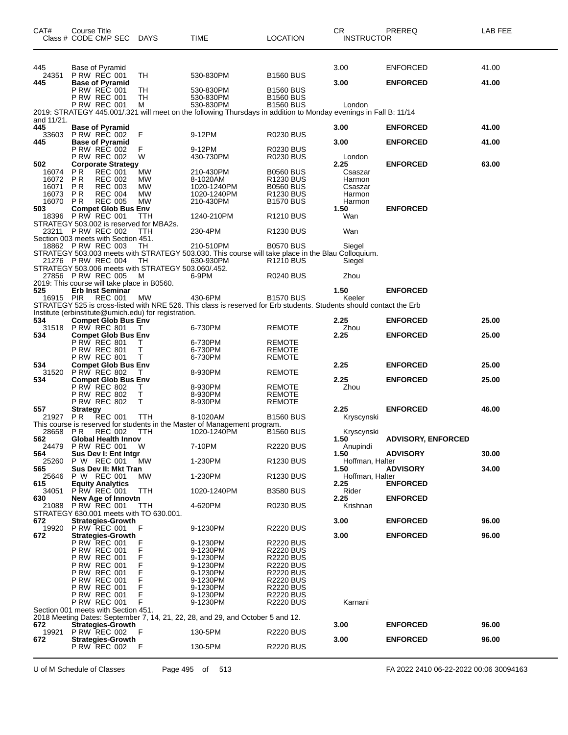| CAT#                                             | <b>Course Title</b><br>Class # CODE CMP SEC                                                                                                                 | DAYS                                      | <b>TIME</b>                                                                                                                 | <b>LOCATION</b>                                                                                                                                                                  | СR<br><b>INSTRUCTOR</b>                                  | PREREQ                             | LAB FEE        |
|--------------------------------------------------|-------------------------------------------------------------------------------------------------------------------------------------------------------------|-------------------------------------------|-----------------------------------------------------------------------------------------------------------------------------|----------------------------------------------------------------------------------------------------------------------------------------------------------------------------------|----------------------------------------------------------|------------------------------------|----------------|
| 445<br>24351                                     | Base of Pyramid<br><b>P RW REC 001</b>                                                                                                                      | TН                                        | 530-830PM                                                                                                                   | <b>B1560 BUS</b>                                                                                                                                                                 | 3.00                                                     | <b>ENFORCED</b><br><b>ENFORCED</b> | 41.00<br>41.00 |
| 445                                              | <b>Base of Pyramid</b><br>P RW REC 001<br><b>P RW REC 001</b><br><b>P RW REC 001</b>                                                                        | TH<br>TН<br>м                             | 530-830PM<br>530-830PM<br>530-830PM                                                                                         | <b>B1560 BUS</b><br><b>B1560 BUS</b><br><b>B1560 BUS</b>                                                                                                                         | 3.00<br>London                                           |                                    |                |
| and 11/21.<br>445                                | <b>Base of Pyramid</b>                                                                                                                                      |                                           | 2019: STRATEGY 445.001/.321 will meet on the following Thursdays in addition to Monday evenings in Fall B: 11/14            |                                                                                                                                                                                  | 3.00                                                     | <b>ENFORCED</b>                    | 41.00          |
| 33603<br>445                                     | <b>P RW REC 002</b><br><b>Base of Pyramid</b>                                                                                                               | F                                         | 9-12PM                                                                                                                      | <b>R0230 BUS</b>                                                                                                                                                                 | 3.00                                                     | <b>ENFORCED</b>                    | 41.00          |
|                                                  | <b>P RW REC 002</b><br><b>P RW REC 002</b>                                                                                                                  | F<br>W                                    | 9-12PM<br>430-730PM                                                                                                         | R0230 BUS<br><b>R0230 BUS</b>                                                                                                                                                    | London                                                   |                                    |                |
| 502<br>16074<br>16072<br>16071<br>16073<br>16070 | <b>Corporate Strategy</b><br><b>PR</b><br><b>REC 001</b><br>P R<br><b>REC 002</b><br>ΡR<br><b>REC 003</b><br><b>REC 004</b><br>P R<br>P R<br><b>REC 005</b> | MW<br>MW<br>MW<br>MW<br>MW                | 210-430PM<br>8-1020AM<br>1020-1240PM<br>1020-1240PM<br>210-430PM                                                            | <b>B0560 BUS</b><br>R1230 BUS<br><b>B0560 BUS</b><br>R1230 BUS<br><b>B1570 BUS</b>                                                                                               | 2.25<br>Csaszar<br>Harmon<br>Csaszar<br>Harmon<br>Harmon | <b>ENFORCED</b>                    | 63.00          |
| 503<br>18396                                     | <b>Compet Glob Bus Env</b><br><b>P RW REC 001</b>                                                                                                           | TTH                                       | 1240-210PM                                                                                                                  | R <sub>1210</sub> BUS                                                                                                                                                            | 1.50<br>Wan                                              | <b>ENFORCED</b>                    |                |
| 23211                                            | STRATEGY 503.002 is reserved for MBA2s.<br><b>P RW REC 002</b>                                                                                              | TTH                                       | 230-4PM                                                                                                                     | <b>R1230 BUS</b>                                                                                                                                                                 | Wan                                                      |                                    |                |
|                                                  | Section 003 meets with Section 451.<br>18862 P RW REC 003<br>21276 P RW REC 004                                                                             | TН<br>TН                                  | 210-510PM<br>STRATEGY 503.003 meets with STRATEGY 503.030. This course will take place in the Blau Colloquium.<br>630-930PM | <b>B0570 BUS</b><br>R <sub>1210</sub> BUS                                                                                                                                        | Siegel<br>Siegel                                         |                                    |                |
|                                                  | STRATEGY 503.006 meets with STRATEGY 503.060/.452.<br>27856 P RW REC 005<br>2019: This course will take place in B0560.                                     | M                                         | 6-9PM                                                                                                                       | <b>R0240 BUS</b>                                                                                                                                                                 | Zhou                                                     |                                    |                |
| 525<br>16915                                     | <b>Erb Inst Seminar</b><br><b>REC 001</b><br><b>PIR</b>                                                                                                     | MW                                        | 430-6PM                                                                                                                     | <b>B1570 BUS</b>                                                                                                                                                                 | 1.50<br>Keeler                                           | <b>ENFORCED</b>                    |                |
|                                                  | Institute (erbinstitute@umich.edu) for registration.                                                                                                        |                                           | STRATEGY 525 is cross-listed with NRE 526. This class is reserved for Erb students. Students should contact the Erb         |                                                                                                                                                                                  |                                                          |                                    |                |
| 534                                              | <b>Compet Glob Bus Env</b><br>31518 PRW REC 801                                                                                                             | T                                         | 6-730PM                                                                                                                     | <b>REMOTE</b>                                                                                                                                                                    | 2.25<br>Zhou                                             | <b>ENFORCED</b>                    | 25.00          |
| 534                                              | <b>Compet Glob Bus Env</b><br>P RW REC 801<br><b>P RW REC 801</b>                                                                                           | Τ<br>т                                    | 6-730PM<br>6-730PM                                                                                                          | <b>REMOTE</b><br><b>REMOTE</b>                                                                                                                                                   | 2.25                                                     | <b>ENFORCED</b>                    | 25.00          |
| 534                                              | <b>P RW REC 801</b><br><b>Compet Glob Bus Env</b>                                                                                                           | т                                         | 6-730PM                                                                                                                     | <b>REMOTE</b>                                                                                                                                                                    | 2.25                                                     | <b>ENFORCED</b>                    | 25.00          |
| 31520<br>534                                     | <b>P RW REC 802</b><br><b>Compet Glob Bus Env</b>                                                                                                           | т                                         | 8-930PM                                                                                                                     | <b>REMOTE</b>                                                                                                                                                                    | 2.25                                                     | <b>ENFORCED</b>                    | 25.00          |
| 557                                              | P RW REC 802<br><b>P RW REC 802</b><br><b>P RW REC 802</b>                                                                                                  | т<br>Τ<br>т                               | 8-930PM<br>8-930PM<br>8-930PM                                                                                               | <b>REMOTE</b><br>REMOTE<br><b>REMOTE</b>                                                                                                                                         | Zhou<br>2.25                                             | <b>ENFORCED</b>                    | 46.00          |
| 21927 PR                                         | <b>Strategy</b><br>REC 001                                                                                                                                  | TTH                                       | 8-1020AM<br>This course is reserved for students in the Master of Management program.                                       | <b>B1560 BUS</b>                                                                                                                                                                 | Kryscynski                                               |                                    |                |
| 28658<br>562                                     | P R<br><b>REC 002</b><br>Global Health Innov                                                                                                                | TTH                                       | 1020-1240PM                                                                                                                 | <b>B1560 BUS</b>                                                                                                                                                                 | Kryscynski<br>1.50                                       | <b>ADVISORY, ENFORCED</b>          |                |
| 24479<br>564                                     | <b>P RW REC 001</b><br>Sus Dev I: Ent Intgr                                                                                                                 | W                                         | 7-10PM                                                                                                                      | <b>R2220 BUS</b>                                                                                                                                                                 | Anupindi<br>1.50                                         | <b>ADVISORY</b>                    | 30.00          |
| 25260<br>565<br>25646                            | P W REC 001<br>Sus Dev II: Mkt Tran<br>P W REC 001                                                                                                          | MW<br>МW                                  | 1-230PM<br>1-230PM                                                                                                          | R <sub>1230</sub> BUS<br>R <sub>1230</sub> BUS                                                                                                                                   | Hoffman, Halter<br>1.50<br>Hoffman, Halter               | <b>ADVISORY</b>                    | 34.00          |
| 615<br>34051                                     | <b>Equity Analytics</b><br><b>P RW REC 001</b>                                                                                                              | TTH                                       | 1020-1240PM                                                                                                                 | <b>B3580 BUS</b>                                                                                                                                                                 | 2.25<br>Rider                                            | <b>ENFORCED</b>                    |                |
| 630<br>21088                                     | New Age of Innovtn<br><b>P RW REC 001</b>                                                                                                                   | ттн                                       | 4-620PM                                                                                                                     | R0230 BUS                                                                                                                                                                        | 2.25<br>Krishnan                                         | <b>ENFORCED</b>                    |                |
| 672                                              | STRATEGY 630.001 meets with TO 630.001.<br>Strategies-Growth                                                                                                |                                           |                                                                                                                             |                                                                                                                                                                                  | 3.00                                                     | <b>ENFORCED</b>                    | 96.00          |
| 19920<br>672                                     | <b>P RW REC 001</b><br><b>Strategies-Growth</b>                                                                                                             | F                                         | 9-1230PM                                                                                                                    | R2220 BUS                                                                                                                                                                        | 3.00                                                     | <b>ENFORCED</b>                    | 96.00          |
|                                                  | <b>P RW REC 001</b><br>P RW REC 001<br>P RW REC 001<br>P RW REC 001<br>P RW REC 001<br>P RW REC 001<br>P RW REC 001<br>P RW REC 001<br><b>P RW REC 001</b>  | F<br>F<br>F<br>F<br>F<br>F<br>F<br>F<br>F | 9-1230PM<br>9-1230PM<br>9-1230PM<br>9-1230PM<br>9-1230PM<br>9-1230PM<br>9-1230PM<br>9-1230PM<br>9-1230PM                    | <b>R2220 BUS</b><br><b>R2220 BUS</b><br><b>R2220 BUS</b><br><b>R2220 BUS</b><br><b>R2220 BUS</b><br><b>R2220 BUS</b><br><b>R2220 BUS</b><br><b>R2220 BUS</b><br><b>R2220 BUS</b> | Karnani                                                  |                                    |                |
| 672                                              | Section 001 meets with Section 451.<br><b>Strategies-Growth</b>                                                                                             |                                           | 2018 Meeting Dates: September 7, 14, 21, 22, 28, and 29, and October 5 and 12.                                              |                                                                                                                                                                                  | 3.00                                                     | <b>ENFORCED</b>                    | 96.00          |
| 19921<br>672                                     | <b>P RW REC 002</b><br><b>Strategies-Growth</b>                                                                                                             | F                                         | 130-5PM                                                                                                                     | R2220 BUS                                                                                                                                                                        | 3.00                                                     | <b>ENFORCED</b>                    | 96.00          |
|                                                  | <b>P RW REC 002</b>                                                                                                                                         | - F                                       | 130-5PM                                                                                                                     | <b>R2220 BUS</b>                                                                                                                                                                 |                                                          |                                    |                |

U of M Schedule of Classes Page 495 of 513 FA 2022 2410 06-22-2022 00:06 30094163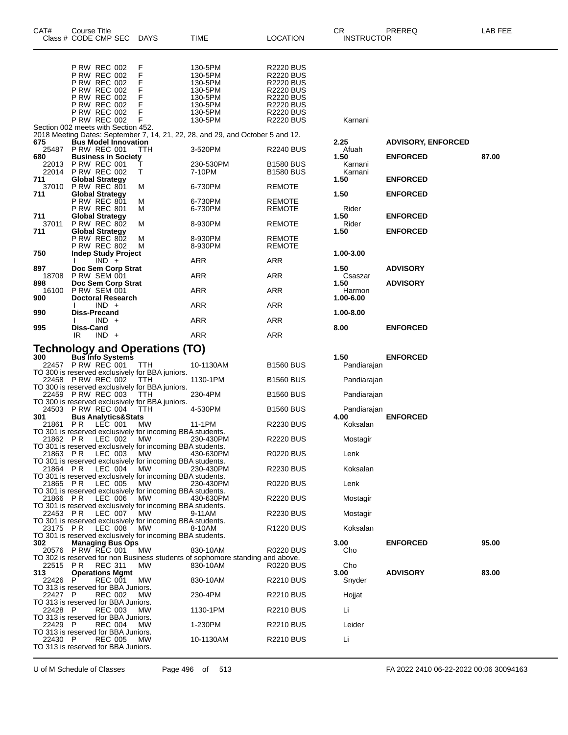| CAT#           | Course Title<br>Class # CODE CMP SEC                       | DAYS                                                                   | TIME                                                                                      | <b>LOCATION</b>                      | CR.<br><b>INSTRUCTOR</b> | PREREQ                    | <b>LAB FEE</b> |
|----------------|------------------------------------------------------------|------------------------------------------------------------------------|-------------------------------------------------------------------------------------------|--------------------------------------|--------------------------|---------------------------|----------------|
|                |                                                            |                                                                        |                                                                                           |                                      |                          |                           |                |
|                | <b>P RW REC 002</b>                                        | F                                                                      | 130-5PM                                                                                   | <b>R2220 BUS</b>                     |                          |                           |                |
|                | <b>P RW REC 002</b><br><b>P RW REC 002</b>                 | F<br>F                                                                 | 130-5PM<br>130-5PM                                                                        | <b>R2220 BUS</b><br><b>R2220 BUS</b> |                          |                           |                |
|                | <b>P RW REC 002</b>                                        | F                                                                      | 130-5PM                                                                                   | <b>R2220 BUS</b>                     |                          |                           |                |
|                | <b>P RW REC 002</b><br><b>P RW REC 002</b>                 | F<br>F                                                                 | 130-5PM<br>130-5PM                                                                        | <b>R2220 BUS</b><br><b>R2220 BUS</b> |                          |                           |                |
|                | <b>P RW REC 002</b>                                        | F                                                                      | 130-5PM                                                                                   | <b>R2220 BUS</b>                     |                          |                           |                |
|                | <b>P RW REC 002</b><br>Section 002 meets with Section 452. | F                                                                      | 130-5PM                                                                                   | <b>R2220 BUS</b>                     | Karnani                  |                           |                |
|                |                                                            |                                                                        | 2018 Meeting Dates: September 7, 14, 21, 22, 28, and 29, and October 5 and 12.            |                                      |                          |                           |                |
| 675<br>25487   | <b>Bus Model Innovation</b><br>PRW REC 001                 | TTH                                                                    | 3-520PM                                                                                   | R2240 BUS                            | 2.25<br>Afuah            | <b>ADVISORY, ENFORCED</b> |                |
| 680<br>22013   | <b>Business in Society</b><br><b>P RW REC 001</b>          | Τ                                                                      | 230-530PM                                                                                 | <b>B1580 BUS</b>                     | 1.50<br>Karnani          | <b>ENFORCED</b>           | 87.00          |
| 22014<br>711   | <b>PRW REC 002</b>                                         | Τ                                                                      | 7-10PM                                                                                    | <b>B1580 BUS</b>                     | Karnani                  |                           |                |
|                | <b>Global Strategy</b><br>37010 PRW REC 801                | м                                                                      | 6-730PM                                                                                   | <b>REMOTE</b>                        | 1.50                     | <b>ENFORCED</b>           |                |
| 711            | <b>Global Strategy</b><br><b>P RW REC 801</b>              | м                                                                      | 6-730PM                                                                                   | <b>REMOTE</b>                        | 1.50                     | <b>ENFORCED</b>           |                |
|                | <b>P RW REC 801</b>                                        | м                                                                      | 6-730PM                                                                                   | REMOTE                               | Rider                    |                           |                |
| 711<br>37011   | <b>Global Strategy</b><br><b>P RW REC 802</b>              | м                                                                      | 8-930PM                                                                                   | <b>REMOTE</b>                        | 1.50<br>Rider            | <b>ENFORCED</b>           |                |
| 711            | <b>Global Strategy</b><br><b>P RW REC 802</b>              | м                                                                      | 8-930PM                                                                                   | REMOTE                               | 1.50                     | <b>ENFORCED</b>           |                |
| 750            | <b>P RW REC 802</b><br><b>Indep Study Project</b>          | м                                                                      | 8-930PM                                                                                   | <b>REMOTE</b>                        | 1.00-3.00                |                           |                |
|                | $IND +$                                                    |                                                                        | ARR                                                                                       | <b>ARR</b>                           |                          |                           |                |
| 897<br>18708   | Doc Sem Corp Strat<br>PRW SEM 001                          |                                                                        | ARR                                                                                       | <b>ARR</b>                           | 1.50<br>Csaszar          | <b>ADVISORY</b>           |                |
| 898<br>16100   | Doc Sem Corp Strat<br><b>P RW SEM 001</b>                  |                                                                        | ARR                                                                                       | <b>ARR</b>                           | 1.50<br>Harmon           | <b>ADVISORY</b>           |                |
| 900            | <b>Doctoral Research</b><br>$IND +$                        |                                                                        | ARR                                                                                       | <b>ARR</b>                           | 1.00-6.00                |                           |                |
| 990            | Diss-Precand<br>$IND +$                                    |                                                                        | ARR                                                                                       | <b>ARR</b>                           | 1.00-8.00                |                           |                |
| 995            | <b>Diss-Cand</b><br>$IND +$<br>IR                          |                                                                        | ARR                                                                                       | <b>ARR</b>                           | 8.00                     | <b>ENFORCED</b>           |                |
|                |                                                            | <b>Technology and Operations (TO)</b>                                  |                                                                                           |                                      |                          |                           |                |
| 300            | <b>Bus Info Systems</b>                                    |                                                                        |                                                                                           |                                      | 1.50                     | <b>ENFORCED</b>           |                |
|                | 22457 PRW REC 001                                          | <b>TTH</b><br>TO 300 is reserved exclusively for BBA juniors.          | 10-1130AM                                                                                 | <b>B1560 BUS</b>                     | Pandiarajan              |                           |                |
|                | 22458 P RW REC 002                                         | <b>TTH</b><br>TO 300 is reserved exclusively for BBA juniors.          | 1130-1PM                                                                                  | <b>B1560 BUS</b>                     | Pandiarajan              |                           |                |
|                | 22459 P RW REC 003                                         | TTH<br>TO 300 is reserved exclusively for BBA juniors.                 | 230-4PM                                                                                   | <b>B1560 BUS</b>                     | Pandiarajan              |                           |                |
| 301            | 24503 P RW REC 004                                         | - TTH                                                                  | 4-530PM                                                                                   | <b>B1560 BUS</b>                     | Pandiarajan<br>4.00      | <b>ENFORCED</b>           |                |
| 21861          | <b>Bus Analytics&amp;Stats</b><br>P R<br>LEC 001           | MW                                                                     | 11-1PM                                                                                    | <b>R2230 BUS</b>                     | Koksalan                 |                           |                |
| 21862 PR       | LEC 002                                                    | TO 301 is reserved exclusively for incoming BBA students.<br>MW.       | 230-430PM                                                                                 | <b>R2220 BUS</b>                     | Mostagir                 |                           |                |
| 21863 PR       | LEC 003                                                    | TO 301 is reserved exclusively for incoming BBA students.<br>MW.       | 430-630PM                                                                                 | <b>R0220 BUS</b>                     | Lenk                     |                           |                |
| 21864 PR       | LEC 004                                                    | TO 301 is reserved exclusively for incoming BBA students.<br>МW        | 230-430PM                                                                                 | <b>R2230 BUS</b>                     | Koksalan                 |                           |                |
|                |                                                            | TO 301 is reserved exclusively for incoming BBA students.              |                                                                                           |                                      |                          |                           |                |
| 21865 PR       | LEC 005                                                    | MW.<br>TO 301 is reserved exclusively for incoming BBA students.       | 230-430PM                                                                                 | <b>R0220 BUS</b>                     | Lenk                     |                           |                |
| 21866 PR       | LEC 006                                                    | <b>MW</b><br>TO 301 is reserved exclusively for incoming BBA students. | 430-630PM                                                                                 | <b>R2220 BUS</b>                     | Mostagir                 |                           |                |
| 22453 PR       | LEC 007                                                    | МW<br>TO 301 is reserved exclusively for incoming BBA students.        | 9-11AM                                                                                    | <b>R2230 BUS</b>                     | Mostagir                 |                           |                |
| 23175 PR       | LEC 008                                                    | MW.                                                                    | 8-10AM                                                                                    | R <sub>1220</sub> BUS                | Koksalan                 |                           |                |
| 302            | <b>Managing Bus Ops</b>                                    | TO 301 is reserved exclusively for incoming BBA students.              |                                                                                           |                                      | 3.00                     | <b>ENFORCED</b>           | 95.00          |
|                | 20576 P RW REC 001                                         | МW                                                                     | 830-10AM<br>TO 302 is reserved for non Business students of sophomore standing and above. | <b>R0220 BUS</b>                     | Cho                      |                           |                |
| 22515 PR       | <b>REC 311</b>                                             | <b>MW</b>                                                              | 830-10AM                                                                                  | <b>R0220 BUS</b>                     | Cho                      |                           |                |
| 313<br>22426 P | <b>Operations Mgmt</b><br><b>REC 001</b>                   | МW                                                                     | 830-10AM                                                                                  | <b>R2210 BUS</b>                     | 3.00<br>Snyder           | <b>ADVISORY</b>           | 83.00          |
| 22427 P        | TO 313 is reserved for BBA Juniors.<br><b>REC 002</b>      | <b>MW</b>                                                              | 230-4PM                                                                                   | <b>R2210 BUS</b>                     | Hojjat                   |                           |                |
| 22428 P        | TO 313 is reserved for BBA Juniors.<br><b>REC 003</b>      | <b>MW</b>                                                              | 1130-1PM                                                                                  | <b>R2210 BUS</b>                     | Li                       |                           |                |
| 22429 P        | TO 313 is reserved for BBA Juniors.<br><b>REC 004</b>      | MW                                                                     | 1-230PM                                                                                   | <b>R2210 BUS</b>                     | Leider                   |                           |                |
|                | TO 313 is reserved for BBA Juniors.                        |                                                                        |                                                                                           |                                      |                          |                           |                |
| 22430 P        | <b>REC 005</b><br>TO 313 is reserved for BBA Juniors.      | <b>MW</b>                                                              | 10-1130AM                                                                                 | <b>R2210 BUS</b>                     | Li                       |                           |                |

U of M Schedule of Classes Page 496 of 513 FA 2022 2410 06-22-2022 00:06 30094163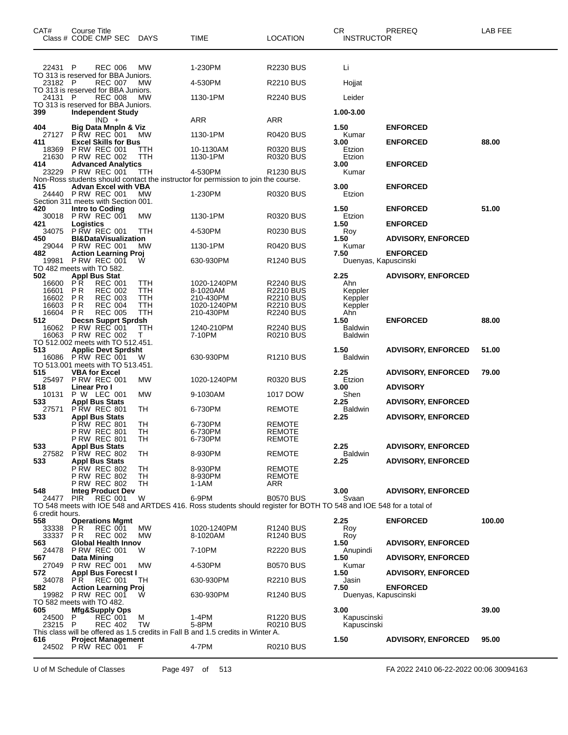| CAT#                                    | Course Title                              | Class # CODE CMP SEC                                                                                                      | <b>DAYS</b>              | <b>TIME</b>                                                                                                        | <b>LOCATION</b>                                                       | CR.<br><b>INSTRUCTOR</b>                     | PREREQ                    | LAB FEE |
|-----------------------------------------|-------------------------------------------|---------------------------------------------------------------------------------------------------------------------------|--------------------------|--------------------------------------------------------------------------------------------------------------------|-----------------------------------------------------------------------|----------------------------------------------|---------------------------|---------|
| 22431 P                                 |                                           | <b>REC 006</b>                                                                                                            | MW                       | 1-230PM                                                                                                            | <b>R2230 BUS</b>                                                      | Li                                           |                           |         |
| 23182                                   | - P                                       | TO 313 is reserved for BBA Juniors.<br><b>REC 007</b>                                                                     | MW                       | 4-530PM                                                                                                            | <b>R2210 BUS</b>                                                      | Hojjat                                       |                           |         |
| 24131 P                                 |                                           | TO 313 is reserved for BBA Juniors.<br><b>REC 008</b>                                                                     | <b>MW</b>                | 1130-1PM                                                                                                           | <b>R2240 BUS</b>                                                      | Leider                                       |                           |         |
|                                         |                                           | TO 313 is reserved for BBA Juniors.                                                                                       |                          |                                                                                                                    |                                                                       |                                              |                           |         |
| 399                                     |                                           | <b>Independent Study</b><br>$IND +$                                                                                       |                          | ARR                                                                                                                | ARR                                                                   | 1.00-3.00                                    |                           |         |
| 404<br>27127                            |                                           | <b>Big Data Mnpln &amp; Viz</b><br><b>P RW REC 001</b>                                                                    | МW                       | 1130-1PM                                                                                                           | <b>R0420 BUS</b>                                                      | 1.50<br>Kumar                                | <b>ENFORCED</b>           |         |
| 411<br>18369                            |                                           | <b>Excel Skills for Bus</b><br><b>P RW REC 001</b>                                                                        | ттн                      | 10-1130AM                                                                                                          | <b>R0320 BUS</b>                                                      | 3.00<br>Etzion                               | <b>ENFORCED</b>           | 88.00   |
| 21630<br>414                            |                                           | <b>P RW REC 002</b><br><b>Advanced Analytics</b>                                                                          | TTH                      | 1130-1PM                                                                                                           | R0320 BUS                                                             | Etzion<br>3.00                               | <b>ENFORCED</b>           |         |
| 23229                                   |                                           | P RW REC 001                                                                                                              | ттн                      | 4-530PM                                                                                                            | R1230 BUS                                                             | Kumar                                        |                           |         |
| 415                                     |                                           | <b>Advan Excel with VBA</b>                                                                                               |                          | Non-Ross students should contact the instructor for permission to join the course.                                 |                                                                       | 3.00                                         | <b>ENFORCED</b>           |         |
| 24440                                   |                                           | PRW REC 001<br>Section 311 meets with Section 001.                                                                        | MW                       | 1-230PM                                                                                                            | R0320 BUS                                                             | Etzion                                       |                           |         |
| 420<br>30018                            |                                           | Intro to Coding<br>PRW REC 001                                                                                            | МW                       | 1130-1PM                                                                                                           | R0320 BUS                                                             | 1.50<br>Etzion                               | <b>ENFORCED</b>           | 51.00   |
| 421<br>34075                            | Logistics                                 | <b>P RW REC 001</b>                                                                                                       | TTH                      | 4-530PM                                                                                                            |                                                                       | 1.50                                         | <b>ENFORCED</b>           |         |
| 450                                     |                                           | <b>BI&amp;DataVisualization</b>                                                                                           |                          |                                                                                                                    | <b>R0230 BUS</b>                                                      | Roy<br>1.50                                  | <b>ADVISORY, ENFORCED</b> |         |
| 29044<br>482                            |                                           | <b>P RW REC 001</b><br><b>Action Learning Proj</b>                                                                        | MW                       | 1130-1PM                                                                                                           | R0420 BUS                                                             | Kumar<br>7.50                                | <b>ENFORCED</b>           |         |
| 19981<br>TO 482 meets with TO 582.      |                                           | PRW REC 001                                                                                                               | W                        | 630-930PM                                                                                                          | R1240 BUS                                                             | Duenyas, Kapuscinski                         |                           |         |
| 502<br>16600<br>16601<br>16602<br>16603 | PR.<br>P R<br>P <sub>R</sub><br><b>PR</b> | <b>Appl Bus Stat</b><br><b>REC 001</b><br><b>REC 002</b><br><b>REC 003</b><br><b>REC 004</b>                              | TTH<br>TTH<br>TTH<br>TTH | 1020-1240PM<br>8-1020AM<br>210-430PM<br>1020-1240PM                                                                | R2240 BUS<br><b>R2210 BUS</b><br><b>R2210 BUS</b><br><b>R2210 BUS</b> | 2.25<br>Ahn<br>Keppler<br>Keppler<br>Keppler | <b>ADVISORY, ENFORCED</b> |         |
| 16604<br>512                            | P R                                       | <b>REC 005</b>                                                                                                            | <b>TTH</b>               | 210-430PM                                                                                                          | <b>R2240 BUS</b>                                                      | Ahn<br>1.50                                  | <b>ENFORCED</b>           | 88.00   |
| 16062<br>16063                          |                                           | <b>Decsn Supprt Sprdsh</b><br>P RW REC 001<br><b>P RW REC 002</b>                                                         | TTH<br>т                 | 1240-210PM<br>7-10PM                                                                                               | <b>R2240 BUS</b><br><b>R0210 BUS</b>                                  | <b>Baldwin</b><br>Baldwin                    |                           |         |
| 513                                     |                                           | TO 512.002 meets with TO 512.451.<br><b>Applic Devt Sprdsht</b><br>16086 PRW REC 001<br>TO 513,001 meets with TO 513,451. | W                        | 630-930PM                                                                                                          | R <sub>1210</sub> BUS                                                 | 1.50<br>Baldwin                              | <b>ADVISORY, ENFORCED</b> | 51.00   |
| 515                                     |                                           | <b>VBA for Excel</b>                                                                                                      |                          |                                                                                                                    |                                                                       | 2.25                                         | <b>ADVISORY, ENFORCED</b> | 79.00   |
| 25497<br>518                            | Linear Pro I                              | <b>P RW REC 001</b>                                                                                                       | <b>MW</b>                | 1020-1240PM                                                                                                        | R0320 BUS                                                             | Etzion<br>3.00                               | <b>ADVISORY</b>           |         |
| 10131<br>533                            |                                           | P W LEC 001<br><b>Appl Bus Stats</b>                                                                                      | <b>MW</b>                | 9-1030AM                                                                                                           | 1017 DOW                                                              | Shen<br>2.25                                 | <b>ADVISORY, ENFORCED</b> |         |
| 27571<br>533                            |                                           | PRW REC 801<br><b>Appl Bus Stats</b>                                                                                      | TH                       | 6-730PM                                                                                                            | <b>REMOTE</b>                                                         | <b>Baldwin</b><br>2.25                       | <b>ADVISORY, ENFORCED</b> |         |
|                                         |                                           | P RW REC 801<br><b>P RW REC 801</b><br>P RW REC 801                                                                       | TН<br>TН<br>TH.          | 6-730PM<br>6-730PM<br>6-730PM                                                                                      | <b>REMOTE</b><br>REMOTE<br>REMOIE                                     |                                              |                           |         |
| 533<br>27582                            |                                           | <b>Appl Bus Stats</b><br><b>P RW REC 802</b>                                                                              | TH                       | 8-930PM                                                                                                            | <b>REMOTE</b>                                                         | 2.25<br>Baldwin                              | <b>ADVISORY, ENFORCED</b> |         |
| 533                                     |                                           | <b>Appl Bus Stats</b><br><b>P RW REC 802</b>                                                                              | TН                       | 8-930PM                                                                                                            | REMOTE                                                                | 2.25                                         | <b>ADVISORY, ENFORCED</b> |         |
|                                         |                                           | <b>P RW REC 802</b>                                                                                                       | TН<br>TН                 | 8-930PM                                                                                                            | <b>REMOTE</b>                                                         |                                              |                           |         |
| 548<br>24477                            | <b>PIR</b>                                | <b>P RW REC 802</b><br><b>Integ Product Dev</b><br><b>REC 001</b>                                                         | W                        | 1-1AM<br>6-9PM                                                                                                     | ARR<br><b>B0570 BUS</b>                                               | 3.00<br>Svaan                                | <b>ADVISORY, ENFORCED</b> |         |
|                                         |                                           |                                                                                                                           |                          | TO 548 meets with IOE 548 and ARTDES 416. Ross students should register for BOTH TO 548 and IOE 548 for a total of |                                                                       |                                              |                           |         |
| 6 credit hours.<br>558                  |                                           | <b>Operations Mgmt</b>                                                                                                    |                          |                                                                                                                    |                                                                       | 2.25                                         | <b>ENFORCED</b>           | 100.00  |
| 33338<br>33337                          | <b>PR</b><br>P R                          | <b>REC 001</b><br><b>REC 002</b>                                                                                          | <b>MW</b><br>MW          | 1020-1240PM<br>8-1020AM                                                                                            | R1240 BUS<br>R <sub>1240</sub> BUS                                    | Roy<br>Roy                                   |                           |         |
| 563<br>24478                            |                                           | <b>Global Health Innov</b><br><b>P RW REC 001</b>                                                                         | W                        | 7-10PM                                                                                                             | R2220 BUS                                                             | 1.50<br>Anupindi                             | <b>ADVISORY, ENFORCED</b> |         |
| 567                                     | Data Mining                               | <b>P RW REC 001</b>                                                                                                       | <b>MW</b>                |                                                                                                                    |                                                                       | 1.50                                         | <b>ADVISORY, ENFORCED</b> |         |
| 27049<br>572                            |                                           | <b>Appl Bus Forecst I</b>                                                                                                 |                          | 4-530PM                                                                                                            | <b>B0570 BUS</b>                                                      | Kumar<br>1.50                                | <b>ADVISORY, ENFORCED</b> |         |
| 34078<br>582                            | PR.                                       | <b>REC 001</b><br><b>Action Learning Proj</b>                                                                             | TH                       | 630-930PM                                                                                                          | R2210 BUS                                                             | Jasin<br>7.50                                | <b>ENFORCED</b>           |         |
| TO 582 meets with TO 482.               |                                           | 19982 P RW REC 001                                                                                                        | W                        | 630-930PM                                                                                                          | R1240 BUS                                                             | Duenyas, Kapuscinski                         |                           |         |
| 605<br>24500<br>23215 P                 | P                                         | <b>Mfg&amp;Supply Ops</b><br><b>REC 001</b><br>REC 402                                                                    | м<br><b>TW</b>           | 1-4PM<br>5-8PM                                                                                                     | R1220 BUS<br>R0210 BUS                                                | 3.00<br>Kapuscinski<br>Kapuscinski           |                           | 39.00   |
|                                         |                                           |                                                                                                                           |                          | This class will be offered as 1.5 credits in Fall B and 1.5 credits in Winter A.                                   |                                                                       |                                              |                           |         |
| 616                                     |                                           | <b>Project Management</b><br>24502 P RW REC 001                                                                           | F                        | 4-7PM                                                                                                              | R0210 BUS                                                             | 1.50                                         | <b>ADVISORY, ENFORCED</b> | 95.00   |

U of M Schedule of Classes Page 497 of 513 FA 2022 2410 06-22-2022 00:06 30094163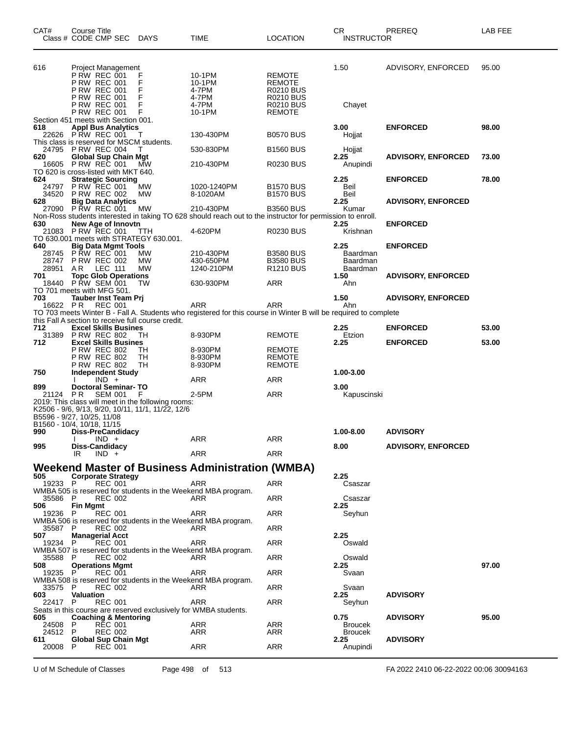| CAT#            | Course Title<br>Class # CODE CMP SEC                                                                                                                                | <b>DAYS</b>      | TIME                                                                                                                    | <b>LOCATION</b>                                                    | CR<br><b>INSTRUCTOR</b> | PREREQ                    | LAB FEE |
|-----------------|---------------------------------------------------------------------------------------------------------------------------------------------------------------------|------------------|-------------------------------------------------------------------------------------------------------------------------|--------------------------------------------------------------------|-------------------------|---------------------------|---------|
| 616             | Project Management<br>P RW REC 001<br><b>P RW REC 001</b>                                                                                                           | F<br>F           | 10-1PM<br>10-1PM                                                                                                        | <b>REMOTE</b><br><b>REMOTE</b>                                     | 1.50                    | ADVISORY, ENFORCED        | 95.00   |
|                 | <b>P RW REC 001</b><br>P RW REC 001<br>P RW REC 001<br><b>P RW REC 001</b>                                                                                          | F<br>F<br>F<br>F | 4-7PM<br>4-7PM<br>4-7PM<br>10-1PM                                                                                       | <b>R0210 BUS</b><br>R0210 BUS<br><b>R0210 BUS</b><br><b>REMOTE</b> | Chayet                  |                           |         |
| 618             | Section 451 meets with Section 001.                                                                                                                                 |                  |                                                                                                                         |                                                                    | 3.00                    | <b>ENFORCED</b>           | 98.00   |
|                 | <b>Appl Bus Analytics</b><br>22626 PRW REC 001                                                                                                                      | - T              | 130-430PM                                                                                                               | <b>B0570 BUS</b>                                                   | Hojjat                  |                           |         |
|                 | This class is reserved for MSCM students.<br>24795 PRW REC 004                                                                                                      | т                | 530-830PM                                                                                                               | <b>B1560 BUS</b>                                                   | Hojjat                  |                           |         |
| 620             | <b>Global Sup Chain Mgt</b>                                                                                                                                         |                  |                                                                                                                         |                                                                    | 2.25                    | <b>ADVISORY, ENFORCED</b> | 73.00   |
| 16605           | <b>P RW REC 001</b><br>TO 620 is cross-listed with MKT 640.                                                                                                         | МW               | 210-430PM                                                                                                               | R0230 BUS                                                          | Anupindi                |                           |         |
| 624             | <b>Strategic Sourcing</b>                                                                                                                                           |                  |                                                                                                                         |                                                                    | 2.25                    | <b>ENFORCED</b>           | 78.00   |
| 24797<br>34520  | <b>P RW REC 001</b><br><b>P RW REC 002</b>                                                                                                                          | MW<br>MW         | 1020-1240PM<br>8-1020AM                                                                                                 | <b>B1570 BUS</b><br><b>B1570 BUS</b>                               | Beil<br>Beil            |                           |         |
| 628             | <b>Big Data Analytics</b>                                                                                                                                           |                  |                                                                                                                         |                                                                    | 2.25                    | <b>ADVISORY, ENFORCED</b> |         |
| 27090           | <b>P RW REC 001</b>                                                                                                                                                 | МW               | 210-430PM<br>Non-Ross students interested in taking TO 628 should reach out to the instructor for permission to enroll. | <b>B3560 BUS</b>                                                   | Kumar                   |                           |         |
| 630             | New Age of Innovtn                                                                                                                                                  |                  |                                                                                                                         |                                                                    | 2.25                    | <b>ENFORCED</b>           |         |
| 21083           | <b>P RW REC 001</b><br>TO 630.001 meets with STRATEGY 630.001.                                                                                                      | TТH              | 4-620PM                                                                                                                 | R0230 BUS                                                          | Krishnan                |                           |         |
| 640             | <b>Big Data Mgmt Tools</b>                                                                                                                                          |                  |                                                                                                                         |                                                                    | 2.25                    | <b>ENFORCED</b>           |         |
| 28745<br>28747  | <b>P RW REC 001</b><br><b>P RW REC 002</b>                                                                                                                          | МW<br>МW         | 210-430PM<br>430-650PM                                                                                                  | <b>B3580 BUS</b><br><b>B3580 BUS</b>                               | Baardman<br>Baardman    |                           |         |
| 28951           | AR<br>LEC 111                                                                                                                                                       | MW               | 1240-210PM                                                                                                              | R <sub>1210</sub> BUS                                              | Baardman                |                           |         |
| 701             | <b>Topc Glob Operations</b><br>18440 PRW SEM 001                                                                                                                    | TW               | 630-930PM                                                                                                               | ARR                                                                | 1.50<br>Ahn             | <b>ADVISORY, ENFORCED</b> |         |
|                 | TO 701 meets with MFG 501.                                                                                                                                          |                  |                                                                                                                         |                                                                    |                         |                           |         |
| 703<br>16622 PR | Tauber Inst Team Prj<br><b>REC 001</b>                                                                                                                              |                  | ARR                                                                                                                     | ARR                                                                | 1.50<br>Ahn             | <b>ADVISORY, ENFORCED</b> |         |
|                 |                                                                                                                                                                     |                  | TO 703 meets Winter B - Fall A. Students who registered for this course in Winter B will be required to complete        |                                                                    |                         |                           |         |
| 712             | this Fall A section to receive full course credit.<br><b>Excel Skills Busines</b>                                                                                   |                  |                                                                                                                         |                                                                    | 2.25                    | <b>ENFORCED</b>           | 53.00   |
| 31389<br>712    | <b>P RW REC 802</b><br><b>Excel Skills Busines</b>                                                                                                                  | TН               | 8-930PM                                                                                                                 | <b>REMOTE</b>                                                      | Etzion<br>2.25          | <b>ENFORCED</b>           | 53.00   |
|                 | <b>P RW REC 802</b>                                                                                                                                                 | TН               | 8-930PM                                                                                                                 | <b>REMOTE</b>                                                      |                         |                           |         |
|                 | <b>P RW REC 802</b><br><b>P RW REC 802</b>                                                                                                                          | TН<br>TН         | 8-930PM<br>8-930PM                                                                                                      | <b>REMOTE</b><br><b>REMOTE</b>                                     |                         |                           |         |
| 750             | <b>Independent Study</b>                                                                                                                                            |                  |                                                                                                                         |                                                                    | 1.00-3.00               |                           |         |
| 899             | $IND +$<br><b>Doctoral Seminar-TO</b>                                                                                                                               |                  | ARR                                                                                                                     | ARR                                                                | 3.00                    |                           |         |
| 21124 PR        | <b>SEM 001</b>                                                                                                                                                      | F                | 2-5PM                                                                                                                   | ARR                                                                | Kapuscinski             |                           |         |
|                 | 2019: This class will meet in the following rooms:<br>K2506 - 9/6, 9/13, 9/20, 10/11, 11/1, 11/22, 12/6<br>B5596 - 9/27, 10/25, 11/08<br>B1560 - 10/4, 10/18, 11/15 |                  |                                                                                                                         |                                                                    |                         |                           |         |
| 990             | <b>Diss-PreCandidacy</b>                                                                                                                                            |                  |                                                                                                                         |                                                                    | 1.00-8.00               | <b>ADVISORY</b>           |         |
| 995             | $IND +$<br>Diss-Candidacy                                                                                                                                           |                  | <b>ARR</b>                                                                                                              | <b>ARR</b>                                                         | 8.00                    | <b>ADVISORY, ENFORCED</b> |         |
|                 | $IND +$<br>IR                                                                                                                                                       |                  | ARR                                                                                                                     | ARR                                                                |                         |                           |         |
|                 |                                                                                                                                                                     |                  | Weekend Master of Business Administration (WMBA)                                                                        |                                                                    |                         |                           |         |
| 505             | <b>Corporate Strategy</b>                                                                                                                                           |                  |                                                                                                                         |                                                                    | 2.25                    |                           |         |
| 19233 P         | <b>REC 001</b><br>WMBA 505 is reserved for students in the Weekend MBA program.                                                                                     |                  | ARR                                                                                                                     | ARR                                                                | Csaszar                 |                           |         |
| 35586 P<br>506  | <b>REC 002</b><br><b>Fin Mgmt</b>                                                                                                                                   |                  | ARR                                                                                                                     | <b>ARR</b>                                                         | Csaszar<br>2.25         |                           |         |
| 19236 P         | <b>REC 001</b><br>WMBA 506 is reserved for students in the Weekend MBA program.                                                                                     |                  | ARR                                                                                                                     | ARR                                                                | Seyhun                  |                           |         |
| 35587 P<br>507. | REC 002<br><b>Managerial Acct</b>                                                                                                                                   |                  | ARR                                                                                                                     | ARR                                                                | 2.25                    |                           |         |
| 19234 P         | <b>REC 001</b><br>WMBA 507 is reserved for students in the Weekend MBA program.                                                                                     |                  | ARR                                                                                                                     | ARR                                                                | Oswald                  |                           |         |
| 35588 P<br>508  | <b>REC 002</b><br><b>Operations Mgmt</b>                                                                                                                            |                  | ARR                                                                                                                     | ARR                                                                | Oswald<br>2.25          |                           | 97.00   |
| 19235 P         | <b>REC 001</b>                                                                                                                                                      |                  | ARR                                                                                                                     | ARR                                                                | Svaan                   |                           |         |
| 33575 P         | WMBA 508 is reserved for students in the Weekend MBA program.<br><b>REC 002</b>                                                                                     |                  | ARR                                                                                                                     | <b>ARR</b>                                                         | Svaan                   |                           |         |
| 603<br>22417 P  | Valuation<br><b>REC 001</b>                                                                                                                                         |                  | ARR                                                                                                                     | ARR                                                                | 2.25<br>Seyhun          | <b>ADVISORY</b>           |         |
| 605             | Seats in this course are reserved exclusively for WMBA students.<br><b>Coaching &amp; Mentoring</b>                                                                 |                  |                                                                                                                         |                                                                    | 0.75                    | <b>ADVISORY</b>           | 95.00   |
| 24508           | <b>REC 001</b><br>P                                                                                                                                                 |                  | ARR                                                                                                                     | ARR                                                                | <b>Broucek</b>          |                           |         |
| 24512<br>611    | P<br><b>REC 002</b><br><b>Global Sup Chain Mgt</b>                                                                                                                  |                  | ARR                                                                                                                     | ARR                                                                | <b>Broucek</b><br>2.25  | <b>ADVISORY</b>           |         |
| 20008           | - P<br><b>REC 001</b>                                                                                                                                               |                  | ARR                                                                                                                     | ARR                                                                | Anupindi                |                           |         |

U of M Schedule of Classes Page 498 of 513 FA 2022 2410 06-22-2022 00:06 30094163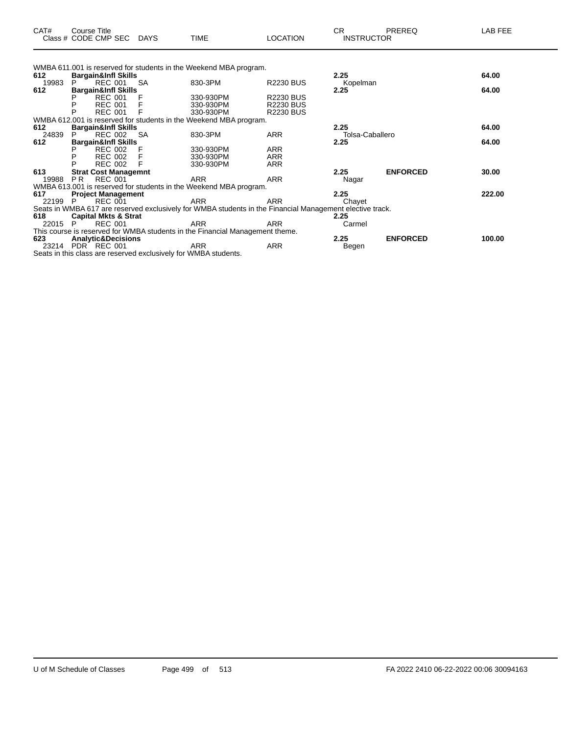| CAT# | Course Title<br>Class # CODE CMP SEC | <b>DAYS</b> | <b>TIME</b> | LOCATION | ⌒冖<br>◡┍<br><b>INSTRUCTOR</b> | PREREQ | AB FEE |
|------|--------------------------------------|-------------|-------------|----------|-------------------------------|--------|--------|
|      |                                      |             |             |          |                               |        |        |

|         |    |                                 |           | WMBA 611.001 is reserved for students in the Weekend MBA program.                                        |                  |                 |                 |        |
|---------|----|---------------------------------|-----------|----------------------------------------------------------------------------------------------------------|------------------|-----------------|-----------------|--------|
| 612     |    | <b>Bargain&amp;Infl Skills</b>  |           |                                                                                                          |                  | 2.25            |                 | 64.00  |
| 19983   |    | <b>REC 001</b>                  | <b>SA</b> | 830-3PM                                                                                                  | <b>R2230 BUS</b> | Kopelman        |                 |        |
| 612     |    | <b>Bargain&amp;Infl Skills</b>  |           |                                                                                                          |                  | 2.25            |                 | 64.00  |
|         |    | <b>REC 001</b>                  |           | 330-930PM                                                                                                | <b>R2230 BUS</b> |                 |                 |        |
|         | P  | <b>REC 001</b>                  |           | 330-930PM                                                                                                | <b>R2230 BUS</b> |                 |                 |        |
|         | P  | <b>REC 001</b>                  |           | 330-930PM                                                                                                | <b>R2230 BUS</b> |                 |                 |        |
|         |    |                                 |           | WMBA 612.001 is reserved for students in the Weekend MBA program.                                        |                  |                 |                 |        |
| 612     |    | <b>Bargain&amp;Infl Skills</b>  |           |                                                                                                          |                  | 2.25            |                 | 64.00  |
| 24839   |    | REC 002                         | -SA       | 830-3PM                                                                                                  | <b>ARR</b>       | Tolsa-Caballero |                 |        |
| 612     |    | <b>Bargain&amp;Infl Skills</b>  |           |                                                                                                          |                  | 2.25            |                 | 64.00  |
|         |    | REC 002                         |           | 330-930PM                                                                                                | <b>ARR</b>       |                 |                 |        |
|         | P  | <b>REC 002</b>                  |           | 330-930PM                                                                                                | <b>ARR</b>       |                 |                 |        |
|         | P  | <b>REC 002</b>                  |           | 330-930PM                                                                                                | <b>ARR</b>       |                 |                 |        |
| 613     |    | <b>Strat Cost Managemnt</b>     |           |                                                                                                          |                  | 2.25            | <b>ENFORCED</b> | 30.00  |
| 19988   | PR | REC 001                         |           | <b>ARR</b>                                                                                               | <b>ARR</b>       | Nagar           |                 |        |
|         |    |                                 |           | WMBA 613.001 is reserved for students in the Weekend MBA program.                                        |                  |                 |                 |        |
| 617     |    | <b>Project Management</b>       |           |                                                                                                          |                  | 2.25            |                 | 222.00 |
| 22199 P |    | <b>REC 001</b>                  |           | ARR                                                                                                      | <b>ARR</b>       | Chayet          |                 |        |
|         |    |                                 |           | Seats in WMBA 617 are reserved exclusively for WMBA students in the Financial Management elective track. |                  |                 |                 |        |
| 618     |    | <b>Capital Mkts &amp; Strat</b> |           |                                                                                                          |                  | 2.25            |                 |        |
| 22015 P |    | <b>REC 001</b>                  |           | ARR                                                                                                      | <b>ARR</b>       | Carmel          |                 |        |
|         |    |                                 |           | This course is reserved for WMBA students in the Financial Management theme.                             |                  |                 |                 |        |
| 623     |    | <b>Analytic&amp;Decisions</b>   |           |                                                                                                          |                  | 2.25            | <b>ENFORCED</b> | 100.00 |
|         |    | 23214 PDR REC 001               |           | ARR                                                                                                      | ARR              | Begen           |                 |        |
|         |    |                                 | .         |                                                                                                          |                  |                 |                 |        |

Seats in this class are reserved exclusively for WMBA students.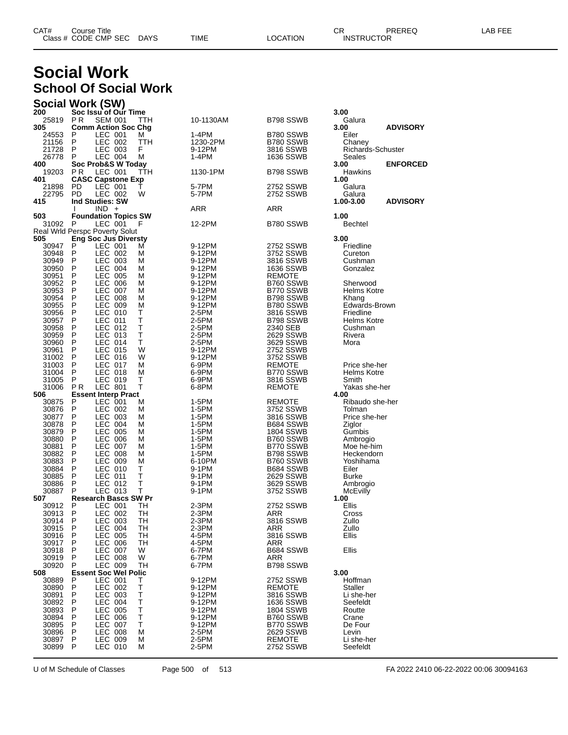| CAT# | Title<br>∴ourse      |      |      |          | Ωm<br><b>UN</b> | PREREC            | ---<br>ΔP.<br>--- |
|------|----------------------|------|------|----------|-----------------|-------------------|-------------------|
|      | Class # CODE CMP SEC | DAYS | TIME | LOCATION |                 | <b>INSTRUCTOR</b> |                   |

## **Social Work School Of Social Work**

|                | Social Work (SW)                                    |         |                  |                            |                            |                 |
|----------------|-----------------------------------------------------|---------|------------------|----------------------------|----------------------------|-----------------|
| 200            | Soc Issu of Our Time                                |         |                  |                            | 3.00                       |                 |
| 25819<br>305   | PR.<br><b>SEM 001</b><br><b>Comm Action Soc Chg</b> | TTH     | 10-1130AM        | B798 SSWB                  | Galura<br>3.00             | <b>ADVISORY</b> |
| 24553          | LEC 001<br>P                                        | м       | 1-4PM            | B780 SSWB                  | Eiler                      |                 |
| 21156          | P<br>LEC 002                                        | TTH     | 1230-2PM         | B780 SSWB                  | Chaney                     |                 |
| 21728          | P<br>LEC 003                                        | F       | 9-12PM           | 3816 SSWB                  | Richards-Schuster          |                 |
| 26778          | LEC 004<br>P                                        | М       | 1-4PM            | <b>1636 SSWB</b>           | Seales                     |                 |
| 400<br>19203   | Soc Prob&S W Today<br>LEC 001<br>P R                | TTH     | 1130-1PM         | B798 SSWB                  | 3.00<br>Hawkins            | <b>ENFORCED</b> |
| 401            | <b>CASC Capstone Exp</b>                            |         |                  |                            | 1.00                       |                 |
| 21898          | PD<br>LEC 001                                       | т       | 5-7PM            | 2752 SSWB                  | Galura                     |                 |
| 22795          | PD<br>LEC 002                                       | W       | 5-7PM            | 2752 SSWB                  | Galura                     |                 |
| 415            | <b>Ind Studies: SW</b>                              |         |                  |                            | 1.00-3.00                  | <b>ADVISORY</b> |
| 503            | $IND +$<br><b>Foundation Topics SW</b>              |         | ARR              | ARR                        | 1.00                       |                 |
| 31092          | LEC 001<br>- P                                      | F       | 12-2PM           | B780 SSWB                  | <b>Bechtel</b>             |                 |
|                | Real Wrld Perspc Poverty Solut                      |         |                  |                            |                            |                 |
| 505            | <b>Eng Soc Jus Diversty</b>                         |         |                  |                            | 3.00                       |                 |
| 30947          | P<br>LEC 001                                        | м       | 9-12PM           | 2752 SSWB                  | Friedline                  |                 |
| 30948          | P<br>LEC 002<br>LEC 003<br>P                        | М<br>M  | 9-12PM<br>9-12PM | 3752 SSWB<br>3816 SSWB     | Cureton                    |                 |
| 30949<br>30950 | <b>LEC 004</b><br>P                                 | М       | 9-12PM           | 1636 SSWB                  | Cushman<br>Gonzalez        |                 |
| 30951          | P<br>LEC 005                                        | М       | 9-12PM           | REMOTE                     |                            |                 |
| 30952          | LEC 006<br>P                                        | М       | 9-12PM           | B760 SSWB                  | Sherwood                   |                 |
| 30953          | P<br>LEC 007                                        | М       | 9-12PM           | B770 SSWB                  | Helms Kotre                |                 |
| 30954          | P<br>LEC 008                                        | М       | 9-12PM           | B798 SSWB                  | Khang                      |                 |
| 30955<br>30956 | LEC 009<br>P<br>P<br>LEC 010                        | М<br>Τ  | 9-12PM<br>2-5PM  | B780 SSWB<br>3816 SSWB     | Edwards-Brown<br>Friedline |                 |
| 30957          | P<br>LEC 011                                        | Τ       | 2-5PM            | B798 SSWB                  | Helms Kotre                |                 |
| 30958          | LEC 012<br>P                                        | Τ       | 2-5PM            | 2340 SEB                   | Cushman                    |                 |
| 30959          | P<br>LEC 013                                        | Τ       | 2-5PM            | 2629 SSWB                  | Rivera                     |                 |
| 30960          | P<br>LEC 014                                        | т       | 2-5PM            | 3629 SSWB                  | Mora                       |                 |
| 30961          | LEC 015<br>P                                        | W       | 9-12PM           | 2752 SSWB                  |                            |                 |
| 31002<br>31003 | P<br>LEC 016<br>P<br>LEC 017                        | W<br>М  | 9-12PM<br>6-9PM  | 3752 SSWB<br>REMOTE        | Price she-her              |                 |
| 31004          | LEC 018<br>P                                        | М       | 6-9PM            | B770 SSWB                  | Helms Kotre                |                 |
| 31005          | P<br>LEC 019                                        | Τ       | 6-9PM            | 3816 SSWB                  | Smith                      |                 |
| 31006          | P R<br><b>LEC 801</b>                               | т       | 6-8PM            | REMOTE                     | Yakas she-her              |                 |
| 506            | <b>Essent Interp Pract</b>                          |         |                  |                            | 4.00                       |                 |
| 30875<br>30876 | LEC 001<br>P<br>P<br>LEC 002                        | м<br>М  | 1-5PM<br>1-5PM   | <b>REMOTE</b><br>3752 SSWB | Ribaudo she-her<br>Tolman  |                 |
| 30877          | LEC 003<br>P                                        | М       | 1-5PM            | 3816 SSWB                  | Price she-her              |                 |
| 30878          | <b>LEC 004</b><br>P                                 | М       | 1-5PM            | B684 SSWB                  | Ziglor                     |                 |
| 30879          | P<br>LEC 005                                        | М       | 1-5PM            | 1804 SSWB                  | Gumbis                     |                 |
| 30880          | LEC 006<br>P                                        | М       | 1-5PM            | B760 SSWB                  | Ambrogio                   |                 |
| 30881          | P<br>LEC 007<br>P<br>LEC 008                        | М<br>М  | 1-5PM            | B770 SSWB                  | Moe he-him<br>Heckendorn   |                 |
| 30882<br>30883 | LEC 009<br>P                                        | M       | 1-5PM<br>6-10PM  | B798 SSWB<br>B760 SSWB     | Yoshihama                  |                 |
| 30884          | P<br>LEC 010                                        | Т       | 9-1PM            | B684 SSWB                  | Eiler                      |                 |
| 30885          | P<br>LEC 011                                        | Τ       | 9-1PM            | 2629 SSWB                  | Burke                      |                 |
| 30886          | P<br>LEC 012                                        | Т       | 9-1PM            | 3629 SSWB                  | Ambrogio                   |                 |
| 30887<br>507   | P<br>LEC 013<br><b>Research Bascs SW Pr</b>         | Т       | 9-1PM            | 3752 SSWB                  | McEvilly                   |                 |
| 30912          | P<br>LEC 001                                        | TН      | 2-3PM            | 2752 SSWB                  | 1.00<br>Ellis              |                 |
| 30913          | P<br>LEC 002                                        | TН      | 2-3PM            | ARR                        | Cross                      |                 |
| 30914          | P<br>LEC 003                                        | TH      | 2-3PM            | 3816 SSWB                  | Zullo                      |                 |
| 30915          | <b>LEC 004</b><br>P                                 | TН      | 2-3PM            | <b>ARR</b>                 | Zullo                      |                 |
| 30916          | P<br>LEC 005                                        | TH      | 4-5PM            | 3816 SSWB                  | <b>Ellis</b>               |                 |
| 30917<br>30918 | P<br>LEC 006<br>LEC 007<br>P                        | TН<br>W | 4-5PM<br>6-7PM   | ARR<br>B684 SSWB           | Ellis                      |                 |
| 30919          | P<br><b>LEC 008</b>                                 | W       | 6-7PM            | ARR                        |                            |                 |
| 30920          | P<br>LEC 009                                        | TН      | 6-7PM            | B798 SSWB                  |                            |                 |
| 508            | <b>Essent Soc Wel Polic</b>                         |         |                  |                            | 3.00                       |                 |
| 30889          | LEC 001<br>P                                        | т       | 9-12PM           | 2752 SSWB                  | Hoffman                    |                 |
| 30890          | P<br>LEC 002                                        | Τ       | 9-12PM           | <b>REMOTE</b><br>3816 SSWB | Staller                    |                 |
| 30891<br>30892 | LEC 003<br>P<br><b>LEC 004</b><br>P                 | т<br>т  | 9-12PM<br>9-12PM | 1636 SSWB                  | Li she-her<br>Seefeldt     |                 |
| 30893          | P<br>LEC 005                                        | т       | 9-12PM           | 1804 SSWB                  | Routte                     |                 |
| 30894          | LEC 006<br>P                                        | т       | 9-12PM           | B760 SSWB                  | Crane                      |                 |
| 30895          | <b>LEC 007</b><br>P                                 | т       | 9-12PM           | B770 SSWB                  | De Four                    |                 |
| 30896          | P<br>LEC 008                                        | М       | 2-5PM            | 2629 SSWB                  | Levin                      |                 |
| 30897<br>30899 | P<br>LEC 009<br>LEC 010<br>P                        | M       | 2-5PM<br>2-5PM   | <b>REMOTE</b><br>2752 SSWB | Li she-her<br>Seefeldt     |                 |
|                |                                                     | М       |                  |                            |                            |                 |

U of M Schedule of Classes Page 500 of 513 FA 2022 2410 06-22-2022 00:06 30094163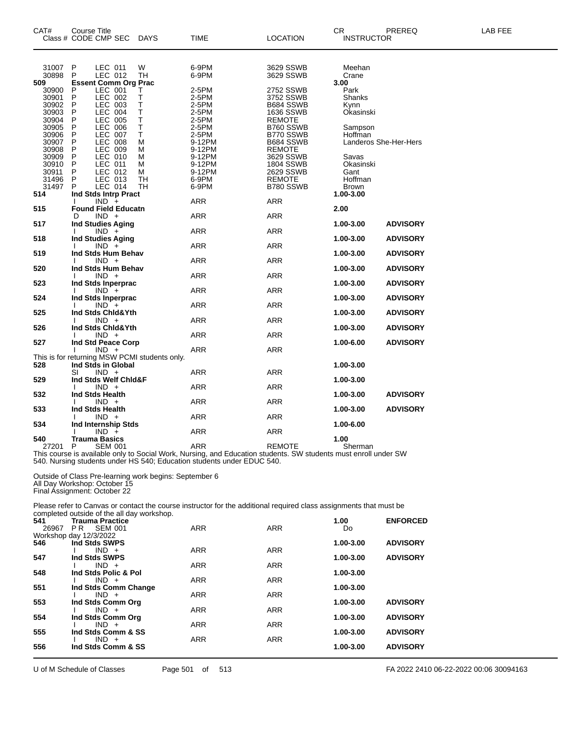| CAT#                                                                                          | Course Title                                   | Class # CODE CMP SEC                                                                                                                                           | DAYS                                                   | TIME                                                                                                                                                                                             | <b>LOCATION</b>                                                                                                                                   | CR<br><b>INSTRUCTOR</b>                                                                                           | PREREQ                             | LAB FEE |
|-----------------------------------------------------------------------------------------------|------------------------------------------------|----------------------------------------------------------------------------------------------------------------------------------------------------------------|--------------------------------------------------------|--------------------------------------------------------------------------------------------------------------------------------------------------------------------------------------------------|---------------------------------------------------------------------------------------------------------------------------------------------------|-------------------------------------------------------------------------------------------------------------------|------------------------------------|---------|
| 31007<br>30898<br>509<br>30900<br>30901<br>30902<br>30903                                     | P<br>P<br>P<br>P<br>P<br>Ρ                     | LEC 011<br>LEC 012<br><b>Essent Comm Org Prac</b><br>LEC 001<br>LEC 002<br>LEC 003<br>LEC 004                                                                  | W<br>TH<br>Т<br>Т<br>т<br>т                            | 6-9PM<br>6-9PM<br>2-5PM<br>2-5PM<br>2-5PM<br>2-5PM                                                                                                                                               | 3629 SSWB<br>3629 SSWB<br>2752 SSWB<br>3752 SSWB<br>B684 SSWB<br>1636 SSWB                                                                        | Meehan<br>Crane<br>3.00<br>Park<br>Shanks<br>Kynn<br>Okasinski                                                    |                                    |         |
| 30904<br>30905<br>30906<br>30907<br>30908<br>30909<br>30910<br>30911<br>31496<br>31497<br>514 | P<br>P<br>Ρ<br>P<br>Ρ<br>P<br>P<br>P<br>P<br>P | <b>LEC 005</b><br><b>LEC 006</b><br><b>LEC 007</b><br><b>LEC 008</b><br>LEC 009<br>LEC 010<br>LEC 011<br>LEC 012<br>LEC 013<br>LEC 014<br>Ind Stds Intrp Pract | т<br>Τ<br>Τ<br>M<br>М<br>M<br>M<br>М<br>TН<br>TН       | 2-5PM<br>2-5PM<br>2-5PM<br>9-12PM<br>9-12PM<br>9-12PM<br>9-12PM<br>9-12PM<br>6-9PM<br>6-9PM                                                                                                      | <b>REMOTE</b><br>B760 SSWB<br>B770 SSWB<br>B684 SSWB<br><b>REMOTE</b><br>3629 SSWB<br><b>1804 SSWB</b><br>2629 SSWB<br><b>REMOTE</b><br>B780 SSWB | Sampson<br>Hoffman<br>Landeros She-Her-Hers<br>Savas<br>Okasinski<br>Gant<br>Hoffman<br><b>Brown</b><br>1.00-3.00 |                                    |         |
| 515                                                                                           | D                                              | $IND +$<br><b>Found Field Educatn</b><br>$IND +$                                                                                                               |                                                        | <b>ARR</b><br>ARR                                                                                                                                                                                | ARR<br><b>ARR</b>                                                                                                                                 | 2.00                                                                                                              |                                    |         |
| 517<br>518                                                                                    |                                                | <b>Ind Studies Aging</b><br>$IND +$<br><b>Ind Studies Aging</b>                                                                                                |                                                        | ARR                                                                                                                                                                                              | ARR                                                                                                                                               | 1.00-3.00<br>1.00-3.00                                                                                            | <b>ADVISORY</b><br><b>ADVISORY</b> |         |
| 519                                                                                           |                                                | $IND +$<br>Ind Stds Hum Behav                                                                                                                                  |                                                        | <b>ARR</b>                                                                                                                                                                                       | <b>ARR</b>                                                                                                                                        | 1.00-3.00                                                                                                         | <b>ADVISORY</b>                    |         |
|                                                                                               |                                                | $IND +$                                                                                                                                                        |                                                        | ARR                                                                                                                                                                                              | <b>ARR</b>                                                                                                                                        |                                                                                                                   |                                    |         |
| 520                                                                                           |                                                | Ind Stds Hum Behav<br>$IND +$                                                                                                                                  |                                                        | ARR                                                                                                                                                                                              | <b>ARR</b>                                                                                                                                        | 1.00-3.00                                                                                                         | <b>ADVISORY</b>                    |         |
| 523                                                                                           |                                                | Ind Stds Inperprac<br>$IND +$                                                                                                                                  |                                                        | <b>ARR</b>                                                                                                                                                                                       | <b>ARR</b>                                                                                                                                        | 1.00-3.00                                                                                                         | <b>ADVISORY</b>                    |         |
| 524                                                                                           |                                                | Ind Stds Inperprac<br>$IND +$                                                                                                                                  |                                                        | ARR                                                                                                                                                                                              | <b>ARR</b>                                                                                                                                        | 1.00-3.00                                                                                                         | <b>ADVISORY</b>                    |         |
| 525                                                                                           |                                                | Ind Stds Chid&Yth<br>$IND +$                                                                                                                                   |                                                        | ARR                                                                                                                                                                                              | ARR                                                                                                                                               | 1.00-3.00                                                                                                         | <b>ADVISORY</b>                    |         |
| 526                                                                                           |                                                | Ind Stds Chid&Yth<br>$IND +$                                                                                                                                   |                                                        | ARR                                                                                                                                                                                              | <b>ARR</b>                                                                                                                                        | 1.00-3.00                                                                                                         | <b>ADVISORY</b>                    |         |
| 527                                                                                           |                                                | Ind Std Peace Corp<br>$IND +$                                                                                                                                  |                                                        | ARR                                                                                                                                                                                              | <b>ARR</b>                                                                                                                                        | 1.00-6.00                                                                                                         | <b>ADVISORY</b>                    |         |
| 528                                                                                           | SI                                             | Ind Stds in Global<br>$IND +$                                                                                                                                  | This is for returning MSW PCMI students only.          | ARR                                                                                                                                                                                              | <b>ARR</b>                                                                                                                                        | 1.00-3.00                                                                                                         |                                    |         |
| 529                                                                                           |                                                | Ind Stds Welf Chid&F                                                                                                                                           |                                                        |                                                                                                                                                                                                  |                                                                                                                                                   | 1.00-3.00                                                                                                         |                                    |         |
| 532                                                                                           |                                                | $IND +$<br>Ind Stds Health                                                                                                                                     |                                                        | ARR                                                                                                                                                                                              | <b>ARR</b>                                                                                                                                        | 1.00-3.00                                                                                                         | <b>ADVISORY</b>                    |         |
| 533                                                                                           |                                                | $IND +$<br>Ind Stds Health                                                                                                                                     |                                                        | <b>ARR</b>                                                                                                                                                                                       | <b>ARR</b>                                                                                                                                        | 1.00-3.00                                                                                                         | <b>ADVISORY</b>                    |         |
| 534                                                                                           |                                                | $IND +$<br>Ind Internship Stds                                                                                                                                 |                                                        | ARR                                                                                                                                                                                              | <b>ARR</b>                                                                                                                                        | 1.00-6.00                                                                                                         |                                    |         |
| 540                                                                                           |                                                | $IND +$<br>Trauma Basics                                                                                                                                       |                                                        | <b>ARR</b>                                                                                                                                                                                       | <b>ARR</b>                                                                                                                                        | 1.00                                                                                                              |                                    |         |
| 27201 P                                                                                       |                                                | <b>SEM 001</b>                                                                                                                                                 |                                                        | ARR<br>This course is available only to Social Work, Nursing, and Education students. SW students must enroll under SW<br>540. Nursing students under HS 540; Education students under EDUC 540. | <b>REMOTE</b>                                                                                                                                     | Sherman                                                                                                           |                                    |         |
|                                                                                               |                                                | All Day Workshop: October 15<br>Final Assignment: October 22                                                                                                   | Outside of Class Pre-learning work begins: September 6 |                                                                                                                                                                                                  |                                                                                                                                                   |                                                                                                                   |                                    |         |
|                                                                                               |                                                |                                                                                                                                                                |                                                        | Please refer to Canvas or contact the course instructor for the additional required class assignments that must be                                                                               |                                                                                                                                                   |                                                                                                                   |                                    |         |
| 541                                                                                           |                                                | completed outside of the all day workshop.<br><b>Trauma Practice</b>                                                                                           |                                                        | $\sqrt{2}$                                                                                                                                                                                       | $\sqrt{2}$                                                                                                                                        | 1.00                                                                                                              | <b>ENFORCED</b>                    |         |

| 541   | Trauma Practice        |            |            | 1.00      | <b>ENFORCED</b> |
|-------|------------------------|------------|------------|-----------|-----------------|
| 26967 | <b>SEM 001</b><br>PR.  | <b>ARR</b> | <b>ARR</b> | Do        |                 |
|       | Workshop day 12/3/2022 |            |            |           |                 |
| 546   | Ind Stds SWPS          |            |            | 1.00-3.00 | <b>ADVISORY</b> |
|       | $IND +$                | <b>ARR</b> | <b>ARR</b> |           |                 |
| 547   | Ind Stds SWPS          |            |            | 1.00-3.00 | <b>ADVISORY</b> |
|       | $IND +$                | <b>ARR</b> | <b>ARR</b> |           |                 |
| 548   | Ind Stds Polic & Pol   |            |            | 1.00-3.00 |                 |
|       | $IND +$                | <b>ARR</b> | <b>ARR</b> |           |                 |
| 551   | Ind Stds Comm Change   |            |            | 1.00-3.00 |                 |
|       | $IND +$                | <b>ARR</b> | <b>ARR</b> |           |                 |
| 553   | Ind Stds Comm Org      |            |            | 1.00-3.00 | <b>ADVISORY</b> |
|       | $IND +$                | <b>ARR</b> | <b>ARR</b> |           |                 |
| 554   | Ind Stds Comm Org      |            |            | 1.00-3.00 | <b>ADVISORY</b> |
|       | $IND +$                | <b>ARR</b> | <b>ARR</b> |           |                 |
| 555   | Ind Stds Comm & SS     |            |            | 1.00-3.00 | <b>ADVISORY</b> |
|       | $IND +$                | <b>ARR</b> | <b>ARR</b> |           |                 |
| 556   | Ind Stds Comm & SS     |            |            | 1.00-3.00 | <b>ADVISORY</b> |
|       |                        |            |            |           |                 |
|       |                        |            |            |           |                 |

U of M Schedule of Classes Page 501 of 513 FA 2022 2410 06-22-2022 00:06 30094163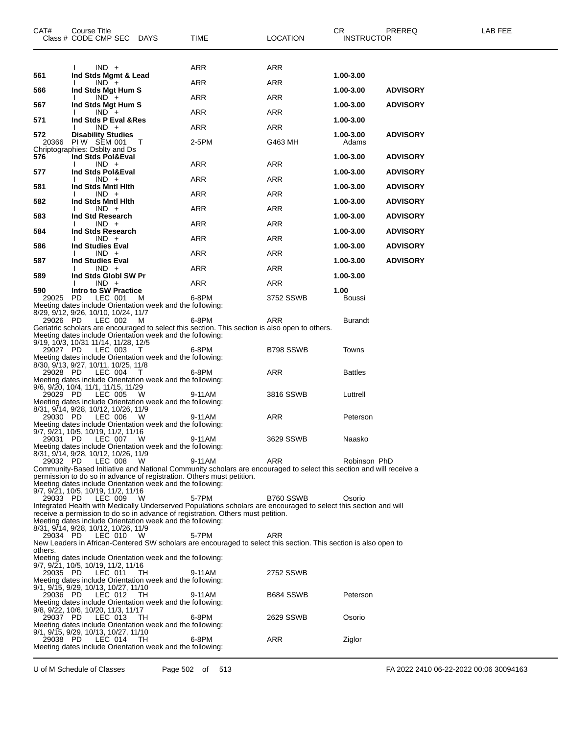| CAT#         | <b>Course Title</b><br>Class # CODE CMP SEC DAYS                                                                                                                                                    | TIME   | <b>LOCATION</b> | CR.<br><b>INSTRUCTOR</b>     | PREREQ<br>LAB FEE |  |
|--------------|-----------------------------------------------------------------------------------------------------------------------------------------------------------------------------------------------------|--------|-----------------|------------------------------|-------------------|--|
|              |                                                                                                                                                                                                     |        |                 |                              |                   |  |
| 561          | $IND +$<br>Ind Stds Mgmt & Lead                                                                                                                                                                     | ARR    | ARR             | 1.00-3.00                    |                   |  |
| 566          | $IND +$<br>Ind Stds Mgt Hum S                                                                                                                                                                       | ARR    | ARR             | <b>ADVISORY</b><br>1.00-3.00 |                   |  |
| 567          | $IND +$<br>Ind Stds Mgt Hum S                                                                                                                                                                       | ARR    | <b>ARR</b>      | 1.00-3.00<br><b>ADVISORY</b> |                   |  |
| 571          | $IND +$<br>Ind Stds P Eval & Res                                                                                                                                                                    | ARR    | <b>ARR</b>      | 1.00-3.00                    |                   |  |
| 572          | $IND +$<br><b>Disability Studies</b>                                                                                                                                                                | ARR    | ARR             | 1.00-3.00<br><b>ADVISORY</b> |                   |  |
| 20366        | PIW SEM 001<br>$\top$                                                                                                                                                                               | 2-5PM  | G463 MH         | Adams                        |                   |  |
| 576          | Chriptographies: Dsblty and Ds<br>Ind Stds Pol&Eval                                                                                                                                                 |        |                 | 1.00-3.00<br><b>ADVISORY</b> |                   |  |
| 577          | $IND +$<br>Ind Stds Pol&Eval                                                                                                                                                                        | ARR    | ARR             | 1.00-3.00<br><b>ADVISORY</b> |                   |  |
| 581          | $IND +$<br>Ind Stds Mntl Hith                                                                                                                                                                       | ARR    | <b>ARR</b>      | 1.00-3.00<br><b>ADVISORY</b> |                   |  |
| 582          | $IND +$<br>Ind Stds Mntl Hith                                                                                                                                                                       | ARR    | ARR             | 1.00-3.00<br><b>ADVISORY</b> |                   |  |
| 583          | $IND +$<br>Ind Std Research                                                                                                                                                                         | ARR    | <b>ARR</b>      | 1.00-3.00<br><b>ADVISORY</b> |                   |  |
| 584          | $IND +$<br>Ind Stds Research                                                                                                                                                                        | ARR    | <b>ARR</b>      | 1.00-3.00<br><b>ADVISORY</b> |                   |  |
|              | $IND +$                                                                                                                                                                                             | ARR    | ARR             |                              |                   |  |
| 586          | <b>Ind Studies Eval</b><br>$IND +$                                                                                                                                                                  | ARR    | <b>ARR</b>      | 1.00-3.00<br><b>ADVISORY</b> |                   |  |
| 587          | <b>Ind Studies Eval</b><br>$IND +$                                                                                                                                                                  | ARR    | <b>ARR</b>      | 1.00-3.00<br><b>ADVISORY</b> |                   |  |
| 589          | Ind Stds Globl SW Pr<br>$IND +$                                                                                                                                                                     | ARR    | ARR             | 1.00-3.00                    |                   |  |
| 590<br>29025 | Intro to SW Practice<br>PD.<br>LEC 001<br>M                                                                                                                                                         | 6-8PM  | 3752 SSWB       | 1.00<br>Boussi               |                   |  |
|              | Meeting dates include Orientation week and the following:<br>8/29, 9/12, 9/26, 10/10, 10/24, 11/7                                                                                                   |        |                 |                              |                   |  |
| 29026 PD     | LEC 002<br>M                                                                                                                                                                                        | 6-8PM  | ARR             | <b>Burandt</b>               |                   |  |
|              | Geriatric scholars are encouraged to select this section. This section is also open to others.<br>Meeting dates include Orientation week and the following:                                         |        |                 |                              |                   |  |
| 29027 PD     | 9/19, 10/3, 10/31 11/14, 11/28, 12/5<br>LEC 003<br>$\top$                                                                                                                                           | 6-8PM  | B798 SSWB       | Towns                        |                   |  |
|              | Meeting dates include Orientation week and the following:<br>8/30, 9/13, 9/27, 10/11, 10/25, 11/8                                                                                                   |        |                 |                              |                   |  |
| 29028 PD     | LEC 004<br>$\top$<br>Meeting dates include Orientation week and the following:                                                                                                                      | 6-8PM  | ARR             | <b>Battles</b>               |                   |  |
| 29029 PD     | 9/6, 9/20, 10/4, 11/1, 11/15, 11/29<br>LEC 005<br><b>W</b>                                                                                                                                          | 9-11AM | 3816 SSWB       | Luttrell                     |                   |  |
|              | Meeting dates include Orientation week and the following:<br>8/31, 9/14, 9/28, 10/12, 10/26, 11/9                                                                                                   |        |                 |                              |                   |  |
| 29030 PD     | LEC 006<br>- W                                                                                                                                                                                      | 9-11AM | ARR             | Peterson                     |                   |  |
|              | Meeting dates include Orientation week and the following:<br>9/7, 9/21, 10/5, 10/19, 11/2, 11/16                                                                                                    |        |                 |                              |                   |  |
| 29031 PD     | LEC 007 W<br>Meeting dates include Orientation week and the following:                                                                                                                              | 9-11AM | 3629 SSWB       | Naasko                       |                   |  |
| 29032 PD     | 8/31, 9/14, 9/28, 10/12, 10/26, 11/9<br>LEC 008<br>w                                                                                                                                                | 9-11AM | <b>ARR</b>      | Robinson PhD                 |                   |  |
|              | Community-Based Initiative and National Community scholars are encouraged to select this section and will receive a<br>permission to do so in advance of registration. Others must petition.        |        |                 |                              |                   |  |
|              | Meeting dates include Orientation week and the following:<br>9/7, 9/21, 10/5, 10/19, 11/2, 11/16                                                                                                    |        |                 |                              |                   |  |
| 29033 PD     | LEC 009<br>- W                                                                                                                                                                                      | 5-7PM  | B760 SSWB       | Osorio                       |                   |  |
|              | Integrated Health with Medically Underserved Populations scholars are encouraged to select this section and will<br>receive a permission to do so in advance of registration. Others must petition. |        |                 |                              |                   |  |
|              | Meeting dates include Orientation week and the following:<br>8/31, 9/14, 9/28, 10/12, 10/26, 11/9                                                                                                   |        |                 |                              |                   |  |
| 29034 PD     | LEC 010<br>- W<br>New Leaders in African-Centered SW scholars are encouraged to select this section. This section is also open to                                                                   | 5-7PM  | ARR             |                              |                   |  |
| others.      | Meeting dates include Orientation week and the following:                                                                                                                                           |        |                 |                              |                   |  |
| 29035 PD     | 9/7, 9/21, 10/5, 10/19, 11/2, 11/16<br>LEC 011<br>TH.                                                                                                                                               | 9-11AM | 2752 SSWB       |                              |                   |  |
|              | Meeting dates include Orientation week and the following:<br>9/1, 9/15, 9/29, 10/13, 10/27, 11/10                                                                                                   |        |                 |                              |                   |  |
| 29036 PD     | LEC 012<br>- TH                                                                                                                                                                                     | 9-11AM | B684 SSWB       | Peterson                     |                   |  |
|              | Meeting dates include Orientation week and the following:<br>9/8, 9/22, 10/6, 10/20, 11/3, 11/17                                                                                                    |        |                 |                              |                   |  |
| 29037 PD     | LEC 013<br>- тн<br>Meeting dates include Orientation week and the following:                                                                                                                        | 6-8PM  | 2629 SSWB       | Osorio                       |                   |  |
| 29038 PD     | 9/1, 9/15, 9/29, 10/13, 10/27, 11/10<br>LEC 014<br>- тн                                                                                                                                             | 6-8PM  | ARR             | Ziglor                       |                   |  |
|              | Meeting dates include Orientation week and the following:                                                                                                                                           |        |                 |                              |                   |  |
|              |                                                                                                                                                                                                     |        |                 |                              |                   |  |

U of M Schedule of Classes Page 502 of 513 FA 2022 2410 06-22-2022 00:06 30094163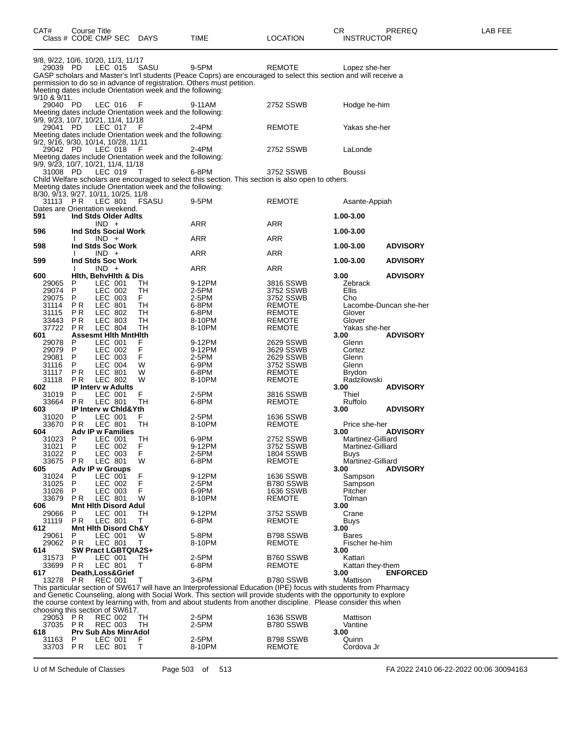| CAT#                          | Course Title          | Class # CODE CMP SEC DAYS                              |                                                                   | TIME                                                                                                                                                                                                                                                                                                                                                       | <b>LOCATION</b>                   | CR<br><b>INSTRUCTOR</b>      | PREREQ                 | LAB FEE |
|-------------------------------|-----------------------|--------------------------------------------------------|-------------------------------------------------------------------|------------------------------------------------------------------------------------------------------------------------------------------------------------------------------------------------------------------------------------------------------------------------------------------------------------------------------------------------------------|-----------------------------------|------------------------------|------------------------|---------|
| 29039 PD                      |                       | 9/8, 9/22, 10/6, 10/20, 11/3, 11/17<br>LEC 015         | SASU<br>Meeting dates include Orientation week and the following: | 9-5PM<br>GASP scholars and Master's Int'l students (Peace Coprs) are encouraged to select this section and will receive a<br>permission to do so in advance of registration. Others must petition.                                                                                                                                                         | <b>REMOTE</b>                     | Lopez she-her                |                        |         |
| $9/10$ & $9/11$ .<br>29040 PD |                       | LEC 016                                                | - F<br>Meeting dates include Orientation week and the following:  | 9-11AM                                                                                                                                                                                                                                                                                                                                                     | 2752 SSWB                         | Hodge he-him                 |                        |         |
| 29041 PD                      |                       | 9/9, 9/23, 10/7, 10/21, 11/4, 11/18<br>LEC 017         | - F<br>Meeting dates include Orientation week and the following:  | 2-4PM                                                                                                                                                                                                                                                                                                                                                      | <b>REMOTE</b>                     | Yakas she-her                |                        |         |
| 29042 PD                      |                       | 9/2, 9/16, 9/30, 10/14, 10/28, 11/11<br>LEC 018        | - F<br>Meeting dates include Orientation week and the following:  | 2-4PM                                                                                                                                                                                                                                                                                                                                                      | 2752 SSWB                         | LaLonde                      |                        |         |
| 31008 PD                      |                       | 9/9, 9/23, 10/7, 10/21, 11/4, 11/18<br>LEC 019         | Meeting dates include Orientation week and the following:         | 6-8PM<br>Child Welfare scholars are encouraged to select this section. This section is also open to others.                                                                                                                                                                                                                                                | 3752 SSWB                         | Boussi                       |                        |         |
| 31113                         | PR                    | 8/30, 9/13, 9/27, 10/11, 10/25, 11/8<br>LEC 801        | FSASU                                                             | 9-5PM                                                                                                                                                                                                                                                                                                                                                      | <b>REMOTE</b>                     | Asante-Appiah                |                        |         |
| 591                           |                       | Dates are Orientation weekend.<br>Ind Stds Older Adlts |                                                                   |                                                                                                                                                                                                                                                                                                                                                            |                                   | 1.00-3.00                    |                        |         |
| 596                           |                       | $IND +$<br>Ind Stds Social Work                        |                                                                   | ARR                                                                                                                                                                                                                                                                                                                                                        | ARR                               | 1.00-3.00                    |                        |         |
|                               |                       | $IND +$                                                |                                                                   | ARR                                                                                                                                                                                                                                                                                                                                                        | <b>ARR</b>                        |                              |                        |         |
| 598                           |                       | Ind Stds Soc Work<br>$IND +$                           |                                                                   | ARR                                                                                                                                                                                                                                                                                                                                                        | ARR                               | 1.00-3.00                    | <b>ADVISORY</b>        |         |
| 599                           |                       | Ind Stds Soc Work                                      |                                                                   |                                                                                                                                                                                                                                                                                                                                                            |                                   | 1.00-3.00                    | <b>ADVISORY</b>        |         |
| 600                           |                       | $IND +$<br>Hith, BehvHith & Dis                        |                                                                   | ARR                                                                                                                                                                                                                                                                                                                                                        | ARR                               | 3.00                         | <b>ADVISORY</b>        |         |
| 29065<br>29074                | P<br>P                | LEC 001<br>LEC 002                                     | TН<br>TН                                                          | 9-12PM<br>2-5PM                                                                                                                                                                                                                                                                                                                                            | 3816 SSWB<br>3752 SSWB            | Zebrack<br>Ellis             |                        |         |
| 29075                         | P.                    | LEC 003                                                | F.                                                                | 2-5PM                                                                                                                                                                                                                                                                                                                                                      | 3752 SSWB                         | Cho                          |                        |         |
| 31114<br>31115                | P <sub>R</sub><br>ΡR  | LEC 801<br>LEC 802                                     | TН<br>TН                                                          | 6-8PM<br>6-8PM                                                                                                                                                                                                                                                                                                                                             | <b>REMOTE</b><br><b>REMOTE</b>    | Glover                       | Lacombe-Duncan she-her |         |
| 33443                         | P <sub>R</sub>        | <b>LEC 803</b>                                         | TН                                                                | 8-10PM                                                                                                                                                                                                                                                                                                                                                     | <b>REMOTE</b>                     | Glover                       |                        |         |
| 37722<br>601                  | <b>PR</b>             | <b>LEC 804</b><br><b>Assesmt Hith MntHith</b>          | TН                                                                | 8-10PM                                                                                                                                                                                                                                                                                                                                                     | <b>REMOTE</b>                     | Yakas she-her<br>3.00        | <b>ADVISORY</b>        |         |
| 29078                         | P                     | LEC 001                                                | F                                                                 | 9-12PM                                                                                                                                                                                                                                                                                                                                                     | 2629 SSWB                         | Glenn                        |                        |         |
| 29079<br>29081                | P<br>P                | LEC 002<br>LEC 003                                     | F<br>F                                                            | 9-12PM<br>2-5PM                                                                                                                                                                                                                                                                                                                                            | 3629 SSWB<br>2629 SSWB            | Cortez<br>Glenn              |                        |         |
| 31116                         | P                     | <b>LEC 004</b>                                         | W                                                                 | 6-9PM                                                                                                                                                                                                                                                                                                                                                      | 3752 SSWB                         | Glenn                        |                        |         |
| 31117<br>31118                | P <sub>R</sub><br>P R | LEC 801<br>LEC 802                                     | W<br>W                                                            | 6-8PM<br>8-10PM                                                                                                                                                                                                                                                                                                                                            | <b>REMOTE</b><br><b>REMOTE</b>    | <b>Brydon</b><br>Radzilowski |                        |         |
| 602                           |                       | <b>IP Interv w Adults</b>                              |                                                                   |                                                                                                                                                                                                                                                                                                                                                            |                                   | 3.00                         | <b>ADVISORY</b>        |         |
| 31019<br>33664                | P.<br>PR.             | LEC 001<br><b>LEC 801</b>                              | F<br>TH                                                           | 2-5PM<br>6-8PM                                                                                                                                                                                                                                                                                                                                             | 3816 SSWB<br><b>REMOTE</b>        | Thiel<br>Ruffolo             |                        |         |
| 603                           |                       | IP Interv w Chid&Yth                                   |                                                                   |                                                                                                                                                                                                                                                                                                                                                            |                                   | 3.00                         | <b>ADVISORY</b>        |         |
| 31020<br>33670                | P<br>P R              | LEC 001<br>LEC 801                                     | F.<br>TH                                                          | 2-5PM<br>8-10PM                                                                                                                                                                                                                                                                                                                                            | 1636 SSWB<br>REMOTE               | Price she-her                |                        |         |
| 604<br>31023                  |                       | <b>Adv IP w Families</b>                               |                                                                   |                                                                                                                                                                                                                                                                                                                                                            |                                   | 3.00<br>Martinez-Gilliard    | <b>ADVISORY</b>        |         |
| 31021                         | P<br>P                | LEC 001<br>LEC 002                                     | TН<br>F                                                           | 6-9PM<br>9-12PM                                                                                                                                                                                                                                                                                                                                            | 2752 SSWB<br>3752 SSWB            | Martinez-Gilliard            |                        |         |
| 31022<br>33675                | P<br><b>PR</b>        | LEC 003<br>LEC 801                                     | F<br>W                                                            | 2-5PM<br>6-8PM                                                                                                                                                                                                                                                                                                                                             | <b>1804 SSWB</b><br><b>REMOTE</b> | Buys<br>Martinez-Gilliard    |                        |         |
| 605                           |                       | Adv IP w Groups                                        |                                                                   |                                                                                                                                                                                                                                                                                                                                                            |                                   | 3.00                         | <b>ADVISORY</b>        |         |
| 31024<br>31025                | P<br>P                | LEC 001<br>LEC 002                                     | F<br>F                                                            | 9-12PM<br>2-5PM                                                                                                                                                                                                                                                                                                                                            | <b>1636 SSWB</b><br>B780 SSWB     | Sampson<br>Sampson           |                        |         |
| 31026                         | P                     | LEC 003                                                | F                                                                 | 6-9PM                                                                                                                                                                                                                                                                                                                                                      | 1636 SSWB                         | Pitcher                      |                        |         |
| 33679<br>606                  | P R                   | <b>LEC 801</b><br><b>Mnt Hith Disord Adul</b>          | W                                                                 | 8-10PM                                                                                                                                                                                                                                                                                                                                                     | REMOTE                            | Tolman<br>3.00               |                        |         |
| 29066                         | P                     | LEC 001                                                | TH                                                                | 9-12PM                                                                                                                                                                                                                                                                                                                                                     | 3752 SSWB                         | Crane                        |                        |         |
| 31119<br>612                  | P R                   | LEC 801<br><b>Mnt Hith Disord Ch&amp;Y</b>             | т                                                                 | 6-8PM                                                                                                                                                                                                                                                                                                                                                      | REMOTE                            | Buys<br>3.00                 |                        |         |
| 29061                         | P                     | LEC 001                                                | W                                                                 | 5-8PM                                                                                                                                                                                                                                                                                                                                                      | B798 SSWB                         | <b>Bares</b>                 |                        |         |
| 29062<br>614                  | P R                   | LEC 801<br><b>SW Pract LGBTQIA2S+</b>                  | т                                                                 | 8-10PM                                                                                                                                                                                                                                                                                                                                                     | REMOTE                            | Fischer he-him<br>3.00       |                        |         |
| 31573                         | P                     | LEC 001                                                | TH                                                                | 2-5PM                                                                                                                                                                                                                                                                                                                                                      | B760 SSWB                         | Kattari                      |                        |         |
| 33699<br>617                  | PR.                   | LEC 801<br>Death, Loss& Grief                          | т                                                                 | 6-8PM                                                                                                                                                                                                                                                                                                                                                      | REMOTE                            | Kattari they-them<br>3.00    | <b>ENFORCED</b>        |         |
| 13278                         | PR.                   | <b>REC 001</b>                                         | Т                                                                 | 3-6PM                                                                                                                                                                                                                                                                                                                                                      | B780 SSWB                         | Mattison                     |                        |         |
|                               |                       |                                                        |                                                                   | This particular section of SW617 will have an Interprofessional Education (IPE) focus with students from Pharmacy<br>and Genetic Counseling, along with Social Work. This section will provide students with the opportunity to explore<br>the course context by learning with, from and about students from another discipline. Please consider this when |                                   |                              |                        |         |
| 29053                         | PR                    | choosing this section of SW617.<br><b>REC 002</b>      | TН                                                                | 2-5PM                                                                                                                                                                                                                                                                                                                                                      | <b>1636 SSWB</b>                  | Mattison                     |                        |         |
| 37035 PR                      |                       | <b>REC 003</b>                                         | TН                                                                | 2-5PM                                                                                                                                                                                                                                                                                                                                                      | B780 SSWB                         | Vantine                      |                        |         |
| 618<br>31163                  | P                     | <b>Prv Sub Abs MinrAdol</b><br>LEC 001                 | F                                                                 | 2-5PM                                                                                                                                                                                                                                                                                                                                                      | B798 SSWB                         | 3.00<br>Quinn                |                        |         |
| 33703                         | PR                    | LEC 801                                                | T                                                                 | 8-10PM                                                                                                                                                                                                                                                                                                                                                     | REMOTE                            | Cordova Jr                   |                        |         |

U of M Schedule of Classes Page 503 of 513 FA 2022 2410 06-22-2022 00:06 30094163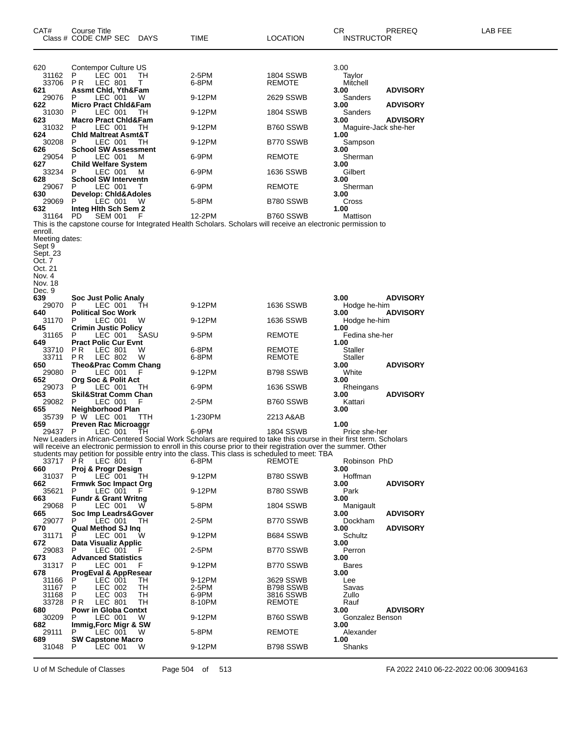| CAT#                      | Course Title<br>Class # CODE CMP SEC                     | DAYS         | TIME                                                                                                                         | LOCATION               | CR.<br><b>INSTRUCTOR</b>     | PREREQ          | LAB FEE |
|---------------------------|----------------------------------------------------------|--------------|------------------------------------------------------------------------------------------------------------------------------|------------------------|------------------------------|-----------------|---------|
| 620<br>31162              | Contempor Culture US<br>LEC 001<br>P.                    | TН           | 2-5PM                                                                                                                        | 1804 SSWB              | 3.00<br>Taylor               |                 |         |
| 33706                     | PR.<br>LEC 801                                           | т            | 6-8PM                                                                                                                        | REMOTE                 | Mitchell                     |                 |         |
| 621<br>29076              | <b>Assmt Chid, Yth&amp;Fam</b><br>LEC 001<br>P.          | W            | 9-12PM                                                                                                                       | 2629 SSWB              | 3.00<br>Sanders              | <b>ADVISORY</b> |         |
| 622<br>31030              | <b>Micro Pract Chid&amp;Fam</b><br>LEC 001               | TН           | 9-12PM                                                                                                                       | <b>1804 SSWB</b>       | 3.00<br>Sanders              | <b>ADVISORY</b> |         |
| 623                       | <b>Macro Pract Chid&amp;Fam</b>                          |              |                                                                                                                              |                        | 3.00                         | <b>ADVISORY</b> |         |
| 31032<br>624              | P<br>LEC 001<br><b>Chid Maltreat Asmt&amp;T</b>          | TН           | 9-12PM                                                                                                                       | B760 SSWB              | Maguire-Jack she-her<br>1.00 |                 |         |
| 30208<br>626              | LEC 001<br>P<br><b>School SW Assessment</b>              | TН           | 9-12PM                                                                                                                       | B770 SSWB              | Sampson<br>3.00              |                 |         |
| 29054                     | LEC 001<br>P<br><b>Child Welfare System</b>              | М            | 6-9PM                                                                                                                        | <b>REMOTE</b>          | Sherman                      |                 |         |
| 627<br>33234              | LEC 001<br>P                                             | M            | 6-9PM                                                                                                                        | 1636 SSWB              | 3.00<br>Gilbert              |                 |         |
| 628<br>29067              | <b>School SW Interventn</b><br>LEC 001<br>P              | $\mathbf{L}$ | 6-9PM                                                                                                                        | REMOTE                 | 3.00<br>Sherman              |                 |         |
| 630<br>29069              | <b>Develop: Chid&amp;Adoles</b><br>LEC 001<br>P.         | W            | 5-8PM                                                                                                                        | B780 SSWB              | 3.00                         |                 |         |
| 632                       | Integ Hith Sch Sem 2                                     |              |                                                                                                                              |                        | Cross<br>1.00                |                 |         |
| 31164                     | PD.<br><b>SEM 001</b>                                    | F            | 12-2PM<br>This is the capstone course for Integrated Health Scholars. Scholars will receive an electronic permission to      | B760 SSWB              | Mattison                     |                 |         |
| enroll.<br>Meeting dates: |                                                          |              |                                                                                                                              |                        |                              |                 |         |
| Sept 9                    |                                                          |              |                                                                                                                              |                        |                              |                 |         |
| Sept. 23<br>Oct. 7        |                                                          |              |                                                                                                                              |                        |                              |                 |         |
| Oct. 21<br>Nov. 4         |                                                          |              |                                                                                                                              |                        |                              |                 |         |
| Nov. 18                   |                                                          |              |                                                                                                                              |                        |                              |                 |         |
| Dec. 9<br>639             | Soc Just Polic Analy                                     |              |                                                                                                                              |                        | 3.00                         | <b>ADVISORY</b> |         |
| 29070<br>640              | LEC 001<br>P.<br><b>Political Soc Work</b>               | TН           | 9-12PM                                                                                                                       | 1636 SSWB              | Hodge he-him<br>3.00         | <b>ADVISORY</b> |         |
| 31170                     | LEC 001<br>P                                             | W            | 9-12PM                                                                                                                       | 1636 SSWB              | Hodge he-him                 |                 |         |
| 645<br>31165              | <b>Crimin Justic Policy</b><br>LEC 001                   | SASU         | 9-5PM                                                                                                                        | REMOTE                 | 1.00<br>Fedina she-her       |                 |         |
| 649<br>33710              | <b>Pract Polic Cur Evnt</b><br>P R<br>LEC 801            | w            | 6-8PM                                                                                                                        | REMOTE                 | 1.00<br>Staller              |                 |         |
| 33711                     | <b>LEC 802</b><br>P R                                    | W            | 6-8PM                                                                                                                        | REMOTE                 | Staller                      |                 |         |
| 650<br>29080              | <b>Theo&amp;Prac Comm Chang</b><br>LEC 001<br>P          | F            | 9-12PM                                                                                                                       | B798 SSWB              | 3.00<br>White                | <b>ADVISORY</b> |         |
| 652<br>29073              | Org Soc & Polit Act<br>LEC 001<br>P                      | TН           | 6-9PM                                                                                                                        | 1636 SSWB              | 3.00<br>Rheingans            |                 |         |
| 653<br>29082              | Skil&Strat Comm Chan<br>LEC 001                          | F            | 2-5PM                                                                                                                        | B760 SSWB              | 3.00<br>Kattari              | <b>ADVISORY</b> |         |
| 655                       | <b>Neighborhood Plan</b>                                 |              |                                                                                                                              |                        | 3.00                         |                 |         |
| 35739<br>659              | P W LEC 001<br>Preven Rac Microaggr                      | TTH          | 1-230PM                                                                                                                      | 2213 A&AB              | 1.00                         |                 |         |
| 29437                     | LEC 001<br>P                                             | ŤĤ           | 6-9PM<br>New Leaders in African-Centered Social Work Scholars are required to take this course in their first term. Scholars | 1804 SSWB              | Price she-her                |                 |         |
|                           |                                                          |              | will receive an electronic permission to enroll in this course prior to their registration over the summer. Other            |                        |                              |                 |         |
| 33717                     | PR.<br>LEC 801                                           | т            | students may petition for possible entry into the class. This class is scheduled to meet: TBA<br>6-8PM                       | <b>REMOTE</b>          | Robinson PhD                 |                 |         |
| 660<br>31037              | <b>Proi &amp; Progr Design</b><br>LEC 001<br>P           | TH.          | 9-12PM                                                                                                                       | B780 SSWB              | 3.00<br>Hoffman              |                 |         |
| 662                       | Frmwk Soc Impact Org                                     |              |                                                                                                                              |                        | 3.00                         | <b>ADVISORY</b> |         |
| 35621<br>663              | LEC 001<br>P<br><b>Fundr &amp; Grant Writng</b>          | F            | 9-12PM                                                                                                                       | B780 SSWB              | Park<br>3.00                 |                 |         |
| 29068<br>665              | LEC 001<br>P<br>Soc Imp Leadrs&Gover                     | w            | 5-8PM                                                                                                                        | 1804 SSWB              | Manigault<br>3.00            | <b>ADVISORY</b> |         |
| 29077                     | LEC 001<br>P                                             | TH.          | 2-5PM                                                                                                                        | B770 SSWB              | Dockham                      |                 |         |
| 670<br>31171              | <b>Qual Method SJ Ing</b><br>LEC 001<br>P                | W            | 9-12PM                                                                                                                       | B684 SSWB              | 3.00<br>Schultz              | <b>ADVISORY</b> |         |
| 672<br>29083              | Data Visualiz Applic<br>P<br>LEC 001                     | F            | 2-5PM                                                                                                                        | B770 SSWB              | 3.00<br>Perron               |                 |         |
| 673                       | <b>Advanced Statistics</b>                               |              |                                                                                                                              |                        | 3.00                         |                 |         |
| 31317<br>678              | LEC 001<br>P<br>ProgEval & AppResear                     | F            | 9-12PM                                                                                                                       | B770 SSWB              | <b>Bares</b><br>3.00         |                 |         |
| 31166<br>31167            | LEC 001<br>P<br>LEC 002                                  | TH<br>TН     | 9-12PM<br>2-5PM                                                                                                              | 3629 SSWB<br>B798 SSWB | Lee<br>Savas                 |                 |         |
| 31168                     | P<br>LEC 003                                             | TН           | 6-9PM                                                                                                                        | 3816 SSWB              | Zullo                        |                 |         |
| 33728<br>680              | P <sub>R</sub><br>LEC 801<br><b>Powr in Globa Contxt</b> | TН           | 8-10PM                                                                                                                       | <b>REMOTE</b>          | Rauf<br>3.00                 | <b>ADVISORY</b> |         |
| 30209<br>682              | LEC 001<br>P<br>Immig, Forc Migr & SW                    | W            | 9-12PM                                                                                                                       | B760 SSWB              | Gonzalez Benson<br>3.00      |                 |         |
| 29111<br>689              | LEC 001<br>P<br><b>SW Capstone Macro</b>                 | W            | 5-8PM                                                                                                                        | REMOTE                 | Alexander<br>1.00            |                 |         |
| 31048                     | LEC 001<br>P                                             | W            | 9-12PM                                                                                                                       | B798 SSWB              | Shanks                       |                 |         |

U of M Schedule of Classes Page 504 of 513 FA 2022 2410 06-22-2022 00:06 30094163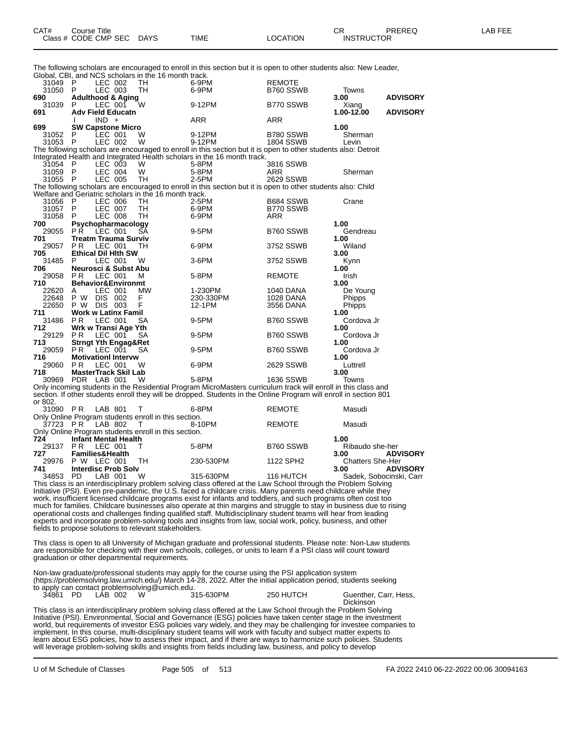The following scholars are encouraged to enroll in this section but it is open to other students also: New Leader,

|              |                             |         |                                 | Global, CBI, and NCS scholars in the 16 month track.  | The ionowing scholars are encouraged to enform in this section but it is open to other students also. New Leader,                                                                                                                 |               |                         |                         |
|--------------|-----------------------------|---------|---------------------------------|-------------------------------------------------------|-----------------------------------------------------------------------------------------------------------------------------------------------------------------------------------------------------------------------------------|---------------|-------------------------|-------------------------|
| 31049 P      |                             |         | LEC 002                         | TH                                                    | 6-9PM                                                                                                                                                                                                                             | REMOTE        |                         |                         |
| 31050        | - P                         |         | LEC 003                         | TH                                                    | 6-9PM                                                                                                                                                                                                                             | B760 SSWB     | Towns                   |                         |
| 690          |                             |         | <b>Adulthood &amp; Aging</b>    |                                                       |                                                                                                                                                                                                                                   |               | 3.00                    | <b>ADVISORY</b>         |
| 31039        | P                           |         | LEC 001                         | W                                                     | 9-12PM                                                                                                                                                                                                                            | B770 SSWB     | Xiang                   |                         |
| 691          |                             |         | <b>Adv Field Educatn</b>        |                                                       |                                                                                                                                                                                                                                   |               | 1.00-12.00              | <b>ADVISORY</b>         |
|              |                             | $IND +$ |                                 |                                                       | ARR                                                                                                                                                                                                                               | ARR           |                         |                         |
| 699          |                             |         | <b>SW Capstone Micro</b>        |                                                       |                                                                                                                                                                                                                                   |               | 1.00                    |                         |
| 31052        | P                           |         | LEC 001                         | W                                                     | 9-12PM                                                                                                                                                                                                                            | B780 SSWB     | Sherman                 |                         |
| 31053        | -P                          |         | LEC 002                         | W                                                     | 9-12PM                                                                                                                                                                                                                            | 1804 SSWB     | Levin                   |                         |
|              |                             |         |                                 |                                                       | The following scholars are encouraged to enroll in this section but it is open to other students also: Detroit                                                                                                                    |               |                         |                         |
|              |                             |         |                                 |                                                       | Integrated Health and Integrated Health scholars in the 16 month track.                                                                                                                                                           |               |                         |                         |
| 31054 P      |                             |         | LEC 003                         | W                                                     | 5-8PM                                                                                                                                                                                                                             | 3816 SSWB     |                         |                         |
| 31059 P      |                             |         | LEC 004                         | W                                                     | 5-8PM                                                                                                                                                                                                                             | ARR           | Sherman                 |                         |
| 31055 P      |                             |         | LEC 005                         | TH                                                    | 2-5PM                                                                                                                                                                                                                             | 2629 SSWB     |                         |                         |
|              |                             |         |                                 |                                                       | The following scholars are encouraged to enroll in this section but it is open to other students also: Child                                                                                                                      |               |                         |                         |
|              |                             |         |                                 | Welfare and Geriatric scholars in the 16 month track. |                                                                                                                                                                                                                                   |               |                         |                         |
| 31056        | P                           |         | LEC 006                         | TH                                                    | 2-5PM                                                                                                                                                                                                                             | B684 SSWB     | Crane                   |                         |
| 31057        | P                           |         | LEC 007                         | TН                                                    | 6-9PM                                                                                                                                                                                                                             | B770 SSWB     |                         |                         |
| 31058        | P                           |         | LEC 008                         | TH                                                    | 6-9PM                                                                                                                                                                                                                             | ARR           |                         |                         |
| 700          | PŘ.                         |         | Psychopharmacology<br>LEC 001   | SА                                                    |                                                                                                                                                                                                                                   |               | 1.00                    |                         |
| 29055<br>701 |                             |         | <b>Treatm Trauma Surviv</b>     |                                                       | 9-5PM                                                                                                                                                                                                                             | B760 SSWB     | Gendreau<br>1.00        |                         |
| 29057        | P R                         |         | LEC 001                         | TH                                                    | 6-9PM                                                                                                                                                                                                                             | 3752 SSWB     | Wiland                  |                         |
| 705          |                             |         | <b>Ethical Dil Hith SW</b>      |                                                       |                                                                                                                                                                                                                                   |               | 3.00                    |                         |
| 31485        | P                           |         | LEC 001                         | W                                                     | 3-6PM                                                                                                                                                                                                                             | 3752 SSWB     | Kynn                    |                         |
| 706          |                             |         | Neurosci & Subst Abu            |                                                       |                                                                                                                                                                                                                                   |               | 1.00                    |                         |
| 29058        | PR.                         |         | LEC 001                         | м                                                     | 5-8PM                                                                                                                                                                                                                             | REMOTE        | Irish                   |                         |
| 710          |                             |         | <b>Behavior&amp;Environmt</b>   |                                                       |                                                                                                                                                                                                                                   |               | 3.00                    |                         |
| 22620        | A                           |         | LEC 001                         | MW                                                    | 1-230PM                                                                                                                                                                                                                           | 1040 DANA     | De Young                |                         |
| 22648        | P W DIS 002                 |         |                                 | F                                                     | 230-330PM                                                                                                                                                                                                                         | 1028 DANA     | <b>Phipps</b>           |                         |
|              | 22650 P W DIS 003           |         |                                 | F                                                     | 12-1PM                                                                                                                                                                                                                            | 3556 DANA     | <b>Phipps</b>           |                         |
| 711          |                             |         | <b>Work w Latinx Famil</b>      |                                                       |                                                                                                                                                                                                                                   |               | 1.00                    |                         |
| 31486        | P R                         |         | LEC 001                         | SA                                                    | 9-5PM                                                                                                                                                                                                                             | B760 SSWB     | Cordova Jr              |                         |
| 712          | Wrk w Transi Age Yth        |         |                                 |                                                       |                                                                                                                                                                                                                                   |               | 1.00                    |                         |
| 29129 PR     |                             |         | LEC 001                         | SA                                                    | 9-5PM                                                                                                                                                                                                                             | B760 SSWB     | Cordova Jr              |                         |
| 713          |                             |         | <b>Strngt Yth Engag&amp;Ret</b> |                                                       |                                                                                                                                                                                                                                   |               | 1.00                    |                         |
| 29059        | PR.                         |         | LEC 001                         | SA                                                    | 9-5PM                                                                                                                                                                                                                             | B760 SSWB     | Cordova Jr              |                         |
| 716          |                             |         | <b>Motivationl Intervw</b>      |                                                       |                                                                                                                                                                                                                                   |               | 1.00                    |                         |
| 29060        | P <sub>R</sub>              |         | LEC 001                         | W                                                     | 6-9PM                                                                                                                                                                                                                             | 2629 SSWB     | Luttrell                |                         |
| 718          |                             |         | <b>MasterTrack Skil Lab</b>     |                                                       |                                                                                                                                                                                                                                   |               | 3.00                    |                         |
| 30969        | PDR LAB 001                 |         |                                 | W                                                     | 5-8PM                                                                                                                                                                                                                             | 1636 SSWB     | Towns                   |                         |
|              |                             |         |                                 |                                                       | Only incoming students in the Residential Program MicroMasters curriculum track will enroll in this class and                                                                                                                     |               |                         |                         |
|              |                             |         |                                 |                                                       | section. If other students enroll they will be dropped. Students in the Online Program will enroll in section 801                                                                                                                 |               |                         |                         |
| or 802.      |                             |         |                                 |                                                       |                                                                                                                                                                                                                                   |               |                         |                         |
| 31090 PR     |                             |         | LAB 801                         | т                                                     | 6-8PM                                                                                                                                                                                                                             | REMOTE        | Masudi                  |                         |
|              |                             |         |                                 | Only Online Program students enroll in this section.  |                                                                                                                                                                                                                                   |               |                         |                         |
| 37723 PR     |                             |         | LAB 802                         | T                                                     | 8-10PM                                                                                                                                                                                                                            | <b>REMOTE</b> | Masudi                  |                         |
|              |                             |         |                                 | Only Online Program students enroll in this section.  |                                                                                                                                                                                                                                   |               |                         |                         |
| 724          | <b>Infant Mental Health</b> |         |                                 |                                                       |                                                                                                                                                                                                                                   |               | 1.00                    |                         |
| 29137        | P R                         |         | LEC 001                         | т                                                     | 5-8PM                                                                                                                                                                                                                             | B760 SSWB     | Ribaudo she-her         |                         |
| 727          | <b>Families&amp;Health</b>  |         |                                 |                                                       |                                                                                                                                                                                                                                   |               | 3.00                    | <b>ADVISORY</b>         |
| 29976        | P W LEC 001                 |         |                                 | TН                                                    | 230-530PM                                                                                                                                                                                                                         | 1122 SPH2     | <b>Chatters She-Her</b> |                         |
| 741          |                             |         | <b>Interdisc Prob Solv</b>      |                                                       |                                                                                                                                                                                                                                   |               | 3.00                    | <b>ADVISORY</b>         |
| 34853        | PD                          |         | LAB 001                         | W                                                     | 315-630PM                                                                                                                                                                                                                         | 116 HUTCH     |                         | Sadek, Sobocinski, Carr |
|              |                             |         |                                 |                                                       | This class is an interdisciplinary problem solving class offered at the Law School through the Problem Solving                                                                                                                    |               |                         |                         |
|              |                             |         |                                 |                                                       | Initiative (PSI). Even pre-pandemic, the U.S. faced a childcare crisis. Many parents need childcare while they                                                                                                                    |               |                         |                         |
|              |                             |         |                                 |                                                       | work, insufficient licensed childcare programs exist for infants and toddlers, and such programs often cost too                                                                                                                   |               |                         |                         |
|              |                             |         |                                 |                                                       | much for families. Childcare businesses also operate at thin margins and struggle to stay in business due to rising                                                                                                               |               |                         |                         |
|              |                             |         |                                 |                                                       | operational costs and challenges finding qualified staff. Multidisciplinary student teams will hear from leading<br>experts and incorporate problem-solving tools and insights from law, social work, policy, business, and other |               |                         |                         |
|              |                             |         |                                 |                                                       |                                                                                                                                                                                                                                   |               |                         |                         |
|              |                             |         |                                 | fields to propose solutions to relevant stakeholders. |                                                                                                                                                                                                                                   |               |                         |                         |
|              |                             |         |                                 |                                                       | This class is open to all University of Michigan graduate and professional students. Please note: Non-Law students                                                                                                                |               |                         |                         |
|              |                             |         |                                 |                                                       | are responsible for checking with their own schools, colleges, or units to learn if a PSI class will count toward                                                                                                                 |               |                         |                         |
|              |                             |         |                                 | graduation or other departmental requirements.        |                                                                                                                                                                                                                                   |               |                         |                         |
|              |                             |         |                                 |                                                       |                                                                                                                                                                                                                                   |               |                         |                         |
|              |                             |         |                                 |                                                       | Non-law graduate/professional students may apply for the course using the PSI application system                                                                                                                                  |               |                         |                         |
|              |                             |         |                                 |                                                       | (https://problemsolving.law.umich.edu/) March 14-28, 2022. After the initial application period, students seeking                                                                                                                 |               |                         |                         |
|              |                             |         |                                 | to apply can contact problemsolving@umich.edu.        |                                                                                                                                                                                                                                   |               |                         |                         |
| 34861 PD     |                             |         | LÁB 002                         | W                                                     | 315-630PM                                                                                                                                                                                                                         | 250 HUTCH     | Guenther, Carr, Hess,   |                         |
|              |                             |         |                                 |                                                       |                                                                                                                                                                                                                                   |               | <b>Dickinson</b>        |                         |

This class is an interdisciplinary problem solving class offered at the Law School through the Problem Solving Initiative (PSI). Environmental, Social and Governance (ESG) policies have taken center stage in the investment world, but requirements of investor ESG policies vary widely, and they may be challenging for investee companies to implement. In this course, multi-disciplinary student teams will work with faculty and subject matter experts to learn about ESG policies, how to assess their impact, and if there are ways to harmonize such policies. Students will leverage problem-solving skills and insights from fields including law, business, and policy to develop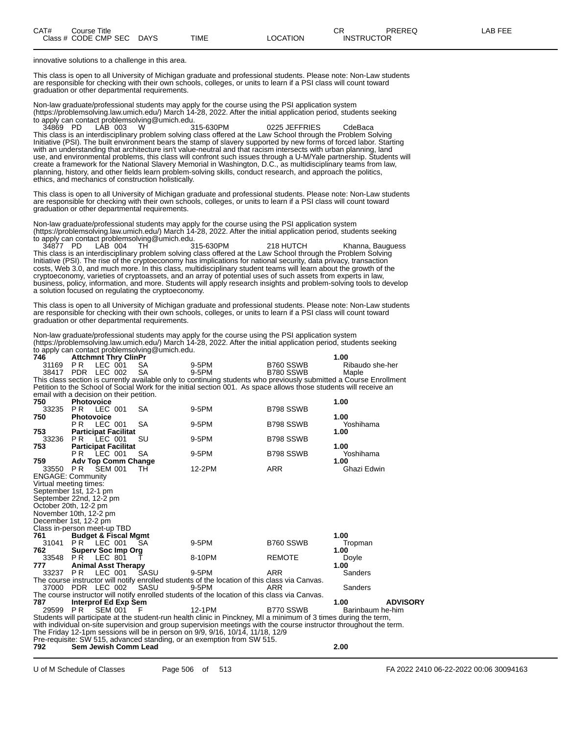innovative solutions to a challenge in this area.

This class is open to all University of Michigan graduate and professional students. Please note: Non-Law students are responsible for checking with their own schools, colleges, or units to learn if a PSI class will count toward graduation or other departmental requirements.

Non-law graduate/professional students may apply for the course using the PSI application system (https://problemsolving.law.umich.edu/) March 14-28, 2022. After the initial application period, students seeking to apply can contact problemsolving@umich.edu.<br>34869 PD LAB 003 W 315-630PM

34869 PD LAB 003 W 315-630PM 0225 JEFFRIES CdeBaca This class is an interdisciplinary problem solving class offered at the Law School through the Problem Solving Initiative (PSI). The built environment bears the stamp of slavery supported by new forms of forced labor. Starting with an understanding that architecture isn't value-neutral and that racism intersects with urban planning, land use, and environmental problems, this class will confront such issues through a U-M/Yale partnership. Students will create a framework for the National Slavery Memorial in Washington, D.C., as multidisciplinary teams from law, planning, history, and other fields learn problem-solving skills, conduct research, and approach the politics, ethics, and mechanics of construction holistically.

This class is open to all University of Michigan graduate and professional students. Please note: Non-Law students are responsible for checking with their own schools, colleges, or units to learn if a PSI class will count toward graduation or other departmental requirements.

Non-law graduate/professional students may apply for the course using the PSI application system (https://problemsolving.law.umich.edu/) March 14-28, 2022. After the initial application period, students seeking to apply can contact problemsolving@umich.edu.

34877 PD LAB 004 TH 315-630PM 218 HUTCH Khanna, Bauguess This class is an interdisciplinary problem solving class offered at the Law School through the Problem Solving Initiative (PSI). The rise of the cryptoeconomy has implications for national security, data privacy, transaction costs, Web 3.0, and much more. In this class, multidisciplinary student teams will learn about the growth of the cryptoeconomy, varieties of cryptoassets, and an array of potential uses of such assets from experts in law, business, policy, information, and more. Students will apply research insights and problem-solving tools to develop a solution focused on regulating the cryptoeconomy.

This class is open to all University of Michigan graduate and professional students. Please note: Non-Law students are responsible for checking with their own schools, colleges, or units to learn if a PSI class will count toward graduation or other departmental requirements.

Non-law graduate/professional students may apply for the course using the PSI application system (https://problemsolving.law.umich.edu/) March 14-28, 2022. After the initial application period, students seeking to apply can contact problemsolving@umich.edu.

| 746                                      |                   | <b>Attchmnt Thry ClinPr</b>     |           |                                                                                                                    |               | 1.00                                                                                                               |
|------------------------------------------|-------------------|---------------------------------|-----------|--------------------------------------------------------------------------------------------------------------------|---------------|--------------------------------------------------------------------------------------------------------------------|
| 31169                                    | PR.               | LEC 001                         | SA.       | 9-5PM                                                                                                              | B760 SSWB     | Ribaudo she-her                                                                                                    |
|                                          | 38417 PDR LEC 002 |                                 | <b>SA</b> | 9-5PM                                                                                                              | B780 SSWB     | Maple                                                                                                              |
|                                          |                   |                                 |           |                                                                                                                    |               | This class section is currently available only to continuing students who previously submitted a Course Enrollment |
|                                          |                   |                                 |           | Petition to the School of Social Work for the initial section 001. As space allows those students will receive an  |               |                                                                                                                    |
| email with a decision on their petition. |                   |                                 |           |                                                                                                                    |               |                                                                                                                    |
| 750                                      | <b>Photovoice</b> |                                 |           |                                                                                                                    |               | 1.00                                                                                                               |
| 33235                                    | <b>PR LEC 001</b> |                                 | SA        | 9-5PM                                                                                                              | B798 SSWB     |                                                                                                                    |
| 750                                      | Photovoice        |                                 |           |                                                                                                                    |               | 1.00                                                                                                               |
|                                          | PR LEC 001        |                                 | <b>SA</b> | 9-5PM                                                                                                              | B798 SSWB     | Yoshihama                                                                                                          |
| 753                                      |                   | <b>Participat Facilitat</b>     |           |                                                                                                                    |               | 1.00                                                                                                               |
| 33236                                    | PR LEC 001        |                                 | SU        | 9-5PM                                                                                                              | B798 SSWB     |                                                                                                                    |
| 753                                      |                   | <b>Participat Facilitat</b>     |           |                                                                                                                    |               | 1.00                                                                                                               |
|                                          | <b>PR LEC 001</b> |                                 | <b>SA</b> | 9-5PM                                                                                                              | B798 SSWB     | Yoshihama                                                                                                          |
| 759                                      |                   | <b>Adv Top Comm Change</b>      |           |                                                                                                                    |               | 1.00                                                                                                               |
| 33550 PR                                 |                   | SEM 001                         | TH        | 12-2PM                                                                                                             | <b>ARR</b>    | Ghazi Edwin                                                                                                        |
| <b>ENGAGE: Community</b>                 |                   |                                 |           |                                                                                                                    |               |                                                                                                                    |
| Virtual meeting times:                   |                   |                                 |           |                                                                                                                    |               |                                                                                                                    |
| September 1st, 12-1 pm                   |                   |                                 |           |                                                                                                                    |               |                                                                                                                    |
| September 22nd, 12-2 pm                  |                   |                                 |           |                                                                                                                    |               |                                                                                                                    |
| October 20th, 12-2 pm                    |                   |                                 |           |                                                                                                                    |               |                                                                                                                    |
| November 10th, 12-2 pm                   |                   |                                 |           |                                                                                                                    |               |                                                                                                                    |
| December 1st, 12-2 pm                    |                   |                                 |           |                                                                                                                    |               |                                                                                                                    |
| Class in-person meet-up TBD              |                   |                                 |           |                                                                                                                    |               |                                                                                                                    |
| 761                                      |                   | <b>Budget &amp; Fiscal Mgmt</b> |           |                                                                                                                    |               | 1.00                                                                                                               |
|                                          |                   | 31041 PR LEC 001                | <b>SA</b> | 9-5PM                                                                                                              | B760 SSWB     | Tropman                                                                                                            |
| 762                                      |                   | <b>Superv Soc Imp Org</b>       |           |                                                                                                                    |               | 1.00                                                                                                               |
| 33548 PR                                 |                   | <b>LEC 801</b>                  |           | 8-10PM                                                                                                             | <b>REMOTE</b> | Doyle                                                                                                              |
| 777                                      |                   | <b>Animal Asst Therapy</b>      |           |                                                                                                                    |               | 1.00                                                                                                               |
| 33237                                    | PR.               | LEC 001                         | SASU      | 9-5PM                                                                                                              | <b>ARR</b>    | Sanders                                                                                                            |
|                                          |                   |                                 |           | The course instructor will notify enrolled students of the location of this class via Canvas.                      |               |                                                                                                                    |
|                                          | 37000 PDR LEC 002 |                                 | SASU      | 9-5PM                                                                                                              | ARR           | Sanders                                                                                                            |
|                                          |                   |                                 |           | The course instructor will notify enrolled students of the location of this class via Canvas.                      |               |                                                                                                                    |
| 787                                      |                   | Interprof Ed Exp Sem            |           |                                                                                                                    |               | <b>ADVISORY</b><br>1.00                                                                                            |
| 29599 PR                                 |                   | SEM 001 F                       |           | 12-1PM                                                                                                             | B770 SSWB     | Barinbaum he-him                                                                                                   |
|                                          |                   |                                 |           | Students will participate at the student-run health clinic in Pinckney, MI a minimum of 3 times during the term,   |               |                                                                                                                    |
|                                          |                   |                                 |           | with individual on-site supervision and group supervision meetings with the course instructor throughout the term. |               |                                                                                                                    |
|                                          |                   |                                 |           | The Friday 12-1pm sessions will be in person on 9/9, 9/16, 10/14, 11/18, 12/9                                      |               |                                                                                                                    |
|                                          |                   |                                 |           | Pre-requisite: SW 515, advanced standing, or an exemption from SW 515.                                             |               |                                                                                                                    |
| 792                                      |                   | Sem Jewish Comm Lead            |           |                                                                                                                    |               | 2.00                                                                                                               |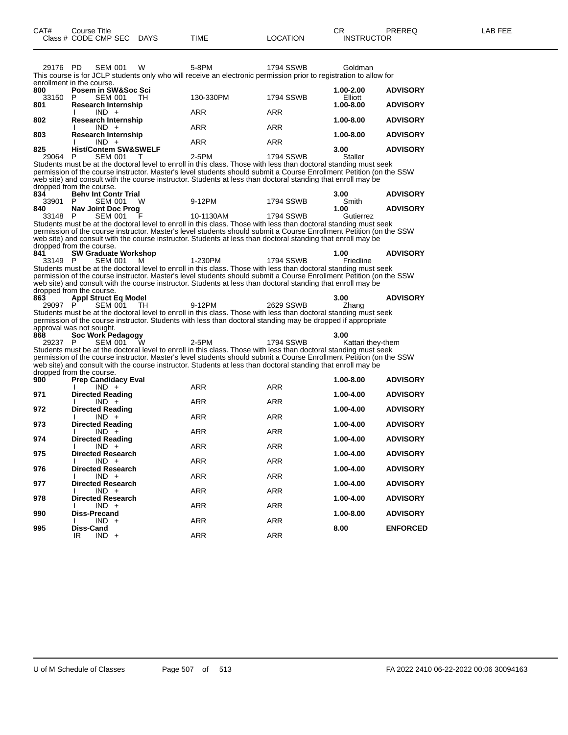| 29176 PD                  |    | <b>SEM 001</b>                  | W      | 5-8PM      | 1794 SSWB                                                                                                           | Goldman        |                 |
|---------------------------|----|---------------------------------|--------|------------|---------------------------------------------------------------------------------------------------------------------|----------------|-----------------|
|                           |    |                                 |        |            | This course is for JCLP students only who will receive an electronic permission prior to registration to allow for  |                |                 |
| enrollment in the course. |    |                                 |        |            |                                                                                                                     |                |                 |
| 800                       |    | Posem in SW&Soc Sci             |        |            |                                                                                                                     | 1.00-2.00      | <b>ADVISORY</b> |
| 33150                     | P  | SEM 001                         | TH T   | 130-330PM  | <b>1794 SSWB</b>                                                                                                    | Elliott        |                 |
| 801                       |    | <b>Research Internship</b>      |        |            |                                                                                                                     | $1.00 - 8.00$  | <b>ADVISORY</b> |
|                           |    | $IND +$                         |        | <b>ARR</b> | <b>ARR</b>                                                                                                          |                |                 |
| 802                       |    | <b>Research Internship</b>      |        |            |                                                                                                                     | 1.00-8.00      | <b>ADVISORY</b> |
|                           |    | $IND +$                         |        | <b>ARR</b> | <b>ARR</b>                                                                                                          |                |                 |
| 803                       |    | <b>Research Internship</b>      |        |            |                                                                                                                     | 1.00-8.00      | <b>ADVISORY</b> |
|                           |    | $IND +$                         |        | <b>ARR</b> | <b>ARR</b>                                                                                                          |                |                 |
| 825                       |    | <b>Hist/Contem SW&amp;SWELF</b> |        |            |                                                                                                                     | 3.00           | <b>ADVISORY</b> |
| 29064 P                   |    | <b>SEM 001</b>                  | $\top$ | 2-5PM      | 1794 SSWB                                                                                                           | <b>Staller</b> |                 |
|                           |    |                                 |        |            | Students must be at the doctoral level to enroll in this class. Those with less than doctoral standing must seek    |                |                 |
|                           |    |                                 |        |            | permission of the course instructor. Master's level students should submit a Course Enrollment Petition (on the SSW |                |                 |
|                           |    |                                 |        |            | web site) and consult with the course instructor. Students at less than doctoral standing that enroll may be        |                |                 |
| dropped from the course.  |    |                                 |        |            |                                                                                                                     |                |                 |
| 834                       |    | <b>Behy Int Contr Trial</b>     |        |            |                                                                                                                     | 3.00           | <b>ADVISORY</b> |
| 33901                     | P. | <b>SEM 001</b>                  | W      | 9-12PM     | <b>1794 SSWB</b>                                                                                                    | Smith          |                 |
| 840                       |    | Nav Joint Doc Prog              |        |            |                                                                                                                     | 1.00           | <b>ADVISORY</b> |
| 33148 P                   |    | <b>SEM 001</b>                  | F      | 10-1130AM  | 1794 SSWB                                                                                                           | Gutierrez      |                 |
|                           |    |                                 |        |            | Students must be at the doctoral level to enroll in this class. Those with less than doctoral standing must seek    |                |                 |
|                           |    |                                 |        |            | permission of the course instructor. Master's level students should submit a Course Enrollment Petition (on the SSW |                |                 |
|                           |    |                                 |        |            | web site) and consult with the course instructor. Students at less than doctoral standing that enroll may be        |                |                 |
| dropped from the course.  |    |                                 |        |            |                                                                                                                     |                |                 |
| 841                       |    | <b>SW Graduate Workshop</b>     |        |            |                                                                                                                     | 1.00           | <b>ADVISORY</b> |
| 33149 P                   |    | <b>SEM 001</b>                  | м      | 1-230PM    | <b>1794 SSWB</b>                                                                                                    | Friedline      |                 |
|                           |    |                                 |        |            | Students must be at the doctoral level to enroll in this class. Those with less than doctoral standing must seek    |                |                 |
|                           |    |                                 |        |            | permission of the course instructor. Master's level students should submit a Course Enrollment Petition (on the SSW |                |                 |
|                           |    |                                 |        |            | web site) and consult with the course instructor. Students at less than doctoral standing that enroll may be        |                |                 |
| dropped from the course.  |    |                                 |        |            |                                                                                                                     |                |                 |
| 863                       |    | <b>Appl Struct Eq Model</b>     |        |            |                                                                                                                     | 3.00           | <b>ADVISORY</b> |
| 29097 P                   |    | <b>SEM 001</b>                  | - TH   | 9-12PM     | 2629 SSWB                                                                                                           | Zhang          |                 |
|                           |    |                                 |        |            | Students must be at the doctoral level to enroll in this class. Those with less than doctoral standing must seek    |                |                 |
|                           |    |                                 |        |            | permission of the course instructor. Students with less than doctoral standing may be dropped if appropriate        |                |                 |

## approval was not sought.

**868 Soc Work Pedagogy 3.00** 29237 P SEM 001 W 2-5PM 1794 SSWB Kattari they-them Students must be at the doctoral level to enroll in this class. Those with less than doctoral standing must seek permission of the course instructor. Master's level students should submit a Course Enrollment Petition (on the SSW web site) and consult with the course instructor. Students at less than doctoral standing that enroll may be dropped from the course.

| 900 | <b>Prep Candidacy Eval</b> |            |            | 1.00-8.00 | <b>ADVISORY</b> |
|-----|----------------------------|------------|------------|-----------|-----------------|
|     | $IND +$                    | <b>ARR</b> | <b>ARR</b> |           |                 |
| 971 | <b>Directed Reading</b>    |            |            | 1.00-4.00 | <b>ADVISORY</b> |
|     | $IND +$                    | <b>ARR</b> | <b>ARR</b> |           |                 |
| 972 | <b>Directed Reading</b>    |            |            | 1.00-4.00 | <b>ADVISORY</b> |
|     | $IND +$                    | <b>ARR</b> | <b>ARR</b> |           |                 |
| 973 | <b>Directed Reading</b>    |            |            | 1.00-4.00 | <b>ADVISORY</b> |
|     | $IND +$                    | <b>ARR</b> | <b>ARR</b> |           |                 |
| 974 | <b>Directed Reading</b>    |            |            | 1.00-4.00 | <b>ADVISORY</b> |
|     | $IND +$                    | <b>ARR</b> | <b>ARR</b> |           |                 |
| 975 | <b>Directed Research</b>   |            |            | 1.00-4.00 | <b>ADVISORY</b> |
|     | $IND +$                    | <b>ARR</b> | <b>ARR</b> |           |                 |
| 976 | <b>Directed Research</b>   |            |            | 1.00-4.00 | <b>ADVISORY</b> |
|     | $IND +$                    | <b>ARR</b> | <b>ARR</b> |           |                 |
| 977 | <b>Directed Research</b>   |            |            | 1.00-4.00 | <b>ADVISORY</b> |
|     | $IND +$                    | <b>ARR</b> | <b>ARR</b> |           |                 |
| 978 | <b>Directed Research</b>   |            |            | 1.00-4.00 | <b>ADVISORY</b> |
|     | $IND +$                    | <b>ARR</b> | <b>ARR</b> |           |                 |
| 990 | Diss-Precand               |            |            | 1.00-8.00 | <b>ADVISORY</b> |
|     | $IND +$                    | <b>ARR</b> | <b>ARR</b> |           |                 |
| 995 | Diss-Cand                  |            |            | 8.00      | <b>ENFORCED</b> |
|     | $IND +$<br>IR              | <b>ARR</b> | <b>ARR</b> |           |                 |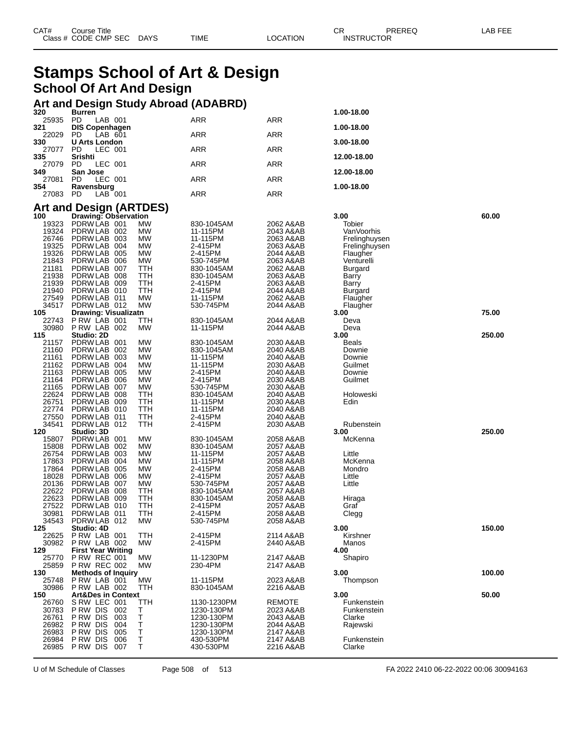| CAT#   | Course Title<br>Class # CODE CMP SEC | <b>DAYS</b> | TIME                        | LOCATION | СR<br>PREREQ<br><b>INSTRUCTOR</b> | LAB FEE |
|--------|--------------------------------------|-------------|-----------------------------|----------|-----------------------------------|---------|
| $\sim$ |                                      |             | $\sim$ $\sim$ $\sim$ $\sim$ |          |                                   |         |

## **Stamps School of Art & Design School Of Art And Design**

## **Art and Design Study Abroad (ADABRD) 320 Burren 1.00-18.00**

| ง∡บ<br>25935   | <b>DUILEU</b><br>PD<br>LAB 001                         |           | ARR                  | ARR                    | 1.00-10.00             |        |
|----------------|--------------------------------------------------------|-----------|----------------------|------------------------|------------------------|--------|
| 321<br>22029   | <b>DIS Copenhagen</b><br>PD<br>LAB 601                 |           | <b>ARR</b>           | <b>ARR</b>             | 1.00-18.00             |        |
| 330<br>27077   | <b>U Arts London</b><br>PD<br>LEC 001                  |           | ARR                  | ARR                    | 3.00-18.00             |        |
| 335<br>27079   | Srishti                                                |           |                      |                        | 12.00-18.00            |        |
| 349            | PD<br>LEC 001<br>San Jose                              |           | ARR                  | ARR                    | 12.00-18.00            |        |
| 27081<br>354   | PD<br>LEC 001<br>Ravensburg                            |           | ARR                  | ARR                    | 1.00-18.00             |        |
| 27083          | PD<br>LAB 001                                          |           | ARR                  | ARR                    |                        |        |
| 100            | <b>Art and Design (ARTDES)</b><br>Drawing: Observation |           |                      |                        | 3.00                   | 60.00  |
| 19323          | PDRW LAB 001                                           | МW        | 830-1045AM           | 2062 A&AB              | Tobier                 |        |
| 19324          | PDRW LAB 002                                           | МW        | 11-115PM             | 2043 A&AB              | VanVoorhis             |        |
| 26746          | PDRW LAB 003                                           | MW        | 11-115PM             | 2063 A&AB              | Frelinghuysen          |        |
| 19325<br>19326 | PDRW LAB 004<br>PDRW LAB 005                           | МW<br>МW  | 2-415PM<br>2-415PM   | 2063 A&AB<br>2044 A&AB | Frelinghuysen          |        |
| 21843          | PDRW LAB 006                                           | МW        | 530-745PM            | 2063 A&AB              | Flaugher<br>Venturelli |        |
| 21181          | PDRW LAB 007                                           | TTH       | 830-1045AM           | 2062 A&AB              | Burgard                |        |
| 21938          | PDRWLAB 008                                            | TTH       | 830-1045AM           | 2063 A&AB              | Barry                  |        |
| 21939          | PDRW LAB 009                                           | TTH       | 2-415PM              | 2063 A&AB              | Barry                  |        |
| 21940          | PDRWLAB 010                                            | TTH       | 2-415PM              | 2044 A&AB              | Burgard                |        |
| 27549          | PDRWLAB 011                                            | МW        | 11-115PM             | 2062 A&AB              | Flaugher               |        |
| 34517<br>105   | PDRWLAB 012<br><b>Drawing: Visualizatn</b>             | <b>MW</b> | 530-745PM            | 2044 A&AB              | Flaugher<br>3.00       | 75.00  |
| 22743          | PRW LAB 001                                            | TTH       | 830-1045AM           | 2044 A&AB              | Deva                   |        |
| 30980          | PRW LAB 002                                            | MW        | 11-115PM             | 2044 A&AB              | Deva                   |        |
| 115            | Studio: 2D                                             |           |                      |                        | 3.00                   | 250.00 |
| 21157          | PDRW LAB 001                                           | MW        | 830-1045AM           | 2030 A&AB              | Beals                  |        |
| 21160          | PDRW LAB 002                                           | MW        | 830-1045AM           | 2040 A&AB              | Downie                 |        |
| 21161          | PDRWLAB 003                                            | МW        | 11-115PM             | 2040 A&AB              | Downie                 |        |
| 21162<br>21163 | PDRW LAB 004<br>PDRW LAB 005                           | МW<br>MW  | 11-115PM<br>2-415PM  | 2030 A&AB<br>2040 A&AB | Guilmet<br>Downie      |        |
| 21164          | PDRW LAB 006                                           | МW        | 2-415PM              | 2030 A&AB              | Guilmet                |        |
| 21165          | PDRW LAB 007                                           | МW        | 530-745PM            | 2030 A&AB              |                        |        |
| 22624          | PDRWLAB 008                                            | TTH       | 830-1045AM           | 2040 A&AB              | Holoweski              |        |
| 26751          | PDRW LAB 009                                           | TTH       | 11-115PM             | 2030 A&AB              | Edin                   |        |
| 22774          | PDRWLAB 010                                            | TTH       | 11-115PM             | 2040 A&AB              |                        |        |
| 27550          | PDRWLAB 011                                            | TTH       | 2-415PM              | 2040 A&AB              |                        |        |
| 34541<br>120   | PDRWLAB 012<br>Studio: 3D                              | TTH       | 2-415PM              | 2030 A&AB              | Rubenstein<br>3.00     | 250.00 |
| 15807          | PDRW LAB 001                                           | MW        | 830-1045AM           | 2058 A&AB              | McKenna                |        |
| 15808          | PDRW LAB 002                                           | МW        | 830-1045AM           | 2057 A&AB              |                        |        |
| 26754          | PDRWLAB 003                                            | МW        | 11-115PM             | 2057 A&AB              | Little                 |        |
| 17863          | PDRW LAB 004                                           | MW        | 11-115PM             | 2058 A&AB              | McKenna                |        |
| 17864          | PDRW LAB 005                                           | MW        | 2-415PM              | 2058 A&AB              | Mondro                 |        |
| 18028<br>20136 | PDRW LAB 006<br>PDRW LAB 007                           | МW<br>МW  | 2-415PM<br>530-745PM | 2057 A&AB<br>2057 A&AB | Little<br>Little       |        |
| 22622          | PDRW LAB 008                                           | TTH       | 830-1045AM           | 2057 A&AB              |                        |        |
| 22623          | PDRW LAB 009                                           | TTH       | 830-1045AM           | 2058 A&AB              | Hiraga                 |        |
| 27522          | PDRW LAB 010                                           | TTH       | 2-415PM              | 2057 A&AB              | Graf                   |        |
| 30981          | PDRW LAB 011                                           | TTH       | 2-415PM              | 2058 A&AB              | Clegg                  |        |
| 34543          | PDRWLAB 012                                            | MW        | 530-745PM            | 2058 A&AB              |                        |        |
| 125.           | Studio: 4D                                             |           |                      |                        | 3.00                   | 150.00 |
| 22625<br>30982 | P RW LAB 001<br>PRW LAB 002                            | TTH<br>МW | 2-415PM<br>2-415PM   | 2114 A&AB<br>2440 A&AB | Kirshner<br>Manos      |        |
| 129            | <b>First Year Writing</b>                              |           |                      |                        | 4.00                   |        |
| 25770          | <b>P RW REC 001</b>                                    | <b>MW</b> | 11-1230PM            | 2147 A&AB              | Shapiro                |        |
| 25859          | <b>P RW REC 002</b>                                    | МW        | 230-4PM              | 2147 A&AB              |                        |        |
| 130            | <b>Methods of Inquiry</b>                              |           |                      |                        | 3.00                   | 100.00 |
| 25748          | PRW LAB 001                                            | <b>MW</b> | 11-115PM             | 2023 A&AB              | Thompson               |        |
| 30986<br>150   | PRW LAB 002<br><b>Art&amp;Des in Context</b>           | TTH       | 830-1045AM           | 2216 A&AB              | 3.00                   | 50.00  |
| 26760          | S RW LEC 001                                           | TTH       | 1130-1230PM          | <b>REMOTE</b>          | Funkenstein            |        |
| 30783          | P RW DIS<br>002                                        | т         | 1230-130PM           | 2023 A&AB              | Funkenstein            |        |
| 26761          | P RW DIS<br>003                                        | T         | 1230-130PM           | 2043 A&AB              | Clarke                 |        |
| 26982          | P RW DIS<br>004                                        | т         | 1230-130PM           | 2044 A&AB              | Rajewski               |        |
| 26983          | P RW DIS<br>005                                        | Τ         | 1230-130PM           | 2147 A&AB              |                        |        |
| 26984          | P RW DIS<br>006                                        | $\sf T$   | 430-530PM            | 2147 A&AB              | Funkenstein            |        |
| 26985          | P RW DIS<br>007                                        | т         | 430-530PM            | 2216 A&AB              | Clarke                 |        |

U of M Schedule of Classes Page 508 of 513 FA 2022 2410 06-22-2022 00:06 30094163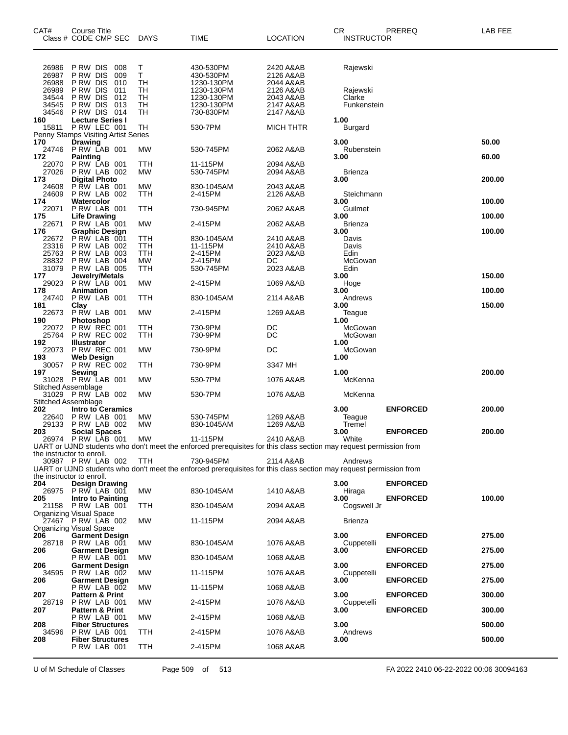| CAT#                                                        | <b>Course Title</b><br>Class # CODE CMP SEC                                                                                        | DAYS                                                          | TIME                                                                                                                           | <b>LOCATION</b>                                                                         | <b>CR</b><br><b>INSTRUCTOR</b>                | PREREQ          | LAB FEE          |
|-------------------------------------------------------------|------------------------------------------------------------------------------------------------------------------------------------|---------------------------------------------------------------|--------------------------------------------------------------------------------------------------------------------------------|-----------------------------------------------------------------------------------------|-----------------------------------------------|-----------------|------------------|
| 26986<br>26987<br>26988<br>26989<br>34544<br>34545<br>34546 | P RW DIS<br>008<br>P RW DIS<br>009<br>P RW DIS<br>010<br>P RW DIS<br>011<br>P RW DIS<br>012<br>P RW DIS<br>013<br>P RW DIS<br>-014 | $\frac{\mathsf{T}}{\mathsf{T}}$<br>TН<br>тн<br>TН<br>TН<br>тн | 430-530PM<br>430-530PM<br>1230-130PM<br>1230-130PM<br>1230-130PM<br>1230-130PM<br>730-830PM                                    | 2420 A&AB<br>2126 A&AB<br>2044 A&AB<br>2126 A&AB<br>2043 A&AB<br>2147 A&AB<br>2147 A&AB | Rajewski<br>Rajewski<br>Clarke<br>Funkenstein |                 |                  |
| 160<br>15811                                                | <b>Lecture Series I</b><br>P RW LEC 001<br>Penny Stamps Visiting Artist Series                                                     | TН                                                            | 530-7PM                                                                                                                        | MICH THTR                                                                               | 1.00<br>Burgard                               |                 |                  |
| 170                                                         | <b>Drawing</b>                                                                                                                     |                                                               |                                                                                                                                |                                                                                         | 3.00                                          |                 | 50.00            |
| 24746<br>172                                                | <b>PRW LAB 001</b><br>Painting                                                                                                     | МW                                                            | 530-745PM                                                                                                                      | 2062 A&AB                                                                               | Rubenstein<br>3.00                            |                 | 60.00            |
| 22070<br>27026<br>173                                       | PRW LAB 001<br>PRW LAB 002<br><b>Digital Photo</b>                                                                                 | TTH<br>МW                                                     | 11-115PM<br>530-745PM                                                                                                          | 2094 A&AB<br>2094 A&AB                                                                  | Brienza<br>3.00                               |                 | 200.00           |
| 24608<br>24609                                              | <b>P RW LAB 001</b><br>PRW LAB 002                                                                                                 | МW<br>TTH                                                     | 830-1045AM<br>2-415PM                                                                                                          | 2043 A&AB<br>2126 A&AB                                                                  | Steichmann                                    |                 |                  |
| 174<br>22071<br>175                                         | Watercolor<br>P RW LAB 001<br><b>Life Drawing</b>                                                                                  | TTH                                                           | 730-945PM                                                                                                                      | 2062 A&AB                                                                               | 3.00<br>Guilmet<br>3.00                       |                 | 100.00<br>100.00 |
| 22671                                                       | PRW LAB 001                                                                                                                        | MW                                                            | 2-415PM                                                                                                                        | 2062 A&AB                                                                               | Brienza                                       |                 |                  |
| 176<br>22672                                                | <b>Graphic Design</b><br>P RW LAB 001                                                                                              | TTH                                                           | 830-1045AM                                                                                                                     | 2410 A&AB                                                                               | 3.00<br>Davis                                 |                 | 100.00           |
| 23316<br>25763                                              | PRW LAB 002<br>PRW LAB 003                                                                                                         | TTH<br>TTH                                                    | 11-115PM<br>2-415PM                                                                                                            | 2410 A&AB<br>2023 A&AB                                                                  | Davis<br>Edin                                 |                 |                  |
| 28832                                                       | PRW LAB 004                                                                                                                        | MW                                                            | 2-415PM                                                                                                                        | DC                                                                                      | McGowan                                       |                 |                  |
| 31079<br>177                                                | PRW LAB 005<br>Jewelry/Metals                                                                                                      | TTH                                                           | 530-745PM                                                                                                                      | 2023 A&AB                                                                               | Edin<br>3.00                                  |                 | 150.00           |
| 29023                                                       | PRW LAB 001                                                                                                                        | <b>MW</b>                                                     | 2-415PM                                                                                                                        | 1069 A&AB                                                                               | Hoge                                          |                 |                  |
| 178<br>24740<br>181                                         | Animation<br>PRW LAB 001<br>Clay                                                                                                   | TTH                                                           | 830-1045AM                                                                                                                     | 2114 A&AB                                                                               | 3.00<br>Andrews<br>3.00                       |                 | 100.00<br>150.00 |
| 22673<br>190                                                | P RW LAB 001<br><b>Photoshop</b>                                                                                                   | МW                                                            | 2-415PM                                                                                                                        | 1269 A&AB                                                                               | Teague<br>1.00                                |                 |                  |
| 22072<br>25764                                              | <b>P RW REC 001</b><br><b>P RW REC 002</b>                                                                                         | TTH<br>TTH                                                    | 730-9PM<br>730-9PM                                                                                                             | DC<br>DC                                                                                | McGowan<br>McGowan                            |                 |                  |
| 192<br>22073                                                | <b>Illustrator</b><br><b>P RW REC 001</b>                                                                                          | МW                                                            | 730-9PM                                                                                                                        | DC                                                                                      | 1.00<br>McGowan                               |                 |                  |
| 193<br>30057                                                | <b>Web Design</b><br><b>P RW REC 002</b>                                                                                           | TTH                                                           | 730-9PM                                                                                                                        | 3347 MH                                                                                 | 1.00                                          |                 |                  |
| 197<br><b>Stitched Assemblage</b>                           | Sewing<br>31028 PRW LAB 001                                                                                                        | МW                                                            | 530-7PM                                                                                                                        | 1076 A&AB                                                                               | 1.00<br>McKenna                               |                 | 200.00           |
|                                                             | 31029 PRW LAB 002                                                                                                                  | МW                                                            | 530-7PM                                                                                                                        | 1076 A&AB                                                                               | McKenna                                       |                 |                  |
| Stitched Assemblage<br>202<br>22640<br>29133                | <b>Intro to Ceramics</b><br>PRW LAB 001                                                                                            | МW                                                            | 530-745PM                                                                                                                      | 1269 A&AB                                                                               | 3.00<br>Teague                                | <b>ENFORCED</b> | 200.00           |
| 203                                                         | PRW LAB 002<br><b>Social Spaces</b>                                                                                                | МW                                                            | 830-1045AM                                                                                                                     | 1269 A&AB                                                                               | Tremel<br>3.00                                | <b>ENFORCED</b> | 200.00           |
| 26974                                                       | PRW LAB 001                                                                                                                        | MW                                                            | 11-115PM<br>UART or UJND students who don't meet the enforced prerequisites for this class section may request permission from | 2410 A&AB                                                                               | White                                         |                 |                  |
|                                                             | the instructor to enroll.<br>30987 PRW LAB 002                                                                                     | TTH                                                           | 730-945PM                                                                                                                      | 2114 A&AB                                                                               | Andrews                                       |                 |                  |
|                                                             |                                                                                                                                    |                                                               | UART or UJND students who don't meet the enforced prerequisites for this class section may request permission from             |                                                                                         |                                               |                 |                  |
| 204                                                         | the instructor to enroll.<br><b>Design Drawing</b>                                                                                 |                                                               |                                                                                                                                |                                                                                         | 3.00                                          | <b>ENFORCED</b> |                  |
|                                                             | 26975 PRW LAB 001                                                                                                                  | MW                                                            | 830-1045AM                                                                                                                     | 1410 A&AB                                                                               | Hiraga                                        |                 |                  |
| 205                                                         | <b>Intro to Painting</b><br>21158 PRW LAB 001<br><b>Organizing Visual Space</b>                                                    | TTH                                                           | 830-1045AM                                                                                                                     | 2094 A&AB                                                                               | 3.00<br>Cogswell Jr                           | <b>ENFORCED</b> | 100.00           |
|                                                             | 27467 PRW LAB 002<br>Organizing Visual Space                                                                                       | MW                                                            | 11-115PM                                                                                                                       | 2094 A&AB                                                                               | <b>Brienza</b>                                |                 |                  |
| 206                                                         | <b>Garment Design</b><br>28718 P RW LAB 001                                                                                        | MW                                                            | 830-1045AM                                                                                                                     | 1076 A&AB                                                                               | 3.00<br>Cuppetelli                            | <b>ENFORCED</b> | 275.00           |
| 206                                                         | <b>Garment Design</b>                                                                                                              |                                                               |                                                                                                                                |                                                                                         | 3.00                                          | <b>ENFORCED</b> | 275.00           |
| 206<br>34595                                                | PRW LAB 001<br><b>Garment Design</b>                                                                                               | МW                                                            | 830-1045AM                                                                                                                     | 1068 A&AB                                                                               | 3.00                                          | <b>ENFORCED</b> | 275.00           |
| 206                                                         | PRW LAB 002<br><b>Garment Design</b>                                                                                               | МW                                                            | 11-115PM                                                                                                                       | 1076 A&AB                                                                               | Cuppetelli<br>3.00                            | <b>ENFORCED</b> | 275.00           |
| 207                                                         | PRW LAB 002<br><b>Pattern &amp; Print</b>                                                                                          | MW                                                            | 11-115PM                                                                                                                       | 1068 A&AB                                                                               | 3.00                                          | <b>ENFORCED</b> | 300.00           |
| 207                                                         | 28719 PRW LAB 001<br><b>Pattern &amp; Print</b>                                                                                    | МW                                                            | 2-415PM                                                                                                                        | 1076 A&AB                                                                               | Cuppetelli<br>3.00                            | <b>ENFORCED</b> | 300.00           |
| 208                                                         | PRW LAB 001<br><b>Fiber Structures</b>                                                                                             | МW                                                            | 2-415PM                                                                                                                        | 1068 A&AB                                                                               | 3.00                                          |                 | 500.00           |
| 34596<br>208                                                | PRW LAB 001<br><b>Fiber Structures</b>                                                                                             | <b>TTH</b>                                                    | 2-415PM                                                                                                                        | 1076 A&AB                                                                               | Andrews<br>3.00                               |                 | 500.00           |
|                                                             | PRW LAB 001                                                                                                                        | <b>TTH</b>                                                    | 2-415PM                                                                                                                        | 1068 A&AB                                                                               |                                               |                 |                  |

U of M Schedule of Classes Page 509 of 513 FA 2022 2410 06-22-2022 00:06 30094163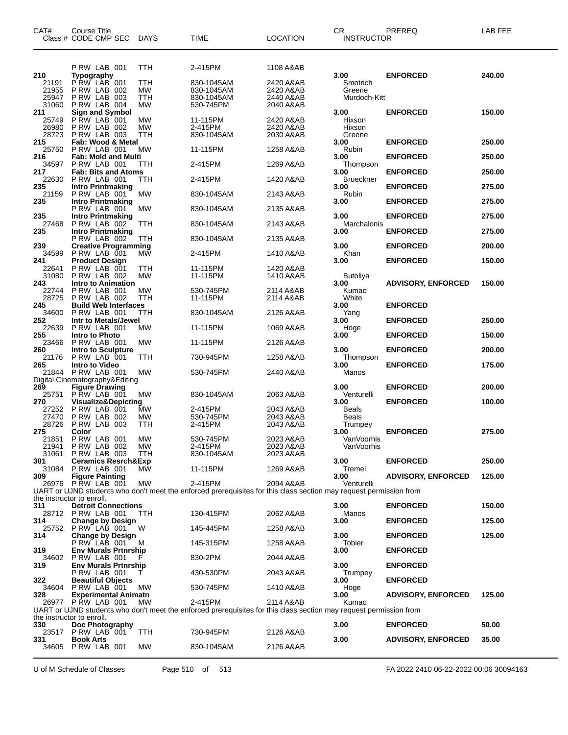| CAT#                           | Course Title<br>Class # CODE CMP SEC                                    | <b>DAYS</b>                   | <b>TIME</b>                                                                                                                   | <b>LOCATION</b>                     | CR.<br>INSTRUCTOR                  | PREREQ                             | LAB FEE          |
|--------------------------------|-------------------------------------------------------------------------|-------------------------------|-------------------------------------------------------------------------------------------------------------------------------|-------------------------------------|------------------------------------|------------------------------------|------------------|
| 210<br>21191                   | PRW LAB 001<br><b>Typography</b><br>PRW LAB 001                         | <b>TTH</b><br>TTH             | 2-415PM<br>830-1045AM                                                                                                         | 1108 A&AB<br>2420 A&AB              | 3.00<br>Smotrich                   | <b>ENFORCED</b>                    | 240.00           |
| 21955<br>25947<br>31060        | PRW LAB 002<br>PRW LAB 003<br>P RW LAB 004                              | <b>MW</b><br>TTH<br><b>MW</b> | 830-1045AM<br>830-1045AM<br>530-745PM                                                                                         | 2420 A&AB<br>2440 A&AB<br>2040 A&AB | Greene<br>Murdoch-Kitt             |                                    |                  |
| 211<br>25749<br>26980<br>28723 | <b>Sign and Symbol</b><br>PRW LAB 001<br>P RW LAB 002<br>PRW LAB 003    | <b>MW</b><br><b>MW</b><br>TTH | 11-115PM<br>2-415PM<br>830-1045AM                                                                                             | 2420 A&AB<br>2420 A&AB<br>2030 A&AB | 3.00<br>Hixson<br>Hixson<br>Greene | <b>ENFORCED</b>                    | 150.00           |
| 215<br>25750                   | Fab: Wood & Metal<br>P RW LAB 001                                       | МW                            | 11-115PM                                                                                                                      | 1258 A&AB                           | 3.00<br>Rubin                      | <b>ENFORCED</b>                    | 250.00           |
| 216<br>34597<br>217            | <b>Fab: Mold and Multi</b><br>PRW LAB 001<br><b>Fab: Bits and Atoms</b> | ттн                           | 2-415PM                                                                                                                       | 1269 A&AB                           | 3.00<br>Thompson<br>3.00           | <b>ENFORCED</b><br><b>ENFORCED</b> | 250.00<br>250.00 |
| 22630<br>235                   | PRW LAB 001<br><b>Intro Printmaking</b>                                 | ттн                           | 2-415PM                                                                                                                       | 1420 A&AB                           | <b>Brueckner</b><br>3.00           | <b>ENFORCED</b>                    | 275.00           |
| 21159<br>235                   | P RW LAB 001<br><b>Intro Printmaking</b>                                | MW.                           | 830-1045AM                                                                                                                    | 2143 A&AB                           | Rubin<br>3.00                      | <b>ENFORCED</b>                    | 275.00           |
| 235                            | PRW LAB 001<br><b>Intro Printmaking</b>                                 | МW                            | 830-1045AM                                                                                                                    | 2135 A&AB                           | 3.00                               | <b>ENFORCED</b>                    | 275.00           |
| 27468<br>235                   | PRW LAB 002<br><b>Intro Printmaking</b>                                 | TTH                           | 830-1045AM                                                                                                                    | 2143 A&AB                           | Marchalonis<br>3.00                | <b>ENFORCED</b>                    | 275.00           |
| 239                            | PRW LAB 002<br><b>Creative Programming</b>                              | ттн                           | 830-1045AM                                                                                                                    | 2135 A&AB                           | 3.00                               | <b>ENFORCED</b>                    | 200.00           |
| 34599<br>241                   | PRW LAB 001<br><b>Product Design</b>                                    | MW                            | 2-415PM                                                                                                                       | 1410 A&AB                           | Khan<br>3.00                       | <b>ENFORCED</b>                    | 150.00           |
| 22641<br>31080<br>243          | P RW LAB 001<br>PRW LAB 002<br><b>Intro to Animation</b>                | TTH<br><b>MW</b>              | 11-115PM<br>11-115PM                                                                                                          | 1420 A&AB<br>1410 A&AB              | Butoliya<br>3.00                   | <b>ADVISORY, ENFORCED</b>          | 150.00           |
| 22744<br>28725                 | P RW LAB 001<br>PRW LAB 002                                             | <b>MW</b><br>TTH              | 530-745PM<br>11-115PM                                                                                                         | 2114 A&AB<br>2114 A&AB              | Kumao<br>White                     |                                    |                  |
| 245<br>34600                   | <b>Build Web Interfaces</b><br>P RW LAB 001                             | TTH                           | 830-1045AM                                                                                                                    | 2126 A&AB                           | 3.00<br>Yang                       | <b>ENFORCED</b>                    |                  |
| 252<br>22639                   | Intr to Metals/Jewel<br>P RW LAB 001                                    | MW                            | 11-115PM                                                                                                                      | 1069 A&AB                           | 3.00<br>Hoge                       | <b>ENFORCED</b>                    | 250.00           |
| 255<br>23466                   | Intro to Photo<br>PRW LAB 001                                           | MW                            | 11-115PM                                                                                                                      | 2126 A&AB                           | 3.00                               | <b>ENFORCED</b>                    | 150.00           |
| 260<br>21176                   | Intro to Sculpture<br>P RW LAB 001                                      | TTH                           | 730-945PM                                                                                                                     | 1258 A&AB                           | 3.00<br>Thompson                   | <b>ENFORCED</b>                    | 200.00           |
| 265<br>21844                   | Intro to Video<br>PRW LAB 001                                           | MW                            | 530-745PM                                                                                                                     | 2440 A&AB                           | 3.00<br>Manos                      | <b>ENFORCED</b>                    | 175.00           |
| 269                            | Digital Cinematography&Editing<br><b>Figure Drawing</b>                 |                               |                                                                                                                               |                                     | 3.00                               | <b>ENFORCED</b>                    | 200.00           |
| 25751<br>270                   | PRW LAB 001<br>Visualize&Depicting                                      | MW                            | 830-1045AM                                                                                                                    | 2063 A&AB                           | Venturelli<br>3.00                 | <b>ENFORCED</b>                    | 100.00           |
| 27252<br>27470                 | PRW LAB 001<br>P RW LAB 002                                             | MW<br><b>MW</b>               | 2-415PM<br>530-745PM                                                                                                          | 2043 A&AB<br>2043 A&AB              | Beals<br><b>Beals</b>              |                                    |                  |
| 28726<br>275                   | PRW LAB 003<br>Color                                                    | TTH                           | 2-415PM                                                                                                                       | 2043 A&AB                           | Trumpey<br>3.00                    | <b>ENFORCED</b>                    | 275.00           |
| 21851<br>31061                 | PRW LAB 001<br>21941 PRW LAB 002                                        | MW<br><b>MW</b><br>TTH        | 530-745PM<br>2-415PM<br>830-1045AM                                                                                            | 2023 A&AB<br>2023 A&AB              | VanVoorhis<br>VanVoorhis           |                                    |                  |
| 301                            | PRW LAB 003<br><b>Ceramics Resrch&amp;Exp</b><br>PRW LAB 001            |                               |                                                                                                                               | 2023 A&AB                           | 3.00<br>Tremel                     | <b>ENFORCED</b>                    | 250.00           |
| 31084<br>309                   | <b>Figure Painting</b><br>26976 PRW LAB 001                             | MW.<br>MW                     | 11-115PM<br>2-415PM                                                                                                           | 1269 A&AB<br>2094 A&AB              | 3.00<br>Venturelli                 | <b>ADVISORY, ENFORCED</b>          | 125.00           |
|                                |                                                                         |                               | UART or UJND students who don't meet the enforced prerequisites for this class section may request permission from            |                                     |                                    |                                    |                  |
| 311                            | the instructor to enroll.<br><b>Detroit Connections</b>                 |                               |                                                                                                                               |                                     | 3.00                               | <b>ENFORCED</b>                    | 150.00           |
| 314                            | 28712 PRW LAB 001<br><b>Change by Design</b>                            | <b>TTH</b>                    | 130-415PM                                                                                                                     | 2062 A&AB                           | Manos<br>3.00                      | <b>ENFORCED</b>                    | 125.00           |
| 25752<br>314                   | PRW LAB 001<br><b>Change by Design</b>                                  | W                             | 145-445PM                                                                                                                     | 1258 A&AB                           | 3.00                               | <b>ENFORCED</b>                    | 125.00           |
| 319                            | PRW LAB 001<br><b>Env Murals Prtnrship</b>                              | M                             | 145-315PM                                                                                                                     | 1258 A&AB                           | Tobier<br>3.00                     | <b>ENFORCED</b>                    |                  |
| 34602<br>319                   | PRW LAB 001<br><b>Env Murals Prtnrship</b>                              |                               | 830-2PM                                                                                                                       | 2044 A&AB                           | 3.00                               | <b>ENFORCED</b>                    |                  |
| 322                            | PRW LAB 001<br><b>Beautiful Objects</b>                                 |                               | 430-530PM                                                                                                                     | 2043 A&AB                           | Trumpey<br>3.00                    | <b>ENFORCED</b>                    |                  |
| 34604<br>328                   | PRW LAB 001<br><b>Experimental Animatn</b>                              | МW                            | 530-745PM                                                                                                                     | 1410 A&AB                           | Hoge<br>3.00                       | <b>ADVISORY, ENFORCED</b>          | 125.00           |
|                                | 26977 PRW LAB 001                                                       | МW                            | 2-415PM<br>UART or UJND students who don't meet the enforced prerequisites for this class section may request permission from | 2114 A&AB                           | Kumao                              |                                    |                  |
| 330                            | the instructor to enroll.<br>Doc Photography                            |                               |                                                                                                                               |                                     | 3.00                               | <b>ENFORCED</b>                    | 50.00            |
| 331                            | 23517 PRW LAB 001<br><b>Book Arts</b>                                   | <b>TTH</b>                    | 730-945PM                                                                                                                     | 2126 A&AB                           | 3.00                               | <b>ADVISORY, ENFORCED</b>          | 35.00            |
|                                | 34605 PRW LAB 001                                                       | МW                            | 830-1045AM                                                                                                                    | 2126 A&AB                           |                                    |                                    |                  |

U of M Schedule of Classes Page 510 of 513 FA 2022 2410 06-22-2022 00:06 30094163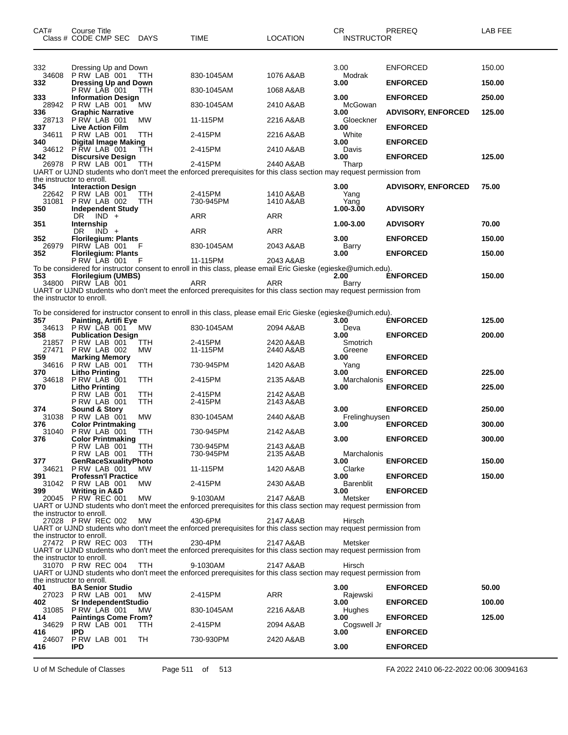| CAT#                             | Course Title<br>Class # CODE CMP SEC DAYS              |                   | <b>TIME</b>                                                                                                                    | <b>LOCATION</b>        | CR<br><b>INSTRUCTOR</b>   | PREREQ                    | <b>LAB FEE</b> |
|----------------------------------|--------------------------------------------------------|-------------------|--------------------------------------------------------------------------------------------------------------------------------|------------------------|---------------------------|---------------------------|----------------|
| 332<br>34608                     | Dressing Up and Down<br>PRW LAB 001                    | TTH               | 830-1045AM                                                                                                                     | 1076 A&AB              | 3.00<br>Modrak            | <b>ENFORCED</b>           | 150.00         |
| 332                              | <b>Dressing Up and Down</b><br>PRW LAB 001             | TTH               | 830-1045AM                                                                                                                     | 1068 A&AB              | 3.00                      | <b>ENFORCED</b>           | 150.00         |
| 333<br>28942                     | <b>Information Design</b><br>PRW LAB 001               | МW                | 830-1045AM                                                                                                                     | 2410 A&AB              | 3.00<br>McGowan           | <b>ENFORCED</b>           | 250.00         |
| 336                              | <b>Graphic Narrative</b>                               |                   |                                                                                                                                |                        | 3.00                      | <b>ADVISORY, ENFORCED</b> | 125.00         |
| 28713<br>337                     | PRW LAB 001<br><b>Live Action Film</b>                 | МW                | 11-115PM                                                                                                                       | 2216 A&AB              | Gloeckner<br>3.00         | <b>ENFORCED</b>           |                |
| 34611<br>340                     | PRW LAB 001<br><b>Digital Image Making</b>             | TTH               | 2-415PM                                                                                                                        | 2216 A&AB              | White<br>3.00             | <b>ENFORCED</b>           |                |
| 34612                            | PRW LAB 001                                            | ттн               | 2-415PM                                                                                                                        | 2410 A&AB              | Davis                     |                           |                |
| 342                              | <b>Discursive Design</b><br>26978 P RW LAB 001         | TTH               | 2-415PM<br>UART or UJND students who don't meet the enforced prerequisites for this class section may request permission from  | 2440 A&AB              | 3.00<br>Tharp             | <b>ENFORCED</b>           | 125.00         |
| 345                              | the instructor to enroll.<br><b>Interaction Design</b> |                   |                                                                                                                                |                        | 3.00                      | <b>ADVISORY, ENFORCED</b> | 75.00          |
| 22642<br>31081<br>350            | PRW LAB 001<br>PRW LAB 002<br><b>Independent Study</b> | TTH<br><b>TTH</b> | 2-415PM<br>730-945PM                                                                                                           | 1410 A&AB<br>1410 A&AB | Yang<br>Yang<br>1.00-3.00 | <b>ADVISORY</b>           |                |
|                                  | DR.<br>$IND +$                                         |                   | ARR                                                                                                                            | ARR                    |                           |                           |                |
| 351                              | Internship<br>DR<br>$IND +$                            |                   | ARR                                                                                                                            | ARR                    | 1.00-3.00                 | <b>ADVISORY</b>           | 70.00          |
| 352<br>26979                     | <b>Florilegium: Plants</b><br>PIRW LAB 001             | F                 | 830-1045AM                                                                                                                     | 2043 A&AB              | 3.00<br>Barry             | <b>ENFORCED</b>           | 150.00         |
| 352                              | <b>Florilegium: Plants</b>                             |                   | 11-115PM                                                                                                                       | 2043 A&AB              | 3.00                      | <b>ENFORCED</b>           | 150.00         |
|                                  | PRW LAB 001                                            | - F               | To be considered for instructor consent to enroll in this class, please email Eric Gieske (egieske@umich.edu).                 |                        |                           |                           |                |
| 353                              | Florilegium (UMBS)<br>34800 PIRW LAB 001               |                   | ARR                                                                                                                            | <b>ARR</b>             | 2.00<br>Barry             | <b>ENFORCED</b>           | 150.00         |
| the instructor to enroll.        |                                                        |                   | UART or UJND students who don't meet the enforced prerequisites for this class section may request permission from             |                        |                           |                           |                |
|                                  |                                                        |                   |                                                                                                                                |                        |                           |                           |                |
| 357                              | Painting, Artifi Eye                                   |                   | To be considered for instructor consent to enroll in this class, please email Eric Gieske (egieske@umich.edu).                 |                        | 3.00                      | <b>ENFORCED</b>           | 125.00         |
| 34613<br>358                     | PRW LAB 001<br><b>Publication Design</b>               | MW                | 830-1045AM                                                                                                                     | 2094 A&AB              | Deva<br>3.00              | <b>ENFORCED</b>           | 200.00         |
| 21857<br>27471                   | PRW LAB 001<br>PRW LAB 002                             | TTH<br>МW         | 2-415PM<br>11-115PM                                                                                                            | 2420 A&AB<br>2440 A&AB | Smotrich<br>Greene        |                           |                |
| 359                              | <b>Marking Memory</b>                                  |                   |                                                                                                                                |                        | 3.00                      | <b>ENFORCED</b>           |                |
| 34616<br>370                     | PRW LAB 001<br><b>Litho Printing</b>                   | TTH               | 730-945PM                                                                                                                      | 1420 A&AB              | Yang<br>3.00              | <b>ENFORCED</b>           | 225.00         |
| 34618<br>370                     | PRW LAB 001<br><b>Litho Printing</b>                   | TTH               | 2-415PM                                                                                                                        | 2135 A&AB              | Marchalonis<br>3.00       | <b>ENFORCED</b>           | 225.00         |
|                                  | PRW LAB 001                                            | TTH               | 2-415PM                                                                                                                        | 2142 A&AB              |                           |                           |                |
| 374                              | <b>P RW LAB 001</b><br>Sound & Story                   | <b>TTH</b>        | 2-415PM                                                                                                                        | 2143 A&AB              | 3.00                      | <b>ENFORCED</b>           | 250.00         |
| 31038<br>376                     | PRW LAB 001<br><b>Color Printmaking</b>                | МW                | 830-1045AM                                                                                                                     | 2440 A&AB              | Frelinghuysen<br>3.00     | <b>ENFORCED</b>           | 300.00         |
| 31040                            | PRW LAB 001                                            | TTH               | 730-945PM                                                                                                                      | 2142 A&AB              | 3.00                      | <b>ENFORCED</b>           |                |
| 376                              | <b>Color Printmaking</b><br>PRW LAB 001                | <b>TTH</b>        | 730-945PM                                                                                                                      | 2143 A&AB              |                           |                           | 300.00         |
| 377                              | PRW LAB 001<br><b>GenRaceSxualityPhoto</b>             | TTH               | 730-945PM                                                                                                                      | 2135 A&AB              | Marchalonis<br>3.00       | <b>ENFORCED</b>           | 150.00         |
| 34621<br>391                     | PRW LAB 001<br><b>Professn'l Practice</b>              | MW.               | 11-115PM                                                                                                                       | 1420 A&AB              | Clarke<br>3.00            | <b>ENFORCED</b>           | 150.00         |
|                                  | 31042 PRW LAB 001                                      | МW                | 2-415PM                                                                                                                        | 2430 A&AB              | <b>Barenblit</b>          |                           |                |
| 399                              | <b>Writing in A&amp;D</b><br>20045 P RW REC 001        | МW                | 9-1030AM                                                                                                                       | 2147 A&AB              | 3.00<br>Metsker           | <b>ENFORCED</b>           |                |
| the instructor to enroll.        |                                                        |                   | UART or UJND students who don't meet the enforced prerequisites for this class section may request permission from             |                        |                           |                           |                |
|                                  | 27028 P RW REC 002                                     | MW                | 430-6PM                                                                                                                        | 2147 A&AB              | Hirsch                    |                           |                |
| the instructor to enroll.        |                                                        |                   | UART or UJND students who don't meet the enforced prerequisites for this class section may request permission from             |                        |                           |                           |                |
|                                  | 27472 P RW REC 003                                     | TTH               | 230-4PM<br>UART or UJND students who don't meet the enforced prerequisites for this class section may request permission from  | 2147 A&AB              | Metsker                   |                           |                |
| the instructor to enroll.        | 31070 P RW REC 004                                     | <b>TTH</b>        | 9-1030AM<br>UART or UJND students who don't meet the enforced prerequisites for this class section may request permission from | 2147 A&AB              | Hirsch                    |                           |                |
| the instructor to enroll.<br>401 | <b>BA Senior Studio</b>                                |                   |                                                                                                                                |                        | 3.00                      | <b>ENFORCED</b>           | 50.00          |
|                                  | 27023 PRW LAB 001                                      | <b>MW</b>         | 2-415PM                                                                                                                        | ARR                    | Rajewski                  |                           |                |
| 402<br>31085                     | Sr IndependentStudio<br>PRW LAB 001                    | MW.               | 830-1045AM                                                                                                                     | 2216 A&AB              | 3.00<br>Hughes            | <b>ENFORCED</b>           | 100.00         |
| 414<br>34629                     | <b>Paintings Come From?</b><br>PRW LAB 001             | ттн               | 2-415PM                                                                                                                        | 2094 A&AB              | 3.00<br>Cogswell Jr       | <b>ENFORCED</b>           | 125.00         |
| 416                              | IPD                                                    |                   |                                                                                                                                |                        | 3.00                      | <b>ENFORCED</b>           |                |
| 24607<br>416                     | PRW LAB 001<br><b>IPD</b>                              | TH                | 730-930PM                                                                                                                      | 2420 A&AB              | 3.00                      | <b>ENFORCED</b>           |                |
|                                  |                                                        |                   |                                                                                                                                |                        |                           |                           |                |

U of M Schedule of Classes Page 511 of 513 FA 2022 2410 06-22-2022 00:06 30094163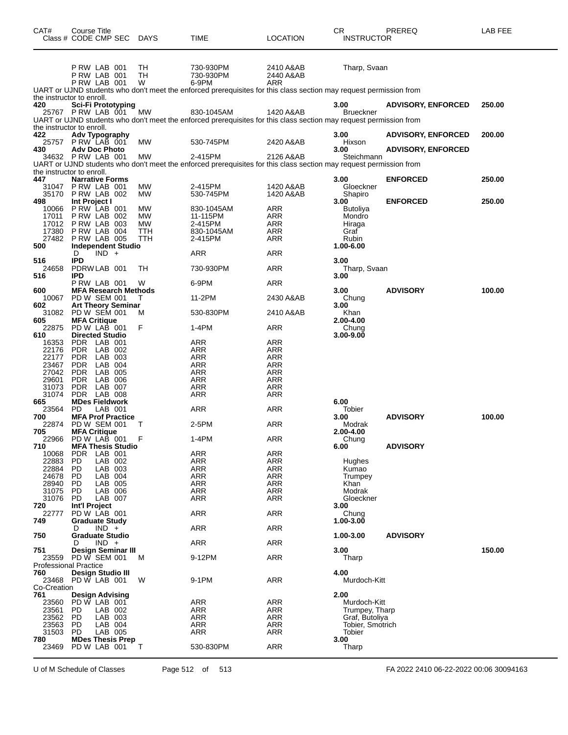| CAT#                                | Course Title             | Class # CODE CMP SEC DAYS                       |                  | TIME                                                                                                                             | LOCATION                             | CR<br><b>INSTRUCTOR</b>          | PREREQ                    | LAB FEE |
|-------------------------------------|--------------------------|-------------------------------------------------|------------------|----------------------------------------------------------------------------------------------------------------------------------|--------------------------------------|----------------------------------|---------------------------|---------|
|                                     |                          | PRW LAB 001<br>PRW LAB 001<br>PRW LAB 001       | TН<br>TН<br>W    | 730-930PM<br>730-930PM<br>6-9PM                                                                                                  | 2410 A&AB<br>2440 A&AB<br><b>ARR</b> | Tharp, Svaan                     |                           |         |
|                                     |                          |                                                 |                  | UART or UJND students who don't meet the enforced prerequisites for this class section may request permission from               |                                      |                                  |                           |         |
| the instructor to enroll.<br>420    |                          | Sci-Fi Prototyping                              |                  |                                                                                                                                  |                                      | 3.00                             | <b>ADVISORY, ENFORCED</b> | 250.00  |
| the instructor to enroll.           |                          | 25767 P RW LAB 001                              | МW               | 830-1045AM<br>UART or UJND students who don't meet the enforced prerequisites for this class section may request permission from | 1420 A&AB                            | <b>Brueckner</b>                 |                           |         |
| 422                                 |                          | Adv Typography                                  |                  |                                                                                                                                  |                                      | 3.00                             | <b>ADVISORY, ENFORCED</b> | 200.00  |
| 25757<br>430                        |                          | PRW LAB 001<br><b>Adv Doc Photo</b>             | <b>MW</b>        | 530-745PM                                                                                                                        | 2420 A&AB                            | Hixson<br>3.00                   | <b>ADVISORY, ENFORCED</b> |         |
|                                     |                          | 34632 P RW LAB 001                              | <b>MW</b>        | 2-415PM<br>UART or UJND students who don't meet the enforced prerequisites for this class section may request permission from    | 2126 A&AB                            | Steichmann                       |                           |         |
| the instructor to enroll.           |                          |                                                 |                  |                                                                                                                                  |                                      |                                  |                           |         |
| 447<br>31047                        |                          | <b>Narrative Forms</b><br>P RW LAB 001          | <b>MW</b>        | 2-415PM                                                                                                                          | 1420 A&AB                            | 3.00<br>Gloeckner                | <b>ENFORCED</b>           | 250.00  |
| 35170                               |                          | PRW LAB 002                                     | <b>MW</b>        | 530-745PM                                                                                                                        | 1420 A&AB                            | Shapiro                          |                           |         |
| 498<br>10066                        | Int Project I            | PRW LAB 001                                     | MW               | 830-1045AM                                                                                                                       | <b>ARR</b>                           | 3.00<br>Butoliya                 | <b>ENFORCED</b>           | 250.00  |
| 17011                               |                          | PRW LAB 002                                     | <b>MW</b>        | 11-115PM                                                                                                                         | ARR                                  | Mondro                           |                           |         |
| 17012<br>17380                      |                          | PRW LAB 003<br>P RW LAB 004                     | <b>MW</b><br>TTH | 2-415PM<br>830-1045AM                                                                                                            | <b>ARR</b><br><b>ARR</b>             | Hiraga<br>Graf                   |                           |         |
| 27482                               |                          | P RW LAB 005                                    | TTH              | 2-415PM                                                                                                                          | ARR                                  | Rubin                            |                           |         |
| 500                                 | D                        | <b>Independent Studio</b><br>$IND +$            |                  | ARR                                                                                                                              | <b>ARR</b>                           | 1.00-6.00                        |                           |         |
| 516                                 | <b>IPD</b>               |                                                 |                  |                                                                                                                                  |                                      | 3.00                             |                           |         |
| 24658<br>516                        | <b>IPD</b>               | PDRW LAB 001                                    | TН               | 730-930PM                                                                                                                        | ARR                                  | Tharp, Svaan<br>3.00             |                           |         |
|                                     |                          | PRW LAB 001                                     | W                | 6-9PM                                                                                                                            | <b>ARR</b>                           |                                  |                           |         |
| 600<br>10067                        |                          | <b>MFA Research Methods</b><br>PD W SEM 001     | T                | 11-2PM                                                                                                                           | 2430 A&AB                            | 3.00<br>Chung                    | <b>ADVISORY</b>           | 100.00  |
| 602<br>31082                        |                          | <b>Art Theory Seminar</b><br><b>PDW SEM 001</b> | м                | 530-830PM                                                                                                                        | 2410 A&AB                            | 3.00<br>Khan                     |                           |         |
| 605                                 | <b>MFA Critique</b>      |                                                 |                  |                                                                                                                                  |                                      | 2.00-4.00                        |                           |         |
| 22875<br>610                        |                          | PD W LAB 001<br><b>Directed Studio</b>          | F                | 1-4PM                                                                                                                            | ARR                                  | Chung<br>3.00-9.00               |                           |         |
| 16353                               | <b>PDR</b>               | LAB 001                                         |                  | <b>ARR</b>                                                                                                                       | <b>ARR</b>                           |                                  |                           |         |
| 22176<br>22177                      | <b>PDR</b><br><b>PDR</b> | LAB 002<br>LAB 003                              |                  | <b>ARR</b><br><b>ARR</b>                                                                                                         | ARR<br><b>ARR</b>                    |                                  |                           |         |
| 23467                               | <b>PDR</b>               | LAB 004                                         |                  | <b>ARR</b>                                                                                                                       | <b>ARR</b>                           |                                  |                           |         |
| 27042<br>29601                      | <b>PDR</b><br><b>PDR</b> | LAB 005<br>LAB 006                              |                  | <b>ARR</b><br><b>ARR</b>                                                                                                         | ARR<br><b>ARR</b>                    |                                  |                           |         |
| 31073                               | <b>PDR</b>               | LAB 007                                         |                  | ARR                                                                                                                              | <b>ARR</b>                           |                                  |                           |         |
| 31074                               | <b>PDR</b>               | LAB 008                                         |                  | ARR                                                                                                                              | ARR                                  |                                  |                           |         |
| 665<br>23564                        | PD.                      | <b>MDes Fieldwork</b><br>LAB 001                |                  | <b>ARR</b>                                                                                                                       | ARR                                  | 6.00<br>Tobier                   |                           |         |
| 700                                 |                          | <b>MFA Prof Practice</b>                        |                  |                                                                                                                                  |                                      | 3.00                             | <b>ADVISORY</b>           | 100.00  |
| 22874<br>705                        |                          | PD W SEM 001<br><b>MFA Critique</b>             | т                | $2-5PM$                                                                                                                          | ARR                                  | Modrak<br>2.00-4.00              |                           |         |
|                                     |                          | 22966 PD W LAB 001                              |                  | 1-4PM                                                                                                                            | ARR                                  | Chung                            |                           |         |
| 710<br>10068                        | PDR.                     | <b>MFA Thesis Studio</b><br>LAB 001             |                  | ARR                                                                                                                              | <b>ARR</b>                           | 6.00                             | <b>ADVISORY</b>           |         |
| 22883                               | PD.                      | LAB 002                                         |                  | ARR                                                                                                                              | <b>ARR</b>                           | Hughes                           |                           |         |
| 22884                               | PD                       | LAB 003                                         |                  | ARR                                                                                                                              | ARR                                  | Kumao                            |                           |         |
| 24678<br>28940                      | PD<br>PD                 | LAB 004<br>LAB 005                              |                  | ARR<br>ARR                                                                                                                       | <b>ARR</b><br><b>ARR</b>             | Trumpey<br>Khan                  |                           |         |
| 31075                               | PD.                      | LAB 006                                         |                  | ARR                                                                                                                              | ARR                                  | Modrak                           |                           |         |
| 31076<br>720                        | PD.<br>Int'l Project     | LAB 007                                         |                  | ARR                                                                                                                              | ARR                                  | Gloeckner<br>3.00                |                           |         |
| 22777                               |                          | PD W LAB 001                                    |                  | ARR                                                                                                                              | ARR                                  | Chuna                            |                           |         |
| 749                                 | D                        | <b>Graduate Study</b><br>$IND +$                |                  | <b>ARR</b>                                                                                                                       | ARR                                  | 1.00-3.00                        |                           |         |
| 750                                 |                          | <b>Graduate Studio</b>                          |                  |                                                                                                                                  |                                      | 1.00-3.00                        | <b>ADVISORY</b>           |         |
| 751                                 | D                        | $IND +$<br>Design Seminar III                   |                  | <b>ARR</b>                                                                                                                       | ARR                                  | 3.00                             |                           | 150.00  |
| 23559                               |                          | PD W SEM 001                                    | м                | 9-12PM                                                                                                                           | ARR                                  | Tharp                            |                           |         |
| <b>Professional Practice</b><br>760 |                          | Design Studio III                               |                  |                                                                                                                                  |                                      | 4.00                             |                           |         |
| 23468                               |                          | PD W LAB 001                                    | W                | 9-1PM                                                                                                                            | <b>ARR</b>                           | Murdoch-Kitt                     |                           |         |
| Co-Creation<br>761                  |                          | <b>Design Advising</b>                          |                  |                                                                                                                                  |                                      | 2.00                             |                           |         |
| 23560                               |                          | PD W LAB 001                                    |                  | ARR                                                                                                                              | <b>ARR</b>                           | Murdoch-Kitt                     |                           |         |
| 23561<br>23562                      | PD<br>PD                 | LAB 002<br>LAB 003                              |                  | ARR<br>ARR                                                                                                                       | <b>ARR</b><br>ARR                    | Trumpey, Tharp<br>Graf, Butoliya |                           |         |
| 23563                               | PD                       | LAB 004                                         |                  | ARR                                                                                                                              | ARR                                  | Tobier, Smotrich                 |                           |         |
| 31503                               | PD.                      | LAB 005                                         |                  | ARR                                                                                                                              | ARR                                  | Tobier                           |                           |         |
| 780<br>23469                        |                          | <b>MDes Thesis Prep</b><br>PD W LAB 001         | Т                | 530-830PM                                                                                                                        | ARR                                  | 3.00<br>Tharp                    |                           |         |
|                                     |                          |                                                 |                  |                                                                                                                                  |                                      |                                  |                           |         |

U of M Schedule of Classes Page 512 of 513 FA 2022 2410 06-22-2022 00:06 30094163